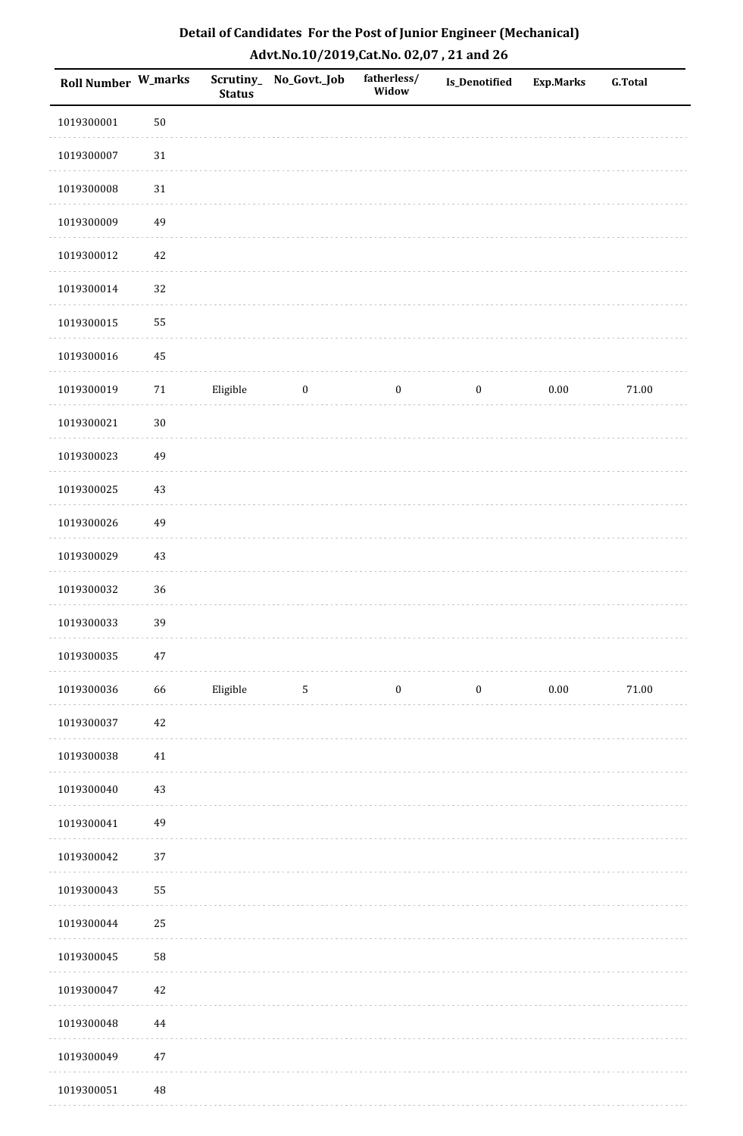| Detail of Candidates For the Post of Junior Engineer (Mechanical) |
|-------------------------------------------------------------------|
| Advt.No.10/2019, Cat.No. 02,07, 21 and 26                         |

| <b>Roll Number W_marks</b> |          | <b>Status</b> | Scrutiny_ No_Govt._Job | fatherless/<br>Widow | Is_Denotified    | Exp.Marks | <b>G.Total</b> |
|----------------------------|----------|---------------|------------------------|----------------------|------------------|-----------|----------------|
| 1019300001                 | $50\,$   |               |                        |                      |                  |           |                |
| 1019300007                 | $31\,$   |               |                        |                      |                  |           |                |
| 1019300008                 | $31\,$   |               |                        |                      |                  |           |                |
| 1019300009                 | 49       |               |                        |                      |                  |           |                |
| 1019300012                 | 42       |               |                        |                      |                  |           |                |
| 1019300014                 | 32       |               |                        |                      |                  |           |                |
| 1019300015                 | 55       |               |                        |                      |                  |           |                |
| 1019300016                 | 45       |               |                        |                      |                  |           |                |
| 1019300019                 | 71       | Eligible      | $\boldsymbol{0}$       | $\boldsymbol{0}$     | $\boldsymbol{0}$ | $0.00\,$  | $71.00\,$      |
| 1019300021                 | $30\,$   |               |                        |                      |                  |           |                |
| 1019300023                 | 49       |               |                        |                      |                  |           |                |
| 1019300025                 | 43       |               |                        |                      |                  |           |                |
| 1019300026                 | 49       |               |                        |                      |                  |           |                |
| 1019300029                 | 43       |               |                        |                      |                  |           |                |
| 1019300032                 | 36       |               |                        |                      |                  |           |                |
| 1019300033                 | 39       |               |                        |                      |                  |           |                |
| 1019300035                 | $47\,$   |               |                        |                      |                  |           |                |
| 1019300036                 | 66       | Eligible      | 5                      | $\boldsymbol{0}$     | $\boldsymbol{0}$ | $0.00\,$  | 71.00          |
| 1019300037                 | $42\,$   |               |                        |                      |                  |           |                |
| 1019300038                 | 41       |               |                        |                      |                  |           |                |
| 1019300040                 | 43       |               |                        |                      |                  |           |                |
| 1019300041                 | 49       |               |                        |                      |                  |           |                |
| 1019300042                 | 37       |               |                        |                      |                  |           |                |
| 1019300043                 | 55       |               |                        |                      |                  |           |                |
| 1019300044                 | 25       |               |                        |                      |                  |           |                |
| 1019300045                 | 58       |               |                        |                      |                  |           |                |
| 1019300047                 | 42       |               |                        |                      |                  |           |                |
| 1019300048                 | 44       |               |                        |                      |                  |           |                |
| 1019300049                 | $47\,$   |               |                        |                      |                  |           |                |
| 1019300051                 | $\rm 48$ |               |                        |                      |                  |           |                |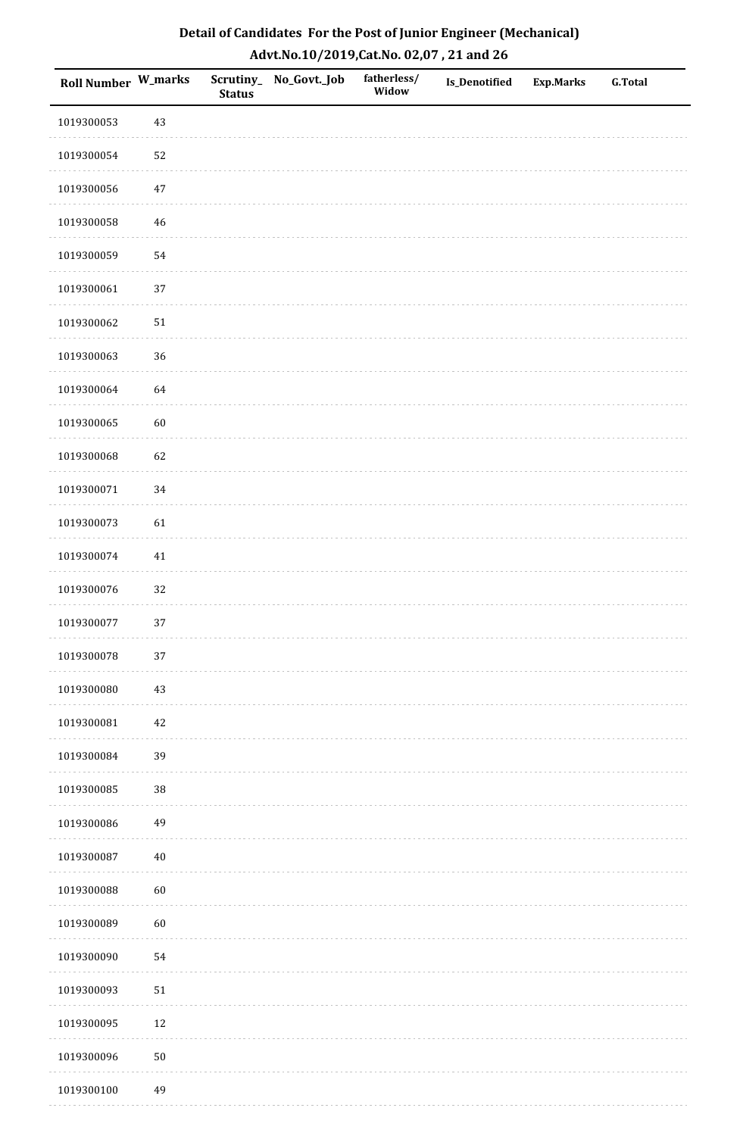| <b>Roll Number W_marks</b> |        | <b>Status</b> | Scrutiny_No_Govt._Job | fatherless/<br>Widow | Is_Denotified | <b>Exp.Marks</b> | <b>G.Total</b> |
|----------------------------|--------|---------------|-----------------------|----------------------|---------------|------------------|----------------|
| 1019300053                 | 43     |               |                       |                      |               |                  |                |
| 1019300054                 | 52     |               |                       |                      |               |                  |                |
| 1019300056                 | $47\,$ |               |                       |                      |               |                  |                |
| 1019300058                 | 46     |               |                       |                      |               |                  |                |
| 1019300059                 | 54     |               |                       |                      |               |                  |                |
| 1019300061                 | 37     |               |                       |                      |               |                  |                |
| 1019300062                 | $51\,$ |               |                       |                      |               |                  |                |
| 1019300063                 | 36     |               |                       |                      |               |                  |                |
| 1019300064                 | 64     |               |                       |                      |               |                  |                |
| 1019300065                 | 60     |               |                       |                      |               |                  |                |
| 1019300068                 | 62     |               |                       |                      |               |                  |                |
| 1019300071                 | 34     |               |                       |                      |               |                  |                |
| 1019300073                 | 61     |               |                       |                      |               |                  |                |
| 1019300074                 | $41\,$ |               |                       |                      |               |                  |                |
| 1019300076                 | 32     |               |                       |                      |               |                  |                |
| 1019300077                 | 37     |               |                       |                      |               |                  |                |
| 1019300078                 | $37\,$ |               |                       |                      |               |                  |                |
| 1019300080                 | 43     |               |                       |                      |               |                  |                |
| 1019300081                 | $42\,$ |               |                       |                      |               |                  |                |
| 1019300084                 | 39     |               |                       |                      |               |                  |                |
| 1019300085                 | 38     |               |                       |                      |               |                  |                |
| 1019300086                 | 49     |               |                       |                      |               |                  |                |
| 1019300087                 | $40\,$ |               |                       |                      |               |                  |                |
| 1019300088                 | 60     |               |                       |                      |               |                  |                |
| 1019300089                 | 60     |               |                       |                      |               |                  |                |
| 1019300090                 | 54     |               |                       |                      |               |                  |                |
| 1019300093                 | $51\,$ |               |                       |                      |               |                  |                |
| 1019300095                 | 12     |               |                       |                      |               |                  |                |
| 1019300096                 | $50\,$ |               |                       |                      |               |                  |                |
| 1019300100                 | 49     |               |                       |                      |               |                  |                |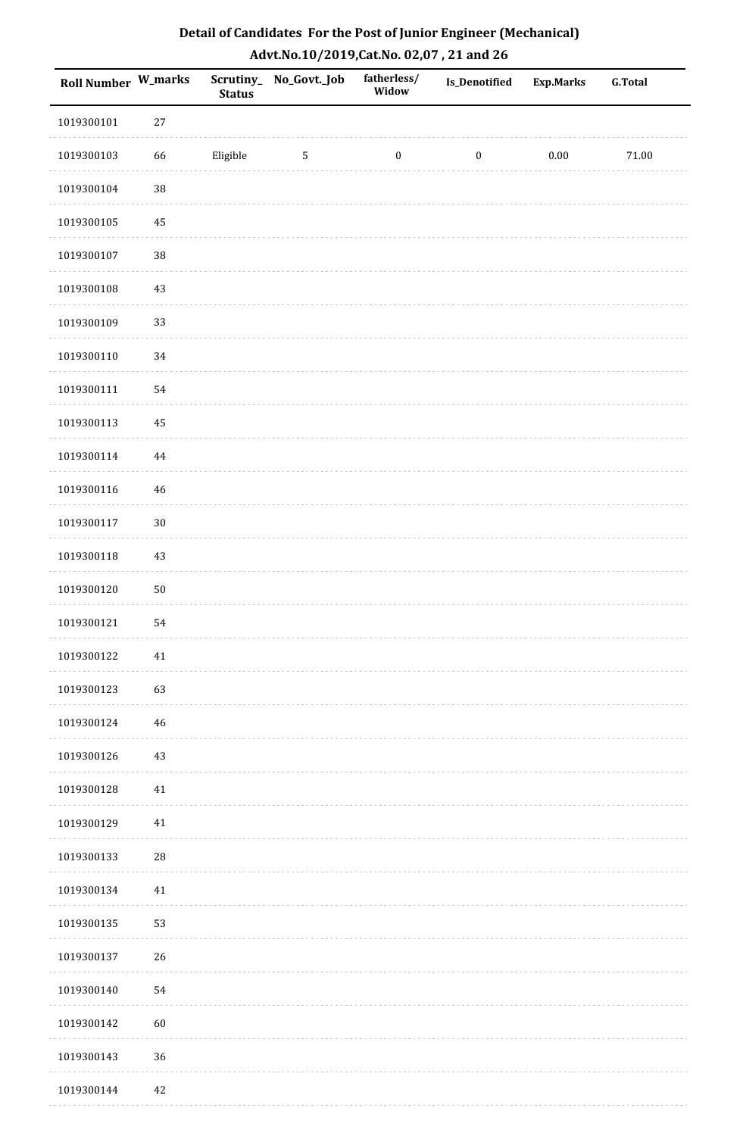| Detail of Candidates For the Post of Junior Engineer (Mechanical) |
|-------------------------------------------------------------------|
| Advt.No.10/2019,Cat.No. 02,07, 21 and 26                          |

| Roll Number W_marks |        | <b>Status</b> | Scrutiny_ No_Govt._Job | fatherless/<br>Widow | Is_Denotified    | <b>Exp.Marks</b> | <b>G.Total</b> |
|---------------------|--------|---------------|------------------------|----------------------|------------------|------------------|----------------|
| 1019300101          | 27     |               |                        |                      |                  |                  |                |
| 1019300103          | 66     | Eligible      | 5                      | $\boldsymbol{0}$     | $\boldsymbol{0}$ | 0.00             | 71.00          |
| 1019300104          | $38\,$ |               |                        |                      |                  |                  |                |
| 1019300105          | 45     |               |                        |                      |                  |                  |                |
| 1019300107          | $38\,$ |               |                        |                      |                  |                  |                |
| 1019300108          | 43     |               |                        |                      |                  |                  |                |
| 1019300109          | 33     |               |                        |                      |                  |                  |                |
| 1019300110          | 34     |               |                        |                      |                  |                  |                |
| 1019300111          | 54     |               |                        |                      |                  |                  |                |
| 1019300113          | 45     |               |                        |                      |                  |                  |                |
| 1019300114          | 44     |               |                        |                      |                  |                  |                |
| 1019300116          | 46     |               |                        |                      |                  |                  |                |
| 1019300117          | $30\,$ |               |                        |                      |                  |                  |                |
| 1019300118          | 43     |               |                        |                      |                  |                  |                |
| 1019300120          | $50\,$ |               |                        |                      |                  |                  |                |
| 1019300121          | 54     |               |                        |                      |                  |                  |                |
| 1019300122          | $41\,$ |               |                        |                      |                  |                  |                |
| 1019300123          | 63     |               |                        |                      |                  |                  |                |
| 1019300124          | 46     |               |                        |                      |                  |                  |                |
| 1019300126          | 43     |               |                        |                      |                  |                  |                |
| 1019300128          | 41     |               |                        |                      |                  |                  |                |
| 1019300129          | 41     |               |                        |                      |                  |                  |                |
| 1019300133          | $28\,$ |               |                        |                      |                  |                  |                |
| 1019300134          | 41     |               |                        |                      |                  |                  |                |
| 1019300135          | 53     |               |                        |                      |                  |                  |                |
| 1019300137          | 26     |               |                        |                      |                  |                  |                |
| 1019300140          | 54     |               |                        |                      |                  |                  |                |
| 1019300142          | 60     |               |                        |                      |                  |                  |                |
| 1019300143          | 36     |               |                        |                      |                  |                  |                |
| 1019300144          | 42     |               |                        |                      |                  |                  |                |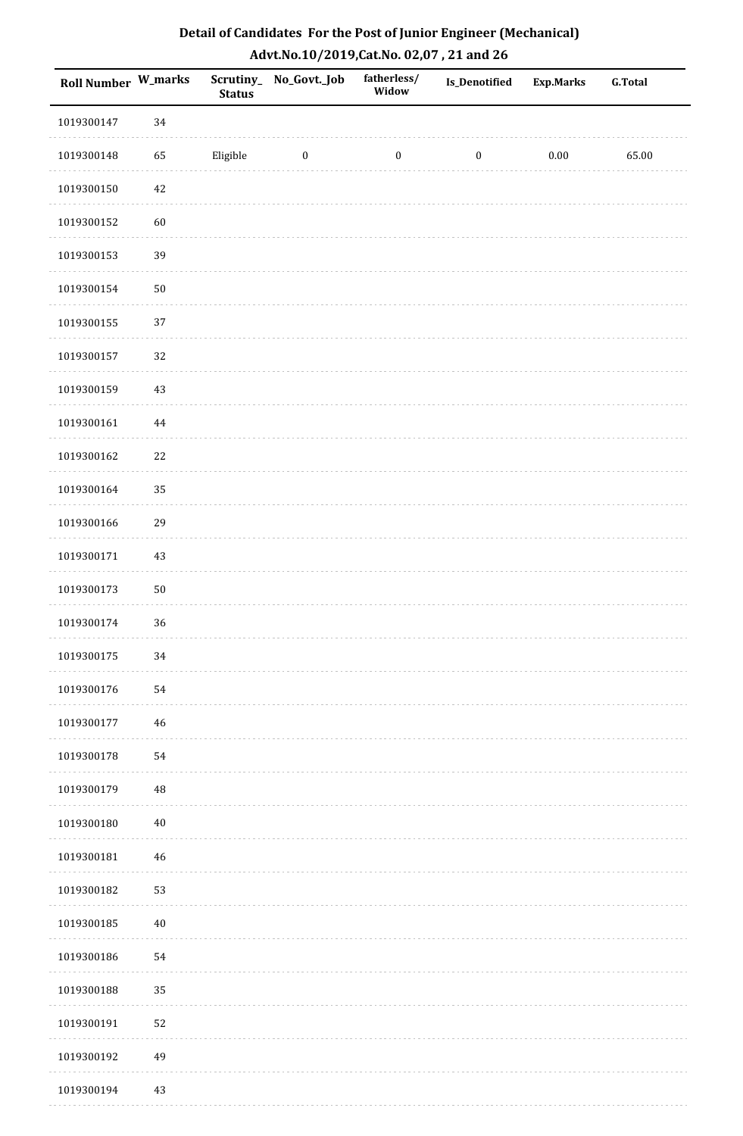| Detail of Candidates For the Post of Junior Engineer (Mechanical) |
|-------------------------------------------------------------------|
| Advt.No.10/2019,Cat.No. 02,07, 21 and 26                          |

| Roll Number W_marks |             | <b>Status</b> | Scrutiny_No_Govt._Job | fatherless/<br>Widow | Is_Denotified    | <b>Exp.Marks</b> | <b>G.Total</b> |
|---------------------|-------------|---------------|-----------------------|----------------------|------------------|------------------|----------------|
| 1019300147          | 34          |               |                       |                      |                  |                  |                |
| 1019300148          | 65          | Eligible      | $\boldsymbol{0}$      | $\boldsymbol{0}$     | $\boldsymbol{0}$ | $0.00\,$         | 65.00          |
| 1019300150          | 42          |               |                       |                      |                  |                  |                |
| 1019300152          | 60          |               |                       |                      |                  |                  |                |
| 1019300153          | 39          |               |                       |                      |                  |                  |                |
| 1019300154          | $50\,$      |               |                       |                      |                  |                  |                |
| 1019300155          | 37          |               |                       |                      |                  |                  |                |
| 1019300157          | 32          |               |                       |                      |                  |                  |                |
| 1019300159          | 43          |               |                       |                      |                  |                  |                |
| 1019300161          | $\bf 44$    |               |                       |                      |                  |                  |                |
| 1019300162          | 22          |               |                       |                      |                  |                  |                |
| 1019300164          | 35          |               |                       |                      |                  |                  |                |
| 1019300166          | 29          |               |                       |                      |                  |                  |                |
| 1019300171          | 43          |               |                       |                      |                  |                  |                |
| 1019300173          | $50\,$      |               |                       |                      |                  |                  |                |
| 1019300174          | 36          |               |                       |                      |                  |                  |                |
| 1019300175          | $34\,$      |               |                       |                      |                  |                  |                |
| 1019300176          | 54          |               |                       |                      |                  |                  |                |
| 1019300177          | $\sqrt{46}$ |               |                       |                      |                  |                  |                |
| 1019300178          | 54          |               |                       |                      |                  |                  |                |
| 1019300179          | $\rm 48$    |               |                       |                      |                  |                  |                |
| 1019300180          | $40\,$      |               |                       |                      |                  |                  |                |
| 1019300181          | $\sqrt{46}$ |               |                       |                      |                  |                  |                |
| 1019300182          | 53          |               |                       |                      |                  |                  |                |
| 1019300185          | $40\,$      |               |                       |                      |                  |                  |                |
| 1019300186          | 54          |               |                       |                      |                  |                  |                |
| 1019300188          | 35          |               |                       |                      |                  |                  |                |
| 1019300191          | 52          |               |                       |                      |                  |                  |                |
| 1019300192          | 49          |               |                       |                      |                  |                  |                |
| 1019300194          | 43          |               |                       |                      |                  |                  |                |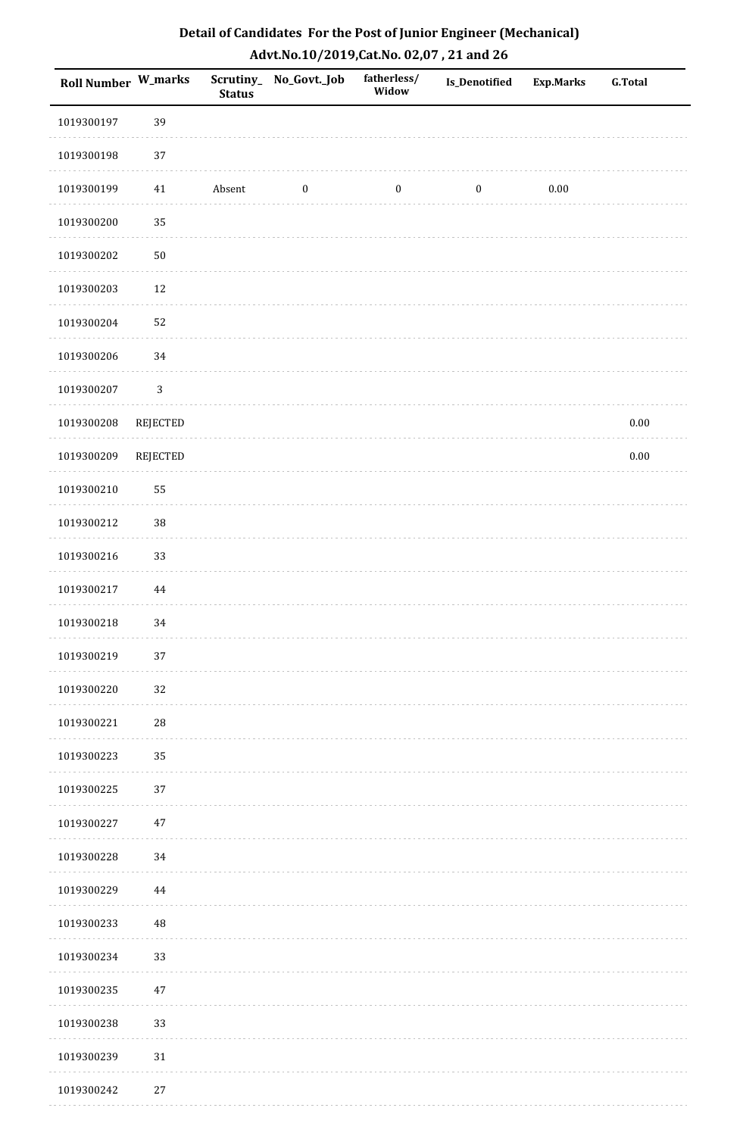| Roll Number W_marks |                 | <b>Status</b> | Scrutiny_ No_Govt._Job | fatherless/<br>Widow | Is_Denotified    | <b>Exp.Marks</b> | G.Total  |
|---------------------|-----------------|---------------|------------------------|----------------------|------------------|------------------|----------|
| 1019300197          | 39              |               |                        |                      |                  |                  |          |
| 1019300198          | 37              |               |                        |                      |                  |                  |          |
| 1019300199          | 41              | Absent        | $\boldsymbol{0}$       | $\boldsymbol{0}$     | $\boldsymbol{0}$ | $0.00\,$         |          |
| 1019300200          | 35              |               |                        |                      |                  |                  |          |
| 1019300202          | $50\,$          |               |                        |                      |                  |                  |          |
| 1019300203          | $12\,$          |               |                        |                      |                  |                  |          |
| 1019300204          | 52              |               |                        |                      |                  |                  |          |
| 1019300206          | 34              |               |                        |                      |                  |                  |          |
| 1019300207          | $\mathbf{3}$    |               |                        |                      |                  |                  |          |
| 1019300208          | <b>REJECTED</b> |               |                        |                      |                  |                  | $0.00\,$ |
| 1019300209          | <b>REJECTED</b> |               |                        |                      |                  |                  | $0.00\,$ |
| 1019300210          | 55              |               |                        |                      |                  |                  |          |
| 1019300212          | 38              |               |                        |                      |                  |                  |          |
| 1019300216          | 33              |               |                        |                      |                  |                  |          |
| 1019300217          | $\bf 44$        |               |                        |                      |                  |                  |          |
| 1019300218          | 34              |               |                        |                      |                  |                  |          |
| 1019300219          | 37              |               |                        |                      |                  |                  |          |
| 1019300220          | 32              |               |                        |                      |                  |                  |          |
| 1019300221          | ${\bf 28}$      |               |                        |                      |                  |                  |          |
| 1019300223          | 35              |               |                        |                      |                  |                  |          |
| 1019300225          | 37              |               |                        |                      |                  |                  |          |
| 1019300227          | $47\,$          |               |                        |                      |                  |                  |          |
| 1019300228          | 34              |               |                        |                      |                  |                  |          |
| 1019300229          | 44              |               |                        |                      |                  |                  |          |
| 1019300233          | 48              |               |                        |                      |                  |                  |          |
| 1019300234          | 33              |               |                        |                      |                  |                  |          |
| 1019300235          | $47\,$          |               |                        |                      |                  |                  |          |
| 1019300238          | 33              |               |                        |                      |                  |                  |          |
| 1019300239          | 31              |               |                        |                      |                  |                  |          |
| 1019300242          | $27\,$          |               |                        |                      |                  |                  |          |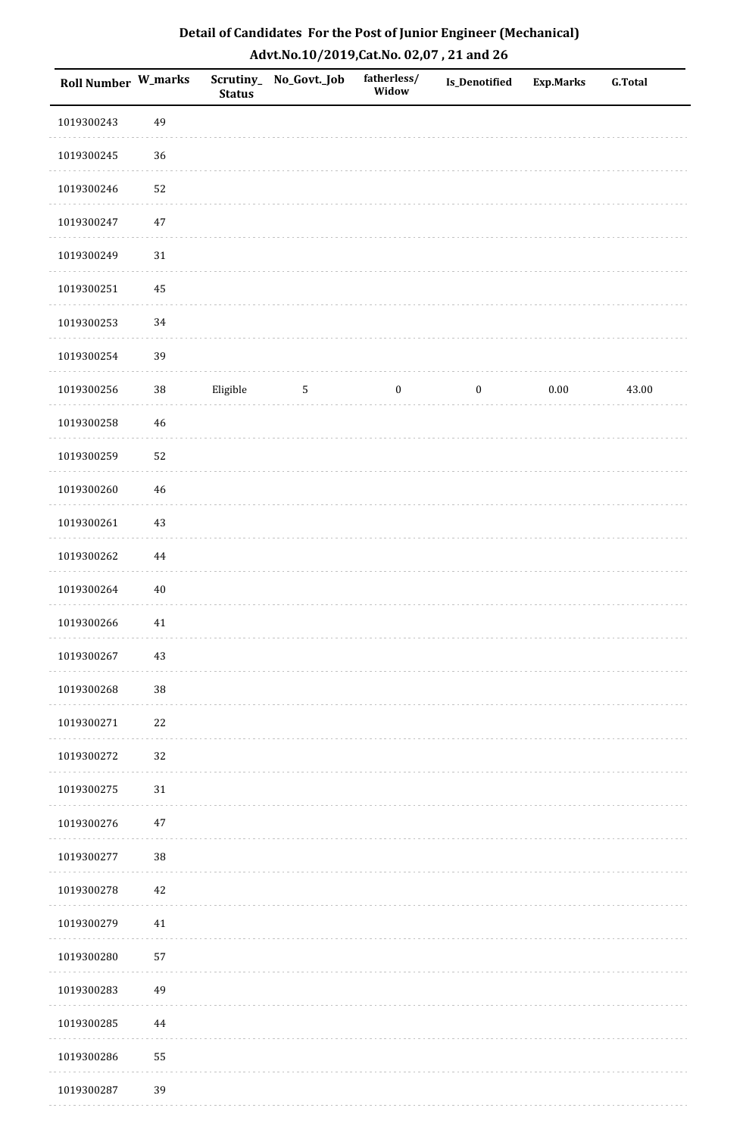| Detail of Candidates For the Post of Junior Engineer (Mechanical) |
|-------------------------------------------------------------------|
| Advt.No.10/2019, Cat.No. 02,07, 21 and 26                         |

| Roll Number W_marks |             | <b>Status</b> | Scrutiny_ No_Govt._Job | fatherless/<br>Widow | Is_Denotified    | <b>Exp.Marks</b> | G.Total |
|---------------------|-------------|---------------|------------------------|----------------------|------------------|------------------|---------|
| 1019300243          | 49          |               |                        |                      |                  |                  |         |
| 1019300245          | $36\,$      |               |                        |                      |                  |                  |         |
| 1019300246          | 52          |               |                        |                      |                  |                  |         |
| 1019300247          | $47\,$      |               |                        |                      |                  |                  |         |
| 1019300249          | $31\,$      |               |                        |                      |                  |                  |         |
| 1019300251          | 45          |               |                        |                      |                  |                  |         |
| 1019300253          | 34          |               |                        |                      |                  |                  |         |
| 1019300254          | 39          |               |                        |                      |                  |                  |         |
| 1019300256          | $38\,$      | Eligible      | $5\phantom{.0}$        | $\bf{0}$             | $\boldsymbol{0}$ | $0.00\,$         | 43.00   |
| 1019300258          | $\sqrt{46}$ |               |                        |                      |                  |                  |         |
| 1019300259          | 52          |               |                        |                      |                  |                  |         |
| 1019300260          | 46          |               |                        |                      |                  |                  |         |
| 1019300261          | $43\,$      |               |                        |                      |                  |                  |         |
| 1019300262          | 44          |               |                        |                      |                  |                  |         |
| 1019300264          | $40\,$      |               |                        |                      |                  |                  |         |
| 1019300266          | $41\,$      |               |                        |                      |                  |                  |         |
| 1019300267          | 43          |               |                        |                      |                  |                  |         |
| 1019300268          | $38\,$      |               |                        |                      |                  |                  |         |
| 1019300271          | 22          |               |                        |                      |                  |                  |         |
| 1019300272          | 32          |               |                        |                      |                  |                  |         |
| 1019300275          | 31          |               |                        |                      |                  |                  |         |
| 1019300276          | $47\,$      |               |                        |                      |                  |                  |         |
| 1019300277          | $38\,$      |               |                        |                      |                  |                  |         |
| 1019300278          | 42          |               |                        |                      |                  |                  |         |
| 1019300279          | 41          |               |                        |                      |                  |                  |         |
| 1019300280          | 57          |               |                        |                      |                  |                  |         |
| 1019300283          | 49          |               |                        |                      |                  |                  |         |
| 1019300285          | $\bf 44$    |               |                        |                      |                  |                  |         |
| 1019300286          | 55          |               |                        |                      |                  |                  |         |
| 1019300287          | 39          |               |                        |                      |                  |                  |         |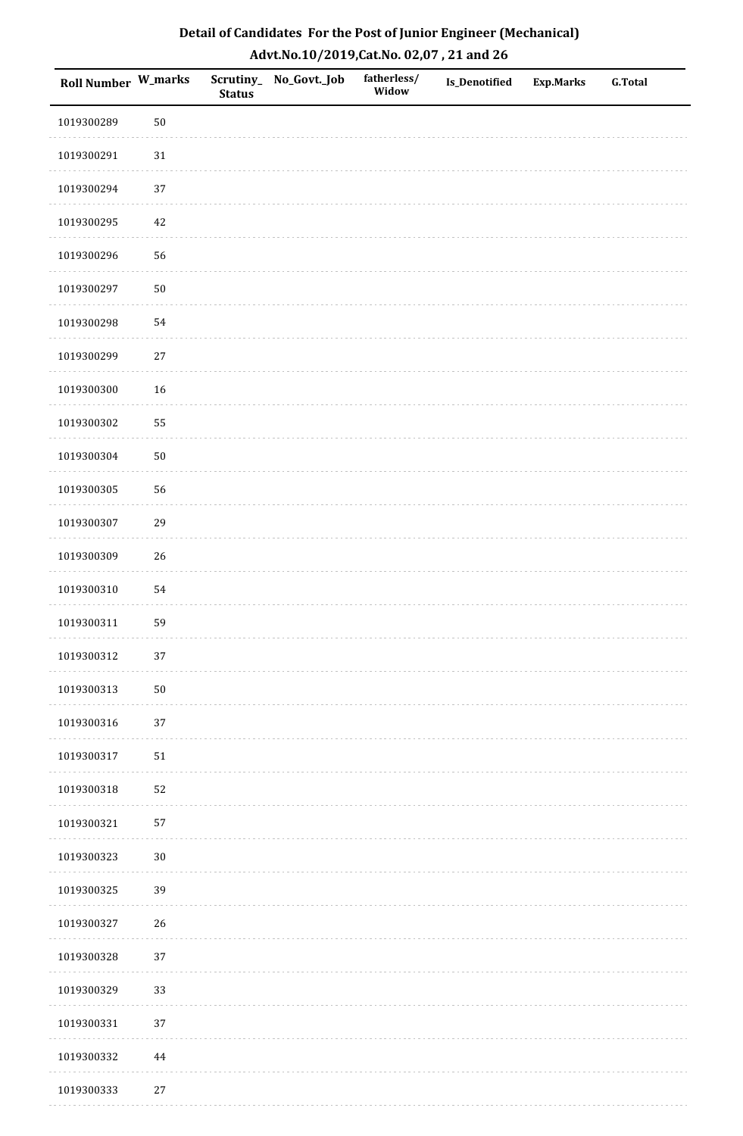| <b>Roll Number W_marks</b> |        | <b>Status</b> | Scrutiny_No_Govt._Job | fatherless/<br>Widow | Is_Denotified | <b>Exp.Marks</b> | <b>G.Total</b> |
|----------------------------|--------|---------------|-----------------------|----------------------|---------------|------------------|----------------|
| 1019300289                 | $50\,$ |               |                       |                      |               |                  |                |
| 1019300291                 | $31\,$ |               |                       |                      |               |                  |                |
| 1019300294                 | $37\,$ |               |                       |                      |               |                  |                |
| 1019300295                 | 42     |               |                       |                      |               |                  |                |
| 1019300296                 | 56     |               |                       |                      |               |                  |                |
| 1019300297                 | $50\,$ |               |                       |                      |               |                  |                |
| 1019300298                 | 54     |               |                       |                      |               |                  |                |
| 1019300299                 | $27\,$ |               |                       |                      |               |                  |                |
| 1019300300                 | 16     |               |                       |                      |               |                  |                |
| 1019300302                 | 55     |               |                       |                      |               |                  |                |
| 1019300304                 | $50\,$ |               |                       |                      |               |                  |                |
| 1019300305                 | 56     |               |                       |                      |               |                  |                |
| 1019300307                 | 29     |               |                       |                      |               |                  |                |
| 1019300309                 | 26     |               |                       |                      |               |                  |                |
| 1019300310                 | 54     |               |                       |                      |               |                  |                |
| 1019300311                 | 59     |               |                       |                      |               |                  |                |
| 1019300312                 | $37\,$ |               |                       |                      |               |                  |                |
| 1019300313                 | $50\,$ |               |                       |                      |               |                  |                |
| 1019300316                 | 37     |               |                       |                      |               |                  |                |
| 1019300317                 | $51\,$ |               |                       |                      |               |                  |                |
| 1019300318                 | 52     |               |                       |                      |               |                  |                |
| 1019300321                 | 57     |               |                       |                      |               |                  |                |
| 1019300323                 | $30\,$ |               |                       |                      |               |                  |                |
| 1019300325                 | 39     |               |                       |                      |               |                  |                |
| 1019300327                 | 26     |               |                       |                      |               |                  |                |
| 1019300328                 | 37     |               |                       |                      |               |                  |                |
| 1019300329                 | 33     |               |                       |                      |               |                  |                |
| 1019300331                 | 37     |               |                       |                      |               |                  |                |
| 1019300332                 | 44     |               |                       |                      |               |                  |                |
| 1019300333                 | $27\,$ |               |                       |                      |               |                  |                |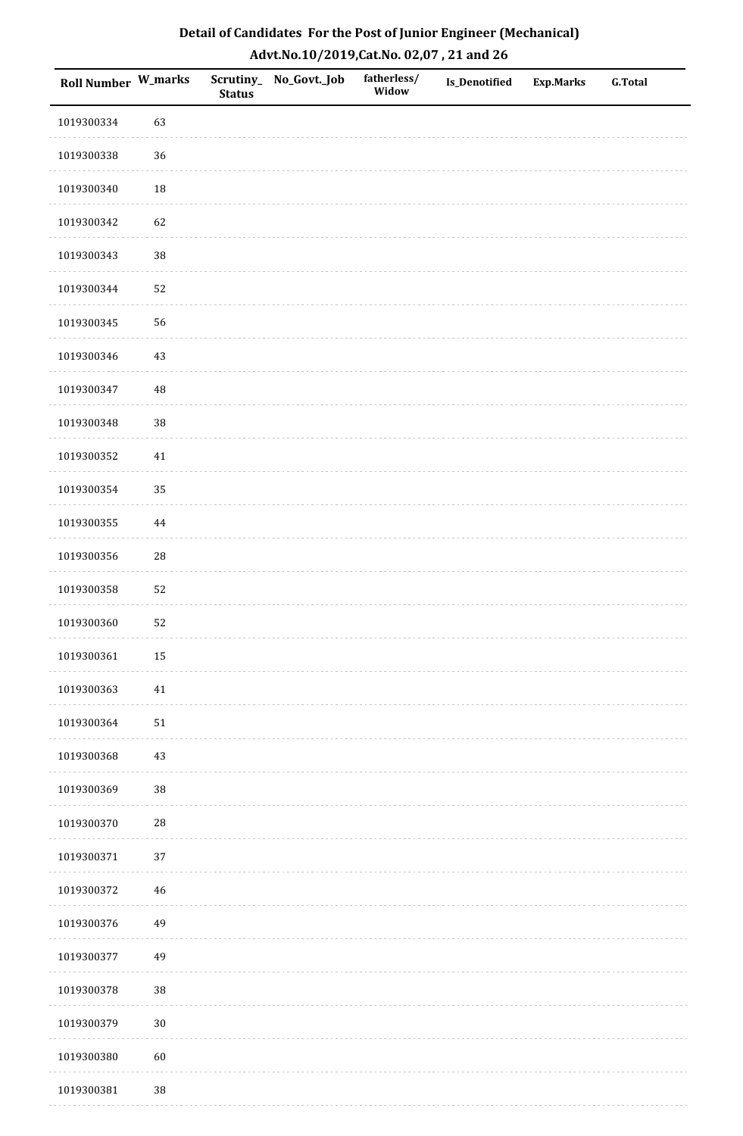| Roll Number W_marks |             | <b>Status</b> | Scrutiny_No_Govt._Job | fatherless/<br>Widow | Is_Denotified | <b>Exp.Marks</b> | <b>G.Total</b> |
|---------------------|-------------|---------------|-----------------------|----------------------|---------------|------------------|----------------|
| 1019300334          | 63          |               |                       |                      |               |                  |                |
| 1019300338          | 36          |               |                       |                      |               |                  |                |
| 1019300340          | 18          |               |                       |                      |               |                  |                |
| 1019300342          | 62          |               |                       |                      |               |                  |                |
| 1019300343          | $38\,$      |               |                       |                      |               |                  |                |
| 1019300344          | 52          |               |                       |                      |               |                  |                |
| 1019300345          | 56          |               |                       |                      |               |                  |                |
| 1019300346          | $43\,$      |               |                       |                      |               |                  |                |
| 1019300347          | $\sqrt{48}$ |               |                       |                      |               |                  |                |
| 1019300348          | 38          |               |                       |                      |               |                  |                |
| 1019300352          | $41\,$      |               |                       |                      |               |                  |                |
| 1019300354          | 35          |               |                       |                      |               |                  |                |
| 1019300355          | 44          |               |                       |                      |               |                  |                |
| 1019300356          | ${\bf 28}$  |               |                       |                      |               |                  |                |
| 1019300358          | 52          |               |                       |                      |               |                  |                |
| 1019300360          | 52          |               |                       |                      |               |                  |                |
| 1019300361          | $15\,$      |               |                       |                      |               |                  |                |
| 1019300363          | $41\,$      |               |                       |                      |               |                  |                |
| 1019300364          | $51\,$      |               |                       |                      |               |                  |                |
| 1019300368          | $43\,$      |               |                       |                      |               |                  |                |
| 1019300369          | $38\,$      |               |                       |                      |               |                  |                |
| 1019300370          | $28\,$      |               |                       |                      |               |                  |                |
| 1019300371          | 37          |               |                       |                      |               |                  |                |
| 1019300372          | $46\,$      |               |                       |                      |               |                  |                |
| 1019300376          | 49          |               |                       |                      |               |                  |                |
| 1019300377          | 49          |               |                       |                      |               |                  |                |
| 1019300378          | $38\,$      |               |                       |                      |               |                  |                |
| 1019300379          | $30\,$      |               |                       |                      |               |                  |                |
| 1019300380          | $60\,$      |               |                       |                      |               |                  |                |
| 1019300381          | $38\,$      |               |                       |                      |               |                  |                |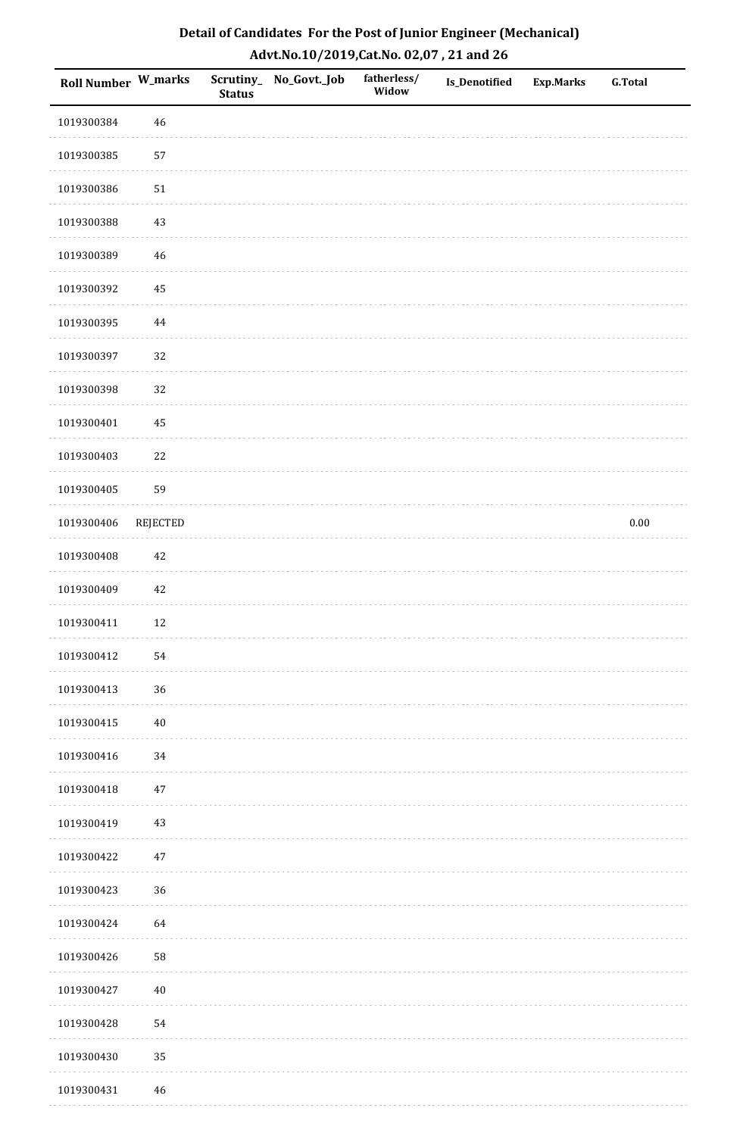| Roll Number W_marks |                 | <b>Status</b> | Scrutiny_ No_Govt._Job | fatherless/<br>Widow | Is_Denotified | <b>Exp.Marks</b> | <b>G.Total</b> |
|---------------------|-----------------|---------------|------------------------|----------------------|---------------|------------------|----------------|
| 1019300384          | 46              |               |                        |                      |               |                  |                |
| 1019300385          | 57              |               |                        |                      |               |                  |                |
| 1019300386          | $51\,$          |               |                        |                      |               |                  |                |
| 1019300388          | 43              |               |                        |                      |               |                  |                |
| 1019300389          | 46              |               |                        |                      |               |                  |                |
| 1019300392          | 45              |               |                        |                      |               |                  |                |
| 1019300395          | 44              |               |                        |                      |               |                  |                |
| 1019300397          | 32              |               |                        |                      |               |                  |                |
| 1019300398          | 32              |               |                        |                      |               |                  |                |
| 1019300401          | 45              |               |                        |                      |               |                  |                |
| 1019300403          | 22              |               |                        |                      |               |                  |                |
| 1019300405          | 59              |               |                        |                      |               |                  |                |
| 1019300406          | <b>REJECTED</b> |               |                        |                      |               |                  | $0.00\,$       |
| 1019300408          | 42              |               |                        |                      |               |                  |                |
| 1019300409          | $42\,$          |               |                        |                      |               |                  |                |
| 1019300411          | $12\,$          |               |                        |                      |               |                  |                |
| 1019300412          | 54              |               |                        |                      |               |                  |                |
| 1019300413          | $36\,$          |               |                        |                      |               |                  |                |
| 1019300415          | $40\,$          |               |                        |                      |               |                  |                |
| 1019300416          | 34              |               |                        |                      |               |                  |                |
| 1019300418          | 47              |               |                        |                      |               |                  |                |
| 1019300419          | $43\,$          |               |                        |                      |               |                  |                |
| 1019300422          | 47              |               |                        |                      |               |                  |                |
| 1019300423          | 36              |               |                        |                      |               |                  |                |
| 1019300424          | 64              |               |                        |                      |               |                  |                |
| 1019300426          | ${\bf 58}$      |               |                        |                      |               |                  |                |
| 1019300427          | $40\,$          |               |                        |                      |               |                  |                |
| 1019300428          | 54              |               |                        |                      |               |                  |                |
| 1019300430          | 35              |               |                        |                      |               |                  |                |
| 1019300431          | 46              |               |                        |                      |               |                  |                |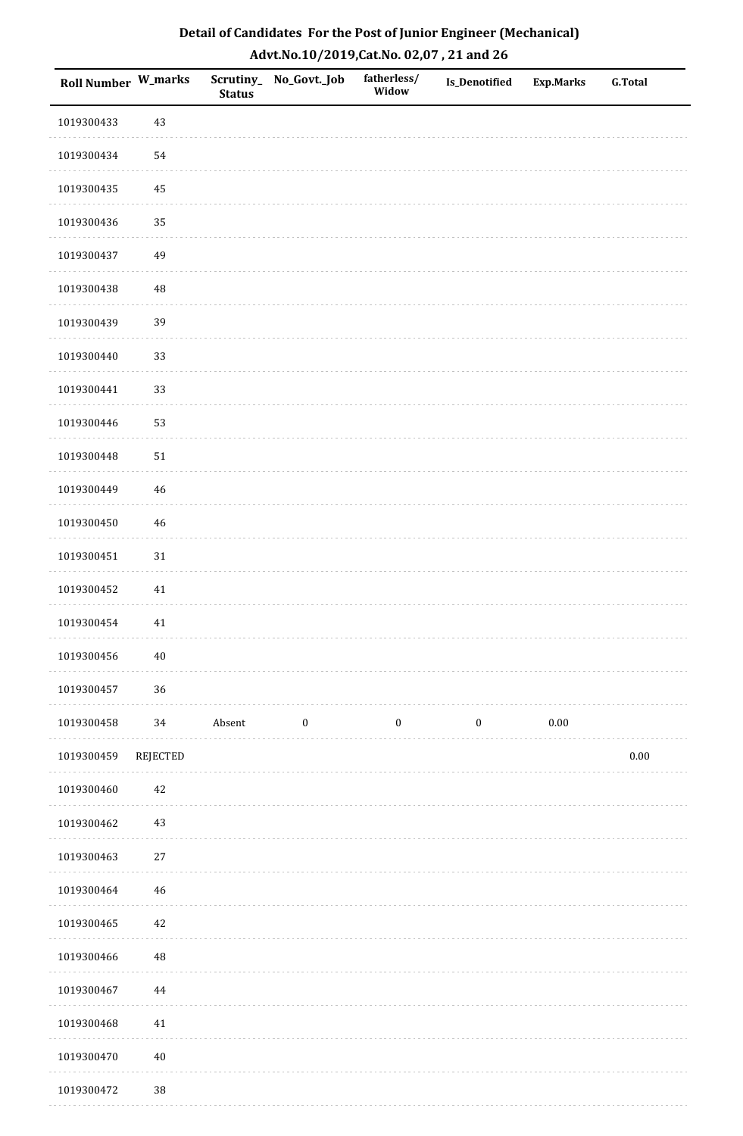| <b>Roll Number W_marks</b> |             | <b>Status</b> | Scrutiny_No_Govt._Job | fatherless/<br>Widow | Is_Denotified    | Exp.Marks | <b>G.Total</b> |
|----------------------------|-------------|---------------|-----------------------|----------------------|------------------|-----------|----------------|
| 1019300433                 | 43          |               |                       |                      |                  |           |                |
| 1019300434                 | 54          |               |                       |                      |                  |           |                |
| 1019300435                 | $\bf 45$    |               |                       |                      |                  |           |                |
| 1019300436                 | 35          |               |                       |                      |                  |           |                |
| 1019300437                 | 49          |               |                       |                      |                  |           |                |
| 1019300438                 | 48          |               |                       |                      |                  |           |                |
| 1019300439                 | 39          |               |                       |                      |                  |           |                |
| 1019300440                 | 33          |               |                       |                      |                  |           |                |
| 1019300441                 | 33          |               |                       |                      |                  |           |                |
| 1019300446                 | 53          |               |                       |                      |                  |           |                |
| 1019300448                 | $51\,$      |               |                       |                      |                  |           |                |
| 1019300449                 | $\sqrt{46}$ |               |                       |                      |                  |           |                |
| 1019300450                 | $46\,$      |               |                       |                      |                  |           |                |
| 1019300451                 | 31          |               |                       |                      |                  |           |                |
| 1019300452                 | 41          |               |                       |                      |                  |           |                |
| 1019300454                 | $41\,$      |               |                       |                      |                  |           |                |
| 1019300456                 | $40\,$      |               |                       |                      |                  |           |                |
| 1019300457                 | 36          |               |                       |                      |                  |           |                |
| 1019300458                 | 34          | Absent        | $\boldsymbol{0}$      | $\boldsymbol{0}$     | $\boldsymbol{0}$ | $0.00\,$  |                |
| 1019300459                 | REJECTED    |               |                       |                      |                  |           | $0.00\,$       |
| 1019300460                 | 42          |               |                       |                      |                  |           |                |
| 1019300462                 | 43          |               |                       |                      |                  |           |                |
| 1019300463                 | 27          |               |                       |                      |                  |           |                |
| 1019300464                 | $46\,$      |               |                       |                      |                  |           |                |
| 1019300465                 | $42\,$      |               |                       |                      |                  |           |                |
| 1019300466                 | $\rm 48$    |               |                       |                      |                  |           |                |
| 1019300467                 | $\bf 44$    |               |                       |                      |                  |           |                |
| 1019300468                 | $41\,$      |               |                       |                      |                  |           |                |
| 1019300470                 | $40\,$      |               |                       |                      |                  |           |                |
| 1019300472                 | $38\,$      |               |                       |                      |                  |           |                |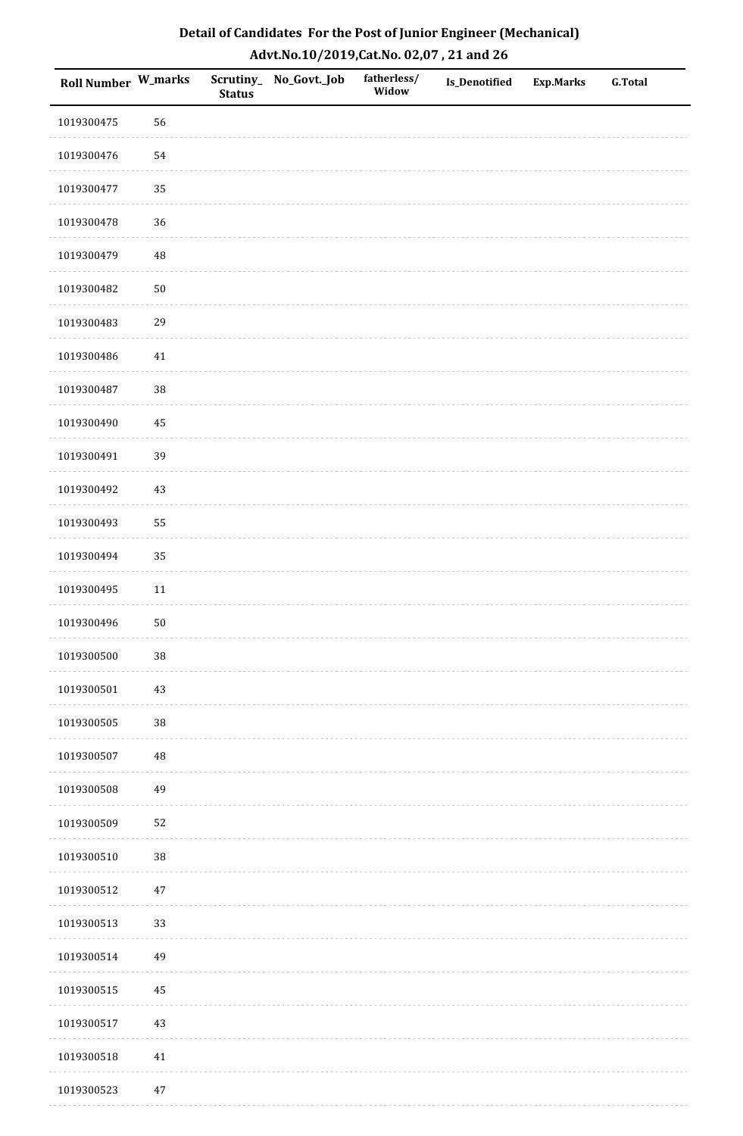| <b>Roll Number W_marks</b> |            | <b>Status</b> | Scrutiny_No_Govt._Job | fatherless/<br>Widow | Is_Denotified | <b>Exp.Marks</b> | <b>G.Total</b> |
|----------------------------|------------|---------------|-----------------------|----------------------|---------------|------------------|----------------|
| 1019300475                 | 56         |               |                       |                      |               |                  |                |
| 1019300476                 | 54         |               |                       |                      |               |                  |                |
| 1019300477                 | 35         |               |                       |                      |               |                  |                |
| 1019300478                 | 36         |               |                       |                      |               |                  |                |
| 1019300479                 | $\rm 48$   |               |                       |                      |               |                  |                |
| 1019300482                 | $50\,$     |               |                       |                      |               |                  |                |
| 1019300483                 | 29         |               |                       |                      |               |                  |                |
| 1019300486                 | 41         |               |                       |                      |               |                  |                |
| 1019300487                 | 38         |               |                       |                      |               |                  |                |
| 1019300490                 | $\bf 45$   |               |                       |                      |               |                  |                |
| 1019300491                 | 39         |               |                       |                      |               |                  |                |
| 1019300492                 | $43\,$     |               |                       |                      |               |                  |                |
| 1019300493                 | 55         |               |                       |                      |               |                  |                |
| 1019300494                 | 35         |               |                       |                      |               |                  |                |
| 1019300495                 | $11\,$     |               |                       |                      |               |                  |                |
| 1019300496                 | ${\bf 50}$ |               |                       |                      |               |                  |                |
| 1019300500                 | $38\,$     |               |                       |                      |               |                  |                |
| 1019300501                 | 43         |               |                       |                      |               |                  |                |
| 1019300505                 | $38\,$     |               |                       |                      |               |                  |                |
| 1019300507                 | 48         |               |                       |                      |               |                  |                |
| 1019300508                 | 49         |               |                       |                      |               |                  |                |
| 1019300509                 | 52         |               |                       |                      |               |                  |                |
| 1019300510                 | $38\,$     |               |                       |                      |               |                  |                |
| 1019300512                 | $47\,$     |               |                       |                      |               |                  |                |
| 1019300513                 | 33         |               |                       |                      |               |                  |                |
| 1019300514                 | 49         |               |                       |                      |               |                  |                |
| 1019300515                 | $\bf 45$   |               |                       |                      |               |                  |                |
| 1019300517                 | $43\,$     |               |                       |                      |               |                  |                |
| 1019300518                 | $41\,$     |               |                       |                      |               |                  |                |
| 1019300523                 | $47\,$     |               |                       |                      |               |                  |                |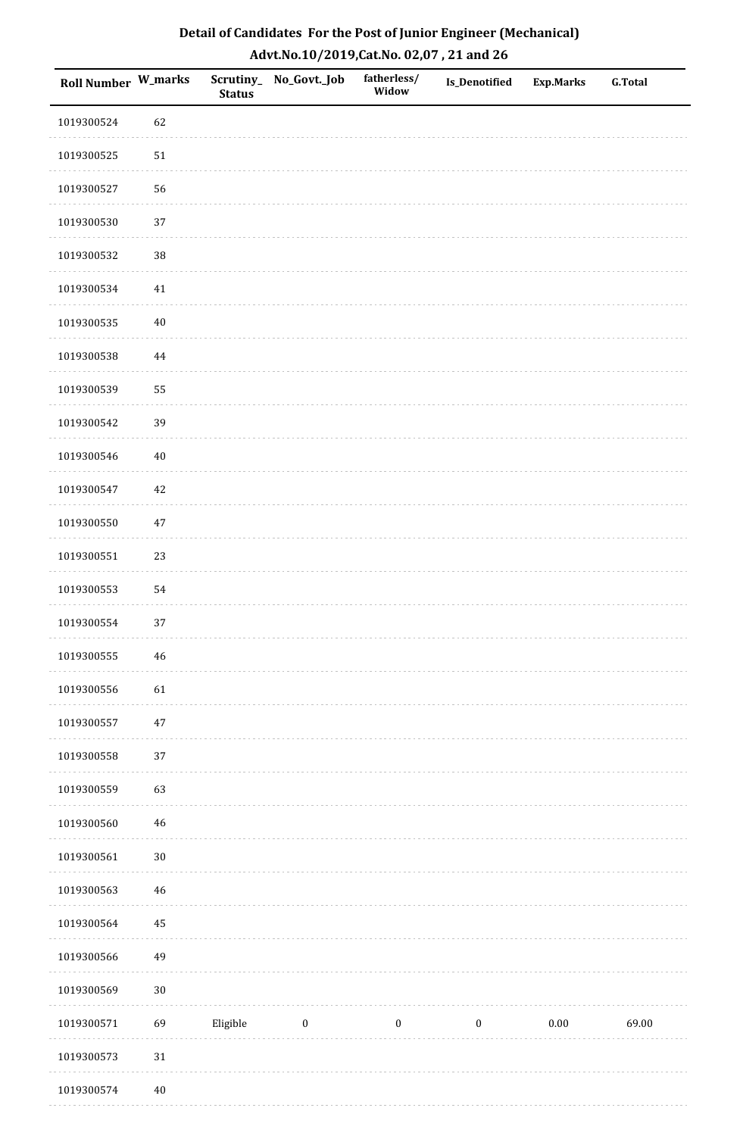| Roll Number W_marks |             | <b>Status</b> | Scrutiny_No_Govt._Job | fatherless/<br>Widow | Is_Denotified    | <b>Exp.Marks</b> | <b>G.Total</b> |
|---------------------|-------------|---------------|-----------------------|----------------------|------------------|------------------|----------------|
| 1019300524          | 62          |               |                       |                      |                  |                  |                |
| 1019300525          | $51\,$      |               |                       |                      |                  |                  |                |
| 1019300527          | 56          |               |                       |                      |                  |                  |                |
| 1019300530          | 37          |               |                       |                      |                  |                  |                |
| 1019300532          | 38          |               |                       |                      |                  |                  |                |
| 1019300534          | 41          |               |                       |                      |                  |                  |                |
| 1019300535          | $40\,$      |               |                       |                      |                  |                  |                |
| 1019300538          | 44          |               |                       |                      |                  |                  |                |
| 1019300539          | 55          |               |                       |                      |                  |                  |                |
| 1019300542          | 39          |               |                       |                      |                  |                  |                |
| 1019300546          | $40\,$      |               |                       |                      |                  |                  |                |
| 1019300547          | $42\,$      |               |                       |                      |                  |                  |                |
| 1019300550          | 47          |               |                       |                      |                  |                  |                |
| 1019300551          | 23          |               |                       |                      |                  |                  |                |
| 1019300553          | 54          |               |                       |                      |                  |                  |                |
| 1019300554          | 37          |               |                       |                      |                  |                  |                |
| 1019300555          | $\sqrt{46}$ |               |                       |                      |                  |                  |                |
| 1019300556          | 61          |               |                       |                      |                  |                  |                |
| 1019300557          | $47\,$      |               |                       |                      |                  |                  |                |
| 1019300558          | 37          |               |                       |                      |                  |                  |                |
| 1019300559          | 63          |               |                       |                      |                  |                  |                |
| 1019300560          | $46\,$      |               |                       |                      |                  |                  |                |
| 1019300561          | $30\,$      |               |                       |                      |                  |                  |                |
| 1019300563          | $\sqrt{46}$ |               |                       |                      |                  |                  |                |
| 1019300564          | 45          |               |                       |                      |                  |                  |                |
| 1019300566          | 49          |               |                       |                      |                  |                  |                |
| 1019300569          | $30\,$      |               |                       |                      |                  |                  |                |
| 1019300571          | 69          | Eligible      | $\bf{0}$              | $\boldsymbol{0}$     | $\boldsymbol{0}$ | $0.00\,$         | 69.00          |
| 1019300573          | $31\,$      |               |                       |                      |                  |                  |                |
| 1019300574          | $40\,$      |               |                       |                      |                  |                  |                |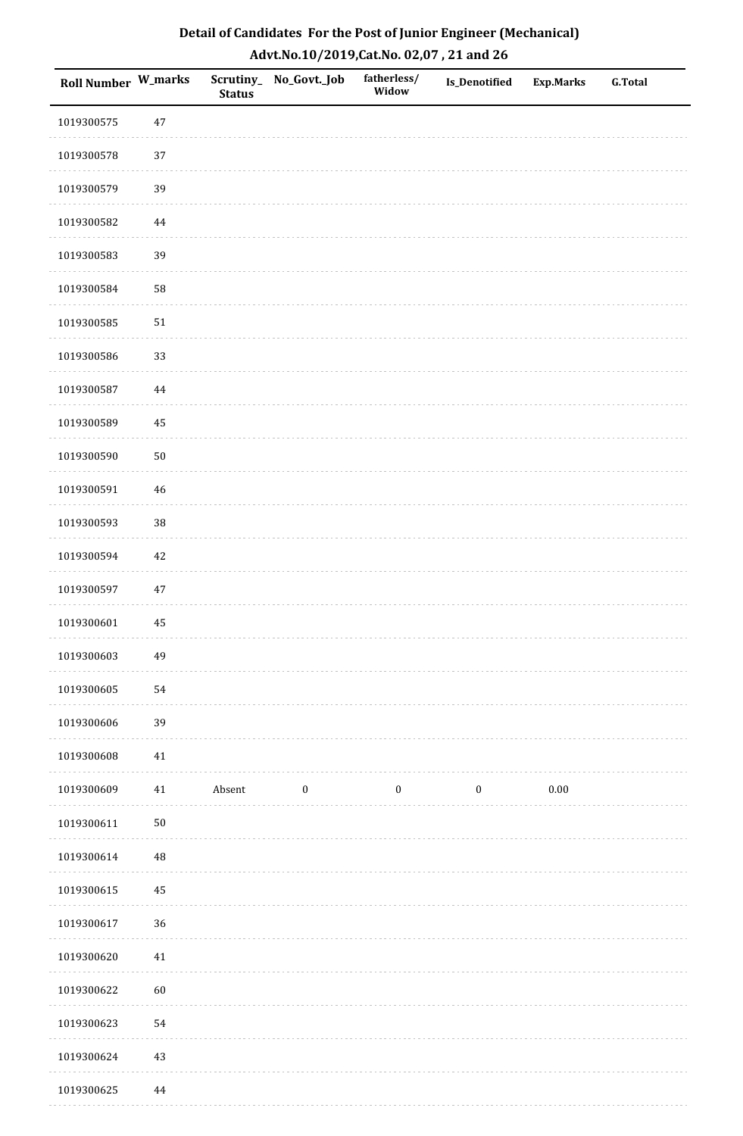| Roll Number W_marks |             | <b>Status</b> | Scrutiny_No_Govt._Job | fatherless/<br>Widow | Is_Denotified    | <b>Exp.Marks</b> | <b>G.Total</b> |
|---------------------|-------------|---------------|-----------------------|----------------------|------------------|------------------|----------------|
| 1019300575          | $47\,$      |               |                       |                      |                  |                  |                |
| 1019300578          | 37          |               |                       |                      |                  |                  |                |
| 1019300579          | 39          |               |                       |                      |                  |                  |                |
| 1019300582          | 44          |               |                       |                      |                  |                  |                |
| 1019300583          | 39          |               |                       |                      |                  |                  |                |
| 1019300584          | 58          |               |                       |                      |                  |                  |                |
| 1019300585          | $51\,$      |               |                       |                      |                  |                  |                |
| 1019300586          | 33          |               |                       |                      |                  |                  |                |
| 1019300587          | 44          |               |                       |                      |                  |                  |                |
| 1019300589          | 45          |               |                       |                      |                  |                  |                |
| 1019300590          | $50\,$      |               |                       |                      |                  |                  |                |
| 1019300591          | 46          |               |                       |                      |                  |                  |                |
| 1019300593          | 38          |               |                       |                      |                  |                  |                |
| 1019300594          | $42\,$      |               |                       |                      |                  |                  |                |
| 1019300597          | $47\,$      |               |                       |                      |                  |                  |                |
| 1019300601          | 45          |               |                       |                      |                  |                  |                |
| 1019300603          | 49          |               |                       |                      |                  |                  |                |
| 1019300605          | 54          |               |                       |                      |                  |                  |                |
| 1019300606          | 39          |               |                       |                      |                  |                  |                |
| 1019300608          | 41          |               |                       |                      |                  |                  |                |
| 1019300609          | 41          | Absent        | $\boldsymbol{0}$      | $\boldsymbol{0}$     | $\boldsymbol{0}$ | $0.00\,$         |                |
| 1019300611          | $50\,$      |               |                       |                      |                  |                  |                |
| 1019300614          | $\sqrt{48}$ |               |                       |                      |                  |                  |                |
| 1019300615          | $\bf 45$    |               |                       |                      |                  |                  |                |
| 1019300617          | 36          |               |                       |                      |                  |                  |                |
| 1019300620          | $41\,$      |               |                       |                      |                  |                  |                |
| 1019300622          | 60          |               |                       |                      |                  |                  |                |
| 1019300623          | 54          |               |                       |                      |                  |                  |                |
| 1019300624          | $43\,$      |               |                       |                      |                  |                  |                |
| 1019300625          | 44          |               |                       |                      |                  |                  |                |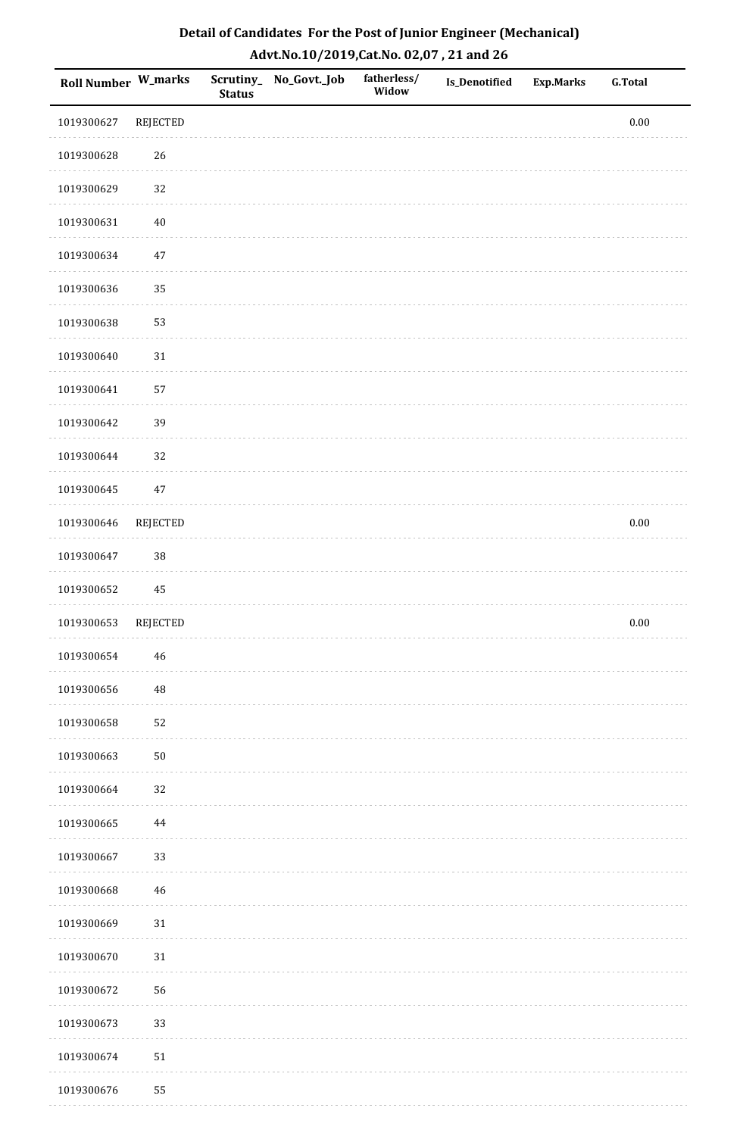| <b>Roll Number W_marks</b> |                 | Scrutiny_<br><b>Status</b> | No_Govt._Job | fatherless/<br>Widow | Is_Denotified | <b>Exp.Marks</b> | <b>G.Total</b> |
|----------------------------|-----------------|----------------------------|--------------|----------------------|---------------|------------------|----------------|
| 1019300627                 | REJECTED        |                            |              |                      |               |                  | $0.00\,$       |
| 1019300628                 | $26\,$          |                            |              |                      |               |                  |                |
| 1019300629                 | 32              |                            |              |                      |               |                  |                |
| 1019300631                 | $40\,$          |                            |              |                      |               |                  |                |
| 1019300634                 | $47\,$          |                            |              |                      |               |                  |                |
| 1019300636                 | 35              |                            |              |                      |               |                  |                |
| 1019300638                 | 53              |                            |              |                      |               |                  |                |
| 1019300640                 | $31\,$          |                            |              |                      |               |                  |                |
| 1019300641                 | 57              |                            |              |                      |               |                  |                |
| 1019300642                 | 39              |                            |              |                      |               |                  |                |
| 1019300644                 | 32              |                            |              |                      |               |                  |                |
| 1019300645                 | $47\,$          |                            |              |                      |               |                  |                |
| 1019300646                 | REJECTED        |                            |              |                      |               |                  | $0.00\,$       |
| 1019300647                 | 38              |                            |              |                      |               |                  |                |
| 1019300652                 | $\rm 45$        |                            |              |                      |               |                  |                |
| 1019300653                 | <b>REJECTED</b> |                            |              |                      |               |                  | $0.00\,$       |
| 1019300654                 | $\sqrt{46}$     |                            |              |                      |               |                  |                |
| 1019300656                 | 48              |                            |              |                      |               |                  |                |
| 1019300658                 | 52              |                            |              |                      |               |                  |                |
| 1019300663                 | $50\,$          |                            |              |                      |               |                  |                |
| 1019300664                 | 32              |                            |              |                      |               |                  |                |
| 1019300665                 | 44              |                            |              |                      |               |                  |                |
| 1019300667                 | 33              |                            |              |                      |               |                  |                |
| 1019300668                 | 46              |                            |              |                      |               |                  |                |
| 1019300669                 | $31\,$          |                            |              |                      |               |                  |                |
| 1019300670                 | $31\,$          |                            |              |                      |               |                  |                |
| 1019300672                 | 56              |                            |              |                      |               |                  |                |
| 1019300673                 | 33              |                            |              |                      |               |                  |                |
| 1019300674                 | $51\,$          |                            |              |                      |               |                  |                |
| 1019300676                 | 55              |                            |              |                      |               |                  |                |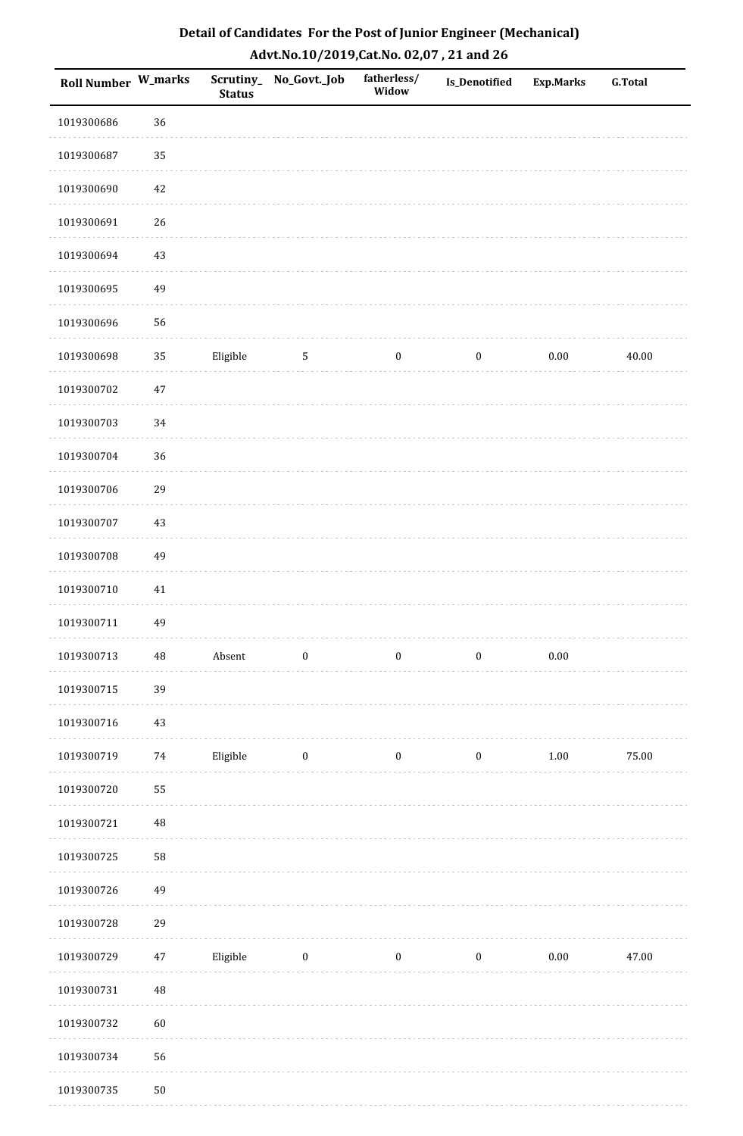| <b>Roll Number W_marks</b> |          | <b>Status</b> | Scrutiny_ No_Govt._Job | fatherless/<br>Widow | Is_Denotified    | <b>Exp.Marks</b> | <b>G.Total</b> |
|----------------------------|----------|---------------|------------------------|----------------------|------------------|------------------|----------------|
| 1019300686                 | 36       |               |                        |                      |                  |                  |                |
| 1019300687                 | 35       |               |                        |                      |                  |                  |                |
| 1019300690                 | 42       |               |                        |                      |                  |                  |                |
| 1019300691                 | 26       |               |                        |                      |                  |                  |                |
| 1019300694                 | 43       |               |                        |                      |                  |                  |                |
| 1019300695                 | 49       |               |                        |                      |                  |                  |                |
| 1019300696                 | 56       |               |                        |                      |                  |                  |                |
| 1019300698                 | 35       | Eligible      | $\sqrt{5}$             | $\boldsymbol{0}$     | $\boldsymbol{0}$ | $0.00\,$         | 40.00          |
| 1019300702                 | $47\,$   |               |                        |                      |                  |                  |                |
| 1019300703                 | 34       |               |                        |                      |                  |                  |                |
| 1019300704                 | 36       |               |                        |                      |                  |                  |                |
| 1019300706                 | 29       |               |                        |                      |                  |                  |                |
| 1019300707                 | 43       |               |                        |                      |                  |                  |                |
| 1019300708                 | 49       |               |                        |                      |                  |                  |                |
| 1019300710                 | $41\,$   |               |                        |                      |                  |                  |                |
| 1019300711                 | 49       |               |                        |                      |                  |                  |                |
| 1019300713                 | $\rm 48$ | Absent        | $\boldsymbol{0}$       | $\boldsymbol{0}$     | $\boldsymbol{0}$ | $0.00\,$         |                |
| 1019300715                 | 39       |               |                        |                      |                  |                  |                |
| 1019300716                 | 43       |               |                        |                      |                  |                  |                |
| 1019300719                 | $74\,$   | Eligible      | $\boldsymbol{0}$       | $\boldsymbol{0}$     | $\boldsymbol{0}$ | $1.00\,$         | 75.00          |
| 1019300720                 | 55       |               |                        |                      |                  |                  |                |
| 1019300721                 | $\rm 48$ |               |                        |                      |                  |                  |                |
| 1019300725                 | 58       |               |                        |                      |                  |                  |                |
| 1019300726                 | 49       |               |                        |                      |                  |                  |                |
| 1019300728                 | 29       |               |                        |                      |                  |                  |                |
| 1019300729                 | 47       | Eligible      | $\boldsymbol{0}$       | $\boldsymbol{0}$     | $\boldsymbol{0}$ | $0.00\,$         | 47.00          |
| 1019300731                 | 48       |               |                        |                      |                  |                  |                |
| 1019300732                 | 60       |               |                        |                      |                  |                  |                |
| 1019300734                 | 56       |               |                        |                      |                  |                  |                |
| 1019300735                 | $50\,$   |               |                        |                      |                  |                  |                |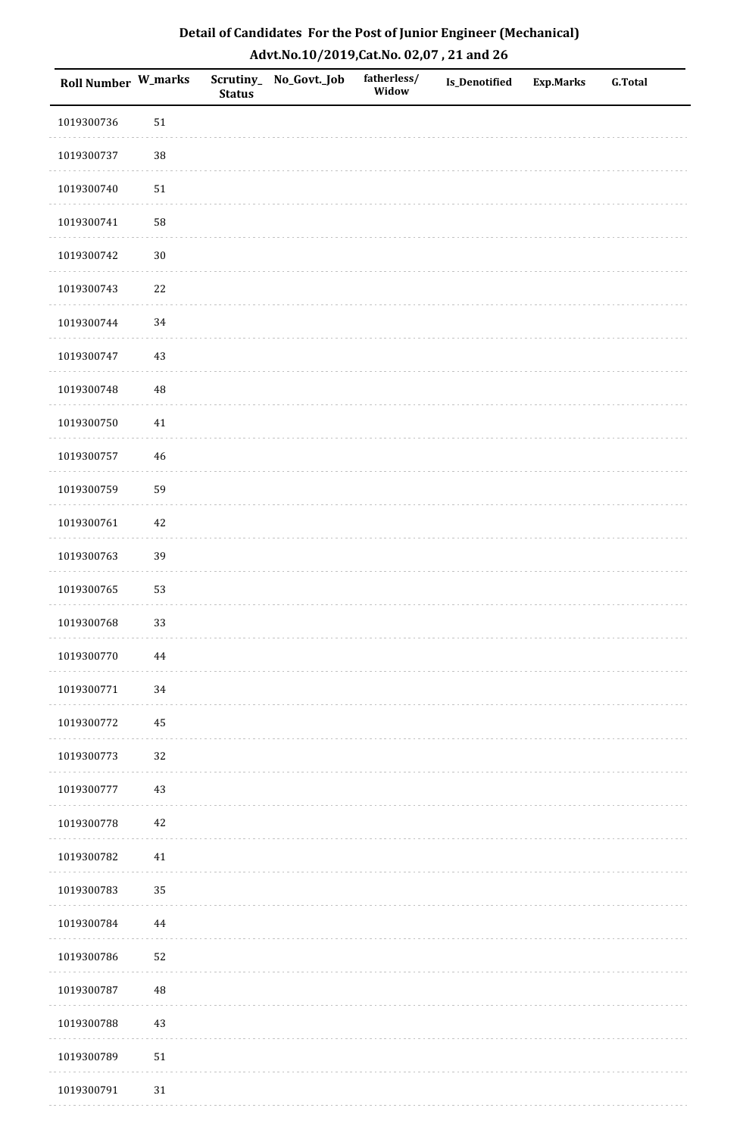| Roll Number W_marks |            | <b>Status</b> | Scrutiny_ No_Govt._Job | fatherless/<br>Widow | Is_Denotified | <b>Exp.Marks</b> | <b>G.Total</b> |
|---------------------|------------|---------------|------------------------|----------------------|---------------|------------------|----------------|
| 1019300736          | 51         |               |                        |                      |               |                  |                |
| 1019300737          | $38\,$     |               |                        |                      |               |                  |                |
| 1019300740          | $51\,$     |               |                        |                      |               |                  |                |
| 1019300741          | 58         |               |                        |                      |               |                  |                |
| 1019300742          | $30\,$     |               |                        |                      |               |                  |                |
| 1019300743          | 22         |               |                        |                      |               |                  |                |
| 1019300744          | 34         |               |                        |                      |               |                  |                |
| 1019300747          | 43         |               |                        |                      |               |                  |                |
| 1019300748          | 48         |               |                        |                      |               |                  |                |
| 1019300750          | 41         |               |                        |                      |               |                  |                |
| 1019300757          | 46         |               |                        |                      |               |                  |                |
| 1019300759          | 59         |               |                        |                      |               |                  |                |
| 1019300761          | 42         |               |                        |                      |               |                  |                |
| 1019300763          | 39         |               |                        |                      |               |                  |                |
| 1019300765          | 53         |               |                        |                      |               |                  |                |
| 1019300768          | 33         |               |                        |                      |               |                  |                |
| 1019300770          | 44         |               |                        |                      |               |                  |                |
| 1019300771          | $34\,$     |               |                        |                      |               |                  |                |
| 1019300772          | 45         |               |                        |                      |               |                  |                |
| 1019300773          | 32         |               |                        |                      |               |                  |                |
| 1019300777          | 43         |               |                        |                      |               |                  |                |
| 1019300778          | $42\,$     |               |                        |                      |               |                  |                |
| 1019300782          | 41         |               |                        |                      |               |                  |                |
| 1019300783          | 35         |               |                        |                      |               |                  |                |
| 1019300784          | 44         |               |                        |                      |               |                  |                |
| 1019300786          | 52         |               |                        |                      |               |                  |                |
| 1019300787          | $\rm 48$   |               |                        |                      |               |                  |                |
| 1019300788          | 43         |               |                        |                      |               |                  |                |
| 1019300789          | ${\bf 51}$ |               |                        |                      |               |                  |                |
| 1019300791          | $31\,$     |               |                        |                      |               |                  |                |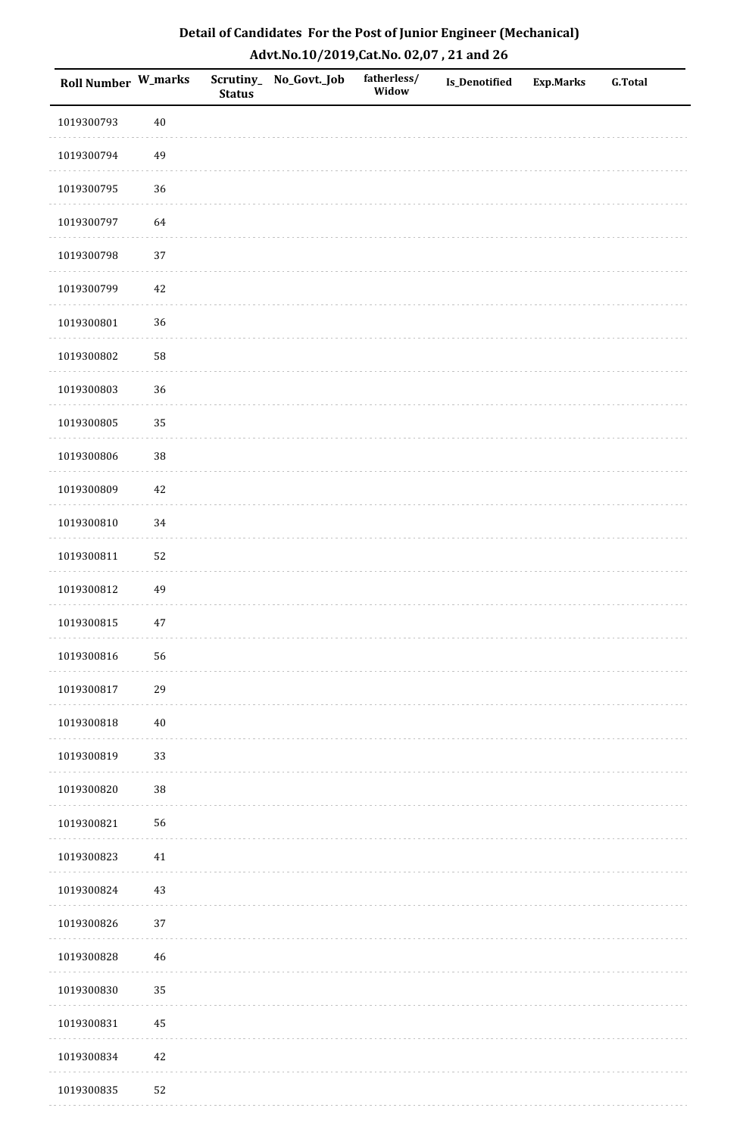| <b>Roll Number W_marks</b> |        | <b>Status</b> | Scrutiny_No_Govt._Job | fatherless/<br>Widow | Is_Denotified | <b>Exp.Marks</b> | <b>G.Total</b> |
|----------------------------|--------|---------------|-----------------------|----------------------|---------------|------------------|----------------|
| 1019300793                 | $40\,$ |               |                       |                      |               |                  |                |
| 1019300794                 | 49     |               |                       |                      |               |                  |                |
| 1019300795                 | 36     |               |                       |                      |               |                  |                |
| 1019300797                 | 64     |               |                       |                      |               |                  |                |
| 1019300798                 | $37\,$ |               |                       |                      |               |                  |                |
| 1019300799                 | 42     |               |                       |                      |               |                  |                |
| 1019300801                 | 36     |               |                       |                      |               |                  |                |
| 1019300802                 | 58     |               |                       |                      |               |                  |                |
| 1019300803                 | 36     |               |                       |                      |               |                  |                |
| 1019300805                 | 35     |               |                       |                      |               |                  |                |
| 1019300806                 | 38     |               |                       |                      |               |                  |                |
| 1019300809                 | $42\,$ |               |                       |                      |               |                  |                |
| 1019300810                 | 34     |               |                       |                      |               |                  |                |
| 1019300811                 | 52     |               |                       |                      |               |                  |                |
| 1019300812                 | 49     |               |                       |                      |               |                  |                |
| 1019300815                 | $47\,$ |               |                       |                      |               |                  |                |
| 1019300816                 | 56     |               |                       |                      |               |                  |                |
| 1019300817                 | 29     |               |                       |                      |               |                  |                |
| 1019300818                 | $40\,$ |               |                       |                      |               |                  |                |
| 1019300819                 | 33     |               |                       |                      |               |                  |                |
| 1019300820                 | 38     |               |                       |                      |               |                  |                |
| 1019300821                 | 56     |               |                       |                      |               |                  |                |
| 1019300823                 | $41\,$ |               |                       |                      |               |                  |                |
| 1019300824                 | 43     |               |                       |                      |               |                  |                |
| 1019300826                 | 37     |               |                       |                      |               |                  |                |
| 1019300828                 | $46\,$ |               |                       |                      |               |                  |                |
| 1019300830                 | 35     |               |                       |                      |               |                  |                |
| 1019300831                 | 45     |               |                       |                      |               |                  |                |
| 1019300834                 | $42\,$ |               |                       |                      |               |                  |                |
| 1019300835                 | 52     |               |                       |                      |               |                  |                |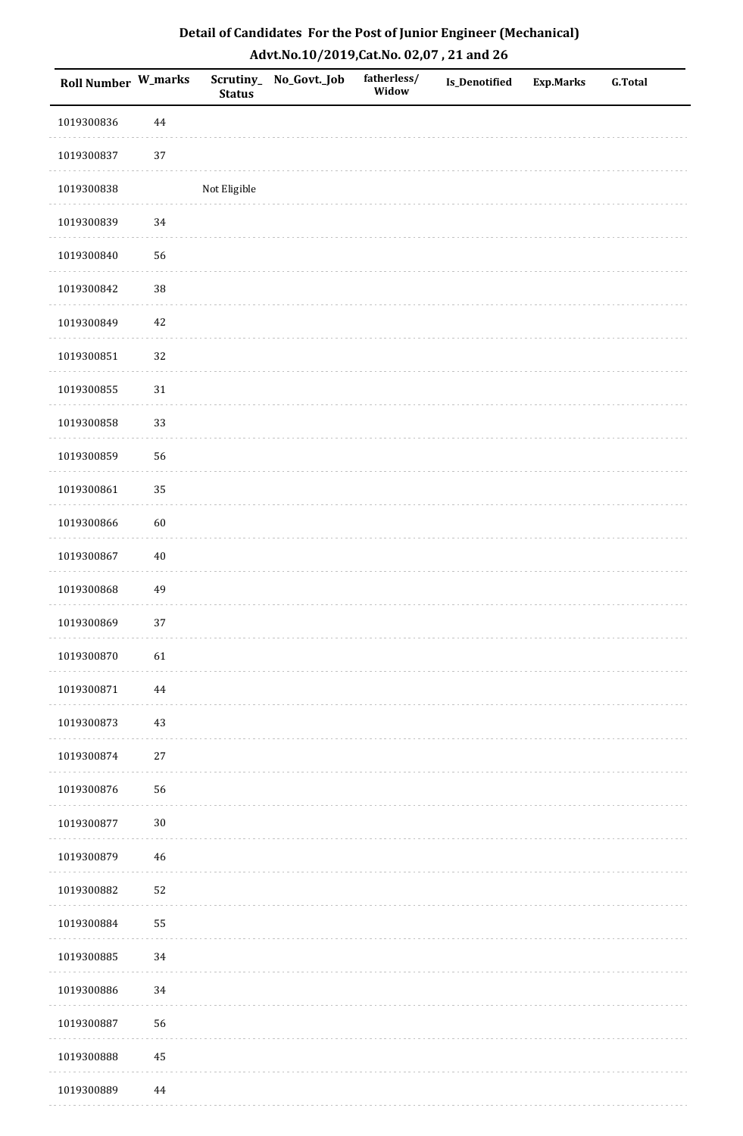| <b>Roll Number W_marks</b> |          | Scrutiny_<br><b>Status</b> | No_Govt._Job | fatherless/<br>Widow | Is_Denotified | <b>Exp.Marks</b> | <b>G.Total</b> |
|----------------------------|----------|----------------------------|--------------|----------------------|---------------|------------------|----------------|
| 1019300836                 | $\bf 44$ |                            |              |                      |               |                  |                |
| 1019300837                 | $37\,$   |                            |              |                      |               |                  |                |
| 1019300838                 |          | Not Eligible               |              |                      |               |                  |                |
| 1019300839                 | 34       |                            |              |                      |               |                  |                |
| 1019300840                 | 56       |                            |              |                      |               |                  |                |
| 1019300842                 | 38       |                            |              |                      |               |                  |                |
| 1019300849                 | $42\,$   |                            |              |                      |               |                  |                |
| 1019300851                 | 32       |                            |              |                      |               |                  |                |
| 1019300855                 | $31\,$   |                            |              |                      |               |                  |                |
| 1019300858                 | 33       |                            |              |                      |               |                  |                |
| 1019300859                 | 56       |                            |              |                      |               |                  |                |
| 1019300861                 | 35       |                            |              |                      |               |                  |                |
| 1019300866                 | 60       |                            |              |                      |               |                  |                |
| 1019300867                 | $40\,$   |                            |              |                      |               |                  |                |
| 1019300868                 | 49       |                            |              |                      |               |                  |                |
| 1019300869                 | 37       |                            |              |                      |               |                  |                |
| 1019300870                 | 61       |                            |              |                      |               |                  |                |
| 1019300871                 | 44       |                            |              |                      |               |                  |                |
| 1019300873                 | $43\,$   |                            |              |                      |               |                  |                |
| 1019300874                 | $27\,$   |                            |              |                      |               |                  |                |
| 1019300876                 | 56       |                            |              |                      |               |                  |                |
| 1019300877                 | $30\,$   |                            |              |                      |               |                  |                |
| 1019300879                 | $46\,$   |                            |              |                      |               |                  |                |
| 1019300882                 | 52       |                            |              |                      |               |                  |                |
| 1019300884                 | 55       |                            |              |                      |               |                  |                |
| 1019300885                 | 34       |                            |              |                      |               |                  |                |
| 1019300886                 | 34       |                            |              |                      |               |                  |                |
| 1019300887                 | 56       |                            |              |                      |               |                  |                |
| 1019300888                 | 45       |                            |              |                      |               |                  |                |
| 1019300889                 | $\bf 44$ |                            |              |                      |               |                  |                |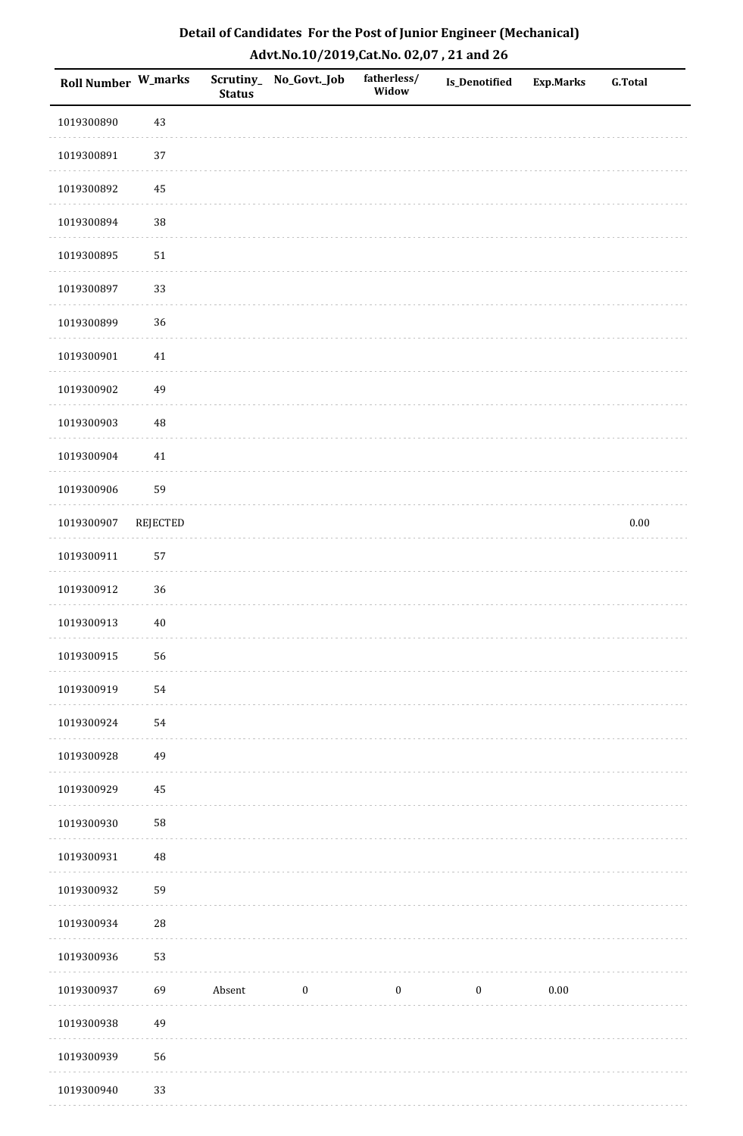| Roll Number W_marks |                 | <b>Status</b> | Scrutiny_ No_Govt._Job | fatherless/<br>Widow | Is_Denotified    | <b>Exp.Marks</b> | <b>G.Total</b> |
|---------------------|-----------------|---------------|------------------------|----------------------|------------------|------------------|----------------|
| 1019300890          | 43              |               |                        |                      |                  |                  |                |
| 1019300891          | 37              |               |                        |                      |                  |                  |                |
| 1019300892          | $\bf 45$        |               |                        |                      |                  |                  |                |
| 1019300894          | 38              |               |                        |                      |                  |                  |                |
| 1019300895          | $51\,$          |               |                        |                      |                  |                  |                |
| 1019300897          | 33              |               |                        |                      |                  |                  |                |
| 1019300899          | 36              |               |                        |                      |                  |                  |                |
| 1019300901          | $41\,$          |               |                        |                      |                  |                  |                |
| 1019300902          | 49              |               |                        |                      |                  |                  |                |
| 1019300903          | $\rm 48$        |               |                        |                      |                  |                  |                |
| 1019300904          | $41\,$          |               |                        |                      |                  |                  |                |
| 1019300906          | 59              |               |                        |                      |                  |                  |                |
| 1019300907          | <b>REJECTED</b> |               |                        |                      |                  |                  | $0.00\,$       |
| 1019300911          | 57              |               |                        |                      |                  |                  |                |
| 1019300912          | 36              |               |                        |                      |                  |                  |                |
| 1019300913          | $40\,$          |               |                        |                      |                  |                  |                |
| 1019300915          | 56              |               |                        |                      |                  |                  |                |
| 1019300919          | 54              |               |                        |                      |                  |                  |                |
| 1019300924          | 54              |               |                        |                      |                  |                  |                |
| 1019300928          | 49              |               |                        |                      |                  |                  |                |
| 1019300929          | 45              |               |                        |                      |                  |                  |                |
| 1019300930          | 58              |               |                        |                      |                  |                  |                |
| 1019300931          | $\sqrt{48}$     |               |                        |                      |                  |                  |                |
| 1019300932          | 59              |               |                        |                      |                  |                  |                |
| 1019300934          | ${\bf 28}$      |               |                        |                      |                  |                  |                |
| 1019300936          | 53              |               |                        |                      |                  |                  |                |
| 1019300937          | 69              | Absent        | $\boldsymbol{0}$       | $\boldsymbol{0}$     | $\boldsymbol{0}$ | 0.00             |                |
| 1019300938          | 49              |               |                        |                      |                  |                  |                |
| 1019300939          | 56              |               |                        |                      |                  |                  |                |
| 1019300940          | 33              |               |                        |                      |                  |                  |                |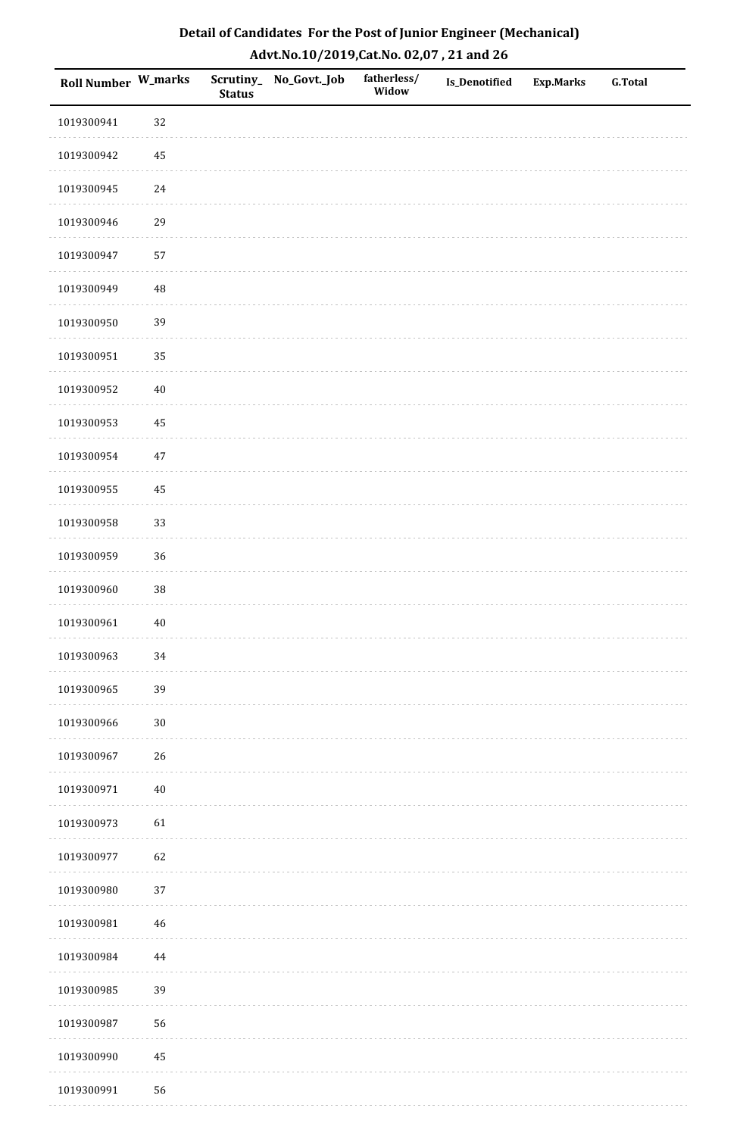| <b>Roll Number W_marks</b> |          | <b>Status</b> | Scrutiny_No_Govt._Job | fatherless/<br>Widow | Is_Denotified | <b>Exp.Marks</b> | <b>G.Total</b> |
|----------------------------|----------|---------------|-----------------------|----------------------|---------------|------------------|----------------|
| 1019300941                 | 32       |               |                       |                      |               |                  |                |
| 1019300942                 | 45       |               |                       |                      |               |                  |                |
| 1019300945                 | 24       |               |                       |                      |               |                  |                |
| 1019300946                 | 29       |               |                       |                      |               |                  |                |
| 1019300947                 | 57       |               |                       |                      |               |                  |                |
| 1019300949                 | 48       |               |                       |                      |               |                  |                |
| 1019300950                 | 39       |               |                       |                      |               |                  |                |
| 1019300951                 | 35       |               |                       |                      |               |                  |                |
| 1019300952                 | $40\,$   |               |                       |                      |               |                  |                |
| 1019300953                 | $\bf 45$ |               |                       |                      |               |                  |                |
| 1019300954                 | $47\,$   |               |                       |                      |               |                  |                |
| 1019300955                 | 45       |               |                       |                      |               |                  |                |
| 1019300958                 | 33       |               |                       |                      |               |                  |                |
| 1019300959                 | 36       |               |                       |                      |               |                  |                |
| 1019300960                 | $38\,$   |               |                       |                      |               |                  |                |
| 1019300961                 | $40\,$   |               |                       |                      |               |                  |                |
| 1019300963                 | $34\,$   |               |                       |                      |               |                  |                |
| 1019300965                 | 39       |               |                       |                      |               |                  |                |
| 1019300966                 | $30\,$   |               |                       |                      |               |                  |                |
| 1019300967                 | 26       |               |                       |                      |               |                  |                |
| 1019300971                 | $40\,$   |               |                       |                      |               |                  |                |
| 1019300973                 | 61       |               |                       |                      |               |                  |                |
| 1019300977                 | 62       |               |                       |                      |               |                  |                |
| 1019300980                 | 37       |               |                       |                      |               |                  |                |
| 1019300981                 | $46\,$   |               |                       |                      |               |                  |                |
| 1019300984                 | $\bf 44$ |               |                       |                      |               |                  |                |
| 1019300985                 | 39       |               |                       |                      |               |                  |                |
| 1019300987                 | 56       |               |                       |                      |               |                  |                |
| 1019300990                 | $\bf 45$ |               |                       |                      |               |                  |                |
| 1019300991                 | 56       |               |                       |                      |               |                  |                |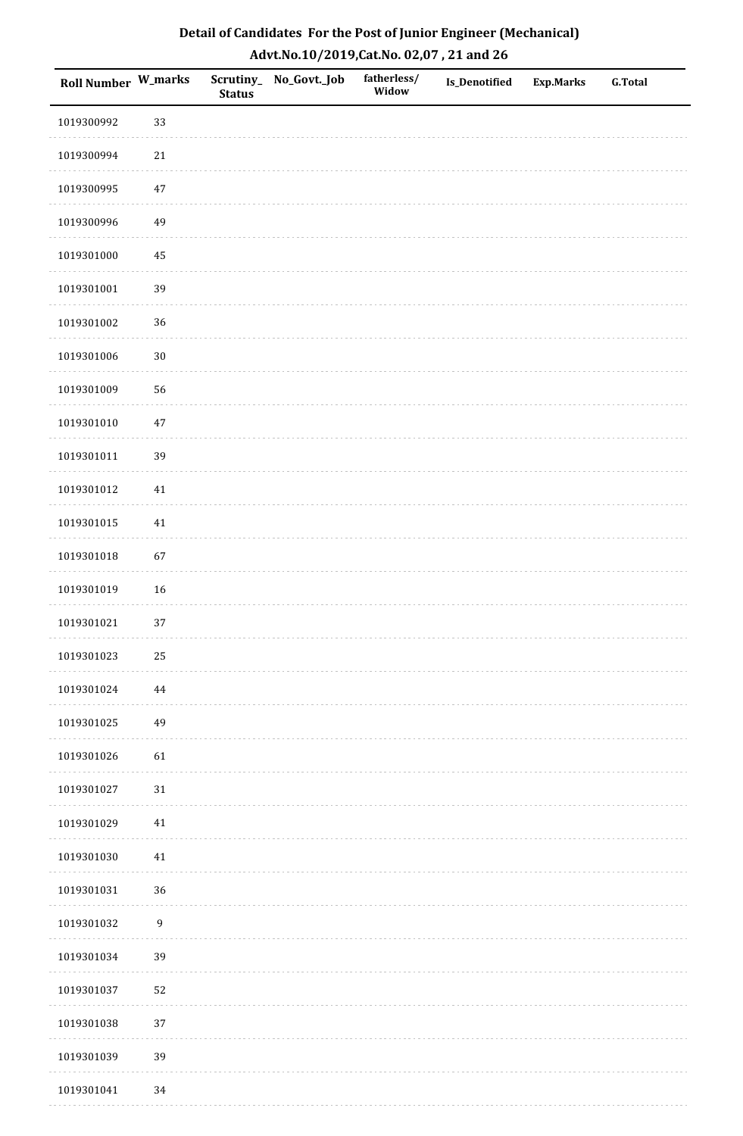| <b>Roll Number W_marks</b> |                  | <b>Status</b> | Scrutiny_No_Govt._Job | fatherless/<br>Widow | Is_Denotified | <b>Exp.Marks</b> | <b>G.Total</b> |
|----------------------------|------------------|---------------|-----------------------|----------------------|---------------|------------------|----------------|
| 1019300992                 | 33               |               |                       |                      |               |                  |                |
| 1019300994                 | $21\,$           |               |                       |                      |               |                  |                |
| 1019300995                 | $47\,$           |               |                       |                      |               |                  |                |
| 1019300996                 | 49               |               |                       |                      |               |                  |                |
| 1019301000                 | $\bf 45$         |               |                       |                      |               |                  |                |
| 1019301001                 | 39               |               |                       |                      |               |                  |                |
| 1019301002                 | 36               |               |                       |                      |               |                  |                |
| 1019301006                 | $30\,$           |               |                       |                      |               |                  |                |
| 1019301009                 | 56               |               |                       |                      |               |                  |                |
| 1019301010                 | $47\,$           |               |                       |                      |               |                  |                |
| 1019301011                 | 39               |               |                       |                      |               |                  |                |
| 1019301012                 | $41\,$           |               |                       |                      |               |                  |                |
| 1019301015                 | $41\,$           |               |                       |                      |               |                  |                |
| 1019301018                 | 67               |               |                       |                      |               |                  |                |
| 1019301019                 | $16\,$           |               |                       |                      |               |                  |                |
| 1019301021                 | 37               |               |                       |                      |               |                  |                |
| 1019301023                 | $25\,$           |               |                       |                      |               |                  |                |
| 1019301024                 | 44               |               |                       |                      |               |                  |                |
| 1019301025                 | 49               |               |                       |                      |               |                  |                |
| 1019301026                 | 61               |               |                       |                      |               |                  |                |
| 1019301027                 | $31\,$           |               |                       |                      |               |                  |                |
| 1019301029                 | $41\,$           |               |                       |                      |               |                  |                |
| 1019301030                 | $41\,$           |               |                       |                      |               |                  |                |
| 1019301031                 | 36               |               |                       |                      |               |                  |                |
| 1019301032                 | $\boldsymbol{9}$ |               |                       |                      |               |                  |                |
| 1019301034                 | 39               |               |                       |                      |               |                  |                |
| 1019301037                 | 52               |               |                       |                      |               |                  |                |
| 1019301038                 | 37               |               |                       |                      |               |                  |                |
| 1019301039                 | 39               |               |                       |                      |               |                  |                |
| 1019301041                 | 34               |               |                       |                      |               |                  |                |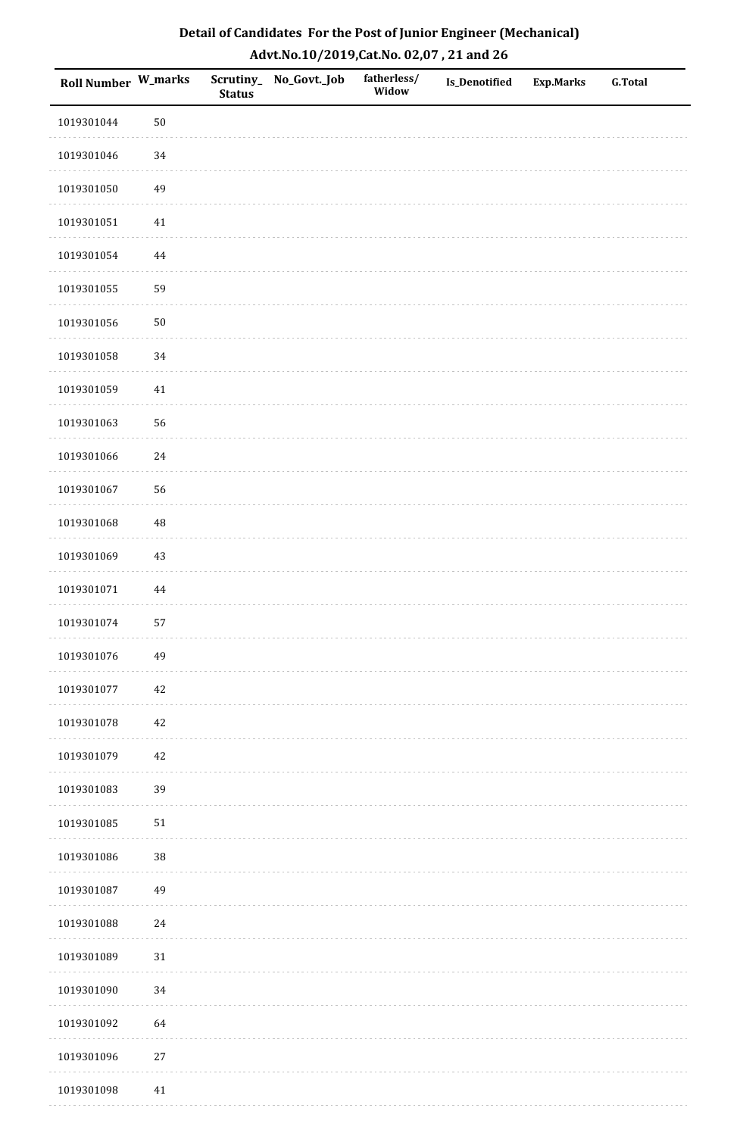| Detail of Candidates For the Post of Junior Engineer (Mechanical) |
|-------------------------------------------------------------------|
| Advt.No.10/2019,Cat.No. 02,07, 21 and 26                          |

| Roll Number W_marks |          | <b>Status</b> | Scrutiny_ No_Govt._Job | fatherless/<br>Widow | Is_Denotified | <b>Exp.Marks</b> | <b>G.Total</b> |
|---------------------|----------|---------------|------------------------|----------------------|---------------|------------------|----------------|
| 1019301044          | $50\,$   |               |                        |                      |               |                  |                |
| 1019301046          | 34       |               |                        |                      |               |                  |                |
| 1019301050          | 49       |               |                        |                      |               |                  |                |
| 1019301051          | $41\,$   |               |                        |                      |               |                  |                |
| 1019301054          | $\bf 44$ |               |                        |                      |               |                  |                |
| 1019301055          | 59       |               |                        |                      |               |                  |                |
| 1019301056          | $50\,$   |               |                        |                      |               |                  |                |
| 1019301058          | 34       |               |                        |                      |               |                  |                |
| 1019301059          | $41\,$   |               |                        |                      |               |                  |                |
| 1019301063          | 56       |               |                        |                      |               |                  |                |
| 1019301066          | 24       |               |                        |                      |               |                  |                |
| 1019301067          | 56       |               |                        |                      |               |                  |                |
| 1019301068          | $\rm 48$ |               |                        |                      |               |                  |                |
| 1019301069          | 43       |               |                        |                      |               |                  |                |
| 1019301071          | 44       |               |                        |                      |               |                  |                |
| 1019301074          | 57       |               |                        |                      |               |                  |                |
| 1019301076          | 49       |               |                        |                      |               |                  |                |
| 1019301077          | 42       |               |                        |                      |               |                  |                |
| 1019301078          | $42\,$   |               |                        |                      |               |                  |                |
| 1019301079          | $42\,$   |               |                        |                      |               |                  |                |
| 1019301083          | 39       |               |                        |                      |               |                  |                |
| 1019301085          | $51\,$   |               |                        |                      |               |                  |                |
| 1019301086          | $38\,$   |               |                        |                      |               |                  |                |
| 1019301087          | 49       |               |                        |                      |               |                  |                |
| 1019301088          | 24       |               |                        |                      |               |                  |                |
| 1019301089          | $31\,$   |               |                        |                      |               |                  |                |
| 1019301090          | 34       |               |                        |                      |               |                  |                |
| 1019301092          | 64       |               |                        |                      |               |                  |                |
| 1019301096          | $27\,$   |               |                        |                      |               |                  |                |
| 1019301098          | $41\,$   |               |                        |                      |               |                  |                |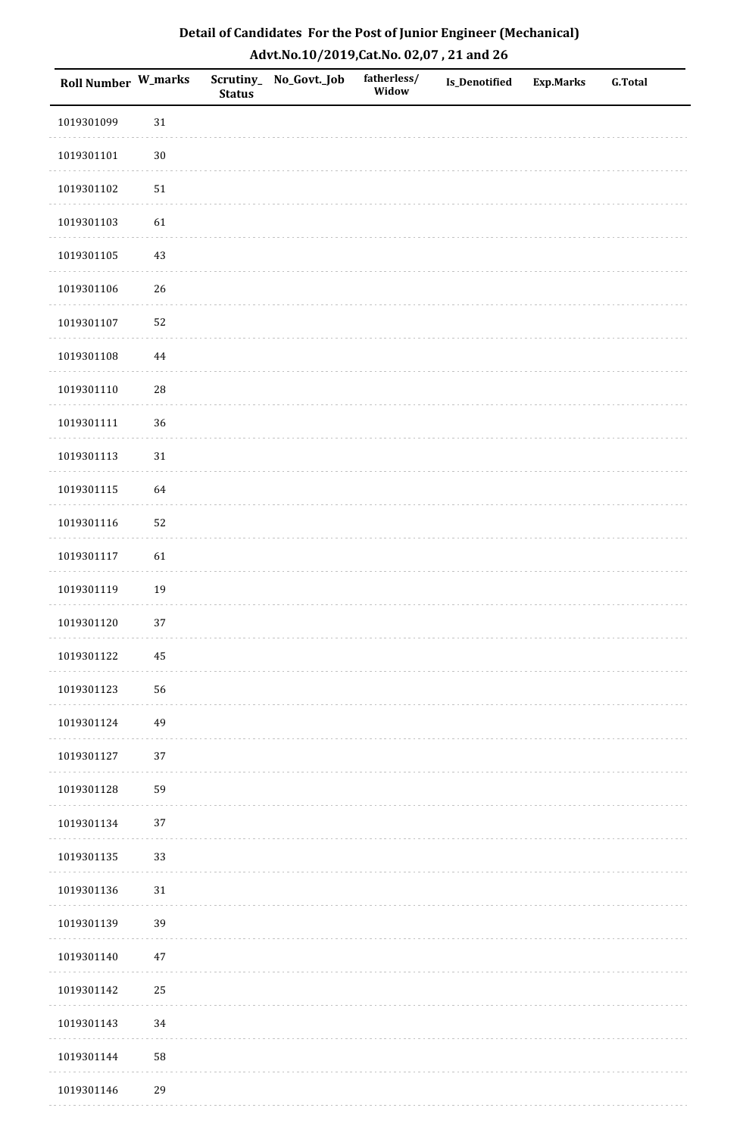| Detail of Candidates For the Post of Junior Engineer (Mechanical) |
|-------------------------------------------------------------------|
| Advt.No.10/2019,Cat.No. 02,07, 21 and 26                          |

| Roll Number W_marks |            | <b>Status</b> | Scrutiny_ No_Govt._Job | fatherless/<br>Widow | Is_Denotified | <b>Exp.Marks</b> | <b>G.Total</b> |
|---------------------|------------|---------------|------------------------|----------------------|---------------|------------------|----------------|
| 1019301099          | $31\,$     |               |                        |                      |               |                  |                |
| 1019301101          | $30\,$     |               |                        |                      |               |                  |                |
| 1019301102          | ${\bf 51}$ |               |                        |                      |               |                  |                |
| 1019301103          | 61         |               |                        |                      |               |                  |                |
| 1019301105          | $43\,$     |               |                        |                      |               |                  |                |
| 1019301106          | $26\,$     |               |                        |                      |               |                  |                |
| 1019301107          | 52         |               |                        |                      |               |                  |                |
| 1019301108          | $\bf 44$   |               |                        |                      |               |                  |                |
| 1019301110          | $28\,$     |               |                        |                      |               |                  |                |
| 1019301111          | 36         |               |                        |                      |               |                  |                |
| 1019301113          | 31         |               |                        |                      |               |                  |                |
| 1019301115          | 64         |               |                        |                      |               |                  |                |
| 1019301116          | 52         |               |                        |                      |               |                  |                |
| 1019301117          | 61         |               |                        |                      |               |                  |                |
| 1019301119          | 19         |               |                        |                      |               |                  |                |
| 1019301120          | 37         |               |                        |                      |               |                  |                |
| 1019301122          | $\bf 45$   |               |                        |                      |               |                  |                |
| 1019301123          | 56         |               |                        |                      |               |                  |                |
| 1019301124          | 49         |               |                        |                      |               |                  |                |
| 1019301127          | 37         |               |                        |                      |               |                  |                |
| 1019301128          | 59         |               |                        |                      |               |                  |                |
| 1019301134          | 37         |               |                        |                      |               |                  |                |
| 1019301135          | 33         |               |                        |                      |               |                  |                |
| 1019301136          | $31\,$     |               |                        |                      |               |                  |                |
| 1019301139          | 39         |               |                        |                      |               |                  |                |
| 1019301140          | $47\,$     |               |                        |                      |               |                  |                |
| 1019301142          | 25         |               |                        |                      |               |                  |                |
| 1019301143          | 34         |               |                        |                      |               |                  |                |
| 1019301144          | 58         |               |                        |                      |               |                  |                |
| 1019301146          | 29         |               |                        |                      |               |                  |                |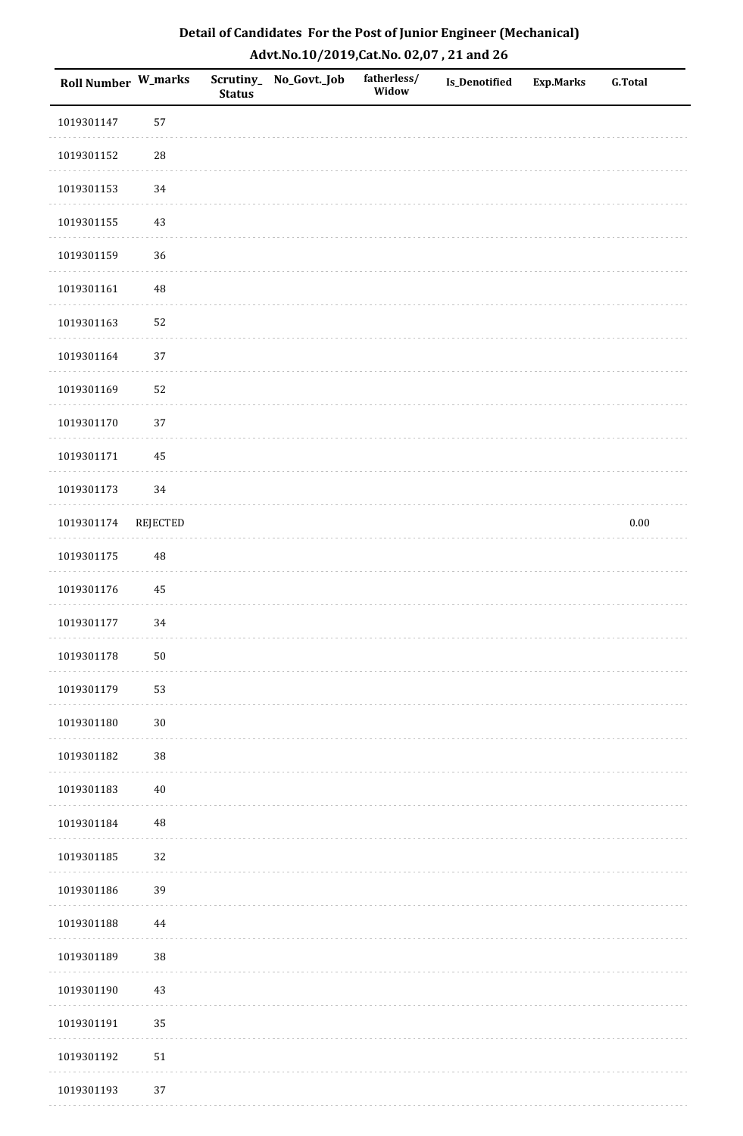| <b>Roll Number W_marks</b> |                 | <b>Status</b> | Scrutiny_No_Govt._Job | fatherless/<br>Widow | Is_Denotified | <b>Exp.Marks</b> | <b>G.Total</b> |
|----------------------------|-----------------|---------------|-----------------------|----------------------|---------------|------------------|----------------|
| 1019301147                 | 57              |               |                       |                      |               |                  |                |
| 1019301152                 | ${\bf 28}$      |               |                       |                      |               |                  |                |
| 1019301153                 | $34\,$          |               |                       |                      |               |                  |                |
| 1019301155                 | 43              |               |                       |                      |               |                  |                |
| 1019301159                 | 36              |               |                       |                      |               |                  |                |
| 1019301161                 | 48              |               |                       |                      |               |                  |                |
| 1019301163                 | 52              |               |                       |                      |               |                  |                |
| 1019301164                 | 37              |               |                       |                      |               |                  |                |
| 1019301169                 | 52              |               |                       |                      |               |                  |                |
| 1019301170                 | 37              |               |                       |                      |               |                  |                |
| 1019301171                 | 45              |               |                       |                      |               |                  |                |
| 1019301173                 | 34              |               |                       |                      |               |                  |                |
| 1019301174                 | <b>REJECTED</b> |               |                       |                      |               |                  | $0.00\,$       |
| 1019301175                 | 48              |               |                       |                      |               |                  |                |
| 1019301176                 | $\bf 45$        |               |                       |                      |               |                  |                |
| 1019301177                 | 34              |               |                       |                      |               |                  |                |
| 1019301178                 | $50\,$          |               |                       |                      |               |                  |                |
| 1019301179                 | 53              |               |                       |                      |               |                  |                |
| 1019301180                 | $30\,$          |               |                       |                      |               |                  |                |
| 1019301182                 | 38              |               |                       |                      |               |                  |                |
| 1019301183                 | $40\,$          |               |                       |                      |               |                  |                |
| 1019301184                 | $\rm 48$        |               |                       |                      |               |                  |                |
| 1019301185                 | 32              |               |                       |                      |               |                  |                |
| 1019301186                 | 39              |               |                       |                      |               |                  |                |
| 1019301188                 | 44              |               |                       |                      |               |                  |                |
| 1019301189                 | 38              |               |                       |                      |               |                  |                |
| 1019301190                 | $43\,$          |               |                       |                      |               |                  |                |
| 1019301191                 | 35              |               |                       |                      |               |                  |                |
| 1019301192                 | 51              |               |                       |                      |               |                  |                |
| 1019301193                 | 37              |               |                       |                      |               |                  |                |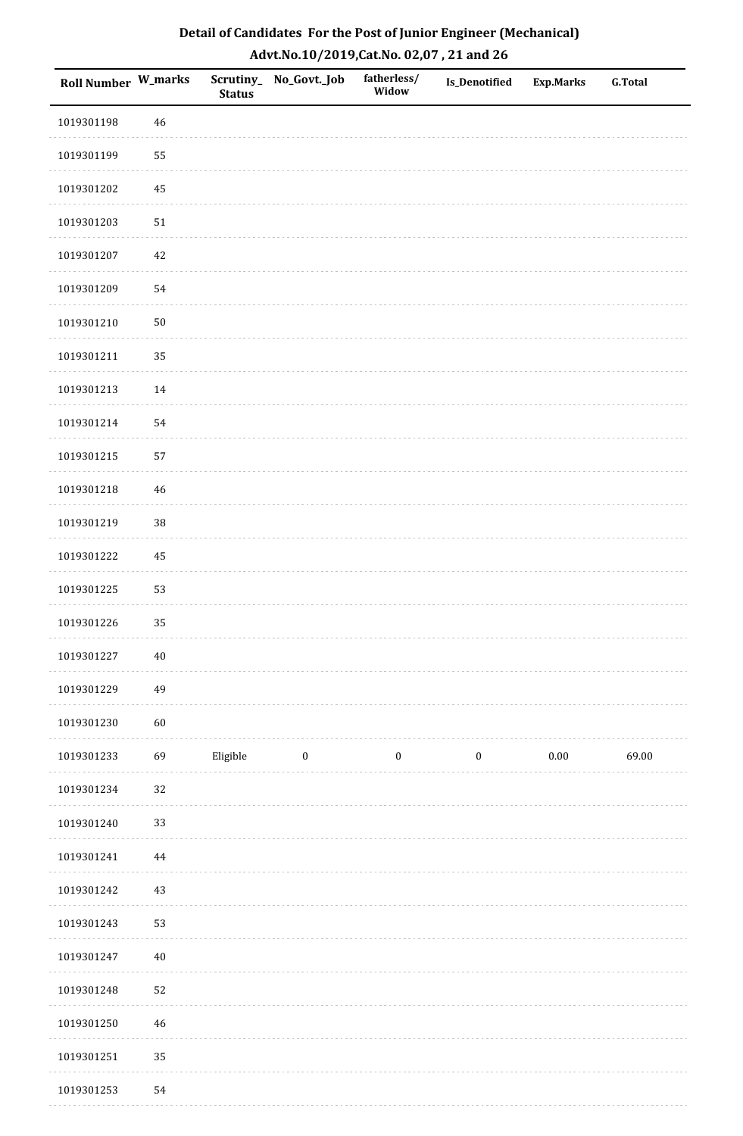| Detail of Candidates For the Post of Junior Engineer (Mechanical) |
|-------------------------------------------------------------------|
| Advt.No.10/2019,Cat.No. 02,07, 21 and 26                          |

| Roll Number W_marks |             | <b>Status</b> | Scrutiny_ No_Govt._Job | fatherless/<br>Widow | <b>Is_Denotified</b> | <b>Exp.Marks</b> | <b>G.Total</b> |
|---------------------|-------------|---------------|------------------------|----------------------|----------------------|------------------|----------------|
| 1019301198          | 46          |               |                        |                      |                      |                  |                |
| 1019301199          | 55          |               |                        |                      |                      |                  |                |
| 1019301202          | 45          |               |                        |                      |                      |                  |                |
| 1019301203          | 51          |               |                        |                      |                      |                  |                |
| 1019301207          | $42\,$      |               |                        |                      |                      |                  |                |
| 1019301209          | 54          |               |                        |                      |                      |                  |                |
| 1019301210          | $50\,$      |               |                        |                      |                      |                  |                |
| 1019301211          | 35          |               |                        |                      |                      |                  |                |
| 1019301213          | $14\,$      |               |                        |                      |                      |                  |                |
| 1019301214          | 54          |               |                        |                      |                      |                  |                |
| 1019301215          | 57          |               |                        |                      |                      |                  |                |
| 1019301218          | $\sqrt{46}$ |               |                        |                      |                      |                  |                |
| 1019301219          | 38          |               |                        |                      |                      |                  |                |
| 1019301222          | 45          |               |                        |                      |                      |                  |                |
| 1019301225          | 53          |               |                        |                      |                      |                  |                |
| 1019301226          | 35          |               |                        |                      |                      |                  |                |
| 1019301227          | $40\,$      |               |                        |                      |                      |                  |                |
| 1019301229          | 49          |               |                        |                      |                      |                  |                |
| 1019301230          | $60\,$      |               |                        |                      |                      |                  |                |
| 1019301233          | 69          | Eligible      | $\bf{0}$               | $\boldsymbol{0}$     | $\boldsymbol{0}$     | $0.00\,$         | 69.00          |
| 1019301234          | 32          |               |                        |                      |                      |                  |                |
| 1019301240          | 33          |               |                        |                      |                      |                  |                |
| 1019301241          | $\bf 44$    |               |                        |                      |                      |                  |                |
| 1019301242          | 43          |               |                        |                      |                      |                  |                |
| 1019301243          | 53          |               |                        |                      |                      |                  |                |
| 1019301247          | $40\,$      |               |                        |                      |                      |                  |                |
| 1019301248          | 52          |               |                        |                      |                      |                  |                |
| 1019301250          | $\sqrt{46}$ |               |                        |                      |                      |                  |                |
| 1019301251          | 35          |               |                        |                      |                      |                  |                |
| 1019301253          | 54          |               |                        |                      |                      |                  |                |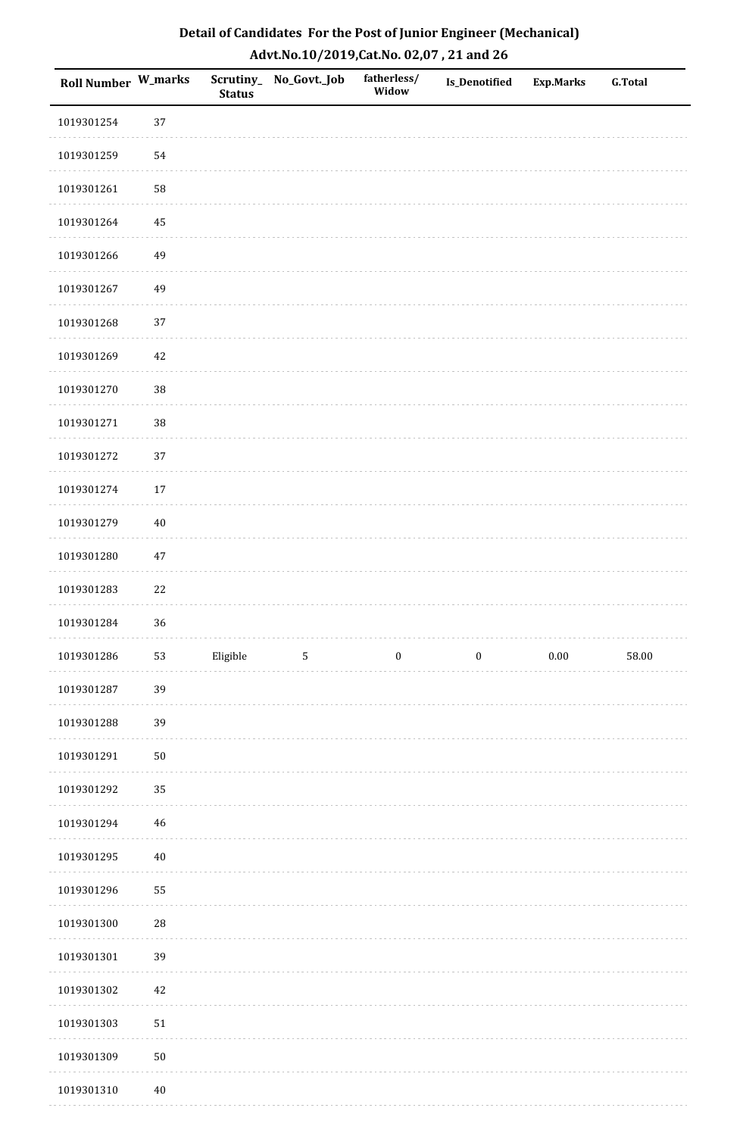| Detail of Candidates For the Post of Junior Engineer (Mechanical) |
|-------------------------------------------------------------------|
| Advt.No.10/2019,Cat.No. 02,07, 21 and 26                          |

| Roll Number W_marks |             | <b>Status</b> | Scrutiny_ No_Govt._Job | fatherless/<br>Widow | Is_Denotified    | <b>Exp.Marks</b> | <b>G.Total</b> |
|---------------------|-------------|---------------|------------------------|----------------------|------------------|------------------|----------------|
| 1019301254          | 37          |               |                        |                      |                  |                  |                |
| 1019301259          | 54          |               |                        |                      |                  |                  |                |
| 1019301261          | 58          |               |                        |                      |                  |                  |                |
| 1019301264          | 45          |               |                        |                      |                  |                  |                |
| 1019301266          | 49          |               |                        |                      |                  |                  |                |
| 1019301267          | 49          |               |                        |                      |                  |                  |                |
| 1019301268          | 37          |               |                        |                      |                  |                  |                |
| 1019301269          | 42          |               |                        |                      |                  |                  |                |
| 1019301270          | 38          |               |                        |                      |                  |                  |                |
| 1019301271          | 38          |               |                        |                      |                  |                  |                |
| 1019301272          | 37          |               |                        |                      |                  |                  |                |
| 1019301274          | $17\,$      |               |                        |                      |                  |                  |                |
| 1019301279          | $40\,$      |               |                        |                      |                  |                  |                |
| 1019301280          | $47\,$      |               |                        |                      |                  |                  |                |
| 1019301283          | 22          |               |                        |                      |                  |                  |                |
| 1019301284          | 36          |               |                        |                      |                  |                  |                |
| 1019301286          | 53          | Eligible      | $\sqrt{5}$             | $\boldsymbol{0}$     | $\boldsymbol{0}$ | $0.00\,$         | 58.00          |
| 1019301287          | 39          |               |                        |                      |                  |                  |                |
| 1019301288          | 39          |               |                        |                      |                  |                  |                |
| 1019301291          | 50          |               |                        |                      |                  |                  |                |
| 1019301292          | 35          |               |                        |                      |                  |                  |                |
| 1019301294          | $\sqrt{46}$ |               |                        |                      |                  |                  |                |
| 1019301295          | $40\,$      |               |                        |                      |                  |                  |                |
| 1019301296          | 55          |               |                        |                      |                  |                  |                |
| 1019301300          | $\sqrt{28}$ |               |                        |                      |                  |                  |                |
| 1019301301          | 39          |               |                        |                      |                  |                  |                |
| 1019301302          | 42          |               |                        |                      |                  |                  |                |
| 1019301303          | 51          |               |                        |                      |                  |                  |                |
| 1019301309          | 50          |               |                        |                      |                  |                  |                |
| 1019301310          | $40\,$      |               |                        |                      |                  |                  |                |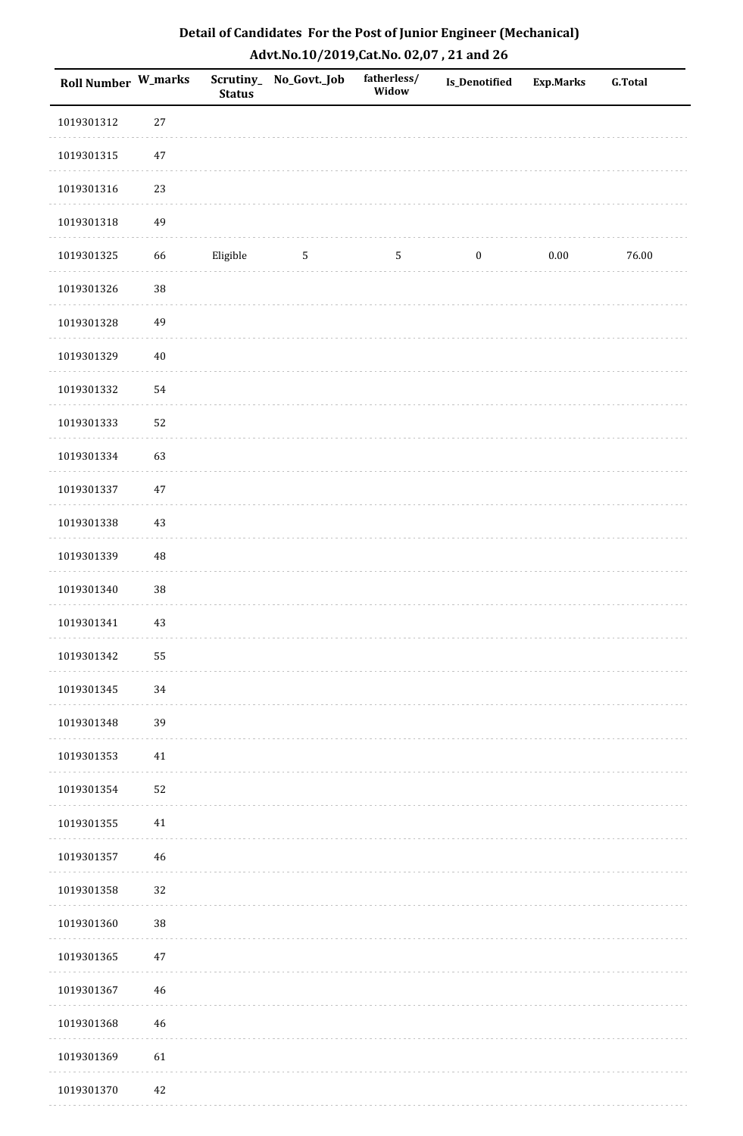| Detail of Candidates For the Post of Junior Engineer (Mechanical) |
|-------------------------------------------------------------------|
| Advt.No.10/2019, Cat.No. 02,07, 21 and 26                         |

| Roll Number W_marks |             | <b>Status</b> | Scrutiny_ No_Govt._Job | fatherless/<br>Widow | Is_Denotified    | <b>Exp.Marks</b> | <b>G.Total</b> |
|---------------------|-------------|---------------|------------------------|----------------------|------------------|------------------|----------------|
| 1019301312          | 27          |               |                        |                      |                  |                  |                |
| 1019301315          | $47\,$      |               |                        |                      |                  |                  |                |
| 1019301316          | 23          |               |                        |                      |                  |                  |                |
| 1019301318          | 49          |               |                        |                      |                  |                  |                |
| 1019301325          | 66          | Eligible      | 5                      | $\mathsf S$          | $\boldsymbol{0}$ | $0.00\,$         | 76.00          |
| 1019301326          | $38\,$      |               |                        |                      |                  |                  |                |
| 1019301328          | 49          |               |                        |                      |                  |                  |                |
| 1019301329          | $40\,$      |               |                        |                      |                  |                  |                |
| 1019301332          | 54          |               |                        |                      |                  |                  |                |
| 1019301333          | 52          |               |                        |                      |                  |                  |                |
| 1019301334          | 63          |               |                        |                      |                  |                  |                |
| 1019301337          | $47\,$      |               |                        |                      |                  |                  |                |
| 1019301338          | 43          |               |                        |                      |                  |                  |                |
| 1019301339          | 48          |               |                        |                      |                  |                  |                |
| 1019301340          | $38\,$      |               |                        |                      |                  |                  |                |
| 1019301341          | 43          |               |                        |                      |                  |                  |                |
| 1019301342          | 55          |               |                        |                      |                  |                  |                |
| 1019301345          | 34          |               |                        |                      |                  |                  |                |
| 1019301348          | 39          |               |                        |                      |                  |                  |                |
| 1019301353          | 41          |               |                        |                      |                  |                  |                |
| 1019301354          | 52          |               |                        |                      |                  |                  |                |
| 1019301355          | 41          |               |                        |                      |                  |                  |                |
| 1019301357          | $46\,$      |               |                        |                      |                  |                  |                |
| 1019301358          | 32          |               |                        |                      |                  |                  |                |
| 1019301360          | 38          |               |                        |                      |                  |                  |                |
| 1019301365          | $47\,$      |               |                        |                      |                  |                  |                |
| 1019301367          | $\sqrt{46}$ |               |                        |                      |                  |                  |                |
| 1019301368          | 46          |               |                        |                      |                  |                  |                |
| 1019301369          | 61          |               |                        |                      |                  |                  |                |
| 1019301370          | $42\,$      |               |                        |                      |                  |                  |                |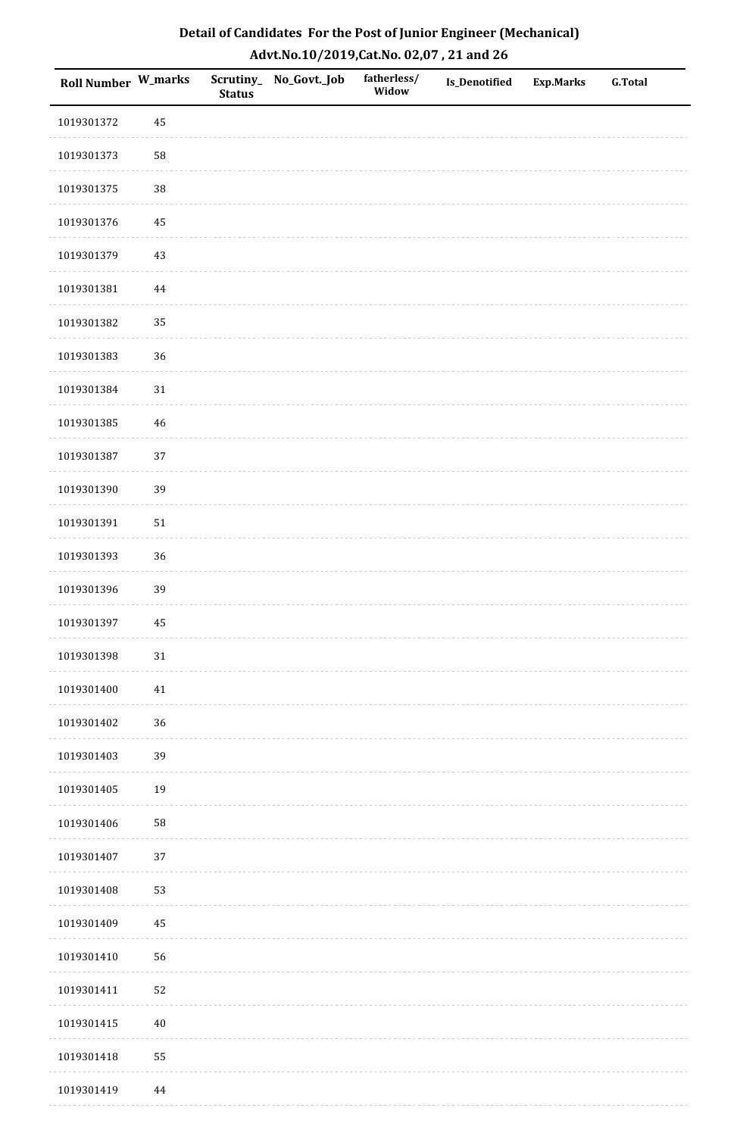| Detail of Candidates For the Post of Junior Engineer (Mechanical) |
|-------------------------------------------------------------------|
| Advt.No.10/2019,Cat.No. 02,07, 21 and 26                          |

| Roll Number W_marks |             | <b>Status</b> | Scrutiny_ No_Govt._Job | fatherless/<br>Widow | Is_Denotified | <b>Exp.Marks</b> | <b>G.Total</b> |
|---------------------|-------------|---------------|------------------------|----------------------|---------------|------------------|----------------|
| 1019301372          | 45          |               |                        |                      |               |                  |                |
| 1019301373          | 58          |               |                        |                      |               |                  |                |
| 1019301375          | 38          |               |                        |                      |               |                  |                |
| 1019301376          | 45          |               |                        |                      |               |                  |                |
| 1019301379          | 43          |               |                        |                      |               |                  |                |
| 1019301381          | $\bf 44$    |               |                        |                      |               |                  |                |
| 1019301382          | 35          |               |                        |                      |               |                  |                |
| 1019301383          | 36          |               |                        |                      |               |                  |                |
| 1019301384          | $31\,$      |               |                        |                      |               |                  |                |
| 1019301385          | $\sqrt{46}$ |               |                        |                      |               |                  |                |
| 1019301387          | 37          |               |                        |                      |               |                  |                |
| 1019301390          | 39          |               |                        |                      |               |                  |                |
| 1019301391          | $51\,$      |               |                        |                      |               |                  |                |
| 1019301393          | 36          |               |                        |                      |               |                  |                |
| 1019301396          | 39          |               |                        |                      |               |                  |                |
| 1019301397          | 45          |               |                        |                      |               |                  |                |
| 1019301398          | $31\,$      |               |                        |                      |               |                  |                |
| 1019301400          | $41\,$      |               |                        |                      |               |                  |                |
| 1019301402          | 36          |               |                        |                      |               |                  |                |
| 1019301403          | 39          |               |                        |                      |               |                  |                |
| 1019301405          | 19          |               |                        |                      |               |                  |                |
| 1019301406          | ${\bf 58}$  |               |                        |                      |               |                  |                |
| 1019301407          | 37          |               |                        |                      |               |                  |                |
| 1019301408          | 53          |               |                        |                      |               |                  |                |
| 1019301409          | 45          |               |                        |                      |               |                  |                |
| 1019301410          | 56          |               |                        |                      |               |                  |                |
| 1019301411          | 52          |               |                        |                      |               |                  |                |
| 1019301415          | $40\,$      |               |                        |                      |               |                  |                |
| 1019301418          | 55          |               |                        |                      |               |                  |                |
| 1019301419          | $\bf 44$    |               |                        |                      |               |                  |                |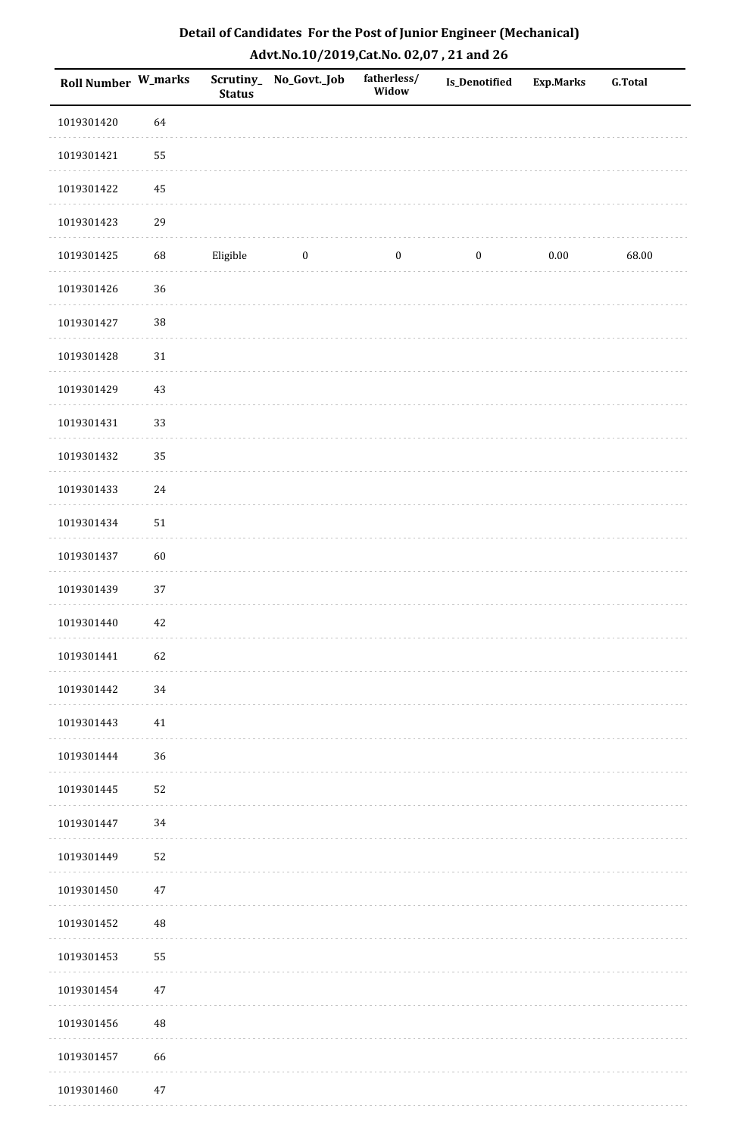| Roll Number W_marks |        | <b>Status</b> | Scrutiny_ No_Govt._Job | fatherless/<br>Widow | <b>Is_Denotified</b> | <b>Exp.Marks</b> | G.Total |
|---------------------|--------|---------------|------------------------|----------------------|----------------------|------------------|---------|
| 1019301420          | 64     |               |                        |                      |                      |                  |         |
| 1019301421          | 55     |               |                        |                      |                      |                  |         |
| 1019301422          | 45     |               |                        |                      |                      |                  |         |
| 1019301423          | 29     |               |                        |                      |                      |                  |         |
| 1019301425          | 68     | Eligible      | $\boldsymbol{0}$       | $\boldsymbol{0}$     | $\boldsymbol{0}$     | 0.00             | 68.00   |
| 1019301426          | 36     |               |                        |                      |                      |                  |         |
| 1019301427          | 38     |               |                        |                      |                      |                  |         |
| 1019301428          | 31     |               |                        |                      |                      |                  |         |
| 1019301429          | 43     |               |                        |                      |                      |                  |         |
| 1019301431          | 33     |               |                        |                      |                      |                  |         |
| 1019301432          | 35     |               |                        |                      |                      |                  |         |
| 1019301433          | $24\,$ |               |                        |                      |                      |                  |         |
| 1019301434          | $51\,$ |               |                        |                      |                      |                  |         |
| 1019301437          | 60     |               |                        |                      |                      |                  |         |
| 1019301439          | 37     |               |                        |                      |                      |                  |         |
| 1019301440          | 42     |               |                        |                      |                      |                  |         |
| 1019301441          | 62     |               |                        |                      |                      |                  |         |
| 1019301442          | 34     |               |                        |                      |                      |                  |         |
| 1019301443          | 41     |               |                        |                      |                      |                  |         |
| 1019301444          | 36     |               |                        |                      |                      |                  |         |
| 1019301445          | 52     |               |                        |                      |                      |                  |         |
| 1019301447          | 34     |               |                        |                      |                      |                  |         |
| 1019301449          | 52     |               |                        |                      |                      |                  |         |
| 1019301450          | $47\,$ |               |                        |                      |                      |                  |         |
| 1019301452          | 48     |               |                        |                      |                      |                  |         |
| 1019301453          | 55     |               |                        |                      |                      |                  |         |
| 1019301454          | $47\,$ |               |                        |                      |                      |                  |         |
| 1019301456          | 48     |               |                        |                      |                      |                  |         |
| 1019301457          | 66     |               |                        |                      |                      |                  |         |
| 1019301460          | $47\,$ |               |                        |                      |                      |                  |         |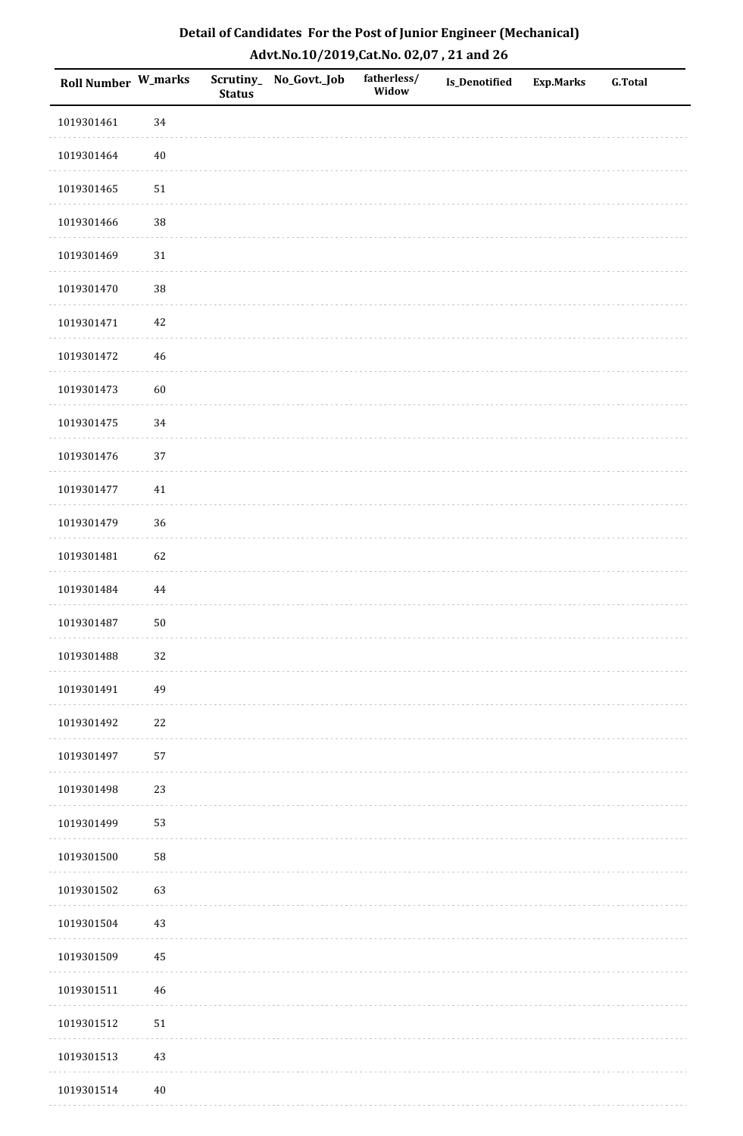| Roll Number W_marks |             | <b>Status</b> | Scrutiny_No_Govt._Job | fatherless/<br>Widow | Is_Denotified | <b>Exp.Marks</b> | <b>G.Total</b> |
|---------------------|-------------|---------------|-----------------------|----------------------|---------------|------------------|----------------|
| 1019301461          | 34          |               |                       |                      |               |                  |                |
| 1019301464          | $40\,$      |               |                       |                      |               |                  |                |
| 1019301465          | $51\,$      |               |                       |                      |               |                  |                |
| 1019301466          | 38          |               |                       |                      |               |                  |                |
| 1019301469          | $31\,$      |               |                       |                      |               |                  |                |
| 1019301470          | 38          |               |                       |                      |               |                  |                |
| 1019301471          | $42\,$      |               |                       |                      |               |                  |                |
| 1019301472          | $46\,$      |               |                       |                      |               |                  |                |
| 1019301473          | 60          |               |                       |                      |               |                  |                |
| 1019301475          | 34          |               |                       |                      |               |                  |                |
| 1019301476          | 37          |               |                       |                      |               |                  |                |
| 1019301477          | $41\,$      |               |                       |                      |               |                  |                |
| 1019301479          | 36          |               |                       |                      |               |                  |                |
| 1019301481          | 62          |               |                       |                      |               |                  |                |
| 1019301484          | 44          |               |                       |                      |               |                  |                |
| 1019301487          | $50\,$      |               |                       |                      |               |                  |                |
| 1019301488          | $32\,$      |               |                       |                      |               |                  |                |
| 1019301491          | 49          |               |                       |                      |               |                  |                |
| 1019301492          | $22\,$      |               |                       |                      |               |                  |                |
| 1019301497          | 57          |               |                       |                      |               |                  |                |
| 1019301498          | 23          |               |                       |                      |               |                  |                |
| 1019301499          | 53          |               |                       |                      |               |                  |                |
| 1019301500          | 58          |               |                       |                      |               |                  |                |
| 1019301502          | 63          |               |                       |                      |               |                  |                |
| 1019301504          | 43          |               |                       |                      |               |                  |                |
| 1019301509          | 45          |               |                       |                      |               |                  |                |
| 1019301511          | $\sqrt{46}$ |               |                       |                      |               |                  |                |
| 1019301512          | 51          |               |                       |                      |               |                  |                |
| 1019301513          | $43\,$      |               |                       |                      |               |                  |                |
| 1019301514          | $40\,$      |               |                       |                      |               |                  |                |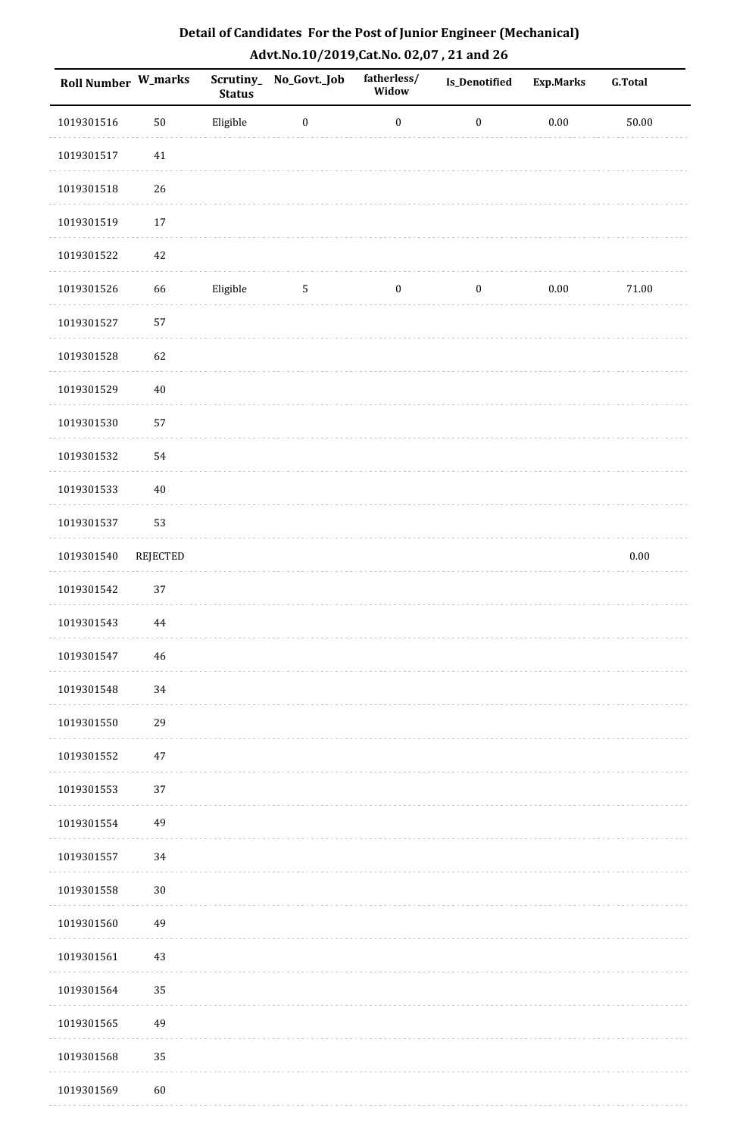| <b>Roll Number W_marks</b> |          | <b>Status</b> | Scrutiny_ No_Govt._Job | fatherless/<br>Widow | Is_Denotified    | <b>Exp.Marks</b> | <b>G.Total</b> |
|----------------------------|----------|---------------|------------------------|----------------------|------------------|------------------|----------------|
| 1019301516                 | $50\,$   | Eligible      | $\boldsymbol{0}$       | $\boldsymbol{0}$     | $\boldsymbol{0}$ | $0.00\,$         | $50.00\,$      |
| 1019301517                 | $41\,$   |               |                        |                      |                  |                  |                |
| 1019301518                 | 26       |               |                        |                      |                  |                  |                |
| 1019301519                 | $17\,$   |               |                        |                      |                  |                  |                |
| 1019301522                 | 42       |               |                        |                      |                  |                  |                |
| 1019301526                 | 66       | Eligible      | 5                      | $\boldsymbol{0}$     | $\boldsymbol{0}$ | $0.00\,$         | $71.00\,$      |
| 1019301527                 | 57       |               |                        |                      |                  |                  |                |
| 1019301528                 | 62       |               |                        |                      |                  |                  |                |
| 1019301529                 | $40\,$   |               |                        |                      |                  |                  |                |
| 1019301530                 | 57       |               |                        |                      |                  |                  |                |
| 1019301532                 | 54       |               |                        |                      |                  |                  |                |
| 1019301533                 | $40\,$   |               |                        |                      |                  |                  |                |
| 1019301537                 | 53       |               |                        |                      |                  |                  |                |
| 1019301540                 | REJECTED |               |                        |                      |                  |                  | $0.00\,$       |
| 1019301542                 | 37       |               |                        |                      |                  |                  |                |
| 1019301543                 | 44       |               |                        |                      |                  |                  |                |
| 1019301547                 | 46       |               |                        |                      |                  |                  |                |
| 1019301548                 | 34       |               |                        |                      |                  |                  |                |
| 1019301550                 | 29       |               |                        |                      |                  |                  |                |
| 1019301552                 | 47       |               |                        |                      |                  |                  |                |
| 1019301553                 | 37       |               |                        |                      |                  |                  |                |
| 1019301554                 | 49       |               |                        |                      |                  |                  |                |
| 1019301557                 | 34       |               |                        |                      |                  |                  |                |
| 1019301558                 | $30\,$   |               |                        |                      |                  |                  |                |
| 1019301560                 | 49       |               |                        |                      |                  |                  |                |
| 1019301561                 | 43       |               |                        |                      |                  |                  |                |
| 1019301564                 | 35       |               |                        |                      |                  |                  |                |
| 1019301565                 | 49       |               |                        |                      |                  |                  |                |
| 1019301568                 | 35       |               |                        |                      |                  |                  |                |
| 1019301569                 | 60       |               |                        |                      |                  |                  |                |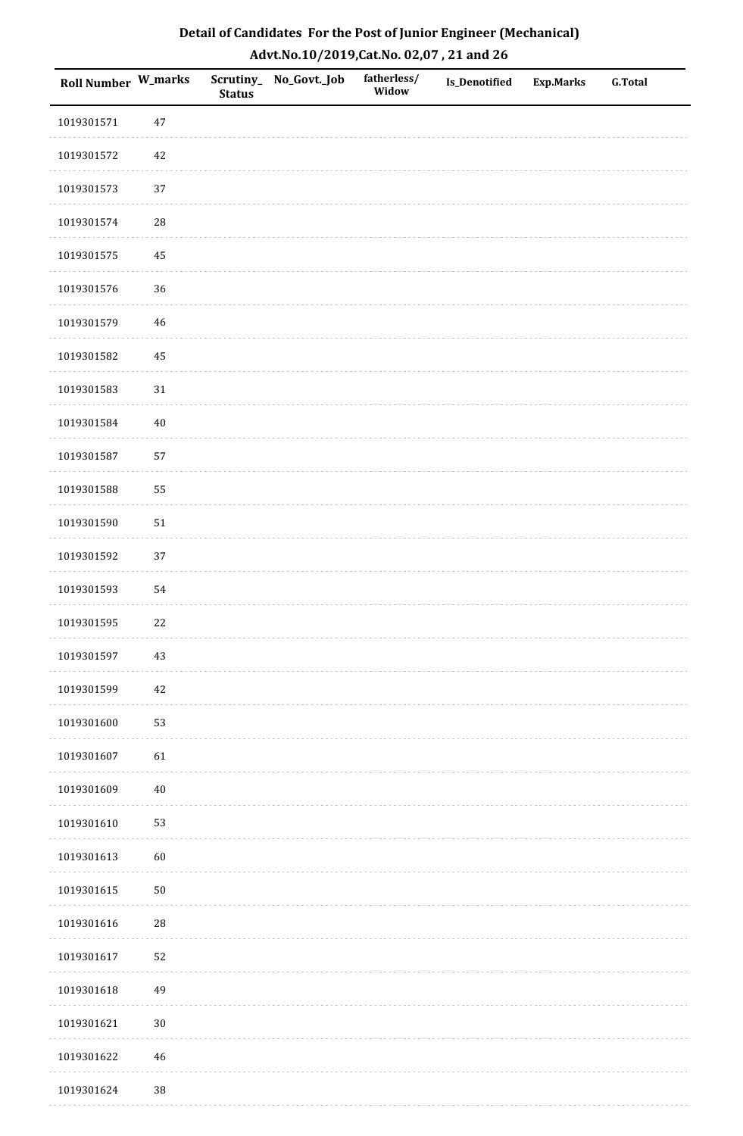| Detail of Candidates For the Post of Junior Engineer (Mechanical) |
|-------------------------------------------------------------------|
| Advt.No.10/2019,Cat.No. 02,07, 21 and 26                          |

| Roll Number W_marks |             | <b>Status</b> | Scrutiny_ No_Govt._Job | fatherless/<br>Widow | <b>Is_Denotified</b> | <b>Exp.Marks</b> | <b>G.Total</b> |
|---------------------|-------------|---------------|------------------------|----------------------|----------------------|------------------|----------------|
| 1019301571          | $47\,$      |               |                        |                      |                      |                  |                |
| 1019301572          | $42\,$      |               |                        |                      |                      |                  |                |
| 1019301573          | 37          |               |                        |                      |                      |                  |                |
| 1019301574          | ${\bf 28}$  |               |                        |                      |                      |                  |                |
| 1019301575          | 45          |               |                        |                      |                      |                  |                |
| 1019301576          | 36          |               |                        |                      |                      |                  |                |
| 1019301579          | $\sqrt{46}$ |               |                        |                      |                      |                  |                |
| 1019301582          | 45          |               |                        |                      |                      |                  |                |
| 1019301583          | $31\,$      |               |                        |                      |                      |                  |                |
| 1019301584          | $40\,$      |               |                        |                      |                      |                  |                |
| 1019301587          | 57          |               |                        |                      |                      |                  |                |
| 1019301588          | 55          |               |                        |                      |                      |                  |                |
| 1019301590          | $51\,$      |               |                        |                      |                      |                  |                |
| 1019301592          | 37          |               |                        |                      |                      |                  |                |
| 1019301593          | 54          |               |                        |                      |                      |                  |                |
| 1019301595          | $22\,$      |               |                        |                      |                      |                  |                |
| 1019301597          | $43\,$      |               |                        |                      |                      |                  |                |
| 1019301599          | $42\,$      |               |                        |                      |                      |                  |                |
| 1019301600          | 53          |               |                        |                      |                      |                  |                |
| 1019301607          | 61          |               |                        |                      |                      |                  |                |
| 1019301609          | $40\,$      |               |                        |                      |                      |                  |                |
| 1019301610          | 53          |               |                        |                      |                      |                  |                |
| 1019301613          | 60          |               |                        |                      |                      |                  |                |
| 1019301615          | $50\,$      |               |                        |                      |                      |                  |                |
| 1019301616          | ${\bf 28}$  |               |                        |                      |                      |                  |                |
| 1019301617          | 52          |               |                        |                      |                      |                  |                |
| 1019301618          | 49          |               |                        |                      |                      |                  |                |
| 1019301621          | $30\,$      |               |                        |                      |                      |                  |                |
| 1019301622          | 46          |               |                        |                      |                      |                  |                |
| 1019301624          | $38\,$      |               |                        |                      |                      |                  |                |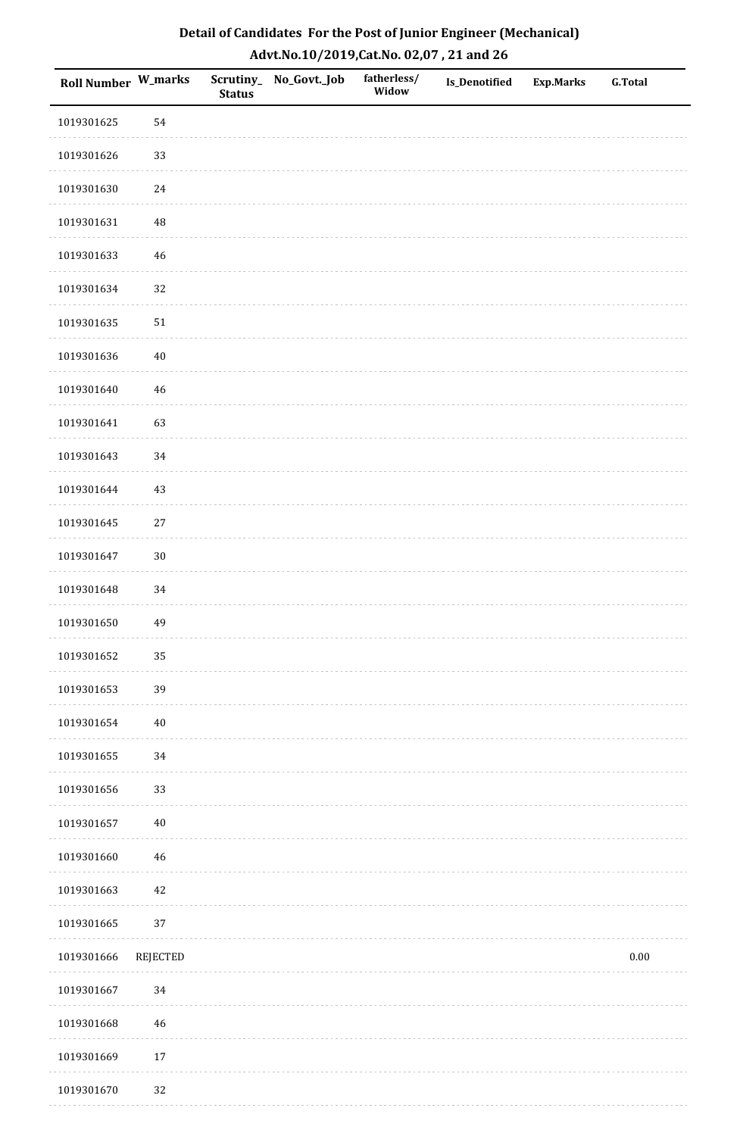| Detail of Candidates For the Post of Junior Engineer (Mechanical) |
|-------------------------------------------------------------------|
| Advt.No.10/2019,Cat.No. 02,07, 21 and 26                          |

| Roll Number W_marks |             | <b>Status</b> | Scrutiny_ No_Govt._Job | fatherless/<br>Widow | <b>Is_Denotified</b> | <b>Exp.Marks</b> | <b>G.Total</b> |
|---------------------|-------------|---------------|------------------------|----------------------|----------------------|------------------|----------------|
| 1019301625          | 54          |               |                        |                      |                      |                  |                |
| 1019301626          | 33          |               |                        |                      |                      |                  |                |
| 1019301630          | 24          |               |                        |                      |                      |                  |                |
| 1019301631          | $\rm 48$    |               |                        |                      |                      |                  |                |
| 1019301633          | $\sqrt{46}$ |               |                        |                      |                      |                  |                |
| 1019301634          | 32          |               |                        |                      |                      |                  |                |
| 1019301635          | $51\,$      |               |                        |                      |                      |                  |                |
| 1019301636          | $40\,$      |               |                        |                      |                      |                  |                |
| 1019301640          | $\sqrt{46}$ |               |                        |                      |                      |                  |                |
| 1019301641          | 63          |               |                        |                      |                      |                  |                |
| 1019301643          | 34          |               |                        |                      |                      |                  |                |
| 1019301644          | 43          |               |                        |                      |                      |                  |                |
| 1019301645          | $27\,$      |               |                        |                      |                      |                  |                |
| 1019301647          | $30\,$      |               |                        |                      |                      |                  |                |
| 1019301648          | 34          |               |                        |                      |                      |                  |                |
| 1019301650          | 49          |               |                        |                      |                      |                  |                |
| 1019301652          | 35          |               |                        |                      |                      |                  |                |
| 1019301653          | 39          |               |                        |                      |                      |                  |                |
| 1019301654          | $40\,$      |               |                        |                      |                      |                  |                |
| 1019301655          | $34\,$      |               |                        |                      |                      |                  |                |
| 1019301656          | 33          |               |                        |                      |                      |                  |                |
| 1019301657          | $40\,$      |               |                        |                      |                      |                  |                |
| 1019301660          | $\sqrt{46}$ |               |                        |                      |                      |                  |                |
| 1019301663          | $42\,$      |               |                        |                      |                      |                  |                |
| 1019301665          | 37          |               |                        |                      |                      |                  |                |
| 1019301666          | REJECTED    |               |                        |                      |                      |                  | $0.00\,$       |
| 1019301667          | 34          |               |                        |                      |                      |                  |                |
| 1019301668          | $\sqrt{46}$ |               |                        |                      |                      |                  |                |
| 1019301669          | $17\,$      |               |                        |                      |                      |                  |                |
| 1019301670          | 32          |               |                        |                      |                      |                  |                |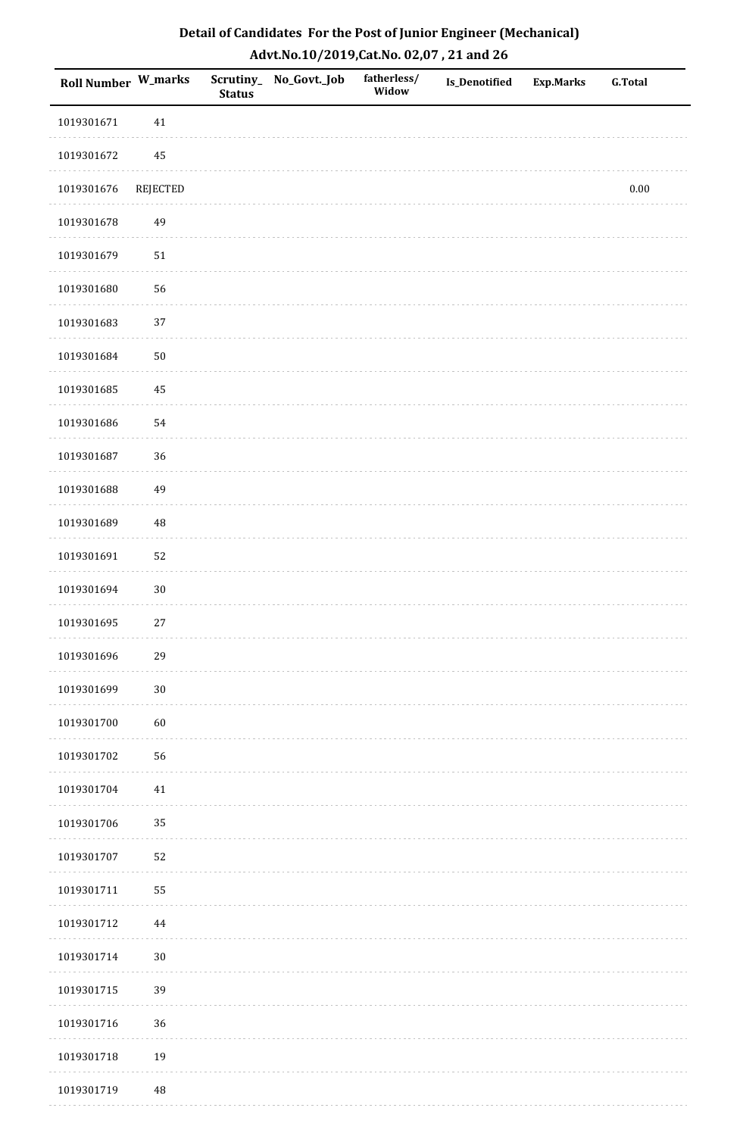| <b>Roll Number W_marks</b> |          | <b>Status</b> | Scrutiny_ No_Govt._Job | fatherless/<br>Widow | Is_Denotified | <b>Exp.Marks</b> | <b>G.Total</b> |
|----------------------------|----------|---------------|------------------------|----------------------|---------------|------------------|----------------|
| 1019301671                 | $41\,$   |               |                        |                      |               |                  |                |
| 1019301672                 | 45       |               |                        |                      |               |                  |                |
| 1019301676                 | REJECTED |               |                        |                      |               |                  | $0.00\,$       |
| 1019301678                 | 49       |               |                        |                      |               |                  |                |
| 1019301679                 | 51       |               |                        |                      |               |                  |                |
| 1019301680                 | 56       |               |                        |                      |               |                  |                |
| 1019301683                 | 37       |               |                        |                      |               |                  |                |
| 1019301684                 | 50       |               |                        |                      |               |                  |                |
| 1019301685                 | 45       |               |                        |                      |               |                  |                |
| 1019301686                 | 54       |               |                        |                      |               |                  |                |
| 1019301687                 | 36       |               |                        |                      |               |                  |                |
| 1019301688                 | 49       |               |                        |                      |               |                  |                |
| 1019301689                 | $\rm 48$ |               |                        |                      |               |                  |                |
| 1019301691                 | 52       |               |                        |                      |               |                  |                |
| 1019301694                 | $30\,$   |               |                        |                      |               |                  |                |
| 1019301695                 | $27\,$   |               |                        |                      |               |                  |                |
| 1019301696                 | 29       |               |                        |                      |               |                  |                |
| 1019301699                 | $30\,$   |               |                        |                      |               |                  |                |
| 1019301700                 | $60\,$   |               |                        |                      |               |                  |                |
| 1019301702                 | 56       |               |                        |                      |               |                  |                |
| 1019301704                 | $41\,$   |               |                        |                      |               |                  |                |
| 1019301706                 | 35       |               |                        |                      |               |                  |                |
| 1019301707                 | 52       |               |                        |                      |               |                  |                |
| 1019301711                 | 55       |               |                        |                      |               |                  |                |
| 1019301712                 | $\bf 44$ |               |                        |                      |               |                  |                |
| 1019301714                 | $30\,$   |               |                        |                      |               |                  |                |
| 1019301715                 | 39       |               |                        |                      |               |                  |                |
| 1019301716                 | 36       |               |                        |                      |               |                  |                |
| 1019301718                 | 19       |               |                        |                      |               |                  |                |
| 1019301719                 | $\rm 48$ |               |                        |                      |               |                  |                |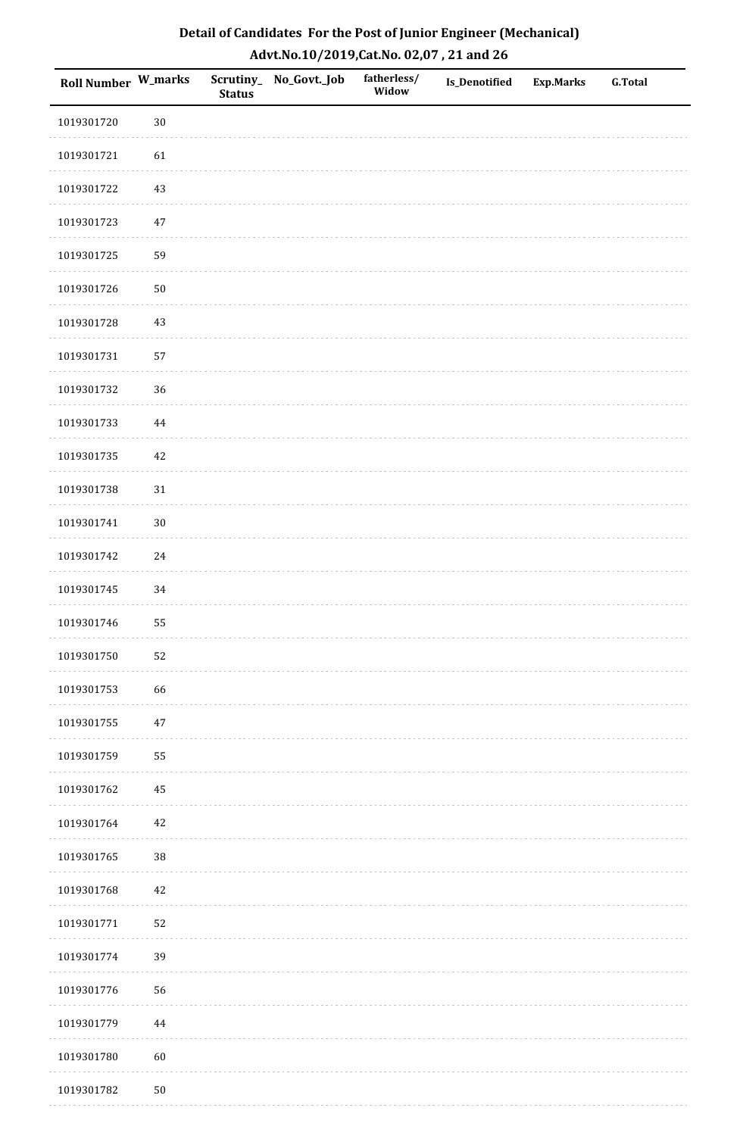| Detail of Candidates For the Post of Junior Engineer (Mechanical) |
|-------------------------------------------------------------------|
| Advt.No.10/2019,Cat.No. 02,07, 21 and 26                          |

| Roll Number W_marks |            | <b>Status</b> | Scrutiny_ No_Govt._Job | fatherless/<br>Widow | Is_Denotified | <b>Exp.Marks</b> | <b>G.Total</b> |
|---------------------|------------|---------------|------------------------|----------------------|---------------|------------------|----------------|
| 1019301720          | $30\,$     |               |                        |                      |               |                  |                |
| 1019301721          | 61         |               |                        |                      |               |                  |                |
| 1019301722          | 43         |               |                        |                      |               |                  |                |
| 1019301723          | $47\,$     |               |                        |                      |               |                  |                |
| 1019301725          | 59         |               |                        |                      |               |                  |                |
| 1019301726          | ${\bf 50}$ |               |                        |                      |               |                  |                |
| 1019301728          | 43         |               |                        |                      |               |                  |                |
| 1019301731          | 57         |               |                        |                      |               |                  |                |
| 1019301732          | 36         |               |                        |                      |               |                  |                |
| 1019301733          | $\bf 44$   |               |                        |                      |               |                  |                |
| 1019301735          | $42\,$     |               |                        |                      |               |                  |                |
| 1019301738          | $31\,$     |               |                        |                      |               |                  |                |
| 1019301741          | $30\,$     |               |                        |                      |               |                  |                |
| 1019301742          | $24\,$     |               |                        |                      |               |                  |                |
| 1019301745          | 34         |               |                        |                      |               |                  |                |
| 1019301746          | 55         |               |                        |                      |               |                  |                |
| 1019301750          | 52         |               |                        |                      |               |                  |                |
| 1019301753          | 66         |               |                        |                      |               |                  |                |
| 1019301755          | $47\,$     |               |                        |                      |               |                  |                |
| 1019301759          | 55         |               |                        |                      |               |                  |                |
| 1019301762          | 45         |               |                        |                      |               |                  |                |
| 1019301764          | $42\,$     |               |                        |                      |               |                  |                |
| 1019301765          | $38\,$     |               |                        |                      |               |                  |                |
| 1019301768          | 42         |               |                        |                      |               |                  |                |
| 1019301771          | 52         |               |                        |                      |               |                  |                |
| 1019301774          | 39         |               |                        |                      |               |                  |                |
| 1019301776          | 56         |               |                        |                      |               |                  |                |
| 1019301779          | $\bf 44$   |               |                        |                      |               |                  |                |
| 1019301780          | $60\,$     |               |                        |                      |               |                  |                |
| 1019301782          | $50\,$     |               |                        |                      |               |                  |                |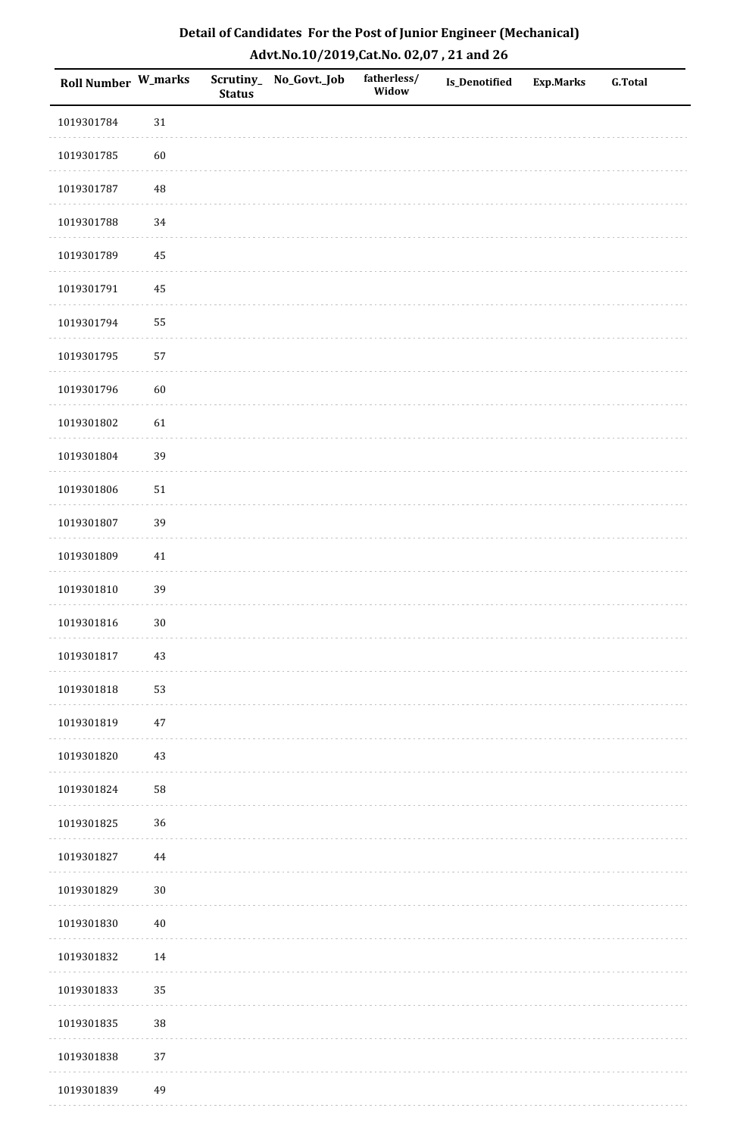| Detail of Candidates For the Post of Junior Engineer (Mechanical) |
|-------------------------------------------------------------------|
| Advt.No.10/2019,Cat.No. 02,07, 21 and 26                          |

| Roll Number W_marks |          | <b>Status</b> | Scrutiny_ No_Govt._Job | fatherless/<br>Widow | Is_Denotified | <b>Exp.Marks</b> | <b>G.Total</b> |
|---------------------|----------|---------------|------------------------|----------------------|---------------|------------------|----------------|
| 1019301784          | $31\,$   |               |                        |                      |               |                  |                |
| 1019301785          | $60\,$   |               |                        |                      |               |                  |                |
| 1019301787          | $\rm 48$ |               |                        |                      |               |                  |                |
| 1019301788          | 34       |               |                        |                      |               |                  |                |
| 1019301789          | 45       |               |                        |                      |               |                  |                |
| 1019301791          | 45       |               |                        |                      |               |                  |                |
| 1019301794          | 55       |               |                        |                      |               |                  |                |
| 1019301795          | 57       |               |                        |                      |               |                  |                |
| 1019301796          | $60\,$   |               |                        |                      |               |                  |                |
| 1019301802          | 61       |               |                        |                      |               |                  |                |
| 1019301804          | 39       |               |                        |                      |               |                  |                |
| 1019301806          | $51\,$   |               |                        |                      |               |                  |                |
| 1019301807          | 39       |               |                        |                      |               |                  |                |
| 1019301809          | $41\,$   |               |                        |                      |               |                  |                |
| 1019301810          | 39       |               |                        |                      |               |                  |                |
| 1019301816          | $30\,$   |               |                        |                      |               |                  |                |
| 1019301817          | $43\,$   |               |                        |                      |               |                  |                |
| 1019301818          | 53       |               |                        |                      |               |                  |                |
| 1019301819          | $47\,$   |               |                        |                      |               |                  |                |
| 1019301820          | $43\,$   |               |                        |                      |               |                  |                |
| 1019301824          | 58       |               |                        |                      |               |                  |                |
| 1019301825          | 36       |               |                        |                      |               |                  |                |
| 1019301827          | $\bf 44$ |               |                        |                      |               |                  |                |
| 1019301829          | $30\,$   |               |                        |                      |               |                  |                |
| 1019301830          | $40\,$   |               |                        |                      |               |                  |                |
| 1019301832          | $14\,$   |               |                        |                      |               |                  |                |
| 1019301833          | 35       |               |                        |                      |               |                  |                |
| 1019301835          | 38       |               |                        |                      |               |                  |                |
| 1019301838          | 37       |               |                        |                      |               |                  |                |
| 1019301839          | 49       |               |                        |                      |               |                  |                |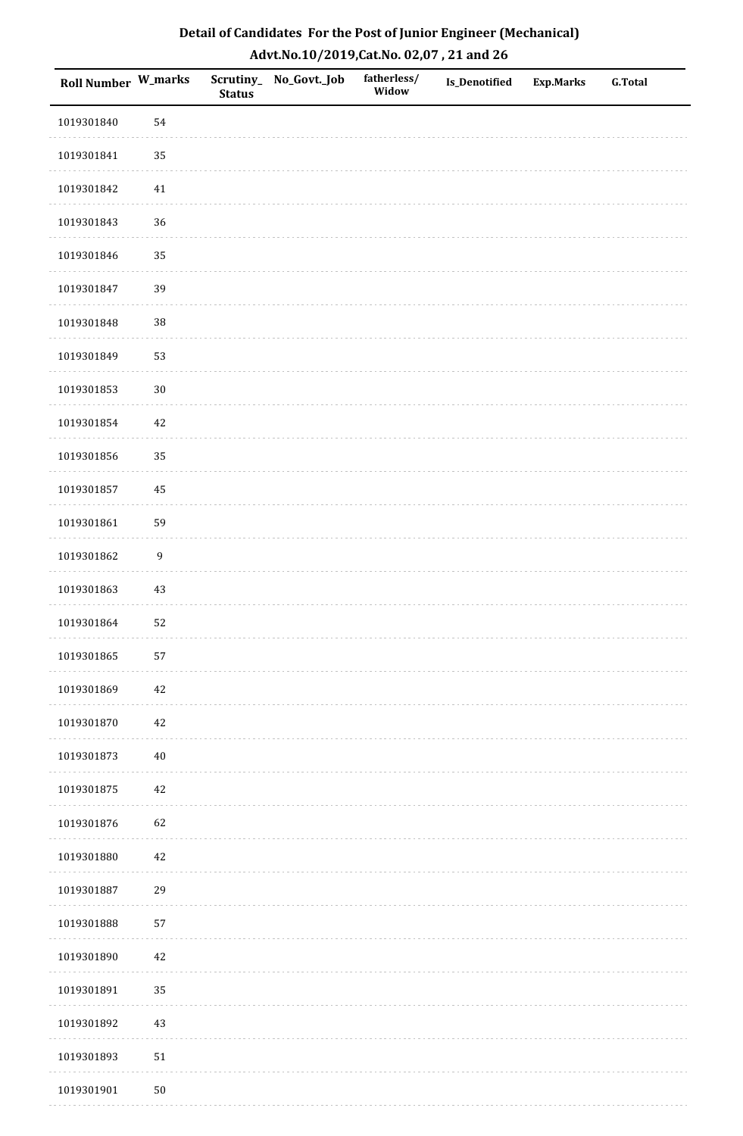| Detail of Candidates For the Post of Junior Engineer (Mechanical) |
|-------------------------------------------------------------------|
| Advt.No.10/2019,Cat.No. 02,07, 21 and 26                          |

| Roll Number W_marks |                  | <b>Status</b> | Scrutiny_ No_Govt._Job | fatherless/<br>Widow | Is_Denotified | <b>Exp.Marks</b> | <b>G.Total</b> |
|---------------------|------------------|---------------|------------------------|----------------------|---------------|------------------|----------------|
| 1019301840          | 54               |               |                        |                      |               |                  |                |
| 1019301841          | 35               |               |                        |                      |               |                  |                |
| 1019301842          | 41               |               |                        |                      |               |                  |                |
| 1019301843          | 36               |               |                        |                      |               |                  |                |
| 1019301846          | 35               |               |                        |                      |               |                  |                |
| 1019301847          | 39               |               |                        |                      |               |                  |                |
| 1019301848          | 38               |               |                        |                      |               |                  |                |
| 1019301849          | 53               |               |                        |                      |               |                  |                |
| 1019301853          | $30\,$           |               |                        |                      |               |                  |                |
| 1019301854          | $42\,$           |               |                        |                      |               |                  |                |
| 1019301856          | 35               |               |                        |                      |               |                  |                |
| 1019301857          | 45               |               |                        |                      |               |                  |                |
| 1019301861          | 59               |               |                        |                      |               |                  |                |
| 1019301862          | $\boldsymbol{9}$ |               |                        |                      |               |                  |                |
| 1019301863          | 43               |               |                        |                      |               |                  |                |
| 1019301864          | 52               |               |                        |                      |               |                  |                |
| 1019301865          | 57               |               |                        |                      |               |                  |                |
| 1019301869          | $42\,$           |               |                        |                      |               |                  |                |
| 1019301870          | $42\,$           |               |                        |                      |               |                  |                |
| 1019301873          | $40\,$           |               |                        |                      |               |                  |                |
| 1019301875          | $42\,$           |               |                        |                      |               |                  |                |
| 1019301876          | 62               |               |                        |                      |               |                  |                |
| 1019301880          | $42\,$           |               |                        |                      |               |                  |                |
| 1019301887          | 29               |               |                        |                      |               |                  |                |
| 1019301888          | 57               |               |                        |                      |               |                  |                |
| 1019301890          | $42\,$           |               |                        |                      |               |                  |                |
| 1019301891          | 35               |               |                        |                      |               |                  |                |
| 1019301892          | 43               |               |                        |                      |               |                  |                |
| 1019301893          | $51\,$           |               |                        |                      |               |                  |                |
| 1019301901          | ${\bf 50}$       |               |                        |                      |               |                  |                |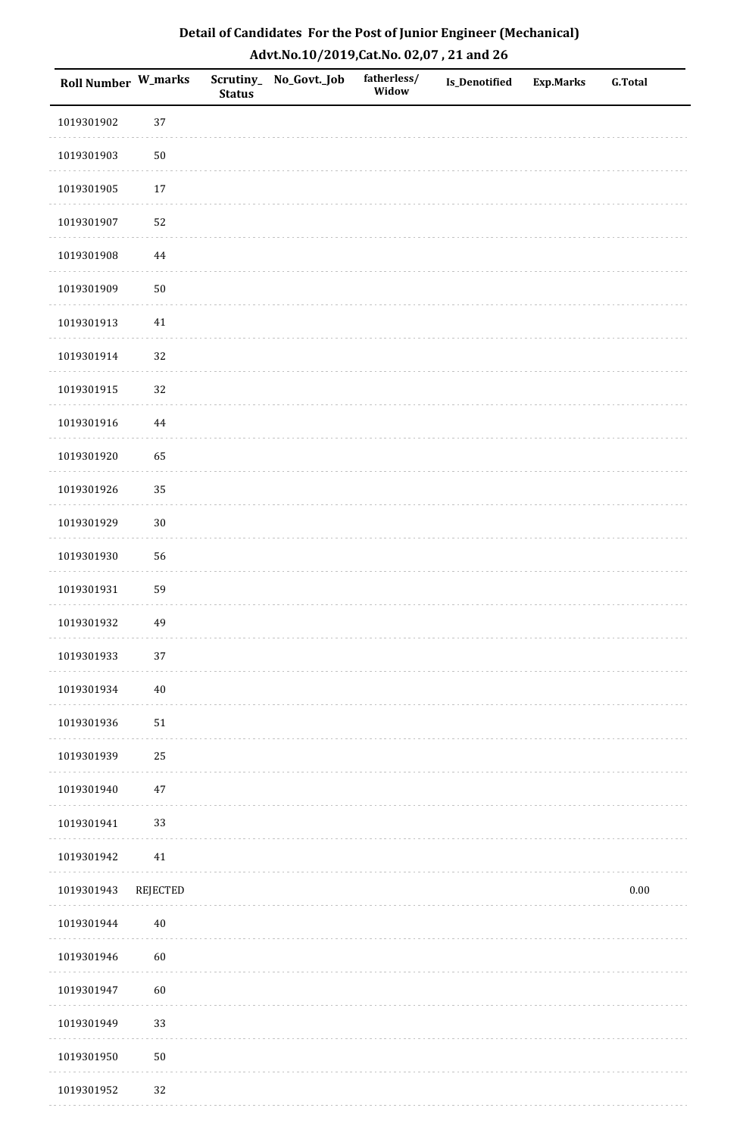| Detail of Candidates For the Post of Junior Engineer (Mechanical) |
|-------------------------------------------------------------------|
| Advt.No.10/2019,Cat.No. 02,07, 21 and 26                          |

| <b>Roll Number W_marks</b> |          | <b>Status</b> | Scrutiny_No_Govt._Job | fatherless/<br>Widow | <b>Is_Denotified</b> | <b>Exp.Marks</b> | <b>G.Total</b> |
|----------------------------|----------|---------------|-----------------------|----------------------|----------------------|------------------|----------------|
| 1019301902                 | 37       |               |                       |                      |                      |                  |                |
| 1019301903                 | $50\,$   |               |                       |                      |                      |                  |                |
| 1019301905                 | $17\,$   |               |                       |                      |                      |                  |                |
| 1019301907                 | 52       |               |                       |                      |                      |                  |                |
| 1019301908                 | 44       |               |                       |                      |                      |                  |                |
| 1019301909                 | $50\,$   |               |                       |                      |                      |                  |                |
| 1019301913                 | $41\,$   |               |                       |                      |                      |                  |                |
| 1019301914                 | 32       |               |                       |                      |                      |                  |                |
| 1019301915                 | 32       |               |                       |                      |                      |                  |                |
| 1019301916                 | 44       |               |                       |                      |                      |                  |                |
| 1019301920                 | 65       |               |                       |                      |                      |                  |                |
| 1019301926                 | 35       |               |                       |                      |                      |                  |                |
| 1019301929                 | $30\,$   |               |                       |                      |                      |                  |                |
| 1019301930                 | 56       |               |                       |                      |                      |                  |                |
| 1019301931                 | 59       |               |                       |                      |                      |                  |                |
| 1019301932                 | 49       |               |                       |                      |                      |                  |                |
| 1019301933                 | $37\,$   |               |                       |                      |                      |                  |                |
| 1019301934                 | $40\,$   |               |                       |                      |                      |                  |                |
| 1019301936                 | $51\,$   |               |                       |                      |                      |                  |                |
| 1019301939                 | 25       |               |                       |                      |                      |                  |                |
| 1019301940                 | $47\,$   |               |                       |                      |                      |                  |                |
| 1019301941                 | 33       |               |                       |                      |                      |                  |                |
| 1019301942                 | $41\,$   |               |                       |                      |                      |                  |                |
| 1019301943                 | REJECTED |               |                       |                      |                      |                  | $0.00\,$       |
| 1019301944                 | $40\,$   |               |                       |                      |                      |                  |                |
| 1019301946                 | 60       |               |                       |                      |                      |                  |                |
| 1019301947                 | 60       |               |                       |                      |                      |                  |                |
| 1019301949                 | 33       |               |                       |                      |                      |                  |                |
| 1019301950                 | $50\,$   |               |                       |                      |                      |                  |                |
| 1019301952                 | $32\,$   |               |                       |                      |                      |                  |                |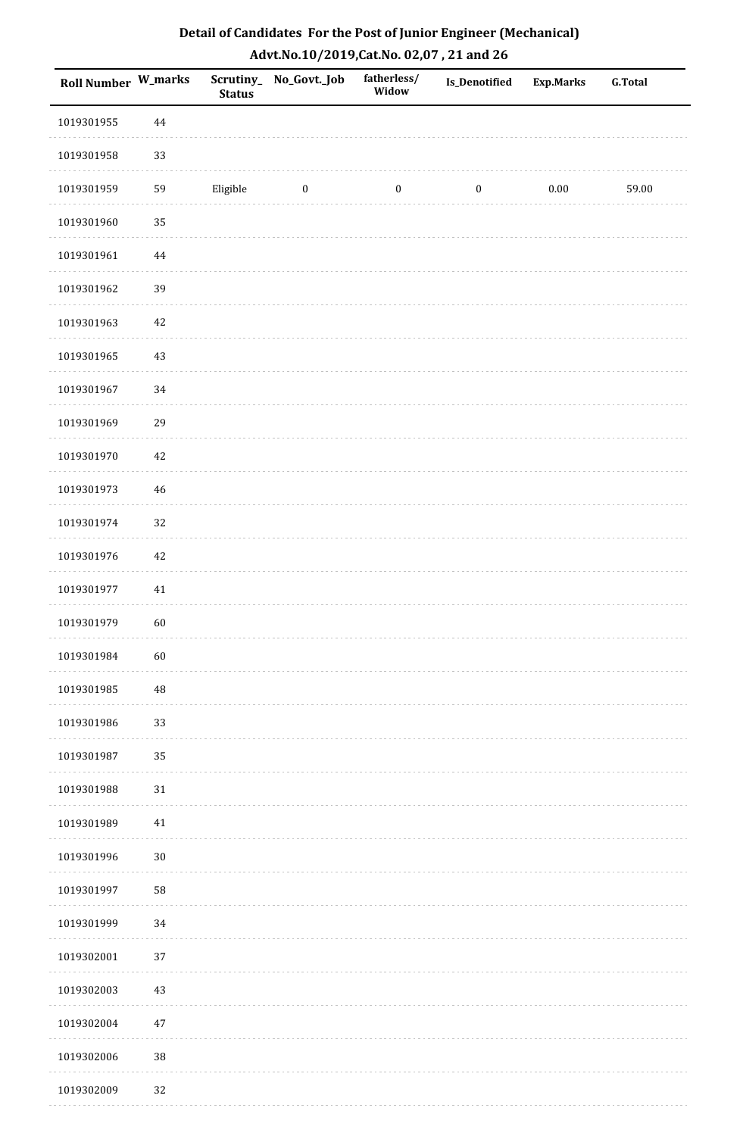| <b>Roll Number W_marks</b> |          | <b>Status</b> | Scrutiny_No_Govt._Job | fatherless/<br>Widow | Is_Denotified    | <b>Exp.Marks</b> | <b>G.Total</b> |
|----------------------------|----------|---------------|-----------------------|----------------------|------------------|------------------|----------------|
| 1019301955                 | $\bf 44$ |               |                       |                      |                  |                  |                |
| 1019301958                 | 33       |               |                       |                      |                  |                  |                |
| 1019301959                 | 59       | Eligible      | $\boldsymbol{0}$      | $\boldsymbol{0}$     | $\boldsymbol{0}$ | 0.00             | 59.00          |
| 1019301960                 | 35       |               |                       |                      |                  |                  |                |
| 1019301961                 | $\bf 44$ |               |                       |                      |                  |                  |                |
| 1019301962                 | 39       |               |                       |                      |                  |                  |                |
| 1019301963                 | $42\,$   |               |                       |                      |                  |                  |                |
| 1019301965                 | $43\,$   |               |                       |                      |                  |                  |                |
| 1019301967                 | 34       |               |                       |                      |                  |                  |                |
| 1019301969                 | 29       |               |                       |                      |                  |                  |                |
| 1019301970                 | 42       |               |                       |                      |                  |                  |                |
| 1019301973                 | $46\,$   |               |                       |                      |                  |                  |                |
| 1019301974                 | 32       |               |                       |                      |                  |                  |                |
| 1019301976                 | $42\,$   |               |                       |                      |                  |                  |                |
| 1019301977                 | 41       |               |                       |                      |                  |                  |                |
| 1019301979                 | 60       |               |                       |                      |                  |                  |                |
| 1019301984                 | 60       |               |                       |                      |                  |                  |                |
| 1019301985                 | 48       |               |                       |                      |                  |                  |                |
| 1019301986                 | 33       |               |                       |                      |                  |                  |                |
| 1019301987                 | 35       |               |                       |                      |                  |                  |                |
| 1019301988                 | $31\,$   |               |                       |                      |                  |                  |                |
| 1019301989                 | $41\,$   |               |                       |                      |                  |                  |                |
| 1019301996                 | $30\,$   |               |                       |                      |                  |                  |                |
| 1019301997                 | 58       |               |                       |                      |                  |                  |                |
| 1019301999                 | 34       |               |                       |                      |                  |                  |                |
| 1019302001                 | 37       |               |                       |                      |                  |                  |                |
| 1019302003                 | $43\,$   |               |                       |                      |                  |                  |                |
| 1019302004                 | $47\,$   |               |                       |                      |                  |                  |                |
| 1019302006                 | $38\,$   |               |                       |                      |                  |                  |                |
| 1019302009                 | 32       |               |                       |                      |                  |                  |                |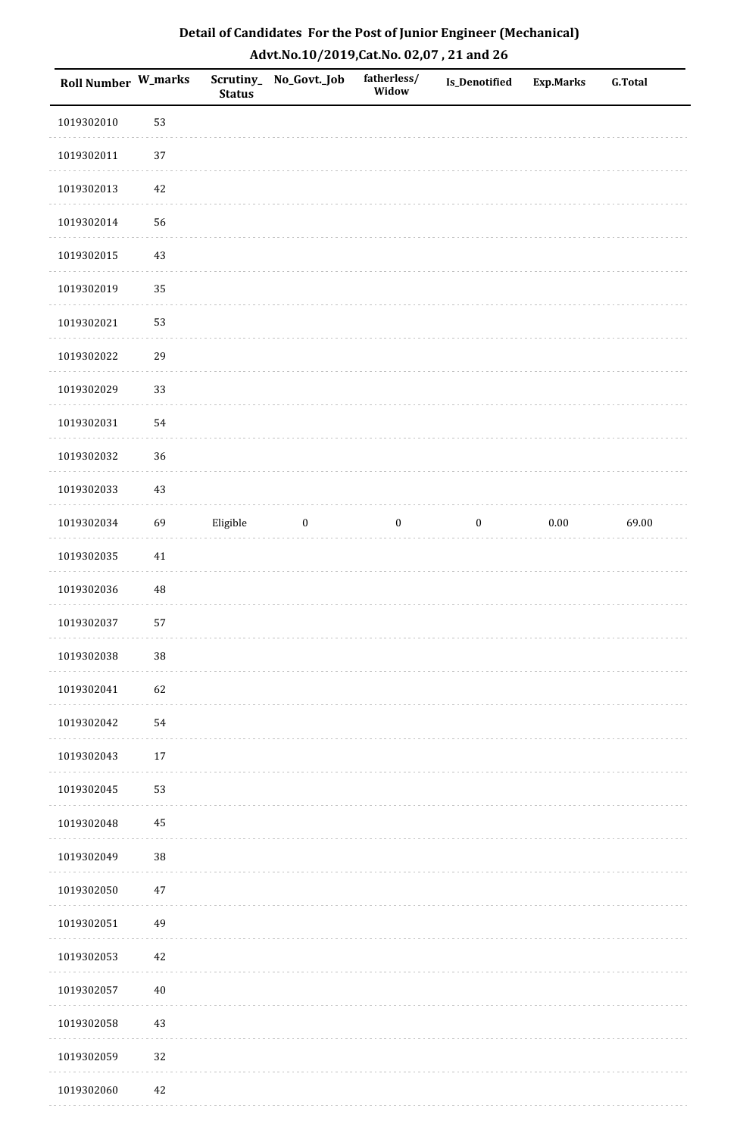| Roll Number W_marks |             | <b>Status</b> | Scrutiny_No_Govt._Job | fatherless/<br>Widow | Is_Denotified    | <b>Exp.Marks</b> | <b>G.Total</b> |
|---------------------|-------------|---------------|-----------------------|----------------------|------------------|------------------|----------------|
| 1019302010          | 53          |               |                       |                      |                  |                  |                |
| 1019302011          | 37          |               |                       |                      |                  |                  |                |
| 1019302013          | $42\,$      |               |                       |                      |                  |                  |                |
| 1019302014          | 56          |               |                       |                      |                  |                  |                |
| 1019302015          | $43\,$      |               |                       |                      |                  |                  |                |
| 1019302019          | 35          |               |                       |                      |                  |                  |                |
| 1019302021          | 53          |               |                       |                      |                  |                  |                |
| 1019302022          | 29          |               |                       |                      |                  |                  |                |
| 1019302029          | 33          |               |                       |                      |                  |                  |                |
| 1019302031          | 54          |               |                       |                      |                  |                  |                |
| 1019302032          | 36          |               |                       |                      |                  |                  |                |
| 1019302033          | $43\,$      |               |                       |                      |                  |                  |                |
| 1019302034          | 69          | Eligible      | $\bf{0}$              | $\boldsymbol{0}$     | $\boldsymbol{0}$ | $0.00\,$         | 69.00          |
| 1019302035          | $41\,$      |               |                       |                      |                  |                  |                |
| 1019302036          | $\sqrt{48}$ |               |                       |                      |                  |                  |                |
| 1019302037          | 57          |               |                       |                      |                  |                  |                |
| 1019302038          | 38          |               |                       |                      |                  |                  |                |
| 1019302041          | 62          |               |                       |                      |                  |                  |                |
| 1019302042          | 54          |               |                       |                      |                  |                  |                |
| 1019302043          | $17\,$      |               |                       |                      |                  |                  |                |
| 1019302045          | 53          |               |                       |                      |                  |                  |                |
| 1019302048          | $\rm 45$    |               |                       |                      |                  |                  |                |
| 1019302049          | 38          |               |                       |                      |                  |                  |                |
| 1019302050          | $47\,$      |               |                       |                      |                  |                  |                |
| 1019302051          | 49          |               |                       |                      |                  |                  |                |
| 1019302053          | $42\,$      |               |                       |                      |                  |                  |                |
| 1019302057          | $40\,$      |               |                       |                      |                  |                  |                |
| 1019302058          | $43\,$      |               |                       |                      |                  |                  |                |
| 1019302059          | 32          |               |                       |                      |                  |                  |                |
| 1019302060          | 42          |               |                       |                      |                  |                  |                |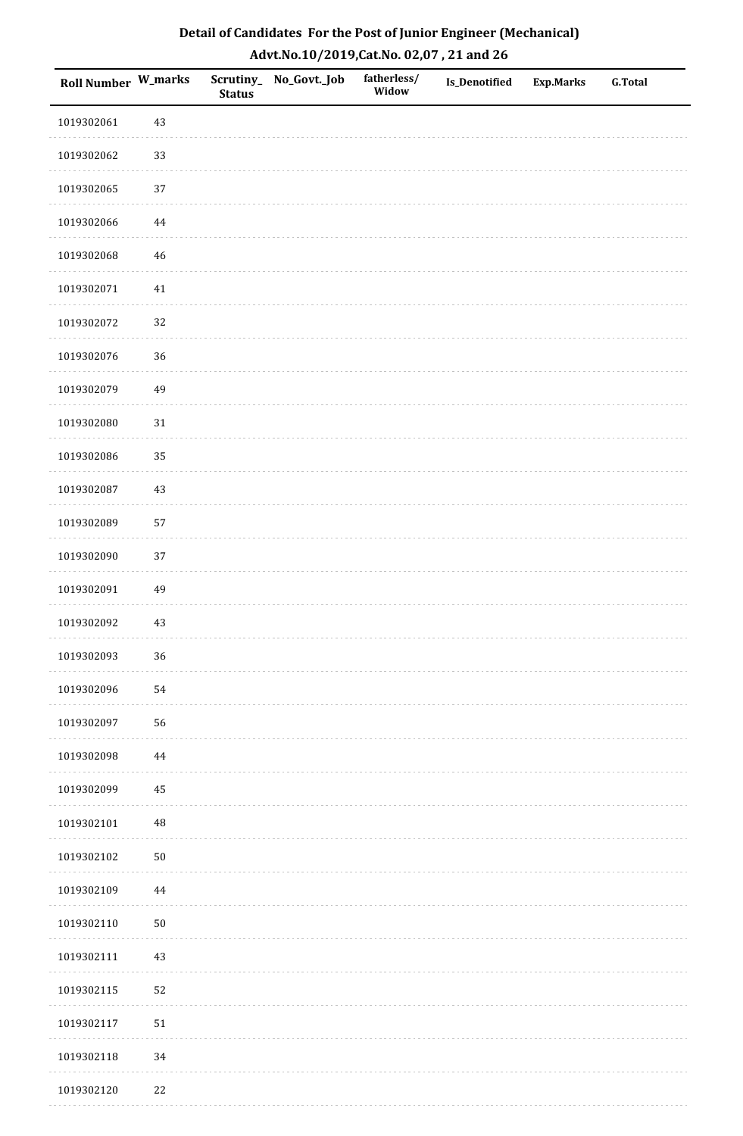| <b>Roll Number W_marks</b> |          | <b>Status</b> | Scrutiny_No_Govt._Job | fatherless/<br>Widow | Is_Denotified | <b>Exp.Marks</b> | <b>G.Total</b> |
|----------------------------|----------|---------------|-----------------------|----------------------|---------------|------------------|----------------|
| 1019302061                 | 43       |               |                       |                      |               |                  |                |
| 1019302062                 | 33       |               |                       |                      |               |                  |                |
| 1019302065                 | 37       |               |                       |                      |               |                  |                |
| 1019302066                 | $\bf 44$ |               |                       |                      |               |                  |                |
| 1019302068                 | $46\,$   |               |                       |                      |               |                  |                |
| 1019302071                 | 41       |               |                       |                      |               |                  |                |
| 1019302072                 | 32       |               |                       |                      |               |                  |                |
| 1019302076                 | 36       |               |                       |                      |               |                  |                |
| 1019302079                 | 49       |               |                       |                      |               |                  |                |
| 1019302080                 | $31\,$   |               |                       |                      |               |                  |                |
| 1019302086                 | 35       |               |                       |                      |               |                  |                |
| 1019302087                 | $43\,$   |               |                       |                      |               |                  |                |
| 1019302089                 | 57       |               |                       |                      |               |                  |                |
| 1019302090                 | 37       |               |                       |                      |               |                  |                |
| 1019302091                 | 49       |               |                       |                      |               |                  |                |
| 1019302092                 | $43\,$   |               |                       |                      |               |                  |                |
| 1019302093                 | 36       |               |                       |                      |               |                  |                |
| 1019302096                 | 54       |               |                       |                      |               |                  |                |
| 1019302097                 | 56       |               |                       |                      |               |                  |                |
| 1019302098                 | 44       |               |                       |                      |               |                  |                |
| 1019302099                 | 45       |               |                       |                      |               |                  |                |
| 1019302101                 | $\rm 48$ |               |                       |                      |               |                  |                |
| 1019302102                 | $50\,$   |               |                       |                      |               |                  |                |
| 1019302109                 | 44       |               |                       |                      |               |                  |                |
| 1019302110                 | $50\,$   |               |                       |                      |               |                  |                |
| 1019302111                 | $43\,$   |               |                       |                      |               |                  |                |
| 1019302115                 | 52       |               |                       |                      |               |                  |                |
| 1019302117                 | $51\,$   |               |                       |                      |               |                  |                |
| 1019302118                 | 34       |               |                       |                      |               |                  |                |
| 1019302120                 | $22\,$   |               |                       |                      |               |                  |                |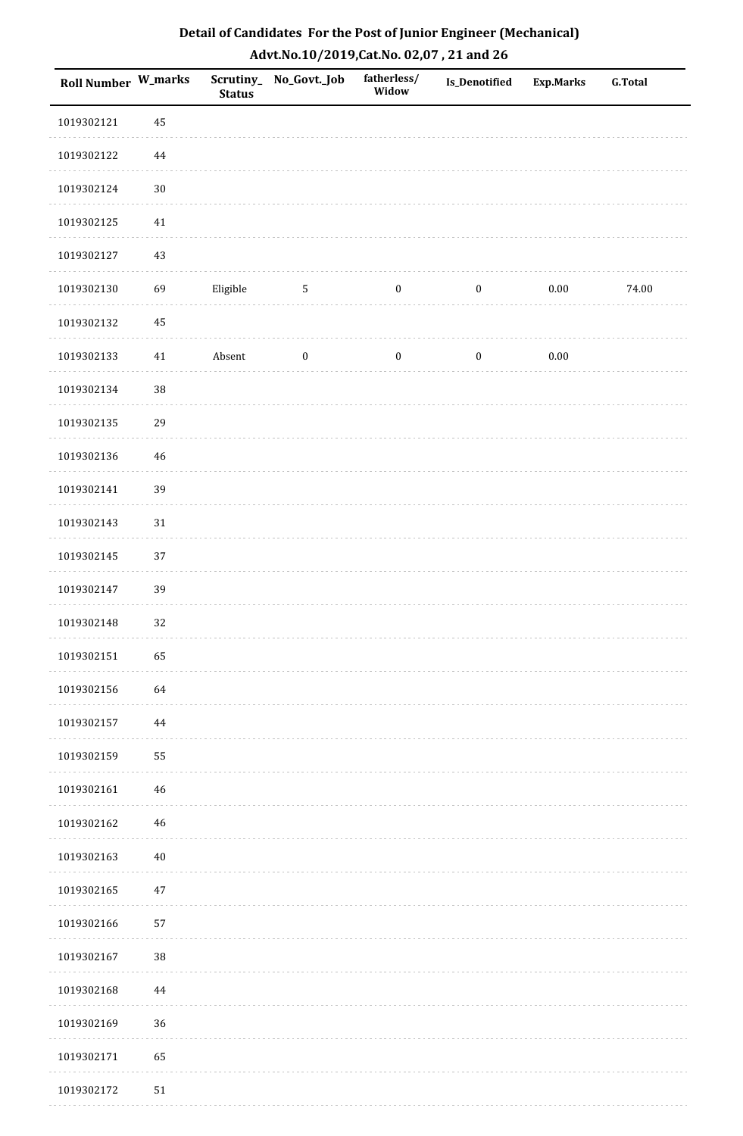| Detail of Candidates For the Post of Junior Engineer (Mechanical) |
|-------------------------------------------------------------------|
| Advt.No.10/2019, Cat.No. 02,07, 21 and 26                         |

| Roll Number W_marks |          | <b>Status</b> | Scrutiny_No_Govt._Job | fatherless/<br>Widow | <b>Is_Denotified</b> | <b>Exp.Marks</b> | <b>G.Total</b> |
|---------------------|----------|---------------|-----------------------|----------------------|----------------------|------------------|----------------|
| 1019302121          | 45       |               |                       |                      |                      |                  |                |
| 1019302122          | $\bf 44$ |               |                       |                      |                      |                  |                |
| 1019302124          | $30\,$   |               |                       |                      |                      |                  |                |
| 1019302125          | $41\,$   |               |                       |                      |                      |                  |                |
| 1019302127          | 43       |               |                       |                      |                      |                  |                |
| 1019302130          | 69       | Eligible      | $5\phantom{.0}$       | $\boldsymbol{0}$     | $\boldsymbol{0}$     | $0.00\,$         | 74.00          |
| 1019302132          | $45\,$   |               |                       |                      |                      |                  |                |
| 1019302133          | $41\,$   | Absent        | $\boldsymbol{0}$      | $\boldsymbol{0}$     | $\boldsymbol{0}$     | $0.00\,$         |                |
| 1019302134          | $38\,$   |               |                       |                      |                      |                  |                |
| 1019302135          | 29       |               |                       |                      |                      |                  |                |
| 1019302136          | 46       |               |                       |                      |                      |                  |                |
| 1019302141          | 39       |               |                       |                      |                      |                  |                |
| 1019302143          | 31       |               |                       |                      |                      |                  |                |
| 1019302145          | 37       |               |                       |                      |                      |                  |                |
| 1019302147          | 39       |               |                       |                      |                      |                  |                |
| 1019302148          | 32       |               |                       |                      |                      |                  |                |
| 1019302151          | 65       |               |                       |                      |                      |                  |                |
| 1019302156          | 64       |               |                       |                      |                      |                  |                |
| 1019302157          | 44       |               |                       |                      |                      |                  |                |
| 1019302159          | 55       |               |                       |                      |                      |                  |                |
| 1019302161          | 46       |               |                       |                      |                      |                  |                |
| 1019302162          | 46       |               |                       |                      |                      |                  |                |
| 1019302163          | $40\,$   |               |                       |                      |                      |                  |                |
| 1019302165          | 47       |               |                       |                      |                      |                  |                |
| 1019302166          | 57       |               |                       |                      |                      |                  |                |
| 1019302167          | $38\,$   |               |                       |                      |                      |                  |                |
| 1019302168          | 44       |               |                       |                      |                      |                  |                |
| 1019302169          | 36       |               |                       |                      |                      |                  |                |
| 1019302171          | 65       |               |                       |                      |                      |                  |                |
| 1019302172          | 51       |               |                       |                      |                      |                  |                |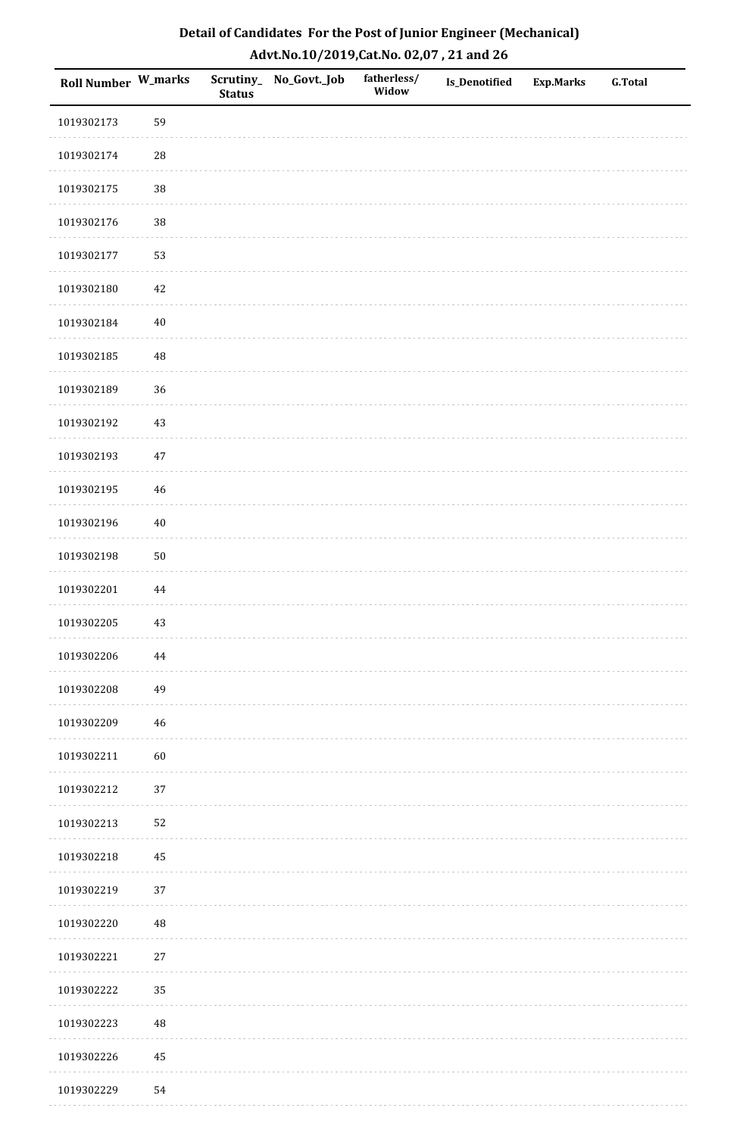| <b>Roll Number W_marks</b> |            | <b>Status</b> | Scrutiny_No_Govt._Job | fatherless/<br>Widow | Is_Denotified | <b>Exp.Marks</b> | <b>G.Total</b> |
|----------------------------|------------|---------------|-----------------------|----------------------|---------------|------------------|----------------|
| 1019302173                 | 59         |               |                       |                      |               |                  |                |
| 1019302174                 | ${\bf 28}$ |               |                       |                      |               |                  |                |
| 1019302175                 | 38         |               |                       |                      |               |                  |                |
| 1019302176                 | 38         |               |                       |                      |               |                  |                |
| 1019302177                 | 53         |               |                       |                      |               |                  |                |
| 1019302180                 | 42         |               |                       |                      |               |                  |                |
| 1019302184                 | $40\,$     |               |                       |                      |               |                  |                |
| 1019302185                 | 48         |               |                       |                      |               |                  |                |
| 1019302189                 | 36         |               |                       |                      |               |                  |                |
| 1019302192                 | $43\,$     |               |                       |                      |               |                  |                |
| 1019302193                 | $47\,$     |               |                       |                      |               |                  |                |
| 1019302195                 | 46         |               |                       |                      |               |                  |                |
| 1019302196                 | $40\,$     |               |                       |                      |               |                  |                |
| 1019302198                 | $50\,$     |               |                       |                      |               |                  |                |
| 1019302201                 | $\bf 44$   |               |                       |                      |               |                  |                |
| 1019302205                 | $43\,$     |               |                       |                      |               |                  |                |
| 1019302206                 | 44         |               |                       |                      |               |                  |                |
| 1019302208                 | 49         |               |                       |                      |               |                  |                |
| 1019302209                 | 46         |               |                       |                      |               |                  |                |
| 1019302211                 | 60         |               |                       |                      |               |                  |                |
| 1019302212                 | 37         |               |                       |                      |               |                  |                |
| 1019302213                 | 52         |               |                       |                      |               |                  |                |
| 1019302218                 | 45         |               |                       |                      |               |                  |                |
| 1019302219                 | 37         |               |                       |                      |               |                  |                |
| 1019302220                 | $\rm 48$   |               |                       |                      |               |                  |                |
| 1019302221                 | $27\,$     |               |                       |                      |               |                  |                |
| 1019302222                 | 35         |               |                       |                      |               |                  |                |
| 1019302223                 | 48         |               |                       |                      |               |                  |                |
| 1019302226                 | $\bf 45$   |               |                       |                      |               |                  |                |
| 1019302229                 | 54         |               |                       |                      |               |                  |                |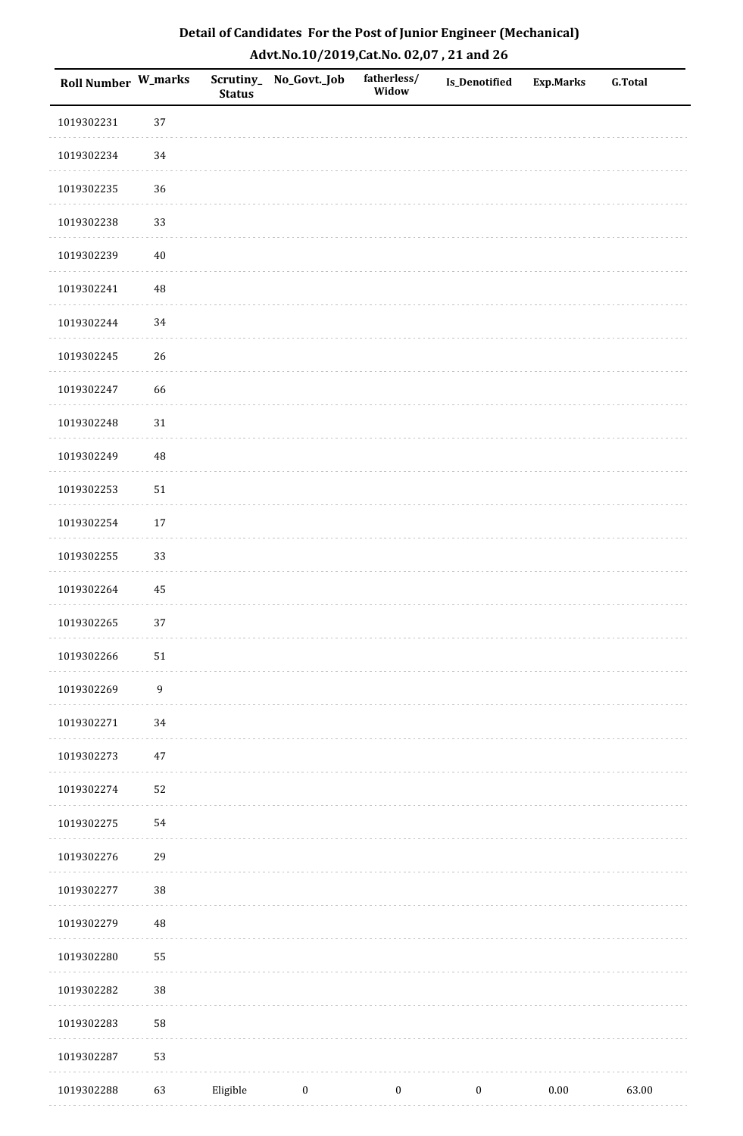| Roll Number W_marks |                  | <b>Status</b> | Scrutiny_No_Govt._Job | fatherless/<br>Widow | <b>Is_Denotified</b> | <b>Exp.Marks</b> | <b>G.Total</b> |
|---------------------|------------------|---------------|-----------------------|----------------------|----------------------|------------------|----------------|
| 1019302231          | 37               |               |                       |                      |                      |                  |                |
| 1019302234          | 34               |               |                       |                      |                      |                  |                |
| 1019302235          | 36               |               |                       |                      |                      |                  |                |
| 1019302238          | 33               |               |                       |                      |                      |                  |                |
| 1019302239          | $40\,$           |               |                       |                      |                      |                  |                |
| 1019302241          | 48               |               |                       |                      |                      |                  |                |
| 1019302244          | 34               |               |                       |                      |                      |                  |                |
| 1019302245          | 26               |               |                       |                      |                      |                  |                |
| 1019302247          | 66               |               |                       |                      |                      |                  |                |
| 1019302248          | $31\,$           |               |                       |                      |                      |                  |                |
| 1019302249          | 48               |               |                       |                      |                      |                  |                |
| 1019302253          | $51\,$           |               |                       |                      |                      |                  |                |
| 1019302254          | 17               |               |                       |                      |                      |                  |                |
| 1019302255          | 33               |               |                       |                      |                      |                  |                |
| 1019302264          | 45               |               |                       |                      |                      |                  |                |
| 1019302265          | 37               |               |                       |                      |                      |                  |                |
| 1019302266          | $51\,$           |               |                       |                      |                      |                  |                |
| 1019302269          | $\boldsymbol{9}$ |               |                       |                      |                      |                  |                |
| 1019302271          | 34               |               |                       |                      |                      |                  |                |
| 1019302273          | $47\,$           |               |                       |                      |                      |                  |                |
| 1019302274          | 52               |               |                       |                      |                      |                  |                |
| 1019302275          | 54               |               |                       |                      |                      |                  |                |
| 1019302276          | 29               |               |                       |                      |                      |                  |                |
| 1019302277          | 38               |               |                       |                      |                      |                  |                |
| 1019302279          | $\rm 48$         |               |                       |                      |                      |                  |                |
| 1019302280          | 55               |               |                       |                      |                      |                  |                |
| 1019302282          | 38               |               |                       |                      |                      |                  |                |
| 1019302283          | 58               |               |                       |                      |                      |                  |                |
| 1019302287          | 53               |               |                       |                      |                      |                  |                |
| 1019302288          | 63               | Eligible      | $\boldsymbol{0}$      | $\boldsymbol{0}$     | $\boldsymbol{0}$     | $0.00\,$         | 63.00          |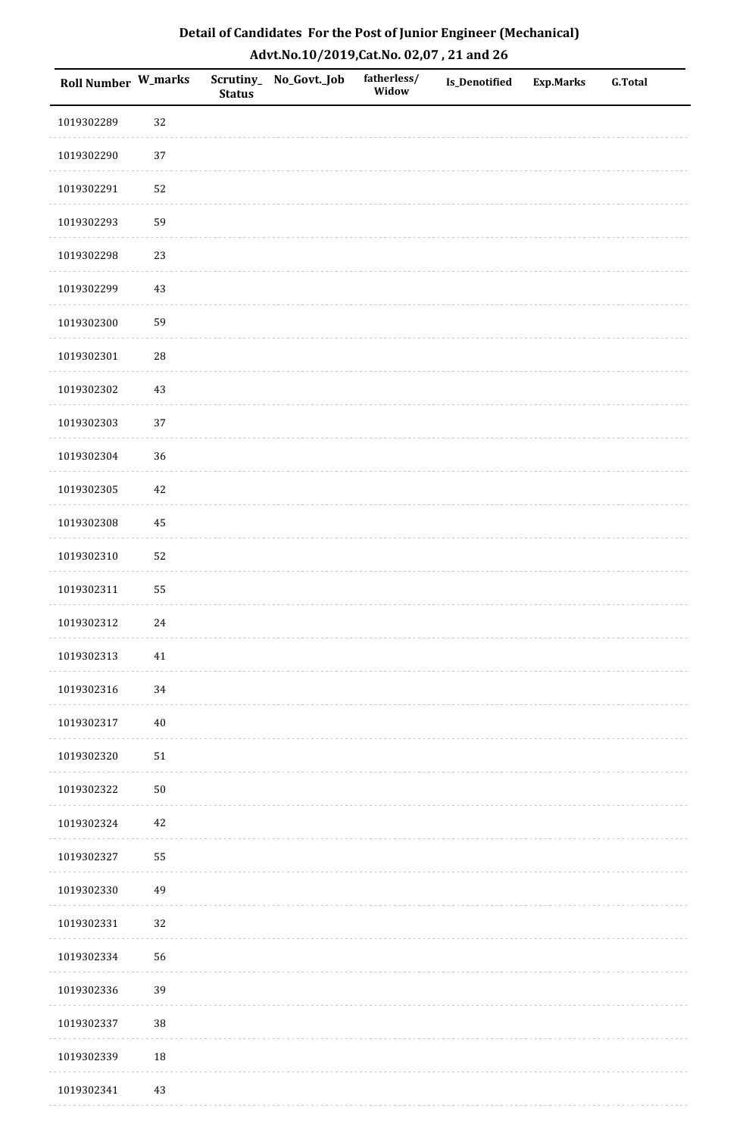| Detail of Candidates For the Post of Junior Engineer (Mechanical) |
|-------------------------------------------------------------------|
| Advt.No.10/2019,Cat.No. 02,07, 21 and 26                          |

| Roll Number W_marks |            | <b>Status</b> | Scrutiny_No_Govt._Job | fatherless/<br>Widow | Is_Denotified | <b>Exp.Marks</b> | <b>G.Total</b> |
|---------------------|------------|---------------|-----------------------|----------------------|---------------|------------------|----------------|
| 1019302289          | 32         |               |                       |                      |               |                  |                |
| 1019302290          | 37         |               |                       |                      |               |                  |                |
| 1019302291          | 52         |               |                       |                      |               |                  |                |
| 1019302293          | 59         |               |                       |                      |               |                  |                |
| 1019302298          | 23         |               |                       |                      |               |                  |                |
| 1019302299          | 43         |               |                       |                      |               |                  |                |
| 1019302300          | 59         |               |                       |                      |               |                  |                |
| 1019302301          | 28         |               |                       |                      |               |                  |                |
| 1019302302          | 43         |               |                       |                      |               |                  |                |
| 1019302303          | 37         |               |                       |                      |               |                  |                |
| 1019302304          | 36         |               |                       |                      |               |                  |                |
| 1019302305          | 42         |               |                       |                      |               |                  |                |
| 1019302308          | 45         |               |                       |                      |               |                  |                |
| 1019302310          | 52         |               |                       |                      |               |                  |                |
| 1019302311          | 55         |               |                       |                      |               |                  |                |
| 1019302312          | $24\,$     |               |                       |                      |               |                  |                |
| 1019302313          | $41\,$     |               |                       |                      |               |                  |                |
| 1019302316          | 34         |               |                       |                      |               |                  |                |
| 1019302317          | 40         |               |                       |                      |               |                  |                |
| 1019302320          | 51         |               |                       |                      |               |                  |                |
| 1019302322          | ${\bf 50}$ |               |                       |                      |               |                  |                |
| 1019302324          | 42         |               |                       |                      |               |                  |                |
| 1019302327          | 55         |               |                       |                      |               |                  |                |
| 1019302330          | 49         |               |                       |                      |               |                  |                |
| 1019302331          | 32         |               |                       |                      |               |                  |                |
| 1019302334          | 56         |               |                       |                      |               |                  |                |
| 1019302336          | 39         |               |                       |                      |               |                  |                |
| 1019302337          | $38\,$     |               |                       |                      |               |                  |                |
| 1019302339          | $18\,$     |               |                       |                      |               |                  |                |
| 1019302341          | 43         |               |                       |                      |               |                  |                |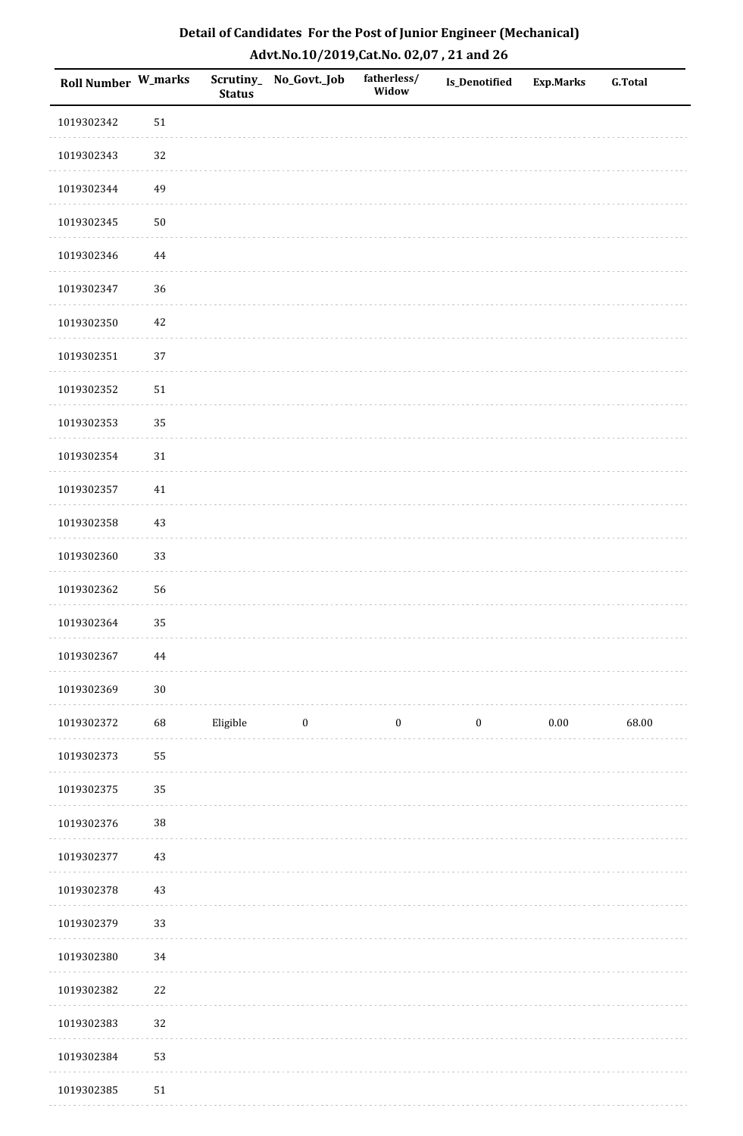| Roll Number W_marks |            | <b>Status</b> | Scrutiny_ No_Govt._Job | fatherless/<br>Widow | Is_Denotified    | <b>Exp.Marks</b> | <b>G.Total</b> |
|---------------------|------------|---------------|------------------------|----------------------|------------------|------------------|----------------|
| 1019302342          | 51         |               |                        |                      |                  |                  |                |
| 1019302343          | $32\,$     |               |                        |                      |                  |                  |                |
| 1019302344          | 49         |               |                        |                      |                  |                  |                |
| 1019302345          | ${\bf 50}$ |               |                        |                      |                  |                  |                |
| 1019302346          | $\bf 44$   |               |                        |                      |                  |                  |                |
| 1019302347          | 36         |               |                        |                      |                  |                  |                |
| 1019302350          | 42         |               |                        |                      |                  |                  |                |
| 1019302351          | 37         |               |                        |                      |                  |                  |                |
| 1019302352          | 51         |               |                        |                      |                  |                  |                |
| 1019302353          | 35         |               |                        |                      |                  |                  |                |
| 1019302354          | $31\,$     |               |                        |                      |                  |                  |                |
| 1019302357          | $41\,$     |               |                        |                      |                  |                  |                |
| 1019302358          | 43         |               |                        |                      |                  |                  |                |
| 1019302360          | 33         |               |                        |                      |                  |                  |                |
| 1019302362          | 56         |               |                        |                      |                  |                  |                |
| 1019302364          | 35         |               |                        |                      |                  |                  |                |
| 1019302367          | $\bf 44$   |               |                        |                      |                  |                  |                |
| 1019302369          | $30\,$     |               |                        |                      |                  |                  |                |
| 1019302372          | 68         | Eligible      | $\bf{0}$               | $\boldsymbol{0}$     | $\boldsymbol{0}$ | $0.00\,$         | 68.00          |
| 1019302373          | 55         |               |                        |                      |                  |                  |                |
| 1019302375          | 35         |               |                        |                      |                  |                  |                |
| 1019302376          | $38\,$     |               |                        |                      |                  |                  |                |
| 1019302377          | 43         |               |                        |                      |                  |                  |                |
| 1019302378          | $43\,$     |               |                        |                      |                  |                  |                |
| 1019302379          | 33         |               |                        |                      |                  |                  |                |
| 1019302380          | 34         |               |                        |                      |                  |                  |                |
| 1019302382          | 22         |               |                        |                      |                  |                  |                |
| 1019302383          | 32         |               |                        |                      |                  |                  |                |
| 1019302384          | 53         |               |                        |                      |                  |                  |                |
| 1019302385          | 51         |               |                        |                      |                  |                  |                |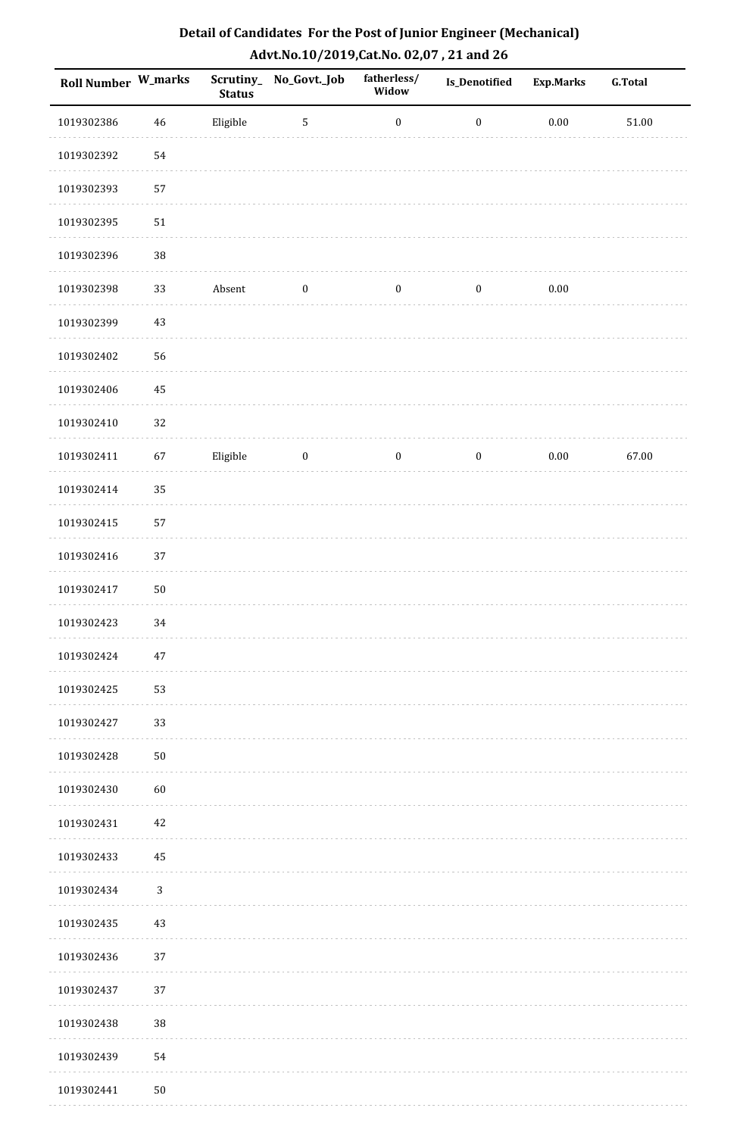| Roll Number W_marks |             | <b>Status</b> | Scrutiny_No_Govt._Job | fatherless/<br>Widow | <b>Is_Denotified</b> | <b>Exp.Marks</b> | <b>G.Total</b> |
|---------------------|-------------|---------------|-----------------------|----------------------|----------------------|------------------|----------------|
| 1019302386          | $\sqrt{46}$ | Eligible      | $\sqrt{5}$            | $\boldsymbol{0}$     | $\boldsymbol{0}$     | $0.00\,$         | $51.00\,$      |
| 1019302392          | 54          |               |                       |                      |                      |                  |                |
| 1019302393          | 57          |               |                       |                      |                      |                  |                |
| 1019302395          | 51          |               |                       |                      |                      |                  |                |
| 1019302396          | $38\,$      |               |                       |                      |                      |                  |                |
| 1019302398          | 33          | Absent        | $\boldsymbol{0}$      | $\boldsymbol{0}$     | $\boldsymbol{0}$     | $0.00\,$         |                |
| 1019302399          | 43          |               |                       |                      |                      |                  |                |
| 1019302402          | 56          |               |                       |                      |                      |                  |                |
| 1019302406          | 45          |               |                       |                      |                      |                  |                |
| 1019302410          | $32\,$      |               |                       |                      |                      |                  |                |
| 1019302411          | 67          | Eligible      | $\bf{0}$              | $\boldsymbol{0}$     | $\boldsymbol{0}$     | $0.00\,$         | 67.00          |
| 1019302414          | 35          |               |                       |                      |                      |                  |                |
| 1019302415          | 57          |               |                       |                      |                      |                  |                |
| 1019302416          | 37          |               |                       |                      |                      |                  |                |
| 1019302417          | 50          |               |                       |                      |                      |                  |                |
| 1019302423          | 34          |               |                       |                      |                      |                  |                |
| 1019302424          | $47\,$      |               |                       |                      |                      |                  |                |
| 1019302425          | 53          |               |                       |                      |                      |                  |                |
| 1019302427          | 33          |               |                       |                      |                      |                  |                |
| 1019302428          | ${\bf 50}$  |               |                       |                      |                      |                  |                |
| 1019302430          | 60          |               |                       |                      |                      |                  |                |
| 1019302431          | 42          |               |                       |                      |                      |                  |                |
| 1019302433          | 45          |               |                       |                      |                      |                  |                |
| 1019302434          | $\sqrt{3}$  |               |                       |                      |                      |                  |                |
| 1019302435          | 43          |               |                       |                      |                      |                  |                |
| 1019302436          | 37          |               |                       |                      |                      |                  |                |
| 1019302437          | 37          |               |                       |                      |                      |                  |                |
| 1019302438          | 38          |               |                       |                      |                      |                  |                |
| 1019302439          | 54          |               |                       |                      |                      |                  |                |
| 1019302441          | 50          |               |                       |                      |                      |                  |                |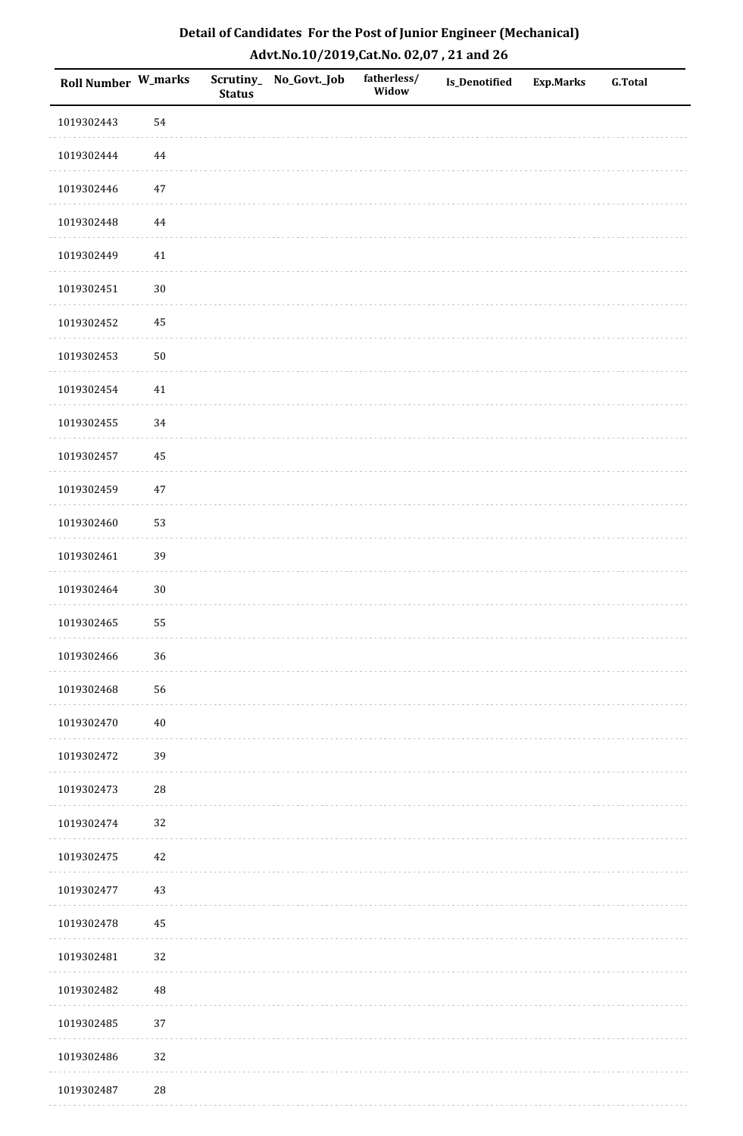| Roll Number W_marks |             | <b>Status</b> | Scrutiny_ No_Govt._Job | fatherless/<br>Widow | Is_Denotified | <b>Exp.Marks</b> | <b>G.Total</b> |
|---------------------|-------------|---------------|------------------------|----------------------|---------------|------------------|----------------|
| 1019302443          | 54          |               |                        |                      |               |                  |                |
| 1019302444          | 44          |               |                        |                      |               |                  |                |
| 1019302446          | $47\,$      |               |                        |                      |               |                  |                |
| 1019302448          | 44          |               |                        |                      |               |                  |                |
| 1019302449          | $41\,$      |               |                        |                      |               |                  |                |
| 1019302451          | $30\,$      |               |                        |                      |               |                  |                |
| 1019302452          | 45          |               |                        |                      |               |                  |                |
| 1019302453          | 50          |               |                        |                      |               |                  |                |
| 1019302454          | $41\,$      |               |                        |                      |               |                  |                |
| 1019302455          | 34          |               |                        |                      |               |                  |                |
| 1019302457          | 45          |               |                        |                      |               |                  |                |
| 1019302459          | $47\,$      |               |                        |                      |               |                  |                |
| 1019302460          | 53          |               |                        |                      |               |                  |                |
| 1019302461          | 39          |               |                        |                      |               |                  |                |
| 1019302464          | $30\,$      |               |                        |                      |               |                  |                |
| 1019302465          | 55          |               |                        |                      |               |                  |                |
| 1019302466          | $36\,$      |               |                        |                      |               |                  |                |
| 1019302468          | 56          |               |                        |                      |               |                  |                |
| 1019302470          | $40\,$      |               |                        |                      |               |                  |                |
| 1019302472          | 39          |               |                        |                      |               |                  |                |
| 1019302473          | $\sqrt{28}$ |               |                        |                      |               |                  |                |
| 1019302474          | 32          |               |                        |                      |               |                  |                |
| 1019302475          | 42          |               |                        |                      |               |                  |                |
| 1019302477          | 43          |               |                        |                      |               |                  |                |
| 1019302478          | 45          |               |                        |                      |               |                  |                |
| 1019302481          | 32          |               |                        |                      |               |                  |                |
| 1019302482          | 48          |               |                        |                      |               |                  |                |
| 1019302485          | 37          |               |                        |                      |               |                  |                |
| 1019302486          | 32          |               |                        |                      |               |                  |                |
| 1019302487          | $\sqrt{28}$ |               |                        |                      |               |                  |                |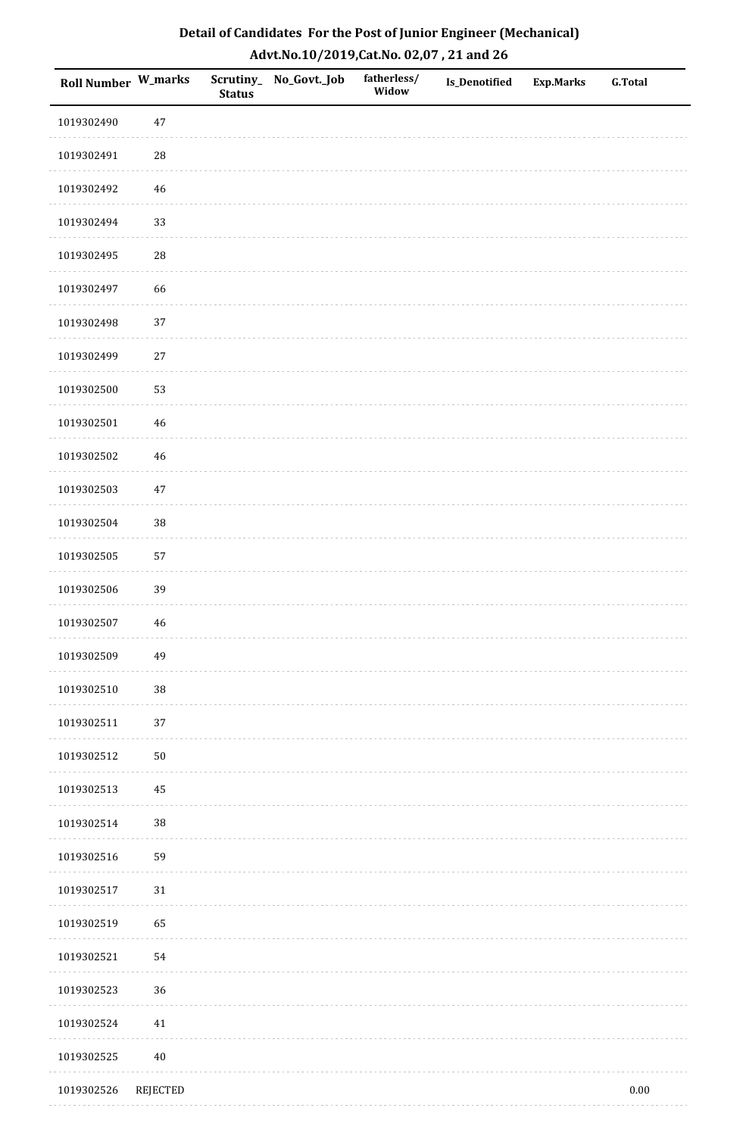| Detail of Candidates For the Post of Junior Engineer (Mechanical) |
|-------------------------------------------------------------------|
| Advt.No.10/2019, Cat.No. 02,07, 21 and 26                         |

| Roll Number W_marks |                 | <b>Status</b> | Scrutiny_No_Govt._Job | fatherless/<br>Widow | Is_Denotified | <b>Exp.Marks</b> | <b>G.Total</b> |
|---------------------|-----------------|---------------|-----------------------|----------------------|---------------|------------------|----------------|
| 1019302490          | $47\,$          |               |                       |                      |               |                  |                |
| 1019302491          | $\sqrt{28}$     |               |                       |                      |               |                  |                |
| 1019302492          | 46              |               |                       |                      |               |                  |                |
| 1019302494          | 33              |               |                       |                      |               |                  |                |
| 1019302495          | 28              |               |                       |                      |               |                  |                |
| 1019302497          | 66              |               |                       |                      |               |                  |                |
| 1019302498          | 37              |               |                       |                      |               |                  |                |
| 1019302499          | $27\,$          |               |                       |                      |               |                  |                |
| 1019302500          | 53              |               |                       |                      |               |                  |                |
| 1019302501          | 46              |               |                       |                      |               |                  |                |
| 1019302502          | 46              |               |                       |                      |               |                  |                |
| 1019302503          | 47              |               |                       |                      |               |                  |                |
| 1019302504          | $38\,$          |               |                       |                      |               |                  |                |
| 1019302505          | 57              |               |                       |                      |               |                  |                |
| 1019302506          | 39              |               |                       |                      |               |                  |                |
| 1019302507          | 46              |               |                       |                      |               |                  |                |
| 1019302509          | 49              |               |                       |                      |               |                  |                |
| 1019302510          | $38\,$          |               |                       |                      |               |                  |                |
| 1019302511          | $37\,$          |               |                       |                      |               |                  |                |
| 1019302512          | ${\bf 50}$      |               |                       |                      |               |                  |                |
| 1019302513          | 45              |               |                       |                      |               |                  |                |
| 1019302514          | $38\,$          |               |                       |                      |               |                  |                |
| 1019302516          | 59              |               |                       |                      |               |                  |                |
| 1019302517          | $31\,$          |               |                       |                      |               |                  |                |
| 1019302519          | 65              |               |                       |                      |               |                  |                |
| 1019302521          | 54              |               |                       |                      |               |                  |                |
| 1019302523          | 36              |               |                       |                      |               |                  |                |
| 1019302524          | 41              |               |                       |                      |               |                  |                |
| 1019302525          | 40              |               |                       |                      |               |                  |                |
| 1019302526          | <b>REJECTED</b> |               |                       |                      |               |                  | $0.00\,$       |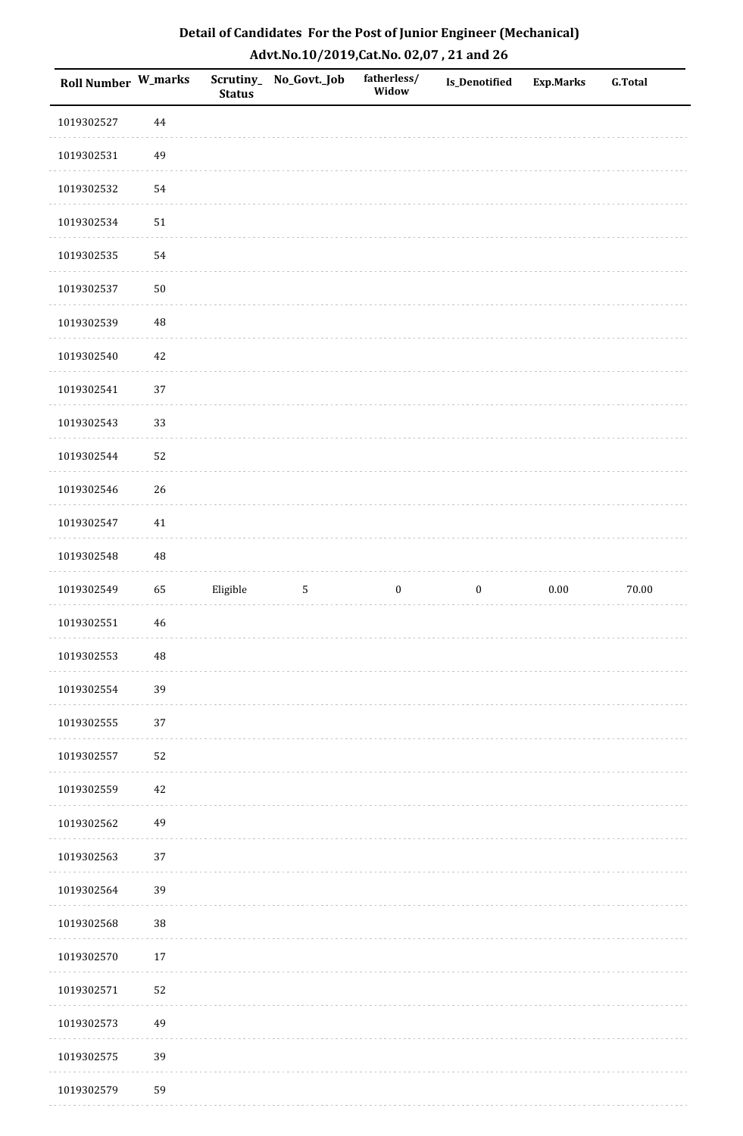| Detail of Candidates For the Post of Junior Engineer (Mechanical) |
|-------------------------------------------------------------------|
| Advt.No.10/2019,Cat.No. 02,07, 21 and 26                          |

| <b>Roll Number W_marks</b> |             | <b>Status</b> | Scrutiny_ No_Govt._Job | fatherless/<br>Widow | Is_Denotified    | <b>Exp.Marks</b> | <b>G.Total</b> |
|----------------------------|-------------|---------------|------------------------|----------------------|------------------|------------------|----------------|
| 1019302527                 | 44          |               |                        |                      |                  |                  |                |
| 1019302531                 | 49          |               |                        |                      |                  |                  |                |
| 1019302532                 | 54          |               |                        |                      |                  |                  |                |
| 1019302534                 | 51          |               |                        |                      |                  |                  |                |
| 1019302535                 | 54          |               |                        |                      |                  |                  |                |
| 1019302537                 | $50\,$      |               |                        |                      |                  |                  |                |
| 1019302539                 | 48          |               |                        |                      |                  |                  |                |
| 1019302540                 | 42          |               |                        |                      |                  |                  |                |
| 1019302541                 | 37          |               |                        |                      |                  |                  |                |
| 1019302543                 | 33          |               |                        |                      |                  |                  |                |
| 1019302544                 | 52          |               |                        |                      |                  |                  |                |
| 1019302546                 | 26          |               |                        |                      |                  |                  |                |
| 1019302547                 | $41\,$      |               |                        |                      |                  |                  |                |
| 1019302548                 | $\rm 48$    |               |                        |                      |                  |                  |                |
| 1019302549                 | 65          | Eligible      | 5                      | $\boldsymbol{0}$     | $\boldsymbol{0}$ | $0.00\,$         | 70.00          |
| 1019302551                 | $\sqrt{46}$ |               |                        |                      |                  |                  |                |
| 1019302553                 | $\rm 48$    |               |                        |                      |                  |                  |                |
| 1019302554                 | 39          |               |                        |                      |                  |                  |                |
| 1019302555                 | 37          |               |                        |                      |                  |                  |                |
| 1019302557                 | 52          |               |                        |                      |                  |                  |                |
| 1019302559                 | $42\,$      |               |                        |                      |                  |                  |                |
| 1019302562                 | 49          |               |                        |                      |                  |                  |                |
| 1019302563                 | 37          |               |                        |                      |                  |                  |                |
| 1019302564                 | 39          |               |                        |                      |                  |                  |                |
| 1019302568                 | $38\,$      |               |                        |                      |                  |                  |                |
| 1019302570                 | $17\,$      |               |                        |                      |                  |                  |                |
| 1019302571                 | 52          |               |                        |                      |                  |                  |                |
| 1019302573                 | 49          |               |                        |                      |                  |                  |                |
| 1019302575                 | 39          |               |                        |                      |                  |                  |                |
| 1019302579                 | 59          |               |                        |                      |                  |                  |                |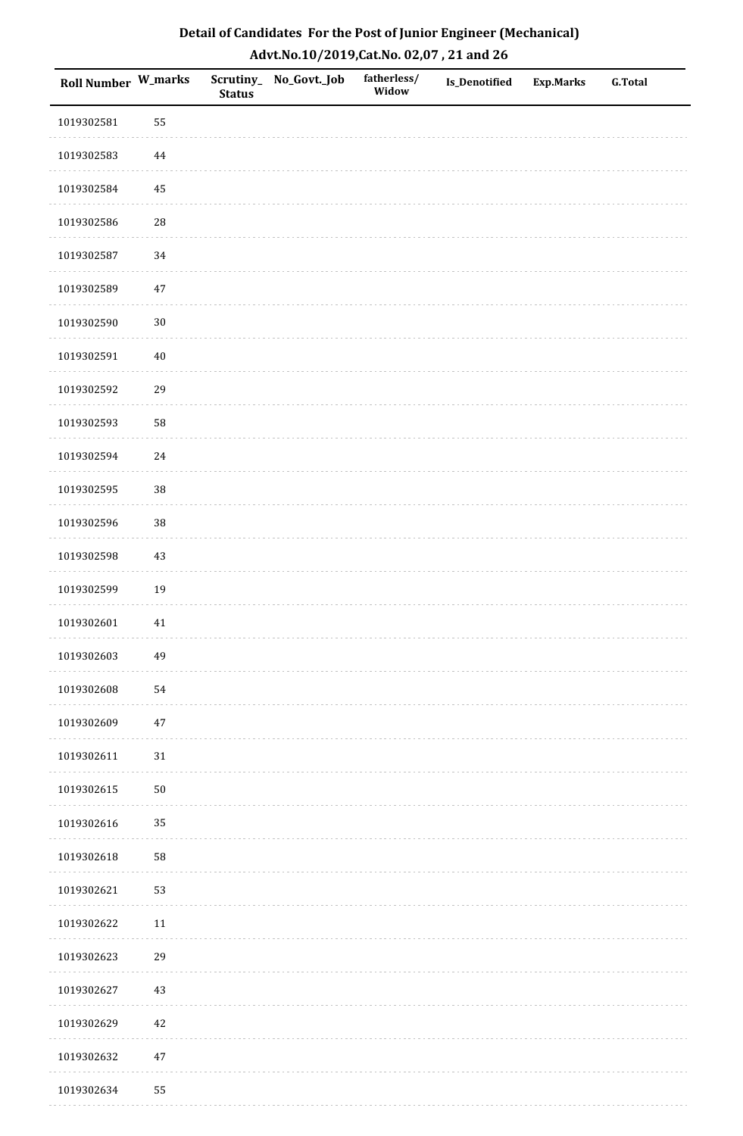| Roll Number W_marks |          | <b>Status</b> | Scrutiny_No_Govt._Job | fatherless/<br>Widow | Is_Denotified | <b>Exp.Marks</b> | <b>G.Total</b> |
|---------------------|----------|---------------|-----------------------|----------------------|---------------|------------------|----------------|
| 1019302581          | 55       |               |                       |                      |               |                  |                |
| 1019302583          | 44       |               |                       |                      |               |                  |                |
| 1019302584          | $\bf 45$ |               |                       |                      |               |                  |                |
| 1019302586          | 28       |               |                       |                      |               |                  |                |
| 1019302587          | 34       |               |                       |                      |               |                  |                |
| 1019302589          | $47\,$   |               |                       |                      |               |                  |                |
| 1019302590          | $30\,$   |               |                       |                      |               |                  |                |
| 1019302591          | $40\,$   |               |                       |                      |               |                  |                |
| 1019302592          | 29       |               |                       |                      |               |                  |                |
| 1019302593          | 58       |               |                       |                      |               |                  |                |
| 1019302594          | 24       |               |                       |                      |               |                  |                |
| 1019302595          | 38       |               |                       |                      |               |                  |                |
| 1019302596          | 38       |               |                       |                      |               |                  |                |
| 1019302598          | $43\,$   |               |                       |                      |               |                  |                |
| 1019302599          | 19       |               |                       |                      |               |                  |                |
| 1019302601          | $41\,$   |               |                       |                      |               |                  |                |
| 1019302603          | 49       |               |                       |                      |               |                  |                |
| 1019302608          | 54       |               |                       |                      |               |                  |                |
| 1019302609          | $47\,$   |               |                       |                      |               |                  |                |
| 1019302611          | $31\,$   |               |                       |                      |               |                  |                |
| 1019302615          | $50\,$   |               |                       |                      |               |                  |                |
| 1019302616          | 35       |               |                       |                      |               |                  |                |
| 1019302618          | 58       |               |                       |                      |               |                  |                |
| 1019302621          | 53       |               |                       |                      |               |                  |                |
| 1019302622          | $11\,$   |               |                       |                      |               |                  |                |
| 1019302623          | 29       |               |                       |                      |               |                  |                |
| 1019302627          | $43\,$   |               |                       |                      |               |                  |                |
| 1019302629          | 42       |               |                       |                      |               |                  |                |
| 1019302632          | $47\,$   |               |                       |                      |               |                  |                |
| 1019302634          | 55       |               |                       |                      |               |                  |                |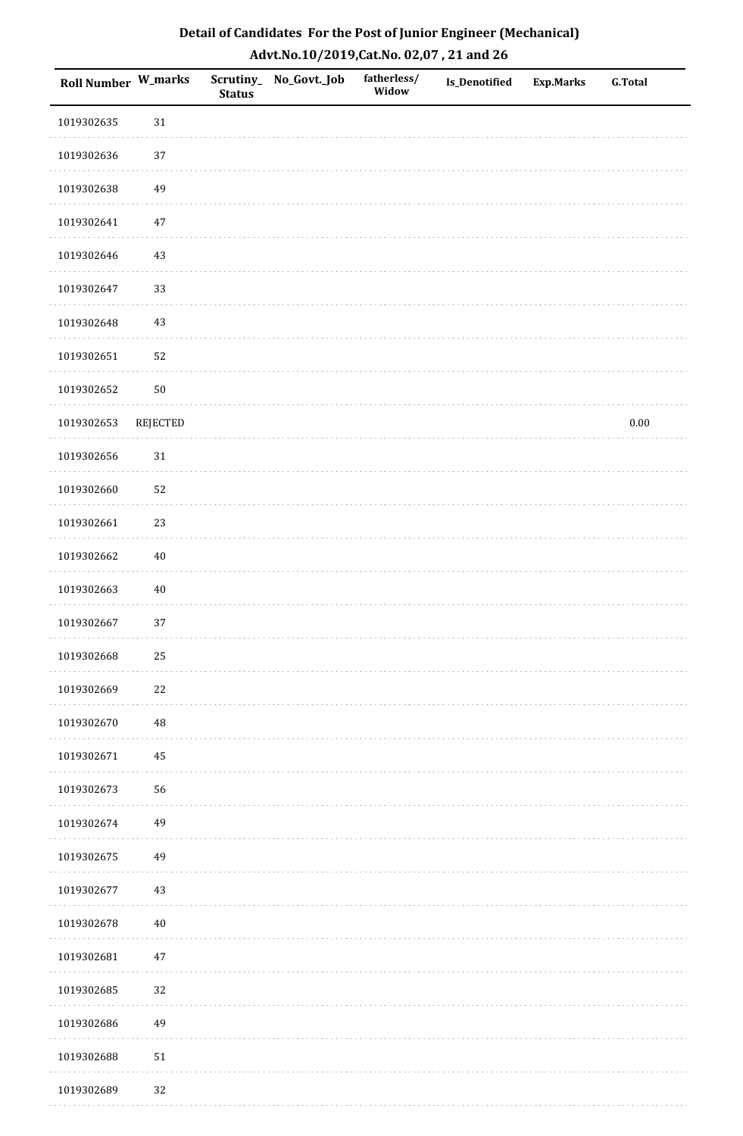| <b>Roll Number W_marks</b> |          | <b>Status</b> | Scrutiny_No_Govt._Job | fatherless/<br>Widow | Is_Denotified | <b>Exp.Marks</b> | <b>G.Total</b> |
|----------------------------|----------|---------------|-----------------------|----------------------|---------------|------------------|----------------|
| 1019302635                 | $31\,$   |               |                       |                      |               |                  |                |
| 1019302636                 | $37\,$   |               |                       |                      |               |                  |                |
| 1019302638                 | 49       |               |                       |                      |               |                  |                |
| 1019302641                 | $47\,$   |               |                       |                      |               |                  |                |
| 1019302646                 | $43\,$   |               |                       |                      |               |                  |                |
| 1019302647                 | 33       |               |                       |                      |               |                  |                |
| 1019302648                 | $43\,$   |               |                       |                      |               |                  |                |
| 1019302651                 | 52       |               |                       |                      |               |                  |                |
| 1019302652                 | $50\,$   |               |                       |                      |               |                  |                |
| 1019302653                 | REJECTED |               |                       |                      |               |                  | $0.00\,$       |
| 1019302656                 | $31\,$   |               |                       |                      |               |                  |                |
| 1019302660                 | 52       |               |                       |                      |               |                  |                |
| 1019302661                 | 23       |               |                       |                      |               |                  |                |
| 1019302662                 | $40\,$   |               |                       |                      |               |                  |                |
| 1019302663                 | $40\,$   |               |                       |                      |               |                  |                |
| 1019302667                 | 37       |               |                       |                      |               |                  |                |
| 1019302668                 | $25\,$   |               |                       |                      |               |                  |                |
| 1019302669                 | $22\,$   |               |                       |                      |               |                  |                |
| 1019302670                 | 48       |               |                       |                      |               |                  |                |
| 1019302671                 | 45       |               |                       |                      |               |                  |                |
| 1019302673                 | 56       |               |                       |                      |               |                  |                |
| 1019302674                 | 49       |               |                       |                      |               |                  |                |
| 1019302675                 | 49       |               |                       |                      |               |                  |                |
| 1019302677                 | $43\,$   |               |                       |                      |               |                  |                |
| 1019302678                 | $40\,$   |               |                       |                      |               |                  |                |
| 1019302681                 | $47\,$   |               |                       |                      |               |                  |                |
| 1019302685                 | 32       |               |                       |                      |               |                  |                |
| 1019302686                 | 49       |               |                       |                      |               |                  |                |
| 1019302688                 | 51       |               |                       |                      |               |                  |                |
| 1019302689                 | 32       |               |                       |                      |               |                  |                |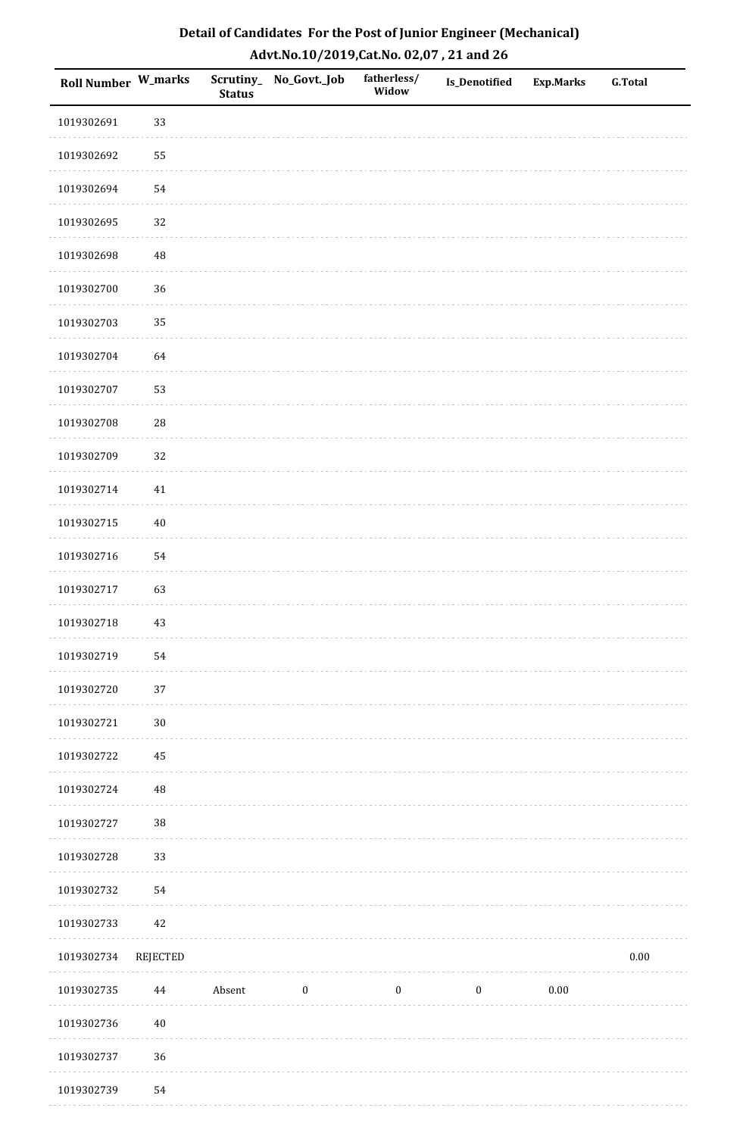| Roll Number W_marks |            | <b>Status</b> | Scrutiny_No_Govt._Job | fatherless/<br>Widow | Is_Denotified    | <b>Exp.Marks</b> | G.Total  |
|---------------------|------------|---------------|-----------------------|----------------------|------------------|------------------|----------|
| 1019302691          | 33         |               |                       |                      |                  |                  |          |
| 1019302692          | 55         |               |                       |                      |                  |                  |          |
| 1019302694          | 54         |               |                       |                      |                  |                  |          |
| 1019302695          | 32         |               |                       |                      |                  |                  |          |
| 1019302698          | 48         |               |                       |                      |                  |                  |          |
| 1019302700          | 36         |               |                       |                      |                  |                  |          |
| 1019302703          | 35         |               |                       |                      |                  |                  |          |
| 1019302704          | 64         |               |                       |                      |                  |                  |          |
| 1019302707          | 53         |               |                       |                      |                  |                  |          |
| 1019302708          | ${\bf 28}$ |               |                       |                      |                  |                  |          |
| 1019302709          | 32         |               |                       |                      |                  |                  |          |
| 1019302714          | $41\,$     |               |                       |                      |                  |                  |          |
| 1019302715          | $40\,$     |               |                       |                      |                  |                  |          |
| 1019302716          | 54         |               |                       |                      |                  |                  |          |
| 1019302717          | 63         |               |                       |                      |                  |                  |          |
| 1019302718          | 43         |               |                       |                      |                  |                  |          |
| 1019302719          | 54         |               |                       |                      |                  |                  |          |
| 1019302720          | 37         |               |                       |                      |                  |                  |          |
| 1019302721          | $30\,$     |               |                       |                      |                  |                  |          |
| 1019302722          | 45         |               |                       |                      |                  |                  |          |
| 1019302724          | $\rm 48$   |               |                       |                      |                  |                  |          |
| 1019302727          | $38\,$     |               |                       |                      |                  |                  |          |
| 1019302728          | 33         |               |                       |                      |                  |                  |          |
| 1019302732          | 54         |               |                       |                      |                  |                  |          |
| 1019302733          | 42         |               |                       |                      |                  |                  |          |
| 1019302734          | REJECTED   |               |                       |                      |                  |                  | $0.00\,$ |
| 1019302735          | 44         | Absent        | $\bf{0}$              | $\bf{0}$             | $\boldsymbol{0}$ | 0.00             |          |
| 1019302736          | $40\,$     |               |                       |                      |                  |                  |          |
| 1019302737          | 36         |               |                       |                      |                  |                  |          |
| 1019302739          | 54         |               |                       |                      |                  |                  |          |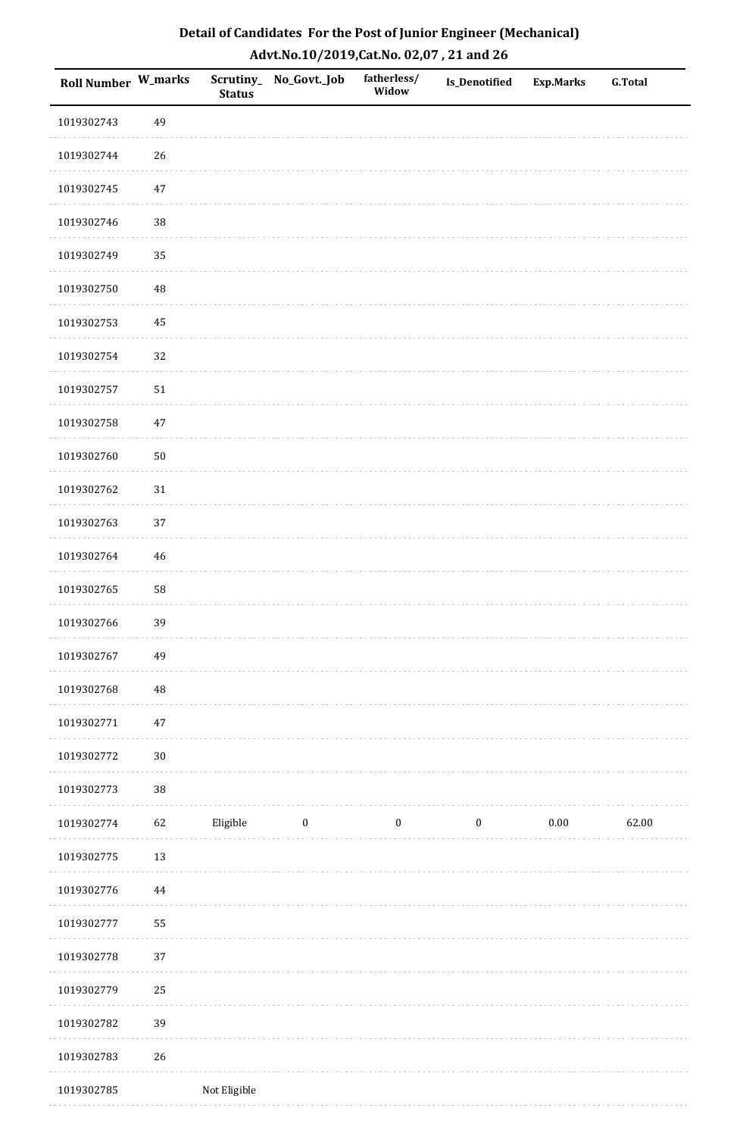| Roll Number W_marks |          | <b>Status</b> | Scrutiny_No_Govt._Job | fatherless/<br>Widow | Is_Denotified    | <b>Exp.Marks</b> | <b>G.Total</b> |
|---------------------|----------|---------------|-----------------------|----------------------|------------------|------------------|----------------|
| 1019302743          | 49       |               |                       |                      |                  |                  |                |
| 1019302744          | 26       |               |                       |                      |                  |                  |                |
| 1019302745          | $47\,$   |               |                       |                      |                  |                  |                |
| 1019302746          | 38       |               |                       |                      |                  |                  |                |
| 1019302749          | 35       |               |                       |                      |                  |                  |                |
| 1019302750          | 48       |               |                       |                      |                  |                  |                |
| 1019302753          | 45       |               |                       |                      |                  |                  |                |
| 1019302754          | 32       |               |                       |                      |                  |                  |                |
| 1019302757          | $51\,$   |               |                       |                      |                  |                  |                |
| 1019302758          | $47\,$   |               |                       |                      |                  |                  |                |
| 1019302760          | $50\,$   |               |                       |                      |                  |                  |                |
| 1019302762          | $31\,$   |               |                       |                      |                  |                  |                |
| 1019302763          | 37       |               |                       |                      |                  |                  |                |
| 1019302764          | 46       |               |                       |                      |                  |                  |                |
| 1019302765          | 58       |               |                       |                      |                  |                  |                |
| 1019302766          | 39       |               |                       |                      |                  |                  |                |
| 1019302767          | 49       |               |                       |                      |                  |                  |                |
| 1019302768          | 48       |               |                       |                      |                  |                  |                |
| 1019302771          | $47\,$   |               |                       |                      |                  |                  |                |
| 1019302772          | $30\,$   |               |                       |                      |                  |                  |                |
| 1019302773          | 38       |               |                       |                      |                  |                  |                |
| 1019302774          | 62       | Eligible      | $\bf{0}$              | $\boldsymbol{0}$     | $\boldsymbol{0}$ | $0.00\,$         | 62.00          |
| 1019302775          | $13\,$   |               |                       |                      |                  |                  |                |
| 1019302776          | $\bf 44$ |               |                       |                      |                  |                  |                |
| 1019302777          | 55       |               |                       |                      |                  |                  |                |
| 1019302778          | 37       |               |                       |                      |                  |                  |                |
| 1019302779          | 25       |               |                       |                      |                  |                  |                |
| 1019302782          | 39       |               |                       |                      |                  |                  |                |
| 1019302783          | 26       |               |                       |                      |                  |                  |                |
| 1019302785          |          | Not Eligible  |                       |                      |                  |                  |                |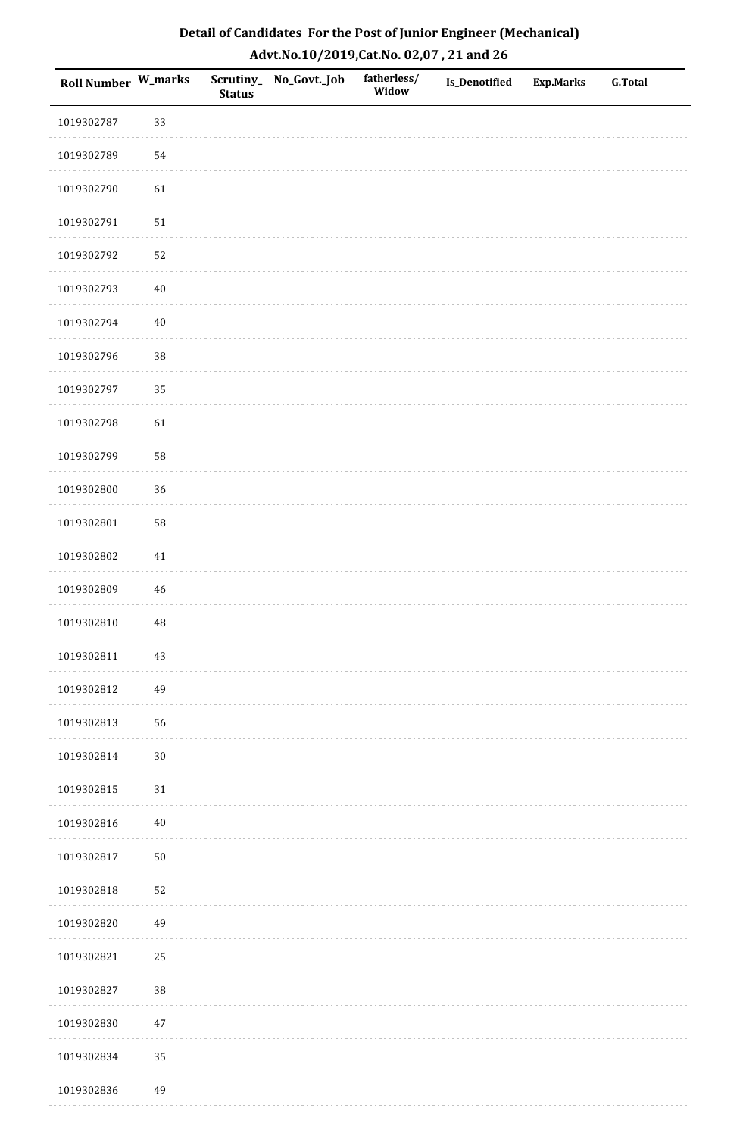| Detail of Candidates For the Post of Junior Engineer (Mechanical) |
|-------------------------------------------------------------------|
| Advt.No.10/2019,Cat.No. 02,07, 21 and 26                          |

| Roll Number W_marks |          | <b>Status</b> | Scrutiny_ No_Govt._Job | fatherless/<br>Widow | Is_Denotified | <b>Exp.Marks</b> | <b>G.Total</b> |
|---------------------|----------|---------------|------------------------|----------------------|---------------|------------------|----------------|
| 1019302787          | 33       |               |                        |                      |               |                  |                |
| 1019302789          | 54       |               |                        |                      |               |                  |                |
| 1019302790          | 61       |               |                        |                      |               |                  |                |
| 1019302791          | 51       |               |                        |                      |               |                  |                |
| 1019302792          | 52       |               |                        |                      |               |                  |                |
| 1019302793          | $40\,$   |               |                        |                      |               |                  |                |
| 1019302794          | $40\,$   |               |                        |                      |               |                  |                |
| 1019302796          | 38       |               |                        |                      |               |                  |                |
| 1019302797          | 35       |               |                        |                      |               |                  |                |
| 1019302798          | 61       |               |                        |                      |               |                  |                |
| 1019302799          | 58       |               |                        |                      |               |                  |                |
| 1019302800          | 36       |               |                        |                      |               |                  |                |
| 1019302801          | 58       |               |                        |                      |               |                  |                |
| 1019302802          | $41\,$   |               |                        |                      |               |                  |                |
| 1019302809          | 46       |               |                        |                      |               |                  |                |
| 1019302810          | $\rm 48$ |               |                        |                      |               |                  |                |
| 1019302811          | $43\,$   |               |                        |                      |               |                  |                |
| 1019302812          | 49       |               |                        |                      |               |                  |                |
| 1019302813          | 56       |               |                        |                      |               |                  |                |
| 1019302814          | $30\,$   |               |                        |                      |               |                  |                |
| 1019302815          | 31       |               |                        |                      |               |                  |                |
| 1019302816          | $40\,$   |               |                        |                      |               |                  |                |
| 1019302817          | $50\,$   |               |                        |                      |               |                  |                |
| 1019302818          | 52       |               |                        |                      |               |                  |                |
| 1019302820          | 49       |               |                        |                      |               |                  |                |
| 1019302821          | 25       |               |                        |                      |               |                  |                |
| 1019302827          | 38       |               |                        |                      |               |                  |                |
| 1019302830          | $47\,$   |               |                        |                      |               |                  |                |
| 1019302834          | 35       |               |                        |                      |               |                  |                |
| 1019302836          | 49       |               |                        |                      |               |                  |                |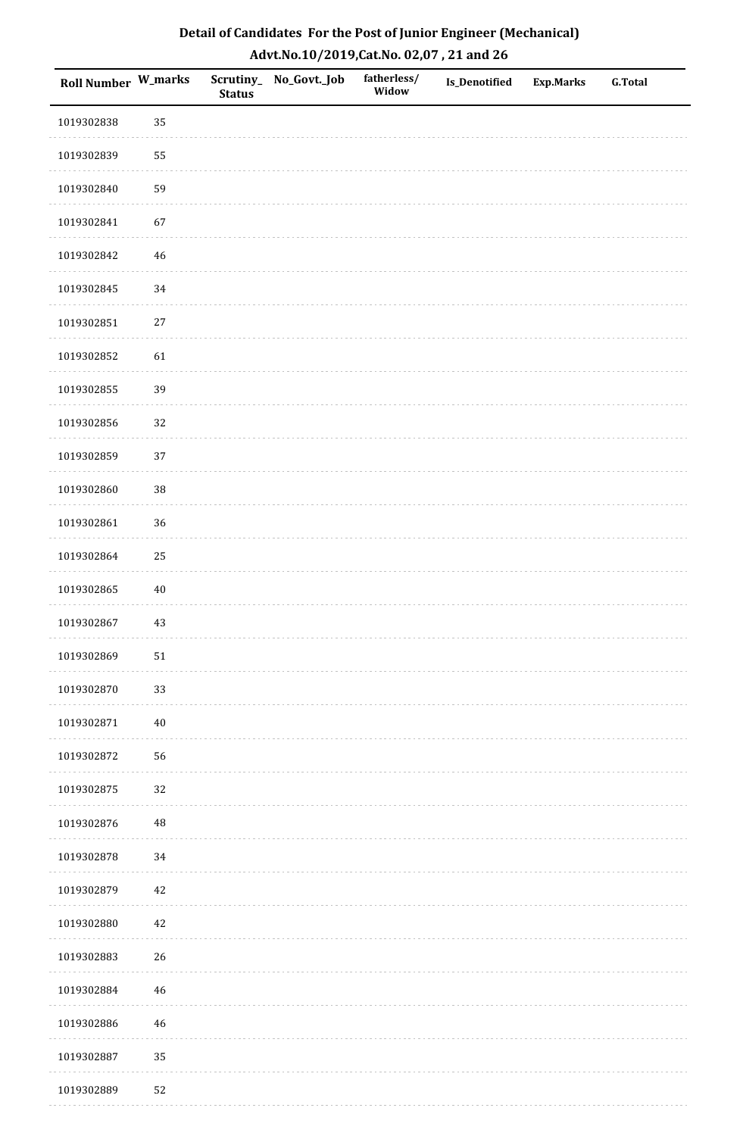| <b>Roll Number W_marks</b> |          | <b>Status</b> | Scrutiny_No_Govt._Job | fatherless/<br>Widow | Is_Denotified | <b>Exp.Marks</b> | <b>G.Total</b> |
|----------------------------|----------|---------------|-----------------------|----------------------|---------------|------------------|----------------|
| 1019302838                 | 35       |               |                       |                      |               |                  |                |
| 1019302839                 | 55       |               |                       |                      |               |                  |                |
| 1019302840                 | 59       |               |                       |                      |               |                  |                |
| 1019302841                 | 67       |               |                       |                      |               |                  |                |
| 1019302842                 | $46\,$   |               |                       |                      |               |                  |                |
| 1019302845                 | 34       |               |                       |                      |               |                  |                |
| 1019302851                 | $27\,$   |               |                       |                      |               |                  |                |
| 1019302852                 | 61       |               |                       |                      |               |                  |                |
| 1019302855                 | 39       |               |                       |                      |               |                  |                |
| 1019302856                 | 32       |               |                       |                      |               |                  |                |
| 1019302859                 | 37       |               |                       |                      |               |                  |                |
| 1019302860                 | 38       |               |                       |                      |               |                  |                |
| 1019302861                 | 36       |               |                       |                      |               |                  |                |
| 1019302864                 | 25       |               |                       |                      |               |                  |                |
| 1019302865                 | $40\,$   |               |                       |                      |               |                  |                |
| 1019302867                 | $43\,$   |               |                       |                      |               |                  |                |
| 1019302869                 | $51\,$   |               |                       |                      |               |                  |                |
| 1019302870                 | 33       |               |                       |                      |               |                  |                |
| 1019302871                 | $40\,$   |               |                       |                      |               |                  |                |
| 1019302872                 | 56       |               |                       |                      |               |                  |                |
| 1019302875                 | 32       |               |                       |                      |               |                  |                |
| 1019302876                 | $\rm 48$ |               |                       |                      |               |                  |                |
| 1019302878                 | $34\,$   |               |                       |                      |               |                  |                |
| 1019302879                 | 42       |               |                       |                      |               |                  |                |
| 1019302880                 | $42\,$   |               |                       |                      |               |                  |                |
| 1019302883                 | 26       |               |                       |                      |               |                  |                |
| 1019302884                 | 46       |               |                       |                      |               |                  |                |
| 1019302886                 | $46\,$   |               |                       |                      |               |                  |                |
| 1019302887                 | 35       |               |                       |                      |               |                  |                |
| 1019302889                 | 52       |               |                       |                      |               |                  |                |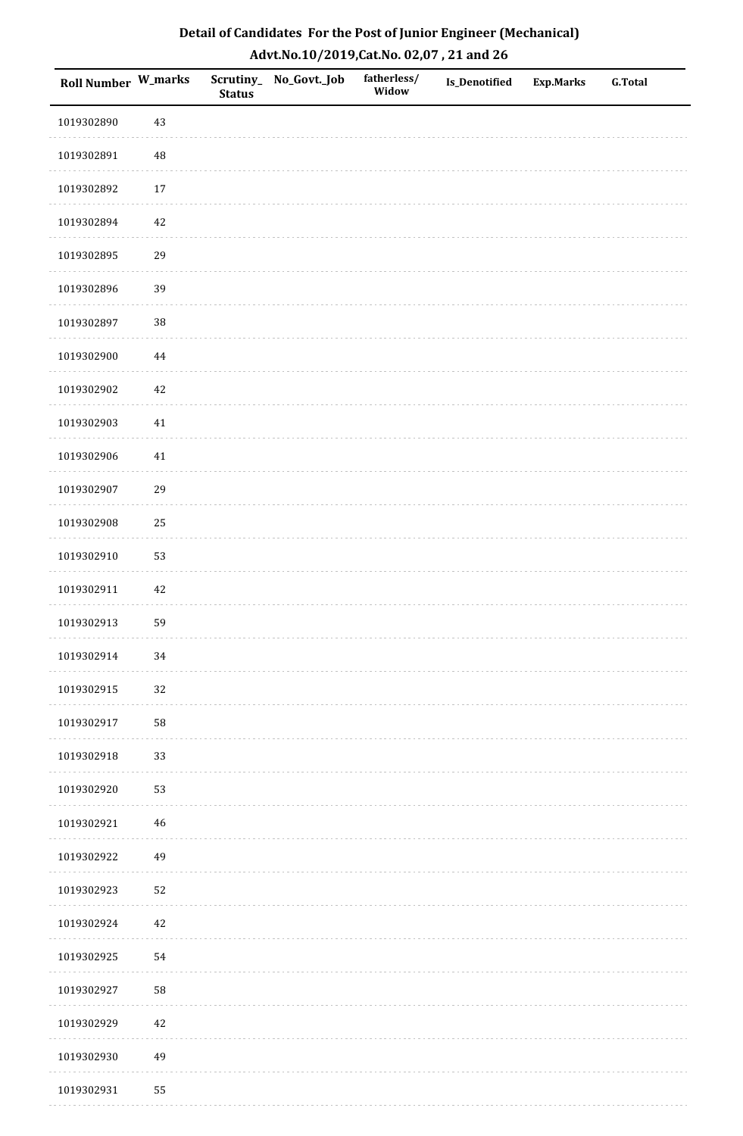| Detail of Candidates For the Post of Junior Engineer (Mechanical) |
|-------------------------------------------------------------------|
| Advt.No.10/2019,Cat.No. 02,07, 21 and 26                          |

| Roll Number W_marks |          | <b>Status</b> | Scrutiny_ No_Govt._Job | fatherless/<br>Widow | Is_Denotified | <b>Exp.Marks</b> | <b>G.Total</b> |
|---------------------|----------|---------------|------------------------|----------------------|---------------|------------------|----------------|
| 1019302890          | 43       |               |                        |                      |               |                  |                |
| 1019302891          | $\rm 48$ |               |                        |                      |               |                  |                |
| 1019302892          | $17\,$   |               |                        |                      |               |                  |                |
| 1019302894          | $42\,$   |               |                        |                      |               |                  |                |
| 1019302895          | 29       |               |                        |                      |               |                  |                |
| 1019302896          | 39       |               |                        |                      |               |                  |                |
| 1019302897          | 38       |               |                        |                      |               |                  |                |
| 1019302900          | $\bf 44$ |               |                        |                      |               |                  |                |
| 1019302902          | $42\,$   |               |                        |                      |               |                  |                |
| 1019302903          | 41       |               |                        |                      |               |                  |                |
| 1019302906          | 41       |               |                        |                      |               |                  |                |
| 1019302907          | 29       |               |                        |                      |               |                  |                |
| 1019302908          | 25       |               |                        |                      |               |                  |                |
| 1019302910          | 53       |               |                        |                      |               |                  |                |
| 1019302911          | $42\,$   |               |                        |                      |               |                  |                |
| 1019302913          | 59       |               |                        |                      |               |                  |                |
| 1019302914          | 34       |               |                        |                      |               |                  |                |
| 1019302915          | 32       |               |                        |                      |               |                  |                |
| 1019302917          | 58       |               |                        |                      |               |                  |                |
| 1019302918          | 33       |               |                        |                      |               |                  |                |
| 1019302920          | 53       |               |                        |                      |               |                  |                |
| 1019302921          | 46       |               |                        |                      |               |                  |                |
| 1019302922          | 49       |               |                        |                      |               |                  |                |
| 1019302923          | 52       |               |                        |                      |               |                  |                |
| 1019302924          | 42       |               |                        |                      |               |                  |                |
| 1019302925          | 54       |               |                        |                      |               |                  |                |
| 1019302927          | 58       |               |                        |                      |               |                  |                |
| 1019302929          | $42\,$   |               |                        |                      |               |                  |                |
| 1019302930          | 49       |               |                        |                      |               |                  |                |
| 1019302931          | 55       |               |                        |                      |               |                  |                |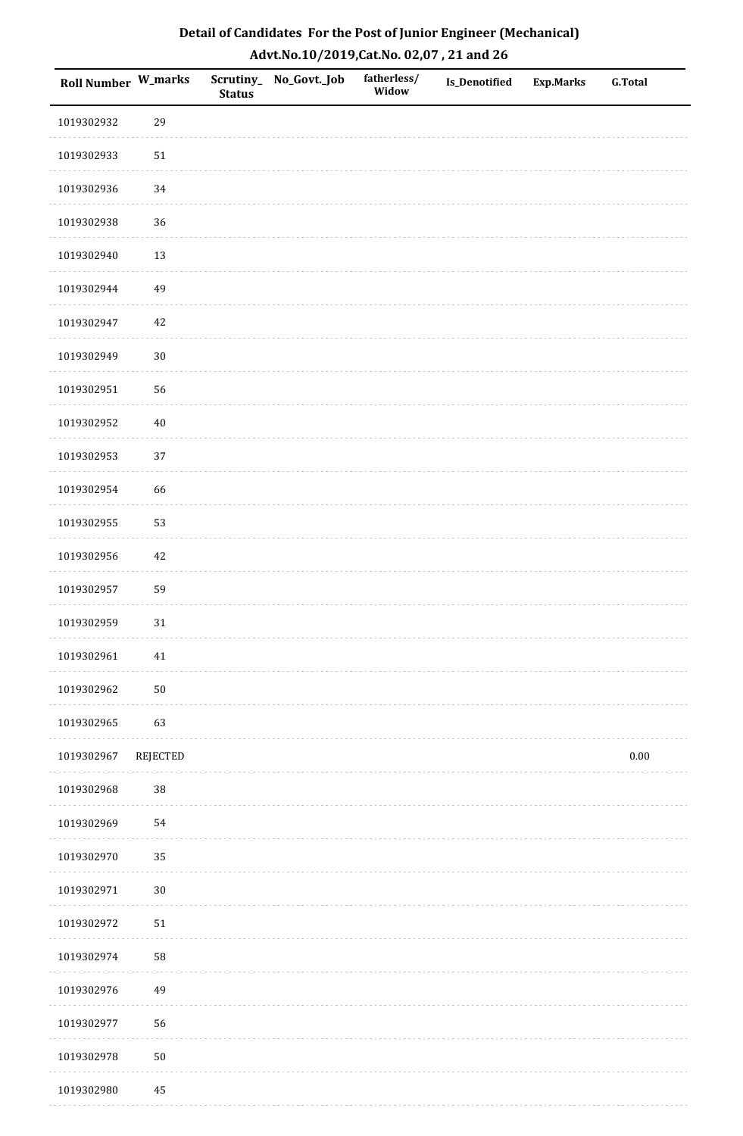| Detail of Candidates For the Post of Junior Engineer (Mechanical) |
|-------------------------------------------------------------------|
| Advt.No.10/2019,Cat.No. 02,07, 21 and 26                          |

| Roll Number W_marks |          | <b>Status</b> | Scrutiny_ No_Govt._Job | fatherless/<br>Widow | Is_Denotified | <b>Exp.Marks</b> | <b>G.Total</b> |
|---------------------|----------|---------------|------------------------|----------------------|---------------|------------------|----------------|
| 1019302932          | 29       |               |                        |                      |               |                  |                |
| 1019302933          | $51\,$   |               |                        |                      |               |                  |                |
| 1019302936          | 34       |               |                        |                      |               |                  |                |
| 1019302938          | 36       |               |                        |                      |               |                  |                |
| 1019302940          | 13       |               |                        |                      |               |                  |                |
| 1019302944          | 49       |               |                        |                      |               |                  |                |
| 1019302947          | $42\,$   |               |                        |                      |               |                  |                |
| 1019302949          | $30\,$   |               |                        |                      |               |                  |                |
| 1019302951          | 56       |               |                        |                      |               |                  |                |
| 1019302952          | $40\,$   |               |                        |                      |               |                  |                |
| 1019302953          | 37       |               |                        |                      |               |                  |                |
| 1019302954          | 66       |               |                        |                      |               |                  |                |
| 1019302955          | 53       |               |                        |                      |               |                  |                |
| 1019302956          | $42\,$   |               |                        |                      |               |                  |                |
| 1019302957          | 59       |               |                        |                      |               |                  |                |
| 1019302959          | 31       |               |                        |                      |               |                  |                |
| 1019302961          | $41\,$   |               |                        |                      |               |                  |                |
| 1019302962          | $50\,$   |               |                        |                      |               |                  |                |
| 1019302965          | 63       |               |                        |                      |               |                  |                |
| 1019302967          | REJECTED |               |                        |                      |               |                  | $0.00\,$       |
| 1019302968          | $38\,$   |               |                        |                      |               |                  |                |
| 1019302969          | 54       |               |                        |                      |               |                  |                |
| 1019302970          | 35       |               |                        |                      |               |                  |                |
| 1019302971          | $30\,$   |               |                        |                      |               |                  |                |
| 1019302972          | 51       |               |                        |                      |               |                  |                |
| 1019302974          | 58       |               |                        |                      |               |                  |                |
| 1019302976          | 49       |               |                        |                      |               |                  |                |
| 1019302977          | 56       |               |                        |                      |               |                  |                |
| 1019302978          | $50\,$   |               |                        |                      |               |                  |                |
| 1019302980          | $\bf 45$ |               |                        |                      |               |                  |                |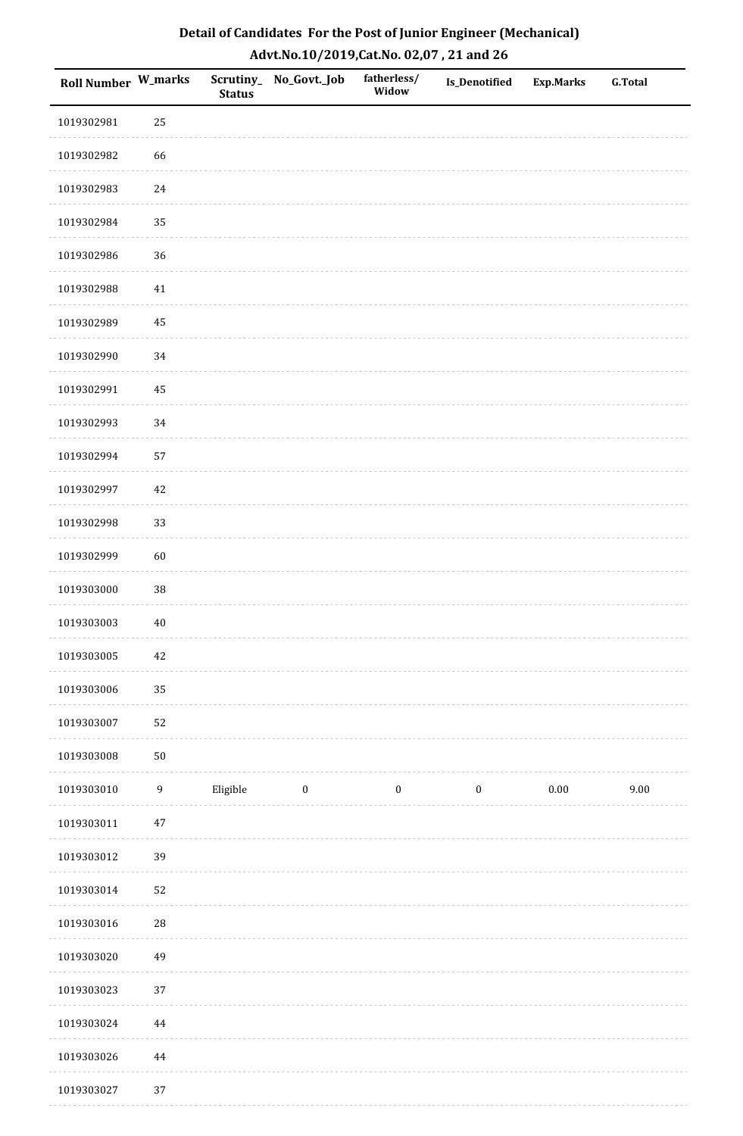| Roll Number W_marks |                  | <b>Status</b> | Scrutiny_ No_Govt._Job | fatherless/<br>Widow | Is_Denotified    | <b>Exp.Marks</b> | <b>G.Total</b> |
|---------------------|------------------|---------------|------------------------|----------------------|------------------|------------------|----------------|
| 1019302981          | 25               |               |                        |                      |                  |                  |                |
| 1019302982          | 66               |               |                        |                      |                  |                  |                |
| 1019302983          | $24\,$           |               |                        |                      |                  |                  |                |
| 1019302984          | 35               |               |                        |                      |                  |                  |                |
| 1019302986          | 36               |               |                        |                      |                  |                  |                |
| 1019302988          | 41               |               |                        |                      |                  |                  |                |
| 1019302989          | 45               |               |                        |                      |                  |                  |                |
| 1019302990          | 34               |               |                        |                      |                  |                  |                |
| 1019302991          | 45               |               |                        |                      |                  |                  |                |
| 1019302993          | 34               |               |                        |                      |                  |                  |                |
| 1019302994          | 57               |               |                        |                      |                  |                  |                |
| 1019302997          | $42\,$           |               |                        |                      |                  |                  |                |
| 1019302998          | 33               |               |                        |                      |                  |                  |                |
| 1019302999          | 60               |               |                        |                      |                  |                  |                |
| 1019303000          | 38               |               |                        |                      |                  |                  |                |
| 1019303003          | $40\,$           |               |                        |                      |                  |                  |                |
| 1019303005          | $42\,$           |               |                        |                      |                  |                  |                |
| 1019303006          | 35               |               |                        |                      |                  |                  |                |
| 1019303007          | 52               |               |                        |                      |                  |                  |                |
| 1019303008          | $50\,$           |               |                        |                      |                  |                  |                |
| 1019303010          | $\boldsymbol{9}$ | Eligible      | $\boldsymbol{0}$       | $\boldsymbol{0}$     | $\boldsymbol{0}$ | $0.00\,$         | 9.00           |
| 1019303011          | $47\,$           |               |                        |                      |                  |                  |                |
| 1019303012          | 39               |               |                        |                      |                  |                  |                |
| 1019303014          | 52               |               |                        |                      |                  |                  |                |
| 1019303016          | ${\bf 28}$       |               |                        |                      |                  |                  |                |
| 1019303020          | 49               |               |                        |                      |                  |                  |                |
| 1019303023          | 37               |               |                        |                      |                  |                  |                |
| 1019303024          | $\bf 44$         |               |                        |                      |                  |                  |                |
| 1019303026          | $\bf 44$         |               |                        |                      |                  |                  |                |
| 1019303027          | 37               |               |                        |                      |                  |                  |                |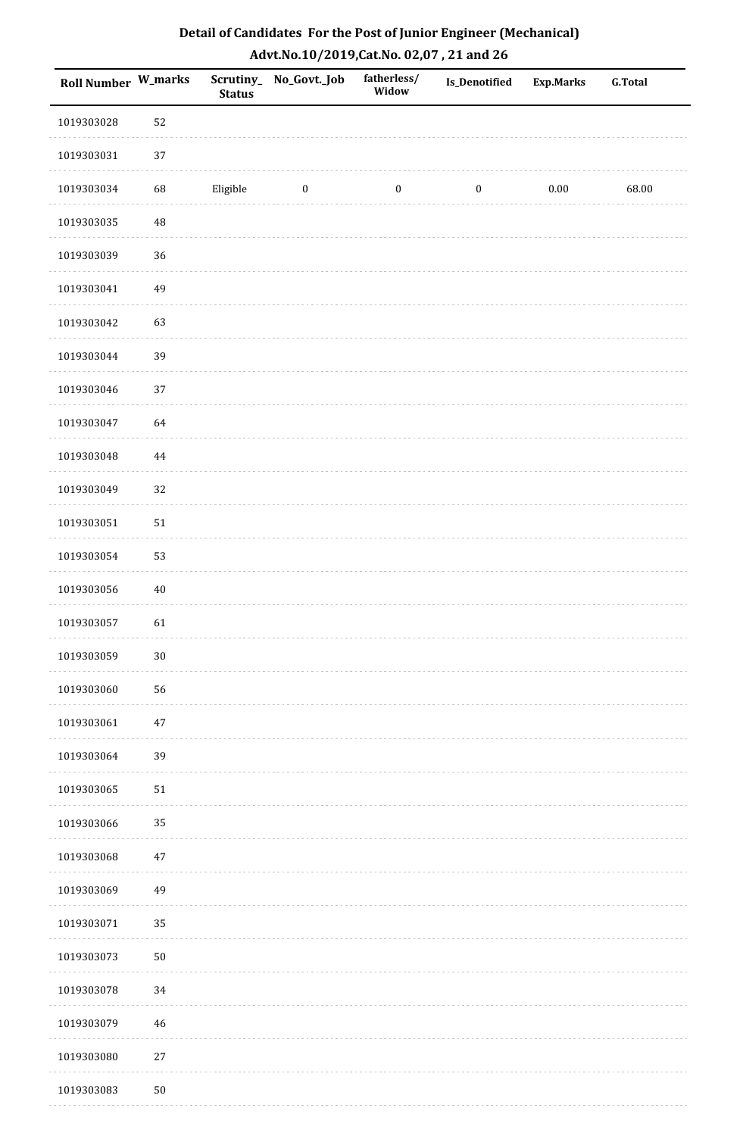| <b>Roll Number W_marks</b> |        | <b>Status</b> | Scrutiny_ No_Govt._Job | fatherless/<br>Widow | Is_Denotified    | Exp.Marks | <b>G.Total</b> |
|----------------------------|--------|---------------|------------------------|----------------------|------------------|-----------|----------------|
| 1019303028                 | 52     |               |                        |                      |                  |           |                |
| 1019303031                 | 37     |               |                        |                      |                  |           |                |
| 1019303034                 | 68     | Eligible      | $\boldsymbol{0}$       | $\boldsymbol{0}$     | $\boldsymbol{0}$ | $0.00\,$  | 68.00          |
| 1019303035                 | 48     |               |                        |                      |                  |           |                |
| 1019303039                 | 36     |               |                        |                      |                  |           |                |
| 1019303041                 | 49     |               |                        |                      |                  |           |                |
| 1019303042                 | 63     |               |                        |                      |                  |           |                |
| 1019303044                 | 39     |               |                        |                      |                  |           |                |
| 1019303046                 | 37     |               |                        |                      |                  |           |                |
| 1019303047                 | 64     |               |                        |                      |                  |           |                |
| 1019303048                 | 44     |               |                        |                      |                  |           |                |
| 1019303049                 | 32     |               |                        |                      |                  |           |                |
| 1019303051                 | $51\,$ |               |                        |                      |                  |           |                |
| 1019303054                 | 53     |               |                        |                      |                  |           |                |
| 1019303056                 | $40\,$ |               |                        |                      |                  |           |                |
| 1019303057                 | 61     |               |                        |                      |                  |           |                |
| 1019303059                 | $30\,$ |               |                        |                      |                  |           |                |
| 1019303060                 | 56     |               |                        |                      |                  |           |                |
| 1019303061                 | $47\,$ |               |                        |                      |                  |           |                |
| 1019303064                 | 39     |               |                        |                      |                  |           |                |
| 1019303065                 | $51\,$ |               |                        |                      |                  |           |                |
| 1019303066                 | 35     |               |                        |                      |                  |           |                |
| 1019303068                 | 47     |               |                        |                      |                  |           |                |
| 1019303069                 | 49     |               |                        |                      |                  |           |                |
| 1019303071                 | 35     |               |                        |                      |                  |           |                |
| 1019303073                 | $50\,$ |               |                        |                      |                  |           |                |
| 1019303078                 | $34\,$ |               |                        |                      |                  |           |                |
| 1019303079                 | 46     |               |                        |                      |                  |           |                |
| 1019303080                 | $27\,$ |               |                        |                      |                  |           |                |
| 1019303083                 | $50\,$ |               |                        |                      |                  |           |                |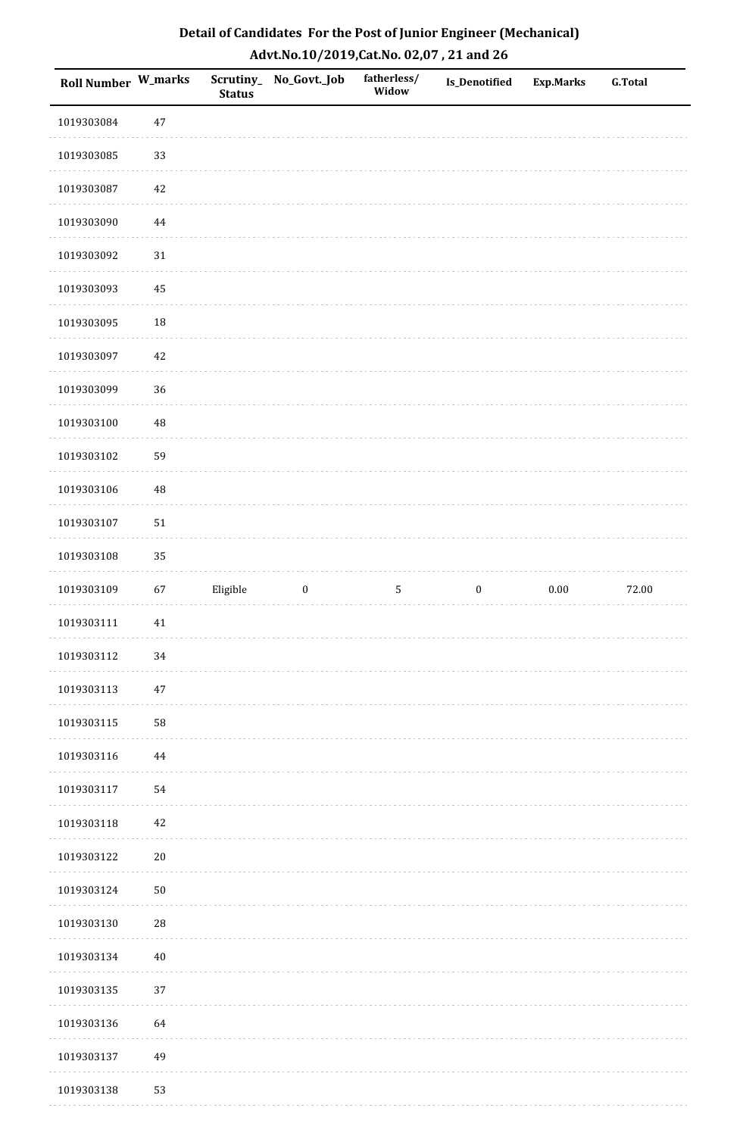| Roll Number W_marks |             | <b>Status</b> | Scrutiny_No_Govt._Job | fatherless/<br>Widow | Is_Denotified    | <b>Exp.Marks</b> | <b>G.Total</b> |
|---------------------|-------------|---------------|-----------------------|----------------------|------------------|------------------|----------------|
| 1019303084          | $47\,$      |               |                       |                      |                  |                  |                |
| 1019303085          | 33          |               |                       |                      |                  |                  |                |
| 1019303087          | $42\,$      |               |                       |                      |                  |                  |                |
| 1019303090          | $\bf 44$    |               |                       |                      |                  |                  |                |
| 1019303092          | $31\,$      |               |                       |                      |                  |                  |                |
| 1019303093          | 45          |               |                       |                      |                  |                  |                |
| 1019303095          | $18\,$      |               |                       |                      |                  |                  |                |
| 1019303097          | $42\,$      |               |                       |                      |                  |                  |                |
| 1019303099          | 36          |               |                       |                      |                  |                  |                |
| 1019303100          | 48          |               |                       |                      |                  |                  |                |
| 1019303102          | 59          |               |                       |                      |                  |                  |                |
| 1019303106          | 48          |               |                       |                      |                  |                  |                |
| 1019303107          | $51\,$      |               |                       |                      |                  |                  |                |
| 1019303108          | 35          |               |                       |                      |                  |                  |                |
| 1019303109          | 67          | Eligible      | $\boldsymbol{0}$      | $\mathsf S$          | $\boldsymbol{0}$ | 0.00             | 72.00          |
| 1019303111          | $41\,$      |               |                       |                      |                  |                  |                |
| 1019303112          | 34          |               |                       |                      |                  |                  |                |
| 1019303113          | 47          |               |                       |                      |                  |                  |                |
| 1019303115          | 58          |               |                       |                      |                  |                  |                |
| 1019303116          | 44          |               |                       |                      |                  |                  |                |
| 1019303117          | 54          |               |                       |                      |                  |                  |                |
| 1019303118          | $42\,$      |               |                       |                      |                  |                  |                |
| 1019303122          | $20\,$      |               |                       |                      |                  |                  |                |
| 1019303124          | $50\,$      |               |                       |                      |                  |                  |                |
| 1019303130          | $\sqrt{28}$ |               |                       |                      |                  |                  |                |
| 1019303134          | $40\,$      |               |                       |                      |                  |                  |                |
| 1019303135          | 37          |               |                       |                      |                  |                  |                |
| 1019303136          | 64          |               |                       |                      |                  |                  |                |
| 1019303137          | 49          |               |                       |                      |                  |                  |                |
| 1019303138          | 53          |               |                       |                      |                  |                  |                |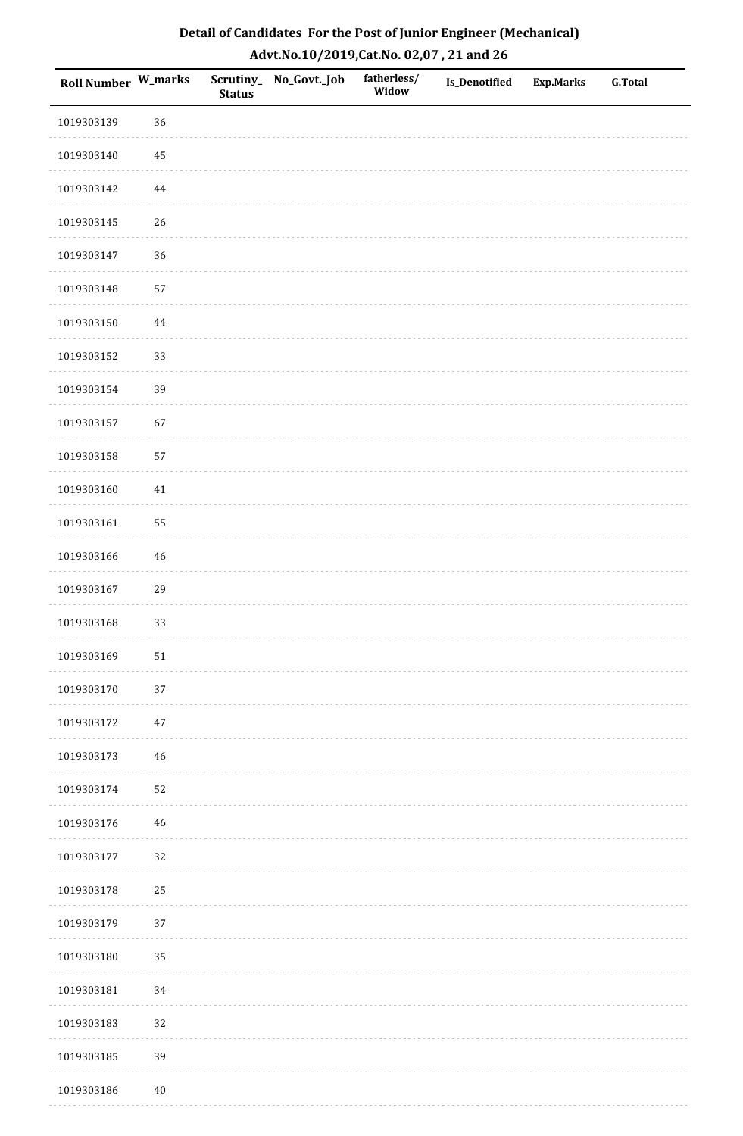| Roll Number W_marks |             | <b>Status</b> | Scrutiny_No_Govt._Job | fatherless/<br>Widow | Is_Denotified | <b>Exp.Marks</b> | <b>G.Total</b> |
|---------------------|-------------|---------------|-----------------------|----------------------|---------------|------------------|----------------|
| 1019303139          | 36          |               |                       |                      |               |                  |                |
| 1019303140          | 45          |               |                       |                      |               |                  |                |
| 1019303142          | $\bf 44$    |               |                       |                      |               |                  |                |
| 1019303145          | 26          |               |                       |                      |               |                  |                |
| 1019303147          | 36          |               |                       |                      |               |                  |                |
| 1019303148          | 57          |               |                       |                      |               |                  |                |
| 1019303150          | $\bf 44$    |               |                       |                      |               |                  |                |
| 1019303152          | 33          |               |                       |                      |               |                  |                |
| 1019303154          | 39          |               |                       |                      |               |                  |                |
| 1019303157          | 67          |               |                       |                      |               |                  |                |
| 1019303158          | 57          |               |                       |                      |               |                  |                |
| 1019303160          | 41          |               |                       |                      |               |                  |                |
| 1019303161          | 55          |               |                       |                      |               |                  |                |
| 1019303166          | $46\,$      |               |                       |                      |               |                  |                |
| 1019303167          | 29          |               |                       |                      |               |                  |                |
| 1019303168          | 33          |               |                       |                      |               |                  |                |
| 1019303169          | $51\,$      |               |                       |                      |               |                  |                |
| 1019303170          | 37          |               |                       |                      |               |                  |                |
| 1019303172          | $47\,$      |               |                       |                      |               |                  |                |
| 1019303173          | 46          |               |                       |                      |               |                  |                |
| 1019303174          | 52          |               |                       |                      |               |                  |                |
| 1019303176          | $\sqrt{46}$ |               |                       |                      |               |                  |                |
| 1019303177          | 32          |               |                       |                      |               |                  |                |
| 1019303178          | 25          |               |                       |                      |               |                  |                |
| 1019303179          | 37          |               |                       |                      |               |                  |                |
| 1019303180          | 35          |               |                       |                      |               |                  |                |
| 1019303181          | 34          |               |                       |                      |               |                  |                |
| 1019303183          | 32          |               |                       |                      |               |                  |                |
| 1019303185          | 39          |               |                       |                      |               |                  |                |
| 1019303186          | $40\,$      |               |                       |                      |               |                  |                |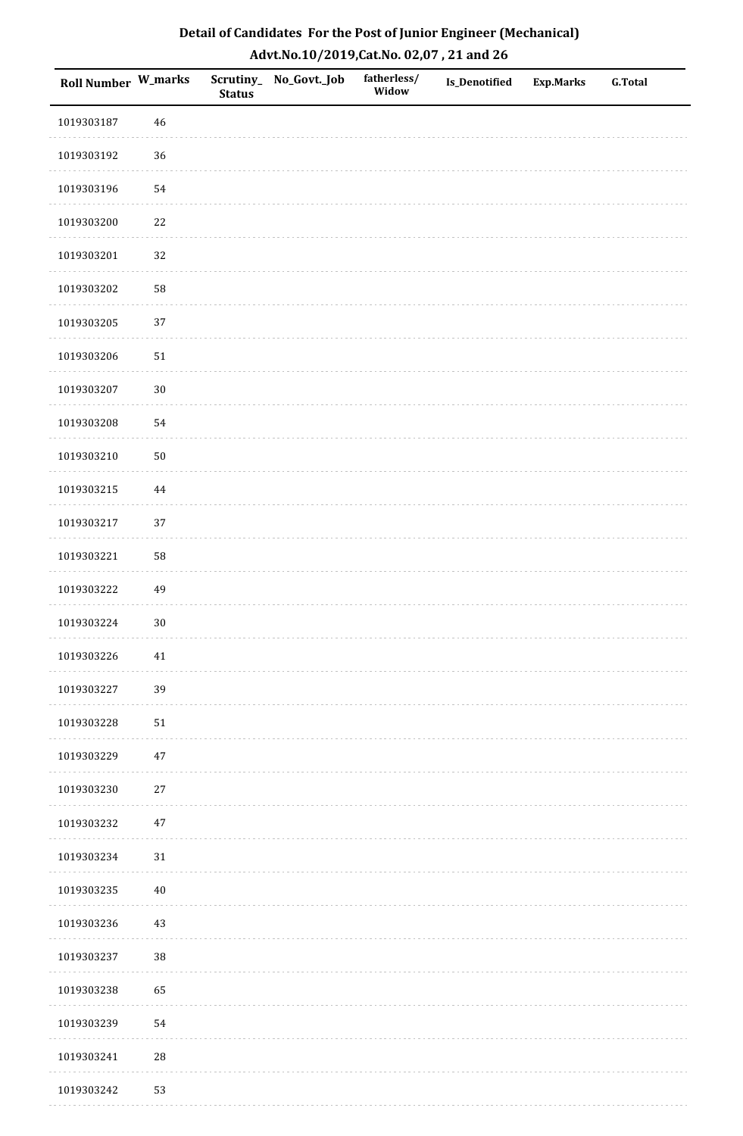| Roll Number W_marks |            | <b>Status</b> | Scrutiny_No_Govt._Job | fatherless/<br>Widow | Is_Denotified | <b>Exp.Marks</b> | <b>G.Total</b> |
|---------------------|------------|---------------|-----------------------|----------------------|---------------|------------------|----------------|
| 1019303187          | 46         |               |                       |                      |               |                  |                |
| 1019303192          | 36         |               |                       |                      |               |                  |                |
| 1019303196          | 54         |               |                       |                      |               |                  |                |
| 1019303200          | 22         |               |                       |                      |               |                  |                |
| 1019303201          | 32         |               |                       |                      |               |                  |                |
| 1019303202          | 58         |               |                       |                      |               |                  |                |
| 1019303205          | 37         |               |                       |                      |               |                  |                |
| 1019303206          | $51\,$     |               |                       |                      |               |                  |                |
| 1019303207          | $30\,$     |               |                       |                      |               |                  |                |
| 1019303208          | 54         |               |                       |                      |               |                  |                |
| 1019303210          | $50\,$     |               |                       |                      |               |                  |                |
| 1019303215          | $\bf 44$   |               |                       |                      |               |                  |                |
| 1019303217          | 37         |               |                       |                      |               |                  |                |
| 1019303221          | 58         |               |                       |                      |               |                  |                |
| 1019303222          | 49         |               |                       |                      |               |                  |                |
| 1019303224          | $30\,$     |               |                       |                      |               |                  |                |
| 1019303226          | $41\,$     |               |                       |                      |               |                  |                |
| 1019303227          | 39         |               |                       |                      |               |                  |                |
| 1019303228          | ${\bf 51}$ |               |                       |                      |               |                  |                |
| 1019303229          | $47\,$     |               |                       |                      |               |                  |                |
| 1019303230          | $27\,$     |               |                       |                      |               |                  |                |
| 1019303232          | $47\,$     |               |                       |                      |               |                  |                |
| 1019303234          | $31\,$     |               |                       |                      |               |                  |                |
| 1019303235          | $40\,$     |               |                       |                      |               |                  |                |
| 1019303236          | $43\,$     |               |                       |                      |               |                  |                |
| 1019303237          | 38         |               |                       |                      |               |                  |                |
| 1019303238          | 65         |               |                       |                      |               |                  |                |
| 1019303239          | 54         |               |                       |                      |               |                  |                |
| 1019303241          | 28         |               |                       |                      |               |                  |                |
| 1019303242          | 53         |               |                       |                      |               |                  |                |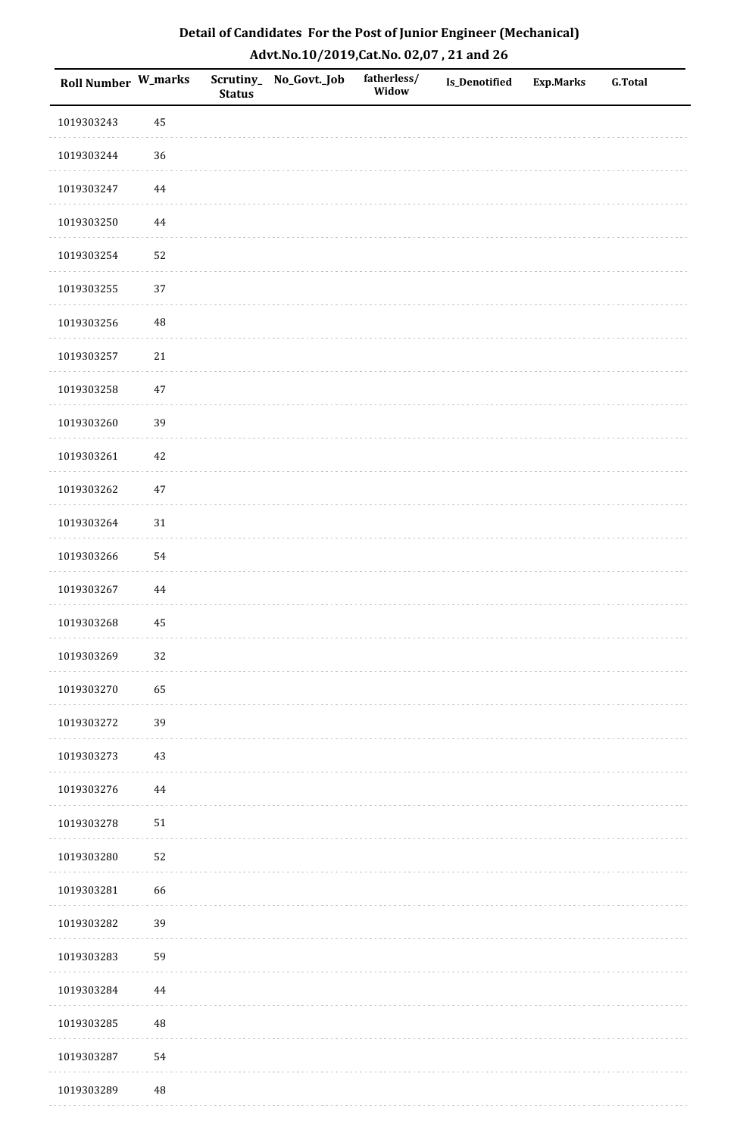| Detail of Candidates For the Post of Junior Engineer (Mechanical) |
|-------------------------------------------------------------------|
| Advt.No.10/2019,Cat.No. 02,07, 21 and 26                          |

| Roll Number W_marks |          | <b>Status</b> | Scrutiny_ No_Govt._Job | fatherless/<br>Widow | Is_Denotified | <b>Exp.Marks</b> | <b>G.Total</b> |
|---------------------|----------|---------------|------------------------|----------------------|---------------|------------------|----------------|
| 1019303243          | 45       |               |                        |                      |               |                  |                |
| 1019303244          | $36\,$   |               |                        |                      |               |                  |                |
| 1019303247          | 44       |               |                        |                      |               |                  |                |
| 1019303250          | $\bf 44$ |               |                        |                      |               |                  |                |
| 1019303254          | 52       |               |                        |                      |               |                  |                |
| 1019303255          | 37       |               |                        |                      |               |                  |                |
| 1019303256          | $\rm 48$ |               |                        |                      |               |                  |                |
| 1019303257          | 21       |               |                        |                      |               |                  |                |
| 1019303258          | 47       |               |                        |                      |               |                  |                |
| 1019303260          | 39       |               |                        |                      |               |                  |                |
| 1019303261          | $42\,$   |               |                        |                      |               |                  |                |
| 1019303262          | $47\,$   |               |                        |                      |               |                  |                |
| 1019303264          | 31       |               |                        |                      |               |                  |                |
| 1019303266          | 54       |               |                        |                      |               |                  |                |
| 1019303267          | 44       |               |                        |                      |               |                  |                |
| 1019303268          | 45       |               |                        |                      |               |                  |                |
| 1019303269          | $32\,$   |               |                        |                      |               |                  |                |
| 1019303270          | 65       |               |                        |                      |               |                  |                |
| 1019303272          | 39       |               |                        |                      |               |                  |                |
| 1019303273          | 43       |               |                        |                      |               |                  |                |
| 1019303276          | 44       |               |                        |                      |               |                  |                |
| 1019303278          | $51\,$   |               |                        |                      |               |                  |                |
| 1019303280          | 52       |               |                        |                      |               |                  |                |
| 1019303281          | 66       |               |                        |                      |               |                  |                |
| 1019303282          | 39       |               |                        |                      |               |                  |                |
| 1019303283          | 59       |               |                        |                      |               |                  |                |
| 1019303284          | 44       |               |                        |                      |               |                  |                |
| 1019303285          | $\rm 48$ |               |                        |                      |               |                  |                |
| 1019303287          | 54       |               |                        |                      |               |                  |                |
| 1019303289          | $\rm 48$ |               |                        |                      |               |                  |                |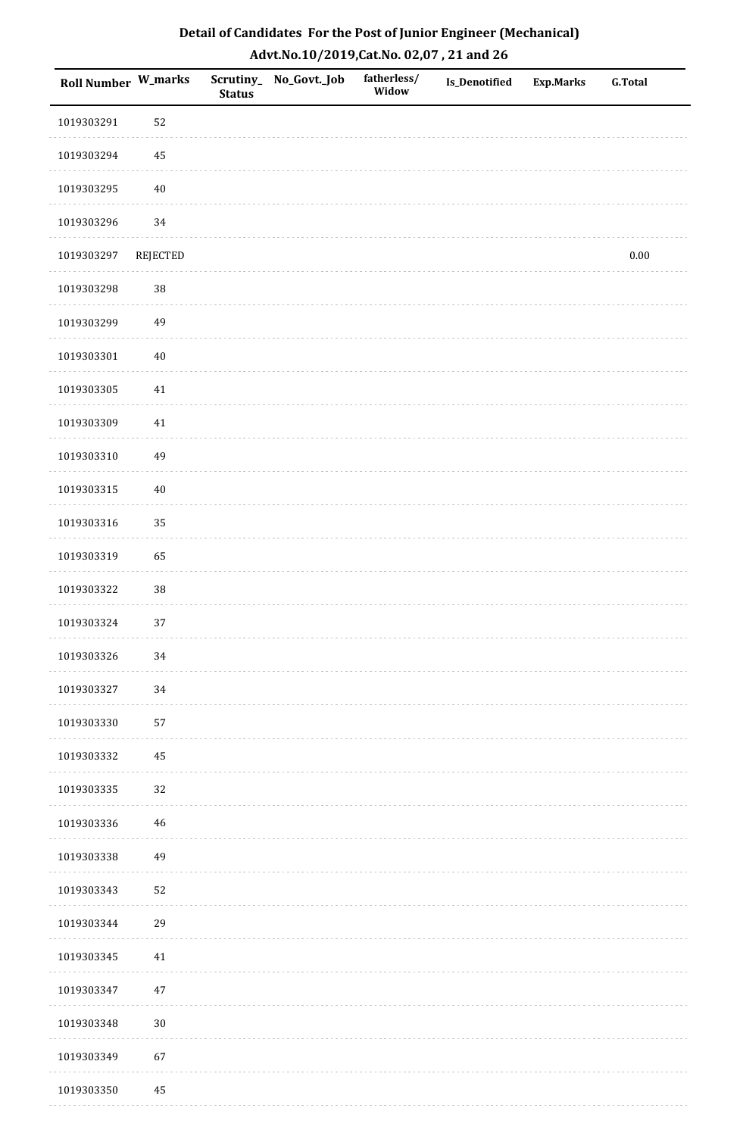| <b>Roll Number W_marks</b> |          | <b>Status</b> | Scrutiny_ No_Govt._Job | fatherless/<br>Widow | Is_Denotified | <b>Exp.Marks</b> | <b>G.Total</b> |
|----------------------------|----------|---------------|------------------------|----------------------|---------------|------------------|----------------|
| 1019303291                 | 52       |               |                        |                      |               |                  |                |
| 1019303294                 | $\bf 45$ |               |                        |                      |               |                  |                |
| 1019303295                 | $40\,$   |               |                        |                      |               |                  |                |
| 1019303296                 | 34       |               |                        |                      |               |                  |                |
| 1019303297                 | REJECTED |               |                        |                      |               |                  | $0.00\,$       |
| 1019303298                 | $38\,$   |               |                        |                      |               |                  |                |
| 1019303299                 | 49       |               |                        |                      |               |                  |                |
| 1019303301                 | $40\,$   |               |                        |                      |               |                  |                |
| 1019303305                 | $41\,$   |               |                        |                      |               |                  |                |
| 1019303309                 | $41\,$   |               |                        |                      |               |                  |                |
| 1019303310                 | 49       |               |                        |                      |               |                  |                |
| 1019303315                 | $40\,$   |               |                        |                      |               |                  |                |
| 1019303316                 | 35       |               |                        |                      |               |                  |                |
| 1019303319                 | 65       |               |                        |                      |               |                  |                |
| 1019303322                 | $38\,$   |               |                        |                      |               |                  |                |
| 1019303324                 | 37       |               |                        |                      |               |                  |                |
| 1019303326                 | 34       |               |                        |                      |               |                  |                |
| 1019303327                 | 34       |               |                        |                      |               |                  |                |
| 1019303330                 | 57       |               |                        |                      |               |                  |                |
| 1019303332                 | $\bf 45$ |               |                        |                      |               |                  |                |
| 1019303335                 | 32       |               |                        |                      |               |                  |                |
| 1019303336                 | 46       |               |                        |                      |               |                  |                |
| 1019303338                 | 49       |               |                        |                      |               |                  |                |
| 1019303343                 | 52       |               |                        |                      |               |                  |                |
| 1019303344                 | 29       |               |                        |                      |               |                  |                |
| 1019303345                 | $41\,$   |               |                        |                      |               |                  |                |
| 1019303347                 | $47\,$   |               |                        |                      |               |                  |                |
| 1019303348                 | $30\,$   |               |                        |                      |               |                  |                |
| 1019303349                 | 67       |               |                        |                      |               |                  |                |
| 1019303350                 | 45       |               |                        |                      |               |                  |                |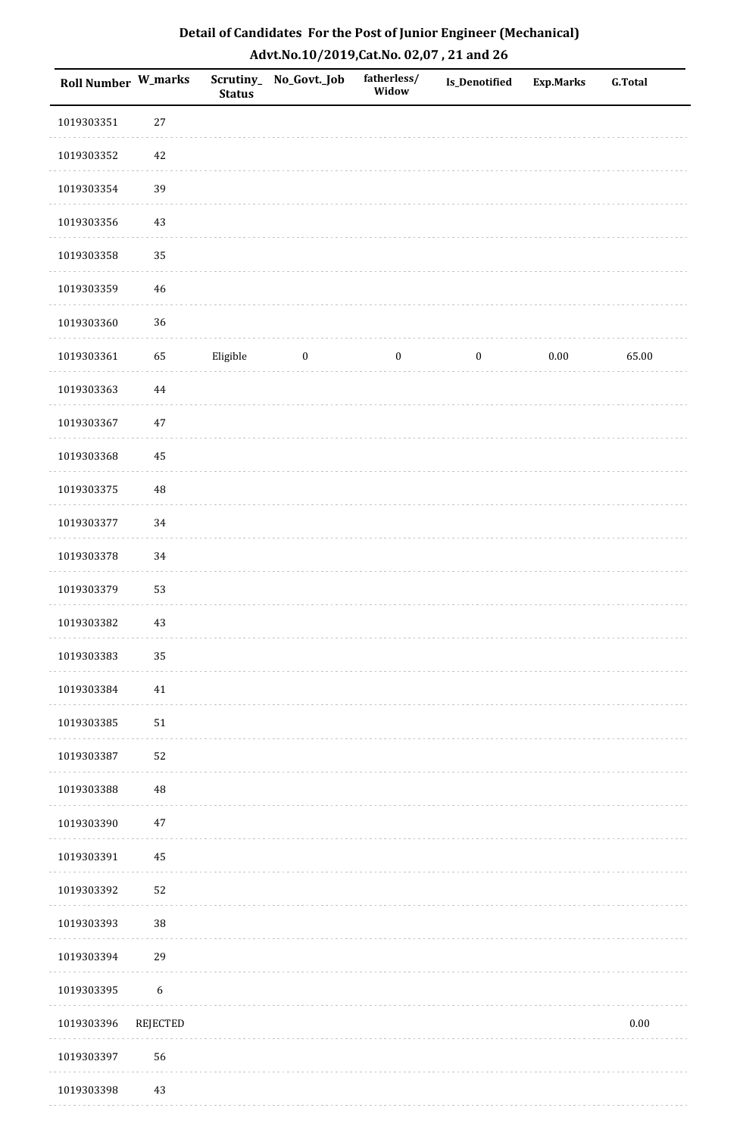| Roll Number W_marks |                  | <b>Status</b> | Scrutiny_No_Govt._Job | fatherless/<br>Widow | Is_Denotified    | Exp.Marks | <b>G.Total</b> |
|---------------------|------------------|---------------|-----------------------|----------------------|------------------|-----------|----------------|
| 1019303351          | $27\,$           |               |                       |                      |                  |           |                |
| 1019303352          | 42               |               |                       |                      |                  |           |                |
| 1019303354          | 39               |               |                       |                      |                  |           |                |
| 1019303356          | 43               |               |                       |                      |                  |           |                |
| 1019303358          | 35               |               |                       |                      |                  |           |                |
| 1019303359          | $46\,$           |               |                       |                      |                  |           |                |
| 1019303360          | 36               |               |                       |                      |                  |           |                |
| 1019303361          | 65               | Eligible      | $\boldsymbol{0}$      | $\boldsymbol{0}$     | $\boldsymbol{0}$ | 0.00      | 65.00          |
| 1019303363          | $\bf 44$         |               |                       |                      |                  |           |                |
| 1019303367          | $47\,$           |               |                       |                      |                  |           |                |
| 1019303368          | 45               |               |                       |                      |                  |           |                |
| 1019303375          | $\rm 48$         |               |                       |                      |                  |           |                |
| 1019303377          | 34               |               |                       |                      |                  |           |                |
| 1019303378          | 34               |               |                       |                      |                  |           |                |
| 1019303379          | 53               |               |                       |                      |                  |           |                |
| 1019303382          | $43\,$           |               |                       |                      |                  |           |                |
| 1019303383          | 35               |               |                       |                      |                  |           |                |
| 1019303384          | 41               |               |                       |                      |                  |           |                |
| 1019303385          | $51\,$           |               |                       |                      |                  |           |                |
| 1019303387          | 52               |               |                       |                      |                  |           |                |
| 1019303388          | 48               |               |                       |                      |                  |           |                |
| 1019303390          | $47\,$           |               |                       |                      |                  |           |                |
| 1019303391          | 45               |               |                       |                      |                  |           |                |
| 1019303392          | 52               |               |                       |                      |                  |           |                |
| 1019303393          | 38               |               |                       |                      |                  |           |                |
| 1019303394          | 29               |               |                       |                      |                  |           |                |
| 1019303395          | $\boldsymbol{6}$ |               |                       |                      |                  |           |                |
| 1019303396          | REJECTED         |               |                       |                      |                  |           | $0.00\,$       |
| 1019303397          | 56               |               |                       |                      |                  |           |                |
| 1019303398          | 43               |               |                       |                      |                  |           |                |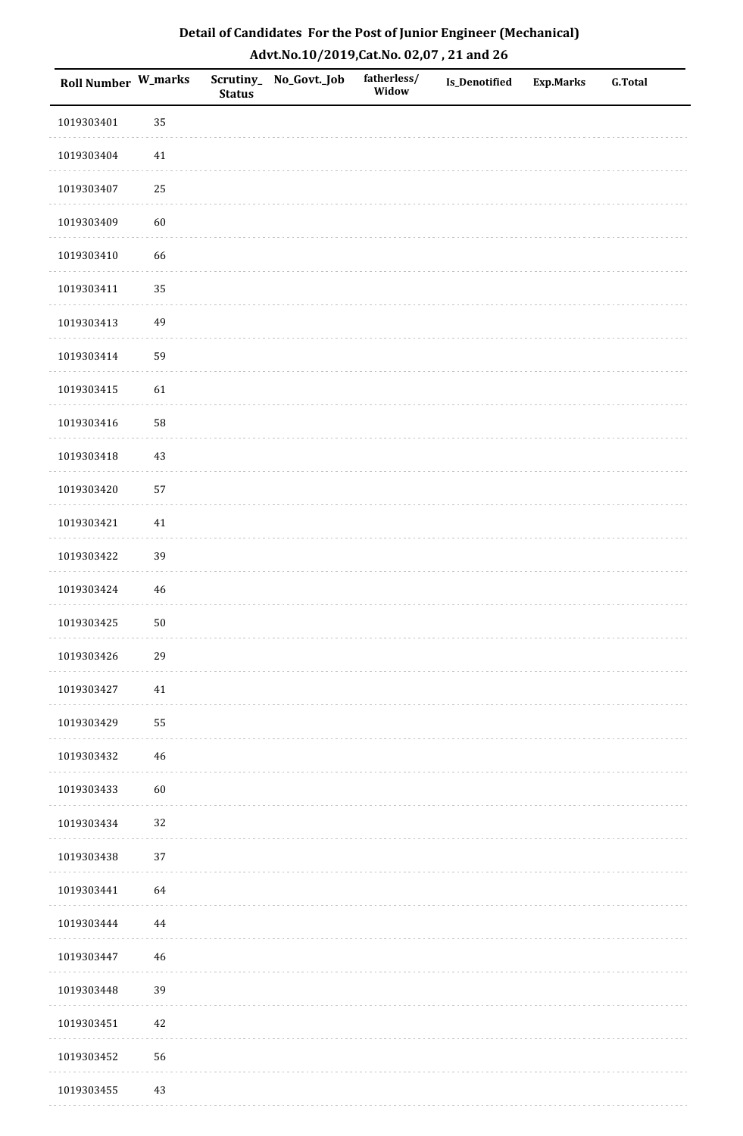| Roll Number W_marks |             | <b>Status</b> | Scrutiny_ No_Govt._Job | fatherless/<br>Widow | Is_Denotified | <b>Exp.Marks</b> | <b>G.Total</b> |
|---------------------|-------------|---------------|------------------------|----------------------|---------------|------------------|----------------|
| 1019303401          | 35          |               |                        |                      |               |                  |                |
| 1019303404          | 41          |               |                        |                      |               |                  |                |
| 1019303407          | $25\,$      |               |                        |                      |               |                  |                |
| 1019303409          | 60          |               |                        |                      |               |                  |                |
| 1019303410          | 66          |               |                        |                      |               |                  |                |
| 1019303411          | 35          |               |                        |                      |               |                  |                |
| 1019303413          | 49          |               |                        |                      |               |                  |                |
| 1019303414          | 59          |               |                        |                      |               |                  |                |
| 1019303415          | 61          |               |                        |                      |               |                  |                |
| 1019303416          | 58          |               |                        |                      |               |                  |                |
| 1019303418          | 43          |               |                        |                      |               |                  |                |
| 1019303420          | 57          |               |                        |                      |               |                  |                |
| 1019303421          | 41          |               |                        |                      |               |                  |                |
| 1019303422          | 39          |               |                        |                      |               |                  |                |
| 1019303424          | $\sqrt{46}$ |               |                        |                      |               |                  |                |
| 1019303425          | $50\,$      |               |                        |                      |               |                  |                |
| 1019303426          | 29          |               |                        |                      |               |                  |                |
| 1019303427          | 41          |               |                        |                      |               |                  |                |
| 1019303429          | 55          |               |                        |                      |               |                  |                |
| 1019303432          | 46          |               |                        |                      |               |                  |                |
| 1019303433          | 60          |               |                        |                      |               |                  |                |
| 1019303434          | 32          |               |                        |                      |               |                  |                |
| 1019303438          | 37          |               |                        |                      |               |                  |                |
| 1019303441          | 64          |               |                        |                      |               |                  |                |
| 1019303444          | 44          |               |                        |                      |               |                  |                |
| 1019303447          | $46\,$      |               |                        |                      |               |                  |                |
| 1019303448          | 39          |               |                        |                      |               |                  |                |
| 1019303451          | 42          |               |                        |                      |               |                  |                |
| 1019303452          | 56          |               |                        |                      |               |                  |                |
| 1019303455          | 43          |               |                        |                      |               |                  |                |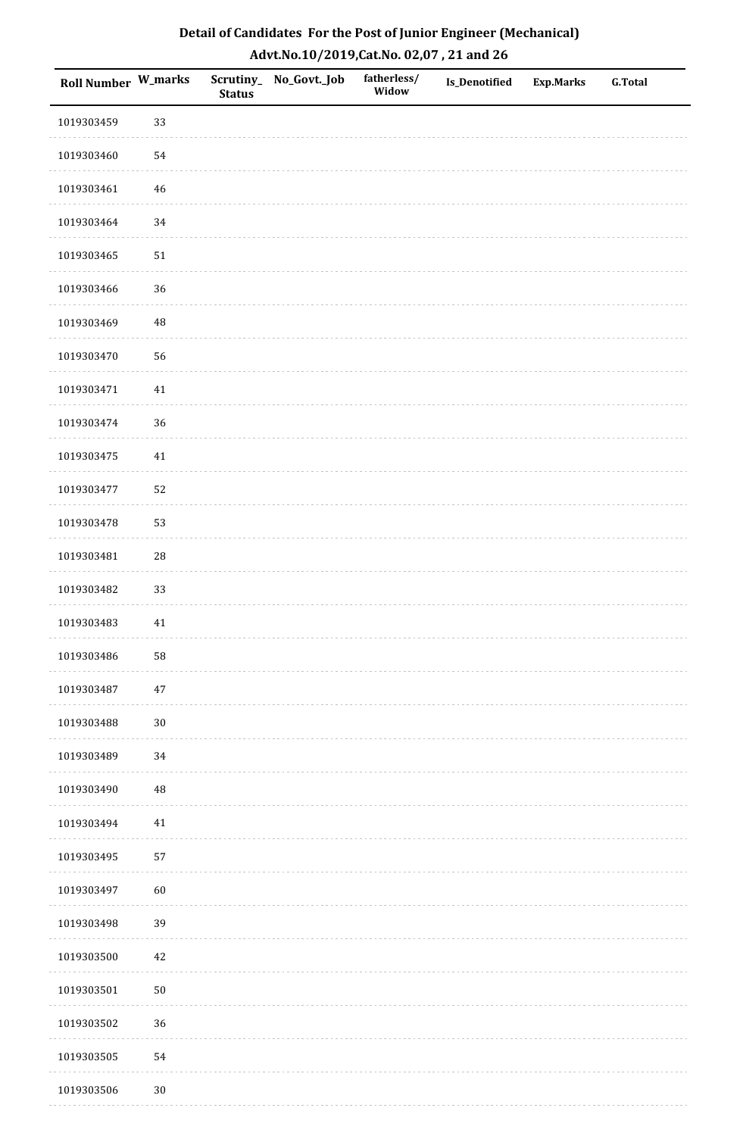| <b>Roll Number W_marks</b> |          | <b>Status</b> | Scrutiny_No_Govt._Job | fatherless/<br>Widow | Is_Denotified | <b>Exp.Marks</b> | <b>G.Total</b> |
|----------------------------|----------|---------------|-----------------------|----------------------|---------------|------------------|----------------|
| 1019303459                 | 33       |               |                       |                      |               |                  |                |
| 1019303460                 | 54       |               |                       |                      |               |                  |                |
| 1019303461                 | 46       |               |                       |                      |               |                  |                |
| 1019303464                 | $34\,$   |               |                       |                      |               |                  |                |
| 1019303465                 | $51\,$   |               |                       |                      |               |                  |                |
| 1019303466                 | 36       |               |                       |                      |               |                  |                |
| 1019303469                 | $\rm 48$ |               |                       |                      |               |                  |                |
| 1019303470                 | 56       |               |                       |                      |               |                  |                |
| 1019303471                 | $41\,$   |               |                       |                      |               |                  |                |
| 1019303474                 | 36       |               |                       |                      |               |                  |                |
| 1019303475                 | $41\,$   |               |                       |                      |               |                  |                |
| 1019303477                 | 52       |               |                       |                      |               |                  |                |
| 1019303478                 | 53       |               |                       |                      |               |                  |                |
| 1019303481                 | 28       |               |                       |                      |               |                  |                |
| 1019303482                 | 33       |               |                       |                      |               |                  |                |
| 1019303483                 | $41\,$   |               |                       |                      |               |                  |                |
| 1019303486                 | 58       |               |                       |                      |               |                  |                |
| 1019303487                 | $47\,$   |               |                       |                      |               |                  |                |
| 1019303488                 | $30\,$   |               |                       |                      |               |                  |                |
| 1019303489                 | 34       |               |                       |                      |               |                  |                |
| 1019303490                 | 48       |               |                       |                      |               |                  |                |
| 1019303494                 | $41\,$   |               |                       |                      |               |                  |                |
| 1019303495                 | 57       |               |                       |                      |               |                  |                |
| 1019303497                 | 60       |               |                       |                      |               |                  |                |
| 1019303498                 | 39       |               |                       |                      |               |                  |                |
| 1019303500                 | $42\,$   |               |                       |                      |               |                  |                |
| 1019303501                 | $50\,$   |               |                       |                      |               |                  |                |
| 1019303502                 | 36       |               |                       |                      |               |                  |                |
| 1019303505                 | 54       |               |                       |                      |               |                  |                |
| 1019303506                 | $30\,$   |               |                       |                      |               |                  |                |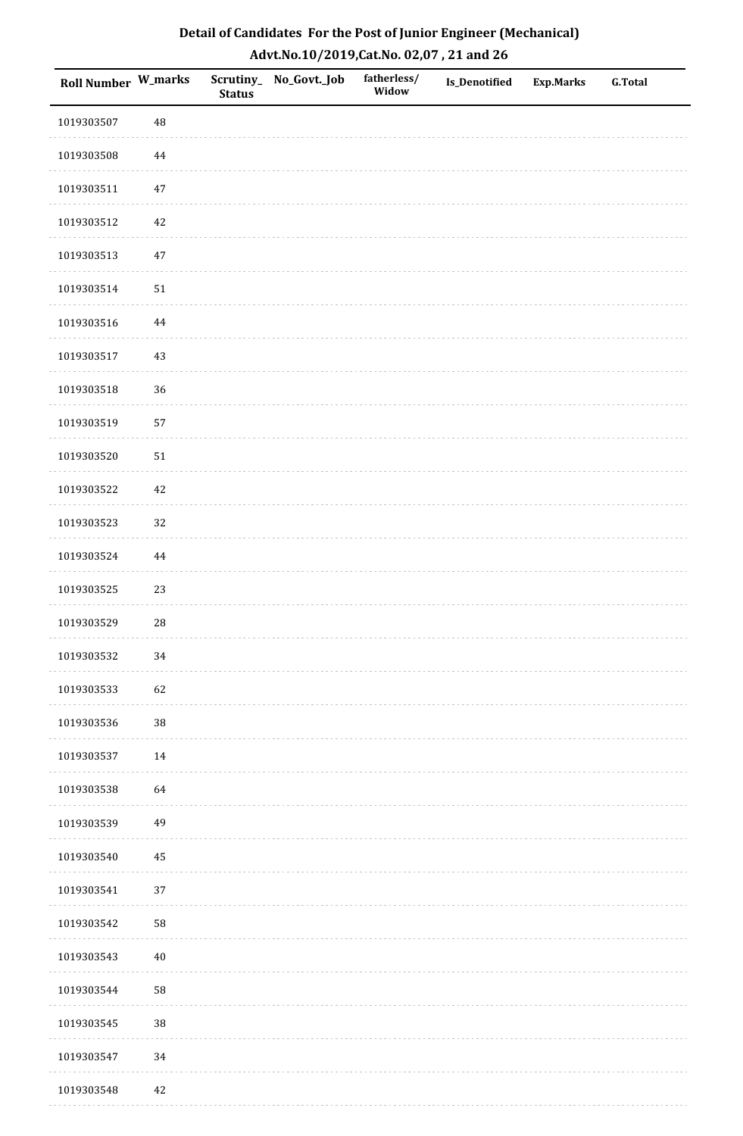| Detail of Candidates For the Post of Junior Engineer (Mechanical) |
|-------------------------------------------------------------------|
| Advt.No.10/2019,Cat.No. 02,07, 21 and 26                          |

| Roll Number W_marks |            | <b>Status</b> | Scrutiny_ No_Govt._Job | fatherless/<br>Widow | <b>Is_Denotified</b> | <b>Exp.Marks</b> | <b>G.Total</b> |
|---------------------|------------|---------------|------------------------|----------------------|----------------------|------------------|----------------|
| 1019303507          | 48         |               |                        |                      |                      |                  |                |
| 1019303508          | 44         |               |                        |                      |                      |                  |                |
| 1019303511          | $47\,$     |               |                        |                      |                      |                  |                |
| 1019303512          | $42\,$     |               |                        |                      |                      |                  |                |
| 1019303513          | $47\,$     |               |                        |                      |                      |                  |                |
| 1019303514          | ${\bf 51}$ |               |                        |                      |                      |                  |                |
| 1019303516          | $\bf 44$   |               |                        |                      |                      |                  |                |
| 1019303517          | 43         |               |                        |                      |                      |                  |                |
| 1019303518          | 36         |               |                        |                      |                      |                  |                |
| 1019303519          | 57         |               |                        |                      |                      |                  |                |
| 1019303520          | 51         |               |                        |                      |                      |                  |                |
| 1019303522          | $42\,$     |               |                        |                      |                      |                  |                |
| 1019303523          | 32         |               |                        |                      |                      |                  |                |
| 1019303524          | $\bf 44$   |               |                        |                      |                      |                  |                |
| 1019303525          | 23         |               |                        |                      |                      |                  |                |
| 1019303529          | ${\bf 28}$ |               |                        |                      |                      |                  |                |
| 1019303532          | $34\,$     |               |                        |                      |                      |                  |                |
| 1019303533          | 62         |               |                        |                      |                      |                  |                |
| 1019303536          | $38\,$     |               |                        |                      |                      |                  |                |
| 1019303537          | $14\,$     |               |                        |                      |                      |                  |                |
| 1019303538          | 64         |               |                        |                      |                      |                  |                |
| 1019303539          | 49         |               |                        |                      |                      |                  |                |
| 1019303540          | 45         |               |                        |                      |                      |                  |                |
| 1019303541          | 37         |               |                        |                      |                      |                  |                |
| 1019303542          | 58         |               |                        |                      |                      |                  |                |
| 1019303543          | $40\,$     |               |                        |                      |                      |                  |                |
| 1019303544          | 58         |               |                        |                      |                      |                  |                |
| 1019303545          | $38\,$     |               |                        |                      |                      |                  |                |
| 1019303547          | 34         |               |                        |                      |                      |                  |                |
| 1019303548          | $42\,$     |               |                        |                      |                      |                  |                |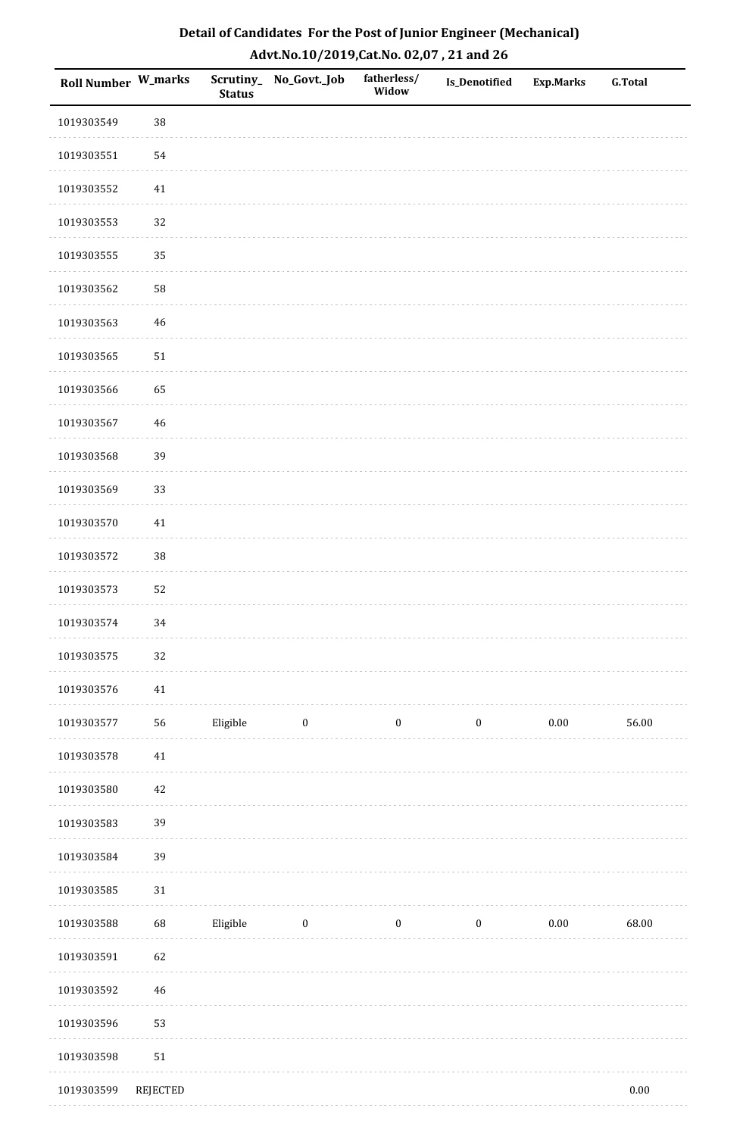| <b>Roll Number W_marks</b> |                 | <b>Status</b> | Scrutiny_ No_Govt._Job | fatherless/<br>Widow | Is_Denotified    | <b>Exp.Marks</b> | <b>G.Total</b> |
|----------------------------|-----------------|---------------|------------------------|----------------------|------------------|------------------|----------------|
| 1019303549                 | 38              |               |                        |                      |                  |                  |                |
| 1019303551                 | 54              |               |                        |                      |                  |                  |                |
| 1019303552                 | $41\,$          |               |                        |                      |                  |                  |                |
| 1019303553                 | 32              |               |                        |                      |                  |                  |                |
| 1019303555                 | 35              |               |                        |                      |                  |                  |                |
| 1019303562                 | 58              |               |                        |                      |                  |                  |                |
| 1019303563                 | 46              |               |                        |                      |                  |                  |                |
| 1019303565                 | 51              |               |                        |                      |                  |                  |                |
| 1019303566                 | 65              |               |                        |                      |                  |                  |                |
| 1019303567                 | 46              |               |                        |                      |                  |                  |                |
| 1019303568                 | 39              |               |                        |                      |                  |                  |                |
| 1019303569                 | 33              |               |                        |                      |                  |                  |                |
| 1019303570                 | $41\,$          |               |                        |                      |                  |                  |                |
| 1019303572                 | 38              |               |                        |                      |                  |                  |                |
| 1019303573                 | 52              |               |                        |                      |                  |                  |                |
| 1019303574                 | 34              |               |                        |                      |                  |                  |                |
| 1019303575                 | $32\,$          |               |                        |                      |                  |                  |                |
| 1019303576                 | $41\,$          |               |                        |                      |                  |                  |                |
| 1019303577                 | 56              | Eligible      | $\bf{0}$               | $\boldsymbol{0}$     | $\boldsymbol{0}$ | $0.00\,$         | 56.00          |
| 1019303578                 | 41              |               |                        |                      |                  |                  |                |
| 1019303580                 | 42              |               |                        |                      |                  |                  |                |
| 1019303583                 | 39              |               |                        |                      |                  |                  |                |
| 1019303584                 | 39              |               |                        |                      |                  |                  |                |
| 1019303585                 | $31\,$          |               |                        |                      |                  |                  |                |
| 1019303588                 | 68              | Eligible      | $\bf{0}$               | $\boldsymbol{0}$     | $\boldsymbol{0}$ | 0.00             | 68.00          |
| 1019303591                 | 62              |               |                        |                      |                  |                  |                |
| 1019303592                 | 46              |               |                        |                      |                  |                  |                |
| 1019303596                 | 53              |               |                        |                      |                  |                  |                |
| 1019303598                 | 51              |               |                        |                      |                  |                  |                |
| 1019303599                 | <b>REJECTED</b> |               |                        |                      |                  |                  | $0.00\,$       |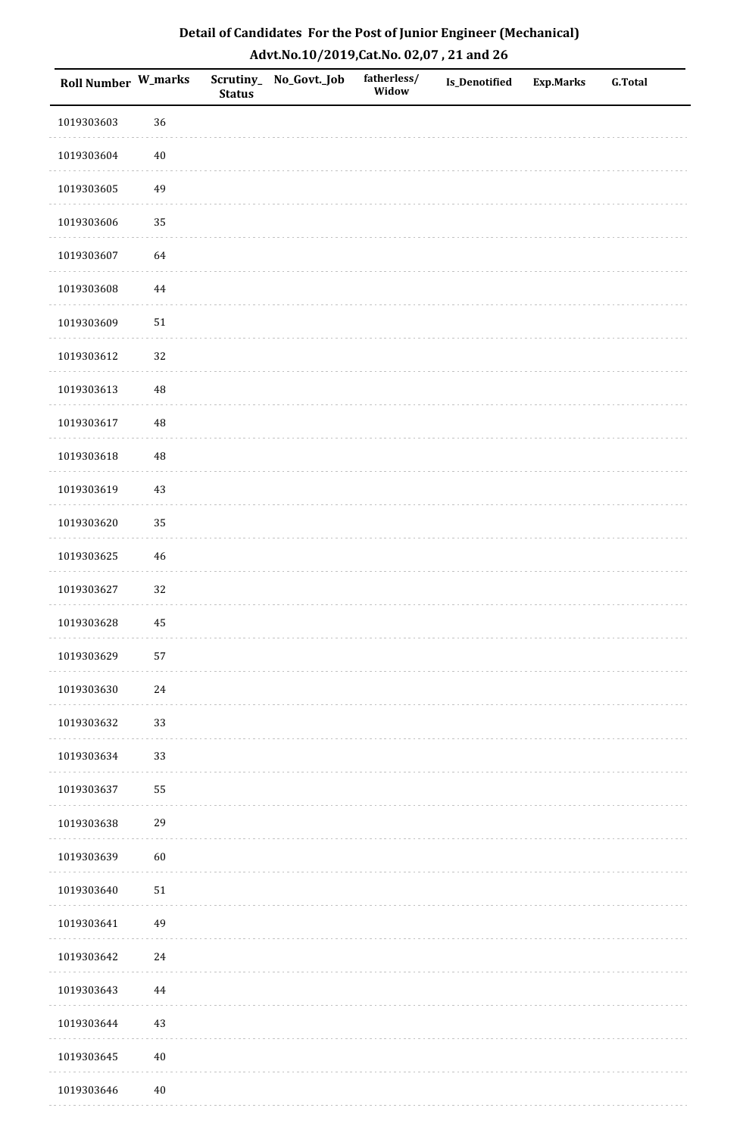| <b>Roll Number W_marks</b> |          | <b>Status</b> | Scrutiny_No_Govt._Job | fatherless/<br>Widow | Is_Denotified | <b>Exp.Marks</b> | <b>G.Total</b> |
|----------------------------|----------|---------------|-----------------------|----------------------|---------------|------------------|----------------|
| 1019303603                 | 36       |               |                       |                      |               |                  |                |
| 1019303604                 | $40\,$   |               |                       |                      |               |                  |                |
| 1019303605                 | 49       |               |                       |                      |               |                  |                |
| 1019303606                 | 35       |               |                       |                      |               |                  |                |
| 1019303607                 | 64       |               |                       |                      |               |                  |                |
| 1019303608                 | 44       |               |                       |                      |               |                  |                |
| 1019303609                 | $51\,$   |               |                       |                      |               |                  |                |
| 1019303612                 | 32       |               |                       |                      |               |                  |                |
| 1019303613                 | 48       |               |                       |                      |               |                  |                |
| 1019303617                 | $\rm 48$ |               |                       |                      |               |                  |                |
| 1019303618                 | 48       |               |                       |                      |               |                  |                |
| 1019303619                 | $43\,$   |               |                       |                      |               |                  |                |
| 1019303620                 | 35       |               |                       |                      |               |                  |                |
| 1019303625                 | $46\,$   |               |                       |                      |               |                  |                |
| 1019303627                 | 32       |               |                       |                      |               |                  |                |
| 1019303628                 | 45       |               |                       |                      |               |                  |                |
| 1019303629                 | 57       |               |                       |                      |               |                  |                |
| 1019303630                 | $24\,$   |               |                       |                      |               |                  |                |
| 1019303632                 | 33       |               |                       |                      |               |                  |                |
| 1019303634                 | 33       |               |                       |                      |               |                  |                |
| 1019303637                 | 55       |               |                       |                      |               |                  |                |
| 1019303638                 | 29       |               |                       |                      |               |                  |                |
| 1019303639                 | 60       |               |                       |                      |               |                  |                |
| 1019303640                 | $51\,$   |               |                       |                      |               |                  |                |
| 1019303641                 | 49       |               |                       |                      |               |                  |                |
| 1019303642                 | $24\,$   |               |                       |                      |               |                  |                |
| 1019303643                 | 44       |               |                       |                      |               |                  |                |
| 1019303644                 | $43\,$   |               |                       |                      |               |                  |                |
| 1019303645                 | $40\,$   |               |                       |                      |               |                  |                |
| 1019303646                 | $40\,$   |               |                       |                      |               |                  |                |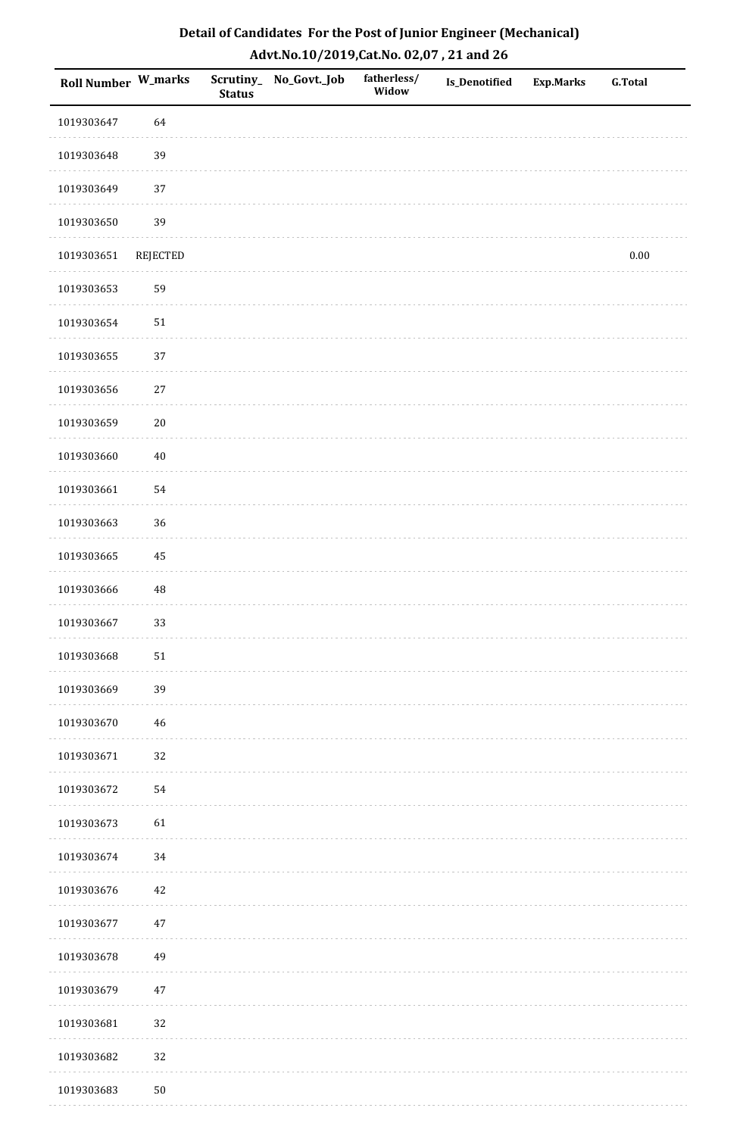| <b>Roll Number W_marks</b> |                 | <b>Status</b> | Scrutiny_ No_Govt._Job | fatherless/<br>Widow | <b>Is_Denotified</b> | <b>Exp.Marks</b> | <b>G.Total</b> |
|----------------------------|-----------------|---------------|------------------------|----------------------|----------------------|------------------|----------------|
| 1019303647                 | 64              |               |                        |                      |                      |                  |                |
| 1019303648                 | 39              |               |                        |                      |                      |                  |                |
| 1019303649                 | 37              |               |                        |                      |                      |                  |                |
| 1019303650                 | 39              |               |                        |                      |                      |                  |                |
| 1019303651                 | <b>REJECTED</b> |               |                        |                      |                      |                  | $0.00\,$       |
| 1019303653                 | 59              |               |                        |                      |                      |                  |                |
| 1019303654                 | 51              |               |                        |                      |                      |                  |                |
| 1019303655                 | 37              |               |                        |                      |                      |                  |                |
| 1019303656                 | $27\,$          |               |                        |                      |                      |                  |                |
| 1019303659                 | $20\,$          |               |                        |                      |                      |                  |                |
| 1019303660                 | $40\,$          |               |                        |                      |                      |                  |                |
| 1019303661                 | 54              |               |                        |                      |                      |                  |                |
| 1019303663                 | 36              |               |                        |                      |                      |                  |                |
| 1019303665                 | 45              |               |                        |                      |                      |                  |                |
| 1019303666                 | $\rm 48$        |               |                        |                      |                      |                  |                |
| 1019303667                 | 33              |               |                        |                      |                      |                  |                |
| 1019303668                 | ${\bf 51}$      |               |                        |                      |                      |                  |                |
| 1019303669                 | 39              |               |                        |                      |                      |                  |                |
| 1019303670                 | $46\,$          |               |                        |                      |                      |                  |                |
| 1019303671                 | 32              |               |                        |                      |                      |                  |                |
| 1019303672                 | 54              |               |                        |                      |                      |                  |                |
| 1019303673                 | 61              |               |                        |                      |                      |                  |                |
| 1019303674                 | 34              |               |                        |                      |                      |                  |                |
| 1019303676                 | $42\,$          |               |                        |                      |                      |                  |                |
| 1019303677                 | $47\,$          |               |                        |                      |                      |                  |                |
| 1019303678                 | 49              |               |                        |                      |                      |                  |                |
| 1019303679                 | $47\,$          |               |                        |                      |                      |                  |                |
| 1019303681                 | 32              |               |                        |                      |                      |                  |                |
| 1019303682                 | 32              |               |                        |                      |                      |                  |                |
| 1019303683                 | $50\,$          |               |                        |                      |                      |                  |                |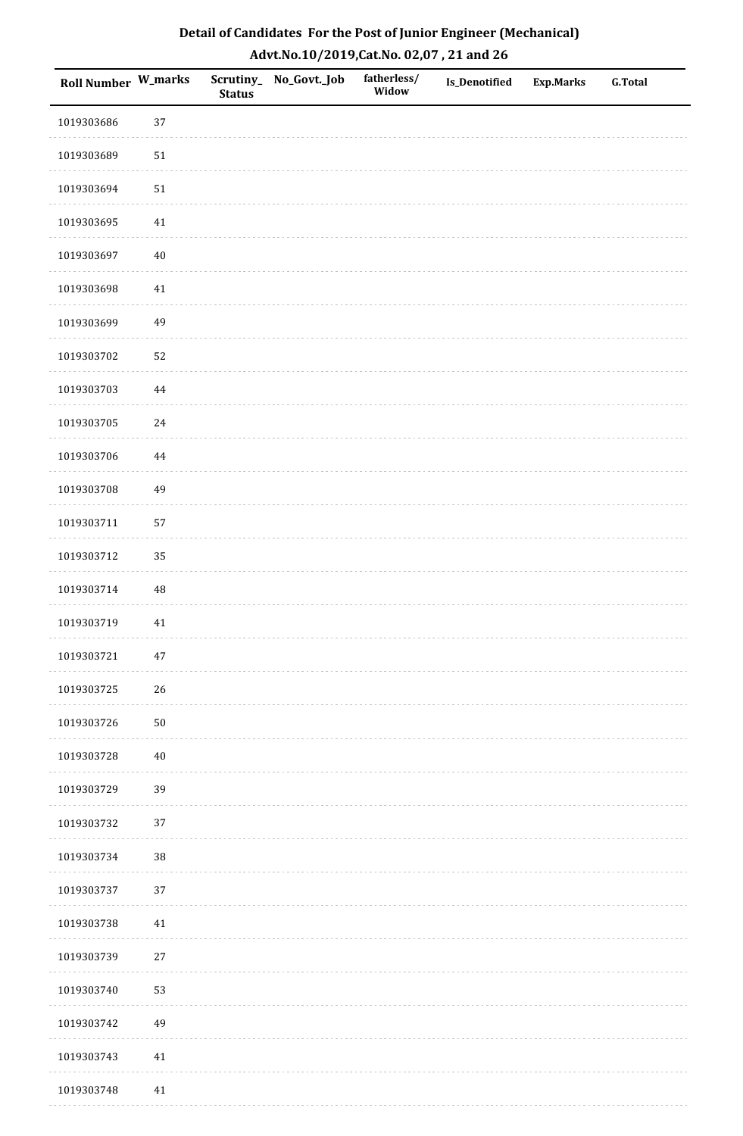| <b>Roll Number W_marks</b> |          | <b>Status</b> | Scrutiny_No_Govt._Job | fatherless/<br>Widow | Is_Denotified | <b>Exp.Marks</b> | <b>G.Total</b> |
|----------------------------|----------|---------------|-----------------------|----------------------|---------------|------------------|----------------|
| 1019303686                 | 37       |               |                       |                      |               |                  |                |
| 1019303689                 | $51\,$   |               |                       |                      |               |                  |                |
| 1019303694                 | $51\,$   |               |                       |                      |               |                  |                |
| 1019303695                 | $41\,$   |               |                       |                      |               |                  |                |
| 1019303697                 | $40\,$   |               |                       |                      |               |                  |                |
| 1019303698                 | 41       |               |                       |                      |               |                  |                |
| 1019303699                 | 49       |               |                       |                      |               |                  |                |
| 1019303702                 | 52       |               |                       |                      |               |                  |                |
| 1019303703                 | 44       |               |                       |                      |               |                  |                |
| 1019303705                 | $24\,$   |               |                       |                      |               |                  |                |
| 1019303706                 | 44       |               |                       |                      |               |                  |                |
| 1019303708                 | 49       |               |                       |                      |               |                  |                |
| 1019303711                 | 57       |               |                       |                      |               |                  |                |
| 1019303712                 | 35       |               |                       |                      |               |                  |                |
| 1019303714                 | $\rm 48$ |               |                       |                      |               |                  |                |
| 1019303719                 | $41\,$   |               |                       |                      |               |                  |                |
| 1019303721                 | $47\,$   |               |                       |                      |               |                  |                |
| 1019303725                 | 26       |               |                       |                      |               |                  |                |
| 1019303726                 | $50\,$   |               |                       |                      |               |                  |                |
| 1019303728                 | $40\,$   |               |                       |                      |               |                  |                |
| 1019303729                 | 39       |               |                       |                      |               |                  |                |
| 1019303732                 | $37\,$   |               |                       |                      |               |                  |                |
| 1019303734                 | $38\,$   |               |                       |                      |               |                  |                |
| 1019303737                 | 37       |               |                       |                      |               |                  |                |
| 1019303738                 | $41\,$   |               |                       |                      |               |                  |                |
| 1019303739                 | $27\,$   |               |                       |                      |               |                  |                |
| 1019303740                 | 53       |               |                       |                      |               |                  |                |
| 1019303742                 | 49       |               |                       |                      |               |                  |                |
| 1019303743                 | $41\,$   |               |                       |                      |               |                  |                |
| 1019303748                 | $41\,$   |               |                       |                      |               |                  |                |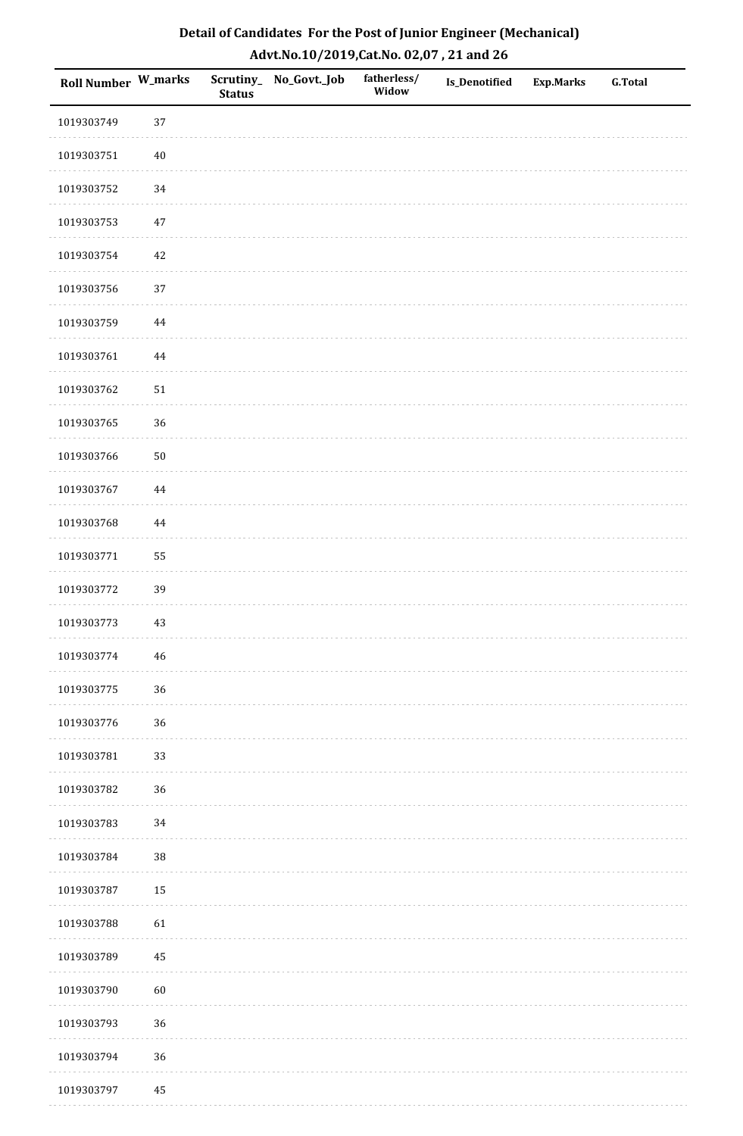| Detail of Candidates For the Post of Junior Engineer (Mechanical) |
|-------------------------------------------------------------------|
| Advt.No.10/2019,Cat.No. 02,07, 21 and 26                          |

| Roll Number W_marks |             | <b>Status</b> | Scrutiny_ No_Govt._Job | fatherless/<br>Widow | Is_Denotified | <b>Exp.Marks</b> | <b>G.Total</b> |
|---------------------|-------------|---------------|------------------------|----------------------|---------------|------------------|----------------|
| 1019303749          | 37          |               |                        |                      |               |                  |                |
| 1019303751          | $40\,$      |               |                        |                      |               |                  |                |
| 1019303752          | 34          |               |                        |                      |               |                  |                |
| 1019303753          | $47\,$      |               |                        |                      |               |                  |                |
| 1019303754          | $42\,$      |               |                        |                      |               |                  |                |
| 1019303756          | 37          |               |                        |                      |               |                  |                |
| 1019303759          | $\bf 44$    |               |                        |                      |               |                  |                |
| 1019303761          | $\bf 44$    |               |                        |                      |               |                  |                |
| 1019303762          | $51\,$      |               |                        |                      |               |                  |                |
| 1019303765          | 36          |               |                        |                      |               |                  |                |
| 1019303766          | $50\,$      |               |                        |                      |               |                  |                |
| 1019303767          | $\bf 44$    |               |                        |                      |               |                  |                |
| 1019303768          | $\bf 44$    |               |                        |                      |               |                  |                |
| 1019303771          | 55          |               |                        |                      |               |                  |                |
| 1019303772          | 39          |               |                        |                      |               |                  |                |
| 1019303773          | 43          |               |                        |                      |               |                  |                |
| 1019303774          | $\sqrt{46}$ |               |                        |                      |               |                  |                |
| 1019303775          | 36          |               |                        |                      |               |                  |                |
| 1019303776          | 36          |               |                        |                      |               |                  |                |
| 1019303781          | 33          |               |                        |                      |               |                  |                |
| 1019303782          | 36          |               |                        |                      |               |                  |                |
| 1019303783          | $34\,$      |               |                        |                      |               |                  |                |
| 1019303784          | $38\,$      |               |                        |                      |               |                  |                |
| 1019303787          | 15          |               |                        |                      |               |                  |                |
| 1019303788          | 61          |               |                        |                      |               |                  |                |
| 1019303789          | 45          |               |                        |                      |               |                  |                |
| 1019303790          | $60\,$      |               |                        |                      |               |                  |                |
| 1019303793          | 36          |               |                        |                      |               |                  |                |
| 1019303794          | 36          |               |                        |                      |               |                  |                |
| 1019303797          | 45          |               |                        |                      |               |                  |                |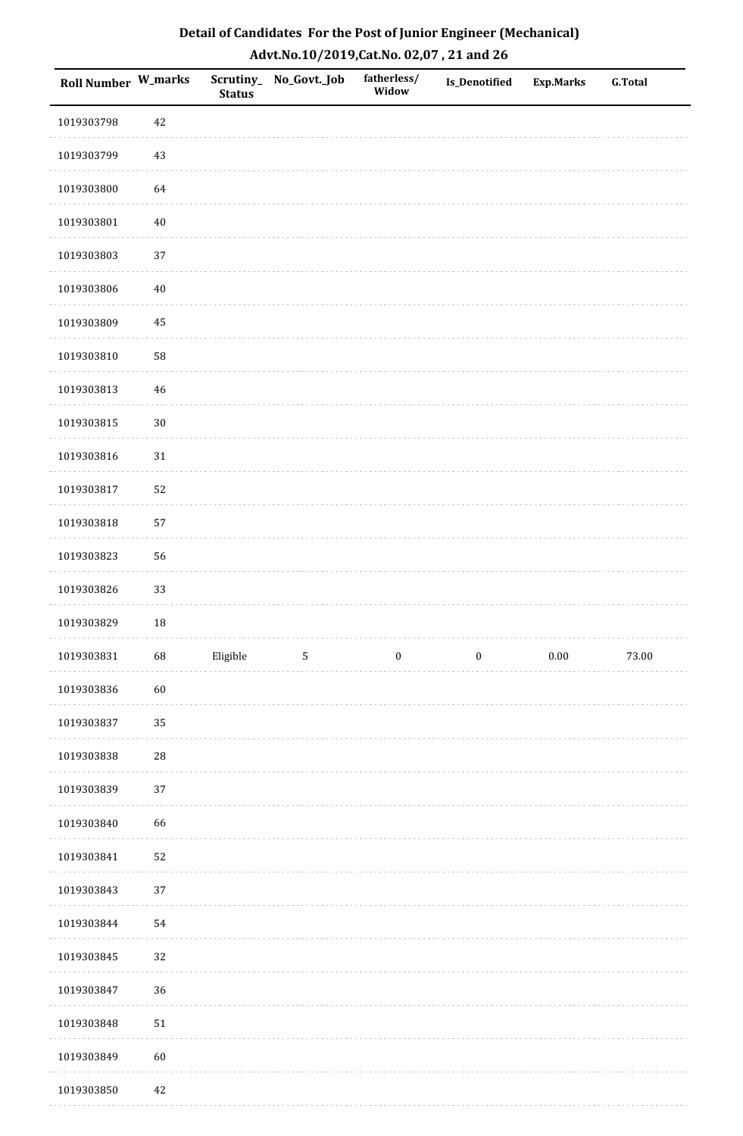| Roll Number W_marks |            | <b>Status</b> | Scrutiny_No_Govt._Job | fatherless/<br>Widow | Is_Denotified    | <b>Exp.Marks</b> | <b>G.Total</b> |
|---------------------|------------|---------------|-----------------------|----------------------|------------------|------------------|----------------|
| 1019303798          | $42\,$     |               |                       |                      |                  |                  |                |
| 1019303799          | 43         |               |                       |                      |                  |                  |                |
| 1019303800          | 64         |               |                       |                      |                  |                  |                |
| 1019303801          | $40\,$     |               |                       |                      |                  |                  |                |
| 1019303803          | 37         |               |                       |                      |                  |                  |                |
| 1019303806          | $40\,$     |               |                       |                      |                  |                  |                |
| 1019303809          | 45         |               |                       |                      |                  |                  |                |
| 1019303810          | 58         |               |                       |                      |                  |                  |                |
| 1019303813          | $46\,$     |               |                       |                      |                  |                  |                |
| 1019303815          | $30\,$     |               |                       |                      |                  |                  |                |
| 1019303816          | $31\,$     |               |                       |                      |                  |                  |                |
| 1019303817          | 52         |               |                       |                      |                  |                  |                |
| 1019303818          | 57         |               |                       |                      |                  |                  |                |
| 1019303823          | 56         |               |                       |                      |                  |                  |                |
| 1019303826          | 33         |               |                       |                      |                  |                  |                |
| 1019303829          | 18         |               |                       |                      |                  |                  |                |
| 1019303831          | 68         | Eligible      | $\sqrt{5}$            | $\boldsymbol{0}$     | $\boldsymbol{0}$ | $0.00\,$         | 73.00          |
| 1019303836          | 60         |               |                       |                      |                  |                  |                |
| 1019303837          | 35         |               |                       |                      |                  |                  |                |
| 1019303838          | ${\bf 28}$ |               |                       |                      |                  |                  |                |
| 1019303839          | 37         |               |                       |                      |                  |                  |                |
| 1019303840          | 66         |               |                       |                      |                  |                  |                |
| 1019303841          | 52         |               |                       |                      |                  |                  |                |
| 1019303843          | 37         |               |                       |                      |                  |                  |                |
| 1019303844          | 54         |               |                       |                      |                  |                  |                |
| 1019303845          | 32         |               |                       |                      |                  |                  |                |
| 1019303847          | 36         |               |                       |                      |                  |                  |                |
| 1019303848          | $51\,$     |               |                       |                      |                  |                  |                |
| 1019303849          | 60         |               |                       |                      |                  |                  |                |
| 1019303850          | 42         |               |                       |                      |                  |                  |                |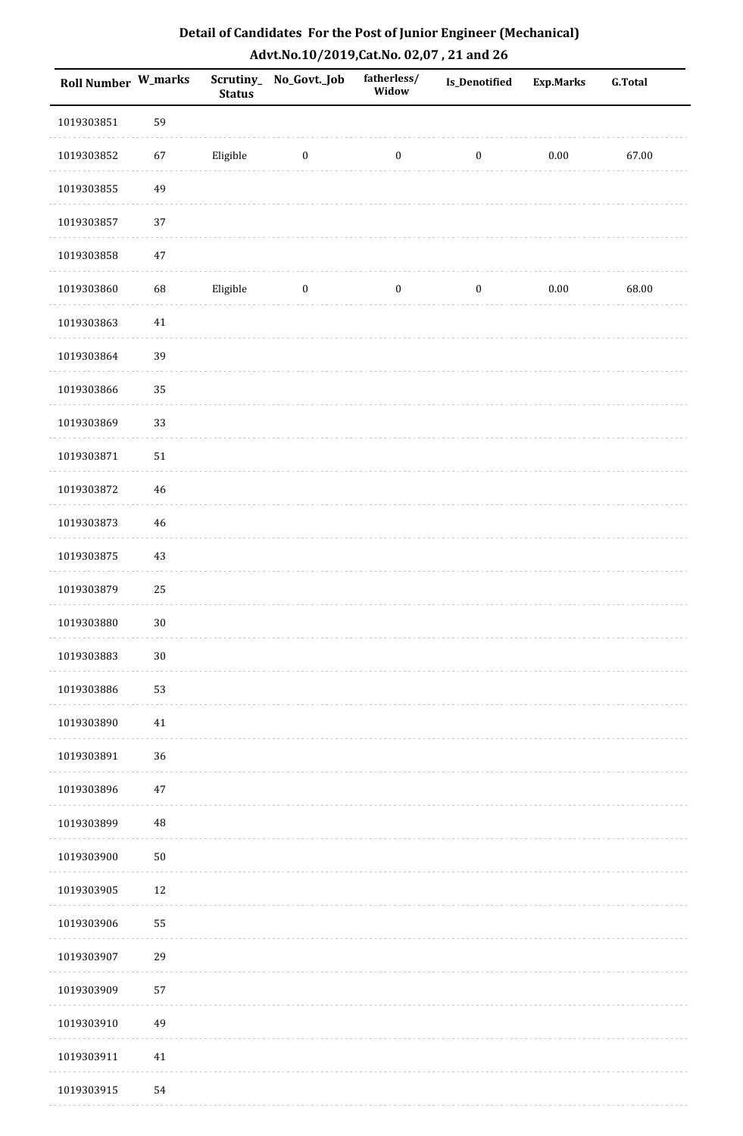| Roll Number W_marks |        | <b>Status</b> | Scrutiny_No_Govt._Job | fatherless/<br>Widow | Is_Denotified    | <b>Exp.Marks</b> | G.Total |
|---------------------|--------|---------------|-----------------------|----------------------|------------------|------------------|---------|
| 1019303851          | 59     |               |                       |                      |                  |                  |         |
| 1019303852          | 67     | Eligible      | $\bf{0}$              | $\boldsymbol{0}$     | $\bf{0}$         | 0.00             | 67.00   |
| 1019303855          | 49     |               |                       |                      |                  |                  |         |
| 1019303857          | 37     |               |                       |                      |                  |                  |         |
| 1019303858          | $47\,$ |               |                       |                      |                  |                  |         |
| 1019303860          | 68     | Eligible      | $\boldsymbol{0}$      | $\boldsymbol{0}$     | $\boldsymbol{0}$ | $0.00\,$         | 68.00   |
| 1019303863          | $41\,$ |               |                       |                      |                  |                  |         |
| 1019303864          | 39     |               |                       |                      |                  |                  |         |
| 1019303866          | 35     |               |                       |                      |                  |                  |         |
| 1019303869          | 33     |               |                       |                      |                  |                  |         |
| 1019303871          | 51     |               |                       |                      |                  |                  |         |
| 1019303872          | 46     |               |                       |                      |                  |                  |         |
| 1019303873          | 46     |               |                       |                      |                  |                  |         |
| 1019303875          | 43     |               |                       |                      |                  |                  |         |
| 1019303879          | 25     |               |                       |                      |                  |                  |         |
| 1019303880          | $30\,$ |               |                       |                      |                  |                  |         |
| 1019303883          | $30\,$ |               |                       |                      |                  |                  |         |
| 1019303886          | 53     |               |                       |                      |                  |                  |         |
| 1019303890          | $41\,$ |               |                       |                      |                  |                  |         |
| 1019303891          | 36     |               |                       |                      |                  |                  |         |
| 1019303896          | $47\,$ |               |                       |                      |                  |                  |         |
| 1019303899          | 48     |               |                       |                      |                  |                  |         |
| 1019303900          | 50     |               |                       |                      |                  |                  |         |
| 1019303905          | 12     |               |                       |                      |                  |                  |         |
| 1019303906          | 55     |               |                       |                      |                  |                  |         |
| 1019303907          | 29     |               |                       |                      |                  |                  |         |
| 1019303909          | 57     |               |                       |                      |                  |                  |         |
| 1019303910          | 49     |               |                       |                      |                  |                  |         |
| 1019303911          | $41\,$ |               |                       |                      |                  |                  |         |
| 1019303915          | 54     |               |                       |                      |                  |                  |         |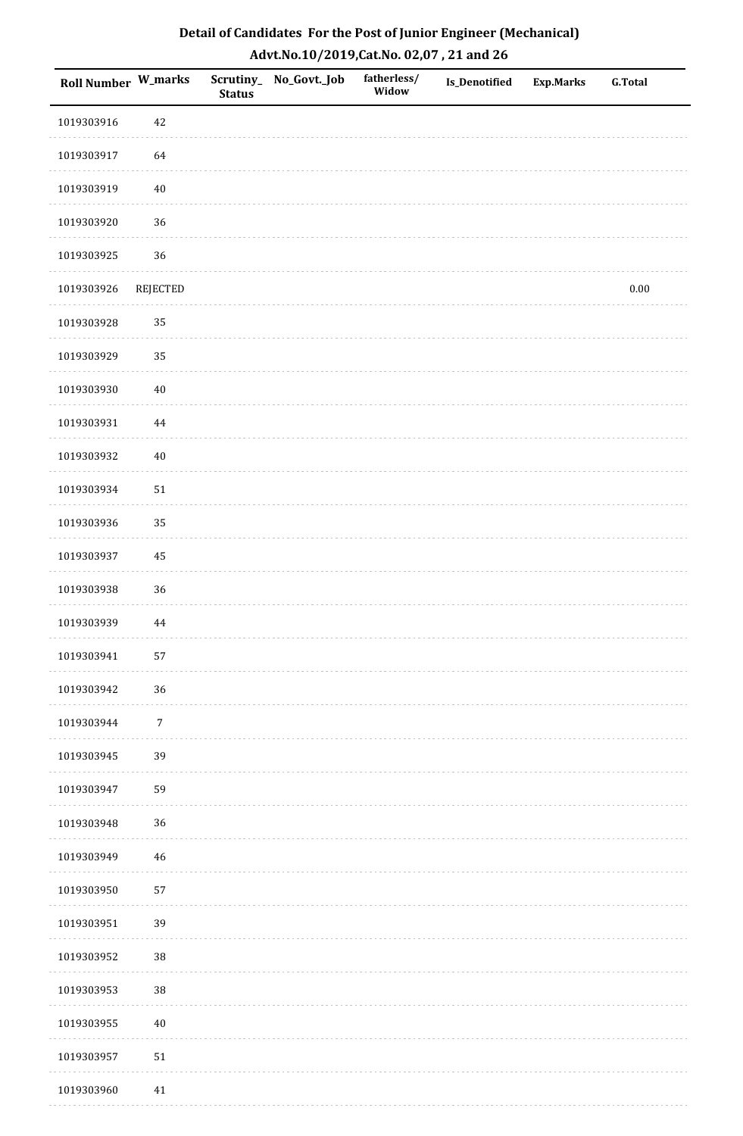| <b>Roll Number W_marks</b> |            | <b>Status</b> | Scrutiny_ No_Govt._Job | fatherless/<br>Widow | Is_Denotified | <b>Exp.Marks</b> | <b>G.Total</b> |
|----------------------------|------------|---------------|------------------------|----------------------|---------------|------------------|----------------|
| 1019303916                 | $42\,$     |               |                        |                      |               |                  |                |
| 1019303917                 | 64         |               |                        |                      |               |                  |                |
| 1019303919                 | $40\,$     |               |                        |                      |               |                  |                |
| 1019303920                 | 36         |               |                        |                      |               |                  |                |
| 1019303925                 | 36         |               |                        |                      |               |                  |                |
| 1019303926                 | REJECTED   |               |                        |                      |               |                  | $0.00\,$       |
| 1019303928                 | 35         |               |                        |                      |               |                  |                |
| 1019303929                 | 35         |               |                        |                      |               |                  |                |
| 1019303930                 | $40\,$     |               |                        |                      |               |                  |                |
| 1019303931                 | 44         |               |                        |                      |               |                  |                |
| 1019303932                 | $40\,$     |               |                        |                      |               |                  |                |
| 1019303934                 | ${\bf 51}$ |               |                        |                      |               |                  |                |
| 1019303936                 | 35         |               |                        |                      |               |                  |                |
| 1019303937                 | 45         |               |                        |                      |               |                  |                |
| 1019303938                 | 36         |               |                        |                      |               |                  |                |
| 1019303939                 | $\bf 44$   |               |                        |                      |               |                  |                |
| 1019303941                 | 57         |               |                        |                      |               |                  |                |
| 1019303942                 | 36         |               |                        |                      |               |                  |                |
| 1019303944                 | $\sqrt{7}$ |               |                        |                      |               |                  |                |
| 1019303945                 | 39         |               |                        |                      |               |                  |                |
| 1019303947                 | 59         |               |                        |                      |               |                  |                |
| 1019303948                 | 36         |               |                        |                      |               |                  |                |
| 1019303949                 | $46\,$     |               |                        |                      |               |                  |                |
| 1019303950                 | 57         |               |                        |                      |               |                  |                |
| 1019303951                 | 39         |               |                        |                      |               |                  |                |
| 1019303952                 | 38         |               |                        |                      |               |                  |                |
| 1019303953                 | $38\,$     |               |                        |                      |               |                  |                |
| 1019303955                 | $40\,$     |               |                        |                      |               |                  |                |
| 1019303957                 | 51         |               |                        |                      |               |                  |                |
| 1019303960                 | $41\,$     |               |                        |                      |               |                  |                |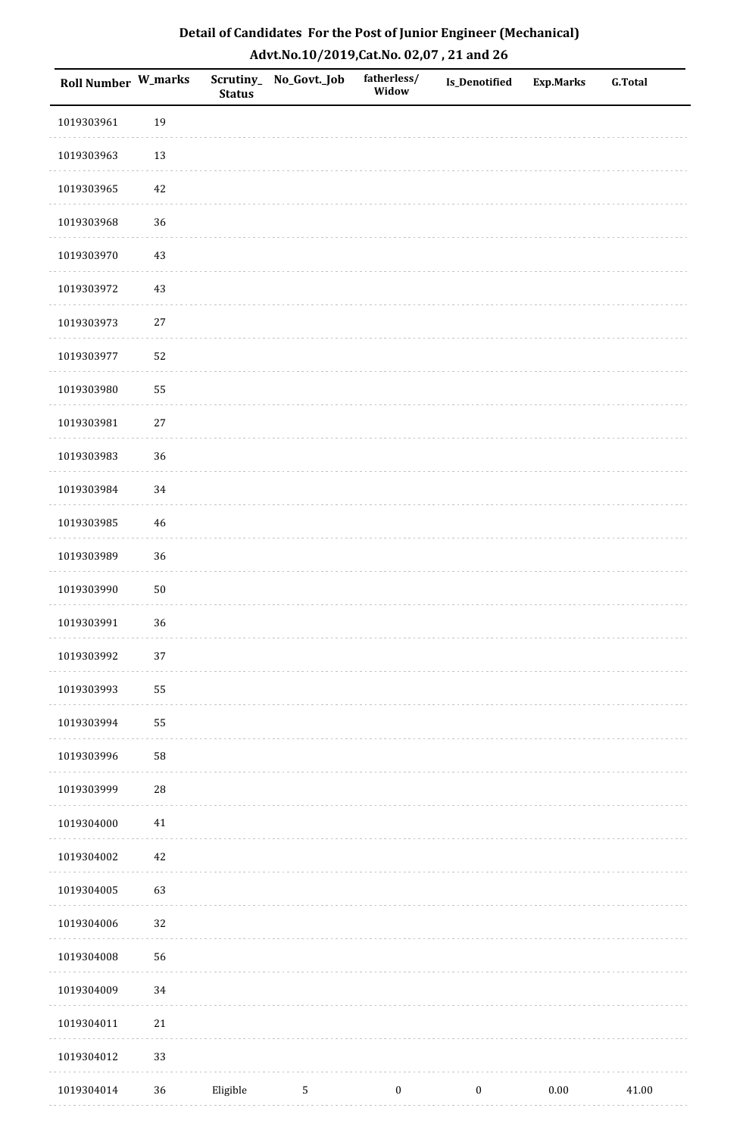| <b>Roll Number W_marks</b> |            | <b>Status</b> | Scrutiny_No_Govt._Job | fatherless/<br>Widow | Is_Denotified    | <b>Exp.Marks</b> | <b>G.Total</b> |
|----------------------------|------------|---------------|-----------------------|----------------------|------------------|------------------|----------------|
| 1019303961                 | 19         |               |                       |                      |                  |                  |                |
| 1019303963                 | $13\,$     |               |                       |                      |                  |                  |                |
| 1019303965                 | $42\,$     |               |                       |                      |                  |                  |                |
| 1019303968                 | 36         |               |                       |                      |                  |                  |                |
| 1019303970                 | $43\,$     |               |                       |                      |                  |                  |                |
| 1019303972                 | 43         |               |                       |                      |                  |                  |                |
| 1019303973                 | $27\,$     |               |                       |                      |                  |                  |                |
| 1019303977                 | 52         |               |                       |                      |                  |                  |                |
| 1019303980                 | 55         |               |                       |                      |                  |                  |                |
| 1019303981                 | $27\,$     |               |                       |                      |                  |                  |                |
| 1019303983                 | 36         |               |                       |                      |                  |                  |                |
| 1019303984                 | 34         |               |                       |                      |                  |                  |                |
| 1019303985                 | $46\,$     |               |                       |                      |                  |                  |                |
| 1019303989                 | 36         |               |                       |                      |                  |                  |                |
| 1019303990                 | $50\,$     |               |                       |                      |                  |                  |                |
| 1019303991                 | 36         |               |                       |                      |                  |                  |                |
| 1019303992                 | $37\,$     |               |                       |                      |                  |                  |                |
| 1019303993                 | 55         |               |                       |                      |                  |                  |                |
| 1019303994                 | 55         |               |                       |                      |                  |                  |                |
| 1019303996                 | 58         |               |                       |                      |                  |                  |                |
| 1019303999                 | ${\bf 28}$ |               |                       |                      |                  |                  |                |
| 1019304000                 | $41\,$     |               |                       |                      |                  |                  |                |
| 1019304002                 | $42\,$     |               |                       |                      |                  |                  |                |
| 1019304005                 | 63         |               |                       |                      |                  |                  |                |
| 1019304006                 | 32         |               |                       |                      |                  |                  |                |
| 1019304008                 | 56         |               |                       |                      |                  |                  |                |
| 1019304009                 | 34         |               |                       |                      |                  |                  |                |
| 1019304011                 | $21\,$     |               |                       |                      |                  |                  |                |
| 1019304012                 | 33         |               |                       |                      |                  |                  |                |
| 1019304014                 | 36         | Eligible      | $\sqrt{5}$            | $\boldsymbol{0}$     | $\boldsymbol{0}$ | $0.00\,$         | 41.00          |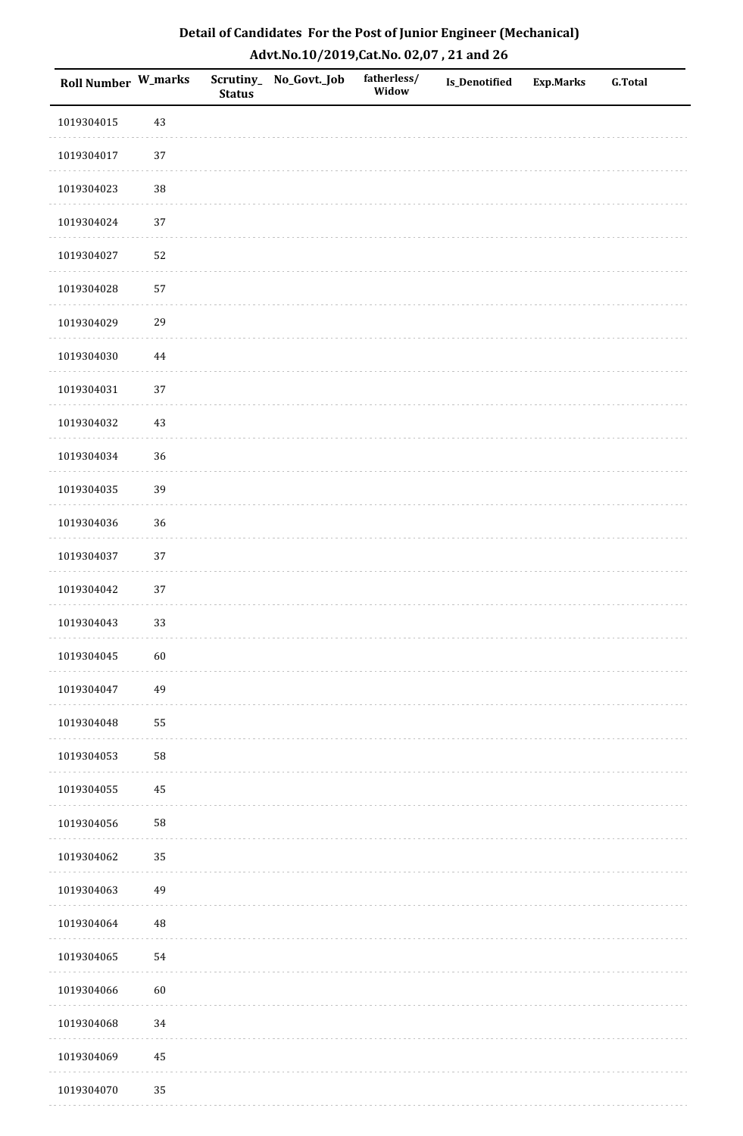| <b>Roll Number W_marks</b> |             | <b>Status</b> | Scrutiny_No_Govt._Job | fatherless/<br>Widow | Is_Denotified | <b>Exp.Marks</b> | <b>G.Total</b> |
|----------------------------|-------------|---------------|-----------------------|----------------------|---------------|------------------|----------------|
| 1019304015                 | 43          |               |                       |                      |               |                  |                |
| 1019304017                 | $37\,$      |               |                       |                      |               |                  |                |
| 1019304023                 | 38          |               |                       |                      |               |                  |                |
| 1019304024                 | 37          |               |                       |                      |               |                  |                |
| 1019304027                 | 52          |               |                       |                      |               |                  |                |
| 1019304028                 | 57          |               |                       |                      |               |                  |                |
| 1019304029                 | 29          |               |                       |                      |               |                  |                |
| 1019304030                 | $\bf 44$    |               |                       |                      |               |                  |                |
| 1019304031                 | 37          |               |                       |                      |               |                  |                |
| 1019304032                 | $43\,$      |               |                       |                      |               |                  |                |
| 1019304034                 | 36          |               |                       |                      |               |                  |                |
| 1019304035                 | 39          |               |                       |                      |               |                  |                |
| 1019304036                 | 36          |               |                       |                      |               |                  |                |
| 1019304037                 | 37          |               |                       |                      |               |                  |                |
| 1019304042                 | $37\,$      |               |                       |                      |               |                  |                |
| 1019304043                 | 33          |               |                       |                      |               |                  |                |
| 1019304045                 | 60          |               |                       |                      |               |                  |                |
| 1019304047                 | 49          |               |                       |                      |               |                  |                |
| 1019304048                 | 55          |               |                       |                      |               |                  |                |
| 1019304053                 | 58          |               |                       |                      |               |                  |                |
| 1019304055                 | 45          |               |                       |                      |               |                  |                |
| 1019304056                 | 58          |               |                       |                      |               |                  |                |
| 1019304062                 | 35          |               |                       |                      |               |                  |                |
| 1019304063                 | 49          |               |                       |                      |               |                  |                |
| 1019304064                 | $\sqrt{48}$ |               |                       |                      |               |                  |                |
| 1019304065                 | 54          |               |                       |                      |               |                  |                |
| 1019304066                 | $60\,$      |               |                       |                      |               |                  |                |
| 1019304068                 | 34          |               |                       |                      |               |                  |                |
| 1019304069                 | $\bf 45$    |               |                       |                      |               |                  |                |
| 1019304070                 | 35          |               |                       |                      |               |                  |                |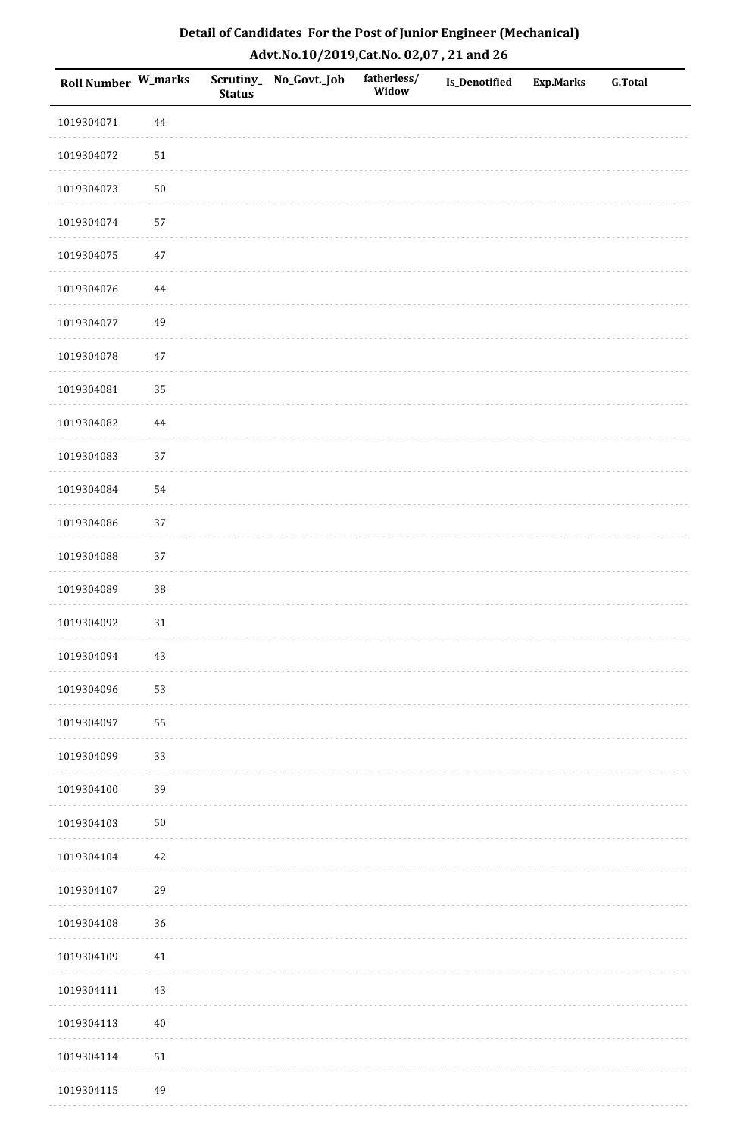| <b>Roll Number W_marks</b> |            | <b>Status</b> | Scrutiny_No_Govt._Job | fatherless/<br>Widow | Is_Denotified | <b>Exp.Marks</b> | <b>G.Total</b> |
|----------------------------|------------|---------------|-----------------------|----------------------|---------------|------------------|----------------|
| 1019304071                 | $\bf 44$   |               |                       |                      |               |                  |                |
| 1019304072                 | $51\,$     |               |                       |                      |               |                  |                |
| 1019304073                 | $50\,$     |               |                       |                      |               |                  |                |
| 1019304074                 | 57         |               |                       |                      |               |                  |                |
| 1019304075                 | $47\,$     |               |                       |                      |               |                  |                |
| 1019304076                 | 44         |               |                       |                      |               |                  |                |
| 1019304077                 | 49         |               |                       |                      |               |                  |                |
| 1019304078                 | $47\,$     |               |                       |                      |               |                  |                |
| 1019304081                 | 35         |               |                       |                      |               |                  |                |
| 1019304082                 | $\bf 44$   |               |                       |                      |               |                  |                |
| 1019304083                 | 37         |               |                       |                      |               |                  |                |
| 1019304084                 | 54         |               |                       |                      |               |                  |                |
| 1019304086                 | 37         |               |                       |                      |               |                  |                |
| 1019304088                 | 37         |               |                       |                      |               |                  |                |
| 1019304089                 | $38\,$     |               |                       |                      |               |                  |                |
| 1019304092                 | 31         |               |                       |                      |               |                  |                |
| 1019304094                 | $43\,$     |               |                       |                      |               |                  |                |
| 1019304096                 | 53         |               |                       |                      |               |                  |                |
| 1019304097                 | 55         |               |                       |                      |               |                  |                |
| 1019304099                 | 33         |               |                       |                      |               |                  |                |
| 1019304100                 | 39         |               |                       |                      |               |                  |                |
| 1019304103                 | $50\,$     |               |                       |                      |               |                  |                |
| 1019304104                 | 42         |               |                       |                      |               |                  |                |
| 1019304107                 | 29         |               |                       |                      |               |                  |                |
| 1019304108                 | 36         |               |                       |                      |               |                  |                |
| 1019304109                 | $41\,$     |               |                       |                      |               |                  |                |
| 1019304111                 | $43\,$     |               |                       |                      |               |                  |                |
| 1019304113                 | $40\,$     |               |                       |                      |               |                  |                |
| 1019304114                 | ${\bf 51}$ |               |                       |                      |               |                  |                |
| 1019304115                 | 49         |               |                       |                      |               |                  |                |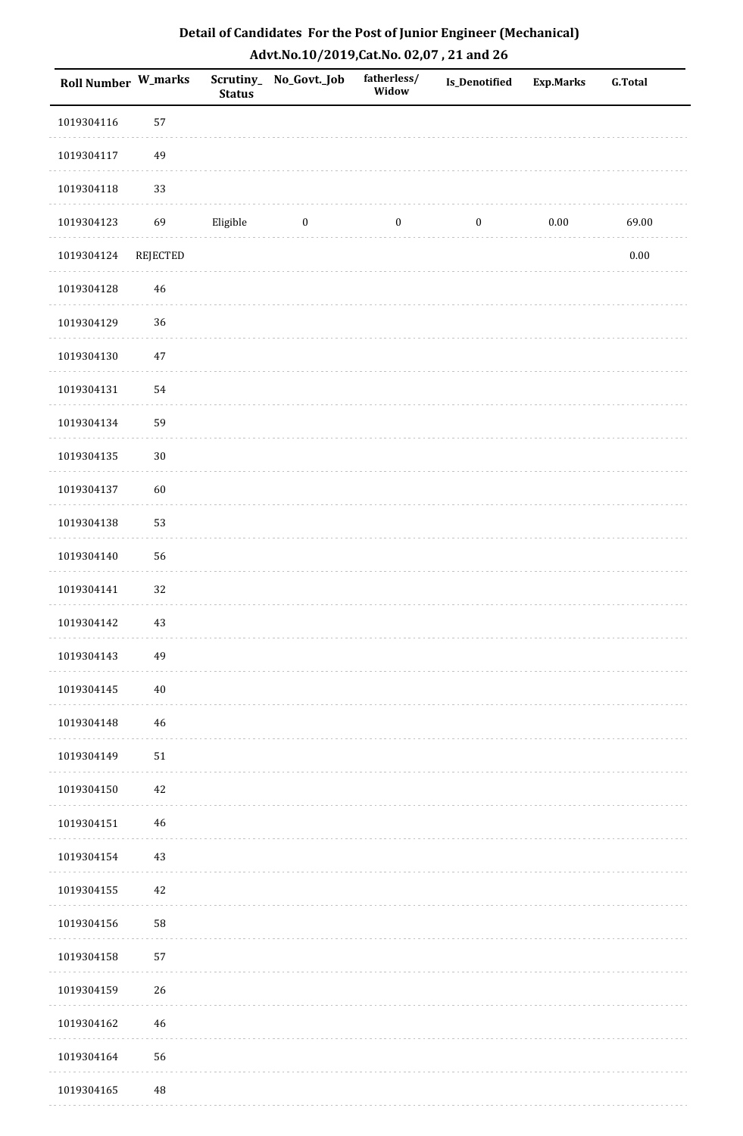| <b>Roll Number W_marks</b> |                 | <b>Status</b> | Scrutiny_ No_Govt._Job | fatherless/<br>Widow | Is_Denotified    | <b>Exp.Marks</b> | <b>G.Total</b> |
|----------------------------|-----------------|---------------|------------------------|----------------------|------------------|------------------|----------------|
| 1019304116                 | 57              |               |                        |                      |                  |                  |                |
| 1019304117                 | 49              |               |                        |                      |                  |                  |                |
| 1019304118                 | 33              |               |                        |                      |                  |                  |                |
| 1019304123                 | 69              | Eligible      | $\boldsymbol{0}$       | $\boldsymbol{0}$     | $\boldsymbol{0}$ | $0.00\,$         | 69.00          |
| 1019304124                 | <b>REJECTED</b> |               |                        |                      |                  |                  | $0.00\,$       |
| 1019304128                 | $\sqrt{46}$     |               |                        |                      |                  |                  |                |
| 1019304129                 | 36              |               |                        |                      |                  |                  |                |
| 1019304130                 | 47              |               |                        |                      |                  |                  |                |
| 1019304131                 | 54              |               |                        |                      |                  |                  |                |
| 1019304134                 | 59              |               |                        |                      |                  |                  |                |
| 1019304135                 | $30\,$          |               |                        |                      |                  |                  |                |
| 1019304137                 | 60              |               |                        |                      |                  |                  |                |
| 1019304138                 | 53              |               |                        |                      |                  |                  |                |
| 1019304140                 | 56              |               |                        |                      |                  |                  |                |
| 1019304141                 | 32              |               |                        |                      |                  |                  |                |
| 1019304142                 | 43              |               |                        |                      |                  |                  |                |
| 1019304143                 | 49              |               |                        |                      |                  |                  |                |
| 1019304145                 | $40\,$          |               |                        |                      |                  |                  |                |
| 1019304148                 | 46              |               |                        |                      |                  |                  |                |
| 1019304149                 | 51              |               |                        |                      |                  |                  |                |
| 1019304150                 | 42              |               |                        |                      |                  |                  |                |
| 1019304151                 | 46              |               |                        |                      |                  |                  |                |
| 1019304154                 | 43              |               |                        |                      |                  |                  |                |
| 1019304155                 | 42              |               |                        |                      |                  |                  |                |
| 1019304156                 | 58              |               |                        |                      |                  |                  |                |
| 1019304158                 | 57              |               |                        |                      |                  |                  |                |
| 1019304159                 | 26              |               |                        |                      |                  |                  |                |
| 1019304162                 | 46              |               |                        |                      |                  |                  |                |
| 1019304164                 | 56              |               |                        |                      |                  |                  |                |
| 1019304165                 | $\rm 48$        |               |                        |                      |                  |                  |                |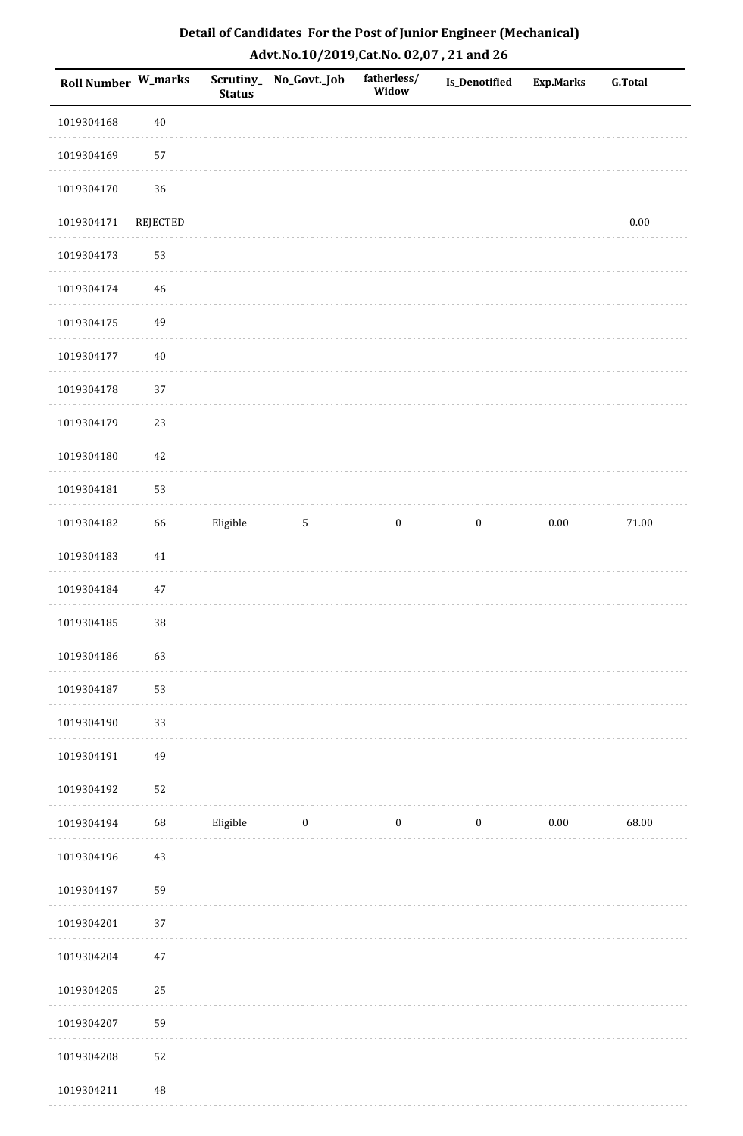| <b>Roll Number W_marks</b> |          | <b>Status</b> | Scrutiny_ No_Govt._Job | fatherless/<br>Widow | <b>Is_Denotified</b> | <b>Exp.Marks</b> | <b>G.Total</b> |
|----------------------------|----------|---------------|------------------------|----------------------|----------------------|------------------|----------------|
| 1019304168                 | $40\,$   |               |                        |                      |                      |                  |                |
| 1019304169                 | 57       |               |                        |                      |                      |                  |                |
| 1019304170                 | 36       |               |                        |                      |                      |                  |                |
| 1019304171                 | REJECTED |               |                        |                      |                      |                  | $0.00\,$       |
| 1019304173                 | 53       |               |                        |                      |                      |                  |                |
| 1019304174                 | 46       |               |                        |                      |                      |                  |                |
| 1019304175                 | 49       |               |                        |                      |                      |                  |                |
| 1019304177                 | $40\,$   |               |                        |                      |                      |                  |                |
| 1019304178                 | 37       |               |                        |                      |                      |                  |                |
| 1019304179                 | 23       |               |                        |                      |                      |                  |                |
| 1019304180                 | 42       |               |                        |                      |                      |                  |                |
| 1019304181                 | 53       |               |                        |                      |                      |                  |                |
| 1019304182                 | 66       | Eligible      | $\sqrt{5}$             | $\boldsymbol{0}$     | $\boldsymbol{0}$     | $0.00\,$         | $71.00\,$      |
| 1019304183                 | $41\,$   |               |                        |                      |                      |                  |                |
| 1019304184                 | 47       |               |                        |                      |                      |                  |                |
| 1019304185                 | $38\,$   |               |                        |                      |                      |                  |                |
| 1019304186                 | 63       |               |                        |                      |                      |                  |                |
| 1019304187                 | 53       |               |                        |                      |                      |                  |                |
| 1019304190                 | 33       |               |                        |                      |                      |                  |                |
| 1019304191                 | 49       |               |                        |                      |                      |                  |                |
| 1019304192                 | 52       |               |                        |                      |                      |                  |                |
| 1019304194                 | 68       | Eligible      | $\bf{0}$               | $\bf{0}$             | $\boldsymbol{0}$     | 0.00             | 68.00          |
| 1019304196                 | 43       |               |                        |                      |                      |                  |                |
| 1019304197                 | 59       |               |                        |                      |                      |                  |                |
| 1019304201                 | 37       |               |                        |                      |                      |                  |                |
| 1019304204                 | 47       |               |                        |                      |                      |                  |                |
| 1019304205                 | 25       |               |                        |                      |                      |                  |                |
| 1019304207                 | 59       |               |                        |                      |                      |                  |                |
| 1019304208                 | 52       |               |                        |                      |                      |                  |                |
| 1019304211                 | 48       |               |                        |                      |                      |                  |                |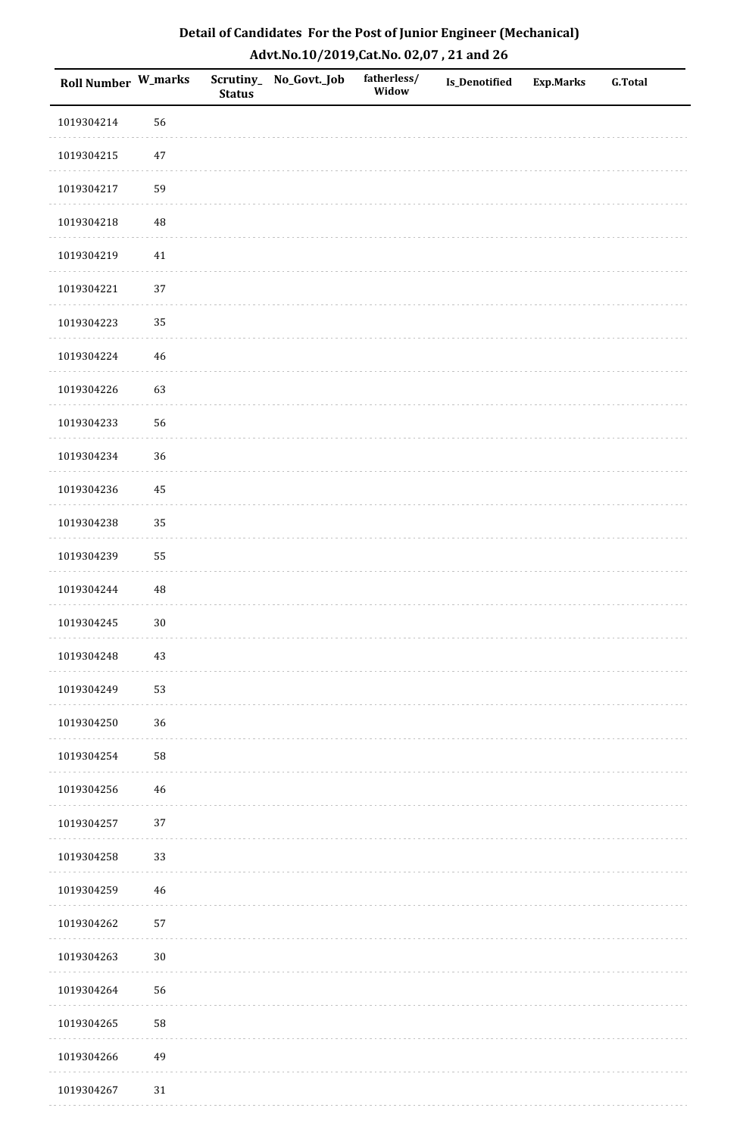| Roll Number W_marks |          | <b>Status</b> | Scrutiny_No_Govt._Job | fatherless/<br>Widow | Is_Denotified | <b>Exp.Marks</b> | <b>G.Total</b> |
|---------------------|----------|---------------|-----------------------|----------------------|---------------|------------------|----------------|
| 1019304214          | 56       |               |                       |                      |               |                  |                |
| 1019304215          | $47\,$   |               |                       |                      |               |                  |                |
| 1019304217          | 59       |               |                       |                      |               |                  |                |
| 1019304218          | 48       |               |                       |                      |               |                  |                |
| 1019304219          | $41\,$   |               |                       |                      |               |                  |                |
| 1019304221          | 37       |               |                       |                      |               |                  |                |
| 1019304223          | 35       |               |                       |                      |               |                  |                |
| 1019304224          | 46       |               |                       |                      |               |                  |                |
| 1019304226          | 63       |               |                       |                      |               |                  |                |
| 1019304233          | 56       |               |                       |                      |               |                  |                |
| 1019304234          | 36       |               |                       |                      |               |                  |                |
| 1019304236          | 45       |               |                       |                      |               |                  |                |
| 1019304238          | 35       |               |                       |                      |               |                  |                |
| 1019304239          | 55       |               |                       |                      |               |                  |                |
| 1019304244          | $\rm 48$ |               |                       |                      |               |                  |                |
| 1019304245          | $30\,$   |               |                       |                      |               |                  |                |
| 1019304248          | $43\,$   |               |                       |                      |               |                  |                |
| 1019304249          | 53       |               |                       |                      |               |                  |                |
| 1019304250          | 36       |               |                       |                      |               |                  |                |
| 1019304254          | 58       |               |                       |                      |               |                  |                |
| 1019304256          | 46       |               |                       |                      |               |                  |                |
| 1019304257          | $37\,$   |               |                       |                      |               |                  |                |
| 1019304258          | 33       |               |                       |                      |               |                  |                |
| 1019304259          | 46       |               |                       |                      |               |                  |                |
| 1019304262          | 57       |               |                       |                      |               |                  |                |
| 1019304263          | $30\,$   |               |                       |                      |               |                  |                |
| 1019304264          | 56       |               |                       |                      |               |                  |                |
| 1019304265          | 58       |               |                       |                      |               |                  |                |
| 1019304266          | 49       |               |                       |                      |               |                  |                |
| 1019304267          | $31\,$   |               |                       |                      |               |                  |                |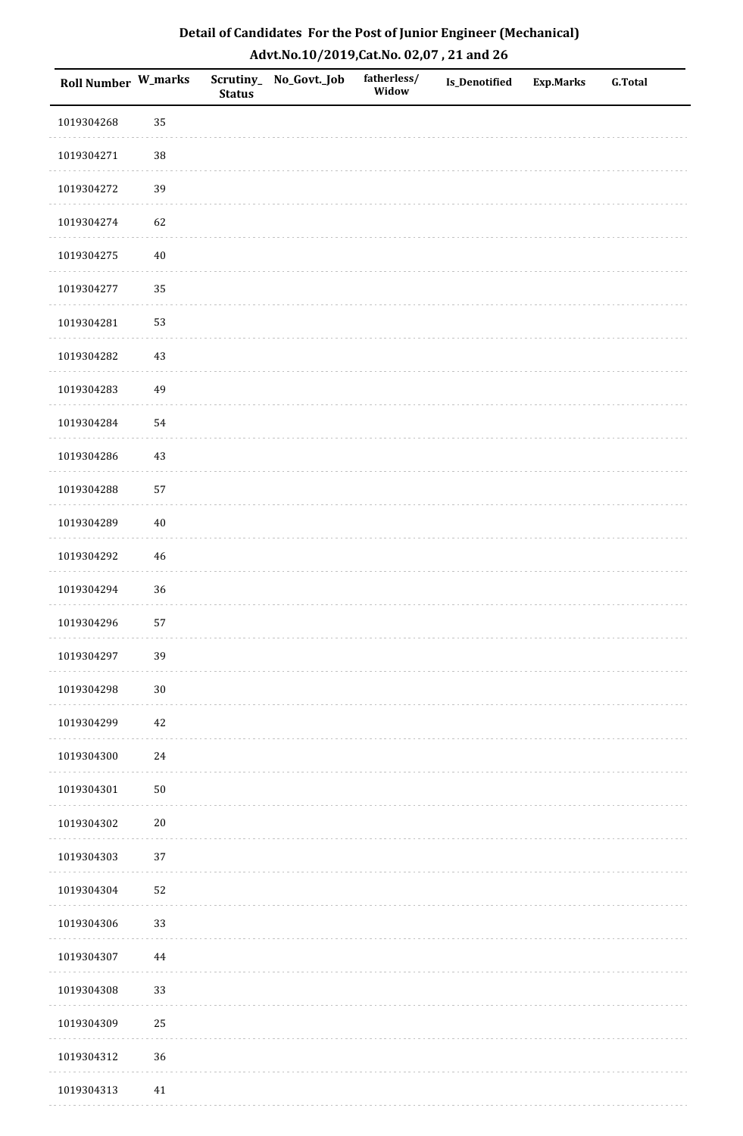| Roll Number W_marks |        | <b>Status</b> | Scrutiny_No_Govt._Job | fatherless/<br>Widow | Is_Denotified | <b>Exp.Marks</b> | <b>G.Total</b> |
|---------------------|--------|---------------|-----------------------|----------------------|---------------|------------------|----------------|
| 1019304268          | 35     |               |                       |                      |               |                  |                |
| 1019304271          | $38\,$ |               |                       |                      |               |                  |                |
| 1019304272          | 39     |               |                       |                      |               |                  |                |
| 1019304274          | 62     |               |                       |                      |               |                  |                |
| 1019304275          | $40\,$ |               |                       |                      |               |                  |                |
| 1019304277          | 35     |               |                       |                      |               |                  |                |
| 1019304281          | 53     |               |                       |                      |               |                  |                |
| 1019304282          | $43\,$ |               |                       |                      |               |                  |                |
| 1019304283          | 49     |               |                       |                      |               |                  |                |
| 1019304284          | 54     |               |                       |                      |               |                  |                |
| 1019304286          | 43     |               |                       |                      |               |                  |                |
| 1019304288          | 57     |               |                       |                      |               |                  |                |
| 1019304289          | $40\,$ |               |                       |                      |               |                  |                |
| 1019304292          | $46\,$ |               |                       |                      |               |                  |                |
| 1019304294          | 36     |               |                       |                      |               |                  |                |
| 1019304296          | 57     |               |                       |                      |               |                  |                |
| 1019304297          | 39     |               |                       |                      |               |                  |                |
| 1019304298          | $30\,$ |               |                       |                      |               |                  |                |
| 1019304299          | $42\,$ |               |                       |                      |               |                  |                |
| 1019304300          | $24\,$ |               |                       |                      |               |                  |                |
| 1019304301          | $50\,$ |               |                       |                      |               |                  |                |
| 1019304302          | $20\,$ |               |                       |                      |               |                  |                |
| 1019304303          | 37     |               |                       |                      |               |                  |                |
| 1019304304          | 52     |               |                       |                      |               |                  |                |
| 1019304306          | 33     |               |                       |                      |               |                  |                |
| 1019304307          | 44     |               |                       |                      |               |                  |                |
| 1019304308          | 33     |               |                       |                      |               |                  |                |
| 1019304309          | 25     |               |                       |                      |               |                  |                |
| 1019304312          | 36     |               |                       |                      |               |                  |                |
| 1019304313          | 41     |               |                       |                      |               |                  |                |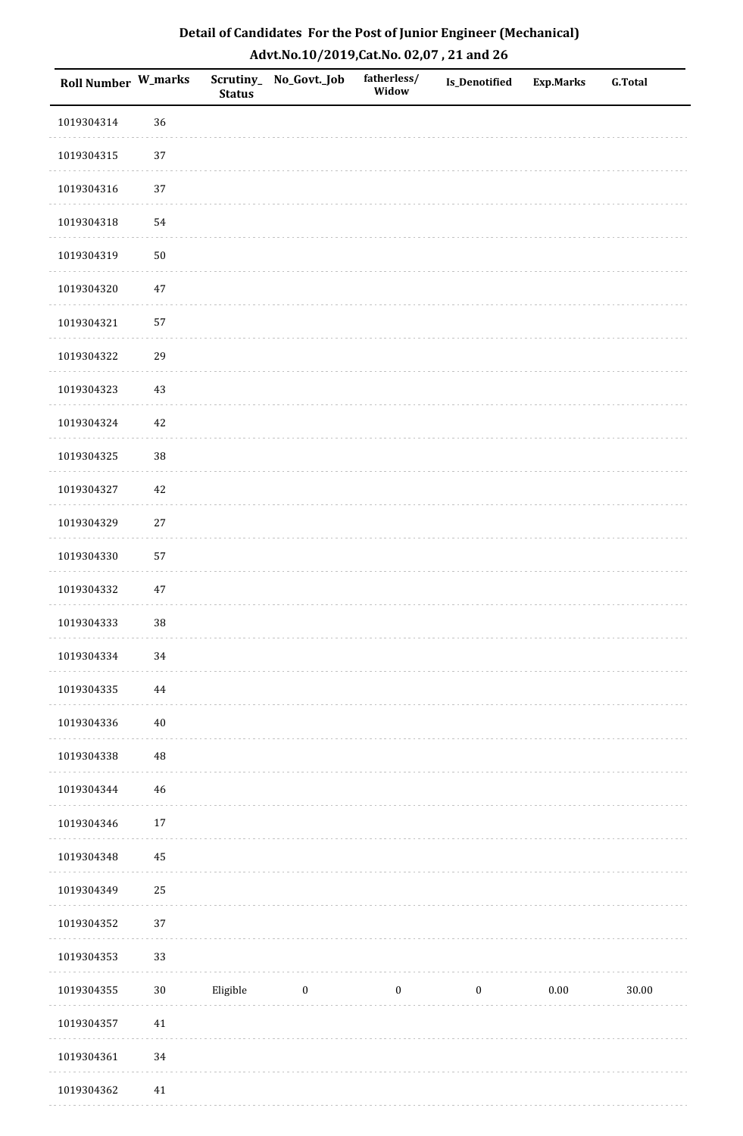| Detail of Candidates For the Post of Junior Engineer (Mechanical) |
|-------------------------------------------------------------------|
| Advt.No.10/2019, Cat.No. 02,07, 21 and 26                         |

| Roll Number W_marks |        | <b>Status</b> | Scrutiny_ No_Govt._Job | fatherless/<br>Widow | Is_Denotified    | <b>Exp.Marks</b> | <b>G.Total</b> |
|---------------------|--------|---------------|------------------------|----------------------|------------------|------------------|----------------|
| 1019304314          | 36     |               |                        |                      |                  |                  |                |
| 1019304315          | 37     |               |                        |                      |                  |                  |                |
| 1019304316          | 37     |               |                        |                      |                  |                  |                |
| 1019304318          | 54     |               |                        |                      |                  |                  |                |
| 1019304319          | $50\,$ |               |                        |                      |                  |                  |                |
| 1019304320          | $47\,$ |               |                        |                      |                  |                  |                |
| 1019304321          | 57     |               |                        |                      |                  |                  |                |
| 1019304322          | 29     |               |                        |                      |                  |                  |                |
| 1019304323          | 43     |               |                        |                      |                  |                  |                |
| 1019304324          | $42\,$ |               |                        |                      |                  |                  |                |
| 1019304325          | 38     |               |                        |                      |                  |                  |                |
| 1019304327          | $42\,$ |               |                        |                      |                  |                  |                |
| 1019304329          | $27\,$ |               |                        |                      |                  |                  |                |
| 1019304330          | 57     |               |                        |                      |                  |                  |                |
| 1019304332          | $47\,$ |               |                        |                      |                  |                  |                |
| 1019304333          | 38     |               |                        |                      |                  |                  |                |
| 1019304334          | $34\,$ |               |                        |                      |                  |                  |                |
| 1019304335          | 44     |               |                        |                      |                  |                  |                |
| 1019304336          | $40\,$ |               |                        |                      |                  |                  |                |
| 1019304338          | 48     |               |                        |                      |                  |                  |                |
| 1019304344          | 46     |               |                        |                      |                  |                  |                |
| 1019304346          | $17\,$ |               |                        |                      |                  |                  |                |
| 1019304348          | 45     |               |                        |                      |                  |                  |                |
| 1019304349          | 25     |               |                        |                      |                  |                  |                |
| 1019304352          | 37     |               |                        |                      |                  |                  |                |
| 1019304353          | 33     |               |                        |                      |                  |                  |                |
| 1019304355          | $30\,$ | Eligible      | $\boldsymbol{0}$       | $\boldsymbol{0}$     | $\boldsymbol{0}$ | $0.00\,$         | 30.00          |
| 1019304357          | $41\,$ |               |                        |                      |                  |                  |                |
| 1019304361          | $34\,$ |               |                        |                      |                  |                  |                |
| 1019304362          | 41     |               |                        |                      |                  |                  |                |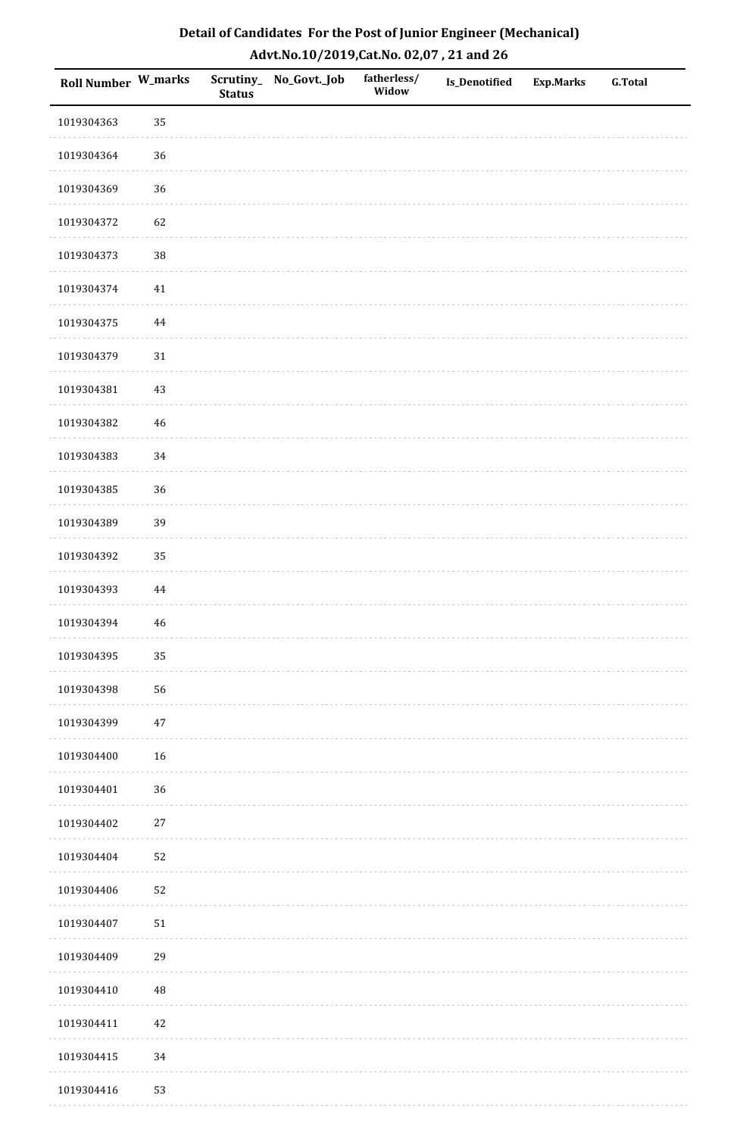| <b>Roll Number W_marks</b> |             | <b>Status</b> | Scrutiny_No_Govt._Job | fatherless/<br>Widow | Is_Denotified | <b>Exp.Marks</b> | <b>G.Total</b> |
|----------------------------|-------------|---------------|-----------------------|----------------------|---------------|------------------|----------------|
| 1019304363                 | 35          |               |                       |                      |               |                  |                |
| 1019304364                 | 36          |               |                       |                      |               |                  |                |
| 1019304369                 | 36          |               |                       |                      |               |                  |                |
| 1019304372                 | 62          |               |                       |                      |               |                  |                |
| 1019304373                 | $38\,$      |               |                       |                      |               |                  |                |
| 1019304374                 | 41          |               |                       |                      |               |                  |                |
| 1019304375                 | $\bf 44$    |               |                       |                      |               |                  |                |
| 1019304379                 | $31\,$      |               |                       |                      |               |                  |                |
| 1019304381                 | $43\,$      |               |                       |                      |               |                  |                |
| 1019304382                 | $\sqrt{46}$ |               |                       |                      |               |                  |                |
| 1019304383                 | 34          |               |                       |                      |               |                  |                |
| 1019304385                 | 36          |               |                       |                      |               |                  |                |
| 1019304389                 | 39          |               |                       |                      |               |                  |                |
| 1019304392                 | 35          |               |                       |                      |               |                  |                |
| 1019304393                 | $\bf 44$    |               |                       |                      |               |                  |                |
| 1019304394                 | $46\,$      |               |                       |                      |               |                  |                |
| 1019304395                 | 35          |               |                       |                      |               |                  |                |
| 1019304398                 | 56          |               |                       |                      |               |                  |                |
| 1019304399                 | $47\,$      |               |                       |                      |               |                  |                |
| 1019304400                 | 16          |               |                       |                      |               |                  |                |
| 1019304401                 | 36          |               |                       |                      |               |                  |                |
| 1019304402                 | $27\,$      |               |                       |                      |               |                  |                |
| 1019304404                 | 52          |               |                       |                      |               |                  |                |
| 1019304406                 | 52          |               |                       |                      |               |                  |                |
| 1019304407                 | $51\,$      |               |                       |                      |               |                  |                |
| 1019304409                 | 29          |               |                       |                      |               |                  |                |
| 1019304410                 | 48          |               |                       |                      |               |                  |                |
| 1019304411                 | $42\,$      |               |                       |                      |               |                  |                |
| 1019304415                 | 34          |               |                       |                      |               |                  |                |
| 1019304416                 | 53          |               |                       |                      |               |                  |                |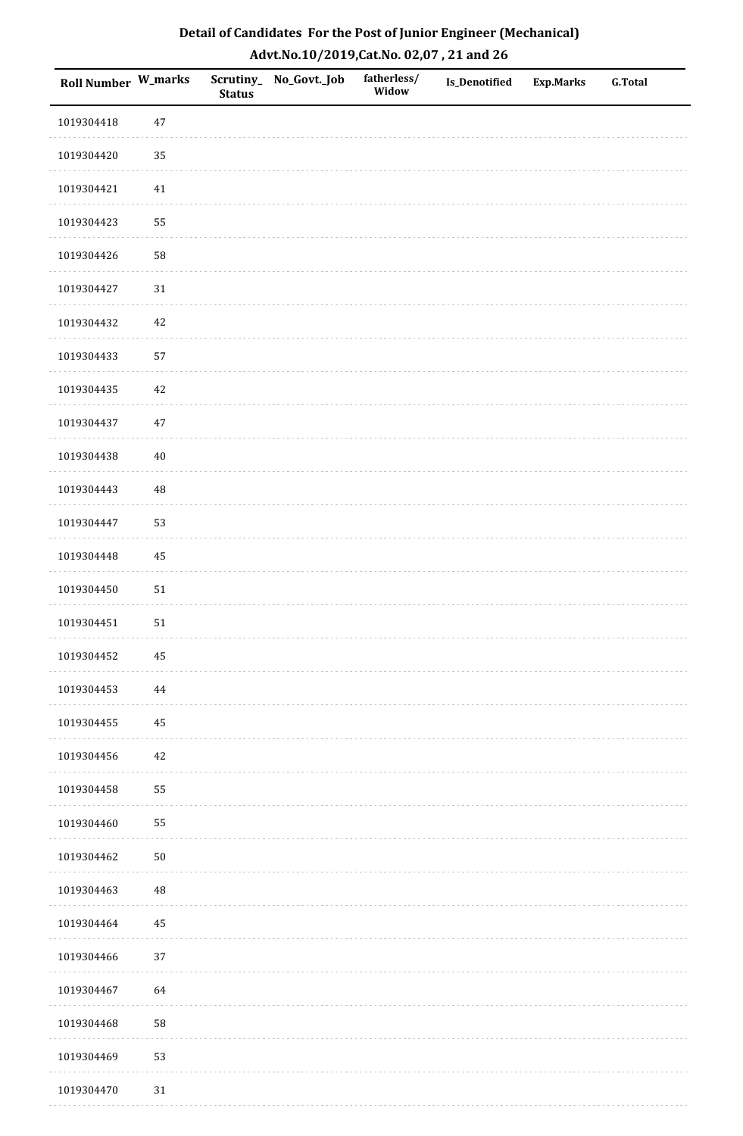| Roll Number W_marks |            | <b>Status</b> | Scrutiny_No_Govt._Job | fatherless/<br>Widow | <b>Is_Denotified</b> | Exp.Marks | <b>G.Total</b> |
|---------------------|------------|---------------|-----------------------|----------------------|----------------------|-----------|----------------|
| 1019304418          | $47\,$     |               |                       |                      |                      |           |                |
| 1019304420          | 35         |               |                       |                      |                      |           |                |
| 1019304421          | 41         |               |                       |                      |                      |           |                |
| 1019304423          | 55         |               |                       |                      |                      |           |                |
| 1019304426          | 58         |               |                       |                      |                      |           |                |
| 1019304427          | $31\,$     |               |                       |                      |                      |           |                |
| 1019304432          | $42\,$     |               |                       |                      |                      |           |                |
| 1019304433          | 57         |               |                       |                      |                      |           |                |
| 1019304435          | 42         |               |                       |                      |                      |           |                |
| 1019304437          | $47\,$     |               |                       |                      |                      |           |                |
| 1019304438          | $40\,$     |               |                       |                      |                      |           |                |
| 1019304443          | 48         |               |                       |                      |                      |           |                |
| 1019304447          | 53         |               |                       |                      |                      |           |                |
| 1019304448          | 45         |               |                       |                      |                      |           |                |
| 1019304450          | ${\bf 51}$ |               |                       |                      |                      |           |                |
| 1019304451          | 51         |               |                       |                      |                      |           |                |
| 1019304452          | $\bf 45$   |               |                       |                      |                      |           |                |
| 1019304453          | 44         |               |                       |                      |                      |           |                |
| 1019304455          | 45         |               |                       |                      |                      |           |                |
| 1019304456          | $42\,$     |               |                       |                      |                      |           |                |
| 1019304458          | 55         |               |                       |                      |                      |           |                |
| 1019304460          | 55         |               |                       |                      |                      |           |                |
| 1019304462          | $50\,$     |               |                       |                      |                      |           |                |
| 1019304463          | 48         |               |                       |                      |                      |           |                |
| 1019304464          | 45         |               |                       |                      |                      |           |                |
| 1019304466          | $37\,$     |               |                       |                      |                      |           |                |
| 1019304467          | 64         |               |                       |                      |                      |           |                |
| 1019304468          | 58         |               |                       |                      |                      |           |                |
| 1019304469          | 53         |               |                       |                      |                      |           |                |
| 1019304470          | $31\,$     |               |                       |                      |                      |           |                |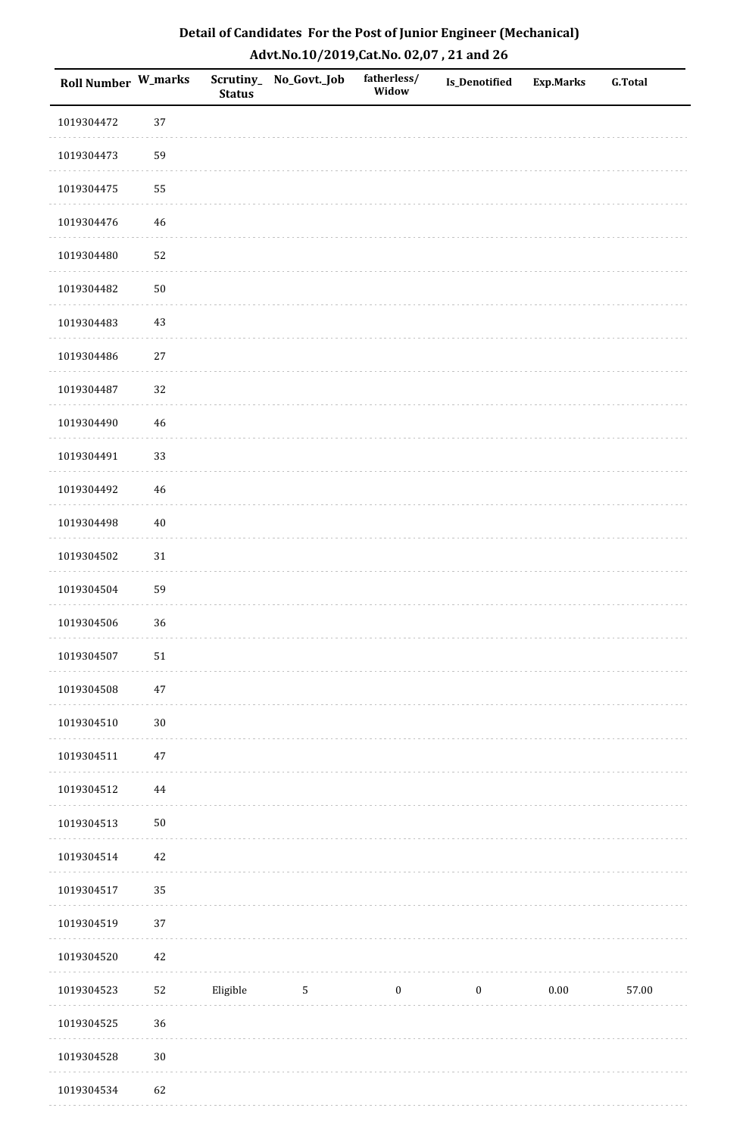| <b>Roll Number W_marks</b> |        | <b>Status</b> | Scrutiny_No_Govt._Job | fatherless/<br>Widow | Is_Denotified    | <b>Exp.Marks</b> | <b>G.Total</b> |
|----------------------------|--------|---------------|-----------------------|----------------------|------------------|------------------|----------------|
| 1019304472                 | 37     |               |                       |                      |                  |                  |                |
| 1019304473                 | 59     |               |                       |                      |                  |                  |                |
| 1019304475                 | 55     |               |                       |                      |                  |                  |                |
| 1019304476                 | $46\,$ |               |                       |                      |                  |                  |                |
| 1019304480                 | 52     |               |                       |                      |                  |                  |                |
| 1019304482                 | $50\,$ |               |                       |                      |                  |                  |                |
| 1019304483                 | $43\,$ |               |                       |                      |                  |                  |                |
| 1019304486                 | $27\,$ |               |                       |                      |                  |                  |                |
| 1019304487                 | 32     |               |                       |                      |                  |                  |                |
| 1019304490                 | $46\,$ |               |                       |                      |                  |                  |                |
| 1019304491                 | 33     |               |                       |                      |                  |                  |                |
| 1019304492                 | $46\,$ |               |                       |                      |                  |                  |                |
| 1019304498                 | $40\,$ |               |                       |                      |                  |                  |                |
| 1019304502                 | 31     |               |                       |                      |                  |                  |                |
| 1019304504                 | 59     |               |                       |                      |                  |                  |                |
| 1019304506                 | 36     |               |                       |                      |                  |                  |                |
| 1019304507                 | $51\,$ |               |                       |                      |                  |                  |                |
| 1019304508                 | $47\,$ |               |                       |                      |                  |                  |                |
| 1019304510                 | $30\,$ |               |                       |                      |                  |                  |                |
| 1019304511                 | $47\,$ |               |                       |                      |                  |                  |                |
| 1019304512                 | 44     |               |                       |                      |                  |                  |                |
| 1019304513                 | $50\,$ |               |                       |                      |                  |                  |                |
| 1019304514                 | $42\,$ |               |                       |                      |                  |                  |                |
| 1019304517                 | 35     |               |                       |                      |                  |                  |                |
| 1019304519                 | 37     |               |                       |                      |                  |                  |                |
| 1019304520                 | $42\,$ |               |                       |                      |                  |                  |                |
| 1019304523                 | $52\,$ | Eligible      | 5                     | $\boldsymbol{0}$     | $\boldsymbol{0}$ | 0.00             | 57.00          |
| 1019304525                 | 36     |               |                       |                      |                  |                  |                |
| 1019304528                 | $30\,$ |               |                       |                      |                  |                  |                |
| 1019304534                 | 62     |               |                       |                      |                  |                  |                |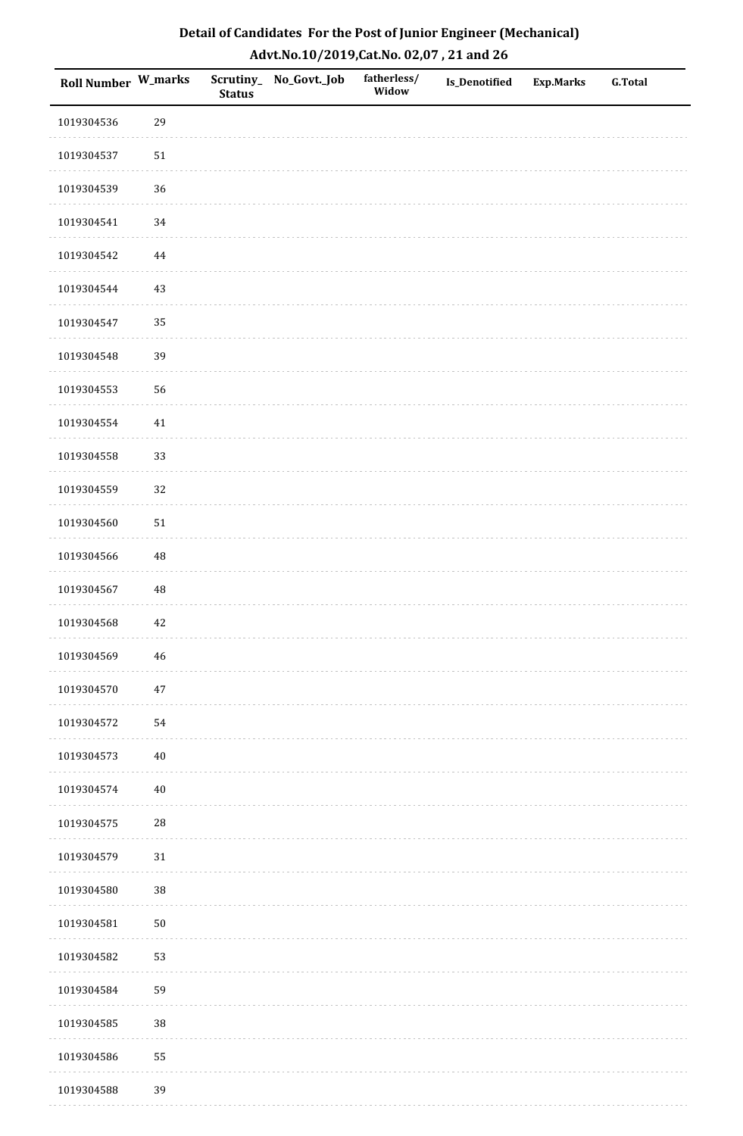| Roll Number W_marks |             | <b>Status</b> | Scrutiny_No_Govt._Job | fatherless/<br>Widow | Is_Denotified | <b>Exp.Marks</b> | <b>G.Total</b> |
|---------------------|-------------|---------------|-----------------------|----------------------|---------------|------------------|----------------|
| 1019304536          | 29          |               |                       |                      |               |                  |                |
| 1019304537          | $51\,$      |               |                       |                      |               |                  |                |
| 1019304539          | 36          |               |                       |                      |               |                  |                |
| 1019304541          | $34\,$      |               |                       |                      |               |                  |                |
| 1019304542          | $\bf 44$    |               |                       |                      |               |                  |                |
| 1019304544          | 43          |               |                       |                      |               |                  |                |
| 1019304547          | 35          |               |                       |                      |               |                  |                |
| 1019304548          | 39          |               |                       |                      |               |                  |                |
| 1019304553          | 56          |               |                       |                      |               |                  |                |
| 1019304554          | $41\,$      |               |                       |                      |               |                  |                |
| 1019304558          | 33          |               |                       |                      |               |                  |                |
| 1019304559          | 32          |               |                       |                      |               |                  |                |
| 1019304560          | $51\,$      |               |                       |                      |               |                  |                |
| 1019304566          | 48          |               |                       |                      |               |                  |                |
| 1019304567          | $\rm 48$    |               |                       |                      |               |                  |                |
| 1019304568          | 42          |               |                       |                      |               |                  |                |
| 1019304569          | $\sqrt{46}$ |               |                       |                      |               |                  |                |
| 1019304570          | $47\,$      |               |                       |                      |               |                  |                |
| 1019304572          | 54          |               |                       |                      |               |                  |                |
| 1019304573          | $40\,$      |               |                       |                      |               |                  |                |
| 1019304574          | $40\,$      |               |                       |                      |               |                  |                |
| 1019304575          | $28\,$      |               |                       |                      |               |                  |                |
| 1019304579          | $31\,$      |               |                       |                      |               |                  |                |
| 1019304580          | 38          |               |                       |                      |               |                  |                |
| 1019304581          | $50\,$      |               |                       |                      |               |                  |                |
| 1019304582          | 53          |               |                       |                      |               |                  |                |
| 1019304584          | 59          |               |                       |                      |               |                  |                |
| 1019304585          | 38          |               |                       |                      |               |                  |                |
| 1019304586          | 55          |               |                       |                      |               |                  |                |
| 1019304588          | 39          |               |                       |                      |               |                  |                |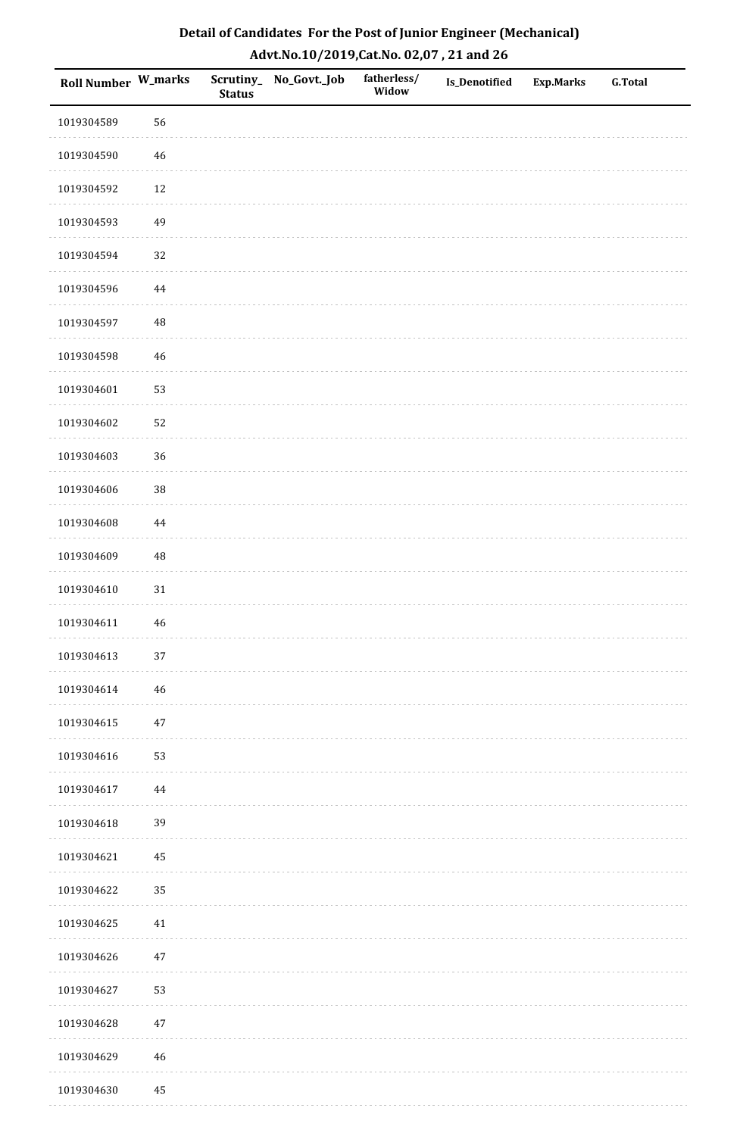| <b>Roll Number W_marks</b> |             | <b>Status</b> | Scrutiny_No_Govt._Job | fatherless/<br>Widow | Is_Denotified | <b>Exp.Marks</b> | <b>G.Total</b> |
|----------------------------|-------------|---------------|-----------------------|----------------------|---------------|------------------|----------------|
| 1019304589                 | 56          |               |                       |                      |               |                  |                |
| 1019304590                 | $46\,$      |               |                       |                      |               |                  |                |
| 1019304592                 | $12\,$      |               |                       |                      |               |                  |                |
| 1019304593                 | 49          |               |                       |                      |               |                  |                |
| 1019304594                 | 32          |               |                       |                      |               |                  |                |
| 1019304596                 | 44          |               |                       |                      |               |                  |                |
| 1019304597                 | $\rm 48$    |               |                       |                      |               |                  |                |
| 1019304598                 | $46\,$      |               |                       |                      |               |                  |                |
| 1019304601                 | 53          |               |                       |                      |               |                  |                |
| 1019304602                 | 52          |               |                       |                      |               |                  |                |
| 1019304603                 | 36          |               |                       |                      |               |                  |                |
| 1019304606                 | 38          |               |                       |                      |               |                  |                |
| 1019304608                 | $\bf 44$    |               |                       |                      |               |                  |                |
| 1019304609                 | 48          |               |                       |                      |               |                  |                |
| 1019304610                 | $31\,$      |               |                       |                      |               |                  |                |
| 1019304611                 | $\sqrt{46}$ |               |                       |                      |               |                  |                |
| 1019304613                 | $37\,$      |               |                       |                      |               |                  |                |
| 1019304614                 | 46          |               |                       |                      |               |                  |                |
| 1019304615                 | $47\,$      |               |                       |                      |               |                  |                |
| 1019304616                 | 53          |               |                       |                      |               |                  |                |
| 1019304617                 | 44          |               |                       |                      |               |                  |                |
| 1019304618                 | 39          |               |                       |                      |               |                  |                |
| 1019304621                 | 45          |               |                       |                      |               |                  |                |
| 1019304622                 | 35          |               |                       |                      |               |                  |                |
| 1019304625                 | $41\,$      |               |                       |                      |               |                  |                |
| 1019304626                 | $47\,$      |               |                       |                      |               |                  |                |
| 1019304627                 | 53          |               |                       |                      |               |                  |                |
| 1019304628                 | $47\,$      |               |                       |                      |               |                  |                |
| 1019304629                 | $\sqrt{46}$ |               |                       |                      |               |                  |                |
| 1019304630                 | $\rm 45$    |               |                       |                      |               |                  |                |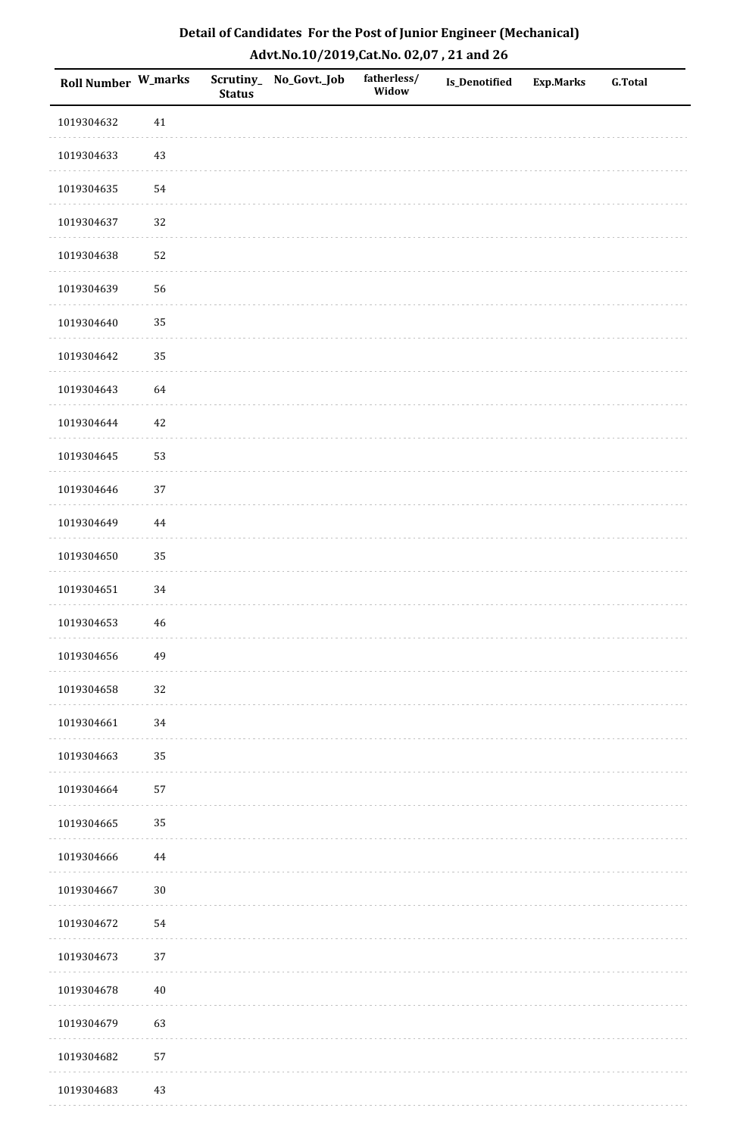| Roll Number W_marks |             | <b>Status</b> | Scrutiny_No_Govt._Job | fatherless/<br>Widow | Is_Denotified | <b>Exp.Marks</b> | <b>G.Total</b> |
|---------------------|-------------|---------------|-----------------------|----------------------|---------------|------------------|----------------|
| 1019304632          | $41\,$      |               |                       |                      |               |                  |                |
| 1019304633          | $43\,$      |               |                       |                      |               |                  |                |
| 1019304635          | 54          |               |                       |                      |               |                  |                |
| 1019304637          | 32          |               |                       |                      |               |                  |                |
| 1019304638          | 52          |               |                       |                      |               |                  |                |
| 1019304639          | 56          |               |                       |                      |               |                  |                |
| 1019304640          | 35          |               |                       |                      |               |                  |                |
| 1019304642          | 35          |               |                       |                      |               |                  |                |
| 1019304643          | 64          |               |                       |                      |               |                  |                |
| 1019304644          | $42\,$      |               |                       |                      |               |                  |                |
| 1019304645          | 53          |               |                       |                      |               |                  |                |
| 1019304646          | 37          |               |                       |                      |               |                  |                |
| 1019304649          | $\bf 44$    |               |                       |                      |               |                  |                |
| 1019304650          | 35          |               |                       |                      |               |                  |                |
| 1019304651          | 34          |               |                       |                      |               |                  |                |
| 1019304653          | $\sqrt{46}$ |               |                       |                      |               |                  |                |
| 1019304656          | 49          |               |                       |                      |               |                  |                |
| 1019304658          | 32          |               |                       |                      |               |                  |                |
| 1019304661          | $34\,$      |               |                       |                      |               |                  |                |
| 1019304663          | 35          |               |                       |                      |               |                  |                |
| 1019304664          | 57          |               |                       |                      |               |                  |                |
| 1019304665          | 35          |               |                       |                      |               |                  |                |
| 1019304666          | $\bf 44$    |               |                       |                      |               |                  |                |
| 1019304667          | $30\,$      |               |                       |                      |               |                  |                |
| 1019304672          | 54          |               |                       |                      |               |                  |                |
| 1019304673          | 37          |               |                       |                      |               |                  |                |
| 1019304678          | $40\,$      |               |                       |                      |               |                  |                |
| 1019304679          | 63          |               |                       |                      |               |                  |                |
| 1019304682          | 57          |               |                       |                      |               |                  |                |
| 1019304683          | 43          |               |                       |                      |               |                  |                |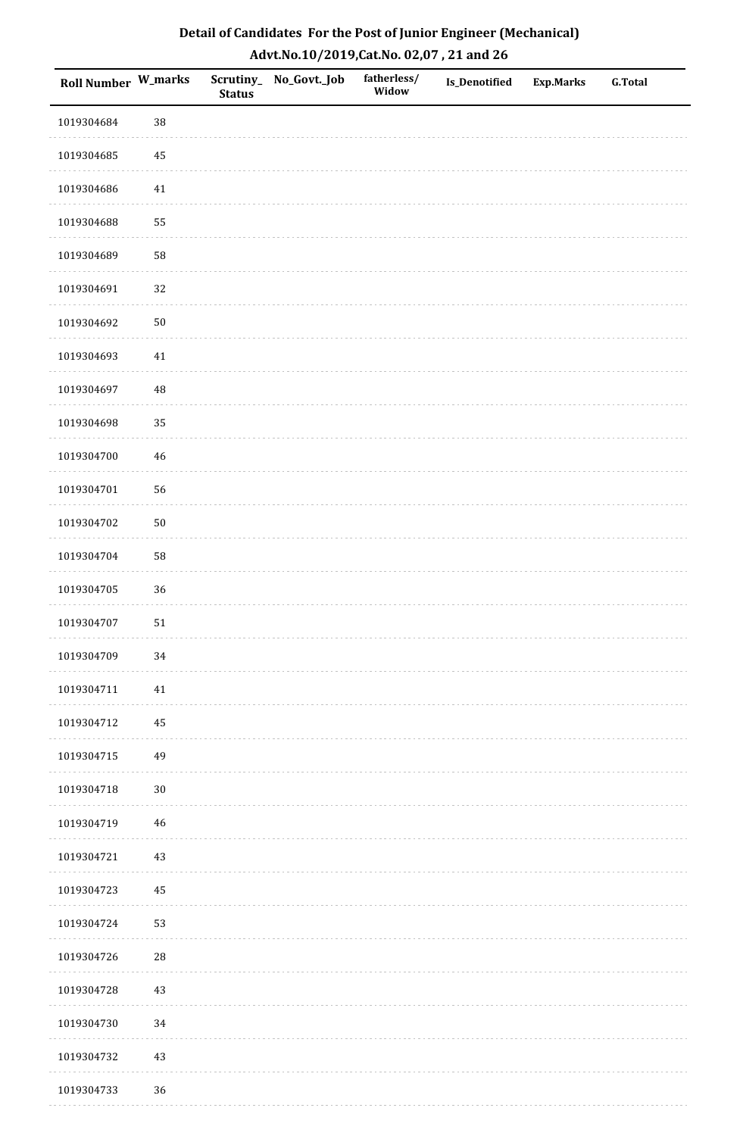| Roll Number W_marks |        | <b>Status</b> | Scrutiny_No_Govt._Job | fatherless/<br>Widow | Is_Denotified | <b>Exp.Marks</b> | <b>G.Total</b> |
|---------------------|--------|---------------|-----------------------|----------------------|---------------|------------------|----------------|
| 1019304684          | 38     |               |                       |                      |               |                  |                |
| 1019304685          | 45     |               |                       |                      |               |                  |                |
| 1019304686          | $41\,$ |               |                       |                      |               |                  |                |
| 1019304688          | 55     |               |                       |                      |               |                  |                |
| 1019304689          | 58     |               |                       |                      |               |                  |                |
| 1019304691          | 32     |               |                       |                      |               |                  |                |
| 1019304692          | $50\,$ |               |                       |                      |               |                  |                |
| 1019304693          | 41     |               |                       |                      |               |                  |                |
| 1019304697          | 48     |               |                       |                      |               |                  |                |
| 1019304698          | 35     |               |                       |                      |               |                  |                |
| 1019304700          | $46\,$ |               |                       |                      |               |                  |                |
| 1019304701          | 56     |               |                       |                      |               |                  |                |
| 1019304702          | $50\,$ |               |                       |                      |               |                  |                |
| 1019304704          | 58     |               |                       |                      |               |                  |                |
| 1019304705          | 36     |               |                       |                      |               |                  |                |
| 1019304707          | $51\,$ |               |                       |                      |               |                  |                |
| 1019304709          | 34     |               |                       |                      |               |                  |                |
| 1019304711          | 41     |               |                       |                      |               |                  |                |
| 1019304712          | 45     |               |                       |                      |               |                  |                |
| 1019304715          | 49     |               |                       |                      |               |                  |                |
| 1019304718          | $30\,$ |               |                       |                      |               |                  |                |
| 1019304719          | 46     |               |                       |                      |               |                  |                |
| 1019304721          | 43     |               |                       |                      |               |                  |                |
| 1019304723          | 45     |               |                       |                      |               |                  |                |
| 1019304724          | 53     |               |                       |                      |               |                  |                |
| 1019304726          | 28     |               |                       |                      |               |                  |                |
| 1019304728          | $43\,$ |               |                       |                      |               |                  |                |
| 1019304730          | 34     |               |                       |                      |               |                  |                |
| 1019304732          | $43\,$ |               |                       |                      |               |                  |                |
| 1019304733          | 36     |               |                       |                      |               |                  |                |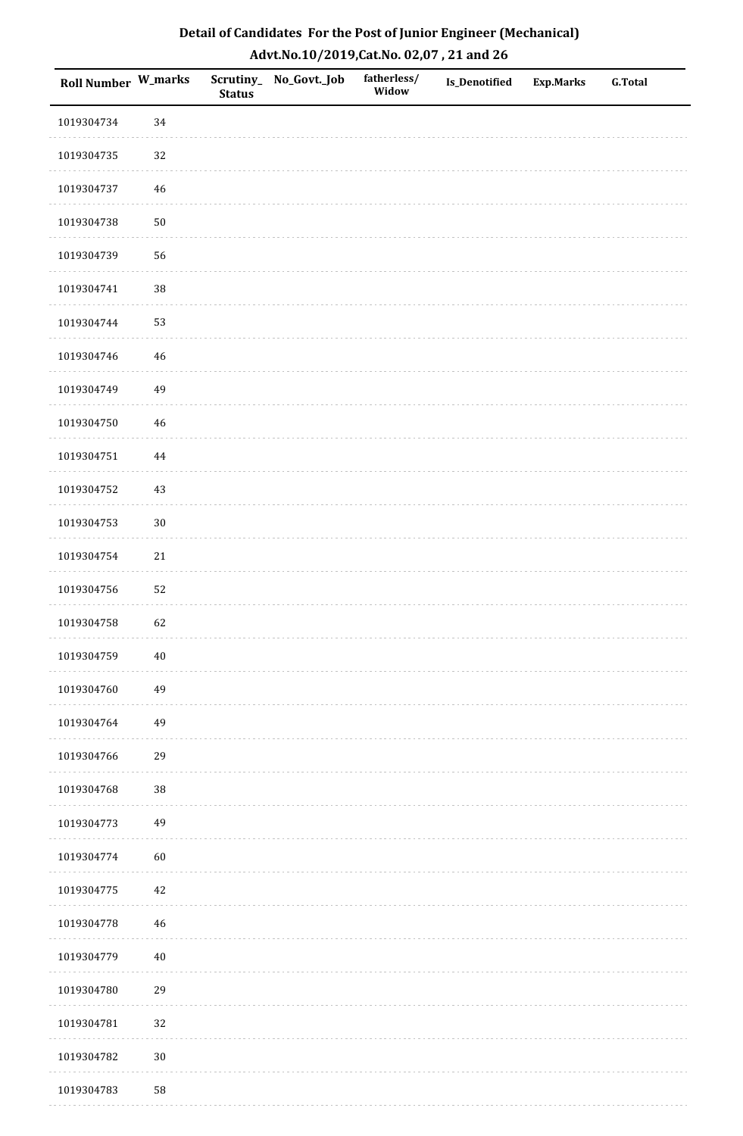| Roll Number W_marks |        | <b>Status</b> | Scrutiny_No_Govt._Job | fatherless/<br>Widow | Is_Denotified | <b>Exp.Marks</b> | <b>G.Total</b> |
|---------------------|--------|---------------|-----------------------|----------------------|---------------|------------------|----------------|
| 1019304734          | 34     |               |                       |                      |               |                  |                |
| 1019304735          | 32     |               |                       |                      |               |                  |                |
| 1019304737          | $46\,$ |               |                       |                      |               |                  |                |
| 1019304738          | $50\,$ |               |                       |                      |               |                  |                |
| 1019304739          | 56     |               |                       |                      |               |                  |                |
| 1019304741          | 38     |               |                       |                      |               |                  |                |
| 1019304744          | 53     |               |                       |                      |               |                  |                |
| 1019304746          | 46     |               |                       |                      |               |                  |                |
| 1019304749          | 49     |               |                       |                      |               |                  |                |
| 1019304750          | $46\,$ |               |                       |                      |               |                  |                |
| 1019304751          | 44     |               |                       |                      |               |                  |                |
| 1019304752          | $43\,$ |               |                       |                      |               |                  |                |
| 1019304753          | $30\,$ |               |                       |                      |               |                  |                |
| 1019304754          | $21\,$ |               |                       |                      |               |                  |                |
| 1019304756          | 52     |               |                       |                      |               |                  |                |
| 1019304758          | 62     |               |                       |                      |               |                  |                |
| 1019304759          | $40\,$ |               |                       |                      |               |                  |                |
| 1019304760          | 49     |               |                       |                      |               |                  |                |
| 1019304764          | 49     |               |                       |                      |               |                  |                |
| 1019304766          | 29     |               |                       |                      |               |                  |                |
| 1019304768          | $38\,$ |               |                       |                      |               |                  |                |
| 1019304773          | 49     |               |                       |                      |               |                  |                |
| 1019304774          | 60     |               |                       |                      |               |                  |                |
| 1019304775          | $42\,$ |               |                       |                      |               |                  |                |
| 1019304778          | 46     |               |                       |                      |               |                  |                |
| 1019304779          | $40\,$ |               |                       |                      |               |                  |                |
| 1019304780          | 29     |               |                       |                      |               |                  |                |
| 1019304781          | 32     |               |                       |                      |               |                  |                |
| 1019304782          | $30\,$ |               |                       |                      |               |                  |                |
| 1019304783          | 58     |               |                       |                      |               |                  |                |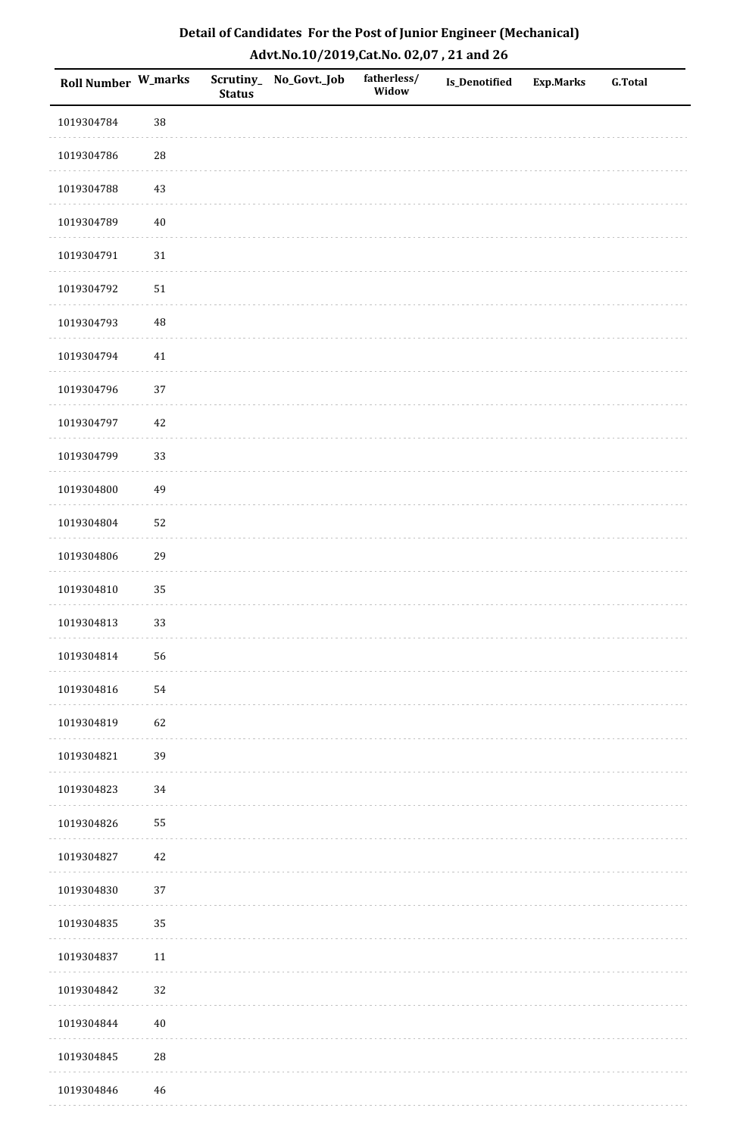| <b>Roll Number W_marks</b> |            | <b>Status</b> | Scrutiny_No_Govt._Job | fatherless/<br>Widow | Is_Denotified | <b>Exp.Marks</b> | <b>G.Total</b> |
|----------------------------|------------|---------------|-----------------------|----------------------|---------------|------------------|----------------|
| 1019304784                 | 38         |               |                       |                      |               |                  |                |
| 1019304786                 | ${\bf 28}$ |               |                       |                      |               |                  |                |
| 1019304788                 | $43\,$     |               |                       |                      |               |                  |                |
| 1019304789                 | $40\,$     |               |                       |                      |               |                  |                |
| 1019304791                 | $31\,$     |               |                       |                      |               |                  |                |
| 1019304792                 | $51\,$     |               |                       |                      |               |                  |                |
| 1019304793                 | $\rm 48$   |               |                       |                      |               |                  |                |
| 1019304794                 | $41\,$     |               |                       |                      |               |                  |                |
| 1019304796                 | 37         |               |                       |                      |               |                  |                |
| 1019304797                 | $42\,$     |               |                       |                      |               |                  |                |
| 1019304799                 | 33         |               |                       |                      |               |                  |                |
| 1019304800                 | 49         |               |                       |                      |               |                  |                |
| 1019304804                 | 52         |               |                       |                      |               |                  |                |
| 1019304806                 | 29         |               |                       |                      |               |                  |                |
| 1019304810                 | 35         |               |                       |                      |               |                  |                |
| 1019304813                 | 33         |               |                       |                      |               |                  |                |
| 1019304814                 | 56         |               |                       |                      |               |                  |                |
| 1019304816                 | 54         |               |                       |                      |               |                  |                |
| 1019304819                 | 62         |               |                       |                      |               |                  |                |
| 1019304821                 | 39         |               |                       |                      |               |                  |                |
| 1019304823                 | 34         |               |                       |                      |               |                  |                |
| 1019304826                 | 55         |               |                       |                      |               |                  |                |
| 1019304827                 | 42         |               |                       |                      |               |                  |                |
| 1019304830                 | 37         |               |                       |                      |               |                  |                |
| 1019304835                 | 35         |               |                       |                      |               |                  |                |
| 1019304837                 | $11\,$     |               |                       |                      |               |                  |                |
| 1019304842                 | 32         |               |                       |                      |               |                  |                |
| 1019304844                 | $40\,$     |               |                       |                      |               |                  |                |
| 1019304845                 | ${\bf 28}$ |               |                       |                      |               |                  |                |
| 1019304846                 | $46\,$     |               |                       |                      |               |                  |                |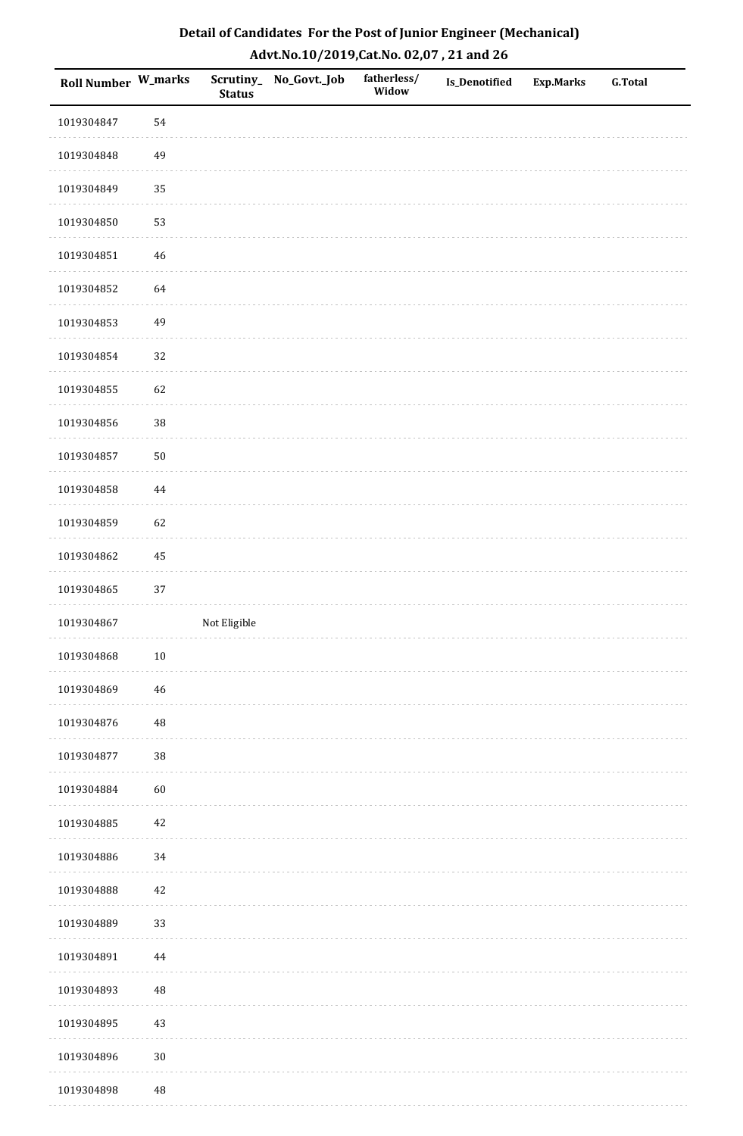| <b>Roll Number W_marks</b> |          | <b>Status</b> | Scrutiny_No_Govt._Job | fatherless/<br>Widow | Is_Denotified | <b>Exp.Marks</b> | <b>G.Total</b> |
|----------------------------|----------|---------------|-----------------------|----------------------|---------------|------------------|----------------|
| 1019304847                 | 54       |               |                       |                      |               |                  |                |
| 1019304848                 | 49       |               |                       |                      |               |                  |                |
| 1019304849                 | 35       |               |                       |                      |               |                  |                |
| 1019304850                 | 53       |               |                       |                      |               |                  |                |
| 1019304851                 | $46\,$   |               |                       |                      |               |                  |                |
| 1019304852                 | 64       |               |                       |                      |               |                  |                |
| 1019304853                 | 49       |               |                       |                      |               |                  |                |
| 1019304854                 | 32       |               |                       |                      |               |                  |                |
| 1019304855                 | 62       |               |                       |                      |               |                  |                |
| 1019304856                 | $38\,$   |               |                       |                      |               |                  |                |
| 1019304857                 | $50\,$   |               |                       |                      |               |                  |                |
| 1019304858                 | 44       |               |                       |                      |               |                  |                |
| 1019304859                 | 62       |               |                       |                      |               |                  |                |
| 1019304862                 | 45       |               |                       |                      |               |                  |                |
| 1019304865                 | $37\,$   |               |                       |                      |               |                  |                |
| 1019304867                 |          | Not Eligible  |                       |                      |               |                  |                |
| 1019304868                 | $10\,$   |               |                       |                      |               |                  |                |
| 1019304869                 | 46       |               |                       |                      |               |                  |                |
| 1019304876                 | $\rm 48$ |               |                       |                      |               |                  |                |
| 1019304877                 | 38       |               |                       |                      |               |                  |                |
| 1019304884                 | 60       |               |                       |                      |               |                  |                |
| 1019304885                 | $42\,$   |               |                       |                      |               |                  |                |
| 1019304886                 | 34       |               |                       |                      |               |                  |                |
| 1019304888                 | 42       |               |                       |                      |               |                  |                |
| 1019304889                 | 33       |               |                       |                      |               |                  |                |
| 1019304891                 | $\bf 44$ |               |                       |                      |               |                  |                |
| 1019304893                 | 48       |               |                       |                      |               |                  |                |
| 1019304895                 | $43\,$   |               |                       |                      |               |                  |                |
| 1019304896                 | $30\,$   |               |                       |                      |               |                  |                |
| 1019304898                 | $\rm 48$ |               |                       |                      |               |                  |                |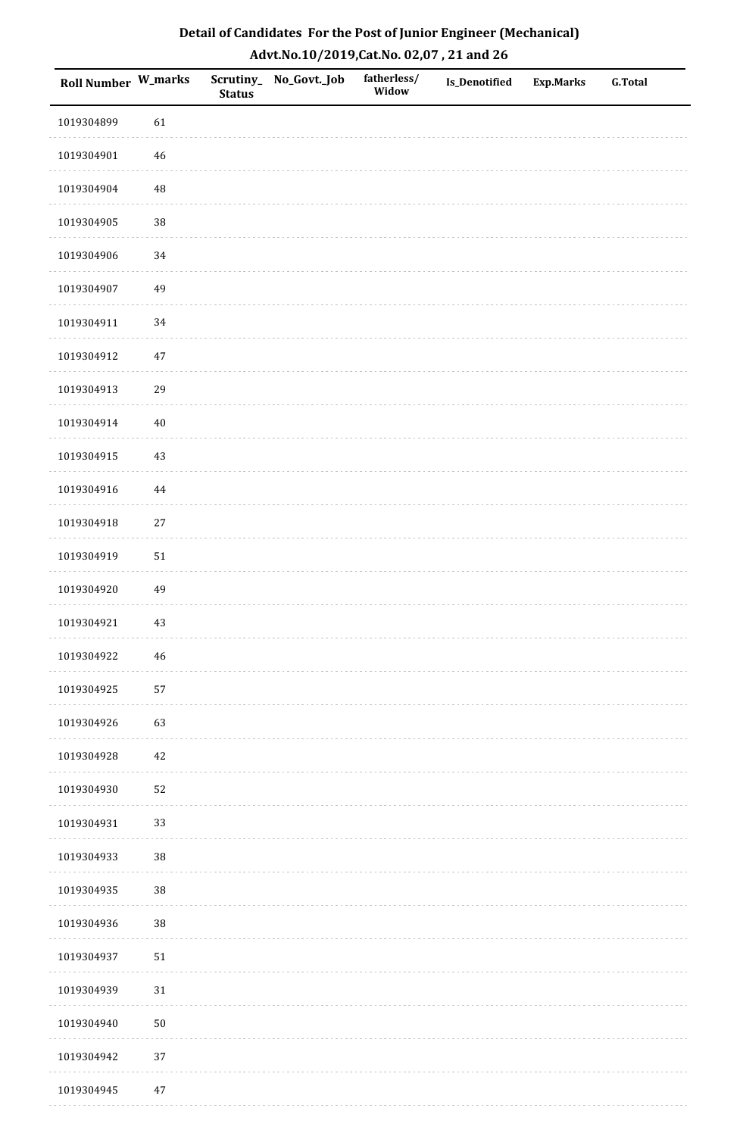| Roll Number W_marks |             | <b>Status</b> | Scrutiny_No_Govt._Job | fatherless/<br>Widow | Is_Denotified | <b>Exp.Marks</b> | <b>G.Total</b> |
|---------------------|-------------|---------------|-----------------------|----------------------|---------------|------------------|----------------|
| 1019304899          | 61          |               |                       |                      |               |                  |                |
| 1019304901          | $46\,$      |               |                       |                      |               |                  |                |
| 1019304904          | $\rm 48$    |               |                       |                      |               |                  |                |
| 1019304905          | 38          |               |                       |                      |               |                  |                |
| 1019304906          | $34\,$      |               |                       |                      |               |                  |                |
| 1019304907          | 49          |               |                       |                      |               |                  |                |
| 1019304911          | 34          |               |                       |                      |               |                  |                |
| 1019304912          | $47\,$      |               |                       |                      |               |                  |                |
| 1019304913          | 29          |               |                       |                      |               |                  |                |
| 1019304914          | $40\,$      |               |                       |                      |               |                  |                |
| 1019304915          | 43          |               |                       |                      |               |                  |                |
| 1019304916          | 44          |               |                       |                      |               |                  |                |
| 1019304918          | $27\,$      |               |                       |                      |               |                  |                |
| 1019304919          | $51\,$      |               |                       |                      |               |                  |                |
| 1019304920          | 49          |               |                       |                      |               |                  |                |
| 1019304921          | $43\,$      |               |                       |                      |               |                  |                |
| 1019304922          | $\sqrt{46}$ |               |                       |                      |               |                  |                |
| 1019304925          | 57          |               |                       |                      |               |                  |                |
| 1019304926          | 63          |               |                       |                      |               |                  |                |
| 1019304928          | $42\,$      |               |                       |                      |               |                  |                |
| 1019304930          | 52          |               |                       |                      |               |                  |                |
| 1019304931          | 33          |               |                       |                      |               |                  |                |
| 1019304933          | 38          |               |                       |                      |               |                  |                |
| 1019304935          | 38          |               |                       |                      |               |                  |                |
| 1019304936          | 38          |               |                       |                      |               |                  |                |
| 1019304937          | $51\,$      |               |                       |                      |               |                  |                |
| 1019304939          | $31\,$      |               |                       |                      |               |                  |                |
| 1019304940          | $50\,$      |               |                       |                      |               |                  |                |
| 1019304942          | 37          |               |                       |                      |               |                  |                |
| 1019304945          | $47\,$      |               |                       |                      |               |                  |                |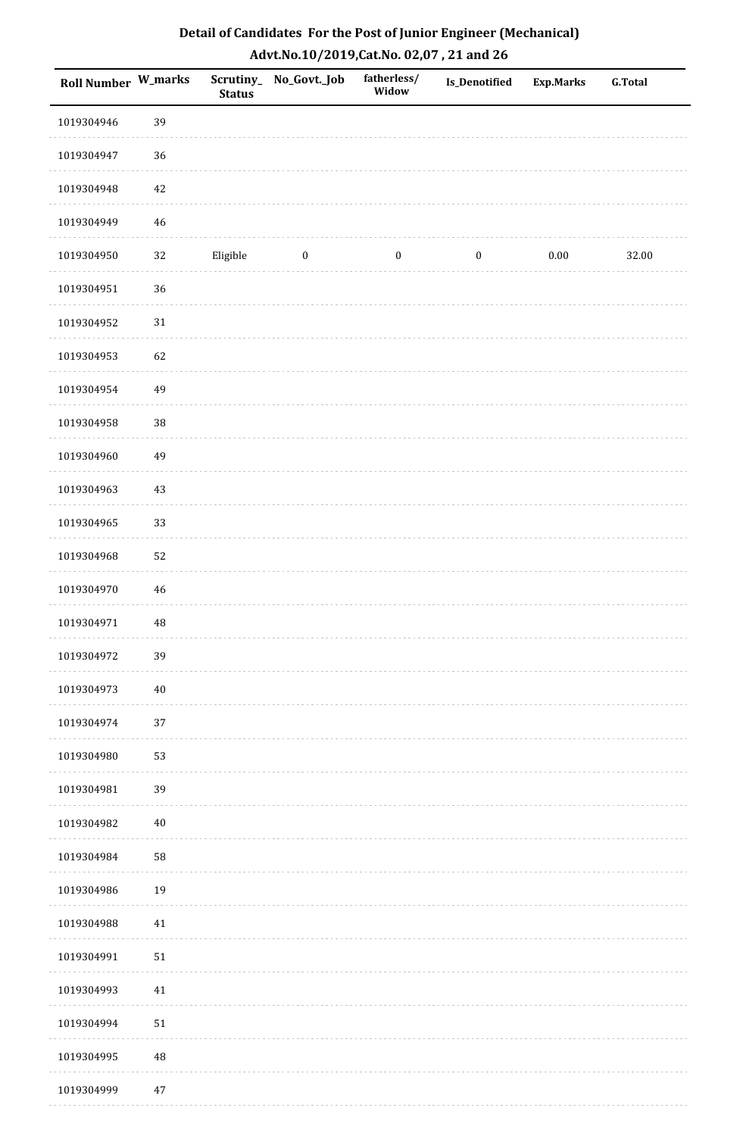| Roll Number W_marks |             | <b>Status</b> | Scrutiny_ No_Govt._Job | fatherless/<br>Widow | <b>Is_Denotified</b> | <b>Exp.Marks</b> | <b>G.Total</b> |
|---------------------|-------------|---------------|------------------------|----------------------|----------------------|------------------|----------------|
| 1019304946          | 39          |               |                        |                      |                      |                  |                |
| 1019304947          | 36          |               |                        |                      |                      |                  |                |
| 1019304948          | $42\,$      |               |                        |                      |                      |                  |                |
| 1019304949          | 46          |               |                        |                      |                      |                  |                |
| 1019304950          | 32          | Eligible      | $\boldsymbol{0}$       | $\boldsymbol{0}$     | $\boldsymbol{0}$     | $0.00\,$         | 32.00          |
| 1019304951          | 36          |               |                        |                      |                      |                  |                |
| 1019304952          | 31          |               |                        |                      |                      |                  |                |
| 1019304953          | 62          |               |                        |                      |                      |                  |                |
| 1019304954          | 49          |               |                        |                      |                      |                  |                |
| 1019304958          | 38          |               |                        |                      |                      |                  |                |
| 1019304960          | 49          |               |                        |                      |                      |                  |                |
| 1019304963          | 43          |               |                        |                      |                      |                  |                |
| 1019304965          | 33          |               |                        |                      |                      |                  |                |
| 1019304968          | 52          |               |                        |                      |                      |                  |                |
| 1019304970          | $\sqrt{46}$ |               |                        |                      |                      |                  |                |
| 1019304971          | 48          |               |                        |                      |                      |                  |                |
| 1019304972          | 39          |               |                        |                      |                      |                  |                |
| 1019304973          | $40\,$      |               |                        |                      |                      |                  |                |
| 1019304974          | 37          |               |                        |                      |                      |                  |                |
| 1019304980          | 53          |               |                        |                      |                      |                  |                |
| 1019304981          | 39          |               |                        |                      |                      |                  |                |
| 1019304982          | $40\,$      |               |                        |                      |                      |                  |                |
| 1019304984          | 58          |               |                        |                      |                      |                  |                |
| 1019304986          | 19          |               |                        |                      |                      |                  |                |
| 1019304988          | 41          |               |                        |                      |                      |                  |                |
| 1019304991          | 51          |               |                        |                      |                      |                  |                |
| 1019304993          | $41\,$      |               |                        |                      |                      |                  |                |
| 1019304994          | $51\,$      |               |                        |                      |                      |                  |                |
| 1019304995          | $\rm 48$    |               |                        |                      |                      |                  |                |
| 1019304999          | $47\,$      |               |                        |                      |                      |                  |                |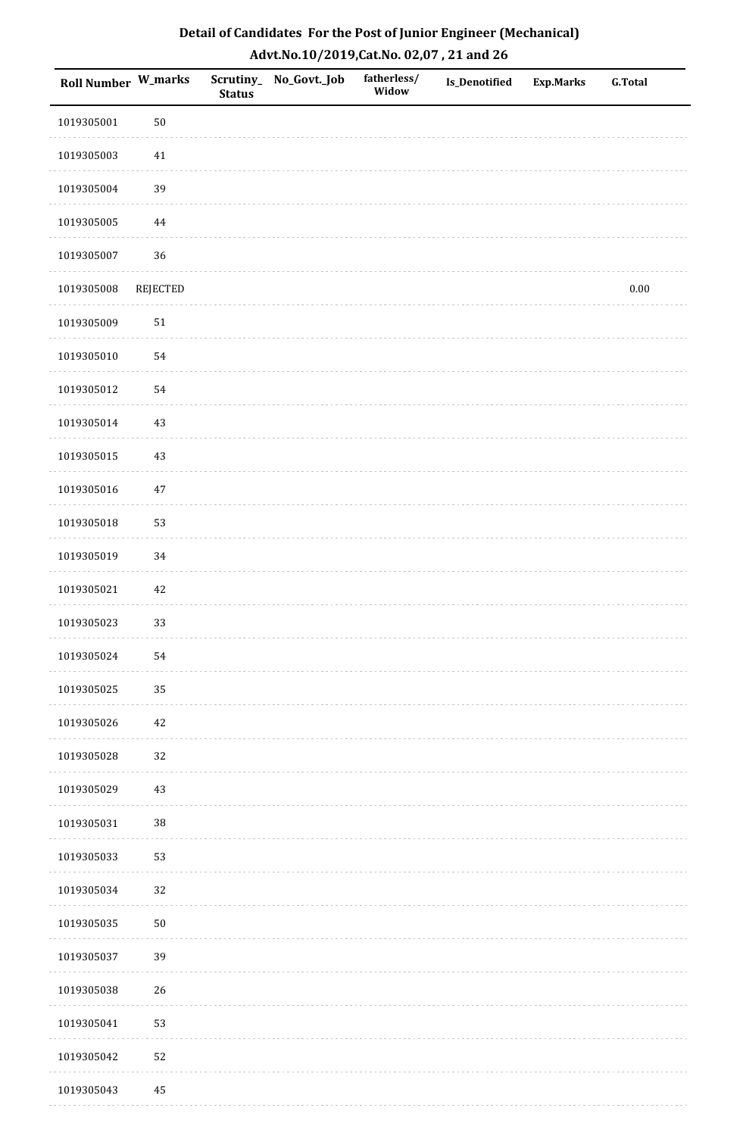| <b>Roll Number W_marks</b> |          | <b>Status</b> | Scrutiny_ No_Govt._Job | fatherless/<br>Widow | Is_Denotified | <b>Exp.Marks</b> | <b>G.Total</b> |
|----------------------------|----------|---------------|------------------------|----------------------|---------------|------------------|----------------|
| 1019305001                 | $50\,$   |               |                        |                      |               |                  |                |
| 1019305003                 | 41       |               |                        |                      |               |                  |                |
| 1019305004                 | 39       |               |                        |                      |               |                  |                |
| 1019305005                 | 44       |               |                        |                      |               |                  |                |
| 1019305007                 | 36       |               |                        |                      |               |                  |                |
| 1019305008                 | REJECTED |               |                        |                      |               |                  | $0.00\,$       |
| 1019305009                 | $51\,$   |               |                        |                      |               |                  |                |
| 1019305010                 | 54       |               |                        |                      |               |                  |                |
| 1019305012                 | 54       |               |                        |                      |               |                  |                |
| 1019305014                 | 43       |               |                        |                      |               |                  |                |
| 1019305015                 | $43\,$   |               |                        |                      |               |                  |                |
| 1019305016                 | $47\,$   |               |                        |                      |               |                  |                |
| 1019305018                 | 53       |               |                        |                      |               |                  |                |
| 1019305019                 | 34       |               |                        |                      |               |                  |                |
| 1019305021                 | $42\,$   |               |                        |                      |               |                  |                |
| 1019305023                 | 33       |               |                        |                      |               |                  |                |
| 1019305024                 | 54       |               |                        |                      |               |                  |                |
| 1019305025                 | 35       |               |                        |                      |               |                  |                |
| 1019305026                 | 42       |               |                        |                      |               |                  |                |
| 1019305028                 | 32       |               |                        |                      |               |                  |                |
| 1019305029                 | $43\,$   |               |                        |                      |               |                  |                |
| 1019305031                 | 38       |               |                        |                      |               |                  |                |
| 1019305033                 | 53       |               |                        |                      |               |                  |                |
| 1019305034                 | 32       |               |                        |                      |               |                  |                |
| 1019305035                 | $50\,$   |               |                        |                      |               |                  |                |
| 1019305037                 | 39       |               |                        |                      |               |                  |                |
| 1019305038                 | 26       |               |                        |                      |               |                  |                |
| 1019305041                 | 53       |               |                        |                      |               |                  |                |
| 1019305042                 | 52       |               |                        |                      |               |                  |                |
| 1019305043                 | $\bf 45$ |               |                        |                      |               |                  |                |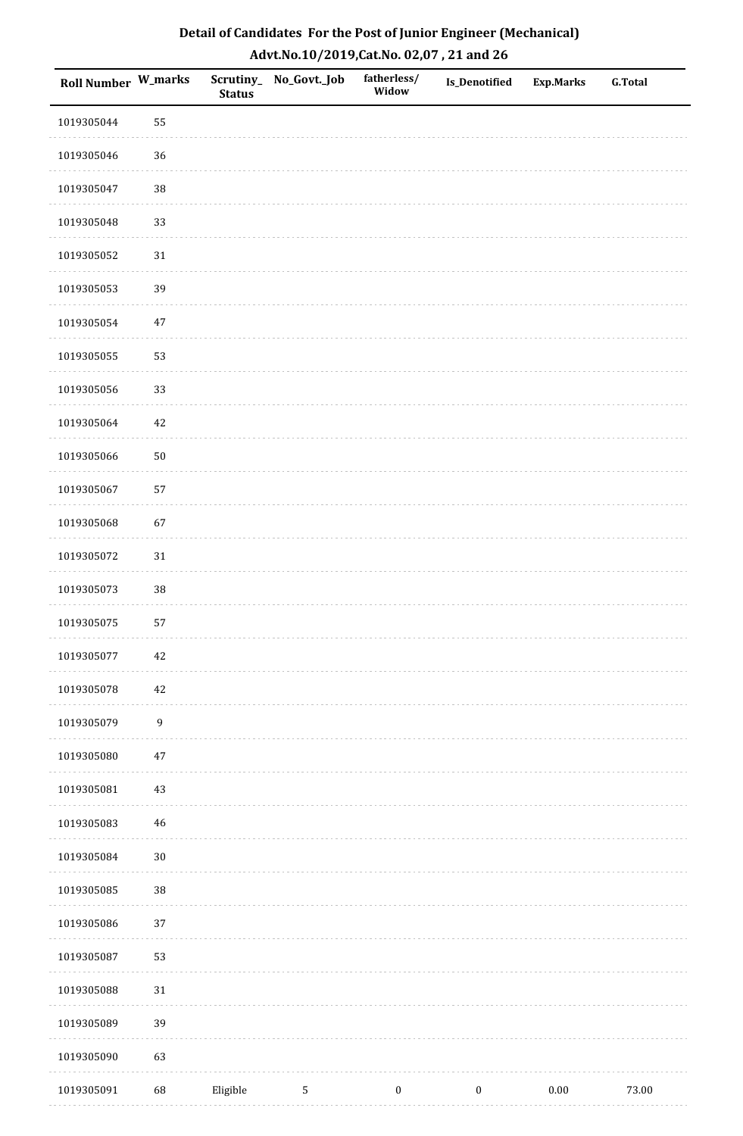| <b>Roll Number W_marks</b> |                  | <b>Status</b> | Scrutiny_No_Govt._Job | fatherless/<br>Widow | Is_Denotified    | <b>Exp.Marks</b> | <b>G.Total</b> |
|----------------------------|------------------|---------------|-----------------------|----------------------|------------------|------------------|----------------|
| 1019305044                 | 55               |               |                       |                      |                  |                  |                |
| 1019305046                 | 36               |               |                       |                      |                  |                  |                |
| 1019305047                 | 38               |               |                       |                      |                  |                  |                |
| 1019305048                 | 33               |               |                       |                      |                  |                  |                |
| 1019305052                 | $31\,$           |               |                       |                      |                  |                  |                |
| 1019305053                 | 39               |               |                       |                      |                  |                  |                |
| 1019305054                 | $47\,$           |               |                       |                      |                  |                  |                |
| 1019305055                 | 53               |               |                       |                      |                  |                  |                |
| 1019305056                 | 33               |               |                       |                      |                  |                  |                |
| 1019305064                 | $42\,$           |               |                       |                      |                  |                  |                |
| 1019305066                 | $50\,$           |               |                       |                      |                  |                  |                |
| 1019305067                 | 57               |               |                       |                      |                  |                  |                |
| 1019305068                 | 67               |               |                       |                      |                  |                  |                |
| 1019305072                 | 31               |               |                       |                      |                  |                  |                |
| 1019305073                 | $38\,$           |               |                       |                      |                  |                  |                |
| 1019305075                 | 57               |               |                       |                      |                  |                  |                |
| 1019305077                 | $42\,$           |               |                       |                      |                  |                  |                |
| 1019305078                 | $42\,$           |               |                       |                      |                  |                  |                |
| 1019305079                 | $\boldsymbol{9}$ |               |                       |                      |                  |                  |                |
| 1019305080                 | $47\,$           |               |                       |                      |                  |                  |                |
| 1019305081                 | $43\,$           |               |                       |                      |                  |                  |                |
| 1019305083                 | $\sqrt{46}$      |               |                       |                      |                  |                  |                |
| 1019305084                 | $30\,$           |               |                       |                      |                  |                  |                |
| 1019305085                 | 38               |               |                       |                      |                  |                  |                |
| 1019305086                 | 37               |               |                       |                      |                  |                  |                |
| 1019305087                 | 53               |               |                       |                      |                  |                  |                |
| 1019305088                 | 31               |               |                       |                      |                  |                  |                |
| 1019305089                 | 39               |               |                       |                      |                  |                  |                |
| 1019305090                 | 63               |               |                       |                      |                  |                  |                |
| 1019305091                 | 68               | Eligible      | 5                     | $\boldsymbol{0}$     | $\boldsymbol{0}$ | $0.00\,$         | 73.00          |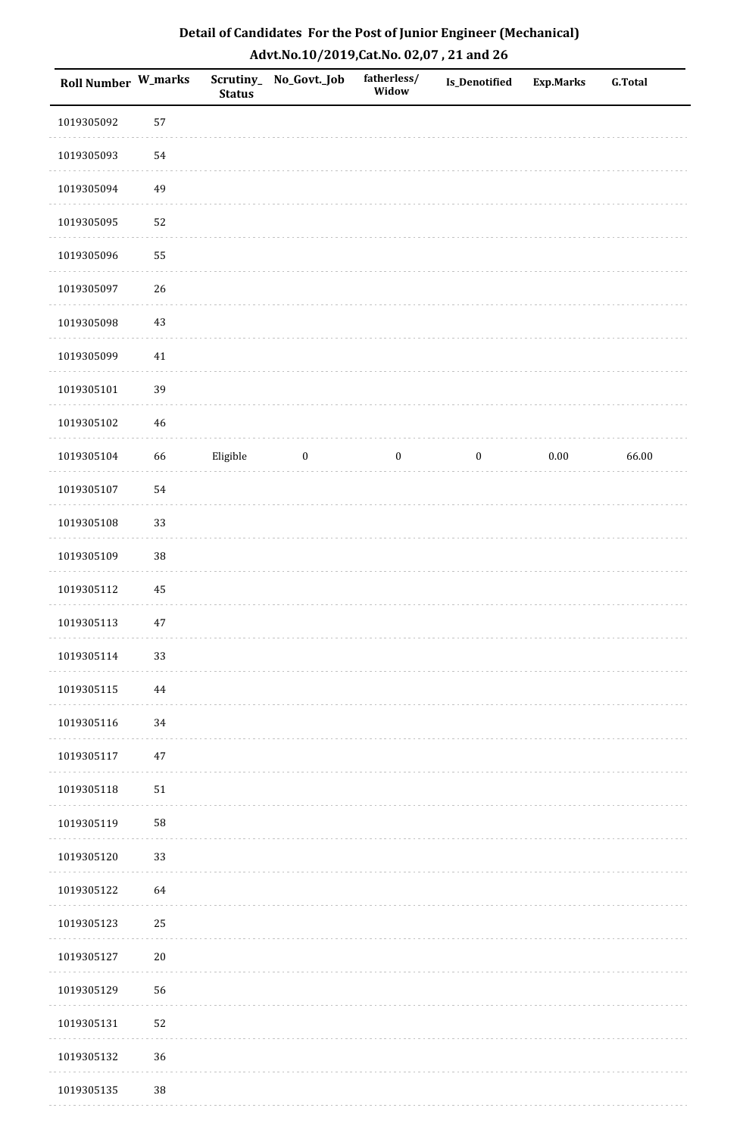| Roll Number W_marks |            | <b>Status</b> | Scrutiny_ No_Govt._Job | fatherless/<br>Widow | <b>Is_Denotified</b> | Exp.Marks | <b>G.Total</b> |
|---------------------|------------|---------------|------------------------|----------------------|----------------------|-----------|----------------|
| 1019305092          | 57         |               |                        |                      |                      |           |                |
| 1019305093          | 54         |               |                        |                      |                      |           |                |
| 1019305094          | 49         |               |                        |                      |                      |           |                |
| 1019305095          | 52         |               |                        |                      |                      |           |                |
| 1019305096          | 55         |               |                        |                      |                      |           |                |
| 1019305097          | 26         |               |                        |                      |                      |           |                |
| 1019305098          | 43         |               |                        |                      |                      |           |                |
| 1019305099          | 41         |               |                        |                      |                      |           |                |
| 1019305101          | 39         |               |                        |                      |                      |           |                |
| 1019305102          | 46         |               |                        |                      |                      |           |                |
| 1019305104          | 66         | Eligible      | $\boldsymbol{0}$       | $\boldsymbol{0}$     | $\boldsymbol{0}$     | $0.00\,$  | 66.00          |
| 1019305107          | 54         |               |                        |                      |                      |           |                |
| 1019305108          | 33         |               |                        |                      |                      |           |                |
| 1019305109          | $38\,$     |               |                        |                      |                      |           |                |
| 1019305112          | $\rm 45$   |               |                        |                      |                      |           |                |
| 1019305113          | $47\,$     |               |                        |                      |                      |           |                |
| 1019305114          | 33         |               |                        |                      |                      |           |                |
| 1019305115          | 44         |               |                        |                      |                      |           |                |
| 1019305116          | 34         |               |                        |                      |                      |           |                |
| 1019305117          | $47\,$     |               |                        |                      |                      |           |                |
| 1019305118          | 51         |               |                        |                      |                      |           |                |
| 1019305119          | ${\bf 58}$ |               |                        |                      |                      |           |                |
| 1019305120          | 33         |               |                        |                      |                      |           |                |
| 1019305122          | 64         |               |                        |                      |                      |           |                |
| 1019305123          | 25         |               |                        |                      |                      |           |                |
| 1019305127          | $20\,$     |               |                        |                      |                      |           |                |
| 1019305129          | 56         |               |                        |                      |                      |           |                |
| 1019305131          | 52         |               |                        |                      |                      |           |                |
| 1019305132          | 36         |               |                        |                      |                      |           |                |
| 1019305135          | $38\,$     |               |                        |                      |                      |           |                |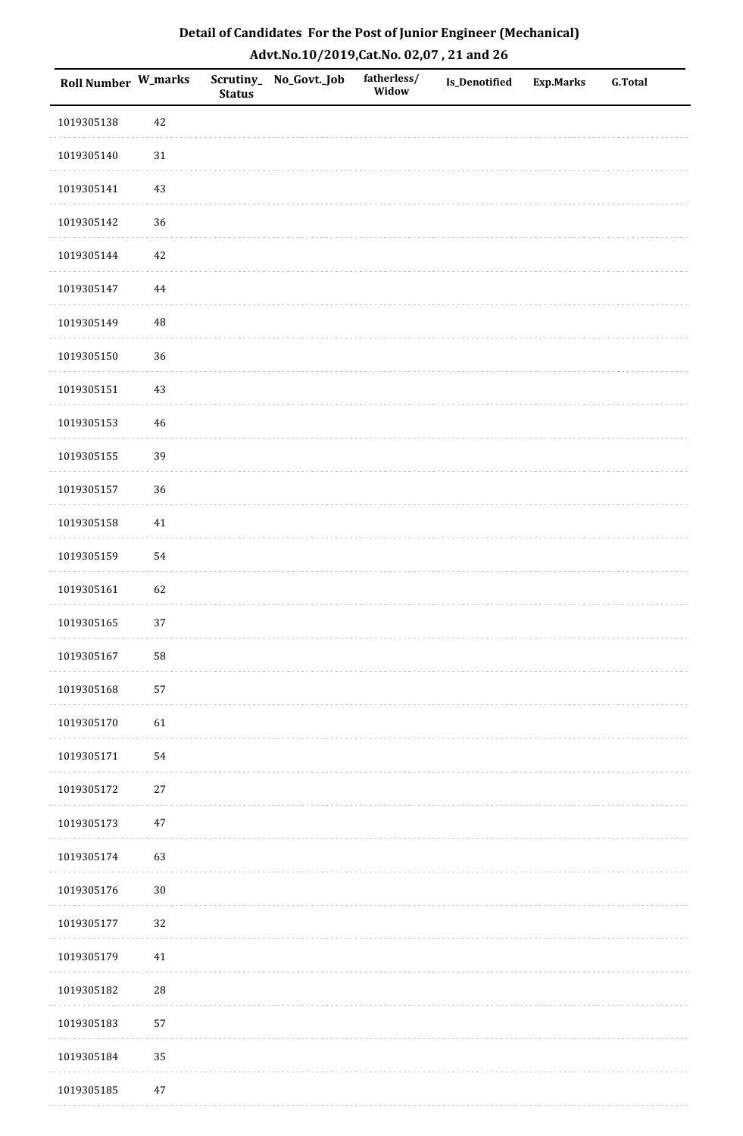| Roll Number W_marks |            | <b>Status</b> | Scrutiny_No_Govt._Job | fatherless/<br>Widow | Is_Denotified | <b>Exp.Marks</b> | <b>G.Total</b> |
|---------------------|------------|---------------|-----------------------|----------------------|---------------|------------------|----------------|
| 1019305138          | 42         |               |                       |                      |               |                  |                |
| 1019305140          | $31\,$     |               |                       |                      |               |                  |                |
| 1019305141          | $43\,$     |               |                       |                      |               |                  |                |
| 1019305142          | 36         |               |                       |                      |               |                  |                |
| 1019305144          | $42\,$     |               |                       |                      |               |                  |                |
| 1019305147          | 44         |               |                       |                      |               |                  |                |
| 1019305149          | $\rm 48$   |               |                       |                      |               |                  |                |
| 1019305150          | 36         |               |                       |                      |               |                  |                |
| 1019305151          | $43\,$     |               |                       |                      |               |                  |                |
| 1019305153          | $46\,$     |               |                       |                      |               |                  |                |
| 1019305155          | 39         |               |                       |                      |               |                  |                |
| 1019305157          | 36         |               |                       |                      |               |                  |                |
| 1019305158          | $41\,$     |               |                       |                      |               |                  |                |
| 1019305159          | 54         |               |                       |                      |               |                  |                |
| 1019305161          | 62         |               |                       |                      |               |                  |                |
| 1019305165          | 37         |               |                       |                      |               |                  |                |
| 1019305167          | 58         |               |                       |                      |               |                  |                |
| 1019305168          | 57         |               |                       |                      |               |                  |                |
| 1019305170          | 61         |               |                       |                      |               |                  |                |
| 1019305171          | 54         |               |                       |                      |               |                  |                |
| 1019305172          | $27\,$     |               |                       |                      |               |                  |                |
| 1019305173          | $47\,$     |               |                       |                      |               |                  |                |
| 1019305174          | 63         |               |                       |                      |               |                  |                |
| 1019305176          | $30\,$     |               |                       |                      |               |                  |                |
| 1019305177          | 32         |               |                       |                      |               |                  |                |
| 1019305179          | $41\,$     |               |                       |                      |               |                  |                |
| 1019305182          | ${\bf 28}$ |               |                       |                      |               |                  |                |
| 1019305183          | 57         |               |                       |                      |               |                  |                |
| 1019305184          | 35         |               |                       |                      |               |                  |                |
| 1019305185          | $47\,$     |               |                       |                      |               |                  |                |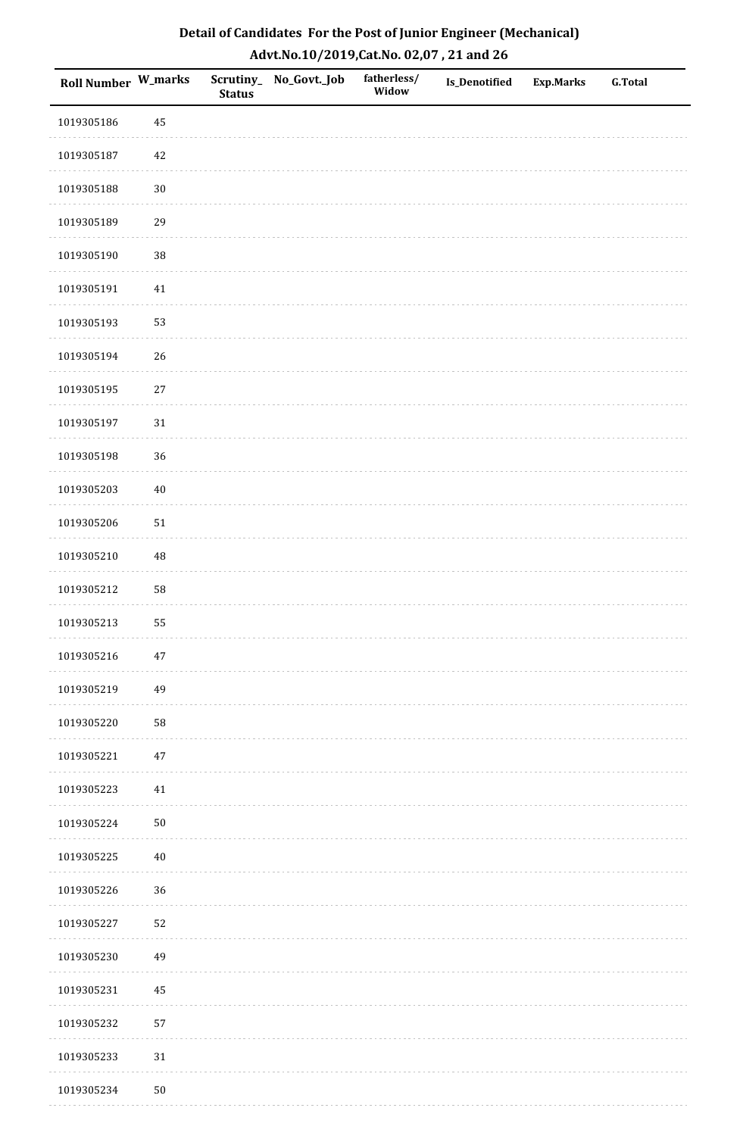| <b>Roll Number W_marks</b> |        | <b>Status</b> | Scrutiny_No_Govt._Job | fatherless/<br>Widow | Is_Denotified | <b>Exp.Marks</b> | <b>G.Total</b> |
|----------------------------|--------|---------------|-----------------------|----------------------|---------------|------------------|----------------|
| 1019305186                 | 45     |               |                       |                      |               |                  |                |
| 1019305187                 | 42     |               |                       |                      |               |                  |                |
| 1019305188                 | $30\,$ |               |                       |                      |               |                  |                |
| 1019305189                 | 29     |               |                       |                      |               |                  |                |
| 1019305190                 | $38\,$ |               |                       |                      |               |                  |                |
| 1019305191                 | 41     |               |                       |                      |               |                  |                |
| 1019305193                 | 53     |               |                       |                      |               |                  |                |
| 1019305194                 | 26     |               |                       |                      |               |                  |                |
| 1019305195                 | $27\,$ |               |                       |                      |               |                  |                |
| 1019305197                 | $31\,$ |               |                       |                      |               |                  |                |
| 1019305198                 | 36     |               |                       |                      |               |                  |                |
| 1019305203                 | $40\,$ |               |                       |                      |               |                  |                |
| 1019305206                 | $51\,$ |               |                       |                      |               |                  |                |
| 1019305210                 | 48     |               |                       |                      |               |                  |                |
| 1019305212                 | 58     |               |                       |                      |               |                  |                |
| 1019305213                 | 55     |               |                       |                      |               |                  |                |
| 1019305216                 | $47\,$ |               |                       |                      |               |                  |                |
| 1019305219                 | 49     |               |                       |                      |               |                  |                |
| 1019305220                 | 58     |               |                       |                      |               |                  |                |
| 1019305221                 | $47\,$ |               |                       |                      |               |                  |                |
| 1019305223                 | 41     |               |                       |                      |               |                  |                |
| 1019305224                 | $50\,$ |               |                       |                      |               |                  |                |
| 1019305225                 | $40\,$ |               |                       |                      |               |                  |                |
| 1019305226                 | 36     |               |                       |                      |               |                  |                |
| 1019305227                 | 52     |               |                       |                      |               |                  |                |
| 1019305230                 | 49     |               |                       |                      |               |                  |                |
| 1019305231                 | 45     |               |                       |                      |               |                  |                |
| 1019305232                 | 57     |               |                       |                      |               |                  |                |
| 1019305233                 | $31\,$ |               |                       |                      |               |                  |                |
| 1019305234                 | $50\,$ |               |                       |                      |               |                  |                |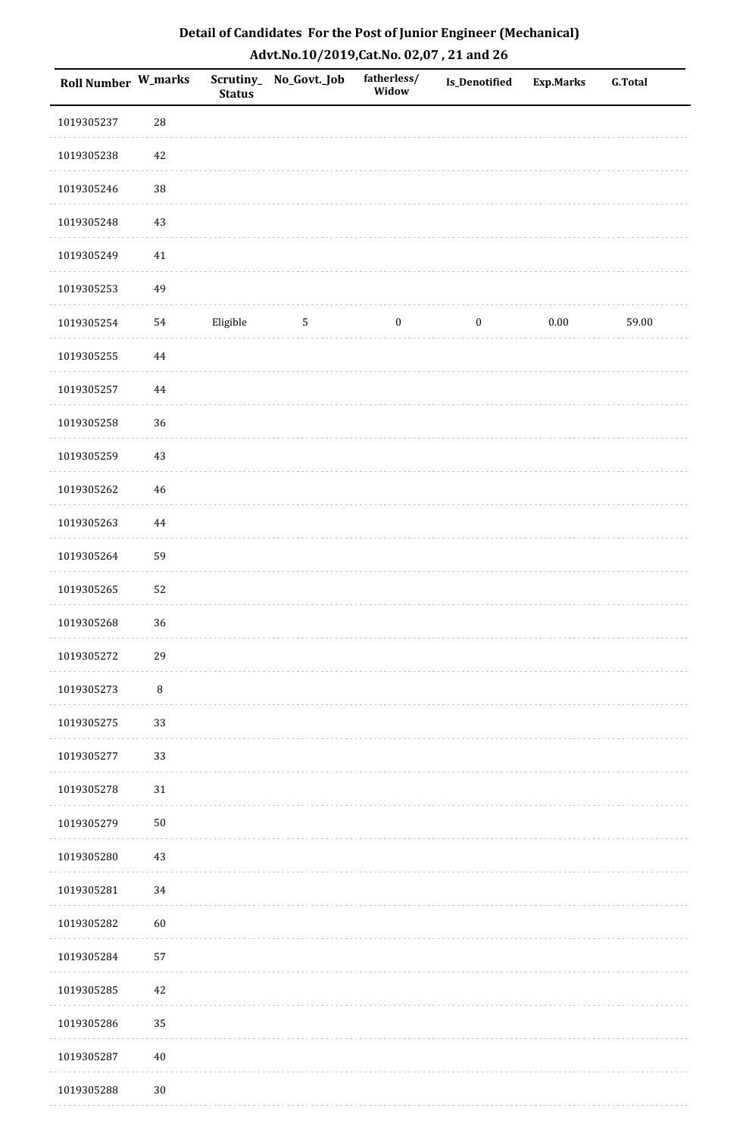| <b>Roll Number W_marks</b> |            | <b>Status</b> | Scrutiny_ No_Govt._Job | fatherless/<br>Widow | <b>Is_Denotified</b> | <b>Exp.Marks</b> | G.Total |
|----------------------------|------------|---------------|------------------------|----------------------|----------------------|------------------|---------|
| 1019305237                 | ${\bf 28}$ |               |                        |                      |                      |                  |         |
| 1019305238                 | 42         |               |                        |                      |                      |                  |         |
| 1019305246                 | 38         |               |                        |                      |                      |                  |         |
| 1019305248                 | 43         |               |                        |                      |                      |                  |         |
| 1019305249                 | $41\,$     |               |                        |                      |                      |                  |         |
| 1019305253                 | 49         |               |                        |                      |                      |                  |         |
| 1019305254                 | 54         | Eligible      | $\mathbf{5}$           | $\boldsymbol{0}$     | $\boldsymbol{0}$     | $0.00\,$         | 59.00   |
| 1019305255                 | $\bf 44$   |               |                        |                      |                      |                  |         |
| 1019305257                 | $\bf 44$   |               |                        |                      |                      |                  |         |
| 1019305258                 | 36         |               |                        |                      |                      |                  |         |
| 1019305259                 | 43         |               |                        |                      |                      |                  |         |
| 1019305262                 | $46\,$     |               |                        |                      |                      |                  |         |
| 1019305263                 | 44         |               |                        |                      |                      |                  |         |
| 1019305264                 | 59         |               |                        |                      |                      |                  |         |
| 1019305265                 | 52         |               |                        |                      |                      |                  |         |
| 1019305268                 | 36         |               |                        |                      |                      |                  |         |
| 1019305272                 | 29         |               |                        |                      |                      |                  |         |
| 1019305273                 | $\, 8$     |               |                        |                      |                      |                  |         |
| 1019305275                 | 33         |               |                        |                      |                      |                  |         |
| 1019305277                 | 33         |               |                        |                      |                      |                  |         |
| 1019305278                 | $31\,$     |               |                        |                      |                      |                  |         |
| 1019305279                 | $50\,$     |               |                        |                      |                      |                  |         |
| 1019305280                 | 43         |               |                        |                      |                      |                  |         |
| 1019305281                 | 34         |               |                        |                      |                      |                  |         |
| 1019305282                 | 60         |               |                        |                      |                      |                  |         |
| 1019305284                 | 57         |               |                        |                      |                      |                  |         |
| 1019305285                 | 42         |               |                        |                      |                      |                  |         |
| 1019305286                 | 35         |               |                        |                      |                      |                  |         |
| 1019305287                 | $40\,$     |               |                        |                      |                      |                  |         |
| 1019305288                 | $30\,$     |               |                        |                      |                      |                  |         |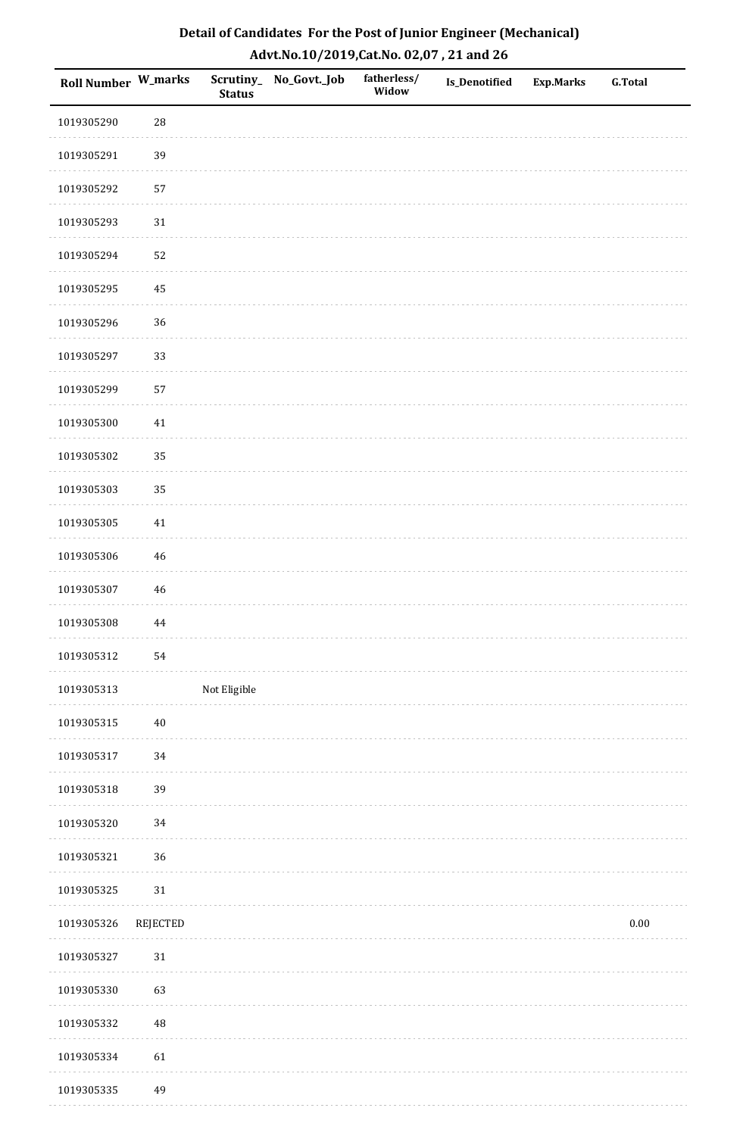| Roll Number W_marks |                 | <b>Status</b> | Scrutiny_No_Govt._Job | fatherless/<br>Widow | Is_Denotified | <b>Exp.Marks</b> | <b>G.Total</b> |
|---------------------|-----------------|---------------|-----------------------|----------------------|---------------|------------------|----------------|
| 1019305290          | ${\bf 28}$      |               |                       |                      |               |                  |                |
| 1019305291          | 39              |               |                       |                      |               |                  |                |
| 1019305292          | 57              |               |                       |                      |               |                  |                |
| 1019305293          | $31\,$          |               |                       |                      |               |                  |                |
| 1019305294          | 52              |               |                       |                      |               |                  |                |
| 1019305295          | 45              |               |                       |                      |               |                  |                |
| 1019305296          | 36              |               |                       |                      |               |                  |                |
| 1019305297          | 33              |               |                       |                      |               |                  |                |
| 1019305299          | 57              |               |                       |                      |               |                  |                |
| 1019305300          | 41              |               |                       |                      |               |                  |                |
| 1019305302          | 35              |               |                       |                      |               |                  |                |
| 1019305303          | 35              |               |                       |                      |               |                  |                |
| 1019305305          | $41\,$          |               |                       |                      |               |                  |                |
| 1019305306          | $\sqrt{46}$     |               |                       |                      |               |                  |                |
| 1019305307          | 46              |               |                       |                      |               |                  |                |
| 1019305308          | $\bf 44$        |               |                       |                      |               |                  |                |
| 1019305312          | 54              |               |                       |                      |               |                  |                |
| 1019305313          |                 | Not Eligible  |                       |                      |               |                  |                |
| 1019305315          | $40\,$          |               |                       |                      |               |                  |                |
| 1019305317          | 34              |               |                       |                      |               |                  |                |
| 1019305318          | 39              |               |                       |                      |               |                  |                |
| 1019305320          | 34              |               |                       |                      |               |                  |                |
| 1019305321          | 36              |               |                       |                      |               |                  |                |
| 1019305325          | $31\,$          |               |                       |                      |               |                  |                |
| 1019305326          | <b>REJECTED</b> |               |                       |                      |               |                  | $0.00\,$       |
| 1019305327          | $31\,$          |               |                       |                      |               |                  |                |
| 1019305330          | 63              |               |                       |                      |               |                  |                |
| 1019305332          | 48              |               |                       |                      |               |                  |                |
| 1019305334          | 61              |               |                       |                      |               |                  |                |
| 1019305335          | 49              |               |                       |                      |               |                  |                |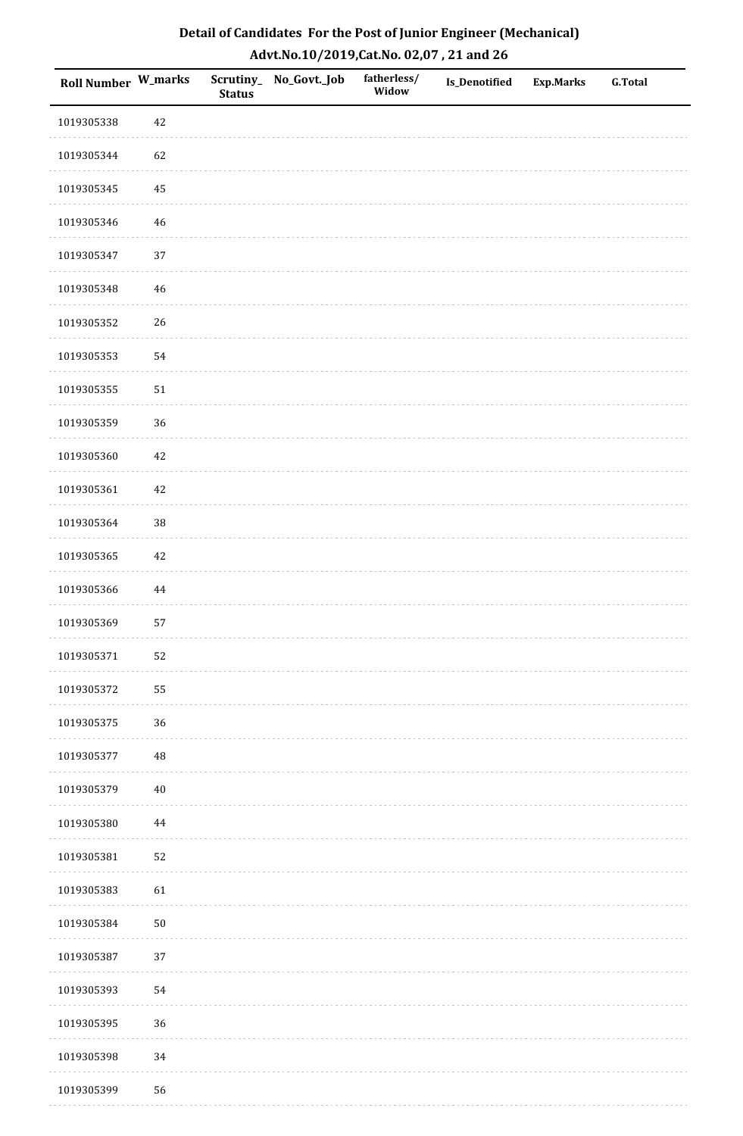| Roll Number W_marks |          | <b>Status</b> | Scrutiny_No_Govt._Job | fatherless/<br>Widow | Is_Denotified | <b>Exp.Marks</b> | <b>G.Total</b> |
|---------------------|----------|---------------|-----------------------|----------------------|---------------|------------------|----------------|
| 1019305338          | 42       |               |                       |                      |               |                  |                |
| 1019305344          | 62       |               |                       |                      |               |                  |                |
| 1019305345          | $\bf 45$ |               |                       |                      |               |                  |                |
| 1019305346          | 46       |               |                       |                      |               |                  |                |
| 1019305347          | $37\,$   |               |                       |                      |               |                  |                |
| 1019305348          | $46\,$   |               |                       |                      |               |                  |                |
| 1019305352          | 26       |               |                       |                      |               |                  |                |
| 1019305353          | 54       |               |                       |                      |               |                  |                |
| 1019305355          | $51\,$   |               |                       |                      |               |                  |                |
| 1019305359          | 36       |               |                       |                      |               |                  |                |
| 1019305360          | $42\,$   |               |                       |                      |               |                  |                |
| 1019305361          | $42\,$   |               |                       |                      |               |                  |                |
| 1019305364          | 38       |               |                       |                      |               |                  |                |
| 1019305365          | $42\,$   |               |                       |                      |               |                  |                |
| 1019305366          | $\bf 44$ |               |                       |                      |               |                  |                |
| 1019305369          | 57       |               |                       |                      |               |                  |                |
| 1019305371          | 52       |               |                       |                      |               |                  |                |
| 1019305372          | 55       |               |                       |                      |               |                  |                |
| 1019305375          | 36       |               |                       |                      |               |                  |                |
| 1019305377          | 48       |               |                       |                      |               |                  |                |
| 1019305379          | $40\,$   |               |                       |                      |               |                  |                |
| 1019305380          | 44       |               |                       |                      |               |                  |                |
| 1019305381          | 52       |               |                       |                      |               |                  |                |
| 1019305383          | 61       |               |                       |                      |               |                  |                |
| 1019305384          | $50\,$   |               |                       |                      |               |                  |                |
| 1019305387          | 37       |               |                       |                      |               |                  |                |
| 1019305393          | 54       |               |                       |                      |               |                  |                |
| 1019305395          | 36       |               |                       |                      |               |                  |                |
| 1019305398          | 34       |               |                       |                      |               |                  |                |
| 1019305399          | 56       |               |                       |                      |               |                  |                |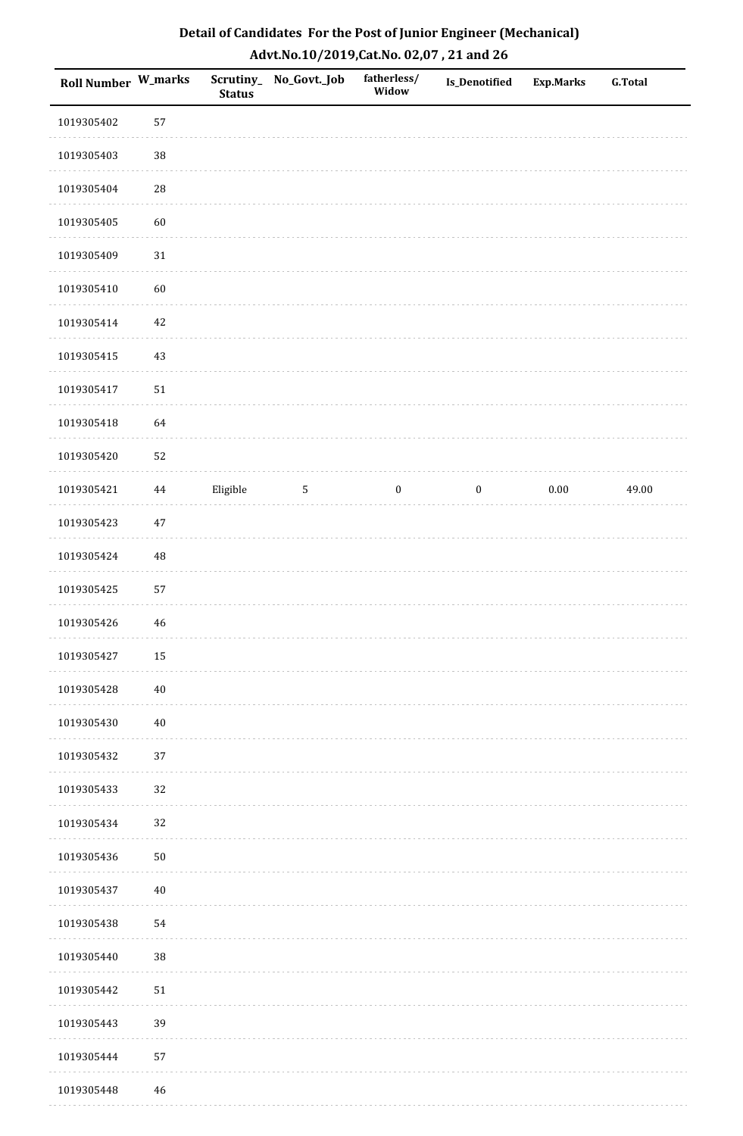| Roll Number W_marks |            | <b>Status</b> | Scrutiny_ No_Govt._Job | fatherless/<br>Widow | <b>Is_Denotified</b> | <b>Exp.Marks</b> | <b>G.Total</b> |
|---------------------|------------|---------------|------------------------|----------------------|----------------------|------------------|----------------|
| 1019305402          | 57         |               |                        |                      |                      |                  |                |
| 1019305403          | $38\,$     |               |                        |                      |                      |                  |                |
| 1019305404          | ${\bf 28}$ |               |                        |                      |                      |                  |                |
| 1019305405          | 60         |               |                        |                      |                      |                  |                |
| 1019305409          | $31\,$     |               |                        |                      |                      |                  |                |
| 1019305410          | 60         |               |                        |                      |                      |                  |                |
| 1019305414          | $42\,$     |               |                        |                      |                      |                  |                |
| 1019305415          | $43\,$     |               |                        |                      |                      |                  |                |
| 1019305417          | $51\,$     |               |                        |                      |                      |                  |                |
| 1019305418          | 64         |               |                        |                      |                      |                  |                |
| 1019305420          | 52         |               |                        |                      |                      |                  |                |
| 1019305421          | 44         | Eligible      | $\sqrt{5}$             | $\boldsymbol{0}$     | $\boldsymbol{0}$     | $0.00\,$         | 49.00          |
| 1019305423          | $47\,$     |               |                        |                      |                      |                  |                |
| 1019305424          | 48         |               |                        |                      |                      |                  |                |
| 1019305425          | 57         |               |                        |                      |                      |                  |                |
| 1019305426          | $46\,$     |               |                        |                      |                      |                  |                |
| 1019305427          | $15\,$     |               |                        |                      |                      |                  |                |
| 1019305428          | $40\,$     |               |                        |                      |                      |                  |                |
| 1019305430          | $40\,$     |               |                        |                      |                      |                  |                |
| 1019305432          | 37         |               |                        |                      |                      |                  |                |
| 1019305433          | 32         |               |                        |                      |                      |                  |                |
| 1019305434          | 32         |               |                        |                      |                      |                  |                |
| 1019305436          | $50\,$     |               |                        |                      |                      |                  |                |
| 1019305437          | $40\,$     |               |                        |                      |                      |                  |                |
| 1019305438          | 54         |               |                        |                      |                      |                  |                |
| 1019305440          | 38         |               |                        |                      |                      |                  |                |
| 1019305442          | $51\,$     |               |                        |                      |                      |                  |                |
| 1019305443          | 39         |               |                        |                      |                      |                  |                |
| 1019305444          | 57         |               |                        |                      |                      |                  |                |
| 1019305448          | 46         |               |                        |                      |                      |                  |                |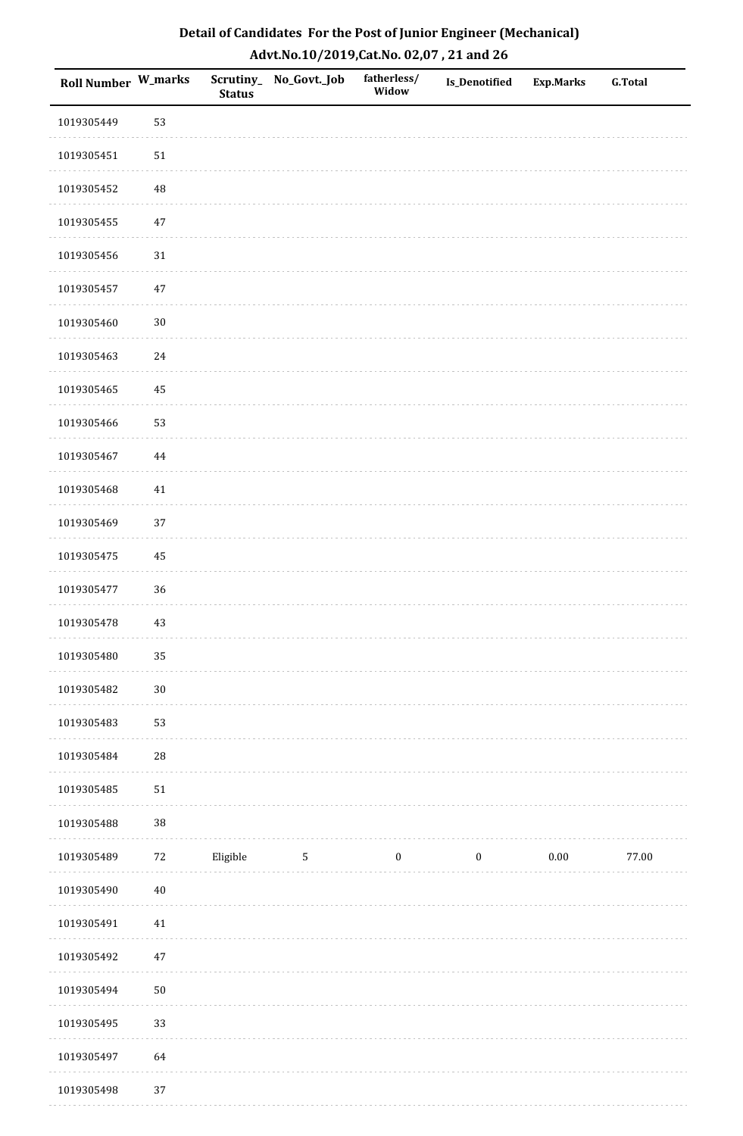| Roll Number W_marks |            | <b>Status</b> | Scrutiny_No_Govt._Job | fatherless/<br>Widow | Is_Denotified    | <b>Exp.Marks</b> | <b>G.Total</b> |
|---------------------|------------|---------------|-----------------------|----------------------|------------------|------------------|----------------|
| 1019305449          | 53         |               |                       |                      |                  |                  |                |
| 1019305451          | $51\,$     |               |                       |                      |                  |                  |                |
| 1019305452          | 48         |               |                       |                      |                  |                  |                |
| 1019305455          | 47         |               |                       |                      |                  |                  |                |
| 1019305456          | $31\,$     |               |                       |                      |                  |                  |                |
| 1019305457          | $47\,$     |               |                       |                      |                  |                  |                |
| 1019305460          | $30\,$     |               |                       |                      |                  |                  |                |
| 1019305463          | 24         |               |                       |                      |                  |                  |                |
| 1019305465          | 45         |               |                       |                      |                  |                  |                |
| 1019305466          | 53         |               |                       |                      |                  |                  |                |
| 1019305467          | $\bf 44$   |               |                       |                      |                  |                  |                |
| 1019305468          | 41         |               |                       |                      |                  |                  |                |
| 1019305469          | 37         |               |                       |                      |                  |                  |                |
| 1019305475          | 45         |               |                       |                      |                  |                  |                |
| 1019305477          | 36         |               |                       |                      |                  |                  |                |
| 1019305478          | $43\,$     |               |                       |                      |                  |                  |                |
| 1019305480          | 35         |               |                       |                      |                  |                  |                |
| 1019305482          | $30\,$     |               |                       |                      |                  |                  |                |
| 1019305483          | 53         |               |                       |                      |                  |                  |                |
| 1019305484          | ${\bf 28}$ |               |                       |                      |                  |                  |                |
| 1019305485          | $51\,$     |               |                       |                      |                  |                  |                |
| 1019305488          | 38         |               |                       |                      |                  |                  |                |
| 1019305489          | $72\,$     | Eligible      | $5\phantom{.0}$       | $\boldsymbol{0}$     | $\boldsymbol{0}$ | $0.00\,$         | 77.00          |
| 1019305490          | $40\,$     |               |                       |                      |                  |                  |                |
| 1019305491          | $41\,$     |               |                       |                      |                  |                  |                |
| 1019305492          | $47\,$     |               |                       |                      |                  |                  |                |
| 1019305494          | $50\,$     |               |                       |                      |                  |                  |                |
| 1019305495          | 33         |               |                       |                      |                  |                  |                |
| 1019305497          | 64         |               |                       |                      |                  |                  |                |
| 1019305498          | 37         |               |                       |                      |                  |                  |                |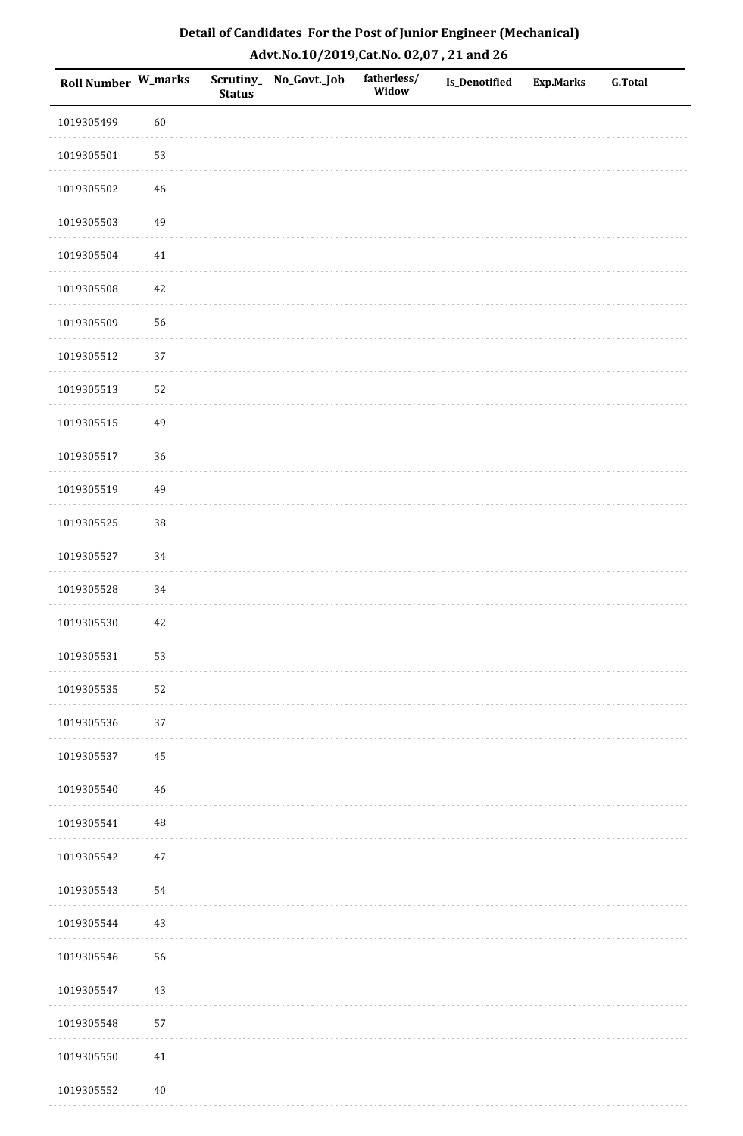| <b>Roll Number W_marks</b> |          | <b>Status</b> | Scrutiny_No_Govt._Job | fatherless/<br>Widow | Is_Denotified | <b>Exp.Marks</b> | <b>G.Total</b> |
|----------------------------|----------|---------------|-----------------------|----------------------|---------------|------------------|----------------|
| 1019305499                 | 60       |               |                       |                      |               |                  |                |
| 1019305501                 | 53       |               |                       |                      |               |                  |                |
| 1019305502                 | 46       |               |                       |                      |               |                  |                |
| 1019305503                 | 49       |               |                       |                      |               |                  |                |
| 1019305504                 | $41\,$   |               |                       |                      |               |                  |                |
| 1019305508                 | 42       |               |                       |                      |               |                  |                |
| 1019305509                 | 56       |               |                       |                      |               |                  |                |
| 1019305512                 | 37       |               |                       |                      |               |                  |                |
| 1019305513                 | 52       |               |                       |                      |               |                  |                |
| 1019305515                 | 49       |               |                       |                      |               |                  |                |
| 1019305517                 | 36       |               |                       |                      |               |                  |                |
| 1019305519                 | 49       |               |                       |                      |               |                  |                |
| 1019305525                 | 38       |               |                       |                      |               |                  |                |
| 1019305527                 | $34\,$   |               |                       |                      |               |                  |                |
| 1019305528                 | 34       |               |                       |                      |               |                  |                |
| 1019305530                 | 42       |               |                       |                      |               |                  |                |
| 1019305531                 | 53       |               |                       |                      |               |                  |                |
| 1019305535                 | 52       |               |                       |                      |               |                  |                |
| 1019305536                 | $37\,$   |               |                       |                      |               |                  |                |
| 1019305537                 | 45       |               |                       |                      |               |                  |                |
| 1019305540                 | 46       |               |                       |                      |               |                  |                |
| 1019305541                 | $\rm 48$ |               |                       |                      |               |                  |                |
| 1019305542                 | $47\,$   |               |                       |                      |               |                  |                |
| 1019305543                 | 54       |               |                       |                      |               |                  |                |
| 1019305544                 | 43       |               |                       |                      |               |                  |                |
| 1019305546                 | 56       |               |                       |                      |               |                  |                |
| 1019305547                 | $43\,$   |               |                       |                      |               |                  |                |
| 1019305548                 | 57       |               |                       |                      |               |                  |                |
| 1019305550                 | $41\,$   |               |                       |                      |               |                  |                |
| 1019305552                 | $40\,$   |               |                       |                      |               |                  |                |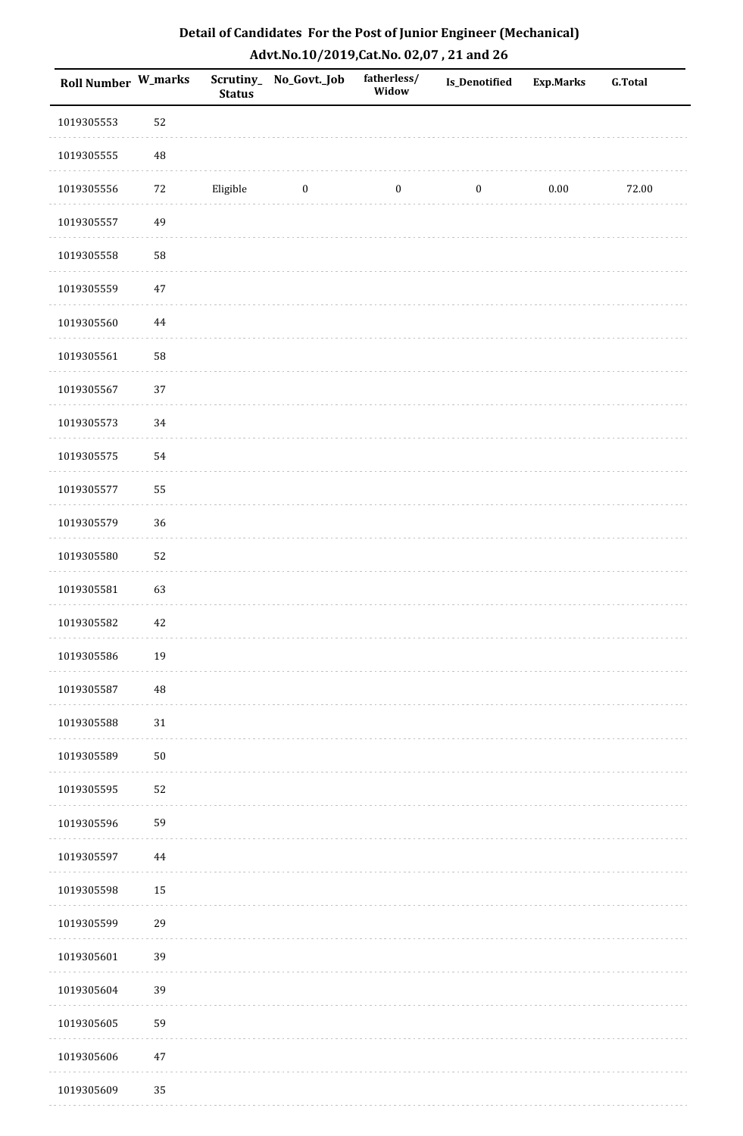| <b>Roll Number W_marks</b> |          | <b>Status</b> | Scrutiny_No_Govt._Job | fatherless/<br>Widow | Is_Denotified    | <b>Exp.Marks</b> | <b>G.Total</b> |
|----------------------------|----------|---------------|-----------------------|----------------------|------------------|------------------|----------------|
| 1019305553                 | 52       |               |                       |                      |                  |                  |                |
| 1019305555                 | 48       |               |                       |                      |                  |                  |                |
| 1019305556                 | 72       | Eligible      | $\boldsymbol{0}$      | $\boldsymbol{0}$     | $\boldsymbol{0}$ | 0.00             | 72.00          |
| 1019305557                 | 49       |               |                       |                      |                  |                  |                |
| 1019305558                 | 58       |               |                       |                      |                  |                  |                |
| 1019305559                 | 47       |               |                       |                      |                  |                  |                |
| 1019305560                 | $\bf 44$ |               |                       |                      |                  |                  |                |
| 1019305561                 | 58       |               |                       |                      |                  |                  |                |
| 1019305567                 | 37       |               |                       |                      |                  |                  |                |
| 1019305573                 | 34       |               |                       |                      |                  |                  |                |
| 1019305575                 | 54       |               |                       |                      |                  |                  |                |
| 1019305577                 | 55       |               |                       |                      |                  |                  |                |
| 1019305579                 | 36       |               |                       |                      |                  |                  |                |
| 1019305580                 | 52       |               |                       |                      |                  |                  |                |
| 1019305581                 | 63       |               |                       |                      |                  |                  |                |
| 1019305582                 | 42       |               |                       |                      |                  |                  |                |
| 1019305586                 | 19       |               |                       |                      |                  |                  |                |
| 1019305587                 | 48       |               |                       |                      |                  |                  |                |
| 1019305588                 | $31\,$   |               |                       |                      |                  |                  |                |
| 1019305589                 | $50\,$   |               |                       |                      |                  |                  |                |
| 1019305595                 | 52       |               |                       |                      |                  |                  |                |
| 1019305596                 | 59       |               |                       |                      |                  |                  |                |
| 1019305597                 | $\bf 44$ |               |                       |                      |                  |                  |                |
| 1019305598                 | 15       |               |                       |                      |                  |                  |                |
| 1019305599                 | 29       |               |                       |                      |                  |                  |                |
| 1019305601                 | 39       |               |                       |                      |                  |                  |                |
| 1019305604                 | 39       |               |                       |                      |                  |                  |                |
| 1019305605                 | 59       |               |                       |                      |                  |                  |                |
| 1019305606                 | $47\,$   |               |                       |                      |                  |                  |                |
| 1019305609                 | 35       |               |                       |                      |                  |                  |                |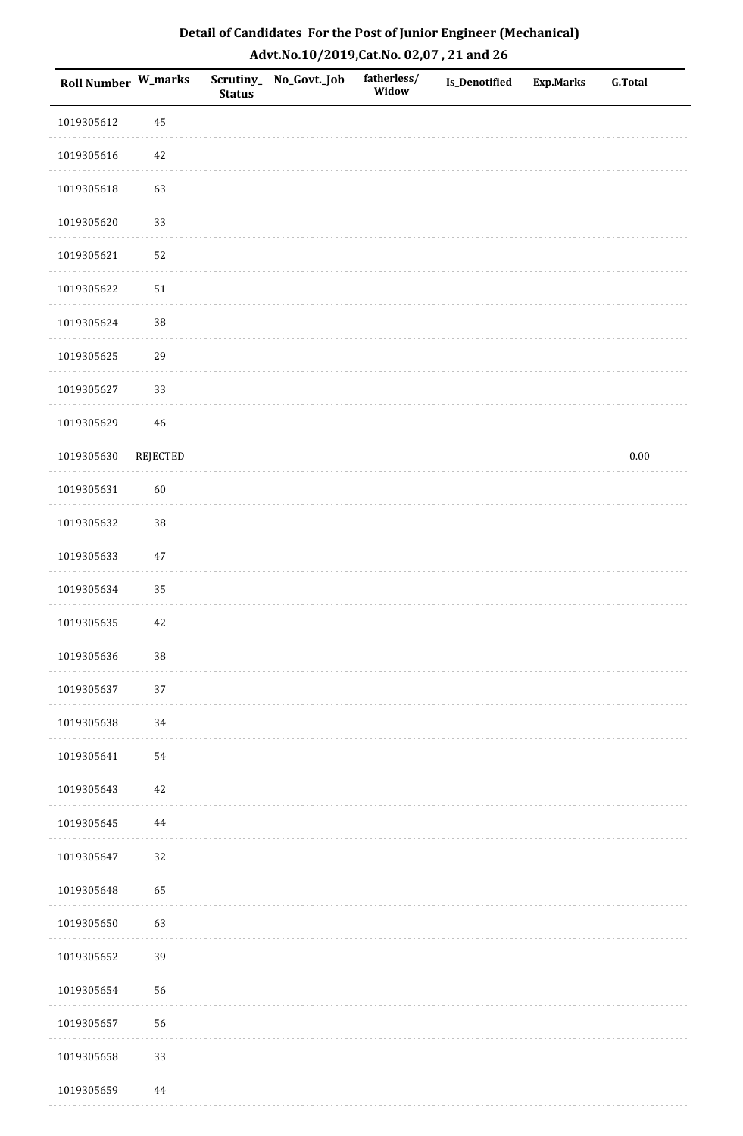| <b>Roll Number W_marks</b> |                 | <b>Status</b> | Scrutiny_No_Govt._Job | fatherless/<br>Widow | Is_Denotified | <b>Exp.Marks</b> | <b>G.Total</b> |
|----------------------------|-----------------|---------------|-----------------------|----------------------|---------------|------------------|----------------|
| 1019305612                 | 45              |               |                       |                      |               |                  |                |
| 1019305616                 | 42              |               |                       |                      |               |                  |                |
| 1019305618                 | 63              |               |                       |                      |               |                  |                |
| 1019305620                 | 33              |               |                       |                      |               |                  |                |
| 1019305621                 | 52              |               |                       |                      |               |                  |                |
| 1019305622                 | $51\,$          |               |                       |                      |               |                  |                |
| 1019305624                 | 38              |               |                       |                      |               |                  |                |
| 1019305625                 | 29              |               |                       |                      |               |                  |                |
| 1019305627                 | 33              |               |                       |                      |               |                  |                |
| 1019305629                 | $46\,$          |               |                       |                      |               |                  |                |
| 1019305630                 | <b>REJECTED</b> |               |                       |                      |               |                  | $0.00\,$       |
| 1019305631                 | 60              |               |                       |                      |               |                  |                |
| 1019305632                 | 38              |               |                       |                      |               |                  |                |
| 1019305633                 | $47\,$          |               |                       |                      |               |                  |                |
| 1019305634                 | 35              |               |                       |                      |               |                  |                |
| 1019305635                 | 42              |               |                       |                      |               |                  |                |
| 1019305636                 | $38\,$          |               |                       |                      |               |                  |                |
| 1019305637                 | 37              |               |                       |                      |               |                  |                |
| 1019305638                 | 34              |               |                       |                      |               |                  |                |
| 1019305641                 | 54              |               |                       |                      |               |                  |                |
| 1019305643                 | 42              |               |                       |                      |               |                  |                |
| 1019305645                 | 44              |               |                       |                      |               |                  |                |
| 1019305647                 | 32              |               |                       |                      |               |                  |                |
| 1019305648                 | 65              |               |                       |                      |               |                  |                |
| 1019305650                 | 63              |               |                       |                      |               |                  |                |
| 1019305652                 | 39              |               |                       |                      |               |                  |                |
| 1019305654                 | 56              |               |                       |                      |               |                  |                |
| 1019305657                 | 56              |               |                       |                      |               |                  |                |
| 1019305658                 | 33              |               |                       |                      |               |                  |                |
| 1019305659                 | 44              |               |                       |                      |               |                  |                |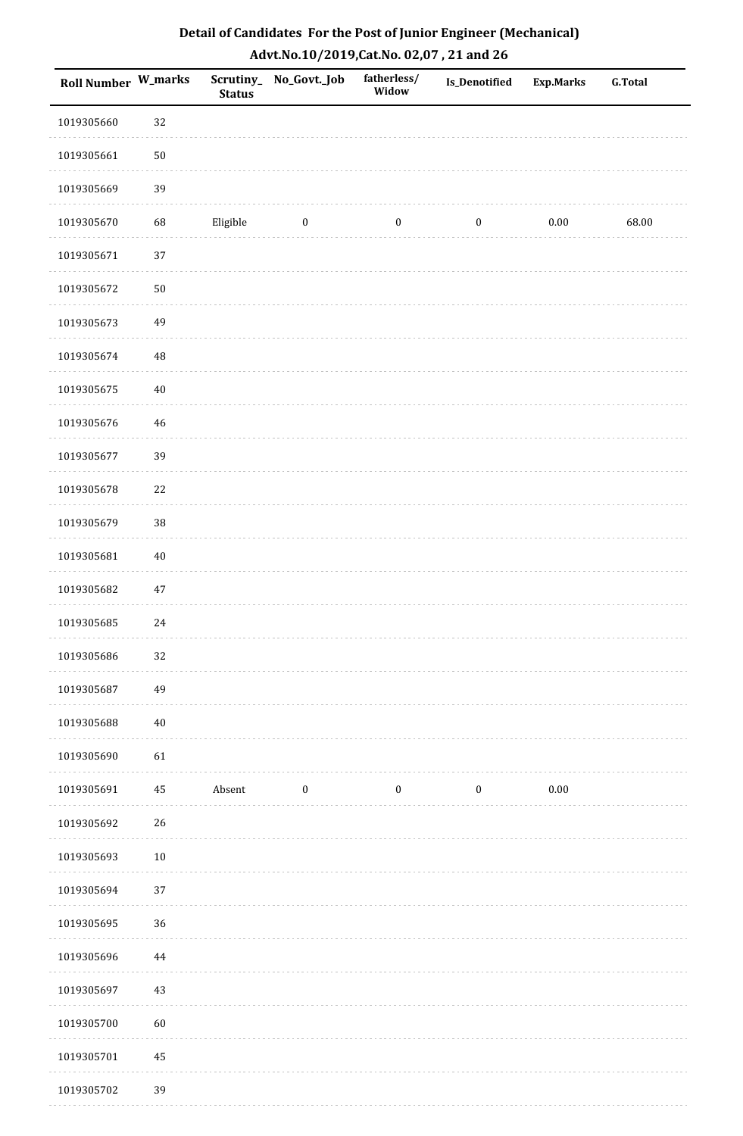| Detail of Candidates For the Post of Junior Engineer (Mechanical) |
|-------------------------------------------------------------------|
| Advt.No.10/2019, Cat.No. 02,07, 21 and 26                         |

| Roll Number W_marks |             | <b>Status</b> | Scrutiny_ No_Govt._Job | fatherless/<br>Widow | Is_Denotified    | <b>Exp.Marks</b> | <b>G.Total</b> |
|---------------------|-------------|---------------|------------------------|----------------------|------------------|------------------|----------------|
| 1019305660          | 32          |               |                        |                      |                  |                  |                |
| 1019305661          | $50\,$      |               |                        |                      |                  |                  |                |
| 1019305669          | 39          |               |                        |                      |                  |                  |                |
| 1019305670          | 68          | Eligible      | $\boldsymbol{0}$       | $\boldsymbol{0}$     | $\boldsymbol{0}$ | $0.00\,$         | 68.00          |
| 1019305671          | 37          |               |                        |                      |                  |                  |                |
| 1019305672          | $50\,$      |               |                        |                      |                  |                  |                |
| 1019305673          | 49          |               |                        |                      |                  |                  |                |
| 1019305674          | $\rm 48$    |               |                        |                      |                  |                  |                |
| 1019305675          | $40\,$      |               |                        |                      |                  |                  |                |
| 1019305676          | $\sqrt{46}$ |               |                        |                      |                  |                  |                |
| 1019305677          | 39          |               |                        |                      |                  |                  |                |
| 1019305678          | $22\,$      |               |                        |                      |                  |                  |                |
| 1019305679          | 38          |               |                        |                      |                  |                  |                |
| 1019305681          | $40\,$      |               |                        |                      |                  |                  |                |
| 1019305682          | $47\,$      |               |                        |                      |                  |                  |                |
| 1019305685          | $24\,$      |               |                        |                      |                  |                  |                |
| 1019305686          | 32          |               |                        |                      |                  |                  |                |
| 1019305687          | 49          |               |                        |                      |                  |                  |                |
| 1019305688          | $40\,$      |               |                        |                      |                  |                  |                |
| 1019305690          | 61          |               |                        |                      |                  |                  |                |
| 1019305691          | 45          | Absent        | $\boldsymbol{0}$       | $\boldsymbol{0}$     | $\boldsymbol{0}$ | $0.00\,$         |                |
| 1019305692          | 26          |               |                        |                      |                  |                  |                |
| 1019305693          | $10\,$      |               |                        |                      |                  |                  |                |
| 1019305694          | 37          |               |                        |                      |                  |                  |                |
| 1019305695          | 36          |               |                        |                      |                  |                  |                |
| 1019305696          | $\bf 44$    |               |                        |                      |                  |                  |                |
| 1019305697          | $43\,$      |               |                        |                      |                  |                  |                |
| 1019305700          | 60          |               |                        |                      |                  |                  |                |
| 1019305701          | 45          |               |                        |                      |                  |                  |                |
| 1019305702          | 39          |               |                        |                      |                  |                  |                |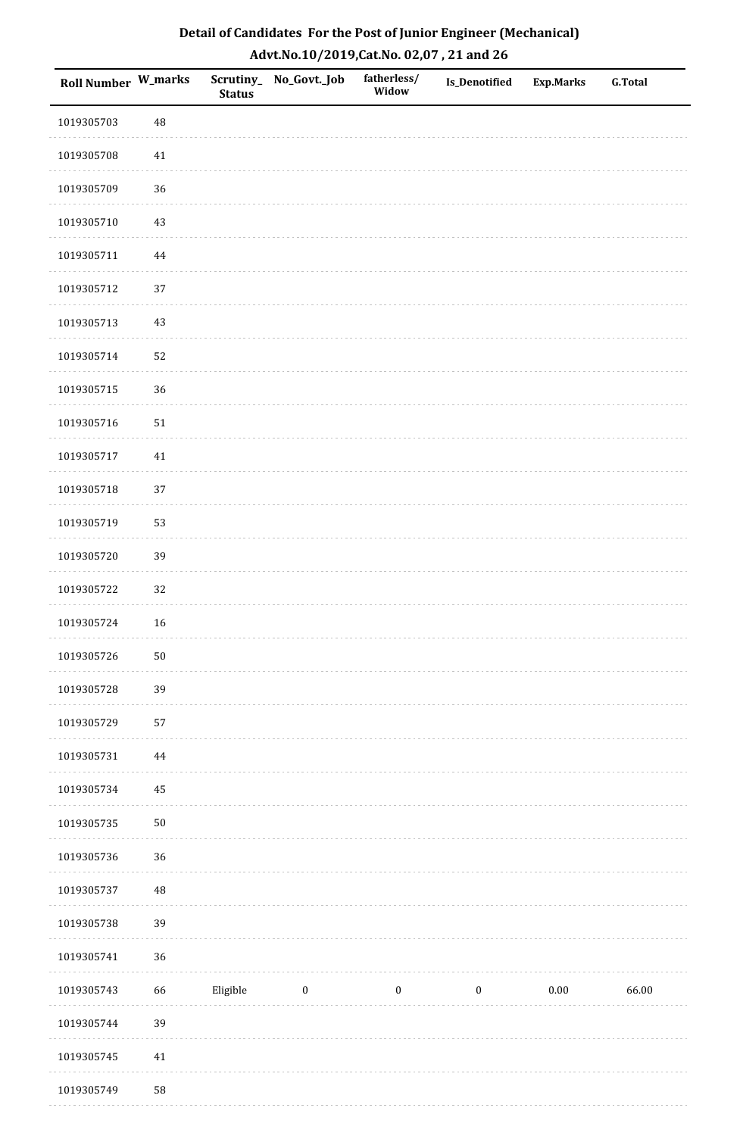| <b>Roll Number W_marks</b> |          | <b>Status</b> | Scrutiny_No_Govt._Job | fatherless/<br>Widow | Is_Denotified    | <b>Exp.Marks</b> | <b>G.Total</b> |
|----------------------------|----------|---------------|-----------------------|----------------------|------------------|------------------|----------------|
| 1019305703                 | 48       |               |                       |                      |                  |                  |                |
| 1019305708                 | $41\,$   |               |                       |                      |                  |                  |                |
| 1019305709                 | 36       |               |                       |                      |                  |                  |                |
| 1019305710                 | 43       |               |                       |                      |                  |                  |                |
| 1019305711                 | $\bf 44$ |               |                       |                      |                  |                  |                |
| 1019305712                 | 37       |               |                       |                      |                  |                  |                |
| 1019305713                 | 43       |               |                       |                      |                  |                  |                |
| 1019305714                 | 52       |               |                       |                      |                  |                  |                |
| 1019305715                 | 36       |               |                       |                      |                  |                  |                |
| 1019305716                 | $51\,$   |               |                       |                      |                  |                  |                |
| 1019305717                 | $41\,$   |               |                       |                      |                  |                  |                |
| 1019305718                 | 37       |               |                       |                      |                  |                  |                |
| 1019305719                 | 53       |               |                       |                      |                  |                  |                |
| 1019305720                 | 39       |               |                       |                      |                  |                  |                |
| 1019305722                 | 32       |               |                       |                      |                  |                  |                |
| 1019305724                 | 16       |               |                       |                      |                  |                  |                |
| 1019305726                 | $50\,$   |               |                       |                      |                  |                  |                |
| 1019305728                 | 39       |               |                       |                      |                  |                  |                |
| 1019305729                 | 57       |               |                       |                      |                  |                  |                |
| 1019305731                 | 44       |               |                       |                      |                  |                  |                |
| 1019305734                 | 45       |               |                       |                      |                  |                  |                |
| 1019305735                 | $50\,$   |               |                       |                      |                  |                  |                |
| 1019305736                 | 36       |               |                       |                      |                  |                  |                |
| 1019305737                 | $\rm 48$ |               |                       |                      |                  |                  |                |
| 1019305738                 | 39       |               |                       |                      |                  |                  |                |
| 1019305741                 | 36       |               |                       |                      |                  |                  |                |
| 1019305743                 | 66       | Eligible      | $\pmb{0}$             | $\boldsymbol{0}$     | $\boldsymbol{0}$ | 0.00             | 66.00          |
| 1019305744                 | 39       |               |                       |                      |                  |                  |                |
| 1019305745                 | $41\,$   |               |                       |                      |                  |                  |                |
| 1019305749                 | 58       |               |                       |                      |                  |                  |                |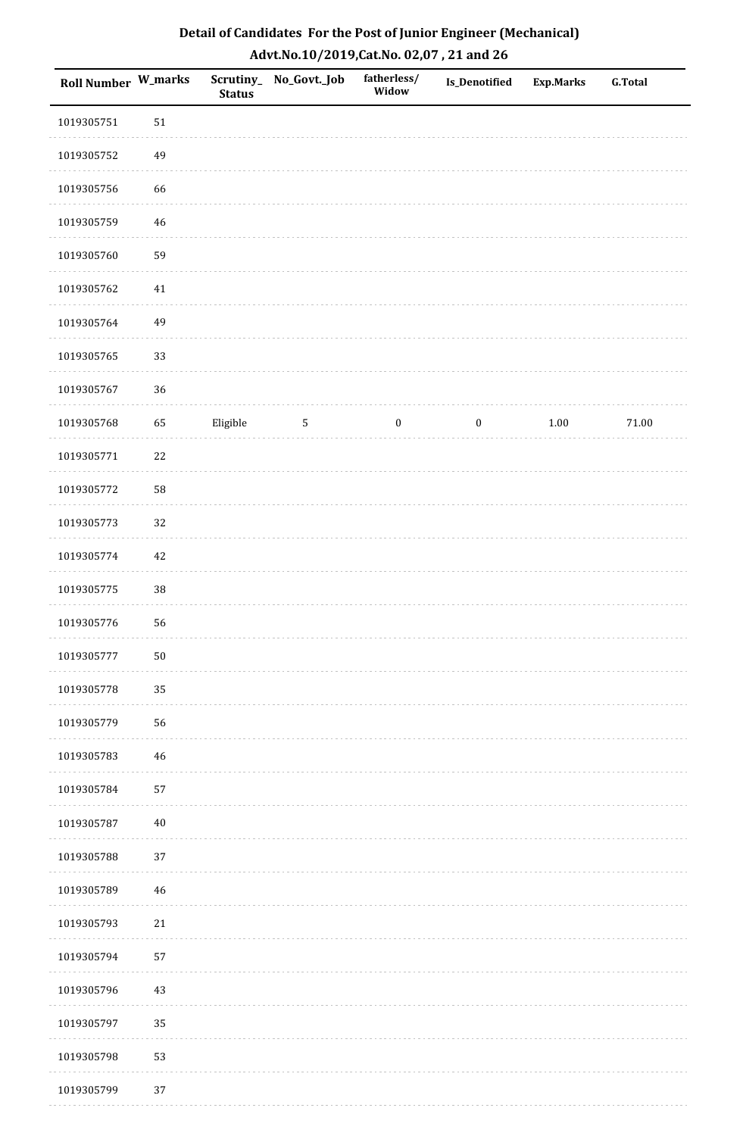| <b>Roll Number W_marks</b> |             | <b>Status</b> | Scrutiny_ No_Govt._Job | fatherless/<br>Widow | Is_Denotified    | <b>Exp.Marks</b> | <b>G.Total</b> |
|----------------------------|-------------|---------------|------------------------|----------------------|------------------|------------------|----------------|
| 1019305751                 | 51          |               |                        |                      |                  |                  |                |
| 1019305752                 | 49          |               |                        |                      |                  |                  |                |
| 1019305756                 | 66          |               |                        |                      |                  |                  |                |
| 1019305759                 | $46\,$      |               |                        |                      |                  |                  |                |
| 1019305760                 | 59          |               |                        |                      |                  |                  |                |
| 1019305762                 | 41          |               |                        |                      |                  |                  |                |
| 1019305764                 | 49          |               |                        |                      |                  |                  |                |
| 1019305765                 | 33          |               |                        |                      |                  |                  |                |
| 1019305767                 | 36          |               |                        |                      |                  |                  |                |
| 1019305768                 | 65          | Eligible      | $\mathbf{5}$           | $\boldsymbol{0}$     | $\boldsymbol{0}$ | $1.00\,$         | 71.00          |
| 1019305771                 | 22          |               |                        |                      |                  |                  |                |
| 1019305772                 | 58          |               |                        |                      |                  |                  |                |
| 1019305773                 | 32          |               |                        |                      |                  |                  |                |
| 1019305774                 | $42\,$      |               |                        |                      |                  |                  |                |
| 1019305775                 | $38\,$      |               |                        |                      |                  |                  |                |
| 1019305776                 | 56          |               |                        |                      |                  |                  |                |
| 1019305777                 | $50\,$      |               |                        |                      |                  |                  |                |
| 1019305778                 | 35          |               |                        |                      |                  |                  |                |
| 1019305779                 | 56          |               |                        |                      |                  |                  |                |
| 1019305783                 | $\sqrt{46}$ |               |                        |                      |                  |                  |                |
| 1019305784                 | 57          |               |                        |                      |                  |                  |                |
| 1019305787                 | $40\,$      |               |                        |                      |                  |                  |                |
| 1019305788                 | 37          |               |                        |                      |                  |                  |                |
| 1019305789                 | 46          |               |                        |                      |                  |                  |                |
| 1019305793                 | $21\,$      |               |                        |                      |                  |                  |                |
| 1019305794                 | 57          |               |                        |                      |                  |                  |                |
| 1019305796                 | $43\,$      |               |                        |                      |                  |                  |                |
| 1019305797                 | 35          |               |                        |                      |                  |                  |                |
| 1019305798                 | 53          |               |                        |                      |                  |                  |                |
| 1019305799                 | 37          |               |                        |                      |                  |                  |                |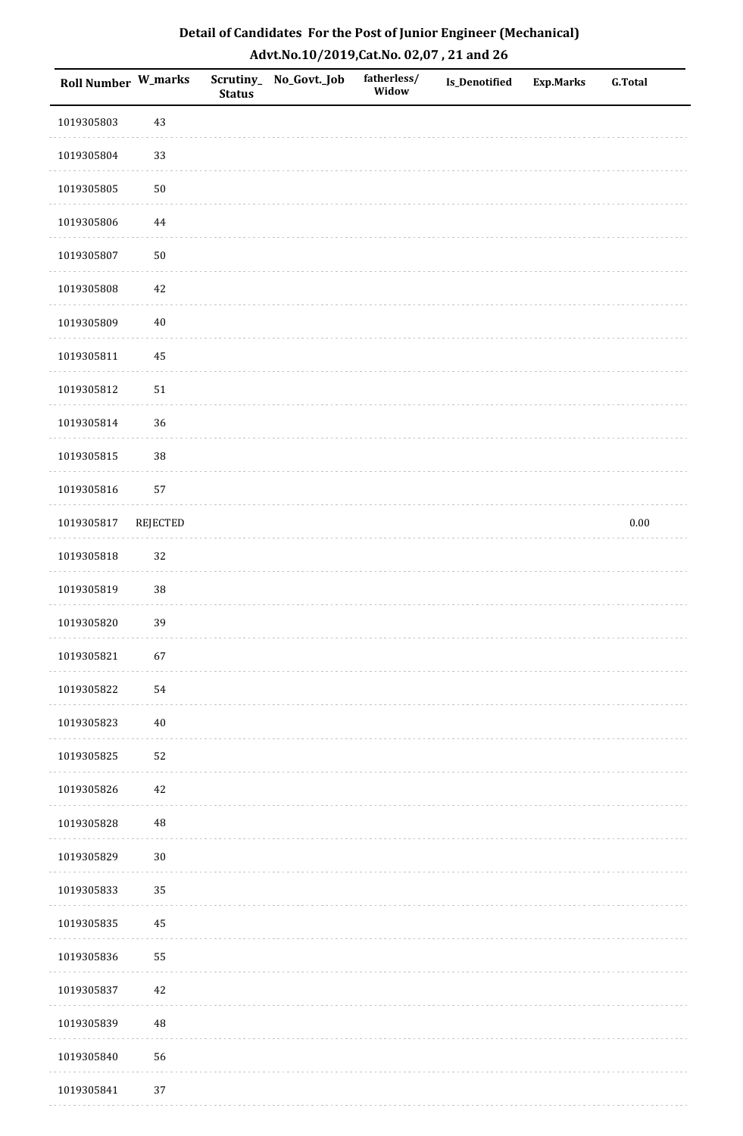| <b>Roll Number W_marks</b> |          | Scrutiny_<br><b>Status</b> | No_Govt._Job | fatherless/<br>Widow | Is_Denotified | <b>Exp.Marks</b> | <b>G.Total</b> |
|----------------------------|----------|----------------------------|--------------|----------------------|---------------|------------------|----------------|
| 1019305803                 | 43       |                            |              |                      |               |                  |                |
| 1019305804                 | 33       |                            |              |                      |               |                  |                |
| 1019305805                 | $50\,$   |                            |              |                      |               |                  |                |
| 1019305806                 | $\bf 44$ |                            |              |                      |               |                  |                |
| 1019305807                 | $50\,$   |                            |              |                      |               |                  |                |
| 1019305808                 | 42       |                            |              |                      |               |                  |                |
| 1019305809                 | $40\,$   |                            |              |                      |               |                  |                |
| 1019305811                 | $\bf 45$ |                            |              |                      |               |                  |                |
| 1019305812                 | $51\,$   |                            |              |                      |               |                  |                |
| 1019305814                 | 36       |                            |              |                      |               |                  |                |
| 1019305815                 | 38       |                            |              |                      |               |                  |                |
| 1019305816                 | 57       |                            |              |                      |               |                  |                |
| 1019305817                 | REJECTED |                            |              |                      |               |                  | $0.00\,$       |
| 1019305818                 | 32       |                            |              |                      |               |                  |                |
| 1019305819                 | $38\,$   |                            |              |                      |               |                  |                |
| 1019305820                 | 39       |                            |              |                      |               |                  |                |
| 1019305821                 | 67       |                            |              |                      |               |                  |                |
| 1019305822                 | 54       |                            |              |                      |               |                  |                |
| 1019305823                 | $40\,$   |                            |              |                      |               |                  |                |
| 1019305825                 | 52       |                            |              |                      |               |                  |                |
| 1019305826                 | 42       |                            |              |                      |               |                  |                |
| 1019305828                 | $\rm 48$ |                            |              |                      |               |                  |                |
| 1019305829                 | $30\,$   |                            |              |                      |               |                  |                |
| 1019305833                 | 35       |                            |              |                      |               |                  |                |
| 1019305835                 | 45       |                            |              |                      |               |                  |                |
| 1019305836                 | 55       |                            |              |                      |               |                  |                |
| 1019305837                 | 42       |                            |              |                      |               |                  |                |
| 1019305839                 | 48       |                            |              |                      |               |                  |                |
| 1019305840                 | 56       |                            |              |                      |               |                  |                |
| 1019305841                 | 37       |                            |              |                      |               |                  |                |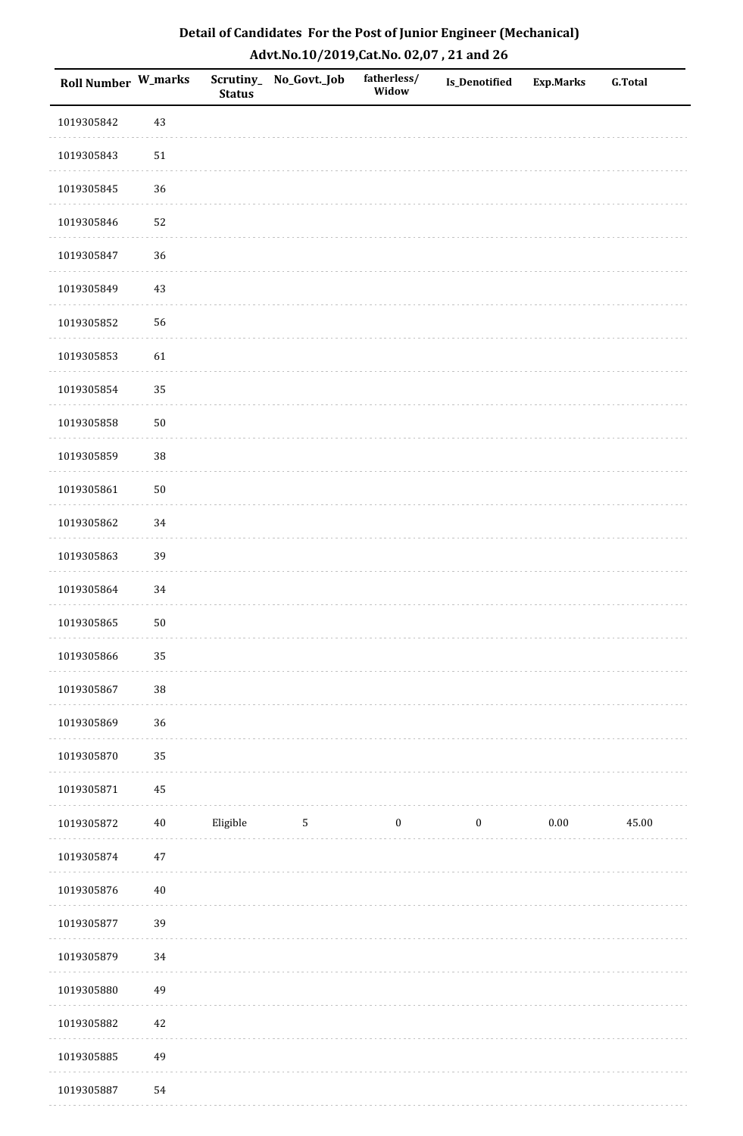| Roll Number W_marks |        | <b>Status</b> | Scrutiny_No_Govt._Job | fatherless/<br>Widow | Is_Denotified    | <b>Exp.Marks</b> | <b>G.Total</b> |
|---------------------|--------|---------------|-----------------------|----------------------|------------------|------------------|----------------|
| 1019305842          | $43\,$ |               |                       |                      |                  |                  |                |
| 1019305843          | $51\,$ |               |                       |                      |                  |                  |                |
| 1019305845          | 36     |               |                       |                      |                  |                  |                |
| 1019305846          | 52     |               |                       |                      |                  |                  |                |
| 1019305847          | 36     |               |                       |                      |                  |                  |                |
| 1019305849          | 43     |               |                       |                      |                  |                  |                |
| 1019305852          | 56     |               |                       |                      |                  |                  |                |
| 1019305853          | 61     |               |                       |                      |                  |                  |                |
| 1019305854          | 35     |               |                       |                      |                  |                  |                |
| 1019305858          | $50\,$ |               |                       |                      |                  |                  |                |
| 1019305859          | 38     |               |                       |                      |                  |                  |                |
| 1019305861          | $50\,$ |               |                       |                      |                  |                  |                |
| 1019305862          | 34     |               |                       |                      |                  |                  |                |
| 1019305863          | 39     |               |                       |                      |                  |                  |                |
| 1019305864          | 34     |               |                       |                      |                  |                  |                |
| 1019305865          | $50\,$ |               |                       |                      |                  |                  |                |
| 1019305866          | 35     |               |                       |                      |                  |                  |                |
| 1019305867          | 38     |               |                       |                      |                  |                  |                |
| 1019305869          | 36     |               |                       |                      |                  |                  |                |
| 1019305870          | 35     |               |                       |                      |                  |                  |                |
| 1019305871          | 45     |               |                       |                      |                  |                  |                |
| 1019305872          | $40\,$ | Eligible      | $\sqrt{5}$            | $\boldsymbol{0}$     | $\boldsymbol{0}$ | $0.00\,$         | 45.00          |
| 1019305874          | $47\,$ |               |                       |                      |                  |                  |                |
| 1019305876          | $40\,$ |               |                       |                      |                  |                  |                |
| 1019305877          | 39     |               |                       |                      |                  |                  |                |
| 1019305879          | $34\,$ |               |                       |                      |                  |                  |                |
| 1019305880          | 49     |               |                       |                      |                  |                  |                |
| 1019305882          | $42\,$ |               |                       |                      |                  |                  |                |
| 1019305885          | 49     |               |                       |                      |                  |                  |                |
| 1019305887          | 54     |               |                       |                      |                  |                  |                |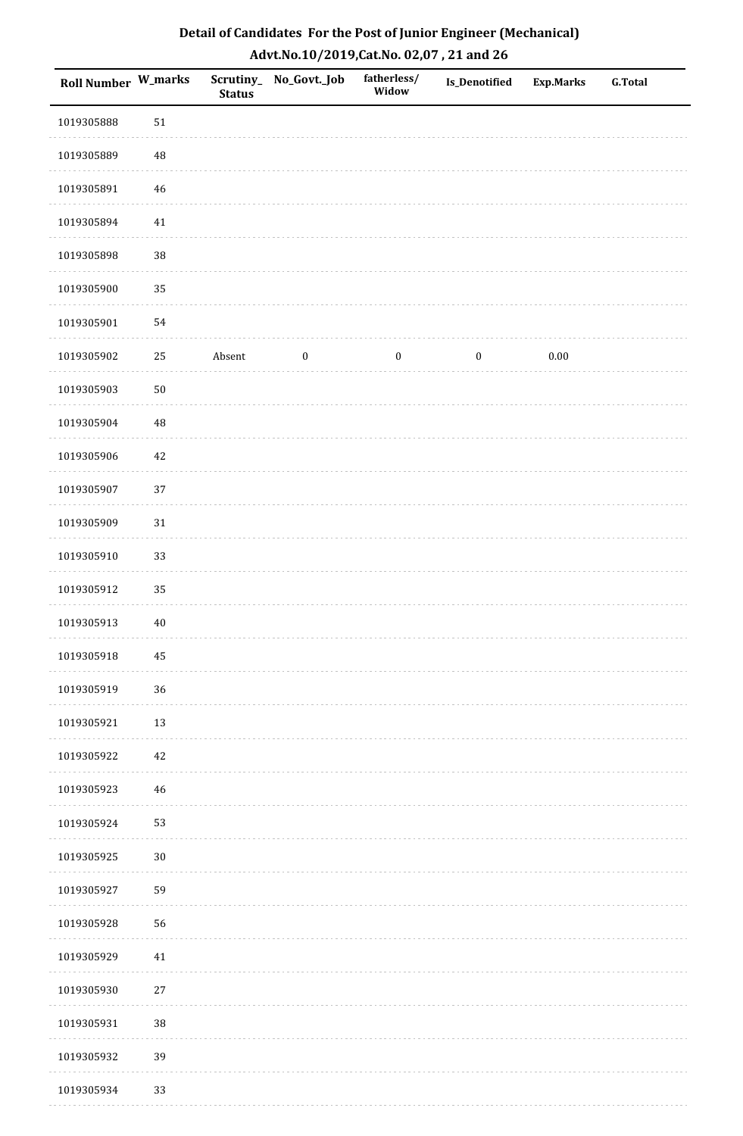| Roll Number W_marks |          | <b>Status</b> | Scrutiny_No_Govt._Job | fatherless/<br>Widow | <b>Is_Denotified</b> | <b>Exp.Marks</b> | <b>G.Total</b> |
|---------------------|----------|---------------|-----------------------|----------------------|----------------------|------------------|----------------|
| 1019305888          | $51\,$   |               |                       |                      |                      |                  |                |
| 1019305889          | $\rm 48$ |               |                       |                      |                      |                  |                |
| 1019305891          | $46\,$   |               |                       |                      |                      |                  |                |
| 1019305894          | $41\,$   |               |                       |                      |                      |                  |                |
| 1019305898          | 38       |               |                       |                      |                      |                  |                |
| 1019305900          | 35       |               |                       |                      |                      |                  |                |
| 1019305901          | 54       |               |                       |                      |                      |                  |                |
| 1019305902          | 25       | Absent        | $\bf{0}$              | $\bf{0}$             | $\boldsymbol{0}$     | 0.00             |                |
| 1019305903          | $50\,$   |               |                       |                      |                      |                  |                |
| 1019305904          | 48       |               |                       |                      |                      |                  |                |
| 1019305906          | $42\,$   |               |                       |                      |                      |                  |                |
| 1019305907          | 37       |               |                       |                      |                      |                  |                |
| 1019305909          | $31\,$   |               |                       |                      |                      |                  |                |
| 1019305910          | 33       |               |                       |                      |                      |                  |                |
| 1019305912          | 35       |               |                       |                      |                      |                  |                |
| 1019305913          | $40\,$   |               |                       |                      |                      |                  |                |
| 1019305918          | $\bf 45$ |               |                       |                      |                      |                  |                |
| 1019305919          | 36       |               |                       |                      |                      |                  |                |
| 1019305921          | 13       |               |                       |                      |                      |                  |                |
| 1019305922          | $42\,$   |               |                       |                      |                      |                  |                |
| 1019305923          | 46       |               |                       |                      |                      |                  |                |
| 1019305924          | 53       |               |                       |                      |                      |                  |                |
| 1019305925          | $30\,$   |               |                       |                      |                      |                  |                |
| 1019305927          | 59       |               |                       |                      |                      |                  |                |
| 1019305928          | 56       |               |                       |                      |                      |                  |                |
| 1019305929          | $41\,$   |               |                       |                      |                      |                  |                |
| 1019305930          | $27\,$   |               |                       |                      |                      |                  |                |
| 1019305931          | 38       |               |                       |                      |                      |                  |                |
| 1019305932          | 39       |               |                       |                      |                      |                  |                |
| 1019305934          | 33       |               |                       |                      |                      |                  |                |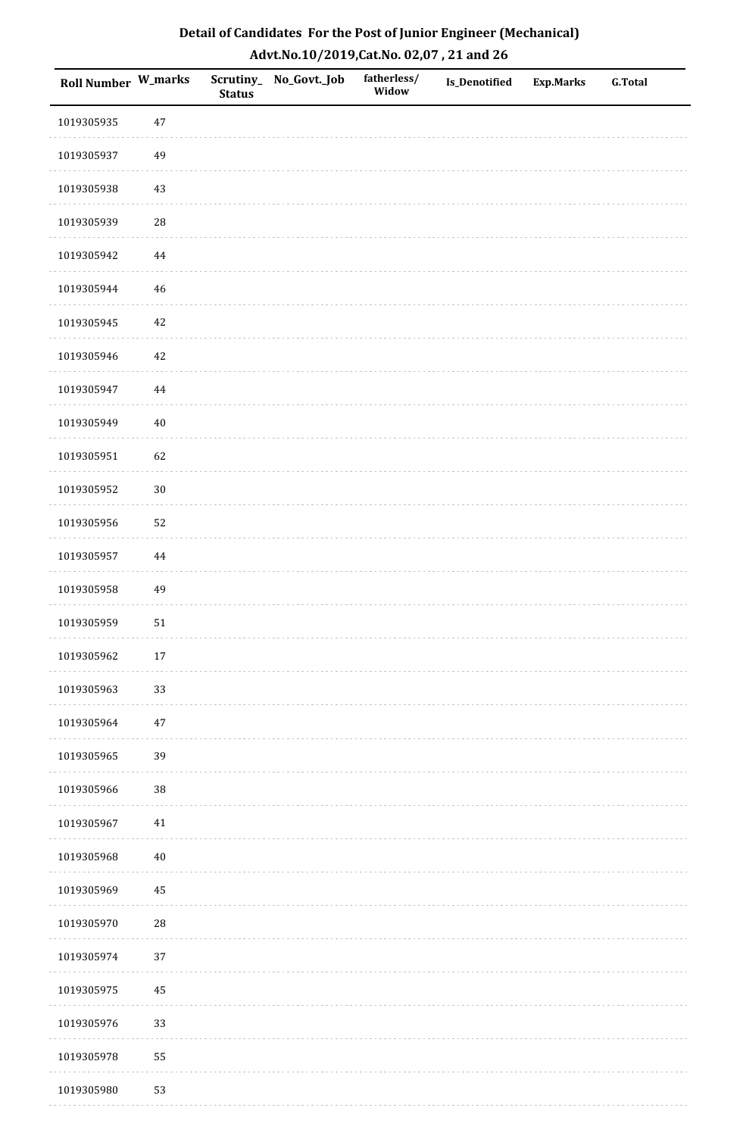| <b>Roll Number W_marks</b> |            | <b>Status</b> | Scrutiny_No_Govt._Job | fatherless/<br>Widow | Is_Denotified | <b>Exp.Marks</b> | <b>G.Total</b> |
|----------------------------|------------|---------------|-----------------------|----------------------|---------------|------------------|----------------|
| 1019305935                 | $47\,$     |               |                       |                      |               |                  |                |
| 1019305937                 | 49         |               |                       |                      |               |                  |                |
| 1019305938                 | $43\,$     |               |                       |                      |               |                  |                |
| 1019305939                 | 28         |               |                       |                      |               |                  |                |
| 1019305942                 | $\bf 44$   |               |                       |                      |               |                  |                |
| 1019305944                 | 46         |               |                       |                      |               |                  |                |
| 1019305945                 | $42\,$     |               |                       |                      |               |                  |                |
| 1019305946                 | $42\,$     |               |                       |                      |               |                  |                |
| 1019305947                 | 44         |               |                       |                      |               |                  |                |
| 1019305949                 | $40\,$     |               |                       |                      |               |                  |                |
| 1019305951                 | 62         |               |                       |                      |               |                  |                |
| 1019305952                 | $30\,$     |               |                       |                      |               |                  |                |
| 1019305956                 | 52         |               |                       |                      |               |                  |                |
| 1019305957                 | 44         |               |                       |                      |               |                  |                |
| 1019305958                 | 49         |               |                       |                      |               |                  |                |
| 1019305959                 | $51\,$     |               |                       |                      |               |                  |                |
| 1019305962                 | $17\,$     |               |                       |                      |               |                  |                |
| 1019305963                 | 33         |               |                       |                      |               |                  |                |
| 1019305964                 | $47\,$     |               |                       |                      |               |                  |                |
| 1019305965                 | 39         |               |                       |                      |               |                  |                |
| 1019305966                 | 38         |               |                       |                      |               |                  |                |
| 1019305967                 | $41\,$     |               |                       |                      |               |                  |                |
| 1019305968                 | $40\,$     |               |                       |                      |               |                  |                |
| 1019305969                 | 45         |               |                       |                      |               |                  |                |
| 1019305970                 | ${\bf 28}$ |               |                       |                      |               |                  |                |
| 1019305974                 | 37         |               |                       |                      |               |                  |                |
| 1019305975                 | 45         |               |                       |                      |               |                  |                |
| 1019305976                 | 33         |               |                       |                      |               |                  |                |
| 1019305978                 | 55         |               |                       |                      |               |                  |                |
| 1019305980                 | 53         |               |                       |                      |               |                  |                |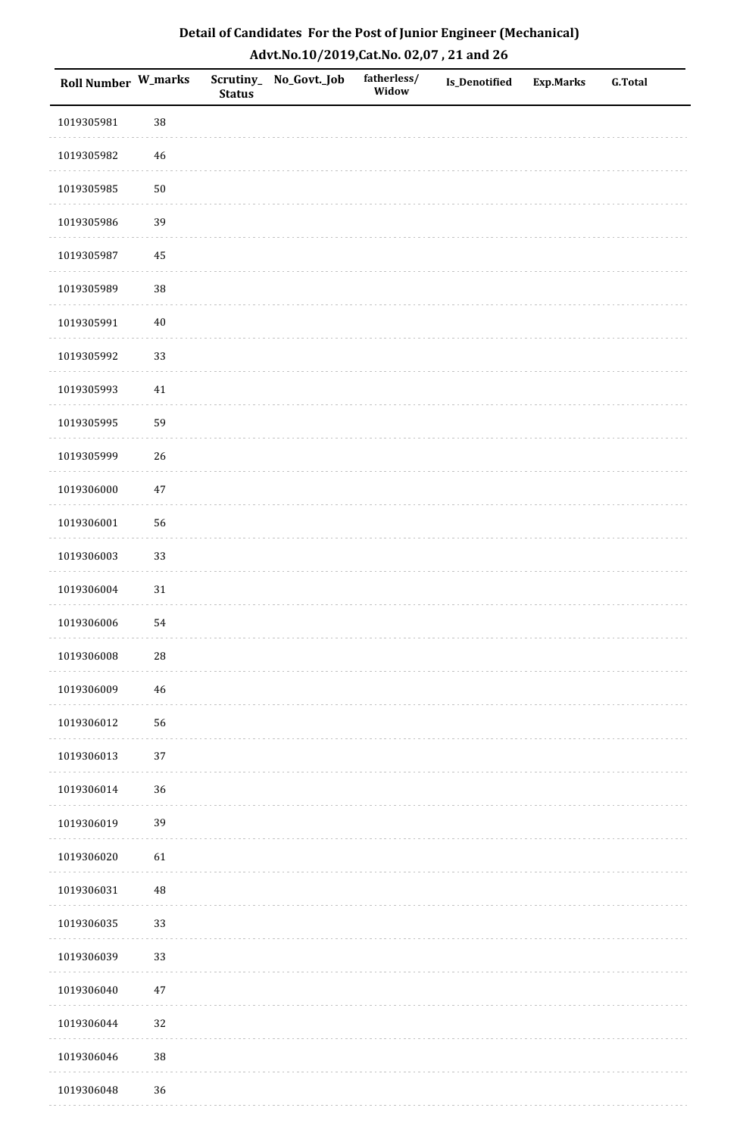| <b>Roll Number W_marks</b> |            | <b>Status</b> | Scrutiny_No_Govt._Job | fatherless/<br>Widow | Is_Denotified | <b>Exp.Marks</b> | <b>G.Total</b> |
|----------------------------|------------|---------------|-----------------------|----------------------|---------------|------------------|----------------|
| 1019305981                 | 38         |               |                       |                      |               |                  |                |
| 1019305982                 | $46\,$     |               |                       |                      |               |                  |                |
| 1019305985                 | $50\,$     |               |                       |                      |               |                  |                |
| 1019305986                 | 39         |               |                       |                      |               |                  |                |
| 1019305987                 | $\bf 45$   |               |                       |                      |               |                  |                |
| 1019305989                 | 38         |               |                       |                      |               |                  |                |
| 1019305991                 | $40\,$     |               |                       |                      |               |                  |                |
| 1019305992                 | 33         |               |                       |                      |               |                  |                |
| 1019305993                 | $41\,$     |               |                       |                      |               |                  |                |
| 1019305995                 | 59         |               |                       |                      |               |                  |                |
| 1019305999                 | 26         |               |                       |                      |               |                  |                |
| 1019306000                 | $47\,$     |               |                       |                      |               |                  |                |
| 1019306001                 | 56         |               |                       |                      |               |                  |                |
| 1019306003                 | 33         |               |                       |                      |               |                  |                |
| 1019306004                 | $31\,$     |               |                       |                      |               |                  |                |
| 1019306006                 | 54         |               |                       |                      |               |                  |                |
| 1019306008                 | ${\bf 28}$ |               |                       |                      |               |                  |                |
| 1019306009                 | 46         |               |                       |                      |               |                  |                |
| 1019306012                 | 56         |               |                       |                      |               |                  |                |
| 1019306013                 | $37\,$     |               |                       |                      |               |                  |                |
| 1019306014                 | 36         |               |                       |                      |               |                  |                |
| 1019306019                 | 39         |               |                       |                      |               |                  |                |
| 1019306020                 | 61         |               |                       |                      |               |                  |                |
| 1019306031                 | $\rm 48$   |               |                       |                      |               |                  |                |
| 1019306035                 | 33         |               |                       |                      |               |                  |                |
| 1019306039                 | 33         |               |                       |                      |               |                  |                |
| 1019306040                 | $47\,$     |               |                       |                      |               |                  |                |
| 1019306044                 | 32         |               |                       |                      |               |                  |                |
| 1019306046                 | $38\,$     |               |                       |                      |               |                  |                |
| 1019306048                 | 36         |               |                       |                      |               |                  |                |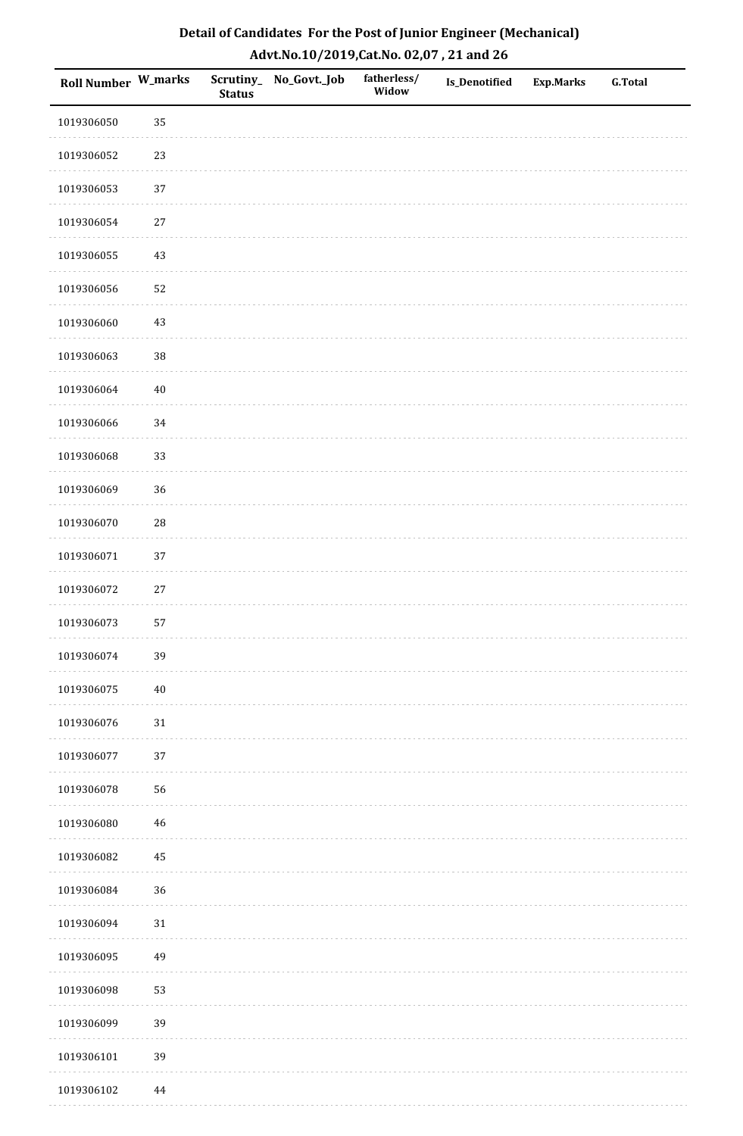| <b>Roll Number W_marks</b> |             | <b>Status</b> | Scrutiny_No_Govt._Job | fatherless/<br>Widow | Is_Denotified | <b>Exp.Marks</b> | <b>G.Total</b> |
|----------------------------|-------------|---------------|-----------------------|----------------------|---------------|------------------|----------------|
| 1019306050                 | 35          |               |                       |                      |               |                  |                |
| 1019306052                 | 23          |               |                       |                      |               |                  |                |
| 1019306053                 | 37          |               |                       |                      |               |                  |                |
| 1019306054                 | $27\,$      |               |                       |                      |               |                  |                |
| 1019306055                 | $43\,$      |               |                       |                      |               |                  |                |
| 1019306056                 | 52          |               |                       |                      |               |                  |                |
| 1019306060                 | 43          |               |                       |                      |               |                  |                |
| 1019306063                 | 38          |               |                       |                      |               |                  |                |
| 1019306064                 | $40\,$      |               |                       |                      |               |                  |                |
| 1019306066                 | 34          |               |                       |                      |               |                  |                |
| 1019306068                 | 33          |               |                       |                      |               |                  |                |
| 1019306069                 | 36          |               |                       |                      |               |                  |                |
| 1019306070                 | ${\bf 28}$  |               |                       |                      |               |                  |                |
| 1019306071                 | 37          |               |                       |                      |               |                  |                |
| 1019306072                 | $27\,$      |               |                       |                      |               |                  |                |
| 1019306073                 | 57          |               |                       |                      |               |                  |                |
| 1019306074                 | 39          |               |                       |                      |               |                  |                |
| 1019306075                 | $40\,$      |               |                       |                      |               |                  |                |
| 1019306076                 | $31\,$      |               |                       |                      |               |                  |                |
| 1019306077                 | 37          |               |                       |                      |               |                  |                |
| 1019306078                 | 56          |               |                       |                      |               |                  |                |
| 1019306080                 | $\sqrt{46}$ |               |                       |                      |               |                  |                |
| 1019306082                 | 45          |               |                       |                      |               |                  |                |
| 1019306084                 | 36          |               |                       |                      |               |                  |                |
| 1019306094                 | $31\,$      |               |                       |                      |               |                  |                |
| 1019306095                 | 49          |               |                       |                      |               |                  |                |
| 1019306098                 | 53          |               |                       |                      |               |                  |                |
| 1019306099                 | 39          |               |                       |                      |               |                  |                |
| 1019306101                 | 39          |               |                       |                      |               |                  |                |
| 1019306102                 | 44          |               |                       |                      |               |                  |                |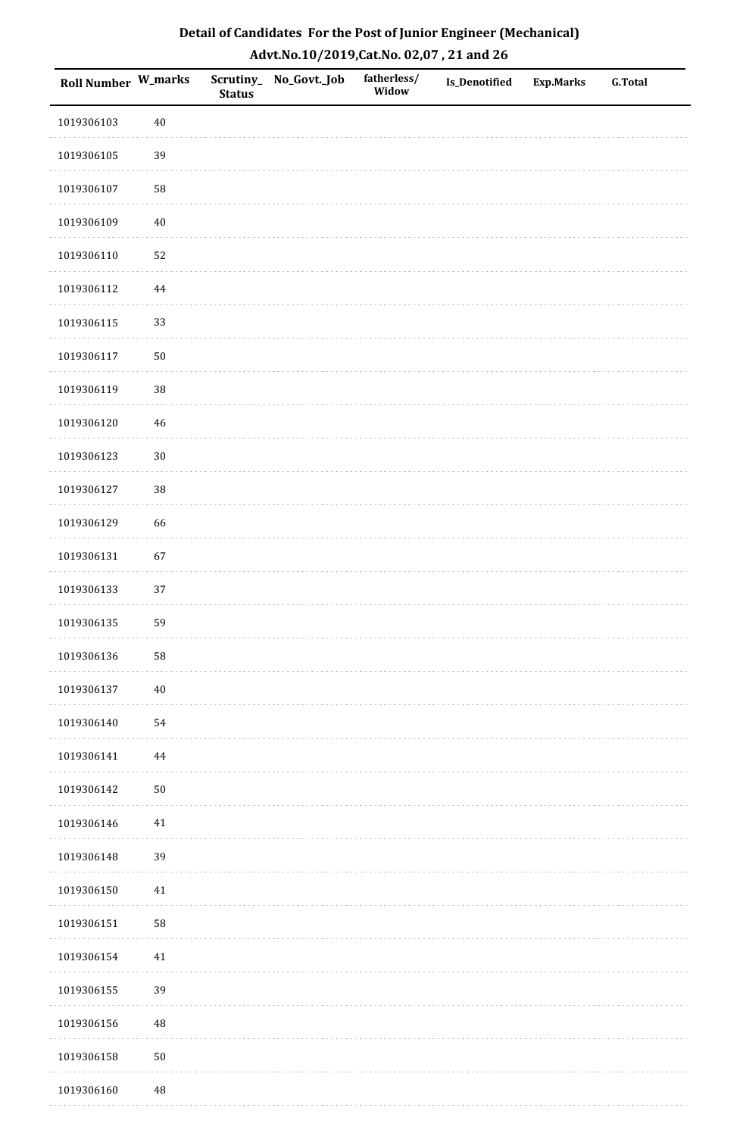| <b>Roll Number W_marks</b> |             | <b>Status</b> | Scrutiny_No_Govt._Job | fatherless/<br>Widow | Is_Denotified | <b>Exp.Marks</b> | <b>G.Total</b> |
|----------------------------|-------------|---------------|-----------------------|----------------------|---------------|------------------|----------------|
| 1019306103                 | $40\,$      |               |                       |                      |               |                  |                |
| 1019306105                 | 39          |               |                       |                      |               |                  |                |
| 1019306107                 | 58          |               |                       |                      |               |                  |                |
| 1019306109                 | $40\,$      |               |                       |                      |               |                  |                |
| 1019306110                 | 52          |               |                       |                      |               |                  |                |
| 1019306112                 | 44          |               |                       |                      |               |                  |                |
| 1019306115                 | 33          |               |                       |                      |               |                  |                |
| 1019306117                 | $50\,$      |               |                       |                      |               |                  |                |
| 1019306119                 | 38          |               |                       |                      |               |                  |                |
| 1019306120                 | $\sqrt{46}$ |               |                       |                      |               |                  |                |
| 1019306123                 | $30\,$      |               |                       |                      |               |                  |                |
| 1019306127                 | 38          |               |                       |                      |               |                  |                |
| 1019306129                 | 66          |               |                       |                      |               |                  |                |
| 1019306131                 | 67          |               |                       |                      |               |                  |                |
| 1019306133                 | $37\,$      |               |                       |                      |               |                  |                |
| 1019306135                 | 59          |               |                       |                      |               |                  |                |
| 1019306136                 | 58          |               |                       |                      |               |                  |                |
| 1019306137                 | $40\,$      |               |                       |                      |               |                  |                |
| 1019306140                 | 54          |               |                       |                      |               |                  |                |
| 1019306141                 | 44          |               |                       |                      |               |                  |                |
| 1019306142                 | $50\,$      |               |                       |                      |               |                  |                |
| 1019306146                 | $41\,$      |               |                       |                      |               |                  |                |
| 1019306148                 | 39          |               |                       |                      |               |                  |                |
| 1019306150                 | 41          |               |                       |                      |               |                  |                |
| 1019306151                 | 58          |               |                       |                      |               |                  |                |
| 1019306154                 | $41\,$      |               |                       |                      |               |                  |                |
| 1019306155                 | 39          |               |                       |                      |               |                  |                |
| 1019306156                 | 48          |               |                       |                      |               |                  |                |
| 1019306158                 | $50\,$      |               |                       |                      |               |                  |                |
| 1019306160                 | $\rm 48$    |               |                       |                      |               |                  |                |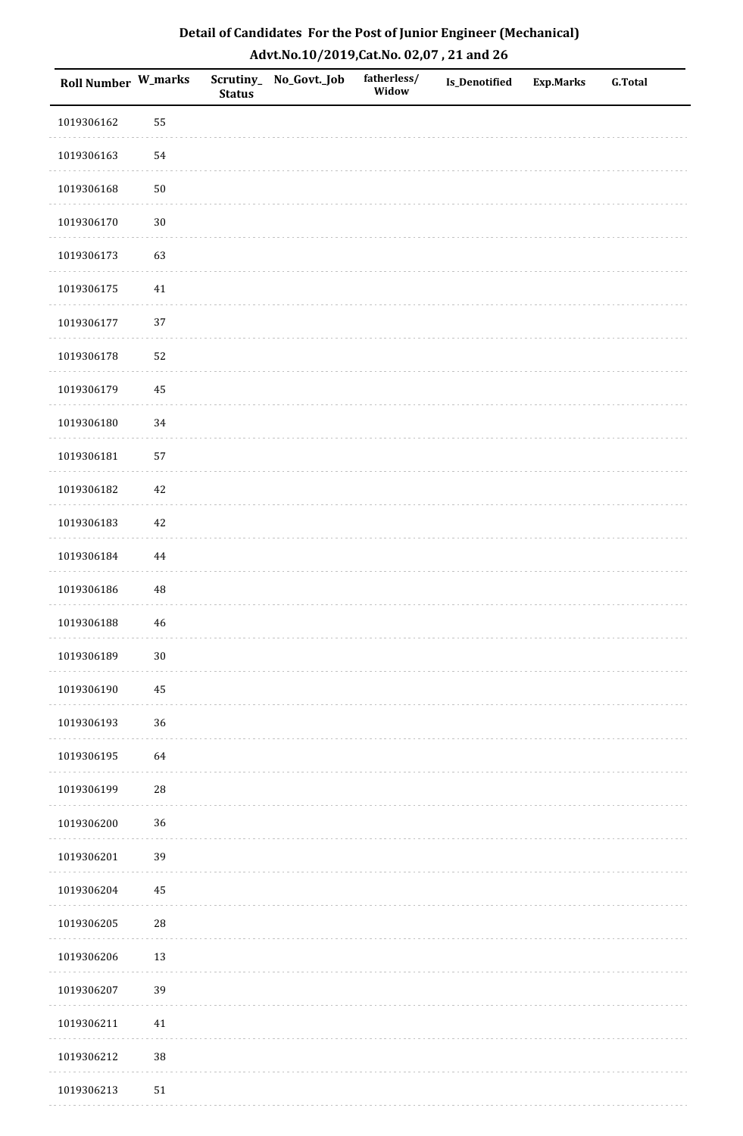| <b>Roll Number W_marks</b> |             | <b>Status</b> | Scrutiny_No_Govt._Job | fatherless/<br>Widow | Is_Denotified | <b>Exp.Marks</b> | <b>G.Total</b> |
|----------------------------|-------------|---------------|-----------------------|----------------------|---------------|------------------|----------------|
| 1019306162                 | 55          |               |                       |                      |               |                  |                |
| 1019306163                 | 54          |               |                       |                      |               |                  |                |
| 1019306168                 | $50\,$      |               |                       |                      |               |                  |                |
| 1019306170                 | $30\,$      |               |                       |                      |               |                  |                |
| 1019306173                 | 63          |               |                       |                      |               |                  |                |
| 1019306175                 | 41          |               |                       |                      |               |                  |                |
| 1019306177                 | 37          |               |                       |                      |               |                  |                |
| 1019306178                 | 52          |               |                       |                      |               |                  |                |
| 1019306179                 | 45          |               |                       |                      |               |                  |                |
| 1019306180                 | $34\,$      |               |                       |                      |               |                  |                |
| 1019306181                 | 57          |               |                       |                      |               |                  |                |
| 1019306182                 | $42\,$      |               |                       |                      |               |                  |                |
| 1019306183                 | $42\,$      |               |                       |                      |               |                  |                |
| 1019306184                 | 44          |               |                       |                      |               |                  |                |
| 1019306186                 | $\rm 48$    |               |                       |                      |               |                  |                |
| 1019306188                 | $\sqrt{46}$ |               |                       |                      |               |                  |                |
| 1019306189                 | $30\,$      |               |                       |                      |               |                  |                |
| 1019306190                 | 45          |               |                       |                      |               |                  |                |
| 1019306193                 | 36          |               |                       |                      |               |                  |                |
| 1019306195                 | 64          |               |                       |                      |               |                  |                |
| 1019306199                 | ${\bf 28}$  |               |                       |                      |               |                  |                |
| 1019306200                 | 36          |               |                       |                      |               |                  |                |
| 1019306201                 | 39          |               |                       |                      |               |                  |                |
| 1019306204                 | $\rm 45$    |               |                       |                      |               |                  |                |
| 1019306205                 | ${\bf 28}$  |               |                       |                      |               |                  |                |
| 1019306206                 | 13          |               |                       |                      |               |                  |                |
| 1019306207                 | 39          |               |                       |                      |               |                  |                |
| 1019306211                 | $41\,$      |               |                       |                      |               |                  |                |
| 1019306212                 | $38\,$      |               |                       |                      |               |                  |                |
| 1019306213                 | $51\,$      |               |                       |                      |               |                  |                |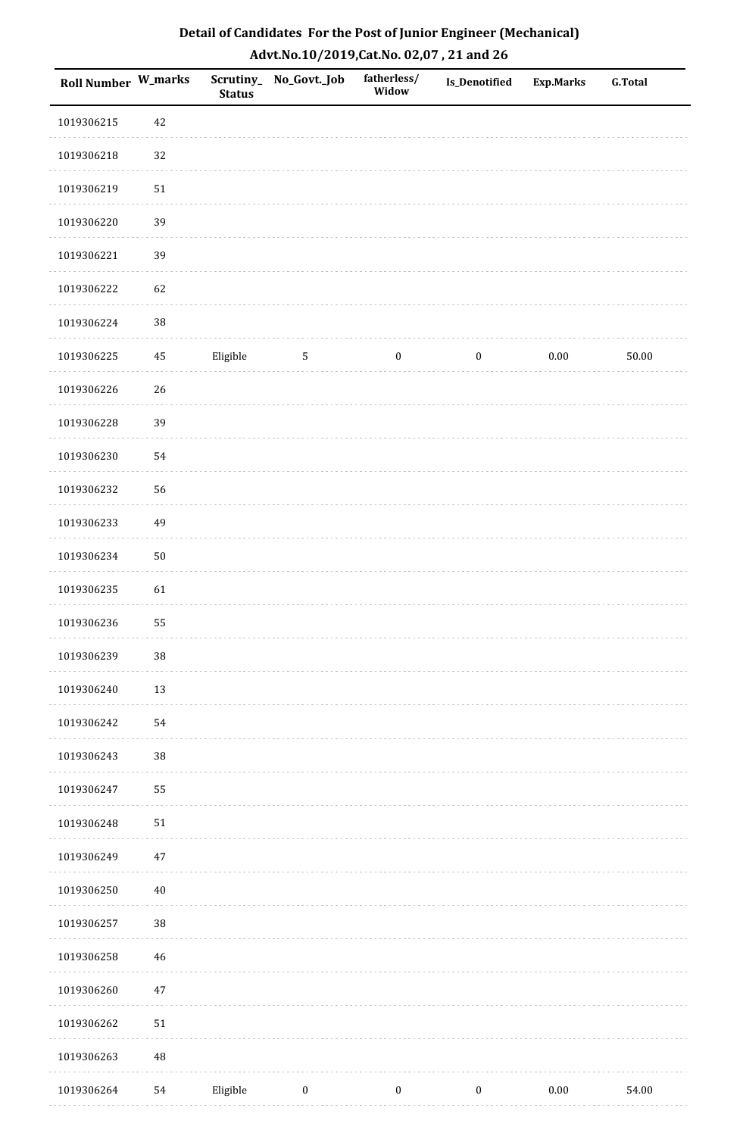| Roll Number W_marks |            | <b>Status</b> | Scrutiny_No_Govt._Job | fatherless/<br>Widow | Is_Denotified    | Exp.Marks | <b>G.Total</b> |
|---------------------|------------|---------------|-----------------------|----------------------|------------------|-----------|----------------|
| 1019306215          | 42         |               |                       |                      |                  |           |                |
| 1019306218          | 32         |               |                       |                      |                  |           |                |
| 1019306219          | $51\,$     |               |                       |                      |                  |           |                |
| 1019306220          | 39         |               |                       |                      |                  |           |                |
| 1019306221          | 39         |               |                       |                      |                  |           |                |
| 1019306222          | 62         |               |                       |                      |                  |           |                |
| 1019306224          | 38         |               |                       |                      |                  |           |                |
| 1019306225          | $\rm 45$   | Eligible      | 5                     | $\boldsymbol{0}$     | $\boldsymbol{0}$ | 0.00      | 50.00          |
| 1019306226          | 26         |               |                       |                      |                  |           |                |
| 1019306228          | 39         |               |                       |                      |                  |           |                |
| 1019306230          | 54         |               |                       |                      |                  |           |                |
| 1019306232          | 56         |               |                       |                      |                  |           |                |
| 1019306233          | 49         |               |                       |                      |                  |           |                |
| 1019306234          | $50\,$     |               |                       |                      |                  |           |                |
| 1019306235          | 61         |               |                       |                      |                  |           |                |
| 1019306236          | 55         |               |                       |                      |                  |           |                |
| 1019306239          | $38\,$     |               |                       |                      |                  |           |                |
| 1019306240          | 13         |               |                       |                      |                  |           |                |
| 1019306242          | 54         |               |                       |                      |                  |           |                |
| 1019306243          | 38         |               |                       |                      |                  |           |                |
| 1019306247          | 55         |               |                       |                      |                  |           |                |
| 1019306248          | ${\bf 51}$ |               |                       |                      |                  |           |                |
| 1019306249          | $47\,$     |               |                       |                      |                  |           |                |
| 1019306250          | $40\,$     |               |                       |                      |                  |           |                |
| 1019306257          | 38         |               |                       |                      |                  |           |                |
| 1019306258          | $46\,$     |               |                       |                      |                  |           |                |
| 1019306260          | $47\,$     |               |                       |                      |                  |           |                |
| 1019306262          | $51\,$     |               |                       |                      |                  |           |                |
| 1019306263          | $\rm 48$   |               |                       |                      |                  |           |                |
| 1019306264          | 54         | Eligible      | $\boldsymbol{0}$      | $\boldsymbol{0}$     | $\boldsymbol{0}$ | 0.00      | 54.00          |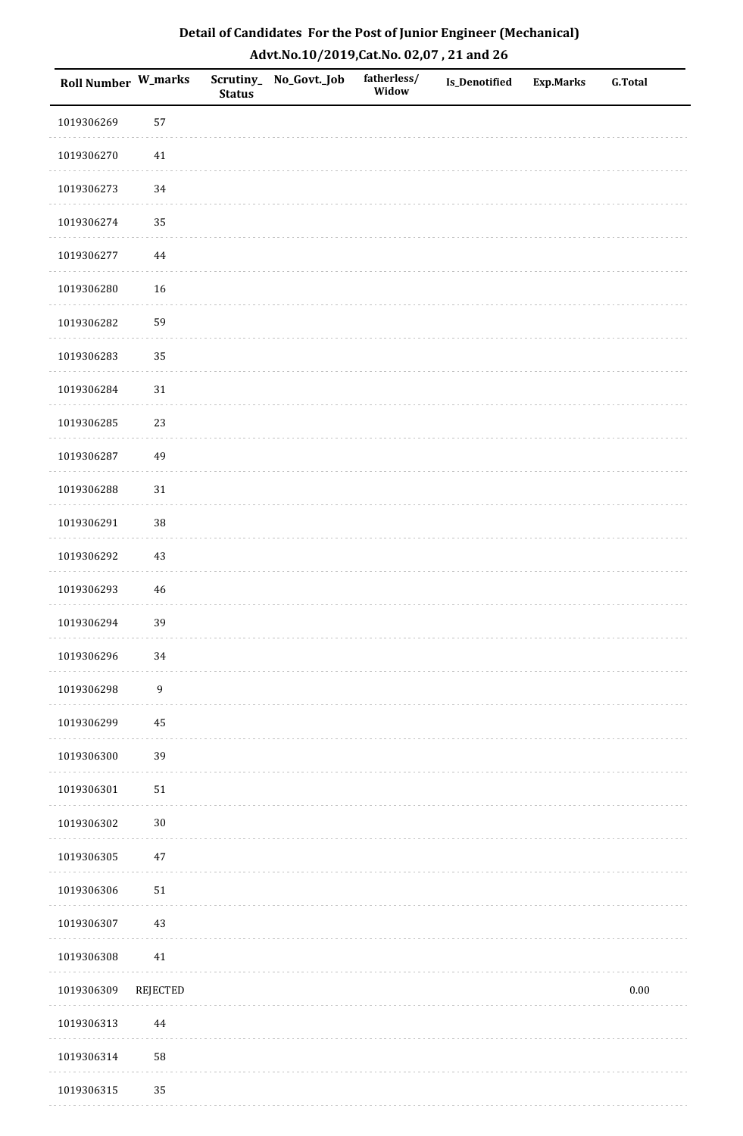| <b>Roll Number W_marks</b> |                  | <b>Status</b> | Scrutiny_No_Govt._Job | fatherless/<br>Widow | Is_Denotified | <b>Exp.Marks</b> | <b>G.Total</b> |
|----------------------------|------------------|---------------|-----------------------|----------------------|---------------|------------------|----------------|
| 1019306269                 | 57               |               |                       |                      |               |                  |                |
| 1019306270                 | $41\,$           |               |                       |                      |               |                  |                |
| 1019306273                 | 34               |               |                       |                      |               |                  |                |
| 1019306274                 | 35               |               |                       |                      |               |                  |                |
| 1019306277                 | $\bf 44$         |               |                       |                      |               |                  |                |
| 1019306280                 | 16               |               |                       |                      |               |                  |                |
| 1019306282                 | 59               |               |                       |                      |               |                  |                |
| 1019306283                 | 35               |               |                       |                      |               |                  |                |
| 1019306284                 | $31\,$           |               |                       |                      |               |                  |                |
| 1019306285                 | 23               |               |                       |                      |               |                  |                |
| 1019306287                 | 49               |               |                       |                      |               |                  |                |
| 1019306288                 | $31\,$           |               |                       |                      |               |                  |                |
| 1019306291                 | 38               |               |                       |                      |               |                  |                |
| 1019306292                 | $43\,$           |               |                       |                      |               |                  |                |
| 1019306293                 | $\sqrt{46}$      |               |                       |                      |               |                  |                |
| 1019306294                 | 39               |               |                       |                      |               |                  |                |
| 1019306296                 | $34\,$           |               |                       |                      |               |                  |                |
| 1019306298                 | $\boldsymbol{9}$ |               |                       |                      |               |                  |                |
| 1019306299                 | 45               |               |                       |                      |               |                  |                |
| 1019306300                 | 39               |               |                       |                      |               |                  |                |
| 1019306301                 | $51\,$           |               |                       |                      |               |                  |                |
| 1019306302                 | $30\,$           |               |                       |                      |               |                  |                |
| 1019306305                 | $47\,$           |               |                       |                      |               |                  |                |
| 1019306306                 | $51\,$           |               |                       |                      |               |                  |                |
| 1019306307                 | $43\,$           |               |                       |                      |               |                  |                |
| 1019306308                 | $41\,$           |               |                       |                      |               |                  |                |
| 1019306309                 | <b>REJECTED</b>  |               |                       |                      |               |                  | $0.00\,$       |
| 1019306313                 | 44               |               |                       |                      |               |                  |                |
| 1019306314                 | 58               |               |                       |                      |               |                  |                |
| 1019306315                 | 35               |               |                       |                      |               |                  |                |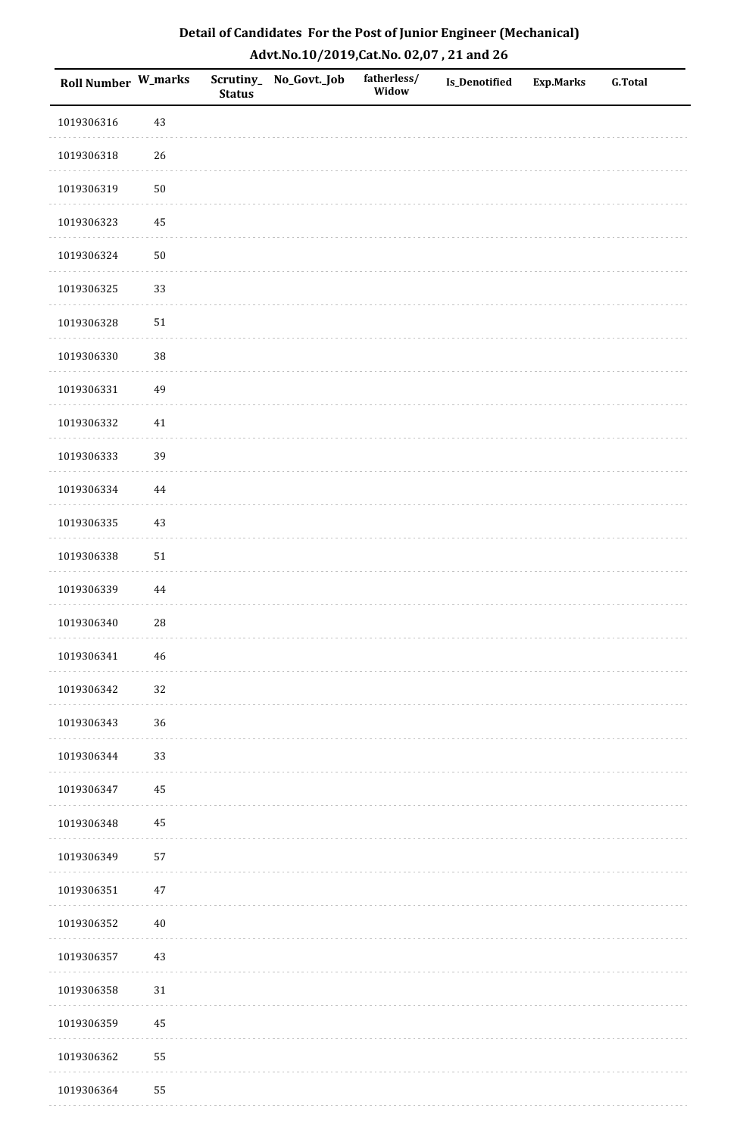| <b>Roll Number W_marks</b> |             | <b>Status</b> | Scrutiny_No_Govt._Job | fatherless/<br>Widow | Is_Denotified | <b>Exp.Marks</b> | <b>G.Total</b> |
|----------------------------|-------------|---------------|-----------------------|----------------------|---------------|------------------|----------------|
| 1019306316                 | 43          |               |                       |                      |               |                  |                |
| 1019306318                 | 26          |               |                       |                      |               |                  |                |
| 1019306319                 | $50\,$      |               |                       |                      |               |                  |                |
| 1019306323                 | 45          |               |                       |                      |               |                  |                |
| 1019306324                 | $50\,$      |               |                       |                      |               |                  |                |
| 1019306325                 | 33          |               |                       |                      |               |                  |                |
| 1019306328                 | $51\,$      |               |                       |                      |               |                  |                |
| 1019306330                 | 38          |               |                       |                      |               |                  |                |
| 1019306331                 | 49          |               |                       |                      |               |                  |                |
| 1019306332                 | $41\,$      |               |                       |                      |               |                  |                |
| 1019306333                 | 39          |               |                       |                      |               |                  |                |
| 1019306334                 | 44          |               |                       |                      |               |                  |                |
| 1019306335                 | $43\,$      |               |                       |                      |               |                  |                |
| 1019306338                 | $51\,$      |               |                       |                      |               |                  |                |
| 1019306339                 | $\bf 44$    |               |                       |                      |               |                  |                |
| 1019306340                 | ${\bf 28}$  |               |                       |                      |               |                  |                |
| 1019306341                 | $\sqrt{46}$ |               |                       |                      |               |                  |                |
| 1019306342                 | 32          |               |                       |                      |               |                  |                |
| 1019306343                 | 36          |               |                       |                      |               |                  |                |
| 1019306344                 | 33          |               |                       |                      |               |                  |                |
| 1019306347                 | 45          |               |                       |                      |               |                  |                |
| 1019306348                 | $\bf 45$    |               |                       |                      |               |                  |                |
| 1019306349                 | 57          |               |                       |                      |               |                  |                |
| 1019306351                 | $47\,$      |               |                       |                      |               |                  |                |
| 1019306352                 | $40\,$      |               |                       |                      |               |                  |                |
| 1019306357                 | $43\,$      |               |                       |                      |               |                  |                |
| 1019306358                 | $31\,$      |               |                       |                      |               |                  |                |
| 1019306359                 | 45          |               |                       |                      |               |                  |                |
| 1019306362                 | 55          |               |                       |                      |               |                  |                |
| 1019306364                 | 55          |               |                       |                      |               |                  |                |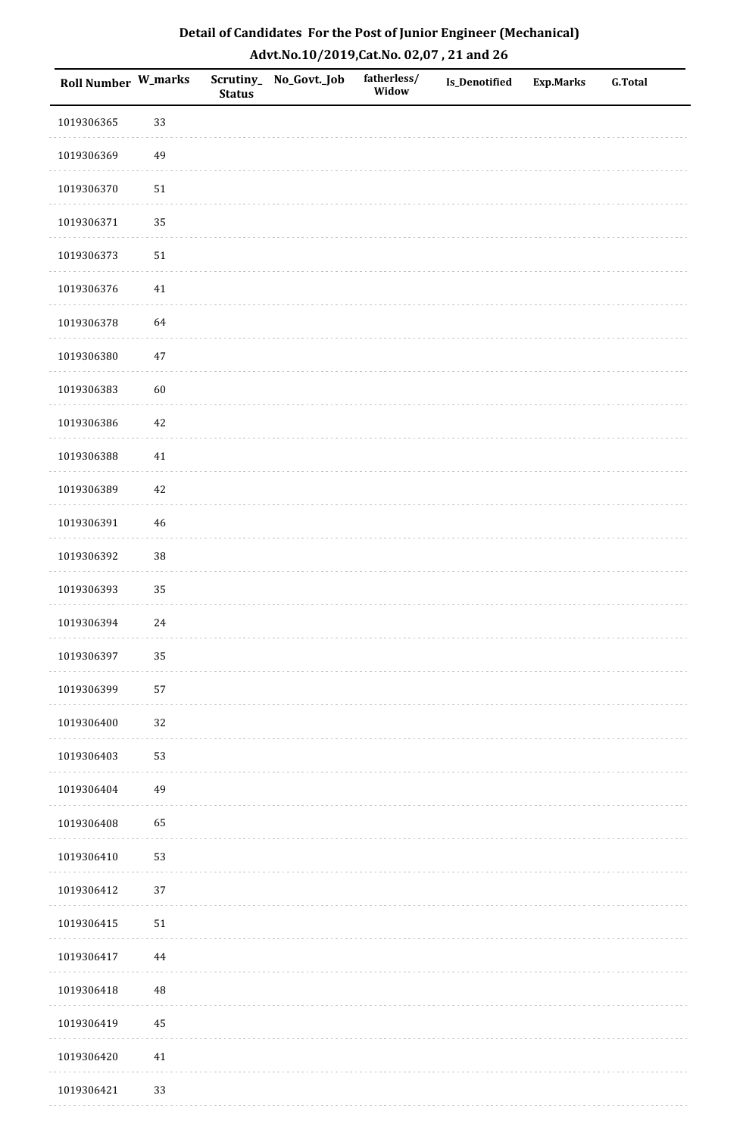| <b>Roll Number W_marks</b> |          | <b>Status</b> | Scrutiny_No_Govt._Job | fatherless/<br>Widow | Is_Denotified | <b>Exp.Marks</b> | <b>G.Total</b> |
|----------------------------|----------|---------------|-----------------------|----------------------|---------------|------------------|----------------|
| 1019306365                 | 33       |               |                       |                      |               |                  |                |
| 1019306369                 | 49       |               |                       |                      |               |                  |                |
| 1019306370                 | $51\,$   |               |                       |                      |               |                  |                |
| 1019306371                 | 35       |               |                       |                      |               |                  |                |
| 1019306373                 | $51\,$   |               |                       |                      |               |                  |                |
| 1019306376                 | 41       |               |                       |                      |               |                  |                |
| 1019306378                 | 64       |               |                       |                      |               |                  |                |
| 1019306380                 | $47\,$   |               |                       |                      |               |                  |                |
| 1019306383                 | 60       |               |                       |                      |               |                  |                |
| 1019306386                 | $42\,$   |               |                       |                      |               |                  |                |
| 1019306388                 | $41\,$   |               |                       |                      |               |                  |                |
| 1019306389                 | $42\,$   |               |                       |                      |               |                  |                |
| 1019306391                 | $46\,$   |               |                       |                      |               |                  |                |
| 1019306392                 | 38       |               |                       |                      |               |                  |                |
| 1019306393                 | 35       |               |                       |                      |               |                  |                |
| 1019306394                 | $24\,$   |               |                       |                      |               |                  |                |
| 1019306397                 | 35       |               |                       |                      |               |                  |                |
| 1019306399                 | 57       |               |                       |                      |               |                  |                |
| 1019306400                 | 32       |               |                       |                      |               |                  |                |
| 1019306403                 | 53       |               |                       |                      |               |                  |                |
| 1019306404                 | 49       |               |                       |                      |               |                  |                |
| 1019306408                 | 65       |               |                       |                      |               |                  |                |
| 1019306410                 | 53       |               |                       |                      |               |                  |                |
| 1019306412                 | 37       |               |                       |                      |               |                  |                |
| 1019306415                 | $51\,$   |               |                       |                      |               |                  |                |
| 1019306417                 | $\bf 44$ |               |                       |                      |               |                  |                |
| 1019306418                 | 48       |               |                       |                      |               |                  |                |
| 1019306419                 | 45       |               |                       |                      |               |                  |                |
| 1019306420                 | $41\,$   |               |                       |                      |               |                  |                |
| 1019306421                 | 33       |               |                       |                      |               |                  |                |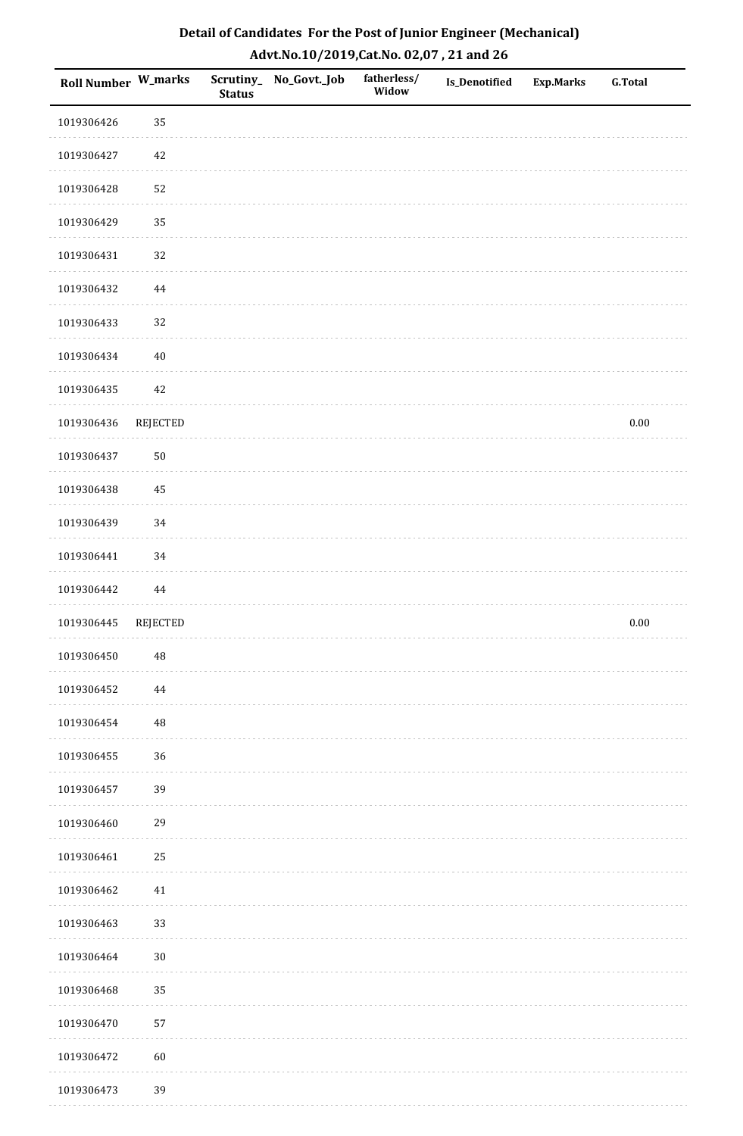| <b>Roll Number W_marks</b> |                 | <b>Status</b> | Scrutiny_ No_Govt._Job | fatherless/<br>Widow | Is_Denotified | <b>Exp.Marks</b> | <b>G.Total</b> |
|----------------------------|-----------------|---------------|------------------------|----------------------|---------------|------------------|----------------|
| 1019306426                 | 35              |               |                        |                      |               |                  |                |
| 1019306427                 | 42              |               |                        |                      |               |                  |                |
| 1019306428                 | 52              |               |                        |                      |               |                  |                |
| 1019306429                 | 35              |               |                        |                      |               |                  |                |
| 1019306431                 | 32              |               |                        |                      |               |                  |                |
| 1019306432                 | 44              |               |                        |                      |               |                  |                |
| 1019306433                 | 32              |               |                        |                      |               |                  |                |
| 1019306434                 | $40\,$          |               |                        |                      |               |                  |                |
| 1019306435                 | 42              |               |                        |                      |               |                  |                |
| 1019306436                 | REJECTED        |               |                        |                      |               |                  | $0.00\,$       |
| 1019306437                 | $50\,$          |               |                        |                      |               |                  |                |
| 1019306438                 | 45              |               |                        |                      |               |                  |                |
| 1019306439                 | 34              |               |                        |                      |               |                  |                |
| 1019306441                 | 34              |               |                        |                      |               |                  |                |
| 1019306442                 | $\bf 44$        |               |                        |                      |               |                  |                |
| 1019306445                 | <b>REJECTED</b> |               |                        |                      |               |                  | $0.00\,$       |
| 1019306450                 | $\rm 48$        |               |                        |                      |               |                  |                |
| 1019306452                 | 44              |               |                        |                      |               |                  |                |
| 1019306454                 | 48              |               |                        |                      |               |                  |                |
| 1019306455                 | 36              |               |                        |                      |               |                  |                |
| 1019306457                 | 39              |               |                        |                      |               |                  |                |
| 1019306460                 | 29              |               |                        |                      |               |                  |                |
| 1019306461                 | 25              |               |                        |                      |               |                  |                |
| 1019306462                 | 41              |               |                        |                      |               |                  |                |
| 1019306463                 | 33              |               |                        |                      |               |                  |                |
| 1019306464                 | $30\,$          |               |                        |                      |               |                  |                |
| 1019306468                 | 35              |               |                        |                      |               |                  |                |
| 1019306470                 | 57              |               |                        |                      |               |                  |                |
| 1019306472                 | 60              |               |                        |                      |               |                  |                |
| 1019306473                 | 39              |               |                        |                      |               |                  |                |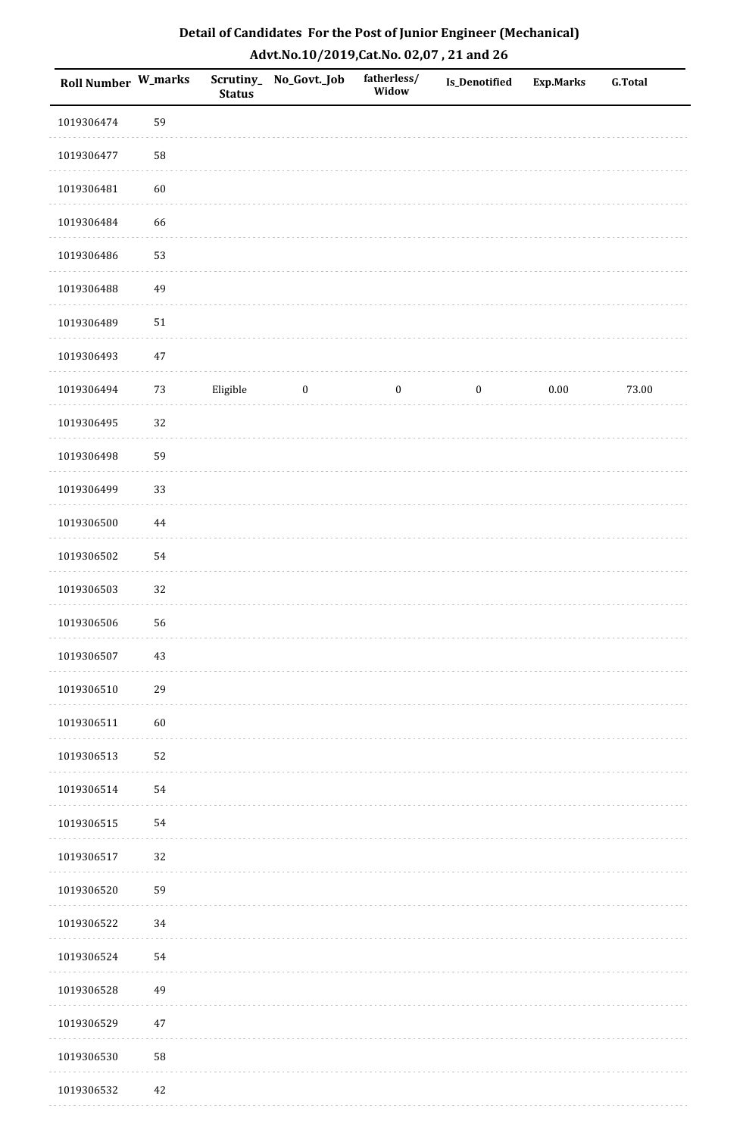| <b>Roll Number W_marks</b> |          | Scrutiny_<br><b>Status</b> | No_Govt._Job | fatherless/<br>Widow | Is_Denotified    | <b>Exp.Marks</b> | G.Total |
|----------------------------|----------|----------------------------|--------------|----------------------|------------------|------------------|---------|
| 1019306474                 | 59       |                            |              |                      |                  |                  |         |
| 1019306477                 | 58       |                            |              |                      |                  |                  |         |
| 1019306481                 | 60       |                            |              |                      |                  |                  |         |
| 1019306484                 | 66       |                            |              |                      |                  |                  |         |
| 1019306486                 | 53       |                            |              |                      |                  |                  |         |
| 1019306488                 | 49       |                            |              |                      |                  |                  |         |
| 1019306489                 | $51\,$   |                            |              |                      |                  |                  |         |
| 1019306493                 | $47\,$   |                            |              |                      |                  |                  |         |
| 1019306494                 | $73\,$   | Eligible                   | $\bf{0}$     | $\boldsymbol{0}$     | $\boldsymbol{0}$ | $0.00\,$         | 73.00   |
| 1019306495                 | 32       |                            |              |                      |                  |                  |         |
| 1019306498                 | 59       |                            |              |                      |                  |                  |         |
| 1019306499                 | 33       |                            |              |                      |                  |                  |         |
| 1019306500                 | $\bf 44$ |                            |              |                      |                  |                  |         |
| 1019306502                 | 54       |                            |              |                      |                  |                  |         |
| 1019306503                 | 32       |                            |              |                      |                  |                  |         |
| 1019306506                 | 56       |                            |              |                      |                  |                  |         |
| 1019306507                 | 43       |                            |              |                      |                  |                  |         |
| 1019306510                 | 29       |                            |              |                      |                  |                  |         |
| 1019306511                 | 60       |                            |              |                      |                  |                  |         |
| 1019306513                 | 52       |                            |              |                      |                  |                  |         |
| 1019306514                 | 54       |                            |              |                      |                  |                  |         |
| 1019306515                 | 54       |                            |              |                      |                  |                  |         |
| 1019306517                 | 32       |                            |              |                      |                  |                  |         |
| 1019306520                 | 59       |                            |              |                      |                  |                  |         |
| 1019306522                 | 34       |                            |              |                      |                  |                  |         |
| 1019306524                 | 54       |                            |              |                      |                  |                  |         |
| 1019306528                 | 49       |                            |              |                      |                  |                  |         |
| 1019306529                 | $47\,$   |                            |              |                      |                  |                  |         |
| 1019306530                 | 58       |                            |              |                      |                  |                  |         |
| 1019306532                 | 42       |                            |              |                      |                  |                  |         |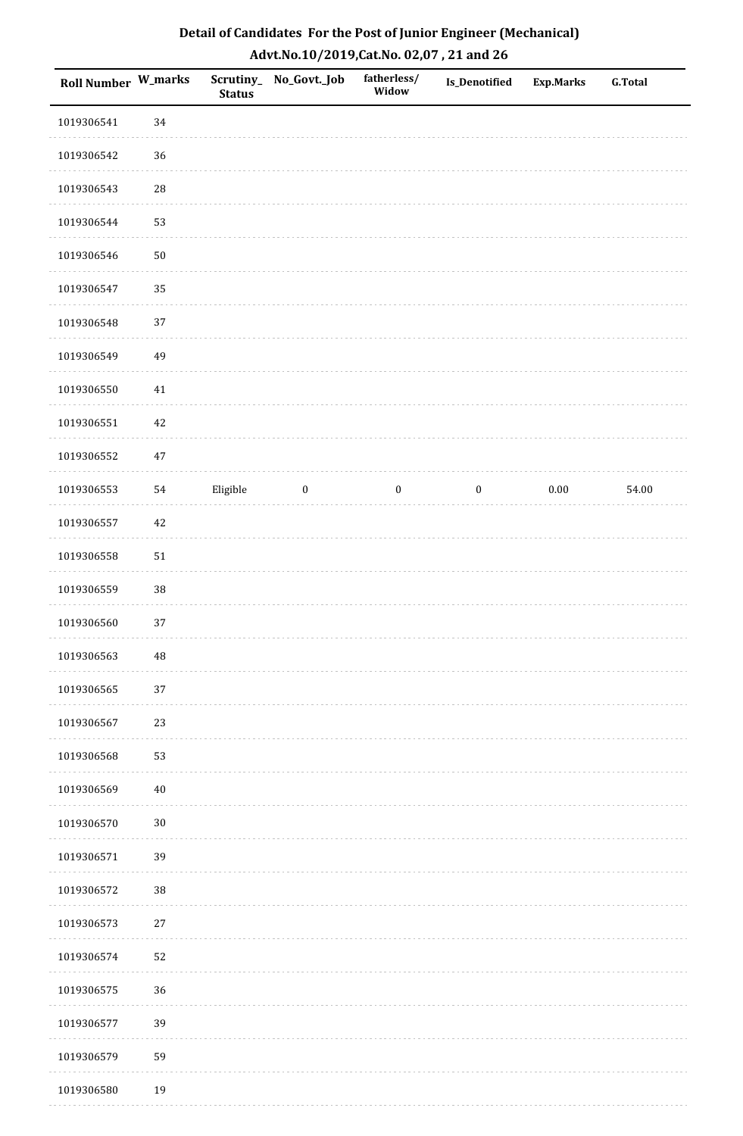| Roll Number W_marks |            | Scrutiny_<br><b>Status</b> | No_Govt._Job | fatherless/<br>Widow | Is_Denotified    | <b>Exp.Marks</b> | <b>G.Total</b> |
|---------------------|------------|----------------------------|--------------|----------------------|------------------|------------------|----------------|
| 1019306541          | 34         |                            |              |                      |                  |                  |                |
| 1019306542          | $36\,$     |                            |              |                      |                  |                  |                |
| 1019306543          | ${\bf 28}$ |                            |              |                      |                  |                  |                |
| 1019306544          | 53         |                            |              |                      |                  |                  |                |
| 1019306546          | $50\,$     |                            |              |                      |                  |                  |                |
| 1019306547          | 35         |                            |              |                      |                  |                  |                |
| 1019306548          | 37         |                            |              |                      |                  |                  |                |
| 1019306549          | 49         |                            |              |                      |                  |                  |                |
| 1019306550          | $41\,$     |                            |              |                      |                  |                  |                |
| 1019306551          | $42\,$     |                            |              |                      |                  |                  |                |
| 1019306552          | $47\,$     |                            |              |                      |                  |                  |                |
| 1019306553          | 54         | Eligible                   | $\bf{0}$     | $\boldsymbol{0}$     | $\boldsymbol{0}$ | $0.00\,$         | 54.00          |
| 1019306557          | $42\,$     |                            |              |                      |                  |                  |                |
| 1019306558          | $51\,$     |                            |              |                      |                  |                  |                |
| 1019306559          | 38         |                            |              |                      |                  |                  |                |
| 1019306560          | 37         |                            |              |                      |                  |                  |                |
| 1019306563          | 48         |                            |              |                      |                  |                  |                |
| 1019306565          | 37         |                            |              |                      |                  |                  |                |
| 1019306567          | 23         |                            |              |                      |                  |                  |                |
| 1019306568          | 53         |                            |              |                      |                  |                  |                |
| 1019306569          | $40\,$     |                            |              |                      |                  |                  |                |
| 1019306570          | $30\,$     |                            |              |                      |                  |                  |                |
| 1019306571          | 39         |                            |              |                      |                  |                  |                |
| 1019306572          | 38         |                            |              |                      |                  |                  |                |
| 1019306573          | $27\,$     |                            |              |                      |                  |                  |                |
| 1019306574          | 52         |                            |              |                      |                  |                  |                |
| 1019306575          | 36         |                            |              |                      |                  |                  |                |
| 1019306577          | 39         |                            |              |                      |                  |                  |                |
| 1019306579          | 59         |                            |              |                      |                  |                  |                |
| 1019306580          | 19         |                            |              |                      |                  |                  |                |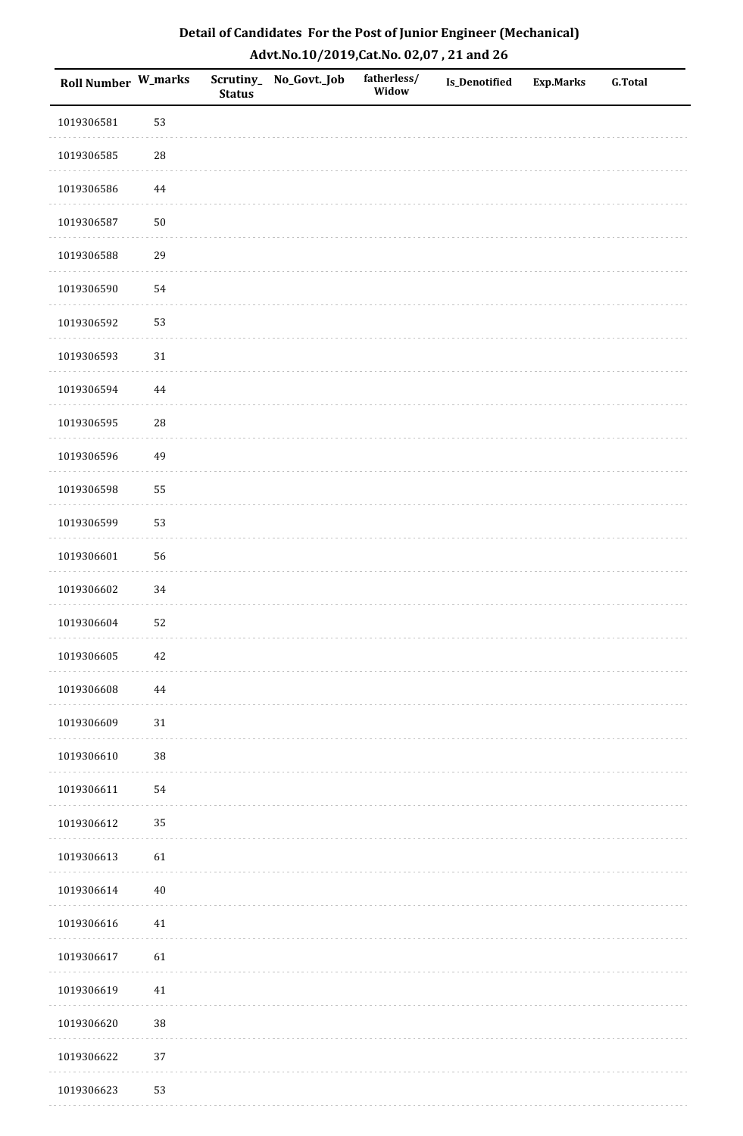| <b>Roll Number W_marks</b> |            | <b>Status</b> | Scrutiny_No_Govt._Job | fatherless/<br>Widow | <b>Is_Denotified</b> | <b>Exp.Marks</b> | <b>G.Total</b> |
|----------------------------|------------|---------------|-----------------------|----------------------|----------------------|------------------|----------------|
| 1019306581                 | 53         |               |                       |                      |                      |                  |                |
| 1019306585                 | ${\bf 28}$ |               |                       |                      |                      |                  |                |
| 1019306586                 | $\bf 44$   |               |                       |                      |                      |                  |                |
| 1019306587                 | $50\,$     |               |                       |                      |                      |                  |                |
| 1019306588                 | 29         |               |                       |                      |                      |                  |                |
| 1019306590                 | 54         |               |                       |                      |                      |                  |                |
| 1019306592                 | 53         |               |                       |                      |                      |                  |                |
| 1019306593                 | $31\,$     |               |                       |                      |                      |                  |                |
| 1019306594                 | $\bf 44$   |               |                       |                      |                      |                  |                |
| 1019306595                 | 28         |               |                       |                      |                      |                  |                |
| 1019306596                 | 49         |               |                       |                      |                      |                  |                |
| 1019306598                 | 55         |               |                       |                      |                      |                  |                |
| 1019306599                 | 53         |               |                       |                      |                      |                  |                |
| 1019306601                 | 56         |               |                       |                      |                      |                  |                |
| 1019306602                 | 34         |               |                       |                      |                      |                  |                |
| 1019306604                 | 52         |               |                       |                      |                      |                  |                |
| 1019306605                 | $42\,$     |               |                       |                      |                      |                  |                |
| 1019306608                 | 44         |               |                       |                      |                      |                  |                |
| 1019306609                 | $31\,$     |               |                       |                      |                      |                  |                |
| 1019306610                 | 38         |               |                       |                      |                      |                  |                |
| 1019306611                 | 54         |               |                       |                      |                      |                  |                |
| 1019306612                 | 35         |               |                       |                      |                      |                  |                |
| 1019306613                 | 61         |               |                       |                      |                      |                  |                |
| 1019306614                 | $40\,$     |               |                       |                      |                      |                  |                |
| 1019306616                 | 41         |               |                       |                      |                      |                  |                |
| 1019306617                 | 61         |               |                       |                      |                      |                  |                |
| 1019306619                 | $41\,$     |               |                       |                      |                      |                  |                |
| 1019306620                 | 38         |               |                       |                      |                      |                  |                |
| 1019306622                 | 37         |               |                       |                      |                      |                  |                |
| 1019306623                 | 53         |               |                       |                      |                      |                  |                |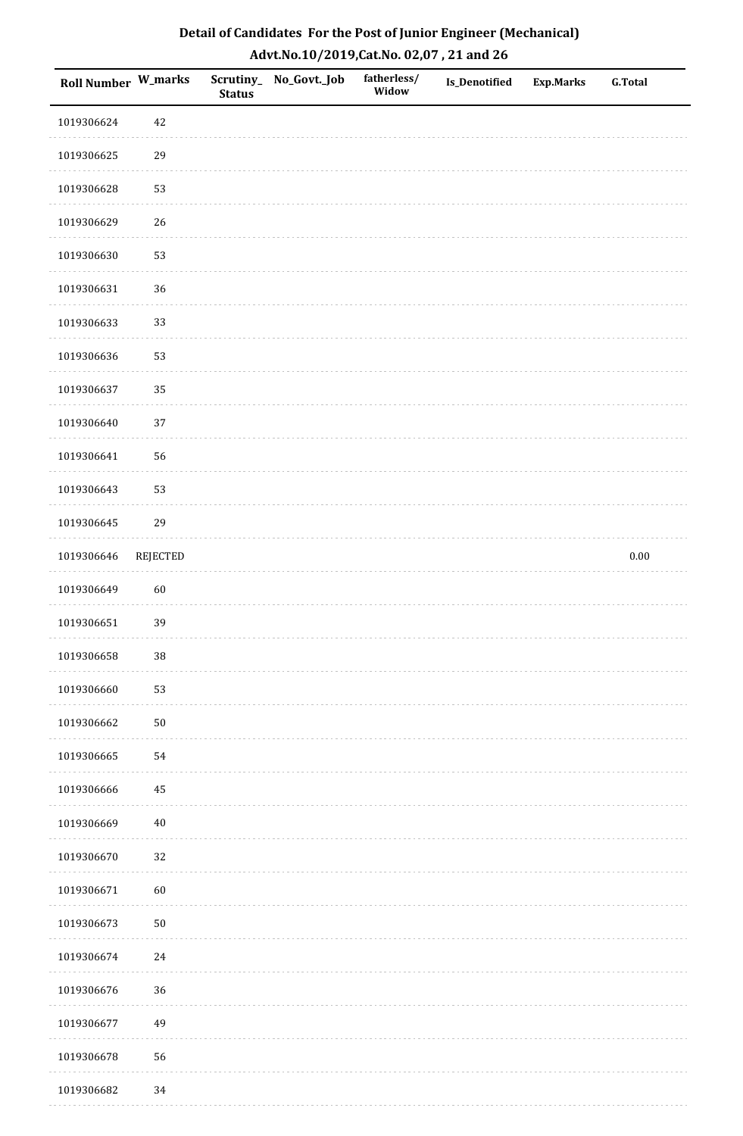| Roll Number W_marks |                 | <b>Status</b> | Scrutiny_ No_Govt._Job | fatherless/<br>Widow | <b>Is_Denotified</b> | <b>Exp.Marks</b> | G.Total  |
|---------------------|-----------------|---------------|------------------------|----------------------|----------------------|------------------|----------|
| 1019306624          | $42\,$          |               |                        |                      |                      |                  |          |
| 1019306625          | 29              |               |                        |                      |                      |                  |          |
| 1019306628          | 53              |               |                        |                      |                      |                  |          |
| 1019306629          | 26              |               |                        |                      |                      |                  |          |
| 1019306630          | 53              |               |                        |                      |                      |                  |          |
| 1019306631          | 36              |               |                        |                      |                      |                  |          |
| 1019306633          | 33              |               |                        |                      |                      |                  |          |
| 1019306636          | 53              |               |                        |                      |                      |                  |          |
| 1019306637          | 35              |               |                        |                      |                      |                  |          |
| 1019306640          | 37              |               |                        |                      |                      |                  |          |
| 1019306641          | 56              |               |                        |                      |                      |                  |          |
| 1019306643          | 53              |               |                        |                      |                      |                  |          |
| 1019306645          | 29              |               |                        |                      |                      |                  |          |
| 1019306646          | <b>REJECTED</b> |               |                        |                      |                      |                  | $0.00\,$ |
| 1019306649          | 60              |               |                        |                      |                      |                  |          |
| 1019306651          | 39              |               |                        |                      |                      |                  |          |
| 1019306658          | $38\,$          |               |                        |                      |                      |                  |          |
| 1019306660          | 53              |               |                        |                      |                      |                  |          |
| 1019306662          | $50\,$          |               |                        |                      |                      |                  |          |
| 1019306665          | 54              |               |                        |                      |                      |                  |          |
| 1019306666          | 45              |               |                        |                      |                      |                  |          |
| 1019306669          | $40\,$          |               |                        |                      |                      |                  |          |
| 1019306670          | 32              |               |                        |                      |                      |                  |          |
| 1019306671          | 60              |               |                        |                      |                      |                  |          |
| 1019306673          | $50\,$          |               |                        |                      |                      |                  |          |
| 1019306674          | $24\,$          |               |                        |                      |                      |                  |          |
| 1019306676          | 36              |               |                        |                      |                      |                  |          |
| 1019306677          | 49              |               |                        |                      |                      |                  |          |
| 1019306678          | 56              |               |                        |                      |                      |                  |          |
| 1019306682          | 34              |               |                        |                      |                      |                  |          |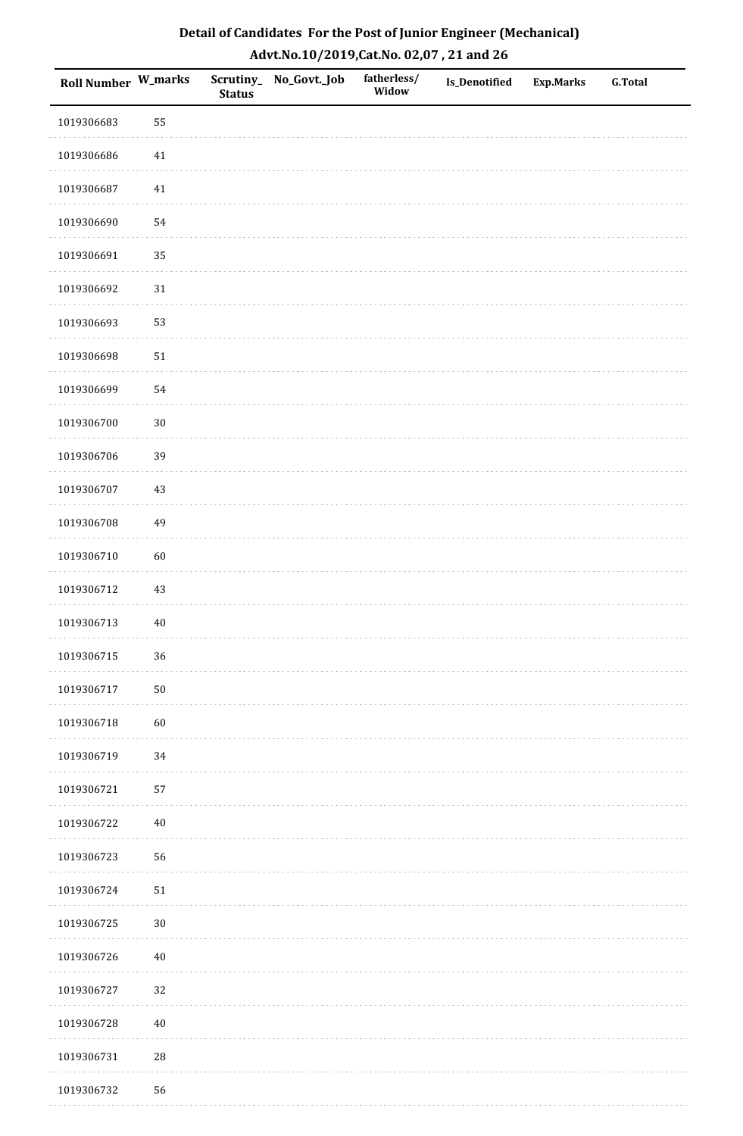| <b>Roll Number W_marks</b> |        | <b>Status</b> | Scrutiny_No_Govt._Job | fatherless/<br>Widow | Is_Denotified | <b>Exp.Marks</b> | <b>G.Total</b> |
|----------------------------|--------|---------------|-----------------------|----------------------|---------------|------------------|----------------|
| 1019306683                 | 55     |               |                       |                      |               |                  |                |
| 1019306686                 | $41\,$ |               |                       |                      |               |                  |                |
| 1019306687                 | 41     |               |                       |                      |               |                  |                |
| 1019306690                 | 54     |               |                       |                      |               |                  |                |
| 1019306691                 | 35     |               |                       |                      |               |                  |                |
| 1019306692                 | $31\,$ |               |                       |                      |               |                  |                |
| 1019306693                 | 53     |               |                       |                      |               |                  |                |
| 1019306698                 | $51\,$ |               |                       |                      |               |                  |                |
| 1019306699                 | 54     |               |                       |                      |               |                  |                |
| 1019306700                 | $30\,$ |               |                       |                      |               |                  |                |
| 1019306706                 | 39     |               |                       |                      |               |                  |                |
| 1019306707                 | $43\,$ |               |                       |                      |               |                  |                |
| 1019306708                 | 49     |               |                       |                      |               |                  |                |
| 1019306710                 | 60     |               |                       |                      |               |                  |                |
| 1019306712                 | 43     |               |                       |                      |               |                  |                |
| 1019306713                 | $40\,$ |               |                       |                      |               |                  |                |
| 1019306715                 | 36     |               |                       |                      |               |                  |                |
| 1019306717                 | $50\,$ |               |                       |                      |               |                  |                |
| 1019306718                 | 60     |               |                       |                      |               |                  |                |
| 1019306719                 | 34     |               |                       |                      |               |                  |                |
| 1019306721                 | 57     |               |                       |                      |               |                  |                |
| 1019306722                 | $40\,$ |               |                       |                      |               |                  |                |
| 1019306723                 | 56     |               |                       |                      |               |                  |                |
| 1019306724                 | $51\,$ |               |                       |                      |               |                  |                |
| 1019306725                 | $30\,$ |               |                       |                      |               |                  |                |
| 1019306726                 | $40\,$ |               |                       |                      |               |                  |                |
| 1019306727                 | 32     |               |                       |                      |               |                  |                |
| 1019306728                 | $40\,$ |               |                       |                      |               |                  |                |
| 1019306731                 | 28     |               |                       |                      |               |                  |                |
| 1019306732                 | 56     |               |                       |                      |               |                  |                |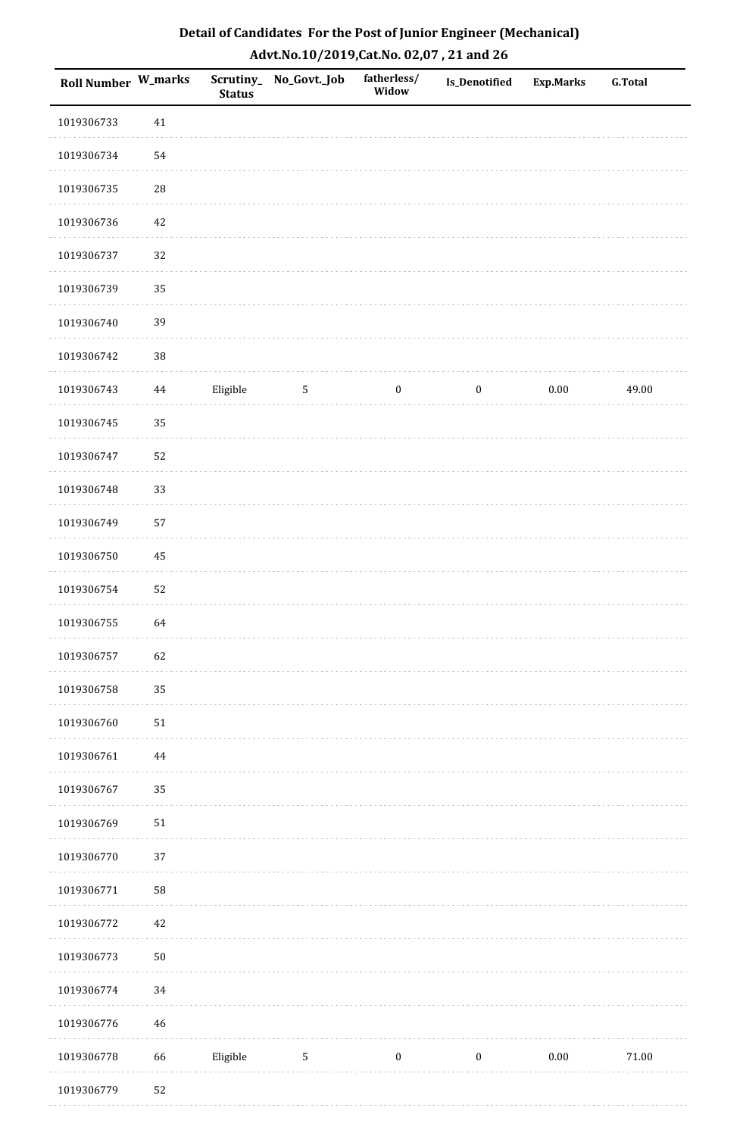| Detail of Candidates For the Post of Junior Engineer (Mechanical) |
|-------------------------------------------------------------------|
| Advt.No.10/2019, Cat.No. 02,07, 21 and 26                         |

| <b>Roll Number W_marks</b> |          | <b>Status</b> | Scrutiny_ No_Govt._Job | fatherless/<br>Widow | Is_Denotified    | <b>Exp.Marks</b> | <b>G.Total</b> |
|----------------------------|----------|---------------|------------------------|----------------------|------------------|------------------|----------------|
| 1019306733                 | 41       |               |                        |                      |                  |                  |                |
| 1019306734                 | 54       |               |                        |                      |                  |                  |                |
| 1019306735                 | $28\,$   |               |                        |                      |                  |                  |                |
| 1019306736                 | $42\,$   |               |                        |                      |                  |                  |                |
| 1019306737                 | 32       |               |                        |                      |                  |                  |                |
| 1019306739                 | 35       |               |                        |                      |                  |                  |                |
| 1019306740                 | 39       |               |                        |                      |                  |                  |                |
| 1019306742                 | $38\,$   |               |                        |                      |                  |                  |                |
| 1019306743                 | $44\,$   | Eligible      | $\mathsf S$            | $\boldsymbol{0}$     | $\boldsymbol{0}$ | $0.00\,$         | 49.00          |
| 1019306745                 | 35       |               |                        |                      |                  |                  |                |
| 1019306747                 | 52       |               |                        |                      |                  |                  |                |
| 1019306748                 | 33       |               |                        |                      |                  |                  |                |
| 1019306749                 | 57       |               |                        |                      |                  |                  |                |
| 1019306750                 | 45       |               |                        |                      |                  |                  |                |
| 1019306754                 | 52       |               |                        |                      |                  |                  |                |
| 1019306755                 | 64       |               |                        |                      |                  |                  |                |
| 1019306757                 | 62       |               |                        |                      |                  |                  |                |
| 1019306758                 | 35       |               |                        |                      |                  |                  |                |
| 1019306760                 | $51\,$   |               |                        |                      |                  |                  |                |
| 1019306761                 | $\bf 44$ |               |                        |                      |                  |                  |                |
| 1019306767                 | 35       |               |                        |                      |                  |                  |                |
| 1019306769                 | $51\,$   |               |                        |                      |                  |                  |                |
| 1019306770                 | 37       |               |                        |                      |                  |                  |                |
| 1019306771                 | 58       |               |                        |                      |                  |                  |                |
| 1019306772                 | 42       |               |                        |                      |                  |                  |                |
| 1019306773                 | $50\,$   |               |                        |                      |                  |                  |                |
| 1019306774                 | 34       |               |                        |                      |                  |                  |                |
| 1019306776                 | 46       |               |                        |                      |                  |                  |                |
| 1019306778                 | 66       | Eligible      | $\sqrt{5}$             | $\boldsymbol{0}$     | $\boldsymbol{0}$ | $0.00\,$         | $71.00\,$      |
| 1019306779                 | 52       |               |                        |                      |                  |                  |                |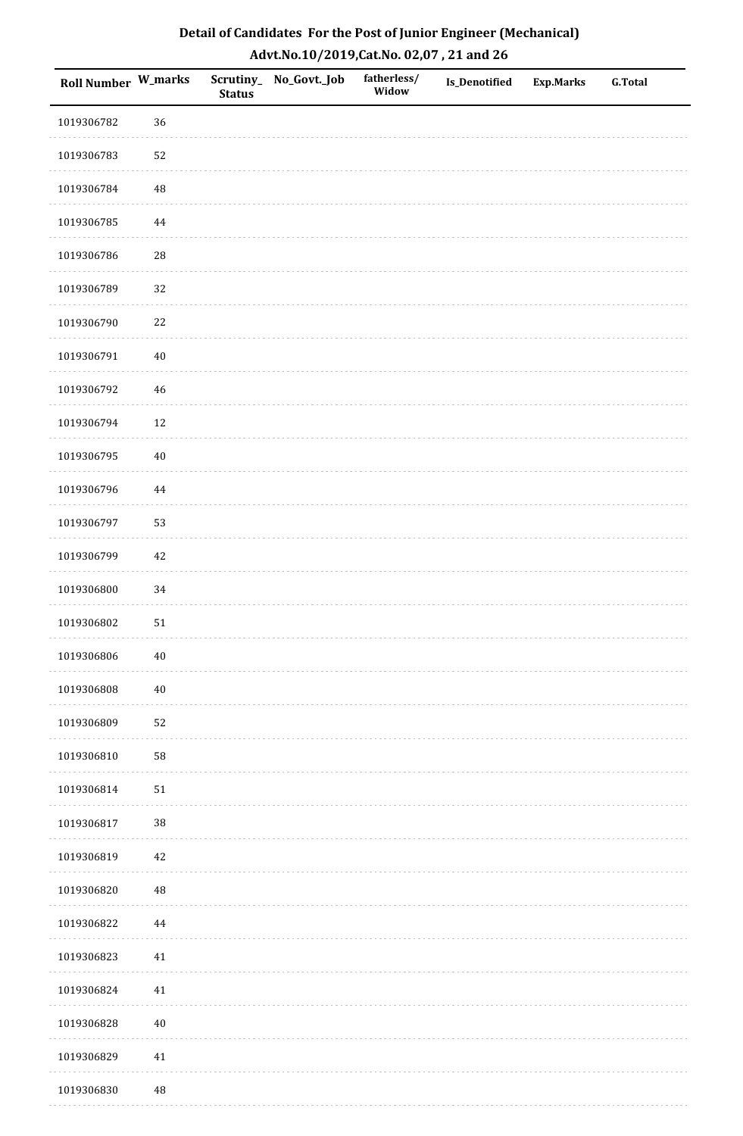| <b>Roll Number W_marks</b> |            | <b>Status</b> | Scrutiny_ No_Govt._Job | fatherless/<br>Widow | Is_Denotified | <b>Exp.Marks</b> | <b>G.Total</b> |
|----------------------------|------------|---------------|------------------------|----------------------|---------------|------------------|----------------|
| 1019306782                 | 36         |               |                        |                      |               |                  |                |
| 1019306783                 | 52         |               |                        |                      |               |                  |                |
| 1019306784                 | $\rm 48$   |               |                        |                      |               |                  |                |
| 1019306785                 | $\bf 44$   |               |                        |                      |               |                  |                |
| 1019306786                 | ${\bf 28}$ |               |                        |                      |               |                  |                |
| 1019306789                 | 32         |               |                        |                      |               |                  |                |
| 1019306790                 | $22\,$     |               |                        |                      |               |                  |                |
| 1019306791                 | $40\,$     |               |                        |                      |               |                  |                |
| 1019306792                 | $46\,$     |               |                        |                      |               |                  |                |
| 1019306794                 | $12\,$     |               |                        |                      |               |                  |                |
| 1019306795                 | $40\,$     |               |                        |                      |               |                  |                |
| 1019306796                 | $\bf 44$   |               |                        |                      |               |                  |                |
| 1019306797                 | 53         |               |                        |                      |               |                  |                |
| 1019306799                 | 42         |               |                        |                      |               |                  |                |
| 1019306800                 | 34         |               |                        |                      |               |                  |                |
| 1019306802                 | 51         |               |                        |                      |               |                  |                |
| 1019306806                 | $40\,$     |               |                        |                      |               |                  |                |
| 1019306808                 | $40\,$     |               |                        |                      |               |                  |                |
| 1019306809                 | 52         |               |                        |                      |               |                  |                |
| 1019306810                 | 58         |               |                        |                      |               |                  |                |
| 1019306814                 | $51\,$     |               |                        |                      |               |                  |                |
| 1019306817                 | $38\,$     |               |                        |                      |               |                  |                |
| 1019306819                 | $42\,$     |               |                        |                      |               |                  |                |
| 1019306820                 | $\rm 48$   |               |                        |                      |               |                  |                |
| 1019306822                 | 44         |               |                        |                      |               |                  |                |
| 1019306823                 | $41\,$     |               |                        |                      |               |                  |                |
| 1019306824                 | 41         |               |                        |                      |               |                  |                |
| 1019306828                 | $40\,$     |               |                        |                      |               |                  |                |
| 1019306829                 | $41\,$     |               |                        |                      |               |                  |                |
| 1019306830                 | $\rm 48$   |               |                        |                      |               |                  |                |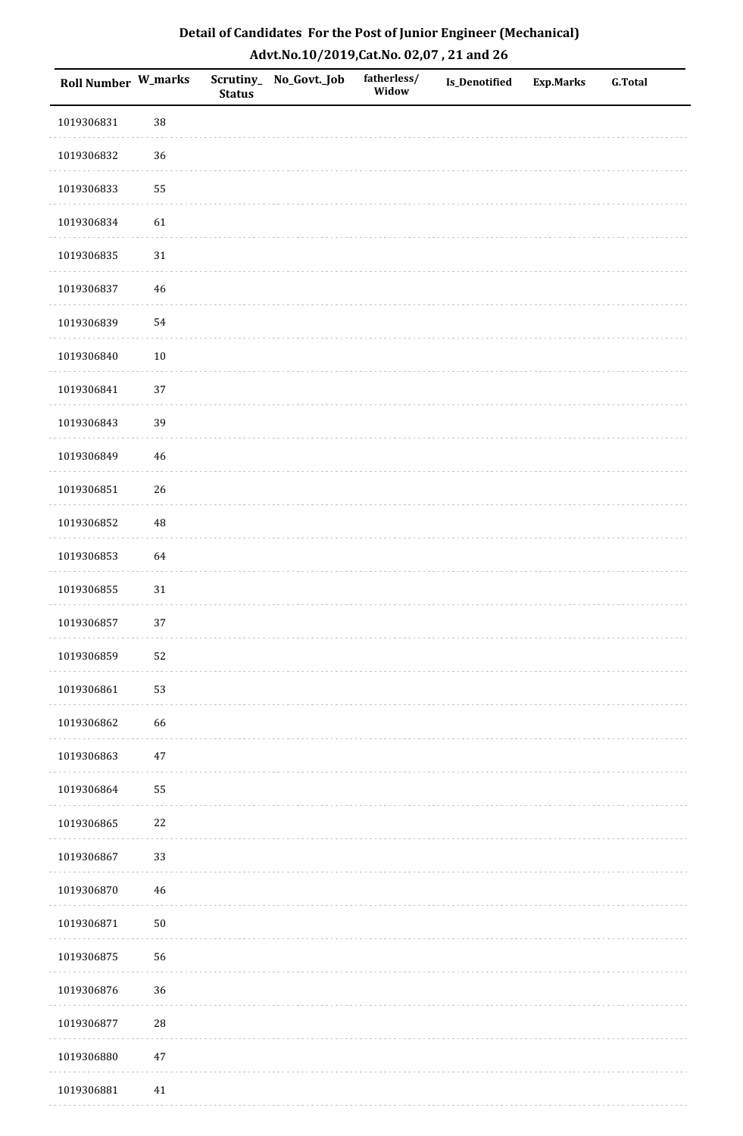| <b>Roll Number W_marks</b> |            | <b>Status</b> | Scrutiny_No_Govt._Job | fatherless/<br>Widow | Is_Denotified | <b>Exp.Marks</b> | <b>G.Total</b> |
|----------------------------|------------|---------------|-----------------------|----------------------|---------------|------------------|----------------|
| 1019306831                 | 38         |               |                       |                      |               |                  |                |
| 1019306832                 | 36         |               |                       |                      |               |                  |                |
| 1019306833                 | 55         |               |                       |                      |               |                  |                |
| 1019306834                 | 61         |               |                       |                      |               |                  |                |
| 1019306835                 | $31\,$     |               |                       |                      |               |                  |                |
| 1019306837                 | $46\,$     |               |                       |                      |               |                  |                |
| 1019306839                 | 54         |               |                       |                      |               |                  |                |
| 1019306840                 | $10\,$     |               |                       |                      |               |                  |                |
| 1019306841                 | $37\,$     |               |                       |                      |               |                  |                |
| 1019306843                 | 39         |               |                       |                      |               |                  |                |
| 1019306849                 | 46         |               |                       |                      |               |                  |                |
| 1019306851                 | 26         |               |                       |                      |               |                  |                |
| 1019306852                 | 48         |               |                       |                      |               |                  |                |
| 1019306853                 | 64         |               |                       |                      |               |                  |                |
| 1019306855                 | $31\,$     |               |                       |                      |               |                  |                |
| 1019306857                 | 37         |               |                       |                      |               |                  |                |
| 1019306859                 | 52         |               |                       |                      |               |                  |                |
| 1019306861                 | 53         |               |                       |                      |               |                  |                |
| 1019306862                 | 66         |               |                       |                      |               |                  |                |
| 1019306863                 | $47\,$     |               |                       |                      |               |                  |                |
| 1019306864                 | 55         |               |                       |                      |               |                  |                |
| 1019306865                 | $22\,$     |               |                       |                      |               |                  |                |
| 1019306867                 | 33         |               |                       |                      |               |                  |                |
| 1019306870                 | $46\,$     |               |                       |                      |               |                  |                |
| 1019306871                 | $50\,$     |               |                       |                      |               |                  |                |
| 1019306875                 | 56         |               |                       |                      |               |                  |                |
| 1019306876                 | 36         |               |                       |                      |               |                  |                |
| 1019306877                 | ${\bf 28}$ |               |                       |                      |               |                  |                |
| 1019306880                 | $47\,$     |               |                       |                      |               |                  |                |
| 1019306881                 | 41         |               |                       |                      |               |                  |                |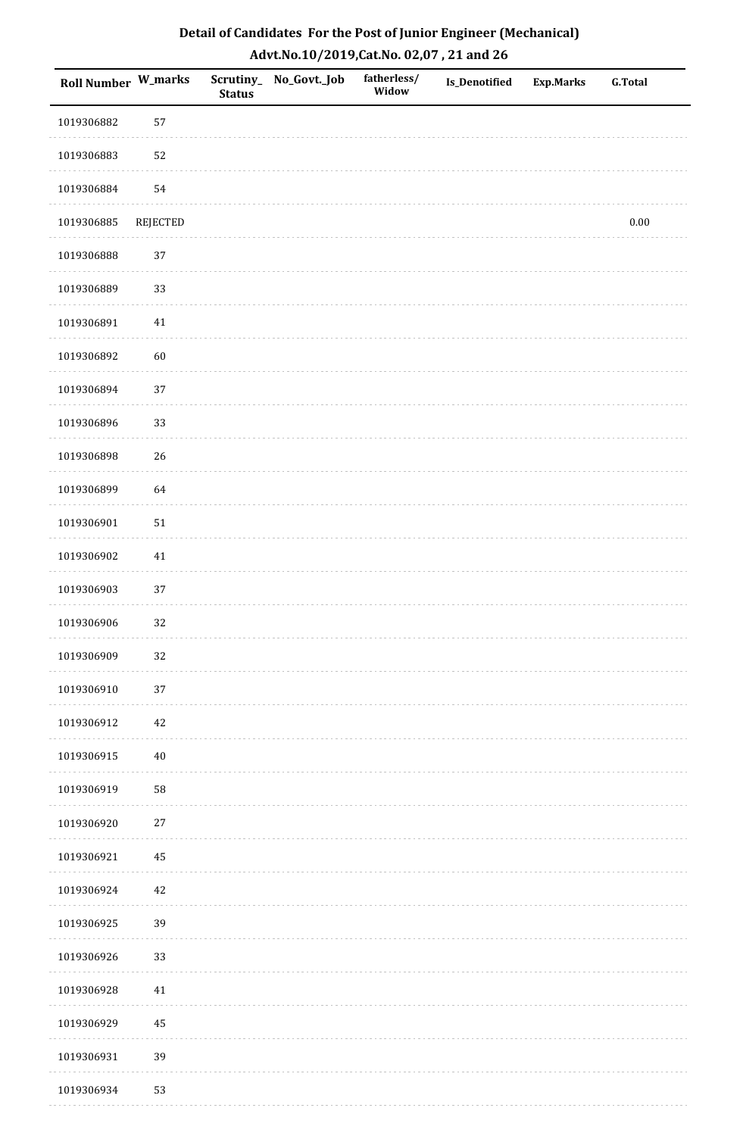| Roll Number W_marks |                 | <b>Status</b> | Scrutiny_ No_Govt._Job | fatherless/<br>Widow | Is_Denotified | Exp.Marks | <b>G.Total</b> |
|---------------------|-----------------|---------------|------------------------|----------------------|---------------|-----------|----------------|
| 1019306882          | 57              |               |                        |                      |               |           |                |
| 1019306883          | 52              |               |                        |                      |               |           |                |
| 1019306884          | 54              |               |                        |                      |               |           |                |
| 1019306885          | <b>REJECTED</b> |               |                        |                      |               |           | $0.00\,$       |
| 1019306888          | 37              |               |                        |                      |               |           |                |
| 1019306889          | 33              |               |                        |                      |               |           |                |
| 1019306891          | $41\,$          |               |                        |                      |               |           |                |
| 1019306892          | 60              |               |                        |                      |               |           |                |
| 1019306894          | 37              |               |                        |                      |               |           |                |
| 1019306896          | 33              |               |                        |                      |               |           |                |
| 1019306898          | 26              |               |                        |                      |               |           |                |
| 1019306899          | 64              |               |                        |                      |               |           |                |
| 1019306901          | $51\,$          |               |                        |                      |               |           |                |
| 1019306902          | 41              |               |                        |                      |               |           |                |
| 1019306903          | 37              |               |                        |                      |               |           |                |
| 1019306906          | 32              |               |                        |                      |               |           |                |
| 1019306909          | 32              |               |                        |                      |               |           |                |
| 1019306910          | $37\,$          |               |                        |                      |               |           |                |
| 1019306912          | $42\,$          |               |                        |                      |               |           |                |
| 1019306915          | $40\,$          |               |                        |                      |               |           |                |
| 1019306919          | 58              |               |                        |                      |               |           |                |
| 1019306920          | $27\,$          |               |                        |                      |               |           |                |
| 1019306921          | 45              |               |                        |                      |               |           |                |
| 1019306924          | $42\,$          |               |                        |                      |               |           |                |
| 1019306925          | 39              |               |                        |                      |               |           |                |
| 1019306926          | 33              |               |                        |                      |               |           |                |
| 1019306928          | $41\,$          |               |                        |                      |               |           |                |
| 1019306929          | 45              |               |                        |                      |               |           |                |
| 1019306931          | 39              |               |                        |                      |               |           |                |
| 1019306934          | 53              |               |                        |                      |               |           |                |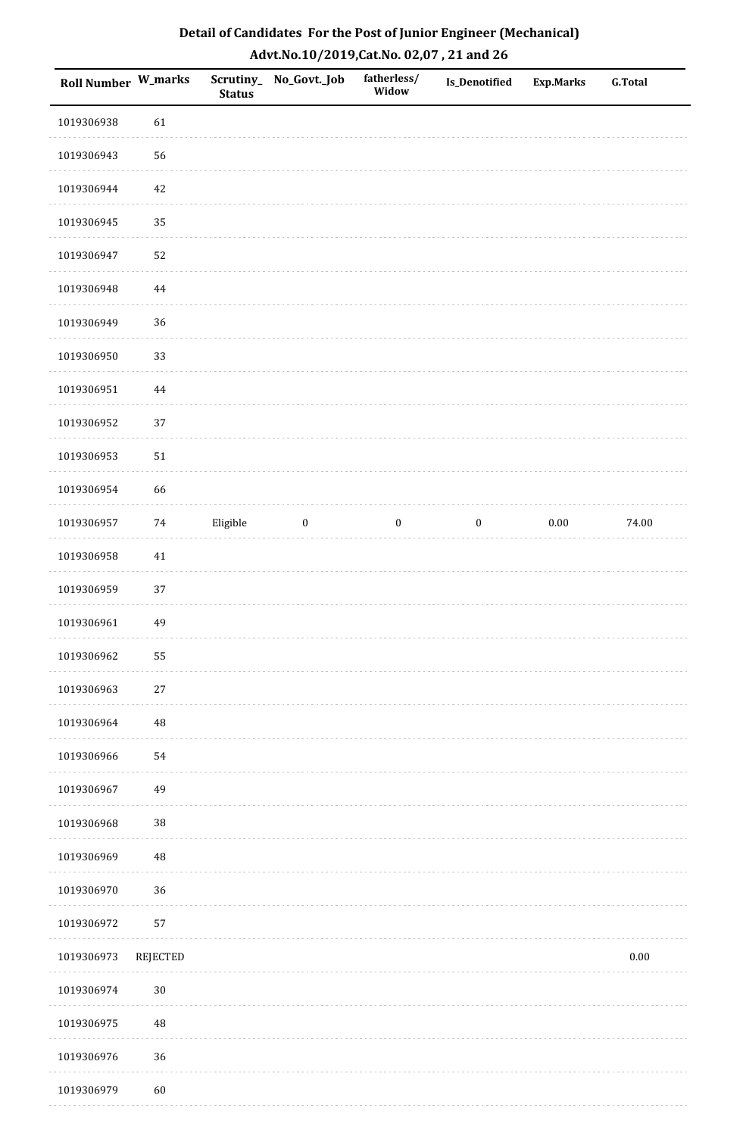| Roll Number W_marks |                 | <b>Status</b> | Scrutiny_ No_Govt._Job | fatherless/<br>Widow | Is_Denotified    | <b>Exp.Marks</b> | G.Total  |
|---------------------|-----------------|---------------|------------------------|----------------------|------------------|------------------|----------|
| 1019306938          | 61              |               |                        |                      |                  |                  |          |
| 1019306943          | 56              |               |                        |                      |                  |                  |          |
| 1019306944          | $42\,$          |               |                        |                      |                  |                  |          |
| 1019306945          | 35              |               |                        |                      |                  |                  |          |
| 1019306947          | 52              |               |                        |                      |                  |                  |          |
| 1019306948          | 44              |               |                        |                      |                  |                  |          |
| 1019306949          | 36              |               |                        |                      |                  |                  |          |
| 1019306950          | 33              |               |                        |                      |                  |                  |          |
| 1019306951          | $\bf 44$        |               |                        |                      |                  |                  |          |
| 1019306952          | 37              |               |                        |                      |                  |                  |          |
| 1019306953          | $51\,$          |               |                        |                      |                  |                  |          |
| 1019306954          | 66              |               |                        |                      |                  |                  |          |
| 1019306957          | 74              | Eligible      | $\bf{0}$               | $\boldsymbol{0}$     | $\boldsymbol{0}$ | $0.00\,$         | 74.00    |
| 1019306958          | $41\,$          |               |                        |                      |                  |                  |          |
| 1019306959          | 37              |               |                        |                      |                  |                  |          |
| 1019306961          | 49              |               |                        |                      |                  |                  |          |
| 1019306962          | 55              |               |                        |                      |                  |                  |          |
| 1019306963          | $27\,$          |               |                        |                      |                  |                  |          |
| 1019306964          | 48              |               |                        |                      |                  |                  |          |
| 1019306966          | 54              |               |                        |                      |                  |                  |          |
| 1019306967          | 49              |               |                        |                      |                  |                  |          |
| 1019306968          | 38              |               |                        |                      |                  |                  |          |
| 1019306969          | 48              |               |                        |                      |                  |                  |          |
| 1019306970          | 36              |               |                        |                      |                  |                  |          |
| 1019306972          | 57              |               |                        |                      |                  |                  |          |
| 1019306973          | <b>REJECTED</b> |               |                        |                      |                  |                  | $0.00\,$ |
| 1019306974          | $30\,$          |               |                        |                      |                  |                  |          |
| 1019306975          | 48              |               |                        |                      |                  |                  |          |
| 1019306976          | 36              |               |                        |                      |                  |                  |          |
| 1019306979          | 60              |               |                        |                      |                  |                  |          |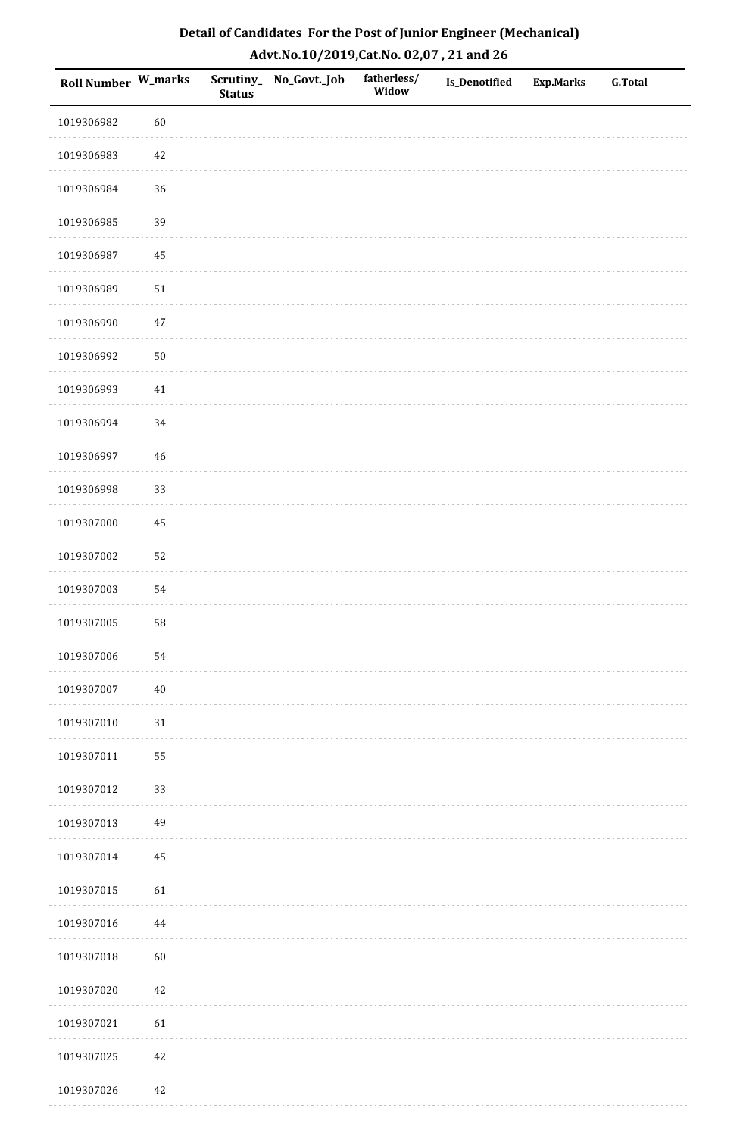| Roll Number W_marks |          | <b>Status</b> | Scrutiny_ No_Govt._Job | fatherless/<br>Widow | <b>Is_Denotified</b> | <b>Exp.Marks</b> | G.Total |
|---------------------|----------|---------------|------------------------|----------------------|----------------------|------------------|---------|
| 1019306982          | 60       |               |                        |                      |                      |                  |         |
| 1019306983          | 42       |               |                        |                      |                      |                  |         |
| 1019306984          | 36       |               |                        |                      |                      |                  |         |
| 1019306985          | 39       |               |                        |                      |                      |                  |         |
| 1019306987          | $\bf 45$ |               |                        |                      |                      |                  |         |
| 1019306989          | $51\,$   |               |                        |                      |                      |                  |         |
| 1019306990          | $47\,$   |               |                        |                      |                      |                  |         |
| 1019306992          | $50\,$   |               |                        |                      |                      |                  |         |
| 1019306993          | $41\,$   |               |                        |                      |                      |                  |         |
| 1019306994          | 34       |               |                        |                      |                      |                  |         |
| 1019306997          | $46\,$   |               |                        |                      |                      |                  |         |
| 1019306998          | 33       |               |                        |                      |                      |                  |         |
| 1019307000          | 45       |               |                        |                      |                      |                  |         |
| 1019307002          | 52       |               |                        |                      |                      |                  |         |
| 1019307003          | 54       |               |                        |                      |                      |                  |         |
| 1019307005          | 58       |               |                        |                      |                      |                  |         |
| 1019307006          | 54       |               |                        |                      |                      |                  |         |
| 1019307007          | $40\,$   |               |                        |                      |                      |                  |         |
| 1019307010          | $31\,$   |               |                        |                      |                      |                  |         |
| 1019307011          | 55       |               |                        |                      |                      |                  |         |
| 1019307012          | 33       |               |                        |                      |                      |                  |         |
| 1019307013          | 49       |               |                        |                      |                      |                  |         |
| 1019307014          | 45       |               |                        |                      |                      |                  |         |
| 1019307015          | 61       |               |                        |                      |                      |                  |         |
| 1019307016          | 44       |               |                        |                      |                      |                  |         |
| 1019307018          | 60       |               |                        |                      |                      |                  |         |
| 1019307020          | $42\,$   |               |                        |                      |                      |                  |         |
| 1019307021          | 61       |               |                        |                      |                      |                  |         |
| 1019307025          | $42\,$   |               |                        |                      |                      |                  |         |
| 1019307026          | 42       |               |                        |                      |                      |                  |         |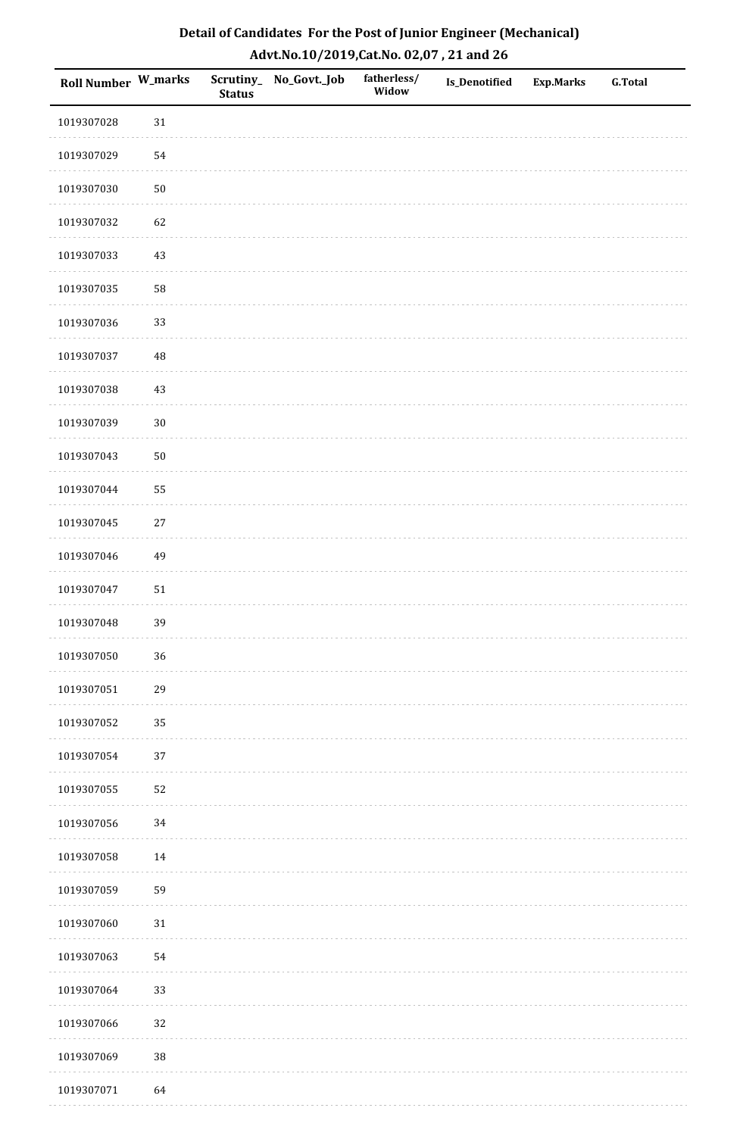| <b>Roll Number W_marks</b> |            | <b>Status</b> | Scrutiny_No_Govt._Job | fatherless/<br>Widow | Is_Denotified | <b>Exp.Marks</b> | <b>G.Total</b> |
|----------------------------|------------|---------------|-----------------------|----------------------|---------------|------------------|----------------|
| 1019307028                 | $31\,$     |               |                       |                      |               |                  |                |
| 1019307029                 | 54         |               |                       |                      |               |                  |                |
| 1019307030                 | $50\,$     |               |                       |                      |               |                  |                |
| 1019307032                 | 62         |               |                       |                      |               |                  |                |
| 1019307033                 | $43\,$     |               |                       |                      |               |                  |                |
| 1019307035                 | 58         |               |                       |                      |               |                  |                |
| 1019307036                 | 33         |               |                       |                      |               |                  |                |
| 1019307037                 | 48         |               |                       |                      |               |                  |                |
| 1019307038                 | $43\,$     |               |                       |                      |               |                  |                |
| 1019307039                 | $30\,$     |               |                       |                      |               |                  |                |
| 1019307043                 | $50\,$     |               |                       |                      |               |                  |                |
| 1019307044                 | 55         |               |                       |                      |               |                  |                |
| 1019307045                 | $27\,$     |               |                       |                      |               |                  |                |
| 1019307046                 | 49         |               |                       |                      |               |                  |                |
| 1019307047                 | ${\bf 51}$ |               |                       |                      |               |                  |                |
| 1019307048                 | 39         |               |                       |                      |               |                  |                |
| 1019307050                 | 36         |               |                       |                      |               |                  |                |
| 1019307051                 | 29         |               |                       |                      |               |                  |                |
| 1019307052                 | 35         |               |                       |                      |               |                  |                |
| 1019307054                 | 37         |               |                       |                      |               |                  |                |
| 1019307055                 | 52         |               |                       |                      |               |                  |                |
| 1019307056                 | $34\,$     |               |                       |                      |               |                  |                |
| 1019307058                 | $14\,$     |               |                       |                      |               |                  |                |
| 1019307059                 | 59         |               |                       |                      |               |                  |                |
| 1019307060                 | $31\,$     |               |                       |                      |               |                  |                |
| 1019307063                 | 54         |               |                       |                      |               |                  |                |
| 1019307064                 | 33         |               |                       |                      |               |                  |                |
| 1019307066                 | 32         |               |                       |                      |               |                  |                |
| 1019307069                 | $38\,$     |               |                       |                      |               |                  |                |
| 1019307071                 | 64         |               |                       |                      |               |                  |                |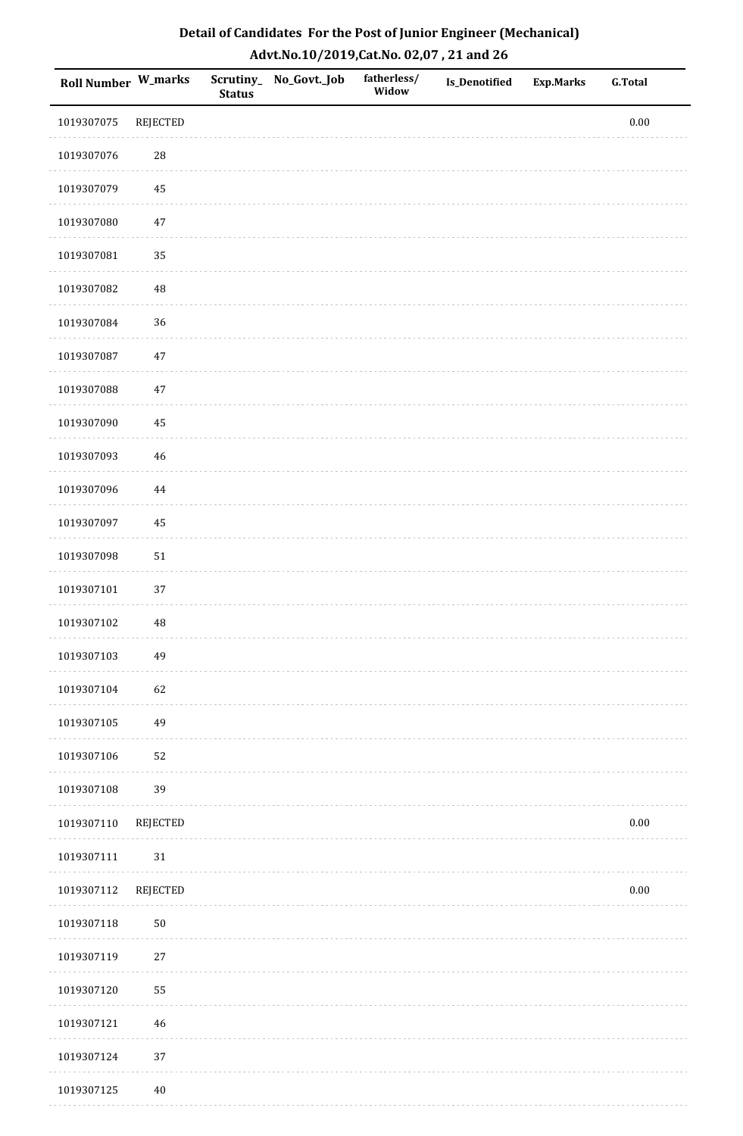| Detail of Candidates For the Post of Junior Engineer (Mechanical) |
|-------------------------------------------------------------------|
| Advt.No.10/2019,Cat.No. 02,07, 21 and 26                          |

| <b>Roll Number W_marks</b> |                 | <b>Status</b> | Scrutiny_ No_Govt._Job | fatherless/<br>Widow | <b>Is_Denotified</b> | <b>Exp.Marks</b> | <b>G.Total</b> |
|----------------------------|-----------------|---------------|------------------------|----------------------|----------------------|------------------|----------------|
| 1019307075                 | REJECTED        |               |                        |                      |                      |                  | $0.00\,$       |
| 1019307076                 | 28              |               |                        |                      |                      |                  |                |
| 1019307079                 | 45              |               |                        |                      |                      |                  |                |
| 1019307080                 | $47\,$          |               |                        |                      |                      |                  |                |
| 1019307081                 | 35              |               |                        |                      |                      |                  |                |
| 1019307082                 | 48              |               |                        |                      |                      |                  |                |
| 1019307084                 | 36              |               |                        |                      |                      |                  |                |
| 1019307087                 | 47              |               |                        |                      |                      |                  |                |
| 1019307088                 | $47\,$          |               |                        |                      |                      |                  |                |
| 1019307090                 | 45              |               |                        |                      |                      |                  |                |
| 1019307093                 | $46\,$          |               |                        |                      |                      |                  |                |
| 1019307096                 | 44              |               |                        |                      |                      |                  |                |
| 1019307097                 | 45              |               |                        |                      |                      |                  |                |
| 1019307098                 | $51\,$          |               |                        |                      |                      |                  |                |
| 1019307101                 | 37              |               |                        |                      |                      |                  |                |
| 1019307102                 | 48              |               |                        |                      |                      |                  |                |
| 1019307103                 | 49              |               |                        |                      |                      |                  |                |
| 1019307104                 | 62              |               |                        |                      |                      |                  |                |
| 1019307105                 | 49              |               |                        |                      |                      |                  |                |
| 1019307106                 | 52              |               |                        |                      |                      |                  |                |
| 1019307108                 | 39              |               |                        |                      |                      |                  |                |
| 1019307110                 | <b>REJECTED</b> |               |                        |                      |                      |                  | $0.00\,$       |
| 1019307111                 | $31\,$          |               |                        |                      |                      |                  |                |
| 1019307112                 | <b>REJECTED</b> |               |                        |                      |                      |                  | $0.00\,$       |
| 1019307118                 | $50\,$          |               |                        |                      |                      |                  |                |
| 1019307119                 | $27\,$          |               |                        |                      |                      |                  |                |
| 1019307120                 | 55              |               |                        |                      |                      |                  |                |
| 1019307121                 | 46              |               |                        |                      |                      |                  |                |
| 1019307124                 | 37              |               |                        |                      |                      |                  |                |
| 1019307125                 | $40\,$          |               |                        |                      |                      |                  |                |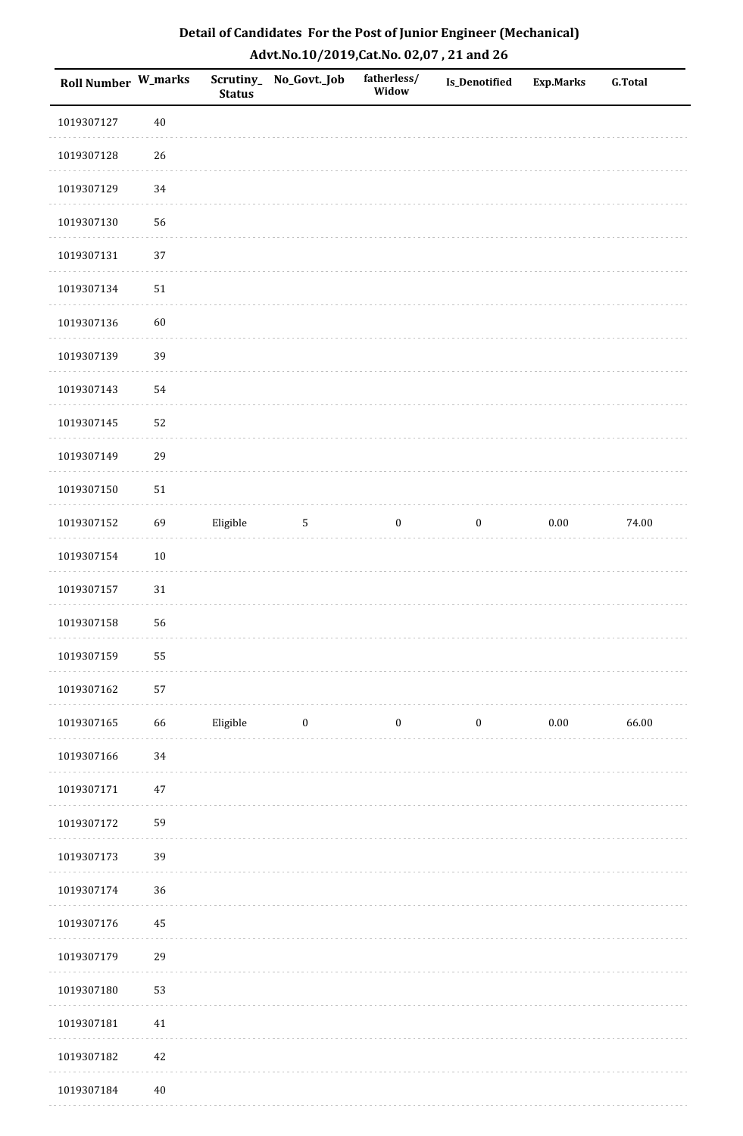| Roll Number W_marks |        | <b>Status</b> | Scrutiny_ No_Govt._Job | fatherless/<br>Widow | <b>Is_Denotified</b> | <b>Exp.Marks</b> | <b>G.Total</b> |
|---------------------|--------|---------------|------------------------|----------------------|----------------------|------------------|----------------|
| 1019307127          | $40\,$ |               |                        |                      |                      |                  |                |
| 1019307128          | 26     |               |                        |                      |                      |                  |                |
| 1019307129          | 34     |               |                        |                      |                      |                  |                |
| 1019307130          | 56     |               |                        |                      |                      |                  |                |
| 1019307131          | 37     |               |                        |                      |                      |                  |                |
| 1019307134          | $51\,$ |               |                        |                      |                      |                  |                |
| 1019307136          | 60     |               |                        |                      |                      |                  |                |
| 1019307139          | 39     |               |                        |                      |                      |                  |                |
| 1019307143          | 54     |               |                        |                      |                      |                  |                |
| 1019307145          | 52     |               |                        |                      |                      |                  |                |
| 1019307149          | 29     |               |                        |                      |                      |                  |                |
| 1019307150          | $51\,$ |               |                        |                      |                      |                  |                |
| 1019307152          | 69     | Eligible      | $\sqrt{5}$             | $\boldsymbol{0}$     | $\boldsymbol{0}$     | $0.00\,$         | 74.00          |
| 1019307154          | $10\,$ |               |                        |                      |                      |                  |                |
| 1019307157          | $31\,$ |               |                        |                      |                      |                  |                |
| 1019307158          | 56     |               |                        |                      |                      |                  |                |
| 1019307159          | 55     |               |                        |                      |                      |                  |                |
| 1019307162          | 57     |               |                        |                      |                      |                  |                |
| 1019307165          | 66     | Eligible      | $\bf{0}$               | $\boldsymbol{0}$     | $\boldsymbol{0}$     | $0.00\,$         | 66.00          |
| 1019307166          | 34     |               |                        |                      |                      |                  |                |
| 1019307171          | 47     |               |                        |                      |                      |                  |                |
| 1019307172          | 59     |               |                        |                      |                      |                  |                |
| 1019307173          | 39     |               |                        |                      |                      |                  |                |
| 1019307174          | 36     |               |                        |                      |                      |                  |                |
| 1019307176          | 45     |               |                        |                      |                      |                  |                |
| 1019307179          | 29     |               |                        |                      |                      |                  |                |
| 1019307180          | 53     |               |                        |                      |                      |                  |                |
| 1019307181          | $41\,$ |               |                        |                      |                      |                  |                |
| 1019307182          | $42\,$ |               |                        |                      |                      |                  |                |
| 1019307184          | $40\,$ |               |                        |                      |                      |                  |                |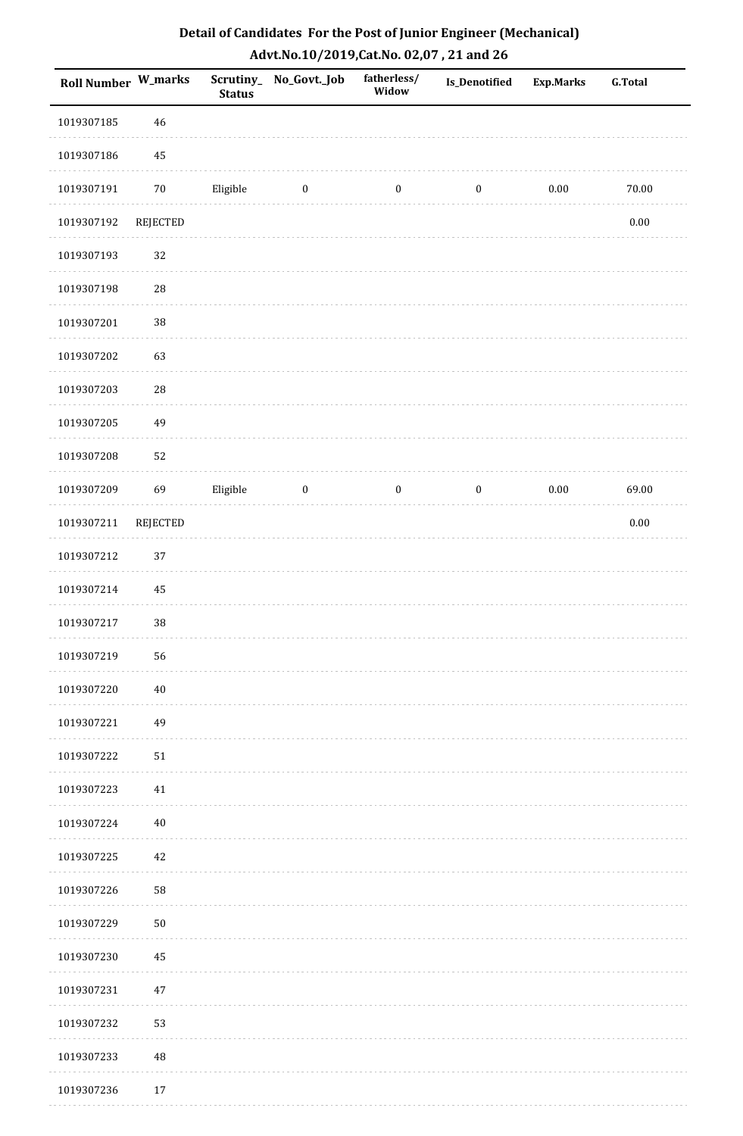| <b>Roll Number W_marks</b> |                 | <b>Status</b> | Scrutiny_ No_Govt._Job | fatherless/<br>Widow | Is_Denotified    | <b>Exp.Marks</b> | <b>G.Total</b> |
|----------------------------|-----------------|---------------|------------------------|----------------------|------------------|------------------|----------------|
| 1019307185                 | 46              |               |                        |                      |                  |                  |                |
| 1019307186                 | 45              |               |                        |                      |                  |                  |                |
| 1019307191                 | $70\,$          | Eligible      | $\bf{0}$               | $\boldsymbol{0}$     | $\boldsymbol{0}$ | 0.00             | $70.00\,$      |
| 1019307192                 | <b>REJECTED</b> |               |                        |                      |                  |                  | $0.00\,$       |
| 1019307193                 | 32              |               |                        |                      |                  |                  |                |
| 1019307198                 | 28              |               |                        |                      |                  |                  |                |
| 1019307201                 | 38              |               |                        |                      |                  |                  |                |
| 1019307202                 | 63              |               |                        |                      |                  |                  |                |
| 1019307203                 | 28              |               |                        |                      |                  |                  |                |
| 1019307205                 | 49              |               |                        |                      |                  |                  |                |
| 1019307208                 | 52              |               |                        |                      |                  |                  |                |
| 1019307209                 | 69              | Eligible      | $\bf{0}$               | $\boldsymbol{0}$     | $\boldsymbol{0}$ | $0.00\,$         | 69.00          |
| 1019307211                 | REJECTED        |               |                        |                      |                  |                  | $0.00\,$       |
| 1019307212                 | 37              |               |                        |                      |                  |                  |                |
| 1019307214                 | 45              |               |                        |                      |                  |                  |                |
| 1019307217                 | 38              |               |                        |                      |                  |                  |                |
| 1019307219                 | 56              |               |                        |                      |                  |                  |                |
| 1019307220                 | $40\,$          |               |                        |                      |                  |                  |                |
| 1019307221                 | 49              |               |                        |                      |                  |                  |                |
| 1019307222                 | $51\,$          |               |                        |                      |                  |                  |                |
| 1019307223                 | 41              |               |                        |                      |                  |                  |                |
| 1019307224                 | 40              |               |                        |                      |                  |                  |                |
| 1019307225                 | 42              |               |                        |                      |                  |                  |                |
| 1019307226                 | 58              |               |                        |                      |                  |                  |                |
| 1019307229                 | ${\bf 50}$      |               |                        |                      |                  |                  |                |
| 1019307230                 | 45              |               |                        |                      |                  |                  |                |
| 1019307231                 | 47              |               |                        |                      |                  |                  |                |
| 1019307232                 | 53              |               |                        |                      |                  |                  |                |
| 1019307233                 | $\rm 48$        |               |                        |                      |                  |                  |                |
| 1019307236                 | 17              |               |                        |                      |                  |                  |                |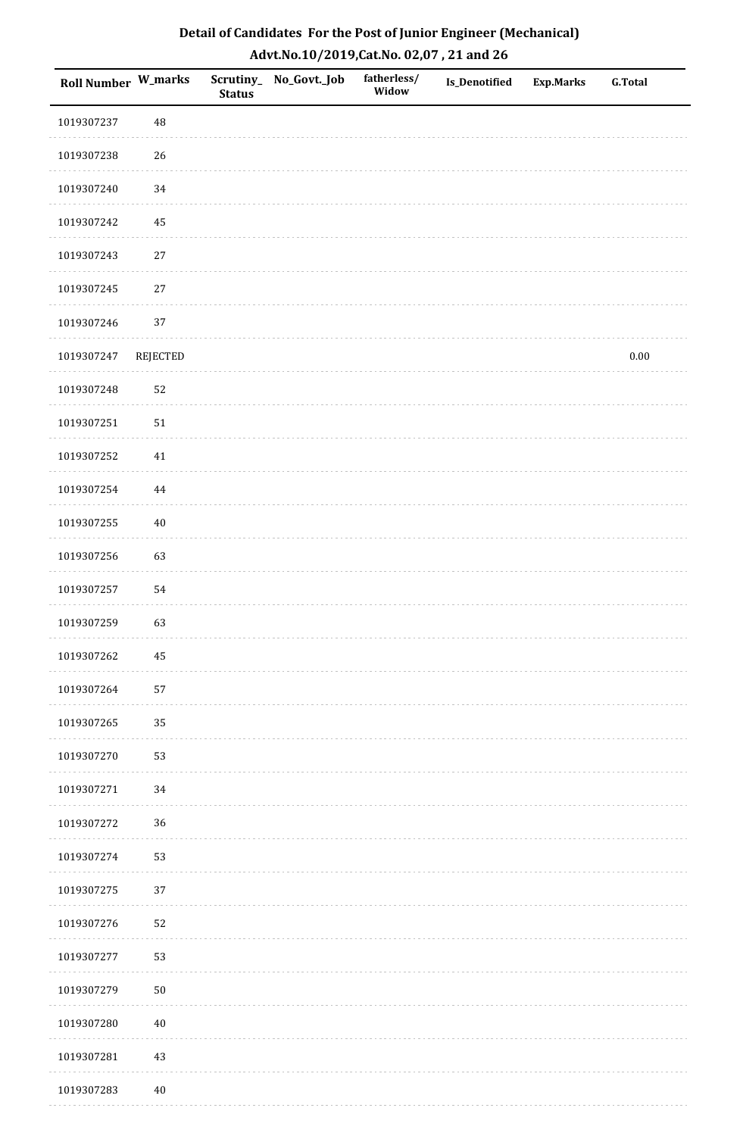| <b>Roll Number W_marks</b> |                 | <b>Status</b> | Scrutiny_ No_Govt._Job | fatherless/<br>Widow | Is_Denotified | <b>Exp.Marks</b> | <b>G.Total</b> |
|----------------------------|-----------------|---------------|------------------------|----------------------|---------------|------------------|----------------|
| 1019307237                 | 48              |               |                        |                      |               |                  |                |
| 1019307238                 | 26              |               |                        |                      |               |                  |                |
| 1019307240                 | 34              |               |                        |                      |               |                  |                |
| 1019307242                 | 45              |               |                        |                      |               |                  |                |
| 1019307243                 | $27\,$          |               |                        |                      |               |                  |                |
| 1019307245                 | 27              |               |                        |                      |               |                  |                |
| 1019307246                 | 37              |               |                        |                      |               |                  |                |
| 1019307247                 | <b>REJECTED</b> |               |                        |                      |               |                  | $0.00\,$       |
| 1019307248                 | 52              |               |                        |                      |               |                  |                |
| 1019307251                 | $51\,$          |               |                        |                      |               |                  |                |
| 1019307252                 | $41\,$          |               |                        |                      |               |                  |                |
| 1019307254                 | $\bf 44$        |               |                        |                      |               |                  |                |
| 1019307255                 | $40\,$          |               |                        |                      |               |                  |                |
| 1019307256                 | 63              |               |                        |                      |               |                  |                |
| 1019307257                 | 54              |               |                        |                      |               |                  |                |
| 1019307259                 | 63              |               |                        |                      |               |                  |                |
| 1019307262                 | 45              |               |                        |                      |               |                  |                |
| 1019307264                 | 57              |               |                        |                      |               |                  |                |
| 1019307265                 | 35              |               |                        |                      |               |                  |                |
| 1019307270                 | 53              |               |                        |                      |               |                  |                |
| 1019307271                 | 34              |               |                        |                      |               |                  |                |
| 1019307272                 | 36              |               |                        |                      |               |                  |                |
| 1019307274                 | 53              |               |                        |                      |               |                  |                |
| 1019307275                 | 37              |               |                        |                      |               |                  |                |
| 1019307276                 | 52              |               |                        |                      |               |                  |                |
| 1019307277                 | 53              |               |                        |                      |               |                  |                |
| 1019307279                 | $50\,$          |               |                        |                      |               |                  |                |
| 1019307280                 | $40\,$          |               |                        |                      |               |                  |                |
| 1019307281                 | 43              |               |                        |                      |               |                  |                |
| 1019307283                 | $40\,$          |               |                        |                      |               |                  |                |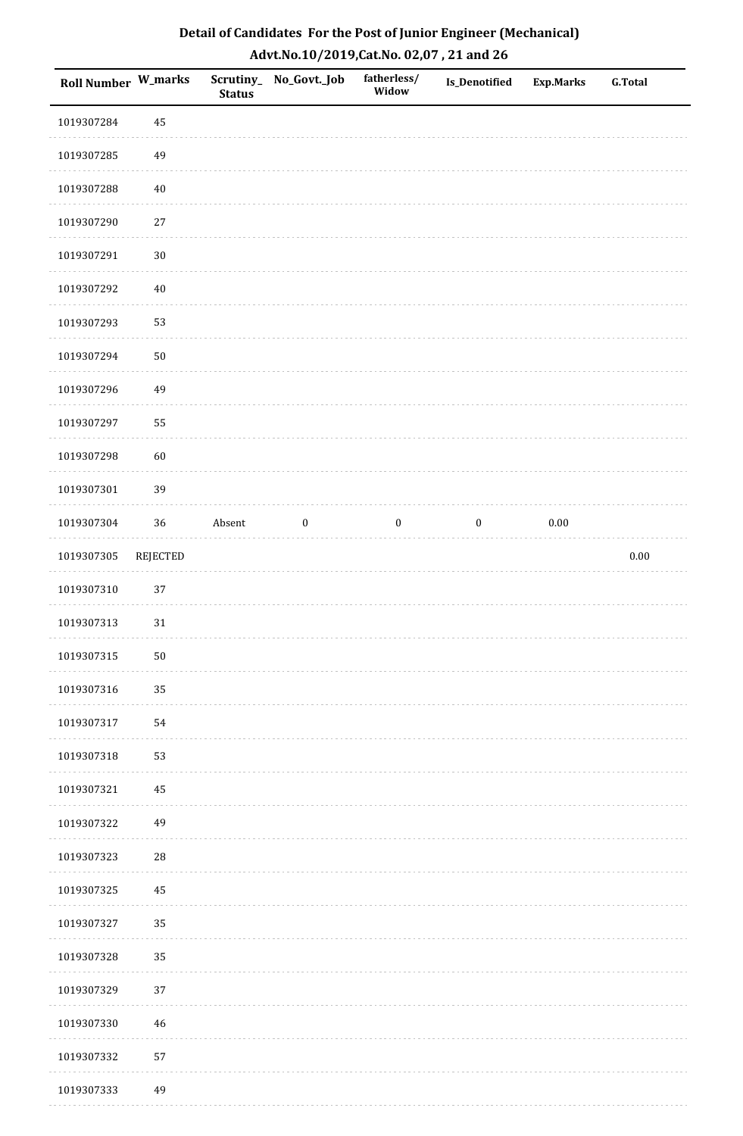| Detail of Candidates For the Post of Junior Engineer (Mechanical) |
|-------------------------------------------------------------------|
| Advt.No.10/2019,Cat.No. 02,07, 21 and 26                          |

| <b>Roll Number W_marks</b> |                 | <b>Status</b> | Scrutiny_No_Govt._Job | fatherless/<br>Widow | Is_Denotified    | <b>Exp.Marks</b> | <b>G.Total</b> |
|----------------------------|-----------------|---------------|-----------------------|----------------------|------------------|------------------|----------------|
| 1019307284                 | 45              |               |                       |                      |                  |                  |                |
| 1019307285                 | 49              |               |                       |                      |                  |                  |                |
| 1019307288                 | $40\,$          |               |                       |                      |                  |                  |                |
| 1019307290                 | $27\,$          |               |                       |                      |                  |                  |                |
| 1019307291                 | $30\,$          |               |                       |                      |                  |                  |                |
| 1019307292                 | $40\,$          |               |                       |                      |                  |                  |                |
| 1019307293                 | 53              |               |                       |                      |                  |                  |                |
| 1019307294                 | $50\,$          |               |                       |                      |                  |                  |                |
| 1019307296                 | 49              |               |                       |                      |                  |                  |                |
| 1019307297                 | 55              |               |                       |                      |                  |                  |                |
| 1019307298                 | 60              |               |                       |                      |                  |                  |                |
| 1019307301                 | 39              |               |                       |                      |                  |                  |                |
| 1019307304                 | 36              | Absent        | $\boldsymbol{0}$      | $\boldsymbol{0}$     | $\boldsymbol{0}$ | $0.00\,$         |                |
| 1019307305                 | <b>REJECTED</b> |               |                       |                      |                  |                  | 0.00           |
| 1019307310                 | $37\,$          |               |                       |                      |                  |                  |                |
| 1019307313                 | 31              |               |                       |                      |                  |                  |                |
| 1019307315                 | $50\,$          |               |                       |                      |                  |                  |                |
| 1019307316                 | 35              |               |                       |                      |                  |                  |                |
| 1019307317                 | 54              |               |                       |                      |                  |                  |                |
| 1019307318                 | 53              |               |                       |                      |                  |                  |                |
| 1019307321                 | 45              |               |                       |                      |                  |                  |                |
| 1019307322                 | 49              |               |                       |                      |                  |                  |                |
| 1019307323                 | ${\bf 28}$      |               |                       |                      |                  |                  |                |
| 1019307325                 | 45              |               |                       |                      |                  |                  |                |
| 1019307327                 | 35              |               |                       |                      |                  |                  |                |
| 1019307328                 | 35              |               |                       |                      |                  |                  |                |
| 1019307329                 | $37\,$          |               |                       |                      |                  |                  |                |
| 1019307330                 | 46              |               |                       |                      |                  |                  |                |
| 1019307332                 | 57              |               |                       |                      |                  |                  |                |
| 1019307333                 | 49              |               |                       |                      |                  |                  |                |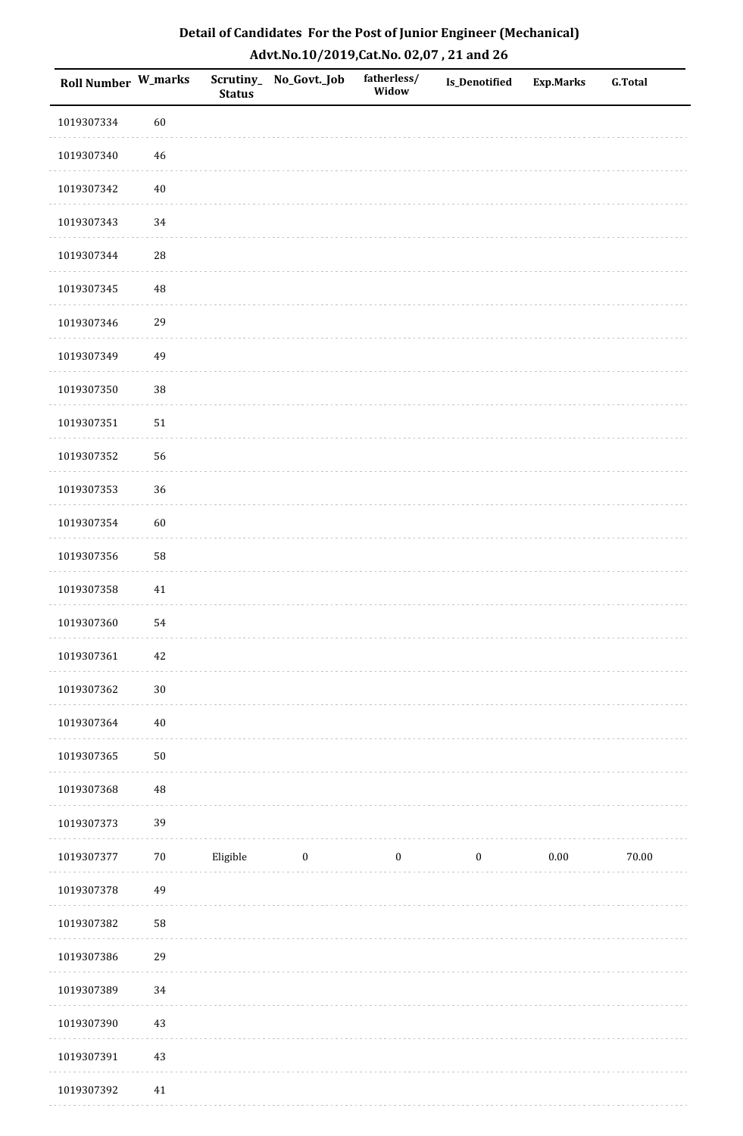| <b>Roll Number W_marks</b> |            | <b>Status</b> | Scrutiny_No_Govt._Job | fatherless/<br>Widow | Is_Denotified    | <b>Exp.Marks</b> | <b>G.Total</b> |
|----------------------------|------------|---------------|-----------------------|----------------------|------------------|------------------|----------------|
| 1019307334                 | 60         |               |                       |                      |                  |                  |                |
| 1019307340                 | $46\,$     |               |                       |                      |                  |                  |                |
| 1019307342                 | $40\,$     |               |                       |                      |                  |                  |                |
| 1019307343                 | 34         |               |                       |                      |                  |                  |                |
| 1019307344                 | ${\bf 28}$ |               |                       |                      |                  |                  |                |
| 1019307345                 | 48         |               |                       |                      |                  |                  |                |
| 1019307346                 | 29         |               |                       |                      |                  |                  |                |
| 1019307349                 | 49         |               |                       |                      |                  |                  |                |
| 1019307350                 | 38         |               |                       |                      |                  |                  |                |
| 1019307351                 | $51\,$     |               |                       |                      |                  |                  |                |
| 1019307352                 | 56         |               |                       |                      |                  |                  |                |
| 1019307353                 | 36         |               |                       |                      |                  |                  |                |
| 1019307354                 | 60         |               |                       |                      |                  |                  |                |
| 1019307356                 | 58         |               |                       |                      |                  |                  |                |
| 1019307358                 | 41         |               |                       |                      |                  |                  |                |
| 1019307360                 | 54         |               |                       |                      |                  |                  |                |
| 1019307361                 | $42\,$     |               |                       |                      |                  |                  |                |
| 1019307362                 | $30\,$     |               |                       |                      |                  |                  |                |
| 1019307364                 | $40\,$     |               |                       |                      |                  |                  |                |
| 1019307365                 | $50\,$     |               |                       |                      |                  |                  |                |
| 1019307368                 | 48         |               |                       |                      |                  |                  |                |
| 1019307373                 | 39         |               |                       |                      |                  |                  |                |
| 1019307377                 | $70\,$     | Eligible      | $\boldsymbol{0}$      | $\boldsymbol{0}$     | $\boldsymbol{0}$ | $0.00\,$         | $70.00\,$      |
| 1019307378                 | 49         |               |                       |                      |                  |                  |                |
| 1019307382                 | 58         |               |                       |                      |                  |                  |                |
| 1019307386                 | 29         |               |                       |                      |                  |                  |                |
| 1019307389                 | 34         |               |                       |                      |                  |                  |                |
| 1019307390                 | $43\,$     |               |                       |                      |                  |                  |                |
| 1019307391                 | $43\,$     |               |                       |                      |                  |                  |                |
| 1019307392                 | 41         |               |                       |                      |                  |                  |                |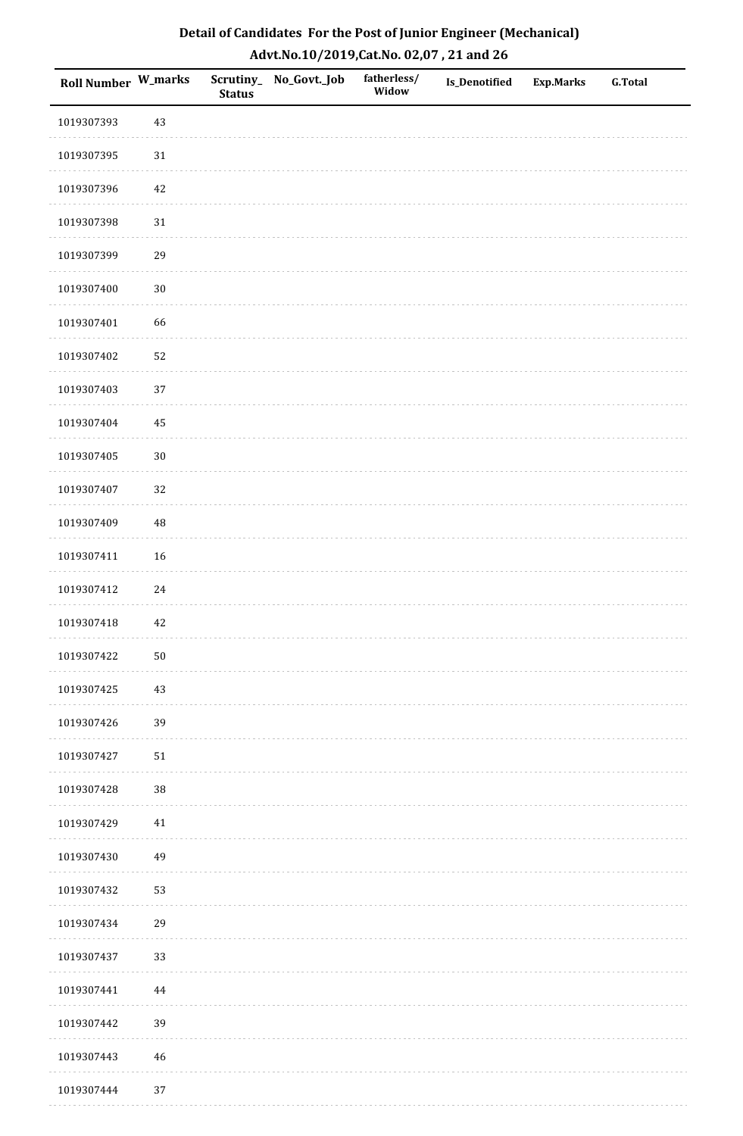| <b>Roll Number W_marks</b> |             | <b>Status</b> | Scrutiny_No_Govt._Job | fatherless/<br>Widow | Is_Denotified | <b>Exp.Marks</b> | <b>G.Total</b> |
|----------------------------|-------------|---------------|-----------------------|----------------------|---------------|------------------|----------------|
| 1019307393                 | 43          |               |                       |                      |               |                  |                |
| 1019307395                 | $31\,$      |               |                       |                      |               |                  |                |
| 1019307396                 | $42\,$      |               |                       |                      |               |                  |                |
| 1019307398                 | $31\,$      |               |                       |                      |               |                  |                |
| 1019307399                 | 29          |               |                       |                      |               |                  |                |
| 1019307400                 | $30\,$      |               |                       |                      |               |                  |                |
| 1019307401                 | 66          |               |                       |                      |               |                  |                |
| 1019307402                 | 52          |               |                       |                      |               |                  |                |
| 1019307403                 | 37          |               |                       |                      |               |                  |                |
| 1019307404                 | $\bf 45$    |               |                       |                      |               |                  |                |
| 1019307405                 | $30\,$      |               |                       |                      |               |                  |                |
| 1019307407                 | 32          |               |                       |                      |               |                  |                |
| 1019307409                 | 48          |               |                       |                      |               |                  |                |
| 1019307411                 | 16          |               |                       |                      |               |                  |                |
| 1019307412                 | 24          |               |                       |                      |               |                  |                |
| 1019307418                 | 42          |               |                       |                      |               |                  |                |
| 1019307422                 | $50\,$      |               |                       |                      |               |                  |                |
| 1019307425                 | 43          |               |                       |                      |               |                  |                |
| 1019307426                 | 39          |               |                       |                      |               |                  |                |
| 1019307427                 | $51\,$      |               |                       |                      |               |                  |                |
| 1019307428                 | 38          |               |                       |                      |               |                  |                |
| 1019307429                 | $41\,$      |               |                       |                      |               |                  |                |
| 1019307430                 | 49          |               |                       |                      |               |                  |                |
| 1019307432                 | 53          |               |                       |                      |               |                  |                |
| 1019307434                 | 29          |               |                       |                      |               |                  |                |
| 1019307437                 | 33          |               |                       |                      |               |                  |                |
| 1019307441                 | 44          |               |                       |                      |               |                  |                |
| 1019307442                 | 39          |               |                       |                      |               |                  |                |
| 1019307443                 | $\sqrt{46}$ |               |                       |                      |               |                  |                |
| 1019307444                 | 37          |               |                       |                      |               |                  |                |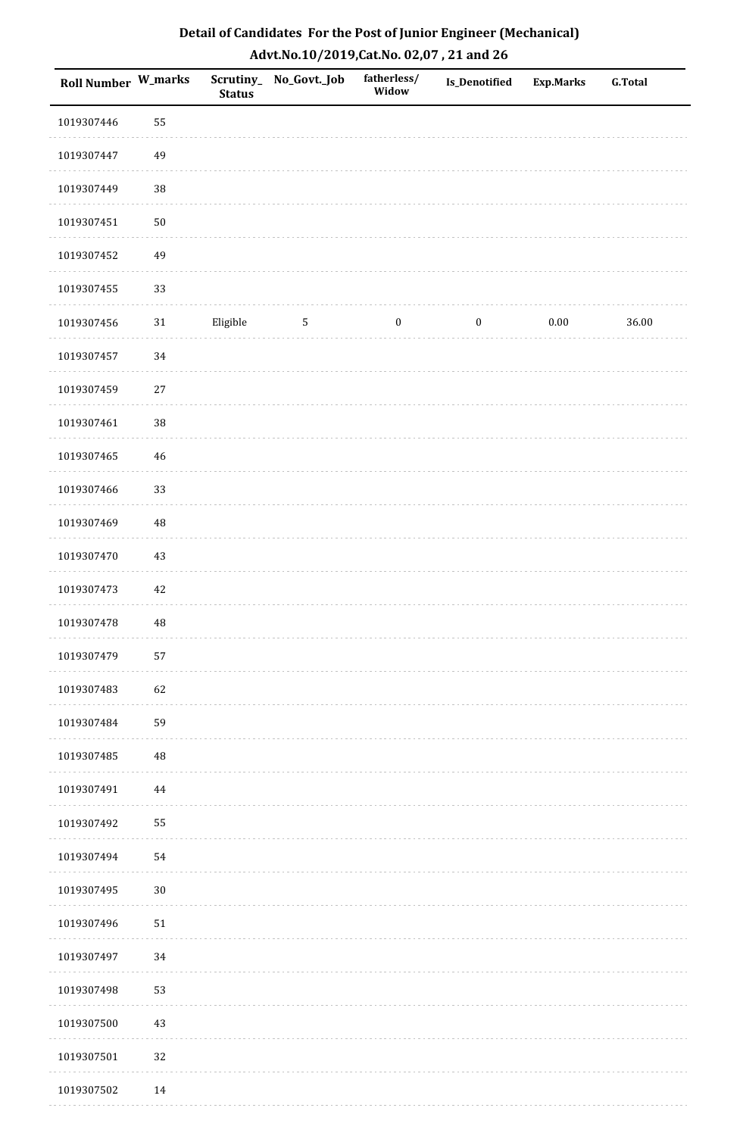| Roll Number W_marks |             | <b>Status</b> | Scrutiny_No_Govt._Job | fatherless/<br>Widow | Is_Denotified    | <b>Exp.Marks</b> | <b>G.Total</b> |
|---------------------|-------------|---------------|-----------------------|----------------------|------------------|------------------|----------------|
| 1019307446          | 55          |               |                       |                      |                  |                  |                |
| 1019307447          | 49          |               |                       |                      |                  |                  |                |
| 1019307449          | 38          |               |                       |                      |                  |                  |                |
| 1019307451          | $50\,$      |               |                       |                      |                  |                  |                |
| 1019307452          | 49          |               |                       |                      |                  |                  |                |
| 1019307455          | 33          |               |                       |                      |                  |                  |                |
| 1019307456          | $31\,$      | Eligible      | $5\phantom{.0}$       | $\boldsymbol{0}$     | $\boldsymbol{0}$ | $0.00\,$         | 36.00          |
| 1019307457          | $34\,$      |               |                       |                      |                  |                  |                |
| 1019307459          | 27          |               |                       |                      |                  |                  |                |
| 1019307461          | 38          |               |                       |                      |                  |                  |                |
| 1019307465          | $46\,$      |               |                       |                      |                  |                  |                |
| 1019307466          | 33          |               |                       |                      |                  |                  |                |
| 1019307469          | 48          |               |                       |                      |                  |                  |                |
| 1019307470          | $43\,$      |               |                       |                      |                  |                  |                |
| 1019307473          | $42\,$      |               |                       |                      |                  |                  |                |
| 1019307478          | $\rm 48$    |               |                       |                      |                  |                  |                |
| 1019307479          | 57          |               |                       |                      |                  |                  |                |
| 1019307483          | 62          |               |                       |                      |                  |                  |                |
| 1019307484          | 59          |               |                       |                      |                  |                  |                |
| 1019307485          | $\sqrt{48}$ |               |                       |                      |                  |                  |                |
| 1019307491          | 44          |               |                       |                      |                  |                  |                |
| 1019307492          | 55          |               |                       |                      |                  |                  |                |
| 1019307494          | 54          |               |                       |                      |                  |                  |                |
| 1019307495          | $30\,$      |               |                       |                      |                  |                  |                |
| 1019307496          | $51\,$      |               |                       |                      |                  |                  |                |
| 1019307497          | $34\,$      |               |                       |                      |                  |                  |                |
| 1019307498          | 53          |               |                       |                      |                  |                  |                |
| 1019307500          | 43          |               |                       |                      |                  |                  |                |
| 1019307501          | 32          |               |                       |                      |                  |                  |                |
| 1019307502          | 14          |               |                       |                      |                  |                  |                |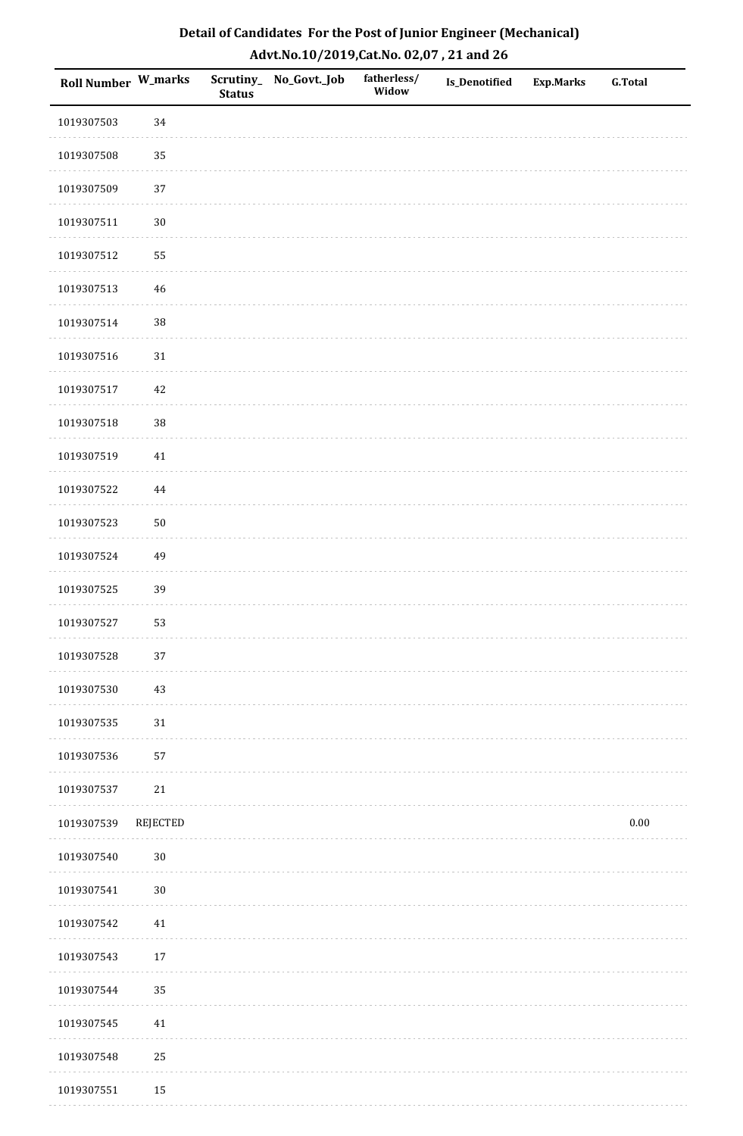| <b>Roll Number W_marks</b> |          | <b>Status</b> | Scrutiny_No_Govt._Job | fatherless/<br>Widow | Is_Denotified | <b>Exp.Marks</b> | <b>G.Total</b> |
|----------------------------|----------|---------------|-----------------------|----------------------|---------------|------------------|----------------|
| 1019307503                 | 34       |               |                       |                      |               |                  |                |
| 1019307508                 | 35       |               |                       |                      |               |                  |                |
| 1019307509                 | 37       |               |                       |                      |               |                  |                |
| 1019307511                 | $30\,$   |               |                       |                      |               |                  |                |
| 1019307512                 | 55       |               |                       |                      |               |                  |                |
| 1019307513                 | 46       |               |                       |                      |               |                  |                |
| 1019307514                 | 38       |               |                       |                      |               |                  |                |
| 1019307516                 | $31\,$   |               |                       |                      |               |                  |                |
| 1019307517                 | 42       |               |                       |                      |               |                  |                |
| 1019307518                 | 38       |               |                       |                      |               |                  |                |
| 1019307519                 | $41\,$   |               |                       |                      |               |                  |                |
| 1019307522                 | 44       |               |                       |                      |               |                  |                |
| 1019307523                 | $50\,$   |               |                       |                      |               |                  |                |
| 1019307524                 | 49       |               |                       |                      |               |                  |                |
| 1019307525                 | 39       |               |                       |                      |               |                  |                |
| 1019307527                 | 53       |               |                       |                      |               |                  |                |
| 1019307528                 | $37\,$   |               |                       |                      |               |                  |                |
| 1019307530                 | 43       |               |                       |                      |               |                  |                |
| 1019307535                 | $31\,$   |               |                       |                      |               |                  |                |
| 1019307536                 | 57       |               |                       |                      |               |                  |                |
| 1019307537                 | 21       |               |                       |                      |               |                  |                |
| 1019307539                 | REJECTED |               |                       |                      |               |                  | $0.00\,$       |
| 1019307540                 | $30\,$   |               |                       |                      |               |                  |                |
| 1019307541                 | $30\,$   |               |                       |                      |               |                  |                |
| 1019307542                 | $41\,$   |               |                       |                      |               |                  |                |
| 1019307543                 | $17\,$   |               |                       |                      |               |                  |                |
| 1019307544                 | 35       |               |                       |                      |               |                  |                |
| 1019307545                 | $41\,$   |               |                       |                      |               |                  |                |
| 1019307548                 | 25       |               |                       |                      |               |                  |                |
| 1019307551                 | $15\,$   |               |                       |                      |               |                  |                |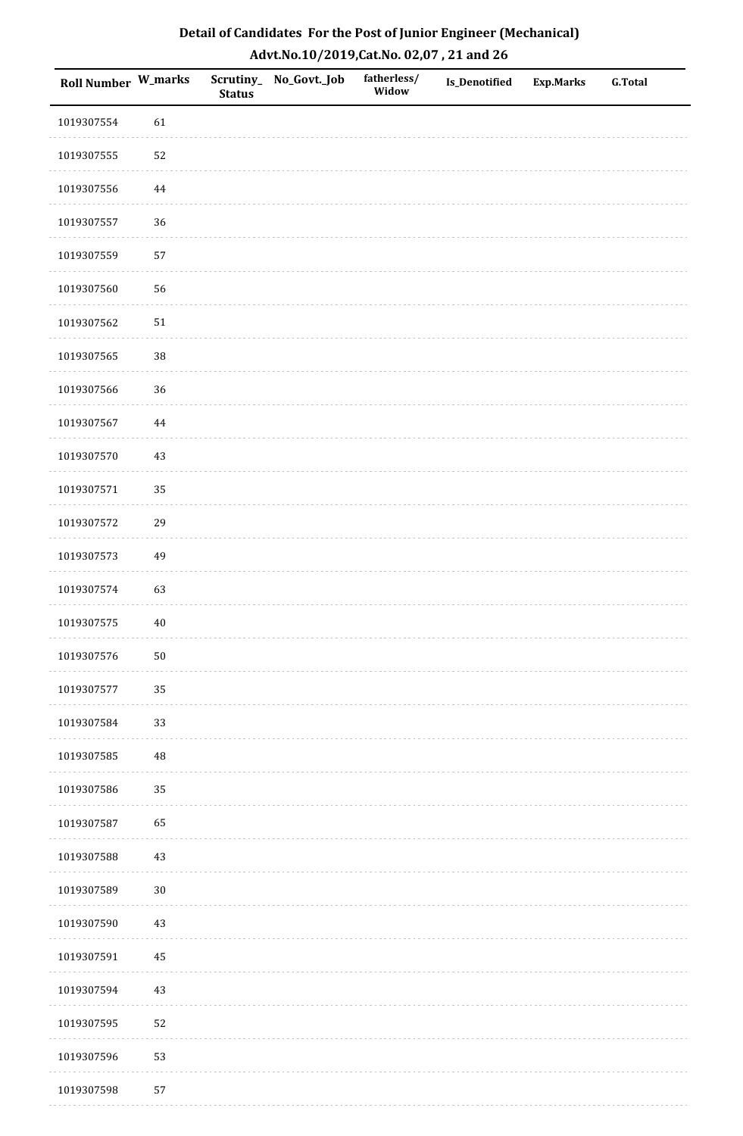| <b>Roll Number W_marks</b> |          | <b>Status</b> | Scrutiny_No_Govt._Job | fatherless/<br>Widow | Is_Denotified | <b>Exp.Marks</b> | <b>G.Total</b> |
|----------------------------|----------|---------------|-----------------------|----------------------|---------------|------------------|----------------|
| 1019307554                 | 61       |               |                       |                      |               |                  |                |
| 1019307555                 | 52       |               |                       |                      |               |                  |                |
| 1019307556                 | 44       |               |                       |                      |               |                  |                |
| 1019307557                 | 36       |               |                       |                      |               |                  |                |
| 1019307559                 | 57       |               |                       |                      |               |                  |                |
| 1019307560                 | 56       |               |                       |                      |               |                  |                |
| 1019307562                 | $51\,$   |               |                       |                      |               |                  |                |
| 1019307565                 | 38       |               |                       |                      |               |                  |                |
| 1019307566                 | 36       |               |                       |                      |               |                  |                |
| 1019307567                 | $\bf 44$ |               |                       |                      |               |                  |                |
| 1019307570                 | 43       |               |                       |                      |               |                  |                |
| 1019307571                 | 35       |               |                       |                      |               |                  |                |
| 1019307572                 | 29       |               |                       |                      |               |                  |                |
| 1019307573                 | 49       |               |                       |                      |               |                  |                |
| 1019307574                 | 63       |               |                       |                      |               |                  |                |
| 1019307575                 | $40\,$   |               |                       |                      |               |                  |                |
| 1019307576                 | $50\,$   |               |                       |                      |               |                  |                |
| 1019307577                 | 35       |               |                       |                      |               |                  |                |
| 1019307584                 | 33       |               |                       |                      |               |                  |                |
| 1019307585                 | 48       |               |                       |                      |               |                  |                |
| 1019307586                 | 35       |               |                       |                      |               |                  |                |
| 1019307587                 | 65       |               |                       |                      |               |                  |                |
| 1019307588                 | 43       |               |                       |                      |               |                  |                |
| 1019307589                 | $30\,$   |               |                       |                      |               |                  |                |
| 1019307590                 | $43\,$   |               |                       |                      |               |                  |                |
| 1019307591                 | 45       |               |                       |                      |               |                  |                |
| 1019307594                 | $43\,$   |               |                       |                      |               |                  |                |
| 1019307595                 | 52       |               |                       |                      |               |                  |                |
| 1019307596                 | 53       |               |                       |                      |               |                  |                |
| 1019307598                 | 57       |               |                       |                      |               |                  |                |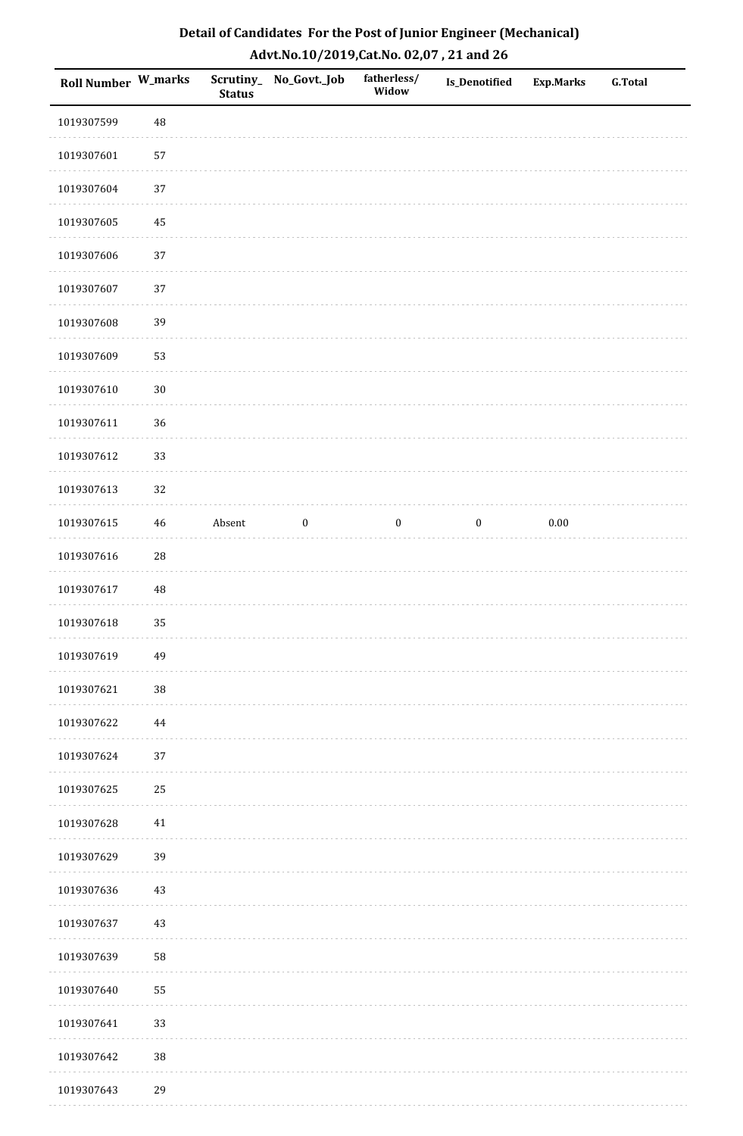| <b>Roll Number W_marks</b> |          | <b>Status</b> | Scrutiny_No_Govt._Job | fatherless/<br>Widow | Is_Denotified    | <b>Exp.Marks</b> | <b>G.Total</b> |
|----------------------------|----------|---------------|-----------------------|----------------------|------------------|------------------|----------------|
| 1019307599                 | 48       |               |                       |                      |                  |                  |                |
| 1019307601                 | 57       |               |                       |                      |                  |                  |                |
| 1019307604                 | $37\,$   |               |                       |                      |                  |                  |                |
| 1019307605                 | 45       |               |                       |                      |                  |                  |                |
| 1019307606                 | 37       |               |                       |                      |                  |                  |                |
| 1019307607                 | 37       |               |                       |                      |                  |                  |                |
| 1019307608                 | 39       |               |                       |                      |                  |                  |                |
| 1019307609                 | 53       |               |                       |                      |                  |                  |                |
| 1019307610                 | $30\,$   |               |                       |                      |                  |                  |                |
| 1019307611                 | 36       |               |                       |                      |                  |                  |                |
| 1019307612                 | 33       |               |                       |                      |                  |                  |                |
| 1019307613                 | 32       |               |                       |                      |                  |                  |                |
| 1019307615                 | 46       | Absent        | $\boldsymbol{0}$      | $\boldsymbol{0}$     | $\boldsymbol{0}$ | $0.00\,$         |                |
| 1019307616                 | 28       |               |                       |                      |                  |                  |                |
| 1019307617                 | $\rm 48$ |               |                       |                      |                  |                  |                |
| 1019307618                 | 35       |               |                       |                      |                  |                  |                |
| 1019307619                 | 49       |               |                       |                      |                  |                  |                |
| 1019307621                 | 38       |               |                       |                      |                  |                  |                |
| 1019307622                 | 44       |               |                       |                      |                  |                  |                |
| 1019307624                 | 37       |               |                       |                      |                  |                  |                |
| 1019307625                 | $25\,$   |               |                       |                      |                  |                  |                |
| 1019307628                 | $41\,$   |               |                       |                      |                  |                  |                |
| 1019307629                 | 39       |               |                       |                      |                  |                  |                |
| 1019307636                 | $43\,$   |               |                       |                      |                  |                  |                |
| 1019307637                 | 43       |               |                       |                      |                  |                  |                |
| 1019307639                 | 58       |               |                       |                      |                  |                  |                |
| 1019307640                 | 55       |               |                       |                      |                  |                  |                |
| 1019307641                 | 33       |               |                       |                      |                  |                  |                |
| 1019307642                 | $38\,$   |               |                       |                      |                  |                  |                |
| 1019307643                 | 29       |               |                       |                      |                  |                  |                |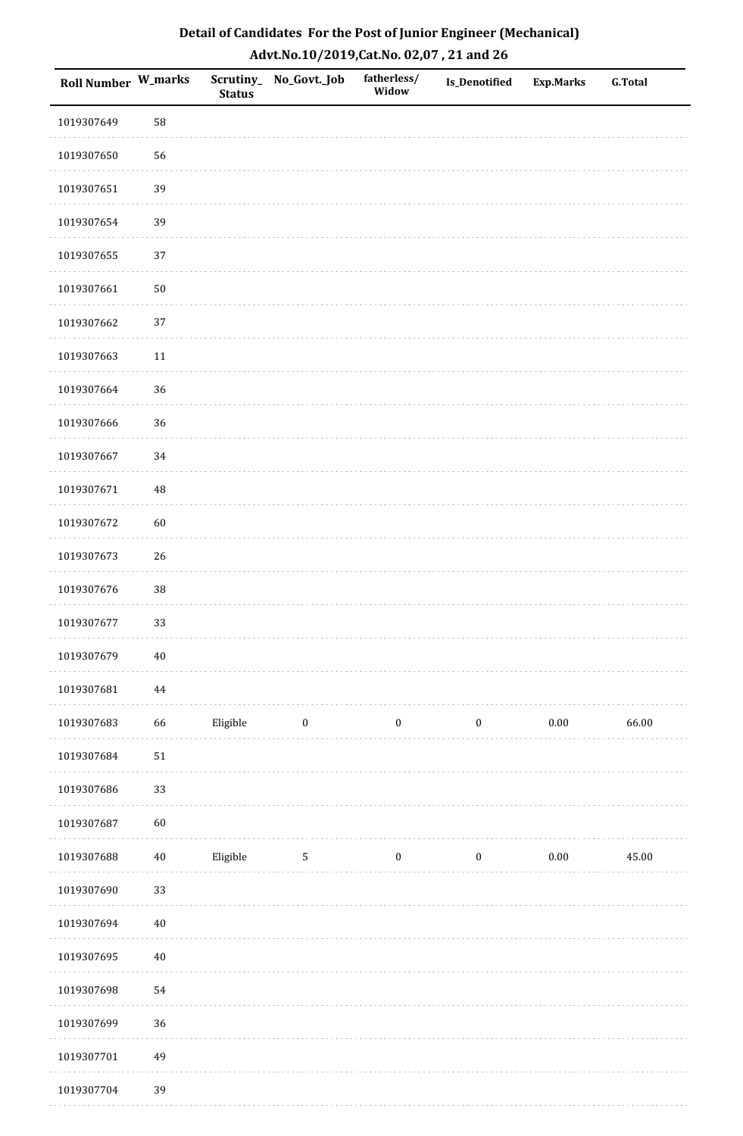| <b>Roll Number W_marks</b> |          | <b>Status</b> | Scrutiny_No_Govt._Job | fatherless/<br>Widow | Is_Denotified    | <b>Exp.Marks</b> | <b>G.Total</b> |
|----------------------------|----------|---------------|-----------------------|----------------------|------------------|------------------|----------------|
| 1019307649                 | 58       |               |                       |                      |                  |                  |                |
| 1019307650                 | 56       |               |                       |                      |                  |                  |                |
| 1019307651                 | 39       |               |                       |                      |                  |                  |                |
| 1019307654                 | 39       |               |                       |                      |                  |                  |                |
| 1019307655                 | 37       |               |                       |                      |                  |                  |                |
| 1019307661                 | $50\,$   |               |                       |                      |                  |                  |                |
| 1019307662                 | 37       |               |                       |                      |                  |                  |                |
| 1019307663                 | $11\,$   |               |                       |                      |                  |                  |                |
| 1019307664                 | 36       |               |                       |                      |                  |                  |                |
| 1019307666                 | 36       |               |                       |                      |                  |                  |                |
| 1019307667                 | 34       |               |                       |                      |                  |                  |                |
| 1019307671                 | $\rm 48$ |               |                       |                      |                  |                  |                |
| 1019307672                 | 60       |               |                       |                      |                  |                  |                |
| 1019307673                 | 26       |               |                       |                      |                  |                  |                |
| 1019307676                 | $38\,$   |               |                       |                      |                  |                  |                |
| 1019307677                 | 33       |               |                       |                      |                  |                  |                |
| 1019307679                 | $40\,$   |               |                       |                      |                  |                  |                |
| 1019307681                 | 44       |               |                       |                      |                  |                  |                |
| 1019307683                 | 66       | Eligible      | $\bf{0}$              | $\boldsymbol{0}$     | $\boldsymbol{0}$ | $0.00\,$         | 66.00          |
| 1019307684                 | $51\,$   |               |                       |                      |                  |                  |                |
| 1019307686                 | 33       |               |                       |                      |                  |                  |                |
| 1019307687                 | $60\,$   |               |                       |                      |                  |                  |                |
| 1019307688                 | $40\,$   | Eligible      | $\mathsf S$           | $\boldsymbol{0}$     | $\boldsymbol{0}$ | $0.00\,$         | 45.00          |
| 1019307690                 | 33       |               |                       |                      |                  |                  |                |
| 1019307694                 | $40\,$   |               |                       |                      |                  |                  |                |
| 1019307695                 | $40\,$   |               |                       |                      |                  |                  |                |
| 1019307698                 | 54       |               |                       |                      |                  |                  |                |
| 1019307699                 | 36       |               |                       |                      |                  |                  |                |
| 1019307701                 | 49       |               |                       |                      |                  |                  |                |
| 1019307704                 | 39       |               |                       |                      |                  |                  |                |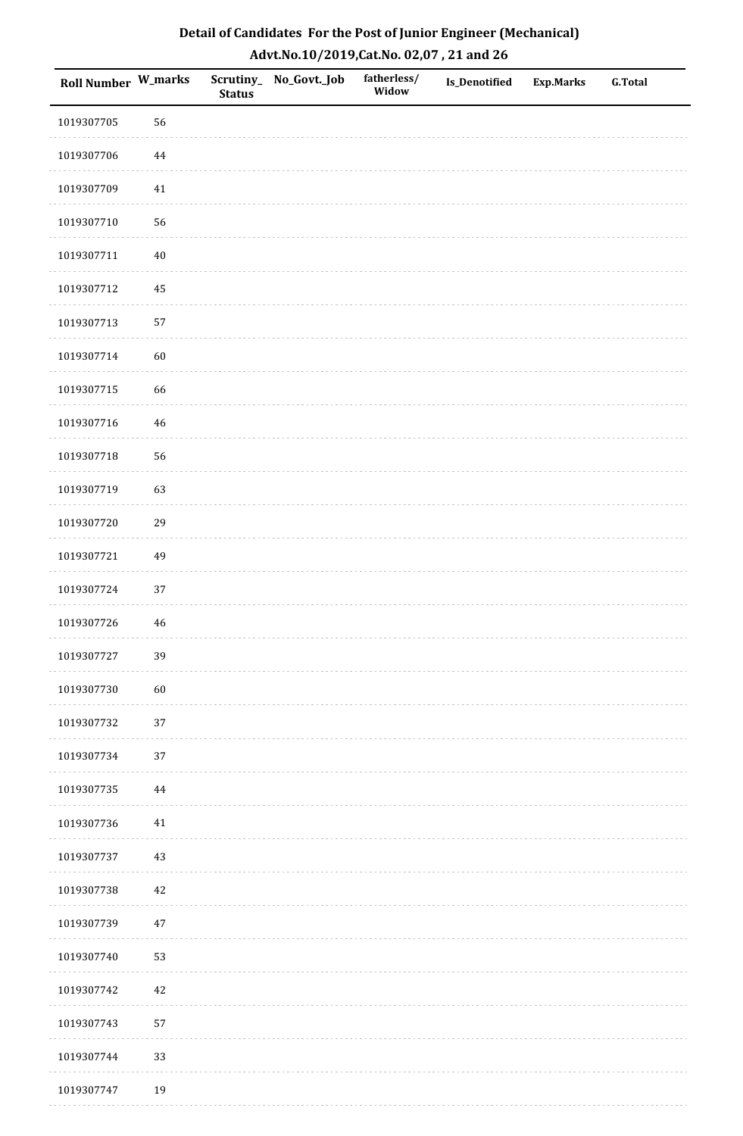| Roll Number W_marks |             | <b>Status</b> | Scrutiny_No_Govt._Job | fatherless/<br>Widow | Is_Denotified | <b>Exp.Marks</b> | <b>G.Total</b> |
|---------------------|-------------|---------------|-----------------------|----------------------|---------------|------------------|----------------|
| 1019307705          | 56          |               |                       |                      |               |                  |                |
| 1019307706          | 44          |               |                       |                      |               |                  |                |
| 1019307709          | 41          |               |                       |                      |               |                  |                |
| 1019307710          | 56          |               |                       |                      |               |                  |                |
| 1019307711          | $40\,$      |               |                       |                      |               |                  |                |
| 1019307712          | 45          |               |                       |                      |               |                  |                |
| 1019307713          | 57          |               |                       |                      |               |                  |                |
| 1019307714          | 60          |               |                       |                      |               |                  |                |
| 1019307715          | 66          |               |                       |                      |               |                  |                |
| 1019307716          | $46\,$      |               |                       |                      |               |                  |                |
| 1019307718          | 56          |               |                       |                      |               |                  |                |
| 1019307719          | 63          |               |                       |                      |               |                  |                |
| 1019307720          | 29          |               |                       |                      |               |                  |                |
| 1019307721          | 49          |               |                       |                      |               |                  |                |
| 1019307724          | 37          |               |                       |                      |               |                  |                |
| 1019307726          | $\sqrt{46}$ |               |                       |                      |               |                  |                |
| 1019307727          | 39          |               |                       |                      |               |                  |                |
| 1019307730          | 60          |               |                       |                      |               |                  |                |
| 1019307732          | $37\,$      |               |                       |                      |               |                  |                |
| 1019307734          | 37          |               |                       |                      |               |                  |                |
| 1019307735          | 44          |               |                       |                      |               |                  |                |
| 1019307736          | $41\,$      |               |                       |                      |               |                  |                |
| 1019307737          | 43          |               |                       |                      |               |                  |                |
| 1019307738          | 42          |               |                       |                      |               |                  |                |
| 1019307739          | $47\,$      |               |                       |                      |               |                  |                |
| 1019307740          | 53          |               |                       |                      |               |                  |                |
| 1019307742          | $42\,$      |               |                       |                      |               |                  |                |
| 1019307743          | 57          |               |                       |                      |               |                  |                |
| 1019307744          | 33          |               |                       |                      |               |                  |                |
| 1019307747          | 19          |               |                       |                      |               |                  |                |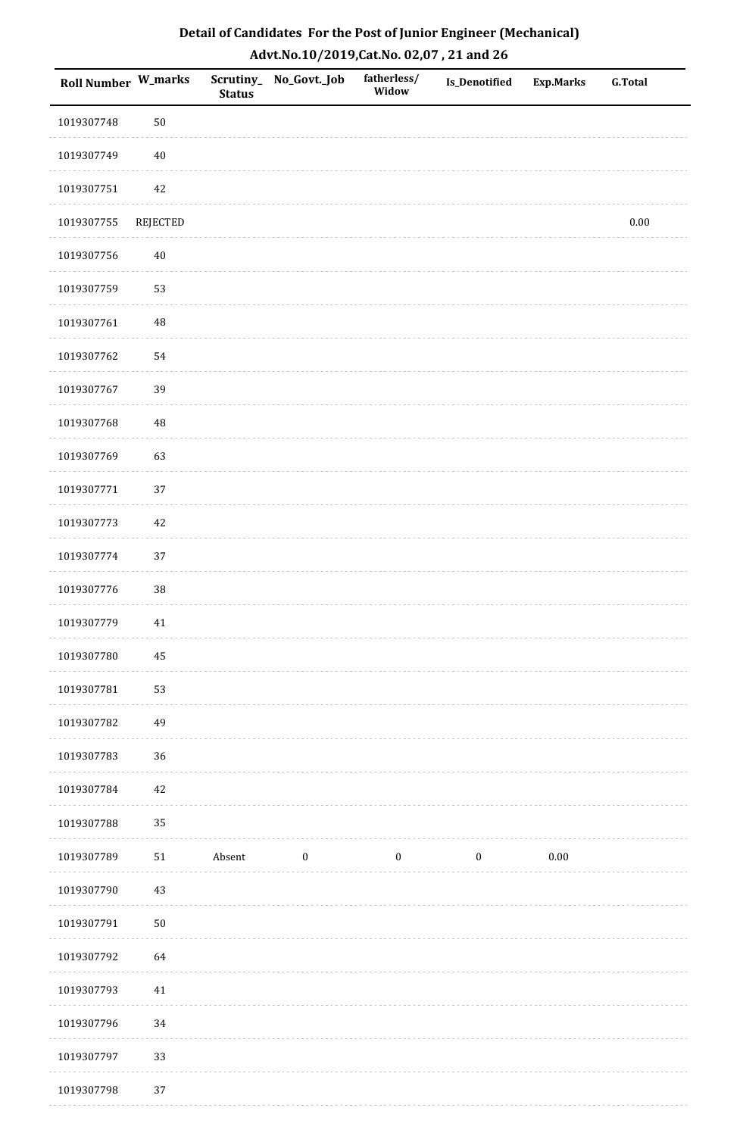| Roll Number W_marks |            | <b>Status</b> | Scrutiny_ No_Govt._Job | fatherless/<br>Widow | <b>Is_Denotified</b> | <b>Exp.Marks</b> | <b>G.Total</b> |
|---------------------|------------|---------------|------------------------|----------------------|----------------------|------------------|----------------|
| 1019307748          | 50         |               |                        |                      |                      |                  |                |
| 1019307749          | $40\,$     |               |                        |                      |                      |                  |                |
| 1019307751          | 42         |               |                        |                      |                      |                  |                |
| 1019307755          | REJECTED   |               |                        |                      |                      |                  | $0.00\,$       |
| 1019307756          | $40\,$     |               |                        |                      |                      |                  |                |
| 1019307759          | 53         |               |                        |                      |                      |                  |                |
| 1019307761          | 48         |               |                        |                      |                      |                  |                |
| 1019307762          | 54         |               |                        |                      |                      |                  |                |
| 1019307767          | 39         |               |                        |                      |                      |                  |                |
| 1019307768          | 48         |               |                        |                      |                      |                  |                |
| 1019307769          | 63         |               |                        |                      |                      |                  |                |
| 1019307771          | 37         |               |                        |                      |                      |                  |                |
| 1019307773          | 42         |               |                        |                      |                      |                  |                |
| 1019307774          | 37         |               |                        |                      |                      |                  |                |
| 1019307776          | 38         |               |                        |                      |                      |                  |                |
| 1019307779          | $41\,$     |               |                        |                      |                      |                  |                |
| 1019307780          | $\rm 45$   |               |                        |                      |                      |                  |                |
| 1019307781          | 53         |               |                        |                      |                      |                  |                |
| 1019307782          | 49         |               |                        |                      |                      |                  |                |
| 1019307783          | 36         |               |                        |                      |                      |                  |                |
| 1019307784          | 42         |               |                        |                      |                      |                  |                |
| 1019307788          | 35         |               |                        |                      |                      |                  |                |
| 1019307789          | 51         | Absent        | $\boldsymbol{0}$       | $\boldsymbol{0}$     | $\boldsymbol{0}$     | $0.00\,$         |                |
| 1019307790          | 43         |               |                        |                      |                      |                  |                |
| 1019307791          | ${\bf 50}$ |               |                        |                      |                      |                  |                |
| 1019307792          | 64         |               |                        |                      |                      |                  |                |
| 1019307793          | 41         |               |                        |                      |                      |                  |                |
| 1019307796          | 34         |               |                        |                      |                      |                  |                |
| 1019307797          | 33         |               |                        |                      |                      |                  |                |
| 1019307798          | 37         |               |                        |                      |                      |                  |                |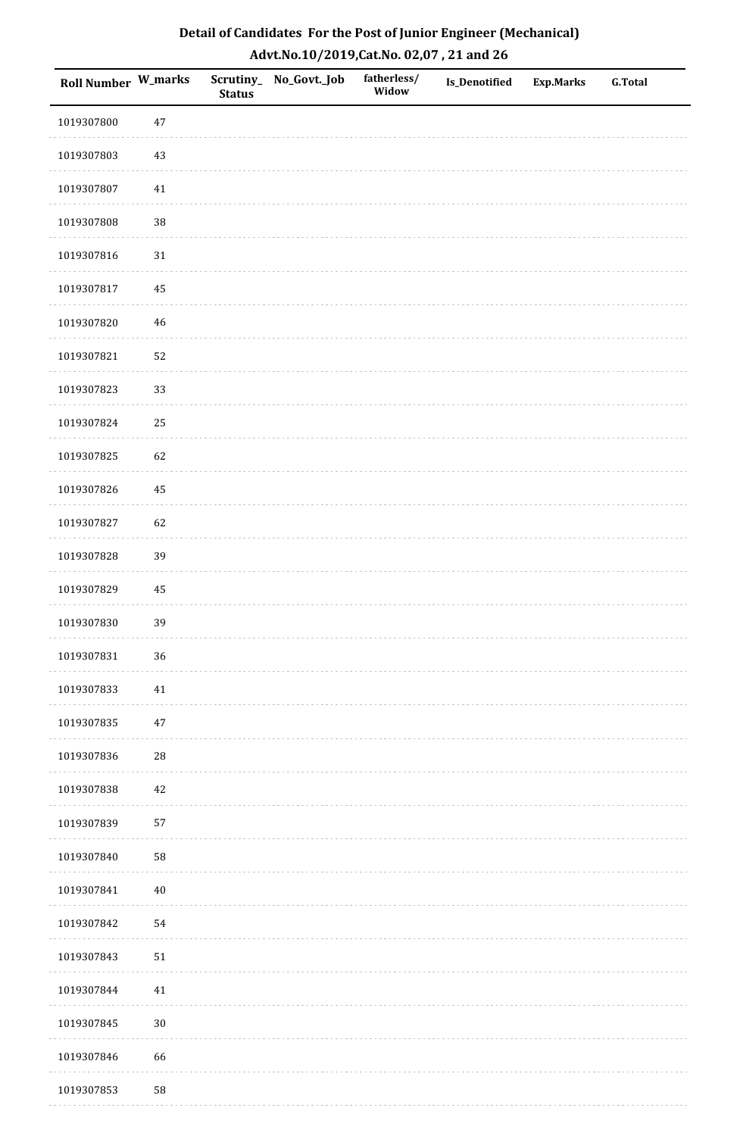| <b>Roll Number W_marks</b> |             | <b>Status</b> | Scrutiny_No_Govt._Job | fatherless/<br>Widow | Is_Denotified | <b>Exp.Marks</b> | <b>G.Total</b> |
|----------------------------|-------------|---------------|-----------------------|----------------------|---------------|------------------|----------------|
| 1019307800                 | $47\,$      |               |                       |                      |               |                  |                |
| 1019307803                 | $43\,$      |               |                       |                      |               |                  |                |
| 1019307807                 | 41          |               |                       |                      |               |                  |                |
| 1019307808                 | 38          |               |                       |                      |               |                  |                |
| 1019307816                 | $31\,$      |               |                       |                      |               |                  |                |
| 1019307817                 | 45          |               |                       |                      |               |                  |                |
| 1019307820                 | $\sqrt{46}$ |               |                       |                      |               |                  |                |
| 1019307821                 | 52          |               |                       |                      |               |                  |                |
| 1019307823                 | 33          |               |                       |                      |               |                  |                |
| 1019307824                 | 25          |               |                       |                      |               |                  |                |
| 1019307825                 | 62          |               |                       |                      |               |                  |                |
| 1019307826                 | 45          |               |                       |                      |               |                  |                |
| 1019307827                 | 62          |               |                       |                      |               |                  |                |
| 1019307828                 | 39          |               |                       |                      |               |                  |                |
| 1019307829                 | $\rm 45$    |               |                       |                      |               |                  |                |
| 1019307830                 | 39          |               |                       |                      |               |                  |                |
| 1019307831                 | 36          |               |                       |                      |               |                  |                |
| 1019307833                 | 41          |               |                       |                      |               |                  |                |
| 1019307835                 | $47\,$      |               |                       |                      |               |                  |                |
| 1019307836                 | ${\bf 28}$  |               |                       |                      |               |                  |                |
| 1019307838                 | 42          |               |                       |                      |               |                  |                |
| 1019307839                 | 57          |               |                       |                      |               |                  |                |
| 1019307840                 | 58          |               |                       |                      |               |                  |                |
| 1019307841                 | $40\,$      |               |                       |                      |               |                  |                |
| 1019307842                 | 54          |               |                       |                      |               |                  |                |
| 1019307843                 | $51\,$      |               |                       |                      |               |                  |                |
| 1019307844                 | 41          |               |                       |                      |               |                  |                |
| 1019307845                 | $30\,$      |               |                       |                      |               |                  |                |
| 1019307846                 | 66          |               |                       |                      |               |                  |                |
| 1019307853                 | 58          |               |                       |                      |               |                  |                |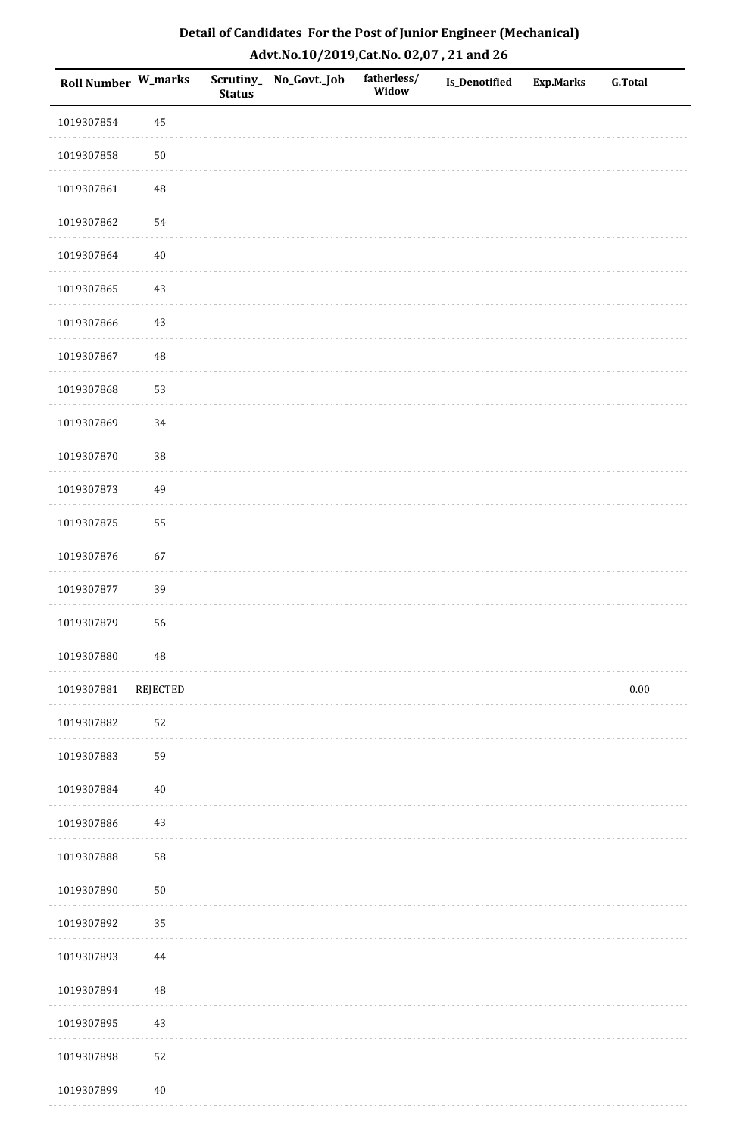| Detail of Candidates For the Post of Junior Engineer (Mechanical) |
|-------------------------------------------------------------------|
| Advt.No.10/2019,Cat.No. 02,07, 21 and 26                          |

| <b>Roll Number W_marks</b> |            | <b>Status</b> | Scrutiny_No_Govt._Job | fatherless/<br>Widow | <b>Is_Denotified</b> | <b>Exp.Marks</b> | <b>G.Total</b> |
|----------------------------|------------|---------------|-----------------------|----------------------|----------------------|------------------|----------------|
| 1019307854                 | 45         |               |                       |                      |                      |                  |                |
| 1019307858                 | ${\bf 50}$ |               |                       |                      |                      |                  |                |
| 1019307861                 | 48         |               |                       |                      |                      |                  |                |
| 1019307862                 | 54         |               |                       |                      |                      |                  |                |
| 1019307864                 | $40\,$     |               |                       |                      |                      |                  |                |
| 1019307865                 | 43         |               |                       |                      |                      |                  |                |
| 1019307866                 | 43         |               |                       |                      |                      |                  |                |
| 1019307867                 | 48         |               |                       |                      |                      |                  |                |
| 1019307868                 | 53         |               |                       |                      |                      |                  |                |
| 1019307869                 | 34         |               |                       |                      |                      |                  |                |
| 1019307870                 | 38         |               |                       |                      |                      |                  |                |
| 1019307873                 | 49         |               |                       |                      |                      |                  |                |
| 1019307875                 | 55         |               |                       |                      |                      |                  |                |
| 1019307876                 | 67         |               |                       |                      |                      |                  |                |
| 1019307877                 | 39         |               |                       |                      |                      |                  |                |
| 1019307879                 | 56         |               |                       |                      |                      |                  |                |
| 1019307880                 | 48         |               |                       |                      |                      |                  |                |
| 1019307881                 | REJECTED   |               |                       |                      |                      |                  | 0.00           |
| 1019307882                 | 52         |               |                       |                      |                      |                  |                |
| 1019307883                 | 59         |               |                       |                      |                      |                  |                |
| 1019307884                 | $40\,$     |               |                       |                      |                      |                  |                |
| 1019307886                 | 43         |               |                       |                      |                      |                  |                |
| 1019307888                 | 58         |               |                       |                      |                      |                  |                |
| 1019307890                 | 50         |               |                       |                      |                      |                  |                |
| 1019307892                 | 35         |               |                       |                      |                      |                  |                |
| 1019307893                 | $\bf 44$   |               |                       |                      |                      |                  |                |
| 1019307894                 | 48         |               |                       |                      |                      |                  |                |
| 1019307895                 | 43         |               |                       |                      |                      |                  |                |
| 1019307898                 | 52         |               |                       |                      |                      |                  |                |
| 1019307899                 | $40\,$     |               |                       |                      |                      |                  |                |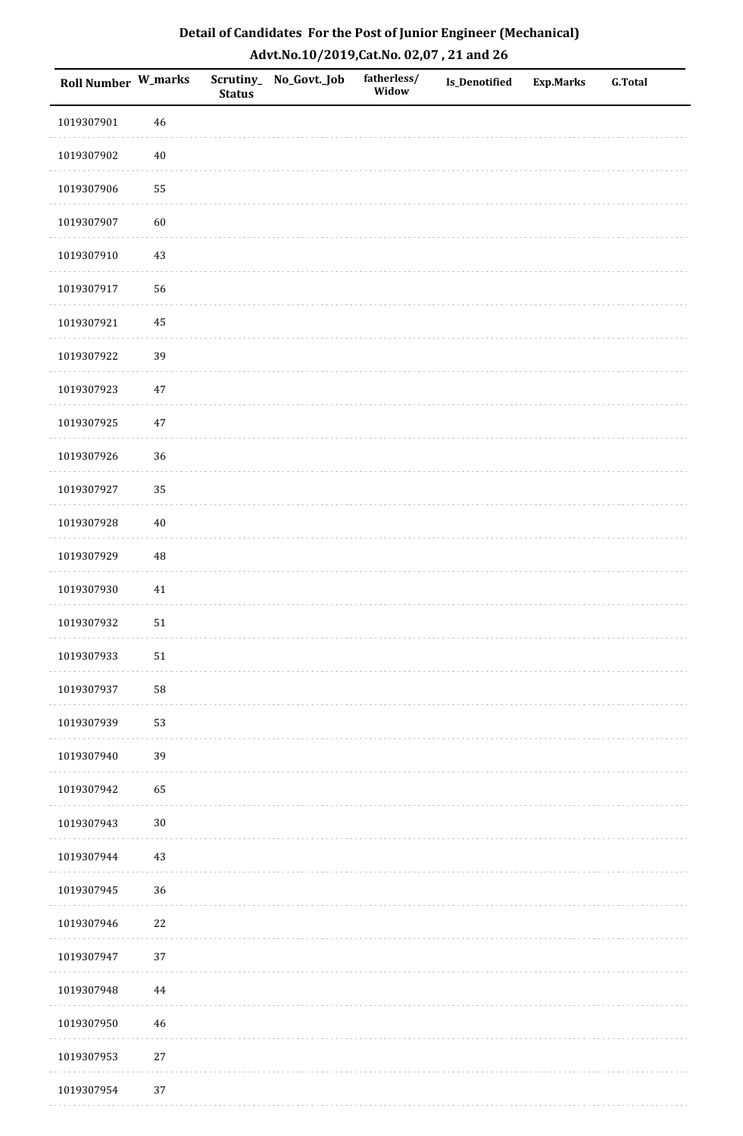| Detail of Candidates For the Post of Junior Engineer (Mechanical) |
|-------------------------------------------------------------------|
| Advt.No.10/2019,Cat.No. 02,07, 21 and 26                          |

| Roll Number W_marks |             | <b>Status</b> | Scrutiny_ No_Govt._Job | fatherless/<br>Widow | <b>Is_Denotified</b> | <b>Exp.Marks</b> | <b>G.Total</b> |
|---------------------|-------------|---------------|------------------------|----------------------|----------------------|------------------|----------------|
| 1019307901          | 46          |               |                        |                      |                      |                  |                |
| 1019307902          | $40\,$      |               |                        |                      |                      |                  |                |
| 1019307906          | 55          |               |                        |                      |                      |                  |                |
| 1019307907          | 60          |               |                        |                      |                      |                  |                |
| 1019307910          | 43          |               |                        |                      |                      |                  |                |
| 1019307917          | 56          |               |                        |                      |                      |                  |                |
| 1019307921          | 45          |               |                        |                      |                      |                  |                |
| 1019307922          | 39          |               |                        |                      |                      |                  |                |
| 1019307923          | $47\,$      |               |                        |                      |                      |                  |                |
| 1019307925          | $47\,$      |               |                        |                      |                      |                  |                |
| 1019307926          | 36          |               |                        |                      |                      |                  |                |
| 1019307927          | 35          |               |                        |                      |                      |                  |                |
| 1019307928          | $40\,$      |               |                        |                      |                      |                  |                |
| 1019307929          | $\rm 48$    |               |                        |                      |                      |                  |                |
| 1019307930          | 41          |               |                        |                      |                      |                  |                |
| 1019307932          | 51          |               |                        |                      |                      |                  |                |
| 1019307933          | ${\bf 51}$  |               |                        |                      |                      |                  |                |
| 1019307937          | 58          |               |                        |                      |                      |                  |                |
| 1019307939          | 53          |               |                        |                      |                      |                  |                |
| 1019307940          | 39          |               |                        |                      |                      |                  |                |
| 1019307942          | 65          |               |                        |                      |                      |                  |                |
| 1019307943          | $30\,$      |               |                        |                      |                      |                  |                |
| 1019307944          | 43          |               |                        |                      |                      |                  |                |
| 1019307945          | 36          |               |                        |                      |                      |                  |                |
| 1019307946          | 22          |               |                        |                      |                      |                  |                |
| 1019307947          | 37          |               |                        |                      |                      |                  |                |
| 1019307948          | $\bf 44$    |               |                        |                      |                      |                  |                |
| 1019307950          | $\sqrt{46}$ |               |                        |                      |                      |                  |                |
| 1019307953          | $27\,$      |               |                        |                      |                      |                  |                |
| 1019307954          | $37\,$      |               |                        |                      |                      |                  |                |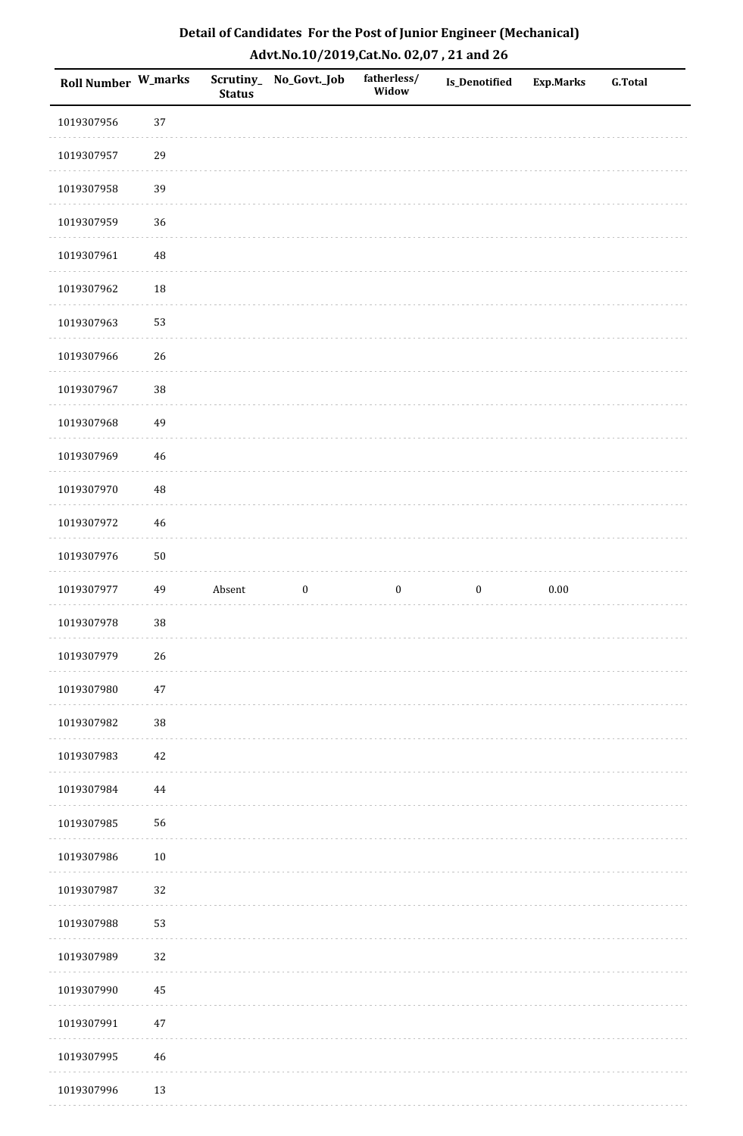| Roll Number W_marks |             | <b>Status</b> | Scrutiny_No_Govt._Job | fatherless/<br>Widow | <b>Is_Denotified</b> | Exp.Marks | <b>G.Total</b> |
|---------------------|-------------|---------------|-----------------------|----------------------|----------------------|-----------|----------------|
| 1019307956          | 37          |               |                       |                      |                      |           |                |
| 1019307957          | 29          |               |                       |                      |                      |           |                |
| 1019307958          | 39          |               |                       |                      |                      |           |                |
| 1019307959          | 36          |               |                       |                      |                      |           |                |
| 1019307961          | $\sqrt{48}$ |               |                       |                      |                      |           |                |
| 1019307962          | 18          |               |                       |                      |                      |           |                |
| 1019307963          | 53          |               |                       |                      |                      |           |                |
| 1019307966          | 26          |               |                       |                      |                      |           |                |
| 1019307967          | 38          |               |                       |                      |                      |           |                |
| 1019307968          | 49          |               |                       |                      |                      |           |                |
| 1019307969          | $46\,$      |               |                       |                      |                      |           |                |
| 1019307970          | $\sqrt{48}$ |               |                       |                      |                      |           |                |
| 1019307972          | 46          |               |                       |                      |                      |           |                |
| 1019307976          | $50\,$      |               |                       |                      |                      |           |                |
| 1019307977          | 49          | Absent        | $\boldsymbol{0}$      | $\boldsymbol{0}$     | $\boldsymbol{0}$     | 0.00      |                |
| 1019307978          | $38\,$      |               |                       |                      |                      |           |                |
| 1019307979          | $26\,$      |               |                       |                      |                      |           |                |
| 1019307980          | $47\,$      |               |                       |                      |                      |           |                |
| 1019307982          | $38\,$      |               |                       |                      |                      |           |                |
| 1019307983          | $42\,$      |               |                       |                      |                      |           |                |
| 1019307984          | 44          |               |                       |                      |                      |           |                |
| 1019307985          | 56          |               |                       |                      |                      |           |                |
| 1019307986          | $10\,$      |               |                       |                      |                      |           |                |
| 1019307987          | 32          |               |                       |                      |                      |           |                |
| 1019307988          | 53          |               |                       |                      |                      |           |                |
| 1019307989          | 32          |               |                       |                      |                      |           |                |
| 1019307990          | $\bf 45$    |               |                       |                      |                      |           |                |
| 1019307991          | $47\,$      |               |                       |                      |                      |           |                |
| 1019307995          | $46\,$      |               |                       |                      |                      |           |                |
| 1019307996          | 13          |               |                       |                      |                      |           |                |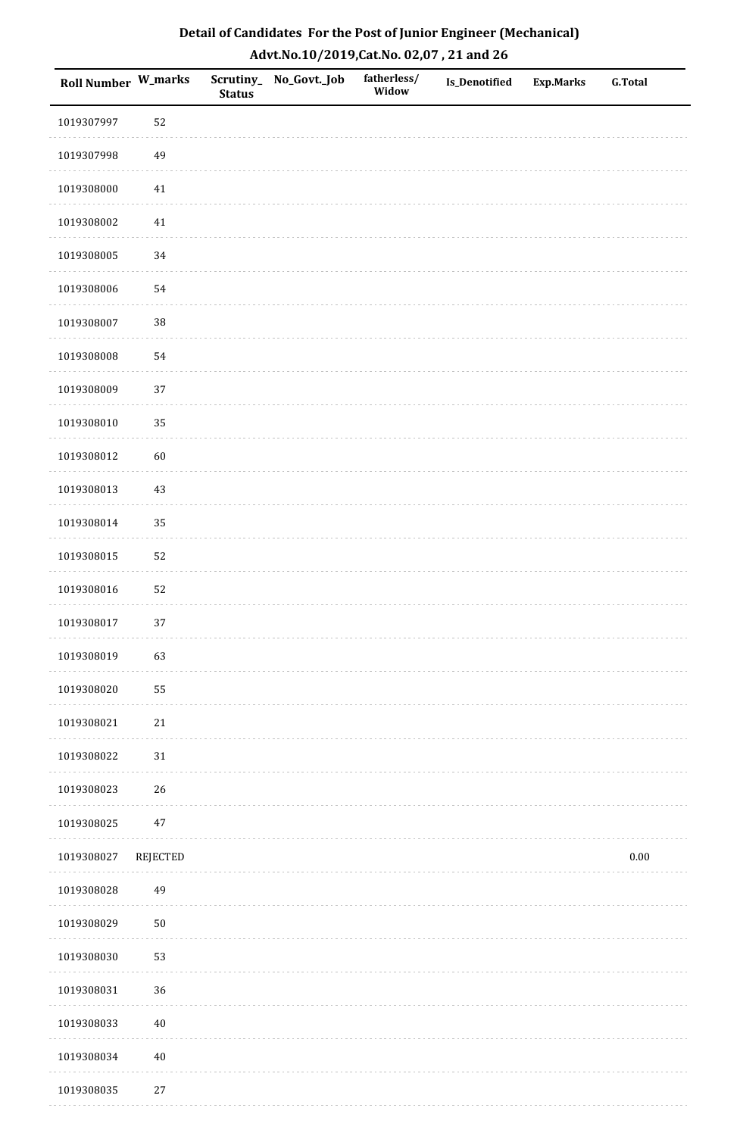| <b>Roll Number W_marks</b> |          | <b>Status</b> | Scrutiny_ No_Govt._Job | fatherless/<br>Widow | Is_Denotified | <b>Exp.Marks</b> | <b>G.Total</b> |
|----------------------------|----------|---------------|------------------------|----------------------|---------------|------------------|----------------|
| 1019307997                 | 52       |               |                        |                      |               |                  |                |
| 1019307998                 | 49       |               |                        |                      |               |                  |                |
| 1019308000                 | 41       |               |                        |                      |               |                  |                |
| 1019308002                 | $41\,$   |               |                        |                      |               |                  |                |
| 1019308005                 | 34       |               |                        |                      |               |                  |                |
| 1019308006                 | 54       |               |                        |                      |               |                  |                |
| 1019308007                 | 38       |               |                        |                      |               |                  |                |
| 1019308008                 | 54       |               |                        |                      |               |                  |                |
| 1019308009                 | 37       |               |                        |                      |               |                  |                |
| 1019308010                 | 35       |               |                        |                      |               |                  |                |
| 1019308012                 | 60       |               |                        |                      |               |                  |                |
| 1019308013                 | 43       |               |                        |                      |               |                  |                |
| 1019308014                 | 35       |               |                        |                      |               |                  |                |
| 1019308015                 | 52       |               |                        |                      |               |                  |                |
| 1019308016                 | 52       |               |                        |                      |               |                  |                |
| 1019308017                 | 37       |               |                        |                      |               |                  |                |
| 1019308019                 | 63       |               |                        |                      |               |                  |                |
| 1019308020                 | 55       |               |                        |                      |               |                  |                |
| 1019308021                 | $21\,$   |               |                        |                      |               |                  |                |
| 1019308022                 | $31\,$   |               |                        |                      |               |                  |                |
| 1019308023                 | 26       |               |                        |                      |               |                  |                |
| 1019308025                 | $47\,$   |               |                        |                      |               |                  |                |
| 1019308027                 | REJECTED |               |                        |                      |               |                  | $0.00\,$       |
| 1019308028                 | 49       |               |                        |                      |               |                  |                |
| 1019308029                 | $50\,$   |               |                        |                      |               |                  |                |
| 1019308030                 | 53       |               |                        |                      |               |                  |                |
| 1019308031                 | 36       |               |                        |                      |               |                  |                |
| 1019308033                 | $40\,$   |               |                        |                      |               |                  |                |
| 1019308034                 | $40\,$   |               |                        |                      |               |                  |                |
| 1019308035                 | $27\,$   |               |                        |                      |               |                  |                |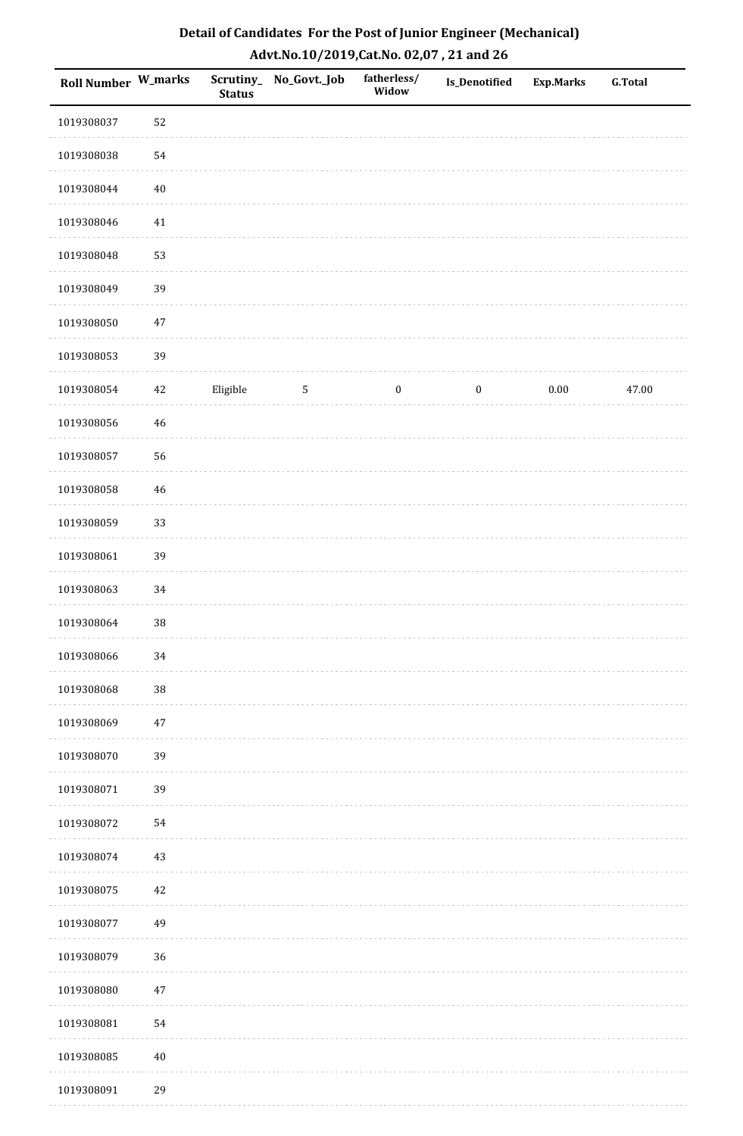| Detail of Candidates For the Post of Junior Engineer (Mechanical) |
|-------------------------------------------------------------------|
| Advt.No.10/2019, Cat.No. 02,07, 21 and 26                         |

| <b>Roll Number W_marks</b> |        | <b>Status</b> | Scrutiny_ No_Govt._Job | fatherless/<br>Widow | Is_Denotified    | Exp.Marks | <b>G.Total</b> |
|----------------------------|--------|---------------|------------------------|----------------------|------------------|-----------|----------------|
| 1019308037                 | 52     |               |                        |                      |                  |           |                |
| 1019308038                 | 54     |               |                        |                      |                  |           |                |
| 1019308044                 | $40\,$ |               |                        |                      |                  |           |                |
| 1019308046                 | $41\,$ |               |                        |                      |                  |           |                |
| 1019308048                 | 53     |               |                        |                      |                  |           |                |
| 1019308049                 | 39     |               |                        |                      |                  |           |                |
| 1019308050                 | $47\,$ |               |                        |                      |                  |           |                |
| 1019308053                 | 39     |               |                        |                      |                  |           |                |
| 1019308054                 | 42     | Eligible      | $5\phantom{.0}$        | $\boldsymbol{0}$     | $\boldsymbol{0}$ | $0.00\,$  | 47.00          |
| 1019308056                 | 46     |               |                        |                      |                  |           |                |
| 1019308057                 | 56     |               |                        |                      |                  |           |                |
| 1019308058                 | $46\,$ |               |                        |                      |                  |           |                |
| 1019308059                 | 33     |               |                        |                      |                  |           |                |
| 1019308061                 | 39     |               |                        |                      |                  |           |                |
| 1019308063                 | 34     |               |                        |                      |                  |           |                |
| 1019308064                 | 38     |               |                        |                      |                  |           |                |
| 1019308066                 | 34     |               |                        |                      |                  |           |                |
| 1019308068                 | 38     |               |                        |                      |                  |           |                |
| 1019308069                 | $47\,$ |               |                        |                      |                  |           |                |
| 1019308070                 | 39     |               |                        |                      |                  |           |                |
| 1019308071                 | 39     |               |                        |                      |                  |           |                |
| 1019308072                 | 54     |               |                        |                      |                  |           |                |
| 1019308074                 | $43\,$ |               |                        |                      |                  |           |                |
| 1019308075                 | 42     |               |                        |                      |                  |           |                |
| 1019308077                 | 49     |               |                        |                      |                  |           |                |
| 1019308079                 | 36     |               |                        |                      |                  |           |                |
| 1019308080                 | $47\,$ |               |                        |                      |                  |           |                |
| 1019308081                 | 54     |               |                        |                      |                  |           |                |
| 1019308085                 | $40\,$ |               |                        |                      |                  |           |                |
| 1019308091                 | 29     |               |                        |                      |                  |           |                |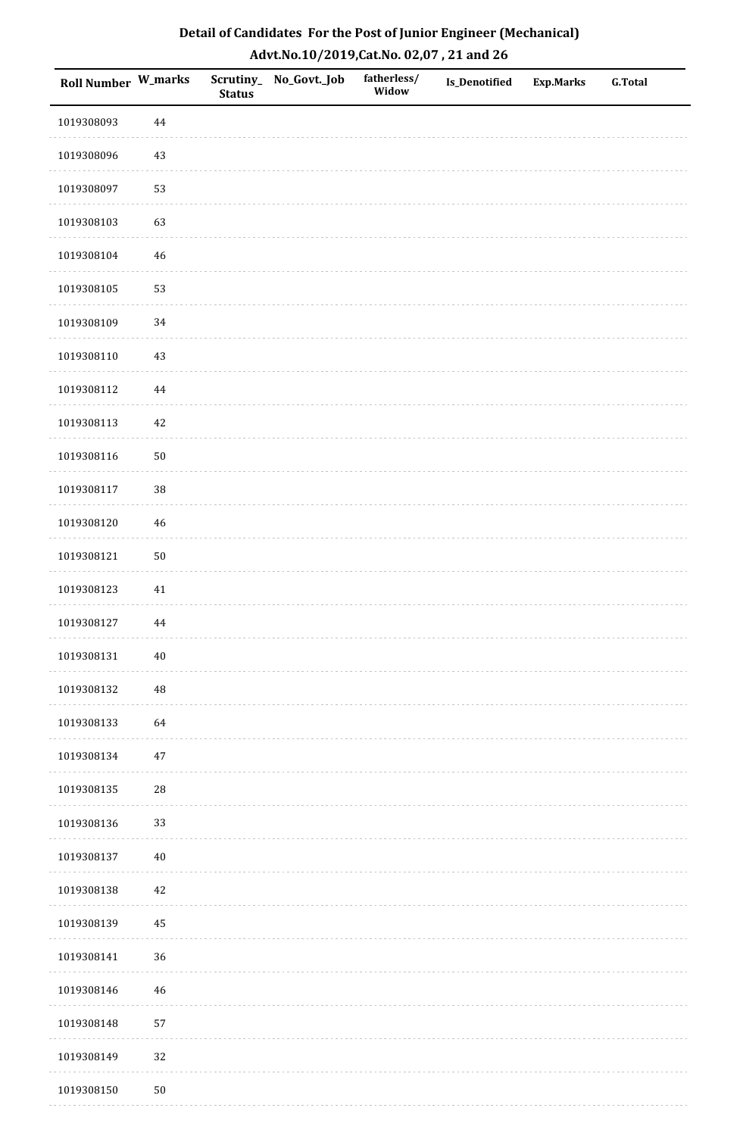| <b>Roll Number W_marks</b> |             | <b>Status</b> | Scrutiny_ No_Govt._Job | fatherless/<br>Widow | Is_Denotified | <b>Exp.Marks</b> | <b>G.Total</b> |
|----------------------------|-------------|---------------|------------------------|----------------------|---------------|------------------|----------------|
| 1019308093                 | $\bf 44$    |               |                        |                      |               |                  |                |
| 1019308096                 | 43          |               |                        |                      |               |                  |                |
| 1019308097                 | 53          |               |                        |                      |               |                  |                |
| 1019308103                 | 63          |               |                        |                      |               |                  |                |
| 1019308104                 | $\sqrt{46}$ |               |                        |                      |               |                  |                |
| 1019308105                 | 53          |               |                        |                      |               |                  |                |
| 1019308109                 | $34\,$      |               |                        |                      |               |                  |                |
| 1019308110                 | $43\,$      |               |                        |                      |               |                  |                |
| 1019308112                 | 44          |               |                        |                      |               |                  |                |
| 1019308113                 | $42\,$      |               |                        |                      |               |                  |                |
| 1019308116                 | $50\,$      |               |                        |                      |               |                  |                |
| 1019308117                 | 38          |               |                        |                      |               |                  |                |
| 1019308120                 | $46\,$      |               |                        |                      |               |                  |                |
| 1019308121                 | $50\,$      |               |                        |                      |               |                  |                |
| 1019308123                 | 41          |               |                        |                      |               |                  |                |
| 1019308127                 | $\bf 44$    |               |                        |                      |               |                  |                |
| 1019308131                 | $40\,$      |               |                        |                      |               |                  |                |
| 1019308132                 | 48          |               |                        |                      |               |                  |                |
| 1019308133                 | 64          |               |                        |                      |               |                  |                |
| 1019308134                 | $47\,$      |               |                        |                      |               |                  |                |
| 1019308135                 | 28          |               |                        |                      |               |                  |                |
| 1019308136                 | 33          |               |                        |                      |               |                  |                |
| 1019308137                 | $40\,$      |               |                        |                      |               |                  |                |
| 1019308138                 | 42          |               |                        |                      |               |                  |                |
| 1019308139                 | 45          |               |                        |                      |               |                  |                |
| 1019308141                 | 36          |               |                        |                      |               |                  |                |
| 1019308146                 | $\sqrt{46}$ |               |                        |                      |               |                  |                |
| 1019308148                 | 57          |               |                        |                      |               |                  |                |
| 1019308149                 | 32          |               |                        |                      |               |                  |                |
| 1019308150                 | $50\,$      |               |                        |                      |               |                  |                |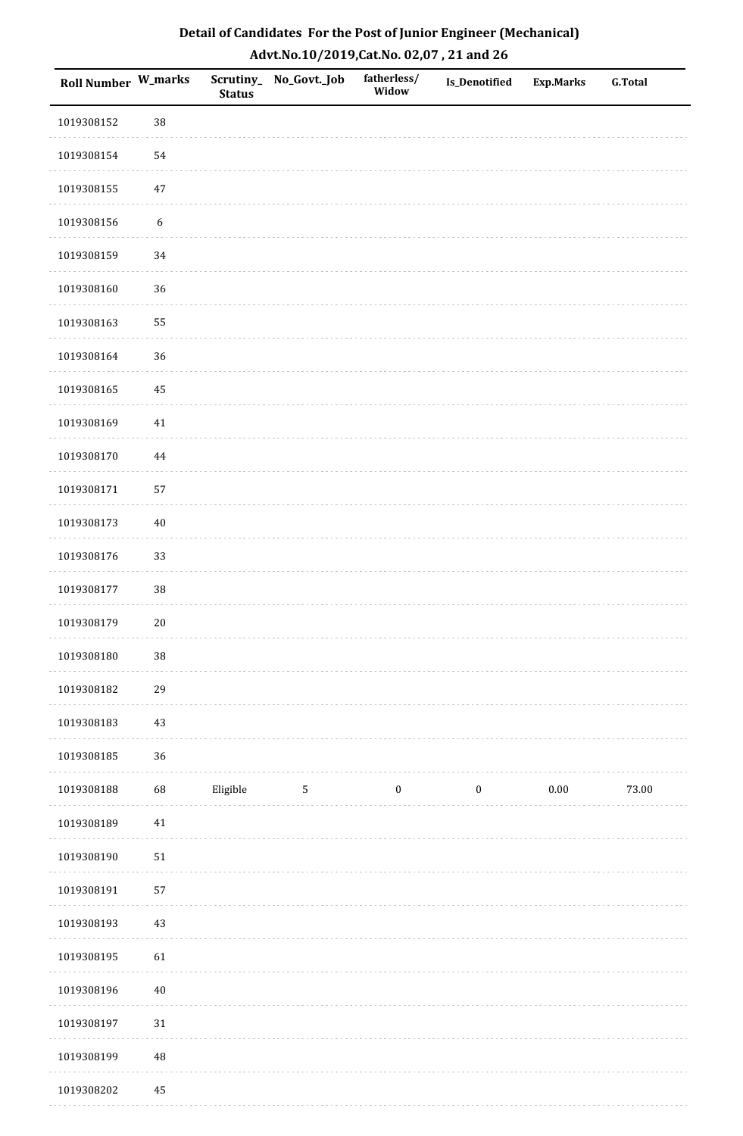| Roll Number W_marks |                  | <b>Status</b> | Scrutiny_No_Govt._Job | fatherless/<br>Widow | Is_Denotified    | <b>Exp.Marks</b> | <b>G.Total</b> |
|---------------------|------------------|---------------|-----------------------|----------------------|------------------|------------------|----------------|
| 1019308152          | 38               |               |                       |                      |                  |                  |                |
| 1019308154          | 54               |               |                       |                      |                  |                  |                |
| 1019308155          | $47\,$           |               |                       |                      |                  |                  |                |
| 1019308156          | $\boldsymbol{6}$ |               |                       |                      |                  |                  |                |
| 1019308159          | 34               |               |                       |                      |                  |                  |                |
| 1019308160          | 36               |               |                       |                      |                  |                  |                |
| 1019308163          | 55               |               |                       |                      |                  |                  |                |
| 1019308164          | 36               |               |                       |                      |                  |                  |                |
| 1019308165          | 45               |               |                       |                      |                  |                  |                |
| 1019308169          | $41\,$           |               |                       |                      |                  |                  |                |
| 1019308170          | $\bf 44$         |               |                       |                      |                  |                  |                |
| 1019308171          | 57               |               |                       |                      |                  |                  |                |
| 1019308173          | $40\,$           |               |                       |                      |                  |                  |                |
| 1019308176          | 33               |               |                       |                      |                  |                  |                |
| 1019308177          | $38\,$           |               |                       |                      |                  |                  |                |
| 1019308179          | $20\,$           |               |                       |                      |                  |                  |                |
| 1019308180          | 38               |               |                       |                      |                  |                  |                |
| 1019308182          | 29               |               |                       |                      |                  |                  |                |
| 1019308183          | 43               |               |                       |                      |                  |                  |                |
| 1019308185          | 36               |               |                       |                      |                  |                  |                |
| 1019308188          | 68               | Eligible      | $\sqrt{5}$            | $\boldsymbol{0}$     | $\boldsymbol{0}$ | $0.00\,$         | 73.00          |
| 1019308189          | $41\,$           |               |                       |                      |                  |                  |                |
| 1019308190          | $51\,$           |               |                       |                      |                  |                  |                |
| 1019308191          | 57               |               |                       |                      |                  |                  |                |
| 1019308193          | 43               |               |                       |                      |                  |                  |                |
| 1019308195          | 61               |               |                       |                      |                  |                  |                |
| 1019308196          | $40\,$           |               |                       |                      |                  |                  |                |
| 1019308197          | $31\,$           |               |                       |                      |                  |                  |                |
| 1019308199          | 48               |               |                       |                      |                  |                  |                |
| 1019308202          | 45               |               |                       |                      |                  |                  |                |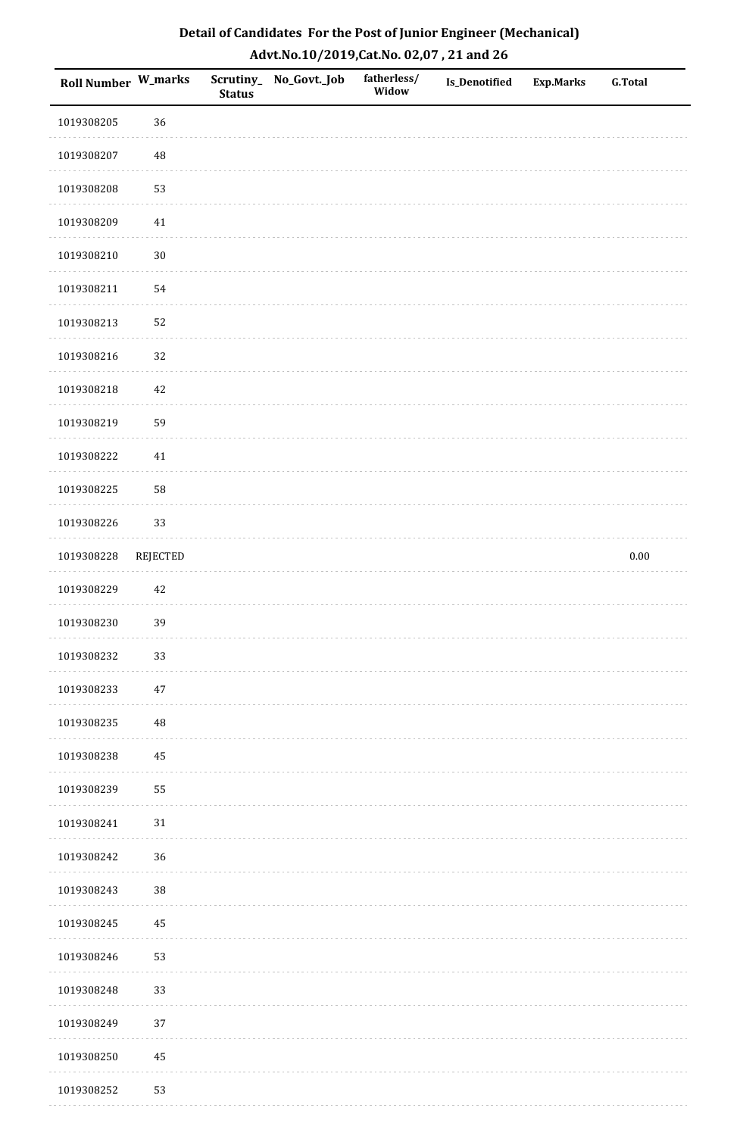| Roll Number W_marks |                 | <b>Status</b> | Scrutiny_ No_Govt._Job | fatherless/<br>Widow | <b>Is_Denotified</b> | <b>Exp.Marks</b> | <b>G.Total</b> |
|---------------------|-----------------|---------------|------------------------|----------------------|----------------------|------------------|----------------|
| 1019308205          | 36              |               |                        |                      |                      |                  |                |
| 1019308207          | 48              |               |                        |                      |                      |                  |                |
| 1019308208          | 53              |               |                        |                      |                      |                  |                |
| 1019308209          | $41\,$          |               |                        |                      |                      |                  |                |
| 1019308210          | $30\,$          |               |                        |                      |                      |                  |                |
| 1019308211          | 54              |               |                        |                      |                      |                  |                |
| 1019308213          | 52              |               |                        |                      |                      |                  |                |
| 1019308216          | 32              |               |                        |                      |                      |                  |                |
| 1019308218          | 42              |               |                        |                      |                      |                  |                |
| 1019308219          | 59              |               |                        |                      |                      |                  |                |
| 1019308222          | $41\,$          |               |                        |                      |                      |                  |                |
| 1019308225          | 58              |               |                        |                      |                      |                  |                |
| 1019308226          | 33              |               |                        |                      |                      |                  |                |
| 1019308228          | <b>REJECTED</b> |               |                        |                      |                      |                  | $0.00\,$       |
| 1019308229          | $42\,$          |               |                        |                      |                      |                  |                |
| 1019308230          | 39              |               |                        |                      |                      |                  |                |
| 1019308232          | 33              |               |                        |                      |                      |                  |                |
| 1019308233          | $47\,$          |               |                        |                      |                      |                  |                |
| 1019308235          | 48              |               |                        |                      |                      |                  |                |
| 1019308238          | 45              |               |                        |                      |                      |                  |                |
| 1019308239          | 55              |               |                        |                      |                      |                  |                |
| 1019308241          | $31\,$          |               |                        |                      |                      |                  |                |
| 1019308242          | 36              |               |                        |                      |                      |                  |                |
| 1019308243          | 38              |               |                        |                      |                      |                  |                |
| 1019308245          | 45              |               |                        |                      |                      |                  |                |
| 1019308246          | 53              |               |                        |                      |                      |                  |                |
| 1019308248          | 33              |               |                        |                      |                      |                  |                |
| 1019308249          | 37              |               |                        |                      |                      |                  |                |
| 1019308250          | 45              |               |                        |                      |                      |                  |                |
| 1019308252          | 53              |               |                        |                      |                      |                  |                |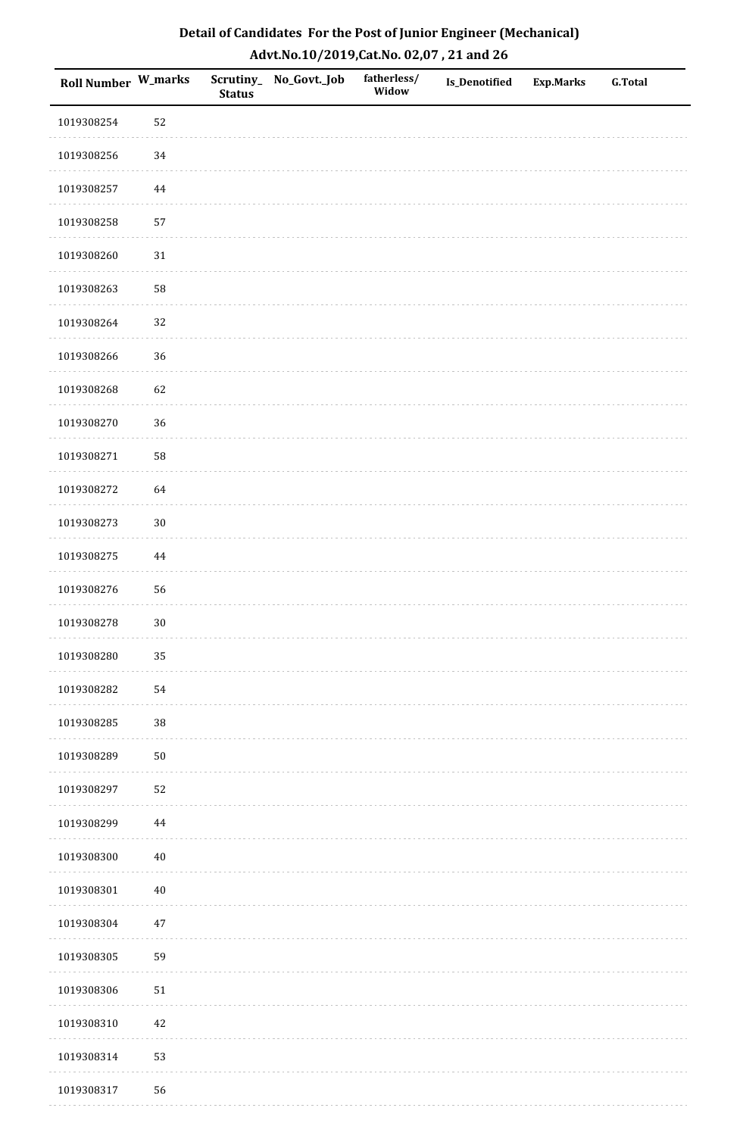| <b>Roll Number W_marks</b> |          | <b>Status</b> | Scrutiny_No_Govt._Job | fatherless/<br>Widow | Is_Denotified | <b>Exp.Marks</b> | <b>G.Total</b> |
|----------------------------|----------|---------------|-----------------------|----------------------|---------------|------------------|----------------|
| 1019308254                 | 52       |               |                       |                      |               |                  |                |
| 1019308256                 | $34\,$   |               |                       |                      |               |                  |                |
| 1019308257                 | 44       |               |                       |                      |               |                  |                |
| 1019308258                 | 57       |               |                       |                      |               |                  |                |
| 1019308260                 | $31\,$   |               |                       |                      |               |                  |                |
| 1019308263                 | 58       |               |                       |                      |               |                  |                |
| 1019308264                 | 32       |               |                       |                      |               |                  |                |
| 1019308266                 | 36       |               |                       |                      |               |                  |                |
| 1019308268                 | 62       |               |                       |                      |               |                  |                |
| 1019308270                 | 36       |               |                       |                      |               |                  |                |
| 1019308271                 | 58       |               |                       |                      |               |                  |                |
| 1019308272                 | 64       |               |                       |                      |               |                  |                |
| 1019308273                 | $30\,$   |               |                       |                      |               |                  |                |
| 1019308275                 | $\bf 44$ |               |                       |                      |               |                  |                |
| 1019308276                 | 56       |               |                       |                      |               |                  |                |
| 1019308278                 | $30\,$   |               |                       |                      |               |                  |                |
| 1019308280                 | 35       |               |                       |                      |               |                  |                |
| 1019308282                 | 54       |               |                       |                      |               |                  |                |
| 1019308285                 | $38\,$   |               |                       |                      |               |                  |                |
| 1019308289                 | $50\,$   |               |                       |                      |               |                  |                |
| 1019308297                 | 52       |               |                       |                      |               |                  |                |
| 1019308299                 | $\bf 44$ |               |                       |                      |               |                  |                |
| 1019308300                 | $40\,$   |               |                       |                      |               |                  |                |
| 1019308301                 | $40\,$   |               |                       |                      |               |                  |                |
| 1019308304                 | $47\,$   |               |                       |                      |               |                  |                |
| 1019308305                 | 59       |               |                       |                      |               |                  |                |
| 1019308306                 | $51\,$   |               |                       |                      |               |                  |                |
| 1019308310                 | $42\,$   |               |                       |                      |               |                  |                |
| 1019308314                 | 53       |               |                       |                      |               |                  |                |
| 1019308317                 | 56       |               |                       |                      |               |                  |                |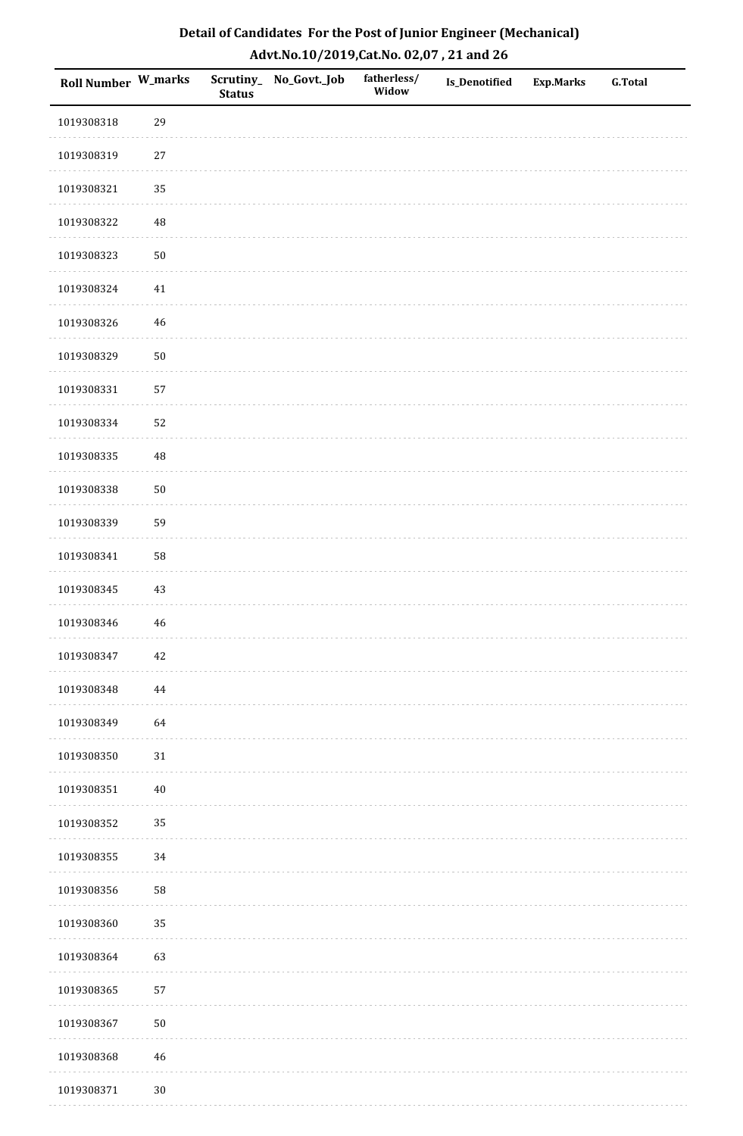| Roll Number W_marks |             | <b>Status</b> | Scrutiny_No_Govt._Job | fatherless/<br>Widow | Is_Denotified | <b>Exp.Marks</b> | <b>G.Total</b> |
|---------------------|-------------|---------------|-----------------------|----------------------|---------------|------------------|----------------|
| 1019308318          | 29          |               |                       |                      |               |                  |                |
| 1019308319          | $27\,$      |               |                       |                      |               |                  |                |
| 1019308321          | 35          |               |                       |                      |               |                  |                |
| 1019308322          | 48          |               |                       |                      |               |                  |                |
| 1019308323          | $50\,$      |               |                       |                      |               |                  |                |
| 1019308324          | 41          |               |                       |                      |               |                  |                |
| 1019308326          | 46          |               |                       |                      |               |                  |                |
| 1019308329          | $50\,$      |               |                       |                      |               |                  |                |
| 1019308331          | 57          |               |                       |                      |               |                  |                |
| 1019308334          | 52          |               |                       |                      |               |                  |                |
| 1019308335          | 48          |               |                       |                      |               |                  |                |
| 1019308338          | $50\,$      |               |                       |                      |               |                  |                |
| 1019308339          | 59          |               |                       |                      |               |                  |                |
| 1019308341          | 58          |               |                       |                      |               |                  |                |
| 1019308345          | 43          |               |                       |                      |               |                  |                |
| 1019308346          | $46\,$      |               |                       |                      |               |                  |                |
| 1019308347          | $42\,$      |               |                       |                      |               |                  |                |
| 1019308348          | 44          |               |                       |                      |               |                  |                |
| 1019308349          | 64          |               |                       |                      |               |                  |                |
| 1019308350          | $31\,$      |               |                       |                      |               |                  |                |
| 1019308351          | $40\,$      |               |                       |                      |               |                  |                |
| 1019308352          | 35          |               |                       |                      |               |                  |                |
| 1019308355          | $34\,$      |               |                       |                      |               |                  |                |
| 1019308356          | 58          |               |                       |                      |               |                  |                |
| 1019308360          | 35          |               |                       |                      |               |                  |                |
| 1019308364          | 63          |               |                       |                      |               |                  |                |
| 1019308365          | 57          |               |                       |                      |               |                  |                |
| 1019308367          | $50\,$      |               |                       |                      |               |                  |                |
| 1019308368          | $\sqrt{46}$ |               |                       |                      |               |                  |                |
| 1019308371          | $30\,$      |               |                       |                      |               |                  |                |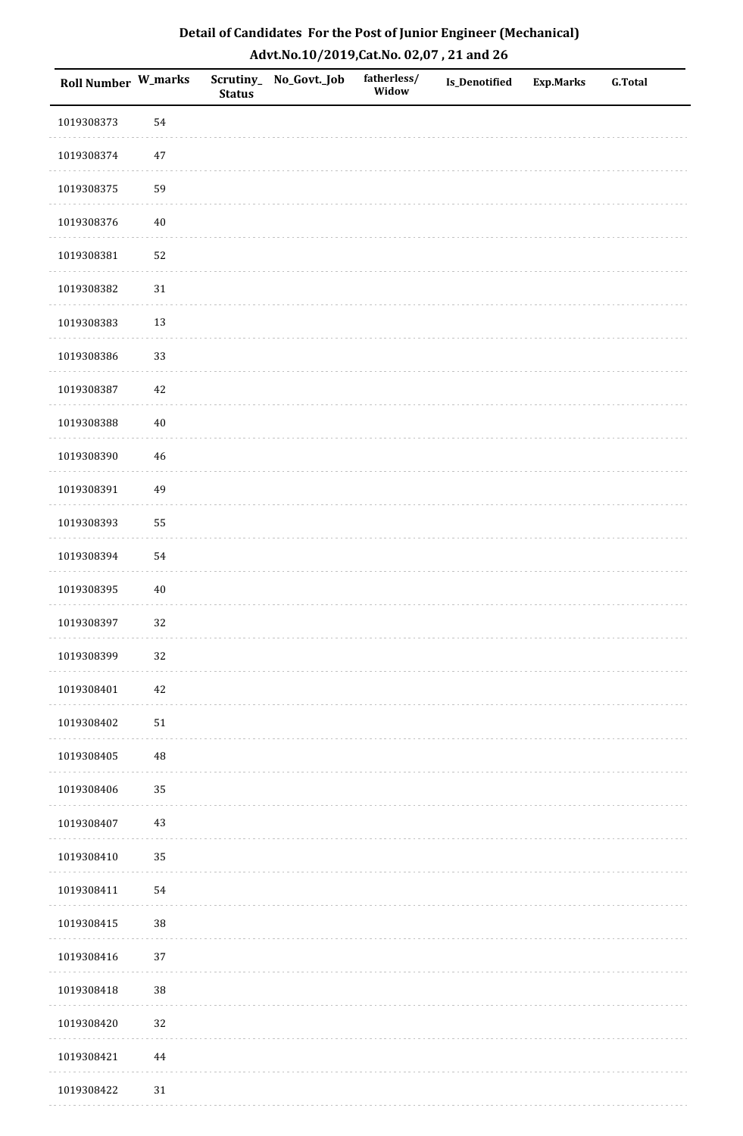| <b>Roll Number W_marks</b> |        | <b>Status</b> | Scrutiny_No_Govt._Job | fatherless/<br>Widow | Is_Denotified | <b>Exp.Marks</b> | <b>G.Total</b> |
|----------------------------|--------|---------------|-----------------------|----------------------|---------------|------------------|----------------|
| 1019308373                 | 54     |               |                       |                      |               |                  |                |
| 1019308374                 | $47\,$ |               |                       |                      |               |                  |                |
| 1019308375                 | 59     |               |                       |                      |               |                  |                |
| 1019308376                 | $40\,$ |               |                       |                      |               |                  |                |
| 1019308381                 | 52     |               |                       |                      |               |                  |                |
| 1019308382                 | $31\,$ |               |                       |                      |               |                  |                |
| 1019308383                 | 13     |               |                       |                      |               |                  |                |
| 1019308386                 | 33     |               |                       |                      |               |                  |                |
| 1019308387                 | 42     |               |                       |                      |               |                  |                |
| 1019308388                 | $40\,$ |               |                       |                      |               |                  |                |
| 1019308390                 | 46     |               |                       |                      |               |                  |                |
| 1019308391                 | 49     |               |                       |                      |               |                  |                |
| 1019308393                 | 55     |               |                       |                      |               |                  |                |
| 1019308394                 | 54     |               |                       |                      |               |                  |                |
| 1019308395                 | $40\,$ |               |                       |                      |               |                  |                |
| 1019308397                 | 32     |               |                       |                      |               |                  |                |
| 1019308399                 | 32     |               |                       |                      |               |                  |                |
| 1019308401                 | 42     |               |                       |                      |               |                  |                |
| 1019308402                 | $51\,$ |               |                       |                      |               |                  |                |
| 1019308405                 | 48     |               |                       |                      |               |                  |                |
| 1019308406                 | 35     |               |                       |                      |               |                  |                |
| 1019308407                 | $43\,$ |               |                       |                      |               |                  |                |
| 1019308410                 | 35     |               |                       |                      |               |                  |                |
| 1019308411                 | 54     |               |                       |                      |               |                  |                |
| 1019308415                 | 38     |               |                       |                      |               |                  |                |
| 1019308416                 | $37\,$ |               |                       |                      |               |                  |                |
| 1019308418                 | $38\,$ |               |                       |                      |               |                  |                |
| 1019308420                 | 32     |               |                       |                      |               |                  |                |
| 1019308421                 | 44     |               |                       |                      |               |                  |                |
| 1019308422                 | $31\,$ |               |                       |                      |               |                  |                |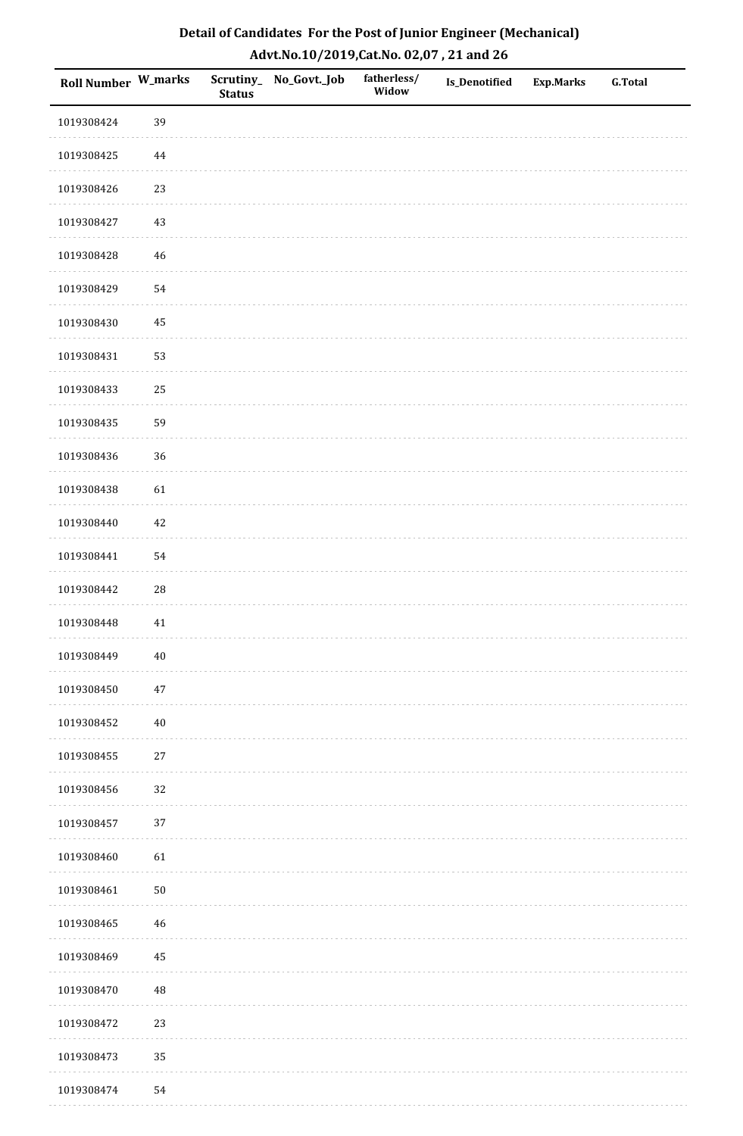| Roll Number W_marks |          | <b>Status</b> | Scrutiny_No_Govt._Job | fatherless/<br>Widow | Is_Denotified | <b>Exp.Marks</b> | G.Total |
|---------------------|----------|---------------|-----------------------|----------------------|---------------|------------------|---------|
| 1019308424          | 39       |               |                       |                      |               |                  |         |
| 1019308425          | 44       |               |                       |                      |               |                  |         |
| 1019308426          | 23       |               |                       |                      |               |                  |         |
| 1019308427          | 43       |               |                       |                      |               |                  |         |
| 1019308428          | $46\,$   |               |                       |                      |               |                  |         |
| 1019308429          | 54       |               |                       |                      |               |                  |         |
| 1019308430          | 45       |               |                       |                      |               |                  |         |
| 1019308431          | 53       |               |                       |                      |               |                  |         |
| 1019308433          | $25\,$   |               |                       |                      |               |                  |         |
| 1019308435          | 59       |               |                       |                      |               |                  |         |
| 1019308436          | 36       |               |                       |                      |               |                  |         |
| 1019308438          | 61       |               |                       |                      |               |                  |         |
| 1019308440          | 42       |               |                       |                      |               |                  |         |
| 1019308441          | 54       |               |                       |                      |               |                  |         |
| 1019308442          | $28\,$   |               |                       |                      |               |                  |         |
| 1019308448          | $41\,$   |               |                       |                      |               |                  |         |
| 1019308449          | $40\,$   |               |                       |                      |               |                  |         |
| 1019308450          | $47\,$   |               |                       |                      |               |                  |         |
| 1019308452          | $40\,$   |               |                       |                      |               |                  |         |
| 1019308455          | $27\,$   |               |                       |                      |               |                  |         |
| 1019308456          | 32       |               |                       |                      |               |                  |         |
| 1019308457          | $37\,$   |               |                       |                      |               |                  |         |
| 1019308460          | 61       |               |                       |                      |               |                  |         |
| 1019308461          | $50\,$   |               |                       |                      |               |                  |         |
| 1019308465          | 46       |               |                       |                      |               |                  |         |
| 1019308469          | 45       |               |                       |                      |               |                  |         |
| 1019308470          | $\rm 48$ |               |                       |                      |               |                  |         |
| 1019308472          | 23       |               |                       |                      |               |                  |         |
| 1019308473          | 35       |               |                       |                      |               |                  |         |
| 1019308474          | 54       |               |                       |                      |               |                  |         |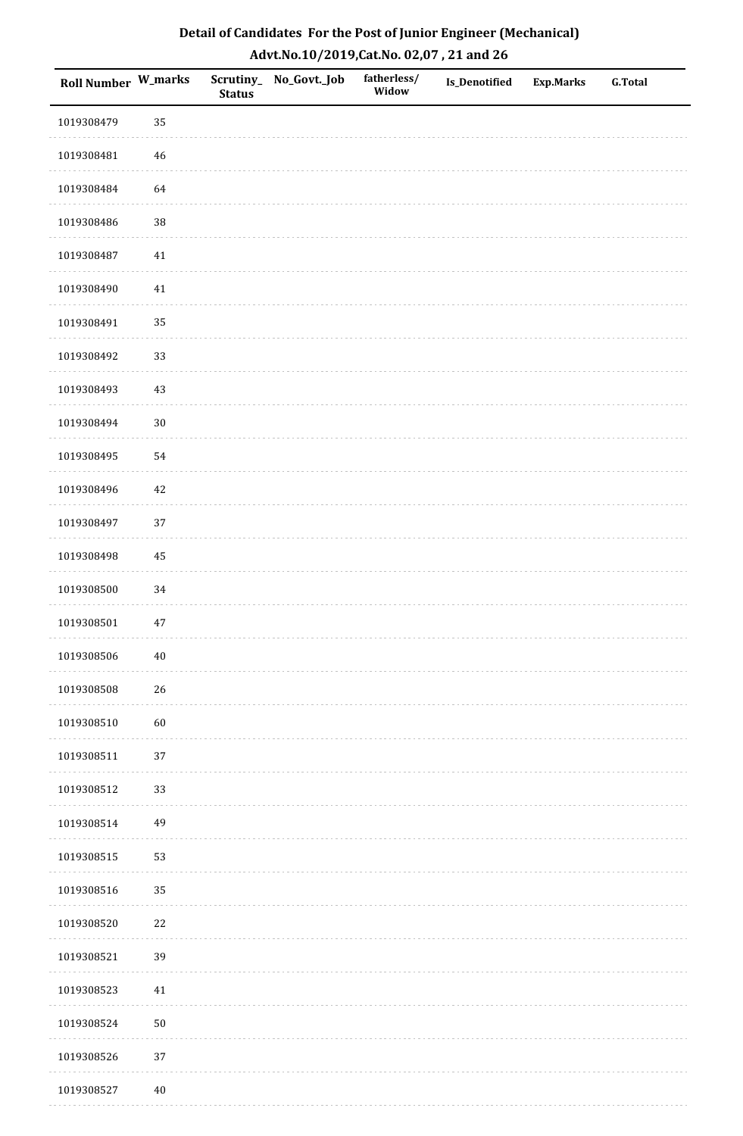| <b>Roll Number W_marks</b> |        | <b>Status</b> | Scrutiny_No_Govt._Job | fatherless/<br>Widow | Is_Denotified | <b>Exp.Marks</b> | <b>G.Total</b> |
|----------------------------|--------|---------------|-----------------------|----------------------|---------------|------------------|----------------|
| 1019308479                 | 35     |               |                       |                      |               |                  |                |
| 1019308481                 | $46\,$ |               |                       |                      |               |                  |                |
| 1019308484                 | 64     |               |                       |                      |               |                  |                |
| 1019308486                 | $38\,$ |               |                       |                      |               |                  |                |
| 1019308487                 | $41\,$ |               |                       |                      |               |                  |                |
| 1019308490                 | 41     |               |                       |                      |               |                  |                |
| 1019308491                 | 35     |               |                       |                      |               |                  |                |
| 1019308492                 | 33     |               |                       |                      |               |                  |                |
| 1019308493                 | 43     |               |                       |                      |               |                  |                |
| 1019308494                 | $30\,$ |               |                       |                      |               |                  |                |
| 1019308495                 | 54     |               |                       |                      |               |                  |                |
| 1019308496                 | $42\,$ |               |                       |                      |               |                  |                |
| 1019308497                 | 37     |               |                       |                      |               |                  |                |
| 1019308498                 | 45     |               |                       |                      |               |                  |                |
| 1019308500                 | 34     |               |                       |                      |               |                  |                |
| 1019308501                 | 47     |               |                       |                      |               |                  |                |
| 1019308506                 | $40\,$ |               |                       |                      |               |                  |                |
| 1019308508                 | 26     |               |                       |                      |               |                  |                |
| 1019308510                 | 60     |               |                       |                      |               |                  |                |
| 1019308511                 | 37     |               |                       |                      |               |                  |                |
| 1019308512                 | 33     |               |                       |                      |               |                  |                |
| 1019308514                 | 49     |               |                       |                      |               |                  |                |
| 1019308515                 | 53     |               |                       |                      |               |                  |                |
| 1019308516                 | 35     |               |                       |                      |               |                  |                |
| 1019308520                 | $22\,$ |               |                       |                      |               |                  |                |
| 1019308521                 | 39     |               |                       |                      |               |                  |                |
| 1019308523                 | 41     |               |                       |                      |               |                  |                |
| 1019308524                 | $50\,$ |               |                       |                      |               |                  |                |
| 1019308526                 | $37\,$ |               |                       |                      |               |                  |                |
| 1019308527                 | $40\,$ |               |                       |                      |               |                  |                |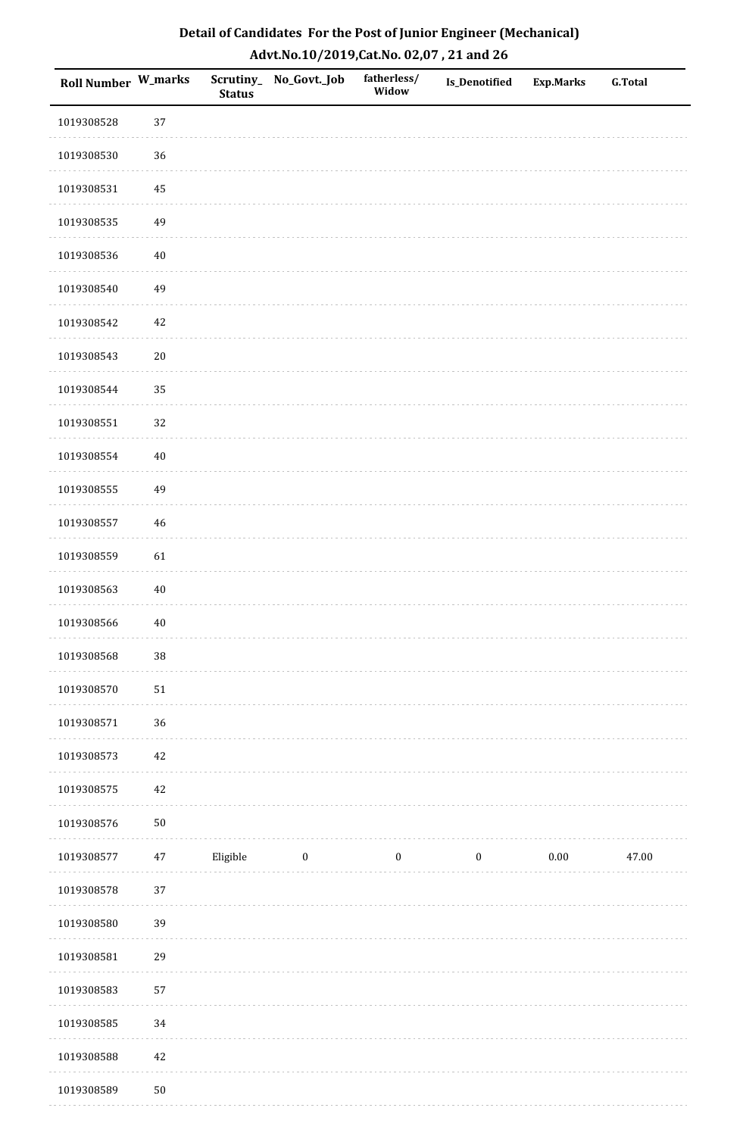| <b>Roll Number W_marks</b> |        | <b>Status</b> | Scrutiny_No_Govt._Job | fatherless/<br>Widow | Is_Denotified    | <b>Exp.Marks</b> | <b>G.Total</b> |
|----------------------------|--------|---------------|-----------------------|----------------------|------------------|------------------|----------------|
| 1019308528                 | 37     |               |                       |                      |                  |                  |                |
| 1019308530                 | 36     |               |                       |                      |                  |                  |                |
| 1019308531                 | 45     |               |                       |                      |                  |                  |                |
| 1019308535                 | 49     |               |                       |                      |                  |                  |                |
| 1019308536                 | $40\,$ |               |                       |                      |                  |                  |                |
| 1019308540                 | 49     |               |                       |                      |                  |                  |                |
| 1019308542                 | 42     |               |                       |                      |                  |                  |                |
| 1019308543                 | $20\,$ |               |                       |                      |                  |                  |                |
| 1019308544                 | 35     |               |                       |                      |                  |                  |                |
| 1019308551                 | 32     |               |                       |                      |                  |                  |                |
| 1019308554                 | $40\,$ |               |                       |                      |                  |                  |                |
| 1019308555                 | 49     |               |                       |                      |                  |                  |                |
| 1019308557                 | $46\,$ |               |                       |                      |                  |                  |                |
| 1019308559                 | 61     |               |                       |                      |                  |                  |                |
| 1019308563                 | $40\,$ |               |                       |                      |                  |                  |                |
| 1019308566                 | $40\,$ |               |                       |                      |                  |                  |                |
| 1019308568                 | $38\,$ |               |                       |                      |                  |                  |                |
| 1019308570                 | $51\,$ |               |                       |                      |                  |                  |                |
| 1019308571                 | 36     |               |                       |                      |                  |                  |                |
| 1019308573                 | $42\,$ |               |                       |                      |                  |                  |                |
| 1019308575                 | $42\,$ |               |                       |                      |                  |                  |                |
| 1019308576                 | $50\,$ |               |                       |                      |                  |                  |                |
| 1019308577                 | $47\,$ | Eligible      | $\boldsymbol{0}$      | $\boldsymbol{0}$     | $\boldsymbol{0}$ | $0.00\,$         | 47.00          |
| 1019308578                 | 37     |               |                       |                      |                  |                  |                |
| 1019308580                 | 39     |               |                       |                      |                  |                  |                |
| 1019308581                 | 29     |               |                       |                      |                  |                  |                |
| 1019308583                 | 57     |               |                       |                      |                  |                  |                |
| 1019308585                 | 34     |               |                       |                      |                  |                  |                |
| 1019308588                 | $42\,$ |               |                       |                      |                  |                  |                |
| 1019308589                 | $50\,$ |               |                       |                      |                  |                  |                |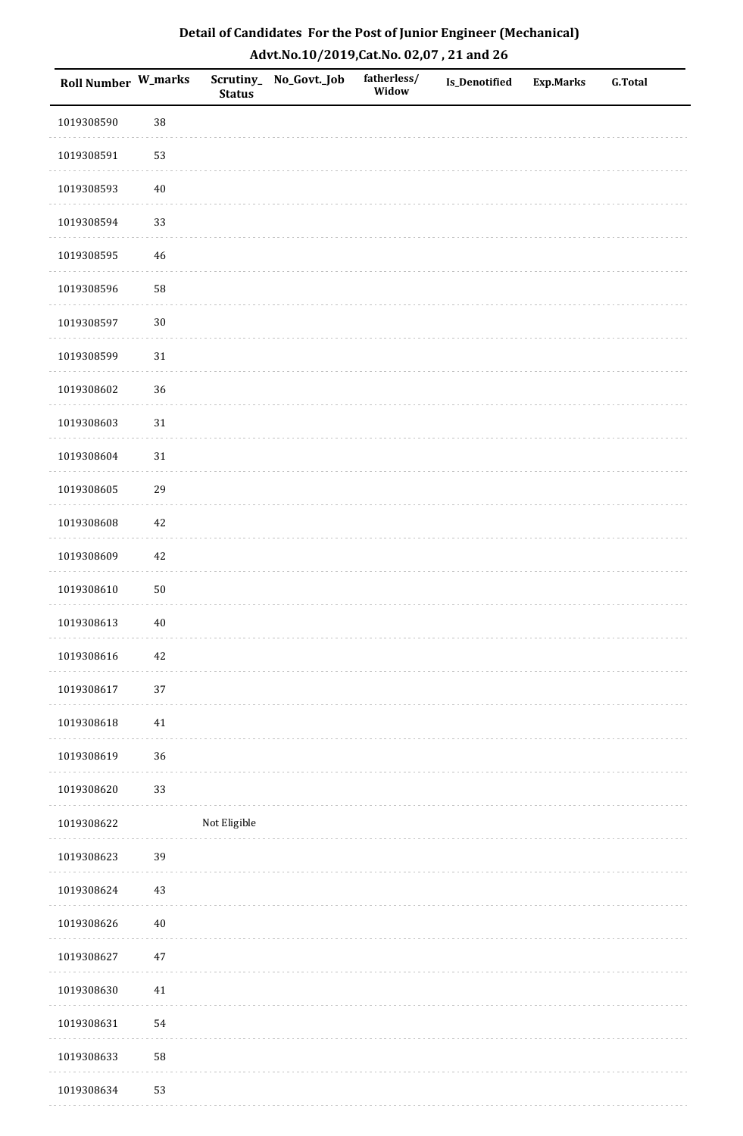| <b>Roll Number W_marks</b> |             | <b>Status</b> | Scrutiny_ No_Govt._Job | fatherless/<br>Widow | Is_Denotified | <b>Exp.Marks</b> | <b>G.Total</b> |
|----------------------------|-------------|---------------|------------------------|----------------------|---------------|------------------|----------------|
| 1019308590                 | 38          |               |                        |                      |               |                  |                |
| 1019308591                 | 53          |               |                        |                      |               |                  |                |
| 1019308593                 | $40\,$      |               |                        |                      |               |                  |                |
| 1019308594                 | 33          |               |                        |                      |               |                  |                |
| 1019308595                 | $\sqrt{46}$ |               |                        |                      |               |                  |                |
| 1019308596                 | 58          |               |                        |                      |               |                  |                |
| 1019308597                 | $30\,$      |               |                        |                      |               |                  |                |
| 1019308599                 | $31\,$      |               |                        |                      |               |                  |                |
| 1019308602                 | 36          |               |                        |                      |               |                  |                |
| 1019308603                 | 31          |               |                        |                      |               |                  |                |
| 1019308604                 | $31\,$      |               |                        |                      |               |                  |                |
| 1019308605                 | 29          |               |                        |                      |               |                  |                |
| 1019308608                 | $42\,$      |               |                        |                      |               |                  |                |
| 1019308609                 | 42          |               |                        |                      |               |                  |                |
| 1019308610                 | $50\,$      |               |                        |                      |               |                  |                |
| 1019308613                 | $40\,$      |               |                        |                      |               |                  |                |
| 1019308616                 | $42\,$      |               |                        |                      |               |                  |                |
| 1019308617                 | 37          |               |                        |                      |               |                  |                |
| 1019308618                 | $41\,$      |               |                        |                      |               |                  |                |
| 1019308619                 | 36          |               |                        |                      |               |                  |                |
| 1019308620                 | 33          |               |                        |                      |               |                  |                |
| 1019308622                 |             | Not Eligible  |                        |                      |               |                  |                |
| 1019308623                 | 39          |               |                        |                      |               |                  |                |
| 1019308624                 | $43\,$      |               |                        |                      |               |                  |                |
| 1019308626                 | $40\,$      |               |                        |                      |               |                  |                |
| 1019308627                 | $47\,$      |               |                        |                      |               |                  |                |
| 1019308630                 | $41\,$      |               |                        |                      |               |                  |                |
| 1019308631                 | 54          |               |                        |                      |               |                  |                |
| 1019308633                 | 58          |               |                        |                      |               |                  |                |
| 1019308634                 | 53          |               |                        |                      |               |                  |                |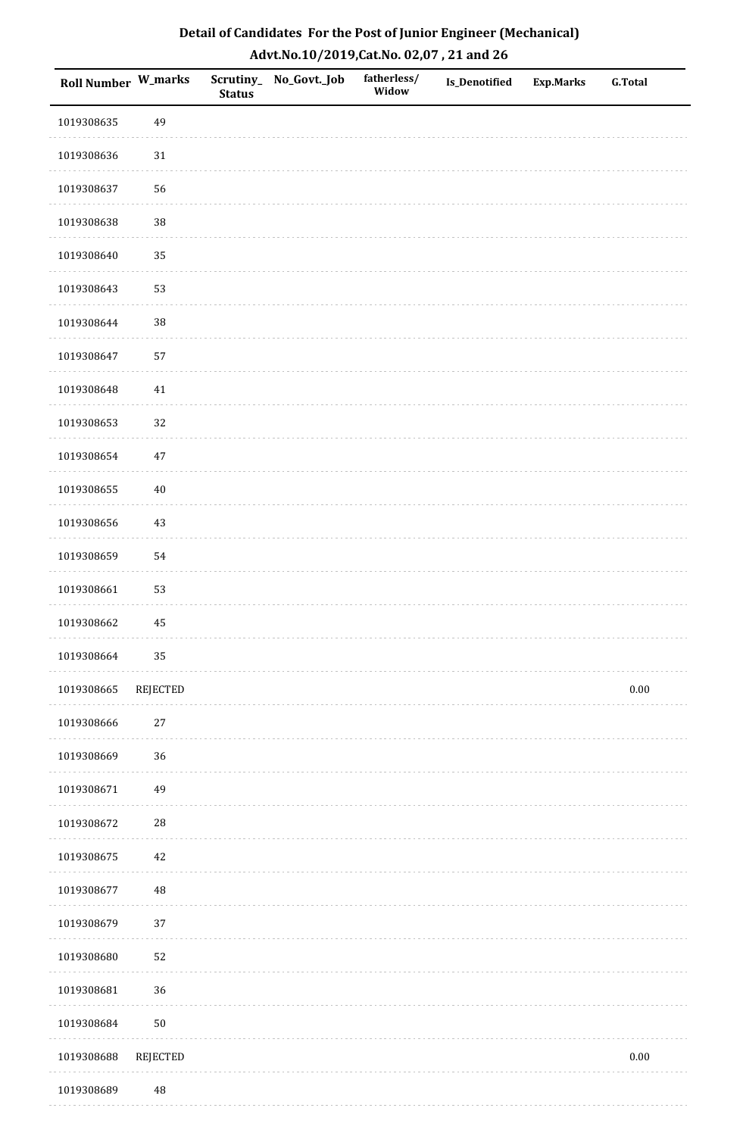| Roll Number W_marks |                 | <b>Status</b> | Scrutiny_No_Govt._Job | fatherless/<br>Widow | Is_Denotified | <b>Exp.Marks</b> | <b>G.Total</b> |
|---------------------|-----------------|---------------|-----------------------|----------------------|---------------|------------------|----------------|
| 1019308635          | 49              |               |                       |                      |               |                  |                |
| 1019308636          | $31\,$          |               |                       |                      |               |                  |                |
| 1019308637          | 56              |               |                       |                      |               |                  |                |
| 1019308638          | 38              |               |                       |                      |               |                  |                |
| 1019308640          | 35              |               |                       |                      |               |                  |                |
| 1019308643          | 53              |               |                       |                      |               |                  |                |
| 1019308644          | 38              |               |                       |                      |               |                  |                |
| 1019308647          | 57              |               |                       |                      |               |                  |                |
| 1019308648          | 41              |               |                       |                      |               |                  |                |
| 1019308653          | 32              |               |                       |                      |               |                  |                |
| 1019308654          | $47\,$          |               |                       |                      |               |                  |                |
| 1019308655          | $40\,$          |               |                       |                      |               |                  |                |
| 1019308656          | 43              |               |                       |                      |               |                  |                |
| 1019308659          | 54              |               |                       |                      |               |                  |                |
| 1019308661          | 53              |               |                       |                      |               |                  |                |
| 1019308662          | 45              |               |                       |                      |               |                  |                |
| 1019308664          | 35              |               |                       |                      |               |                  |                |
| 1019308665          | <b>REJECTED</b> |               |                       |                      |               |                  | $0.00\,$       |
| 1019308666          | 27              |               |                       |                      |               |                  |                |
| 1019308669          | 36              |               |                       |                      |               |                  |                |
| 1019308671          | 49              |               |                       |                      |               |                  |                |
| 1019308672          | ${\bf 28}$      |               |                       |                      |               |                  |                |
| 1019308675          | 42              |               |                       |                      |               |                  |                |
| 1019308677          | $\rm 48$        |               |                       |                      |               |                  |                |
| 1019308679          | 37              |               |                       |                      |               |                  |                |
| 1019308680          | 52              |               |                       |                      |               |                  |                |
| 1019308681          | 36              |               |                       |                      |               |                  |                |
| 1019308684          | $50\,$          |               |                       |                      |               |                  |                |
| 1019308688          | <b>REJECTED</b> |               |                       |                      |               |                  | $0.00\,$       |
| 1019308689          | 48              |               |                       |                      |               |                  |                |

. . . . . . . . . . . . . . . . .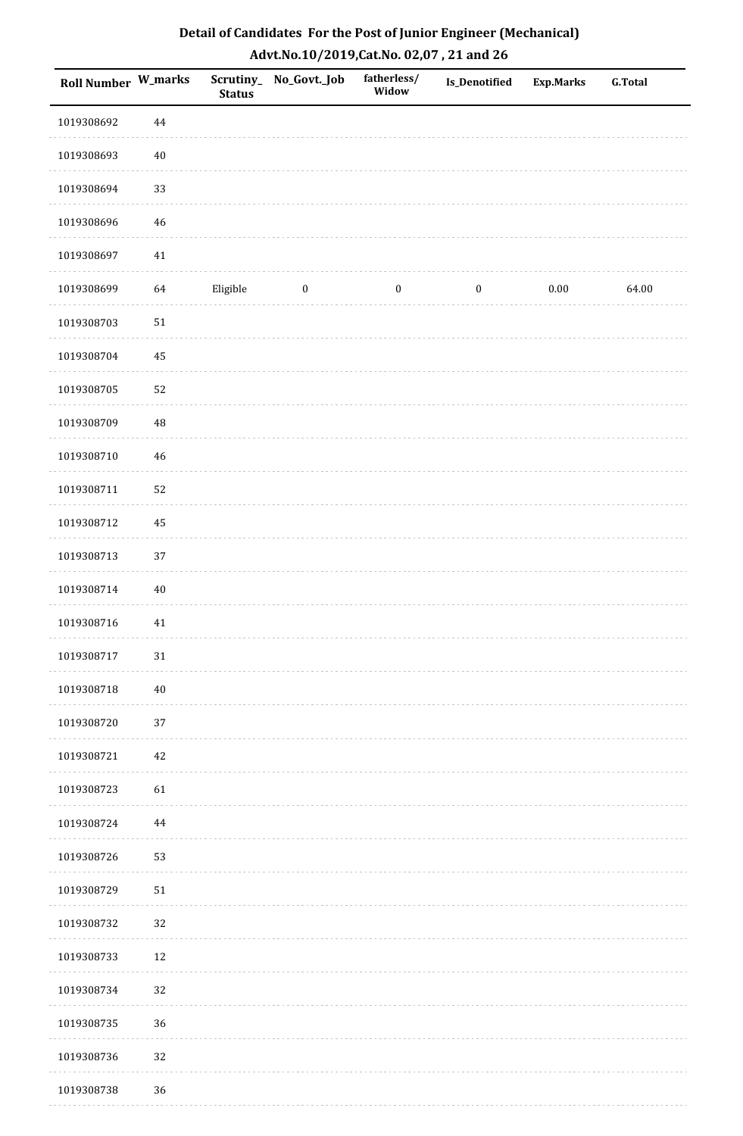| <b>Roll Number W_marks</b> |          | Scrutiny_<br><b>Status</b> | No_Govt._Job | fatherless/<br>Widow | Is_Denotified    | <b>Exp.Marks</b> | <b>G.Total</b> |
|----------------------------|----------|----------------------------|--------------|----------------------|------------------|------------------|----------------|
| 1019308692                 | $\bf 44$ |                            |              |                      |                  |                  |                |
| 1019308693                 | $40\,$   |                            |              |                      |                  |                  |                |
| 1019308694                 | 33       |                            |              |                      |                  |                  |                |
| 1019308696                 | 46       |                            |              |                      |                  |                  |                |
| 1019308697                 | $41\,$   |                            |              |                      |                  |                  |                |
| 1019308699                 | 64       | Eligible                   | $\bf{0}$     | $\boldsymbol{0}$     | $\boldsymbol{0}$ | $0.00\,$         | 64.00          |
| 1019308703                 | 51       |                            |              |                      |                  |                  |                |
| 1019308704                 | 45       |                            |              |                      |                  |                  |                |
| 1019308705                 | 52       |                            |              |                      |                  |                  |                |
| 1019308709                 | $\rm 48$ |                            |              |                      |                  |                  |                |
| 1019308710                 | 46       |                            |              |                      |                  |                  |                |
| 1019308711                 | 52       |                            |              |                      |                  |                  |                |
| 1019308712                 | 45       |                            |              |                      |                  |                  |                |
| 1019308713                 | 37       |                            |              |                      |                  |                  |                |
| 1019308714                 | $40\,$   |                            |              |                      |                  |                  |                |
| 1019308716                 | $41\,$   |                            |              |                      |                  |                  |                |
| 1019308717                 | 31       |                            |              |                      |                  |                  |                |
| 1019308718                 | $40\,$   |                            |              |                      |                  |                  |                |
| 1019308720                 | 37       |                            |              |                      |                  |                  |                |
| 1019308721                 | 42       |                            |              |                      |                  |                  |                |
| 1019308723                 | 61       |                            |              |                      |                  |                  |                |
| 1019308724                 | 44       |                            |              |                      |                  |                  |                |
| 1019308726                 | 53       |                            |              |                      |                  |                  |                |
| 1019308729                 | 51       |                            |              |                      |                  |                  |                |
| 1019308732                 | 32       |                            |              |                      |                  |                  |                |
| 1019308733                 | 12       |                            |              |                      |                  |                  |                |
| 1019308734                 | $32\,$   |                            |              |                      |                  |                  |                |
| 1019308735                 | 36       |                            |              |                      |                  |                  |                |
| 1019308736                 | 32       |                            |              |                      |                  |                  |                |
| 1019308738                 | 36       |                            |              |                      |                  |                  |                |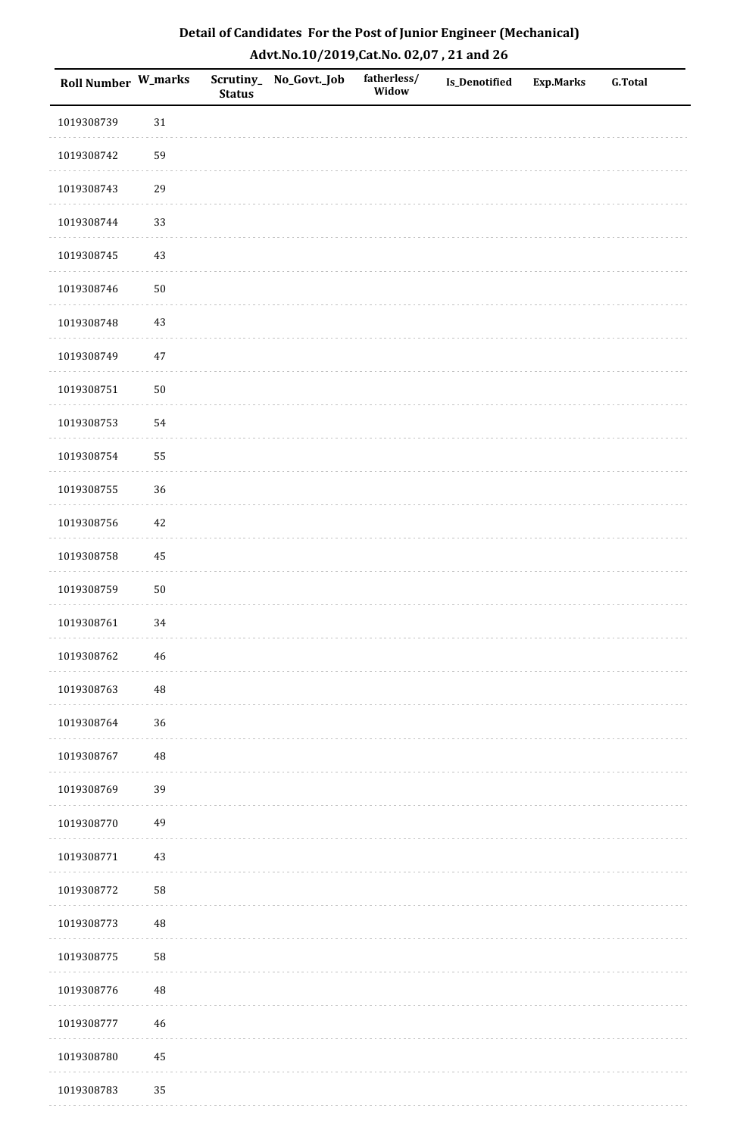| <b>Roll Number W_marks</b> |             | <b>Status</b> | Scrutiny_No_Govt._Job | fatherless/<br>Widow | Is_Denotified | <b>Exp.Marks</b> | <b>G.Total</b> |
|----------------------------|-------------|---------------|-----------------------|----------------------|---------------|------------------|----------------|
| 1019308739                 | $31\,$      |               |                       |                      |               |                  |                |
| 1019308742                 | 59          |               |                       |                      |               |                  |                |
| 1019308743                 | 29          |               |                       |                      |               |                  |                |
| 1019308744                 | 33          |               |                       |                      |               |                  |                |
| 1019308745                 | $43\,$      |               |                       |                      |               |                  |                |
| 1019308746                 | $50\,$      |               |                       |                      |               |                  |                |
| 1019308748                 | $43\,$      |               |                       |                      |               |                  |                |
| 1019308749                 | $47\,$      |               |                       |                      |               |                  |                |
| 1019308751                 | $50\,$      |               |                       |                      |               |                  |                |
| 1019308753                 | 54          |               |                       |                      |               |                  |                |
| 1019308754                 | 55          |               |                       |                      |               |                  |                |
| 1019308755                 | 36          |               |                       |                      |               |                  |                |
| 1019308756                 | $42\,$      |               |                       |                      |               |                  |                |
| 1019308758                 | 45          |               |                       |                      |               |                  |                |
| 1019308759                 | $50\,$      |               |                       |                      |               |                  |                |
| 1019308761                 | 34          |               |                       |                      |               |                  |                |
| 1019308762                 | $\sqrt{46}$ |               |                       |                      |               |                  |                |
| 1019308763                 | 48          |               |                       |                      |               |                  |                |
| 1019308764                 | 36          |               |                       |                      |               |                  |                |
| 1019308767                 | 48          |               |                       |                      |               |                  |                |
| 1019308769                 | 39          |               |                       |                      |               |                  |                |
| 1019308770                 | 49          |               |                       |                      |               |                  |                |
| 1019308771                 | 43          |               |                       |                      |               |                  |                |
| 1019308772                 | 58          |               |                       |                      |               |                  |                |
| 1019308773                 | 48          |               |                       |                      |               |                  |                |
| 1019308775                 | 58          |               |                       |                      |               |                  |                |
| 1019308776                 | 48          |               |                       |                      |               |                  |                |
| 1019308777                 | $46\,$      |               |                       |                      |               |                  |                |
| 1019308780                 | $\bf 45$    |               |                       |                      |               |                  |                |
| 1019308783                 | 35          |               |                       |                      |               |                  |                |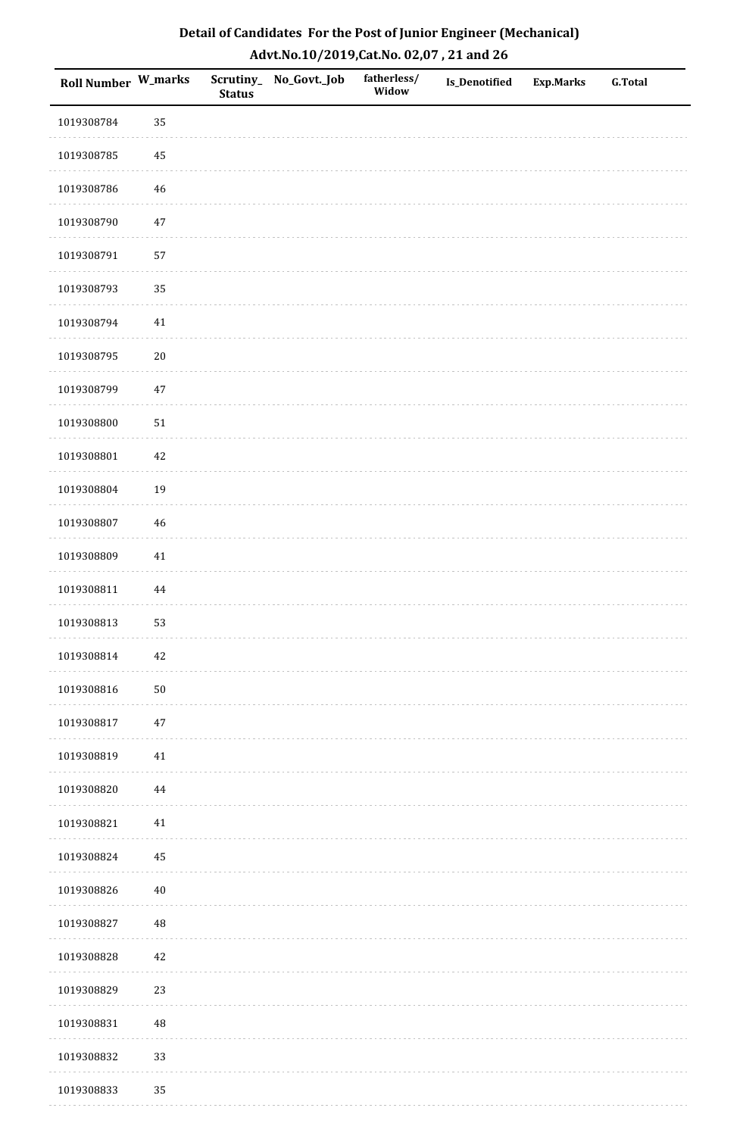| <b>Roll Number W_marks</b> |            | <b>Status</b> | Scrutiny_No_Govt._Job | fatherless/<br>Widow | Is_Denotified | <b>Exp.Marks</b> | <b>G.Total</b> |
|----------------------------|------------|---------------|-----------------------|----------------------|---------------|------------------|----------------|
| 1019308784                 | 35         |               |                       |                      |               |                  |                |
| 1019308785                 | 45         |               |                       |                      |               |                  |                |
| 1019308786                 | 46         |               |                       |                      |               |                  |                |
| 1019308790                 | $47\,$     |               |                       |                      |               |                  |                |
| 1019308791                 | 57         |               |                       |                      |               |                  |                |
| 1019308793                 | 35         |               |                       |                      |               |                  |                |
| 1019308794                 | $41\,$     |               |                       |                      |               |                  |                |
| 1019308795                 | $20\,$     |               |                       |                      |               |                  |                |
| 1019308799                 | $47\,$     |               |                       |                      |               |                  |                |
| 1019308800                 | ${\bf 51}$ |               |                       |                      |               |                  |                |
| 1019308801                 | $42\,$     |               |                       |                      |               |                  |                |
| 1019308804                 | 19         |               |                       |                      |               |                  |                |
| 1019308807                 | $46\,$     |               |                       |                      |               |                  |                |
| 1019308809                 | $41\,$     |               |                       |                      |               |                  |                |
| 1019308811                 | $\bf 44$   |               |                       |                      |               |                  |                |
| 1019308813                 | 53         |               |                       |                      |               |                  |                |
| 1019308814                 | $42\,$     |               |                       |                      |               |                  |                |
| 1019308816                 | $50\,$     |               |                       |                      |               |                  |                |
| 1019308817                 | $47\,$     |               |                       |                      |               |                  |                |
| 1019308819                 | 41         |               |                       |                      |               |                  |                |
| 1019308820                 | 44         |               |                       |                      |               |                  |                |
| 1019308821                 | $41\,$     |               |                       |                      |               |                  |                |
| 1019308824                 | 45         |               |                       |                      |               |                  |                |
| 1019308826                 | $40\,$     |               |                       |                      |               |                  |                |
| 1019308827                 | 48         |               |                       |                      |               |                  |                |
| 1019308828                 | $42\,$     |               |                       |                      |               |                  |                |
| 1019308829                 | 23         |               |                       |                      |               |                  |                |
| 1019308831                 | 48         |               |                       |                      |               |                  |                |
| 1019308832                 | 33         |               |                       |                      |               |                  |                |
| 1019308833                 | 35         |               |                       |                      |               |                  |                |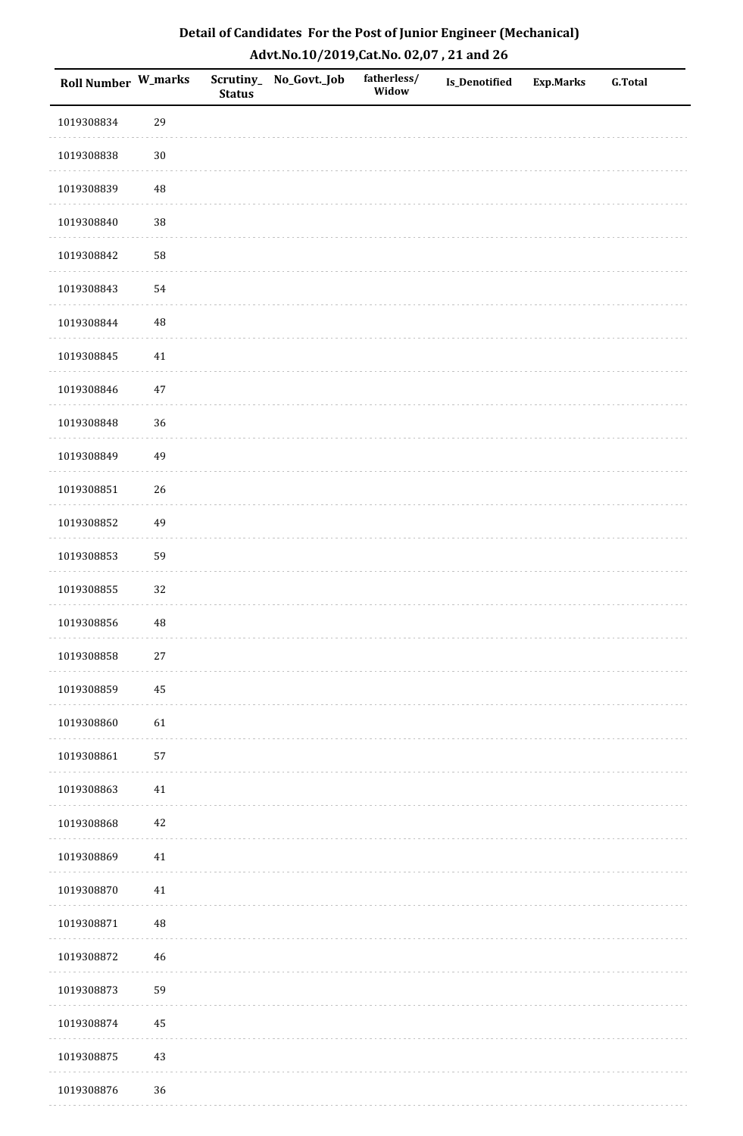| <b>Roll Number W_marks</b> |          | <b>Status</b> | Scrutiny_ No_Govt._Job | fatherless/<br>Widow | Is_Denotified | <b>Exp.Marks</b> | <b>G.Total</b> |
|----------------------------|----------|---------------|------------------------|----------------------|---------------|------------------|----------------|
| 1019308834                 | 29       |               |                        |                      |               |                  |                |
| 1019308838                 | $30\,$   |               |                        |                      |               |                  |                |
| 1019308839                 | $\rm 48$ |               |                        |                      |               |                  |                |
| 1019308840                 | 38       |               |                        |                      |               |                  |                |
| 1019308842                 | 58       |               |                        |                      |               |                  |                |
| 1019308843                 | 54       |               |                        |                      |               |                  |                |
| 1019308844                 | $\rm 48$ |               |                        |                      |               |                  |                |
| 1019308845                 | $41\,$   |               |                        |                      |               |                  |                |
| 1019308846                 | $47\,$   |               |                        |                      |               |                  |                |
| 1019308848                 | 36       |               |                        |                      |               |                  |                |
| 1019308849                 | 49       |               |                        |                      |               |                  |                |
| 1019308851                 | 26       |               |                        |                      |               |                  |                |
| 1019308852                 | 49       |               |                        |                      |               |                  |                |
| 1019308853                 | 59       |               |                        |                      |               |                  |                |
| 1019308855                 | 32       |               |                        |                      |               |                  |                |
| 1019308856                 | $\rm 48$ |               |                        |                      |               |                  |                |
| 1019308858                 | $27\,$   |               |                        |                      |               |                  |                |
| 1019308859                 | 45       |               |                        |                      |               |                  |                |
| 1019308860                 | 61       |               |                        |                      |               |                  |                |
| 1019308861                 | 57       |               |                        |                      |               |                  |                |
| 1019308863                 | 41       |               |                        |                      |               |                  |                |
| 1019308868                 | $42\,$   |               |                        |                      |               |                  |                |
| 1019308869                 | $41\,$   |               |                        |                      |               |                  |                |
| 1019308870                 | 41       |               |                        |                      |               |                  |                |
| 1019308871                 | $\rm 48$ |               |                        |                      |               |                  |                |
| 1019308872                 | $46\,$   |               |                        |                      |               |                  |                |
| 1019308873                 | 59       |               |                        |                      |               |                  |                |
| 1019308874                 | 45       |               |                        |                      |               |                  |                |
| 1019308875                 | $43\,$   |               |                        |                      |               |                  |                |
| 1019308876                 | 36       |               |                        |                      |               |                  |                |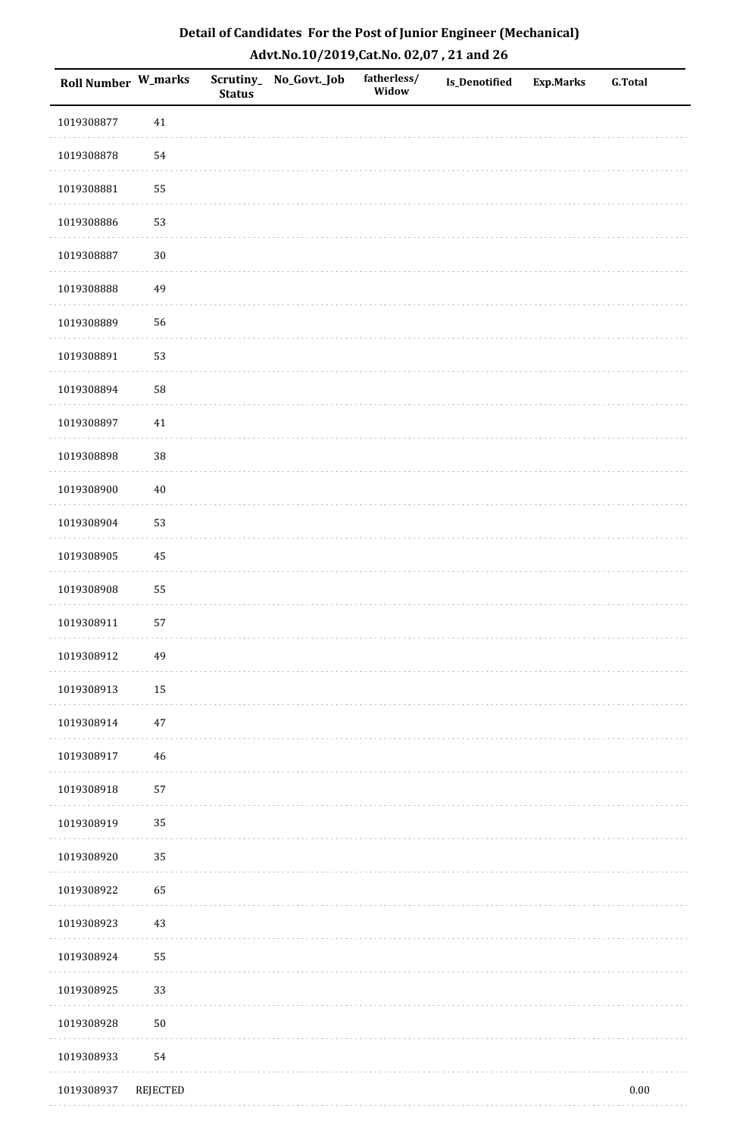| Detail of Candidates For the Post of Junior Engineer (Mechanical) |
|-------------------------------------------------------------------|
| Advt.No.10/2019,Cat.No. 02,07, 21 and 26                          |

| <b>Roll Number W_marks</b> |          | Scrutiny_<br><b>Status</b> | No_Govt._Job | fatherless/<br>Widow | <b>Is_Denotified</b> | Exp.Marks | <b>G.Total</b> |
|----------------------------|----------|----------------------------|--------------|----------------------|----------------------|-----------|----------------|
| 1019308877                 | 41       |                            |              |                      |                      |           |                |
| 1019308878                 | 54       |                            |              |                      |                      |           |                |
| 1019308881                 | 55       |                            |              |                      |                      |           |                |
| 1019308886                 | 53       |                            |              |                      |                      |           |                |
| 1019308887                 | $30\,$   |                            |              |                      |                      |           |                |
| 1019308888                 | 49       |                            |              |                      |                      |           |                |
| 1019308889                 | 56       |                            |              |                      |                      |           |                |
| 1019308891                 | 53       |                            |              |                      |                      |           |                |
| 1019308894                 | 58       |                            |              |                      |                      |           |                |
| 1019308897                 | 41       |                            |              |                      |                      |           |                |
| 1019308898                 | $38\,$   |                            |              |                      |                      |           |                |
| 1019308900                 | $40\,$   |                            |              |                      |                      |           |                |
| 1019308904                 | 53       |                            |              |                      |                      |           |                |
| 1019308905                 | 45       |                            |              |                      |                      |           |                |
| 1019308908                 | 55       |                            |              |                      |                      |           |                |
| 1019308911                 | 57       |                            |              |                      |                      |           |                |
| 1019308912                 | 49       |                            |              |                      |                      |           |                |
| 1019308913                 | 15       |                            |              |                      |                      |           |                |
| 1019308914                 | $47\,$   |                            |              |                      |                      |           |                |
| 1019308917                 | 46       |                            |              |                      |                      |           |                |
| 1019308918                 | 57       |                            |              |                      |                      |           |                |
| 1019308919                 | 35       |                            |              |                      |                      |           |                |
| 1019308920                 | $35\,$   |                            |              |                      |                      |           |                |
| 1019308922                 | 65       |                            |              |                      |                      |           |                |
| 1019308923                 | 43       |                            |              |                      |                      |           |                |
| 1019308924                 | 55       |                            |              |                      |                      |           |                |
| 1019308925                 | 33       |                            |              |                      |                      |           |                |
| 1019308928                 | $50\,$   |                            |              |                      |                      |           |                |
| 1019308933                 | 54       |                            |              |                      |                      |           |                |
| 1019308937                 | REJECTED |                            |              |                      |                      |           | $0.00\,$       |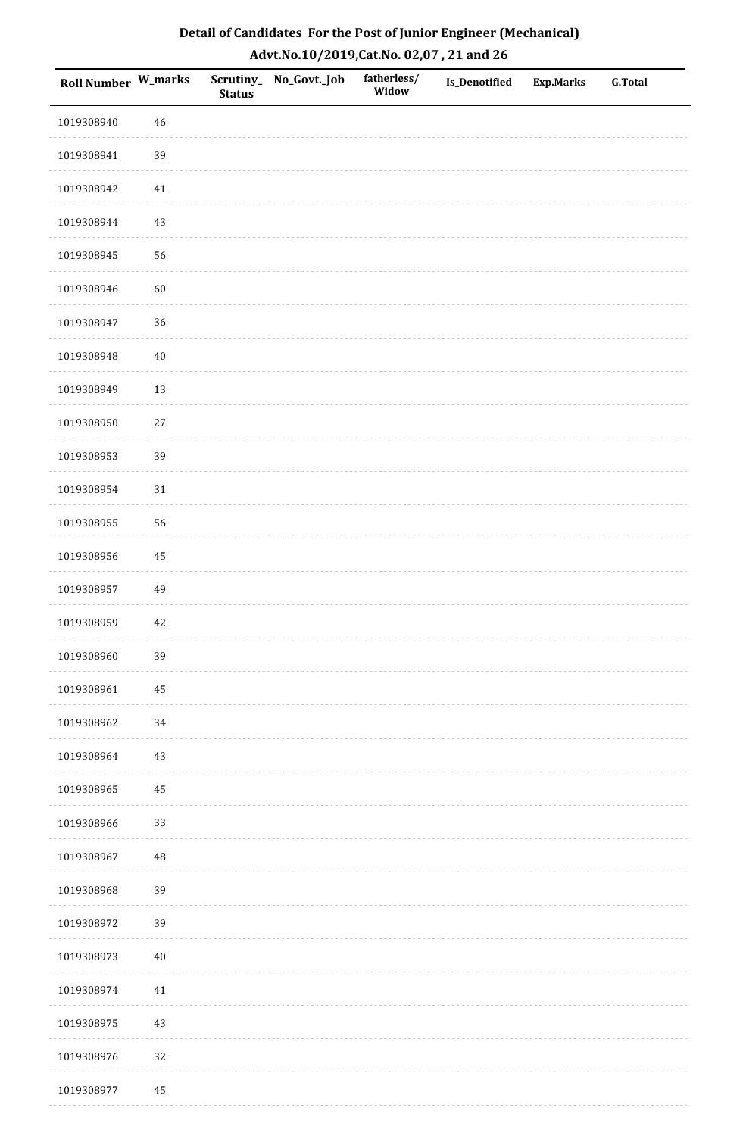| <b>Roll Number W_marks</b> |          | <b>Status</b> | Scrutiny_No_Govt._Job | fatherless/<br>Widow | Is_Denotified | <b>Exp.Marks</b> | <b>G.Total</b> |
|----------------------------|----------|---------------|-----------------------|----------------------|---------------|------------------|----------------|
| 1019308940                 | $46\,$   |               |                       |                      |               |                  |                |
| 1019308941                 | 39       |               |                       |                      |               |                  |                |
| 1019308942                 | 41       |               |                       |                      |               |                  |                |
| 1019308944                 | 43       |               |                       |                      |               |                  |                |
| 1019308945                 | 56       |               |                       |                      |               |                  |                |
| 1019308946                 | 60       |               |                       |                      |               |                  |                |
| 1019308947                 | 36       |               |                       |                      |               |                  |                |
| 1019308948                 | $40\,$   |               |                       |                      |               |                  |                |
| 1019308949                 | 13       |               |                       |                      |               |                  |                |
| 1019308950                 | $27\,$   |               |                       |                      |               |                  |                |
| 1019308953                 | 39       |               |                       |                      |               |                  |                |
| 1019308954                 | $31\,$   |               |                       |                      |               |                  |                |
| 1019308955                 | 56       |               |                       |                      |               |                  |                |
| 1019308956                 | 45       |               |                       |                      |               |                  |                |
| 1019308957                 | 49       |               |                       |                      |               |                  |                |
| 1019308959                 | 42       |               |                       |                      |               |                  |                |
| 1019308960                 | 39       |               |                       |                      |               |                  |                |
| 1019308961                 | 45       |               |                       |                      |               |                  |                |
| 1019308962                 | $34\,$   |               |                       |                      |               |                  |                |
| 1019308964                 | $43\,$   |               |                       |                      |               |                  |                |
| 1019308965                 | 45       |               |                       |                      |               |                  |                |
| 1019308966                 | 33       |               |                       |                      |               |                  |                |
| 1019308967                 | 48       |               |                       |                      |               |                  |                |
| 1019308968                 | 39       |               |                       |                      |               |                  |                |
| 1019308972                 | 39       |               |                       |                      |               |                  |                |
| 1019308973                 | $40\,$   |               |                       |                      |               |                  |                |
| 1019308974                 | 41       |               |                       |                      |               |                  |                |
| 1019308975                 | $43\,$   |               |                       |                      |               |                  |                |
| 1019308976                 | 32       |               |                       |                      |               |                  |                |
| 1019308977                 | $\rm 45$ |               |                       |                      |               |                  |                |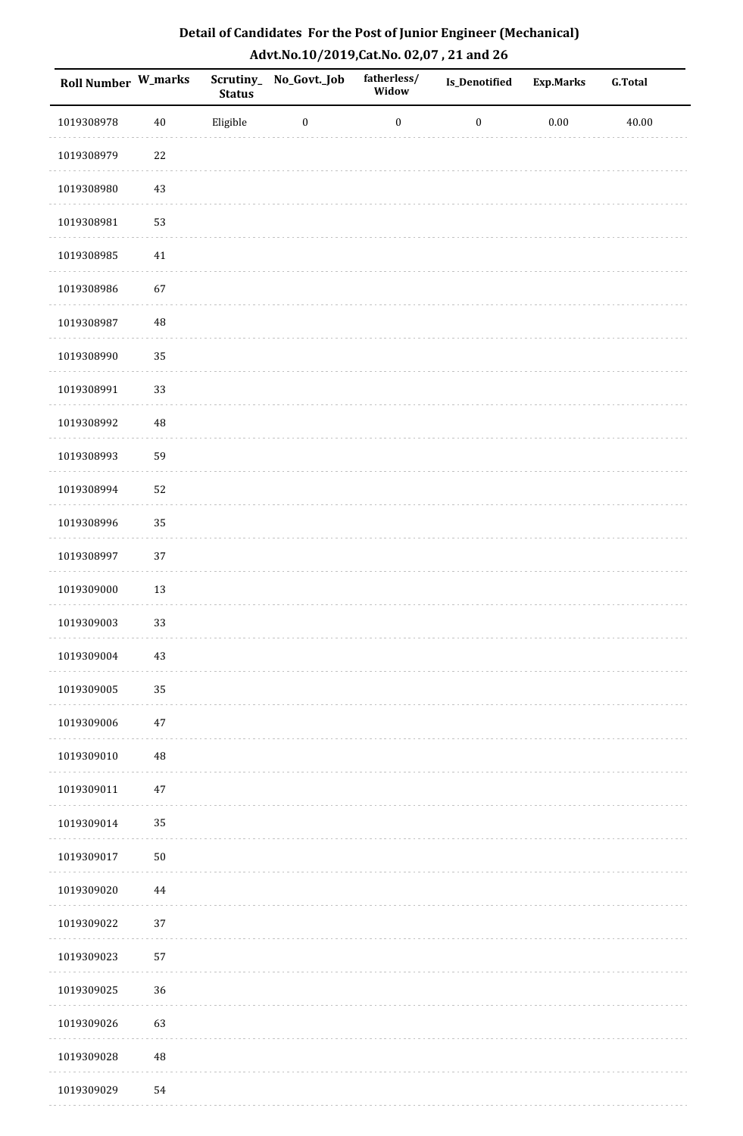| Detail of Candidates For the Post of Junior Engineer (Mechanical) |
|-------------------------------------------------------------------|
| Advt.No.10/2019,Cat.No. 02,07, 21 and 26                          |

| <b>Roll Number W_marks</b> |          | Scrutiny_<br><b>Status</b> | No_Govt._Job     | fatherless/<br>Widow | Is_Denotified    | <b>Exp.Marks</b> | <b>G.Total</b> |
|----------------------------|----------|----------------------------|------------------|----------------------|------------------|------------------|----------------|
| 1019308978                 | $40\,$   | Eligible                   | $\boldsymbol{0}$ | $\boldsymbol{0}$     | $\boldsymbol{0}$ | $0.00\,$         | 40.00          |
| 1019308979                 | 22       |                            |                  |                      |                  |                  |                |
| 1019308980                 | 43       |                            |                  |                      |                  |                  |                |
| 1019308981                 | 53       |                            |                  |                      |                  |                  |                |
| 1019308985                 | $41\,$   |                            |                  |                      |                  |                  |                |
| 1019308986                 | 67       |                            |                  |                      |                  |                  |                |
| 1019308987                 | $\rm 48$ |                            |                  |                      |                  |                  |                |
| 1019308990                 | 35       |                            |                  |                      |                  |                  |                |
| 1019308991                 | 33       |                            |                  |                      |                  |                  |                |
| 1019308992                 | $\rm 48$ |                            |                  |                      |                  |                  |                |
| 1019308993                 | 59       |                            |                  |                      |                  |                  |                |
| 1019308994                 | 52       |                            |                  |                      |                  |                  |                |
| 1019308996                 | 35       |                            |                  |                      |                  |                  |                |
| 1019308997                 | 37       |                            |                  |                      |                  |                  |                |
| 1019309000                 | $13\,$   |                            |                  |                      |                  |                  |                |
| 1019309003                 | 33       |                            |                  |                      |                  |                  |                |
| 1019309004                 | 43       |                            |                  |                      |                  |                  |                |
| 1019309005                 | 35       |                            |                  |                      |                  |                  |                |
| 1019309006                 | $47\,$   |                            |                  |                      |                  |                  |                |
| 1019309010                 | $\rm 48$ |                            |                  |                      |                  |                  |                |
| 1019309011                 | $47\,$   |                            |                  |                      |                  |                  |                |
| 1019309014                 | 35       |                            |                  |                      |                  |                  |                |
| 1019309017                 | $50\,$   |                            |                  |                      |                  |                  |                |
| 1019309020                 | 44       |                            |                  |                      |                  |                  |                |
| 1019309022                 | 37       |                            |                  |                      |                  |                  |                |
| 1019309023                 | 57       |                            |                  |                      |                  |                  |                |
| 1019309025                 | 36       |                            |                  |                      |                  |                  |                |
| 1019309026                 | 63       |                            |                  |                      |                  |                  |                |
| 1019309028                 | $\rm 48$ |                            |                  |                      |                  |                  |                |
| 1019309029                 | 54       |                            |                  |                      |                  |                  |                |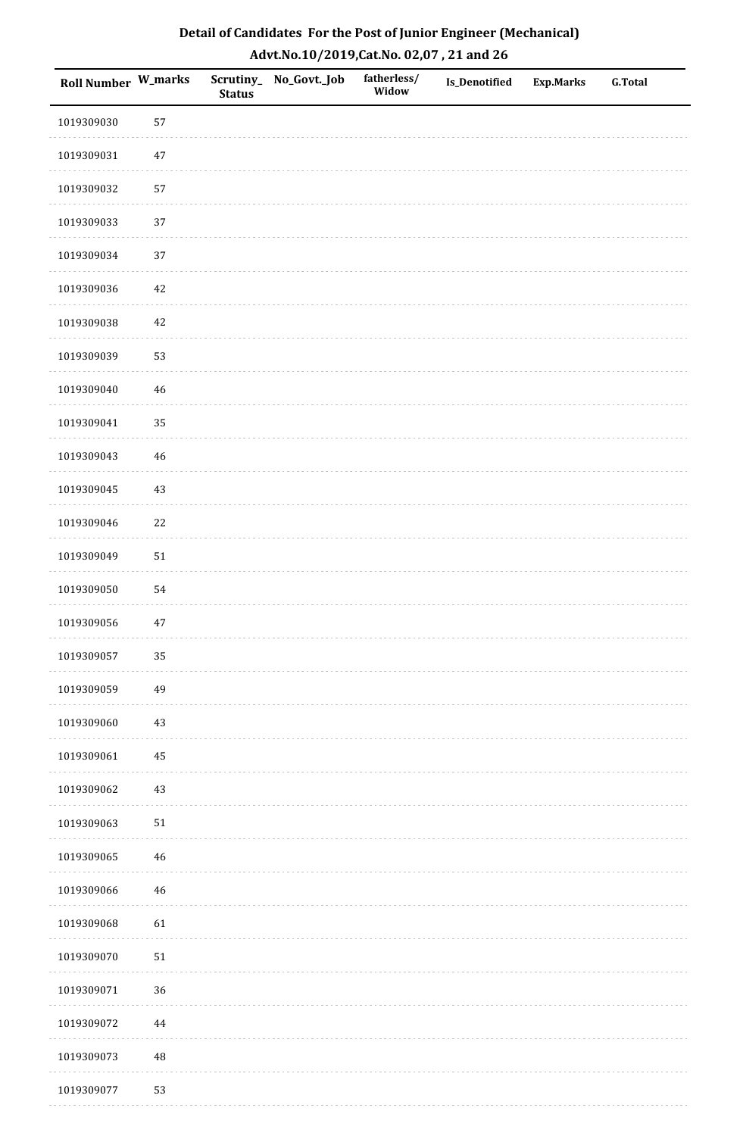| <b>Roll Number W_marks</b> |          | <b>Status</b> | Scrutiny_No_Govt._Job | fatherless/<br>Widow | Is_Denotified | <b>Exp.Marks</b> | <b>G.Total</b> |
|----------------------------|----------|---------------|-----------------------|----------------------|---------------|------------------|----------------|
| 1019309030                 | 57       |               |                       |                      |               |                  |                |
| 1019309031                 | $47\,$   |               |                       |                      |               |                  |                |
| 1019309032                 | 57       |               |                       |                      |               |                  |                |
| 1019309033                 | 37       |               |                       |                      |               |                  |                |
| 1019309034                 | $37\,$   |               |                       |                      |               |                  |                |
| 1019309036                 | 42       |               |                       |                      |               |                  |                |
| 1019309038                 | $42\,$   |               |                       |                      |               |                  |                |
| 1019309039                 | 53       |               |                       |                      |               |                  |                |
| 1019309040                 | $46\,$   |               |                       |                      |               |                  |                |
| 1019309041                 | 35       |               |                       |                      |               |                  |                |
| 1019309043                 | $46\,$   |               |                       |                      |               |                  |                |
| 1019309045                 | $43\,$   |               |                       |                      |               |                  |                |
| 1019309046                 | $22\,$   |               |                       |                      |               |                  |                |
| 1019309049                 | $51\,$   |               |                       |                      |               |                  |                |
| 1019309050                 | 54       |               |                       |                      |               |                  |                |
| 1019309056                 | $47\,$   |               |                       |                      |               |                  |                |
| 1019309057                 | 35       |               |                       |                      |               |                  |                |
| 1019309059                 | 49       |               |                       |                      |               |                  |                |
| 1019309060                 | $43\,$   |               |                       |                      |               |                  |                |
| 1019309061                 | 45       |               |                       |                      |               |                  |                |
| 1019309062                 | $43\,$   |               |                       |                      |               |                  |                |
| 1019309063                 | $51\,$   |               |                       |                      |               |                  |                |
| 1019309065                 | 46       |               |                       |                      |               |                  |                |
| 1019309066                 | 46       |               |                       |                      |               |                  |                |
| 1019309068                 | 61       |               |                       |                      |               |                  |                |
| 1019309070                 | $51\,$   |               |                       |                      |               |                  |                |
| 1019309071                 | 36       |               |                       |                      |               |                  |                |
| 1019309072                 | $\bf 44$ |               |                       |                      |               |                  |                |
| 1019309073                 | $\rm 48$ |               |                       |                      |               |                  |                |
| 1019309077                 | 53       |               |                       |                      |               |                  |                |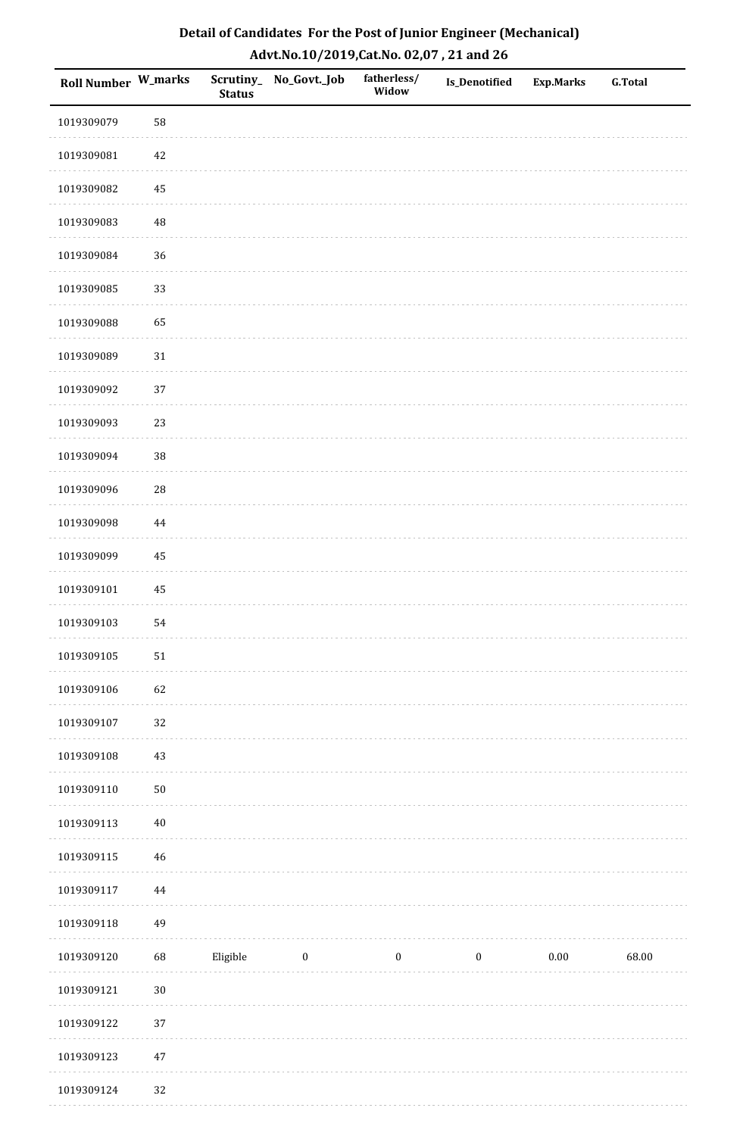| Roll Number W_marks |            | <b>Status</b> | Scrutiny_No_Govt._Job | fatherless/<br>Widow | Is_Denotified    | <b>Exp.Marks</b> | <b>G.Total</b> |
|---------------------|------------|---------------|-----------------------|----------------------|------------------|------------------|----------------|
| 1019309079          | 58         |               |                       |                      |                  |                  |                |
| 1019309081          | $42\,$     |               |                       |                      |                  |                  |                |
| 1019309082          | 45         |               |                       |                      |                  |                  |                |
| 1019309083          | 48         |               |                       |                      |                  |                  |                |
| 1019309084          | 36         |               |                       |                      |                  |                  |                |
| 1019309085          | 33         |               |                       |                      |                  |                  |                |
| 1019309088          | 65         |               |                       |                      |                  |                  |                |
| 1019309089          | $31\,$     |               |                       |                      |                  |                  |                |
| 1019309092          | 37         |               |                       |                      |                  |                  |                |
| 1019309093          | 23         |               |                       |                      |                  |                  |                |
| 1019309094          | 38         |               |                       |                      |                  |                  |                |
| 1019309096          | ${\bf 28}$ |               |                       |                      |                  |                  |                |
| 1019309098          | $\bf 44$   |               |                       |                      |                  |                  |                |
| 1019309099          | 45         |               |                       |                      |                  |                  |                |
| 1019309101          | $\rm 45$   |               |                       |                      |                  |                  |                |
| 1019309103          | 54         |               |                       |                      |                  |                  |                |
| 1019309105          | ${\bf 51}$ |               |                       |                      |                  |                  |                |
| 1019309106          | 62         |               |                       |                      |                  |                  |                |
| 1019309107          | $32\,$     |               |                       |                      |                  |                  |                |
| 1019309108          | $43\,$     |               |                       |                      |                  |                  |                |
| 1019309110          | $50\,$     |               |                       |                      |                  |                  |                |
| 1019309113          | $40\,$     |               |                       |                      |                  |                  |                |
| 1019309115          | 46         |               |                       |                      |                  |                  |                |
| 1019309117          | 44         |               |                       |                      |                  |                  |                |
| 1019309118          | 49         |               |                       |                      |                  |                  |                |
| 1019309120          | 68         | Eligible      | $\boldsymbol{0}$      | $\boldsymbol{0}$     | $\boldsymbol{0}$ | $0.00\,$         | 68.00          |
| 1019309121          | $30\,$     |               |                       |                      |                  |                  |                |
| 1019309122          | 37         |               |                       |                      |                  |                  |                |
| 1019309123          | $47\,$     |               |                       |                      |                  |                  |                |
| 1019309124          | 32         |               |                       |                      |                  |                  |                |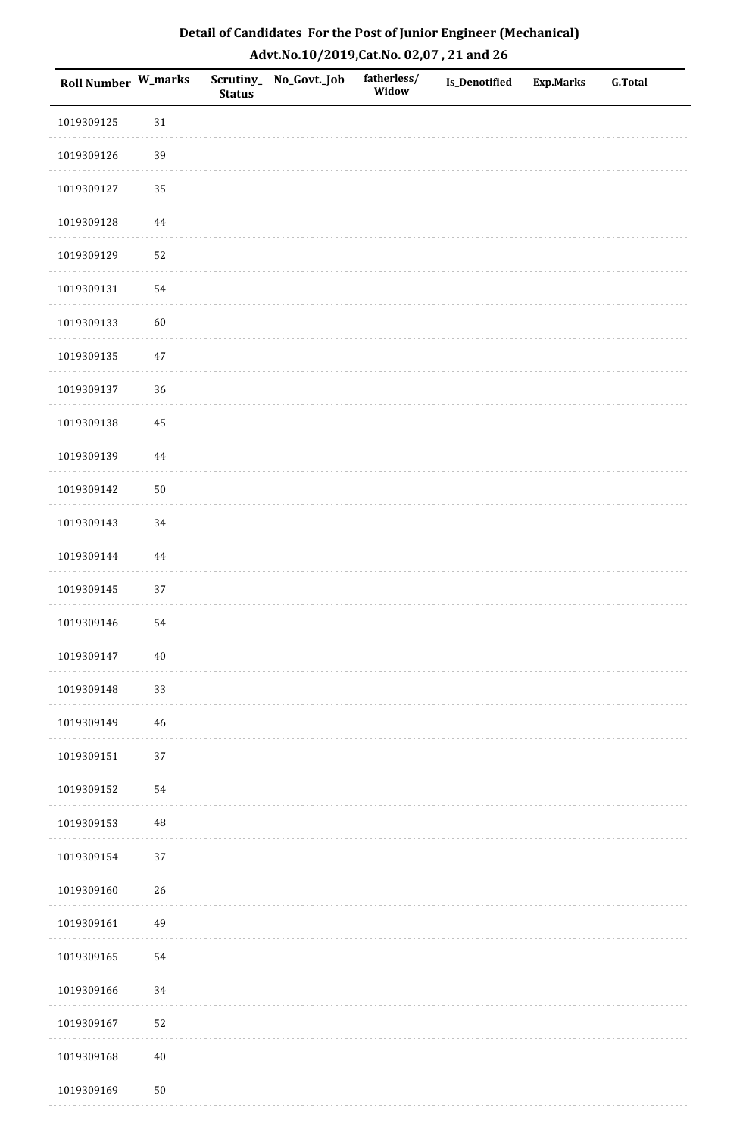| <b>Roll Number W_marks</b> |             | <b>Status</b> | Scrutiny_No_Govt._Job | fatherless/<br>Widow | Is_Denotified | <b>Exp.Marks</b> | <b>G.Total</b> |
|----------------------------|-------------|---------------|-----------------------|----------------------|---------------|------------------|----------------|
| 1019309125                 | $31\,$      |               |                       |                      |               |                  |                |
| 1019309126                 | 39          |               |                       |                      |               |                  |                |
| 1019309127                 | 35          |               |                       |                      |               |                  |                |
| 1019309128                 | 44          |               |                       |                      |               |                  |                |
| 1019309129                 | 52          |               |                       |                      |               |                  |                |
| 1019309131                 | 54          |               |                       |                      |               |                  |                |
| 1019309133                 | 60          |               |                       |                      |               |                  |                |
| 1019309135                 | $47\,$      |               |                       |                      |               |                  |                |
| 1019309137                 | 36          |               |                       |                      |               |                  |                |
| 1019309138                 | $\bf 45$    |               |                       |                      |               |                  |                |
| 1019309139                 | $\bf 44$    |               |                       |                      |               |                  |                |
| 1019309142                 | $50\,$      |               |                       |                      |               |                  |                |
| 1019309143                 | 34          |               |                       |                      |               |                  |                |
| 1019309144                 | $\bf 44$    |               |                       |                      |               |                  |                |
| 1019309145                 | 37          |               |                       |                      |               |                  |                |
| 1019309146                 | 54          |               |                       |                      |               |                  |                |
| 1019309147                 | $40\,$      |               |                       |                      |               |                  |                |
| 1019309148                 | 33          |               |                       |                      |               |                  |                |
| 1019309149                 | $\sqrt{46}$ |               |                       |                      |               |                  |                |
| 1019309151                 | 37          |               |                       |                      |               |                  |                |
| 1019309152                 | 54          |               |                       |                      |               |                  |                |
| 1019309153                 | $\rm 48$    |               |                       |                      |               |                  |                |
| 1019309154                 | $37\,$      |               |                       |                      |               |                  |                |
| 1019309160                 | 26          |               |                       |                      |               |                  |                |
| 1019309161                 | 49          |               |                       |                      |               |                  |                |
| 1019309165                 | 54          |               |                       |                      |               |                  |                |
| 1019309166                 | 34          |               |                       |                      |               |                  |                |
| 1019309167                 | 52          |               |                       |                      |               |                  |                |
| 1019309168                 | $40\,$      |               |                       |                      |               |                  |                |
| 1019309169                 | $50\,$      |               |                       |                      |               |                  |                |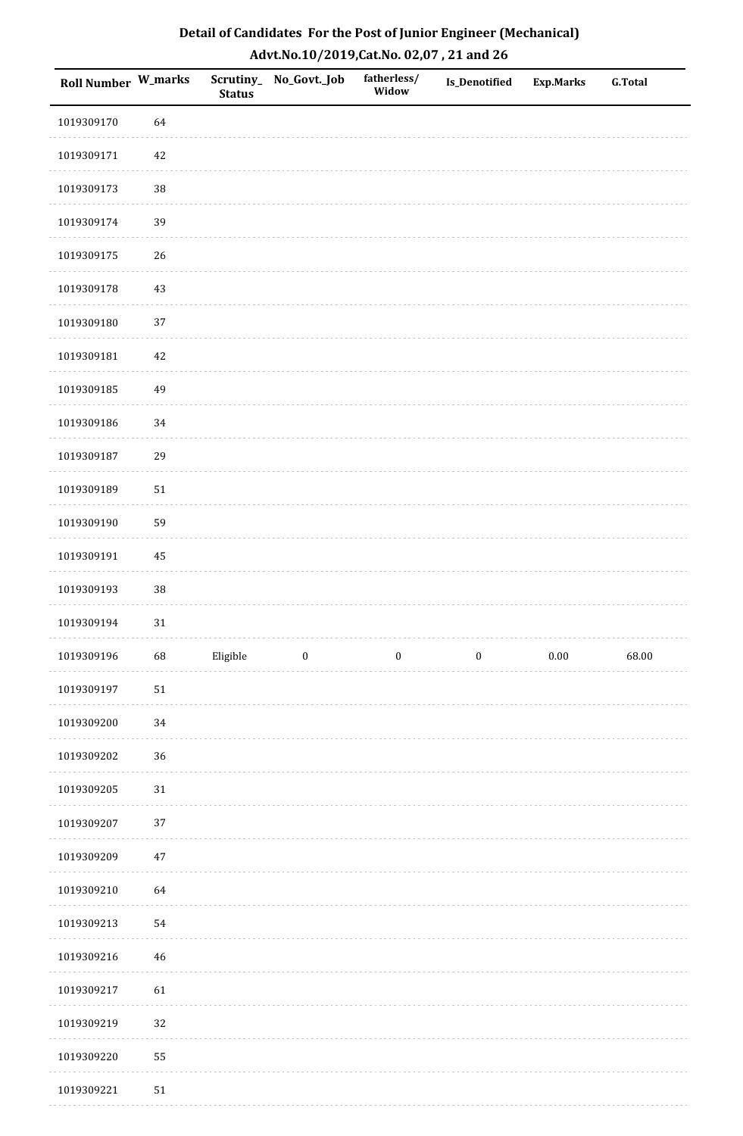| Roll Number W_marks |        | <b>Status</b> | Scrutiny_No_Govt._Job | fatherless/<br>Widow | Is_Denotified    | <b>Exp.Marks</b> | <b>G.Total</b> |
|---------------------|--------|---------------|-----------------------|----------------------|------------------|------------------|----------------|
| 1019309170          | 64     |               |                       |                      |                  |                  |                |
| 1019309171          | 42     |               |                       |                      |                  |                  |                |
| 1019309173          | $38\,$ |               |                       |                      |                  |                  |                |
| 1019309174          | 39     |               |                       |                      |                  |                  |                |
| 1019309175          | 26     |               |                       |                      |                  |                  |                |
| 1019309178          | 43     |               |                       |                      |                  |                  |                |
| 1019309180          | 37     |               |                       |                      |                  |                  |                |
| 1019309181          | 42     |               |                       |                      |                  |                  |                |
| 1019309185          | 49     |               |                       |                      |                  |                  |                |
| 1019309186          | 34     |               |                       |                      |                  |                  |                |
| 1019309187          | 29     |               |                       |                      |                  |                  |                |
| 1019309189          | $51\,$ |               |                       |                      |                  |                  |                |
| 1019309190          | 59     |               |                       |                      |                  |                  |                |
| 1019309191          | 45     |               |                       |                      |                  |                  |                |
| 1019309193          | $38\,$ |               |                       |                      |                  |                  |                |
| 1019309194          | $31\,$ |               |                       |                      |                  |                  |                |
| 1019309196          | 68     | Eligible      | $\boldsymbol{0}$      | $\boldsymbol{0}$     | $\boldsymbol{0}$ | $0.00\,$         | 68.00          |
| 1019309197          | $51\,$ |               |                       |                      |                  |                  |                |
| 1019309200          | 34     |               |                       |                      |                  |                  |                |
| 1019309202          | 36     |               |                       |                      |                  |                  |                |
| 1019309205          | $31\,$ |               |                       |                      |                  |                  |                |
| 1019309207          | 37     |               |                       |                      |                  |                  |                |
| 1019309209          | 47     |               |                       |                      |                  |                  |                |
| 1019309210          | 64     |               |                       |                      |                  |                  |                |
| 1019309213          | 54     |               |                       |                      |                  |                  |                |
| 1019309216          | $46\,$ |               |                       |                      |                  |                  |                |
| 1019309217          | 61     |               |                       |                      |                  |                  |                |
| 1019309219          | 32     |               |                       |                      |                  |                  |                |
| 1019309220          | 55     |               |                       |                      |                  |                  |                |
| 1019309221          | $51\,$ |               |                       |                      |                  |                  |                |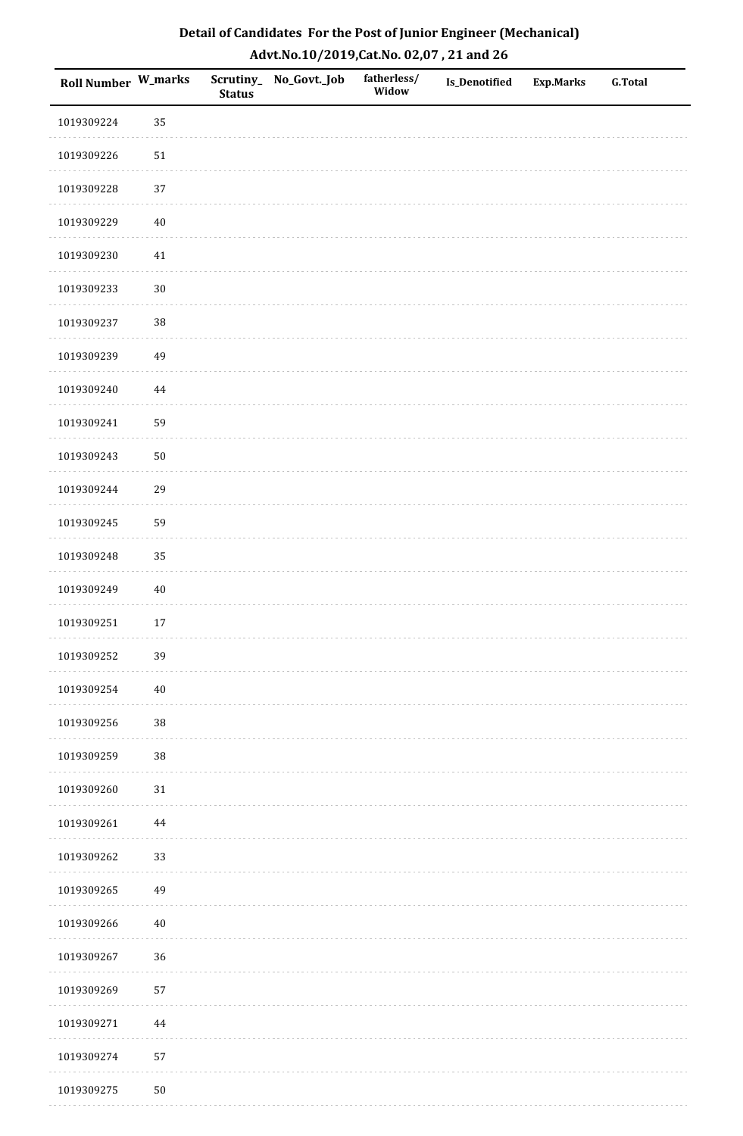| <b>Roll Number W_marks</b> |        | <b>Status</b> | Scrutiny_No_Govt._Job | fatherless/<br>Widow | Is_Denotified | <b>Exp.Marks</b> | <b>G.Total</b> |
|----------------------------|--------|---------------|-----------------------|----------------------|---------------|------------------|----------------|
| 1019309224                 | 35     |               |                       |                      |               |                  |                |
| 1019309226                 | $51\,$ |               |                       |                      |               |                  |                |
| 1019309228                 | 37     |               |                       |                      |               |                  |                |
| 1019309229                 | $40\,$ |               |                       |                      |               |                  |                |
| 1019309230                 | $41\,$ |               |                       |                      |               |                  |                |
| 1019309233                 | $30\,$ |               |                       |                      |               |                  |                |
| 1019309237                 | 38     |               |                       |                      |               |                  |                |
| 1019309239                 | 49     |               |                       |                      |               |                  |                |
| 1019309240                 | 44     |               |                       |                      |               |                  |                |
| 1019309241                 | 59     |               |                       |                      |               |                  |                |
| 1019309243                 | $50\,$ |               |                       |                      |               |                  |                |
| 1019309244                 | 29     |               |                       |                      |               |                  |                |
| 1019309245                 | 59     |               |                       |                      |               |                  |                |
| 1019309248                 | 35     |               |                       |                      |               |                  |                |
| 1019309249                 | $40\,$ |               |                       |                      |               |                  |                |
| 1019309251                 | $17\,$ |               |                       |                      |               |                  |                |
| 1019309252                 | 39     |               |                       |                      |               |                  |                |
| 1019309254                 | $40\,$ |               |                       |                      |               |                  |                |
| 1019309256                 | 38     |               |                       |                      |               |                  |                |
| 1019309259                 | 38     |               |                       |                      |               |                  |                |
| 1019309260                 | $31\,$ |               |                       |                      |               |                  |                |
| 1019309261                 | 44     |               |                       |                      |               |                  |                |
| 1019309262                 | 33     |               |                       |                      |               |                  |                |
| 1019309265                 | 49     |               |                       |                      |               |                  |                |
| 1019309266                 | $40\,$ |               |                       |                      |               |                  |                |
| 1019309267                 | 36     |               |                       |                      |               |                  |                |
| 1019309269                 | 57     |               |                       |                      |               |                  |                |
| 1019309271                 | 44     |               |                       |                      |               |                  |                |
| 1019309274                 | 57     |               |                       |                      |               |                  |                |
| 1019309275                 | $50\,$ |               |                       |                      |               |                  |                |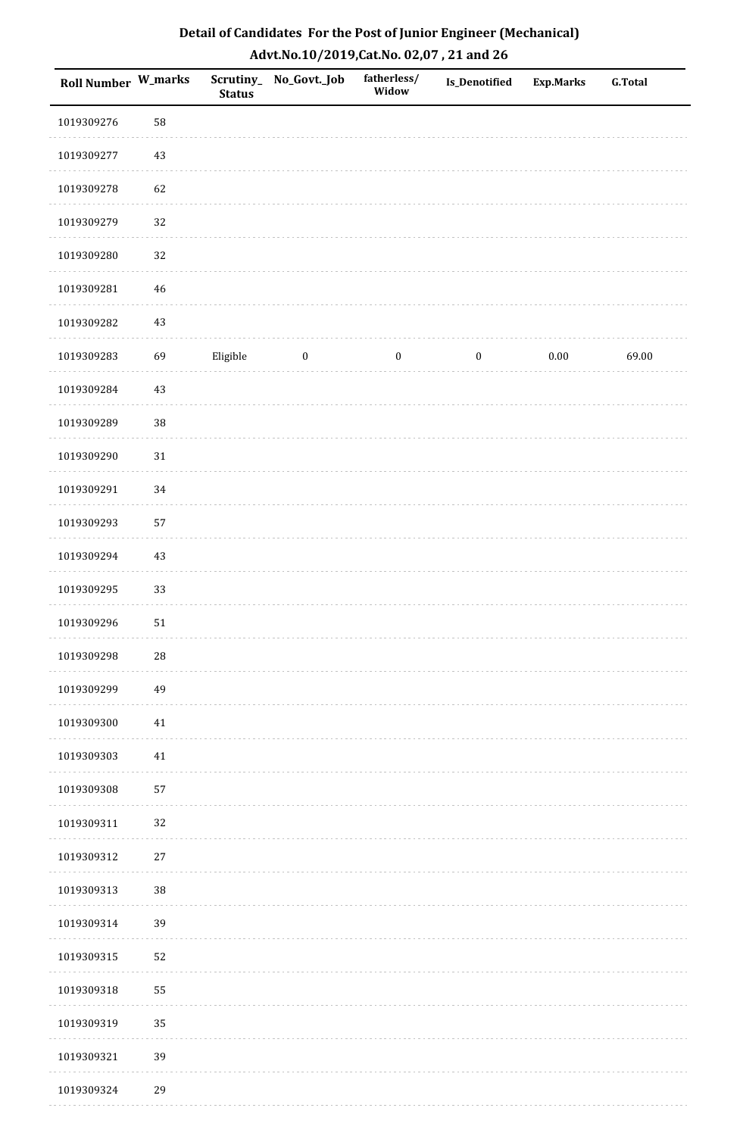| Roll Number W_marks |        | <b>Status</b> | Scrutiny_No_Govt._Job | fatherless/<br>Widow | Is_Denotified    | Exp.Marks | G.Total |
|---------------------|--------|---------------|-----------------------|----------------------|------------------|-----------|---------|
| 1019309276          | 58     |               |                       |                      |                  |           |         |
| 1019309277          | $43\,$ |               |                       |                      |                  |           |         |
| 1019309278          | 62     |               |                       |                      |                  |           |         |
| 1019309279          | 32     |               |                       |                      |                  |           |         |
| 1019309280          | 32     |               |                       |                      |                  |           |         |
| 1019309281          | $46\,$ |               |                       |                      |                  |           |         |
| 1019309282          | $43\,$ |               |                       |                      |                  |           |         |
| 1019309283          | 69     | Eligible      | $\boldsymbol{0}$      | $\boldsymbol{0}$     | $\boldsymbol{0}$ | 0.00      | 69.00   |
| 1019309284          | $43\,$ |               |                       |                      |                  |           |         |
| 1019309289          | 38     |               |                       |                      |                  |           |         |
| 1019309290          | $31\,$ |               |                       |                      |                  |           |         |
| 1019309291          | 34     |               |                       |                      |                  |           |         |
| 1019309293          | 57     |               |                       |                      |                  |           |         |
| 1019309294          | $43\,$ |               |                       |                      |                  |           |         |
| 1019309295          | 33     |               |                       |                      |                  |           |         |
| 1019309296          | $51\,$ |               |                       |                      |                  |           |         |
| 1019309298          | $28\,$ |               |                       |                      |                  |           |         |
| 1019309299          | 49     |               |                       |                      |                  |           |         |
| 1019309300          | $41\,$ |               |                       |                      |                  |           |         |
| 1019309303          | $41\,$ |               |                       |                      |                  |           |         |
| 1019309308          | 57     |               |                       |                      |                  |           |         |
| 1019309311          | 32     |               |                       |                      |                  |           |         |
| 1019309312          | $27\,$ |               |                       |                      |                  |           |         |
| 1019309313          | 38     |               |                       |                      |                  |           |         |
| 1019309314          | 39     |               |                       |                      |                  |           |         |
| 1019309315          | 52     |               |                       |                      |                  |           |         |
| 1019309318          | 55     |               |                       |                      |                  |           |         |
| 1019309319          | 35     |               |                       |                      |                  |           |         |
| 1019309321          | 39     |               |                       |                      |                  |           |         |
| 1019309324          | 29     |               |                       |                      |                  |           |         |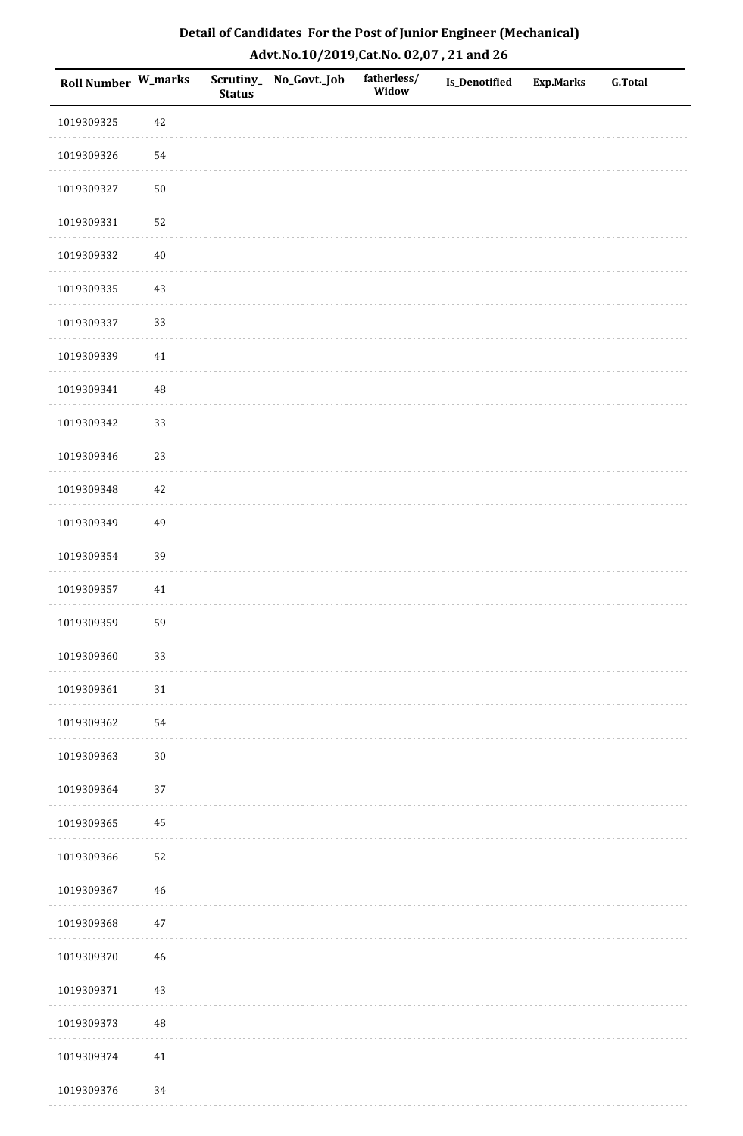| Roll Number W_marks |             | <b>Status</b> | Scrutiny_No_Govt._Job | fatherless/<br>Widow | Is_Denotified | <b>Exp.Marks</b> | <b>G.Total</b> |
|---------------------|-------------|---------------|-----------------------|----------------------|---------------|------------------|----------------|
| 1019309325          | 42          |               |                       |                      |               |                  |                |
| 1019309326          | 54          |               |                       |                      |               |                  |                |
| 1019309327          | $50\,$      |               |                       |                      |               |                  |                |
| 1019309331          | 52          |               |                       |                      |               |                  |                |
| 1019309332          | $40\,$      |               |                       |                      |               |                  |                |
| 1019309335          | 43          |               |                       |                      |               |                  |                |
| 1019309337          | 33          |               |                       |                      |               |                  |                |
| 1019309339          | $41\,$      |               |                       |                      |               |                  |                |
| 1019309341          | $\sqrt{48}$ |               |                       |                      |               |                  |                |
| 1019309342          | 33          |               |                       |                      |               |                  |                |
| 1019309346          | 23          |               |                       |                      |               |                  |                |
| 1019309348          | $42\,$      |               |                       |                      |               |                  |                |
| 1019309349          | 49          |               |                       |                      |               |                  |                |
| 1019309354          | 39          |               |                       |                      |               |                  |                |
| 1019309357          | 41          |               |                       |                      |               |                  |                |
| 1019309359          | 59          |               |                       |                      |               |                  |                |
| 1019309360          | 33          |               |                       |                      |               |                  |                |
| 1019309361          | $31\,$      |               |                       |                      |               |                  |                |
| 1019309362          | 54          |               |                       |                      |               |                  |                |
| 1019309363          | $30\,$      |               |                       |                      |               |                  |                |
| 1019309364          | 37          |               |                       |                      |               |                  |                |
| 1019309365          | $\bf 45$    |               |                       |                      |               |                  |                |
| 1019309366          | 52          |               |                       |                      |               |                  |                |
| 1019309367          | 46          |               |                       |                      |               |                  |                |
| 1019309368          | $47\,$      |               |                       |                      |               |                  |                |
| 1019309370          | $46\,$      |               |                       |                      |               |                  |                |
| 1019309371          | $43\,$      |               |                       |                      |               |                  |                |
| 1019309373          | $\sqrt{48}$ |               |                       |                      |               |                  |                |
| 1019309374          | $41\,$      |               |                       |                      |               |                  |                |
| 1019309376          | 34          |               |                       |                      |               |                  |                |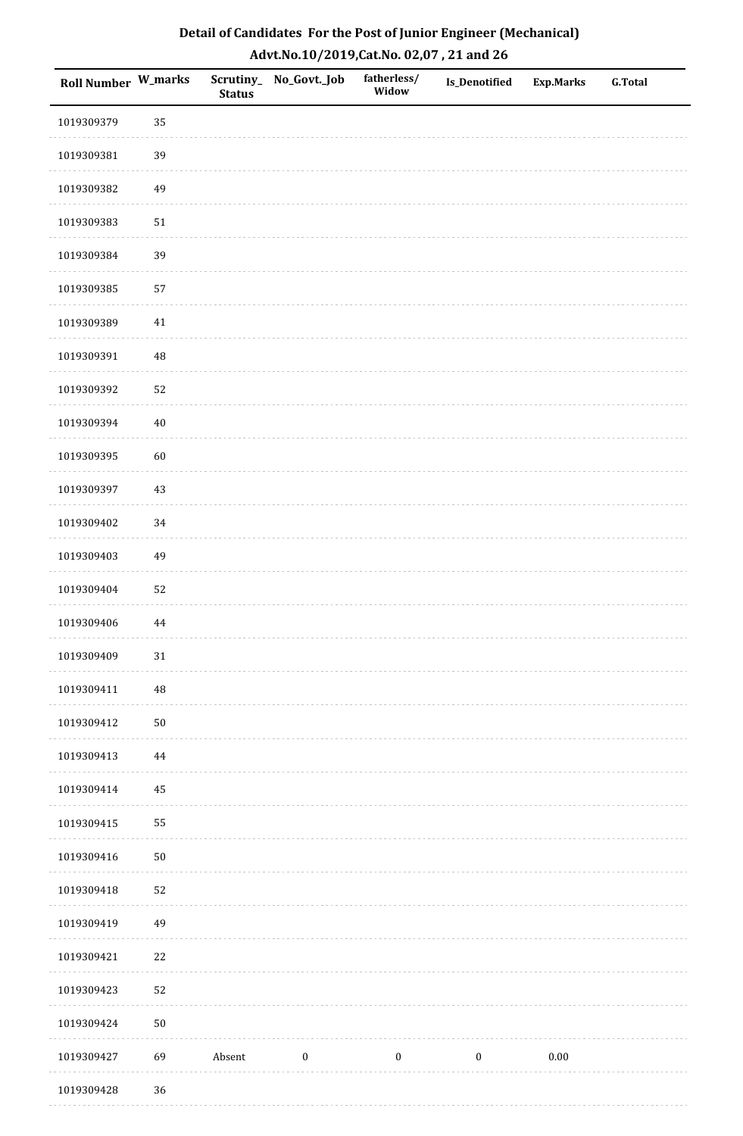| Roll Number W_marks |          | <b>Status</b> | Scrutiny_No_Govt._Job | fatherless/<br>Widow | <b>Is_Denotified</b> | <b>Exp.Marks</b> | <b>G.Total</b> |
|---------------------|----------|---------------|-----------------------|----------------------|----------------------|------------------|----------------|
| 1019309379          | 35       |               |                       |                      |                      |                  |                |
| 1019309381          | 39       |               |                       |                      |                      |                  |                |
| 1019309382          | 49       |               |                       |                      |                      |                  |                |
| 1019309383          | $51\,$   |               |                       |                      |                      |                  |                |
| 1019309384          | 39       |               |                       |                      |                      |                  |                |
| 1019309385          | 57       |               |                       |                      |                      |                  |                |
| 1019309389          | 41       |               |                       |                      |                      |                  |                |
| 1019309391          | 48       |               |                       |                      |                      |                  |                |
| 1019309392          | 52       |               |                       |                      |                      |                  |                |
| 1019309394          | $40\,$   |               |                       |                      |                      |                  |                |
| 1019309395          | 60       |               |                       |                      |                      |                  |                |
| 1019309397          | $43\,$   |               |                       |                      |                      |                  |                |
| 1019309402          | 34       |               |                       |                      |                      |                  |                |
| 1019309403          | 49       |               |                       |                      |                      |                  |                |
| 1019309404          | 52       |               |                       |                      |                      |                  |                |
| 1019309406          | 44       |               |                       |                      |                      |                  |                |
| 1019309409          | $31\,$   |               |                       |                      |                      |                  |                |
| 1019309411          | 48       |               |                       |                      |                      |                  |                |
| 1019309412          | $50\,$   |               |                       |                      |                      |                  |                |
| 1019309413          | $\bf 44$ |               |                       |                      |                      |                  |                |
| 1019309414          | 45       |               |                       |                      |                      |                  |                |
| 1019309415          | 55       |               |                       |                      |                      |                  |                |
| 1019309416          | $50\,$   |               |                       |                      |                      |                  |                |
| 1019309418          | 52       |               |                       |                      |                      |                  |                |
| 1019309419          | 49       |               |                       |                      |                      |                  |                |
| 1019309421          | $22\,$   |               |                       |                      |                      |                  |                |
| 1019309423          | 52       |               |                       |                      |                      |                  |                |
| 1019309424          | $50\,$   |               |                       |                      |                      |                  |                |
| 1019309427          | 69       | Absent        | $\boldsymbol{0}$      | $\boldsymbol{0}$     | $\boldsymbol{0}$     | $0.00\,$         |                |
| 1019309428          | 36       |               |                       |                      |                      |                  |                |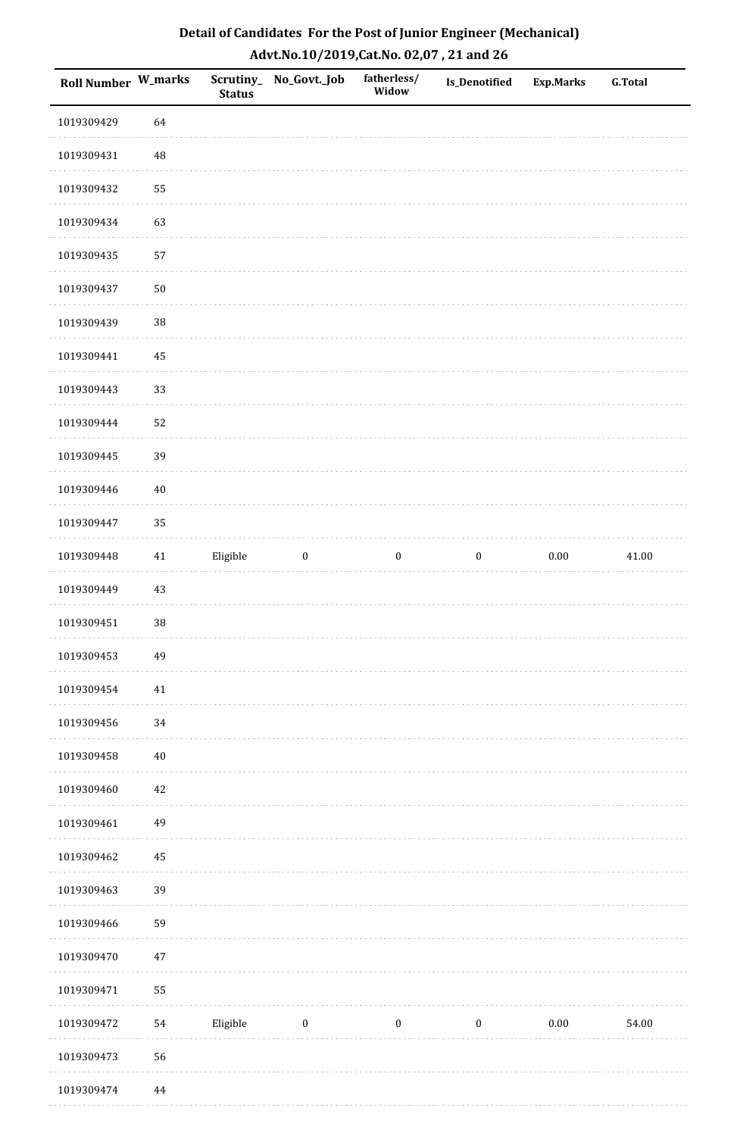| Detail of Candidates For the Post of Junior Engineer (Mechanical) |
|-------------------------------------------------------------------|
| Advt.No.10/2019, Cat.No. 02,07, 21 and 26                         |

| Roll Number W_marks |        | <b>Status</b> | Scrutiny_No_Govt._Job | fatherless/<br>Widow | Is_Denotified    | <b>Exp.Marks</b> | <b>G.Total</b> |
|---------------------|--------|---------------|-----------------------|----------------------|------------------|------------------|----------------|
| 1019309429          | 64     |               |                       |                      |                  |                  |                |
| 1019309431          | 48     |               |                       |                      |                  |                  |                |
| 1019309432          | 55     |               |                       |                      |                  |                  |                |
| 1019309434          | 63     |               |                       |                      |                  |                  |                |
| 1019309435          | 57     |               |                       |                      |                  |                  |                |
| 1019309437          | 50     |               |                       |                      |                  |                  |                |
| 1019309439          | 38     |               |                       |                      |                  |                  |                |
| 1019309441          | 45     |               |                       |                      |                  |                  |                |
| 1019309443          | 33     |               |                       |                      |                  |                  |                |
| 1019309444          | 52     |               |                       |                      |                  |                  |                |
| 1019309445          | 39     |               |                       |                      |                  |                  |                |
| 1019309446          | $40\,$ |               |                       |                      |                  |                  |                |
| 1019309447          | 35     |               |                       |                      |                  |                  |                |
| 1019309448          | $41\,$ | Eligible      | $\boldsymbol{0}$      | $\boldsymbol{0}$     | $\boldsymbol{0}$ | $0.00\,$         | 41.00          |
| 1019309449          | 43     |               |                       |                      |                  |                  |                |
| 1019309451          | $38\,$ |               |                       |                      |                  |                  |                |
| 1019309453          | 49     |               |                       |                      |                  |                  |                |
| 1019309454          | 41     |               |                       |                      |                  |                  |                |
| 1019309456          | 34     |               |                       |                      |                  |                  |                |
| 1019309458          | $40\,$ |               |                       |                      |                  |                  |                |
| 1019309460          | 42     |               |                       |                      |                  |                  |                |
| 1019309461          | 49     |               |                       |                      |                  |                  |                |
| 1019309462          | 45     |               |                       |                      |                  |                  |                |
| 1019309463          | 39     |               |                       |                      |                  |                  |                |
| 1019309466          | 59     |               |                       |                      |                  |                  |                |
| 1019309470          | 47     |               |                       |                      |                  |                  |                |
| 1019309471          | 55     |               |                       |                      |                  |                  |                |
| 1019309472          | 54     | Eligible      | $\bf{0}$              | $\boldsymbol{0}$     | $\boldsymbol{0}$ | 0.00             | 54.00          |
| 1019309473          | 56     |               |                       |                      |                  |                  |                |
| 1019309474          | 44     |               |                       |                      |                  |                  |                |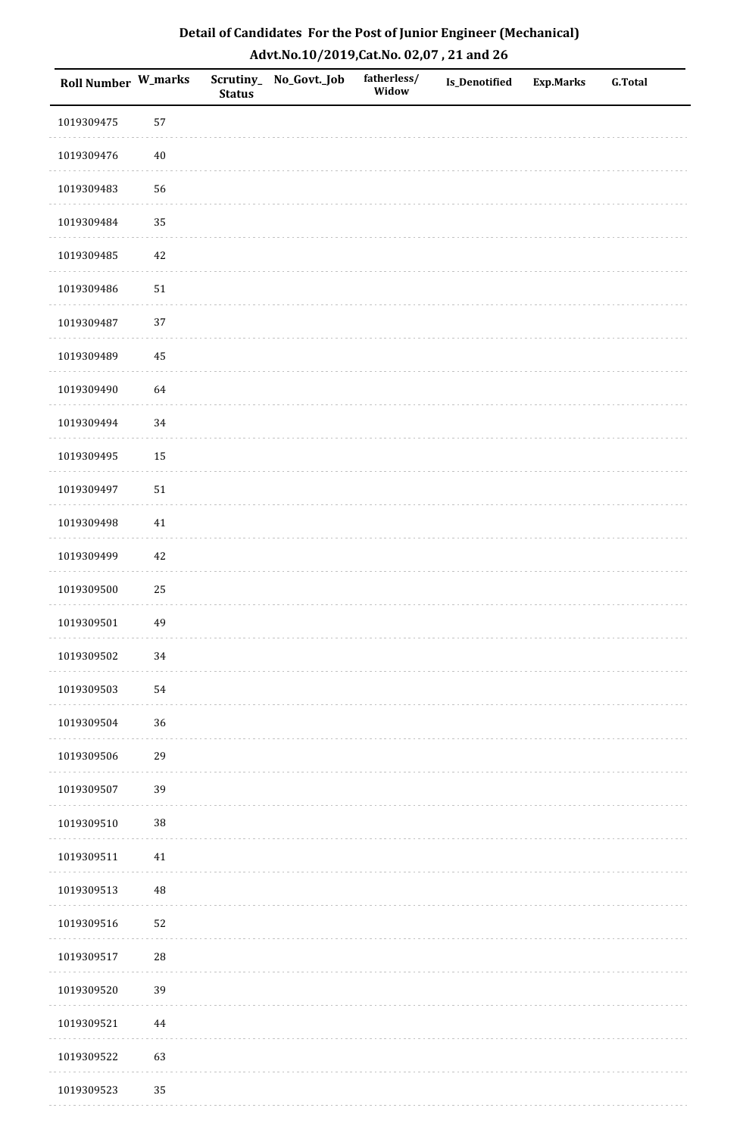| Roll Number W_marks |          | <b>Status</b> | Scrutiny_No_Govt._Job | fatherless/<br>Widow | Is_Denotified | <b>Exp.Marks</b> | <b>G.Total</b> |
|---------------------|----------|---------------|-----------------------|----------------------|---------------|------------------|----------------|
| 1019309475          | 57       |               |                       |                      |               |                  |                |
| 1019309476          | $40\,$   |               |                       |                      |               |                  |                |
| 1019309483          | 56       |               |                       |                      |               |                  |                |
| 1019309484          | 35       |               |                       |                      |               |                  |                |
| 1019309485          | $42\,$   |               |                       |                      |               |                  |                |
| 1019309486          | $51\,$   |               |                       |                      |               |                  |                |
| 1019309487          | 37       |               |                       |                      |               |                  |                |
| 1019309489          | 45       |               |                       |                      |               |                  |                |
| 1019309490          | 64       |               |                       |                      |               |                  |                |
| 1019309494          | 34       |               |                       |                      |               |                  |                |
| 1019309495          | 15       |               |                       |                      |               |                  |                |
| 1019309497          | $51\,$   |               |                       |                      |               |                  |                |
| 1019309498          | $41\,$   |               |                       |                      |               |                  |                |
| 1019309499          | $42\,$   |               |                       |                      |               |                  |                |
| 1019309500          | $25\,$   |               |                       |                      |               |                  |                |
| 1019309501          | 49       |               |                       |                      |               |                  |                |
| 1019309502          | $34\,$   |               |                       |                      |               |                  |                |
| 1019309503          | 54       |               |                       |                      |               |                  |                |
| 1019309504          | 36       |               |                       |                      |               |                  |                |
| 1019309506          | 29       |               |                       |                      |               |                  |                |
| 1019309507          | 39       |               |                       |                      |               |                  |                |
| 1019309510          | $38\,$   |               |                       |                      |               |                  |                |
| 1019309511          | $41\,$   |               |                       |                      |               |                  |                |
| 1019309513          | 48       |               |                       |                      |               |                  |                |
| 1019309516          | 52       |               |                       |                      |               |                  |                |
| 1019309517          | 28       |               |                       |                      |               |                  |                |
| 1019309520          | 39       |               |                       |                      |               |                  |                |
| 1019309521          | $\bf 44$ |               |                       |                      |               |                  |                |
| 1019309522          | 63       |               |                       |                      |               |                  |                |
| 1019309523          | 35       |               |                       |                      |               |                  |                |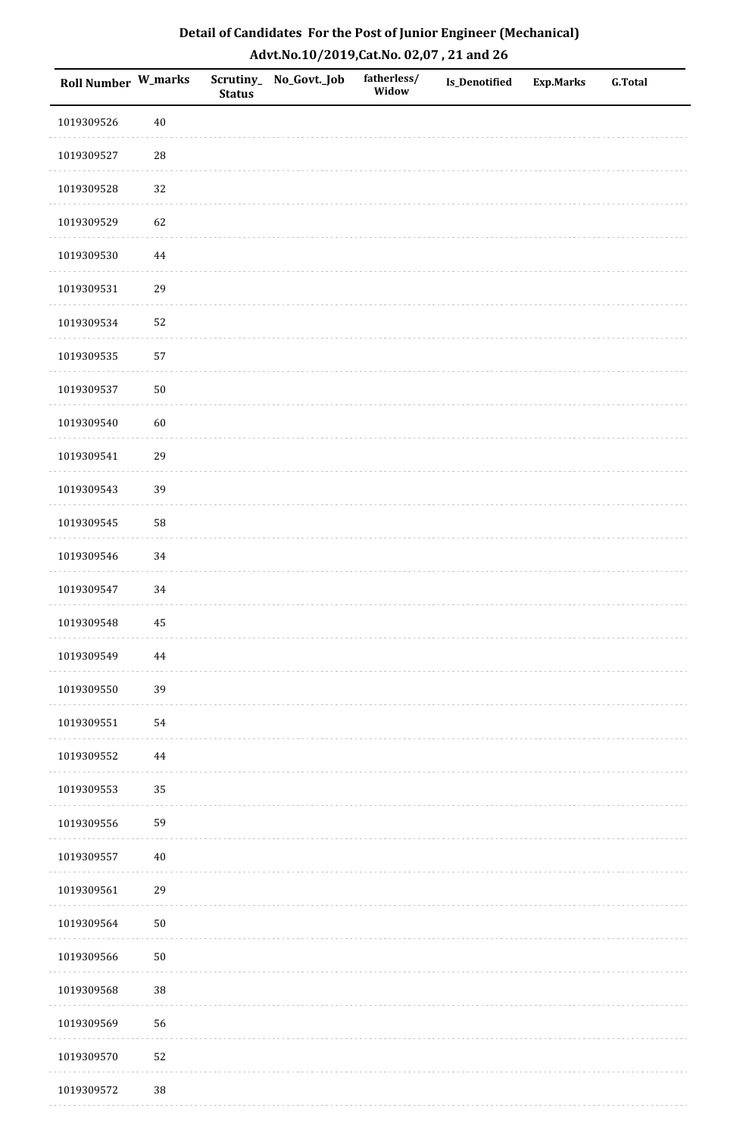| Roll Number W_marks |            | <b>Status</b> | Scrutiny_No_Govt._Job | fatherless/<br>Widow | Is_Denotified | <b>Exp.Marks</b> | <b>G.Total</b> |
|---------------------|------------|---------------|-----------------------|----------------------|---------------|------------------|----------------|
| 1019309526          | $40\,$     |               |                       |                      |               |                  |                |
| 1019309527          | ${\bf 28}$ |               |                       |                      |               |                  |                |
| 1019309528          | 32         |               |                       |                      |               |                  |                |
| 1019309529          | 62         |               |                       |                      |               |                  |                |
| 1019309530          | 44         |               |                       |                      |               |                  |                |
| 1019309531          | 29         |               |                       |                      |               |                  |                |
| 1019309534          | 52         |               |                       |                      |               |                  |                |
| 1019309535          | 57         |               |                       |                      |               |                  |                |
| 1019309537          | $50\,$     |               |                       |                      |               |                  |                |
| 1019309540          | 60         |               |                       |                      |               |                  |                |
| 1019309541          | 29         |               |                       |                      |               |                  |                |
| 1019309543          | 39         |               |                       |                      |               |                  |                |
| 1019309545          | 58         |               |                       |                      |               |                  |                |
| 1019309546          | 34         |               |                       |                      |               |                  |                |
| 1019309547          | 34         |               |                       |                      |               |                  |                |
| 1019309548          | 45         |               |                       |                      |               |                  |                |
| 1019309549          | 44         |               |                       |                      |               |                  |                |
| 1019309550          | 39         |               |                       |                      |               |                  |                |
| 1019309551          | 54         |               |                       |                      |               |                  |                |
| 1019309552          | 44         |               |                       |                      |               |                  |                |
| 1019309553          | 35         |               |                       |                      |               |                  |                |
| 1019309556          | 59         |               |                       |                      |               |                  |                |
| 1019309557          | $40\,$     |               |                       |                      |               |                  |                |
| 1019309561          | 29         |               |                       |                      |               |                  |                |
| 1019309564          | $50\,$     |               |                       |                      |               |                  |                |
| 1019309566          | $50\,$     |               |                       |                      |               |                  |                |
| 1019309568          | $38\,$     |               |                       |                      |               |                  |                |
| 1019309569          | 56         |               |                       |                      |               |                  |                |
| 1019309570          | 52         |               |                       |                      |               |                  |                |
| 1019309572          | $38\,$     |               |                       |                      |               |                  |                |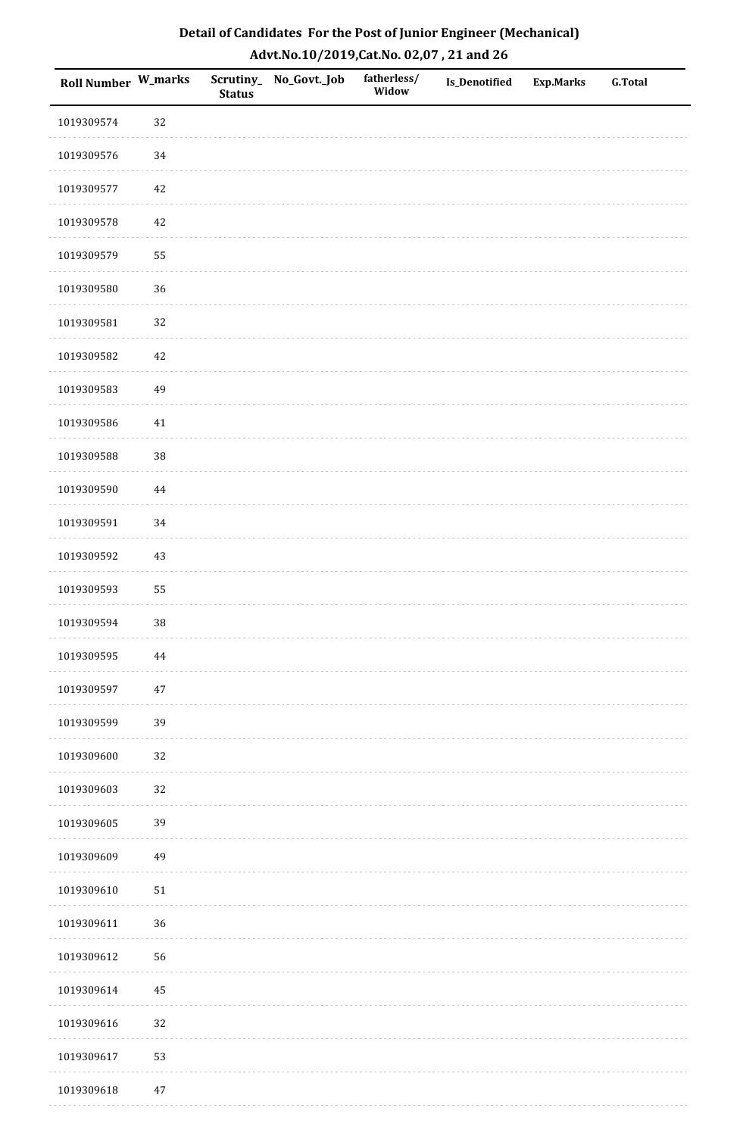| Detail of Candidates For the Post of Junior Engineer (Mechanical) |
|-------------------------------------------------------------------|
| Advt.No.10/2019,Cat.No. 02,07, 21 and 26                          |

| Roll Number W_marks |          | <b>Status</b> | Scrutiny_No_Govt._Job | fatherless/<br>Widow | Is_Denotified | <b>Exp.Marks</b> | <b>G.Total</b> |
|---------------------|----------|---------------|-----------------------|----------------------|---------------|------------------|----------------|
| 1019309574          | 32       |               |                       |                      |               |                  |                |
| 1019309576          | 34       |               |                       |                      |               |                  |                |
| 1019309577          | 42       |               |                       |                      |               |                  |                |
| 1019309578          | 42       |               |                       |                      |               |                  |                |
| 1019309579          | 55       |               |                       |                      |               |                  |                |
| 1019309580          | $36\,$   |               |                       |                      |               |                  |                |
| 1019309581          | 32       |               |                       |                      |               |                  |                |
| 1019309582          | 42       |               |                       |                      |               |                  |                |
| 1019309583          | 49       |               |                       |                      |               |                  |                |
| 1019309586          | 41       |               |                       |                      |               |                  |                |
| 1019309588          | $38\,$   |               |                       |                      |               |                  |                |
| 1019309590          | $\bf 44$ |               |                       |                      |               |                  |                |
| 1019309591          | 34       |               |                       |                      |               |                  |                |
| 1019309592          | 43       |               |                       |                      |               |                  |                |
| 1019309593          | 55       |               |                       |                      |               |                  |                |
| 1019309594          | $38\,$   |               |                       |                      |               |                  |                |
| 1019309595          | $\bf 44$ |               |                       |                      |               |                  |                |
| 1019309597          | $47\,$   |               |                       |                      |               |                  |                |
| 1019309599          | 39       |               |                       |                      |               |                  |                |
| 1019309600          | 32       |               |                       |                      |               |                  |                |
| 1019309603          | $32\,$   |               |                       |                      |               |                  |                |
| 1019309605          | 39       |               |                       |                      |               |                  |                |
| 1019309609          | 49       |               |                       |                      |               |                  |                |
| 1019309610          | $51\,$   |               |                       |                      |               |                  |                |
| 1019309611          | 36       |               |                       |                      |               |                  |                |
| 1019309612          | 56       |               |                       |                      |               |                  |                |
| 1019309614          | 45       |               |                       |                      |               |                  |                |
| 1019309616          | 32       |               |                       |                      |               |                  |                |
| 1019309617          | 53       |               |                       |                      |               |                  |                |
| 1019309618          | $47\,$   |               |                       |                      |               |                  |                |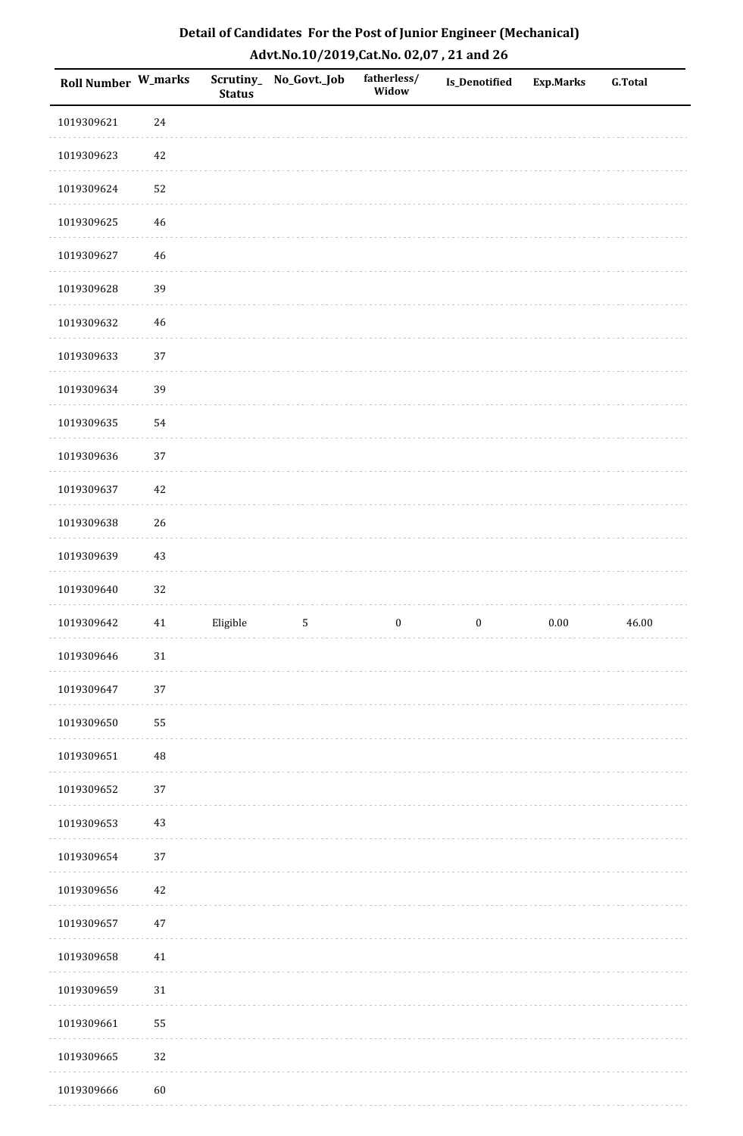| Roll Number W_marks |        | <b>Status</b> | Scrutiny_No_Govt._Job | fatherless/<br>Widow | Is_Denotified    | <b>Exp.Marks</b> | <b>G.Total</b> |
|---------------------|--------|---------------|-----------------------|----------------------|------------------|------------------|----------------|
| 1019309621          | 24     |               |                       |                      |                  |                  |                |
| 1019309623          | 42     |               |                       |                      |                  |                  |                |
| 1019309624          | 52     |               |                       |                      |                  |                  |                |
| 1019309625          | 46     |               |                       |                      |                  |                  |                |
| 1019309627          | 46     |               |                       |                      |                  |                  |                |
| 1019309628          | 39     |               |                       |                      |                  |                  |                |
| 1019309632          | $46\,$ |               |                       |                      |                  |                  |                |
| 1019309633          | 37     |               |                       |                      |                  |                  |                |
| 1019309634          | 39     |               |                       |                      |                  |                  |                |
| 1019309635          | 54     |               |                       |                      |                  |                  |                |
| 1019309636          | 37     |               |                       |                      |                  |                  |                |
| 1019309637          | $42\,$ |               |                       |                      |                  |                  |                |
| 1019309638          | 26     |               |                       |                      |                  |                  |                |
| 1019309639          | 43     |               |                       |                      |                  |                  |                |
| 1019309640          | 32     |               |                       |                      |                  |                  |                |
| 1019309642          | $41\,$ | Eligible      | $\sqrt{5}$            | $\boldsymbol{0}$     | $\boldsymbol{0}$ | $0.00\,$         | 46.00          |
| 1019309646          | $31\,$ |               |                       |                      |                  |                  |                |
| 1019309647          | 37     |               |                       |                      |                  |                  |                |
| 1019309650          | 55     |               |                       |                      |                  |                  |                |
| 1019309651          | 48     |               |                       |                      |                  |                  |                |
| 1019309652          | 37     |               |                       |                      |                  |                  |                |
| 1019309653          | $43\,$ |               |                       |                      |                  |                  |                |
| 1019309654          | 37     |               |                       |                      |                  |                  |                |
| 1019309656          | $42\,$ |               |                       |                      |                  |                  |                |
| 1019309657          | $47\,$ |               |                       |                      |                  |                  |                |
| 1019309658          | $41\,$ |               |                       |                      |                  |                  |                |
| 1019309659          | $31\,$ |               |                       |                      |                  |                  |                |
| 1019309661          | 55     |               |                       |                      |                  |                  |                |
| 1019309665          | 32     |               |                       |                      |                  |                  |                |
| 1019309666          | 60     |               |                       |                      |                  |                  |                |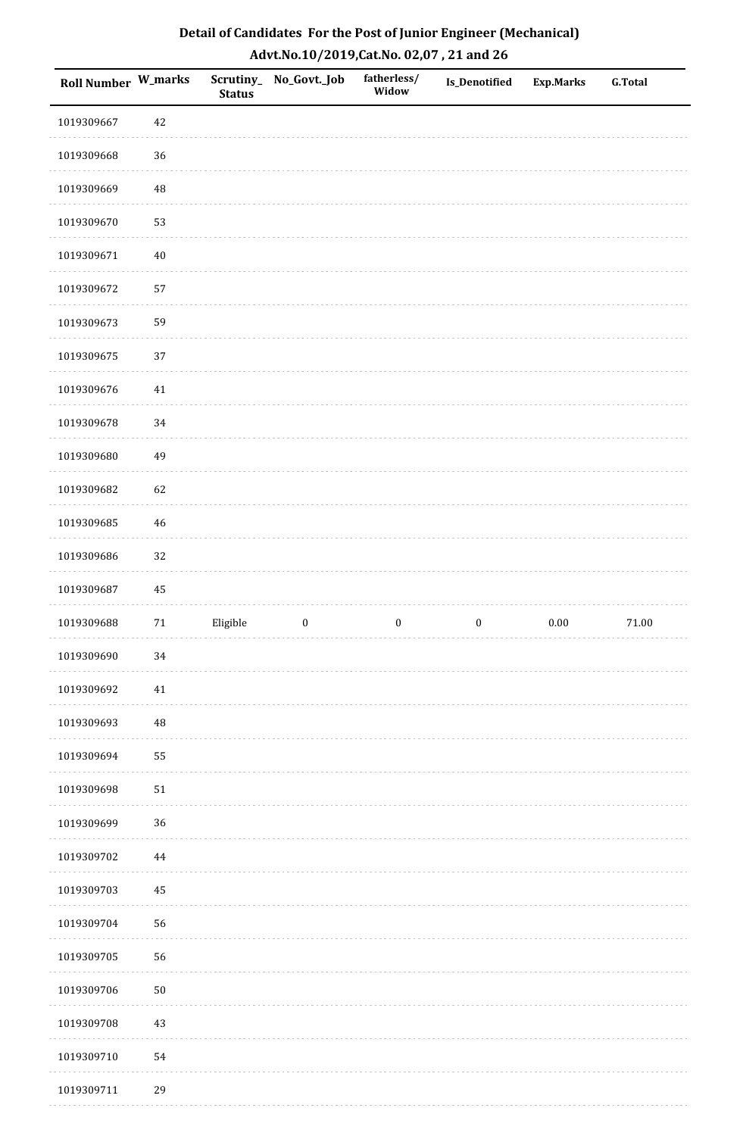| Roll Number W_marks |          | <b>Status</b> | Scrutiny_No_Govt._Job | fatherless/<br>Widow | Is_Denotified    | <b>Exp.Marks</b> | <b>G.Total</b> |
|---------------------|----------|---------------|-----------------------|----------------------|------------------|------------------|----------------|
| 1019309667          | $42\,$   |               |                       |                      |                  |                  |                |
| 1019309668          | 36       |               |                       |                      |                  |                  |                |
| 1019309669          | 48       |               |                       |                      |                  |                  |                |
| 1019309670          | 53       |               |                       |                      |                  |                  |                |
| 1019309671          | $40\,$   |               |                       |                      |                  |                  |                |
| 1019309672          | 57       |               |                       |                      |                  |                  |                |
| 1019309673          | 59       |               |                       |                      |                  |                  |                |
| 1019309675          | 37       |               |                       |                      |                  |                  |                |
| 1019309676          | $41\,$   |               |                       |                      |                  |                  |                |
| 1019309678          | 34       |               |                       |                      |                  |                  |                |
| 1019309680          | 49       |               |                       |                      |                  |                  |                |
| 1019309682          | 62       |               |                       |                      |                  |                  |                |
| 1019309685          | 46       |               |                       |                      |                  |                  |                |
| 1019309686          | 32       |               |                       |                      |                  |                  |                |
| 1019309687          | $\bf 45$ |               |                       |                      |                  |                  |                |
| 1019309688          | $71\,$   | Eligible      | $\boldsymbol{0}$      | $\boldsymbol{0}$     | $\boldsymbol{0}$ | $0.00\,$         | $71.00\,$      |
| 1019309690          | $34\,$   |               |                       |                      |                  |                  |                |
| 1019309692          | $41\,$   |               |                       |                      |                  |                  |                |
| 1019309693          | $\rm 48$ |               |                       |                      |                  |                  |                |
| 1019309694          | 55       |               |                       |                      |                  |                  |                |
| 1019309698          | $51\,$   |               |                       |                      |                  |                  |                |
| 1019309699          | $36\,$   |               |                       |                      |                  |                  |                |
| 1019309702          | $\bf 44$ |               |                       |                      |                  |                  |                |
| 1019309703          | $\bf 45$ |               |                       |                      |                  |                  |                |
| 1019309704          | 56       |               |                       |                      |                  |                  |                |
| 1019309705          | 56       |               |                       |                      |                  |                  |                |
| 1019309706          | $50\,$   |               |                       |                      |                  |                  |                |
| 1019309708          | $43\,$   |               |                       |                      |                  |                  |                |
| 1019309710          | 54       |               |                       |                      |                  |                  |                |
| 1019309711          | 29       |               |                       |                      |                  |                  |                |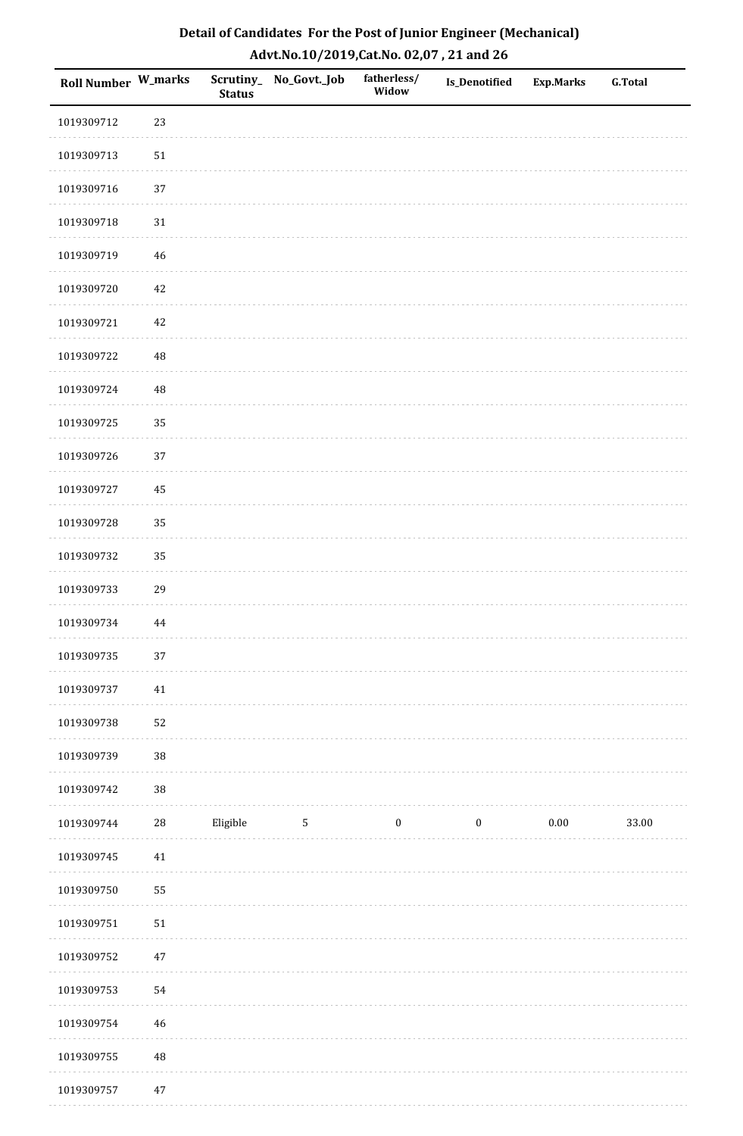| Roll Number W_marks |          | <b>Status</b> | Scrutiny_ No_Govt._Job | fatherless/<br>Widow | Is_Denotified    | <b>Exp.Marks</b> | <b>G.Total</b> |
|---------------------|----------|---------------|------------------------|----------------------|------------------|------------------|----------------|
| 1019309712          | 23       |               |                        |                      |                  |                  |                |
| 1019309713          | $51\,$   |               |                        |                      |                  |                  |                |
| 1019309716          | 37       |               |                        |                      |                  |                  |                |
| 1019309718          | $31\,$   |               |                        |                      |                  |                  |                |
| 1019309719          | 46       |               |                        |                      |                  |                  |                |
| 1019309720          | 42       |               |                        |                      |                  |                  |                |
| 1019309721          | 42       |               |                        |                      |                  |                  |                |
| 1019309722          | 48       |               |                        |                      |                  |                  |                |
| 1019309724          | 48       |               |                        |                      |                  |                  |                |
| 1019309725          | 35       |               |                        |                      |                  |                  |                |
| 1019309726          | 37       |               |                        |                      |                  |                  |                |
| 1019309727          | 45       |               |                        |                      |                  |                  |                |
| 1019309728          | 35       |               |                        |                      |                  |                  |                |
| 1019309732          | 35       |               |                        |                      |                  |                  |                |
| 1019309733          | 29       |               |                        |                      |                  |                  |                |
| 1019309734          | $\bf 44$ |               |                        |                      |                  |                  |                |
| 1019309735          | 37       |               |                        |                      |                  |                  |                |
| 1019309737          | $41\,$   |               |                        |                      |                  |                  |                |
| 1019309738          | 52       |               |                        |                      |                  |                  |                |
| 1019309739          | $38\,$   |               |                        |                      |                  |                  |                |
| 1019309742          | $38\,$   |               |                        |                      |                  |                  |                |
| 1019309744          | $28\,$   | Eligible      | $\mathbf{5}$           | $\bf{0}$             | $\boldsymbol{0}$ | $0.00\,$         | 33.00          |
| 1019309745          | $41\,$   |               |                        |                      |                  |                  |                |
| 1019309750          | 55       |               |                        |                      |                  |                  |                |
| 1019309751          | 51       |               |                        |                      |                  |                  |                |
| 1019309752          | $47\,$   |               |                        |                      |                  |                  |                |
| 1019309753          | 54       |               |                        |                      |                  |                  |                |
| 1019309754          | 46       |               |                        |                      |                  |                  |                |
| 1019309755          | 48       |               |                        |                      |                  |                  |                |
| 1019309757          | $47\,$   |               |                        |                      |                  |                  |                |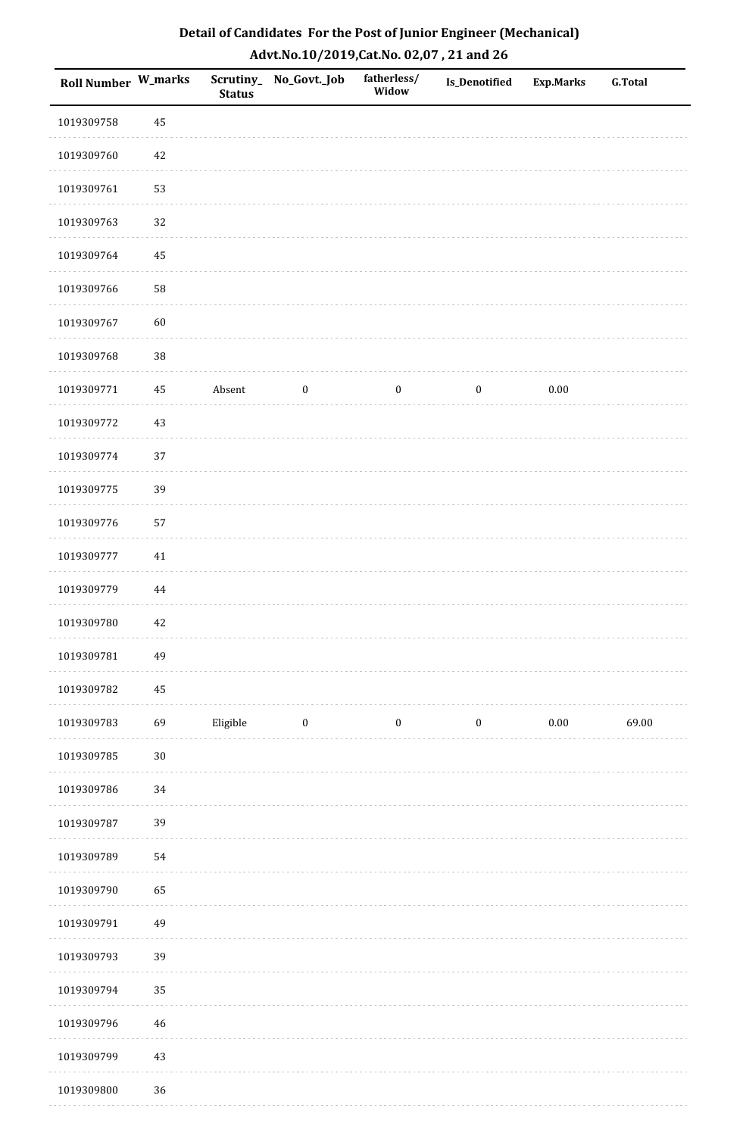| Detail of Candidates For the Post of Junior Engineer (Mechanical) |
|-------------------------------------------------------------------|
| Advt.No.10/2019, Cat.No. 02,07, 21 and 26                         |

| <b>Roll Number W_marks</b> |          | <b>Status</b> | Scrutiny_ No_Govt._Job | fatherless/<br>Widow | Is_Denotified    | <b>Exp.Marks</b> | <b>G.Total</b> |
|----------------------------|----------|---------------|------------------------|----------------------|------------------|------------------|----------------|
| 1019309758                 | 45       |               |                        |                      |                  |                  |                |
| 1019309760                 | 42       |               |                        |                      |                  |                  |                |
| 1019309761                 | 53       |               |                        |                      |                  |                  |                |
| 1019309763                 | 32       |               |                        |                      |                  |                  |                |
| 1019309764                 | 45       |               |                        |                      |                  |                  |                |
| 1019309766                 | 58       |               |                        |                      |                  |                  |                |
| 1019309767                 | 60       |               |                        |                      |                  |                  |                |
| 1019309768                 | $38\,$   |               |                        |                      |                  |                  |                |
| 1019309771                 | 45       | Absent        | $\boldsymbol{0}$       | $\boldsymbol{0}$     | $\boldsymbol{0}$ | $0.00\,$         |                |
| 1019309772                 | 43       |               |                        |                      |                  |                  |                |
| 1019309774                 | 37       |               |                        |                      |                  |                  |                |
| 1019309775                 | 39       |               |                        |                      |                  |                  |                |
| 1019309776                 | 57       |               |                        |                      |                  |                  |                |
| 1019309777                 | 41       |               |                        |                      |                  |                  |                |
| 1019309779                 | $\bf 44$ |               |                        |                      |                  |                  |                |
| 1019309780                 | $42\,$   |               |                        |                      |                  |                  |                |
| 1019309781                 | 49       |               |                        |                      |                  |                  |                |
| 1019309782                 | 45       |               |                        |                      |                  |                  |                |
| 1019309783                 | 69       | Eligible      | $\boldsymbol{0}$       | $\boldsymbol{0}$     | $\boldsymbol{0}$ | $0.00\,$         | 69.00          |
| 1019309785                 | $30\,$   |               |                        |                      |                  |                  |                |
| 1019309786                 | $34\,$   |               |                        |                      |                  |                  |                |
| 1019309787                 | 39       |               |                        |                      |                  |                  |                |
| 1019309789                 | 54       |               |                        |                      |                  |                  |                |
| 1019309790                 | 65       |               |                        |                      |                  |                  |                |
| 1019309791                 | 49       |               |                        |                      |                  |                  |                |
| 1019309793                 | 39       |               |                        |                      |                  |                  |                |
| 1019309794                 | 35       |               |                        |                      |                  |                  |                |
| 1019309796                 | 46       |               |                        |                      |                  |                  |                |
| 1019309799                 | $43\,$   |               |                        |                      |                  |                  |                |
| 1019309800                 | 36       |               |                        |                      |                  |                  |                |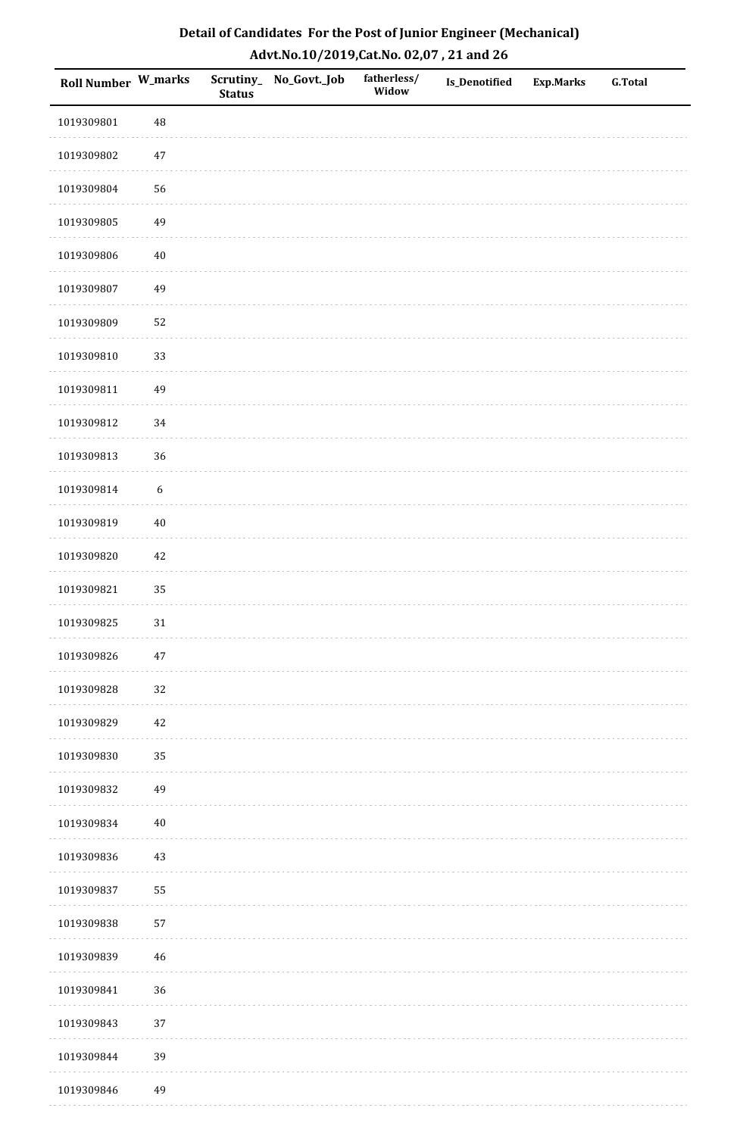| Roll Number W_marks |                  | <b>Status</b> | Scrutiny_No_Govt._Job | fatherless/<br>Widow | Is_Denotified | <b>Exp.Marks</b> | <b>G.Total</b> |
|---------------------|------------------|---------------|-----------------------|----------------------|---------------|------------------|----------------|
| 1019309801          | 48               |               |                       |                      |               |                  |                |
| 1019309802          | $47\,$           |               |                       |                      |               |                  |                |
| 1019309804          | 56               |               |                       |                      |               |                  |                |
| 1019309805          | 49               |               |                       |                      |               |                  |                |
| 1019309806          | $40\,$           |               |                       |                      |               |                  |                |
| 1019309807          | 49               |               |                       |                      |               |                  |                |
| 1019309809          | 52               |               |                       |                      |               |                  |                |
| 1019309810          | 33               |               |                       |                      |               |                  |                |
| 1019309811          | 49               |               |                       |                      |               |                  |                |
| 1019309812          | 34               |               |                       |                      |               |                  |                |
| 1019309813          | 36               |               |                       |                      |               |                  |                |
| 1019309814          | $\boldsymbol{6}$ |               |                       |                      |               |                  |                |
| 1019309819          | $40\,$           |               |                       |                      |               |                  |                |
| 1019309820          | 42               |               |                       |                      |               |                  |                |
| 1019309821          | 35               |               |                       |                      |               |                  |                |
| 1019309825          | 31               |               |                       |                      |               |                  |                |
| 1019309826          | $47\,$           |               |                       |                      |               |                  |                |
| 1019309828          | 32               |               |                       |                      |               |                  |                |
| 1019309829          | 42               |               |                       |                      |               |                  |                |
| 1019309830          | 35               |               |                       |                      |               |                  |                |
| 1019309832          | 49               |               |                       |                      |               |                  |                |
| 1019309834          | $40\,$           |               |                       |                      |               |                  |                |
| 1019309836          | $43\,$           |               |                       |                      |               |                  |                |
| 1019309837          | 55               |               |                       |                      |               |                  |                |
| 1019309838          | 57               |               |                       |                      |               |                  |                |
| 1019309839          | $46\,$           |               |                       |                      |               |                  |                |
| 1019309841          | 36               |               |                       |                      |               |                  |                |
| 1019309843          | 37               |               |                       |                      |               |                  |                |
| 1019309844          | 39               |               |                       |                      |               |                  |                |
| 1019309846          | 49               |               |                       |                      |               |                  |                |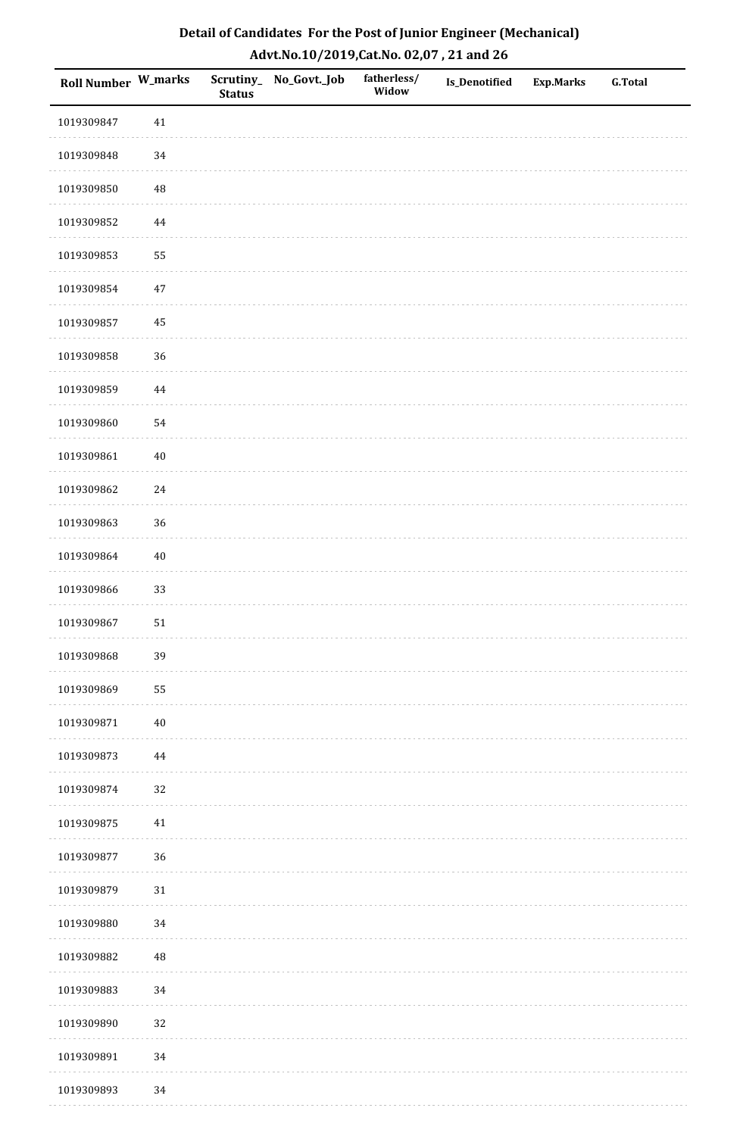| <b>Roll Number W_marks</b> |          | <b>Status</b> | Scrutiny_No_Govt._Job | fatherless/<br>Widow | Is_Denotified | <b>Exp.Marks</b> | <b>G.Total</b> |
|----------------------------|----------|---------------|-----------------------|----------------------|---------------|------------------|----------------|
| 1019309847                 | $41\,$   |               |                       |                      |               |                  |                |
| 1019309848                 | 34       |               |                       |                      |               |                  |                |
| 1019309850                 | $\rm 48$ |               |                       |                      |               |                  |                |
| 1019309852                 | $\bf 44$ |               |                       |                      |               |                  |                |
| 1019309853                 | 55       |               |                       |                      |               |                  |                |
| 1019309854                 | $47\,$   |               |                       |                      |               |                  |                |
| 1019309857                 | 45       |               |                       |                      |               |                  |                |
| 1019309858                 | 36       |               |                       |                      |               |                  |                |
| 1019309859                 | $\bf 44$ |               |                       |                      |               |                  |                |
| 1019309860                 | 54       |               |                       |                      |               |                  |                |
| 1019309861                 | $40\,$   |               |                       |                      |               |                  |                |
| 1019309862                 | 24       |               |                       |                      |               |                  |                |
| 1019309863                 | 36       |               |                       |                      |               |                  |                |
| 1019309864                 | $40\,$   |               |                       |                      |               |                  |                |
| 1019309866                 | 33       |               |                       |                      |               |                  |                |
| 1019309867                 | $51\,$   |               |                       |                      |               |                  |                |
| 1019309868                 | 39       |               |                       |                      |               |                  |                |
| 1019309869                 | 55       |               |                       |                      |               |                  |                |
| 1019309871                 | $40\,$   |               |                       |                      |               |                  |                |
| 1019309873                 | 44       |               |                       |                      |               |                  |                |
| 1019309874                 | 32       |               |                       |                      |               |                  |                |
| 1019309875                 | $41\,$   |               |                       |                      |               |                  |                |
| 1019309877                 | 36       |               |                       |                      |               |                  |                |
| 1019309879                 | $31\,$   |               |                       |                      |               |                  |                |
| 1019309880                 | 34       |               |                       |                      |               |                  |                |
| 1019309882                 | $\rm 48$ |               |                       |                      |               |                  |                |
| 1019309883                 | $34\,$   |               |                       |                      |               |                  |                |
| 1019309890                 | 32       |               |                       |                      |               |                  |                |
| 1019309891                 | 34       |               |                       |                      |               |                  |                |
| 1019309893                 | 34       |               |                       |                      |               |                  |                |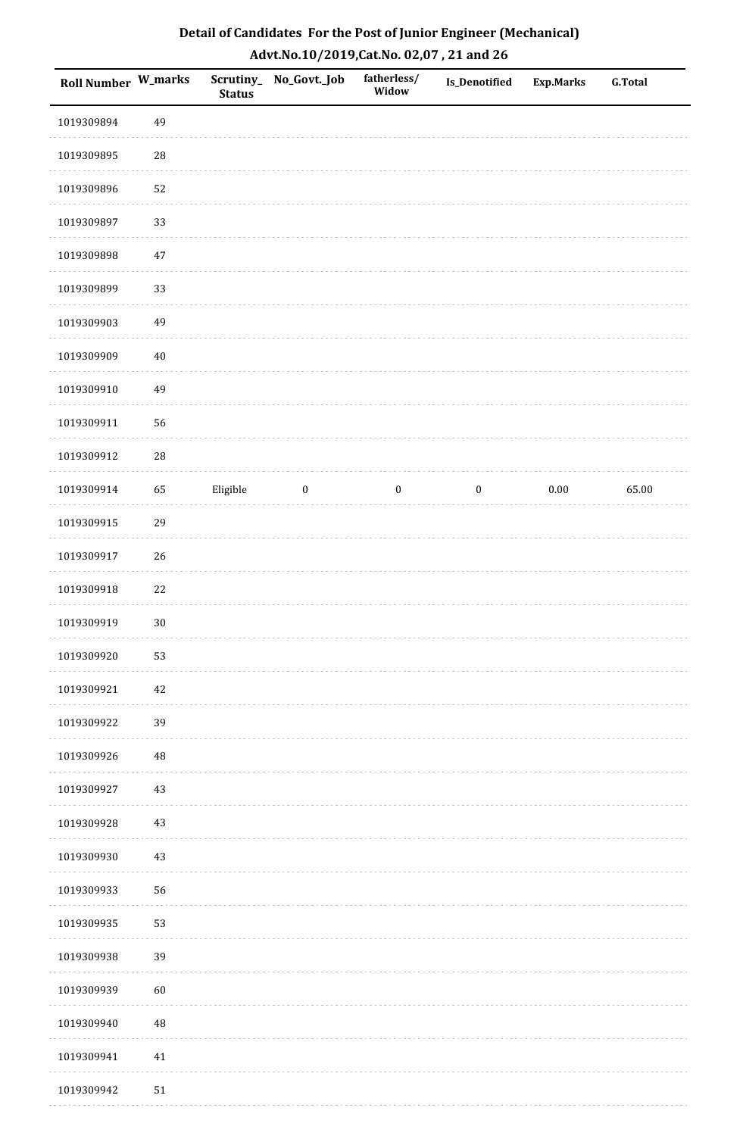| Detail of Candidates For the Post of Junior Engineer (Mechanical) |
|-------------------------------------------------------------------|
| Advt.No.10/2019,Cat.No. 02,07, 21 and 26                          |

| Roll Number W_marks |        | <b>Status</b> | Scrutiny_ No_Govt._Job | fatherless/<br>Widow | Is_Denotified    | Exp.Marks | <b>G.Total</b> |
|---------------------|--------|---------------|------------------------|----------------------|------------------|-----------|----------------|
| 1019309894          | 49     |               |                        |                      |                  |           |                |
| 1019309895          | 28     |               |                        |                      |                  |           |                |
| 1019309896          | 52     |               |                        |                      |                  |           |                |
| 1019309897          | 33     |               |                        |                      |                  |           |                |
| 1019309898          | $47\,$ |               |                        |                      |                  |           |                |
| 1019309899          | 33     |               |                        |                      |                  |           |                |
| 1019309903          | 49     |               |                        |                      |                  |           |                |
| 1019309909          | $40\,$ |               |                        |                      |                  |           |                |
| 1019309910          | 49     |               |                        |                      |                  |           |                |
| 1019309911          | 56     |               |                        |                      |                  |           |                |
| 1019309912          | 28     |               |                        |                      |                  |           |                |
| 1019309914          | 65     | Eligible      | $\boldsymbol{0}$       | $\boldsymbol{0}$     | $\boldsymbol{0}$ | $0.00\,$  | 65.00          |
| 1019309915          | 29     |               |                        |                      |                  |           |                |
| 1019309917          | 26     |               |                        |                      |                  |           |                |
| 1019309918          | 22     |               |                        |                      |                  |           |                |
| 1019309919          | $30\,$ |               |                        |                      |                  |           |                |
| 1019309920          | 53     |               |                        |                      |                  |           |                |
| 1019309921          | 42     |               |                        |                      |                  |           |                |
| 1019309922          | 39     |               |                        |                      |                  |           |                |
| 1019309926          | 48     |               |                        |                      |                  |           |                |
| 1019309927          | 43     |               |                        |                      |                  |           |                |
| 1019309928          | $43\,$ |               |                        |                      |                  |           |                |
| 1019309930          | 43     |               |                        |                      |                  |           |                |
| 1019309933          | 56     |               |                        |                      |                  |           |                |
| 1019309935          | 53     |               |                        |                      |                  |           |                |
| 1019309938          | 39     |               |                        |                      |                  |           |                |
| 1019309939          | 60     |               |                        |                      |                  |           |                |
| 1019309940          | 48     |               |                        |                      |                  |           |                |
| 1019309941          | $41\,$ |               |                        |                      |                  |           |                |
| 1019309942          | 51     |               |                        |                      |                  |           |                |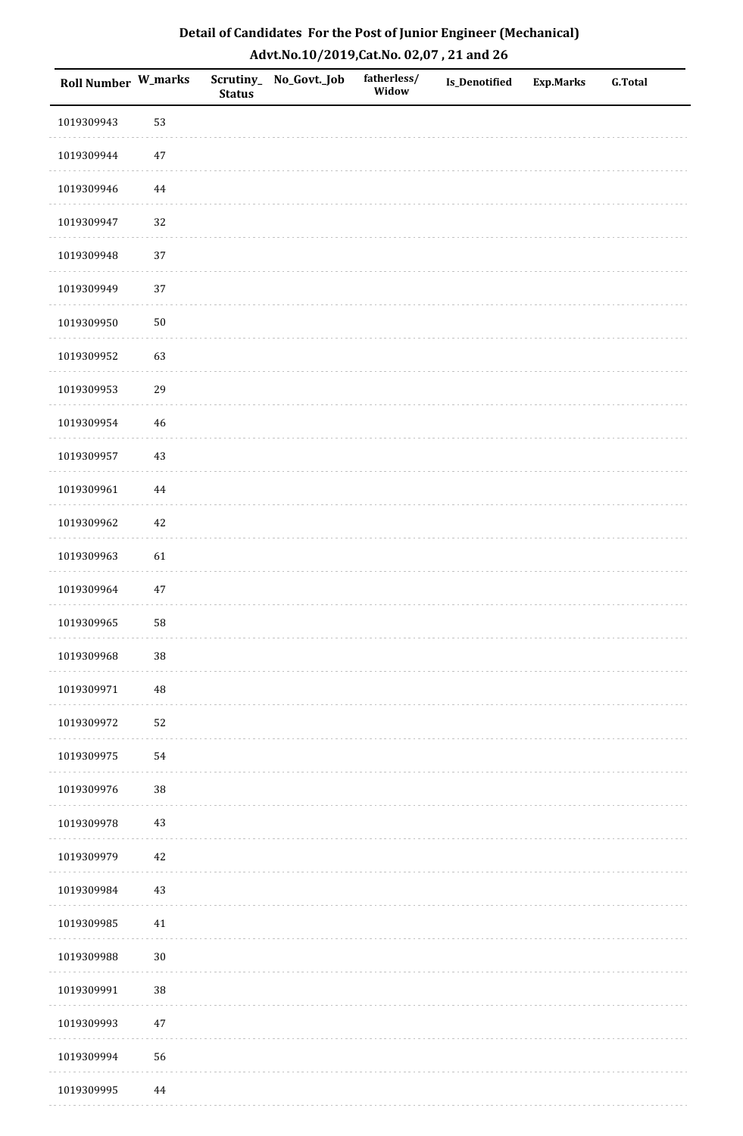| Roll Number W_marks |          | <b>Status</b> | Scrutiny_No_Govt._Job | fatherless/<br>Widow | Is_Denotified | <b>Exp.Marks</b> | <b>G.Total</b> |
|---------------------|----------|---------------|-----------------------|----------------------|---------------|------------------|----------------|
| 1019309943          | 53       |               |                       |                      |               |                  |                |
| 1019309944          | $47\,$   |               |                       |                      |               |                  |                |
| 1019309946          | $\bf 44$ |               |                       |                      |               |                  |                |
| 1019309947          | 32       |               |                       |                      |               |                  |                |
| 1019309948          | 37       |               |                       |                      |               |                  |                |
| 1019309949          | 37       |               |                       |                      |               |                  |                |
| 1019309950          | $50\,$   |               |                       |                      |               |                  |                |
| 1019309952          | 63       |               |                       |                      |               |                  |                |
| 1019309953          | 29       |               |                       |                      |               |                  |                |
| 1019309954          | $46\,$   |               |                       |                      |               |                  |                |
| 1019309957          | 43       |               |                       |                      |               |                  |                |
| 1019309961          | $\bf 44$ |               |                       |                      |               |                  |                |
| 1019309962          | $42\,$   |               |                       |                      |               |                  |                |
| 1019309963          | 61       |               |                       |                      |               |                  |                |
| 1019309964          | $47\,$   |               |                       |                      |               |                  |                |
| 1019309965          | 58       |               |                       |                      |               |                  |                |
| 1019309968          | $38\,$   |               |                       |                      |               |                  |                |
| 1019309971          | 48       |               |                       |                      |               |                  |                |
| 1019309972          | 52       |               |                       |                      |               |                  |                |
| 1019309975          | 54       |               |                       |                      |               |                  |                |
| 1019309976          | 38       |               |                       |                      |               |                  |                |
| 1019309978          | $43\,$   |               |                       |                      |               |                  |                |
| 1019309979          | 42       |               |                       |                      |               |                  |                |
| 1019309984          | $43\,$   |               |                       |                      |               |                  |                |
| 1019309985          | $41\,$   |               |                       |                      |               |                  |                |
| 1019309988          | $30\,$   |               |                       |                      |               |                  |                |
| 1019309991          | $38\,$   |               |                       |                      |               |                  |                |
| 1019309993          | $47\,$   |               |                       |                      |               |                  |                |
| 1019309994          | 56       |               |                       |                      |               |                  |                |
| 1019309995          | 44       |               |                       |                      |               |                  |                |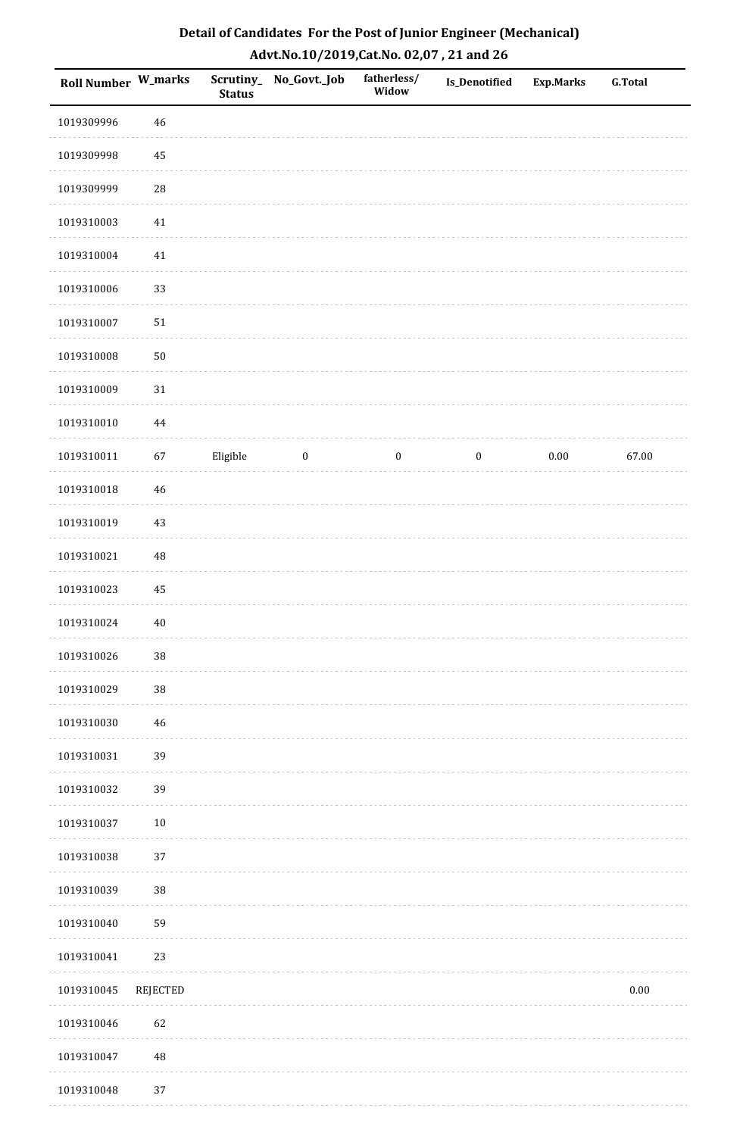| Roll Number W_marks |                 | <b>Status</b> | Scrutiny_ No_Govt._Job | fatherless/<br>Widow | <b>Is_Denotified</b> | <b>Exp.Marks</b> | <b>G.Total</b> |
|---------------------|-----------------|---------------|------------------------|----------------------|----------------------|------------------|----------------|
| 1019309996          | $\sqrt{46}$     |               |                        |                      |                      |                  |                |
| 1019309998          | 45              |               |                        |                      |                      |                  |                |
| 1019309999          | 28              |               |                        |                      |                      |                  |                |
| 1019310003          | $41\,$          |               |                        |                      |                      |                  |                |
| 1019310004          | $41\,$          |               |                        |                      |                      |                  |                |
| 1019310006          | 33              |               |                        |                      |                      |                  |                |
| 1019310007          | 51              |               |                        |                      |                      |                  |                |
| 1019310008          | $50\,$          |               |                        |                      |                      |                  |                |
| 1019310009          | 31              |               |                        |                      |                      |                  |                |
| 1019310010          | $\bf 44$        |               |                        |                      |                      |                  |                |
| 1019310011          | 67              | Eligible      | $\boldsymbol{0}$       | $\boldsymbol{0}$     | $\boldsymbol{0}$     | $0.00\,$         | 67.00          |
| 1019310018          | $\sqrt{46}$     |               |                        |                      |                      |                  |                |
| 1019310019          | 43              |               |                        |                      |                      |                  |                |
| 1019310021          | $\rm 48$        |               |                        |                      |                      |                  |                |
| 1019310023          | 45              |               |                        |                      |                      |                  |                |
| 1019310024          | $40\,$          |               |                        |                      |                      |                  |                |
| 1019310026          | $38\,$          |               |                        |                      |                      |                  |                |
| 1019310029          | 38              |               |                        |                      |                      |                  |                |
| 1019310030          | $\sqrt{46}$     |               |                        |                      |                      |                  |                |
| 1019310031          | 39              |               |                        |                      |                      |                  |                |
| 1019310032          | 39              |               |                        |                      |                      |                  |                |
| 1019310037          | $10\,$          |               |                        |                      |                      |                  |                |
| 1019310038          | 37              |               |                        |                      |                      |                  |                |
| 1019310039          | 38              |               |                        |                      |                      |                  |                |
| 1019310040          | 59              |               |                        |                      |                      |                  |                |
| 1019310041          | 23              |               |                        |                      |                      |                  |                |
| 1019310045          | <b>REJECTED</b> |               |                        |                      |                      |                  | 0.00           |
| 1019310046          | 62              |               |                        |                      |                      |                  |                |
| 1019310047          | $\rm 48$        |               |                        |                      |                      |                  |                |
| 1019310048          | 37              |               |                        |                      |                      |                  |                |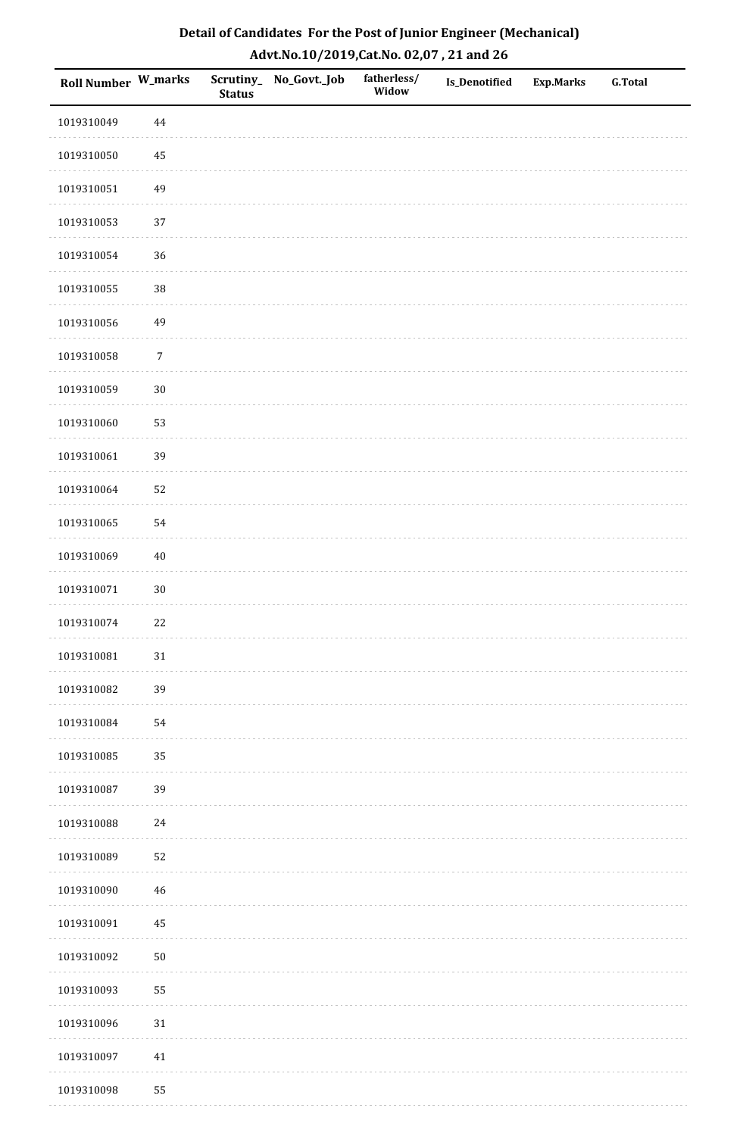| Detail of Candidates For the Post of Junior Engineer (Mechanical) |
|-------------------------------------------------------------------|
| Advt.No.10/2019,Cat.No. 02,07, 21 and 26                          |

| Roll Number W_marks |             | <b>Status</b> | Scrutiny_ No_Govt._Job | fatherless/<br>Widow | Is_Denotified | <b>Exp.Marks</b> | <b>G.Total</b> |
|---------------------|-------------|---------------|------------------------|----------------------|---------------|------------------|----------------|
| 1019310049          | 44          |               |                        |                      |               |                  |                |
| 1019310050          | $\rm 45$    |               |                        |                      |               |                  |                |
| 1019310051          | 49          |               |                        |                      |               |                  |                |
| 1019310053          | 37          |               |                        |                      |               |                  |                |
| 1019310054          | 36          |               |                        |                      |               |                  |                |
| 1019310055          | $38\,$      |               |                        |                      |               |                  |                |
| 1019310056          | 49          |               |                        |                      |               |                  |                |
| 1019310058          | $\sqrt{7}$  |               |                        |                      |               |                  |                |
| 1019310059          | $30\,$      |               |                        |                      |               |                  |                |
| 1019310060          | 53          |               |                        |                      |               |                  |                |
| 1019310061          | 39          |               |                        |                      |               |                  |                |
| 1019310064          | 52          |               |                        |                      |               |                  |                |
| 1019310065          | 54          |               |                        |                      |               |                  |                |
| 1019310069          | $40\,$      |               |                        |                      |               |                  |                |
| 1019310071          | $30\,$      |               |                        |                      |               |                  |                |
| 1019310074          | 22          |               |                        |                      |               |                  |                |
| 1019310081          | $31\,$      |               |                        |                      |               |                  |                |
| 1019310082          | 39          |               |                        |                      |               |                  |                |
| 1019310084          | 54          |               |                        |                      |               |                  |                |
| 1019310085          | 35          |               |                        |                      |               |                  |                |
| 1019310087          | 39          |               |                        |                      |               |                  |                |
| 1019310088          | 24          |               |                        |                      |               |                  |                |
| 1019310089          | 52          |               |                        |                      |               |                  |                |
| 1019310090          | $\sqrt{46}$ |               |                        |                      |               |                  |                |
| 1019310091          | 45          |               |                        |                      |               |                  |                |
| 1019310092          | $50\,$      |               |                        |                      |               |                  |                |
| 1019310093          | 55          |               |                        |                      |               |                  |                |
| 1019310096          | $31\,$      |               |                        |                      |               |                  |                |
| 1019310097          | 41          |               |                        |                      |               |                  |                |
| 1019310098          | 55          |               |                        |                      |               |                  |                |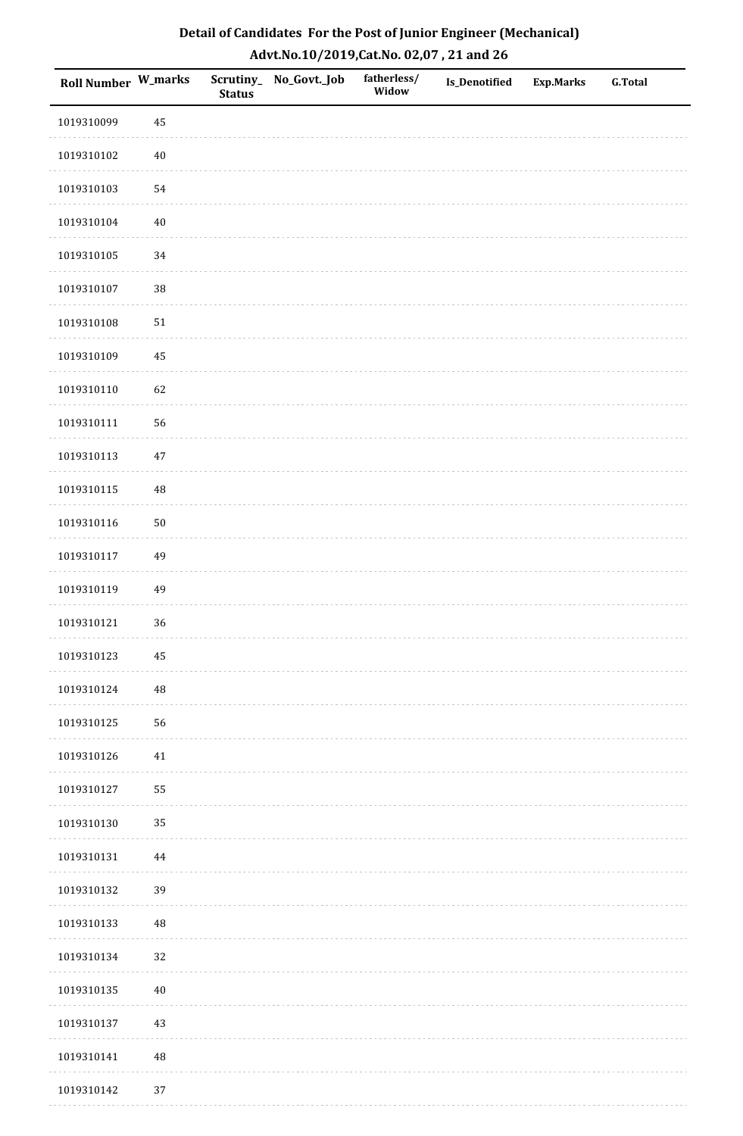| Roll Number W_marks |          | <b>Status</b> | Scrutiny_No_Govt._Job | fatherless/<br>Widow | Is_Denotified | <b>Exp.Marks</b> | <b>G.Total</b> |
|---------------------|----------|---------------|-----------------------|----------------------|---------------|------------------|----------------|
| 1019310099          | 45       |               |                       |                      |               |                  |                |
| 1019310102          | $40\,$   |               |                       |                      |               |                  |                |
| 1019310103          | 54       |               |                       |                      |               |                  |                |
| 1019310104          | $40\,$   |               |                       |                      |               |                  |                |
| 1019310105          | 34       |               |                       |                      |               |                  |                |
| 1019310107          | 38       |               |                       |                      |               |                  |                |
| 1019310108          | $51\,$   |               |                       |                      |               |                  |                |
| 1019310109          | 45       |               |                       |                      |               |                  |                |
| 1019310110          | 62       |               |                       |                      |               |                  |                |
| 1019310111          | 56       |               |                       |                      |               |                  |                |
| 1019310113          | $47\,$   |               |                       |                      |               |                  |                |
| 1019310115          | 48       |               |                       |                      |               |                  |                |
| 1019310116          | $50\,$   |               |                       |                      |               |                  |                |
| 1019310117          | 49       |               |                       |                      |               |                  |                |
| 1019310119          | 49       |               |                       |                      |               |                  |                |
| 1019310121          | 36       |               |                       |                      |               |                  |                |
| 1019310123          | $\bf 45$ |               |                       |                      |               |                  |                |
| 1019310124          | $\rm 48$ |               |                       |                      |               |                  |                |
| 1019310125          | 56       |               |                       |                      |               |                  |                |
| 1019310126          | $41\,$   |               |                       |                      |               |                  |                |
| 1019310127          | 55       |               |                       |                      |               |                  |                |
| 1019310130          | 35       |               |                       |                      |               |                  |                |
| 1019310131          | $\bf 44$ |               |                       |                      |               |                  |                |
| 1019310132          | 39       |               |                       |                      |               |                  |                |
| 1019310133          | $\rm 48$ |               |                       |                      |               |                  |                |
| 1019310134          | $32\,$   |               |                       |                      |               |                  |                |
| 1019310135          | $40\,$   |               |                       |                      |               |                  |                |
| 1019310137          | 43       |               |                       |                      |               |                  |                |
| 1019310141          | $\rm 48$ |               |                       |                      |               |                  |                |
| 1019310142          | 37       |               |                       |                      |               |                  |                |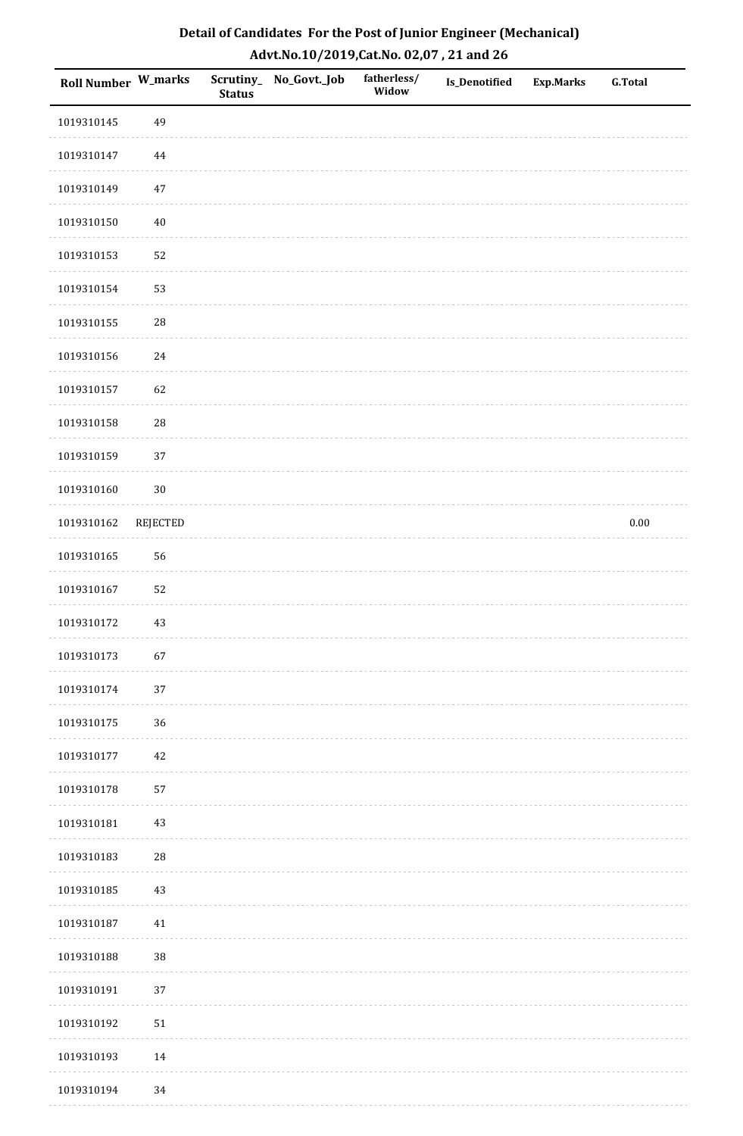| <b>Roll Number W_marks</b> |            | <b>Status</b> | Scrutiny_ No_Govt._Job | fatherless/<br>Widow | Is_Denotified | <b>Exp.Marks</b> | <b>G.Total</b> |
|----------------------------|------------|---------------|------------------------|----------------------|---------------|------------------|----------------|
| 1019310145                 | 49         |               |                        |                      |               |                  |                |
| 1019310147                 | $\bf 44$   |               |                        |                      |               |                  |                |
| 1019310149                 | $47\,$     |               |                        |                      |               |                  |                |
| 1019310150                 | $40\,$     |               |                        |                      |               |                  |                |
| 1019310153                 | 52         |               |                        |                      |               |                  |                |
| 1019310154                 | 53         |               |                        |                      |               |                  |                |
| 1019310155                 | 28         |               |                        |                      |               |                  |                |
| 1019310156                 | $24\,$     |               |                        |                      |               |                  |                |
| 1019310157                 | 62         |               |                        |                      |               |                  |                |
| 1019310158                 | ${\bf 28}$ |               |                        |                      |               |                  |                |
| 1019310159                 | 37         |               |                        |                      |               |                  |                |
| 1019310160                 | $30\,$     |               |                        |                      |               |                  |                |
| 1019310162                 | REJECTED   |               |                        |                      |               |                  | $0.00\,$       |
| 1019310165                 | 56         |               |                        |                      |               |                  |                |
| 1019310167                 | 52         |               |                        |                      |               |                  |                |
| 1019310172                 | $43\,$     |               |                        |                      |               |                  |                |
| 1019310173                 | 67         |               |                        |                      |               |                  |                |
| 1019310174                 | 37         |               |                        |                      |               |                  |                |
| 1019310175                 | 36         |               |                        |                      |               |                  |                |
| 1019310177                 | $42\,$     |               |                        |                      |               |                  |                |
| 1019310178                 | 57         |               |                        |                      |               |                  |                |
| 1019310181                 | $43\,$     |               |                        |                      |               |                  |                |
| 1019310183                 | ${\bf 28}$ |               |                        |                      |               |                  |                |
| 1019310185                 | 43         |               |                        |                      |               |                  |                |
| 1019310187                 | 41         |               |                        |                      |               |                  |                |
| 1019310188                 | 38         |               |                        |                      |               |                  |                |
| 1019310191                 | 37         |               |                        |                      |               |                  |                |
| 1019310192                 | $51\,$     |               |                        |                      |               |                  |                |
| 1019310193                 | $14\,$     |               |                        |                      |               |                  |                |
| 1019310194                 | 34         |               |                        |                      |               |                  |                |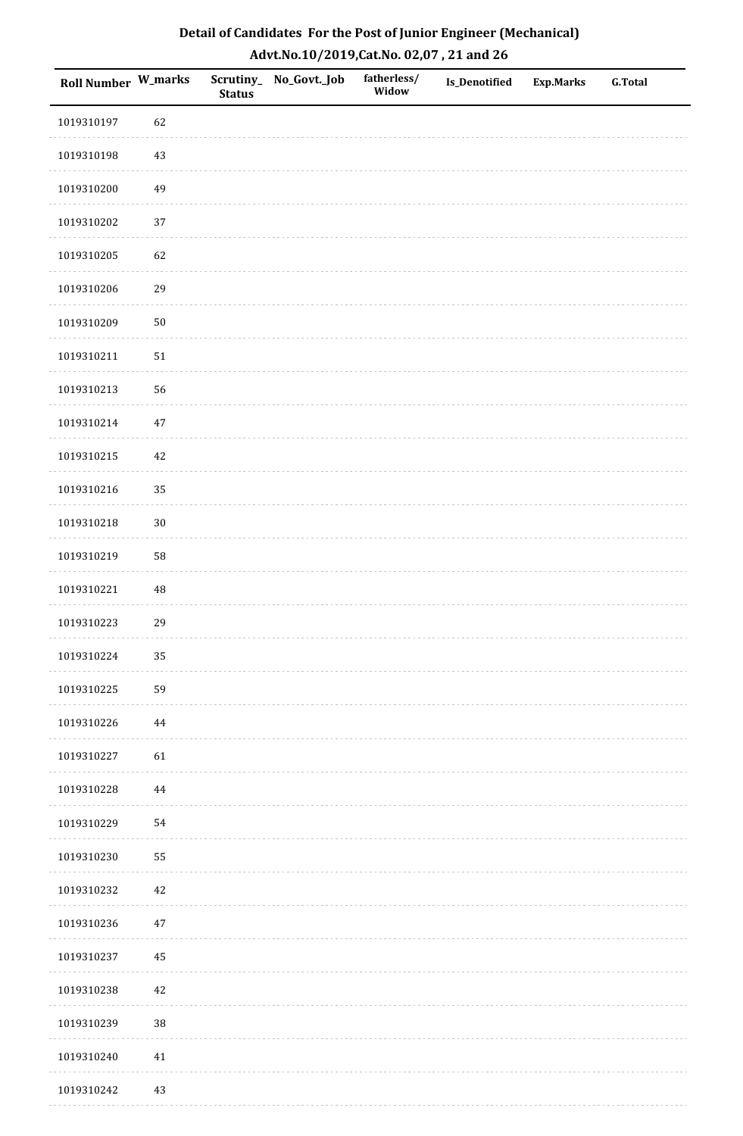| Detail of Candidates For the Post of Junior Engineer (Mechanical) |
|-------------------------------------------------------------------|
| Advt.No.10/2019,Cat.No. 02,07, 21 and 26                          |

| Roll Number W_marks |          | <b>Status</b> | Scrutiny_ No_Govt._Job | fatherless/<br>Widow | <b>Is_Denotified</b> | <b>Exp.Marks</b> | <b>G.Total</b> |
|---------------------|----------|---------------|------------------------|----------------------|----------------------|------------------|----------------|
| 1019310197          | 62       |               |                        |                      |                      |                  |                |
| 1019310198          | $43\,$   |               |                        |                      |                      |                  |                |
| 1019310200          | 49       |               |                        |                      |                      |                  |                |
| 1019310202          | 37       |               |                        |                      |                      |                  |                |
| 1019310205          | 62       |               |                        |                      |                      |                  |                |
| 1019310206          | 29       |               |                        |                      |                      |                  |                |
| 1019310209          | $50\,$   |               |                        |                      |                      |                  |                |
| 1019310211          | $51\,$   |               |                        |                      |                      |                  |                |
| 1019310213          | 56       |               |                        |                      |                      |                  |                |
| 1019310214          | $47\,$   |               |                        |                      |                      |                  |                |
| 1019310215          | $42\,$   |               |                        |                      |                      |                  |                |
| 1019310216          | 35       |               |                        |                      |                      |                  |                |
| 1019310218          | $30\,$   |               |                        |                      |                      |                  |                |
| 1019310219          | 58       |               |                        |                      |                      |                  |                |
| 1019310221          | $\rm 48$ |               |                        |                      |                      |                  |                |
| 1019310223          | 29       |               |                        |                      |                      |                  |                |
| 1019310224          | 35       |               |                        |                      |                      |                  |                |
| 1019310225          | 59       |               |                        |                      |                      |                  |                |
| 1019310226          | 44       |               |                        |                      |                      |                  |                |
| 1019310227          | 61       |               |                        |                      |                      |                  |                |
| 1019310228          | 44       |               |                        |                      |                      |                  |                |
| 1019310229          | 54       |               |                        |                      |                      |                  |                |
| 1019310230          | 55       |               |                        |                      |                      |                  |                |
| 1019310232          | $42\,$   |               |                        |                      |                      |                  |                |
| 1019310236          | $47\,$   |               |                        |                      |                      |                  |                |
| 1019310237          | $\rm 45$ |               |                        |                      |                      |                  |                |
| 1019310238          | $42\,$   |               |                        |                      |                      |                  |                |
| 1019310239          | $38\,$   |               |                        |                      |                      |                  |                |
| 1019310240          | 41       |               |                        |                      |                      |                  |                |
| 1019310242          | $43\,$   |               |                        |                      |                      |                  |                |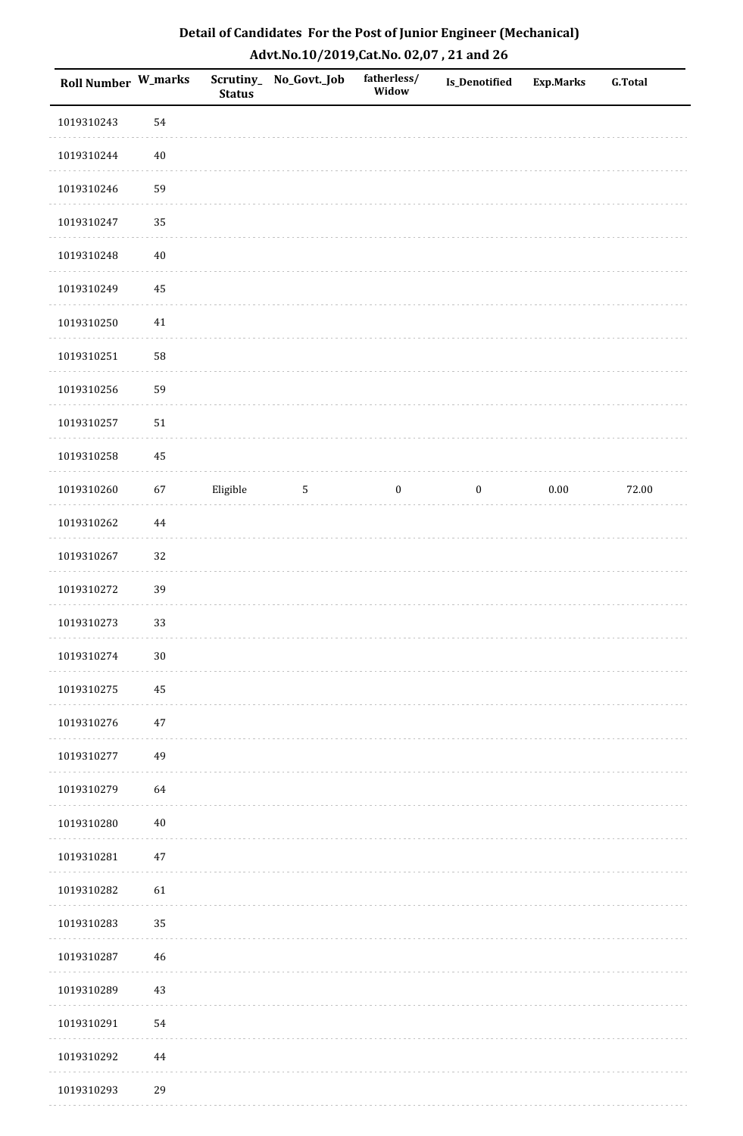| Detail of Candidates For the Post of Junior Engineer (Mechanical) |
|-------------------------------------------------------------------|
| Advt.No.10/2019,Cat.No. 02,07, 21 and 26                          |

| Roll Number W_marks |        | <b>Status</b> | Scrutiny_No_Govt._Job | fatherless/<br>Widow | Is_Denotified    | <b>Exp.Marks</b> | <b>G.Total</b> |
|---------------------|--------|---------------|-----------------------|----------------------|------------------|------------------|----------------|
| 1019310243          | 54     |               |                       |                      |                  |                  |                |
| 1019310244          | $40\,$ |               |                       |                      |                  |                  |                |
| 1019310246          | 59     |               |                       |                      |                  |                  |                |
| 1019310247          | 35     |               |                       |                      |                  |                  |                |
| 1019310248          | $40\,$ |               |                       |                      |                  |                  |                |
| 1019310249          | 45     |               |                       |                      |                  |                  |                |
| 1019310250          | 41     |               |                       |                      |                  |                  |                |
| 1019310251          | 58     |               |                       |                      |                  |                  |                |
| 1019310256          | 59     |               |                       |                      |                  |                  |                |
| 1019310257          | 51     |               |                       |                      |                  |                  |                |
| 1019310258          | 45     |               |                       |                      |                  |                  |                |
| 1019310260          | 67     | Eligible      | $\mathbf{5}$          | $\boldsymbol{0}$     | $\boldsymbol{0}$ | $0.00\,$         | 72.00          |
| 1019310262          | 44     |               |                       |                      |                  |                  |                |
| 1019310267          | 32     |               |                       |                      |                  |                  |                |
| 1019310272          | 39     |               |                       |                      |                  |                  |                |
| 1019310273          | 33     |               |                       |                      |                  |                  |                |
| 1019310274          | $30\,$ |               |                       |                      |                  |                  |                |
| 1019310275          | 45     |               |                       |                      |                  |                  |                |
| 1019310276          | $47\,$ |               |                       |                      |                  |                  |                |
| 1019310277          | 49     |               |                       |                      |                  |                  |                |
| 1019310279          | 64     |               |                       |                      |                  |                  |                |
| 1019310280          | $40\,$ |               |                       |                      |                  |                  |                |
| 1019310281          | 47     |               |                       |                      |                  |                  |                |
| 1019310282          | 61     |               |                       |                      |                  |                  |                |
| 1019310283          | 35     |               |                       |                      |                  |                  |                |
| 1019310287          | 46     |               |                       |                      |                  |                  |                |
| 1019310289          | 43     |               |                       |                      |                  |                  |                |
| 1019310291          | 54     |               |                       |                      |                  |                  |                |
| 1019310292          | 44     |               |                       |                      |                  |                  |                |
| 1019310293          | 29     |               |                       |                      |                  |                  |                |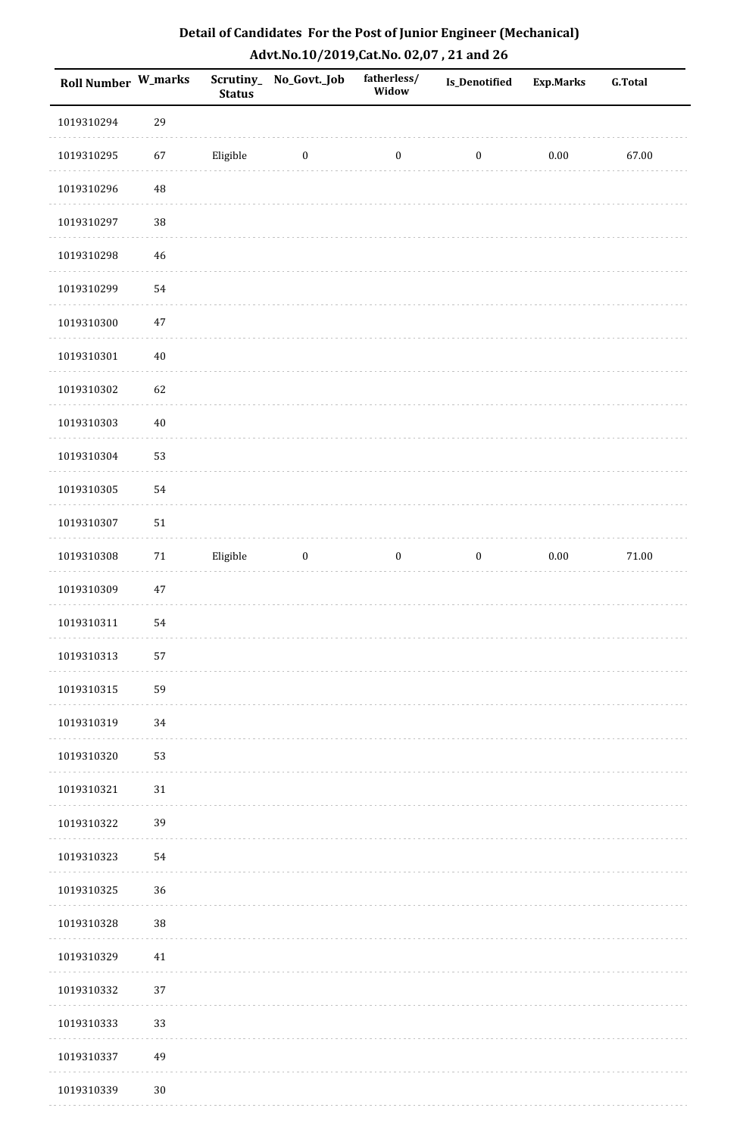| Detail of Candidates For the Post of Junior Engineer (Mechanical) |
|-------------------------------------------------------------------|
| Advt.No.10/2019,Cat.No. 02,07, 21 and 26                          |

| Roll Number W_marks |             | <b>Status</b> | Scrutiny_ No_Govt._Job | fatherless/<br>Widow | <b>Is_Denotified</b> | <b>Exp.Marks</b> | <b>G.Total</b> |
|---------------------|-------------|---------------|------------------------|----------------------|----------------------|------------------|----------------|
| 1019310294          | 29          |               |                        |                      |                      |                  |                |
| 1019310295          | 67          | Eligible      | $\boldsymbol{0}$       | $\boldsymbol{0}$     | $\boldsymbol{0}$     | $0.00\,$         | 67.00          |
| 1019310296          | $\sqrt{48}$ |               |                        |                      |                      |                  |                |
| 1019310297          | 38          |               |                        |                      |                      |                  |                |
| 1019310298          | $46\,$      |               |                        |                      |                      |                  |                |
| 1019310299          | 54          |               |                        |                      |                      |                  |                |
| 1019310300          | $47\,$      |               |                        |                      |                      |                  |                |
| 1019310301          | $40\,$      |               |                        |                      |                      |                  |                |
| 1019310302          | 62          |               |                        |                      |                      |                  |                |
| 1019310303          | $40\,$      |               |                        |                      |                      |                  |                |
| 1019310304          | 53          |               |                        |                      |                      |                  |                |
| 1019310305          | 54          |               |                        |                      |                      |                  |                |
| 1019310307          | 51          |               |                        |                      |                      |                  |                |
| 1019310308          | $71\,$      | Eligible      | $\boldsymbol{0}$       | $\boldsymbol{0}$     | $\boldsymbol{0}$     | $0.00\,$         | $71.00\,$      |
| 1019310309          | $47\,$      |               |                        |                      |                      |                  |                |
| 1019310311          | 54          |               |                        |                      |                      |                  |                |
| 1019310313          | 57          |               |                        |                      |                      |                  |                |
| 1019310315          | 59          |               |                        |                      |                      |                  |                |
| 1019310319          | 34          |               |                        |                      |                      |                  |                |
| 1019310320          | 53          |               |                        |                      |                      |                  |                |
| 1019310321          | $31\,$      |               |                        |                      |                      |                  |                |
| 1019310322          | 39          |               |                        |                      |                      |                  |                |
| 1019310323          | 54          |               |                        |                      |                      |                  |                |
| 1019310325          | 36          |               |                        |                      |                      |                  |                |
| 1019310328          | 38          |               |                        |                      |                      |                  |                |
| 1019310329          | $41\,$      |               |                        |                      |                      |                  |                |
| 1019310332          | 37          |               |                        |                      |                      |                  |                |
| 1019310333          | 33          |               |                        |                      |                      |                  |                |
| 1019310337          | 49          |               |                        |                      |                      |                  |                |
| 1019310339          | $30\,$      |               |                        |                      |                      |                  |                |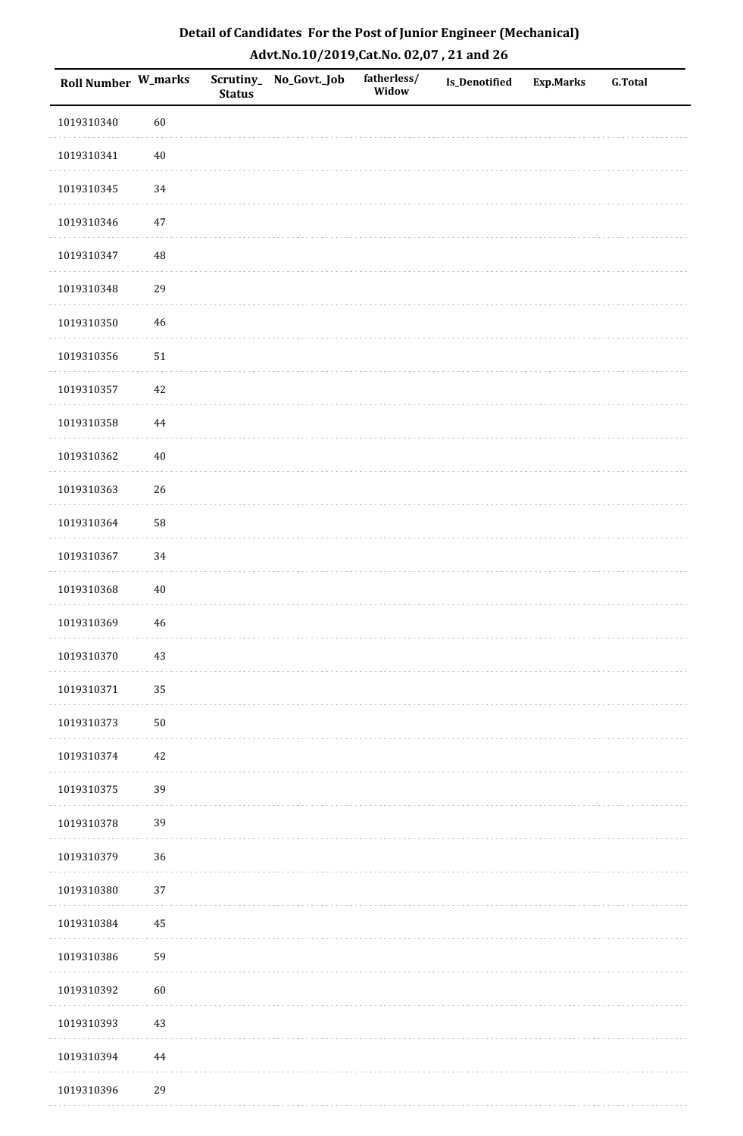| Detail of Candidates For the Post of Junior Engineer (Mechanical) |
|-------------------------------------------------------------------|
| Advt.No.10/2019,Cat.No. 02,07, 21 and 26                          |

| Roll Number W_marks |             | <b>Status</b> | Scrutiny_ No_Govt._Job | fatherless/<br>Widow | <b>Is_Denotified</b> | <b>Exp.Marks</b> | <b>G.Total</b> |
|---------------------|-------------|---------------|------------------------|----------------------|----------------------|------------------|----------------|
| 1019310340          | 60          |               |                        |                      |                      |                  |                |
| 1019310341          | $40\,$      |               |                        |                      |                      |                  |                |
| 1019310345          | 34          |               |                        |                      |                      |                  |                |
| 1019310346          | $47\,$      |               |                        |                      |                      |                  |                |
| 1019310347          | $\rm 48$    |               |                        |                      |                      |                  |                |
| 1019310348          | 29          |               |                        |                      |                      |                  |                |
| 1019310350          | $\sqrt{46}$ |               |                        |                      |                      |                  |                |
| 1019310356          | $51\,$      |               |                        |                      |                      |                  |                |
| 1019310357          | $42\,$      |               |                        |                      |                      |                  |                |
| 1019310358          | $\bf 44$    |               |                        |                      |                      |                  |                |
| 1019310362          | $40\,$      |               |                        |                      |                      |                  |                |
| 1019310363          | 26          |               |                        |                      |                      |                  |                |
| 1019310364          | 58          |               |                        |                      |                      |                  |                |
| 1019310367          | 34          |               |                        |                      |                      |                  |                |
| 1019310368          | 40          |               |                        |                      |                      |                  |                |
| 1019310369          | $\sqrt{46}$ |               |                        |                      |                      |                  |                |
| 1019310370          | $43\,$      |               |                        |                      |                      |                  |                |
| 1019310371          | 35          |               |                        |                      |                      |                  |                |
| 1019310373          | $50\,$      |               |                        |                      |                      |                  |                |
| 1019310374          | $42\,$      |               |                        |                      |                      |                  |                |
| 1019310375          | 39          |               |                        |                      |                      |                  |                |
| 1019310378          | 39          |               |                        |                      |                      |                  |                |
| 1019310379          | 36          |               |                        |                      |                      |                  |                |
| 1019310380          | $37\,$      |               |                        |                      |                      |                  |                |
| 1019310384          | 45          |               |                        |                      |                      |                  |                |
| 1019310386          | 59          |               |                        |                      |                      |                  |                |
| 1019310392          | 60          |               |                        |                      |                      |                  |                |
| 1019310393          | 43          |               |                        |                      |                      |                  |                |
| 1019310394          | $\bf 44$    |               |                        |                      |                      |                  |                |
| 1019310396          | 29          |               |                        |                      |                      |                  |                |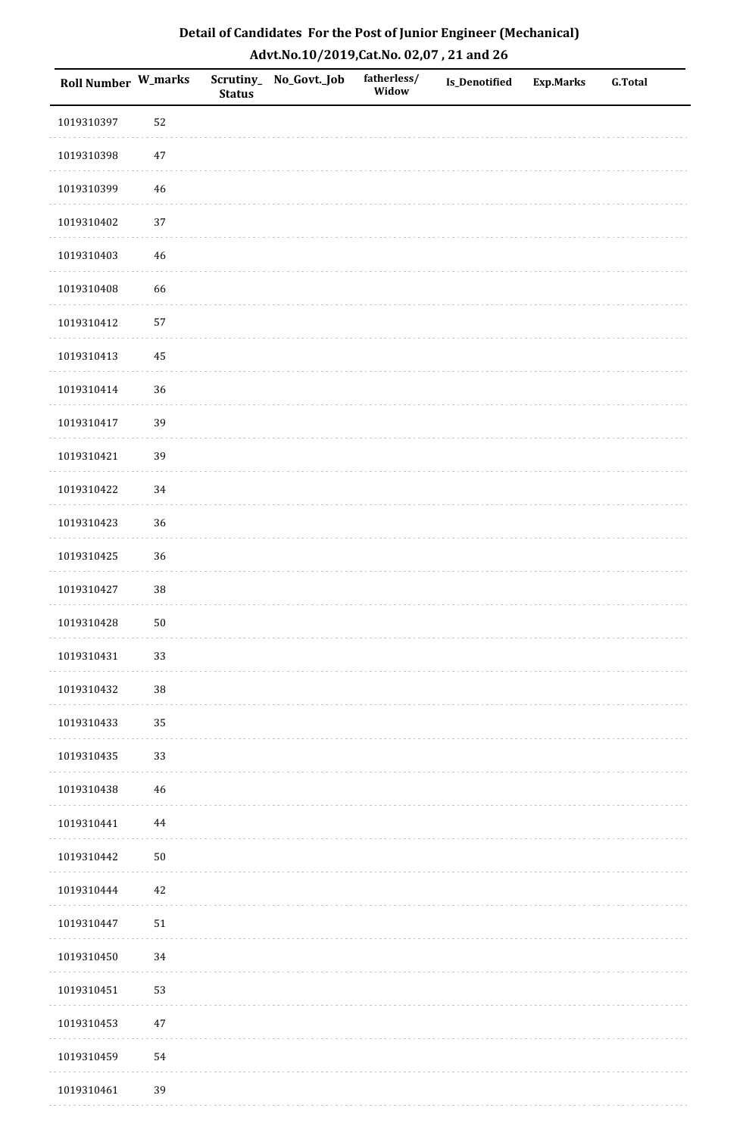| Roll Number W_marks |             | <b>Status</b> | Scrutiny_No_Govt._Job | fatherless/<br>Widow | Is_Denotified | <b>Exp.Marks</b> | <b>G.Total</b> |
|---------------------|-------------|---------------|-----------------------|----------------------|---------------|------------------|----------------|
| 1019310397          | 52          |               |                       |                      |               |                  |                |
| 1019310398          | $47\,$      |               |                       |                      |               |                  |                |
| 1019310399          | $46\,$      |               |                       |                      |               |                  |                |
| 1019310402          | 37          |               |                       |                      |               |                  |                |
| 1019310403          | $\sqrt{46}$ |               |                       |                      |               |                  |                |
| 1019310408          | 66          |               |                       |                      |               |                  |                |
| 1019310412          | 57          |               |                       |                      |               |                  |                |
| 1019310413          | 45          |               |                       |                      |               |                  |                |
| 1019310414          | 36          |               |                       |                      |               |                  |                |
| 1019310417          | 39          |               |                       |                      |               |                  |                |
| 1019310421          | 39          |               |                       |                      |               |                  |                |
| 1019310422          | 34          |               |                       |                      |               |                  |                |
| 1019310423          | 36          |               |                       |                      |               |                  |                |
| 1019310425          | 36          |               |                       |                      |               |                  |                |
| 1019310427          | $38\,$      |               |                       |                      |               |                  |                |
| 1019310428          | ${\bf 50}$  |               |                       |                      |               |                  |                |
| 1019310431          | 33          |               |                       |                      |               |                  |                |
| 1019310432          | 38          |               |                       |                      |               |                  |                |
| 1019310433          | 35          |               |                       |                      |               |                  |                |
| 1019310435          | 33          |               |                       |                      |               |                  |                |
| 1019310438          | 46          |               |                       |                      |               |                  |                |
| 1019310441          | $\bf 44$    |               |                       |                      |               |                  |                |
| 1019310442          | $50\,$      |               |                       |                      |               |                  |                |
| 1019310444          | 42          |               |                       |                      |               |                  |                |
| 1019310447          | $51\,$      |               |                       |                      |               |                  |                |
| 1019310450          | 34          |               |                       |                      |               |                  |                |
| 1019310451          | 53          |               |                       |                      |               |                  |                |
| 1019310453          | $47\,$      |               |                       |                      |               |                  |                |
| 1019310459          | 54          |               |                       |                      |               |                  |                |
| 1019310461          | 39          |               |                       |                      |               |                  |                |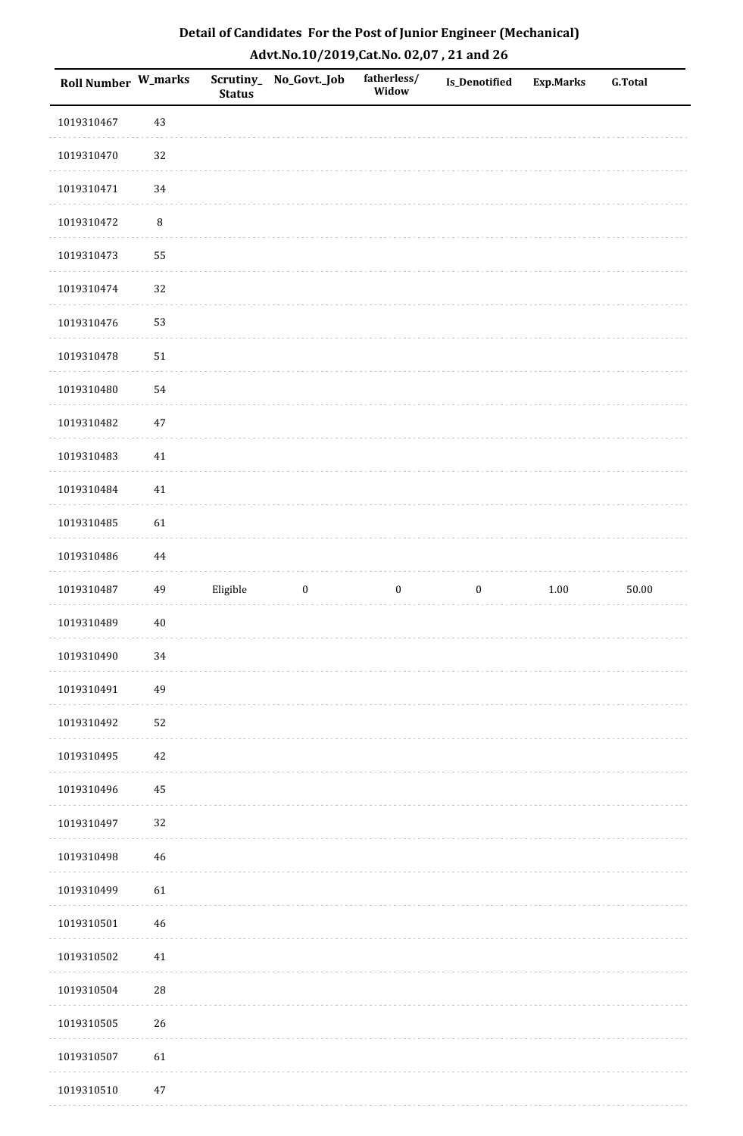| Roll Number W_marks |             | <b>Status</b> | Scrutiny_No_Govt._Job | fatherless/<br>Widow | <b>Is_Denotified</b> | <b>Exp.Marks</b> | <b>G.Total</b> |
|---------------------|-------------|---------------|-----------------------|----------------------|----------------------|------------------|----------------|
| 1019310467          | $43\,$      |               |                       |                      |                      |                  |                |
| 1019310470          | 32          |               |                       |                      |                      |                  |                |
| 1019310471          | 34          |               |                       |                      |                      |                  |                |
| 1019310472          | $\, 8$      |               |                       |                      |                      |                  |                |
| 1019310473          | 55          |               |                       |                      |                      |                  |                |
| 1019310474          | 32          |               |                       |                      |                      |                  |                |
| 1019310476          | 53          |               |                       |                      |                      |                  |                |
| 1019310478          | $51\,$      |               |                       |                      |                      |                  |                |
| 1019310480          | 54          |               |                       |                      |                      |                  |                |
| 1019310482          | $47\,$      |               |                       |                      |                      |                  |                |
| 1019310483          | $41\,$      |               |                       |                      |                      |                  |                |
| 1019310484          | $41\,$      |               |                       |                      |                      |                  |                |
| 1019310485          | 61          |               |                       |                      |                      |                  |                |
| 1019310486          | 44          |               |                       |                      |                      |                  |                |
| 1019310487          | 49          | Eligible      | $\boldsymbol{0}$      | $\boldsymbol{0}$     | $\boldsymbol{0}$     | 1.00             | 50.00          |
| 1019310489          | $40\,$      |               |                       |                      |                      |                  |                |
| 1019310490          | 34          |               |                       |                      |                      |                  |                |
| 1019310491          | 49          |               |                       |                      |                      |                  |                |
| 1019310492          | 52          |               |                       |                      |                      |                  |                |
| 1019310495          | $42\,$      |               |                       |                      |                      |                  |                |
| 1019310496          | 45          |               |                       |                      |                      |                  |                |
| 1019310497          | $32\,$      |               |                       |                      |                      |                  |                |
| 1019310498          | $46\,$      |               |                       |                      |                      |                  |                |
| 1019310499          | 61          |               |                       |                      |                      |                  |                |
| 1019310501          | 46          |               |                       |                      |                      |                  |                |
| 1019310502          | $41\,$      |               |                       |                      |                      |                  |                |
| 1019310504          | $\sqrt{28}$ |               |                       |                      |                      |                  |                |
| 1019310505          | 26          |               |                       |                      |                      |                  |                |
| 1019310507          | 61          |               |                       |                      |                      |                  |                |
| 1019310510          | 47          |               |                       |                      |                      |                  |                |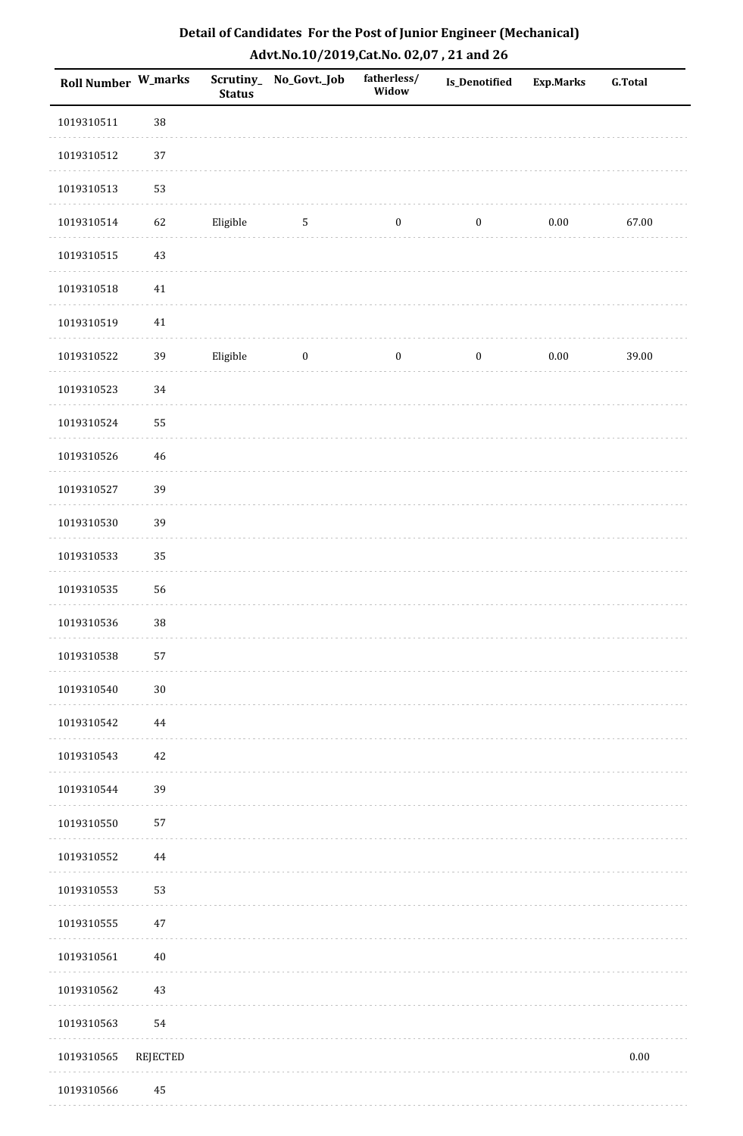| Roll Number W_marks |             | <b>Status</b> | Scrutiny_No_Govt._Job | fatherless/<br>Widow | <b>Is_Denotified</b> | Exp.Marks | <b>G.Total</b> |
|---------------------|-------------|---------------|-----------------------|----------------------|----------------------|-----------|----------------|
| 1019310511          | 38          |               |                       |                      |                      |           |                |
| 1019310512          | $37\,$      |               |                       |                      |                      |           |                |
| 1019310513          | 53          |               |                       |                      |                      |           |                |
| 1019310514          | 62          | Eligible      | 5                     | $\boldsymbol{0}$     | $\boldsymbol{0}$     | $0.00\,$  | 67.00          |
| 1019310515          | $43\,$      |               |                       |                      |                      |           |                |
| 1019310518          | $41\,$      |               |                       |                      |                      |           |                |
| 1019310519          | $41\,$      |               |                       |                      |                      |           |                |
| 1019310522          | 39          | Eligible      | $\boldsymbol{0}$      | $\boldsymbol{0}$     | $\boldsymbol{0}$     | $0.00\,$  | 39.00          |
| 1019310523          | $34\,$      |               |                       |                      |                      |           |                |
| 1019310524          | 55          |               |                       |                      |                      |           |                |
| 1019310526          | $\sqrt{46}$ |               |                       |                      |                      |           |                |
| 1019310527          | 39          |               |                       |                      |                      |           |                |
| 1019310530          | 39          |               |                       |                      |                      |           |                |
| 1019310533          | 35          |               |                       |                      |                      |           |                |
| 1019310535          | 56          |               |                       |                      |                      |           |                |
| 1019310536          | 38          |               |                       |                      |                      |           |                |
| 1019310538          | 57          |               |                       |                      |                      |           |                |
| 1019310540          | $30\,$      |               |                       |                      |                      |           |                |
| 1019310542          | $\bf 44$    |               |                       |                      |                      |           |                |
| 1019310543          | 42          |               |                       |                      |                      |           |                |
| 1019310544          | 39          |               |                       |                      |                      |           |                |
| 1019310550          | 57          |               |                       |                      |                      |           |                |
| 1019310552          | $\bf 44$    |               |                       |                      |                      |           |                |
| 1019310553          | 53          |               |                       |                      |                      |           |                |
| 1019310555          | $47\,$      |               |                       |                      |                      |           |                |
| 1019310561          | $40\,$      |               |                       |                      |                      |           |                |
| 1019310562          | $43\,$      |               |                       |                      |                      |           |                |
| 1019310563          | 54          |               |                       |                      |                      |           |                |
| 1019310565          | REJECTED    |               |                       |                      |                      |           | $0.00\,$       |
|                     |             |               |                       |                      |                      |           |                |

# **Detail of Candidates For the Post of Junior Engineer (Mechanical) Advt.No.10/2019,Cat.No. 02,07 , 21 and 26**

 1019310566 45. . . . . . . . . . . . . . . . . .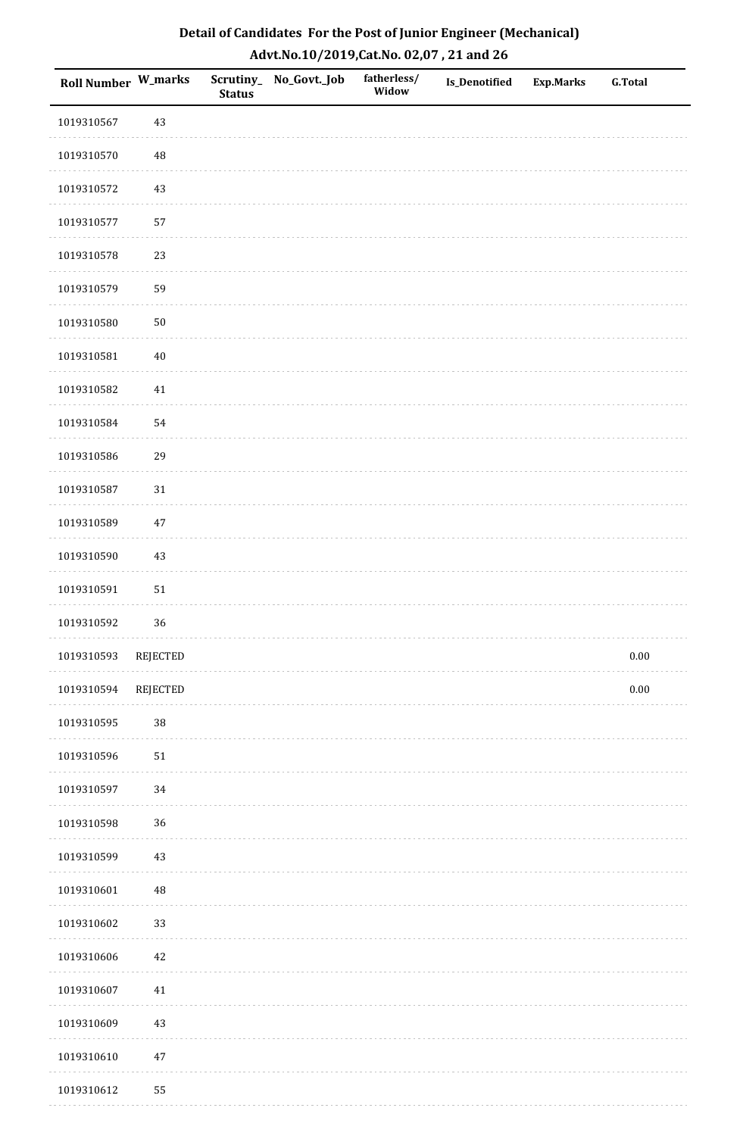| Detail of Candidates For the Post of Junior Engineer (Mechanical) |
|-------------------------------------------------------------------|
| Advt.No.10/2019,Cat.No. 02,07, 21 and 26                          |

| Roll Number W_marks |          | <b>Status</b> | Scrutiny_ No_Govt._Job | fatherless/<br>Widow | Is_Denotified | <b>Exp.Marks</b> | <b>G.Total</b> |
|---------------------|----------|---------------|------------------------|----------------------|---------------|------------------|----------------|
| 1019310567          | 43       |               |                        |                      |               |                  |                |
| 1019310570          | 48       |               |                        |                      |               |                  |                |
| 1019310572          | 43       |               |                        |                      |               |                  |                |
| 1019310577          | 57       |               |                        |                      |               |                  |                |
| 1019310578          | 23       |               |                        |                      |               |                  |                |
| 1019310579          | 59       |               |                        |                      |               |                  |                |
| 1019310580          | 50       |               |                        |                      |               |                  |                |
| 1019310581          | $40\,$   |               |                        |                      |               |                  |                |
| 1019310582          | $41\,$   |               |                        |                      |               |                  |                |
| 1019310584          | 54       |               |                        |                      |               |                  |                |
| 1019310586          | 29       |               |                        |                      |               |                  |                |
| 1019310587          | $31\,$   |               |                        |                      |               |                  |                |
| 1019310589          | $47\,$   |               |                        |                      |               |                  |                |
| 1019310590          | 43       |               |                        |                      |               |                  |                |
| 1019310591          | 51       |               |                        |                      |               |                  |                |
| 1019310592          | 36       |               |                        |                      |               |                  |                |
| 1019310593          | REJECTED |               |                        |                      |               |                  | $0.00\,$       |
| 1019310594          | REJECTED |               |                        |                      |               |                  | $0.00\,$       |
| 1019310595          | 38       |               |                        |                      |               |                  |                |
| 1019310596          | 51       |               |                        |                      |               |                  |                |
| 1019310597          | 34       |               |                        |                      |               |                  |                |
| 1019310598          | 36       |               |                        |                      |               |                  |                |
| 1019310599          | 43       |               |                        |                      |               |                  |                |
| 1019310601          | 48       |               |                        |                      |               |                  |                |
| 1019310602          | 33       |               |                        |                      |               |                  |                |
| 1019310606          | 42       |               |                        |                      |               |                  |                |
| 1019310607          | $41\,$   |               |                        |                      |               |                  |                |
| 1019310609          | 43       |               |                        |                      |               |                  |                |
| 1019310610          | $47\,$   |               |                        |                      |               |                  |                |
| 1019310612          | 55       |               |                        |                      |               |                  |                |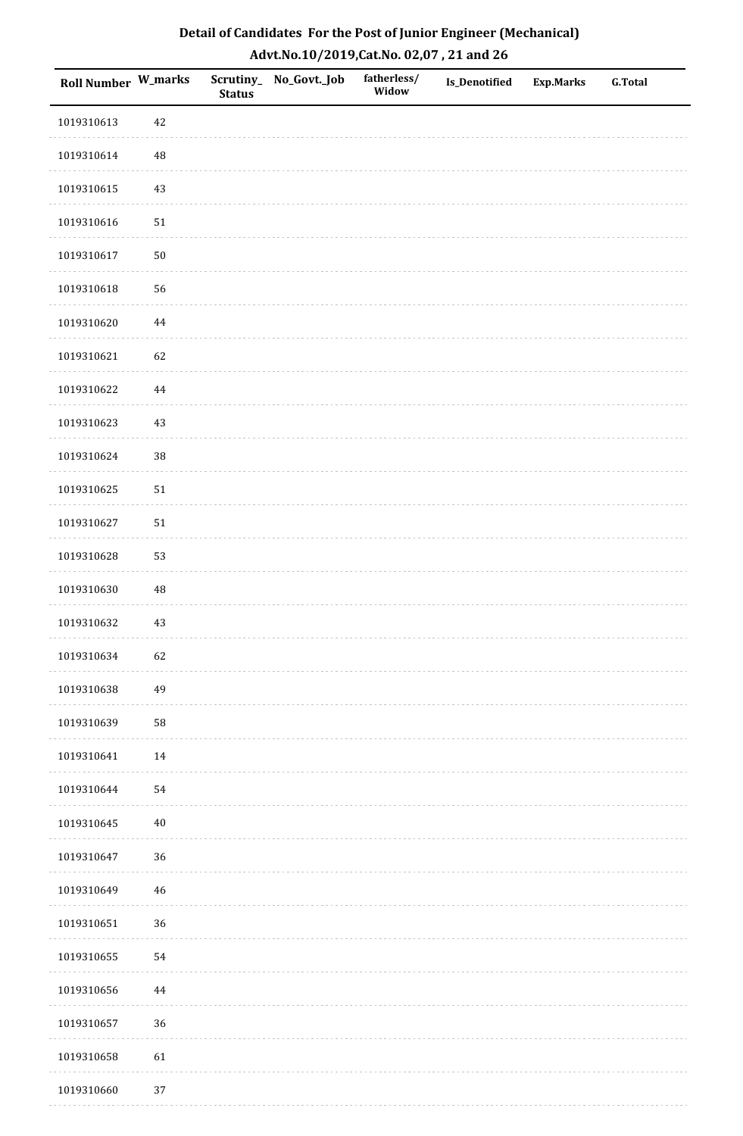| <b>Roll Number W_marks</b> |          | <b>Status</b> | Scrutiny_No_Govt._Job | fatherless/<br>Widow | Is_Denotified | <b>Exp.Marks</b> | <b>G.Total</b> |
|----------------------------|----------|---------------|-----------------------|----------------------|---------------|------------------|----------------|
| 1019310613                 | 42       |               |                       |                      |               |                  |                |
| 1019310614                 | 48       |               |                       |                      |               |                  |                |
| 1019310615                 | $43\,$   |               |                       |                      |               |                  |                |
| 1019310616                 | $51\,$   |               |                       |                      |               |                  |                |
| 1019310617                 | $50\,$   |               |                       |                      |               |                  |                |
| 1019310618                 | 56       |               |                       |                      |               |                  |                |
| 1019310620                 | $\bf 44$ |               |                       |                      |               |                  |                |
| 1019310621                 | 62       |               |                       |                      |               |                  |                |
| 1019310622                 | 44       |               |                       |                      |               |                  |                |
| 1019310623                 | $43\,$   |               |                       |                      |               |                  |                |
| 1019310624                 | 38       |               |                       |                      |               |                  |                |
| 1019310625                 | $51\,$   |               |                       |                      |               |                  |                |
| 1019310627                 | $51\,$   |               |                       |                      |               |                  |                |
| 1019310628                 | 53       |               |                       |                      |               |                  |                |
| 1019310630                 | $\rm 48$ |               |                       |                      |               |                  |                |
| 1019310632                 | $43\,$   |               |                       |                      |               |                  |                |
| 1019310634                 | 62       |               |                       |                      |               |                  |                |
| 1019310638                 | 49       |               |                       |                      |               |                  |                |
| 1019310639                 | 58       |               |                       |                      |               |                  |                |
| 1019310641                 | $14\,$   |               |                       |                      |               |                  |                |
| 1019310644                 | 54       |               |                       |                      |               |                  |                |
| 1019310645                 | $40\,$   |               |                       |                      |               |                  |                |
| 1019310647                 | 36       |               |                       |                      |               |                  |                |
| 1019310649                 | 46       |               |                       |                      |               |                  |                |
| 1019310651                 | 36       |               |                       |                      |               |                  |                |
| 1019310655                 | 54       |               |                       |                      |               |                  |                |
| 1019310656                 | 44       |               |                       |                      |               |                  |                |
| 1019310657                 | 36       |               |                       |                      |               |                  |                |
| 1019310658                 | 61       |               |                       |                      |               |                  |                |
| 1019310660                 | 37       |               |                       |                      |               |                  |                |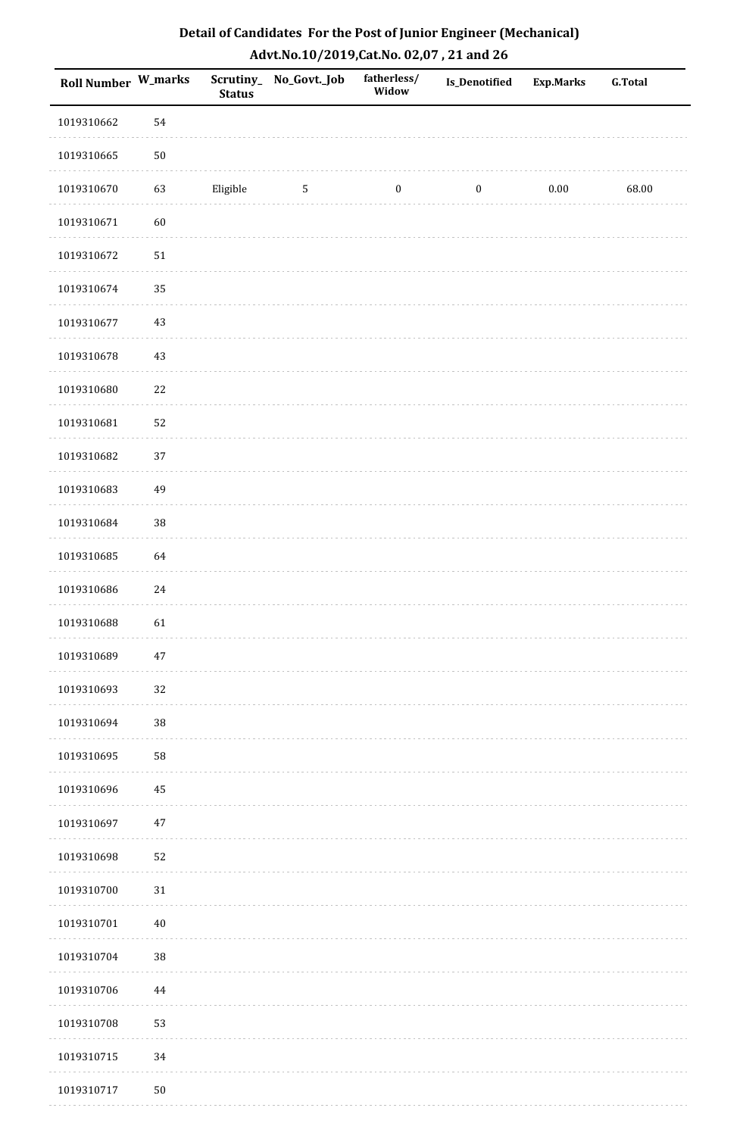| <b>Roll Number W_marks</b> |            | <b>Status</b> | Scrutiny_No_Govt._Job | fatherless/<br>Widow | Is_Denotified    | <b>Exp.Marks</b> | <b>G.Total</b> |
|----------------------------|------------|---------------|-----------------------|----------------------|------------------|------------------|----------------|
| 1019310662                 | 54         |               |                       |                      |                  |                  |                |
| 1019310665                 | $50\,$     |               |                       |                      |                  |                  |                |
| 1019310670                 | 63         | Eligible      | $\mathbf{5}$          | $\boldsymbol{0}$     | $\boldsymbol{0}$ | 0.00             | 68.00          |
| 1019310671                 | 60         |               |                       |                      |                  |                  |                |
| 1019310672                 | ${\bf 51}$ |               |                       |                      |                  |                  |                |
| 1019310674                 | 35         |               |                       |                      |                  |                  |                |
| 1019310677                 | $43\,$     |               |                       |                      |                  |                  |                |
| 1019310678                 | $43\,$     |               |                       |                      |                  |                  |                |
| 1019310680                 | $22\,$     |               |                       |                      |                  |                  |                |
| 1019310681                 | 52         |               |                       |                      |                  |                  |                |
| 1019310682                 | 37         |               |                       |                      |                  |                  |                |
| 1019310683                 | 49         |               |                       |                      |                  |                  |                |
| 1019310684                 | 38         |               |                       |                      |                  |                  |                |
| 1019310685                 | 64         |               |                       |                      |                  |                  |                |
| 1019310686                 | 24         |               |                       |                      |                  |                  |                |
| 1019310688                 | 61         |               |                       |                      |                  |                  |                |
| 1019310689                 | $47\,$     |               |                       |                      |                  |                  |                |
| 1019310693                 | 32         |               |                       |                      |                  |                  |                |
| 1019310694                 | 38         |               |                       |                      |                  |                  |                |
| 1019310695                 | 58         |               |                       |                      |                  |                  |                |
| 1019310696                 | 45         |               |                       |                      |                  |                  |                |
| 1019310697                 | $47\,$     |               |                       |                      |                  |                  |                |
| 1019310698                 | 52         |               |                       |                      |                  |                  |                |
| 1019310700                 | $31\,$     |               |                       |                      |                  |                  |                |
| 1019310701                 | $40\,$     |               |                       |                      |                  |                  |                |
| 1019310704                 | 38         |               |                       |                      |                  |                  |                |
| 1019310706                 | 44         |               |                       |                      |                  |                  |                |
| 1019310708                 | 53         |               |                       |                      |                  |                  |                |
| 1019310715                 | 34         |               |                       |                      |                  |                  |                |
| 1019310717                 | $50\,$     |               |                       |                      |                  |                  |                |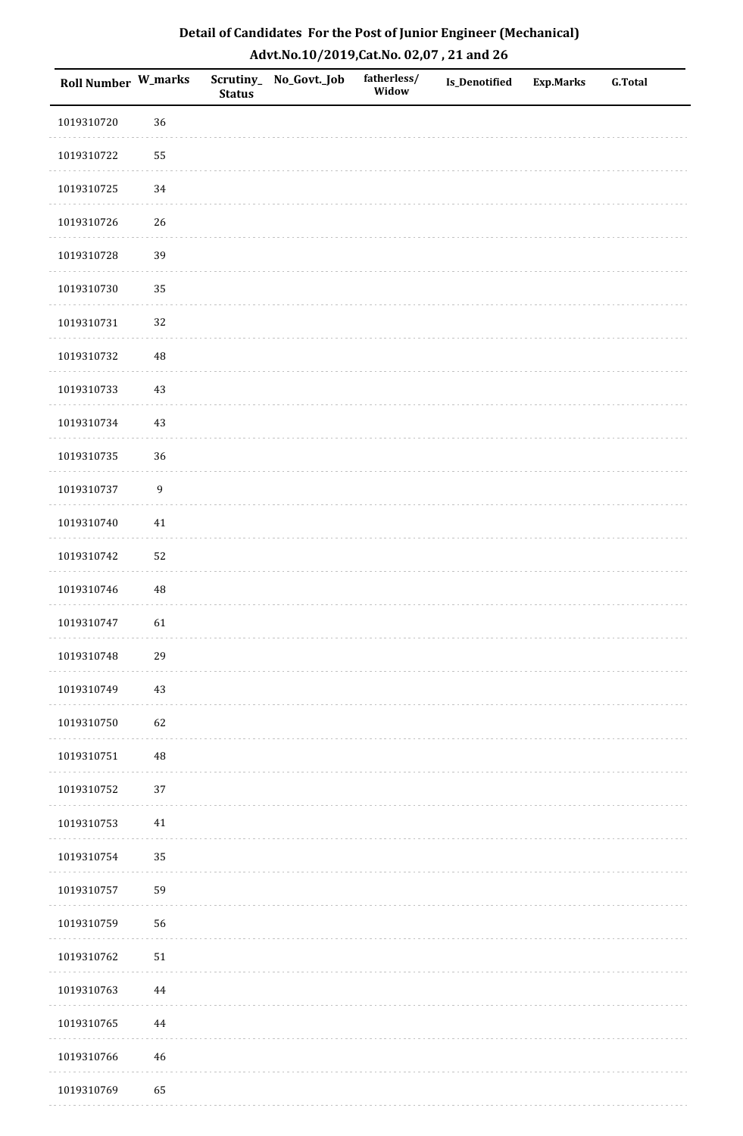| <b>Roll Number W_marks</b> |                  | <b>Status</b> | Scrutiny_No_Govt._Job | fatherless/<br>Widow | Is_Denotified | <b>Exp.Marks</b> | <b>G.Total</b> |
|----------------------------|------------------|---------------|-----------------------|----------------------|---------------|------------------|----------------|
| 1019310720                 | 36               |               |                       |                      |               |                  |                |
| 1019310722                 | 55               |               |                       |                      |               |                  |                |
| 1019310725                 | 34               |               |                       |                      |               |                  |                |
| 1019310726                 | 26               |               |                       |                      |               |                  |                |
| 1019310728                 | 39               |               |                       |                      |               |                  |                |
| 1019310730                 | 35               |               |                       |                      |               |                  |                |
| 1019310731                 | 32               |               |                       |                      |               |                  |                |
| 1019310732                 | 48               |               |                       |                      |               |                  |                |
| 1019310733                 | 43               |               |                       |                      |               |                  |                |
| 1019310734                 | $43\,$           |               |                       |                      |               |                  |                |
| 1019310735                 | 36               |               |                       |                      |               |                  |                |
| 1019310737                 | $\boldsymbol{9}$ |               |                       |                      |               |                  |                |
| 1019310740                 | $41\,$           |               |                       |                      |               |                  |                |
| 1019310742                 | 52               |               |                       |                      |               |                  |                |
| 1019310746                 | $\rm 48$         |               |                       |                      |               |                  |                |
| 1019310747                 | 61               |               |                       |                      |               |                  |                |
| 1019310748                 | 29               |               |                       |                      |               |                  |                |
| 1019310749                 | 43               |               |                       |                      |               |                  |                |
| 1019310750                 | 62               |               |                       |                      |               |                  |                |
| 1019310751                 | 48               |               |                       |                      |               |                  |                |
| 1019310752                 | 37               |               |                       |                      |               |                  |                |
| 1019310753                 | $41\,$           |               |                       |                      |               |                  |                |
| 1019310754                 | 35               |               |                       |                      |               |                  |                |
| 1019310757                 | 59               |               |                       |                      |               |                  |                |
| 1019310759                 | 56               |               |                       |                      |               |                  |                |
| 1019310762                 | $51\,$           |               |                       |                      |               |                  |                |
| 1019310763                 | 44               |               |                       |                      |               |                  |                |
| 1019310765                 | 44               |               |                       |                      |               |                  |                |
| 1019310766                 | $\sqrt{46}$      |               |                       |                      |               |                  |                |
| 1019310769                 | 65               |               |                       |                      |               |                  |                |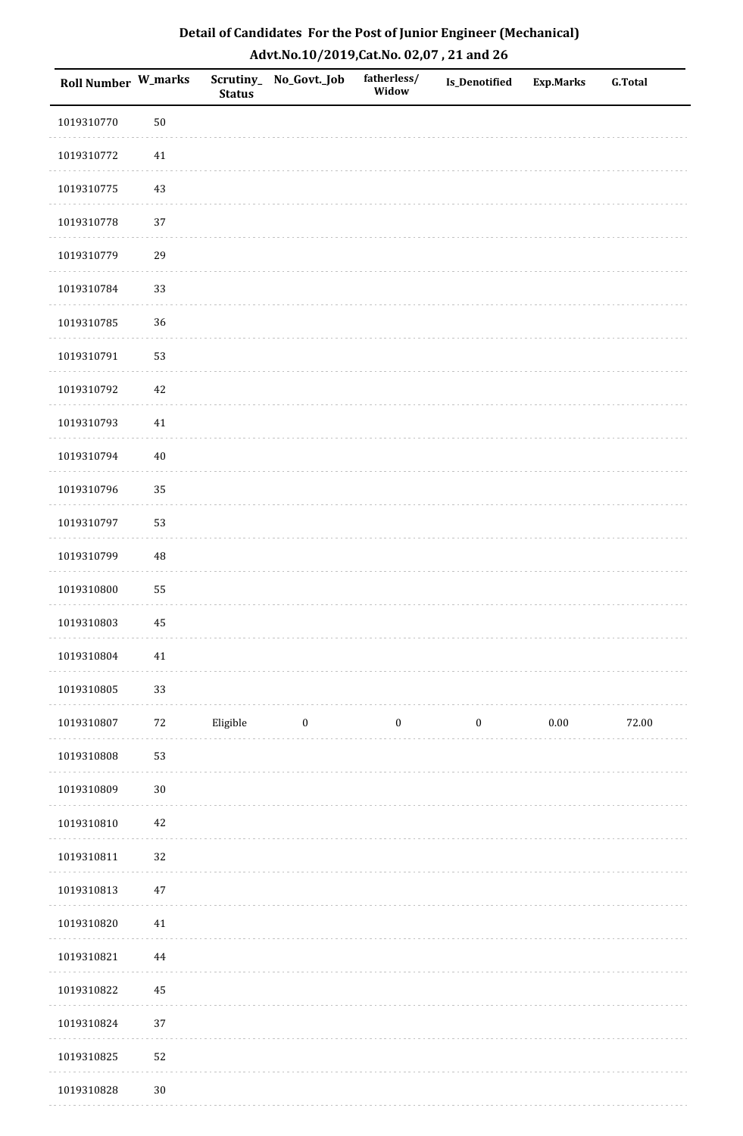| <b>Roll Number W_marks</b> |          | <b>Status</b> | Scrutiny_No_Govt._Job | fatherless/<br>Widow | Is_Denotified    | <b>Exp.Marks</b> | <b>G.Total</b> |
|----------------------------|----------|---------------|-----------------------|----------------------|------------------|------------------|----------------|
| 1019310770                 | $50\,$   |               |                       |                      |                  |                  |                |
| 1019310772                 | $41\,$   |               |                       |                      |                  |                  |                |
| 1019310775                 | $43\,$   |               |                       |                      |                  |                  |                |
| 1019310778                 | 37       |               |                       |                      |                  |                  |                |
| 1019310779                 | 29       |               |                       |                      |                  |                  |                |
| 1019310784                 | 33       |               |                       |                      |                  |                  |                |
| 1019310785                 | 36       |               |                       |                      |                  |                  |                |
| 1019310791                 | 53       |               |                       |                      |                  |                  |                |
| 1019310792                 | $42\,$   |               |                       |                      |                  |                  |                |
| 1019310793                 | $41\,$   |               |                       |                      |                  |                  |                |
| 1019310794                 | $40\,$   |               |                       |                      |                  |                  |                |
| 1019310796                 | 35       |               |                       |                      |                  |                  |                |
| 1019310797                 | 53       |               |                       |                      |                  |                  |                |
| 1019310799                 | 48       |               |                       |                      |                  |                  |                |
| 1019310800                 | 55       |               |                       |                      |                  |                  |                |
| 1019310803                 | 45       |               |                       |                      |                  |                  |                |
| 1019310804                 | $41\,$   |               |                       |                      |                  |                  |                |
| 1019310805                 | 33       |               |                       |                      |                  |                  |                |
| 1019310807                 | $72\,$   | Eligible      | $\bf{0}$              | $\boldsymbol{0}$     | $\boldsymbol{0}$ | $0.00\,$         | 72.00          |
| 1019310808                 | 53       |               |                       |                      |                  |                  |                |
| 1019310809                 | $30\,$   |               |                       |                      |                  |                  |                |
| 1019310810                 | $42\,$   |               |                       |                      |                  |                  |                |
| 1019310811                 | $32\,$   |               |                       |                      |                  |                  |                |
| 1019310813                 | $47\,$   |               |                       |                      |                  |                  |                |
| 1019310820                 | 41       |               |                       |                      |                  |                  |                |
| 1019310821                 | $\bf 44$ |               |                       |                      |                  |                  |                |
| 1019310822                 | $\bf 45$ |               |                       |                      |                  |                  |                |
| 1019310824                 | 37       |               |                       |                      |                  |                  |                |
| 1019310825                 | 52       |               |                       |                      |                  |                  |                |
| 1019310828                 | $30\,$   |               |                       |                      |                  |                  |                |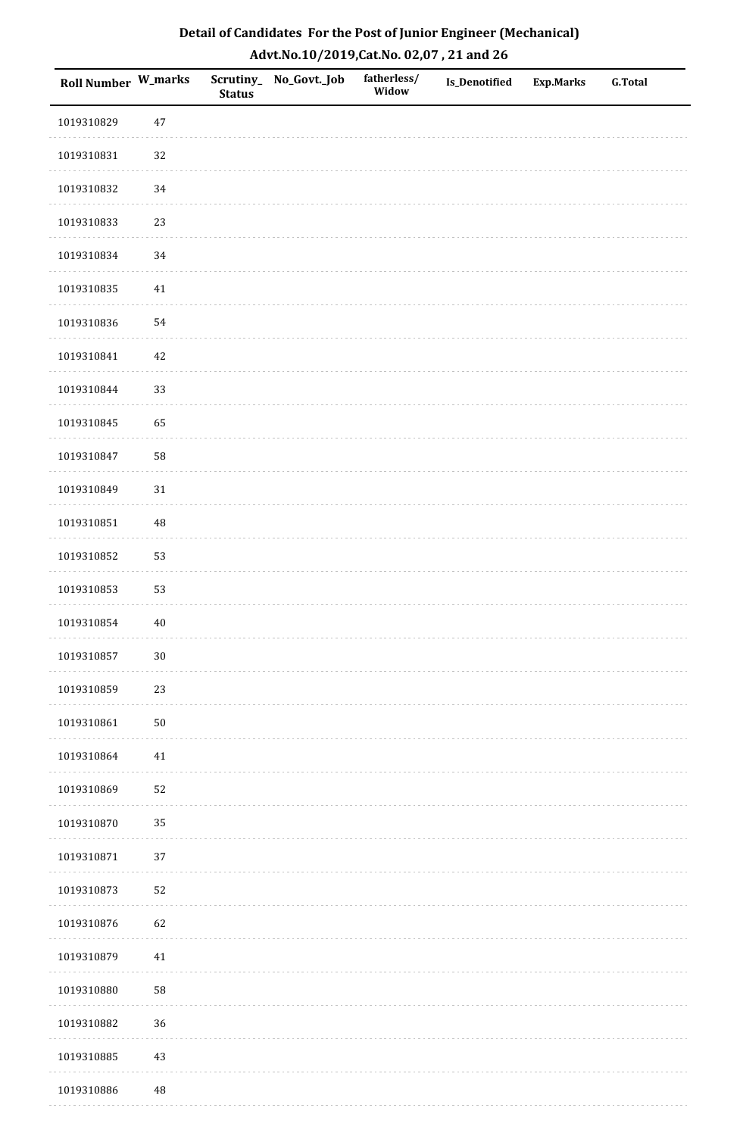| <b>Roll Number W_marks</b> |          | <b>Status</b> | Scrutiny_No_Govt._Job | fatherless/<br>Widow | Is_Denotified | <b>Exp.Marks</b> | <b>G.Total</b> |
|----------------------------|----------|---------------|-----------------------|----------------------|---------------|------------------|----------------|
| 1019310829                 | $47\,$   |               |                       |                      |               |                  |                |
| 1019310831                 | 32       |               |                       |                      |               |                  |                |
| 1019310832                 | 34       |               |                       |                      |               |                  |                |
| 1019310833                 | 23       |               |                       |                      |               |                  |                |
| 1019310834                 | 34       |               |                       |                      |               |                  |                |
| 1019310835                 | 41       |               |                       |                      |               |                  |                |
| 1019310836                 | 54       |               |                       |                      |               |                  |                |
| 1019310841                 | $42\,$   |               |                       |                      |               |                  |                |
| 1019310844                 | 33       |               |                       |                      |               |                  |                |
| 1019310845                 | 65       |               |                       |                      |               |                  |                |
| 1019310847                 | 58       |               |                       |                      |               |                  |                |
| 1019310849                 | $31\,$   |               |                       |                      |               |                  |                |
| 1019310851                 | 48       |               |                       |                      |               |                  |                |
| 1019310852                 | 53       |               |                       |                      |               |                  |                |
| 1019310853                 | 53       |               |                       |                      |               |                  |                |
| 1019310854                 | $40\,$   |               |                       |                      |               |                  |                |
| 1019310857                 | $30\,$   |               |                       |                      |               |                  |                |
| 1019310859                 | 23       |               |                       |                      |               |                  |                |
| 1019310861                 | $50\,$   |               |                       |                      |               |                  |                |
| 1019310864                 | 41       |               |                       |                      |               |                  |                |
| 1019310869                 | 52       |               |                       |                      |               |                  |                |
| 1019310870                 | 35       |               |                       |                      |               |                  |                |
| 1019310871                 | 37       |               |                       |                      |               |                  |                |
| 1019310873                 | 52       |               |                       |                      |               |                  |                |
| 1019310876                 | 62       |               |                       |                      |               |                  |                |
| 1019310879                 | $41\,$   |               |                       |                      |               |                  |                |
| 1019310880                 | 58       |               |                       |                      |               |                  |                |
| 1019310882                 | 36       |               |                       |                      |               |                  |                |
| 1019310885                 | $43\,$   |               |                       |                      |               |                  |                |
| 1019310886                 | $\rm 48$ |               |                       |                      |               |                  |                |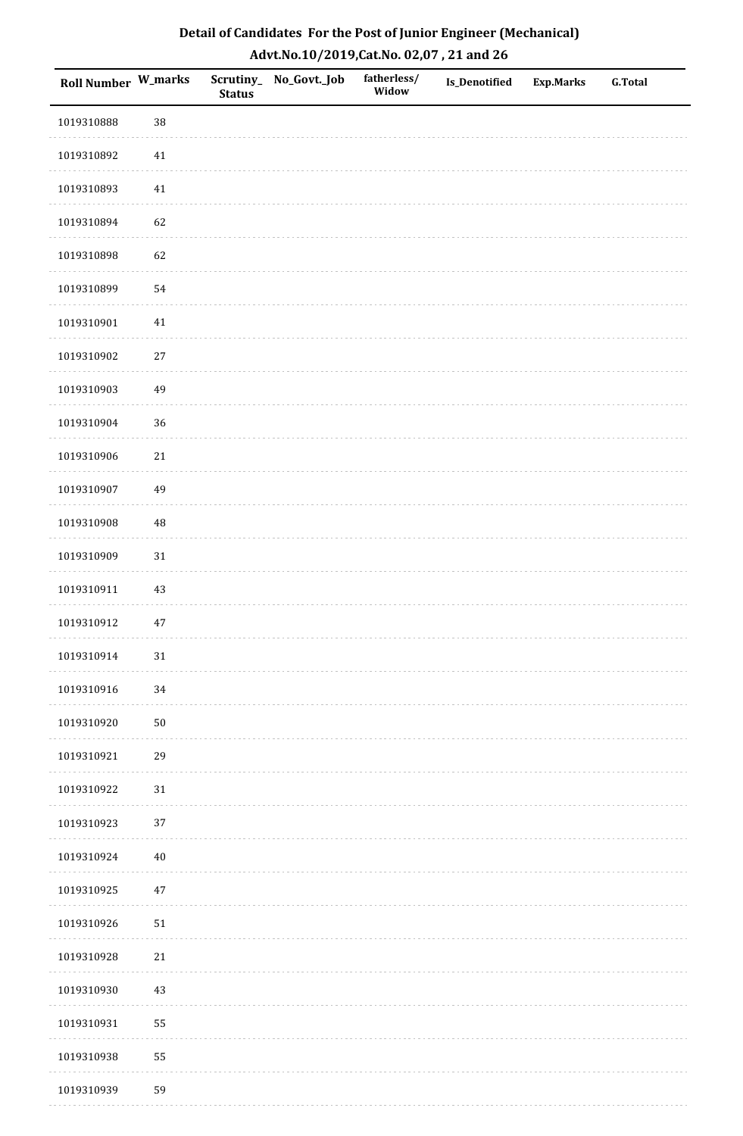| Roll Number W_marks |            | <b>Status</b> | Scrutiny_No_Govt._Job | fatherless/<br>Widow | Is_Denotified | <b>Exp.Marks</b> | <b>G.Total</b> |
|---------------------|------------|---------------|-----------------------|----------------------|---------------|------------------|----------------|
| 1019310888          | 38         |               |                       |                      |               |                  |                |
| 1019310892          | $41\,$     |               |                       |                      |               |                  |                |
| 1019310893          | 41         |               |                       |                      |               |                  |                |
| 1019310894          | 62         |               |                       |                      |               |                  |                |
| 1019310898          | 62         |               |                       |                      |               |                  |                |
| 1019310899          | 54         |               |                       |                      |               |                  |                |
| 1019310901          | $41\,$     |               |                       |                      |               |                  |                |
| 1019310902          | $27\,$     |               |                       |                      |               |                  |                |
| 1019310903          | 49         |               |                       |                      |               |                  |                |
| 1019310904          | 36         |               |                       |                      |               |                  |                |
| 1019310906          | $21\,$     |               |                       |                      |               |                  |                |
| 1019310907          | 49         |               |                       |                      |               |                  |                |
| 1019310908          | 48         |               |                       |                      |               |                  |                |
| 1019310909          | $31\,$     |               |                       |                      |               |                  |                |
| 1019310911          | 43         |               |                       |                      |               |                  |                |
| 1019310912          | $47\,$     |               |                       |                      |               |                  |                |
| 1019310914          | $31\,$     |               |                       |                      |               |                  |                |
| 1019310916          | 34         |               |                       |                      |               |                  |                |
| 1019310920          | ${\bf 50}$ |               |                       |                      |               |                  |                |
| 1019310921          | 29         |               |                       |                      |               |                  |                |
| 1019310922          | 31         |               |                       |                      |               |                  |                |
| 1019310923          | 37         |               |                       |                      |               |                  |                |
| 1019310924          | $40\,$     |               |                       |                      |               |                  |                |
| 1019310925          | $47\,$     |               |                       |                      |               |                  |                |
| 1019310926          | 51         |               |                       |                      |               |                  |                |
| 1019310928          | $21\,$     |               |                       |                      |               |                  |                |
| 1019310930          | $43\,$     |               |                       |                      |               |                  |                |
| 1019310931          | 55         |               |                       |                      |               |                  |                |
| 1019310938          | 55         |               |                       |                      |               |                  |                |
| 1019310939          | 59         |               |                       |                      |               |                  |                |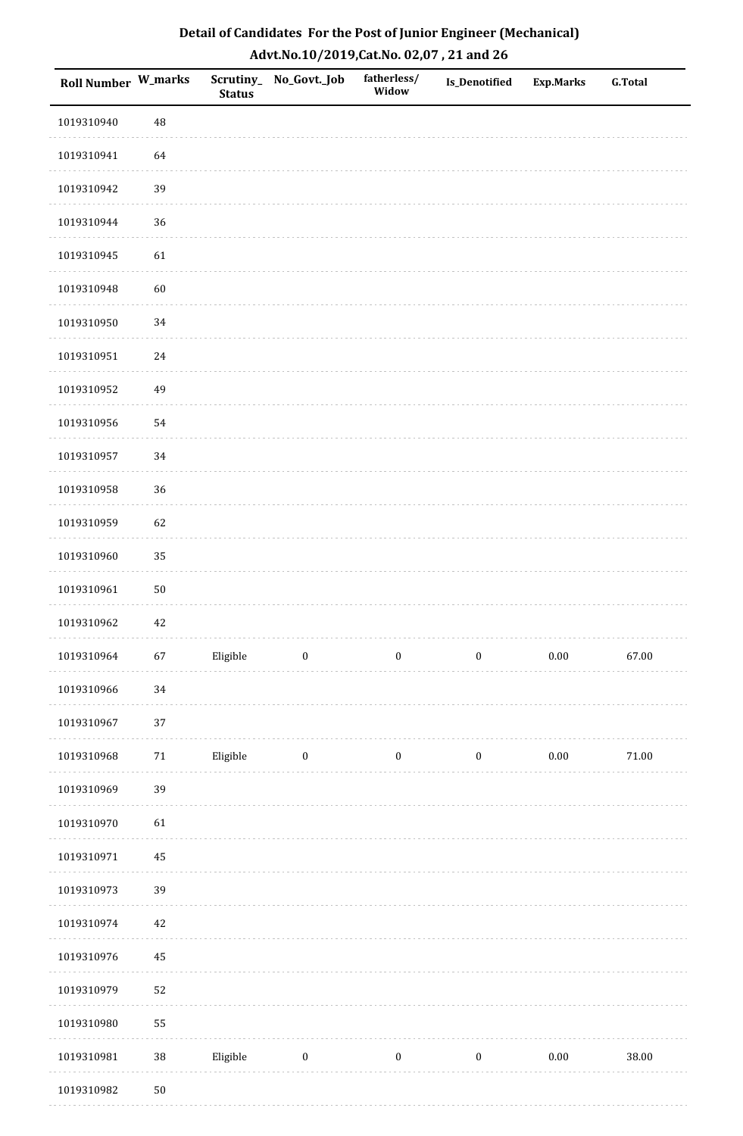| <b>Roll Number W_marks</b> |          | <b>Status</b> | Scrutiny_ No_Govt._Job | fatherless/<br>Widow | Is_Denotified    | <b>Exp.Marks</b> | <b>G.Total</b> |
|----------------------------|----------|---------------|------------------------|----------------------|------------------|------------------|----------------|
| 1019310940                 | 48       |               |                        |                      |                  |                  |                |
| 1019310941                 | 64       |               |                        |                      |                  |                  |                |
| 1019310942                 | 39       |               |                        |                      |                  |                  |                |
| 1019310944                 | 36       |               |                        |                      |                  |                  |                |
| 1019310945                 | 61       |               |                        |                      |                  |                  |                |
| 1019310948                 | 60       |               |                        |                      |                  |                  |                |
| 1019310950                 | 34       |               |                        |                      |                  |                  |                |
| 1019310951                 | 24       |               |                        |                      |                  |                  |                |
| 1019310952                 | 49       |               |                        |                      |                  |                  |                |
| 1019310956                 | 54       |               |                        |                      |                  |                  |                |
| 1019310957                 | 34       |               |                        |                      |                  |                  |                |
| 1019310958                 | 36       |               |                        |                      |                  |                  |                |
| 1019310959                 | 62       |               |                        |                      |                  |                  |                |
| 1019310960                 | 35       |               |                        |                      |                  |                  |                |
| 1019310961                 | $50\,$   |               |                        |                      |                  |                  |                |
| 1019310962                 | 42       |               |                        |                      |                  |                  |                |
| 1019310964                 | 67       | Eligible      | $\boldsymbol{0}$       | $\boldsymbol{0}$     | $\boldsymbol{0}$ | $0.00\,$         | 67.00          |
| 1019310966                 | 34       |               |                        |                      |                  |                  |                |
| 1019310967                 | 37       |               |                        |                      |                  |                  |                |
| 1019310968                 | $71\,$   | Eligible      | $\boldsymbol{0}$       | $\bf{0}$             | $\boldsymbol{0}$ | $0.00\,$         | $71.00\,$      |
| 1019310969                 | 39       |               |                        |                      |                  |                  |                |
| 1019310970                 | 61       |               |                        |                      |                  |                  |                |
| 1019310971                 | $\bf 45$ |               |                        |                      |                  |                  |                |
| 1019310973                 | 39       |               |                        |                      |                  |                  |                |
| 1019310974                 | 42       |               |                        |                      |                  |                  |                |
| 1019310976                 | 45       |               |                        |                      |                  |                  |                |
| 1019310979                 | 52       |               |                        |                      |                  |                  |                |
| 1019310980                 | 55       |               |                        |                      |                  |                  |                |
| 1019310981                 | $38\,$   | Eligible      | $\bf{0}$               | $\boldsymbol{0}$     | $\boldsymbol{0}$ | $0.00\,$         | 38.00          |
| 1019310982                 | $50\,$   |               |                        |                      |                  |                  |                |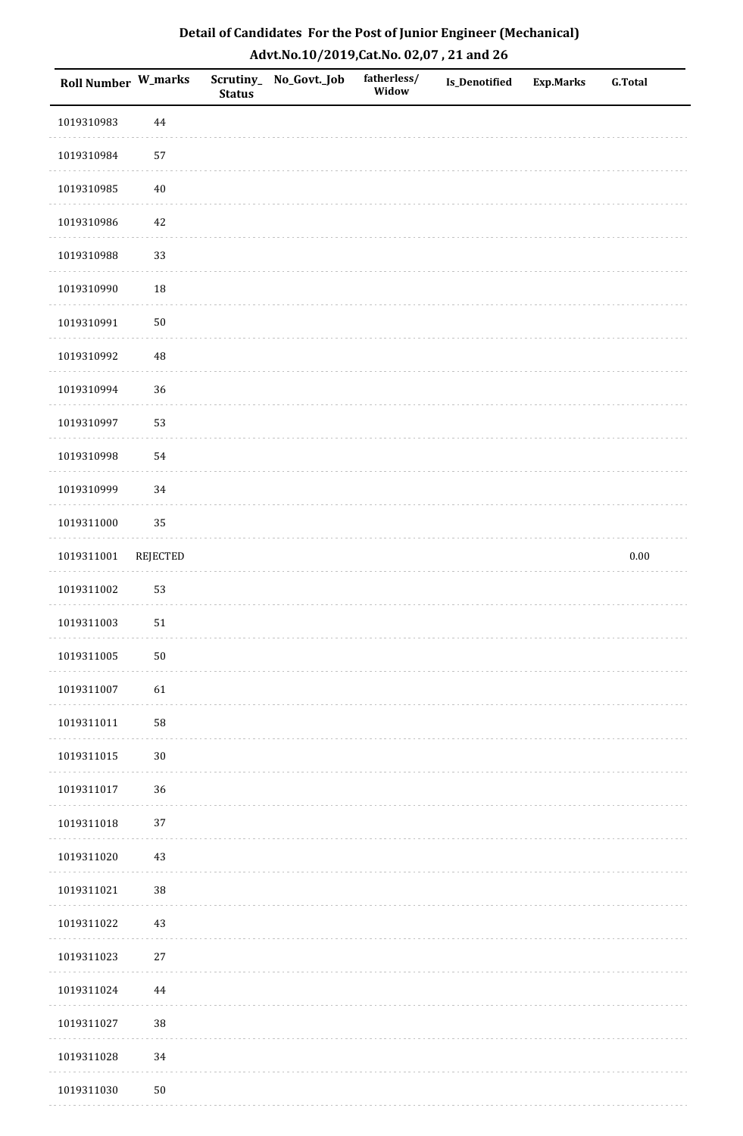| Detail of Candidates For the Post of Junior Engineer (Mechanical) |
|-------------------------------------------------------------------|
| Advt.No.10/2019,Cat.No. 02,07, 21 and 26                          |

| <b>Roll Number W_marks</b> |                 | <b>Status</b> | Scrutiny_ No_Govt._Job | fatherless/<br>Widow | Is_Denotified | <b>Exp.Marks</b> | <b>G.Total</b> |
|----------------------------|-----------------|---------------|------------------------|----------------------|---------------|------------------|----------------|
| 1019310983                 | $\bf 44$        |               |                        |                      |               |                  |                |
| 1019310984                 | 57              |               |                        |                      |               |                  |                |
| 1019310985                 | $40\,$          |               |                        |                      |               |                  |                |
| 1019310986                 | $42\,$          |               |                        |                      |               |                  |                |
| 1019310988                 | 33              |               |                        |                      |               |                  |                |
| 1019310990                 | 18              |               |                        |                      |               |                  |                |
| 1019310991                 | $50\,$          |               |                        |                      |               |                  |                |
| 1019310992                 | $\rm 48$        |               |                        |                      |               |                  |                |
| 1019310994                 | 36              |               |                        |                      |               |                  |                |
| 1019310997                 | 53              |               |                        |                      |               |                  |                |
| 1019310998                 | 54              |               |                        |                      |               |                  |                |
| 1019310999                 | 34              |               |                        |                      |               |                  |                |
| 1019311000                 | 35              |               |                        |                      |               |                  |                |
| 1019311001                 | <b>REJECTED</b> |               |                        |                      |               |                  | $0.00\,$       |
| 1019311002                 | 53              |               |                        |                      |               |                  |                |
| 1019311003                 | 51              |               |                        |                      |               |                  |                |
| 1019311005                 | $50\,$          |               |                        |                      |               |                  |                |
| 1019311007                 | 61              |               |                        |                      |               |                  |                |
| 1019311011                 | ${\bf 58}$      |               |                        |                      |               |                  |                |
| 1019311015                 | $30\,$          |               |                        |                      |               |                  |                |
| 1019311017                 | 36              |               |                        |                      |               |                  |                |
| 1019311018                 | $37\,$          |               |                        |                      |               |                  |                |
| 1019311020                 | $43\,$          |               |                        |                      |               |                  |                |
| 1019311021                 | $38\,$          |               |                        |                      |               |                  |                |
| 1019311022                 | $43\,$          |               |                        |                      |               |                  |                |
| 1019311023                 | $27\,$          |               |                        |                      |               |                  |                |
| 1019311024                 | $\bf 44$        |               |                        |                      |               |                  |                |
| 1019311027                 | 38              |               |                        |                      |               |                  |                |
| 1019311028                 | $34\,$          |               |                        |                      |               |                  |                |
| 1019311030                 | $50\,$          |               |                        |                      |               |                  |                |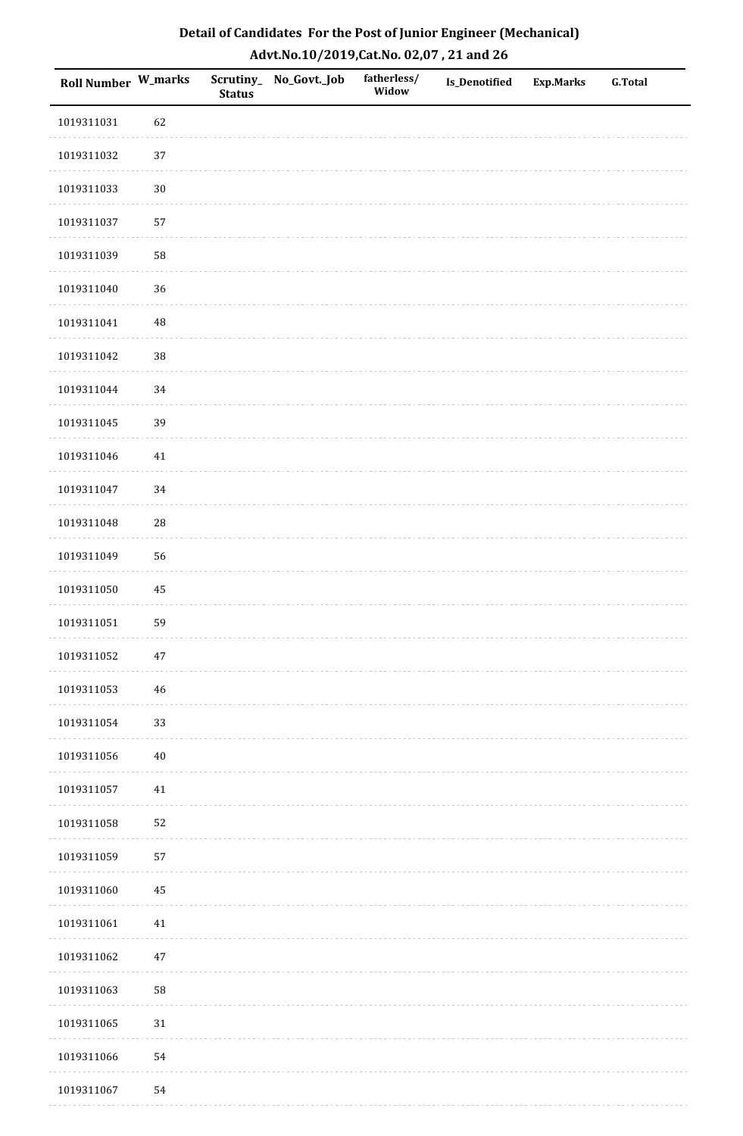| Detail of Candidates For the Post of Junior Engineer (Mechanical) |
|-------------------------------------------------------------------|
| Advt.No.10/2019,Cat.No. 02,07, 21 and 26                          |

| Roll Number W_marks |             | <b>Status</b> | Scrutiny_ No_Govt._Job | fatherless/<br>Widow | <b>Is_Denotified</b> | <b>Exp.Marks</b> | <b>G.Total</b> |
|---------------------|-------------|---------------|------------------------|----------------------|----------------------|------------------|----------------|
| 1019311031          | 62          |               |                        |                      |                      |                  |                |
| 1019311032          | 37          |               |                        |                      |                      |                  |                |
| 1019311033          | $30\,$      |               |                        |                      |                      |                  |                |
| 1019311037          | 57          |               |                        |                      |                      |                  |                |
| 1019311039          | 58          |               |                        |                      |                      |                  |                |
| 1019311040          | 36          |               |                        |                      |                      |                  |                |
| 1019311041          | $\rm 48$    |               |                        |                      |                      |                  |                |
| 1019311042          | 38          |               |                        |                      |                      |                  |                |
| 1019311044          | 34          |               |                        |                      |                      |                  |                |
| 1019311045          | 39          |               |                        |                      |                      |                  |                |
| 1019311046          | $41\,$      |               |                        |                      |                      |                  |                |
| 1019311047          | 34          |               |                        |                      |                      |                  |                |
| 1019311048          | ${\bf 28}$  |               |                        |                      |                      |                  |                |
| 1019311049          | 56          |               |                        |                      |                      |                  |                |
| 1019311050          | 45          |               |                        |                      |                      |                  |                |
| 1019311051          | 59          |               |                        |                      |                      |                  |                |
| 1019311052          | $47\,$      |               |                        |                      |                      |                  |                |
| 1019311053          | $\sqrt{46}$ |               |                        |                      |                      |                  |                |
| 1019311054          | 33          |               |                        |                      |                      |                  |                |
| 1019311056          | $40\,$      |               |                        |                      |                      |                  |                |
| 1019311057          | $41\,$      |               |                        |                      |                      |                  |                |
| 1019311058          | 52          |               |                        |                      |                      |                  |                |
| 1019311059          | 57          |               |                        |                      |                      |                  |                |
| 1019311060          | $\bf 45$    |               |                        |                      |                      |                  |                |
| 1019311061          | $41\,$      |               |                        |                      |                      |                  |                |
| 1019311062          | 47          |               |                        |                      |                      |                  |                |
| 1019311063          | 58          |               |                        |                      |                      |                  |                |
| 1019311065          | $31\,$      |               |                        |                      |                      |                  |                |
| 1019311066          | 54          |               |                        |                      |                      |                  |                |
| 1019311067          | 54          |               |                        |                      |                      |                  |                |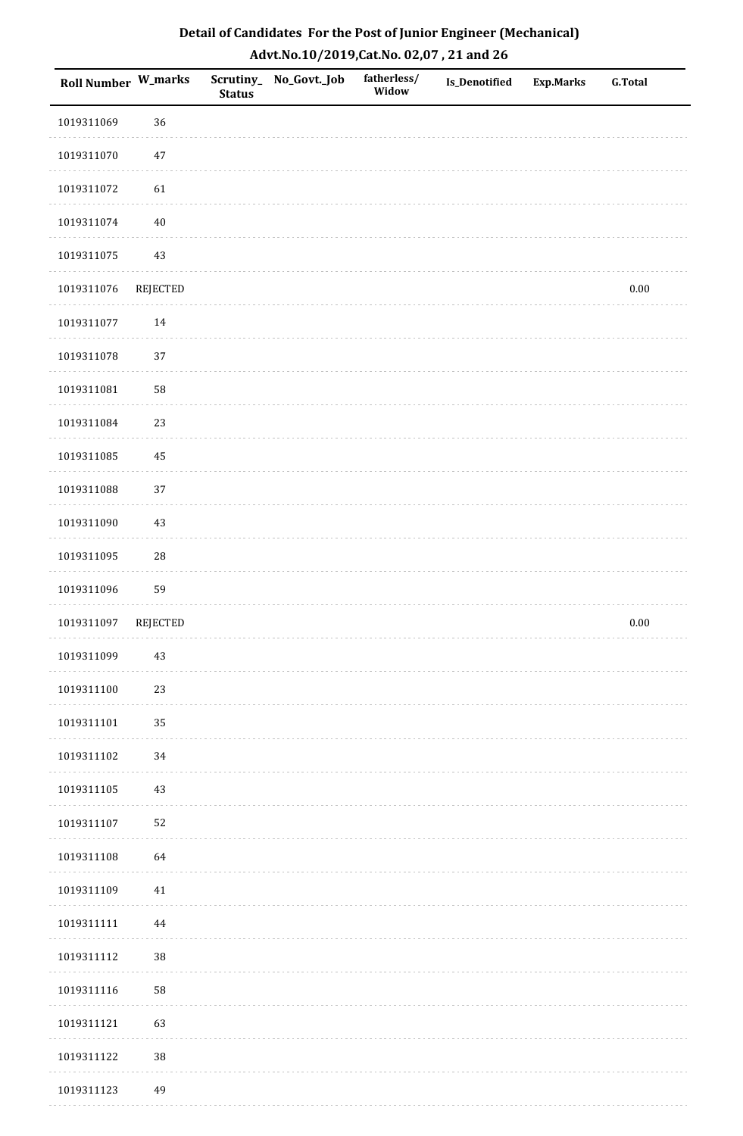| Detail of Candidates For the Post of Junior Engineer (Mechanical) |
|-------------------------------------------------------------------|
| Advt.No.10/2019,Cat.No. 02,07, 21 and 26                          |

| Roll Number W_marks |            | <b>Status</b> | Scrutiny_ No_Govt._Job | fatherless/<br>Widow | Is_Denotified | <b>Exp.Marks</b> | <b>G.Total</b> |
|---------------------|------------|---------------|------------------------|----------------------|---------------|------------------|----------------|
| 1019311069          | 36         |               |                        |                      |               |                  |                |
| 1019311070          | $47\,$     |               |                        |                      |               |                  |                |
| 1019311072          | 61         |               |                        |                      |               |                  |                |
| 1019311074          | $40\,$     |               |                        |                      |               |                  |                |
| 1019311075          | $43\,$     |               |                        |                      |               |                  |                |
| 1019311076          | REJECTED   |               |                        |                      |               |                  | $0.00\,$       |
| 1019311077          | 14         |               |                        |                      |               |                  |                |
| 1019311078          | 37         |               |                        |                      |               |                  |                |
| 1019311081          | 58         |               |                        |                      |               |                  |                |
| 1019311084          | 23         |               |                        |                      |               |                  |                |
| 1019311085          | 45         |               |                        |                      |               |                  |                |
| 1019311088          | 37         |               |                        |                      |               |                  |                |
| 1019311090          | $43\,$     |               |                        |                      |               |                  |                |
| 1019311095          | ${\bf 28}$ |               |                        |                      |               |                  |                |
| 1019311096          | 59         |               |                        |                      |               |                  |                |
| 1019311097          | REJECTED   |               |                        |                      |               |                  | $0.00\,$       |
| 1019311099          | $43\,$     |               |                        |                      |               |                  |                |
|                     |            |               |                        |                      |               |                  |                |
| 1019311100          | 23         |               |                        |                      |               |                  |                |
| 1019311101          | 35         |               |                        |                      |               |                  |                |
| 1019311102          | 34         |               |                        |                      |               |                  |                |
| 1019311105          | $43\,$     |               |                        |                      |               |                  |                |
| 1019311107          | 52         |               |                        |                      |               |                  |                |
| 1019311108          | 64         |               |                        |                      |               |                  |                |
| 1019311109          | 41         |               |                        |                      |               |                  |                |
| 1019311111          | $\bf 44$   |               |                        |                      |               |                  |                |
| 1019311112          | $38\,$     |               |                        |                      |               |                  |                |
| 1019311116          | 58         |               |                        |                      |               |                  |                |
| 1019311121          | 63         |               |                        |                      |               |                  |                |
| 1019311122          | 38         |               |                        |                      |               |                  |                |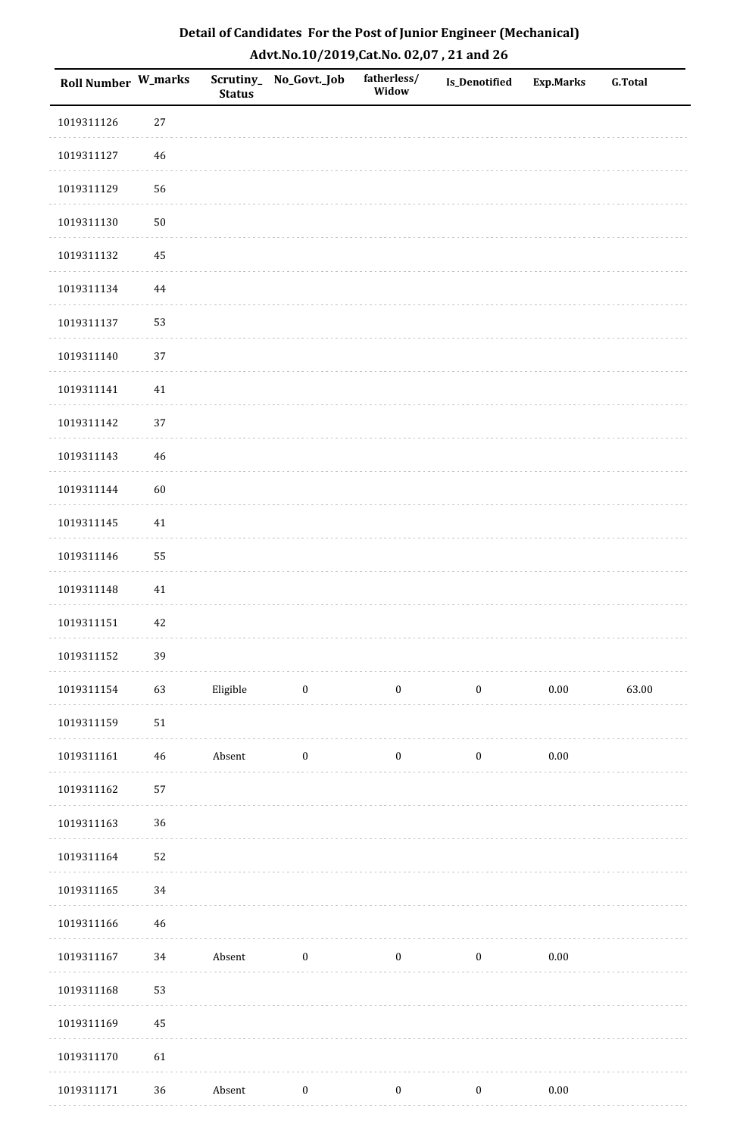| <b>Roll Number W_marks</b> |            | <b>Status</b> | Scrutiny_ No_Govt._Job | fatherless/<br>Widow | <b>Is_Denotified</b> | <b>Exp.Marks</b> | <b>G.Total</b> |
|----------------------------|------------|---------------|------------------------|----------------------|----------------------|------------------|----------------|
| 1019311126                 | $27\,$     |               |                        |                      |                      |                  |                |
| 1019311127                 | 46         |               |                        |                      |                      |                  |                |
| 1019311129                 | 56         |               |                        |                      |                      |                  |                |
| 1019311130                 | $50\,$     |               |                        |                      |                      |                  |                |
| 1019311132                 | 45         |               |                        |                      |                      |                  |                |
| 1019311134                 | 44         |               |                        |                      |                      |                  |                |
| 1019311137                 | 53         |               |                        |                      |                      |                  |                |
| 1019311140                 | 37         |               |                        |                      |                      |                  |                |
| 1019311141                 | $41\,$     |               |                        |                      |                      |                  |                |
| 1019311142                 | 37         |               |                        |                      |                      |                  |                |
| 1019311143                 | 46         |               |                        |                      |                      |                  |                |
| 1019311144                 | 60         |               |                        |                      |                      |                  |                |
| 1019311145                 | $41\,$     |               |                        |                      |                      |                  |                |
| 1019311146                 | 55         |               |                        |                      |                      |                  |                |
| 1019311148                 | 41         |               |                        |                      |                      |                  |                |
| 1019311151                 | 42         |               |                        |                      |                      |                  |                |
| 1019311152                 | 39         |               |                        |                      |                      |                  |                |
| 1019311154                 | 63         | Eligible      | $\boldsymbol{0}$       | $\boldsymbol{0}$     | $\boldsymbol{0}$     | $0.00\,$         | 63.00          |
| 1019311159                 | ${\bf 51}$ |               |                        |                      |                      |                  |                |
| 1019311161                 | 46         | Absent        | $\boldsymbol{0}$       | $\boldsymbol{0}$     | $\boldsymbol{0}$     | $0.00\,$         |                |
| 1019311162                 | 57         |               |                        |                      |                      |                  |                |
| 1019311163                 | 36         |               |                        |                      |                      |                  |                |
| 1019311164                 | 52         |               |                        |                      |                      |                  |                |
| 1019311165                 | 34         |               |                        |                      |                      |                  |                |
| 1019311166                 | 46         |               |                        |                      |                      |                  |                |
| 1019311167                 | $34\,$     | Absent        | $\boldsymbol{0}$       | $\boldsymbol{0}$     | $\boldsymbol{0}$     | $0.00\,$         |                |
| 1019311168                 | 53         |               |                        |                      |                      |                  |                |
| 1019311169                 | 45         |               |                        |                      |                      |                  |                |
| 1019311170                 | 61         |               |                        |                      |                      |                  |                |
| 1019311171                 | 36         | Absent        | $\boldsymbol{0}$       | $\boldsymbol{0}$     | $\boldsymbol{0}$     | $0.00\,$         |                |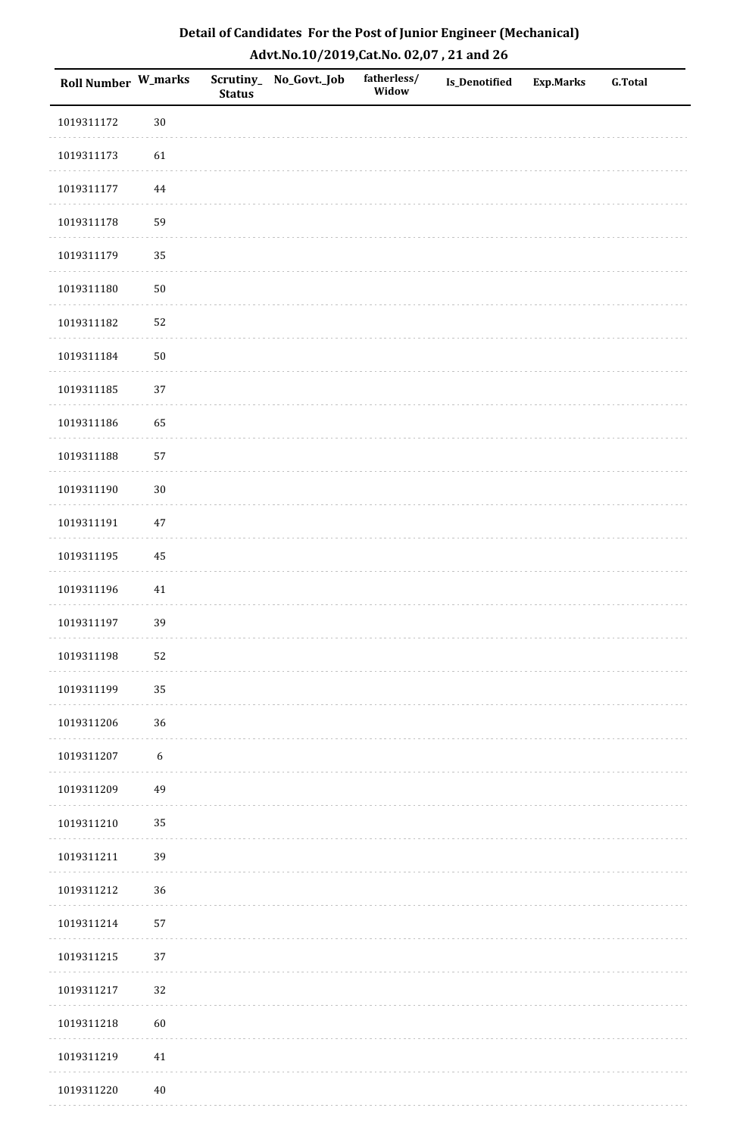| Detail of Candidates For the Post of Junior Engineer (Mechanical) |
|-------------------------------------------------------------------|
| Advt.No.10/2019,Cat.No. 02,07, 21 and 26                          |

| Roll Number W_marks |                  | <b>Status</b> | Scrutiny_ No_Govt._Job | fatherless/<br>Widow | <b>Is_Denotified</b> | <b>Exp.Marks</b> | <b>G.Total</b> |
|---------------------|------------------|---------------|------------------------|----------------------|----------------------|------------------|----------------|
| 1019311172          | $30\,$           |               |                        |                      |                      |                  |                |
| 1019311173          | 61               |               |                        |                      |                      |                  |                |
| 1019311177          | 44               |               |                        |                      |                      |                  |                |
| 1019311178          | 59               |               |                        |                      |                      |                  |                |
| 1019311179          | 35               |               |                        |                      |                      |                  |                |
| 1019311180          | $50\,$           |               |                        |                      |                      |                  |                |
| 1019311182          | 52               |               |                        |                      |                      |                  |                |
| 1019311184          | $50\,$           |               |                        |                      |                      |                  |                |
| 1019311185          | 37               |               |                        |                      |                      |                  |                |
| 1019311186          | 65               |               |                        |                      |                      |                  |                |
| 1019311188          | 57               |               |                        |                      |                      |                  |                |
| 1019311190          | $30\,$           |               |                        |                      |                      |                  |                |
| 1019311191          | $47\,$           |               |                        |                      |                      |                  |                |
| 1019311195          | 45               |               |                        |                      |                      |                  |                |
| 1019311196          | 41               |               |                        |                      |                      |                  |                |
| 1019311197          | 39               |               |                        |                      |                      |                  |                |
| 1019311198          | 52               |               |                        |                      |                      |                  |                |
| 1019311199          | 35               |               |                        |                      |                      |                  |                |
| 1019311206          | 36               |               |                        |                      |                      |                  |                |
| 1019311207          | $\boldsymbol{6}$ |               |                        |                      |                      |                  |                |
| 1019311209          | 49               |               |                        |                      |                      |                  |                |
| 1019311210          | 35               |               |                        |                      |                      |                  |                |
| 1019311211          | 39               |               |                        |                      |                      |                  |                |
| 1019311212          | 36               |               |                        |                      |                      |                  |                |
| 1019311214          | 57               |               |                        |                      |                      |                  |                |
| 1019311215          | $37\,$           |               |                        |                      |                      |                  |                |
| 1019311217          | 32               |               |                        |                      |                      |                  |                |
| 1019311218          | 60               |               |                        |                      |                      |                  |                |
| 1019311219          | 41               |               |                        |                      |                      |                  |                |
| 1019311220          | $40\,$           |               |                        |                      |                      |                  |                |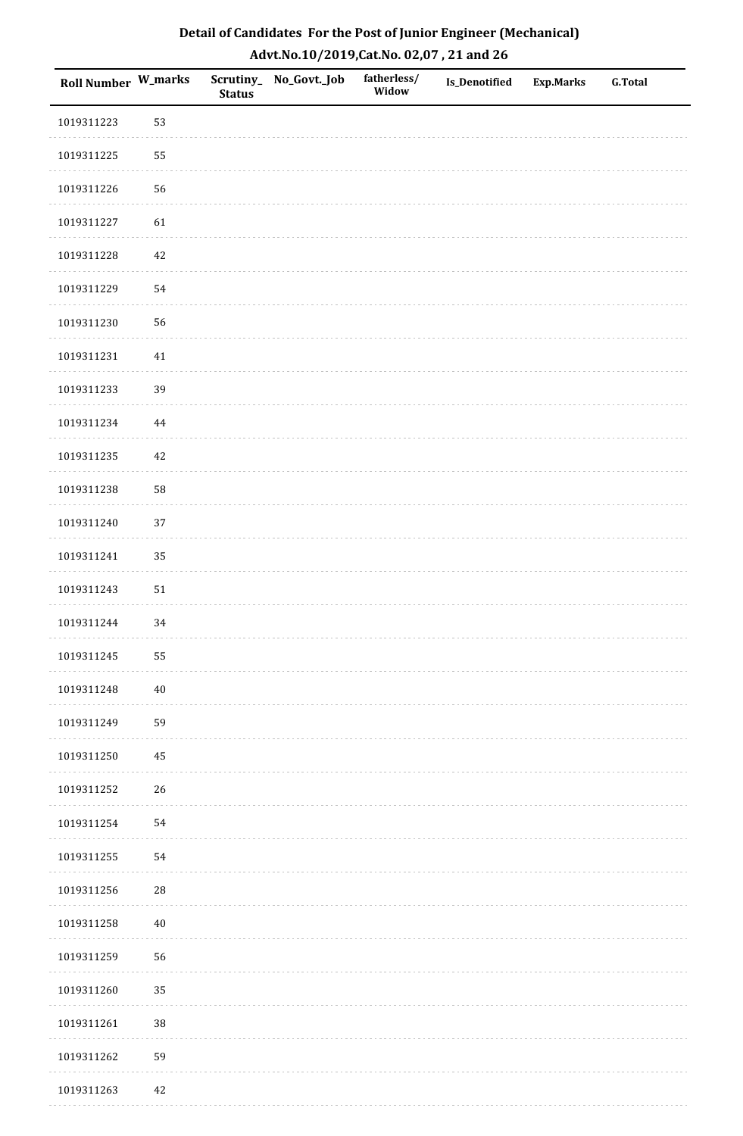| Detail of Candidates For the Post of Junior Engineer (Mechanical) |
|-------------------------------------------------------------------|
| Advt.No.10/2019,Cat.No. 02,07, 21 and 26                          |

| Roll Number W_marks |            | <b>Status</b> | Scrutiny_ No_Govt._Job | fatherless/<br>Widow | <b>Is_Denotified</b> | <b>Exp.Marks</b> | <b>G.Total</b> |
|---------------------|------------|---------------|------------------------|----------------------|----------------------|------------------|----------------|
| 1019311223          | 53         |               |                        |                      |                      |                  |                |
| 1019311225          | 55         |               |                        |                      |                      |                  |                |
| 1019311226          | 56         |               |                        |                      |                      |                  |                |
| 1019311227          | 61         |               |                        |                      |                      |                  |                |
| 1019311228          | $42\,$     |               |                        |                      |                      |                  |                |
| 1019311229          | 54         |               |                        |                      |                      |                  |                |
| 1019311230          | 56         |               |                        |                      |                      |                  |                |
| 1019311231          | $41\,$     |               |                        |                      |                      |                  |                |
| 1019311233          | 39         |               |                        |                      |                      |                  |                |
| 1019311234          | 44         |               |                        |                      |                      |                  |                |
| 1019311235          | 42         |               |                        |                      |                      |                  |                |
| 1019311238          | 58         |               |                        |                      |                      |                  |                |
| 1019311240          | 37         |               |                        |                      |                      |                  |                |
| 1019311241          | 35         |               |                        |                      |                      |                  |                |
| 1019311243          | $51\,$     |               |                        |                      |                      |                  |                |
| 1019311244          | 34         |               |                        |                      |                      |                  |                |
| 1019311245          | 55         |               |                        |                      |                      |                  |                |
| 1019311248          | $40\,$     |               |                        |                      |                      |                  |                |
| 1019311249          | 59         |               |                        |                      |                      |                  |                |
| 1019311250          | 45         |               |                        |                      |                      |                  |                |
| 1019311252          | 26         |               |                        |                      |                      |                  |                |
| 1019311254          | 54         |               |                        |                      |                      |                  |                |
| 1019311255          | 54         |               |                        |                      |                      |                  |                |
| 1019311256          | ${\bf 28}$ |               |                        |                      |                      |                  |                |
| 1019311258          | $40\,$     |               |                        |                      |                      |                  |                |
| 1019311259          | 56         |               |                        |                      |                      |                  |                |
| 1019311260          | 35         |               |                        |                      |                      |                  |                |
| 1019311261          | 38         |               |                        |                      |                      |                  |                |
| 1019311262          | 59         |               |                        |                      |                      |                  |                |
| 1019311263          | $42\,$     |               |                        |                      |                      |                  |                |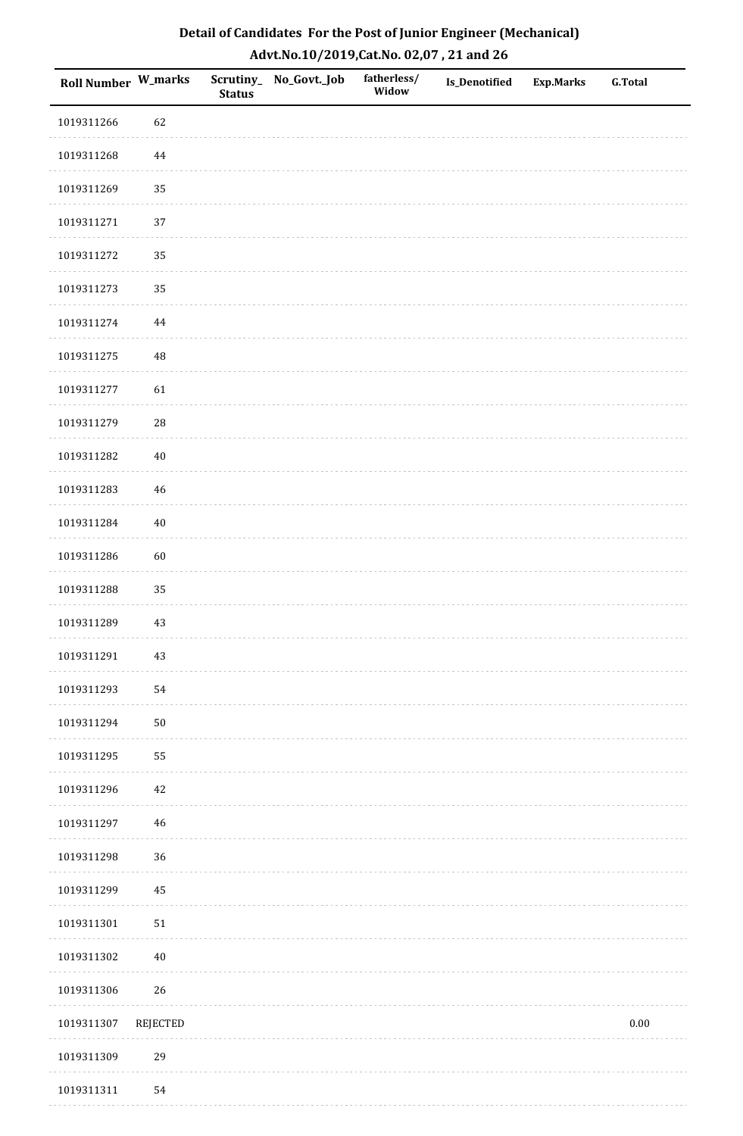| Detail of Candidates For the Post of Junior Engineer (Mechanical) |
|-------------------------------------------------------------------|
| Advt.No.10/2019, Cat.No. 02,07, 21 and 26                         |

| Roll Number W_marks |                 | <b>Status</b> | Scrutiny_ No_Govt._Job | fatherless/<br>Widow | <b>Is_Denotified</b> | <b>Exp.Marks</b> | <b>G.Total</b> |
|---------------------|-----------------|---------------|------------------------|----------------------|----------------------|------------------|----------------|
| 1019311266          | 62              |               |                        |                      |                      |                  |                |
| 1019311268          | $\bf 44$        |               |                        |                      |                      |                  |                |
| 1019311269          | 35              |               |                        |                      |                      |                  |                |
| 1019311271          | 37              |               |                        |                      |                      |                  |                |
| 1019311272          | 35              |               |                        |                      |                      |                  |                |
| 1019311273          | 35              |               |                        |                      |                      |                  |                |
| 1019311274          | $\bf 44$        |               |                        |                      |                      |                  |                |
| 1019311275          | $\rm 48$        |               |                        |                      |                      |                  |                |
| 1019311277          | 61              |               |                        |                      |                      |                  |                |
| 1019311279          | ${\bf 28}$      |               |                        |                      |                      |                  |                |
| 1019311282          | $40\,$          |               |                        |                      |                      |                  |                |
| 1019311283          | $\sqrt{46}$     |               |                        |                      |                      |                  |                |
| 1019311284          | $40\,$          |               |                        |                      |                      |                  |                |
| 1019311286          | $60\,$          |               |                        |                      |                      |                  |                |
| 1019311288          | 35              |               |                        |                      |                      |                  |                |
| 1019311289          | 43              |               |                        |                      |                      |                  |                |
| 1019311291          | 43              |               |                        |                      |                      |                  |                |
| 1019311293          | 54              |               |                        |                      |                      |                  |                |
| 1019311294          | $50\,$          |               |                        |                      |                      |                  |                |
| 1019311295          | 55              |               |                        |                      |                      |                  |                |
| 1019311296          | $42\,$          |               |                        |                      |                      |                  |                |
| 1019311297          | $\sqrt{46}$     |               |                        |                      |                      |                  |                |
| 1019311298          | 36              |               |                        |                      |                      |                  |                |
| 1019311299          | 45              |               |                        |                      |                      |                  |                |
| 1019311301          | $51\,$          |               |                        |                      |                      |                  |                |
| 1019311302          | $40\,$          |               |                        |                      |                      |                  |                |
| 1019311306          | 26              |               |                        |                      |                      |                  |                |
| 1019311307          | <b>REJECTED</b> |               |                        |                      |                      |                  | 0.00           |
| 1019311309          | 29              |               |                        |                      |                      |                  |                |
| 1019311311          | 54              |               |                        |                      |                      |                  |                |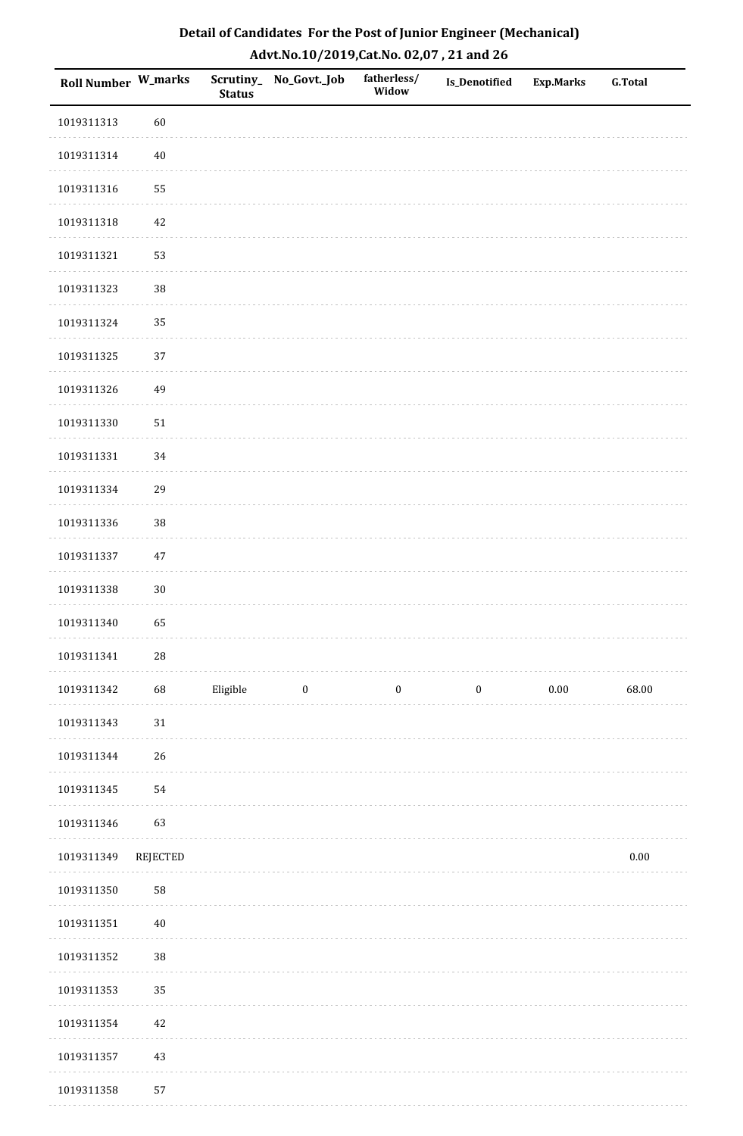| Detail of Candidates For the Post of Junior Engineer (Mechanical) |
|-------------------------------------------------------------------|
| Advt.No.10/2019,Cat.No. 02,07, 21 and 26                          |

| Roll Number W_marks |          | <b>Status</b> | Scrutiny_ No_Govt._Job | fatherless/<br>Widow | <b>Is_Denotified</b> | <b>Exp.Marks</b> | <b>G.Total</b> |
|---------------------|----------|---------------|------------------------|----------------------|----------------------|------------------|----------------|
| 1019311313          | 60       |               |                        |                      |                      |                  |                |
| 1019311314          | $40\,$   |               |                        |                      |                      |                  |                |
| 1019311316          | 55       |               |                        |                      |                      |                  |                |
| 1019311318          | 42       |               |                        |                      |                      |                  |                |
| 1019311321          | 53       |               |                        |                      |                      |                  |                |
| 1019311323          | 38       |               |                        |                      |                      |                  |                |
| 1019311324          | 35       |               |                        |                      |                      |                  |                |
| 1019311325          | 37       |               |                        |                      |                      |                  |                |
| 1019311326          | 49       |               |                        |                      |                      |                  |                |
| 1019311330          | $51\,$   |               |                        |                      |                      |                  |                |
| 1019311331          | 34       |               |                        |                      |                      |                  |                |
| 1019311334          | 29       |               |                        |                      |                      |                  |                |
| 1019311336          | 38       |               |                        |                      |                      |                  |                |
| 1019311337          | 47       |               |                        |                      |                      |                  |                |
| 1019311338          | $30\,$   |               |                        |                      |                      |                  |                |
| 1019311340          | 65       |               |                        |                      |                      |                  |                |
| 1019311341          | 28       |               |                        |                      |                      |                  |                |
| 1019311342          | 68       | Eligible      | $\boldsymbol{0}$       | $\boldsymbol{0}$     | $\boldsymbol{0}$     | $0.00\,$         | 68.00          |
| 1019311343          | $31\,$   |               |                        |                      |                      |                  |                |
| 1019311344          | 26       |               |                        |                      |                      |                  |                |
| 1019311345          | 54       |               |                        |                      |                      |                  |                |
| 1019311346          | 63       |               |                        |                      |                      |                  |                |
| 1019311349          | REJECTED |               |                        |                      |                      |                  | $0.00\,$       |
| 1019311350          | 58       |               |                        |                      |                      |                  |                |
| 1019311351          | $40\,$   |               |                        |                      |                      |                  |                |
| 1019311352          | 38       |               |                        |                      |                      |                  |                |
| 1019311353          | 35       |               |                        |                      |                      |                  |                |
| 1019311354          | 42       |               |                        |                      |                      |                  |                |
| 1019311357          | $43\,$   |               |                        |                      |                      |                  |                |
| 1019311358          | 57       |               |                        |                      |                      |                  |                |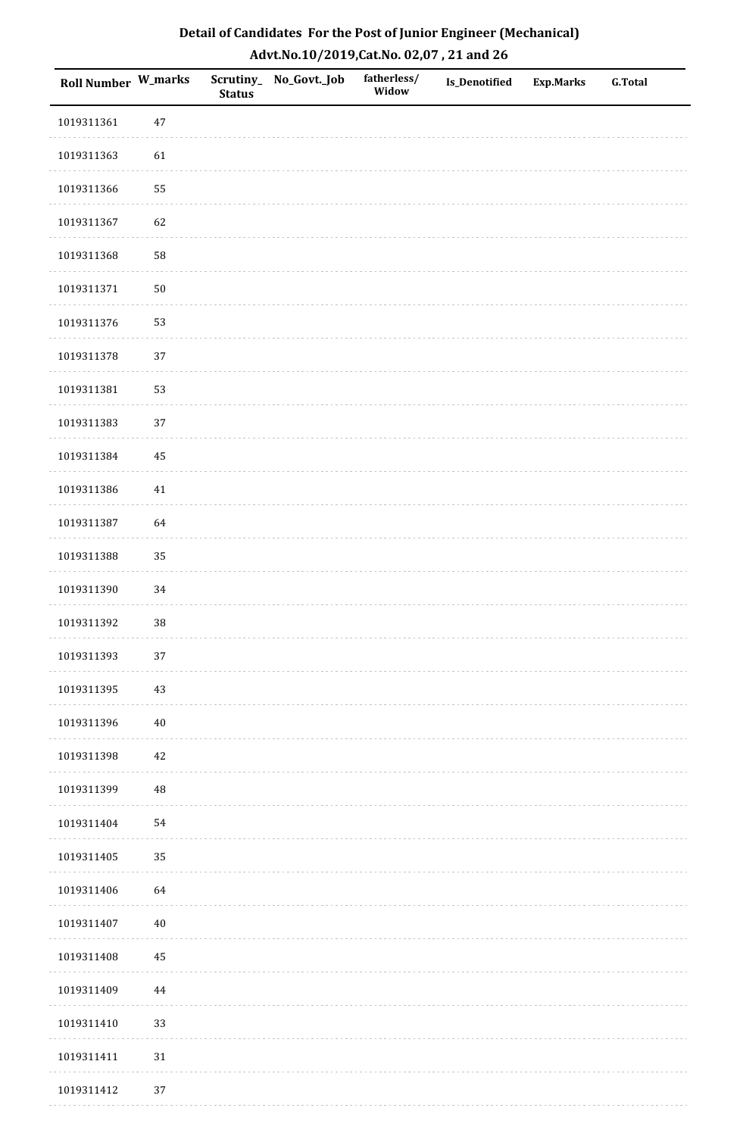| Detail of Candidates For the Post of Junior Engineer (Mechanical) |
|-------------------------------------------------------------------|
| Advt.No.10/2019,Cat.No. 02,07, 21 and 26                          |

| Roll Number W_marks |          | <b>Status</b> | Scrutiny_ No_Govt._Job | fatherless/<br>Widow | <b>Is_Denotified</b> | <b>Exp.Marks</b> | <b>G.Total</b> |
|---------------------|----------|---------------|------------------------|----------------------|----------------------|------------------|----------------|
| 1019311361          | $47\,$   |               |                        |                      |                      |                  |                |
| 1019311363          | 61       |               |                        |                      |                      |                  |                |
| 1019311366          | 55       |               |                        |                      |                      |                  |                |
| 1019311367          | 62       |               |                        |                      |                      |                  |                |
| 1019311368          | 58       |               |                        |                      |                      |                  |                |
| 1019311371          | $50\,$   |               |                        |                      |                      |                  |                |
| 1019311376          | 53       |               |                        |                      |                      |                  |                |
| 1019311378          | 37       |               |                        |                      |                      |                  |                |
| 1019311381          | 53       |               |                        |                      |                      |                  |                |
| 1019311383          | 37       |               |                        |                      |                      |                  |                |
| 1019311384          | 45       |               |                        |                      |                      |                  |                |
| 1019311386          | $41\,$   |               |                        |                      |                      |                  |                |
| 1019311387          | 64       |               |                        |                      |                      |                  |                |
| 1019311388          | 35       |               |                        |                      |                      |                  |                |
| 1019311390          | 34       |               |                        |                      |                      |                  |                |
| 1019311392          | $38\,$   |               |                        |                      |                      |                  |                |
| 1019311393          | $37\,$   |               |                        |                      |                      |                  |                |
| 1019311395          | 43       |               |                        |                      |                      |                  |                |
| 1019311396          | $40\,$   |               |                        |                      |                      |                  |                |
| 1019311398          | 42       |               |                        |                      |                      |                  |                |
| 1019311399          | $\rm 48$ |               |                        |                      |                      |                  |                |
| 1019311404          | 54       |               |                        |                      |                      |                  |                |
| 1019311405          | 35       |               |                        |                      |                      |                  |                |
| 1019311406          | 64       |               |                        |                      |                      |                  |                |
| 1019311407          | $40\,$   |               |                        |                      |                      |                  |                |
| 1019311408          | $\rm 45$ |               |                        |                      |                      |                  |                |
| 1019311409          | $\bf 44$ |               |                        |                      |                      |                  |                |
| 1019311410          | 33       |               |                        |                      |                      |                  |                |
| 1019311411          | 31       |               |                        |                      |                      |                  |                |
| 1019311412          | 37       |               |                        |                      |                      |                  |                |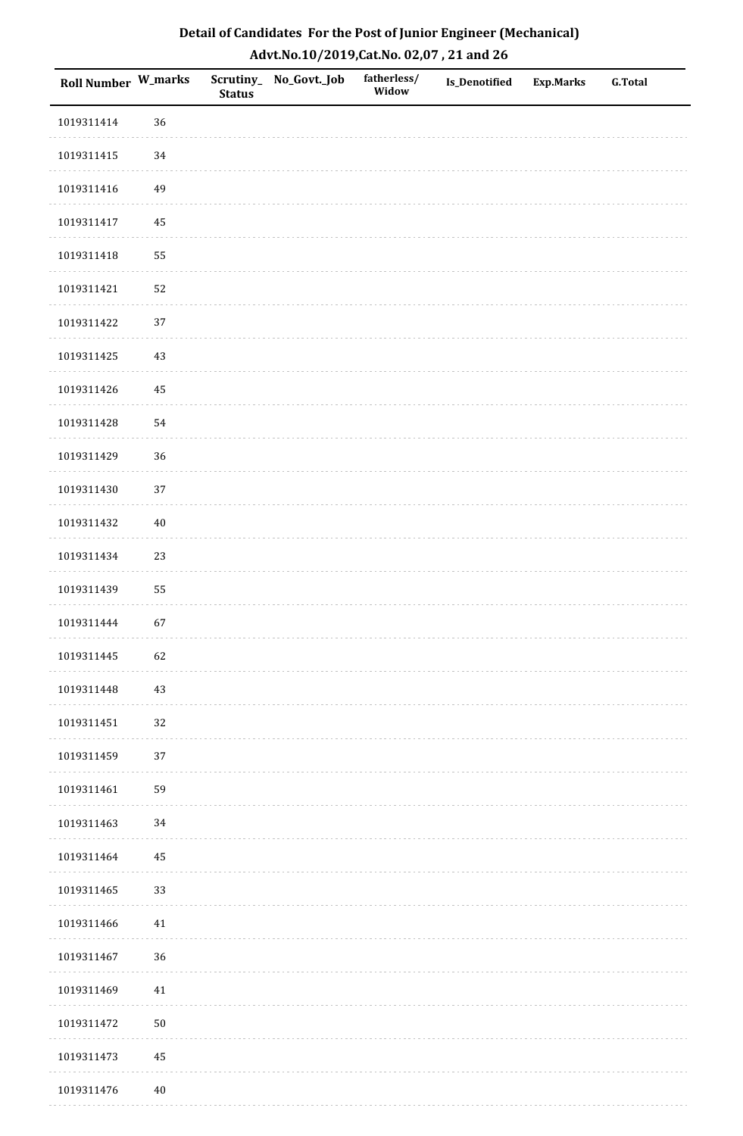| Detail of Candidates For the Post of Junior Engineer (Mechanical) |
|-------------------------------------------------------------------|
| Advt.No.10/2019,Cat.No. 02,07, 21 and 26                          |

| Roll Number W_marks |        | <b>Status</b> | Scrutiny_ No_Govt._Job | fatherless/<br>Widow | <b>Is_Denotified</b> | <b>Exp.Marks</b> | <b>G.Total</b> |
|---------------------|--------|---------------|------------------------|----------------------|----------------------|------------------|----------------|
| 1019311414          | 36     |               |                        |                      |                      |                  |                |
| 1019311415          | 34     |               |                        |                      |                      |                  |                |
| 1019311416          | 49     |               |                        |                      |                      |                  |                |
| 1019311417          | 45     |               |                        |                      |                      |                  |                |
| 1019311418          | 55     |               |                        |                      |                      |                  |                |
| 1019311421          | 52     |               |                        |                      |                      |                  |                |
| 1019311422          | 37     |               |                        |                      |                      |                  |                |
| 1019311425          | 43     |               |                        |                      |                      |                  |                |
| 1019311426          | 45     |               |                        |                      |                      |                  |                |
| 1019311428          | 54     |               |                        |                      |                      |                  |                |
| 1019311429          | 36     |               |                        |                      |                      |                  |                |
| 1019311430          | 37     |               |                        |                      |                      |                  |                |
| 1019311432          | $40\,$ |               |                        |                      |                      |                  |                |
| 1019311434          | 23     |               |                        |                      |                      |                  |                |
| 1019311439          | 55     |               |                        |                      |                      |                  |                |
| 1019311444          | 67     |               |                        |                      |                      |                  |                |
| 1019311445          | 62     |               |                        |                      |                      |                  |                |
| 1019311448          | 43     |               |                        |                      |                      |                  |                |
| 1019311451          | 32     |               |                        |                      |                      |                  |                |
| 1019311459          | 37     |               |                        |                      |                      |                  |                |
| 1019311461          | 59     |               |                        |                      |                      |                  |                |
| 1019311463          | 34     |               |                        |                      |                      |                  |                |
| 1019311464          | 45     |               |                        |                      |                      |                  |                |
| 1019311465          | 33     |               |                        |                      |                      |                  |                |
| 1019311466          | 41     |               |                        |                      |                      |                  |                |
| 1019311467          | 36     |               |                        |                      |                      |                  |                |
| 1019311469          | 41     |               |                        |                      |                      |                  |                |
| 1019311472          | $50\,$ |               |                        |                      |                      |                  |                |
| 1019311473          | 45     |               |                        |                      |                      |                  |                |
| 1019311476          | $40\,$ |               |                        |                      |                      |                  |                |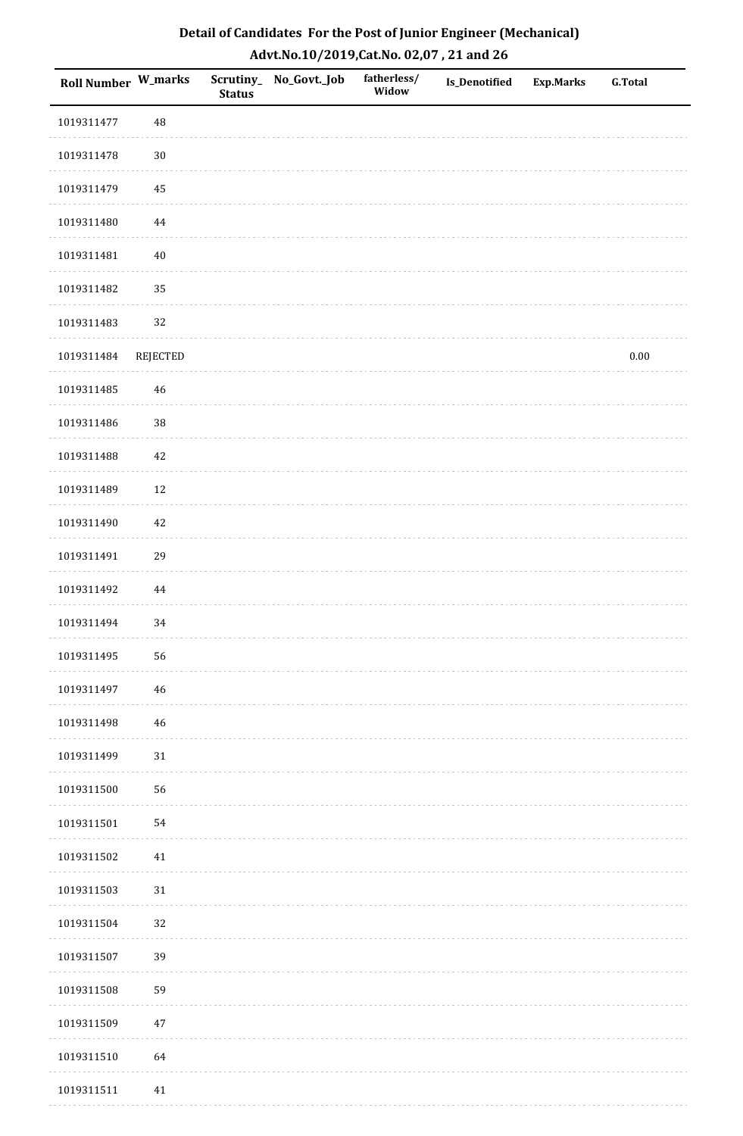| <b>Roll Number W_marks</b> |          | <b>Status</b> | Scrutiny_ No_Govt._Job | fatherless/<br>Widow | Is_Denotified | <b>Exp.Marks</b> | <b>G.Total</b> |
|----------------------------|----------|---------------|------------------------|----------------------|---------------|------------------|----------------|
| 1019311477                 | $\rm 48$ |               |                        |                      |               |                  |                |
| 1019311478                 | $30\,$   |               |                        |                      |               |                  |                |
| 1019311479                 | 45       |               |                        |                      |               |                  |                |
| 1019311480                 | $\bf 44$ |               |                        |                      |               |                  |                |
| 1019311481                 | $40\,$   |               |                        |                      |               |                  |                |
| 1019311482                 | 35       |               |                        |                      |               |                  |                |
| 1019311483                 | 32       |               |                        |                      |               |                  |                |
| 1019311484                 | REJECTED |               |                        |                      |               |                  | $0.00\,$       |
| 1019311485                 | 46       |               |                        |                      |               |                  |                |
| 1019311486                 | 38       |               |                        |                      |               |                  |                |
| 1019311488                 | $42\,$   |               |                        |                      |               |                  |                |
| 1019311489                 | $12\,$   |               |                        |                      |               |                  |                |
| 1019311490                 | $42\,$   |               |                        |                      |               |                  |                |
| 1019311491                 | 29       |               |                        |                      |               |                  |                |
| 1019311492                 | $\bf 44$ |               |                        |                      |               |                  |                |
| 1019311494                 | 34       |               |                        |                      |               |                  |                |
| 1019311495                 | 56       |               |                        |                      |               |                  |                |
| 1019311497                 | 46       |               |                        |                      |               |                  |                |
| 1019311498                 | $46\,$   |               |                        |                      |               |                  |                |
| 1019311499                 | $31\,$   |               |                        |                      |               |                  |                |
| 1019311500                 | 56       |               |                        |                      |               |                  |                |
| 1019311501                 | 54       |               |                        |                      |               |                  |                |
| 1019311502                 | 41       |               |                        |                      |               |                  |                |
| 1019311503                 | 31       |               |                        |                      |               |                  |                |
| 1019311504                 | 32       |               |                        |                      |               |                  |                |
| 1019311507                 | 39       |               |                        |                      |               |                  |                |
| 1019311508                 | 59       |               |                        |                      |               |                  |                |
| 1019311509                 | $47\,$   |               |                        |                      |               |                  |                |
| 1019311510                 | 64       |               |                        |                      |               |                  |                |
| 1019311511                 | 41       |               |                        |                      |               |                  |                |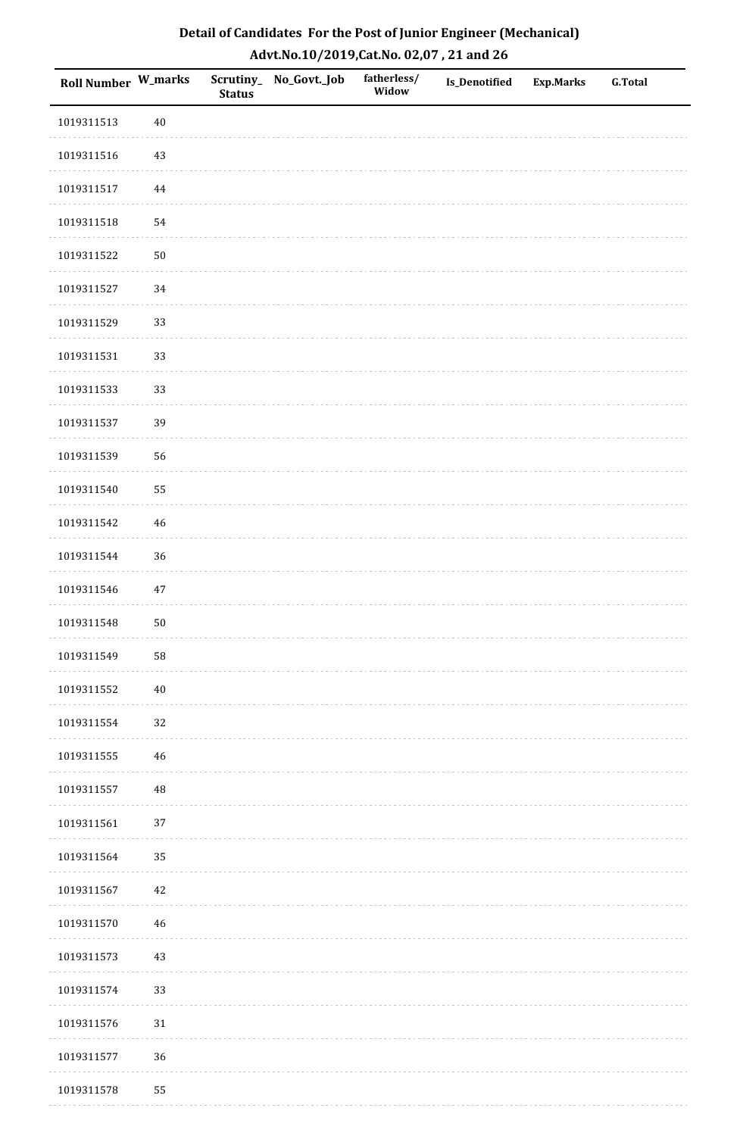| Detail of Candidates For the Post of Junior Engineer (Mechanical) |
|-------------------------------------------------------------------|
| Advt.No.10/2019,Cat.No. 02,07, 21 and 26                          |

| Roll Number W_marks |             | <b>Status</b> | Scrutiny_ No_Govt._Job | fatherless/<br>Widow | <b>Is_Denotified</b> | <b>Exp.Marks</b> | <b>G.Total</b> |
|---------------------|-------------|---------------|------------------------|----------------------|----------------------|------------------|----------------|
| 1019311513          | $40\,$      |               |                        |                      |                      |                  |                |
| 1019311516          | $43\,$      |               |                        |                      |                      |                  |                |
| 1019311517          | 44          |               |                        |                      |                      |                  |                |
| 1019311518          | 54          |               |                        |                      |                      |                  |                |
| 1019311522          | $50\,$      |               |                        |                      |                      |                  |                |
| 1019311527          | 34          |               |                        |                      |                      |                  |                |
| 1019311529          | 33          |               |                        |                      |                      |                  |                |
| 1019311531          | 33          |               |                        |                      |                      |                  |                |
| 1019311533          | 33          |               |                        |                      |                      |                  |                |
| 1019311537          | 39          |               |                        |                      |                      |                  |                |
| 1019311539          | 56          |               |                        |                      |                      |                  |                |
| 1019311540          | 55          |               |                        |                      |                      |                  |                |
| 1019311542          | $46\,$      |               |                        |                      |                      |                  |                |
| 1019311544          | 36          |               |                        |                      |                      |                  |                |
| 1019311546          | $47\,$      |               |                        |                      |                      |                  |                |
| 1019311548          | $50\,$      |               |                        |                      |                      |                  |                |
| 1019311549          | 58          |               |                        |                      |                      |                  |                |
| 1019311552          | $40\,$      |               |                        |                      |                      |                  |                |
| 1019311554          | 32          |               |                        |                      |                      |                  |                |
| 1019311555          | $\sqrt{46}$ |               |                        |                      |                      |                  |                |
| 1019311557          | $\rm 48$    |               |                        |                      |                      |                  |                |
| 1019311561          | 37          |               |                        |                      |                      |                  |                |
| 1019311564          | 35          |               |                        |                      |                      |                  |                |
| 1019311567          | $42\,$      |               |                        |                      |                      |                  |                |
| 1019311570          | $\sqrt{46}$ |               |                        |                      |                      |                  |                |
| 1019311573          | $43\,$      |               |                        |                      |                      |                  |                |
| 1019311574          | 33          |               |                        |                      |                      |                  |                |
| 1019311576          | $31\,$      |               |                        |                      |                      |                  |                |
| 1019311577          | 36          |               |                        |                      |                      |                  |                |
| 1019311578          | 55          |               |                        |                      |                      |                  |                |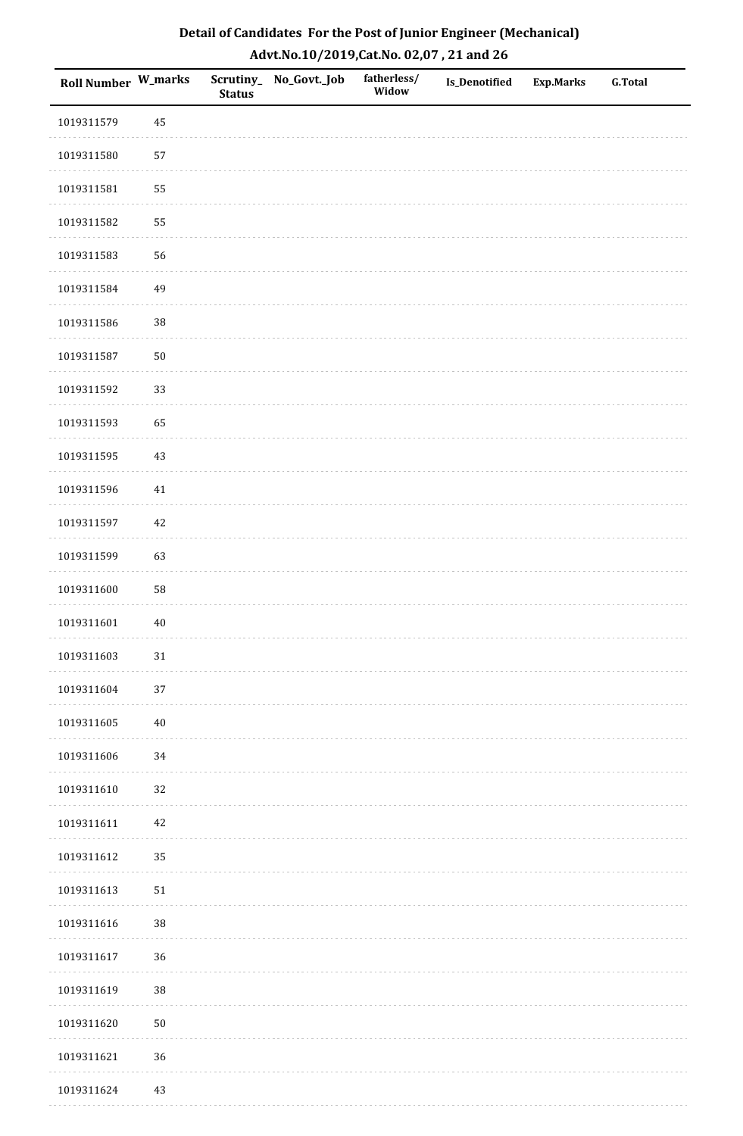| Detail of Candidates For the Post of Junior Engineer (Mechanical) |
|-------------------------------------------------------------------|
| Advt.No.10/2019,Cat.No. 02,07, 21 and 26                          |

| Roll Number W_marks |        | <b>Status</b> | Scrutiny_ No_Govt._Job | fatherless/<br>Widow | Is_Denotified | <b>Exp.Marks</b> | <b>G.Total</b> |
|---------------------|--------|---------------|------------------------|----------------------|---------------|------------------|----------------|
| 1019311579          | 45     |               |                        |                      |               |                  |                |
| 1019311580          | 57     |               |                        |                      |               |                  |                |
| 1019311581          | 55     |               |                        |                      |               |                  |                |
| 1019311582          | 55     |               |                        |                      |               |                  |                |
| 1019311583          | 56     |               |                        |                      |               |                  |                |
| 1019311584          | 49     |               |                        |                      |               |                  |                |
| 1019311586          | $38\,$ |               |                        |                      |               |                  |                |
| 1019311587          | $50\,$ |               |                        |                      |               |                  |                |
| 1019311592          | 33     |               |                        |                      |               |                  |                |
| 1019311593          | 65     |               |                        |                      |               |                  |                |
| 1019311595          | 43     |               |                        |                      |               |                  |                |
| 1019311596          | 41     |               |                        |                      |               |                  |                |
| 1019311597          | 42     |               |                        |                      |               |                  |                |
| 1019311599          | 63     |               |                        |                      |               |                  |                |
| 1019311600          | 58     |               |                        |                      |               |                  |                |
| 1019311601          | $40\,$ |               |                        |                      |               |                  |                |
| 1019311603          | $31\,$ |               |                        |                      |               |                  |                |
| 1019311604          | 37     |               |                        |                      |               |                  |                |
| 1019311605          | $40\,$ |               |                        |                      |               |                  |                |
| 1019311606          | 34     |               |                        |                      |               |                  |                |
| 1019311610          | $32\,$ |               |                        |                      |               |                  |                |
| 1019311611          | $42\,$ |               |                        |                      |               |                  |                |
| 1019311612          | 35     |               |                        |                      |               |                  |                |
| 1019311613          | $51\,$ |               |                        |                      |               |                  |                |
| 1019311616          | $38\,$ |               |                        |                      |               |                  |                |
| 1019311617          | 36     |               |                        |                      |               |                  |                |
| 1019311619          | $38\,$ |               |                        |                      |               |                  |                |
| 1019311620          | $50\,$ |               |                        |                      |               |                  |                |
| 1019311621          | 36     |               |                        |                      |               |                  |                |
| 1019311624          | 43     |               |                        |                      |               |                  |                |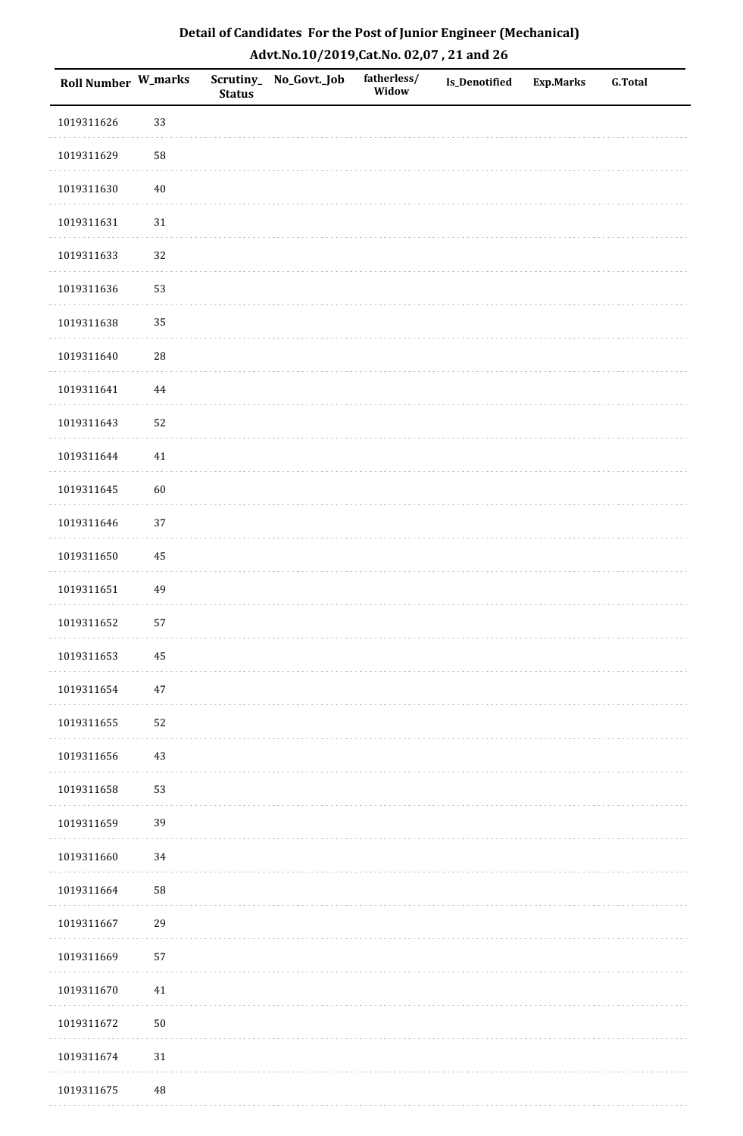| Detail of Candidates For the Post of Junior Engineer (Mechanical) |
|-------------------------------------------------------------------|
| Advt.No.10/2019,Cat.No. 02,07, 21 and 26                          |

| Roll Number W_marks |            | <b>Status</b> | Scrutiny_ No_Govt._Job | fatherless/<br>Widow | Is_Denotified | <b>Exp.Marks</b> | <b>G.Total</b> |
|---------------------|------------|---------------|------------------------|----------------------|---------------|------------------|----------------|
| 1019311626          | 33         |               |                        |                      |               |                  |                |
| 1019311629          | 58         |               |                        |                      |               |                  |                |
| 1019311630          | $40\,$     |               |                        |                      |               |                  |                |
| 1019311631          | $31\,$     |               |                        |                      |               |                  |                |
| 1019311633          | 32         |               |                        |                      |               |                  |                |
| 1019311636          | 53         |               |                        |                      |               |                  |                |
| 1019311638          | 35         |               |                        |                      |               |                  |                |
| 1019311640          | ${\bf 28}$ |               |                        |                      |               |                  |                |
| 1019311641          | $\bf 44$   |               |                        |                      |               |                  |                |
| 1019311643          | 52         |               |                        |                      |               |                  |                |
| 1019311644          | $41\,$     |               |                        |                      |               |                  |                |
| 1019311645          | 60         |               |                        |                      |               |                  |                |
| 1019311646          | 37         |               |                        |                      |               |                  |                |
| 1019311650          | 45         |               |                        |                      |               |                  |                |
| 1019311651          | 49         |               |                        |                      |               |                  |                |
| 1019311652          | 57         |               |                        |                      |               |                  |                |
| 1019311653          | $\bf 45$   |               |                        |                      |               |                  |                |
| 1019311654          | $47\,$     |               |                        |                      |               |                  |                |
| 1019311655          | 52         |               |                        |                      |               |                  |                |
| 1019311656          | $43\,$     |               |                        |                      |               |                  |                |
| 1019311658          | 53         |               |                        |                      |               |                  |                |
| 1019311659          | 39         |               |                        |                      |               |                  |                |
| 1019311660          | 34         |               |                        |                      |               |                  |                |
| 1019311664          | 58         |               |                        |                      |               |                  |                |
| 1019311667          | 29         |               |                        |                      |               |                  |                |
| 1019311669          | 57         |               |                        |                      |               |                  |                |
| 1019311670          | 41         |               |                        |                      |               |                  |                |
| 1019311672          | $50\,$     |               |                        |                      |               |                  |                |
| 1019311674          | $31\,$     |               |                        |                      |               |                  |                |
| 1019311675          | $\rm 48$   |               |                        |                      |               |                  |                |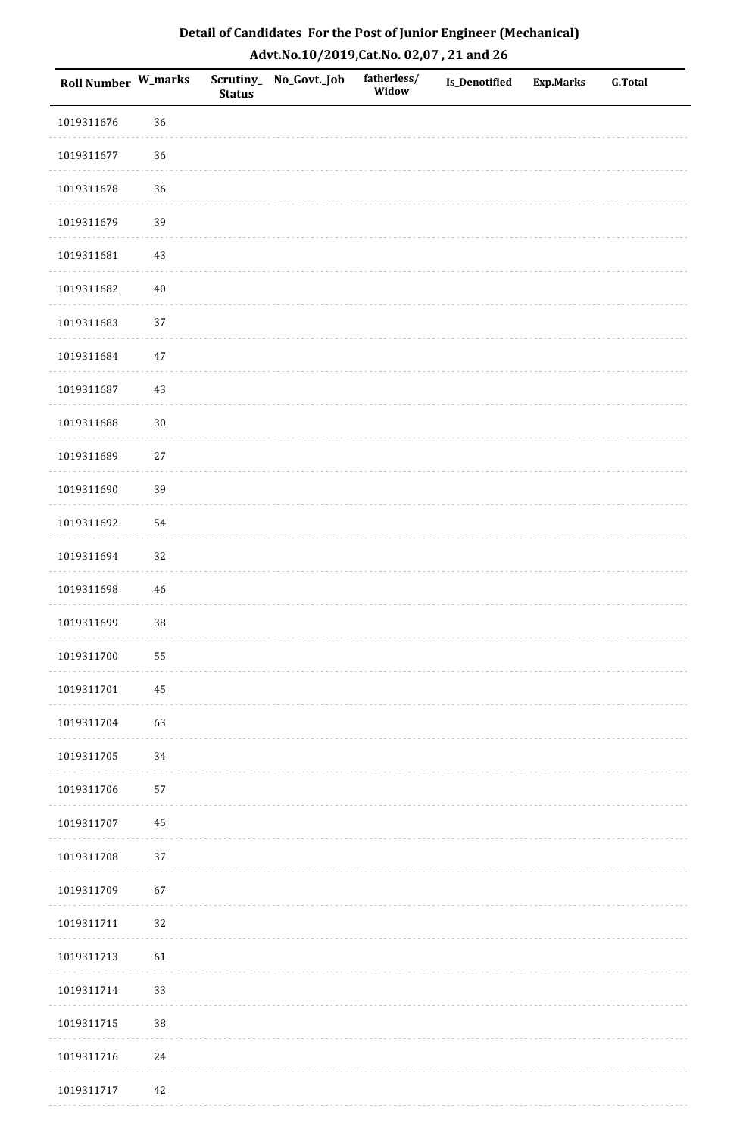| Detail of Candidates For the Post of Junior Engineer (Mechanical) |
|-------------------------------------------------------------------|
| Advt.No.10/2019,Cat.No. 02,07, 21 and 26                          |

| Roll Number W_marks |        | <b>Status</b> | Scrutiny_ No_Govt._Job | fatherless/<br>Widow | <b>Is_Denotified</b> | <b>Exp.Marks</b> | <b>G.Total</b> |
|---------------------|--------|---------------|------------------------|----------------------|----------------------|------------------|----------------|
| 1019311676          | 36     |               |                        |                      |                      |                  |                |
| 1019311677          | 36     |               |                        |                      |                      |                  |                |
| 1019311678          | 36     |               |                        |                      |                      |                  |                |
| 1019311679          | 39     |               |                        |                      |                      |                  |                |
| 1019311681          | 43     |               |                        |                      |                      |                  |                |
| 1019311682          | $40\,$ |               |                        |                      |                      |                  |                |
| 1019311683          | 37     |               |                        |                      |                      |                  |                |
| 1019311684          | $47\,$ |               |                        |                      |                      |                  |                |
| 1019311687          | 43     |               |                        |                      |                      |                  |                |
| 1019311688          | $30\,$ |               |                        |                      |                      |                  |                |
| 1019311689          | $27\,$ |               |                        |                      |                      |                  |                |
| 1019311690          | 39     |               |                        |                      |                      |                  |                |
| 1019311692          | 54     |               |                        |                      |                      |                  |                |
| 1019311694          | 32     |               |                        |                      |                      |                  |                |
| 1019311698          | 46     |               |                        |                      |                      |                  |                |
| 1019311699          | $38\,$ |               |                        |                      |                      |                  |                |
| 1019311700          | 55     |               |                        |                      |                      |                  |                |
| 1019311701          | 45     |               |                        |                      |                      |                  |                |
| 1019311704          | 63     |               |                        |                      |                      |                  |                |
| 1019311705          | 34     |               |                        |                      |                      |                  |                |
| 1019311706          | 57     |               |                        |                      |                      |                  |                |
| 1019311707          | 45     |               |                        |                      |                      |                  |                |
| 1019311708          | $37\,$ |               |                        |                      |                      |                  |                |
| 1019311709          | 67     |               |                        |                      |                      |                  |                |
| 1019311711          | 32     |               |                        |                      |                      |                  |                |
| 1019311713          | 61     |               |                        |                      |                      |                  |                |
| 1019311714          | 33     |               |                        |                      |                      |                  |                |
| 1019311715          | $38\,$ |               |                        |                      |                      |                  |                |
| 1019311716          | $24\,$ |               |                        |                      |                      |                  |                |
| 1019311717          | 42     |               |                        |                      |                      |                  |                |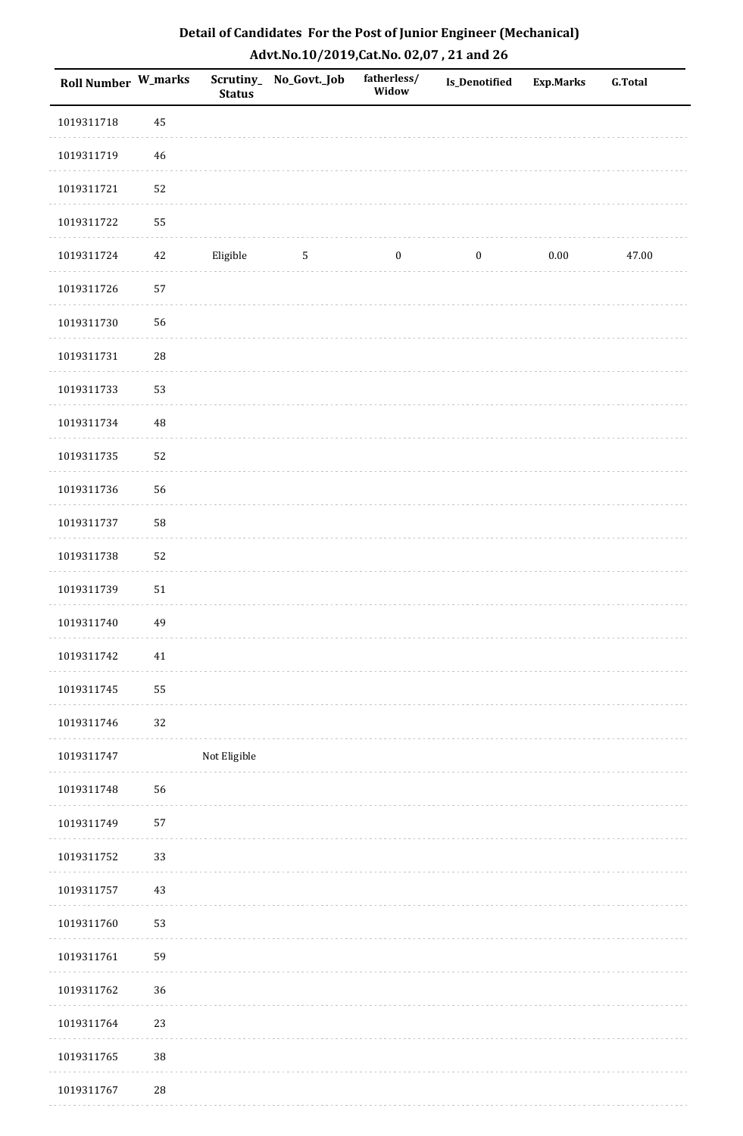| Roll Number W_marks |             | <b>Status</b> | Scrutiny_ No_Govt._Job | fatherless/<br>Widow | Is_Denotified    | <b>Exp.Marks</b> | <b>G.Total</b> |
|---------------------|-------------|---------------|------------------------|----------------------|------------------|------------------|----------------|
| 1019311718          | 45          |               |                        |                      |                  |                  |                |
| 1019311719          | $\sqrt{46}$ |               |                        |                      |                  |                  |                |
| 1019311721          | 52          |               |                        |                      |                  |                  |                |
| 1019311722          | 55          |               |                        |                      |                  |                  |                |
| 1019311724          | 42          | Eligible      | $\overline{5}$         | $\boldsymbol{0}$     | $\boldsymbol{0}$ | 0.00             | 47.00          |
| 1019311726          | 57          |               |                        |                      |                  |                  |                |
| 1019311730          | 56          |               |                        |                      |                  |                  |                |
| 1019311731          | $\sqrt{28}$ |               |                        |                      |                  |                  |                |
| 1019311733          | 53          |               |                        |                      |                  |                  |                |
| 1019311734          | 48          |               |                        |                      |                  |                  |                |
| 1019311735          | 52          |               |                        |                      |                  |                  |                |
| 1019311736          | 56          |               |                        |                      |                  |                  |                |
| 1019311737          | 58          |               |                        |                      |                  |                  |                |
| 1019311738          | 52          |               |                        |                      |                  |                  |                |
| 1019311739          | $51\,$      |               |                        |                      |                  |                  |                |
| 1019311740          | 49          |               |                        |                      |                  |                  |                |
| 1019311742          | 41          |               |                        |                      |                  |                  |                |
| 1019311745          | 55          |               |                        |                      |                  |                  |                |
| 1019311746          | 32          |               |                        |                      |                  |                  |                |
| 1019311747          |             | Not Eligible  |                        |                      |                  |                  |                |
| 1019311748          | 56          |               |                        |                      |                  |                  |                |
| 1019311749          | 57          |               |                        |                      |                  |                  |                |
| 1019311752          | 33          |               |                        |                      |                  |                  |                |
| 1019311757          | 43          |               |                        |                      |                  |                  |                |
| 1019311760          | 53          |               |                        |                      |                  |                  |                |
| 1019311761          | 59          |               |                        |                      |                  |                  |                |
| 1019311762          | 36          |               |                        |                      |                  |                  |                |
| 1019311764          | 23          |               |                        |                      |                  |                  |                |
| 1019311765          | 38          |               |                        |                      |                  |                  |                |
| 1019311767          | $\sqrt{28}$ |               |                        |                      |                  |                  |                |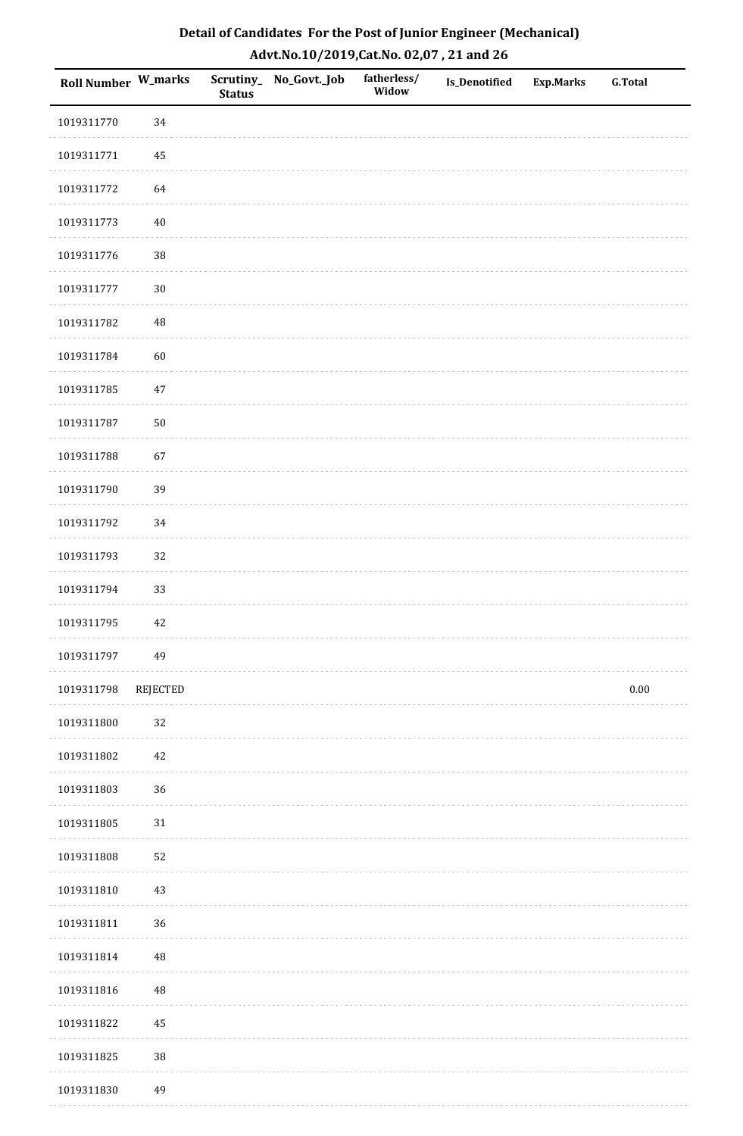| Detail of Candidates For the Post of Junior Engineer (Mechanical) |
|-------------------------------------------------------------------|
| Advt.No.10/2019,Cat.No. 02,07, 21 and 26                          |

| Roll Number W_marks |                 | <b>Status</b> | Scrutiny_ No_Govt._Job | fatherless/<br>Widow | Is_Denotified | <b>Exp.Marks</b> | <b>G.Total</b> |
|---------------------|-----------------|---------------|------------------------|----------------------|---------------|------------------|----------------|
| 1019311770          | 34              |               |                        |                      |               |                  |                |
| 1019311771          | 45              |               |                        |                      |               |                  |                |
| 1019311772          | 64              |               |                        |                      |               |                  |                |
| 1019311773          | $40\,$          |               |                        |                      |               |                  |                |
| 1019311776          | $38\,$          |               |                        |                      |               |                  |                |
| 1019311777          | $30\,$          |               |                        |                      |               |                  |                |
| 1019311782          | $\rm 48$        |               |                        |                      |               |                  |                |
| 1019311784          | 60              |               |                        |                      |               |                  |                |
| 1019311785          | $47\,$          |               |                        |                      |               |                  |                |
| 1019311787          | 50              |               |                        |                      |               |                  |                |
| 1019311788          | 67              |               |                        |                      |               |                  |                |
| 1019311790          | 39              |               |                        |                      |               |                  |                |
| 1019311792          | 34              |               |                        |                      |               |                  |                |
| 1019311793          | 32              |               |                        |                      |               |                  |                |
| 1019311794          | 33              |               |                        |                      |               |                  |                |
| 1019311795          | $42\,$          |               |                        |                      |               |                  |                |
| 1019311797          | 49              |               |                        |                      |               |                  |                |
| 1019311798          | <b>REJECTED</b> |               |                        |                      |               |                  | $0.00\,$       |
| 1019311800          | $32\,$          |               |                        |                      |               |                  |                |
| 1019311802          | 42              |               |                        |                      |               |                  |                |
| 1019311803          | 36              |               |                        |                      |               |                  |                |
| 1019311805          | $31\,$          |               |                        |                      |               |                  |                |
| 1019311808          | 52              |               |                        |                      |               |                  |                |
| 1019311810          | 43              |               |                        |                      |               |                  |                |
| 1019311811          | 36              |               |                        |                      |               |                  |                |
| 1019311814          | 48              |               |                        |                      |               |                  |                |
| 1019311816          | 48              |               |                        |                      |               |                  |                |
| 1019311822          | 45              |               |                        |                      |               |                  |                |
| 1019311825          | $38\,$          |               |                        |                      |               |                  |                |
| 1019311830          | 49              |               |                        |                      |               |                  |                |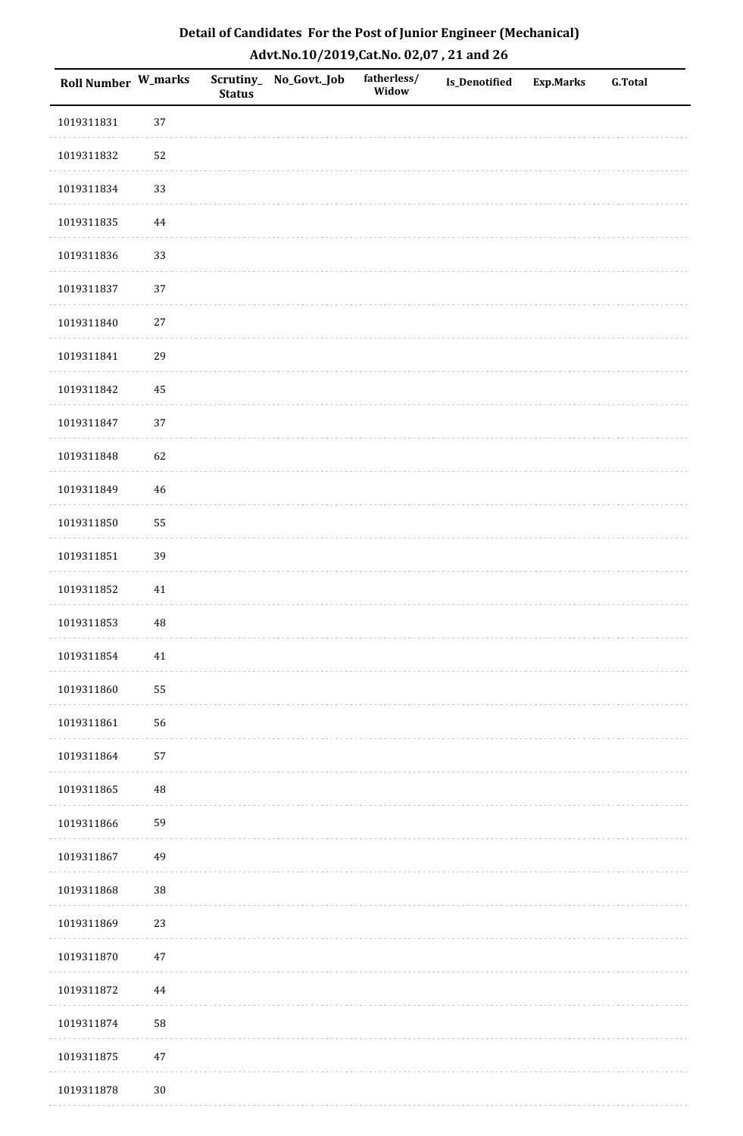| Detail of Candidates For the Post of Junior Engineer (Mechanical) |
|-------------------------------------------------------------------|
| Advt.No.10/2019,Cat.No. 02,07, 21 and 26                          |

| Roll Number W_marks |          | <b>Status</b> | Scrutiny_ No_Govt._Job | fatherless/<br>Widow | Is_Denotified | <b>Exp.Marks</b> | <b>G.Total</b> |
|---------------------|----------|---------------|------------------------|----------------------|---------------|------------------|----------------|
| 1019311831          | 37       |               |                        |                      |               |                  |                |
| 1019311832          | 52       |               |                        |                      |               |                  |                |
| 1019311834          | 33       |               |                        |                      |               |                  |                |
| 1019311835          | 44       |               |                        |                      |               |                  |                |
| 1019311836          | 33       |               |                        |                      |               |                  |                |
| 1019311837          | 37       |               |                        |                      |               |                  |                |
| 1019311840          | 27       |               |                        |                      |               |                  |                |
| 1019311841          | 29       |               |                        |                      |               |                  |                |
| 1019311842          | 45       |               |                        |                      |               |                  |                |
| 1019311847          | 37       |               |                        |                      |               |                  |                |
| 1019311848          | 62       |               |                        |                      |               |                  |                |
| 1019311849          | 46       |               |                        |                      |               |                  |                |
| 1019311850          | 55       |               |                        |                      |               |                  |                |
| 1019311851          | 39       |               |                        |                      |               |                  |                |
| 1019311852          | $41\,$   |               |                        |                      |               |                  |                |
| 1019311853          | 48       |               |                        |                      |               |                  |                |
| 1019311854          | $41\,$   |               |                        |                      |               |                  |                |
| 1019311860          | 55       |               |                        |                      |               |                  |                |
| 1019311861          | 56       |               |                        |                      |               |                  |                |
| 1019311864          | 57       |               |                        |                      |               |                  |                |
| 1019311865          | $\rm 48$ |               |                        |                      |               |                  |                |
| 1019311866          | 59       |               |                        |                      |               |                  |                |
| 1019311867          | 49       |               |                        |                      |               |                  |                |
| 1019311868          | 38       |               |                        |                      |               |                  |                |
| 1019311869          | 23       |               |                        |                      |               |                  |                |
| 1019311870          | $47\,$   |               |                        |                      |               |                  |                |
| 1019311872          | $\bf 44$ |               |                        |                      |               |                  |                |
| 1019311874          | 58       |               |                        |                      |               |                  |                |
| 1019311875          | $47\,$   |               |                        |                      |               |                  |                |
| 1019311878          | $30\,$   |               |                        |                      |               |                  |                |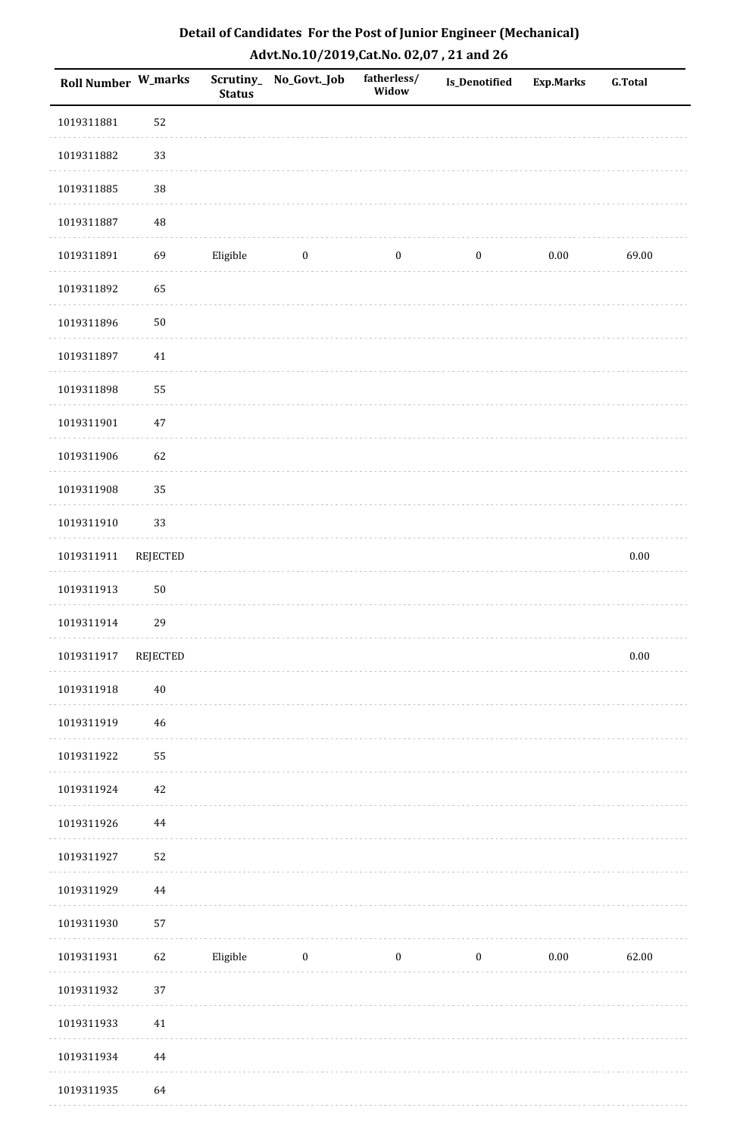| <b>Roll Number W_marks</b> |                 | <b>Status</b> | Scrutiny_ No_Govt._Job | fatherless/<br>Widow | <b>Is_Denotified</b> | <b>Exp.Marks</b> | <b>G.Total</b> |
|----------------------------|-----------------|---------------|------------------------|----------------------|----------------------|------------------|----------------|
| 1019311881                 | 52              |               |                        |                      |                      |                  |                |
| 1019311882                 | 33              |               |                        |                      |                      |                  |                |
| 1019311885                 | 38              |               |                        |                      |                      |                  |                |
| 1019311887                 | 48              |               |                        |                      |                      |                  |                |
| 1019311891                 | 69              | Eligible      | $\boldsymbol{0}$       | $\boldsymbol{0}$     | $\boldsymbol{0}$     | $0.00\,$         | 69.00          |
| 1019311892                 | 65              |               |                        |                      |                      |                  |                |
| 1019311896                 | 50              |               |                        |                      |                      |                  |                |
| 1019311897                 | $41\,$          |               |                        |                      |                      |                  |                |
| 1019311898                 | 55              |               |                        |                      |                      |                  |                |
| 1019311901                 | $47\,$          |               |                        |                      |                      |                  |                |
| 1019311906                 | 62              |               |                        |                      |                      |                  |                |
| 1019311908                 | 35              |               |                        |                      |                      |                  |                |
| 1019311910                 | 33              |               |                        |                      |                      |                  |                |
| 1019311911                 | <b>REJECTED</b> |               |                        |                      |                      |                  | $0.00\,$       |
| 1019311913                 | 50              |               |                        |                      |                      |                  |                |
| 1019311914                 | 29              |               |                        |                      |                      |                  |                |
| 1019311917                 | REJECTED        |               |                        |                      |                      |                  | $0.00\,$       |
| 1019311918                 | $40\,$          |               |                        |                      |                      |                  |                |
| 1019311919                 | $46\,$          |               |                        |                      |                      |                  |                |
| 1019311922                 | 55              |               |                        |                      |                      |                  |                |
| 1019311924                 | $42\,$          |               |                        |                      |                      |                  |                |
| 1019311926                 | $\bf 44$        |               |                        |                      |                      |                  |                |
| 1019311927                 | 52              |               |                        |                      |                      |                  |                |
| 1019311929                 | 44              |               |                        |                      |                      |                  |                |
| 1019311930                 | 57              |               |                        |                      |                      |                  |                |
| 1019311931                 | 62              | Eligible      | $\boldsymbol{0}$       | $\boldsymbol{0}$     | $\boldsymbol{0}$     | $0.00\,$         | 62.00          |
| 1019311932                 | 37              |               |                        |                      |                      |                  |                |
| 1019311933                 | $41\,$          |               |                        |                      |                      |                  |                |
| 1019311934                 | 44              |               |                        |                      |                      |                  |                |
| 1019311935                 | 64              |               |                        |                      |                      |                  |                |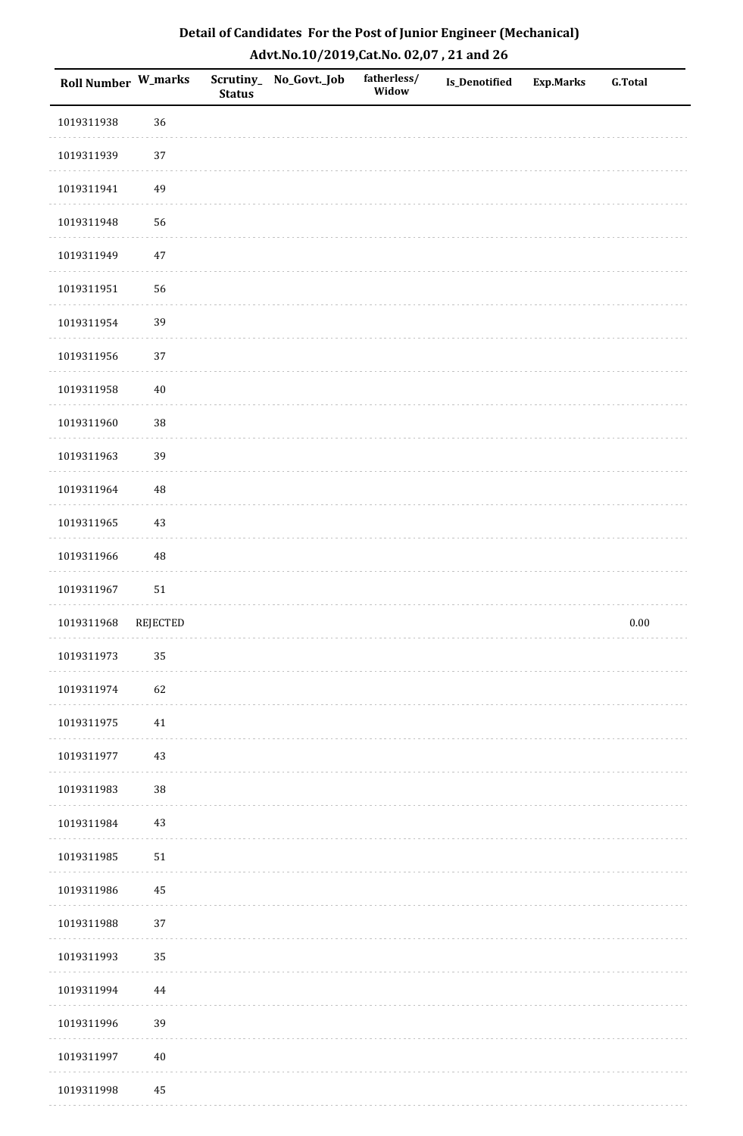| Detail of Candidates For the Post of Junior Engineer (Mechanical) |
|-------------------------------------------------------------------|
| Advt.No.10/2019,Cat.No. 02,07, 21 and 26                          |

| Roll Number W_marks |          | <b>Status</b> | Scrutiny_ No_Govt._Job | fatherless/<br>Widow | Is_Denotified | <b>Exp.Marks</b> | G.Total  |
|---------------------|----------|---------------|------------------------|----------------------|---------------|------------------|----------|
| 1019311938          | 36       |               |                        |                      |               |                  |          |
| 1019311939          | 37       |               |                        |                      |               |                  |          |
| 1019311941          | 49       |               |                        |                      |               |                  |          |
| 1019311948          | 56       |               |                        |                      |               |                  |          |
| 1019311949          | $47\,$   |               |                        |                      |               |                  |          |
| 1019311951          | 56       |               |                        |                      |               |                  |          |
| 1019311954          | 39       |               |                        |                      |               |                  |          |
| 1019311956          | 37       |               |                        |                      |               |                  |          |
| 1019311958          | $40\,$   |               |                        |                      |               |                  |          |
| 1019311960          | 38       |               |                        |                      |               |                  |          |
| 1019311963          | 39       |               |                        |                      |               |                  |          |
| 1019311964          | $\rm 48$ |               |                        |                      |               |                  |          |
| 1019311965          | $43\,$   |               |                        |                      |               |                  |          |
| 1019311966          | $\rm 48$ |               |                        |                      |               |                  |          |
| 1019311967          | $51\,$   |               |                        |                      |               |                  |          |
| 1019311968          | REJECTED |               |                        |                      |               |                  | $0.00\,$ |
| 1019311973          | 35       |               |                        |                      |               |                  |          |
| 1019311974          | 62       |               |                        |                      |               |                  |          |
| 1019311975          | $41\,$   |               |                        |                      |               |                  |          |
| 1019311977          | $43\,$   |               |                        |                      |               |                  |          |
| 1019311983          | $38\,$   |               |                        |                      |               |                  |          |
| 1019311984          | 43       |               |                        |                      |               |                  |          |
| 1019311985          | 51       |               |                        |                      |               |                  |          |
| 1019311986          | $\bf 45$ |               |                        |                      |               |                  |          |
| 1019311988          | 37       |               |                        |                      |               |                  |          |
| 1019311993          | 35       |               |                        |                      |               |                  |          |
| 1019311994          | $\bf 44$ |               |                        |                      |               |                  |          |
| 1019311996          | 39       |               |                        |                      |               |                  |          |
| 1019311997          | $40\,$   |               |                        |                      |               |                  |          |
| 1019311998          | 45       |               |                        |                      |               |                  |          |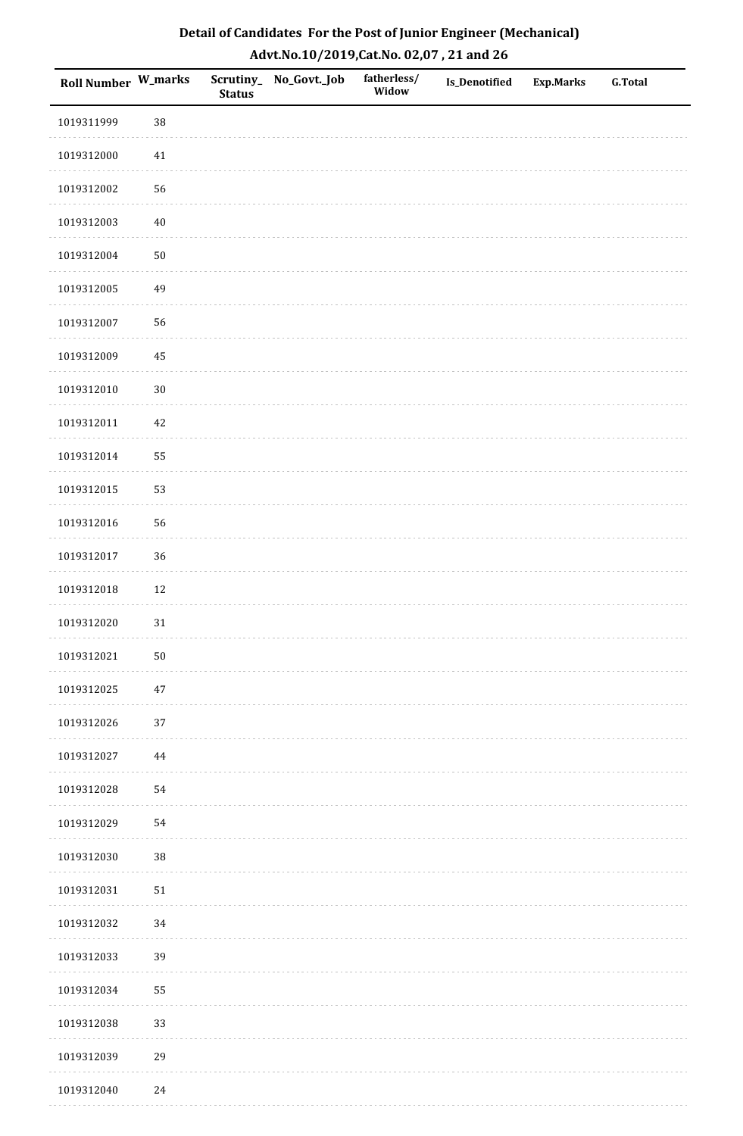| Roll Number W_marks |        | <b>Status</b> | Scrutiny_No_Govt._Job | fatherless/<br>Widow | Is_Denotified | <b>Exp.Marks</b> | <b>G.Total</b> |
|---------------------|--------|---------------|-----------------------|----------------------|---------------|------------------|----------------|
| 1019311999          | 38     |               |                       |                      |               |                  |                |
| 1019312000          | $41\,$ |               |                       |                      |               |                  |                |
| 1019312002          | 56     |               |                       |                      |               |                  |                |
| 1019312003          | $40\,$ |               |                       |                      |               |                  |                |
| 1019312004          | $50\,$ |               |                       |                      |               |                  |                |
| 1019312005          | 49     |               |                       |                      |               |                  |                |
| 1019312007          | 56     |               |                       |                      |               |                  |                |
| 1019312009          | 45     |               |                       |                      |               |                  |                |
| 1019312010          | $30\,$ |               |                       |                      |               |                  |                |
| 1019312011          | $42\,$ |               |                       |                      |               |                  |                |
| 1019312014          | 55     |               |                       |                      |               |                  |                |
| 1019312015          | 53     |               |                       |                      |               |                  |                |
| 1019312016          | 56     |               |                       |                      |               |                  |                |
| 1019312017          | 36     |               |                       |                      |               |                  |                |
| 1019312018          | $12\,$ |               |                       |                      |               |                  |                |
| 1019312020          | $31\,$ |               |                       |                      |               |                  |                |
| 1019312021          | $50\,$ |               |                       |                      |               |                  |                |
| 1019312025          | 47     |               |                       |                      |               |                  |                |
| 1019312026          | 37     |               |                       |                      |               |                  |                |
| 1019312027          | 44     |               |                       |                      |               |                  |                |
| 1019312028          | 54     |               |                       |                      |               |                  |                |
| 1019312029          | 54     |               |                       |                      |               |                  |                |
| 1019312030          | 38     |               |                       |                      |               |                  |                |
| 1019312031          | $51\,$ |               |                       |                      |               |                  |                |
| 1019312032          | 34     |               |                       |                      |               |                  |                |
| 1019312033          | 39     |               |                       |                      |               |                  |                |
| 1019312034          | 55     |               |                       |                      |               |                  |                |
| 1019312038          | 33     |               |                       |                      |               |                  |                |
| 1019312039          | 29     |               |                       |                      |               |                  |                |
| 1019312040          | $24\,$ |               |                       |                      |               |                  |                |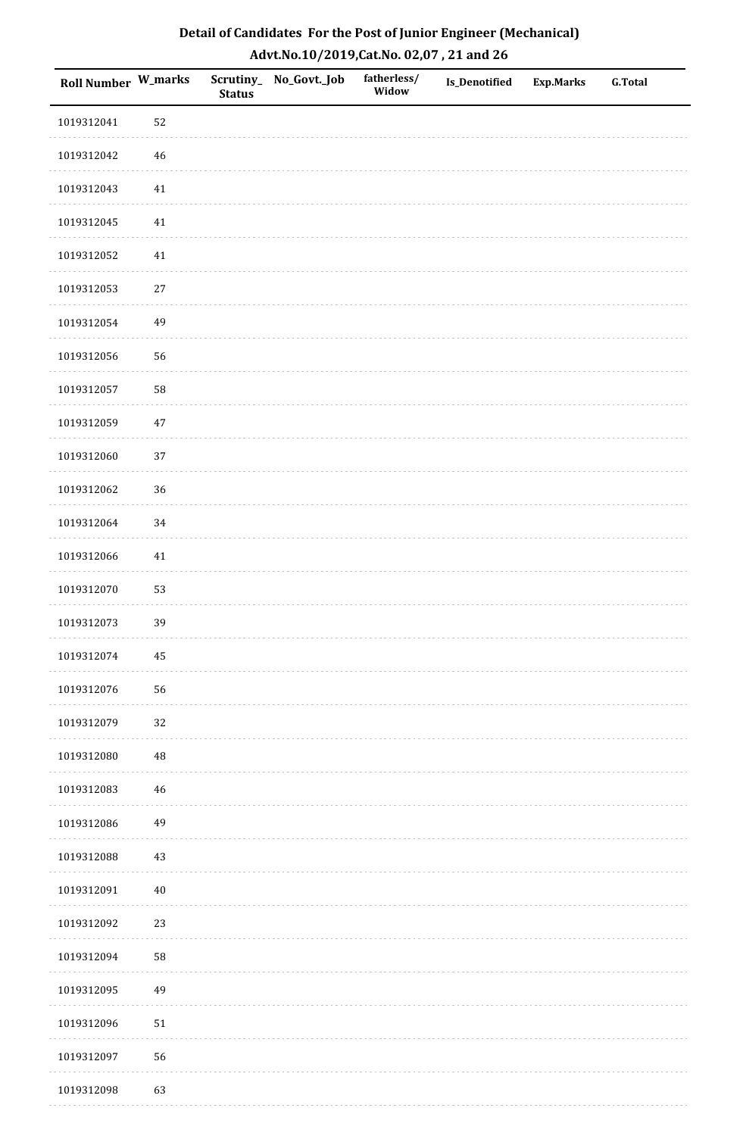| Detail of Candidates For the Post of Junior Engineer (Mechanical) |
|-------------------------------------------------------------------|
| Advt.No.10/2019,Cat.No. 02,07, 21 and 26                          |

| Roll Number W_marks |             | <b>Status</b> | Scrutiny_ No_Govt._Job | fatherless/<br>Widow | Is_Denotified | <b>Exp.Marks</b> | <b>G.Total</b> |
|---------------------|-------------|---------------|------------------------|----------------------|---------------|------------------|----------------|
| 1019312041          | 52          |               |                        |                      |               |                  |                |
| 1019312042          | $\sqrt{46}$ |               |                        |                      |               |                  |                |
| 1019312043          | 41          |               |                        |                      |               |                  |                |
| 1019312045          | 41          |               |                        |                      |               |                  |                |
| 1019312052          | 41          |               |                        |                      |               |                  |                |
| 1019312053          | $27\,$      |               |                        |                      |               |                  |                |
| 1019312054          | 49          |               |                        |                      |               |                  |                |
| 1019312056          | 56          |               |                        |                      |               |                  |                |
| 1019312057          | 58          |               |                        |                      |               |                  |                |
| 1019312059          | $47\,$      |               |                        |                      |               |                  |                |
| 1019312060          | 37          |               |                        |                      |               |                  |                |
| 1019312062          | 36          |               |                        |                      |               |                  |                |
| 1019312064          | 34          |               |                        |                      |               |                  |                |
| 1019312066          | $41\,$      |               |                        |                      |               |                  |                |
| 1019312070          | 53          |               |                        |                      |               |                  |                |
| 1019312073          | 39          |               |                        |                      |               |                  |                |
| 1019312074          | $\bf 45$    |               |                        |                      |               |                  |                |
| 1019312076          | 56          |               |                        |                      |               |                  |                |
| 1019312079          | 32          |               |                        |                      |               |                  |                |
| 1019312080          | $\rm 48$    |               |                        |                      |               |                  |                |
| 1019312083          | $\sqrt{46}$ |               |                        |                      |               |                  |                |
| 1019312086          | 49          |               |                        |                      |               |                  |                |
| 1019312088          | 43          |               |                        |                      |               |                  |                |
| 1019312091          | $40\,$      |               |                        |                      |               |                  |                |
| 1019312092          | 23          |               |                        |                      |               |                  |                |
| 1019312094          | 58          |               |                        |                      |               |                  |                |
| 1019312095          | 49          |               |                        |                      |               |                  |                |
| 1019312096          | $51\,$      |               |                        |                      |               |                  |                |
| 1019312097          | 56          |               |                        |                      |               |                  |                |
| 1019312098          | 63          |               |                        |                      |               |                  |                |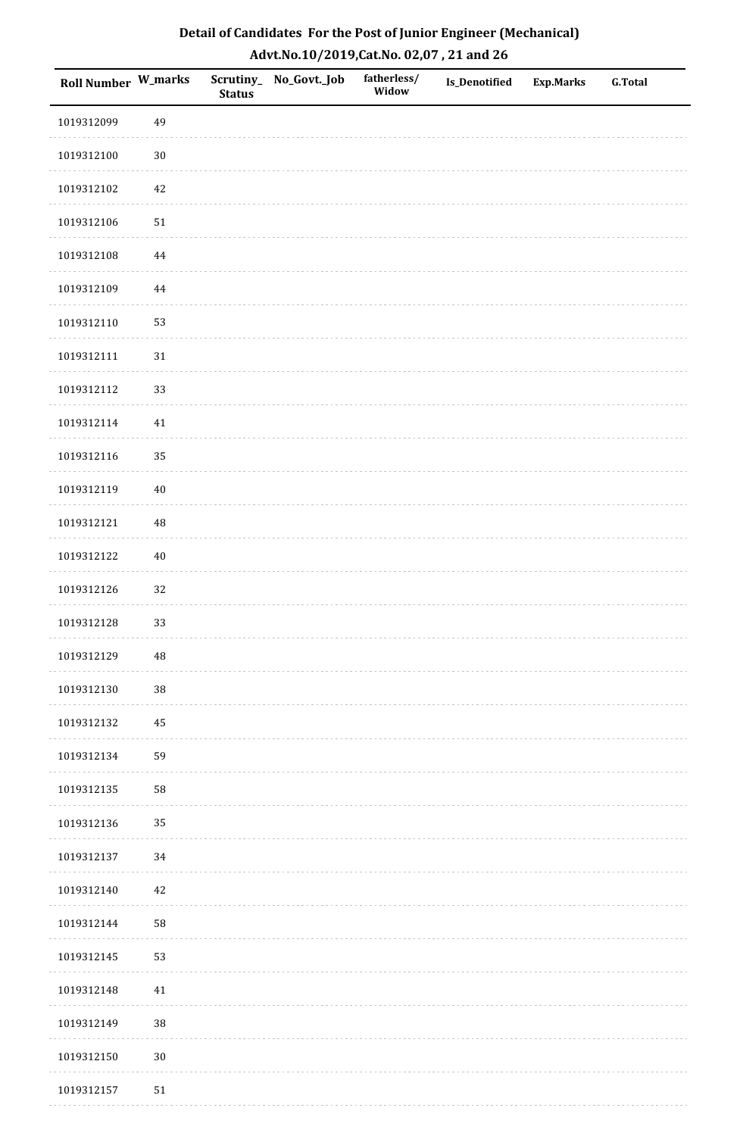| Detail of Candidates For the Post of Junior Engineer (Mechanical) |
|-------------------------------------------------------------------|
| Advt.No.10/2019,Cat.No. 02,07, 21 and 26                          |

| Roll Number W_marks |            | <b>Status</b> | Scrutiny_ No_Govt._Job | fatherless/<br>Widow | <b>Is_Denotified</b> | <b>Exp.Marks</b> | <b>G.Total</b> |
|---------------------|------------|---------------|------------------------|----------------------|----------------------|------------------|----------------|
| 1019312099          | 49         |               |                        |                      |                      |                  |                |
| 1019312100          | $30\,$     |               |                        |                      |                      |                  |                |
| 1019312102          | $42\,$     |               |                        |                      |                      |                  |                |
| 1019312106          | 51         |               |                        |                      |                      |                  |                |
| 1019312108          | $\bf 44$   |               |                        |                      |                      |                  |                |
| 1019312109          | $\bf 44$   |               |                        |                      |                      |                  |                |
| 1019312110          | 53         |               |                        |                      |                      |                  |                |
| 1019312111          | $31\,$     |               |                        |                      |                      |                  |                |
| 1019312112          | 33         |               |                        |                      |                      |                  |                |
| 1019312114          | 41         |               |                        |                      |                      |                  |                |
| 1019312116          | 35         |               |                        |                      |                      |                  |                |
| 1019312119          | $40\,$     |               |                        |                      |                      |                  |                |
| 1019312121          | $\rm 48$   |               |                        |                      |                      |                  |                |
| 1019312122          | $40\,$     |               |                        |                      |                      |                  |                |
| 1019312126          | 32         |               |                        |                      |                      |                  |                |
| 1019312128          | 33         |               |                        |                      |                      |                  |                |
| 1019312129          | 48         |               |                        |                      |                      |                  |                |
| 1019312130          | 38         |               |                        |                      |                      |                  |                |
| 1019312132          | 45         |               |                        |                      |                      |                  |                |
| 1019312134          | 59         |               |                        |                      |                      |                  |                |
| 1019312135          | 58         |               |                        |                      |                      |                  |                |
| 1019312136          | 35         |               |                        |                      |                      |                  |                |
| 1019312137          | $34\,$     |               |                        |                      |                      |                  |                |
| 1019312140          | $42\,$     |               |                        |                      |                      |                  |                |
| 1019312144          | 58         |               |                        |                      |                      |                  |                |
| 1019312145          | 53         |               |                        |                      |                      |                  |                |
| 1019312148          | 41         |               |                        |                      |                      |                  |                |
| 1019312149          | $38\,$     |               |                        |                      |                      |                  |                |
| 1019312150          | $30\,$     |               |                        |                      |                      |                  |                |
| 1019312157          | ${\bf 51}$ |               |                        |                      |                      |                  |                |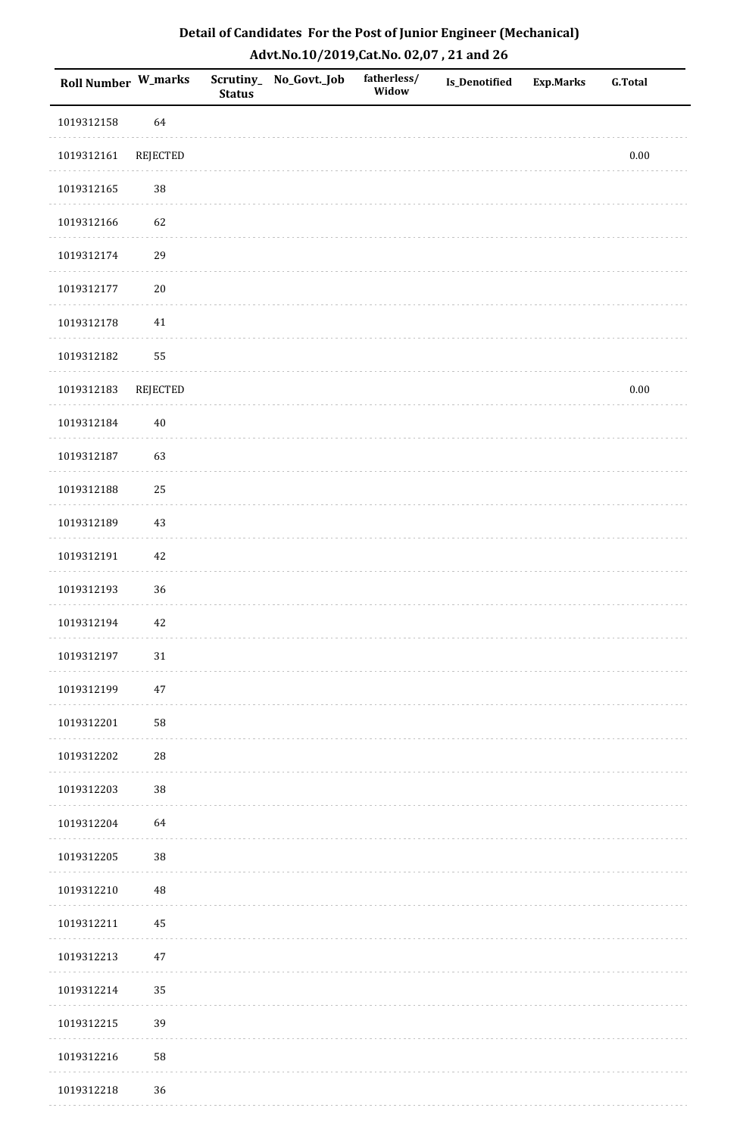| Detail of Candidates For the Post of Junior Engineer (Mechanical) |
|-------------------------------------------------------------------|
| Advt.No.10/2019,Cat.No. 02,07, 21 and 26                          |

| Roll Number W_marks |                 | <b>Status</b> | Scrutiny_ No_Govt._Job | fatherless/<br>Widow | <b>Is_Denotified</b> | <b>Exp.Marks</b> | ${\bf G.Total}$ |
|---------------------|-----------------|---------------|------------------------|----------------------|----------------------|------------------|-----------------|
| 1019312158          | 64              |               |                        |                      |                      |                  |                 |
| 1019312161          | REJECTED        |               |                        |                      |                      |                  | $0.00\,$        |
| 1019312165          | $38\,$          |               |                        |                      |                      |                  |                 |
| 1019312166          | 62              |               |                        |                      |                      |                  |                 |
| 1019312174          | 29              |               |                        |                      |                      |                  |                 |
| 1019312177          | $20\,$          |               |                        |                      |                      |                  |                 |
| 1019312178          | 41              |               |                        |                      |                      |                  |                 |
| 1019312182          | 55              |               |                        |                      |                      |                  |                 |
| 1019312183          | <b>REJECTED</b> |               |                        |                      |                      |                  | $0.00\,$        |
| 1019312184          | $40\,$          |               |                        |                      |                      |                  |                 |
| 1019312187          | 63              |               |                        |                      |                      |                  |                 |
| 1019312188          | $25\,$          |               |                        |                      |                      |                  |                 |
| 1019312189          | 43              |               |                        |                      |                      |                  |                 |
| 1019312191          | 42              |               |                        |                      |                      |                  |                 |
| 1019312193          | 36              |               |                        |                      |                      |                  |                 |
| 1019312194          | 42              |               |                        |                      |                      |                  |                 |
| 1019312197          | $31\,$          |               |                        |                      |                      |                  |                 |
| 1019312199          | 47              |               |                        |                      |                      |                  |                 |
| 1019312201          | 58              |               |                        |                      |                      |                  |                 |
| 1019312202          | $\sqrt{28}$     |               |                        |                      |                      |                  |                 |
| 1019312203          | $38\,$          |               |                        |                      |                      |                  |                 |
| 1019312204          | 64              |               |                        |                      |                      |                  |                 |
| 1019312205          | $38\,$          |               |                        |                      |                      |                  |                 |
| 1019312210          | $\rm 48$        |               |                        |                      |                      |                  |                 |
| 1019312211          | 45              |               |                        |                      |                      |                  |                 |
| 1019312213          | 47              |               |                        |                      |                      |                  |                 |
| 1019312214          | 35              |               |                        |                      |                      |                  |                 |
| 1019312215          | 39              |               |                        |                      |                      |                  |                 |
| 1019312216          | 58              |               |                        |                      |                      |                  |                 |
| 1019312218          | 36              |               |                        |                      |                      |                  |                 |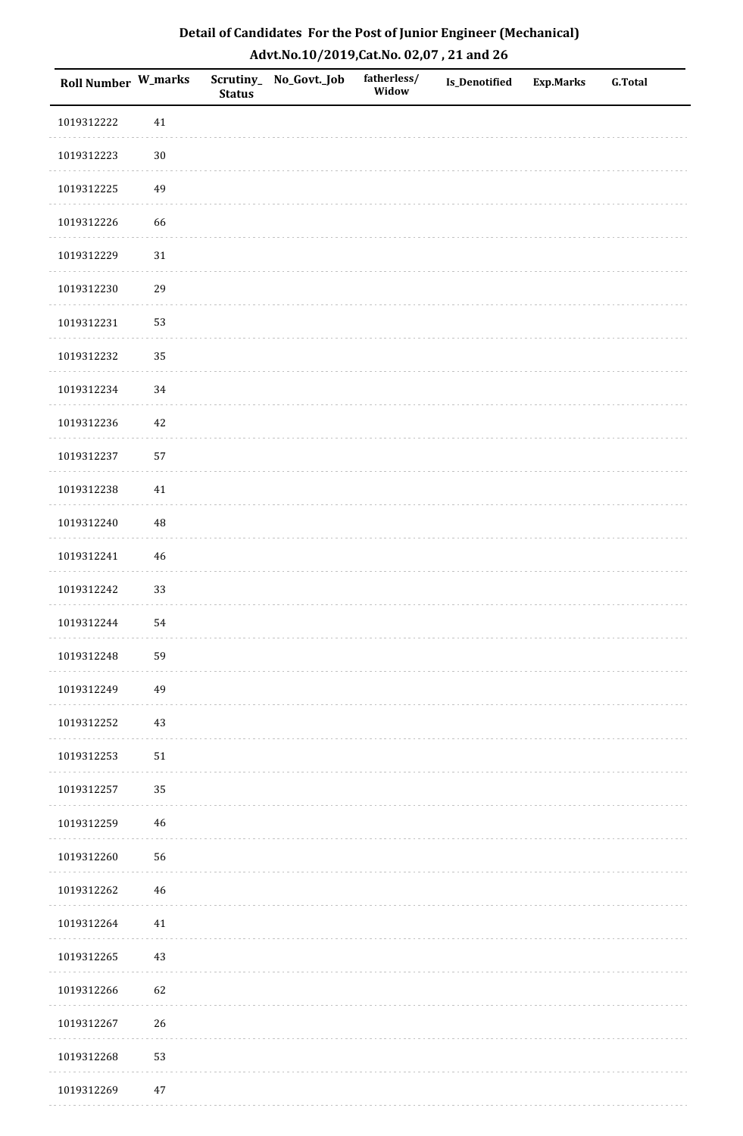| Roll Number W_marks |        | <b>Status</b> | Scrutiny_No_Govt._Job | fatherless/<br>Widow | Is_Denotified | <b>Exp.Marks</b> | <b>G.Total</b> |
|---------------------|--------|---------------|-----------------------|----------------------|---------------|------------------|----------------|
| 1019312222          | $41\,$ |               |                       |                      |               |                  |                |
| 1019312223          | $30\,$ |               |                       |                      |               |                  |                |
| 1019312225          | 49     |               |                       |                      |               |                  |                |
| 1019312226          | 66     |               |                       |                      |               |                  |                |
| 1019312229          | $31\,$ |               |                       |                      |               |                  |                |
| 1019312230          | 29     |               |                       |                      |               |                  |                |
| 1019312231          | 53     |               |                       |                      |               |                  |                |
| 1019312232          | 35     |               |                       |                      |               |                  |                |
| 1019312234          | 34     |               |                       |                      |               |                  |                |
| 1019312236          | $42\,$ |               |                       |                      |               |                  |                |
| 1019312237          | 57     |               |                       |                      |               |                  |                |
| 1019312238          | 41     |               |                       |                      |               |                  |                |
| 1019312240          | 48     |               |                       |                      |               |                  |                |
| 1019312241          | $46\,$ |               |                       |                      |               |                  |                |
| 1019312242          | 33     |               |                       |                      |               |                  |                |
| 1019312244          | 54     |               |                       |                      |               |                  |                |
| 1019312248          | 59     |               |                       |                      |               |                  |                |
| 1019312249          | 49     |               |                       |                      |               |                  |                |
| 1019312252          | $43\,$ |               |                       |                      |               |                  |                |
| 1019312253          | $51\,$ |               |                       |                      |               |                  |                |
| 1019312257          | 35     |               |                       |                      |               |                  |                |
| 1019312259          | 46     |               |                       |                      |               |                  |                |
| 1019312260          | 56     |               |                       |                      |               |                  |                |
| 1019312262          | 46     |               |                       |                      |               |                  |                |
| 1019312264          | $41\,$ |               |                       |                      |               |                  |                |
| 1019312265          | $43\,$ |               |                       |                      |               |                  |                |
| 1019312266          | 62     |               |                       |                      |               |                  |                |
| 1019312267          | 26     |               |                       |                      |               |                  |                |
| 1019312268          | 53     |               |                       |                      |               |                  |                |
| 1019312269          | $47\,$ |               |                       |                      |               |                  |                |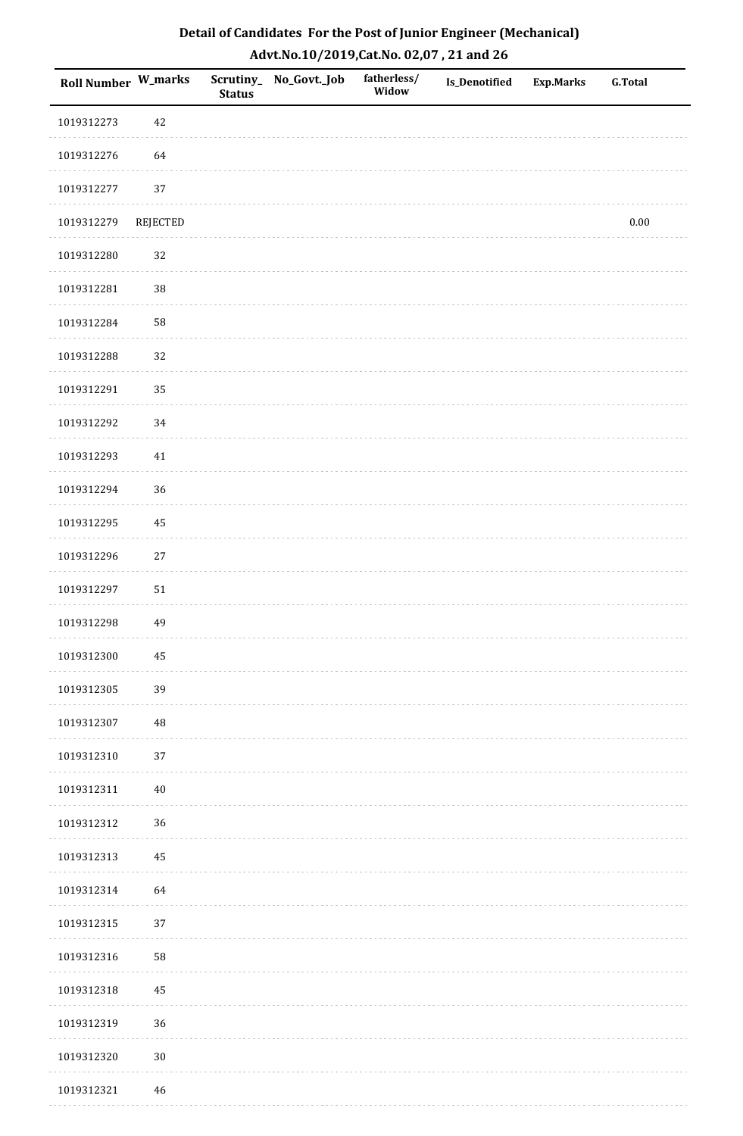| Roll Number W_marks |          | <b>Status</b> | Scrutiny_ No_Govt._Job | fatherless/<br>Widow | Is_Denotified | <b>Exp.Marks</b> | <b>G.Total</b> |
|---------------------|----------|---------------|------------------------|----------------------|---------------|------------------|----------------|
| 1019312273          | 42       |               |                        |                      |               |                  |                |
| 1019312276          | 64       |               |                        |                      |               |                  |                |
| 1019312277          | 37       |               |                        |                      |               |                  |                |
| 1019312279          | REJECTED |               |                        |                      |               |                  | $0.00\,$       |
| 1019312280          | 32       |               |                        |                      |               |                  |                |
| 1019312281          | 38       |               |                        |                      |               |                  |                |
| 1019312284          | 58       |               |                        |                      |               |                  |                |
| 1019312288          | 32       |               |                        |                      |               |                  |                |
| 1019312291          | 35       |               |                        |                      |               |                  |                |
| 1019312292          | 34       |               |                        |                      |               |                  |                |
| 1019312293          | $41\,$   |               |                        |                      |               |                  |                |
| 1019312294          | 36       |               |                        |                      |               |                  |                |
| 1019312295          | 45       |               |                        |                      |               |                  |                |
| 1019312296          | $27\,$   |               |                        |                      |               |                  |                |
| 1019312297          | $51\,$   |               |                        |                      |               |                  |                |
| 1019312298          | 49       |               |                        |                      |               |                  |                |
| 1019312300          | 45       |               |                        |                      |               |                  |                |
| 1019312305          | 39       |               |                        |                      |               |                  |                |
| 1019312307          | $\rm 48$ |               |                        |                      |               |                  |                |
| 1019312310          | 37       |               |                        |                      |               |                  |                |
| 1019312311          | $40\,$   |               |                        |                      |               |                  |                |
| 1019312312          | 36       |               |                        |                      |               |                  |                |
| 1019312313          | 45       |               |                        |                      |               |                  |                |
| 1019312314          | 64       |               |                        |                      |               |                  |                |
| 1019312315          | 37       |               |                        |                      |               |                  |                |
| 1019312316          | 58       |               |                        |                      |               |                  |                |
| 1019312318          | 45       |               |                        |                      |               |                  |                |
| 1019312319          | 36       |               |                        |                      |               |                  |                |
| 1019312320          | $30\,$   |               |                        |                      |               |                  |                |
| 1019312321          | 46       |               |                        |                      |               |                  |                |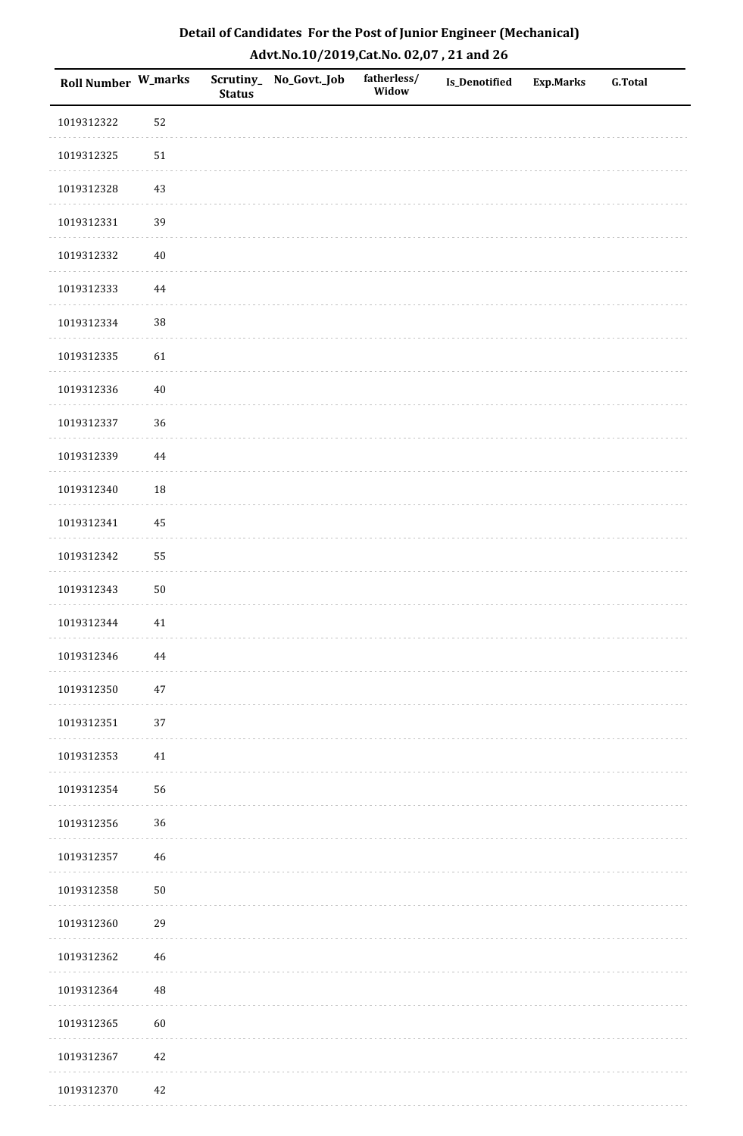| Detail of Candidates For the Post of Junior Engineer (Mechanical) |
|-------------------------------------------------------------------|
| Advt.No.10/2019,Cat.No. 02,07, 21 and 26                          |

| Roll Number W_marks |             | <b>Status</b> | Scrutiny_ No_Govt._Job | fatherless/<br>Widow | <b>Is_Denotified</b> | <b>Exp.Marks</b> | <b>G.Total</b> |
|---------------------|-------------|---------------|------------------------|----------------------|----------------------|------------------|----------------|
| 1019312322          | 52          |               |                        |                      |                      |                  |                |
| 1019312325          | $51\,$      |               |                        |                      |                      |                  |                |
| 1019312328          | 43          |               |                        |                      |                      |                  |                |
| 1019312331          | 39          |               |                        |                      |                      |                  |                |
| 1019312332          | $40\,$      |               |                        |                      |                      |                  |                |
| 1019312333          | 44          |               |                        |                      |                      |                  |                |
| 1019312334          | 38          |               |                        |                      |                      |                  |                |
| 1019312335          | 61          |               |                        |                      |                      |                  |                |
| 1019312336          | $40\,$      |               |                        |                      |                      |                  |                |
| 1019312337          | 36          |               |                        |                      |                      |                  |                |
| 1019312339          | $\bf 44$    |               |                        |                      |                      |                  |                |
| 1019312340          | 18          |               |                        |                      |                      |                  |                |
| 1019312341          | 45          |               |                        |                      |                      |                  |                |
| 1019312342          | 55          |               |                        |                      |                      |                  |                |
| 1019312343          | $50\,$      |               |                        |                      |                      |                  |                |
| 1019312344          | $41\,$      |               |                        |                      |                      |                  |                |
| 1019312346          | $\bf 44$    |               |                        |                      |                      |                  |                |
| 1019312350          | 47          |               |                        |                      |                      |                  |                |
| 1019312351          | 37          |               |                        |                      |                      |                  |                |
| 1019312353          | $41\,$      |               |                        |                      |                      |                  |                |
| 1019312354          | 56          |               |                        |                      |                      |                  |                |
| 1019312356          | 36          |               |                        |                      |                      |                  |                |
| 1019312357          | $\sqrt{46}$ |               |                        |                      |                      |                  |                |
| 1019312358          | $50\,$      |               |                        |                      |                      |                  |                |
| 1019312360          | 29          |               |                        |                      |                      |                  |                |
| 1019312362          | $\sqrt{46}$ |               |                        |                      |                      |                  |                |
| 1019312364          | $\rm 48$    |               |                        |                      |                      |                  |                |
| 1019312365          | 60          |               |                        |                      |                      |                  |                |
| 1019312367          | $42\,$      |               |                        |                      |                      |                  |                |
| 1019312370          | $42\,$      |               |                        |                      |                      |                  |                |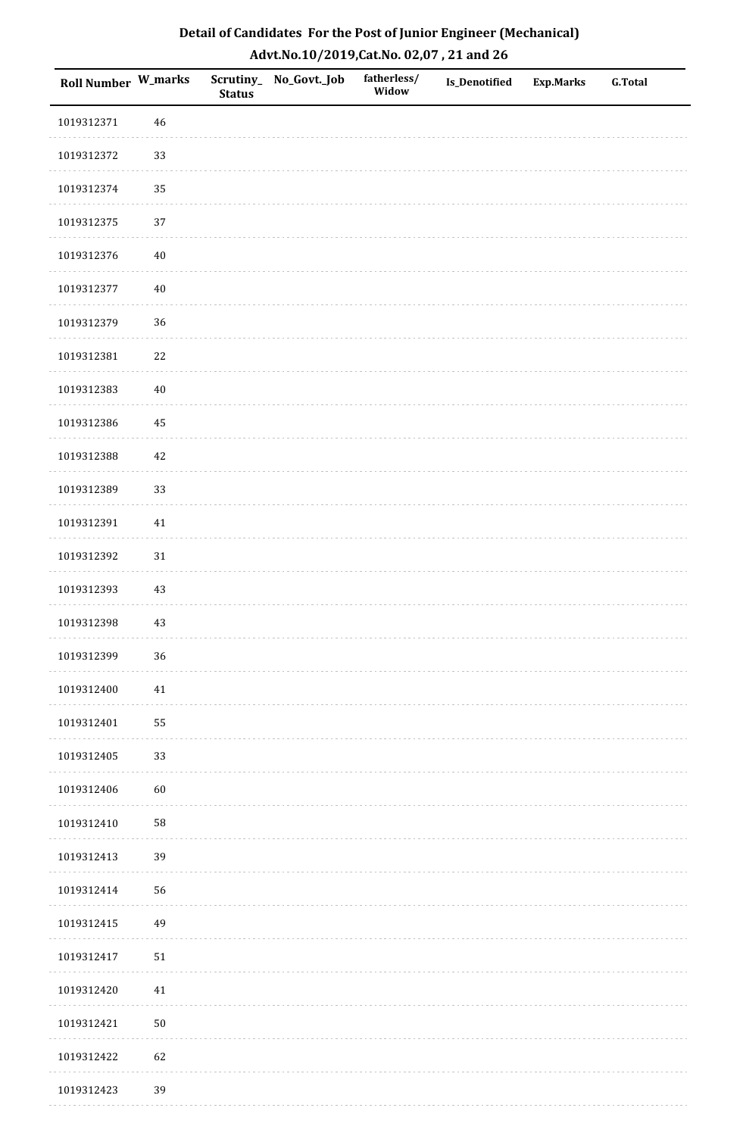| Detail of Candidates For the Post of Junior Engineer (Mechanical) |
|-------------------------------------------------------------------|
| Advt.No.10/2019,Cat.No. 02,07, 21 and 26                          |

| Roll Number W_marks |        | <b>Status</b> | Scrutiny_ No_Govt._Job | fatherless/<br>Widow | <b>Is_Denotified</b> | <b>Exp.Marks</b> | <b>G.Total</b> |
|---------------------|--------|---------------|------------------------|----------------------|----------------------|------------------|----------------|
| 1019312371          | 46     |               |                        |                      |                      |                  |                |
| 1019312372          | 33     |               |                        |                      |                      |                  |                |
| 1019312374          | 35     |               |                        |                      |                      |                  |                |
| 1019312375          | 37     |               |                        |                      |                      |                  |                |
| 1019312376          | $40\,$ |               |                        |                      |                      |                  |                |
| 1019312377          | $40\,$ |               |                        |                      |                      |                  |                |
| 1019312379          | 36     |               |                        |                      |                      |                  |                |
| 1019312381          | $22\,$ |               |                        |                      |                      |                  |                |
| 1019312383          | $40\,$ |               |                        |                      |                      |                  |                |
| 1019312386          | 45     |               |                        |                      |                      |                  |                |
| 1019312388          | 42     |               |                        |                      |                      |                  |                |
| 1019312389          | 33     |               |                        |                      |                      |                  |                |
| 1019312391          | $41\,$ |               |                        |                      |                      |                  |                |
| 1019312392          | 31     |               |                        |                      |                      |                  |                |
| 1019312393          | 43     |               |                        |                      |                      |                  |                |
| 1019312398          | 43     |               |                        |                      |                      |                  |                |
| 1019312399          | 36     |               |                        |                      |                      |                  |                |
| 1019312400          | $41\,$ |               |                        |                      |                      |                  |                |
| 1019312401          | 55     |               |                        |                      |                      |                  |                |
| 1019312405          | 33     |               |                        |                      |                      |                  |                |
| 1019312406          | $60\,$ |               |                        |                      |                      |                  |                |
| 1019312410          | 58     |               |                        |                      |                      |                  |                |
| 1019312413          | 39     |               |                        |                      |                      |                  |                |
| 1019312414          | 56     |               |                        |                      |                      |                  |                |
| 1019312415          | 49     |               |                        |                      |                      |                  |                |
| 1019312417          | $51\,$ |               |                        |                      |                      |                  |                |
| 1019312420          | 41     |               |                        |                      |                      |                  |                |
| 1019312421          | $50\,$ |               |                        |                      |                      |                  |                |
| 1019312422          | 62     |               |                        |                      |                      |                  |                |
| 1019312423          | 39     |               |                        |                      |                      |                  |                |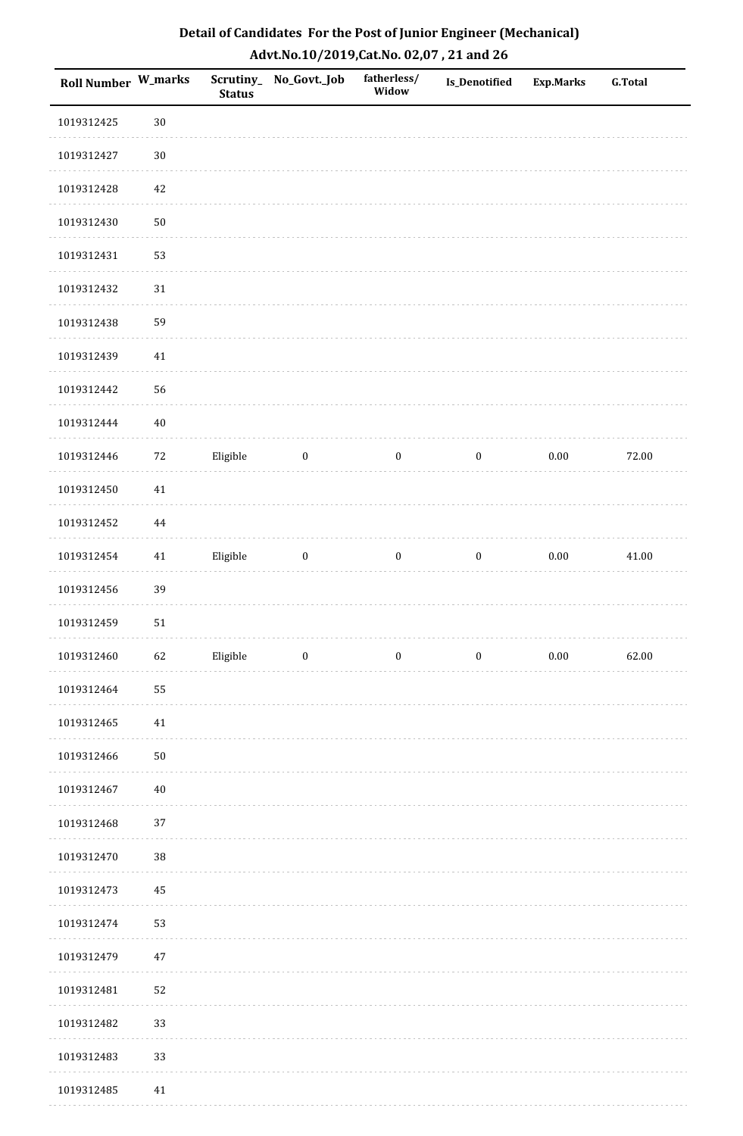| Detail of Candidates For the Post of Junior Engineer (Mechanical) |
|-------------------------------------------------------------------|
| Advt.No.10/2019, Cat.No. 02,07, 21 and 26                         |

| Roll Number W_marks |        | <b>Status</b> | Scrutiny_ No_Govt._Job | fatherless/<br>Widow | Is_Denotified    | <b>Exp.Marks</b> | <b>G.Total</b> |
|---------------------|--------|---------------|------------------------|----------------------|------------------|------------------|----------------|
| 1019312425          | $30\,$ |               |                        |                      |                  |                  |                |
| 1019312427          | $30\,$ |               |                        |                      |                  |                  |                |
| 1019312428          | $42\,$ |               |                        |                      |                  |                  |                |
| 1019312430          | $50\,$ |               |                        |                      |                  |                  |                |
| 1019312431          | 53     |               |                        |                      |                  |                  |                |
| 1019312432          | $31\,$ |               |                        |                      |                  |                  |                |
| 1019312438          | 59     |               |                        |                      |                  |                  |                |
| 1019312439          | $41\,$ |               |                        |                      |                  |                  |                |
| 1019312442          | 56     |               |                        |                      |                  |                  |                |
| 1019312444          | $40\,$ |               |                        |                      |                  |                  |                |
| 1019312446          | $72\,$ | Eligible      | $\boldsymbol{0}$       | $\boldsymbol{0}$     | $\bf{0}$         | 0.00             | 72.00          |
| 1019312450          | $41\,$ |               |                        |                      |                  |                  |                |
| 1019312452          | 44     |               |                        |                      |                  |                  |                |
| 1019312454          | 41     | Eligible      | $\boldsymbol{0}$       | $\boldsymbol{0}$     | $\boldsymbol{0}$ | $0.00\,$         | 41.00          |
| 1019312456          | 39     |               |                        |                      |                  |                  |                |
| 1019312459          | $51\,$ |               |                        |                      |                  |                  |                |
| 1019312460          | 62     | Eligible      | $\boldsymbol{0}$       | $\boldsymbol{0}$     | $\boldsymbol{0}$ | $0.00\,$         | 62.00          |
| 1019312464          | 55     |               |                        |                      |                  |                  |                |
| 1019312465          | $41\,$ |               |                        |                      |                  |                  |                |
| 1019312466          | $50\,$ |               |                        |                      |                  |                  |                |
| 1019312467          | $40\,$ |               |                        |                      |                  |                  |                |
| 1019312468          | 37     |               |                        |                      |                  |                  |                |
| 1019312470          | 38     |               |                        |                      |                  |                  |                |
| 1019312473          | 45     |               |                        |                      |                  |                  |                |
| 1019312474          | 53     |               |                        |                      |                  |                  |                |
| 1019312479          | $47\,$ |               |                        |                      |                  |                  |                |
| 1019312481          | 52     |               |                        |                      |                  |                  |                |
| 1019312482          | 33     |               |                        |                      |                  |                  |                |
| 1019312483          | 33     |               |                        |                      |                  |                  |                |
| 1019312485          | $41\,$ |               |                        |                      |                  |                  |                |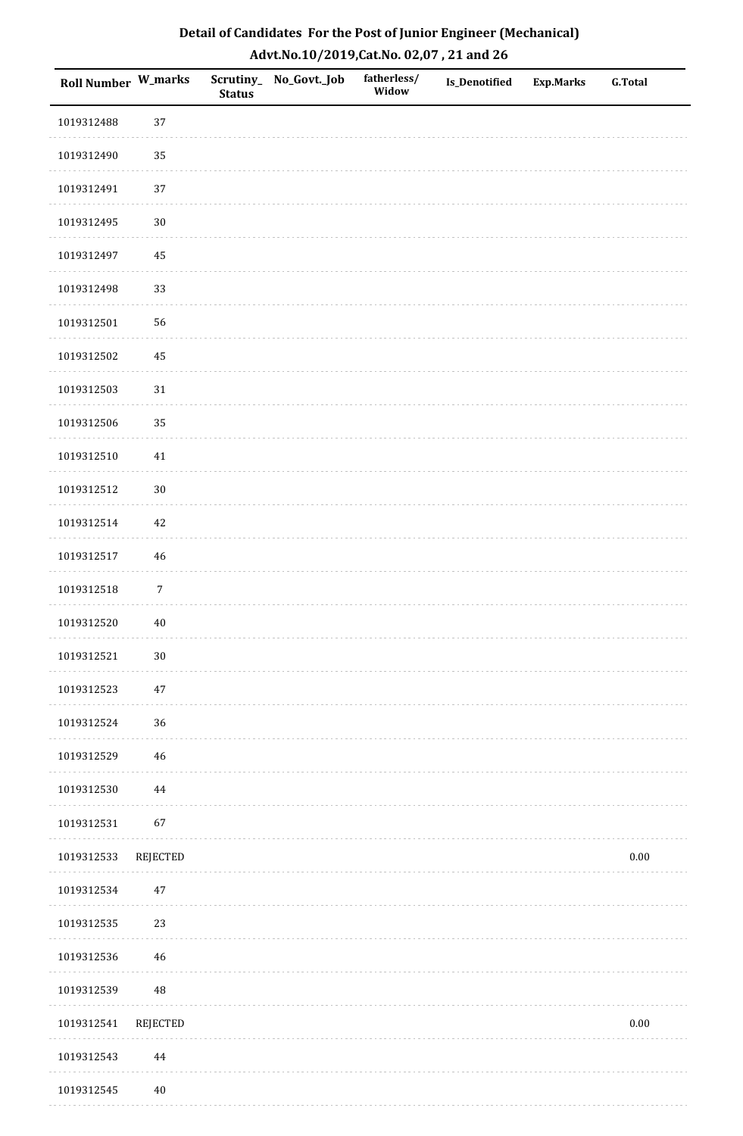| Roll Number W_marks |                 | <b>Status</b> | Scrutiny_No_Govt._Job | fatherless/<br>Widow | Is_Denotified | <b>Exp.Marks</b> | <b>G.Total</b> |
|---------------------|-----------------|---------------|-----------------------|----------------------|---------------|------------------|----------------|
| 1019312488          | 37              |               |                       |                      |               |                  |                |
| 1019312490          | 35              |               |                       |                      |               |                  |                |
| 1019312491          | 37              |               |                       |                      |               |                  |                |
| 1019312495          | $30\,$          |               |                       |                      |               |                  |                |
| 1019312497          | 45              |               |                       |                      |               |                  |                |
| 1019312498          | 33              |               |                       |                      |               |                  |                |
| 1019312501          | 56              |               |                       |                      |               |                  |                |
| 1019312502          | 45              |               |                       |                      |               |                  |                |
| 1019312503          | $31\,$          |               |                       |                      |               |                  |                |
| 1019312506          | 35              |               |                       |                      |               |                  |                |
| 1019312510          | $41\,$          |               |                       |                      |               |                  |                |
| 1019312512          | $30\,$          |               |                       |                      |               |                  |                |
| 1019312514          | 42              |               |                       |                      |               |                  |                |
| 1019312517          | 46              |               |                       |                      |               |                  |                |
| 1019312518          | $\sqrt{7}$      |               |                       |                      |               |                  |                |
| 1019312520          | $40\,$          |               |                       |                      |               |                  |                |
| 1019312521          | $30\,$          |               |                       |                      |               |                  |                |
| 1019312523          | 47              |               |                       |                      |               |                  |                |
| 1019312524          | 36              |               |                       |                      |               |                  |                |
| 1019312529          | 46              |               |                       |                      |               |                  |                |
| 1019312530          | 44              |               |                       |                      |               |                  |                |
| 1019312531          | 67              |               |                       |                      |               |                  |                |
| 1019312533          | <b>REJECTED</b> |               |                       |                      |               |                  | $0.00\,$       |
| 1019312534          | $47\,$          |               |                       |                      |               |                  |                |
| 1019312535          | 23              |               |                       |                      |               |                  |                |
| 1019312536          | 46              |               |                       |                      |               |                  |                |
| 1019312539          | 48              |               |                       |                      |               |                  |                |
| 1019312541          | REJECTED        |               |                       |                      |               |                  | $0.00\,$       |
| 1019312543          | 44              |               |                       |                      |               |                  |                |
| 1019312545          | $40\,$          |               |                       |                      |               |                  |                |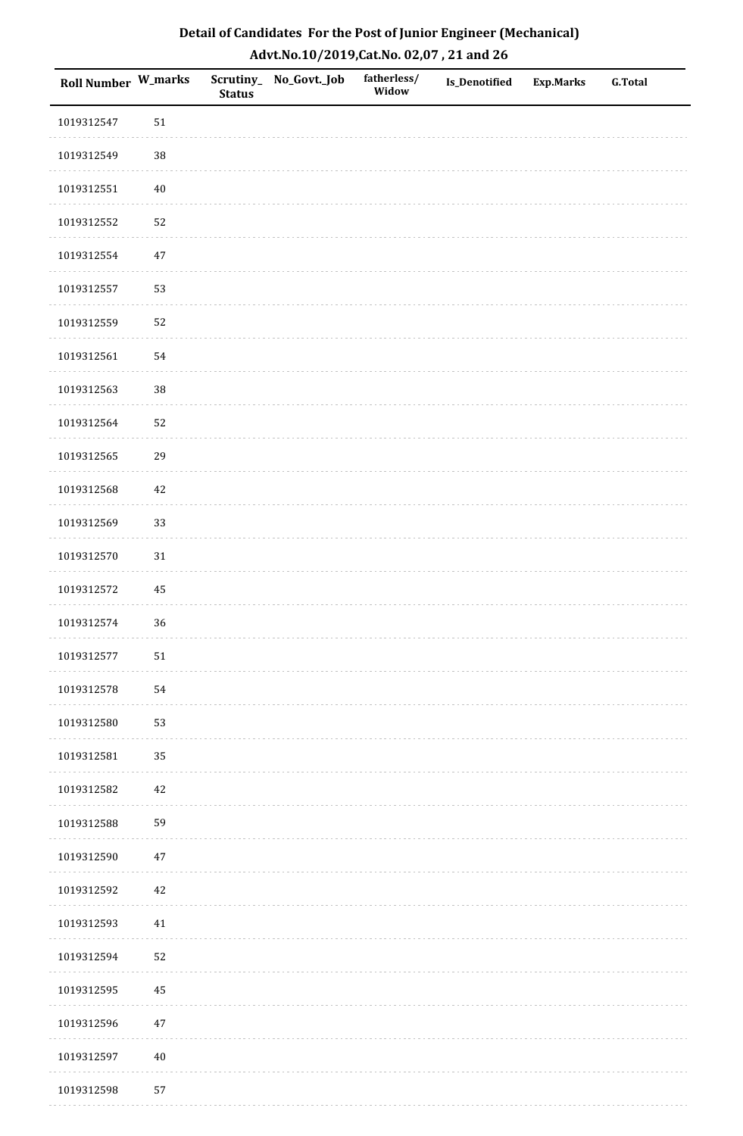| Detail of Candidates For the Post of Junior Engineer (Mechanical) |
|-------------------------------------------------------------------|
| Advt.No.10/2019,Cat.No. 02,07, 21 and 26                          |

| Roll Number W_marks |        | <b>Status</b> | Scrutiny_ No_Govt._Job | fatherless/<br>Widow | <b>Is_Denotified</b> | <b>Exp.Marks</b> | <b>G.Total</b> |
|---------------------|--------|---------------|------------------------|----------------------|----------------------|------------------|----------------|
| 1019312547          | 51     |               |                        |                      |                      |                  |                |
| 1019312549          | $38\,$ |               |                        |                      |                      |                  |                |
| 1019312551          | $40\,$ |               |                        |                      |                      |                  |                |
| 1019312552          | 52     |               |                        |                      |                      |                  |                |
| 1019312554          | $47\,$ |               |                        |                      |                      |                  |                |
| 1019312557          | 53     |               |                        |                      |                      |                  |                |
| 1019312559          | 52     |               |                        |                      |                      |                  |                |
| 1019312561          | 54     |               |                        |                      |                      |                  |                |
| 1019312563          | 38     |               |                        |                      |                      |                  |                |
| 1019312564          | 52     |               |                        |                      |                      |                  |                |
| 1019312565          | 29     |               |                        |                      |                      |                  |                |
| 1019312568          | 42     |               |                        |                      |                      |                  |                |
| 1019312569          | 33     |               |                        |                      |                      |                  |                |
| 1019312570          | 31     |               |                        |                      |                      |                  |                |
| 1019312572          | 45     |               |                        |                      |                      |                  |                |
| 1019312574          | 36     |               |                        |                      |                      |                  |                |
| 1019312577          | $51\,$ |               |                        |                      |                      |                  |                |
| 1019312578          | 54     |               |                        |                      |                      |                  |                |
| 1019312580          | 53     |               |                        |                      |                      |                  |                |
| 1019312581          | 35     |               |                        |                      |                      |                  |                |
| 1019312582          | 42     |               |                        |                      |                      |                  |                |
| 1019312588          | 59     |               |                        |                      |                      |                  |                |
| 1019312590          | $47\,$ |               |                        |                      |                      |                  |                |
| 1019312592          | 42     |               |                        |                      |                      |                  |                |
| 1019312593          | 41     |               |                        |                      |                      |                  |                |
| 1019312594          | 52     |               |                        |                      |                      |                  |                |
| 1019312595          | 45     |               |                        |                      |                      |                  |                |
| 1019312596          | $47\,$ |               |                        |                      |                      |                  |                |
| 1019312597          | $40\,$ |               |                        |                      |                      |                  |                |
| 1019312598          | 57     |               |                        |                      |                      |                  |                |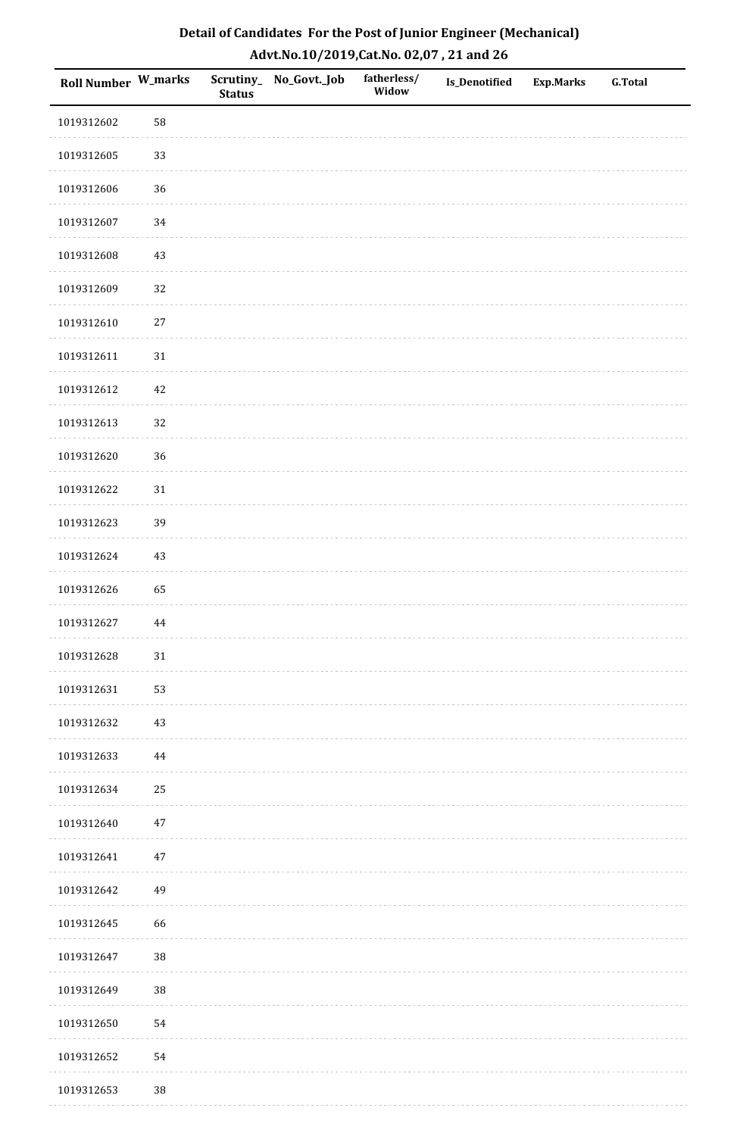| Roll Number W_marks |          | <b>Status</b> | Scrutiny_No_Govt._Job | fatherless/<br>Widow | Is_Denotified | <b>Exp.Marks</b> | <b>G.Total</b> |
|---------------------|----------|---------------|-----------------------|----------------------|---------------|------------------|----------------|
| 1019312602          | 58       |               |                       |                      |               |                  |                |
| 1019312605          | 33       |               |                       |                      |               |                  |                |
| 1019312606          | 36       |               |                       |                      |               |                  |                |
| 1019312607          | $34\,$   |               |                       |                      |               |                  |                |
| 1019312608          | $43\,$   |               |                       |                      |               |                  |                |
| 1019312609          | 32       |               |                       |                      |               |                  |                |
| 1019312610          | $27\,$   |               |                       |                      |               |                  |                |
| 1019312611          | $31\,$   |               |                       |                      |               |                  |                |
| 1019312612          | $42\,$   |               |                       |                      |               |                  |                |
| 1019312613          | 32       |               |                       |                      |               |                  |                |
| 1019312620          | 36       |               |                       |                      |               |                  |                |
| 1019312622          | $31\,$   |               |                       |                      |               |                  |                |
| 1019312623          | 39       |               |                       |                      |               |                  |                |
| 1019312624          | $43\,$   |               |                       |                      |               |                  |                |
| 1019312626          | 65       |               |                       |                      |               |                  |                |
| 1019312627          | $\bf 44$ |               |                       |                      |               |                  |                |
| 1019312628          | $31\,$   |               |                       |                      |               |                  |                |
| 1019312631          | 53       |               |                       |                      |               |                  |                |
| 1019312632          | $43\,$   |               |                       |                      |               |                  |                |
| 1019312633          | 44       |               |                       |                      |               |                  |                |
| 1019312634          | 25       |               |                       |                      |               |                  |                |
| 1019312640          | $47\,$   |               |                       |                      |               |                  |                |
| 1019312641          | 47       |               |                       |                      |               |                  |                |
| 1019312642          | 49       |               |                       |                      |               |                  |                |
| 1019312645          | 66       |               |                       |                      |               |                  |                |
| 1019312647          | 38       |               |                       |                      |               |                  |                |
| 1019312649          | $38\,$   |               |                       |                      |               |                  |                |
| 1019312650          | 54       |               |                       |                      |               |                  |                |
| 1019312652          | 54       |               |                       |                      |               |                  |                |
| 1019312653          | 38       |               |                       |                      |               |                  |                |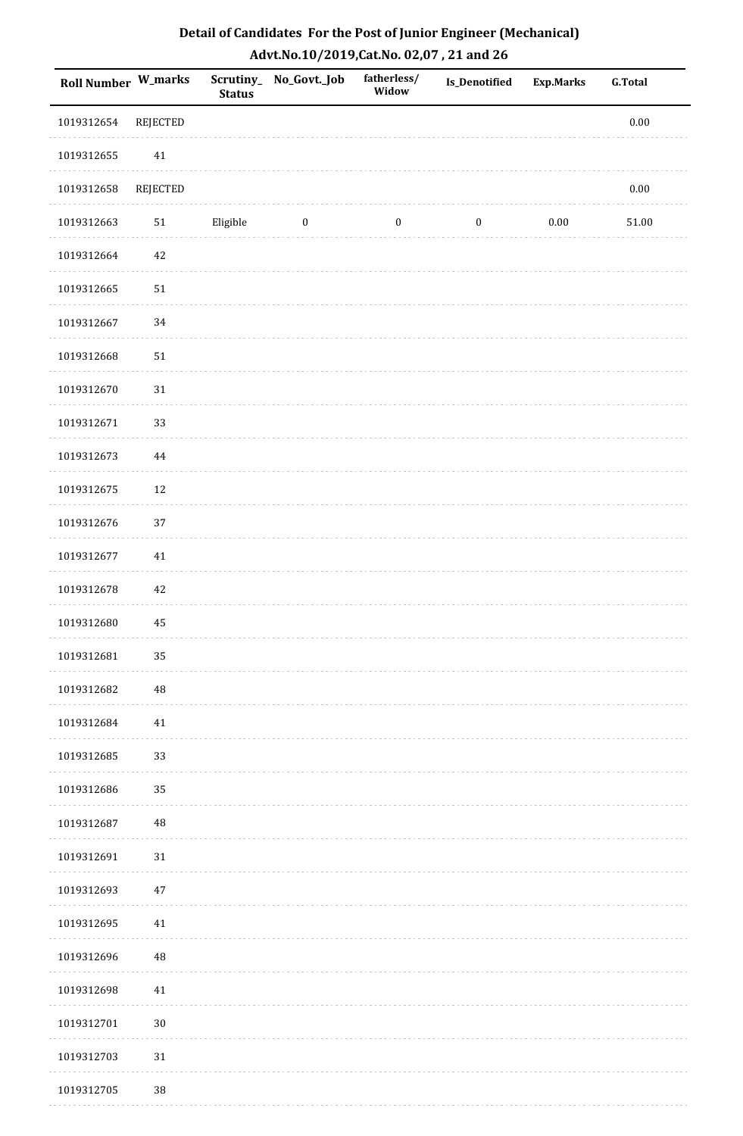| Roll Number W_marks |            | <b>Status</b> | Scrutiny_ No_Govt._Job | fatherless/<br>Widow | Is_Denotified    | <b>Exp.Marks</b> | <b>G.Total</b> |
|---------------------|------------|---------------|------------------------|----------------------|------------------|------------------|----------------|
| 1019312654          | REJECTED   |               |                        |                      |                  |                  | $0.00\,$       |
| 1019312655          | 41         |               |                        |                      |                  |                  |                |
| 1019312658          | REJECTED   |               |                        |                      |                  |                  | $0.00\,$       |
| 1019312663          | 51         | Eligible      | $\bf{0}$               | $\boldsymbol{0}$     | $\boldsymbol{0}$ | $0.00\,$         | 51.00          |
| 1019312664          | $42\,$     |               |                        |                      |                  |                  |                |
| 1019312665          | $51\,$     |               |                        |                      |                  |                  |                |
| 1019312667          | $34\,$     |               |                        |                      |                  |                  |                |
| 1019312668          | ${\bf 51}$ |               |                        |                      |                  |                  |                |
| 1019312670          | $31\,$     |               |                        |                      |                  |                  |                |
| 1019312671          | 33         |               |                        |                      |                  |                  |                |
| 1019312673          | $\bf 44$   |               |                        |                      |                  |                  |                |
| 1019312675          | $12\,$     |               |                        |                      |                  |                  |                |
| 1019312676          | 37         |               |                        |                      |                  |                  |                |
| 1019312677          | $41\,$     |               |                        |                      |                  |                  |                |
| 1019312678          | $42\,$     |               |                        |                      |                  |                  |                |
| 1019312680          | 45         |               |                        |                      |                  |                  |                |
| 1019312681          | 35         |               |                        |                      |                  |                  |                |
| 1019312682          | 48         |               |                        |                      |                  |                  |                |
| 1019312684          | $41\,$     |               |                        |                      |                  |                  |                |
| 1019312685          | 33         |               |                        |                      |                  |                  |                |
| 1019312686          | 35         |               |                        |                      |                  |                  |                |
| 1019312687          | $\rm 48$   |               |                        |                      |                  |                  |                |
| 1019312691          | 31         |               |                        |                      |                  |                  |                |
| 1019312693          | 47         |               |                        |                      |                  |                  |                |
| 1019312695          | 41         |               |                        |                      |                  |                  |                |
| 1019312696          | 48         |               |                        |                      |                  |                  |                |
| 1019312698          | 41         |               |                        |                      |                  |                  |                |
| 1019312701          | $30\,$     |               |                        |                      |                  |                  |                |
| 1019312703          | $31\,$     |               |                        |                      |                  |                  |                |
| 1019312705          | 38         |               |                        |                      |                  |                  |                |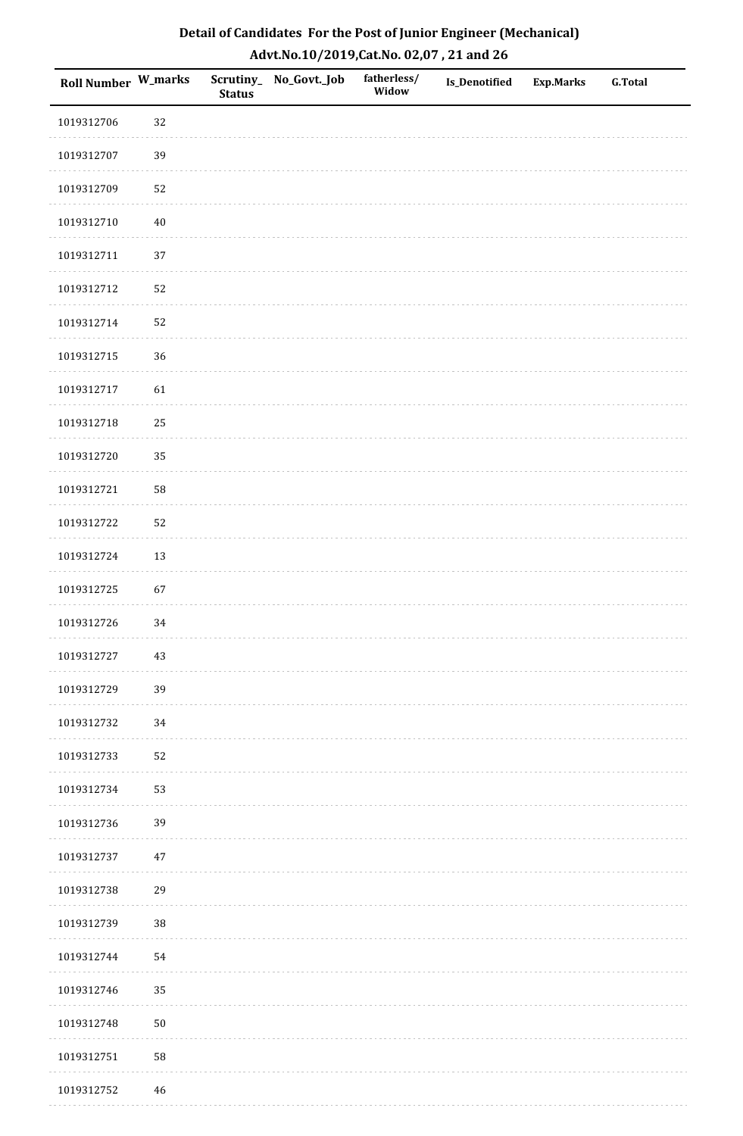| Detail of Candidates For the Post of Junior Engineer (Mechanical) |
|-------------------------------------------------------------------|
| Advt.No.10/2019,Cat.No. 02,07, 21 and 26                          |

| Roll Number W_marks |             | <b>Status</b> | Scrutiny_ No_Govt._Job | fatherless/<br>Widow | <b>Is_Denotified</b> | <b>Exp.Marks</b> | <b>G.Total</b> |
|---------------------|-------------|---------------|------------------------|----------------------|----------------------|------------------|----------------|
| 1019312706          | 32          |               |                        |                      |                      |                  |                |
| 1019312707          | 39          |               |                        |                      |                      |                  |                |
| 1019312709          | 52          |               |                        |                      |                      |                  |                |
| 1019312710          | $40\,$      |               |                        |                      |                      |                  |                |
| 1019312711          | $37\,$      |               |                        |                      |                      |                  |                |
| 1019312712          | 52          |               |                        |                      |                      |                  |                |
| 1019312714          | 52          |               |                        |                      |                      |                  |                |
| 1019312715          | 36          |               |                        |                      |                      |                  |                |
| 1019312717          | 61          |               |                        |                      |                      |                  |                |
| 1019312718          | 25          |               |                        |                      |                      |                  |                |
| 1019312720          | 35          |               |                        |                      |                      |                  |                |
| 1019312721          | 58          |               |                        |                      |                      |                  |                |
| 1019312722          | 52          |               |                        |                      |                      |                  |                |
| 1019312724          | 13          |               |                        |                      |                      |                  |                |
| 1019312725          | 67          |               |                        |                      |                      |                  |                |
| 1019312726          | 34          |               |                        |                      |                      |                  |                |
| 1019312727          | 43          |               |                        |                      |                      |                  |                |
| 1019312729          | 39          |               |                        |                      |                      |                  |                |
| 1019312732          | 34          |               |                        |                      |                      |                  |                |
| 1019312733          | 52          |               |                        |                      |                      |                  |                |
| 1019312734          | 53          |               |                        |                      |                      |                  |                |
| 1019312736          | 39          |               |                        |                      |                      |                  |                |
| 1019312737          | $47\,$      |               |                        |                      |                      |                  |                |
| 1019312738          | 29          |               |                        |                      |                      |                  |                |
| 1019312739          | $38\,$      |               |                        |                      |                      |                  |                |
| 1019312744          | 54          |               |                        |                      |                      |                  |                |
| 1019312746          | 35          |               |                        |                      |                      |                  |                |
| 1019312748          | ${\bf 50}$  |               |                        |                      |                      |                  |                |
| 1019312751          | 58          |               |                        |                      |                      |                  |                |
| 1019312752          | $\sqrt{46}$ |               |                        |                      |                      |                  |                |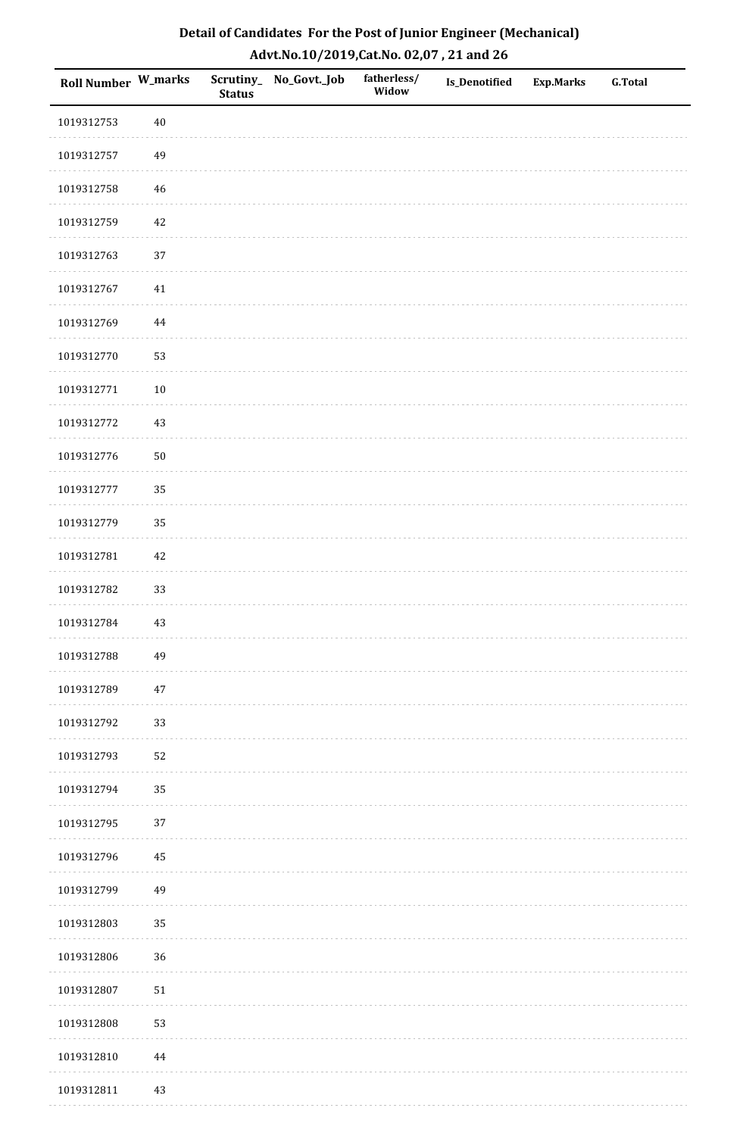| Detail of Candidates For the Post of Junior Engineer (Mechanical) |
|-------------------------------------------------------------------|
| Advt.No.10/2019,Cat.No. 02,07, 21 and 26                          |

| Roll Number W_marks |          | <b>Status</b> | Scrutiny_ No_Govt._Job | fatherless/<br>Widow | Is_Denotified | <b>Exp.Marks</b> | <b>G.Total</b> |
|---------------------|----------|---------------|------------------------|----------------------|---------------|------------------|----------------|
| 1019312753          | $40\,$   |               |                        |                      |               |                  |                |
| 1019312757          | 49       |               |                        |                      |               |                  |                |
| 1019312758          | 46       |               |                        |                      |               |                  |                |
| 1019312759          | 42       |               |                        |                      |               |                  |                |
| 1019312763          | $37\,$   |               |                        |                      |               |                  |                |
| 1019312767          | 41       |               |                        |                      |               |                  |                |
| 1019312769          | $\bf 44$ |               |                        |                      |               |                  |                |
| 1019312770          | 53       |               |                        |                      |               |                  |                |
| 1019312771          | $10\,$   |               |                        |                      |               |                  |                |
| 1019312772          | 43       |               |                        |                      |               |                  |                |
| 1019312776          | $50\,$   |               |                        |                      |               |                  |                |
| 1019312777          | 35       |               |                        |                      |               |                  |                |
| 1019312779          | 35       |               |                        |                      |               |                  |                |
| 1019312781          | 42       |               |                        |                      |               |                  |                |
| 1019312782          | 33       |               |                        |                      |               |                  |                |
| 1019312784          | 43       |               |                        |                      |               |                  |                |
| 1019312788          | 49       |               |                        |                      |               |                  |                |
| 1019312789          | $47\,$   |               |                        |                      |               |                  |                |
| 1019312792          | 33       |               |                        |                      |               |                  |                |
| 1019312793          | 52       |               |                        |                      |               |                  |                |
| 1019312794          | 35       |               |                        |                      |               |                  |                |
| 1019312795          | $37\,$   |               |                        |                      |               |                  |                |
| 1019312796          | 45       |               |                        |                      |               |                  |                |
| 1019312799          | 49       |               |                        |                      |               |                  |                |
| 1019312803          | 35       |               |                        |                      |               |                  |                |
| 1019312806          | 36       |               |                        |                      |               |                  |                |
| 1019312807          | 51       |               |                        |                      |               |                  |                |
| 1019312808          | 53       |               |                        |                      |               |                  |                |
| 1019312810          | $\bf 44$ |               |                        |                      |               |                  |                |
| 1019312811          | 43       |               |                        |                      |               |                  |                |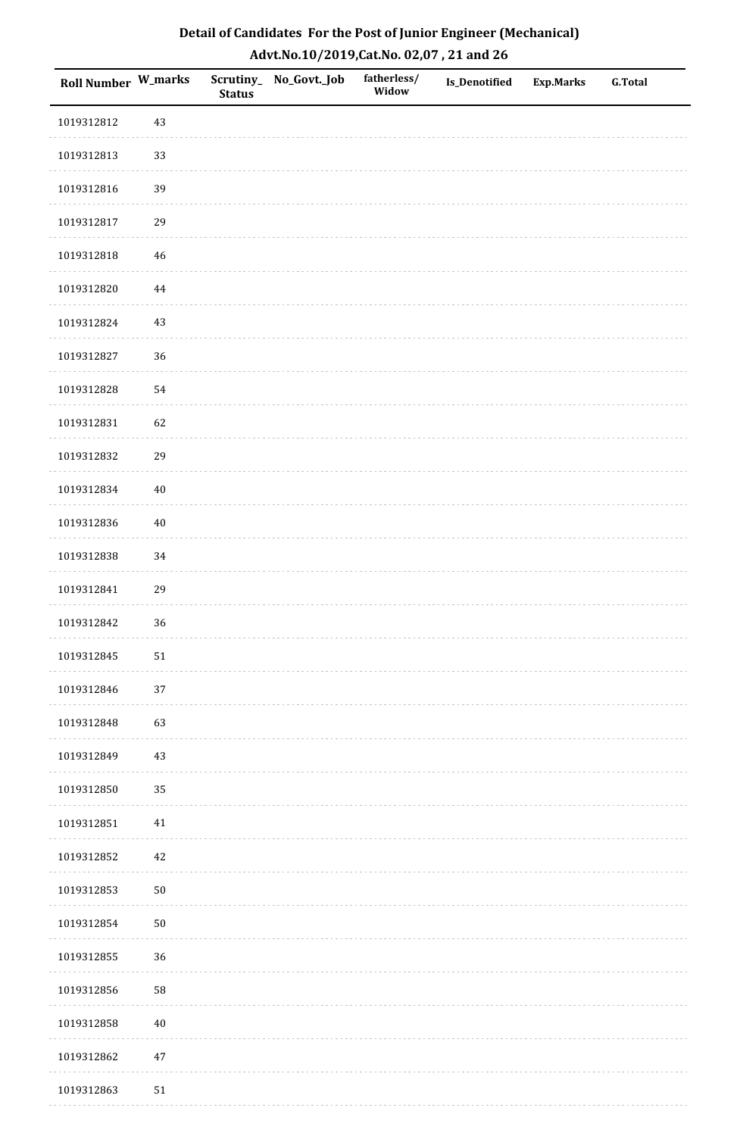| Roll Number W_marks |        | <b>Status</b> | Scrutiny_No_Govt._Job | fatherless/<br>Widow | Is_Denotified | <b>Exp.Marks</b> | <b>G.Total</b> |
|---------------------|--------|---------------|-----------------------|----------------------|---------------|------------------|----------------|
| 1019312812          | 43     |               |                       |                      |               |                  |                |
| 1019312813          | 33     |               |                       |                      |               |                  |                |
| 1019312816          | 39     |               |                       |                      |               |                  |                |
| 1019312817          | 29     |               |                       |                      |               |                  |                |
| 1019312818          | $46\,$ |               |                       |                      |               |                  |                |
| 1019312820          | 44     |               |                       |                      |               |                  |                |
| 1019312824          | 43     |               |                       |                      |               |                  |                |
| 1019312827          | 36     |               |                       |                      |               |                  |                |
| 1019312828          | 54     |               |                       |                      |               |                  |                |
| 1019312831          | 62     |               |                       |                      |               |                  |                |
| 1019312832          | 29     |               |                       |                      |               |                  |                |
| 1019312834          | $40\,$ |               |                       |                      |               |                  |                |
| 1019312836          | $40\,$ |               |                       |                      |               |                  |                |
| 1019312838          | 34     |               |                       |                      |               |                  |                |
| 1019312841          | 29     |               |                       |                      |               |                  |                |
| 1019312842          | 36     |               |                       |                      |               |                  |                |
| 1019312845          | $51\,$ |               |                       |                      |               |                  |                |
| 1019312846          | 37     |               |                       |                      |               |                  |                |
| 1019312848          | 63     |               |                       |                      |               |                  |                |
| 1019312849          | 43     |               |                       |                      |               |                  |                |
| 1019312850          | 35     |               |                       |                      |               |                  |                |
| 1019312851          | $41\,$ |               |                       |                      |               |                  |                |
| 1019312852          | 42     |               |                       |                      |               |                  |                |
| 1019312853          | $50\,$ |               |                       |                      |               |                  |                |
| 1019312854          | $50\,$ |               |                       |                      |               |                  |                |
| 1019312855          | 36     |               |                       |                      |               |                  |                |
| 1019312856          | 58     |               |                       |                      |               |                  |                |
| 1019312858          | $40\,$ |               |                       |                      |               |                  |                |
| 1019312862          | $47\,$ |               |                       |                      |               |                  |                |
| 1019312863          | $51\,$ |               |                       |                      |               |                  |                |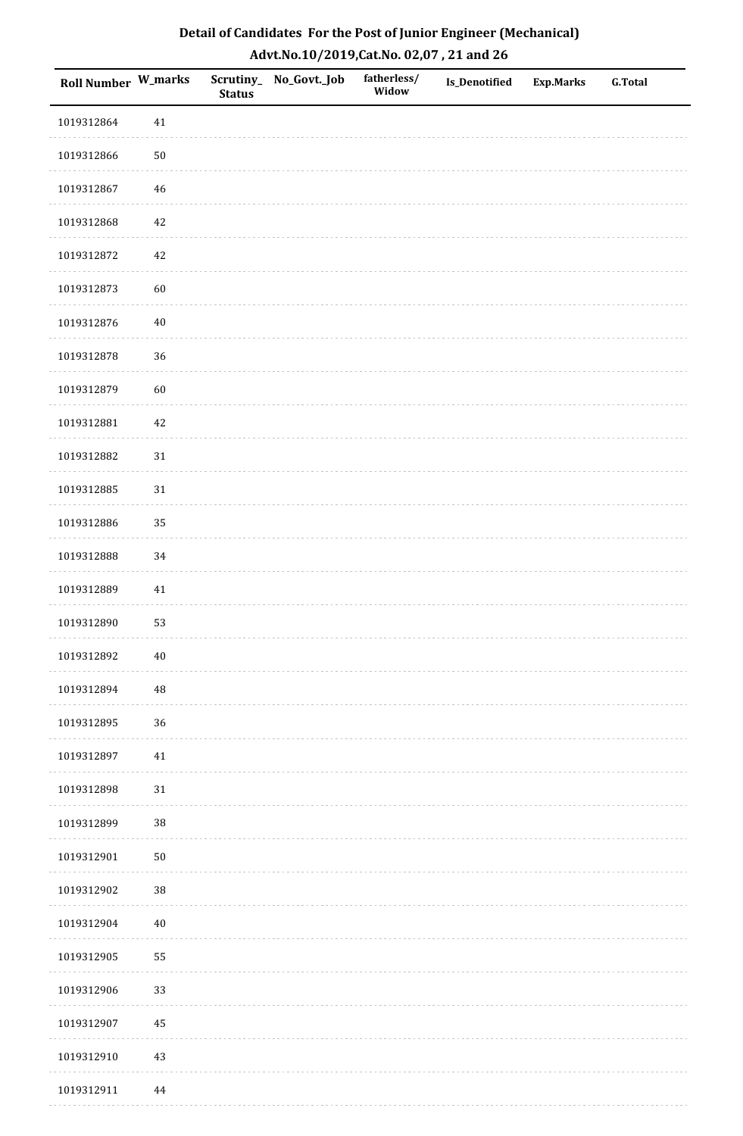| Detail of Candidates For the Post of Junior Engineer (Mechanical) |
|-------------------------------------------------------------------|
| Advt.No.10/2019,Cat.No. 02,07, 21 and 26                          |

| Roll Number W_marks |          | <b>Status</b> | Scrutiny_ No_Govt._Job | fatherless/<br>Widow | Is_Denotified | <b>Exp.Marks</b> | <b>G.Total</b> |
|---------------------|----------|---------------|------------------------|----------------------|---------------|------------------|----------------|
| 1019312864          | $41\,$   |               |                        |                      |               |                  |                |
| 1019312866          | $50\,$   |               |                        |                      |               |                  |                |
| 1019312867          | $46\,$   |               |                        |                      |               |                  |                |
| 1019312868          | $42\,$   |               |                        |                      |               |                  |                |
| 1019312872          | 42       |               |                        |                      |               |                  |                |
| 1019312873          | 60       |               |                        |                      |               |                  |                |
| 1019312876          | $40\,$   |               |                        |                      |               |                  |                |
| 1019312878          | 36       |               |                        |                      |               |                  |                |
| 1019312879          | 60       |               |                        |                      |               |                  |                |
| 1019312881          | $42\,$   |               |                        |                      |               |                  |                |
| 1019312882          | 31       |               |                        |                      |               |                  |                |
| 1019312885          | $31\,$   |               |                        |                      |               |                  |                |
| 1019312886          | 35       |               |                        |                      |               |                  |                |
| 1019312888          | 34       |               |                        |                      |               |                  |                |
| 1019312889          | 41       |               |                        |                      |               |                  |                |
| 1019312890          | 53       |               |                        |                      |               |                  |                |
| 1019312892          | $40\,$   |               |                        |                      |               |                  |                |
| 1019312894          | 48       |               |                        |                      |               |                  |                |
| 1019312895          | 36       |               |                        |                      |               |                  |                |
| 1019312897          | $41\,$   |               |                        |                      |               |                  |                |
| 1019312898          | $31\,$   |               |                        |                      |               |                  |                |
| 1019312899          | $38\,$   |               |                        |                      |               |                  |                |
| 1019312901          | $50\,$   |               |                        |                      |               |                  |                |
| 1019312902          | $38\,$   |               |                        |                      |               |                  |                |
| 1019312904          | $40\,$   |               |                        |                      |               |                  |                |
| 1019312905          | 55       |               |                        |                      |               |                  |                |
| 1019312906          | 33       |               |                        |                      |               |                  |                |
| 1019312907          | 45       |               |                        |                      |               |                  |                |
| 1019312910          | 43       |               |                        |                      |               |                  |                |
| 1019312911          | $\bf 44$ |               |                        |                      |               |                  |                |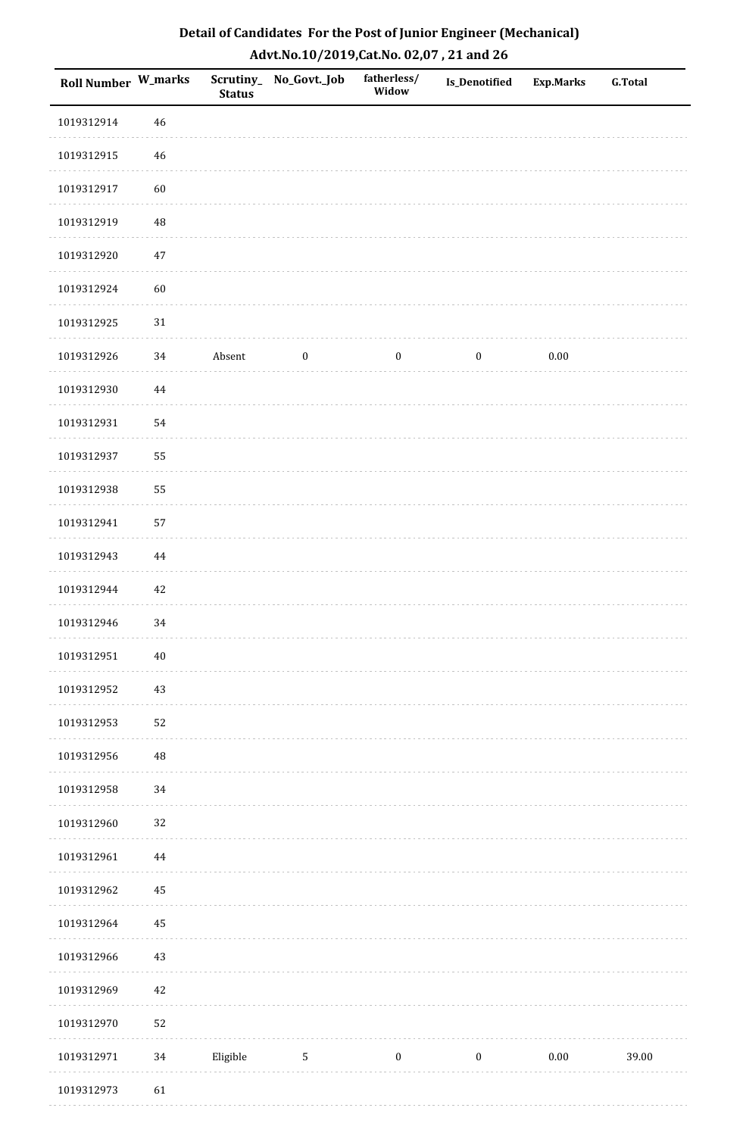| Roll Number W_marks |          | <b>Status</b> | Scrutiny_No_Govt._Job | fatherless/<br>Widow | Is_Denotified    | Exp.Marks | <b>G.Total</b> |
|---------------------|----------|---------------|-----------------------|----------------------|------------------|-----------|----------------|
| 1019312914          | 46       |               |                       |                      |                  |           |                |
| 1019312915          | 46       |               |                       |                      |                  |           |                |
| 1019312917          | 60       |               |                       |                      |                  |           |                |
| 1019312919          | 48       |               |                       |                      |                  |           |                |
| 1019312920          | $47\,$   |               |                       |                      |                  |           |                |
| 1019312924          | 60       |               |                       |                      |                  |           |                |
| 1019312925          | $31\,$   |               |                       |                      |                  |           |                |
| 1019312926          | 34       | Absent        | $\boldsymbol{0}$      | $\bf{0}$             | $\boldsymbol{0}$ | 0.00      |                |
| 1019312930          | 44       |               |                       |                      |                  |           |                |
| 1019312931          | 54       |               |                       |                      |                  |           |                |
| 1019312937          | 55       |               |                       |                      |                  |           |                |
| 1019312938          | 55       |               |                       |                      |                  |           |                |
| 1019312941          | 57       |               |                       |                      |                  |           |                |
| 1019312943          | 44       |               |                       |                      |                  |           |                |
| 1019312944          | 42       |               |                       |                      |                  |           |                |
| 1019312946          | 34       |               |                       |                      |                  |           |                |
| 1019312951          | $40\,$   |               |                       |                      |                  |           |                |
| 1019312952          | 43       |               |                       |                      |                  |           |                |
| 1019312953          | 52       |               |                       |                      |                  |           |                |
| 1019312956          | 48       |               |                       |                      |                  |           |                |
| 1019312958          | 34       |               |                       |                      |                  |           |                |
| 1019312960          | 32       |               |                       |                      |                  |           |                |
| 1019312961          | $\bf 44$ |               |                       |                      |                  |           |                |
| 1019312962          | $\rm 45$ |               |                       |                      |                  |           |                |
| 1019312964          | 45       |               |                       |                      |                  |           |                |
| 1019312966          | 43       |               |                       |                      |                  |           |                |
| 1019312969          | 42       |               |                       |                      |                  |           |                |
| 1019312970          | 52       |               |                       |                      |                  |           |                |
| 1019312971          | 34       | Eligible      | $\sqrt{5}$            | $\boldsymbol{0}$     | $\boldsymbol{0}$ | $0.00\,$  | 39.00          |
| 1019312973          | 61       |               |                       |                      |                  |           |                |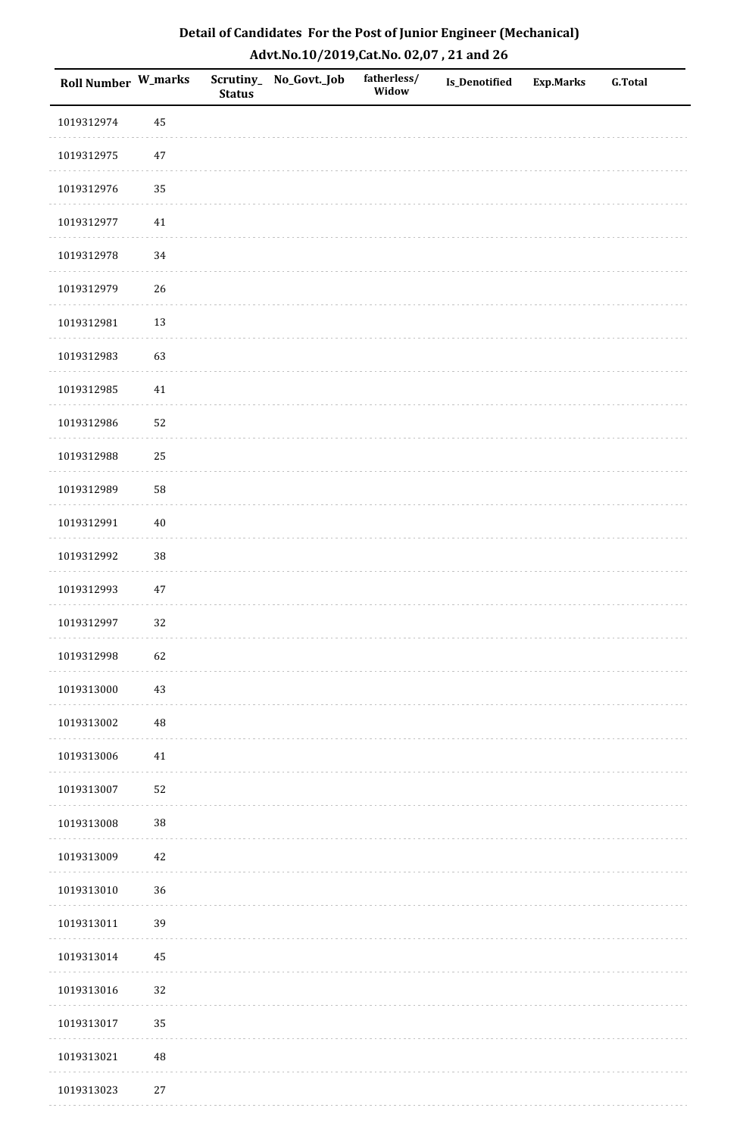| Detail of Candidates For the Post of Junior Engineer (Mechanical) |
|-------------------------------------------------------------------|
| Advt.No.10/2019,Cat.No. 02,07, 21 and 26                          |

| Roll Number W_marks |          | <b>Status</b> | Scrutiny_ No_Govt._Job | fatherless/<br>Widow | <b>Is_Denotified</b> | <b>Exp.Marks</b> | <b>G.Total</b> |
|---------------------|----------|---------------|------------------------|----------------------|----------------------|------------------|----------------|
| 1019312974          | 45       |               |                        |                      |                      |                  |                |
| 1019312975          | $47\,$   |               |                        |                      |                      |                  |                |
| 1019312976          | 35       |               |                        |                      |                      |                  |                |
| 1019312977          | $41\,$   |               |                        |                      |                      |                  |                |
| 1019312978          | 34       |               |                        |                      |                      |                  |                |
| 1019312979          | 26       |               |                        |                      |                      |                  |                |
| 1019312981          | 13       |               |                        |                      |                      |                  |                |
| 1019312983          | 63       |               |                        |                      |                      |                  |                |
| 1019312985          | 41       |               |                        |                      |                      |                  |                |
| 1019312986          | 52       |               |                        |                      |                      |                  |                |
| 1019312988          | 25       |               |                        |                      |                      |                  |                |
| 1019312989          | 58       |               |                        |                      |                      |                  |                |
| 1019312991          | $40\,$   |               |                        |                      |                      |                  |                |
| 1019312992          | 38       |               |                        |                      |                      |                  |                |
| 1019312993          | $47\,$   |               |                        |                      |                      |                  |                |
| 1019312997          | 32       |               |                        |                      |                      |                  |                |
| 1019312998          | 62       |               |                        |                      |                      |                  |                |
| 1019313000          | 43       |               |                        |                      |                      |                  |                |
| 1019313002          | $\rm 48$ |               |                        |                      |                      |                  |                |
| 1019313006          | $41\,$   |               |                        |                      |                      |                  |                |
| 1019313007          | 52       |               |                        |                      |                      |                  |                |
| 1019313008          | $38\,$   |               |                        |                      |                      |                  |                |
| 1019313009          | $42\,$   |               |                        |                      |                      |                  |                |
| 1019313010          | 36       |               |                        |                      |                      |                  |                |
| 1019313011          | 39       |               |                        |                      |                      |                  |                |
| 1019313014          | $\rm 45$ |               |                        |                      |                      |                  |                |
| 1019313016          | 32       |               |                        |                      |                      |                  |                |
| 1019313017          | 35       |               |                        |                      |                      |                  |                |
| 1019313021          | $\rm 48$ |               |                        |                      |                      |                  |                |
| 1019313023          | $27\,$   |               |                        |                      |                      |                  |                |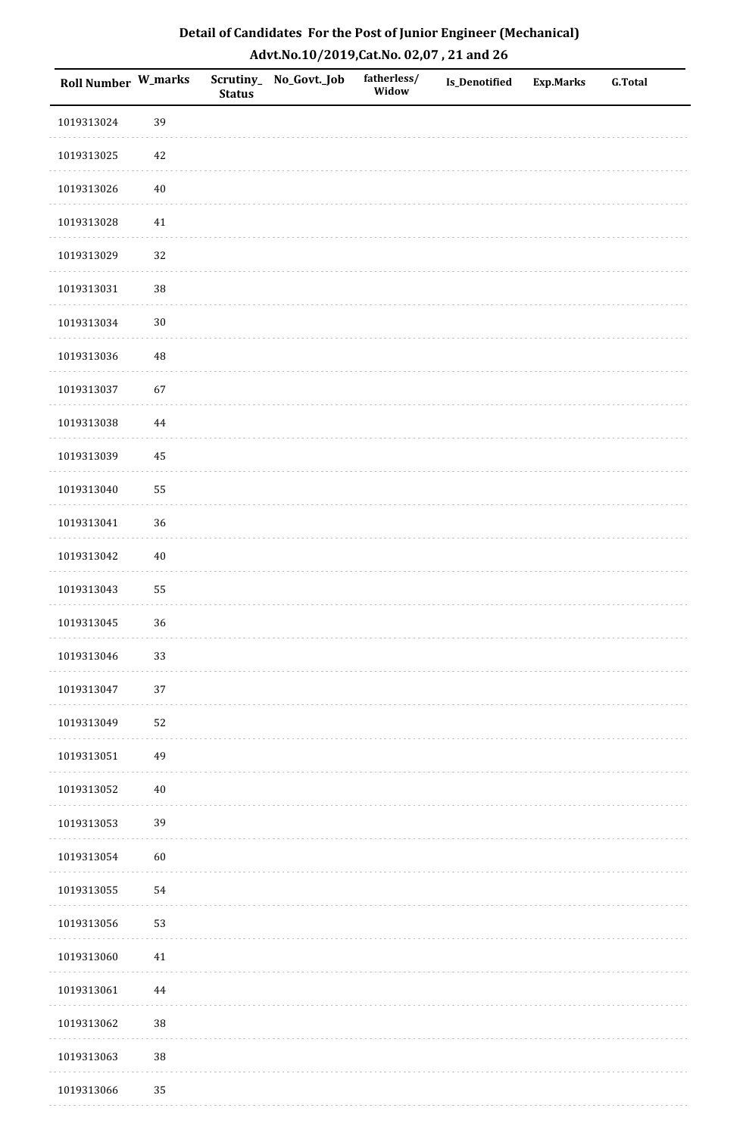| Detail of Candidates For the Post of Junior Engineer (Mechanical) |
|-------------------------------------------------------------------|
| Advt.No.10/2019,Cat.No. 02,07, 21 and 26                          |

| Roll Number W_marks |          | <b>Status</b> | Scrutiny_ No_Govt._Job | fatherless/<br>Widow | Is_Denotified | <b>Exp.Marks</b> | <b>G.Total</b> |
|---------------------|----------|---------------|------------------------|----------------------|---------------|------------------|----------------|
| 1019313024          | 39       |               |                        |                      |               |                  |                |
| 1019313025          | $42\,$   |               |                        |                      |               |                  |                |
| 1019313026          | $40\,$   |               |                        |                      |               |                  |                |
| 1019313028          | 41       |               |                        |                      |               |                  |                |
| 1019313029          | 32       |               |                        |                      |               |                  |                |
| 1019313031          | 38       |               |                        |                      |               |                  |                |
| 1019313034          | $30\,$   |               |                        |                      |               |                  |                |
| 1019313036          | $\rm 48$ |               |                        |                      |               |                  |                |
| 1019313037          | 67       |               |                        |                      |               |                  |                |
| 1019313038          | 44       |               |                        |                      |               |                  |                |
| 1019313039          | 45       |               |                        |                      |               |                  |                |
| 1019313040          | 55       |               |                        |                      |               |                  |                |
| 1019313041          | 36       |               |                        |                      |               |                  |                |
| 1019313042          | $40\,$   |               |                        |                      |               |                  |                |
| 1019313043          | 55       |               |                        |                      |               |                  |                |
| 1019313045          | 36       |               |                        |                      |               |                  |                |
| 1019313046          | 33       |               |                        |                      |               |                  |                |
| 1019313047          | 37       |               |                        |                      |               |                  |                |
| 1019313049          | 52       |               |                        |                      |               |                  |                |
| 1019313051          | 49       |               |                        |                      |               |                  |                |
| 1019313052          | $40\,$   |               |                        |                      |               |                  |                |
| 1019313053          | 39       |               |                        |                      |               |                  |                |
| 1019313054          | 60       |               |                        |                      |               |                  |                |
| 1019313055          | 54       |               |                        |                      |               |                  |                |
| 1019313056          | 53       |               |                        |                      |               |                  |                |
| 1019313060          | $41\,$   |               |                        |                      |               |                  |                |
| 1019313061          | $\bf 44$ |               |                        |                      |               |                  |                |
| 1019313062          | $38\,$   |               |                        |                      |               |                  |                |
| 1019313063          | 38       |               |                        |                      |               |                  |                |
| 1019313066          | 35       |               |                        |                      |               |                  |                |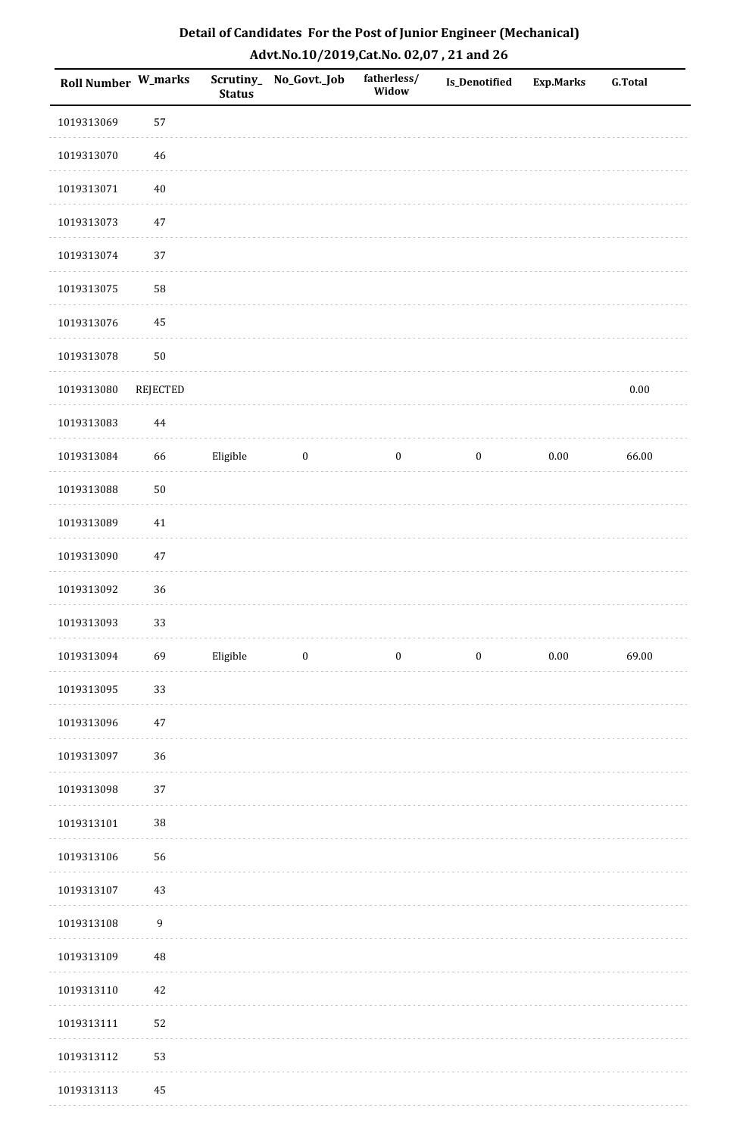| Detail of Candidates For the Post of Junior Engineer (Mechanical) |
|-------------------------------------------------------------------|
| Advt.No.10/2019,Cat.No. 02,07, 21 and 26                          |

| <b>Roll Number W_marks</b> |                  | <b>Status</b> | Scrutiny_ No_Govt._Job | fatherless/<br>Widow | Is_Denotified    | <b>Exp.Marks</b> | <b>G.Total</b> |
|----------------------------|------------------|---------------|------------------------|----------------------|------------------|------------------|----------------|
| 1019313069                 | 57               |               |                        |                      |                  |                  |                |
| 1019313070                 | 46               |               |                        |                      |                  |                  |                |
| 1019313071                 | $40\,$           |               |                        |                      |                  |                  |                |
| 1019313073                 | $47\,$           |               |                        |                      |                  |                  |                |
| 1019313074                 | 37               |               |                        |                      |                  |                  |                |
| 1019313075                 | 58               |               |                        |                      |                  |                  |                |
| 1019313076                 | 45               |               |                        |                      |                  |                  |                |
| 1019313078                 | 50               |               |                        |                      |                  |                  |                |
| 1019313080                 | REJECTED         |               |                        |                      |                  |                  | $0.00\,$       |
| 1019313083                 | $\bf 44$         |               |                        |                      |                  |                  |                |
| 1019313084                 | 66               | Eligible      | $\boldsymbol{0}$       | $\bf{0}$             | $\boldsymbol{0}$ | $0.00\,$         | 66.00          |
| 1019313088                 | 50               |               |                        |                      |                  |                  |                |
| 1019313089                 | $41\,$           |               |                        |                      |                  |                  |                |
| 1019313090                 | 47               |               |                        |                      |                  |                  |                |
| 1019313092                 | 36               |               |                        |                      |                  |                  |                |
| 1019313093                 | 33               |               |                        |                      |                  |                  |                |
| 1019313094                 | 69               | Eligible      | $\boldsymbol{0}$       | $\boldsymbol{0}$     | $\boldsymbol{0}$ | $0.00\,$         | 69.00          |
| 1019313095                 | 33               |               |                        |                      |                  |                  |                |
| 1019313096                 | $47\,$           |               |                        |                      |                  |                  |                |
| 1019313097                 | 36               |               |                        |                      |                  |                  |                |
| 1019313098                 | 37               |               |                        |                      |                  |                  |                |
| 1019313101                 | $38\,$           |               |                        |                      |                  |                  |                |
| 1019313106                 | 56               |               |                        |                      |                  |                  |                |
| 1019313107                 | 43               |               |                        |                      |                  |                  |                |
| 1019313108                 | $\boldsymbol{9}$ |               |                        |                      |                  |                  |                |
| 1019313109                 | 48               |               |                        |                      |                  |                  |                |
| 1019313110                 | 42               |               |                        |                      |                  |                  |                |
| 1019313111                 | 52               |               |                        |                      |                  |                  |                |
| 1019313112                 | 53               |               |                        |                      |                  |                  |                |
| 1019313113                 | 45               |               |                        |                      |                  |                  |                |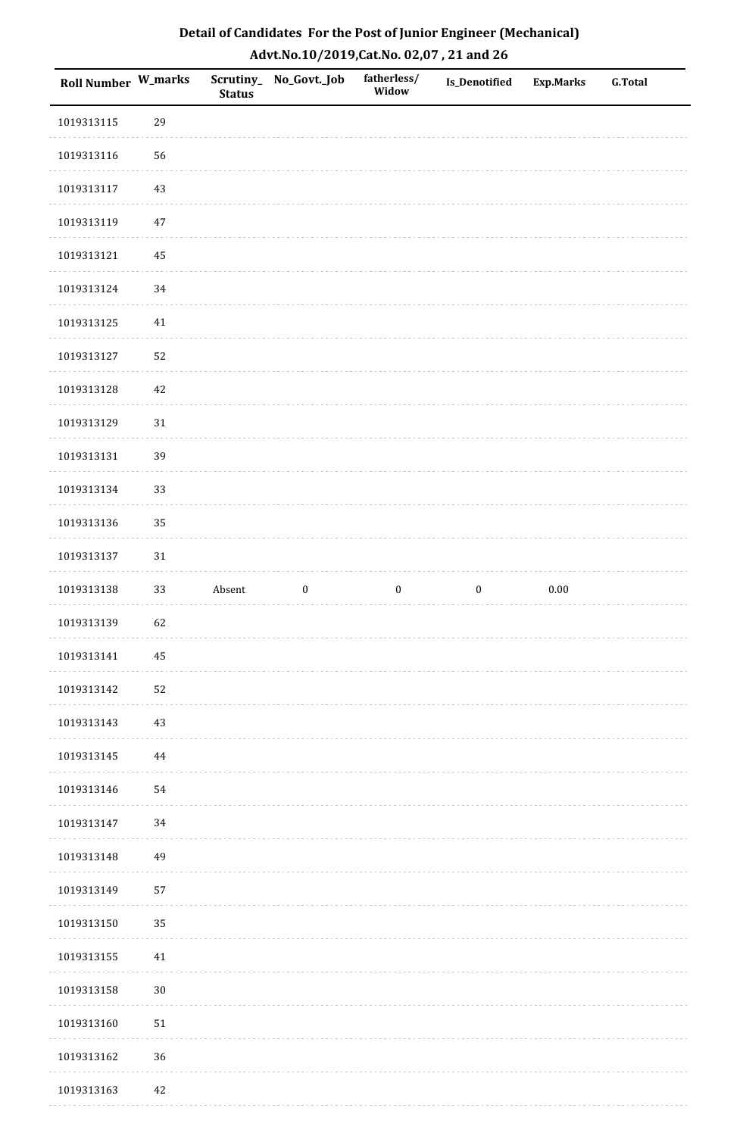| Detail of Candidates For the Post of Junior Engineer (Mechanical) |
|-------------------------------------------------------------------|
| Advt.No.10/2019,Cat.No. 02,07, 21 and 26                          |

| <b>Roll Number W_marks</b> |          | <b>Status</b> | Scrutiny_ No_Govt._Job | fatherless/<br>Widow | <b>Is_Denotified</b> | <b>Exp.Marks</b> | <b>G.Total</b> |
|----------------------------|----------|---------------|------------------------|----------------------|----------------------|------------------|----------------|
| 1019313115                 | 29       |               |                        |                      |                      |                  |                |
| 1019313116                 | 56       |               |                        |                      |                      |                  |                |
| 1019313117                 | 43       |               |                        |                      |                      |                  |                |
| 1019313119                 | 47       |               |                        |                      |                      |                  |                |
| 1019313121                 | 45       |               |                        |                      |                      |                  |                |
| 1019313124                 | 34       |               |                        |                      |                      |                  |                |
| 1019313125                 | $41\,$   |               |                        |                      |                      |                  |                |
| 1019313127                 | 52       |               |                        |                      |                      |                  |                |
| 1019313128                 | 42       |               |                        |                      |                      |                  |                |
| 1019313129                 | $31\,$   |               |                        |                      |                      |                  |                |
| 1019313131                 | 39       |               |                        |                      |                      |                  |                |
| 1019313134                 | 33       |               |                        |                      |                      |                  |                |
| 1019313136                 | 35       |               |                        |                      |                      |                  |                |
| 1019313137                 | $31\,$   |               |                        |                      |                      |                  |                |
| 1019313138                 | 33       | Absent        | $\boldsymbol{0}$       | $\boldsymbol{0}$     | $\boldsymbol{0}$     | $0.00\,$         |                |
| 1019313139                 | 62       |               |                        |                      |                      |                  |                |
| 1019313141                 | $\bf 45$ |               |                        |                      |                      |                  |                |
| 1019313142                 | 52       |               |                        |                      |                      |                  |                |
| 1019313143                 | $43\,$   |               |                        |                      |                      |                  |                |
| 1019313145                 | $\bf 44$ |               |                        |                      |                      |                  |                |
| 1019313146                 | 54       |               |                        |                      |                      |                  |                |
| 1019313147                 | 34       |               |                        |                      |                      |                  |                |
| 1019313148                 | 49       |               |                        |                      |                      |                  |                |
| 1019313149                 | 57       |               |                        |                      |                      |                  |                |
| 1019313150                 | 35       |               |                        |                      |                      |                  |                |
| 1019313155                 | $41\,$   |               |                        |                      |                      |                  |                |
| 1019313158                 | $30\,$   |               |                        |                      |                      |                  |                |
| 1019313160                 | $51\,$   |               |                        |                      |                      |                  |                |
| 1019313162                 | 36       |               |                        |                      |                      |                  |                |
| 1019313163                 | 42       |               |                        |                      |                      |                  |                |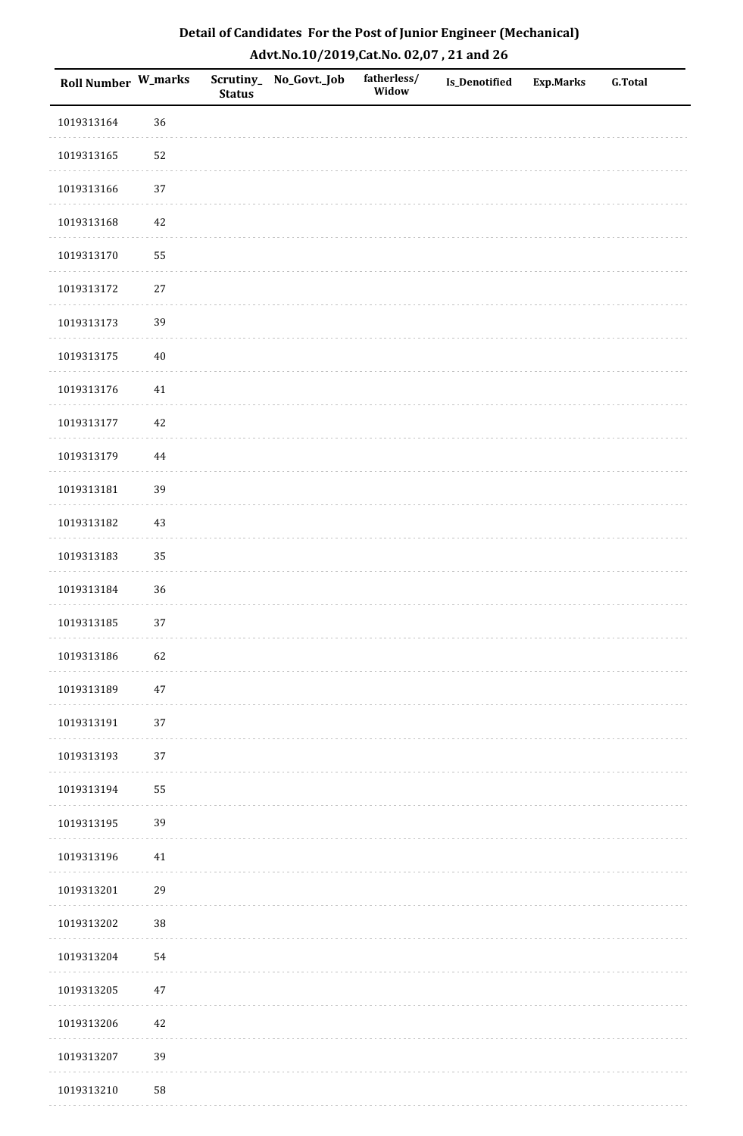| Detail of Candidates For the Post of Junior Engineer (Mechanical) |
|-------------------------------------------------------------------|
| Advt.No.10/2019,Cat.No. 02,07, 21 and 26                          |

| Roll Number W_marks |          | <b>Status</b> | Scrutiny_ No_Govt._Job | fatherless/<br>Widow | Is_Denotified | <b>Exp.Marks</b> | <b>G.Total</b> |
|---------------------|----------|---------------|------------------------|----------------------|---------------|------------------|----------------|
| 1019313164          | 36       |               |                        |                      |               |                  |                |
| 1019313165          | 52       |               |                        |                      |               |                  |                |
| 1019313166          | 37       |               |                        |                      |               |                  |                |
| 1019313168          | $42\,$   |               |                        |                      |               |                  |                |
| 1019313170          | 55       |               |                        |                      |               |                  |                |
| 1019313172          | $27\,$   |               |                        |                      |               |                  |                |
| 1019313173          | 39       |               |                        |                      |               |                  |                |
| 1019313175          | $40\,$   |               |                        |                      |               |                  |                |
| 1019313176          | $41\,$   |               |                        |                      |               |                  |                |
| 1019313177          | $42\,$   |               |                        |                      |               |                  |                |
| 1019313179          | $\bf 44$ |               |                        |                      |               |                  |                |
| 1019313181          | 39       |               |                        |                      |               |                  |                |
| 1019313182          | $43\,$   |               |                        |                      |               |                  |                |
| 1019313183          | 35       |               |                        |                      |               |                  |                |
| 1019313184          | 36       |               |                        |                      |               |                  |                |
| 1019313185          | 37       |               |                        |                      |               |                  |                |
| 1019313186          | 62       |               |                        |                      |               |                  |                |
| 1019313189          | 47       |               |                        |                      |               |                  |                |
| 1019313191          | $37\,$   |               |                        |                      |               |                  |                |
| 1019313193          | 37       |               |                        |                      |               |                  |                |
| 1019313194          | 55       |               |                        |                      |               |                  |                |
| 1019313195          | 39       |               |                        |                      |               |                  |                |
| 1019313196          | $41\,$   |               |                        |                      |               |                  |                |
| 1019313201          | 29       |               |                        |                      |               |                  |                |
| 1019313202          | 38       |               |                        |                      |               |                  |                |
| 1019313204          | 54       |               |                        |                      |               |                  |                |
| 1019313205          | $47\,$   |               |                        |                      |               |                  |                |
| 1019313206          | $42\,$   |               |                        |                      |               |                  |                |
| 1019313207          | 39       |               |                        |                      |               |                  |                |
| 1019313210          | 58       |               |                        |                      |               |                  |                |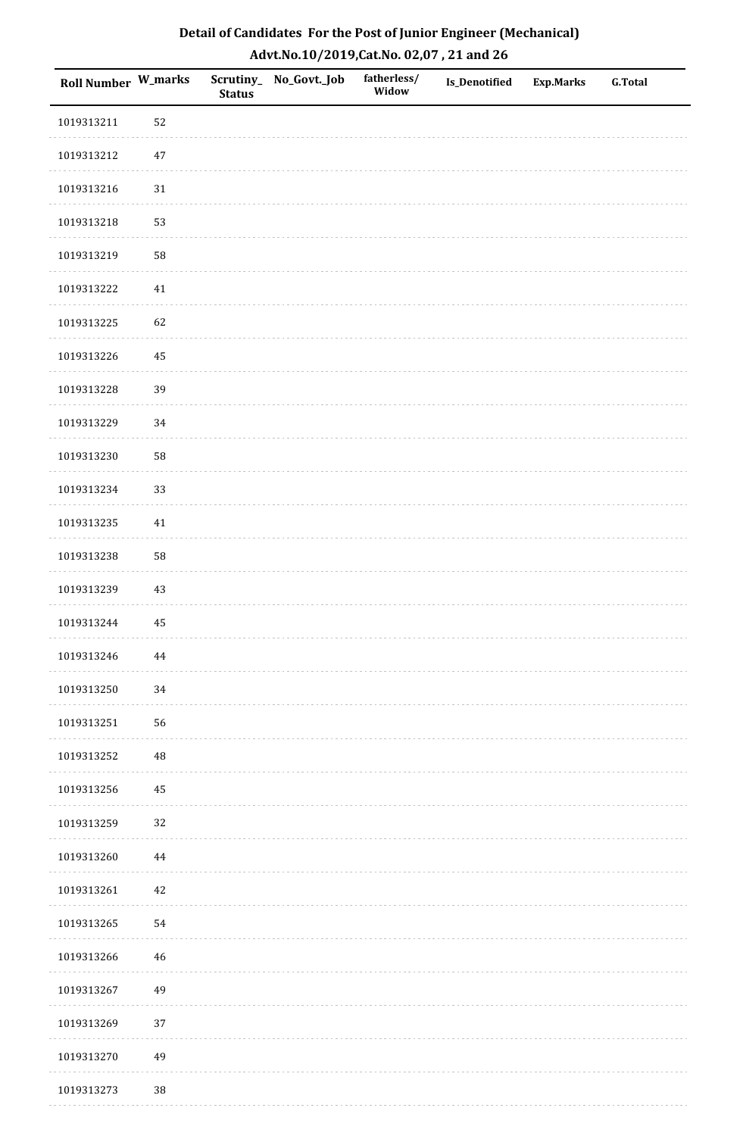| Detail of Candidates For the Post of Junior Engineer (Mechanical) |
|-------------------------------------------------------------------|
| Advt.No.10/2019,Cat.No. 02,07, 21 and 26                          |

| Roll Number W_marks |          | <b>Status</b> | Scrutiny_ No_Govt._Job | fatherless/<br>Widow | <b>Is_Denotified</b> | <b>Exp.Marks</b> | <b>G.Total</b> |
|---------------------|----------|---------------|------------------------|----------------------|----------------------|------------------|----------------|
| 1019313211          | 52       |               |                        |                      |                      |                  |                |
| 1019313212          | $47\,$   |               |                        |                      |                      |                  |                |
| 1019313216          | $31\,$   |               |                        |                      |                      |                  |                |
| 1019313218          | 53       |               |                        |                      |                      |                  |                |
| 1019313219          | 58       |               |                        |                      |                      |                  |                |
| 1019313222          | $41\,$   |               |                        |                      |                      |                  |                |
| 1019313225          | 62       |               |                        |                      |                      |                  |                |
| 1019313226          | 45       |               |                        |                      |                      |                  |                |
| 1019313228          | 39       |               |                        |                      |                      |                  |                |
| 1019313229          | 34       |               |                        |                      |                      |                  |                |
| 1019313230          | 58       |               |                        |                      |                      |                  |                |
| 1019313234          | 33       |               |                        |                      |                      |                  |                |
| 1019313235          | 41       |               |                        |                      |                      |                  |                |
| 1019313238          | 58       |               |                        |                      |                      |                  |                |
| 1019313239          | 43       |               |                        |                      |                      |                  |                |
| 1019313244          | 45       |               |                        |                      |                      |                  |                |
| 1019313246          | 44       |               |                        |                      |                      |                  |                |
| 1019313250          | 34       |               |                        |                      |                      |                  |                |
| 1019313251          | 56       |               |                        |                      |                      |                  |                |
| 1019313252          | $\rm 48$ |               |                        |                      |                      |                  |                |
| 1019313256          | 45       |               |                        |                      |                      |                  |                |
| 1019313259          | 32       |               |                        |                      |                      |                  |                |
| 1019313260          | 44       |               |                        |                      |                      |                  |                |
| 1019313261          | $42\,$   |               |                        |                      |                      |                  |                |
| 1019313265          | 54       |               |                        |                      |                      |                  |                |
| 1019313266          | 46       |               |                        |                      |                      |                  |                |
| 1019313267          | 49       |               |                        |                      |                      |                  |                |
| 1019313269          | 37       |               |                        |                      |                      |                  |                |
| 1019313270          | 49       |               |                        |                      |                      |                  |                |
| 1019313273          | $38\,$   |               |                        |                      |                      |                  |                |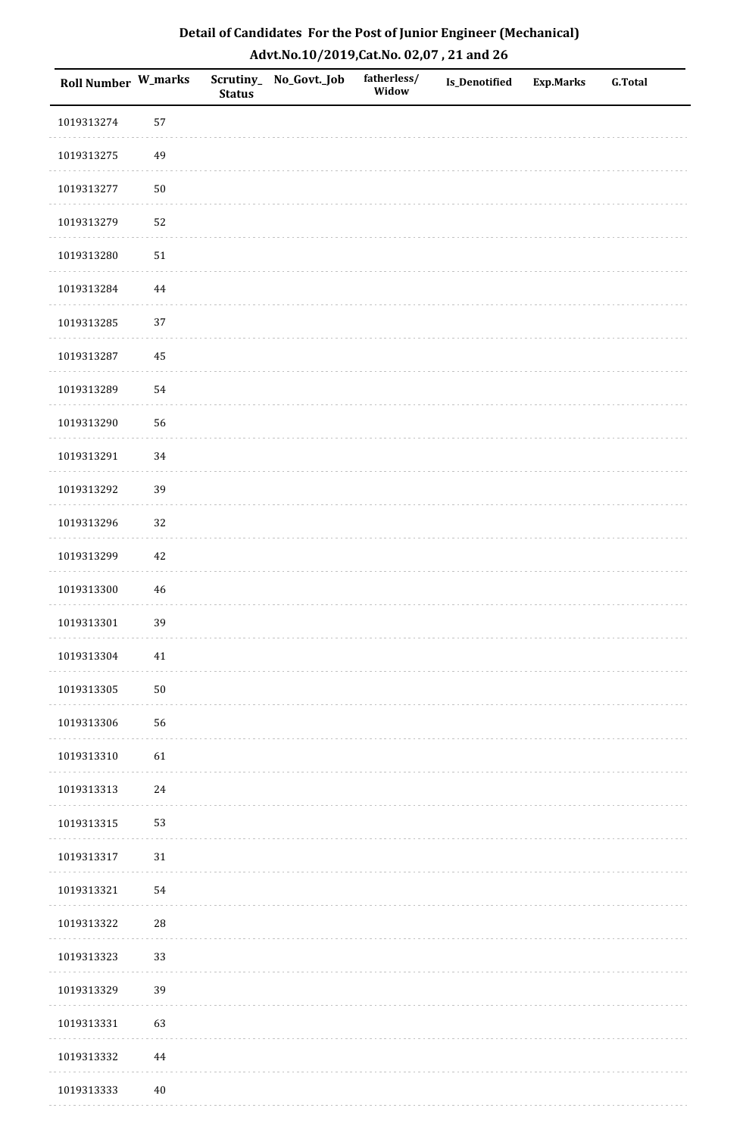| Detail of Candidates For the Post of Junior Engineer (Mechanical) |
|-------------------------------------------------------------------|
| Advt.No.10/2019,Cat.No. 02,07, 21 and 26                          |

| Roll Number W_marks |            | <b>Status</b> | Scrutiny_ No_Govt._Job | fatherless/<br>Widow | <b>Is_Denotified</b> | <b>Exp.Marks</b> | <b>G.Total</b> |
|---------------------|------------|---------------|------------------------|----------------------|----------------------|------------------|----------------|
| 1019313274          | 57         |               |                        |                      |                      |                  |                |
| 1019313275          | 49         |               |                        |                      |                      |                  |                |
| 1019313277          | ${\bf 50}$ |               |                        |                      |                      |                  |                |
| 1019313279          | 52         |               |                        |                      |                      |                  |                |
| 1019313280          | 51         |               |                        |                      |                      |                  |                |
| 1019313284          | 44         |               |                        |                      |                      |                  |                |
| 1019313285          | 37         |               |                        |                      |                      |                  |                |
| 1019313287          | 45         |               |                        |                      |                      |                  |                |
| 1019313289          | 54         |               |                        |                      |                      |                  |                |
| 1019313290          | 56         |               |                        |                      |                      |                  |                |
| 1019313291          | 34         |               |                        |                      |                      |                  |                |
| 1019313292          | 39         |               |                        |                      |                      |                  |                |
| 1019313296          | 32         |               |                        |                      |                      |                  |                |
| 1019313299          | 42         |               |                        |                      |                      |                  |                |
| 1019313300          | 46         |               |                        |                      |                      |                  |                |
| 1019313301          | 39         |               |                        |                      |                      |                  |                |
| 1019313304          | $41\,$     |               |                        |                      |                      |                  |                |
| 1019313305          | ${\bf 50}$ |               |                        |                      |                      |                  |                |
| 1019313306          | 56         |               |                        |                      |                      |                  |                |
| 1019313310          | 61         |               |                        |                      |                      |                  |                |
| 1019313313          | 24         |               |                        |                      |                      |                  |                |
| 1019313315          | 53         |               |                        |                      |                      |                  |                |
| 1019313317          | $31\,$     |               |                        |                      |                      |                  |                |
| 1019313321          | 54         |               |                        |                      |                      |                  |                |
| 1019313322          | 28         |               |                        |                      |                      |                  |                |
| 1019313323          | 33         |               |                        |                      |                      |                  |                |
| 1019313329          | 39         |               |                        |                      |                      |                  |                |
| 1019313331          | 63         |               |                        |                      |                      |                  |                |
| 1019313332          | 44         |               |                        |                      |                      |                  |                |
| 1019313333          | $40\,$     |               |                        |                      |                      |                  |                |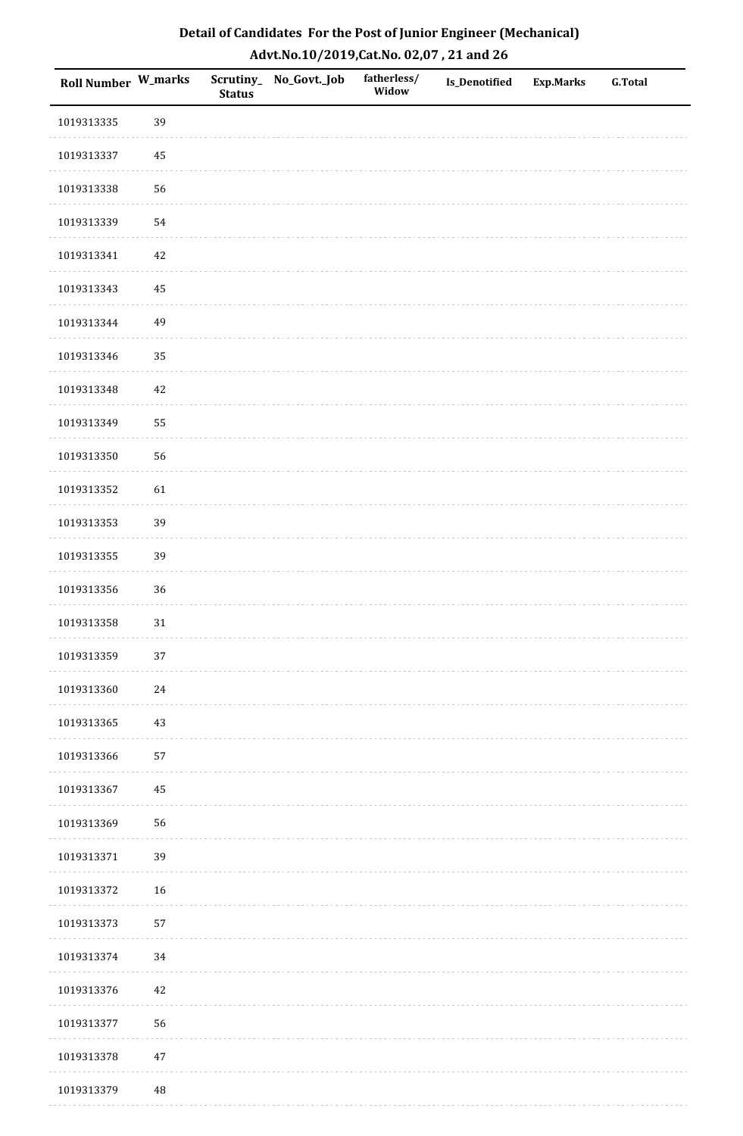| Detail of Candidates For the Post of Junior Engineer (Mechanical) |
|-------------------------------------------------------------------|
| Advt.No.10/2019,Cat.No. 02,07, 21 and 26                          |

| Roll Number W_marks |        | <b>Status</b> | Scrutiny_ No_Govt._Job | fatherless/<br>Widow | <b>Is_Denotified</b> | <b>Exp.Marks</b> | <b>G.Total</b> |
|---------------------|--------|---------------|------------------------|----------------------|----------------------|------------------|----------------|
| 1019313335          | 39     |               |                        |                      |                      |                  |                |
| 1019313337          | 45     |               |                        |                      |                      |                  |                |
| 1019313338          | 56     |               |                        |                      |                      |                  |                |
| 1019313339          | 54     |               |                        |                      |                      |                  |                |
| 1019313341          | $42\,$ |               |                        |                      |                      |                  |                |
| 1019313343          | 45     |               |                        |                      |                      |                  |                |
| 1019313344          | 49     |               |                        |                      |                      |                  |                |
| 1019313346          | 35     |               |                        |                      |                      |                  |                |
| 1019313348          | $42\,$ |               |                        |                      |                      |                  |                |
| 1019313349          | 55     |               |                        |                      |                      |                  |                |
| 1019313350          | 56     |               |                        |                      |                      |                  |                |
| 1019313352          | 61     |               |                        |                      |                      |                  |                |
| 1019313353          | 39     |               |                        |                      |                      |                  |                |
| 1019313355          | 39     |               |                        |                      |                      |                  |                |
| 1019313356          | 36     |               |                        |                      |                      |                  |                |
| 1019313358          | 31     |               |                        |                      |                      |                  |                |
| 1019313359          | $37\,$ |               |                        |                      |                      |                  |                |
| 1019313360          | 24     |               |                        |                      |                      |                  |                |
| 1019313365          | 43     |               |                        |                      |                      |                  |                |
| 1019313366          | 57     |               |                        |                      |                      |                  |                |
| 1019313367          | 45     |               |                        |                      |                      |                  |                |
| 1019313369          | 56     |               |                        |                      |                      |                  |                |
| 1019313371          | 39     |               |                        |                      |                      |                  |                |
| 1019313372          | 16     |               |                        |                      |                      |                  |                |
| 1019313373          | 57     |               |                        |                      |                      |                  |                |
| 1019313374          | 34     |               |                        |                      |                      |                  |                |
| 1019313376          | $42\,$ |               |                        |                      |                      |                  |                |
| 1019313377          | 56     |               |                        |                      |                      |                  |                |
| 1019313378          | $47\,$ |               |                        |                      |                      |                  |                |
| 1019313379          | 48     |               |                        |                      |                      |                  |                |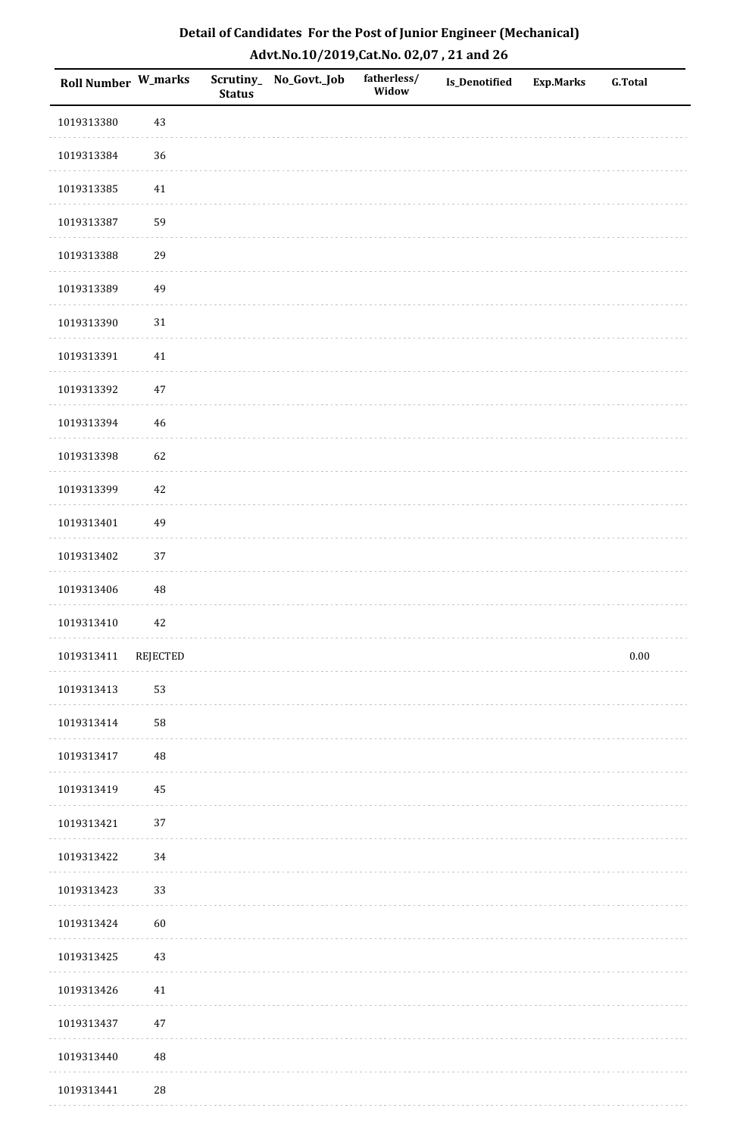| Detail of Candidates For the Post of Junior Engineer (Mechanical) |
|-------------------------------------------------------------------|
| Advt.No.10/2019,Cat.No. 02,07, 21 and 26                          |

| Roll Number W_marks |          | <b>Status</b> | Scrutiny_ No_Govt._Job | fatherless/<br>Widow | Is_Denotified | <b>Exp.Marks</b> | <b>G.Total</b> |
|---------------------|----------|---------------|------------------------|----------------------|---------------|------------------|----------------|
| 1019313380          | 43       |               |                        |                      |               |                  |                |
| 1019313384          | 36       |               |                        |                      |               |                  |                |
| 1019313385          | 41       |               |                        |                      |               |                  |                |
| 1019313387          | 59       |               |                        |                      |               |                  |                |
| 1019313388          | 29       |               |                        |                      |               |                  |                |
| 1019313389          | 49       |               |                        |                      |               |                  |                |
| 1019313390          | $31\,$   |               |                        |                      |               |                  |                |
| 1019313391          | $41\,$   |               |                        |                      |               |                  |                |
| 1019313392          | $47\,$   |               |                        |                      |               |                  |                |
| 1019313394          | 46       |               |                        |                      |               |                  |                |
| 1019313398          | 62       |               |                        |                      |               |                  |                |
| 1019313399          | 42       |               |                        |                      |               |                  |                |
| 1019313401          | 49       |               |                        |                      |               |                  |                |
| 1019313402          | 37       |               |                        |                      |               |                  |                |
| 1019313406          | 48       |               |                        |                      |               |                  |                |
| 1019313410          | $42\,$   |               |                        |                      |               |                  |                |
| 1019313411          | REJECTED |               |                        |                      |               |                  | $0.00\,$       |
| 1019313413          | 53       |               |                        |                      |               |                  |                |
| 1019313414          | 58       |               |                        |                      |               |                  |                |
| 1019313417          | $\rm 48$ |               |                        |                      |               |                  |                |
| 1019313419          | 45       |               |                        |                      |               |                  |                |
| 1019313421          | 37       |               |                        |                      |               |                  |                |
| 1019313422          | $34\,$   |               |                        |                      |               |                  |                |
| 1019313423          | 33       |               |                        |                      |               |                  |                |
| 1019313424          | 60       |               |                        |                      |               |                  |                |
| 1019313425          | 43       |               |                        |                      |               |                  |                |
| 1019313426          | 41       |               |                        |                      |               |                  |                |
| 1019313437          | 47       |               |                        |                      |               |                  |                |
| 1019313440          | 48       |               |                        |                      |               |                  |                |
| 1019313441          | 28       |               |                        |                      |               |                  |                |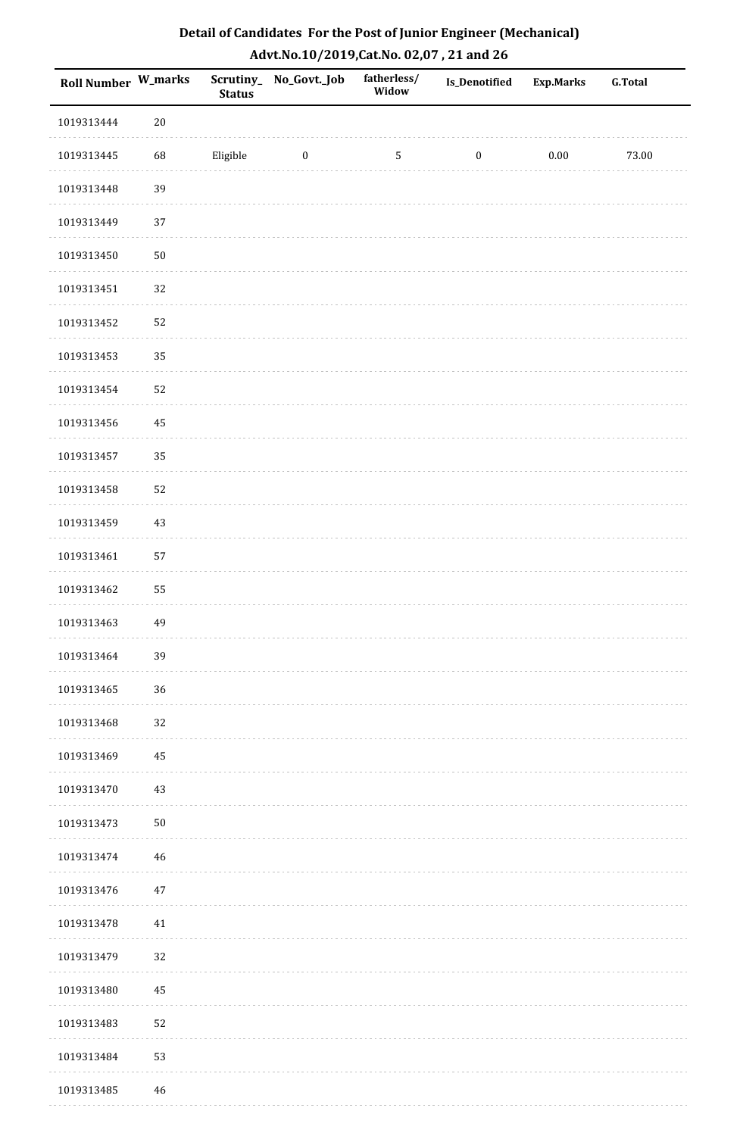| Detail of Candidates For the Post of Junior Engineer (Mechanical) |
|-------------------------------------------------------------------|
| Advt.No.10/2019,Cat.No. 02,07, 21 and 26                          |

| Roll Number W_marks |             | <b>Status</b> | Scrutiny_ No_Govt._Job | fatherless/<br>Widow | <b>Is_Denotified</b> | <b>Exp.Marks</b> | <b>G.Total</b> |
|---------------------|-------------|---------------|------------------------|----------------------|----------------------|------------------|----------------|
| 1019313444          | $20\,$      |               |                        |                      |                      |                  |                |
| 1019313445          | 68          | Eligible      | $\boldsymbol{0}$       | $\sqrt{5}$           | $\boldsymbol{0}$     | $0.00\,$         | 73.00          |
| 1019313448          | 39          |               |                        |                      |                      |                  |                |
| 1019313449          | 37          |               |                        |                      |                      |                  |                |
| 1019313450          | $50\,$      |               |                        |                      |                      |                  |                |
| 1019313451          | 32          |               |                        |                      |                      |                  |                |
| 1019313452          | 52          |               |                        |                      |                      |                  |                |
| 1019313453          | 35          |               |                        |                      |                      |                  |                |
| 1019313454          | 52          |               |                        |                      |                      |                  |                |
| 1019313456          | 45          |               |                        |                      |                      |                  |                |
| 1019313457          | 35          |               |                        |                      |                      |                  |                |
| 1019313458          | 52          |               |                        |                      |                      |                  |                |
| 1019313459          | $43\,$      |               |                        |                      |                      |                  |                |
| 1019313461          | 57          |               |                        |                      |                      |                  |                |
| 1019313462          | 55          |               |                        |                      |                      |                  |                |
| 1019313463          | 49          |               |                        |                      |                      |                  |                |
| 1019313464          | 39          |               |                        |                      |                      |                  |                |
| 1019313465          | 36          |               |                        |                      |                      |                  |                |
| 1019313468          | 32          |               |                        |                      |                      |                  |                |
| 1019313469          | 45          |               |                        |                      |                      |                  |                |
| 1019313470          | $43\,$      |               |                        |                      |                      |                  |                |
| 1019313473          | $50\,$      |               |                        |                      |                      |                  |                |
| 1019313474          | $46\,$      |               |                        |                      |                      |                  |                |
| 1019313476          | $47\,$      |               |                        |                      |                      |                  |                |
| 1019313478          | 41          |               |                        |                      |                      |                  |                |
| 1019313479          | 32          |               |                        |                      |                      |                  |                |
| 1019313480          | 45          |               |                        |                      |                      |                  |                |
| 1019313483          | 52          |               |                        |                      |                      |                  |                |
| 1019313484          | 53          |               |                        |                      |                      |                  |                |
| 1019313485          | $\sqrt{46}$ |               |                        |                      |                      |                  |                |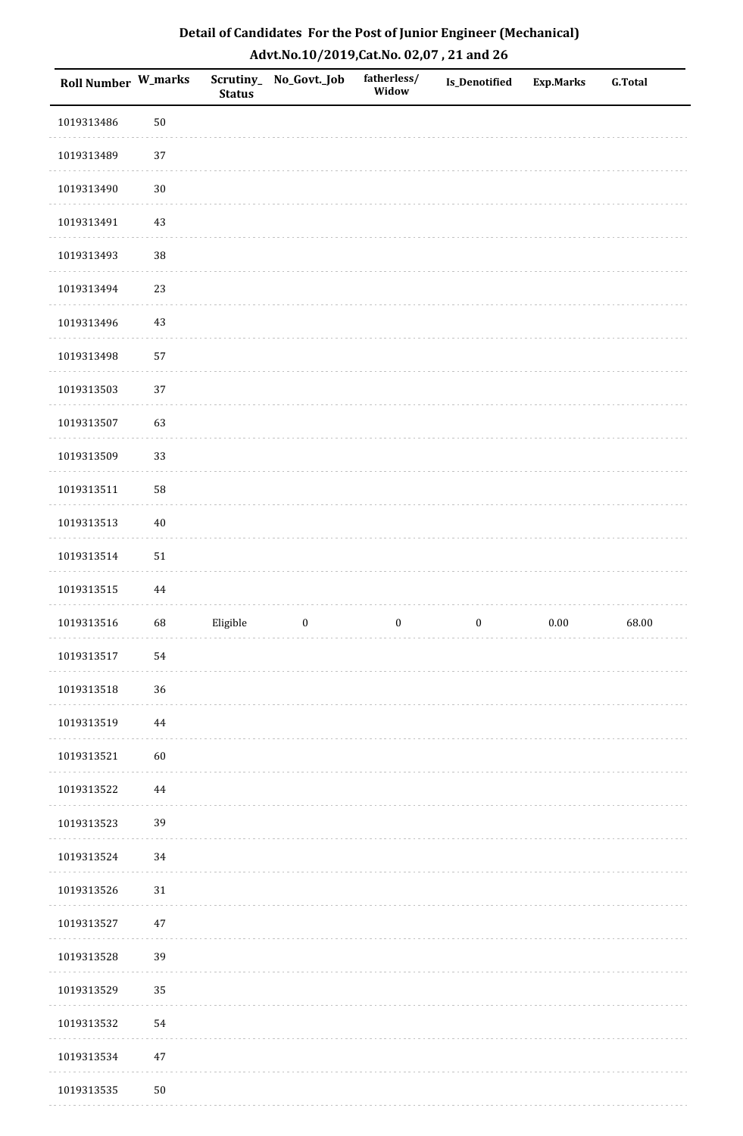| Detail of Candidates For the Post of Junior Engineer (Mechanical) |
|-------------------------------------------------------------------|
| Advt.No.10/2019,Cat.No. 02,07, 21 and 26                          |

| Roll Number W_marks |            | <b>Status</b> | Scrutiny_ No_Govt._Job | fatherless/<br>Widow | Is_Denotified    | <b>Exp.Marks</b> | <b>G.Total</b> |
|---------------------|------------|---------------|------------------------|----------------------|------------------|------------------|----------------|
| 1019313486          | 50         |               |                        |                      |                  |                  |                |
| 1019313489          | 37         |               |                        |                      |                  |                  |                |
| 1019313490          | $30\,$     |               |                        |                      |                  |                  |                |
| 1019313491          | 43         |               |                        |                      |                  |                  |                |
| 1019313493          | 38         |               |                        |                      |                  |                  |                |
| 1019313494          | 23         |               |                        |                      |                  |                  |                |
| 1019313496          | 43         |               |                        |                      |                  |                  |                |
| 1019313498          | 57         |               |                        |                      |                  |                  |                |
| 1019313503          | 37         |               |                        |                      |                  |                  |                |
| 1019313507          | 63         |               |                        |                      |                  |                  |                |
| 1019313509          | 33         |               |                        |                      |                  |                  |                |
| 1019313511          | 58         |               |                        |                      |                  |                  |                |
| 1019313513          | $40\,$     |               |                        |                      |                  |                  |                |
| 1019313514          | 51         |               |                        |                      |                  |                  |                |
| 1019313515          | 44         |               |                        |                      |                  |                  |                |
| 1019313516          | 68         | Eligible      | $\boldsymbol{0}$       | $\boldsymbol{0}$     | $\boldsymbol{0}$ | $0.00\,$         | 68.00          |
| 1019313517          | ${\bf 54}$ |               |                        |                      |                  |                  |                |
| 1019313518          | 36         |               |                        |                      |                  |                  |                |
| 1019313519          | 44         |               |                        |                      |                  |                  |                |
| 1019313521          | 60         |               |                        |                      |                  |                  |                |
| 1019313522          | 44         |               |                        |                      |                  |                  |                |
| 1019313523          | 39         |               |                        |                      |                  |                  |                |
| 1019313524          | 34         |               |                        |                      |                  |                  |                |
| 1019313526          | 31         |               |                        |                      |                  |                  |                |
| 1019313527          | 47         |               |                        |                      |                  |                  |                |
| 1019313528          | 39         |               |                        |                      |                  |                  |                |
| 1019313529          | 35         |               |                        |                      |                  |                  |                |
| 1019313532          | 54         |               |                        |                      |                  |                  |                |
| 1019313534          | 47         |               |                        |                      |                  |                  |                |
| 1019313535          | ${\bf 50}$ |               |                        |                      |                  |                  |                |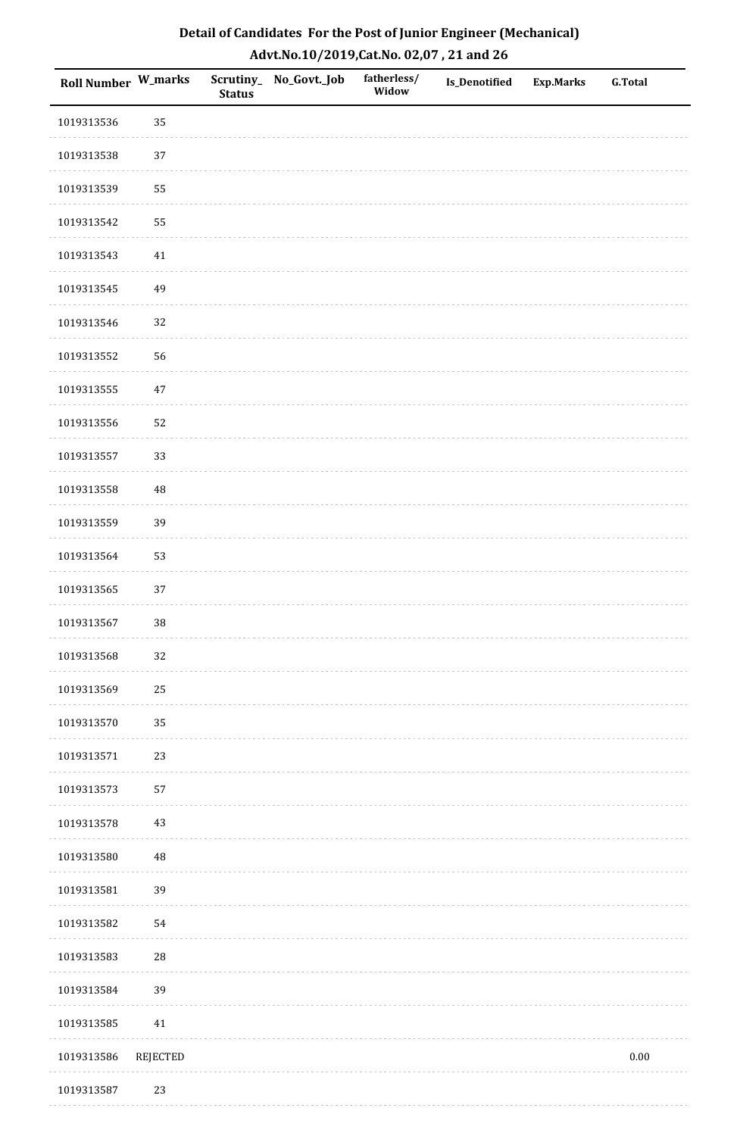| Detail of Candidates For the Post of Junior Engineer (Mechanical) |
|-------------------------------------------------------------------|
| Advt.No.10/2019, Cat.No. 02,07, 21 and 26                         |

| <b>Roll Number W_marks</b> |                 | <b>Status</b> | Scrutiny_No_Govt._Job | fatherless/<br>Widow | Is_Denotified | <b>Exp.Marks</b> | <b>G.Total</b> |
|----------------------------|-----------------|---------------|-----------------------|----------------------|---------------|------------------|----------------|
| 1019313536                 | 35              |               |                       |                      |               |                  |                |
| 1019313538                 | 37              |               |                       |                      |               |                  |                |
| 1019313539                 | 55              |               |                       |                      |               |                  |                |
| 1019313542                 | 55              |               |                       |                      |               |                  |                |
| 1019313543                 | 41              |               |                       |                      |               |                  |                |
| 1019313545                 | 49              |               |                       |                      |               |                  |                |
| 1019313546                 | 32              |               |                       |                      |               |                  |                |
| 1019313552                 | 56              |               |                       |                      |               |                  |                |
| 1019313555                 | $47\,$          |               |                       |                      |               |                  |                |
| 1019313556                 | 52              |               |                       |                      |               |                  |                |
| 1019313557                 | 33              |               |                       |                      |               |                  |                |
| 1019313558                 | $\rm 48$        |               |                       |                      |               |                  |                |
| 1019313559                 | 39              |               |                       |                      |               |                  |                |
| 1019313564                 | 53              |               |                       |                      |               |                  |                |
| 1019313565                 | 37              |               |                       |                      |               |                  |                |
| 1019313567                 | $38\,$          |               |                       |                      |               |                  |                |
| 1019313568                 | 32              |               |                       |                      |               |                  |                |
| 1019313569                 | 25              |               |                       |                      |               |                  |                |
| 1019313570                 | 35              |               |                       |                      |               |                  |                |
| 1019313571                 | 23              |               |                       |                      |               |                  |                |
| 1019313573                 | 57              |               |                       |                      |               |                  |                |
| 1019313578                 | 43              |               |                       |                      |               |                  |                |
| 1019313580                 | $\rm 48$        |               |                       |                      |               |                  |                |
| 1019313581                 | 39              |               |                       |                      |               |                  |                |
| 1019313582                 | 54              |               |                       |                      |               |                  |                |
| 1019313583                 | $\sqrt{28}$     |               |                       |                      |               |                  |                |
| 1019313584                 | 39              |               |                       |                      |               |                  |                |
| 1019313585                 | 41              |               |                       |                      |               |                  |                |
| 1019313586                 | <b>REJECTED</b> |               |                       |                      |               |                  | $0.00\,$       |
| 1019313587                 | 23              |               |                       |                      |               |                  |                |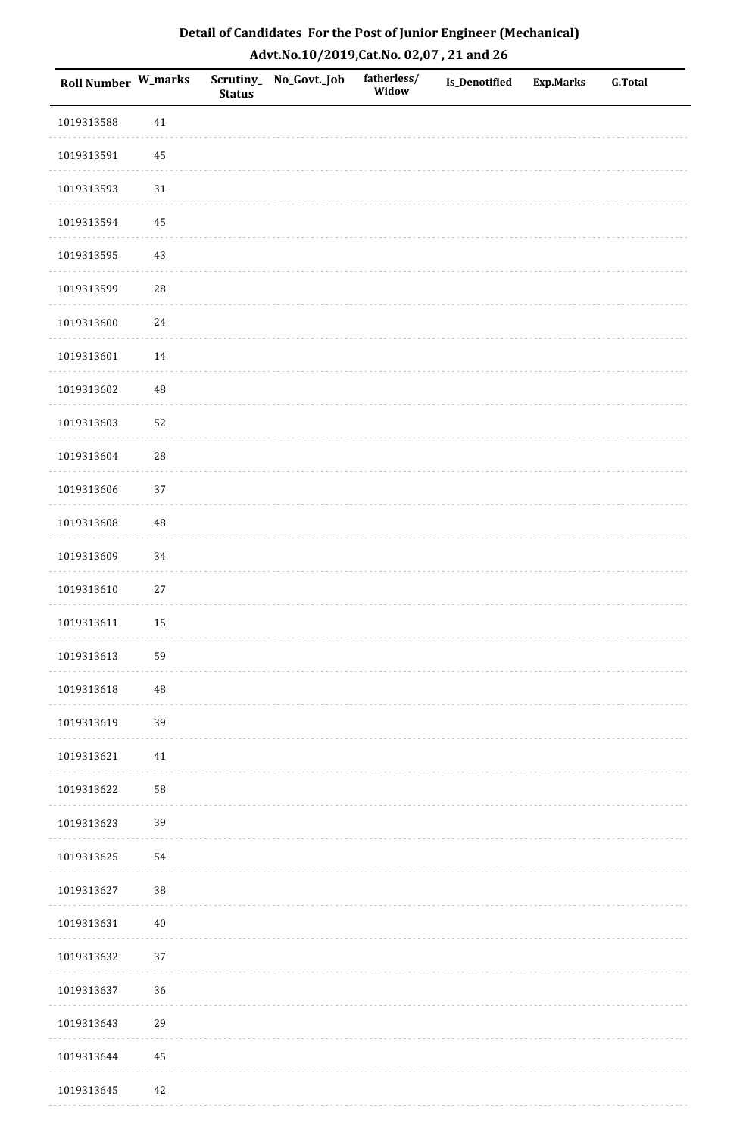| Detail of Candidates For the Post of Junior Engineer (Mechanical) |
|-------------------------------------------------------------------|
| Advt.No.10/2019,Cat.No. 02,07, 21 and 26                          |

| Roll Number W_marks |            | <b>Status</b> | Scrutiny_ No_Govt._Job | fatherless/<br>Widow | <b>Is_Denotified</b> | <b>Exp.Marks</b> | <b>G.Total</b> |
|---------------------|------------|---------------|------------------------|----------------------|----------------------|------------------|----------------|
| 1019313588          | $41\,$     |               |                        |                      |                      |                  |                |
| 1019313591          | $\rm 45$   |               |                        |                      |                      |                  |                |
| 1019313593          | $31\,$     |               |                        |                      |                      |                  |                |
| 1019313594          | 45         |               |                        |                      |                      |                  |                |
| 1019313595          | 43         |               |                        |                      |                      |                  |                |
| 1019313599          | ${\bf 28}$ |               |                        |                      |                      |                  |                |
| 1019313600          | $24\,$     |               |                        |                      |                      |                  |                |
| 1019313601          | $14\,$     |               |                        |                      |                      |                  |                |
| 1019313602          | $\rm 48$   |               |                        |                      |                      |                  |                |
| 1019313603          | 52         |               |                        |                      |                      |                  |                |
| 1019313604          | ${\bf 28}$ |               |                        |                      |                      |                  |                |
| 1019313606          | 37         |               |                        |                      |                      |                  |                |
| 1019313608          | $\rm 48$   |               |                        |                      |                      |                  |                |
| 1019313609          | 34         |               |                        |                      |                      |                  |                |
| 1019313610          | $27\,$     |               |                        |                      |                      |                  |                |
| 1019313611          | 15         |               |                        |                      |                      |                  |                |
| 1019313613          | 59         |               |                        |                      |                      |                  |                |
| 1019313618          | $\rm 48$   |               |                        |                      |                      |                  |                |
| 1019313619          | 39         |               |                        |                      |                      |                  |                |
| 1019313621          | $41\,$     |               |                        |                      |                      |                  |                |
| 1019313622          | 58         |               |                        |                      |                      |                  |                |
| 1019313623          | 39         |               |                        |                      |                      |                  |                |
| 1019313625          | 54         |               |                        |                      |                      |                  |                |
| 1019313627          | $38\,$     |               |                        |                      |                      |                  |                |
| 1019313631          | $40\,$     |               |                        |                      |                      |                  |                |
| 1019313632          | 37         |               |                        |                      |                      |                  |                |
| 1019313637          | 36         |               |                        |                      |                      |                  |                |
| 1019313643          | 29         |               |                        |                      |                      |                  |                |
| 1019313644          | 45         |               |                        |                      |                      |                  |                |
| 1019313645          | $42\,$     |               |                        |                      |                      |                  |                |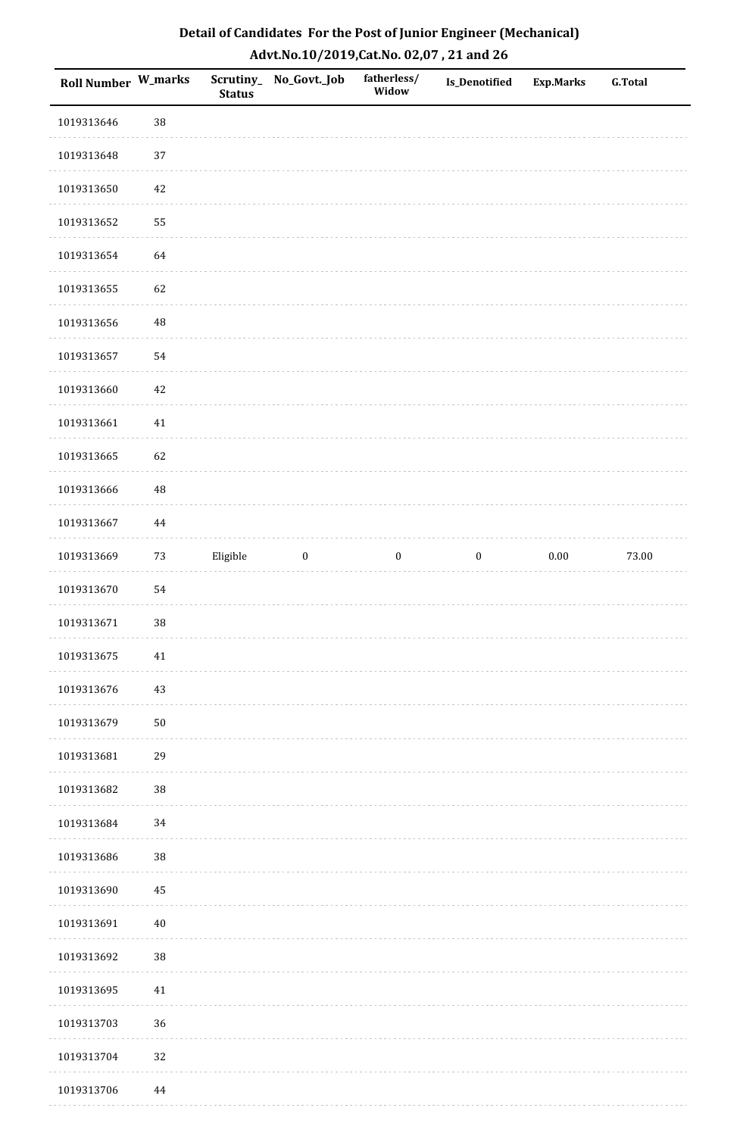| Detail of Candidates For the Post of Junior Engineer (Mechanical) |
|-------------------------------------------------------------------|
| Advt.No.10/2019,Cat.No. 02,07, 21 and 26                          |

| <b>Roll Number W_marks</b> |          | <b>Status</b> | Scrutiny_ No_Govt._Job | fatherless/<br>Widow | <b>Is_Denotified</b> | <b>Exp.Marks</b> | <b>G.Total</b> |
|----------------------------|----------|---------------|------------------------|----------------------|----------------------|------------------|----------------|
| 1019313646                 | 38       |               |                        |                      |                      |                  |                |
| 1019313648                 | 37       |               |                        |                      |                      |                  |                |
| 1019313650                 | 42       |               |                        |                      |                      |                  |                |
| 1019313652                 | 55       |               |                        |                      |                      |                  |                |
| 1019313654                 | 64       |               |                        |                      |                      |                  |                |
| 1019313655                 | 62       |               |                        |                      |                      |                  |                |
| 1019313656                 | $\rm 48$ |               |                        |                      |                      |                  |                |
| 1019313657                 | 54       |               |                        |                      |                      |                  |                |
| 1019313660                 | 42       |               |                        |                      |                      |                  |                |
| 1019313661                 | $41\,$   |               |                        |                      |                      |                  |                |
| 1019313665                 | 62       |               |                        |                      |                      |                  |                |
| 1019313666                 | $\rm 48$ |               |                        |                      |                      |                  |                |
| 1019313667                 | 44       |               |                        |                      |                      |                  |                |
| 1019313669                 | $73\,$   | Eligible      | $\boldsymbol{0}$       | $\boldsymbol{0}$     | $\boldsymbol{0}$     | $0.00\,$         | 73.00          |
| 1019313670                 | 54       |               |                        |                      |                      |                  |                |
| 1019313671                 | $38\,$   |               |                        |                      |                      |                  |                |
| 1019313675                 | $41\,$   |               |                        |                      |                      |                  |                |
| 1019313676                 | 43       |               |                        |                      |                      |                  |                |
| 1019313679                 | 50       |               |                        |                      |                      |                  |                |
| 1019313681                 | 29       |               |                        |                      |                      |                  |                |
| 1019313682                 | $38\,$   |               |                        |                      |                      |                  |                |
| 1019313684                 | 34       |               |                        |                      |                      |                  |                |
| 1019313686                 | 38       |               |                        |                      |                      |                  |                |
| 1019313690                 | 45       |               |                        |                      |                      |                  |                |
| 1019313691                 | $40\,$   |               |                        |                      |                      |                  |                |
| 1019313692                 | 38       |               |                        |                      |                      |                  |                |
| 1019313695                 | $41\,$   |               |                        |                      |                      |                  |                |
| 1019313703                 | 36       |               |                        |                      |                      |                  |                |
| 1019313704                 | 32       |               |                        |                      |                      |                  |                |
| 1019313706                 | 44       |               |                        |                      |                      |                  |                |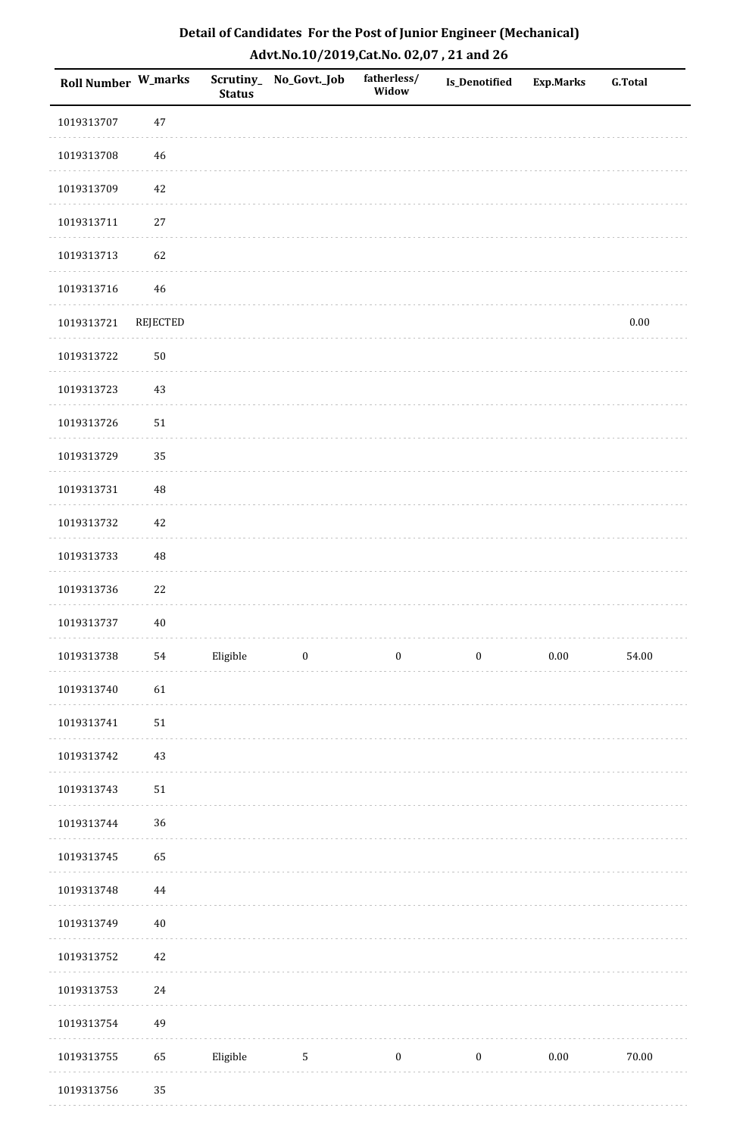| <b>Roll Number W_marks</b> |            | <b>Status</b> | Scrutiny_ No_Govt._Job | fatherless/<br>Widow | Is_Denotified    | <b>Exp.Marks</b> | <b>G.Total</b> |
|----------------------------|------------|---------------|------------------------|----------------------|------------------|------------------|----------------|
| 1019313707                 | $47\,$     |               |                        |                      |                  |                  |                |
| 1019313708                 | $46\,$     |               |                        |                      |                  |                  |                |
| 1019313709                 | 42         |               |                        |                      |                  |                  |                |
| 1019313711                 | $27\,$     |               |                        |                      |                  |                  |                |
| 1019313713                 | 62         |               |                        |                      |                  |                  |                |
| 1019313716                 | 46         |               |                        |                      |                  |                  |                |
| 1019313721                 | REJECTED   |               |                        |                      |                  |                  | $0.00\,$       |
| 1019313722                 | $50\,$     |               |                        |                      |                  |                  |                |
| 1019313723                 | 43         |               |                        |                      |                  |                  |                |
| 1019313726                 | $51\,$     |               |                        |                      |                  |                  |                |
| 1019313729                 | 35         |               |                        |                      |                  |                  |                |
| 1019313731                 | $\rm 48$   |               |                        |                      |                  |                  |                |
| 1019313732                 | $42\,$     |               |                        |                      |                  |                  |                |
| 1019313733                 | $\rm 48$   |               |                        |                      |                  |                  |                |
| 1019313736                 | 22         |               |                        |                      |                  |                  |                |
| 1019313737                 | $40\,$     |               |                        |                      |                  |                  |                |
| 1019313738                 | 54         | Eligible      | $\boldsymbol{0}$       | $\boldsymbol{0}$     | $\boldsymbol{0}$ | $0.00\,$         | 54.00          |
| 1019313740                 | 61         |               |                        |                      |                  |                  |                |
| 1019313741                 | ${\bf 51}$ |               |                        |                      |                  |                  |                |
| 1019313742                 | $43\,$     |               |                        |                      |                  |                  |                |
| 1019313743                 | ${\bf 51}$ |               |                        |                      |                  |                  |                |
| 1019313744                 | 36         |               |                        |                      |                  |                  |                |
| 1019313745                 | 65         |               |                        |                      |                  |                  |                |
| 1019313748                 | 44         |               |                        |                      |                  |                  |                |
| 1019313749                 | $40\,$     |               |                        |                      |                  |                  |                |
| 1019313752                 | $42\,$     |               |                        |                      |                  |                  |                |
| 1019313753                 | $24\,$     |               |                        |                      |                  |                  |                |
| 1019313754                 | 49         |               |                        |                      |                  |                  |                |
| 1019313755                 | 65         | Eligible      | $\sqrt{5}$             | $\boldsymbol{0}$     | $\boldsymbol{0}$ | $0.00\,$         | $70.00\,$      |
| 1019313756                 | 35         |               |                        |                      |                  |                  |                |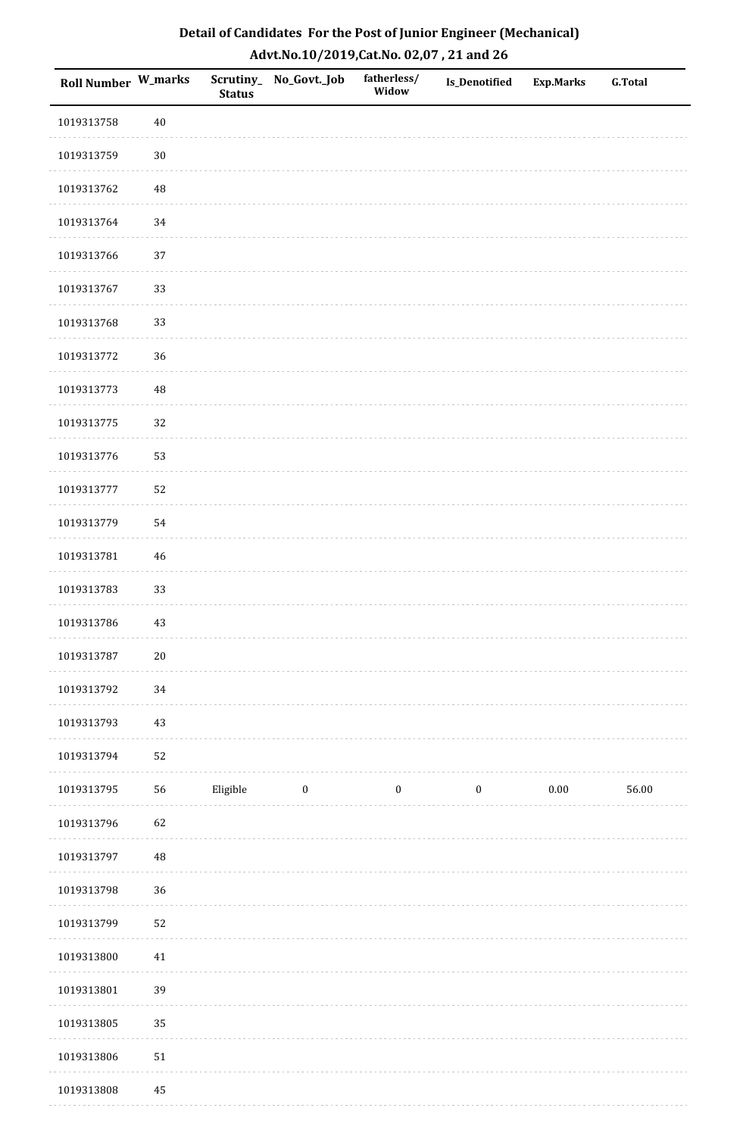| Roll Number W_marks |          | <b>Status</b> | Scrutiny_No_Govt._Job | fatherless/<br>Widow | Is_Denotified    | <b>Exp.Marks</b> | <b>G.Total</b> |
|---------------------|----------|---------------|-----------------------|----------------------|------------------|------------------|----------------|
| 1019313758          | $40\,$   |               |                       |                      |                  |                  |                |
| 1019313759          | $30\,$   |               |                       |                      |                  |                  |                |
| 1019313762          | 48       |               |                       |                      |                  |                  |                |
| 1019313764          | 34       |               |                       |                      |                  |                  |                |
| 1019313766          | 37       |               |                       |                      |                  |                  |                |
| 1019313767          | 33       |               |                       |                      |                  |                  |                |
| 1019313768          | 33       |               |                       |                      |                  |                  |                |
| 1019313772          | 36       |               |                       |                      |                  |                  |                |
| 1019313773          | 48       |               |                       |                      |                  |                  |                |
| 1019313775          | 32       |               |                       |                      |                  |                  |                |
| 1019313776          | 53       |               |                       |                      |                  |                  |                |
| 1019313777          | 52       |               |                       |                      |                  |                  |                |
| 1019313779          | 54       |               |                       |                      |                  |                  |                |
| 1019313781          | $46\,$   |               |                       |                      |                  |                  |                |
| 1019313783          | 33       |               |                       |                      |                  |                  |                |
| 1019313786          | $43\,$   |               |                       |                      |                  |                  |                |
| 1019313787          | $20\,$   |               |                       |                      |                  |                  |                |
| 1019313792          | 34       |               |                       |                      |                  |                  |                |
| 1019313793          | 43       |               |                       |                      |                  |                  |                |
| 1019313794          | 52       |               |                       |                      |                  |                  |                |
| 1019313795          | 56       | Eligible      | $\boldsymbol{0}$      | $\boldsymbol{0}$     | $\boldsymbol{0}$ | $0.00\,$         | 56.00          |
| 1019313796          | 62       |               |                       |                      |                  |                  |                |
| 1019313797          | $\rm 48$ |               |                       |                      |                  |                  |                |
| 1019313798          | 36       |               |                       |                      |                  |                  |                |
| 1019313799          | 52       |               |                       |                      |                  |                  |                |
| 1019313800          | $41\,$   |               |                       |                      |                  |                  |                |
| 1019313801          | 39       |               |                       |                      |                  |                  |                |
| 1019313805          | 35       |               |                       |                      |                  |                  |                |
| 1019313806          | $51\,$   |               |                       |                      |                  |                  |                |
| 1019313808          | 45       |               |                       |                      |                  |                  |                |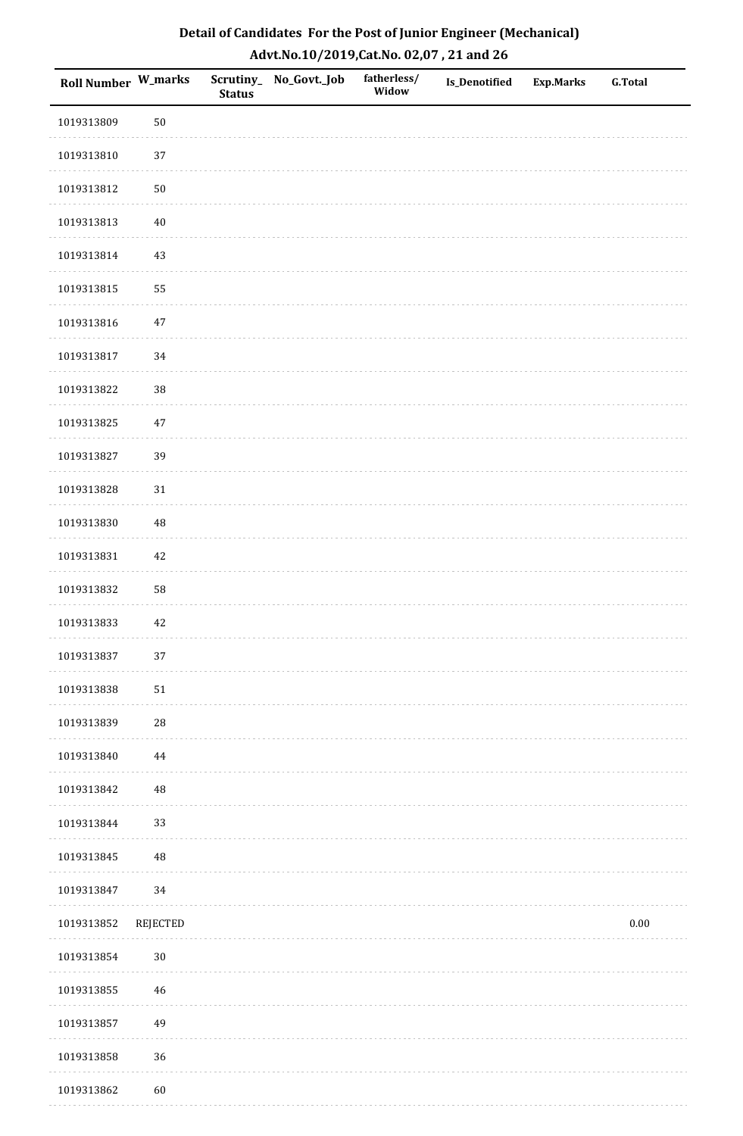| Detail of Candidates For the Post of Junior Engineer (Mechanical) |
|-------------------------------------------------------------------|
| Advt.No.10/2019,Cat.No. 02,07, 21 and 26                          |

| Roll Number W_marks |            | <b>Status</b> | Scrutiny_ No_Govt._Job | fatherless/<br>Widow | Is_Denotified | <b>Exp.Marks</b> | <b>G.Total</b> |
|---------------------|------------|---------------|------------------------|----------------------|---------------|------------------|----------------|
| 1019313809          | $50\,$     |               |                        |                      |               |                  |                |
| 1019313810          | 37         |               |                        |                      |               |                  |                |
| 1019313812          | $50\,$     |               |                        |                      |               |                  |                |
| 1019313813          | $40\,$     |               |                        |                      |               |                  |                |
| 1019313814          | $43\,$     |               |                        |                      |               |                  |                |
| 1019313815          | 55         |               |                        |                      |               |                  |                |
| 1019313816          | $47\,$     |               |                        |                      |               |                  |                |
| 1019313817          | $34\,$     |               |                        |                      |               |                  |                |
| 1019313822          | 38         |               |                        |                      |               |                  |                |
| 1019313825          | $47\,$     |               |                        |                      |               |                  |                |
| 1019313827          | 39         |               |                        |                      |               |                  |                |
| 1019313828          | $31\,$     |               |                        |                      |               |                  |                |
| 1019313830          | 48         |               |                        |                      |               |                  |                |
| 1019313831          | $42\,$     |               |                        |                      |               |                  |                |
| 1019313832          | 58         |               |                        |                      |               |                  |                |
| 1019313833          | $42\,$     |               |                        |                      |               |                  |                |
| 1019313837          | 37         |               |                        |                      |               |                  |                |
| 1019313838          | 51         |               |                        |                      |               |                  |                |
| 1019313839          | ${\bf 28}$ |               |                        |                      |               |                  |                |
| 1019313840          | $\bf 44$   |               |                        |                      |               |                  |                |
| 1019313842          | 48         |               |                        |                      |               |                  |                |
| 1019313844          | 33         |               |                        |                      |               |                  |                |
| 1019313845          | $\rm 48$   |               |                        |                      |               |                  |                |
| 1019313847          | 34         |               |                        |                      |               |                  |                |
| 1019313852          | REJECTED   |               |                        |                      |               |                  | $0.00\,$       |
| 1019313854          | $30\,$     |               |                        |                      |               |                  |                |
| 1019313855          | $46\,$     |               |                        |                      |               |                  |                |
| 1019313857          | 49         |               |                        |                      |               |                  |                |
| 1019313858          | $36\,$     |               |                        |                      |               |                  |                |
| 1019313862          | 60         |               |                        |                      |               |                  |                |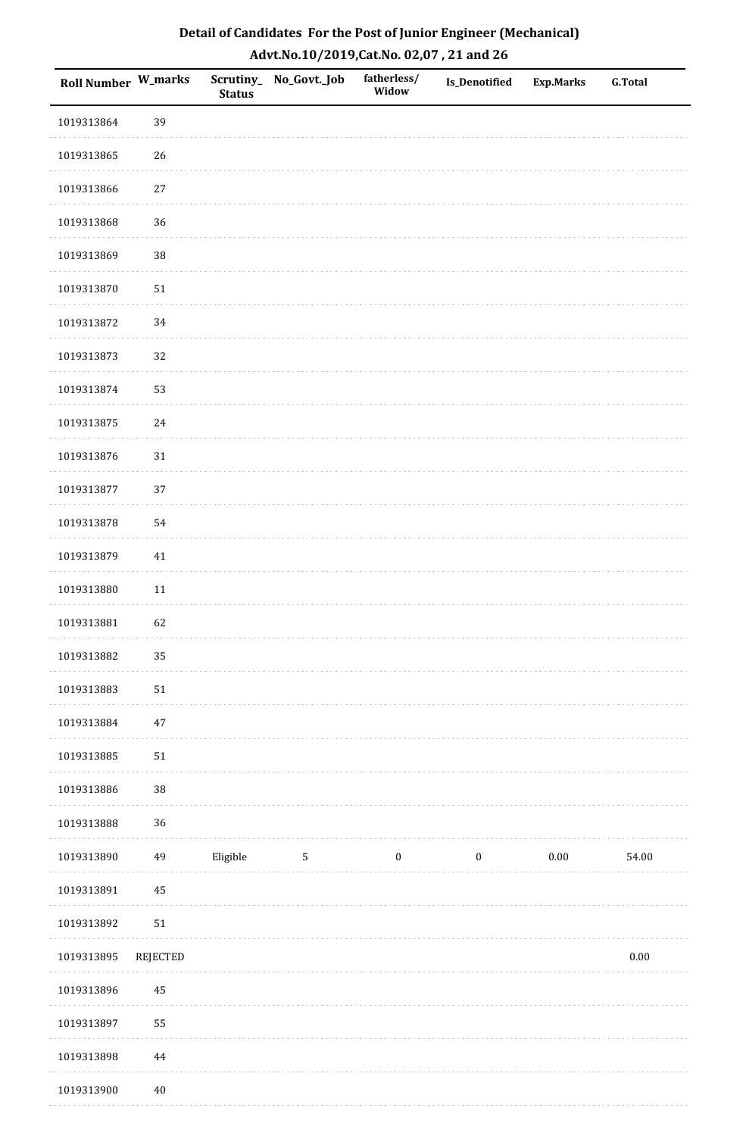| Detail of Candidates For the Post of Junior Engineer (Mechanical) |
|-------------------------------------------------------------------|
| Advt.No.10/2019,Cat.No. 02,07, 21 and 26                          |

| Roll Number W_marks |          | <b>Status</b> | Scrutiny_ No_Govt._Job | fatherless/<br>Widow | <b>Is_Denotified</b> | Exp.Marks | <b>G.Total</b> |
|---------------------|----------|---------------|------------------------|----------------------|----------------------|-----------|----------------|
| 1019313864          | 39       |               |                        |                      |                      |           |                |
| 1019313865          | 26       |               |                        |                      |                      |           |                |
| 1019313866          | $27\,$   |               |                        |                      |                      |           |                |
| 1019313868          | 36       |               |                        |                      |                      |           |                |
| 1019313869          | 38       |               |                        |                      |                      |           |                |
| 1019313870          | 51       |               |                        |                      |                      |           |                |
| 1019313872          | 34       |               |                        |                      |                      |           |                |
| 1019313873          | 32       |               |                        |                      |                      |           |                |
| 1019313874          | 53       |               |                        |                      |                      |           |                |
| 1019313875          | 24       |               |                        |                      |                      |           |                |
| 1019313876          | 31       |               |                        |                      |                      |           |                |
| 1019313877          | 37       |               |                        |                      |                      |           |                |
| 1019313878          | 54       |               |                        |                      |                      |           |                |
| 1019313879          | 41       |               |                        |                      |                      |           |                |
| 1019313880          | $11\,$   |               |                        |                      |                      |           |                |
| 1019313881          | 62       |               |                        |                      |                      |           |                |
| 1019313882          | 35       |               |                        |                      |                      |           |                |
| 1019313883          | 51       |               |                        |                      |                      |           |                |
| 1019313884          | $47\,$   |               |                        |                      |                      |           |                |
| 1019313885          | $51\,$   |               |                        |                      |                      |           |                |
| 1019313886          | 38       |               |                        |                      |                      |           |                |
| 1019313888          | 36       |               |                        |                      |                      |           |                |
| 1019313890          | 49       | Eligible      | $\mathbf{5}$           | $\boldsymbol{0}$     | $\boldsymbol{0}$     | $0.00\,$  | 54.00          |
| 1019313891          | 45       |               |                        |                      |                      |           |                |
| 1019313892          | $51\,$   |               |                        |                      |                      |           |                |
| 1019313895          | REJECTED |               |                        |                      |                      |           | $0.00\,$       |
| 1019313896          | 45       |               |                        |                      |                      |           |                |
| 1019313897          | 55       |               |                        |                      |                      |           |                |
| 1019313898          | 44       |               |                        |                      |                      |           |                |
| 1019313900          | $40\,$   |               |                        |                      |                      |           |                |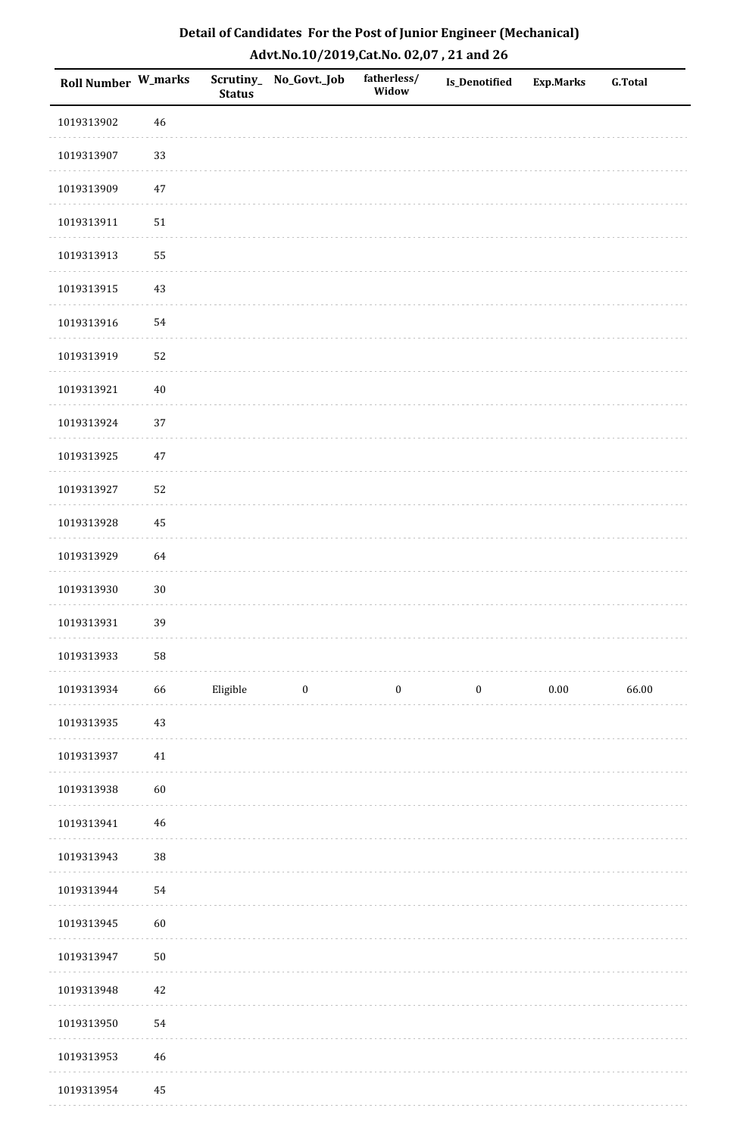| Detail of Candidates For the Post of Junior Engineer (Mechanical) |
|-------------------------------------------------------------------|
| Advt.No.10/2019,Cat.No. 02,07, 21 and 26                          |

| Roll Number W_marks |            | <b>Status</b> | Scrutiny_ No_Govt._Job | fatherless/<br>Widow | Is_Denotified    | <b>Exp.Marks</b> | <b>G.Total</b> |
|---------------------|------------|---------------|------------------------|----------------------|------------------|------------------|----------------|
| 1019313902          | 46         |               |                        |                      |                  |                  |                |
| 1019313907          | 33         |               |                        |                      |                  |                  |                |
| 1019313909          | $47\,$     |               |                        |                      |                  |                  |                |
| 1019313911          | 51         |               |                        |                      |                  |                  |                |
| 1019313913          | 55         |               |                        |                      |                  |                  |                |
| 1019313915          | 43         |               |                        |                      |                  |                  |                |
| 1019313916          | 54         |               |                        |                      |                  |                  |                |
| 1019313919          | 52         |               |                        |                      |                  |                  |                |
| 1019313921          | $40\,$     |               |                        |                      |                  |                  |                |
| 1019313924          | 37         |               |                        |                      |                  |                  |                |
| 1019313925          | $47\,$     |               |                        |                      |                  |                  |                |
| 1019313927          | 52         |               |                        |                      |                  |                  |                |
| 1019313928          | 45         |               |                        |                      |                  |                  |                |
| 1019313929          | 64         |               |                        |                      |                  |                  |                |
| 1019313930          | $30\,$     |               |                        |                      |                  |                  |                |
| 1019313931          | 39         |               |                        |                      |                  |                  |                |
| 1019313933          | 58         |               |                        |                      |                  |                  |                |
| 1019313934          | 66         | Eligible      | $\boldsymbol{0}$       | $\boldsymbol{0}$     | $\boldsymbol{0}$ | $0.00\,$         | 66.00          |
| 1019313935          | $43\,$     |               |                        |                      |                  |                  |                |
| 1019313937          | $41\,$     |               |                        |                      |                  |                  |                |
| 1019313938          | 60         |               |                        |                      |                  |                  |                |
| 1019313941          | 46         |               |                        |                      |                  |                  |                |
| 1019313943          | $38\,$     |               |                        |                      |                  |                  |                |
| 1019313944          | 54         |               |                        |                      |                  |                  |                |
| 1019313945          | 60         |               |                        |                      |                  |                  |                |
| 1019313947          | ${\bf 50}$ |               |                        |                      |                  |                  |                |
| 1019313948          | 42         |               |                        |                      |                  |                  |                |
| 1019313950          | 54         |               |                        |                      |                  |                  |                |
| 1019313953          | 46         |               |                        |                      |                  |                  |                |
| 1019313954          | 45         |               |                        |                      |                  |                  |                |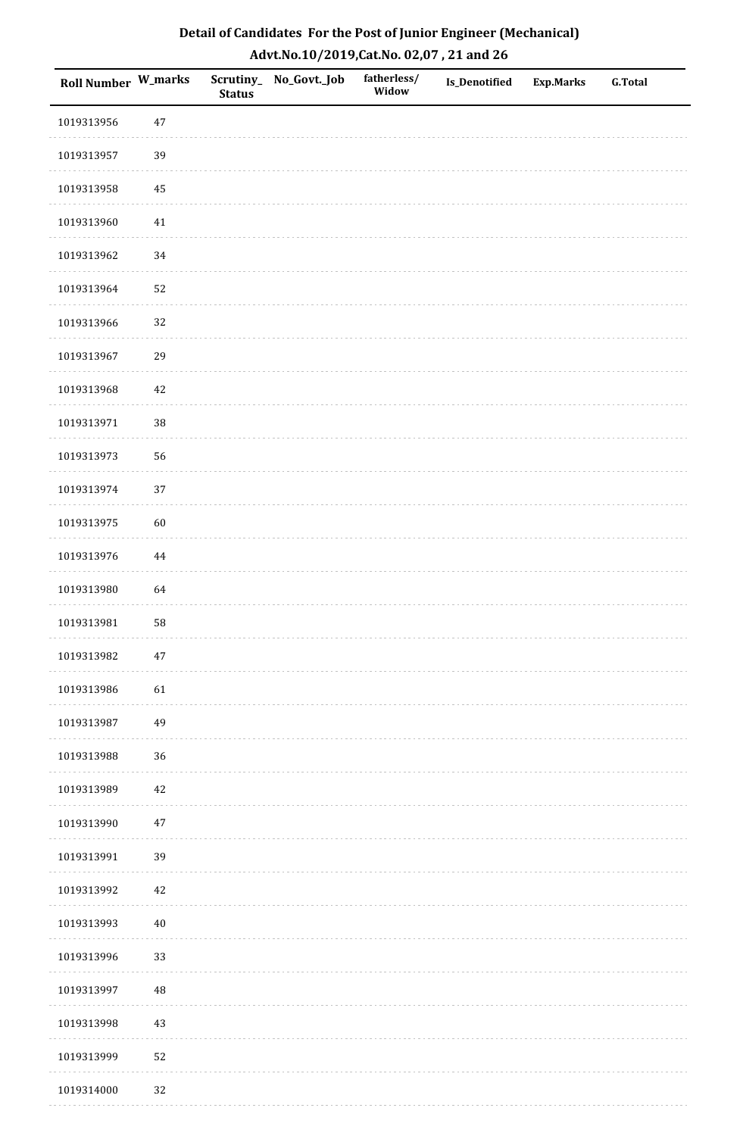| Detail of Candidates For the Post of Junior Engineer (Mechanical) |
|-------------------------------------------------------------------|
| Advt.No.10/2019,Cat.No. 02,07, 21 and 26                          |

| <b>Roll Number W_marks</b> |          | <b>Status</b> | Scrutiny_ No_Govt._Job | fatherless/<br>Widow | Is_Denotified | <b>Exp.Marks</b> | <b>G.Total</b> |
|----------------------------|----------|---------------|------------------------|----------------------|---------------|------------------|----------------|
| 1019313956                 | $47\,$   |               |                        |                      |               |                  |                |
| 1019313957                 | 39       |               |                        |                      |               |                  |                |
| 1019313958                 | 45       |               |                        |                      |               |                  |                |
| 1019313960                 | $41\,$   |               |                        |                      |               |                  |                |
| 1019313962                 | 34       |               |                        |                      |               |                  |                |
| 1019313964                 | 52       |               |                        |                      |               |                  |                |
| 1019313966                 | 32       |               |                        |                      |               |                  |                |
| 1019313967                 | 29       |               |                        |                      |               |                  |                |
| 1019313968                 | 42       |               |                        |                      |               |                  |                |
| 1019313971                 | $38\,$   |               |                        |                      |               |                  |                |
| 1019313973                 | 56       |               |                        |                      |               |                  |                |
| 1019313974                 | 37       |               |                        |                      |               |                  |                |
| 1019313975                 | 60       |               |                        |                      |               |                  |                |
| 1019313976                 | $\bf 44$ |               |                        |                      |               |                  |                |
| 1019313980                 | 64       |               |                        |                      |               |                  |                |
| 1019313981                 | 58       |               |                        |                      |               |                  |                |
| 1019313982                 | $47\,$   |               |                        |                      |               |                  |                |
| 1019313986                 | 61       |               |                        |                      |               |                  |                |
| 1019313987                 | 49       |               |                        |                      |               |                  |                |
| 1019313988                 | $36\,$   |               |                        |                      |               |                  |                |
| 1019313989                 | 42       |               |                        |                      |               |                  |                |
| 1019313990                 | $47\,$   |               |                        |                      |               |                  |                |
| 1019313991                 | 39       |               |                        |                      |               |                  |                |
| 1019313992                 | 42       |               |                        |                      |               |                  |                |
| 1019313993                 | $40\,$   |               |                        |                      |               |                  |                |
| 1019313996                 | 33       |               |                        |                      |               |                  |                |
| 1019313997                 | $\rm 48$ |               |                        |                      |               |                  |                |
| 1019313998                 | $43\,$   |               |                        |                      |               |                  |                |
| 1019313999                 | 52       |               |                        |                      |               |                  |                |
| 1019314000                 | 32       |               |                        |                      |               |                  |                |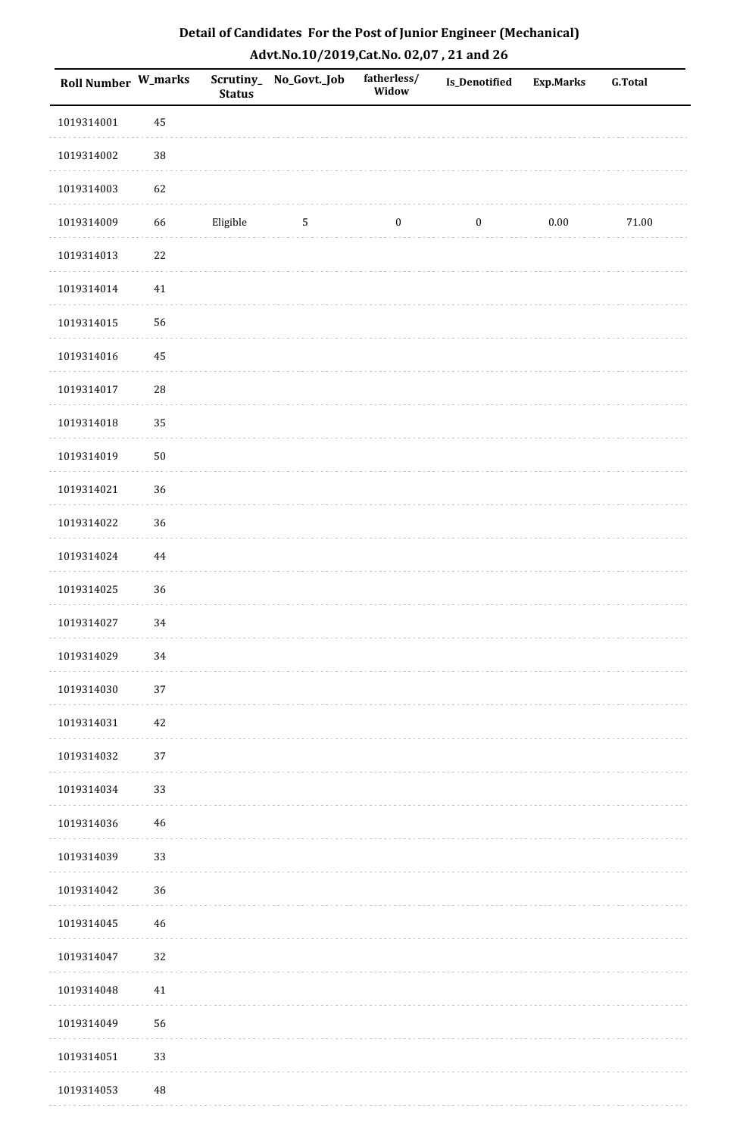| Detail of Candidates For the Post of Junior Engineer (Mechanical) |
|-------------------------------------------------------------------|
| Advt.No.10/2019,Cat.No. 02,07, 21 and 26                          |

| Roll Number W_marks |             | <b>Status</b> | Scrutiny_ No_Govt._Job | fatherless/<br>Widow | <b>Is_Denotified</b> | <b>Exp.Marks</b> | <b>G.Total</b> |
|---------------------|-------------|---------------|------------------------|----------------------|----------------------|------------------|----------------|
| 1019314001          | 45          |               |                        |                      |                      |                  |                |
| 1019314002          | $38\,$      |               |                        |                      |                      |                  |                |
| 1019314003          | 62          |               |                        |                      |                      |                  |                |
| 1019314009          | 66          | Eligible      | $\mathbf{5}$           | $\boldsymbol{0}$     | $\boldsymbol{0}$     | $0.00\,$         | $71.00\,$      |
| 1019314013          | $22\,$      |               |                        |                      |                      |                  |                |
| 1019314014          | $41\,$      |               |                        |                      |                      |                  |                |
| 1019314015          | 56          |               |                        |                      |                      |                  |                |
| 1019314016          | 45          |               |                        |                      |                      |                  |                |
| 1019314017          | ${\bf 28}$  |               |                        |                      |                      |                  |                |
| 1019314018          | 35          |               |                        |                      |                      |                  |                |
| 1019314019          | $50\,$      |               |                        |                      |                      |                  |                |
| 1019314021          | 36          |               |                        |                      |                      |                  |                |
| 1019314022          | 36          |               |                        |                      |                      |                  |                |
| 1019314024          | 44          |               |                        |                      |                      |                  |                |
| 1019314025          | 36          |               |                        |                      |                      |                  |                |
| 1019314027          | 34          |               |                        |                      |                      |                  |                |
| 1019314029          | $34\,$      |               |                        |                      |                      |                  |                |
| 1019314030          | 37          |               |                        |                      |                      |                  |                |
| 1019314031          | $42\,$      |               |                        |                      |                      |                  |                |
| 1019314032          | $37\,$      |               |                        |                      |                      |                  |                |
| 1019314034          | 33          |               |                        |                      |                      |                  |                |
| 1019314036          | $\sqrt{46}$ |               |                        |                      |                      |                  |                |
| 1019314039          | 33          |               |                        |                      |                      |                  |                |
| 1019314042          | 36          |               |                        |                      |                      |                  |                |
| 1019314045          | 46          |               |                        |                      |                      |                  |                |
| 1019314047          | 32          |               |                        |                      |                      |                  |                |
| 1019314048          | $41\,$      |               |                        |                      |                      |                  |                |
| 1019314049          | 56          |               |                        |                      |                      |                  |                |
| 1019314051          | 33          |               |                        |                      |                      |                  |                |
| 1019314053          | $\rm 48$    |               |                        |                      |                      |                  |                |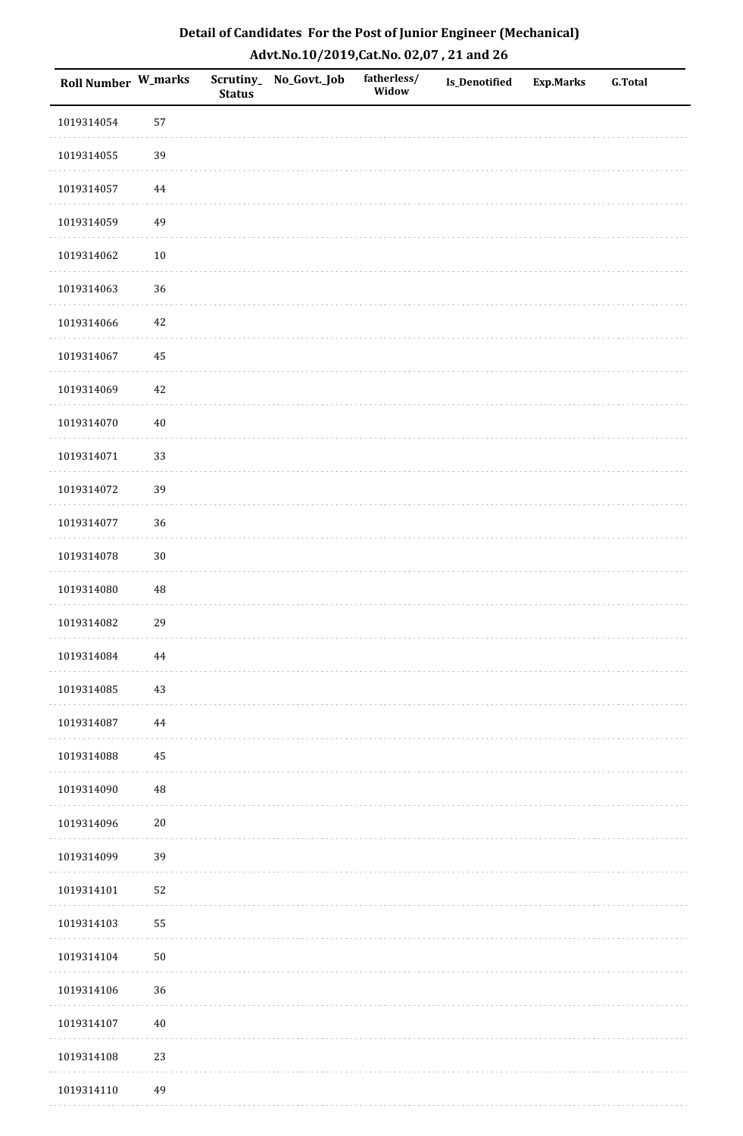| <b>Roll Number W_marks</b> |          | <b>Status</b> | Scrutiny_No_Govt._Job | fatherless/<br>Widow | Is_Denotified | <b>Exp.Marks</b> | <b>G.Total</b> |
|----------------------------|----------|---------------|-----------------------|----------------------|---------------|------------------|----------------|
| 1019314054                 | 57       |               |                       |                      |               |                  |                |
| 1019314055                 | 39       |               |                       |                      |               |                  |                |
| 1019314057                 | 44       |               |                       |                      |               |                  |                |
| 1019314059                 | 49       |               |                       |                      |               |                  |                |
| 1019314062                 | $10\,$   |               |                       |                      |               |                  |                |
| 1019314063                 | 36       |               |                       |                      |               |                  |                |
| 1019314066                 | $42\,$   |               |                       |                      |               |                  |                |
| 1019314067                 | 45       |               |                       |                      |               |                  |                |
| 1019314069                 | 42       |               |                       |                      |               |                  |                |
| 1019314070                 | $40\,$   |               |                       |                      |               |                  |                |
| 1019314071                 | 33       |               |                       |                      |               |                  |                |
| 1019314072                 | 39       |               |                       |                      |               |                  |                |
| 1019314077                 | 36       |               |                       |                      |               |                  |                |
| 1019314078                 | $30\,$   |               |                       |                      |               |                  |                |
| 1019314080                 | $\rm 48$ |               |                       |                      |               |                  |                |
| 1019314082                 | 29       |               |                       |                      |               |                  |                |
| 1019314084                 | $\bf 44$ |               |                       |                      |               |                  |                |
| 1019314085                 | 43       |               |                       |                      |               |                  |                |
| 1019314087                 | 44       |               |                       |                      |               |                  |                |
| 1019314088                 | 45       |               |                       |                      |               |                  |                |
| 1019314090                 | 48       |               |                       |                      |               |                  |                |
| 1019314096                 | $20\,$   |               |                       |                      |               |                  |                |
| 1019314099                 | 39       |               |                       |                      |               |                  |                |
| 1019314101                 | 52       |               |                       |                      |               |                  |                |
| 1019314103                 | 55       |               |                       |                      |               |                  |                |
| 1019314104                 | $50\,$   |               |                       |                      |               |                  |                |
| 1019314106                 | 36       |               |                       |                      |               |                  |                |
| 1019314107                 | $40\,$   |               |                       |                      |               |                  |                |
| 1019314108                 | 23       |               |                       |                      |               |                  |                |
| 1019314110                 | 49       |               |                       |                      |               |                  |                |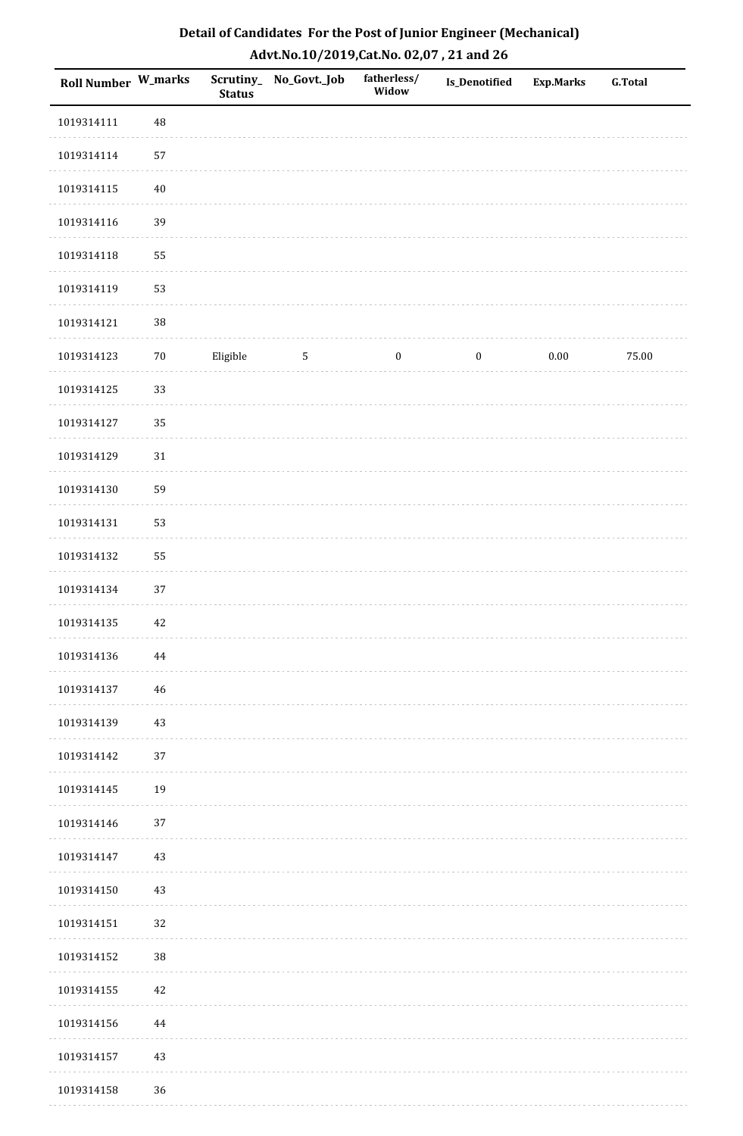| Roll Number W_marks |        | <b>Status</b> | Scrutiny_No_Govt._Job | fatherless/<br>Widow | Is_Denotified    | <b>Exp.Marks</b> | <b>G.Total</b> |
|---------------------|--------|---------------|-----------------------|----------------------|------------------|------------------|----------------|
| 1019314111          | 48     |               |                       |                      |                  |                  |                |
| 1019314114          | 57     |               |                       |                      |                  |                  |                |
| 1019314115          | $40\,$ |               |                       |                      |                  |                  |                |
| 1019314116          | 39     |               |                       |                      |                  |                  |                |
| 1019314118          | 55     |               |                       |                      |                  |                  |                |
| 1019314119          | 53     |               |                       |                      |                  |                  |                |
| 1019314121          | $38\,$ |               |                       |                      |                  |                  |                |
| 1019314123          | $70\,$ | Eligible      | $\sqrt{5}$            | $\boldsymbol{0}$     | $\boldsymbol{0}$ | 0.00             | 75.00          |
| 1019314125          | 33     |               |                       |                      |                  |                  |                |
| 1019314127          | 35     |               |                       |                      |                  |                  |                |
| 1019314129          | $31\,$ |               |                       |                      |                  |                  |                |
| 1019314130          | 59     |               |                       |                      |                  |                  |                |
| 1019314131          | 53     |               |                       |                      |                  |                  |                |
| 1019314132          | 55     |               |                       |                      |                  |                  |                |
| 1019314134          | 37     |               |                       |                      |                  |                  |                |
| 1019314135          | $42\,$ |               |                       |                      |                  |                  |                |
| 1019314136          | 44     |               |                       |                      |                  |                  |                |
| 1019314137          | 46     |               |                       |                      |                  |                  |                |
| 1019314139          | 43     |               |                       |                      |                  |                  |                |
| 1019314142          | 37     |               |                       |                      |                  |                  |                |
| 1019314145          | 19     |               |                       |                      |                  |                  |                |
| 1019314146          | 37     |               |                       |                      |                  |                  |                |
| 1019314147          | 43     |               |                       |                      |                  |                  |                |
| 1019314150          | 43     |               |                       |                      |                  |                  |                |
| 1019314151          | 32     |               |                       |                      |                  |                  |                |
| 1019314152          | 38     |               |                       |                      |                  |                  |                |
| 1019314155          | 42     |               |                       |                      |                  |                  |                |
| 1019314156          | 44     |               |                       |                      |                  |                  |                |
| 1019314157          | $43\,$ |               |                       |                      |                  |                  |                |
| 1019314158          | 36     |               |                       |                      |                  |                  |                |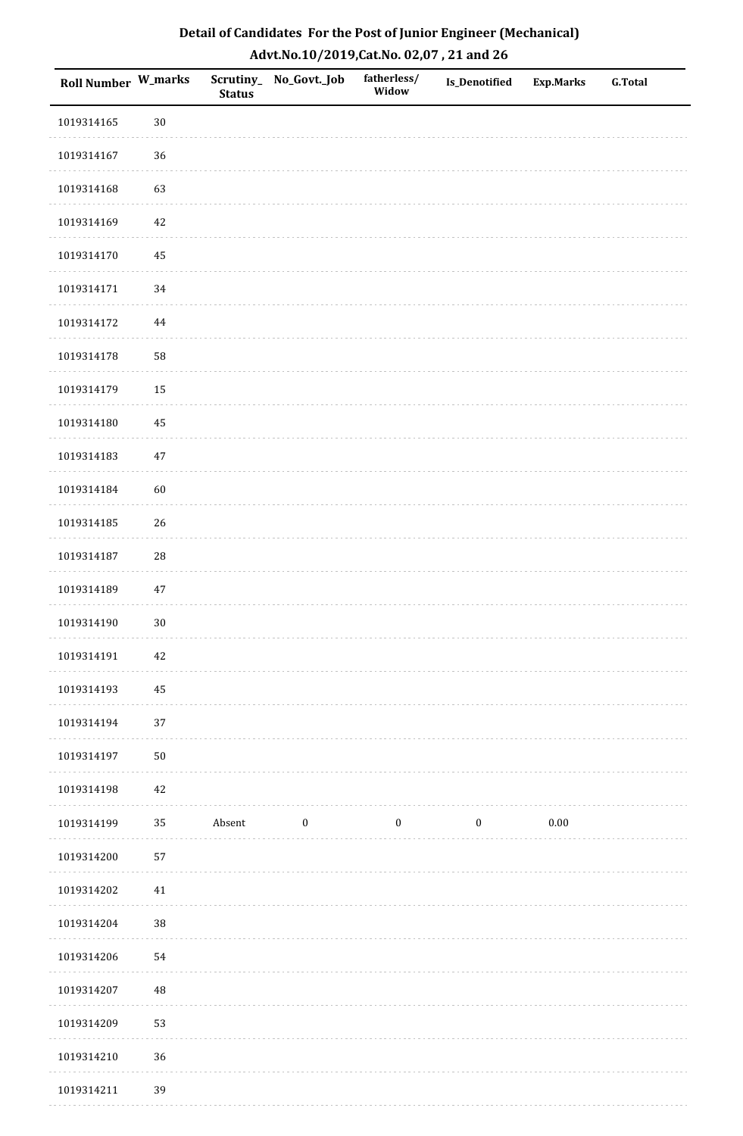| Roll Number W_marks |            | <b>Status</b> | Scrutiny_No_Govt._Job | fatherless/<br>Widow | Is_Denotified    | Exp.Marks | <b>G.Total</b> |
|---------------------|------------|---------------|-----------------------|----------------------|------------------|-----------|----------------|
| 1019314165          | $30\,$     |               |                       |                      |                  |           |                |
| 1019314167          | 36         |               |                       |                      |                  |           |                |
| 1019314168          | 63         |               |                       |                      |                  |           |                |
| 1019314169          | 42         |               |                       |                      |                  |           |                |
| 1019314170          | $\bf 45$   |               |                       |                      |                  |           |                |
| 1019314171          | 34         |               |                       |                      |                  |           |                |
| 1019314172          | $\bf 44$   |               |                       |                      |                  |           |                |
| 1019314178          | 58         |               |                       |                      |                  |           |                |
| 1019314179          | 15         |               |                       |                      |                  |           |                |
| 1019314180          | $\bf 45$   |               |                       |                      |                  |           |                |
| 1019314183          | $47\,$     |               |                       |                      |                  |           |                |
| 1019314184          | 60         |               |                       |                      |                  |           |                |
| 1019314185          | 26         |               |                       |                      |                  |           |                |
| 1019314187          | 28         |               |                       |                      |                  |           |                |
| 1019314189          | $47\,$     |               |                       |                      |                  |           |                |
| 1019314190          | $30\,$     |               |                       |                      |                  |           |                |
| 1019314191          | $42\,$     |               |                       |                      |                  |           |                |
| 1019314193          | 45         |               |                       |                      |                  |           |                |
| 1019314194          | 37         |               |                       |                      |                  |           |                |
| 1019314197          | ${\bf 50}$ |               |                       |                      |                  |           |                |
| 1019314198          | 42         |               |                       |                      |                  |           |                |
| 1019314199          | 35         | Absent        | $\bf{0}$              | $\bf{0}$             | $\boldsymbol{0}$ | $0.00\,$  |                |
| 1019314200          | 57         |               |                       |                      |                  |           |                |
| 1019314202          | 41         |               |                       |                      |                  |           |                |
| 1019314204          | $38\,$     |               |                       |                      |                  |           |                |
| 1019314206          | 54         |               |                       |                      |                  |           |                |
| 1019314207          | 48         |               |                       |                      |                  |           |                |
| 1019314209          | 53         |               |                       |                      |                  |           |                |
| 1019314210          | 36         |               |                       |                      |                  |           |                |
| 1019314211          | 39         |               |                       |                      |                  |           |                |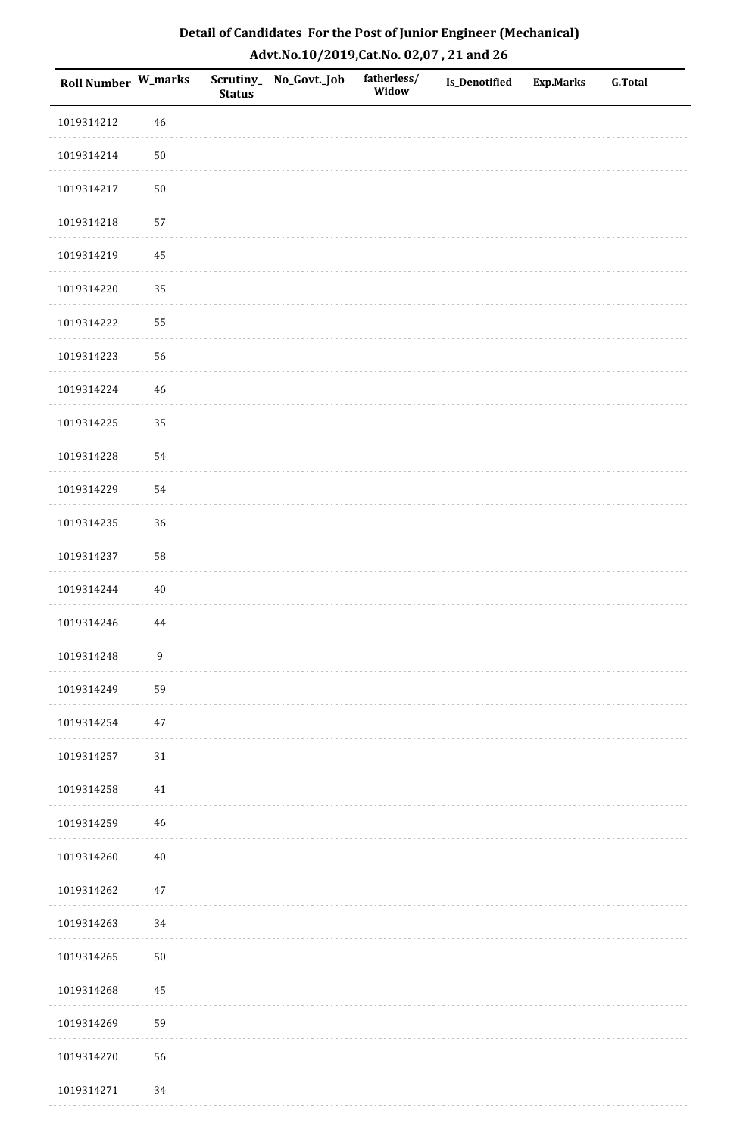| Roll Number W_marks |                  | <b>Status</b> | Scrutiny_No_Govt._Job | fatherless/<br>Widow | Is_Denotified | <b>Exp.Marks</b> | <b>G.Total</b> |
|---------------------|------------------|---------------|-----------------------|----------------------|---------------|------------------|----------------|
| 1019314212          | 46               |               |                       |                      |               |                  |                |
| 1019314214          | $50\,$           |               |                       |                      |               |                  |                |
| 1019314217          | $50\,$           |               |                       |                      |               |                  |                |
| 1019314218          | 57               |               |                       |                      |               |                  |                |
| 1019314219          | 45               |               |                       |                      |               |                  |                |
| 1019314220          | 35               |               |                       |                      |               |                  |                |
| 1019314222          | 55               |               |                       |                      |               |                  |                |
| 1019314223          | 56               |               |                       |                      |               |                  |                |
| 1019314224          | 46               |               |                       |                      |               |                  |                |
| 1019314225          | 35               |               |                       |                      |               |                  |                |
| 1019314228          | 54               |               |                       |                      |               |                  |                |
| 1019314229          | 54               |               |                       |                      |               |                  |                |
| 1019314235          | 36               |               |                       |                      |               |                  |                |
| 1019314237          | 58               |               |                       |                      |               |                  |                |
| 1019314244          | $40\,$           |               |                       |                      |               |                  |                |
| 1019314246          | 44               |               |                       |                      |               |                  |                |
| 1019314248          | $\boldsymbol{9}$ |               |                       |                      |               |                  |                |
| 1019314249          | 59               |               |                       |                      |               |                  |                |
| 1019314254          | $47\,$           |               |                       |                      |               |                  |                |
| 1019314257          | $31\,$           |               |                       |                      |               |                  |                |
| 1019314258          | 41               |               |                       |                      |               |                  |                |
| 1019314259          | 46               |               |                       |                      |               |                  |                |
| 1019314260          | $40\,$           |               |                       |                      |               |                  |                |
| 1019314262          | $47\,$           |               |                       |                      |               |                  |                |
| 1019314263          | 34               |               |                       |                      |               |                  |                |
| 1019314265          | $50\,$           |               |                       |                      |               |                  |                |
| 1019314268          | 45               |               |                       |                      |               |                  |                |
| 1019314269          | 59               |               |                       |                      |               |                  |                |
| 1019314270          | 56               |               |                       |                      |               |                  |                |
| 1019314271          | 34               |               |                       |                      |               |                  |                |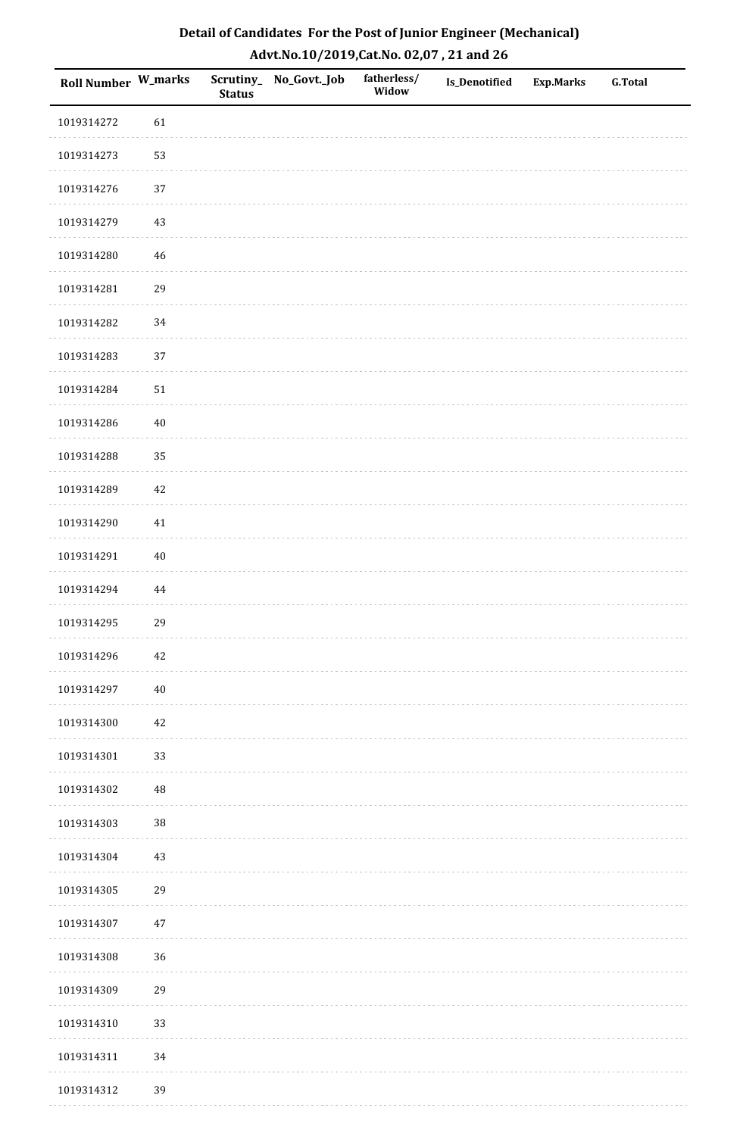| Detail of Candidates For the Post of Junior Engineer (Mechanical) |
|-------------------------------------------------------------------|
| Advt.No.10/2019,Cat.No. 02,07, 21 and 26                          |

| Roll Number W_marks |          | <b>Status</b> | Scrutiny_ No_Govt._Job | fatherless/<br>Widow | <b>Is_Denotified</b> | <b>Exp.Marks</b> | <b>G.Total</b> |
|---------------------|----------|---------------|------------------------|----------------------|----------------------|------------------|----------------|
| 1019314272          | 61       |               |                        |                      |                      |                  |                |
| 1019314273          | 53       |               |                        |                      |                      |                  |                |
| 1019314276          | 37       |               |                        |                      |                      |                  |                |
| 1019314279          | 43       |               |                        |                      |                      |                  |                |
| 1019314280          | 46       |               |                        |                      |                      |                  |                |
| 1019314281          | 29       |               |                        |                      |                      |                  |                |
| 1019314282          | 34       |               |                        |                      |                      |                  |                |
| 1019314283          | 37       |               |                        |                      |                      |                  |                |
| 1019314284          | $51\,$   |               |                        |                      |                      |                  |                |
| 1019314286          | 40       |               |                        |                      |                      |                  |                |
| 1019314288          | 35       |               |                        |                      |                      |                  |                |
| 1019314289          | 42       |               |                        |                      |                      |                  |                |
| 1019314290          | 41       |               |                        |                      |                      |                  |                |
| 1019314291          | $40\,$   |               |                        |                      |                      |                  |                |
| 1019314294          | 44       |               |                        |                      |                      |                  |                |
| 1019314295          | 29       |               |                        |                      |                      |                  |                |
| 1019314296          | $42\,$   |               |                        |                      |                      |                  |                |
| 1019314297          | $40\,$   |               |                        |                      |                      |                  |                |
| 1019314300          | 42       |               |                        |                      |                      |                  |                |
| 1019314301          | 33       |               |                        |                      |                      |                  |                |
| 1019314302          | $\rm 48$ |               |                        |                      |                      |                  |                |
| 1019314303          | $38\,$   |               |                        |                      |                      |                  |                |
| 1019314304          | $43\,$   |               |                        |                      |                      |                  |                |
| 1019314305          | 29       |               |                        |                      |                      |                  |                |
| 1019314307          | 47       |               |                        |                      |                      |                  |                |
| 1019314308          | 36       |               |                        |                      |                      |                  |                |
| 1019314309          | 29       |               |                        |                      |                      |                  |                |
| 1019314310          | 33       |               |                        |                      |                      |                  |                |
| 1019314311          | 34       |               |                        |                      |                      |                  |                |
| 1019314312          | 39       |               |                        |                      |                      |                  |                |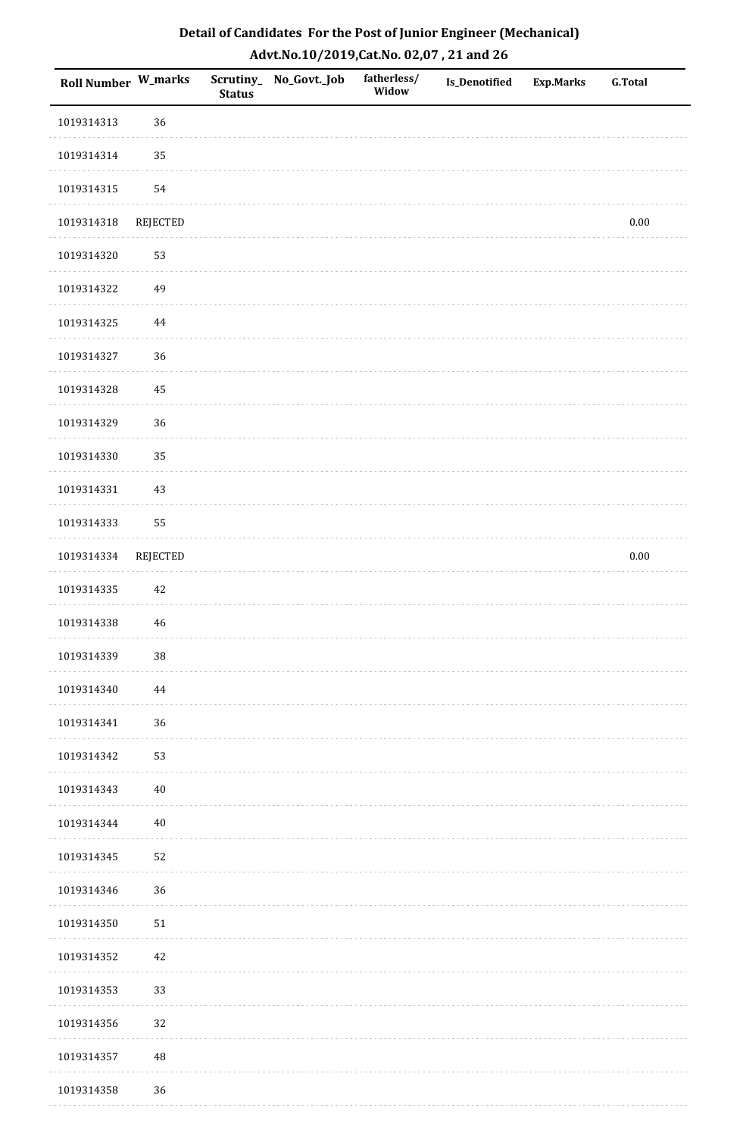| <b>Roll Number W_marks</b> |                 | <b>Status</b> | Scrutiny_ No_Govt._Job | fatherless/<br>Widow | Is_Denotified | <b>Exp.Marks</b> | <b>G.Total</b> |
|----------------------------|-----------------|---------------|------------------------|----------------------|---------------|------------------|----------------|
| 1019314313                 | 36              |               |                        |                      |               |                  |                |
| 1019314314                 | 35              |               |                        |                      |               |                  |                |
| 1019314315                 | 54              |               |                        |                      |               |                  |                |
| 1019314318                 | REJECTED        |               |                        |                      |               |                  | $0.00\,$       |
| 1019314320                 | 53              |               |                        |                      |               |                  |                |
| 1019314322                 | 49              |               |                        |                      |               |                  |                |
| 1019314325                 | 44              |               |                        |                      |               |                  |                |
| 1019314327                 | 36              |               |                        |                      |               |                  |                |
| 1019314328                 | 45              |               |                        |                      |               |                  |                |
| 1019314329                 | 36              |               |                        |                      |               |                  |                |
| 1019314330                 | 35              |               |                        |                      |               |                  |                |
| 1019314331                 | 43              |               |                        |                      |               |                  |                |
| 1019314333                 | 55              |               |                        |                      |               |                  |                |
| 1019314334                 | <b>REJECTED</b> |               |                        |                      |               |                  | $0.00\,$       |
| 1019314335                 | 42              |               |                        |                      |               |                  |                |
| 1019314338                 | 46              |               |                        |                      |               |                  |                |
| 1019314339                 | $38\,$          |               |                        |                      |               |                  |                |
| 1019314340                 | 44              |               |                        |                      |               |                  |                |
| 1019314341                 | 36              |               |                        |                      |               |                  |                |
| 1019314342                 | 53              |               |                        |                      |               |                  |                |
| 1019314343                 | 40              |               |                        |                      |               |                  |                |
| 1019314344                 | 40              |               |                        |                      |               |                  |                |
| 1019314345                 | 52              |               |                        |                      |               |                  |                |
| 1019314346                 | 36              |               |                        |                      |               |                  |                |
| 1019314350                 | 51              |               |                        |                      |               |                  |                |
| 1019314352                 | 42              |               |                        |                      |               |                  |                |
| 1019314353                 | 33              |               |                        |                      |               |                  |                |
| 1019314356                 | 32              |               |                        |                      |               |                  |                |
| 1019314357                 | $\rm 48$        |               |                        |                      |               |                  |                |
| 1019314358                 | 36              |               |                        |                      |               |                  |                |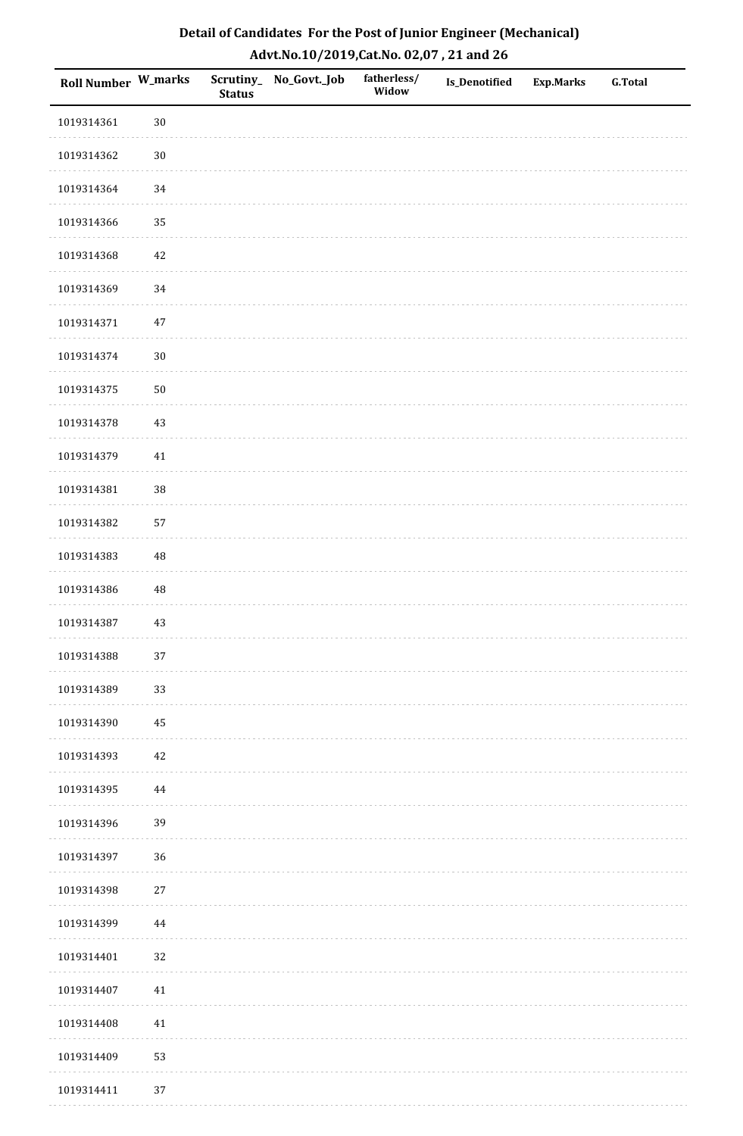| <b>Roll Number W_marks</b> |          | <b>Status</b> | Scrutiny_No_Govt._Job | fatherless/<br>Widow | Is_Denotified | <b>Exp.Marks</b> | <b>G.Total</b> |
|----------------------------|----------|---------------|-----------------------|----------------------|---------------|------------------|----------------|
| 1019314361                 | $30\,$   |               |                       |                      |               |                  |                |
| 1019314362                 | $30\,$   |               |                       |                      |               |                  |                |
| 1019314364                 | 34       |               |                       |                      |               |                  |                |
| 1019314366                 | 35       |               |                       |                      |               |                  |                |
| 1019314368                 | $42\,$   |               |                       |                      |               |                  |                |
| 1019314369                 | 34       |               |                       |                      |               |                  |                |
| 1019314371                 | $47\,$   |               |                       |                      |               |                  |                |
| 1019314374                 | $30\,$   |               |                       |                      |               |                  |                |
| 1019314375                 | $50\,$   |               |                       |                      |               |                  |                |
| 1019314378                 | $43\,$   |               |                       |                      |               |                  |                |
| 1019314379                 | $41\,$   |               |                       |                      |               |                  |                |
| 1019314381                 | 38       |               |                       |                      |               |                  |                |
| 1019314382                 | 57       |               |                       |                      |               |                  |                |
| 1019314383                 | 48       |               |                       |                      |               |                  |                |
| 1019314386                 | $\rm 48$ |               |                       |                      |               |                  |                |
| 1019314387                 | $43\,$   |               |                       |                      |               |                  |                |
| 1019314388                 | $37\,$   |               |                       |                      |               |                  |                |
| 1019314389                 | 33       |               |                       |                      |               |                  |                |
| 1019314390                 | 45       |               |                       |                      |               |                  |                |
| 1019314393                 | $42\,$   |               |                       |                      |               |                  |                |
| 1019314395                 | 44       |               |                       |                      |               |                  |                |
| 1019314396                 | 39       |               |                       |                      |               |                  |                |
| 1019314397                 | 36       |               |                       |                      |               |                  |                |
| 1019314398                 | 27       |               |                       |                      |               |                  |                |
| 1019314399                 | 44       |               |                       |                      |               |                  |                |
| 1019314401                 | 32       |               |                       |                      |               |                  |                |
| 1019314407                 | 41       |               |                       |                      |               |                  |                |
| 1019314408                 | $41\,$   |               |                       |                      |               |                  |                |
| 1019314409                 | 53       |               |                       |                      |               |                  |                |
| 1019314411                 | 37       |               |                       |                      |               |                  |                |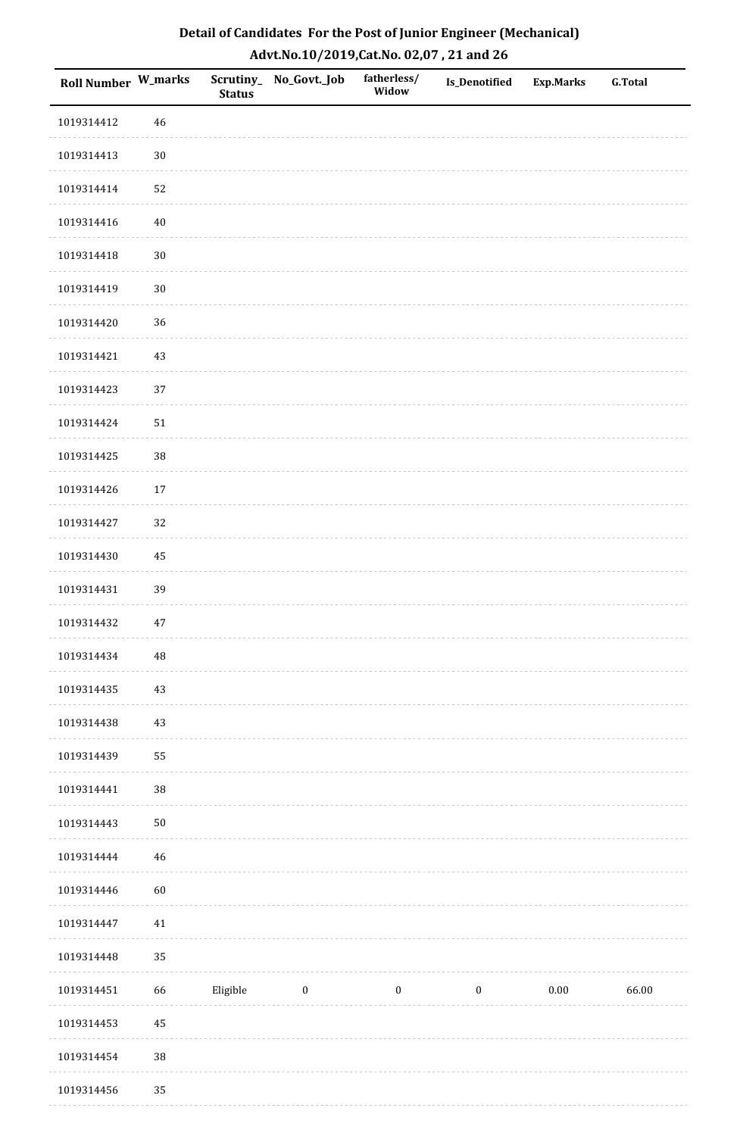| Roll Number W_marks |             | <b>Status</b> | Scrutiny_No_Govt._Job | fatherless/<br>Widow | <b>Is_Denotified</b> | <b>Exp.Marks</b> | <b>G.Total</b> |
|---------------------|-------------|---------------|-----------------------|----------------------|----------------------|------------------|----------------|
| 1019314412          | $46\,$      |               |                       |                      |                      |                  |                |
| 1019314413          | $30\,$      |               |                       |                      |                      |                  |                |
| 1019314414          | 52          |               |                       |                      |                      |                  |                |
| 1019314416          | $40\,$      |               |                       |                      |                      |                  |                |
| 1019314418          | $30\,$      |               |                       |                      |                      |                  |                |
| 1019314419          | $30\,$      |               |                       |                      |                      |                  |                |
| 1019314420          | 36          |               |                       |                      |                      |                  |                |
| 1019314421          | $43\,$      |               |                       |                      |                      |                  |                |
| 1019314423          | 37          |               |                       |                      |                      |                  |                |
| 1019314424          | $51\,$      |               |                       |                      |                      |                  |                |
| 1019314425          | 38          |               |                       |                      |                      |                  |                |
| 1019314426          | 17          |               |                       |                      |                      |                  |                |
| 1019314427          | 32          |               |                       |                      |                      |                  |                |
| 1019314430          | 45          |               |                       |                      |                      |                  |                |
| 1019314431          | 39          |               |                       |                      |                      |                  |                |
| 1019314432          | $47\,$      |               |                       |                      |                      |                  |                |
| 1019314434          | $\sqrt{48}$ |               |                       |                      |                      |                  |                |
| 1019314435          | 43          |               |                       |                      |                      |                  |                |
| 1019314438          | $43\,$      |               |                       |                      |                      |                  |                |
| 1019314439          | 55          |               |                       |                      |                      |                  |                |
| 1019314441          | $38\,$      |               |                       |                      |                      |                  |                |
| 1019314443          | $50\,$      |               |                       |                      |                      |                  |                |
| 1019314444          | $46\,$      |               |                       |                      |                      |                  |                |
| 1019314446          | 60          |               |                       |                      |                      |                  |                |
| 1019314447          | $41\,$      |               |                       |                      |                      |                  |                |
| 1019314448          | 35          |               |                       |                      |                      |                  |                |
| 1019314451          | 66          | Eligible      | $\boldsymbol{0}$      | $\boldsymbol{0}$     | $\boldsymbol{0}$     | 0.00             | 66.00          |
| 1019314453          | 45          |               |                       |                      |                      |                  |                |
| 1019314454          | 38          |               |                       |                      |                      |                  |                |
| 1019314456          | 35          |               |                       |                      |                      |                  |                |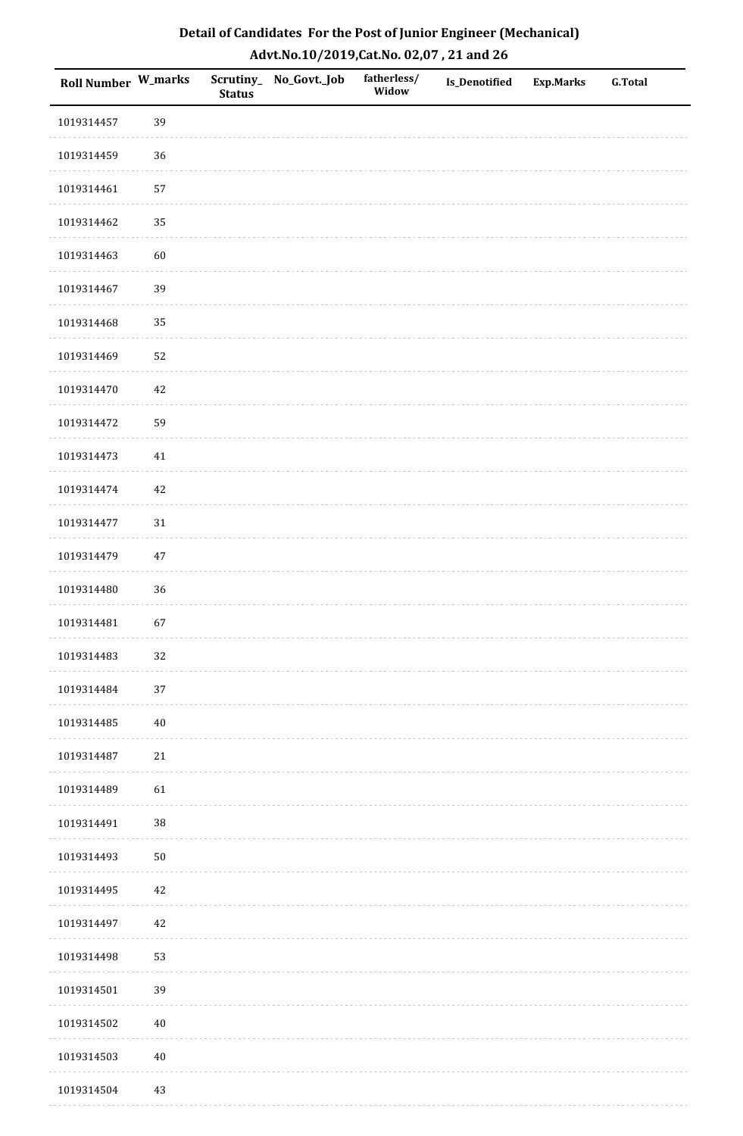| Roll Number W_marks |        | <b>Status</b> | Scrutiny_No_Govt._Job | fatherless/<br>Widow | Is_Denotified | <b>Exp.Marks</b> | <b>G.Total</b> |
|---------------------|--------|---------------|-----------------------|----------------------|---------------|------------------|----------------|
| 1019314457          | 39     |               |                       |                      |               |                  |                |
| 1019314459          | 36     |               |                       |                      |               |                  |                |
| 1019314461          | 57     |               |                       |                      |               |                  |                |
| 1019314462          | 35     |               |                       |                      |               |                  |                |
| 1019314463          | 60     |               |                       |                      |               |                  |                |
| 1019314467          | 39     |               |                       |                      |               |                  |                |
| 1019314468          | 35     |               |                       |                      |               |                  |                |
| 1019314469          | 52     |               |                       |                      |               |                  |                |
| 1019314470          | 42     |               |                       |                      |               |                  |                |
| 1019314472          | 59     |               |                       |                      |               |                  |                |
| 1019314473          | $41\,$ |               |                       |                      |               |                  |                |
| 1019314474          | $42\,$ |               |                       |                      |               |                  |                |
| 1019314477          | $31\,$ |               |                       |                      |               |                  |                |
| 1019314479          | $47\,$ |               |                       |                      |               |                  |                |
| 1019314480          | 36     |               |                       |                      |               |                  |                |
| 1019314481          | 67     |               |                       |                      |               |                  |                |
| 1019314483          | 32     |               |                       |                      |               |                  |                |
| 1019314484          | 37     |               |                       |                      |               |                  |                |
| 1019314485          | $40\,$ |               |                       |                      |               |                  |                |
| 1019314487          | $21\,$ |               |                       |                      |               |                  |                |
| 1019314489          | 61     |               |                       |                      |               |                  |                |
| 1019314491          | $38\,$ |               |                       |                      |               |                  |                |
| 1019314493          | $50\,$ |               |                       |                      |               |                  |                |
| 1019314495          | 42     |               |                       |                      |               |                  |                |
| 1019314497          | 42     |               |                       |                      |               |                  |                |
| 1019314498          | 53     |               |                       |                      |               |                  |                |
| 1019314501          | 39     |               |                       |                      |               |                  |                |
| 1019314502          | $40\,$ |               |                       |                      |               |                  |                |
| 1019314503          | $40\,$ |               |                       |                      |               |                  |                |
| 1019314504          | 43     |               |                       |                      |               |                  |                |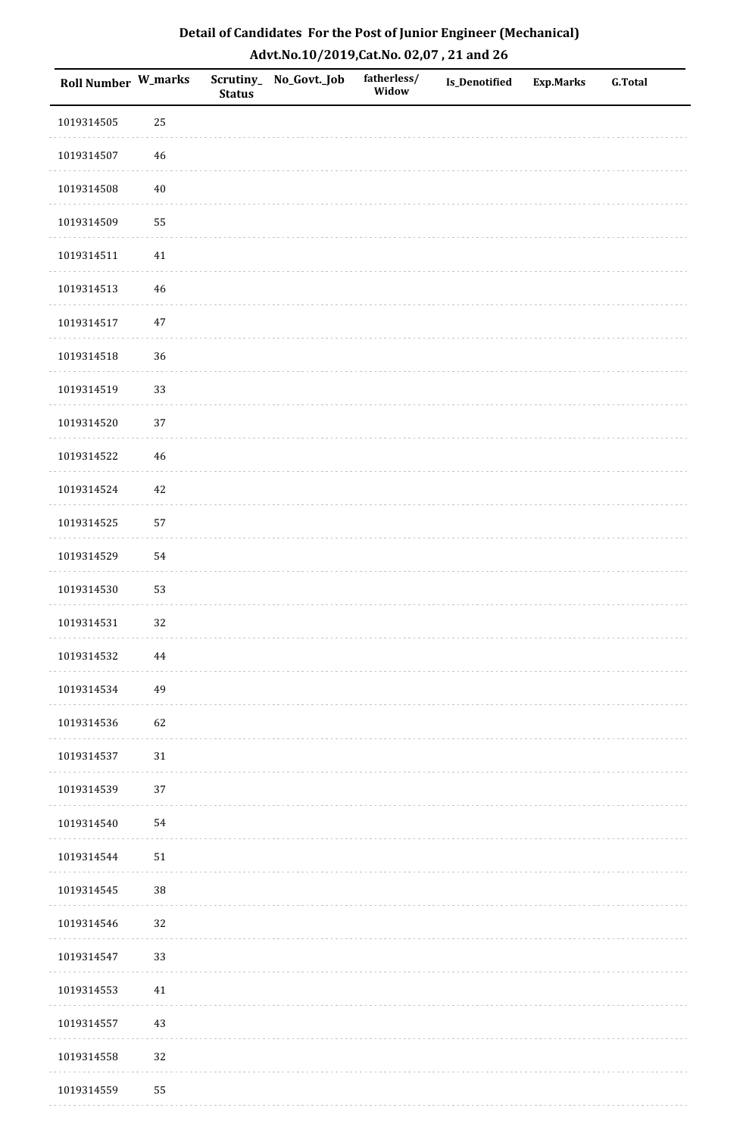| Roll Number W_marks |        | <b>Status</b> | Scrutiny_No_Govt._Job | fatherless/<br>Widow | Is_Denotified | <b>Exp.Marks</b> | <b>G.Total</b> |
|---------------------|--------|---------------|-----------------------|----------------------|---------------|------------------|----------------|
| 1019314505          | 25     |               |                       |                      |               |                  |                |
| 1019314507          | $46\,$ |               |                       |                      |               |                  |                |
| 1019314508          | $40\,$ |               |                       |                      |               |                  |                |
| 1019314509          | 55     |               |                       |                      |               |                  |                |
| 1019314511          | $41\,$ |               |                       |                      |               |                  |                |
| 1019314513          | 46     |               |                       |                      |               |                  |                |
| 1019314517          | $47\,$ |               |                       |                      |               |                  |                |
| 1019314518          | 36     |               |                       |                      |               |                  |                |
| 1019314519          | 33     |               |                       |                      |               |                  |                |
| 1019314520          | $37\,$ |               |                       |                      |               |                  |                |
| 1019314522          | 46     |               |                       |                      |               |                  |                |
| 1019314524          | $42\,$ |               |                       |                      |               |                  |                |
| 1019314525          | 57     |               |                       |                      |               |                  |                |
| 1019314529          | 54     |               |                       |                      |               |                  |                |
| 1019314530          | 53     |               |                       |                      |               |                  |                |
| 1019314531          | 32     |               |                       |                      |               |                  |                |
| 1019314532          | 44     |               |                       |                      |               |                  |                |
| 1019314534          | 49     |               |                       |                      |               |                  |                |
| 1019314536          | 62     |               |                       |                      |               |                  |                |
| 1019314537          | $31\,$ |               |                       |                      |               |                  |                |
| 1019314539          | 37     |               |                       |                      |               |                  |                |
| 1019314540          | 54     |               |                       |                      |               |                  |                |
| 1019314544          | $51\,$ |               |                       |                      |               |                  |                |
| 1019314545          | 38     |               |                       |                      |               |                  |                |
| 1019314546          | 32     |               |                       |                      |               |                  |                |
| 1019314547          | 33     |               |                       |                      |               |                  |                |
| 1019314553          | 41     |               |                       |                      |               |                  |                |
| 1019314557          | 43     |               |                       |                      |               |                  |                |
| 1019314558          | 32     |               |                       |                      |               |                  |                |
| 1019314559          | 55     |               |                       |                      |               |                  |                |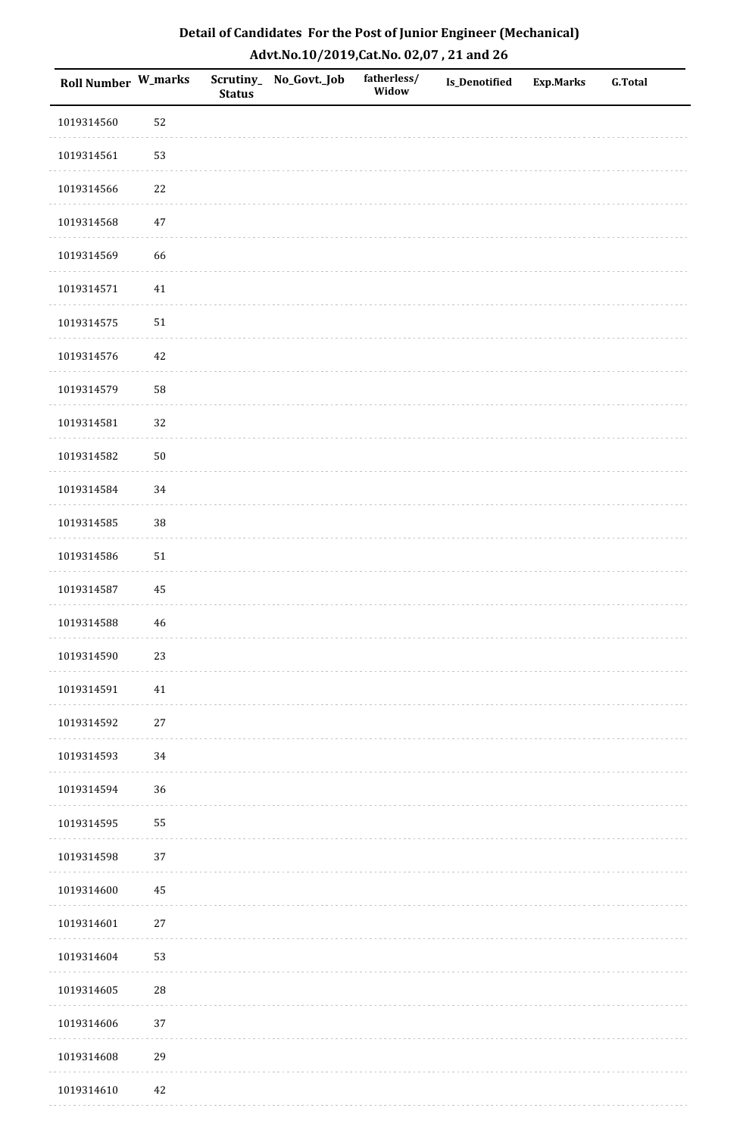| Roll Number W_marks |             | <b>Status</b> | Scrutiny_No_Govt._Job | fatherless/<br>Widow | Is_Denotified | <b>Exp.Marks</b> | <b>G.Total</b> |
|---------------------|-------------|---------------|-----------------------|----------------------|---------------|------------------|----------------|
| 1019314560          | 52          |               |                       |                      |               |                  |                |
| 1019314561          | 53          |               |                       |                      |               |                  |                |
| 1019314566          | $22\,$      |               |                       |                      |               |                  |                |
| 1019314568          | $47\,$      |               |                       |                      |               |                  |                |
| 1019314569          | 66          |               |                       |                      |               |                  |                |
| 1019314571          | 41          |               |                       |                      |               |                  |                |
| 1019314575          | $51\,$      |               |                       |                      |               |                  |                |
| 1019314576          | $42\,$      |               |                       |                      |               |                  |                |
| 1019314579          | 58          |               |                       |                      |               |                  |                |
| 1019314581          | 32          |               |                       |                      |               |                  |                |
| 1019314582          | $50\,$      |               |                       |                      |               |                  |                |
| 1019314584          | 34          |               |                       |                      |               |                  |                |
| 1019314585          | 38          |               |                       |                      |               |                  |                |
| 1019314586          | $51\,$      |               |                       |                      |               |                  |                |
| 1019314587          | $\rm 45$    |               |                       |                      |               |                  |                |
| 1019314588          | $\sqrt{46}$ |               |                       |                      |               |                  |                |
| 1019314590          | 23          |               |                       |                      |               |                  |                |
| 1019314591          | 41          |               |                       |                      |               |                  |                |
| 1019314592          | $27\,$      |               |                       |                      |               |                  |                |
| 1019314593          | 34          |               |                       |                      |               |                  |                |
| 1019314594          | 36          |               |                       |                      |               |                  |                |
| 1019314595          | 55          |               |                       |                      |               |                  |                |
| 1019314598          | 37          |               |                       |                      |               |                  |                |
| 1019314600          | 45          |               |                       |                      |               |                  |                |
| 1019314601          | $27\,$      |               |                       |                      |               |                  |                |
| 1019314604          | 53          |               |                       |                      |               |                  |                |
| 1019314605          | ${\bf 28}$  |               |                       |                      |               |                  |                |
| 1019314606          | 37          |               |                       |                      |               |                  |                |
| 1019314608          | 29          |               |                       |                      |               |                  |                |
| 1019314610          | 42          |               |                       |                      |               |                  |                |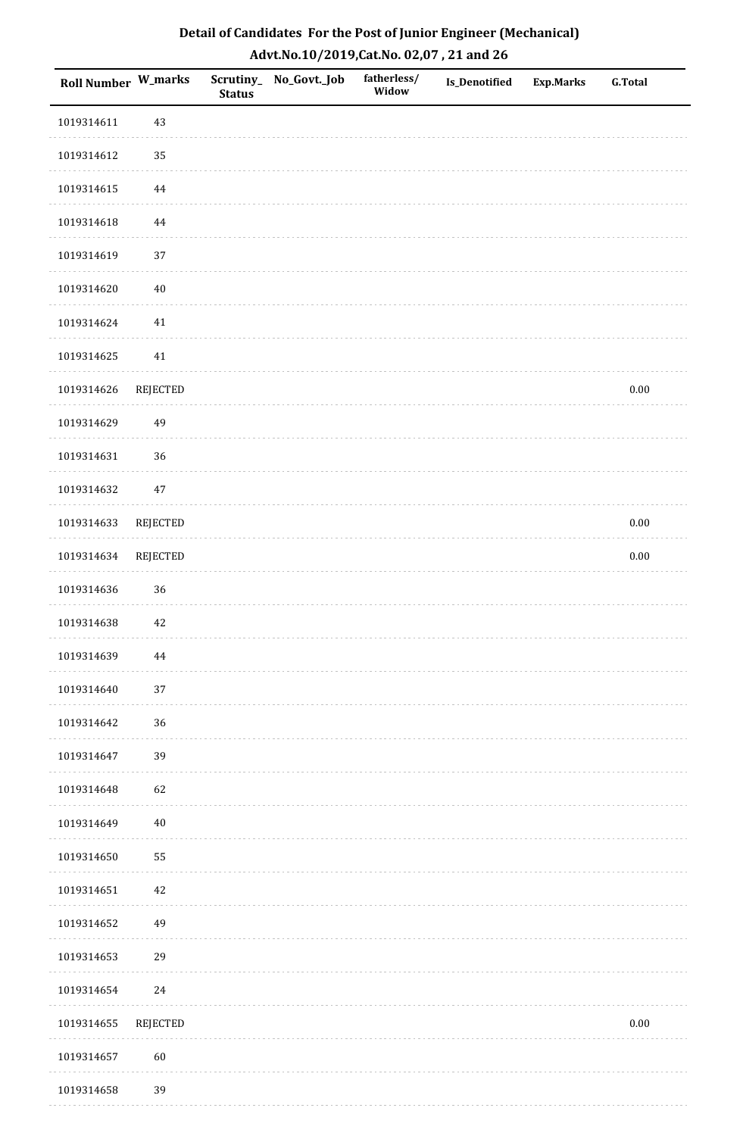| Roll Number W_marks |                 | <b>Status</b> | Scrutiny_ No_Govt._Job | fatherless/<br>Widow | <b>Is_Denotified</b> | <b>Exp.Marks</b> | <b>G.Total</b> |
|---------------------|-----------------|---------------|------------------------|----------------------|----------------------|------------------|----------------|
| 1019314611          | 43              |               |                        |                      |                      |                  |                |
| 1019314612          | 35              |               |                        |                      |                      |                  |                |
| 1019314615          | $\bf 44$        |               |                        |                      |                      |                  |                |
| 1019314618          | $\bf 44$        |               |                        |                      |                      |                  |                |
| 1019314619          | 37              |               |                        |                      |                      |                  |                |
| 1019314620          | $40\,$          |               |                        |                      |                      |                  |                |
| 1019314624          | $41\,$          |               |                        |                      |                      |                  |                |
| 1019314625          | $41\,$          |               |                        |                      |                      |                  |                |
| 1019314626          | REJECTED        |               |                        |                      |                      |                  | $0.00\,$       |
| 1019314629          | 49              |               |                        |                      |                      |                  |                |
| 1019314631          | 36              |               |                        |                      |                      |                  |                |
| 1019314632          | $47\,$          |               |                        |                      |                      |                  |                |
| 1019314633          | REJECTED        |               |                        |                      |                      |                  | $0.00\,$       |
| 1019314634          | <b>REJECTED</b> |               |                        |                      |                      |                  | $0.00\,$       |
| 1019314636          | 36              |               |                        |                      |                      |                  |                |
| 1019314638          | $42\,$          |               |                        |                      |                      |                  |                |
| 1019314639          | 44              |               |                        |                      |                      |                  |                |
| 1019314640          | 37              |               |                        |                      |                      |                  |                |
| 1019314642          | 36              |               |                        |                      |                      |                  |                |
| 1019314647          | 39              |               |                        |                      |                      |                  |                |
| 1019314648          | 62              |               |                        |                      |                      |                  |                |
| 1019314649          | $40\,$          |               |                        |                      |                      |                  |                |
| 1019314650          | 55              |               |                        |                      |                      |                  |                |
| 1019314651          | 42              |               |                        |                      |                      |                  |                |
| 1019314652          | 49              |               |                        |                      |                      |                  |                |
| 1019314653          | 29              |               |                        |                      |                      |                  |                |
| 1019314654          | $24\,$          |               |                        |                      |                      |                  |                |
| 1019314655          | REJECTED        |               |                        |                      |                      |                  | $0.00\,$       |
| 1019314657          | 60              |               |                        |                      |                      |                  |                |
| 1019314658          | 39              |               |                        |                      |                      |                  |                |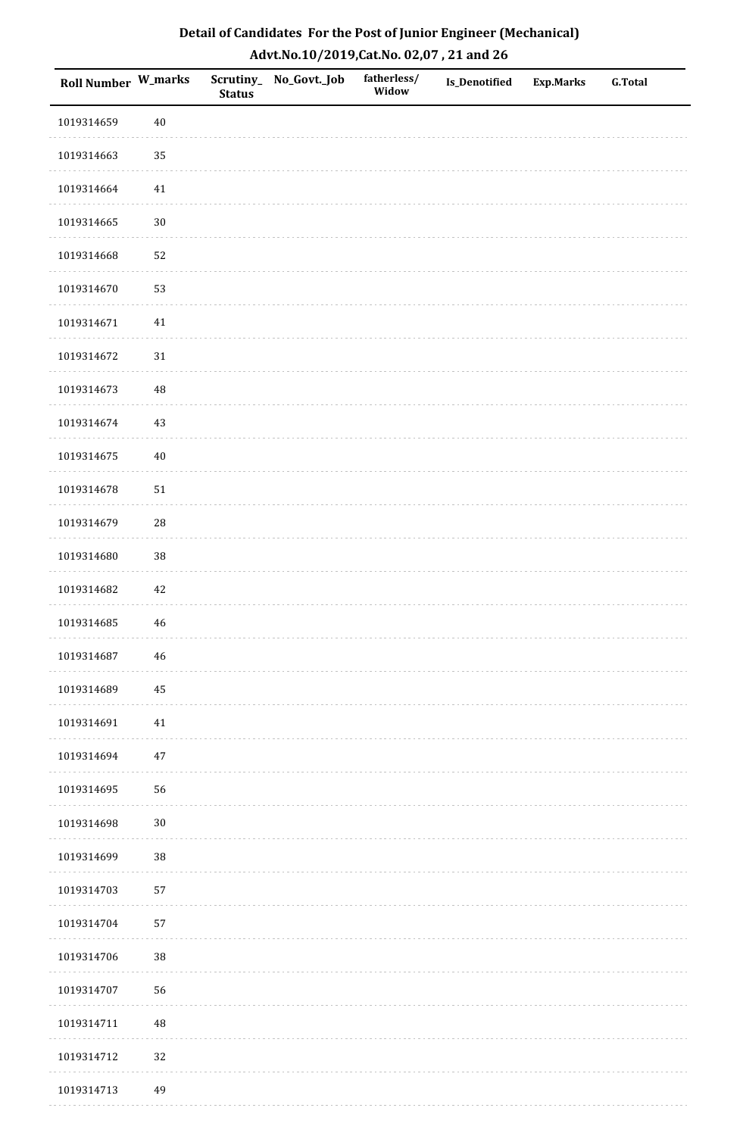| <b>Roll Number W_marks</b> |             | <b>Status</b> | Scrutiny_No_Govt._Job | fatherless/<br>Widow | Is_Denotified | <b>Exp.Marks</b> | <b>G.Total</b> |
|----------------------------|-------------|---------------|-----------------------|----------------------|---------------|------------------|----------------|
| 1019314659                 | $40\,$      |               |                       |                      |               |                  |                |
| 1019314663                 | 35          |               |                       |                      |               |                  |                |
| 1019314664                 | 41          |               |                       |                      |               |                  |                |
| 1019314665                 | $30\,$      |               |                       |                      |               |                  |                |
| 1019314668                 | 52          |               |                       |                      |               |                  |                |
| 1019314670                 | 53          |               |                       |                      |               |                  |                |
| 1019314671                 | $41\,$      |               |                       |                      |               |                  |                |
| 1019314672                 | $31\,$      |               |                       |                      |               |                  |                |
| 1019314673                 | 48          |               |                       |                      |               |                  |                |
| 1019314674                 | $43\,$      |               |                       |                      |               |                  |                |
| 1019314675                 | $40\,$      |               |                       |                      |               |                  |                |
| 1019314678                 | $51\,$      |               |                       |                      |               |                  |                |
| 1019314679                 | ${\bf 28}$  |               |                       |                      |               |                  |                |
| 1019314680                 | 38          |               |                       |                      |               |                  |                |
| 1019314682                 | 42          |               |                       |                      |               |                  |                |
| 1019314685                 | $\sqrt{46}$ |               |                       |                      |               |                  |                |
| 1019314687                 | $\sqrt{46}$ |               |                       |                      |               |                  |                |
| 1019314689                 | 45          |               |                       |                      |               |                  |                |
| 1019314691                 | $41\,$      |               |                       |                      |               |                  |                |
| 1019314694                 | $47\,$      |               |                       |                      |               |                  |                |
| 1019314695                 | 56          |               |                       |                      |               |                  |                |
| 1019314698                 | $30\,$      |               |                       |                      |               |                  |                |
| 1019314699                 | 38          |               |                       |                      |               |                  |                |
| 1019314703                 | 57          |               |                       |                      |               |                  |                |
| 1019314704                 | 57          |               |                       |                      |               |                  |                |
| 1019314706                 | 38          |               |                       |                      |               |                  |                |
| 1019314707                 | 56          |               |                       |                      |               |                  |                |
| 1019314711                 | 48          |               |                       |                      |               |                  |                |
| 1019314712                 | 32          |               |                       |                      |               |                  |                |
| 1019314713                 | 49          |               |                       |                      |               |                  |                |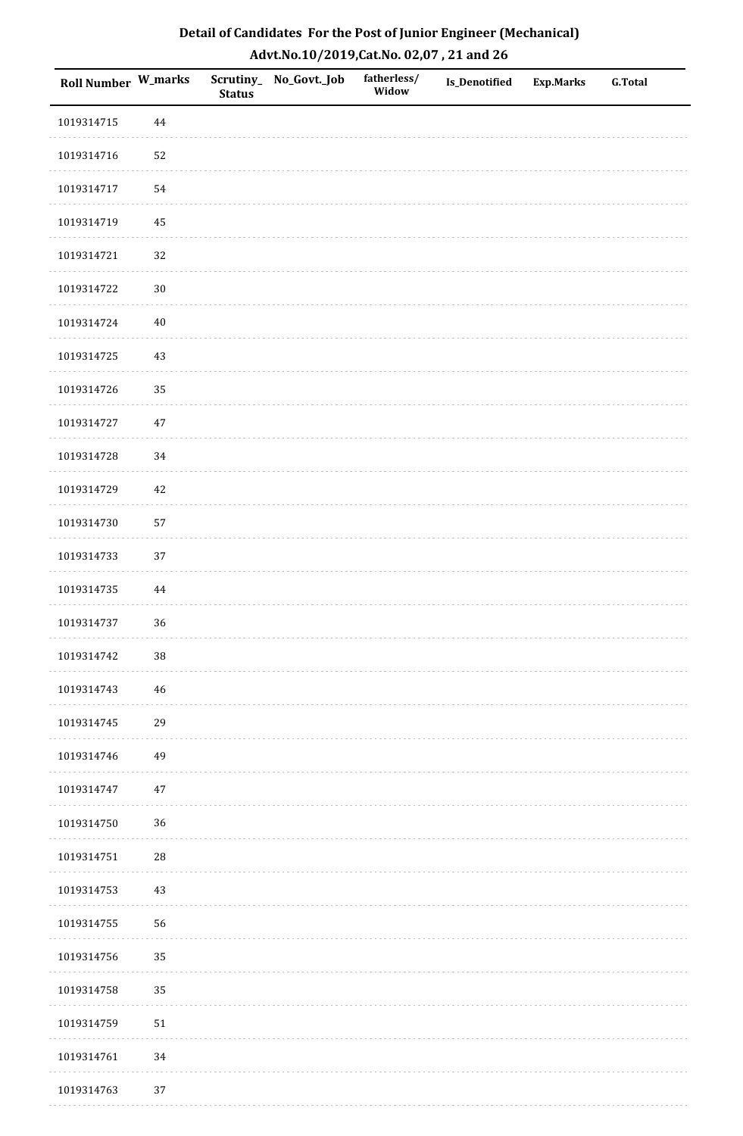| Detail of Candidates For the Post of Junior Engineer (Mechanical) |
|-------------------------------------------------------------------|
| Advt.No.10/2019,Cat.No. 02,07, 21 and 26                          |

| Roll Number W_marks |        | <b>Status</b> | Scrutiny_ No_Govt._Job | fatherless/<br>Widow | Is_Denotified | <b>Exp.Marks</b> | <b>G.Total</b> |
|---------------------|--------|---------------|------------------------|----------------------|---------------|------------------|----------------|
| 1019314715          | 44     |               |                        |                      |               |                  |                |
| 1019314716          | 52     |               |                        |                      |               |                  |                |
| 1019314717          | 54     |               |                        |                      |               |                  |                |
| 1019314719          | 45     |               |                        |                      |               |                  |                |
| 1019314721          | 32     |               |                        |                      |               |                  |                |
| 1019314722          | $30\,$ |               |                        |                      |               |                  |                |
| 1019314724          | $40\,$ |               |                        |                      |               |                  |                |
| 1019314725          | 43     |               |                        |                      |               |                  |                |
| 1019314726          | 35     |               |                        |                      |               |                  |                |
| 1019314727          | $47\,$ |               |                        |                      |               |                  |                |
| 1019314728          | 34     |               |                        |                      |               |                  |                |
| 1019314729          | 42     |               |                        |                      |               |                  |                |
| 1019314730          | 57     |               |                        |                      |               |                  |                |
| 1019314733          | 37     |               |                        |                      |               |                  |                |
| 1019314735          | 44     |               |                        |                      |               |                  |                |
| 1019314737          | 36     |               |                        |                      |               |                  |                |
| 1019314742          | $38\,$ |               |                        |                      |               |                  |                |
| 1019314743          | 46     |               |                        |                      |               |                  |                |
| 1019314745          | 29     |               |                        |                      |               |                  |                |
| 1019314746          | 49     |               |                        |                      |               |                  |                |
| 1019314747          | 47     |               |                        |                      |               |                  |                |
| 1019314750          | $36\,$ |               |                        |                      |               |                  |                |
| 1019314751          | $28\,$ |               |                        |                      |               |                  |                |
| 1019314753          | 43     |               |                        |                      |               |                  |                |
| 1019314755          | 56     |               |                        |                      |               |                  |                |
| 1019314756          | 35     |               |                        |                      |               |                  |                |
| 1019314758          | 35     |               |                        |                      |               |                  |                |
| 1019314759          | 51     |               |                        |                      |               |                  |                |
| 1019314761          | 34     |               |                        |                      |               |                  |                |
| 1019314763          | 37     |               |                        |                      |               |                  |                |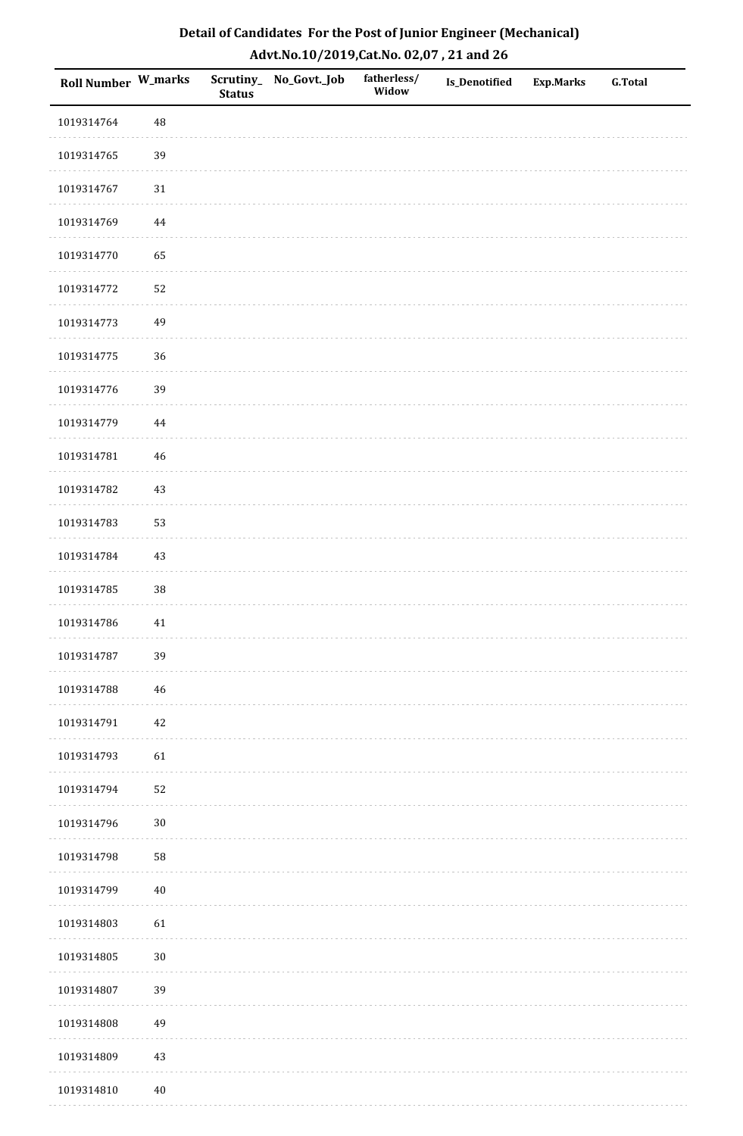| Detail of Candidates For the Post of Junior Engineer (Mechanical) |
|-------------------------------------------------------------------|
| Advt.No.10/2019,Cat.No. 02,07, 21 and 26                          |

| Roll Number W_marks |          | <b>Status</b> | Scrutiny_ No_Govt._Job | fatherless/<br>Widow | Is_Denotified | <b>Exp.Marks</b> | <b>G.Total</b> |
|---------------------|----------|---------------|------------------------|----------------------|---------------|------------------|----------------|
| 1019314764          | $\rm 48$ |               |                        |                      |               |                  |                |
| 1019314765          | 39       |               |                        |                      |               |                  |                |
| 1019314767          | 31       |               |                        |                      |               |                  |                |
| 1019314769          | 44       |               |                        |                      |               |                  |                |
| 1019314770          | 65       |               |                        |                      |               |                  |                |
| 1019314772          | 52       |               |                        |                      |               |                  |                |
| 1019314773          | 49       |               |                        |                      |               |                  |                |
| 1019314775          | 36       |               |                        |                      |               |                  |                |
| 1019314776          | 39       |               |                        |                      |               |                  |                |
| 1019314779          | 44       |               |                        |                      |               |                  |                |
| 1019314781          | 46       |               |                        |                      |               |                  |                |
| 1019314782          | 43       |               |                        |                      |               |                  |                |
| 1019314783          | 53       |               |                        |                      |               |                  |                |
| 1019314784          | 43       |               |                        |                      |               |                  |                |
| 1019314785          | $38\,$   |               |                        |                      |               |                  |                |
| 1019314786          | 41       |               |                        |                      |               |                  |                |
| 1019314787          | 39       |               |                        |                      |               |                  |                |
| 1019314788          | 46       |               |                        |                      |               |                  |                |
| 1019314791          | 42       |               |                        |                      |               |                  |                |
| 1019314793          | 61       |               |                        |                      |               |                  |                |
| 1019314794          | 52       |               |                        |                      |               |                  |                |
| 1019314796          | $30\,$   |               |                        |                      |               |                  |                |
| 1019314798          | 58       |               |                        |                      |               |                  |                |
| 1019314799          | $40\,$   |               |                        |                      |               |                  |                |
| 1019314803          | 61       |               |                        |                      |               |                  |                |
| 1019314805          | $30\,$   |               |                        |                      |               |                  |                |
| 1019314807          | 39       |               |                        |                      |               |                  |                |
| 1019314808          | 49       |               |                        |                      |               |                  |                |
| 1019314809          | $43\,$   |               |                        |                      |               |                  |                |
| 1019314810          | $40\,$   |               |                        |                      |               |                  |                |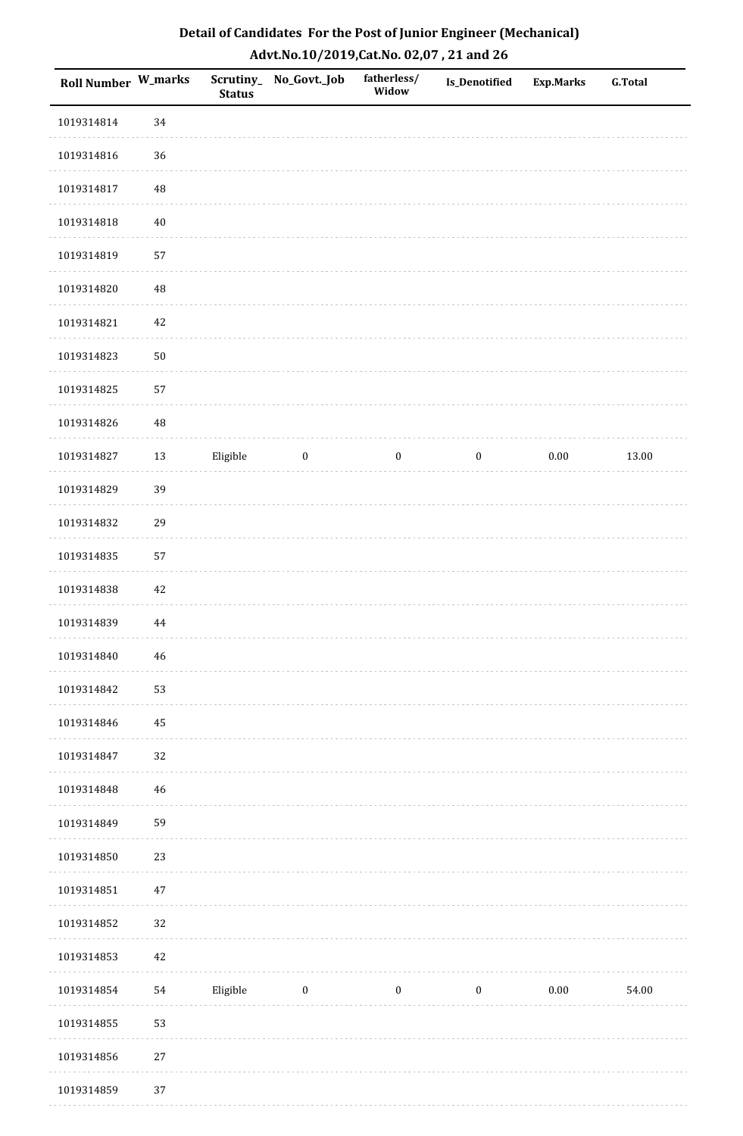| Roll Number W_marks |             | <b>Status</b> | Scrutiny_No_Govt._Job | fatherless/<br>Widow | Is_Denotified    | Exp.Marks | <b>G.Total</b> |
|---------------------|-------------|---------------|-----------------------|----------------------|------------------|-----------|----------------|
| 1019314814          | 34          |               |                       |                      |                  |           |                |
| 1019314816          | 36          |               |                       |                      |                  |           |                |
| 1019314817          | 48          |               |                       |                      |                  |           |                |
| 1019314818          | $40\,$      |               |                       |                      |                  |           |                |
| 1019314819          | 57          |               |                       |                      |                  |           |                |
| 1019314820          | $\rm 48$    |               |                       |                      |                  |           |                |
| 1019314821          | $42\,$      |               |                       |                      |                  |           |                |
| 1019314823          | $50\,$      |               |                       |                      |                  |           |                |
| 1019314825          | 57          |               |                       |                      |                  |           |                |
| 1019314826          | 48          |               |                       |                      |                  |           |                |
| 1019314827          | $13\,$      | Eligible      | $\boldsymbol{0}$      | $\boldsymbol{0}$     | $\bf{0}$         | 0.00      | 13.00          |
| 1019314829          | 39          |               |                       |                      |                  |           |                |
| 1019314832          | 29          |               |                       |                      |                  |           |                |
| 1019314835          | 57          |               |                       |                      |                  |           |                |
| 1019314838          | 42          |               |                       |                      |                  |           |                |
| 1019314839          | $\bf 44$    |               |                       |                      |                  |           |                |
| 1019314840          | $\sqrt{46}$ |               |                       |                      |                  |           |                |
| 1019314842          | 53          |               |                       |                      |                  |           |                |
| 1019314846          | 45          |               |                       |                      |                  |           |                |
| 1019314847          | 32          |               |                       |                      |                  |           |                |
| 1019314848          | 46          |               |                       |                      |                  |           |                |
| 1019314849          | 59          |               |                       |                      |                  |           |                |
| 1019314850          | 23          |               |                       |                      |                  |           |                |
| 1019314851          | $47\,$      |               |                       |                      |                  |           |                |
| 1019314852          | 32          |               |                       |                      |                  |           |                |
| 1019314853          | $42\,$      |               |                       |                      |                  |           |                |
| 1019314854          | 54          | Eligible      | $\boldsymbol{0}$      | $\boldsymbol{0}$     | $\boldsymbol{0}$ | $0.00\,$  | 54.00          |
| 1019314855          | 53          |               |                       |                      |                  |           |                |
| 1019314856          | $27\,$      |               |                       |                      |                  |           |                |
| 1019314859          | 37          |               |                       |                      |                  |           |                |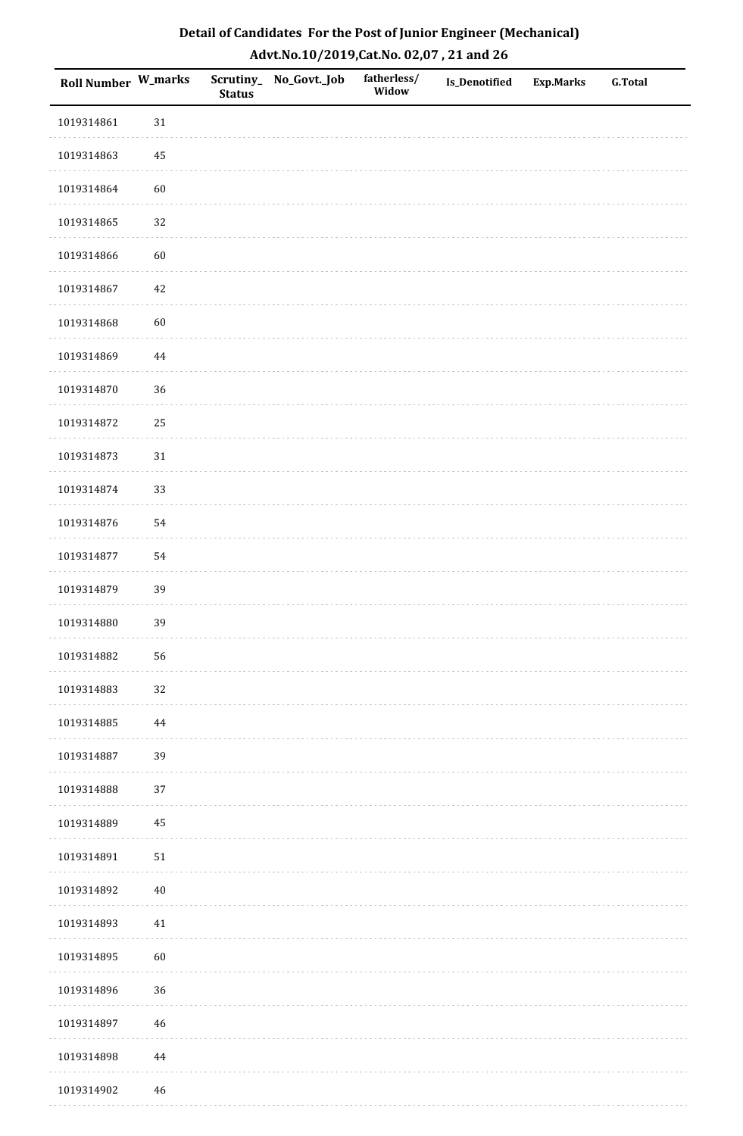| Roll Number W_marks |             | <b>Status</b> | Scrutiny_No_Govt._Job | fatherless/<br>Widow | Is_Denotified | <b>Exp.Marks</b> | <b>G.Total</b> |
|---------------------|-------------|---------------|-----------------------|----------------------|---------------|------------------|----------------|
| 1019314861          | $31\,$      |               |                       |                      |               |                  |                |
| 1019314863          | 45          |               |                       |                      |               |                  |                |
| 1019314864          | 60          |               |                       |                      |               |                  |                |
| 1019314865          | 32          |               |                       |                      |               |                  |                |
| 1019314866          | 60          |               |                       |                      |               |                  |                |
| 1019314867          | 42          |               |                       |                      |               |                  |                |
| 1019314868          | 60          |               |                       |                      |               |                  |                |
| 1019314869          | $\bf 44$    |               |                       |                      |               |                  |                |
| 1019314870          | 36          |               |                       |                      |               |                  |                |
| 1019314872          | 25          |               |                       |                      |               |                  |                |
| 1019314873          | $31\,$      |               |                       |                      |               |                  |                |
| 1019314874          | 33          |               |                       |                      |               |                  |                |
| 1019314876          | 54          |               |                       |                      |               |                  |                |
| 1019314877          | 54          |               |                       |                      |               |                  |                |
| 1019314879          | 39          |               |                       |                      |               |                  |                |
| 1019314880          | 39          |               |                       |                      |               |                  |                |
| 1019314882          | 56          |               |                       |                      |               |                  |                |
| 1019314883          | 32          |               |                       |                      |               |                  |                |
| 1019314885          | 44          |               |                       |                      |               |                  |                |
| 1019314887          | 39          |               |                       |                      |               |                  |                |
| 1019314888          | 37          |               |                       |                      |               |                  |                |
| 1019314889          | $\rm 45$    |               |                       |                      |               |                  |                |
| 1019314891          | $51\,$      |               |                       |                      |               |                  |                |
| 1019314892          | $40\,$      |               |                       |                      |               |                  |                |
| 1019314893          | 41          |               |                       |                      |               |                  |                |
| 1019314895          | 60          |               |                       |                      |               |                  |                |
| 1019314896          | 36          |               |                       |                      |               |                  |                |
| 1019314897          | $46\,$      |               |                       |                      |               |                  |                |
| 1019314898          | 44          |               |                       |                      |               |                  |                |
| 1019314902          | $\sqrt{46}$ |               |                       |                      |               |                  |                |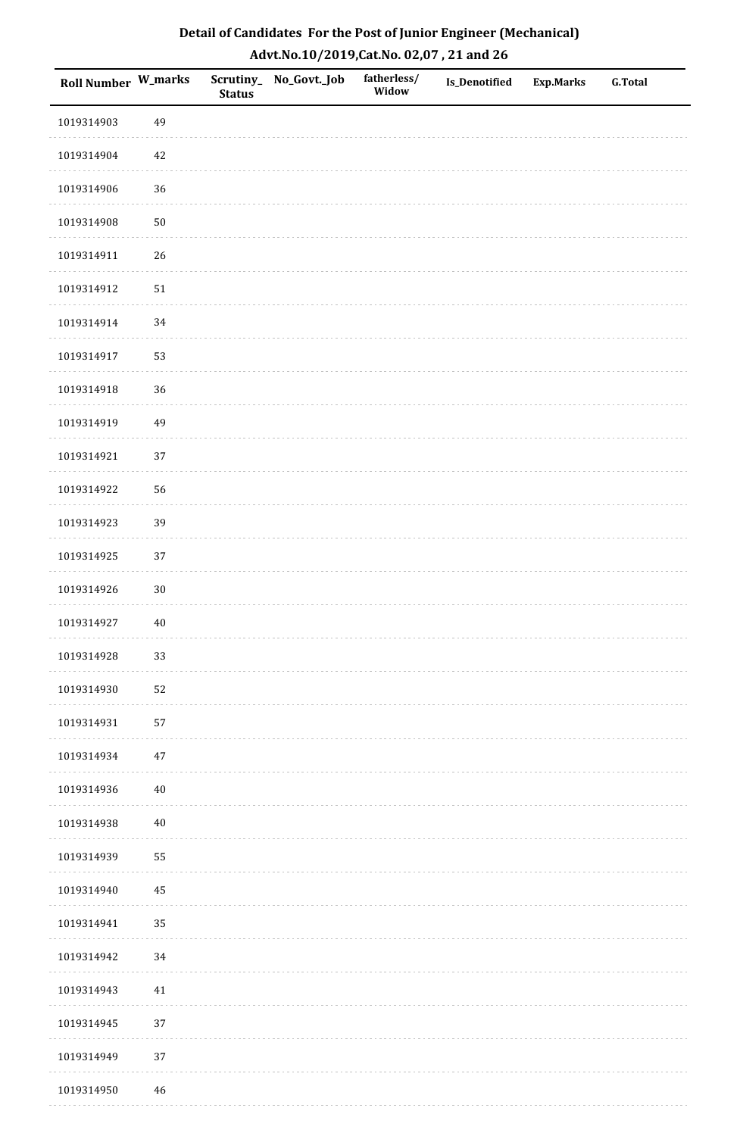| Roll Number W_marks |        | <b>Status</b> | Scrutiny_No_Govt._Job | fatherless/<br>Widow | Is_Denotified | <b>Exp.Marks</b> | <b>G.Total</b> |
|---------------------|--------|---------------|-----------------------|----------------------|---------------|------------------|----------------|
| 1019314903          | 49     |               |                       |                      |               |                  |                |
| 1019314904          | $42\,$ |               |                       |                      |               |                  |                |
| 1019314906          | 36     |               |                       |                      |               |                  |                |
| 1019314908          | $50\,$ |               |                       |                      |               |                  |                |
| 1019314911          | 26     |               |                       |                      |               |                  |                |
| 1019314912          | $51\,$ |               |                       |                      |               |                  |                |
| 1019314914          | 34     |               |                       |                      |               |                  |                |
| 1019314917          | 53     |               |                       |                      |               |                  |                |
| 1019314918          | 36     |               |                       |                      |               |                  |                |
| 1019314919          | 49     |               |                       |                      |               |                  |                |
| 1019314921          | 37     |               |                       |                      |               |                  |                |
| 1019314922          | 56     |               |                       |                      |               |                  |                |
| 1019314923          | 39     |               |                       |                      |               |                  |                |
| 1019314925          | 37     |               |                       |                      |               |                  |                |
| 1019314926          | $30\,$ |               |                       |                      |               |                  |                |
| 1019314927          | $40\,$ |               |                       |                      |               |                  |                |
| 1019314928          | 33     |               |                       |                      |               |                  |                |
| 1019314930          | 52     |               |                       |                      |               |                  |                |
| 1019314931          | 57     |               |                       |                      |               |                  |                |
| 1019314934          | $47\,$ |               |                       |                      |               |                  |                |
| 1019314936          | $40\,$ |               |                       |                      |               |                  |                |
| 1019314938          | $40\,$ |               |                       |                      |               |                  |                |
| 1019314939          | 55     |               |                       |                      |               |                  |                |
| 1019314940          | 45     |               |                       |                      |               |                  |                |
| 1019314941          | 35     |               |                       |                      |               |                  |                |
| 1019314942          | 34     |               |                       |                      |               |                  |                |
| 1019314943          | 41     |               |                       |                      |               |                  |                |
| 1019314945          | 37     |               |                       |                      |               |                  |                |
| 1019314949          | $37\,$ |               |                       |                      |               |                  |                |
| 1019314950          | 46     |               |                       |                      |               |                  |                |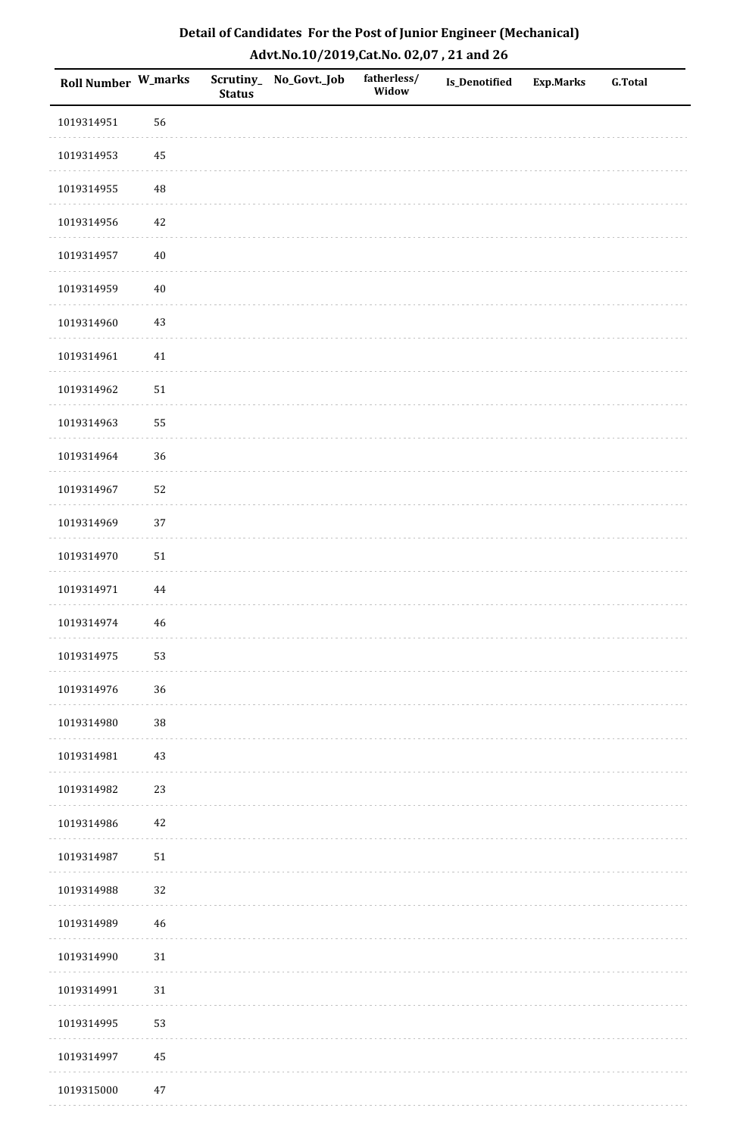| Roll Number W_marks |          | <b>Status</b> | Scrutiny_No_Govt._Job | fatherless/<br>Widow | Is_Denotified | <b>Exp.Marks</b> | <b>G.Total</b> |
|---------------------|----------|---------------|-----------------------|----------------------|---------------|------------------|----------------|
| 1019314951          | 56       |               |                       |                      |               |                  |                |
| 1019314953          | 45       |               |                       |                      |               |                  |                |
| 1019314955          | 48       |               |                       |                      |               |                  |                |
| 1019314956          | 42       |               |                       |                      |               |                  |                |
| 1019314957          | $40\,$   |               |                       |                      |               |                  |                |
| 1019314959          | $40\,$   |               |                       |                      |               |                  |                |
| 1019314960          | $43\,$   |               |                       |                      |               |                  |                |
| 1019314961          | $41\,$   |               |                       |                      |               |                  |                |
| 1019314962          | $51\,$   |               |                       |                      |               |                  |                |
| 1019314963          | 55       |               |                       |                      |               |                  |                |
| 1019314964          | 36       |               |                       |                      |               |                  |                |
| 1019314967          | 52       |               |                       |                      |               |                  |                |
| 1019314969          | 37       |               |                       |                      |               |                  |                |
| 1019314970          | $51\,$   |               |                       |                      |               |                  |                |
| 1019314971          | $\bf 44$ |               |                       |                      |               |                  |                |
| 1019314974          | $46\,$   |               |                       |                      |               |                  |                |
| 1019314975          | 53       |               |                       |                      |               |                  |                |
| 1019314976          | 36       |               |                       |                      |               |                  |                |
| 1019314980          | $38\,$   |               |                       |                      |               |                  |                |
| 1019314981          | $43\,$   |               |                       |                      |               |                  |                |
| 1019314982          | 23       |               |                       |                      |               |                  |                |
| 1019314986          | $42\,$   |               |                       |                      |               |                  |                |
| 1019314987          | $51\,$   |               |                       |                      |               |                  |                |
| 1019314988          | 32       |               |                       |                      |               |                  |                |
| 1019314989          | 46       |               |                       |                      |               |                  |                |
| 1019314990          | $31\,$   |               |                       |                      |               |                  |                |
| 1019314991          | $31\,$   |               |                       |                      |               |                  |                |
| 1019314995          | 53       |               |                       |                      |               |                  |                |
| 1019314997          | 45       |               |                       |                      |               |                  |                |
| 1019315000          | $47\,$   |               |                       |                      |               |                  |                |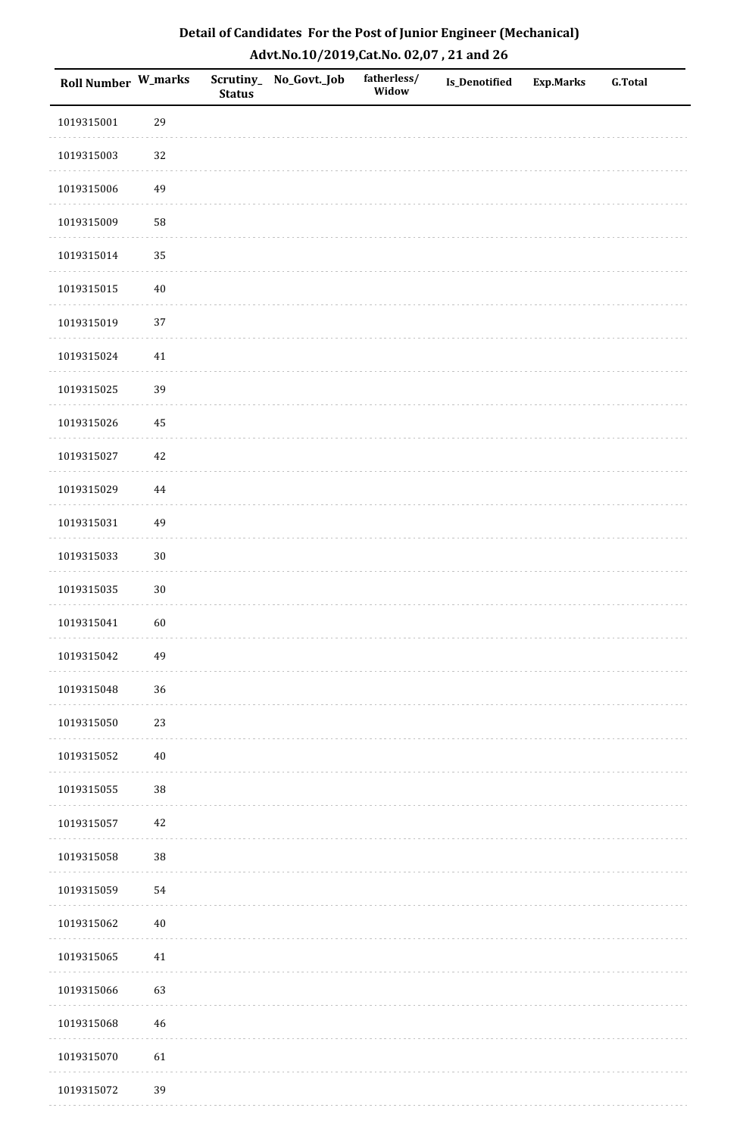| Roll Number W_marks |          | <b>Status</b> | Scrutiny_No_Govt._Job | fatherless/<br>Widow | Is_Denotified | <b>Exp.Marks</b> | <b>G.Total</b> |
|---------------------|----------|---------------|-----------------------|----------------------|---------------|------------------|----------------|
| 1019315001          | 29       |               |                       |                      |               |                  |                |
| 1019315003          | $32\,$   |               |                       |                      |               |                  |                |
| 1019315006          | 49       |               |                       |                      |               |                  |                |
| 1019315009          | 58       |               |                       |                      |               |                  |                |
| 1019315014          | 35       |               |                       |                      |               |                  |                |
| 1019315015          | $40\,$   |               |                       |                      |               |                  |                |
| 1019315019          | 37       |               |                       |                      |               |                  |                |
| 1019315024          | $41\,$   |               |                       |                      |               |                  |                |
| 1019315025          | 39       |               |                       |                      |               |                  |                |
| 1019315026          | $\bf 45$ |               |                       |                      |               |                  |                |
| 1019315027          | $42\,$   |               |                       |                      |               |                  |                |
| 1019315029          | 44       |               |                       |                      |               |                  |                |
| 1019315031          | 49       |               |                       |                      |               |                  |                |
| 1019315033          | $30\,$   |               |                       |                      |               |                  |                |
| 1019315035          | $30\,$   |               |                       |                      |               |                  |                |
| 1019315041          | 60       |               |                       |                      |               |                  |                |
| 1019315042          | 49       |               |                       |                      |               |                  |                |
| 1019315048          | 36       |               |                       |                      |               |                  |                |
| 1019315050          | 23       |               |                       |                      |               |                  |                |
| 1019315052          | $40\,$   |               |                       |                      |               |                  |                |
| 1019315055          | 38       |               |                       |                      |               |                  |                |
| 1019315057          | $42\,$   |               |                       |                      |               |                  |                |
| 1019315058          | 38       |               |                       |                      |               |                  |                |
| 1019315059          | 54       |               |                       |                      |               |                  |                |
| 1019315062          | $40\,$   |               |                       |                      |               |                  |                |
| 1019315065          | $41\,$   |               |                       |                      |               |                  |                |
| 1019315066          | 63       |               |                       |                      |               |                  |                |
| 1019315068          | 46       |               |                       |                      |               |                  |                |
| 1019315070          | 61       |               |                       |                      |               |                  |                |
| 1019315072          | 39       |               |                       |                      |               |                  |                |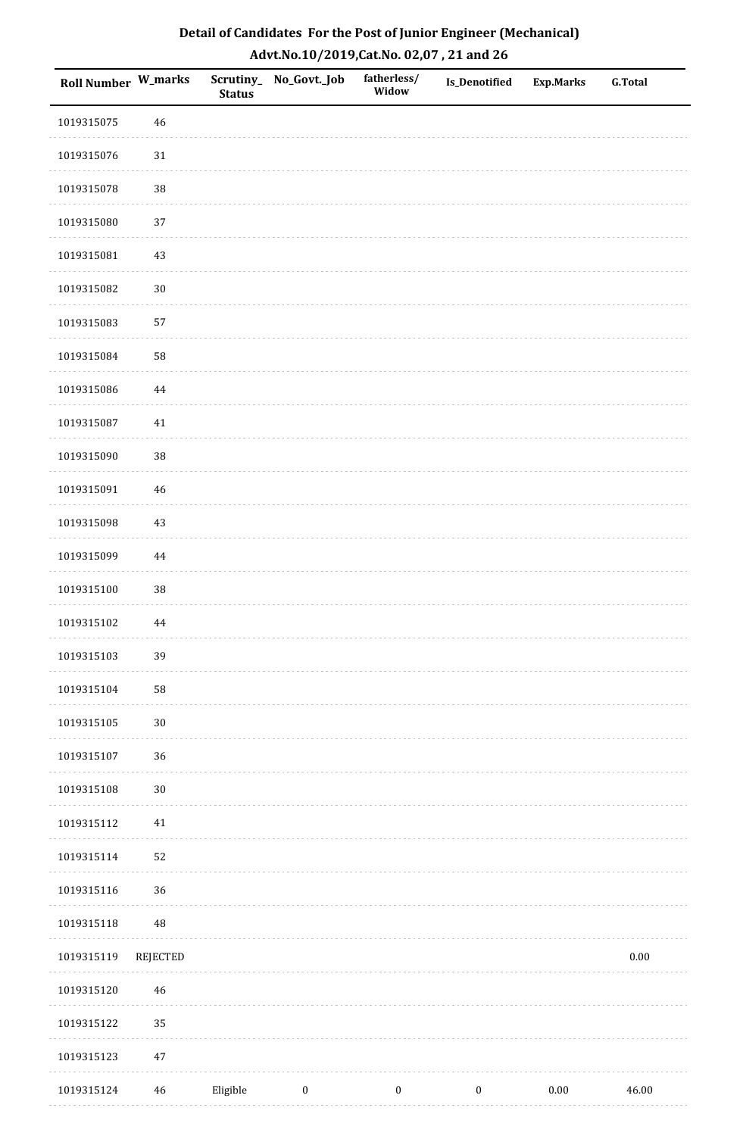| Detail of Candidates For the Post of Junior Engineer (Mechanical) |
|-------------------------------------------------------------------|
| Advt.No.10/2019,Cat.No. 02,07, 21 and 26                          |

| Roll Number W_marks |             | <b>Status</b> | Scrutiny_ No_Govt._Job | fatherless/<br>Widow | <b>Is_Denotified</b> | <b>Exp.Marks</b> | <b>G.Total</b> |
|---------------------|-------------|---------------|------------------------|----------------------|----------------------|------------------|----------------|
| 1019315075          | 46          |               |                        |                      |                      |                  |                |
| 1019315076          | 31          |               |                        |                      |                      |                  |                |
| 1019315078          | 38          |               |                        |                      |                      |                  |                |
| 1019315080          | 37          |               |                        |                      |                      |                  |                |
| 1019315081          | $43\,$      |               |                        |                      |                      |                  |                |
| 1019315082          | $30\,$      |               |                        |                      |                      |                  |                |
| 1019315083          | 57          |               |                        |                      |                      |                  |                |
| 1019315084          | 58          |               |                        |                      |                      |                  |                |
| 1019315086          | $\bf 44$    |               |                        |                      |                      |                  |                |
| 1019315087          | 41          |               |                        |                      |                      |                  |                |
| 1019315090          | 38          |               |                        |                      |                      |                  |                |
| 1019315091          | $\sqrt{46}$ |               |                        |                      |                      |                  |                |
| 1019315098          | 43          |               |                        |                      |                      |                  |                |
| 1019315099          | $\bf 44$    |               |                        |                      |                      |                  |                |
| 1019315100          | 38          |               |                        |                      |                      |                  |                |
| 1019315102          | 44          |               |                        |                      |                      |                  |                |
| 1019315103          | 39          |               |                        |                      |                      |                  |                |
| 1019315104          | 58          |               |                        |                      |                      |                  |                |
| 1019315105          | $30\,$      |               |                        |                      |                      |                  |                |
| 1019315107          | 36          |               |                        |                      |                      |                  |                |
| 1019315108          | $30\,$      |               |                        |                      |                      |                  |                |
| 1019315112          | 41          |               |                        |                      |                      |                  |                |
| 1019315114          | 52          |               |                        |                      |                      |                  |                |
| 1019315116          | 36          |               |                        |                      |                      |                  |                |
| 1019315118          | $\rm 48$    |               |                        |                      |                      |                  |                |
| 1019315119          | REJECTED    |               |                        |                      |                      |                  | $0.00\,$       |
| 1019315120          | $46\,$      |               |                        |                      |                      |                  |                |
| 1019315122          | 35          |               |                        |                      |                      |                  |                |
| 1019315123          | $47\,$      |               |                        |                      |                      |                  |                |
| 1019315124          | 46          | Eligible      | $\boldsymbol{0}$       | $\boldsymbol{0}$     | $\boldsymbol{0}$     | $0.00\,$         | 46.00          |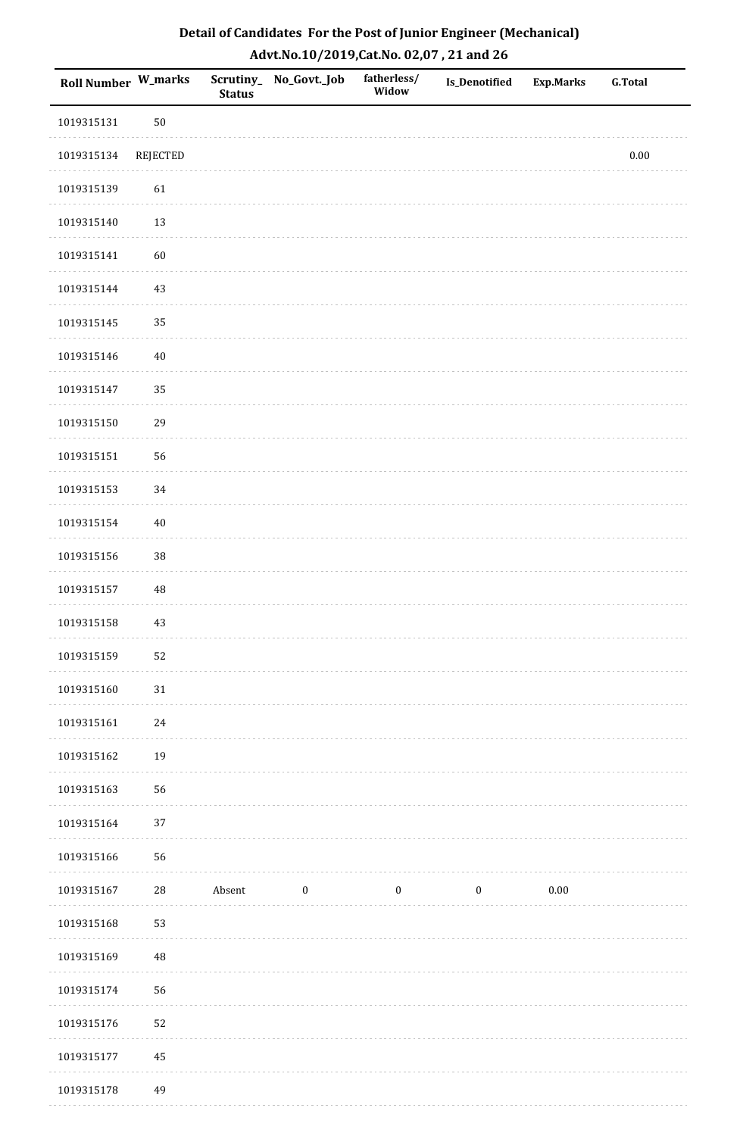| Detail of Candidates For the Post of Junior Engineer (Mechanical) |
|-------------------------------------------------------------------|
| Advt.No.10/2019,Cat.No. 02,07, 21 and 26                          |

| <b>Roll Number W_marks</b> |                 | <b>Status</b> | Scrutiny_No_Govt._Job | fatherless/<br>Widow | Is_Denotified    | Exp.Marks | ${\bf G.Total}$ |
|----------------------------|-----------------|---------------|-----------------------|----------------------|------------------|-----------|-----------------|
| 1019315131                 | $50\,$          |               |                       |                      |                  |           |                 |
| 1019315134                 | <b>REJECTED</b> |               |                       |                      |                  |           | $0.00\,$        |
| 1019315139                 | 61              |               |                       |                      |                  |           |                 |
| 1019315140                 | 13              |               |                       |                      |                  |           |                 |
| 1019315141                 | 60              |               |                       |                      |                  |           |                 |
| 1019315144                 | 43              |               |                       |                      |                  |           |                 |
| 1019315145                 | 35              |               |                       |                      |                  |           |                 |
| 1019315146                 | $40\,$          |               |                       |                      |                  |           |                 |
| 1019315147                 | 35              |               |                       |                      |                  |           |                 |
| 1019315150                 | 29              |               |                       |                      |                  |           |                 |
| 1019315151                 | 56              |               |                       |                      |                  |           |                 |
| 1019315153                 | 34              |               |                       |                      |                  |           |                 |
| 1019315154                 | $40\,$          |               |                       |                      |                  |           |                 |
| 1019315156                 | 38              |               |                       |                      |                  |           |                 |
| 1019315157                 | 48              |               |                       |                      |                  |           |                 |
| 1019315158                 | 43              |               |                       |                      |                  |           |                 |
| 1019315159                 | 52              |               |                       |                      |                  |           |                 |
| 1019315160                 | $31\,$          |               |                       |                      |                  |           |                 |
| 1019315161                 | 24              |               |                       |                      |                  |           |                 |
| 1019315162                 | 19              |               |                       |                      |                  |           |                 |
| 1019315163                 | 56              |               |                       |                      |                  |           |                 |
| 1019315164                 | $37\,$          |               |                       |                      |                  |           |                 |
| 1019315166                 | 56              |               |                       |                      |                  |           |                 |
| 1019315167                 | $28\,$          | Absent        | $\boldsymbol{0}$      | $\boldsymbol{0}$     | $\boldsymbol{0}$ | 0.00      |                 |
| 1019315168                 | 53              |               |                       |                      |                  |           |                 |
| 1019315169                 | $\rm 48$        |               |                       |                      |                  |           |                 |
| 1019315174                 | 56              |               |                       |                      |                  |           |                 |
| 1019315176                 | 52              |               |                       |                      |                  |           |                 |
| 1019315177                 | 45              |               |                       |                      |                  |           |                 |
| 1019315178                 | 49              |               |                       |                      |                  |           |                 |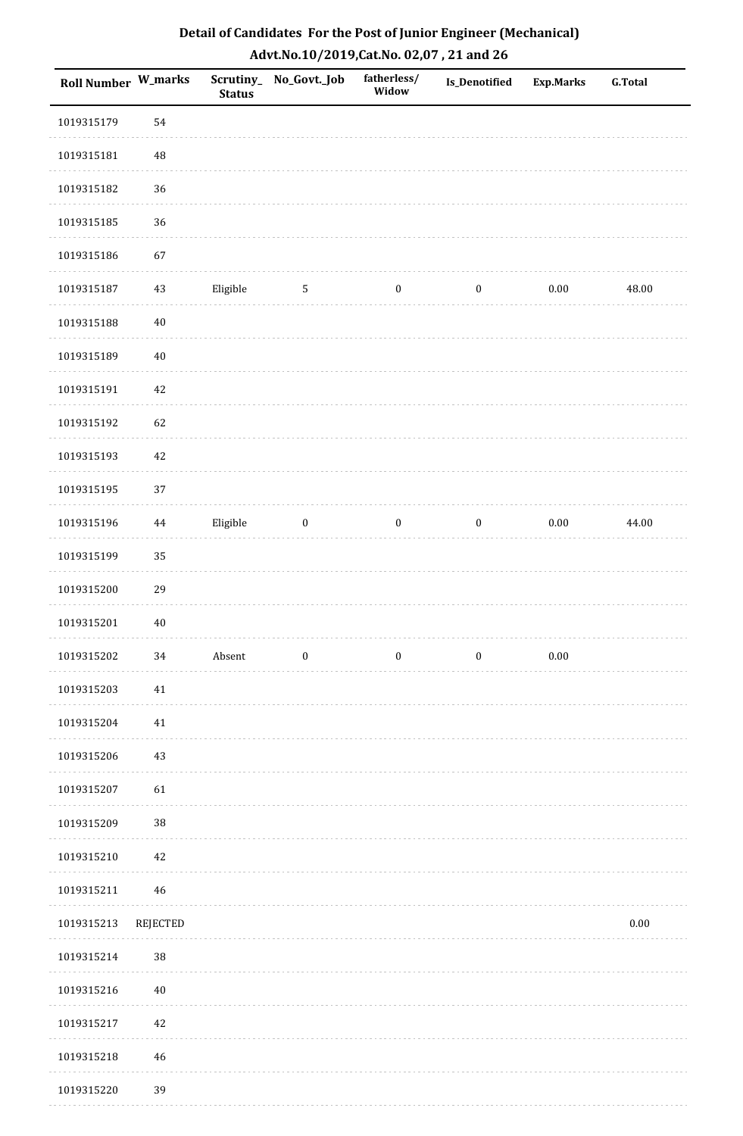| Detail of Candidates For the Post of Junior Engineer (Mechanical) |
|-------------------------------------------------------------------|
| Advt.No.10/2019, Cat.No. 02,07, 21 and 26                         |

| Roll Number W_marks |          | <b>Status</b> | Scrutiny_ No_Govt._Job | fatherless/<br>Widow | Is_Denotified    | <b>Exp.Marks</b> | <b>G.Total</b> |
|---------------------|----------|---------------|------------------------|----------------------|------------------|------------------|----------------|
| 1019315179          | 54       |               |                        |                      |                  |                  |                |
| 1019315181          | $\rm 48$ |               |                        |                      |                  |                  |                |
| 1019315182          | 36       |               |                        |                      |                  |                  |                |
| 1019315185          | 36       |               |                        |                      |                  |                  |                |
| 1019315186          | 67       |               |                        |                      |                  |                  |                |
| 1019315187          | 43       | Eligible      | $\sqrt{5}$             | $\boldsymbol{0}$     | $\boldsymbol{0}$ | $0.00\,$         | 48.00          |
| 1019315188          | $40\,$   |               |                        |                      |                  |                  |                |
| 1019315189          | $40\,$   |               |                        |                      |                  |                  |                |
| 1019315191          | $42\,$   |               |                        |                      |                  |                  |                |
| 1019315192          | 62       |               |                        |                      |                  |                  |                |
| 1019315193          | $42\,$   |               |                        |                      |                  |                  |                |
| 1019315195          | 37       |               |                        |                      |                  |                  |                |
| 1019315196          | 44       | Eligible      | $\boldsymbol{0}$       | $\boldsymbol{0}$     | $\boldsymbol{0}$ | $0.00\,$         | 44.00          |
| 1019315199          | 35       |               |                        |                      |                  |                  |                |
| 1019315200          | 29       |               |                        |                      |                  |                  |                |
| 1019315201          | $40\,$   |               |                        |                      |                  |                  |                |
| 1019315202          | 34       | Absent        | $\boldsymbol{0}$       | $\boldsymbol{0}$     | $\boldsymbol{0}$ | $0.00\,$         |                |
| 1019315203          | $41\,$   |               |                        |                      |                  |                  |                |
| 1019315204          | 41       |               |                        |                      |                  |                  |                |
| 1019315206          | 43       |               |                        |                      |                  |                  |                |
| 1019315207          | 61       |               |                        |                      |                  |                  |                |
| 1019315209          | $38\,$   |               |                        |                      |                  |                  |                |
| 1019315210          | $42\,$   |               |                        |                      |                  |                  |                |
| 1019315211          | 46       |               |                        |                      |                  |                  |                |
| 1019315213          | REJECTED |               |                        |                      |                  |                  | $0.00\,$       |
| 1019315214          | $38\,$   |               |                        |                      |                  |                  |                |
| 1019315216          | 40       |               |                        |                      |                  |                  |                |
| 1019315217          | 42       |               |                        |                      |                  |                  |                |
| 1019315218          | 46       |               |                        |                      |                  |                  |                |
| 1019315220          | 39       |               |                        |                      |                  |                  |                |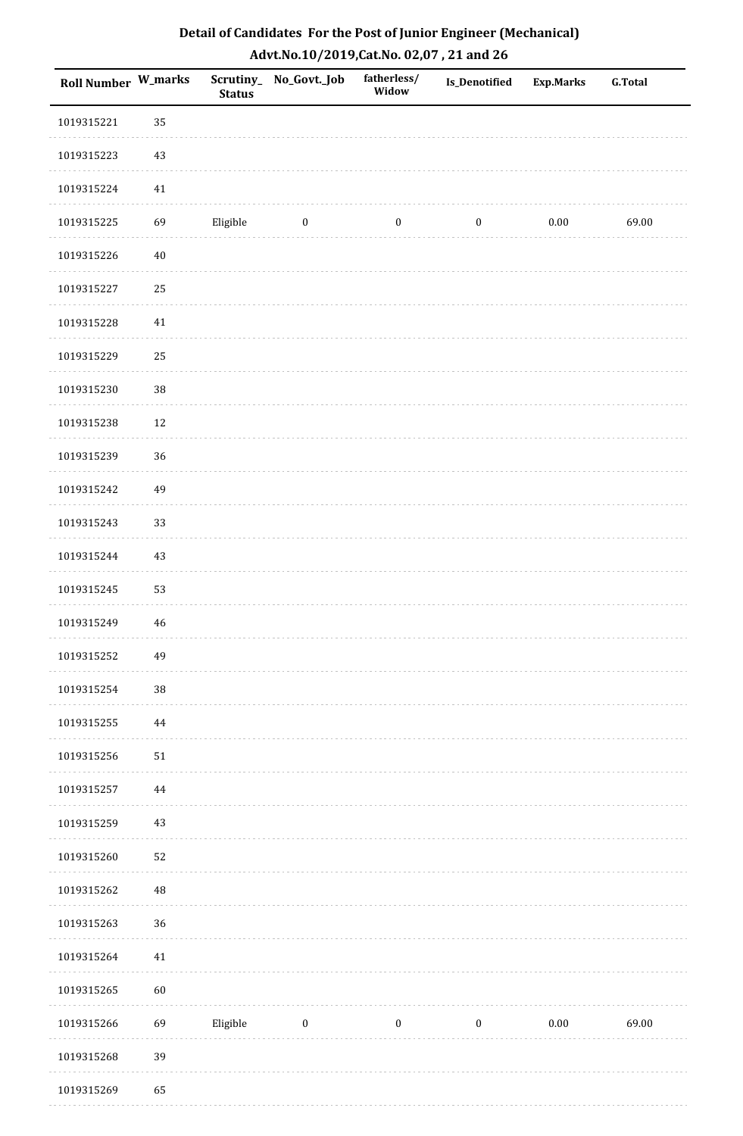| Detail of Candidates For the Post of Junior Engineer (Mechanical) |
|-------------------------------------------------------------------|
| Advt.No.10/2019,Cat.No. 02,07, 21 and 26                          |

| <b>Roll Number W_marks</b> |        | <b>Status</b> | Scrutiny_ No_Govt._Job | fatherless/<br>Widow | Is_Denotified    | <b>Exp.Marks</b> | <b>G.Total</b> |
|----------------------------|--------|---------------|------------------------|----------------------|------------------|------------------|----------------|
| 1019315221                 | 35     |               |                        |                      |                  |                  |                |
| 1019315223                 | $43\,$ |               |                        |                      |                  |                  |                |
| 1019315224                 | 41     |               |                        |                      |                  |                  |                |
| 1019315225                 | 69     | Eligible      | $\boldsymbol{0}$       | $\boldsymbol{0}$     | $\boldsymbol{0}$ | $0.00\,$         | 69.00          |
| 1019315226                 | $40\,$ |               |                        |                      |                  |                  |                |
| 1019315227                 | 25     |               |                        |                      |                  |                  |                |
| 1019315228                 | 41     |               |                        |                      |                  |                  |                |
| 1019315229                 | 25     |               |                        |                      |                  |                  |                |
| 1019315230                 | $38\,$ |               |                        |                      |                  |                  |                |
| 1019315238                 | 12     |               |                        |                      |                  |                  |                |
| 1019315239                 | 36     |               |                        |                      |                  |                  |                |
| 1019315242                 | 49     |               |                        |                      |                  |                  |                |
| 1019315243                 | 33     |               |                        |                      |                  |                  |                |
| 1019315244                 | $43\,$ |               |                        |                      |                  |                  |                |
| 1019315245                 | 53     |               |                        |                      |                  |                  |                |
| 1019315249                 | $46\,$ |               |                        |                      |                  |                  |                |
| 1019315252                 | 49     |               |                        |                      |                  |                  |                |
| 1019315254                 | 38     |               |                        |                      |                  |                  |                |
| 1019315255                 | 44     |               |                        |                      |                  |                  |                |
| 1019315256                 | $51\,$ |               |                        |                      |                  |                  |                |
| 1019315257                 | 44     |               |                        |                      |                  |                  |                |
| 1019315259                 | $43\,$ |               |                        |                      |                  |                  |                |
| 1019315260                 | 52     |               |                        |                      |                  |                  |                |
| 1019315262                 | 48     |               |                        |                      |                  |                  |                |
| 1019315263                 | 36     |               |                        |                      |                  |                  |                |
| 1019315264                 | $41\,$ |               |                        |                      |                  |                  |                |
| 1019315265                 | 60     |               |                        |                      |                  |                  |                |
| 1019315266                 | 69     | Eligible      | $\boldsymbol{0}$       | $\boldsymbol{0}$     | $\boldsymbol{0}$ | $0.00\,$         | 69.00          |
| 1019315268                 | 39     |               |                        |                      |                  |                  |                |
| 1019315269                 | 65     |               |                        |                      |                  |                  |                |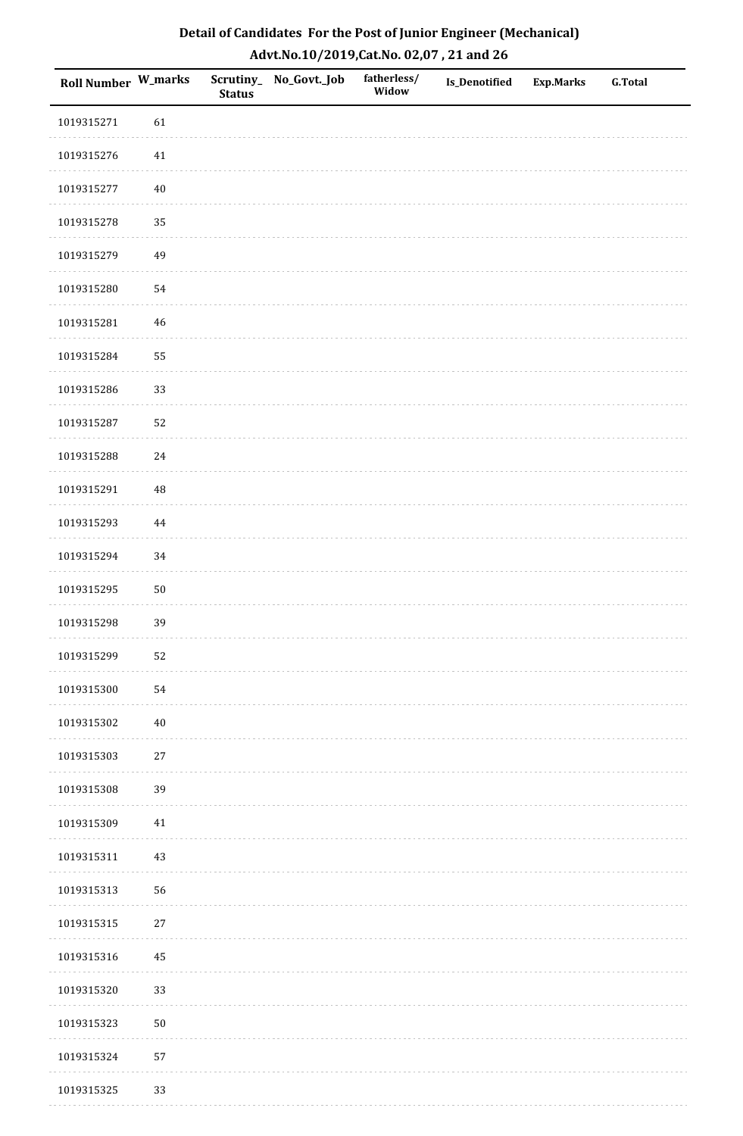| Roll Number W_marks |          | <b>Status</b> | Scrutiny_No_Govt._Job | fatherless/<br>Widow | <b>Is_Denotified</b> | <b>Exp.Marks</b> | <b>G.Total</b> |
|---------------------|----------|---------------|-----------------------|----------------------|----------------------|------------------|----------------|
| 1019315271          | 61       |               |                       |                      |                      |                  |                |
| 1019315276          | $41\,$   |               |                       |                      |                      |                  |                |
| 1019315277          | $40\,$   |               |                       |                      |                      |                  |                |
| 1019315278          | 35       |               |                       |                      |                      |                  |                |
| 1019315279          | 49       |               |                       |                      |                      |                  |                |
| 1019315280          | 54       |               |                       |                      |                      |                  |                |
| 1019315281          | 46       |               |                       |                      |                      |                  |                |
| 1019315284          | 55       |               |                       |                      |                      |                  |                |
| 1019315286          | 33       |               |                       |                      |                      |                  |                |
| 1019315287          | 52       |               |                       |                      |                      |                  |                |
| 1019315288          | $24\,$   |               |                       |                      |                      |                  |                |
| 1019315291          | $\rm 48$ |               |                       |                      |                      |                  |                |
| 1019315293          | $\bf 44$ |               |                       |                      |                      |                  |                |
| 1019315294          | 34       |               |                       |                      |                      |                  |                |
| 1019315295          | $50\,$   |               |                       |                      |                      |                  |                |
| 1019315298          | 39       |               |                       |                      |                      |                  |                |
| 1019315299          | 52       |               |                       |                      |                      |                  |                |
| 1019315300          | 54       |               |                       |                      |                      |                  |                |
| 1019315302          | $40\,$   |               |                       |                      |                      |                  |                |
| 1019315303          | $27\,$   |               |                       |                      |                      |                  |                |
| 1019315308          | 39       |               |                       |                      |                      |                  |                |
| 1019315309          | 41       |               |                       |                      |                      |                  |                |
| 1019315311          | $43\,$   |               |                       |                      |                      |                  |                |
| 1019315313          | 56       |               |                       |                      |                      |                  |                |
| 1019315315          | 27       |               |                       |                      |                      |                  |                |
| 1019315316          | 45       |               |                       |                      |                      |                  |                |
| 1019315320          | 33       |               |                       |                      |                      |                  |                |
| 1019315323          | $50\,$   |               |                       |                      |                      |                  |                |
| 1019315324          | 57       |               |                       |                      |                      |                  |                |
| 1019315325          | 33       |               |                       |                      |                      |                  |                |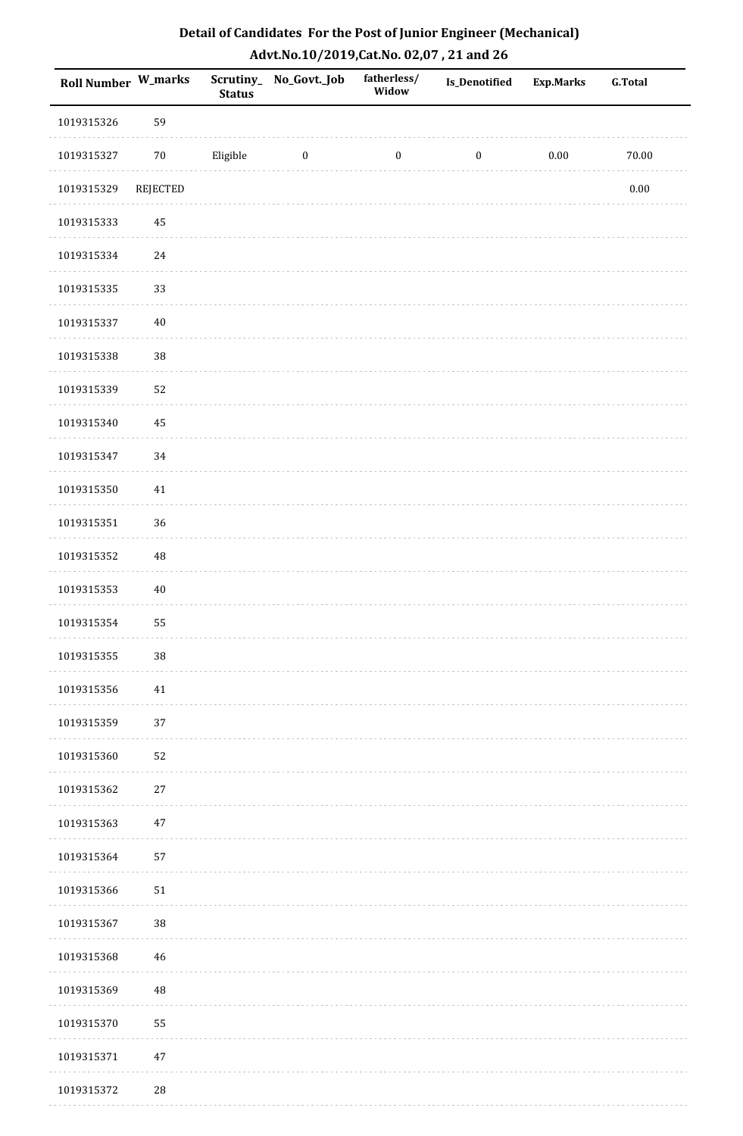| Detail of Candidates For the Post of Junior Engineer (Mechanical) |
|-------------------------------------------------------------------|
| Advt.No.10/2019,Cat.No. 02,07, 21 and 26                          |

| Roll Number W_marks |                 | <b>Status</b> | Scrutiny_ No_Govt._Job | fatherless/<br>Widow | Is_Denotified    | <b>Exp.Marks</b> | <b>G.Total</b> |
|---------------------|-----------------|---------------|------------------------|----------------------|------------------|------------------|----------------|
| 1019315326          | 59              |               |                        |                      |                  |                  |                |
| 1019315327          | $70\,$          | Eligible      | $\boldsymbol{0}$       | $\boldsymbol{0}$     | $\boldsymbol{0}$ | $0.00\,$         | 70.00          |
| 1019315329          | <b>REJECTED</b> |               |                        |                      |                  |                  | $0.00\,$       |
| 1019315333          | 45              |               |                        |                      |                  |                  |                |
| 1019315334          | $24\,$          |               |                        |                      |                  |                  |                |
| 1019315335          | 33              |               |                        |                      |                  |                  |                |
| 1019315337          | $40\,$          |               |                        |                      |                  |                  |                |
| 1019315338          | 38              |               |                        |                      |                  |                  |                |
| 1019315339          | 52              |               |                        |                      |                  |                  |                |
| 1019315340          | $\bf 45$        |               |                        |                      |                  |                  |                |
| 1019315347          | 34              |               |                        |                      |                  |                  |                |
| 1019315350          | $41\,$          |               |                        |                      |                  |                  |                |
| 1019315351          | 36              |               |                        |                      |                  |                  |                |
| 1019315352          | 48              |               |                        |                      |                  |                  |                |
| 1019315353          | $40\,$          |               |                        |                      |                  |                  |                |
| 1019315354          | 55              |               |                        |                      |                  |                  |                |
| 1019315355          | $38\,$          |               |                        |                      |                  |                  |                |
| 1019315356          | 41              |               |                        |                      |                  |                  |                |
| 1019315359          | 37              |               |                        |                      |                  |                  |                |
| 1019315360          | 52              |               |                        |                      |                  |                  |                |
| 1019315362          | 27              |               |                        |                      |                  |                  |                |
| 1019315363          | 47              |               |                        |                      |                  |                  |                |
| 1019315364          | 57              |               |                        |                      |                  |                  |                |
| 1019315366          | $51\,$          |               |                        |                      |                  |                  |                |
| 1019315367          | $38\,$          |               |                        |                      |                  |                  |                |
| 1019315368          | 46              |               |                        |                      |                  |                  |                |
| 1019315369          | 48              |               |                        |                      |                  |                  |                |
| 1019315370          | 55              |               |                        |                      |                  |                  |                |
| 1019315371          | 47              |               |                        |                      |                  |                  |                |
| 1019315372          | $\sqrt{28}$     |               |                        |                      |                  |                  |                |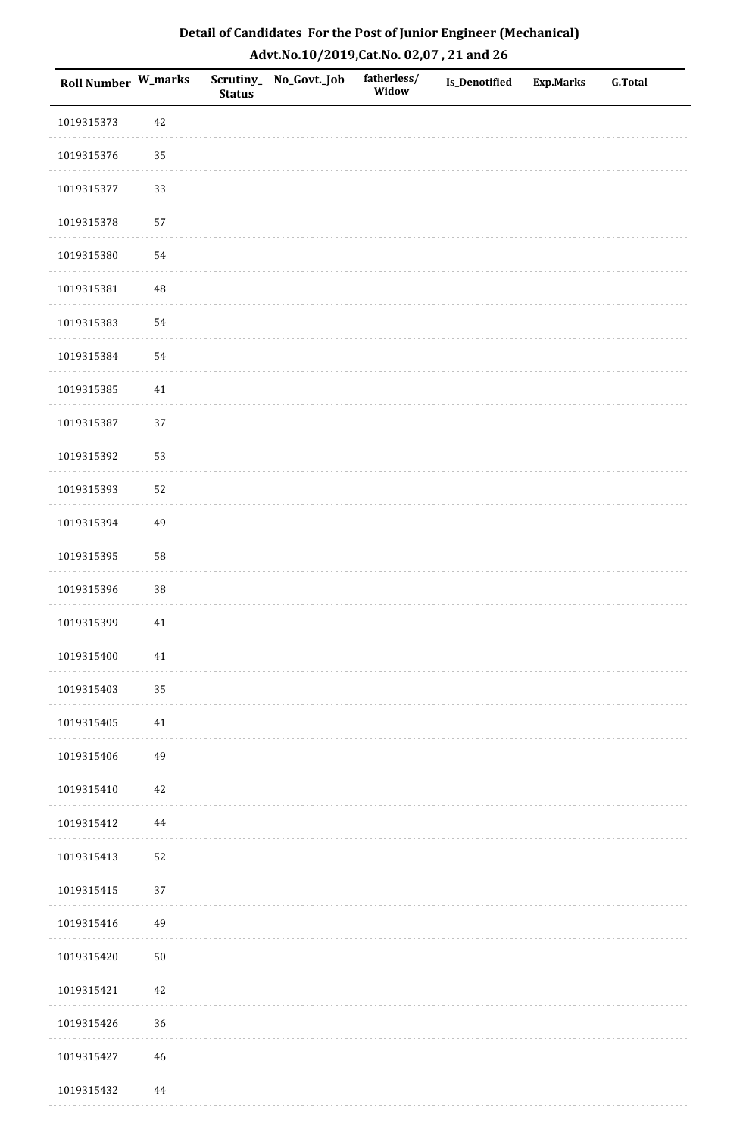| Detail of Candidates For the Post of Junior Engineer (Mechanical) |
|-------------------------------------------------------------------|
| Advt.No.10/2019,Cat.No. 02,07, 21 and 26                          |

| Roll Number W_marks |             | <b>Status</b> | Scrutiny_ No_Govt._Job | fatherless/<br>Widow | <b>Is_Denotified</b> | <b>Exp.Marks</b> | <b>G.Total</b> |
|---------------------|-------------|---------------|------------------------|----------------------|----------------------|------------------|----------------|
| 1019315373          | 42          |               |                        |                      |                      |                  |                |
| 1019315376          | 35          |               |                        |                      |                      |                  |                |
| 1019315377          | 33          |               |                        |                      |                      |                  |                |
| 1019315378          | 57          |               |                        |                      |                      |                  |                |
| 1019315380          | 54          |               |                        |                      |                      |                  |                |
| 1019315381          | $\rm 48$    |               |                        |                      |                      |                  |                |
| 1019315383          | 54          |               |                        |                      |                      |                  |                |
| 1019315384          | 54          |               |                        |                      |                      |                  |                |
| 1019315385          | 41          |               |                        |                      |                      |                  |                |
| 1019315387          | 37          |               |                        |                      |                      |                  |                |
| 1019315392          | 53          |               |                        |                      |                      |                  |                |
| 1019315393          | 52          |               |                        |                      |                      |                  |                |
| 1019315394          | 49          |               |                        |                      |                      |                  |                |
| 1019315395          | 58          |               |                        |                      |                      |                  |                |
| 1019315396          | $38\,$      |               |                        |                      |                      |                  |                |
| 1019315399          | $41\,$      |               |                        |                      |                      |                  |                |
| 1019315400          | $41\,$      |               |                        |                      |                      |                  |                |
| 1019315403          | 35          |               |                        |                      |                      |                  |                |
| 1019315405          | 41          |               |                        |                      |                      |                  |                |
| 1019315406          | 49          |               |                        |                      |                      |                  |                |
| 1019315410          | $42\,$      |               |                        |                      |                      |                  |                |
| 1019315412          | 44          |               |                        |                      |                      |                  |                |
| 1019315413          | 52          |               |                        |                      |                      |                  |                |
| 1019315415          | 37          |               |                        |                      |                      |                  |                |
| 1019315416          | 49          |               |                        |                      |                      |                  |                |
| 1019315420          | $50\,$      |               |                        |                      |                      |                  |                |
| 1019315421          | $42\,$      |               |                        |                      |                      |                  |                |
| 1019315426          | 36          |               |                        |                      |                      |                  |                |
| 1019315427          | $\sqrt{46}$ |               |                        |                      |                      |                  |                |
| 1019315432          | $\bf 44$    |               |                        |                      |                      |                  |                |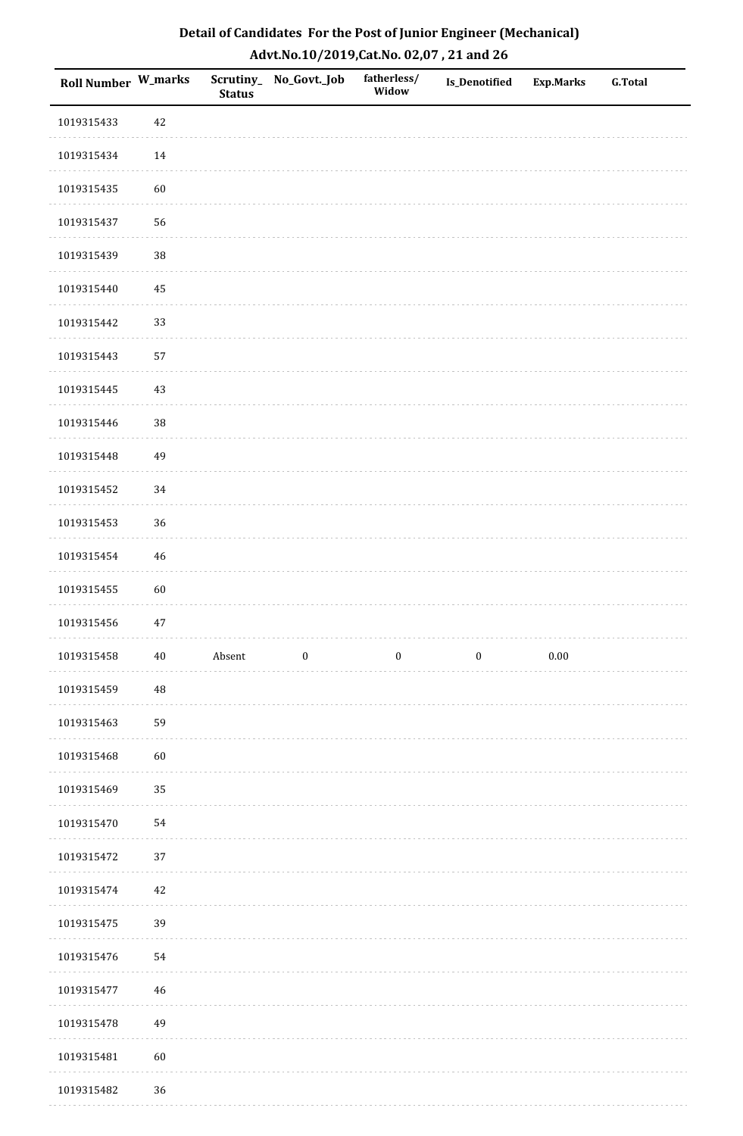| Roll Number W_marks |             | <b>Status</b> | Scrutiny_No_Govt._Job | fatherless/<br>Widow | Is_Denotified    | Exp.Marks | <b>G.Total</b> |
|---------------------|-------------|---------------|-----------------------|----------------------|------------------|-----------|----------------|
| 1019315433          | $42\,$      |               |                       |                      |                  |           |                |
| 1019315434          | 14          |               |                       |                      |                  |           |                |
| 1019315435          | 60          |               |                       |                      |                  |           |                |
| 1019315437          | 56          |               |                       |                      |                  |           |                |
| 1019315439          | 38          |               |                       |                      |                  |           |                |
| 1019315440          | 45          |               |                       |                      |                  |           |                |
| 1019315442          | 33          |               |                       |                      |                  |           |                |
| 1019315443          | 57          |               |                       |                      |                  |           |                |
| 1019315445          | $43\,$      |               |                       |                      |                  |           |                |
| 1019315446          | 38          |               |                       |                      |                  |           |                |
| 1019315448          | 49          |               |                       |                      |                  |           |                |
| 1019315452          | 34          |               |                       |                      |                  |           |                |
| 1019315453          | 36          |               |                       |                      |                  |           |                |
| 1019315454          | $46\,$      |               |                       |                      |                  |           |                |
| 1019315455          | 60          |               |                       |                      |                  |           |                |
| 1019315456          | $47\,$      |               |                       |                      |                  |           |                |
| 1019315458          | $40\,$      | Absent        | $\boldsymbol{0}$      | $\boldsymbol{0}$     | $\boldsymbol{0}$ | $0.00\,$  |                |
| 1019315459          | $\rm 48$    |               |                       |                      |                  |           |                |
| 1019315463          | 59          |               |                       |                      |                  |           |                |
| 1019315468          | 60          |               |                       |                      |                  |           |                |
| 1019315469          | 35          |               |                       |                      |                  |           |                |
| 1019315470          | 54          |               |                       |                      |                  |           |                |
| 1019315472          | 37          |               |                       |                      |                  |           |                |
| 1019315474          | $42\,$      |               |                       |                      |                  |           |                |
| 1019315475          | 39          |               |                       |                      |                  |           |                |
| 1019315476          | 54          |               |                       |                      |                  |           |                |
| 1019315477          | $\sqrt{46}$ |               |                       |                      |                  |           |                |
| 1019315478          | 49          |               |                       |                      |                  |           |                |
| 1019315481          | 60          |               |                       |                      |                  |           |                |
| 1019315482          | $36\,$      |               |                       |                      |                  |           |                |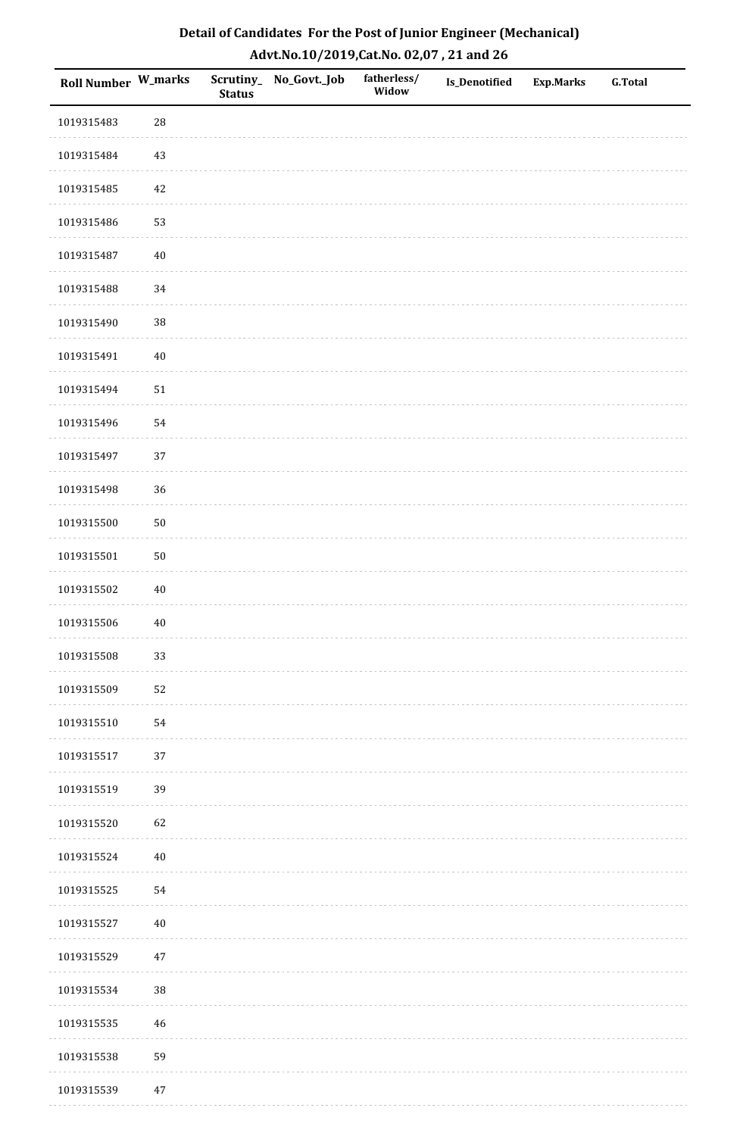| <b>Roll Number W_marks</b> |            | <b>Status</b> | Scrutiny_ No_Govt._Job | fatherless/<br>Widow | Is_Denotified | <b>Exp.Marks</b> | <b>G.Total</b> |
|----------------------------|------------|---------------|------------------------|----------------------|---------------|------------------|----------------|
| 1019315483                 | ${\bf 28}$ |               |                        |                      |               |                  |                |
| 1019315484                 | 43         |               |                        |                      |               |                  |                |
| 1019315485                 | 42         |               |                        |                      |               |                  |                |
| 1019315486                 | 53         |               |                        |                      |               |                  |                |
| 1019315487                 | $40\,$     |               |                        |                      |               |                  |                |
| 1019315488                 | 34         |               |                        |                      |               |                  |                |
| 1019315490                 | 38         |               |                        |                      |               |                  |                |
| 1019315491                 | $40\,$     |               |                        |                      |               |                  |                |
| 1019315494                 | $51\,$     |               |                        |                      |               |                  |                |
| 1019315496                 | 54         |               |                        |                      |               |                  |                |
| 1019315497                 | 37         |               |                        |                      |               |                  |                |
| 1019315498                 | 36         |               |                        |                      |               |                  |                |
| 1019315500                 | $50\,$     |               |                        |                      |               |                  |                |
| 1019315501                 | $50\,$     |               |                        |                      |               |                  |                |
| 1019315502                 | $40\,$     |               |                        |                      |               |                  |                |
| 1019315506                 | $40\,$     |               |                        |                      |               |                  |                |
| 1019315508                 | 33         |               |                        |                      |               |                  |                |
| 1019315509                 | 52         |               |                        |                      |               |                  |                |
| 1019315510                 | 54         |               |                        |                      |               |                  |                |
| 1019315517                 | $37\,$     |               |                        |                      |               |                  |                |
| 1019315519                 | 39         |               |                        |                      |               |                  |                |
| 1019315520                 | 62         |               |                        |                      |               |                  |                |
| 1019315524                 | $40\,$     |               |                        |                      |               |                  |                |
| 1019315525                 | 54         |               |                        |                      |               |                  |                |
| 1019315527                 | $40\,$     |               |                        |                      |               |                  |                |
| 1019315529                 | $47\,$     |               |                        |                      |               |                  |                |
| 1019315534                 | $38\,$     |               |                        |                      |               |                  |                |
| 1019315535                 | 46         |               |                        |                      |               |                  |                |
| 1019315538                 | 59         |               |                        |                      |               |                  |                |
| 1019315539                 | $47\,$     |               |                        |                      |               |                  |                |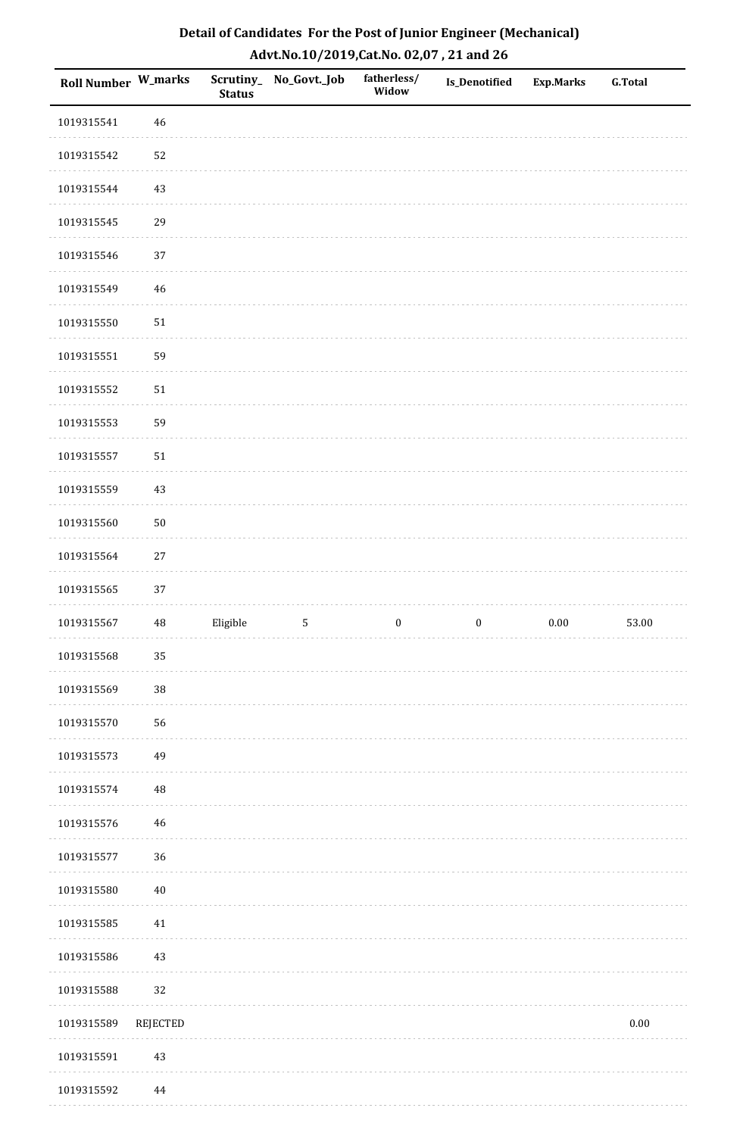| Detail of Candidates For the Post of Junior Engineer (Mechanical) |
|-------------------------------------------------------------------|
| Advt.No.10/2019,Cat.No. 02,07, 21 and 26                          |

| Roll Number W_marks |             | <b>Status</b> | Scrutiny_No_Govt._Job | fatherless/<br>Widow | Is_Denotified    | <b>Exp.Marks</b> | <b>G.Total</b> |
|---------------------|-------------|---------------|-----------------------|----------------------|------------------|------------------|----------------|
| 1019315541          | $46\,$      |               |                       |                      |                  |                  |                |
| 1019315542          | 52          |               |                       |                      |                  |                  |                |
| 1019315544          | 43          |               |                       |                      |                  |                  |                |
| 1019315545          | 29          |               |                       |                      |                  |                  |                |
| 1019315546          | 37          |               |                       |                      |                  |                  |                |
| 1019315549          | 46          |               |                       |                      |                  |                  |                |
| 1019315550          | $51\,$      |               |                       |                      |                  |                  |                |
| 1019315551          | 59          |               |                       |                      |                  |                  |                |
| 1019315552          | 51          |               |                       |                      |                  |                  |                |
| 1019315553          | 59          |               |                       |                      |                  |                  |                |
| 1019315557          | $51\,$      |               |                       |                      |                  |                  |                |
| 1019315559          | $43\,$      |               |                       |                      |                  |                  |                |
| 1019315560          | $50\,$      |               |                       |                      |                  |                  |                |
| 1019315564          | $27\,$      |               |                       |                      |                  |                  |                |
| 1019315565          | 37          |               |                       |                      |                  |                  |                |
| 1019315567          | $\sqrt{48}$ | Eligible      | $\mathsf S$           | $\boldsymbol{0}$     | $\boldsymbol{0}$ | $0.00\,$         | 53.00          |
| 1019315568          | 35          |               |                       |                      |                  |                  |                |
| 1019315569          | 38          |               |                       |                      |                  |                  |                |
| 1019315570          | 56          |               |                       |                      |                  |                  |                |
| 1019315573          | 49          |               |                       |                      |                  |                  |                |
| 1019315574          | 48          |               |                       |                      |                  |                  |                |
| 1019315576          | 46          |               |                       |                      |                  |                  |                |
| 1019315577          | 36          |               |                       |                      |                  |                  |                |
| 1019315580          | $40\,$      |               |                       |                      |                  |                  |                |
| 1019315585          | 41          |               |                       |                      |                  |                  |                |
| 1019315586          | $43\,$      |               |                       |                      |                  |                  |                |
| 1019315588          | 32          |               |                       |                      |                  |                  |                |
| 1019315589          | REJECTED    |               |                       |                      |                  |                  | $0.00\,$       |
| 1019315591          | $43\,$      |               |                       |                      |                  |                  |                |
| 1019315592          | 44          |               |                       |                      |                  |                  |                |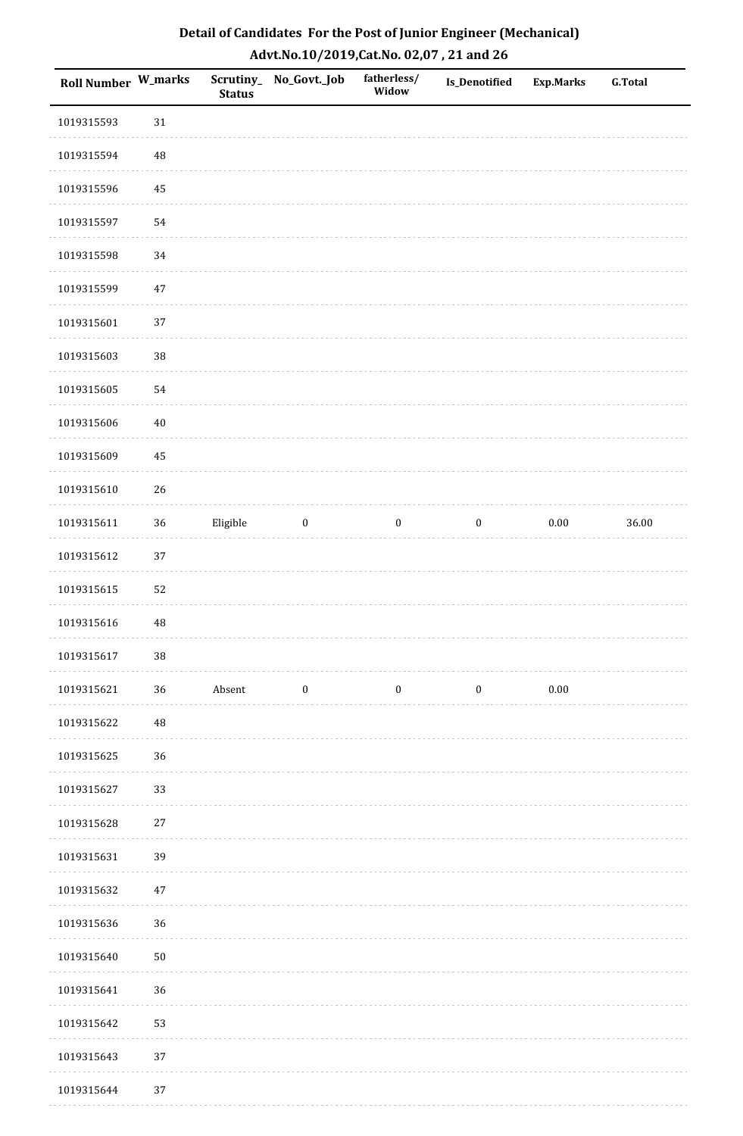| Roll Number W_marks |          | <b>Status</b> | Scrutiny_ No_Govt._Job | fatherless/<br>Widow | <b>Is_Denotified</b> | <b>Exp.Marks</b> | <b>G.Total</b> |
|---------------------|----------|---------------|------------------------|----------------------|----------------------|------------------|----------------|
| 1019315593          | $31\,$   |               |                        |                      |                      |                  |                |
| 1019315594          | $\rm 48$ |               |                        |                      |                      |                  |                |
| 1019315596          | $\bf 45$ |               |                        |                      |                      |                  |                |
| 1019315597          | 54       |               |                        |                      |                      |                  |                |
| 1019315598          | 34       |               |                        |                      |                      |                  |                |
| 1019315599          | $47\,$   |               |                        |                      |                      |                  |                |
| 1019315601          | 37       |               |                        |                      |                      |                  |                |
| 1019315603          | 38       |               |                        |                      |                      |                  |                |
| 1019315605          | 54       |               |                        |                      |                      |                  |                |
| 1019315606          | $40\,$   |               |                        |                      |                      |                  |                |
| 1019315609          | 45       |               |                        |                      |                      |                  |                |
| 1019315610          | 26       |               |                        |                      |                      |                  |                |
| 1019315611          | $36\,$   | Eligible      | $\bf{0}$               | $\boldsymbol{0}$     | $\boldsymbol{0}$     | $0.00\,$         | 36.00          |
| 1019315612          | 37       |               |                        |                      |                      |                  |                |
| 1019315615          | 52       |               |                        |                      |                      |                  |                |
| 1019315616          | 48       |               |                        |                      |                      |                  |                |
| 1019315617          | $38\,$   |               |                        |                      |                      |                  |                |
| 1019315621          | 36       | Absent        | $\boldsymbol{0}$       | $\boldsymbol{0}$     | $\boldsymbol{0}$     | 0.00             |                |
| 1019315622          | $\rm 48$ |               |                        |                      |                      |                  |                |
| 1019315625          | 36       |               |                        |                      |                      |                  |                |
| 1019315627          | 33       |               |                        |                      |                      |                  |                |
| 1019315628          | $27\,$   |               |                        |                      |                      |                  |                |
| 1019315631          | 39       |               |                        |                      |                      |                  |                |
| 1019315632          | $47\,$   |               |                        |                      |                      |                  |                |
| 1019315636          | 36       |               |                        |                      |                      |                  |                |
| 1019315640          | $50\,$   |               |                        |                      |                      |                  |                |
| 1019315641          | 36       |               |                        |                      |                      |                  |                |
| 1019315642          | 53       |               |                        |                      |                      |                  |                |
| 1019315643          | 37       |               |                        |                      |                      |                  |                |
| 1019315644          | 37       |               |                        |                      |                      |                  |                |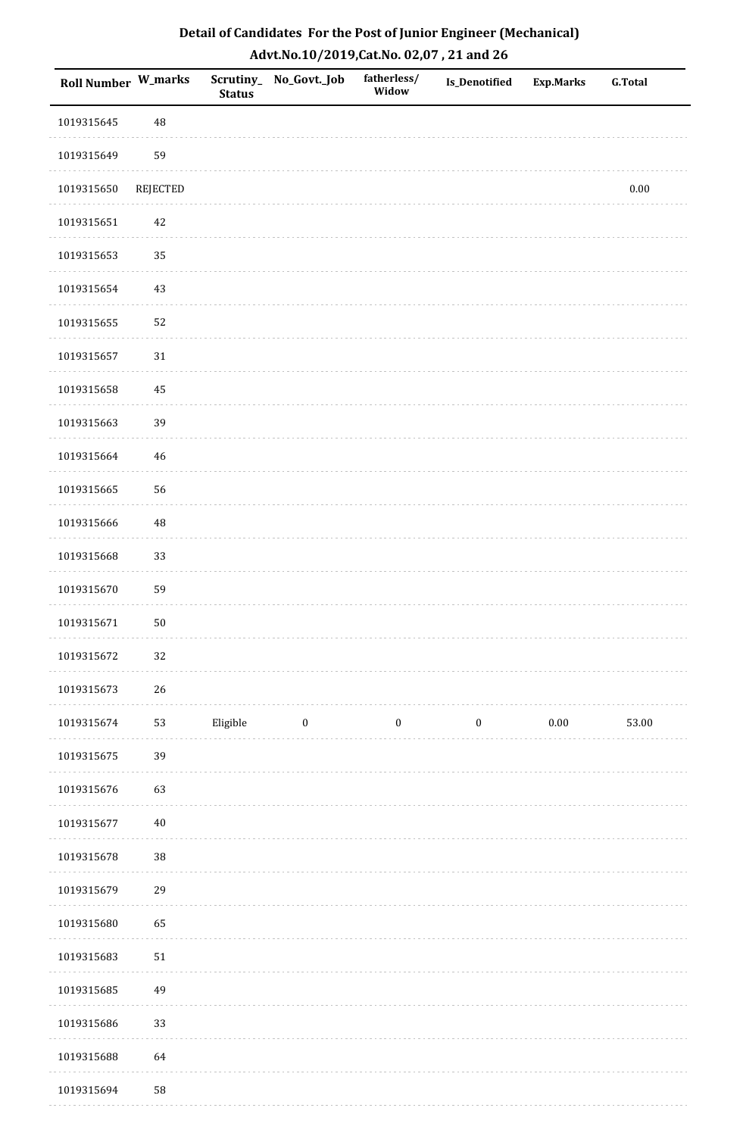| Roll Number W_marks |          | <b>Status</b> | Scrutiny_ No_Govt._Job | fatherless/<br>Widow | Is_Denotified    | <b>Exp.Marks</b> | <b>G.Total</b> |
|---------------------|----------|---------------|------------------------|----------------------|------------------|------------------|----------------|
| 1019315645          | 48       |               |                        |                      |                  |                  |                |
| 1019315649          | 59       |               |                        |                      |                  |                  |                |
| 1019315650          | REJECTED |               |                        |                      |                  |                  | $0.00\,$       |
| 1019315651          | 42       |               |                        |                      |                  |                  |                |
| 1019315653          | 35       |               |                        |                      |                  |                  |                |
| 1019315654          | $43\,$   |               |                        |                      |                  |                  |                |
| 1019315655          | 52       |               |                        |                      |                  |                  |                |
| 1019315657          | $31\,$   |               |                        |                      |                  |                  |                |
| 1019315658          | 45       |               |                        |                      |                  |                  |                |
| 1019315663          | 39       |               |                        |                      |                  |                  |                |
| 1019315664          | 46       |               |                        |                      |                  |                  |                |
| 1019315665          | 56       |               |                        |                      |                  |                  |                |
| 1019315666          | 48       |               |                        |                      |                  |                  |                |
| 1019315668          | 33       |               |                        |                      |                  |                  |                |
| 1019315670          | 59       |               |                        |                      |                  |                  |                |
| 1019315671          | $50\,$   |               |                        |                      |                  |                  |                |
| 1019315672          | 32       |               |                        |                      |                  |                  |                |
| 1019315673          | 26       |               |                        |                      |                  |                  |                |
| 1019315674          | 53       | Eligible      | $\bf{0}$               | $\boldsymbol{0}$     | $\boldsymbol{0}$ | $0.00\,$         | 53.00          |
| 1019315675          | 39       |               |                        |                      |                  |                  |                |
| 1019315676          | 63       |               |                        |                      |                  |                  |                |
| 1019315677          | $40\,$   |               |                        |                      |                  |                  |                |
| 1019315678          | 38       |               |                        |                      |                  |                  |                |
| 1019315679          | 29       |               |                        |                      |                  |                  |                |
| 1019315680          | 65       |               |                        |                      |                  |                  |                |
| 1019315683          | $51\,$   |               |                        |                      |                  |                  |                |
| 1019315685          | 49       |               |                        |                      |                  |                  |                |
| 1019315686          | 33       |               |                        |                      |                  |                  |                |
| 1019315688          | 64       |               |                        |                      |                  |                  |                |
| 1019315694          | 58       |               |                        |                      |                  |                  |                |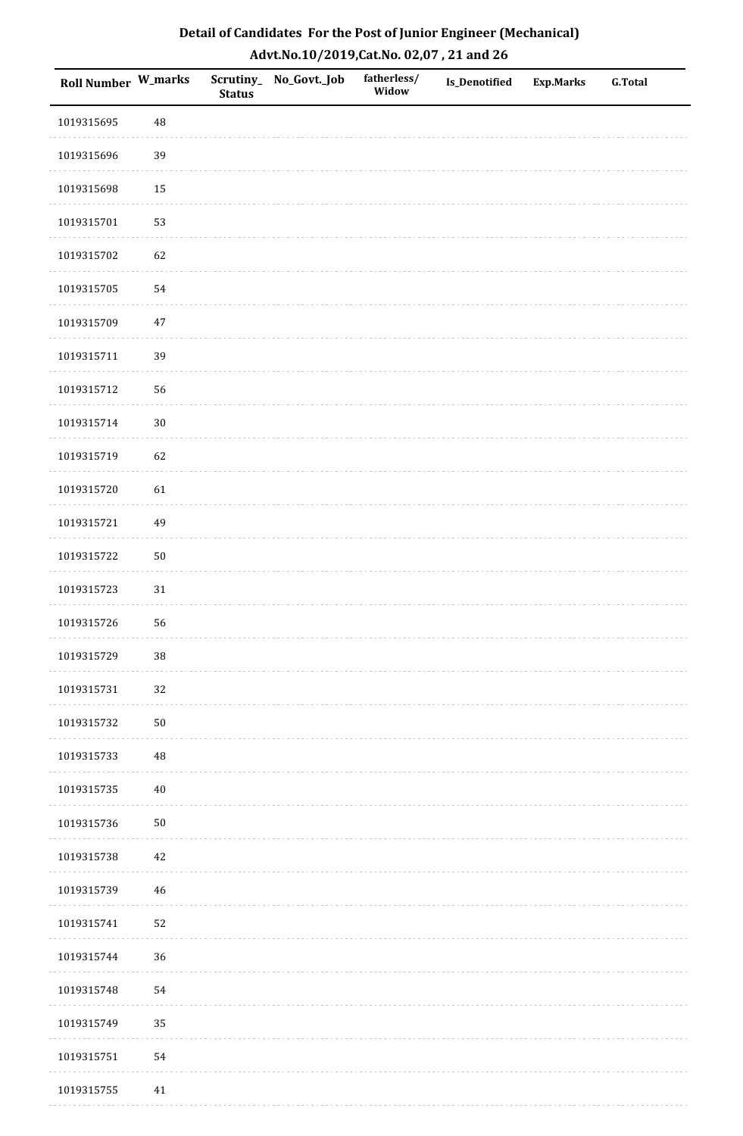| Detail of Candidates For the Post of Junior Engineer (Mechanical) |
|-------------------------------------------------------------------|
| Advt.No.10/2019,Cat.No. 02,07, 21 and 26                          |

| Roll Number W_marks |             | <b>Status</b> | Scrutiny_ No_Govt._Job | fatherless/<br>Widow | Is_Denotified | <b>Exp.Marks</b> | <b>G.Total</b> |
|---------------------|-------------|---------------|------------------------|----------------------|---------------|------------------|----------------|
| 1019315695          | 48          |               |                        |                      |               |                  |                |
| 1019315696          | 39          |               |                        |                      |               |                  |                |
| 1019315698          | 15          |               |                        |                      |               |                  |                |
| 1019315701          | 53          |               |                        |                      |               |                  |                |
| 1019315702          | 62          |               |                        |                      |               |                  |                |
| 1019315705          | 54          |               |                        |                      |               |                  |                |
| 1019315709          | $47\,$      |               |                        |                      |               |                  |                |
| 1019315711          | 39          |               |                        |                      |               |                  |                |
| 1019315712          | 56          |               |                        |                      |               |                  |                |
| 1019315714          | $30\,$      |               |                        |                      |               |                  |                |
| 1019315719          | 62          |               |                        |                      |               |                  |                |
| 1019315720          | 61          |               |                        |                      |               |                  |                |
| 1019315721          | 49          |               |                        |                      |               |                  |                |
| 1019315722          | $50\,$      |               |                        |                      |               |                  |                |
| 1019315723          | $31\,$      |               |                        |                      |               |                  |                |
| 1019315726          | 56          |               |                        |                      |               |                  |                |
| 1019315729          | $38\,$      |               |                        |                      |               |                  |                |
| 1019315731          | 32          |               |                        |                      |               |                  |                |
| 1019315732          | $50\,$      |               |                        |                      |               |                  |                |
| 1019315733          | 48          |               |                        |                      |               |                  |                |
| 1019315735          | $40\,$      |               |                        |                      |               |                  |                |
| 1019315736          | $50\,$      |               |                        |                      |               |                  |                |
| 1019315738          | $42\,$      |               |                        |                      |               |                  |                |
| 1019315739          | $\sqrt{46}$ |               |                        |                      |               |                  |                |
| 1019315741          | 52          |               |                        |                      |               |                  |                |
| 1019315744          | 36          |               |                        |                      |               |                  |                |
| 1019315748          | 54          |               |                        |                      |               |                  |                |
| 1019315749          | 35          |               |                        |                      |               |                  |                |
| 1019315751          | 54          |               |                        |                      |               |                  |                |
| 1019315755          | $41\,$      |               |                        |                      |               |                  |                |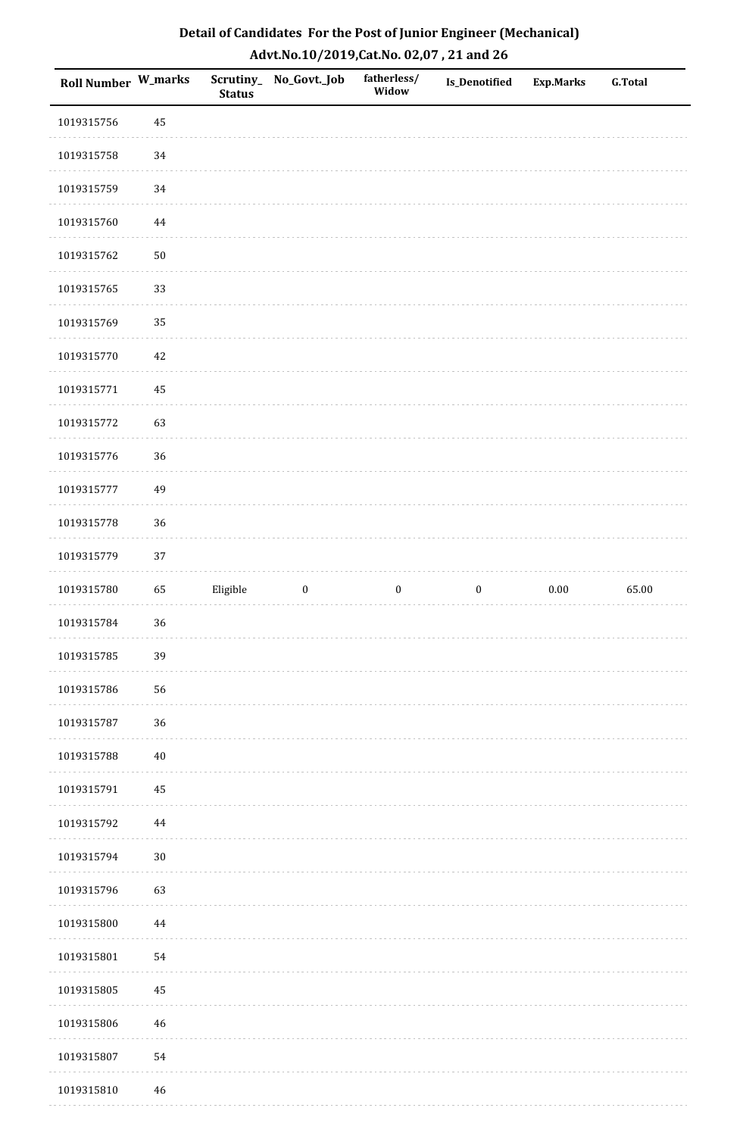| Detail of Candidates For the Post of Junior Engineer (Mechanical) |
|-------------------------------------------------------------------|
| Advt.No.10/2019,Cat.No. 02,07, 21 and 26                          |

| Roll Number W_marks |             | <b>Status</b> | Scrutiny_No_Govt._Job | fatherless/<br>Widow | Is_Denotified    | <b>Exp.Marks</b> | <b>G.Total</b> |
|---------------------|-------------|---------------|-----------------------|----------------------|------------------|------------------|----------------|
| 1019315756          | 45          |               |                       |                      |                  |                  |                |
| 1019315758          | 34          |               |                       |                      |                  |                  |                |
| 1019315759          | 34          |               |                       |                      |                  |                  |                |
| 1019315760          | 44          |               |                       |                      |                  |                  |                |
| 1019315762          | $50\,$      |               |                       |                      |                  |                  |                |
| 1019315765          | 33          |               |                       |                      |                  |                  |                |
| 1019315769          | 35          |               |                       |                      |                  |                  |                |
| 1019315770          | $42\,$      |               |                       |                      |                  |                  |                |
| 1019315771          | 45          |               |                       |                      |                  |                  |                |
| 1019315772          | 63          |               |                       |                      |                  |                  |                |
| 1019315776          | 36          |               |                       |                      |                  |                  |                |
| 1019315777          | 49          |               |                       |                      |                  |                  |                |
| 1019315778          | 36          |               |                       |                      |                  |                  |                |
| 1019315779          | 37          |               |                       |                      |                  |                  |                |
| 1019315780          | 65          | Eligible      | $\boldsymbol{0}$      | $\boldsymbol{0}$     | $\boldsymbol{0}$ | 0.00             | 65.00          |
| 1019315784          | 36          |               |                       |                      |                  |                  |                |
| 1019315785          | 39          |               |                       |                      |                  |                  |                |
| 1019315786          | 56          |               |                       |                      |                  |                  |                |
| 1019315787          | 36          |               |                       |                      |                  |                  |                |
| 1019315788          | $40\,$      |               |                       |                      |                  |                  |                |
| 1019315791          | 45          |               |                       |                      |                  |                  |                |
| 1019315792          | $\bf 44$    |               |                       |                      |                  |                  |                |
| 1019315794          | $30\,$      |               |                       |                      |                  |                  |                |
| 1019315796          | 63          |               |                       |                      |                  |                  |                |
| 1019315800          | 44          |               |                       |                      |                  |                  |                |
| 1019315801          | 54          |               |                       |                      |                  |                  |                |
| 1019315805          | 45          |               |                       |                      |                  |                  |                |
| 1019315806          | $\sqrt{46}$ |               |                       |                      |                  |                  |                |
| 1019315807          | 54          |               |                       |                      |                  |                  |                |
| 1019315810          | 46          |               |                       |                      |                  |                  |                |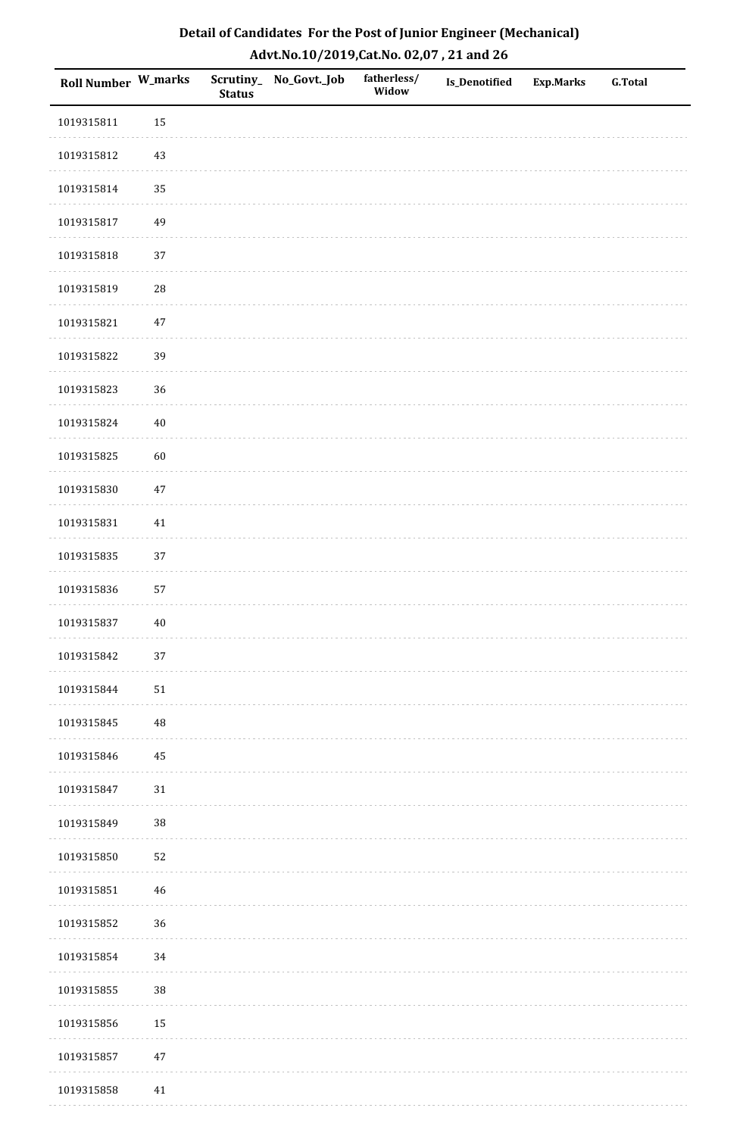| Detail of Candidates For the Post of Junior Engineer (Mechanical) |
|-------------------------------------------------------------------|
| Advt.No.10/2019,Cat.No. 02,07, 21 and 26                          |

| Roll Number W_marks |             | <b>Status</b> | Scrutiny_ No_Govt._Job | fatherless/<br>Widow | Is_Denotified | <b>Exp.Marks</b> | <b>G.Total</b> |
|---------------------|-------------|---------------|------------------------|----------------------|---------------|------------------|----------------|
| 1019315811          | 15          |               |                        |                      |               |                  |                |
| 1019315812          | 43          |               |                        |                      |               |                  |                |
| 1019315814          | 35          |               |                        |                      |               |                  |                |
| 1019315817          | 49          |               |                        |                      |               |                  |                |
| 1019315818          | 37          |               |                        |                      |               |                  |                |
| 1019315819          | ${\bf 28}$  |               |                        |                      |               |                  |                |
| 1019315821          | $47\,$      |               |                        |                      |               |                  |                |
| 1019315822          | 39          |               |                        |                      |               |                  |                |
| 1019315823          | 36          |               |                        |                      |               |                  |                |
| 1019315824          | $40\,$      |               |                        |                      |               |                  |                |
| 1019315825          | 60          |               |                        |                      |               |                  |                |
| 1019315830          | $47\,$      |               |                        |                      |               |                  |                |
| 1019315831          | $41\,$      |               |                        |                      |               |                  |                |
| 1019315835          | 37          |               |                        |                      |               |                  |                |
| 1019315836          | 57          |               |                        |                      |               |                  |                |
| 1019315837          | $40\,$      |               |                        |                      |               |                  |                |
| 1019315842          | $37\,$      |               |                        |                      |               |                  |                |
| 1019315844          | $51\,$      |               |                        |                      |               |                  |                |
| 1019315845          | $\rm 48$    |               |                        |                      |               |                  |                |
| 1019315846          | 45          |               |                        |                      |               |                  |                |
| 1019315847          | 31          |               |                        |                      |               |                  |                |
| 1019315849          | $38\,$      |               |                        |                      |               |                  |                |
| 1019315850          | 52          |               |                        |                      |               |                  |                |
| 1019315851          | $\sqrt{46}$ |               |                        |                      |               |                  |                |
| 1019315852          | 36          |               |                        |                      |               |                  |                |
| 1019315854          | 34          |               |                        |                      |               |                  |                |
| 1019315855          | 38          |               |                        |                      |               |                  |                |
| 1019315856          | 15          |               |                        |                      |               |                  |                |
| 1019315857          | $47\,$      |               |                        |                      |               |                  |                |
| 1019315858          | 41          |               |                        |                      |               |                  |                |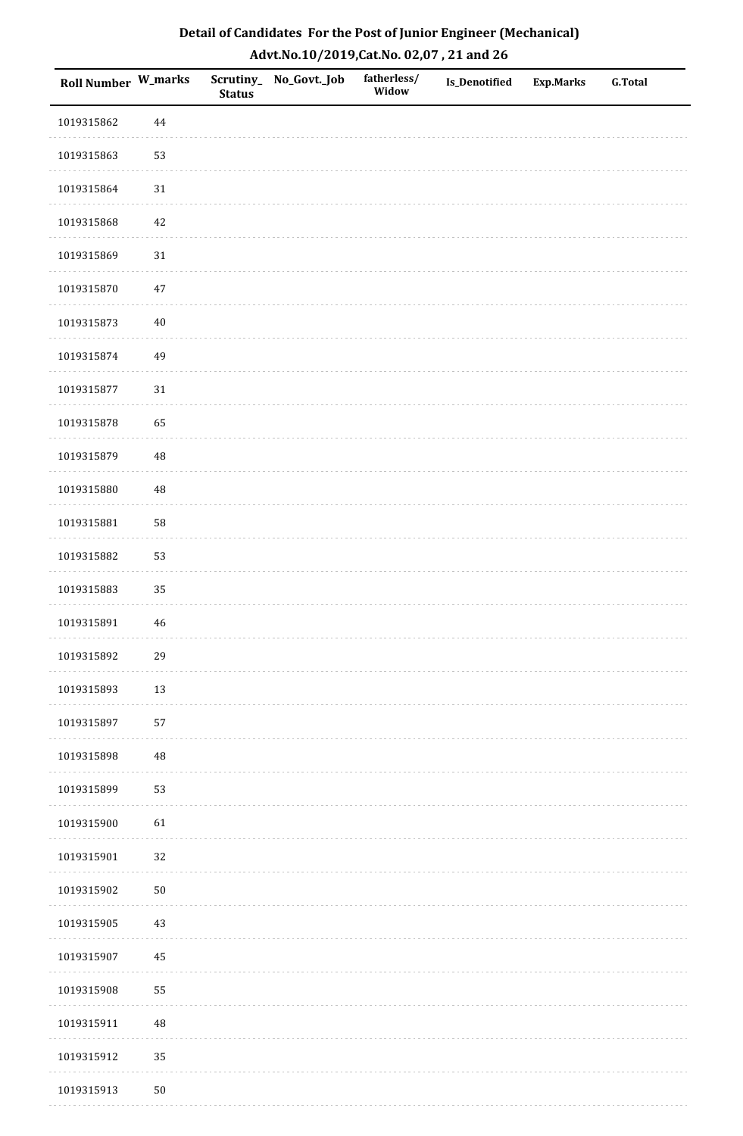| Detail of Candidates For the Post of Junior Engineer (Mechanical) |
|-------------------------------------------------------------------|
| Advt.No.10/2019,Cat.No. 02,07, 21 and 26                          |

| Roll Number W_marks |             | <b>Status</b> | Scrutiny_ No_Govt._Job | fatherless/<br>Widow | <b>Is_Denotified</b> | <b>Exp.Marks</b> | <b>G.Total</b> |
|---------------------|-------------|---------------|------------------------|----------------------|----------------------|------------------|----------------|
| 1019315862          | 44          |               |                        |                      |                      |                  |                |
| 1019315863          | 53          |               |                        |                      |                      |                  |                |
| 1019315864          | 31          |               |                        |                      |                      |                  |                |
| 1019315868          | $42\,$      |               |                        |                      |                      |                  |                |
| 1019315869          | $31\,$      |               |                        |                      |                      |                  |                |
| 1019315870          | $47\,$      |               |                        |                      |                      |                  |                |
| 1019315873          | $40\,$      |               |                        |                      |                      |                  |                |
| 1019315874          | 49          |               |                        |                      |                      |                  |                |
| 1019315877          | $31\,$      |               |                        |                      |                      |                  |                |
| 1019315878          | 65          |               |                        |                      |                      |                  |                |
| 1019315879          | $\rm 48$    |               |                        |                      |                      |                  |                |
| 1019315880          | $\rm 48$    |               |                        |                      |                      |                  |                |
| 1019315881          | 58          |               |                        |                      |                      |                  |                |
| 1019315882          | 53          |               |                        |                      |                      |                  |                |
| 1019315883          | 35          |               |                        |                      |                      |                  |                |
| 1019315891          | $\sqrt{46}$ |               |                        |                      |                      |                  |                |
| 1019315892          | 29          |               |                        |                      |                      |                  |                |
| 1019315893          | 13          |               |                        |                      |                      |                  |                |
| 1019315897          | 57          |               |                        |                      |                      |                  |                |
| 1019315898          | $\rm 48$    |               |                        |                      |                      |                  |                |
| 1019315899          | 53          |               |                        |                      |                      |                  |                |
| 1019315900          | 61          |               |                        |                      |                      |                  |                |
| 1019315901          | 32          |               |                        |                      |                      |                  |                |
| 1019315902          | $50\,$      |               |                        |                      |                      |                  |                |
| 1019315905          | $43\,$      |               |                        |                      |                      |                  |                |
| 1019315907          | $\bf 45$    |               |                        |                      |                      |                  |                |
| 1019315908          | 55          |               |                        |                      |                      |                  |                |
| 1019315911          | $\rm 48$    |               |                        |                      |                      |                  |                |
| 1019315912          | 35          |               |                        |                      |                      |                  |                |
| 1019315913          | $50\,$      |               |                        |                      |                      |                  |                |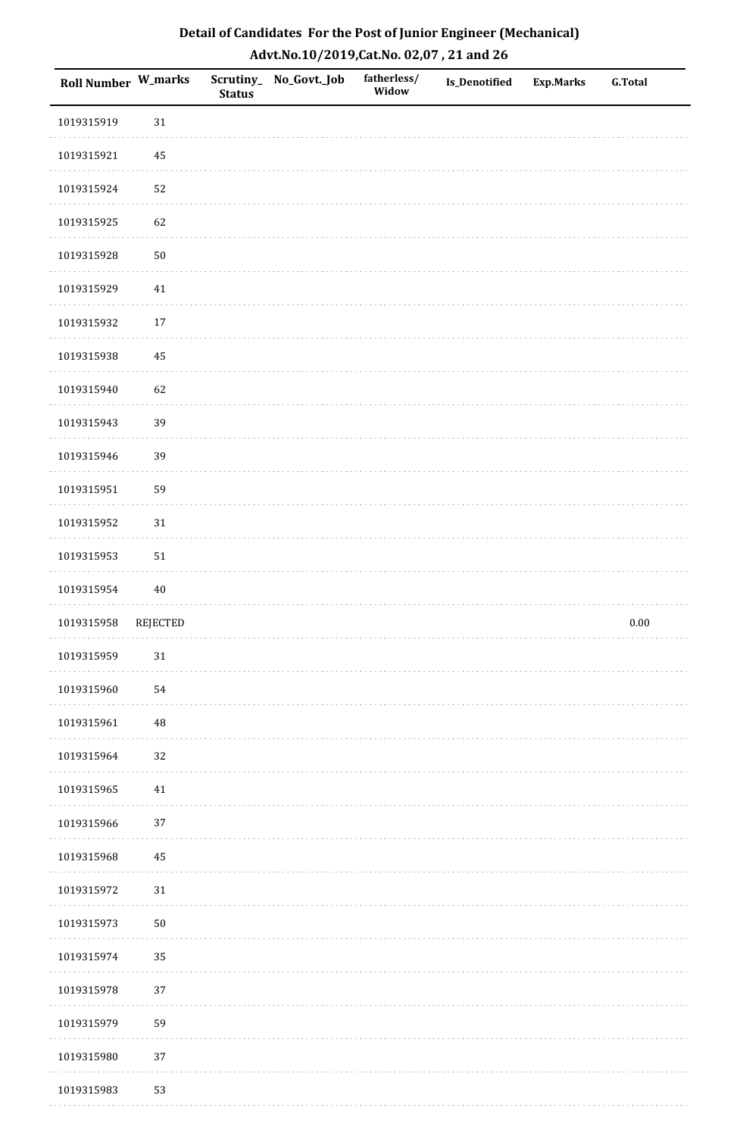| Detail of Candidates For the Post of Junior Engineer (Mechanical) |
|-------------------------------------------------------------------|
| Advt.No.10/2019,Cat.No. 02,07, 21 and 26                          |

| Roll Number W_marks |                 | <b>Status</b> | Scrutiny_ No_Govt._Job | fatherless/<br>Widow | Is_Denotified | <b>Exp.Marks</b> | <b>G.Total</b> |
|---------------------|-----------------|---------------|------------------------|----------------------|---------------|------------------|----------------|
| 1019315919          | $31\,$          |               |                        |                      |               |                  |                |
| 1019315921          | 45              |               |                        |                      |               |                  |                |
| 1019315924          | 52              |               |                        |                      |               |                  |                |
| 1019315925          | 62              |               |                        |                      |               |                  |                |
| 1019315928          | $50\,$          |               |                        |                      |               |                  |                |
| 1019315929          | $41\,$          |               |                        |                      |               |                  |                |
| 1019315932          | $17\,$          |               |                        |                      |               |                  |                |
| 1019315938          | 45              |               |                        |                      |               |                  |                |
| 1019315940          | 62              |               |                        |                      |               |                  |                |
| 1019315943          | 39              |               |                        |                      |               |                  |                |
| 1019315946          | 39              |               |                        |                      |               |                  |                |
| 1019315951          | 59              |               |                        |                      |               |                  |                |
| 1019315952          | $31\,$          |               |                        |                      |               |                  |                |
| 1019315953          | $51\,$          |               |                        |                      |               |                  |                |
| 1019315954          | 40              |               |                        |                      |               |                  |                |
| 1019315958          | <b>REJECTED</b> |               |                        |                      |               |                  | $0.00\,$       |
| 1019315959          | $31\,$          |               |                        |                      |               |                  |                |
| 1019315960          | 54              |               |                        |                      |               |                  |                |
| 1019315961          | $\rm 48$        |               |                        |                      |               |                  |                |
| 1019315964          | 32              |               |                        |                      |               |                  |                |
| 1019315965          | 41              |               |                        |                      |               |                  |                |
| 1019315966          | 37              |               |                        |                      |               |                  |                |
| 1019315968          | 45              |               |                        |                      |               |                  |                |
| 1019315972          | $31\,$          |               |                        |                      |               |                  |                |
| 1019315973          | $50\,$          |               |                        |                      |               |                  |                |
| 1019315974          | 35              |               |                        |                      |               |                  |                |
| 1019315978          | 37              |               |                        |                      |               |                  |                |
| 1019315979          | 59              |               |                        |                      |               |                  |                |
| 1019315980          | 37              |               |                        |                      |               |                  |                |
| 1019315983          | 53              |               |                        |                      |               |                  |                |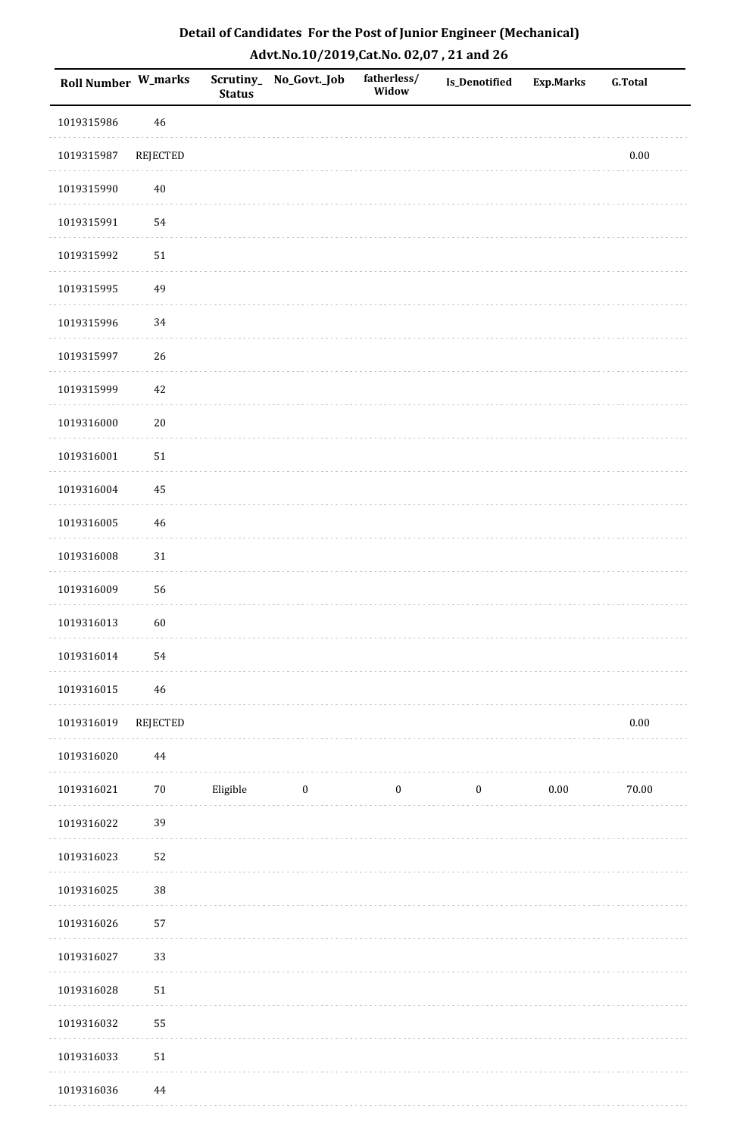| Detail of Candidates For the Post of Junior Engineer (Mechanical) |
|-------------------------------------------------------------------|
| Advt.No.10/2019,Cat.No. 02,07, 21 and 26                          |

| Roll Number W_marks |                 | <b>Status</b> | Scrutiny_ No_Govt._Job | fatherless/<br>Widow | Is_Denotified    | Exp.Marks | <b>G.Total</b> |
|---------------------|-----------------|---------------|------------------------|----------------------|------------------|-----------|----------------|
| 1019315986          | 46              |               |                        |                      |                  |           |                |
| 1019315987          | <b>REJECTED</b> |               |                        |                      |                  |           | $0.00\,$       |
| 1019315990          | 40              |               |                        |                      |                  |           |                |
| 1019315991          | 54              |               |                        |                      |                  |           |                |
| 1019315992          | 51              |               |                        |                      |                  |           |                |
| 1019315995          | 49              |               |                        |                      |                  |           |                |
| 1019315996          | 34              |               |                        |                      |                  |           |                |
| 1019315997          | 26              |               |                        |                      |                  |           |                |
| 1019315999          | 42              |               |                        |                      |                  |           |                |
| 1019316000          | $20\,$          |               |                        |                      |                  |           |                |
| 1019316001          | ${\bf 51}$      |               |                        |                      |                  |           |                |
| 1019316004          | $\rm 45$        |               |                        |                      |                  |           |                |
| 1019316005          | 46              |               |                        |                      |                  |           |                |
| 1019316008          | 31              |               |                        |                      |                  |           |                |
| 1019316009          | 56              |               |                        |                      |                  |           |                |
| 1019316013          | 60              |               |                        |                      |                  |           |                |
| 1019316014          | 54              |               |                        |                      |                  |           |                |
| 1019316015          | 46              |               |                        |                      |                  |           |                |
| 1019316019          | REJECTED        |               |                        |                      |                  |           | $0.00\,$       |
| 1019316020          | $\bf 44$        |               |                        |                      |                  |           |                |
| 1019316021          | $70\,$          | Eligible      | $\boldsymbol{0}$       | $\boldsymbol{0}$     | $\boldsymbol{0}$ | $0.00\,$  | 70.00          |
| 1019316022          | 39              |               |                        |                      |                  |           |                |
| 1019316023          | 52              |               |                        |                      |                  |           |                |
| 1019316025          | $38\,$          |               |                        |                      |                  |           |                |
| 1019316026          | 57              |               |                        |                      |                  |           |                |
| 1019316027          | 33              |               |                        |                      |                  |           |                |
| 1019316028          | 51              |               |                        |                      |                  |           |                |
| 1019316032          | 55              |               |                        |                      |                  |           |                |
| 1019316033          | 51              |               |                        |                      |                  |           |                |
| 1019316036          | $\bf 44$        |               |                        |                      |                  |           |                |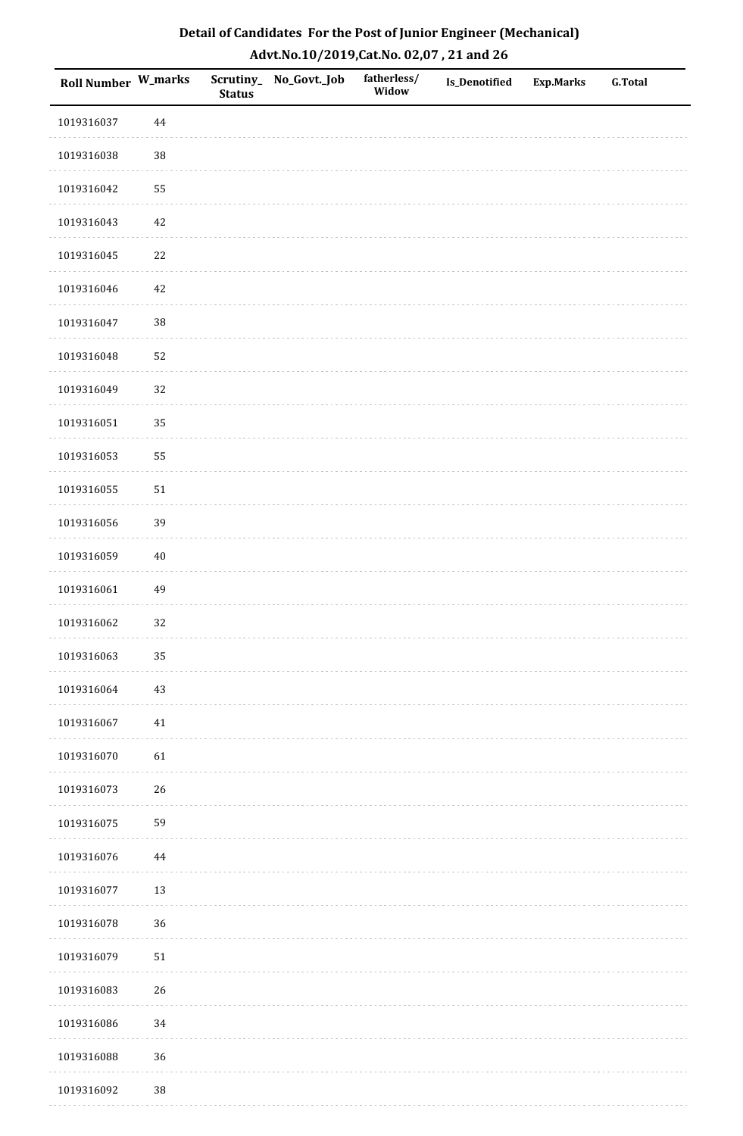| <b>Roll Number W_marks</b> |          | <b>Status</b> | Scrutiny_No_Govt._Job | fatherless/<br>Widow | Is_Denotified | <b>Exp.Marks</b> | <b>G.Total</b> |
|----------------------------|----------|---------------|-----------------------|----------------------|---------------|------------------|----------------|
| 1019316037                 | $\bf 44$ |               |                       |                      |               |                  |                |
| 1019316038                 | $38\,$   |               |                       |                      |               |                  |                |
| 1019316042                 | 55       |               |                       |                      |               |                  |                |
| 1019316043                 | 42       |               |                       |                      |               |                  |                |
| 1019316045                 | $22\,$   |               |                       |                      |               |                  |                |
| 1019316046                 | 42       |               |                       |                      |               |                  |                |
| 1019316047                 | 38       |               |                       |                      |               |                  |                |
| 1019316048                 | 52       |               |                       |                      |               |                  |                |
| 1019316049                 | 32       |               |                       |                      |               |                  |                |
| 1019316051                 | 35       |               |                       |                      |               |                  |                |
| 1019316053                 | 55       |               |                       |                      |               |                  |                |
| 1019316055                 | $51\,$   |               |                       |                      |               |                  |                |
| 1019316056                 | 39       |               |                       |                      |               |                  |                |
| 1019316059                 | $40\,$   |               |                       |                      |               |                  |                |
| 1019316061                 | 49       |               |                       |                      |               |                  |                |
| 1019316062                 | 32       |               |                       |                      |               |                  |                |
| 1019316063                 | 35       |               |                       |                      |               |                  |                |
| 1019316064                 | 43       |               |                       |                      |               |                  |                |
| 1019316067                 | $41\,$   |               |                       |                      |               |                  |                |
| 1019316070                 | 61       |               |                       |                      |               |                  |                |
| 1019316073                 | 26       |               |                       |                      |               |                  |                |
| 1019316075                 | 59       |               |                       |                      |               |                  |                |
| 1019316076                 | $\bf 44$ |               |                       |                      |               |                  |                |
| 1019316077                 | 13       |               |                       |                      |               |                  |                |
| 1019316078                 | 36       |               |                       |                      |               |                  |                |
| 1019316079                 | $51\,$   |               |                       |                      |               |                  |                |
| 1019316083                 | 26       |               |                       |                      |               |                  |                |
| 1019316086                 | 34       |               |                       |                      |               |                  |                |
| 1019316088                 | 36       |               |                       |                      |               |                  |                |
| 1019316092                 | $38\,$   |               |                       |                      |               |                  |                |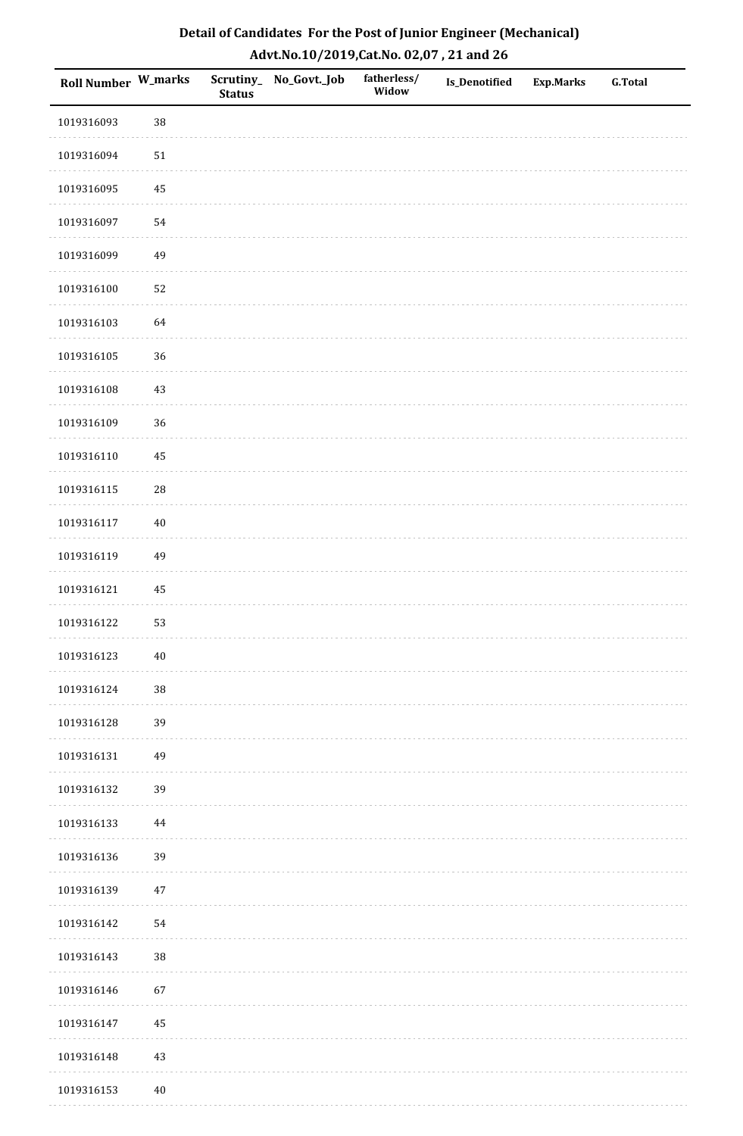| Roll Number W_marks |            | <b>Status</b> | Scrutiny_ No_Govt._Job | fatherless/<br>Widow | <b>Is_Denotified</b> | <b>Exp.Marks</b> | G.Total |
|---------------------|------------|---------------|------------------------|----------------------|----------------------|------------------|---------|
| 1019316093          | 38         |               |                        |                      |                      |                  |         |
| 1019316094          | $51\,$     |               |                        |                      |                      |                  |         |
| 1019316095          | $\bf 45$   |               |                        |                      |                      |                  |         |
| 1019316097          | 54         |               |                        |                      |                      |                  |         |
| 1019316099          | 49         |               |                        |                      |                      |                  |         |
| 1019316100          | 52         |               |                        |                      |                      |                  |         |
| 1019316103          | 64         |               |                        |                      |                      |                  |         |
| 1019316105          | 36         |               |                        |                      |                      |                  |         |
| 1019316108          | 43         |               |                        |                      |                      |                  |         |
| 1019316109          | 36         |               |                        |                      |                      |                  |         |
| 1019316110          | 45         |               |                        |                      |                      |                  |         |
| 1019316115          | ${\bf 28}$ |               |                        |                      |                      |                  |         |
| 1019316117          | $40\,$     |               |                        |                      |                      |                  |         |
| 1019316119          | 49         |               |                        |                      |                      |                  |         |
| 1019316121          | $\rm 45$   |               |                        |                      |                      |                  |         |
| 1019316122          | 53         |               |                        |                      |                      |                  |         |
| 1019316123          | $40\,$     |               |                        |                      |                      |                  |         |
| 1019316124          | 38         |               |                        |                      |                      |                  |         |
| 1019316128          | 39         |               |                        |                      |                      |                  |         |
| 1019316131          | 49         |               |                        |                      |                      |                  |         |
| 1019316132          | 39         |               |                        |                      |                      |                  |         |
| 1019316133          | 44         |               |                        |                      |                      |                  |         |
| 1019316136          | 39         |               |                        |                      |                      |                  |         |
| 1019316139          | $47\,$     |               |                        |                      |                      |                  |         |
| 1019316142          | 54         |               |                        |                      |                      |                  |         |
| 1019316143          | 38         |               |                        |                      |                      |                  |         |
| 1019316146          | 67         |               |                        |                      |                      |                  |         |
| 1019316147          | 45         |               |                        |                      |                      |                  |         |
| 1019316148          | $43\,$     |               |                        |                      |                      |                  |         |
| 1019316153          | $40\,$     |               |                        |                      |                      |                  |         |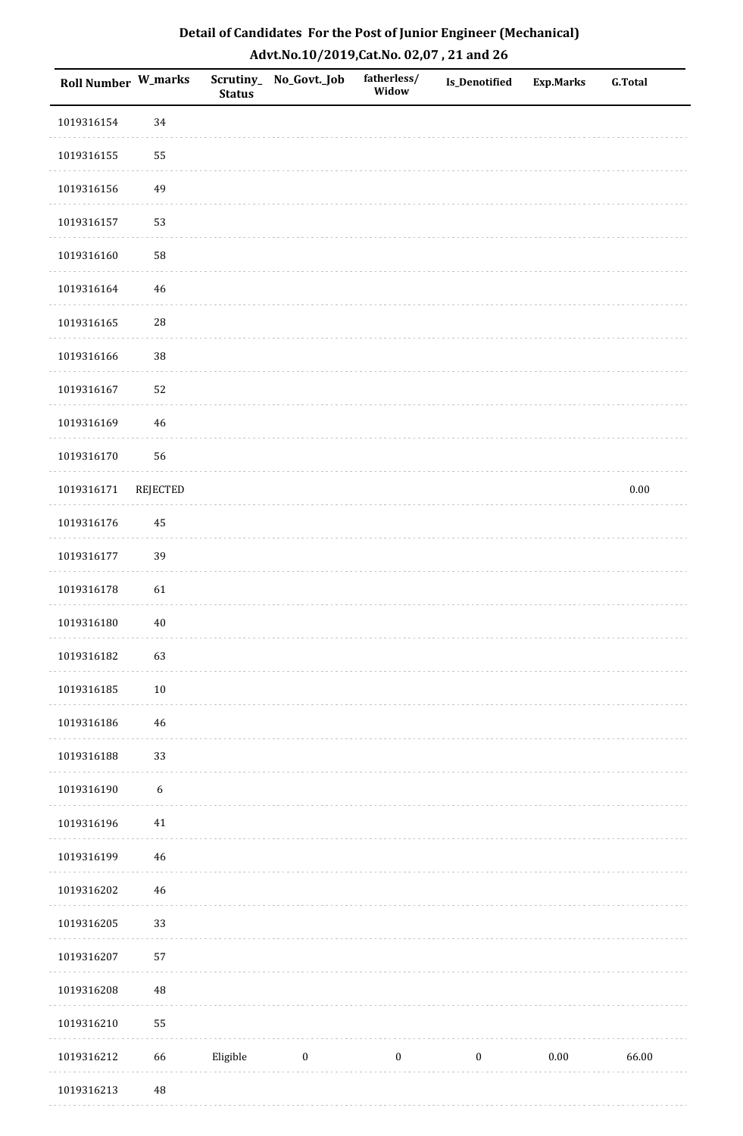| Roll Number W_marks |                  | <b>Status</b> | Scrutiny_ No_Govt._Job | fatherless/<br>Widow | <b>Is_Denotified</b> | <b>Exp.Marks</b> | <b>G.Total</b> |
|---------------------|------------------|---------------|------------------------|----------------------|----------------------|------------------|----------------|
| 1019316154          | 34               |               |                        |                      |                      |                  |                |
| 1019316155          | 55               |               |                        |                      |                      |                  |                |
| 1019316156          | 49               |               |                        |                      |                      |                  |                |
| 1019316157          | 53               |               |                        |                      |                      |                  |                |
| 1019316160          | ${\bf 58}$       |               |                        |                      |                      |                  |                |
| 1019316164          | 46               |               |                        |                      |                      |                  |                |
| 1019316165          | $28\,$           |               |                        |                      |                      |                  |                |
| 1019316166          | $38\,$           |               |                        |                      |                      |                  |                |
| 1019316167          | 52               |               |                        |                      |                      |                  |                |
| 1019316169          | 46               |               |                        |                      |                      |                  |                |
| 1019316170          | 56               |               |                        |                      |                      |                  |                |
| 1019316171          | <b>REJECTED</b>  |               |                        |                      |                      |                  | $0.00\,$       |
| 1019316176          | 45               |               |                        |                      |                      |                  |                |
| 1019316177          | 39               |               |                        |                      |                      |                  |                |
| 1019316178          | 61               |               |                        |                      |                      |                  |                |
| 1019316180          | $40\,$           |               |                        |                      |                      |                  |                |
| 1019316182          | 63               |               |                        |                      |                      |                  |                |
| 1019316185          | 10               |               |                        |                      |                      |                  |                |
| 1019316186          | 46               |               |                        |                      |                      |                  |                |
| 1019316188          | 33               |               |                        |                      |                      |                  |                |
| 1019316190          | $\boldsymbol{6}$ |               |                        |                      |                      |                  |                |
| 1019316196          | $41\,$           |               |                        |                      |                      |                  |                |
| 1019316199          | 46               |               |                        |                      |                      |                  |                |
| 1019316202          | 46               |               |                        |                      |                      |                  |                |
| 1019316205          | 33               |               |                        |                      |                      |                  |                |
| 1019316207          | 57               |               |                        |                      |                      |                  |                |
| 1019316208          | $\rm 48$         |               |                        |                      |                      |                  |                |
| 1019316210          | 55               |               |                        |                      |                      |                  |                |
| 1019316212          | 66               | Eligible      | $\boldsymbol{0}$       | $\boldsymbol{0}$     | $\boldsymbol{0}$     | $0.00\,$         | 66.00          |
| 1019316213          | 48               |               |                        |                      |                      |                  |                |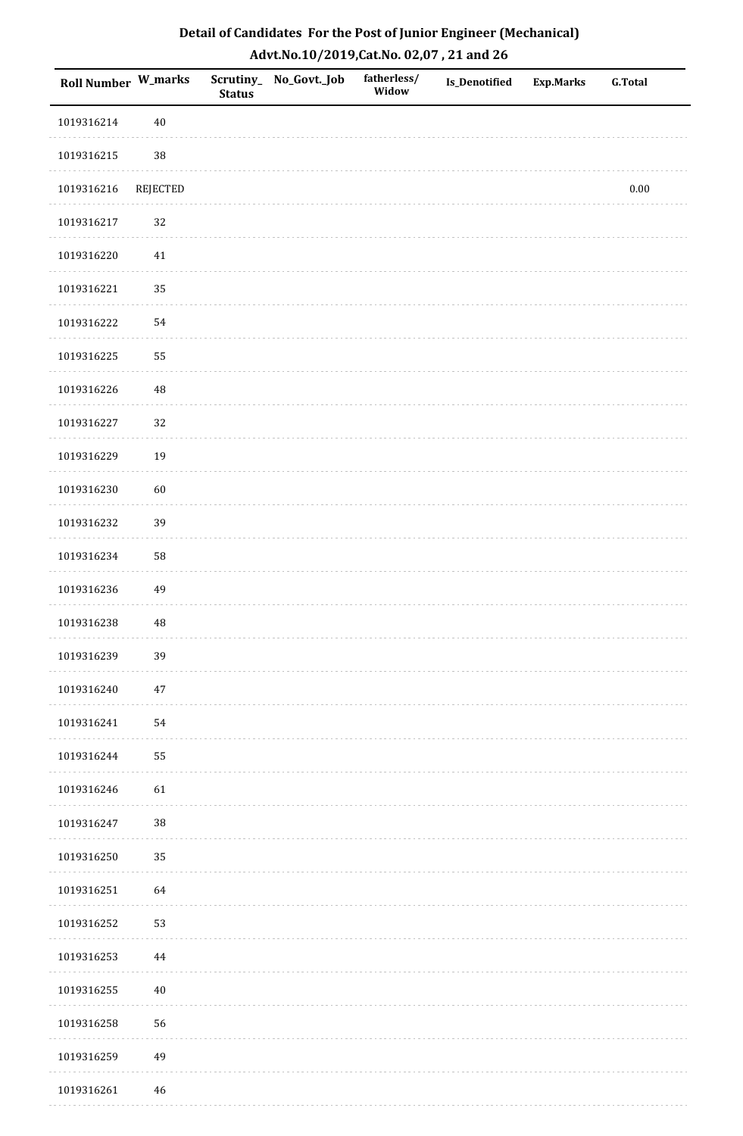| Roll Number W_marks |          | <b>Status</b> | Scrutiny_ No_Govt._Job | fatherless/<br>Widow | Is_Denotified | <b>Exp.Marks</b> | <b>G.Total</b> |
|---------------------|----------|---------------|------------------------|----------------------|---------------|------------------|----------------|
| 1019316214          | $40\,$   |               |                        |                      |               |                  |                |
| 1019316215          | 38       |               |                        |                      |               |                  |                |
| 1019316216          | REJECTED |               |                        |                      |               |                  | $0.00\,$       |
| 1019316217          | 32       |               |                        |                      |               |                  |                |
| 1019316220          | 41       |               |                        |                      |               |                  |                |
| 1019316221          | 35       |               |                        |                      |               |                  |                |
| 1019316222          | 54       |               |                        |                      |               |                  |                |
| 1019316225          | 55       |               |                        |                      |               |                  |                |
| 1019316226          | 48       |               |                        |                      |               |                  |                |
| 1019316227          | 32       |               |                        |                      |               |                  |                |
| 1019316229          | 19       |               |                        |                      |               |                  |                |
| 1019316230          | 60       |               |                        |                      |               |                  |                |
| 1019316232          | 39       |               |                        |                      |               |                  |                |
| 1019316234          | 58       |               |                        |                      |               |                  |                |
| 1019316236          | 49       |               |                        |                      |               |                  |                |
| 1019316238          | 48       |               |                        |                      |               |                  |                |
| 1019316239          | 39       |               |                        |                      |               |                  |                |
| 1019316240          | $47\,$   |               |                        |                      |               |                  |                |
| 1019316241          | 54       |               |                        |                      |               |                  |                |
| 1019316244          | 55       |               |                        |                      |               |                  |                |
| 1019316246          | 61       |               |                        |                      |               |                  |                |
| 1019316247          | $38\,$   |               |                        |                      |               |                  |                |
| 1019316250          | 35       |               |                        |                      |               |                  |                |
| 1019316251          | 64       |               |                        |                      |               |                  |                |
| 1019316252          | 53       |               |                        |                      |               |                  |                |
| 1019316253          | 44       |               |                        |                      |               |                  |                |
| 1019316255          | $40\,$   |               |                        |                      |               |                  |                |
| 1019316258          | 56       |               |                        |                      |               |                  |                |
| 1019316259          | 49       |               |                        |                      |               |                  |                |
| 1019316261          | $46\,$   |               |                        |                      |               |                  |                |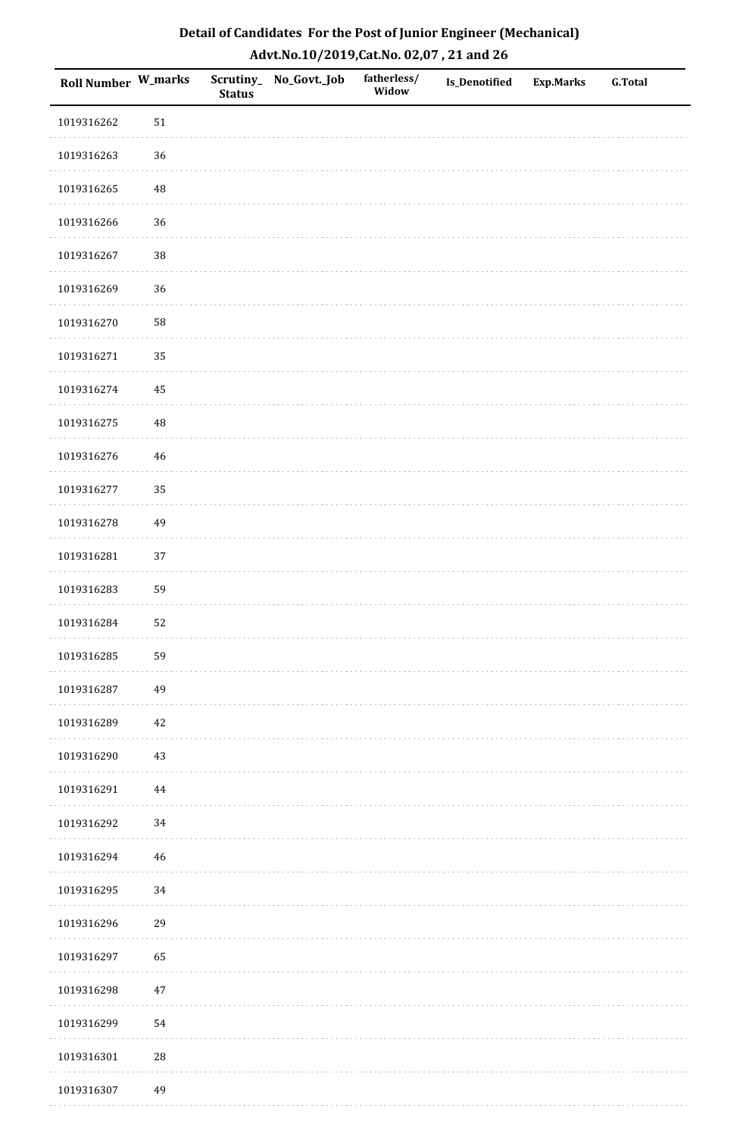| <b>Roll Number W_marks</b> |            | <b>Status</b> | Scrutiny_No_Govt._Job | fatherless/<br>Widow | Is_Denotified | <b>Exp.Marks</b> | <b>G.Total</b> |
|----------------------------|------------|---------------|-----------------------|----------------------|---------------|------------------|----------------|
| 1019316262                 | $51\,$     |               |                       |                      |               |                  |                |
| 1019316263                 | 36         |               |                       |                      |               |                  |                |
| 1019316265                 | 48         |               |                       |                      |               |                  |                |
| 1019316266                 | 36         |               |                       |                      |               |                  |                |
| 1019316267                 | 38         |               |                       |                      |               |                  |                |
| 1019316269                 | 36         |               |                       |                      |               |                  |                |
| 1019316270                 | 58         |               |                       |                      |               |                  |                |
| 1019316271                 | 35         |               |                       |                      |               |                  |                |
| 1019316274                 | 45         |               |                       |                      |               |                  |                |
| 1019316275                 | $\rm 48$   |               |                       |                      |               |                  |                |
| 1019316276                 | $46\,$     |               |                       |                      |               |                  |                |
| 1019316277                 | 35         |               |                       |                      |               |                  |                |
| 1019316278                 | 49         |               |                       |                      |               |                  |                |
| 1019316281                 | 37         |               |                       |                      |               |                  |                |
| 1019316283                 | 59         |               |                       |                      |               |                  |                |
| 1019316284                 | 52         |               |                       |                      |               |                  |                |
| 1019316285                 | 59         |               |                       |                      |               |                  |                |
| 1019316287                 | 49         |               |                       |                      |               |                  |                |
| 1019316289                 | $42\,$     |               |                       |                      |               |                  |                |
| 1019316290                 | $43\,$     |               |                       |                      |               |                  |                |
| 1019316291                 | 44         |               |                       |                      |               |                  |                |
| 1019316292                 | $34\,$     |               |                       |                      |               |                  |                |
| 1019316294                 | 46         |               |                       |                      |               |                  |                |
| 1019316295                 | 34         |               |                       |                      |               |                  |                |
| 1019316296                 | 29         |               |                       |                      |               |                  |                |
| 1019316297                 | 65         |               |                       |                      |               |                  |                |
| 1019316298                 | $47\,$     |               |                       |                      |               |                  |                |
| 1019316299                 | 54         |               |                       |                      |               |                  |                |
| 1019316301                 | ${\bf 28}$ |               |                       |                      |               |                  |                |
| 1019316307                 | 49         |               |                       |                      |               |                  |                |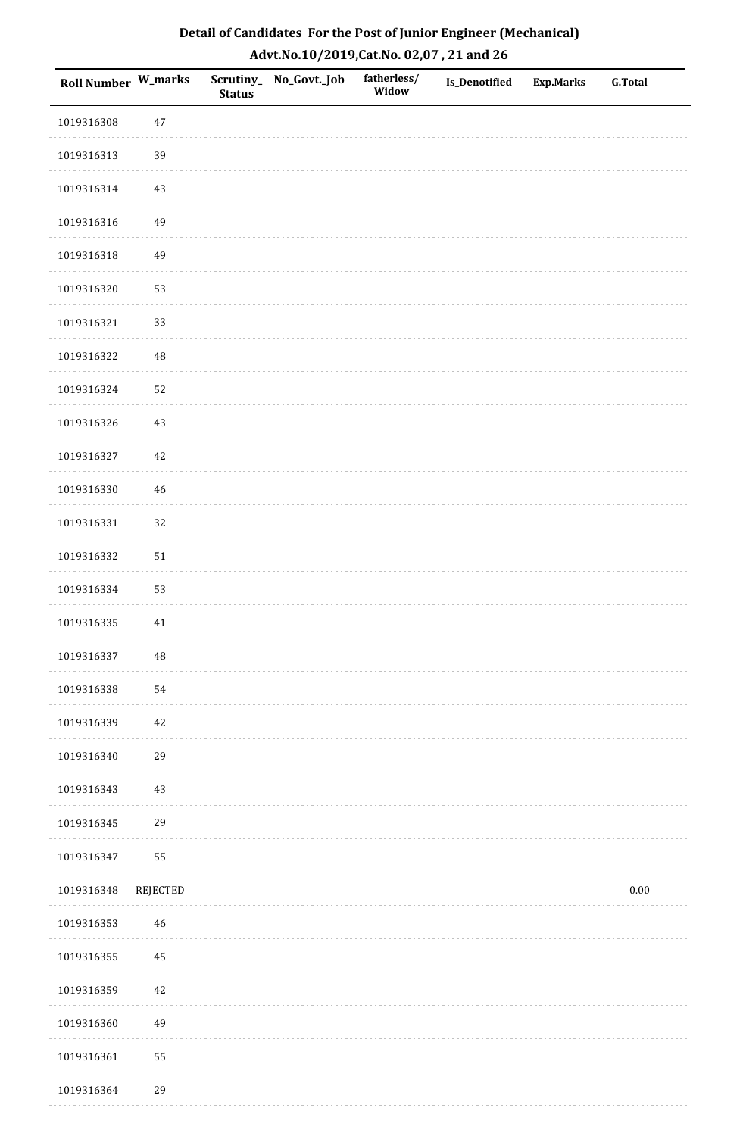| Detail of Candidates For the Post of Junior Engineer (Mechanical) |
|-------------------------------------------------------------------|
| Advt.No.10/2019,Cat.No. 02,07, 21 and 26                          |

| Roll Number W_marks |             | <b>Status</b> | Scrutiny_ No_Govt._Job | fatherless/<br>Widow | Is_Denotified | Exp.Marks | <b>G.Total</b> |
|---------------------|-------------|---------------|------------------------|----------------------|---------------|-----------|----------------|
| 1019316308          | $47\,$      |               |                        |                      |               |           |                |
| 1019316313          | 39          |               |                        |                      |               |           |                |
| 1019316314          | $43\,$      |               |                        |                      |               |           |                |
| 1019316316          | 49          |               |                        |                      |               |           |                |
| 1019316318          | 49          |               |                        |                      |               |           |                |
| 1019316320          | 53          |               |                        |                      |               |           |                |
| 1019316321          | 33          |               |                        |                      |               |           |                |
| 1019316322          | 48          |               |                        |                      |               |           |                |
| 1019316324          | 52          |               |                        |                      |               |           |                |
| 1019316326          | 43          |               |                        |                      |               |           |                |
| 1019316327          | 42          |               |                        |                      |               |           |                |
| 1019316330          | 46          |               |                        |                      |               |           |                |
| 1019316331          | 32          |               |                        |                      |               |           |                |
| 1019316332          | $51\,$      |               |                        |                      |               |           |                |
| 1019316334          | 53          |               |                        |                      |               |           |                |
| 1019316335          | $41\,$      |               |                        |                      |               |           |                |
| 1019316337          | $\sqrt{48}$ |               |                        |                      |               |           |                |
| 1019316338          | 54          |               |                        |                      |               |           |                |
| 1019316339          | $42\,$      |               |                        |                      |               |           |                |
| 1019316340          | 29          |               |                        |                      |               |           |                |
| 1019316343          | $43\,$      |               |                        |                      |               |           |                |
| 1019316345          | 29          |               |                        |                      |               |           |                |
| 1019316347          | 55          |               |                        |                      |               |           |                |
| 1019316348          | REJECTED    |               |                        |                      |               |           | $0.00\,$       |
| 1019316353          | 46          |               |                        |                      |               |           |                |
| 1019316355          | 45          |               |                        |                      |               |           |                |
| 1019316359          | $42\,$      |               |                        |                      |               |           |                |
| 1019316360          | 49          |               |                        |                      |               |           |                |
| 1019316361          | 55          |               |                        |                      |               |           |                |
| 1019316364          | 29          |               |                        |                      |               |           |                |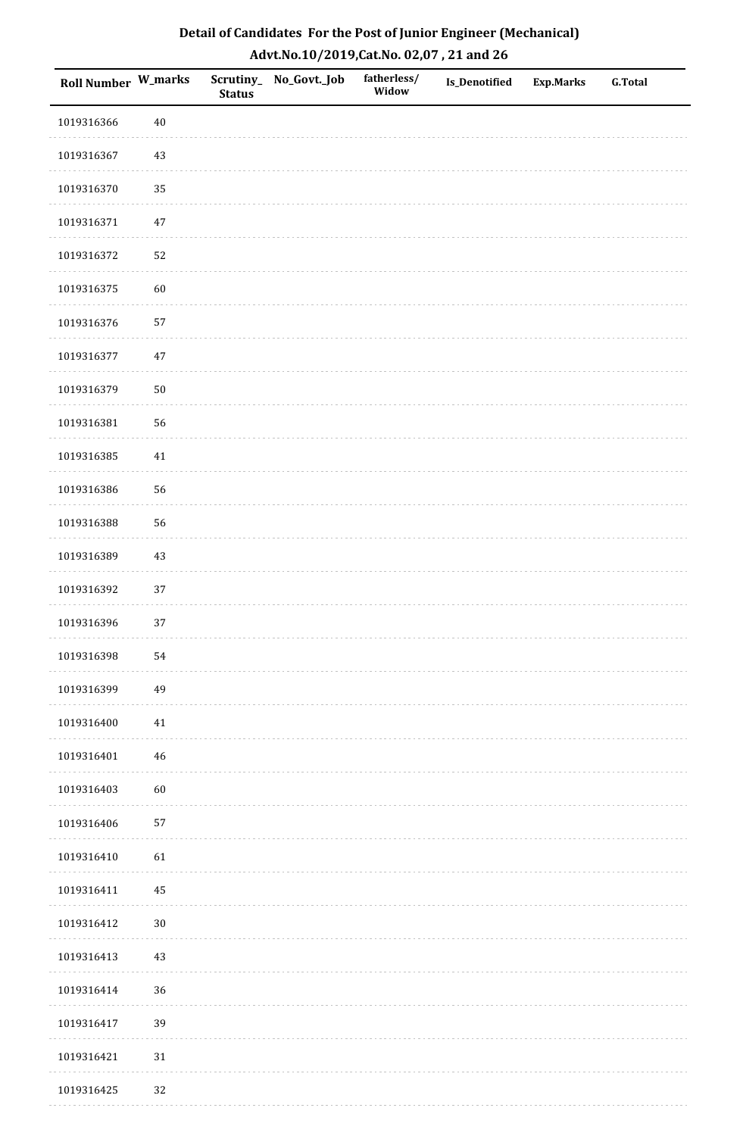| Detail of Candidates For the Post of Junior Engineer (Mechanical) |
|-------------------------------------------------------------------|
| Advt.No.10/2019,Cat.No. 02,07, 21 and 26                          |

| Roll Number W_marks |             | <b>Status</b> | Scrutiny_ No_Govt._Job | fatherless/<br>Widow | Is_Denotified | <b>Exp.Marks</b> | <b>G.Total</b> |
|---------------------|-------------|---------------|------------------------|----------------------|---------------|------------------|----------------|
| 1019316366          | $40\,$      |               |                        |                      |               |                  |                |
| 1019316367          | 43          |               |                        |                      |               |                  |                |
| 1019316370          | 35          |               |                        |                      |               |                  |                |
| 1019316371          | $47\,$      |               |                        |                      |               |                  |                |
| 1019316372          | 52          |               |                        |                      |               |                  |                |
| 1019316375          | 60          |               |                        |                      |               |                  |                |
| 1019316376          | 57          |               |                        |                      |               |                  |                |
| 1019316377          | $47\,$      |               |                        |                      |               |                  |                |
| 1019316379          | $50\,$      |               |                        |                      |               |                  |                |
| 1019316381          | 56          |               |                        |                      |               |                  |                |
| 1019316385          | $41\,$      |               |                        |                      |               |                  |                |
| 1019316386          | 56          |               |                        |                      |               |                  |                |
| 1019316388          | 56          |               |                        |                      |               |                  |                |
| 1019316389          | 43          |               |                        |                      |               |                  |                |
| 1019316392          | 37          |               |                        |                      |               |                  |                |
| 1019316396          | 37          |               |                        |                      |               |                  |                |
| 1019316398          | 54          |               |                        |                      |               |                  |                |
| 1019316399          | 49          |               |                        |                      |               |                  |                |
| 1019316400          | $41\,$      |               |                        |                      |               |                  |                |
| 1019316401          | $\sqrt{46}$ |               |                        |                      |               |                  |                |
| 1019316403          | 60          |               |                        |                      |               |                  |                |
| 1019316406          | 57          |               |                        |                      |               |                  |                |
| 1019316410          | 61          |               |                        |                      |               |                  |                |
| 1019316411          | $\rm 45$    |               |                        |                      |               |                  |                |
| 1019316412          | $30\,$      |               |                        |                      |               |                  |                |
| 1019316413          | 43          |               |                        |                      |               |                  |                |
| 1019316414          | 36          |               |                        |                      |               |                  |                |
| 1019316417          | 39          |               |                        |                      |               |                  |                |
| 1019316421          | $31\,$      |               |                        |                      |               |                  |                |
| 1019316425          | 32          |               |                        |                      |               |                  |                |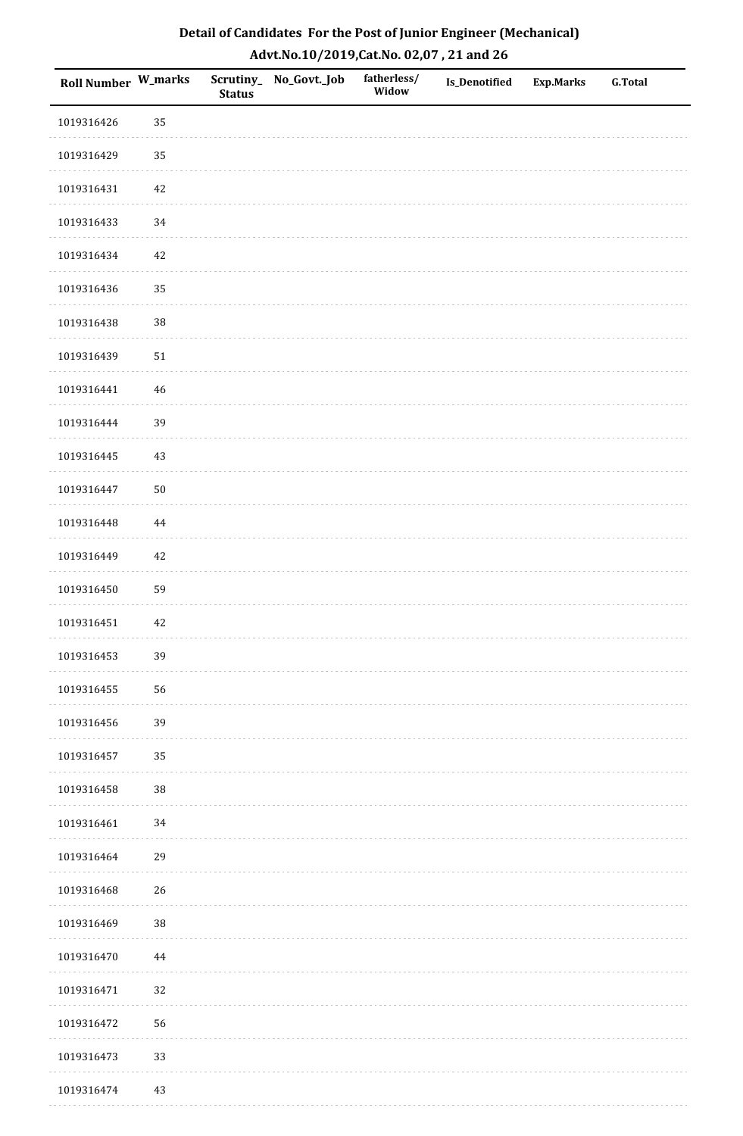| Roll Number W_marks |        | <b>Status</b> | Scrutiny_No_Govt._Job | fatherless/<br>Widow | Is_Denotified | <b>Exp.Marks</b> | <b>G.Total</b> |
|---------------------|--------|---------------|-----------------------|----------------------|---------------|------------------|----------------|
| 1019316426          | 35     |               |                       |                      |               |                  |                |
| 1019316429          | 35     |               |                       |                      |               |                  |                |
| 1019316431          | $42\,$ |               |                       |                      |               |                  |                |
| 1019316433          | $34\,$ |               |                       |                      |               |                  |                |
| 1019316434          | 42     |               |                       |                      |               |                  |                |
| 1019316436          | 35     |               |                       |                      |               |                  |                |
| 1019316438          | 38     |               |                       |                      |               |                  |                |
| 1019316439          | $51\,$ |               |                       |                      |               |                  |                |
| 1019316441          | $46\,$ |               |                       |                      |               |                  |                |
| 1019316444          | 39     |               |                       |                      |               |                  |                |
| 1019316445          | 43     |               |                       |                      |               |                  |                |
| 1019316447          | $50\,$ |               |                       |                      |               |                  |                |
| 1019316448          | 44     |               |                       |                      |               |                  |                |
| 1019316449          | 42     |               |                       |                      |               |                  |                |
| 1019316450          | 59     |               |                       |                      |               |                  |                |
| 1019316451          | $42\,$ |               |                       |                      |               |                  |                |
| 1019316453          | 39     |               |                       |                      |               |                  |                |
| 1019316455          | 56     |               |                       |                      |               |                  |                |
| 1019316456          | 39     |               |                       |                      |               |                  |                |
| 1019316457          | 35     |               |                       |                      |               |                  |                |
| 1019316458          | $38\,$ |               |                       |                      |               |                  |                |
| 1019316461          | $34\,$ |               |                       |                      |               |                  |                |
| 1019316464          | 29     |               |                       |                      |               |                  |                |
| 1019316468          | 26     |               |                       |                      |               |                  |                |
| 1019316469          | 38     |               |                       |                      |               |                  |                |
| 1019316470          | 44     |               |                       |                      |               |                  |                |
| 1019316471          | 32     |               |                       |                      |               |                  |                |
| 1019316472          | 56     |               |                       |                      |               |                  |                |
| 1019316473          | 33     |               |                       |                      |               |                  |                |
| 1019316474          | 43     |               |                       |                      |               |                  |                |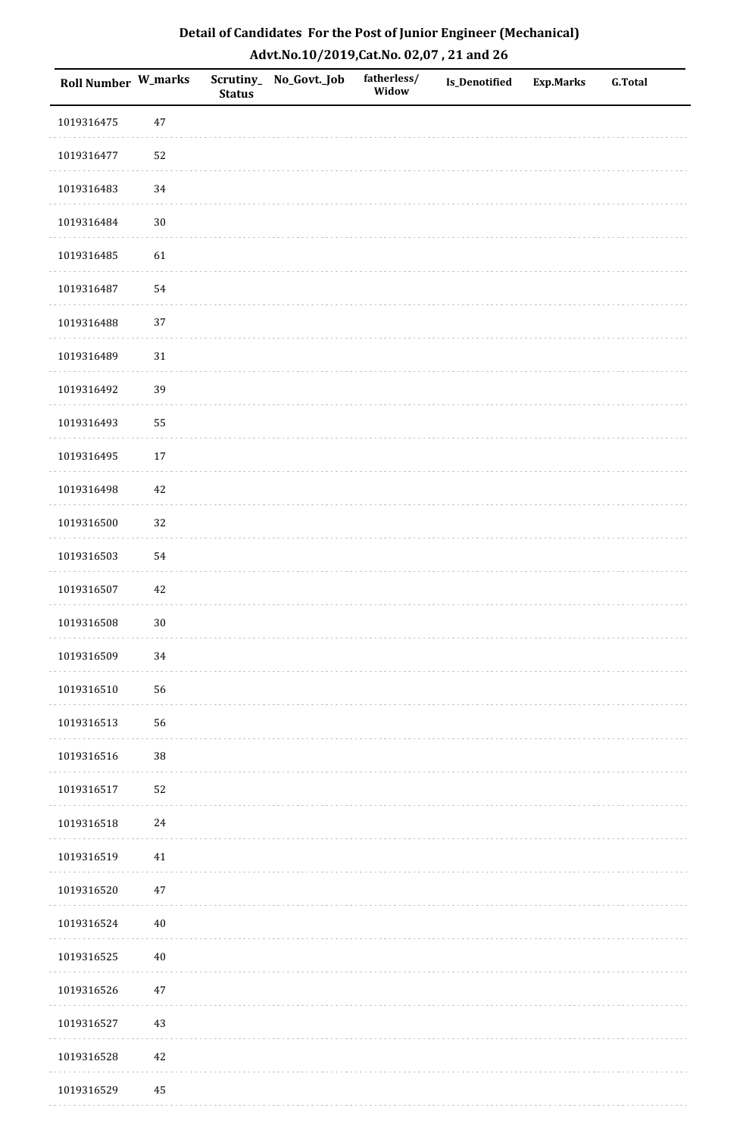| Roll Number W_marks |        | <b>Status</b> | Scrutiny_No_Govt._Job | fatherless/<br>Widow | Is_Denotified | <b>Exp.Marks</b> | <b>G.Total</b> |
|---------------------|--------|---------------|-----------------------|----------------------|---------------|------------------|----------------|
| 1019316475          | $47\,$ |               |                       |                      |               |                  |                |
| 1019316477          | 52     |               |                       |                      |               |                  |                |
| 1019316483          | $34\,$ |               |                       |                      |               |                  |                |
| 1019316484          | $30\,$ |               |                       |                      |               |                  |                |
| 1019316485          | 61     |               |                       |                      |               |                  |                |
| 1019316487          | 54     |               |                       |                      |               |                  |                |
| 1019316488          | 37     |               |                       |                      |               |                  |                |
| 1019316489          | $31\,$ |               |                       |                      |               |                  |                |
| 1019316492          | 39     |               |                       |                      |               |                  |                |
| 1019316493          | 55     |               |                       |                      |               |                  |                |
| 1019316495          | 17     |               |                       |                      |               |                  |                |
| 1019316498          | $42\,$ |               |                       |                      |               |                  |                |
| 1019316500          | 32     |               |                       |                      |               |                  |                |
| 1019316503          | 54     |               |                       |                      |               |                  |                |
| 1019316507          | $42\,$ |               |                       |                      |               |                  |                |
| 1019316508          | $30\,$ |               |                       |                      |               |                  |                |
| 1019316509          | $34\,$ |               |                       |                      |               |                  |                |
| 1019316510          | 56     |               |                       |                      |               |                  |                |
| 1019316513          | 56     |               |                       |                      |               |                  |                |
| 1019316516          | 38     |               |                       |                      |               |                  |                |
| 1019316517          | 52     |               |                       |                      |               |                  |                |
| 1019316518          | $24\,$ |               |                       |                      |               |                  |                |
| 1019316519          | $41\,$ |               |                       |                      |               |                  |                |
| 1019316520          | $47\,$ |               |                       |                      |               |                  |                |
| 1019316524          | $40\,$ |               |                       |                      |               |                  |                |
| 1019316525          | $40\,$ |               |                       |                      |               |                  |                |
| 1019316526          | $47\,$ |               |                       |                      |               |                  |                |
| 1019316527          | 43     |               |                       |                      |               |                  |                |
| 1019316528          | $42\,$ |               |                       |                      |               |                  |                |
| 1019316529          | 45     |               |                       |                      |               |                  |                |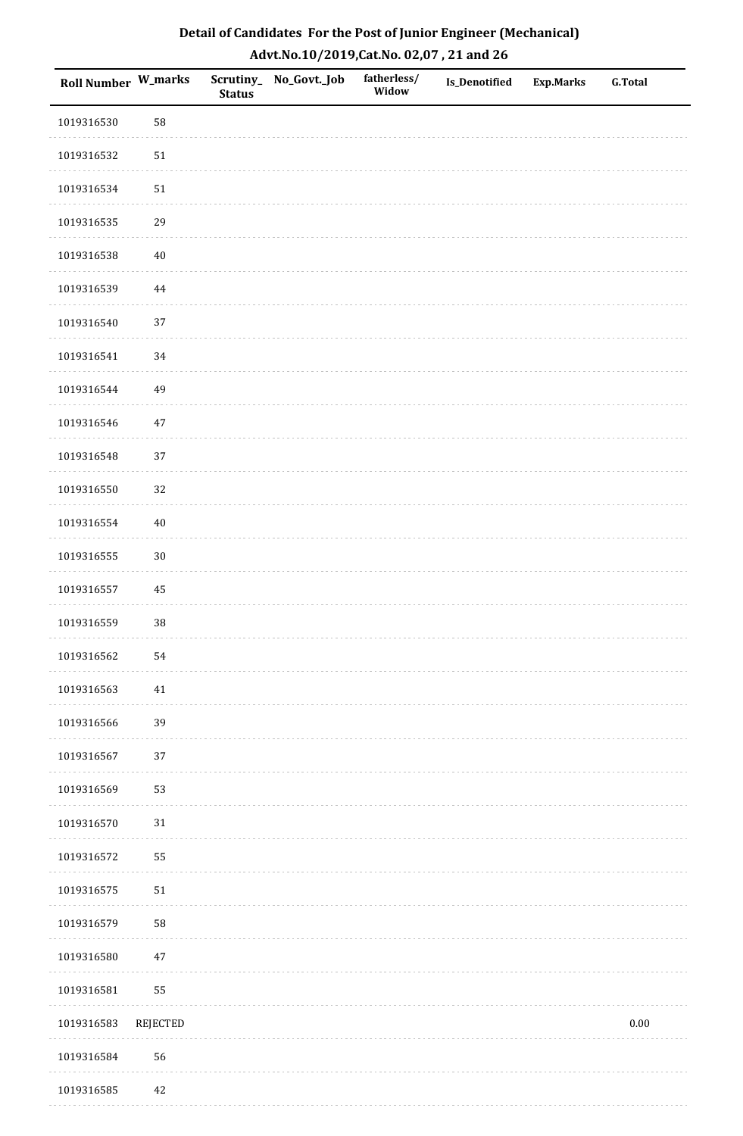| <b>Roll Number W_marks</b> |          | <b>Status</b> | Scrutiny_ No_Govt._Job | fatherless/<br>Widow | Is_Denotified | <b>Exp.Marks</b> | <b>G.Total</b> |
|----------------------------|----------|---------------|------------------------|----------------------|---------------|------------------|----------------|
| 1019316530                 | 58       |               |                        |                      |               |                  |                |
| 1019316532                 | $51\,$   |               |                        |                      |               |                  |                |
| 1019316534                 | $51\,$   |               |                        |                      |               |                  |                |
| 1019316535                 | 29       |               |                        |                      |               |                  |                |
| 1019316538                 | $40\,$   |               |                        |                      |               |                  |                |
| 1019316539                 | 44       |               |                        |                      |               |                  |                |
| 1019316540                 | 37       |               |                        |                      |               |                  |                |
| 1019316541                 | $34\,$   |               |                        |                      |               |                  |                |
| 1019316544                 | 49       |               |                        |                      |               |                  |                |
| 1019316546                 | $47\,$   |               |                        |                      |               |                  |                |
| 1019316548                 | 37       |               |                        |                      |               |                  |                |
| 1019316550                 | 32       |               |                        |                      |               |                  |                |
| 1019316554                 | $40\,$   |               |                        |                      |               |                  |                |
| 1019316555                 | $30\,$   |               |                        |                      |               |                  |                |
| 1019316557                 | 45       |               |                        |                      |               |                  |                |
| 1019316559                 | 38       |               |                        |                      |               |                  |                |
| 1019316562                 | 54       |               |                        |                      |               |                  |                |
| 1019316563                 | 41       |               |                        |                      |               |                  |                |
| 1019316566                 | 39       |               |                        |                      |               |                  |                |
| 1019316567                 | $37\,$   |               |                        |                      |               |                  |                |
| 1019316569                 | 53       |               |                        |                      |               |                  |                |
| 1019316570                 | $31\,$   |               |                        |                      |               |                  |                |
| 1019316572                 | 55       |               |                        |                      |               |                  |                |
| 1019316575                 | $51\,$   |               |                        |                      |               |                  |                |
| 1019316579                 | 58       |               |                        |                      |               |                  |                |
| 1019316580                 | $47\,$   |               |                        |                      |               |                  |                |
| 1019316581                 | 55       |               |                        |                      |               |                  |                |
| 1019316583                 | REJECTED |               |                        |                      |               |                  | $0.00\,$       |
| 1019316584                 | 56       |               |                        |                      |               |                  |                |
| 1019316585                 | 42       |               |                        |                      |               |                  |                |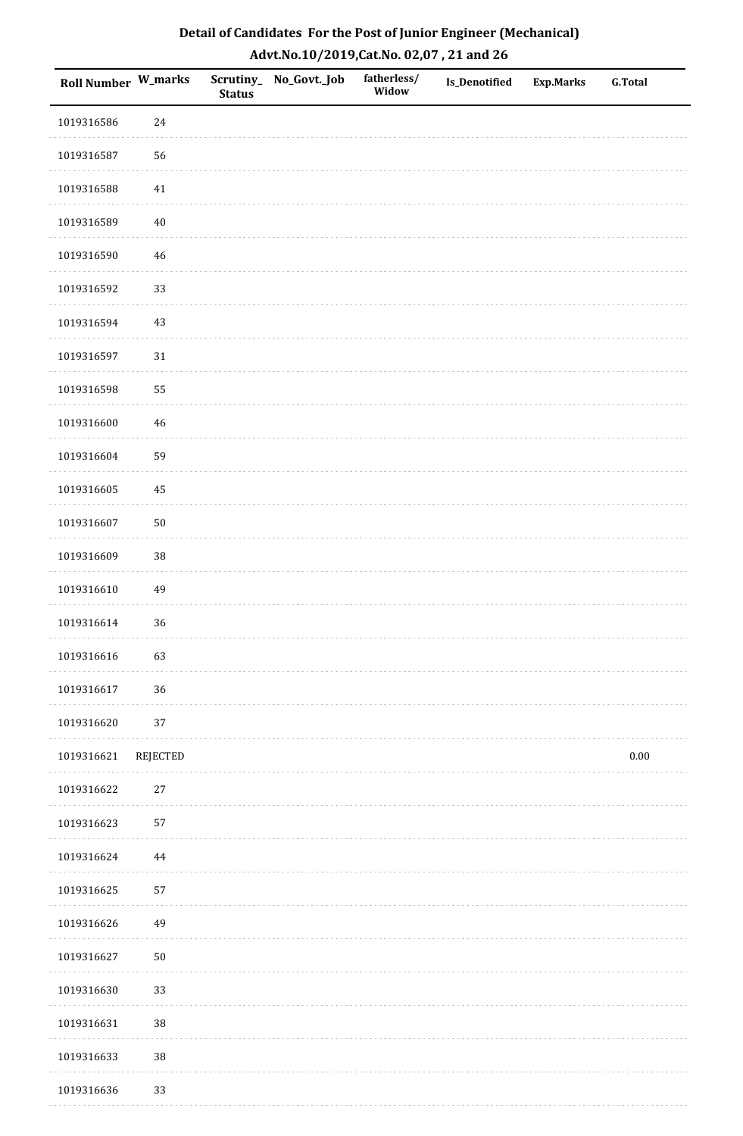| <b>Roll Number W_marks</b> |                 | <b>Status</b> | Scrutiny_ No_Govt._Job | fatherless/<br>Widow | <b>Is_Denotified</b> | <b>Exp.Marks</b> | <b>G.Total</b> |
|----------------------------|-----------------|---------------|------------------------|----------------------|----------------------|------------------|----------------|
| 1019316586                 | 24              |               |                        |                      |                      |                  |                |
| 1019316587                 | 56              |               |                        |                      |                      |                  |                |
| 1019316588                 | $41\,$          |               |                        |                      |                      |                  |                |
| 1019316589                 | $40\,$          |               |                        |                      |                      |                  |                |
| 1019316590                 | $\sqrt{46}$     |               |                        |                      |                      |                  |                |
| 1019316592                 | 33              |               |                        |                      |                      |                  |                |
| 1019316594                 | $43\,$          |               |                        |                      |                      |                  |                |
| 1019316597                 | $31\,$          |               |                        |                      |                      |                  |                |
| 1019316598                 | 55              |               |                        |                      |                      |                  |                |
| 1019316600                 | $\sqrt{46}$     |               |                        |                      |                      |                  |                |
| 1019316604                 | 59              |               |                        |                      |                      |                  |                |
| 1019316605                 | 45              |               |                        |                      |                      |                  |                |
| 1019316607                 | $50\,$          |               |                        |                      |                      |                  |                |
| 1019316609                 | 38              |               |                        |                      |                      |                  |                |
| 1019316610                 | 49              |               |                        |                      |                      |                  |                |
| 1019316614                 | 36              |               |                        |                      |                      |                  |                |
| 1019316616                 | 63              |               |                        |                      |                      |                  |                |
| 1019316617                 | 36              |               |                        |                      |                      |                  |                |
| 1019316620                 | 37              |               |                        |                      |                      |                  |                |
| 1019316621                 | <b>REJECTED</b> |               |                        |                      |                      |                  | $0.00\,$       |
| 1019316622                 | $27\,$          |               |                        |                      |                      |                  |                |
| 1019316623                 | 57              |               |                        |                      |                      |                  |                |
| 1019316624                 | 44              |               |                        |                      |                      |                  |                |
| 1019316625                 | 57              |               |                        |                      |                      |                  |                |
| 1019316626                 | 49              |               |                        |                      |                      |                  |                |
| 1019316627                 | $50\,$          |               |                        |                      |                      |                  |                |
| 1019316630                 | 33              |               |                        |                      |                      |                  |                |
| 1019316631                 | $38\,$          |               |                        |                      |                      |                  |                |
| 1019316633                 | 38              |               |                        |                      |                      |                  |                |
| 1019316636                 | 33              |               |                        |                      |                      |                  |                |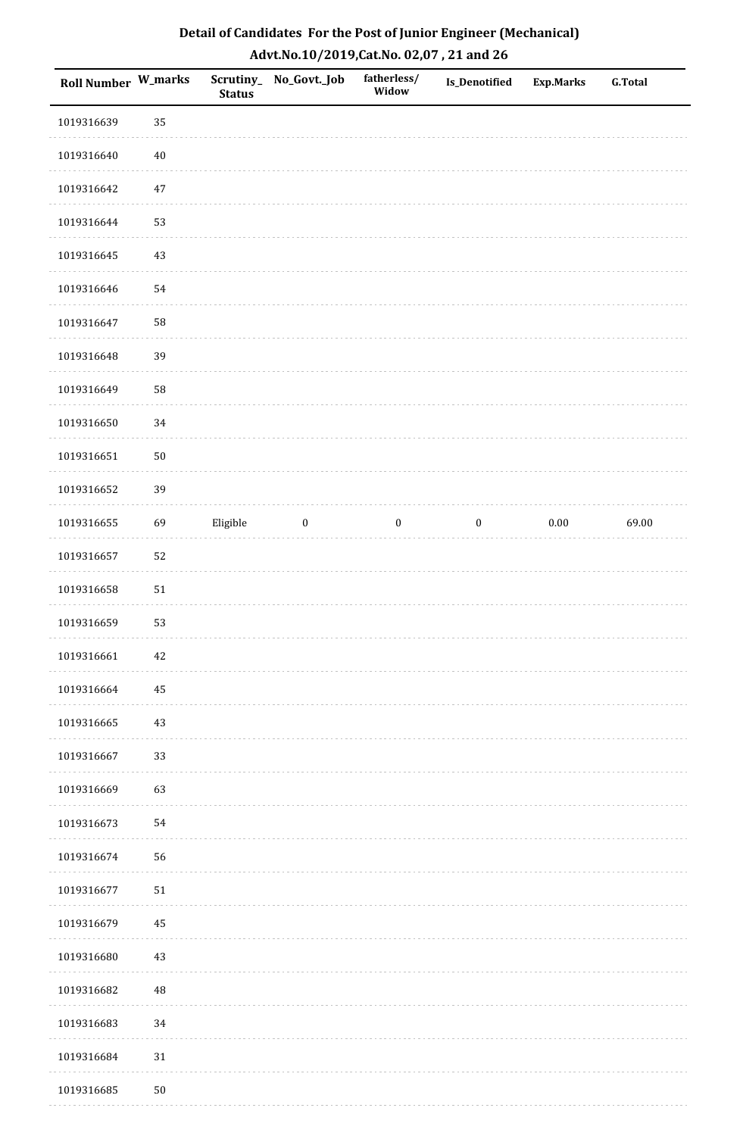| Roll Number W_marks |             | <b>Status</b> | Scrutiny_No_Govt._Job | fatherless/<br>Widow | Is_Denotified    | <b>Exp.Marks</b> | <b>G.Total</b> |
|---------------------|-------------|---------------|-----------------------|----------------------|------------------|------------------|----------------|
| 1019316639          | 35          |               |                       |                      |                  |                  |                |
| 1019316640          | $40\,$      |               |                       |                      |                  |                  |                |
| 1019316642          | $47\,$      |               |                       |                      |                  |                  |                |
| 1019316644          | 53          |               |                       |                      |                  |                  |                |
| 1019316645          | $43\,$      |               |                       |                      |                  |                  |                |
| 1019316646          | 54          |               |                       |                      |                  |                  |                |
| 1019316647          | 58          |               |                       |                      |                  |                  |                |
| 1019316648          | 39          |               |                       |                      |                  |                  |                |
| 1019316649          | 58          |               |                       |                      |                  |                  |                |
| 1019316650          | 34          |               |                       |                      |                  |                  |                |
| 1019316651          | $50\,$      |               |                       |                      |                  |                  |                |
| 1019316652          | 39          |               |                       |                      |                  |                  |                |
| 1019316655          | 69          | Eligible      | $\bf{0}$              | $\boldsymbol{0}$     | $\boldsymbol{0}$ | $0.00\,$         | 69.00          |
| 1019316657          | 52          |               |                       |                      |                  |                  |                |
| 1019316658          | $51\,$      |               |                       |                      |                  |                  |                |
| 1019316659          | 53          |               |                       |                      |                  |                  |                |
| 1019316661          | 42          |               |                       |                      |                  |                  |                |
| 1019316664          | $\bf 45$    |               |                       |                      |                  |                  |                |
| 1019316665          | 43          |               |                       |                      |                  |                  |                |
| 1019316667          | 33          |               |                       |                      |                  |                  |                |
| 1019316669          | 63          |               |                       |                      |                  |                  |                |
| 1019316673          | 54          |               |                       |                      |                  |                  |                |
| 1019316674          | 56          |               |                       |                      |                  |                  |                |
| 1019316677          | $51\,$      |               |                       |                      |                  |                  |                |
| 1019316679          | 45          |               |                       |                      |                  |                  |                |
| 1019316680          | $43\,$      |               |                       |                      |                  |                  |                |
| 1019316682          | $\sqrt{48}$ |               |                       |                      |                  |                  |                |
| 1019316683          | 34          |               |                       |                      |                  |                  |                |
| 1019316684          | $31\,$      |               |                       |                      |                  |                  |                |
| 1019316685          | $50\,$      |               |                       |                      |                  |                  |                |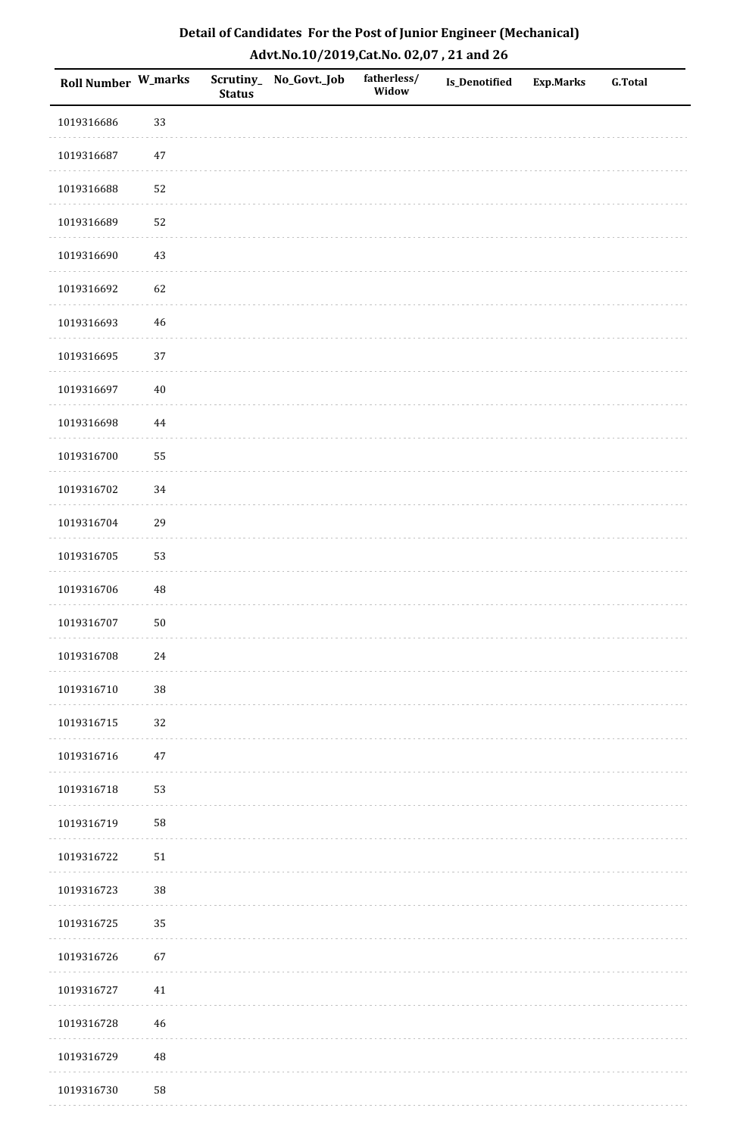| <b>Roll Number W_marks</b> |             | <b>Status</b> | Scrutiny_No_Govt._Job | fatherless/<br>Widow | Is_Denotified | <b>Exp.Marks</b> | <b>G.Total</b> |
|----------------------------|-------------|---------------|-----------------------|----------------------|---------------|------------------|----------------|
| 1019316686                 | 33          |               |                       |                      |               |                  |                |
| 1019316687                 | $47\,$      |               |                       |                      |               |                  |                |
| 1019316688                 | 52          |               |                       |                      |               |                  |                |
| 1019316689                 | 52          |               |                       |                      |               |                  |                |
| 1019316690                 | $43\,$      |               |                       |                      |               |                  |                |
| 1019316692                 | 62          |               |                       |                      |               |                  |                |
| 1019316693                 | $\sqrt{46}$ |               |                       |                      |               |                  |                |
| 1019316695                 | 37          |               |                       |                      |               |                  |                |
| 1019316697                 | $40\,$      |               |                       |                      |               |                  |                |
| 1019316698                 | $\bf 44$    |               |                       |                      |               |                  |                |
| 1019316700                 | 55          |               |                       |                      |               |                  |                |
| 1019316702                 | 34          |               |                       |                      |               |                  |                |
| 1019316704                 | 29          |               |                       |                      |               |                  |                |
| 1019316705                 | 53          |               |                       |                      |               |                  |                |
| 1019316706                 | $\rm 48$    |               |                       |                      |               |                  |                |
| 1019316707                 | ${\bf 50}$  |               |                       |                      |               |                  |                |
| 1019316708                 | $24\,$      |               |                       |                      |               |                  |                |
| 1019316710                 | 38          |               |                       |                      |               |                  |                |
| 1019316715                 | 32          |               |                       |                      |               |                  |                |
| 1019316716                 | $47\,$      |               |                       |                      |               |                  |                |
| 1019316718                 | 53          |               |                       |                      |               |                  |                |
| 1019316719                 | 58          |               |                       |                      |               |                  |                |
| 1019316722                 | $51\,$      |               |                       |                      |               |                  |                |
| 1019316723                 | 38          |               |                       |                      |               |                  |                |
| 1019316725                 | 35          |               |                       |                      |               |                  |                |
| 1019316726                 | 67          |               |                       |                      |               |                  |                |
| 1019316727                 | 41          |               |                       |                      |               |                  |                |
| 1019316728                 | $46\,$      |               |                       |                      |               |                  |                |
| 1019316729                 | $\rm 48$    |               |                       |                      |               |                  |                |
| 1019316730                 | 58          |               |                       |                      |               |                  |                |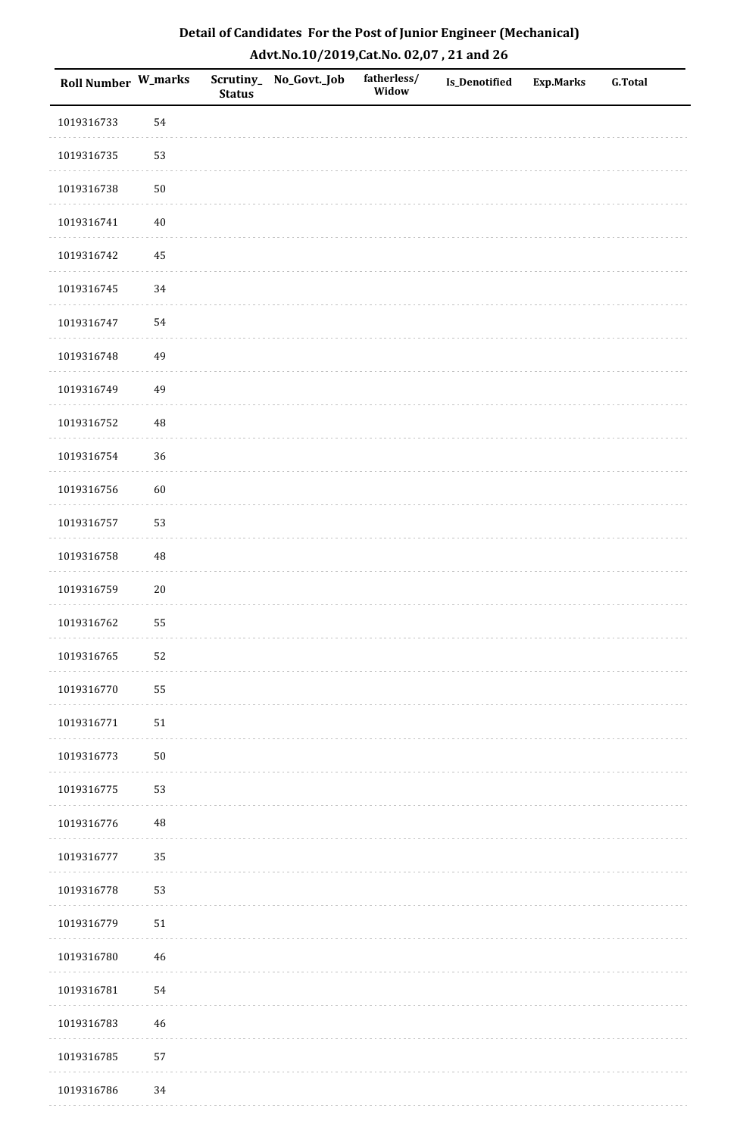| <b>Roll Number W_marks</b> |            | <b>Status</b> | Scrutiny_No_Govt._Job | fatherless/<br>Widow | Is_Denotified | <b>Exp.Marks</b> | <b>G.Total</b> |
|----------------------------|------------|---------------|-----------------------|----------------------|---------------|------------------|----------------|
| 1019316733                 | 54         |               |                       |                      |               |                  |                |
| 1019316735                 | 53         |               |                       |                      |               |                  |                |
| 1019316738                 | $50\,$     |               |                       |                      |               |                  |                |
| 1019316741                 | $40\,$     |               |                       |                      |               |                  |                |
| 1019316742                 | $\bf 45$   |               |                       |                      |               |                  |                |
| 1019316745                 | 34         |               |                       |                      |               |                  |                |
| 1019316747                 | 54         |               |                       |                      |               |                  |                |
| 1019316748                 | 49         |               |                       |                      |               |                  |                |
| 1019316749                 | 49         |               |                       |                      |               |                  |                |
| 1019316752                 | $\rm 48$   |               |                       |                      |               |                  |                |
| 1019316754                 | 36         |               |                       |                      |               |                  |                |
| 1019316756                 | 60         |               |                       |                      |               |                  |                |
| 1019316757                 | 53         |               |                       |                      |               |                  |                |
| 1019316758                 | 48         |               |                       |                      |               |                  |                |
| 1019316759                 | $20\,$     |               |                       |                      |               |                  |                |
| 1019316762                 | 55         |               |                       |                      |               |                  |                |
| 1019316765                 | 52         |               |                       |                      |               |                  |                |
| 1019316770                 | 55         |               |                       |                      |               |                  |                |
| 1019316771                 | ${\bf 51}$ |               |                       |                      |               |                  |                |
| 1019316773                 | $50\,$     |               |                       |                      |               |                  |                |
| 1019316775                 | 53         |               |                       |                      |               |                  |                |
| 1019316776                 | $\rm 48$   |               |                       |                      |               |                  |                |
| 1019316777                 | 35         |               |                       |                      |               |                  |                |
| 1019316778                 | 53         |               |                       |                      |               |                  |                |
| 1019316779                 | $51\,$     |               |                       |                      |               |                  |                |
| 1019316780                 | $46\,$     |               |                       |                      |               |                  |                |
| 1019316781                 | 54         |               |                       |                      |               |                  |                |
| 1019316783                 | $46\,$     |               |                       |                      |               |                  |                |
| 1019316785                 | 57         |               |                       |                      |               |                  |                |
| 1019316786                 | 34         |               |                       |                      |               |                  |                |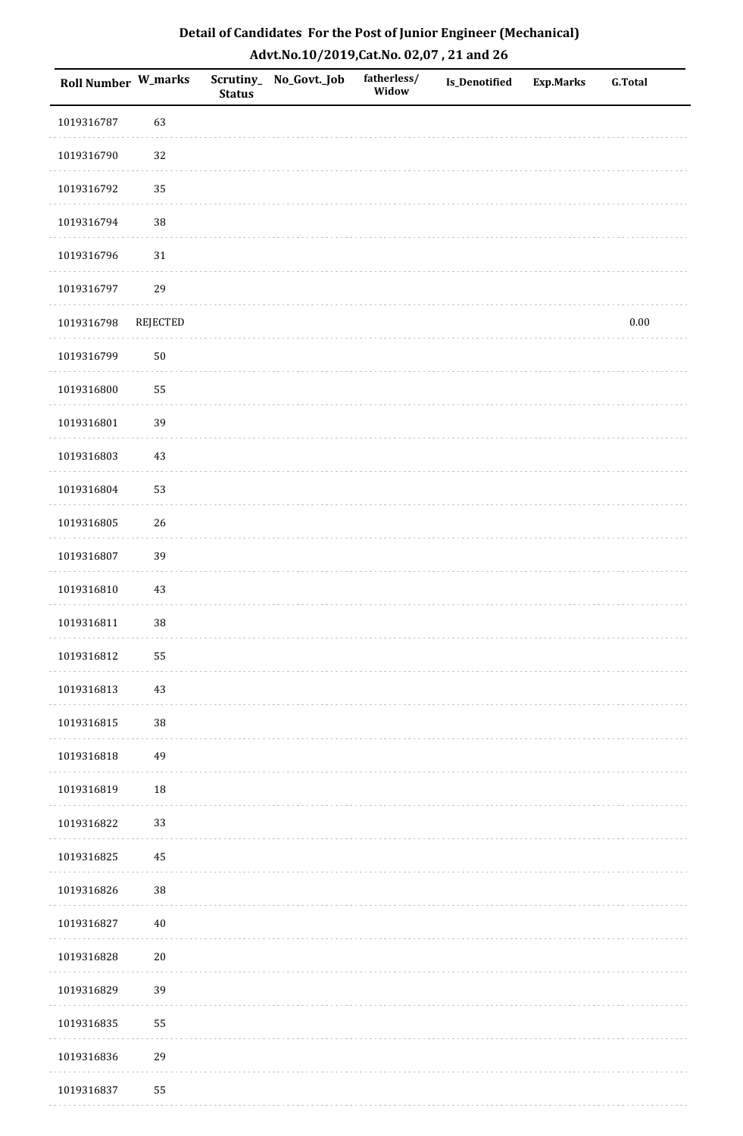| <b>Roll Number W_marks</b> |                 | <b>Status</b> | Scrutiny_ No_Govt._Job | fatherless/<br>Widow | Is_Denotified | <b>Exp.Marks</b> | <b>G.Total</b> |
|----------------------------|-----------------|---------------|------------------------|----------------------|---------------|------------------|----------------|
| 1019316787                 | 63              |               |                        |                      |               |                  |                |
| 1019316790                 | 32              |               |                        |                      |               |                  |                |
| 1019316792                 | 35              |               |                        |                      |               |                  |                |
| 1019316794                 | 38              |               |                        |                      |               |                  |                |
| 1019316796                 | $31\,$          |               |                        |                      |               |                  |                |
| 1019316797                 | 29              |               |                        |                      |               |                  |                |
| 1019316798                 | <b>REJECTED</b> |               |                        |                      |               |                  | $0.00\,$       |
| 1019316799                 | $50\,$          |               |                        |                      |               |                  |                |
| 1019316800                 | 55              |               |                        |                      |               |                  |                |
| 1019316801                 | 39              |               |                        |                      |               |                  |                |
| 1019316803                 | $43\,$          |               |                        |                      |               |                  |                |
| 1019316804                 | 53              |               |                        |                      |               |                  |                |
| 1019316805                 | 26              |               |                        |                      |               |                  |                |
| 1019316807                 | 39              |               |                        |                      |               |                  |                |
| 1019316810                 | 43              |               |                        |                      |               |                  |                |
| 1019316811                 | 38              |               |                        |                      |               |                  |                |
| 1019316812                 | 55              |               |                        |                      |               |                  |                |
| 1019316813                 | 43              |               |                        |                      |               |                  |                |
| 1019316815                 | 38              |               |                        |                      |               |                  |                |
| 1019316818                 | 49              |               |                        |                      |               |                  |                |
| 1019316819                 | 18              |               |                        |                      |               |                  |                |
| 1019316822                 | 33              |               |                        |                      |               |                  |                |
| 1019316825                 | 45              |               |                        |                      |               |                  |                |
| 1019316826                 | 38              |               |                        |                      |               |                  |                |
| 1019316827                 | $40\,$          |               |                        |                      |               |                  |                |
| 1019316828                 | $20\,$          |               |                        |                      |               |                  |                |
| 1019316829                 | 39              |               |                        |                      |               |                  |                |
| 1019316835                 | 55              |               |                        |                      |               |                  |                |
| 1019316836                 | 29              |               |                        |                      |               |                  |                |
| 1019316837                 | 55              |               |                        |                      |               |                  |                |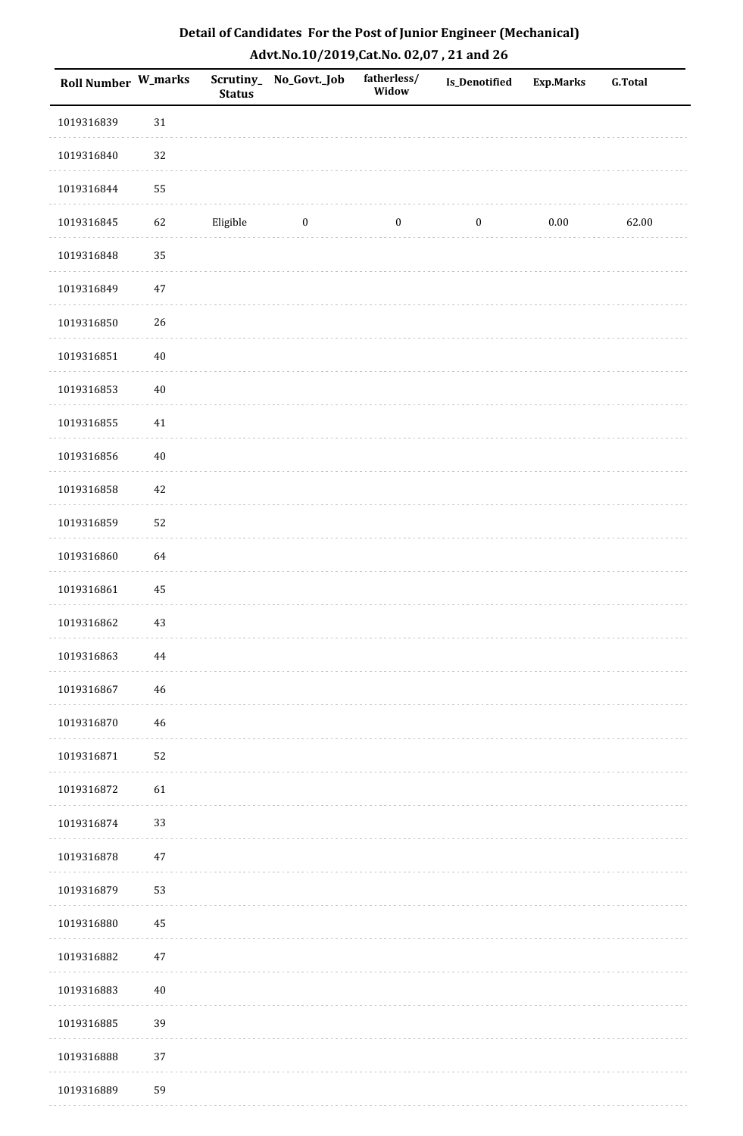| Roll Number W_marks |          | <b>Status</b> | Scrutiny_ No_Govt._Job | fatherless/<br>Widow | Is_Denotified    | <b>Exp.Marks</b> | <b>G.Total</b> |
|---------------------|----------|---------------|------------------------|----------------------|------------------|------------------|----------------|
| 1019316839          | 31       |               |                        |                      |                  |                  |                |
| 1019316840          | 32       |               |                        |                      |                  |                  |                |
| 1019316844          | 55       |               |                        |                      |                  |                  |                |
| 1019316845          | 62       | Eligible      | $\bf{0}$               | $\boldsymbol{0}$     | $\boldsymbol{0}$ | $0.00\,$         | 62.00          |
| 1019316848          | 35       |               |                        |                      |                  |                  |                |
| 1019316849          | $47\,$   |               |                        |                      |                  |                  |                |
| 1019316850          | 26       |               |                        |                      |                  |                  |                |
| 1019316851          | $40\,$   |               |                        |                      |                  |                  |                |
| 1019316853          | $40\,$   |               |                        |                      |                  |                  |                |
| 1019316855          | 41       |               |                        |                      |                  |                  |                |
| 1019316856          | $40\,$   |               |                        |                      |                  |                  |                |
| 1019316858          | 42       |               |                        |                      |                  |                  |                |
| 1019316859          | 52       |               |                        |                      |                  |                  |                |
| 1019316860          | 64       |               |                        |                      |                  |                  |                |
| 1019316861          | $\rm 45$ |               |                        |                      |                  |                  |                |
| 1019316862          | 43       |               |                        |                      |                  |                  |                |
| 1019316863          | 44       |               |                        |                      |                  |                  |                |
| 1019316867          | 46       |               |                        |                      |                  |                  |                |
| 1019316870          | 46       |               |                        |                      |                  |                  |                |
| 1019316871          | 52       |               |                        |                      |                  |                  |                |
| 1019316872          | 61       |               |                        |                      |                  |                  |                |
| 1019316874          | 33       |               |                        |                      |                  |                  |                |
| 1019316878          | $47\,$   |               |                        |                      |                  |                  |                |
| 1019316879          | 53       |               |                        |                      |                  |                  |                |
| 1019316880          | 45       |               |                        |                      |                  |                  |                |
| 1019316882          | $47\,$   |               |                        |                      |                  |                  |                |
| 1019316883          | $40\,$   |               |                        |                      |                  |                  |                |
| 1019316885          | 39       |               |                        |                      |                  |                  |                |
| 1019316888          | 37       |               |                        |                      |                  |                  |                |
| 1019316889          | 59       |               |                        |                      |                  |                  |                |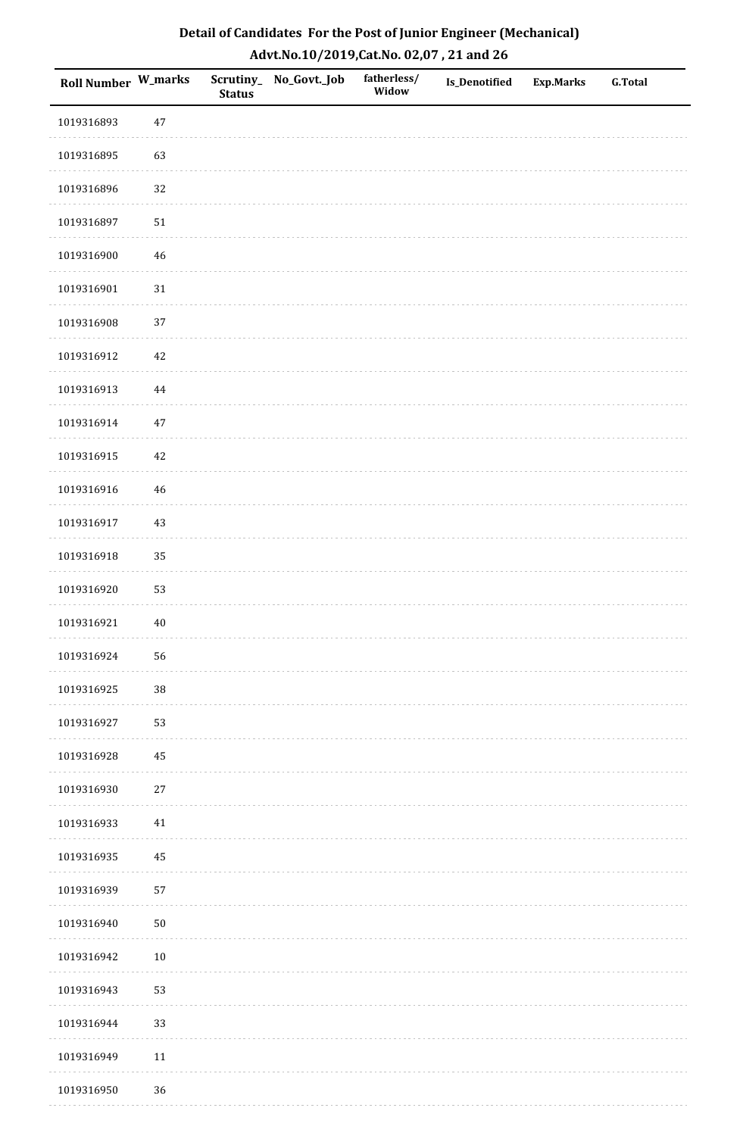| <b>Roll Number W_marks</b> |          | <b>Status</b> | Scrutiny_ No_Govt._Job | fatherless/<br>Widow | Is_Denotified | <b>Exp.Marks</b> | <b>G.Total</b> |
|----------------------------|----------|---------------|------------------------|----------------------|---------------|------------------|----------------|
| 1019316893                 | 47       |               |                        |                      |               |                  |                |
| 1019316895                 | 63       |               |                        |                      |               |                  |                |
| 1019316896                 | 32       |               |                        |                      |               |                  |                |
| 1019316897                 | 51       |               |                        |                      |               |                  |                |
| 1019316900                 | $46\,$   |               |                        |                      |               |                  |                |
| 1019316901                 | $31\,$   |               |                        |                      |               |                  |                |
| 1019316908                 | 37       |               |                        |                      |               |                  |                |
| 1019316912                 | $42\,$   |               |                        |                      |               |                  |                |
| 1019316913                 | 44       |               |                        |                      |               |                  |                |
| 1019316914                 | $47\,$   |               |                        |                      |               |                  |                |
| 1019316915                 | 42       |               |                        |                      |               |                  |                |
| 1019316916                 | 46       |               |                        |                      |               |                  |                |
| 1019316917                 | $43\,$   |               |                        |                      |               |                  |                |
| 1019316918                 | 35       |               |                        |                      |               |                  |                |
| 1019316920                 | 53       |               |                        |                      |               |                  |                |
| 1019316921                 | $40\,$   |               |                        |                      |               |                  |                |
| 1019316924                 | 56       |               |                        |                      |               |                  |                |
| 1019316925                 | $38\,$   |               |                        |                      |               |                  |                |
| 1019316927                 | 53       |               |                        |                      |               |                  |                |
| 1019316928                 | $\bf 45$ |               |                        |                      |               |                  |                |
| 1019316930                 | 27       |               |                        |                      |               |                  |                |
| 1019316933                 | 41       |               |                        |                      |               |                  |                |
| 1019316935                 | 45       |               |                        |                      |               |                  |                |
| 1019316939                 | 57       |               |                        |                      |               |                  |                |
| 1019316940                 | $50\,$   |               |                        |                      |               |                  |                |
| 1019316942                 | $10\,$   |               |                        |                      |               |                  |                |
| 1019316943                 | 53       |               |                        |                      |               |                  |                |
| 1019316944                 | 33       |               |                        |                      |               |                  |                |
| 1019316949                 | $11\,$   |               |                        |                      |               |                  |                |
| 1019316950                 | 36       |               |                        |                      |               |                  |                |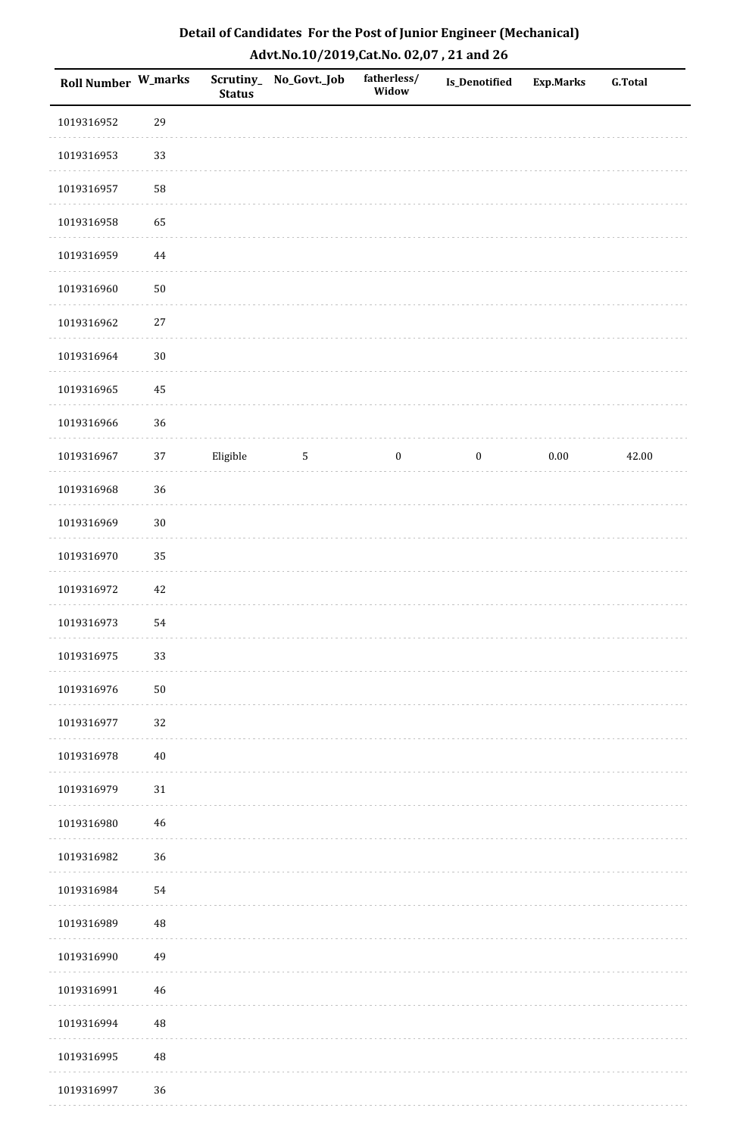| Roll Number W_marks |            | <b>Status</b> | Scrutiny_ No_Govt._Job | fatherless/<br>Widow | <b>Is_Denotified</b> | <b>Exp.Marks</b> | <b>G.Total</b> |
|---------------------|------------|---------------|------------------------|----------------------|----------------------|------------------|----------------|
| 1019316952          | 29         |               |                        |                      |                      |                  |                |
| 1019316953          | 33         |               |                        |                      |                      |                  |                |
| 1019316957          | 58         |               |                        |                      |                      |                  |                |
| 1019316958          | 65         |               |                        |                      |                      |                  |                |
| 1019316959          | $\bf 44$   |               |                        |                      |                      |                  |                |
| 1019316960          | ${\bf 50}$ |               |                        |                      |                      |                  |                |
| 1019316962          | 27         |               |                        |                      |                      |                  |                |
| 1019316964          | $30\,$     |               |                        |                      |                      |                  |                |
| 1019316965          | 45         |               |                        |                      |                      |                  |                |
| 1019316966          | 36         |               |                        |                      |                      |                  |                |
| 1019316967          | $37\,$     | Eligible      | $\sqrt{5}$             | $\boldsymbol{0}$     | $\bf{0}$             | 0.00             | 42.00          |
| 1019316968          | 36         |               |                        |                      |                      |                  |                |
| 1019316969          | $30\,$     |               |                        |                      |                      |                  |                |
| 1019316970          | 35         |               |                        |                      |                      |                  |                |
| 1019316972          | 42         |               |                        |                      |                      |                  |                |
| 1019316973          | 54         |               |                        |                      |                      |                  |                |
| 1019316975          | 33         |               |                        |                      |                      |                  |                |
| 1019316976          | $50\,$     |               |                        |                      |                      |                  |                |
| 1019316977          | 32         |               |                        |                      |                      |                  |                |
| 1019316978          | $40\,$     |               |                        |                      |                      |                  |                |
| 1019316979          | $31\,$     |               |                        |                      |                      |                  |                |
| 1019316980          | 46         |               |                        |                      |                      |                  |                |
| 1019316982          | 36         |               |                        |                      |                      |                  |                |
| 1019316984          | 54         |               |                        |                      |                      |                  |                |
| 1019316989          | 48         |               |                        |                      |                      |                  |                |
| 1019316990          | 49         |               |                        |                      |                      |                  |                |
| 1019316991          | 46         |               |                        |                      |                      |                  |                |
| 1019316994          | 48         |               |                        |                      |                      |                  |                |
| 1019316995          | $\rm 48$   |               |                        |                      |                      |                  |                |
| 1019316997          | 36         |               |                        |                      |                      |                  |                |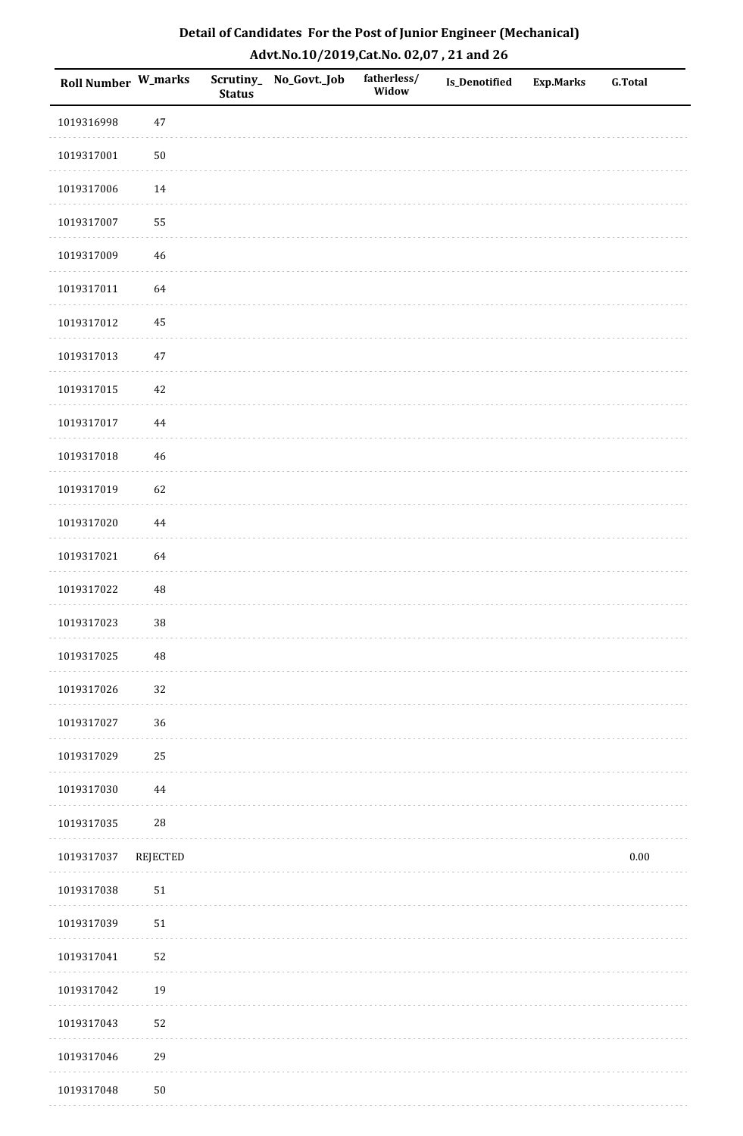| Detail of Candidates For the Post of Junior Engineer (Mechanical) |
|-------------------------------------------------------------------|
| Advt.No.10/2019,Cat.No. 02,07, 21 and 26                          |

| Roll Number W_marks |             | <b>Status</b> | Scrutiny_ No_Govt._Job | fatherless/<br>Widow | Is_Denotified | <b>Exp.Marks</b> | <b>G.Total</b> |
|---------------------|-------------|---------------|------------------------|----------------------|---------------|------------------|----------------|
| 1019316998          | 47          |               |                        |                      |               |                  |                |
| 1019317001          | $50\,$      |               |                        |                      |               |                  |                |
| 1019317006          | 14          |               |                        |                      |               |                  |                |
| 1019317007          | 55          |               |                        |                      |               |                  |                |
| 1019317009          | $\sqrt{46}$ |               |                        |                      |               |                  |                |
| 1019317011          | 64          |               |                        |                      |               |                  |                |
| 1019317012          | 45          |               |                        |                      |               |                  |                |
| 1019317013          | $47\,$      |               |                        |                      |               |                  |                |
| 1019317015          | $42\,$      |               |                        |                      |               |                  |                |
| 1019317017          | $\bf 44$    |               |                        |                      |               |                  |                |
| 1019317018          | 46          |               |                        |                      |               |                  |                |
| 1019317019          | 62          |               |                        |                      |               |                  |                |
| 1019317020          | 44          |               |                        |                      |               |                  |                |
| 1019317021          | 64          |               |                        |                      |               |                  |                |
| 1019317022          | $\rm 48$    |               |                        |                      |               |                  |                |
| 1019317023          | 38          |               |                        |                      |               |                  |                |
| 1019317025          | $\rm 48$    |               |                        |                      |               |                  |                |
| 1019317026          | 32          |               |                        |                      |               |                  |                |
| 1019317027          | 36          |               |                        |                      |               |                  |                |
| 1019317029          | 25          |               |                        |                      |               |                  |                |
| 1019317030          | 44          |               |                        |                      |               |                  |                |
| 1019317035          | $28\,$      |               |                        |                      |               |                  |                |
| 1019317037          | REJECTED    |               |                        |                      |               |                  | $0.00\,$       |
| 1019317038          | ${\bf 51}$  |               |                        |                      |               |                  |                |
| 1019317039          | 51          |               |                        |                      |               |                  |                |
| 1019317041          | 52          |               |                        |                      |               |                  |                |
| 1019317042          | 19          |               |                        |                      |               |                  |                |
| 1019317043          | 52          |               |                        |                      |               |                  |                |
| 1019317046          | 29          |               |                        |                      |               |                  |                |
| 1019317048          | $50\,$      |               |                        |                      |               |                  |                |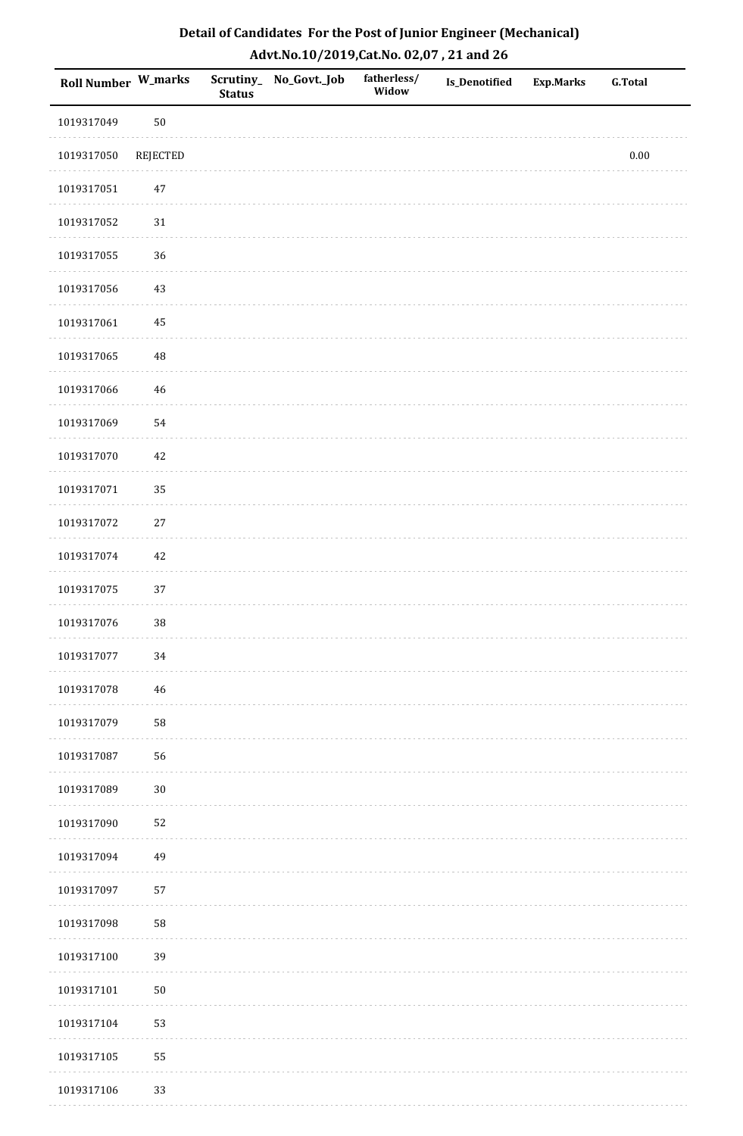| Detail of Candidates For the Post of Junior Engineer (Mechanical) |
|-------------------------------------------------------------------|
| Advt.No.10/2019,Cat.No. 02,07, 21 and 26                          |

| Roll Number W_marks |                 | <b>Status</b> | Scrutiny_ No_Govt._Job | fatherless/<br>Widow | <b>Is_Denotified</b> | <b>Exp.Marks</b> | <b>G.Total</b> |
|---------------------|-----------------|---------------|------------------------|----------------------|----------------------|------------------|----------------|
| 1019317049          | ${\bf 50}$      |               |                        |                      |                      |                  |                |
| 1019317050          | <b>REJECTED</b> |               |                        |                      |                      |                  | $0.00\,$       |
| 1019317051          | 47              |               |                        |                      |                      |                  |                |
| 1019317052          | 31              |               |                        |                      |                      |                  |                |
| 1019317055          | 36              |               |                        |                      |                      |                  |                |
| 1019317056          | 43              |               |                        |                      |                      |                  |                |
| 1019317061          | 45              |               |                        |                      |                      |                  |                |
| 1019317065          | 48              |               |                        |                      |                      |                  |                |
| 1019317066          | 46              |               |                        |                      |                      |                  |                |
| 1019317069          | 54              |               |                        |                      |                      |                  |                |
| 1019317070          | 42              |               |                        |                      |                      |                  |                |
| 1019317071          | 35              |               |                        |                      |                      |                  |                |
| 1019317072          | 27              |               |                        |                      |                      |                  |                |
| 1019317074          | 42              |               |                        |                      |                      |                  |                |
| 1019317075          | 37              |               |                        |                      |                      |                  |                |
| 1019317076          | 38              |               |                        |                      |                      |                  |                |
| 1019317077          | $34\,$          |               |                        |                      |                      |                  |                |
| 1019317078          | 46              |               |                        |                      |                      |                  |                |
| 1019317079          | ${\bf 58}$      |               |                        |                      |                      |                  |                |
| 1019317087          | 56              |               |                        |                      |                      |                  |                |
| 1019317089          | $30\,$          |               |                        |                      |                      |                  |                |
| 1019317090          | 52              |               |                        |                      |                      |                  |                |
| 1019317094          | 49              |               |                        |                      |                      |                  |                |
| 1019317097          | 57              |               |                        |                      |                      |                  |                |
| 1019317098          | 58              |               |                        |                      |                      |                  |                |
| 1019317100          | 39              |               |                        |                      |                      |                  |                |
| 1019317101          | ${\bf 50}$      |               |                        |                      |                      |                  |                |
| 1019317104          | 53              |               |                        |                      |                      |                  |                |
| 1019317105          | 55              |               |                        |                      |                      |                  |                |
| 1019317106          | 33              |               |                        |                      |                      |                  |                |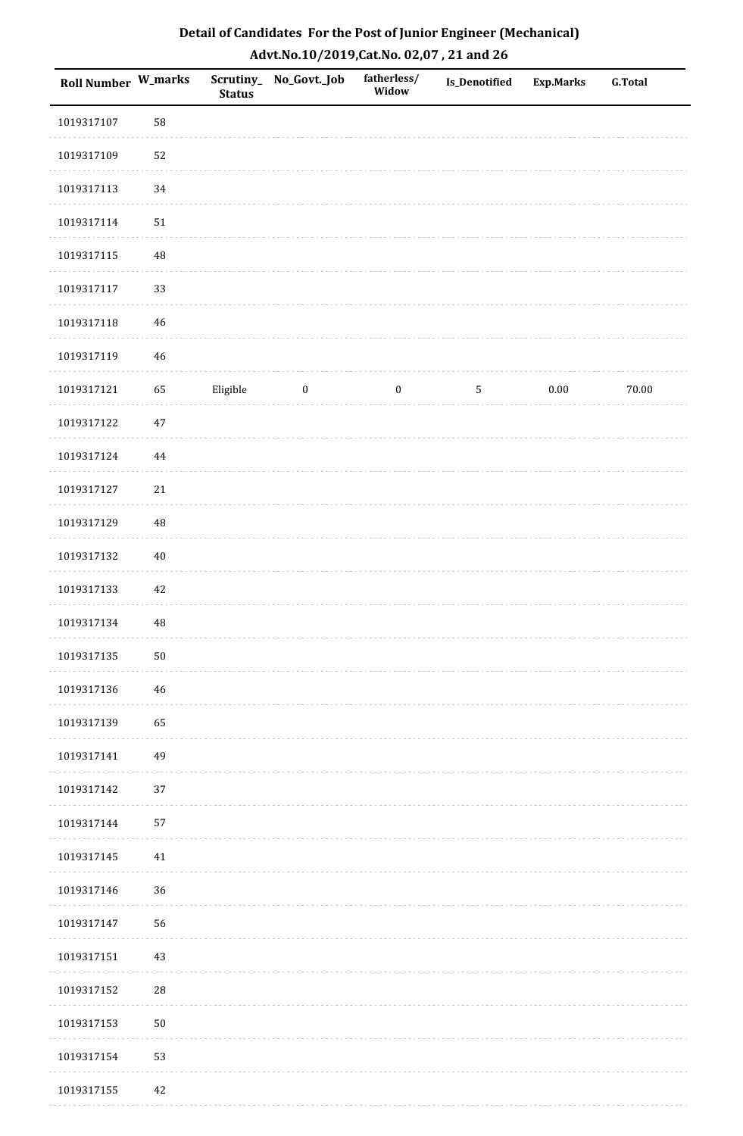| Detail of Candidates For the Post of Junior Engineer (Mechanical) |
|-------------------------------------------------------------------|
| Advt.No.10/2019, Cat.No. 02,07, 21 and 26                         |

| <b>Roll Number W_marks</b> |            | <b>Status</b> | Scrutiny_ No_Govt._Job | fatherless/<br>Widow | Is_Denotified | <b>Exp.Marks</b> | G.Total |
|----------------------------|------------|---------------|------------------------|----------------------|---------------|------------------|---------|
| 1019317107                 | 58         |               |                        |                      |               |                  |         |
| 1019317109                 | 52         |               |                        |                      |               |                  |         |
| 1019317113                 | 34         |               |                        |                      |               |                  |         |
| 1019317114                 | 51         |               |                        |                      |               |                  |         |
| 1019317115                 | $\rm 48$   |               |                        |                      |               |                  |         |
| 1019317117                 | 33         |               |                        |                      |               |                  |         |
| 1019317118                 | 46         |               |                        |                      |               |                  |         |
| 1019317119                 | 46         |               |                        |                      |               |                  |         |
| 1019317121                 | 65         | Eligible      | $\boldsymbol{0}$       | $\boldsymbol{0}$     | 5             | $0.00\,$         | 70.00   |
| 1019317122                 | $47\,$     |               |                        |                      |               |                  |         |
| 1019317124                 | 44         |               |                        |                      |               |                  |         |
| 1019317127                 | $21\,$     |               |                        |                      |               |                  |         |
| 1019317129                 | $\rm 48$   |               |                        |                      |               |                  |         |
| 1019317132                 | $40\,$     |               |                        |                      |               |                  |         |
| 1019317133                 | 42         |               |                        |                      |               |                  |         |
| 1019317134                 | 48         |               |                        |                      |               |                  |         |
| 1019317135                 | $50\,$     |               |                        |                      |               |                  |         |
| 1019317136                 | 46         |               |                        |                      |               |                  |         |
| 1019317139                 | 65         |               |                        |                      |               |                  |         |
| 1019317141                 | 49         |               |                        |                      |               |                  |         |
| 1019317142                 | 37         |               |                        |                      |               |                  |         |
| 1019317144                 | 57         |               |                        |                      |               |                  |         |
| 1019317145                 | 41         |               |                        |                      |               |                  |         |
| 1019317146                 | 36         |               |                        |                      |               |                  |         |
| 1019317147                 | 56         |               |                        |                      |               |                  |         |
| 1019317151                 | 43         |               |                        |                      |               |                  |         |
| 1019317152                 | 28         |               |                        |                      |               |                  |         |
| 1019317153                 | ${\bf 50}$ |               |                        |                      |               |                  |         |
| 1019317154                 | 53         |               |                        |                      |               |                  |         |
| 1019317155                 | 42         |               |                        |                      |               |                  |         |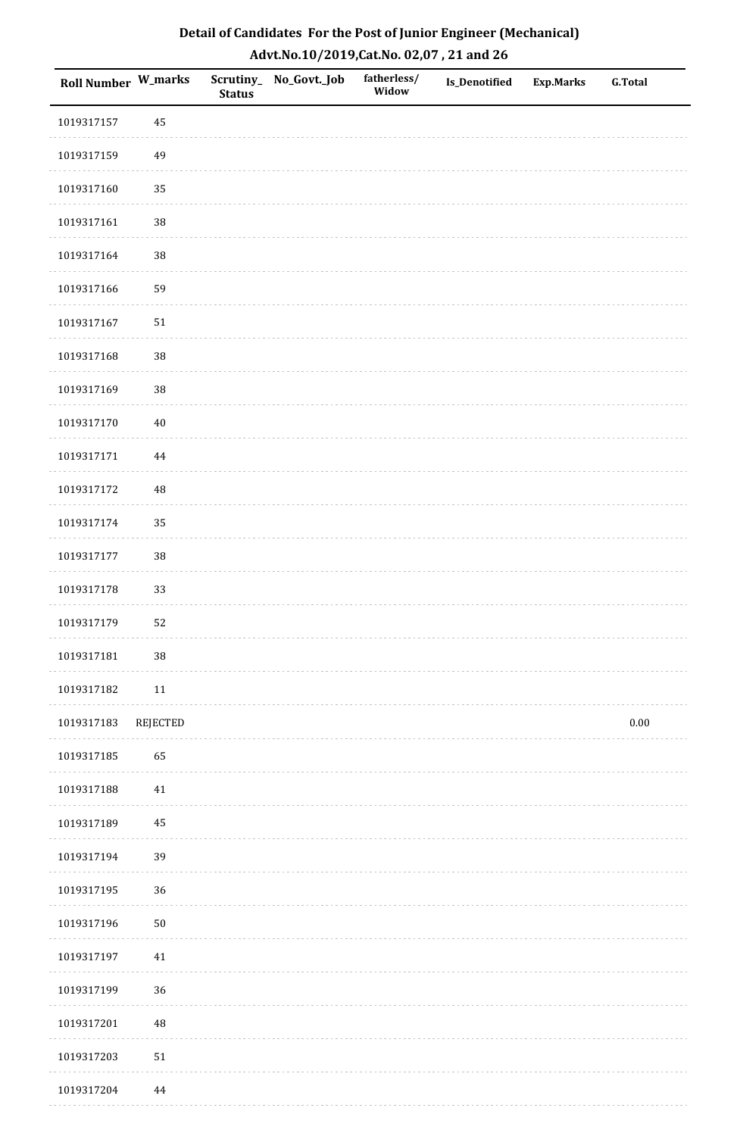| Detail of Candidates For the Post of Junior Engineer (Mechanical) |
|-------------------------------------------------------------------|
| Advt.No.10/2019,Cat.No. 02,07, 21 and 26                          |

| <b>Roll Number W_marks</b> |          | <b>Status</b> | Scrutiny_No_Govt._Job | fatherless/<br>Widow | <b>Is_Denotified</b> | <b>Exp.Marks</b> | <b>G.Total</b> |
|----------------------------|----------|---------------|-----------------------|----------------------|----------------------|------------------|----------------|
| 1019317157                 | 45       |               |                       |                      |                      |                  |                |
| 1019317159                 | 49       |               |                       |                      |                      |                  |                |
| 1019317160                 | 35       |               |                       |                      |                      |                  |                |
| 1019317161                 | $38\,$   |               |                       |                      |                      |                  |                |
| 1019317164                 | 38       |               |                       |                      |                      |                  |                |
| 1019317166                 | 59       |               |                       |                      |                      |                  |                |
| 1019317167                 | $51\,$   |               |                       |                      |                      |                  |                |
| 1019317168                 | 38       |               |                       |                      |                      |                  |                |
| 1019317169                 | 38       |               |                       |                      |                      |                  |                |
| 1019317170                 | $40\,$   |               |                       |                      |                      |                  |                |
| 1019317171                 | $\bf 44$ |               |                       |                      |                      |                  |                |
| 1019317172                 | 48       |               |                       |                      |                      |                  |                |
| 1019317174                 | 35       |               |                       |                      |                      |                  |                |
| 1019317177                 | 38       |               |                       |                      |                      |                  |                |
| 1019317178                 | 33       |               |                       |                      |                      |                  |                |
| 1019317179                 | 52       |               |                       |                      |                      |                  |                |
| 1019317181                 | $38\,$   |               |                       |                      |                      |                  |                |
| 1019317182                 | $11\,$   |               |                       |                      |                      |                  |                |
| 1019317183                 | REJECTED |               |                       |                      |                      |                  | 0.00           |
| 1019317185                 | 65       |               |                       |                      |                      |                  |                |
| 1019317188                 | $41\,$   |               |                       |                      |                      |                  |                |
| 1019317189                 | 45       |               |                       |                      |                      |                  |                |
| 1019317194                 | 39       |               |                       |                      |                      |                  |                |
| 1019317195                 | 36       |               |                       |                      |                      |                  |                |
| 1019317196                 | $50\,$   |               |                       |                      |                      |                  |                |
| 1019317197                 | 41       |               |                       |                      |                      |                  |                |
| 1019317199                 | 36       |               |                       |                      |                      |                  |                |
| 1019317201                 | 48       |               |                       |                      |                      |                  |                |
| 1019317203                 | $51\,$   |               |                       |                      |                      |                  |                |
| 1019317204                 | 44       |               |                       |                      |                      |                  |                |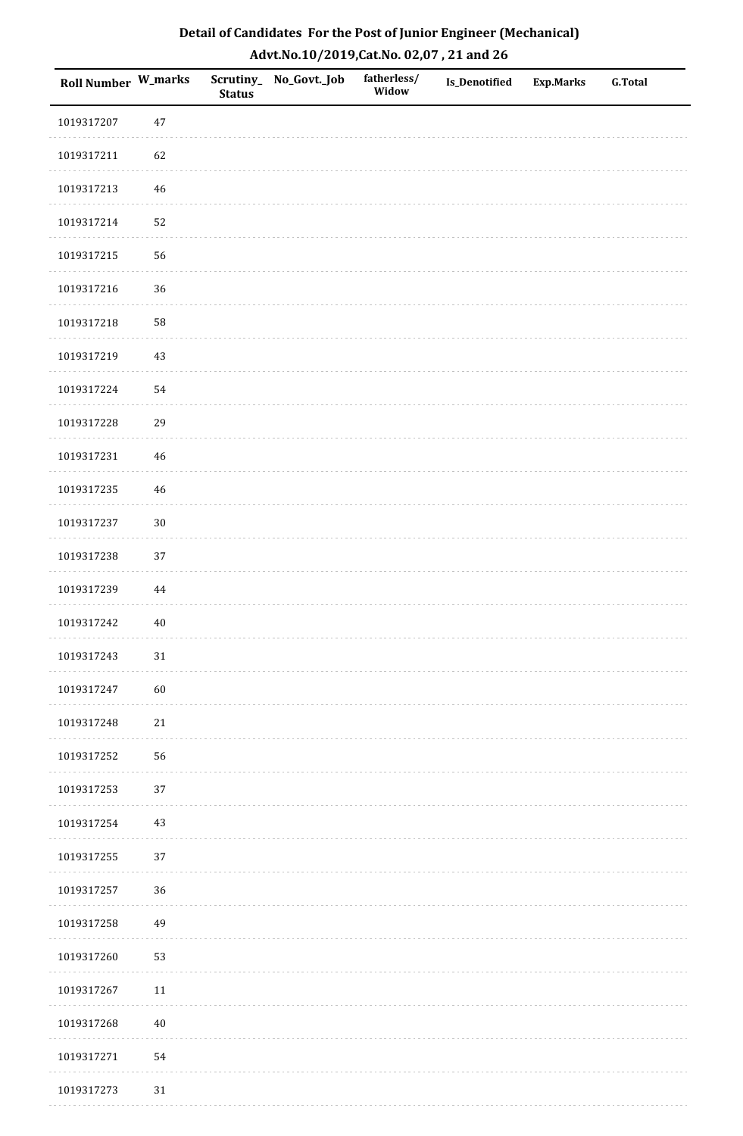| Roll Number W_marks |          | <b>Status</b> | Scrutiny_No_Govt._Job | fatherless/<br>Widow | Is_Denotified | <b>Exp.Marks</b> | <b>G.Total</b> |
|---------------------|----------|---------------|-----------------------|----------------------|---------------|------------------|----------------|
| 1019317207          | $47\,$   |               |                       |                      |               |                  |                |
| 1019317211          | 62       |               |                       |                      |               |                  |                |
| 1019317213          | 46       |               |                       |                      |               |                  |                |
| 1019317214          | 52       |               |                       |                      |               |                  |                |
| 1019317215          | 56       |               |                       |                      |               |                  |                |
| 1019317216          | 36       |               |                       |                      |               |                  |                |
| 1019317218          | 58       |               |                       |                      |               |                  |                |
| 1019317219          | 43       |               |                       |                      |               |                  |                |
| 1019317224          | 54       |               |                       |                      |               |                  |                |
| 1019317228          | 29       |               |                       |                      |               |                  |                |
| 1019317231          | 46       |               |                       |                      |               |                  |                |
| 1019317235          | 46       |               |                       |                      |               |                  |                |
| 1019317237          | $30\,$   |               |                       |                      |               |                  |                |
| 1019317238          | 37       |               |                       |                      |               |                  |                |
| 1019317239          | $\bf 44$ |               |                       |                      |               |                  |                |
| 1019317242          | $40\,$   |               |                       |                      |               |                  |                |
| 1019317243          | $31\,$   |               |                       |                      |               |                  |                |
| 1019317247          | 60       |               |                       |                      |               |                  |                |
| 1019317248          | $21\,$   |               |                       |                      |               |                  |                |
| 1019317252          | 56       |               |                       |                      |               |                  |                |
| 1019317253          | 37       |               |                       |                      |               |                  |                |
| 1019317254          | $43\,$   |               |                       |                      |               |                  |                |
| 1019317255          | 37       |               |                       |                      |               |                  |                |
| 1019317257          | 36       |               |                       |                      |               |                  |                |
| 1019317258          | 49       |               |                       |                      |               |                  |                |
| 1019317260          | 53       |               |                       |                      |               |                  |                |
| 1019317267          | $11\,$   |               |                       |                      |               |                  |                |
| 1019317268          | $40\,$   |               |                       |                      |               |                  |                |
| 1019317271          | 54       |               |                       |                      |               |                  |                |
| 1019317273          | $31\,$   |               |                       |                      |               |                  |                |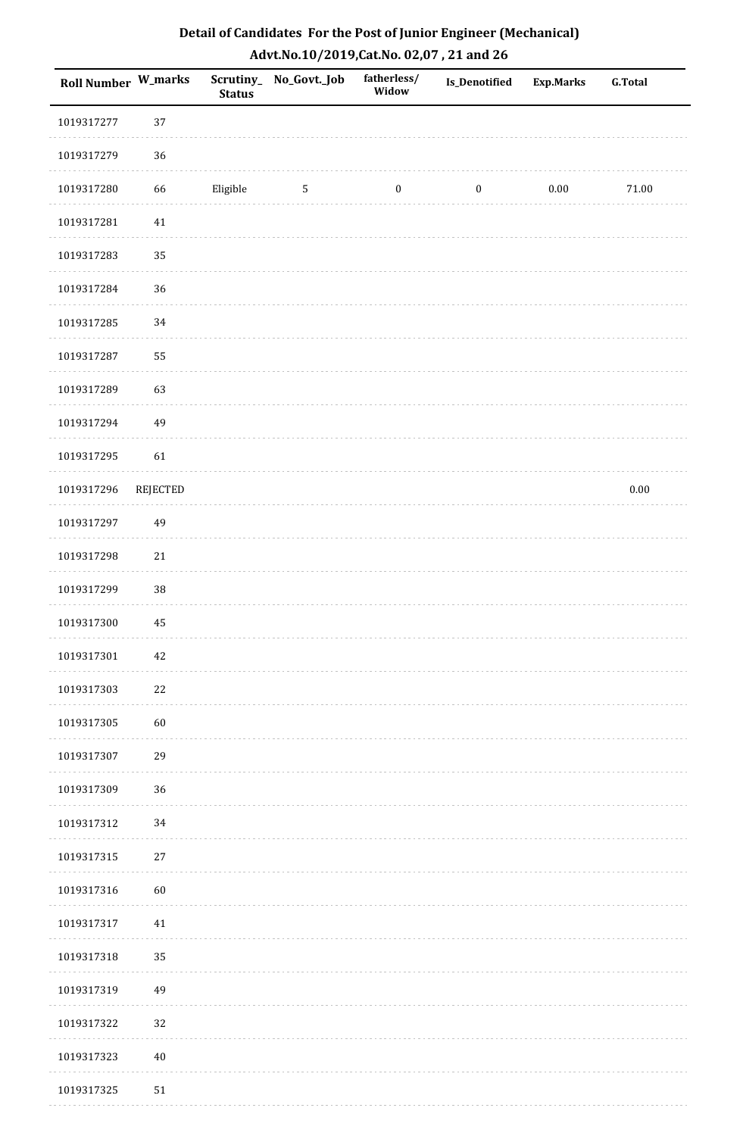| Roll Number W_marks |                 | <b>Status</b> | Scrutiny_No_Govt._Job | fatherless/<br>Widow | Is_Denotified    | <b>Exp.Marks</b> | <b>G.Total</b> |
|---------------------|-----------------|---------------|-----------------------|----------------------|------------------|------------------|----------------|
| 1019317277          | 37              |               |                       |                      |                  |                  |                |
| 1019317279          | 36              |               |                       |                      |                  |                  |                |
| 1019317280          | 66              | Eligible      | $\sqrt{5}$            | $\boldsymbol{0}$     | $\boldsymbol{0}$ | 0.00             | $71.00\,$      |
| 1019317281          | $41\,$          |               |                       |                      |                  |                  |                |
| 1019317283          | 35              |               |                       |                      |                  |                  |                |
| 1019317284          | 36              |               |                       |                      |                  |                  |                |
| 1019317285          | 34              |               |                       |                      |                  |                  |                |
| 1019317287          | 55              |               |                       |                      |                  |                  |                |
| 1019317289          | 63              |               |                       |                      |                  |                  |                |
| 1019317294          | 49              |               |                       |                      |                  |                  |                |
| 1019317295          | 61              |               |                       |                      |                  |                  |                |
| 1019317296          | <b>REJECTED</b> |               |                       |                      |                  |                  | $0.00\,$       |
| 1019317297          | 49              |               |                       |                      |                  |                  |                |
| 1019317298          | $21\,$          |               |                       |                      |                  |                  |                |
| 1019317299          | $38\,$          |               |                       |                      |                  |                  |                |
| 1019317300          | 45              |               |                       |                      |                  |                  |                |
| 1019317301          | $42\,$          |               |                       |                      |                  |                  |                |
| 1019317303          | $22\,$          |               |                       |                      |                  |                  |                |
| 1019317305          | 60              |               |                       |                      |                  |                  |                |
| 1019317307          | 29              |               |                       |                      |                  |                  |                |
| 1019317309          | 36              |               |                       |                      |                  |                  |                |
| 1019317312          | 34              |               |                       |                      |                  |                  |                |
| 1019317315          | $27\,$          |               |                       |                      |                  |                  |                |
| 1019317316          | 60              |               |                       |                      |                  |                  |                |
| 1019317317          | 41              |               |                       |                      |                  |                  |                |
| 1019317318          | 35              |               |                       |                      |                  |                  |                |
| 1019317319          | 49              |               |                       |                      |                  |                  |                |
| 1019317322          | 32              |               |                       |                      |                  |                  |                |
| 1019317323          | $40\,$          |               |                       |                      |                  |                  |                |
| 1019317325          | 51              |               |                       |                      |                  |                  |                |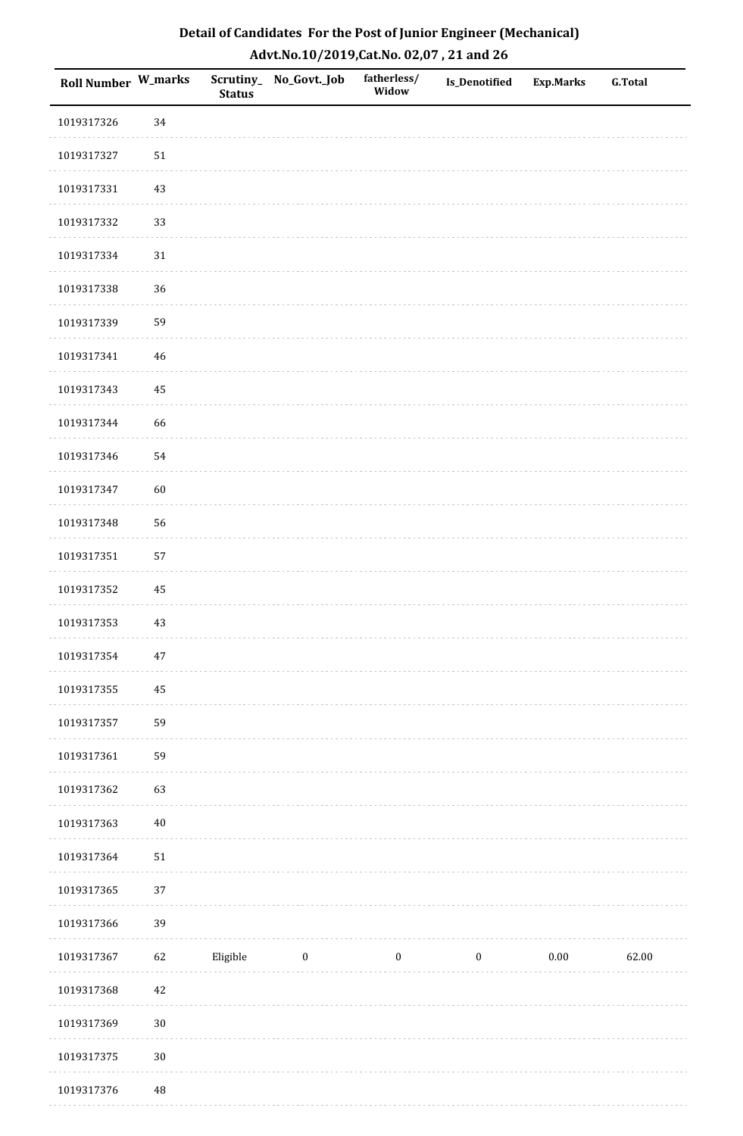| Roll Number W_marks |          | <b>Status</b> | Scrutiny_ No_Govt._Job | fatherless/<br>Widow | Is_Denotified    | <b>Exp.Marks</b> | <b>G.Total</b> |
|---------------------|----------|---------------|------------------------|----------------------|------------------|------------------|----------------|
| 1019317326          | 34       |               |                        |                      |                  |                  |                |
| 1019317327          | 51       |               |                        |                      |                  |                  |                |
| 1019317331          | 43       |               |                        |                      |                  |                  |                |
| 1019317332          | 33       |               |                        |                      |                  |                  |                |
| 1019317334          | 31       |               |                        |                      |                  |                  |                |
| 1019317338          | 36       |               |                        |                      |                  |                  |                |
| 1019317339          | 59       |               |                        |                      |                  |                  |                |
| 1019317341          | 46       |               |                        |                      |                  |                  |                |
| 1019317343          | 45       |               |                        |                      |                  |                  |                |
| 1019317344          | 66       |               |                        |                      |                  |                  |                |
| 1019317346          | 54       |               |                        |                      |                  |                  |                |
| 1019317347          | 60       |               |                        |                      |                  |                  |                |
| 1019317348          | 56       |               |                        |                      |                  |                  |                |
| 1019317351          | 57       |               |                        |                      |                  |                  |                |
| 1019317352          | $\rm 45$ |               |                        |                      |                  |                  |                |
| 1019317353          | $43\,$   |               |                        |                      |                  |                  |                |
| 1019317354          | $47\,$   |               |                        |                      |                  |                  |                |
| 1019317355          | 45       |               |                        |                      |                  |                  |                |
| 1019317357          | 59       |               |                        |                      |                  |                  |                |
| 1019317361          | 59       |               |                        |                      |                  |                  |                |
| 1019317362          | 63       |               |                        |                      |                  |                  |                |
| 1019317363          | $40\,$   |               |                        |                      |                  |                  |                |
| 1019317364          | $51\,$   |               |                        |                      |                  |                  |                |
| 1019317365          | 37       |               |                        |                      |                  |                  |                |
| 1019317366          | 39       |               |                        |                      |                  |                  |                |
| 1019317367          | 62       | Eligible      | $\boldsymbol{0}$       | $\boldsymbol{0}$     | $\boldsymbol{0}$ | $0.00\,$         | 62.00          |
| 1019317368          | 42       |               |                        |                      |                  |                  |                |
| 1019317369          | $30\,$   |               |                        |                      |                  |                  |                |
| 1019317375          | $30\,$   |               |                        |                      |                  |                  |                |
| 1019317376          | 48       |               |                        |                      |                  |                  |                |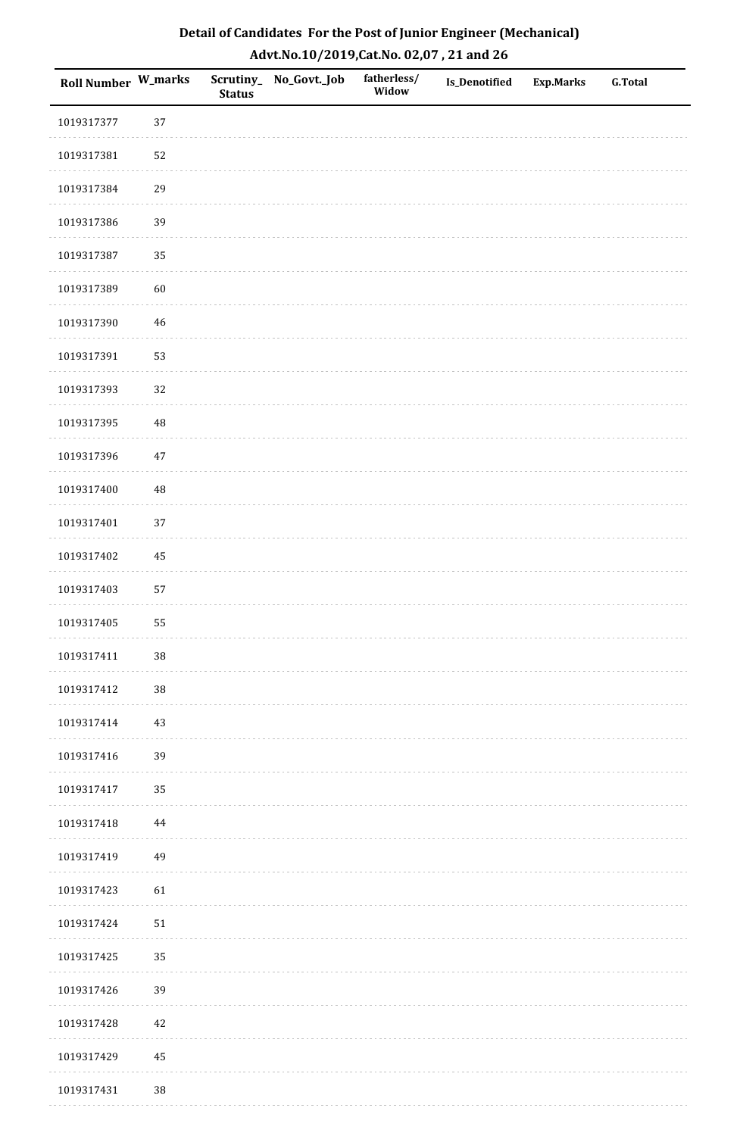| Detail of Candidates For the Post of Junior Engineer (Mechanical) |
|-------------------------------------------------------------------|
| Advt.No.10/2019,Cat.No. 02,07, 21 and 26                          |

| Roll Number W_marks |             | <b>Status</b> | Scrutiny_ No_Govt._Job | fatherless/<br>Widow | <b>Is_Denotified</b> | <b>Exp.Marks</b> | <b>G.Total</b> |
|---------------------|-------------|---------------|------------------------|----------------------|----------------------|------------------|----------------|
| 1019317377          | 37          |               |                        |                      |                      |                  |                |
| 1019317381          | 52          |               |                        |                      |                      |                  |                |
| 1019317384          | 29          |               |                        |                      |                      |                  |                |
| 1019317386          | 39          |               |                        |                      |                      |                  |                |
| 1019317387          | 35          |               |                        |                      |                      |                  |                |
| 1019317389          | 60          |               |                        |                      |                      |                  |                |
| 1019317390          | $\sqrt{46}$ |               |                        |                      |                      |                  |                |
| 1019317391          | 53          |               |                        |                      |                      |                  |                |
| 1019317393          | 32          |               |                        |                      |                      |                  |                |
| 1019317395          | $\rm 48$    |               |                        |                      |                      |                  |                |
| 1019317396          | $47\,$      |               |                        |                      |                      |                  |                |
| 1019317400          | $\rm 48$    |               |                        |                      |                      |                  |                |
| 1019317401          | 37          |               |                        |                      |                      |                  |                |
| 1019317402          | 45          |               |                        |                      |                      |                  |                |
| 1019317403          | 57          |               |                        |                      |                      |                  |                |
| 1019317405          | 55          |               |                        |                      |                      |                  |                |
| 1019317411          | $38\,$      |               |                        |                      |                      |                  |                |
| 1019317412          | $38\,$      |               |                        |                      |                      |                  |                |
| 1019317414          | 43          |               |                        |                      |                      |                  |                |
| 1019317416          | 39          |               |                        |                      |                      |                  |                |
| 1019317417          | 35          |               |                        |                      |                      |                  |                |
| 1019317418          | 44          |               |                        |                      |                      |                  |                |
| 1019317419          | 49          |               |                        |                      |                      |                  |                |
| 1019317423          | 61          |               |                        |                      |                      |                  |                |
| 1019317424          | ${\bf 51}$  |               |                        |                      |                      |                  |                |
| 1019317425          | 35          |               |                        |                      |                      |                  |                |
| 1019317426          | 39          |               |                        |                      |                      |                  |                |
| 1019317428          | $42\,$      |               |                        |                      |                      |                  |                |
| 1019317429          | 45          |               |                        |                      |                      |                  |                |
| 1019317431          | $38\,$      |               |                        |                      |                      |                  |                |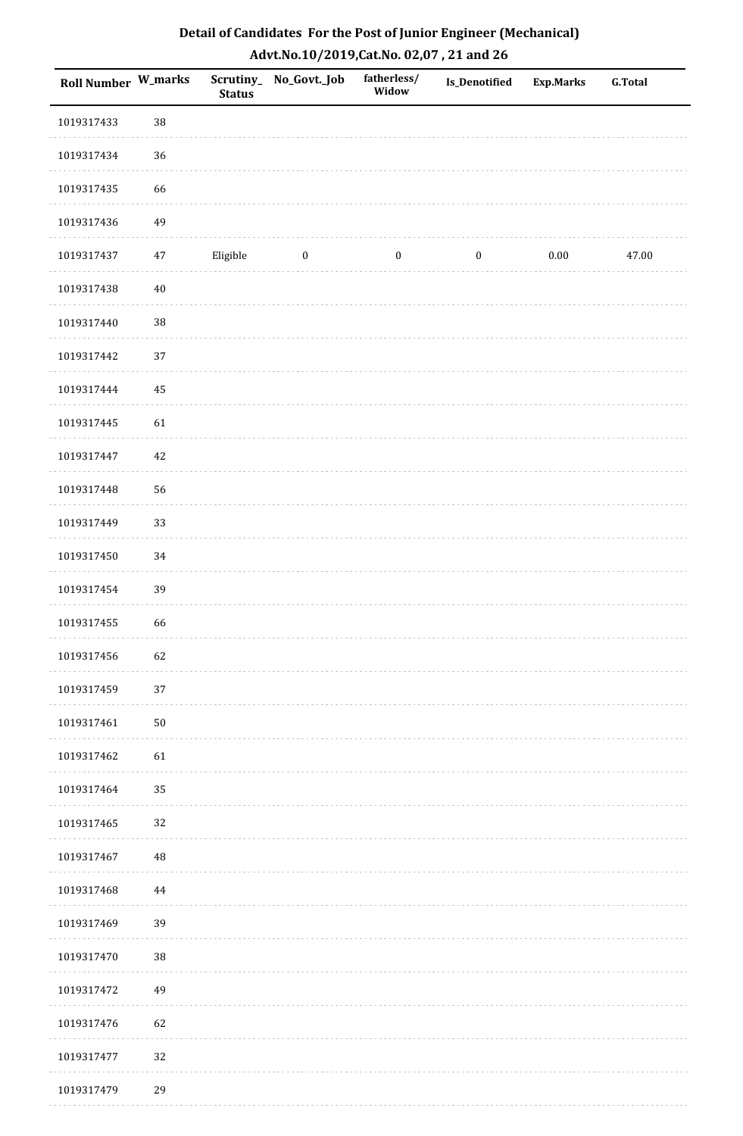| Detail of Candidates For the Post of Junior Engineer (Mechanical) |
|-------------------------------------------------------------------|
| Advt.No.10/2019, Cat.No. 02,07, 21 and 26                         |

| Roll Number W_marks |          | <b>Status</b> | Scrutiny_ No_Govt._Job | fatherless/<br>Widow | Is_Denotified    | <b>Exp.Marks</b> | <b>G.Total</b> |
|---------------------|----------|---------------|------------------------|----------------------|------------------|------------------|----------------|
| 1019317433          | $38\,$   |               |                        |                      |                  |                  |                |
| 1019317434          | 36       |               |                        |                      |                  |                  |                |
| 1019317435          | 66       |               |                        |                      |                  |                  |                |
| 1019317436          | 49       |               |                        |                      |                  |                  |                |
| 1019317437          | 47       | Eligible      | $\boldsymbol{0}$       | $\boldsymbol{0}$     | $\boldsymbol{0}$ | $0.00\,$         | 47.00          |
| 1019317438          | $40\,$   |               |                        |                      |                  |                  |                |
| 1019317440          | $38\,$   |               |                        |                      |                  |                  |                |
| 1019317442          | 37       |               |                        |                      |                  |                  |                |
| 1019317444          | 45       |               |                        |                      |                  |                  |                |
| 1019317445          | 61       |               |                        |                      |                  |                  |                |
| 1019317447          | 42       |               |                        |                      |                  |                  |                |
| 1019317448          | 56       |               |                        |                      |                  |                  |                |
| 1019317449          | 33       |               |                        |                      |                  |                  |                |
| 1019317450          | 34       |               |                        |                      |                  |                  |                |
| 1019317454          | 39       |               |                        |                      |                  |                  |                |
| 1019317455          | 66       |               |                        |                      |                  |                  |                |
| 1019317456          | 62       |               |                        |                      |                  |                  |                |
| 1019317459          | 37       |               |                        |                      |                  |                  |                |
| 1019317461          | 50       |               |                        |                      |                  |                  |                |
| 1019317462          | 61       |               |                        |                      |                  |                  |                |
| 1019317464          | 35       |               |                        |                      |                  |                  |                |
| 1019317465          | 32       |               |                        |                      |                  |                  |                |
| 1019317467          | $\rm 48$ |               |                        |                      |                  |                  |                |
| 1019317468          | 44       |               |                        |                      |                  |                  |                |
| 1019317469          | 39       |               |                        |                      |                  |                  |                |
| 1019317470          | $38\,$   |               |                        |                      |                  |                  |                |
| 1019317472          | 49       |               |                        |                      |                  |                  |                |
| 1019317476          | 62       |               |                        |                      |                  |                  |                |
| 1019317477          | 32       |               |                        |                      |                  |                  |                |
| 1019317479          | 29       |               |                        |                      |                  |                  |                |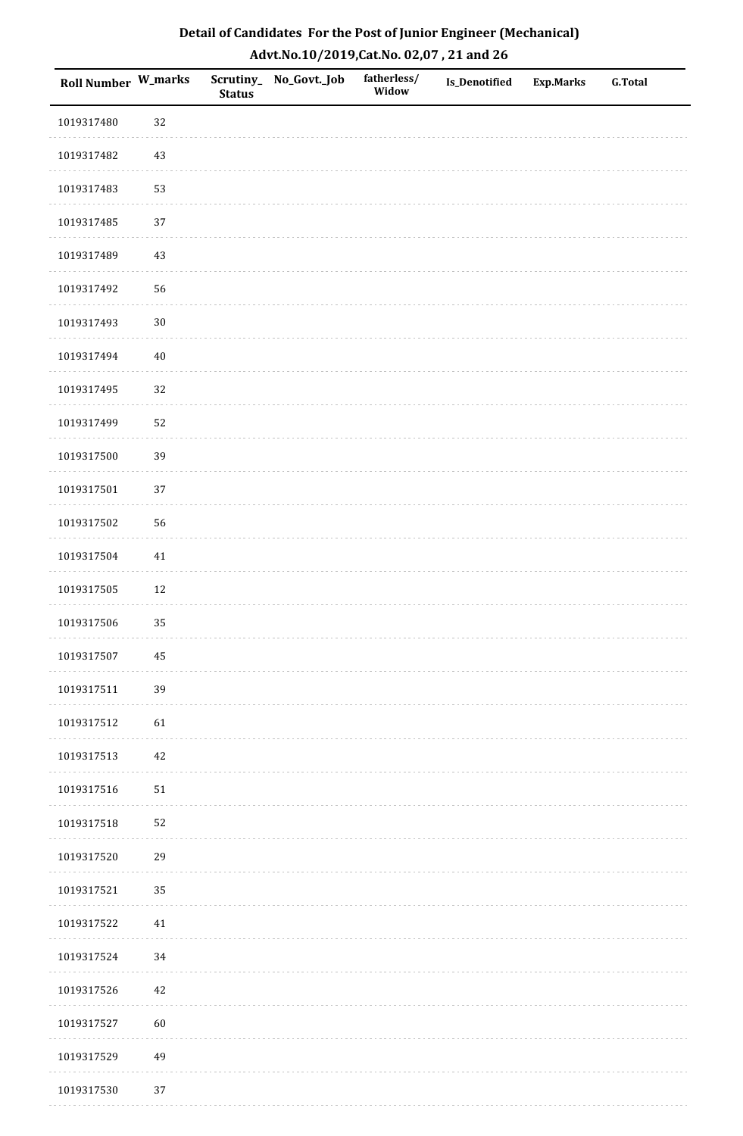| Roll Number W_marks |          | <b>Status</b> | Scrutiny_No_Govt._Job | fatherless/<br>Widow | Is_Denotified | <b>Exp.Marks</b> | <b>G.Total</b> |
|---------------------|----------|---------------|-----------------------|----------------------|---------------|------------------|----------------|
| 1019317480          | 32       |               |                       |                      |               |                  |                |
| 1019317482          | $43\,$   |               |                       |                      |               |                  |                |
| 1019317483          | 53       |               |                       |                      |               |                  |                |
| 1019317485          | 37       |               |                       |                      |               |                  |                |
| 1019317489          | $43\,$   |               |                       |                      |               |                  |                |
| 1019317492          | 56       |               |                       |                      |               |                  |                |
| 1019317493          | $30\,$   |               |                       |                      |               |                  |                |
| 1019317494          | $40\,$   |               |                       |                      |               |                  |                |
| 1019317495          | 32       |               |                       |                      |               |                  |                |
| 1019317499          | 52       |               |                       |                      |               |                  |                |
| 1019317500          | 39       |               |                       |                      |               |                  |                |
| 1019317501          | 37       |               |                       |                      |               |                  |                |
| 1019317502          | 56       |               |                       |                      |               |                  |                |
| 1019317504          | $41\,$   |               |                       |                      |               |                  |                |
| 1019317505          | $12\,$   |               |                       |                      |               |                  |                |
| 1019317506          | 35       |               |                       |                      |               |                  |                |
| 1019317507          | $\bf 45$ |               |                       |                      |               |                  |                |
| 1019317511          | 39       |               |                       |                      |               |                  |                |
| 1019317512          | 61       |               |                       |                      |               |                  |                |
| 1019317513          | $42\,$   |               |                       |                      |               |                  |                |
| 1019317516          | $51\,$   |               |                       |                      |               |                  |                |
| 1019317518          | 52       |               |                       |                      |               |                  |                |
| 1019317520          | 29       |               |                       |                      |               |                  |                |
| 1019317521          | 35       |               |                       |                      |               |                  |                |
| 1019317522          | $41\,$   |               |                       |                      |               |                  |                |
| 1019317524          | 34       |               |                       |                      |               |                  |                |
| 1019317526          | $42\,$   |               |                       |                      |               |                  |                |
| 1019317527          | 60       |               |                       |                      |               |                  |                |
| 1019317529          | 49       |               |                       |                      |               |                  |                |
| 1019317530          | 37       |               |                       |                      |               |                  |                |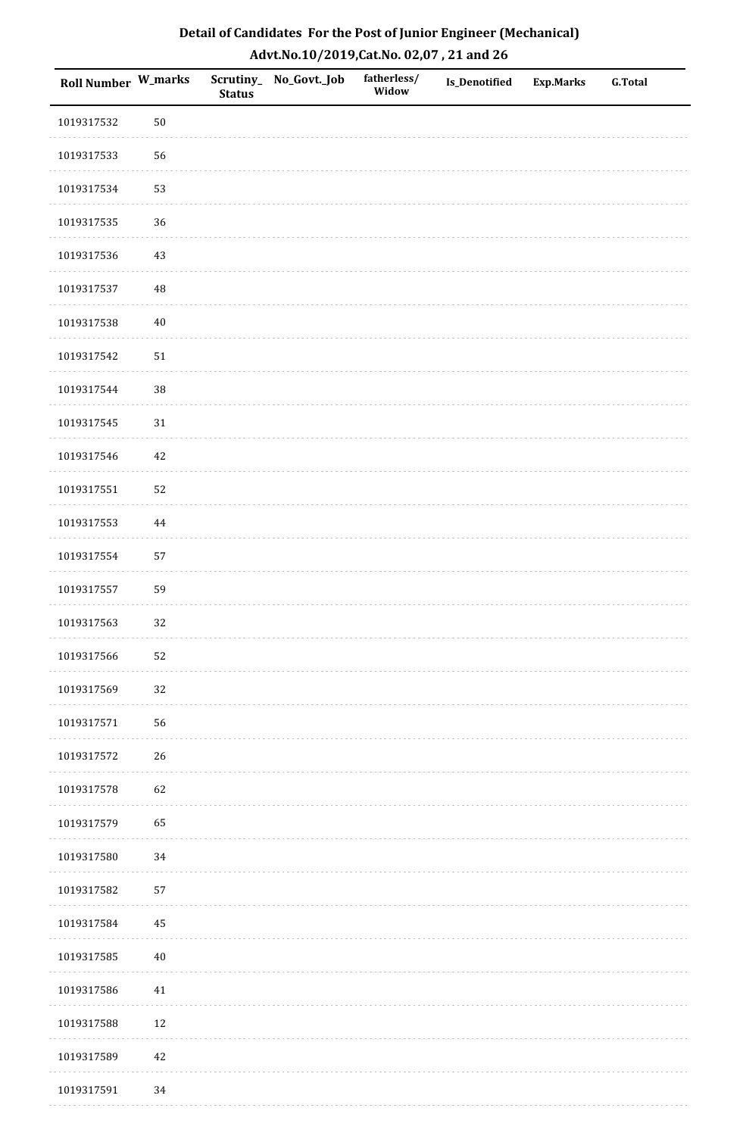| Roll Number W_marks |        | <b>Status</b> | Scrutiny_No_Govt._Job | fatherless/<br>Widow | Is_Denotified | <b>Exp.Marks</b> | <b>G.Total</b> |
|---------------------|--------|---------------|-----------------------|----------------------|---------------|------------------|----------------|
| 1019317532          | $50\,$ |               |                       |                      |               |                  |                |
| 1019317533          | 56     |               |                       |                      |               |                  |                |
| 1019317534          | 53     |               |                       |                      |               |                  |                |
| 1019317535          | 36     |               |                       |                      |               |                  |                |
| 1019317536          | $43\,$ |               |                       |                      |               |                  |                |
| 1019317537          | 48     |               |                       |                      |               |                  |                |
| 1019317538          | $40\,$ |               |                       |                      |               |                  |                |
| 1019317542          | $51\,$ |               |                       |                      |               |                  |                |
| 1019317544          | 38     |               |                       |                      |               |                  |                |
| 1019317545          | $31\,$ |               |                       |                      |               |                  |                |
| 1019317546          | 42     |               |                       |                      |               |                  |                |
| 1019317551          | 52     |               |                       |                      |               |                  |                |
| 1019317553          | 44     |               |                       |                      |               |                  |                |
| 1019317554          | 57     |               |                       |                      |               |                  |                |
| 1019317557          | 59     |               |                       |                      |               |                  |                |
| 1019317563          | 32     |               |                       |                      |               |                  |                |
| 1019317566          | 52     |               |                       |                      |               |                  |                |
| 1019317569          | 32     |               |                       |                      |               |                  |                |
| 1019317571          | 56     |               |                       |                      |               |                  |                |
| 1019317572          | 26     |               |                       |                      |               |                  |                |
| 1019317578          | 62     |               |                       |                      |               |                  |                |
| 1019317579          | 65     |               |                       |                      |               |                  |                |
| 1019317580          | 34     |               |                       |                      |               |                  |                |
| 1019317582          | 57     |               |                       |                      |               |                  |                |
| 1019317584          | 45     |               |                       |                      |               |                  |                |
| 1019317585          | $40\,$ |               |                       |                      |               |                  |                |
| 1019317586          | $41\,$ |               |                       |                      |               |                  |                |
| 1019317588          | 12     |               |                       |                      |               |                  |                |
| 1019317589          | $42\,$ |               |                       |                      |               |                  |                |
| 1019317591          | 34     |               |                       |                      |               |                  |                |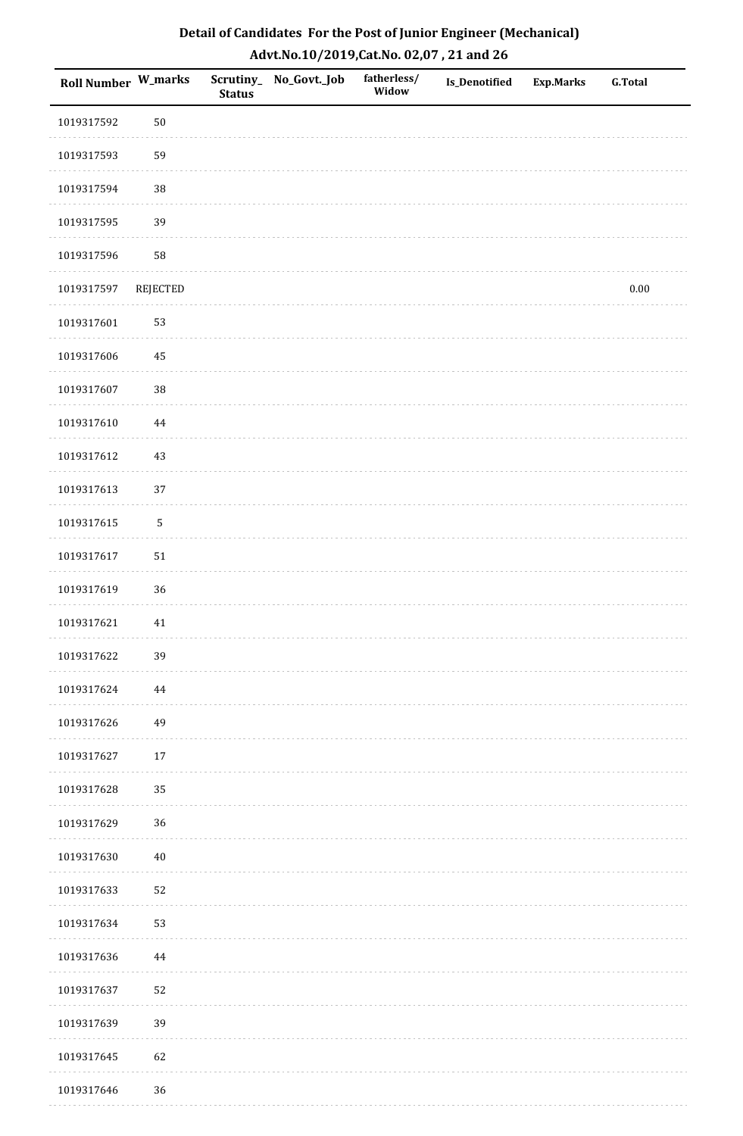| <b>Roll Number W_marks</b> |             | <b>Status</b> | Scrutiny_ No_Govt._Job | fatherless/<br>Widow | Is_Denotified | <b>Exp.Marks</b> | <b>G.Total</b> |
|----------------------------|-------------|---------------|------------------------|----------------------|---------------|------------------|----------------|
| 1019317592                 | $50\,$      |               |                        |                      |               |                  |                |
| 1019317593                 | 59          |               |                        |                      |               |                  |                |
| 1019317594                 | 38          |               |                        |                      |               |                  |                |
| 1019317595                 | 39          |               |                        |                      |               |                  |                |
| 1019317596                 | 58          |               |                        |                      |               |                  |                |
| 1019317597                 | REJECTED    |               |                        |                      |               |                  | $0.00\,$       |
| 1019317601                 | 53          |               |                        |                      |               |                  |                |
| 1019317606                 | $\bf 45$    |               |                        |                      |               |                  |                |
| 1019317607                 | 38          |               |                        |                      |               |                  |                |
| 1019317610                 | $\bf 44$    |               |                        |                      |               |                  |                |
| 1019317612                 | $43\,$      |               |                        |                      |               |                  |                |
| 1019317613                 | 37          |               |                        |                      |               |                  |                |
| 1019317615                 | $\mathsf S$ |               |                        |                      |               |                  |                |
| 1019317617                 | $51\,$      |               |                        |                      |               |                  |                |
| 1019317619                 | 36          |               |                        |                      |               |                  |                |
| 1019317621                 | $41\,$      |               |                        |                      |               |                  |                |
| 1019317622                 | 39          |               |                        |                      |               |                  |                |
| 1019317624                 | 44          |               |                        |                      |               |                  |                |
| 1019317626                 | 49          |               |                        |                      |               |                  |                |
| 1019317627                 | $17\,$      |               |                        |                      |               |                  |                |
| 1019317628                 | 35          |               |                        |                      |               |                  |                |
| 1019317629                 | 36          |               |                        |                      |               |                  |                |
| 1019317630                 | $40\,$      |               |                        |                      |               |                  |                |
| 1019317633                 | 52          |               |                        |                      |               |                  |                |
| 1019317634                 | 53          |               |                        |                      |               |                  |                |
| 1019317636                 | $\bf 44$    |               |                        |                      |               |                  |                |
| 1019317637                 | 52          |               |                        |                      |               |                  |                |
| 1019317639                 | 39          |               |                        |                      |               |                  |                |
| 1019317645                 | 62          |               |                        |                      |               |                  |                |
| 1019317646                 | 36          |               |                        |                      |               |                  |                |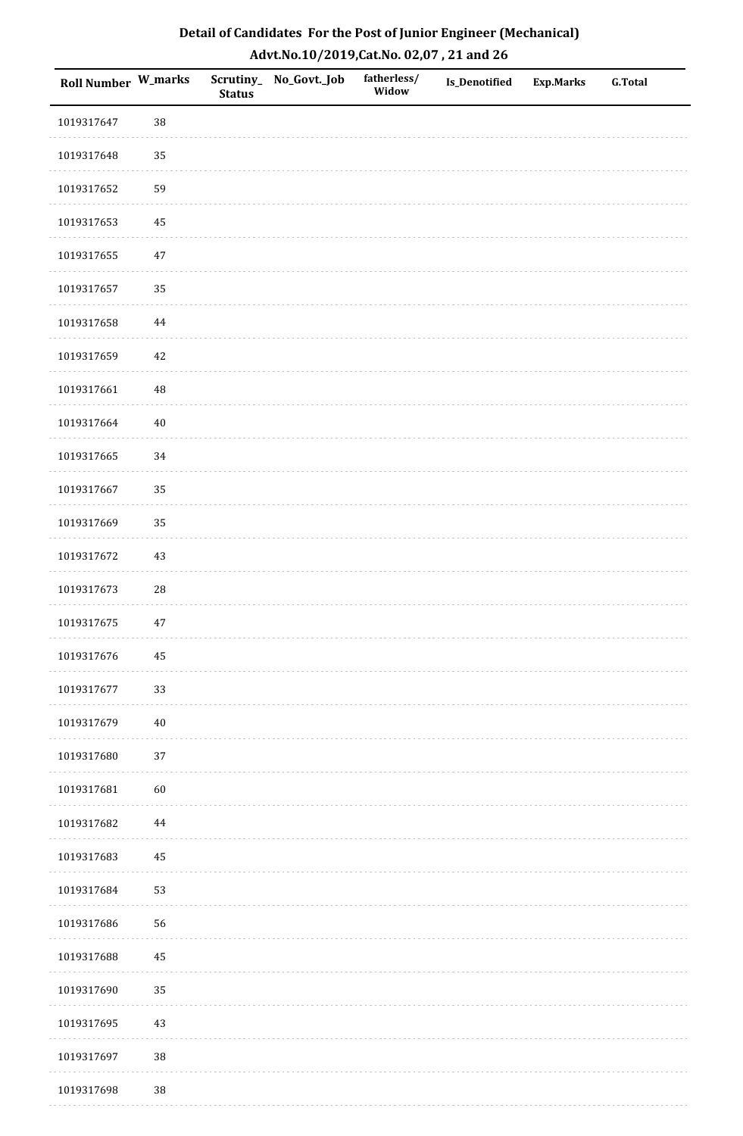| Detail of Candidates For the Post of Junior Engineer (Mechanical) |
|-------------------------------------------------------------------|
| Advt.No.10/2019,Cat.No. 02,07, 21 and 26                          |

| Roll Number W_marks |            | <b>Status</b> | Scrutiny_ No_Govt._Job | fatherless/<br>Widow | <b>Is_Denotified</b> | <b>Exp.Marks</b> | <b>G.Total</b> |
|---------------------|------------|---------------|------------------------|----------------------|----------------------|------------------|----------------|
| 1019317647          | 38         |               |                        |                      |                      |                  |                |
| 1019317648          | 35         |               |                        |                      |                      |                  |                |
| 1019317652          | 59         |               |                        |                      |                      |                  |                |
| 1019317653          | 45         |               |                        |                      |                      |                  |                |
| 1019317655          | $47\,$     |               |                        |                      |                      |                  |                |
| 1019317657          | 35         |               |                        |                      |                      |                  |                |
| 1019317658          | $\bf 44$   |               |                        |                      |                      |                  |                |
| 1019317659          | $42\,$     |               |                        |                      |                      |                  |                |
| 1019317661          | $\rm 48$   |               |                        |                      |                      |                  |                |
| 1019317664          | $40\,$     |               |                        |                      |                      |                  |                |
| 1019317665          | 34         |               |                        |                      |                      |                  |                |
| 1019317667          | 35         |               |                        |                      |                      |                  |                |
| 1019317669          | 35         |               |                        |                      |                      |                  |                |
| 1019317672          | 43         |               |                        |                      |                      |                  |                |
| 1019317673          | ${\bf 28}$ |               |                        |                      |                      |                  |                |
| 1019317675          | $47\,$     |               |                        |                      |                      |                  |                |
| 1019317676          | $\bf 45$   |               |                        |                      |                      |                  |                |
| 1019317677          | 33         |               |                        |                      |                      |                  |                |
| 1019317679          | $40\,$     |               |                        |                      |                      |                  |                |
| 1019317680          | 37         |               |                        |                      |                      |                  |                |
| 1019317681          | $60\,$     |               |                        |                      |                      |                  |                |
| 1019317682          | 44         |               |                        |                      |                      |                  |                |
| 1019317683          | 45         |               |                        |                      |                      |                  |                |
| 1019317684          | 53         |               |                        |                      |                      |                  |                |
| 1019317686          | 56         |               |                        |                      |                      |                  |                |
| 1019317688          | $\rm 45$   |               |                        |                      |                      |                  |                |
| 1019317690          | 35         |               |                        |                      |                      |                  |                |
| 1019317695          | 43         |               |                        |                      |                      |                  |                |
| 1019317697          | 38         |               |                        |                      |                      |                  |                |
| 1019317698          | $38\,$     |               |                        |                      |                      |                  |                |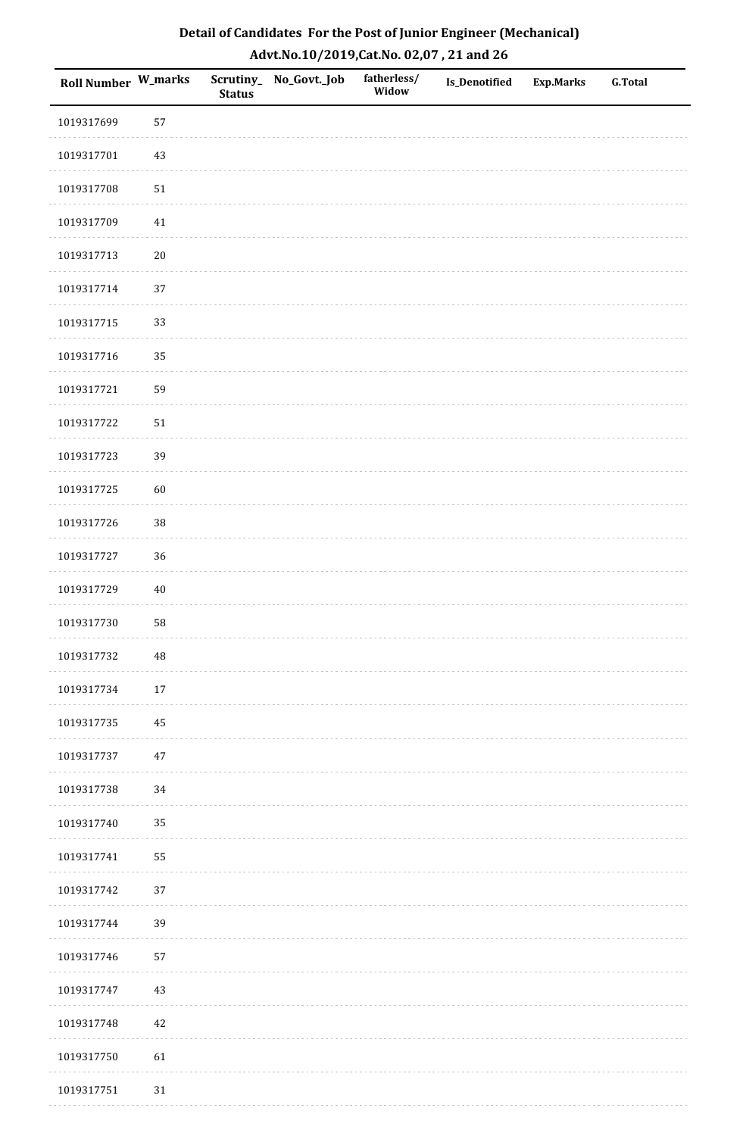| Roll Number W_marks |        | <b>Status</b> | Scrutiny_No_Govt._Job | fatherless/<br>Widow | Is_Denotified | <b>Exp.Marks</b> | <b>G.Total</b> |
|---------------------|--------|---------------|-----------------------|----------------------|---------------|------------------|----------------|
| 1019317699          | 57     |               |                       |                      |               |                  |                |
| 1019317701          | $43\,$ |               |                       |                      |               |                  |                |
| 1019317708          | $51\,$ |               |                       |                      |               |                  |                |
| 1019317709          | $41\,$ |               |                       |                      |               |                  |                |
| 1019317713          | $20\,$ |               |                       |                      |               |                  |                |
| 1019317714          | 37     |               |                       |                      |               |                  |                |
| 1019317715          | 33     |               |                       |                      |               |                  |                |
| 1019317716          | 35     |               |                       |                      |               |                  |                |
| 1019317721          | 59     |               |                       |                      |               |                  |                |
| 1019317722          | $51\,$ |               |                       |                      |               |                  |                |
| 1019317723          | 39     |               |                       |                      |               |                  |                |
| 1019317725          | 60     |               |                       |                      |               |                  |                |
| 1019317726          | 38     |               |                       |                      |               |                  |                |
| 1019317727          | 36     |               |                       |                      |               |                  |                |
| 1019317729          | $40\,$ |               |                       |                      |               |                  |                |
| 1019317730          | 58     |               |                       |                      |               |                  |                |
| 1019317732          | 48     |               |                       |                      |               |                  |                |
| 1019317734          | 17     |               |                       |                      |               |                  |                |
| 1019317735          | 45     |               |                       |                      |               |                  |                |
| 1019317737          | $47\,$ |               |                       |                      |               |                  |                |
| 1019317738          | 34     |               |                       |                      |               |                  |                |
| 1019317740          | 35     |               |                       |                      |               |                  |                |
| 1019317741          | 55     |               |                       |                      |               |                  |                |
| 1019317742          | 37     |               |                       |                      |               |                  |                |
| 1019317744          | 39     |               |                       |                      |               |                  |                |
| 1019317746          | 57     |               |                       |                      |               |                  |                |
| 1019317747          | 43     |               |                       |                      |               |                  |                |
| 1019317748          | 42     |               |                       |                      |               |                  |                |
| 1019317750          | 61     |               |                       |                      |               |                  |                |
| 1019317751          | $31\,$ |               |                       |                      |               |                  |                |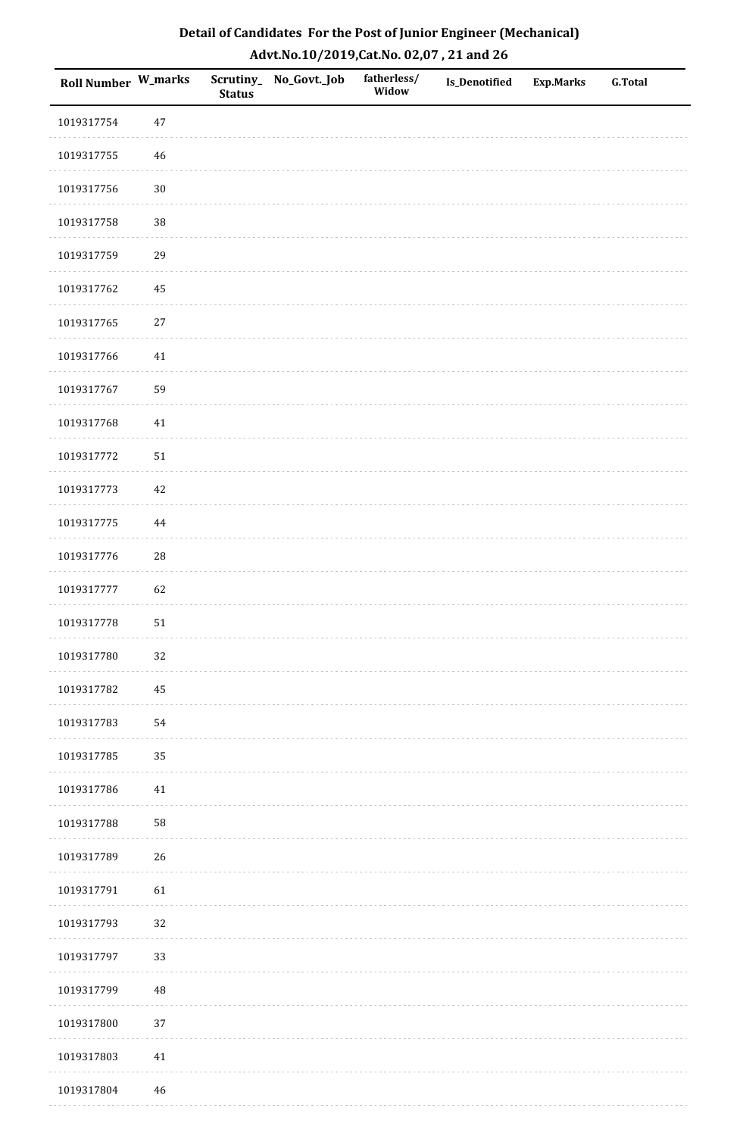| Roll Number W_marks |            | <b>Status</b> | Scrutiny_No_Govt._Job | fatherless/<br>Widow | Is_Denotified | <b>Exp.Marks</b> | <b>G.Total</b> |
|---------------------|------------|---------------|-----------------------|----------------------|---------------|------------------|----------------|
| 1019317754          | 47         |               |                       |                      |               |                  |                |
| 1019317755          | $46\,$     |               |                       |                      |               |                  |                |
| 1019317756          | $30\,$     |               |                       |                      |               |                  |                |
| 1019317758          | 38         |               |                       |                      |               |                  |                |
| 1019317759          | 29         |               |                       |                      |               |                  |                |
| 1019317762          | 45         |               |                       |                      |               |                  |                |
| 1019317765          | $27\,$     |               |                       |                      |               |                  |                |
| 1019317766          | 41         |               |                       |                      |               |                  |                |
| 1019317767          | 59         |               |                       |                      |               |                  |                |
| 1019317768          | $41\,$     |               |                       |                      |               |                  |                |
| 1019317772          | $51\,$     |               |                       |                      |               |                  |                |
| 1019317773          | 42         |               |                       |                      |               |                  |                |
| 1019317775          | 44         |               |                       |                      |               |                  |                |
| 1019317776          | ${\bf 28}$ |               |                       |                      |               |                  |                |
| 1019317777          | 62         |               |                       |                      |               |                  |                |
| 1019317778          | 51         |               |                       |                      |               |                  |                |
| 1019317780          | 32         |               |                       |                      |               |                  |                |
| 1019317782          | 45         |               |                       |                      |               |                  |                |
| 1019317783          | 54         |               |                       |                      |               |                  |                |
| 1019317785          | 35         |               |                       |                      |               |                  |                |
| 1019317786          | 41         |               |                       |                      |               |                  |                |
| 1019317788          | 58         |               |                       |                      |               |                  |                |
| 1019317789          | $26\,$     |               |                       |                      |               |                  |                |
| 1019317791          | 61         |               |                       |                      |               |                  |                |
| 1019317793          | 32         |               |                       |                      |               |                  |                |
| 1019317797          | 33         |               |                       |                      |               |                  |                |
| 1019317799          | 48         |               |                       |                      |               |                  |                |
| 1019317800          | 37         |               |                       |                      |               |                  |                |
| 1019317803          | $41\,$     |               |                       |                      |               |                  |                |
| 1019317804          | 46         |               |                       |                      |               |                  |                |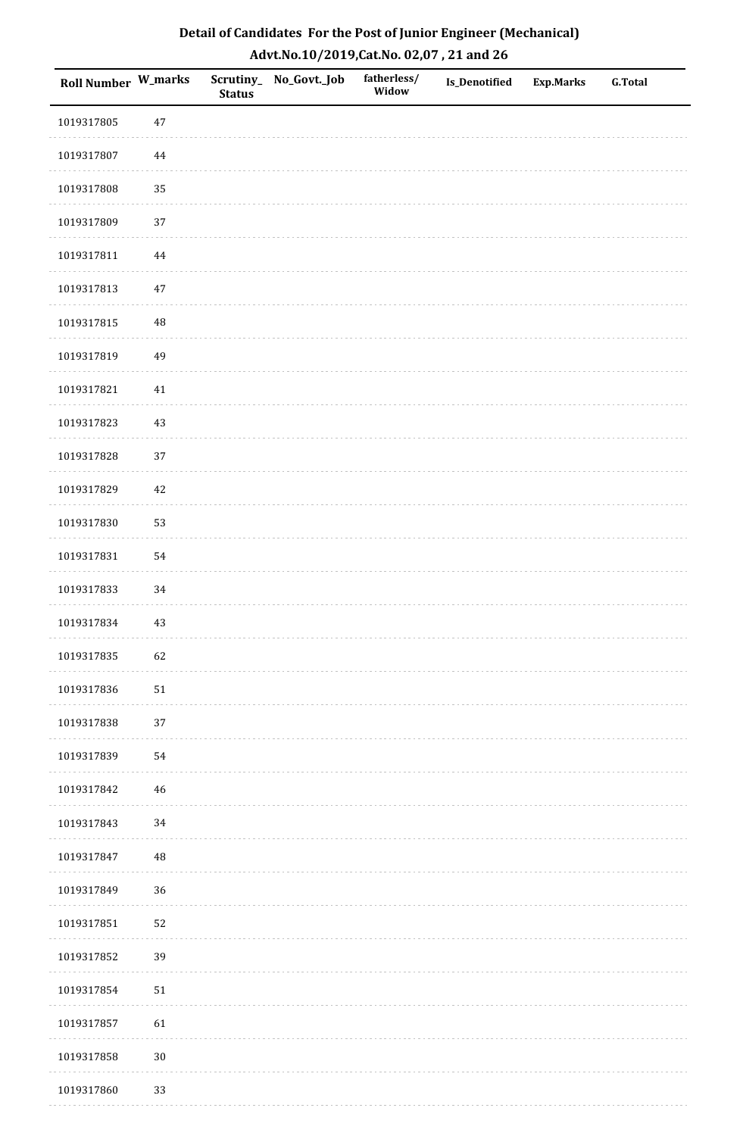| Detail of Candidates For the Post of Junior Engineer (Mechanical) |
|-------------------------------------------------------------------|
| Advt.No.10/2019,Cat.No. 02,07, 21 and 26                          |

| Roll Number W_marks |             | <b>Status</b> | Scrutiny_ No_Govt._Job | fatherless/<br>Widow | <b>Is_Denotified</b> | <b>Exp.Marks</b> | <b>G.Total</b> |
|---------------------|-------------|---------------|------------------------|----------------------|----------------------|------------------|----------------|
| 1019317805          | 47          |               |                        |                      |                      |                  |                |
| 1019317807          | $\bf 44$    |               |                        |                      |                      |                  |                |
| 1019317808          | 35          |               |                        |                      |                      |                  |                |
| 1019317809          | 37          |               |                        |                      |                      |                  |                |
| 1019317811          | 44          |               |                        |                      |                      |                  |                |
| 1019317813          | $47\,$      |               |                        |                      |                      |                  |                |
| 1019317815          | $\rm 48$    |               |                        |                      |                      |                  |                |
| 1019317819          | 49          |               |                        |                      |                      |                  |                |
| 1019317821          | $41\,$      |               |                        |                      |                      |                  |                |
| 1019317823          | 43          |               |                        |                      |                      |                  |                |
| 1019317828          | 37          |               |                        |                      |                      |                  |                |
| 1019317829          | $42\,$      |               |                        |                      |                      |                  |                |
| 1019317830          | 53          |               |                        |                      |                      |                  |                |
| 1019317831          | 54          |               |                        |                      |                      |                  |                |
| 1019317833          | 34          |               |                        |                      |                      |                  |                |
| 1019317834          | 43          |               |                        |                      |                      |                  |                |
| 1019317835          | 62          |               |                        |                      |                      |                  |                |
| 1019317836          | $51\,$      |               |                        |                      |                      |                  |                |
| 1019317838          | $37\,$      |               |                        |                      |                      |                  |                |
| 1019317839          | 54          |               |                        |                      |                      |                  |                |
| 1019317842          | $\sqrt{46}$ |               |                        |                      |                      |                  |                |
| 1019317843          | 34          |               |                        |                      |                      |                  |                |
| 1019317847          | $\rm 48$    |               |                        |                      |                      |                  |                |
| 1019317849          | 36          |               |                        |                      |                      |                  |                |
| 1019317851          | 52          |               |                        |                      |                      |                  |                |
| 1019317852          | 39          |               |                        |                      |                      |                  |                |
| 1019317854          | $51\,$      |               |                        |                      |                      |                  |                |
| 1019317857          | 61          |               |                        |                      |                      |                  |                |
| 1019317858          | $30\,$      |               |                        |                      |                      |                  |                |
| 1019317860          | 33          |               |                        |                      |                      |                  |                |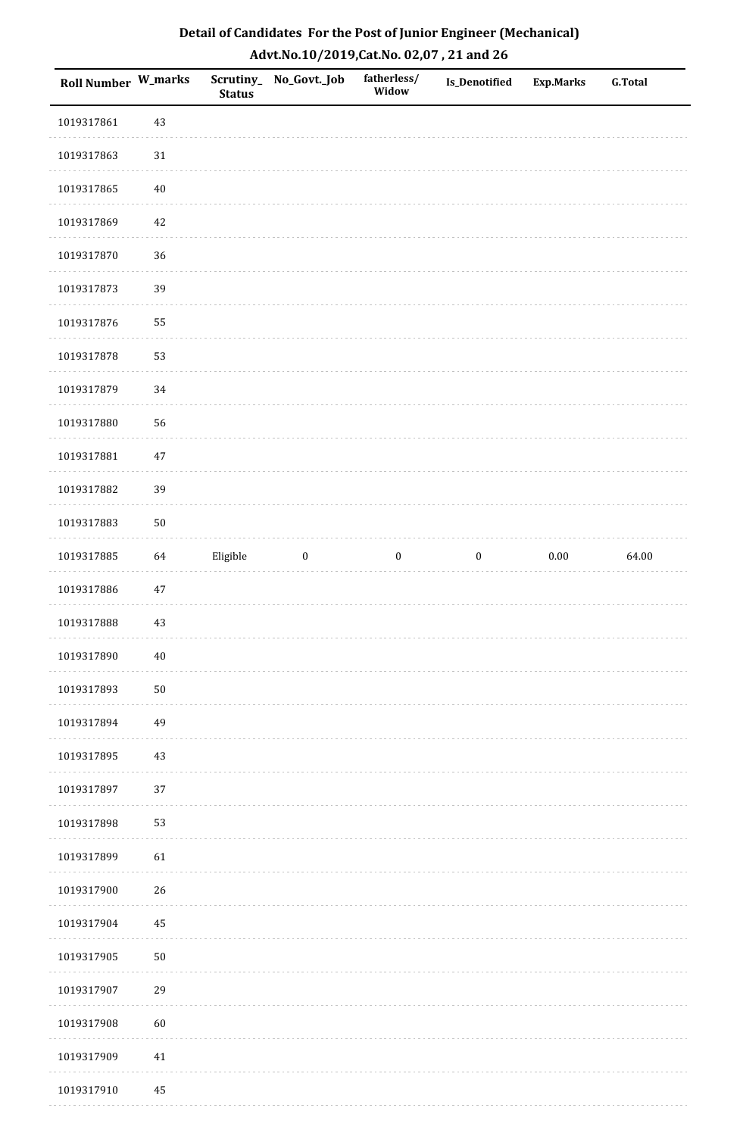| Detail of Candidates For the Post of Junior Engineer (Mechanical) |
|-------------------------------------------------------------------|
| Advt.No.10/2019,Cat.No. 02,07, 21 and 26                          |

| Roll Number W_marks |            | <b>Status</b> | Scrutiny_No_Govt._Job | fatherless/<br>Widow | Is_Denotified    | <b>Exp.Marks</b> | <b>G.Total</b> |
|---------------------|------------|---------------|-----------------------|----------------------|------------------|------------------|----------------|
| 1019317861          | 43         |               |                       |                      |                  |                  |                |
| 1019317863          | 31         |               |                       |                      |                  |                  |                |
| 1019317865          | $40\,$     |               |                       |                      |                  |                  |                |
| 1019317869          | 42         |               |                       |                      |                  |                  |                |
| 1019317870          | 36         |               |                       |                      |                  |                  |                |
| 1019317873          | 39         |               |                       |                      |                  |                  |                |
| 1019317876          | 55         |               |                       |                      |                  |                  |                |
| 1019317878          | 53         |               |                       |                      |                  |                  |                |
| 1019317879          | 34         |               |                       |                      |                  |                  |                |
| 1019317880          | 56         |               |                       |                      |                  |                  |                |
| 1019317881          | $47\,$     |               |                       |                      |                  |                  |                |
| 1019317882          | 39         |               |                       |                      |                  |                  |                |
| 1019317883          | 50         |               |                       |                      |                  |                  |                |
| 1019317885          | 64         | Eligible      | $\boldsymbol{0}$      | $\boldsymbol{0}$     | $\boldsymbol{0}$ | $0.00\,$         | 64.00          |
| 1019317886          | $47\,$     |               |                       |                      |                  |                  |                |
| 1019317888          | 43         |               |                       |                      |                  |                  |                |
| 1019317890          | $40\,$     |               |                       |                      |                  |                  |                |
| 1019317893          | ${\bf 50}$ |               |                       |                      |                  |                  |                |
| 1019317894          | 49         |               |                       |                      |                  |                  |                |
| 1019317895          | 43         |               |                       |                      |                  |                  |                |
| 1019317897          | 37         |               |                       |                      |                  |                  |                |
| 1019317898          | 53         |               |                       |                      |                  |                  |                |
| 1019317899          | 61         |               |                       |                      |                  |                  |                |
| 1019317900          | 26         |               |                       |                      |                  |                  |                |
| 1019317904          | 45         |               |                       |                      |                  |                  |                |
| 1019317905          | 50         |               |                       |                      |                  |                  |                |
| 1019317907          | 29         |               |                       |                      |                  |                  |                |
| 1019317908          | 60         |               |                       |                      |                  |                  |                |
| 1019317909          | $41\,$     |               |                       |                      |                  |                  |                |
| 1019317910          | 45         |               |                       |                      |                  |                  |                |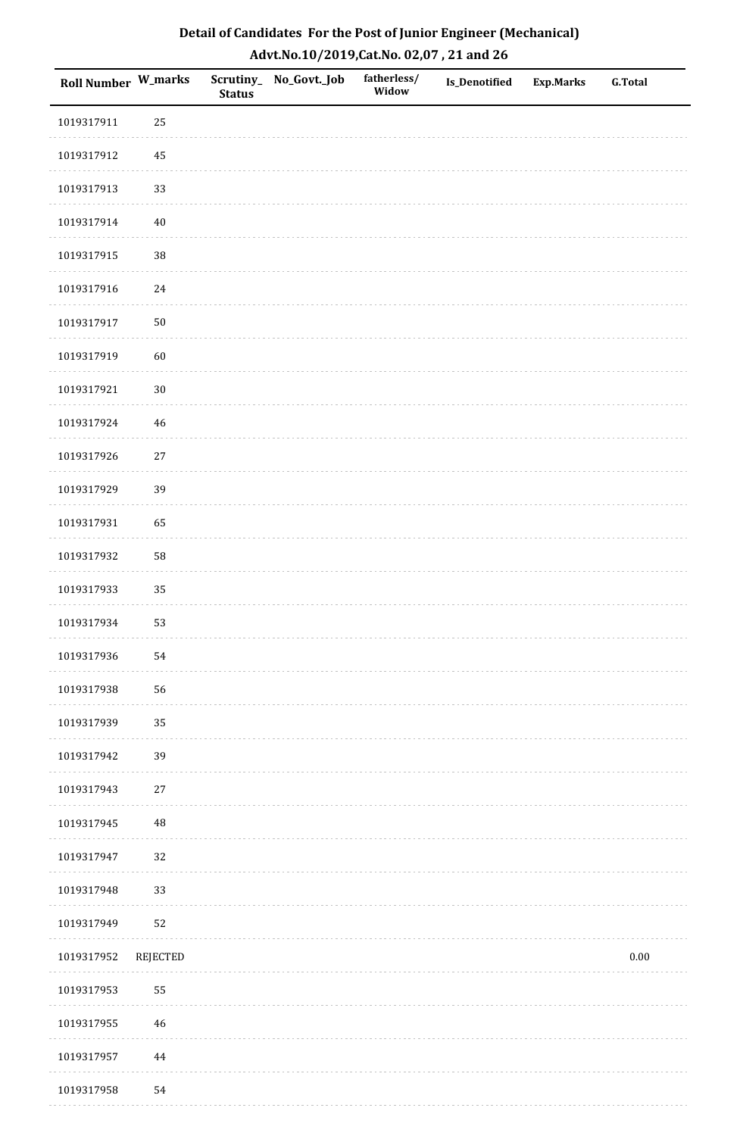| Detail of Candidates For the Post of Junior Engineer (Mechanical) |
|-------------------------------------------------------------------|
| Advt.No.10/2019, Cat.No. 02,07, 21 and 26                         |

| Roll Number W_marks |             | <b>Status</b> | Scrutiny_ No_Govt._Job | fatherless/<br>Widow | <b>Is_Denotified</b> | <b>Exp.Marks</b> | <b>G.Total</b> |
|---------------------|-------------|---------------|------------------------|----------------------|----------------------|------------------|----------------|
| 1019317911          | 25          |               |                        |                      |                      |                  |                |
| 1019317912          | $\bf 45$    |               |                        |                      |                      |                  |                |
| 1019317913          | 33          |               |                        |                      |                      |                  |                |
| 1019317914          | $40\,$      |               |                        |                      |                      |                  |                |
| 1019317915          | 38          |               |                        |                      |                      |                  |                |
| 1019317916          | 24          |               |                        |                      |                      |                  |                |
| 1019317917          | $50\,$      |               |                        |                      |                      |                  |                |
| 1019317919          | 60          |               |                        |                      |                      |                  |                |
| 1019317921          | $30\,$      |               |                        |                      |                      |                  |                |
| 1019317924          | 46          |               |                        |                      |                      |                  |                |
| 1019317926          | $27\,$      |               |                        |                      |                      |                  |                |
| 1019317929          | 39          |               |                        |                      |                      |                  |                |
| 1019317931          | 65          |               |                        |                      |                      |                  |                |
| 1019317932          | 58          |               |                        |                      |                      |                  |                |
| 1019317933          | 35          |               |                        |                      |                      |                  |                |
| 1019317934          | 53          |               |                        |                      |                      |                  |                |
| 1019317936          | 54          |               |                        |                      |                      |                  |                |
| 1019317938          | 56          |               |                        |                      |                      |                  |                |
| 1019317939          | 35          |               |                        |                      |                      |                  |                |
| 1019317942          | 39          |               |                        |                      |                      |                  |                |
| 1019317943          | 27          |               |                        |                      |                      |                  |                |
| 1019317945          | $\rm 48$    |               |                        |                      |                      |                  |                |
| 1019317947          | 32          |               |                        |                      |                      |                  |                |
| 1019317948          | 33          |               |                        |                      |                      |                  |                |
| 1019317949          | 52          |               |                        |                      |                      |                  |                |
| 1019317952          | REJECTED    |               |                        |                      |                      |                  | $0.00\,$       |
| 1019317953          | 55          |               |                        |                      |                      |                  |                |
| 1019317955          | $\sqrt{46}$ |               |                        |                      |                      |                  |                |
| 1019317957          | 44          |               |                        |                      |                      |                  |                |
| 1019317958          | 54          |               |                        |                      |                      |                  |                |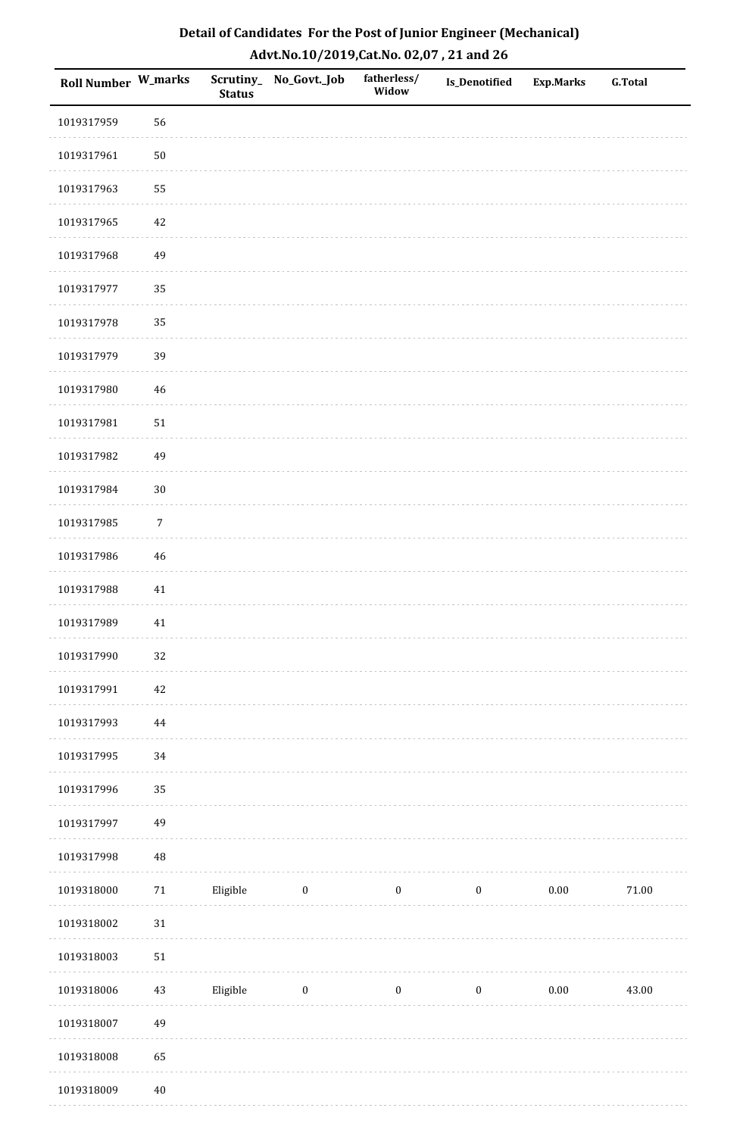| <b>Roll Number W_marks</b> |            | <b>Status</b> | Scrutiny_No_Govt._Job | fatherless/<br>Widow | <b>Is_Denotified</b> | <b>Exp.Marks</b> | <b>G.Total</b> |
|----------------------------|------------|---------------|-----------------------|----------------------|----------------------|------------------|----------------|
| 1019317959                 | 56         |               |                       |                      |                      |                  |                |
| 1019317961                 | ${\bf 50}$ |               |                       |                      |                      |                  |                |
| 1019317963                 | 55         |               |                       |                      |                      |                  |                |
| 1019317965                 | 42         |               |                       |                      |                      |                  |                |
| 1019317968                 | 49         |               |                       |                      |                      |                  |                |
| 1019317977                 | 35         |               |                       |                      |                      |                  |                |
| 1019317978                 | 35         |               |                       |                      |                      |                  |                |
| 1019317979                 | 39         |               |                       |                      |                      |                  |                |
| 1019317980                 | 46         |               |                       |                      |                      |                  |                |
| 1019317981                 | $51\,$     |               |                       |                      |                      |                  |                |
| 1019317982                 | 49         |               |                       |                      |                      |                  |                |
| 1019317984                 | $30\,$     |               |                       |                      |                      |                  |                |
| 1019317985                 | $\sqrt{7}$ |               |                       |                      |                      |                  |                |
| 1019317986                 | $46\,$     |               |                       |                      |                      |                  |                |
| 1019317988                 | 41         |               |                       |                      |                      |                  |                |
| 1019317989                 | $41\,$     |               |                       |                      |                      |                  |                |
| 1019317990                 | 32         |               |                       |                      |                      |                  |                |
| 1019317991                 | $42\,$     |               |                       |                      |                      |                  |                |
| 1019317993                 | $\bf 44$   |               |                       |                      |                      |                  |                |
| 1019317995                 | 34         |               |                       |                      |                      |                  |                |
| 1019317996                 | 35         |               |                       |                      |                      |                  |                |
| 1019317997                 | 49         |               |                       |                      |                      |                  |                |
| 1019317998                 | 48         |               |                       |                      |                      |                  |                |
| 1019318000                 | $71\,$     | Eligible      | $\boldsymbol{0}$      | $\boldsymbol{0}$     | $\boldsymbol{0}$     | 0.00             | $71.00\,$      |
| 1019318002                 | $31\,$     |               |                       |                      |                      |                  |                |
| 1019318003                 | $51\,$     |               |                       |                      |                      |                  |                |
| 1019318006                 | $43\,$     | Eligible      | $\boldsymbol{0}$      | $\boldsymbol{0}$     | $\boldsymbol{0}$     | 0.00             | 43.00          |
| 1019318007                 | 49         |               |                       |                      |                      |                  |                |
| 1019318008                 | 65         |               |                       |                      |                      |                  |                |
| 1019318009                 | $40\,$     |               |                       |                      |                      |                  |                |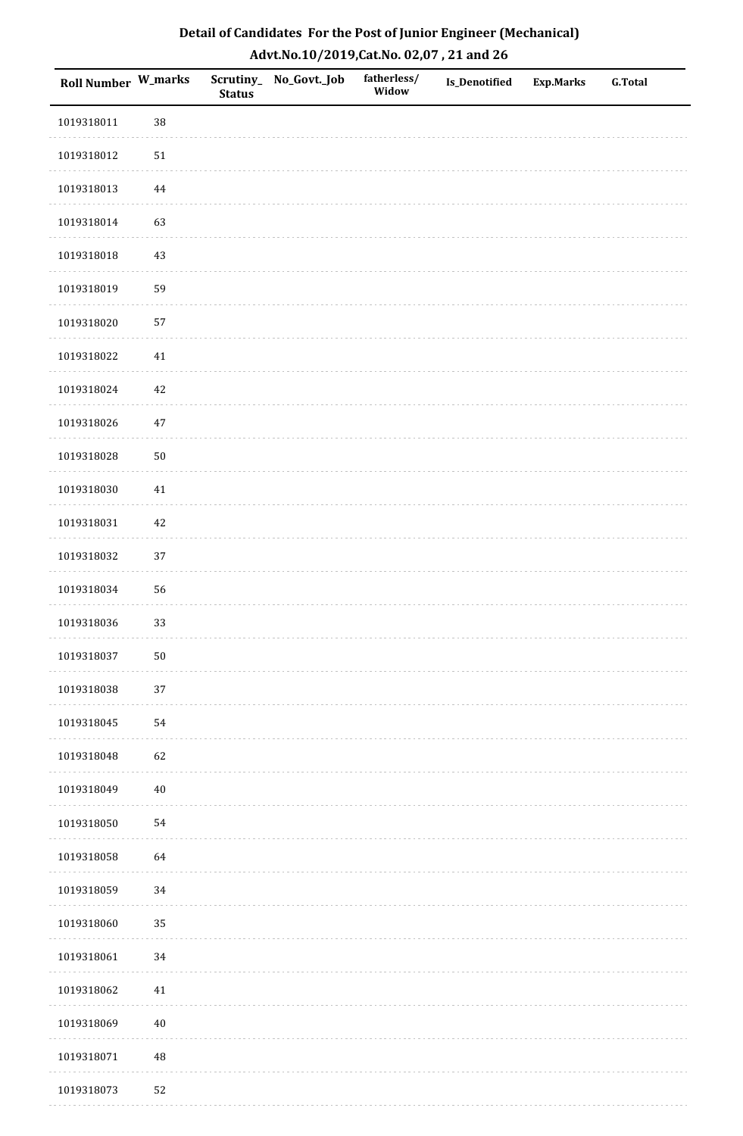| Detail of Candidates For the Post of Junior Engineer (Mechanical) |
|-------------------------------------------------------------------|
| Advt.No.10/2019,Cat.No. 02,07, 21 and 26                          |

| Roll Number W_marks |          | <b>Status</b> | Scrutiny_No_Govt._Job | fatherless/<br>Widow | Is_Denotified | <b>Exp.Marks</b> | <b>G.Total</b> |
|---------------------|----------|---------------|-----------------------|----------------------|---------------|------------------|----------------|
| 1019318011          | 38       |               |                       |                      |               |                  |                |
| 1019318012          | 51       |               |                       |                      |               |                  |                |
| 1019318013          | $\bf 44$ |               |                       |                      |               |                  |                |
| 1019318014          | 63       |               |                       |                      |               |                  |                |
| 1019318018          | $43\,$   |               |                       |                      |               |                  |                |
| 1019318019          | 59       |               |                       |                      |               |                  |                |
| 1019318020          | 57       |               |                       |                      |               |                  |                |
| 1019318022          | $41\,$   |               |                       |                      |               |                  |                |
| 1019318024          | $42\,$   |               |                       |                      |               |                  |                |
| 1019318026          | $47\,$   |               |                       |                      |               |                  |                |
| 1019318028          | $50\,$   |               |                       |                      |               |                  |                |
| 1019318030          | 41       |               |                       |                      |               |                  |                |
| 1019318031          | $42\,$   |               |                       |                      |               |                  |                |
| 1019318032          | 37       |               |                       |                      |               |                  |                |
| 1019318034          | 56       |               |                       |                      |               |                  |                |
| 1019318036          | 33       |               |                       |                      |               |                  |                |
| 1019318037          | $50\,$   |               |                       |                      |               |                  |                |
| 1019318038          | 37       |               |                       |                      |               |                  |                |
| 1019318045          | 54       |               |                       |                      |               |                  |                |
| 1019318048          | 62       |               |                       |                      |               |                  |                |
| 1019318049          | $40\,$   |               |                       |                      |               |                  |                |
| 1019318050          | 54       |               |                       |                      |               |                  |                |
| 1019318058          | 64       |               |                       |                      |               |                  |                |
| 1019318059          | 34       |               |                       |                      |               |                  |                |
| 1019318060          | 35       |               |                       |                      |               |                  |                |
| 1019318061          | 34       |               |                       |                      |               |                  |                |
| 1019318062          | 41       |               |                       |                      |               |                  |                |
| 1019318069          | $40\,$   |               |                       |                      |               |                  |                |
| 1019318071          | $\rm 48$ |               |                       |                      |               |                  |                |
| 1019318073          | 52       |               |                       |                      |               |                  |                |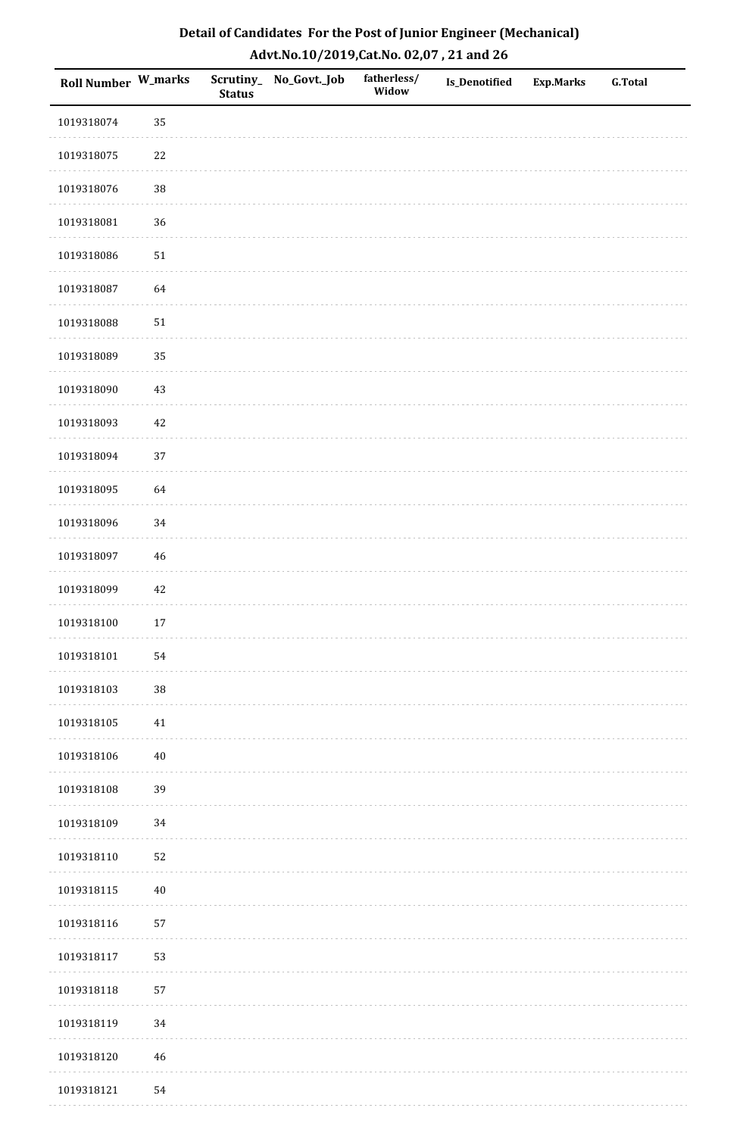| Roll Number W_marks |             | <b>Status</b> | Scrutiny_No_Govt._Job | fatherless/<br>Widow | Is_Denotified | <b>Exp.Marks</b> | <b>G.Total</b> |
|---------------------|-------------|---------------|-----------------------|----------------------|---------------|------------------|----------------|
| 1019318074          | 35          |               |                       |                      |               |                  |                |
| 1019318075          | $22\,$      |               |                       |                      |               |                  |                |
| 1019318076          | $38\,$      |               |                       |                      |               |                  |                |
| 1019318081          | 36          |               |                       |                      |               |                  |                |
| 1019318086          | $51\,$      |               |                       |                      |               |                  |                |
| 1019318087          | 64          |               |                       |                      |               |                  |                |
| 1019318088          | $51\,$      |               |                       |                      |               |                  |                |
| 1019318089          | 35          |               |                       |                      |               |                  |                |
| 1019318090          | 43          |               |                       |                      |               |                  |                |
| 1019318093          | $42\,$      |               |                       |                      |               |                  |                |
| 1019318094          | 37          |               |                       |                      |               |                  |                |
| 1019318095          | 64          |               |                       |                      |               |                  |                |
| 1019318096          | 34          |               |                       |                      |               |                  |                |
| 1019318097          | $46\,$      |               |                       |                      |               |                  |                |
| 1019318099          | 42          |               |                       |                      |               |                  |                |
| 1019318100          | $17\,$      |               |                       |                      |               |                  |                |
| 1019318101          | 54          |               |                       |                      |               |                  |                |
| 1019318103          | $38\,$      |               |                       |                      |               |                  |                |
| 1019318105          | $41\,$      |               |                       |                      |               |                  |                |
| 1019318106          | $40\,$      |               |                       |                      |               |                  |                |
| 1019318108          | 39          |               |                       |                      |               |                  |                |
| 1019318109          | 34          |               |                       |                      |               |                  |                |
| 1019318110          | 52          |               |                       |                      |               |                  |                |
| 1019318115          | $40\,$      |               |                       |                      |               |                  |                |
| 1019318116          | 57          |               |                       |                      |               |                  |                |
| 1019318117          | 53          |               |                       |                      |               |                  |                |
| 1019318118          | 57          |               |                       |                      |               |                  |                |
| 1019318119          | 34          |               |                       |                      |               |                  |                |
| 1019318120          | $\sqrt{46}$ |               |                       |                      |               |                  |                |
| 1019318121          | 54          |               |                       |                      |               |                  |                |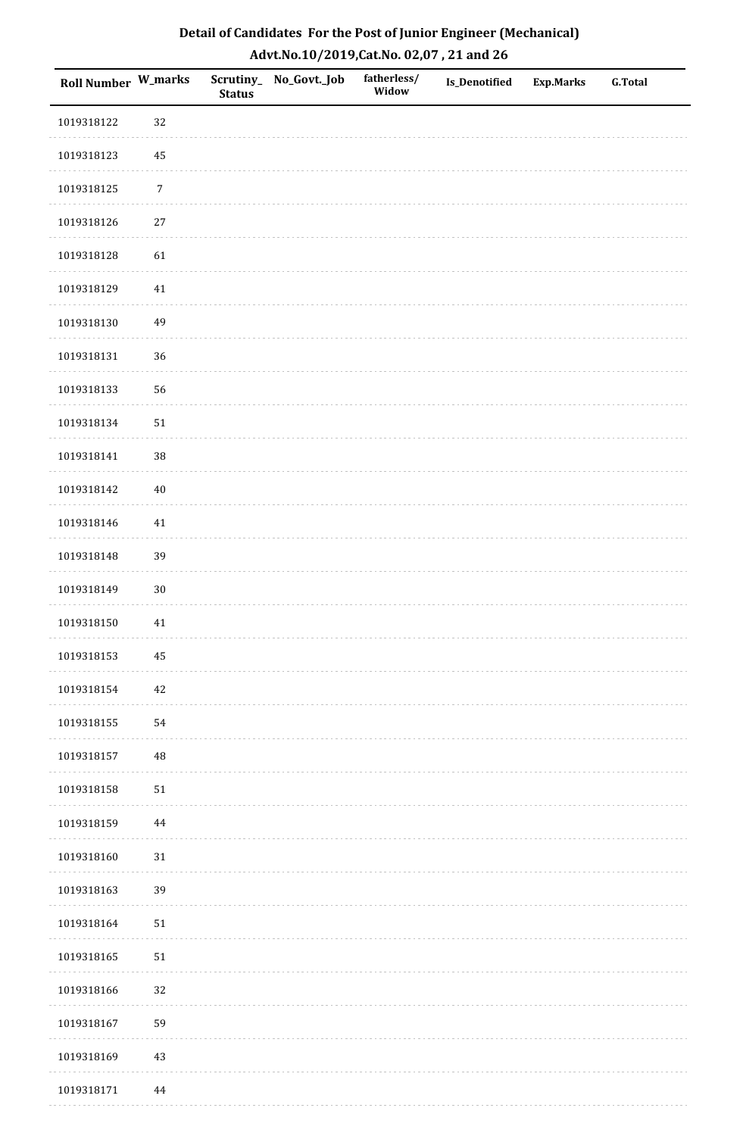| Roll Number W_marks |            | <b>Status</b> | Scrutiny_No_Govt._Job | fatherless/<br>Widow | Is_Denotified | <b>Exp.Marks</b> | <b>G.Total</b> |
|---------------------|------------|---------------|-----------------------|----------------------|---------------|------------------|----------------|
| 1019318122          | 32         |               |                       |                      |               |                  |                |
| 1019318123          | 45         |               |                       |                      |               |                  |                |
| 1019318125          | $\sqrt{7}$ |               |                       |                      |               |                  |                |
| 1019318126          | $27\,$     |               |                       |                      |               |                  |                |
| 1019318128          | 61         |               |                       |                      |               |                  |                |
| 1019318129          | 41         |               |                       |                      |               |                  |                |
| 1019318130          | 49         |               |                       |                      |               |                  |                |
| 1019318131          | 36         |               |                       |                      |               |                  |                |
| 1019318133          | 56         |               |                       |                      |               |                  |                |
| 1019318134          | ${\bf 51}$ |               |                       |                      |               |                  |                |
| 1019318141          | 38         |               |                       |                      |               |                  |                |
| 1019318142          | $40\,$     |               |                       |                      |               |                  |                |
| 1019318146          | $41\,$     |               |                       |                      |               |                  |                |
| 1019318148          | 39         |               |                       |                      |               |                  |                |
| 1019318149          | $30\,$     |               |                       |                      |               |                  |                |
| 1019318150          | $41\,$     |               |                       |                      |               |                  |                |
| 1019318153          | $\bf 45$   |               |                       |                      |               |                  |                |
| 1019318154          | 42         |               |                       |                      |               |                  |                |
| 1019318155          | 54         |               |                       |                      |               |                  |                |
| 1019318157          | 48         |               |                       |                      |               |                  |                |
| 1019318158          | $51\,$     |               |                       |                      |               |                  |                |
| 1019318159          | 44         |               |                       |                      |               |                  |                |
| 1019318160          | $31\,$     |               |                       |                      |               |                  |                |
| 1019318163          | 39         |               |                       |                      |               |                  |                |
| 1019318164          | $51\,$     |               |                       |                      |               |                  |                |
| 1019318165          | $51\,$     |               |                       |                      |               |                  |                |
| 1019318166          | 32         |               |                       |                      |               |                  |                |
| 1019318167          | 59         |               |                       |                      |               |                  |                |
| 1019318169          | $43\,$     |               |                       |                      |               |                  |                |
| 1019318171          | 44         |               |                       |                      |               |                  |                |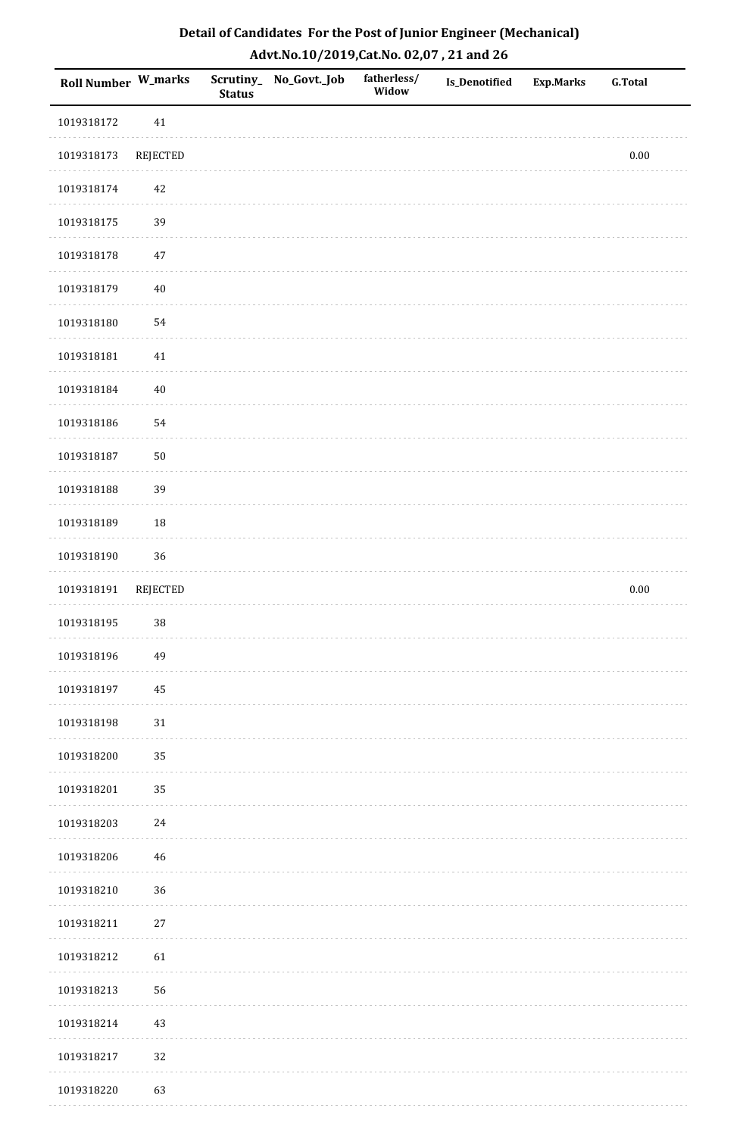| Detail of Candidates For the Post of Junior Engineer (Mechanical) |
|-------------------------------------------------------------------|
| Advt.No.10/2019,Cat.No. 02,07, 21 and 26                          |

| <b>Roll Number W_marks</b> |                 | <b>Status</b> | Scrutiny_ No_Govt._Job | fatherless/<br>Widow | Is_Denotified | <b>Exp.Marks</b> | <b>G.Total</b> |
|----------------------------|-----------------|---------------|------------------------|----------------------|---------------|------------------|----------------|
| 1019318172                 | $41\,$          |               |                        |                      |               |                  |                |
| 1019318173                 | <b>REJECTED</b> |               |                        |                      |               |                  | $0.00\,$       |
| 1019318174                 | 42              |               |                        |                      |               |                  |                |
| 1019318175                 | 39              |               |                        |                      |               |                  |                |
| 1019318178                 | $47\,$          |               |                        |                      |               |                  |                |
| 1019318179                 | $40\,$          |               |                        |                      |               |                  |                |
| 1019318180                 | 54              |               |                        |                      |               |                  |                |
| 1019318181                 | $41\,$          |               |                        |                      |               |                  |                |
| 1019318184                 | $40\,$          |               |                        |                      |               |                  |                |
| 1019318186                 | 54              |               |                        |                      |               |                  |                |
| 1019318187                 | $50\,$          |               |                        |                      |               |                  |                |
| 1019318188                 | 39              |               |                        |                      |               |                  |                |
| 1019318189                 | 18              |               |                        |                      |               |                  |                |
| 1019318190                 | 36              |               |                        |                      |               |                  |                |
| 1019318191                 | REJECTED        |               |                        |                      |               |                  | $0.00\,$       |
| 1019318195                 | $38\,$          |               |                        |                      |               |                  |                |
| 1019318196                 | 49              |               |                        |                      |               |                  |                |
| 1019318197                 | 45              |               |                        |                      |               |                  |                |
| 1019318198                 | 31              |               |                        |                      |               |                  |                |
| 1019318200                 | 35              |               |                        |                      |               |                  |                |
| 1019318201                 | 35              |               |                        |                      |               |                  |                |
| 1019318203                 | 24              |               |                        |                      |               |                  |                |
| 1019318206                 | 46              |               |                        |                      |               |                  |                |
| 1019318210                 | 36              |               |                        |                      |               |                  |                |
| 1019318211                 | $27\,$          |               |                        |                      |               |                  |                |
| 1019318212                 | 61              |               |                        |                      |               |                  |                |
| 1019318213                 | 56              |               |                        |                      |               |                  |                |
| 1019318214                 | 43              |               |                        |                      |               |                  |                |
| 1019318217                 | $32\,$          |               |                        |                      |               |                  |                |
| 1019318220                 | 63              |               |                        |                      |               |                  |                |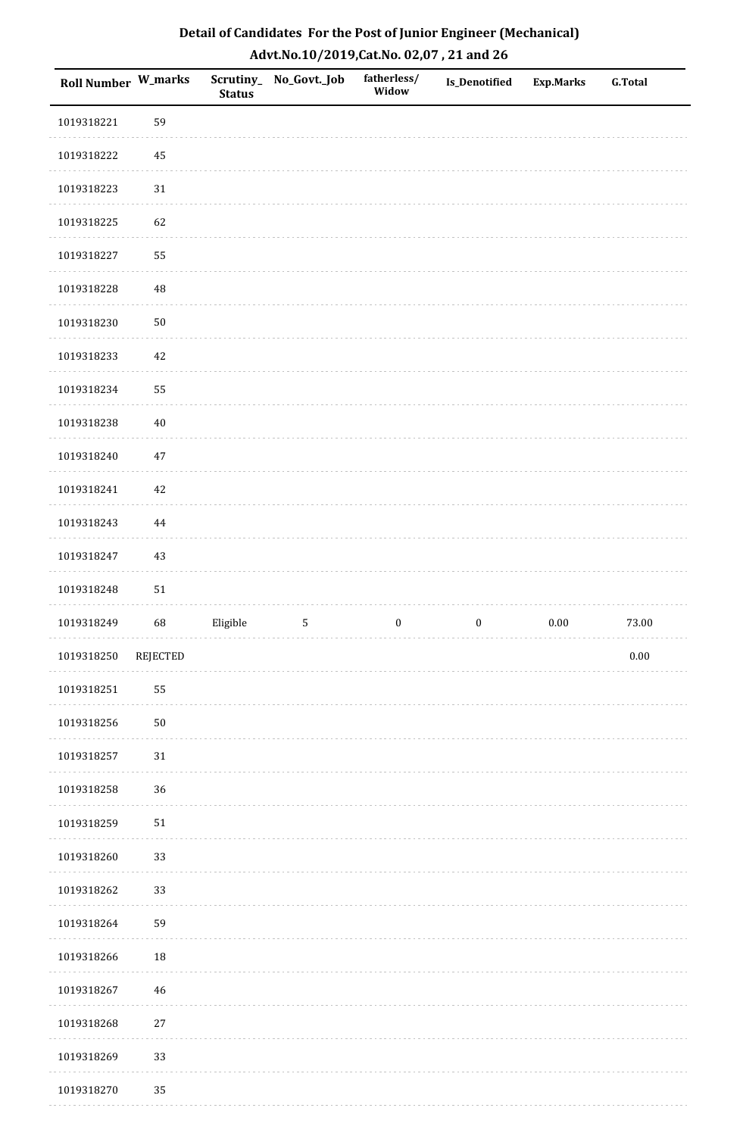| Roll Number W_marks |                 | <b>Status</b> | Scrutiny_No_Govt._Job | fatherless/<br>Widow | Is_Denotified    | <b>Exp.Marks</b> | <b>G.Total</b> |
|---------------------|-----------------|---------------|-----------------------|----------------------|------------------|------------------|----------------|
| 1019318221          | 59              |               |                       |                      |                  |                  |                |
| 1019318222          | 45              |               |                       |                      |                  |                  |                |
| 1019318223          | $31\,$          |               |                       |                      |                  |                  |                |
| 1019318225          | 62              |               |                       |                      |                  |                  |                |
| 1019318227          | 55              |               |                       |                      |                  |                  |                |
| 1019318228          | $\rm 48$        |               |                       |                      |                  |                  |                |
| 1019318230          | $50\,$          |               |                       |                      |                  |                  |                |
| 1019318233          | 42              |               |                       |                      |                  |                  |                |
| 1019318234          | 55              |               |                       |                      |                  |                  |                |
| 1019318238          | $40\,$          |               |                       |                      |                  |                  |                |
| 1019318240          | $47\,$          |               |                       |                      |                  |                  |                |
| 1019318241          | $42\,$          |               |                       |                      |                  |                  |                |
| 1019318243          | 44              |               |                       |                      |                  |                  |                |
| 1019318247          | 43              |               |                       |                      |                  |                  |                |
| 1019318248          | $51\,$          |               |                       |                      |                  |                  |                |
| 1019318249          | 68              | Eligible      | $\sqrt{5}$            | $\boldsymbol{0}$     | $\boldsymbol{0}$ | $0.00\,$         | 73.00          |
| 1019318250          | <b>REJECTED</b> |               |                       |                      |                  |                  | $0.00\,$       |
| 1019318251          | 55              |               |                       |                      |                  |                  |                |
| 1019318256          | $50\,$          |               |                       |                      |                  |                  |                |
| 1019318257          | 31              |               |                       |                      |                  |                  |                |
| 1019318258          | 36              |               |                       |                      |                  |                  |                |
| 1019318259          | $51\,$          |               |                       |                      |                  |                  |                |
| 1019318260          | 33              |               |                       |                      |                  |                  |                |
| 1019318262          | 33              |               |                       |                      |                  |                  |                |
| 1019318264          | 59              |               |                       |                      |                  |                  |                |
| 1019318266          | 18              |               |                       |                      |                  |                  |                |
| 1019318267          | $\sqrt{46}$     |               |                       |                      |                  |                  |                |
| 1019318268          | $27\,$          |               |                       |                      |                  |                  |                |
| 1019318269          | 33              |               |                       |                      |                  |                  |                |
| 1019318270          | 35              |               |                       |                      |                  |                  |                |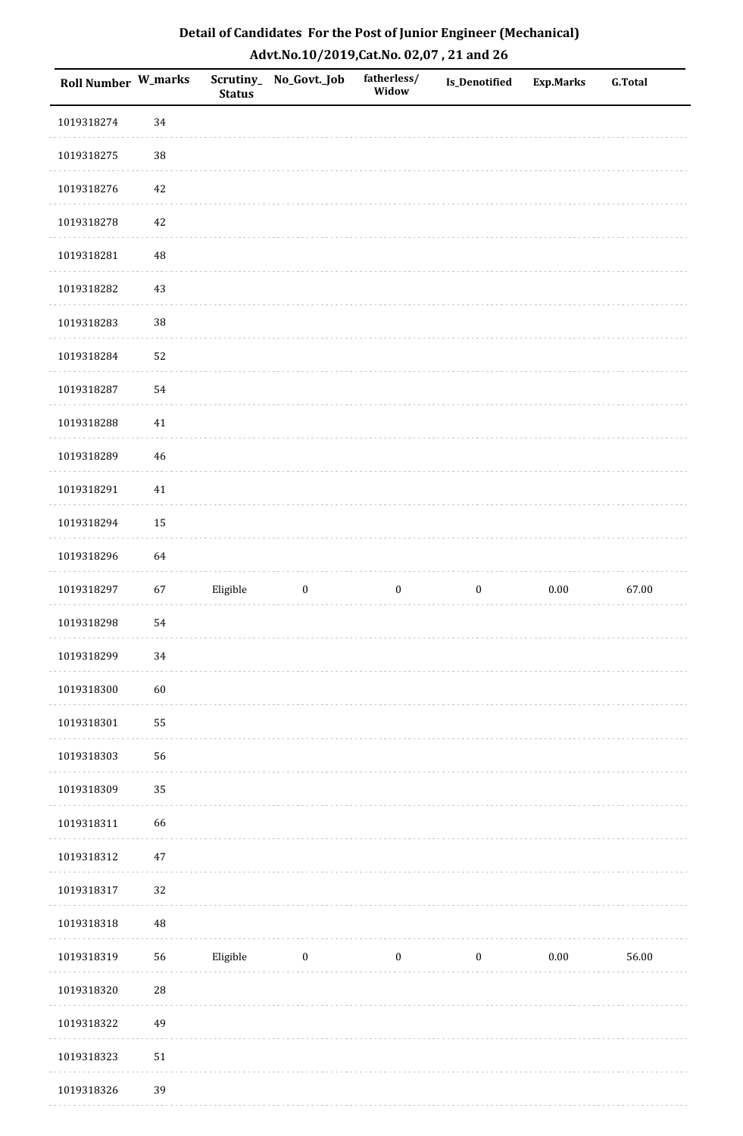| Roll Number W_marks |          | <b>Status</b> | Scrutiny_ No_Govt._Job | fatherless/<br>Widow | Is_Denotified    | <b>Exp.Marks</b> | <b>G.Total</b> |
|---------------------|----------|---------------|------------------------|----------------------|------------------|------------------|----------------|
| 1019318274          | 34       |               |                        |                      |                  |                  |                |
| 1019318275          | $38\,$   |               |                        |                      |                  |                  |                |
| 1019318276          | 42       |               |                        |                      |                  |                  |                |
| 1019318278          | 42       |               |                        |                      |                  |                  |                |
| 1019318281          | 48       |               |                        |                      |                  |                  |                |
| 1019318282          | 43       |               |                        |                      |                  |                  |                |
| 1019318283          | 38       |               |                        |                      |                  |                  |                |
| 1019318284          | 52       |               |                        |                      |                  |                  |                |
| 1019318287          | 54       |               |                        |                      |                  |                  |                |
| 1019318288          | $41\,$   |               |                        |                      |                  |                  |                |
| 1019318289          | 46       |               |                        |                      |                  |                  |                |
| 1019318291          | $41\,$   |               |                        |                      |                  |                  |                |
| 1019318294          | 15       |               |                        |                      |                  |                  |                |
| 1019318296          | 64       |               |                        |                      |                  |                  |                |
| 1019318297          | 67       | Eligible      | $\boldsymbol{0}$       | $\boldsymbol{0}$     | $\boldsymbol{0}$ | $0.00\,$         | 67.00          |
| 1019318298          | 54       |               |                        |                      |                  |                  |                |
| 1019318299          | 34       |               |                        |                      |                  |                  |                |
| 1019318300          | 60       |               |                        |                      |                  |                  |                |
| 1019318301          | 55       |               |                        |                      |                  |                  |                |
| 1019318303          | 56       |               |                        |                      |                  |                  |                |
| 1019318309          | 35       |               |                        |                      |                  |                  |                |
| 1019318311          | 66       |               |                        |                      |                  |                  |                |
| 1019318312          | $47\,$   |               |                        |                      |                  |                  |                |
| 1019318317          | 32       |               |                        |                      |                  |                  |                |
| 1019318318          | $\rm 48$ |               |                        |                      |                  |                  |                |
| 1019318319          | 56       | Eligible      | $\boldsymbol{0}$       | $\boldsymbol{0}$     | $\boldsymbol{0}$ | $0.00\,$         | 56.00          |
| 1019318320          | 28       |               |                        |                      |                  |                  |                |
| 1019318322          | 49       |               |                        |                      |                  |                  |                |
| 1019318323          | 51       |               |                        |                      |                  |                  |                |
| 1019318326          | 39       |               |                        |                      |                  |                  |                |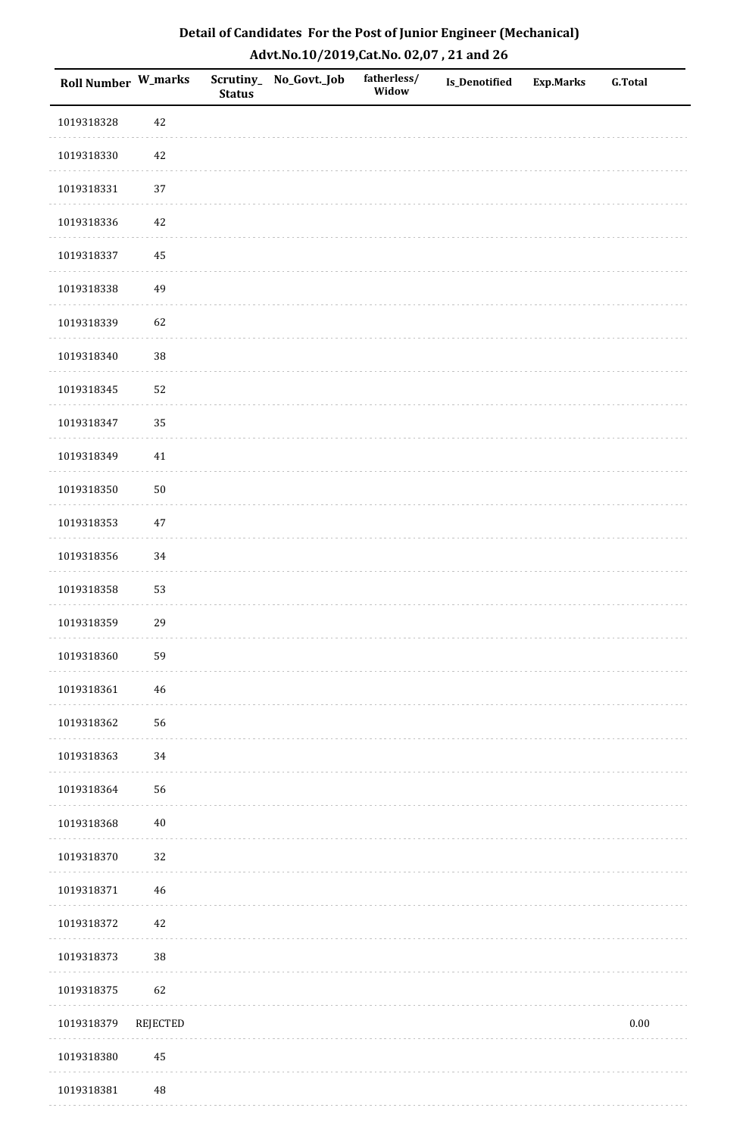| Detail of Candidates For the Post of Junior Engineer (Mechanical) |
|-------------------------------------------------------------------|
| Advt.No.10/2019, Cat.No. 02,07, 21 and 26                         |

| Roll Number W_marks |          | <b>Status</b> | Scrutiny_ No_Govt._Job | fatherless/<br>Widow | <b>Is_Denotified</b> | <b>Exp.Marks</b> | <b>G.Total</b> |
|---------------------|----------|---------------|------------------------|----------------------|----------------------|------------------|----------------|
| 1019318328          | $42\,$   |               |                        |                      |                      |                  |                |
| 1019318330          | $42\,$   |               |                        |                      |                      |                  |                |
| 1019318331          | 37       |               |                        |                      |                      |                  |                |
| 1019318336          | $42\,$   |               |                        |                      |                      |                  |                |
| 1019318337          | $\bf 45$ |               |                        |                      |                      |                  |                |
| 1019318338          | 49       |               |                        |                      |                      |                  |                |
| 1019318339          | 62       |               |                        |                      |                      |                  |                |
| 1019318340          | 38       |               |                        |                      |                      |                  |                |
| 1019318345          | 52       |               |                        |                      |                      |                  |                |
| 1019318347          | 35       |               |                        |                      |                      |                  |                |
| 1019318349          | $41\,$   |               |                        |                      |                      |                  |                |
| 1019318350          | $50\,$   |               |                        |                      |                      |                  |                |
| 1019318353          | $47\,$   |               |                        |                      |                      |                  |                |
| 1019318356          | 34       |               |                        |                      |                      |                  |                |
| 1019318358          | 53       |               |                        |                      |                      |                  |                |
| 1019318359          | 29       |               |                        |                      |                      |                  |                |
| 1019318360          | 59       |               |                        |                      |                      |                  |                |
| 1019318361          | 46       |               |                        |                      |                      |                  |                |
| 1019318362          | 56       |               |                        |                      |                      |                  |                |
| 1019318363          | 34       |               |                        |                      |                      |                  |                |
| 1019318364          | 56       |               |                        |                      |                      |                  |                |
| 1019318368          | $40\,$   |               |                        |                      |                      |                  |                |
| 1019318370          | 32       |               |                        |                      |                      |                  |                |
| 1019318371          | 46       |               |                        |                      |                      |                  |                |
| 1019318372          | 42       |               |                        |                      |                      |                  |                |
| 1019318373          | 38       |               |                        |                      |                      |                  |                |
| 1019318375          | 62       |               |                        |                      |                      |                  |                |
| 1019318379          | REJECTED |               |                        |                      |                      |                  | $0.00\,$       |
| 1019318380          | $\bf 45$ |               |                        |                      |                      |                  |                |
| 1019318381          | 48       |               |                        |                      |                      |                  |                |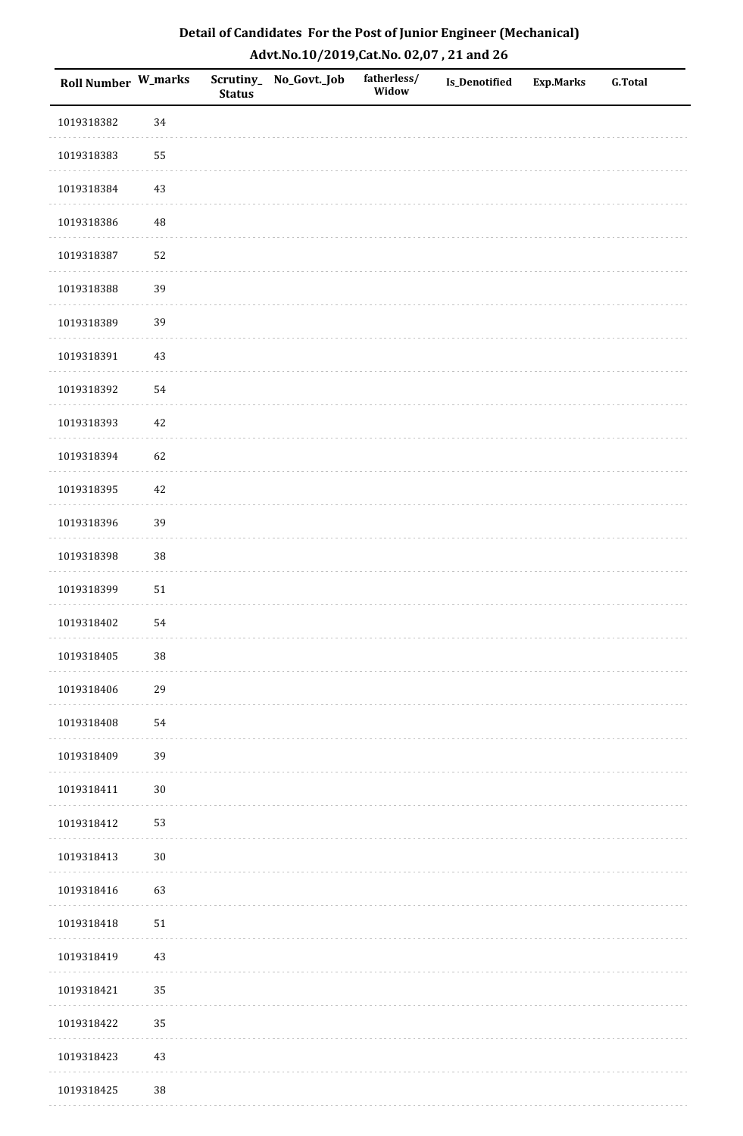| <b>Roll Number W_marks</b> |            | <b>Status</b> | Scrutiny_No_Govt._Job | fatherless/<br>Widow | Is_Denotified | <b>Exp.Marks</b> | <b>G.Total</b> |
|----------------------------|------------|---------------|-----------------------|----------------------|---------------|------------------|----------------|
| 1019318382                 | 34         |               |                       |                      |               |                  |                |
| 1019318383                 | 55         |               |                       |                      |               |                  |                |
| 1019318384                 | $43\,$     |               |                       |                      |               |                  |                |
| 1019318386                 | 48         |               |                       |                      |               |                  |                |
| 1019318387                 | 52         |               |                       |                      |               |                  |                |
| 1019318388                 | 39         |               |                       |                      |               |                  |                |
| 1019318389                 | 39         |               |                       |                      |               |                  |                |
| 1019318391                 | $43\,$     |               |                       |                      |               |                  |                |
| 1019318392                 | 54         |               |                       |                      |               |                  |                |
| 1019318393                 | $42\,$     |               |                       |                      |               |                  |                |
| 1019318394                 | 62         |               |                       |                      |               |                  |                |
| 1019318395                 | $42\,$     |               |                       |                      |               |                  |                |
| 1019318396                 | 39         |               |                       |                      |               |                  |                |
| 1019318398                 | 38         |               |                       |                      |               |                  |                |
| 1019318399                 | ${\bf 51}$ |               |                       |                      |               |                  |                |
| 1019318402                 | 54         |               |                       |                      |               |                  |                |
| 1019318405                 | $38\,$     |               |                       |                      |               |                  |                |
| 1019318406                 | 29         |               |                       |                      |               |                  |                |
| 1019318408                 | 54         |               |                       |                      |               |                  |                |
| 1019318409                 | 39         |               |                       |                      |               |                  |                |
| 1019318411                 | $30\,$     |               |                       |                      |               |                  |                |
| 1019318412                 | 53         |               |                       |                      |               |                  |                |
| 1019318413                 | $30\,$     |               |                       |                      |               |                  |                |
| 1019318416                 | 63         |               |                       |                      |               |                  |                |
| 1019318418                 | $51\,$     |               |                       |                      |               |                  |                |
| 1019318419                 | $43\,$     |               |                       |                      |               |                  |                |
| 1019318421                 | 35         |               |                       |                      |               |                  |                |
| 1019318422                 | 35         |               |                       |                      |               |                  |                |
| 1019318423                 | $43\,$     |               |                       |                      |               |                  |                |
| 1019318425                 | 38         |               |                       |                      |               |                  |                |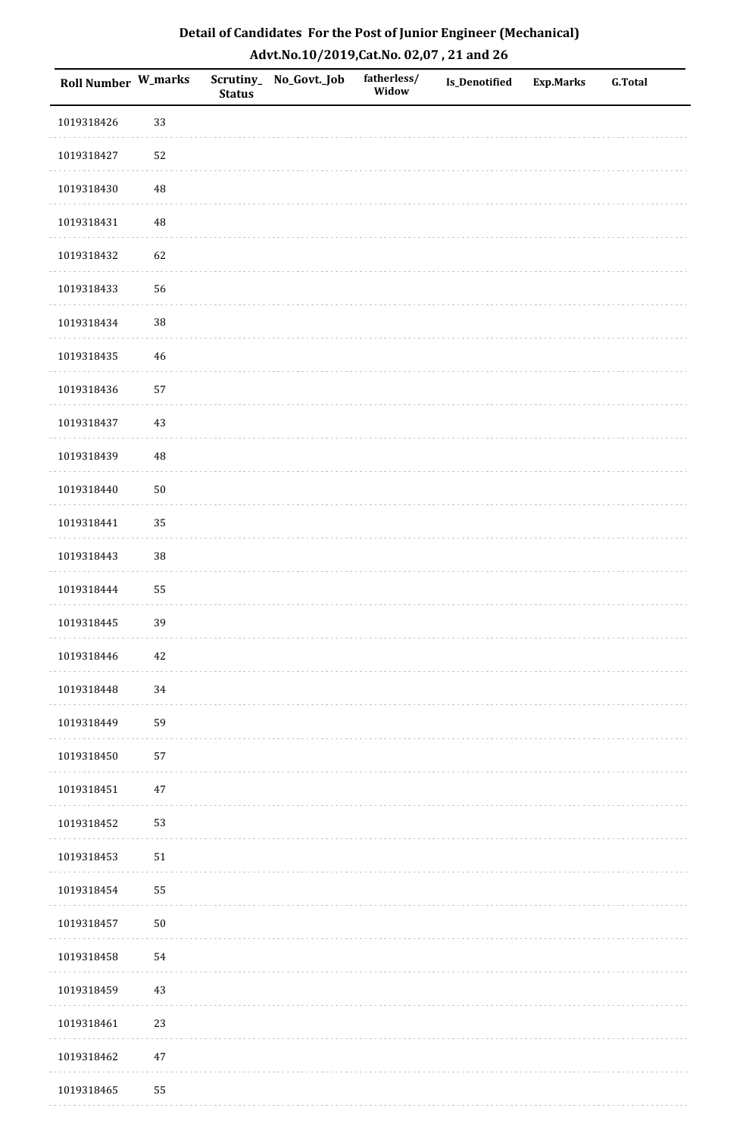| Roll Number W_marks |          | <b>Status</b> | Scrutiny_No_Govt._Job | fatherless/<br>Widow | Is_Denotified | <b>Exp.Marks</b> | <b>G.Total</b> |
|---------------------|----------|---------------|-----------------------|----------------------|---------------|------------------|----------------|
| 1019318426          | 33       |               |                       |                      |               |                  |                |
| 1019318427          | 52       |               |                       |                      |               |                  |                |
| 1019318430          | $\rm 48$ |               |                       |                      |               |                  |                |
| 1019318431          | 48       |               |                       |                      |               |                  |                |
| 1019318432          | 62       |               |                       |                      |               |                  |                |
| 1019318433          | 56       |               |                       |                      |               |                  |                |
| 1019318434          | 38       |               |                       |                      |               |                  |                |
| 1019318435          | $46\,$   |               |                       |                      |               |                  |                |
| 1019318436          | 57       |               |                       |                      |               |                  |                |
| 1019318437          | $43\,$   |               |                       |                      |               |                  |                |
| 1019318439          | 48       |               |                       |                      |               |                  |                |
| 1019318440          | $50\,$   |               |                       |                      |               |                  |                |
| 1019318441          | 35       |               |                       |                      |               |                  |                |
| 1019318443          | 38       |               |                       |                      |               |                  |                |
| 1019318444          | 55       |               |                       |                      |               |                  |                |
| 1019318445          | 39       |               |                       |                      |               |                  |                |
| 1019318446          | $42\,$   |               |                       |                      |               |                  |                |
| 1019318448          | 34       |               |                       |                      |               |                  |                |
| 1019318449          | 59       |               |                       |                      |               |                  |                |
| 1019318450          | 57       |               |                       |                      |               |                  |                |
| 1019318451          | $47\,$   |               |                       |                      |               |                  |                |
| 1019318452          | 53       |               |                       |                      |               |                  |                |
| 1019318453          | $51\,$   |               |                       |                      |               |                  |                |
| 1019318454          | 55       |               |                       |                      |               |                  |                |
| 1019318457          | $50\,$   |               |                       |                      |               |                  |                |
| 1019318458          | 54       |               |                       |                      |               |                  |                |
| 1019318459          | $43\,$   |               |                       |                      |               |                  |                |
| 1019318461          | 23       |               |                       |                      |               |                  |                |
| 1019318462          | $47\,$   |               |                       |                      |               |                  |                |
| 1019318465          | 55       |               |                       |                      |               |                  |                |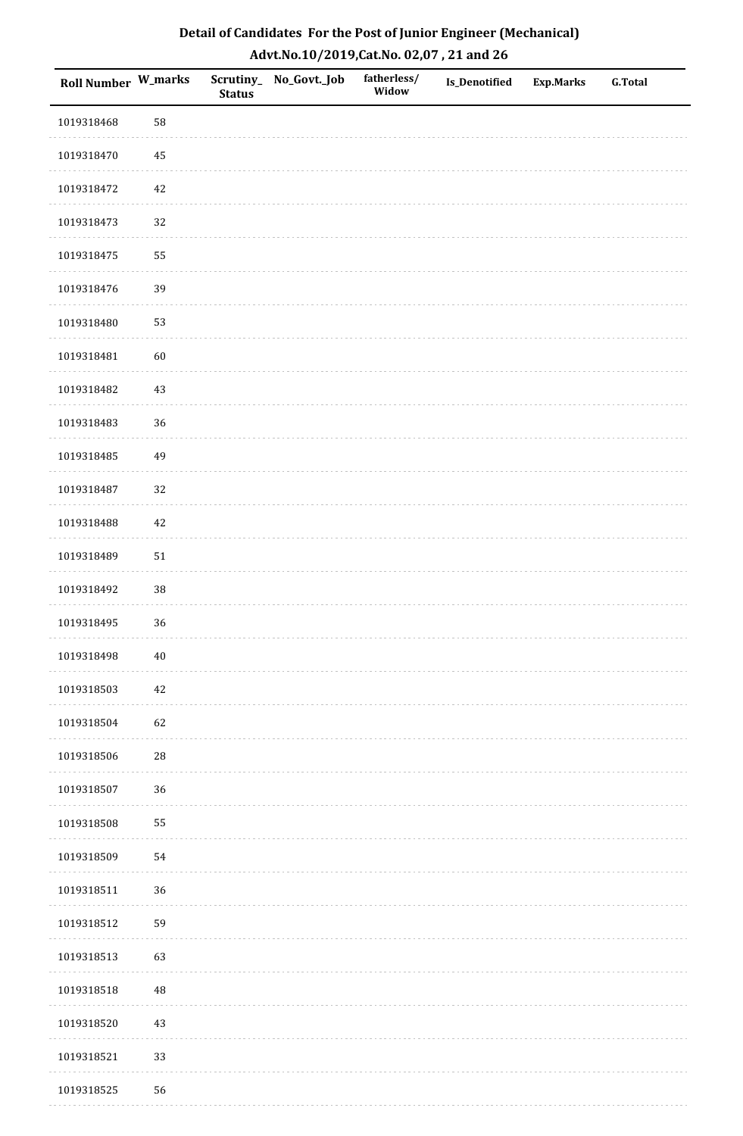| Roll Number W_marks |            | <b>Status</b> | Scrutiny_No_Govt._Job | fatherless/<br>Widow | Is_Denotified | <b>Exp.Marks</b> | <b>G.Total</b> |
|---------------------|------------|---------------|-----------------------|----------------------|---------------|------------------|----------------|
| 1019318468          | 58         |               |                       |                      |               |                  |                |
| 1019318470          | $\bf 45$   |               |                       |                      |               |                  |                |
| 1019318472          | $42\,$     |               |                       |                      |               |                  |                |
| 1019318473          | 32         |               |                       |                      |               |                  |                |
| 1019318475          | 55         |               |                       |                      |               |                  |                |
| 1019318476          | 39         |               |                       |                      |               |                  |                |
| 1019318480          | 53         |               |                       |                      |               |                  |                |
| 1019318481          | 60         |               |                       |                      |               |                  |                |
| 1019318482          | $43\,$     |               |                       |                      |               |                  |                |
| 1019318483          | 36         |               |                       |                      |               |                  |                |
| 1019318485          | 49         |               |                       |                      |               |                  |                |
| 1019318487          | 32         |               |                       |                      |               |                  |                |
| 1019318488          | $42\,$     |               |                       |                      |               |                  |                |
| 1019318489          | $51\,$     |               |                       |                      |               |                  |                |
| 1019318492          | $38\,$     |               |                       |                      |               |                  |                |
| 1019318495          | 36         |               |                       |                      |               |                  |                |
| 1019318498          | $40\,$     |               |                       |                      |               |                  |                |
| 1019318503          | 42         |               |                       |                      |               |                  |                |
| 1019318504          | 62         |               |                       |                      |               |                  |                |
| 1019318506          | ${\bf 28}$ |               |                       |                      |               |                  |                |
| 1019318507          | 36         |               |                       |                      |               |                  |                |
| 1019318508          | 55         |               |                       |                      |               |                  |                |
| 1019318509          | 54         |               |                       |                      |               |                  |                |
| 1019318511          | 36         |               |                       |                      |               |                  |                |
| 1019318512          | 59         |               |                       |                      |               |                  |                |
| 1019318513          | 63         |               |                       |                      |               |                  |                |
| 1019318518          | 48         |               |                       |                      |               |                  |                |
| 1019318520          | $43\,$     |               |                       |                      |               |                  |                |
| 1019318521          | 33         |               |                       |                      |               |                  |                |
| 1019318525          | 56         |               |                       |                      |               |                  |                |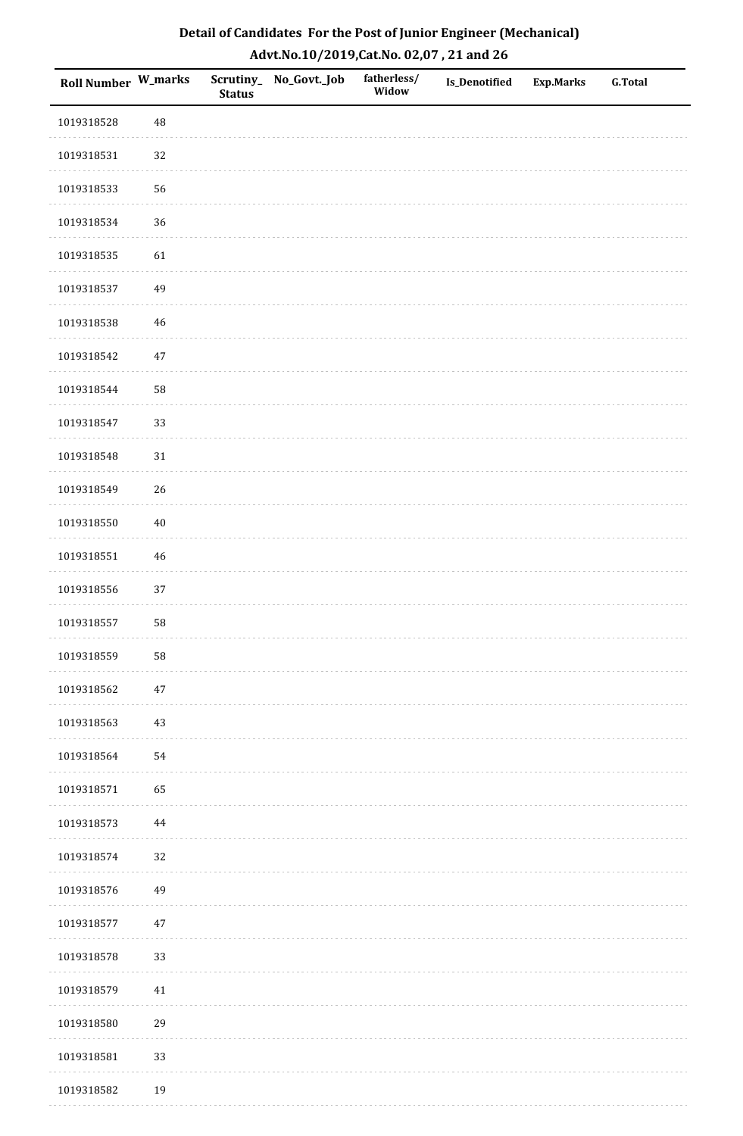| <b>Roll Number W_marks</b> |             | <b>Status</b> | Scrutiny_No_Govt._Job | fatherless/<br>Widow | Is_Denotified | <b>Exp.Marks</b> | <b>G.Total</b> |
|----------------------------|-------------|---------------|-----------------------|----------------------|---------------|------------------|----------------|
| 1019318528                 | 48          |               |                       |                      |               |                  |                |
| 1019318531                 | 32          |               |                       |                      |               |                  |                |
| 1019318533                 | 56          |               |                       |                      |               |                  |                |
| 1019318534                 | 36          |               |                       |                      |               |                  |                |
| 1019318535                 | 61          |               |                       |                      |               |                  |                |
| 1019318537                 | 49          |               |                       |                      |               |                  |                |
| 1019318538                 | $\sqrt{46}$ |               |                       |                      |               |                  |                |
| 1019318542                 | $47\,$      |               |                       |                      |               |                  |                |
| 1019318544                 | 58          |               |                       |                      |               |                  |                |
| 1019318547                 | 33          |               |                       |                      |               |                  |                |
| 1019318548                 | $31\,$      |               |                       |                      |               |                  |                |
| 1019318549                 | 26          |               |                       |                      |               |                  |                |
| 1019318550                 | $40\,$      |               |                       |                      |               |                  |                |
| 1019318551                 | $46\,$      |               |                       |                      |               |                  |                |
| 1019318556                 | $37\,$      |               |                       |                      |               |                  |                |
| 1019318557                 | 58          |               |                       |                      |               |                  |                |
| 1019318559                 | 58          |               |                       |                      |               |                  |                |
| 1019318562                 | $47\,$      |               |                       |                      |               |                  |                |
| 1019318563                 | $43\,$      |               |                       |                      |               |                  |                |
| 1019318564                 | 54          |               |                       |                      |               |                  |                |
| 1019318571                 | 65          |               |                       |                      |               |                  |                |
| 1019318573                 | 44          |               |                       |                      |               |                  |                |
| 1019318574                 | 32          |               |                       |                      |               |                  |                |
| 1019318576                 | 49          |               |                       |                      |               |                  |                |
| 1019318577                 | $47\,$      |               |                       |                      |               |                  |                |
| 1019318578                 | 33          |               |                       |                      |               |                  |                |
| 1019318579                 | 41          |               |                       |                      |               |                  |                |
| 1019318580                 | 29          |               |                       |                      |               |                  |                |
| 1019318581                 | 33          |               |                       |                      |               |                  |                |
| 1019318582                 | 19          |               |                       |                      |               |                  |                |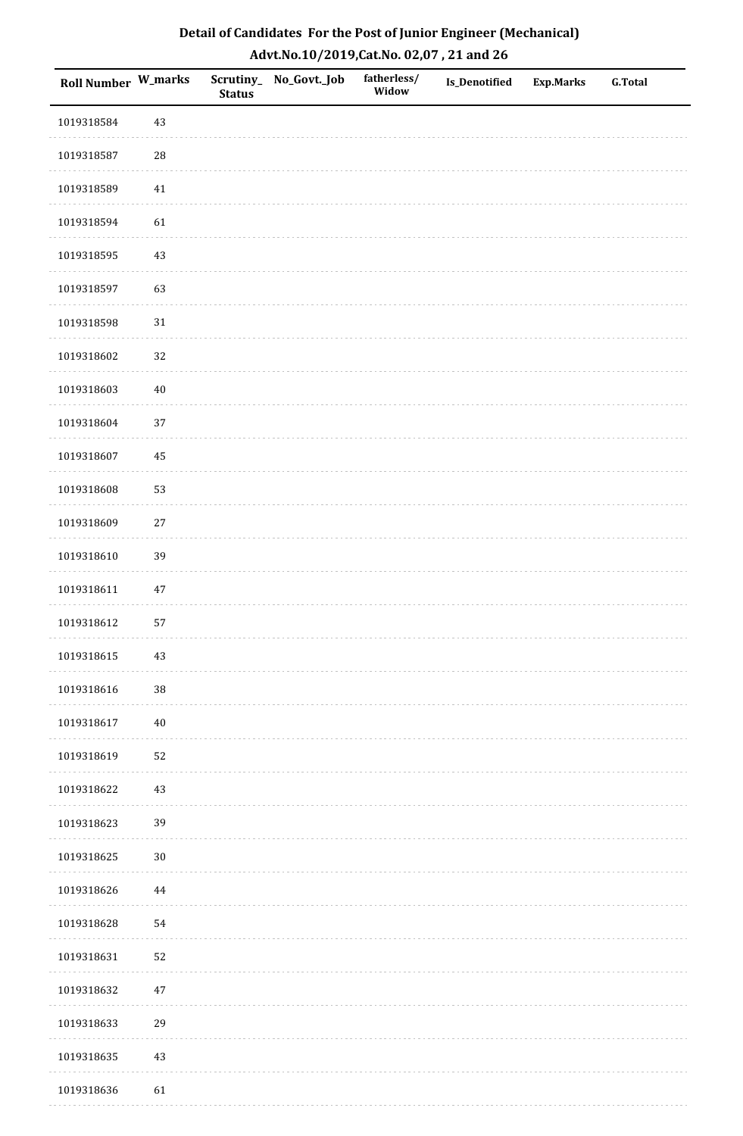| Detail of Candidates For the Post of Junior Engineer (Mechanical) |
|-------------------------------------------------------------------|
| Advt.No.10/2019,Cat.No. 02,07, 21 and 26                          |

| Roll Number W_marks |            | <b>Status</b> | Scrutiny_ No_Govt._Job | fatherless/<br>Widow | Is_Denotified | <b>Exp.Marks</b> | <b>G.Total</b> |
|---------------------|------------|---------------|------------------------|----------------------|---------------|------------------|----------------|
| 1019318584          | $43\,$     |               |                        |                      |               |                  |                |
| 1019318587          | ${\bf 28}$ |               |                        |                      |               |                  |                |
| 1019318589          | 41         |               |                        |                      |               |                  |                |
| 1019318594          | 61         |               |                        |                      |               |                  |                |
| 1019318595          | $43\,$     |               |                        |                      |               |                  |                |
| 1019318597          | 63         |               |                        |                      |               |                  |                |
| 1019318598          | $31\,$     |               |                        |                      |               |                  |                |
| 1019318602          | 32         |               |                        |                      |               |                  |                |
| 1019318603          | $40\,$     |               |                        |                      |               |                  |                |
| 1019318604          | 37         |               |                        |                      |               |                  |                |
| 1019318607          | 45         |               |                        |                      |               |                  |                |
| 1019318608          | 53         |               |                        |                      |               |                  |                |
| 1019318609          | $27\,$     |               |                        |                      |               |                  |                |
| 1019318610          | 39         |               |                        |                      |               |                  |                |
| 1019318611          | $47\,$     |               |                        |                      |               |                  |                |
| 1019318612          | 57         |               |                        |                      |               |                  |                |
| 1019318615          | $43\,$     |               |                        |                      |               |                  |                |
| 1019318616          | $38\,$     |               |                        |                      |               |                  |                |
| 1019318617          | $40\,$     |               |                        |                      |               |                  |                |
| 1019318619          | 52         |               |                        |                      |               |                  |                |
| 1019318622          | 43         |               |                        |                      |               |                  |                |
| 1019318623          | 39         |               |                        |                      |               |                  |                |
| 1019318625          | $30\,$     |               |                        |                      |               |                  |                |
| 1019318626          | $\bf 44$   |               |                        |                      |               |                  |                |
| 1019318628          | 54         |               |                        |                      |               |                  |                |
| 1019318631          | 52         |               |                        |                      |               |                  |                |
| 1019318632          | $47\,$     |               |                        |                      |               |                  |                |
| 1019318633          | 29         |               |                        |                      |               |                  |                |
| 1019318635          | 43         |               |                        |                      |               |                  |                |
| 1019318636          | 61         |               |                        |                      |               |                  |                |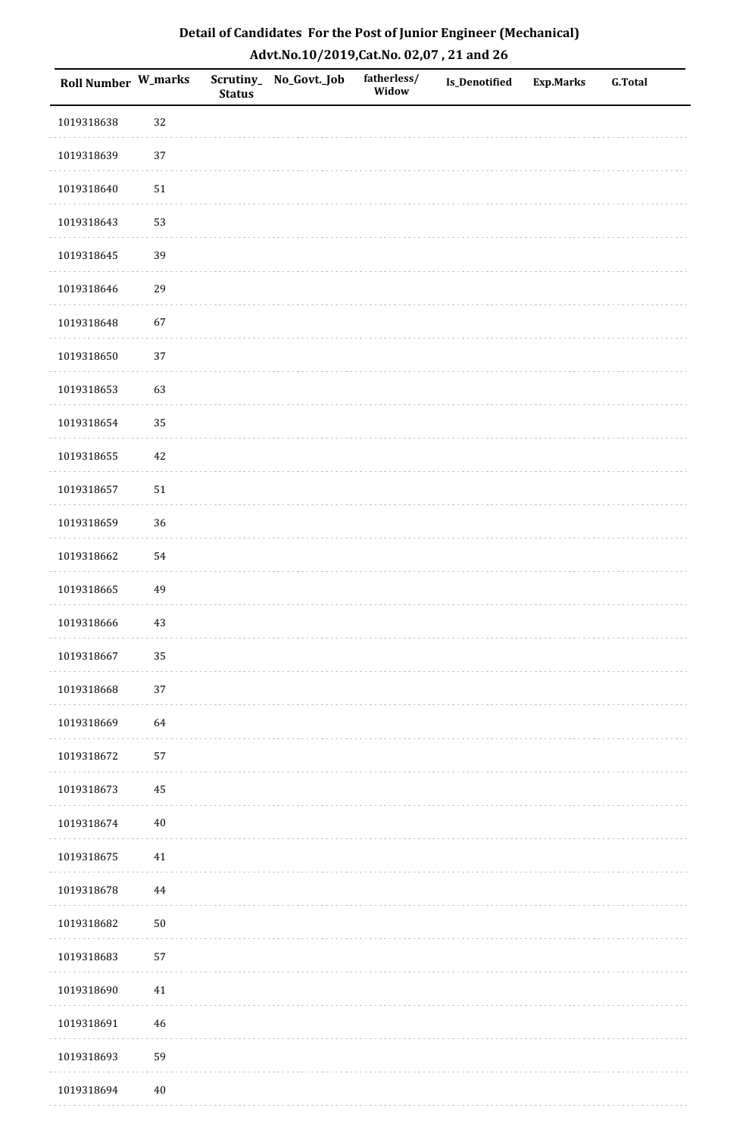| Roll Number W_marks |        | <b>Status</b> | Scrutiny_No_Govt._Job | fatherless/<br>Widow | Is_Denotified | <b>Exp.Marks</b> | <b>G.Total</b> |
|---------------------|--------|---------------|-----------------------|----------------------|---------------|------------------|----------------|
| 1019318638          | 32     |               |                       |                      |               |                  |                |
| 1019318639          | $37\,$ |               |                       |                      |               |                  |                |
| 1019318640          | $51\,$ |               |                       |                      |               |                  |                |
| 1019318643          | 53     |               |                       |                      |               |                  |                |
| 1019318645          | 39     |               |                       |                      |               |                  |                |
| 1019318646          | 29     |               |                       |                      |               |                  |                |
| 1019318648          | 67     |               |                       |                      |               |                  |                |
| 1019318650          | 37     |               |                       |                      |               |                  |                |
| 1019318653          | 63     |               |                       |                      |               |                  |                |
| 1019318654          | 35     |               |                       |                      |               |                  |                |
| 1019318655          | $42\,$ |               |                       |                      |               |                  |                |
| 1019318657          | $51\,$ |               |                       |                      |               |                  |                |
| 1019318659          | 36     |               |                       |                      |               |                  |                |
| 1019318662          | 54     |               |                       |                      |               |                  |                |
| 1019318665          | 49     |               |                       |                      |               |                  |                |
| 1019318666          | $43\,$ |               |                       |                      |               |                  |                |
| 1019318667          | 35     |               |                       |                      |               |                  |                |
| 1019318668          | 37     |               |                       |                      |               |                  |                |
| 1019318669          | 64     |               |                       |                      |               |                  |                |
| 1019318672          | 57     |               |                       |                      |               |                  |                |
| 1019318673          | 45     |               |                       |                      |               |                  |                |
| 1019318674          | $40\,$ |               |                       |                      |               |                  |                |
| 1019318675          | $41\,$ |               |                       |                      |               |                  |                |
| 1019318678          | 44     |               |                       |                      |               |                  |                |
| 1019318682          | $50\,$ |               |                       |                      |               |                  |                |
| 1019318683          | 57     |               |                       |                      |               |                  |                |
| 1019318690          | 41     |               |                       |                      |               |                  |                |
| 1019318691          | 46     |               |                       |                      |               |                  |                |
| 1019318693          | 59     |               |                       |                      |               |                  |                |
| 1019318694          | $40\,$ |               |                       |                      |               |                  |                |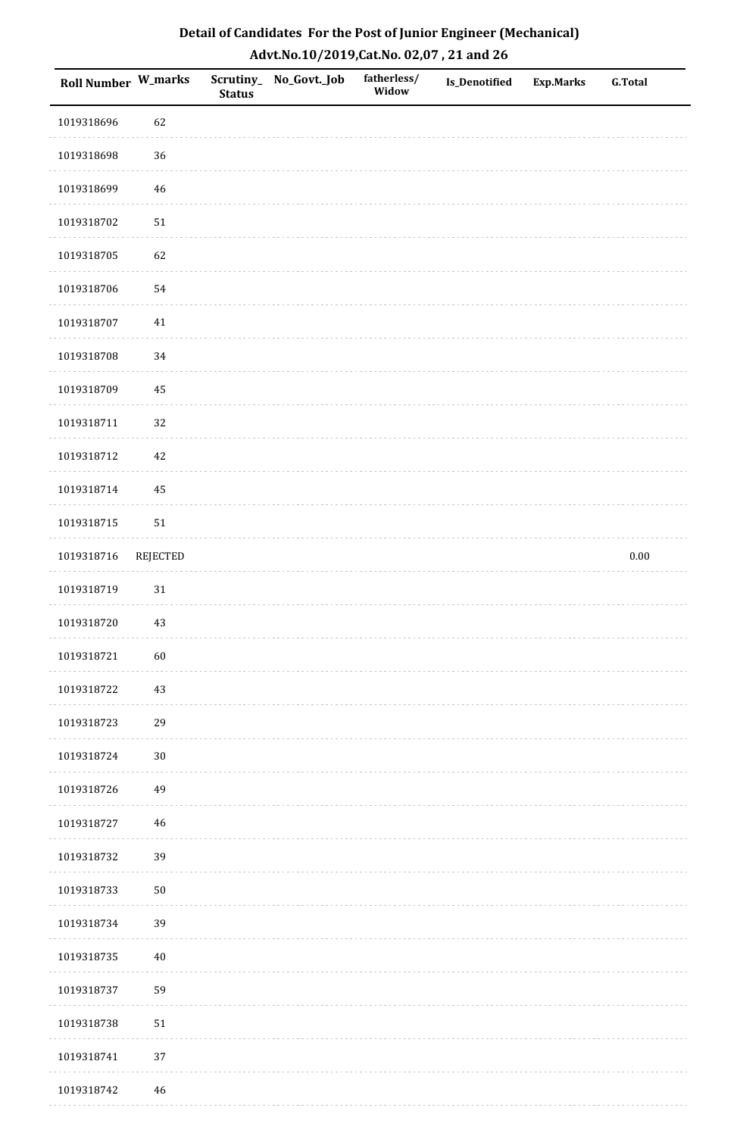| Detail of Candidates For the Post of Junior Engineer (Mechanical) |
|-------------------------------------------------------------------|
| Advt.No.10/2019,Cat.No. 02,07, 21 and 26                          |

| Roll Number W_marks |                 | <b>Status</b> | Scrutiny_No_Govt._Job | fatherless/<br>Widow | Is_Denotified | <b>Exp.Marks</b> | <b>G.Total</b> |
|---------------------|-----------------|---------------|-----------------------|----------------------|---------------|------------------|----------------|
| 1019318696          | 62              |               |                       |                      |               |                  |                |
| 1019318698          | 36              |               |                       |                      |               |                  |                |
| 1019318699          | 46              |               |                       |                      |               |                  |                |
| 1019318702          | 51              |               |                       |                      |               |                  |                |
| 1019318705          | 62              |               |                       |                      |               |                  |                |
| 1019318706          | 54              |               |                       |                      |               |                  |                |
| 1019318707          | 41              |               |                       |                      |               |                  |                |
| 1019318708          | 34              |               |                       |                      |               |                  |                |
| 1019318709          | 45              |               |                       |                      |               |                  |                |
| 1019318711          | 32              |               |                       |                      |               |                  |                |
| 1019318712          | 42              |               |                       |                      |               |                  |                |
| 1019318714          | 45              |               |                       |                      |               |                  |                |
| 1019318715          | $51\,$          |               |                       |                      |               |                  |                |
| 1019318716          | <b>REJECTED</b> |               |                       |                      |               |                  | $0.00\,$       |
| 1019318719          | $31\,$          |               |                       |                      |               |                  |                |
| 1019318720          | 43              |               |                       |                      |               |                  |                |
| 1019318721          | $60\,$          |               |                       |                      |               |                  |                |
| 1019318722          | $43\,$          |               |                       |                      |               |                  |                |
| 1019318723          | 29              |               |                       |                      |               |                  |                |
| 1019318724          | $30\,$          |               |                       |                      |               |                  |                |
| 1019318726          | 49              |               |                       |                      |               |                  |                |
| 1019318727          | $\sqrt{46}$     |               |                       |                      |               |                  |                |
| 1019318732          | 39              |               |                       |                      |               |                  |                |
| 1019318733          | $50\,$          |               |                       |                      |               |                  |                |
| 1019318734          | 39              |               |                       |                      |               |                  |                |
| 1019318735          | $40\,$          |               |                       |                      |               |                  |                |
| 1019318737          | 59              |               |                       |                      |               |                  |                |
| 1019318738          | $51\,$          |               |                       |                      |               |                  |                |
| 1019318741          | 37              |               |                       |                      |               |                  |                |
| 1019318742          | 46              |               |                       |                      |               |                  |                |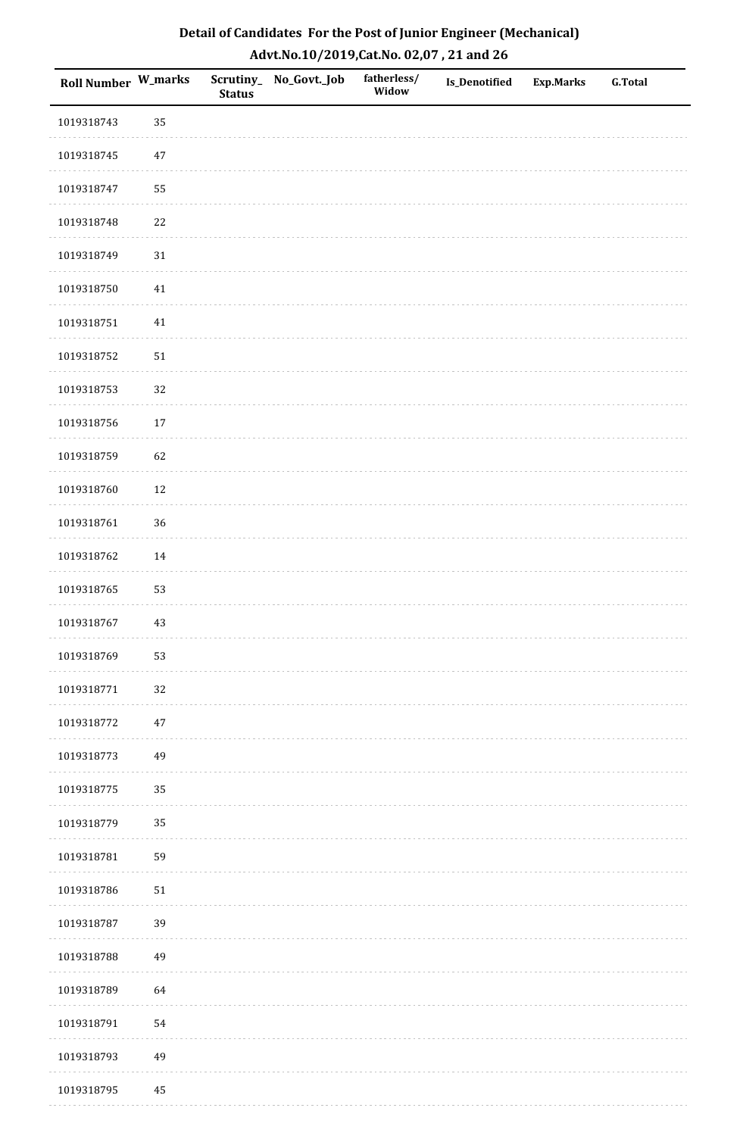| Detail of Candidates For the Post of Junior Engineer (Mechanical) |
|-------------------------------------------------------------------|
| Advt.No.10/2019,Cat.No. 02,07, 21 and 26                          |

| Roll Number W_marks |          | <b>Status</b> | Scrutiny_ No_Govt._Job | fatherless/<br>Widow | Is_Denotified | <b>Exp.Marks</b> | <b>G.Total</b> |
|---------------------|----------|---------------|------------------------|----------------------|---------------|------------------|----------------|
| 1019318743          | 35       |               |                        |                      |               |                  |                |
| 1019318745          | 47       |               |                        |                      |               |                  |                |
| 1019318747          | 55       |               |                        |                      |               |                  |                |
| 1019318748          | 22       |               |                        |                      |               |                  |                |
| 1019318749          | 31       |               |                        |                      |               |                  |                |
| 1019318750          | 41       |               |                        |                      |               |                  |                |
| 1019318751          | 41       |               |                        |                      |               |                  |                |
| 1019318752          | 51       |               |                        |                      |               |                  |                |
| 1019318753          | $32\,$   |               |                        |                      |               |                  |                |
| 1019318756          | 17       |               |                        |                      |               |                  |                |
| 1019318759          | 62       |               |                        |                      |               |                  |                |
| 1019318760          | 12       |               |                        |                      |               |                  |                |
| 1019318761          | 36       |               |                        |                      |               |                  |                |
| 1019318762          | 14       |               |                        |                      |               |                  |                |
| 1019318765          | 53       |               |                        |                      |               |                  |                |
| 1019318767          | 43       |               |                        |                      |               |                  |                |
| 1019318769          | 53       |               |                        |                      |               |                  |                |
| 1019318771          | 32       |               |                        |                      |               |                  |                |
| 1019318772          | $47\,$   |               |                        |                      |               |                  |                |
| 1019318773          | 49       |               |                        |                      |               |                  |                |
| 1019318775          | 35       |               |                        |                      |               |                  |                |
| 1019318779          | 35       |               |                        |                      |               |                  |                |
| 1019318781          | 59       |               |                        |                      |               |                  |                |
| 1019318786          | $51\,$   |               |                        |                      |               |                  |                |
| 1019318787          | 39       |               |                        |                      |               |                  |                |
| 1019318788          | 49       |               |                        |                      |               |                  |                |
| 1019318789          | 64       |               |                        |                      |               |                  |                |
| 1019318791          | 54       |               |                        |                      |               |                  |                |
| 1019318793          | 49       |               |                        |                      |               |                  |                |
| 1019318795          | $\bf 45$ |               |                        |                      |               |                  |                |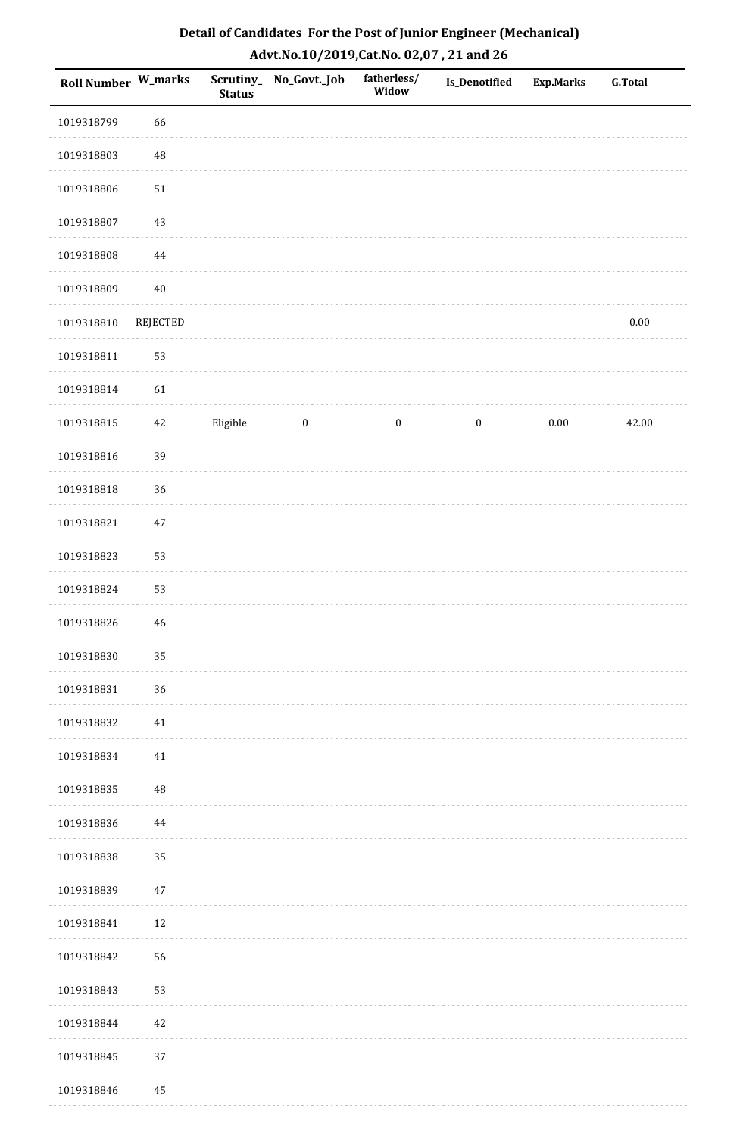| <b>Roll Number W_marks</b> |                 | <b>Status</b> | Scrutiny_ No_Govt._Job | fatherless/<br>Widow | Is_Denotified    | <b>Exp.Marks</b> | <b>G.Total</b> |
|----------------------------|-----------------|---------------|------------------------|----------------------|------------------|------------------|----------------|
| 1019318799                 | 66              |               |                        |                      |                  |                  |                |
| 1019318803                 | 48              |               |                        |                      |                  |                  |                |
| 1019318806                 | ${\bf 51}$      |               |                        |                      |                  |                  |                |
| 1019318807                 | $43\,$          |               |                        |                      |                  |                  |                |
| 1019318808                 | $\bf 44$        |               |                        |                      |                  |                  |                |
| 1019318809                 | $40\,$          |               |                        |                      |                  |                  |                |
| 1019318810                 | <b>REJECTED</b> |               |                        |                      |                  |                  | $0.00\,$       |
| 1019318811                 | 53              |               |                        |                      |                  |                  |                |
| 1019318814                 | 61              |               |                        |                      |                  |                  |                |
| 1019318815                 | $42\,$          | Eligible      | $\boldsymbol{0}$       | $\boldsymbol{0}$     | $\boldsymbol{0}$ | $0.00\,$         | 42.00          |
| 1019318816                 | 39              |               |                        |                      |                  |                  |                |
| 1019318818                 | 36              |               |                        |                      |                  |                  |                |
| 1019318821                 | $47\,$          |               |                        |                      |                  |                  |                |
| 1019318823                 | 53              |               |                        |                      |                  |                  |                |
| 1019318824                 | 53              |               |                        |                      |                  |                  |                |
| 1019318826                 | $\sqrt{46}$     |               |                        |                      |                  |                  |                |
| 1019318830                 | 35              |               |                        |                      |                  |                  |                |
| 1019318831                 | 36              |               |                        |                      |                  |                  |                |
| 1019318832                 | 41              |               |                        |                      |                  |                  |                |
| 1019318834                 | 41              |               |                        |                      |                  |                  |                |
| 1019318835                 | 48              |               |                        |                      |                  |                  |                |
| 1019318836                 | 44              |               |                        |                      |                  |                  |                |
| 1019318838                 | 35              |               |                        |                      |                  |                  |                |
| 1019318839                 | 47              |               |                        |                      |                  |                  |                |
| 1019318841                 | $12\,$          |               |                        |                      |                  |                  |                |
| 1019318842                 | 56              |               |                        |                      |                  |                  |                |
| 1019318843                 | 53              |               |                        |                      |                  |                  |                |
| 1019318844                 | 42              |               |                        |                      |                  |                  |                |
| 1019318845                 | 37              |               |                        |                      |                  |                  |                |
| 1019318846                 | $\rm 45$        |               |                        |                      |                  |                  |                |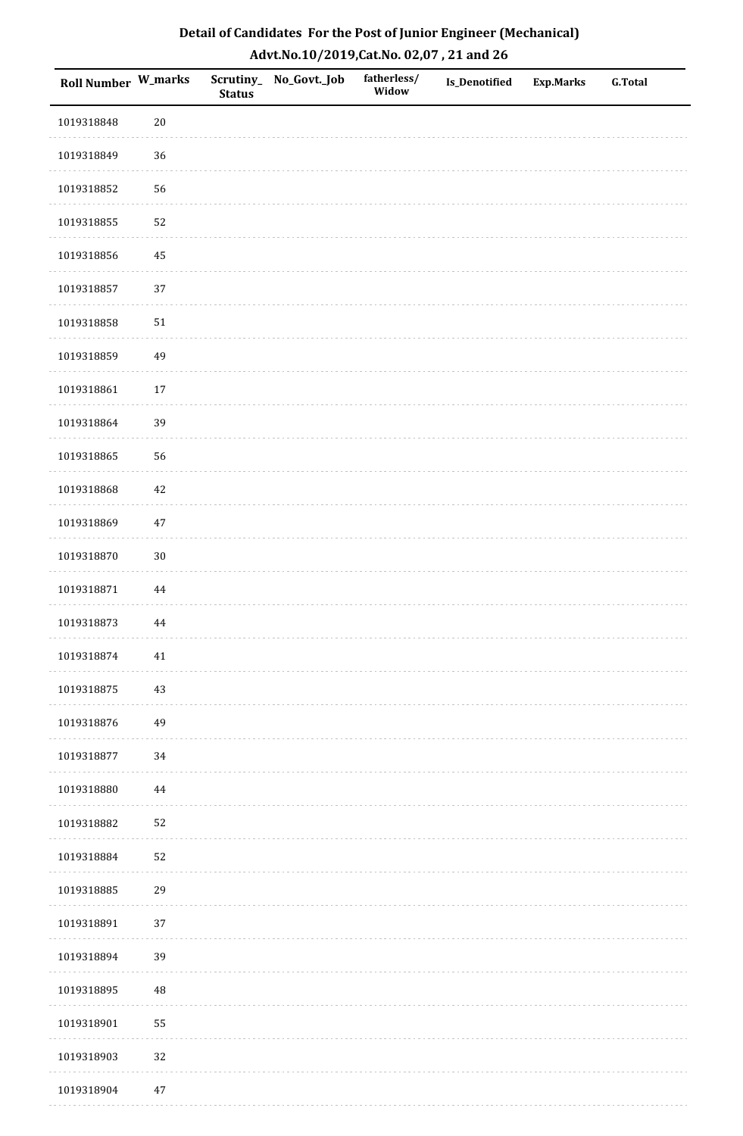| <b>Roll Number W_marks</b> |          | <b>Status</b> | Scrutiny_No_Govt._Job | fatherless/<br>Widow | Is_Denotified | <b>Exp.Marks</b> | <b>G.Total</b> |
|----------------------------|----------|---------------|-----------------------|----------------------|---------------|------------------|----------------|
| 1019318848                 | $20\,$   |               |                       |                      |               |                  |                |
| 1019318849                 | 36       |               |                       |                      |               |                  |                |
| 1019318852                 | 56       |               |                       |                      |               |                  |                |
| 1019318855                 | 52       |               |                       |                      |               |                  |                |
| 1019318856                 | $\bf 45$ |               |                       |                      |               |                  |                |
| 1019318857                 | 37       |               |                       |                      |               |                  |                |
| 1019318858                 | $51\,$   |               |                       |                      |               |                  |                |
| 1019318859                 | 49       |               |                       |                      |               |                  |                |
| 1019318861                 | $17\,$   |               |                       |                      |               |                  |                |
| 1019318864                 | 39       |               |                       |                      |               |                  |                |
| 1019318865                 | 56       |               |                       |                      |               |                  |                |
| 1019318868                 | $42\,$   |               |                       |                      |               |                  |                |
| 1019318869                 | $47\,$   |               |                       |                      |               |                  |                |
| 1019318870                 | $30\,$   |               |                       |                      |               |                  |                |
| 1019318871                 | $\bf 44$ |               |                       |                      |               |                  |                |
| 1019318873                 | 44       |               |                       |                      |               |                  |                |
| 1019318874                 | $41\,$   |               |                       |                      |               |                  |                |
| 1019318875                 | 43       |               |                       |                      |               |                  |                |
| 1019318876                 | 49       |               |                       |                      |               |                  |                |
| 1019318877                 | 34       |               |                       |                      |               |                  |                |
| 1019318880                 | 44       |               |                       |                      |               |                  |                |
| 1019318882                 | 52       |               |                       |                      |               |                  |                |
| 1019318884                 | 52       |               |                       |                      |               |                  |                |
| 1019318885                 | 29       |               |                       |                      |               |                  |                |
| 1019318891                 | 37       |               |                       |                      |               |                  |                |
| 1019318894                 | 39       |               |                       |                      |               |                  |                |
| 1019318895                 | 48       |               |                       |                      |               |                  |                |
| 1019318901                 | 55       |               |                       |                      |               |                  |                |
| 1019318903                 | 32       |               |                       |                      |               |                  |                |
| 1019318904                 | $47\,$   |               |                       |                      |               |                  |                |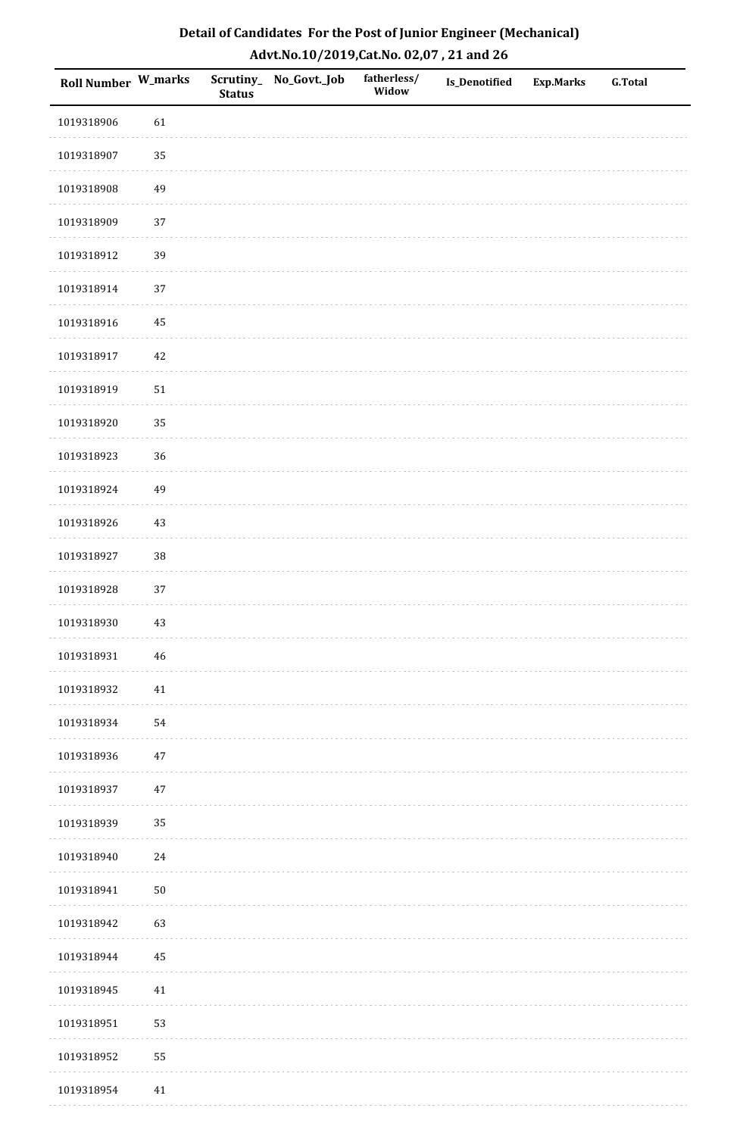| Detail of Candidates For the Post of Junior Engineer (Mechanical) |
|-------------------------------------------------------------------|
| Advt.No.10/2019, Cat.No. 02,07, 21 and 26                         |

| Roll Number W_marks |            | <b>Status</b> | Scrutiny_ No_Govt._Job | fatherless/<br>Widow | Is_Denotified | <b>Exp.Marks</b> | <b>G.Total</b> |
|---------------------|------------|---------------|------------------------|----------------------|---------------|------------------|----------------|
| 1019318906          | 61         |               |                        |                      |               |                  |                |
| 1019318907          | 35         |               |                        |                      |               |                  |                |
| 1019318908          | 49         |               |                        |                      |               |                  |                |
| 1019318909          | 37         |               |                        |                      |               |                  |                |
| 1019318912          | 39         |               |                        |                      |               |                  |                |
| 1019318914          | 37         |               |                        |                      |               |                  |                |
| 1019318916          | 45         |               |                        |                      |               |                  |                |
| 1019318917          | $42\,$     |               |                        |                      |               |                  |                |
| 1019318919          | $51\,$     |               |                        |                      |               |                  |                |
| 1019318920          | 35         |               |                        |                      |               |                  |                |
| 1019318923          | 36         |               |                        |                      |               |                  |                |
| 1019318924          | 49         |               |                        |                      |               |                  |                |
| 1019318926          | 43         |               |                        |                      |               |                  |                |
| 1019318927          | $38\,$     |               |                        |                      |               |                  |                |
| 1019318928          | 37         |               |                        |                      |               |                  |                |
| 1019318930          | 43         |               |                        |                      |               |                  |                |
| 1019318931          | $\bf 46$   |               |                        |                      |               |                  |                |
| 1019318932          | $41\,$     |               |                        |                      |               |                  |                |
| 1019318934          | 54         |               |                        |                      |               |                  |                |
| 1019318936          | $47\,$     |               |                        |                      |               |                  |                |
| 1019318937          | 47         |               |                        |                      |               |                  |                |
| 1019318939          | 35         |               |                        |                      |               |                  |                |
| 1019318940          | $24\,$     |               |                        |                      |               |                  |                |
| 1019318941          | ${\bf 50}$ |               |                        |                      |               |                  |                |
| 1019318942          | 63         |               |                        |                      |               |                  |                |
| 1019318944          | $\bf 45$   |               |                        |                      |               |                  |                |
| 1019318945          | $41\,$     |               |                        |                      |               |                  |                |
| 1019318951          | 53         |               |                        |                      |               |                  |                |
| 1019318952          | 55         |               |                        |                      |               |                  |                |
| 1019318954          | $41\,$     |               |                        |                      |               |                  |                |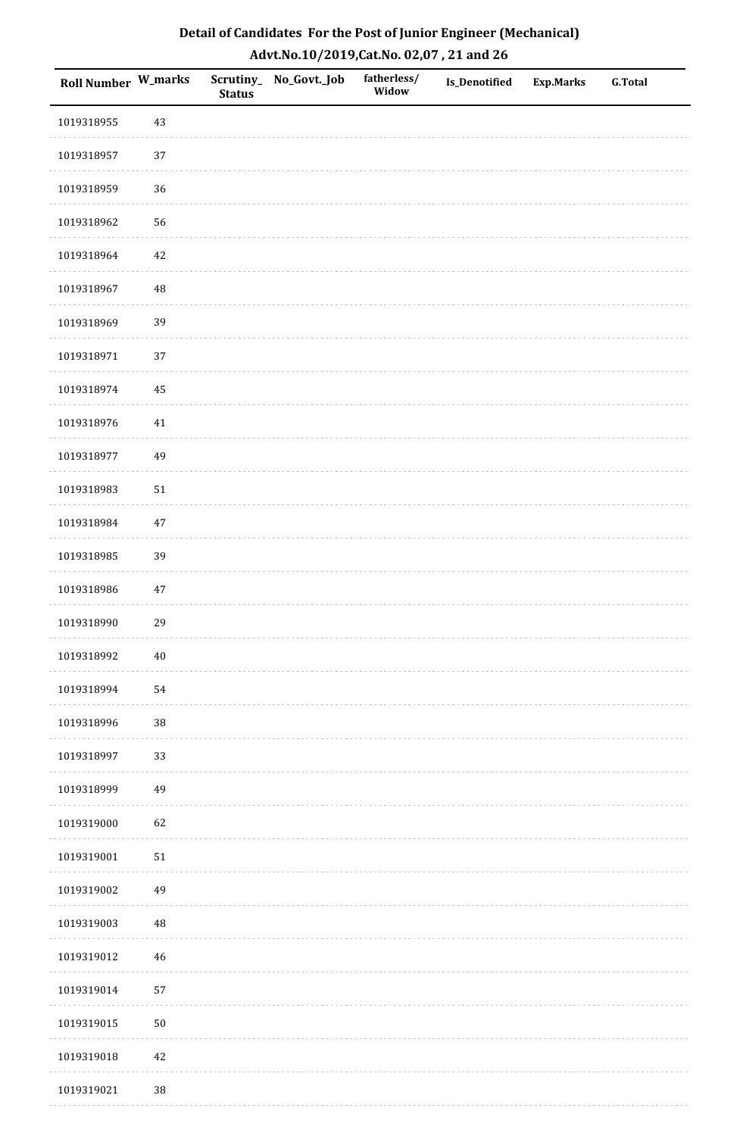| Detail of Candidates For the Post of Junior Engineer (Mechanical) |
|-------------------------------------------------------------------|
| Advt.No.10/2019,Cat.No. 02,07, 21 and 26                          |

| Roll Number W_marks |             | <b>Status</b> | Scrutiny_ No_Govt._Job | fatherless/<br>Widow | <b>Is_Denotified</b> | <b>Exp.Marks</b> | <b>G.Total</b> |
|---------------------|-------------|---------------|------------------------|----------------------|----------------------|------------------|----------------|
| 1019318955          | 43          |               |                        |                      |                      |                  |                |
| 1019318957          | $37\,$      |               |                        |                      |                      |                  |                |
| 1019318959          | 36          |               |                        |                      |                      |                  |                |
| 1019318962          | 56          |               |                        |                      |                      |                  |                |
| 1019318964          | 42          |               |                        |                      |                      |                  |                |
| 1019318967          | $\rm 48$    |               |                        |                      |                      |                  |                |
| 1019318969          | 39          |               |                        |                      |                      |                  |                |
| 1019318971          | 37          |               |                        |                      |                      |                  |                |
| 1019318974          | 45          |               |                        |                      |                      |                  |                |
| 1019318976          | 41          |               |                        |                      |                      |                  |                |
| 1019318977          | 49          |               |                        |                      |                      |                  |                |
| 1019318983          | $51\,$      |               |                        |                      |                      |                  |                |
| 1019318984          | $47\,$      |               |                        |                      |                      |                  |                |
| 1019318985          | 39          |               |                        |                      |                      |                  |                |
| 1019318986          | $47\,$      |               |                        |                      |                      |                  |                |
| 1019318990          | 29          |               |                        |                      |                      |                  |                |
| 1019318992          | $40\,$      |               |                        |                      |                      |                  |                |
| 1019318994          | 54          |               |                        |                      |                      |                  |                |
| 1019318996          | $38\,$      |               |                        |                      |                      |                  |                |
| 1019318997          | 33          |               |                        |                      |                      |                  |                |
| 1019318999          | 49          |               |                        |                      |                      |                  |                |
| 1019319000          | 62          |               |                        |                      |                      |                  |                |
| 1019319001          | ${\bf 51}$  |               |                        |                      |                      |                  |                |
| 1019319002          | 49          |               |                        |                      |                      |                  |                |
| 1019319003          | $\rm 48$    |               |                        |                      |                      |                  |                |
| 1019319012          | $\sqrt{46}$ |               |                        |                      |                      |                  |                |
| 1019319014          | 57          |               |                        |                      |                      |                  |                |
| 1019319015          | $50\,$      |               |                        |                      |                      |                  |                |
| 1019319018          | $42\,$      |               |                        |                      |                      |                  |                |
| 1019319021          | 38          |               |                        |                      |                      |                  |                |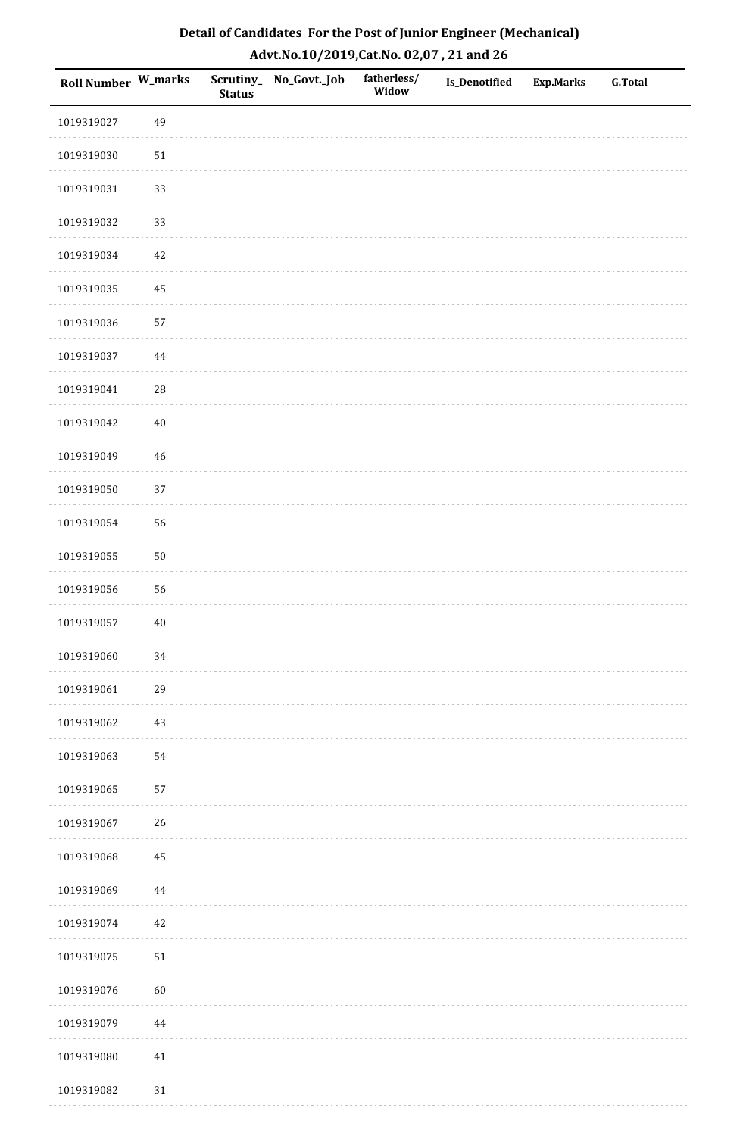| Detail of Candidates For the Post of Junior Engineer (Mechanical) |
|-------------------------------------------------------------------|
| Advt.No.10/2019,Cat.No. 02,07, 21 and 26                          |

| Roll Number W_marks |             | <b>Status</b> | Scrutiny_ No_Govt._Job | fatherless/<br>Widow | Is_Denotified | <b>Exp.Marks</b> | <b>G.Total</b> |
|---------------------|-------------|---------------|------------------------|----------------------|---------------|------------------|----------------|
| 1019319027          | 49          |               |                        |                      |               |                  |                |
| 1019319030          | $51\,$      |               |                        |                      |               |                  |                |
| 1019319031          | 33          |               |                        |                      |               |                  |                |
| 1019319032          | 33          |               |                        |                      |               |                  |                |
| 1019319034          | $42\,$      |               |                        |                      |               |                  |                |
| 1019319035          | 45          |               |                        |                      |               |                  |                |
| 1019319036          | 57          |               |                        |                      |               |                  |                |
| 1019319037          | $\bf 44$    |               |                        |                      |               |                  |                |
| 1019319041          | $28\,$      |               |                        |                      |               |                  |                |
| 1019319042          | $40\,$      |               |                        |                      |               |                  |                |
| 1019319049          | $\sqrt{46}$ |               |                        |                      |               |                  |                |
| 1019319050          | 37          |               |                        |                      |               |                  |                |
| 1019319054          | 56          |               |                        |                      |               |                  |                |
| 1019319055          | $50\,$      |               |                        |                      |               |                  |                |
| 1019319056          | 56          |               |                        |                      |               |                  |                |
| 1019319057          | $40\,$      |               |                        |                      |               |                  |                |
| 1019319060          | $34\,$      |               |                        |                      |               |                  |                |
| 1019319061          | 29          |               |                        |                      |               |                  |                |
| 1019319062          | $43\,$      |               |                        |                      |               |                  |                |
| 1019319063          | 54          |               |                        |                      |               |                  |                |
| 1019319065          | 57          |               |                        |                      |               |                  |                |
| 1019319067          | 26          |               |                        |                      |               |                  |                |
| 1019319068          | 45          |               |                        |                      |               |                  |                |
| 1019319069          | $\bf 44$    |               |                        |                      |               |                  |                |
| 1019319074          | 42          |               |                        |                      |               |                  |                |
| 1019319075          | ${\bf 51}$  |               |                        |                      |               |                  |                |
| 1019319076          | 60          |               |                        |                      |               |                  |                |
| 1019319079          | $\bf 44$    |               |                        |                      |               |                  |                |
| 1019319080          | 41          |               |                        |                      |               |                  |                |
| 1019319082          | $31\,$      |               |                        |                      |               |                  |                |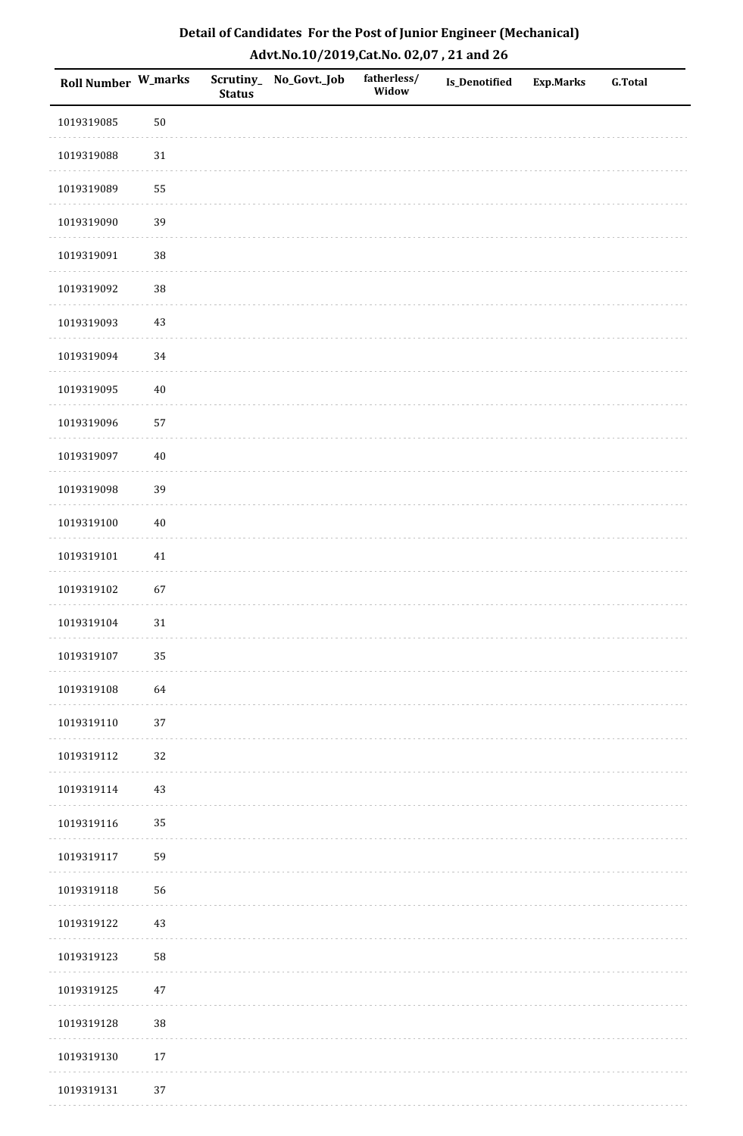| Detail of Candidates For the Post of Junior Engineer (Mechanical) |
|-------------------------------------------------------------------|
| Advt.No.10/2019,Cat.No. 02,07, 21 and 26                          |

| Roll Number W_marks |        | <b>Status</b> | Scrutiny_ No_Govt._Job | fatherless/<br>Widow | <b>Is_Denotified</b> | <b>Exp.Marks</b> | <b>G.Total</b> |
|---------------------|--------|---------------|------------------------|----------------------|----------------------|------------------|----------------|
| 1019319085          | $50\,$ |               |                        |                      |                      |                  |                |
| 1019319088          | $31\,$ |               |                        |                      |                      |                  |                |
| 1019319089          | 55     |               |                        |                      |                      |                  |                |
| 1019319090          | 39     |               |                        |                      |                      |                  |                |
| 1019319091          | 38     |               |                        |                      |                      |                  |                |
| 1019319092          | 38     |               |                        |                      |                      |                  |                |
| 1019319093          | $43\,$ |               |                        |                      |                      |                  |                |
| 1019319094          | 34     |               |                        |                      |                      |                  |                |
| 1019319095          | $40\,$ |               |                        |                      |                      |                  |                |
| 1019319096          | 57     |               |                        |                      |                      |                  |                |
| 1019319097          | $40\,$ |               |                        |                      |                      |                  |                |
| 1019319098          | 39     |               |                        |                      |                      |                  |                |
| 1019319100          | $40\,$ |               |                        |                      |                      |                  |                |
| 1019319101          | $41\,$ |               |                        |                      |                      |                  |                |
| 1019319102          | 67     |               |                        |                      |                      |                  |                |
| 1019319104          | $31\,$ |               |                        |                      |                      |                  |                |
| 1019319107          | 35     |               |                        |                      |                      |                  |                |
| 1019319108          | 64     |               |                        |                      |                      |                  |                |
| 1019319110          | $37\,$ |               |                        |                      |                      |                  |                |
| 1019319112          | 32     |               |                        |                      |                      |                  |                |
| 1019319114          | 43     |               |                        |                      |                      |                  |                |
| 1019319116          | 35     |               |                        |                      |                      |                  |                |
| 1019319117          | 59     |               |                        |                      |                      |                  |                |
| 1019319118          | 56     |               |                        |                      |                      |                  |                |
| 1019319122          | 43     |               |                        |                      |                      |                  |                |
| 1019319123          | 58     |               |                        |                      |                      |                  |                |
| 1019319125          | $47\,$ |               |                        |                      |                      |                  |                |
| 1019319128          | 38     |               |                        |                      |                      |                  |                |
| 1019319130          | $17\,$ |               |                        |                      |                      |                  |                |
| 1019319131          | 37     |               |                        |                      |                      |                  |                |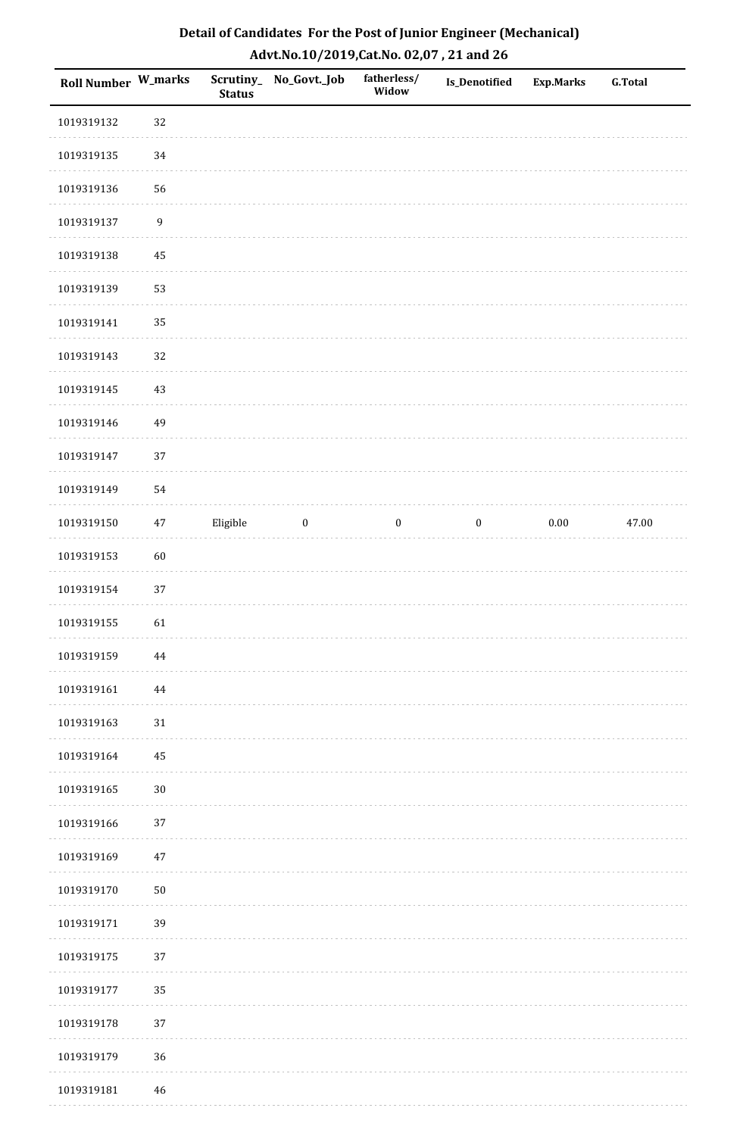| Detail of Candidates For the Post of Junior Engineer (Mechanical) |
|-------------------------------------------------------------------|
| Advt.No.10/2019,Cat.No. 02,07, 21 and 26                          |

| <b>Roll Number W_marks</b> |                  | <b>Status</b> | Scrutiny_ No_Govt._Job | fatherless/<br>Widow | Is_Denotified    | <b>Exp.Marks</b> | <b>G.Total</b> |
|----------------------------|------------------|---------------|------------------------|----------------------|------------------|------------------|----------------|
| 1019319132                 | 32               |               |                        |                      |                  |                  |                |
| 1019319135                 | 34               |               |                        |                      |                  |                  |                |
| 1019319136                 | 56               |               |                        |                      |                  |                  |                |
| 1019319137                 | $\boldsymbol{9}$ |               |                        |                      |                  |                  |                |
| 1019319138                 | 45               |               |                        |                      |                  |                  |                |
| 1019319139                 | 53               |               |                        |                      |                  |                  |                |
| 1019319141                 | 35               |               |                        |                      |                  |                  |                |
| 1019319143                 | 32               |               |                        |                      |                  |                  |                |
| 1019319145                 | 43               |               |                        |                      |                  |                  |                |
| 1019319146                 | 49               |               |                        |                      |                  |                  |                |
| 1019319147                 | 37               |               |                        |                      |                  |                  |                |
| 1019319149                 | 54               |               |                        |                      |                  |                  |                |
| 1019319150                 | 47               | Eligible      | $\boldsymbol{0}$       | $\boldsymbol{0}$     | $\boldsymbol{0}$ | $0.00\,$         | 47.00          |
| 1019319153                 | 60               |               |                        |                      |                  |                  |                |
| 1019319154                 | 37               |               |                        |                      |                  |                  |                |
| 1019319155                 | 61               |               |                        |                      |                  |                  |                |
| 1019319159                 | 44               |               |                        |                      |                  |                  |                |
| 1019319161                 | $\bf 44$         |               |                        |                      |                  |                  |                |
| 1019319163                 | $31\,$           |               |                        |                      |                  |                  |                |
| 1019319164                 | $\rm 45$         |               |                        |                      |                  |                  |                |
| 1019319165                 | $30\,$           |               |                        |                      |                  |                  |                |
| 1019319166                 | 37               |               |                        |                      |                  |                  |                |
| 1019319169                 | $47\,$           |               |                        |                      |                  |                  |                |
| 1019319170                 | $50\,$           |               |                        |                      |                  |                  |                |
| 1019319171                 | 39               |               |                        |                      |                  |                  |                |
| 1019319175                 | 37               |               |                        |                      |                  |                  |                |
| 1019319177                 | 35               |               |                        |                      |                  |                  |                |
| 1019319178                 | 37               |               |                        |                      |                  |                  |                |
| 1019319179                 | 36               |               |                        |                      |                  |                  |                |
| 1019319181                 | 46               |               |                        |                      |                  |                  |                |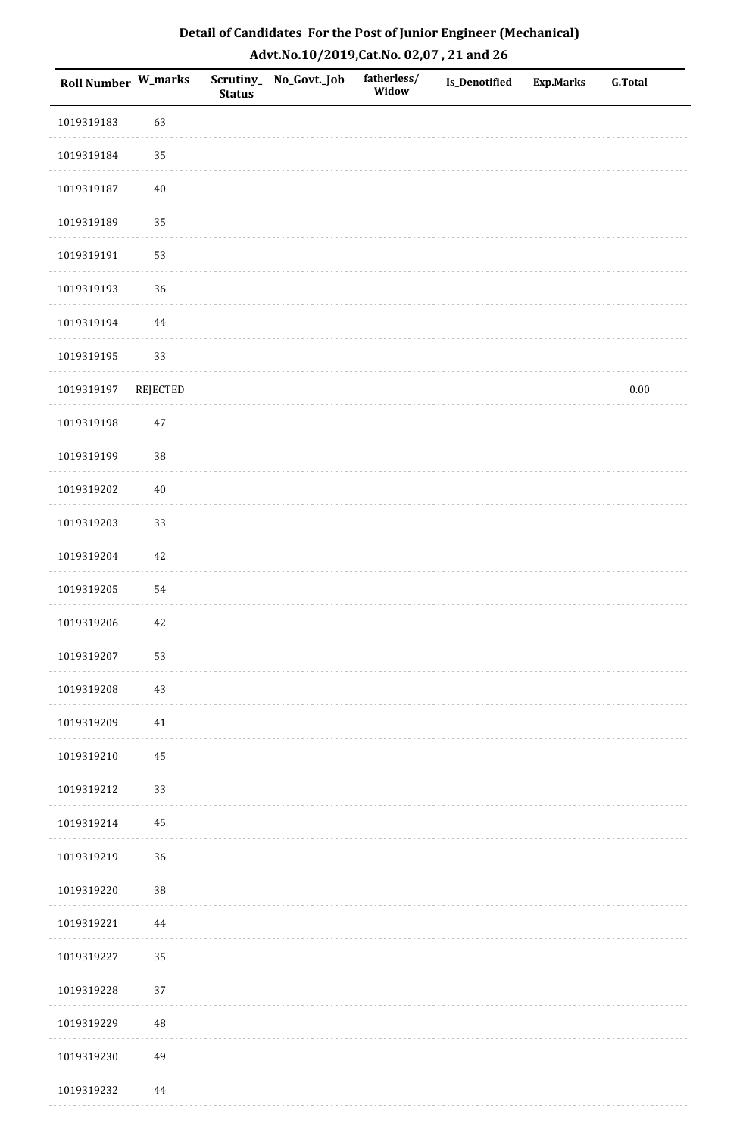| Roll Number W_marks |          | <b>Status</b> | Scrutiny_ No_Govt._Job | fatherless/<br>Widow | <b>Is_Denotified</b> | <b>Exp.Marks</b> | <b>G.Total</b> |
|---------------------|----------|---------------|------------------------|----------------------|----------------------|------------------|----------------|
| 1019319183          | 63       |               |                        |                      |                      |                  |                |
| 1019319184          | 35       |               |                        |                      |                      |                  |                |
| 1019319187          | $40\,$   |               |                        |                      |                      |                  |                |
| 1019319189          | 35       |               |                        |                      |                      |                  |                |
| 1019319191          | 53       |               |                        |                      |                      |                  |                |
| 1019319193          | 36       |               |                        |                      |                      |                  |                |
| 1019319194          | 44       |               |                        |                      |                      |                  |                |
| 1019319195          | 33       |               |                        |                      |                      |                  |                |
| 1019319197          | REJECTED |               |                        |                      |                      |                  | $0.00\,$       |
| 1019319198          | $47\,$   |               |                        |                      |                      |                  |                |
| 1019319199          | 38       |               |                        |                      |                      |                  |                |
| 1019319202          | $40\,$   |               |                        |                      |                      |                  |                |
| 1019319203          | 33       |               |                        |                      |                      |                  |                |
| 1019319204          | 42       |               |                        |                      |                      |                  |                |
| 1019319205          | 54       |               |                        |                      |                      |                  |                |
| 1019319206          | $42\,$   |               |                        |                      |                      |                  |                |
| 1019319207          | 53       |               |                        |                      |                      |                  |                |
| 1019319208          | 43       |               |                        |                      |                      |                  |                |
| 1019319209          | 41       |               |                        |                      |                      |                  |                |
| 1019319210          | 45       |               |                        |                      |                      |                  |                |
| 1019319212          | 33       |               |                        |                      |                      |                  |                |
| 1019319214          | 45       |               |                        |                      |                      |                  |                |
| 1019319219          | 36       |               |                        |                      |                      |                  |                |
| 1019319220          | $38\,$   |               |                        |                      |                      |                  |                |
| 1019319221          | 44       |               |                        |                      |                      |                  |                |
| 1019319227          | 35       |               |                        |                      |                      |                  |                |
| 1019319228          | 37       |               |                        |                      |                      |                  |                |
| 1019319229          | 48       |               |                        |                      |                      |                  |                |
| 1019319230          | 49       |               |                        |                      |                      |                  |                |
| 1019319232          | 44       |               |                        |                      |                      |                  |                |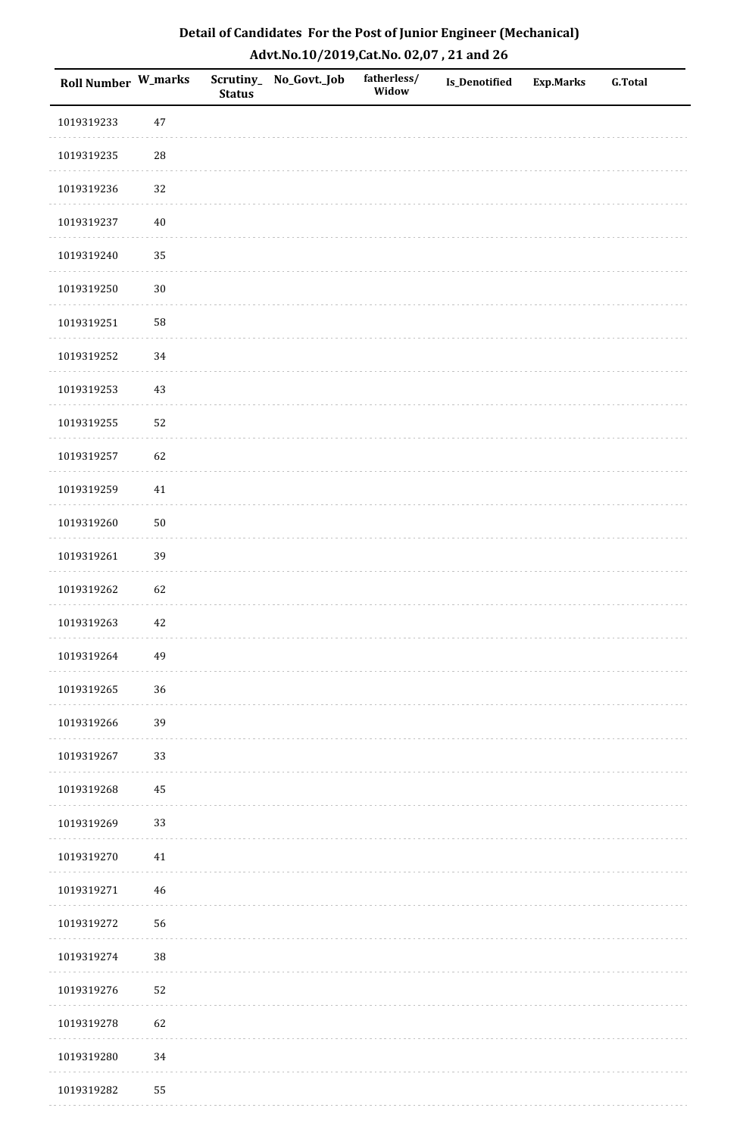| Detail of Candidates For the Post of Junior Engineer (Mechanical) |
|-------------------------------------------------------------------|
| Advt.No.10/2019,Cat.No. 02,07, 21 and 26                          |

| Roll Number W_marks |             | <b>Status</b> | Scrutiny_ No_Govt._Job | fatherless/<br>Widow | <b>Is_Denotified</b> | <b>Exp.Marks</b> | <b>G.Total</b> |
|---------------------|-------------|---------------|------------------------|----------------------|----------------------|------------------|----------------|
| 1019319233          | 47          |               |                        |                      |                      |                  |                |
| 1019319235          | ${\bf 28}$  |               |                        |                      |                      |                  |                |
| 1019319236          | 32          |               |                        |                      |                      |                  |                |
| 1019319237          | $40\,$      |               |                        |                      |                      |                  |                |
| 1019319240          | 35          |               |                        |                      |                      |                  |                |
| 1019319250          | $30\,$      |               |                        |                      |                      |                  |                |
| 1019319251          | 58          |               |                        |                      |                      |                  |                |
| 1019319252          | 34          |               |                        |                      |                      |                  |                |
| 1019319253          | 43          |               |                        |                      |                      |                  |                |
| 1019319255          | 52          |               |                        |                      |                      |                  |                |
| 1019319257          | 62          |               |                        |                      |                      |                  |                |
| 1019319259          | 41          |               |                        |                      |                      |                  |                |
| 1019319260          | $50\,$      |               |                        |                      |                      |                  |                |
| 1019319261          | 39          |               |                        |                      |                      |                  |                |
| 1019319262          | 62          |               |                        |                      |                      |                  |                |
| 1019319263          | $42\,$      |               |                        |                      |                      |                  |                |
| 1019319264          | 49          |               |                        |                      |                      |                  |                |
| 1019319265          | 36          |               |                        |                      |                      |                  |                |
| 1019319266          | 39          |               |                        |                      |                      |                  |                |
| 1019319267          | 33          |               |                        |                      |                      |                  |                |
| 1019319268          | 45          |               |                        |                      |                      |                  |                |
| 1019319269          | 33          |               |                        |                      |                      |                  |                |
| 1019319270          | $41\,$      |               |                        |                      |                      |                  |                |
| 1019319271          | $\sqrt{46}$ |               |                        |                      |                      |                  |                |
| 1019319272          | 56          |               |                        |                      |                      |                  |                |
| 1019319274          | 38          |               |                        |                      |                      |                  |                |
| 1019319276          | 52          |               |                        |                      |                      |                  |                |
| 1019319278          | 62          |               |                        |                      |                      |                  |                |
| 1019319280          | 34          |               |                        |                      |                      |                  |                |
| 1019319282          | 55          |               |                        |                      |                      |                  |                |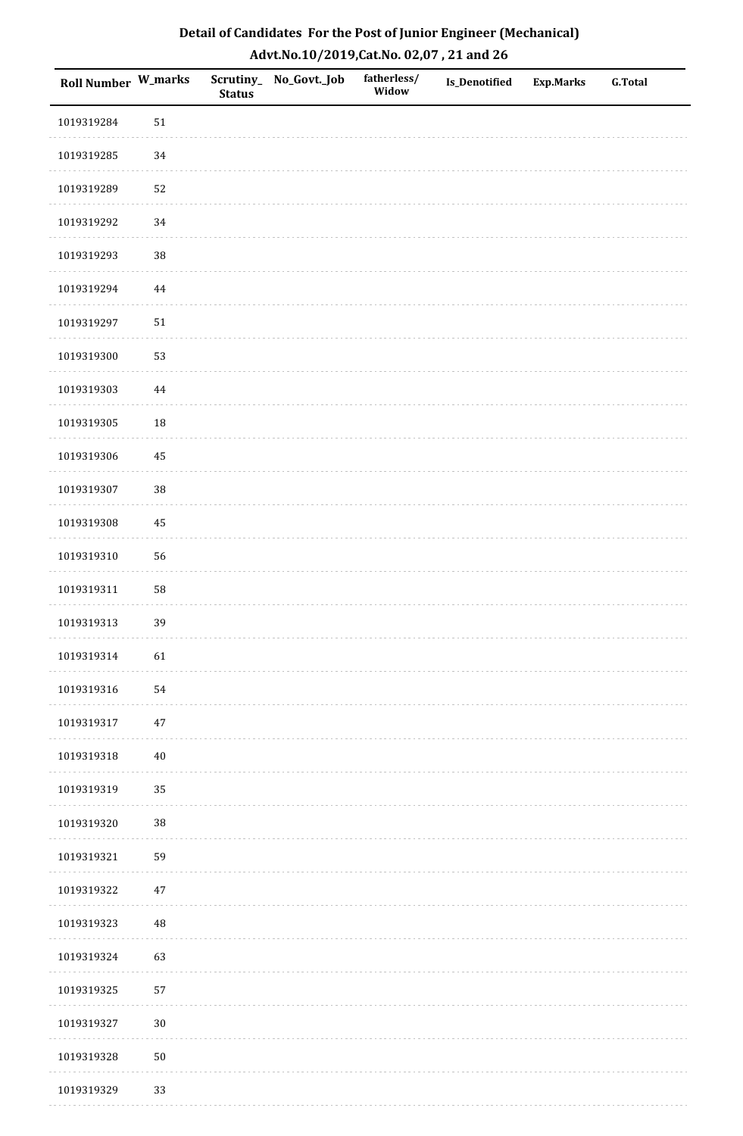| Detail of Candidates For the Post of Junior Engineer (Mechanical) |
|-------------------------------------------------------------------|
| Advt.No.10/2019,Cat.No. 02,07, 21 and 26                          |

| Roll Number W_marks |          | <b>Status</b> | Scrutiny_No_Govt._Job | fatherless/<br>Widow | <b>Is_Denotified</b> | <b>Exp.Marks</b> | <b>G.Total</b> |
|---------------------|----------|---------------|-----------------------|----------------------|----------------------|------------------|----------------|
| 1019319284          | $51\,$   |               |                       |                      |                      |                  |                |
| 1019319285          | 34       |               |                       |                      |                      |                  |                |
| 1019319289          | 52       |               |                       |                      |                      |                  |                |
| 1019319292          | 34       |               |                       |                      |                      |                  |                |
| 1019319293          | 38       |               |                       |                      |                      |                  |                |
| 1019319294          | $\bf 44$ |               |                       |                      |                      |                  |                |
| 1019319297          | $51\,$   |               |                       |                      |                      |                  |                |
| 1019319300          | 53       |               |                       |                      |                      |                  |                |
| 1019319303          | $\bf 44$ |               |                       |                      |                      |                  |                |
| 1019319305          | 18       |               |                       |                      |                      |                  |                |
| 1019319306          | 45       |               |                       |                      |                      |                  |                |
| 1019319307          | 38       |               |                       |                      |                      |                  |                |
| 1019319308          | 45       |               |                       |                      |                      |                  |                |
| 1019319310          | 56       |               |                       |                      |                      |                  |                |
| 1019319311          | 58       |               |                       |                      |                      |                  |                |
| 1019319313          | 39       |               |                       |                      |                      |                  |                |
| 1019319314          | 61       |               |                       |                      |                      |                  |                |
| 1019319316          | 54       |               |                       |                      |                      |                  |                |
| 1019319317          | $47\,$   |               |                       |                      |                      |                  |                |
| 1019319318          | $40\,$   |               |                       |                      |                      |                  |                |
| 1019319319          | 35       |               |                       |                      |                      |                  |                |
| 1019319320          | $38\,$   |               |                       |                      |                      |                  |                |
| 1019319321          | 59       |               |                       |                      |                      |                  |                |
| 1019319322          | $47\,$   |               |                       |                      |                      |                  |                |
| 1019319323          | $\rm 48$ |               |                       |                      |                      |                  |                |
| 1019319324          | 63       |               |                       |                      |                      |                  |                |
| 1019319325          | 57       |               |                       |                      |                      |                  |                |
| 1019319327          | $30\,$   |               |                       |                      |                      |                  |                |
| 1019319328          | $50\,$   |               |                       |                      |                      |                  |                |
| 1019319329          | 33       |               |                       |                      |                      |                  |                |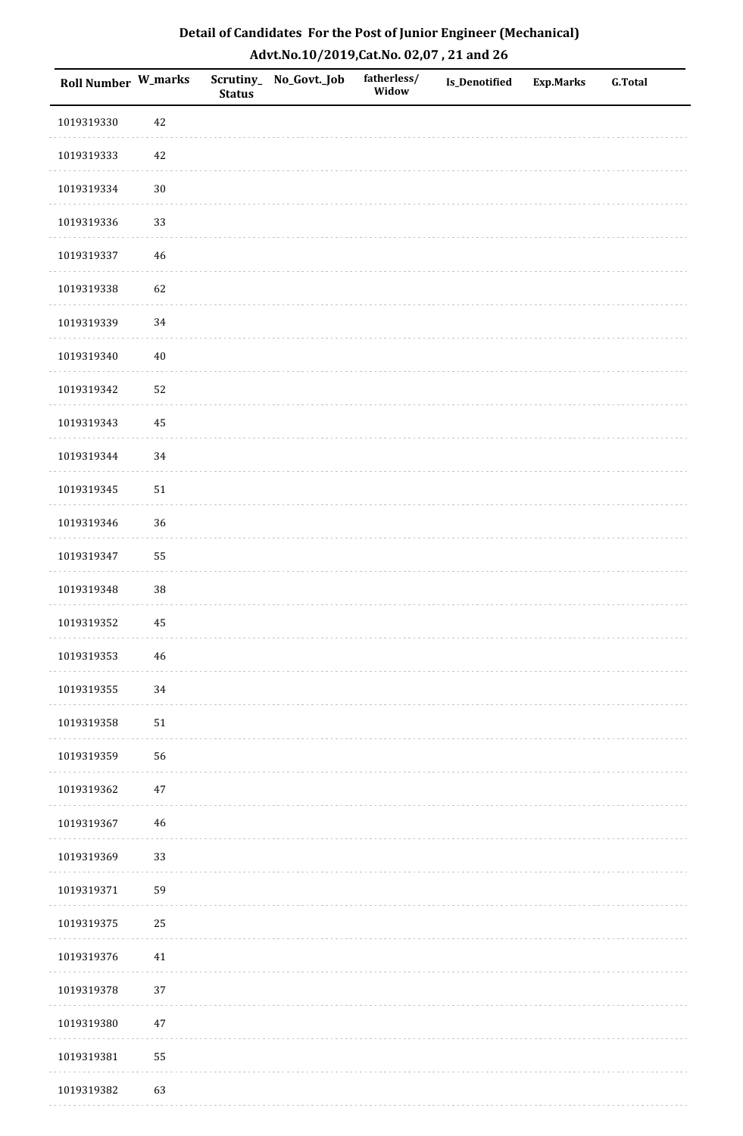| Detail of Candidates For the Post of Junior Engineer (Mechanical) |
|-------------------------------------------------------------------|
| Advt.No.10/2019,Cat.No. 02,07, 21 and 26                          |

| Roll Number W_marks |             | <b>Status</b> | Scrutiny_ No_Govt._Job | fatherless/<br>Widow | <b>Is_Denotified</b> | <b>Exp.Marks</b> | <b>G.Total</b> |
|---------------------|-------------|---------------|------------------------|----------------------|----------------------|------------------|----------------|
| 1019319330          | $42\,$      |               |                        |                      |                      |                  |                |
| 1019319333          | $42\,$      |               |                        |                      |                      |                  |                |
| 1019319334          | $30\,$      |               |                        |                      |                      |                  |                |
| 1019319336          | 33          |               |                        |                      |                      |                  |                |
| 1019319337          | $46\,$      |               |                        |                      |                      |                  |                |
| 1019319338          | 62          |               |                        |                      |                      |                  |                |
| 1019319339          | 34          |               |                        |                      |                      |                  |                |
| 1019319340          | $40\,$      |               |                        |                      |                      |                  |                |
| 1019319342          | 52          |               |                        |                      |                      |                  |                |
| 1019319343          | 45          |               |                        |                      |                      |                  |                |
| 1019319344          | 34          |               |                        |                      |                      |                  |                |
| 1019319345          | $51\,$      |               |                        |                      |                      |                  |                |
| 1019319346          | 36          |               |                        |                      |                      |                  |                |
| 1019319347          | 55          |               |                        |                      |                      |                  |                |
| 1019319348          | 38          |               |                        |                      |                      |                  |                |
| 1019319352          | 45          |               |                        |                      |                      |                  |                |
| 1019319353          | $\sqrt{46}$ |               |                        |                      |                      |                  |                |
| 1019319355          | 34          |               |                        |                      |                      |                  |                |
| 1019319358          | $51\,$      |               |                        |                      |                      |                  |                |
| 1019319359          | 56          |               |                        |                      |                      |                  |                |
| 1019319362          | $47\,$      |               |                        |                      |                      |                  |                |
| 1019319367          | 46          |               |                        |                      |                      |                  |                |
| 1019319369          | 33          |               |                        |                      |                      |                  |                |
| 1019319371          | 59          |               |                        |                      |                      |                  |                |
| 1019319375          | 25          |               |                        |                      |                      |                  |                |
| 1019319376          | 41          |               |                        |                      |                      |                  |                |
| 1019319378          | 37          |               |                        |                      |                      |                  |                |
| 1019319380          | $47\,$      |               |                        |                      |                      |                  |                |
| 1019319381          | 55          |               |                        |                      |                      |                  |                |
| 1019319382          | 63          |               |                        |                      |                      |                  |                |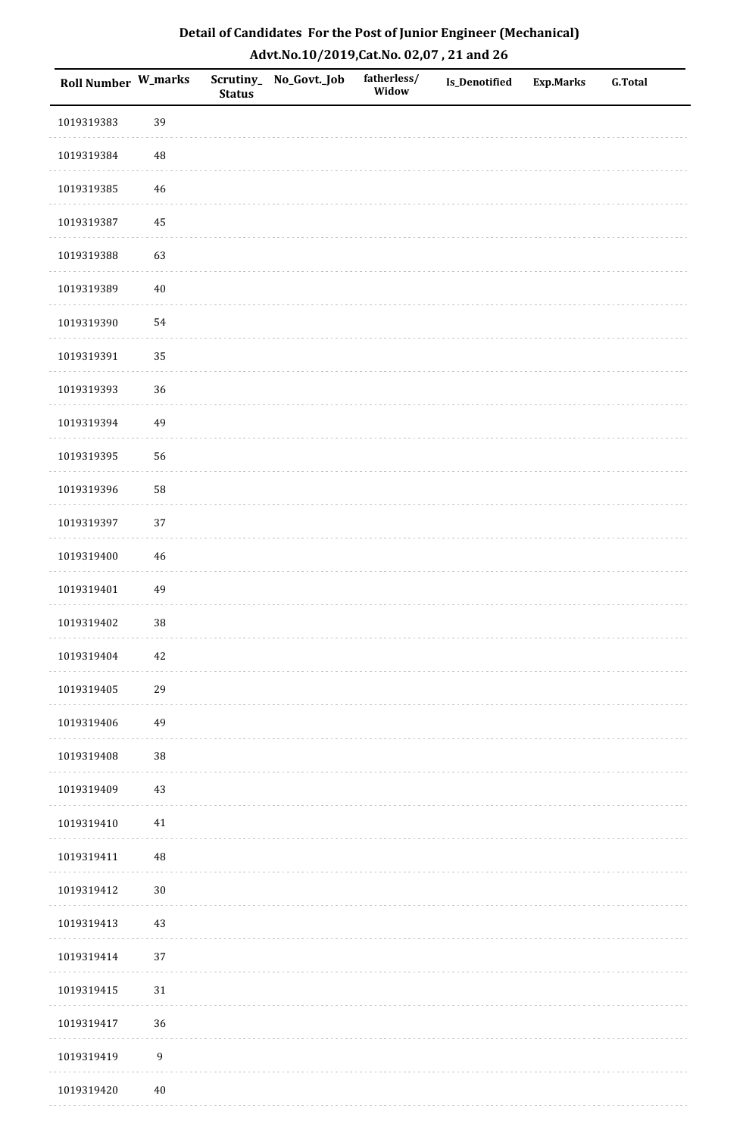| Detail of Candidates For the Post of Junior Engineer (Mechanical) |
|-------------------------------------------------------------------|
| Advt.No.10/2019,Cat.No. 02,07, 21 and 26                          |

| Roll Number W_marks |                  | <b>Status</b> | Scrutiny_ No_Govt._Job | fatherless/<br>Widow | <b>Is_Denotified</b> | <b>Exp.Marks</b> | <b>G.Total</b> |
|---------------------|------------------|---------------|------------------------|----------------------|----------------------|------------------|----------------|
| 1019319383          | 39               |               |                        |                      |                      |                  |                |
| 1019319384          | $\rm 48$         |               |                        |                      |                      |                  |                |
| 1019319385          | 46               |               |                        |                      |                      |                  |                |
| 1019319387          | 45               |               |                        |                      |                      |                  |                |
| 1019319388          | 63               |               |                        |                      |                      |                  |                |
| 1019319389          | $40\,$           |               |                        |                      |                      |                  |                |
| 1019319390          | 54               |               |                        |                      |                      |                  |                |
| 1019319391          | 35               |               |                        |                      |                      |                  |                |
| 1019319393          | 36               |               |                        |                      |                      |                  |                |
| 1019319394          | 49               |               |                        |                      |                      |                  |                |
| 1019319395          | 56               |               |                        |                      |                      |                  |                |
| 1019319396          | 58               |               |                        |                      |                      |                  |                |
| 1019319397          | 37               |               |                        |                      |                      |                  |                |
| 1019319400          | $\sqrt{46}$      |               |                        |                      |                      |                  |                |
| 1019319401          | 49               |               |                        |                      |                      |                  |                |
| 1019319402          | $38\,$           |               |                        |                      |                      |                  |                |
| 1019319404          | $42\,$           |               |                        |                      |                      |                  |                |
| 1019319405          | 29               |               |                        |                      |                      |                  |                |
| 1019319406          | 49               |               |                        |                      |                      |                  |                |
| 1019319408          | 38               |               |                        |                      |                      |                  |                |
| 1019319409          | 43               |               |                        |                      |                      |                  |                |
| 1019319410          | 41               |               |                        |                      |                      |                  |                |
| 1019319411          | $\rm 48$         |               |                        |                      |                      |                  |                |
| 1019319412          | $30\,$           |               |                        |                      |                      |                  |                |
| 1019319413          | $43\,$           |               |                        |                      |                      |                  |                |
| 1019319414          | $37\,$           |               |                        |                      |                      |                  |                |
| 1019319415          | 31               |               |                        |                      |                      |                  |                |
| 1019319417          | 36               |               |                        |                      |                      |                  |                |
| 1019319419          | $\boldsymbol{9}$ |               |                        |                      |                      |                  |                |
| 1019319420          | $40\,$           |               |                        |                      |                      |                  |                |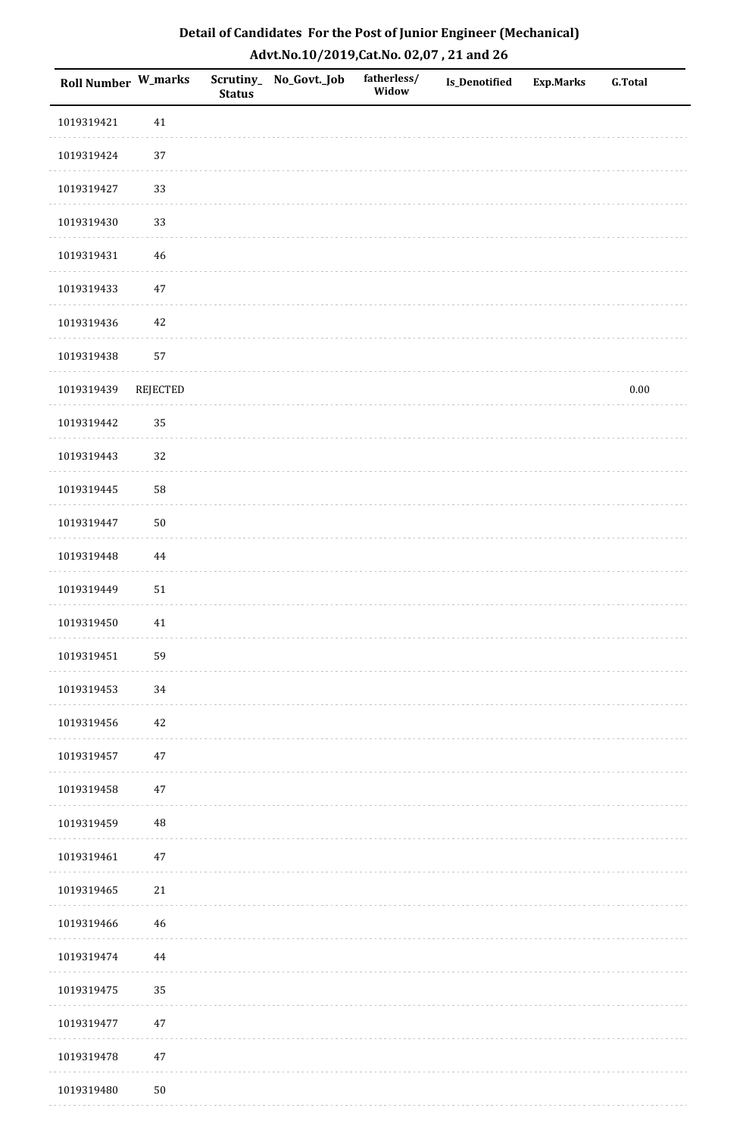| <b>Roll Number W_marks</b> |                 | <b>Status</b> | Scrutiny_ No_Govt._Job | fatherless/<br>Widow | Is_Denotified | <b>Exp.Marks</b> | <b>G.Total</b> |
|----------------------------|-----------------|---------------|------------------------|----------------------|---------------|------------------|----------------|
| 1019319421                 | 41              |               |                        |                      |               |                  |                |
| 1019319424                 | 37              |               |                        |                      |               |                  |                |
| 1019319427                 | 33              |               |                        |                      |               |                  |                |
| 1019319430                 | 33              |               |                        |                      |               |                  |                |
| 1019319431                 | $\sqrt{46}$     |               |                        |                      |               |                  |                |
| 1019319433                 | $47\,$          |               |                        |                      |               |                  |                |
| 1019319436                 | 42              |               |                        |                      |               |                  |                |
| 1019319438                 | 57              |               |                        |                      |               |                  |                |
| 1019319439                 | <b>REJECTED</b> |               |                        |                      |               |                  | $0.00\,$       |
| 1019319442                 | 35              |               |                        |                      |               |                  |                |
| 1019319443                 | 32              |               |                        |                      |               |                  |                |
| 1019319445                 | 58              |               |                        |                      |               |                  |                |
| 1019319447                 | $50\,$          |               |                        |                      |               |                  |                |
| 1019319448                 | 44              |               |                        |                      |               |                  |                |
| 1019319449                 | $51\,$          |               |                        |                      |               |                  |                |
| 1019319450                 | $41\,$          |               |                        |                      |               |                  |                |
| 1019319451                 | 59              |               |                        |                      |               |                  |                |
| 1019319453                 | 34              |               |                        |                      |               |                  |                |
| 1019319456                 | 42              |               |                        |                      |               |                  |                |
| 1019319457                 | 47              |               |                        |                      |               |                  |                |
| 1019319458                 | 47              |               |                        |                      |               |                  |                |
| 1019319459                 | $\rm 48$        |               |                        |                      |               |                  |                |
| 1019319461                 | $47\,$          |               |                        |                      |               |                  |                |
| 1019319465                 | 21              |               |                        |                      |               |                  |                |
| 1019319466                 | 46              |               |                        |                      |               |                  |                |
| 1019319474                 | 44              |               |                        |                      |               |                  |                |
| 1019319475                 | 35              |               |                        |                      |               |                  |                |
| 1019319477                 | 47              |               |                        |                      |               |                  |                |
| 1019319478                 | $47\,$          |               |                        |                      |               |                  |                |
| 1019319480                 | 50              |               |                        |                      |               |                  |                |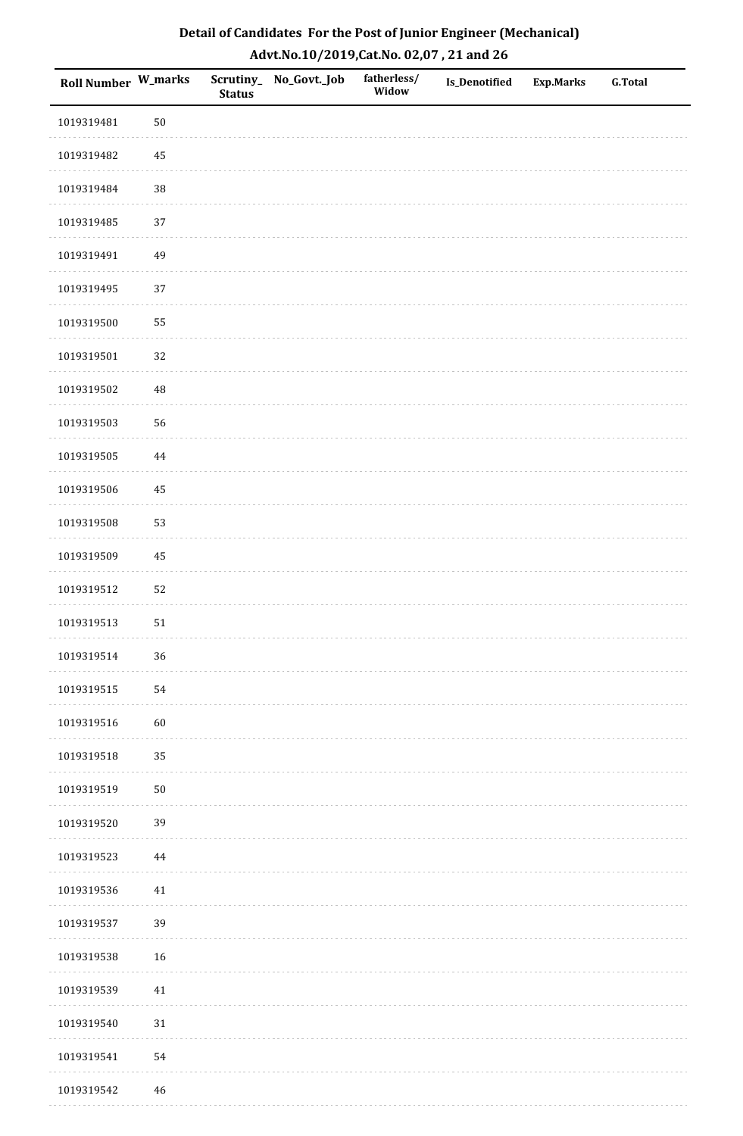| Detail of Candidates For the Post of Junior Engineer (Mechanical) |
|-------------------------------------------------------------------|
| Advt.No.10/2019,Cat.No. 02,07, 21 and 26                          |

| Roll Number W_marks |             | <b>Status</b> | Scrutiny_ No_Govt._Job | fatherless/<br>Widow | <b>Is_Denotified</b> | <b>Exp.Marks</b> | <b>G.Total</b> |
|---------------------|-------------|---------------|------------------------|----------------------|----------------------|------------------|----------------|
| 1019319481          | $50\,$      |               |                        |                      |                      |                  |                |
| 1019319482          | $\rm 45$    |               |                        |                      |                      |                  |                |
| 1019319484          | 38          |               |                        |                      |                      |                  |                |
| 1019319485          | 37          |               |                        |                      |                      |                  |                |
| 1019319491          | 49          |               |                        |                      |                      |                  |                |
| 1019319495          | 37          |               |                        |                      |                      |                  |                |
| 1019319500          | 55          |               |                        |                      |                      |                  |                |
| 1019319501          | 32          |               |                        |                      |                      |                  |                |
| 1019319502          | $\rm 48$    |               |                        |                      |                      |                  |                |
| 1019319503          | 56          |               |                        |                      |                      |                  |                |
| 1019319505          | $\bf 44$    |               |                        |                      |                      |                  |                |
| 1019319506          | 45          |               |                        |                      |                      |                  |                |
| 1019319508          | 53          |               |                        |                      |                      |                  |                |
| 1019319509          | 45          |               |                        |                      |                      |                  |                |
| 1019319512          | 52          |               |                        |                      |                      |                  |                |
| 1019319513          | 51          |               |                        |                      |                      |                  |                |
| 1019319514          | 36          |               |                        |                      |                      |                  |                |
| 1019319515          | 54          |               |                        |                      |                      |                  |                |
| 1019319516          | $60\,$      |               |                        |                      |                      |                  |                |
| 1019319518          | 35          |               |                        |                      |                      |                  |                |
| 1019319519          | $50\,$      |               |                        |                      |                      |                  |                |
| 1019319520          | 39          |               |                        |                      |                      |                  |                |
| 1019319523          | $\bf 44$    |               |                        |                      |                      |                  |                |
| 1019319536          | 41          |               |                        |                      |                      |                  |                |
| 1019319537          | 39          |               |                        |                      |                      |                  |                |
| 1019319538          | $16\,$      |               |                        |                      |                      |                  |                |
| 1019319539          | $41\,$      |               |                        |                      |                      |                  |                |
| 1019319540          | $31\,$      |               |                        |                      |                      |                  |                |
| 1019319541          | 54          |               |                        |                      |                      |                  |                |
| 1019319542          | $\sqrt{46}$ |               |                        |                      |                      |                  |                |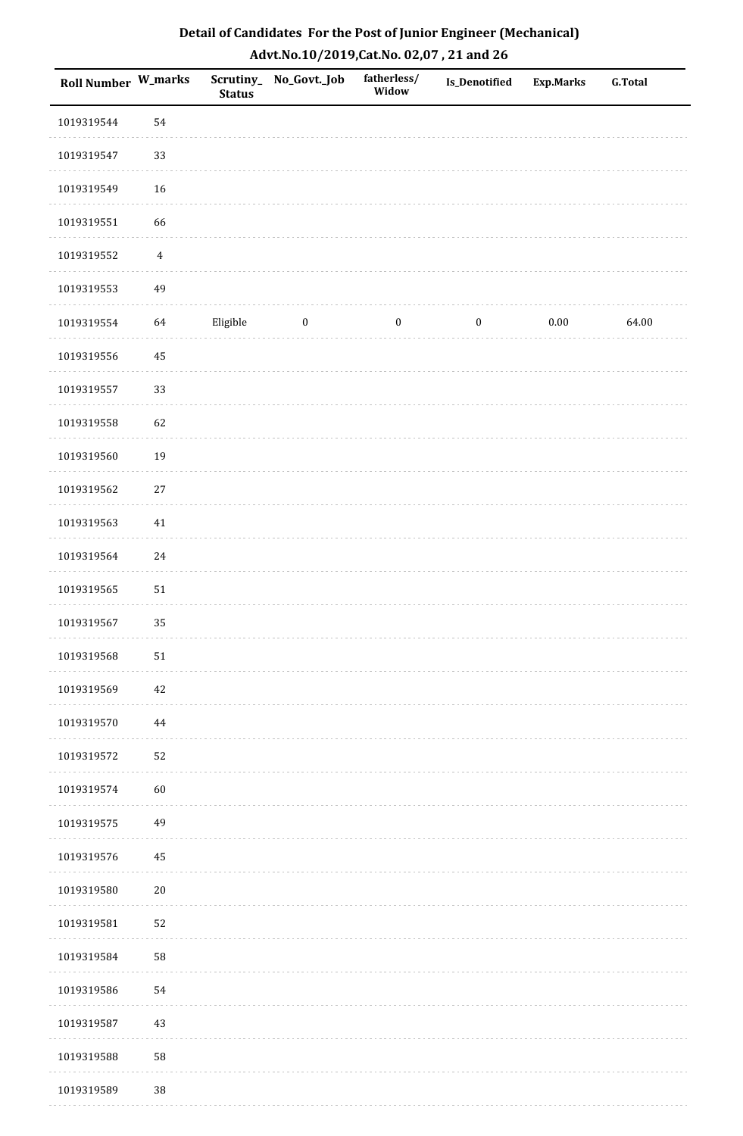| Roll Number W_marks |                | <b>Status</b> | Scrutiny_ No_Govt._Job | fatherless/<br>Widow | Is_Denotified    | <b>Exp.Marks</b> | <b>G.Total</b> |
|---------------------|----------------|---------------|------------------------|----------------------|------------------|------------------|----------------|
| 1019319544          | 54             |               |                        |                      |                  |                  |                |
| 1019319547          | 33             |               |                        |                      |                  |                  |                |
| 1019319549          | 16             |               |                        |                      |                  |                  |                |
| 1019319551          | 66             |               |                        |                      |                  |                  |                |
| 1019319552          | $\overline{4}$ |               |                        |                      |                  |                  |                |
| 1019319553          | 49             |               |                        |                      |                  |                  |                |
| 1019319554          | 64             | Eligible      | $\boldsymbol{0}$       | $\boldsymbol{0}$     | $\boldsymbol{0}$ | $0.00\,$         | 64.00          |
| 1019319556          | $\bf 45$       |               |                        |                      |                  |                  |                |
| 1019319557          | 33             |               |                        |                      |                  |                  |                |
| 1019319558          | 62             |               |                        |                      |                  |                  |                |
| 1019319560          | 19             |               |                        |                      |                  |                  |                |
| 1019319562          | 27             |               |                        |                      |                  |                  |                |
| 1019319563          | $41\,$         |               |                        |                      |                  |                  |                |
| 1019319564          | 24             |               |                        |                      |                  |                  |                |
| 1019319565          | ${\bf 51}$     |               |                        |                      |                  |                  |                |
| 1019319567          | 35             |               |                        |                      |                  |                  |                |
| 1019319568          | $51\,$         |               |                        |                      |                  |                  |                |
| 1019319569          | 42             |               |                        |                      |                  |                  |                |
| 1019319570          | 44             |               |                        |                      |                  |                  |                |
| 1019319572          | 52             |               |                        |                      |                  |                  |                |
| 1019319574          | 60             |               |                        |                      |                  |                  |                |
| 1019319575          | 49             |               |                        |                      |                  |                  |                |
| 1019319576          | 45             |               |                        |                      |                  |                  |                |
| 1019319580          | $20\,$         |               |                        |                      |                  |                  |                |
| 1019319581          | 52             |               |                        |                      |                  |                  |                |
| 1019319584          | 58             |               |                        |                      |                  |                  |                |
| 1019319586          | 54             |               |                        |                      |                  |                  |                |
| 1019319587          | 43             |               |                        |                      |                  |                  |                |
| 1019319588          | 58             |               |                        |                      |                  |                  |                |
| 1019319589          | 38             |               |                        |                      |                  |                  |                |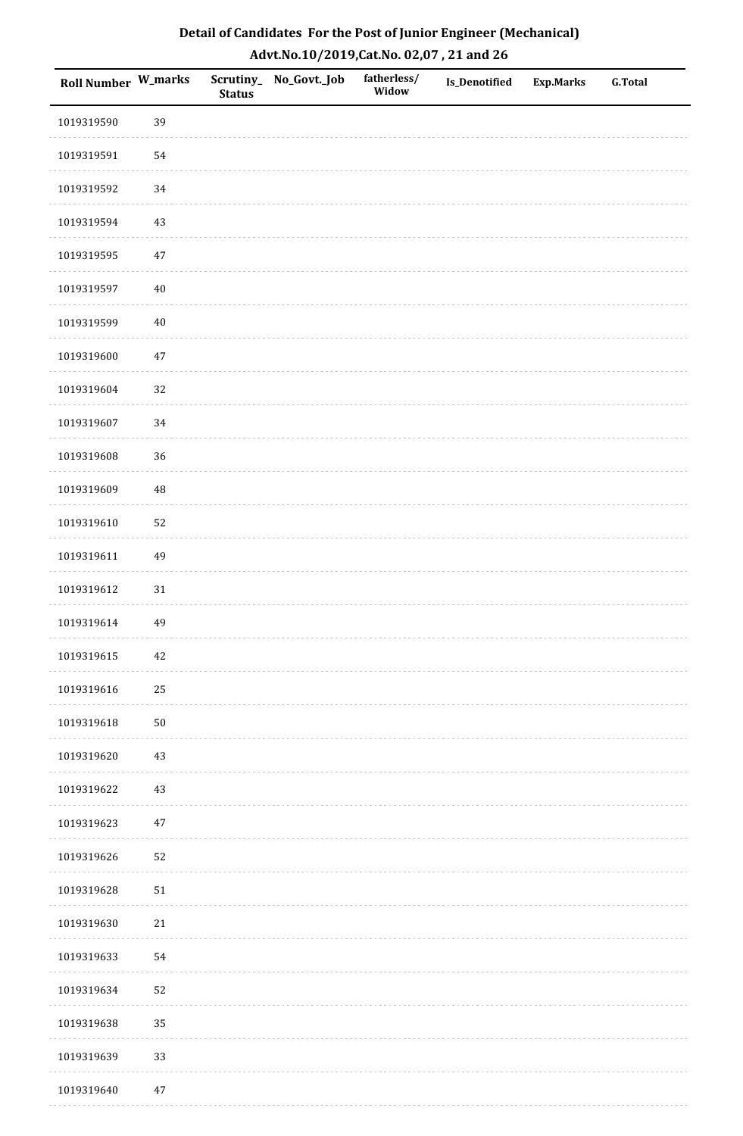| Detail of Candidates For the Post of Junior Engineer (Mechanical) |
|-------------------------------------------------------------------|
| Advt.No.10/2019,Cat.No. 02,07, 21 and 26                          |

| Roll Number W_marks |          | <b>Status</b> | Scrutiny_ No_Govt._Job | fatherless/<br>Widow | Is_Denotified | <b>Exp.Marks</b> | <b>G.Total</b> |
|---------------------|----------|---------------|------------------------|----------------------|---------------|------------------|----------------|
| 1019319590          | 39       |               |                        |                      |               |                  |                |
| 1019319591          | 54       |               |                        |                      |               |                  |                |
| 1019319592          | 34       |               |                        |                      |               |                  |                |
| 1019319594          | 43       |               |                        |                      |               |                  |                |
| 1019319595          | $47\,$   |               |                        |                      |               |                  |                |
| 1019319597          | $40\,$   |               |                        |                      |               |                  |                |
| 1019319599          | $40\,$   |               |                        |                      |               |                  |                |
| 1019319600          | $47\,$   |               |                        |                      |               |                  |                |
| 1019319604          | 32       |               |                        |                      |               |                  |                |
| 1019319607          | 34       |               |                        |                      |               |                  |                |
| 1019319608          | 36       |               |                        |                      |               |                  |                |
| 1019319609          | $\rm 48$ |               |                        |                      |               |                  |                |
| 1019319610          | 52       |               |                        |                      |               |                  |                |
| 1019319611          | 49       |               |                        |                      |               |                  |                |
| 1019319612          | $31\,$   |               |                        |                      |               |                  |                |
| 1019319614          | 49       |               |                        |                      |               |                  |                |
| 1019319615          | $42\,$   |               |                        |                      |               |                  |                |
| 1019319616          | 25       |               |                        |                      |               |                  |                |
| 1019319618          | $50\,$   |               |                        |                      |               |                  |                |
| 1019319620          | $43\,$   |               |                        |                      |               |                  |                |
| 1019319622          | 43       |               |                        |                      |               |                  |                |
| 1019319623          | $47\,$   |               |                        |                      |               |                  |                |
| 1019319626          | 52       |               |                        |                      |               |                  |                |
| 1019319628          | $51\,$   |               |                        |                      |               |                  |                |
| 1019319630          | $21\,$   |               |                        |                      |               |                  |                |
| 1019319633          | 54       |               |                        |                      |               |                  |                |
| 1019319634          | 52       |               |                        |                      |               |                  |                |
| 1019319638          | 35       |               |                        |                      |               |                  |                |
| 1019319639          | 33       |               |                        |                      |               |                  |                |
| 1019319640          | $47\,$   |               |                        |                      |               |                  |                |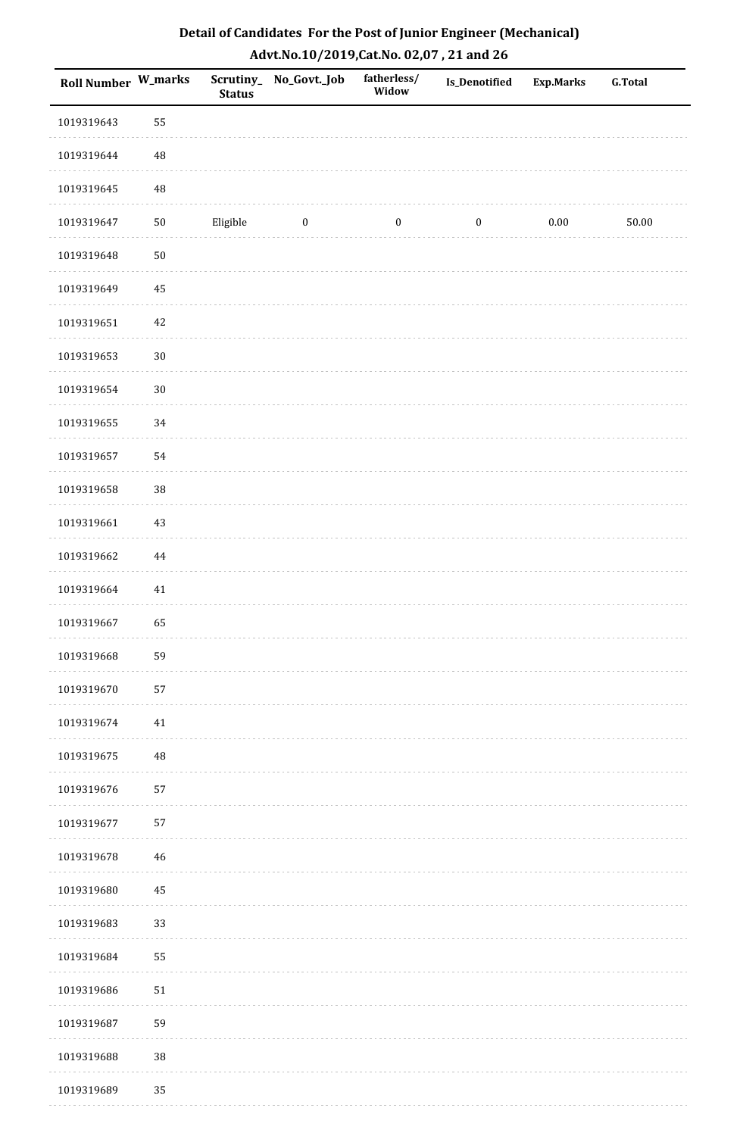| Detail of Candidates For the Post of Junior Engineer (Mechanical) |
|-------------------------------------------------------------------|
| Advt.No.10/2019, Cat.No. 02,07, 21 and 26                         |

| Roll Number W_marks |             | <b>Status</b> | Scrutiny_ No_Govt._Job | fatherless/<br>Widow | Is_Denotified    | <b>Exp.Marks</b> | <b>G.Total</b> |
|---------------------|-------------|---------------|------------------------|----------------------|------------------|------------------|----------------|
| 1019319643          | 55          |               |                        |                      |                  |                  |                |
| 1019319644          | $\rm 48$    |               |                        |                      |                  |                  |                |
| 1019319645          | $\rm 48$    |               |                        |                      |                  |                  |                |
| 1019319647          | $50\,$      | Eligible      | $\boldsymbol{0}$       | $\boldsymbol{0}$     | $\boldsymbol{0}$ | $0.00\,$         | $50.00\,$      |
| 1019319648          | $50\,$      |               |                        |                      |                  |                  |                |
| 1019319649          | 45          |               |                        |                      |                  |                  |                |
| 1019319651          | $42\,$      |               |                        |                      |                  |                  |                |
| 1019319653          | $30\,$      |               |                        |                      |                  |                  |                |
| 1019319654          | $30\,$      |               |                        |                      |                  |                  |                |
| 1019319655          | 34          |               |                        |                      |                  |                  |                |
| 1019319657          | 54          |               |                        |                      |                  |                  |                |
| 1019319658          | 38          |               |                        |                      |                  |                  |                |
| 1019319661          | 43          |               |                        |                      |                  |                  |                |
| 1019319662          | $\bf 44$    |               |                        |                      |                  |                  |                |
| 1019319664          | 41          |               |                        |                      |                  |                  |                |
| 1019319667          | 65          |               |                        |                      |                  |                  |                |
| 1019319668          | 59          |               |                        |                      |                  |                  |                |
| 1019319670          | 57          |               |                        |                      |                  |                  |                |
| 1019319674          | $41\,$      |               |                        |                      |                  |                  |                |
| 1019319675          | $\rm 48$    |               |                        |                      |                  |                  |                |
| 1019319676          | 57          |               |                        |                      |                  |                  |                |
| 1019319677          | 57          |               |                        |                      |                  |                  |                |
| 1019319678          | $\sqrt{46}$ |               |                        |                      |                  |                  |                |
| 1019319680          | 45          |               |                        |                      |                  |                  |                |
| 1019319683          | 33          |               |                        |                      |                  |                  |                |
| 1019319684          | 55          |               |                        |                      |                  |                  |                |
| 1019319686          | $51\,$      |               |                        |                      |                  |                  |                |
| 1019319687          | 59          |               |                        |                      |                  |                  |                |
| 1019319688          | 38          |               |                        |                      |                  |                  |                |
| 1019319689          | 35          |               |                        |                      |                  |                  |                |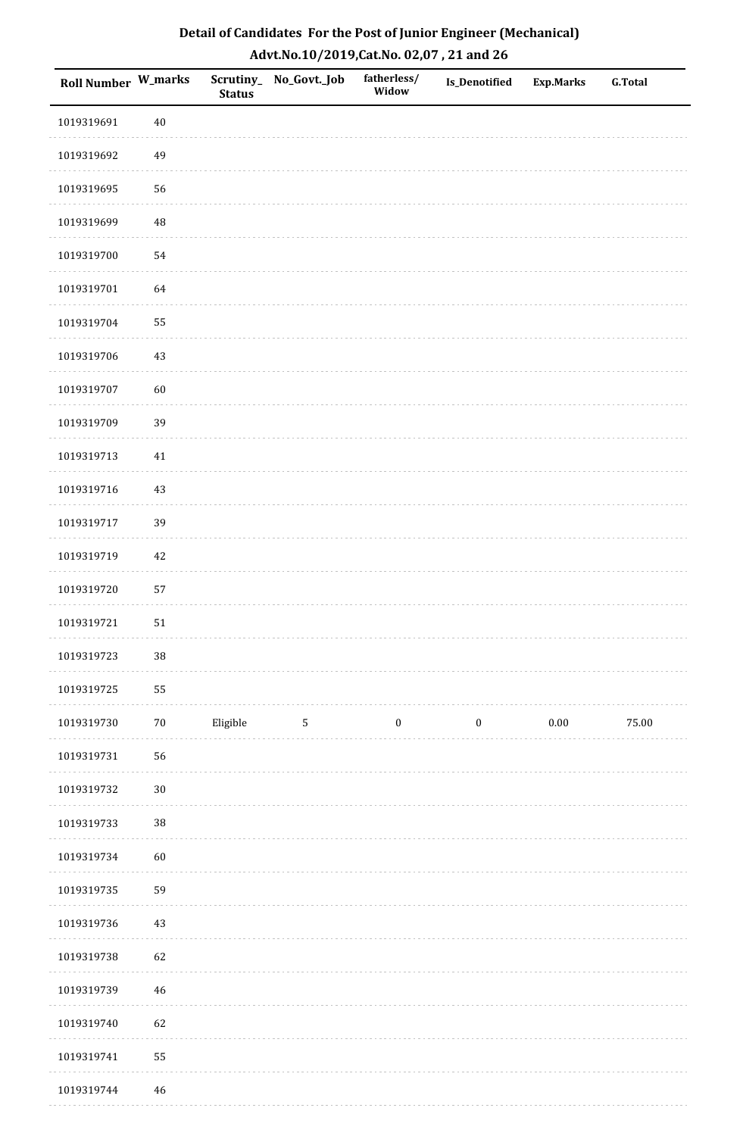| Roll Number W_marks |             | <b>Status</b> | Scrutiny_No_Govt._Job | fatherless/<br>Widow | Is_Denotified    | <b>Exp.Marks</b> | <b>G.Total</b> |
|---------------------|-------------|---------------|-----------------------|----------------------|------------------|------------------|----------------|
| 1019319691          | $40\,$      |               |                       |                      |                  |                  |                |
| 1019319692          | 49          |               |                       |                      |                  |                  |                |
| 1019319695          | 56          |               |                       |                      |                  |                  |                |
| 1019319699          | 48          |               |                       |                      |                  |                  |                |
| 1019319700          | 54          |               |                       |                      |                  |                  |                |
| 1019319701          | 64          |               |                       |                      |                  |                  |                |
| 1019319704          | 55          |               |                       |                      |                  |                  |                |
| 1019319706          | $43\,$      |               |                       |                      |                  |                  |                |
| 1019319707          | 60          |               |                       |                      |                  |                  |                |
| 1019319709          | 39          |               |                       |                      |                  |                  |                |
| 1019319713          | $41\,$      |               |                       |                      |                  |                  |                |
| 1019319716          | $43\,$      |               |                       |                      |                  |                  |                |
| 1019319717          | 39          |               |                       |                      |                  |                  |                |
| 1019319719          | 42          |               |                       |                      |                  |                  |                |
| 1019319720          | 57          |               |                       |                      |                  |                  |                |
| 1019319721          | ${\bf 51}$  |               |                       |                      |                  |                  |                |
| 1019319723          | $38\,$      |               |                       |                      |                  |                  |                |
| 1019319725          | 55          |               |                       |                      |                  |                  |                |
| 1019319730          | $70\,$      | Eligible      | $5\phantom{.0}$       | $\boldsymbol{0}$     | $\boldsymbol{0}$ | $0.00\,$         | 75.00          |
| 1019319731          | 56          |               |                       |                      |                  |                  |                |
| 1019319732          | $30\,$      |               |                       |                      |                  |                  |                |
| 1019319733          | $38\,$      |               |                       |                      |                  |                  |                |
| 1019319734          | 60          |               |                       |                      |                  |                  |                |
| 1019319735          | 59          |               |                       |                      |                  |                  |                |
| 1019319736          | 43          |               |                       |                      |                  |                  |                |
| 1019319738          | 62          |               |                       |                      |                  |                  |                |
| 1019319739          | $\sqrt{46}$ |               |                       |                      |                  |                  |                |
| 1019319740          | 62          |               |                       |                      |                  |                  |                |
| 1019319741          | 55          |               |                       |                      |                  |                  |                |
| 1019319744          | $\sqrt{46}$ |               |                       |                      |                  |                  |                |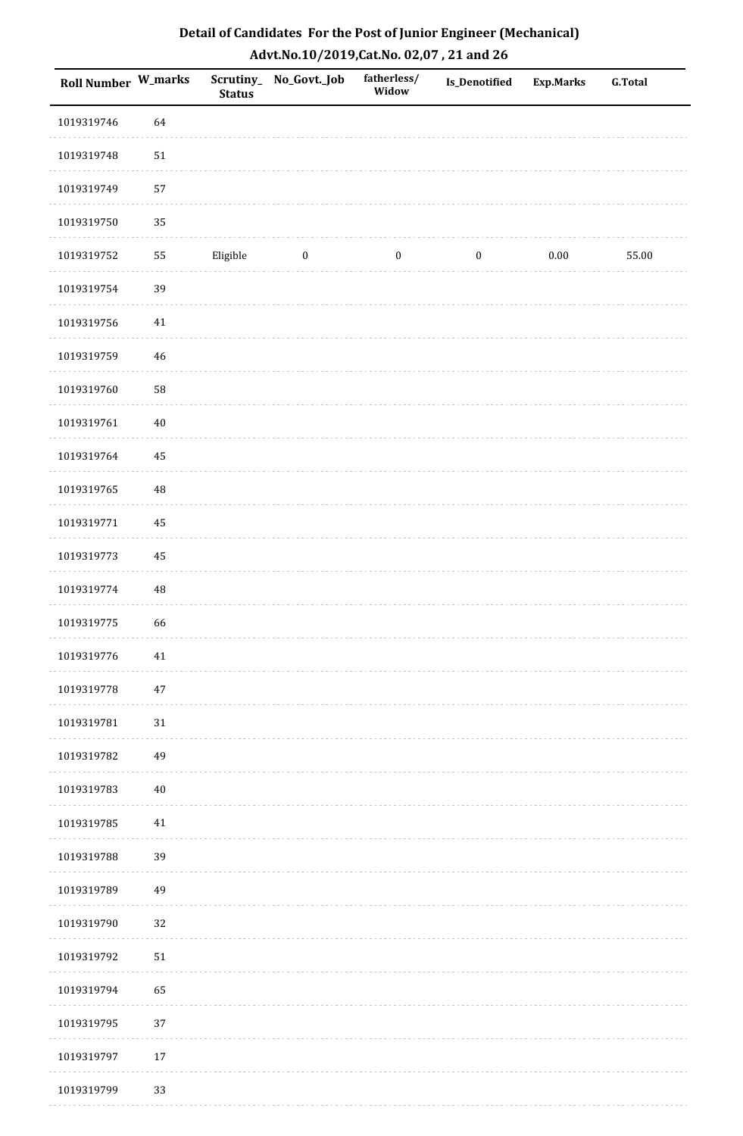| Detail of Candidates For the Post of Junior Engineer (Mechanical) |
|-------------------------------------------------------------------|
| Advt.No.10/2019, Cat.No. 02,07, 21 and 26                         |

| Roll Number W_marks |          | <b>Status</b> | Scrutiny_No_Govt._Job | fatherless/<br>Widow | <b>Is_Denotified</b> | <b>Exp.Marks</b> | <b>G.Total</b> |
|---------------------|----------|---------------|-----------------------|----------------------|----------------------|------------------|----------------|
| 1019319746          | 64       |               |                       |                      |                      |                  |                |
| 1019319748          | $51\,$   |               |                       |                      |                      |                  |                |
| 1019319749          | 57       |               |                       |                      |                      |                  |                |
| 1019319750          | 35       |               |                       |                      |                      |                  |                |
| 1019319752          | 55       | Eligible      | $\boldsymbol{0}$      | $\boldsymbol{0}$     | $\boldsymbol{0}$     | $0.00\,$         | 55.00          |
| 1019319754          | 39       |               |                       |                      |                      |                  |                |
| 1019319756          | $41\,$   |               |                       |                      |                      |                  |                |
| 1019319759          | 46       |               |                       |                      |                      |                  |                |
| 1019319760          | 58       |               |                       |                      |                      |                  |                |
| 1019319761          | $40\,$   |               |                       |                      |                      |                  |                |
| 1019319764          | 45       |               |                       |                      |                      |                  |                |
| 1019319765          | $\rm 48$ |               |                       |                      |                      |                  |                |
| 1019319771          | 45       |               |                       |                      |                      |                  |                |
| 1019319773          | 45       |               |                       |                      |                      |                  |                |
| 1019319774          | $\rm 48$ |               |                       |                      |                      |                  |                |
| 1019319775          | 66       |               |                       |                      |                      |                  |                |
| 1019319776          | $41\,$   |               |                       |                      |                      |                  |                |
| 1019319778          | 47       |               |                       |                      |                      |                  |                |
| 1019319781          | 31       |               |                       |                      |                      |                  |                |
| 1019319782          | 49       |               |                       |                      |                      |                  |                |
| 1019319783          | $40\,$   |               |                       |                      |                      |                  |                |
| 1019319785          | 41       |               |                       |                      |                      |                  |                |
| 1019319788          | 39       |               |                       |                      |                      |                  |                |
| 1019319789          | 49       |               |                       |                      |                      |                  |                |
| 1019319790          | 32       |               |                       |                      |                      |                  |                |
| 1019319792          | $51\,$   |               |                       |                      |                      |                  |                |
| 1019319794          | 65       |               |                       |                      |                      |                  |                |
| 1019319795          | 37       |               |                       |                      |                      |                  |                |
| 1019319797          | $17\,$   |               |                       |                      |                      |                  |                |
| 1019319799          | 33       |               |                       |                      |                      |                  |                |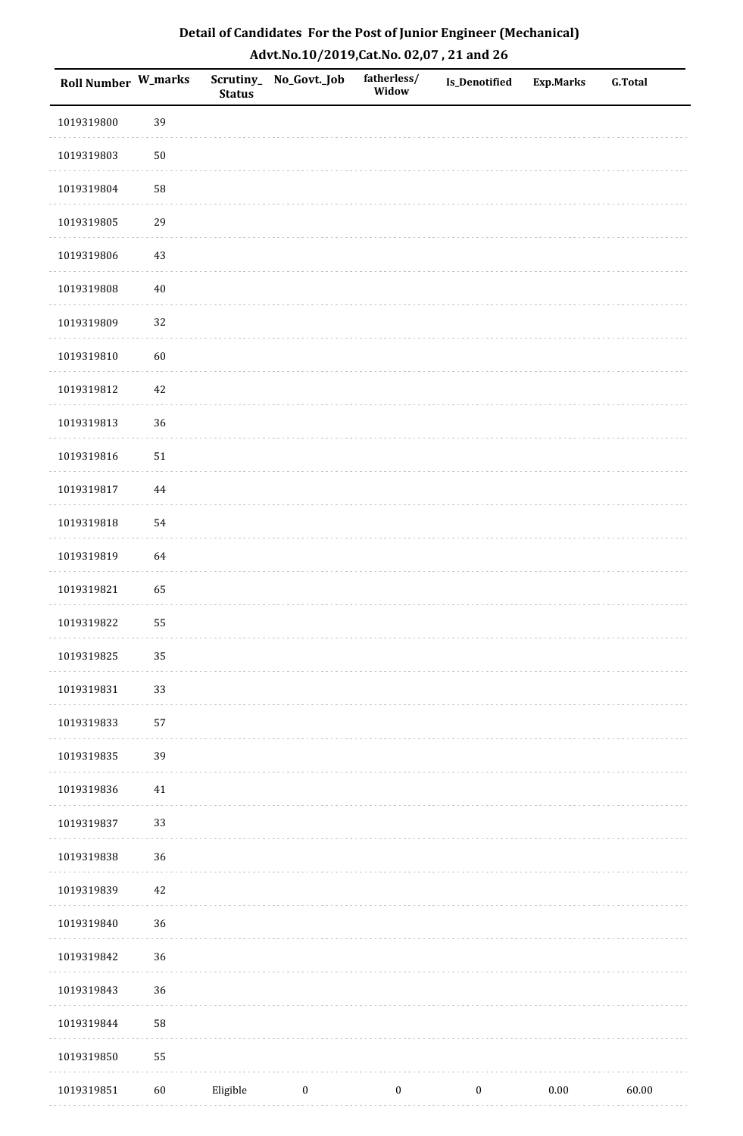| Roll Number W_marks |        | <b>Status</b> | Scrutiny_No_Govt._Job | fatherless/<br>Widow | Is_Denotified    | <b>Exp.Marks</b> | <b>G.Total</b> |
|---------------------|--------|---------------|-----------------------|----------------------|------------------|------------------|----------------|
| 1019319800          | 39     |               |                       |                      |                  |                  |                |
| 1019319803          | $50\,$ |               |                       |                      |                  |                  |                |
| 1019319804          | 58     |               |                       |                      |                  |                  |                |
| 1019319805          | 29     |               |                       |                      |                  |                  |                |
| 1019319806          | 43     |               |                       |                      |                  |                  |                |
| 1019319808          | $40\,$ |               |                       |                      |                  |                  |                |
| 1019319809          | 32     |               |                       |                      |                  |                  |                |
| 1019319810          | 60     |               |                       |                      |                  |                  |                |
| 1019319812          | $42\,$ |               |                       |                      |                  |                  |                |
| 1019319813          | 36     |               |                       |                      |                  |                  |                |
| 1019319816          | $51\,$ |               |                       |                      |                  |                  |                |
| 1019319817          | 44     |               |                       |                      |                  |                  |                |
| 1019319818          | 54     |               |                       |                      |                  |                  |                |
| 1019319819          | 64     |               |                       |                      |                  |                  |                |
| 1019319821          | 65     |               |                       |                      |                  |                  |                |
| 1019319822          | 55     |               |                       |                      |                  |                  |                |
| 1019319825          | 35     |               |                       |                      |                  |                  |                |
| 1019319831          | 33     |               |                       |                      |                  |                  |                |
| 1019319833          | 57     |               |                       |                      |                  |                  |                |
| 1019319835          | 39     |               |                       |                      |                  |                  |                |
| 1019319836          | $41\,$ |               |                       |                      |                  |                  |                |
| 1019319837          | 33     |               |                       |                      |                  |                  |                |
| 1019319838          | 36     |               |                       |                      |                  |                  |                |
| 1019319839          | $42\,$ |               |                       |                      |                  |                  |                |
| 1019319840          | 36     |               |                       |                      |                  |                  |                |
| 1019319842          | 36     |               |                       |                      |                  |                  |                |
| 1019319843          | 36     |               |                       |                      |                  |                  |                |
| 1019319844          | 58     |               |                       |                      |                  |                  |                |
| 1019319850          | 55     |               |                       |                      |                  |                  |                |
| 1019319851          | $60\,$ | Eligible      | $\boldsymbol{0}$      | $\boldsymbol{0}$     | $\boldsymbol{0}$ | $0.00\,$         | 60.00          |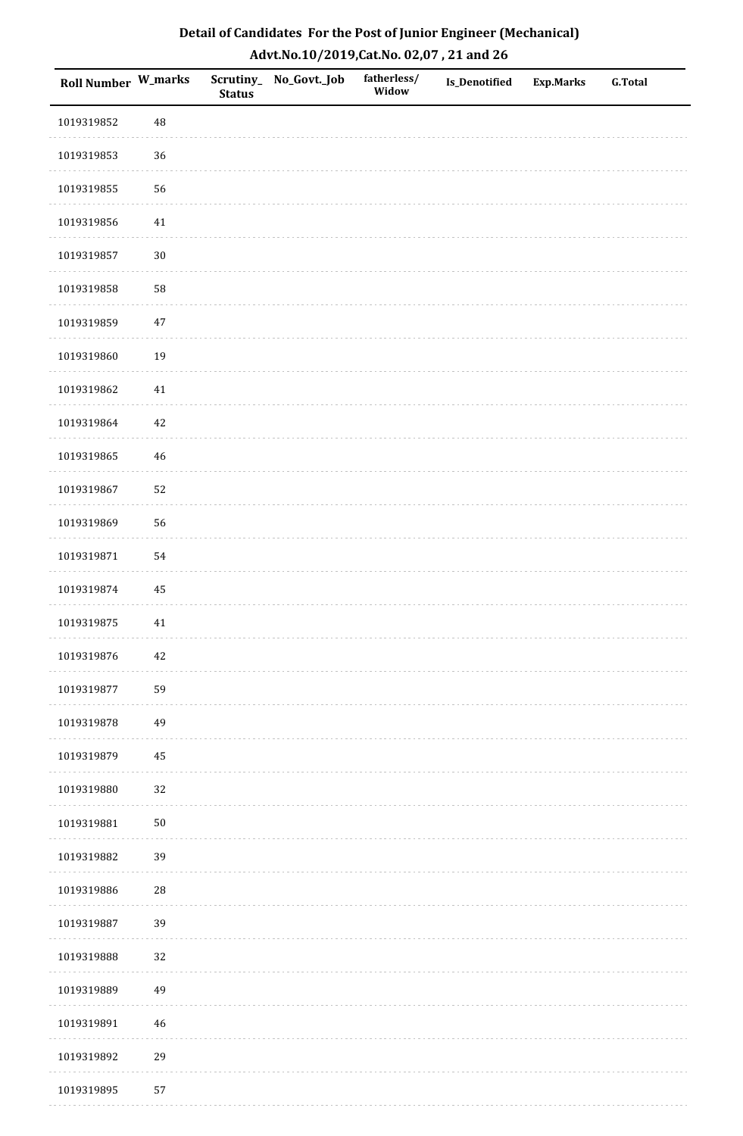| Detail of Candidates For the Post of Junior Engineer (Mechanical) |
|-------------------------------------------------------------------|
| Advt.No.10/2019,Cat.No. 02,07, 21 and 26                          |

| Roll Number W_marks |             | <b>Status</b> | Scrutiny_ No_Govt._Job | fatherless/<br>Widow | Is_Denotified | <b>Exp.Marks</b> | <b>G.Total</b> |
|---------------------|-------------|---------------|------------------------|----------------------|---------------|------------------|----------------|
| 1019319852          | 48          |               |                        |                      |               |                  |                |
| 1019319853          | 36          |               |                        |                      |               |                  |                |
| 1019319855          | 56          |               |                        |                      |               |                  |                |
| 1019319856          | 41          |               |                        |                      |               |                  |                |
| 1019319857          | $30\,$      |               |                        |                      |               |                  |                |
| 1019319858          | 58          |               |                        |                      |               |                  |                |
| 1019319859          | $47\,$      |               |                        |                      |               |                  |                |
| 1019319860          | 19          |               |                        |                      |               |                  |                |
| 1019319862          | $41\,$      |               |                        |                      |               |                  |                |
| 1019319864          | 42          |               |                        |                      |               |                  |                |
| 1019319865          | $\sqrt{46}$ |               |                        |                      |               |                  |                |
| 1019319867          | 52          |               |                        |                      |               |                  |                |
| 1019319869          | 56          |               |                        |                      |               |                  |                |
| 1019319871          | 54          |               |                        |                      |               |                  |                |
| 1019319874          | 45          |               |                        |                      |               |                  |                |
| 1019319875          | $41\,$      |               |                        |                      |               |                  |                |
| 1019319876          | $42\,$      |               |                        |                      |               |                  |                |
| 1019319877          | 59          |               |                        |                      |               |                  |                |
| 1019319878          | 49          |               |                        |                      |               |                  |                |
| 1019319879          | 45          |               |                        |                      |               |                  |                |
| 1019319880          | 32          |               |                        |                      |               |                  |                |
| 1019319881          | $50\,$      |               |                        |                      |               |                  |                |
| 1019319882          | 39          |               |                        |                      |               |                  |                |
| 1019319886          | $28\,$      |               |                        |                      |               |                  |                |
| 1019319887          | 39          |               |                        |                      |               |                  |                |
| 1019319888          | 32          |               |                        |                      |               |                  |                |
| 1019319889          | 49          |               |                        |                      |               |                  |                |
| 1019319891          | $\sqrt{46}$ |               |                        |                      |               |                  |                |
| 1019319892          | 29          |               |                        |                      |               |                  |                |
| 1019319895          | 57          |               |                        |                      |               |                  |                |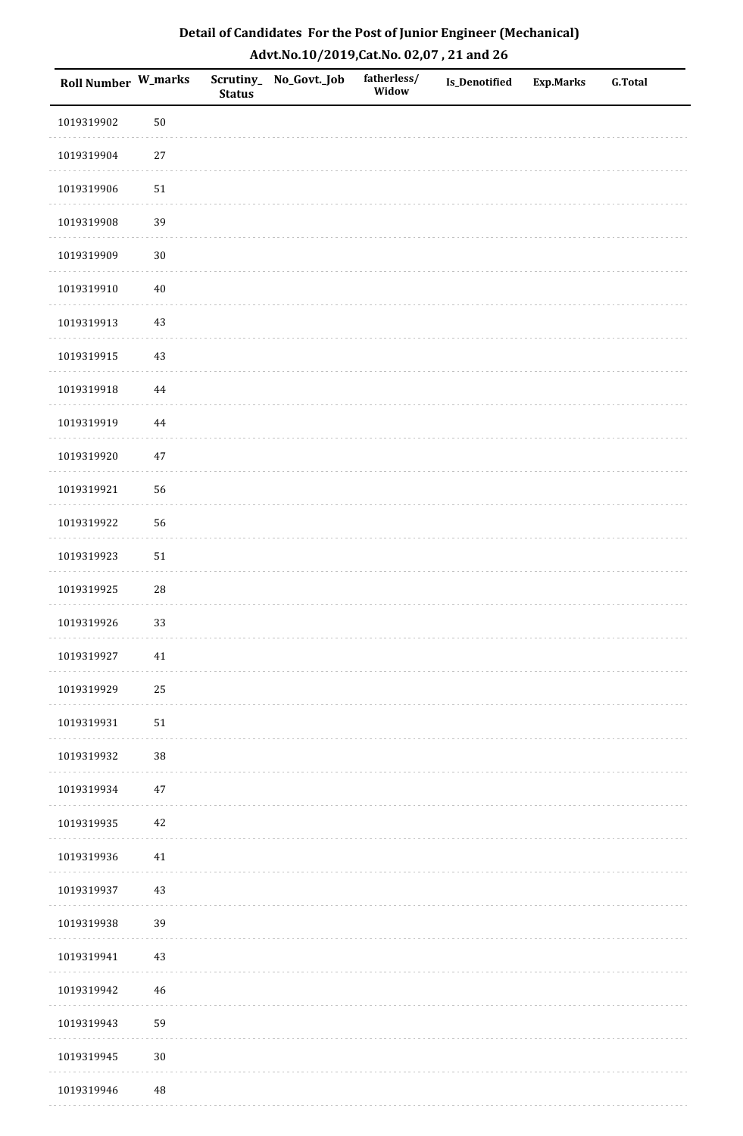| Detail of Candidates For the Post of Junior Engineer (Mechanical) |
|-------------------------------------------------------------------|
| Advt.No.10/2019,Cat.No. 02,07, 21 and 26                          |

| Roll Number W_marks |            | <b>Status</b> | Scrutiny_ No_Govt._Job | fatherless/<br>Widow | Is_Denotified | <b>Exp.Marks</b> | <b>G.Total</b> |
|---------------------|------------|---------------|------------------------|----------------------|---------------|------------------|----------------|
| 1019319902          | $50\,$     |               |                        |                      |               |                  |                |
| 1019319904          | $27\,$     |               |                        |                      |               |                  |                |
| 1019319906          | 51         |               |                        |                      |               |                  |                |
| 1019319908          | 39         |               |                        |                      |               |                  |                |
| 1019319909          | $30\,$     |               |                        |                      |               |                  |                |
| 1019319910          | $40\,$     |               |                        |                      |               |                  |                |
| 1019319913          | $43\,$     |               |                        |                      |               |                  |                |
| 1019319915          | $43\,$     |               |                        |                      |               |                  |                |
| 1019319918          | $\bf 44$   |               |                        |                      |               |                  |                |
| 1019319919          | $\bf 44$   |               |                        |                      |               |                  |                |
| 1019319920          | $47\,$     |               |                        |                      |               |                  |                |
| 1019319921          | 56         |               |                        |                      |               |                  |                |
| 1019319922          | 56         |               |                        |                      |               |                  |                |
| 1019319923          | ${\bf 51}$ |               |                        |                      |               |                  |                |
| 1019319925          | 28         |               |                        |                      |               |                  |                |
| 1019319926          | 33         |               |                        |                      |               |                  |                |
| 1019319927          | $41\,$     |               |                        |                      |               |                  |                |
| 1019319929          | 25         |               |                        |                      |               |                  |                |
| 1019319931          | $51\,$     |               |                        |                      |               |                  |                |
| 1019319932          | $38\,$     |               |                        |                      |               |                  |                |
| 1019319934          | $47\,$     |               |                        |                      |               |                  |                |
| 1019319935          | 42         |               |                        |                      |               |                  |                |
| 1019319936          | $41\,$     |               |                        |                      |               |                  |                |
| 1019319937          | $43\,$     |               |                        |                      |               |                  |                |
| 1019319938          | 39         |               |                        |                      |               |                  |                |
| 1019319941          | $43\,$     |               |                        |                      |               |                  |                |
| 1019319942          | $46\,$     |               |                        |                      |               |                  |                |
| 1019319943          | 59         |               |                        |                      |               |                  |                |
| 1019319945          | $30\,$     |               |                        |                      |               |                  |                |
| 1019319946          | $\rm 48$   |               |                        |                      |               |                  |                |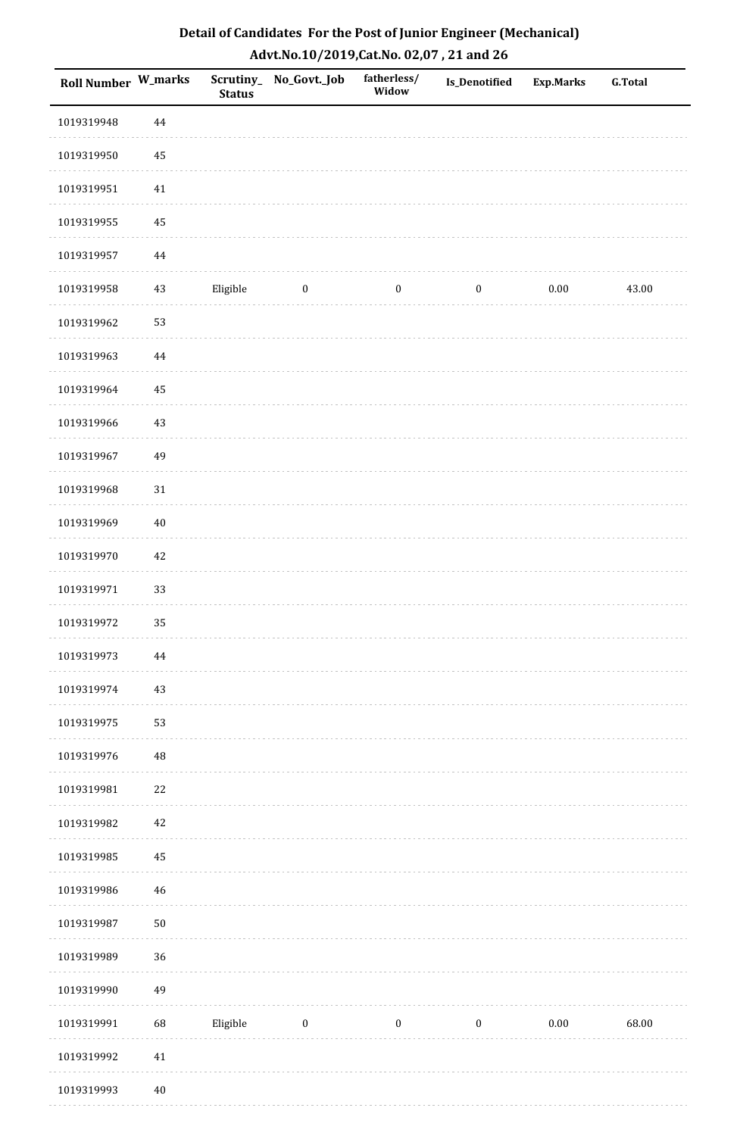| Detail of Candidates For the Post of Junior Engineer (Mechanical) |
|-------------------------------------------------------------------|
| Advt.No.10/2019, Cat.No. 02,07, 21 and 26                         |

| <b>Roll Number W_marks</b> |          | <b>Status</b> | Scrutiny_ No_Govt._Job | fatherless/<br>Widow | Is_Denotified    | <b>Exp.Marks</b> | <b>G.Total</b> |
|----------------------------|----------|---------------|------------------------|----------------------|------------------|------------------|----------------|
| 1019319948                 | 44       |               |                        |                      |                  |                  |                |
| 1019319950                 | $\bf 45$ |               |                        |                      |                  |                  |                |
| 1019319951                 | 41       |               |                        |                      |                  |                  |                |
| 1019319955                 | 45       |               |                        |                      |                  |                  |                |
| 1019319957                 | 44       |               |                        |                      |                  |                  |                |
| 1019319958                 | 43       | Eligible      | $\boldsymbol{0}$       | $\boldsymbol{0}$     | $\boldsymbol{0}$ | $0.00\,$         | 43.00          |
| 1019319962                 | 53       |               |                        |                      |                  |                  |                |
| 1019319963                 | 44       |               |                        |                      |                  |                  |                |
| 1019319964                 | 45       |               |                        |                      |                  |                  |                |
| 1019319966                 | $43\,$   |               |                        |                      |                  |                  |                |
| 1019319967                 | 49       |               |                        |                      |                  |                  |                |
| 1019319968                 | $31\,$   |               |                        |                      |                  |                  |                |
| 1019319969                 | $40\,$   |               |                        |                      |                  |                  |                |
| 1019319970                 | 42       |               |                        |                      |                  |                  |                |
| 1019319971                 | 33       |               |                        |                      |                  |                  |                |
| 1019319972                 | 35       |               |                        |                      |                  |                  |                |
| 1019319973                 | $\bf 44$ |               |                        |                      |                  |                  |                |
| 1019319974                 | $43\,$   |               |                        |                      |                  |                  |                |
| 1019319975                 | 53       |               |                        |                      |                  |                  |                |
| 1019319976                 | 48       |               |                        |                      |                  |                  |                |
| 1019319981                 | $22\,$   |               |                        |                      |                  |                  |                |
| 1019319982                 | $42\,$   |               |                        |                      |                  |                  |                |
| 1019319985                 | 45       |               |                        |                      |                  |                  |                |
| 1019319986                 | $46\,$   |               |                        |                      |                  |                  |                |
| 1019319987                 | $50\,$   |               |                        |                      |                  |                  |                |
| 1019319989                 | 36       |               |                        |                      |                  |                  |                |
| 1019319990                 | 49       |               |                        |                      |                  |                  |                |
| 1019319991                 | 68       | Eligible      | $\boldsymbol{0}$       | $\boldsymbol{0}$     | $\boldsymbol{0}$ | 0.00             | 68.00          |
| 1019319992                 | $41\,$   |               |                        |                      |                  |                  |                |
| 1019319993                 | $40\,$   |               |                        |                      |                  |                  |                |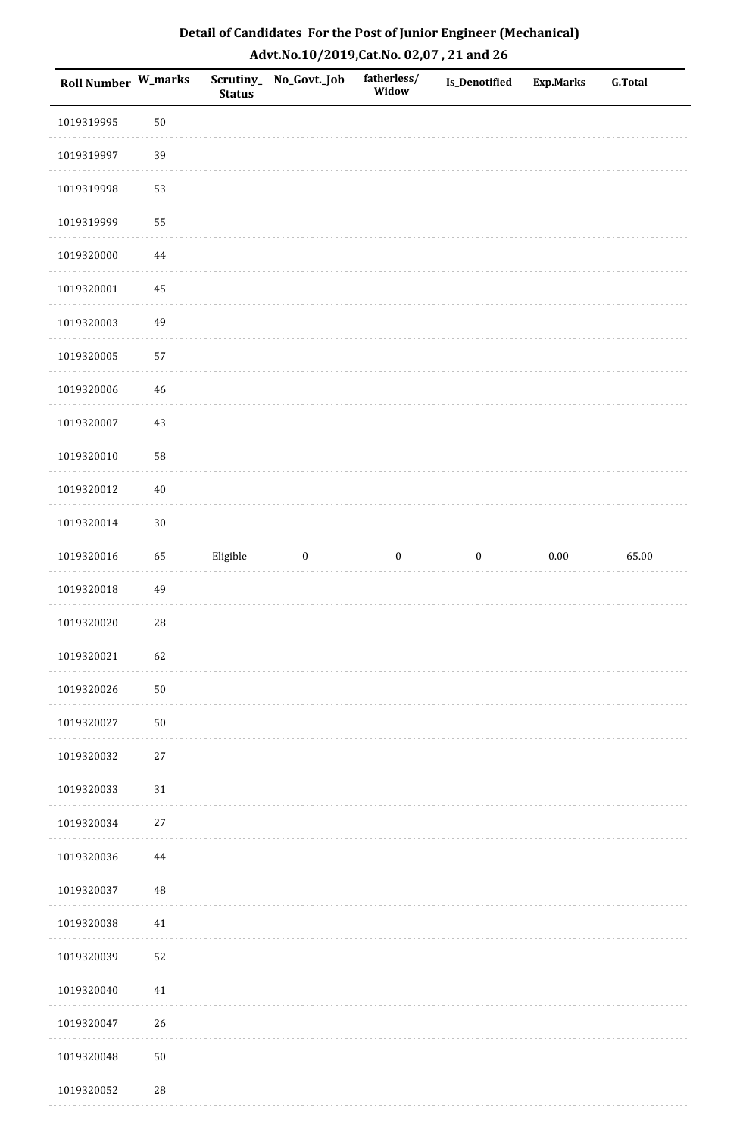| Roll Number W_marks |             | <b>Status</b> | Scrutiny_ No_Govt._Job | fatherless/<br>Widow | Is_Denotified    | <b>Exp.Marks</b> | <b>G.Total</b> |
|---------------------|-------------|---------------|------------------------|----------------------|------------------|------------------|----------------|
| 1019319995          | $50\,$      |               |                        |                      |                  |                  |                |
| 1019319997          | 39          |               |                        |                      |                  |                  |                |
| 1019319998          | 53          |               |                        |                      |                  |                  |                |
| 1019319999          | 55          |               |                        |                      |                  |                  |                |
| 1019320000          | 44          |               |                        |                      |                  |                  |                |
| 1019320001          | 45          |               |                        |                      |                  |                  |                |
| 1019320003          | 49          |               |                        |                      |                  |                  |                |
| 1019320005          | 57          |               |                        |                      |                  |                  |                |
| 1019320006          | $46\,$      |               |                        |                      |                  |                  |                |
| 1019320007          | $43\,$      |               |                        |                      |                  |                  |                |
| 1019320010          | 58          |               |                        |                      |                  |                  |                |
| 1019320012          | $40\,$      |               |                        |                      |                  |                  |                |
| 1019320014          | $30\,$      |               |                        |                      |                  |                  |                |
| 1019320016          | 65          | Eligible      | $\boldsymbol{0}$       | $\boldsymbol{0}$     | $\boldsymbol{0}$ | $0.00\,$         | 65.00          |
| 1019320018          | 49          |               |                        |                      |                  |                  |                |
| 1019320020          | 28          |               |                        |                      |                  |                  |                |
| 1019320021          | 62          |               |                        |                      |                  |                  |                |
| 1019320026          | $50\,$      |               |                        |                      |                  |                  |                |
| 1019320027          | $50\,$      |               |                        |                      |                  |                  |                |
| 1019320032          | $27\,$      |               |                        |                      |                  |                  |                |
| 1019320033          | $31\,$      |               |                        |                      |                  |                  |                |
| 1019320034          | 27          |               |                        |                      |                  |                  |                |
| 1019320036          | 44          |               |                        |                      |                  |                  |                |
| 1019320037          | $\rm 48$    |               |                        |                      |                  |                  |                |
| 1019320038          | 41          |               |                        |                      |                  |                  |                |
| 1019320039          | 52          |               |                        |                      |                  |                  |                |
| 1019320040          | 41          |               |                        |                      |                  |                  |                |
| 1019320047          | 26          |               |                        |                      |                  |                  |                |
| 1019320048          | $50\,$      |               |                        |                      |                  |                  |                |
| 1019320052          | $\sqrt{28}$ |               |                        |                      |                  |                  |                |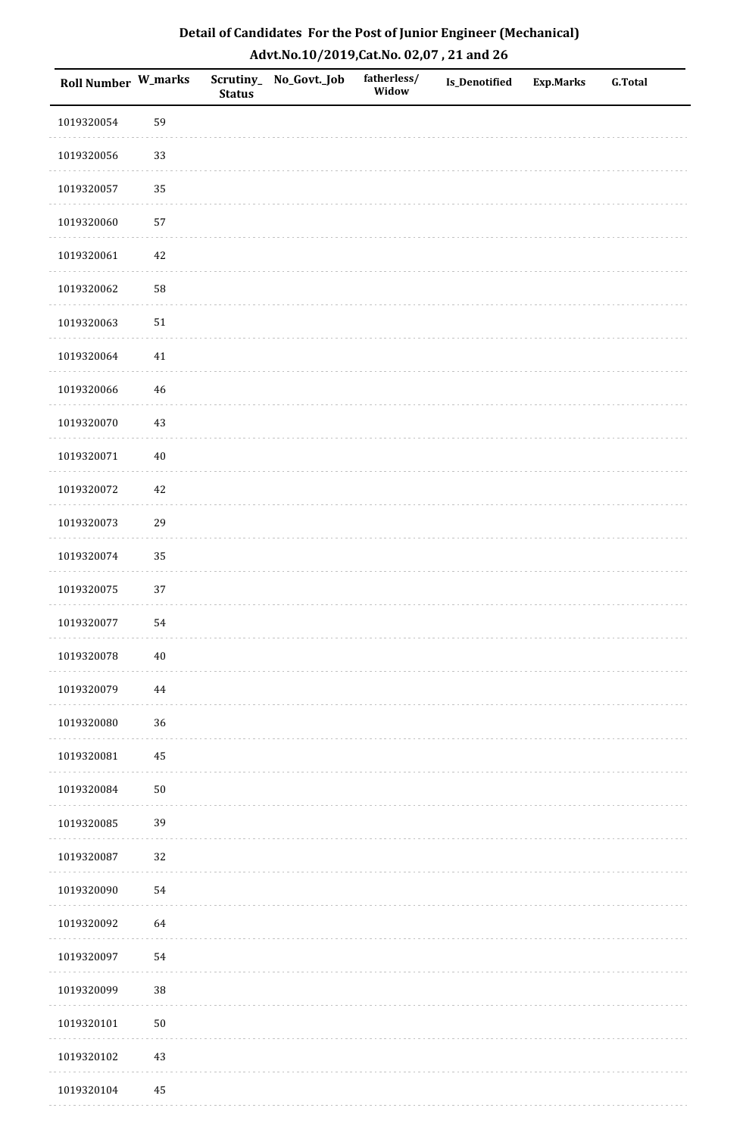| Roll Number W_marks |          | <b>Status</b> | Scrutiny_No_Govt._Job | fatherless/<br>Widow | Is_Denotified | <b>Exp.Marks</b> | <b>G.Total</b> |
|---------------------|----------|---------------|-----------------------|----------------------|---------------|------------------|----------------|
| 1019320054          | 59       |               |                       |                      |               |                  |                |
| 1019320056          | 33       |               |                       |                      |               |                  |                |
| 1019320057          | 35       |               |                       |                      |               |                  |                |
| 1019320060          | 57       |               |                       |                      |               |                  |                |
| 1019320061          | $42\,$   |               |                       |                      |               |                  |                |
| 1019320062          | 58       |               |                       |                      |               |                  |                |
| 1019320063          | $51\,$   |               |                       |                      |               |                  |                |
| 1019320064          | 41       |               |                       |                      |               |                  |                |
| 1019320066          | 46       |               |                       |                      |               |                  |                |
| 1019320070          | $43\,$   |               |                       |                      |               |                  |                |
| 1019320071          | $40\,$   |               |                       |                      |               |                  |                |
| 1019320072          | $42\,$   |               |                       |                      |               |                  |                |
| 1019320073          | 29       |               |                       |                      |               |                  |                |
| 1019320074          | 35       |               |                       |                      |               |                  |                |
| 1019320075          | $37\,$   |               |                       |                      |               |                  |                |
| 1019320077          | 54       |               |                       |                      |               |                  |                |
| 1019320078          | $40\,$   |               |                       |                      |               |                  |                |
| 1019320079          | 44       |               |                       |                      |               |                  |                |
| 1019320080          | 36       |               |                       |                      |               |                  |                |
| 1019320081          | 45       |               |                       |                      |               |                  |                |
| 1019320084          | $50\,$   |               |                       |                      |               |                  |                |
| 1019320085          | 39       |               |                       |                      |               |                  |                |
| 1019320087          | 32       |               |                       |                      |               |                  |                |
| 1019320090          | 54       |               |                       |                      |               |                  |                |
| 1019320092          | 64       |               |                       |                      |               |                  |                |
| 1019320097          | 54       |               |                       |                      |               |                  |                |
| 1019320099          | $38\,$   |               |                       |                      |               |                  |                |
| 1019320101          | $50\,$   |               |                       |                      |               |                  |                |
| 1019320102          | $43\,$   |               |                       |                      |               |                  |                |
| 1019320104          | $\rm 45$ |               |                       |                      |               |                  |                |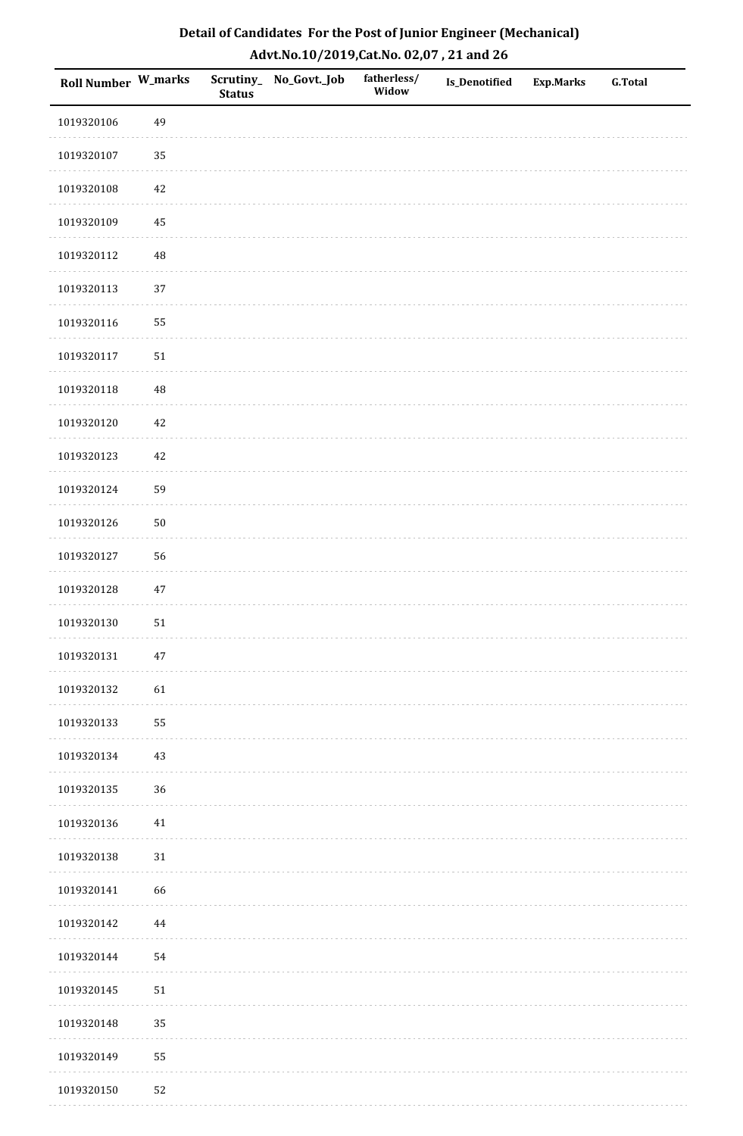| Roll Number W_marks |          | <b>Status</b> | Scrutiny_No_Govt._Job | fatherless/<br>Widow | Is_Denotified | <b>Exp.Marks</b> | <b>G.Total</b> |
|---------------------|----------|---------------|-----------------------|----------------------|---------------|------------------|----------------|
| 1019320106          | 49       |               |                       |                      |               |                  |                |
| 1019320107          | 35       |               |                       |                      |               |                  |                |
| 1019320108          | $42\,$   |               |                       |                      |               |                  |                |
| 1019320109          | 45       |               |                       |                      |               |                  |                |
| 1019320112          | $\rm 48$ |               |                       |                      |               |                  |                |
| 1019320113          | 37       |               |                       |                      |               |                  |                |
| 1019320116          | 55       |               |                       |                      |               |                  |                |
| 1019320117          | $51\,$   |               |                       |                      |               |                  |                |
| 1019320118          | 48       |               |                       |                      |               |                  |                |
| 1019320120          | $42\,$   |               |                       |                      |               |                  |                |
| 1019320123          | 42       |               |                       |                      |               |                  |                |
| 1019320124          | 59       |               |                       |                      |               |                  |                |
| 1019320126          | $50\,$   |               |                       |                      |               |                  |                |
| 1019320127          | 56       |               |                       |                      |               |                  |                |
| 1019320128          | $47\,$   |               |                       |                      |               |                  |                |
| 1019320130          | 51       |               |                       |                      |               |                  |                |
| 1019320131          | $47\,$   |               |                       |                      |               |                  |                |
| 1019320132          | 61       |               |                       |                      |               |                  |                |
| 1019320133          | 55       |               |                       |                      |               |                  |                |
| 1019320134          | $43\,$   |               |                       |                      |               |                  |                |
| 1019320135          | 36       |               |                       |                      |               |                  |                |
| 1019320136          | $41\,$   |               |                       |                      |               |                  |                |
| 1019320138          | $31\,$   |               |                       |                      |               |                  |                |
| 1019320141          | 66       |               |                       |                      |               |                  |                |
| 1019320142          | $\bf 44$ |               |                       |                      |               |                  |                |
| 1019320144          | 54       |               |                       |                      |               |                  |                |
| 1019320145          | $51\,$   |               |                       |                      |               |                  |                |
| 1019320148          | 35       |               |                       |                      |               |                  |                |
| 1019320149          | 55       |               |                       |                      |               |                  |                |
| 1019320150          | 52       |               |                       |                      |               |                  |                |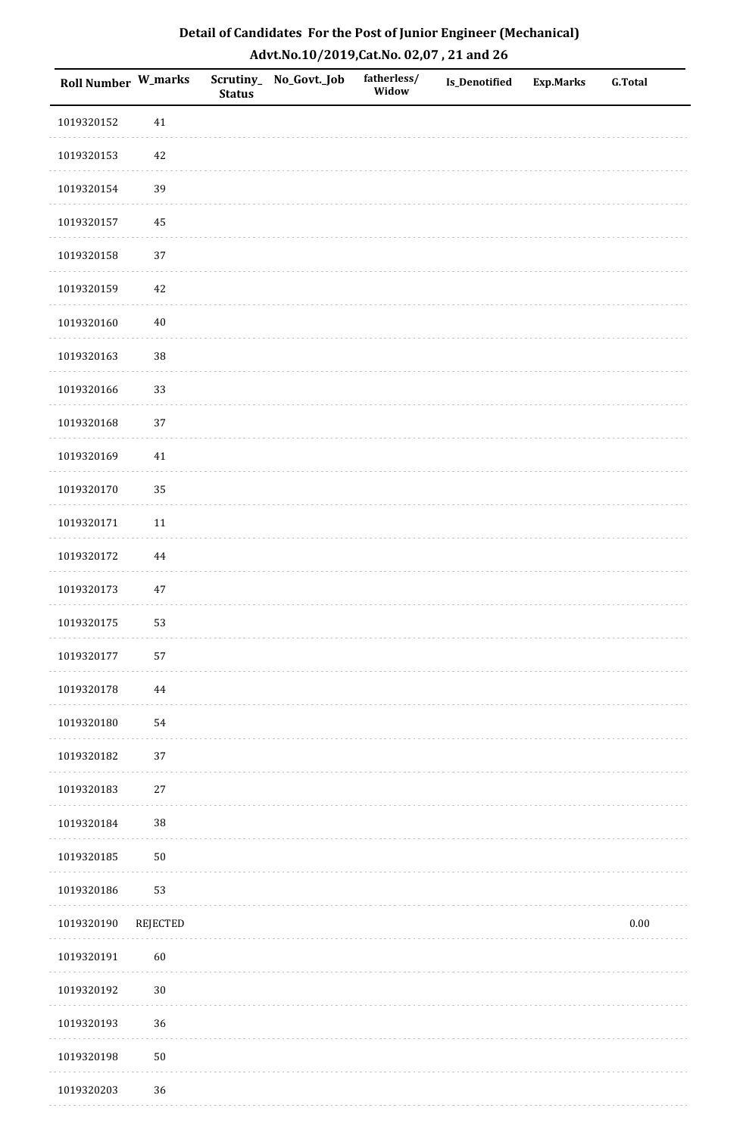| Detail of Candidates For the Post of Junior Engineer (Mechanical) |
|-------------------------------------------------------------------|
| Advt.No.10/2019,Cat.No. 02,07, 21 and 26                          |

| Roll Number W_marks |          | <b>Status</b> | Scrutiny_ No_Govt._Job | fatherless/<br>Widow | Is_Denotified | <b>Exp.Marks</b> | <b>G.Total</b> |
|---------------------|----------|---------------|------------------------|----------------------|---------------|------------------|----------------|
| 1019320152          | $41\,$   |               |                        |                      |               |                  |                |
| 1019320153          | $42\,$   |               |                        |                      |               |                  |                |
| 1019320154          | 39       |               |                        |                      |               |                  |                |
| 1019320157          | 45       |               |                        |                      |               |                  |                |
| 1019320158          | 37       |               |                        |                      |               |                  |                |
| 1019320159          | 42       |               |                        |                      |               |                  |                |
| 1019320160          | $40\,$   |               |                        |                      |               |                  |                |
| 1019320163          | 38       |               |                        |                      |               |                  |                |
| 1019320166          | 33       |               |                        |                      |               |                  |                |
| 1019320168          | 37       |               |                        |                      |               |                  |                |
| 1019320169          | $41\,$   |               |                        |                      |               |                  |                |
| 1019320170          | 35       |               |                        |                      |               |                  |                |
| 1019320171          | $11\,$   |               |                        |                      |               |                  |                |
| 1019320172          | 44       |               |                        |                      |               |                  |                |
| 1019320173          | $47\,$   |               |                        |                      |               |                  |                |
| 1019320175          | 53       |               |                        |                      |               |                  |                |
| 1019320177          | 57       |               |                        |                      |               |                  |                |
| 1019320178          | 44       |               |                        |                      |               |                  |                |
| 1019320180          | 54       |               |                        |                      |               |                  |                |
| 1019320182          | 37       |               |                        |                      |               |                  |                |
| 1019320183          | $27\,$   |               |                        |                      |               |                  |                |
| 1019320184          | $38\,$   |               |                        |                      |               |                  |                |
| 1019320185          | $50\,$   |               |                        |                      |               |                  |                |
| 1019320186          | 53       |               |                        |                      |               |                  |                |
| 1019320190          | REJECTED |               |                        |                      |               |                  | $0.00\,$       |
| 1019320191          | 60       |               |                        |                      |               |                  |                |
| 1019320192          | $30\,$   |               |                        |                      |               |                  |                |
| 1019320193          | 36       |               |                        |                      |               |                  |                |
| 1019320198          | $50\,$   |               |                        |                      |               |                  |                |
| 1019320203          | 36       |               |                        |                      |               |                  |                |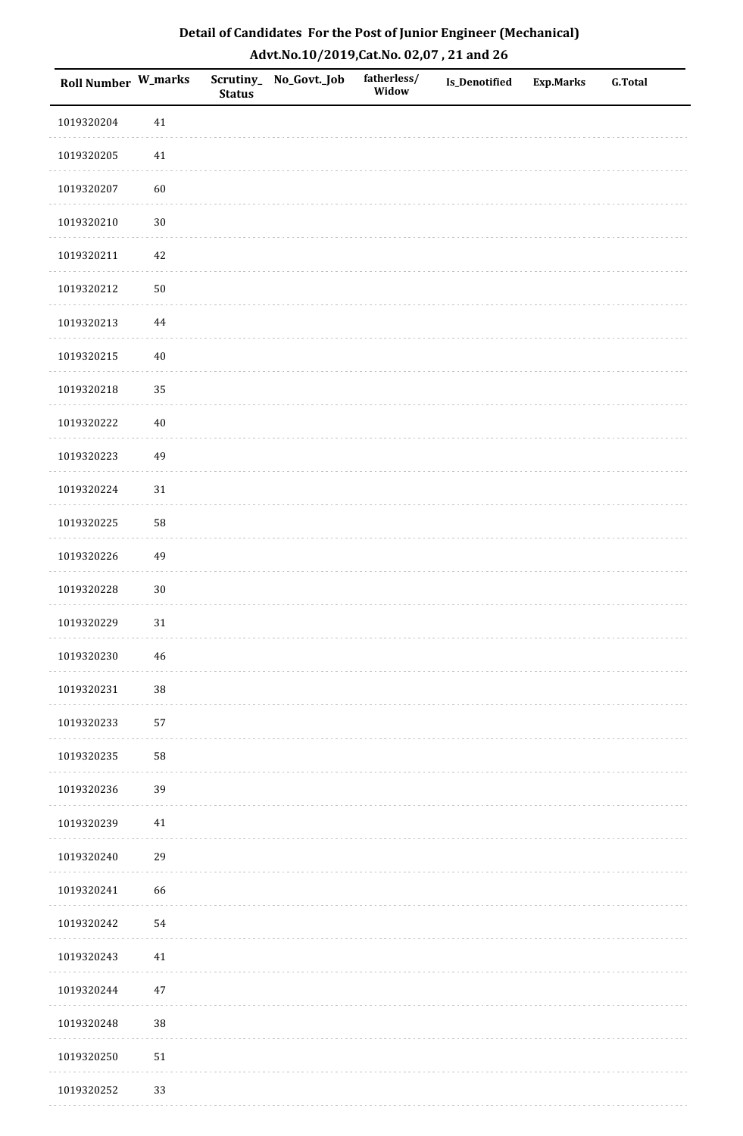| Roll Number W_marks |             | <b>Status</b> | Scrutiny_No_Govt._Job | fatherless/<br>Widow | Is_Denotified | <b>Exp.Marks</b> | <b>G.Total</b> |
|---------------------|-------------|---------------|-----------------------|----------------------|---------------|------------------|----------------|
| 1019320204          | $41\,$      |               |                       |                      |               |                  |                |
| 1019320205          | $41\,$      |               |                       |                      |               |                  |                |
| 1019320207          | 60          |               |                       |                      |               |                  |                |
| 1019320210          | $30\,$      |               |                       |                      |               |                  |                |
| 1019320211          | $42\,$      |               |                       |                      |               |                  |                |
| 1019320212          | $50\,$      |               |                       |                      |               |                  |                |
| 1019320213          | $\bf 44$    |               |                       |                      |               |                  |                |
| 1019320215          | $40\,$      |               |                       |                      |               |                  |                |
| 1019320218          | 35          |               |                       |                      |               |                  |                |
| 1019320222          | $40\,$      |               |                       |                      |               |                  |                |
| 1019320223          | 49          |               |                       |                      |               |                  |                |
| 1019320224          | $31\,$      |               |                       |                      |               |                  |                |
| 1019320225          | 58          |               |                       |                      |               |                  |                |
| 1019320226          | 49          |               |                       |                      |               |                  |                |
| 1019320228          | $30\,$      |               |                       |                      |               |                  |                |
| 1019320229          | 31          |               |                       |                      |               |                  |                |
| 1019320230          | $\sqrt{46}$ |               |                       |                      |               |                  |                |
| 1019320231          | 38          |               |                       |                      |               |                  |                |
| 1019320233          | 57          |               |                       |                      |               |                  |                |
| 1019320235          | 58          |               |                       |                      |               |                  |                |
| 1019320236          | 39          |               |                       |                      |               |                  |                |
| 1019320239          | $41\,$      |               |                       |                      |               |                  |                |
| 1019320240          | 29          |               |                       |                      |               |                  |                |
| 1019320241          | 66          |               |                       |                      |               |                  |                |
| 1019320242          | 54          |               |                       |                      |               |                  |                |
| 1019320243          | $41\,$      |               |                       |                      |               |                  |                |
| 1019320244          | $47\,$      |               |                       |                      |               |                  |                |
| 1019320248          | 38          |               |                       |                      |               |                  |                |
| 1019320250          | ${\bf 51}$  |               |                       |                      |               |                  |                |
| 1019320252          | 33          |               |                       |                      |               |                  |                |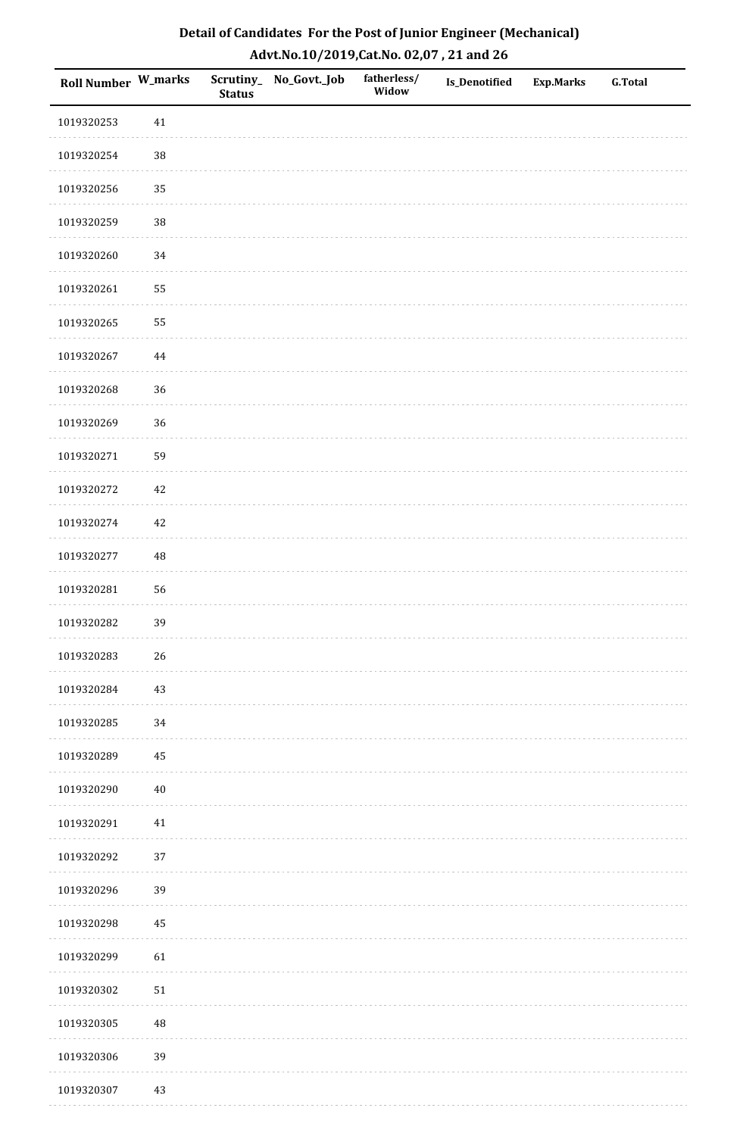| Roll Number W_marks |          | <b>Status</b> | Scrutiny_No_Govt._Job | fatherless/<br>Widow | Is_Denotified | <b>Exp.Marks</b> | <b>G.Total</b> |
|---------------------|----------|---------------|-----------------------|----------------------|---------------|------------------|----------------|
| 1019320253          | $41\,$   |               |                       |                      |               |                  |                |
| 1019320254          | $38\,$   |               |                       |                      |               |                  |                |
| 1019320256          | 35       |               |                       |                      |               |                  |                |
| 1019320259          | 38       |               |                       |                      |               |                  |                |
| 1019320260          | 34       |               |                       |                      |               |                  |                |
| 1019320261          | 55       |               |                       |                      |               |                  |                |
| 1019320265          | 55       |               |                       |                      |               |                  |                |
| 1019320267          | $\bf 44$ |               |                       |                      |               |                  |                |
| 1019320268          | 36       |               |                       |                      |               |                  |                |
| 1019320269          | 36       |               |                       |                      |               |                  |                |
| 1019320271          | 59       |               |                       |                      |               |                  |                |
| 1019320272          | $42\,$   |               |                       |                      |               |                  |                |
| 1019320274          | $42\,$   |               |                       |                      |               |                  |                |
| 1019320277          | 48       |               |                       |                      |               |                  |                |
| 1019320281          | 56       |               |                       |                      |               |                  |                |
| 1019320282          | 39       |               |                       |                      |               |                  |                |
| 1019320283          | $26\,$   |               |                       |                      |               |                  |                |
| 1019320284          | 43       |               |                       |                      |               |                  |                |
| 1019320285          | 34       |               |                       |                      |               |                  |                |
| 1019320289          | 45       |               |                       |                      |               |                  |                |
| 1019320290          | $40\,$   |               |                       |                      |               |                  |                |
| 1019320291          | $41\,$   |               |                       |                      |               |                  |                |
| 1019320292          | 37       |               |                       |                      |               |                  |                |
| 1019320296          | 39       |               |                       |                      |               |                  |                |
| 1019320298          | 45       |               |                       |                      |               |                  |                |
| 1019320299          | 61       |               |                       |                      |               |                  |                |
| 1019320302          | $51\,$   |               |                       |                      |               |                  |                |
| 1019320305          | 48       |               |                       |                      |               |                  |                |
| 1019320306          | 39       |               |                       |                      |               |                  |                |
| 1019320307          | 43       |               |                       |                      |               |                  |                |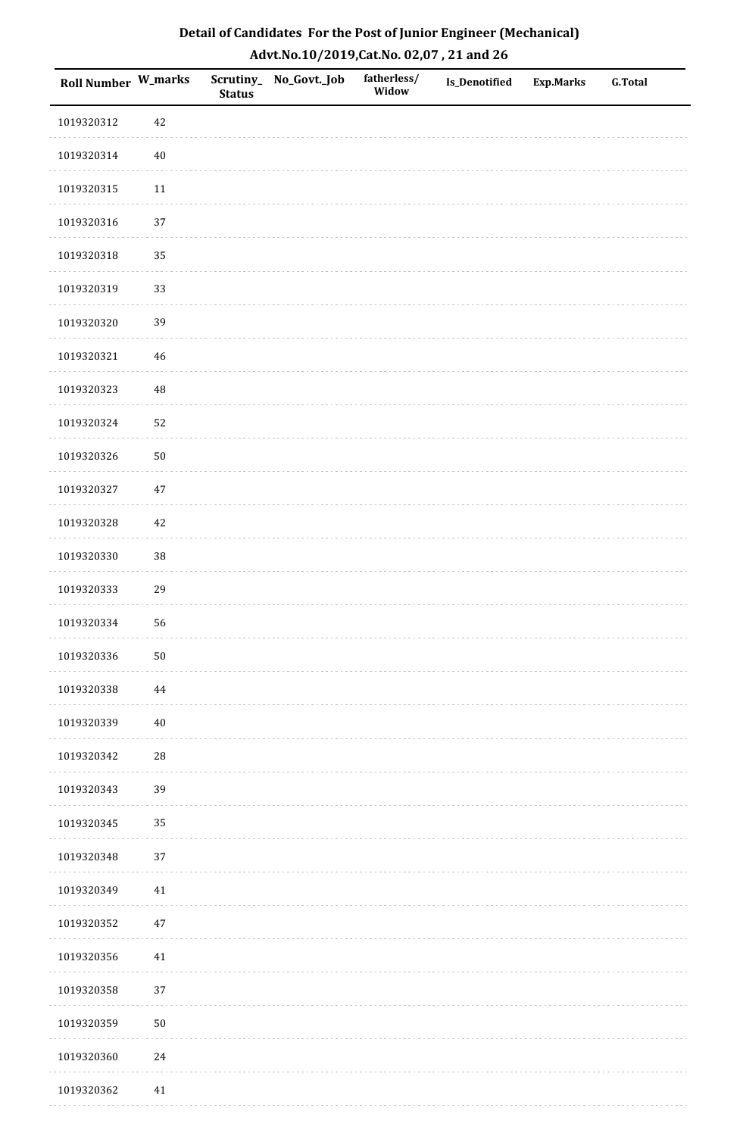| Roll Number W_marks |            | <b>Status</b> | Scrutiny_No_Govt._Job | fatherless/<br>Widow | Is_Denotified | <b>Exp.Marks</b> | <b>G.Total</b> |
|---------------------|------------|---------------|-----------------------|----------------------|---------------|------------------|----------------|
| 1019320312          | 42         |               |                       |                      |               |                  |                |
| 1019320314          | $40\,$     |               |                       |                      |               |                  |                |
| 1019320315          | $11\,$     |               |                       |                      |               |                  |                |
| 1019320316          | 37         |               |                       |                      |               |                  |                |
| 1019320318          | 35         |               |                       |                      |               |                  |                |
| 1019320319          | 33         |               |                       |                      |               |                  |                |
| 1019320320          | 39         |               |                       |                      |               |                  |                |
| 1019320321          | 46         |               |                       |                      |               |                  |                |
| 1019320323          | 48         |               |                       |                      |               |                  |                |
| 1019320324          | 52         |               |                       |                      |               |                  |                |
| 1019320326          | $50\,$     |               |                       |                      |               |                  |                |
| 1019320327          | $47\,$     |               |                       |                      |               |                  |                |
| 1019320328          | $42\,$     |               |                       |                      |               |                  |                |
| 1019320330          | 38         |               |                       |                      |               |                  |                |
| 1019320333          | 29         |               |                       |                      |               |                  |                |
| 1019320334          | 56         |               |                       |                      |               |                  |                |
| 1019320336          | $50\,$     |               |                       |                      |               |                  |                |
| 1019320338          | 44         |               |                       |                      |               |                  |                |
| 1019320339          | $40\,$     |               |                       |                      |               |                  |                |
| 1019320342          | ${\bf 28}$ |               |                       |                      |               |                  |                |
| 1019320343          | 39         |               |                       |                      |               |                  |                |
| 1019320345          | 35         |               |                       |                      |               |                  |                |
| 1019320348          | 37         |               |                       |                      |               |                  |                |
| 1019320349          | 41         |               |                       |                      |               |                  |                |
| 1019320352          | $47\,$     |               |                       |                      |               |                  |                |
| 1019320356          | $41\,$     |               |                       |                      |               |                  |                |
| 1019320358          | 37         |               |                       |                      |               |                  |                |
| 1019320359          | $50\,$     |               |                       |                      |               |                  |                |
| 1019320360          | $24\,$     |               |                       |                      |               |                  |                |
| 1019320362          | 41         |               |                       |                      |               |                  |                |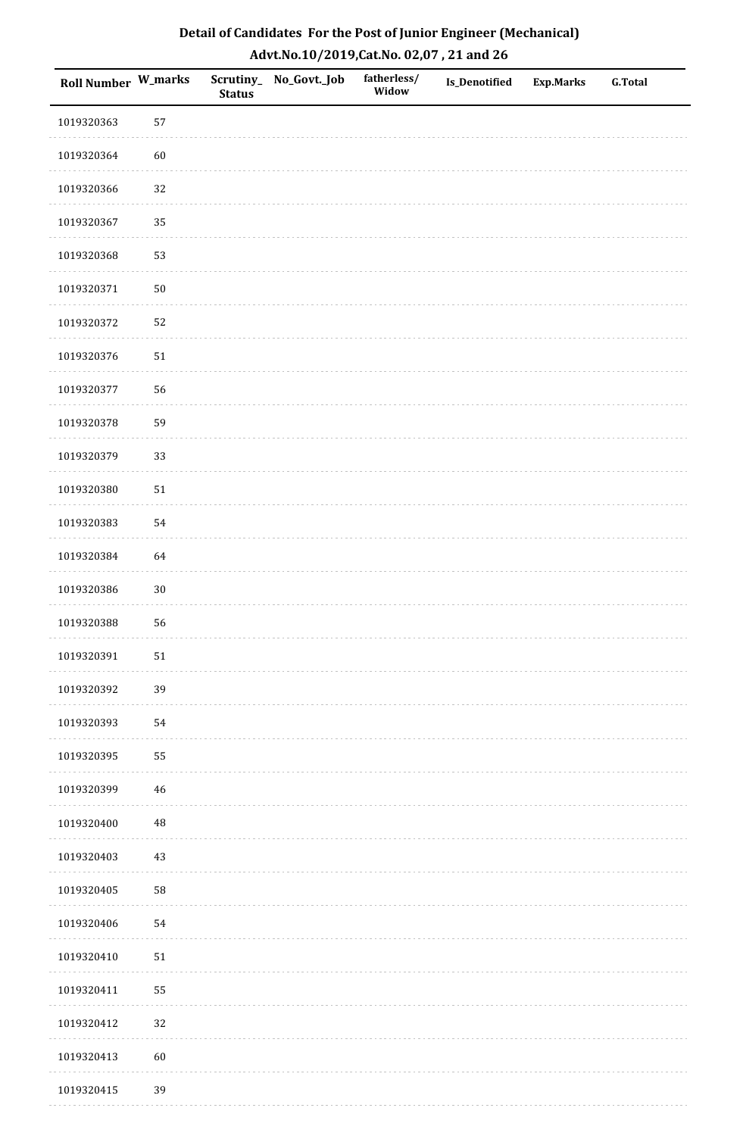| Roll Number W_marks |          | <b>Status</b> | Scrutiny_No_Govt._Job | fatherless/<br>Widow | Is_Denotified | <b>Exp.Marks</b> | <b>G.Total</b> |
|---------------------|----------|---------------|-----------------------|----------------------|---------------|------------------|----------------|
| 1019320363          | 57       |               |                       |                      |               |                  |                |
| 1019320364          | 60       |               |                       |                      |               |                  |                |
| 1019320366          | 32       |               |                       |                      |               |                  |                |
| 1019320367          | 35       |               |                       |                      |               |                  |                |
| 1019320368          | 53       |               |                       |                      |               |                  |                |
| 1019320371          | $50\,$   |               |                       |                      |               |                  |                |
| 1019320372          | 52       |               |                       |                      |               |                  |                |
| 1019320376          | $51\,$   |               |                       |                      |               |                  |                |
| 1019320377          | 56       |               |                       |                      |               |                  |                |
| 1019320378          | 59       |               |                       |                      |               |                  |                |
| 1019320379          | 33       |               |                       |                      |               |                  |                |
| 1019320380          | $51\,$   |               |                       |                      |               |                  |                |
| 1019320383          | 54       |               |                       |                      |               |                  |                |
| 1019320384          | 64       |               |                       |                      |               |                  |                |
| 1019320386          | $30\,$   |               |                       |                      |               |                  |                |
| 1019320388          | 56       |               |                       |                      |               |                  |                |
| 1019320391          | $51\,$   |               |                       |                      |               |                  |                |
| 1019320392          | 39       |               |                       |                      |               |                  |                |
| 1019320393          | 54       |               |                       |                      |               |                  |                |
| 1019320395          | 55       |               |                       |                      |               |                  |                |
| 1019320399          | 46       |               |                       |                      |               |                  |                |
| 1019320400          | $\rm 48$ |               |                       |                      |               |                  |                |
| 1019320403          | 43       |               |                       |                      |               |                  |                |
| 1019320405          | 58       |               |                       |                      |               |                  |                |
| 1019320406          | 54       |               |                       |                      |               |                  |                |
| 1019320410          | $51\,$   |               |                       |                      |               |                  |                |
| 1019320411          | 55       |               |                       |                      |               |                  |                |
| 1019320412          | 32       |               |                       |                      |               |                  |                |
| 1019320413          | $60\,$   |               |                       |                      |               |                  |                |
| 1019320415          | 39       |               |                       |                      |               |                  |                |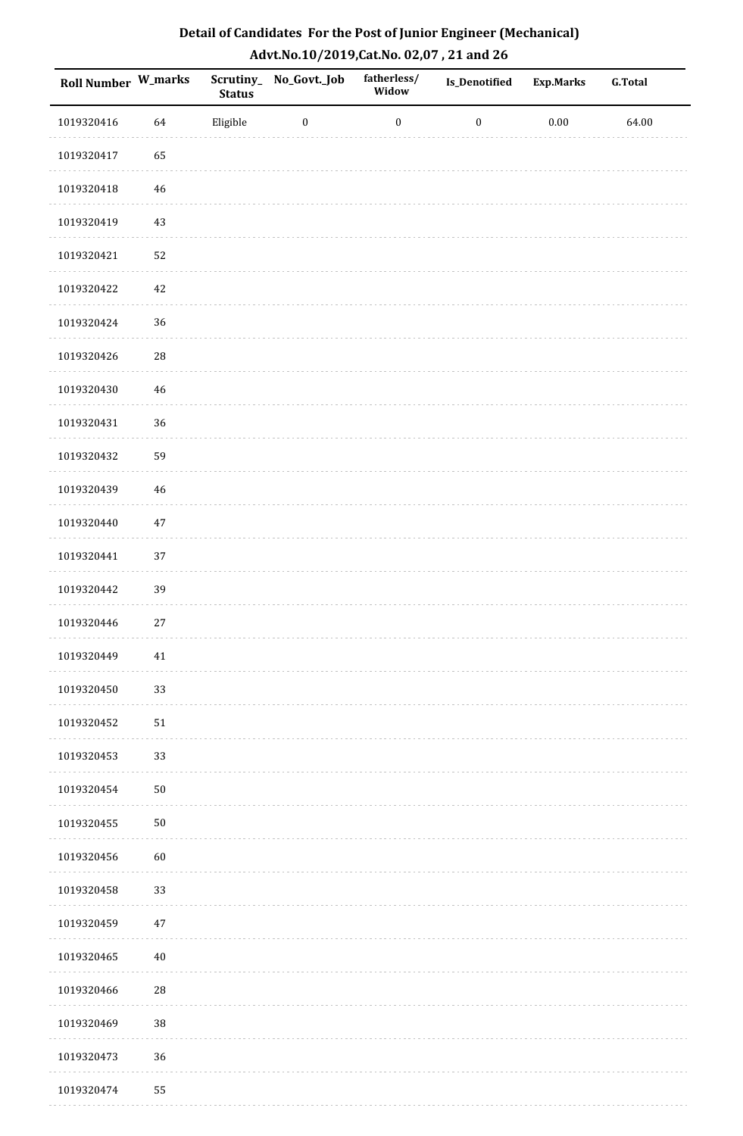| Detail of Candidates For the Post of Junior Engineer (Mechanical) |
|-------------------------------------------------------------------|
| Advt.No.10/2019,Cat.No. 02,07, 21 and 26                          |

| Roll Number W_marks |             | Scrutiny_<br><b>Status</b> | No_Govt._Job     | fatherless/<br>Widow | <b>Is_Denotified</b> | <b>Exp.Marks</b> | <b>G.Total</b> |
|---------------------|-------------|----------------------------|------------------|----------------------|----------------------|------------------|----------------|
| 1019320416          | 64          | Eligible                   | $\boldsymbol{0}$ | $\boldsymbol{0}$     | $\boldsymbol{0}$     | $0.00\,$         | 64.00          |
| 1019320417          | 65          |                            |                  |                      |                      |                  |                |
| 1019320418          | 46          |                            |                  |                      |                      |                  |                |
| 1019320419          | 43          |                            |                  |                      |                      |                  |                |
| 1019320421          | 52          |                            |                  |                      |                      |                  |                |
| 1019320422          | 42          |                            |                  |                      |                      |                  |                |
| 1019320424          | 36          |                            |                  |                      |                      |                  |                |
| 1019320426          | $\sqrt{28}$ |                            |                  |                      |                      |                  |                |
| 1019320430          | 46          |                            |                  |                      |                      |                  |                |
| 1019320431          | 36          |                            |                  |                      |                      |                  |                |
| 1019320432          | 59          |                            |                  |                      |                      |                  |                |
| 1019320439          | 46          |                            |                  |                      |                      |                  |                |
| 1019320440          | $47\,$      |                            |                  |                      |                      |                  |                |
| 1019320441          | 37          |                            |                  |                      |                      |                  |                |
| 1019320442          | 39          |                            |                  |                      |                      |                  |                |
| 1019320446          | $27\,$      |                            |                  |                      |                      |                  |                |
| 1019320449          | 41          |                            |                  |                      |                      |                  |                |
| 1019320450          | 33          |                            |                  |                      |                      |                  |                |
| 1019320452          | 51          |                            |                  |                      |                      |                  |                |
| 1019320453          | 33          |                            |                  |                      |                      |                  |                |
| 1019320454          | 50          |                            |                  |                      |                      |                  |                |
| 1019320455          | $50\,$      |                            |                  |                      |                      |                  |                |
| 1019320456          | 60          |                            |                  |                      |                      |                  |                |
| 1019320458          | 33          |                            |                  |                      |                      |                  |                |
| 1019320459          | 47          |                            |                  |                      |                      |                  |                |
| 1019320465          | 40          |                            |                  |                      |                      |                  |                |
| 1019320466          | ${\bf 28}$  |                            |                  |                      |                      |                  |                |
| 1019320469          | 38          |                            |                  |                      |                      |                  |                |
| 1019320473          | 36          |                            |                  |                      |                      |                  |                |
| 1019320474          | 55          |                            |                  |                      |                      |                  |                |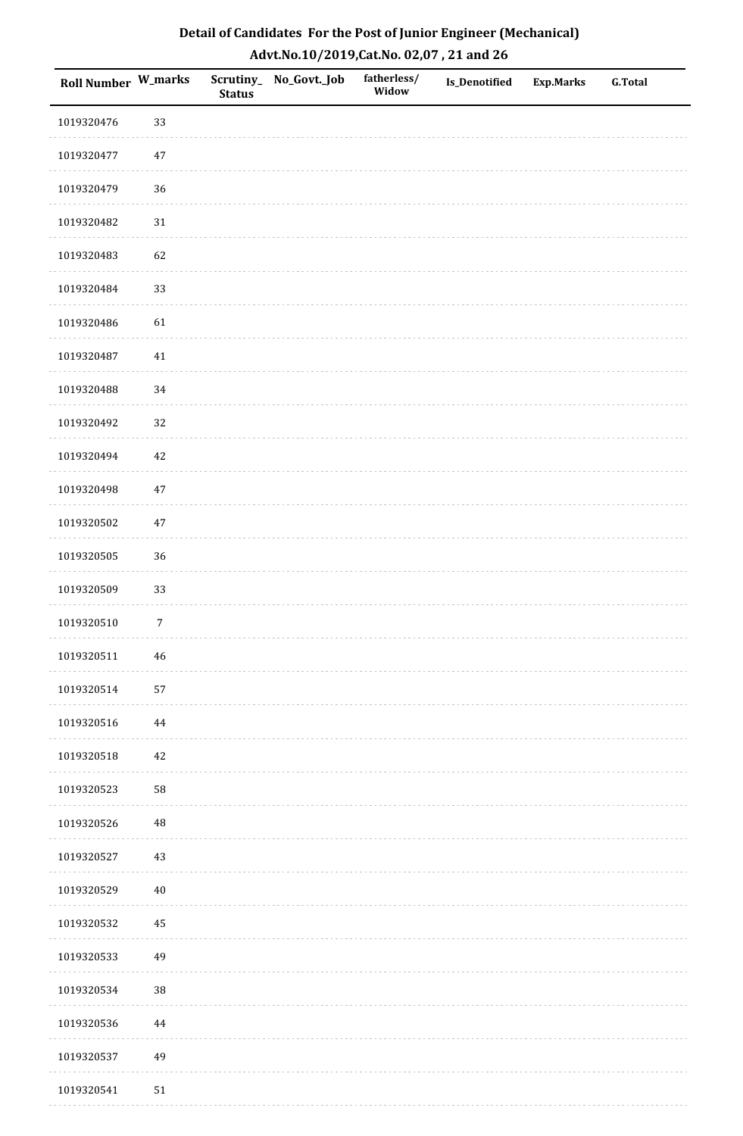| Roll Number W_marks |                | <b>Status</b> | Scrutiny_No_Govt._Job | fatherless/<br>Widow | Is_Denotified | <b>Exp.Marks</b> | <b>G.Total</b> |
|---------------------|----------------|---------------|-----------------------|----------------------|---------------|------------------|----------------|
| 1019320476          | 33             |               |                       |                      |               |                  |                |
| 1019320477          | $47\,$         |               |                       |                      |               |                  |                |
| 1019320479          | 36             |               |                       |                      |               |                  |                |
| 1019320482          | $31\,$         |               |                       |                      |               |                  |                |
| 1019320483          | 62             |               |                       |                      |               |                  |                |
| 1019320484          | 33             |               |                       |                      |               |                  |                |
| 1019320486          | 61             |               |                       |                      |               |                  |                |
| 1019320487          | $41\,$         |               |                       |                      |               |                  |                |
| 1019320488          | 34             |               |                       |                      |               |                  |                |
| 1019320492          | 32             |               |                       |                      |               |                  |                |
| 1019320494          | 42             |               |                       |                      |               |                  |                |
| 1019320498          | $47\,$         |               |                       |                      |               |                  |                |
| 1019320502          | $47\,$         |               |                       |                      |               |                  |                |
| 1019320505          | 36             |               |                       |                      |               |                  |                |
| 1019320509          | 33             |               |                       |                      |               |                  |                |
| 1019320510          | $\overline{7}$ |               |                       |                      |               |                  |                |
| 1019320511          | $46\,$         |               |                       |                      |               |                  |                |
| 1019320514          | 57             |               |                       |                      |               |                  |                |
| 1019320516          | 44             |               |                       |                      |               |                  |                |
| 1019320518          | $42\,$         |               |                       |                      |               |                  |                |
| 1019320523          | 58             |               |                       |                      |               |                  |                |
| 1019320526          | $\rm 48$       |               |                       |                      |               |                  |                |
| 1019320527          | 43             |               |                       |                      |               |                  |                |
| 1019320529          | $40\,$         |               |                       |                      |               |                  |                |
| 1019320532          | 45             |               |                       |                      |               |                  |                |
| 1019320533          | 49             |               |                       |                      |               |                  |                |
| 1019320534          | 38             |               |                       |                      |               |                  |                |
| 1019320536          | 44             |               |                       |                      |               |                  |                |
| 1019320537          | 49             |               |                       |                      |               |                  |                |
| 1019320541          | $51\,$         |               |                       |                      |               |                  |                |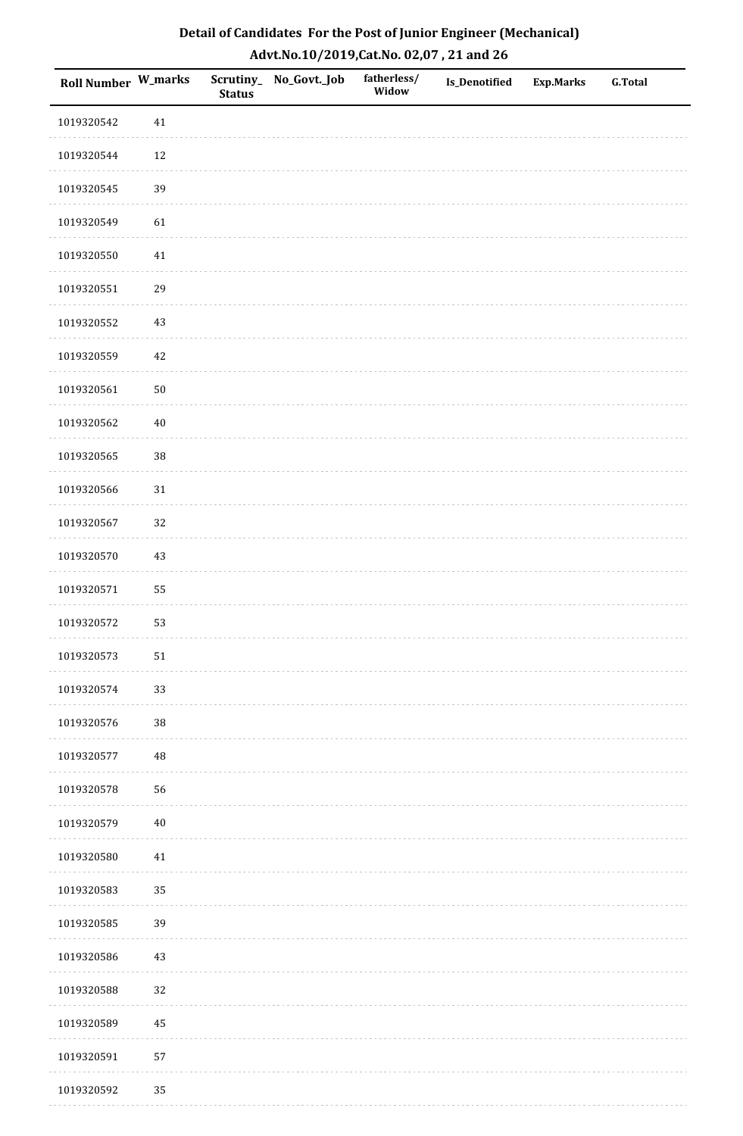| Roll Number W_marks |        | <b>Status</b> | Scrutiny_No_Govt._Job | fatherless/<br>Widow | Is_Denotified | <b>Exp.Marks</b> | <b>G.Total</b> |
|---------------------|--------|---------------|-----------------------|----------------------|---------------|------------------|----------------|
| 1019320542          | $41\,$ |               |                       |                      |               |                  |                |
| 1019320544          | $12\,$ |               |                       |                      |               |                  |                |
| 1019320545          | 39     |               |                       |                      |               |                  |                |
| 1019320549          | 61     |               |                       |                      |               |                  |                |
| 1019320550          | $41\,$ |               |                       |                      |               |                  |                |
| 1019320551          | 29     |               |                       |                      |               |                  |                |
| 1019320552          | $43\,$ |               |                       |                      |               |                  |                |
| 1019320559          | $42\,$ |               |                       |                      |               |                  |                |
| 1019320561          | $50\,$ |               |                       |                      |               |                  |                |
| 1019320562          | $40\,$ |               |                       |                      |               |                  |                |
| 1019320565          | 38     |               |                       |                      |               |                  |                |
| 1019320566          | $31\,$ |               |                       |                      |               |                  |                |
| 1019320567          | 32     |               |                       |                      |               |                  |                |
| 1019320570          | $43\,$ |               |                       |                      |               |                  |                |
| 1019320571          | 55     |               |                       |                      |               |                  |                |
| 1019320572          | 53     |               |                       |                      |               |                  |                |
| 1019320573          | $51\,$ |               |                       |                      |               |                  |                |
| 1019320574          | 33     |               |                       |                      |               |                  |                |
| 1019320576          | $38\,$ |               |                       |                      |               |                  |                |
| 1019320577          | 48     |               |                       |                      |               |                  |                |
| 1019320578          | 56     |               |                       |                      |               |                  |                |
| 1019320579          | $40\,$ |               |                       |                      |               |                  |                |
| 1019320580          | $41\,$ |               |                       |                      |               |                  |                |
| 1019320583          | 35     |               |                       |                      |               |                  |                |
| 1019320585          | 39     |               |                       |                      |               |                  |                |
| 1019320586          | $43\,$ |               |                       |                      |               |                  |                |
| 1019320588          | 32     |               |                       |                      |               |                  |                |
| 1019320589          | 45     |               |                       |                      |               |                  |                |
| 1019320591          | 57     |               |                       |                      |               |                  |                |
| 1019320592          | 35     |               |                       |                      |               |                  |                |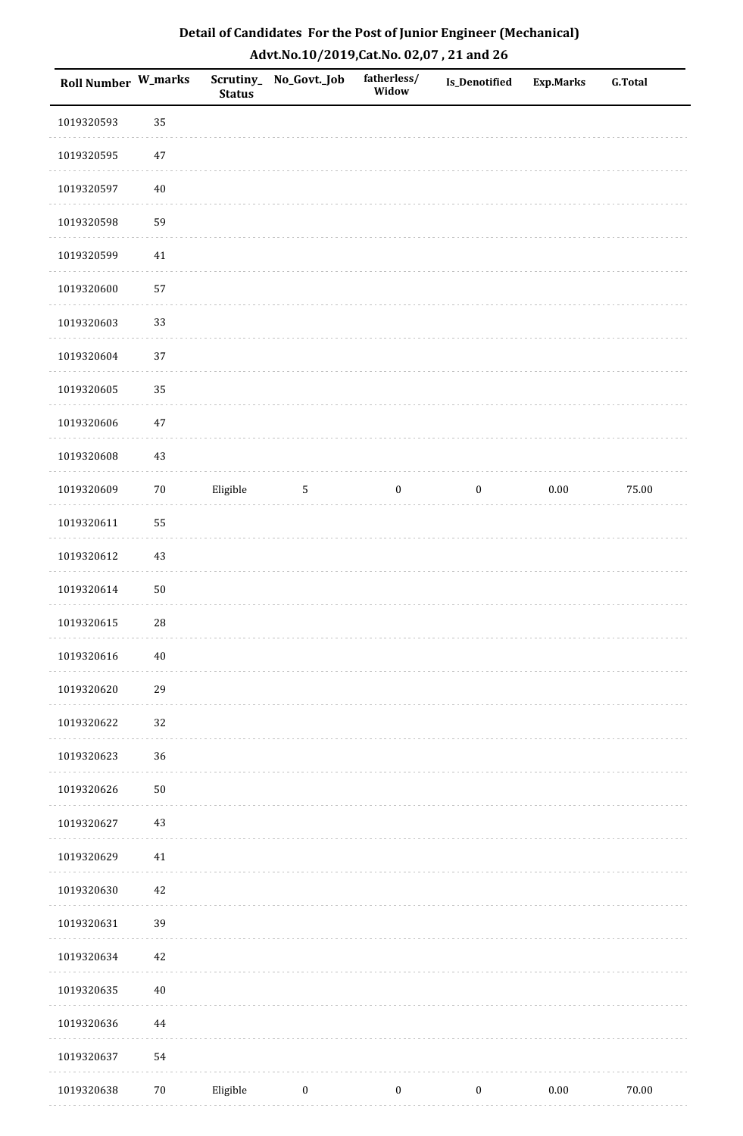| Roll Number W_marks |        | <b>Status</b> | Scrutiny_ No_Govt._Job | fatherless/<br>Widow | Is_Denotified    | <b>Exp.Marks</b> | <b>G.Total</b> |
|---------------------|--------|---------------|------------------------|----------------------|------------------|------------------|----------------|
| 1019320593          | 35     |               |                        |                      |                  |                  |                |
| 1019320595          | $47\,$ |               |                        |                      |                  |                  |                |
| 1019320597          | $40\,$ |               |                        |                      |                  |                  |                |
| 1019320598          | 59     |               |                        |                      |                  |                  |                |
| 1019320599          | 41     |               |                        |                      |                  |                  |                |
| 1019320600          | 57     |               |                        |                      |                  |                  |                |
| 1019320603          | 33     |               |                        |                      |                  |                  |                |
| 1019320604          | 37     |               |                        |                      |                  |                  |                |
| 1019320605          | 35     |               |                        |                      |                  |                  |                |
| 1019320606          | $47\,$ |               |                        |                      |                  |                  |                |
| 1019320608          | $43\,$ |               |                        |                      |                  |                  |                |
| 1019320609          | $70\,$ | Eligible      | $\sqrt{5}$             | $\boldsymbol{0}$     | $\boldsymbol{0}$ | $0.00\,$         | 75.00          |
| 1019320611          | 55     |               |                        |                      |                  |                  |                |
| 1019320612          | $43\,$ |               |                        |                      |                  |                  |                |
| 1019320614          | $50\,$ |               |                        |                      |                  |                  |                |
| 1019320615          | 28     |               |                        |                      |                  |                  |                |
| 1019320616          | $40\,$ |               |                        |                      |                  |                  |                |
| 1019320620          | 29     |               |                        |                      |                  |                  |                |
| 1019320622          | 32     |               |                        |                      |                  |                  |                |
| 1019320623          | 36     |               |                        |                      |                  |                  |                |
| 1019320626          | $50\,$ |               |                        |                      |                  |                  |                |
| 1019320627          | 43     |               |                        |                      |                  |                  |                |
| 1019320629          | $41\,$ |               |                        |                      |                  |                  |                |
| 1019320630          | 42     |               |                        |                      |                  |                  |                |
| 1019320631          | 39     |               |                        |                      |                  |                  |                |
| 1019320634          | 42     |               |                        |                      |                  |                  |                |
| 1019320635          | $40\,$ |               |                        |                      |                  |                  |                |
| 1019320636          | 44     |               |                        |                      |                  |                  |                |
| 1019320637          | 54     |               |                        |                      |                  |                  |                |
| 1019320638          | $70\,$ | Eligible      | $\boldsymbol{0}$       | $\boldsymbol{0}$     | $\boldsymbol{0}$ | $0.00\,$         | $70.00\,$      |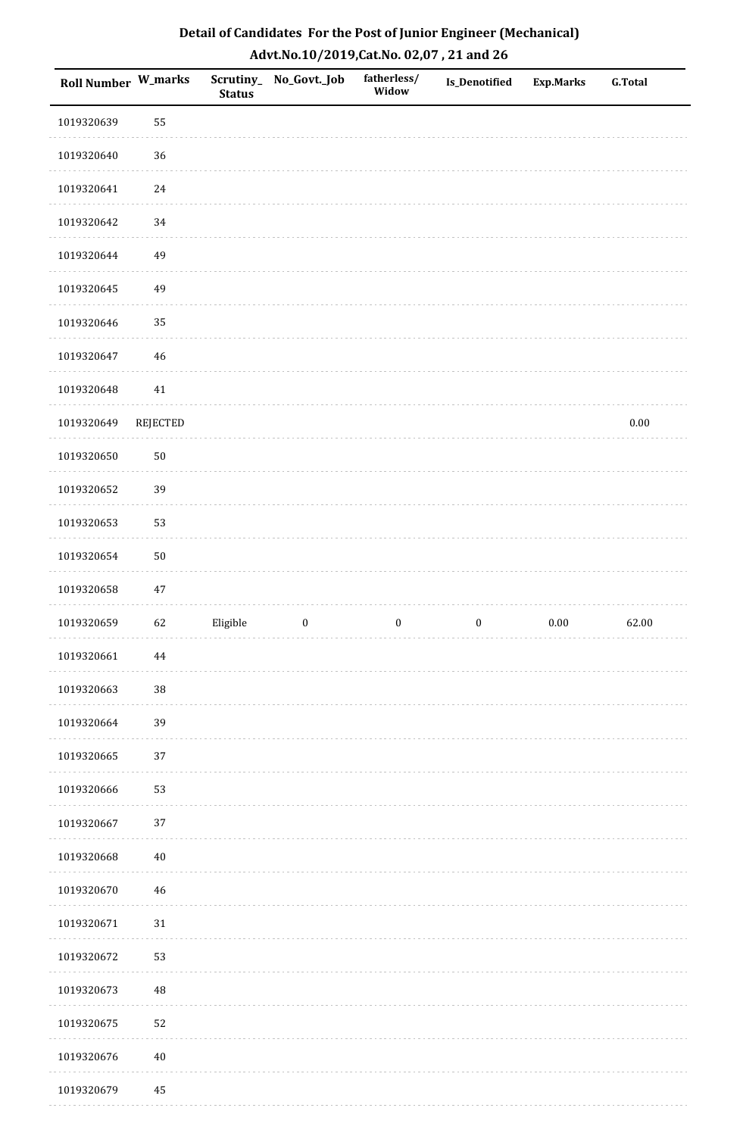| <b>Roll Number W_marks</b> |                 | Scrutiny_<br><b>Status</b> | No_Govt._Job     | fatherless/<br>Widow | Is_Denotified    | <b>Exp.Marks</b> | <b>G.Total</b> |
|----------------------------|-----------------|----------------------------|------------------|----------------------|------------------|------------------|----------------|
| 1019320639                 | 55              |                            |                  |                      |                  |                  |                |
| 1019320640                 | 36              |                            |                  |                      |                  |                  |                |
| 1019320641                 | 24              |                            |                  |                      |                  |                  |                |
| 1019320642                 | 34              |                            |                  |                      |                  |                  |                |
| 1019320644                 | 49              |                            |                  |                      |                  |                  |                |
| 1019320645                 | 49              |                            |                  |                      |                  |                  |                |
| 1019320646                 | 35              |                            |                  |                      |                  |                  |                |
| 1019320647                 | $46\,$          |                            |                  |                      |                  |                  |                |
| 1019320648                 | 41              |                            |                  |                      |                  |                  |                |
| 1019320649                 | <b>REJECTED</b> |                            |                  |                      |                  |                  | $0.00\,$       |
| 1019320650                 | $50\,$          |                            |                  |                      |                  |                  |                |
| 1019320652                 | 39              |                            |                  |                      |                  |                  |                |
| 1019320653                 | 53              |                            |                  |                      |                  |                  |                |
| 1019320654                 | $50\,$          |                            |                  |                      |                  |                  |                |
| 1019320658                 | 47              |                            |                  |                      |                  |                  |                |
| 1019320659                 | 62              | Eligible                   | $\boldsymbol{0}$ | $\boldsymbol{0}$     | $\boldsymbol{0}$ | $0.00\,$         | 62.00          |
| 1019320661                 | $\bf 44$        |                            |                  |                      |                  |                  |                |
| 1019320663                 | $38\,$          |                            |                  |                      |                  |                  |                |
| 1019320664                 | 39              |                            |                  |                      |                  |                  |                |
| 1019320665                 | $37\,$          |                            |                  |                      |                  |                  |                |
| 1019320666                 | 53              |                            |                  |                      |                  |                  |                |
| 1019320667                 | 37              |                            |                  |                      |                  |                  |                |
| 1019320668                 | $40\,$          |                            |                  |                      |                  |                  |                |
| 1019320670                 | $46\,$          |                            |                  |                      |                  |                  |                |
| 1019320671                 | $31\,$          |                            |                  |                      |                  |                  |                |
| 1019320672                 | 53              |                            |                  |                      |                  |                  |                |
| 1019320673                 | 48              |                            |                  |                      |                  |                  |                |
| 1019320675                 | 52              |                            |                  |                      |                  |                  |                |
| 1019320676                 | $40\,$          |                            |                  |                      |                  |                  |                |
| 1019320679                 | $\rm 45$        |                            |                  |                      |                  |                  |                |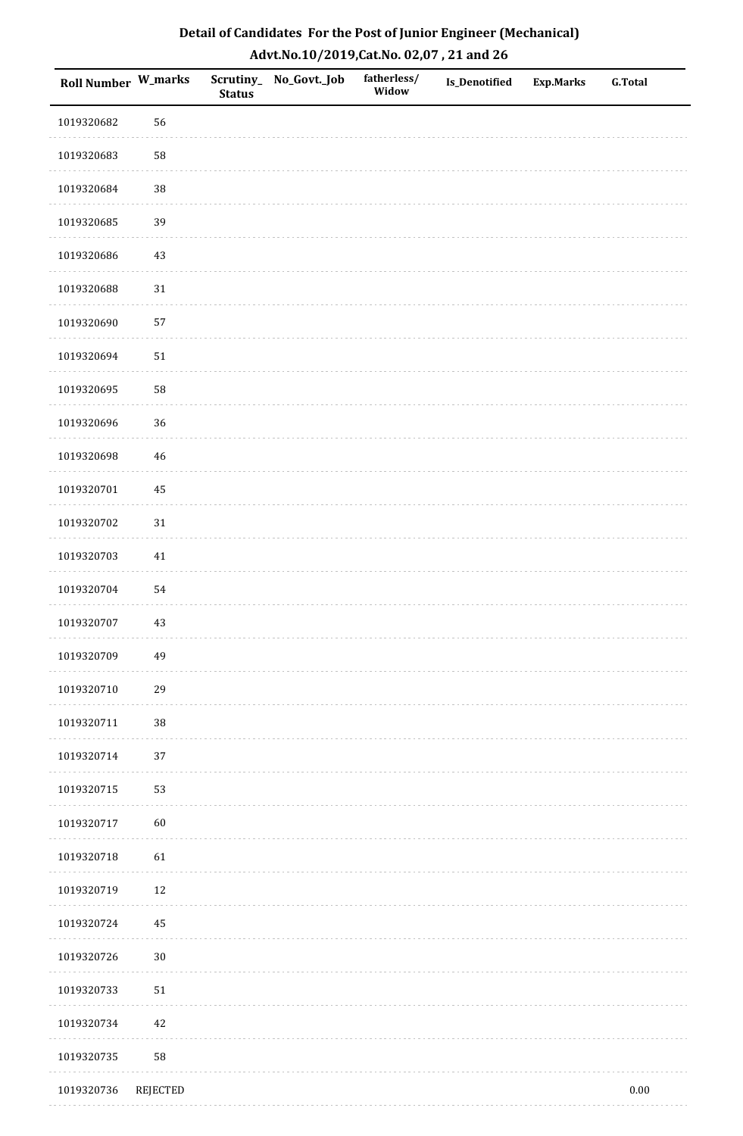| <b>Roll Number W_marks</b> |                 | <b>Status</b> | Scrutiny_ No_Govt._Job | fatherless/<br>Widow | Is_Denotified | <b>Exp.Marks</b> | <b>G.Total</b> |
|----------------------------|-----------------|---------------|------------------------|----------------------|---------------|------------------|----------------|
| 1019320682                 | 56              |               |                        |                      |               |                  |                |
| 1019320683                 | 58              |               |                        |                      |               |                  |                |
| 1019320684                 | 38              |               |                        |                      |               |                  |                |
| 1019320685                 | 39              |               |                        |                      |               |                  |                |
| 1019320686                 | 43              |               |                        |                      |               |                  |                |
| 1019320688                 | $31\,$          |               |                        |                      |               |                  |                |
| 1019320690                 | 57              |               |                        |                      |               |                  |                |
| 1019320694                 | $51\,$          |               |                        |                      |               |                  |                |
| 1019320695                 | 58              |               |                        |                      |               |                  |                |
| 1019320696                 | 36              |               |                        |                      |               |                  |                |
| 1019320698                 | $46\,$          |               |                        |                      |               |                  |                |
| 1019320701                 | 45              |               |                        |                      |               |                  |                |
| 1019320702                 | $31\,$          |               |                        |                      |               |                  |                |
| 1019320703                 | $41\,$          |               |                        |                      |               |                  |                |
| 1019320704                 | 54              |               |                        |                      |               |                  |                |
| 1019320707                 | 43              |               |                        |                      |               |                  |                |
| 1019320709                 | 49              |               |                        |                      |               |                  |                |
| 1019320710                 | 29              |               |                        |                      |               |                  |                |
| 1019320711                 | $38\,$          |               |                        |                      |               |                  |                |
| 1019320714                 | 37              |               |                        |                      |               |                  |                |
| 1019320715                 | 53              |               |                        |                      |               |                  |                |
| 1019320717                 | $60\,$          |               |                        |                      |               |                  |                |
| 1019320718                 | 61              |               |                        |                      |               |                  |                |
| 1019320719                 | 12              |               |                        |                      |               |                  |                |
| 1019320724                 | 45              |               |                        |                      |               |                  |                |
| 1019320726                 | $30\,$          |               |                        |                      |               |                  |                |
| 1019320733                 | $51\,$          |               |                        |                      |               |                  |                |
| 1019320734                 | $42\,$          |               |                        |                      |               |                  |                |
| 1019320735                 | 58              |               |                        |                      |               |                  |                |
| 1019320736                 | <b>REJECTED</b> |               |                        |                      |               |                  | $0.00\,$       |

. . . . . . . . . . . . . . . . .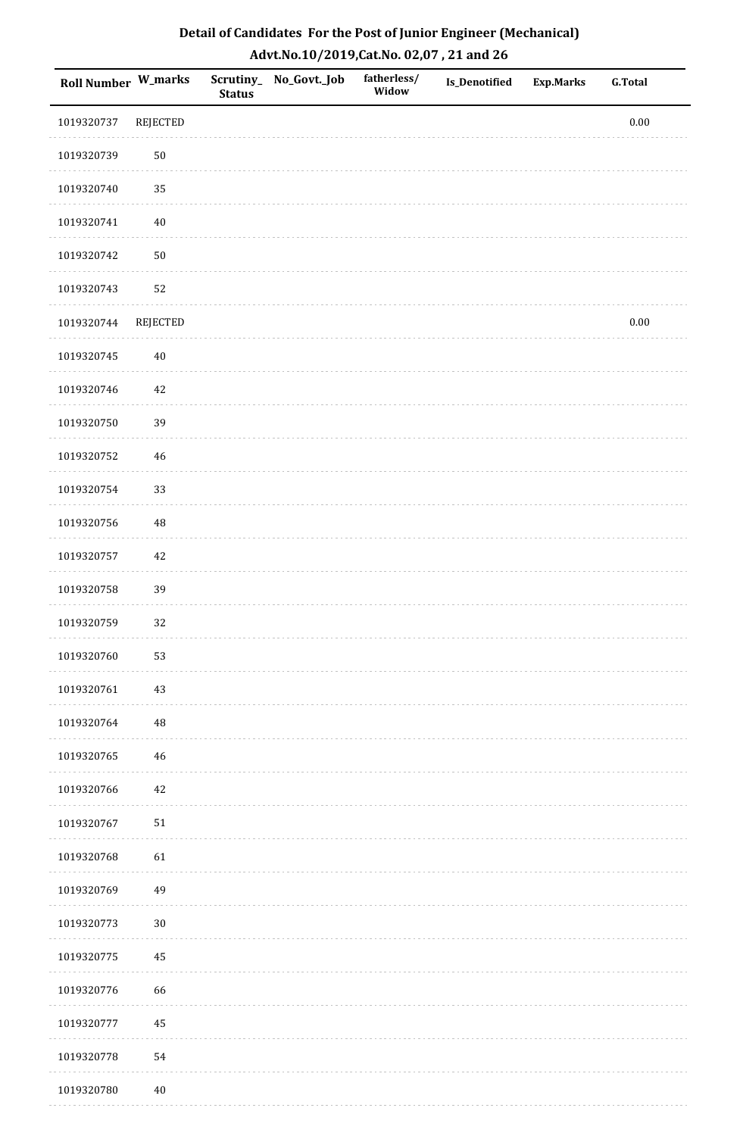| Roll Number W_marks |                 | <b>Status</b> | Scrutiny_ No_Govt._Job | fatherless/<br>Widow | Is_Denotified | <b>Exp.Marks</b> | <b>G.Total</b> |
|---------------------|-----------------|---------------|------------------------|----------------------|---------------|------------------|----------------|
| 1019320737          | <b>REJECTED</b> |               |                        |                      |               |                  | $0.00\,$       |
| 1019320739          | $50\,$          |               |                        |                      |               |                  |                |
| 1019320740          | 35              |               |                        |                      |               |                  |                |
| 1019320741          | $40\,$          |               |                        |                      |               |                  |                |
| 1019320742          | $50\,$          |               |                        |                      |               |                  |                |
| 1019320743          | 52              |               |                        |                      |               |                  |                |
| 1019320744          | <b>REJECTED</b> |               |                        |                      |               |                  | $0.00\,$       |
| 1019320745          | $40\,$          |               |                        |                      |               |                  |                |
| 1019320746          | $42\,$          |               |                        |                      |               |                  |                |
| 1019320750          | 39              |               |                        |                      |               |                  |                |
| 1019320752          | $46\,$          |               |                        |                      |               |                  |                |
| 1019320754          | 33              |               |                        |                      |               |                  |                |
| 1019320756          | $\rm 48$        |               |                        |                      |               |                  |                |
| 1019320757          | $42\,$          |               |                        |                      |               |                  |                |
| 1019320758          | 39              |               |                        |                      |               |                  |                |
| 1019320759          | 32              |               |                        |                      |               |                  |                |
| 1019320760          | 53              |               |                        |                      |               |                  |                |
| 1019320761          | $43\,$          |               |                        |                      |               |                  |                |
| 1019320764          | $\sqrt{48}$     |               |                        |                      |               |                  |                |
| 1019320765          | 46              |               |                        |                      |               |                  |                |
| 1019320766          | 42              |               |                        |                      |               |                  |                |
| 1019320767          | $51\,$          |               |                        |                      |               |                  |                |
| 1019320768          | 61              |               |                        |                      |               |                  |                |
| 1019320769          | 49              |               |                        |                      |               |                  |                |
| 1019320773          | $30\,$          |               |                        |                      |               |                  |                |
| 1019320775          | 45              |               |                        |                      |               |                  |                |
| 1019320776          | 66              |               |                        |                      |               |                  |                |
| 1019320777          | 45              |               |                        |                      |               |                  |                |
| 1019320778          | 54              |               |                        |                      |               |                  |                |
| 1019320780          | $40\,$          |               |                        |                      |               |                  |                |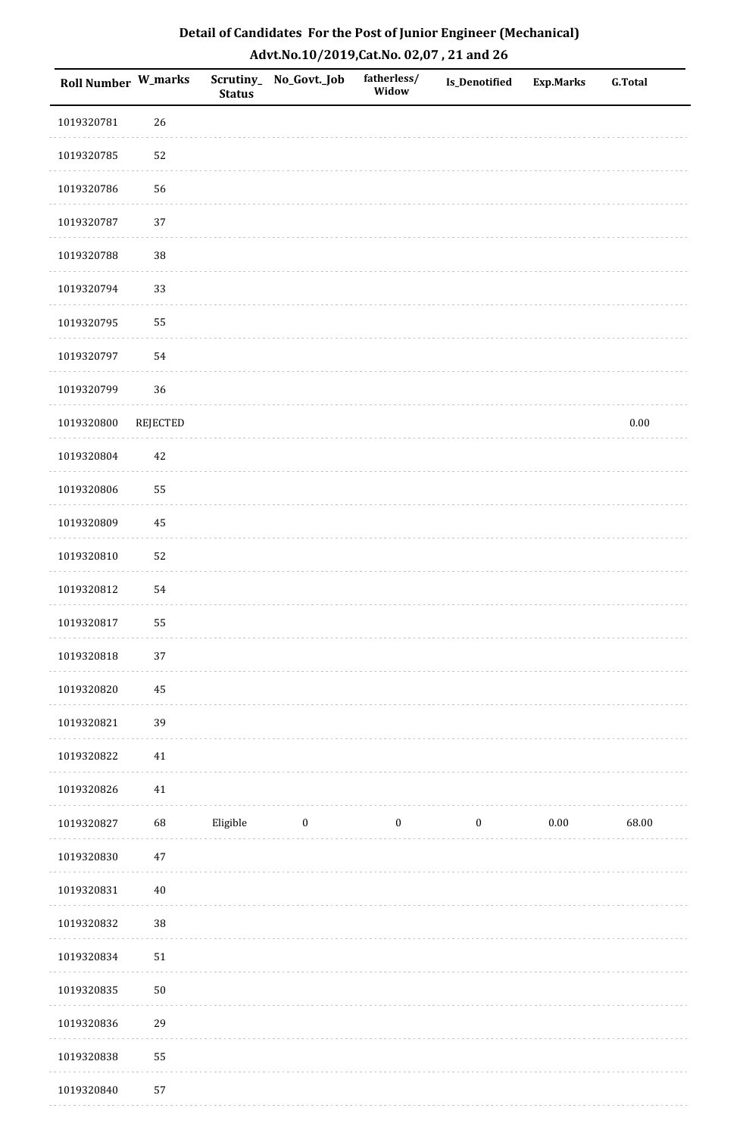| <b>Roll Number W_marks</b> |          | <b>Status</b> | Scrutiny_No_Govt._Job | fatherless/<br>Widow | Is_Denotified | <b>Exp.Marks</b> | <b>G.Total</b> |
|----------------------------|----------|---------------|-----------------------|----------------------|---------------|------------------|----------------|
| 1019320781                 | 26       |               |                       |                      |               |                  |                |
| 1019320785                 | 52       |               |                       |                      |               |                  |                |
| 1019320786                 | 56       |               |                       |                      |               |                  |                |
| 1019320787                 | 37       |               |                       |                      |               |                  |                |
| 1019320788                 | $38\,$   |               |                       |                      |               |                  |                |
| 1019320794                 | 33       |               |                       |                      |               |                  |                |
| 1019320795                 | 55       |               |                       |                      |               |                  |                |
| 1019320797                 | 54       |               |                       |                      |               |                  |                |
| 1019320799                 | 36       |               |                       |                      |               |                  |                |
| 1019320800                 | REJECTED |               |                       |                      |               |                  | $0.00\,$       |
| 1019320804                 | $42\,$   |               |                       |                      |               |                  |                |
| 1019320806                 | 55       |               |                       |                      |               |                  |                |
| 1019320809                 | 45       |               |                       |                      |               |                  |                |
| 1019320810                 | 52       |               |                       |                      |               |                  |                |
| 1019320812                 | 54       |               |                       |                      |               |                  |                |
| 1019320817                 | 55       |               |                       |                      |               |                  |                |
| 1019320818                 | $37\,$   |               |                       |                      |               |                  |                |
| 1019320820                 | 45       |               |                       |                      |               |                  |                |
| 1019320821                 | 39       |               |                       |                      |               |                  |                |
| 1019320822                 | $41\,$   |               |                       |                      |               |                  |                |
| 1019320826                 | $41\,$   |               |                       |                      |               |                  |                |
| 1019320827                 | 68       | Eligible      | $\bf{0}$              | $\bf{0}$             | $\bf{0}$      | $0.00\,$         | 68.00          |
| 1019320830                 | 47       |               |                       |                      |               |                  |                |
| 1019320831                 | $40\,$   |               |                       |                      |               |                  |                |
| 1019320832                 | 38       |               |                       |                      |               |                  |                |
| 1019320834                 | $51\,$   |               |                       |                      |               |                  |                |
| 1019320835                 | $50\,$   |               |                       |                      |               |                  |                |
| 1019320836                 | 29       |               |                       |                      |               |                  |                |
| 1019320838                 | 55       |               |                       |                      |               |                  |                |
| 1019320840                 | 57       |               |                       |                      |               |                  |                |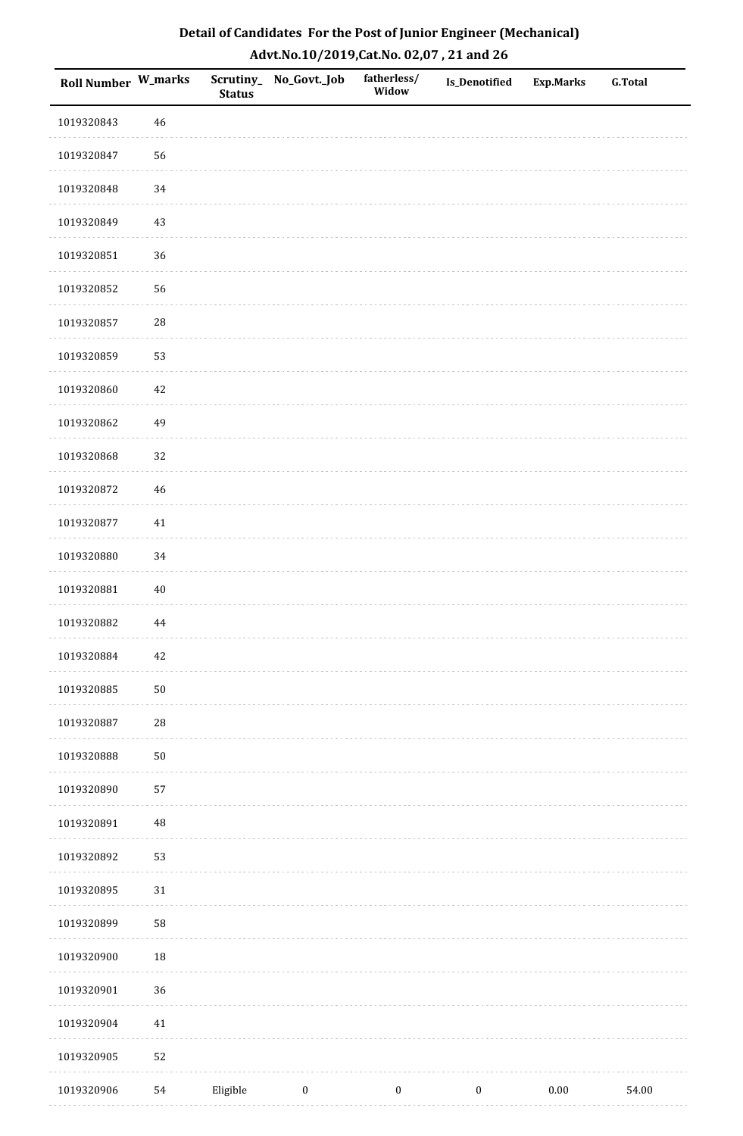| <b>Roll Number W_marks</b> |            | <b>Status</b> | Scrutiny_No_Govt._Job | fatherless/<br>Widow | Is_Denotified    | <b>Exp.Marks</b> | <b>G.Total</b> |
|----------------------------|------------|---------------|-----------------------|----------------------|------------------|------------------|----------------|
| 1019320843                 | $46\,$     |               |                       |                      |                  |                  |                |
| 1019320847                 | 56         |               |                       |                      |                  |                  |                |
| 1019320848                 | 34         |               |                       |                      |                  |                  |                |
| 1019320849                 | 43         |               |                       |                      |                  |                  |                |
| 1019320851                 | 36         |               |                       |                      |                  |                  |                |
| 1019320852                 | 56         |               |                       |                      |                  |                  |                |
| 1019320857                 | ${\bf 28}$ |               |                       |                      |                  |                  |                |
| 1019320859                 | 53         |               |                       |                      |                  |                  |                |
| 1019320860                 | 42         |               |                       |                      |                  |                  |                |
| 1019320862                 | 49         |               |                       |                      |                  |                  |                |
| 1019320868                 | 32         |               |                       |                      |                  |                  |                |
| 1019320872                 | 46         |               |                       |                      |                  |                  |                |
| 1019320877                 | $41\,$     |               |                       |                      |                  |                  |                |
| 1019320880                 | 34         |               |                       |                      |                  |                  |                |
| 1019320881                 | $40\,$     |               |                       |                      |                  |                  |                |
| 1019320882                 | 44         |               |                       |                      |                  |                  |                |
| 1019320884                 | $42\,$     |               |                       |                      |                  |                  |                |
| 1019320885                 | $50\,$     |               |                       |                      |                  |                  |                |
| 1019320887                 | ${\bf 28}$ |               |                       |                      |                  |                  |                |
| 1019320888                 | $50\,$     |               |                       |                      |                  |                  |                |
| 1019320890                 | 57         |               |                       |                      |                  |                  |                |
| 1019320891                 | $\rm 48$   |               |                       |                      |                  |                  |                |
| 1019320892                 | 53         |               |                       |                      |                  |                  |                |
| 1019320895                 | $31\,$     |               |                       |                      |                  |                  |                |
| 1019320899                 | 58         |               |                       |                      |                  |                  |                |
| 1019320900                 | 18         |               |                       |                      |                  |                  |                |
| 1019320901                 | 36         |               |                       |                      |                  |                  |                |
| 1019320904                 | $41\,$     |               |                       |                      |                  |                  |                |
| 1019320905                 | 52         |               |                       |                      |                  |                  |                |
| 1019320906                 | 54         | Eligible      | $\boldsymbol{0}$      | $\boldsymbol{0}$     | $\boldsymbol{0}$ | $0.00\,$         | 54.00          |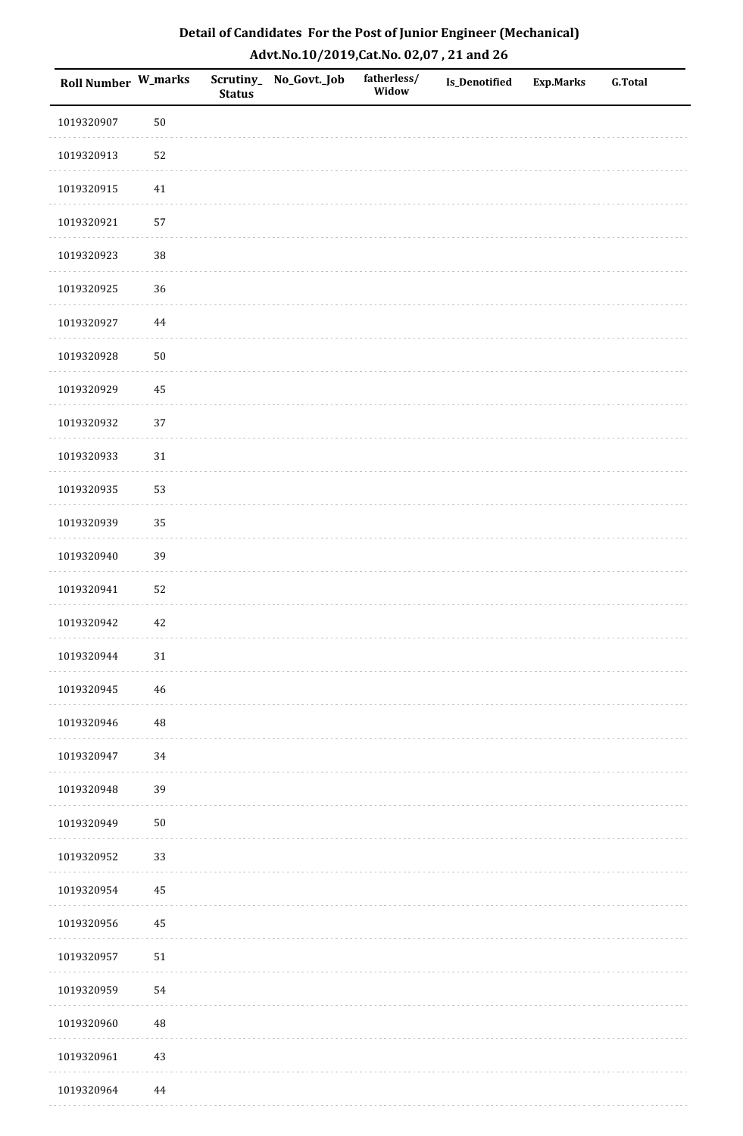| Detail of Candidates For the Post of Junior Engineer (Mechanical) |
|-------------------------------------------------------------------|
| Advt.No.10/2019,Cat.No. 02,07, 21 and 26                          |

| Roll Number W_marks |             | <b>Status</b> | Scrutiny_ No_Govt._Job | fatherless/<br>Widow | <b>Is_Denotified</b> | <b>Exp.Marks</b> | <b>G.Total</b> |
|---------------------|-------------|---------------|------------------------|----------------------|----------------------|------------------|----------------|
| 1019320907          | $50\,$      |               |                        |                      |                      |                  |                |
| 1019320913          | 52          |               |                        |                      |                      |                  |                |
| 1019320915          | $41\,$      |               |                        |                      |                      |                  |                |
| 1019320921          | 57          |               |                        |                      |                      |                  |                |
| 1019320923          | 38          |               |                        |                      |                      |                  |                |
| 1019320925          | 36          |               |                        |                      |                      |                  |                |
| 1019320927          | $\bf 44$    |               |                        |                      |                      |                  |                |
| 1019320928          | $50\,$      |               |                        |                      |                      |                  |                |
| 1019320929          | 45          |               |                        |                      |                      |                  |                |
| 1019320932          | 37          |               |                        |                      |                      |                  |                |
| 1019320933          | 31          |               |                        |                      |                      |                  |                |
| 1019320935          | 53          |               |                        |                      |                      |                  |                |
| 1019320939          | 35          |               |                        |                      |                      |                  |                |
| 1019320940          | 39          |               |                        |                      |                      |                  |                |
| 1019320941          | 52          |               |                        |                      |                      |                  |                |
| 1019320942          | $42\,$      |               |                        |                      |                      |                  |                |
| 1019320944          | $31\,$      |               |                        |                      |                      |                  |                |
| 1019320945          | $\sqrt{46}$ |               |                        |                      |                      |                  |                |
| 1019320946          | $\rm 48$    |               |                        |                      |                      |                  |                |
| 1019320947          | 34          |               |                        |                      |                      |                  |                |
| 1019320948          | 39          |               |                        |                      |                      |                  |                |
| 1019320949          | $50\,$      |               |                        |                      |                      |                  |                |
| 1019320952          | 33          |               |                        |                      |                      |                  |                |
| 1019320954          | $\bf 45$    |               |                        |                      |                      |                  |                |
| 1019320956          | 45          |               |                        |                      |                      |                  |                |
| 1019320957          | $51\,$      |               |                        |                      |                      |                  |                |
| 1019320959          | 54          |               |                        |                      |                      |                  |                |
| 1019320960          | $\rm 48$    |               |                        |                      |                      |                  |                |
| 1019320961          | 43          |               |                        |                      |                      |                  |                |
| 1019320964          | $\bf 44$    |               |                        |                      |                      |                  |                |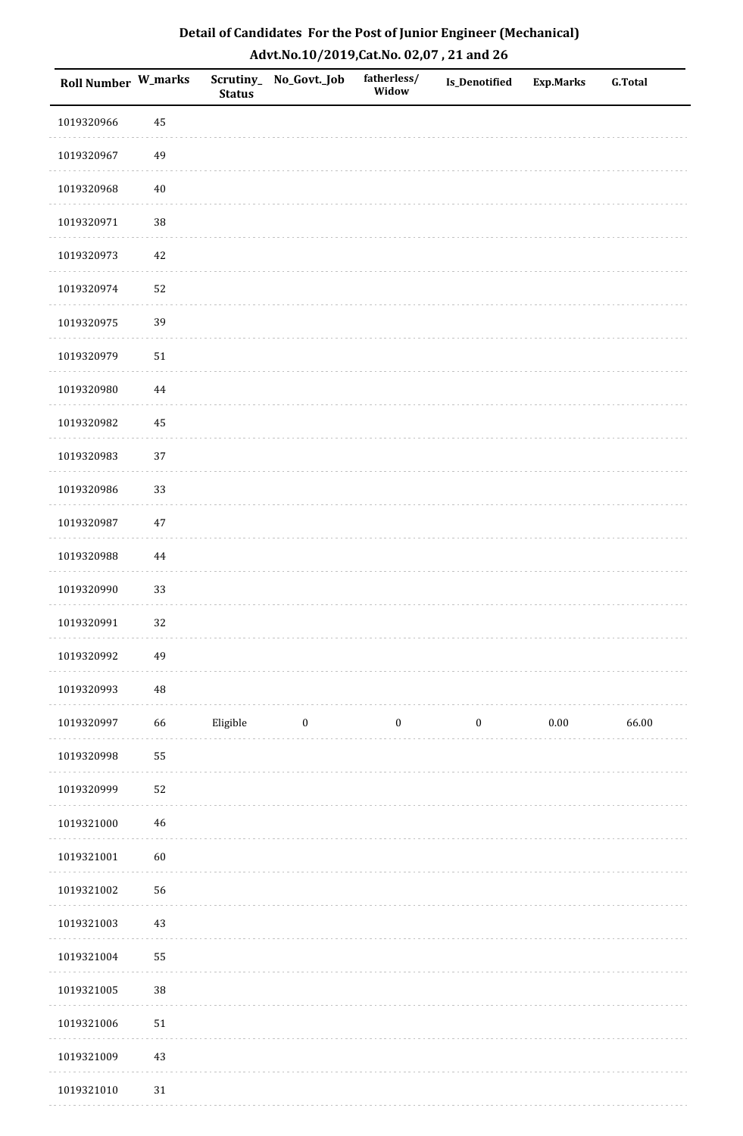| Roll Number W_marks |             | <b>Status</b> | Scrutiny_No_Govt._Job | fatherless/<br>Widow | Is_Denotified    | <b>Exp.Marks</b> | <b>G.Total</b> |
|---------------------|-------------|---------------|-----------------------|----------------------|------------------|------------------|----------------|
| 1019320966          | 45          |               |                       |                      |                  |                  |                |
| 1019320967          | 49          |               |                       |                      |                  |                  |                |
| 1019320968          | $40\,$      |               |                       |                      |                  |                  |                |
| 1019320971          | 38          |               |                       |                      |                  |                  |                |
| 1019320973          | $42\,$      |               |                       |                      |                  |                  |                |
| 1019320974          | 52          |               |                       |                      |                  |                  |                |
| 1019320975          | 39          |               |                       |                      |                  |                  |                |
| 1019320979          | $51\,$      |               |                       |                      |                  |                  |                |
| 1019320980          | 44          |               |                       |                      |                  |                  |                |
| 1019320982          | 45          |               |                       |                      |                  |                  |                |
| 1019320983          | 37          |               |                       |                      |                  |                  |                |
| 1019320986          | 33          |               |                       |                      |                  |                  |                |
| 1019320987          | $47\,$      |               |                       |                      |                  |                  |                |
| 1019320988          | 44          |               |                       |                      |                  |                  |                |
| 1019320990          | 33          |               |                       |                      |                  |                  |                |
| 1019320991          | 32          |               |                       |                      |                  |                  |                |
| 1019320992          | 49          |               |                       |                      |                  |                  |                |
| 1019320993          | $\rm 48$    |               |                       |                      |                  |                  |                |
| 1019320997          | 66          | Eligible      | $\bf{0}$              | $\boldsymbol{0}$     | $\boldsymbol{0}$ | $0.00\,$         | 66.00          |
| 1019320998          | 55          |               |                       |                      |                  |                  |                |
| 1019320999          | 52          |               |                       |                      |                  |                  |                |
| 1019321000          | $\sqrt{46}$ |               |                       |                      |                  |                  |                |
| 1019321001          | 60          |               |                       |                      |                  |                  |                |
| 1019321002          | 56          |               |                       |                      |                  |                  |                |
| 1019321003          | 43          |               |                       |                      |                  |                  |                |
| 1019321004          | 55          |               |                       |                      |                  |                  |                |
| 1019321005          | 38          |               |                       |                      |                  |                  |                |
| 1019321006          | $51\,$      |               |                       |                      |                  |                  |                |
| 1019321009          | $43\,$      |               |                       |                      |                  |                  |                |
| 1019321010          | $31\,$      |               |                       |                      |                  |                  |                |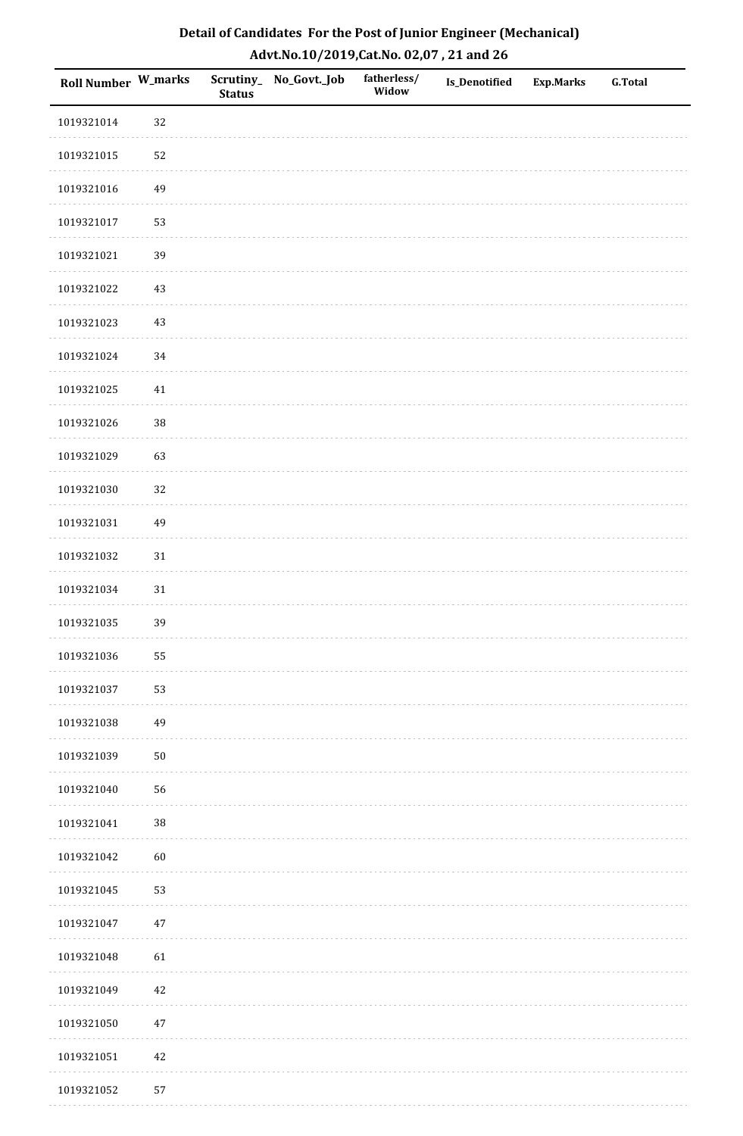| Detail of Candidates For the Post of Junior Engineer (Mechanical) |
|-------------------------------------------------------------------|
| Advt.No.10/2019,Cat.No. 02,07, 21 and 26                          |

| Roll Number W_marks |        | <b>Status</b> | Scrutiny_No_Govt._Job | fatherless/<br>Widow | <b>Is_Denotified</b> | <b>Exp.Marks</b> | <b>G.Total</b> |
|---------------------|--------|---------------|-----------------------|----------------------|----------------------|------------------|----------------|
| 1019321014          | 32     |               |                       |                      |                      |                  |                |
| 1019321015          | 52     |               |                       |                      |                      |                  |                |
| 1019321016          | 49     |               |                       |                      |                      |                  |                |
| 1019321017          | 53     |               |                       |                      |                      |                  |                |
| 1019321021          | 39     |               |                       |                      |                      |                  |                |
| 1019321022          | 43     |               |                       |                      |                      |                  |                |
| 1019321023          | 43     |               |                       |                      |                      |                  |                |
| 1019321024          | 34     |               |                       |                      |                      |                  |                |
| 1019321025          | 41     |               |                       |                      |                      |                  |                |
| 1019321026          | 38     |               |                       |                      |                      |                  |                |
| 1019321029          | 63     |               |                       |                      |                      |                  |                |
| 1019321030          | 32     |               |                       |                      |                      |                  |                |
| 1019321031          | 49     |               |                       |                      |                      |                  |                |
| 1019321032          | $31\,$ |               |                       |                      |                      |                  |                |
| 1019321034          | $31\,$ |               |                       |                      |                      |                  |                |
| 1019321035          | 39     |               |                       |                      |                      |                  |                |
| 1019321036          | 55     |               |                       |                      |                      |                  |                |
| 1019321037          | 53     |               |                       |                      |                      |                  |                |
| 1019321038          | 49     |               |                       |                      |                      |                  |                |
| 1019321039          | $50\,$ |               |                       |                      |                      |                  |                |
| 1019321040          | 56     |               |                       |                      |                      |                  |                |
| 1019321041          | $38\,$ |               |                       |                      |                      |                  |                |
| 1019321042          | 60     |               |                       |                      |                      |                  |                |
| 1019321045          | 53     |               |                       |                      |                      |                  |                |
| 1019321047          | 47     |               |                       |                      |                      |                  |                |
| 1019321048          | 61     |               |                       |                      |                      |                  |                |
| 1019321049          | 42     |               |                       |                      |                      |                  |                |
| 1019321050          | $47\,$ |               |                       |                      |                      |                  |                |
| 1019321051          | $42\,$ |               |                       |                      |                      |                  |                |
| 1019321052          | 57     |               |                       |                      |                      |                  |                |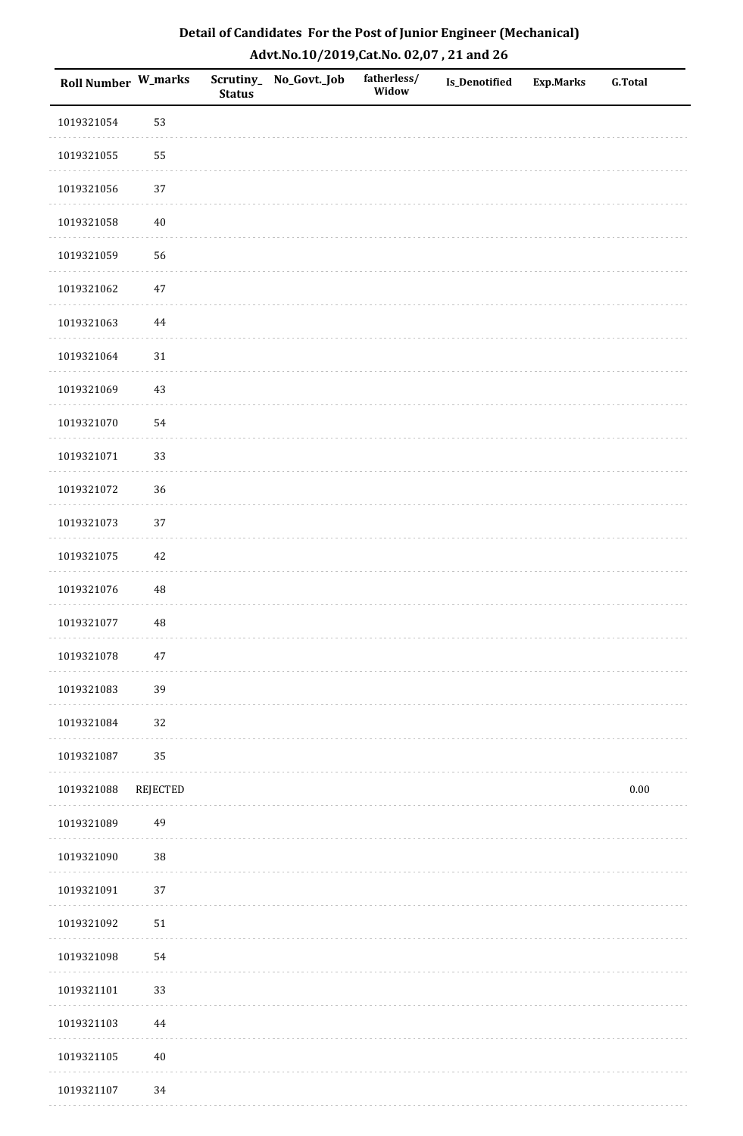| Detail of Candidates For the Post of Junior Engineer (Mechanical) |
|-------------------------------------------------------------------|
| Advt.No.10/2019,Cat.No. 02,07, 21 and 26                          |

| Roll Number W_marks |            | <b>Status</b> | Scrutiny_ No_Govt._Job | fatherless/<br>Widow | <b>Is_Denotified</b> | <b>Exp.Marks</b> | <b>G.Total</b> |
|---------------------|------------|---------------|------------------------|----------------------|----------------------|------------------|----------------|
| 1019321054          | 53         |               |                        |                      |                      |                  |                |
| 1019321055          | 55         |               |                        |                      |                      |                  |                |
| 1019321056          | 37         |               |                        |                      |                      |                  |                |
| 1019321058          | $40\,$     |               |                        |                      |                      |                  |                |
| 1019321059          | 56         |               |                        |                      |                      |                  |                |
| 1019321062          | $47\,$     |               |                        |                      |                      |                  |                |
| 1019321063          | $\bf 44$   |               |                        |                      |                      |                  |                |
| 1019321064          | 31         |               |                        |                      |                      |                  |                |
| 1019321069          | 43         |               |                        |                      |                      |                  |                |
| 1019321070          | 54         |               |                        |                      |                      |                  |                |
| 1019321071          | 33         |               |                        |                      |                      |                  |                |
| 1019321072          | 36         |               |                        |                      |                      |                  |                |
| 1019321073          | 37         |               |                        |                      |                      |                  |                |
| 1019321075          | $42\,$     |               |                        |                      |                      |                  |                |
| 1019321076          | $\rm 48$   |               |                        |                      |                      |                  |                |
| 1019321077          | $\rm 48$   |               |                        |                      |                      |                  |                |
| 1019321078          | $47\,$     |               |                        |                      |                      |                  |                |
| 1019321083          | 39         |               |                        |                      |                      |                  |                |
| 1019321084          | 32         |               |                        |                      |                      |                  |                |
| 1019321087          | 35         |               |                        |                      |                      |                  |                |
| 1019321088          | REJECTED   |               |                        |                      |                      |                  | $0.00\,$       |
| 1019321089          | 49         |               |                        |                      |                      |                  |                |
| 1019321090          | 38         |               |                        |                      |                      |                  |                |
| 1019321091          | 37         |               |                        |                      |                      |                  |                |
| 1019321092          | ${\bf 51}$ |               |                        |                      |                      |                  |                |
| 1019321098          | 54         |               |                        |                      |                      |                  |                |
| 1019321101          | 33         |               |                        |                      |                      |                  |                |
| 1019321103          | $\bf 44$   |               |                        |                      |                      |                  |                |
| 1019321105          | $40\,$     |               |                        |                      |                      |                  |                |
| 1019321107          | 34         |               |                        |                      |                      |                  |                |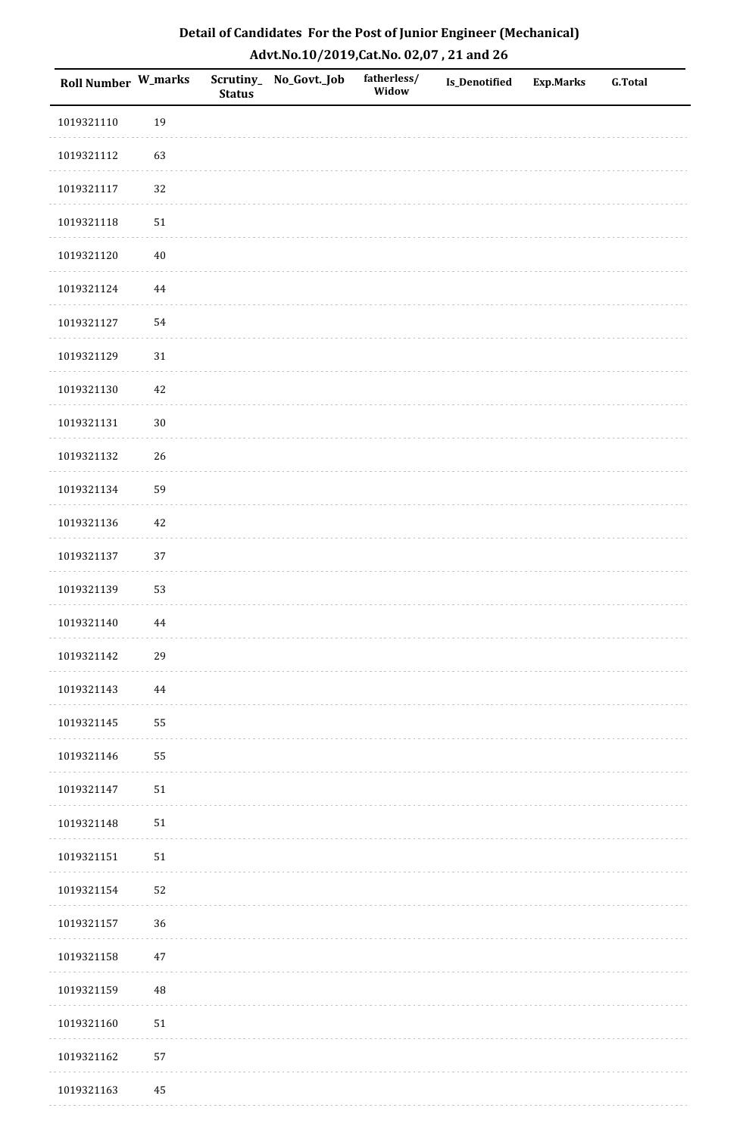| Detail of Candidates For the Post of Junior Engineer (Mechanical) |
|-------------------------------------------------------------------|
| Advt.No.10/2019, Cat.No. 02,07, 21 and 26                         |

| <b>Roll Number W_marks</b> |            | <b>Status</b> | Scrutiny_ No_Govt._Job | fatherless/<br>Widow | <b>Is_Denotified</b> | <b>Exp.Marks</b> | <b>G.Total</b> |
|----------------------------|------------|---------------|------------------------|----------------------|----------------------|------------------|----------------|
| 1019321110                 | 19         |               |                        |                      |                      |                  |                |
| 1019321112                 | 63         |               |                        |                      |                      |                  |                |
| 1019321117                 | 32         |               |                        |                      |                      |                  |                |
| 1019321118                 | ${\bf 51}$ |               |                        |                      |                      |                  |                |
| 1019321120                 | $40\,$     |               |                        |                      |                      |                  |                |
| 1019321124                 | $\bf 44$   |               |                        |                      |                      |                  |                |
| 1019321127                 | 54         |               |                        |                      |                      |                  |                |
| 1019321129                 | $31\,$     |               |                        |                      |                      |                  |                |
| 1019321130                 | $42\,$     |               |                        |                      |                      |                  |                |
| 1019321131                 | $30\,$     |               |                        |                      |                      |                  |                |
| 1019321132                 | 26         |               |                        |                      |                      |                  |                |
| 1019321134                 | 59         |               |                        |                      |                      |                  |                |
| 1019321136                 | 42         |               |                        |                      |                      |                  |                |
| 1019321137                 | 37         |               |                        |                      |                      |                  |                |
| 1019321139                 | 53         |               |                        |                      |                      |                  |                |
| 1019321140                 | 44         |               |                        |                      |                      |                  |                |
| 1019321142                 | 29         |               |                        |                      |                      |                  |                |
| 1019321143                 | 44         |               |                        |                      |                      |                  |                |
| 1019321145                 | 55         |               |                        |                      |                      |                  |                |
| 1019321146                 | 55         |               |                        |                      |                      |                  |                |
| 1019321147                 | 51         |               |                        |                      |                      |                  |                |
| 1019321148                 | 51         |               |                        |                      |                      |                  |                |
| 1019321151                 | ${\bf 51}$ |               |                        |                      |                      |                  |                |
| 1019321154                 | 52         |               |                        |                      |                      |                  |                |
| 1019321157                 | 36         |               |                        |                      |                      |                  |                |
| 1019321158                 | 47         |               |                        |                      |                      |                  |                |
| 1019321159                 | $\rm 48$   |               |                        |                      |                      |                  |                |
| 1019321160                 | 51         |               |                        |                      |                      |                  |                |
| 1019321162                 | 57         |               |                        |                      |                      |                  |                |
| 1019321163                 | 45         |               |                        |                      |                      |                  |                |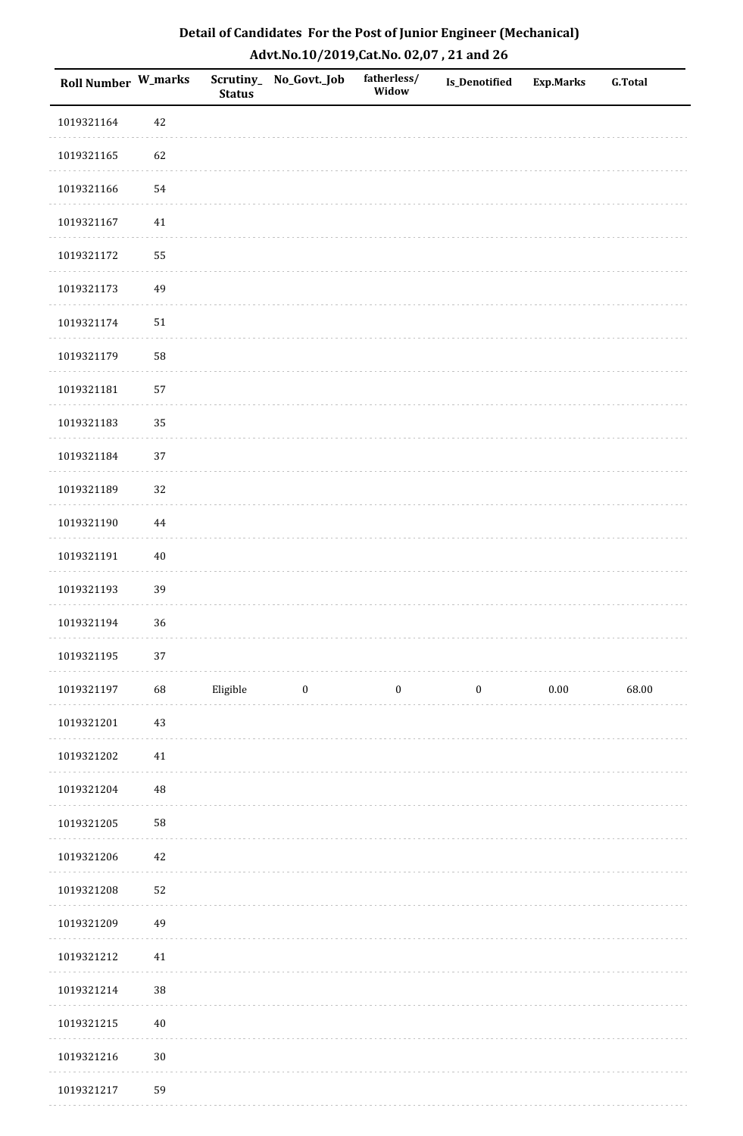| Detail of Candidates For the Post of Junior Engineer (Mechanical) |
|-------------------------------------------------------------------|
| Advt.No.10/2019,Cat.No. 02,07, 21 and 26                          |

| Roll Number W_marks |          | <b>Status</b> | Scrutiny_ No_Govt._Job | fatherless/<br>Widow | <b>Is_Denotified</b> | Exp.Marks | <b>G.Total</b> |
|---------------------|----------|---------------|------------------------|----------------------|----------------------|-----------|----------------|
| 1019321164          | 42       |               |                        |                      |                      |           |                |
| 1019321165          | 62       |               |                        |                      |                      |           |                |
| 1019321166          | 54       |               |                        |                      |                      |           |                |
| 1019321167          | $41\,$   |               |                        |                      |                      |           |                |
| 1019321172          | 55       |               |                        |                      |                      |           |                |
| 1019321173          | 49       |               |                        |                      |                      |           |                |
| 1019321174          | 51       |               |                        |                      |                      |           |                |
| 1019321179          | 58       |               |                        |                      |                      |           |                |
| 1019321181          | 57       |               |                        |                      |                      |           |                |
| 1019321183          | 35       |               |                        |                      |                      |           |                |
| 1019321184          | 37       |               |                        |                      |                      |           |                |
| 1019321189          | 32       |               |                        |                      |                      |           |                |
| 1019321190          | 44       |               |                        |                      |                      |           |                |
| 1019321191          | $40\,$   |               |                        |                      |                      |           |                |
| 1019321193          | 39       |               |                        |                      |                      |           |                |
| 1019321194          | 36       |               |                        |                      |                      |           |                |
| 1019321195          | $37\,$   |               |                        |                      |                      |           |                |
| 1019321197          | 68       | Eligible      | $\boldsymbol{0}$       | $\boldsymbol{0}$     | $\boldsymbol{0}$     | $0.00\,$  | 68.00          |
| 1019321201          | 43       |               |                        |                      |                      |           |                |
| 1019321202          | $41\,$   |               |                        |                      |                      |           |                |
| 1019321204          | $\rm 48$ |               |                        |                      |                      |           |                |
| 1019321205          | 58       |               |                        |                      |                      |           |                |
| 1019321206          | 42       |               |                        |                      |                      |           |                |
| 1019321208          | 52       |               |                        |                      |                      |           |                |
| 1019321209          | 49       |               |                        |                      |                      |           |                |
| 1019321212          | $41\,$   |               |                        |                      |                      |           |                |
| 1019321214          | $38\,$   |               |                        |                      |                      |           |                |
| 1019321215          | $40\,$   |               |                        |                      |                      |           |                |
| 1019321216          | $30\,$   |               |                        |                      |                      |           |                |
| 1019321217          | 59       |               |                        |                      |                      |           |                |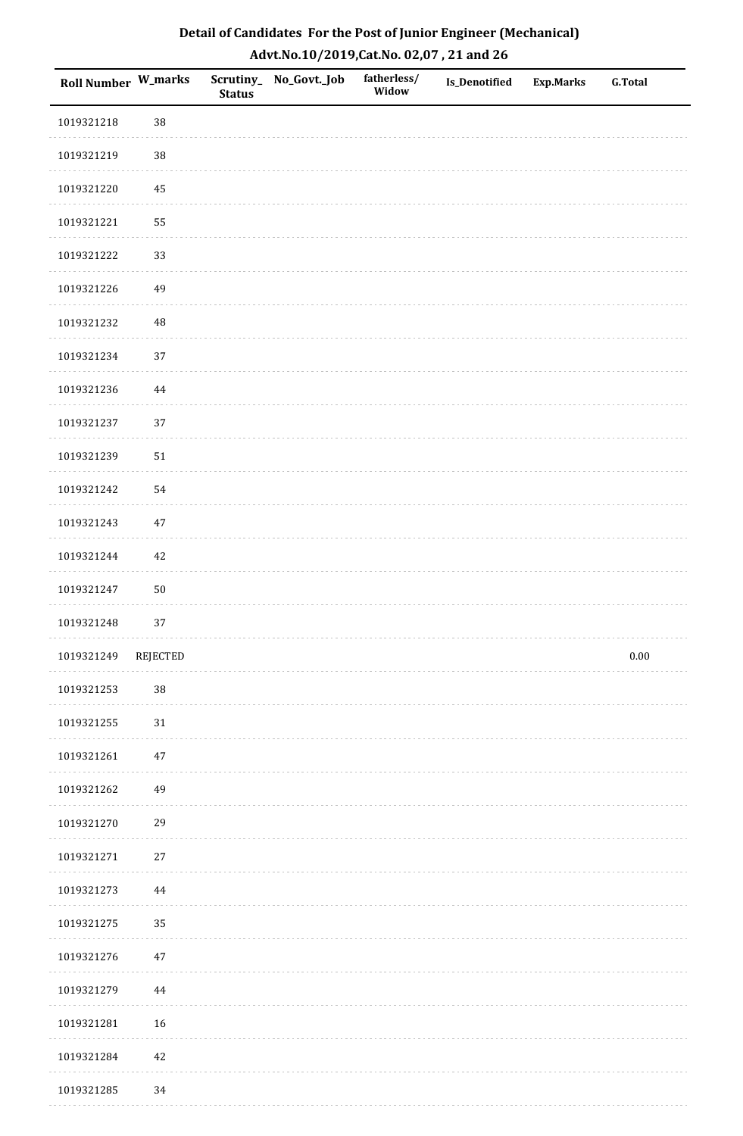| Detail of Candidates For the Post of Junior Engineer (Mechanical) |
|-------------------------------------------------------------------|
| Advt.No.10/2019,Cat.No. 02,07, 21 and 26                          |

| Roll Number W_marks |          | <b>Status</b> | Scrutiny_ No_Govt._Job | fatherless/<br>Widow | Is_Denotified | <b>Exp.Marks</b> | <b>G.Total</b> |
|---------------------|----------|---------------|------------------------|----------------------|---------------|------------------|----------------|
| 1019321218          | 38       |               |                        |                      |               |                  |                |
| 1019321219          | 38       |               |                        |                      |               |                  |                |
| 1019321220          | 45       |               |                        |                      |               |                  |                |
| 1019321221          | 55       |               |                        |                      |               |                  |                |
| 1019321222          | 33       |               |                        |                      |               |                  |                |
| 1019321226          | 49       |               |                        |                      |               |                  |                |
| 1019321232          | $\rm 48$ |               |                        |                      |               |                  |                |
| 1019321234          | 37       |               |                        |                      |               |                  |                |
| 1019321236          | 44       |               |                        |                      |               |                  |                |
| 1019321237          | 37       |               |                        |                      |               |                  |                |
| 1019321239          | $51\,$   |               |                        |                      |               |                  |                |
| 1019321242          | 54       |               |                        |                      |               |                  |                |
| 1019321243          | $47\,$   |               |                        |                      |               |                  |                |
| 1019321244          | $42\,$   |               |                        |                      |               |                  |                |
| 1019321247          | $50\,$   |               |                        |                      |               |                  |                |
| 1019321248          | 37       |               |                        |                      |               |                  |                |
| 1019321249          | REJECTED |               |                        |                      |               |                  | $0.00\,$       |
| 1019321253          | 38       |               |                        |                      |               |                  |                |
| 1019321255          | $31\,$   |               |                        |                      |               |                  |                |
| 1019321261          | $47\,$   |               |                        |                      |               |                  |                |
| 1019321262          | 49       |               |                        |                      |               |                  |                |
| 1019321270          | 29       |               |                        |                      |               |                  |                |
| 1019321271          | $27\,$   |               |                        |                      |               |                  |                |
| 1019321273          | 44       |               |                        |                      |               |                  |                |
| 1019321275          | 35       |               |                        |                      |               |                  |                |
| 1019321276          | $47\,$   |               |                        |                      |               |                  |                |
| 1019321279          | 44       |               |                        |                      |               |                  |                |
| 1019321281          | 16       |               |                        |                      |               |                  |                |
| 1019321284          | $42\,$   |               |                        |                      |               |                  |                |
| 1019321285          | 34       |               |                        |                      |               |                  |                |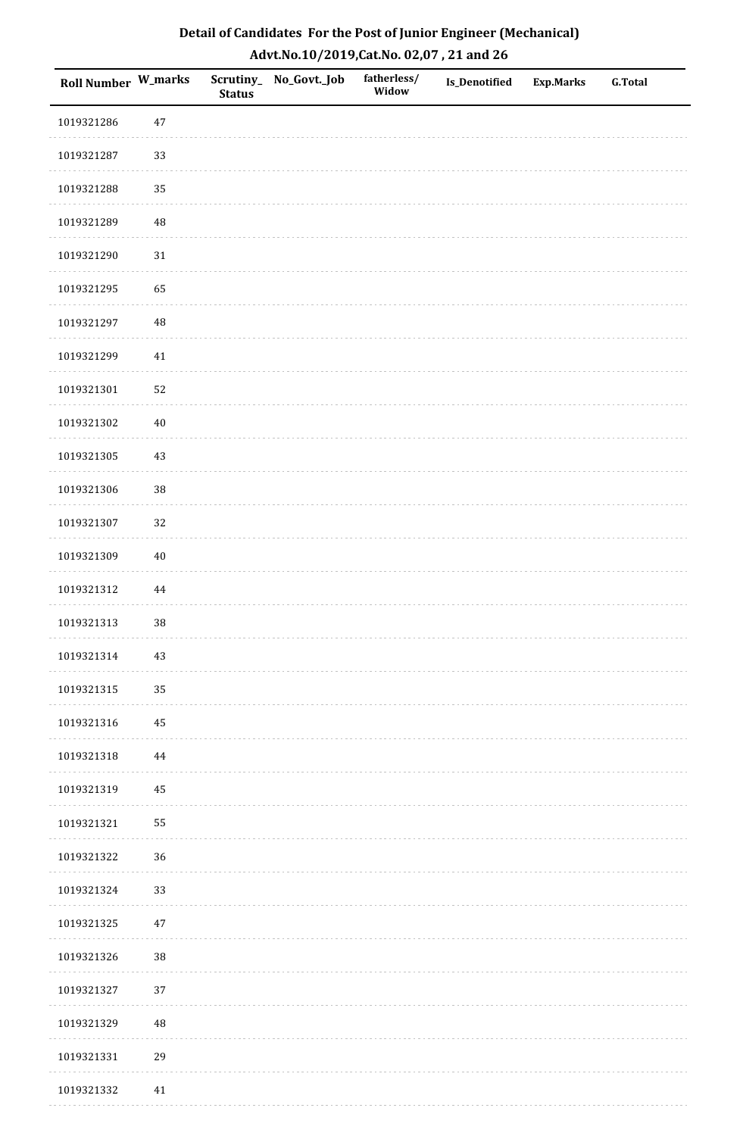| Roll Number W_marks |          | <b>Status</b> | Scrutiny_No_Govt._Job | fatherless/<br>Widow | Is_Denotified | <b>Exp.Marks</b> | <b>G.Total</b> |
|---------------------|----------|---------------|-----------------------|----------------------|---------------|------------------|----------------|
| 1019321286          | $47\,$   |               |                       |                      |               |                  |                |
| 1019321287          | 33       |               |                       |                      |               |                  |                |
| 1019321288          | 35       |               |                       |                      |               |                  |                |
| 1019321289          | 48       |               |                       |                      |               |                  |                |
| 1019321290          | $31\,$   |               |                       |                      |               |                  |                |
| 1019321295          | 65       |               |                       |                      |               |                  |                |
| 1019321297          | $\rm 48$ |               |                       |                      |               |                  |                |
| 1019321299          | $41\,$   |               |                       |                      |               |                  |                |
| 1019321301          | 52       |               |                       |                      |               |                  |                |
| 1019321302          | $40\,$   |               |                       |                      |               |                  |                |
| 1019321305          | 43       |               |                       |                      |               |                  |                |
| 1019321306          | 38       |               |                       |                      |               |                  |                |
| 1019321307          | 32       |               |                       |                      |               |                  |                |
| 1019321309          | $40\,$   |               |                       |                      |               |                  |                |
| 1019321312          | $\bf 44$ |               |                       |                      |               |                  |                |
| 1019321313          | 38       |               |                       |                      |               |                  |                |
| 1019321314          | $43\,$   |               |                       |                      |               |                  |                |
| 1019321315          | 35       |               |                       |                      |               |                  |                |
| 1019321316          | 45       |               |                       |                      |               |                  |                |
| 1019321318          | 44       |               |                       |                      |               |                  |                |
| 1019321319          | 45       |               |                       |                      |               |                  |                |
| 1019321321          | 55       |               |                       |                      |               |                  |                |
| 1019321322          | 36       |               |                       |                      |               |                  |                |
| 1019321324          | 33       |               |                       |                      |               |                  |                |
| 1019321325          | $47\,$   |               |                       |                      |               |                  |                |
| 1019321326          | 38       |               |                       |                      |               |                  |                |
| 1019321327          | 37       |               |                       |                      |               |                  |                |
| 1019321329          | 48       |               |                       |                      |               |                  |                |
| 1019321331          | 29       |               |                       |                      |               |                  |                |
| 1019321332          | 41       |               |                       |                      |               |                  |                |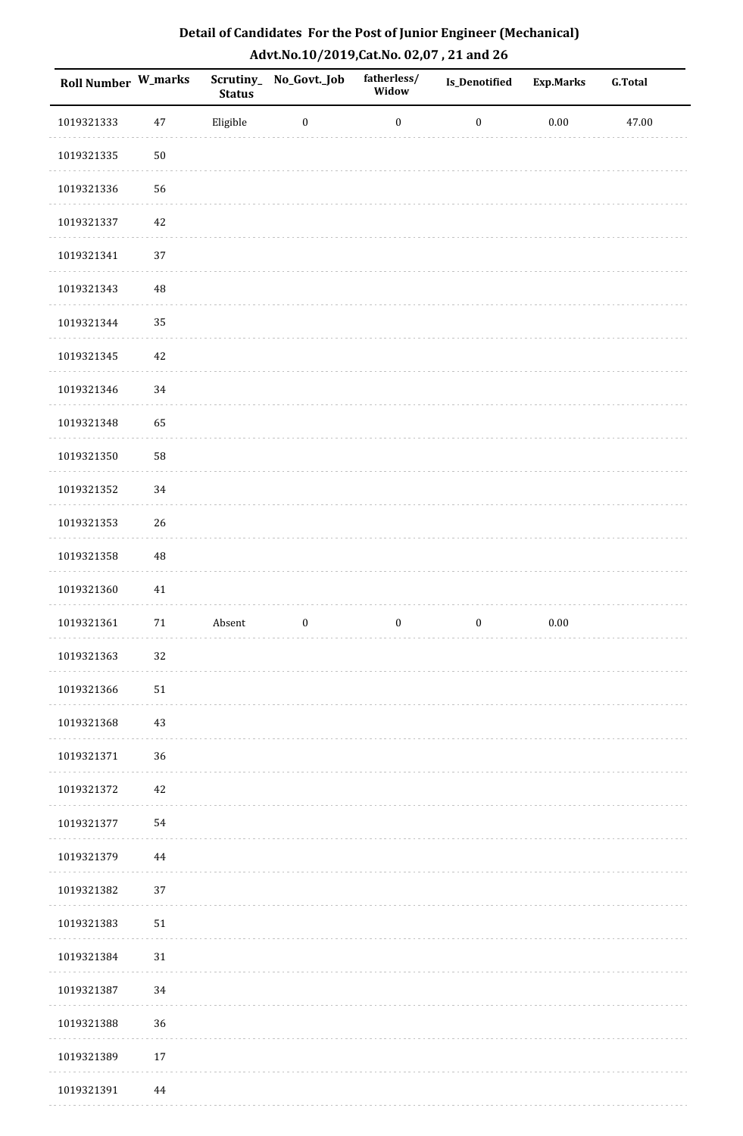| Detail of Candidates For the Post of Junior Engineer (Mechanical) |
|-------------------------------------------------------------------|
| Advt.No.10/2019, Cat.No. 02,07, 21 and 26                         |

| Roll Number W_marks |          | <b>Status</b> | Scrutiny_No_Govt._Job | fatherless/<br>Widow | <b>Is_Denotified</b> | <b>Exp.Marks</b> | <b>G.Total</b> |
|---------------------|----------|---------------|-----------------------|----------------------|----------------------|------------------|----------------|
| 1019321333          | $47\,$   | Eligible      | $\boldsymbol{0}$      | $\boldsymbol{0}$     | $\boldsymbol{0}$     | 0.00             | 47.00          |
| 1019321335          | $50\,$   |               |                       |                      |                      |                  |                |
| 1019321336          | 56       |               |                       |                      |                      |                  |                |
| 1019321337          | $42\,$   |               |                       |                      |                      |                  |                |
| 1019321341          | 37       |               |                       |                      |                      |                  |                |
| 1019321343          | $\rm 48$ |               |                       |                      |                      |                  |                |
| 1019321344          | 35       |               |                       |                      |                      |                  |                |
| 1019321345          | $42\,$   |               |                       |                      |                      |                  |                |
| 1019321346          | 34       |               |                       |                      |                      |                  |                |
| 1019321348          | 65       |               |                       |                      |                      |                  |                |
| 1019321350          | 58       |               |                       |                      |                      |                  |                |
| 1019321352          | 34       |               |                       |                      |                      |                  |                |
| 1019321353          | 26       |               |                       |                      |                      |                  |                |
| 1019321358          | 48       |               |                       |                      |                      |                  |                |
| 1019321360          | 41       |               |                       |                      |                      |                  |                |
| 1019321361          | $71\,$   | Absent        | $\boldsymbol{0}$      | $\boldsymbol{0}$     | $\boldsymbol{0}$     | $0.00\,$         |                |
| 1019321363          | 32       |               |                       |                      |                      |                  |                |
| 1019321366          | $51\,$   |               |                       |                      |                      |                  |                |
| 1019321368          | $43\,$   |               |                       |                      |                      |                  |                |
| 1019321371          | 36       |               |                       |                      |                      |                  |                |
| 1019321372          | $42\,$   |               |                       |                      |                      |                  |                |
| 1019321377          | 54       |               |                       |                      |                      |                  |                |
| 1019321379          | 44       |               |                       |                      |                      |                  |                |
| 1019321382          | 37       |               |                       |                      |                      |                  |                |
| 1019321383          | 51       |               |                       |                      |                      |                  |                |
| 1019321384          | $31\,$   |               |                       |                      |                      |                  |                |
| 1019321387          | 34       |               |                       |                      |                      |                  |                |
| 1019321388          | 36       |               |                       |                      |                      |                  |                |
| 1019321389          | $17\,$   |               |                       |                      |                      |                  |                |
| 1019321391          | 44       |               |                       |                      |                      |                  |                |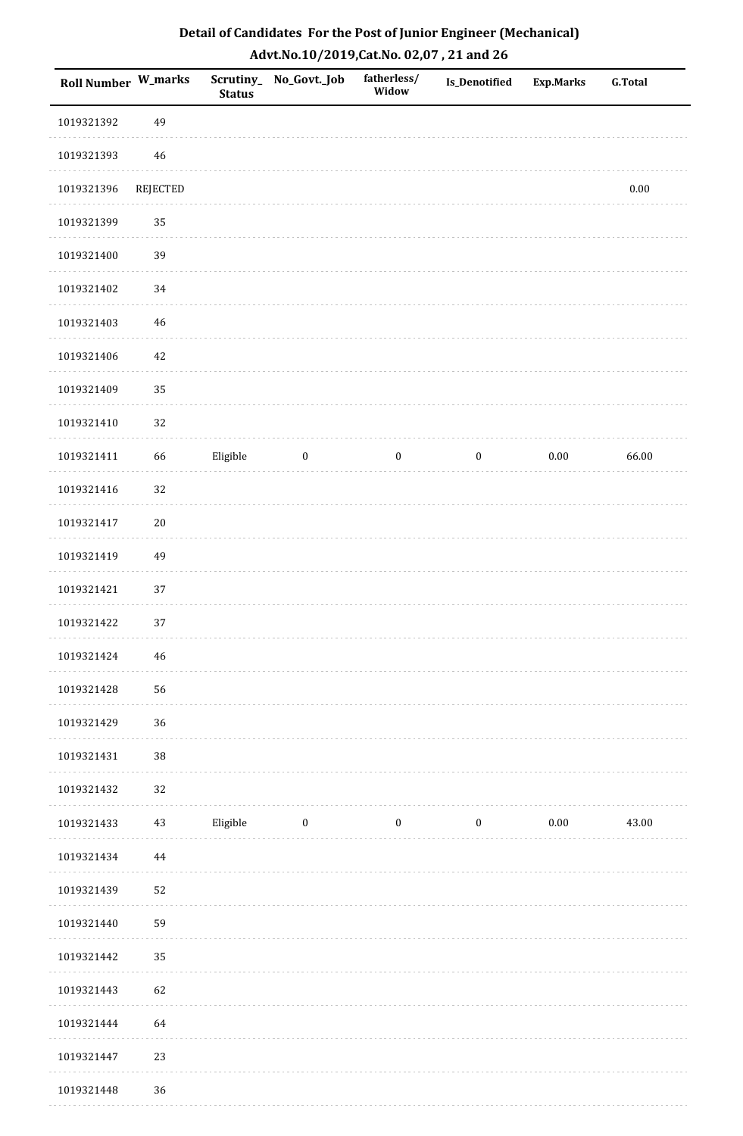| Roll Number W_marks |                 | <b>Status</b> | Scrutiny_ No_Govt._Job | fatherless/<br>Widow | <b>Is_Denotified</b> | <b>Exp.Marks</b> | <b>G.Total</b> |
|---------------------|-----------------|---------------|------------------------|----------------------|----------------------|------------------|----------------|
| 1019321392          | 49              |               |                        |                      |                      |                  |                |
| 1019321393          | 46              |               |                        |                      |                      |                  |                |
| 1019321396          | <b>REJECTED</b> |               |                        |                      |                      |                  | $0.00\,$       |
| 1019321399          | 35              |               |                        |                      |                      |                  |                |
| 1019321400          | 39              |               |                        |                      |                      |                  |                |
| 1019321402          | 34              |               |                        |                      |                      |                  |                |
| 1019321403          | $46\,$          |               |                        |                      |                      |                  |                |
| 1019321406          | $42\,$          |               |                        |                      |                      |                  |                |
| 1019321409          | 35              |               |                        |                      |                      |                  |                |
| 1019321410          | 32              |               |                        |                      |                      |                  |                |
| 1019321411          | 66              | Eligible      | $\boldsymbol{0}$       | $\boldsymbol{0}$     | $\boldsymbol{0}$     | $0.00\,$         | 66.00          |
| 1019321416          | 32              |               |                        |                      |                      |                  |                |
| 1019321417          | $20\,$          |               |                        |                      |                      |                  |                |
| 1019321419          | 49              |               |                        |                      |                      |                  |                |
| 1019321421          | 37              |               |                        |                      |                      |                  |                |
| 1019321422          | 37              |               |                        |                      |                      |                  |                |
| 1019321424          | 46              |               |                        |                      |                      |                  |                |
| 1019321428          | 56              |               |                        |                      |                      |                  |                |
| 1019321429          | 36              |               |                        |                      |                      |                  |                |
| 1019321431          | $38\,$          |               |                        |                      |                      |                  |                |
| 1019321432          | 32              |               |                        |                      |                      |                  |                |
| 1019321433          | $43\,$          | Eligible      | $\overline{0}$         | $\bf{0}$             | $\boldsymbol{0}$     | 0.00             | 43.00          |
| 1019321434          | 44              |               |                        |                      |                      |                  |                |
| 1019321439          | 52              |               |                        |                      |                      |                  |                |
| 1019321440          | 59              |               |                        |                      |                      |                  |                |
| 1019321442          | 35              |               |                        |                      |                      |                  |                |
| 1019321443          | 62              |               |                        |                      |                      |                  |                |
| 1019321444          | 64              |               |                        |                      |                      |                  |                |
| 1019321447          | 23              |               |                        |                      |                      |                  |                |
| 1019321448          | 36              |               |                        |                      |                      |                  |                |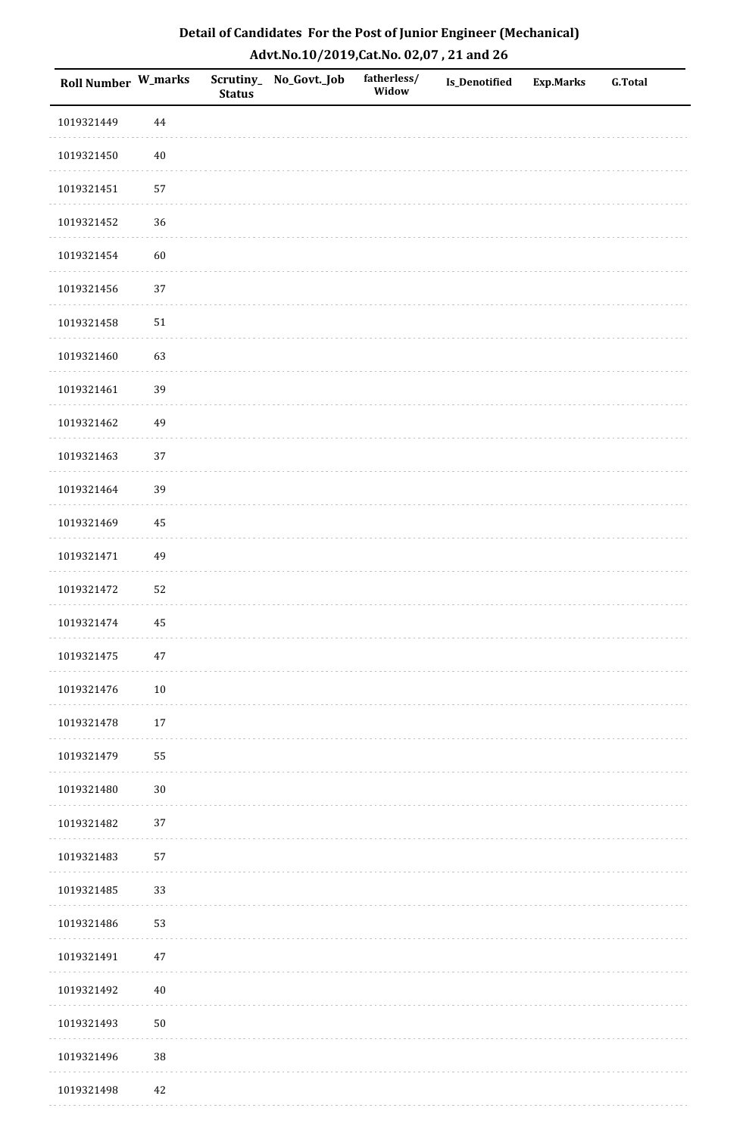| Detail of Candidates For the Post of Junior Engineer (Mechanical) |
|-------------------------------------------------------------------|
| Advt.No.10/2019,Cat.No. 02,07, 21 and 26                          |

| Roll Number W_marks |        | <b>Status</b> | Scrutiny_ No_Govt._Job | fatherless/<br>Widow | Is_Denotified | Exp.Marks | <b>G.Total</b> |
|---------------------|--------|---------------|------------------------|----------------------|---------------|-----------|----------------|
| 1019321449          | 44     |               |                        |                      |               |           |                |
| 1019321450          | $40\,$ |               |                        |                      |               |           |                |
| 1019321451          | 57     |               |                        |                      |               |           |                |
| 1019321452          | 36     |               |                        |                      |               |           |                |
| 1019321454          | 60     |               |                        |                      |               |           |                |
| 1019321456          | 37     |               |                        |                      |               |           |                |
| 1019321458          | $51\,$ |               |                        |                      |               |           |                |
| 1019321460          | 63     |               |                        |                      |               |           |                |
| 1019321461          | 39     |               |                        |                      |               |           |                |
| 1019321462          | 49     |               |                        |                      |               |           |                |
| 1019321463          | 37     |               |                        |                      |               |           |                |
| 1019321464          | 39     |               |                        |                      |               |           |                |
| 1019321469          | 45     |               |                        |                      |               |           |                |
| 1019321471          | 49     |               |                        |                      |               |           |                |
| 1019321472          | 52     |               |                        |                      |               |           |                |
| 1019321474          | 45     |               |                        |                      |               |           |                |
| 1019321475          | 47     |               |                        |                      |               |           |                |
| 1019321476          | $10\,$ |               |                        |                      |               |           |                |
| 1019321478          | 17     |               |                        |                      |               |           |                |
| 1019321479          | 55     |               |                        |                      |               |           |                |
| 1019321480          | $30\,$ |               |                        |                      |               |           |                |
| 1019321482          | 37     |               |                        |                      |               |           |                |
| 1019321483          | 57     |               |                        |                      |               |           |                |
| 1019321485          | 33     |               |                        |                      |               |           |                |
| 1019321486          | 53     |               |                        |                      |               |           |                |
| 1019321491          | $47\,$ |               |                        |                      |               |           |                |
| 1019321492          | $40\,$ |               |                        |                      |               |           |                |
| 1019321493          | $50\,$ |               |                        |                      |               |           |                |
| 1019321496          | $38\,$ |               |                        |                      |               |           |                |
| 1019321498          | $42\,$ |               |                        |                      |               |           |                |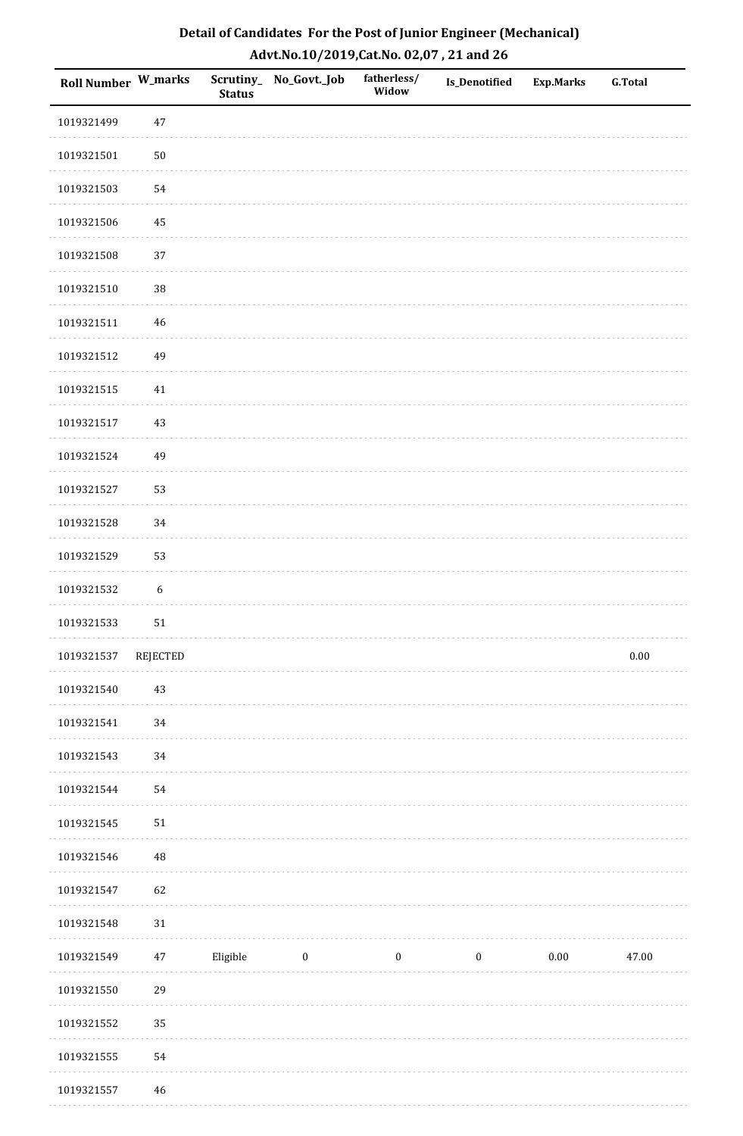| Detail of Candidates For the Post of Junior Engineer (Mechanical) |
|-------------------------------------------------------------------|
| Advt.No.10/2019,Cat.No. 02,07, 21 and 26                          |

| <b>Roll Number W_marks</b> |                  | <b>Status</b> | Scrutiny_ No_Govt._Job | fatherless/<br>Widow | Is_Denotified    | <b>Exp.Marks</b> | <b>G.Total</b> |
|----------------------------|------------------|---------------|------------------------|----------------------|------------------|------------------|----------------|
| 1019321499                 | $47\,$           |               |                        |                      |                  |                  |                |
| 1019321501                 | ${\bf 50}$       |               |                        |                      |                  |                  |                |
| 1019321503                 | 54               |               |                        |                      |                  |                  |                |
| 1019321506                 | 45               |               |                        |                      |                  |                  |                |
| 1019321508                 | 37               |               |                        |                      |                  |                  |                |
| 1019321510                 | 38               |               |                        |                      |                  |                  |                |
| 1019321511                 | $\sqrt{46}$      |               |                        |                      |                  |                  |                |
| 1019321512                 | 49               |               |                        |                      |                  |                  |                |
| 1019321515                 | 41               |               |                        |                      |                  |                  |                |
| 1019321517                 | 43               |               |                        |                      |                  |                  |                |
| 1019321524                 | 49               |               |                        |                      |                  |                  |                |
| 1019321527                 | 53               |               |                        |                      |                  |                  |                |
| 1019321528                 | 34               |               |                        |                      |                  |                  |                |
| 1019321529                 | 53               |               |                        |                      |                  |                  |                |
| 1019321532                 | $\boldsymbol{6}$ |               |                        |                      |                  |                  |                |
| 1019321533                 | ${\bf 51}$       |               |                        |                      |                  |                  |                |
| 1019321537                 | REJECTED         |               |                        |                      |                  |                  | $0.00\,$       |
| 1019321540                 | 43               |               |                        |                      |                  |                  |                |
| 1019321541                 | 34               |               |                        |                      |                  |                  |                |
| 1019321543                 | 34               |               |                        |                      |                  |                  |                |
| 1019321544                 | 54               |               |                        |                      |                  |                  |                |
| 1019321545                 | $51\,$           |               |                        |                      |                  |                  |                |
| 1019321546                 | 48               |               |                        |                      |                  |                  |                |
| 1019321547                 | 62               |               |                        |                      |                  |                  |                |
| 1019321548                 | 31               |               |                        |                      |                  |                  |                |
| 1019321549                 | $47\,$           | Eligible      | $\boldsymbol{0}$       | $\boldsymbol{0}$     | $\boldsymbol{0}$ | $0.00\,$         | 47.00          |
| 1019321550                 | 29               |               |                        |                      |                  |                  |                |
| 1019321552                 | 35               |               |                        |                      |                  |                  |                |
| 1019321555                 | 54               |               |                        |                      |                  |                  |                |
| 1019321557                 | $\sqrt{46}$      |               |                        |                      |                  |                  |                |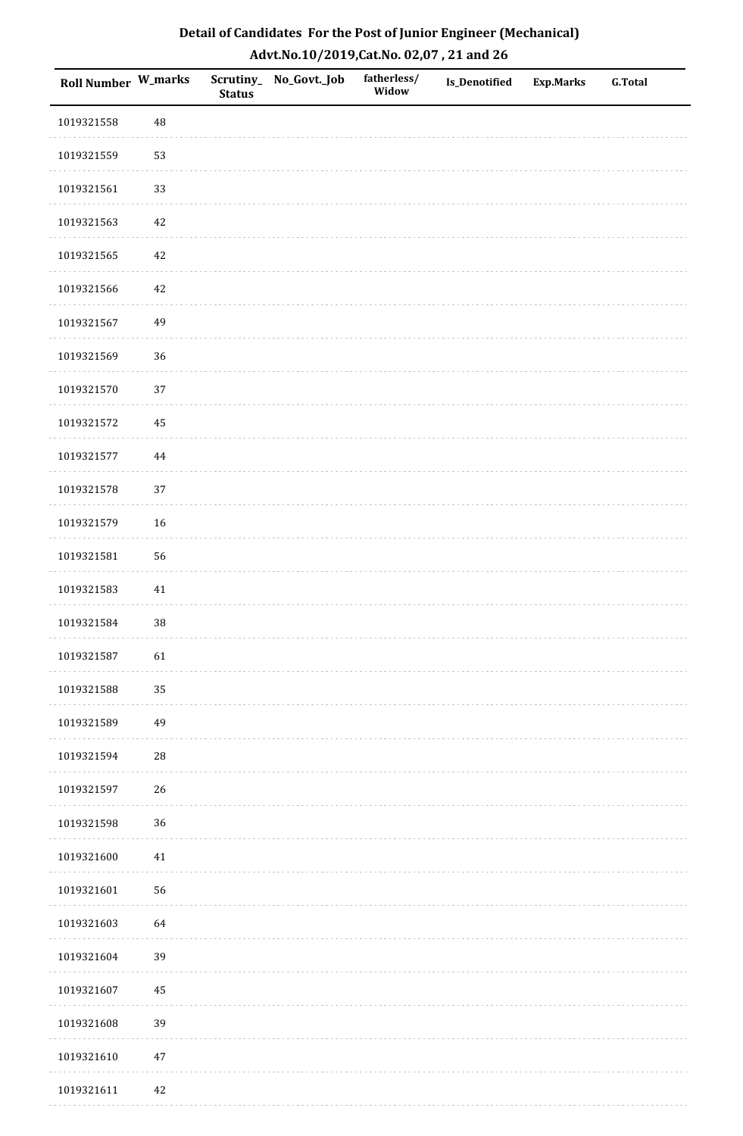| Detail of Candidates For the Post of Junior Engineer (Mechanical) |
|-------------------------------------------------------------------|
| Advt.No.10/2019,Cat.No. 02,07, 21 and 26                          |

| Roll Number W_marks |          | <b>Status</b> | Scrutiny_ No_Govt._Job | fatherless/<br>Widow | Is_Denotified | <b>Exp.Marks</b> | <b>G.Total</b> |
|---------------------|----------|---------------|------------------------|----------------------|---------------|------------------|----------------|
| 1019321558          | $\rm 48$ |               |                        |                      |               |                  |                |
| 1019321559          | 53       |               |                        |                      |               |                  |                |
| 1019321561          | 33       |               |                        |                      |               |                  |                |
| 1019321563          | 42       |               |                        |                      |               |                  |                |
| 1019321565          | 42       |               |                        |                      |               |                  |                |
| 1019321566          | 42       |               |                        |                      |               |                  |                |
| 1019321567          | 49       |               |                        |                      |               |                  |                |
| 1019321569          | 36       |               |                        |                      |               |                  |                |
| 1019321570          | 37       |               |                        |                      |               |                  |                |
| 1019321572          | 45       |               |                        |                      |               |                  |                |
| 1019321577          | 44       |               |                        |                      |               |                  |                |
| 1019321578          | 37       |               |                        |                      |               |                  |                |
| 1019321579          | 16       |               |                        |                      |               |                  |                |
| 1019321581          | 56       |               |                        |                      |               |                  |                |
| 1019321583          | 41       |               |                        |                      |               |                  |                |
| 1019321584          | $38\,$   |               |                        |                      |               |                  |                |
| 1019321587          | 61       |               |                        |                      |               |                  |                |
| 1019321588          | 35       |               |                        |                      |               |                  |                |
| 1019321589          | 49       |               |                        |                      |               |                  |                |
| 1019321594          | $28\,$   |               |                        |                      |               |                  |                |
| 1019321597          | 26       |               |                        |                      |               |                  |                |
| 1019321598          | 36       |               |                        |                      |               |                  |                |
| 1019321600          | $41\,$   |               |                        |                      |               |                  |                |
| 1019321601          | 56       |               |                        |                      |               |                  |                |
| 1019321603          | 64       |               |                        |                      |               |                  |                |
| 1019321604          | 39       |               |                        |                      |               |                  |                |
| 1019321607          | 45       |               |                        |                      |               |                  |                |
| 1019321608          | 39       |               |                        |                      |               |                  |                |
| 1019321610          | $47\,$   |               |                        |                      |               |                  |                |
| 1019321611          | $42\,$   |               |                        |                      |               |                  |                |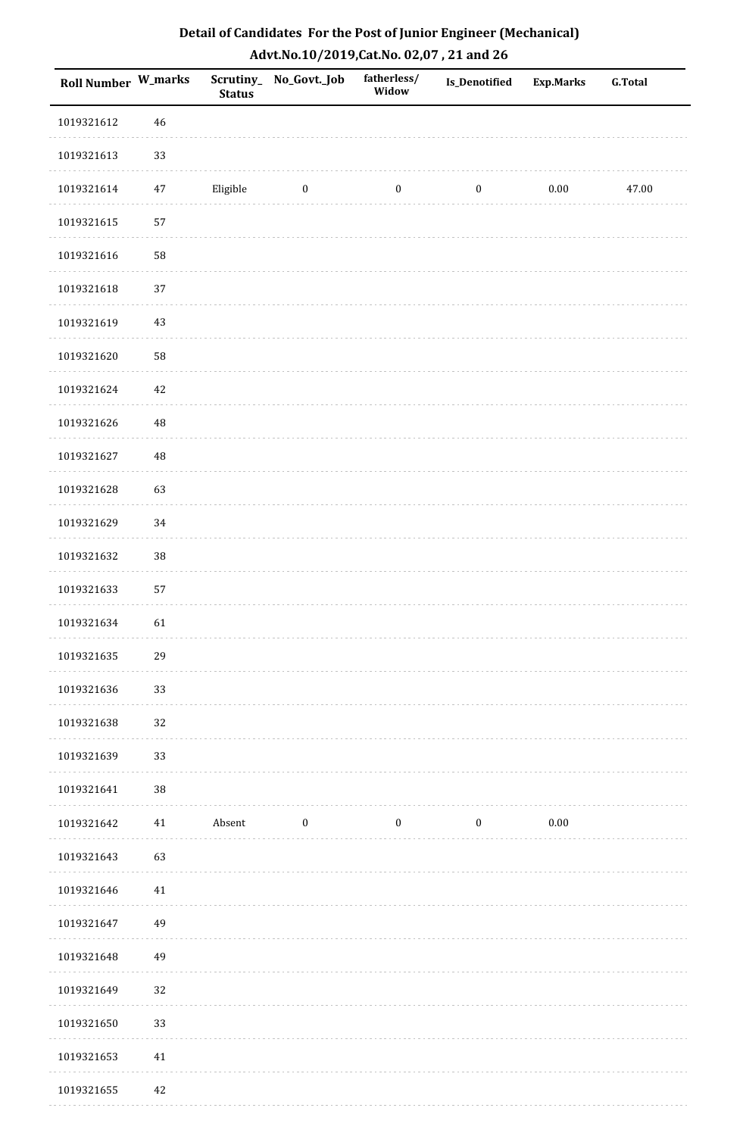| Roll Number W_marks |             | <b>Status</b> | Scrutiny_No_Govt._Job | fatherless/<br>Widow | <b>Is_Denotified</b> | <b>Exp.Marks</b> | <b>G.Total</b> |
|---------------------|-------------|---------------|-----------------------|----------------------|----------------------|------------------|----------------|
| 1019321612          | $46\,$      |               |                       |                      |                      |                  |                |
| 1019321613          | 33          |               |                       |                      |                      |                  |                |
| 1019321614          | 47          | Eligible      | $\boldsymbol{0}$      | $\boldsymbol{0}$     | $\boldsymbol{0}$     | 0.00             | 47.00          |
| 1019321615          | 57          |               |                       |                      |                      |                  |                |
| 1019321616          | 58          |               |                       |                      |                      |                  |                |
| 1019321618          | 37          |               |                       |                      |                      |                  |                |
| 1019321619          | $43\,$      |               |                       |                      |                      |                  |                |
| 1019321620          | 58          |               |                       |                      |                      |                  |                |
| 1019321624          | $42\,$      |               |                       |                      |                      |                  |                |
| 1019321626          | $\sqrt{48}$ |               |                       |                      |                      |                  |                |
| 1019321627          | $\sqrt{48}$ |               |                       |                      |                      |                  |                |
| 1019321628          | 63          |               |                       |                      |                      |                  |                |
| 1019321629          | 34          |               |                       |                      |                      |                  |                |
| 1019321632          | 38          |               |                       |                      |                      |                  |                |
| 1019321633          | 57          |               |                       |                      |                      |                  |                |
| 1019321634          | 61          |               |                       |                      |                      |                  |                |
| 1019321635          | 29          |               |                       |                      |                      |                  |                |
| 1019321636          | 33          |               |                       |                      |                      |                  |                |
| 1019321638          | 32          |               |                       |                      |                      |                  |                |
| 1019321639          | 33          |               |                       |                      |                      |                  |                |
| 1019321641          | $38\,$      |               |                       |                      |                      |                  |                |
| 1019321642          | 41          | Absent        | $\bf{0}$              | $\bf{0}$             | $\boldsymbol{0}$     | $0.00\,$         |                |
| 1019321643          | 63          |               |                       |                      |                      |                  |                |
| 1019321646          | 41          |               |                       |                      |                      |                  |                |
| 1019321647          | 49          |               |                       |                      |                      |                  |                |
| 1019321648          | 49          |               |                       |                      |                      |                  |                |
| 1019321649          | 32          |               |                       |                      |                      |                  |                |
| 1019321650          | 33          |               |                       |                      |                      |                  |                |
| 1019321653          | 41          |               |                       |                      |                      |                  |                |
| 1019321655          | 42          |               |                       |                      |                      |                  |                |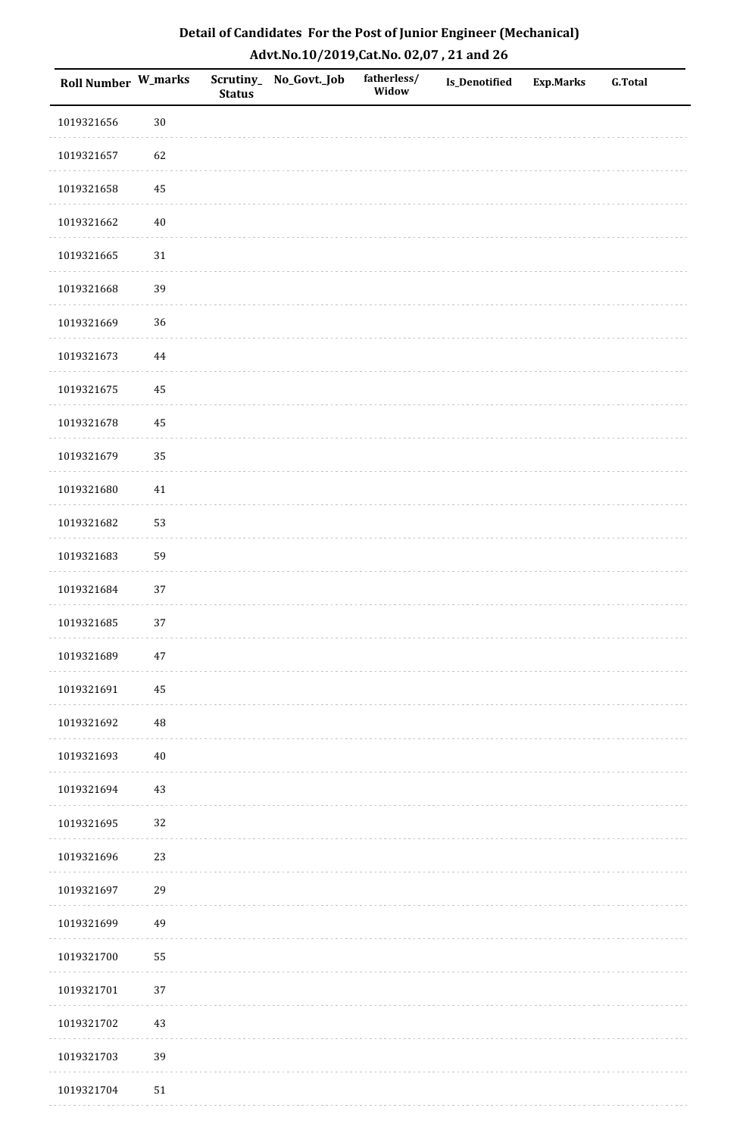| Roll Number W_marks |             | <b>Status</b> | Scrutiny_No_Govt._Job | fatherless/<br>Widow | Is_Denotified | <b>Exp.Marks</b> | <b>G.Total</b> |
|---------------------|-------------|---------------|-----------------------|----------------------|---------------|------------------|----------------|
| 1019321656          | $30\,$      |               |                       |                      |               |                  |                |
| 1019321657          | 62          |               |                       |                      |               |                  |                |
| 1019321658          | $\bf 45$    |               |                       |                      |               |                  |                |
| 1019321662          | $40\,$      |               |                       |                      |               |                  |                |
| 1019321665          | $31\,$      |               |                       |                      |               |                  |                |
| 1019321668          | 39          |               |                       |                      |               |                  |                |
| 1019321669          | 36          |               |                       |                      |               |                  |                |
| 1019321673          | 44          |               |                       |                      |               |                  |                |
| 1019321675          | 45          |               |                       |                      |               |                  |                |
| 1019321678          | 45          |               |                       |                      |               |                  |                |
| 1019321679          | 35          |               |                       |                      |               |                  |                |
| 1019321680          | $41\,$      |               |                       |                      |               |                  |                |
| 1019321682          | 53          |               |                       |                      |               |                  |                |
| 1019321683          | 59          |               |                       |                      |               |                  |                |
| 1019321684          | $37\,$      |               |                       |                      |               |                  |                |
| 1019321685          | 37          |               |                       |                      |               |                  |                |
| 1019321689          | $47\,$      |               |                       |                      |               |                  |                |
| 1019321691          | 45          |               |                       |                      |               |                  |                |
| 1019321692          | $\sqrt{48}$ |               |                       |                      |               |                  |                |
| 1019321693          | $40\,$      |               |                       |                      |               |                  |                |
| 1019321694          | $43\,$      |               |                       |                      |               |                  |                |
| 1019321695          | 32          |               |                       |                      |               |                  |                |
| 1019321696          | 23          |               |                       |                      |               |                  |                |
| 1019321697          | 29          |               |                       |                      |               |                  |                |
| 1019321699          | 49          |               |                       |                      |               |                  |                |
| 1019321700          | 55          |               |                       |                      |               |                  |                |
| 1019321701          | $37\,$      |               |                       |                      |               |                  |                |
| 1019321702          | $43\,$      |               |                       |                      |               |                  |                |
| 1019321703          | 39          |               |                       |                      |               |                  |                |
| 1019321704          | $51\,$      |               |                       |                      |               |                  |                |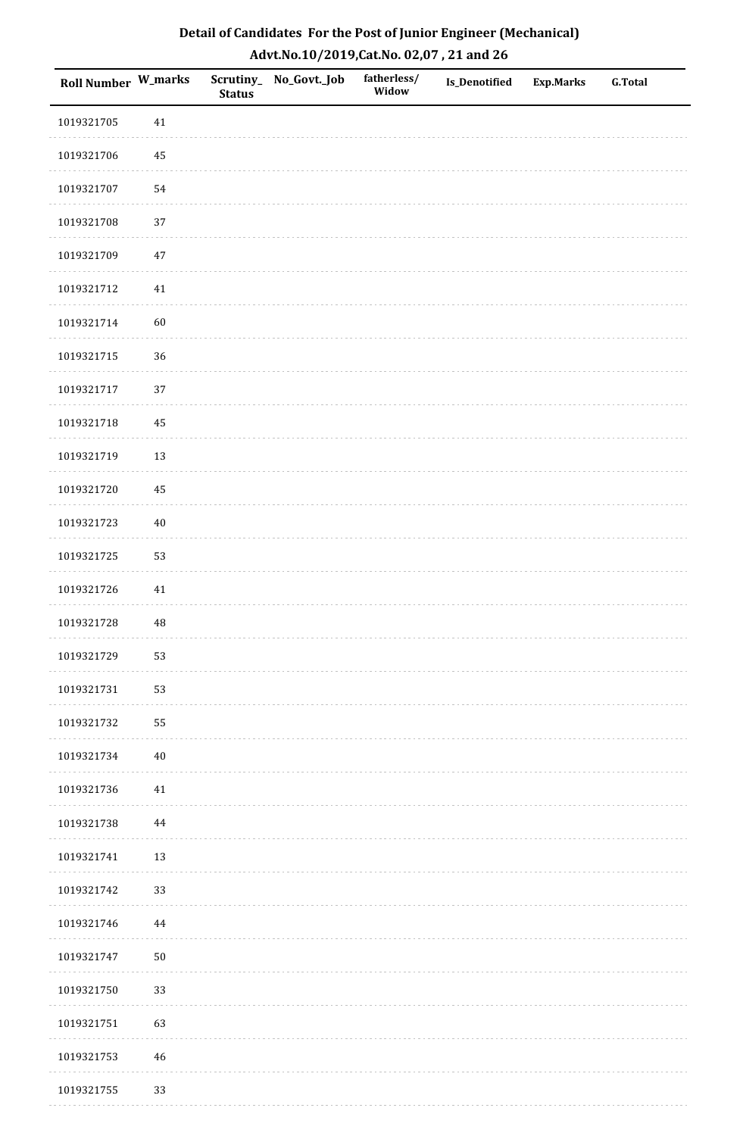| Detail of Candidates For the Post of Junior Engineer (Mechanical) |
|-------------------------------------------------------------------|
| Advt.No.10/2019,Cat.No. 02,07, 21 and 26                          |

| Roll Number W_marks |          | <b>Status</b> | Scrutiny_ No_Govt._Job | fatherless/<br>Widow | Is_Denotified | <b>Exp.Marks</b> | <b>G.Total</b> |
|---------------------|----------|---------------|------------------------|----------------------|---------------|------------------|----------------|
| 1019321705          | 41       |               |                        |                      |               |                  |                |
| 1019321706          | 45       |               |                        |                      |               |                  |                |
| 1019321707          | 54       |               |                        |                      |               |                  |                |
| 1019321708          | 37       |               |                        |                      |               |                  |                |
| 1019321709          | $47\,$   |               |                        |                      |               |                  |                |
| 1019321712          | 41       |               |                        |                      |               |                  |                |
| 1019321714          | 60       |               |                        |                      |               |                  |                |
| 1019321715          | 36       |               |                        |                      |               |                  |                |
| 1019321717          | 37       |               |                        |                      |               |                  |                |
| 1019321718          | 45       |               |                        |                      |               |                  |                |
| 1019321719          | 13       |               |                        |                      |               |                  |                |
| 1019321720          | 45       |               |                        |                      |               |                  |                |
| 1019321723          | $40\,$   |               |                        |                      |               |                  |                |
| 1019321725          | 53       |               |                        |                      |               |                  |                |
| 1019321726          | 41       |               |                        |                      |               |                  |                |
| 1019321728          | $\rm 48$ |               |                        |                      |               |                  |                |
| 1019321729          | 53       |               |                        |                      |               |                  |                |
| 1019321731          | 53       |               |                        |                      |               |                  |                |
| 1019321732          | 55       |               |                        |                      |               |                  |                |
| 1019321734          | $40\,$   |               |                        |                      |               |                  |                |
| 1019321736          | 41       |               |                        |                      |               |                  |                |
| 1019321738          | $\bf 44$ |               |                        |                      |               |                  |                |
| 1019321741          | 13       |               |                        |                      |               |                  |                |
| 1019321742          | 33       |               |                        |                      |               |                  |                |
| 1019321746          | $\bf 44$ |               |                        |                      |               |                  |                |
| 1019321747          | $50\,$   |               |                        |                      |               |                  |                |
| 1019321750          | 33       |               |                        |                      |               |                  |                |
| 1019321751          | 63       |               |                        |                      |               |                  |                |
| 1019321753          | 46       |               |                        |                      |               |                  |                |
| 1019321755          | 33       |               |                        |                      |               |                  |                |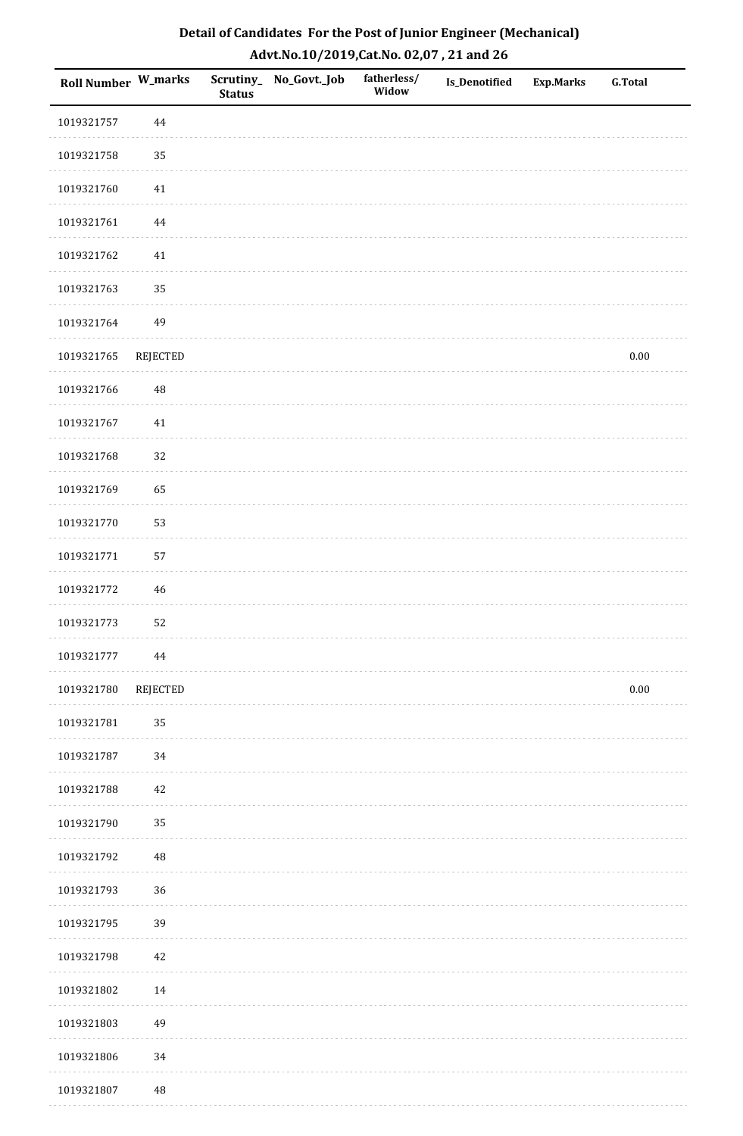| <b>Roll Number W_marks</b> |          | <b>Status</b> | Scrutiny_ No_Govt._Job | fatherless/<br>Widow | Is_Denotified | <b>Exp.Marks</b> | <b>G.Total</b> |
|----------------------------|----------|---------------|------------------------|----------------------|---------------|------------------|----------------|
| 1019321757                 | 44       |               |                        |                      |               |                  |                |
| 1019321758                 | 35       |               |                        |                      |               |                  |                |
| 1019321760                 | $41\,$   |               |                        |                      |               |                  |                |
| 1019321761                 | 44       |               |                        |                      |               |                  |                |
| 1019321762                 | $41\,$   |               |                        |                      |               |                  |                |
| 1019321763                 | 35       |               |                        |                      |               |                  |                |
| 1019321764                 | 49       |               |                        |                      |               |                  |                |
| 1019321765                 | REJECTED |               |                        |                      |               |                  | $0.00\,$       |
| 1019321766                 | 48       |               |                        |                      |               |                  |                |
| 1019321767                 | 41       |               |                        |                      |               |                  |                |
| 1019321768                 | 32       |               |                        |                      |               |                  |                |
| 1019321769                 | 65       |               |                        |                      |               |                  |                |
| 1019321770                 | 53       |               |                        |                      |               |                  |                |
| 1019321771                 | 57       |               |                        |                      |               |                  |                |
| 1019321772                 | 46       |               |                        |                      |               |                  |                |
| 1019321773                 | 52       |               |                        |                      |               |                  |                |
| 1019321777                 | $\bf 44$ |               |                        |                      |               |                  |                |
| 1019321780                 | REJECTED |               |                        |                      |               |                  | $0.00\,$       |
| 1019321781                 | 35       |               |                        |                      |               |                  |                |
| 1019321787                 | 34       |               |                        |                      |               |                  |                |
| 1019321788                 | 42       |               |                        |                      |               |                  |                |
| 1019321790                 | 35       |               |                        |                      |               |                  |                |
| 1019321792                 | $\rm 48$ |               |                        |                      |               |                  |                |
| 1019321793                 | 36       |               |                        |                      |               |                  |                |
| 1019321795                 | 39       |               |                        |                      |               |                  |                |
| 1019321798                 | 42       |               |                        |                      |               |                  |                |
| 1019321802                 | 14       |               |                        |                      |               |                  |                |
| 1019321803                 | 49       |               |                        |                      |               |                  |                |
| 1019321806                 | 34       |               |                        |                      |               |                  |                |
| 1019321807                 | 48       |               |                        |                      |               |                  |                |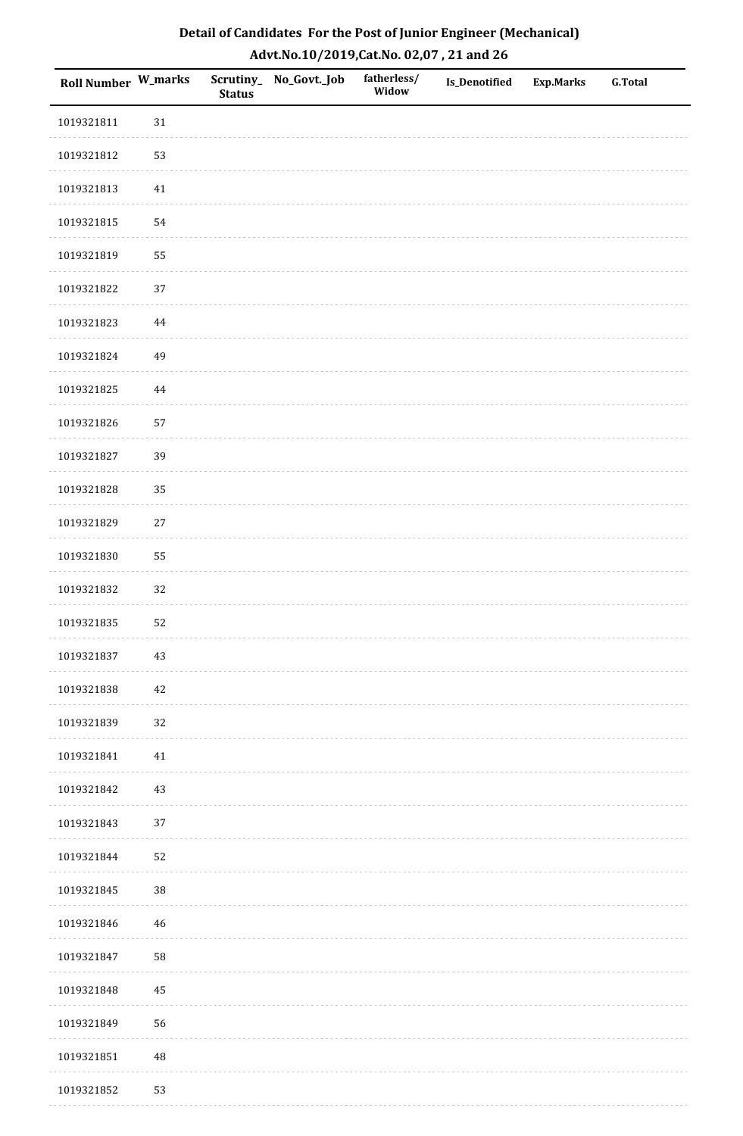| Detail of Candidates For the Post of Junior Engineer (Mechanical) |
|-------------------------------------------------------------------|
| Advt.No.10/2019,Cat.No. 02,07, 21 and 26                          |

| Roll Number W_marks |          | <b>Status</b> | Scrutiny_ No_Govt._Job | fatherless/<br>Widow | Is_Denotified | <b>Exp.Marks</b> | <b>G.Total</b> |
|---------------------|----------|---------------|------------------------|----------------------|---------------|------------------|----------------|
| 1019321811          | $31\,$   |               |                        |                      |               |                  |                |
| 1019321812          | 53       |               |                        |                      |               |                  |                |
| 1019321813          | 41       |               |                        |                      |               |                  |                |
| 1019321815          | 54       |               |                        |                      |               |                  |                |
| 1019321819          | 55       |               |                        |                      |               |                  |                |
| 1019321822          | 37       |               |                        |                      |               |                  |                |
| 1019321823          | $\bf 44$ |               |                        |                      |               |                  |                |
| 1019321824          | 49       |               |                        |                      |               |                  |                |
| 1019321825          | $\bf 44$ |               |                        |                      |               |                  |                |
| 1019321826          | 57       |               |                        |                      |               |                  |                |
| 1019321827          | 39       |               |                        |                      |               |                  |                |
| 1019321828          | 35       |               |                        |                      |               |                  |                |
| 1019321829          | $27\,$   |               |                        |                      |               |                  |                |
| 1019321830          | 55       |               |                        |                      |               |                  |                |
| 1019321832          | 32       |               |                        |                      |               |                  |                |
| 1019321835          | 52       |               |                        |                      |               |                  |                |
| 1019321837          | $43\,$   |               |                        |                      |               |                  |                |
| 1019321838          | 42       |               |                        |                      |               |                  |                |
| 1019321839          | 32       |               |                        |                      |               |                  |                |
| 1019321841          | 41       |               |                        |                      |               |                  |                |
| 1019321842          | 43       |               |                        |                      |               |                  |                |
| 1019321843          | 37       |               |                        |                      |               |                  |                |
| 1019321844          | 52       |               |                        |                      |               |                  |                |
| 1019321845          | $38\,$   |               |                        |                      |               |                  |                |
| 1019321846          | 46       |               |                        |                      |               |                  |                |
| 1019321847          | 58       |               |                        |                      |               |                  |                |
| 1019321848          | 45       |               |                        |                      |               |                  |                |
| 1019321849          | 56       |               |                        |                      |               |                  |                |
| 1019321851          | $\rm 48$ |               |                        |                      |               |                  |                |
| 1019321852          | 53       |               |                        |                      |               |                  |                |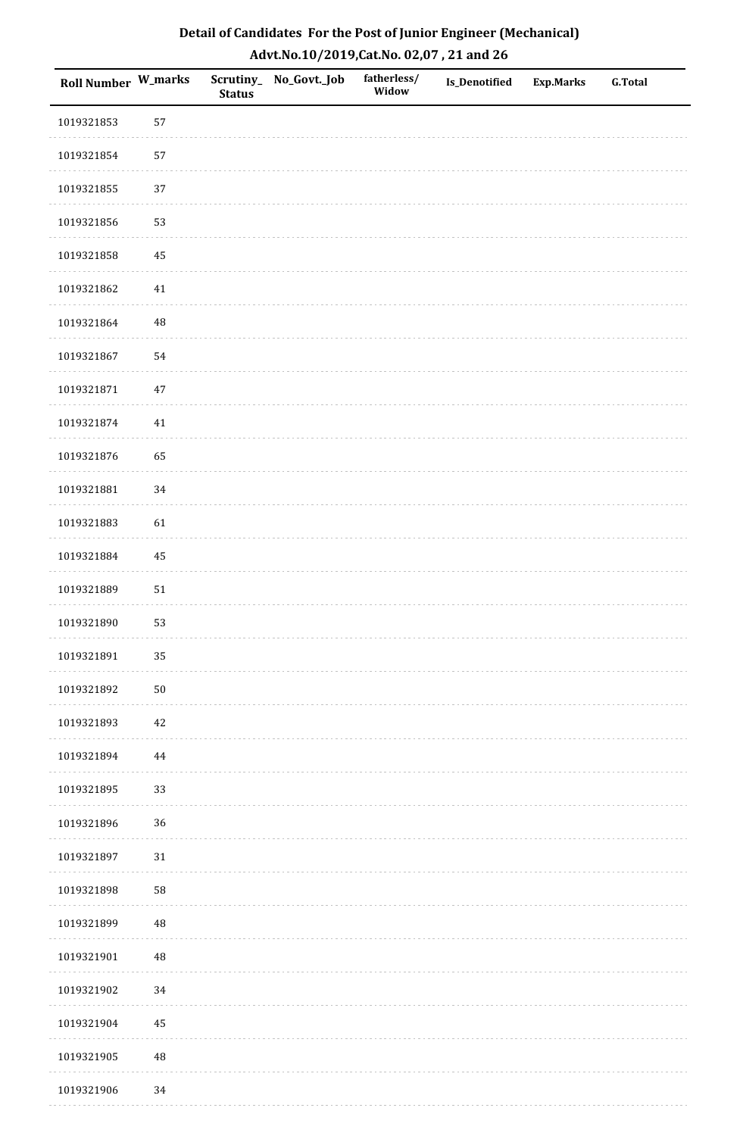| Detail of Candidates For the Post of Junior Engineer (Mechanical) |
|-------------------------------------------------------------------|
| Advt.No.10/2019,Cat.No. 02,07, 21 and 26                          |

| Roll Number W_marks |          | <b>Status</b> | Scrutiny_ No_Govt._Job | fatherless/<br>Widow | Is_Denotified | <b>Exp.Marks</b> | <b>G.Total</b> |
|---------------------|----------|---------------|------------------------|----------------------|---------------|------------------|----------------|
| 1019321853          | 57       |               |                        |                      |               |                  |                |
| 1019321854          | 57       |               |                        |                      |               |                  |                |
| 1019321855          | 37       |               |                        |                      |               |                  |                |
| 1019321856          | 53       |               |                        |                      |               |                  |                |
| 1019321858          | 45       |               |                        |                      |               |                  |                |
| 1019321862          | 41       |               |                        |                      |               |                  |                |
| 1019321864          | $\rm 48$ |               |                        |                      |               |                  |                |
| 1019321867          | 54       |               |                        |                      |               |                  |                |
| 1019321871          | $47\,$   |               |                        |                      |               |                  |                |
| 1019321874          | 41       |               |                        |                      |               |                  |                |
| 1019321876          | 65       |               |                        |                      |               |                  |                |
| 1019321881          | 34       |               |                        |                      |               |                  |                |
| 1019321883          | 61       |               |                        |                      |               |                  |                |
| 1019321884          | 45       |               |                        |                      |               |                  |                |
| 1019321889          | 51       |               |                        |                      |               |                  |                |
| 1019321890          | 53       |               |                        |                      |               |                  |                |
| 1019321891          | 35       |               |                        |                      |               |                  |                |
| 1019321892          | $50\,$   |               |                        |                      |               |                  |                |
| 1019321893          | 42       |               |                        |                      |               |                  |                |
| 1019321894          | $\bf 44$ |               |                        |                      |               |                  |                |
| 1019321895          | 33       |               |                        |                      |               |                  |                |
| 1019321896          | 36       |               |                        |                      |               |                  |                |
| 1019321897          | 31       |               |                        |                      |               |                  |                |
| 1019321898          | 58       |               |                        |                      |               |                  |                |
| 1019321899          | $\rm 48$ |               |                        |                      |               |                  |                |
| 1019321901          | $\rm 48$ |               |                        |                      |               |                  |                |
| 1019321902          | 34       |               |                        |                      |               |                  |                |
| 1019321904          | 45       |               |                        |                      |               |                  |                |
| 1019321905          | $\rm 48$ |               |                        |                      |               |                  |                |
| 1019321906          | 34       |               |                        |                      |               |                  |                |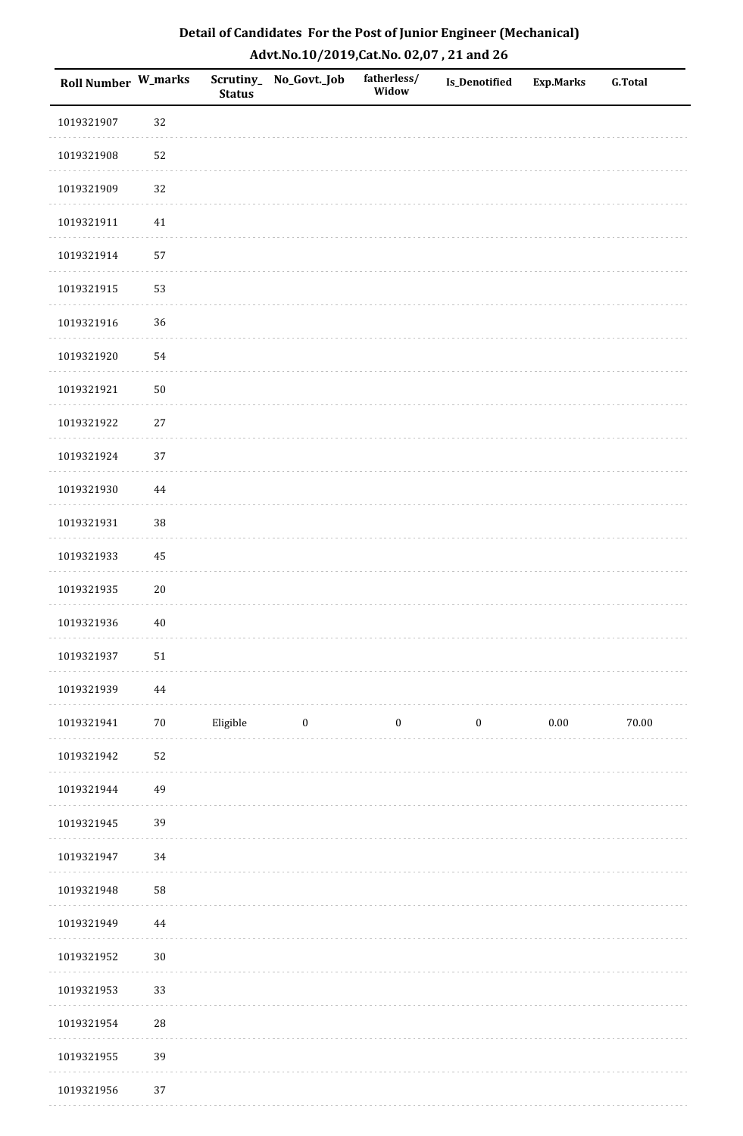| Detail of Candidates For the Post of Junior Engineer (Mechanical) |
|-------------------------------------------------------------------|
| Advt.No.10/2019,Cat.No. 02,07, 21 and 26                          |

| Roll Number W_marks |            | <b>Status</b> | Scrutiny_ No_Govt._Job  | fatherless/<br>Widow | Is_Denotified    | Exp.Marks | <b>G.Total</b> |
|---------------------|------------|---------------|-------------------------|----------------------|------------------|-----------|----------------|
| 1019321907          | 32         |               |                         |                      |                  |           |                |
| 1019321908          | 52         |               |                         |                      |                  |           |                |
| 1019321909          | 32         |               |                         |                      |                  |           |                |
| 1019321911          | $41\,$     |               |                         |                      |                  |           |                |
| 1019321914          | 57         |               |                         |                      |                  |           |                |
| 1019321915          | 53         |               |                         |                      |                  |           |                |
| 1019321916          | 36         |               |                         |                      |                  |           |                |
| 1019321920          | 54         |               |                         |                      |                  |           |                |
| 1019321921          | 50         |               |                         |                      |                  |           |                |
| 1019321922          | $27\,$     |               |                         |                      |                  |           |                |
| 1019321924          | 37         |               |                         |                      |                  |           |                |
| 1019321930          | 44         |               |                         |                      |                  |           |                |
| 1019321931          | 38         |               |                         |                      |                  |           |                |
| 1019321933          | 45         |               |                         |                      |                  |           |                |
| 1019321935          | $20\,$     |               |                         |                      |                  |           |                |
| 1019321936          | $40\,$     |               |                         |                      |                  |           |                |
| 1019321937          | ${\bf 51}$ |               |                         |                      |                  |           |                |
| 1019321939          | $\bf 44$   |               |                         |                      |                  |           |                |
| 1019321941          | $70\,$     | Eligible      | $\overline{\mathbf{0}}$ | $\bf{0}$             | $\boldsymbol{0}$ | 0.00      | 70.00          |
| 1019321942          | 52         |               |                         |                      |                  |           |                |
| 1019321944          | 49         |               |                         |                      |                  |           |                |
| 1019321945          | 39         |               |                         |                      |                  |           |                |
| 1019321947          | 34         |               |                         |                      |                  |           |                |
| 1019321948          | 58         |               |                         |                      |                  |           |                |
| 1019321949          | 44         |               |                         |                      |                  |           |                |
| 1019321952          | $30\,$     |               |                         |                      |                  |           |                |
| 1019321953          | 33         |               |                         |                      |                  |           |                |
| 1019321954          | ${\bf 28}$ |               |                         |                      |                  |           |                |
| 1019321955          | 39         |               |                         |                      |                  |           |                |
| 1019321956          | 37         |               |                         |                      |                  |           |                |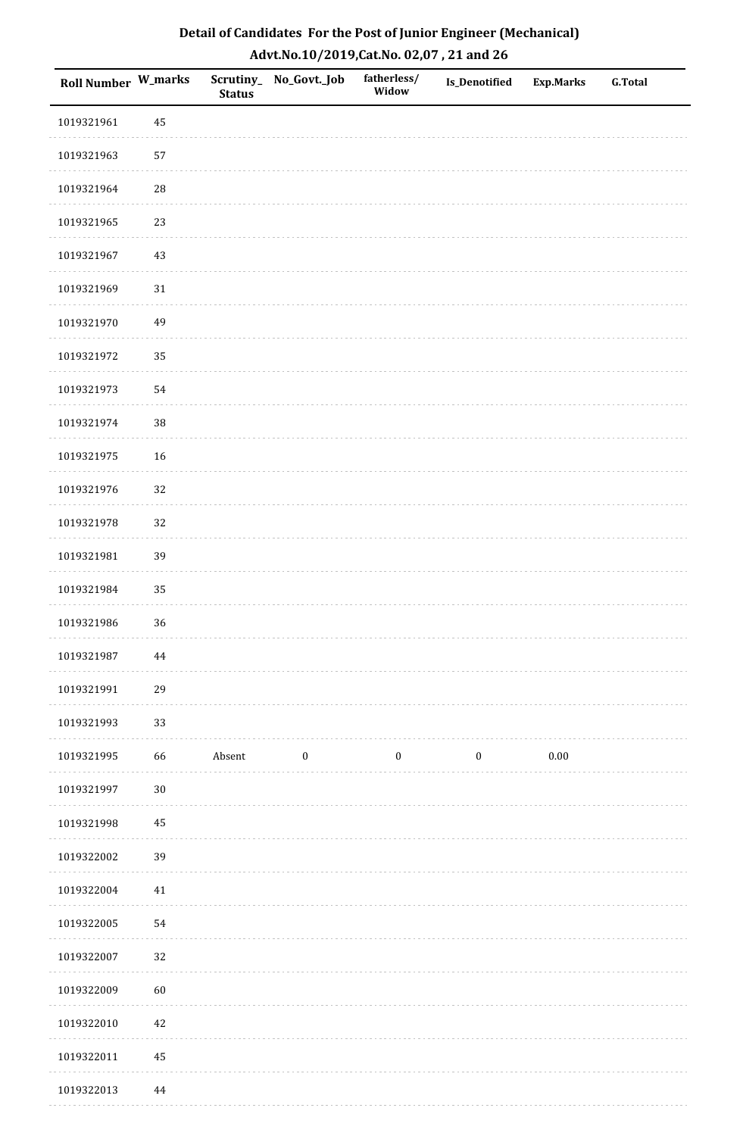| Detail of Candidates For the Post of Junior Engineer (Mechanical) |
|-------------------------------------------------------------------|
| Advt.No.10/2019,Cat.No. 02,07, 21 and 26                          |

| Roll Number W_marks |            | <b>Status</b> | Scrutiny_ No_Govt._Job | fatherless/<br>Widow | Is_Denotified    | <b>Exp.Marks</b> | <b>G.Total</b> |
|---------------------|------------|---------------|------------------------|----------------------|------------------|------------------|----------------|
| 1019321961          | 45         |               |                        |                      |                  |                  |                |
| 1019321963          | 57         |               |                        |                      |                  |                  |                |
| 1019321964          | ${\bf 28}$ |               |                        |                      |                  |                  |                |
| 1019321965          | 23         |               |                        |                      |                  |                  |                |
| 1019321967          | $43\,$     |               |                        |                      |                  |                  |                |
| 1019321969          | $31\,$     |               |                        |                      |                  |                  |                |
| 1019321970          | 49         |               |                        |                      |                  |                  |                |
| 1019321972          | 35         |               |                        |                      |                  |                  |                |
| 1019321973          | 54         |               |                        |                      |                  |                  |                |
| 1019321974          | $38\,$     |               |                        |                      |                  |                  |                |
| 1019321975          | 16         |               |                        |                      |                  |                  |                |
| 1019321976          | 32         |               |                        |                      |                  |                  |                |
| 1019321978          | 32         |               |                        |                      |                  |                  |                |
| 1019321981          | 39         |               |                        |                      |                  |                  |                |
| 1019321984          | 35         |               |                        |                      |                  |                  |                |
| 1019321986          | 36         |               |                        |                      |                  |                  |                |
| 1019321987          | $\bf 44$   |               |                        |                      |                  |                  |                |
| 1019321991          | 29         |               |                        |                      |                  |                  |                |
| 1019321993          | 33         |               |                        |                      |                  |                  |                |
| 1019321995          | 66         | Absent        | $\boldsymbol{0}$       | $\boldsymbol{0}$     | $\boldsymbol{0}$ | $0.00\,$         |                |
| 1019321997          | $30\,$     |               |                        |                      |                  |                  |                |
| 1019321998          | 45         |               |                        |                      |                  |                  |                |
| 1019322002          | 39         |               |                        |                      |                  |                  |                |
| 1019322004          | $41\,$     |               |                        |                      |                  |                  |                |
| 1019322005          | 54         |               |                        |                      |                  |                  |                |
| 1019322007          | 32         |               |                        |                      |                  |                  |                |
| 1019322009          | 60         |               |                        |                      |                  |                  |                |
| 1019322010          | $42\,$     |               |                        |                      |                  |                  |                |
| 1019322011          | 45         |               |                        |                      |                  |                  |                |
| 1019322013          | $\bf 44$   |               |                        |                      |                  |                  |                |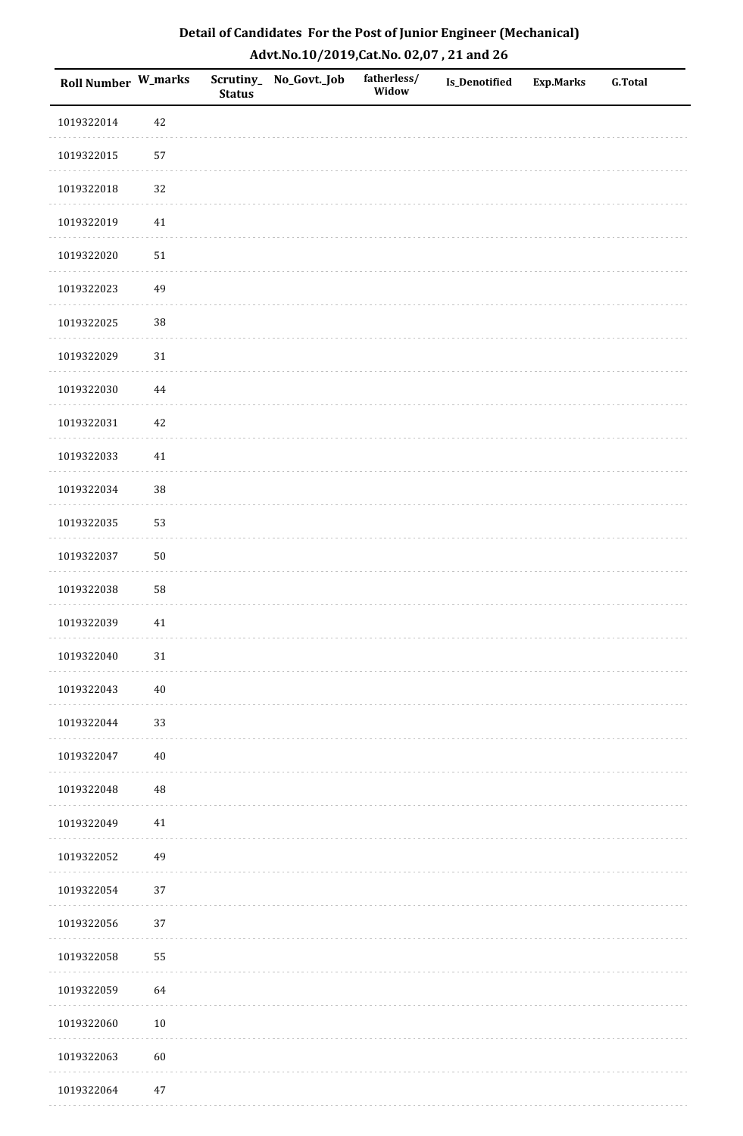| Detail of Candidates For the Post of Junior Engineer (Mechanical) |
|-------------------------------------------------------------------|
| Advt.No.10/2019,Cat.No. 02,07, 21 and 26                          |

| Roll Number W_marks |          | <b>Status</b> | Scrutiny_ No_Govt._Job | fatherless/<br>Widow | Is_Denotified | <b>Exp.Marks</b> | <b>G.Total</b> |
|---------------------|----------|---------------|------------------------|----------------------|---------------|------------------|----------------|
| 1019322014          | 42       |               |                        |                      |               |                  |                |
| 1019322015          | 57       |               |                        |                      |               |                  |                |
| 1019322018          | 32       |               |                        |                      |               |                  |                |
| 1019322019          | $41\,$   |               |                        |                      |               |                  |                |
| 1019322020          | $51\,$   |               |                        |                      |               |                  |                |
| 1019322023          | 49       |               |                        |                      |               |                  |                |
| 1019322025          | $38\,$   |               |                        |                      |               |                  |                |
| 1019322029          | 31       |               |                        |                      |               |                  |                |
| 1019322030          | 44       |               |                        |                      |               |                  |                |
| 1019322031          | 42       |               |                        |                      |               |                  |                |
| 1019322033          | $41\,$   |               |                        |                      |               |                  |                |
| 1019322034          | $38\,$   |               |                        |                      |               |                  |                |
| 1019322035          | 53       |               |                        |                      |               |                  |                |
| 1019322037          | $50\,$   |               |                        |                      |               |                  |                |
| 1019322038          | 58       |               |                        |                      |               |                  |                |
| 1019322039          | 41       |               |                        |                      |               |                  |                |
| 1019322040          | $31\,$   |               |                        |                      |               |                  |                |
| 1019322043          | $40\,$   |               |                        |                      |               |                  |                |
| 1019322044          | 33       |               |                        |                      |               |                  |                |
| 1019322047          | $40\,$   |               |                        |                      |               |                  |                |
| 1019322048          | $\rm 48$ |               |                        |                      |               |                  |                |
| 1019322049          | 41       |               |                        |                      |               |                  |                |
| 1019322052          | 49       |               |                        |                      |               |                  |                |
| 1019322054          | 37       |               |                        |                      |               |                  |                |
| 1019322056          | 37       |               |                        |                      |               |                  |                |
| 1019322058          | 55       |               |                        |                      |               |                  |                |
| 1019322059          | 64       |               |                        |                      |               |                  |                |
| 1019322060          | $10\,$   |               |                        |                      |               |                  |                |
| 1019322063          | $60\,$   |               |                        |                      |               |                  |                |
| 1019322064          | 47       |               |                        |                      |               |                  |                |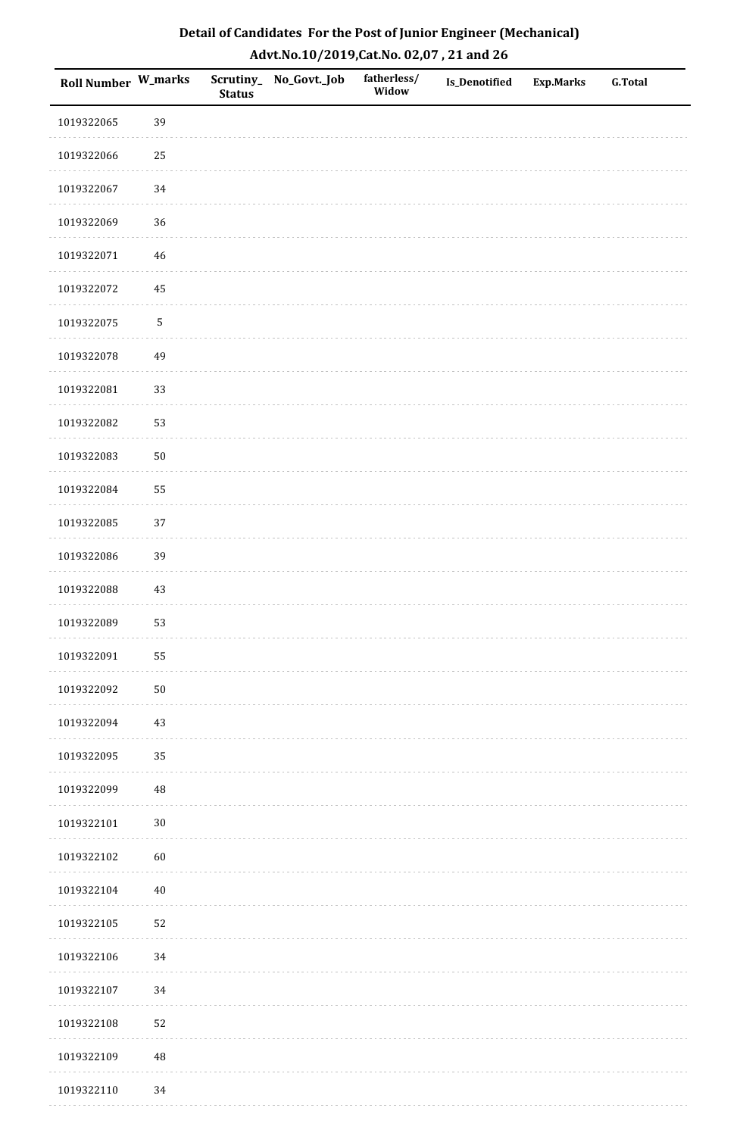| Roll Number W_marks |            | <b>Status</b> | Scrutiny_No_Govt._Job | fatherless/<br>Widow | Is_Denotified | <b>Exp.Marks</b> | <b>G.Total</b> |
|---------------------|------------|---------------|-----------------------|----------------------|---------------|------------------|----------------|
| 1019322065          | 39         |               |                       |                      |               |                  |                |
| 1019322066          | $25\,$     |               |                       |                      |               |                  |                |
| 1019322067          | 34         |               |                       |                      |               |                  |                |
| 1019322069          | 36         |               |                       |                      |               |                  |                |
| 1019322071          | $46\,$     |               |                       |                      |               |                  |                |
| 1019322072          | 45         |               |                       |                      |               |                  |                |
| 1019322075          | $\sqrt{5}$ |               |                       |                      |               |                  |                |
| 1019322078          | 49         |               |                       |                      |               |                  |                |
| 1019322081          | 33         |               |                       |                      |               |                  |                |
| 1019322082          | 53         |               |                       |                      |               |                  |                |
| 1019322083          | $50\,$     |               |                       |                      |               |                  |                |
| 1019322084          | 55         |               |                       |                      |               |                  |                |
| 1019322085          | 37         |               |                       |                      |               |                  |                |
| 1019322086          | 39         |               |                       |                      |               |                  |                |
| 1019322088          | $43\,$     |               |                       |                      |               |                  |                |
| 1019322089          | 53         |               |                       |                      |               |                  |                |
| 1019322091          | 55         |               |                       |                      |               |                  |                |
| 1019322092          | $50\,$     |               |                       |                      |               |                  |                |
| 1019322094          | 43         |               |                       |                      |               |                  |                |
| 1019322095          | 35         |               |                       |                      |               |                  |                |
| 1019322099          | 48         |               |                       |                      |               |                  |                |
| 1019322101          | $30\,$     |               |                       |                      |               |                  |                |
| 1019322102          | 60         |               |                       |                      |               |                  |                |
| 1019322104          | $40\,$     |               |                       |                      |               |                  |                |
| 1019322105          | 52         |               |                       |                      |               |                  |                |
| 1019322106          | 34         |               |                       |                      |               |                  |                |
| 1019322107          | 34         |               |                       |                      |               |                  |                |
| 1019322108          | 52         |               |                       |                      |               |                  |                |
| 1019322109          | 48         |               |                       |                      |               |                  |                |
| 1019322110          | 34         |               |                       |                      |               |                  |                |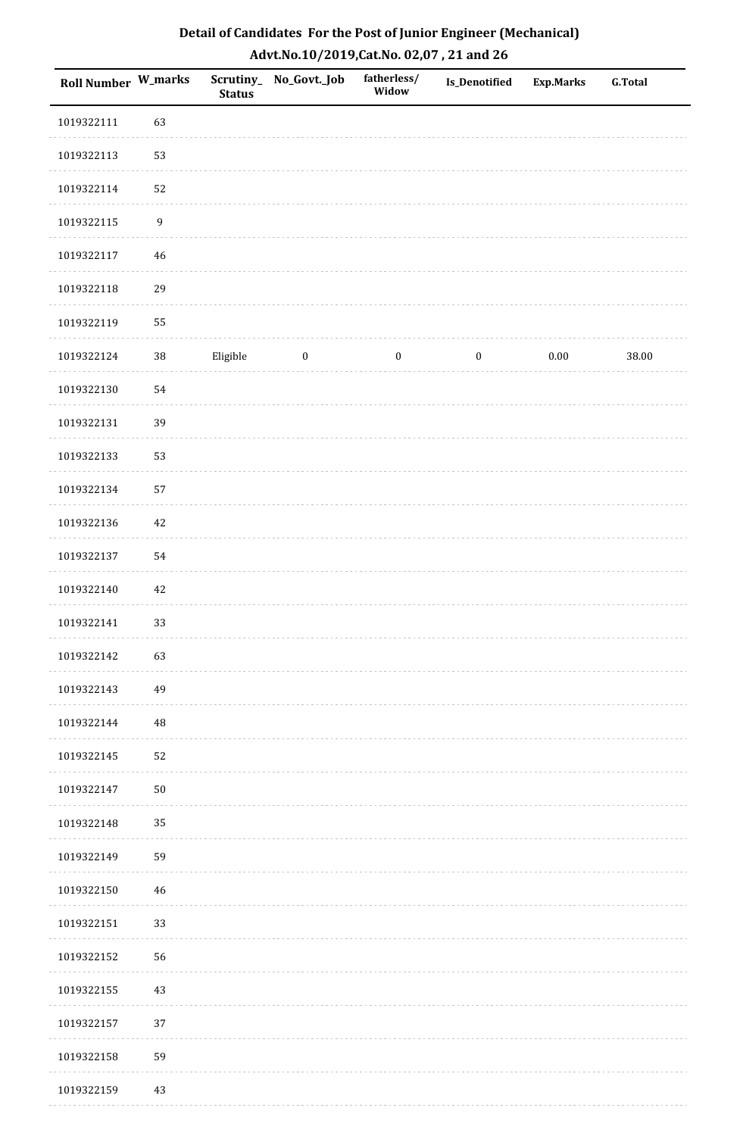| Roll Number W_marks |                  | <b>Status</b> | Scrutiny_ No_Govt._Job | fatherless/<br>Widow | <b>Is_Denotified</b> | <b>Exp.Marks</b> | <b>G.Total</b> |
|---------------------|------------------|---------------|------------------------|----------------------|----------------------|------------------|----------------|
| 1019322111          | 63               |               |                        |                      |                      |                  |                |
| 1019322113          | 53               |               |                        |                      |                      |                  |                |
| 1019322114          | 52               |               |                        |                      |                      |                  |                |
| 1019322115          | $\boldsymbol{9}$ |               |                        |                      |                      |                  |                |
| 1019322117          | 46               |               |                        |                      |                      |                  |                |
| 1019322118          | 29               |               |                        |                      |                      |                  |                |
| 1019322119          | 55               |               |                        |                      |                      |                  |                |
| 1019322124          | $38\,$           | Eligible      | $\boldsymbol{0}$       | $\boldsymbol{0}$     | $\boldsymbol{0}$     | 0.00             | 38.00          |
| 1019322130          | 54               |               |                        |                      |                      |                  |                |
| 1019322131          | 39               |               |                        |                      |                      |                  |                |
| 1019322133          | 53               |               |                        |                      |                      |                  |                |
| 1019322134          | 57               |               |                        |                      |                      |                  |                |
| 1019322136          | 42               |               |                        |                      |                      |                  |                |
| 1019322137          | 54               |               |                        |                      |                      |                  |                |
| 1019322140          | 42               |               |                        |                      |                      |                  |                |
| 1019322141          | 33               |               |                        |                      |                      |                  |                |
| 1019322142          | 63               |               |                        |                      |                      |                  |                |
| 1019322143          | 49               |               |                        |                      |                      |                  |                |
| 1019322144          | $\rm 48$         |               |                        |                      |                      |                  |                |
| 1019322145          | 52               |               |                        |                      |                      |                  |                |
| 1019322147          | ${\bf 50}$       |               |                        |                      |                      |                  |                |
| 1019322148          | 35               |               |                        |                      |                      |                  |                |
| 1019322149          | 59               |               |                        |                      |                      |                  |                |
| 1019322150          | 46               |               |                        |                      |                      |                  |                |
| 1019322151          | 33               |               |                        |                      |                      |                  |                |
| 1019322152          | 56               |               |                        |                      |                      |                  |                |
| 1019322155          | 43               |               |                        |                      |                      |                  |                |
| 1019322157          | 37               |               |                        |                      |                      |                  |                |
| 1019322158          | 59               |               |                        |                      |                      |                  |                |
| 1019322159          | 43               |               |                        |                      |                      |                  |                |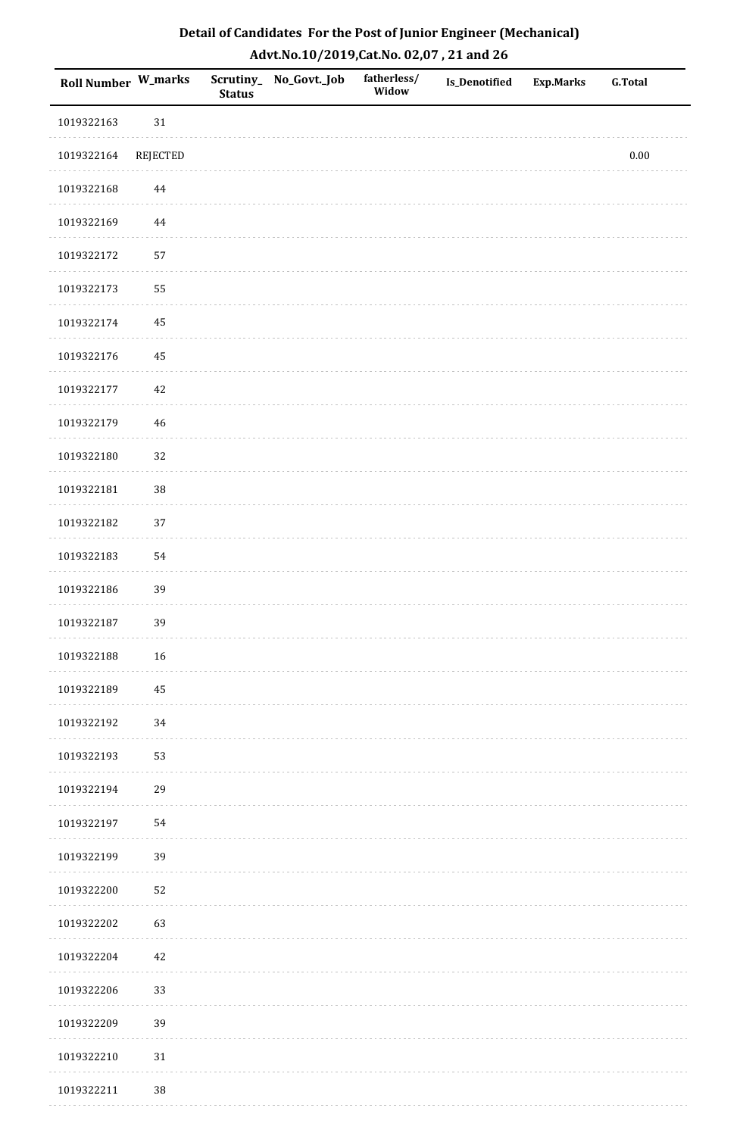| Detail of Candidates For the Post of Junior Engineer (Mechanical) |
|-------------------------------------------------------------------|
| Advt.No.10/2019,Cat.No. 02,07, 21 and 26                          |

| Roll Number W_marks |          | <b>Status</b> | Scrutiny_No_Govt._Job | fatherless/<br>Widow | <b>Is_Denotified</b> | <b>Exp.Marks</b> | <b>G.Total</b> |
|---------------------|----------|---------------|-----------------------|----------------------|----------------------|------------------|----------------|
| 1019322163          | 31       |               |                       |                      |                      |                  |                |
| 1019322164          | REJECTED |               |                       |                      |                      |                  | $0.00\,$       |
| 1019322168          | 44       |               |                       |                      |                      |                  |                |
| 1019322169          | 44       |               |                       |                      |                      |                  |                |
| 1019322172          | 57       |               |                       |                      |                      |                  |                |
| 1019322173          | 55       |               |                       |                      |                      |                  |                |
| 1019322174          | 45       |               |                       |                      |                      |                  |                |
| 1019322176          | 45       |               |                       |                      |                      |                  |                |
| 1019322177          | 42       |               |                       |                      |                      |                  |                |
| 1019322179          | 46       |               |                       |                      |                      |                  |                |
| 1019322180          | 32       |               |                       |                      |                      |                  |                |
| 1019322181          | 38       |               |                       |                      |                      |                  |                |
| 1019322182          | 37       |               |                       |                      |                      |                  |                |
| 1019322183          | 54       |               |                       |                      |                      |                  |                |
| 1019322186          | 39       |               |                       |                      |                      |                  |                |
| 1019322187          | 39       |               |                       |                      |                      |                  |                |
| 1019322188          | $16\,$   |               |                       |                      |                      |                  |                |
| 1019322189          | 45       |               |                       |                      |                      |                  |                |
| 1019322192          | 34       |               |                       |                      |                      |                  |                |
| 1019322193          | 53       |               |                       |                      |                      |                  |                |
| 1019322194          | 29       |               |                       |                      |                      |                  |                |
| 1019322197          | 54       |               |                       |                      |                      |                  |                |
| 1019322199          | 39       |               |                       |                      |                      |                  |                |
| 1019322200          | 52       |               |                       |                      |                      |                  |                |
| 1019322202          | 63       |               |                       |                      |                      |                  |                |
| 1019322204          | 42       |               |                       |                      |                      |                  |                |
| 1019322206          | 33       |               |                       |                      |                      |                  |                |
| 1019322209          | 39       |               |                       |                      |                      |                  |                |
| 1019322210          | $31\,$   |               |                       |                      |                      |                  |                |
| 1019322211          | 38       |               |                       |                      |                      |                  |                |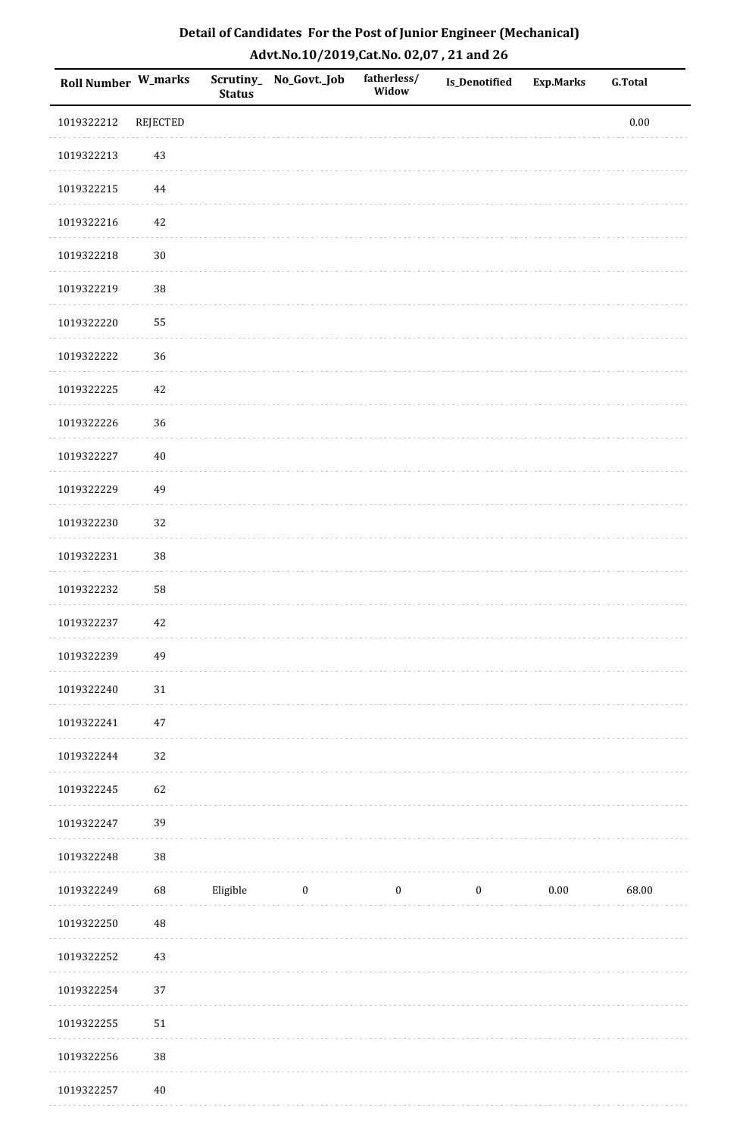| Roll Number W_marks |                 | <b>Status</b> | Scrutiny_No_Govt._Job | fatherless/<br>Widow | Is_Denotified    | Exp.Marks | <b>G.Total</b> |
|---------------------|-----------------|---------------|-----------------------|----------------------|------------------|-----------|----------------|
| 1019322212          | <b>REJECTED</b> |               |                       |                      |                  |           | $0.00\,$       |
| 1019322213          | 43              |               |                       |                      |                  |           |                |
| 1019322215          | $\bf 44$        |               |                       |                      |                  |           |                |
| 1019322216          | 42              |               |                       |                      |                  |           |                |
| 1019322218          | $30\,$          |               |                       |                      |                  |           |                |
| 1019322219          | 38              |               |                       |                      |                  |           |                |
| 1019322220          | 55              |               |                       |                      |                  |           |                |
| 1019322222          | 36              |               |                       |                      |                  |           |                |
| 1019322225          | 42              |               |                       |                      |                  |           |                |
| 1019322226          | 36              |               |                       |                      |                  |           |                |
| 1019322227          | $40\,$          |               |                       |                      |                  |           |                |
| 1019322229          | 49              |               |                       |                      |                  |           |                |
| 1019322230          | 32              |               |                       |                      |                  |           |                |
| 1019322231          | 38              |               |                       |                      |                  |           |                |
| 1019322232          | 58              |               |                       |                      |                  |           |                |
| 1019322237          | $42\,$          |               |                       |                      |                  |           |                |
| 1019322239          | 49              |               |                       |                      |                  |           |                |
| 1019322240          | $31\,$          |               |                       |                      |                  |           |                |
| 1019322241          | $47\,$          |               |                       |                      |                  |           |                |
| 1019322244          | 32              |               |                       |                      |                  |           |                |
| 1019322245          | 62              |               |                       |                      |                  |           |                |
| 1019322247          | 39              |               |                       |                      |                  |           |                |
| 1019322248          | 38              |               |                       |                      |                  |           |                |
| 1019322249          | 68              | Eligible      | $\boldsymbol{0}$      | $\boldsymbol{0}$     | $\boldsymbol{0}$ | $0.00\,$  | 68.00          |
| 1019322250          | 48              |               |                       |                      |                  |           |                |
| 1019322252          | $43\,$          |               |                       |                      |                  |           |                |
| 1019322254          | $37\,$          |               |                       |                      |                  |           |                |
| 1019322255          | $51\,$          |               |                       |                      |                  |           |                |
| 1019322256          | $38\,$          |               |                       |                      |                  |           |                |
| 1019322257          | $40\,$          |               |                       |                      |                  |           |                |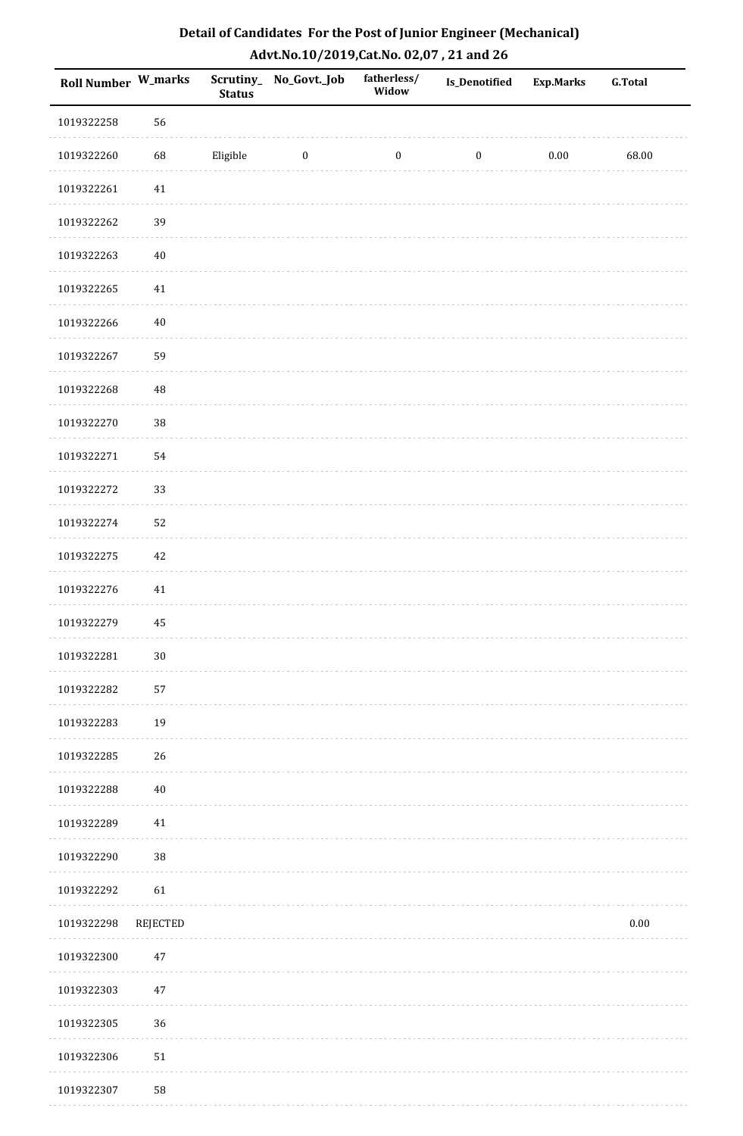| Detail of Candidates For the Post of Junior Engineer (Mechanical) |
|-------------------------------------------------------------------|
| Advt.No.10/2019,Cat.No. 02,07, 21 and 26                          |

| Roll Number W_marks |          | <b>Status</b> | Scrutiny_No_Govt._Job | fatherless/<br>Widow | <b>Is_Denotified</b> | <b>Exp.Marks</b> | <b>G.Total</b> |
|---------------------|----------|---------------|-----------------------|----------------------|----------------------|------------------|----------------|
| 1019322258          | 56       |               |                       |                      |                      |                  |                |
| 1019322260          | 68       | Eligible      | $\boldsymbol{0}$      | $\boldsymbol{0}$     | $\boldsymbol{0}$     | $0.00\,$         | 68.00          |
| 1019322261          | 41       |               |                       |                      |                      |                  |                |
| 1019322262          | 39       |               |                       |                      |                      |                  |                |
| 1019322263          | $40\,$   |               |                       |                      |                      |                  |                |
| 1019322265          | $41\,$   |               |                       |                      |                      |                  |                |
| 1019322266          | $40\,$   |               |                       |                      |                      |                  |                |
| 1019322267          | 59       |               |                       |                      |                      |                  |                |
| 1019322268          | $\rm 48$ |               |                       |                      |                      |                  |                |
| 1019322270          | 38       |               |                       |                      |                      |                  |                |
| 1019322271          | 54       |               |                       |                      |                      |                  |                |
| 1019322272          | 33       |               |                       |                      |                      |                  |                |
| 1019322274          | 52       |               |                       |                      |                      |                  |                |
| 1019322275          | $42\,$   |               |                       |                      |                      |                  |                |
| 1019322276          | 41       |               |                       |                      |                      |                  |                |
| 1019322279          | 45       |               |                       |                      |                      |                  |                |
| 1019322281          | $30\,$   |               |                       |                      |                      |                  |                |
| 1019322282          | 57       |               |                       |                      |                      |                  |                |
| 1019322283          | 19       |               |                       |                      |                      |                  |                |
| 1019322285          | 26       |               |                       |                      |                      |                  |                |
| 1019322288          | $40\,$   |               |                       |                      |                      |                  |                |
| 1019322289          | 41       |               |                       |                      |                      |                  |                |
| 1019322290          | 38       |               |                       |                      |                      |                  |                |
| 1019322292          | 61       |               |                       |                      |                      |                  |                |
| 1019322298          | REJECTED |               |                       |                      |                      |                  | $0.00\,$       |
| 1019322300          | $47\,$   |               |                       |                      |                      |                  |                |
| 1019322303          | $47\,$   |               |                       |                      |                      |                  |                |
| 1019322305          | 36       |               |                       |                      |                      |                  |                |
| 1019322306          | $51\,$   |               |                       |                      |                      |                  |                |
| 1019322307          | 58       |               |                       |                      |                      |                  |                |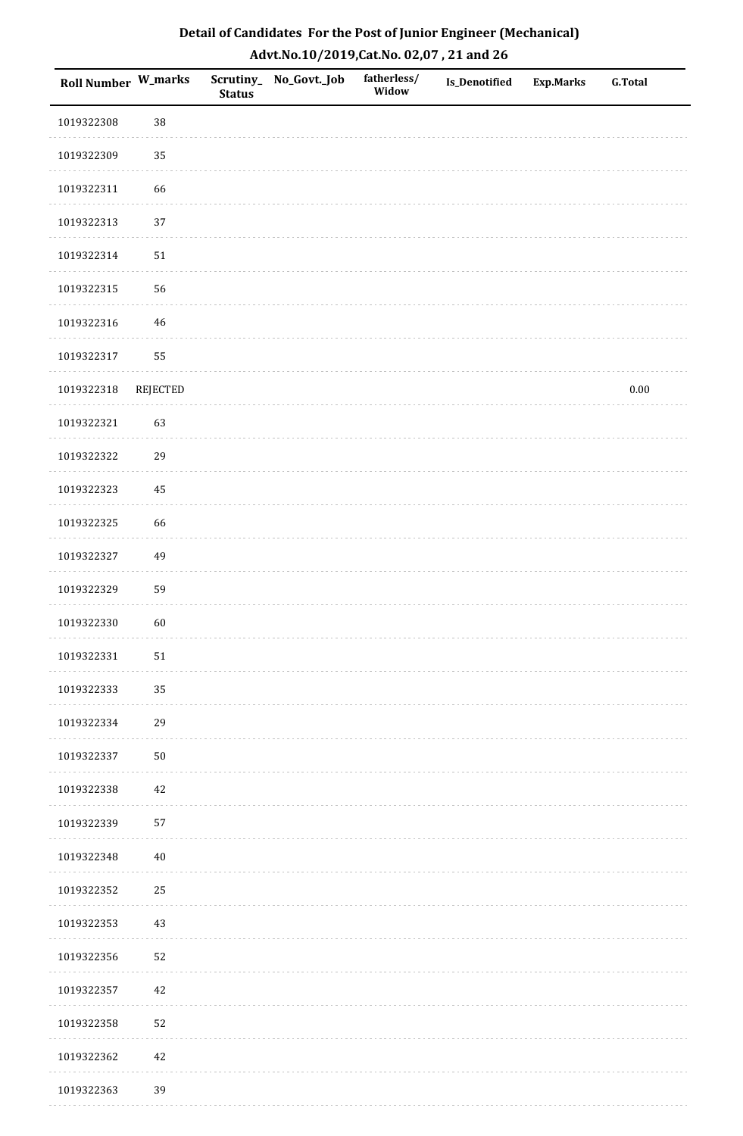| <b>Roll Number W_marks</b> |                 | <b>Status</b> | Scrutiny_ No_Govt._Job | fatherless/<br>Widow | Is_Denotified | <b>Exp.Marks</b> | <b>G.Total</b> |
|----------------------------|-----------------|---------------|------------------------|----------------------|---------------|------------------|----------------|
| 1019322308                 | 38              |               |                        |                      |               |                  |                |
| 1019322309                 | 35              |               |                        |                      |               |                  |                |
| 1019322311                 | 66              |               |                        |                      |               |                  |                |
| 1019322313                 | 37              |               |                        |                      |               |                  |                |
| 1019322314                 | ${\bf 51}$      |               |                        |                      |               |                  |                |
| 1019322315                 | 56              |               |                        |                      |               |                  |                |
| 1019322316                 | $46\,$          |               |                        |                      |               |                  |                |
| 1019322317                 | 55              |               |                        |                      |               |                  |                |
| 1019322318                 | <b>REJECTED</b> |               |                        |                      |               |                  | $0.00\,$       |
| 1019322321                 | 63              |               |                        |                      |               |                  |                |
| 1019322322                 | 29              |               |                        |                      |               |                  |                |
| 1019322323                 | 45              |               |                        |                      |               |                  |                |
| 1019322325                 | 66              |               |                        |                      |               |                  |                |
| 1019322327                 | 49              |               |                        |                      |               |                  |                |
| 1019322329                 | 59              |               |                        |                      |               |                  |                |
| 1019322330                 | 60              |               |                        |                      |               |                  |                |
| 1019322331                 | $51\,$          |               |                        |                      |               |                  |                |
| 1019322333                 | 35              |               |                        |                      |               |                  |                |
| 1019322334                 | 29              |               |                        |                      |               |                  |                |
| 1019322337                 | $50\,$          |               |                        |                      |               |                  |                |
| 1019322338                 | 42              |               |                        |                      |               |                  |                |
| 1019322339                 | 57              |               |                        |                      |               |                  |                |
| 1019322348                 | $40\,$          |               |                        |                      |               |                  |                |
| 1019322352                 | 25              |               |                        |                      |               |                  |                |
| 1019322353                 | $43\,$          |               |                        |                      |               |                  |                |
| 1019322356                 | 52              |               |                        |                      |               |                  |                |
| 1019322357                 | 42              |               |                        |                      |               |                  |                |
| 1019322358                 | 52              |               |                        |                      |               |                  |                |
| 1019322362                 | $42\,$          |               |                        |                      |               |                  |                |
| 1019322363                 | 39              |               |                        |                      |               |                  |                |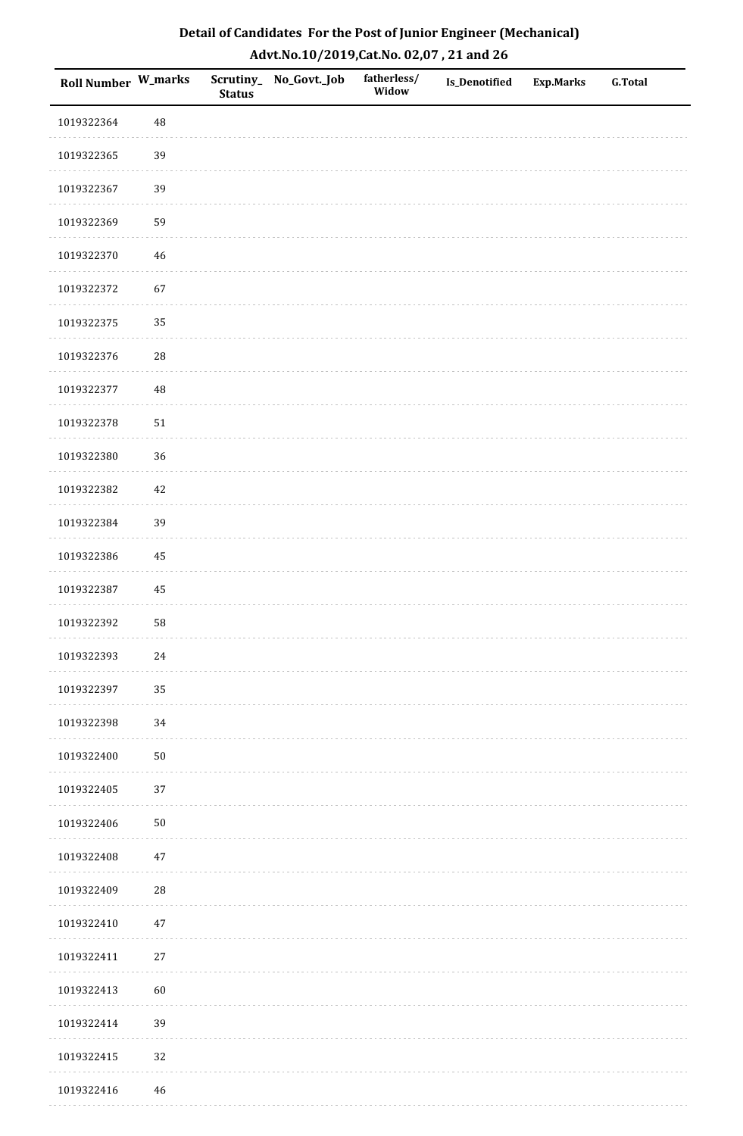| Roll Number W_marks |            | <b>Status</b> | Scrutiny_No_Govt._Job | fatherless/<br>Widow | Is_Denotified | <b>Exp.Marks</b> | <b>G.Total</b> |
|---------------------|------------|---------------|-----------------------|----------------------|---------------|------------------|----------------|
| 1019322364          | 48         |               |                       |                      |               |                  |                |
| 1019322365          | 39         |               |                       |                      |               |                  |                |
| 1019322367          | 39         |               |                       |                      |               |                  |                |
| 1019322369          | 59         |               |                       |                      |               |                  |                |
| 1019322370          | $46\,$     |               |                       |                      |               |                  |                |
| 1019322372          | 67         |               |                       |                      |               |                  |                |
| 1019322375          | 35         |               |                       |                      |               |                  |                |
| 1019322376          | ${\bf 28}$ |               |                       |                      |               |                  |                |
| 1019322377          | 48         |               |                       |                      |               |                  |                |
| 1019322378          | $51\,$     |               |                       |                      |               |                  |                |
| 1019322380          | 36         |               |                       |                      |               |                  |                |
| 1019322382          | $42\,$     |               |                       |                      |               |                  |                |
| 1019322384          | 39         |               |                       |                      |               |                  |                |
| 1019322386          | 45         |               |                       |                      |               |                  |                |
| 1019322387          | 45         |               |                       |                      |               |                  |                |
| 1019322392          | 58         |               |                       |                      |               |                  |                |
| 1019322393          | 24         |               |                       |                      |               |                  |                |
| 1019322397          | 35         |               |                       |                      |               |                  |                |
| 1019322398          | 34         |               |                       |                      |               |                  |                |
| 1019322400          | $50\,$     |               |                       |                      |               |                  |                |
| 1019322405          | 37         |               |                       |                      |               |                  |                |
| 1019322406          | $50\,$     |               |                       |                      |               |                  |                |
| 1019322408          | $47\,$     |               |                       |                      |               |                  |                |
| 1019322409          | ${\bf 28}$ |               |                       |                      |               |                  |                |
| 1019322410          | $47\,$     |               |                       |                      |               |                  |                |
| 1019322411          | $27\,$     |               |                       |                      |               |                  |                |
| 1019322413          | 60         |               |                       |                      |               |                  |                |
| 1019322414          | 39         |               |                       |                      |               |                  |                |
| 1019322415          | 32         |               |                       |                      |               |                  |                |
| 1019322416          | 46         |               |                       |                      |               |                  |                |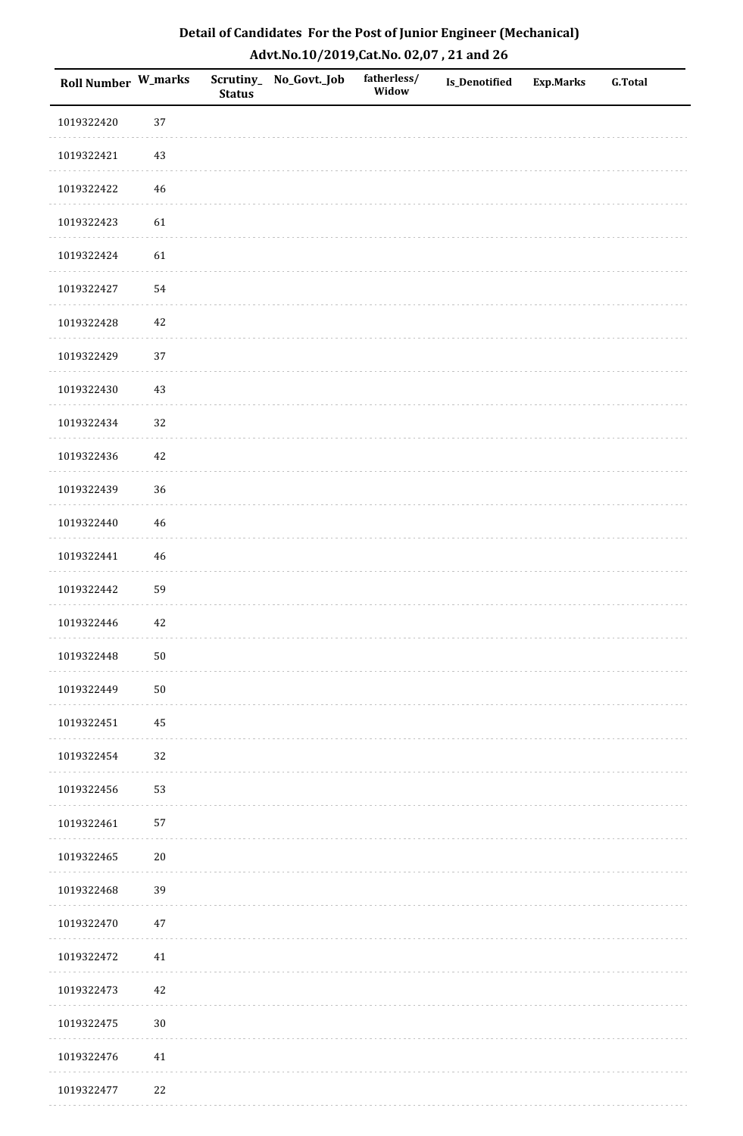| Roll Number W_marks |        | <b>Status</b> | Scrutiny_ No_Govt._Job | fatherless/<br>Widow | Is_Denotified | <b>Exp.Marks</b> | <b>G.Total</b> |
|---------------------|--------|---------------|------------------------|----------------------|---------------|------------------|----------------|
| 1019322420          | 37     |               |                        |                      |               |                  |                |
| 1019322421          | 43     |               |                        |                      |               |                  |                |
| 1019322422          | $46\,$ |               |                        |                      |               |                  |                |
| 1019322423          | 61     |               |                        |                      |               |                  |                |
| 1019322424          | 61     |               |                        |                      |               |                  |                |
| 1019322427          | 54     |               |                        |                      |               |                  |                |
| 1019322428          | $42\,$ |               |                        |                      |               |                  |                |
| 1019322429          | 37     |               |                        |                      |               |                  |                |
| 1019322430          | 43     |               |                        |                      |               |                  |                |
| 1019322434          | 32     |               |                        |                      |               |                  |                |
| 1019322436          | 42     |               |                        |                      |               |                  |                |
| 1019322439          | 36     |               |                        |                      |               |                  |                |
| 1019322440          | $46\,$ |               |                        |                      |               |                  |                |
| 1019322441          | $46\,$ |               |                        |                      |               |                  |                |
| 1019322442          | 59     |               |                        |                      |               |                  |                |
| 1019322446          | $42\,$ |               |                        |                      |               |                  |                |
| 1019322448          | $50\,$ |               |                        |                      |               |                  |                |
| 1019322449          | $50\,$ |               |                        |                      |               |                  |                |
| 1019322451          | 45     |               |                        |                      |               |                  |                |
| 1019322454          | 32     |               |                        |                      |               |                  |                |
| 1019322456          | 53     |               |                        |                      |               |                  |                |
| 1019322461          | 57     |               |                        |                      |               |                  |                |
| 1019322465          | $20\,$ |               |                        |                      |               |                  |                |
| 1019322468          | 39     |               |                        |                      |               |                  |                |
| 1019322470          | $47\,$ |               |                        |                      |               |                  |                |
| 1019322472          | $41\,$ |               |                        |                      |               |                  |                |
| 1019322473          | $42\,$ |               |                        |                      |               |                  |                |
| 1019322475          | $30\,$ |               |                        |                      |               |                  |                |
| 1019322476          | $41\,$ |               |                        |                      |               |                  |                |
| 1019322477          | $22\,$ |               |                        |                      |               |                  |                |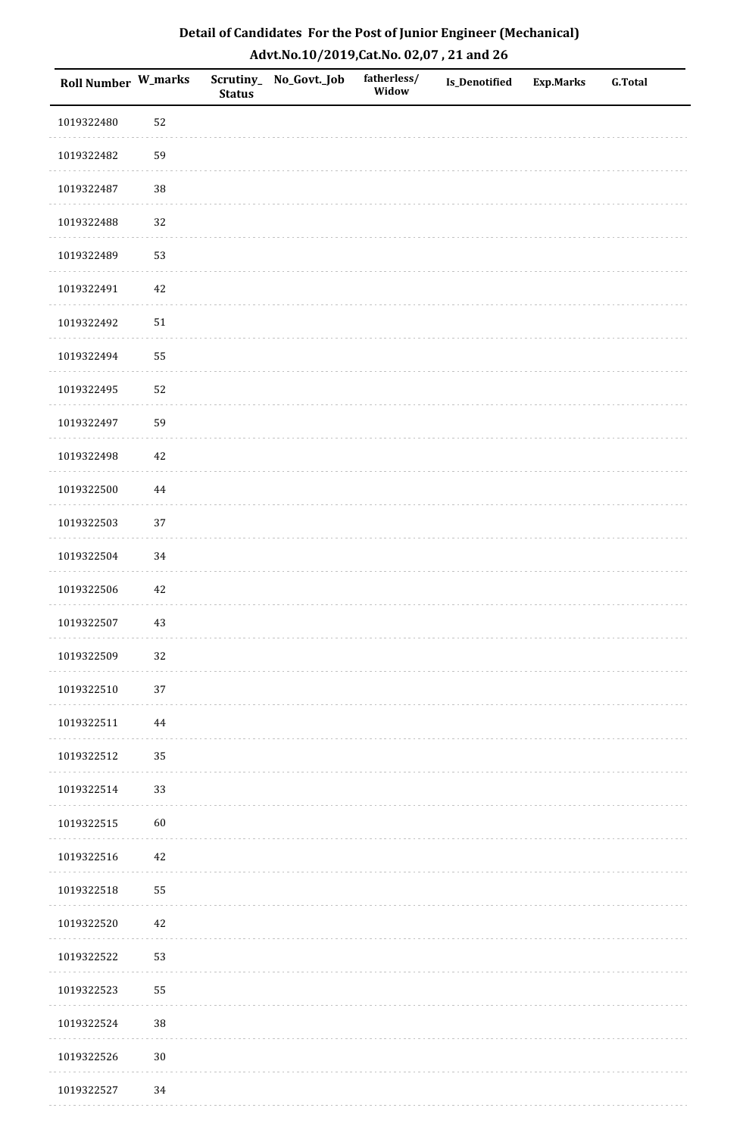| Roll Number W_marks |        | <b>Status</b> | Scrutiny_No_Govt._Job | fatherless/<br>Widow | Is_Denotified | <b>Exp.Marks</b> | <b>G.Total</b> |
|---------------------|--------|---------------|-----------------------|----------------------|---------------|------------------|----------------|
| 1019322480          | 52     |               |                       |                      |               |                  |                |
| 1019322482          | 59     |               |                       |                      |               |                  |                |
| 1019322487          | 38     |               |                       |                      |               |                  |                |
| 1019322488          | 32     |               |                       |                      |               |                  |                |
| 1019322489          | 53     |               |                       |                      |               |                  |                |
| 1019322491          | 42     |               |                       |                      |               |                  |                |
| 1019322492          | $51\,$ |               |                       |                      |               |                  |                |
| 1019322494          | 55     |               |                       |                      |               |                  |                |
| 1019322495          | 52     |               |                       |                      |               |                  |                |
| 1019322497          | 59     |               |                       |                      |               |                  |                |
| 1019322498          | 42     |               |                       |                      |               |                  |                |
| 1019322500          | 44     |               |                       |                      |               |                  |                |
| 1019322503          | 37     |               |                       |                      |               |                  |                |
| 1019322504          | 34     |               |                       |                      |               |                  |                |
| 1019322506          | $42\,$ |               |                       |                      |               |                  |                |
| 1019322507          | $43\,$ |               |                       |                      |               |                  |                |
| 1019322509          | 32     |               |                       |                      |               |                  |                |
| 1019322510          | 37     |               |                       |                      |               |                  |                |
| 1019322511          | 44     |               |                       |                      |               |                  |                |
| 1019322512          | 35     |               |                       |                      |               |                  |                |
| 1019322514          | 33     |               |                       |                      |               |                  |                |
| 1019322515          | 60     |               |                       |                      |               |                  |                |
| 1019322516          | 42     |               |                       |                      |               |                  |                |
| 1019322518          | 55     |               |                       |                      |               |                  |                |
| 1019322520          | 42     |               |                       |                      |               |                  |                |
| 1019322522          | 53     |               |                       |                      |               |                  |                |
| 1019322523          | 55     |               |                       |                      |               |                  |                |
| 1019322524          | 38     |               |                       |                      |               |                  |                |
| 1019322526          | $30\,$ |               |                       |                      |               |                  |                |
| 1019322527          | 34     |               |                       |                      |               |                  |                |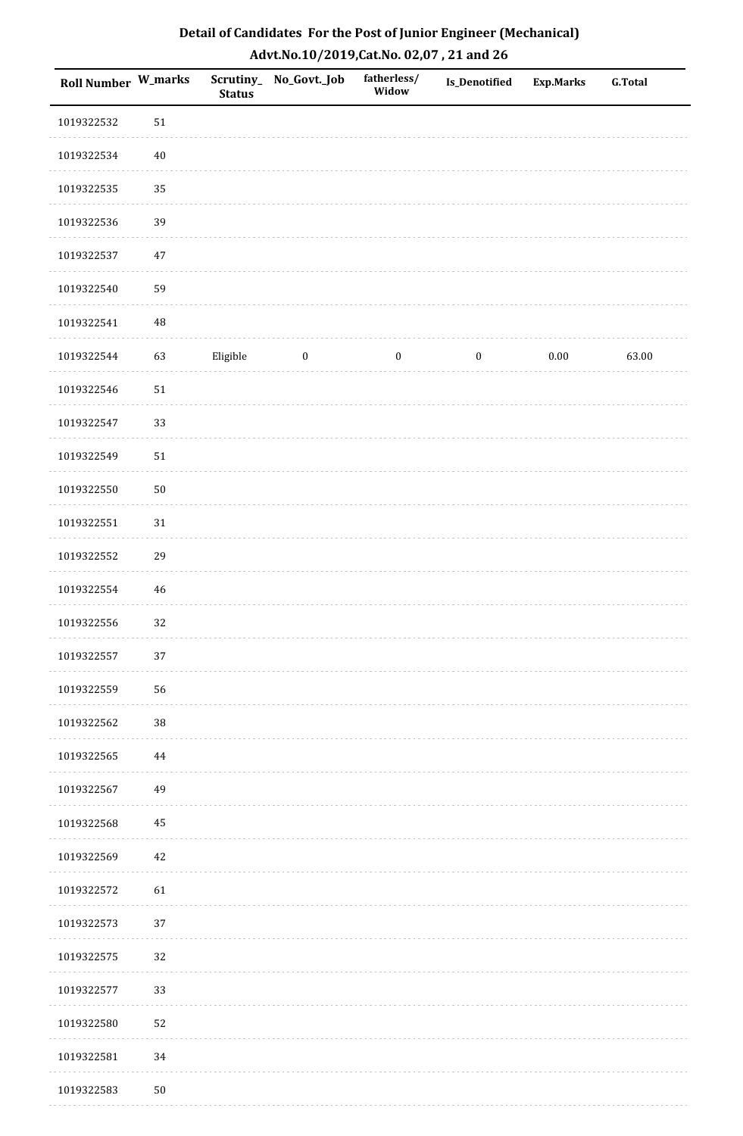| Roll Number W_marks |             | <b>Status</b> | Scrutiny_No_Govt._Job | fatherless/<br>Widow | Is_Denotified    | <b>Exp.Marks</b> | <b>G.Total</b> |
|---------------------|-------------|---------------|-----------------------|----------------------|------------------|------------------|----------------|
| 1019322532          | 51          |               |                       |                      |                  |                  |                |
| 1019322534          | $40\,$      |               |                       |                      |                  |                  |                |
| 1019322535          | 35          |               |                       |                      |                  |                  |                |
| 1019322536          | 39          |               |                       |                      |                  |                  |                |
| 1019322537          | $47\,$      |               |                       |                      |                  |                  |                |
| 1019322540          | 59          |               |                       |                      |                  |                  |                |
| 1019322541          | 48          |               |                       |                      |                  |                  |                |
| 1019322544          | 63          | Eligible      | $\boldsymbol{0}$      | $\boldsymbol{0}$     | $\boldsymbol{0}$ | 0.00             | 63.00          |
| 1019322546          | $51\,$      |               |                       |                      |                  |                  |                |
| 1019322547          | 33          |               |                       |                      |                  |                  |                |
| 1019322549          | $51\,$      |               |                       |                      |                  |                  |                |
| 1019322550          | $50\,$      |               |                       |                      |                  |                  |                |
| 1019322551          | $31\,$      |               |                       |                      |                  |                  |                |
| 1019322552          | 29          |               |                       |                      |                  |                  |                |
| 1019322554          | $\sqrt{46}$ |               |                       |                      |                  |                  |                |
| 1019322556          | 32          |               |                       |                      |                  |                  |                |
| 1019322557          | $37\,$      |               |                       |                      |                  |                  |                |
| 1019322559          | 56          |               |                       |                      |                  |                  |                |
| 1019322562          | $38\,$      |               |                       |                      |                  |                  |                |
| 1019322565          | 44          |               |                       |                      |                  |                  |                |
| 1019322567          | 49          |               |                       |                      |                  |                  |                |
| 1019322568          | 45          |               |                       |                      |                  |                  |                |
| 1019322569          | 42          |               |                       |                      |                  |                  |                |
| 1019322572          | 61          |               |                       |                      |                  |                  |                |
| 1019322573          | 37          |               |                       |                      |                  |                  |                |
| 1019322575          | 32          |               |                       |                      |                  |                  |                |
| 1019322577          | 33          |               |                       |                      |                  |                  |                |
| 1019322580          | 52          |               |                       |                      |                  |                  |                |
| 1019322581          | 34          |               |                       |                      |                  |                  |                |
| 1019322583          | $50\,$      |               |                       |                      |                  |                  |                |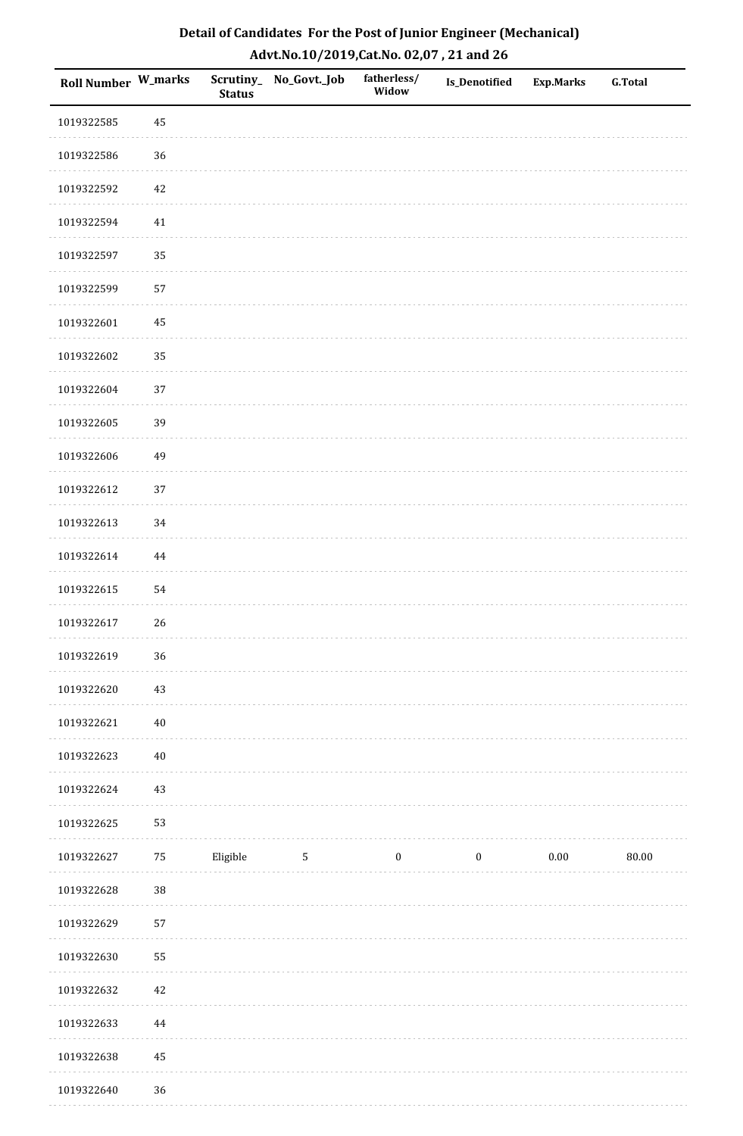| Roll Number W_marks |        | <b>Status</b> | Scrutiny_No_Govt._Job | fatherless/<br>Widow | Is_Denotified    | <b>Exp.Marks</b> | <b>G.Total</b> |
|---------------------|--------|---------------|-----------------------|----------------------|------------------|------------------|----------------|
| 1019322585          | 45     |               |                       |                      |                  |                  |                |
| 1019322586          | 36     |               |                       |                      |                  |                  |                |
| 1019322592          | $42\,$ |               |                       |                      |                  |                  |                |
| 1019322594          | $41\,$ |               |                       |                      |                  |                  |                |
| 1019322597          | 35     |               |                       |                      |                  |                  |                |
| 1019322599          | 57     |               |                       |                      |                  |                  |                |
| 1019322601          | 45     |               |                       |                      |                  |                  |                |
| 1019322602          | 35     |               |                       |                      |                  |                  |                |
| 1019322604          | 37     |               |                       |                      |                  |                  |                |
| 1019322605          | 39     |               |                       |                      |                  |                  |                |
| 1019322606          | 49     |               |                       |                      |                  |                  |                |
| 1019322612          | 37     |               |                       |                      |                  |                  |                |
| 1019322613          | 34     |               |                       |                      |                  |                  |                |
| 1019322614          | 44     |               |                       |                      |                  |                  |                |
| 1019322615          | 54     |               |                       |                      |                  |                  |                |
| 1019322617          | 26     |               |                       |                      |                  |                  |                |
| 1019322619          | 36     |               |                       |                      |                  |                  |                |
| 1019322620          | 43     |               |                       |                      |                  |                  |                |
| 1019322621          | $40\,$ |               |                       |                      |                  |                  |                |
| 1019322623          | $40\,$ |               |                       |                      |                  |                  |                |
| 1019322624          | $43\,$ |               |                       |                      |                  |                  |                |
| 1019322625          | 53     |               |                       |                      |                  |                  |                |
| 1019322627          | $75\,$ | Eligible      | $\mathbf{5}$          | $\boldsymbol{0}$     | $\boldsymbol{0}$ | $0.00\,$         | 80.00          |
| 1019322628          | 38     |               |                       |                      |                  |                  |                |
| 1019322629          | 57     |               |                       |                      |                  |                  |                |
| 1019322630          | 55     |               |                       |                      |                  |                  |                |
| 1019322632          | $42\,$ |               |                       |                      |                  |                  |                |
| 1019322633          | 44     |               |                       |                      |                  |                  |                |
| 1019322638          | 45     |               |                       |                      |                  |                  |                |
| 1019322640          | 36     |               |                       |                      |                  |                  |                |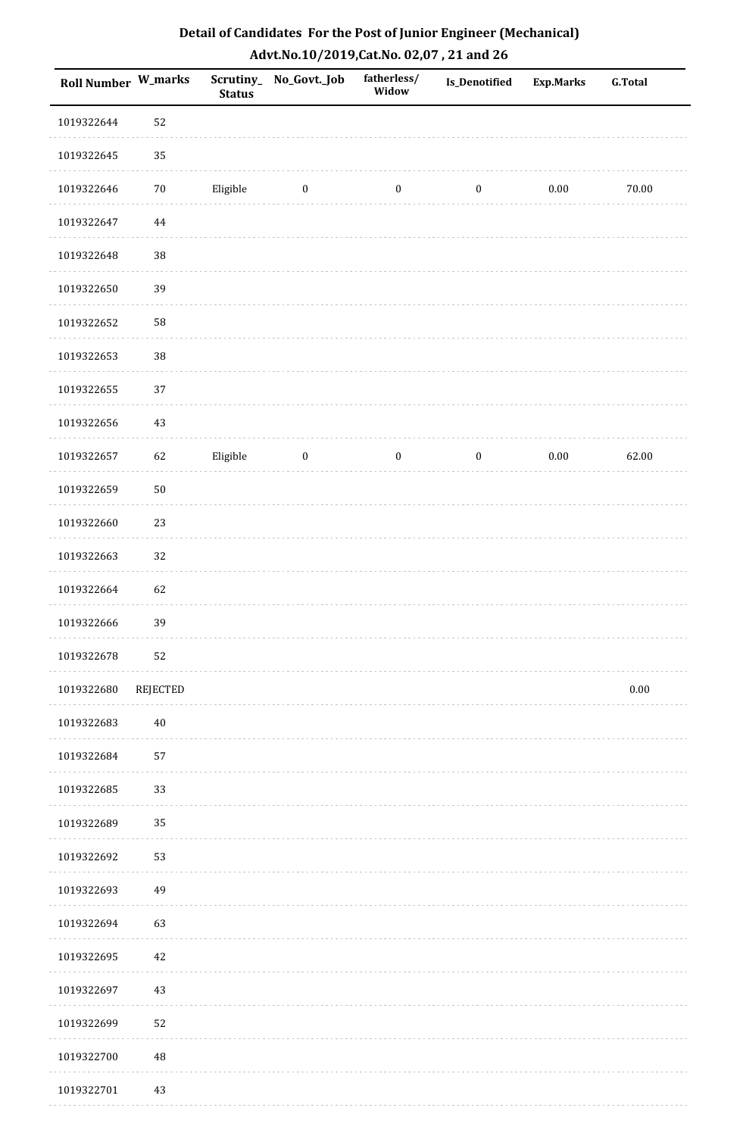| Roll Number W_marks |          | <b>Status</b> | Scrutiny_No_Govt._Job | fatherless/<br>Widow | Is_Denotified    | <b>Exp.Marks</b> | <b>G.Total</b> |
|---------------------|----------|---------------|-----------------------|----------------------|------------------|------------------|----------------|
| 1019322644          | 52       |               |                       |                      |                  |                  |                |
| 1019322645          | 35       |               |                       |                      |                  |                  |                |
| 1019322646          | $70\,$   | Eligible      | $\bf{0}$              | $\boldsymbol{0}$     | $\boldsymbol{0}$ | $0.00\,$         | 70.00          |
| 1019322647          | $\bf 44$ |               |                       |                      |                  |                  |                |
| 1019322648          | 38       |               |                       |                      |                  |                  |                |
| 1019322650          | 39       |               |                       |                      |                  |                  |                |
| 1019322652          | 58       |               |                       |                      |                  |                  |                |
| 1019322653          | 38       |               |                       |                      |                  |                  |                |
| 1019322655          | 37       |               |                       |                      |                  |                  |                |
| 1019322656          | $43\,$   |               |                       |                      |                  |                  |                |
| 1019322657          | 62       | Eligible      | $\boldsymbol{0}$      | $\boldsymbol{0}$     | $\boldsymbol{0}$ | $0.00\,$         | 62.00          |
| 1019322659          | $50\,$   |               |                       |                      |                  |                  |                |
| 1019322660          | 23       |               |                       |                      |                  |                  |                |
| 1019322663          | 32       |               |                       |                      |                  |                  |                |
| 1019322664          | 62       |               |                       |                      |                  |                  |                |
| 1019322666          | 39       |               |                       |                      |                  |                  |                |
| 1019322678          | 52       |               |                       |                      |                  |                  |                |
| 1019322680          | REJECTED |               |                       |                      |                  |                  | $0.00\,$       |
| 1019322683          | $40\,$   |               |                       |                      |                  |                  |                |
| 1019322684          | 57       |               |                       |                      |                  |                  |                |
| 1019322685          | 33       |               |                       |                      |                  |                  |                |
| 1019322689          | 35       |               |                       |                      |                  |                  |                |
| 1019322692          | 53       |               |                       |                      |                  |                  |                |
| 1019322693          | 49       |               |                       |                      |                  |                  |                |
| 1019322694          | 63       |               |                       |                      |                  |                  |                |
| 1019322695          | $42\,$   |               |                       |                      |                  |                  |                |
| 1019322697          | $43\,$   |               |                       |                      |                  |                  |                |
| 1019322699          | 52       |               |                       |                      |                  |                  |                |
| 1019322700          | 48       |               |                       |                      |                  |                  |                |
| 1019322701          | 43       |               |                       |                      |                  |                  |                |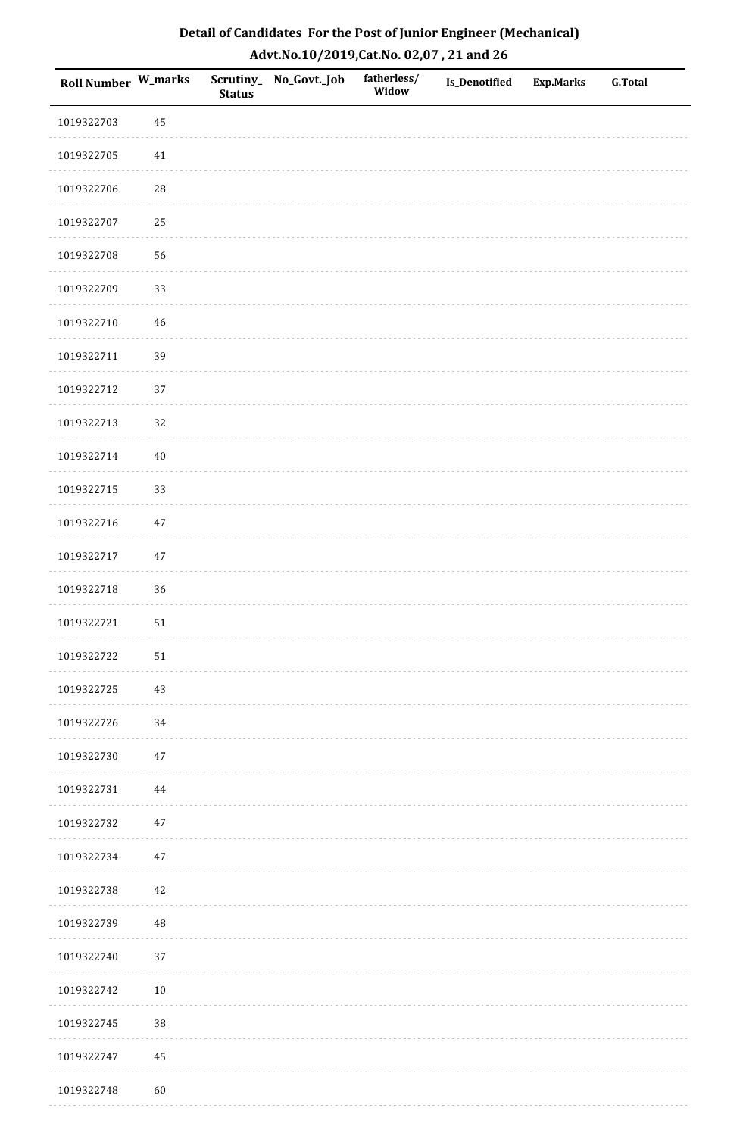| Roll Number W_marks |            | <b>Status</b> | Scrutiny_No_Govt._Job | fatherless/<br>Widow | Is_Denotified | <b>Exp.Marks</b> | <b>G.Total</b> |
|---------------------|------------|---------------|-----------------------|----------------------|---------------|------------------|----------------|
| 1019322703          | 45         |               |                       |                      |               |                  |                |
| 1019322705          | $41\,$     |               |                       |                      |               |                  |                |
| 1019322706          | ${\bf 28}$ |               |                       |                      |               |                  |                |
| 1019322707          | 25         |               |                       |                      |               |                  |                |
| 1019322708          | 56         |               |                       |                      |               |                  |                |
| 1019322709          | 33         |               |                       |                      |               |                  |                |
| 1019322710          | $46\,$     |               |                       |                      |               |                  |                |
| 1019322711          | 39         |               |                       |                      |               |                  |                |
| 1019322712          | 37         |               |                       |                      |               |                  |                |
| 1019322713          | 32         |               |                       |                      |               |                  |                |
| 1019322714          | $40\,$     |               |                       |                      |               |                  |                |
| 1019322715          | 33         |               |                       |                      |               |                  |                |
| 1019322716          | $47\,$     |               |                       |                      |               |                  |                |
| 1019322717          | $47\,$     |               |                       |                      |               |                  |                |
| 1019322718          | 36         |               |                       |                      |               |                  |                |
| 1019322721          | $51\,$     |               |                       |                      |               |                  |                |
| 1019322722          | 51         |               |                       |                      |               |                  |                |
| 1019322725          | 43         |               |                       |                      |               |                  |                |
| 1019322726          | 34         |               |                       |                      |               |                  |                |
| 1019322730          | $47\,$     |               |                       |                      |               |                  |                |
| 1019322731          | 44         |               |                       |                      |               |                  |                |
| 1019322732          | $47\,$     |               |                       |                      |               |                  |                |
| 1019322734          | $47\,$     |               |                       |                      |               |                  |                |
| 1019322738          | 42         |               |                       |                      |               |                  |                |
| 1019322739          | $\rm 48$   |               |                       |                      |               |                  |                |
| 1019322740          | 37         |               |                       |                      |               |                  |                |
| 1019322742          | $10\,$     |               |                       |                      |               |                  |                |
| 1019322745          | 38         |               |                       |                      |               |                  |                |
| 1019322747          | 45         |               |                       |                      |               |                  |                |
| 1019322748          | 60         |               |                       |                      |               |                  |                |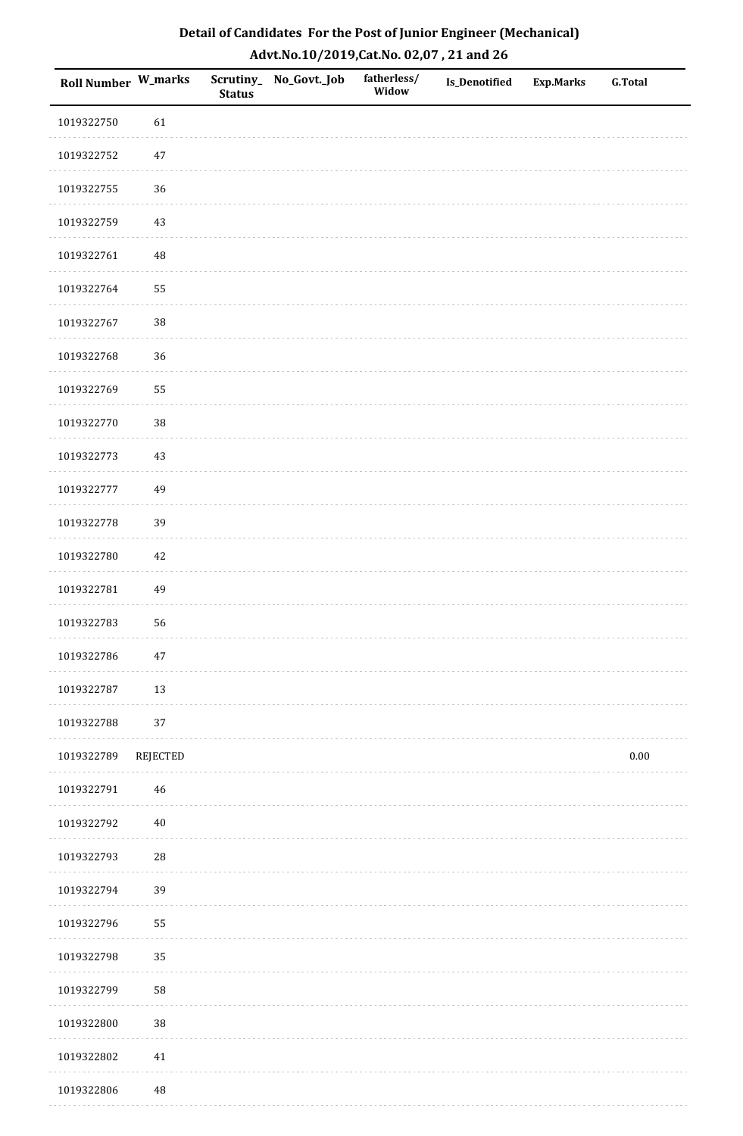| Roll Number W_marks |                 | <b>Status</b> | Scrutiny_ No_Govt._Job | fatherless/<br>Widow | Is_Denotified | <b>Exp.Marks</b> | <b>G.Total</b> |
|---------------------|-----------------|---------------|------------------------|----------------------|---------------|------------------|----------------|
| 1019322750          | 61              |               |                        |                      |               |                  |                |
| 1019322752          | $47\,$          |               |                        |                      |               |                  |                |
| 1019322755          | 36              |               |                        |                      |               |                  |                |
| 1019322759          | $43\,$          |               |                        |                      |               |                  |                |
| 1019322761          | $\rm 48$        |               |                        |                      |               |                  |                |
| 1019322764          | 55              |               |                        |                      |               |                  |                |
| 1019322767          | 38              |               |                        |                      |               |                  |                |
| 1019322768          | 36              |               |                        |                      |               |                  |                |
| 1019322769          | 55              |               |                        |                      |               |                  |                |
| 1019322770          | 38              |               |                        |                      |               |                  |                |
| 1019322773          | $43\,$          |               |                        |                      |               |                  |                |
| 1019322777          | 49              |               |                        |                      |               |                  |                |
| 1019322778          | 39              |               |                        |                      |               |                  |                |
| 1019322780          | $42\,$          |               |                        |                      |               |                  |                |
| 1019322781          | 49              |               |                        |                      |               |                  |                |
| 1019322783          | 56              |               |                        |                      |               |                  |                |
| 1019322786          | $47\,$          |               |                        |                      |               |                  |                |
| 1019322787          | 13              |               |                        |                      |               |                  |                |
| 1019322788          | 37              |               |                        |                      |               |                  |                |
| 1019322789          | <b>REJECTED</b> |               |                        |                      |               |                  | $0.00\,$       |
| 1019322791          | 46              |               |                        |                      |               |                  |                |
| 1019322792          | $40\,$          |               |                        |                      |               |                  |                |
| 1019322793          | 28              |               |                        |                      |               |                  |                |
| 1019322794          | 39              |               |                        |                      |               |                  |                |
| 1019322796          | 55              |               |                        |                      |               |                  |                |
| 1019322798          | 35              |               |                        |                      |               |                  |                |
| 1019322799          | 58              |               |                        |                      |               |                  |                |
| 1019322800          | 38              |               |                        |                      |               |                  |                |
| 1019322802          | $41\,$          |               |                        |                      |               |                  |                |
| 1019322806          | $\rm 48$        |               |                        |                      |               |                  |                |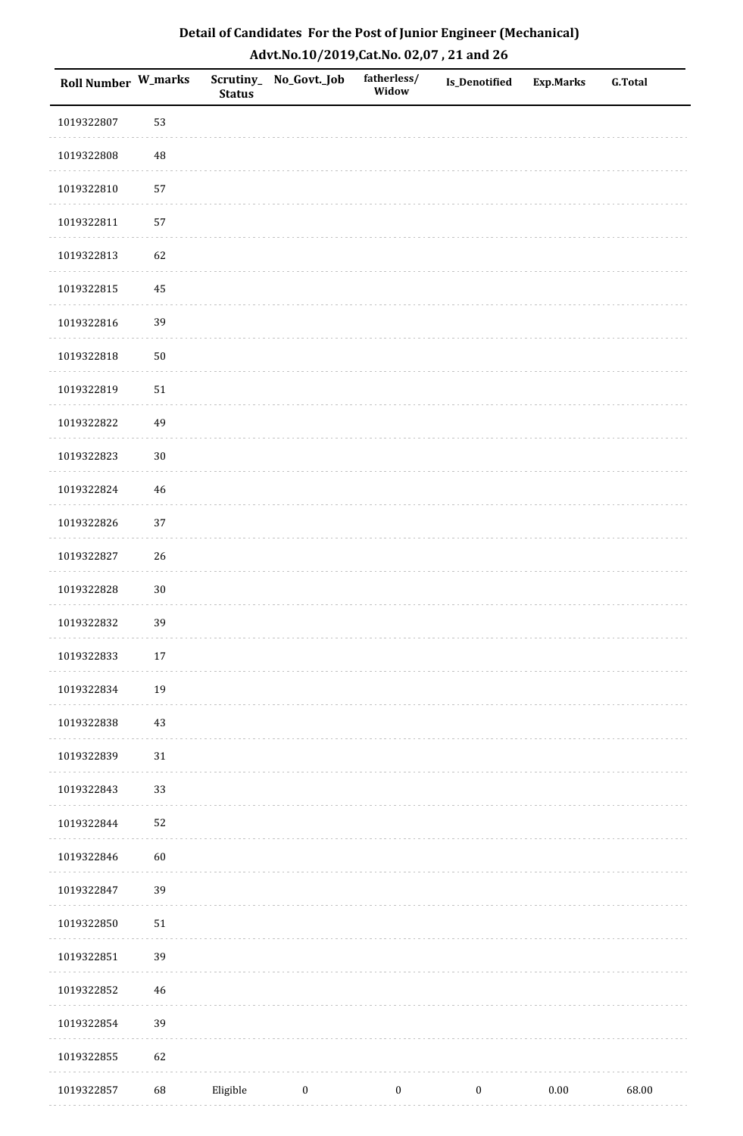| <b>Roll Number W_marks</b> |        | <b>Status</b> | Scrutiny_No_Govt._Job | fatherless/<br>Widow | Is_Denotified    | <b>Exp.Marks</b> | <b>G.Total</b> |
|----------------------------|--------|---------------|-----------------------|----------------------|------------------|------------------|----------------|
| 1019322807                 | 53     |               |                       |                      |                  |                  |                |
| 1019322808                 | 48     |               |                       |                      |                  |                  |                |
| 1019322810                 | 57     |               |                       |                      |                  |                  |                |
| 1019322811                 | 57     |               |                       |                      |                  |                  |                |
| 1019322813                 | 62     |               |                       |                      |                  |                  |                |
| 1019322815                 | 45     |               |                       |                      |                  |                  |                |
| 1019322816                 | 39     |               |                       |                      |                  |                  |                |
| 1019322818                 | $50\,$ |               |                       |                      |                  |                  |                |
| 1019322819                 | $51\,$ |               |                       |                      |                  |                  |                |
| 1019322822                 | 49     |               |                       |                      |                  |                  |                |
| 1019322823                 | $30\,$ |               |                       |                      |                  |                  |                |
| 1019322824                 | 46     |               |                       |                      |                  |                  |                |
| 1019322826                 | 37     |               |                       |                      |                  |                  |                |
| 1019322827                 | 26     |               |                       |                      |                  |                  |                |
| 1019322828                 | $30\,$ |               |                       |                      |                  |                  |                |
| 1019322832                 | 39     |               |                       |                      |                  |                  |                |
| 1019322833                 | $17\,$ |               |                       |                      |                  |                  |                |
| 1019322834                 | 19     |               |                       |                      |                  |                  |                |
| 1019322838                 | $43\,$ |               |                       |                      |                  |                  |                |
| 1019322839                 | $31\,$ |               |                       |                      |                  |                  |                |
| 1019322843                 | 33     |               |                       |                      |                  |                  |                |
| 1019322844                 | 52     |               |                       |                      |                  |                  |                |
| 1019322846                 | 60     |               |                       |                      |                  |                  |                |
| 1019322847                 | 39     |               |                       |                      |                  |                  |                |
| 1019322850                 | $51\,$ |               |                       |                      |                  |                  |                |
| 1019322851                 | 39     |               |                       |                      |                  |                  |                |
| 1019322852                 | $46\,$ |               |                       |                      |                  |                  |                |
| 1019322854                 | 39     |               |                       |                      |                  |                  |                |
| 1019322855                 | 62     |               |                       |                      |                  |                  |                |
| 1019322857                 | 68     | Eligible      | $\boldsymbol{0}$      | $\boldsymbol{0}$     | $\boldsymbol{0}$ | 0.00             | 68.00          |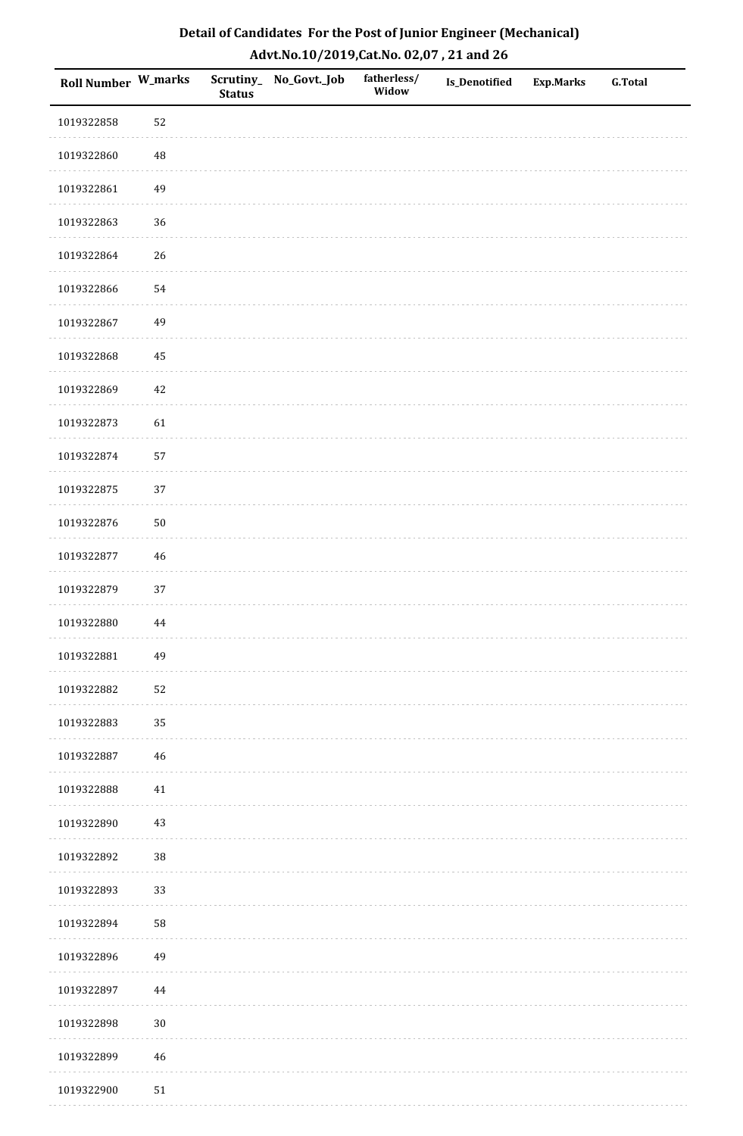| Roll Number W_marks |             | <b>Status</b> | Scrutiny_No_Govt._Job | fatherless/<br>Widow | Is_Denotified | <b>Exp.Marks</b> | <b>G.Total</b> |
|---------------------|-------------|---------------|-----------------------|----------------------|---------------|------------------|----------------|
| 1019322858          | 52          |               |                       |                      |               |                  |                |
| 1019322860          | 48          |               |                       |                      |               |                  |                |
| 1019322861          | 49          |               |                       |                      |               |                  |                |
| 1019322863          | 36          |               |                       |                      |               |                  |                |
| 1019322864          | 26          |               |                       |                      |               |                  |                |
| 1019322866          | 54          |               |                       |                      |               |                  |                |
| 1019322867          | 49          |               |                       |                      |               |                  |                |
| 1019322868          | 45          |               |                       |                      |               |                  |                |
| 1019322869          | 42          |               |                       |                      |               |                  |                |
| 1019322873          | 61          |               |                       |                      |               |                  |                |
| 1019322874          | 57          |               |                       |                      |               |                  |                |
| 1019322875          | 37          |               |                       |                      |               |                  |                |
| 1019322876          | $50\,$      |               |                       |                      |               |                  |                |
| 1019322877          | $46\,$      |               |                       |                      |               |                  |                |
| 1019322879          | $37\,$      |               |                       |                      |               |                  |                |
| 1019322880          | 44          |               |                       |                      |               |                  |                |
| 1019322881          | 49          |               |                       |                      |               |                  |                |
| 1019322882          | 52          |               |                       |                      |               |                  |                |
| 1019322883          | 35          |               |                       |                      |               |                  |                |
| 1019322887          | 46          |               |                       |                      |               |                  |                |
| 1019322888          | 41          |               |                       |                      |               |                  |                |
| 1019322890          | $43\,$      |               |                       |                      |               |                  |                |
| 1019322892          | 38          |               |                       |                      |               |                  |                |
| 1019322893          | 33          |               |                       |                      |               |                  |                |
| 1019322894          | 58          |               |                       |                      |               |                  |                |
| 1019322896          | 49          |               |                       |                      |               |                  |                |
| 1019322897          | 44          |               |                       |                      |               |                  |                |
| 1019322898          | $30\,$      |               |                       |                      |               |                  |                |
| 1019322899          | $\sqrt{46}$ |               |                       |                      |               |                  |                |
| 1019322900          | $51\,$      |               |                       |                      |               |                  |                |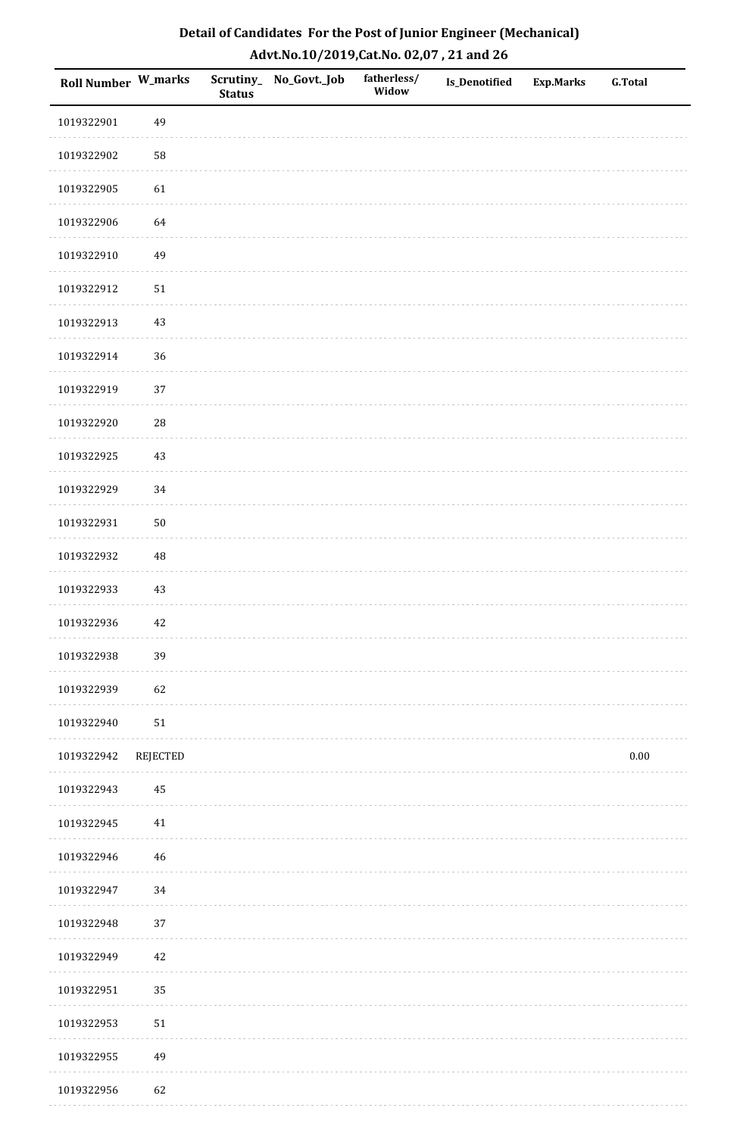| Detail of Candidates For the Post of Junior Engineer (Mechanical) |
|-------------------------------------------------------------------|
| Advt.No.10/2019,Cat.No. 02,07, 21 and 26                          |

| Roll Number W_marks |                 | <b>Status</b> | Scrutiny_ No_Govt._Job | fatherless/<br>Widow | <b>Is_Denotified</b> | <b>Exp.Marks</b> | <b>G.Total</b> |
|---------------------|-----------------|---------------|------------------------|----------------------|----------------------|------------------|----------------|
| 1019322901          | 49              |               |                        |                      |                      |                  |                |
| 1019322902          | 58              |               |                        |                      |                      |                  |                |
| 1019322905          | 61              |               |                        |                      |                      |                  |                |
| 1019322906          | 64              |               |                        |                      |                      |                  |                |
| 1019322910          | 49              |               |                        |                      |                      |                  |                |
| 1019322912          | $51\,$          |               |                        |                      |                      |                  |                |
| 1019322913          | 43              |               |                        |                      |                      |                  |                |
| 1019322914          | 36              |               |                        |                      |                      |                  |                |
| 1019322919          | 37              |               |                        |                      |                      |                  |                |
| 1019322920          | ${\bf 28}$      |               |                        |                      |                      |                  |                |
| 1019322925          | 43              |               |                        |                      |                      |                  |                |
| 1019322929          | 34              |               |                        |                      |                      |                  |                |
| 1019322931          | $50\,$          |               |                        |                      |                      |                  |                |
| 1019322932          | $\rm 48$        |               |                        |                      |                      |                  |                |
| 1019322933          | 43              |               |                        |                      |                      |                  |                |
| 1019322936          | 42              |               |                        |                      |                      |                  |                |
| 1019322938          | 39              |               |                        |                      |                      |                  |                |
| 1019322939          | 62              |               |                        |                      |                      |                  |                |
| 1019322940          | $51\,$          |               |                        |                      |                      |                  |                |
| 1019322942          | <b>REJECTED</b> |               |                        |                      |                      |                  | $0.00\,$       |
| 1019322943          | 45              |               |                        |                      |                      |                  |                |
| 1019322945          | 41              |               |                        |                      |                      |                  |                |
| 1019322946          | $\sqrt{46}$     |               |                        |                      |                      |                  |                |
| 1019322947          | 34              |               |                        |                      |                      |                  |                |
| 1019322948          | 37              |               |                        |                      |                      |                  |                |
| 1019322949          | $42\,$          |               |                        |                      |                      |                  |                |
| 1019322951          | 35              |               |                        |                      |                      |                  |                |
| 1019322953          | $51\,$          |               |                        |                      |                      |                  |                |
| 1019322955          | 49              |               |                        |                      |                      |                  |                |
| 1019322956          | 62              |               |                        |                      |                      |                  |                |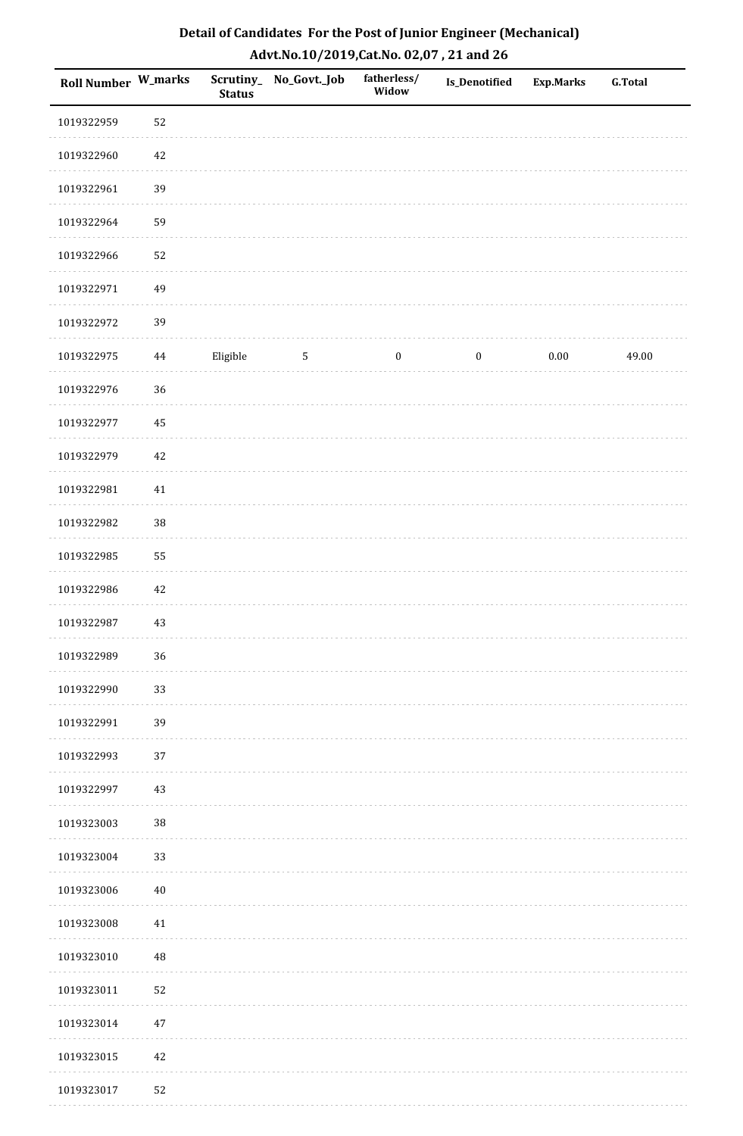| Roll Number W_marks |        | <b>Status</b> | Scrutiny_No_Govt._Job | fatherless/<br>Widow | Is_Denotified    | Exp.Marks | <b>G.Total</b> |
|---------------------|--------|---------------|-----------------------|----------------------|------------------|-----------|----------------|
| 1019322959          | 52     |               |                       |                      |                  |           |                |
| 1019322960          | 42     |               |                       |                      |                  |           |                |
| 1019322961          | 39     |               |                       |                      |                  |           |                |
| 1019322964          | 59     |               |                       |                      |                  |           |                |
| 1019322966          | 52     |               |                       |                      |                  |           |                |
| 1019322971          | 49     |               |                       |                      |                  |           |                |
| 1019322972          | 39     |               |                       |                      |                  |           |                |
| 1019322975          | 44     | Eligible      | $\sqrt{5}$            | $\boldsymbol{0}$     | $\boldsymbol{0}$ | 0.00      | 49.00          |
| 1019322976          | 36     |               |                       |                      |                  |           |                |
| 1019322977          | 45     |               |                       |                      |                  |           |                |
| 1019322979          | 42     |               |                       |                      |                  |           |                |
| 1019322981          | $41\,$ |               |                       |                      |                  |           |                |
| 1019322982          | $38\,$ |               |                       |                      |                  |           |                |
| 1019322985          | 55     |               |                       |                      |                  |           |                |
| 1019322986          | 42     |               |                       |                      |                  |           |                |
| 1019322987          | 43     |               |                       |                      |                  |           |                |
| 1019322989          | 36     |               |                       |                      |                  |           |                |
| 1019322990          | 33     |               |                       |                      |                  |           |                |
| 1019322991          | 39     |               |                       |                      |                  |           |                |
| 1019322993          | 37     |               |                       |                      |                  |           |                |
| 1019322997          | 43     |               |                       |                      |                  |           |                |
| 1019323003          | $38\,$ |               |                       |                      |                  |           |                |
| 1019323004          | 33     |               |                       |                      |                  |           |                |
| 1019323006          | $40\,$ |               |                       |                      |                  |           |                |
| 1019323008          | 41     |               |                       |                      |                  |           |                |
| 1019323010          | 48     |               |                       |                      |                  |           |                |
| 1019323011          | 52     |               |                       |                      |                  |           |                |
| 1019323014          | $47\,$ |               |                       |                      |                  |           |                |
| 1019323015          | $42\,$ |               |                       |                      |                  |           |                |
| 1019323017          | 52     |               |                       |                      |                  |           |                |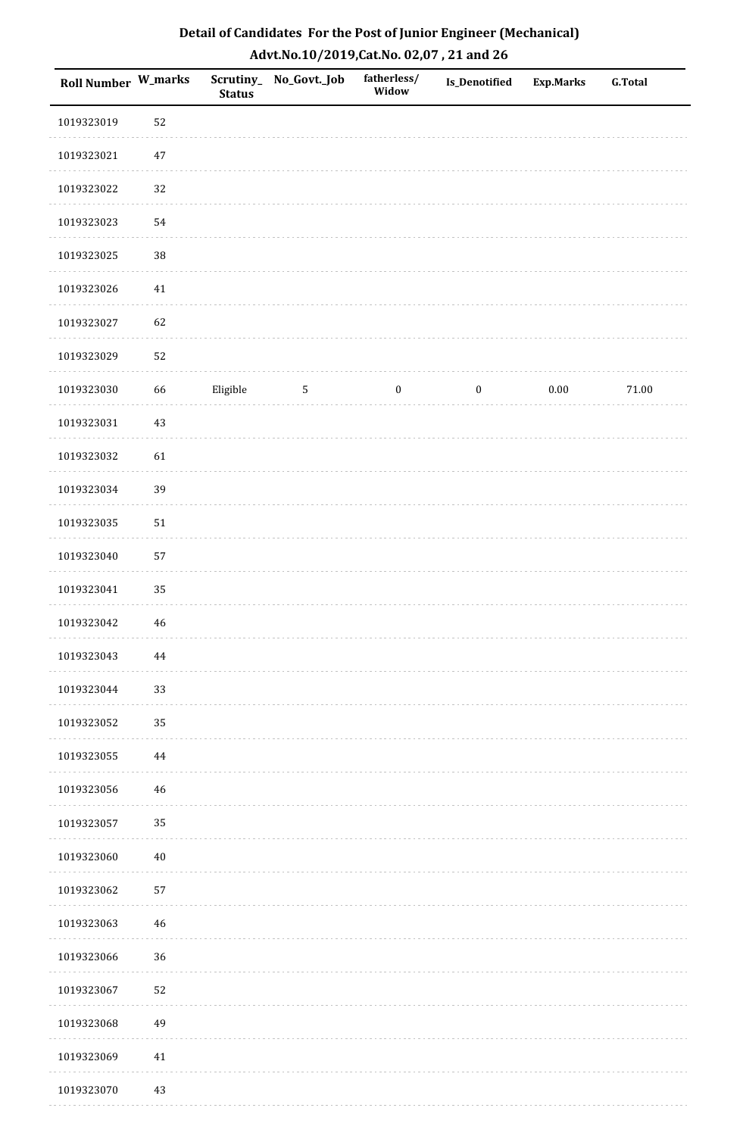| Detail of Candidates For the Post of Junior Engineer (Mechanical) |
|-------------------------------------------------------------------|
| Advt.No.10/2019, Cat.No. 02,07, 21 and 26                         |

| Roll Number W_marks |          | <b>Status</b> | Scrutiny_ No_Govt._Job | fatherless/<br>Widow | <b>Is_Denotified</b> | <b>Exp.Marks</b> | <b>G.Total</b> |
|---------------------|----------|---------------|------------------------|----------------------|----------------------|------------------|----------------|
| 1019323019          | 52       |               |                        |                      |                      |                  |                |
| 1019323021          | $47\,$   |               |                        |                      |                      |                  |                |
| 1019323022          | 32       |               |                        |                      |                      |                  |                |
| 1019323023          | 54       |               |                        |                      |                      |                  |                |
| 1019323025          | $38\,$   |               |                        |                      |                      |                  |                |
| 1019323026          | 41       |               |                        |                      |                      |                  |                |
| 1019323027          | 62       |               |                        |                      |                      |                  |                |
| 1019323029          | 52       |               |                        |                      |                      |                  |                |
| 1019323030          | 66       | Eligible      | $\overline{5}$         | $\boldsymbol{0}$     | $\boldsymbol{0}$     | $0.00\,$         | 71.00          |
| 1019323031          | 43       |               |                        |                      |                      |                  |                |
| 1019323032          | 61       |               |                        |                      |                      |                  |                |
| 1019323034          | 39       |               |                        |                      |                      |                  |                |
| 1019323035          | 51       |               |                        |                      |                      |                  |                |
| 1019323040          | 57       |               |                        |                      |                      |                  |                |
| 1019323041          | 35       |               |                        |                      |                      |                  |                |
| 1019323042          | 46       |               |                        |                      |                      |                  |                |
| 1019323043          | 44       |               |                        |                      |                      |                  |                |
| 1019323044          | 33       |               |                        |                      |                      |                  |                |
| 1019323052          | 35       |               |                        |                      |                      |                  |                |
| 1019323055          | $\bf 44$ |               |                        |                      |                      |                  |                |
| 1019323056          | 46       |               |                        |                      |                      |                  |                |
| 1019323057          | 35       |               |                        |                      |                      |                  |                |
| 1019323060          | $40\,$   |               |                        |                      |                      |                  |                |
| 1019323062          | 57       |               |                        |                      |                      |                  |                |
| 1019323063          | 46       |               |                        |                      |                      |                  |                |
| 1019323066          | 36       |               |                        |                      |                      |                  |                |
| 1019323067          | 52       |               |                        |                      |                      |                  |                |
| 1019323068          | 49       |               |                        |                      |                      |                  |                |
| 1019323069          | 41       |               |                        |                      |                      |                  |                |
| 1019323070          | 43       |               |                        |                      |                      |                  |                |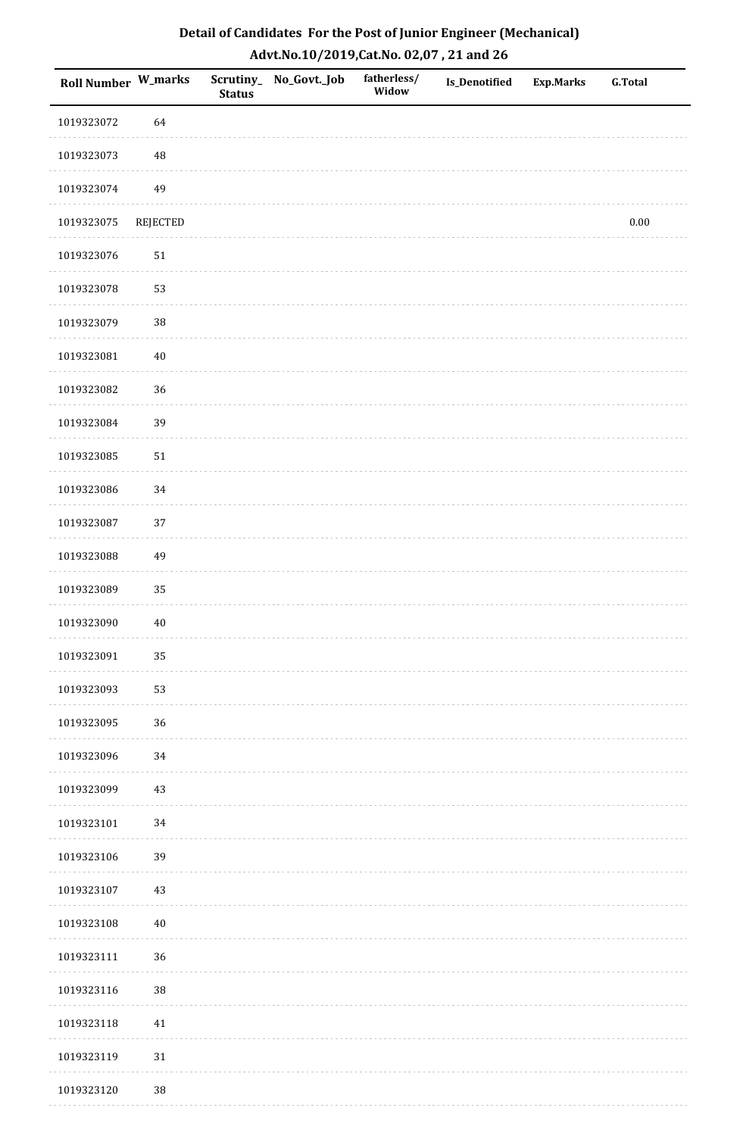| <b>Roll Number W_marks</b> |                 | <b>Status</b> | Scrutiny_ No_Govt._Job | fatherless/<br>Widow | Is_Denotified | Exp.Marks | <b>G.Total</b> |
|----------------------------|-----------------|---------------|------------------------|----------------------|---------------|-----------|----------------|
| 1019323072                 | 64              |               |                        |                      |               |           |                |
| 1019323073                 | 48              |               |                        |                      |               |           |                |
| 1019323074                 | 49              |               |                        |                      |               |           |                |
| 1019323075                 | <b>REJECTED</b> |               |                        |                      |               |           | 0.00           |
| 1019323076                 | $51\,$          |               |                        |                      |               |           |                |
| 1019323078                 | 53              |               |                        |                      |               |           |                |
| 1019323079                 | 38              |               |                        |                      |               |           |                |
| 1019323081                 | $40\,$          |               |                        |                      |               |           |                |
| 1019323082                 | 36              |               |                        |                      |               |           |                |
| 1019323084                 | 39              |               |                        |                      |               |           |                |
| 1019323085                 | 51              |               |                        |                      |               |           |                |
| 1019323086                 | 34              |               |                        |                      |               |           |                |
| 1019323087                 | 37              |               |                        |                      |               |           |                |
| 1019323088                 | 49              |               |                        |                      |               |           |                |
| 1019323089                 | 35              |               |                        |                      |               |           |                |
| 1019323090                 | $40\,$          |               |                        |                      |               |           |                |
| 1019323091                 | 35              |               |                        |                      |               |           |                |
| 1019323093                 | 53              |               |                        |                      |               |           |                |
| 1019323095                 | 36              |               |                        |                      |               |           |                |
| 1019323096                 | 34              |               |                        |                      |               |           |                |
| 1019323099                 | $43\,$          |               |                        |                      |               |           |                |
| 1019323101                 | 34              |               |                        |                      |               |           |                |
| 1019323106                 | 39              |               |                        |                      |               |           |                |
| 1019323107                 | $43\,$          |               |                        |                      |               |           |                |
| 1019323108                 | $40\,$          |               |                        |                      |               |           |                |
| 1019323111                 | 36              |               |                        |                      |               |           |                |
| 1019323116                 | 38              |               |                        |                      |               |           |                |
| 1019323118                 | 41              |               |                        |                      |               |           |                |
| 1019323119                 | $31\,$          |               |                        |                      |               |           |                |
| 1019323120                 | $38\,$          |               |                        |                      |               |           |                |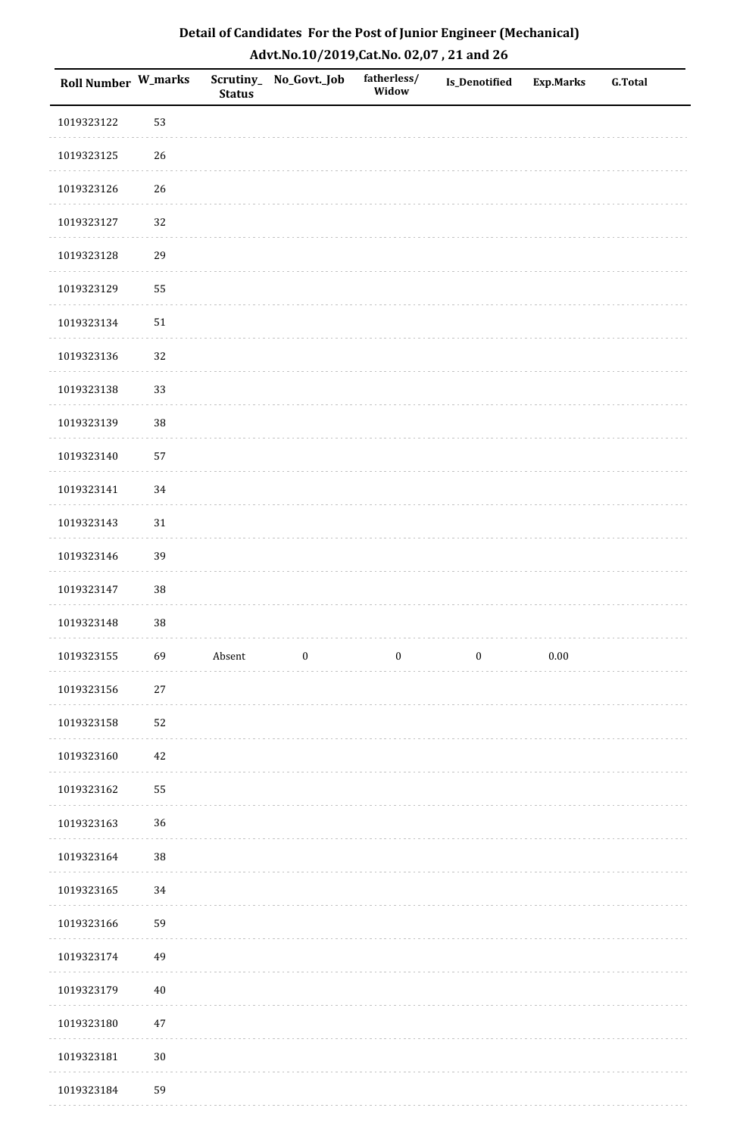| Detail of Candidates For the Post of Junior Engineer (Mechanical) |
|-------------------------------------------------------------------|
| Advt.No.10/2019,Cat.No. 02,07, 21 and 26                          |

| Roll Number W_marks |        | <b>Status</b> | Scrutiny_No_Govt._Job | fatherless/<br>Widow | Is_Denotified    | <b>Exp.Marks</b> | <b>G.Total</b> |
|---------------------|--------|---------------|-----------------------|----------------------|------------------|------------------|----------------|
| 1019323122          | 53     |               |                       |                      |                  |                  |                |
| 1019323125          | 26     |               |                       |                      |                  |                  |                |
| 1019323126          | 26     |               |                       |                      |                  |                  |                |
| 1019323127          | 32     |               |                       |                      |                  |                  |                |
| 1019323128          | 29     |               |                       |                      |                  |                  |                |
| 1019323129          | 55     |               |                       |                      |                  |                  |                |
| 1019323134          | 51     |               |                       |                      |                  |                  |                |
| 1019323136          | 32     |               |                       |                      |                  |                  |                |
| 1019323138          | 33     |               |                       |                      |                  |                  |                |
| 1019323139          | 38     |               |                       |                      |                  |                  |                |
| 1019323140          | 57     |               |                       |                      |                  |                  |                |
| 1019323141          | 34     |               |                       |                      |                  |                  |                |
| 1019323143          | 31     |               |                       |                      |                  |                  |                |
| 1019323146          | 39     |               |                       |                      |                  |                  |                |
| 1019323147          | 38     |               |                       |                      |                  |                  |                |
| 1019323148          | 38     |               |                       |                      |                  |                  |                |
| 1019323155          | 69     | Absent        | $\boldsymbol{0}$      | $\boldsymbol{0}$     | $\boldsymbol{0}$ | $0.00\,$         |                |
| 1019323156          | $27\,$ |               |                       |                      |                  |                  |                |
| 1019323158          | 52     |               |                       |                      |                  |                  |                |
| 1019323160          | 42     |               |                       |                      |                  |                  |                |
| 1019323162          | 55     |               |                       |                      |                  |                  |                |
| 1019323163          | 36     |               |                       |                      |                  |                  |                |
| 1019323164          | $38\,$ |               |                       |                      |                  |                  |                |
| 1019323165          | 34     |               |                       |                      |                  |                  |                |
| 1019323166          | 59     |               |                       |                      |                  |                  |                |
| 1019323174          | 49     |               |                       |                      |                  |                  |                |
| 1019323179          | $40\,$ |               |                       |                      |                  |                  |                |
| 1019323180          | 47     |               |                       |                      |                  |                  |                |
| 1019323181          | $30\,$ |               |                       |                      |                  |                  |                |
| 1019323184          | 59     |               |                       |                      |                  |                  |                |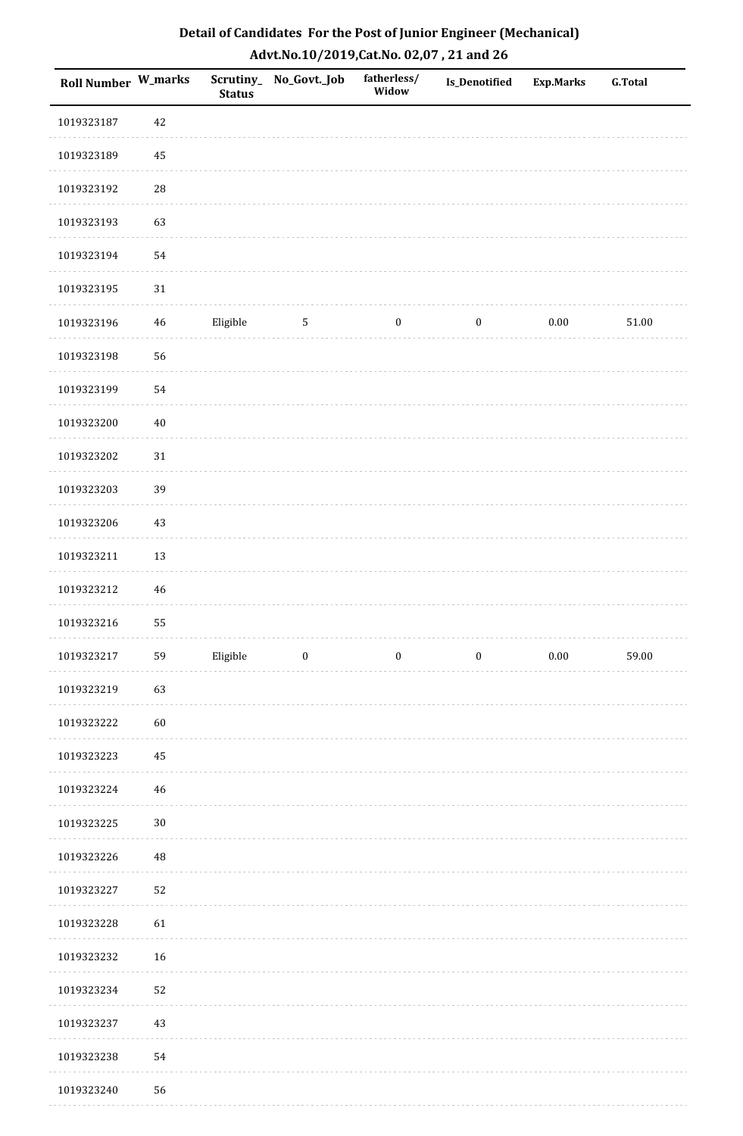| Detail of Candidates For the Post of Junior Engineer (Mechanical) |
|-------------------------------------------------------------------|
| Advt.No.10/2019, Cat.No. 02,07, 21 and 26                         |

| <b>Roll Number W_marks</b> |             | <b>Status</b> | Scrutiny_ No_Govt._Job | fatherless/<br>Widow | <b>Is_Denotified</b> | <b>Exp.Marks</b> | <b>G.Total</b> |
|----------------------------|-------------|---------------|------------------------|----------------------|----------------------|------------------|----------------|
| 1019323187                 | 42          |               |                        |                      |                      |                  |                |
| 1019323189                 | 45          |               |                        |                      |                      |                  |                |
| 1019323192                 | ${\bf 28}$  |               |                        |                      |                      |                  |                |
| 1019323193                 | 63          |               |                        |                      |                      |                  |                |
| 1019323194                 | 54          |               |                        |                      |                      |                  |                |
| 1019323195                 | $31\,$      |               |                        |                      |                      |                  |                |
| 1019323196                 | $\sqrt{46}$ | Eligible      | $\sqrt{5}$             | $\boldsymbol{0}$     | $\boldsymbol{0}$     | $0.00\,$         | $51.00\,$      |
| 1019323198                 | 56          |               |                        |                      |                      |                  |                |
| 1019323199                 | 54          |               |                        |                      |                      |                  |                |
| 1019323200                 | $40\,$      |               |                        |                      |                      |                  |                |
| 1019323202                 | $31\,$      |               |                        |                      |                      |                  |                |
| 1019323203                 | 39          |               |                        |                      |                      |                  |                |
| 1019323206                 | 43          |               |                        |                      |                      |                  |                |
| 1019323211                 | 13          |               |                        |                      |                      |                  |                |
| 1019323212                 | $\sqrt{46}$ |               |                        |                      |                      |                  |                |
| 1019323216                 | 55          |               |                        |                      |                      |                  |                |
| 1019323217                 | 59          | Eligible      | $\boldsymbol{0}$       | $\boldsymbol{0}$     | $\boldsymbol{0}$     | $0.00\,$         | 59.00          |
| 1019323219                 | 63          |               |                        |                      |                      |                  |                |
| 1019323222                 | 60          |               |                        |                      |                      |                  |                |
| 1019323223                 | 45          |               |                        |                      |                      |                  |                |
| 1019323224                 | $46\,$      |               |                        |                      |                      |                  |                |
| 1019323225                 | $30\,$      |               |                        |                      |                      |                  |                |
| 1019323226                 | 48          |               |                        |                      |                      |                  |                |
| 1019323227                 | 52          |               |                        |                      |                      |                  |                |
| 1019323228                 | 61          |               |                        |                      |                      |                  |                |
| 1019323232                 | 16          |               |                        |                      |                      |                  |                |
| 1019323234                 | 52          |               |                        |                      |                      |                  |                |
| 1019323237                 | 43          |               |                        |                      |                      |                  |                |
| 1019323238                 | 54          |               |                        |                      |                      |                  |                |
| 1019323240                 | 56          |               |                        |                      |                      |                  |                |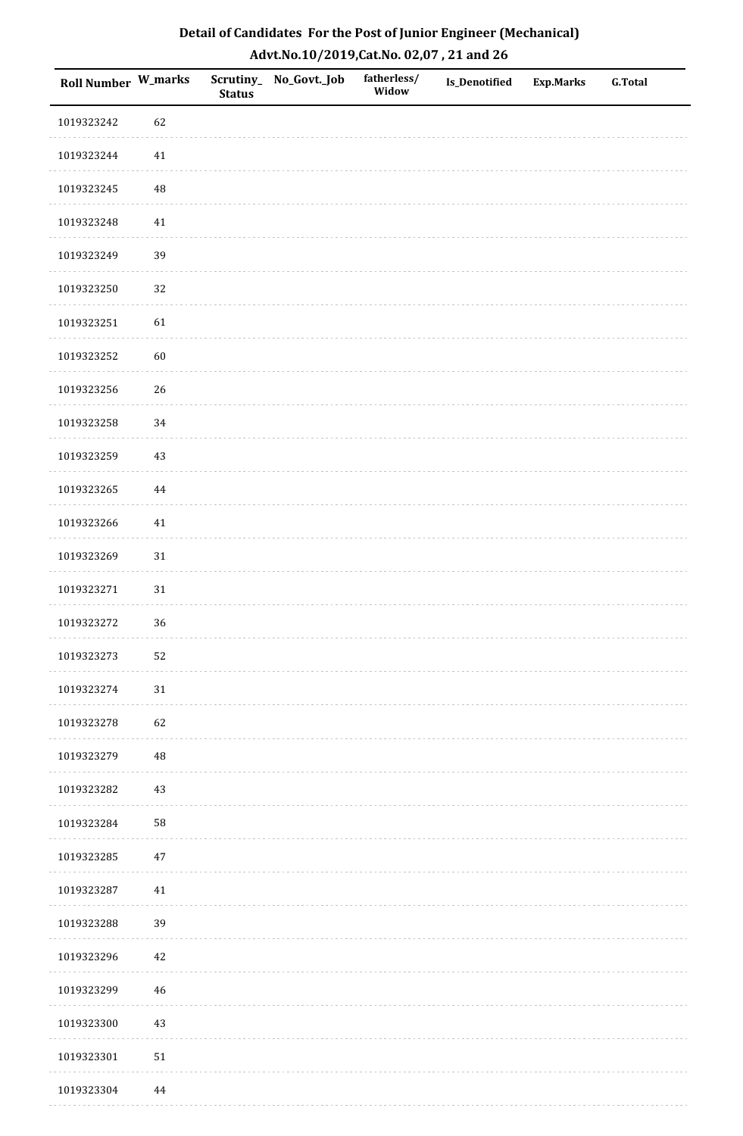| Roll Number W_marks |            | <b>Status</b> | Scrutiny_No_Govt._Job | fatherless/<br>Widow | Is_Denotified | <b>Exp.Marks</b> | <b>G.Total</b> |
|---------------------|------------|---------------|-----------------------|----------------------|---------------|------------------|----------------|
| 1019323242          | 62         |               |                       |                      |               |                  |                |
| 1019323244          | 41         |               |                       |                      |               |                  |                |
| 1019323245          | 48         |               |                       |                      |               |                  |                |
| 1019323248          | $41\,$     |               |                       |                      |               |                  |                |
| 1019323249          | 39         |               |                       |                      |               |                  |                |
| 1019323250          | 32         |               |                       |                      |               |                  |                |
| 1019323251          | 61         |               |                       |                      |               |                  |                |
| 1019323252          | 60         |               |                       |                      |               |                  |                |
| 1019323256          | 26         |               |                       |                      |               |                  |                |
| 1019323258          | 34         |               |                       |                      |               |                  |                |
| 1019323259          | 43         |               |                       |                      |               |                  |                |
| 1019323265          | $\bf 44$   |               |                       |                      |               |                  |                |
| 1019323266          | $41\,$     |               |                       |                      |               |                  |                |
| 1019323269          | 31         |               |                       |                      |               |                  |                |
| 1019323271          | $31\,$     |               |                       |                      |               |                  |                |
| 1019323272          | 36         |               |                       |                      |               |                  |                |
| 1019323273          | 52         |               |                       |                      |               |                  |                |
| 1019323274          | $31\,$     |               |                       |                      |               |                  |                |
| 1019323278          | 62         |               |                       |                      |               |                  |                |
| 1019323279          | 48         |               |                       |                      |               |                  |                |
| 1019323282          | 43         |               |                       |                      |               |                  |                |
| 1019323284          | 58         |               |                       |                      |               |                  |                |
| 1019323285          | $47\,$     |               |                       |                      |               |                  |                |
| 1019323287          | 41         |               |                       |                      |               |                  |                |
| 1019323288          | 39         |               |                       |                      |               |                  |                |
| 1019323296          | $42\,$     |               |                       |                      |               |                  |                |
| 1019323299          | 46         |               |                       |                      |               |                  |                |
| 1019323300          | 43         |               |                       |                      |               |                  |                |
| 1019323301          | ${\bf 51}$ |               |                       |                      |               |                  |                |
| 1019323304          | 44         |               |                       |                      |               |                  |                |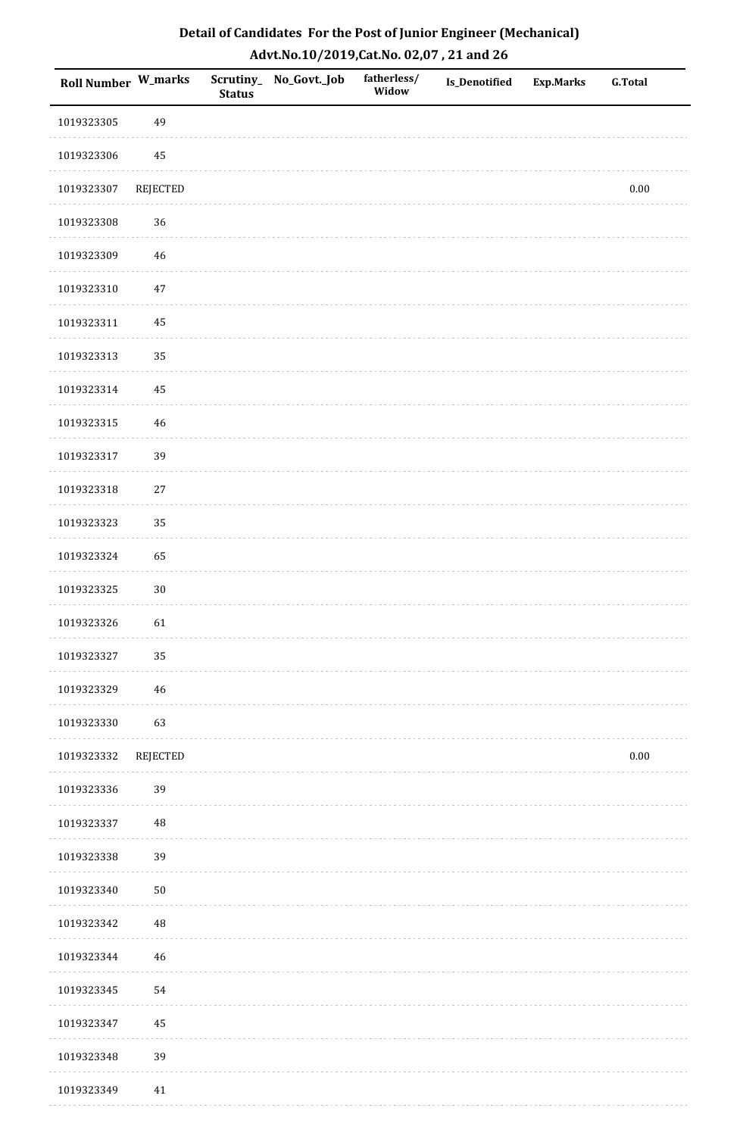| Roll Number W_marks |                 | <b>Status</b> | Scrutiny_ No_Govt._Job | fatherless/<br>Widow | <b>Is_Denotified</b> | <b>Exp.Marks</b> | <b>G.Total</b> |
|---------------------|-----------------|---------------|------------------------|----------------------|----------------------|------------------|----------------|
| 1019323305          | 49              |               |                        |                      |                      |                  |                |
| 1019323306          | 45              |               |                        |                      |                      |                  |                |
| 1019323307          | REJECTED        |               |                        |                      |                      |                  | $0.00\,$       |
| 1019323308          | 36              |               |                        |                      |                      |                  |                |
| 1019323309          | 46              |               |                        |                      |                      |                  |                |
| 1019323310          | $47\,$          |               |                        |                      |                      |                  |                |
| 1019323311          | 45              |               |                        |                      |                      |                  |                |
| 1019323313          | 35              |               |                        |                      |                      |                  |                |
| 1019323314          | 45              |               |                        |                      |                      |                  |                |
| 1019323315          | $46\,$          |               |                        |                      |                      |                  |                |
| 1019323317          | 39              |               |                        |                      |                      |                  |                |
| 1019323318          | $27\,$          |               |                        |                      |                      |                  |                |
| 1019323323          | 35              |               |                        |                      |                      |                  |                |
| 1019323324          | 65              |               |                        |                      |                      |                  |                |
| 1019323325          | $30\,$          |               |                        |                      |                      |                  |                |
| 1019323326          | 61              |               |                        |                      |                      |                  |                |
| 1019323327          | 35              |               |                        |                      |                      |                  |                |
| 1019323329          | $\sqrt{46}$     |               |                        |                      |                      |                  |                |
| 1019323330          | 63              |               |                        |                      |                      |                  |                |
| 1019323332          | <b>REJECTED</b> |               |                        |                      |                      |                  | $0.00\,$       |
| 1019323336          | 39              |               |                        |                      |                      |                  |                |
| 1019323337          | 48              |               |                        |                      |                      |                  |                |
| 1019323338          | 39              |               |                        |                      |                      |                  |                |
| 1019323340          | $50\,$          |               |                        |                      |                      |                  |                |
| 1019323342          | 48              |               |                        |                      |                      |                  |                |
| 1019323344          | $46\,$          |               |                        |                      |                      |                  |                |
| 1019323345          | 54              |               |                        |                      |                      |                  |                |
| 1019323347          | 45              |               |                        |                      |                      |                  |                |
| 1019323348          | 39              |               |                        |                      |                      |                  |                |
| 1019323349          | 41              |               |                        |                      |                      |                  |                |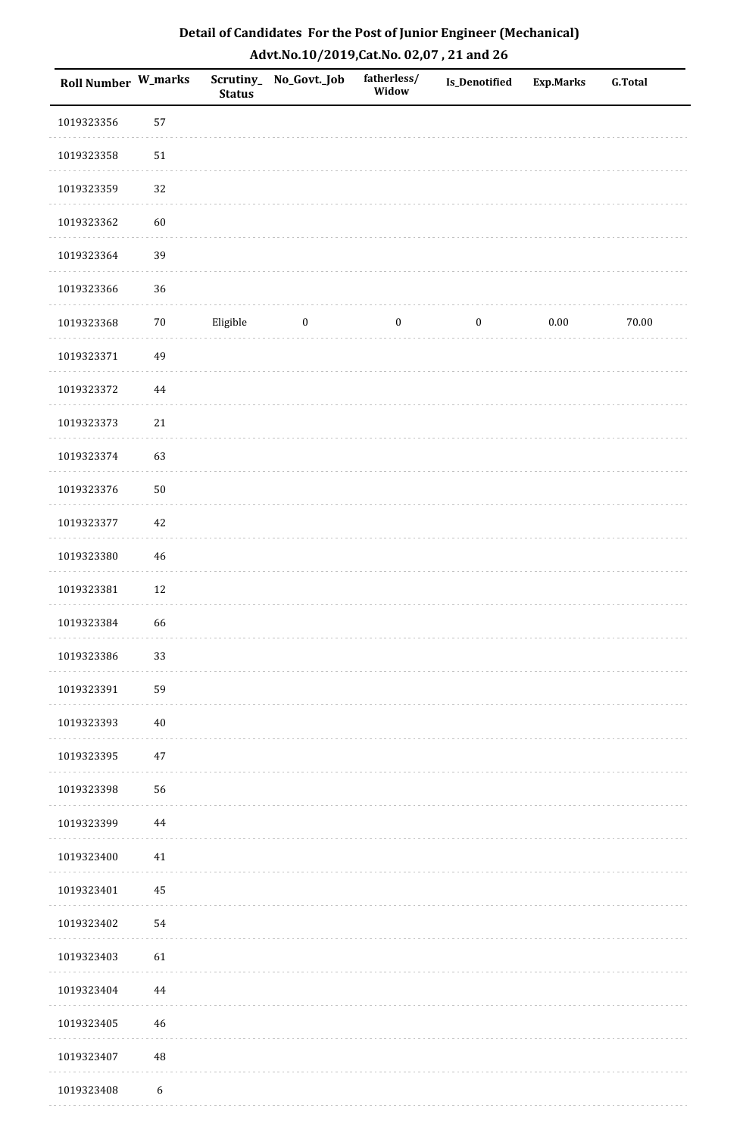| Roll Number W_marks |                  | <b>Status</b> | Scrutiny_No_Govt._Job | fatherless/<br>Widow | Is_Denotified    | Exp.Marks | <b>G.Total</b> |
|---------------------|------------------|---------------|-----------------------|----------------------|------------------|-----------|----------------|
| 1019323356          | 57               |               |                       |                      |                  |           |                |
| 1019323358          | $51\,$           |               |                       |                      |                  |           |                |
| 1019323359          | 32               |               |                       |                      |                  |           |                |
| 1019323362          | 60               |               |                       |                      |                  |           |                |
| 1019323364          | 39               |               |                       |                      |                  |           |                |
| 1019323366          | 36               |               |                       |                      |                  |           |                |
| 1019323368          | $70\,$           | Eligible      | $\bf{0}$              | $\boldsymbol{0}$     | $\boldsymbol{0}$ | $0.00\,$  | 70.00          |
| 1019323371          | 49               |               |                       |                      |                  |           |                |
| 1019323372          | $\bf 44$         |               |                       |                      |                  |           |                |
| 1019323373          | $21\,$           |               |                       |                      |                  |           |                |
| 1019323374          | 63               |               |                       |                      |                  |           |                |
| 1019323376          | $50\,$           |               |                       |                      |                  |           |                |
| 1019323377          | $42\,$           |               |                       |                      |                  |           |                |
| 1019323380          | $46\,$           |               |                       |                      |                  |           |                |
| 1019323381          | $12\,$           |               |                       |                      |                  |           |                |
| 1019323384          | 66               |               |                       |                      |                  |           |                |
| 1019323386          | 33               |               |                       |                      |                  |           |                |
| 1019323391          | 59               |               |                       |                      |                  |           |                |
| 1019323393          | $40\,$           |               |                       |                      |                  |           |                |
| 1019323395          | $47\,$           |               |                       |                      |                  |           |                |
| 1019323398          | 56               |               |                       |                      |                  |           |                |
| 1019323399          | 44               |               |                       |                      |                  |           |                |
| 1019323400          | $41\,$           |               |                       |                      |                  |           |                |
| 1019323401          | 45               |               |                       |                      |                  |           |                |
| 1019323402          | 54               |               |                       |                      |                  |           |                |
| 1019323403          | 61               |               |                       |                      |                  |           |                |
| 1019323404          | 44               |               |                       |                      |                  |           |                |
| 1019323405          | 46               |               |                       |                      |                  |           |                |
| 1019323407          | $\rm 48$         |               |                       |                      |                  |           |                |
| 1019323408          | $\boldsymbol{6}$ |               |                       |                      |                  |           |                |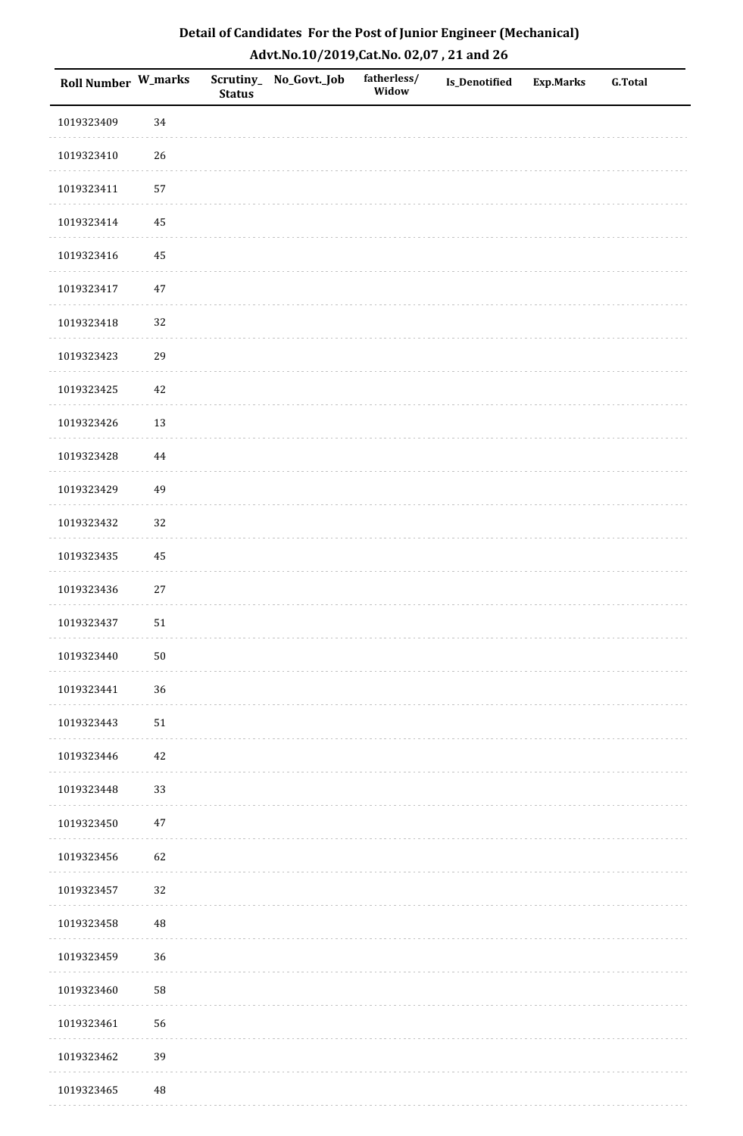| Detail of Candidates For the Post of Junior Engineer (Mechanical) |
|-------------------------------------------------------------------|
| Advt.No.10/2019, Cat.No. 02,07, 21 and 26                         |

| Roll Number W_marks |          | <b>Status</b> | Scrutiny_ No_Govt._Job | fatherless/<br>Widow | Is_Denotified | <b>Exp.Marks</b> | <b>G.Total</b> |
|---------------------|----------|---------------|------------------------|----------------------|---------------|------------------|----------------|
| 1019323409          | 34       |               |                        |                      |               |                  |                |
| 1019323410          | $26\,$   |               |                        |                      |               |                  |                |
| 1019323411          | 57       |               |                        |                      |               |                  |                |
| 1019323414          | 45       |               |                        |                      |               |                  |                |
| 1019323416          | $\rm 45$ |               |                        |                      |               |                  |                |
| 1019323417          | $47\,$   |               |                        |                      |               |                  |                |
| 1019323418          | 32       |               |                        |                      |               |                  |                |
| 1019323423          | 29       |               |                        |                      |               |                  |                |
| 1019323425          | $42\,$   |               |                        |                      |               |                  |                |
| 1019323426          | 13       |               |                        |                      |               |                  |                |
| 1019323428          | $\bf 44$ |               |                        |                      |               |                  |                |
| 1019323429          | 49       |               |                        |                      |               |                  |                |
| 1019323432          | 32       |               |                        |                      |               |                  |                |
| 1019323435          | 45       |               |                        |                      |               |                  |                |
| 1019323436          | $27\,$   |               |                        |                      |               |                  |                |
| 1019323437          | 51       |               |                        |                      |               |                  |                |
| 1019323440          | $50\,$   |               |                        |                      |               |                  |                |
| 1019323441          | 36       |               |                        |                      |               |                  |                |
| 1019323443          | 51       |               |                        |                      |               |                  |                |
| 1019323446          | $42\,$   |               |                        |                      |               |                  |                |
| 1019323448          | 33       |               |                        |                      |               |                  |                |
| 1019323450          | 47       |               |                        |                      |               |                  |                |
| 1019323456          | 62       |               |                        |                      |               |                  |                |
| 1019323457          | 32       |               |                        |                      |               |                  |                |
| 1019323458          | $\rm 48$ |               |                        |                      |               |                  |                |
| 1019323459          | 36       |               |                        |                      |               |                  |                |
| 1019323460          | 58       |               |                        |                      |               |                  |                |
| 1019323461          | 56       |               |                        |                      |               |                  |                |
| 1019323462          | 39       |               |                        |                      |               |                  |                |
| 1019323465          | $\rm 48$ |               |                        |                      |               |                  |                |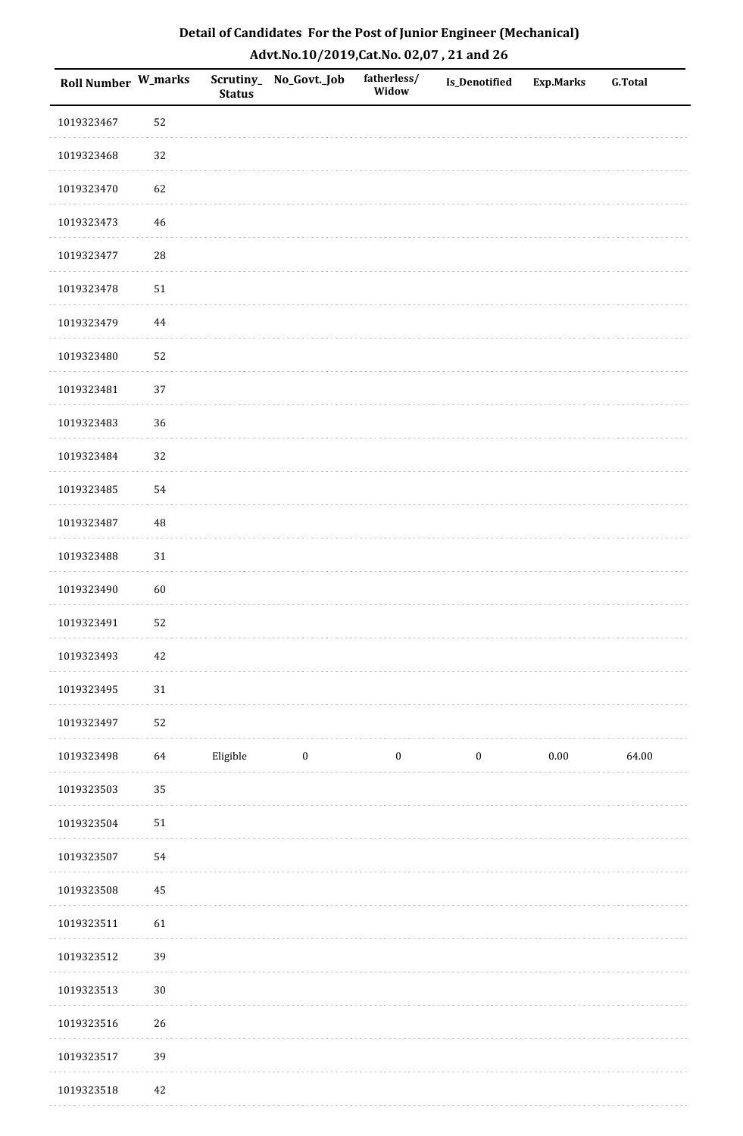| <b>Roll Number W_marks</b> |          | <b>Status</b> | Scrutiny_No_Govt._Job | fatherless/<br>Widow | Is_Denotified    | <b>Exp.Marks</b> | G.Total |
|----------------------------|----------|---------------|-----------------------|----------------------|------------------|------------------|---------|
| 1019323467                 | 52       |               |                       |                      |                  |                  |         |
| 1019323468                 | 32       |               |                       |                      |                  |                  |         |
| 1019323470                 | 62       |               |                       |                      |                  |                  |         |
| 1019323473                 | 46       |               |                       |                      |                  |                  |         |
| 1019323477                 | 28       |               |                       |                      |                  |                  |         |
| 1019323478                 | 51       |               |                       |                      |                  |                  |         |
| 1019323479                 | $\bf 44$ |               |                       |                      |                  |                  |         |
| 1019323480                 | 52       |               |                       |                      |                  |                  |         |
| 1019323481                 | 37       |               |                       |                      |                  |                  |         |
| 1019323483                 | 36       |               |                       |                      |                  |                  |         |
| 1019323484                 | 32       |               |                       |                      |                  |                  |         |
| 1019323485                 | 54       |               |                       |                      |                  |                  |         |
| 1019323487                 | 48       |               |                       |                      |                  |                  |         |
| 1019323488                 | 31       |               |                       |                      |                  |                  |         |
| 1019323490                 | 60       |               |                       |                      |                  |                  |         |
| 1019323491                 | 52       |               |                       |                      |                  |                  |         |
| 1019323493                 | $42\,$   |               |                       |                      |                  |                  |         |
| 1019323495                 | $31\,$   |               |                       |                      |                  |                  |         |
| 1019323497                 | 52       |               |                       |                      |                  |                  |         |
| 1019323498                 | 64       | Eligible      | $\boldsymbol{0}$      | $\boldsymbol{0}$     | $\boldsymbol{0}$ | $0.00\,$         | 64.00   |
| 1019323503                 | 35       |               |                       |                      |                  |                  |         |
| 1019323504                 | $51\,$   |               |                       |                      |                  |                  |         |
| 1019323507                 | 54       |               |                       |                      |                  |                  |         |
| 1019323508                 | 45       |               |                       |                      |                  |                  |         |
| 1019323511                 | 61       |               |                       |                      |                  |                  |         |
| 1019323512                 | 39       |               |                       |                      |                  |                  |         |
| 1019323513                 | $30\,$   |               |                       |                      |                  |                  |         |
| 1019323516                 | 26       |               |                       |                      |                  |                  |         |
| 1019323517                 | 39       |               |                       |                      |                  |                  |         |
| 1019323518                 | 42       |               |                       |                      |                  |                  |         |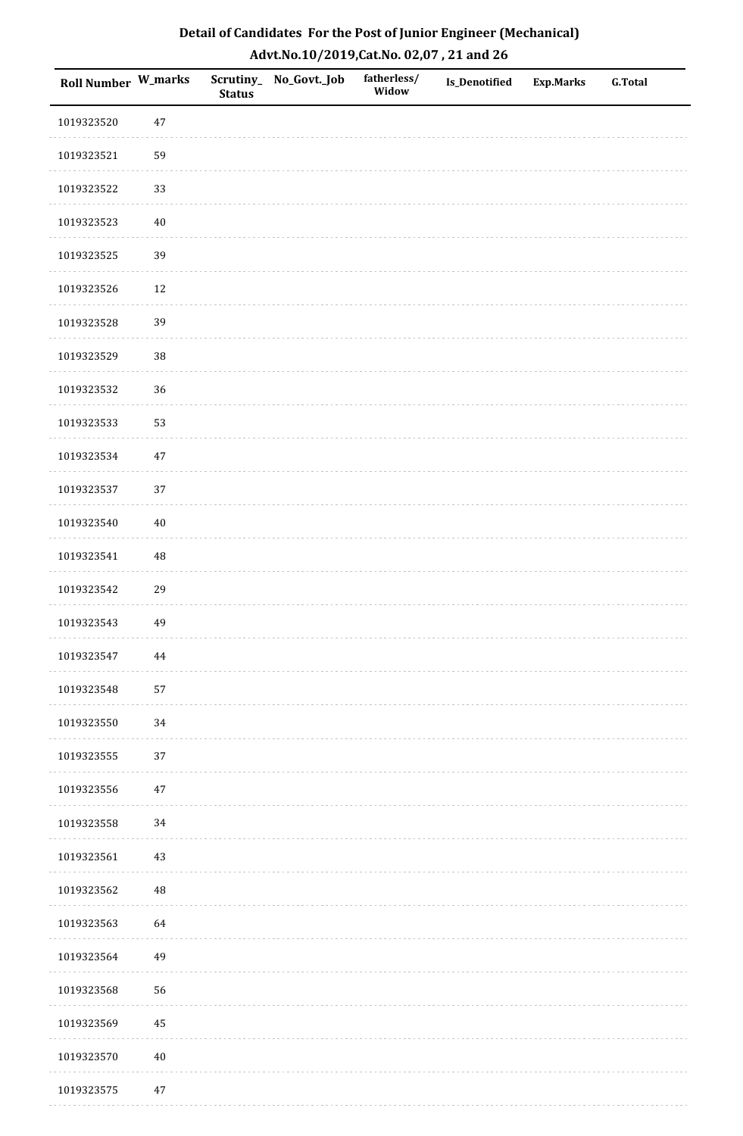| Roll Number W_marks |          | <b>Status</b> | Scrutiny_ No_Govt._Job | fatherless/<br>Widow | Is_Denotified | Exp.Marks | <b>G.Total</b> |
|---------------------|----------|---------------|------------------------|----------------------|---------------|-----------|----------------|
| 1019323520          | 47       |               |                        |                      |               |           |                |
| 1019323521          | 59       |               |                        |                      |               |           |                |
| 1019323522          | 33       |               |                        |                      |               |           |                |
| 1019323523          | 40       |               |                        |                      |               |           |                |
| 1019323525          | 39       |               |                        |                      |               |           |                |
| 1019323526          | 12       |               |                        |                      |               |           |                |
| 1019323528          | 39       |               |                        |                      |               |           |                |
| 1019323529          | $38\,$   |               |                        |                      |               |           |                |
| 1019323532          | 36       |               |                        |                      |               |           |                |
| 1019323533          | 53       |               |                        |                      |               |           |                |
| 1019323534          | 47       |               |                        |                      |               |           |                |
| 1019323537          | 37       |               |                        |                      |               |           |                |
| 1019323540          | $40\,$   |               |                        |                      |               |           |                |
| 1019323541          | $\rm 48$ |               |                        |                      |               |           |                |
| 1019323542          | 29       |               |                        |                      |               |           |                |
| 1019323543          | 49       |               |                        |                      |               |           |                |
| 1019323547          | 44       |               |                        |                      |               |           |                |
| 1019323548          | 57       |               |                        |                      |               |           |                |
| 1019323550          | $34\,$   |               |                        |                      |               |           |                |
| 1019323555          | $37\,$   |               |                        |                      |               |           |                |
| 1019323556          | 47       |               |                        |                      |               |           |                |
| 1019323558          | $34\,$   |               |                        |                      |               |           |                |
| 1019323561          | $43\,$   |               |                        |                      |               |           |                |
| 1019323562          | $\rm 48$ |               |                        |                      |               |           |                |
| 1019323563          | 64       |               |                        |                      |               |           |                |
| 1019323564          | 49       |               |                        |                      |               |           |                |
| 1019323568          | 56       |               |                        |                      |               |           |                |
| 1019323569          | 45       |               |                        |                      |               |           |                |
| 1019323570          | $40\,$   |               |                        |                      |               |           |                |
| 1019323575          | 47       |               |                        |                      |               |           |                |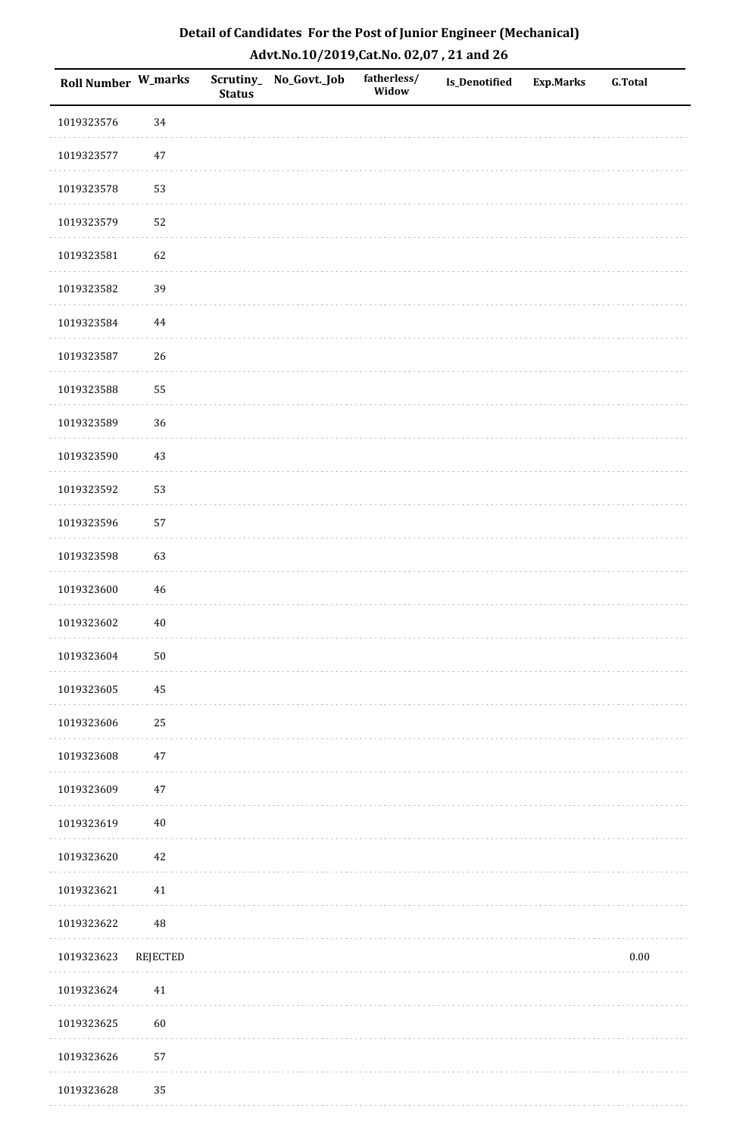| Detail of Candidates For the Post of Junior Engineer (Mechanical) |
|-------------------------------------------------------------------|
| Advt.No.10/2019,Cat.No. 02,07, 21 and 26                          |

| Roll Number W_marks |          | <b>Status</b> | Scrutiny_ No_Govt._Job | fatherless/<br>Widow | Is_Denotified | <b>Exp.Marks</b> | <b>G.Total</b> |
|---------------------|----------|---------------|------------------------|----------------------|---------------|------------------|----------------|
| 1019323576          | 34       |               |                        |                      |               |                  |                |
| 1019323577          | $47\,$   |               |                        |                      |               |                  |                |
| 1019323578          | 53       |               |                        |                      |               |                  |                |
| 1019323579          | 52       |               |                        |                      |               |                  |                |
| 1019323581          | 62       |               |                        |                      |               |                  |                |
| 1019323582          | 39       |               |                        |                      |               |                  |                |
| 1019323584          | $\bf 44$ |               |                        |                      |               |                  |                |
| 1019323587          | 26       |               |                        |                      |               |                  |                |
| 1019323588          | 55       |               |                        |                      |               |                  |                |
| 1019323589          | 36       |               |                        |                      |               |                  |                |
| 1019323590          | 43       |               |                        |                      |               |                  |                |
| 1019323592          | 53       |               |                        |                      |               |                  |                |
| 1019323596          | 57       |               |                        |                      |               |                  |                |
| 1019323598          | 63       |               |                        |                      |               |                  |                |
| 1019323600          | 46       |               |                        |                      |               |                  |                |
| 1019323602          | $40\,$   |               |                        |                      |               |                  |                |
| 1019323604          | $50\,$   |               |                        |                      |               |                  |                |
| 1019323605          | 45       |               |                        |                      |               |                  |                |
| 1019323606          | 25       |               |                        |                      |               |                  |                |
| 1019323608          | 47       |               |                        |                      |               |                  |                |
| 1019323609          | $47\,$   |               |                        |                      |               |                  |                |
| 1019323619          | $40\,$   |               |                        |                      |               |                  |                |
| 1019323620          | 42       |               |                        |                      |               |                  |                |
| 1019323621          | 41       |               |                        |                      |               |                  |                |
| 1019323622          | 48       |               |                        |                      |               |                  |                |
| 1019323623          | REJECTED |               |                        |                      |               |                  | $0.00\,$       |
| 1019323624          | 41       |               |                        |                      |               |                  |                |
| 1019323625          | 60       |               |                        |                      |               |                  |                |
| 1019323626          | 57       |               |                        |                      |               |                  |                |
| 1019323628          | 35       |               |                        |                      |               |                  |                |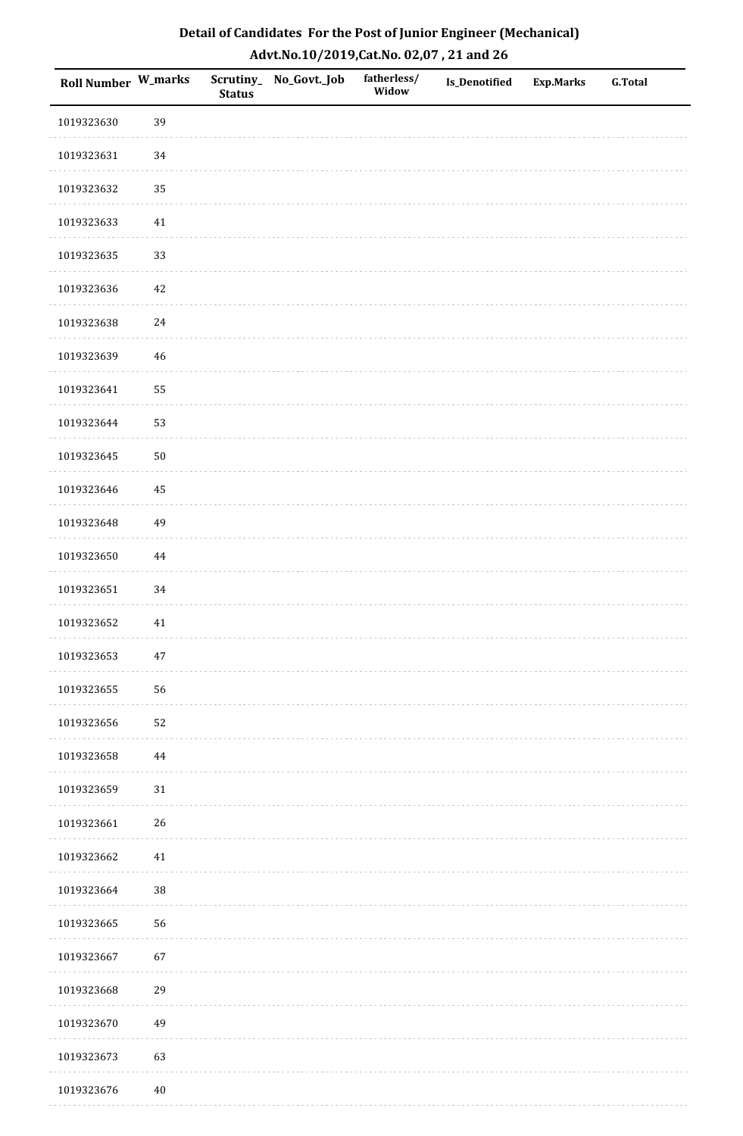| Roll Number W_marks |        | <b>Status</b> | Scrutiny_No_Govt._Job | fatherless/<br>Widow | Is_Denotified | <b>Exp.Marks</b> | <b>G.Total</b> |
|---------------------|--------|---------------|-----------------------|----------------------|---------------|------------------|----------------|
| 1019323630          | 39     |               |                       |                      |               |                  |                |
| 1019323631          | $34\,$ |               |                       |                      |               |                  |                |
| 1019323632          | 35     |               |                       |                      |               |                  |                |
| 1019323633          | $41\,$ |               |                       |                      |               |                  |                |
| 1019323635          | 33     |               |                       |                      |               |                  |                |
| 1019323636          | 42     |               |                       |                      |               |                  |                |
| 1019323638          | 24     |               |                       |                      |               |                  |                |
| 1019323639          | 46     |               |                       |                      |               |                  |                |
| 1019323641          | 55     |               |                       |                      |               |                  |                |
| 1019323644          | 53     |               |                       |                      |               |                  |                |
| 1019323645          | $50\,$ |               |                       |                      |               |                  |                |
| 1019323646          | 45     |               |                       |                      |               |                  |                |
| 1019323648          | 49     |               |                       |                      |               |                  |                |
| 1019323650          | 44     |               |                       |                      |               |                  |                |
| 1019323651          | 34     |               |                       |                      |               |                  |                |
| 1019323652          | $41\,$ |               |                       |                      |               |                  |                |
| 1019323653          | $47\,$ |               |                       |                      |               |                  |                |
| 1019323655          | 56     |               |                       |                      |               |                  |                |
| 1019323656          | 52     |               |                       |                      |               |                  |                |
| 1019323658          | 44     |               |                       |                      |               |                  |                |
| 1019323659          | $31\,$ |               |                       |                      |               |                  |                |
| 1019323661          | 26     |               |                       |                      |               |                  |                |
| 1019323662          | $41\,$ |               |                       |                      |               |                  |                |
| 1019323664          | 38     |               |                       |                      |               |                  |                |
| 1019323665          | 56     |               |                       |                      |               |                  |                |
| 1019323667          | 67     |               |                       |                      |               |                  |                |
| 1019323668          | 29     |               |                       |                      |               |                  |                |
| 1019323670          | 49     |               |                       |                      |               |                  |                |
| 1019323673          | 63     |               |                       |                      |               |                  |                |
| 1019323676          | $40\,$ |               |                       |                      |               |                  |                |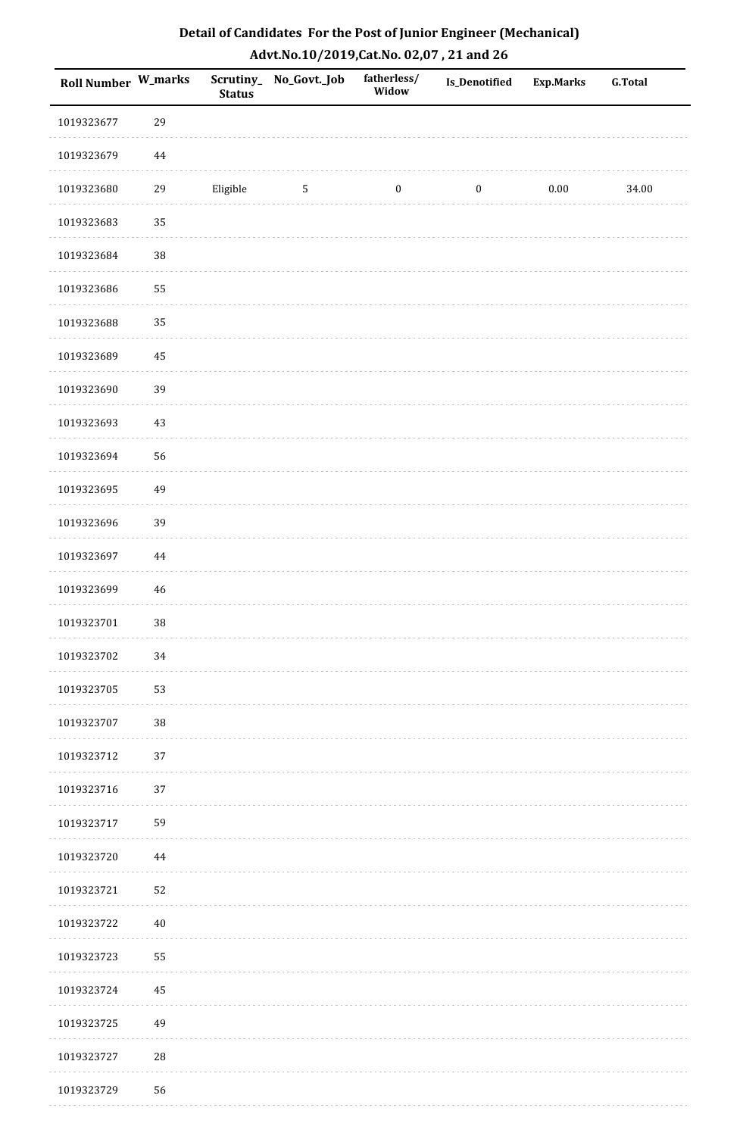| Roll Number W_marks |          | <b>Status</b> | Scrutiny_No_Govt._Job | fatherless/<br>Widow | Is_Denotified    | <b>Exp.Marks</b> | <b>G.Total</b> |
|---------------------|----------|---------------|-----------------------|----------------------|------------------|------------------|----------------|
| 1019323677          | 29       |               |                       |                      |                  |                  |                |
| 1019323679          | $\bf 44$ |               |                       |                      |                  |                  |                |
| 1019323680          | 29       | Eligible      | $\sqrt{5}$            | $\boldsymbol{0}$     | $\boldsymbol{0}$ | 0.00             | 34.00          |
| 1019323683          | 35       |               |                       |                      |                  |                  |                |
| 1019323684          | 38       |               |                       |                      |                  |                  |                |
| 1019323686          | 55       |               |                       |                      |                  |                  |                |
| 1019323688          | 35       |               |                       |                      |                  |                  |                |
| 1019323689          | 45       |               |                       |                      |                  |                  |                |
| 1019323690          | 39       |               |                       |                      |                  |                  |                |
| 1019323693          | 43       |               |                       |                      |                  |                  |                |
| 1019323694          | 56       |               |                       |                      |                  |                  |                |
| 1019323695          | 49       |               |                       |                      |                  |                  |                |
| 1019323696          | 39       |               |                       |                      |                  |                  |                |
| 1019323697          | 44       |               |                       |                      |                  |                  |                |
| 1019323699          | 46       |               |                       |                      |                  |                  |                |
| 1019323701          | 38       |               |                       |                      |                  |                  |                |
| 1019323702          | 34       |               |                       |                      |                  |                  |                |
| 1019323705          | 53       |               |                       |                      |                  |                  |                |
| 1019323707          | $38\,$   |               |                       |                      |                  |                  |                |
| 1019323712          | 37       |               |                       |                      |                  |                  |                |
| 1019323716          | 37       |               |                       |                      |                  |                  |                |
| 1019323717          | 59       |               |                       |                      |                  |                  |                |
| 1019323720          | $\bf 44$ |               |                       |                      |                  |                  |                |
| 1019323721          | 52       |               |                       |                      |                  |                  |                |
| 1019323722          | $40\,$   |               |                       |                      |                  |                  |                |
| 1019323723          | 55       |               |                       |                      |                  |                  |                |
| 1019323724          | 45       |               |                       |                      |                  |                  |                |
| 1019323725          | 49       |               |                       |                      |                  |                  |                |
| 1019323727          | 28       |               |                       |                      |                  |                  |                |
| 1019323729          | 56       |               |                       |                      |                  |                  |                |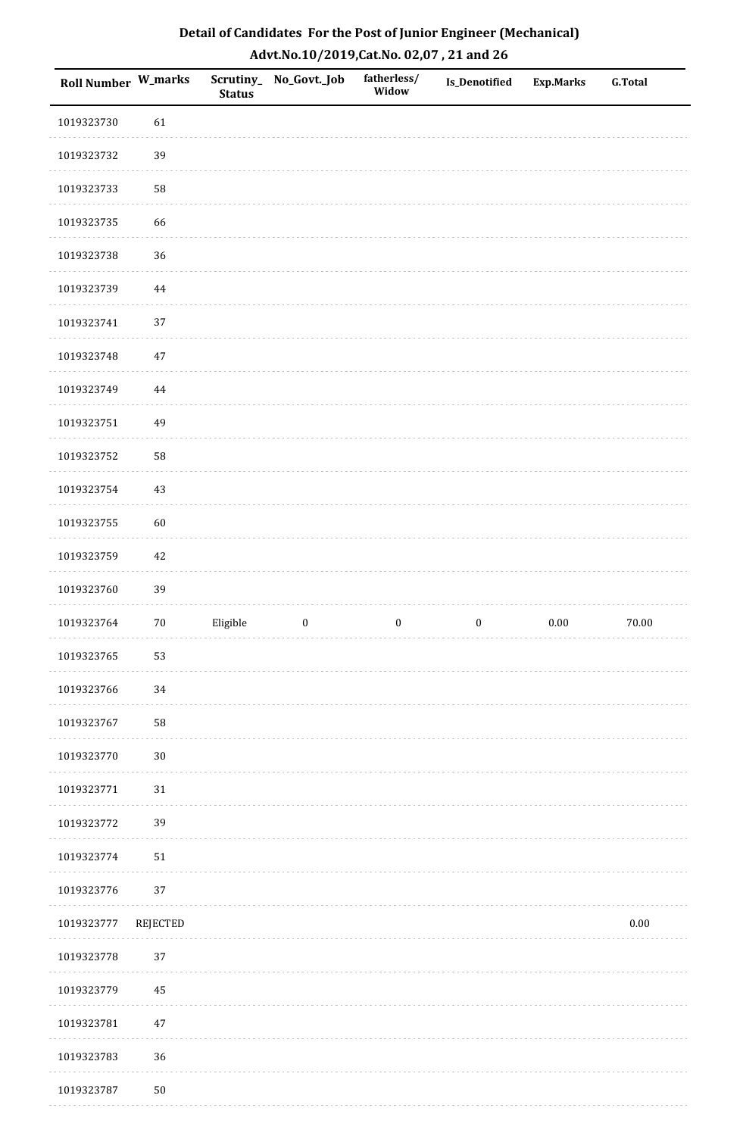| Detail of Candidates For the Post of Junior Engineer (Mechanical) |
|-------------------------------------------------------------------|
| Advt.No.10/2019,Cat.No. 02,07, 21 and 26                          |

| Roll Number W_marks |          | <b>Status</b> | Scrutiny_No_Govt._Job | fatherless/<br>Widow | Is_Denotified    | <b>Exp.Marks</b> | <b>G.Total</b> |
|---------------------|----------|---------------|-----------------------|----------------------|------------------|------------------|----------------|
| 1019323730          | 61       |               |                       |                      |                  |                  |                |
| 1019323732          | 39       |               |                       |                      |                  |                  |                |
| 1019323733          | 58       |               |                       |                      |                  |                  |                |
| 1019323735          | 66       |               |                       |                      |                  |                  |                |
| 1019323738          | 36       |               |                       |                      |                  |                  |                |
| 1019323739          | 44       |               |                       |                      |                  |                  |                |
| 1019323741          | 37       |               |                       |                      |                  |                  |                |
| 1019323748          | 47       |               |                       |                      |                  |                  |                |
| 1019323749          | $\bf 44$ |               |                       |                      |                  |                  |                |
| 1019323751          | 49       |               |                       |                      |                  |                  |                |
| 1019323752          | 58       |               |                       |                      |                  |                  |                |
| 1019323754          | $43\,$   |               |                       |                      |                  |                  |                |
| 1019323755          | 60       |               |                       |                      |                  |                  |                |
| 1019323759          | 42       |               |                       |                      |                  |                  |                |
| 1019323760          | 39       |               |                       |                      |                  |                  |                |
| 1019323764          | $70\,$   | Eligible      | $\boldsymbol{0}$      | $\boldsymbol{0}$     | $\boldsymbol{0}$ | $0.00\,$         | $70.00\,$      |
| 1019323765          | 53       |               |                       |                      |                  |                  |                |
| 1019323766          | 34       |               |                       |                      |                  |                  |                |
| 1019323767          | 58       |               |                       |                      |                  |                  |                |
| 1019323770          | $30\,$   |               |                       |                      |                  |                  |                |
| 1019323771          | $31\,$   |               |                       |                      |                  |                  |                |
| 1019323772          | 39       |               |                       |                      |                  |                  |                |
| 1019323774          | $51\,$   |               |                       |                      |                  |                  |                |
| 1019323776          | $37\,$   |               |                       |                      |                  |                  |                |
| 1019323777          | REJECTED |               |                       |                      |                  |                  | $0.00\,$       |
| 1019323778          | 37       |               |                       |                      |                  |                  |                |
| 1019323779          | 45       |               |                       |                      |                  |                  |                |
| 1019323781          | $47\,$   |               |                       |                      |                  |                  |                |
| 1019323783          | 36       |               |                       |                      |                  |                  |                |
| 1019323787          | $50\,$   |               |                       |                      |                  |                  |                |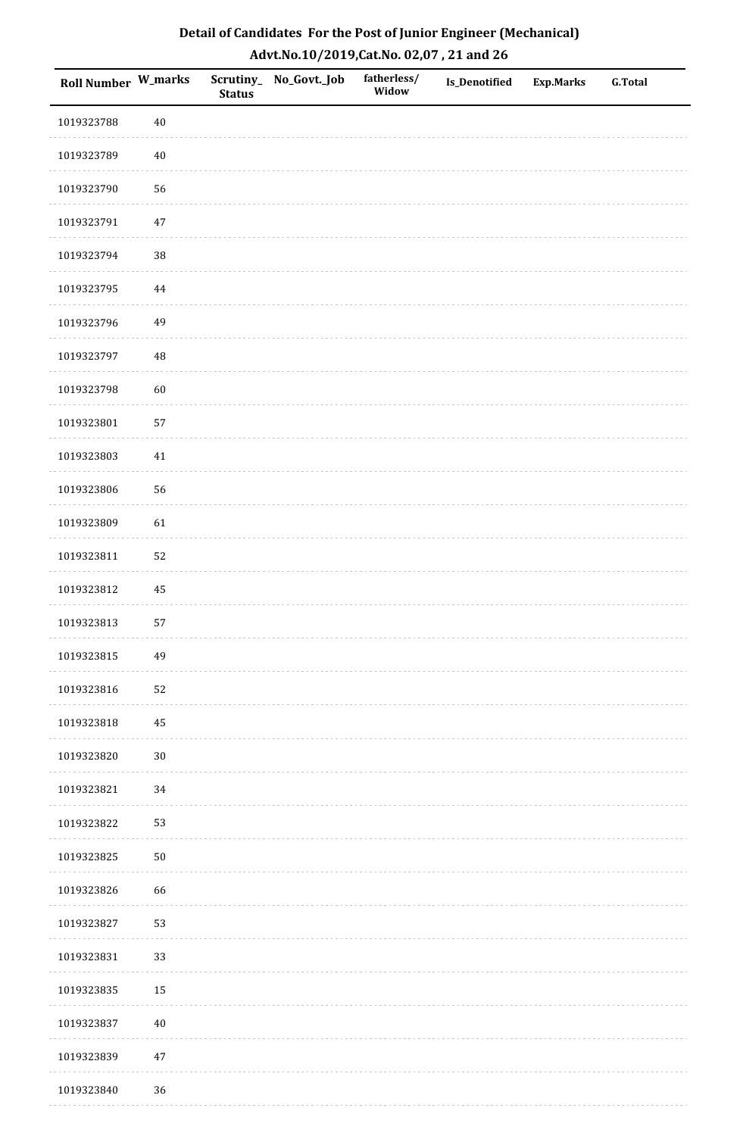| <b>Roll Number W_marks</b> |          | <b>Status</b> | Scrutiny_No_Govt._Job | fatherless/<br>Widow | Is_Denotified | <b>Exp.Marks</b> | <b>G.Total</b> |
|----------------------------|----------|---------------|-----------------------|----------------------|---------------|------------------|----------------|
| 1019323788                 | $40\,$   |               |                       |                      |               |                  |                |
| 1019323789                 | $40\,$   |               |                       |                      |               |                  |                |
| 1019323790                 | 56       |               |                       |                      |               |                  |                |
| 1019323791                 | $47\,$   |               |                       |                      |               |                  |                |
| 1019323794                 | 38       |               |                       |                      |               |                  |                |
| 1019323795                 | 44       |               |                       |                      |               |                  |                |
| 1019323796                 | 49       |               |                       |                      |               |                  |                |
| 1019323797                 | 48       |               |                       |                      |               |                  |                |
| 1019323798                 | 60       |               |                       |                      |               |                  |                |
| 1019323801                 | 57       |               |                       |                      |               |                  |                |
| 1019323803                 | $41\,$   |               |                       |                      |               |                  |                |
| 1019323806                 | 56       |               |                       |                      |               |                  |                |
| 1019323809                 | 61       |               |                       |                      |               |                  |                |
| 1019323811                 | 52       |               |                       |                      |               |                  |                |
| 1019323812                 | $\rm 45$ |               |                       |                      |               |                  |                |
| 1019323813                 | 57       |               |                       |                      |               |                  |                |
| 1019323815                 | 49       |               |                       |                      |               |                  |                |
| 1019323816                 | 52       |               |                       |                      |               |                  |                |
| 1019323818                 | 45       |               |                       |                      |               |                  |                |
| 1019323820                 | $30\,$   |               |                       |                      |               |                  |                |
| 1019323821                 | 34       |               |                       |                      |               |                  |                |
| 1019323822                 | 53       |               |                       |                      |               |                  |                |
| 1019323825                 | $50\,$   |               |                       |                      |               |                  |                |
| 1019323826                 | 66       |               |                       |                      |               |                  |                |
| 1019323827                 | 53       |               |                       |                      |               |                  |                |
| 1019323831                 | 33       |               |                       |                      |               |                  |                |
| 1019323835                 | 15       |               |                       |                      |               |                  |                |
| 1019323837                 | $40\,$   |               |                       |                      |               |                  |                |
| 1019323839                 | $47\,$   |               |                       |                      |               |                  |                |
| 1019323840                 | 36       |               |                       |                      |               |                  |                |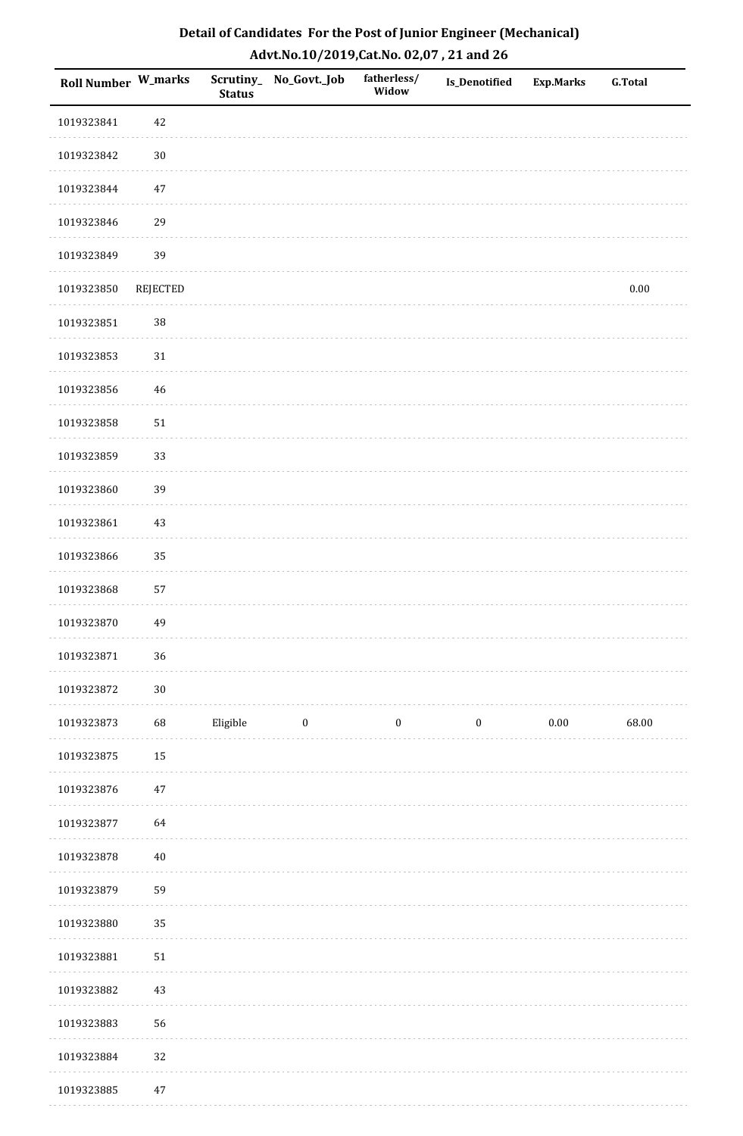| <b>Roll Number W_marks</b> |          | <b>Status</b> | Scrutiny_ No_Govt._Job | fatherless/<br>Widow | Is_Denotified    | <b>Exp.Marks</b> | <b>G.Total</b> |
|----------------------------|----------|---------------|------------------------|----------------------|------------------|------------------|----------------|
| 1019323841                 | $42\,$   |               |                        |                      |                  |                  |                |
| 1019323842                 | $30\,$   |               |                        |                      |                  |                  |                |
| 1019323844                 | $47\,$   |               |                        |                      |                  |                  |                |
| 1019323846                 | 29       |               |                        |                      |                  |                  |                |
| 1019323849                 | 39       |               |                        |                      |                  |                  |                |
| 1019323850                 | REJECTED |               |                        |                      |                  |                  | $0.00\,$       |
| 1019323851                 | 38       |               |                        |                      |                  |                  |                |
| 1019323853                 | $31\,$   |               |                        |                      |                  |                  |                |
| 1019323856                 | 46       |               |                        |                      |                  |                  |                |
| 1019323858                 | $51\,$   |               |                        |                      |                  |                  |                |
| 1019323859                 | 33       |               |                        |                      |                  |                  |                |
| 1019323860                 | 39       |               |                        |                      |                  |                  |                |
| 1019323861                 | $43\,$   |               |                        |                      |                  |                  |                |
| 1019323866                 | 35       |               |                        |                      |                  |                  |                |
| 1019323868                 | 57       |               |                        |                      |                  |                  |                |
| 1019323870                 | 49       |               |                        |                      |                  |                  |                |
| 1019323871                 | 36       |               |                        |                      |                  |                  |                |
| 1019323872                 | $30\,$   |               |                        |                      |                  |                  |                |
| 1019323873                 | 68       | Eligible      | $\bf{0}$               | $\boldsymbol{0}$     | $\boldsymbol{0}$ | $0.00\,$         | 68.00          |
| 1019323875                 | 15       |               |                        |                      |                  |                  |                |
| 1019323876                 | $47\,$   |               |                        |                      |                  |                  |                |
| 1019323877                 | 64       |               |                        |                      |                  |                  |                |
| 1019323878                 | $40\,$   |               |                        |                      |                  |                  |                |
| 1019323879                 | 59       |               |                        |                      |                  |                  |                |
| 1019323880                 | 35       |               |                        |                      |                  |                  |                |
| 1019323881                 | 51       |               |                        |                      |                  |                  |                |
| 1019323882                 | $43\,$   |               |                        |                      |                  |                  |                |
| 1019323883                 | 56       |               |                        |                      |                  |                  |                |
| 1019323884                 | 32       |               |                        |                      |                  |                  |                |
| 1019323885                 | $47\,$   |               |                        |                      |                  |                  |                |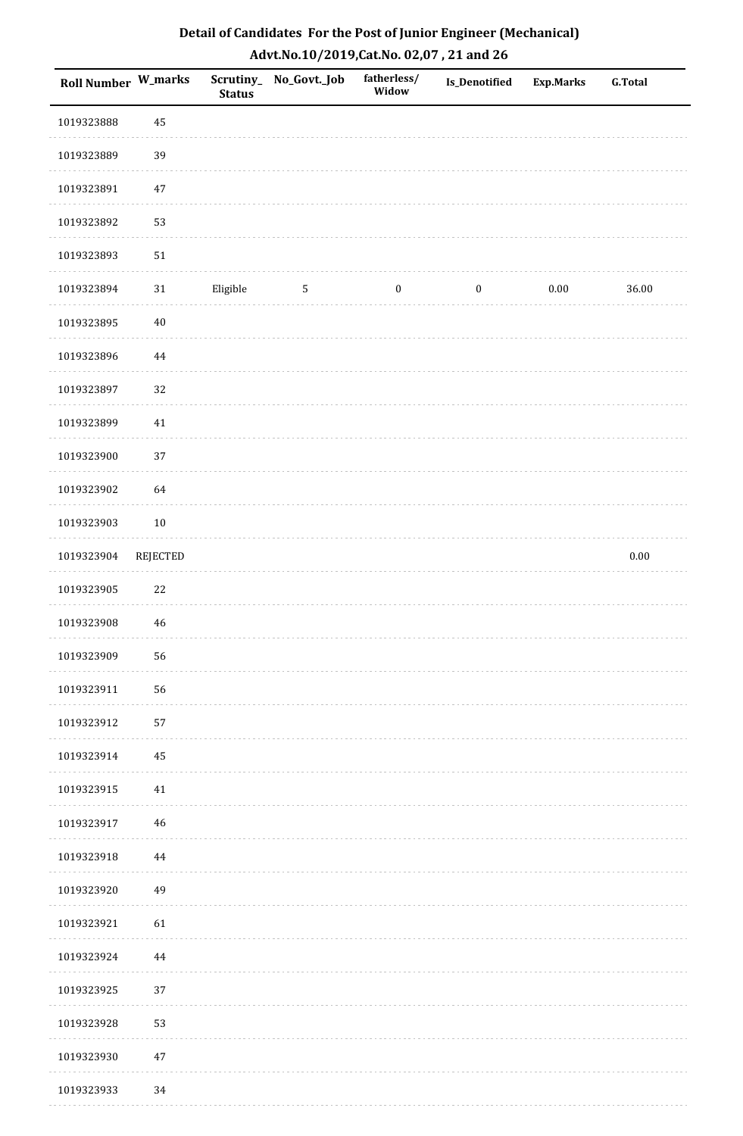| Detail of Candidates For the Post of Junior Engineer (Mechanical) |
|-------------------------------------------------------------------|
| Advt.No.10/2019, Cat.No. 02,07, 21 and 26                         |

| Roll Number W_marks |                 | <b>Status</b> | Scrutiny_ No_Govt._Job | fatherless/<br>Widow | <b>Is_Denotified</b> | <b>Exp.Marks</b> | <b>G.Total</b> |
|---------------------|-----------------|---------------|------------------------|----------------------|----------------------|------------------|----------------|
| 1019323888          | 45              |               |                        |                      |                      |                  |                |
| 1019323889          | 39              |               |                        |                      |                      |                  |                |
| 1019323891          | $47\,$          |               |                        |                      |                      |                  |                |
| 1019323892          | 53              |               |                        |                      |                      |                  |                |
| 1019323893          | ${\bf 51}$      |               |                        |                      |                      |                  |                |
| 1019323894          | $31\,$          | Eligible      | $5\,$                  | $\boldsymbol{0}$     | $\boldsymbol{0}$     | $0.00\,$         | 36.00          |
| 1019323895          | $40\,$          |               |                        |                      |                      |                  |                |
| 1019323896          | $\bf 44$        |               |                        |                      |                      |                  |                |
| 1019323897          | 32              |               |                        |                      |                      |                  |                |
| 1019323899          | $41\,$          |               |                        |                      |                      |                  |                |
| 1019323900          | 37              |               |                        |                      |                      |                  |                |
| 1019323902          | 64              |               |                        |                      |                      |                  |                |
| 1019323903          | $10\,$          |               |                        |                      |                      |                  |                |
| 1019323904          | <b>REJECTED</b> |               |                        |                      |                      |                  | $0.00\,$       |
| 1019323905          | $22\,$          |               |                        |                      |                      |                  |                |
| 1019323908          | $\sqrt{46}$     |               |                        |                      |                      |                  |                |
| 1019323909          | 56              |               |                        |                      |                      |                  |                |
| 1019323911          | 56              |               |                        |                      |                      |                  |                |
| 1019323912          | 57              |               |                        |                      |                      |                  |                |
| 1019323914          | 45              |               |                        |                      |                      |                  |                |
| 1019323915          | 41              |               |                        |                      |                      |                  |                |
| 1019323917          | 46              |               |                        |                      |                      |                  |                |
| 1019323918          | 44              |               |                        |                      |                      |                  |                |
| 1019323920          | 49              |               |                        |                      |                      |                  |                |
| 1019323921          | 61              |               |                        |                      |                      |                  |                |
| 1019323924          | $\bf 44$        |               |                        |                      |                      |                  |                |
| 1019323925          | 37              |               |                        |                      |                      |                  |                |
| 1019323928          | 53              |               |                        |                      |                      |                  |                |
| 1019323930          | $47\,$          |               |                        |                      |                      |                  |                |
| 1019323933          | 34              |               |                        |                      |                      |                  |                |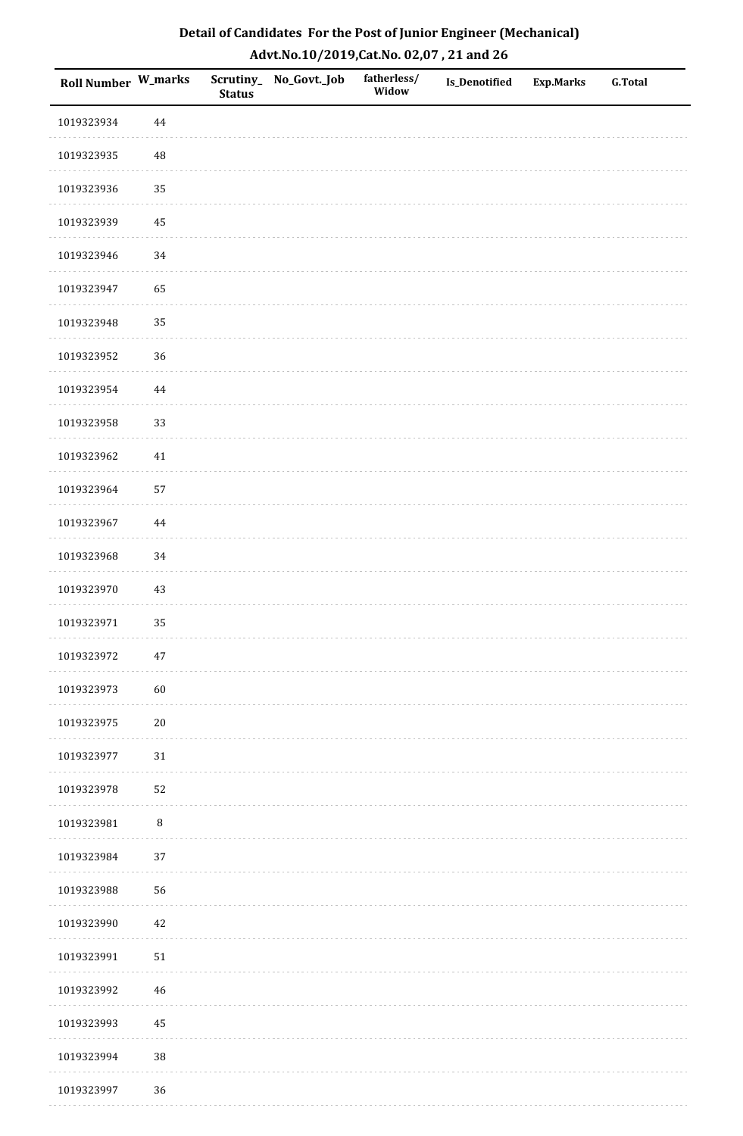| Roll Number W_marks |          | <b>Status</b> | Scrutiny_No_Govt._Job | fatherless/<br>Widow | Is_Denotified | <b>Exp.Marks</b> | G.Total |
|---------------------|----------|---------------|-----------------------|----------------------|---------------|------------------|---------|
| 1019323934          | $\bf 44$ |               |                       |                      |               |                  |         |
| 1019323935          | 48       |               |                       |                      |               |                  |         |
| 1019323936          | 35       |               |                       |                      |               |                  |         |
| 1019323939          | 45       |               |                       |                      |               |                  |         |
| 1019323946          | $34\,$   |               |                       |                      |               |                  |         |
| 1019323947          | 65       |               |                       |                      |               |                  |         |
| 1019323948          | 35       |               |                       |                      |               |                  |         |
| 1019323952          | 36       |               |                       |                      |               |                  |         |
| 1019323954          | $\bf 44$ |               |                       |                      |               |                  |         |
| 1019323958          | 33       |               |                       |                      |               |                  |         |
| 1019323962          | $41\,$   |               |                       |                      |               |                  |         |
| 1019323964          | 57       |               |                       |                      |               |                  |         |
| 1019323967          | 44       |               |                       |                      |               |                  |         |
| 1019323968          | 34       |               |                       |                      |               |                  |         |
| 1019323970          | $43\,$   |               |                       |                      |               |                  |         |
| 1019323971          | 35       |               |                       |                      |               |                  |         |
| 1019323972          | $47\,$   |               |                       |                      |               |                  |         |
| 1019323973          | 60       |               |                       |                      |               |                  |         |
| 1019323975          | $20\,$   |               |                       |                      |               |                  |         |
| 1019323977          | $31\,$   |               |                       |                      |               |                  |         |
| 1019323978          | 52       |               |                       |                      |               |                  |         |
| 1019323981          | $\, 8$   |               |                       |                      |               |                  |         |
| 1019323984          | 37       |               |                       |                      |               |                  |         |
| 1019323988          | 56       |               |                       |                      |               |                  |         |
| 1019323990          | 42       |               |                       |                      |               |                  |         |
| 1019323991          | $51\,$   |               |                       |                      |               |                  |         |
| 1019323992          | $46\,$   |               |                       |                      |               |                  |         |
| 1019323993          | 45       |               |                       |                      |               |                  |         |
| 1019323994          | 38       |               |                       |                      |               |                  |         |
| 1019323997          | 36       |               |                       |                      |               |                  |         |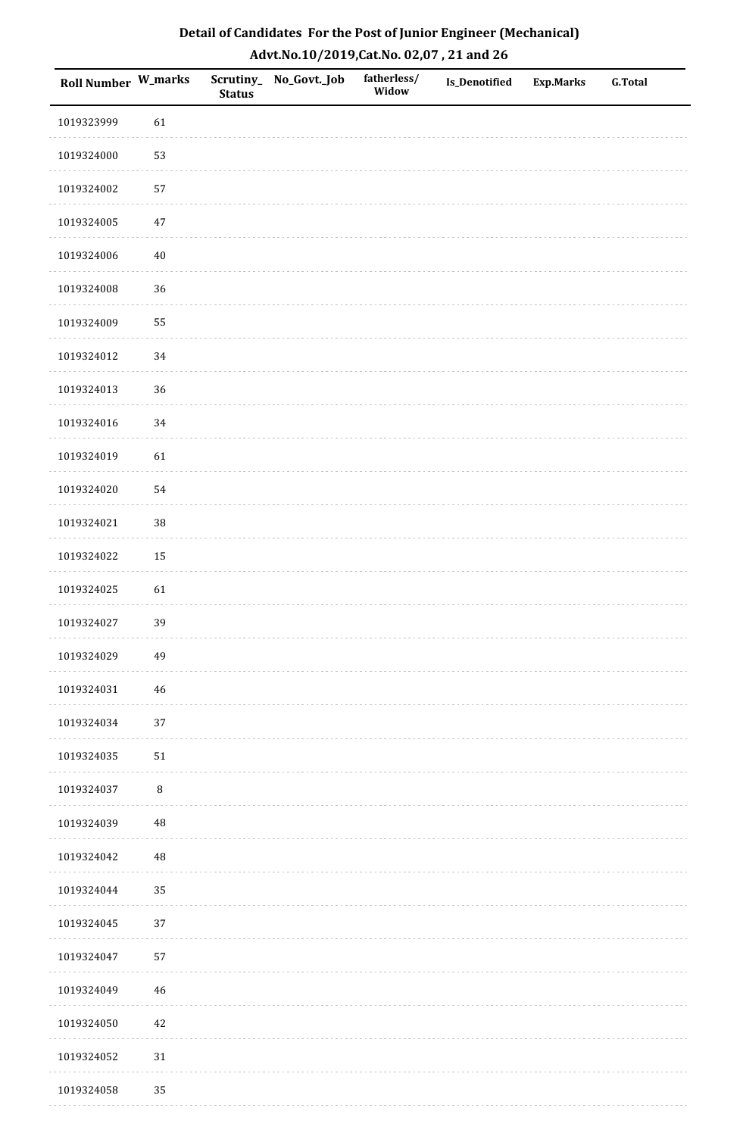| Roll Number W_marks |          | <b>Status</b> | Scrutiny_No_Govt._Job | fatherless/<br>Widow | Is_Denotified | <b>Exp.Marks</b> | <b>G.Total</b> |
|---------------------|----------|---------------|-----------------------|----------------------|---------------|------------------|----------------|
| 1019323999          | 61       |               |                       |                      |               |                  |                |
| 1019324000          | 53       |               |                       |                      |               |                  |                |
| 1019324002          | 57       |               |                       |                      |               |                  |                |
| 1019324005          | $47\,$   |               |                       |                      |               |                  |                |
| 1019324006          | $40\,$   |               |                       |                      |               |                  |                |
| 1019324008          | 36       |               |                       |                      |               |                  |                |
| 1019324009          | 55       |               |                       |                      |               |                  |                |
| 1019324012          | 34       |               |                       |                      |               |                  |                |
| 1019324013          | 36       |               |                       |                      |               |                  |                |
| 1019324016          | $34\,$   |               |                       |                      |               |                  |                |
| 1019324019          | 61       |               |                       |                      |               |                  |                |
| 1019324020          | 54       |               |                       |                      |               |                  |                |
| 1019324021          | 38       |               |                       |                      |               |                  |                |
| 1019324022          | 15       |               |                       |                      |               |                  |                |
| 1019324025          | 61       |               |                       |                      |               |                  |                |
| 1019324027          | 39       |               |                       |                      |               |                  |                |
| 1019324029          | 49       |               |                       |                      |               |                  |                |
| 1019324031          | 46       |               |                       |                      |               |                  |                |
| 1019324034          | 37       |               |                       |                      |               |                  |                |
| 1019324035          | $51\,$   |               |                       |                      |               |                  |                |
| 1019324037          | $\, 8$   |               |                       |                      |               |                  |                |
| 1019324039          | $\rm 48$ |               |                       |                      |               |                  |                |
| 1019324042          | 48       |               |                       |                      |               |                  |                |
| 1019324044          | 35       |               |                       |                      |               |                  |                |
| 1019324045          | 37       |               |                       |                      |               |                  |                |
| 1019324047          | 57       |               |                       |                      |               |                  |                |
| 1019324049          | $46\,$   |               |                       |                      |               |                  |                |
| 1019324050          | $42\,$   |               |                       |                      |               |                  |                |
| 1019324052          | $31\,$   |               |                       |                      |               |                  |                |
| 1019324058          | 35       |               |                       |                      |               |                  |                |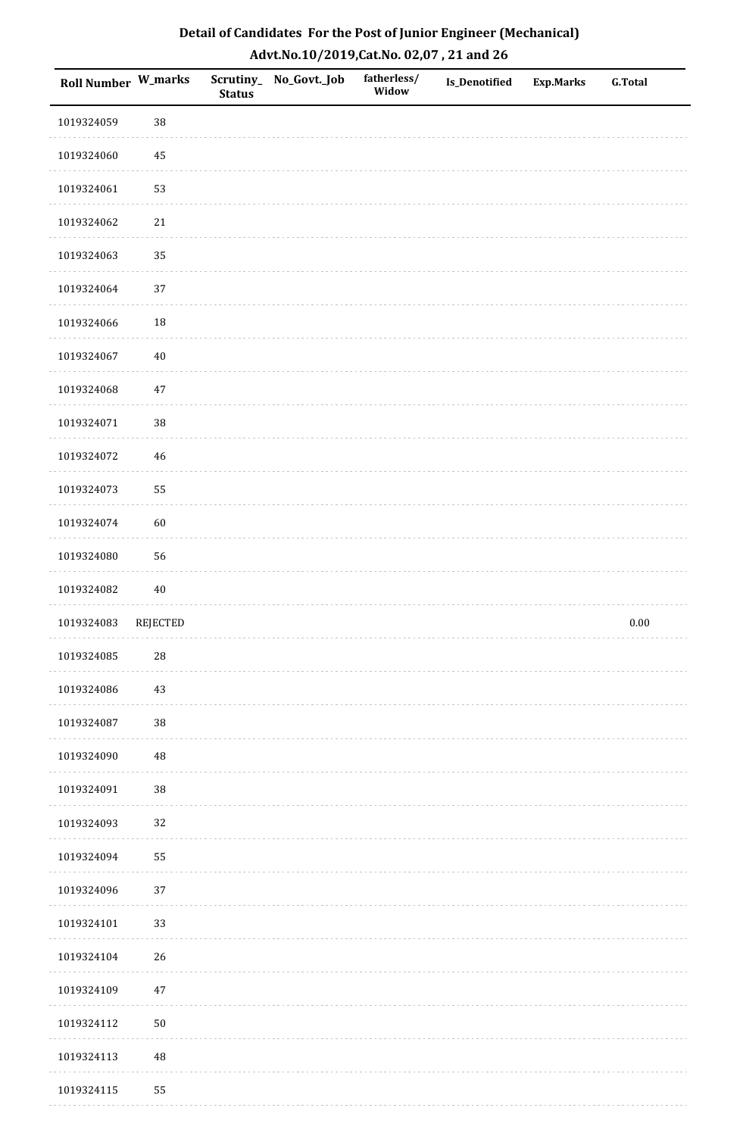| <b>Roll Number W_marks</b> |          | <b>Status</b> | Scrutiny_No_Govt._Job | fatherless/<br>Widow | Is_Denotified | <b>Exp.Marks</b> | <b>G.Total</b> |
|----------------------------|----------|---------------|-----------------------|----------------------|---------------|------------------|----------------|
| 1019324059                 | 38       |               |                       |                      |               |                  |                |
| 1019324060                 | 45       |               |                       |                      |               |                  |                |
| 1019324061                 | 53       |               |                       |                      |               |                  |                |
| 1019324062                 | $21\,$   |               |                       |                      |               |                  |                |
| 1019324063                 | 35       |               |                       |                      |               |                  |                |
| 1019324064                 | 37       |               |                       |                      |               |                  |                |
| 1019324066                 | 18       |               |                       |                      |               |                  |                |
| 1019324067                 | $40\,$   |               |                       |                      |               |                  |                |
| 1019324068                 | $47\,$   |               |                       |                      |               |                  |                |
| 1019324071                 | 38       |               |                       |                      |               |                  |                |
| 1019324072                 | 46       |               |                       |                      |               |                  |                |
| 1019324073                 | 55       |               |                       |                      |               |                  |                |
| 1019324074                 | 60       |               |                       |                      |               |                  |                |
| 1019324080                 | 56       |               |                       |                      |               |                  |                |
| 1019324082                 | $40\,$   |               |                       |                      |               |                  |                |
| 1019324083                 | REJECTED |               |                       |                      |               |                  | $0.00\,$       |
| 1019324085                 | $28\,$   |               |                       |                      |               |                  |                |
| 1019324086                 | $43\,$   |               |                       |                      |               |                  |                |
| 1019324087                 | 38       |               |                       |                      |               |                  |                |
| 1019324090                 | 48       |               |                       |                      |               |                  |                |
| 1019324091                 | $38\,$   |               |                       |                      |               |                  |                |
| 1019324093                 | 32       |               |                       |                      |               |                  |                |
| 1019324094                 | 55       |               |                       |                      |               |                  |                |
| 1019324096                 | $37\,$   |               |                       |                      |               |                  |                |
| 1019324101                 | 33       |               |                       |                      |               |                  |                |
| 1019324104                 | 26       |               |                       |                      |               |                  |                |
| 1019324109                 | $47\,$   |               |                       |                      |               |                  |                |
| 1019324112                 | $50\,$   |               |                       |                      |               |                  |                |
| 1019324113                 | $\rm 48$ |               |                       |                      |               |                  |                |
| 1019324115                 | 55       |               |                       |                      |               |                  |                |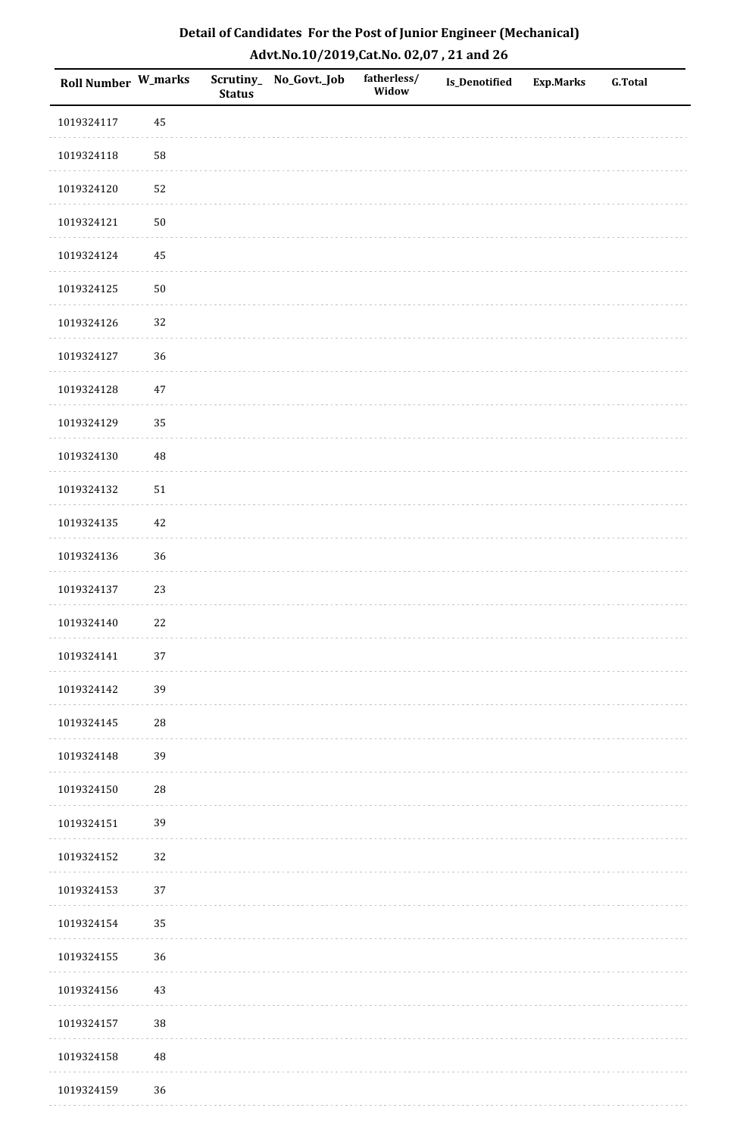| Roll Number W_marks |             | <b>Status</b> | Scrutiny_No_Govt._Job | fatherless/<br>Widow | Is_Denotified | <b>Exp.Marks</b> | <b>G.Total</b> |
|---------------------|-------------|---------------|-----------------------|----------------------|---------------|------------------|----------------|
| 1019324117          | 45          |               |                       |                      |               |                  |                |
| 1019324118          | 58          |               |                       |                      |               |                  |                |
| 1019324120          | 52          |               |                       |                      |               |                  |                |
| 1019324121          | $50\,$      |               |                       |                      |               |                  |                |
| 1019324124          | 45          |               |                       |                      |               |                  |                |
| 1019324125          | $50\,$      |               |                       |                      |               |                  |                |
| 1019324126          | 32          |               |                       |                      |               |                  |                |
| 1019324127          | 36          |               |                       |                      |               |                  |                |
| 1019324128          | $47\,$      |               |                       |                      |               |                  |                |
| 1019324129          | 35          |               |                       |                      |               |                  |                |
| 1019324130          | 48          |               |                       |                      |               |                  |                |
| 1019324132          | $51\,$      |               |                       |                      |               |                  |                |
| 1019324135          | $42\,$      |               |                       |                      |               |                  |                |
| 1019324136          | 36          |               |                       |                      |               |                  |                |
| 1019324137          | 23          |               |                       |                      |               |                  |                |
| 1019324140          | 22          |               |                       |                      |               |                  |                |
| 1019324141          | $37\,$      |               |                       |                      |               |                  |                |
| 1019324142          | 39          |               |                       |                      |               |                  |                |
| 1019324145          | $\sqrt{28}$ |               |                       |                      |               |                  |                |
| 1019324148          | 39          |               |                       |                      |               |                  |                |
| 1019324150          | ${\bf 28}$  |               |                       |                      |               |                  |                |
| 1019324151          | 39          |               |                       |                      |               |                  |                |
| 1019324152          | 32          |               |                       |                      |               |                  |                |
| 1019324153          | 37          |               |                       |                      |               |                  |                |
| 1019324154          | 35          |               |                       |                      |               |                  |                |
| 1019324155          | 36          |               |                       |                      |               |                  |                |
| 1019324156          | $43\,$      |               |                       |                      |               |                  |                |
| 1019324157          | 38          |               |                       |                      |               |                  |                |
| 1019324158          | $\rm 48$    |               |                       |                      |               |                  |                |
| 1019324159          | 36          |               |                       |                      |               |                  |                |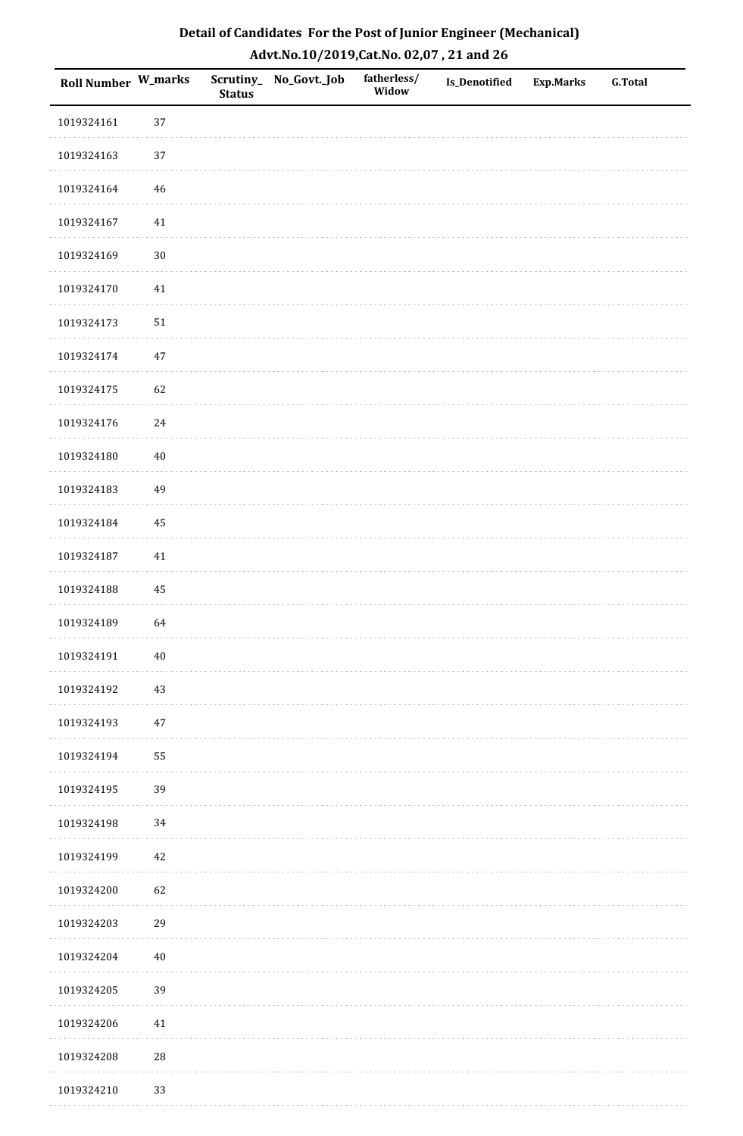| Roll Number W_marks |          | <b>Status</b> | Scrutiny_No_Govt._Job | fatherless/<br>Widow | Is_Denotified | <b>Exp.Marks</b> | <b>G.Total</b> |
|---------------------|----------|---------------|-----------------------|----------------------|---------------|------------------|----------------|
| 1019324161          | 37       |               |                       |                      |               |                  |                |
| 1019324163          | $37\,$   |               |                       |                      |               |                  |                |
| 1019324164          | 46       |               |                       |                      |               |                  |                |
| 1019324167          | $41\,$   |               |                       |                      |               |                  |                |
| 1019324169          | $30\,$   |               |                       |                      |               |                  |                |
| 1019324170          | 41       |               |                       |                      |               |                  |                |
| 1019324173          | $51\,$   |               |                       |                      |               |                  |                |
| 1019324174          | $47\,$   |               |                       |                      |               |                  |                |
| 1019324175          | 62       |               |                       |                      |               |                  |                |
| 1019324176          | $24\,$   |               |                       |                      |               |                  |                |
| 1019324180          | $40\,$   |               |                       |                      |               |                  |                |
| 1019324183          | 49       |               |                       |                      |               |                  |                |
| 1019324184          | 45       |               |                       |                      |               |                  |                |
| 1019324187          | $41\,$   |               |                       |                      |               |                  |                |
| 1019324188          | $\rm 45$ |               |                       |                      |               |                  |                |
| 1019324189          | 64       |               |                       |                      |               |                  |                |
| 1019324191          | $40\,$   |               |                       |                      |               |                  |                |
| 1019324192          | 43       |               |                       |                      |               |                  |                |
| 1019324193          | $47\,$   |               |                       |                      |               |                  |                |
| 1019324194          | 55       |               |                       |                      |               |                  |                |
| 1019324195          | 39       |               |                       |                      |               |                  |                |
| 1019324198          | 34       |               |                       |                      |               |                  |                |
| 1019324199          | 42       |               |                       |                      |               |                  |                |
| 1019324200          | 62       |               |                       |                      |               |                  |                |
| 1019324203          | 29       |               |                       |                      |               |                  |                |
| 1019324204          | $40\,$   |               |                       |                      |               |                  |                |
| 1019324205          | 39       |               |                       |                      |               |                  |                |
| 1019324206          | $41\,$   |               |                       |                      |               |                  |                |
| 1019324208          | 28       |               |                       |                      |               |                  |                |
| 1019324210          | 33       |               |                       |                      |               |                  |                |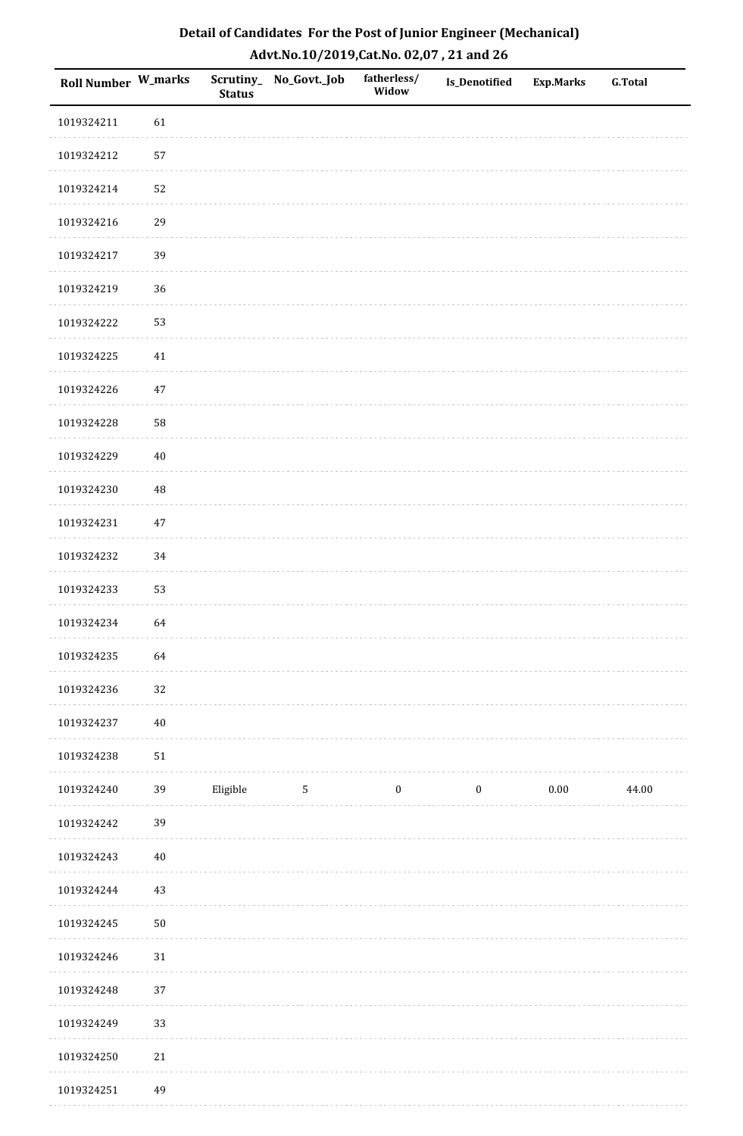| Detail of Candidates For the Post of Junior Engineer (Mechanical) |
|-------------------------------------------------------------------|
| Advt.No.10/2019,Cat.No. 02,07, 21 and 26                          |

| Roll Number W_marks |          | <b>Status</b> | Scrutiny_ No_Govt._Job | fatherless/<br>Widow | <b>Is_Denotified</b> | <b>Exp.Marks</b> | <b>G.Total</b> |
|---------------------|----------|---------------|------------------------|----------------------|----------------------|------------------|----------------|
| 1019324211          | 61       |               |                        |                      |                      |                  |                |
| 1019324212          | 57       |               |                        |                      |                      |                  |                |
| 1019324214          | 52       |               |                        |                      |                      |                  |                |
| 1019324216          | 29       |               |                        |                      |                      |                  |                |
| 1019324217          | 39       |               |                        |                      |                      |                  |                |
| 1019324219          | 36       |               |                        |                      |                      |                  |                |
| 1019324222          | 53       |               |                        |                      |                      |                  |                |
| 1019324225          | $41\,$   |               |                        |                      |                      |                  |                |
| 1019324226          | $47\,$   |               |                        |                      |                      |                  |                |
| 1019324228          | 58       |               |                        |                      |                      |                  |                |
| 1019324229          | $40\,$   |               |                        |                      |                      |                  |                |
| 1019324230          | $\rm 48$ |               |                        |                      |                      |                  |                |
| 1019324231          | 47       |               |                        |                      |                      |                  |                |
| 1019324232          | 34       |               |                        |                      |                      |                  |                |
| 1019324233          | 53       |               |                        |                      |                      |                  |                |
| 1019324234          | 64       |               |                        |                      |                      |                  |                |
| 1019324235          | 64       |               |                        |                      |                      |                  |                |
| 1019324236          | 32       |               |                        |                      |                      |                  |                |
| 1019324237          | $40\,$   |               |                        |                      |                      |                  |                |
| 1019324238          | $51\,$   |               |                        |                      |                      |                  |                |
| 1019324240          | 39       | Eligible      | $\sqrt{5}$             | $\boldsymbol{0}$     | $\boldsymbol{0}$     | $0.00\,$         | 44.00          |
| 1019324242          | 39       |               |                        |                      |                      |                  |                |
| 1019324243          | $40\,$   |               |                        |                      |                      |                  |                |
| 1019324244          | $43\,$   |               |                        |                      |                      |                  |                |
| 1019324245          | $50\,$   |               |                        |                      |                      |                  |                |
| 1019324246          | $31\,$   |               |                        |                      |                      |                  |                |
| 1019324248          | 37       |               |                        |                      |                      |                  |                |
| 1019324249          | 33       |               |                        |                      |                      |                  |                |
| 1019324250          | $21\,$   |               |                        |                      |                      |                  |                |
| 1019324251          | 49       |               |                        |                      |                      |                  |                |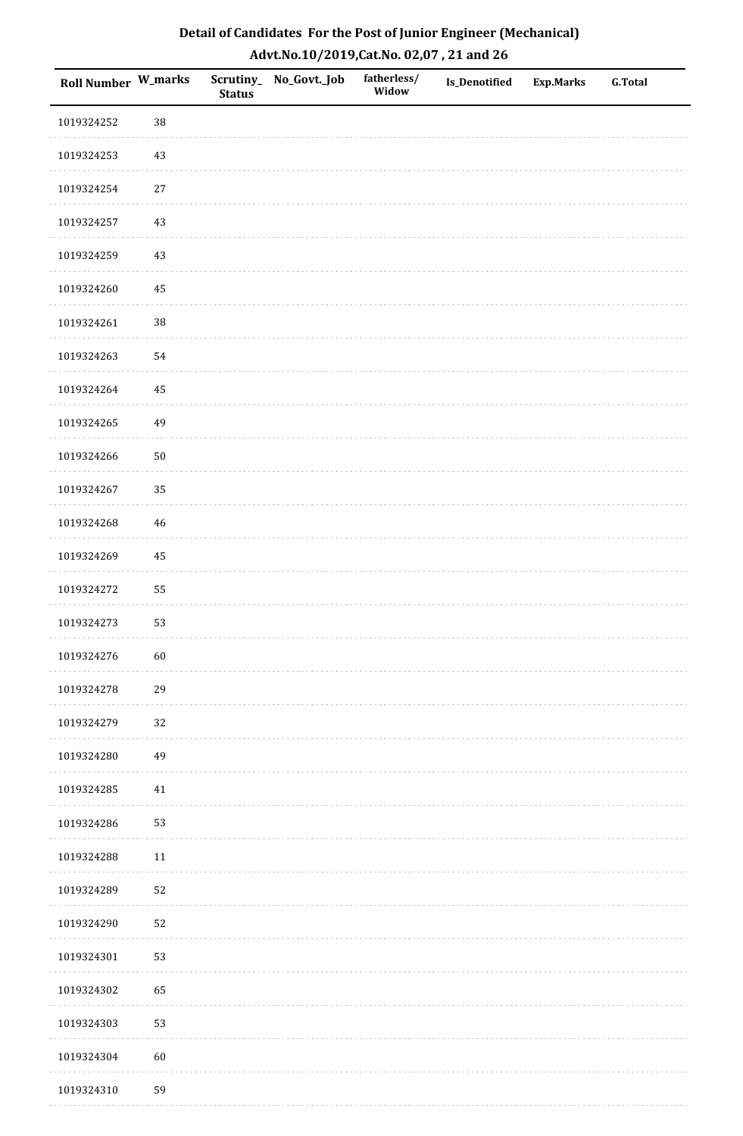| Roll Number W_marks |        | <b>Status</b> | Scrutiny_ No_Govt._Job | fatherless/<br>Widow | Is_Denotified | Exp.Marks | <b>G.Total</b> |
|---------------------|--------|---------------|------------------------|----------------------|---------------|-----------|----------------|
| 1019324252          | $38\,$ |               |                        |                      |               |           |                |
| 1019324253          | 43     |               |                        |                      |               |           |                |
| 1019324254          | 27     |               |                        |                      |               |           |                |
| 1019324257          | 43     |               |                        |                      |               |           |                |
| 1019324259          | 43     |               |                        |                      |               |           |                |
| 1019324260          | 45     |               |                        |                      |               |           |                |
| 1019324261          | $38\,$ |               |                        |                      |               |           |                |
| 1019324263          | 54     |               |                        |                      |               |           |                |
| 1019324264          | 45     |               |                        |                      |               |           |                |
| 1019324265          | 49     |               |                        |                      |               |           |                |
| 1019324266          | $50\,$ |               |                        |                      |               |           |                |
| 1019324267          | 35     |               |                        |                      |               |           |                |
| 1019324268          | 46     |               |                        |                      |               |           |                |
| 1019324269          | 45     |               |                        |                      |               |           |                |
| 1019324272          | 55     |               |                        |                      |               |           |                |
| 1019324273          | 53     |               |                        |                      |               |           |                |
| 1019324276          | $60\,$ |               |                        |                      |               |           |                |
| 1019324278          | 29     |               |                        |                      |               |           |                |
| 1019324279          | $32\,$ |               |                        |                      |               |           |                |
| 1019324280          | 49     |               |                        |                      |               |           |                |
| 1019324285          | 41     |               |                        |                      |               |           |                |
| 1019324286          | 53     |               |                        |                      |               |           |                |
| 1019324288          | $11\,$ |               |                        |                      |               |           |                |
| 1019324289          | 52     |               |                        |                      |               |           |                |
| 1019324290          | 52     |               |                        |                      |               |           |                |
| 1019324301          | 53     |               |                        |                      |               |           |                |
| 1019324302          | 65     |               |                        |                      |               |           |                |
| 1019324303          | 53     |               |                        |                      |               |           |                |
| 1019324304          | $60\,$ |               |                        |                      |               |           |                |
| 1019324310          | 59     |               |                        |                      |               |           |                |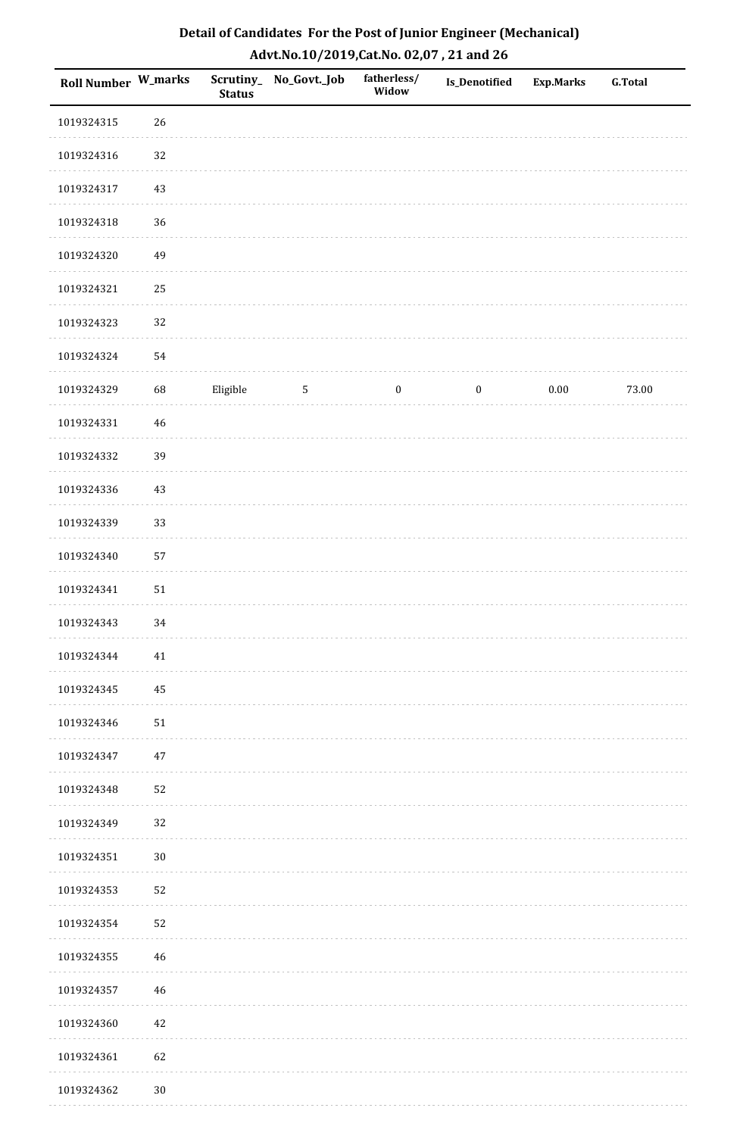| Detail of Candidates For the Post of Junior Engineer (Mechanical) |
|-------------------------------------------------------------------|
| Advt.No.10/2019, Cat.No. 02,07, 21 and 26                         |

| Roll Number W_marks |             | <b>Status</b> | Scrutiny_ No_Govt._Job | fatherless/<br>Widow | Is_Denotified    | <b>Exp.Marks</b> | <b>G.Total</b> |
|---------------------|-------------|---------------|------------------------|----------------------|------------------|------------------|----------------|
| 1019324315          | 26          |               |                        |                      |                  |                  |                |
| 1019324316          | 32          |               |                        |                      |                  |                  |                |
| 1019324317          | 43          |               |                        |                      |                  |                  |                |
| 1019324318          | 36          |               |                        |                      |                  |                  |                |
| 1019324320          | 49          |               |                        |                      |                  |                  |                |
| 1019324321          | 25          |               |                        |                      |                  |                  |                |
| 1019324323          | 32          |               |                        |                      |                  |                  |                |
| 1019324324          | 54          |               |                        |                      |                  |                  |                |
| 1019324329          | 68          | Eligible      | $\overline{5}$         | $\boldsymbol{0}$     | $\boldsymbol{0}$ | $0.00\,$         | 73.00          |
| 1019324331          | $\sqrt{46}$ |               |                        |                      |                  |                  |                |
| 1019324332          | 39          |               |                        |                      |                  |                  |                |
| 1019324336          | $43\,$      |               |                        |                      |                  |                  |                |
| 1019324339          | 33          |               |                        |                      |                  |                  |                |
| 1019324340          | 57          |               |                        |                      |                  |                  |                |
| 1019324341          | ${\bf 51}$  |               |                        |                      |                  |                  |                |
| 1019324343          | 34          |               |                        |                      |                  |                  |                |
| 1019324344          | 41          |               |                        |                      |                  |                  |                |
| 1019324345          | 45          |               |                        |                      |                  |                  |                |
| 1019324346          | $51\,$      |               |                        |                      |                  |                  |                |
| 1019324347          | $47\,$      |               |                        |                      |                  |                  |                |
| 1019324348          | 52          |               |                        |                      |                  |                  |                |
| 1019324349          | 32          |               |                        |                      |                  |                  |                |
| 1019324351          | $30\,$      |               |                        |                      |                  |                  |                |
| 1019324353          | 52          |               |                        |                      |                  |                  |                |
| 1019324354          | 52          |               |                        |                      |                  |                  |                |
| 1019324355          | 46          |               |                        |                      |                  |                  |                |
| 1019324357          | 46          |               |                        |                      |                  |                  |                |
| 1019324360          | 42          |               |                        |                      |                  |                  |                |
| 1019324361          | 62          |               |                        |                      |                  |                  |                |
| 1019324362          | $30\,$      |               |                        |                      |                  |                  |                |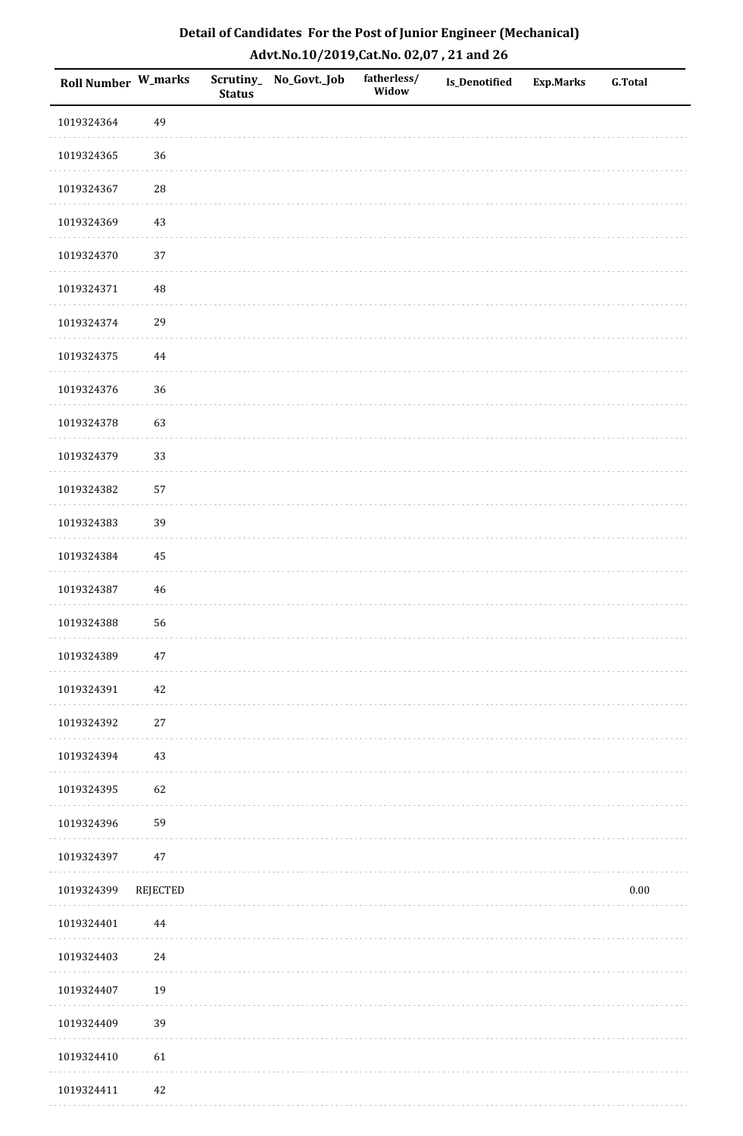| Detail of Candidates For the Post of Junior Engineer (Mechanical) |
|-------------------------------------------------------------------|
| Advt.No.10/2019,Cat.No. 02,07, 21 and 26                          |

| Roll Number W_marks |             | <b>Status</b> | Scrutiny_ No_Govt._Job | fatherless/<br>Widow | Is_Denotified | <b>Exp.Marks</b> | <b>G.Total</b> |
|---------------------|-------------|---------------|------------------------|----------------------|---------------|------------------|----------------|
| 1019324364          | 49          |               |                        |                      |               |                  |                |
| 1019324365          | 36          |               |                        |                      |               |                  |                |
| 1019324367          | ${\bf 28}$  |               |                        |                      |               |                  |                |
| 1019324369          | 43          |               |                        |                      |               |                  |                |
| 1019324370          | 37          |               |                        |                      |               |                  |                |
| 1019324371          | $\rm 48$    |               |                        |                      |               |                  |                |
| 1019324374          | 29          |               |                        |                      |               |                  |                |
| 1019324375          | $\bf 44$    |               |                        |                      |               |                  |                |
| 1019324376          | 36          |               |                        |                      |               |                  |                |
| 1019324378          | 63          |               |                        |                      |               |                  |                |
| 1019324379          | 33          |               |                        |                      |               |                  |                |
| 1019324382          | 57          |               |                        |                      |               |                  |                |
| 1019324383          | 39          |               |                        |                      |               |                  |                |
| 1019324384          | 45          |               |                        |                      |               |                  |                |
| 1019324387          | $\sqrt{46}$ |               |                        |                      |               |                  |                |
| 1019324388          | 56          |               |                        |                      |               |                  |                |
| 1019324389          | $47\,$      |               |                        |                      |               |                  |                |
| 1019324391          | 42          |               |                        |                      |               |                  |                |
| 1019324392          | $27\,$      |               |                        |                      |               |                  |                |
| 1019324394          | 43          |               |                        |                      |               |                  |                |
| 1019324395          | 62          |               |                        |                      |               |                  |                |
| 1019324396          | 59          |               |                        |                      |               |                  |                |
| 1019324397          | $47\,$      |               |                        |                      |               |                  |                |
| 1019324399          | REJECTED    |               |                        |                      |               |                  | $0.00\,$       |
| 1019324401          | 44          |               |                        |                      |               |                  |                |
| 1019324403          | 24          |               |                        |                      |               |                  |                |
| 1019324407          | 19          |               |                        |                      |               |                  |                |
| 1019324409          | 39          |               |                        |                      |               |                  |                |
| 1019324410          | 61          |               |                        |                      |               |                  |                |
| 1019324411          | $42\,$      |               |                        |                      |               |                  |                |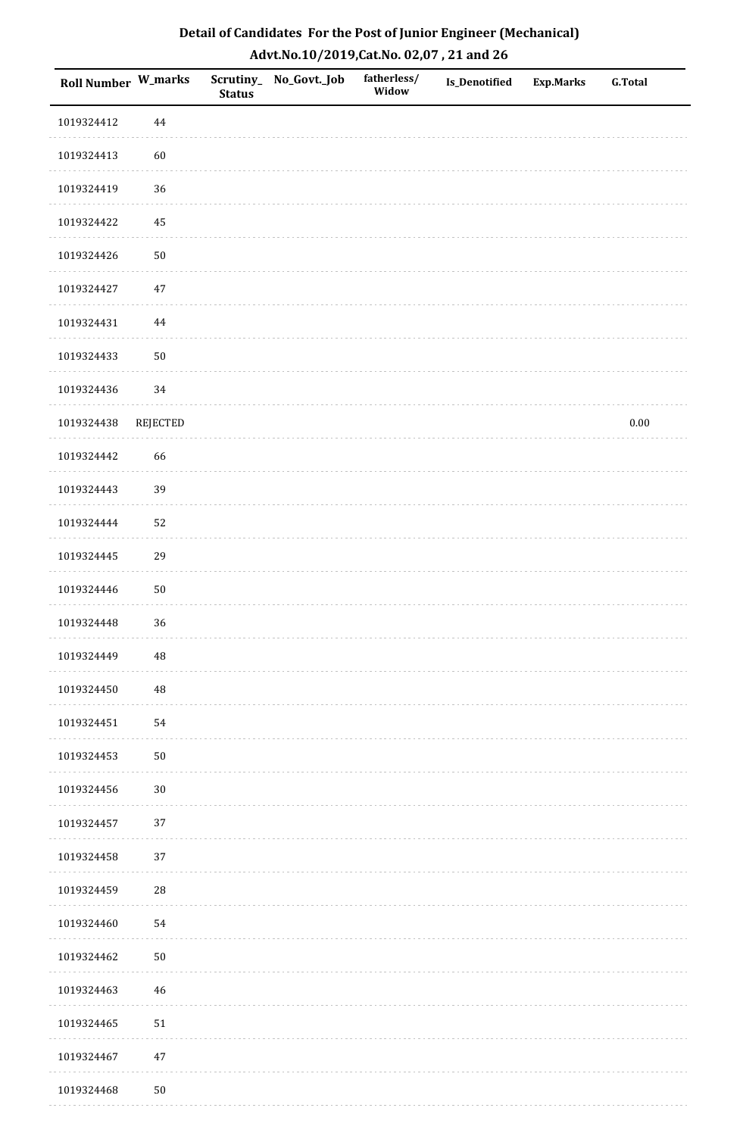| Roll Number W_marks |             | <b>Status</b> | Scrutiny_No_Govt._Job | fatherless/<br>Widow | Is_Denotified | <b>Exp.Marks</b> | <b>G.Total</b> |
|---------------------|-------------|---------------|-----------------------|----------------------|---------------|------------------|----------------|
| 1019324412          | $\bf 44$    |               |                       |                      |               |                  |                |
| 1019324413          | 60          |               |                       |                      |               |                  |                |
| 1019324419          | 36          |               |                       |                      |               |                  |                |
| 1019324422          | 45          |               |                       |                      |               |                  |                |
| 1019324426          | $50\,$      |               |                       |                      |               |                  |                |
| 1019324427          | 47          |               |                       |                      |               |                  |                |
| 1019324431          | 44          |               |                       |                      |               |                  |                |
| 1019324433          | $50\,$      |               |                       |                      |               |                  |                |
| 1019324436          | 34          |               |                       |                      |               |                  |                |
| 1019324438          | REJECTED    |               |                       |                      |               |                  | $0.00\,$       |
| 1019324442          | 66          |               |                       |                      |               |                  |                |
| 1019324443          | 39          |               |                       |                      |               |                  |                |
| 1019324444          | 52          |               |                       |                      |               |                  |                |
| 1019324445          | 29          |               |                       |                      |               |                  |                |
| 1019324446          | $50\,$      |               |                       |                      |               |                  |                |
| 1019324448          | 36          |               |                       |                      |               |                  |                |
| 1019324449          | $\rm 48$    |               |                       |                      |               |                  |                |
| 1019324450          | $\rm 48$    |               |                       |                      |               |                  |                |
| 1019324451          | 54          |               |                       |                      |               |                  |                |
| 1019324453          | $50\,$      |               |                       |                      |               |                  |                |
| 1019324456          | $30\,$      |               |                       |                      |               |                  |                |
| 1019324457          | 37          |               |                       |                      |               |                  |                |
| 1019324458          | 37          |               |                       |                      |               |                  |                |
| 1019324459          | $\sqrt{28}$ |               |                       |                      |               |                  |                |
| 1019324460          | 54          |               |                       |                      |               |                  |                |
| 1019324462          | $50\,$      |               |                       |                      |               |                  |                |
| 1019324463          | $46\,$      |               |                       |                      |               |                  |                |
| 1019324465          | 51          |               |                       |                      |               |                  |                |
| 1019324467          | $47\,$      |               |                       |                      |               |                  |                |
| 1019324468          | ${\bf 50}$  |               |                       |                      |               |                  |                |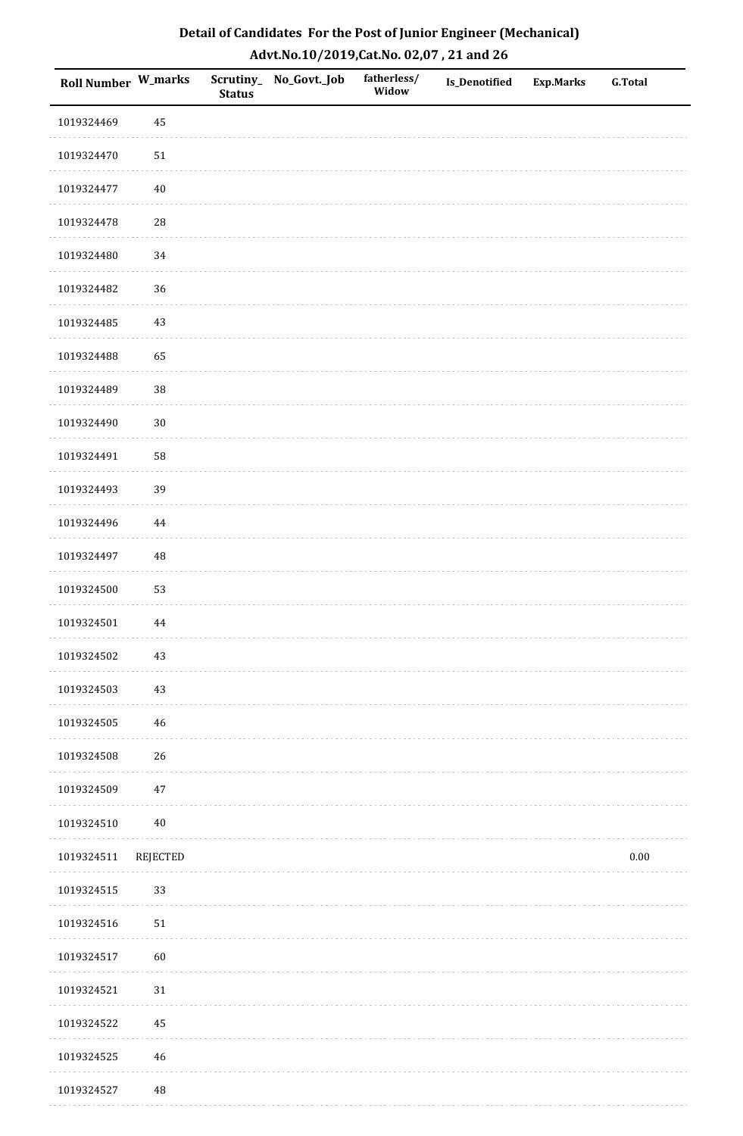| Roll Number W_marks |                 | <b>Status</b> | Scrutiny_No_Govt._Job | fatherless/<br>Widow | Is_Denotified | <b>Exp.Marks</b> | <b>G.Total</b> |
|---------------------|-----------------|---------------|-----------------------|----------------------|---------------|------------------|----------------|
| 1019324469          | 45              |               |                       |                      |               |                  |                |
| 1019324470          | $51\,$          |               |                       |                      |               |                  |                |
| 1019324477          | $40\,$          |               |                       |                      |               |                  |                |
| 1019324478          | 28              |               |                       |                      |               |                  |                |
| 1019324480          | $34\,$          |               |                       |                      |               |                  |                |
| 1019324482          | 36              |               |                       |                      |               |                  |                |
| 1019324485          | $43\,$          |               |                       |                      |               |                  |                |
| 1019324488          | 65              |               |                       |                      |               |                  |                |
| 1019324489          | 38              |               |                       |                      |               |                  |                |
| 1019324490          | $30\,$          |               |                       |                      |               |                  |                |
| 1019324491          | 58              |               |                       |                      |               |                  |                |
| 1019324493          | 39              |               |                       |                      |               |                  |                |
| 1019324496          | 44              |               |                       |                      |               |                  |                |
| 1019324497          | 48              |               |                       |                      |               |                  |                |
| 1019324500          | 53              |               |                       |                      |               |                  |                |
| 1019324501          | $\bf 44$        |               |                       |                      |               |                  |                |
| 1019324502          | $43\,$          |               |                       |                      |               |                  |                |
| 1019324503          | $43\,$          |               |                       |                      |               |                  |                |
| 1019324505          | $46\,$          |               |                       |                      |               |                  |                |
| 1019324508          | 26              |               |                       |                      |               |                  |                |
| 1019324509          | $47\,$          |               |                       |                      |               |                  |                |
| 1019324510          | $40\,$          |               |                       |                      |               |                  |                |
| 1019324511          | <b>REJECTED</b> |               |                       |                      |               |                  | $0.00\,$       |
| 1019324515          | 33              |               |                       |                      |               |                  |                |
| 1019324516          | $51\,$          |               |                       |                      |               |                  |                |
| 1019324517          | 60              |               |                       |                      |               |                  |                |
| 1019324521          | $31\,$          |               |                       |                      |               |                  |                |
| 1019324522          | 45              |               |                       |                      |               |                  |                |
| 1019324525          | $\sqrt{46}$     |               |                       |                      |               |                  |                |
| 1019324527          | $\rm 48$        |               |                       |                      |               |                  |                |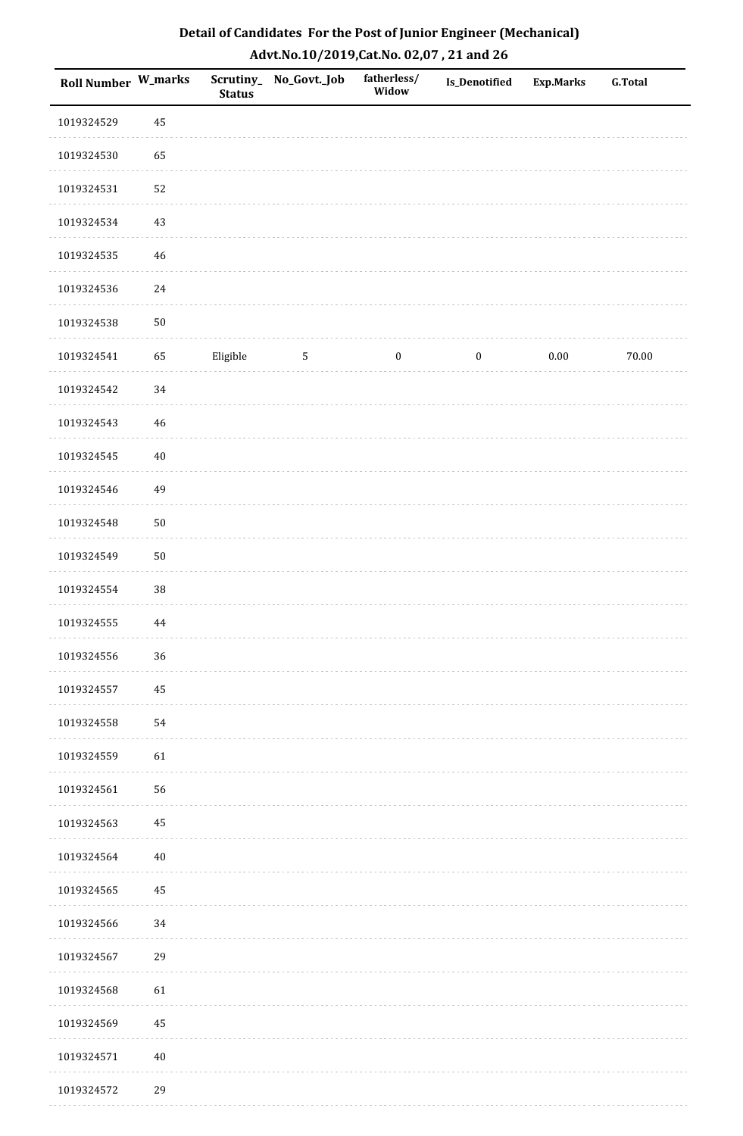| Roll Number W_marks |          | <b>Status</b> | Scrutiny_No_Govt._Job | fatherless/<br>Widow | Is_Denotified    | Exp.Marks | <b>G.Total</b> |
|---------------------|----------|---------------|-----------------------|----------------------|------------------|-----------|----------------|
| 1019324529          | 45       |               |                       |                      |                  |           |                |
| 1019324530          | 65       |               |                       |                      |                  |           |                |
| 1019324531          | 52       |               |                       |                      |                  |           |                |
| 1019324534          | 43       |               |                       |                      |                  |           |                |
| 1019324535          | $46\,$   |               |                       |                      |                  |           |                |
| 1019324536          | $24\,$   |               |                       |                      |                  |           |                |
| 1019324538          | $50\,$   |               |                       |                      |                  |           |                |
| 1019324541          | 65       | Eligible      | $\mathbf 5$           | $\boldsymbol{0}$     | $\boldsymbol{0}$ | 0.00      | 70.00          |
| 1019324542          | 34       |               |                       |                      |                  |           |                |
| 1019324543          | $46\,$   |               |                       |                      |                  |           |                |
| 1019324545          | $40\,$   |               |                       |                      |                  |           |                |
| 1019324546          | 49       |               |                       |                      |                  |           |                |
| 1019324548          | $50\,$   |               |                       |                      |                  |           |                |
| 1019324549          | $50\,$   |               |                       |                      |                  |           |                |
| 1019324554          | $38\,$   |               |                       |                      |                  |           |                |
| 1019324555          | $\bf 44$ |               |                       |                      |                  |           |                |
| 1019324556          | 36       |               |                       |                      |                  |           |                |
| 1019324557          | 45       |               |                       |                      |                  |           |                |
| 1019324558          | 54       |               |                       |                      |                  |           |                |
| 1019324559          | 61       |               |                       |                      |                  |           |                |
| 1019324561          | 56       |               |                       |                      |                  |           |                |
| 1019324563          | 45       |               |                       |                      |                  |           |                |
| 1019324564          | $40\,$   |               |                       |                      |                  |           |                |
| 1019324565          | 45       |               |                       |                      |                  |           |                |
| 1019324566          | 34       |               |                       |                      |                  |           |                |
| 1019324567          | 29       |               |                       |                      |                  |           |                |
| 1019324568          | 61       |               |                       |                      |                  |           |                |
| 1019324569          | 45       |               |                       |                      |                  |           |                |
| 1019324571          | $40\,$   |               |                       |                      |                  |           |                |
| 1019324572          | 29       |               |                       |                      |                  |           |                |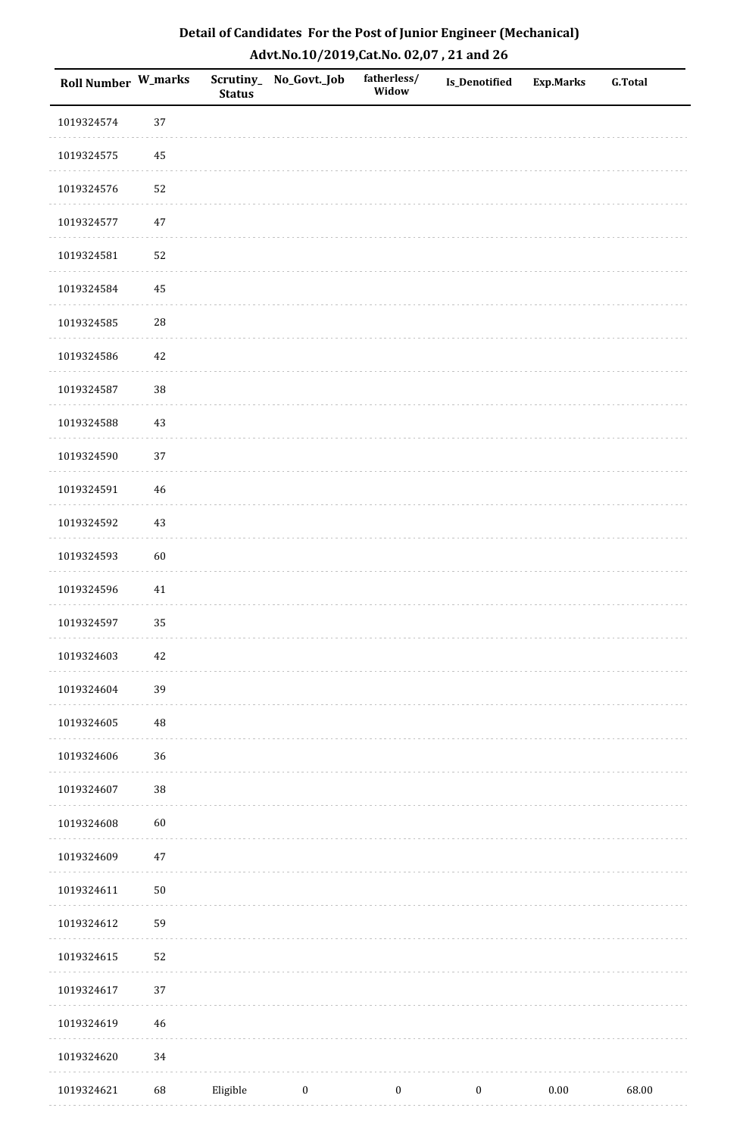| Roll Number W_marks |             | <b>Status</b> | Scrutiny_ No_Govt._Job | fatherless/<br>Widow | Is_Denotified    | <b>Exp.Marks</b> | <b>G.Total</b> |
|---------------------|-------------|---------------|------------------------|----------------------|------------------|------------------|----------------|
| 1019324574          | 37          |               |                        |                      |                  |                  |                |
| 1019324575          | 45          |               |                        |                      |                  |                  |                |
| 1019324576          | 52          |               |                        |                      |                  |                  |                |
| 1019324577          | 47          |               |                        |                      |                  |                  |                |
| 1019324581          | 52          |               |                        |                      |                  |                  |                |
| 1019324584          | 45          |               |                        |                      |                  |                  |                |
| 1019324585          | ${\bf 28}$  |               |                        |                      |                  |                  |                |
| 1019324586          | 42          |               |                        |                      |                  |                  |                |
| 1019324587          | 38          |               |                        |                      |                  |                  |                |
| 1019324588          | $43\,$      |               |                        |                      |                  |                  |                |
| 1019324590          | 37          |               |                        |                      |                  |                  |                |
| 1019324591          | $\sqrt{46}$ |               |                        |                      |                  |                  |                |
| 1019324592          | $43\,$      |               |                        |                      |                  |                  |                |
| 1019324593          | 60          |               |                        |                      |                  |                  |                |
| 1019324596          | 41          |               |                        |                      |                  |                  |                |
| 1019324597          | 35          |               |                        |                      |                  |                  |                |
| 1019324603          | $42\,$      |               |                        |                      |                  |                  |                |
| 1019324604          | 39          |               |                        |                      |                  |                  |                |
| 1019324605          | $\rm 48$    |               |                        |                      |                  |                  |                |
| 1019324606          | 36          |               |                        |                      |                  |                  |                |
| 1019324607          | $38\,$      |               |                        |                      |                  |                  |                |
| 1019324608          | 60          |               |                        |                      |                  |                  |                |
| 1019324609          | $47\,$      |               |                        |                      |                  |                  |                |
| 1019324611          | $50\,$      |               |                        |                      |                  |                  |                |
| 1019324612          | 59          |               |                        |                      |                  |                  |                |
| 1019324615          | 52          |               |                        |                      |                  |                  |                |
| 1019324617          | 37          |               |                        |                      |                  |                  |                |
| 1019324619          | 46          |               |                        |                      |                  |                  |                |
| 1019324620          | 34          |               |                        |                      |                  |                  |                |
| 1019324621          | 68          | Eligible      | $\boldsymbol{0}$       | $\boldsymbol{0}$     | $\boldsymbol{0}$ | $0.00\,$         | 68.00          |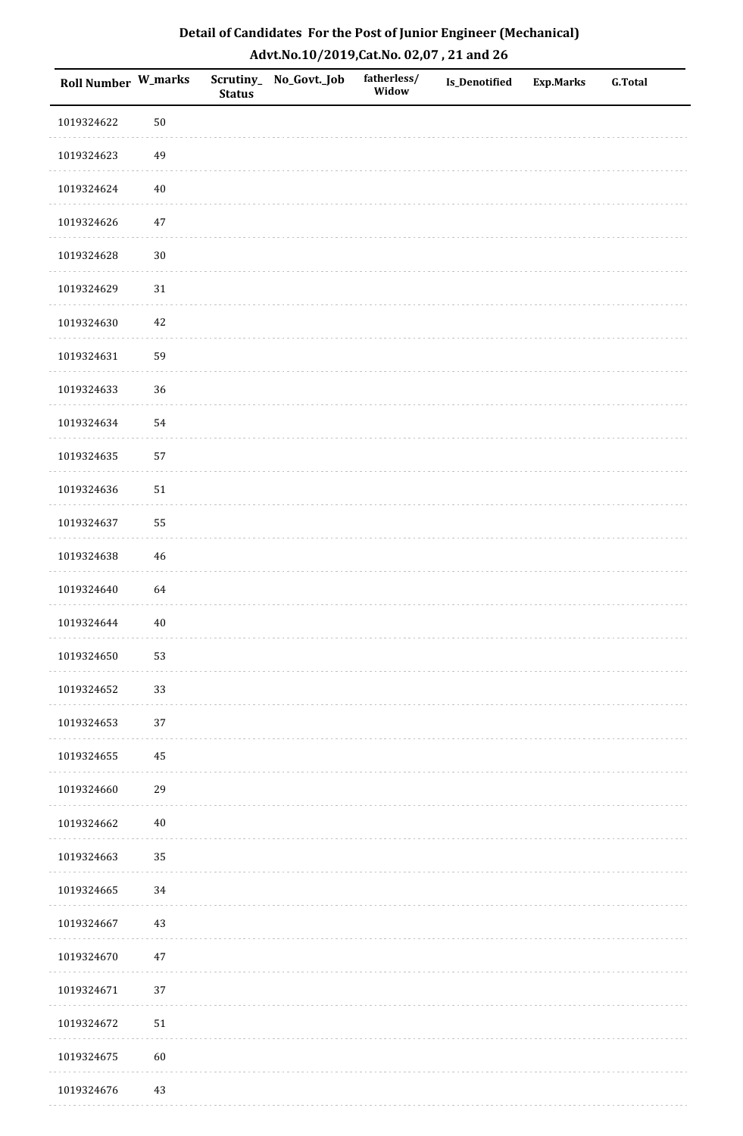| Roll Number W_marks |        | <b>Status</b> | Scrutiny_ No_Govt._Job | fatherless/<br>Widow | Is_Denotified | <b>Exp.Marks</b> | <b>G.Total</b> |
|---------------------|--------|---------------|------------------------|----------------------|---------------|------------------|----------------|
| 1019324622          | $50\,$ |               |                        |                      |               |                  |                |
| 1019324623          | 49     |               |                        |                      |               |                  |                |
| 1019324624          | $40\,$ |               |                        |                      |               |                  |                |
| 1019324626          | $47\,$ |               |                        |                      |               |                  |                |
| 1019324628          | $30\,$ |               |                        |                      |               |                  |                |
| 1019324629          | $31\,$ |               |                        |                      |               |                  |                |
| 1019324630          | $42\,$ |               |                        |                      |               |                  |                |
| 1019324631          | 59     |               |                        |                      |               |                  |                |
| 1019324633          | 36     |               |                        |                      |               |                  |                |
| 1019324634          | 54     |               |                        |                      |               |                  |                |
| 1019324635          | 57     |               |                        |                      |               |                  |                |
| 1019324636          | $51\,$ |               |                        |                      |               |                  |                |
| 1019324637          | 55     |               |                        |                      |               |                  |                |
| 1019324638          | $46\,$ |               |                        |                      |               |                  |                |
| 1019324640          | 64     |               |                        |                      |               |                  |                |
| 1019324644          | $40\,$ |               |                        |                      |               |                  |                |
| 1019324650          | 53     |               |                        |                      |               |                  |                |
| 1019324652          | 33     |               |                        |                      |               |                  |                |
| 1019324653          | 37     |               |                        |                      |               |                  |                |
| 1019324655          | 45     |               |                        |                      |               |                  |                |
| 1019324660          | 29     |               |                        |                      |               |                  |                |
| 1019324662          | $40\,$ |               |                        |                      |               |                  |                |
| 1019324663          | 35     |               |                        |                      |               |                  |                |
| 1019324665          | 34     |               |                        |                      |               |                  |                |
| 1019324667          | $43\,$ |               |                        |                      |               |                  |                |
| 1019324670          | $47\,$ |               |                        |                      |               |                  |                |
| 1019324671          | $37\,$ |               |                        |                      |               |                  |                |
| 1019324672          | $51\,$ |               |                        |                      |               |                  |                |
| 1019324675          | $60\,$ |               |                        |                      |               |                  |                |
| 1019324676          | 43     |               |                        |                      |               |                  |                |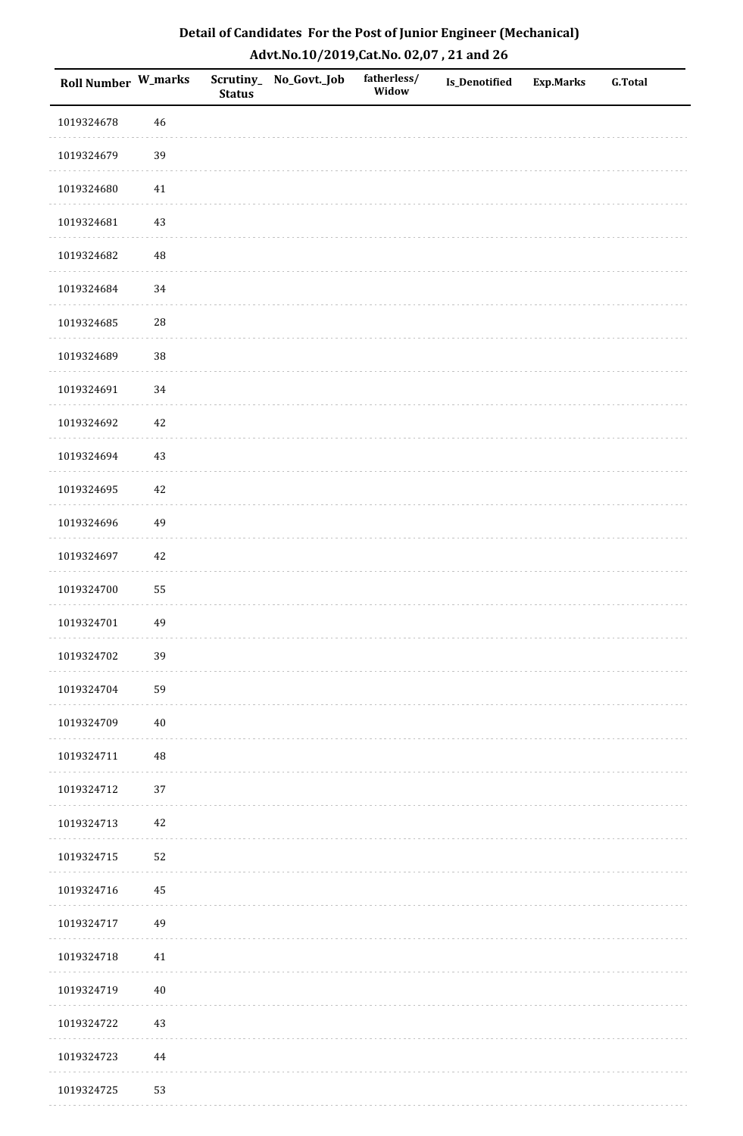| <b>Roll Number W_marks</b> |             | <b>Status</b> | Scrutiny_No_Govt._Job | fatherless/<br>Widow | Is_Denotified | <b>Exp.Marks</b> | <b>G.Total</b> |
|----------------------------|-------------|---------------|-----------------------|----------------------|---------------|------------------|----------------|
| 1019324678                 | $46\,$      |               |                       |                      |               |                  |                |
| 1019324679                 | 39          |               |                       |                      |               |                  |                |
| 1019324680                 | 41          |               |                       |                      |               |                  |                |
| 1019324681                 | 43          |               |                       |                      |               |                  |                |
| 1019324682                 | $\rm 48$    |               |                       |                      |               |                  |                |
| 1019324684                 | 34          |               |                       |                      |               |                  |                |
| 1019324685                 | ${\bf 28}$  |               |                       |                      |               |                  |                |
| 1019324689                 | 38          |               |                       |                      |               |                  |                |
| 1019324691                 | 34          |               |                       |                      |               |                  |                |
| 1019324692                 | $42\,$      |               |                       |                      |               |                  |                |
| 1019324694                 | 43          |               |                       |                      |               |                  |                |
| 1019324695                 | $42\,$      |               |                       |                      |               |                  |                |
| 1019324696                 | 49          |               |                       |                      |               |                  |                |
| 1019324697                 | $42\,$      |               |                       |                      |               |                  |                |
| 1019324700                 | 55          |               |                       |                      |               |                  |                |
| 1019324701                 | 49          |               |                       |                      |               |                  |                |
| 1019324702                 | 39          |               |                       |                      |               |                  |                |
| 1019324704                 | 59          |               |                       |                      |               |                  |                |
| 1019324709                 | $40\,$      |               |                       |                      |               |                  |                |
| 1019324711                 | $\sqrt{48}$ |               |                       |                      |               |                  |                |
| 1019324712                 | 37          |               |                       |                      |               |                  |                |
| 1019324713                 | $42\,$      |               |                       |                      |               |                  |                |
| 1019324715                 | 52          |               |                       |                      |               |                  |                |
| 1019324716                 | 45          |               |                       |                      |               |                  |                |
| 1019324717                 | 49          |               |                       |                      |               |                  |                |
| 1019324718                 | $41\,$      |               |                       |                      |               |                  |                |
| 1019324719                 | $40\,$      |               |                       |                      |               |                  |                |
| 1019324722                 | 43          |               |                       |                      |               |                  |                |
| 1019324723                 | $\bf 44$    |               |                       |                      |               |                  |                |
| 1019324725                 | 53          |               |                       |                      |               |                  |                |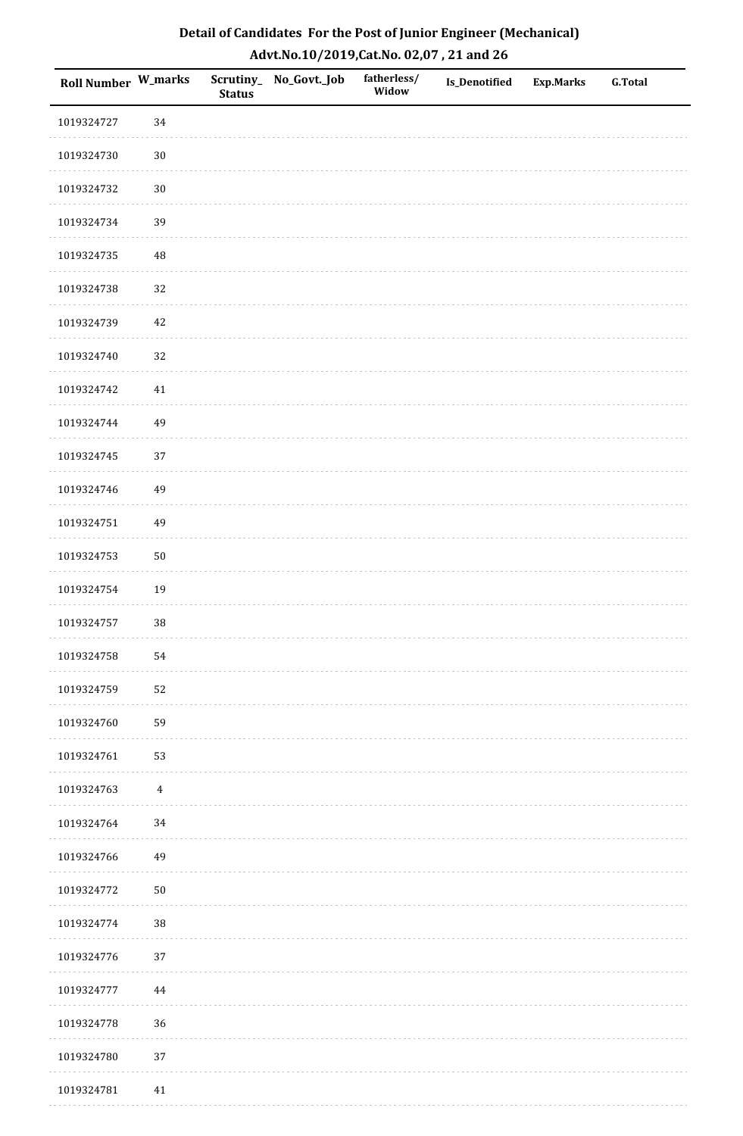| Roll Number W_marks |                | <b>Status</b> | Scrutiny_No_Govt._Job | fatherless/<br>Widow | Is_Denotified | <b>Exp.Marks</b> | <b>G.Total</b> |
|---------------------|----------------|---------------|-----------------------|----------------------|---------------|------------------|----------------|
| 1019324727          | 34             |               |                       |                      |               |                  |                |
| 1019324730          | $30\,$         |               |                       |                      |               |                  |                |
| 1019324732          | $30\,$         |               |                       |                      |               |                  |                |
| 1019324734          | 39             |               |                       |                      |               |                  |                |
| 1019324735          | $\sqrt{48}$    |               |                       |                      |               |                  |                |
| 1019324738          | 32             |               |                       |                      |               |                  |                |
| 1019324739          | 42             |               |                       |                      |               |                  |                |
| 1019324740          | 32             |               |                       |                      |               |                  |                |
| 1019324742          | 41             |               |                       |                      |               |                  |                |
| 1019324744          | 49             |               |                       |                      |               |                  |                |
| 1019324745          | 37             |               |                       |                      |               |                  |                |
| 1019324746          | 49             |               |                       |                      |               |                  |                |
| 1019324751          | 49             |               |                       |                      |               |                  |                |
| 1019324753          | $50\,$         |               |                       |                      |               |                  |                |
| 1019324754          | 19             |               |                       |                      |               |                  |                |
| 1019324757          | 38             |               |                       |                      |               |                  |                |
| 1019324758          | 54             |               |                       |                      |               |                  |                |
| 1019324759          | 52             |               |                       |                      |               |                  |                |
| 1019324760          | 59             |               |                       |                      |               |                  |                |
| 1019324761          | 53             |               |                       |                      |               |                  |                |
| 1019324763          | $\overline{4}$ |               |                       |                      |               |                  |                |
| 1019324764          | 34             |               |                       |                      |               |                  |                |
| 1019324766          | 49             |               |                       |                      |               |                  |                |
| 1019324772          | $50\,$         |               |                       |                      |               |                  |                |
| 1019324774          | $38\,$         |               |                       |                      |               |                  |                |
| 1019324776          | 37             |               |                       |                      |               |                  |                |
| 1019324777          | 44             |               |                       |                      |               |                  |                |
| 1019324778          | 36             |               |                       |                      |               |                  |                |
| 1019324780          | 37             |               |                       |                      |               |                  |                |
| 1019324781          | 41             |               |                       |                      |               |                  |                |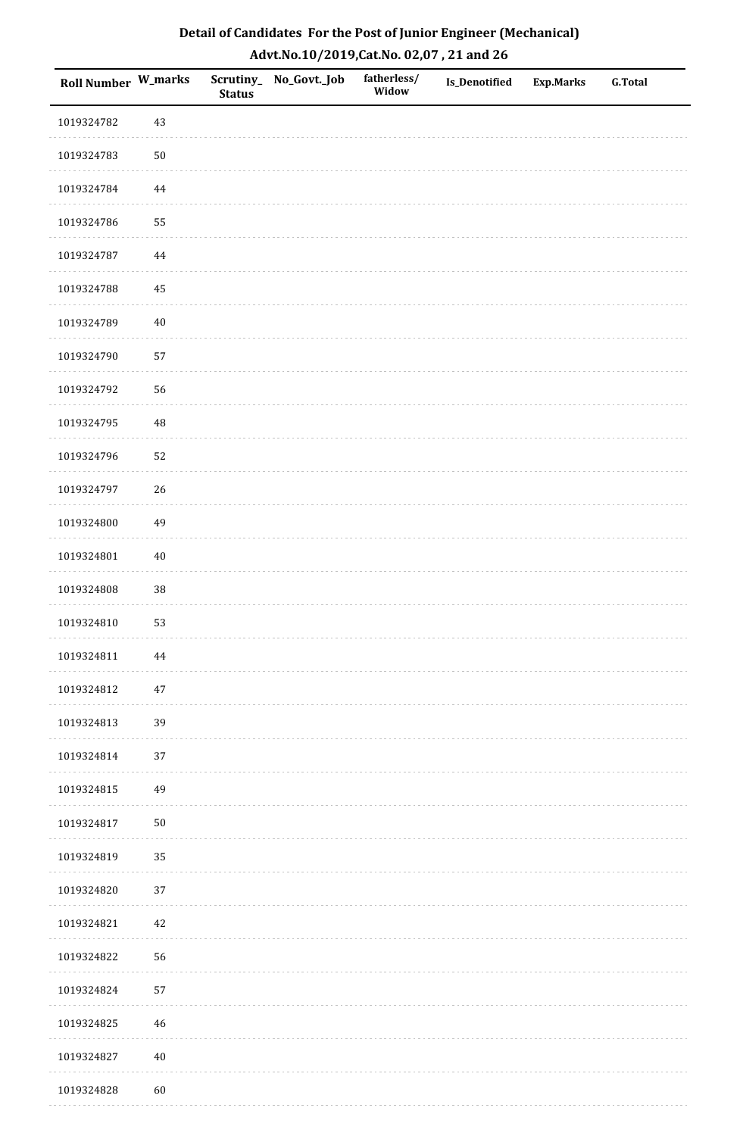| Roll Number W_marks |          | <b>Status</b> | Scrutiny_No_Govt._Job | fatherless/<br>Widow | Is_Denotified | <b>Exp.Marks</b> | <b>G.Total</b> |
|---------------------|----------|---------------|-----------------------|----------------------|---------------|------------------|----------------|
| 1019324782          | 43       |               |                       |                      |               |                  |                |
| 1019324783          | $50\,$   |               |                       |                      |               |                  |                |
| 1019324784          | $\bf 44$ |               |                       |                      |               |                  |                |
| 1019324786          | 55       |               |                       |                      |               |                  |                |
| 1019324787          | $\bf 44$ |               |                       |                      |               |                  |                |
| 1019324788          | 45       |               |                       |                      |               |                  |                |
| 1019324789          | $40\,$   |               |                       |                      |               |                  |                |
| 1019324790          | 57       |               |                       |                      |               |                  |                |
| 1019324792          | 56       |               |                       |                      |               |                  |                |
| 1019324795          | $\rm 48$ |               |                       |                      |               |                  |                |
| 1019324796          | 52       |               |                       |                      |               |                  |                |
| 1019324797          | 26       |               |                       |                      |               |                  |                |
| 1019324800          | 49       |               |                       |                      |               |                  |                |
| 1019324801          | $40\,$   |               |                       |                      |               |                  |                |
| 1019324808          | $38\,$   |               |                       |                      |               |                  |                |
| 1019324810          | 53       |               |                       |                      |               |                  |                |
| 1019324811          | 44       |               |                       |                      |               |                  |                |
| 1019324812          | $47\,$   |               |                       |                      |               |                  |                |
| 1019324813          | 39       |               |                       |                      |               |                  |                |
| 1019324814          | 37       |               |                       |                      |               |                  |                |
| 1019324815          | 49       |               |                       |                      |               |                  |                |
| 1019324817          | $50\,$   |               |                       |                      |               |                  |                |
| 1019324819          | 35       |               |                       |                      |               |                  |                |
| 1019324820          | $37\,$   |               |                       |                      |               |                  |                |
| 1019324821          | $42\,$   |               |                       |                      |               |                  |                |
| 1019324822          | 56       |               |                       |                      |               |                  |                |
| 1019324824          | 57       |               |                       |                      |               |                  |                |
| 1019324825          | 46       |               |                       |                      |               |                  |                |
| 1019324827          | $40\,$   |               |                       |                      |               |                  |                |
| 1019324828          | 60       |               |                       |                      |               |                  |                |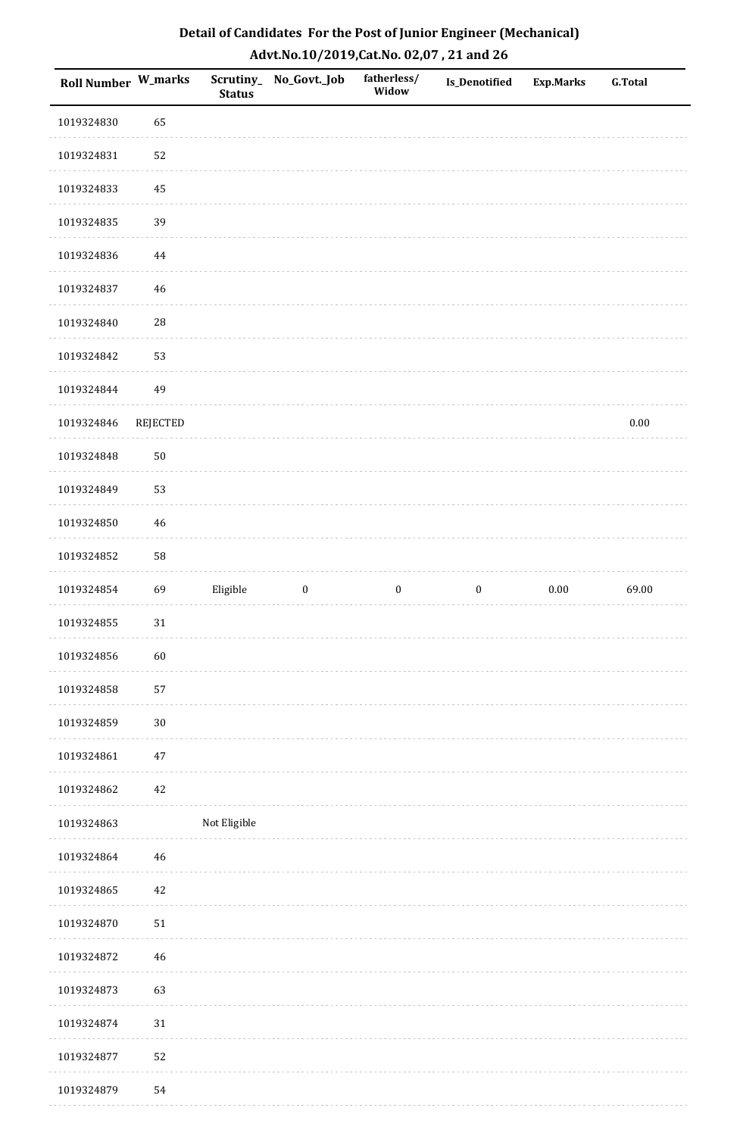| <b>Roll Number W_marks</b> |          | <b>Status</b> | Scrutiny_ No_Govt._Job | fatherless/<br>Widow | <b>Is_Denotified</b> | <b>Exp.Marks</b> | <b>G.Total</b> |
|----------------------------|----------|---------------|------------------------|----------------------|----------------------|------------------|----------------|
| 1019324830                 | 65       |               |                        |                      |                      |                  |                |
| 1019324831                 | 52       |               |                        |                      |                      |                  |                |
| 1019324833                 | 45       |               |                        |                      |                      |                  |                |
| 1019324835                 | 39       |               |                        |                      |                      |                  |                |
| 1019324836                 | 44       |               |                        |                      |                      |                  |                |
| 1019324837                 | 46       |               |                        |                      |                      |                  |                |
| 1019324840                 | 28       |               |                        |                      |                      |                  |                |
| 1019324842                 | 53       |               |                        |                      |                      |                  |                |
| 1019324844                 | 49       |               |                        |                      |                      |                  |                |
| 1019324846                 | REJECTED |               |                        |                      |                      |                  | $0.00\,$       |
| 1019324848                 | 50       |               |                        |                      |                      |                  |                |
| 1019324849                 | 53       |               |                        |                      |                      |                  |                |
| 1019324850                 | 46       |               |                        |                      |                      |                  |                |
| 1019324852                 | 58       |               |                        |                      |                      |                  |                |
| 1019324854                 | 69       | Eligible      | $\boldsymbol{0}$       | $\boldsymbol{0}$     | $\boldsymbol{0}$     | $0.00\,$         | 69.00          |
| 1019324855                 | 31       |               |                        |                      |                      |                  |                |
| 1019324856                 | 60       |               |                        |                      |                      |                  |                |
| 1019324858                 | 57       |               |                        |                      |                      |                  |                |
| 1019324859                 | $30\,$   |               |                        |                      |                      |                  |                |
| 1019324861                 | 47       |               |                        |                      |                      |                  |                |
| 1019324862                 | 42       |               |                        |                      |                      |                  |                |
| 1019324863                 |          | Not Eligible  |                        |                      |                      |                  |                |
| 1019324864                 | 46       |               |                        |                      |                      |                  |                |
| 1019324865                 | 42       |               |                        |                      |                      |                  |                |
| 1019324870                 | 51       |               |                        |                      |                      |                  |                |
| 1019324872                 | 46       |               |                        |                      |                      |                  |                |
| 1019324873                 | 63       |               |                        |                      |                      |                  |                |
| 1019324874                 | 31       |               |                        |                      |                      |                  |                |
| 1019324877                 | 52       |               |                        |                      |                      |                  |                |
| 1019324879                 | 54       |               |                        |                      |                      |                  |                |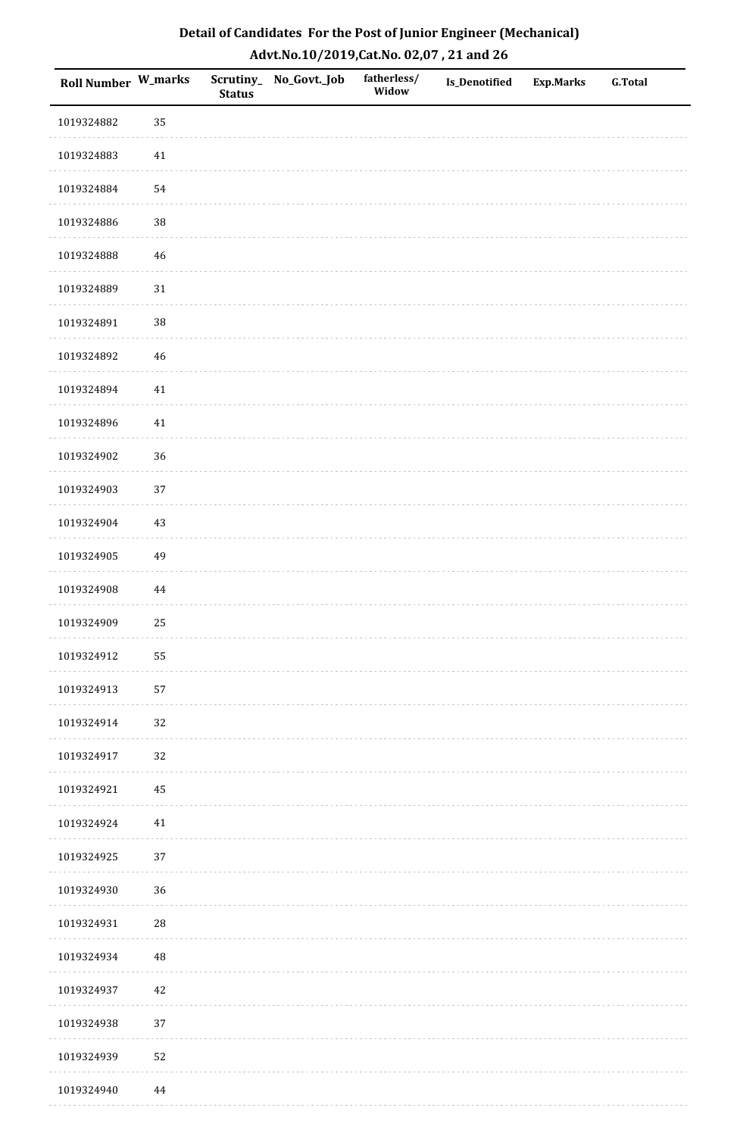| Roll Number W_marks |             | <b>Status</b> | Scrutiny_No_Govt._Job | fatherless/<br>Widow | Is_Denotified | <b>Exp.Marks</b> | G.Total |
|---------------------|-------------|---------------|-----------------------|----------------------|---------------|------------------|---------|
| 1019324882          | 35          |               |                       |                      |               |                  |         |
| 1019324883          | 41          |               |                       |                      |               |                  |         |
| 1019324884          | 54          |               |                       |                      |               |                  |         |
| 1019324886          | 38          |               |                       |                      |               |                  |         |
| 1019324888          | $\sqrt{46}$ |               |                       |                      |               |                  |         |
| 1019324889          | $31\,$      |               |                       |                      |               |                  |         |
| 1019324891          | 38          |               |                       |                      |               |                  |         |
| 1019324892          | $46\,$      |               |                       |                      |               |                  |         |
| 1019324894          | $41\,$      |               |                       |                      |               |                  |         |
| 1019324896          | $41\,$      |               |                       |                      |               |                  |         |
| 1019324902          | 36          |               |                       |                      |               |                  |         |
| 1019324903          | 37          |               |                       |                      |               |                  |         |
| 1019324904          | $43\,$      |               |                       |                      |               |                  |         |
| 1019324905          | 49          |               |                       |                      |               |                  |         |
| 1019324908          | $\bf 44$    |               |                       |                      |               |                  |         |
| 1019324909          | 25          |               |                       |                      |               |                  |         |
| 1019324912          | 55          |               |                       |                      |               |                  |         |
| 1019324913          | 57          |               |                       |                      |               |                  |         |
| 1019324914          | 32          |               |                       |                      |               |                  |         |
| 1019324917          | 32          |               |                       |                      |               |                  |         |
| 1019324921          | 45          |               |                       |                      |               |                  |         |
| 1019324924          | $41\,$      |               |                       |                      |               |                  |         |
| 1019324925          | 37          |               |                       |                      |               |                  |         |
| 1019324930          | 36          |               |                       |                      |               |                  |         |
| 1019324931          | ${\bf 28}$  |               |                       |                      |               |                  |         |
| 1019324934          | $\sqrt{48}$ |               |                       |                      |               |                  |         |
| 1019324937          | $42\,$      |               |                       |                      |               |                  |         |
| 1019324938          | 37          |               |                       |                      |               |                  |         |
| 1019324939          | 52          |               |                       |                      |               |                  |         |
| 1019324940          | 44          |               |                       |                      |               |                  |         |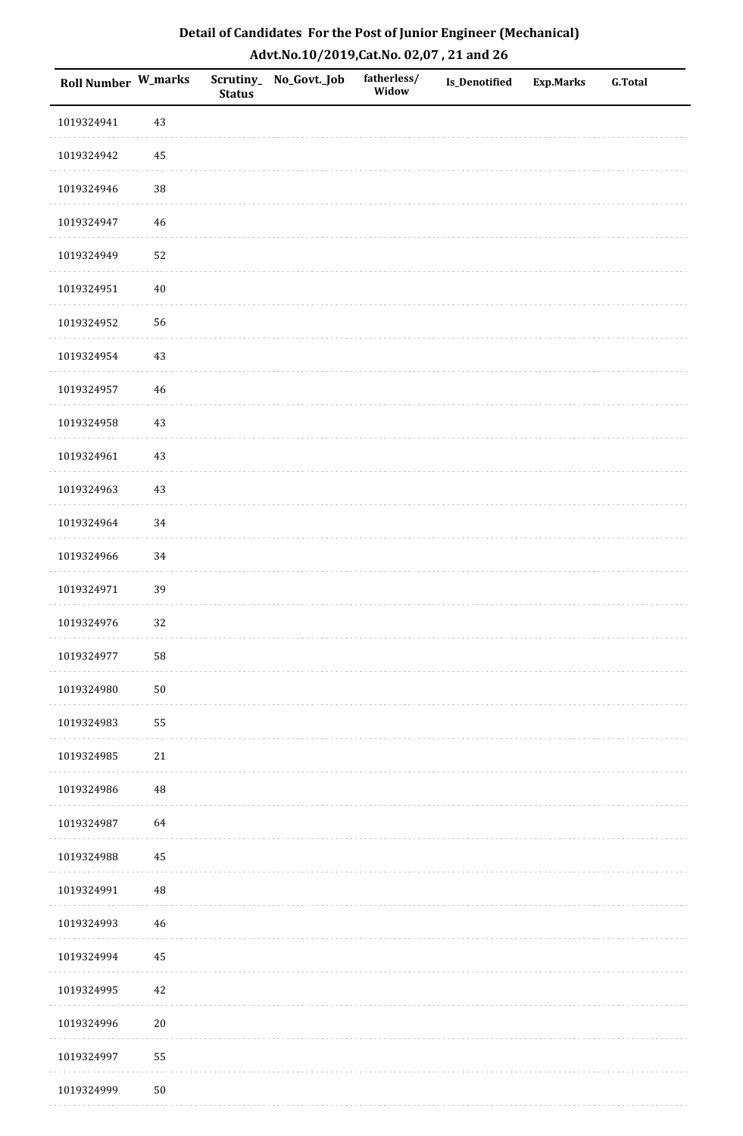| Detail of Candidates For the Post of Junior Engineer (Mechanical) |
|-------------------------------------------------------------------|
| Advt.No.10/2019,Cat.No. 02,07, 21 and 26                          |

| Roll Number W_marks |            | <b>Status</b> | Scrutiny_ No_Govt._Job | fatherless/<br>Widow | Is_Denotified | <b>Exp.Marks</b> | <b>G.Total</b> |
|---------------------|------------|---------------|------------------------|----------------------|---------------|------------------|----------------|
| 1019324941          | 43         |               |                        |                      |               |                  |                |
| 1019324942          | 45         |               |                        |                      |               |                  |                |
| 1019324946          | $38\,$     |               |                        |                      |               |                  |                |
| 1019324947          | 46         |               |                        |                      |               |                  |                |
| 1019324949          | 52         |               |                        |                      |               |                  |                |
| 1019324951          | $40\,$     |               |                        |                      |               |                  |                |
| 1019324952          | 56         |               |                        |                      |               |                  |                |
| 1019324954          | 43         |               |                        |                      |               |                  |                |
| 1019324957          | 46         |               |                        |                      |               |                  |                |
| 1019324958          | 43         |               |                        |                      |               |                  |                |
| 1019324961          | 43         |               |                        |                      |               |                  |                |
| 1019324963          | 43         |               |                        |                      |               |                  |                |
| 1019324964          | 34         |               |                        |                      |               |                  |                |
| 1019324966          | 34         |               |                        |                      |               |                  |                |
| 1019324971          | 39         |               |                        |                      |               |                  |                |
| 1019324976          | 32         |               |                        |                      |               |                  |                |
| 1019324977          | 58         |               |                        |                      |               |                  |                |
| 1019324980          | ${\bf 50}$ |               |                        |                      |               |                  |                |
| 1019324983          | 55         |               |                        |                      |               |                  |                |
| 1019324985          | 21         |               |                        |                      |               |                  |                |
| 1019324986          | $\rm 48$   |               |                        |                      |               |                  |                |
| 1019324987          | 64         |               |                        |                      |               |                  |                |
| 1019324988          | 45         |               |                        |                      |               |                  |                |
| 1019324991          | $\rm 48$   |               |                        |                      |               |                  |                |
| 1019324993          | 46         |               |                        |                      |               |                  |                |
| 1019324994          | $45\,$     |               |                        |                      |               |                  |                |
| 1019324995          | 42         |               |                        |                      |               |                  |                |
| 1019324996          | $20\,$     |               |                        |                      |               |                  |                |
| 1019324997          | 55         |               |                        |                      |               |                  |                |
| 1019324999          | $50\,$     |               |                        |                      |               |                  |                |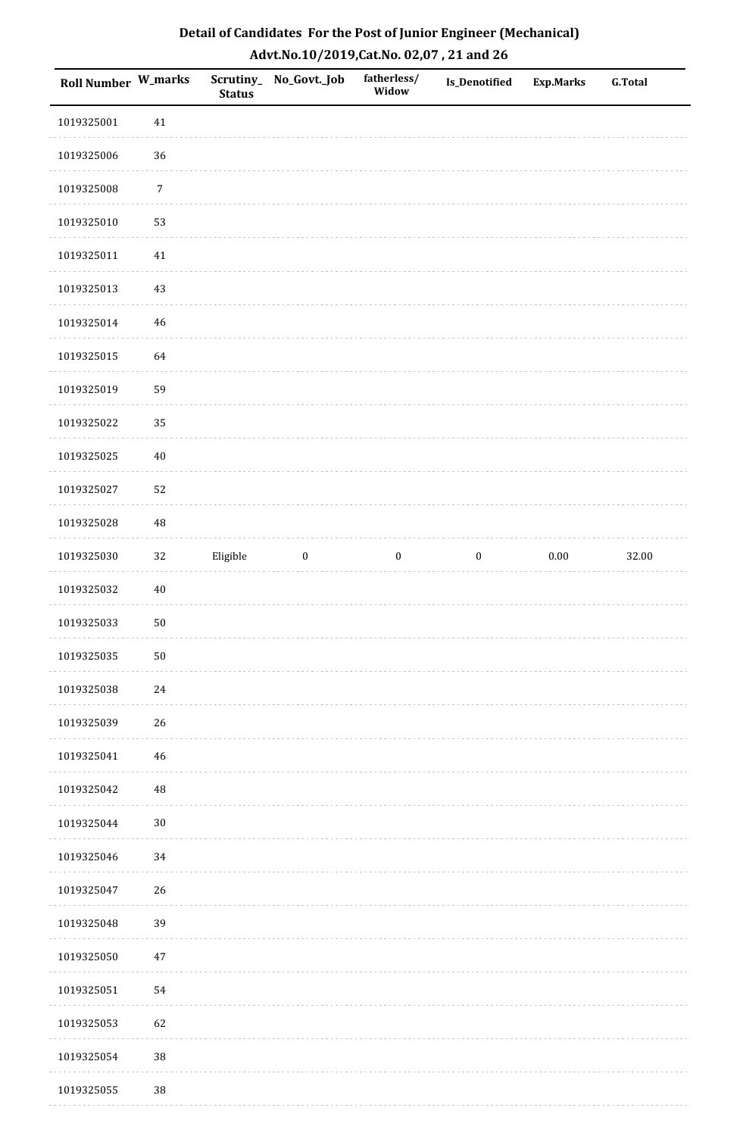| Detail of Candidates For the Post of Junior Engineer (Mechanical) |
|-------------------------------------------------------------------|
| Advt.No.10/2019, Cat.No. 02,07, 21 and 26                         |

| Roll Number W_marks |            | <b>Status</b> | Scrutiny_ No_Govt._Job | fatherless/<br>Widow | Is_Denotified    | <b>Exp.Marks</b> | <b>G.Total</b> |
|---------------------|------------|---------------|------------------------|----------------------|------------------|------------------|----------------|
| 1019325001          | $41\,$     |               |                        |                      |                  |                  |                |
| 1019325006          | $36\,$     |               |                        |                      |                  |                  |                |
| 1019325008          | $\sqrt{7}$ |               |                        |                      |                  |                  |                |
| 1019325010          | 53         |               |                        |                      |                  |                  |                |
| 1019325011          | 41         |               |                        |                      |                  |                  |                |
| 1019325013          | 43         |               |                        |                      |                  |                  |                |
| 1019325014          | 46         |               |                        |                      |                  |                  |                |
| 1019325015          | 64         |               |                        |                      |                  |                  |                |
| 1019325019          | 59         |               |                        |                      |                  |                  |                |
| 1019325022          | 35         |               |                        |                      |                  |                  |                |
| 1019325025          | $40\,$     |               |                        |                      |                  |                  |                |
| 1019325027          | 52         |               |                        |                      |                  |                  |                |
| 1019325028          | 48         |               |                        |                      |                  |                  |                |
| 1019325030          | $32\,$     | Eligible      | $\boldsymbol{0}$       | $\boldsymbol{0}$     | $\boldsymbol{0}$ | $0.00\,$         | 32.00          |
| 1019325032          | $40\,$     |               |                        |                      |                  |                  |                |
| 1019325033          | 50         |               |                        |                      |                  |                  |                |
| 1019325035          | ${\bf 50}$ |               |                        |                      |                  |                  |                |
| 1019325038          | 24         |               |                        |                      |                  |                  |                |
| 1019325039          | $26\,$     |               |                        |                      |                  |                  |                |
| 1019325041          | 46         |               |                        |                      |                  |                  |                |
| 1019325042          | 48         |               |                        |                      |                  |                  |                |
| 1019325044          | $30\,$     |               |                        |                      |                  |                  |                |
| 1019325046          | 34         |               |                        |                      |                  |                  |                |
| 1019325047          | 26         |               |                        |                      |                  |                  |                |
| 1019325048          | 39         |               |                        |                      |                  |                  |                |
| 1019325050          | 47         |               |                        |                      |                  |                  |                |
| 1019325051          | 54         |               |                        |                      |                  |                  |                |
| 1019325053          | 62         |               |                        |                      |                  |                  |                |
| 1019325054          | $38\,$     |               |                        |                      |                  |                  |                |
| 1019325055          | $38\,$     |               |                        |                      |                  |                  |                |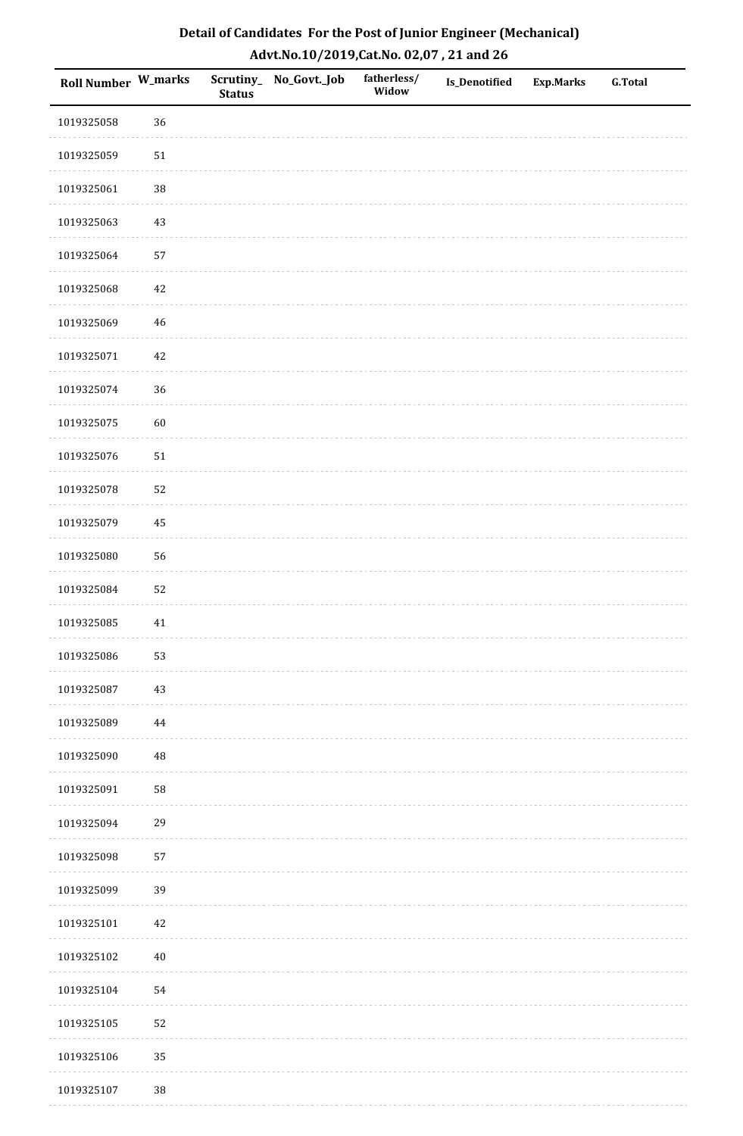| Roll Number W_marks |             | <b>Status</b> | Scrutiny_No_Govt._Job | fatherless/<br>Widow | Is_Denotified | <b>Exp.Marks</b> | <b>G.Total</b> |
|---------------------|-------------|---------------|-----------------------|----------------------|---------------|------------------|----------------|
| 1019325058          | 36          |               |                       |                      |               |                  |                |
| 1019325059          | $51\,$      |               |                       |                      |               |                  |                |
| 1019325061          | 38          |               |                       |                      |               |                  |                |
| 1019325063          | 43          |               |                       |                      |               |                  |                |
| 1019325064          | 57          |               |                       |                      |               |                  |                |
| 1019325068          | 42          |               |                       |                      |               |                  |                |
| 1019325069          | $46\,$      |               |                       |                      |               |                  |                |
| 1019325071          | $42\,$      |               |                       |                      |               |                  |                |
| 1019325074          | 36          |               |                       |                      |               |                  |                |
| 1019325075          | 60          |               |                       |                      |               |                  |                |
| 1019325076          | $51\,$      |               |                       |                      |               |                  |                |
| 1019325078          | 52          |               |                       |                      |               |                  |                |
| 1019325079          | 45          |               |                       |                      |               |                  |                |
| 1019325080          | 56          |               |                       |                      |               |                  |                |
| 1019325084          | 52          |               |                       |                      |               |                  |                |
| 1019325085          | $41\,$      |               |                       |                      |               |                  |                |
| 1019325086          | 53          |               |                       |                      |               |                  |                |
| 1019325087          | 43          |               |                       |                      |               |                  |                |
| 1019325089          | 44          |               |                       |                      |               |                  |                |
| 1019325090          | $\sqrt{48}$ |               |                       |                      |               |                  |                |
| 1019325091          | 58          |               |                       |                      |               |                  |                |
| 1019325094          | 29          |               |                       |                      |               |                  |                |
| 1019325098          | 57          |               |                       |                      |               |                  |                |
| 1019325099          | 39          |               |                       |                      |               |                  |                |
| 1019325101          | $42\,$      |               |                       |                      |               |                  |                |
| 1019325102          | $40\,$      |               |                       |                      |               |                  |                |
| 1019325104          | 54          |               |                       |                      |               |                  |                |
| 1019325105          | 52          |               |                       |                      |               |                  |                |
| 1019325106          | 35          |               |                       |                      |               |                  |                |
| 1019325107          | 38          |               |                       |                      |               |                  |                |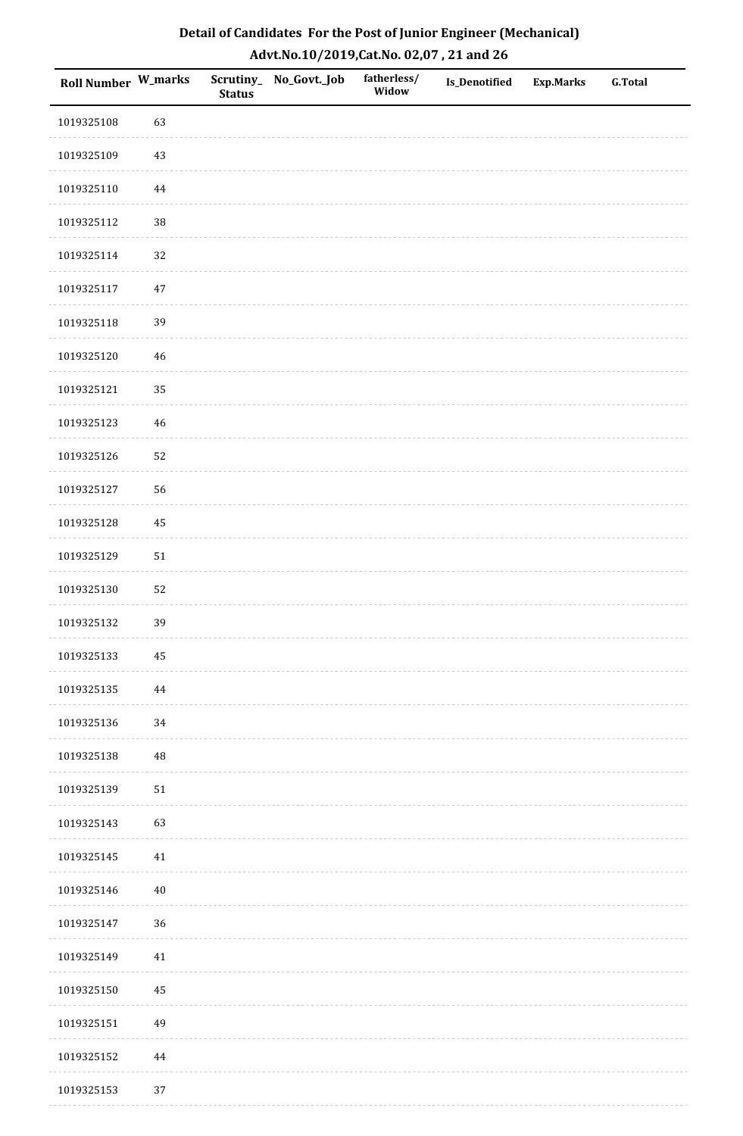| Roll Number W_marks |             | <b>Status</b> | Scrutiny_No_Govt._Job | fatherless/<br>Widow | Is_Denotified | <b>Exp.Marks</b> | <b>G.Total</b> |
|---------------------|-------------|---------------|-----------------------|----------------------|---------------|------------------|----------------|
| 1019325108          | 63          |               |                       |                      |               |                  |                |
| 1019325109          | $43\,$      |               |                       |                      |               |                  |                |
| 1019325110          | 44          |               |                       |                      |               |                  |                |
| 1019325112          | 38          |               |                       |                      |               |                  |                |
| 1019325114          | 32          |               |                       |                      |               |                  |                |
| 1019325117          | 47          |               |                       |                      |               |                  |                |
| 1019325118          | 39          |               |                       |                      |               |                  |                |
| 1019325120          | 46          |               |                       |                      |               |                  |                |
| 1019325121          | 35          |               |                       |                      |               |                  |                |
| 1019325123          | $46\,$      |               |                       |                      |               |                  |                |
| 1019325126          | 52          |               |                       |                      |               |                  |                |
| 1019325127          | 56          |               |                       |                      |               |                  |                |
| 1019325128          | 45          |               |                       |                      |               |                  |                |
| 1019325129          | $51\,$      |               |                       |                      |               |                  |                |
| 1019325130          | 52          |               |                       |                      |               |                  |                |
| 1019325132          | 39          |               |                       |                      |               |                  |                |
| 1019325133          | $\bf 45$    |               |                       |                      |               |                  |                |
| 1019325135          | 44          |               |                       |                      |               |                  |                |
| 1019325136          | 34          |               |                       |                      |               |                  |                |
| 1019325138          | $\sqrt{48}$ |               |                       |                      |               |                  |                |
| 1019325139          | $51\,$      |               |                       |                      |               |                  |                |
| 1019325143          | 63          |               |                       |                      |               |                  |                |
| 1019325145          | $41\,$      |               |                       |                      |               |                  |                |
| 1019325146          | $40\,$      |               |                       |                      |               |                  |                |
| 1019325147          | 36          |               |                       |                      |               |                  |                |
| 1019325149          | $41\,$      |               |                       |                      |               |                  |                |
| 1019325150          | 45          |               |                       |                      |               |                  |                |
| 1019325151          | 49          |               |                       |                      |               |                  |                |
| 1019325152          | 44          |               |                       |                      |               |                  |                |
| 1019325153          | 37          |               |                       |                      |               |                  |                |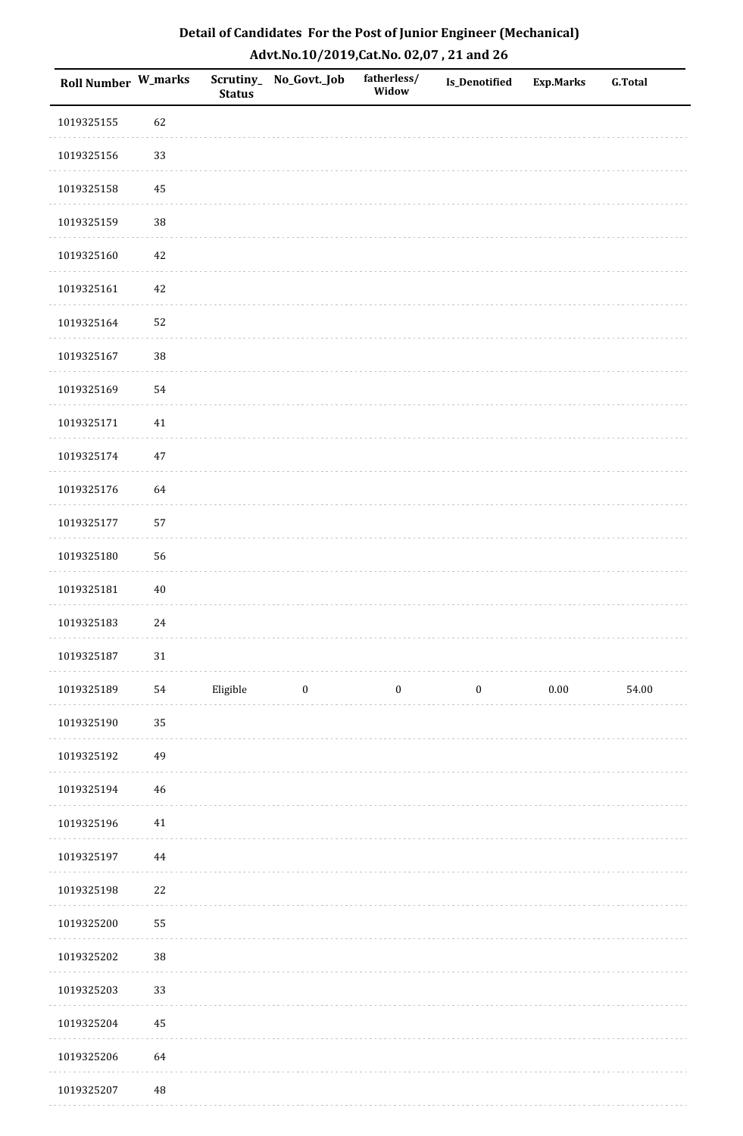| Roll Number W_marks |          | <b>Status</b> | Scrutiny_No_Govt._Job | fatherless/<br>Widow | Is_Denotified    | <b>Exp.Marks</b> | <b>G.Total</b> |
|---------------------|----------|---------------|-----------------------|----------------------|------------------|------------------|----------------|
| 1019325155          | 62       |               |                       |                      |                  |                  |                |
| 1019325156          | 33       |               |                       |                      |                  |                  |                |
| 1019325158          | 45       |               |                       |                      |                  |                  |                |
| 1019325159          | 38       |               |                       |                      |                  |                  |                |
| 1019325160          | $42\,$   |               |                       |                      |                  |                  |                |
| 1019325161          | $42\,$   |               |                       |                      |                  |                  |                |
| 1019325164          | 52       |               |                       |                      |                  |                  |                |
| 1019325167          | 38       |               |                       |                      |                  |                  |                |
| 1019325169          | 54       |               |                       |                      |                  |                  |                |
| 1019325171          | $41\,$   |               |                       |                      |                  |                  |                |
| 1019325174          | $47\,$   |               |                       |                      |                  |                  |                |
| 1019325176          | 64       |               |                       |                      |                  |                  |                |
| 1019325177          | 57       |               |                       |                      |                  |                  |                |
| 1019325180          | 56       |               |                       |                      |                  |                  |                |
| 1019325181          | $40\,$   |               |                       |                      |                  |                  |                |
| 1019325183          | $24\,$   |               |                       |                      |                  |                  |                |
| 1019325187          | $31\,$   |               |                       |                      |                  |                  |                |
| 1019325189          | 54       | Eligible      | $\bf{0}$              | $\boldsymbol{0}$     | $\boldsymbol{0}$ | $0.00\,$         | 54.00          |
| 1019325190          | 35       |               |                       |                      |                  |                  |                |
| 1019325192          | 49       |               |                       |                      |                  |                  |                |
| 1019325194          | 46       |               |                       |                      |                  |                  |                |
| 1019325196          | 41       |               |                       |                      |                  |                  |                |
| 1019325197          | $\bf 44$ |               |                       |                      |                  |                  |                |
| 1019325198          | 22       |               |                       |                      |                  |                  |                |
| 1019325200          | 55       |               |                       |                      |                  |                  |                |
| 1019325202          | $38\,$   |               |                       |                      |                  |                  |                |
| 1019325203          | 33       |               |                       |                      |                  |                  |                |
| 1019325204          | 45       |               |                       |                      |                  |                  |                |
| 1019325206          | 64       |               |                       |                      |                  |                  |                |
| 1019325207          | 48       |               |                       |                      |                  |                  |                |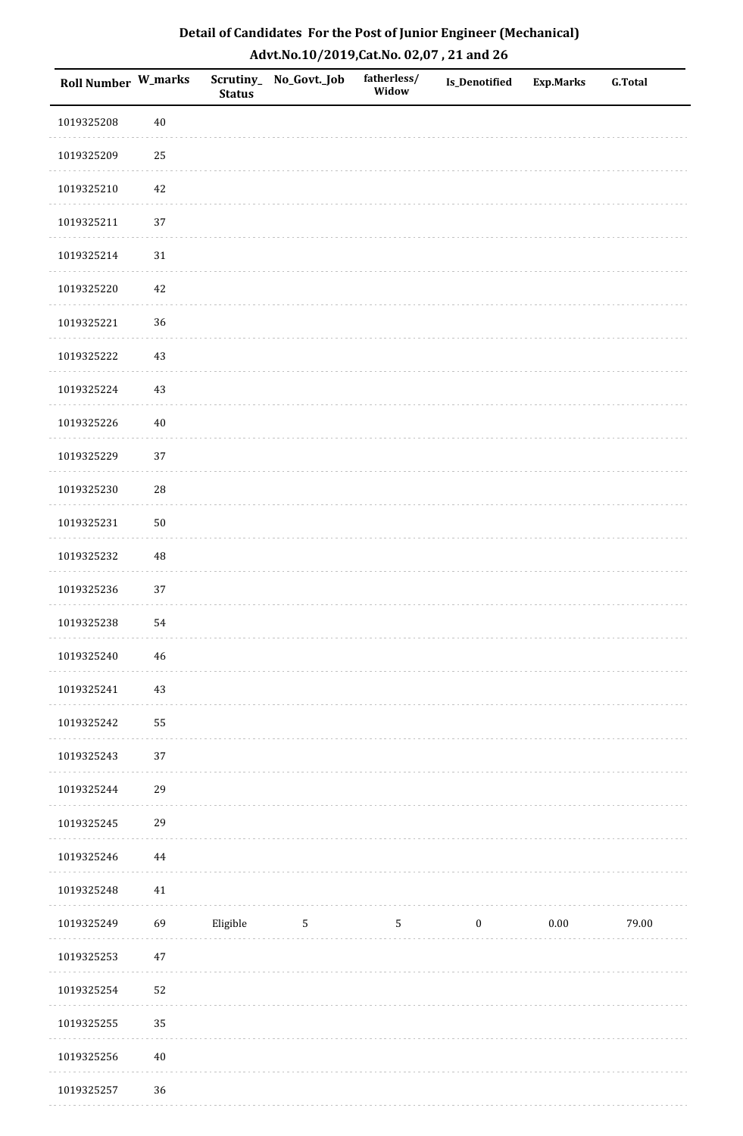| Detail of Candidates For the Post of Junior Engineer (Mechanical) |
|-------------------------------------------------------------------|
| Advt.No.10/2019,Cat.No. 02,07, 21 and 26                          |

| Roll Number W_marks |            | <b>Status</b> | Scrutiny_ No_Govt._Job | fatherless/<br>Widow | Is_Denotified    | <b>Exp.Marks</b> | <b>G.Total</b> |
|---------------------|------------|---------------|------------------------|----------------------|------------------|------------------|----------------|
| 1019325208          | $40\,$     |               |                        |                      |                  |                  |                |
| 1019325209          | 25         |               |                        |                      |                  |                  |                |
| 1019325210          | $42\,$     |               |                        |                      |                  |                  |                |
| 1019325211          | 37         |               |                        |                      |                  |                  |                |
| 1019325214          | $31\,$     |               |                        |                      |                  |                  |                |
| 1019325220          | $42\,$     |               |                        |                      |                  |                  |                |
| 1019325221          | 36         |               |                        |                      |                  |                  |                |
| 1019325222          | $43\,$     |               |                        |                      |                  |                  |                |
| 1019325224          | 43         |               |                        |                      |                  |                  |                |
| 1019325226          | $40\,$     |               |                        |                      |                  |                  |                |
| 1019325229          | 37         |               |                        |                      |                  |                  |                |
| 1019325230          | ${\bf 28}$ |               |                        |                      |                  |                  |                |
| 1019325231          | $50\,$     |               |                        |                      |                  |                  |                |
| 1019325232          | $\rm 48$   |               |                        |                      |                  |                  |                |
| 1019325236          | 37         |               |                        |                      |                  |                  |                |
| 1019325238          | 54         |               |                        |                      |                  |                  |                |
| 1019325240          | 46         |               |                        |                      |                  |                  |                |
| 1019325241          | $43\,$     |               |                        |                      |                  |                  |                |
| 1019325242          | 55         |               |                        |                      |                  |                  |                |
| 1019325243          | 37         |               |                        |                      |                  |                  |                |
| 1019325244          | 29         |               |                        |                      |                  |                  |                |
| 1019325245          | 29         |               |                        |                      |                  |                  |                |
| 1019325246          | $\bf 44$   |               |                        |                      |                  |                  |                |
| 1019325248          | $41\,$     |               |                        |                      |                  |                  |                |
| 1019325249          | 69         | Eligible      | $5\phantom{.0}$        | $5\phantom{.0}$      | $\boldsymbol{0}$ | $0.00\,$         | 79.00          |
| 1019325253          | $47\,$     |               |                        |                      |                  |                  |                |
| 1019325254          | 52         |               |                        |                      |                  |                  |                |
| 1019325255          | 35         |               |                        |                      |                  |                  |                |
| 1019325256          | $40\,$     |               |                        |                      |                  |                  |                |
| 1019325257          | 36         |               |                        |                      |                  |                  |                |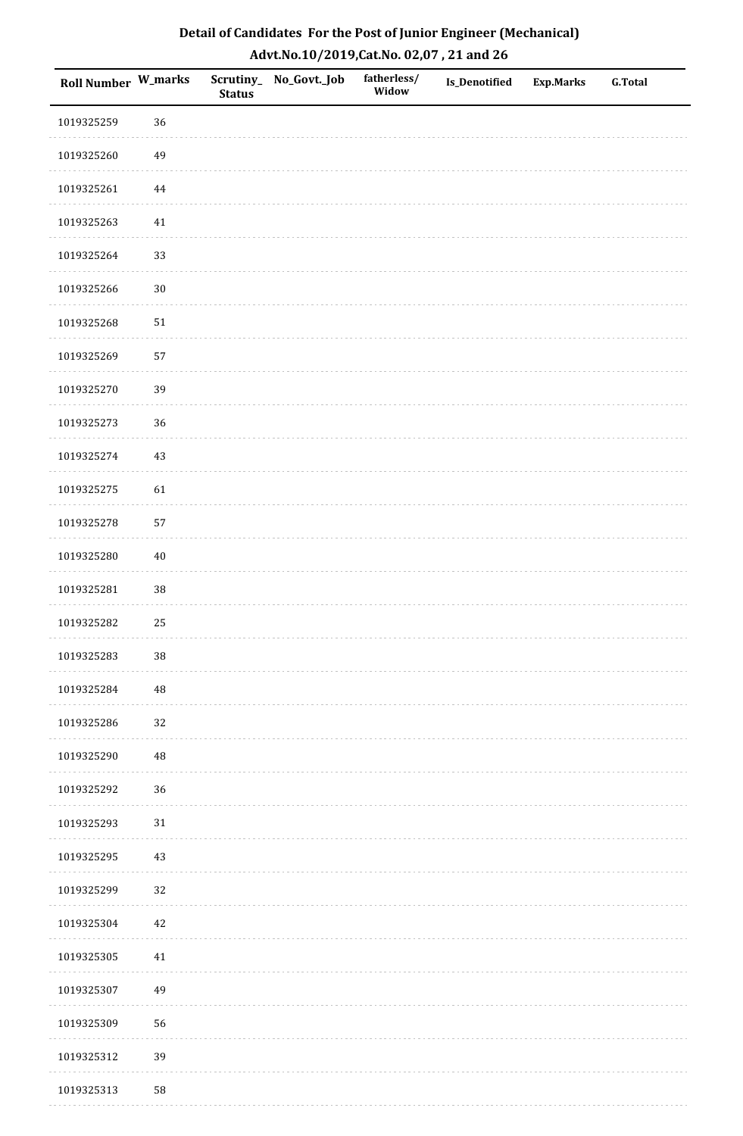| Roll Number W_marks |          | <b>Status</b> | Scrutiny_No_Govt._Job | fatherless/<br>Widow | Is_Denotified | <b>Exp.Marks</b> | <b>G.Total</b> |
|---------------------|----------|---------------|-----------------------|----------------------|---------------|------------------|----------------|
| 1019325259          | 36       |               |                       |                      |               |                  |                |
| 1019325260          | 49       |               |                       |                      |               |                  |                |
| 1019325261          | $\bf 44$ |               |                       |                      |               |                  |                |
| 1019325263          | $41\,$   |               |                       |                      |               |                  |                |
| 1019325264          | 33       |               |                       |                      |               |                  |                |
| 1019325266          | $30\,$   |               |                       |                      |               |                  |                |
| 1019325268          | $51\,$   |               |                       |                      |               |                  |                |
| 1019325269          | 57       |               |                       |                      |               |                  |                |
| 1019325270          | 39       |               |                       |                      |               |                  |                |
| 1019325273          | 36       |               |                       |                      |               |                  |                |
| 1019325274          | 43       |               |                       |                      |               |                  |                |
| 1019325275          | 61       |               |                       |                      |               |                  |                |
| 1019325278          | 57       |               |                       |                      |               |                  |                |
| 1019325280          | $40\,$   |               |                       |                      |               |                  |                |
| 1019325281          | $38\,$   |               |                       |                      |               |                  |                |
| 1019325282          | 25       |               |                       |                      |               |                  |                |
| 1019325283          | $38\,$   |               |                       |                      |               |                  |                |
| 1019325284          | 48       |               |                       |                      |               |                  |                |
| 1019325286          | 32       |               |                       |                      |               |                  |                |
| 1019325290          | 48       |               |                       |                      |               |                  |                |
| 1019325292          | 36       |               |                       |                      |               |                  |                |
| 1019325293          | $31\,$   |               |                       |                      |               |                  |                |
| 1019325295          | 43       |               |                       |                      |               |                  |                |
| 1019325299          | 32       |               |                       |                      |               |                  |                |
| 1019325304          | 42       |               |                       |                      |               |                  |                |
| 1019325305          | $41\,$   |               |                       |                      |               |                  |                |
| 1019325307          | 49       |               |                       |                      |               |                  |                |
| 1019325309          | 56       |               |                       |                      |               |                  |                |
| 1019325312          | 39       |               |                       |                      |               |                  |                |
| 1019325313          | 58       |               |                       |                      |               |                  |                |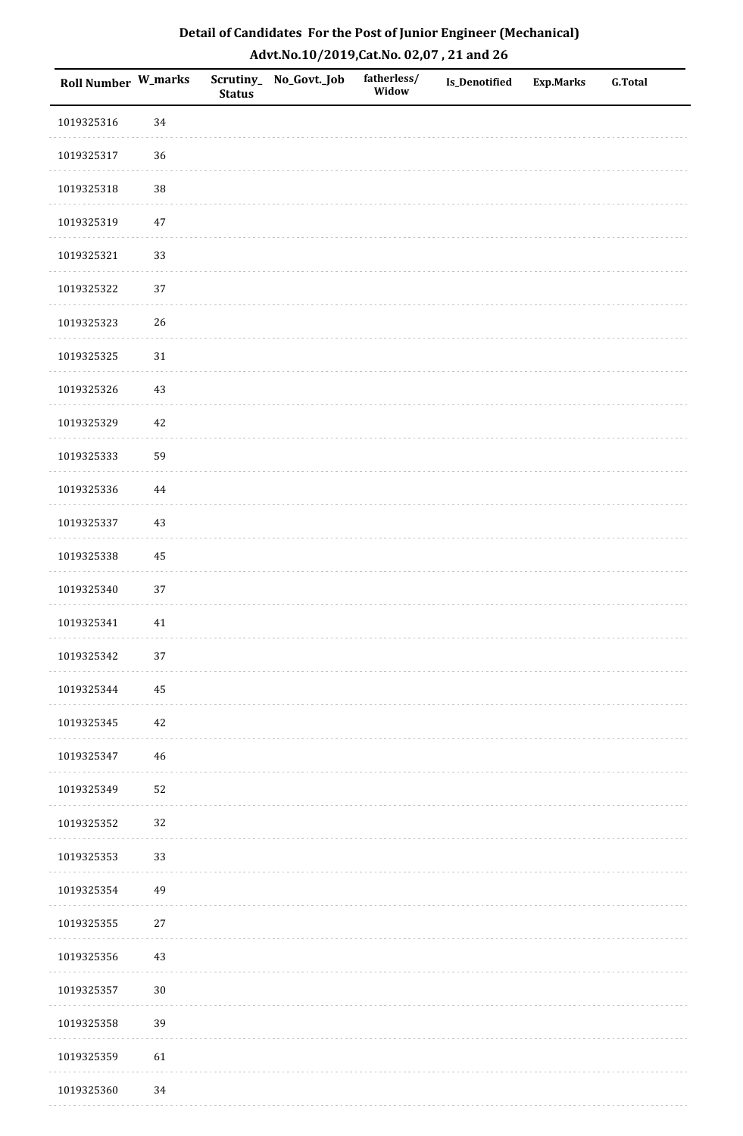| Roll Number W_marks |        | <b>Status</b> | Scrutiny_No_Govt._Job | fatherless/<br>Widow | Is_Denotified | <b>Exp.Marks</b> | <b>G.Total</b> |
|---------------------|--------|---------------|-----------------------|----------------------|---------------|------------------|----------------|
| 1019325316          | 34     |               |                       |                      |               |                  |                |
| 1019325317          | 36     |               |                       |                      |               |                  |                |
| 1019325318          | 38     |               |                       |                      |               |                  |                |
| 1019325319          | 47     |               |                       |                      |               |                  |                |
| 1019325321          | 33     |               |                       |                      |               |                  |                |
| 1019325322          | 37     |               |                       |                      |               |                  |                |
| 1019325323          | 26     |               |                       |                      |               |                  |                |
| 1019325325          | $31\,$ |               |                       |                      |               |                  |                |
| 1019325326          | 43     |               |                       |                      |               |                  |                |
| 1019325329          | $42\,$ |               |                       |                      |               |                  |                |
| 1019325333          | 59     |               |                       |                      |               |                  |                |
| 1019325336          | 44     |               |                       |                      |               |                  |                |
| 1019325337          | $43\,$ |               |                       |                      |               |                  |                |
| 1019325338          | 45     |               |                       |                      |               |                  |                |
| 1019325340          | 37     |               |                       |                      |               |                  |                |
| 1019325341          | $41\,$ |               |                       |                      |               |                  |                |
| 1019325342          | $37\,$ |               |                       |                      |               |                  |                |
| 1019325344          | 45     |               |                       |                      |               |                  |                |
| 1019325345          | $42\,$ |               |                       |                      |               |                  |                |
| 1019325347          | $46\,$ |               |                       |                      |               |                  |                |
| 1019325349          | 52     |               |                       |                      |               |                  |                |
| 1019325352          | 32     |               |                       |                      |               |                  |                |
| 1019325353          | 33     |               |                       |                      |               |                  |                |
| 1019325354          | 49     |               |                       |                      |               |                  |                |
| 1019325355          | $27\,$ |               |                       |                      |               |                  |                |
| 1019325356          | $43\,$ |               |                       |                      |               |                  |                |
| 1019325357          | $30\,$ |               |                       |                      |               |                  |                |
| 1019325358          | 39     |               |                       |                      |               |                  |                |
| 1019325359          | 61     |               |                       |                      |               |                  |                |
| 1019325360          | 34     |               |                       |                      |               |                  |                |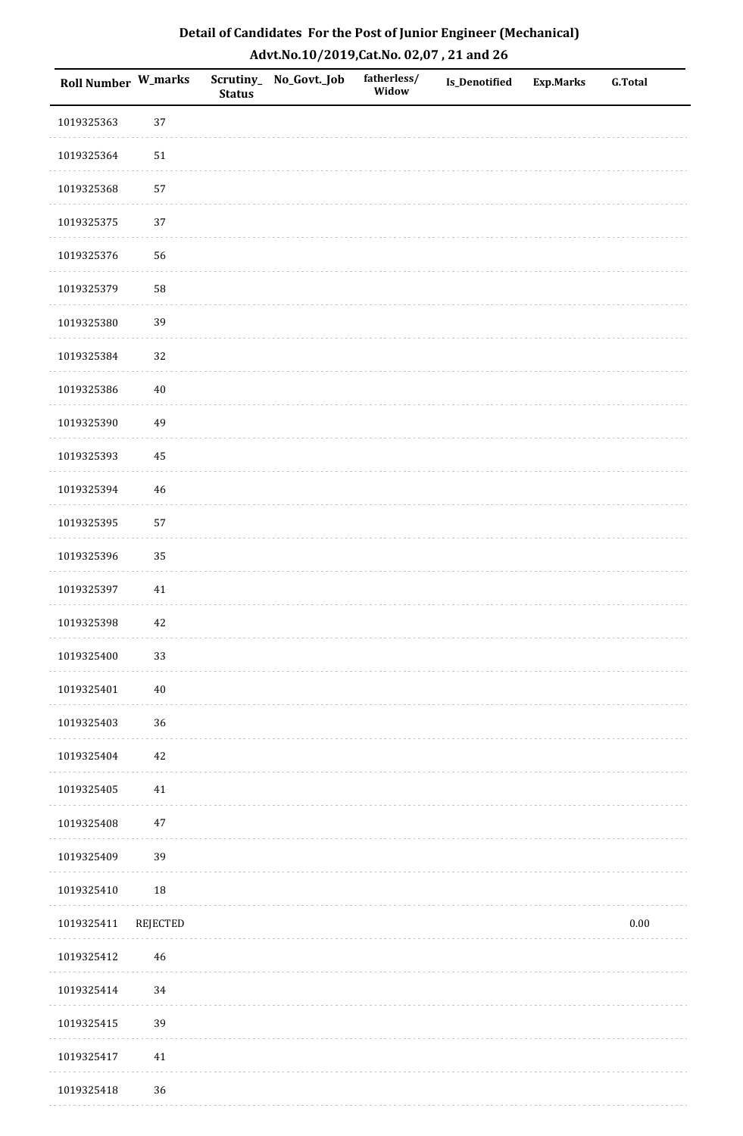| Detail of Candidates For the Post of Junior Engineer (Mechanical) |
|-------------------------------------------------------------------|
| Advt.No.10/2019,Cat.No. 02,07, 21 and 26                          |

| Roll Number W_marks |             | <b>Status</b> | Scrutiny_ No_Govt._Job | fatherless/<br>Widow | Is_Denotified | <b>Exp.Marks</b> | <b>G.Total</b> |
|---------------------|-------------|---------------|------------------------|----------------------|---------------|------------------|----------------|
| 1019325363          | 37          |               |                        |                      |               |                  |                |
| 1019325364          | $51\,$      |               |                        |                      |               |                  |                |
| 1019325368          | 57          |               |                        |                      |               |                  |                |
| 1019325375          | 37          |               |                        |                      |               |                  |                |
| 1019325376          | 56          |               |                        |                      |               |                  |                |
| 1019325379          | 58          |               |                        |                      |               |                  |                |
| 1019325380          | 39          |               |                        |                      |               |                  |                |
| 1019325384          | 32          |               |                        |                      |               |                  |                |
| 1019325386          | $40\,$      |               |                        |                      |               |                  |                |
| 1019325390          | 49          |               |                        |                      |               |                  |                |
| 1019325393          | 45          |               |                        |                      |               |                  |                |
| 1019325394          | $\sqrt{46}$ |               |                        |                      |               |                  |                |
| 1019325395          | 57          |               |                        |                      |               |                  |                |
| 1019325396          | 35          |               |                        |                      |               |                  |                |
| 1019325397          | 41          |               |                        |                      |               |                  |                |
| 1019325398          | $42\,$      |               |                        |                      |               |                  |                |
| 1019325400          | 33          |               |                        |                      |               |                  |                |
| 1019325401          | $40\,$      |               |                        |                      |               |                  |                |
| 1019325403          | 36          |               |                        |                      |               |                  |                |
| 1019325404          | $42\,$      |               |                        |                      |               |                  |                |
| 1019325405          | 41          |               |                        |                      |               |                  |                |
| 1019325408          | $47\,$      |               |                        |                      |               |                  |                |
| 1019325409          | 39          |               |                        |                      |               |                  |                |
| 1019325410          | 18          |               |                        |                      |               |                  |                |
| 1019325411          | REJECTED    |               |                        |                      |               |                  | $0.00\,$       |
| 1019325412          | $\sqrt{46}$ |               |                        |                      |               |                  |                |
| 1019325414          | 34          |               |                        |                      |               |                  |                |
| 1019325415          | 39          |               |                        |                      |               |                  |                |
| 1019325417          | 41          |               |                        |                      |               |                  |                |
| 1019325418          | 36          |               |                        |                      |               |                  |                |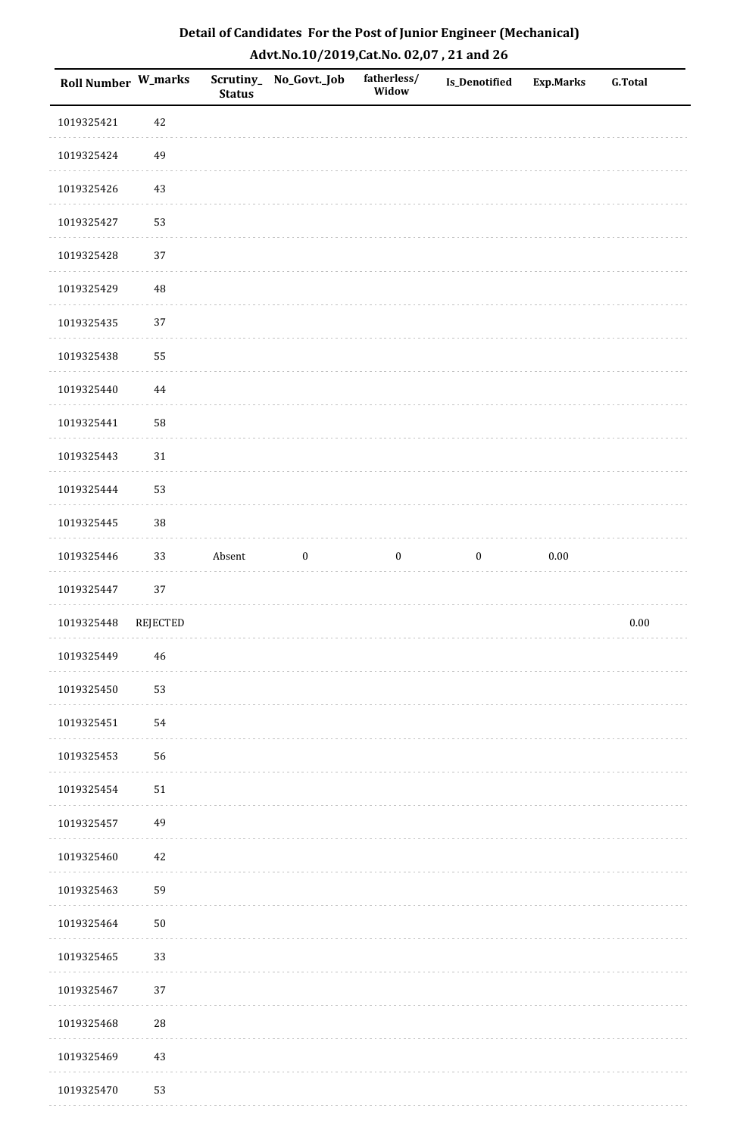| Detail of Candidates For the Post of Junior Engineer (Mechanical) |
|-------------------------------------------------------------------|
| Advt.No.10/2019,Cat.No. 02,07, 21 and 26                          |

| Roll Number W_marks |             | <b>Status</b> | Scrutiny_ No_Govt._Job | fatherless/<br>Widow | Is_Denotified    | Exp.Marks | <b>G.Total</b> |
|---------------------|-------------|---------------|------------------------|----------------------|------------------|-----------|----------------|
| 1019325421          | 42          |               |                        |                      |                  |           |                |
| 1019325424          | 49          |               |                        |                      |                  |           |                |
| 1019325426          | 43          |               |                        |                      |                  |           |                |
| 1019325427          | 53          |               |                        |                      |                  |           |                |
| 1019325428          | 37          |               |                        |                      |                  |           |                |
| 1019325429          | $\rm 48$    |               |                        |                      |                  |           |                |
| 1019325435          | 37          |               |                        |                      |                  |           |                |
| 1019325438          | 55          |               |                        |                      |                  |           |                |
| 1019325440          | $\bf 44$    |               |                        |                      |                  |           |                |
| 1019325441          | 58          |               |                        |                      |                  |           |                |
| 1019325443          | $31\,$      |               |                        |                      |                  |           |                |
| 1019325444          | 53          |               |                        |                      |                  |           |                |
| 1019325445          | 38          |               |                        |                      |                  |           |                |
| 1019325446          | 33          | Absent        | $\boldsymbol{0}$       | $\boldsymbol{0}$     | $\boldsymbol{0}$ | $0.00\,$  |                |
| 1019325447          | 37          |               |                        |                      |                  |           |                |
| 1019325448          | REJECTED    |               |                        |                      |                  |           | $0.00\,$       |
| 1019325449          | $\sqrt{46}$ |               |                        |                      |                  |           |                |
| 1019325450          | 53          |               |                        |                      |                  |           |                |
| 1019325451          | 54          |               |                        |                      |                  |           |                |
| 1019325453          | 56          |               |                        |                      |                  |           |                |
| 1019325454          | $51\,$      |               |                        |                      |                  |           |                |
| 1019325457          | 49          |               |                        |                      |                  |           |                |
| 1019325460          | $42\,$      |               |                        |                      |                  |           |                |
| 1019325463          | 59          |               |                        |                      |                  |           |                |
| 1019325464          | $50\,$      |               |                        |                      |                  |           |                |
| 1019325465          | 33          |               |                        |                      |                  |           |                |
| 1019325467          | 37          |               |                        |                      |                  |           |                |
| 1019325468          | ${\bf 28}$  |               |                        |                      |                  |           |                |
| 1019325469          | 43          |               |                        |                      |                  |           |                |
| 1019325470          | 53          |               |                        |                      |                  |           |                |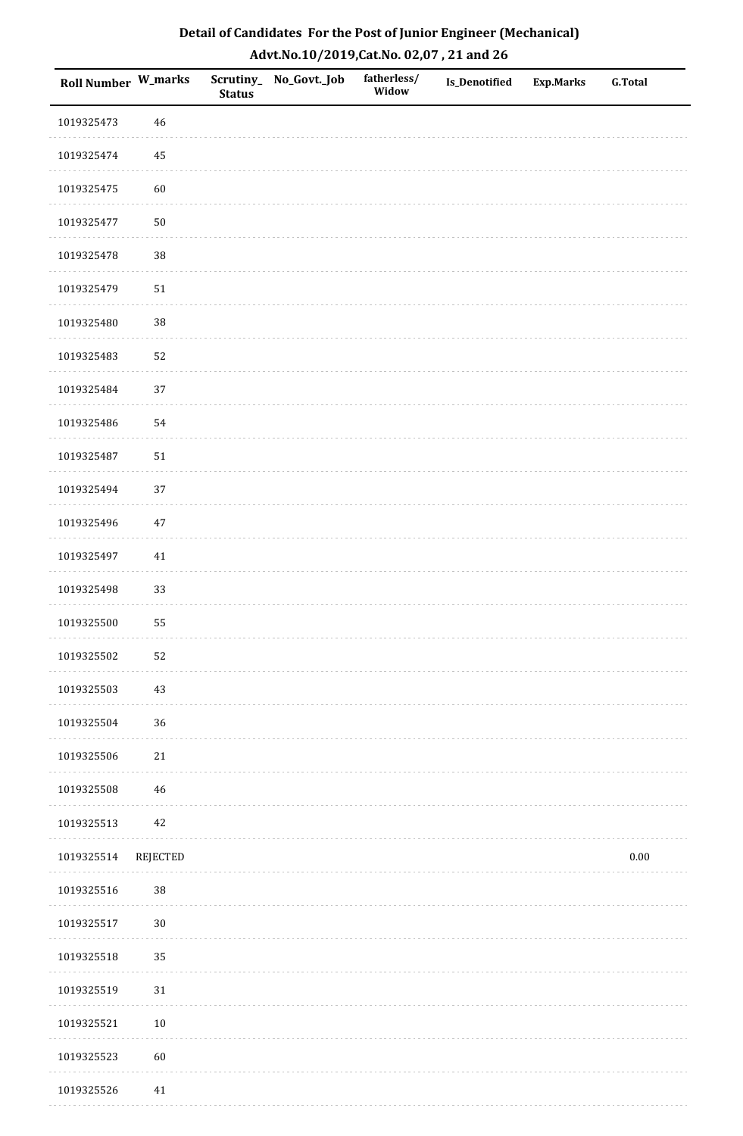| Roll Number W_marks |            | <b>Status</b> | Scrutiny_ No_Govt._Job | fatherless/<br>Widow | Is_Denotified | <b>Exp.Marks</b> | <b>G.Total</b> |
|---------------------|------------|---------------|------------------------|----------------------|---------------|------------------|----------------|
| 1019325473          | 46         |               |                        |                      |               |                  |                |
| 1019325474          | 45         |               |                        |                      |               |                  |                |
| 1019325475          | 60         |               |                        |                      |               |                  |                |
| 1019325477          | ${\bf 50}$ |               |                        |                      |               |                  |                |
| 1019325478          | $38\,$     |               |                        |                      |               |                  |                |
| 1019325479          | 51         |               |                        |                      |               |                  |                |
| 1019325480          | $38\,$     |               |                        |                      |               |                  |                |
| 1019325483          | 52         |               |                        |                      |               |                  |                |
| 1019325484          | 37         |               |                        |                      |               |                  |                |
| 1019325486          | 54         |               |                        |                      |               |                  |                |
| 1019325487          | 51         |               |                        |                      |               |                  |                |
| 1019325494          | 37         |               |                        |                      |               |                  |                |
| 1019325496          | $47\,$     |               |                        |                      |               |                  |                |
| 1019325497          | $41\,$     |               |                        |                      |               |                  |                |
| 1019325498          | 33         |               |                        |                      |               |                  |                |
| 1019325500          | 55         |               |                        |                      |               |                  |                |
| 1019325502          | 52         |               |                        |                      |               |                  |                |
| 1019325503          | 43         |               |                        |                      |               |                  |                |
| 1019325504          | 36         |               |                        |                      |               |                  |                |
| 1019325506          | $21\,$     |               |                        |                      |               |                  |                |
| 1019325508          | 46         |               |                        |                      |               |                  |                |
| 1019325513          | 42         |               |                        |                      |               |                  |                |
| 1019325514          | REJECTED   |               |                        |                      |               |                  | $0.00\,$       |
| 1019325516          | $38\,$     |               |                        |                      |               |                  |                |
| 1019325517          | $30\,$     |               |                        |                      |               |                  |                |
| 1019325518          | 35         |               |                        |                      |               |                  |                |
| 1019325519          | 31         |               |                        |                      |               |                  |                |
| 1019325521          | $10\,$     |               |                        |                      |               |                  |                |
| 1019325523          | 60         |               |                        |                      |               |                  |                |
| 1019325526          | $41\,$     |               |                        |                      |               |                  |                |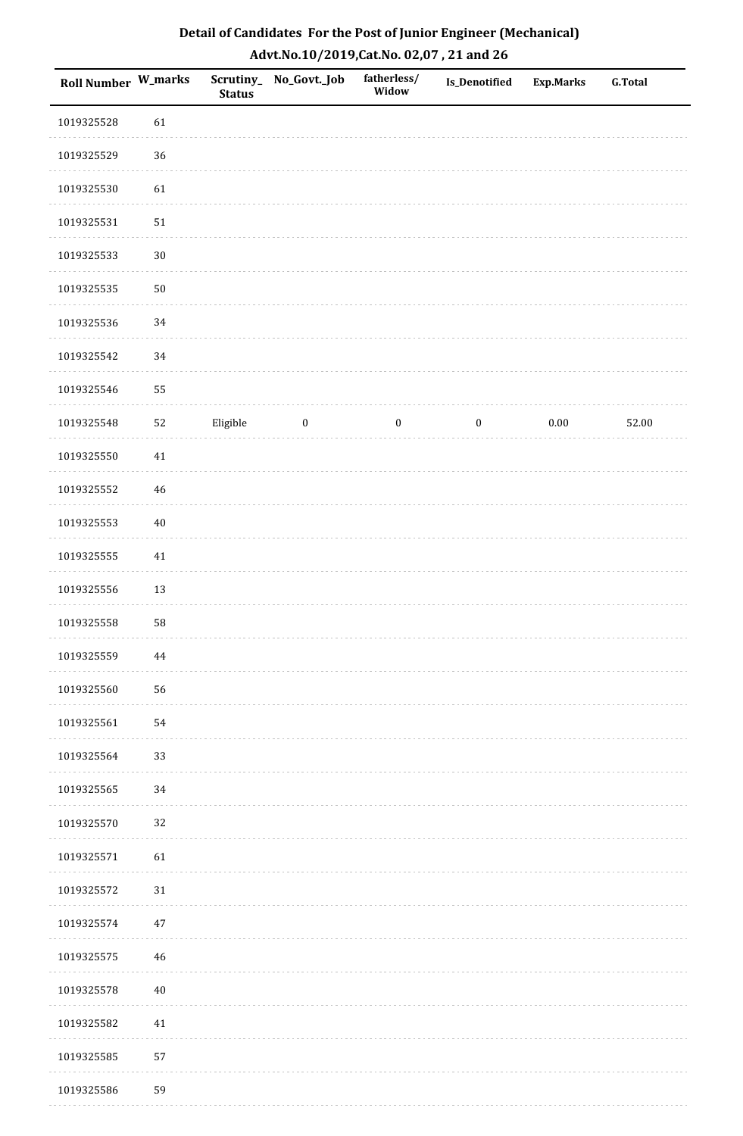| Roll Number W_marks |        | <b>Status</b> | Scrutiny_No_Govt._Job   | fatherless/<br>Widow | Is_Denotified    | <b>Exp.Marks</b> | <b>G.Total</b> |
|---------------------|--------|---------------|-------------------------|----------------------|------------------|------------------|----------------|
| 1019325528          | 61     |               |                         |                      |                  |                  |                |
| 1019325529          | 36     |               |                         |                      |                  |                  |                |
| 1019325530          | 61     |               |                         |                      |                  |                  |                |
| 1019325531          | 51     |               |                         |                      |                  |                  |                |
| 1019325533          | $30\,$ |               |                         |                      |                  |                  |                |
| 1019325535          | $50\,$ |               |                         |                      |                  |                  |                |
| 1019325536          | $34\,$ |               |                         |                      |                  |                  |                |
| 1019325542          | $34\,$ |               |                         |                      |                  |                  |                |
| 1019325546          | 55     |               |                         |                      |                  |                  |                |
| 1019325548          | 52     | Eligible      | $\overline{\mathbf{0}}$ | $\bf{0}$             | $\boldsymbol{0}$ | $0.00\,$         | 52.00          |
| 1019325550          | $41\,$ |               |                         |                      |                  |                  |                |
| 1019325552          | $46\,$ |               |                         |                      |                  |                  |                |
| 1019325553          | $40\,$ |               |                         |                      |                  |                  |                |
| 1019325555          | $41\,$ |               |                         |                      |                  |                  |                |
| 1019325556          | 13     |               |                         |                      |                  |                  |                |
| 1019325558          | 58     |               |                         |                      |                  |                  |                |
| 1019325559          | 44     |               |                         |                      |                  |                  |                |
| 1019325560          | 56     |               |                         |                      |                  |                  |                |
| 1019325561          | 54     |               |                         |                      |                  |                  |                |
| 1019325564          | 33     |               |                         |                      |                  |                  |                |
| 1019325565          | 34     |               |                         |                      |                  |                  |                |
| 1019325570          | 32     |               |                         |                      |                  |                  |                |
| 1019325571          | 61     |               |                         |                      |                  |                  |                |
| 1019325572          | $31\,$ |               |                         |                      |                  |                  |                |
| 1019325574          | $47\,$ |               |                         |                      |                  |                  |                |
| 1019325575          | 46     |               |                         |                      |                  |                  |                |
| 1019325578          | $40\,$ |               |                         |                      |                  |                  |                |
| 1019325582          | 41     |               |                         |                      |                  |                  |                |
| 1019325585          | 57     |               |                         |                      |                  |                  |                |
| 1019325586          | 59     |               |                         |                      |                  |                  |                |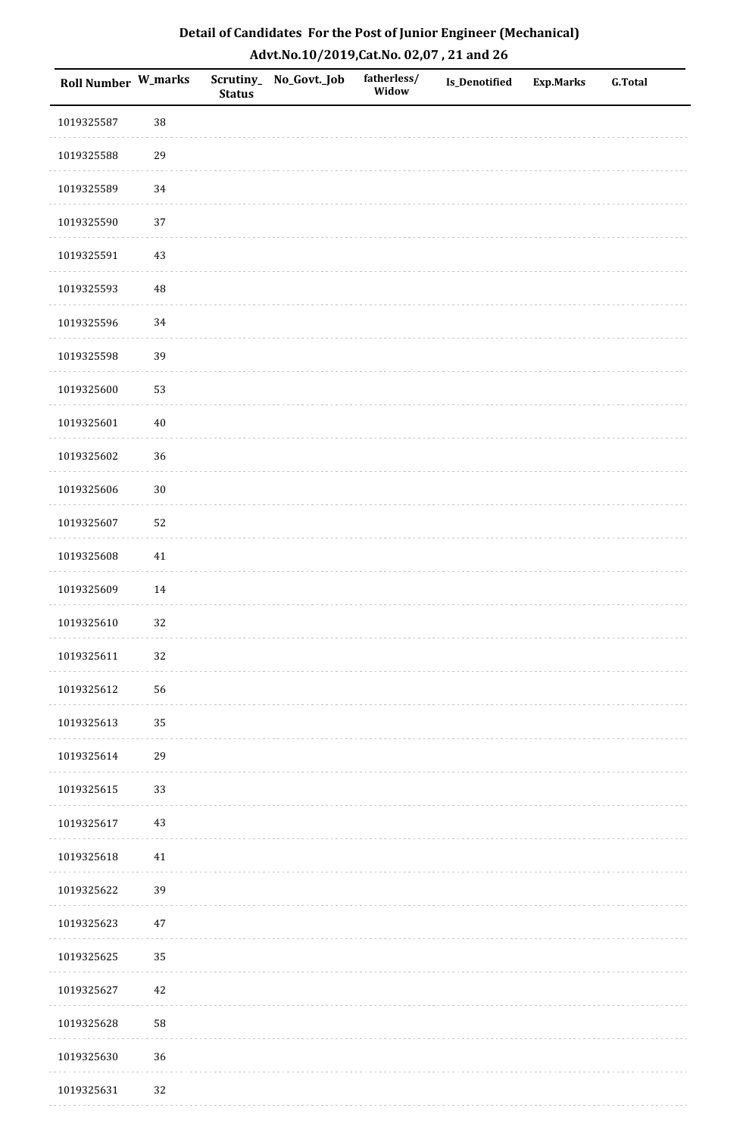| <b>Roll Number W_marks</b> |        | <b>Status</b> | Scrutiny_No_Govt._Job | fatherless/<br>Widow | Is_Denotified | <b>Exp.Marks</b> | <b>G.Total</b> |
|----------------------------|--------|---------------|-----------------------|----------------------|---------------|------------------|----------------|
| 1019325587                 | 38     |               |                       |                      |               |                  |                |
| 1019325588                 | 29     |               |                       |                      |               |                  |                |
| 1019325589                 | 34     |               |                       |                      |               |                  |                |
| 1019325590                 | 37     |               |                       |                      |               |                  |                |
| 1019325591                 | $43\,$ |               |                       |                      |               |                  |                |
| 1019325593                 | 48     |               |                       |                      |               |                  |                |
| 1019325596                 | 34     |               |                       |                      |               |                  |                |
| 1019325598                 | 39     |               |                       |                      |               |                  |                |
| 1019325600                 | 53     |               |                       |                      |               |                  |                |
| 1019325601                 | $40\,$ |               |                       |                      |               |                  |                |
| 1019325602                 | 36     |               |                       |                      |               |                  |                |
| 1019325606                 | $30\,$ |               |                       |                      |               |                  |                |
| 1019325607                 | 52     |               |                       |                      |               |                  |                |
| 1019325608                 | $41\,$ |               |                       |                      |               |                  |                |
| 1019325609                 | 14     |               |                       |                      |               |                  |                |
| 1019325610                 | 32     |               |                       |                      |               |                  |                |
| 1019325611                 | 32     |               |                       |                      |               |                  |                |
| 1019325612                 | 56     |               |                       |                      |               |                  |                |
| 1019325613                 | 35     |               |                       |                      |               |                  |                |
| 1019325614                 | 29     |               |                       |                      |               |                  |                |
| 1019325615                 | 33     |               |                       |                      |               |                  |                |
| 1019325617                 | $43\,$ |               |                       |                      |               |                  |                |
| 1019325618                 | $41\,$ |               |                       |                      |               |                  |                |
| 1019325622                 | 39     |               |                       |                      |               |                  |                |
| 1019325623                 | $47\,$ |               |                       |                      |               |                  |                |
| 1019325625                 | 35     |               |                       |                      |               |                  |                |
| 1019325627                 | $42\,$ |               |                       |                      |               |                  |                |
| 1019325628                 | 58     |               |                       |                      |               |                  |                |
| 1019325630                 | 36     |               |                       |                      |               |                  |                |
| 1019325631                 | 32     |               |                       |                      |               |                  |                |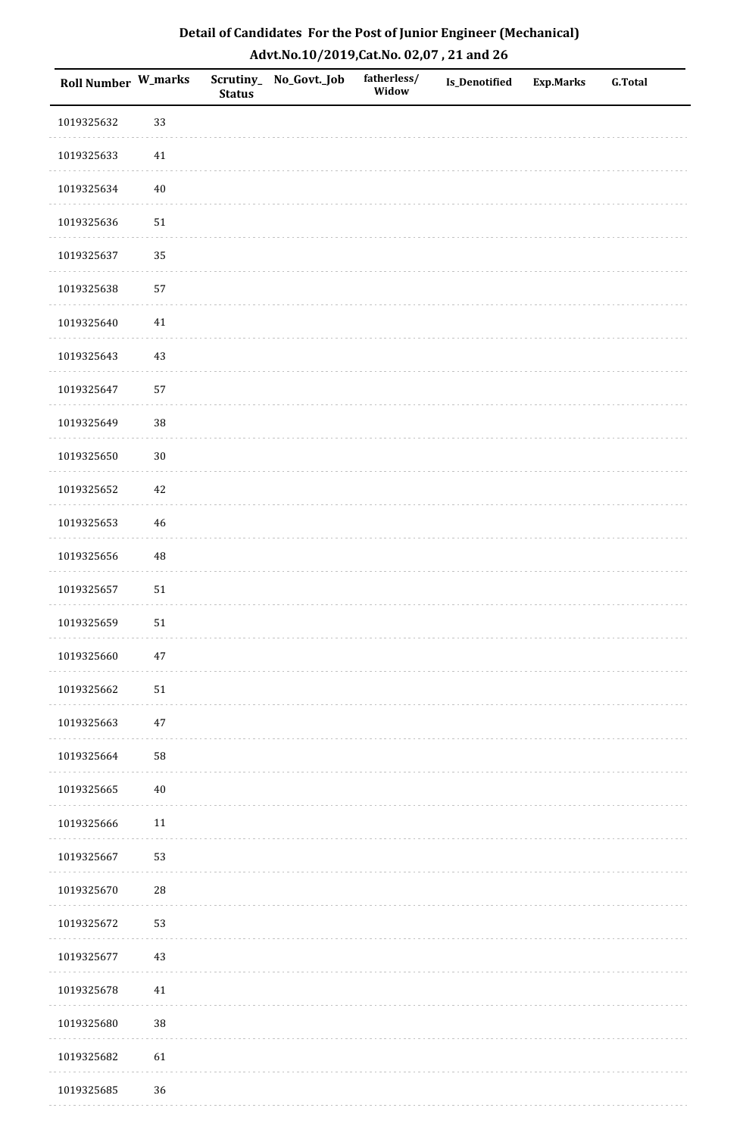| Roll Number W_marks |            | <b>Status</b> | Scrutiny_No_Govt._Job | fatherless/<br>Widow | Is_Denotified | <b>Exp.Marks</b> | <b>G.Total</b> |
|---------------------|------------|---------------|-----------------------|----------------------|---------------|------------------|----------------|
| 1019325632          | 33         |               |                       |                      |               |                  |                |
| 1019325633          | $41\,$     |               |                       |                      |               |                  |                |
| 1019325634          | $40\,$     |               |                       |                      |               |                  |                |
| 1019325636          | $51\,$     |               |                       |                      |               |                  |                |
| 1019325637          | 35         |               |                       |                      |               |                  |                |
| 1019325638          | 57         |               |                       |                      |               |                  |                |
| 1019325640          | $41\,$     |               |                       |                      |               |                  |                |
| 1019325643          | $43\,$     |               |                       |                      |               |                  |                |
| 1019325647          | 57         |               |                       |                      |               |                  |                |
| 1019325649          | 38         |               |                       |                      |               |                  |                |
| 1019325650          | $30\,$     |               |                       |                      |               |                  |                |
| 1019325652          | $42\,$     |               |                       |                      |               |                  |                |
| 1019325653          | $46\,$     |               |                       |                      |               |                  |                |
| 1019325656          | 48         |               |                       |                      |               |                  |                |
| 1019325657          | ${\bf 51}$ |               |                       |                      |               |                  |                |
| 1019325659          | $51\,$     |               |                       |                      |               |                  |                |
| 1019325660          | $47\,$     |               |                       |                      |               |                  |                |
| 1019325662          | 51         |               |                       |                      |               |                  |                |
| 1019325663          | $47\,$     |               |                       |                      |               |                  |                |
| 1019325664          | 58         |               |                       |                      |               |                  |                |
| 1019325665          | $40\,$     |               |                       |                      |               |                  |                |
| 1019325666          | $11\,$     |               |                       |                      |               |                  |                |
| 1019325667          | 53         |               |                       |                      |               |                  |                |
| 1019325670          | ${\bf 28}$ |               |                       |                      |               |                  |                |
| 1019325672          | 53         |               |                       |                      |               |                  |                |
| 1019325677          | $43\,$     |               |                       |                      |               |                  |                |
| 1019325678          | 41         |               |                       |                      |               |                  |                |
| 1019325680          | 38         |               |                       |                      |               |                  |                |
| 1019325682          | 61         |               |                       |                      |               |                  |                |
| 1019325685          | 36         |               |                       |                      |               |                  |                |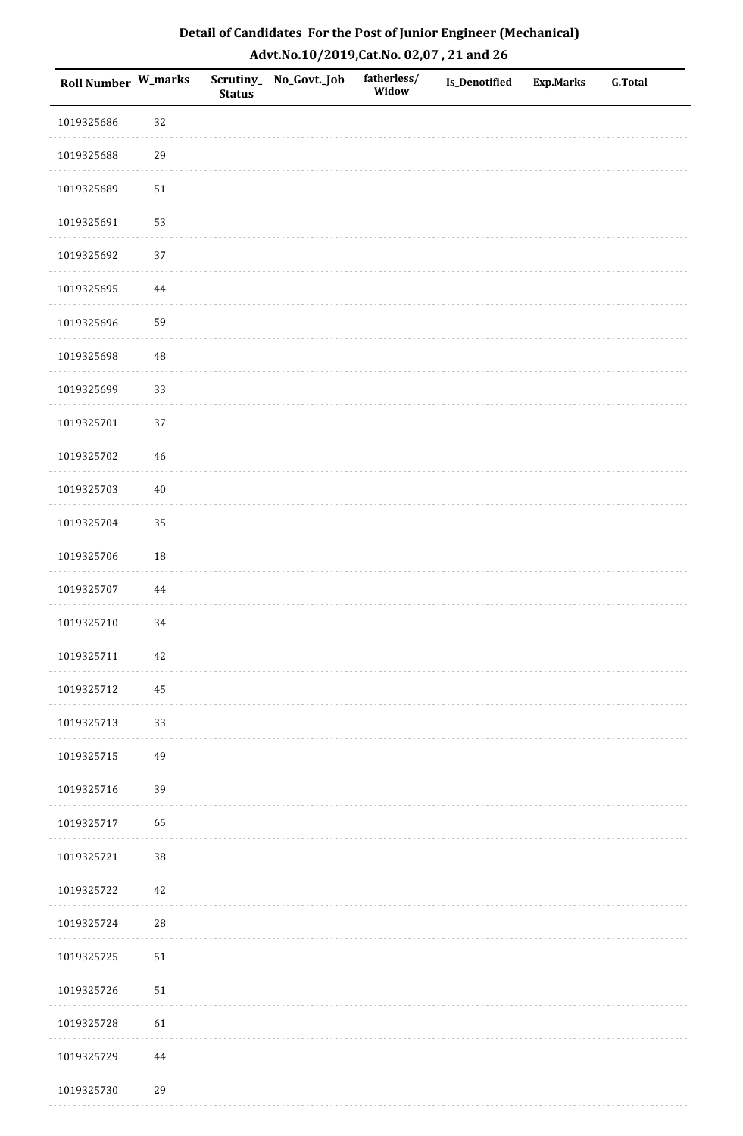| <b>Roll Number W_marks</b> |            | <b>Status</b> | Scrutiny_No_Govt._Job | fatherless/<br>Widow | Is_Denotified | <b>Exp.Marks</b> | <b>G.Total</b> |
|----------------------------|------------|---------------|-----------------------|----------------------|---------------|------------------|----------------|
| 1019325686                 | 32         |               |                       |                      |               |                  |                |
| 1019325688                 | 29         |               |                       |                      |               |                  |                |
| 1019325689                 | $51\,$     |               |                       |                      |               |                  |                |
| 1019325691                 | 53         |               |                       |                      |               |                  |                |
| 1019325692                 | 37         |               |                       |                      |               |                  |                |
| 1019325695                 | 44         |               |                       |                      |               |                  |                |
| 1019325696                 | 59         |               |                       |                      |               |                  |                |
| 1019325698                 | 48         |               |                       |                      |               |                  |                |
| 1019325699                 | 33         |               |                       |                      |               |                  |                |
| 1019325701                 | 37         |               |                       |                      |               |                  |                |
| 1019325702                 | $46\,$     |               |                       |                      |               |                  |                |
| 1019325703                 | $40\,$     |               |                       |                      |               |                  |                |
| 1019325704                 | 35         |               |                       |                      |               |                  |                |
| 1019325706                 | 18         |               |                       |                      |               |                  |                |
| 1019325707                 | $\bf 44$   |               |                       |                      |               |                  |                |
| 1019325710                 | 34         |               |                       |                      |               |                  |                |
| 1019325711                 | $42\,$     |               |                       |                      |               |                  |                |
| 1019325712                 | 45         |               |                       |                      |               |                  |                |
| 1019325713                 | 33         |               |                       |                      |               |                  |                |
| 1019325715                 | 49         |               |                       |                      |               |                  |                |
| 1019325716                 | 39         |               |                       |                      |               |                  |                |
| 1019325717                 | 65         |               |                       |                      |               |                  |                |
| 1019325721                 | 38         |               |                       |                      |               |                  |                |
| 1019325722                 | 42         |               |                       |                      |               |                  |                |
| 1019325724                 | ${\bf 28}$ |               |                       |                      |               |                  |                |
| 1019325725                 | $51\,$     |               |                       |                      |               |                  |                |
| 1019325726                 | $51\,$     |               |                       |                      |               |                  |                |
| 1019325728                 | 61         |               |                       |                      |               |                  |                |
| 1019325729                 | $\bf 44$   |               |                       |                      |               |                  |                |
| 1019325730                 | 29         |               |                       |                      |               |                  |                |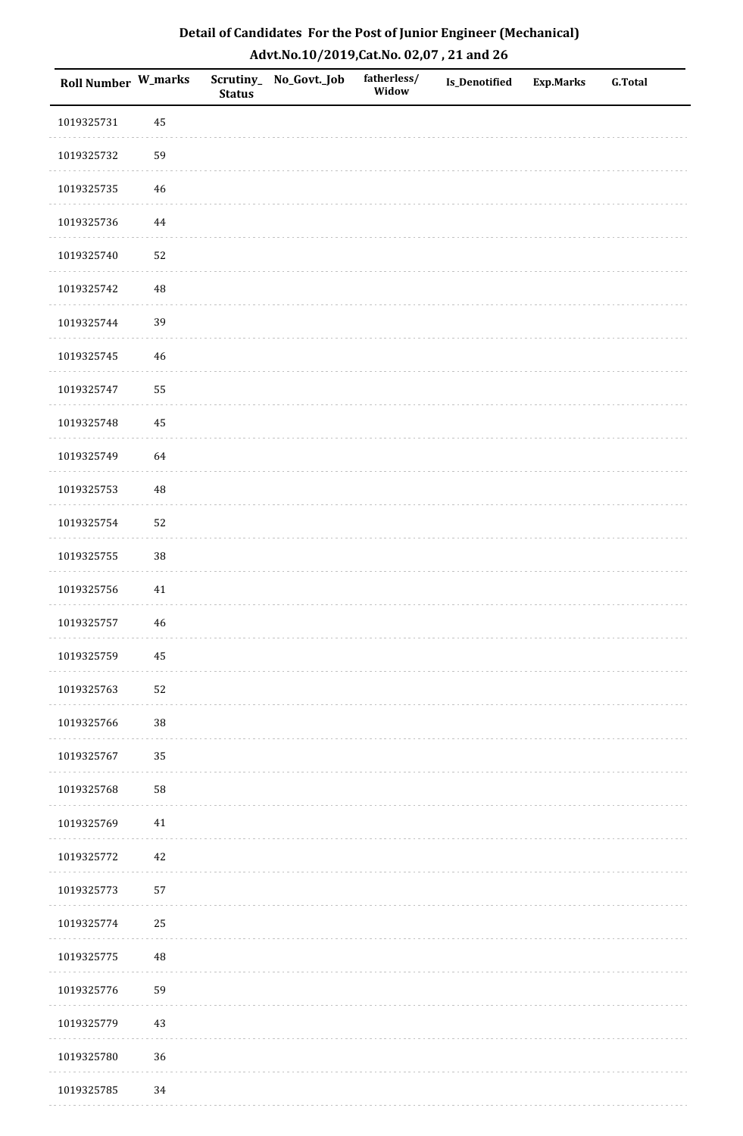| Roll Number W_marks |             | <b>Status</b> | Scrutiny_No_Govt._Job | fatherless/<br>Widow | Is_Denotified | Exp.Marks | <b>G.Total</b> |
|---------------------|-------------|---------------|-----------------------|----------------------|---------------|-----------|----------------|
| 1019325731          | 45          |               |                       |                      |               |           |                |
| 1019325732          | 59          |               |                       |                      |               |           |                |
| 1019325735          | 46          |               |                       |                      |               |           |                |
| 1019325736          | 44          |               |                       |                      |               |           |                |
| 1019325740          | 52          |               |                       |                      |               |           |                |
| 1019325742          | $\rm 48$    |               |                       |                      |               |           |                |
| 1019325744          | 39          |               |                       |                      |               |           |                |
| 1019325745          | 46          |               |                       |                      |               |           |                |
| 1019325747          | 55          |               |                       |                      |               |           |                |
| 1019325748          | 45          |               |                       |                      |               |           |                |
| 1019325749          | 64          |               |                       |                      |               |           |                |
| 1019325753          | $\rm 48$    |               |                       |                      |               |           |                |
| 1019325754          | 52          |               |                       |                      |               |           |                |
| 1019325755          | $38\,$      |               |                       |                      |               |           |                |
| 1019325756          | 41          |               |                       |                      |               |           |                |
| 1019325757          | $\sqrt{46}$ |               |                       |                      |               |           |                |
| 1019325759          | 45          |               |                       |                      |               |           |                |
| 1019325763          | 52          |               |                       |                      |               |           |                |
| 1019325766          | $38\,$      |               |                       |                      |               |           |                |
| 1019325767          | 35          |               |                       |                      |               |           |                |
| 1019325768          | 58          |               |                       |                      |               |           |                |
| 1019325769          | 41          |               |                       |                      |               |           |                |
| 1019325772          | $42\,$      |               |                       |                      |               |           |                |
| 1019325773          | 57          |               |                       |                      |               |           |                |
| 1019325774          | 25          |               |                       |                      |               |           |                |
| 1019325775          | $\rm 48$    |               |                       |                      |               |           |                |
| 1019325776          | 59          |               |                       |                      |               |           |                |
| 1019325779          | 43          |               |                       |                      |               |           |                |
| 1019325780          | 36          |               |                       |                      |               |           |                |
| 1019325785          | 34          |               |                       |                      |               |           |                |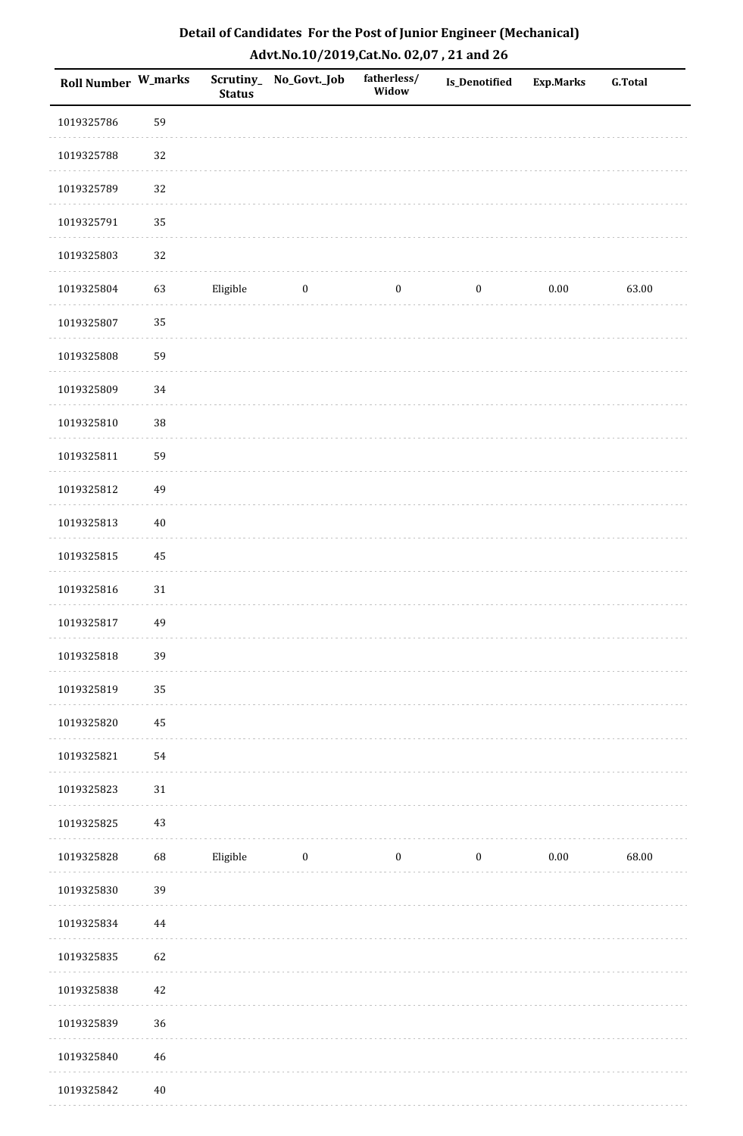| Roll Number W_marks |             | <b>Status</b> | Scrutiny_ No_Govt._Job | fatherless/<br>Widow | Is_Denotified    | <b>Exp.Marks</b> | <b>G.Total</b> |
|---------------------|-------------|---------------|------------------------|----------------------|------------------|------------------|----------------|
| 1019325786          | 59          |               |                        |                      |                  |                  |                |
| 1019325788          | 32          |               |                        |                      |                  |                  |                |
| 1019325789          | 32          |               |                        |                      |                  |                  |                |
| 1019325791          | 35          |               |                        |                      |                  |                  |                |
| 1019325803          | 32          |               |                        |                      |                  |                  |                |
| 1019325804          | 63          | Eligible      | $\bf{0}$               | $\boldsymbol{0}$     | $\boldsymbol{0}$ | $0.00\,$         | 63.00          |
| 1019325807          | 35          |               |                        |                      |                  |                  |                |
| 1019325808          | 59          |               |                        |                      |                  |                  |                |
| 1019325809          | 34          |               |                        |                      |                  |                  |                |
| 1019325810          | 38          |               |                        |                      |                  |                  |                |
| 1019325811          | 59          |               |                        |                      |                  |                  |                |
| 1019325812          | 49          |               |                        |                      |                  |                  |                |
| 1019325813          | $40\,$      |               |                        |                      |                  |                  |                |
| 1019325815          | 45          |               |                        |                      |                  |                  |                |
| 1019325816          | $31\,$      |               |                        |                      |                  |                  |                |
| 1019325817          | 49          |               |                        |                      |                  |                  |                |
| 1019325818          | 39          |               |                        |                      |                  |                  |                |
| 1019325819          | 35          |               |                        |                      |                  |                  |                |
| 1019325820          | 45          |               |                        |                      |                  |                  |                |
| 1019325821          | 54          |               |                        |                      |                  |                  |                |
| 1019325823          | 31          |               |                        |                      |                  |                  |                |
| 1019325825          | 43          |               |                        |                      |                  |                  |                |
| 1019325828          | 68          | Eligible      | $\bf{0}$               | $\boldsymbol{0}$     | $\boldsymbol{0}$ | $0.00\,$         | 68.00          |
| 1019325830          | 39          |               |                        |                      |                  |                  |                |
| 1019325834          | 44          |               |                        |                      |                  |                  |                |
| 1019325835          | 62          |               |                        |                      |                  |                  |                |
| 1019325838          | $42\,$      |               |                        |                      |                  |                  |                |
| 1019325839          | 36          |               |                        |                      |                  |                  |                |
| 1019325840          | $\sqrt{46}$ |               |                        |                      |                  |                  |                |
| 1019325842          | $40\,$      |               |                        |                      |                  |                  |                |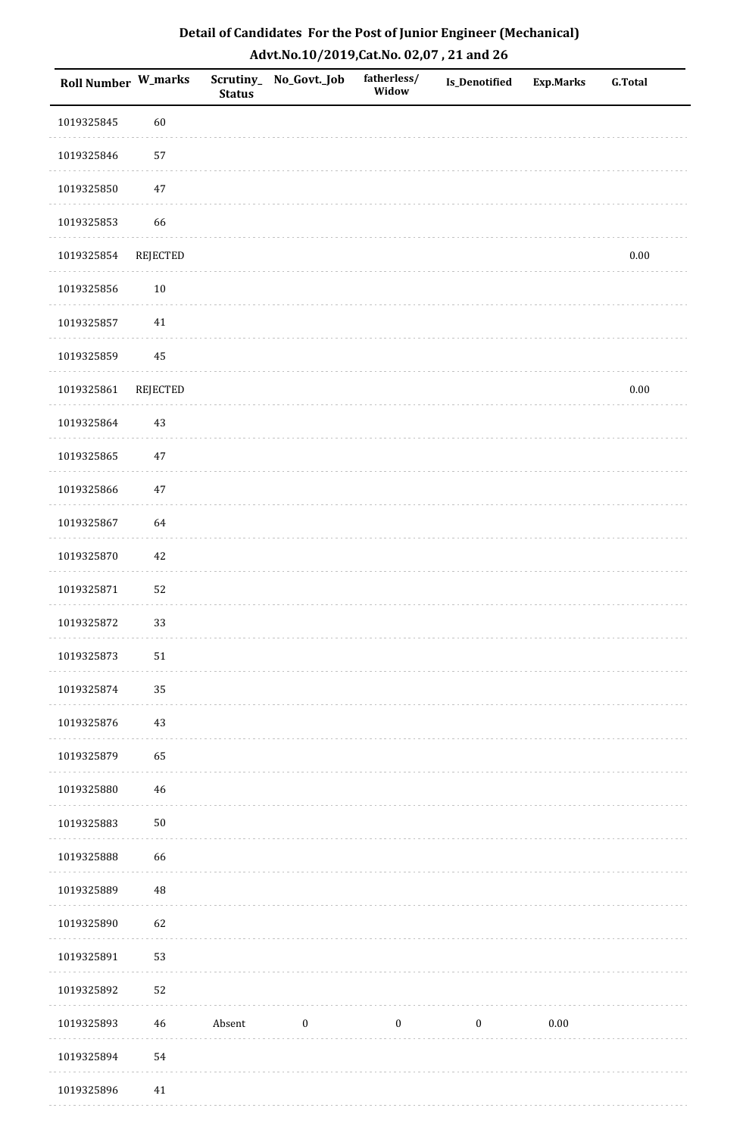| <b>Roll Number W_marks</b> |            | Scrutiny_<br><b>Status</b> | No_Govt._Job | fatherless/<br>Widow | Is_Denotified    | <b>Exp.Marks</b> | <b>G.Total</b> |
|----------------------------|------------|----------------------------|--------------|----------------------|------------------|------------------|----------------|
| 1019325845                 | 60         |                            |              |                      |                  |                  |                |
| 1019325846                 | 57         |                            |              |                      |                  |                  |                |
| 1019325850                 | $47\,$     |                            |              |                      |                  |                  |                |
| 1019325853                 | 66         |                            |              |                      |                  |                  |                |
| 1019325854                 | REJECTED   |                            |              |                      |                  |                  | $0.00\,$       |
| 1019325856                 | $10\,$     |                            |              |                      |                  |                  |                |
| 1019325857                 | $41\,$     |                            |              |                      |                  |                  |                |
| 1019325859                 | $\bf 45$   |                            |              |                      |                  |                  |                |
| 1019325861                 | REJECTED   |                            |              |                      |                  |                  | $0.00\,$       |
| 1019325864                 | $43\,$     |                            |              |                      |                  |                  |                |
| 1019325865                 | $47\,$     |                            |              |                      |                  |                  |                |
| 1019325866                 | $47\,$     |                            |              |                      |                  |                  |                |
| 1019325867                 | 64         |                            |              |                      |                  |                  |                |
| 1019325870                 | 42         |                            |              |                      |                  |                  |                |
| 1019325871                 | 52         |                            |              |                      |                  |                  |                |
| 1019325872                 | 33         |                            |              |                      |                  |                  |                |
| 1019325873                 | 51         |                            |              |                      |                  |                  |                |
| 1019325874                 | 35         |                            |              |                      |                  |                  |                |
| 1019325876                 | 43         |                            |              |                      |                  |                  |                |
| 1019325879                 | 65         |                            |              |                      |                  |                  |                |
| 1019325880                 | 46         |                            |              |                      |                  |                  |                |
| 1019325883                 | ${\bf 50}$ |                            |              |                      |                  |                  |                |
| 1019325888                 | 66         |                            |              |                      |                  |                  |                |
| 1019325889                 | $\rm 48$   |                            |              |                      |                  |                  |                |
| 1019325890                 | 62         |                            |              |                      |                  |                  |                |
| 1019325891                 | 53         |                            |              |                      |                  |                  |                |
| 1019325892                 | 52         |                            |              |                      |                  |                  |                |
| 1019325893                 | 46         | Absent                     | $\bf{0}$     | $\boldsymbol{0}$     | $\boldsymbol{0}$ | $0.00\,$         |                |
| 1019325894                 | 54         |                            |              |                      |                  |                  |                |
| 1019325896                 | 41         |                            |              |                      |                  |                  |                |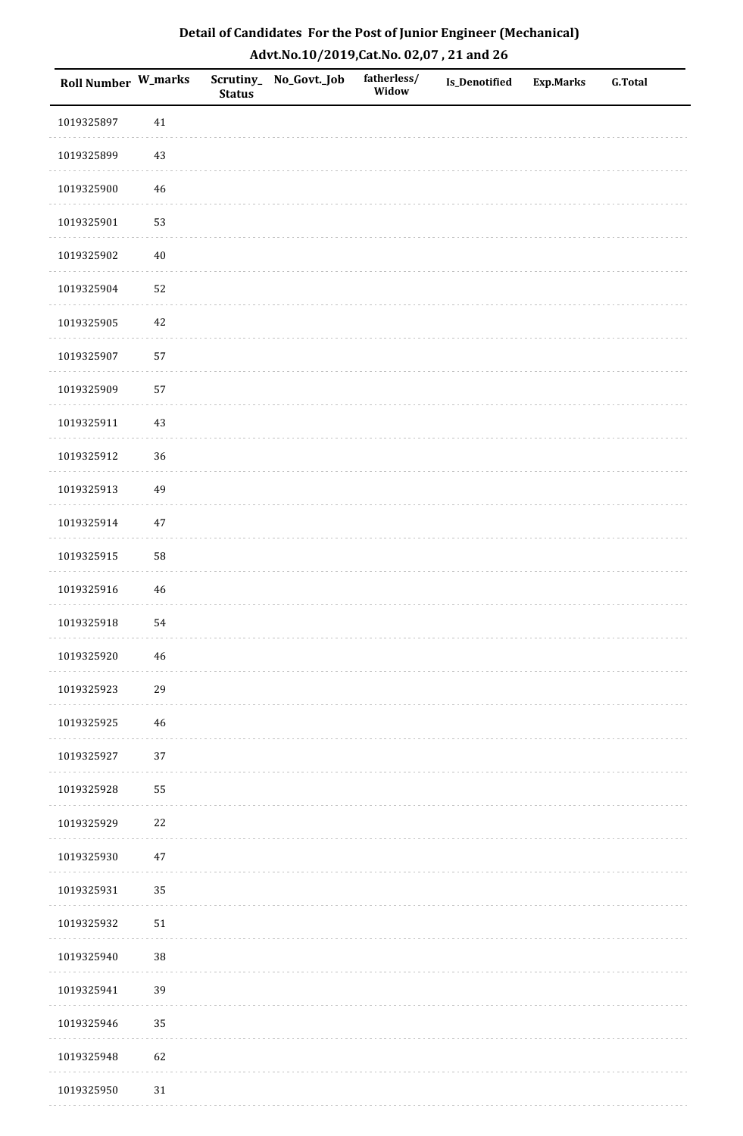| Roll Number W_marks |             | <b>Status</b> | Scrutiny_No_Govt._Job | fatherless/<br>Widow | Is_Denotified | <b>Exp.Marks</b> | <b>G.Total</b> |
|---------------------|-------------|---------------|-----------------------|----------------------|---------------|------------------|----------------|
| 1019325897          | $41\,$      |               |                       |                      |               |                  |                |
| 1019325899          | $43\,$      |               |                       |                      |               |                  |                |
| 1019325900          | $46\,$      |               |                       |                      |               |                  |                |
| 1019325901          | 53          |               |                       |                      |               |                  |                |
| 1019325902          | $40\,$      |               |                       |                      |               |                  |                |
| 1019325904          | 52          |               |                       |                      |               |                  |                |
| 1019325905          | $42\,$      |               |                       |                      |               |                  |                |
| 1019325907          | 57          |               |                       |                      |               |                  |                |
| 1019325909          | 57          |               |                       |                      |               |                  |                |
| 1019325911          | $43\,$      |               |                       |                      |               |                  |                |
| 1019325912          | 36          |               |                       |                      |               |                  |                |
| 1019325913          | 49          |               |                       |                      |               |                  |                |
| 1019325914          | $47\,$      |               |                       |                      |               |                  |                |
| 1019325915          | 58          |               |                       |                      |               |                  |                |
| 1019325916          | $46\,$      |               |                       |                      |               |                  |                |
| 1019325918          | 54          |               |                       |                      |               |                  |                |
| 1019325920          | $\sqrt{46}$ |               |                       |                      |               |                  |                |
| 1019325923          | 29          |               |                       |                      |               |                  |                |
| 1019325925          | 46          |               |                       |                      |               |                  |                |
| 1019325927          | 37          |               |                       |                      |               |                  |                |
| 1019325928          | 55          |               |                       |                      |               |                  |                |
| 1019325929          | $22\,$      |               |                       |                      |               |                  |                |
| 1019325930          | $47\,$      |               |                       |                      |               |                  |                |
| 1019325931          | 35          |               |                       |                      |               |                  |                |
| 1019325932          | $51\,$      |               |                       |                      |               |                  |                |
| 1019325940          | $38\,$      |               |                       |                      |               |                  |                |
| 1019325941          | 39          |               |                       |                      |               |                  |                |
| 1019325946          | 35          |               |                       |                      |               |                  |                |
| 1019325948          | 62          |               |                       |                      |               |                  |                |
| 1019325950          | $31\,$      |               |                       |                      |               |                  |                |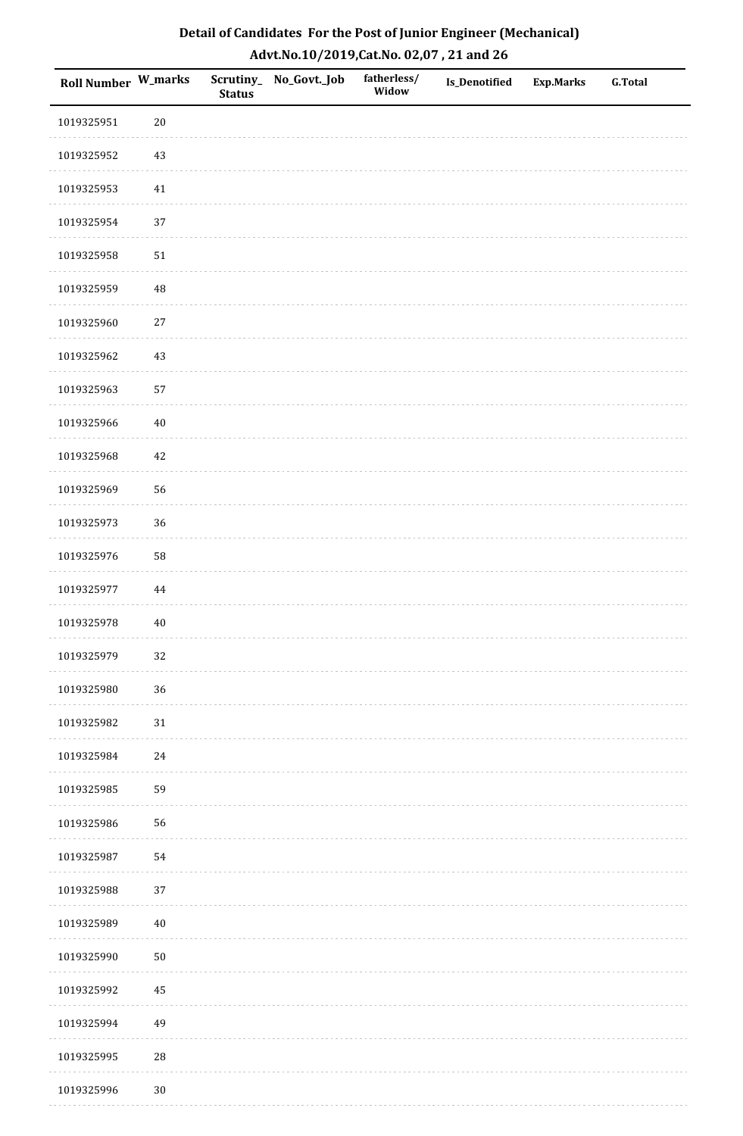| Roll Number W_marks |          | <b>Status</b> | Scrutiny_No_Govt._Job | fatherless/<br>Widow | Is_Denotified | <b>Exp.Marks</b> | <b>G.Total</b> |
|---------------------|----------|---------------|-----------------------|----------------------|---------------|------------------|----------------|
| 1019325951          | $20\,$   |               |                       |                      |               |                  |                |
| 1019325952          | $43\,$   |               |                       |                      |               |                  |                |
| 1019325953          | 41       |               |                       |                      |               |                  |                |
| 1019325954          | 37       |               |                       |                      |               |                  |                |
| 1019325958          | $51\,$   |               |                       |                      |               |                  |                |
| 1019325959          | 48       |               |                       |                      |               |                  |                |
| 1019325960          | $27\,$   |               |                       |                      |               |                  |                |
| 1019325962          | $43\,$   |               |                       |                      |               |                  |                |
| 1019325963          | 57       |               |                       |                      |               |                  |                |
| 1019325966          | $40\,$   |               |                       |                      |               |                  |                |
| 1019325968          | 42       |               |                       |                      |               |                  |                |
| 1019325969          | 56       |               |                       |                      |               |                  |                |
| 1019325973          | 36       |               |                       |                      |               |                  |                |
| 1019325976          | 58       |               |                       |                      |               |                  |                |
| 1019325977          | $\bf 44$ |               |                       |                      |               |                  |                |
| 1019325978          | $40\,$   |               |                       |                      |               |                  |                |
| 1019325979          | 32       |               |                       |                      |               |                  |                |
| 1019325980          | 36       |               |                       |                      |               |                  |                |
| 1019325982          | $31\,$   |               |                       |                      |               |                  |                |
| 1019325984          | $24\,$   |               |                       |                      |               |                  |                |
| 1019325985          | 59       |               |                       |                      |               |                  |                |
| 1019325986          | 56       |               |                       |                      |               |                  |                |
| 1019325987          | 54       |               |                       |                      |               |                  |                |
| 1019325988          | 37       |               |                       |                      |               |                  |                |
| 1019325989          | $40\,$   |               |                       |                      |               |                  |                |
| 1019325990          | $50\,$   |               |                       |                      |               |                  |                |
| 1019325992          | 45       |               |                       |                      |               |                  |                |
| 1019325994          | 49       |               |                       |                      |               |                  |                |
| 1019325995          | 28       |               |                       |                      |               |                  |                |
| 1019325996          | $30\,$   |               |                       |                      |               |                  |                |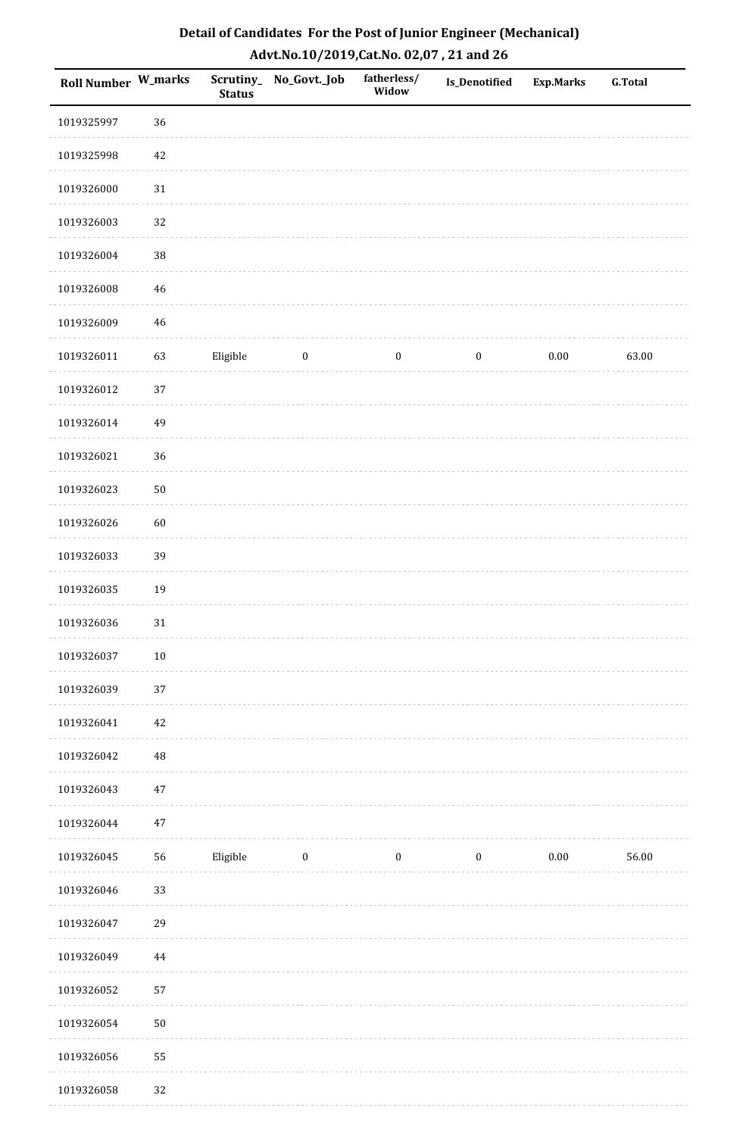| Roll Number W_marks |            | <b>Status</b> | Scrutiny_ No_Govt._Job | fatherless/<br>Widow | <b>Is_Denotified</b> | <b>Exp.Marks</b> | <b>G.Total</b> |
|---------------------|------------|---------------|------------------------|----------------------|----------------------|------------------|----------------|
| 1019325997          | 36         |               |                        |                      |                      |                  |                |
| 1019325998          | 42         |               |                        |                      |                      |                  |                |
| 1019326000          | $31\,$     |               |                        |                      |                      |                  |                |
| 1019326003          | 32         |               |                        |                      |                      |                  |                |
| 1019326004          | $38\,$     |               |                        |                      |                      |                  |                |
| 1019326008          | 46         |               |                        |                      |                      |                  |                |
| 1019326009          | $46\,$     |               |                        |                      |                      |                  |                |
| 1019326011          | 63         | Eligible      | $\boldsymbol{0}$       | $\boldsymbol{0}$     | $\boldsymbol{0}$     | 0.00             | 63.00          |
| 1019326012          | 37         |               |                        |                      |                      |                  |                |
| 1019326014          | 49         |               |                        |                      |                      |                  |                |
| 1019326021          | 36         |               |                        |                      |                      |                  |                |
| 1019326023          | $50\,$     |               |                        |                      |                      |                  |                |
| 1019326026          | 60         |               |                        |                      |                      |                  |                |
| 1019326033          | 39         |               |                        |                      |                      |                  |                |
| 1019326035          | 19         |               |                        |                      |                      |                  |                |
| 1019326036          | 31         |               |                        |                      |                      |                  |                |
| 1019326037          | $10\,$     |               |                        |                      |                      |                  |                |
| 1019326039          | 37         |               |                        |                      |                      |                  |                |
| 1019326041          | 42         |               |                        |                      |                      |                  |                |
| 1019326042          | 48         |               |                        |                      |                      |                  |                |
| 1019326043          | 47         |               |                        |                      |                      |                  |                |
| 1019326044          | $47\,$     |               |                        |                      |                      |                  |                |
| 1019326045          | ${\bf 56}$ | Eligible      | $\boldsymbol{0}$       | $\boldsymbol{0}$     | $\boldsymbol{0}$     | $0.00\,$         | 56.00          |
| 1019326046          | 33         |               |                        |                      |                      |                  |                |
| 1019326047          | 29         |               |                        |                      |                      |                  |                |
| 1019326049          | 44         |               |                        |                      |                      |                  |                |
| 1019326052          | 57         |               |                        |                      |                      |                  |                |
| 1019326054          | $50\,$     |               |                        |                      |                      |                  |                |
| 1019326056          | 55         |               |                        |                      |                      |                  |                |
| 1019326058          | 32         |               |                        |                      |                      |                  |                |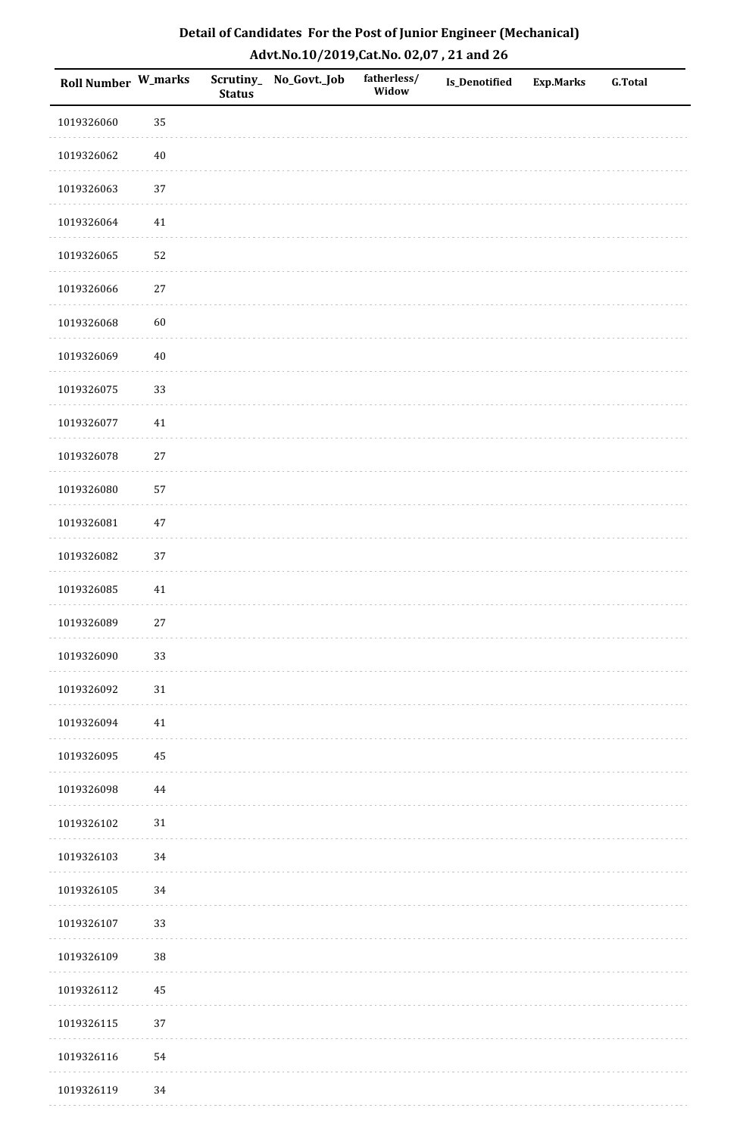| <b>Roll Number W_marks</b> |        | <b>Status</b> | Scrutiny_No_Govt._Job | fatherless/<br>Widow | Is_Denotified | <b>Exp.Marks</b> | <b>G.Total</b> |
|----------------------------|--------|---------------|-----------------------|----------------------|---------------|------------------|----------------|
| 1019326060                 | 35     |               |                       |                      |               |                  |                |
| 1019326062                 | $40\,$ |               |                       |                      |               |                  |                |
| 1019326063                 | 37     |               |                       |                      |               |                  |                |
| 1019326064                 | $41\,$ |               |                       |                      |               |                  |                |
| 1019326065                 | 52     |               |                       |                      |               |                  |                |
| 1019326066                 | 27     |               |                       |                      |               |                  |                |
| 1019326068                 | 60     |               |                       |                      |               |                  |                |
| 1019326069                 | $40\,$ |               |                       |                      |               |                  |                |
| 1019326075                 | 33     |               |                       |                      |               |                  |                |
| 1019326077                 | $41\,$ |               |                       |                      |               |                  |                |
| 1019326078                 | $27\,$ |               |                       |                      |               |                  |                |
| 1019326080                 | 57     |               |                       |                      |               |                  |                |
| 1019326081                 | $47\,$ |               |                       |                      |               |                  |                |
| 1019326082                 | 37     |               |                       |                      |               |                  |                |
| 1019326085                 | 41     |               |                       |                      |               |                  |                |
| 1019326089                 | $27\,$ |               |                       |                      |               |                  |                |
| 1019326090                 | 33     |               |                       |                      |               |                  |                |
| 1019326092                 | $31\,$ |               |                       |                      |               |                  |                |
| 1019326094                 | $41\,$ |               |                       |                      |               |                  |                |
| 1019326095                 | 45     |               |                       |                      |               |                  |                |
| 1019326098                 | 44     |               |                       |                      |               |                  |                |
| 1019326102                 | $31\,$ |               |                       |                      |               |                  |                |
| 1019326103                 | $34\,$ |               |                       |                      |               |                  |                |
| 1019326105                 | 34     |               |                       |                      |               |                  |                |
| 1019326107                 | 33     |               |                       |                      |               |                  |                |
| 1019326109                 | 38     |               |                       |                      |               |                  |                |
| 1019326112                 | 45     |               |                       |                      |               |                  |                |
| 1019326115                 | 37     |               |                       |                      |               |                  |                |
| 1019326116                 | 54     |               |                       |                      |               |                  |                |
| 1019326119                 | 34     |               |                       |                      |               |                  |                |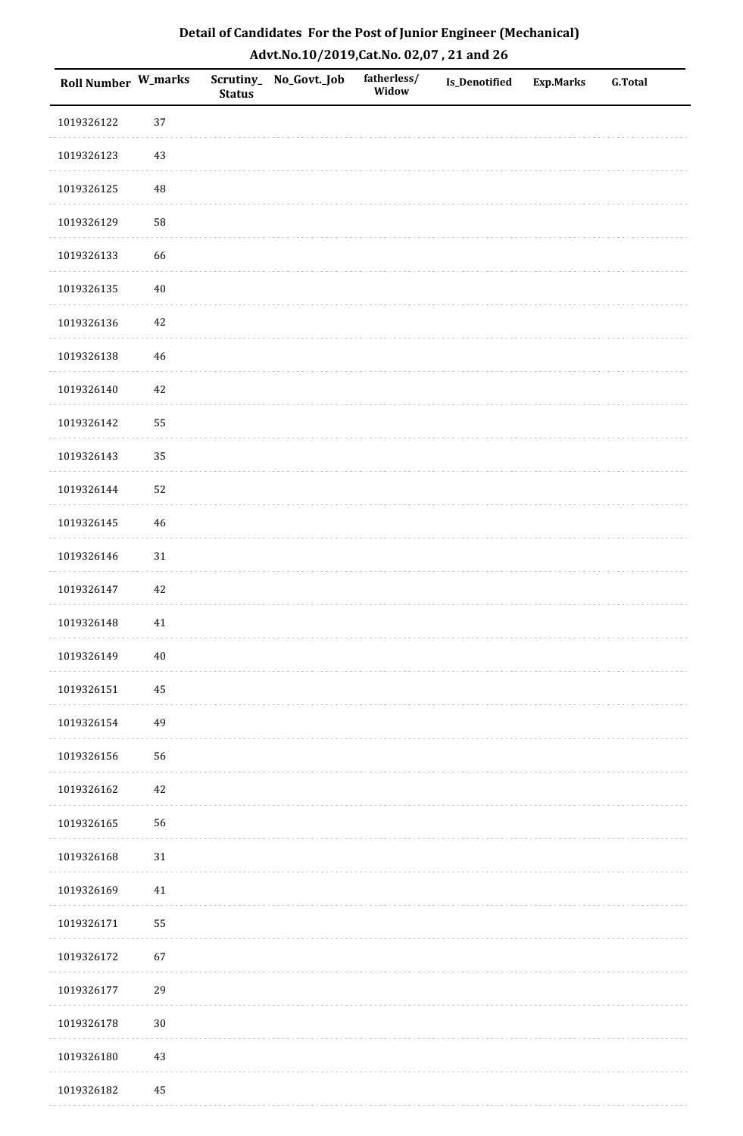| Roll Number W_marks |        | <b>Status</b> | Scrutiny_No_Govt._Job | fatherless/<br>Widow | Is_Denotified | <b>Exp.Marks</b> | <b>G.Total</b> |
|---------------------|--------|---------------|-----------------------|----------------------|---------------|------------------|----------------|
| 1019326122          | 37     |               |                       |                      |               |                  |                |
| 1019326123          | $43\,$ |               |                       |                      |               |                  |                |
| 1019326125          | 48     |               |                       |                      |               |                  |                |
| 1019326129          | 58     |               |                       |                      |               |                  |                |
| 1019326133          | 66     |               |                       |                      |               |                  |                |
| 1019326135          | $40\,$ |               |                       |                      |               |                  |                |
| 1019326136          | $42\,$ |               |                       |                      |               |                  |                |
| 1019326138          | 46     |               |                       |                      |               |                  |                |
| 1019326140          | 42     |               |                       |                      |               |                  |                |
| 1019326142          | 55     |               |                       |                      |               |                  |                |
| 1019326143          | 35     |               |                       |                      |               |                  |                |
| 1019326144          | 52     |               |                       |                      |               |                  |                |
| 1019326145          | $46\,$ |               |                       |                      |               |                  |                |
| 1019326146          | 31     |               |                       |                      |               |                  |                |
| 1019326147          | 42     |               |                       |                      |               |                  |                |
| 1019326148          | $41\,$ |               |                       |                      |               |                  |                |
| 1019326149          | $40\,$ |               |                       |                      |               |                  |                |
| 1019326151          | 45     |               |                       |                      |               |                  |                |
| 1019326154          | 49     |               |                       |                      |               |                  |                |
| 1019326156          | 56     |               |                       |                      |               |                  |                |
| 1019326162          | 42     |               |                       |                      |               |                  |                |
| 1019326165          | 56     |               |                       |                      |               |                  |                |
| 1019326168          | $31\,$ |               |                       |                      |               |                  |                |
| 1019326169          | 41     |               |                       |                      |               |                  |                |
| 1019326171          | 55     |               |                       |                      |               |                  |                |
| 1019326172          | 67     |               |                       |                      |               |                  |                |
| 1019326177          | 29     |               |                       |                      |               |                  |                |
| 1019326178          | $30\,$ |               |                       |                      |               |                  |                |
| 1019326180          | $43\,$ |               |                       |                      |               |                  |                |
| 1019326182          | 45     |               |                       |                      |               |                  |                |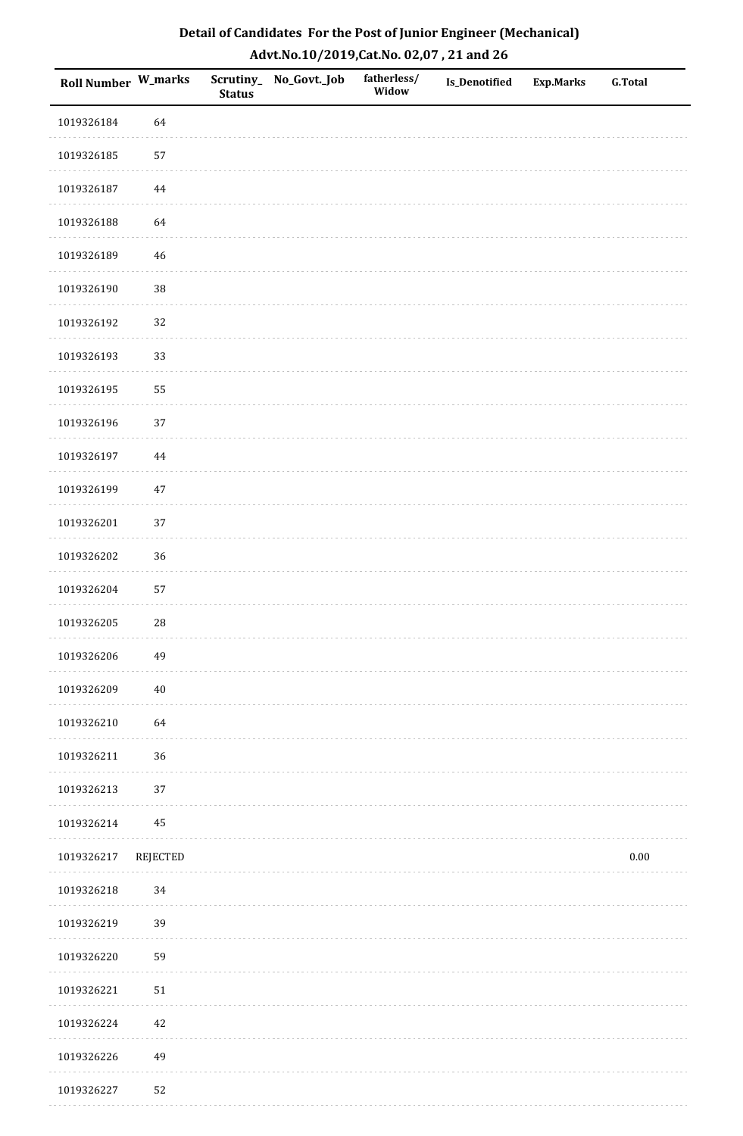| Roll Number W_marks |          | <b>Status</b> | Scrutiny_ No_Govt._Job | fatherless/<br>Widow | Is_Denotified | <b>Exp.Marks</b> | <b>G.Total</b> |
|---------------------|----------|---------------|------------------------|----------------------|---------------|------------------|----------------|
| 1019326184          | 64       |               |                        |                      |               |                  |                |
| 1019326185          | 57       |               |                        |                      |               |                  |                |
| 1019326187          | 44       |               |                        |                      |               |                  |                |
| 1019326188          | 64       |               |                        |                      |               |                  |                |
| 1019326189          | 46       |               |                        |                      |               |                  |                |
| 1019326190          | $38\,$   |               |                        |                      |               |                  |                |
| 1019326192          | 32       |               |                        |                      |               |                  |                |
| 1019326193          | 33       |               |                        |                      |               |                  |                |
| 1019326195          | 55       |               |                        |                      |               |                  |                |
| 1019326196          | 37       |               |                        |                      |               |                  |                |
| 1019326197          | 44       |               |                        |                      |               |                  |                |
| 1019326199          | $47\,$   |               |                        |                      |               |                  |                |
| 1019326201          | 37       |               |                        |                      |               |                  |                |
| 1019326202          | 36       |               |                        |                      |               |                  |                |
| 1019326204          | 57       |               |                        |                      |               |                  |                |
| 1019326205          | 28       |               |                        |                      |               |                  |                |
| 1019326206          | 49       |               |                        |                      |               |                  |                |
| 1019326209          | $40\,$   |               |                        |                      |               |                  |                |
| 1019326210          | 64       |               |                        |                      |               |                  |                |
| 1019326211          | 36       |               |                        |                      |               |                  |                |
| 1019326213          | 37       |               |                        |                      |               |                  |                |
| 1019326214          | 45       |               |                        |                      |               |                  |                |
| 1019326217          | REJECTED |               |                        |                      |               |                  | $0.00\,$       |
| 1019326218          | 34       |               |                        |                      |               |                  |                |
| 1019326219          | 39       |               |                        |                      |               |                  |                |
| 1019326220          | 59       |               |                        |                      |               |                  |                |
| 1019326221          | 51       |               |                        |                      |               |                  |                |
| 1019326224          | 42       |               |                        |                      |               |                  |                |
| 1019326226          | 49       |               |                        |                      |               |                  |                |
| 1019326227          | 52       |               |                        |                      |               |                  |                |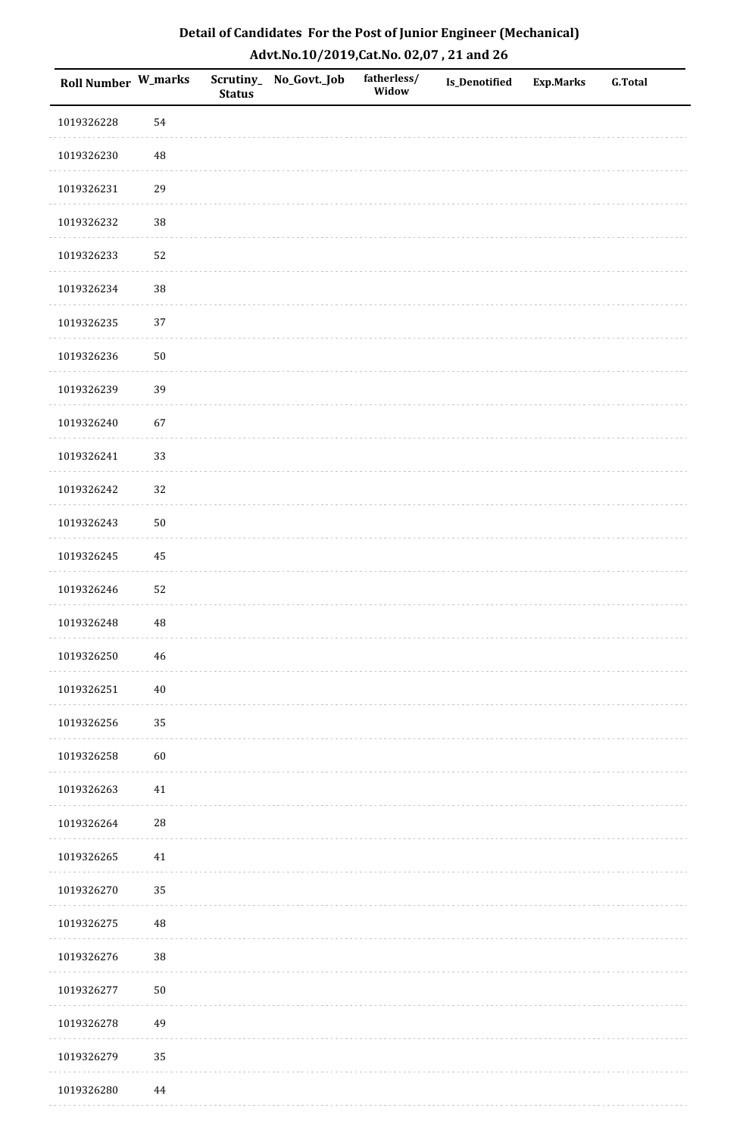| Roll Number W_marks |             | <b>Status</b> | Scrutiny_No_Govt._Job | fatherless/<br>Widow | Is_Denotified | <b>Exp.Marks</b> | <b>G.Total</b> |
|---------------------|-------------|---------------|-----------------------|----------------------|---------------|------------------|----------------|
| 1019326228          | 54          |               |                       |                      |               |                  |                |
| 1019326230          | $\sqrt{48}$ |               |                       |                      |               |                  |                |
| 1019326231          | 29          |               |                       |                      |               |                  |                |
| 1019326232          | 38          |               |                       |                      |               |                  |                |
| 1019326233          | 52          |               |                       |                      |               |                  |                |
| 1019326234          | 38          |               |                       |                      |               |                  |                |
| 1019326235          | 37          |               |                       |                      |               |                  |                |
| 1019326236          | $50\,$      |               |                       |                      |               |                  |                |
| 1019326239          | 39          |               |                       |                      |               |                  |                |
| 1019326240          | 67          |               |                       |                      |               |                  |                |
| 1019326241          | 33          |               |                       |                      |               |                  |                |
| 1019326242          | 32          |               |                       |                      |               |                  |                |
| 1019326243          | $50\,$      |               |                       |                      |               |                  |                |
| 1019326245          | 45          |               |                       |                      |               |                  |                |
| 1019326246          | 52          |               |                       |                      |               |                  |                |
| 1019326248          | $\rm 48$    |               |                       |                      |               |                  |                |
| 1019326250          | $\sqrt{46}$ |               |                       |                      |               |                  |                |
| 1019326251          | $40\,$      |               |                       |                      |               |                  |                |
| 1019326256          | 35          |               |                       |                      |               |                  |                |
| 1019326258          | 60          |               |                       |                      |               |                  |                |
| 1019326263          | 41          |               |                       |                      |               |                  |                |
| 1019326264          | ${\bf 28}$  |               |                       |                      |               |                  |                |
| 1019326265          | $41\,$      |               |                       |                      |               |                  |                |
| 1019326270          | 35          |               |                       |                      |               |                  |                |
| 1019326275          | $\rm 48$    |               |                       |                      |               |                  |                |
| 1019326276          | 38          |               |                       |                      |               |                  |                |
| 1019326277          | $50\,$      |               |                       |                      |               |                  |                |
| 1019326278          | 49          |               |                       |                      |               |                  |                |
| 1019326279          | 35          |               |                       |                      |               |                  |                |
| 1019326280          | 44          |               |                       |                      |               |                  |                |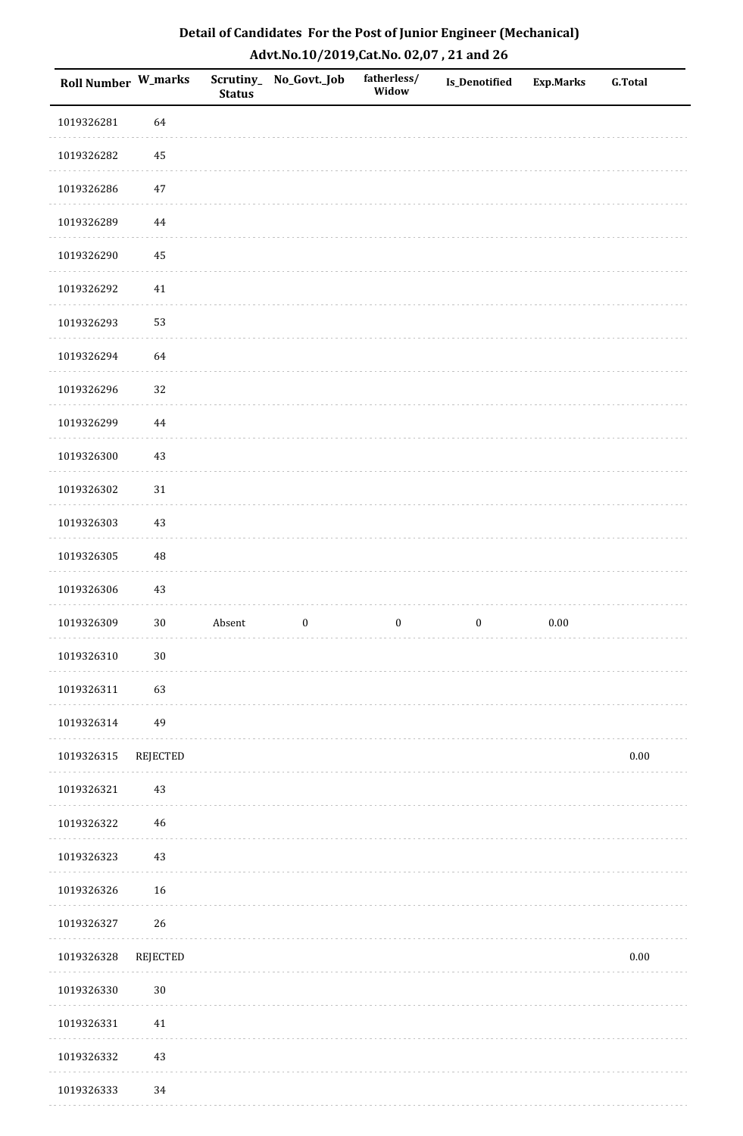| Roll Number W_marks |             | <b>Status</b> | Scrutiny_No_Govt._Job | fatherless/<br>Widow | Is_Denotified    | <b>Exp.Marks</b> | <b>G.Total</b> |
|---------------------|-------------|---------------|-----------------------|----------------------|------------------|------------------|----------------|
| 1019326281          | 64          |               |                       |                      |                  |                  |                |
| 1019326282          | 45          |               |                       |                      |                  |                  |                |
| 1019326286          | $47\,$      |               |                       |                      |                  |                  |                |
| 1019326289          | 44          |               |                       |                      |                  |                  |                |
| 1019326290          | 45          |               |                       |                      |                  |                  |                |
| 1019326292          | 41          |               |                       |                      |                  |                  |                |
| 1019326293          | 53          |               |                       |                      |                  |                  |                |
| 1019326294          | 64          |               |                       |                      |                  |                  |                |
| 1019326296          | 32          |               |                       |                      |                  |                  |                |
| 1019326299          | $\bf 44$    |               |                       |                      |                  |                  |                |
| 1019326300          | $43\,$      |               |                       |                      |                  |                  |                |
| 1019326302          | $31\,$      |               |                       |                      |                  |                  |                |
| 1019326303          | 43          |               |                       |                      |                  |                  |                |
| 1019326305          | 48          |               |                       |                      |                  |                  |                |
| 1019326306          | 43          |               |                       |                      |                  |                  |                |
| 1019326309          | $30\,$      | Absent        | $\boldsymbol{0}$      | $\boldsymbol{0}$     | $\boldsymbol{0}$ | $0.00\,$         |                |
| 1019326310          | $30\,$      |               |                       |                      |                  |                  |                |
| 1019326311          | 63          |               |                       |                      |                  |                  |                |
| 1019326314          | 49          |               |                       |                      |                  |                  |                |
| 1019326315          | REJECTED    |               |                       |                      |                  |                  | $0.00\,$       |
| 1019326321          | 43          |               |                       |                      |                  |                  |                |
| 1019326322          | $\sqrt{46}$ |               |                       |                      |                  |                  |                |
| 1019326323          | $43\,$      |               |                       |                      |                  |                  |                |
| 1019326326          | 16          |               |                       |                      |                  |                  |                |
| 1019326327          | 26          |               |                       |                      |                  |                  |                |
| 1019326328          | REJECTED    |               |                       |                      |                  |                  | $0.00\,$       |
| 1019326330          | $30\,$      |               |                       |                      |                  |                  |                |
| 1019326331          | $41\,$      |               |                       |                      |                  |                  |                |
| 1019326332          | $43\,$      |               |                       |                      |                  |                  |                |
| 1019326333          | 34          |               |                       |                      |                  |                  |                |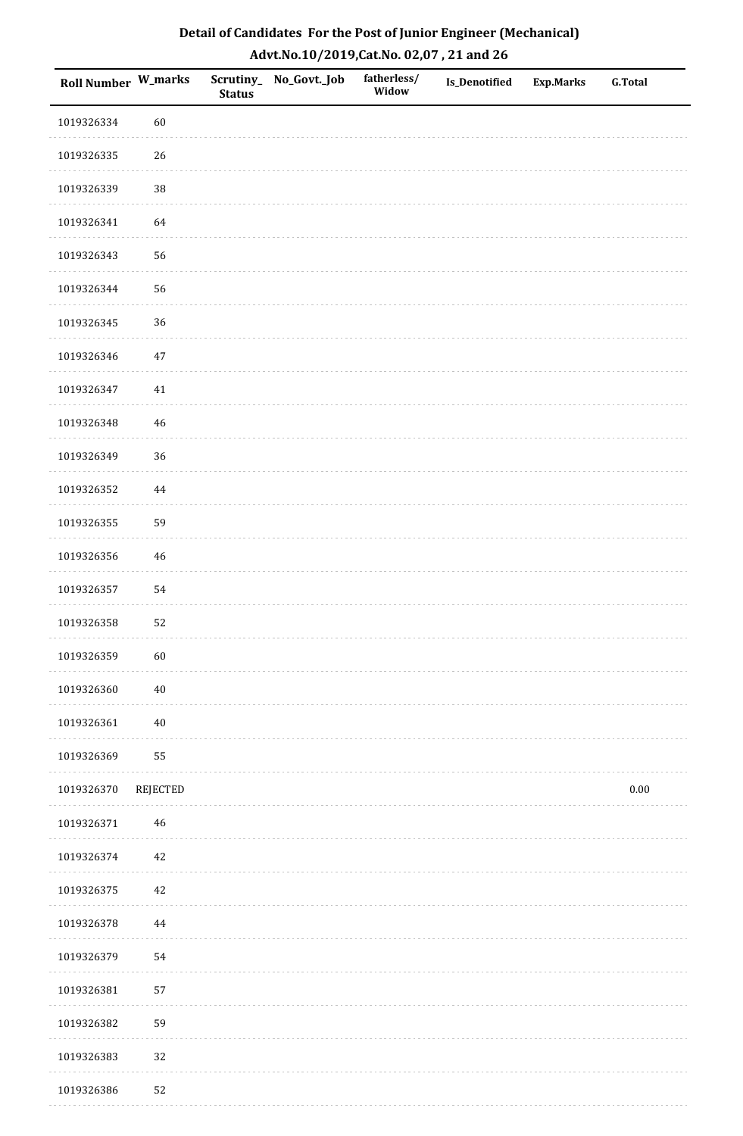| Roll Number W_marks |             | <b>Status</b> | Scrutiny_No_Govt._Job | fatherless/<br>Widow | Is_Denotified | <b>Exp.Marks</b> | <b>G.Total</b> |
|---------------------|-------------|---------------|-----------------------|----------------------|---------------|------------------|----------------|
| 1019326334          | 60          |               |                       |                      |               |                  |                |
| 1019326335          | 26          |               |                       |                      |               |                  |                |
| 1019326339          | 38          |               |                       |                      |               |                  |                |
| 1019326341          | 64          |               |                       |                      |               |                  |                |
| 1019326343          | 56          |               |                       |                      |               |                  |                |
| 1019326344          | 56          |               |                       |                      |               |                  |                |
| 1019326345          | 36          |               |                       |                      |               |                  |                |
| 1019326346          | $47\,$      |               |                       |                      |               |                  |                |
| 1019326347          | 41          |               |                       |                      |               |                  |                |
| 1019326348          | $46\,$      |               |                       |                      |               |                  |                |
| 1019326349          | 36          |               |                       |                      |               |                  |                |
| 1019326352          | $\bf 44$    |               |                       |                      |               |                  |                |
| 1019326355          | 59          |               |                       |                      |               |                  |                |
| 1019326356          | $46\,$      |               |                       |                      |               |                  |                |
| 1019326357          | 54          |               |                       |                      |               |                  |                |
| 1019326358          | 52          |               |                       |                      |               |                  |                |
| 1019326359          | 60          |               |                       |                      |               |                  |                |
| 1019326360          | $40\,$      |               |                       |                      |               |                  |                |
| 1019326361          | $40\,$      |               |                       |                      |               |                  |                |
| 1019326369          | 55          |               |                       |                      |               |                  |                |
| 1019326370          | REJECTED    |               |                       |                      |               |                  | $0.00\,$       |
| 1019326371          | $\sqrt{46}$ |               |                       |                      |               |                  |                |
| 1019326374          | 42          |               |                       |                      |               |                  |                |
| 1019326375          | 42          |               |                       |                      |               |                  |                |
| 1019326378          | $\bf 44$    |               |                       |                      |               |                  |                |
| 1019326379          | 54          |               |                       |                      |               |                  |                |
| 1019326381          | 57          |               |                       |                      |               |                  |                |
| 1019326382          | 59          |               |                       |                      |               |                  |                |
| 1019326383          | 32          |               |                       |                      |               |                  |                |
| 1019326386          | 52          |               |                       |                      |               |                  |                |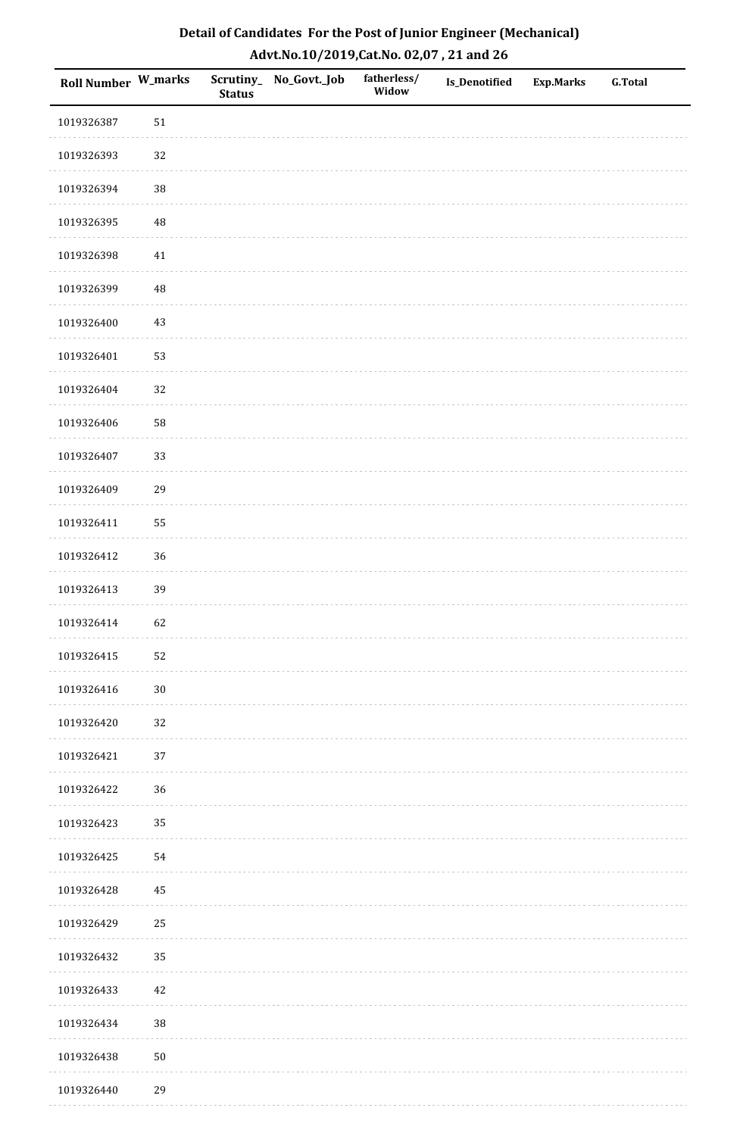| Roll Number W_marks |             | <b>Status</b> | Scrutiny_No_Govt._Job | fatherless/<br>Widow | Is_Denotified | <b>Exp.Marks</b> | <b>G.Total</b> |
|---------------------|-------------|---------------|-----------------------|----------------------|---------------|------------------|----------------|
| 1019326387          | $51\,$      |               |                       |                      |               |                  |                |
| 1019326393          | 32          |               |                       |                      |               |                  |                |
| 1019326394          | 38          |               |                       |                      |               |                  |                |
| 1019326395          | $\sqrt{48}$ |               |                       |                      |               |                  |                |
| 1019326398          | $41\,$      |               |                       |                      |               |                  |                |
| 1019326399          | $\sqrt{48}$ |               |                       |                      |               |                  |                |
| 1019326400          | $43\,$      |               |                       |                      |               |                  |                |
| 1019326401          | 53          |               |                       |                      |               |                  |                |
| 1019326404          | 32          |               |                       |                      |               |                  |                |
| 1019326406          | 58          |               |                       |                      |               |                  |                |
| 1019326407          | 33          |               |                       |                      |               |                  |                |
| 1019326409          | 29          |               |                       |                      |               |                  |                |
| 1019326411          | 55          |               |                       |                      |               |                  |                |
| 1019326412          | 36          |               |                       |                      |               |                  |                |
| 1019326413          | 39          |               |                       |                      |               |                  |                |
| 1019326414          | 62          |               |                       |                      |               |                  |                |
| 1019326415          | 52          |               |                       |                      |               |                  |                |
| 1019326416          | $30\,$      |               |                       |                      |               |                  |                |
| 1019326420          | 32          |               |                       |                      |               |                  |                |
| 1019326421          | 37          |               |                       |                      |               |                  |                |
| 1019326422          | 36          |               |                       |                      |               |                  |                |
| 1019326423          | 35          |               |                       |                      |               |                  |                |
| 1019326425          | 54          |               |                       |                      |               |                  |                |
| 1019326428          | 45          |               |                       |                      |               |                  |                |
| 1019326429          | 25          |               |                       |                      |               |                  |                |
| 1019326432          | 35          |               |                       |                      |               |                  |                |
| 1019326433          | 42          |               |                       |                      |               |                  |                |
| 1019326434          | 38          |               |                       |                      |               |                  |                |
| 1019326438          | $50\,$      |               |                       |                      |               |                  |                |
| 1019326440          | 29          |               |                       |                      |               |                  |                |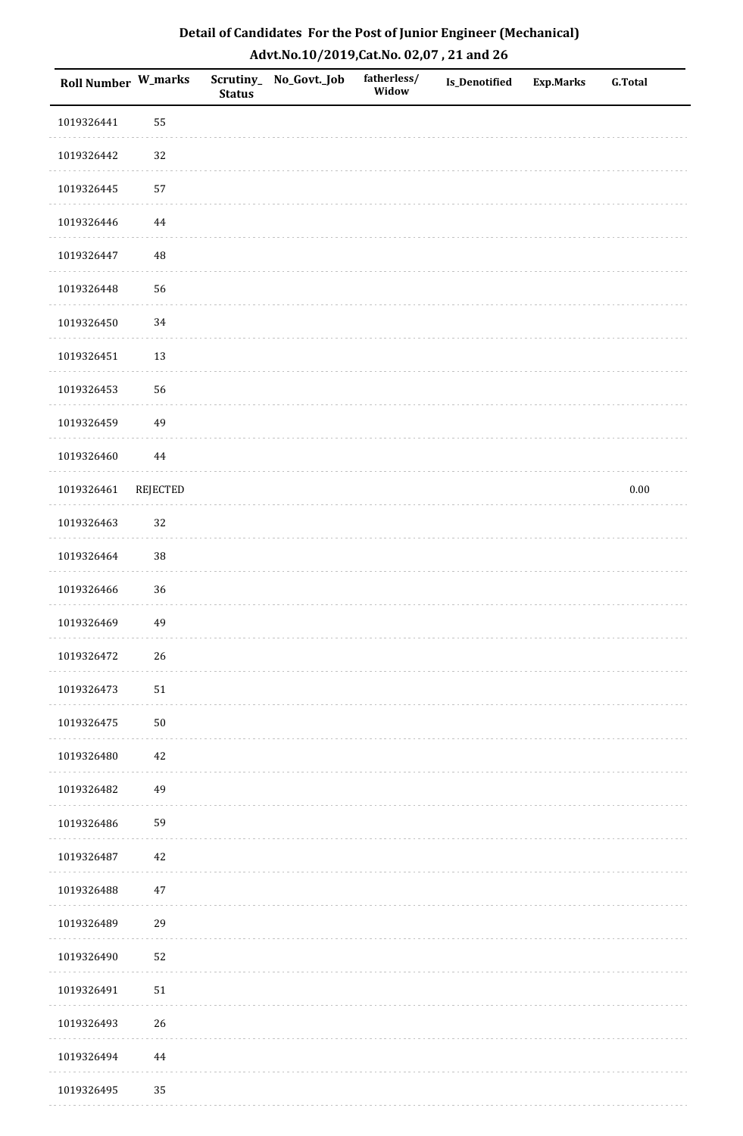| Roll Number W_marks |          | <b>Status</b> | Scrutiny_No_Govt._Job | fatherless/<br>Widow | Is_Denotified | <b>Exp.Marks</b> | <b>G.Total</b> |
|---------------------|----------|---------------|-----------------------|----------------------|---------------|------------------|----------------|
| 1019326441          | 55       |               |                       |                      |               |                  |                |
| 1019326442          | 32       |               |                       |                      |               |                  |                |
| 1019326445          | 57       |               |                       |                      |               |                  |                |
| 1019326446          | $\bf 44$ |               |                       |                      |               |                  |                |
| 1019326447          | $\rm 48$ |               |                       |                      |               |                  |                |
| 1019326448          | 56       |               |                       |                      |               |                  |                |
| 1019326450          | 34       |               |                       |                      |               |                  |                |
| 1019326451          | 13       |               |                       |                      |               |                  |                |
| 1019326453          | 56       |               |                       |                      |               |                  |                |
| 1019326459          | 49       |               |                       |                      |               |                  |                |
| 1019326460          | $\bf 44$ |               |                       |                      |               |                  |                |
| 1019326461          | REJECTED |               |                       |                      |               |                  | $0.00\,$       |
| 1019326463          | 32       |               |                       |                      |               |                  |                |
| 1019326464          | 38       |               |                       |                      |               |                  |                |
| 1019326466          | 36       |               |                       |                      |               |                  |                |
| 1019326469          | 49       |               |                       |                      |               |                  |                |
| 1019326472          | $26\,$   |               |                       |                      |               |                  |                |
| 1019326473          | $51\,$   |               |                       |                      |               |                  |                |
| 1019326475          | $50\,$   |               |                       |                      |               |                  |                |
| 1019326480          | $42\,$   |               |                       |                      |               |                  |                |
| 1019326482          | 49       |               |                       |                      |               |                  |                |
| 1019326486          | 59       |               |                       |                      |               |                  |                |
| 1019326487          | 42       |               |                       |                      |               |                  |                |
| 1019326488          | $47\,$   |               |                       |                      |               |                  |                |
| 1019326489          | 29       |               |                       |                      |               |                  |                |
| 1019326490          | 52       |               |                       |                      |               |                  |                |
| 1019326491          | $51\,$   |               |                       |                      |               |                  |                |
| 1019326493          | 26       |               |                       |                      |               |                  |                |
| 1019326494          | 44       |               |                       |                      |               |                  |                |
| 1019326495          | 35       |               |                       |                      |               |                  |                |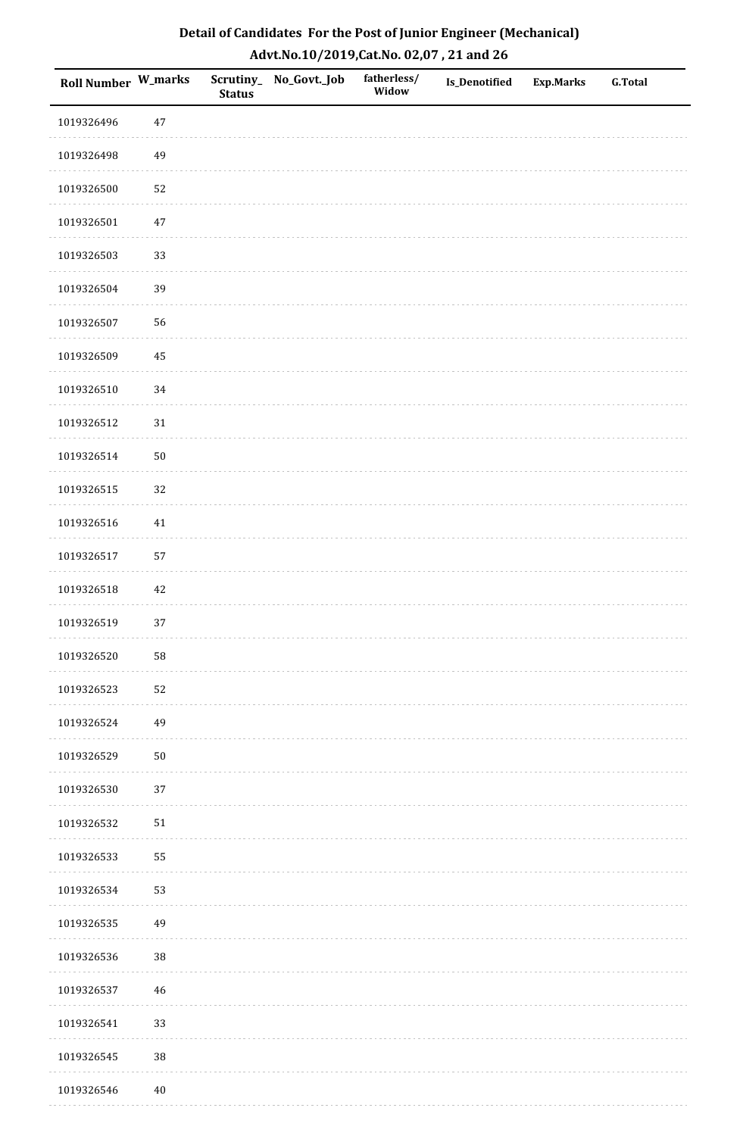| Roll Number W_marks |        | <b>Status</b> | Scrutiny_No_Govt._Job | fatherless/<br>Widow | Is_Denotified | <b>Exp.Marks</b> | <b>G.Total</b> |
|---------------------|--------|---------------|-----------------------|----------------------|---------------|------------------|----------------|
| 1019326496          | $47\,$ |               |                       |                      |               |                  |                |
| 1019326498          | 49     |               |                       |                      |               |                  |                |
| 1019326500          | 52     |               |                       |                      |               |                  |                |
| 1019326501          | $47\,$ |               |                       |                      |               |                  |                |
| 1019326503          | 33     |               |                       |                      |               |                  |                |
| 1019326504          | 39     |               |                       |                      |               |                  |                |
| 1019326507          | 56     |               |                       |                      |               |                  |                |
| 1019326509          | 45     |               |                       |                      |               |                  |                |
| 1019326510          | 34     |               |                       |                      |               |                  |                |
| 1019326512          | $31\,$ |               |                       |                      |               |                  |                |
| 1019326514          | $50\,$ |               |                       |                      |               |                  |                |
| 1019326515          | 32     |               |                       |                      |               |                  |                |
| 1019326516          | 41     |               |                       |                      |               |                  |                |
| 1019326517          | 57     |               |                       |                      |               |                  |                |
| 1019326518          | $42\,$ |               |                       |                      |               |                  |                |
| 1019326519          | 37     |               |                       |                      |               |                  |                |
| 1019326520          | 58     |               |                       |                      |               |                  |                |
| 1019326523          | 52     |               |                       |                      |               |                  |                |
| 1019326524          | 49     |               |                       |                      |               |                  |                |
| 1019326529          | $50\,$ |               |                       |                      |               |                  |                |
| 1019326530          | 37     |               |                       |                      |               |                  |                |
| 1019326532          | $51\,$ |               |                       |                      |               |                  |                |
| 1019326533          | 55     |               |                       |                      |               |                  |                |
| 1019326534          | 53     |               |                       |                      |               |                  |                |
| 1019326535          | 49     |               |                       |                      |               |                  |                |
| 1019326536          | 38     |               |                       |                      |               |                  |                |
| 1019326537          | $46\,$ |               |                       |                      |               |                  |                |
| 1019326541          | 33     |               |                       |                      |               |                  |                |
| 1019326545          | $38\,$ |               |                       |                      |               |                  |                |
| 1019326546          | $40\,$ |               |                       |                      |               |                  |                |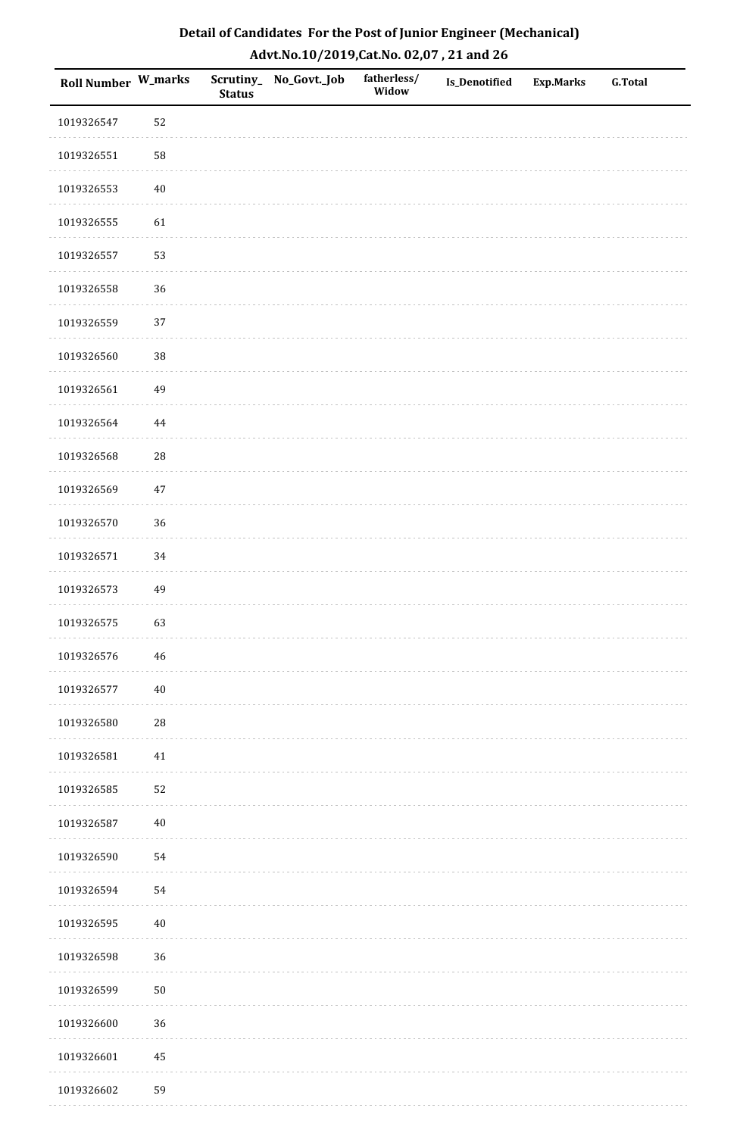| Roll Number W_marks |             | <b>Status</b> | Scrutiny_No_Govt._Job | fatherless/<br>Widow | Is_Denotified | <b>Exp.Marks</b> | <b>G.Total</b> |
|---------------------|-------------|---------------|-----------------------|----------------------|---------------|------------------|----------------|
| 1019326547          | 52          |               |                       |                      |               |                  |                |
| 1019326551          | 58          |               |                       |                      |               |                  |                |
| 1019326553          | $40\,$      |               |                       |                      |               |                  |                |
| 1019326555          | 61          |               |                       |                      |               |                  |                |
| 1019326557          | 53          |               |                       |                      |               |                  |                |
| 1019326558          | 36          |               |                       |                      |               |                  |                |
| 1019326559          | 37          |               |                       |                      |               |                  |                |
| 1019326560          | 38          |               |                       |                      |               |                  |                |
| 1019326561          | 49          |               |                       |                      |               |                  |                |
| 1019326564          | $\bf 44$    |               |                       |                      |               |                  |                |
| 1019326568          | 28          |               |                       |                      |               |                  |                |
| 1019326569          | $47\,$      |               |                       |                      |               |                  |                |
| 1019326570          | 36          |               |                       |                      |               |                  |                |
| 1019326571          | $34\,$      |               |                       |                      |               |                  |                |
| 1019326573          | 49          |               |                       |                      |               |                  |                |
| 1019326575          | 63          |               |                       |                      |               |                  |                |
| 1019326576          | $\sqrt{46}$ |               |                       |                      |               |                  |                |
| 1019326577          | $40\,$      |               |                       |                      |               |                  |                |
| 1019326580          | ${\bf 28}$  |               |                       |                      |               |                  |                |
| 1019326581          | 41          |               |                       |                      |               |                  |                |
| 1019326585          | 52          |               |                       |                      |               |                  |                |
| 1019326587          | $40\,$      |               |                       |                      |               |                  |                |
| 1019326590          | 54          |               |                       |                      |               |                  |                |
| 1019326594          | 54          |               |                       |                      |               |                  |                |
| 1019326595          | $40\,$      |               |                       |                      |               |                  |                |
| 1019326598          | 36          |               |                       |                      |               |                  |                |
| 1019326599          | $50\,$      |               |                       |                      |               |                  |                |
| 1019326600          | 36          |               |                       |                      |               |                  |                |
| 1019326601          | $\bf 45$    |               |                       |                      |               |                  |                |
| 1019326602          | 59          |               |                       |                      |               |                  |                |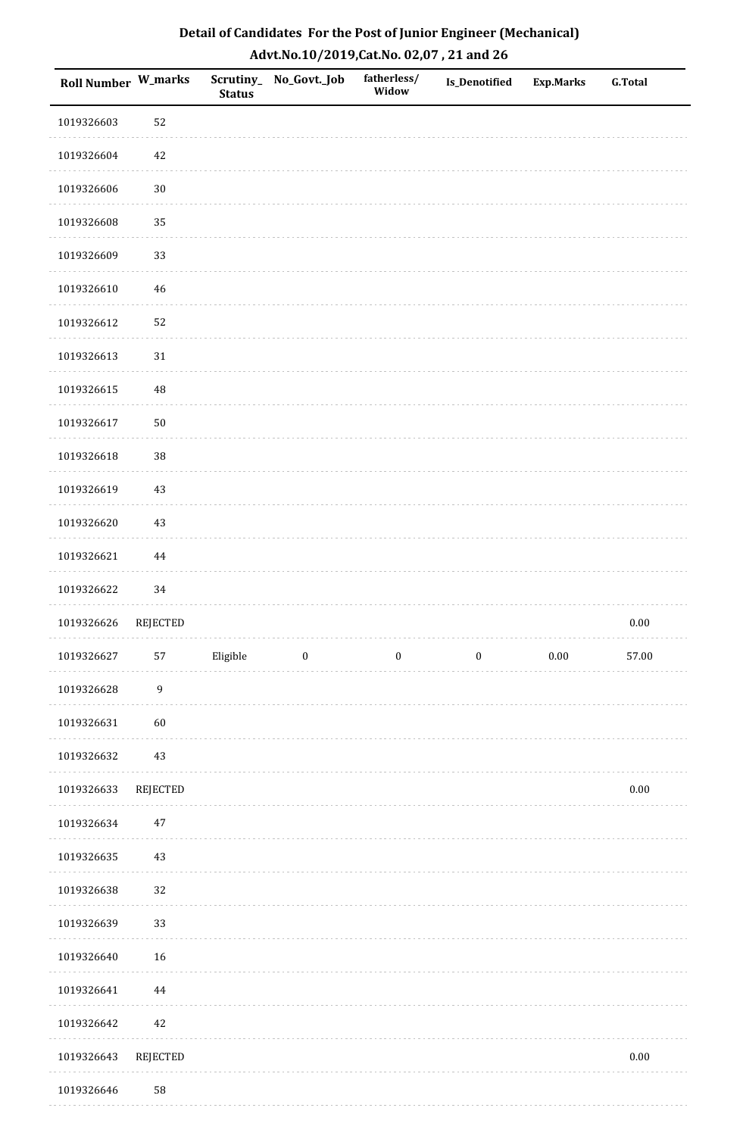| Detail of Candidates For the Post of Junior Engineer (Mechanical) |
|-------------------------------------------------------------------|
| Advt.No.10/2019,Cat.No. 02,07, 21 and 26                          |

| Roll Number W_marks |                  | <b>Status</b> | Scrutiny_No_Govt._Job | fatherless/<br>Widow | Is_Denotified    | <b>Exp.Marks</b> | <b>G.Total</b> |
|---------------------|------------------|---------------|-----------------------|----------------------|------------------|------------------|----------------|
| 1019326603          | 52               |               |                       |                      |                  |                  |                |
| 1019326604          | 42               |               |                       |                      |                  |                  |                |
| 1019326606          | $30\,$           |               |                       |                      |                  |                  |                |
| 1019326608          | 35               |               |                       |                      |                  |                  |                |
| 1019326609          | 33               |               |                       |                      |                  |                  |                |
| 1019326610          | 46               |               |                       |                      |                  |                  |                |
| 1019326612          | 52               |               |                       |                      |                  |                  |                |
| 1019326613          | $31\,$           |               |                       |                      |                  |                  |                |
| 1019326615          | 48               |               |                       |                      |                  |                  |                |
| 1019326617          | 50               |               |                       |                      |                  |                  |                |
| 1019326618          | $38\,$           |               |                       |                      |                  |                  |                |
| 1019326619          | 43               |               |                       |                      |                  |                  |                |
| 1019326620          | 43               |               |                       |                      |                  |                  |                |
| 1019326621          | 44               |               |                       |                      |                  |                  |                |
| 1019326622          | 34               |               |                       |                      |                  |                  |                |
| 1019326626          | REJECTED         |               |                       |                      |                  |                  | $0.00\,$       |
| 1019326627          | 57               | Eligible      | $\boldsymbol{0}$      | $\boldsymbol{0}$     | $\boldsymbol{0}$ | $0.00\,$         | 57.00          |
| 1019326628          | $\boldsymbol{9}$ |               |                       |                      |                  |                  |                |
| 1019326631          | 60               |               |                       |                      |                  |                  |                |
| 1019326632          | $43\,$           |               |                       |                      |                  |                  |                |
| 1019326633          | REJECTED         |               |                       |                      |                  |                  | $0.00\,$       |
| 1019326634          | $47\,$           |               |                       |                      |                  |                  |                |
| 1019326635          | 43               |               |                       |                      |                  |                  |                |
| 1019326638          | 32               |               |                       |                      |                  |                  |                |
| 1019326639          | 33               |               |                       |                      |                  |                  |                |
| 1019326640          | 16               |               |                       |                      |                  |                  |                |
| 1019326641          | $\bf 44$         |               |                       |                      |                  |                  |                |
| 1019326642          | 42               |               |                       |                      |                  |                  |                |
| 1019326643          | REJECTED         |               |                       |                      |                  |                  | $0.00\,$       |
| 1019326646          | 58               |               |                       |                      |                  |                  |                |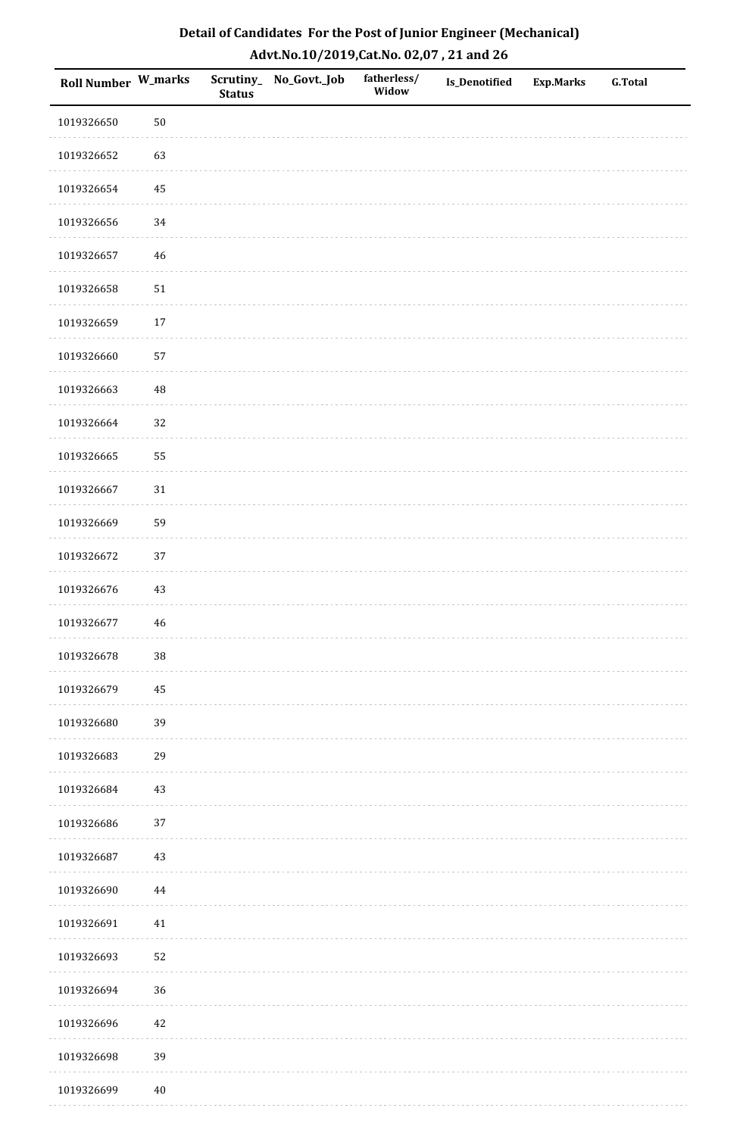| Roll Number W_marks |             | <b>Status</b> | Scrutiny_No_Govt._Job | fatherless/<br>Widow | Is_Denotified | <b>Exp.Marks</b> | <b>G.Total</b> |
|---------------------|-------------|---------------|-----------------------|----------------------|---------------|------------------|----------------|
| 1019326650          | $50\,$      |               |                       |                      |               |                  |                |
| 1019326652          | 63          |               |                       |                      |               |                  |                |
| 1019326654          | $\bf 45$    |               |                       |                      |               |                  |                |
| 1019326656          | $34\,$      |               |                       |                      |               |                  |                |
| 1019326657          | 46          |               |                       |                      |               |                  |                |
| 1019326658          | $51\,$      |               |                       |                      |               |                  |                |
| 1019326659          | $17\,$      |               |                       |                      |               |                  |                |
| 1019326660          | 57          |               |                       |                      |               |                  |                |
| 1019326663          | $\sqrt{48}$ |               |                       |                      |               |                  |                |
| 1019326664          | 32          |               |                       |                      |               |                  |                |
| 1019326665          | 55          |               |                       |                      |               |                  |                |
| 1019326667          | $31\,$      |               |                       |                      |               |                  |                |
| 1019326669          | 59          |               |                       |                      |               |                  |                |
| 1019326672          | 37          |               |                       |                      |               |                  |                |
| 1019326676          | $43\,$      |               |                       |                      |               |                  |                |
| 1019326677          | $46\,$      |               |                       |                      |               |                  |                |
| 1019326678          | $38\,$      |               |                       |                      |               |                  |                |
| 1019326679          | 45          |               |                       |                      |               |                  |                |
| 1019326680          | 39          |               |                       |                      |               |                  |                |
| 1019326683          | 29          |               |                       |                      |               |                  |                |
| 1019326684          | $43\,$      |               |                       |                      |               |                  |                |
| 1019326686          | $37\,$      |               |                       |                      |               |                  |                |
| 1019326687          | 43          |               |                       |                      |               |                  |                |
| 1019326690          | 44          |               |                       |                      |               |                  |                |
| 1019326691          | 41          |               |                       |                      |               |                  |                |
| 1019326693          | 52          |               |                       |                      |               |                  |                |
| 1019326694          | 36          |               |                       |                      |               |                  |                |
| 1019326696          | 42          |               |                       |                      |               |                  |                |
| 1019326698          | 39          |               |                       |                      |               |                  |                |
| 1019326699          | $40\,$      |               |                       |                      |               |                  |                |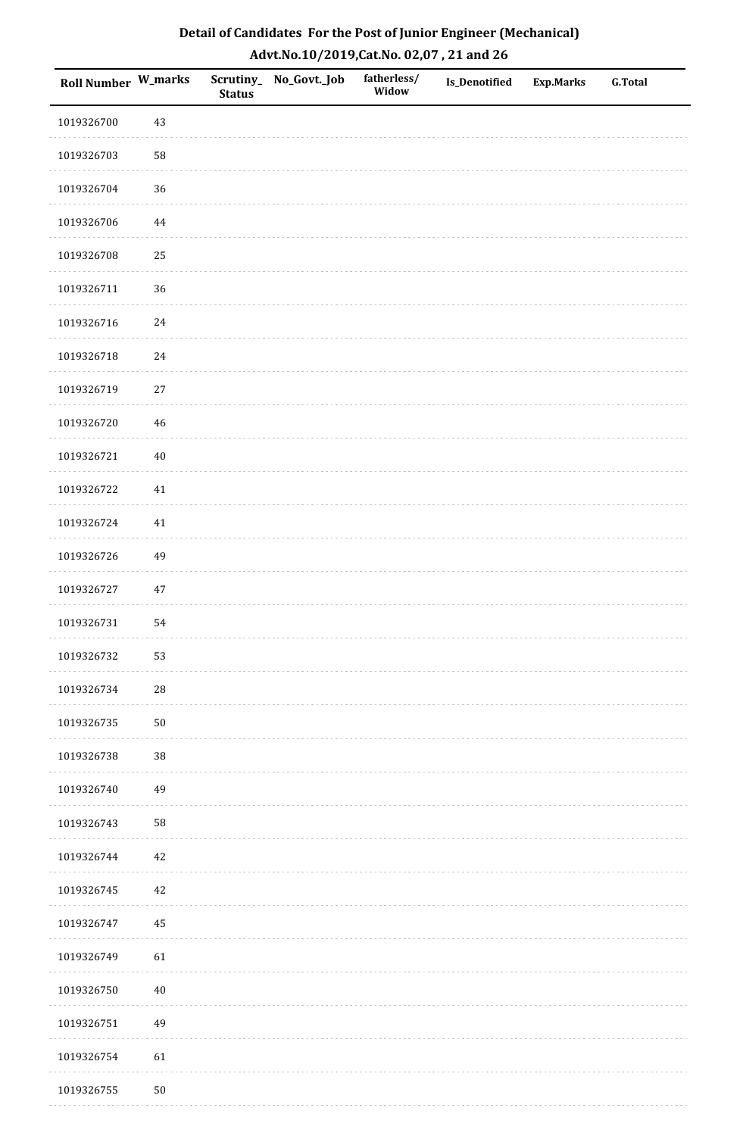| Roll Number W_marks |            | <b>Status</b> | Scrutiny_No_Govt._Job | fatherless/<br>Widow | Is_Denotified | <b>Exp.Marks</b> | <b>G.Total</b> |
|---------------------|------------|---------------|-----------------------|----------------------|---------------|------------------|----------------|
| 1019326700          | 43         |               |                       |                      |               |                  |                |
| 1019326703          | 58         |               |                       |                      |               |                  |                |
| 1019326704          | 36         |               |                       |                      |               |                  |                |
| 1019326706          | 44         |               |                       |                      |               |                  |                |
| 1019326708          | 25         |               |                       |                      |               |                  |                |
| 1019326711          | 36         |               |                       |                      |               |                  |                |
| 1019326716          | 24         |               |                       |                      |               |                  |                |
| 1019326718          | 24         |               |                       |                      |               |                  |                |
| 1019326719          | $27\,$     |               |                       |                      |               |                  |                |
| 1019326720          | $46\,$     |               |                       |                      |               |                  |                |
| 1019326721          | $40\,$     |               |                       |                      |               |                  |                |
| 1019326722          | $41\,$     |               |                       |                      |               |                  |                |
| 1019326724          | $41\,$     |               |                       |                      |               |                  |                |
| 1019326726          | 49         |               |                       |                      |               |                  |                |
| 1019326727          | $47\,$     |               |                       |                      |               |                  |                |
| 1019326731          | 54         |               |                       |                      |               |                  |                |
| 1019326732          | 53         |               |                       |                      |               |                  |                |
| 1019326734          | ${\bf 28}$ |               |                       |                      |               |                  |                |
| 1019326735          | $50\,$     |               |                       |                      |               |                  |                |
| 1019326738          | 38         |               |                       |                      |               |                  |                |
| 1019326740          | 49         |               |                       |                      |               |                  |                |
| 1019326743          | 58         |               |                       |                      |               |                  |                |
| 1019326744          | 42         |               |                       |                      |               |                  |                |
| 1019326745          | 42         |               |                       |                      |               |                  |                |
| 1019326747          | 45         |               |                       |                      |               |                  |                |
| 1019326749          | 61         |               |                       |                      |               |                  |                |
| 1019326750          | $40\,$     |               |                       |                      |               |                  |                |
| 1019326751          | 49         |               |                       |                      |               |                  |                |
| 1019326754          | 61         |               |                       |                      |               |                  |                |
| 1019326755          | $50\,$     |               |                       |                      |               |                  |                |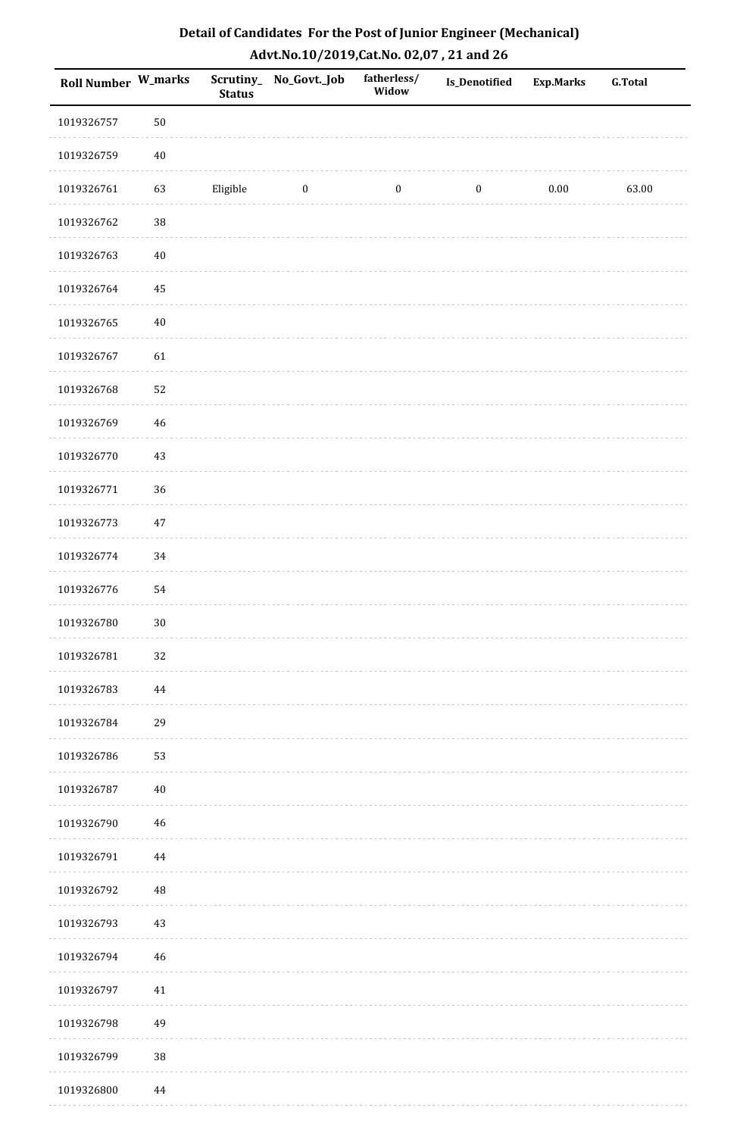| Roll Number W_marks |          | <b>Status</b> | Scrutiny_No_Govt._Job | fatherless/<br>Widow | Is_Denotified    | <b>Exp.Marks</b> | <b>G.Total</b> |
|---------------------|----------|---------------|-----------------------|----------------------|------------------|------------------|----------------|
| 1019326757          | $50\,$   |               |                       |                      |                  |                  |                |
| 1019326759          | $40\,$   |               |                       |                      |                  |                  |                |
| 1019326761          | 63       | Eligible      | $\bf{0}$              | $\boldsymbol{0}$     | $\boldsymbol{0}$ | 0.00             | 63.00          |
| 1019326762          | 38       |               |                       |                      |                  |                  |                |
| 1019326763          | $40\,$   |               |                       |                      |                  |                  |                |
| 1019326764          | 45       |               |                       |                      |                  |                  |                |
| 1019326765          | $40\,$   |               |                       |                      |                  |                  |                |
| 1019326767          | 61       |               |                       |                      |                  |                  |                |
| 1019326768          | 52       |               |                       |                      |                  |                  |                |
| 1019326769          | 46       |               |                       |                      |                  |                  |                |
| 1019326770          | 43       |               |                       |                      |                  |                  |                |
| 1019326771          | 36       |               |                       |                      |                  |                  |                |
| 1019326773          | $47\,$   |               |                       |                      |                  |                  |                |
| 1019326774          | 34       |               |                       |                      |                  |                  |                |
| 1019326776          | 54       |               |                       |                      |                  |                  |                |
| 1019326780          | $30\,$   |               |                       |                      |                  |                  |                |
| 1019326781          | 32       |               |                       |                      |                  |                  |                |
| 1019326783          | 44       |               |                       |                      |                  |                  |                |
| 1019326784          | 29       |               |                       |                      |                  |                  |                |
| 1019326786          | 53       |               |                       |                      |                  |                  |                |
| 1019326787          | $40\,$   |               |                       |                      |                  |                  |                |
| 1019326790          | 46       |               |                       |                      |                  |                  |                |
| 1019326791          | $\bf 44$ |               |                       |                      |                  |                  |                |
| 1019326792          | $\rm 48$ |               |                       |                      |                  |                  |                |
| 1019326793          | $43\,$   |               |                       |                      |                  |                  |                |
| 1019326794          | $46\,$   |               |                       |                      |                  |                  |                |
| 1019326797          | $41\,$   |               |                       |                      |                  |                  |                |
| 1019326798          | 49       |               |                       |                      |                  |                  |                |
| 1019326799          | $38\,$   |               |                       |                      |                  |                  |                |
| 1019326800          | 44       |               |                       |                      |                  |                  |                |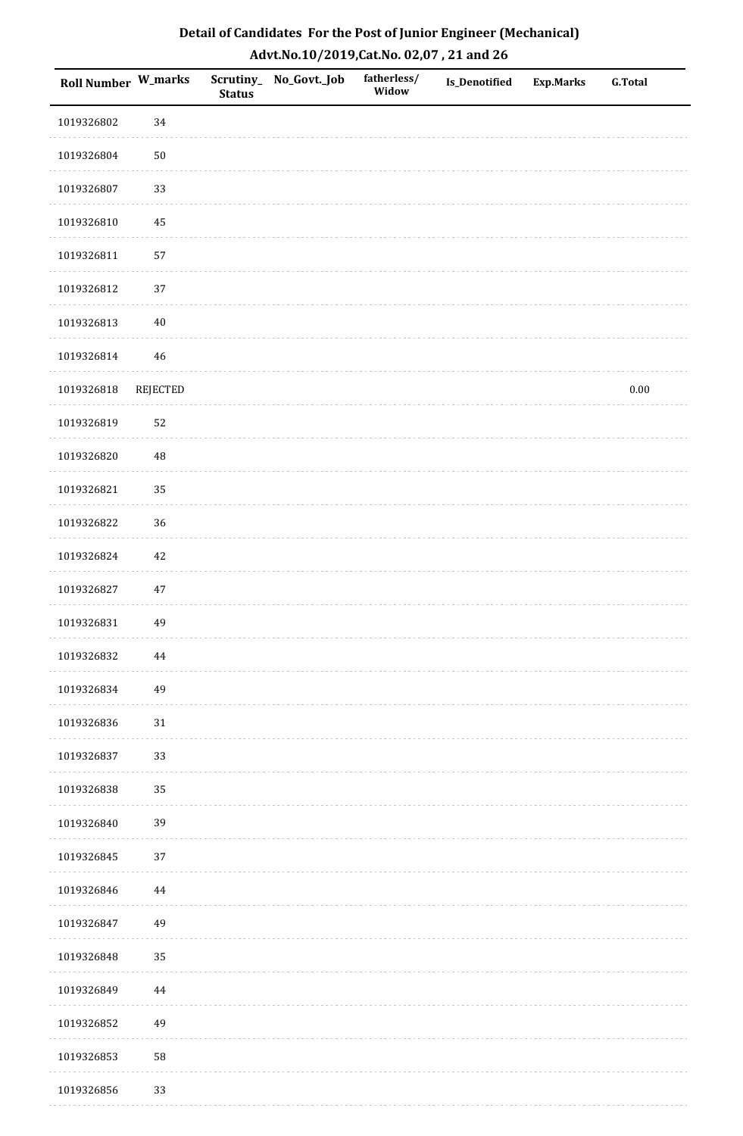| <b>Roll Number W_marks</b> |                 | <b>Status</b> | Scrutiny_ No_Govt._Job | fatherless/<br>Widow | <b>Is_Denotified</b> | <b>Exp.Marks</b> | <b>G.Total</b> |
|----------------------------|-----------------|---------------|------------------------|----------------------|----------------------|------------------|----------------|
| 1019326802                 | 34              |               |                        |                      |                      |                  |                |
| 1019326804                 | $50\,$          |               |                        |                      |                      |                  |                |
| 1019326807                 | 33              |               |                        |                      |                      |                  |                |
| 1019326810                 | 45              |               |                        |                      |                      |                  |                |
| 1019326811                 | 57              |               |                        |                      |                      |                  |                |
| 1019326812                 | $37\,$          |               |                        |                      |                      |                  |                |
| 1019326813                 | $40\,$          |               |                        |                      |                      |                  |                |
| 1019326814                 | 46              |               |                        |                      |                      |                  |                |
| 1019326818                 | <b>REJECTED</b> |               |                        |                      |                      |                  | $0.00\,$       |
| 1019326819                 | 52              |               |                        |                      |                      |                  |                |
| 1019326820                 | 48              |               |                        |                      |                      |                  |                |
| 1019326821                 | 35              |               |                        |                      |                      |                  |                |
| 1019326822                 | 36              |               |                        |                      |                      |                  |                |
| 1019326824                 | $42\,$          |               |                        |                      |                      |                  |                |
| 1019326827                 | $47\,$          |               |                        |                      |                      |                  |                |
| 1019326831                 | 49              |               |                        |                      |                      |                  |                |
| 1019326832                 | 44              |               |                        |                      |                      |                  |                |
| 1019326834                 | 49              |               |                        |                      |                      |                  |                |
| 1019326836                 | $31\,$          |               |                        |                      |                      |                  |                |
| 1019326837                 | 33              |               |                        |                      |                      |                  |                |
| 1019326838                 | 35              |               |                        |                      |                      |                  |                |
| 1019326840                 | 39              |               |                        |                      |                      |                  |                |
| 1019326845                 | 37              |               |                        |                      |                      |                  |                |
| 1019326846                 | 44              |               |                        |                      |                      |                  |                |
| 1019326847                 | 49              |               |                        |                      |                      |                  |                |
| 1019326848                 | 35              |               |                        |                      |                      |                  |                |
| 1019326849                 | 44              |               |                        |                      |                      |                  |                |
| 1019326852                 | 49              |               |                        |                      |                      |                  |                |
| 1019326853                 | 58              |               |                        |                      |                      |                  |                |
| 1019326856                 | 33              |               |                        |                      |                      |                  |                |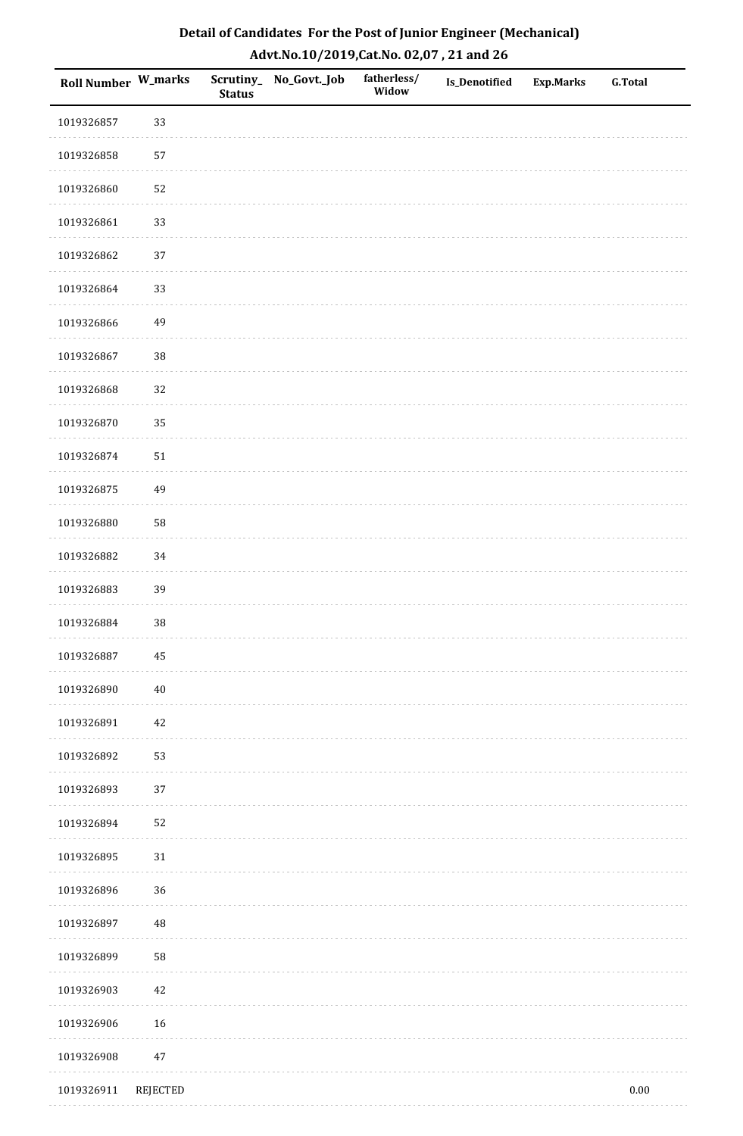| <b>Roll Number W_marks</b> |                 | <b>Status</b> | Scrutiny_ No_Govt._Job | fatherless/<br>Widow | Is_Denotified | <b>Exp.Marks</b> | <b>G.Total</b> |
|----------------------------|-----------------|---------------|------------------------|----------------------|---------------|------------------|----------------|
| 1019326857                 | 33              |               |                        |                      |               |                  |                |
| 1019326858                 | 57              |               |                        |                      |               |                  |                |
| 1019326860                 | 52              |               |                        |                      |               |                  |                |
| 1019326861                 | 33              |               |                        |                      |               |                  |                |
| 1019326862                 | 37              |               |                        |                      |               |                  |                |
| 1019326864                 | 33              |               |                        |                      |               |                  |                |
| 1019326866                 | 49              |               |                        |                      |               |                  |                |
| 1019326867                 | 38              |               |                        |                      |               |                  |                |
| 1019326868                 | 32              |               |                        |                      |               |                  |                |
| 1019326870                 | 35              |               |                        |                      |               |                  |                |
| 1019326874                 | $51\,$          |               |                        |                      |               |                  |                |
| 1019326875                 | 49              |               |                        |                      |               |                  |                |
| 1019326880                 | 58              |               |                        |                      |               |                  |                |
| 1019326882                 | 34              |               |                        |                      |               |                  |                |
| 1019326883                 | 39              |               |                        |                      |               |                  |                |
| 1019326884                 | 38              |               |                        |                      |               |                  |                |
| 1019326887                 | $\bf 45$        |               |                        |                      |               |                  |                |
| 1019326890                 | $40\,$          |               |                        |                      |               |                  |                |
| 1019326891                 | $42\,$          |               |                        |                      |               |                  |                |
| 1019326892                 | 53              |               |                        |                      |               |                  |                |
| 1019326893                 | 37              |               |                        |                      |               |                  |                |
| 1019326894                 | 52              |               |                        |                      |               |                  |                |
| 1019326895                 | 31              |               |                        |                      |               |                  |                |
| 1019326896                 | 36              |               |                        |                      |               |                  |                |
| 1019326897                 | $\rm 48$        |               |                        |                      |               |                  |                |
| 1019326899                 | 58              |               |                        |                      |               |                  |                |
| 1019326903                 | $42\,$          |               |                        |                      |               |                  |                |
| 1019326906                 | 16              |               |                        |                      |               |                  |                |
| 1019326908                 | $47\,$          |               |                        |                      |               |                  |                |
| 1019326911                 | <b>REJECTED</b> |               |                        |                      |               |                  | $0.00\,$       |

. . . . . . . . . . . . . . . . .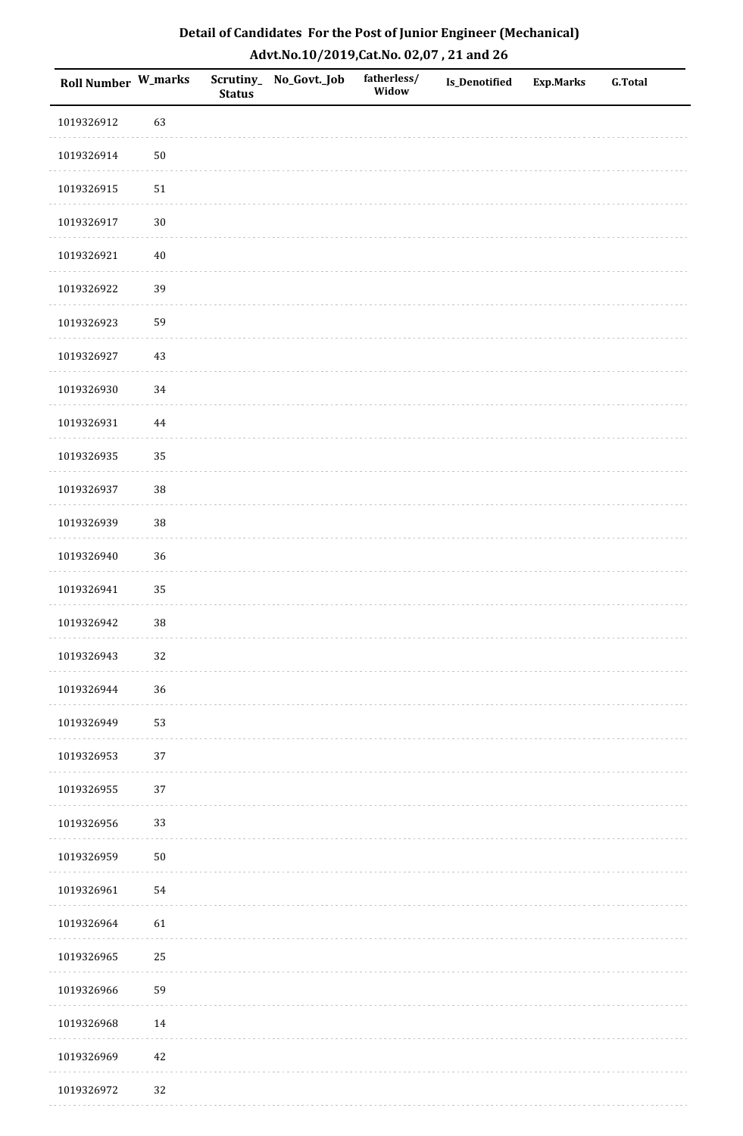| Roll Number W_marks |            | <b>Status</b> | Scrutiny_ No_Govt._Job | fatherless/<br>Widow | Is_Denotified | <b>Exp.Marks</b> | <b>G.Total</b> |
|---------------------|------------|---------------|------------------------|----------------------|---------------|------------------|----------------|
| 1019326912          | 63         |               |                        |                      |               |                  |                |
| 1019326914          | $50\,$     |               |                        |                      |               |                  |                |
| 1019326915          | ${\bf 51}$ |               |                        |                      |               |                  |                |
| 1019326917          | $30\,$     |               |                        |                      |               |                  |                |
| 1019326921          | $40\,$     |               |                        |                      |               |                  |                |
| 1019326922          | 39         |               |                        |                      |               |                  |                |
| 1019326923          | 59         |               |                        |                      |               |                  |                |
| 1019326927          | $43\,$     |               |                        |                      |               |                  |                |
| 1019326930          | 34         |               |                        |                      |               |                  |                |
| 1019326931          | $\bf 44$   |               |                        |                      |               |                  |                |
| 1019326935          | 35         |               |                        |                      |               |                  |                |
| 1019326937          | 38         |               |                        |                      |               |                  |                |
| 1019326939          | 38         |               |                        |                      |               |                  |                |
| 1019326940          | 36         |               |                        |                      |               |                  |                |
| 1019326941          | 35         |               |                        |                      |               |                  |                |
| 1019326942          | 38         |               |                        |                      |               |                  |                |
| 1019326943          | 32         |               |                        |                      |               |                  |                |
| 1019326944          | 36         |               |                        |                      |               |                  |                |
| 1019326949          | 53         |               |                        |                      |               |                  |                |
| 1019326953          | 37         |               |                        |                      |               |                  |                |
| 1019326955          | 37         |               |                        |                      |               |                  |                |
| 1019326956          | 33         |               |                        |                      |               |                  |                |
| 1019326959          | $50\,$     |               |                        |                      |               |                  |                |
| 1019326961          | 54         |               |                        |                      |               |                  |                |
| 1019326964          | 61         |               |                        |                      |               |                  |                |
| 1019326965          | 25         |               |                        |                      |               |                  |                |
| 1019326966          | 59         |               |                        |                      |               |                  |                |
| 1019326968          | 14         |               |                        |                      |               |                  |                |
| 1019326969          | $42\,$     |               |                        |                      |               |                  |                |
| 1019326972          | 32         |               |                        |                      |               |                  |                |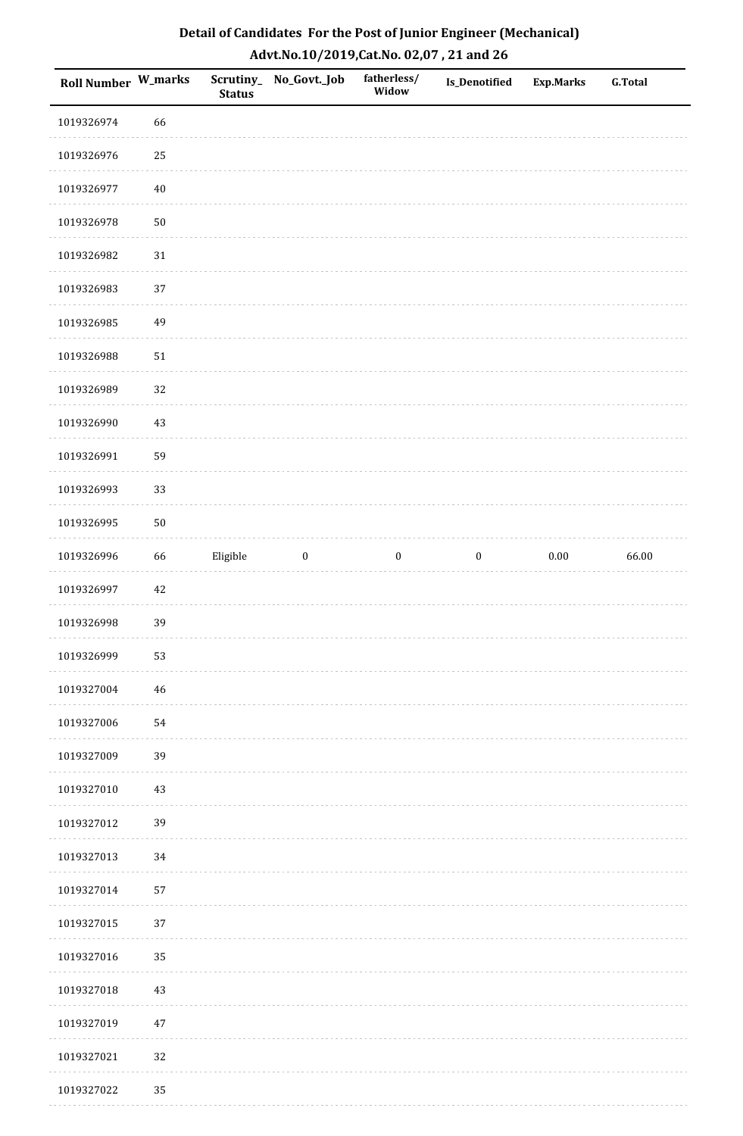| Roll Number W_marks |        | <b>Status</b> | Scrutiny_No_Govt._Job | fatherless/<br>Widow | <b>Is_Denotified</b> | <b>Exp.Marks</b> | <b>G.Total</b> |
|---------------------|--------|---------------|-----------------------|----------------------|----------------------|------------------|----------------|
| 1019326974          | 66     |               |                       |                      |                      |                  |                |
| 1019326976          | 25     |               |                       |                      |                      |                  |                |
| 1019326977          | $40\,$ |               |                       |                      |                      |                  |                |
| 1019326978          | $50\,$ |               |                       |                      |                      |                  |                |
| 1019326982          | $31\,$ |               |                       |                      |                      |                  |                |
| 1019326983          | 37     |               |                       |                      |                      |                  |                |
| 1019326985          | 49     |               |                       |                      |                      |                  |                |
| 1019326988          | $51\,$ |               |                       |                      |                      |                  |                |
| 1019326989          | 32     |               |                       |                      |                      |                  |                |
| 1019326990          | $43\,$ |               |                       |                      |                      |                  |                |
| 1019326991          | 59     |               |                       |                      |                      |                  |                |
| 1019326993          | 33     |               |                       |                      |                      |                  |                |
| 1019326995          | $50\,$ |               |                       |                      |                      |                  |                |
| 1019326996          | 66     | Eligible      | $\boldsymbol{0}$      | $\boldsymbol{0}$     | $\boldsymbol{0}$     | $0.00\,$         | 66.00          |
| 1019326997          | $42\,$ |               |                       |                      |                      |                  |                |
| 1019326998          | 39     |               |                       |                      |                      |                  |                |
| 1019326999          | 53     |               |                       |                      |                      |                  |                |
| 1019327004          | 46     |               |                       |                      |                      |                  |                |
| 1019327006          | 54     |               |                       |                      |                      |                  |                |
| 1019327009          | 39     |               |                       |                      |                      |                  |                |
| 1019327010          | 43     |               |                       |                      |                      |                  |                |
| 1019327012          | 39     |               |                       |                      |                      |                  |                |
| 1019327013          | 34     |               |                       |                      |                      |                  |                |
| 1019327014          | 57     |               |                       |                      |                      |                  |                |
| 1019327015          | 37     |               |                       |                      |                      |                  |                |
| 1019327016          | 35     |               |                       |                      |                      |                  |                |
| 1019327018          | $43\,$ |               |                       |                      |                      |                  |                |
| 1019327019          | $47\,$ |               |                       |                      |                      |                  |                |
| 1019327021          | 32     |               |                       |                      |                      |                  |                |
| 1019327022          | 35     |               |                       |                      |                      |                  |                |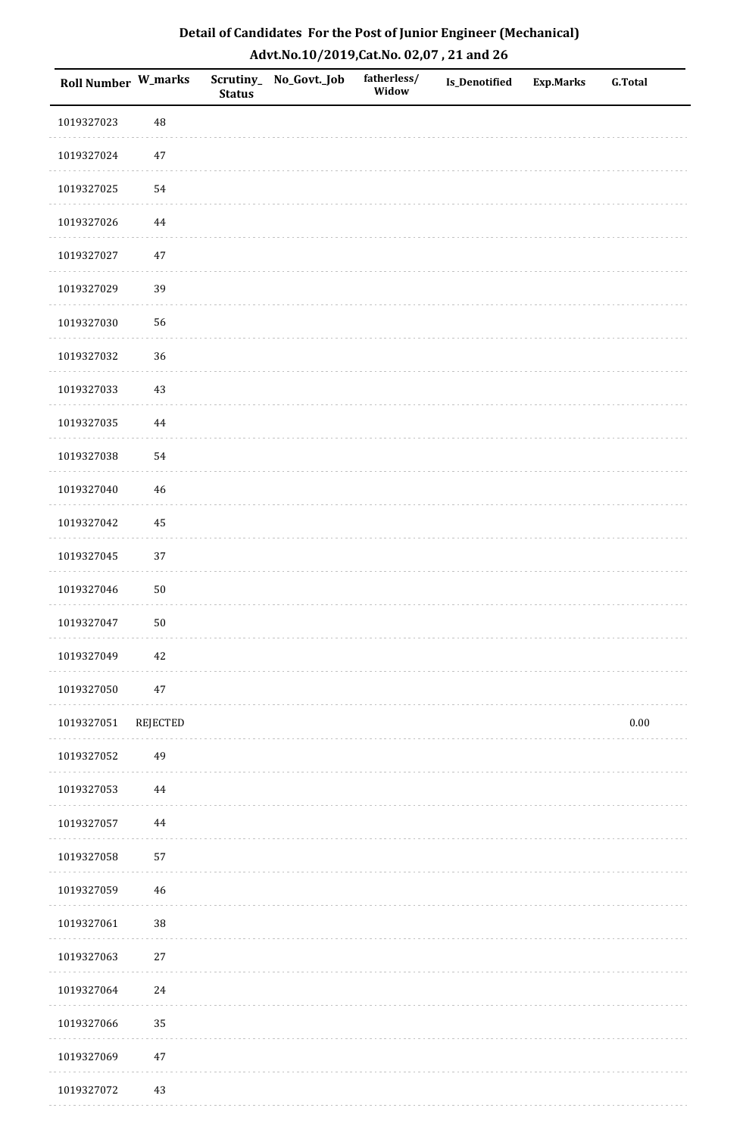| Roll Number W_marks |             | <b>Status</b> | Scrutiny_ No_Govt._Job | fatherless/<br>Widow | Is_Denotified | <b>Exp.Marks</b> | <b>G.Total</b> |
|---------------------|-------------|---------------|------------------------|----------------------|---------------|------------------|----------------|
| 1019327023          | 48          |               |                        |                      |               |                  |                |
| 1019327024          | $47\,$      |               |                        |                      |               |                  |                |
| 1019327025          | 54          |               |                        |                      |               |                  |                |
| 1019327026          | $\bf 44$    |               |                        |                      |               |                  |                |
| 1019327027          | $47\,$      |               |                        |                      |               |                  |                |
| 1019327029          | 39          |               |                        |                      |               |                  |                |
| 1019327030          | 56          |               |                        |                      |               |                  |                |
| 1019327032          | 36          |               |                        |                      |               |                  |                |
| 1019327033          | $43\,$      |               |                        |                      |               |                  |                |
| 1019327035          | $\bf 44$    |               |                        |                      |               |                  |                |
| 1019327038          | 54          |               |                        |                      |               |                  |                |
| 1019327040          | $\sqrt{46}$ |               |                        |                      |               |                  |                |
| 1019327042          | 45          |               |                        |                      |               |                  |                |
| 1019327045          | 37          |               |                        |                      |               |                  |                |
| 1019327046          | $50\,$      |               |                        |                      |               |                  |                |
| 1019327047          | $50\,$      |               |                        |                      |               |                  |                |
| 1019327049          | $42\,$      |               |                        |                      |               |                  |                |
| 1019327050          | $47\,$      |               |                        |                      |               |                  |                |
| 1019327051          | REJECTED    |               |                        |                      |               |                  | $0.00\,$       |
| 1019327052          | 49          |               |                        |                      |               |                  |                |
| 1019327053          | $\bf 44$    |               |                        |                      |               |                  |                |
| 1019327057          | $\bf 44$    |               |                        |                      |               |                  |                |
| 1019327058          | 57          |               |                        |                      |               |                  |                |
| 1019327059          | $\sqrt{46}$ |               |                        |                      |               |                  |                |
| 1019327061          | 38          |               |                        |                      |               |                  |                |
| 1019327063          | $27\,$      |               |                        |                      |               |                  |                |
| 1019327064          | 24          |               |                        |                      |               |                  |                |
| 1019327066          | 35          |               |                        |                      |               |                  |                |
| 1019327069          | $47\,$      |               |                        |                      |               |                  |                |
| 1019327072          | 43          |               |                        |                      |               |                  |                |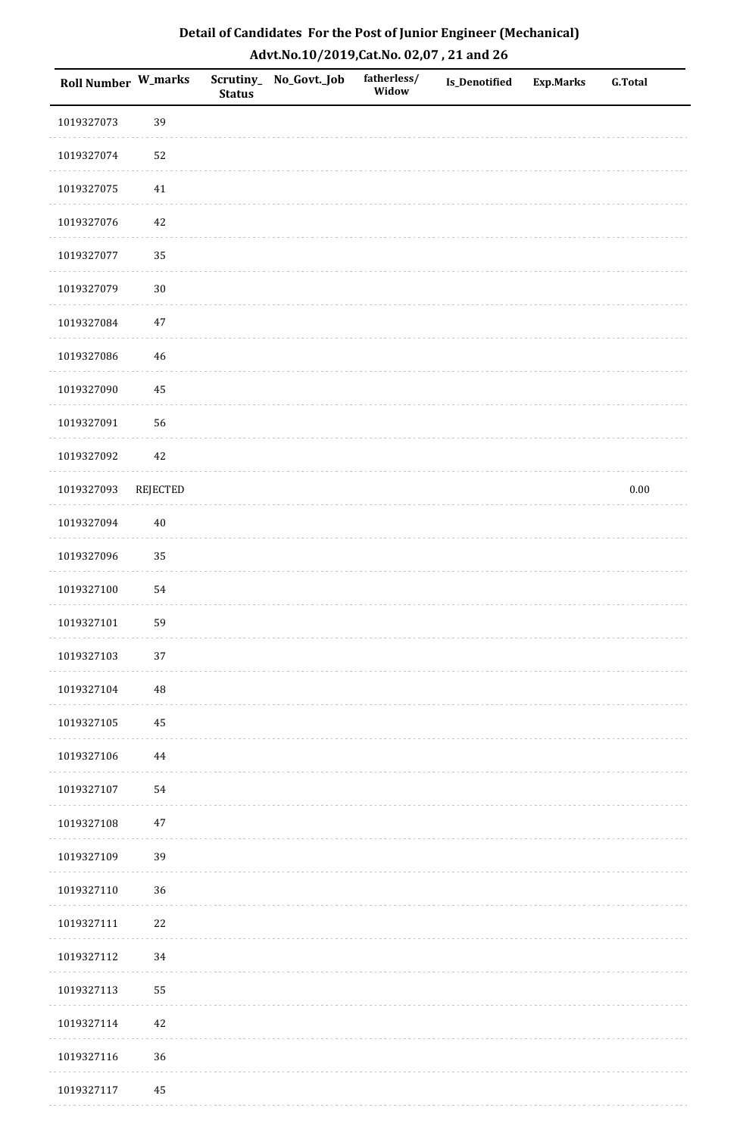| <b>Roll Number W_marks</b> |          | <b>Status</b> | Scrutiny_No_Govt._Job | fatherless/<br>Widow | Is_Denotified | <b>Exp.Marks</b> | <b>G.Total</b> |
|----------------------------|----------|---------------|-----------------------|----------------------|---------------|------------------|----------------|
| 1019327073                 | 39       |               |                       |                      |               |                  |                |
| 1019327074                 | 52       |               |                       |                      |               |                  |                |
| 1019327075                 | $41\,$   |               |                       |                      |               |                  |                |
| 1019327076                 | 42       |               |                       |                      |               |                  |                |
| 1019327077                 | 35       |               |                       |                      |               |                  |                |
| 1019327079                 | $30\,$   |               |                       |                      |               |                  |                |
| 1019327084                 | $47\,$   |               |                       |                      |               |                  |                |
| 1019327086                 | 46       |               |                       |                      |               |                  |                |
| 1019327090                 | 45       |               |                       |                      |               |                  |                |
| 1019327091                 | 56       |               |                       |                      |               |                  |                |
| 1019327092                 | 42       |               |                       |                      |               |                  |                |
| 1019327093                 | REJECTED |               |                       |                      |               |                  | $0.00\,$       |
| 1019327094                 | $40\,$   |               |                       |                      |               |                  |                |
| 1019327096                 | 35       |               |                       |                      |               |                  |                |
| 1019327100                 | 54       |               |                       |                      |               |                  |                |
| 1019327101                 | 59       |               |                       |                      |               |                  |                |
| 1019327103                 | $37\,$   |               |                       |                      |               |                  |                |
| 1019327104                 | 48       |               |                       |                      |               |                  |                |
| 1019327105                 | 45       |               |                       |                      |               |                  |                |
| 1019327106                 | 44       |               |                       |                      |               |                  |                |
| 1019327107                 | 54       |               |                       |                      |               |                  |                |
| 1019327108                 | $47\,$   |               |                       |                      |               |                  |                |
| 1019327109                 | 39       |               |                       |                      |               |                  |                |
| 1019327110                 | 36       |               |                       |                      |               |                  |                |
| 1019327111                 | $22\,$   |               |                       |                      |               |                  |                |
| 1019327112                 | 34       |               |                       |                      |               |                  |                |
| 1019327113                 | 55       |               |                       |                      |               |                  |                |
| 1019327114                 | 42       |               |                       |                      |               |                  |                |
| 1019327116                 | 36       |               |                       |                      |               |                  |                |
| 1019327117                 | 45       |               |                       |                      |               |                  |                |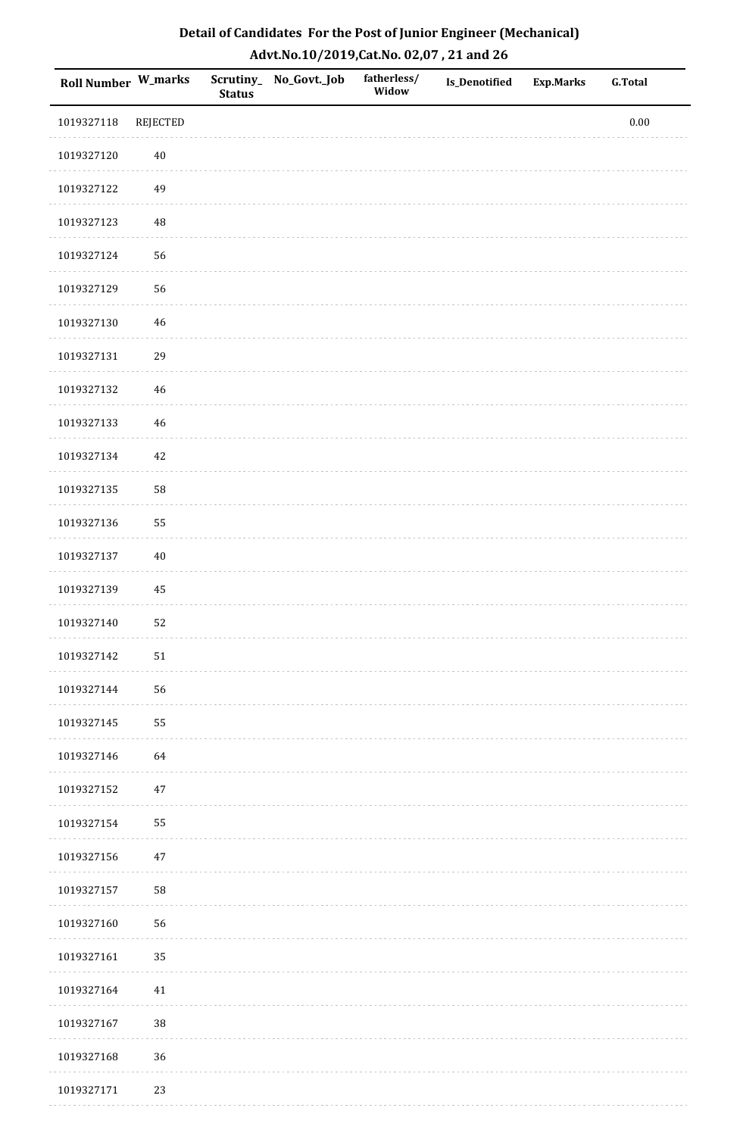| Roll Number W_marks |                 | <b>Status</b> | Scrutiny_No_Govt._Job | fatherless/<br>Widow | Is_Denotified | Exp.Marks | <b>G.Total</b> |
|---------------------|-----------------|---------------|-----------------------|----------------------|---------------|-----------|----------------|
| 1019327118          | <b>REJECTED</b> |               |                       |                      |               |           | $0.00\,$       |
| 1019327120          | $40\,$          |               |                       |                      |               |           |                |
| 1019327122          | 49              |               |                       |                      |               |           |                |
| 1019327123          | 48              |               |                       |                      |               |           |                |
| 1019327124          | 56              |               |                       |                      |               |           |                |
| 1019327129          | 56              |               |                       |                      |               |           |                |
| 1019327130          | 46              |               |                       |                      |               |           |                |
| 1019327131          | 29              |               |                       |                      |               |           |                |
| 1019327132          | $46\,$          |               |                       |                      |               |           |                |
| 1019327133          | $46\,$          |               |                       |                      |               |           |                |
| 1019327134          | $42\,$          |               |                       |                      |               |           |                |
| 1019327135          | 58              |               |                       |                      |               |           |                |
| 1019327136          | 55              |               |                       |                      |               |           |                |
| 1019327137          | $40\,$          |               |                       |                      |               |           |                |
| 1019327139          | $\bf 45$        |               |                       |                      |               |           |                |
| 1019327140          | 52              |               |                       |                      |               |           |                |
| 1019327142          | $51\,$          |               |                       |                      |               |           |                |
| 1019327144          | 56              |               |                       |                      |               |           |                |
| 1019327145          | 55              |               |                       |                      |               |           |                |
| 1019327146          | 64              |               |                       |                      |               |           |                |
| 1019327152          | 47              |               |                       |                      |               |           |                |
| 1019327154          | 55              |               |                       |                      |               |           |                |
| 1019327156          | 47              |               |                       |                      |               |           |                |
| 1019327157          | 58              |               |                       |                      |               |           |                |
| 1019327160          | 56              |               |                       |                      |               |           |                |
| 1019327161          | 35              |               |                       |                      |               |           |                |
| 1019327164          | 41              |               |                       |                      |               |           |                |
| 1019327167          | $38\,$          |               |                       |                      |               |           |                |
| 1019327168          | 36              |               |                       |                      |               |           |                |
| 1019327171          | 23              |               |                       |                      |               |           |                |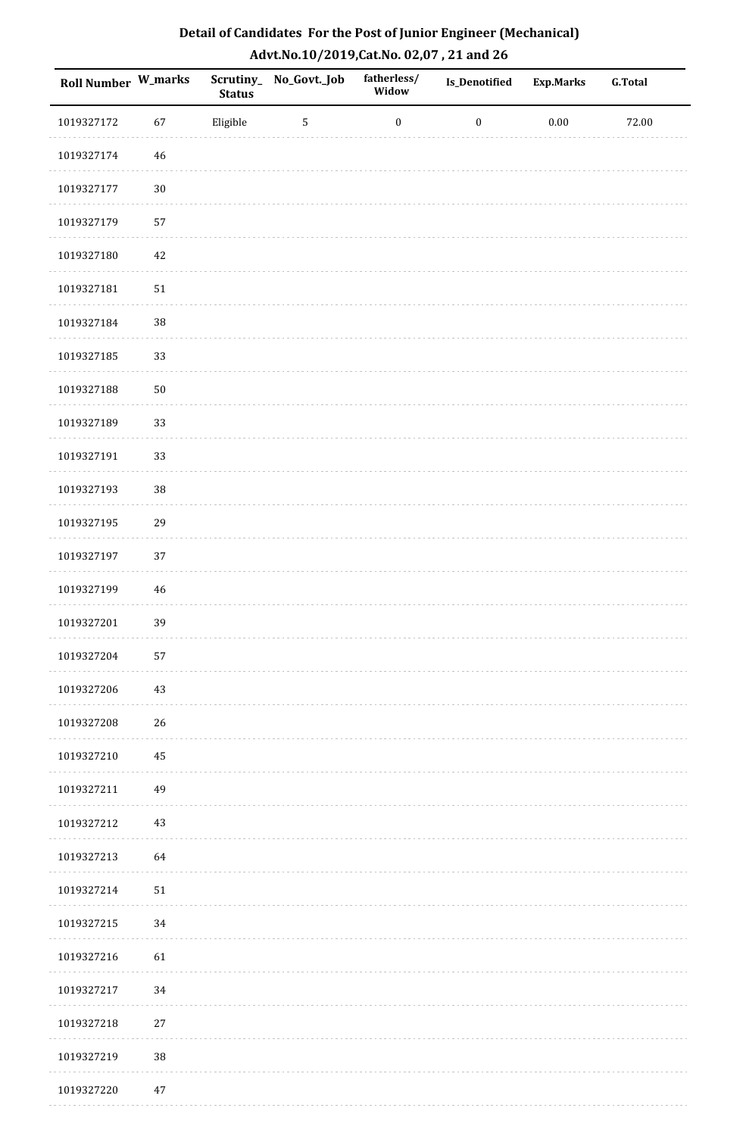| Detail of Candidates For the Post of Junior Engineer (Mechanical) |
|-------------------------------------------------------------------|
| Advt.No.10/2019,Cat.No. 02,07, 21 and 26                          |

| <b>Roll Number W_marks</b> |          | <b>Status</b> | Scrutiny_No_Govt._Job | fatherless/<br>Widow | <b>Is_Denotified</b> | <b>Exp.Marks</b> | <b>G.Total</b> |
|----------------------------|----------|---------------|-----------------------|----------------------|----------------------|------------------|----------------|
| 1019327172                 | 67       | Eligible      | $\sqrt{5}$            | $\boldsymbol{0}$     | $\boldsymbol{0}$     | $0.00\,$         | 72.00          |
| 1019327174                 | $\bf 46$ |               |                       |                      |                      |                  |                |
| 1019327177                 | $30\,$   |               |                       |                      |                      |                  |                |
| 1019327179                 | 57       |               |                       |                      |                      |                  |                |
| 1019327180                 | $42\,$   |               |                       |                      |                      |                  |                |
| 1019327181                 | $51\,$   |               |                       |                      |                      |                  |                |
| 1019327184                 | 38       |               |                       |                      |                      |                  |                |
| 1019327185                 | 33       |               |                       |                      |                      |                  |                |
| 1019327188                 | $50\,$   |               |                       |                      |                      |                  |                |
| 1019327189                 | 33       |               |                       |                      |                      |                  |                |
| 1019327191                 | 33       |               |                       |                      |                      |                  |                |
| 1019327193                 | $38\,$   |               |                       |                      |                      |                  |                |
| 1019327195                 | 29       |               |                       |                      |                      |                  |                |
| 1019327197                 | 37       |               |                       |                      |                      |                  |                |
| 1019327199                 | 46       |               |                       |                      |                      |                  |                |
| 1019327201                 | 39       |               |                       |                      |                      |                  |                |
| 1019327204                 | 57       |               |                       |                      |                      |                  |                |
| 1019327206                 | 43       |               |                       |                      |                      |                  |                |
| 1019327208                 | 26       |               |                       |                      |                      |                  |                |
| 1019327210                 | 45       |               |                       |                      |                      |                  |                |
| 1019327211                 | 49       |               |                       |                      |                      |                  |                |
| 1019327212                 | 43       |               |                       |                      |                      |                  |                |
| 1019327213                 | 64       |               |                       |                      |                      |                  |                |
| 1019327214                 | 51       |               |                       |                      |                      |                  |                |
| 1019327215                 | 34       |               |                       |                      |                      |                  |                |
| 1019327216                 | 61       |               |                       |                      |                      |                  |                |
| 1019327217                 | 34       |               |                       |                      |                      |                  |                |
| 1019327218                 | 27       |               |                       |                      |                      |                  |                |
| 1019327219                 | 38       |               |                       |                      |                      |                  |                |
| 1019327220                 | $47\,$   |               |                       |                      |                      |                  |                |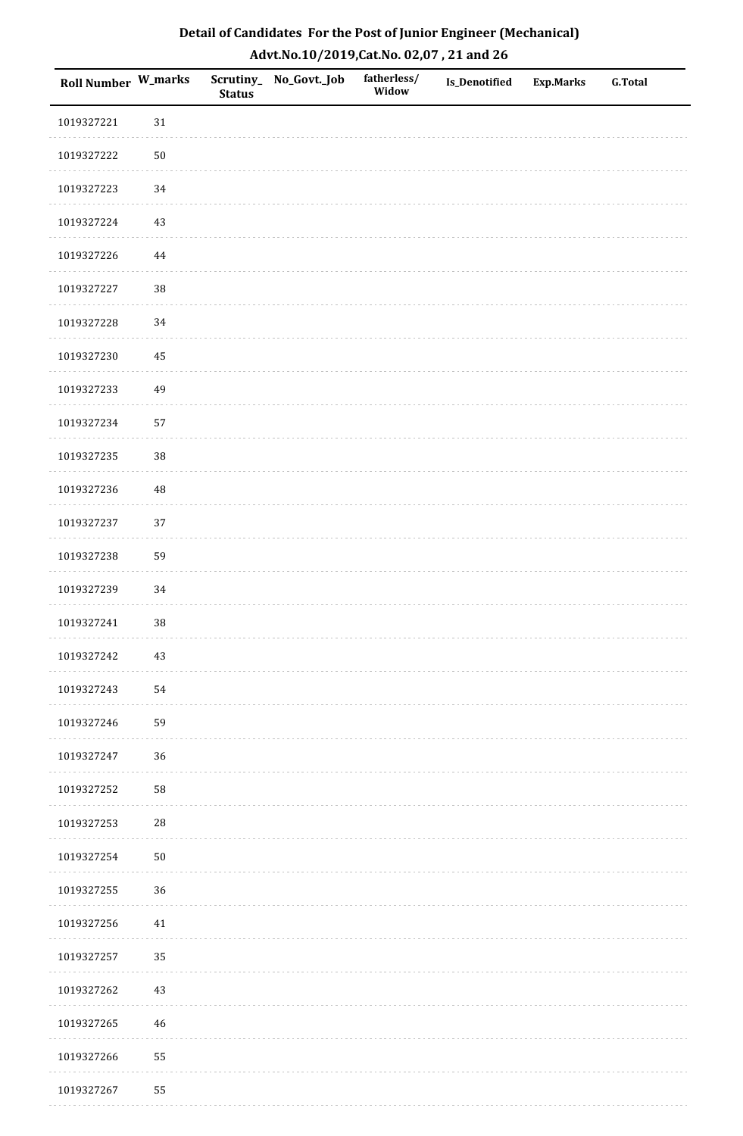| Roll Number W_marks |            | <b>Status</b> | Scrutiny_ No_Govt._Job | fatherless/<br>Widow | Is_Denotified | <b>Exp.Marks</b> | <b>G.Total</b> |
|---------------------|------------|---------------|------------------------|----------------------|---------------|------------------|----------------|
| 1019327221          | $31\,$     |               |                        |                      |               |                  |                |
| 1019327222          | $50\,$     |               |                        |                      |               |                  |                |
| 1019327223          | 34         |               |                        |                      |               |                  |                |
| 1019327224          | $43\,$     |               |                        |                      |               |                  |                |
| 1019327226          | $\bf 44$   |               |                        |                      |               |                  |                |
| 1019327227          | 38         |               |                        |                      |               |                  |                |
| 1019327228          | 34         |               |                        |                      |               |                  |                |
| 1019327230          | 45         |               |                        |                      |               |                  |                |
| 1019327233          | 49         |               |                        |                      |               |                  |                |
| 1019327234          | 57         |               |                        |                      |               |                  |                |
| 1019327235          | 38         |               |                        |                      |               |                  |                |
| 1019327236          | $\rm 48$   |               |                        |                      |               |                  |                |
| 1019327237          | 37         |               |                        |                      |               |                  |                |
| 1019327238          | 59         |               |                        |                      |               |                  |                |
| 1019327239          | 34         |               |                        |                      |               |                  |                |
| 1019327241          | 38         |               |                        |                      |               |                  |                |
| 1019327242          | $43\,$     |               |                        |                      |               |                  |                |
| 1019327243          | 54         |               |                        |                      |               |                  |                |
| 1019327246          | 59         |               |                        |                      |               |                  |                |
| 1019327247          | 36         |               |                        |                      |               |                  |                |
| 1019327252          | 58         |               |                        |                      |               |                  |                |
| 1019327253          | ${\bf 28}$ |               |                        |                      |               |                  |                |
| 1019327254          | ${\bf 50}$ |               |                        |                      |               |                  |                |
| 1019327255          | 36         |               |                        |                      |               |                  |                |
| 1019327256          | 41         |               |                        |                      |               |                  |                |
| 1019327257          | 35         |               |                        |                      |               |                  |                |
| 1019327262          | $43\,$     |               |                        |                      |               |                  |                |
| 1019327265          | 46         |               |                        |                      |               |                  |                |
| 1019327266          | 55         |               |                        |                      |               |                  |                |
| 1019327267          | 55         |               |                        |                      |               |                  |                |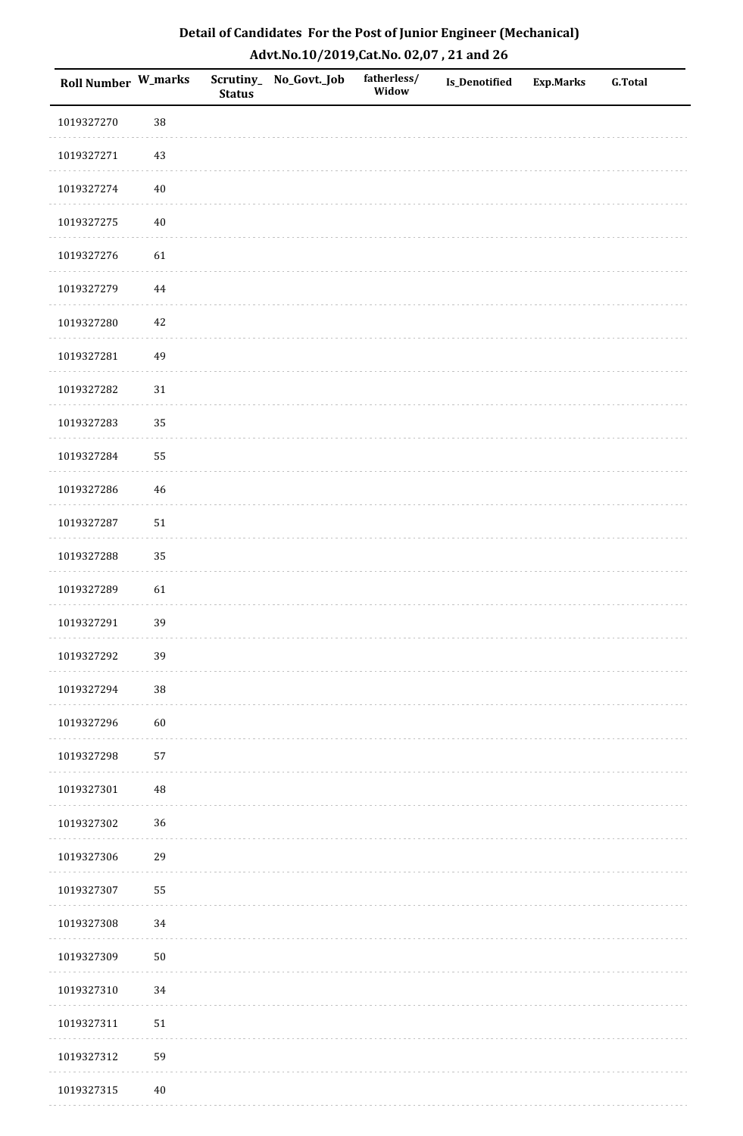| Roll Number W_marks |        | <b>Status</b> | Scrutiny_No_Govt._Job | fatherless/<br>Widow | Is_Denotified | <b>Exp.Marks</b> | <b>G.Total</b> |
|---------------------|--------|---------------|-----------------------|----------------------|---------------|------------------|----------------|
| 1019327270          | 38     |               |                       |                      |               |                  |                |
| 1019327271          | $43\,$ |               |                       |                      |               |                  |                |
| 1019327274          | $40\,$ |               |                       |                      |               |                  |                |
| 1019327275          | $40\,$ |               |                       |                      |               |                  |                |
| 1019327276          | 61     |               |                       |                      |               |                  |                |
| 1019327279          | 44     |               |                       |                      |               |                  |                |
| 1019327280          | 42     |               |                       |                      |               |                  |                |
| 1019327281          | 49     |               |                       |                      |               |                  |                |
| 1019327282          | $31\,$ |               |                       |                      |               |                  |                |
| 1019327283          | 35     |               |                       |                      |               |                  |                |
| 1019327284          | 55     |               |                       |                      |               |                  |                |
| 1019327286          | 46     |               |                       |                      |               |                  |                |
| 1019327287          | $51\,$ |               |                       |                      |               |                  |                |
| 1019327288          | 35     |               |                       |                      |               |                  |                |
| 1019327289          | 61     |               |                       |                      |               |                  |                |
| 1019327291          | 39     |               |                       |                      |               |                  |                |
| 1019327292          | 39     |               |                       |                      |               |                  |                |
| 1019327294          | 38     |               |                       |                      |               |                  |                |
| 1019327296          | 60     |               |                       |                      |               |                  |                |
| 1019327298          | 57     |               |                       |                      |               |                  |                |
| 1019327301          | 48     |               |                       |                      |               |                  |                |
| 1019327302          | 36     |               |                       |                      |               |                  |                |
| 1019327306          | 29     |               |                       |                      |               |                  |                |
| 1019327307          | 55     |               |                       |                      |               |                  |                |
| 1019327308          | 34     |               |                       |                      |               |                  |                |
| 1019327309          | $50\,$ |               |                       |                      |               |                  |                |
| 1019327310          | 34     |               |                       |                      |               |                  |                |
| 1019327311          | $51\,$ |               |                       |                      |               |                  |                |
| 1019327312          | 59     |               |                       |                      |               |                  |                |
| 1019327315          | $40\,$ |               |                       |                      |               |                  |                |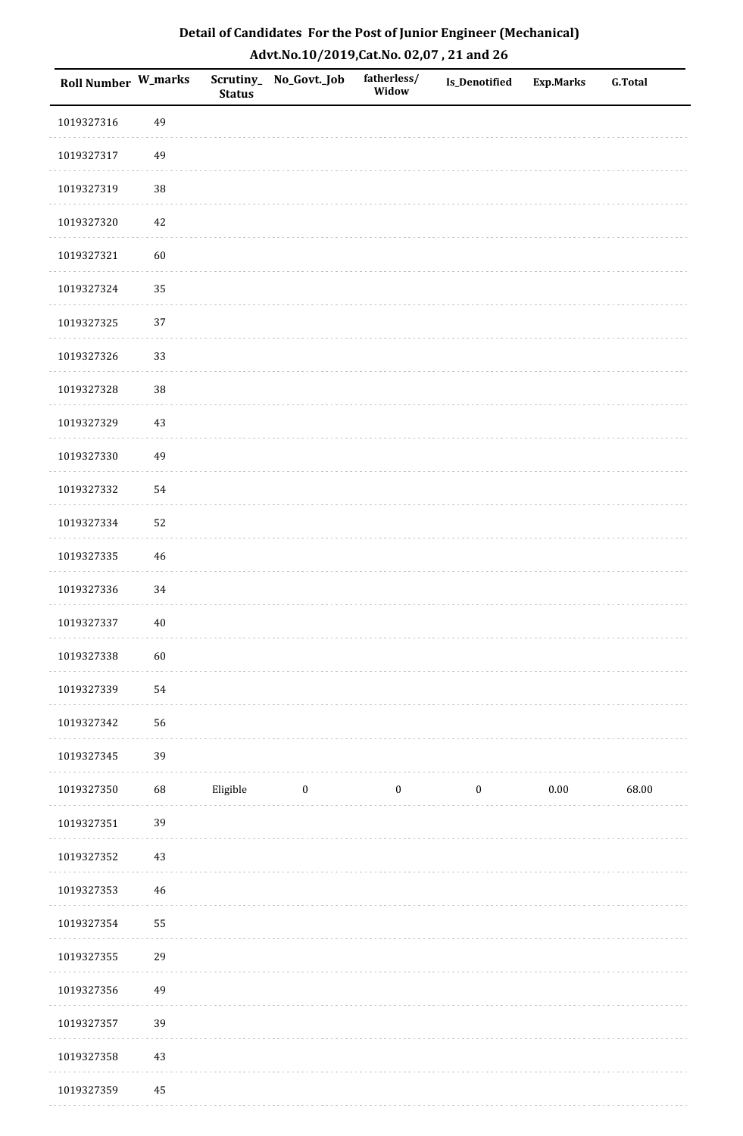| Detail of Candidates For the Post of Junior Engineer (Mechanical) |
|-------------------------------------------------------------------|
| Advt.No.10/2019,Cat.No. 02,07, 21 and 26                          |

| Roll Number W_marks |             | <b>Status</b> | Scrutiny_No_Govt._Job | fatherless/<br>Widow | <b>Is_Denotified</b> | Exp.Marks | <b>G.Total</b> |
|---------------------|-------------|---------------|-----------------------|----------------------|----------------------|-----------|----------------|
| 1019327316          | 49          |               |                       |                      |                      |           |                |
| 1019327317          | 49          |               |                       |                      |                      |           |                |
| 1019327319          | 38          |               |                       |                      |                      |           |                |
| 1019327320          | 42          |               |                       |                      |                      |           |                |
| 1019327321          | 60          |               |                       |                      |                      |           |                |
| 1019327324          | 35          |               |                       |                      |                      |           |                |
| 1019327325          | 37          |               |                       |                      |                      |           |                |
| 1019327326          | 33          |               |                       |                      |                      |           |                |
| 1019327328          | 38          |               |                       |                      |                      |           |                |
| 1019327329          | 43          |               |                       |                      |                      |           |                |
| 1019327330          | 49          |               |                       |                      |                      |           |                |
| 1019327332          | 54          |               |                       |                      |                      |           |                |
| 1019327334          | 52          |               |                       |                      |                      |           |                |
| 1019327335          | $\sqrt{46}$ |               |                       |                      |                      |           |                |
| 1019327336          | 34          |               |                       |                      |                      |           |                |
| 1019327337          | $40\,$      |               |                       |                      |                      |           |                |
| 1019327338          | 60          |               |                       |                      |                      |           |                |
| 1019327339          | 54          |               |                       |                      |                      |           |                |
| 1019327342          | 56          |               |                       |                      |                      |           |                |
| 1019327345          | 39          |               |                       |                      |                      |           |                |
| 1019327350          | 68          | Eligible      | $\boldsymbol{0}$      | $\boldsymbol{0}$     | $\boldsymbol{0}$     | $0.00\,$  | 68.00          |
| 1019327351          | 39          |               |                       |                      |                      |           |                |
| 1019327352          | $43\,$      |               |                       |                      |                      |           |                |
| 1019327353          | $\sqrt{46}$ |               |                       |                      |                      |           |                |
| 1019327354          | 55          |               |                       |                      |                      |           |                |
| 1019327355          | 29          |               |                       |                      |                      |           |                |
| 1019327356          | 49          |               |                       |                      |                      |           |                |
| 1019327357          | 39          |               |                       |                      |                      |           |                |
| 1019327358          | $43\,$      |               |                       |                      |                      |           |                |
| 1019327359          | 45          |               |                       |                      |                      |           |                |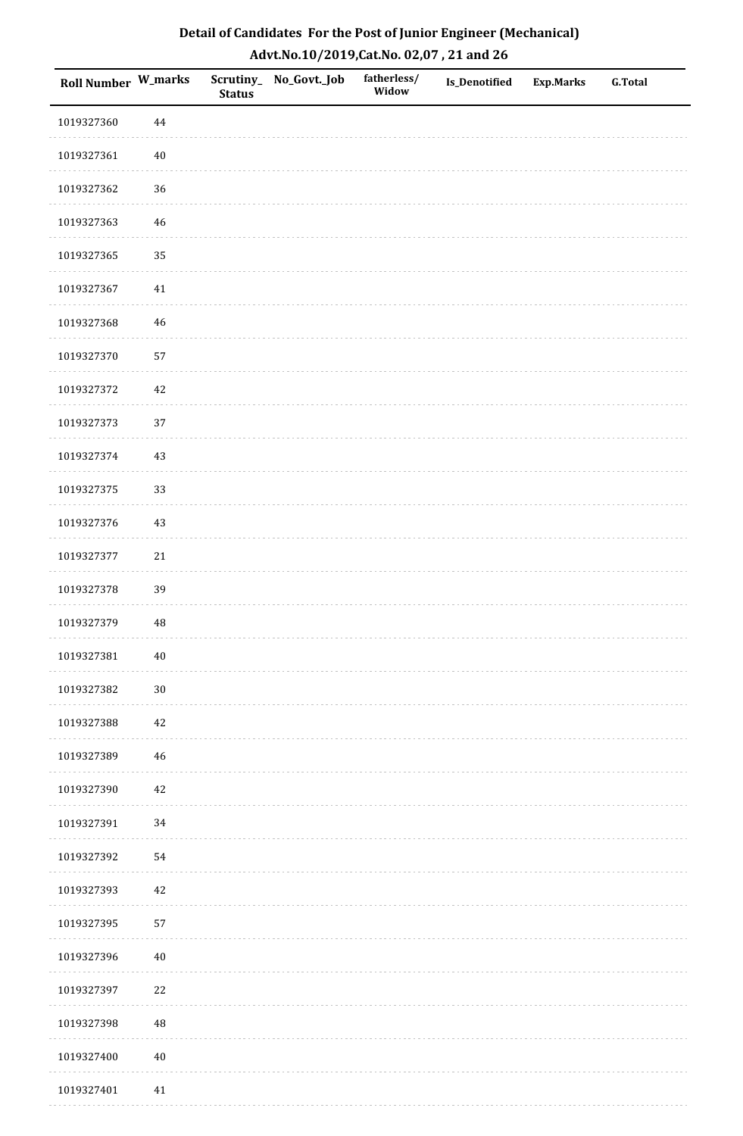| Roll Number W_marks |             | <b>Status</b> | Scrutiny_No_Govt._Job | fatherless/<br>Widow | Is_Denotified | <b>Exp.Marks</b> | <b>G.Total</b> |
|---------------------|-------------|---------------|-----------------------|----------------------|---------------|------------------|----------------|
| 1019327360          | $\bf 44$    |               |                       |                      |               |                  |                |
| 1019327361          | $40\,$      |               |                       |                      |               |                  |                |
| 1019327362          | 36          |               |                       |                      |               |                  |                |
| 1019327363          | 46          |               |                       |                      |               |                  |                |
| 1019327365          | 35          |               |                       |                      |               |                  |                |
| 1019327367          | 41          |               |                       |                      |               |                  |                |
| 1019327368          | $46\,$      |               |                       |                      |               |                  |                |
| 1019327370          | 57          |               |                       |                      |               |                  |                |
| 1019327372          | 42          |               |                       |                      |               |                  |                |
| 1019327373          | 37          |               |                       |                      |               |                  |                |
| 1019327374          | 43          |               |                       |                      |               |                  |                |
| 1019327375          | 33          |               |                       |                      |               |                  |                |
| 1019327376          | $43\,$      |               |                       |                      |               |                  |                |
| 1019327377          | $21\,$      |               |                       |                      |               |                  |                |
| 1019327378          | 39          |               |                       |                      |               |                  |                |
| 1019327379          | $\rm 48$    |               |                       |                      |               |                  |                |
| 1019327381          | $40\,$      |               |                       |                      |               |                  |                |
| 1019327382          | $30\,$      |               |                       |                      |               |                  |                |
| 1019327388          | $42\,$      |               |                       |                      |               |                  |                |
| 1019327389          | $46\,$      |               |                       |                      |               |                  |                |
| 1019327390          | 42          |               |                       |                      |               |                  |                |
| 1019327391          | $34\,$      |               |                       |                      |               |                  |                |
| 1019327392          | 54          |               |                       |                      |               |                  |                |
| 1019327393          | 42          |               |                       |                      |               |                  |                |
| 1019327395          | 57          |               |                       |                      |               |                  |                |
| 1019327396          | $40\,$      |               |                       |                      |               |                  |                |
| 1019327397          | $22\,$      |               |                       |                      |               |                  |                |
| 1019327398          | $\sqrt{48}$ |               |                       |                      |               |                  |                |
| 1019327400          | $40\,$      |               |                       |                      |               |                  |                |
| 1019327401          | 41          |               |                       |                      |               |                  |                |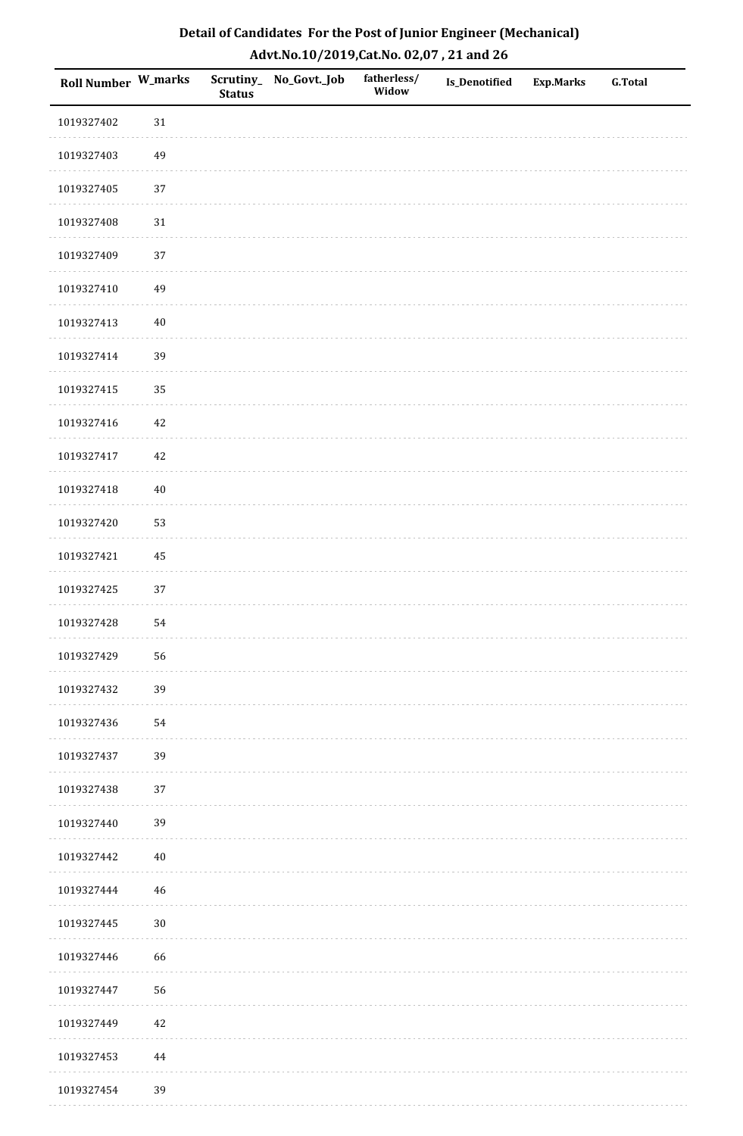| Detail of Candidates For the Post of Junior Engineer (Mechanical) |
|-------------------------------------------------------------------|
| Advt.No.10/2019,Cat.No. 02,07, 21 and 26                          |

| Roll Number W_marks |          | <b>Status</b> | Scrutiny_No_Govt._Job | fatherless/<br>Widow | Is_Denotified | <b>Exp.Marks</b> | <b>G.Total</b> |
|---------------------|----------|---------------|-----------------------|----------------------|---------------|------------------|----------------|
| 1019327402          | 31       |               |                       |                      |               |                  |                |
| 1019327403          | 49       |               |                       |                      |               |                  |                |
| 1019327405          | 37       |               |                       |                      |               |                  |                |
| 1019327408          | $31\,$   |               |                       |                      |               |                  |                |
| 1019327409          | $37\,$   |               |                       |                      |               |                  |                |
| 1019327410          | 49       |               |                       |                      |               |                  |                |
| 1019327413          | $40\,$   |               |                       |                      |               |                  |                |
| 1019327414          | 39       |               |                       |                      |               |                  |                |
| 1019327415          | 35       |               |                       |                      |               |                  |                |
| 1019327416          | 42       |               |                       |                      |               |                  |                |
| 1019327417          | $42\,$   |               |                       |                      |               |                  |                |
| 1019327418          | $40\,$   |               |                       |                      |               |                  |                |
| 1019327420          | 53       |               |                       |                      |               |                  |                |
| 1019327421          | 45       |               |                       |                      |               |                  |                |
| 1019327425          | 37       |               |                       |                      |               |                  |                |
| 1019327428          | 54       |               |                       |                      |               |                  |                |
| 1019327429          | 56       |               |                       |                      |               |                  |                |
| 1019327432          | 39       |               |                       |                      |               |                  |                |
| 1019327436          | 54       |               |                       |                      |               |                  |                |
| 1019327437          | 39       |               |                       |                      |               |                  |                |
| 1019327438          | 37       |               |                       |                      |               |                  |                |
| 1019327440          | 39       |               |                       |                      |               |                  |                |
| 1019327442          | $40\,$   |               |                       |                      |               |                  |                |
| 1019327444          | 46       |               |                       |                      |               |                  |                |
| 1019327445          | $30\,$   |               |                       |                      |               |                  |                |
| 1019327446          | 66       |               |                       |                      |               |                  |                |
| 1019327447          | 56       |               |                       |                      |               |                  |                |
| 1019327449          | 42       |               |                       |                      |               |                  |                |
| 1019327453          | $\bf 44$ |               |                       |                      |               |                  |                |
| 1019327454          | 39       |               |                       |                      |               |                  |                |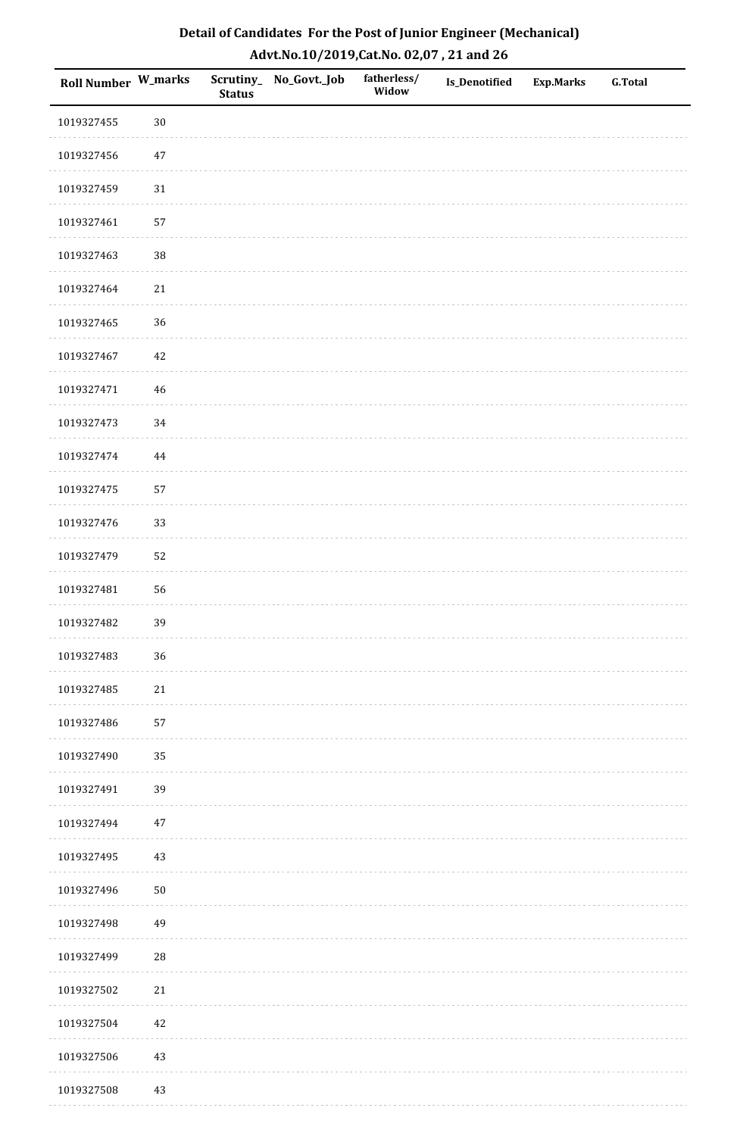| Roll Number W_marks |            | <b>Status</b> | Scrutiny_ No_Govt._Job | fatherless/<br>Widow | <b>Is_Denotified</b> | <b>Exp.Marks</b> | <b>G.Total</b> |
|---------------------|------------|---------------|------------------------|----------------------|----------------------|------------------|----------------|
| 1019327455          | $30\,$     |               |                        |                      |                      |                  |                |
| 1019327456          | $47\,$     |               |                        |                      |                      |                  |                |
| 1019327459          | $31\,$     |               |                        |                      |                      |                  |                |
| 1019327461          | 57         |               |                        |                      |                      |                  |                |
| 1019327463          | $38\,$     |               |                        |                      |                      |                  |                |
| 1019327464          | $21\,$     |               |                        |                      |                      |                  |                |
| 1019327465          | 36         |               |                        |                      |                      |                  |                |
| 1019327467          | 42         |               |                        |                      |                      |                  |                |
| 1019327471          | $46\,$     |               |                        |                      |                      |                  |                |
| 1019327473          | 34         |               |                        |                      |                      |                  |                |
| 1019327474          | $\bf 44$   |               |                        |                      |                      |                  |                |
| 1019327475          | 57         |               |                        |                      |                      |                  |                |
| 1019327476          | 33         |               |                        |                      |                      |                  |                |
| 1019327479          | 52         |               |                        |                      |                      |                  |                |
| 1019327481          | 56         |               |                        |                      |                      |                  |                |
| 1019327482          | 39         |               |                        |                      |                      |                  |                |
| 1019327483          | 36         |               |                        |                      |                      |                  |                |
| 1019327485          | $21\,$     |               |                        |                      |                      |                  |                |
| 1019327486          | 57         |               |                        |                      |                      |                  |                |
| 1019327490          | 35         |               |                        |                      |                      |                  |                |
| 1019327491          | 39         |               |                        |                      |                      |                  |                |
| 1019327494          | $47\,$     |               |                        |                      |                      |                  |                |
| 1019327495          | 43         |               |                        |                      |                      |                  |                |
| 1019327496          | $50\,$     |               |                        |                      |                      |                  |                |
| 1019327498          | 49         |               |                        |                      |                      |                  |                |
| 1019327499          | ${\bf 28}$ |               |                        |                      |                      |                  |                |
| 1019327502          | 21         |               |                        |                      |                      |                  |                |
| 1019327504          | 42         |               |                        |                      |                      |                  |                |
| 1019327506          | $43\,$     |               |                        |                      |                      |                  |                |
| 1019327508          | 43         |               |                        |                      |                      |                  |                |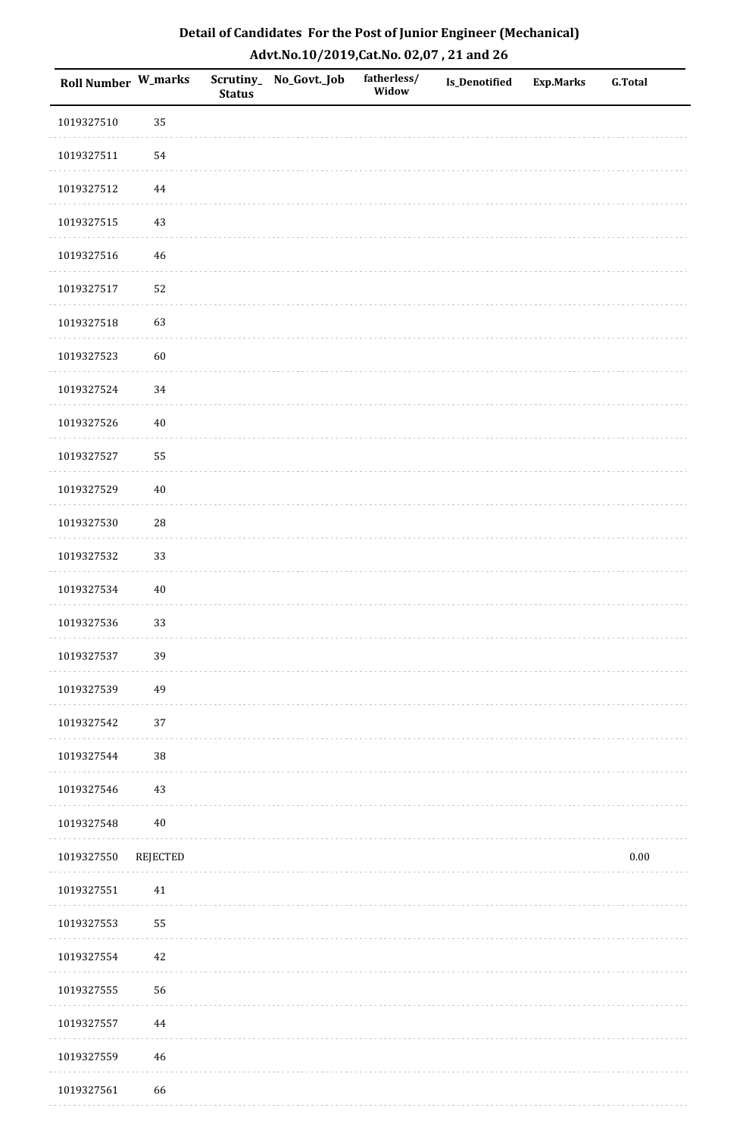| Roll Number W_marks |             | <b>Status</b> | Scrutiny_No_Govt._Job | fatherless/<br>Widow | <b>Is_Denotified</b> | <b>Exp.Marks</b> | <b>G.Total</b> |
|---------------------|-------------|---------------|-----------------------|----------------------|----------------------|------------------|----------------|
| 1019327510          | 35          |               |                       |                      |                      |                  |                |
| 1019327511          | 54          |               |                       |                      |                      |                  |                |
| 1019327512          | $\bf 44$    |               |                       |                      |                      |                  |                |
| 1019327515          | 43          |               |                       |                      |                      |                  |                |
| 1019327516          | 46          |               |                       |                      |                      |                  |                |
| 1019327517          | 52          |               |                       |                      |                      |                  |                |
| 1019327518          | 63          |               |                       |                      |                      |                  |                |
| 1019327523          | 60          |               |                       |                      |                      |                  |                |
| 1019327524          | 34          |               |                       |                      |                      |                  |                |
| 1019327526          | $40\,$      |               |                       |                      |                      |                  |                |
| 1019327527          | 55          |               |                       |                      |                      |                  |                |
| 1019327529          | $40\,$      |               |                       |                      |                      |                  |                |
| 1019327530          | $\sqrt{28}$ |               |                       |                      |                      |                  |                |
| 1019327532          | 33          |               |                       |                      |                      |                  |                |
| 1019327534          | $40\,$      |               |                       |                      |                      |                  |                |
| 1019327536          | 33          |               |                       |                      |                      |                  |                |
| 1019327537          | 39          |               |                       |                      |                      |                  |                |
| 1019327539          | 49          |               |                       |                      |                      |                  |                |
| 1019327542          | 37          |               |                       |                      |                      |                  |                |
| 1019327544          | $38\,$      |               |                       |                      |                      |                  |                |
| 1019327546          | 43          |               |                       |                      |                      |                  |                |
| 1019327548          | $40\,$      |               |                       |                      |                      |                  |                |
| 1019327550          | REJECTED    |               |                       |                      |                      |                  | $0.00\,$       |
| 1019327551          | $41\,$      |               |                       |                      |                      |                  |                |
| 1019327553          | 55          |               |                       |                      |                      |                  |                |
| 1019327554          | 42          |               |                       |                      |                      |                  |                |
| 1019327555          | 56          |               |                       |                      |                      |                  |                |
| 1019327557          | $\bf 44$    |               |                       |                      |                      |                  |                |
| 1019327559          | 46          |               |                       |                      |                      |                  |                |
| 1019327561          | 66          |               |                       |                      |                      |                  |                |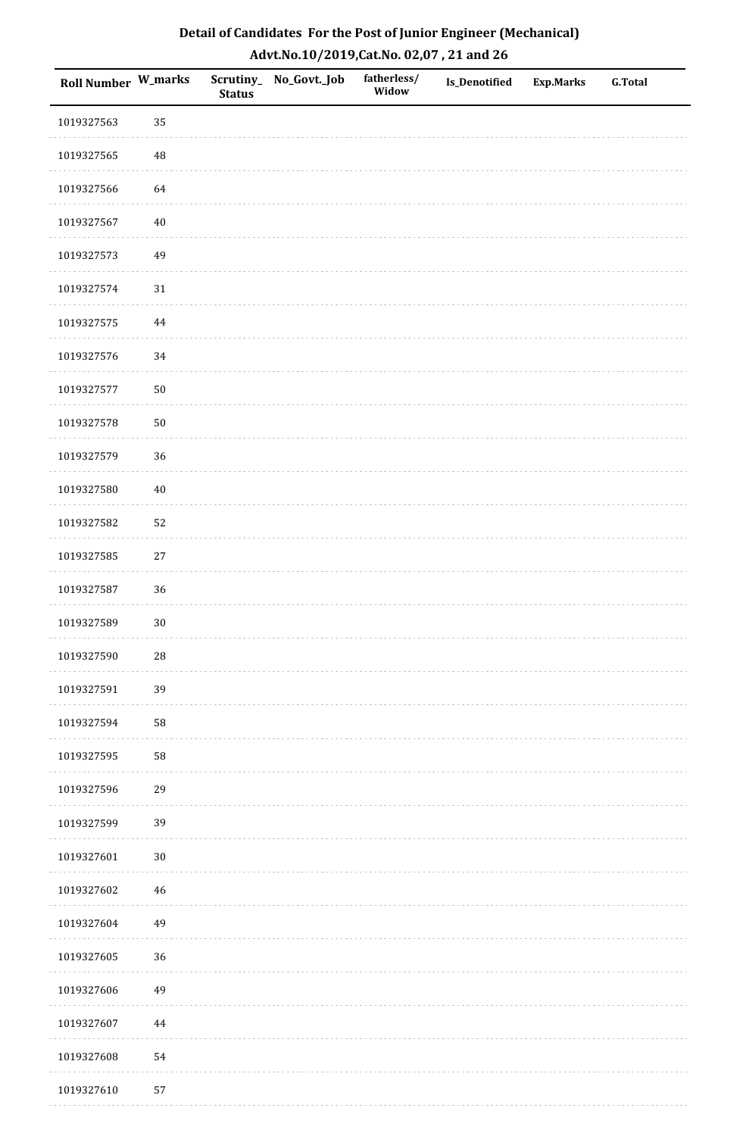| Roll Number W_marks |          | <b>Status</b> | Scrutiny_No_Govt._Job | fatherless/<br>Widow | Is_Denotified | <b>Exp.Marks</b> | <b>G.Total</b> |
|---------------------|----------|---------------|-----------------------|----------------------|---------------|------------------|----------------|
| 1019327563          | 35       |               |                       |                      |               |                  |                |
| 1019327565          | 48       |               |                       |                      |               |                  |                |
| 1019327566          | 64       |               |                       |                      |               |                  |                |
| 1019327567          | $40\,$   |               |                       |                      |               |                  |                |
| 1019327573          | 49       |               |                       |                      |               |                  |                |
| 1019327574          | $31\,$   |               |                       |                      |               |                  |                |
| 1019327575          | 44       |               |                       |                      |               |                  |                |
| 1019327576          | 34       |               |                       |                      |               |                  |                |
| 1019327577          | $50\,$   |               |                       |                      |               |                  |                |
| 1019327578          | $50\,$   |               |                       |                      |               |                  |                |
| 1019327579          | 36       |               |                       |                      |               |                  |                |
| 1019327580          | $40\,$   |               |                       |                      |               |                  |                |
| 1019327582          | 52       |               |                       |                      |               |                  |                |
| 1019327585          | 27       |               |                       |                      |               |                  |                |
| 1019327587          | 36       |               |                       |                      |               |                  |                |
| 1019327589          | $30\,$   |               |                       |                      |               |                  |                |
| 1019327590          | $28\,$   |               |                       |                      |               |                  |                |
| 1019327591          | 39       |               |                       |                      |               |                  |                |
| 1019327594          | 58       |               |                       |                      |               |                  |                |
| 1019327595          | 58       |               |                       |                      |               |                  |                |
| 1019327596          | 29       |               |                       |                      |               |                  |                |
| 1019327599          | 39       |               |                       |                      |               |                  |                |
| 1019327601          | $30\,$   |               |                       |                      |               |                  |                |
| 1019327602          | $46\,$   |               |                       |                      |               |                  |                |
| 1019327604          | 49       |               |                       |                      |               |                  |                |
| 1019327605          | 36       |               |                       |                      |               |                  |                |
| 1019327606          | 49       |               |                       |                      |               |                  |                |
| 1019327607          | $\bf 44$ |               |                       |                      |               |                  |                |
| 1019327608          | 54       |               |                       |                      |               |                  |                |
| 1019327610          | 57       |               |                       |                      |               |                  |                |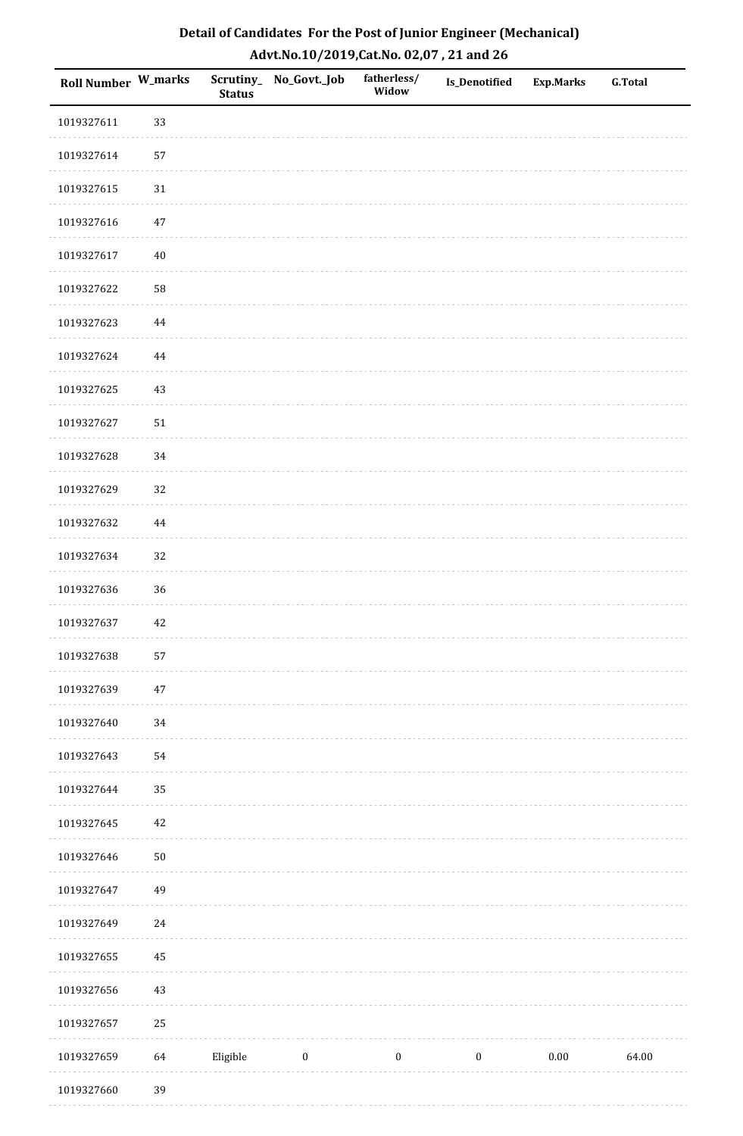| Roll Number W_marks |          | <b>Status</b> | Scrutiny_No_Govt._Job | fatherless/<br>Widow | Is_Denotified    | <b>Exp.Marks</b> | <b>G.Total</b> |
|---------------------|----------|---------------|-----------------------|----------------------|------------------|------------------|----------------|
| 1019327611          | 33       |               |                       |                      |                  |                  |                |
| 1019327614          | 57       |               |                       |                      |                  |                  |                |
| 1019327615          | $31\,$   |               |                       |                      |                  |                  |                |
| 1019327616          | 47       |               |                       |                      |                  |                  |                |
| 1019327617          | $40\,$   |               |                       |                      |                  |                  |                |
| 1019327622          | 58       |               |                       |                      |                  |                  |                |
| 1019327623          | 44       |               |                       |                      |                  |                  |                |
| 1019327624          | $\bf 44$ |               |                       |                      |                  |                  |                |
| 1019327625          | $43\,$   |               |                       |                      |                  |                  |                |
| 1019327627          | $51\,$   |               |                       |                      |                  |                  |                |
| 1019327628          | $34\,$   |               |                       |                      |                  |                  |                |
| 1019327629          | 32       |               |                       |                      |                  |                  |                |
| 1019327632          | 44       |               |                       |                      |                  |                  |                |
| 1019327634          | 32       |               |                       |                      |                  |                  |                |
| 1019327636          | 36       |               |                       |                      |                  |                  |                |
| 1019327637          | 42       |               |                       |                      |                  |                  |                |
| 1019327638          | 57       |               |                       |                      |                  |                  |                |
| 1019327639          | $47\,$   |               |                       |                      |                  |                  |                |
| 1019327640          | 34       |               |                       |                      |                  |                  |                |
| 1019327643          | 54       |               |                       |                      |                  |                  |                |
| 1019327644          | 35       |               |                       |                      |                  |                  |                |
| 1019327645          | $42\,$   |               |                       |                      |                  |                  |                |
| 1019327646          | $50\,$   |               |                       |                      |                  |                  |                |
| 1019327647          | 49       |               |                       |                      |                  |                  |                |
| 1019327649          | $24\,$   |               |                       |                      |                  |                  |                |
| 1019327655          | 45       |               |                       |                      |                  |                  |                |
| 1019327656          | $43\,$   |               |                       |                      |                  |                  |                |
| 1019327657          | 25       |               |                       |                      |                  |                  |                |
| 1019327659          | 64       | Eligible      | $\boldsymbol{0}$      | $\boldsymbol{0}$     | $\boldsymbol{0}$ | $0.00\,$         | 64.00          |
| 1019327660          | 39       |               |                       |                      |                  |                  |                |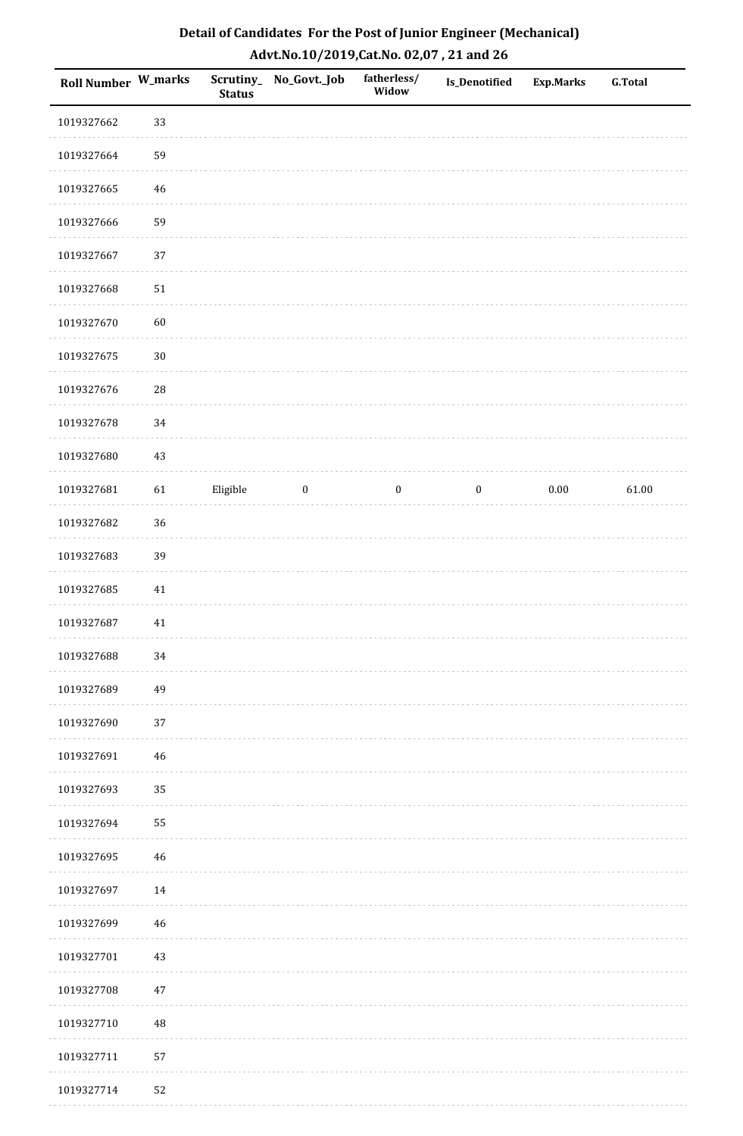| Roll Number W_marks |            | <b>Status</b> | Scrutiny_ No_Govt._Job | fatherless/<br>Widow | <b>Is_Denotified</b> | <b>Exp.Marks</b> | <b>G.Total</b> |
|---------------------|------------|---------------|------------------------|----------------------|----------------------|------------------|----------------|
| 1019327662          | 33         |               |                        |                      |                      |                  |                |
| 1019327664          | 59         |               |                        |                      |                      |                  |                |
| 1019327665          | $46\,$     |               |                        |                      |                      |                  |                |
| 1019327666          | 59         |               |                        |                      |                      |                  |                |
| 1019327667          | 37         |               |                        |                      |                      |                  |                |
| 1019327668          | $51\,$     |               |                        |                      |                      |                  |                |
| 1019327670          | 60         |               |                        |                      |                      |                  |                |
| 1019327675          | $30\,$     |               |                        |                      |                      |                  |                |
| 1019327676          | ${\bf 28}$ |               |                        |                      |                      |                  |                |
| 1019327678          | 34         |               |                        |                      |                      |                  |                |
| 1019327680          | $43\,$     |               |                        |                      |                      |                  |                |
| 1019327681          | 61         | Eligible      | $\boldsymbol{0}$       | $\boldsymbol{0}$     | $\boldsymbol{0}$     | $0.00\,$         | 61.00          |
| 1019327682          | 36         |               |                        |                      |                      |                  |                |
| 1019327683          | 39         |               |                        |                      |                      |                  |                |
| 1019327685          | 41         |               |                        |                      |                      |                  |                |
| 1019327687          | $41\,$     |               |                        |                      |                      |                  |                |
| 1019327688          | 34         |               |                        |                      |                      |                  |                |
| 1019327689          | 49         |               |                        |                      |                      |                  |                |
| 1019327690          | 37         |               |                        |                      |                      |                  |                |
| 1019327691          | 46         |               |                        |                      |                      |                  |                |
| 1019327693          | 35         |               |                        |                      |                      |                  |                |
| 1019327694          | 55         |               |                        |                      |                      |                  |                |
| 1019327695          | 46         |               |                        |                      |                      |                  |                |
| 1019327697          | 14         |               |                        |                      |                      |                  |                |
| 1019327699          | 46         |               |                        |                      |                      |                  |                |
| 1019327701          | $43\,$     |               |                        |                      |                      |                  |                |
| 1019327708          | $47\,$     |               |                        |                      |                      |                  |                |
| 1019327710          | 48         |               |                        |                      |                      |                  |                |
| 1019327711          | 57         |               |                        |                      |                      |                  |                |
| 1019327714          | 52         |               |                        |                      |                      |                  |                |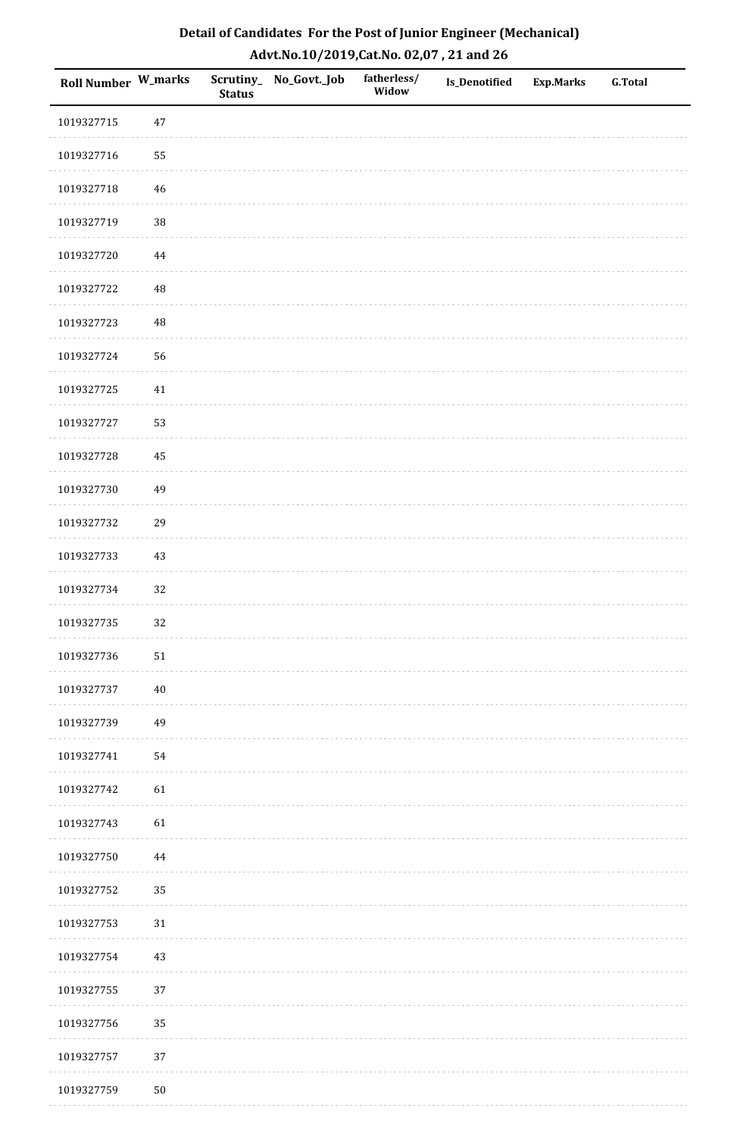| Roll Number W_marks |          | <b>Status</b> | Scrutiny_No_Govt._Job | fatherless/<br>Widow | Is_Denotified | <b>Exp.Marks</b> | <b>G.Total</b> |
|---------------------|----------|---------------|-----------------------|----------------------|---------------|------------------|----------------|
| 1019327715          | $47\,$   |               |                       |                      |               |                  |                |
| 1019327716          | 55       |               |                       |                      |               |                  |                |
| 1019327718          | $46\,$   |               |                       |                      |               |                  |                |
| 1019327719          | 38       |               |                       |                      |               |                  |                |
| 1019327720          | $\bf 44$ |               |                       |                      |               |                  |                |
| 1019327722          | 48       |               |                       |                      |               |                  |                |
| 1019327723          | 48       |               |                       |                      |               |                  |                |
| 1019327724          | 56       |               |                       |                      |               |                  |                |
| 1019327725          | $41\,$   |               |                       |                      |               |                  |                |
| 1019327727          | 53       |               |                       |                      |               |                  |                |
| 1019327728          | 45       |               |                       |                      |               |                  |                |
| 1019327730          | 49       |               |                       |                      |               |                  |                |
| 1019327732          | 29       |               |                       |                      |               |                  |                |
| 1019327733          | $43\,$   |               |                       |                      |               |                  |                |
| 1019327734          | 32       |               |                       |                      |               |                  |                |
| 1019327735          | 32       |               |                       |                      |               |                  |                |
| 1019327736          | $51\,$   |               |                       |                      |               |                  |                |
| 1019327737          | $40\,$   |               |                       |                      |               |                  |                |
| 1019327739          | 49       |               |                       |                      |               |                  |                |
| 1019327741          | 54       |               |                       |                      |               |                  |                |
| 1019327742          | 61       |               |                       |                      |               |                  |                |
| 1019327743          | 61       |               |                       |                      |               |                  |                |
| 1019327750          | $\bf 44$ |               |                       |                      |               |                  |                |
| 1019327752          | 35       |               |                       |                      |               |                  |                |
| 1019327753          | $31\,$   |               |                       |                      |               |                  |                |
| 1019327754          | $43\,$   |               |                       |                      |               |                  |                |
| 1019327755          | $37\,$   |               |                       |                      |               |                  |                |
| 1019327756          | 35       |               |                       |                      |               |                  |                |
| 1019327757          | 37       |               |                       |                      |               |                  |                |
| 1019327759          | $50\,$   |               |                       |                      |               |                  |                |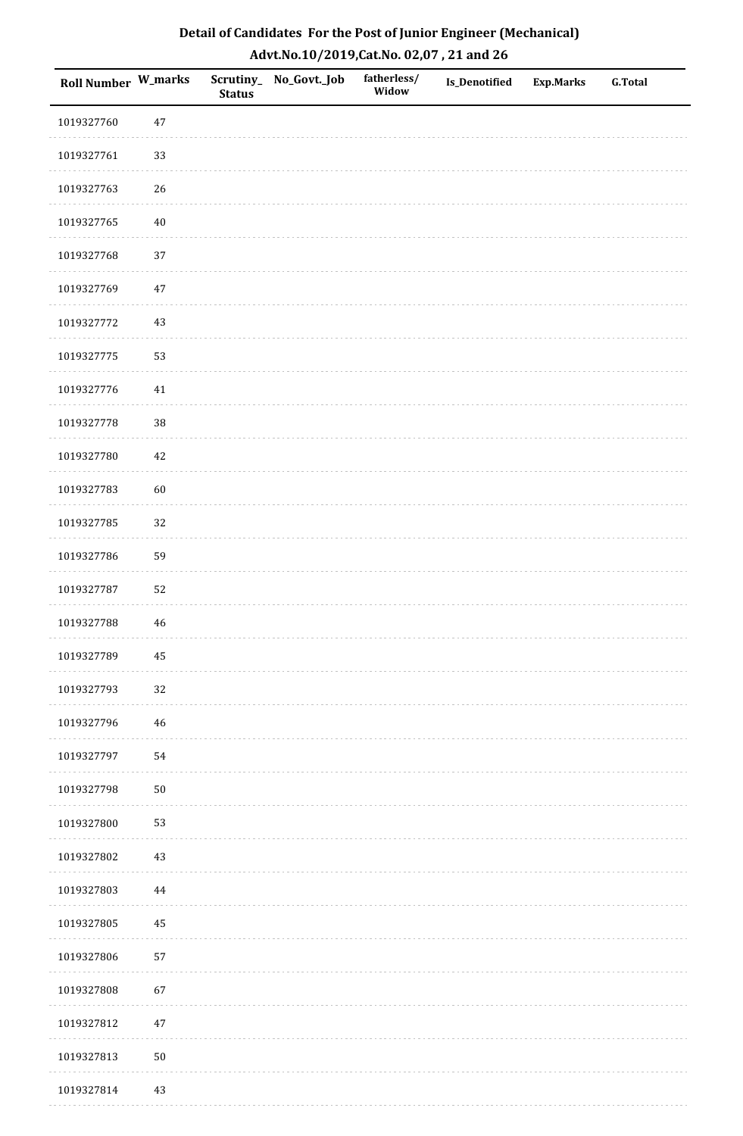| Roll Number W_marks |             | <b>Status</b> | Scrutiny_No_Govt._Job | fatherless/<br>Widow | Is_Denotified | <b>Exp.Marks</b> | <b>G.Total</b> |
|---------------------|-------------|---------------|-----------------------|----------------------|---------------|------------------|----------------|
| 1019327760          | 47          |               |                       |                      |               |                  |                |
| 1019327761          | 33          |               |                       |                      |               |                  |                |
| 1019327763          | 26          |               |                       |                      |               |                  |                |
| 1019327765          | 40          |               |                       |                      |               |                  |                |
| 1019327768          | 37          |               |                       |                      |               |                  |                |
| 1019327769          | 47          |               |                       |                      |               |                  |                |
| 1019327772          | 43          |               |                       |                      |               |                  |                |
| 1019327775          | 53          |               |                       |                      |               |                  |                |
| 1019327776          | 41          |               |                       |                      |               |                  |                |
| 1019327778          | $38\,$      |               |                       |                      |               |                  |                |
| 1019327780          | $42\,$      |               |                       |                      |               |                  |                |
| 1019327783          | 60          |               |                       |                      |               |                  |                |
| 1019327785          | 32          |               |                       |                      |               |                  |                |
| 1019327786          | 59          |               |                       |                      |               |                  |                |
| 1019327787          | 52          |               |                       |                      |               |                  |                |
| 1019327788          | $\sqrt{46}$ |               |                       |                      |               |                  |                |
| 1019327789          | 45          |               |                       |                      |               |                  |                |
| 1019327793          | 32          |               |                       |                      |               |                  |                |
| 1019327796          | 46          |               |                       |                      |               |                  |                |
| 1019327797          | 54          |               |                       |                      |               |                  |                |
| 1019327798          | $50\,$      |               |                       |                      |               |                  |                |
| 1019327800          | 53          |               |                       |                      |               |                  |                |
| 1019327802          | $43\,$      |               |                       |                      |               |                  |                |
| 1019327803          | 44          |               |                       |                      |               |                  |                |
| 1019327805          | 45          |               |                       |                      |               |                  |                |
| 1019327806          | 57          |               |                       |                      |               |                  |                |
| 1019327808          | 67          |               |                       |                      |               |                  |                |
| 1019327812          | 47          |               |                       |                      |               |                  |                |
| 1019327813          | $50\,$      |               |                       |                      |               |                  |                |
| 1019327814          | 43          |               |                       |                      |               |                  |                |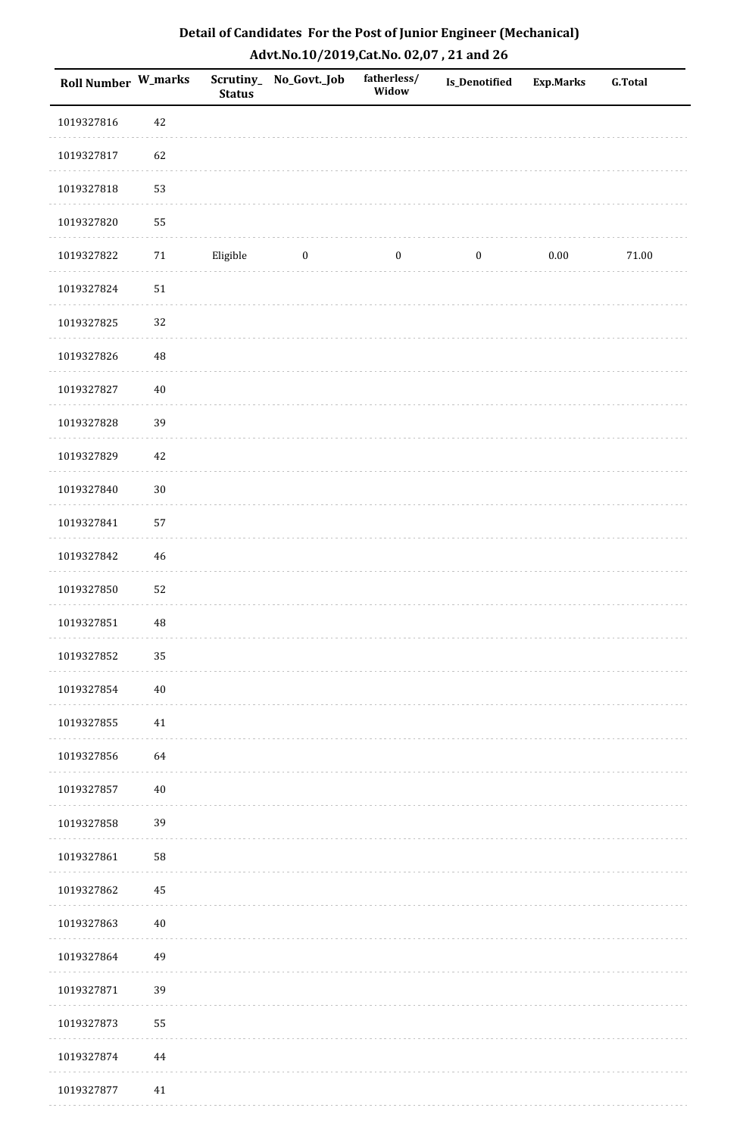| <b>Roll Number W_marks</b> |          | <b>Status</b> | Scrutiny_ No_Govt._Job | fatherless/<br>Widow | Is_Denotified    | <b>Exp.Marks</b> | <b>G.Total</b> |
|----------------------------|----------|---------------|------------------------|----------------------|------------------|------------------|----------------|
| 1019327816                 | 42       |               |                        |                      |                  |                  |                |
| 1019327817                 | 62       |               |                        |                      |                  |                  |                |
| 1019327818                 | 53       |               |                        |                      |                  |                  |                |
| 1019327820                 | 55       |               |                        |                      |                  |                  |                |
| 1019327822                 | $71\,$   | Eligible      | $\boldsymbol{0}$       | $\boldsymbol{0}$     | $\boldsymbol{0}$ | $0.00\,$         | $71.00\,$      |
| 1019327824                 | $51\,$   |               |                        |                      |                  |                  |                |
| 1019327825                 | 32       |               |                        |                      |                  |                  |                |
| 1019327826                 | $\rm 48$ |               |                        |                      |                  |                  |                |
| 1019327827                 | $40\,$   |               |                        |                      |                  |                  |                |
| 1019327828                 | 39       |               |                        |                      |                  |                  |                |
| 1019327829                 | 42       |               |                        |                      |                  |                  |                |
| 1019327840                 | $30\,$   |               |                        |                      |                  |                  |                |
| 1019327841                 | 57       |               |                        |                      |                  |                  |                |
| 1019327842                 | $46\,$   |               |                        |                      |                  |                  |                |
| 1019327850                 | 52       |               |                        |                      |                  |                  |                |
| 1019327851                 | $\rm 48$ |               |                        |                      |                  |                  |                |
| 1019327852                 | 35       |               |                        |                      |                  |                  |                |
| 1019327854                 | $40\,$   |               |                        |                      |                  |                  |                |
| 1019327855                 | $41\,$   |               |                        |                      |                  |                  |                |
| 1019327856                 | 64       |               |                        |                      |                  |                  |                |
| 1019327857                 | $40\,$   |               |                        |                      |                  |                  |                |
| 1019327858                 | 39       |               |                        |                      |                  |                  |                |
| 1019327861                 | 58       |               |                        |                      |                  |                  |                |
| 1019327862                 | 45       |               |                        |                      |                  |                  |                |
| 1019327863                 | $40\,$   |               |                        |                      |                  |                  |                |
| 1019327864                 | 49       |               |                        |                      |                  |                  |                |
| 1019327871                 | 39       |               |                        |                      |                  |                  |                |
| 1019327873                 | 55       |               |                        |                      |                  |                  |                |
| 1019327874                 | $\bf 44$ |               |                        |                      |                  |                  |                |
| 1019327877                 | 41       |               |                        |                      |                  |                  |                |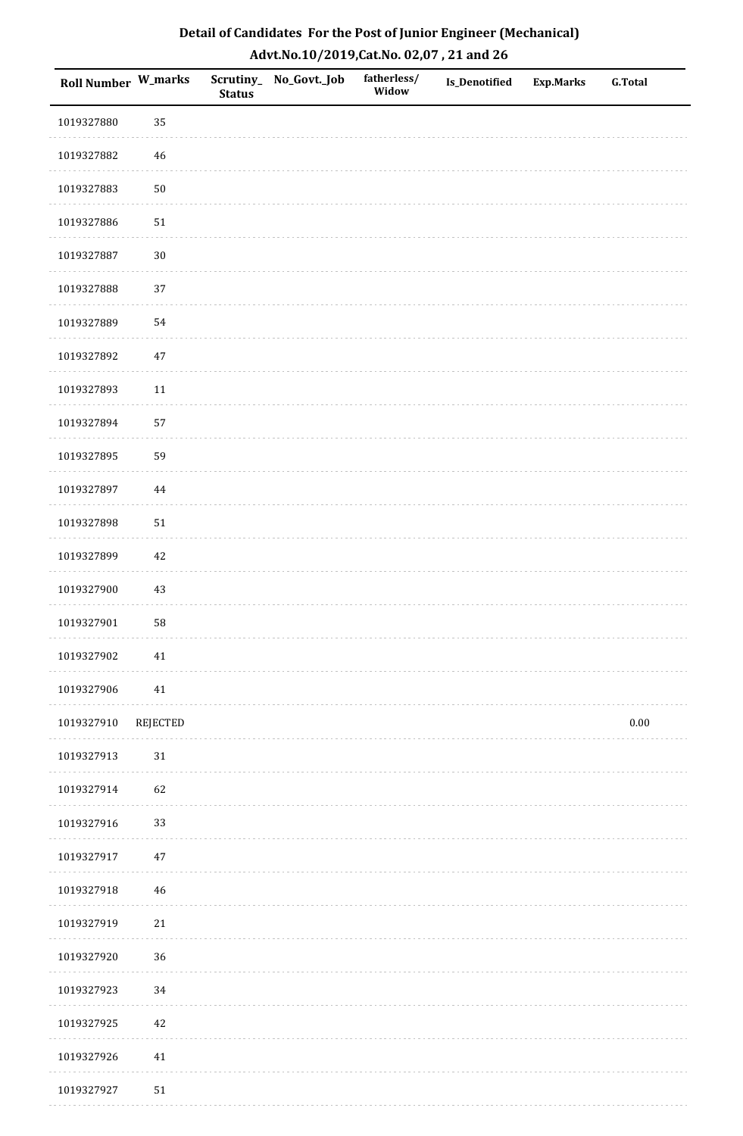| Roll Number W_marks |             | <b>Status</b> | Scrutiny_ No_Govt._Job | fatherless/<br>Widow | Is_Denotified | <b>Exp.Marks</b> | <b>G.Total</b> |
|---------------------|-------------|---------------|------------------------|----------------------|---------------|------------------|----------------|
| 1019327880          | 35          |               |                        |                      |               |                  |                |
| 1019327882          | 46          |               |                        |                      |               |                  |                |
| 1019327883          | $50\,$      |               |                        |                      |               |                  |                |
| 1019327886          | $51\,$      |               |                        |                      |               |                  |                |
| 1019327887          | $30\,$      |               |                        |                      |               |                  |                |
| 1019327888          | 37          |               |                        |                      |               |                  |                |
| 1019327889          | 54          |               |                        |                      |               |                  |                |
| 1019327892          | $47\,$      |               |                        |                      |               |                  |                |
| 1019327893          | 11          |               |                        |                      |               |                  |                |
| 1019327894          | 57          |               |                        |                      |               |                  |                |
| 1019327895          | 59          |               |                        |                      |               |                  |                |
| 1019327897          | $\bf 44$    |               |                        |                      |               |                  |                |
| 1019327898          | $51\,$      |               |                        |                      |               |                  |                |
| 1019327899          | 42          |               |                        |                      |               |                  |                |
| 1019327900          | 43          |               |                        |                      |               |                  |                |
| 1019327901          | 58          |               |                        |                      |               |                  |                |
| 1019327902          | 41          |               |                        |                      |               |                  |                |
| 1019327906          | 41          |               |                        |                      |               |                  |                |
| 1019327910          | REJECTED    |               |                        |                      |               |                  | $0.00\,$       |
| 1019327913          | $31\,$      |               |                        |                      |               |                  |                |
| 1019327914          | 62          |               |                        |                      |               |                  |                |
| 1019327916          | 33          |               |                        |                      |               |                  |                |
| 1019327917          | $47\,$      |               |                        |                      |               |                  |                |
| 1019327918          | $\sqrt{46}$ |               |                        |                      |               |                  |                |
| 1019327919          | $21\,$      |               |                        |                      |               |                  |                |
| 1019327920          | 36          |               |                        |                      |               |                  |                |
| 1019327923          | 34          |               |                        |                      |               |                  |                |
| 1019327925          | 42          |               |                        |                      |               |                  |                |
| 1019327926          | $41\,$      |               |                        |                      |               |                  |                |
| 1019327927          | $51\,$      |               |                        |                      |               |                  |                |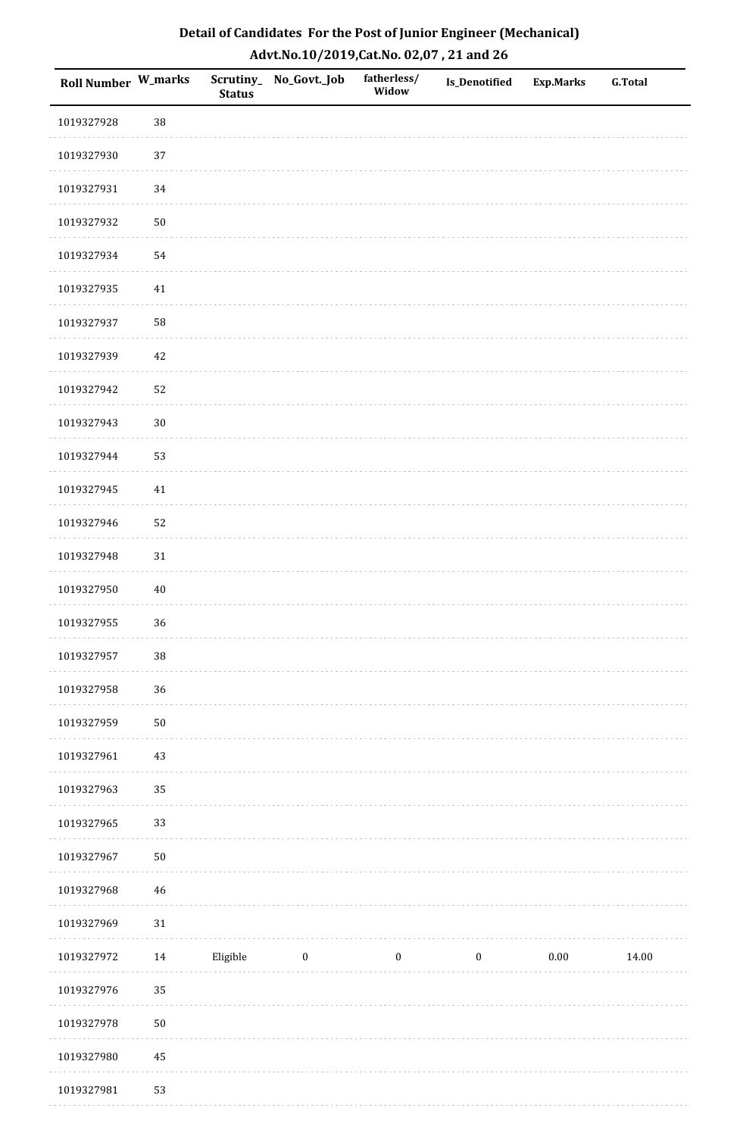| <b>Roll Number W_marks</b> |        | <b>Status</b> | Scrutiny_No_Govt._Job | fatherless/<br>Widow | Is_Denotified    | <b>Exp.Marks</b> | <b>G.Total</b> |
|----------------------------|--------|---------------|-----------------------|----------------------|------------------|------------------|----------------|
| 1019327928                 | 38     |               |                       |                      |                  |                  |                |
| 1019327930                 | $37\,$ |               |                       |                      |                  |                  |                |
| 1019327931                 | 34     |               |                       |                      |                  |                  |                |
| 1019327932                 | $50\,$ |               |                       |                      |                  |                  |                |
| 1019327934                 | 54     |               |                       |                      |                  |                  |                |
| 1019327935                 | 41     |               |                       |                      |                  |                  |                |
| 1019327937                 | 58     |               |                       |                      |                  |                  |                |
| 1019327939                 | 42     |               |                       |                      |                  |                  |                |
| 1019327942                 | 52     |               |                       |                      |                  |                  |                |
| 1019327943                 | $30\,$ |               |                       |                      |                  |                  |                |
| 1019327944                 | 53     |               |                       |                      |                  |                  |                |
| 1019327945                 | 41     |               |                       |                      |                  |                  |                |
| 1019327946                 | 52     |               |                       |                      |                  |                  |                |
| 1019327948                 | 31     |               |                       |                      |                  |                  |                |
| 1019327950                 | $40\,$ |               |                       |                      |                  |                  |                |
| 1019327955                 | 36     |               |                       |                      |                  |                  |                |
| 1019327957                 | $38\,$ |               |                       |                      |                  |                  |                |
| 1019327958                 | 36     |               |                       |                      |                  |                  |                |
| 1019327959                 | $50\,$ |               |                       |                      |                  |                  |                |
| 1019327961                 | $43\,$ |               |                       |                      |                  |                  |                |
| 1019327963                 | 35     |               |                       |                      |                  |                  |                |
| 1019327965                 | 33     |               |                       |                      |                  |                  |                |
| 1019327967                 | $50\,$ |               |                       |                      |                  |                  |                |
| 1019327968                 | $46\,$ |               |                       |                      |                  |                  |                |
| 1019327969                 | $31\,$ |               |                       |                      |                  |                  |                |
| 1019327972                 | 14     | Eligible      | $\bf{0}$              | $\boldsymbol{0}$     | $\boldsymbol{0}$ | $0.00\,$         | 14.00          |
| 1019327976                 | 35     |               |                       |                      |                  |                  |                |
| 1019327978                 | $50\,$ |               |                       |                      |                  |                  |                |
| 1019327980                 | 45     |               |                       |                      |                  |                  |                |
| 1019327981                 | 53     |               |                       |                      |                  |                  |                |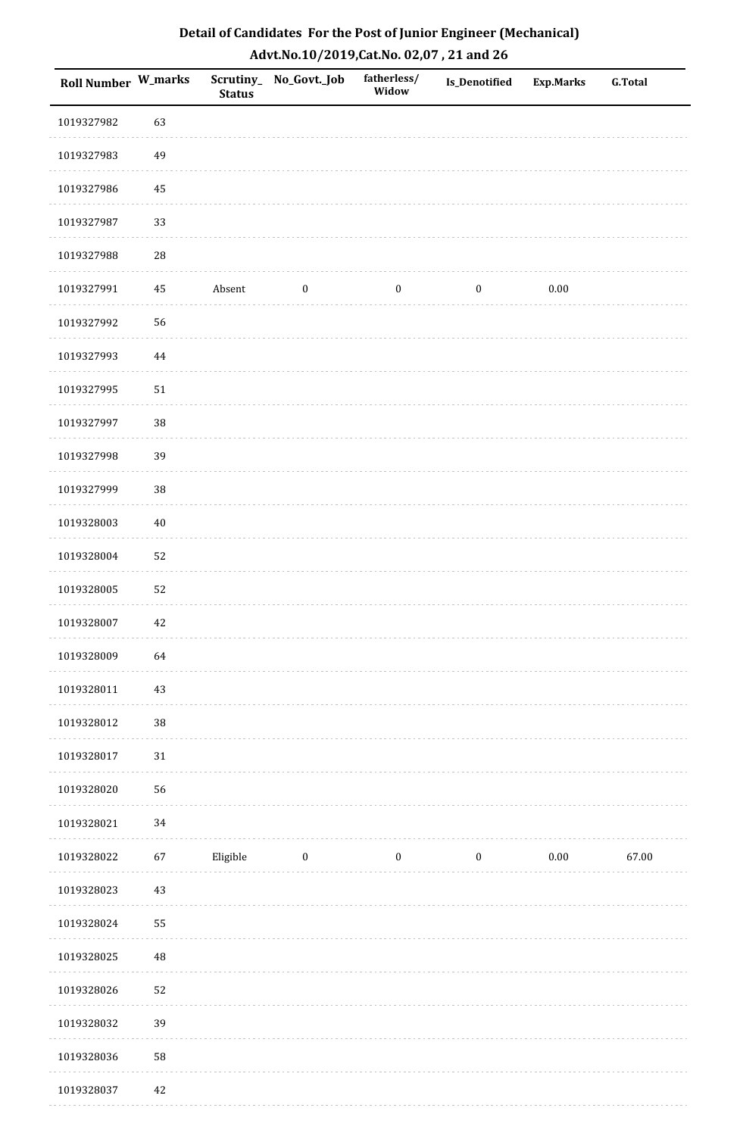| Roll Number W_marks |          | <b>Status</b> | Scrutiny_ No_Govt._Job | fatherless/<br>Widow | Is_Denotified    | <b>Exp.Marks</b> | <b>G.Total</b> |
|---------------------|----------|---------------|------------------------|----------------------|------------------|------------------|----------------|
| 1019327982          | 63       |               |                        |                      |                  |                  |                |
| 1019327983          | 49       |               |                        |                      |                  |                  |                |
| 1019327986          | 45       |               |                        |                      |                  |                  |                |
| 1019327987          | 33       |               |                        |                      |                  |                  |                |
| 1019327988          | 28       |               |                        |                      |                  |                  |                |
| 1019327991          | 45       | Absent        | $\boldsymbol{0}$       | $\boldsymbol{0}$     | $\boldsymbol{0}$ | $0.00\,$         |                |
| 1019327992          | 56       |               |                        |                      |                  |                  |                |
| 1019327993          | 44       |               |                        |                      |                  |                  |                |
| 1019327995          | 51       |               |                        |                      |                  |                  |                |
| 1019327997          | 38       |               |                        |                      |                  |                  |                |
| 1019327998          | 39       |               |                        |                      |                  |                  |                |
| 1019327999          | 38       |               |                        |                      |                  |                  |                |
| 1019328003          | $40\,$   |               |                        |                      |                  |                  |                |
| 1019328004          | 52       |               |                        |                      |                  |                  |                |
| 1019328005          | 52       |               |                        |                      |                  |                  |                |
| 1019328007          | 42       |               |                        |                      |                  |                  |                |
| 1019328009          | 64       |               |                        |                      |                  |                  |                |
| 1019328011          | 43       |               |                        |                      |                  |                  |                |
| 1019328012          | $38\,$   |               |                        |                      |                  |                  |                |
| 1019328017          | 31       |               |                        |                      |                  |                  |                |
| 1019328020          | 56       |               |                        |                      |                  |                  |                |
| 1019328021          | 34       |               |                        |                      |                  |                  |                |
| 1019328022          | 67       | Eligible      | $\boldsymbol{0}$       | $\boldsymbol{0}$     | $\boldsymbol{0}$ | $0.00\,$         | 67.00          |
| 1019328023          | 43       |               |                        |                      |                  |                  |                |
| 1019328024          | 55       |               |                        |                      |                  |                  |                |
| 1019328025          | $\rm 48$ |               |                        |                      |                  |                  |                |
| 1019328026          | 52       |               |                        |                      |                  |                  |                |
| 1019328032          | 39       |               |                        |                      |                  |                  |                |
| 1019328036          | 58       |               |                        |                      |                  |                  |                |
| 1019328037          | 42       |               |                        |                      |                  |                  |                |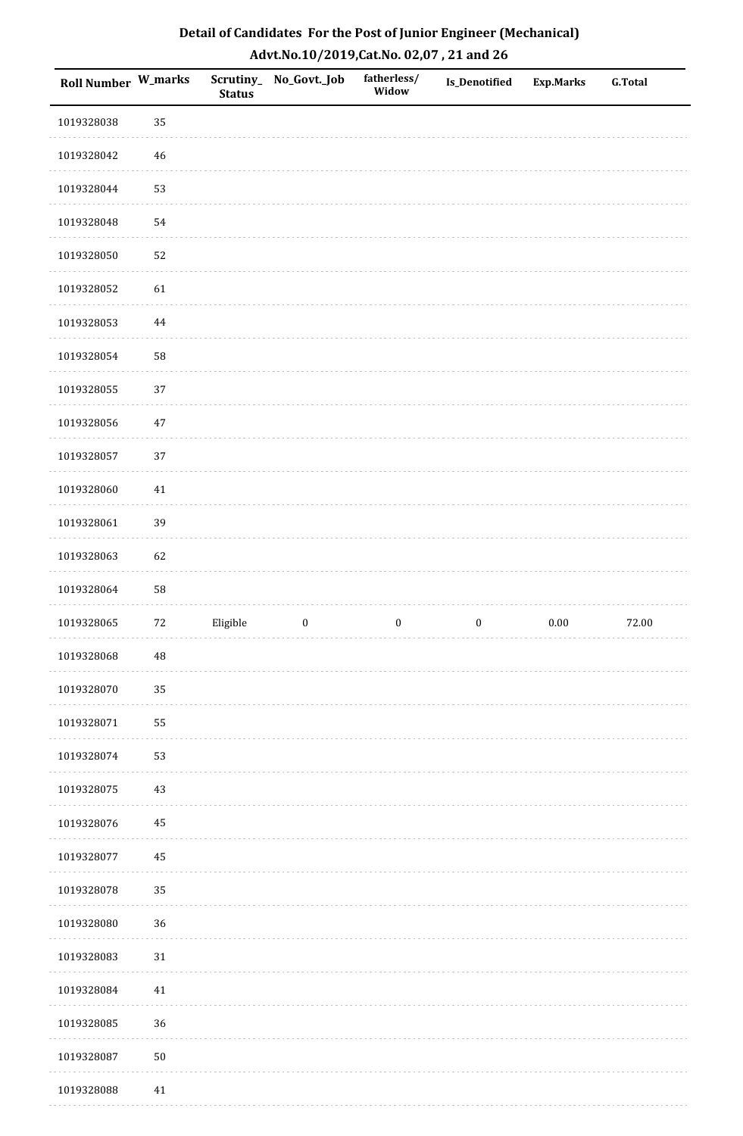| Roll Number W_marks |             | <b>Status</b> | Scrutiny_ No_Govt._Job | fatherless/<br>Widow | <b>Is_Denotified</b> | <b>Exp.Marks</b> | <b>G.Total</b> |
|---------------------|-------------|---------------|------------------------|----------------------|----------------------|------------------|----------------|
| 1019328038          | 35          |               |                        |                      |                      |                  |                |
| 1019328042          | $46\,$      |               |                        |                      |                      |                  |                |
| 1019328044          | 53          |               |                        |                      |                      |                  |                |
| 1019328048          | 54          |               |                        |                      |                      |                  |                |
| 1019328050          | 52          |               |                        |                      |                      |                  |                |
| 1019328052          | 61          |               |                        |                      |                      |                  |                |
| 1019328053          | 44          |               |                        |                      |                      |                  |                |
| 1019328054          | 58          |               |                        |                      |                      |                  |                |
| 1019328055          | 37          |               |                        |                      |                      |                  |                |
| 1019328056          | $47\,$      |               |                        |                      |                      |                  |                |
| 1019328057          | 37          |               |                        |                      |                      |                  |                |
| 1019328060          | 41          |               |                        |                      |                      |                  |                |
| 1019328061          | 39          |               |                        |                      |                      |                  |                |
| 1019328063          | 62          |               |                        |                      |                      |                  |                |
| 1019328064          | 58          |               |                        |                      |                      |                  |                |
| 1019328065          | $72\,$      | Eligible      | $\boldsymbol{0}$       | $\boldsymbol{0}$     | $\boldsymbol{0}$     | $0.00\,$         | 72.00          |
| 1019328068          | $\sqrt{48}$ |               |                        |                      |                      |                  |                |
| 1019328070          | 35          |               |                        |                      |                      |                  |                |
| 1019328071          | 55          |               |                        |                      |                      |                  |                |
| 1019328074          | 53          |               |                        |                      |                      |                  |                |
| 1019328075          | $43\,$      |               |                        |                      |                      |                  |                |
| 1019328076          | 45          |               |                        |                      |                      |                  |                |
| 1019328077          | 45          |               |                        |                      |                      |                  |                |
| 1019328078          | 35          |               |                        |                      |                      |                  |                |
| 1019328080          | 36          |               |                        |                      |                      |                  |                |
| 1019328083          | $31\,$      |               |                        |                      |                      |                  |                |
| 1019328084          | 41          |               |                        |                      |                      |                  |                |
| 1019328085          | 36          |               |                        |                      |                      |                  |                |
| 1019328087          | $50\,$      |               |                        |                      |                      |                  |                |
| 1019328088          | 41          |               |                        |                      |                      |                  |                |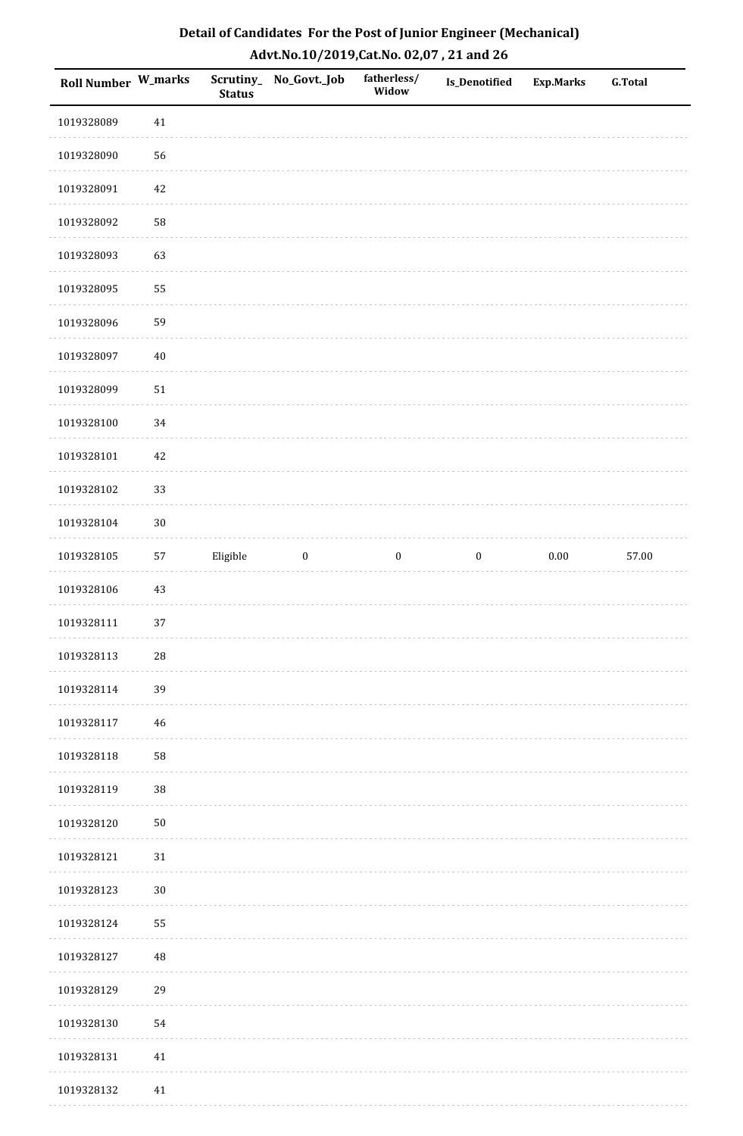| Roll Number W_marks |        | <b>Status</b> | Scrutiny_No_Govt._Job | fatherless/<br>Widow | Is_Denotified    | Exp.Marks | <b>G.Total</b> |
|---------------------|--------|---------------|-----------------------|----------------------|------------------|-----------|----------------|
| 1019328089          | $41\,$ |               |                       |                      |                  |           |                |
| 1019328090          | 56     |               |                       |                      |                  |           |                |
| 1019328091          | $42\,$ |               |                       |                      |                  |           |                |
| 1019328092          | 58     |               |                       |                      |                  |           |                |
| 1019328093          | 63     |               |                       |                      |                  |           |                |
| 1019328095          | 55     |               |                       |                      |                  |           |                |
| 1019328096          | 59     |               |                       |                      |                  |           |                |
| 1019328097          | $40\,$ |               |                       |                      |                  |           |                |
| 1019328099          | $51\,$ |               |                       |                      |                  |           |                |
| 1019328100          | 34     |               |                       |                      |                  |           |                |
| 1019328101          | 42     |               |                       |                      |                  |           |                |
| 1019328102          | 33     |               |                       |                      |                  |           |                |
| 1019328104          | $30\,$ |               |                       |                      |                  |           |                |
| 1019328105          | 57     | Eligible      | $\boldsymbol{0}$      | $\boldsymbol{0}$     | $\boldsymbol{0}$ | $0.00\,$  | 57.00          |
| 1019328106          | $43\,$ |               |                       |                      |                  |           |                |
| 1019328111          | 37     |               |                       |                      |                  |           |                |
| 1019328113          | $28\,$ |               |                       |                      |                  |           |                |
| 1019328114          | 39     |               |                       |                      |                  |           |                |
| 1019328117          | 46     |               |                       |                      |                  |           |                |
| 1019328118          | 58     |               |                       |                      |                  |           |                |
| 1019328119          | $38\,$ |               |                       |                      |                  |           |                |
| 1019328120          | $50\,$ |               |                       |                      |                  |           |                |
| 1019328121          | $31\,$ |               |                       |                      |                  |           |                |
| 1019328123          | $30\,$ |               |                       |                      |                  |           |                |
| 1019328124          | 55     |               |                       |                      |                  |           |                |
| 1019328127          | 48     |               |                       |                      |                  |           |                |
| 1019328129          | 29     |               |                       |                      |                  |           |                |
| 1019328130          | 54     |               |                       |                      |                  |           |                |
| 1019328131          | $41\,$ |               |                       |                      |                  |           |                |
| 1019328132          | 41     |               |                       |                      |                  |           |                |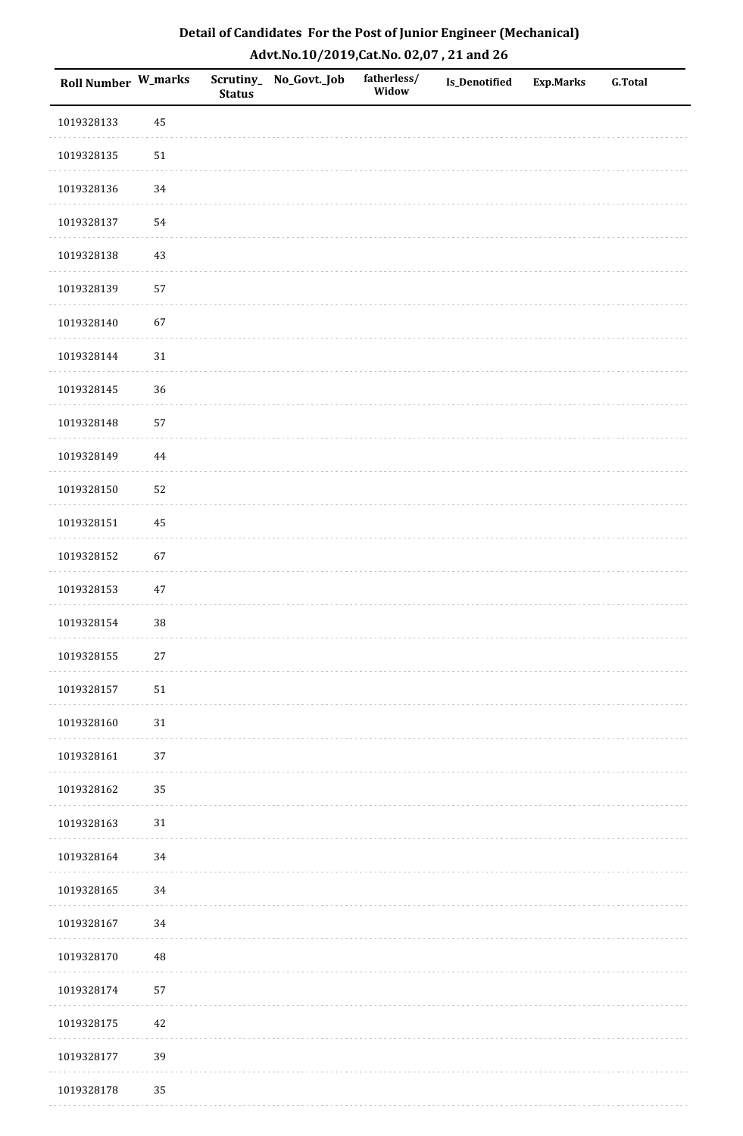| Roll Number W_marks |          | <b>Status</b> | Scrutiny_No_Govt._Job | fatherless/<br>Widow | Is_Denotified | <b>Exp.Marks</b> | <b>G.Total</b> |
|---------------------|----------|---------------|-----------------------|----------------------|---------------|------------------|----------------|
| 1019328133          | 45       |               |                       |                      |               |                  |                |
| 1019328135          | $51\,$   |               |                       |                      |               |                  |                |
| 1019328136          | 34       |               |                       |                      |               |                  |                |
| 1019328137          | 54       |               |                       |                      |               |                  |                |
| 1019328138          | $43\,$   |               |                       |                      |               |                  |                |
| 1019328139          | 57       |               |                       |                      |               |                  |                |
| 1019328140          | 67       |               |                       |                      |               |                  |                |
| 1019328144          | $31\,$   |               |                       |                      |               |                  |                |
| 1019328145          | 36       |               |                       |                      |               |                  |                |
| 1019328148          | 57       |               |                       |                      |               |                  |                |
| 1019328149          | $\bf 44$ |               |                       |                      |               |                  |                |
| 1019328150          | 52       |               |                       |                      |               |                  |                |
| 1019328151          | 45       |               |                       |                      |               |                  |                |
| 1019328152          | 67       |               |                       |                      |               |                  |                |
| 1019328153          | $47\,$   |               |                       |                      |               |                  |                |
| 1019328154          | 38       |               |                       |                      |               |                  |                |
| 1019328155          | $27\,$   |               |                       |                      |               |                  |                |
| 1019328157          | 51       |               |                       |                      |               |                  |                |
| 1019328160          | $31\,$   |               |                       |                      |               |                  |                |
| 1019328161          | 37       |               |                       |                      |               |                  |                |
| 1019328162          | 35       |               |                       |                      |               |                  |                |
| 1019328163          | $31\,$   |               |                       |                      |               |                  |                |
| 1019328164          | $34\,$   |               |                       |                      |               |                  |                |
| 1019328165          | 34       |               |                       |                      |               |                  |                |
| 1019328167          | 34       |               |                       |                      |               |                  |                |
| 1019328170          | 48       |               |                       |                      |               |                  |                |
| 1019328174          | 57       |               |                       |                      |               |                  |                |
| 1019328175          | 42       |               |                       |                      |               |                  |                |
| 1019328177          | 39       |               |                       |                      |               |                  |                |
| 1019328178          | 35       |               |                       |                      |               |                  |                |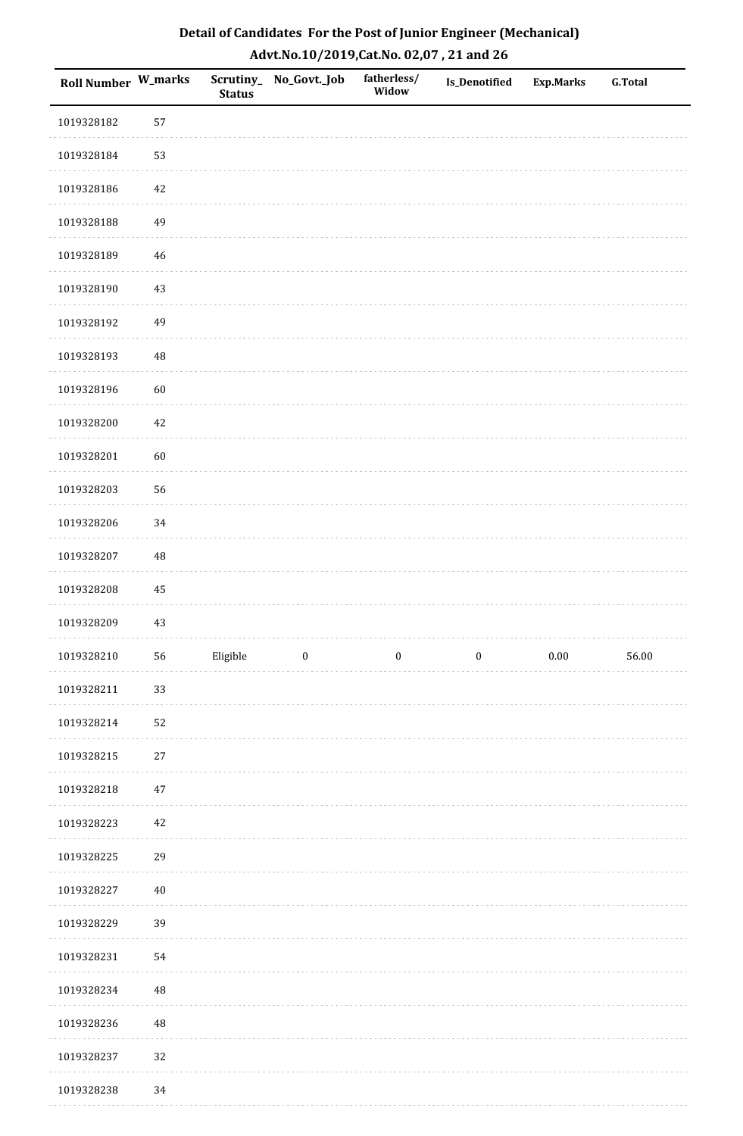| Roll Number W_marks |             | <b>Status</b> | Scrutiny_No_Govt._Job | fatherless/<br>Widow | <b>Is_Denotified</b> | <b>Exp.Marks</b> | <b>G.Total</b> |
|---------------------|-------------|---------------|-----------------------|----------------------|----------------------|------------------|----------------|
| 1019328182          | 57          |               |                       |                      |                      |                  |                |
| 1019328184          | 53          |               |                       |                      |                      |                  |                |
| 1019328186          | $42\,$      |               |                       |                      |                      |                  |                |
| 1019328188          | 49          |               |                       |                      |                      |                  |                |
| 1019328189          | 46          |               |                       |                      |                      |                  |                |
| 1019328190          | 43          |               |                       |                      |                      |                  |                |
| 1019328192          | 49          |               |                       |                      |                      |                  |                |
| 1019328193          | 48          |               |                       |                      |                      |                  |                |
| 1019328196          | 60          |               |                       |                      |                      |                  |                |
| 1019328200          | $42\,$      |               |                       |                      |                      |                  |                |
| 1019328201          | 60          |               |                       |                      |                      |                  |                |
| 1019328203          | 56          |               |                       |                      |                      |                  |                |
| 1019328206          | 34          |               |                       |                      |                      |                  |                |
| 1019328207          | 48          |               |                       |                      |                      |                  |                |
| 1019328208          | $\bf 45$    |               |                       |                      |                      |                  |                |
| 1019328209          | 43          |               |                       |                      |                      |                  |                |
| 1019328210          | 56          | Eligible      | $\boldsymbol{0}$      | $\boldsymbol{0}$     | $\boldsymbol{0}$     | $0.00\,$         | 56.00          |
| 1019328211          | 33          |               |                       |                      |                      |                  |                |
| 1019328214          | 52          |               |                       |                      |                      |                  |                |
| 1019328215          | $27\,$      |               |                       |                      |                      |                  |                |
| 1019328218          | 47          |               |                       |                      |                      |                  |                |
| 1019328223          | 42          |               |                       |                      |                      |                  |                |
| 1019328225          | 29          |               |                       |                      |                      |                  |                |
| 1019328227          | $40\,$      |               |                       |                      |                      |                  |                |
| 1019328229          | 39          |               |                       |                      |                      |                  |                |
| 1019328231          | 54          |               |                       |                      |                      |                  |                |
| 1019328234          | $\sqrt{48}$ |               |                       |                      |                      |                  |                |
| 1019328236          | $\rm 48$    |               |                       |                      |                      |                  |                |
| 1019328237          | 32          |               |                       |                      |                      |                  |                |
| 1019328238          | 34          |               |                       |                      |                      |                  |                |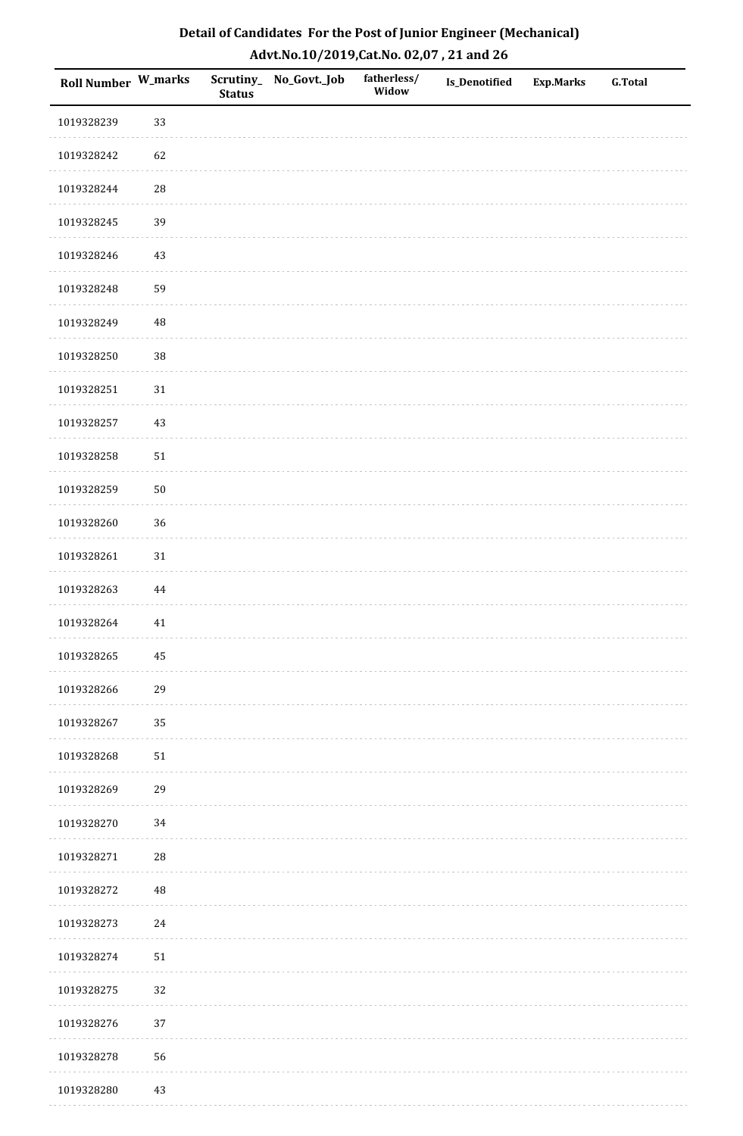| Roll Number W_marks |            | <b>Status</b> | Scrutiny_No_Govt._Job | fatherless/<br>Widow | Is_Denotified | <b>Exp.Marks</b> | <b>G.Total</b> |
|---------------------|------------|---------------|-----------------------|----------------------|---------------|------------------|----------------|
| 1019328239          | 33         |               |                       |                      |               |                  |                |
| 1019328242          | 62         |               |                       |                      |               |                  |                |
| 1019328244          | ${\bf 28}$ |               |                       |                      |               |                  |                |
| 1019328245          | 39         |               |                       |                      |               |                  |                |
| 1019328246          | $43\,$     |               |                       |                      |               |                  |                |
| 1019328248          | 59         |               |                       |                      |               |                  |                |
| 1019328249          | $\rm 48$   |               |                       |                      |               |                  |                |
| 1019328250          | 38         |               |                       |                      |               |                  |                |
| 1019328251          | $31\,$     |               |                       |                      |               |                  |                |
| 1019328257          | $43\,$     |               |                       |                      |               |                  |                |
| 1019328258          | $51\,$     |               |                       |                      |               |                  |                |
| 1019328259          | $50\,$     |               |                       |                      |               |                  |                |
| 1019328260          | 36         |               |                       |                      |               |                  |                |
| 1019328261          | 31         |               |                       |                      |               |                  |                |
| 1019328263          | $\bf 44$   |               |                       |                      |               |                  |                |
| 1019328264          | $41\,$     |               |                       |                      |               |                  |                |
| 1019328265          | $\bf 45$   |               |                       |                      |               |                  |                |
| 1019328266          | 29         |               |                       |                      |               |                  |                |
| 1019328267          | 35         |               |                       |                      |               |                  |                |
| 1019328268          | $51\,$     |               |                       |                      |               |                  |                |
| 1019328269          | 29         |               |                       |                      |               |                  |                |
| 1019328270          | 34         |               |                       |                      |               |                  |                |
| 1019328271          | 28         |               |                       |                      |               |                  |                |
| 1019328272          | 48         |               |                       |                      |               |                  |                |
| 1019328273          | 24         |               |                       |                      |               |                  |                |
| 1019328274          | $51\,$     |               |                       |                      |               |                  |                |
| 1019328275          | 32         |               |                       |                      |               |                  |                |
| 1019328276          | 37         |               |                       |                      |               |                  |                |
| 1019328278          | 56         |               |                       |                      |               |                  |                |
| 1019328280          | 43         |               |                       |                      |               |                  |                |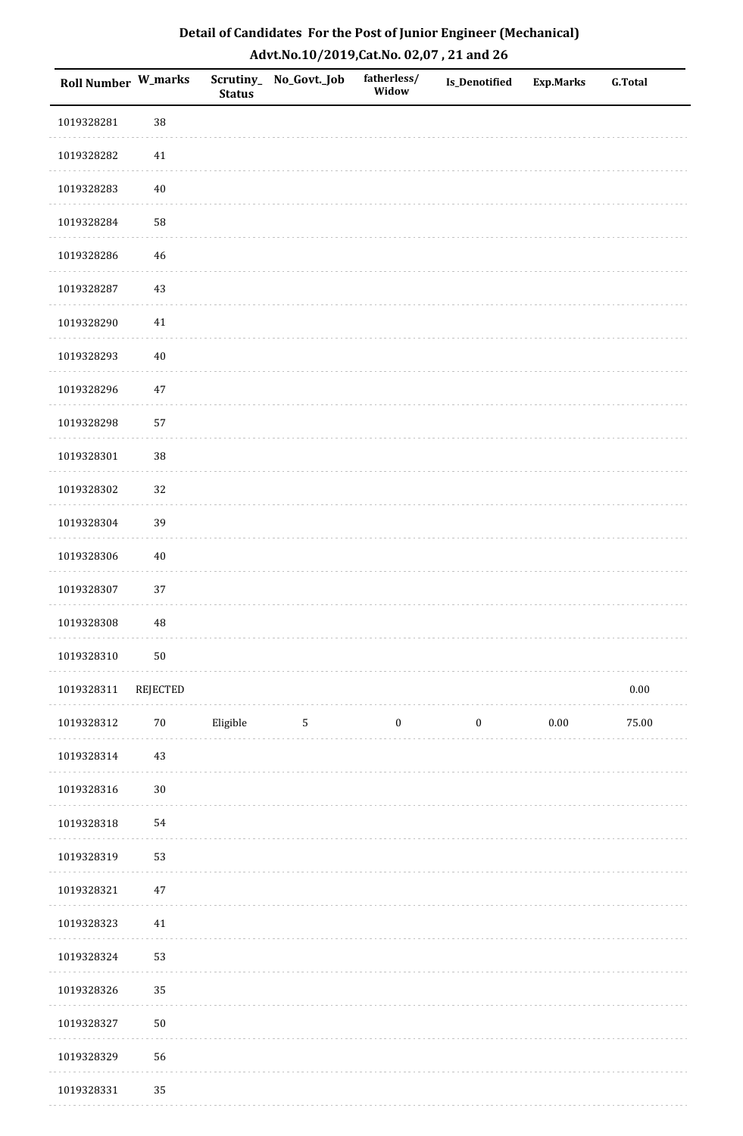| Roll Number W_marks |            | <b>Status</b> | Scrutiny_No_Govt._Job | fatherless/<br>Widow | Is_Denotified    | <b>Exp.Marks</b> | <b>G.Total</b> |
|---------------------|------------|---------------|-----------------------|----------------------|------------------|------------------|----------------|
| 1019328281          | 38         |               |                       |                      |                  |                  |                |
| 1019328282          | 41         |               |                       |                      |                  |                  |                |
| 1019328283          | $40\,$     |               |                       |                      |                  |                  |                |
| 1019328284          | 58         |               |                       |                      |                  |                  |                |
| 1019328286          | 46         |               |                       |                      |                  |                  |                |
| 1019328287          | 43         |               |                       |                      |                  |                  |                |
| 1019328290          | $41\,$     |               |                       |                      |                  |                  |                |
| 1019328293          | $40\,$     |               |                       |                      |                  |                  |                |
| 1019328296          | $47\,$     |               |                       |                      |                  |                  |                |
| 1019328298          | 57         |               |                       |                      |                  |                  |                |
| 1019328301          | 38         |               |                       |                      |                  |                  |                |
| 1019328302          | 32         |               |                       |                      |                  |                  |                |
| 1019328304          | 39         |               |                       |                      |                  |                  |                |
| 1019328306          | $40\,$     |               |                       |                      |                  |                  |                |
| 1019328307          | 37         |               |                       |                      |                  |                  |                |
| 1019328308          | 48         |               |                       |                      |                  |                  |                |
| 1019328310          | $50\,$     |               |                       |                      |                  |                  |                |
| 1019328311          | REJECTED   |               |                       |                      |                  |                  | $0.00\,$       |
| 1019328312          | $70\,$     | Eligible      | $5\phantom{.0}$       | $\boldsymbol{0}$     | $\boldsymbol{0}$ | $0.00\,$         | 75.00          |
| 1019328314          | 43         |               |                       |                      |                  |                  |                |
| 1019328316          | $30\,$     |               |                       |                      |                  |                  |                |
| 1019328318          | 54         |               |                       |                      |                  |                  |                |
| 1019328319          | 53         |               |                       |                      |                  |                  |                |
| 1019328321          | $47\,$     |               |                       |                      |                  |                  |                |
| 1019328323          | 41         |               |                       |                      |                  |                  |                |
| 1019328324          | 53         |               |                       |                      |                  |                  |                |
| 1019328326          | 35         |               |                       |                      |                  |                  |                |
| 1019328327          | ${\bf 50}$ |               |                       |                      |                  |                  |                |
| 1019328329          | 56         |               |                       |                      |                  |                  |                |
| 1019328331          | 35         |               |                       |                      |                  |                  |                |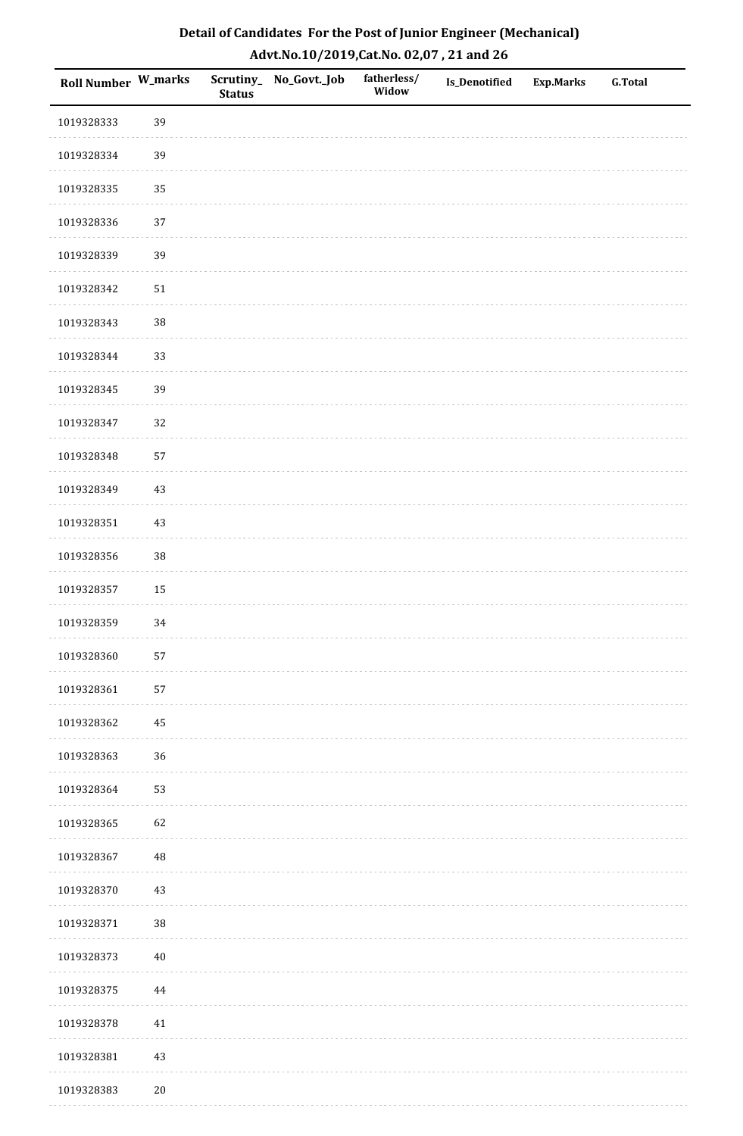| Roll Number W_marks |        | <b>Status</b> | Scrutiny_No_Govt._Job | fatherless/<br>Widow | Is_Denotified | <b>Exp.Marks</b> | <b>G.Total</b> |
|---------------------|--------|---------------|-----------------------|----------------------|---------------|------------------|----------------|
| 1019328333          | 39     |               |                       |                      |               |                  |                |
| 1019328334          | 39     |               |                       |                      |               |                  |                |
| 1019328335          | 35     |               |                       |                      |               |                  |                |
| 1019328336          | 37     |               |                       |                      |               |                  |                |
| 1019328339          | 39     |               |                       |                      |               |                  |                |
| 1019328342          | $51\,$ |               |                       |                      |               |                  |                |
| 1019328343          | 38     |               |                       |                      |               |                  |                |
| 1019328344          | 33     |               |                       |                      |               |                  |                |
| 1019328345          | 39     |               |                       |                      |               |                  |                |
| 1019328347          | 32     |               |                       |                      |               |                  |                |
| 1019328348          | 57     |               |                       |                      |               |                  |                |
| 1019328349          | $43\,$ |               |                       |                      |               |                  |                |
| 1019328351          | $43\,$ |               |                       |                      |               |                  |                |
| 1019328356          | 38     |               |                       |                      |               |                  |                |
| 1019328357          | $15\,$ |               |                       |                      |               |                  |                |
| 1019328359          | 34     |               |                       |                      |               |                  |                |
| 1019328360          | 57     |               |                       |                      |               |                  |                |
| 1019328361          | 57     |               |                       |                      |               |                  |                |
| 1019328362          | 45     |               |                       |                      |               |                  |                |
| 1019328363          | 36     |               |                       |                      |               |                  |                |
| 1019328364          | 53     |               |                       |                      |               |                  |                |
| 1019328365          | 62     |               |                       |                      |               |                  |                |
| 1019328367          | 48     |               |                       |                      |               |                  |                |
| 1019328370          | 43     |               |                       |                      |               |                  |                |
| 1019328371          | 38     |               |                       |                      |               |                  |                |
| 1019328373          | $40\,$ |               |                       |                      |               |                  |                |
| 1019328375          | 44     |               |                       |                      |               |                  |                |
| 1019328378          | $41\,$ |               |                       |                      |               |                  |                |
| 1019328381          | $43\,$ |               |                       |                      |               |                  |                |
| 1019328383          | $20\,$ |               |                       |                      |               |                  |                |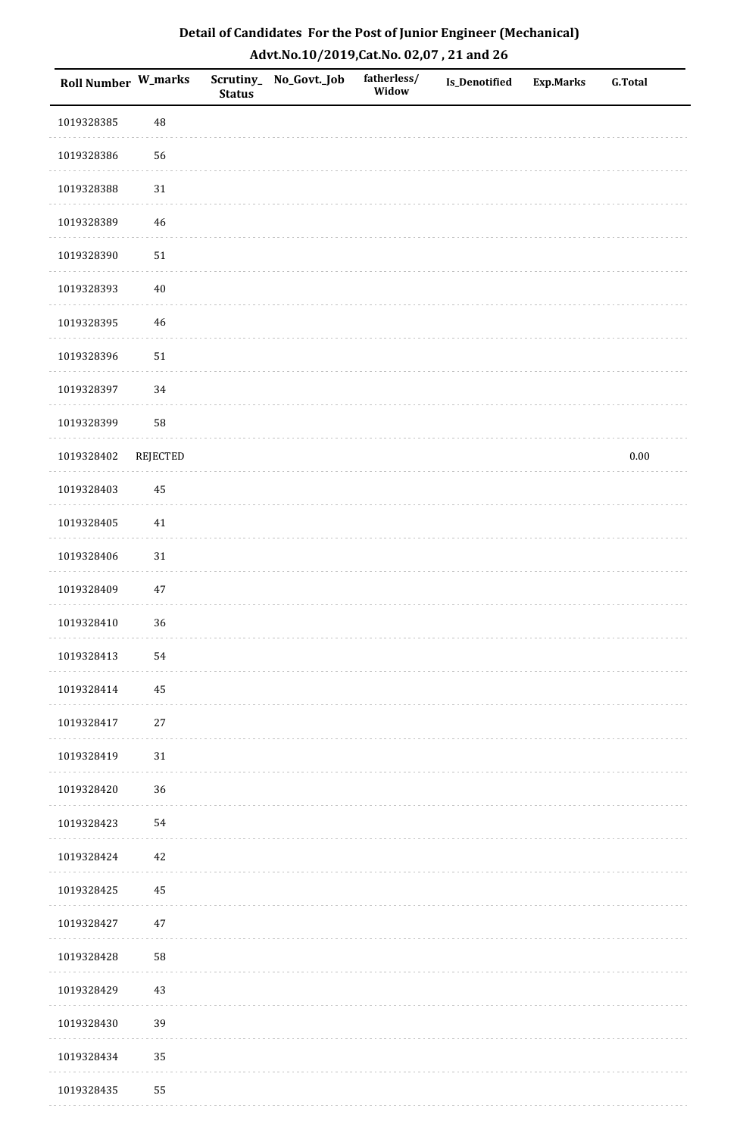| Roll Number W_marks |                 | <b>Status</b> | Scrutiny_No_Govt._Job | fatherless/<br>Widow | Is_Denotified | <b>Exp.Marks</b> | <b>G.Total</b> |
|---------------------|-----------------|---------------|-----------------------|----------------------|---------------|------------------|----------------|
| 1019328385          | 48              |               |                       |                      |               |                  |                |
| 1019328386          | 56              |               |                       |                      |               |                  |                |
| 1019328388          | $31\,$          |               |                       |                      |               |                  |                |
| 1019328389          | 46              |               |                       |                      |               |                  |                |
| 1019328390          | $51\,$          |               |                       |                      |               |                  |                |
| 1019328393          | $40\,$          |               |                       |                      |               |                  |                |
| 1019328395          | 46              |               |                       |                      |               |                  |                |
| 1019328396          | $51\,$          |               |                       |                      |               |                  |                |
| 1019328397          | 34              |               |                       |                      |               |                  |                |
| 1019328399          | 58              |               |                       |                      |               |                  |                |
| 1019328402          | <b>REJECTED</b> |               |                       |                      |               |                  | $0.00\,$       |
| 1019328403          | 45              |               |                       |                      |               |                  |                |
| 1019328405          | 41              |               |                       |                      |               |                  |                |
| 1019328406          | 31              |               |                       |                      |               |                  |                |
| 1019328409          | $47\,$          |               |                       |                      |               |                  |                |
| 1019328410          | 36              |               |                       |                      |               |                  |                |
| 1019328413          | 54              |               |                       |                      |               |                  |                |
| 1019328414          | 45              |               |                       |                      |               |                  |                |
| 1019328417          | $27\,$          |               |                       |                      |               |                  |                |
| 1019328419          | $31\,$          |               |                       |                      |               |                  |                |
| 1019328420          | 36              |               |                       |                      |               |                  |                |
| 1019328423          | 54              |               |                       |                      |               |                  |                |
| 1019328424          | 42              |               |                       |                      |               |                  |                |
| 1019328425          | 45              |               |                       |                      |               |                  |                |
| 1019328427          | $47\,$          |               |                       |                      |               |                  |                |
| 1019328428          | 58              |               |                       |                      |               |                  |                |
| 1019328429          | $43\,$          |               |                       |                      |               |                  |                |
| 1019328430          | 39              |               |                       |                      |               |                  |                |
| 1019328434          | 35              |               |                       |                      |               |                  |                |
| 1019328435          | 55              |               |                       |                      |               |                  |                |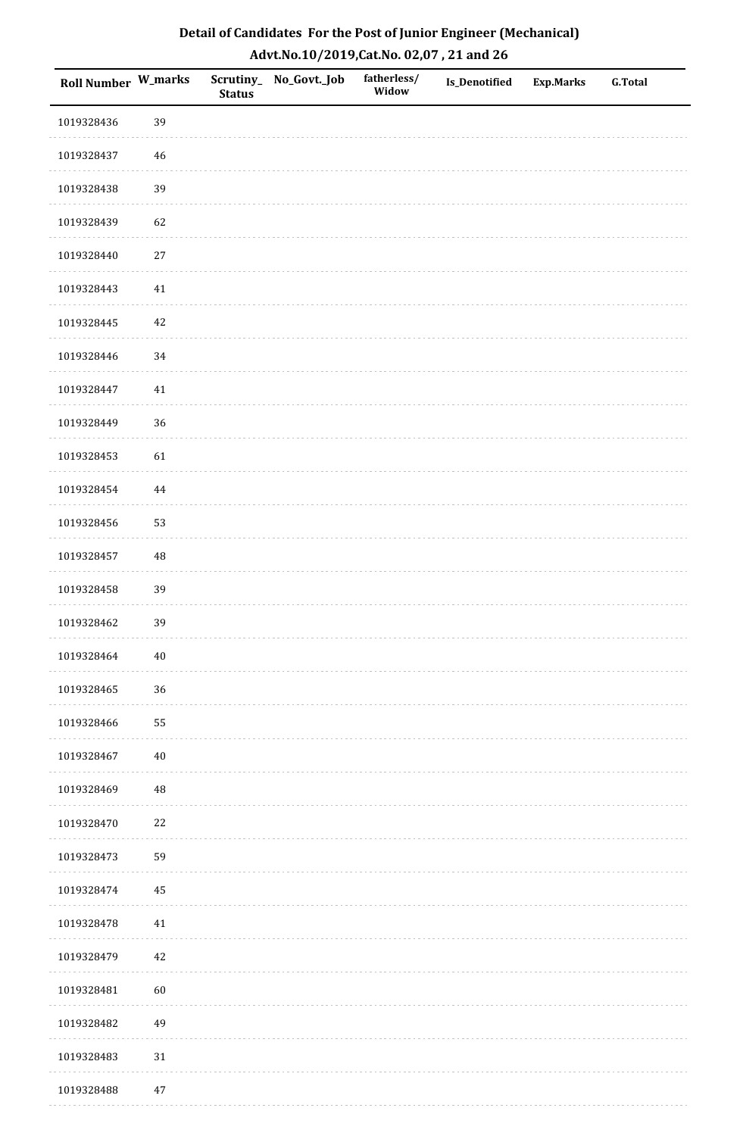| Roll Number W_marks |        | <b>Status</b> | Scrutiny_No_Govt._Job | fatherless/<br>Widow | Is_Denotified | <b>Exp.Marks</b> | <b>G.Total</b> |
|---------------------|--------|---------------|-----------------------|----------------------|---------------|------------------|----------------|
| 1019328436          | 39     |               |                       |                      |               |                  |                |
| 1019328437          | $46\,$ |               |                       |                      |               |                  |                |
| 1019328438          | 39     |               |                       |                      |               |                  |                |
| 1019328439          | 62     |               |                       |                      |               |                  |                |
| 1019328440          | $27\,$ |               |                       |                      |               |                  |                |
| 1019328443          | 41     |               |                       |                      |               |                  |                |
| 1019328445          | 42     |               |                       |                      |               |                  |                |
| 1019328446          | 34     |               |                       |                      |               |                  |                |
| 1019328447          | $41\,$ |               |                       |                      |               |                  |                |
| 1019328449          | 36     |               |                       |                      |               |                  |                |
| 1019328453          | 61     |               |                       |                      |               |                  |                |
| 1019328454          | 44     |               |                       |                      |               |                  |                |
| 1019328456          | 53     |               |                       |                      |               |                  |                |
| 1019328457          | 48     |               |                       |                      |               |                  |                |
| 1019328458          | 39     |               |                       |                      |               |                  |                |
| 1019328462          | 39     |               |                       |                      |               |                  |                |
| 1019328464          | $40\,$ |               |                       |                      |               |                  |                |
| 1019328465          | 36     |               |                       |                      |               |                  |                |
| 1019328466          | 55     |               |                       |                      |               |                  |                |
| 1019328467          | $40\,$ |               |                       |                      |               |                  |                |
| 1019328469          | 48     |               |                       |                      |               |                  |                |
| 1019328470          | $22\,$ |               |                       |                      |               |                  |                |
| 1019328473          | 59     |               |                       |                      |               |                  |                |
| 1019328474          | 45     |               |                       |                      |               |                  |                |
| 1019328478          | $41\,$ |               |                       |                      |               |                  |                |
| 1019328479          | $42\,$ |               |                       |                      |               |                  |                |
| 1019328481          | 60     |               |                       |                      |               |                  |                |
| 1019328482          | 49     |               |                       |                      |               |                  |                |
| 1019328483          | $31\,$ |               |                       |                      |               |                  |                |
| 1019328488          | $47\,$ |               |                       |                      |               |                  |                |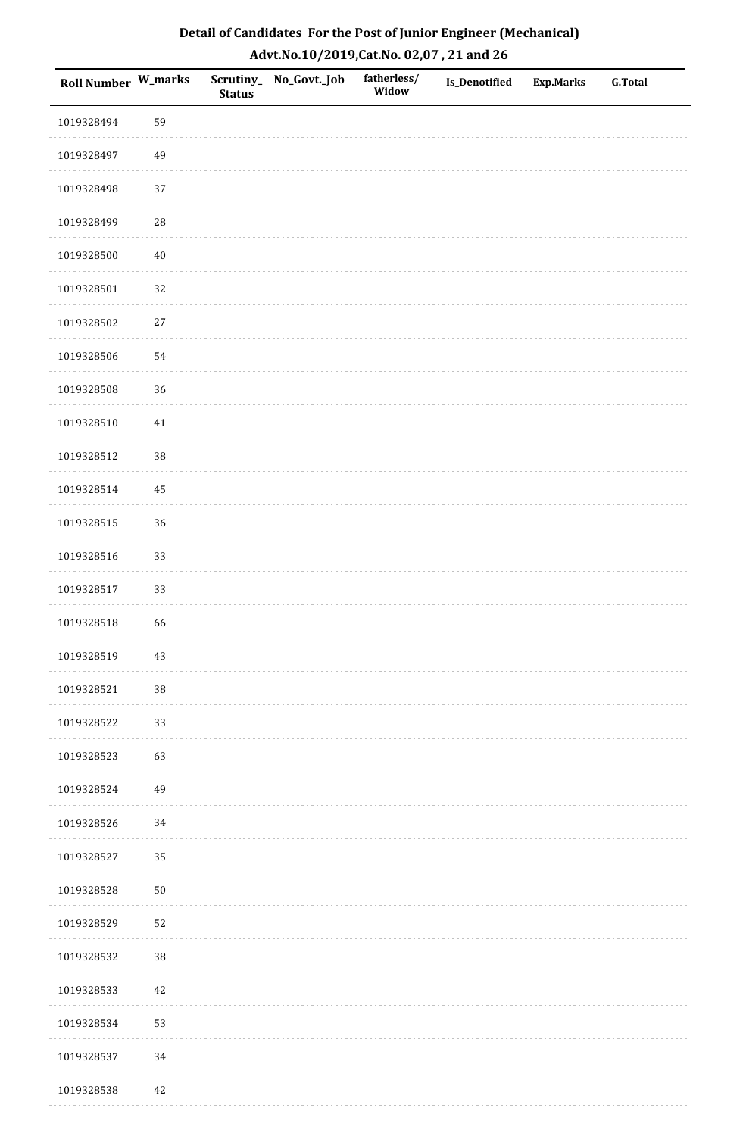| Roll Number W_marks |            | <b>Status</b> | Scrutiny_No_Govt._Job | fatherless/<br>Widow | Is_Denotified | <b>Exp.Marks</b> | <b>G.Total</b> |
|---------------------|------------|---------------|-----------------------|----------------------|---------------|------------------|----------------|
| 1019328494          | 59         |               |                       |                      |               |                  |                |
| 1019328497          | 49         |               |                       |                      |               |                  |                |
| 1019328498          | 37         |               |                       |                      |               |                  |                |
| 1019328499          | ${\bf 28}$ |               |                       |                      |               |                  |                |
| 1019328500          | $40\,$     |               |                       |                      |               |                  |                |
| 1019328501          | 32         |               |                       |                      |               |                  |                |
| 1019328502          | $27\,$     |               |                       |                      |               |                  |                |
| 1019328506          | 54         |               |                       |                      |               |                  |                |
| 1019328508          | 36         |               |                       |                      |               |                  |                |
| 1019328510          | $41\,$     |               |                       |                      |               |                  |                |
| 1019328512          | 38         |               |                       |                      |               |                  |                |
| 1019328514          | 45         |               |                       |                      |               |                  |                |
| 1019328515          | 36         |               |                       |                      |               |                  |                |
| 1019328516          | 33         |               |                       |                      |               |                  |                |
| 1019328517          | 33         |               |                       |                      |               |                  |                |
| 1019328518          | 66         |               |                       |                      |               |                  |                |
| 1019328519          | $43\,$     |               |                       |                      |               |                  |                |
| 1019328521          | 38         |               |                       |                      |               |                  |                |
| 1019328522          | 33         |               |                       |                      |               |                  |                |
| 1019328523          | 63         |               |                       |                      |               |                  |                |
| 1019328524          | 49         |               |                       |                      |               |                  |                |
| 1019328526          | 34         |               |                       |                      |               |                  |                |
| 1019328527          | 35         |               |                       |                      |               |                  |                |
| 1019328528          | $50\,$     |               |                       |                      |               |                  |                |
| 1019328529          | 52         |               |                       |                      |               |                  |                |
| 1019328532          | 38         |               |                       |                      |               |                  |                |
| 1019328533          | $42\,$     |               |                       |                      |               |                  |                |
| 1019328534          | 53         |               |                       |                      |               |                  |                |
| 1019328537          | 34         |               |                       |                      |               |                  |                |
| 1019328538          | 42         |               |                       |                      |               |                  |                |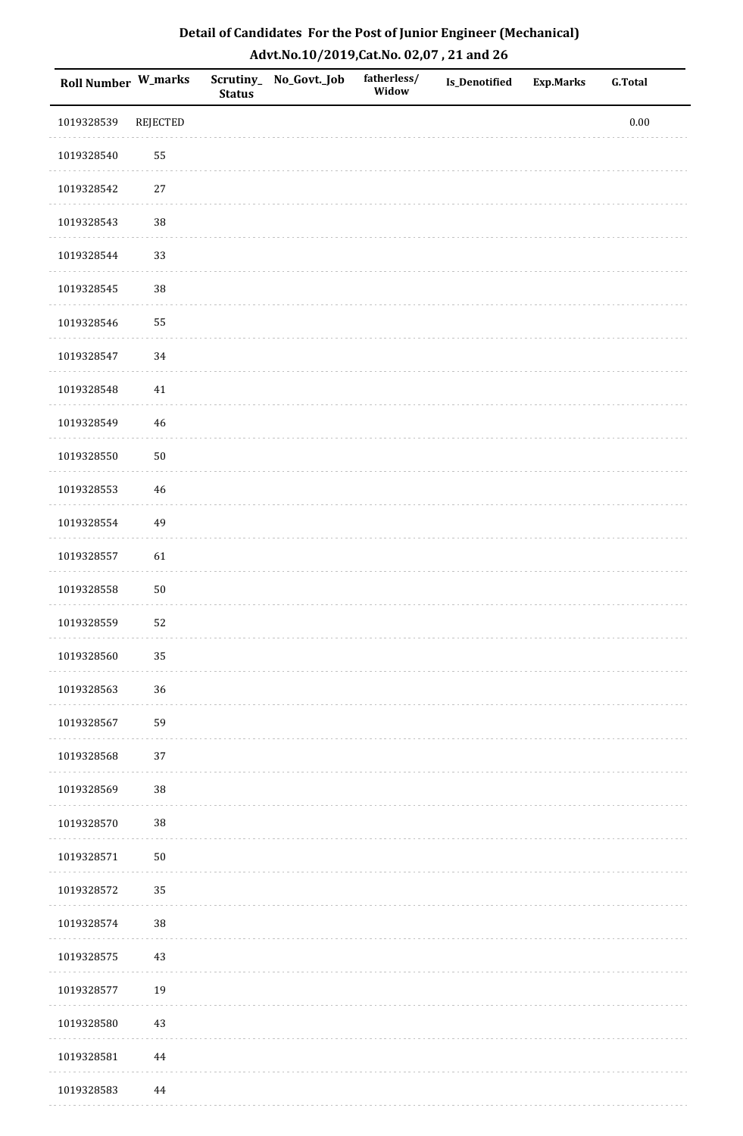| Roll Number W_marks |                 | <b>Status</b> | Scrutiny_No_Govt._Job | fatherless/<br>Widow | Is_Denotified | Exp.Marks | <b>G.Total</b> |
|---------------------|-----------------|---------------|-----------------------|----------------------|---------------|-----------|----------------|
| 1019328539          | <b>REJECTED</b> |               |                       |                      |               |           | $0.00\,$       |
| 1019328540          | 55              |               |                       |                      |               |           |                |
| 1019328542          | $27\,$          |               |                       |                      |               |           |                |
| 1019328543          | 38              |               |                       |                      |               |           |                |
| 1019328544          | 33              |               |                       |                      |               |           |                |
| 1019328545          | 38              |               |                       |                      |               |           |                |
| 1019328546          | 55              |               |                       |                      |               |           |                |
| 1019328547          | 34              |               |                       |                      |               |           |                |
| 1019328548          | $41\,$          |               |                       |                      |               |           |                |
| 1019328549          | 46              |               |                       |                      |               |           |                |
| 1019328550          | $50\,$          |               |                       |                      |               |           |                |
| 1019328553          | $46\,$          |               |                       |                      |               |           |                |
| 1019328554          | 49              |               |                       |                      |               |           |                |
| 1019328557          | 61              |               |                       |                      |               |           |                |
| 1019328558          | $50\,$          |               |                       |                      |               |           |                |
| 1019328559          | 52              |               |                       |                      |               |           |                |
| 1019328560          | 35              |               |                       |                      |               |           |                |
| 1019328563          | 36              |               |                       |                      |               |           |                |
| 1019328567          | 59              |               |                       |                      |               |           |                |
| 1019328568          | 37              |               |                       |                      |               |           |                |
| 1019328569          | 38              |               |                       |                      |               |           |                |
| 1019328570          | 38              |               |                       |                      |               |           |                |
| 1019328571          | $50\,$          |               |                       |                      |               |           |                |
| 1019328572          | 35              |               |                       |                      |               |           |                |
| 1019328574          | $38\,$          |               |                       |                      |               |           |                |
| 1019328575          | $43\,$          |               |                       |                      |               |           |                |
| 1019328577          | 19              |               |                       |                      |               |           |                |
| 1019328580          | 43              |               |                       |                      |               |           |                |
| 1019328581          | $\bf 44$        |               |                       |                      |               |           |                |
| 1019328583          | 44              |               |                       |                      |               |           |                |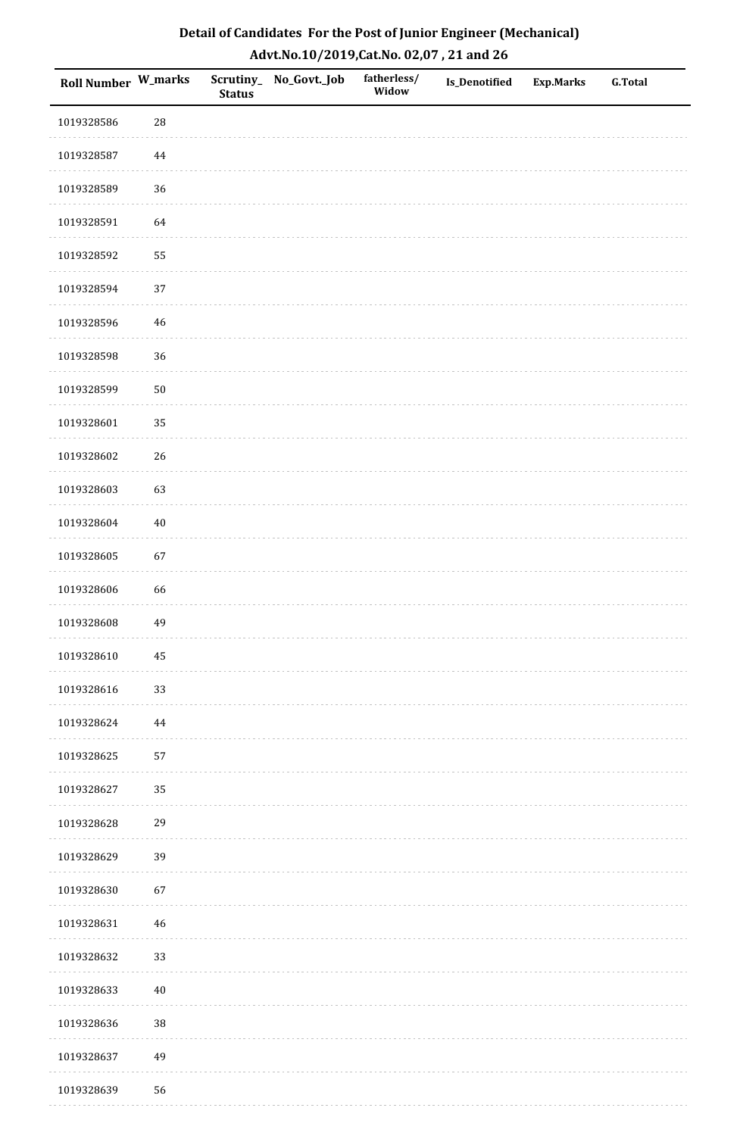| Roll Number W_marks |            | <b>Status</b> | Scrutiny_No_Govt._Job | fatherless/<br>Widow | Is_Denotified | <b>Exp.Marks</b> | <b>G.Total</b> |
|---------------------|------------|---------------|-----------------------|----------------------|---------------|------------------|----------------|
| 1019328586          | ${\bf 28}$ |               |                       |                      |               |                  |                |
| 1019328587          | 44         |               |                       |                      |               |                  |                |
| 1019328589          | 36         |               |                       |                      |               |                  |                |
| 1019328591          | 64         |               |                       |                      |               |                  |                |
| 1019328592          | 55         |               |                       |                      |               |                  |                |
| 1019328594          | 37         |               |                       |                      |               |                  |                |
| 1019328596          | $46\,$     |               |                       |                      |               |                  |                |
| 1019328598          | 36         |               |                       |                      |               |                  |                |
| 1019328599          | $50\,$     |               |                       |                      |               |                  |                |
| 1019328601          | 35         |               |                       |                      |               |                  |                |
| 1019328602          | 26         |               |                       |                      |               |                  |                |
| 1019328603          | 63         |               |                       |                      |               |                  |                |
| 1019328604          | $40\,$     |               |                       |                      |               |                  |                |
| 1019328605          | 67         |               |                       |                      |               |                  |                |
| 1019328606          | 66         |               |                       |                      |               |                  |                |
| 1019328608          | 49         |               |                       |                      |               |                  |                |
| 1019328610          | $\bf 45$   |               |                       |                      |               |                  |                |
| 1019328616          | 33         |               |                       |                      |               |                  |                |
| 1019328624          | 44         |               |                       |                      |               |                  |                |
| 1019328625          | 57         |               |                       |                      |               |                  |                |
| 1019328627          | 35         |               |                       |                      |               |                  |                |
| 1019328628          | 29         |               |                       |                      |               |                  |                |
| 1019328629          | 39         |               |                       |                      |               |                  |                |
| 1019328630          | 67         |               |                       |                      |               |                  |                |
| 1019328631          | 46         |               |                       |                      |               |                  |                |
| 1019328632          | 33         |               |                       |                      |               |                  |                |
| 1019328633          | $40\,$     |               |                       |                      |               |                  |                |
| 1019328636          | 38         |               |                       |                      |               |                  |                |
| 1019328637          | 49         |               |                       |                      |               |                  |                |
| 1019328639          | 56         |               |                       |                      |               |                  |                |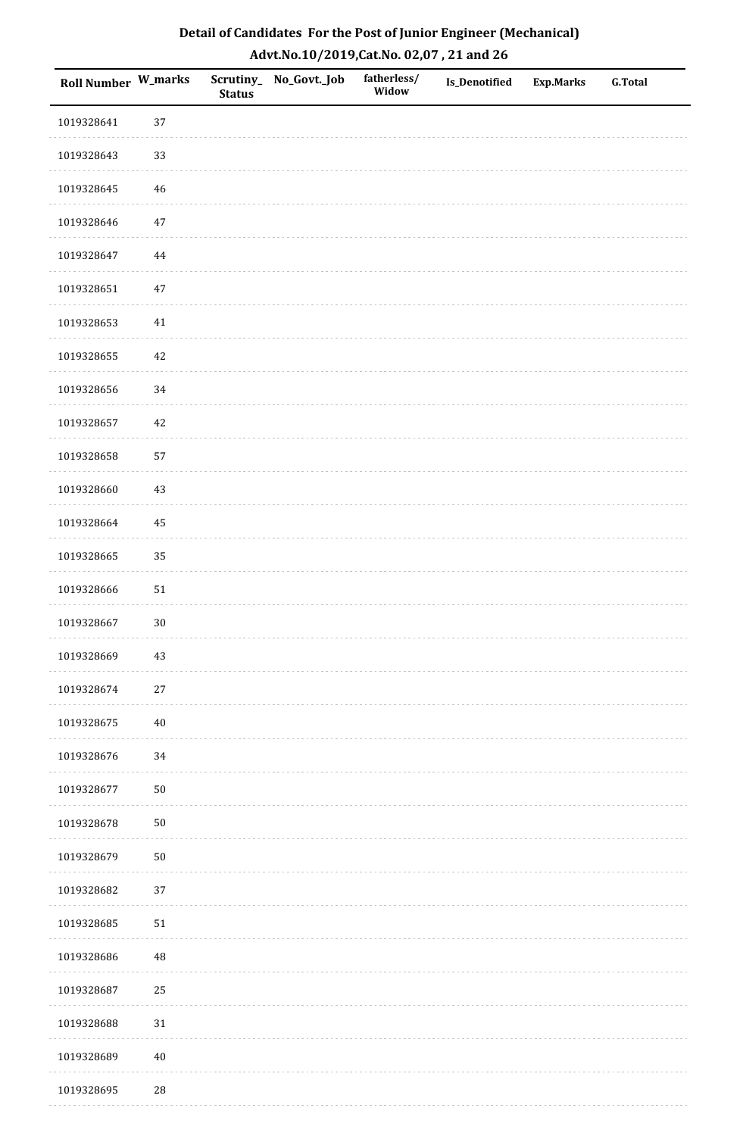| Roll Number W_marks |            | <b>Status</b> | Scrutiny_No_Govt._Job | fatherless/<br>Widow | Is_Denotified | <b>Exp.Marks</b> | G.Total |
|---------------------|------------|---------------|-----------------------|----------------------|---------------|------------------|---------|
| 1019328641          | 37         |               |                       |                      |               |                  |         |
| 1019328643          | 33         |               |                       |                      |               |                  |         |
| 1019328645          | 46         |               |                       |                      |               |                  |         |
| 1019328646          | $47\,$     |               |                       |                      |               |                  |         |
| 1019328647          | $\bf 44$   |               |                       |                      |               |                  |         |
| 1019328651          | 47         |               |                       |                      |               |                  |         |
| 1019328653          | $41\,$     |               |                       |                      |               |                  |         |
| 1019328655          | $42\,$     |               |                       |                      |               |                  |         |
| 1019328656          | 34         |               |                       |                      |               |                  |         |
| 1019328657          | $42\,$     |               |                       |                      |               |                  |         |
| 1019328658          | 57         |               |                       |                      |               |                  |         |
| 1019328660          | $43\,$     |               |                       |                      |               |                  |         |
| 1019328664          | 45         |               |                       |                      |               |                  |         |
| 1019328665          | 35         |               |                       |                      |               |                  |         |
| 1019328666          | ${\bf 51}$ |               |                       |                      |               |                  |         |
| 1019328667          | $30\,$     |               |                       |                      |               |                  |         |
| 1019328669          | $43\,$     |               |                       |                      |               |                  |         |
| 1019328674          | 27         |               |                       |                      |               |                  |         |
| 1019328675          | $40\,$     |               |                       |                      |               |                  |         |
| 1019328676          | 34         |               |                       |                      |               |                  |         |
| 1019328677          | $50\,$     |               |                       |                      |               |                  |         |
| 1019328678          | $50\,$     |               |                       |                      |               |                  |         |
| 1019328679          | $50\,$     |               |                       |                      |               |                  |         |
| 1019328682          | 37         |               |                       |                      |               |                  |         |
| 1019328685          | $51\,$     |               |                       |                      |               |                  |         |
| 1019328686          | 48         |               |                       |                      |               |                  |         |
| 1019328687          | $25\,$     |               |                       |                      |               |                  |         |
| 1019328688          | $31\,$     |               |                       |                      |               |                  |         |
| 1019328689          | $40\,$     |               |                       |                      |               |                  |         |
| 1019328695          | $28\,$     |               |                       |                      |               |                  |         |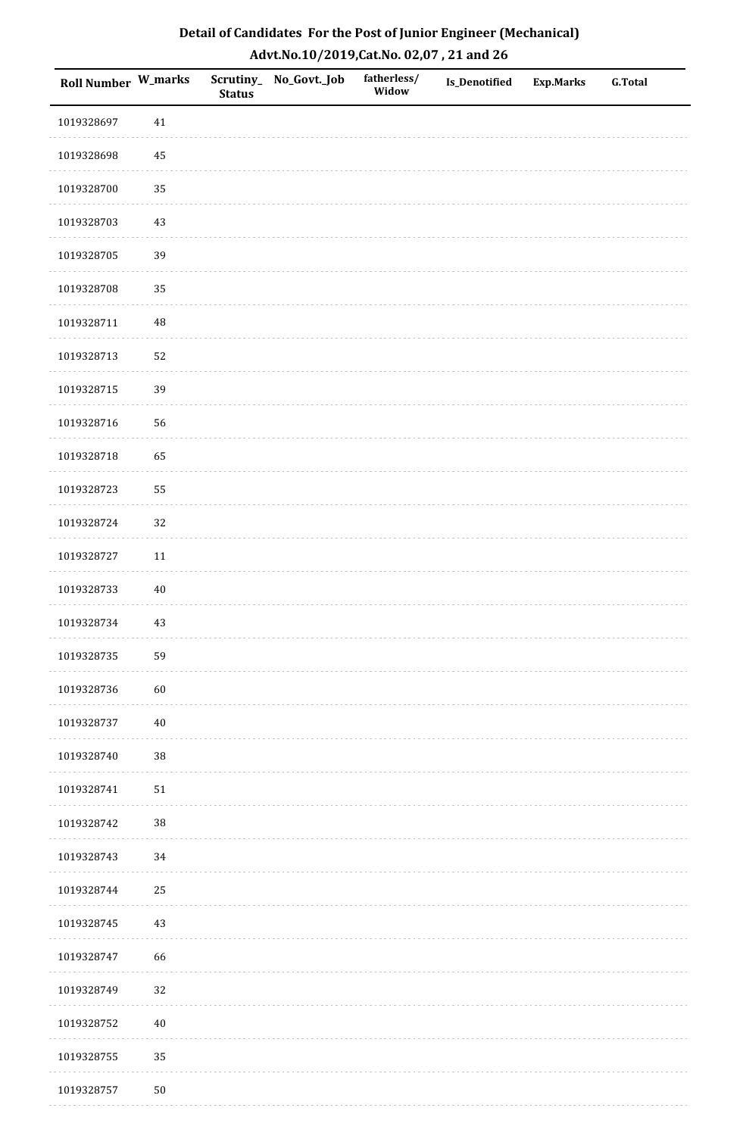| Roll Number W_marks |          | <b>Status</b> | Scrutiny_No_Govt._Job | fatherless/<br>Widow | Is_Denotified | <b>Exp.Marks</b> | <b>G.Total</b> |
|---------------------|----------|---------------|-----------------------|----------------------|---------------|------------------|----------------|
| 1019328697          | $41\,$   |               |                       |                      |               |                  |                |
| 1019328698          | 45       |               |                       |                      |               |                  |                |
| 1019328700          | 35       |               |                       |                      |               |                  |                |
| 1019328703          | 43       |               |                       |                      |               |                  |                |
| 1019328705          | 39       |               |                       |                      |               |                  |                |
| 1019328708          | 35       |               |                       |                      |               |                  |                |
| 1019328711          | $\rm 48$ |               |                       |                      |               |                  |                |
| 1019328713          | 52       |               |                       |                      |               |                  |                |
| 1019328715          | 39       |               |                       |                      |               |                  |                |
| 1019328716          | 56       |               |                       |                      |               |                  |                |
| 1019328718          | 65       |               |                       |                      |               |                  |                |
| 1019328723          | 55       |               |                       |                      |               |                  |                |
| 1019328724          | 32       |               |                       |                      |               |                  |                |
| 1019328727          | $11\,$   |               |                       |                      |               |                  |                |
| 1019328733          | $40\,$   |               |                       |                      |               |                  |                |
| 1019328734          | $43\,$   |               |                       |                      |               |                  |                |
| 1019328735          | 59       |               |                       |                      |               |                  |                |
| 1019328736          | 60       |               |                       |                      |               |                  |                |
| 1019328737          | $40\,$   |               |                       |                      |               |                  |                |
| 1019328740          | 38       |               |                       |                      |               |                  |                |
| 1019328741          | $51\,$   |               |                       |                      |               |                  |                |
| 1019328742          | $38\,$   |               |                       |                      |               |                  |                |
| 1019328743          | $34\,$   |               |                       |                      |               |                  |                |
| 1019328744          | 25       |               |                       |                      |               |                  |                |
| 1019328745          | $43\,$   |               |                       |                      |               |                  |                |
| 1019328747          | 66       |               |                       |                      |               |                  |                |
| 1019328749          | 32       |               |                       |                      |               |                  |                |
| 1019328752          | $40\,$   |               |                       |                      |               |                  |                |
| 1019328755          | 35       |               |                       |                      |               |                  |                |
| 1019328757          | $50\,$   |               |                       |                      |               |                  |                |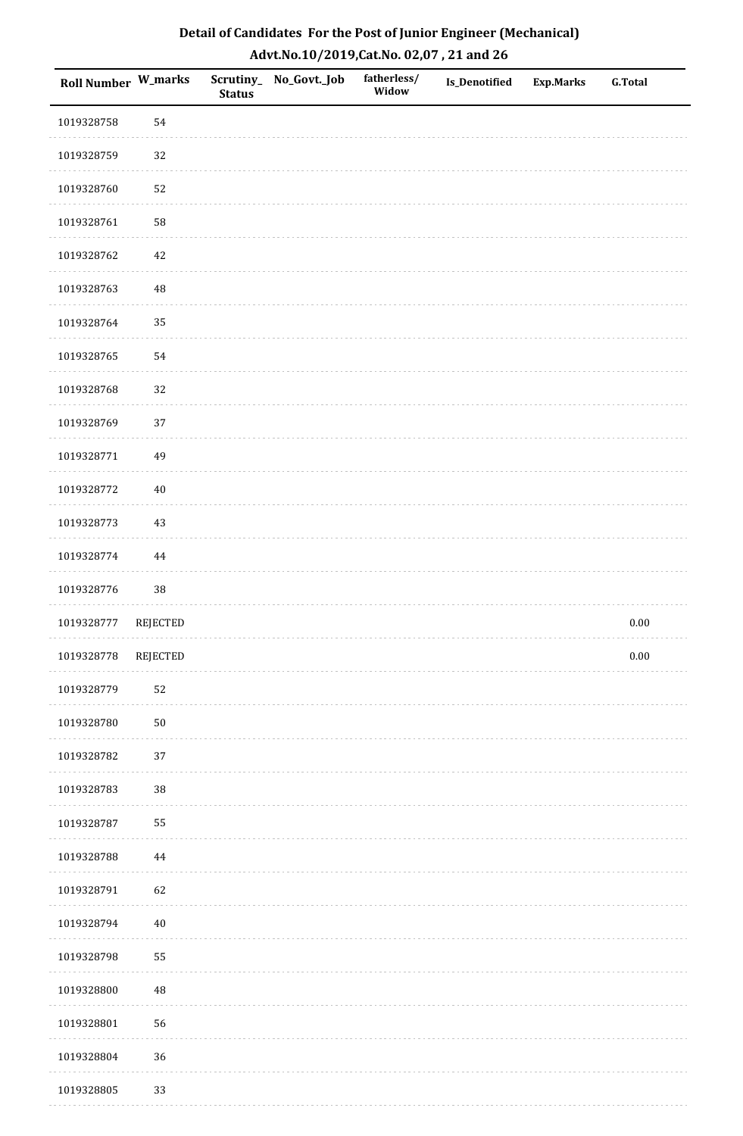| <b>Roll Number W_marks</b> |                 | <b>Status</b> | Scrutiny_No_Govt._Job | fatherless/<br>Widow | Is_Denotified | <b>Exp.Marks</b> | <b>G.Total</b> |
|----------------------------|-----------------|---------------|-----------------------|----------------------|---------------|------------------|----------------|
| 1019328758                 | 54              |               |                       |                      |               |                  |                |
| 1019328759                 | 32              |               |                       |                      |               |                  |                |
| 1019328760                 | 52              |               |                       |                      |               |                  |                |
| 1019328761                 | 58              |               |                       |                      |               |                  |                |
| 1019328762                 | $42\,$          |               |                       |                      |               |                  |                |
| 1019328763                 | 48              |               |                       |                      |               |                  |                |
| 1019328764                 | 35              |               |                       |                      |               |                  |                |
| 1019328765                 | 54              |               |                       |                      |               |                  |                |
| 1019328768                 | 32              |               |                       |                      |               |                  |                |
| 1019328769                 | 37              |               |                       |                      |               |                  |                |
| 1019328771                 | 49              |               |                       |                      |               |                  |                |
| 1019328772                 | $40\,$          |               |                       |                      |               |                  |                |
| 1019328773                 | $43\,$          |               |                       |                      |               |                  |                |
| 1019328774                 | 44              |               |                       |                      |               |                  |                |
| 1019328776                 | $38\,$          |               |                       |                      |               |                  |                |
| 1019328777                 | <b>REJECTED</b> |               |                       |                      |               |                  | $0.00\,$       |
| 1019328778                 | REJECTED        |               |                       |                      |               |                  | $0.00\,$       |
| 1019328779                 | 52              |               |                       |                      |               |                  |                |
| 1019328780                 | $50\,$          |               |                       |                      |               |                  |                |
| 1019328782                 | 37              |               |                       |                      |               |                  |                |
| 1019328783                 | 38              |               |                       |                      |               |                  |                |
| 1019328787                 | 55              |               |                       |                      |               |                  |                |
| 1019328788                 | $\bf 44$        |               |                       |                      |               |                  |                |
| 1019328791                 | 62              |               |                       |                      |               |                  |                |
| 1019328794                 | $40\,$          |               |                       |                      |               |                  |                |
| 1019328798                 | 55              |               |                       |                      |               |                  |                |
| 1019328800                 | 48              |               |                       |                      |               |                  |                |
| 1019328801                 | 56              |               |                       |                      |               |                  |                |
| 1019328804                 | 36              |               |                       |                      |               |                  |                |
| 1019328805                 | 33              |               |                       |                      |               |                  |                |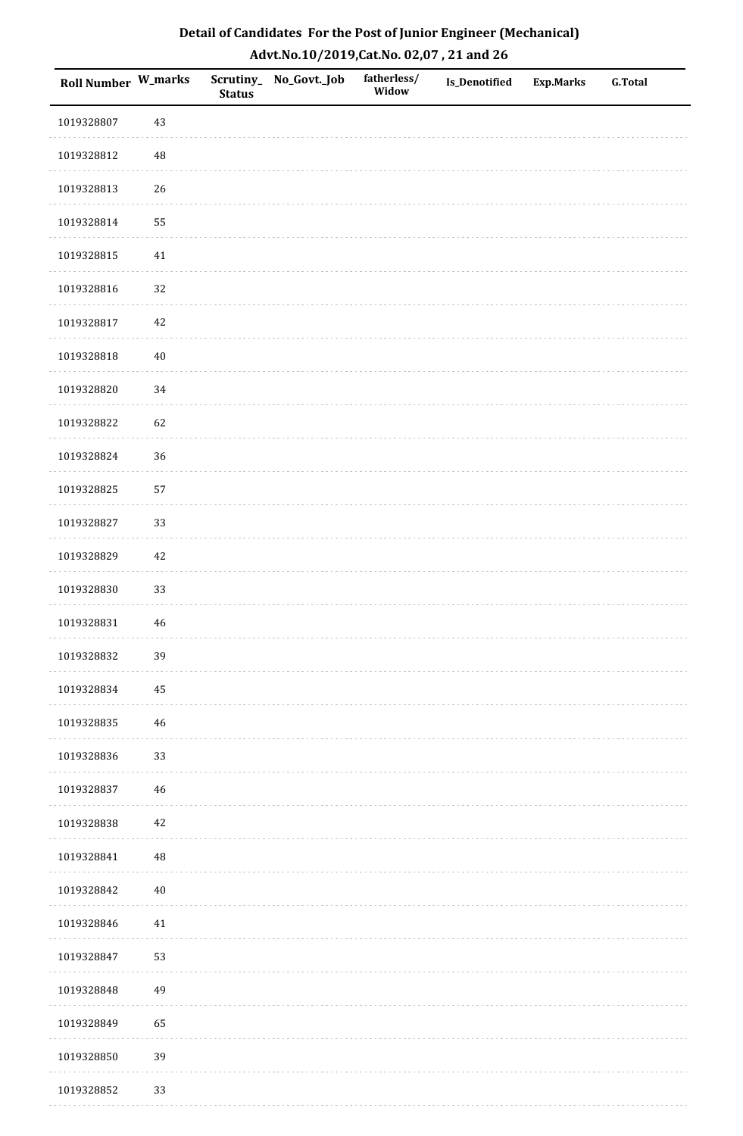| Roll Number W_marks |             | <b>Status</b> | Scrutiny_No_Govt._Job | fatherless/<br>Widow | Is_Denotified | <b>Exp.Marks</b> | <b>G.Total</b> |
|---------------------|-------------|---------------|-----------------------|----------------------|---------------|------------------|----------------|
| 1019328807          | 43          |               |                       |                      |               |                  |                |
| 1019328812          | 48          |               |                       |                      |               |                  |                |
| 1019328813          | 26          |               |                       |                      |               |                  |                |
| 1019328814          | 55          |               |                       |                      |               |                  |                |
| 1019328815          | $41\,$      |               |                       |                      |               |                  |                |
| 1019328816          | 32          |               |                       |                      |               |                  |                |
| 1019328817          | $42\,$      |               |                       |                      |               |                  |                |
| 1019328818          | $40\,$      |               |                       |                      |               |                  |                |
| 1019328820          | 34          |               |                       |                      |               |                  |                |
| 1019328822          | 62          |               |                       |                      |               |                  |                |
| 1019328824          | 36          |               |                       |                      |               |                  |                |
| 1019328825          | 57          |               |                       |                      |               |                  |                |
| 1019328827          | 33          |               |                       |                      |               |                  |                |
| 1019328829          | $42\,$      |               |                       |                      |               |                  |                |
| 1019328830          | 33          |               |                       |                      |               |                  |                |
| 1019328831          | $\sqrt{46}$ |               |                       |                      |               |                  |                |
| 1019328832          | 39          |               |                       |                      |               |                  |                |
| 1019328834          | 45          |               |                       |                      |               |                  |                |
| 1019328835          | 46          |               |                       |                      |               |                  |                |
| 1019328836          | 33          |               |                       |                      |               |                  |                |
| 1019328837          | 46          |               |                       |                      |               |                  |                |
| 1019328838          | $42\,$      |               |                       |                      |               |                  |                |
| 1019328841          | 48          |               |                       |                      |               |                  |                |
| 1019328842          | $40\,$      |               |                       |                      |               |                  |                |
| 1019328846          | $41\,$      |               |                       |                      |               |                  |                |
| 1019328847          | 53          |               |                       |                      |               |                  |                |
| 1019328848          | 49          |               |                       |                      |               |                  |                |
| 1019328849          | 65          |               |                       |                      |               |                  |                |
| 1019328850          | 39          |               |                       |                      |               |                  |                |
| 1019328852          | 33          |               |                       |                      |               |                  |                |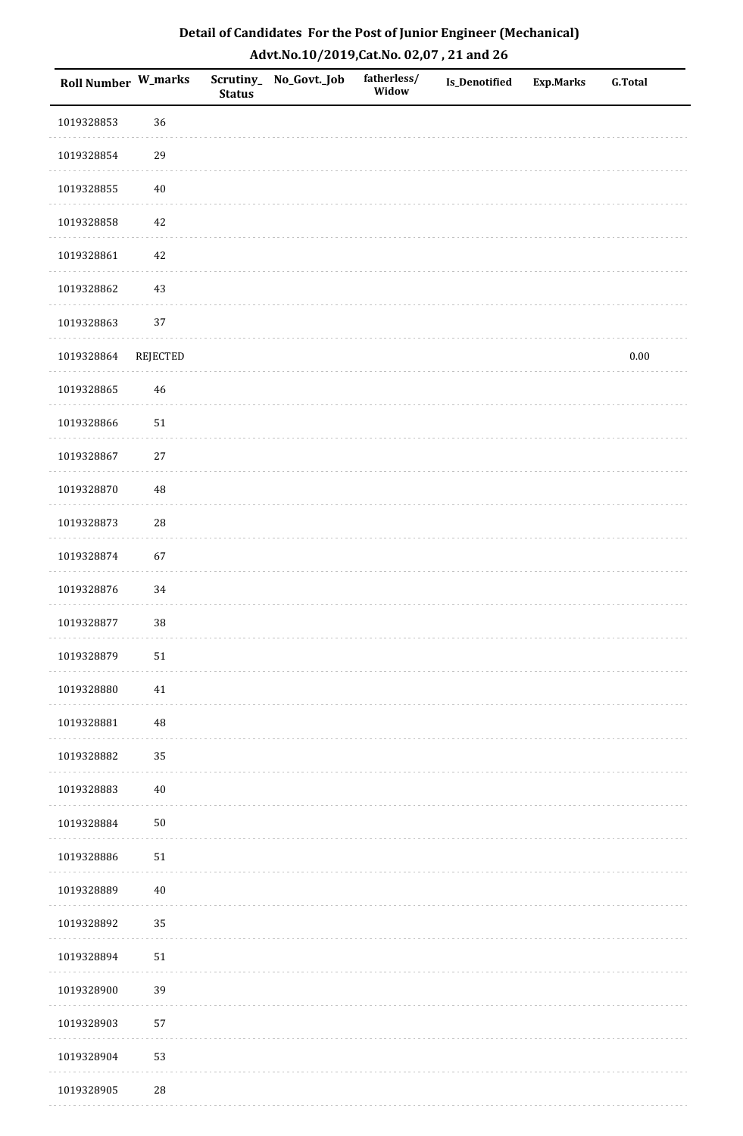| <b>Roll Number W_marks</b> |            | <b>Status</b> | Scrutiny_ No_Govt._Job | fatherless/<br>Widow | Is_Denotified | <b>Exp.Marks</b> | <b>G.Total</b> |
|----------------------------|------------|---------------|------------------------|----------------------|---------------|------------------|----------------|
| 1019328853                 | 36         |               |                        |                      |               |                  |                |
| 1019328854                 | 29         |               |                        |                      |               |                  |                |
| 1019328855                 | $40\,$     |               |                        |                      |               |                  |                |
| 1019328858                 | 42         |               |                        |                      |               |                  |                |
| 1019328861                 | $42\,$     |               |                        |                      |               |                  |                |
| 1019328862                 | 43         |               |                        |                      |               |                  |                |
| 1019328863                 | 37         |               |                        |                      |               |                  |                |
| 1019328864                 | REJECTED   |               |                        |                      |               |                  | $0.00\,$       |
| 1019328865                 | 46         |               |                        |                      |               |                  |                |
| 1019328866                 | $51\,$     |               |                        |                      |               |                  |                |
| 1019328867                 | 27         |               |                        |                      |               |                  |                |
| 1019328870                 | $\rm 48$   |               |                        |                      |               |                  |                |
| 1019328873                 | ${\bf 28}$ |               |                        |                      |               |                  |                |
| 1019328874                 | 67         |               |                        |                      |               |                  |                |
| 1019328876                 | 34         |               |                        |                      |               |                  |                |
| 1019328877                 | 38         |               |                        |                      |               |                  |                |
| 1019328879                 | ${\bf 51}$ |               |                        |                      |               |                  |                |
| 1019328880                 | 41         |               |                        |                      |               |                  |                |
| 1019328881                 | $\rm 48$   |               |                        |                      |               |                  |                |
| 1019328882                 | 35         |               |                        |                      |               |                  |                |
| 1019328883                 | $40\,$     |               |                        |                      |               |                  |                |
| 1019328884                 | $50\,$     |               |                        |                      |               |                  |                |
| 1019328886                 | $51\,$     |               |                        |                      |               |                  |                |
| 1019328889                 | $40\,$     |               |                        |                      |               |                  |                |
| 1019328892                 | 35         |               |                        |                      |               |                  |                |
| 1019328894                 | $51\,$     |               |                        |                      |               |                  |                |
| 1019328900                 | 39         |               |                        |                      |               |                  |                |
| 1019328903                 | 57         |               |                        |                      |               |                  |                |
| 1019328904                 | 53         |               |                        |                      |               |                  |                |
| 1019328905                 | ${\bf 28}$ |               |                        |                      |               |                  |                |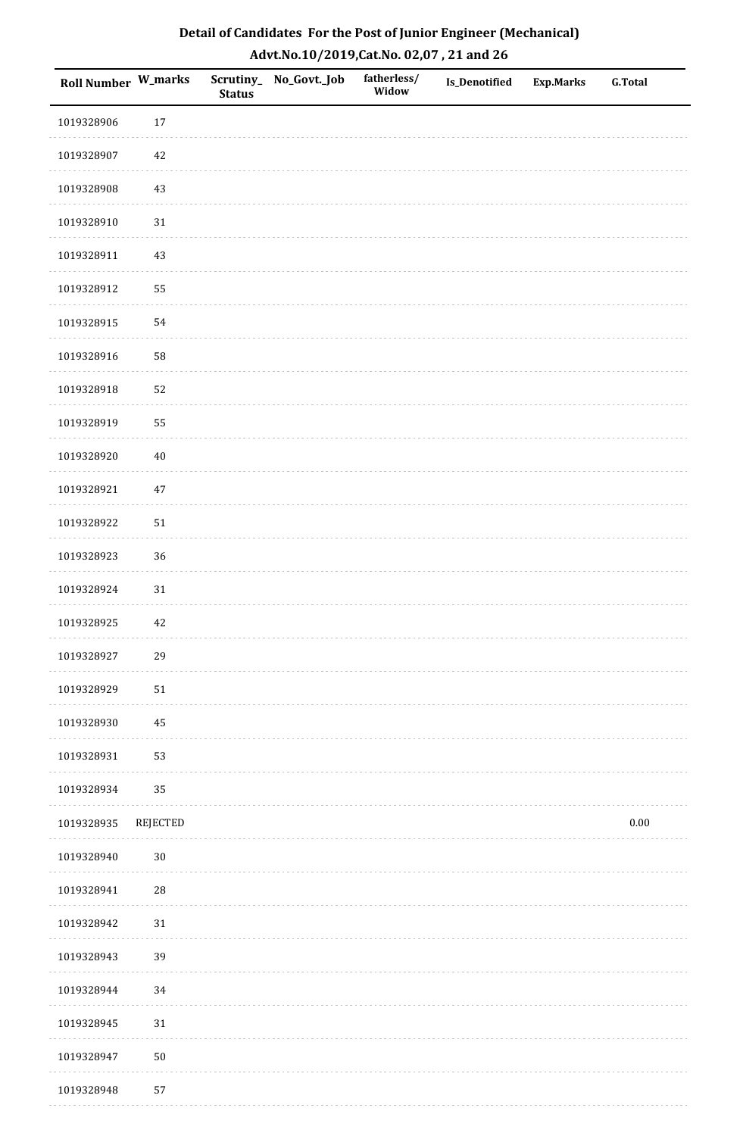| Detail of Candidates For the Post of Junior Engineer (Mechanical) |
|-------------------------------------------------------------------|
| Advt.No.10/2019,Cat.No. 02,07, 21 and 26                          |

| Roll Number W_marks |            | <b>Status</b> | Scrutiny_ No_Govt._Job | fatherless/<br>Widow | <b>Is_Denotified</b> | <b>Exp.Marks</b> | <b>G.Total</b> |
|---------------------|------------|---------------|------------------------|----------------------|----------------------|------------------|----------------|
| 1019328906          | 17         |               |                        |                      |                      |                  |                |
| 1019328907          | 42         |               |                        |                      |                      |                  |                |
| 1019328908          | $43\,$     |               |                        |                      |                      |                  |                |
| 1019328910          | 31         |               |                        |                      |                      |                  |                |
| 1019328911          | $43\,$     |               |                        |                      |                      |                  |                |
| 1019328912          | 55         |               |                        |                      |                      |                  |                |
| 1019328915          | 54         |               |                        |                      |                      |                  |                |
| 1019328916          | 58         |               |                        |                      |                      |                  |                |
| 1019328918          | 52         |               |                        |                      |                      |                  |                |
| 1019328919          | 55         |               |                        |                      |                      |                  |                |
| 1019328920          | $40\,$     |               |                        |                      |                      |                  |                |
| 1019328921          | $47\,$     |               |                        |                      |                      |                  |                |
| 1019328922          | $51\,$     |               |                        |                      |                      |                  |                |
| 1019328923          | 36         |               |                        |                      |                      |                  |                |
| 1019328924          | $31\,$     |               |                        |                      |                      |                  |                |
| 1019328925          | 42         |               |                        |                      |                      |                  |                |
| 1019328927          | 29         |               |                        |                      |                      |                  |                |
| 1019328929          | 51         |               |                        |                      |                      |                  |                |
| 1019328930          | 45         |               |                        |                      |                      |                  |                |
| 1019328931          | 53         |               |                        |                      |                      |                  |                |
| 1019328934          | 35         |               |                        |                      |                      |                  |                |
| 1019328935          | REJECTED   |               |                        |                      |                      |                  | 0.00           |
| 1019328940          | $30\,$     |               |                        |                      |                      |                  |                |
| 1019328941          | ${\bf 28}$ |               |                        |                      |                      |                  |                |
| 1019328942          | 31         |               |                        |                      |                      |                  |                |
| 1019328943          | 39         |               |                        |                      |                      |                  |                |
| 1019328944          | 34         |               |                        |                      |                      |                  |                |
| 1019328945          | 31         |               |                        |                      |                      |                  |                |
| 1019328947          | $50\,$     |               |                        |                      |                      |                  |                |
| 1019328948          | 57         |               |                        |                      |                      |                  |                |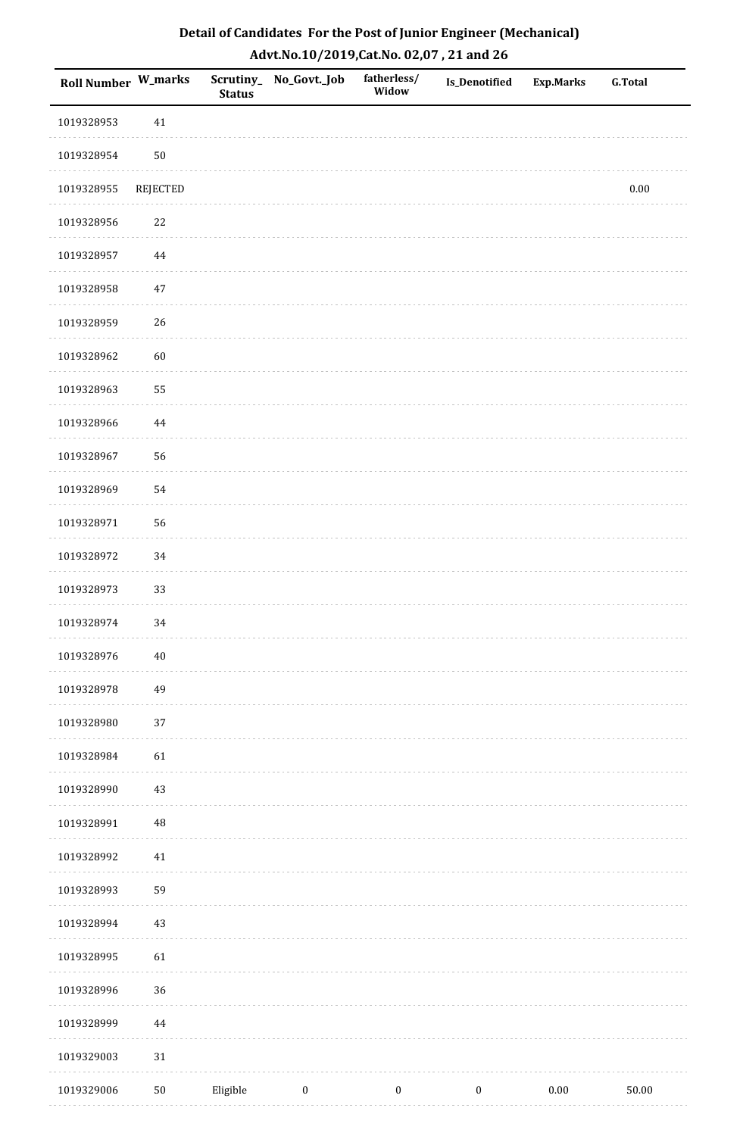| Roll Number W_marks |            | <b>Status</b> | Scrutiny_No_Govt._Job | fatherless/<br>Widow | Is_Denotified    | <b>Exp.Marks</b> | <b>G.Total</b> |
|---------------------|------------|---------------|-----------------------|----------------------|------------------|------------------|----------------|
| 1019328953          | $41\,$     |               |                       |                      |                  |                  |                |
| 1019328954          | ${\bf 50}$ |               |                       |                      |                  |                  |                |
| 1019328955          | REJECTED   |               |                       |                      |                  |                  | $0.00\,$       |
| 1019328956          | 22         |               |                       |                      |                  |                  |                |
| 1019328957          | 44         |               |                       |                      |                  |                  |                |
| 1019328958          | 47         |               |                       |                      |                  |                  |                |
| 1019328959          | 26         |               |                       |                      |                  |                  |                |
| 1019328962          | 60         |               |                       |                      |                  |                  |                |
| 1019328963          | 55         |               |                       |                      |                  |                  |                |
| 1019328966          | 44         |               |                       |                      |                  |                  |                |
| 1019328967          | 56         |               |                       |                      |                  |                  |                |
| 1019328969          | 54         |               |                       |                      |                  |                  |                |
| 1019328971          | 56         |               |                       |                      |                  |                  |                |
| 1019328972          | 34         |               |                       |                      |                  |                  |                |
| 1019328973          | 33         |               |                       |                      |                  |                  |                |
| 1019328974          | 34         |               |                       |                      |                  |                  |                |
| 1019328976          | $40\,$     |               |                       |                      |                  |                  |                |
| 1019328978          | 49         |               |                       |                      |                  |                  |                |
| 1019328980          | 37         |               |                       |                      |                  |                  |                |
| 1019328984          | 61         |               |                       |                      |                  |                  |                |
| 1019328990          | 43         |               |                       |                      |                  |                  |                |
| 1019328991          | $\rm 48$   |               |                       |                      |                  |                  |                |
| 1019328992          | $41\,$     |               |                       |                      |                  |                  |                |
| 1019328993          | 59         |               |                       |                      |                  |                  |                |
| 1019328994          | 43         |               |                       |                      |                  |                  |                |
| 1019328995          | 61         |               |                       |                      |                  |                  |                |
| 1019328996          | 36         |               |                       |                      |                  |                  |                |
| 1019328999          | $\bf 44$   |               |                       |                      |                  |                  |                |
| 1019329003          | 31         |               |                       |                      |                  |                  |                |
| 1019329006          | $50\,$     | Eligible      | $\boldsymbol{0}$      | $\boldsymbol{0}$     | $\boldsymbol{0}$ | $0.00\,$         | $50.00\,$      |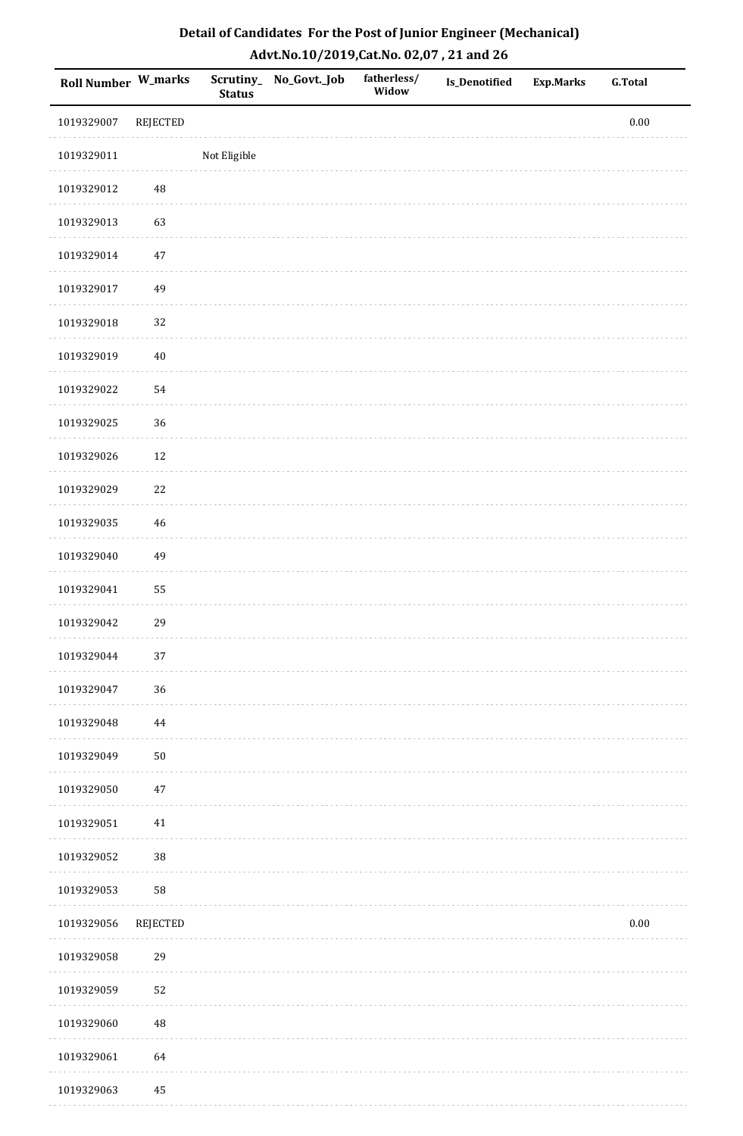| Roll Number W_marks |                 | <b>Status</b> | Scrutiny_No_Govt._Job | fatherless/<br>Widow | <b>Is_Denotified</b> | <b>Exp.Marks</b> | <b>G.Total</b> |
|---------------------|-----------------|---------------|-----------------------|----------------------|----------------------|------------------|----------------|
| 1019329007          | <b>REJECTED</b> |               |                       |                      |                      |                  | $0.00\,$       |
| 1019329011          |                 | Not Eligible  |                       |                      |                      |                  |                |
| 1019329012          | 48              |               |                       |                      |                      |                  |                |
| 1019329013          | 63              |               |                       |                      |                      |                  |                |
| 1019329014          | $47\,$          |               |                       |                      |                      |                  |                |
| 1019329017          | 49              |               |                       |                      |                      |                  |                |
| 1019329018          | 32              |               |                       |                      |                      |                  |                |
| 1019329019          | $40\,$          |               |                       |                      |                      |                  |                |
| 1019329022          | 54              |               |                       |                      |                      |                  |                |
| 1019329025          | 36              |               |                       |                      |                      |                  |                |
| 1019329026          | 12              |               |                       |                      |                      |                  |                |
| 1019329029          | $22\,$          |               |                       |                      |                      |                  |                |
| 1019329035          | 46              |               |                       |                      |                      |                  |                |
| 1019329040          | 49              |               |                       |                      |                      |                  |                |
| 1019329041          | 55              |               |                       |                      |                      |                  |                |
| 1019329042          | 29              |               |                       |                      |                      |                  |                |
| 1019329044          | 37              |               |                       |                      |                      |                  |                |
| 1019329047          | 36              |               |                       |                      |                      |                  |                |
| 1019329048          | 44              |               |                       |                      |                      |                  |                |
| 1019329049          | $50\,$          |               |                       |                      |                      |                  |                |
| 1019329050          | $47\,$          |               |                       |                      |                      |                  |                |
| 1019329051          | 41              |               |                       |                      |                      |                  |                |
| 1019329052          | 38              |               |                       |                      |                      |                  |                |
| 1019329053          | 58              |               |                       |                      |                      |                  |                |
| 1019329056          | REJECTED        |               |                       |                      |                      |                  | $0.00\,$       |
| 1019329058          | 29              |               |                       |                      |                      |                  |                |
| 1019329059          | 52              |               |                       |                      |                      |                  |                |
| 1019329060          | 48              |               |                       |                      |                      |                  |                |
| 1019329061          | 64              |               |                       |                      |                      |                  |                |
| 1019329063          | 45              |               |                       |                      |                      |                  |                |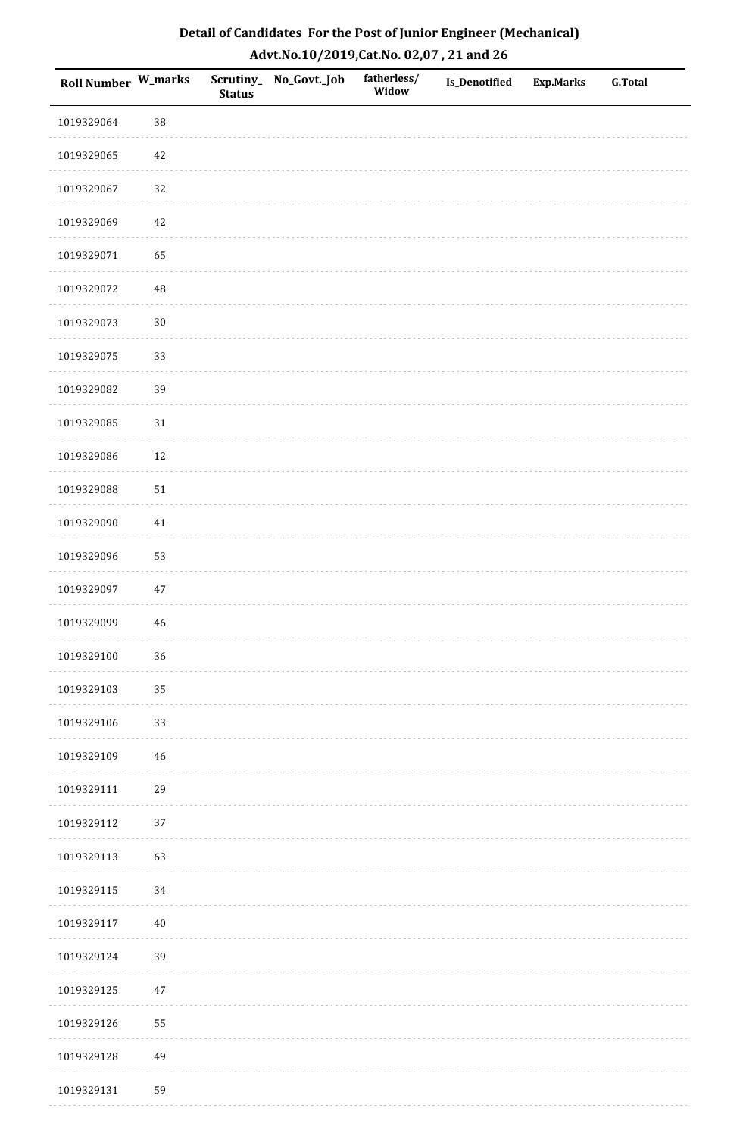| Roll Number W_marks |             | <b>Status</b> | Scrutiny_No_Govt._Job | fatherless/<br>Widow | Is_Denotified | <b>Exp.Marks</b> | <b>G.Total</b> |
|---------------------|-------------|---------------|-----------------------|----------------------|---------------|------------------|----------------|
| 1019329064          | 38          |               |                       |                      |               |                  |                |
| 1019329065          | $42\,$      |               |                       |                      |               |                  |                |
| 1019329067          | 32          |               |                       |                      |               |                  |                |
| 1019329069          | 42          |               |                       |                      |               |                  |                |
| 1019329071          | 65          |               |                       |                      |               |                  |                |
| 1019329072          | 48          |               |                       |                      |               |                  |                |
| 1019329073          | $30\,$      |               |                       |                      |               |                  |                |
| 1019329075          | 33          |               |                       |                      |               |                  |                |
| 1019329082          | 39          |               |                       |                      |               |                  |                |
| 1019329085          | $31\,$      |               |                       |                      |               |                  |                |
| 1019329086          | $12\,$      |               |                       |                      |               |                  |                |
| 1019329088          | $51\,$      |               |                       |                      |               |                  |                |
| 1019329090          | $41\,$      |               |                       |                      |               |                  |                |
| 1019329096          | 53          |               |                       |                      |               |                  |                |
| 1019329097          | $47\,$      |               |                       |                      |               |                  |                |
| 1019329099          | $\sqrt{46}$ |               |                       |                      |               |                  |                |
| 1019329100          | 36          |               |                       |                      |               |                  |                |
| 1019329103          | 35          |               |                       |                      |               |                  |                |
| 1019329106          | 33          |               |                       |                      |               |                  |                |
| 1019329109          | 46          |               |                       |                      |               |                  |                |
| 1019329111          | 29          |               |                       |                      |               |                  |                |
| 1019329112          | $37\,$      |               |                       |                      |               |                  |                |
| 1019329113          | 63          |               |                       |                      |               |                  |                |
| 1019329115          | 34          |               |                       |                      |               |                  |                |
| 1019329117          | $40\,$      |               |                       |                      |               |                  |                |
| 1019329124          | 39          |               |                       |                      |               |                  |                |
| 1019329125          | $47\,$      |               |                       |                      |               |                  |                |
| 1019329126          | 55          |               |                       |                      |               |                  |                |
| 1019329128          | 49          |               |                       |                      |               |                  |                |
| 1019329131          | 59          |               |                       |                      |               |                  |                |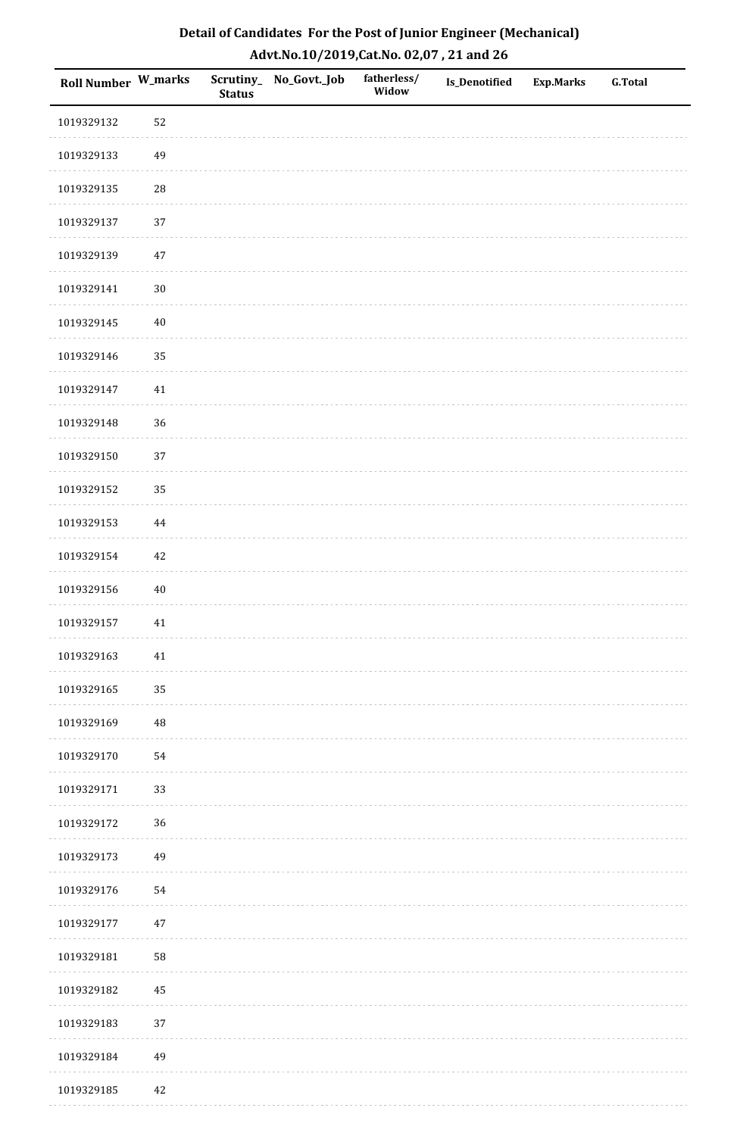| Detail of Candidates For the Post of Junior Engineer (Mechanical) |
|-------------------------------------------------------------------|
| Advt.No.10/2019,Cat.No. 02,07, 21 and 26                          |

| Roll Number W_marks |             | <b>Status</b> | Scrutiny_ No_Govt._Job | fatherless/<br>Widow | Is_Denotified | <b>Exp.Marks</b> | <b>G.Total</b> |
|---------------------|-------------|---------------|------------------------|----------------------|---------------|------------------|----------------|
| 1019329132          | 52          |               |                        |                      |               |                  |                |
| 1019329133          | 49          |               |                        |                      |               |                  |                |
| 1019329135          | $\sqrt{28}$ |               |                        |                      |               |                  |                |
| 1019329137          | 37          |               |                        |                      |               |                  |                |
| 1019329139          | $47\,$      |               |                        |                      |               |                  |                |
| 1019329141          | $30\,$      |               |                        |                      |               |                  |                |
| 1019329145          | $40\,$      |               |                        |                      |               |                  |                |
| 1019329146          | 35          |               |                        |                      |               |                  |                |
| 1019329147          | $41\,$      |               |                        |                      |               |                  |                |
| 1019329148          | $36\,$      |               |                        |                      |               |                  |                |
| 1019329150          | 37          |               |                        |                      |               |                  |                |
| 1019329152          | 35          |               |                        |                      |               |                  |                |
| 1019329153          | $\bf 44$    |               |                        |                      |               |                  |                |
| 1019329154          | 42          |               |                        |                      |               |                  |                |
| 1019329156          | 40          |               |                        |                      |               |                  |                |
| 1019329157          | $41\,$      |               |                        |                      |               |                  |                |
| 1019329163          | 41          |               |                        |                      |               |                  |                |
| 1019329165          | 35          |               |                        |                      |               |                  |                |
| 1019329169          | $\rm 48$    |               |                        |                      |               |                  |                |
| 1019329170          | 54          |               |                        |                      |               |                  |                |
| 1019329171          | 33          |               |                        |                      |               |                  |                |
| 1019329172          | $36\,$      |               |                        |                      |               |                  |                |
| 1019329173          | 49          |               |                        |                      |               |                  |                |
| 1019329176          | 54          |               |                        |                      |               |                  |                |
| 1019329177          | $47\,$      |               |                        |                      |               |                  |                |
| 1019329181          | 58          |               |                        |                      |               |                  |                |
| 1019329182          | 45          |               |                        |                      |               |                  |                |
| 1019329183          | 37          |               |                        |                      |               |                  |                |
| 1019329184          | 49          |               |                        |                      |               |                  |                |
| 1019329185          | 42          |               |                        |                      |               |                  |                |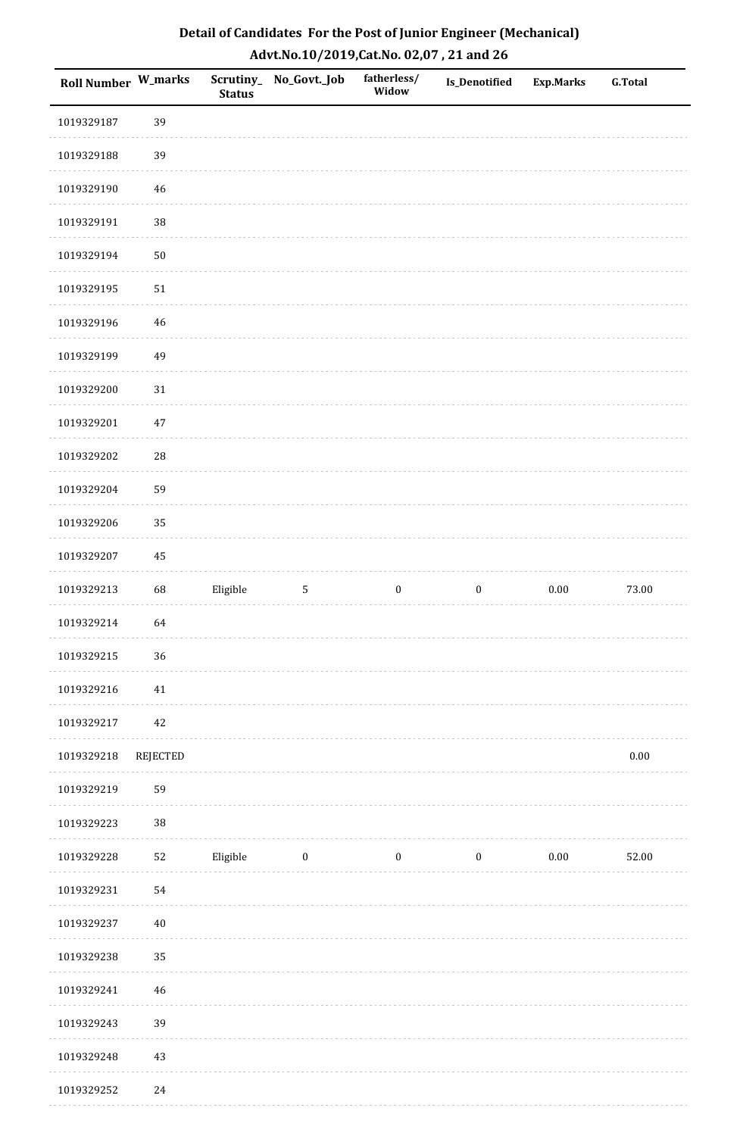| Roll Number W_marks |                 | <b>Status</b> | Scrutiny_No_Govt._Job | fatherless/<br>Widow | <b>Is_Denotified</b> | <b>Exp.Marks</b> | <b>G.Total</b> |
|---------------------|-----------------|---------------|-----------------------|----------------------|----------------------|------------------|----------------|
| 1019329187          | 39              |               |                       |                      |                      |                  |                |
| 1019329188          | 39              |               |                       |                      |                      |                  |                |
| 1019329190          | $46\,$          |               |                       |                      |                      |                  |                |
| 1019329191          | 38              |               |                       |                      |                      |                  |                |
| 1019329194          | $50\,$          |               |                       |                      |                      |                  |                |
| 1019329195          | $51\,$          |               |                       |                      |                      |                  |                |
| 1019329196          | 46              |               |                       |                      |                      |                  |                |
| 1019329199          | 49              |               |                       |                      |                      |                  |                |
| 1019329200          | $31\,$          |               |                       |                      |                      |                  |                |
| 1019329201          | $47\,$          |               |                       |                      |                      |                  |                |
| 1019329202          | 28              |               |                       |                      |                      |                  |                |
| 1019329204          | 59              |               |                       |                      |                      |                  |                |
| 1019329206          | 35              |               |                       |                      |                      |                  |                |
| 1019329207          | 45              |               |                       |                      |                      |                  |                |
| 1019329213          | 68              | Eligible      | 5                     | $\boldsymbol{0}$     | $\boldsymbol{0}$     | 0.00             | 73.00          |
| 1019329214          | 64              |               |                       |                      |                      |                  |                |
| 1019329215          | 36              |               |                       |                      |                      |                  |                |
| 1019329216          | 41              |               |                       |                      |                      |                  |                |
| 1019329217          | 42              |               |                       |                      |                      |                  |                |
| 1019329218          | <b>REJECTED</b> |               |                       |                      |                      |                  | $0.00\,$       |
| 1019329219          | 59              |               |                       |                      |                      |                  |                |
| 1019329223          | 38              |               |                       |                      |                      |                  |                |
| 1019329228          | 52              | Eligible      | $\bf{0}$              | $\boldsymbol{0}$     | $\boldsymbol{0}$     | $0.00\,$         | 52.00          |
| 1019329231          | 54              |               |                       |                      |                      |                  |                |
| 1019329237          | $40\,$          |               |                       |                      |                      |                  |                |
| 1019329238          | 35              |               |                       |                      |                      |                  |                |
| 1019329241          | $46\,$          |               |                       |                      |                      |                  |                |
| 1019329243          | 39              |               |                       |                      |                      |                  |                |
| 1019329248          | $43\,$          |               |                       |                      |                      |                  |                |
| 1019329252          | 24              |               |                       |                      |                      |                  |                |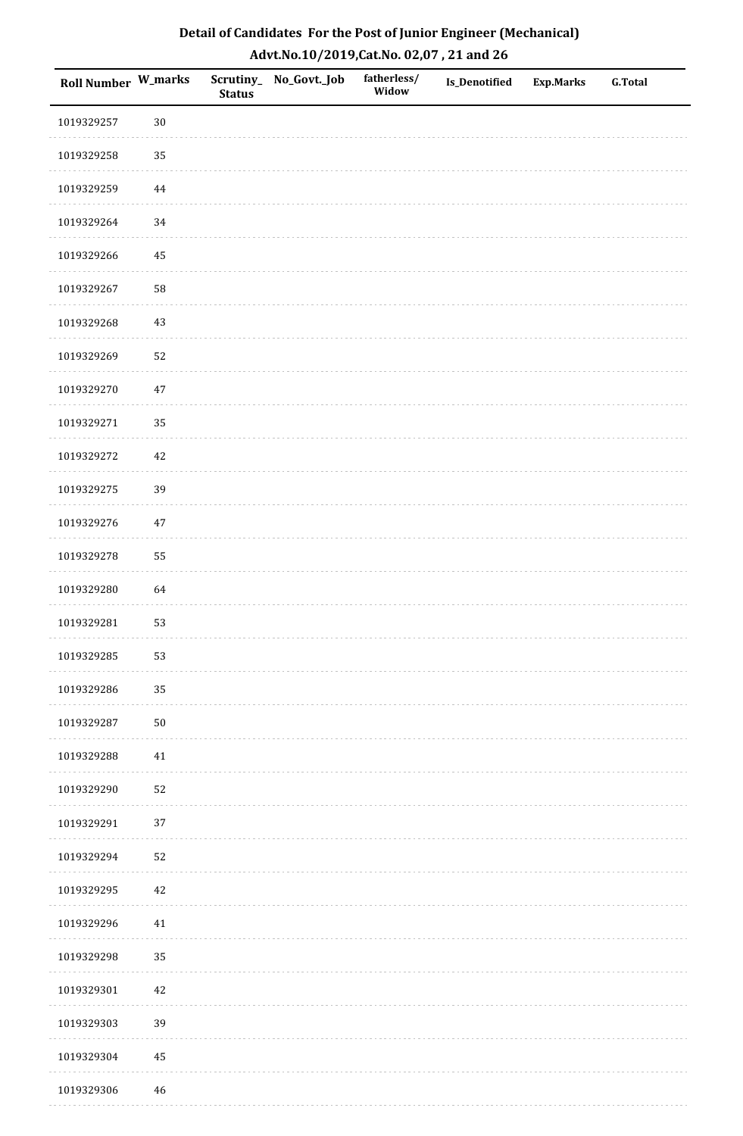| Roll Number W_marks |          | <b>Status</b> | Scrutiny_No_Govt._Job | fatherless/<br>Widow | Is_Denotified | <b>Exp.Marks</b> | <b>G.Total</b> |
|---------------------|----------|---------------|-----------------------|----------------------|---------------|------------------|----------------|
| 1019329257          | $30\,$   |               |                       |                      |               |                  |                |
| 1019329258          | 35       |               |                       |                      |               |                  |                |
| 1019329259          | 44       |               |                       |                      |               |                  |                |
| 1019329264          | 34       |               |                       |                      |               |                  |                |
| 1019329266          | $\bf 45$ |               |                       |                      |               |                  |                |
| 1019329267          | 58       |               |                       |                      |               |                  |                |
| 1019329268          | $43\,$   |               |                       |                      |               |                  |                |
| 1019329269          | 52       |               |                       |                      |               |                  |                |
| 1019329270          | 47       |               |                       |                      |               |                  |                |
| 1019329271          | 35       |               |                       |                      |               |                  |                |
| 1019329272          | $42\,$   |               |                       |                      |               |                  |                |
| 1019329275          | 39       |               |                       |                      |               |                  |                |
| 1019329276          | $47\,$   |               |                       |                      |               |                  |                |
| 1019329278          | 55       |               |                       |                      |               |                  |                |
| 1019329280          | 64       |               |                       |                      |               |                  |                |
| 1019329281          | 53       |               |                       |                      |               |                  |                |
| 1019329285          | 53       |               |                       |                      |               |                  |                |
| 1019329286          | 35       |               |                       |                      |               |                  |                |
| 1019329287          | $50\,$   |               |                       |                      |               |                  |                |
| 1019329288          | 41       |               |                       |                      |               |                  |                |
| 1019329290          | 52       |               |                       |                      |               |                  |                |
| 1019329291          | $37\,$   |               |                       |                      |               |                  |                |
| 1019329294          | 52       |               |                       |                      |               |                  |                |
| 1019329295          | 42       |               |                       |                      |               |                  |                |
| 1019329296          | $41\,$   |               |                       |                      |               |                  |                |
| 1019329298          | 35       |               |                       |                      |               |                  |                |
| 1019329301          | $42\,$   |               |                       |                      |               |                  |                |
| 1019329303          | 39       |               |                       |                      |               |                  |                |
| 1019329304          | $\bf 45$ |               |                       |                      |               |                  |                |
| 1019329306          | 46       |               |                       |                      |               |                  |                |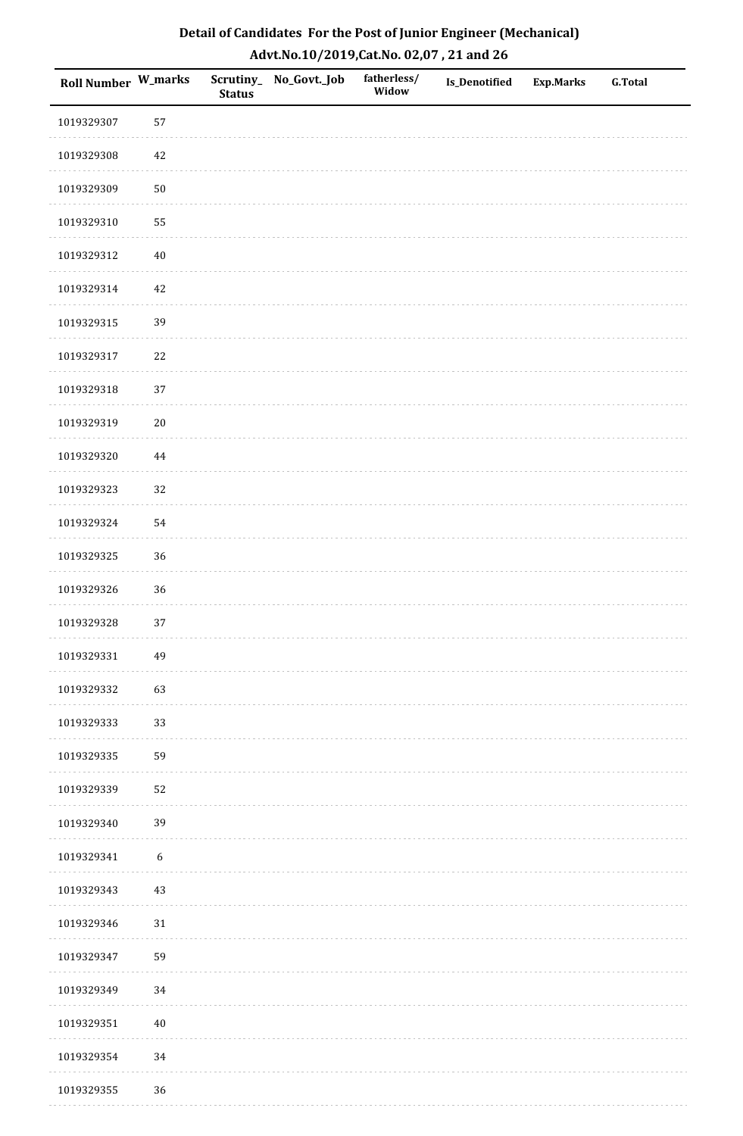| Detail of Candidates For the Post of Junior Engineer (Mechanical) |
|-------------------------------------------------------------------|
| Advt.No.10/2019,Cat.No. 02,07, 21 and 26                          |

| Roll Number W_marks |                  | <b>Status</b> | Scrutiny_ No_Govt._Job | fatherless/<br>Widow | <b>Is_Denotified</b> | <b>Exp.Marks</b> | <b>G.Total</b> |
|---------------------|------------------|---------------|------------------------|----------------------|----------------------|------------------|----------------|
| 1019329307          | 57               |               |                        |                      |                      |                  |                |
| 1019329308          | $42\,$           |               |                        |                      |                      |                  |                |
| 1019329309          | $50\,$           |               |                        |                      |                      |                  |                |
| 1019329310          | 55               |               |                        |                      |                      |                  |                |
| 1019329312          | $40\,$           |               |                        |                      |                      |                  |                |
| 1019329314          | 42               |               |                        |                      |                      |                  |                |
| 1019329315          | 39               |               |                        |                      |                      |                  |                |
| 1019329317          | 22               |               |                        |                      |                      |                  |                |
| 1019329318          | 37               |               |                        |                      |                      |                  |                |
| 1019329319          | $20\,$           |               |                        |                      |                      |                  |                |
| 1019329320          | $\bf 44$         |               |                        |                      |                      |                  |                |
| 1019329323          | 32               |               |                        |                      |                      |                  |                |
| 1019329324          | 54               |               |                        |                      |                      |                  |                |
| 1019329325          | 36               |               |                        |                      |                      |                  |                |
| 1019329326          | 36               |               |                        |                      |                      |                  |                |
| 1019329328          | 37               |               |                        |                      |                      |                  |                |
| 1019329331          | 49               |               |                        |                      |                      |                  |                |
| 1019329332          | 63               |               |                        |                      |                      |                  |                |
| 1019329333          | 33               |               |                        |                      |                      |                  |                |
| 1019329335          | 59               |               |                        |                      |                      |                  |                |
| 1019329339          | 52               |               |                        |                      |                      |                  |                |
| 1019329340          | 39               |               |                        |                      |                      |                  |                |
| 1019329341          | $\boldsymbol{6}$ |               |                        |                      |                      |                  |                |
| 1019329343          | 43               |               |                        |                      |                      |                  |                |
| 1019329346          | 31               |               |                        |                      |                      |                  |                |
| 1019329347          | 59               |               |                        |                      |                      |                  |                |
| 1019329349          | 34               |               |                        |                      |                      |                  |                |
| 1019329351          | $40\,$           |               |                        |                      |                      |                  |                |
| 1019329354          | 34               |               |                        |                      |                      |                  |                |
| 1019329355          | 36               |               |                        |                      |                      |                  |                |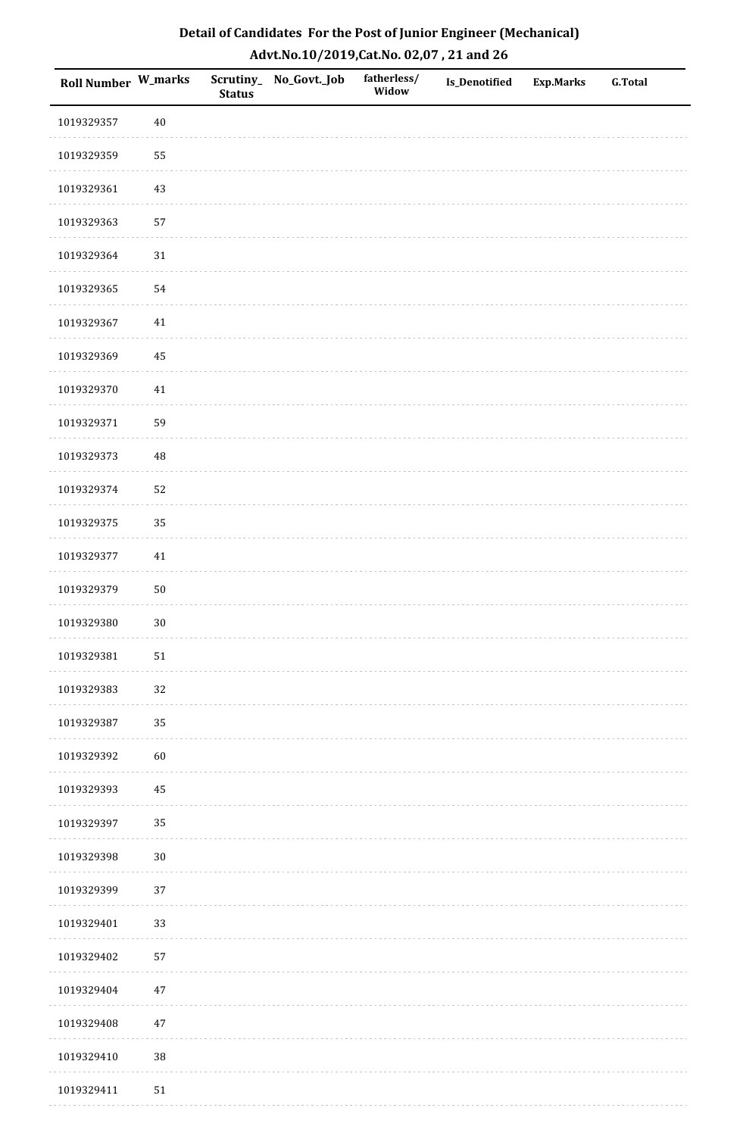| Detail of Candidates For the Post of Junior Engineer (Mechanical) |
|-------------------------------------------------------------------|
| Advt.No.10/2019,Cat.No. 02,07, 21 and 26                          |

| Roll Number W_marks |          | <b>Status</b> | Scrutiny_ No_Govt._Job | fatherless/<br>Widow | Is_Denotified | <b>Exp.Marks</b> | <b>G.Total</b> |
|---------------------|----------|---------------|------------------------|----------------------|---------------|------------------|----------------|
| 1019329357          | $40\,$   |               |                        |                      |               |                  |                |
| 1019329359          | 55       |               |                        |                      |               |                  |                |
| 1019329361          | 43       |               |                        |                      |               |                  |                |
| 1019329363          | 57       |               |                        |                      |               |                  |                |
| 1019329364          | $31\,$   |               |                        |                      |               |                  |                |
| 1019329365          | 54       |               |                        |                      |               |                  |                |
| 1019329367          | $41\,$   |               |                        |                      |               |                  |                |
| 1019329369          | 45       |               |                        |                      |               |                  |                |
| 1019329370          | $41\,$   |               |                        |                      |               |                  |                |
| 1019329371          | 59       |               |                        |                      |               |                  |                |
| 1019329373          | $\rm 48$ |               |                        |                      |               |                  |                |
| 1019329374          | 52       |               |                        |                      |               |                  |                |
| 1019329375          | 35       |               |                        |                      |               |                  |                |
| 1019329377          | $41\,$   |               |                        |                      |               |                  |                |
| 1019329379          | $50\,$   |               |                        |                      |               |                  |                |
| 1019329380          | $30\,$   |               |                        |                      |               |                  |                |
| 1019329381          | $51\,$   |               |                        |                      |               |                  |                |
| 1019329383          | 32       |               |                        |                      |               |                  |                |
| 1019329387          | 35       |               |                        |                      |               |                  |                |
| 1019329392          | 60       |               |                        |                      |               |                  |                |
| 1019329393          | 45       |               |                        |                      |               |                  |                |
| 1019329397          | 35       |               |                        |                      |               |                  |                |
| 1019329398          | $30\,$   |               |                        |                      |               |                  |                |
| 1019329399          | 37       |               |                        |                      |               |                  |                |
| 1019329401          | 33       |               |                        |                      |               |                  |                |
| 1019329402          | 57       |               |                        |                      |               |                  |                |
| 1019329404          | $47\,$   |               |                        |                      |               |                  |                |
| 1019329408          | 47       |               |                        |                      |               |                  |                |
| 1019329410          | $38\,$   |               |                        |                      |               |                  |                |
| 1019329411          | $51\,$   |               |                        |                      |               |                  |                |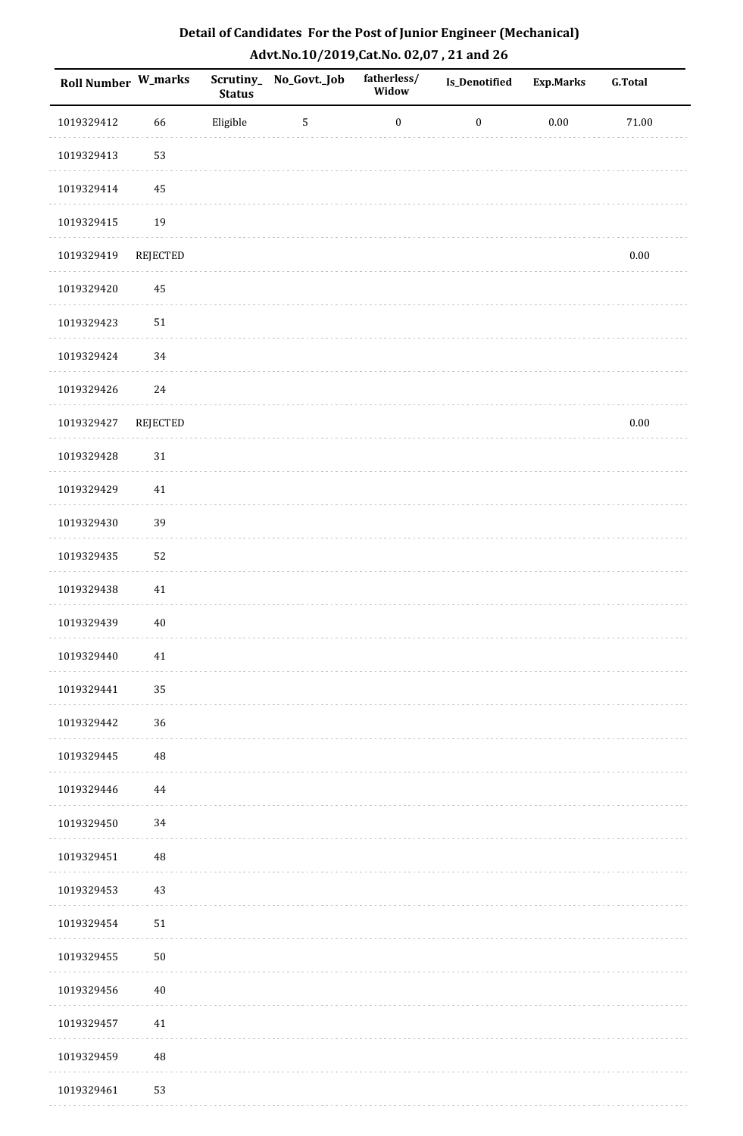| Roll Number W_marks |                 | <b>Status</b> | Scrutiny_ No_Govt._Job | fatherless/<br>Widow | <b>Is_Denotified</b> | Exp.Marks | G.Total   |
|---------------------|-----------------|---------------|------------------------|----------------------|----------------------|-----------|-----------|
| 1019329412          | 66              | Eligible      | 5                      | $\boldsymbol{0}$     | $\boldsymbol{0}$     | $0.00\,$  | $71.00\,$ |
| 1019329413          | 53              |               |                        |                      |                      |           |           |
| 1019329414          | 45              |               |                        |                      |                      |           |           |
| 1019329415          | 19              |               |                        |                      |                      |           |           |
| 1019329419          | <b>REJECTED</b> |               |                        |                      |                      |           | $0.00\,$  |
| 1019329420          | $\rm 45$        |               |                        |                      |                      |           |           |
| 1019329423          | ${\bf 51}$      |               |                        |                      |                      |           |           |
| 1019329424          | 34              |               |                        |                      |                      |           |           |
| 1019329426          | 24              |               |                        |                      |                      |           |           |
| 1019329427          | <b>REJECTED</b> |               |                        |                      |                      |           | $0.00\,$  |
| 1019329428          | 31              |               |                        |                      |                      |           |           |
| 1019329429          | 41              |               |                        |                      |                      |           |           |
| 1019329430          | 39              |               |                        |                      |                      |           |           |
| 1019329435          | 52              |               |                        |                      |                      |           |           |
| 1019329438          | 41              |               |                        |                      |                      |           |           |
| 1019329439          | $40\,$          |               |                        |                      |                      |           |           |
| 1019329440          | 41              |               |                        |                      |                      |           |           |
| 1019329441          | 35              |               |                        |                      |                      |           |           |
| 1019329442          | 36              |               |                        |                      |                      |           |           |
| 1019329445          | $\rm 48$        |               |                        |                      |                      |           |           |
| 1019329446          | 44              |               |                        |                      |                      |           |           |
| 1019329450          | 34              |               |                        |                      |                      |           |           |
| 1019329451          | $\rm 48$        |               |                        |                      |                      |           |           |
| 1019329453          | 43              |               |                        |                      |                      |           |           |
| 1019329454          | $51\,$          |               |                        |                      |                      |           |           |
| 1019329455          | $50\,$          |               |                        |                      |                      |           |           |
| 1019329456          | $40\,$          |               |                        |                      |                      |           |           |
| 1019329457          | 41              |               |                        |                      |                      |           |           |
| 1019329459          | $\rm 48$        |               |                        |                      |                      |           |           |
| 1019329461          | 53              |               |                        |                      |                      |           |           |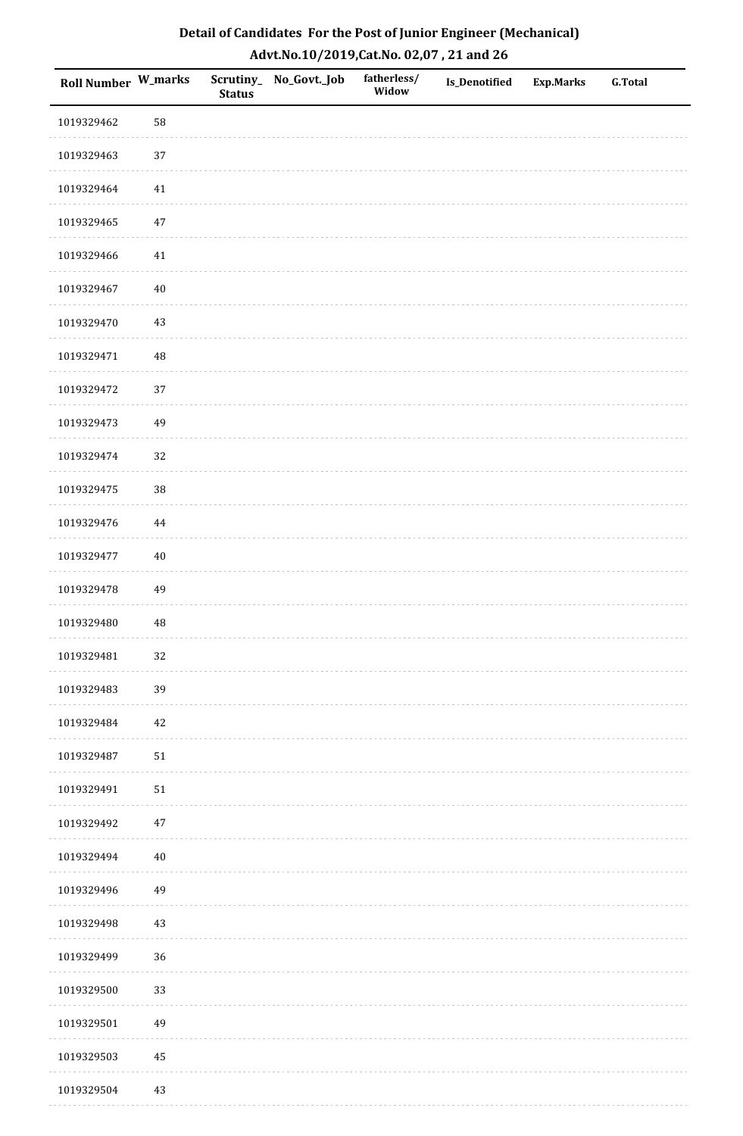| Roll Number W_marks |          | <b>Status</b> | Scrutiny_No_Govt._Job | fatherless/<br>Widow | Is_Denotified | <b>Exp.Marks</b> | <b>G.Total</b> |
|---------------------|----------|---------------|-----------------------|----------------------|---------------|------------------|----------------|
| 1019329462          | 58       |               |                       |                      |               |                  |                |
| 1019329463          | $37\,$   |               |                       |                      |               |                  |                |
| 1019329464          | 41       |               |                       |                      |               |                  |                |
| 1019329465          | $47\,$   |               |                       |                      |               |                  |                |
| 1019329466          | 41       |               |                       |                      |               |                  |                |
| 1019329467          | $40\,$   |               |                       |                      |               |                  |                |
| 1019329470          | $43\,$   |               |                       |                      |               |                  |                |
| 1019329471          | 48       |               |                       |                      |               |                  |                |
| 1019329472          | 37       |               |                       |                      |               |                  |                |
| 1019329473          | 49       |               |                       |                      |               |                  |                |
| 1019329474          | 32       |               |                       |                      |               |                  |                |
| 1019329475          | 38       |               |                       |                      |               |                  |                |
| 1019329476          | $\bf 44$ |               |                       |                      |               |                  |                |
| 1019329477          | $40\,$   |               |                       |                      |               |                  |                |
| 1019329478          | 49       |               |                       |                      |               |                  |                |
| 1019329480          | $\rm 48$ |               |                       |                      |               |                  |                |
| 1019329481          | 32       |               |                       |                      |               |                  |                |
| 1019329483          | 39       |               |                       |                      |               |                  |                |
| 1019329484          | $42\,$   |               |                       |                      |               |                  |                |
| 1019329487          | $51\,$   |               |                       |                      |               |                  |                |
| 1019329491          | $51\,$   |               |                       |                      |               |                  |                |
| 1019329492          | $47\,$   |               |                       |                      |               |                  |                |
| 1019329494          | $40\,$   |               |                       |                      |               |                  |                |
| 1019329496          | 49       |               |                       |                      |               |                  |                |
| 1019329498          | $43\,$   |               |                       |                      |               |                  |                |
| 1019329499          | 36       |               |                       |                      |               |                  |                |
| 1019329500          | 33       |               |                       |                      |               |                  |                |
| 1019329501          | 49       |               |                       |                      |               |                  |                |
| 1019329503          | $\bf 45$ |               |                       |                      |               |                  |                |
| 1019329504          | 43       |               |                       |                      |               |                  |                |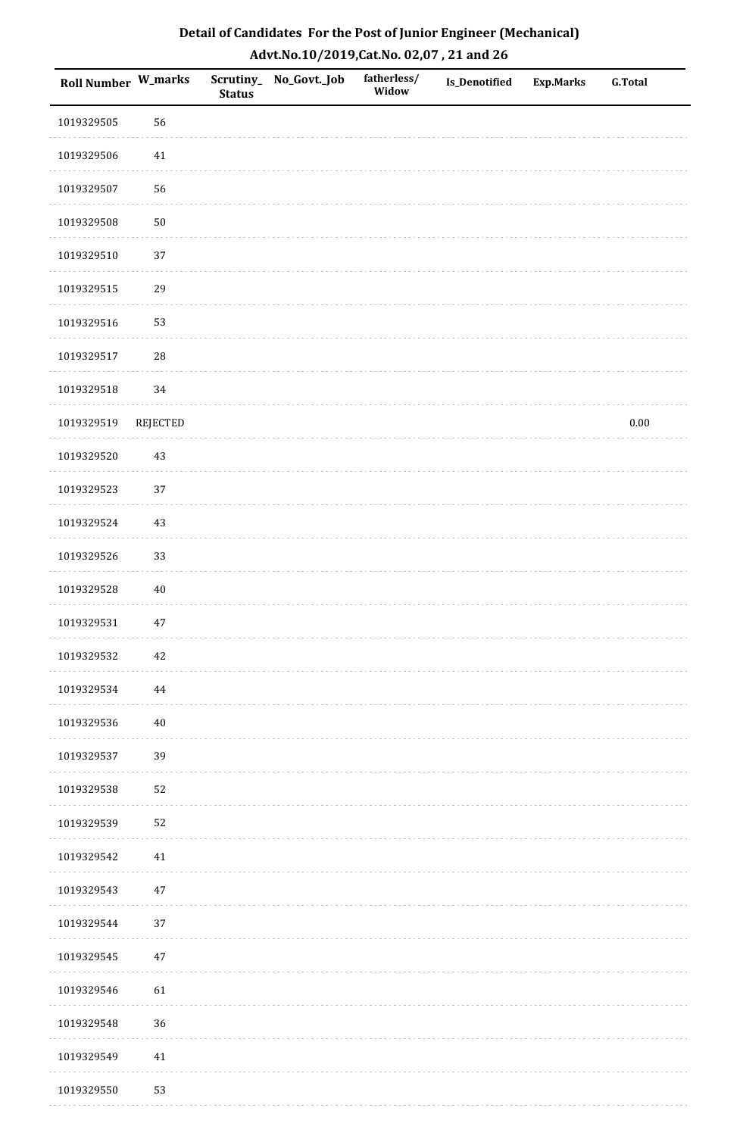| Roll Number W_marks |                 | <b>Status</b> | Scrutiny_ No_Govt._Job | fatherless/<br>Widow | <b>Is_Denotified</b> | <b>Exp.Marks</b> | G.Total  |
|---------------------|-----------------|---------------|------------------------|----------------------|----------------------|------------------|----------|
| 1019329505          | 56              |               |                        |                      |                      |                  |          |
| 1019329506          | 41              |               |                        |                      |                      |                  |          |
| 1019329507          | 56              |               |                        |                      |                      |                  |          |
| 1019329508          | $50\,$          |               |                        |                      |                      |                  |          |
| 1019329510          | $37\,$          |               |                        |                      |                      |                  |          |
| 1019329515          | 29              |               |                        |                      |                      |                  |          |
| 1019329516          | 53              |               |                        |                      |                      |                  |          |
| 1019329517          | ${\bf 28}$      |               |                        |                      |                      |                  |          |
| 1019329518          | 34              |               |                        |                      |                      |                  |          |
| 1019329519          | <b>REJECTED</b> |               |                        |                      |                      |                  | $0.00\,$ |
| 1019329520          | $43\,$          |               |                        |                      |                      |                  |          |
| 1019329523          | 37              |               |                        |                      |                      |                  |          |
| 1019329524          | 43              |               |                        |                      |                      |                  |          |
| 1019329526          | 33              |               |                        |                      |                      |                  |          |
| 1019329528          | $40\,$          |               |                        |                      |                      |                  |          |
| 1019329531          | $47\,$          |               |                        |                      |                      |                  |          |
| 1019329532          | 42              |               |                        |                      |                      |                  |          |
| 1019329534          | 44              |               |                        |                      |                      |                  |          |
| 1019329536          | $40\,$          |               |                        |                      |                      |                  |          |
| 1019329537          | 39              |               |                        |                      |                      |                  |          |
| 1019329538          | 52              |               |                        |                      |                      |                  |          |
| 1019329539          | 52              |               |                        |                      |                      |                  |          |
| 1019329542          | 41              |               |                        |                      |                      |                  |          |
| 1019329543          | $47\,$          |               |                        |                      |                      |                  |          |
| 1019329544          | 37              |               |                        |                      |                      |                  |          |
| 1019329545          | 47              |               |                        |                      |                      |                  |          |
| 1019329546          | 61              |               |                        |                      |                      |                  |          |
| 1019329548          | 36              |               |                        |                      |                      |                  |          |
| 1019329549          | $41\,$          |               |                        |                      |                      |                  |          |
| 1019329550          | 53              |               |                        |                      |                      |                  |          |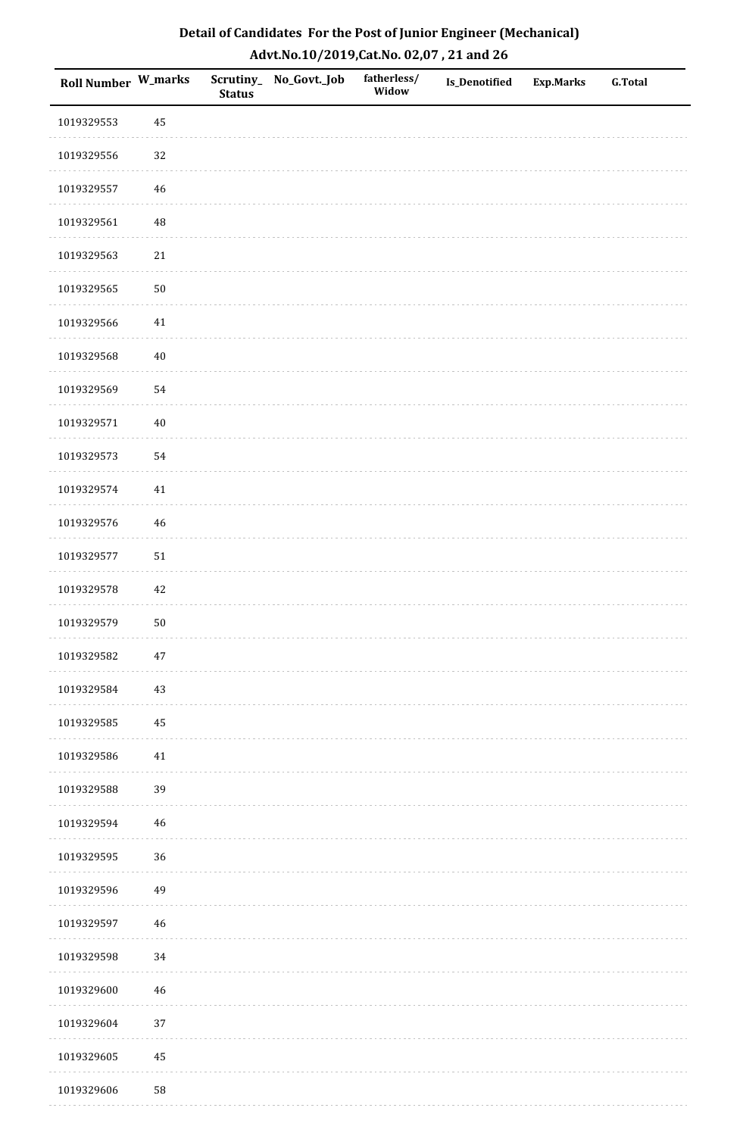| Roll Number W_marks |             | <b>Status</b> | Scrutiny_No_Govt._Job | fatherless/<br>Widow | Is_Denotified | <b>Exp.Marks</b> | <b>G.Total</b> |
|---------------------|-------------|---------------|-----------------------|----------------------|---------------|------------------|----------------|
| 1019329553          | 45          |               |                       |                      |               |                  |                |
| 1019329556          | 32          |               |                       |                      |               |                  |                |
| 1019329557          | 46          |               |                       |                      |               |                  |                |
| 1019329561          | 48          |               |                       |                      |               |                  |                |
| 1019329563          | $21\,$      |               |                       |                      |               |                  |                |
| 1019329565          | $50\,$      |               |                       |                      |               |                  |                |
| 1019329566          | $41\,$      |               |                       |                      |               |                  |                |
| 1019329568          | $40\,$      |               |                       |                      |               |                  |                |
| 1019329569          | 54          |               |                       |                      |               |                  |                |
| 1019329571          | $40\,$      |               |                       |                      |               |                  |                |
| 1019329573          | 54          |               |                       |                      |               |                  |                |
| 1019329574          | $41\,$      |               |                       |                      |               |                  |                |
| 1019329576          | $46\,$      |               |                       |                      |               |                  |                |
| 1019329577          | $51\,$      |               |                       |                      |               |                  |                |
| 1019329578          | 42          |               |                       |                      |               |                  |                |
| 1019329579          | ${\bf 50}$  |               |                       |                      |               |                  |                |
| 1019329582          | $47\,$      |               |                       |                      |               |                  |                |
| 1019329584          | 43          |               |                       |                      |               |                  |                |
| 1019329585          | 45          |               |                       |                      |               |                  |                |
| 1019329586          | 41          |               |                       |                      |               |                  |                |
| 1019329588          | 39          |               |                       |                      |               |                  |                |
| 1019329594          | $\bf 46$    |               |                       |                      |               |                  |                |
| 1019329595          | 36          |               |                       |                      |               |                  |                |
| 1019329596          | 49          |               |                       |                      |               |                  |                |
| 1019329597          | $\sqrt{46}$ |               |                       |                      |               |                  |                |
| 1019329598          | $34\,$      |               |                       |                      |               |                  |                |
| 1019329600          | 46          |               |                       |                      |               |                  |                |
| 1019329604          | 37          |               |                       |                      |               |                  |                |
| 1019329605          | $\bf 45$    |               |                       |                      |               |                  |                |
| 1019329606          | 58          |               |                       |                      |               |                  |                |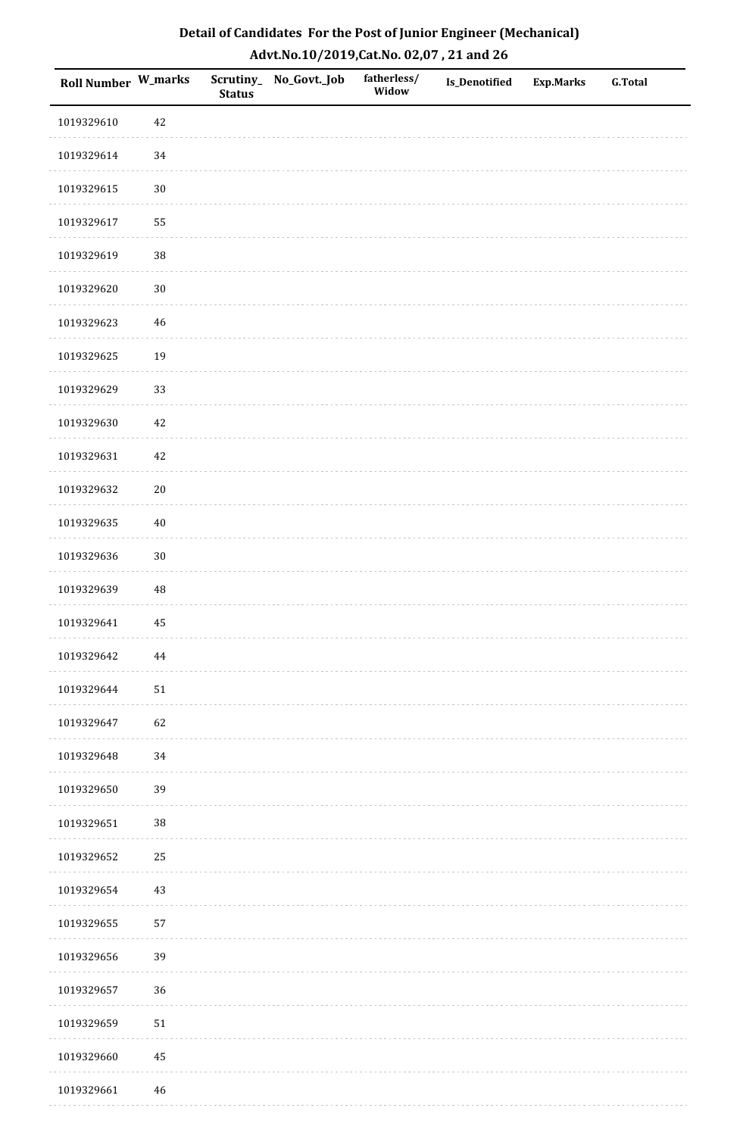| <b>Roll Number W_marks</b> |          | <b>Status</b> | Scrutiny_No_Govt._Job | fatherless/<br>Widow | Is_Denotified | <b>Exp.Marks</b> | <b>G.Total</b> |
|----------------------------|----------|---------------|-----------------------|----------------------|---------------|------------------|----------------|
| 1019329610                 | 42       |               |                       |                      |               |                  |                |
| 1019329614                 | $34\,$   |               |                       |                      |               |                  |                |
| 1019329615                 | $30\,$   |               |                       |                      |               |                  |                |
| 1019329617                 | 55       |               |                       |                      |               |                  |                |
| 1019329619                 | 38       |               |                       |                      |               |                  |                |
| 1019329620                 | $30\,$   |               |                       |                      |               |                  |                |
| 1019329623                 | $46\,$   |               |                       |                      |               |                  |                |
| 1019329625                 | 19       |               |                       |                      |               |                  |                |
| 1019329629                 | 33       |               |                       |                      |               |                  |                |
| 1019329630                 | $42\,$   |               |                       |                      |               |                  |                |
| 1019329631                 | $42\,$   |               |                       |                      |               |                  |                |
| 1019329632                 | $20\,$   |               |                       |                      |               |                  |                |
| 1019329635                 | $40\,$   |               |                       |                      |               |                  |                |
| 1019329636                 | $30\,$   |               |                       |                      |               |                  |                |
| 1019329639                 | $\rm 48$ |               |                       |                      |               |                  |                |
| 1019329641                 | 45       |               |                       |                      |               |                  |                |
| 1019329642                 | 44       |               |                       |                      |               |                  |                |
| 1019329644                 | 51       |               |                       |                      |               |                  |                |
| 1019329647                 | 62       |               |                       |                      |               |                  |                |
| 1019329648                 | 34       |               |                       |                      |               |                  |                |
| 1019329650                 | 39       |               |                       |                      |               |                  |                |
| 1019329651                 | $38\,$   |               |                       |                      |               |                  |                |
| 1019329652                 | 25       |               |                       |                      |               |                  |                |
| 1019329654                 | 43       |               |                       |                      |               |                  |                |
| 1019329655                 | 57       |               |                       |                      |               |                  |                |
| 1019329656                 | 39       |               |                       |                      |               |                  |                |
| 1019329657                 | 36       |               |                       |                      |               |                  |                |
| 1019329659                 | $51\,$   |               |                       |                      |               |                  |                |
| 1019329660                 | $\bf 45$ |               |                       |                      |               |                  |                |
| 1019329661                 | 46       |               |                       |                      |               |                  |                |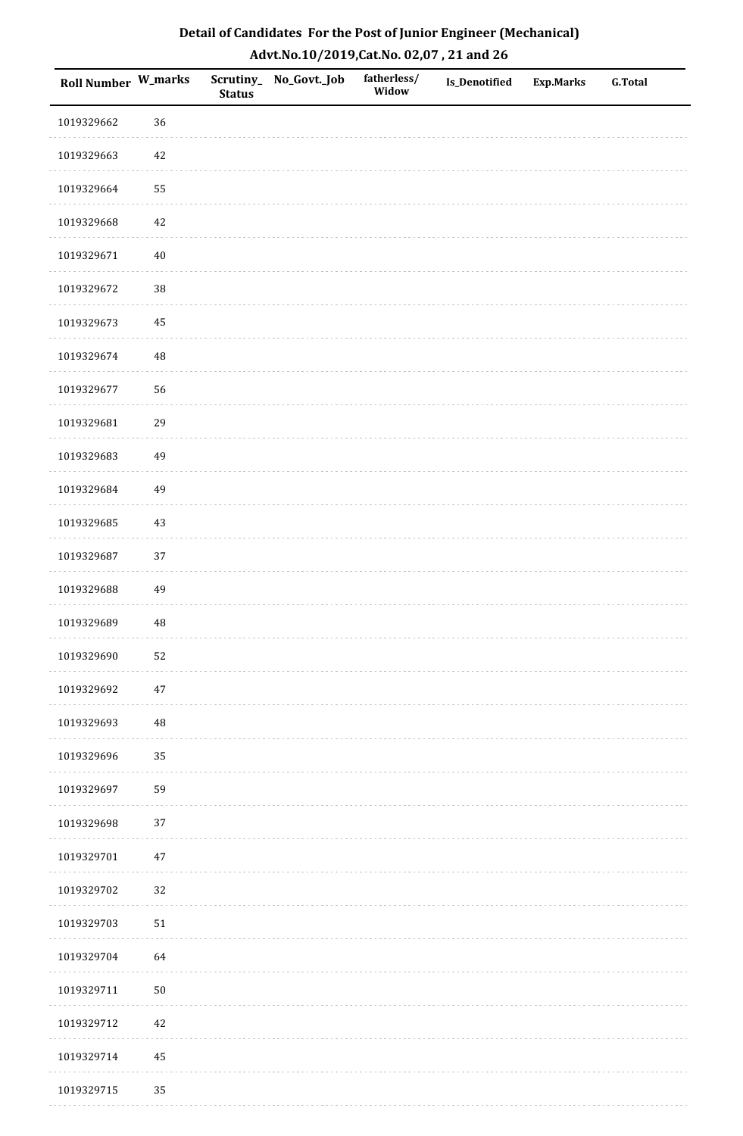| Detail of Candidates For the Post of Junior Engineer (Mechanical) |
|-------------------------------------------------------------------|
| Advt.No.10/2019,Cat.No. 02,07, 21 and 26                          |

| Roll Number W_marks |            | <b>Status</b> | Scrutiny_No_Govt._Job | fatherless/<br>Widow | <b>Is_Denotified</b> | <b>Exp.Marks</b> | <b>G.Total</b> |
|---------------------|------------|---------------|-----------------------|----------------------|----------------------|------------------|----------------|
| 1019329662          | 36         |               |                       |                      |                      |                  |                |
| 1019329663          | 42         |               |                       |                      |                      |                  |                |
| 1019329664          | 55         |               |                       |                      |                      |                  |                |
| 1019329668          | 42         |               |                       |                      |                      |                  |                |
| 1019329671          | $40\,$     |               |                       |                      |                      |                  |                |
| 1019329672          | $38\,$     |               |                       |                      |                      |                  |                |
| 1019329673          | 45         |               |                       |                      |                      |                  |                |
| 1019329674          | $\rm 48$   |               |                       |                      |                      |                  |                |
| 1019329677          | 56         |               |                       |                      |                      |                  |                |
| 1019329681          | 29         |               |                       |                      |                      |                  |                |
| 1019329683          | 49         |               |                       |                      |                      |                  |                |
| 1019329684          | 49         |               |                       |                      |                      |                  |                |
| 1019329685          | 43         |               |                       |                      |                      |                  |                |
| 1019329687          | 37         |               |                       |                      |                      |                  |                |
| 1019329688          | 49         |               |                       |                      |                      |                  |                |
| 1019329689          | $\rm 48$   |               |                       |                      |                      |                  |                |
| 1019329690          | 52         |               |                       |                      |                      |                  |                |
| 1019329692          | $47\,$     |               |                       |                      |                      |                  |                |
| 1019329693          | 48         |               |                       |                      |                      |                  |                |
| 1019329696          | 35         |               |                       |                      |                      |                  |                |
| 1019329697          | 59         |               |                       |                      |                      |                  |                |
| 1019329698          | 37         |               |                       |                      |                      |                  |                |
| 1019329701          | $47\,$     |               |                       |                      |                      |                  |                |
| 1019329702          | 32         |               |                       |                      |                      |                  |                |
| 1019329703          | 51         |               |                       |                      |                      |                  |                |
| 1019329704          | 64         |               |                       |                      |                      |                  |                |
| 1019329711          | ${\bf 50}$ |               |                       |                      |                      |                  |                |
| 1019329712          | 42         |               |                       |                      |                      |                  |                |
| 1019329714          | 45         |               |                       |                      |                      |                  |                |
| 1019329715          | 35         |               |                       |                      |                      |                  |                |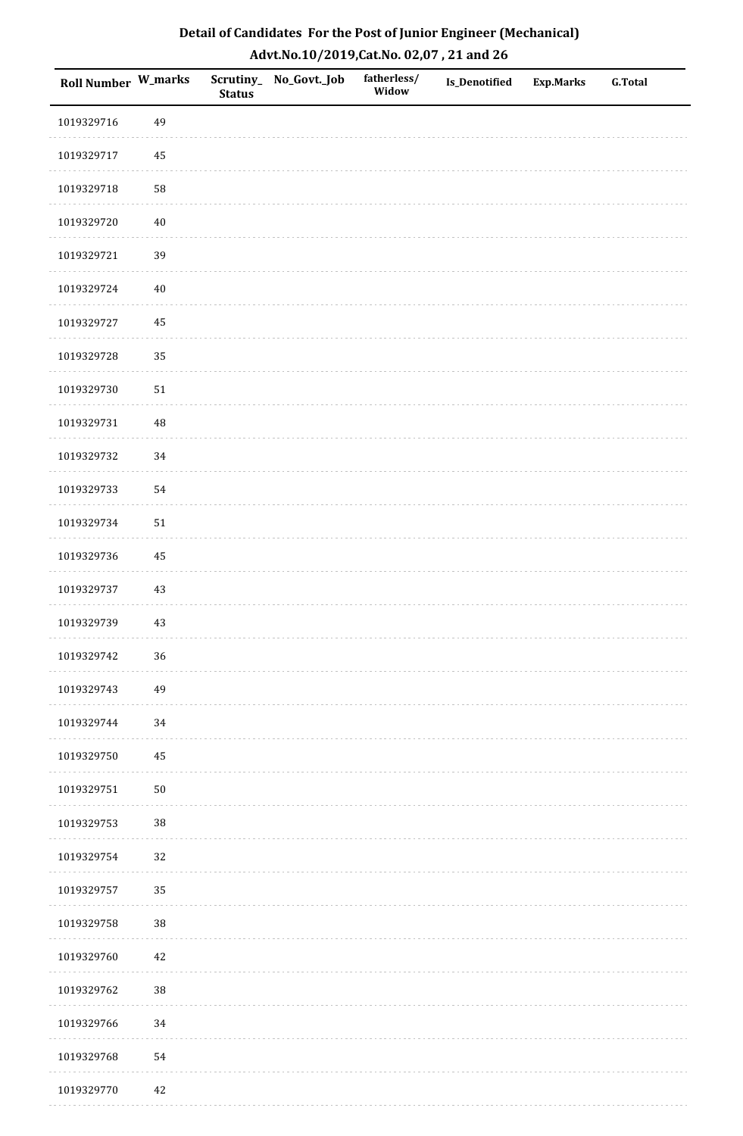| Roll Number W_marks |          | <b>Status</b> | Scrutiny_No_Govt._Job | fatherless/<br>Widow | Is_Denotified | <b>Exp.Marks</b> | <b>G.Total</b> |
|---------------------|----------|---------------|-----------------------|----------------------|---------------|------------------|----------------|
| 1019329716          | 49       |               |                       |                      |               |                  |                |
| 1019329717          | 45       |               |                       |                      |               |                  |                |
| 1019329718          | 58       |               |                       |                      |               |                  |                |
| 1019329720          | $40\,$   |               |                       |                      |               |                  |                |
| 1019329721          | 39       |               |                       |                      |               |                  |                |
| 1019329724          | $40\,$   |               |                       |                      |               |                  |                |
| 1019329727          | 45       |               |                       |                      |               |                  |                |
| 1019329728          | 35       |               |                       |                      |               |                  |                |
| 1019329730          | $51\,$   |               |                       |                      |               |                  |                |
| 1019329731          | $\rm 48$ |               |                       |                      |               |                  |                |
| 1019329732          | 34       |               |                       |                      |               |                  |                |
| 1019329733          | 54       |               |                       |                      |               |                  |                |
| 1019329734          | $51\,$   |               |                       |                      |               |                  |                |
| 1019329736          | 45       |               |                       |                      |               |                  |                |
| 1019329737          | $43\,$   |               |                       |                      |               |                  |                |
| 1019329739          | $43\,$   |               |                       |                      |               |                  |                |
| 1019329742          | 36       |               |                       |                      |               |                  |                |
| 1019329743          | 49       |               |                       |                      |               |                  |                |
| 1019329744          | 34       |               |                       |                      |               |                  |                |
| 1019329750          | 45       |               |                       |                      |               |                  |                |
| 1019329751          | $50\,$   |               |                       |                      |               |                  |                |
| 1019329753          | 38       |               |                       |                      |               |                  |                |
| 1019329754          | 32       |               |                       |                      |               |                  |                |
| 1019329757          | 35       |               |                       |                      |               |                  |                |
| 1019329758          | $38\,$   |               |                       |                      |               |                  |                |
| 1019329760          | $42\,$   |               |                       |                      |               |                  |                |
| 1019329762          | $38\,$   |               |                       |                      |               |                  |                |
| 1019329766          | 34       |               |                       |                      |               |                  |                |
| 1019329768          | 54       |               |                       |                      |               |                  |                |
| 1019329770          | $42\,$   |               |                       |                      |               |                  |                |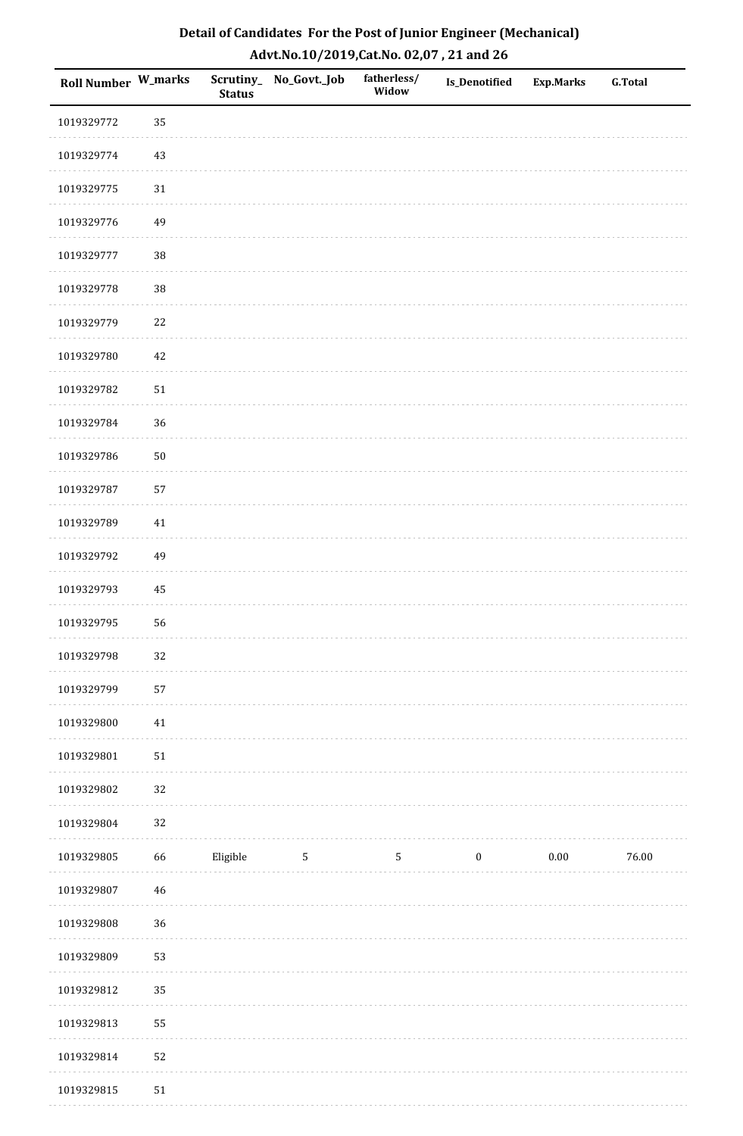| Roll Number W_marks |        | <b>Status</b> | Scrutiny_No_Govt._Job | fatherless/<br>Widow | Is_Denotified    | <b>Exp.Marks</b> | <b>G.Total</b> |
|---------------------|--------|---------------|-----------------------|----------------------|------------------|------------------|----------------|
| 1019329772          | 35     |               |                       |                      |                  |                  |                |
| 1019329774          | $43\,$ |               |                       |                      |                  |                  |                |
| 1019329775          | $31\,$ |               |                       |                      |                  |                  |                |
| 1019329776          | 49     |               |                       |                      |                  |                  |                |
| 1019329777          | 38     |               |                       |                      |                  |                  |                |
| 1019329778          | 38     |               |                       |                      |                  |                  |                |
| 1019329779          | $22\,$ |               |                       |                      |                  |                  |                |
| 1019329780          | 42     |               |                       |                      |                  |                  |                |
| 1019329782          | $51\,$ |               |                       |                      |                  |                  |                |
| 1019329784          | 36     |               |                       |                      |                  |                  |                |
| 1019329786          | $50\,$ |               |                       |                      |                  |                  |                |
| 1019329787          | 57     |               |                       |                      |                  |                  |                |
| 1019329789          | 41     |               |                       |                      |                  |                  |                |
| 1019329792          | 49     |               |                       |                      |                  |                  |                |
| 1019329793          | 45     |               |                       |                      |                  |                  |                |
| 1019329795          | 56     |               |                       |                      |                  |                  |                |
| 1019329798          | 32     |               |                       |                      |                  |                  |                |
| 1019329799          | 57     |               |                       |                      |                  |                  |                |
| 1019329800          | $41\,$ |               |                       |                      |                  |                  |                |
| 1019329801          | $51\,$ |               |                       |                      |                  |                  |                |
| 1019329802          | 32     |               |                       |                      |                  |                  |                |
| 1019329804          | 32     |               |                       |                      |                  |                  |                |
| 1019329805          | 66     | Eligible      | $5\phantom{.0}$       | $\overline{5}$       | $\boldsymbol{0}$ | $0.00\,$         | 76.00          |
| 1019329807          | $46\,$ |               |                       |                      |                  |                  |                |
| 1019329808          | 36     |               |                       |                      |                  |                  |                |
| 1019329809          | 53     |               |                       |                      |                  |                  |                |
| 1019329812          | 35     |               |                       |                      |                  |                  |                |
| 1019329813          | 55     |               |                       |                      |                  |                  |                |
| 1019329814          | 52     |               |                       |                      |                  |                  |                |
| 1019329815          | $51\,$ |               |                       |                      |                  |                  |                |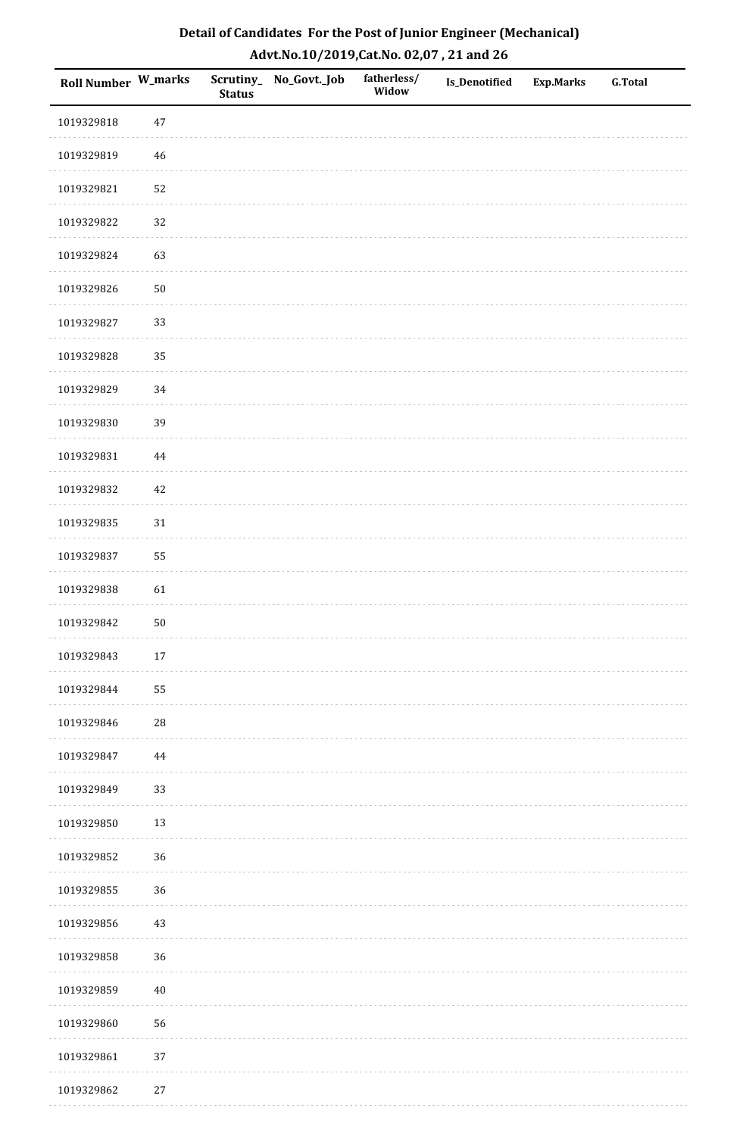| Detail of Candidates For the Post of Junior Engineer (Mechanical) |
|-------------------------------------------------------------------|
| Advt.No.10/2019,Cat.No. 02,07, 21 and 26                          |

| Roll Number W_marks |             | <b>Status</b> | Scrutiny_No_Govt._Job | fatherless/<br>Widow | <b>Is_Denotified</b> | <b>Exp.Marks</b> | <b>G.Total</b> |
|---------------------|-------------|---------------|-----------------------|----------------------|----------------------|------------------|----------------|
| 1019329818          | 47          |               |                       |                      |                      |                  |                |
| 1019329819          | 46          |               |                       |                      |                      |                  |                |
| 1019329821          | 52          |               |                       |                      |                      |                  |                |
| 1019329822          | 32          |               |                       |                      |                      |                  |                |
| 1019329824          | 63          |               |                       |                      |                      |                  |                |
| 1019329826          | $50\,$      |               |                       |                      |                      |                  |                |
| 1019329827          | 33          |               |                       |                      |                      |                  |                |
| 1019329828          | 35          |               |                       |                      |                      |                  |                |
| 1019329829          | 34          |               |                       |                      |                      |                  |                |
| 1019329830          | 39          |               |                       |                      |                      |                  |                |
| 1019329831          | 44          |               |                       |                      |                      |                  |                |
| 1019329832          | 42          |               |                       |                      |                      |                  |                |
| 1019329835          | 31          |               |                       |                      |                      |                  |                |
| 1019329837          | 55          |               |                       |                      |                      |                  |                |
| 1019329838          | 61          |               |                       |                      |                      |                  |                |
| 1019329842          | ${\bf 50}$  |               |                       |                      |                      |                  |                |
| 1019329843          | $17\,$      |               |                       |                      |                      |                  |                |
| 1019329844          | 55          |               |                       |                      |                      |                  |                |
| 1019329846          | $\sqrt{28}$ |               |                       |                      |                      |                  |                |
| 1019329847          | $\bf 44$    |               |                       |                      |                      |                  |                |
| 1019329849          | 33          |               |                       |                      |                      |                  |                |
| 1019329850          | 13          |               |                       |                      |                      |                  |                |
| 1019329852          | 36          |               |                       |                      |                      |                  |                |
| 1019329855          | 36          |               |                       |                      |                      |                  |                |
| 1019329856          | 43          |               |                       |                      |                      |                  |                |
| 1019329858          | 36          |               |                       |                      |                      |                  |                |
| 1019329859          | $40\,$      |               |                       |                      |                      |                  |                |
| 1019329860          | 56          |               |                       |                      |                      |                  |                |
| 1019329861          | 37          |               |                       |                      |                      |                  |                |
| 1019329862          | $27\,$      |               |                       |                      |                      |                  |                |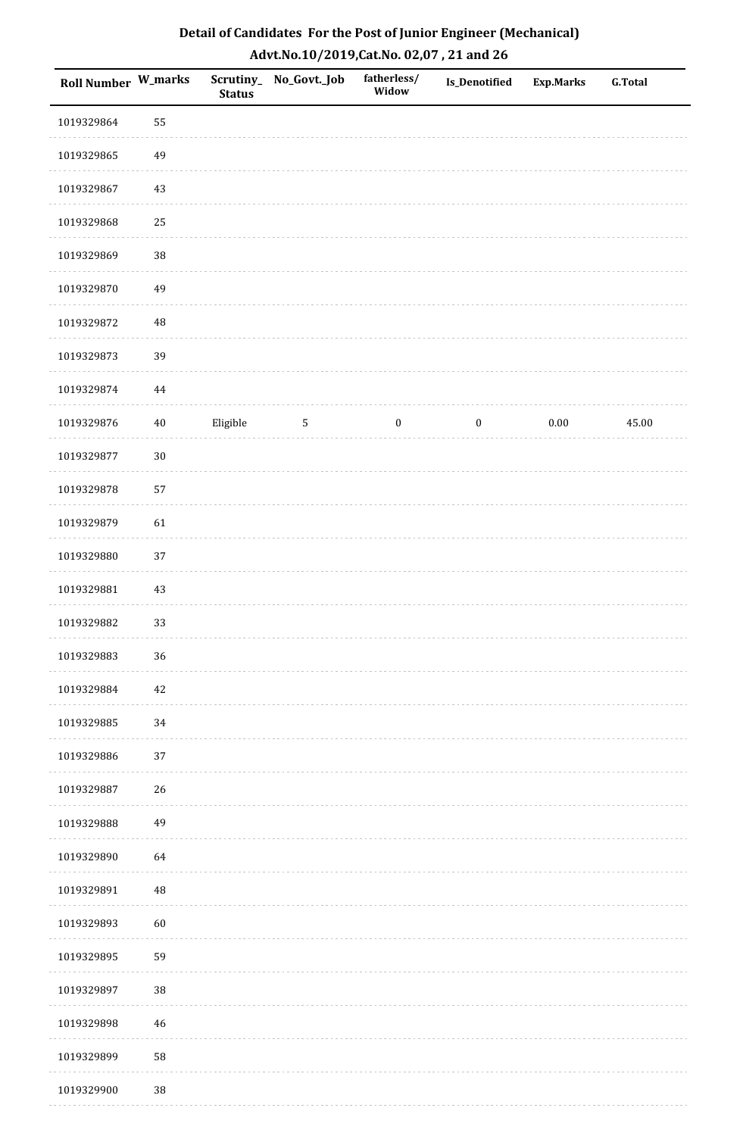| Roll Number W_marks |          | <b>Status</b> | Scrutiny_ No_Govt._Job | fatherless/<br>Widow | <b>Is_Denotified</b> | <b>Exp.Marks</b> | G.Total |
|---------------------|----------|---------------|------------------------|----------------------|----------------------|------------------|---------|
| 1019329864          | 55       |               |                        |                      |                      |                  |         |
| 1019329865          | 49       |               |                        |                      |                      |                  |         |
| 1019329867          | $43\,$   |               |                        |                      |                      |                  |         |
| 1019329868          | 25       |               |                        |                      |                      |                  |         |
| 1019329869          | 38       |               |                        |                      |                      |                  |         |
| 1019329870          | 49       |               |                        |                      |                      |                  |         |
| 1019329872          | 48       |               |                        |                      |                      |                  |         |
| 1019329873          | 39       |               |                        |                      |                      |                  |         |
| 1019329874          | $\bf 44$ |               |                        |                      |                      |                  |         |
| 1019329876          | $40\,$   | Eligible      | $5\phantom{.0}$        | $\bf{0}$             | $\boldsymbol{0}$     | $0.00\,$         | 45.00   |
| 1019329877          | $30\,$   |               |                        |                      |                      |                  |         |
| 1019329878          | 57       |               |                        |                      |                      |                  |         |
| 1019329879          | 61       |               |                        |                      |                      |                  |         |
| 1019329880          | 37       |               |                        |                      |                      |                  |         |
| 1019329881          | $43\,$   |               |                        |                      |                      |                  |         |
| 1019329882          | 33       |               |                        |                      |                      |                  |         |
| 1019329883          | 36       |               |                        |                      |                      |                  |         |
| 1019329884          | 42       |               |                        |                      |                      |                  |         |
| 1019329885          | 34       |               |                        |                      |                      |                  |         |
| 1019329886          | 37       |               |                        |                      |                      |                  |         |
| 1019329887          | 26       |               |                        |                      |                      |                  |         |
| 1019329888          | 49       |               |                        |                      |                      |                  |         |
| 1019329890          | 64       |               |                        |                      |                      |                  |         |
| 1019329891          | $\rm 48$ |               |                        |                      |                      |                  |         |
| 1019329893          | 60       |               |                        |                      |                      |                  |         |
| 1019329895          | 59       |               |                        |                      |                      |                  |         |
| 1019329897          | 38       |               |                        |                      |                      |                  |         |
| 1019329898          | 46       |               |                        |                      |                      |                  |         |
| 1019329899          | 58       |               |                        |                      |                      |                  |         |
| 1019329900          | 38       |               |                        |                      |                      |                  |         |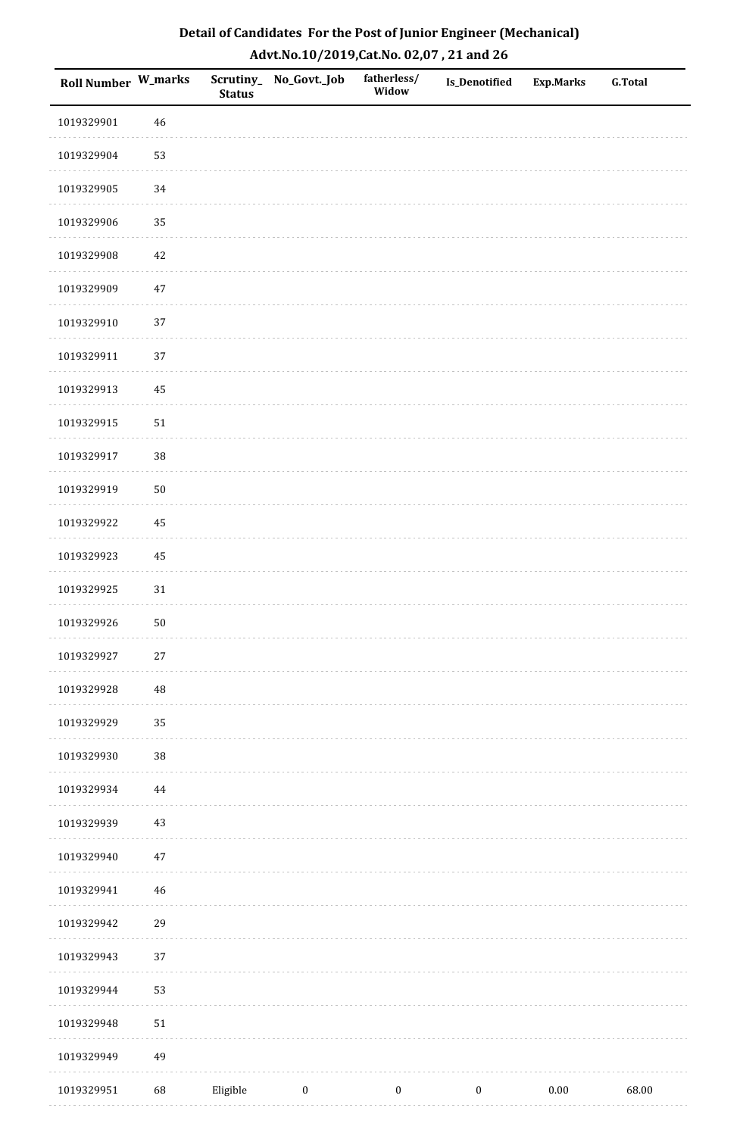| Detail of Candidates For the Post of Junior Engineer (Mechanical) |
|-------------------------------------------------------------------|
| Advt.No.10/2019,Cat.No. 02,07, 21 and 26                          |

| Roll Number W_marks |             | <b>Status</b> | Scrutiny_ No_Govt._Job | fatherless/<br>Widow | Is_Denotified    | <b>Exp.Marks</b> | <b>G.Total</b> |
|---------------------|-------------|---------------|------------------------|----------------------|------------------|------------------|----------------|
| 1019329901          | 46          |               |                        |                      |                  |                  |                |
| 1019329904          | 53          |               |                        |                      |                  |                  |                |
| 1019329905          | 34          |               |                        |                      |                  |                  |                |
| 1019329906          | 35          |               |                        |                      |                  |                  |                |
| 1019329908          | 42          |               |                        |                      |                  |                  |                |
| 1019329909          | $47\,$      |               |                        |                      |                  |                  |                |
| 1019329910          | 37          |               |                        |                      |                  |                  |                |
| 1019329911          | 37          |               |                        |                      |                  |                  |                |
| 1019329913          | $\rm 45$    |               |                        |                      |                  |                  |                |
| 1019329915          | $51\,$      |               |                        |                      |                  |                  |                |
| 1019329917          | 38          |               |                        |                      |                  |                  |                |
| 1019329919          | $50\,$      |               |                        |                      |                  |                  |                |
| 1019329922          | 45          |               |                        |                      |                  |                  |                |
| 1019329923          | 45          |               |                        |                      |                  |                  |                |
| 1019329925          | $31\,$      |               |                        |                      |                  |                  |                |
| 1019329926          | $50\,$      |               |                        |                      |                  |                  |                |
| 1019329927          | $27\,$      |               |                        |                      |                  |                  |                |
| 1019329928          | $\rm 48$    |               |                        |                      |                  |                  |                |
| 1019329929          | 35          |               |                        |                      |                  |                  |                |
| 1019329930          | 38          |               |                        |                      |                  |                  |                |
| 1019329934          | $\bf 44$    |               |                        |                      |                  |                  |                |
| 1019329939          | 43          |               |                        |                      |                  |                  |                |
| 1019329940          | 47          |               |                        |                      |                  |                  |                |
| 1019329941          | $\sqrt{46}$ |               |                        |                      |                  |                  |                |
| 1019329942          | 29          |               |                        |                      |                  |                  |                |
| 1019329943          | 37          |               |                        |                      |                  |                  |                |
| 1019329944          | 53          |               |                        |                      |                  |                  |                |
| 1019329948          | $51\,$      |               |                        |                      |                  |                  |                |
| 1019329949          | 49          |               |                        |                      |                  |                  |                |
| 1019329951          | 68          | Eligible      | $\boldsymbol{0}$       | $\boldsymbol{0}$     | $\boldsymbol{0}$ | $0.00\,$         | 68.00          |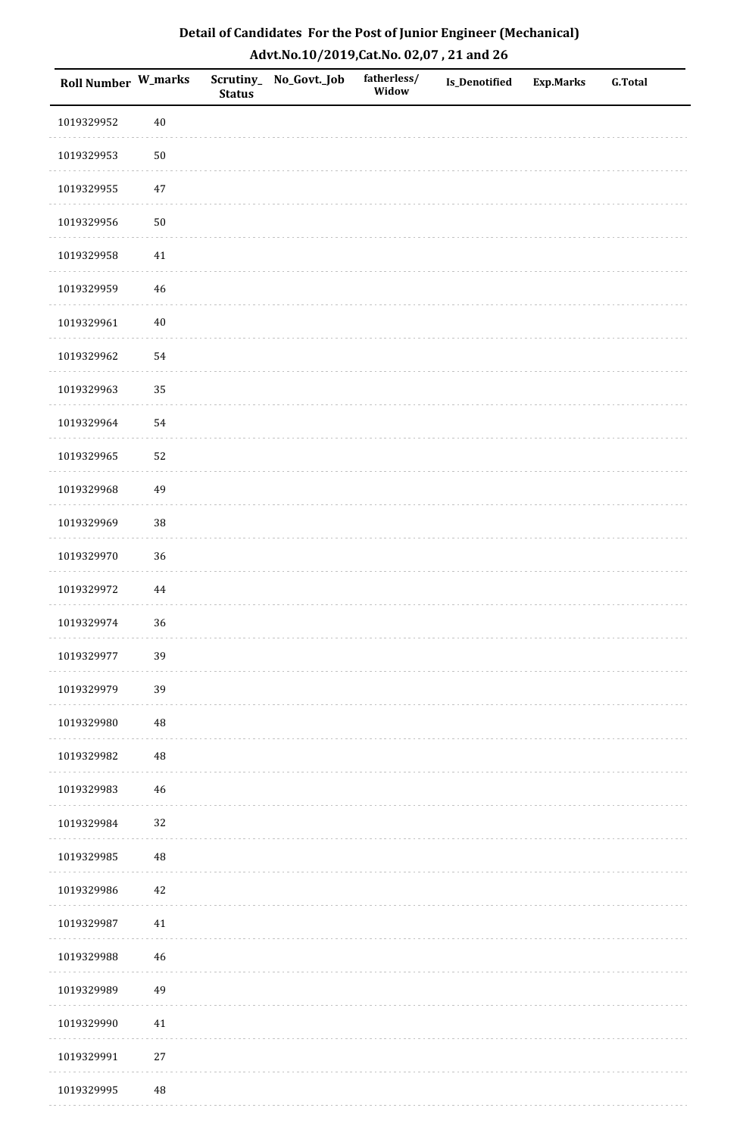| Detail of Candidates For the Post of Junior Engineer (Mechanical) |
|-------------------------------------------------------------------|
| Advt.No.10/2019,Cat.No. 02,07, 21 and 26                          |

| Roll Number W_marks |             | <b>Status</b> | Scrutiny_ No_Govt._Job | fatherless/<br>Widow | <b>Is_Denotified</b> | <b>Exp.Marks</b> | <b>G.Total</b> |
|---------------------|-------------|---------------|------------------------|----------------------|----------------------|------------------|----------------|
| 1019329952          | $40\,$      |               |                        |                      |                      |                  |                |
| 1019329953          | $50\,$      |               |                        |                      |                      |                  |                |
| 1019329955          | 47          |               |                        |                      |                      |                  |                |
| 1019329956          | $50\,$      |               |                        |                      |                      |                  |                |
| 1019329958          | $41\,$      |               |                        |                      |                      |                  |                |
| 1019329959          | $\sqrt{46}$ |               |                        |                      |                      |                  |                |
| 1019329961          | $40\,$      |               |                        |                      |                      |                  |                |
| 1019329962          | 54          |               |                        |                      |                      |                  |                |
| 1019329963          | 35          |               |                        |                      |                      |                  |                |
| 1019329964          | 54          |               |                        |                      |                      |                  |                |
| 1019329965          | 52          |               |                        |                      |                      |                  |                |
| 1019329968          | 49          |               |                        |                      |                      |                  |                |
| 1019329969          | 38          |               |                        |                      |                      |                  |                |
| 1019329970          | 36          |               |                        |                      |                      |                  |                |
| 1019329972          | 44          |               |                        |                      |                      |                  |                |
| 1019329974          | 36          |               |                        |                      |                      |                  |                |
| 1019329977          | 39          |               |                        |                      |                      |                  |                |
| 1019329979          | 39          |               |                        |                      |                      |                  |                |
| 1019329980          | $\rm 48$    |               |                        |                      |                      |                  |                |
| 1019329982          | $\rm 48$    |               |                        |                      |                      |                  |                |
| 1019329983          | $\sqrt{46}$ |               |                        |                      |                      |                  |                |
| 1019329984          | 32          |               |                        |                      |                      |                  |                |
| 1019329985          | $\rm 48$    |               |                        |                      |                      |                  |                |
| 1019329986          | $42\,$      |               |                        |                      |                      |                  |                |
| 1019329987          | 41          |               |                        |                      |                      |                  |                |
| 1019329988          | 46          |               |                        |                      |                      |                  |                |
| 1019329989          | 49          |               |                        |                      |                      |                  |                |
| 1019329990          | 41          |               |                        |                      |                      |                  |                |
| 1019329991          | $27\,$      |               |                        |                      |                      |                  |                |
| 1019329995          | $\rm 48$    |               |                        |                      |                      |                  |                |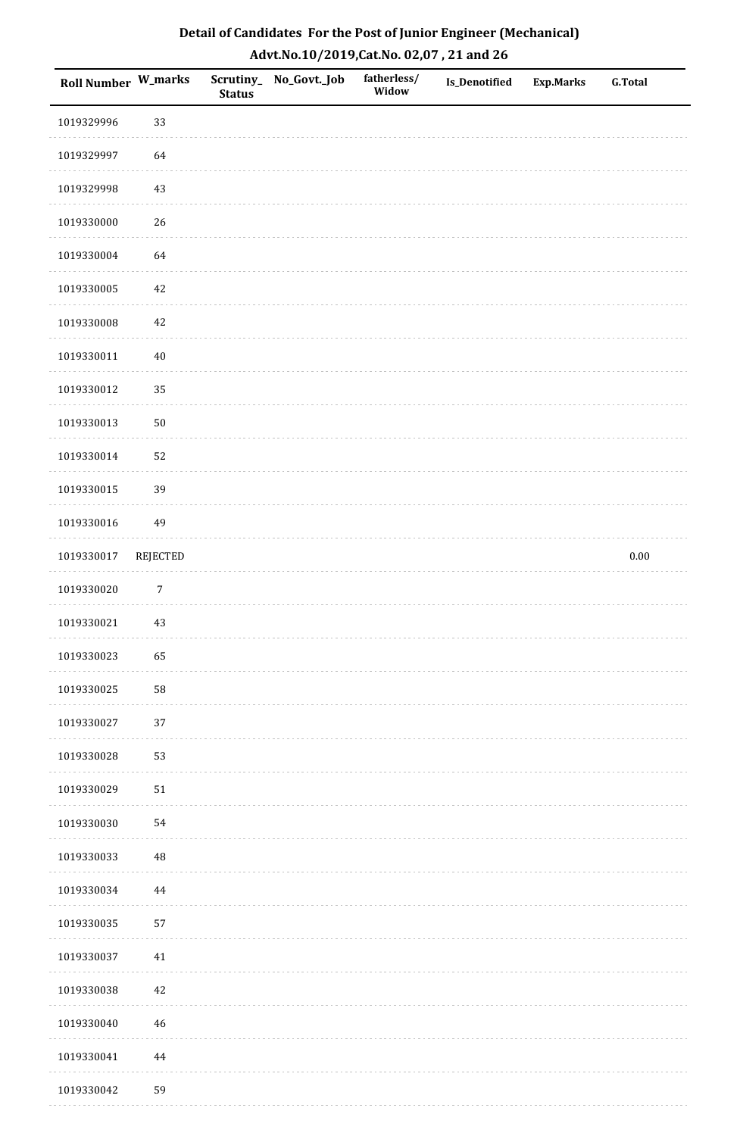| <b>Roll Number W_marks</b> |                  | <b>Status</b> | Scrutiny_ No_Govt._Job | fatherless/<br>Widow | Is_Denotified | <b>Exp.Marks</b> | <b>G.Total</b> |
|----------------------------|------------------|---------------|------------------------|----------------------|---------------|------------------|----------------|
| 1019329996                 | 33               |               |                        |                      |               |                  |                |
| 1019329997                 | 64               |               |                        |                      |               |                  |                |
| 1019329998                 | $43\,$           |               |                        |                      |               |                  |                |
| 1019330000                 | 26               |               |                        |                      |               |                  |                |
| 1019330004                 | 64               |               |                        |                      |               |                  |                |
| 1019330005                 | $42\,$           |               |                        |                      |               |                  |                |
| 1019330008                 | $42\,$           |               |                        |                      |               |                  |                |
| 1019330011                 | $40\,$           |               |                        |                      |               |                  |                |
| 1019330012                 | 35               |               |                        |                      |               |                  |                |
| 1019330013                 | $50\,$           |               |                        |                      |               |                  |                |
| 1019330014                 | 52               |               |                        |                      |               |                  |                |
| 1019330015                 | 39               |               |                        |                      |               |                  |                |
| 1019330016                 | 49               |               |                        |                      |               |                  |                |
| 1019330017                 | <b>REJECTED</b>  |               |                        |                      |               |                  | $0.00\,$       |
| 1019330020                 | $\boldsymbol{7}$ |               |                        |                      |               |                  |                |
| 1019330021                 | $43\,$           |               |                        |                      |               |                  |                |
| 1019330023                 | 65               |               |                        |                      |               |                  |                |
| 1019330025                 | 58               |               |                        |                      |               |                  |                |
| 1019330027                 | 37               |               |                        |                      |               |                  |                |
| 1019330028                 | 53               |               |                        |                      |               |                  |                |
| 1019330029                 | 51               |               |                        |                      |               |                  |                |
| 1019330030                 | 54               |               |                        |                      |               |                  |                |
| 1019330033                 | 48               |               |                        |                      |               |                  |                |
| 1019330034                 | 44               |               |                        |                      |               |                  |                |
| 1019330035                 | 57               |               |                        |                      |               |                  |                |
| 1019330037                 | $41\,$           |               |                        |                      |               |                  |                |
| 1019330038                 | 42               |               |                        |                      |               |                  |                |
| 1019330040                 | 46               |               |                        |                      |               |                  |                |
| 1019330041                 | $\bf 44$         |               |                        |                      |               |                  |                |
| 1019330042                 | 59               |               |                        |                      |               |                  |                |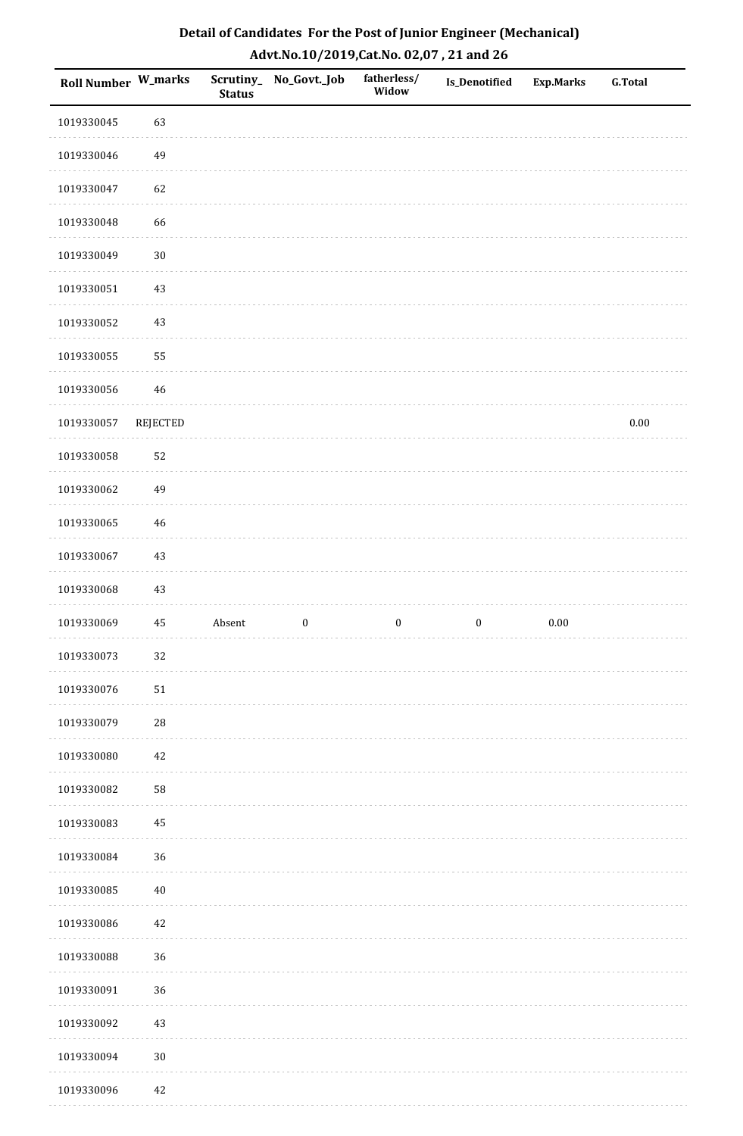| Roll Number W_marks |             | <b>Status</b> | Scrutiny_No_Govt._Job | fatherless/<br>Widow | Is_Denotified    | <b>Exp.Marks</b> | <b>G.Total</b> |
|---------------------|-------------|---------------|-----------------------|----------------------|------------------|------------------|----------------|
| 1019330045          | 63          |               |                       |                      |                  |                  |                |
| 1019330046          | 49          |               |                       |                      |                  |                  |                |
| 1019330047          | 62          |               |                       |                      |                  |                  |                |
| 1019330048          | 66          |               |                       |                      |                  |                  |                |
| 1019330049          | $30\,$      |               |                       |                      |                  |                  |                |
| 1019330051          | $43\,$      |               |                       |                      |                  |                  |                |
| 1019330052          | $43\,$      |               |                       |                      |                  |                  |                |
| 1019330055          | 55          |               |                       |                      |                  |                  |                |
| 1019330056          | $46\,$      |               |                       |                      |                  |                  |                |
| 1019330057          | REJECTED    |               |                       |                      |                  |                  | $0.00\,$       |
| 1019330058          | 52          |               |                       |                      |                  |                  |                |
| 1019330062          | 49          |               |                       |                      |                  |                  |                |
| 1019330065          | 46          |               |                       |                      |                  |                  |                |
| 1019330067          | 43          |               |                       |                      |                  |                  |                |
| 1019330068          | 43          |               |                       |                      |                  |                  |                |
| 1019330069          | 45          | Absent        | $\boldsymbol{0}$      | $\boldsymbol{0}$     | $\boldsymbol{0}$ | $0.00\,$         |                |
| 1019330073          | 32          |               |                       |                      |                  |                  |                |
| 1019330076          | $51\,$      |               |                       |                      |                  |                  |                |
| 1019330079          | $\sqrt{28}$ |               |                       |                      |                  |                  |                |
| 1019330080          | $42\,$      |               |                       |                      |                  |                  |                |
| 1019330082          | 58          |               |                       |                      |                  |                  |                |
| 1019330083          | $\rm 45$    |               |                       |                      |                  |                  |                |
| 1019330084          | 36          |               |                       |                      |                  |                  |                |
| 1019330085          | $40\,$      |               |                       |                      |                  |                  |                |
| 1019330086          | $42\,$      |               |                       |                      |                  |                  |                |
| 1019330088          | 36          |               |                       |                      |                  |                  |                |
| 1019330091          | 36          |               |                       |                      |                  |                  |                |
| 1019330092          | $43\,$      |               |                       |                      |                  |                  |                |
| 1019330094          | $30\,$      |               |                       |                      |                  |                  |                |
| 1019330096          | 42          |               |                       |                      |                  |                  |                |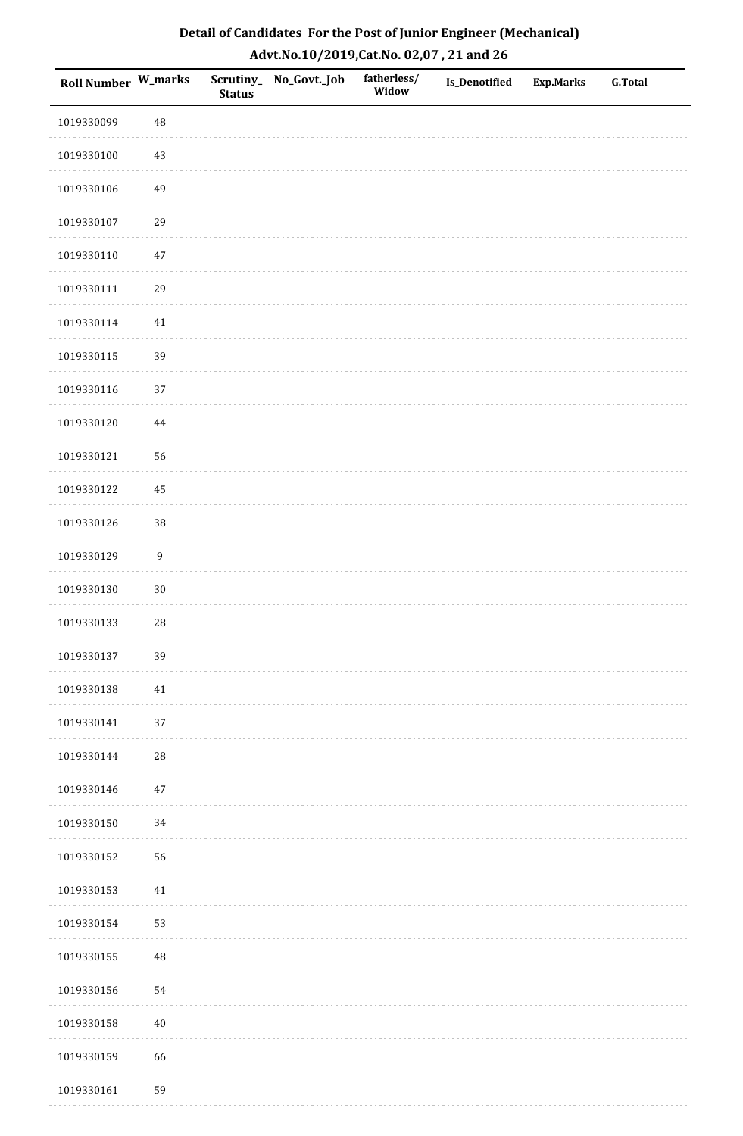| Detail of Candidates For the Post of Junior Engineer (Mechanical) |
|-------------------------------------------------------------------|
| Advt.No.10/2019,Cat.No. 02,07, 21 and 26                          |

| Roll Number W_marks |                  | <b>Status</b> | Scrutiny_ No_Govt._Job | fatherless/<br>Widow | Is_Denotified | <b>Exp.Marks</b> | <b>G.Total</b> |
|---------------------|------------------|---------------|------------------------|----------------------|---------------|------------------|----------------|
| 1019330099          | $\rm 48$         |               |                        |                      |               |                  |                |
| 1019330100          | 43               |               |                        |                      |               |                  |                |
| 1019330106          | 49               |               |                        |                      |               |                  |                |
| 1019330107          | 29               |               |                        |                      |               |                  |                |
| 1019330110          | $47\,$           |               |                        |                      |               |                  |                |
| 1019330111          | 29               |               |                        |                      |               |                  |                |
| 1019330114          | 41               |               |                        |                      |               |                  |                |
| 1019330115          | 39               |               |                        |                      |               |                  |                |
| 1019330116          | 37               |               |                        |                      |               |                  |                |
| 1019330120          | $\bf 44$         |               |                        |                      |               |                  |                |
| 1019330121          | 56               |               |                        |                      |               |                  |                |
| 1019330122          | 45               |               |                        |                      |               |                  |                |
| 1019330126          | $38\,$           |               |                        |                      |               |                  |                |
| 1019330129          | $\boldsymbol{9}$ |               |                        |                      |               |                  |                |
| 1019330130          | $30\,$           |               |                        |                      |               |                  |                |
| 1019330133          | $\sqrt{28}$      |               |                        |                      |               |                  |                |
| 1019330137          | 39               |               |                        |                      |               |                  |                |
| 1019330138          | 41               |               |                        |                      |               |                  |                |
| 1019330141          | $37\,$           |               |                        |                      |               |                  |                |
| 1019330144          | $\sqrt{28}$      |               |                        |                      |               |                  |                |
| 1019330146          | 47               |               |                        |                      |               |                  |                |
| 1019330150          | 34               |               |                        |                      |               |                  |                |
| 1019330152          | 56               |               |                        |                      |               |                  |                |
| 1019330153          | 41               |               |                        |                      |               |                  |                |
| 1019330154          | 53               |               |                        |                      |               |                  |                |
| 1019330155          | $\rm 48$         |               |                        |                      |               |                  |                |
| 1019330156          | 54               |               |                        |                      |               |                  |                |
| 1019330158          | $40\,$           |               |                        |                      |               |                  |                |
| 1019330159          | 66               |               |                        |                      |               |                  |                |
| 1019330161          | 59               |               |                        |                      |               |                  |                |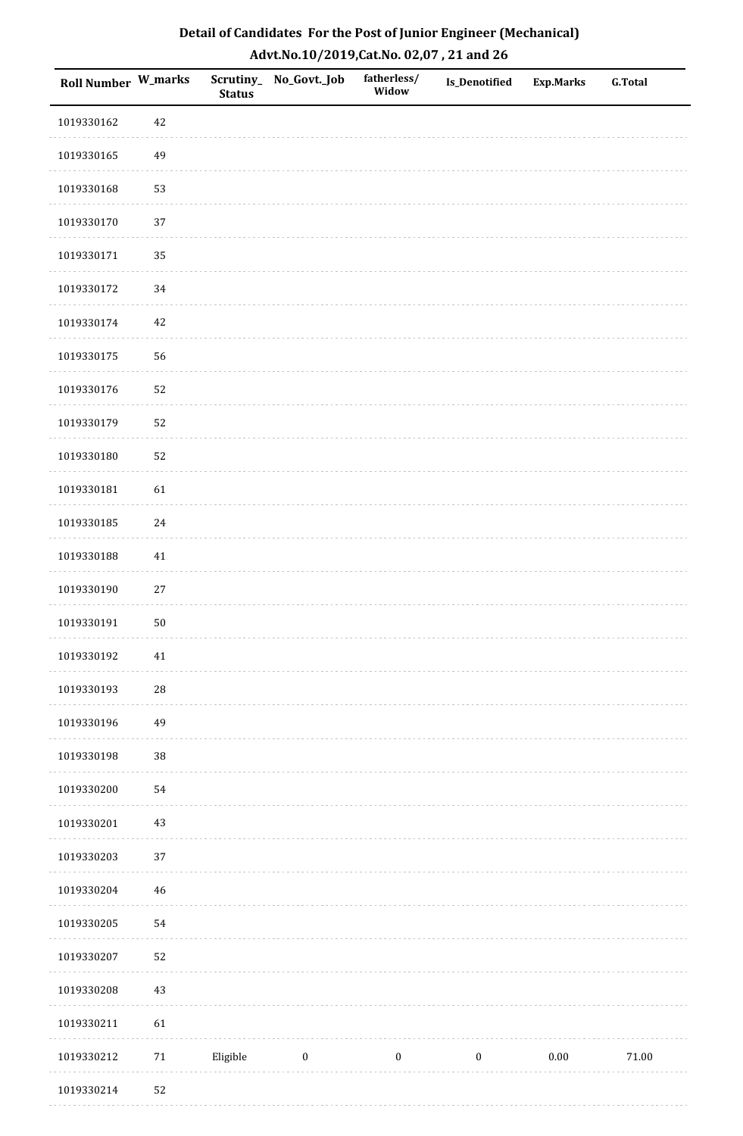| Roll Number W_marks |             | <b>Status</b> | Scrutiny_No_Govt._Job | fatherless/<br>Widow | Is_Denotified    | <b>Exp.Marks</b> | <b>G.Total</b> |
|---------------------|-------------|---------------|-----------------------|----------------------|------------------|------------------|----------------|
| 1019330162          | 42          |               |                       |                      |                  |                  |                |
| 1019330165          | 49          |               |                       |                      |                  |                  |                |
| 1019330168          | 53          |               |                       |                      |                  |                  |                |
| 1019330170          | 37          |               |                       |                      |                  |                  |                |
| 1019330171          | 35          |               |                       |                      |                  |                  |                |
| 1019330172          | 34          |               |                       |                      |                  |                  |                |
| 1019330174          | $42\,$      |               |                       |                      |                  |                  |                |
| 1019330175          | 56          |               |                       |                      |                  |                  |                |
| 1019330176          | 52          |               |                       |                      |                  |                  |                |
| 1019330179          | 52          |               |                       |                      |                  |                  |                |
| 1019330180          | 52          |               |                       |                      |                  |                  |                |
| 1019330181          | 61          |               |                       |                      |                  |                  |                |
| 1019330185          | $24\,$      |               |                       |                      |                  |                  |                |
| 1019330188          | $41\,$      |               |                       |                      |                  |                  |                |
| 1019330190          | $27\,$      |               |                       |                      |                  |                  |                |
| 1019330191          | $50\,$      |               |                       |                      |                  |                  |                |
| 1019330192          | $41\,$      |               |                       |                      |                  |                  |                |
| 1019330193          | 28          |               |                       |                      |                  |                  |                |
| 1019330196          | 49          |               |                       |                      |                  |                  |                |
| 1019330198          | 38          |               |                       |                      |                  |                  |                |
| 1019330200          | 54          |               |                       |                      |                  |                  |                |
| 1019330201          | $43\,$      |               |                       |                      |                  |                  |                |
| 1019330203          | 37          |               |                       |                      |                  |                  |                |
| 1019330204          | $\sqrt{46}$ |               |                       |                      |                  |                  |                |
| 1019330205          | 54          |               |                       |                      |                  |                  |                |
| 1019330207          | 52          |               |                       |                      |                  |                  |                |
| 1019330208          | $43\,$      |               |                       |                      |                  |                  |                |
| 1019330211          | 61          |               |                       |                      |                  |                  |                |
| 1019330212          | $71\,$      | Eligible      | $\boldsymbol{0}$      | $\boldsymbol{0}$     | $\boldsymbol{0}$ | $0.00\,$         | $71.00\,$      |
| 1019330214          | 52          |               |                       |                      |                  |                  |                |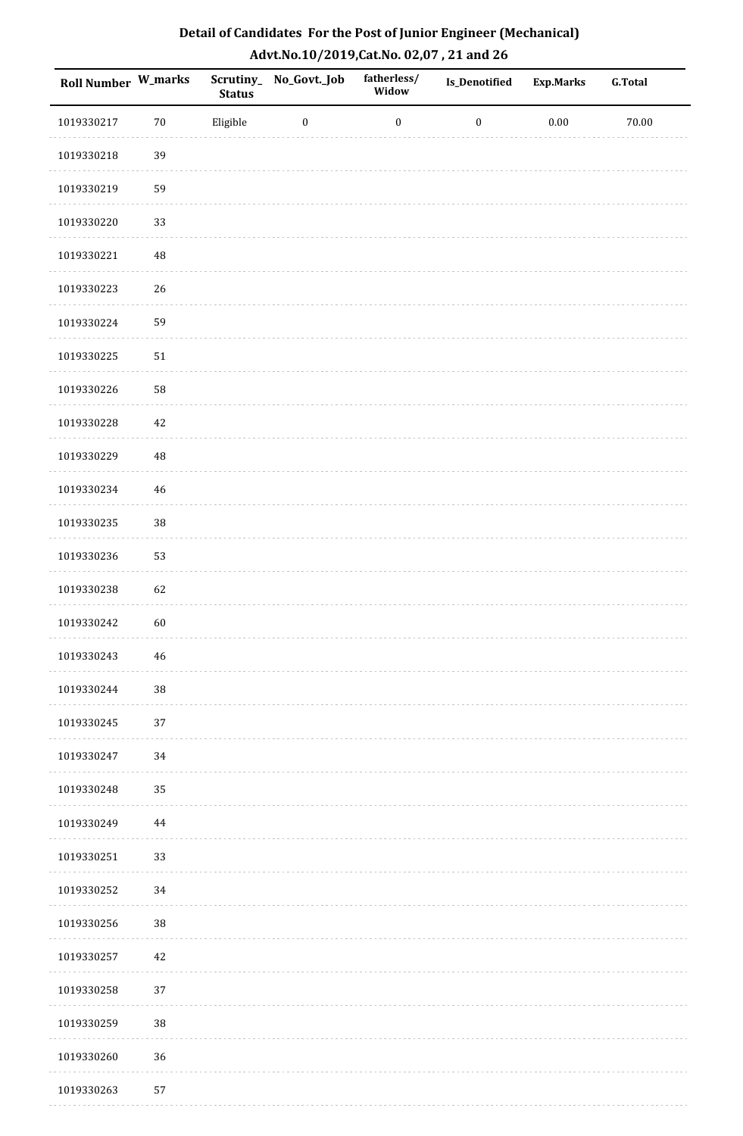| Detail of Candidates For the Post of Junior Engineer (Mechanical) |
|-------------------------------------------------------------------|
| Advt.No.10/2019,Cat.No. 02,07, 21 and 26                          |

| Roll Number W_marks |          | <b>Status</b> | Scrutiny_ No_Govt._Job | fatherless/<br>Widow | <b>Is_Denotified</b> | <b>Exp.Marks</b> | <b>G.Total</b> |
|---------------------|----------|---------------|------------------------|----------------------|----------------------|------------------|----------------|
| 1019330217          | 70       | Eligible      | $\boldsymbol{0}$       | $\boldsymbol{0}$     | $\boldsymbol{0}$     | $0.00\,$         | 70.00          |
| 1019330218          | 39       |               |                        |                      |                      |                  |                |
| 1019330219          | 59       |               |                        |                      |                      |                  |                |
| 1019330220          | 33       |               |                        |                      |                      |                  |                |
| 1019330221          | $\bf 48$ |               |                        |                      |                      |                  |                |
| 1019330223          | 26       |               |                        |                      |                      |                  |                |
| 1019330224          | 59       |               |                        |                      |                      |                  |                |
| 1019330225          | $51\,$   |               |                        |                      |                      |                  |                |
| 1019330226          | 58       |               |                        |                      |                      |                  |                |
| 1019330228          | 42       |               |                        |                      |                      |                  |                |
| 1019330229          | $\rm 48$ |               |                        |                      |                      |                  |                |
| 1019330234          | 46       |               |                        |                      |                      |                  |                |
| 1019330235          | $38\,$   |               |                        |                      |                      |                  |                |
| 1019330236          | 53       |               |                        |                      |                      |                  |                |
| 1019330238          | 62       |               |                        |                      |                      |                  |                |
| 1019330242          | 60       |               |                        |                      |                      |                  |                |
| 1019330243          | 46       |               |                        |                      |                      |                  |                |
| 1019330244          | $38\,$   |               |                        |                      |                      |                  |                |
| 1019330245          | 37       |               |                        |                      |                      |                  |                |
| 1019330247          | 34       |               |                        |                      |                      |                  |                |
| 1019330248          | 35       |               |                        |                      |                      |                  |                |
| 1019330249          | 44       |               |                        |                      |                      |                  |                |
| 1019330251          | 33       |               |                        |                      |                      |                  |                |
| 1019330252          | 34       |               |                        |                      |                      |                  |                |
| 1019330256          | 38       |               |                        |                      |                      |                  |                |
| 1019330257          | 42       |               |                        |                      |                      |                  |                |
| 1019330258          | 37       |               |                        |                      |                      |                  |                |
| 1019330259          | 38       |               |                        |                      |                      |                  |                |
| 1019330260          | 36       |               |                        |                      |                      |                  |                |
| 1019330263          | 57       |               |                        |                      |                      |                  |                |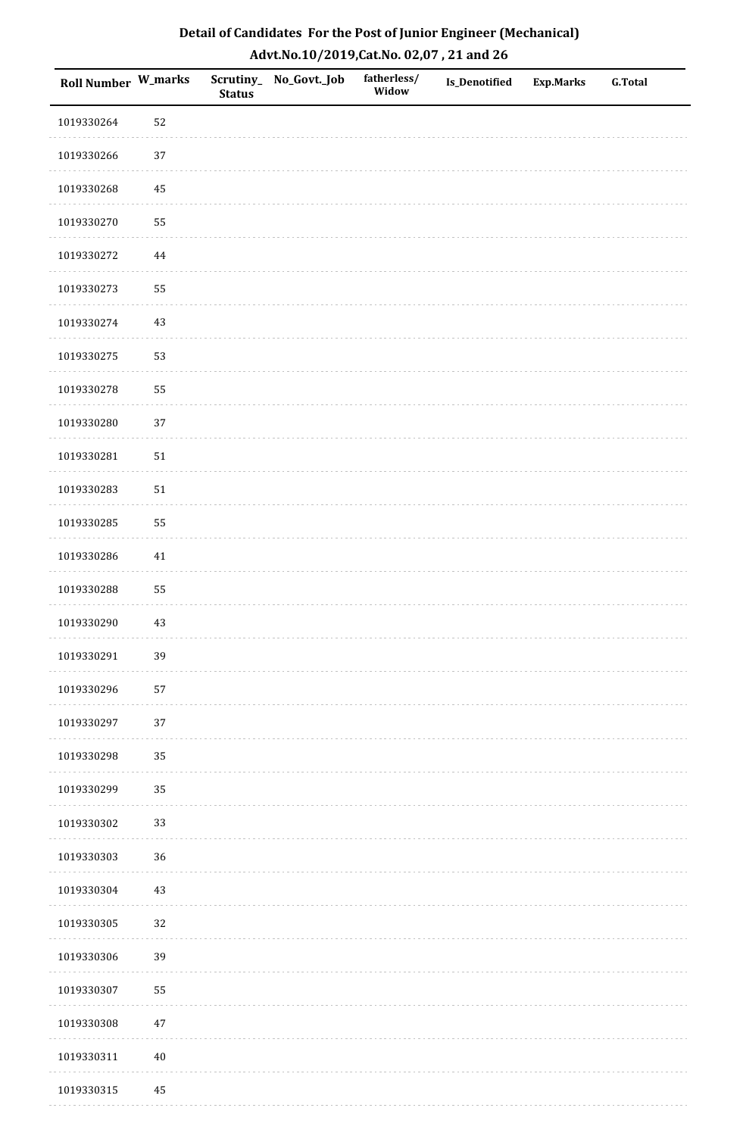| Roll Number W_marks |          | <b>Status</b> | Scrutiny_No_Govt._Job | fatherless/<br>Widow | Is_Denotified | <b>Exp.Marks</b> | <b>G.Total</b> |
|---------------------|----------|---------------|-----------------------|----------------------|---------------|------------------|----------------|
| 1019330264          | 52       |               |                       |                      |               |                  |                |
| 1019330266          | $37\,$   |               |                       |                      |               |                  |                |
| 1019330268          | $\bf 45$ |               |                       |                      |               |                  |                |
| 1019330270          | 55       |               |                       |                      |               |                  |                |
| 1019330272          | $\bf 44$ |               |                       |                      |               |                  |                |
| 1019330273          | 55       |               |                       |                      |               |                  |                |
| 1019330274          | $43\,$   |               |                       |                      |               |                  |                |
| 1019330275          | 53       |               |                       |                      |               |                  |                |
| 1019330278          | 55       |               |                       |                      |               |                  |                |
| 1019330280          | 37       |               |                       |                      |               |                  |                |
| 1019330281          | $51\,$   |               |                       |                      |               |                  |                |
| 1019330283          | $51\,$   |               |                       |                      |               |                  |                |
| 1019330285          | 55       |               |                       |                      |               |                  |                |
| 1019330286          | $41\,$   |               |                       |                      |               |                  |                |
| 1019330288          | 55       |               |                       |                      |               |                  |                |
| 1019330290          | $43\,$   |               |                       |                      |               |                  |                |
| 1019330291          | 39       |               |                       |                      |               |                  |                |
| 1019330296          | 57       |               |                       |                      |               |                  |                |
| 1019330297          | 37       |               |                       |                      |               |                  |                |
| 1019330298          | 35       |               |                       |                      |               |                  |                |
| 1019330299          | 35       |               |                       |                      |               |                  |                |
| 1019330302          | 33       |               |                       |                      |               |                  |                |
| 1019330303          | 36       |               |                       |                      |               |                  |                |
| 1019330304          | $43\,$   |               |                       |                      |               |                  |                |
| 1019330305          | 32       |               |                       |                      |               |                  |                |
| 1019330306          | 39       |               |                       |                      |               |                  |                |
| 1019330307          | 55       |               |                       |                      |               |                  |                |
| 1019330308          | $47\,$   |               |                       |                      |               |                  |                |
| 1019330311          | $40\,$   |               |                       |                      |               |                  |                |
| 1019330315          | 45       |               |                       |                      |               |                  |                |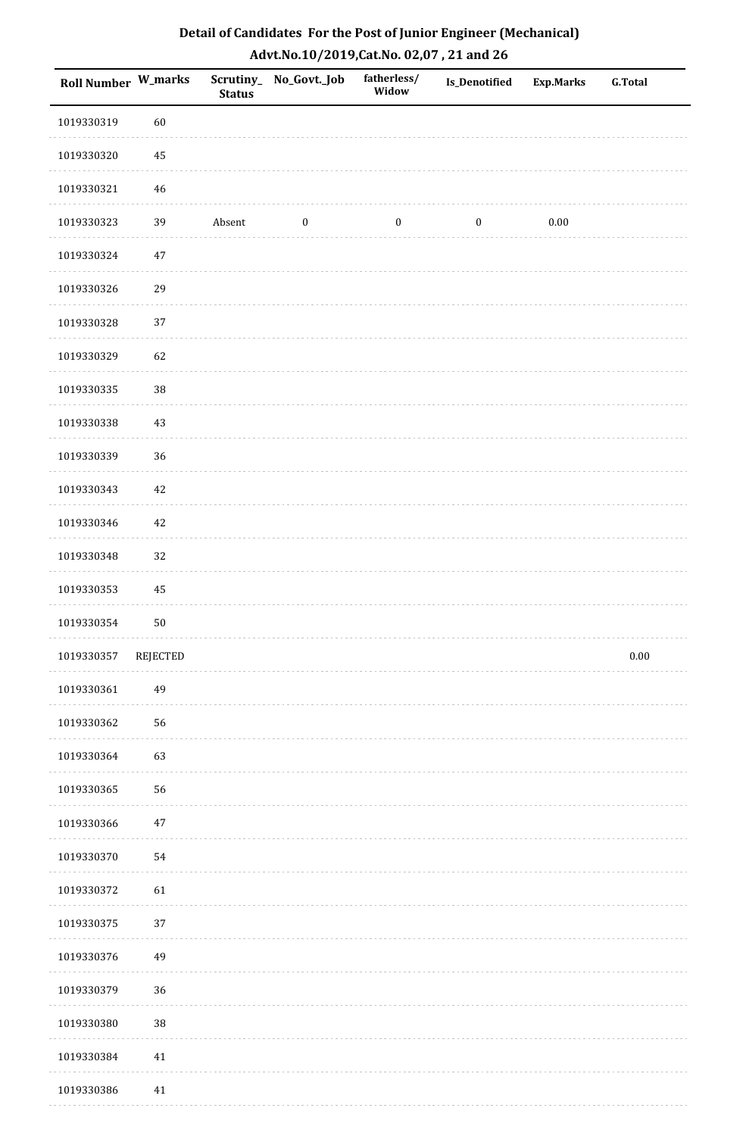| Roll Number W_marks |             | <b>Status</b> | Scrutiny_No_Govt._Job | fatherless/<br>Widow | Is_Denotified    | <b>Exp.Marks</b> | <b>G.Total</b> |
|---------------------|-------------|---------------|-----------------------|----------------------|------------------|------------------|----------------|
| 1019330319          | 60          |               |                       |                      |                  |                  |                |
| 1019330320          | 45          |               |                       |                      |                  |                  |                |
| 1019330321          | $\sqrt{46}$ |               |                       |                      |                  |                  |                |
| 1019330323          | 39          | Absent        | $\boldsymbol{0}$      | $\boldsymbol{0}$     | $\boldsymbol{0}$ | $0.00\,$         |                |
| 1019330324          | $47\,$      |               |                       |                      |                  |                  |                |
| 1019330326          | 29          |               |                       |                      |                  |                  |                |
| 1019330328          | 37          |               |                       |                      |                  |                  |                |
| 1019330329          | 62          |               |                       |                      |                  |                  |                |
| 1019330335          | 38          |               |                       |                      |                  |                  |                |
| 1019330338          | 43          |               |                       |                      |                  |                  |                |
| 1019330339          | 36          |               |                       |                      |                  |                  |                |
| 1019330343          | $42\,$      |               |                       |                      |                  |                  |                |
| 1019330346          | $42\,$      |               |                       |                      |                  |                  |                |
| 1019330348          | 32          |               |                       |                      |                  |                  |                |
| 1019330353          | $\bf 45$    |               |                       |                      |                  |                  |                |
| 1019330354          | $50\,$      |               |                       |                      |                  |                  |                |
| 1019330357          | REJECTED    |               |                       |                      |                  |                  | $0.00\,$       |
| 1019330361          | 49          |               |                       |                      |                  |                  |                |
| 1019330362          | 56          |               |                       |                      |                  |                  |                |
| 1019330364          | 63          |               |                       |                      |                  |                  |                |
| 1019330365          | 56          |               |                       |                      |                  |                  |                |
| 1019330366          | $47\,$      |               |                       |                      |                  |                  |                |
| 1019330370          | 54          |               |                       |                      |                  |                  |                |
| 1019330372          | 61          |               |                       |                      |                  |                  |                |
| 1019330375          | 37          |               |                       |                      |                  |                  |                |
| 1019330376          | 49          |               |                       |                      |                  |                  |                |
| 1019330379          | 36          |               |                       |                      |                  |                  |                |
| 1019330380          | 38          |               |                       |                      |                  |                  |                |
| 1019330384          | 41          |               |                       |                      |                  |                  |                |
| 1019330386          | 41          |               |                       |                      |                  |                  |                |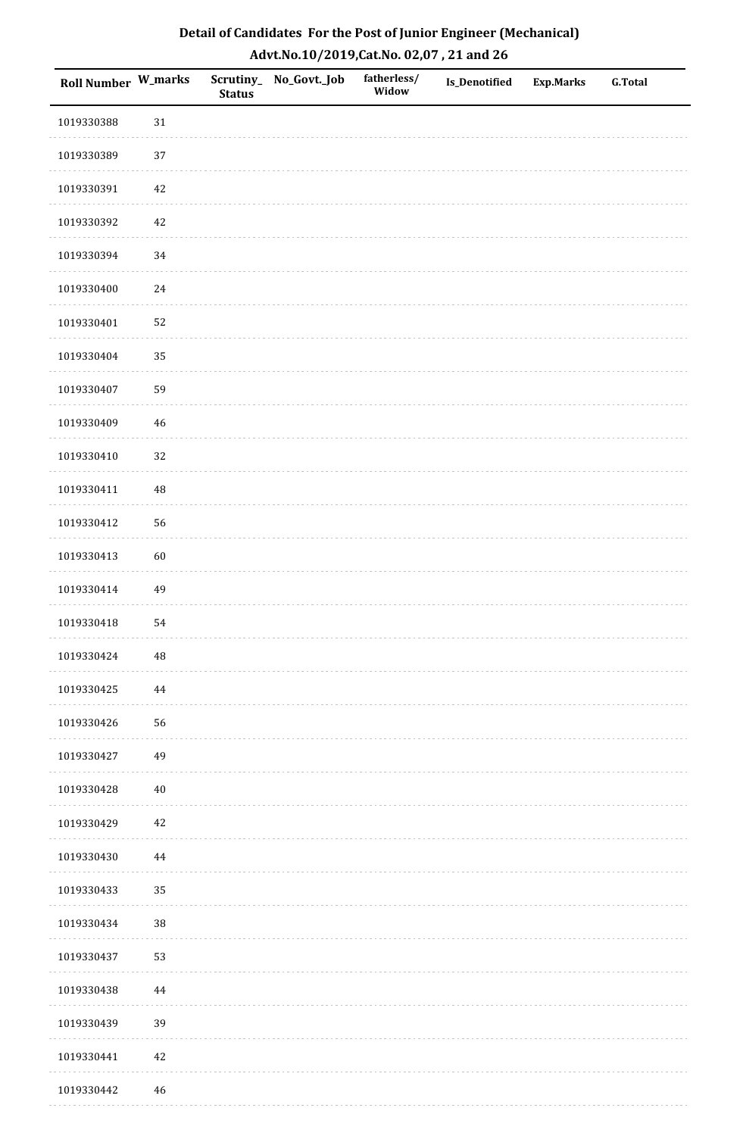| <b>Roll Number W_marks</b> |          | <b>Status</b> | Scrutiny_No_Govt._Job | fatherless/<br>Widow | Is_Denotified | <b>Exp.Marks</b> | <b>G.Total</b> |
|----------------------------|----------|---------------|-----------------------|----------------------|---------------|------------------|----------------|
| 1019330388                 | $31\,$   |               |                       |                      |               |                  |                |
| 1019330389                 | $37\,$   |               |                       |                      |               |                  |                |
| 1019330391                 | $42\,$   |               |                       |                      |               |                  |                |
| 1019330392                 | 42       |               |                       |                      |               |                  |                |
| 1019330394                 | 34       |               |                       |                      |               |                  |                |
| 1019330400                 | $24\,$   |               |                       |                      |               |                  |                |
| 1019330401                 | 52       |               |                       |                      |               |                  |                |
| 1019330404                 | 35       |               |                       |                      |               |                  |                |
| 1019330407                 | 59       |               |                       |                      |               |                  |                |
| 1019330409                 | $46\,$   |               |                       |                      |               |                  |                |
| 1019330410                 | 32       |               |                       |                      |               |                  |                |
| 1019330411                 | $\rm 48$ |               |                       |                      |               |                  |                |
| 1019330412                 | 56       |               |                       |                      |               |                  |                |
| 1019330413                 | 60       |               |                       |                      |               |                  |                |
| 1019330414                 | 49       |               |                       |                      |               |                  |                |
| 1019330418                 | 54       |               |                       |                      |               |                  |                |
| 1019330424                 | $\rm 48$ |               |                       |                      |               |                  |                |
| 1019330425                 | 44       |               |                       |                      |               |                  |                |
| 1019330426                 | 56       |               |                       |                      |               |                  |                |
| 1019330427                 | 49       |               |                       |                      |               |                  |                |
| 1019330428                 | $40\,$   |               |                       |                      |               |                  |                |
| 1019330429                 | $42\,$   |               |                       |                      |               |                  |                |
| 1019330430                 | $\bf 44$ |               |                       |                      |               |                  |                |
| 1019330433                 | 35       |               |                       |                      |               |                  |                |
| 1019330434                 | 38       |               |                       |                      |               |                  |                |
| 1019330437                 | 53       |               |                       |                      |               |                  |                |
| 1019330438                 | 44       |               |                       |                      |               |                  |                |
| 1019330439                 | 39       |               |                       |                      |               |                  |                |
| 1019330441                 | $42\,$   |               |                       |                      |               |                  |                |
| 1019330442                 | 46       |               |                       |                      |               |                  |                |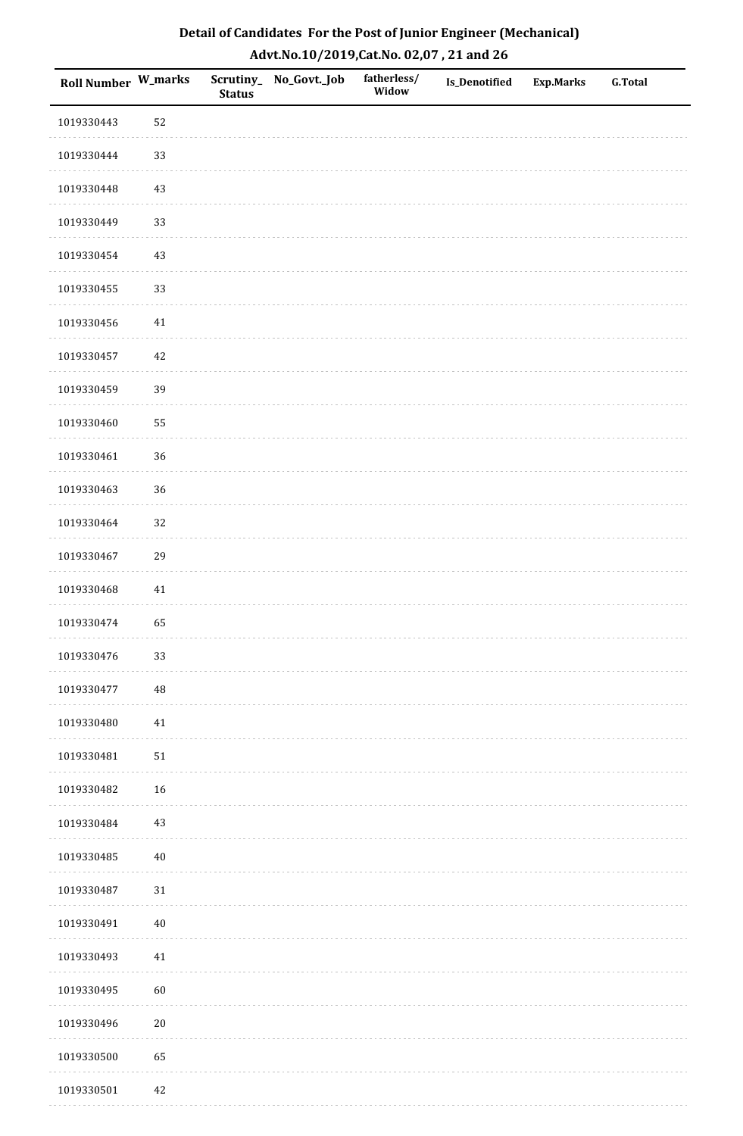| Roll Number W_marks |        | <b>Status</b> | Scrutiny_No_Govt._Job | fatherless/<br>Widow | Is_Denotified | <b>Exp.Marks</b> | <b>G.Total</b> |
|---------------------|--------|---------------|-----------------------|----------------------|---------------|------------------|----------------|
| 1019330443          | 52     |               |                       |                      |               |                  |                |
| 1019330444          | 33     |               |                       |                      |               |                  |                |
| 1019330448          | $43\,$ |               |                       |                      |               |                  |                |
| 1019330449          | 33     |               |                       |                      |               |                  |                |
| 1019330454          | $43\,$ |               |                       |                      |               |                  |                |
| 1019330455          | 33     |               |                       |                      |               |                  |                |
| 1019330456          | $41\,$ |               |                       |                      |               |                  |                |
| 1019330457          | $42\,$ |               |                       |                      |               |                  |                |
| 1019330459          | 39     |               |                       |                      |               |                  |                |
| 1019330460          | 55     |               |                       |                      |               |                  |                |
| 1019330461          | 36     |               |                       |                      |               |                  |                |
| 1019330463          | 36     |               |                       |                      |               |                  |                |
| 1019330464          | 32     |               |                       |                      |               |                  |                |
| 1019330467          | 29     |               |                       |                      |               |                  |                |
| 1019330468          | 41     |               |                       |                      |               |                  |                |
| 1019330474          | 65     |               |                       |                      |               |                  |                |
| 1019330476          | 33     |               |                       |                      |               |                  |                |
| 1019330477          | 48     |               |                       |                      |               |                  |                |
| 1019330480          | $41\,$ |               |                       |                      |               |                  |                |
| 1019330481          | $51\,$ |               |                       |                      |               |                  |                |
| 1019330482          | 16     |               |                       |                      |               |                  |                |
| 1019330484          | $43\,$ |               |                       |                      |               |                  |                |
| 1019330485          | $40\,$ |               |                       |                      |               |                  |                |
| 1019330487          | $31\,$ |               |                       |                      |               |                  |                |
| 1019330491          | $40\,$ |               |                       |                      |               |                  |                |
| 1019330493          | $41\,$ |               |                       |                      |               |                  |                |
| 1019330495          | 60     |               |                       |                      |               |                  |                |
| 1019330496          | $20\,$ |               |                       |                      |               |                  |                |
| 1019330500          | 65     |               |                       |                      |               |                  |                |
| 1019330501          | 42     |               |                       |                      |               |                  |                |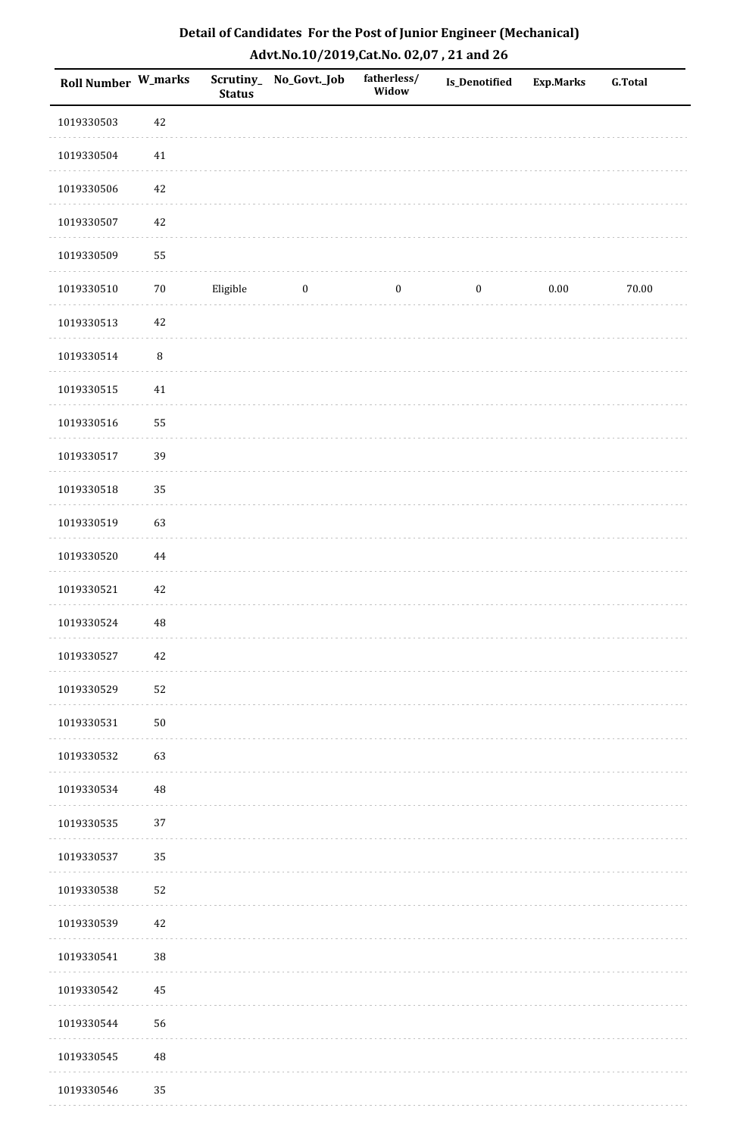| <b>Roll Number W_marks</b> |          | <b>Status</b> | Scrutiny_ No_Govt._Job | fatherless/<br>Widow | Is_Denotified    | <b>Exp.Marks</b> | <b>G.Total</b> |
|----------------------------|----------|---------------|------------------------|----------------------|------------------|------------------|----------------|
| 1019330503                 | $42\,$   |               |                        |                      |                  |                  |                |
| 1019330504                 | $41\,$   |               |                        |                      |                  |                  |                |
| 1019330506                 | 42       |               |                        |                      |                  |                  |                |
| 1019330507                 | 42       |               |                        |                      |                  |                  |                |
| 1019330509                 | 55       |               |                        |                      |                  |                  |                |
| 1019330510                 | $70\,$   | Eligible      | $\bf{0}$               | $\boldsymbol{0}$     | $\boldsymbol{0}$ | $0.00\,$         | $70.00\,$      |
| 1019330513                 | $42\,$   |               |                        |                      |                  |                  |                |
| 1019330514                 | $\, 8$   |               |                        |                      |                  |                  |                |
| 1019330515                 | $41\,$   |               |                        |                      |                  |                  |                |
| 1019330516                 | 55       |               |                        |                      |                  |                  |                |
| 1019330517                 | 39       |               |                        |                      |                  |                  |                |
| 1019330518                 | 35       |               |                        |                      |                  |                  |                |
| 1019330519                 | 63       |               |                        |                      |                  |                  |                |
| 1019330520                 | $\bf 44$ |               |                        |                      |                  |                  |                |
| 1019330521                 | $42\,$   |               |                        |                      |                  |                  |                |
| 1019330524                 | $\rm 48$ |               |                        |                      |                  |                  |                |
| 1019330527                 | $42\,$   |               |                        |                      |                  |                  |                |
| 1019330529                 | 52       |               |                        |                      |                  |                  |                |
| 1019330531                 | $50\,$   |               |                        |                      |                  |                  |                |
| 1019330532                 | 63       |               |                        |                      |                  |                  |                |
| 1019330534                 | 48       |               |                        |                      |                  |                  |                |
| 1019330535                 | 37       |               |                        |                      |                  |                  |                |
| 1019330537                 | 35       |               |                        |                      |                  |                  |                |
| 1019330538                 | 52       |               |                        |                      |                  |                  |                |
| 1019330539                 | $42\,$   |               |                        |                      |                  |                  |                |
| 1019330541                 | 38       |               |                        |                      |                  |                  |                |
| 1019330542                 | $\rm 45$ |               |                        |                      |                  |                  |                |
| 1019330544                 | 56       |               |                        |                      |                  |                  |                |
| 1019330545                 | $\rm 48$ |               |                        |                      |                  |                  |                |
| 1019330546                 | 35       |               |                        |                      |                  |                  |                |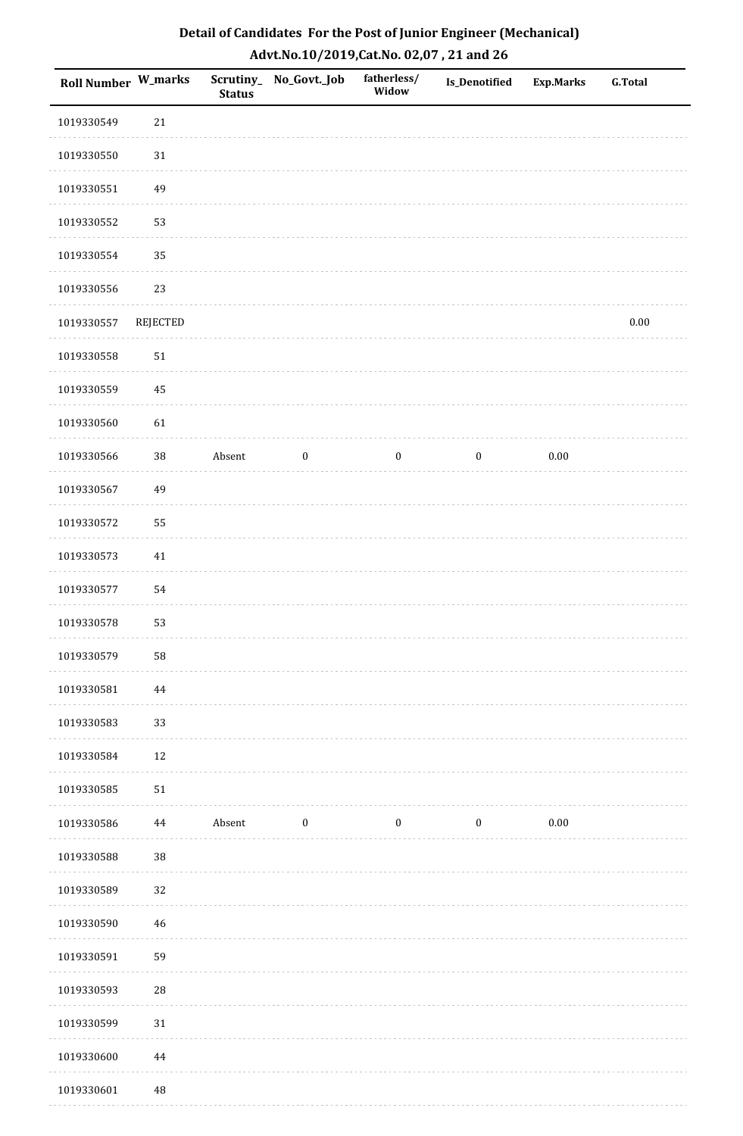| Roll Number W_marks |            | <b>Status</b> | Scrutiny_ No_Govt._Job | fatherless/<br>Widow | <b>Is_Denotified</b> | <b>Exp.Marks</b> | <b>G.Total</b> |
|---------------------|------------|---------------|------------------------|----------------------|----------------------|------------------|----------------|
| 1019330549          | $21\,$     |               |                        |                      |                      |                  |                |
| 1019330550          | $31\,$     |               |                        |                      |                      |                  |                |
| 1019330551          | 49         |               |                        |                      |                      |                  |                |
| 1019330552          | 53         |               |                        |                      |                      |                  |                |
| 1019330554          | 35         |               |                        |                      |                      |                  |                |
| 1019330556          | 23         |               |                        |                      |                      |                  |                |
| 1019330557          | REJECTED   |               |                        |                      |                      |                  | $0.00\,$       |
| 1019330558          | $51\,$     |               |                        |                      |                      |                  |                |
| 1019330559          | 45         |               |                        |                      |                      |                  |                |
| 1019330560          | 61         |               |                        |                      |                      |                  |                |
| 1019330566          | $38\,$     | Absent        | $\boldsymbol{0}$       | $\boldsymbol{0}$     | $\bf{0}$             | 0.00             |                |
| 1019330567          | 49         |               |                        |                      |                      |                  |                |
| 1019330572          | 55         |               |                        |                      |                      |                  |                |
| 1019330573          | $41\,$     |               |                        |                      |                      |                  |                |
| 1019330577          | 54         |               |                        |                      |                      |                  |                |
| 1019330578          | 53         |               |                        |                      |                      |                  |                |
| 1019330579          | 58         |               |                        |                      |                      |                  |                |
| 1019330581          | 44         |               |                        |                      |                      |                  |                |
| 1019330583          | 33         |               |                        |                      |                      |                  |                |
| 1019330584          | 12         |               |                        |                      |                      |                  |                |
| 1019330585          | 51         |               |                        |                      |                      |                  |                |
| 1019330586          | 44         | Absent        | $\bf{0}$               | $\boldsymbol{0}$     | $\boldsymbol{0}$     | $0.00\,$         |                |
| 1019330588          | 38         |               |                        |                      |                      |                  |                |
| 1019330589          | 32         |               |                        |                      |                      |                  |                |
| 1019330590          | 46         |               |                        |                      |                      |                  |                |
| 1019330591          | 59         |               |                        |                      |                      |                  |                |
| 1019330593          | ${\bf 28}$ |               |                        |                      |                      |                  |                |
| 1019330599          | $31\,$     |               |                        |                      |                      |                  |                |
| 1019330600          | $\bf 44$   |               |                        |                      |                      |                  |                |
| 1019330601          | $\rm 48$   |               |                        |                      |                      |                  |                |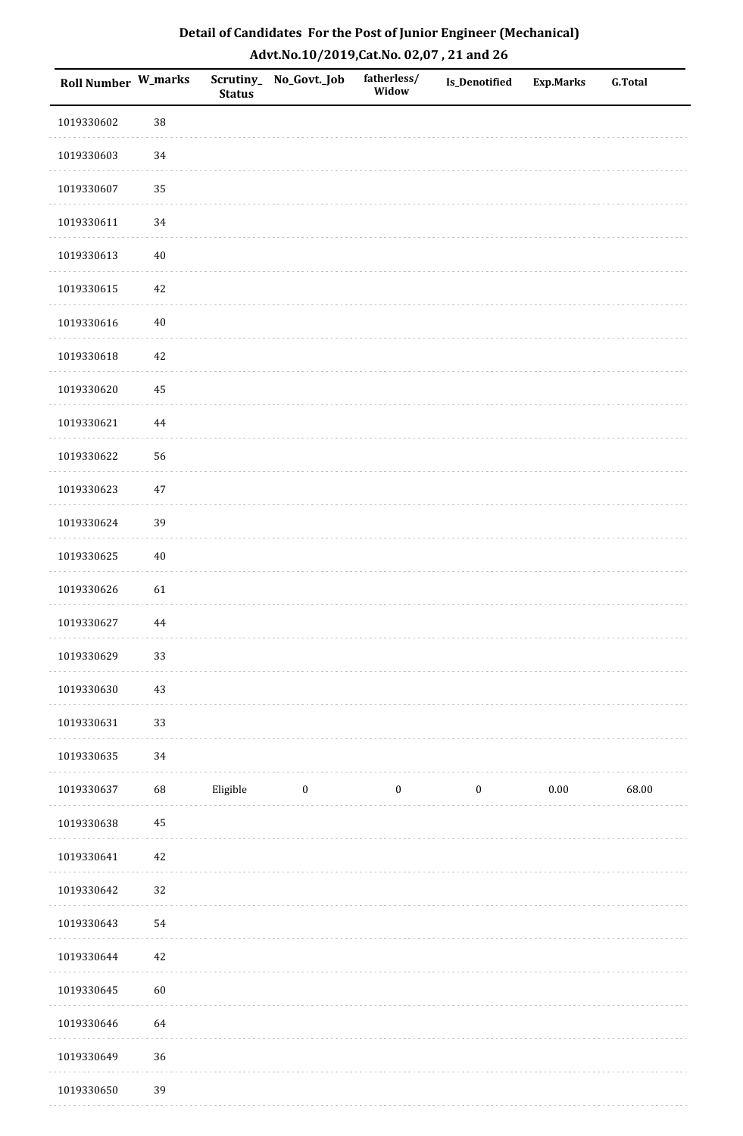| Roll Number W_marks |          | <b>Status</b> | Scrutiny_No_Govt._Job | fatherless/<br>Widow | Is_Denotified    | <b>Exp.Marks</b> | <b>G.Total</b> |
|---------------------|----------|---------------|-----------------------|----------------------|------------------|------------------|----------------|
| 1019330602          | 38       |               |                       |                      |                  |                  |                |
| 1019330603          | 34       |               |                       |                      |                  |                  |                |
| 1019330607          | 35       |               |                       |                      |                  |                  |                |
| 1019330611          | 34       |               |                       |                      |                  |                  |                |
| 1019330613          | $40\,$   |               |                       |                      |                  |                  |                |
| 1019330615          | $42\,$   |               |                       |                      |                  |                  |                |
| 1019330616          | $40\,$   |               |                       |                      |                  |                  |                |
| 1019330618          | $42\,$   |               |                       |                      |                  |                  |                |
| 1019330620          | 45       |               |                       |                      |                  |                  |                |
| 1019330621          | $\bf 44$ |               |                       |                      |                  |                  |                |
| 1019330622          | 56       |               |                       |                      |                  |                  |                |
| 1019330623          | $47\,$   |               |                       |                      |                  |                  |                |
| 1019330624          | 39       |               |                       |                      |                  |                  |                |
| 1019330625          | $40\,$   |               |                       |                      |                  |                  |                |
| 1019330626          | 61       |               |                       |                      |                  |                  |                |
| 1019330627          | 44       |               |                       |                      |                  |                  |                |
| 1019330629          | 33       |               |                       |                      |                  |                  |                |
| 1019330630          | 43       |               |                       |                      |                  |                  |                |
| 1019330631          | 33       |               |                       |                      |                  |                  |                |
| 1019330635          | 34       |               |                       |                      |                  |                  |                |
| 1019330637          | 68       | Eligible      | $\boldsymbol{0}$      | $\boldsymbol{0}$     | $\boldsymbol{0}$ | $0.00\,$         | 68.00          |
| 1019330638          | $\bf 45$ |               |                       |                      |                  |                  |                |
| 1019330641          | $42\,$   |               |                       |                      |                  |                  |                |
| 1019330642          | 32       |               |                       |                      |                  |                  |                |
| 1019330643          | 54       |               |                       |                      |                  |                  |                |
| 1019330644          | $42\,$   |               |                       |                      |                  |                  |                |
| 1019330645          | 60       |               |                       |                      |                  |                  |                |
| 1019330646          | 64       |               |                       |                      |                  |                  |                |
| 1019330649          | 36       |               |                       |                      |                  |                  |                |
| 1019330650          | 39       |               |                       |                      |                  |                  |                |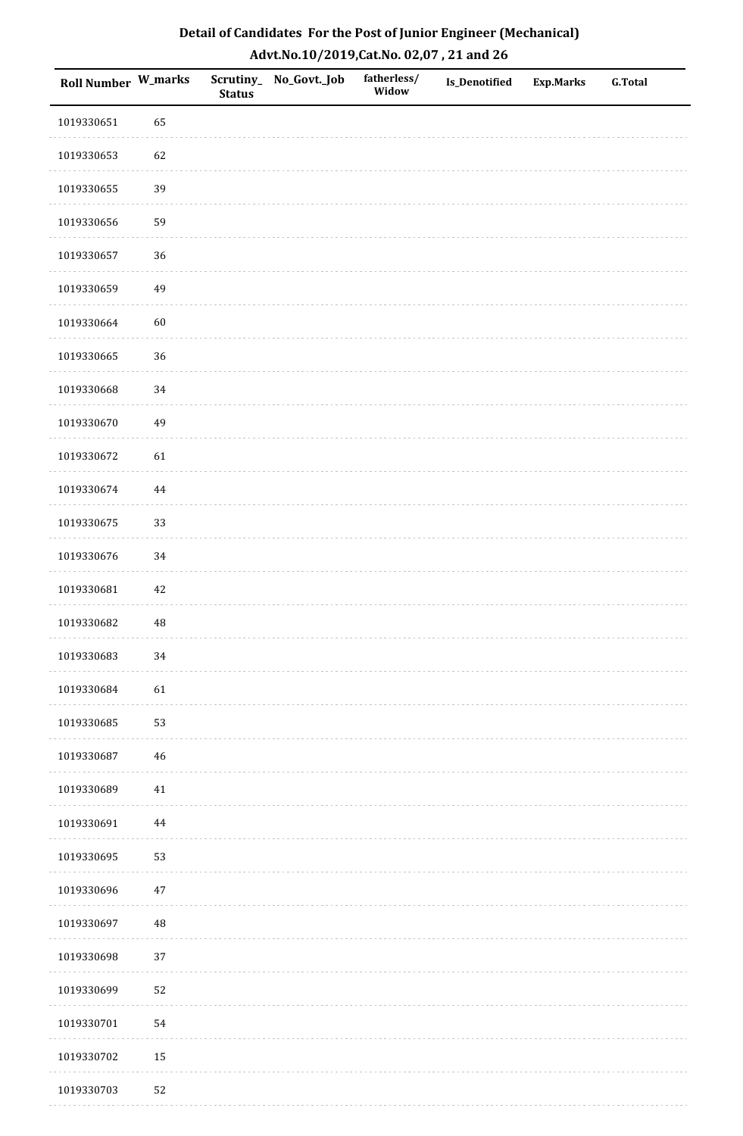| <b>Roll Number W_marks</b> |        | <b>Status</b> | Scrutiny_No_Govt._Job | fatherless/<br>Widow | Is_Denotified | <b>Exp.Marks</b> | <b>G.Total</b> |
|----------------------------|--------|---------------|-----------------------|----------------------|---------------|------------------|----------------|
| 1019330651                 | 65     |               |                       |                      |               |                  |                |
| 1019330653                 | 62     |               |                       |                      |               |                  |                |
| 1019330655                 | 39     |               |                       |                      |               |                  |                |
| 1019330656                 | 59     |               |                       |                      |               |                  |                |
| 1019330657                 | 36     |               |                       |                      |               |                  |                |
| 1019330659                 | 49     |               |                       |                      |               |                  |                |
| 1019330664                 | 60     |               |                       |                      |               |                  |                |
| 1019330665                 | 36     |               |                       |                      |               |                  |                |
| 1019330668                 | 34     |               |                       |                      |               |                  |                |
| 1019330670                 | 49     |               |                       |                      |               |                  |                |
| 1019330672                 | 61     |               |                       |                      |               |                  |                |
| 1019330674                 | 44     |               |                       |                      |               |                  |                |
| 1019330675                 | 33     |               |                       |                      |               |                  |                |
| 1019330676                 | 34     |               |                       |                      |               |                  |                |
| 1019330681                 | $42\,$ |               |                       |                      |               |                  |                |
| 1019330682                 | 48     |               |                       |                      |               |                  |                |
| 1019330683                 | $34\,$ |               |                       |                      |               |                  |                |
| 1019330684                 | 61     |               |                       |                      |               |                  |                |
| 1019330685                 | 53     |               |                       |                      |               |                  |                |
| 1019330687                 | $46\,$ |               |                       |                      |               |                  |                |
| 1019330689                 | $41\,$ |               |                       |                      |               |                  |                |
| 1019330691                 | 44     |               |                       |                      |               |                  |                |
| 1019330695                 | 53     |               |                       |                      |               |                  |                |
| 1019330696                 | $47\,$ |               |                       |                      |               |                  |                |
| 1019330697                 | 48     |               |                       |                      |               |                  |                |
| 1019330698                 | 37     |               |                       |                      |               |                  |                |
| 1019330699                 | 52     |               |                       |                      |               |                  |                |
| 1019330701                 | 54     |               |                       |                      |               |                  |                |
| 1019330702                 | 15     |               |                       |                      |               |                  |                |
| 1019330703                 | 52     |               |                       |                      |               |                  |                |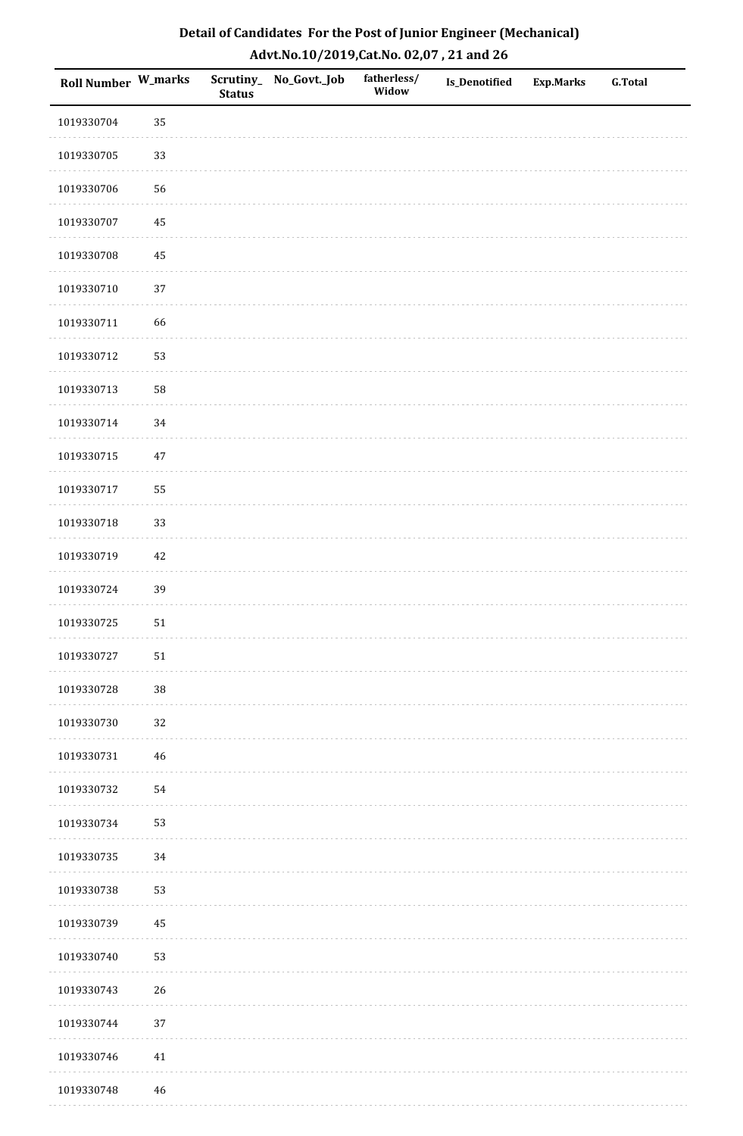| Roll Number W_marks |             | <b>Status</b> | Scrutiny_ No_Govt._Job | fatherless/<br>Widow | Is_Denotified | Exp.Marks | <b>G.Total</b> |
|---------------------|-------------|---------------|------------------------|----------------------|---------------|-----------|----------------|
| 1019330704          | 35          |               |                        |                      |               |           |                |
| 1019330705          | 33          |               |                        |                      |               |           |                |
| 1019330706          | 56          |               |                        |                      |               |           |                |
| 1019330707          | 45          |               |                        |                      |               |           |                |
| 1019330708          | 45          |               |                        |                      |               |           |                |
| 1019330710          | 37          |               |                        |                      |               |           |                |
| 1019330711          | 66          |               |                        |                      |               |           |                |
| 1019330712          | 53          |               |                        |                      |               |           |                |
| 1019330713          | 58          |               |                        |                      |               |           |                |
| 1019330714          | 34          |               |                        |                      |               |           |                |
| 1019330715          | 47          |               |                        |                      |               |           |                |
| 1019330717          | 55          |               |                        |                      |               |           |                |
| 1019330718          | 33          |               |                        |                      |               |           |                |
| 1019330719          | 42          |               |                        |                      |               |           |                |
| 1019330724          | 39          |               |                        |                      |               |           |                |
| 1019330725          | ${\bf 51}$  |               |                        |                      |               |           |                |
| 1019330727          | $51\,$      |               |                        |                      |               |           |                |
| 1019330728          | 38          |               |                        |                      |               |           |                |
| 1019330730          | $32\,$      |               |                        |                      |               |           |                |
| 1019330731          | 46          |               |                        |                      |               |           |                |
| 1019330732          | 54          |               |                        |                      |               |           |                |
| 1019330734          | 53          |               |                        |                      |               |           |                |
| 1019330735          | 34          |               |                        |                      |               |           |                |
| 1019330738          | 53          |               |                        |                      |               |           |                |
| 1019330739          | 45          |               |                        |                      |               |           |                |
| 1019330740          | 53          |               |                        |                      |               |           |                |
| 1019330743          | 26          |               |                        |                      |               |           |                |
| 1019330744          | 37          |               |                        |                      |               |           |                |
| 1019330746          | $41\,$      |               |                        |                      |               |           |                |
| 1019330748          | $\sqrt{46}$ |               |                        |                      |               |           |                |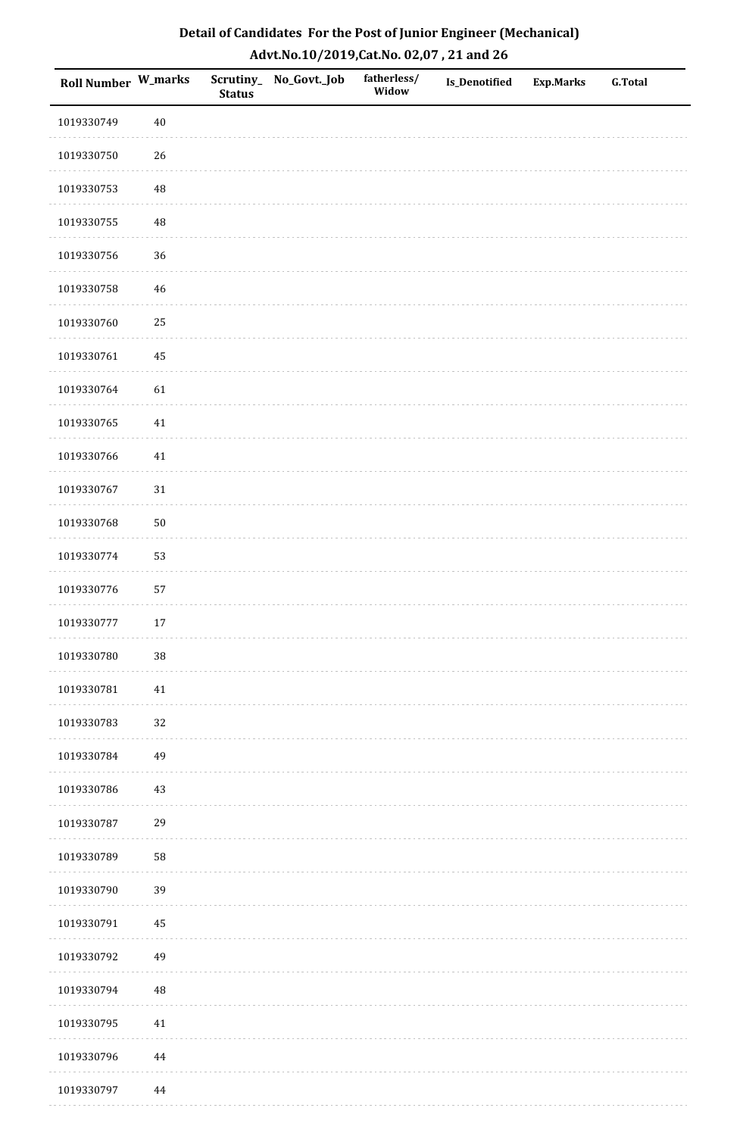| <b>Roll Number W_marks</b> |             | <b>Status</b> | Scrutiny_ No_Govt._Job | fatherless/<br>Widow | Is_Denotified | <b>Exp.Marks</b> | <b>G.Total</b> |
|----------------------------|-------------|---------------|------------------------|----------------------|---------------|------------------|----------------|
| 1019330749                 | $40\,$      |               |                        |                      |               |                  |                |
| 1019330750                 | 26          |               |                        |                      |               |                  |                |
| 1019330753                 | $\rm 48$    |               |                        |                      |               |                  |                |
| 1019330755                 | $\sqrt{48}$ |               |                        |                      |               |                  |                |
| 1019330756                 | 36          |               |                        |                      |               |                  |                |
| 1019330758                 | $46\,$      |               |                        |                      |               |                  |                |
| 1019330760                 | 25          |               |                        |                      |               |                  |                |
| 1019330761                 | 45          |               |                        |                      |               |                  |                |
| 1019330764                 | 61          |               |                        |                      |               |                  |                |
| 1019330765                 | $41\,$      |               |                        |                      |               |                  |                |
| 1019330766                 | $41\,$      |               |                        |                      |               |                  |                |
| 1019330767                 | $31\,$      |               |                        |                      |               |                  |                |
| 1019330768                 | $50\,$      |               |                        |                      |               |                  |                |
| 1019330774                 | 53          |               |                        |                      |               |                  |                |
| 1019330776                 | 57          |               |                        |                      |               |                  |                |
| 1019330777                 | $17\,$      |               |                        |                      |               |                  |                |
| 1019330780                 | $38\,$      |               |                        |                      |               |                  |                |
| 1019330781                 | 41          |               |                        |                      |               |                  |                |
| 1019330783                 | 32          |               |                        |                      |               |                  |                |
| 1019330784                 | 49          |               |                        |                      |               |                  |                |
| 1019330786                 | $43\,$      |               |                        |                      |               |                  |                |
| 1019330787                 | 29          |               |                        |                      |               |                  |                |
| 1019330789                 | 58          |               |                        |                      |               |                  |                |
| 1019330790                 | 39          |               |                        |                      |               |                  |                |
| 1019330791                 | 45          |               |                        |                      |               |                  |                |
| 1019330792                 | 49          |               |                        |                      |               |                  |                |
| 1019330794                 | $\rm 48$    |               |                        |                      |               |                  |                |
| 1019330795                 | $41\,$      |               |                        |                      |               |                  |                |
| 1019330796                 | $\bf 44$    |               |                        |                      |               |                  |                |
| 1019330797                 | $\bf 44$    |               |                        |                      |               |                  |                |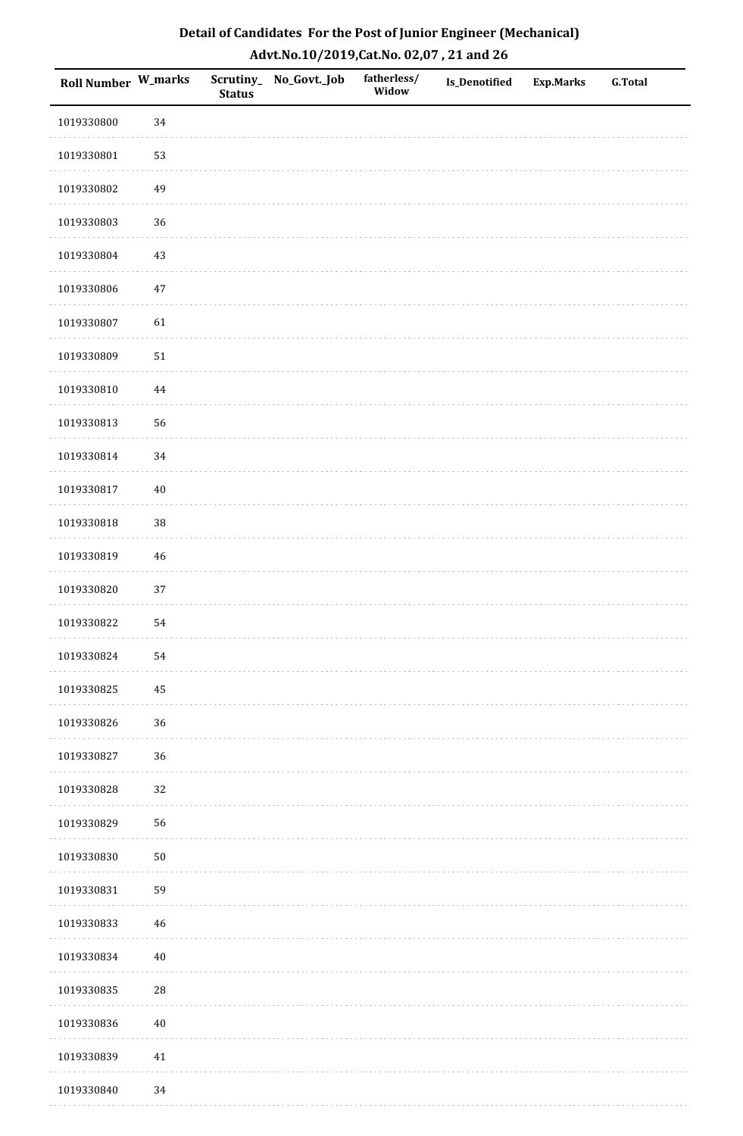| <b>Roll Number W_marks</b> |          | <b>Status</b> | Scrutiny_No_Govt._Job | fatherless/<br>Widow | Is_Denotified | <b>Exp.Marks</b> | <b>G.Total</b> |
|----------------------------|----------|---------------|-----------------------|----------------------|---------------|------------------|----------------|
| 1019330800                 | 34       |               |                       |                      |               |                  |                |
| 1019330801                 | 53       |               |                       |                      |               |                  |                |
| 1019330802                 | 49       |               |                       |                      |               |                  |                |
| 1019330803                 | 36       |               |                       |                      |               |                  |                |
| 1019330804                 | $43\,$   |               |                       |                      |               |                  |                |
| 1019330806                 | $47\,$   |               |                       |                      |               |                  |                |
| 1019330807                 | 61       |               |                       |                      |               |                  |                |
| 1019330809                 | $51\,$   |               |                       |                      |               |                  |                |
| 1019330810                 | $\bf 44$ |               |                       |                      |               |                  |                |
| 1019330813                 | 56       |               |                       |                      |               |                  |                |
| 1019330814                 | 34       |               |                       |                      |               |                  |                |
| 1019330817                 | $40\,$   |               |                       |                      |               |                  |                |
| 1019330818                 | 38       |               |                       |                      |               |                  |                |
| 1019330819                 | $46\,$   |               |                       |                      |               |                  |                |
| 1019330820                 | $37\,$   |               |                       |                      |               |                  |                |
| 1019330822                 | 54       |               |                       |                      |               |                  |                |
| 1019330824                 | 54       |               |                       |                      |               |                  |                |
| 1019330825                 | 45       |               |                       |                      |               |                  |                |
| 1019330826                 | 36       |               |                       |                      |               |                  |                |
| 1019330827                 | 36       |               |                       |                      |               |                  |                |
| 1019330828                 | 32       |               |                       |                      |               |                  |                |
| 1019330829                 | 56       |               |                       |                      |               |                  |                |
| 1019330830                 | $50\,$   |               |                       |                      |               |                  |                |
| 1019330831                 | 59       |               |                       |                      |               |                  |                |
| 1019330833                 | 46       |               |                       |                      |               |                  |                |
| 1019330834                 | $40\,$   |               |                       |                      |               |                  |                |
| 1019330835                 | $28\,$   |               |                       |                      |               |                  |                |
| 1019330836                 | $40\,$   |               |                       |                      |               |                  |                |
| 1019330839                 | $41\,$   |               |                       |                      |               |                  |                |
| 1019330840                 | 34       |               |                       |                      |               |                  |                |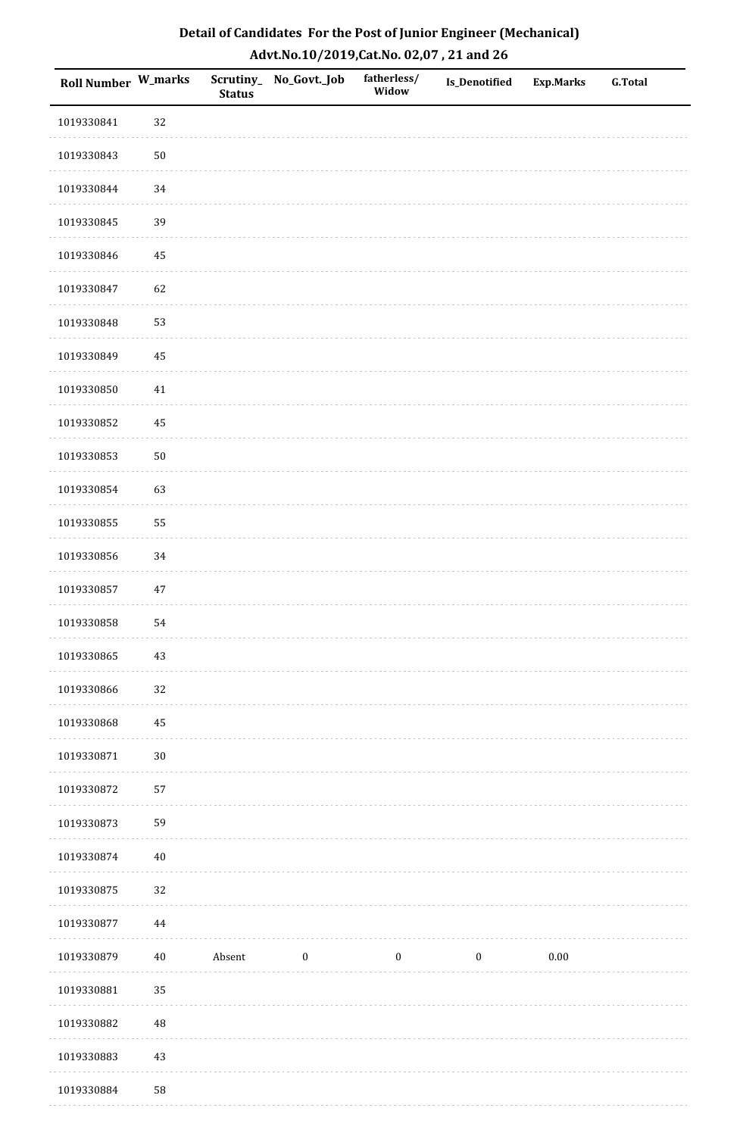| <b>Roll Number W_marks</b> |             | <b>Status</b> | Scrutiny_No_Govt._Job | fatherless/<br>Widow | Is_Denotified    | <b>Exp.Marks</b> | <b>G.Total</b> |
|----------------------------|-------------|---------------|-----------------------|----------------------|------------------|------------------|----------------|
| 1019330841                 | 32          |               |                       |                      |                  |                  |                |
| 1019330843                 | $50\,$      |               |                       |                      |                  |                  |                |
| 1019330844                 | 34          |               |                       |                      |                  |                  |                |
| 1019330845                 | 39          |               |                       |                      |                  |                  |                |
| 1019330846                 | $\bf 45$    |               |                       |                      |                  |                  |                |
| 1019330847                 | 62          |               |                       |                      |                  |                  |                |
| 1019330848                 | 53          |               |                       |                      |                  |                  |                |
| 1019330849                 | 45          |               |                       |                      |                  |                  |                |
| 1019330850                 | $41\,$      |               |                       |                      |                  |                  |                |
| 1019330852                 | $\bf 45$    |               |                       |                      |                  |                  |                |
| 1019330853                 | $50\,$      |               |                       |                      |                  |                  |                |
| 1019330854                 | 63          |               |                       |                      |                  |                  |                |
| 1019330855                 | 55          |               |                       |                      |                  |                  |                |
| 1019330856                 | 34          |               |                       |                      |                  |                  |                |
| 1019330857                 | $47\,$      |               |                       |                      |                  |                  |                |
| 1019330858                 | 54          |               |                       |                      |                  |                  |                |
| 1019330865                 | $43\,$      |               |                       |                      |                  |                  |                |
| 1019330866                 | 32          |               |                       |                      |                  |                  |                |
| 1019330868                 | 45          |               |                       |                      |                  |                  |                |
| 1019330871                 | $30\,$      |               |                       |                      |                  |                  |                |
| 1019330872                 | 57          |               |                       |                      |                  |                  |                |
| 1019330873                 | 59          |               |                       |                      |                  |                  |                |
| 1019330874                 | $40\,$      |               |                       |                      |                  |                  |                |
| 1019330875                 | 32          |               |                       |                      |                  |                  |                |
| 1019330877                 | $\bf 44$    |               |                       |                      |                  |                  |                |
| 1019330879                 | $40\,$      | Absent        | $\boldsymbol{0}$      | $\boldsymbol{0}$     | $\boldsymbol{0}$ | $0.00\,$         |                |
| 1019330881                 | 35          |               |                       |                      |                  |                  |                |
| 1019330882                 | $\sqrt{48}$ |               |                       |                      |                  |                  |                |
| 1019330883                 | $43\,$      |               |                       |                      |                  |                  |                |
| 1019330884                 | 58          |               |                       |                      |                  |                  |                |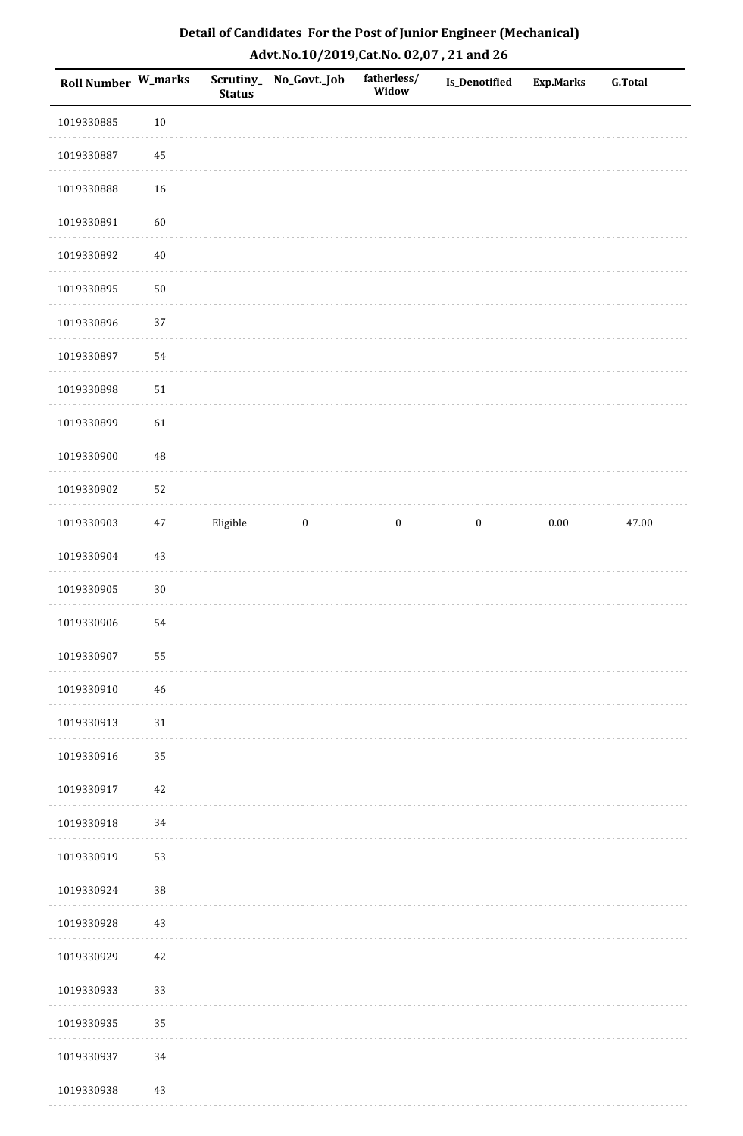| <b>Roll Number W_marks</b> |             | <b>Status</b> | Scrutiny_No_Govt._Job | fatherless/<br>Widow | Is_Denotified    | <b>Exp.Marks</b> | <b>G.Total</b> |
|----------------------------|-------------|---------------|-----------------------|----------------------|------------------|------------------|----------------|
| 1019330885                 | $10\,$      |               |                       |                      |                  |                  |                |
| 1019330887                 | 45          |               |                       |                      |                  |                  |                |
| 1019330888                 | 16          |               |                       |                      |                  |                  |                |
| 1019330891                 | 60          |               |                       |                      |                  |                  |                |
| 1019330892                 | $40\,$      |               |                       |                      |                  |                  |                |
| 1019330895                 | $50\,$      |               |                       |                      |                  |                  |                |
| 1019330896                 | 37          |               |                       |                      |                  |                  |                |
| 1019330897                 | 54          |               |                       |                      |                  |                  |                |
| 1019330898                 | $51\,$      |               |                       |                      |                  |                  |                |
| 1019330899                 | 61          |               |                       |                      |                  |                  |                |
| 1019330900                 | $\sqrt{48}$ |               |                       |                      |                  |                  |                |
| 1019330902                 | 52          |               |                       |                      |                  |                  |                |
| 1019330903                 | $47\,$      | Eligible      | $\bf{0}$              | $\boldsymbol{0}$     | $\boldsymbol{0}$ | $0.00\,$         | 47.00          |
| 1019330904                 | $43\,$      |               |                       |                      |                  |                  |                |
| 1019330905                 | $30\,$      |               |                       |                      |                  |                  |                |
| 1019330906                 | 54          |               |                       |                      |                  |                  |                |
| 1019330907                 | 55          |               |                       |                      |                  |                  |                |
| 1019330910                 | $46\,$      |               |                       |                      |                  |                  |                |
| 1019330913                 | $31\,$      |               |                       |                      |                  |                  |                |
| 1019330916                 | 35          |               |                       |                      |                  |                  |                |
| 1019330917                 | 42          |               |                       |                      |                  |                  |                |
| 1019330918                 | $34\,$      |               |                       |                      |                  |                  |                |
| 1019330919                 | 53          |               |                       |                      |                  |                  |                |
| 1019330924                 | $38\,$      |               |                       |                      |                  |                  |                |
| 1019330928                 | $43\,$      |               |                       |                      |                  |                  |                |
| 1019330929                 | $42\,$      |               |                       |                      |                  |                  |                |
| 1019330933                 | 33          |               |                       |                      |                  |                  |                |
| 1019330935                 | 35          |               |                       |                      |                  |                  |                |
| 1019330937                 | 34          |               |                       |                      |                  |                  |                |
| 1019330938                 | 43          |               |                       |                      |                  |                  |                |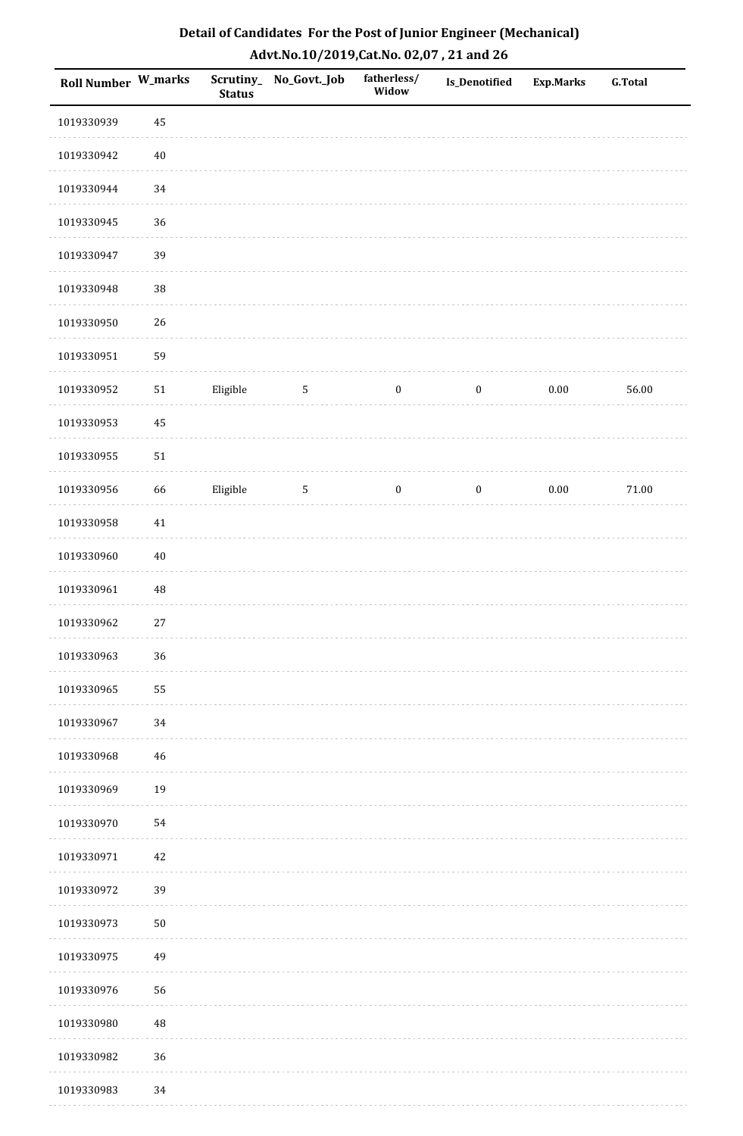| Detail of Candidates For the Post of Junior Engineer (Mechanical) |
|-------------------------------------------------------------------|
| Advt.No.10/2019, Cat.No. 02,07, 21 and 26                         |

| Roll Number W_marks |          | Scrutiny_<br><b>Status</b> | No_Govt._Job    | fatherless/<br>Widow | Is_Denotified    | <b>Exp.Marks</b> | <b>G.Total</b> |
|---------------------|----------|----------------------------|-----------------|----------------------|------------------|------------------|----------------|
| 1019330939          | 45       |                            |                 |                      |                  |                  |                |
| 1019330942          | $40\,$   |                            |                 |                      |                  |                  |                |
| 1019330944          | 34       |                            |                 |                      |                  |                  |                |
| 1019330945          | 36       |                            |                 |                      |                  |                  |                |
| 1019330947          | 39       |                            |                 |                      |                  |                  |                |
| 1019330948          | $38\,$   |                            |                 |                      |                  |                  |                |
| 1019330950          | 26       |                            |                 |                      |                  |                  |                |
| 1019330951          | 59       |                            |                 |                      |                  |                  |                |
| 1019330952          | $51\,$   | Eligible                   | $5\phantom{.0}$ | $\boldsymbol{0}$     | $\boldsymbol{0}$ | $0.00\,$         | 56.00          |
| 1019330953          | $\rm 45$ |                            |                 |                      |                  |                  |                |
| 1019330955          | $51\,$   |                            |                 |                      |                  |                  |                |
| 1019330956          | 66       | Eligible                   | $\sqrt{5}$      | $\boldsymbol{0}$     | $\boldsymbol{0}$ | $0.00\,$         | $71.00\,$      |
| 1019330958          | $41\,$   |                            |                 |                      |                  |                  |                |
| 1019330960          | $40\,$   |                            |                 |                      |                  |                  |                |
| 1019330961          | $\rm 48$ |                            |                 |                      |                  |                  |                |
| 1019330962          | $27\,$   |                            |                 |                      |                  |                  |                |
| 1019330963          | 36       |                            |                 |                      |                  |                  |                |
| 1019330965          | 55       |                            |                 |                      |                  |                  |                |
| 1019330967          | 34       |                            |                 |                      |                  |                  |                |
| 1019330968          | $\bf 46$ |                            |                 |                      |                  |                  |                |
| 1019330969          | 19       |                            |                 |                      |                  |                  |                |
| 1019330970          | 54       |                            |                 |                      |                  |                  |                |
| 1019330971          | $42\,$   |                            |                 |                      |                  |                  |                |
| 1019330972          | 39       |                            |                 |                      |                  |                  |                |
| 1019330973          | $50\,$   |                            |                 |                      |                  |                  |                |
| 1019330975          | 49       |                            |                 |                      |                  |                  |                |
| 1019330976          | 56       |                            |                 |                      |                  |                  |                |
| 1019330980          | $\rm 48$ |                            |                 |                      |                  |                  |                |
| 1019330982          | 36       |                            |                 |                      |                  |                  |                |
| 1019330983          | 34       |                            |                 |                      |                  |                  |                |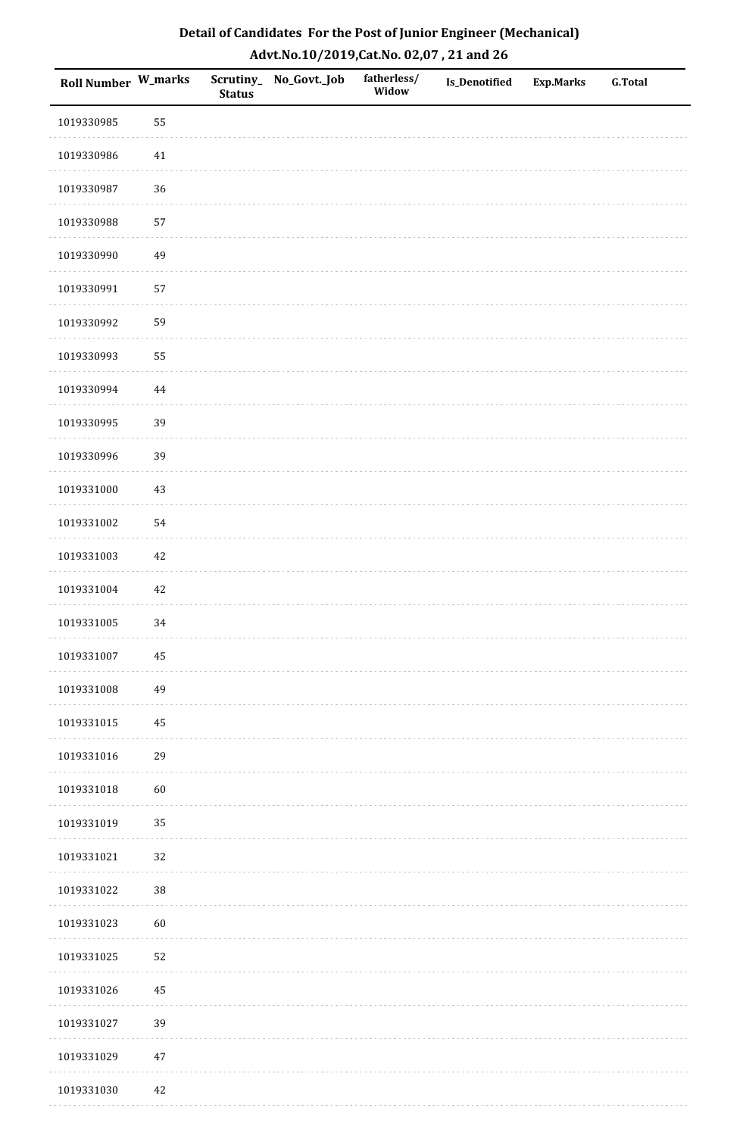| Detail of Candidates For the Post of Junior Engineer (Mechanical) |
|-------------------------------------------------------------------|
| Advt.No.10/2019,Cat.No. 02,07, 21 and 26                          |

| Roll Number W_marks |          | <b>Status</b> | Scrutiny_ No_Govt._Job | fatherless/<br>Widow | Is_Denotified | <b>Exp.Marks</b> | <b>G.Total</b> |
|---------------------|----------|---------------|------------------------|----------------------|---------------|------------------|----------------|
| 1019330985          | 55       |               |                        |                      |               |                  |                |
| 1019330986          | 41       |               |                        |                      |               |                  |                |
| 1019330987          | 36       |               |                        |                      |               |                  |                |
| 1019330988          | 57       |               |                        |                      |               |                  |                |
| 1019330990          | 49       |               |                        |                      |               |                  |                |
| 1019330991          | 57       |               |                        |                      |               |                  |                |
| 1019330992          | 59       |               |                        |                      |               |                  |                |
| 1019330993          | 55       |               |                        |                      |               |                  |                |
| 1019330994          | $\bf 44$ |               |                        |                      |               |                  |                |
| 1019330995          | 39       |               |                        |                      |               |                  |                |
| 1019330996          | 39       |               |                        |                      |               |                  |                |
| 1019331000          | $43\,$   |               |                        |                      |               |                  |                |
| 1019331002          | 54       |               |                        |                      |               |                  |                |
| 1019331003          | $42\,$   |               |                        |                      |               |                  |                |
| 1019331004          | $42\,$   |               |                        |                      |               |                  |                |
| 1019331005          | 34       |               |                        |                      |               |                  |                |
| 1019331007          | $\bf 45$ |               |                        |                      |               |                  |                |
| 1019331008          | 49       |               |                        |                      |               |                  |                |
| 1019331015          | $\rm 45$ |               |                        |                      |               |                  |                |
| 1019331016          | 29       |               |                        |                      |               |                  |                |
| 1019331018          | $60\,$   |               |                        |                      |               |                  |                |
| 1019331019          | 35       |               |                        |                      |               |                  |                |
| 1019331021          | 32       |               |                        |                      |               |                  |                |
| 1019331022          | $38\,$   |               |                        |                      |               |                  |                |
| 1019331023          | 60       |               |                        |                      |               |                  |                |
| 1019331025          | 52       |               |                        |                      |               |                  |                |
| 1019331026          | 45       |               |                        |                      |               |                  |                |
| 1019331027          | 39       |               |                        |                      |               |                  |                |
| 1019331029          | $47\,$   |               |                        |                      |               |                  |                |
| 1019331030          | $42\,$   |               |                        |                      |               |                  |                |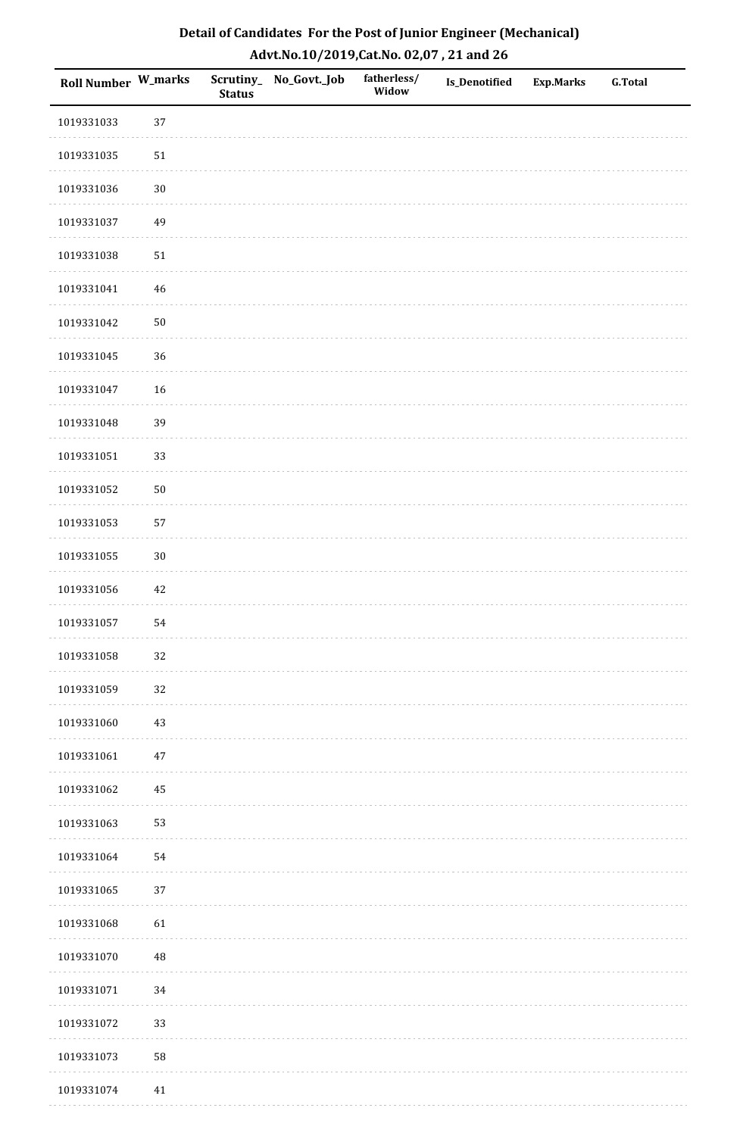| <b>Roll Number W_marks</b> |        | <b>Status</b> | Scrutiny_No_Govt._Job | fatherless/<br>Widow | Is_Denotified | <b>Exp.Marks</b> | <b>G.Total</b> |
|----------------------------|--------|---------------|-----------------------|----------------------|---------------|------------------|----------------|
| 1019331033                 | 37     |               |                       |                      |               |                  |                |
| 1019331035                 | $51\,$ |               |                       |                      |               |                  |                |
| 1019331036                 | $30\,$ |               |                       |                      |               |                  |                |
| 1019331037                 | 49     |               |                       |                      |               |                  |                |
| 1019331038                 | $51\,$ |               |                       |                      |               |                  |                |
| 1019331041                 | $46\,$ |               |                       |                      |               |                  |                |
| 1019331042                 | $50\,$ |               |                       |                      |               |                  |                |
| 1019331045                 | 36     |               |                       |                      |               |                  |                |
| 1019331047                 | 16     |               |                       |                      |               |                  |                |
| 1019331048                 | 39     |               |                       |                      |               |                  |                |
| 1019331051                 | 33     |               |                       |                      |               |                  |                |
| 1019331052                 | $50\,$ |               |                       |                      |               |                  |                |
| 1019331053                 | 57     |               |                       |                      |               |                  |                |
| 1019331055                 | $30\,$ |               |                       |                      |               |                  |                |
| 1019331056                 | $42\,$ |               |                       |                      |               |                  |                |
| 1019331057                 | 54     |               |                       |                      |               |                  |                |
| 1019331058                 | 32     |               |                       |                      |               |                  |                |
| 1019331059                 | 32     |               |                       |                      |               |                  |                |
| 1019331060                 | $43\,$ |               |                       |                      |               |                  |                |
| 1019331061                 | $47\,$ |               |                       |                      |               |                  |                |
| 1019331062                 | 45     |               |                       |                      |               |                  |                |
| 1019331063                 | 53     |               |                       |                      |               |                  |                |
| 1019331064                 | 54     |               |                       |                      |               |                  |                |
| 1019331065                 | $37\,$ |               |                       |                      |               |                  |                |
| 1019331068                 | 61     |               |                       |                      |               |                  |                |
| 1019331070                 | 48     |               |                       |                      |               |                  |                |
| 1019331071                 | $34\,$ |               |                       |                      |               |                  |                |
| 1019331072                 | 33     |               |                       |                      |               |                  |                |
| 1019331073                 | 58     |               |                       |                      |               |                  |                |
| 1019331074                 | 41     |               |                       |                      |               |                  |                |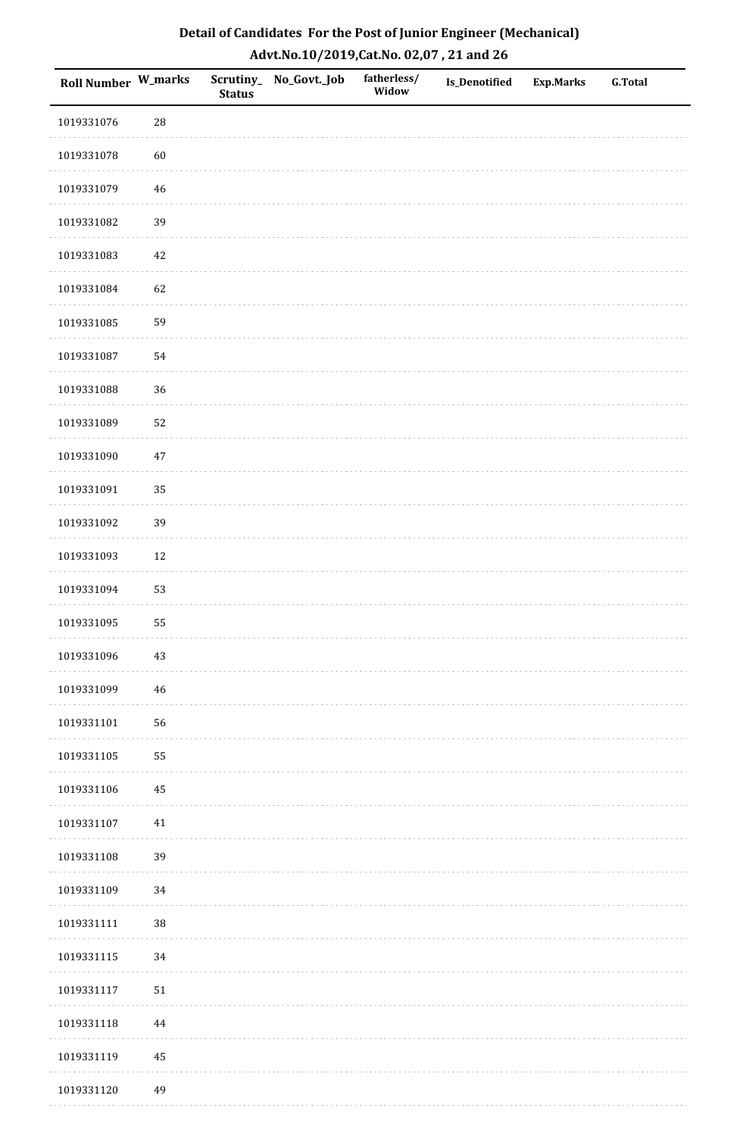| <b>Roll Number W_marks</b> |            | <b>Status</b> | Scrutiny_No_Govt._Job | fatherless/<br>Widow | Is_Denotified | <b>Exp.Marks</b> | <b>G.Total</b> |
|----------------------------|------------|---------------|-----------------------|----------------------|---------------|------------------|----------------|
| 1019331076                 | ${\bf 28}$ |               |                       |                      |               |                  |                |
| 1019331078                 | 60         |               |                       |                      |               |                  |                |
| 1019331079                 | 46         |               |                       |                      |               |                  |                |
| 1019331082                 | 39         |               |                       |                      |               |                  |                |
| 1019331083                 | $42\,$     |               |                       |                      |               |                  |                |
| 1019331084                 | 62         |               |                       |                      |               |                  |                |
| 1019331085                 | 59         |               |                       |                      |               |                  |                |
| 1019331087                 | 54         |               |                       |                      |               |                  |                |
| 1019331088                 | 36         |               |                       |                      |               |                  |                |
| 1019331089                 | 52         |               |                       |                      |               |                  |                |
| 1019331090                 | $47\,$     |               |                       |                      |               |                  |                |
| 1019331091                 | 35         |               |                       |                      |               |                  |                |
| 1019331092                 | 39         |               |                       |                      |               |                  |                |
| 1019331093                 | $12\,$     |               |                       |                      |               |                  |                |
| 1019331094                 | 53         |               |                       |                      |               |                  |                |
| 1019331095                 | 55         |               |                       |                      |               |                  |                |
| 1019331096                 | $43\,$     |               |                       |                      |               |                  |                |
| 1019331099                 | 46         |               |                       |                      |               |                  |                |
| 1019331101                 | 56         |               |                       |                      |               |                  |                |
| 1019331105                 | 55         |               |                       |                      |               |                  |                |
| 1019331106                 | 45         |               |                       |                      |               |                  |                |
| 1019331107                 | $41\,$     |               |                       |                      |               |                  |                |
| 1019331108                 | 39         |               |                       |                      |               |                  |                |
| 1019331109                 | 34         |               |                       |                      |               |                  |                |
| 1019331111                 | 38         |               |                       |                      |               |                  |                |
| 1019331115                 | 34         |               |                       |                      |               |                  |                |
| 1019331117                 | $51\,$     |               |                       |                      |               |                  |                |
| 1019331118                 | 44         |               |                       |                      |               |                  |                |
| 1019331119                 | $\bf 45$   |               |                       |                      |               |                  |                |
| 1019331120                 | 49         |               |                       |                      |               |                  |                |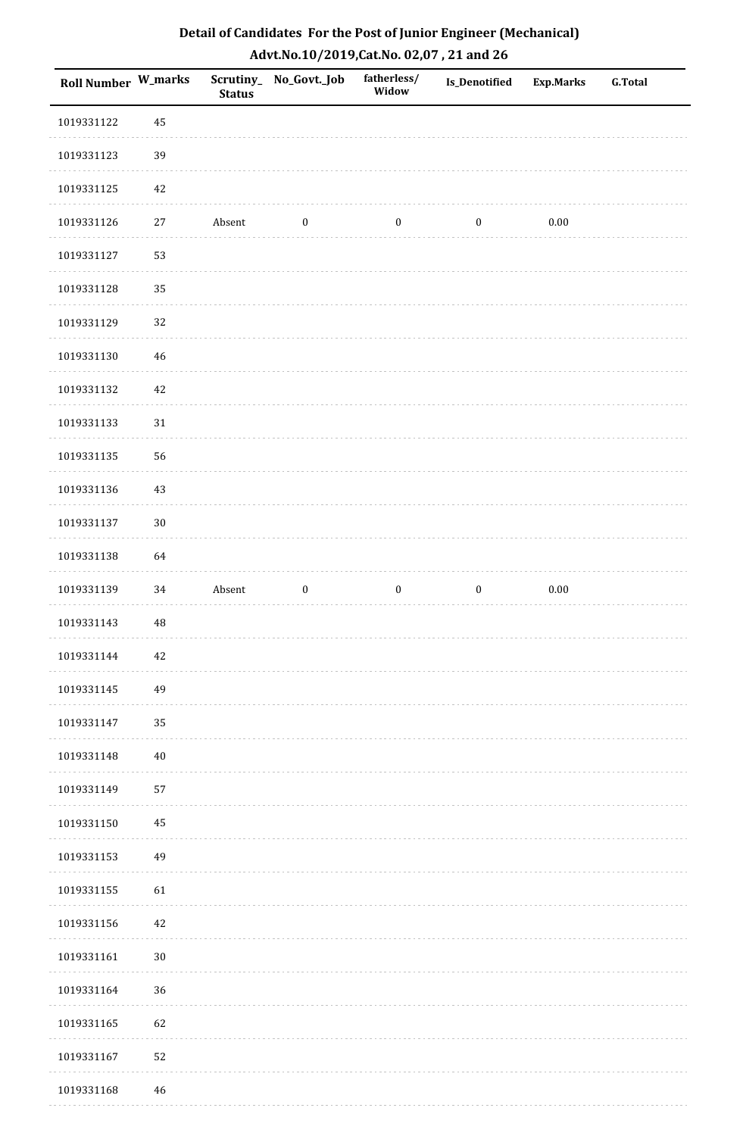| Roll Number W_marks |          | <b>Status</b> | Scrutiny_No_Govt._Job | fatherless/<br>Widow | <b>Is_Denotified</b> | <b>Exp.Marks</b> | <b>G.Total</b> |
|---------------------|----------|---------------|-----------------------|----------------------|----------------------|------------------|----------------|
| 1019331122          | 45       |               |                       |                      |                      |                  |                |
| 1019331123          | 39       |               |                       |                      |                      |                  |                |
| 1019331125          | 42       |               |                       |                      |                      |                  |                |
| 1019331126          | 27       | Absent        | $\boldsymbol{0}$      | $\boldsymbol{0}$     | $\boldsymbol{0}$     | $0.00\,$         |                |
| 1019331127          | 53       |               |                       |                      |                      |                  |                |
| 1019331128          | 35       |               |                       |                      |                      |                  |                |
| 1019331129          | 32       |               |                       |                      |                      |                  |                |
| 1019331130          | 46       |               |                       |                      |                      |                  |                |
| 1019331132          | $42\,$   |               |                       |                      |                      |                  |                |
| 1019331133          | $31\,$   |               |                       |                      |                      |                  |                |
| 1019331135          | 56       |               |                       |                      |                      |                  |                |
| 1019331136          | 43       |               |                       |                      |                      |                  |                |
| 1019331137          | $30\,$   |               |                       |                      |                      |                  |                |
| 1019331138          | 64       |               |                       |                      |                      |                  |                |
| 1019331139          | 34       | Absent        | $\boldsymbol{0}$      | $\boldsymbol{0}$     | $\boldsymbol{0}$     | $0.00\,$         |                |
| 1019331143          | $\rm 48$ |               |                       |                      |                      |                  |                |
| 1019331144          | 42       |               |                       |                      |                      |                  |                |
| 1019331145          | 49       |               |                       |                      |                      |                  |                |
| 1019331147          | 35       |               |                       |                      |                      |                  |                |
| 1019331148          | 40       |               |                       |                      |                      |                  |                |
| 1019331149          | 57       |               |                       |                      |                      |                  |                |
| 1019331150          | 45       |               |                       |                      |                      |                  |                |
| 1019331153          | 49       |               |                       |                      |                      |                  |                |
| 1019331155          | 61       |               |                       |                      |                      |                  |                |
| 1019331156          | 42       |               |                       |                      |                      |                  |                |
| 1019331161          | $30\,$   |               |                       |                      |                      |                  |                |
| 1019331164          | 36       |               |                       |                      |                      |                  |                |
| 1019331165          | 62       |               |                       |                      |                      |                  |                |
| 1019331167          | 52       |               |                       |                      |                      |                  |                |

 1019331168 46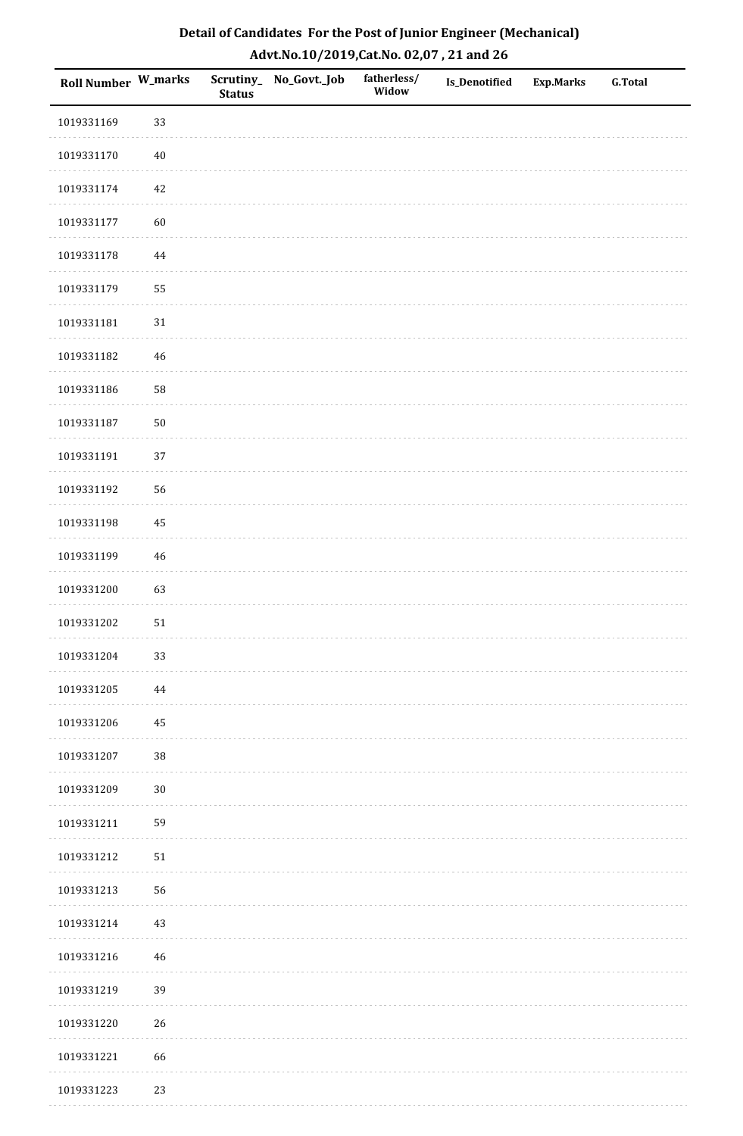| <b>Roll Number W_marks</b> |        | <b>Status</b> | Scrutiny_No_Govt._Job | fatherless/<br>Widow | Is_Denotified | <b>Exp.Marks</b> | <b>G.Total</b> |
|----------------------------|--------|---------------|-----------------------|----------------------|---------------|------------------|----------------|
| 1019331169                 | 33     |               |                       |                      |               |                  |                |
| 1019331170                 | $40\,$ |               |                       |                      |               |                  |                |
| 1019331174                 | $42\,$ |               |                       |                      |               |                  |                |
| 1019331177                 | 60     |               |                       |                      |               |                  |                |
| 1019331178                 | 44     |               |                       |                      |               |                  |                |
| 1019331179                 | 55     |               |                       |                      |               |                  |                |
| 1019331181                 | 31     |               |                       |                      |               |                  |                |
| 1019331182                 | 46     |               |                       |                      |               |                  |                |
| 1019331186                 | 58     |               |                       |                      |               |                  |                |
| 1019331187                 | $50\,$ |               |                       |                      |               |                  |                |
| 1019331191                 | 37     |               |                       |                      |               |                  |                |
| 1019331192                 | 56     |               |                       |                      |               |                  |                |
| 1019331198                 | 45     |               |                       |                      |               |                  |                |
| 1019331199                 | $46\,$ |               |                       |                      |               |                  |                |
| 1019331200                 | 63     |               |                       |                      |               |                  |                |
| 1019331202                 | $51\,$ |               |                       |                      |               |                  |                |
| 1019331204                 | 33     |               |                       |                      |               |                  |                |
| 1019331205                 | 44     |               |                       |                      |               |                  |                |
| 1019331206                 | 45     |               |                       |                      |               |                  |                |
| 1019331207                 | 38     |               |                       |                      |               |                  |                |
| 1019331209                 | $30\,$ |               |                       |                      |               |                  |                |
| 1019331211                 | 59     |               |                       |                      |               |                  |                |
| 1019331212                 | $51\,$ |               |                       |                      |               |                  |                |
| 1019331213                 | 56     |               |                       |                      |               |                  |                |
| 1019331214                 | 43     |               |                       |                      |               |                  |                |
| 1019331216                 | $46\,$ |               |                       |                      |               |                  |                |
| 1019331219                 | 39     |               |                       |                      |               |                  |                |
| 1019331220                 | 26     |               |                       |                      |               |                  |                |
| 1019331221                 | 66     |               |                       |                      |               |                  |                |
| 1019331223                 | 23     |               |                       |                      |               |                  |                |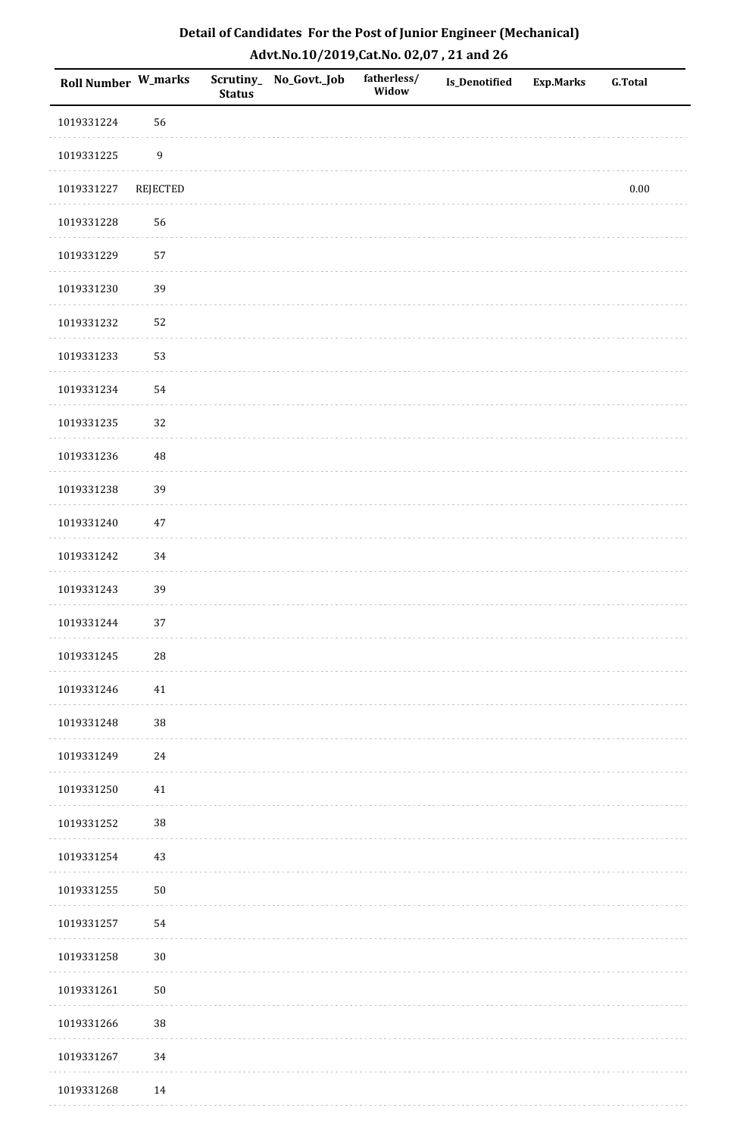| Roll Number W_marks |                  | <b>Status</b> | Scrutiny_No_Govt._Job | fatherless/<br>Widow | Is_Denotified | <b>Exp.Marks</b> | <b>G.Total</b> |
|---------------------|------------------|---------------|-----------------------|----------------------|---------------|------------------|----------------|
| 1019331224          | 56               |               |                       |                      |               |                  |                |
| 1019331225          | $\boldsymbol{9}$ |               |                       |                      |               |                  |                |
| 1019331227          | REJECTED         |               |                       |                      |               |                  | $0.00\,$       |
| 1019331228          | 56               |               |                       |                      |               |                  |                |
| 1019331229          | 57               |               |                       |                      |               |                  |                |
| 1019331230          | 39               |               |                       |                      |               |                  |                |
| 1019331232          | 52               |               |                       |                      |               |                  |                |
| 1019331233          | 53               |               |                       |                      |               |                  |                |
| 1019331234          | 54               |               |                       |                      |               |                  |                |
| 1019331235          | 32               |               |                       |                      |               |                  |                |
| 1019331236          | 48               |               |                       |                      |               |                  |                |
| 1019331238          | 39               |               |                       |                      |               |                  |                |
| 1019331240          | $47\,$           |               |                       |                      |               |                  |                |
| 1019331242          | 34               |               |                       |                      |               |                  |                |
| 1019331243          | 39               |               |                       |                      |               |                  |                |
| 1019331244          | 37               |               |                       |                      |               |                  |                |
| 1019331245          | $28\,$           |               |                       |                      |               |                  |                |
| 1019331246          | 41               |               |                       |                      |               |                  |                |
| 1019331248          | $38\,$           |               |                       |                      |               |                  |                |
| 1019331249          | 24               |               |                       |                      |               |                  |                |
| 1019331250          | 41               |               |                       |                      |               |                  |                |
| 1019331252          | $38\,$           |               |                       |                      |               |                  |                |
| 1019331254          | 43               |               |                       |                      |               |                  |                |
| 1019331255          | ${\bf 50}$       |               |                       |                      |               |                  |                |
| 1019331257          | 54               |               |                       |                      |               |                  |                |
| 1019331258          | $30\,$           |               |                       |                      |               |                  |                |
| 1019331261          | $50\,$           |               |                       |                      |               |                  |                |
| 1019331266          | $38\,$           |               |                       |                      |               |                  |                |
| 1019331267          | 34               |               |                       |                      |               |                  |                |
| 1019331268          | 14               |               |                       |                      |               |                  |                |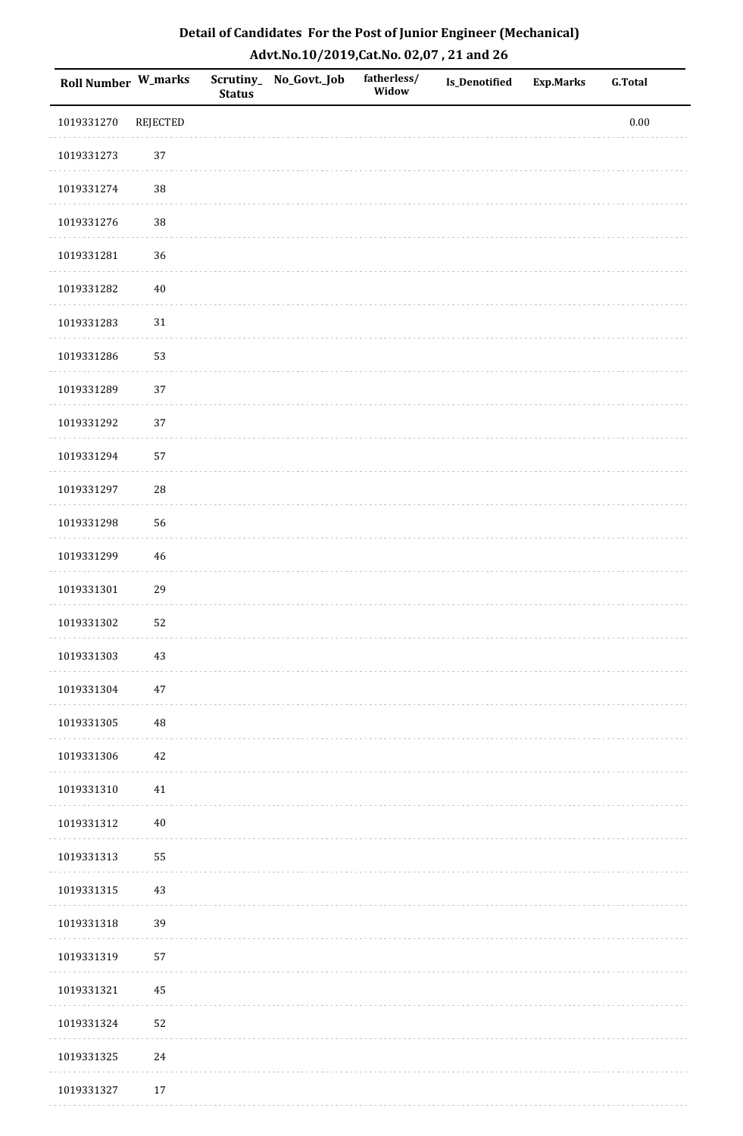| Roll Number W_marks |                 | <b>Status</b> | Scrutiny_No_Govt._Job | fatherless/<br>Widow | Is_Denotified | <b>Exp.Marks</b> | <b>G.Total</b> |
|---------------------|-----------------|---------------|-----------------------|----------------------|---------------|------------------|----------------|
| 1019331270          | <b>REJECTED</b> |               |                       |                      |               |                  | $0.00\,$       |
| 1019331273          | 37              |               |                       |                      |               |                  |                |
| 1019331274          | $38\,$          |               |                       |                      |               |                  |                |
| 1019331276          | 38              |               |                       |                      |               |                  |                |
| 1019331281          | 36              |               |                       |                      |               |                  |                |
| 1019331282          | $40\,$          |               |                       |                      |               |                  |                |
| 1019331283          | 31              |               |                       |                      |               |                  |                |
| 1019331286          | 53              |               |                       |                      |               |                  |                |
| 1019331289          | 37              |               |                       |                      |               |                  |                |
| 1019331292          | 37              |               |                       |                      |               |                  |                |
| 1019331294          | 57              |               |                       |                      |               |                  |                |
| 1019331297          | ${\bf 28}$      |               |                       |                      |               |                  |                |
| 1019331298          | 56              |               |                       |                      |               |                  |                |
| 1019331299          | $46\,$          |               |                       |                      |               |                  |                |
| 1019331301          | 29              |               |                       |                      |               |                  |                |
| 1019331302          | 52              |               |                       |                      |               |                  |                |
| 1019331303          | $43\,$          |               |                       |                      |               |                  |                |
| 1019331304          | $47\,$          |               |                       |                      |               |                  |                |
| 1019331305          | 48              |               |                       |                      |               |                  |                |
| 1019331306          | $42\,$          |               |                       |                      |               |                  |                |
| 1019331310          | 41              |               |                       |                      |               |                  |                |
| 1019331312          | $40\,$          |               |                       |                      |               |                  |                |
| 1019331313          | 55              |               |                       |                      |               |                  |                |
| 1019331315          | $43\,$          |               |                       |                      |               |                  |                |
| 1019331318          | 39              |               |                       |                      |               |                  |                |
| 1019331319          | 57              |               |                       |                      |               |                  |                |
| 1019331321          | $\bf 45$        |               |                       |                      |               |                  |                |
| 1019331324          | 52              |               |                       |                      |               |                  |                |
| 1019331325          | $24\,$          |               |                       |                      |               |                  |                |
| 1019331327          | 17              |               |                       |                      |               |                  |                |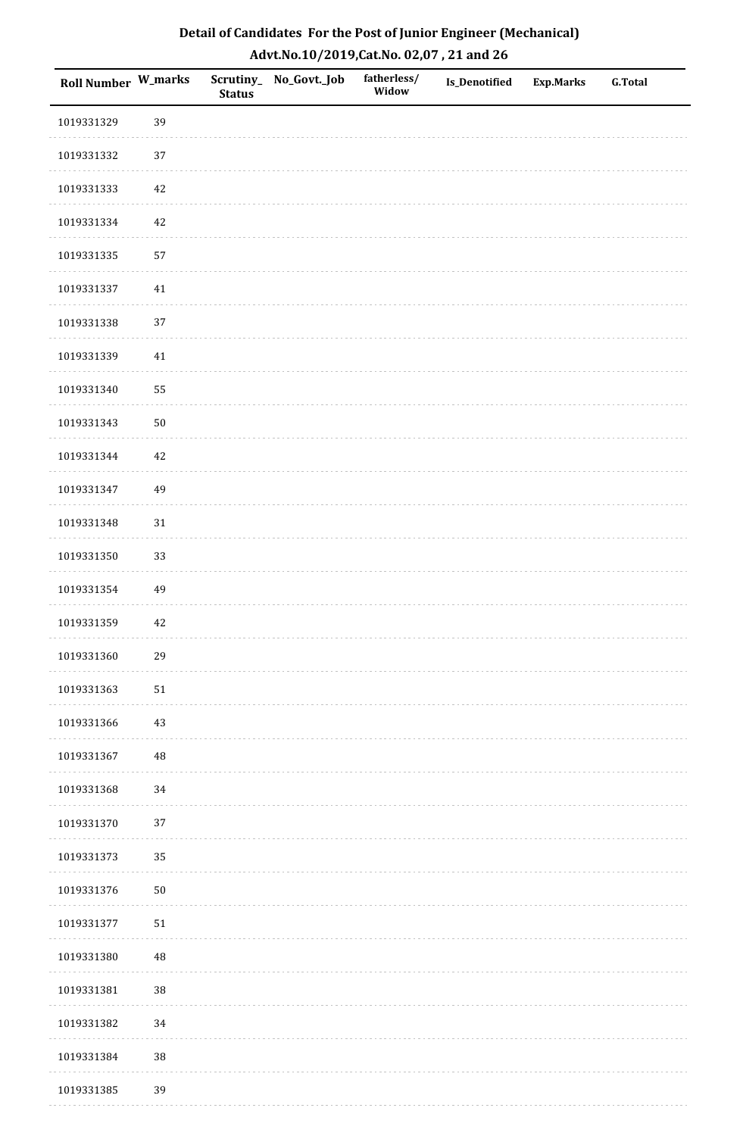| Detail of Candidates For the Post of Junior Engineer (Mechanical) |
|-------------------------------------------------------------------|
| Advt.No.10/2019,Cat.No. 02,07, 21 and 26                          |

| Roll Number W_marks |            | <b>Status</b> | Scrutiny_ No_Govt._Job | fatherless/<br>Widow | Is_Denotified | <b>Exp.Marks</b> | <b>G.Total</b> |
|---------------------|------------|---------------|------------------------|----------------------|---------------|------------------|----------------|
| 1019331329          | 39         |               |                        |                      |               |                  |                |
| 1019331332          | 37         |               |                        |                      |               |                  |                |
| 1019331333          | 42         |               |                        |                      |               |                  |                |
| 1019331334          | 42         |               |                        |                      |               |                  |                |
| 1019331335          | 57         |               |                        |                      |               |                  |                |
| 1019331337          | 41         |               |                        |                      |               |                  |                |
| 1019331338          | 37         |               |                        |                      |               |                  |                |
| 1019331339          | $41\,$     |               |                        |                      |               |                  |                |
| 1019331340          | 55         |               |                        |                      |               |                  |                |
| 1019331343          | ${\bf 50}$ |               |                        |                      |               |                  |                |
| 1019331344          | 42         |               |                        |                      |               |                  |                |
| 1019331347          | 49         |               |                        |                      |               |                  |                |
| 1019331348          | 31         |               |                        |                      |               |                  |                |
| 1019331350          | 33         |               |                        |                      |               |                  |                |
| 1019331354          | 49         |               |                        |                      |               |                  |                |
| 1019331359          | 42         |               |                        |                      |               |                  |                |
| 1019331360          | 29         |               |                        |                      |               |                  |                |
| 1019331363          | 51         |               |                        |                      |               |                  |                |
| 1019331366          | 43         |               |                        |                      |               |                  |                |
| 1019331367          | $\rm 48$   |               |                        |                      |               |                  |                |
| 1019331368          | 34         |               |                        |                      |               |                  |                |
| 1019331370          | 37         |               |                        |                      |               |                  |                |
| 1019331373          | 35         |               |                        |                      |               |                  |                |
| 1019331376          | $50\,$     |               |                        |                      |               |                  |                |
| 1019331377          | 51         |               |                        |                      |               |                  |                |
| 1019331380          | 48         |               |                        |                      |               |                  |                |
| 1019331381          | $38\,$     |               |                        |                      |               |                  |                |
| 1019331382          | 34         |               |                        |                      |               |                  |                |
| 1019331384          | $38\,$     |               |                        |                      |               |                  |                |
| 1019331385          | 39         |               |                        |                      |               |                  |                |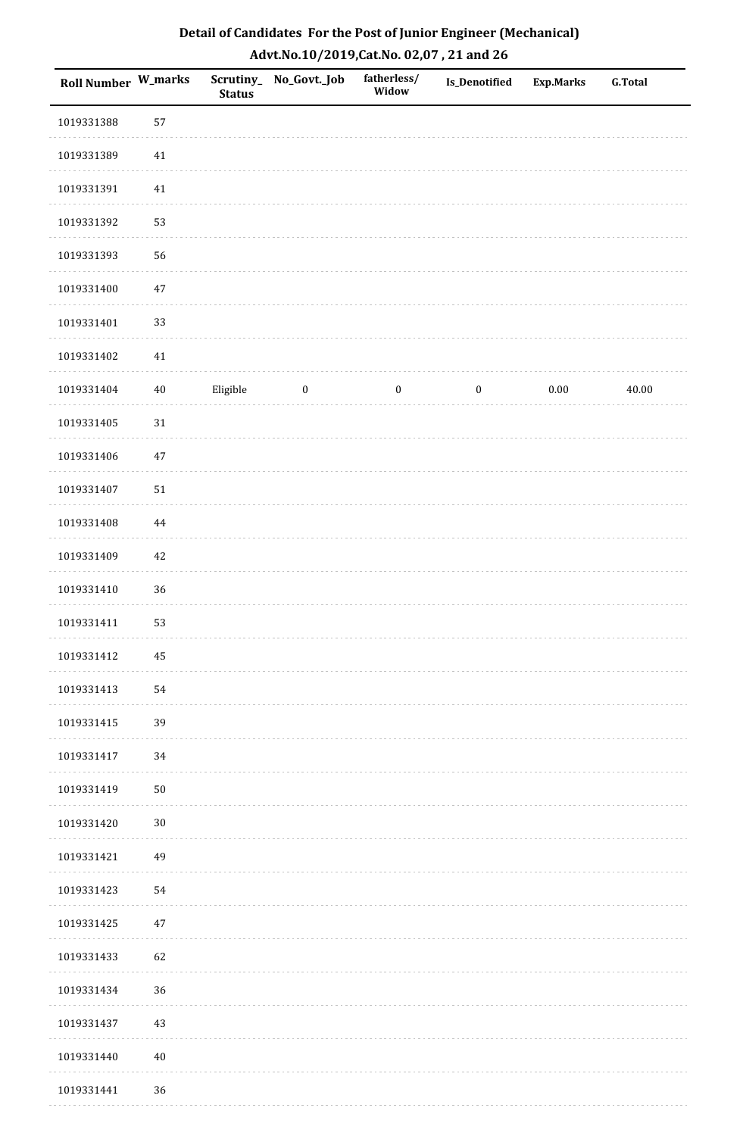| Detail of Candidates For the Post of Junior Engineer (Mechanical) |
|-------------------------------------------------------------------|
| Advt.No.10/2019, Cat.No. 02,07, 21 and 26                         |

| Roll Number W_marks |          | <b>Status</b> | Scrutiny_ No_Govt._Job | fatherless/<br>Widow | Is_Denotified    | <b>Exp.Marks</b> | <b>G.Total</b> |
|---------------------|----------|---------------|------------------------|----------------------|------------------|------------------|----------------|
| 1019331388          | 57       |               |                        |                      |                  |                  |                |
| 1019331389          | $41\,$   |               |                        |                      |                  |                  |                |
| 1019331391          | 41       |               |                        |                      |                  |                  |                |
| 1019331392          | 53       |               |                        |                      |                  |                  |                |
| 1019331393          | 56       |               |                        |                      |                  |                  |                |
| 1019331400          | $47\,$   |               |                        |                      |                  |                  |                |
| 1019331401          | 33       |               |                        |                      |                  |                  |                |
| 1019331402          | $41\,$   |               |                        |                      |                  |                  |                |
| 1019331404          | $40\,$   | Eligible      | $\bf{0}$               | $\boldsymbol{0}$     | $\boldsymbol{0}$ | $0.00\,$         | 40.00          |
| 1019331405          | 31       |               |                        |                      |                  |                  |                |
| 1019331406          | $47\,$   |               |                        |                      |                  |                  |                |
| 1019331407          | $51\,$   |               |                        |                      |                  |                  |                |
| 1019331408          | $\bf 44$ |               |                        |                      |                  |                  |                |
| 1019331409          | $42\,$   |               |                        |                      |                  |                  |                |
| 1019331410          | 36       |               |                        |                      |                  |                  |                |
| 1019331411          | 53       |               |                        |                      |                  |                  |                |
| 1019331412          | 45       |               |                        |                      |                  |                  |                |
| 1019331413          | 54       |               |                        |                      |                  |                  |                |
| 1019331415          | 39       |               |                        |                      |                  |                  |                |
| 1019331417          | 34       |               |                        |                      |                  |                  |                |
| 1019331419          | $50\,$   |               |                        |                      |                  |                  |                |
| 1019331420          | $30\,$   |               |                        |                      |                  |                  |                |
| 1019331421          | 49       |               |                        |                      |                  |                  |                |
| 1019331423          | 54       |               |                        |                      |                  |                  |                |
| 1019331425          | $47\,$   |               |                        |                      |                  |                  |                |
| 1019331433          | 62       |               |                        |                      |                  |                  |                |
| 1019331434          | 36       |               |                        |                      |                  |                  |                |
| 1019331437          | 43       |               |                        |                      |                  |                  |                |
| 1019331440          | $40\,$   |               |                        |                      |                  |                  |                |
| 1019331441          | 36       |               |                        |                      |                  |                  |                |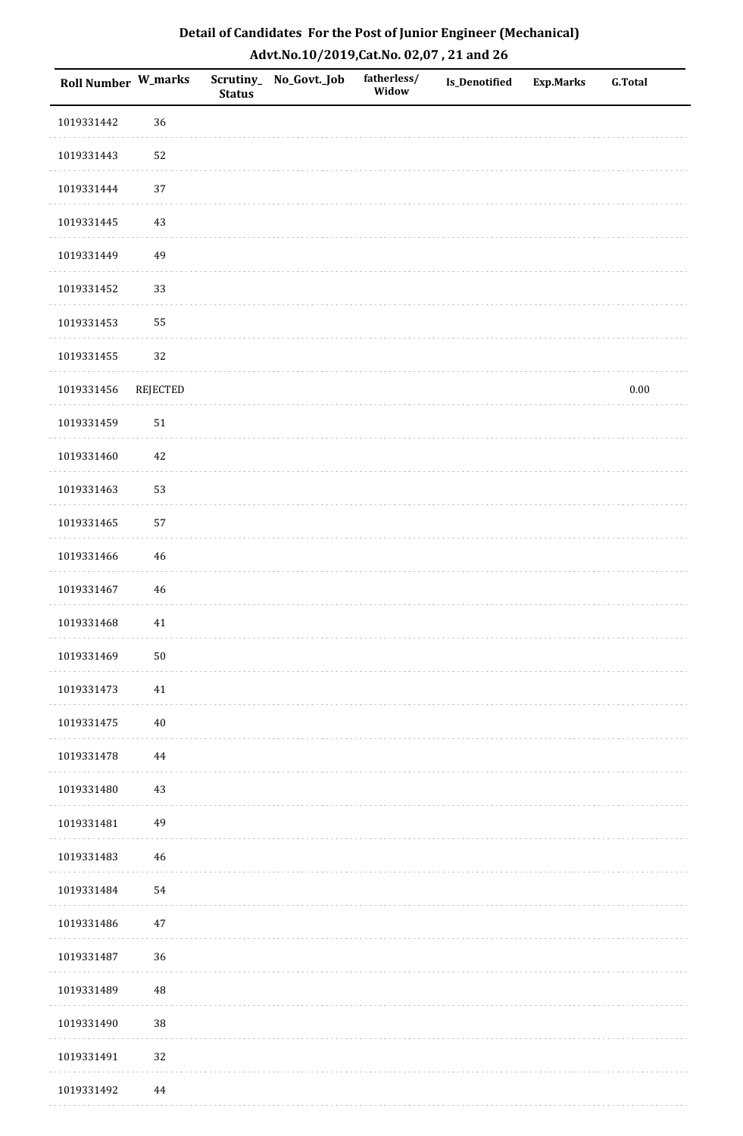| Roll Number W_marks |                 | <b>Status</b> | Scrutiny_ No_Govt._Job | fatherless/<br>Widow | <b>Is_Denotified</b> | <b>Exp.Marks</b> | <b>G.Total</b> |
|---------------------|-----------------|---------------|------------------------|----------------------|----------------------|------------------|----------------|
| 1019331442          | 36              |               |                        |                      |                      |                  |                |
| 1019331443          | 52              |               |                        |                      |                      |                  |                |
| 1019331444          | 37              |               |                        |                      |                      |                  |                |
| 1019331445          | 43              |               |                        |                      |                      |                  |                |
| 1019331449          | 49              |               |                        |                      |                      |                  |                |
| 1019331452          | 33              |               |                        |                      |                      |                  |                |
| 1019331453          | 55              |               |                        |                      |                      |                  |                |
| 1019331455          | 32              |               |                        |                      |                      |                  |                |
| 1019331456          | <b>REJECTED</b> |               |                        |                      |                      |                  | $0.00\,$       |
| 1019331459          | $51\,$          |               |                        |                      |                      |                  |                |
| 1019331460          | 42              |               |                        |                      |                      |                  |                |
| 1019331463          | 53              |               |                        |                      |                      |                  |                |
| 1019331465          | 57              |               |                        |                      |                      |                  |                |
| 1019331466          | $46\,$          |               |                        |                      |                      |                  |                |
| 1019331467          | 46              |               |                        |                      |                      |                  |                |
| 1019331468          | $41\,$          |               |                        |                      |                      |                  |                |
| 1019331469          | $50\,$          |               |                        |                      |                      |                  |                |
| 1019331473          | 41              |               |                        |                      |                      |                  |                |
| 1019331475          | $40\,$          |               |                        |                      |                      |                  |                |
| 1019331478          | 44              |               |                        |                      |                      |                  |                |
| 1019331480          | 43              |               |                        |                      |                      |                  |                |
| 1019331481          | 49              |               |                        |                      |                      |                  |                |
| 1019331483          | $46\,$          |               |                        |                      |                      |                  |                |
| 1019331484          | 54              |               |                        |                      |                      |                  |                |
| 1019331486          | 47              |               |                        |                      |                      |                  |                |
| 1019331487          | 36              |               |                        |                      |                      |                  |                |
| 1019331489          | 48              |               |                        |                      |                      |                  |                |
| 1019331490          | 38              |               |                        |                      |                      |                  |                |
| 1019331491          | 32              |               |                        |                      |                      |                  |                |
| 1019331492          | 44              |               |                        |                      |                      |                  |                |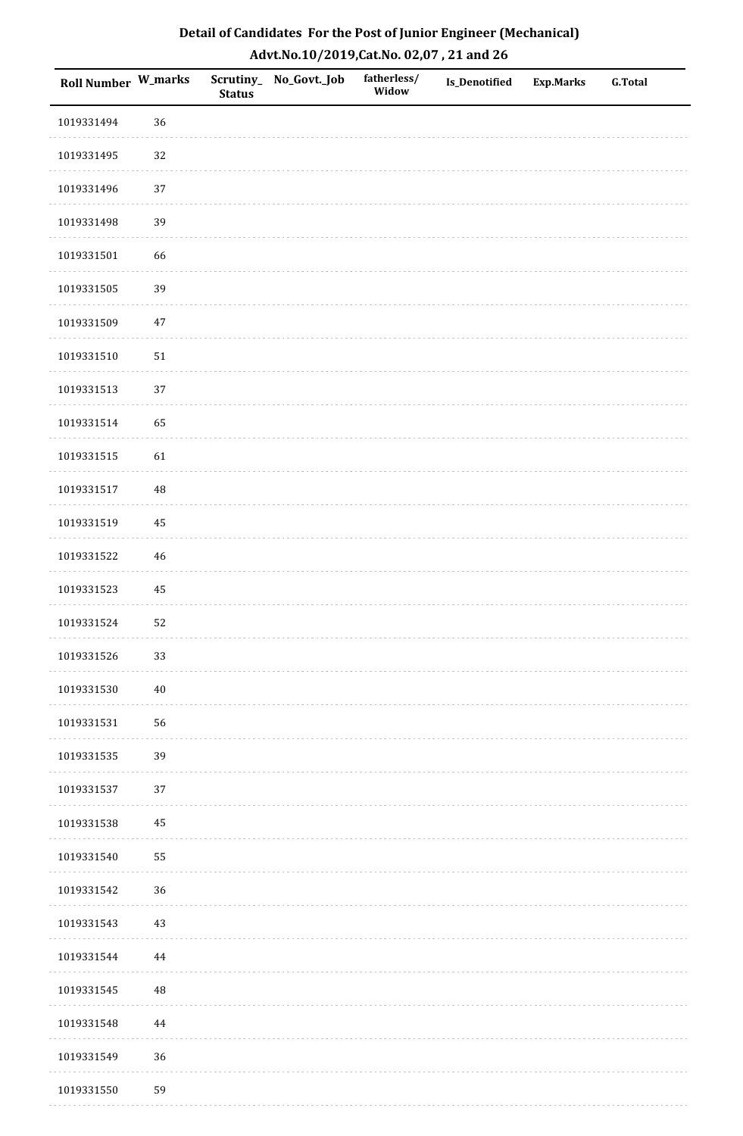| Roll Number W_marks |          | <b>Status</b> | Scrutiny_No_Govt._Job | fatherless/<br>Widow | Is_Denotified | <b>Exp.Marks</b> | <b>G.Total</b> |
|---------------------|----------|---------------|-----------------------|----------------------|---------------|------------------|----------------|
| 1019331494          | 36       |               |                       |                      |               |                  |                |
| 1019331495          | 32       |               |                       |                      |               |                  |                |
| 1019331496          | 37       |               |                       |                      |               |                  |                |
| 1019331498          | 39       |               |                       |                      |               |                  |                |
| 1019331501          | 66       |               |                       |                      |               |                  |                |
| 1019331505          | 39       |               |                       |                      |               |                  |                |
| 1019331509          | $47\,$   |               |                       |                      |               |                  |                |
| 1019331510          | $51\,$   |               |                       |                      |               |                  |                |
| 1019331513          | 37       |               |                       |                      |               |                  |                |
| 1019331514          | 65       |               |                       |                      |               |                  |                |
| 1019331515          | 61       |               |                       |                      |               |                  |                |
| 1019331517          | $\rm 48$ |               |                       |                      |               |                  |                |
| 1019331519          | 45       |               |                       |                      |               |                  |                |
| 1019331522          | $46\,$   |               |                       |                      |               |                  |                |
| 1019331523          | $\rm 45$ |               |                       |                      |               |                  |                |
| 1019331524          | 52       |               |                       |                      |               |                  |                |
| 1019331526          | 33       |               |                       |                      |               |                  |                |
| 1019331530          | $40\,$   |               |                       |                      |               |                  |                |
| 1019331531          | 56       |               |                       |                      |               |                  |                |
| 1019331535          | 39       |               |                       |                      |               |                  |                |
| 1019331537          | 37       |               |                       |                      |               |                  |                |
| 1019331538          | $\bf 45$ |               |                       |                      |               |                  |                |
| 1019331540          | 55       |               |                       |                      |               |                  |                |
| 1019331542          | 36       |               |                       |                      |               |                  |                |
| 1019331543          | $43\,$   |               |                       |                      |               |                  |                |
| 1019331544          | $\bf 44$ |               |                       |                      |               |                  |                |
| 1019331545          | 48       |               |                       |                      |               |                  |                |
| 1019331548          | 44       |               |                       |                      |               |                  |                |
| 1019331549          | 36       |               |                       |                      |               |                  |                |
| 1019331550          | 59       |               |                       |                      |               |                  |                |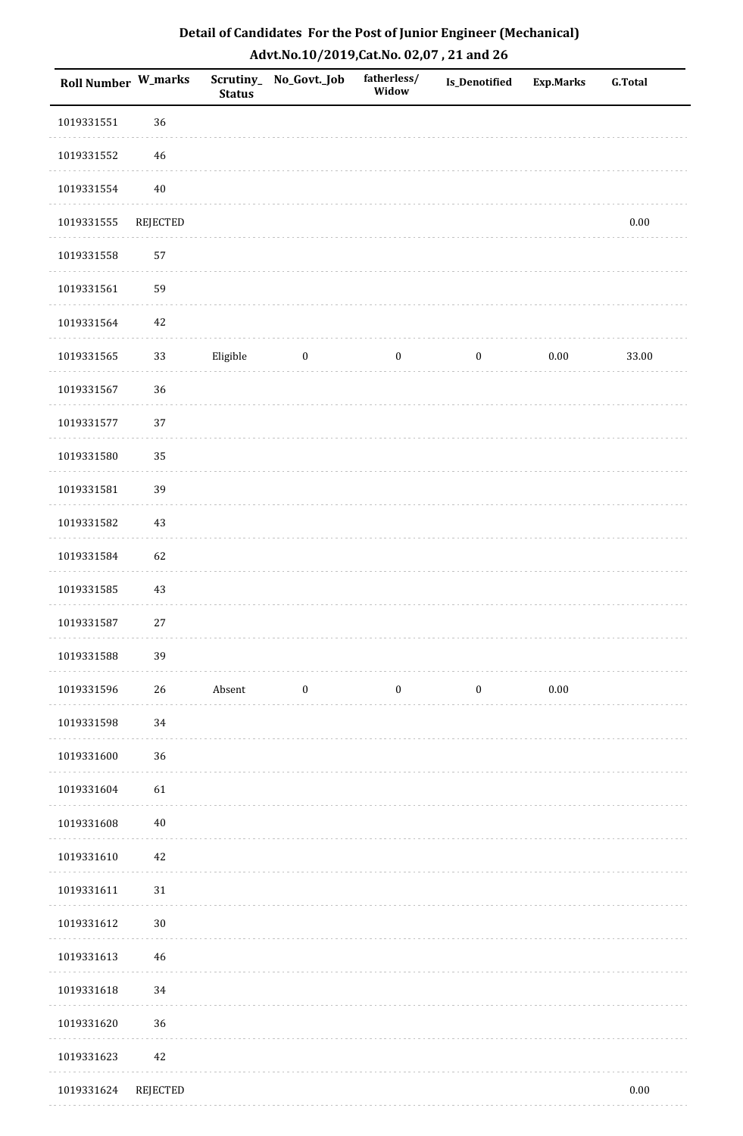| Roll Number W_marks |                 | <b>Status</b> | Scrutiny_ No_Govt._Job | fatherless/<br>Widow | Is_Denotified    | <b>Exp.Marks</b> | <b>G.Total</b> |
|---------------------|-----------------|---------------|------------------------|----------------------|------------------|------------------|----------------|
| 1019331551          | 36              |               |                        |                      |                  |                  |                |
| 1019331552          | $46\,$          |               |                        |                      |                  |                  |                |
| 1019331554          | $40\,$          |               |                        |                      |                  |                  |                |
| 1019331555          | <b>REJECTED</b> |               |                        |                      |                  |                  | $0.00\,$       |
| 1019331558          | 57              |               |                        |                      |                  |                  |                |
| 1019331561          | 59              |               |                        |                      |                  |                  |                |
| 1019331564          | 42              |               |                        |                      |                  |                  |                |
| 1019331565          | 33              | Eligible      | $\boldsymbol{0}$       | $\bf{0}$             | $\boldsymbol{0}$ | $0.00\,$         | 33.00          |
| 1019331567          | 36              |               |                        |                      |                  |                  |                |
| 1019331577          | 37              |               |                        |                      |                  |                  |                |
| 1019331580          | 35              |               |                        |                      |                  |                  |                |
| 1019331581          | 39              |               |                        |                      |                  |                  |                |
| 1019331582          | $43\,$          |               |                        |                      |                  |                  |                |
| 1019331584          | 62              |               |                        |                      |                  |                  |                |
| 1019331585          | 43              |               |                        |                      |                  |                  |                |
| 1019331587          | $27\,$          |               |                        |                      |                  |                  |                |
| 1019331588          | 39              |               |                        |                      |                  |                  |                |
| 1019331596          | 26              | Absent        | $\boldsymbol{0}$       | $\boldsymbol{0}$     | $\boldsymbol{0}$ | 0.00             |                |
| 1019331598          | 34              |               |                        |                      |                  |                  |                |
| 1019331600          | 36              |               |                        |                      |                  |                  |                |
| 1019331604          | 61              |               |                        |                      |                  |                  |                |
| 1019331608          | $40\,$          |               |                        |                      |                  |                  |                |
| 1019331610          | $42\,$          |               |                        |                      |                  |                  |                |
| 1019331611          | $31\,$          |               |                        |                      |                  |                  |                |
| 1019331612          | $30\,$          |               |                        |                      |                  |                  |                |
| 1019331613          | $46\,$          |               |                        |                      |                  |                  |                |
| 1019331618          | 34              |               |                        |                      |                  |                  |                |
| 1019331620          | 36              |               |                        |                      |                  |                  |                |
| 1019331623          | 42              |               |                        |                      |                  |                  |                |
| 1019331624          | <b>REJECTED</b> |               |                        |                      |                  |                  | $0.00\,$       |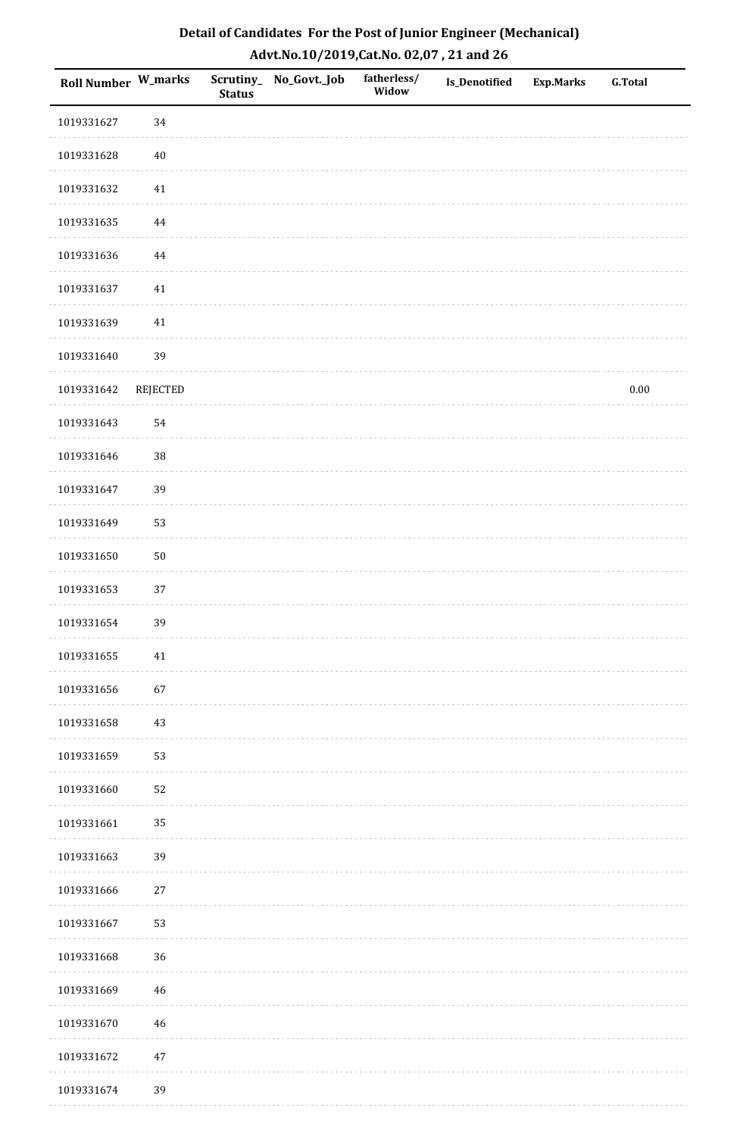| Roll Number W_marks |                 | Scrutiny_<br><b>Status</b> | No_Govt._Job | fatherless/<br>Widow | Is_Denotified | <b>Exp.Marks</b> | <b>G.Total</b> |
|---------------------|-----------------|----------------------------|--------------|----------------------|---------------|------------------|----------------|
| 1019331627          | 34              |                            |              |                      |               |                  |                |
| 1019331628          | $40\,$          |                            |              |                      |               |                  |                |
| 1019331632          | 41              |                            |              |                      |               |                  |                |
| 1019331635          | 44              |                            |              |                      |               |                  |                |
| 1019331636          | $\bf 44$        |                            |              |                      |               |                  |                |
| 1019331637          | 41              |                            |              |                      |               |                  |                |
| 1019331639          | $41\,$          |                            |              |                      |               |                  |                |
| 1019331640          | 39              |                            |              |                      |               |                  |                |
| 1019331642          | <b>REJECTED</b> |                            |              |                      |               |                  | $0.00\,$       |
| 1019331643          | 54              |                            |              |                      |               |                  |                |
| 1019331646          | 38              |                            |              |                      |               |                  |                |
| 1019331647          | 39              |                            |              |                      |               |                  |                |
| 1019331649          | 53              |                            |              |                      |               |                  |                |
| 1019331650          | $50\,$          |                            |              |                      |               |                  |                |
| 1019331653          | 37              |                            |              |                      |               |                  |                |
| 1019331654          | 39              |                            |              |                      |               |                  |                |
| 1019331655          | $41\,$          |                            |              |                      |               |                  |                |
| 1019331656          | 67              |                            |              |                      |               |                  |                |
| 1019331658          | 43              |                            |              |                      |               |                  |                |
| 1019331659          | 53              |                            |              |                      |               |                  |                |
| 1019331660          | 52              |                            |              |                      |               |                  |                |
| 1019331661          | 35              |                            |              |                      |               |                  |                |
| 1019331663          | 39              |                            |              |                      |               |                  |                |
| 1019331666          | 27              |                            |              |                      |               |                  |                |
| 1019331667          | 53              |                            |              |                      |               |                  |                |
| 1019331668          | 36              |                            |              |                      |               |                  |                |
| 1019331669          | 46              |                            |              |                      |               |                  |                |
| 1019331670          | 46              |                            |              |                      |               |                  |                |
| 1019331672          | $47\,$          |                            |              |                      |               |                  |                |
| 1019331674          | 39              |                            |              |                      |               |                  |                |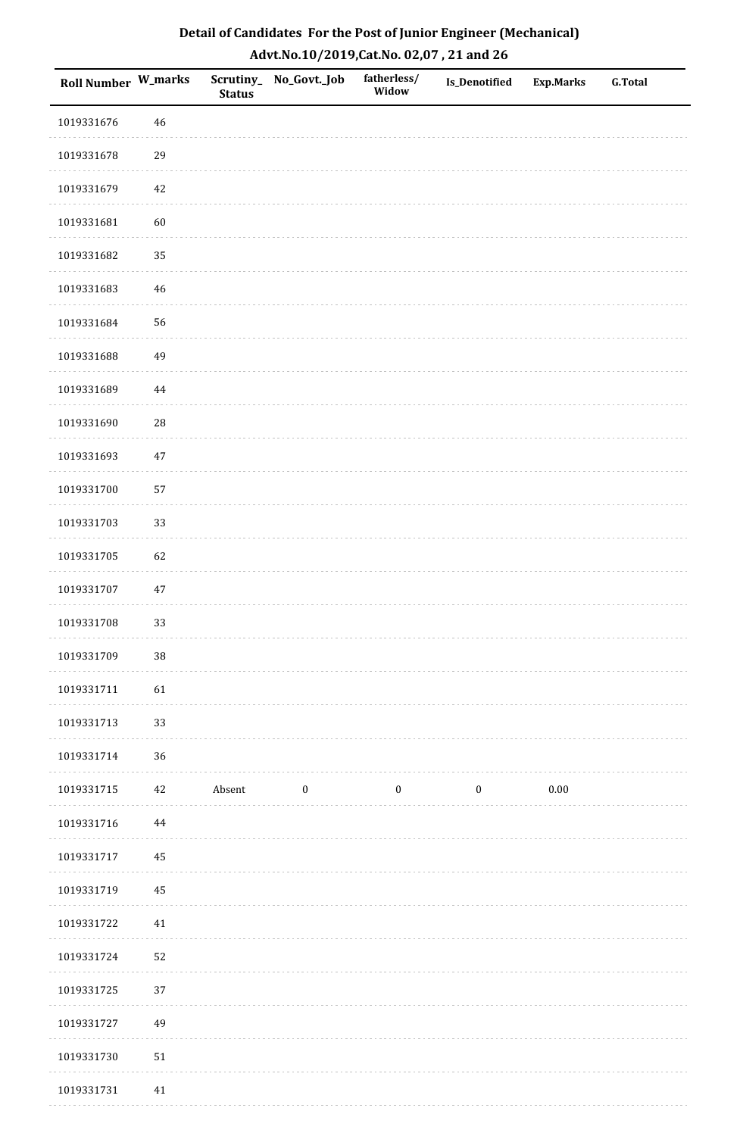| Roll Number W_marks |            | <b>Status</b> | Scrutiny_No_Govt._Job | fatherless/<br>Widow | Is_Denotified    | <b>Exp.Marks</b> | <b>G.Total</b> |
|---------------------|------------|---------------|-----------------------|----------------------|------------------|------------------|----------------|
| 1019331676          | $46\,$     |               |                       |                      |                  |                  |                |
| 1019331678          | 29         |               |                       |                      |                  |                  |                |
| 1019331679          | $42\,$     |               |                       |                      |                  |                  |                |
| 1019331681          | 60         |               |                       |                      |                  |                  |                |
| 1019331682          | 35         |               |                       |                      |                  |                  |                |
| 1019331683          | 46         |               |                       |                      |                  |                  |                |
| 1019331684          | 56         |               |                       |                      |                  |                  |                |
| 1019331688          | 49         |               |                       |                      |                  |                  |                |
| 1019331689          | 44         |               |                       |                      |                  |                  |                |
| 1019331690          | ${\bf 28}$ |               |                       |                      |                  |                  |                |
| 1019331693          | $47\,$     |               |                       |                      |                  |                  |                |
| 1019331700          | 57         |               |                       |                      |                  |                  |                |
| 1019331703          | 33         |               |                       |                      |                  |                  |                |
| 1019331705          | 62         |               |                       |                      |                  |                  |                |
| 1019331707          | $47\,$     |               |                       |                      |                  |                  |                |
| 1019331708          | 33         |               |                       |                      |                  |                  |                |
| 1019331709          | $38\,$     |               |                       |                      |                  |                  |                |
| 1019331711          | 61         |               |                       |                      |                  |                  |                |
| 1019331713          | 33         |               |                       |                      |                  |                  |                |
| 1019331714          | 36         |               |                       |                      |                  |                  |                |
| 1019331715          | 42         | Absent        | $\boldsymbol{0}$      | $\boldsymbol{0}$     | $\boldsymbol{0}$ | $0.00\,$         |                |
| 1019331716          | 44         |               |                       |                      |                  |                  |                |
| 1019331717          | 45         |               |                       |                      |                  |                  |                |
| 1019331719          | 45         |               |                       |                      |                  |                  |                |
| 1019331722          | 41         |               |                       |                      |                  |                  |                |
| 1019331724          | 52         |               |                       |                      |                  |                  |                |
| 1019331725          | 37         |               |                       |                      |                  |                  |                |
| 1019331727          | 49         |               |                       |                      |                  |                  |                |
| 1019331730          | $51\,$     |               |                       |                      |                  |                  |                |
| 1019331731          | 41         |               |                       |                      |                  |                  |                |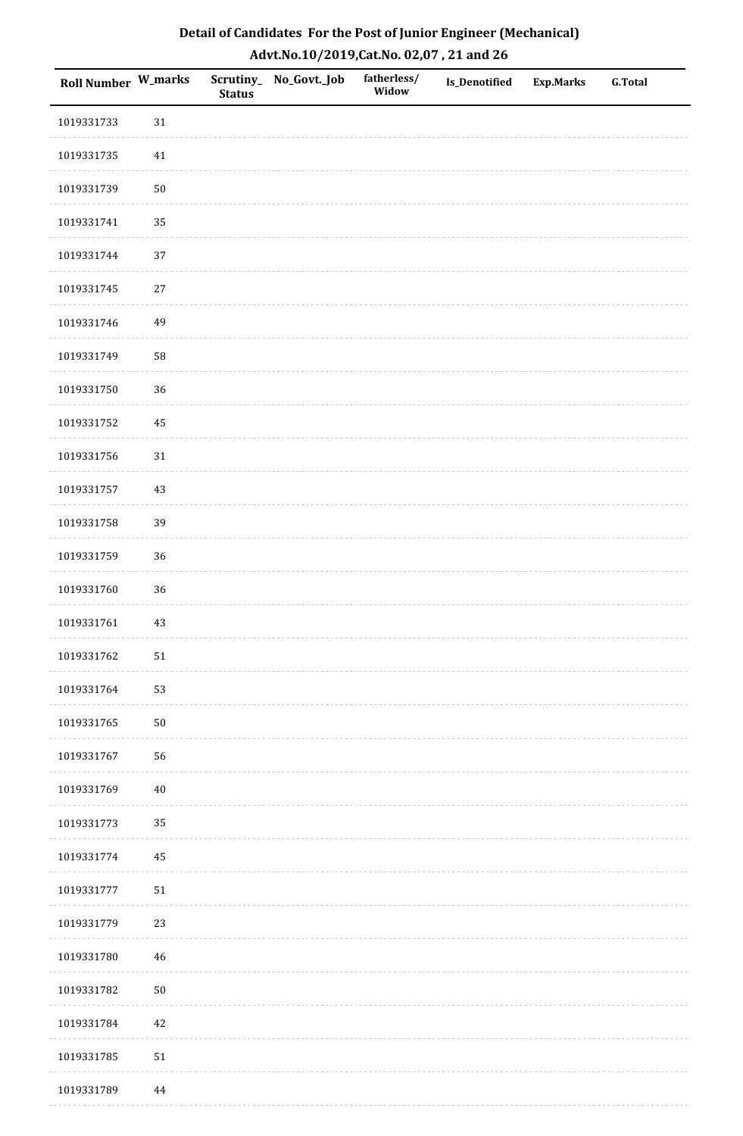| Detail of Candidates For the Post of Junior Engineer (Mechanical) |
|-------------------------------------------------------------------|
| Advt.No.10/2019, Cat.No. 02,07, 21 and 26                         |

| Roll Number W_marks |            | <b>Status</b> | Scrutiny_ No_Govt._Job | fatherless/<br>Widow | Is_Denotified | <b>Exp.Marks</b> | <b>G.Total</b> |
|---------------------|------------|---------------|------------------------|----------------------|---------------|------------------|----------------|
| 1019331733          | 31         |               |                        |                      |               |                  |                |
| 1019331735          | $41\,$     |               |                        |                      |               |                  |                |
| 1019331739          | 50         |               |                        |                      |               |                  |                |
| 1019331741          | 35         |               |                        |                      |               |                  |                |
| 1019331744          | $37\,$     |               |                        |                      |               |                  |                |
| 1019331745          | $27\,$     |               |                        |                      |               |                  |                |
| 1019331746          | 49         |               |                        |                      |               |                  |                |
| 1019331749          | 58         |               |                        |                      |               |                  |                |
| 1019331750          | 36         |               |                        |                      |               |                  |                |
| 1019331752          | $\rm 45$   |               |                        |                      |               |                  |                |
| 1019331756          | $31\,$     |               |                        |                      |               |                  |                |
| 1019331757          | 43         |               |                        |                      |               |                  |                |
| 1019331758          | 39         |               |                        |                      |               |                  |                |
| 1019331759          | 36         |               |                        |                      |               |                  |                |
| 1019331760          | 36         |               |                        |                      |               |                  |                |
| 1019331761          | 43         |               |                        |                      |               |                  |                |
| 1019331762          | $51\,$     |               |                        |                      |               |                  |                |
| 1019331764          | 53         |               |                        |                      |               |                  |                |
| 1019331765          | $50\,$     |               |                        |                      |               |                  |                |
| 1019331767          | 56         |               |                        |                      |               |                  |                |
| 1019331769          | $40\,$     |               |                        |                      |               |                  |                |
| 1019331773          | 35         |               |                        |                      |               |                  |                |
| 1019331774          | 45         |               |                        |                      |               |                  |                |
| 1019331777          | 51         |               |                        |                      |               |                  |                |
| 1019331779          | 23         |               |                        |                      |               |                  |                |
| 1019331780          | 46         |               |                        |                      |               |                  |                |
| 1019331782          | ${\bf 50}$ |               |                        |                      |               |                  |                |
| 1019331784          | 42         |               |                        |                      |               |                  |                |
| 1019331785          | $51\,$     |               |                        |                      |               |                  |                |
| 1019331789          | 44         |               |                        |                      |               |                  |                |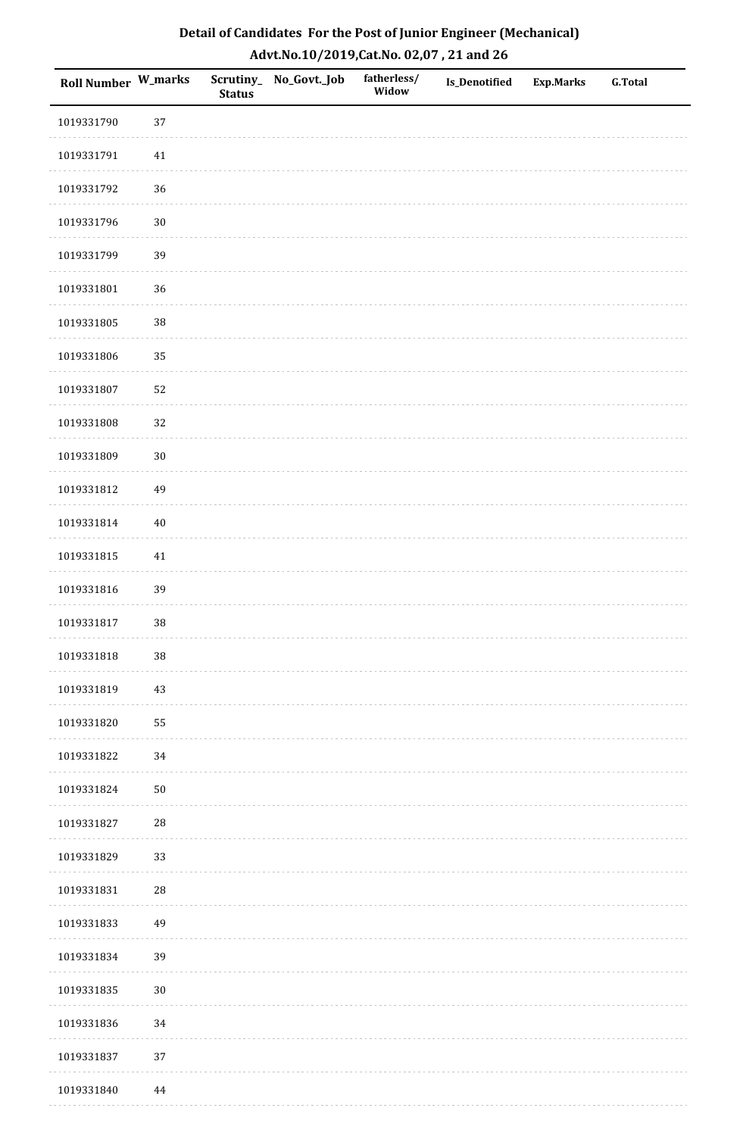| <b>Roll Number W_marks</b> |            | <b>Status</b> | Scrutiny_No_Govt._Job | fatherless/<br>Widow | Is_Denotified | <b>Exp.Marks</b> | <b>G.Total</b> |
|----------------------------|------------|---------------|-----------------------|----------------------|---------------|------------------|----------------|
| 1019331790                 | 37         |               |                       |                      |               |                  |                |
| 1019331791                 | $41\,$     |               |                       |                      |               |                  |                |
| 1019331792                 | 36         |               |                       |                      |               |                  |                |
| 1019331796                 | $30\,$     |               |                       |                      |               |                  |                |
| 1019331799                 | 39         |               |                       |                      |               |                  |                |
| 1019331801                 | 36         |               |                       |                      |               |                  |                |
| 1019331805                 | 38         |               |                       |                      |               |                  |                |
| 1019331806                 | 35         |               |                       |                      |               |                  |                |
| 1019331807                 | 52         |               |                       |                      |               |                  |                |
| 1019331808                 | 32         |               |                       |                      |               |                  |                |
| 1019331809                 | $30\,$     |               |                       |                      |               |                  |                |
| 1019331812                 | 49         |               |                       |                      |               |                  |                |
| 1019331814                 | $40\,$     |               |                       |                      |               |                  |                |
| 1019331815                 | $41\,$     |               |                       |                      |               |                  |                |
| 1019331816                 | 39         |               |                       |                      |               |                  |                |
| 1019331817                 | 38         |               |                       |                      |               |                  |                |
| 1019331818                 | $38\,$     |               |                       |                      |               |                  |                |
| 1019331819                 | 43         |               |                       |                      |               |                  |                |
| 1019331820                 | 55         |               |                       |                      |               |                  |                |
| 1019331822                 | 34         |               |                       |                      |               |                  |                |
| 1019331824                 | $50\,$     |               |                       |                      |               |                  |                |
| 1019331827                 | $28\,$     |               |                       |                      |               |                  |                |
| 1019331829                 | 33         |               |                       |                      |               |                  |                |
| 1019331831                 | ${\bf 28}$ |               |                       |                      |               |                  |                |
| 1019331833                 | 49         |               |                       |                      |               |                  |                |
| 1019331834                 | 39         |               |                       |                      |               |                  |                |
| 1019331835                 | $30\,$     |               |                       |                      |               |                  |                |
| 1019331836                 | 34         |               |                       |                      |               |                  |                |
| 1019331837                 | 37         |               |                       |                      |               |                  |                |
| 1019331840                 | 44         |               |                       |                      |               |                  |                |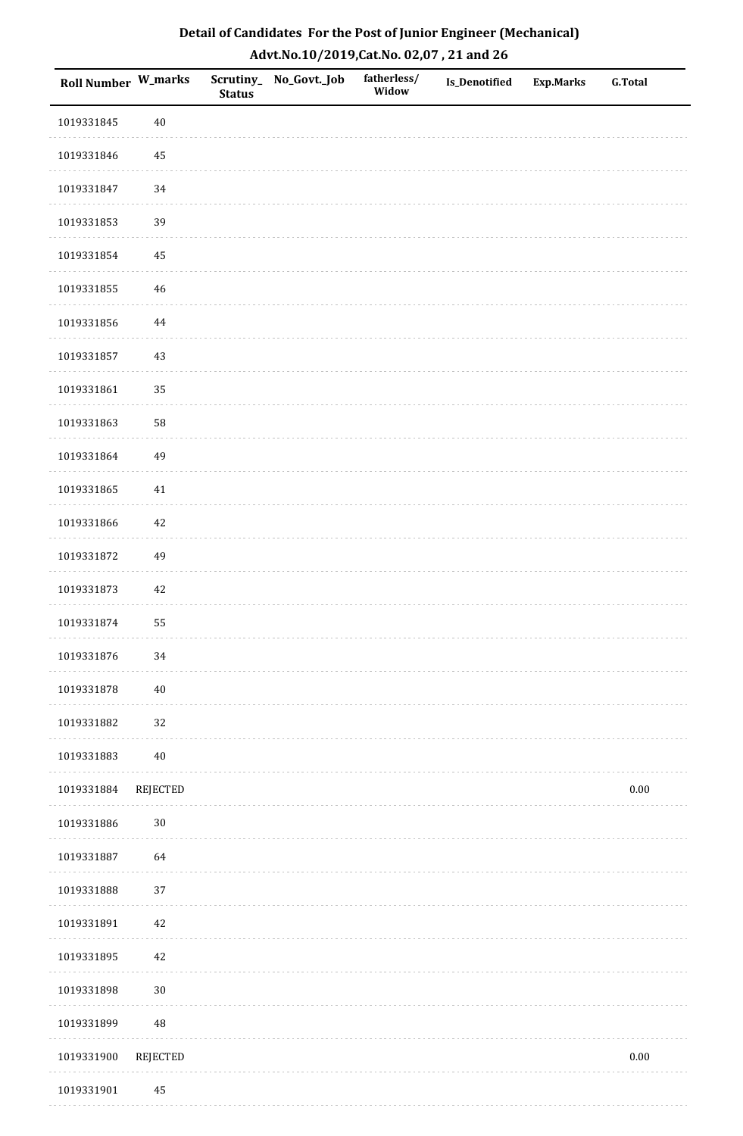| Detail of Candidates For the Post of Junior Engineer (Mechanical) |
|-------------------------------------------------------------------|
| Advt.No.10/2019, Cat.No. 02,07, 21 and 26                         |

| Roll Number W_marks |                 | <b>Status</b> | Scrutiny_ No_Govt._Job | fatherless/<br>Widow | <b>Is_Denotified</b> | <b>Exp.Marks</b> | <b>G.Total</b> |  |
|---------------------|-----------------|---------------|------------------------|----------------------|----------------------|------------------|----------------|--|
| 1019331845          | $40\,$          |               |                        |                      |                      |                  |                |  |
| 1019331846          | $\rm 45$        |               |                        |                      |                      |                  |                |  |
| 1019331847          | 34              |               |                        |                      |                      |                  |                |  |
| 1019331853          | 39              |               |                        |                      |                      |                  |                |  |
| 1019331854          | 45              |               |                        |                      |                      |                  |                |  |
| 1019331855          | $\sqrt{46}$     |               |                        |                      |                      |                  |                |  |
| 1019331856          | $\bf 44$        |               |                        |                      |                      |                  |                |  |
| 1019331857          | 43              |               |                        |                      |                      |                  |                |  |
| 1019331861          | 35              |               |                        |                      |                      |                  |                |  |
| 1019331863          | 58              |               |                        |                      |                      |                  |                |  |
| 1019331864          | 49              |               |                        |                      |                      |                  |                |  |
| 1019331865          | 41              |               |                        |                      |                      |                  |                |  |
| 1019331866          | $42\,$          |               |                        |                      |                      |                  |                |  |
| 1019331872          | 49              |               |                        |                      |                      |                  |                |  |
| 1019331873          | $42\,$          |               |                        |                      |                      |                  |                |  |
| 1019331874          | 55              |               |                        |                      |                      |                  |                |  |
| 1019331876          | $34\,$          |               |                        |                      |                      |                  |                |  |
| 1019331878          | $40\,$          |               |                        |                      |                      |                  |                |  |
| 1019331882          | 32              |               |                        |                      |                      |                  |                |  |
| 1019331883          | $40\,$          |               |                        |                      |                      |                  |                |  |
| 1019331884          | REJECTED        |               |                        |                      |                      |                  | $0.00\,$       |  |
| 1019331886          | $30\,$          |               |                        |                      |                      |                  |                |  |
| 1019331887          | 64              |               |                        |                      |                      |                  |                |  |
| 1019331888          | 37              |               |                        |                      |                      |                  |                |  |
| 1019331891          | $42\,$          |               |                        |                      |                      |                  |                |  |
| 1019331895          | $42\,$          |               |                        |                      |                      |                  |                |  |
| 1019331898          | $30\,$          |               |                        |                      |                      |                  |                |  |
| 1019331899          | $\rm 48$        |               |                        |                      |                      |                  |                |  |
| 1019331900          | <b>REJECTED</b> |               |                        |                      |                      |                  | $0.00\,$       |  |
| 1019331901          | 45              |               |                        |                      |                      |                  |                |  |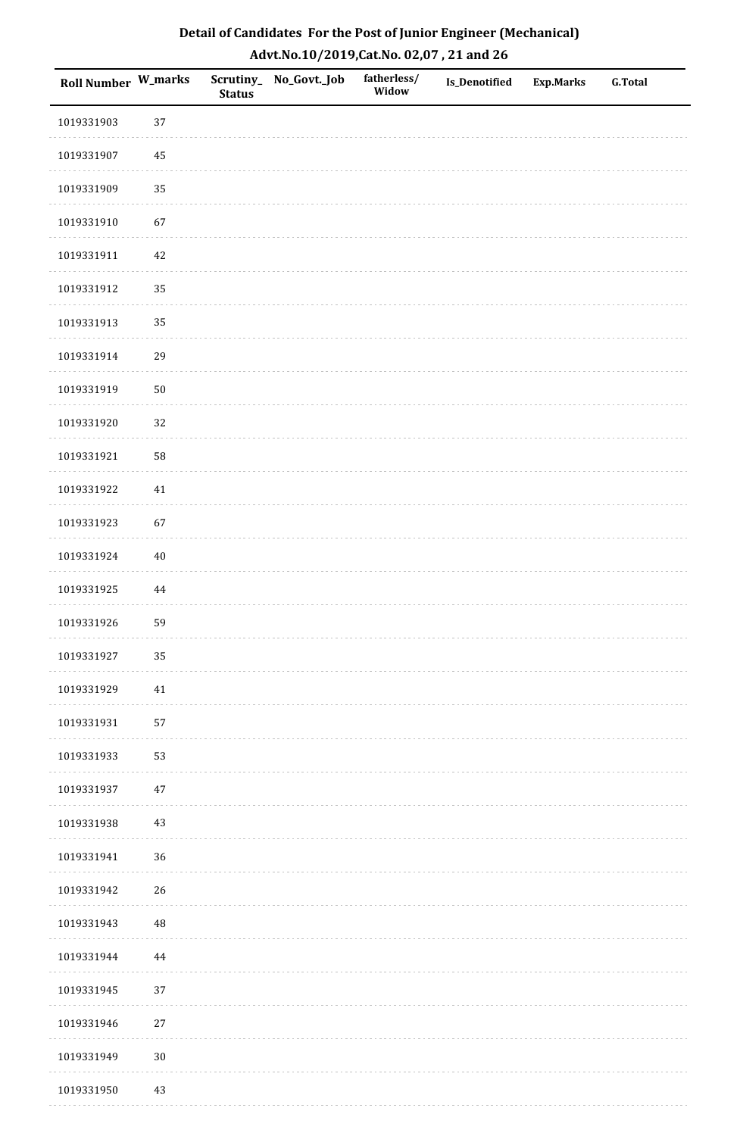| Detail of Candidates For the Post of Junior Engineer (Mechanical) |
|-------------------------------------------------------------------|
| Advt.No.10/2019,Cat.No. 02,07, 21 and 26                          |

| Roll Number W_marks |          | <b>Status</b> | Scrutiny_ No_Govt._Job | fatherless/<br>Widow | <b>Is_Denotified</b> | <b>Exp.Marks</b> | <b>G.Total</b> |
|---------------------|----------|---------------|------------------------|----------------------|----------------------|------------------|----------------|
| 1019331903          | 37       |               |                        |                      |                      |                  |                |
| 1019331907          | 45       |               |                        |                      |                      |                  |                |
| 1019331909          | 35       |               |                        |                      |                      |                  |                |
| 1019331910          | 67       |               |                        |                      |                      |                  |                |
| 1019331911          | $42\,$   |               |                        |                      |                      |                  |                |
| 1019331912          | 35       |               |                        |                      |                      |                  |                |
| 1019331913          | 35       |               |                        |                      |                      |                  |                |
| 1019331914          | 29       |               |                        |                      |                      |                  |                |
| 1019331919          | $50\,$   |               |                        |                      |                      |                  |                |
| 1019331920          | 32       |               |                        |                      |                      |                  |                |
| 1019331921          | 58       |               |                        |                      |                      |                  |                |
| 1019331922          | 41       |               |                        |                      |                      |                  |                |
| 1019331923          | 67       |               |                        |                      |                      |                  |                |
| 1019331924          | $40\,$   |               |                        |                      |                      |                  |                |
| 1019331925          | 44       |               |                        |                      |                      |                  |                |
| 1019331926          | 59       |               |                        |                      |                      |                  |                |
| 1019331927          | 35       |               |                        |                      |                      |                  |                |
| 1019331929          | 41       |               |                        |                      |                      |                  |                |
| 1019331931          | 57       |               |                        |                      |                      |                  |                |
| 1019331933          | 53       |               |                        |                      |                      |                  |                |
| 1019331937          | $47\,$   |               |                        |                      |                      |                  |                |
| 1019331938          | $43\,$   |               |                        |                      |                      |                  |                |
| 1019331941          | 36       |               |                        |                      |                      |                  |                |
| 1019331942          | 26       |               |                        |                      |                      |                  |                |
| 1019331943          | $\rm 48$ |               |                        |                      |                      |                  |                |
| 1019331944          | $\bf 44$ |               |                        |                      |                      |                  |                |
| 1019331945          | 37       |               |                        |                      |                      |                  |                |
| 1019331946          | $27\,$   |               |                        |                      |                      |                  |                |
| 1019331949          | $30\,$   |               |                        |                      |                      |                  |                |
| 1019331950          | 43       |               |                        |                      |                      |                  |                |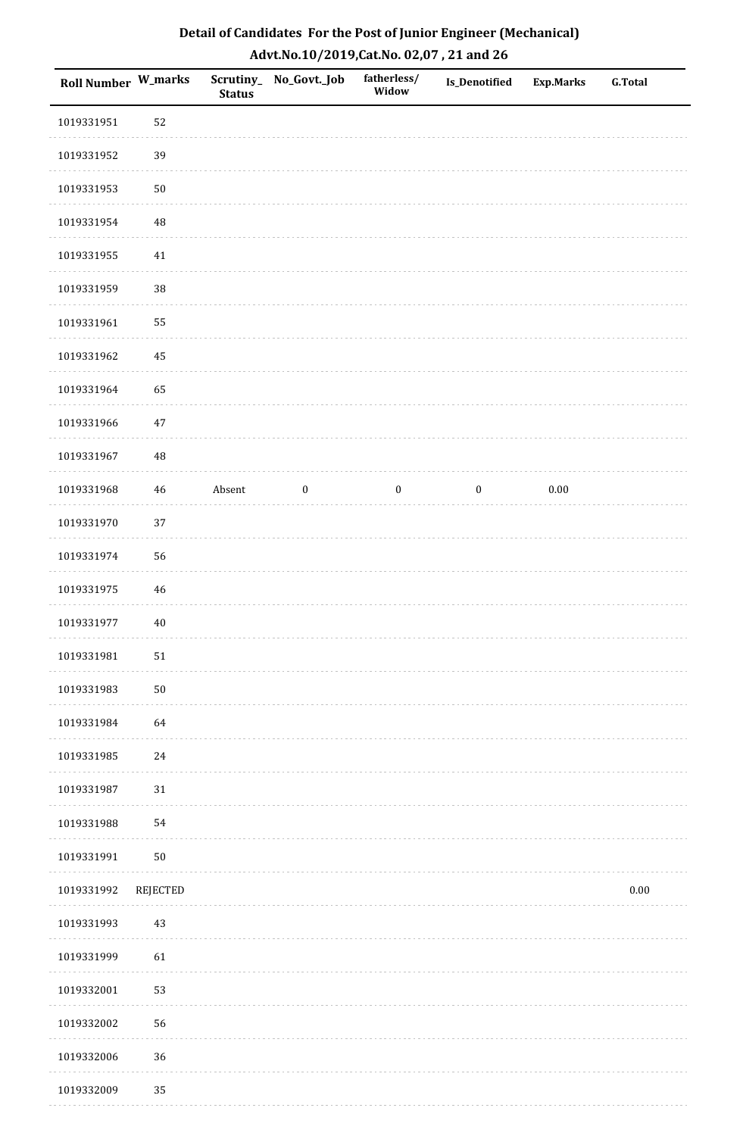| Roll Number W_marks |          | <b>Status</b> | Scrutiny_No_Govt._Job | fatherless/<br>Widow | <b>Is_Denotified</b> | <b>Exp.Marks</b> | <b>G.Total</b> |
|---------------------|----------|---------------|-----------------------|----------------------|----------------------|------------------|----------------|
| 1019331951          | 52       |               |                       |                      |                      |                  |                |
| 1019331952          | 39       |               |                       |                      |                      |                  |                |
| 1019331953          | $50\,$   |               |                       |                      |                      |                  |                |
| 1019331954          | 48       |               |                       |                      |                      |                  |                |
| 1019331955          | $41\,$   |               |                       |                      |                      |                  |                |
| 1019331959          | 38       |               |                       |                      |                      |                  |                |
| 1019331961          | 55       |               |                       |                      |                      |                  |                |
| 1019331962          | 45       |               |                       |                      |                      |                  |                |
| 1019331964          | 65       |               |                       |                      |                      |                  |                |
| 1019331966          | 47       |               |                       |                      |                      |                  |                |
| 1019331967          | 48       |               |                       |                      |                      |                  |                |
| 1019331968          | 46       | Absent        | $\boldsymbol{0}$      | $\boldsymbol{0}$     | $\boldsymbol{0}$     | 0.00             |                |
| 1019331970          | 37       |               |                       |                      |                      |                  |                |
| 1019331974          | 56       |               |                       |                      |                      |                  |                |
| 1019331975          | 46       |               |                       |                      |                      |                  |                |
| 1019331977          | $40\,$   |               |                       |                      |                      |                  |                |
| 1019331981          | $51\,$   |               |                       |                      |                      |                  |                |
| 1019331983          | $50\,$   |               |                       |                      |                      |                  |                |
| 1019331984          | 64       |               |                       |                      |                      |                  |                |
| 1019331985          | 24       |               |                       |                      |                      |                  |                |
| 1019331987          | 31       |               |                       |                      |                      |                  |                |
| 1019331988          | 54       |               |                       |                      |                      |                  |                |
| 1019331991          | $50\,$   |               |                       |                      |                      |                  |                |
| 1019331992          | REJECTED |               |                       |                      |                      |                  | $0.00\,$       |
| 1019331993          | 43       |               |                       |                      |                      |                  |                |
| 1019331999          | 61       |               |                       |                      |                      |                  |                |
| 1019332001          | 53       |               |                       |                      |                      |                  |                |
| 1019332002          | 56       |               |                       |                      |                      |                  |                |
| 1019332006          | 36       |               |                       |                      |                      |                  |                |
| 1019332009          | 35       |               |                       |                      |                      |                  |                |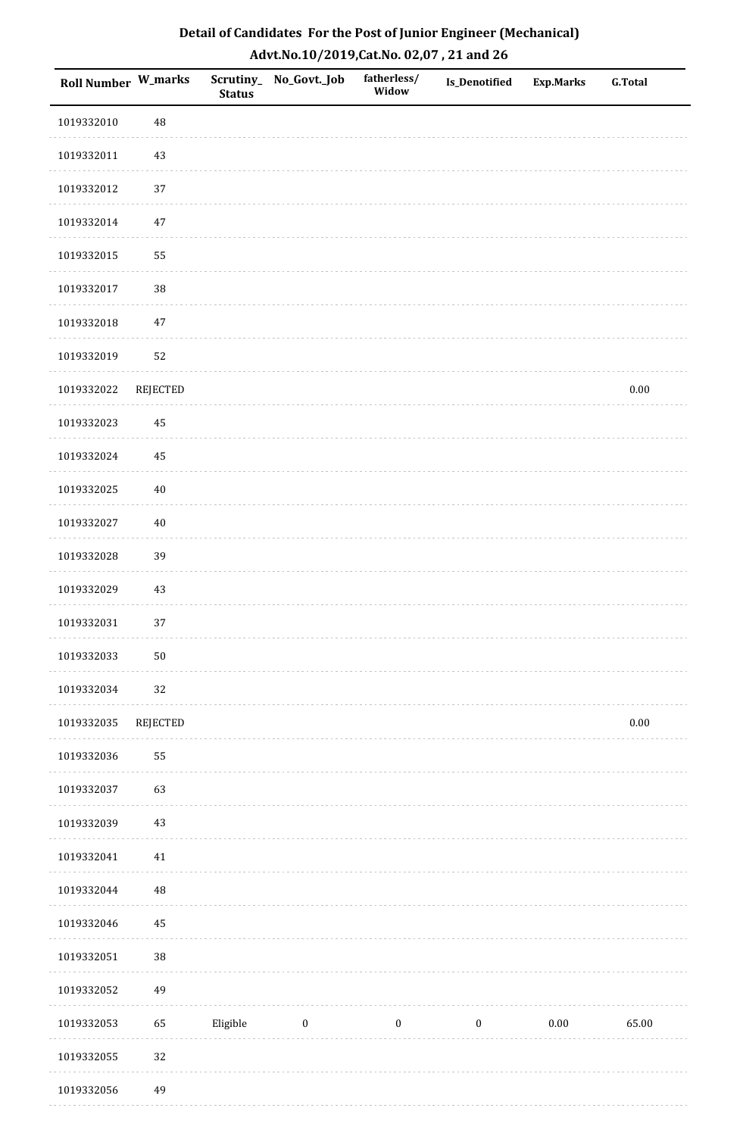| <b>Roll Number W_marks</b> |            | Scrutiny_<br><b>Status</b> | No_Govt._Job | fatherless/<br>Widow | Is_Denotified    | <b>Exp.Marks</b> | <b>G.Total</b> |
|----------------------------|------------|----------------------------|--------------|----------------------|------------------|------------------|----------------|
| 1019332010                 | 48         |                            |              |                      |                  |                  |                |
| 1019332011                 | 43         |                            |              |                      |                  |                  |                |
| 1019332012                 | 37         |                            |              |                      |                  |                  |                |
| 1019332014                 | $47\,$     |                            |              |                      |                  |                  |                |
| 1019332015                 | 55         |                            |              |                      |                  |                  |                |
| 1019332017                 | 38         |                            |              |                      |                  |                  |                |
| 1019332018                 | $47\,$     |                            |              |                      |                  |                  |                |
| 1019332019                 | 52         |                            |              |                      |                  |                  |                |
| 1019332022                 | REJECTED   |                            |              |                      |                  |                  | $0.00\,$       |
| 1019332023                 | 45         |                            |              |                      |                  |                  |                |
| 1019332024                 | 45         |                            |              |                      |                  |                  |                |
| 1019332025                 | $40\,$     |                            |              |                      |                  |                  |                |
| 1019332027                 | $40\,$     |                            |              |                      |                  |                  |                |
| 1019332028                 | 39         |                            |              |                      |                  |                  |                |
| 1019332029                 | 43         |                            |              |                      |                  |                  |                |
| 1019332031                 | 37         |                            |              |                      |                  |                  |                |
| 1019332033                 | ${\bf 50}$ |                            |              |                      |                  |                  |                |
| 1019332034                 | 32         |                            |              |                      |                  |                  |                |
| 1019332035                 | REJECTED   |                            |              |                      |                  |                  | $0.00\,$       |
| 1019332036                 | 55         |                            |              |                      |                  |                  |                |
| 1019332037                 | 63         |                            |              |                      |                  |                  |                |
| 1019332039                 | 43         |                            |              |                      |                  |                  |                |
| 1019332041                 | 41         |                            |              |                      |                  |                  |                |
| 1019332044                 | $\rm 48$   |                            |              |                      |                  |                  |                |
| 1019332046                 | 45         |                            |              |                      |                  |                  |                |
| 1019332051                 | $38\,$     |                            |              |                      |                  |                  |                |
| 1019332052                 | 49         |                            |              |                      |                  |                  |                |
| 1019332053                 | 65         | Eligible                   | $\bf{0}$     | $\boldsymbol{0}$     | $\boldsymbol{0}$ | 0.00             | 65.00          |
| 1019332055                 | 32         |                            |              |                      |                  |                  |                |
| 1019332056                 | 49         |                            |              |                      |                  |                  |                |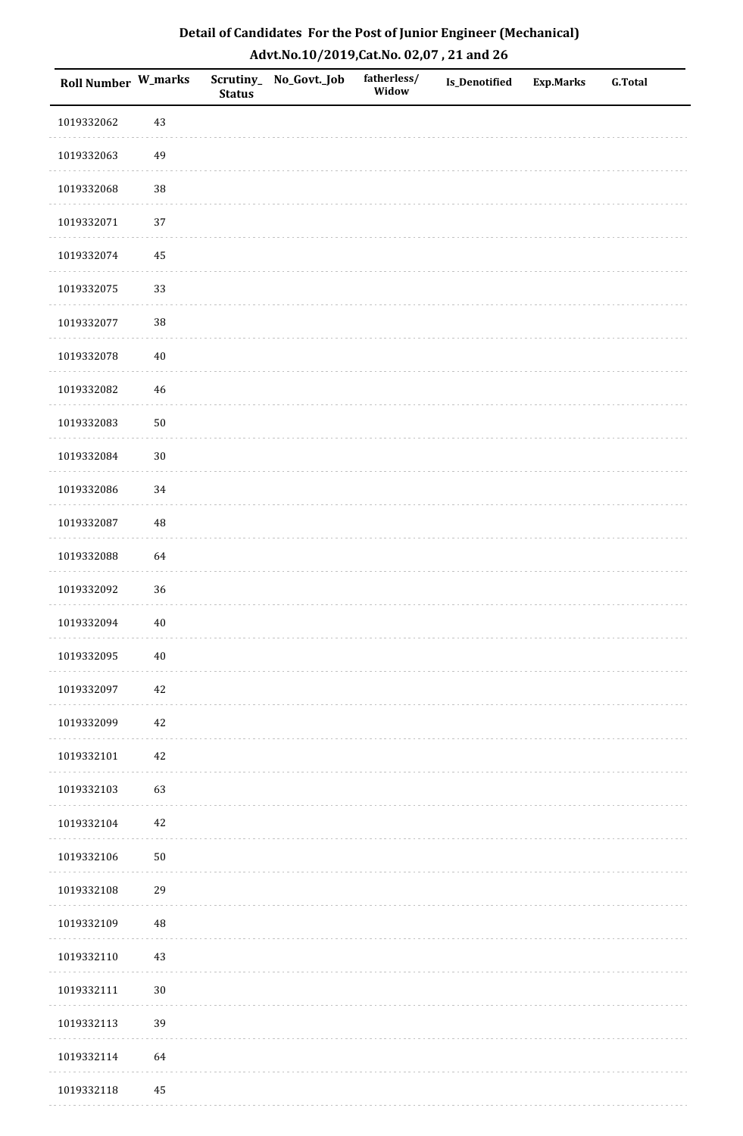| Detail of Candidates For the Post of Junior Engineer (Mechanical) |
|-------------------------------------------------------------------|
| Advt.No.10/2019,Cat.No. 02,07, 21 and 26                          |

| Roll Number W_marks |            | <b>Status</b> | Scrutiny_ No_Govt._Job | fatherless/<br>Widow | Is_Denotified | <b>Exp.Marks</b> | <b>G.Total</b> |
|---------------------|------------|---------------|------------------------|----------------------|---------------|------------------|----------------|
| 1019332062          | 43         |               |                        |                      |               |                  |                |
| 1019332063          | 49         |               |                        |                      |               |                  |                |
| 1019332068          | $38\,$     |               |                        |                      |               |                  |                |
| 1019332071          | 37         |               |                        |                      |               |                  |                |
| 1019332074          | 45         |               |                        |                      |               |                  |                |
| 1019332075          | 33         |               |                        |                      |               |                  |                |
| 1019332077          | $38\,$     |               |                        |                      |               |                  |                |
| 1019332078          | $40\,$     |               |                        |                      |               |                  |                |
| 1019332082          | 46         |               |                        |                      |               |                  |                |
| 1019332083          | ${\bf 50}$ |               |                        |                      |               |                  |                |
| 1019332084          | $30\,$     |               |                        |                      |               |                  |                |
| 1019332086          | 34         |               |                        |                      |               |                  |                |
| 1019332087          | $\rm 48$   |               |                        |                      |               |                  |                |
| 1019332088          | 64         |               |                        |                      |               |                  |                |
| 1019332092          | 36         |               |                        |                      |               |                  |                |
| 1019332094          | $40\,$     |               |                        |                      |               |                  |                |
| 1019332095          | $40\,$     |               |                        |                      |               |                  |                |
| 1019332097          | 42         |               |                        |                      |               |                  |                |
| 1019332099          | 42         |               |                        |                      |               |                  |                |
| 1019332101          | $42\,$     |               |                        |                      |               |                  |                |
| 1019332103          | 63         |               |                        |                      |               |                  |                |
| 1019332104          | 42         |               |                        |                      |               |                  |                |
| 1019332106          | $50\,$     |               |                        |                      |               |                  |                |
| 1019332108          | 29         |               |                        |                      |               |                  |                |
| 1019332109          | $\rm 48$   |               |                        |                      |               |                  |                |
| 1019332110          | 43         |               |                        |                      |               |                  |                |
| 1019332111          | $30\,$     |               |                        |                      |               |                  |                |
| 1019332113          | 39         |               |                        |                      |               |                  |                |
| 1019332114          | 64         |               |                        |                      |               |                  |                |
| 1019332118          | $\rm 45$   |               |                        |                      |               |                  |                |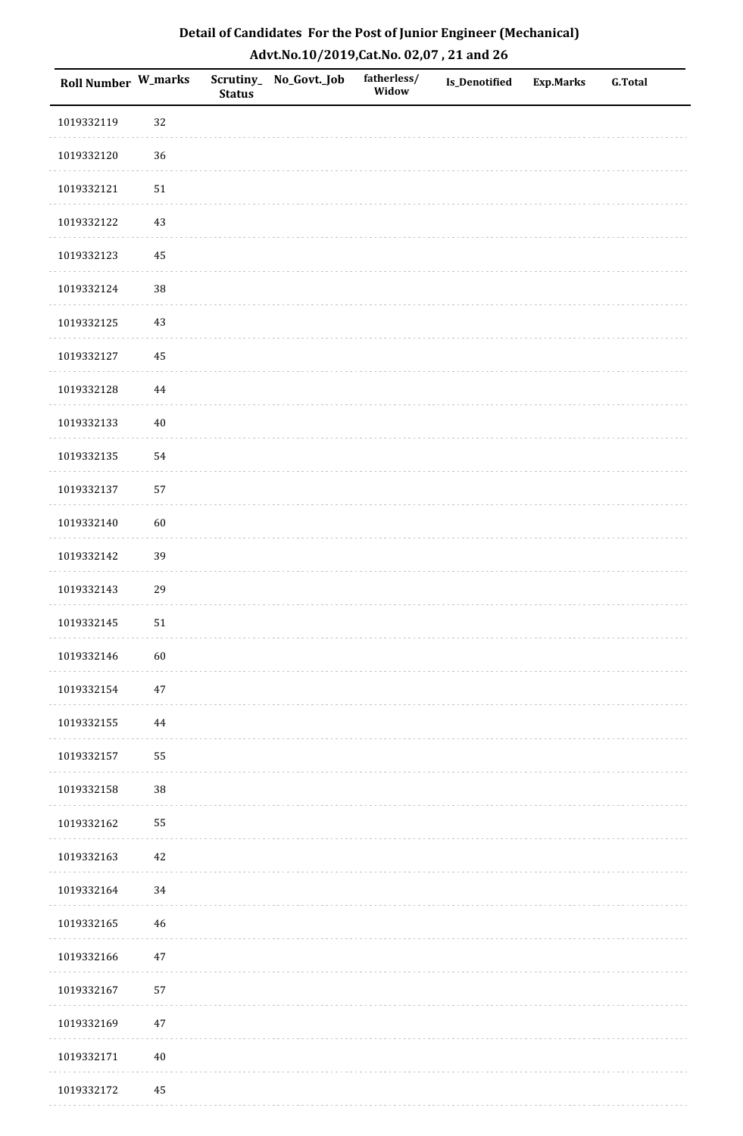| Detail of Candidates For the Post of Junior Engineer (Mechanical) |
|-------------------------------------------------------------------|
| Advt.No.10/2019,Cat.No. 02,07, 21 and 26                          |

| Roll Number W_marks |            | <b>Status</b> | Scrutiny_ No_Govt._Job | fatherless/<br>Widow | Is_Denotified | <b>Exp.Marks</b> | <b>G.Total</b> |
|---------------------|------------|---------------|------------------------|----------------------|---------------|------------------|----------------|
| 1019332119          | 32         |               |                        |                      |               |                  |                |
| 1019332120          | 36         |               |                        |                      |               |                  |                |
| 1019332121          | ${\bf 51}$ |               |                        |                      |               |                  |                |
| 1019332122          | $43\,$     |               |                        |                      |               |                  |                |
| 1019332123          | 45         |               |                        |                      |               |                  |                |
| 1019332124          | 38         |               |                        |                      |               |                  |                |
| 1019332125          | 43         |               |                        |                      |               |                  |                |
| 1019332127          | 45         |               |                        |                      |               |                  |                |
| 1019332128          | 44         |               |                        |                      |               |                  |                |
| 1019332133          | $40\,$     |               |                        |                      |               |                  |                |
| 1019332135          | 54         |               |                        |                      |               |                  |                |
| 1019332137          | 57         |               |                        |                      |               |                  |                |
| 1019332140          | 60         |               |                        |                      |               |                  |                |
| 1019332142          | 39         |               |                        |                      |               |                  |                |
| 1019332143          | 29         |               |                        |                      |               |                  |                |
| 1019332145          | 51         |               |                        |                      |               |                  |                |
| 1019332146          | $60\,$     |               |                        |                      |               |                  |                |
| 1019332154          | $47\,$     |               |                        |                      |               |                  |                |
| 1019332155          | 44         |               |                        |                      |               |                  |                |
| 1019332157          | 55         |               |                        |                      |               |                  |                |
| 1019332158          | $38\,$     |               |                        |                      |               |                  |                |
| 1019332162          | 55         |               |                        |                      |               |                  |                |
| 1019332163          | $42\,$     |               |                        |                      |               |                  |                |
| 1019332164          | 34         |               |                        |                      |               |                  |                |
| 1019332165          | 46         |               |                        |                      |               |                  |                |
| 1019332166          | $47\,$     |               |                        |                      |               |                  |                |
| 1019332167          | 57         |               |                        |                      |               |                  |                |
| 1019332169          | $47\,$     |               |                        |                      |               |                  |                |
| 1019332171          | $40\,$     |               |                        |                      |               |                  |                |
| 1019332172          | 45         |               |                        |                      |               |                  |                |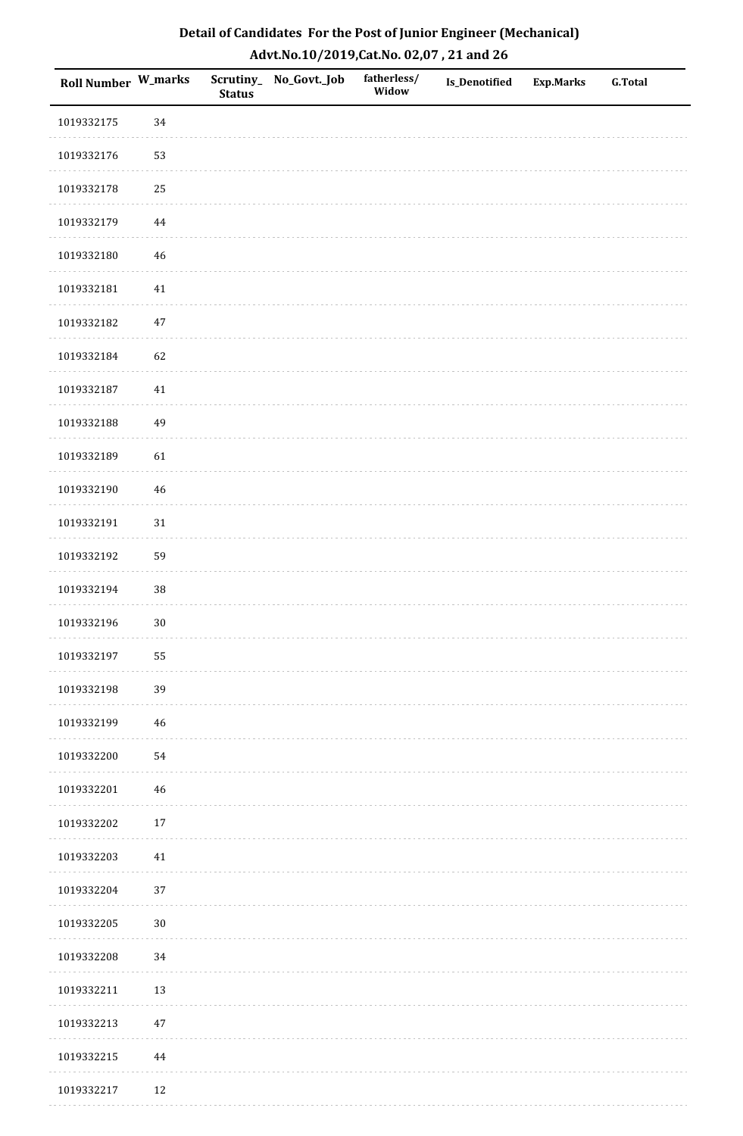| Roll Number W_marks |             | <b>Status</b> | Scrutiny_No_Govt._Job | fatherless/<br>Widow | Is_Denotified | <b>Exp.Marks</b> | <b>G.Total</b> |
|---------------------|-------------|---------------|-----------------------|----------------------|---------------|------------------|----------------|
| 1019332175          | 34          |               |                       |                      |               |                  |                |
| 1019332176          | 53          |               |                       |                      |               |                  |                |
| 1019332178          | 25          |               |                       |                      |               |                  |                |
| 1019332179          | 44          |               |                       |                      |               |                  |                |
| 1019332180          | $46\,$      |               |                       |                      |               |                  |                |
| 1019332181          | 41          |               |                       |                      |               |                  |                |
| 1019332182          | $47\,$      |               |                       |                      |               |                  |                |
| 1019332184          | 62          |               |                       |                      |               |                  |                |
| 1019332187          | $41\,$      |               |                       |                      |               |                  |                |
| 1019332188          | 49          |               |                       |                      |               |                  |                |
| 1019332189          | 61          |               |                       |                      |               |                  |                |
| 1019332190          | $46\,$      |               |                       |                      |               |                  |                |
| 1019332191          | $31\,$      |               |                       |                      |               |                  |                |
| 1019332192          | 59          |               |                       |                      |               |                  |                |
| 1019332194          | $38\,$      |               |                       |                      |               |                  |                |
| 1019332196          | $30\,$      |               |                       |                      |               |                  |                |
| 1019332197          | 55          |               |                       |                      |               |                  |                |
| 1019332198          | 39          |               |                       |                      |               |                  |                |
| 1019332199          | $\sqrt{46}$ |               |                       |                      |               |                  |                |
| 1019332200          | 54          |               |                       |                      |               |                  |                |
| 1019332201          | 46          |               |                       |                      |               |                  |                |
| 1019332202          | $17\,$      |               |                       |                      |               |                  |                |
| 1019332203          | $41\,$      |               |                       |                      |               |                  |                |
| 1019332204          | 37          |               |                       |                      |               |                  |                |
| 1019332205          | $30\,$      |               |                       |                      |               |                  |                |
| 1019332208          | 34          |               |                       |                      |               |                  |                |
| 1019332211          | 13          |               |                       |                      |               |                  |                |
| 1019332213          | $47\,$      |               |                       |                      |               |                  |                |
| 1019332215          | 44          |               |                       |                      |               |                  |                |
| 1019332217          | 12          |               |                       |                      |               |                  |                |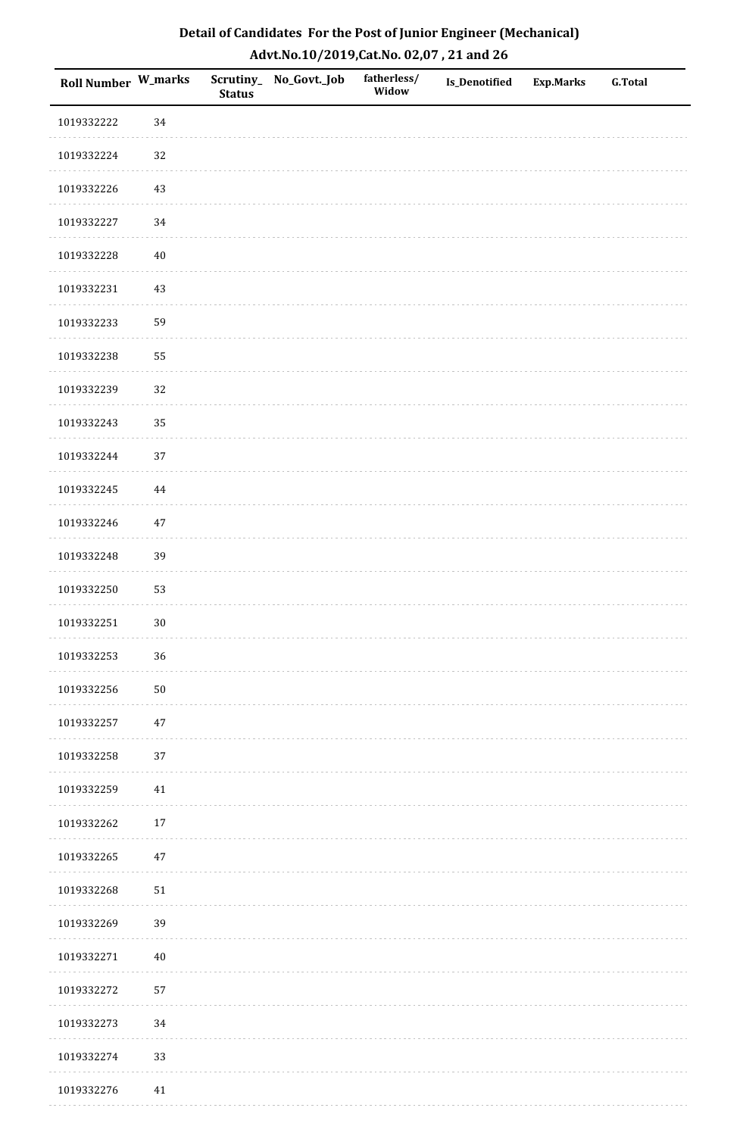| Roll Number W_marks |          | <b>Status</b> | Scrutiny_No_Govt._Job | fatherless/<br>Widow | Is_Denotified | <b>Exp.Marks</b> | <b>G.Total</b> |
|---------------------|----------|---------------|-----------------------|----------------------|---------------|------------------|----------------|
| 1019332222          | 34       |               |                       |                      |               |                  |                |
| 1019332224          | $32\,$   |               |                       |                      |               |                  |                |
| 1019332226          | $43\,$   |               |                       |                      |               |                  |                |
| 1019332227          | $34\,$   |               |                       |                      |               |                  |                |
| 1019332228          | $40\,$   |               |                       |                      |               |                  |                |
| 1019332231          | 43       |               |                       |                      |               |                  |                |
| 1019332233          | 59       |               |                       |                      |               |                  |                |
| 1019332238          | 55       |               |                       |                      |               |                  |                |
| 1019332239          | 32       |               |                       |                      |               |                  |                |
| 1019332243          | 35       |               |                       |                      |               |                  |                |
| 1019332244          | 37       |               |                       |                      |               |                  |                |
| 1019332245          | $\bf 44$ |               |                       |                      |               |                  |                |
| 1019332246          | $47\,$   |               |                       |                      |               |                  |                |
| 1019332248          | 39       |               |                       |                      |               |                  |                |
| 1019332250          | 53       |               |                       |                      |               |                  |                |
| 1019332251          | $30\,$   |               |                       |                      |               |                  |                |
| 1019332253          | 36       |               |                       |                      |               |                  |                |
| 1019332256          | 50       |               |                       |                      |               |                  |                |
| 1019332257          | $47\,$   |               |                       |                      |               |                  |                |
| 1019332258          | 37       |               |                       |                      |               |                  |                |
| 1019332259          | 41       |               |                       |                      |               |                  |                |
| 1019332262          | $17\,$   |               |                       |                      |               |                  |                |
| 1019332265          | $47\,$   |               |                       |                      |               |                  |                |
| 1019332268          | 51       |               |                       |                      |               |                  |                |
| 1019332269          | 39       |               |                       |                      |               |                  |                |
| 1019332271          | $40\,$   |               |                       |                      |               |                  |                |
| 1019332272          | 57       |               |                       |                      |               |                  |                |
| 1019332273          | 34       |               |                       |                      |               |                  |                |
| 1019332274          | 33       |               |                       |                      |               |                  |                |
| 1019332276          | 41       |               |                       |                      |               |                  |                |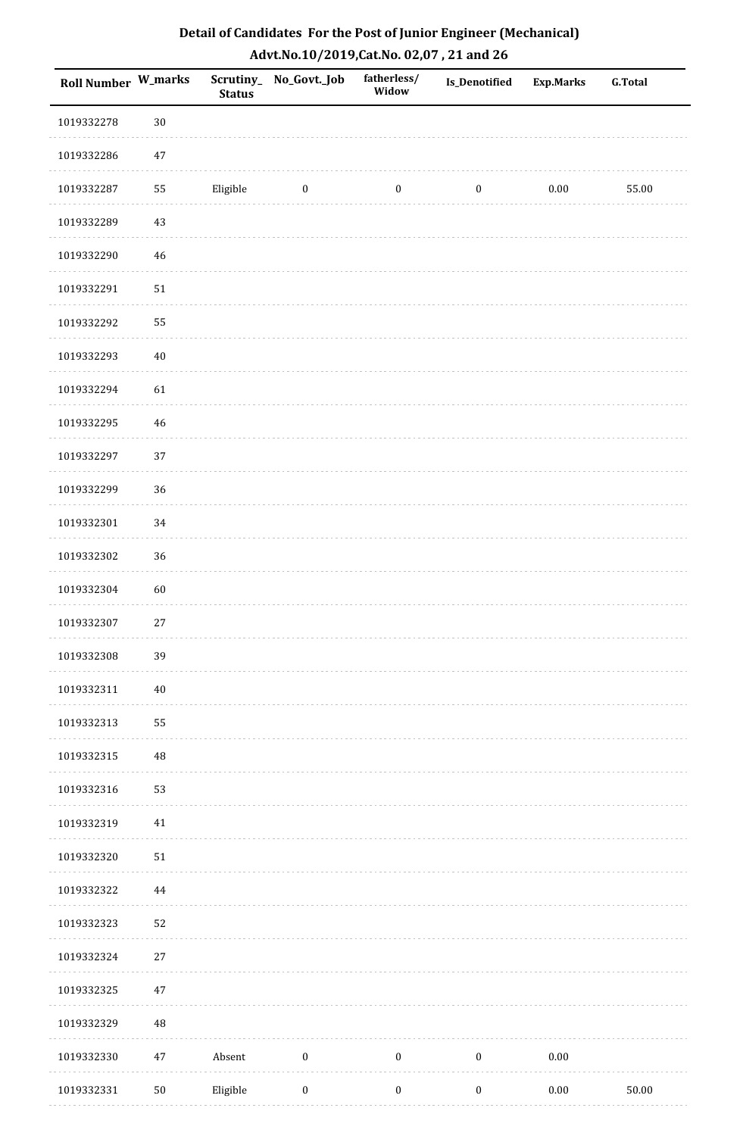| Roll Number W_marks |             | <b>Status</b> | Scrutiny_ No_Govt._Job | fatherless/<br>Widow | <b>Is_Denotified</b> | <b>Exp.Marks</b> | <b>G.Total</b> |
|---------------------|-------------|---------------|------------------------|----------------------|----------------------|------------------|----------------|
| 1019332278          | $30\,$      |               |                        |                      |                      |                  |                |
| 1019332286          | $47\,$      |               |                        |                      |                      |                  |                |
| 1019332287          | 55          | Eligible      | $\bf{0}$               | $\boldsymbol{0}$     | $\boldsymbol{0}$     | $0.00\,$         | 55.00          |
| 1019332289          | $43\,$      |               |                        |                      |                      |                  |                |
| 1019332290          | $\sqrt{46}$ |               |                        |                      |                      |                  |                |
| 1019332291          | $51\,$      |               |                        |                      |                      |                  |                |
| 1019332292          | 55          |               |                        |                      |                      |                  |                |
| 1019332293          | $40\,$      |               |                        |                      |                      |                  |                |
| 1019332294          | 61          |               |                        |                      |                      |                  |                |
| 1019332295          | $\sqrt{46}$ |               |                        |                      |                      |                  |                |
| 1019332297          | 37          |               |                        |                      |                      |                  |                |
| 1019332299          | 36          |               |                        |                      |                      |                  |                |
| 1019332301          | 34          |               |                        |                      |                      |                  |                |
| 1019332302          | 36          |               |                        |                      |                      |                  |                |
| 1019332304          | $60\,$      |               |                        |                      |                      |                  |                |
| 1019332307          | 27          |               |                        |                      |                      |                  |                |
| 1019332308          | 39          |               |                        |                      |                      |                  |                |
| 1019332311          | $40\,$      |               |                        |                      |                      |                  |                |
| 1019332313          | 55          |               |                        |                      |                      |                  |                |
| 1019332315          | $\rm 48$    |               |                        |                      |                      |                  |                |
| 1019332316          | 53          |               |                        |                      |                      |                  |                |
| 1019332319          | $41\,$      |               |                        |                      |                      |                  |                |
| 1019332320          | $51\,$      |               |                        |                      |                      |                  |                |
| 1019332322          | $\bf 44$    |               |                        |                      |                      |                  |                |
| 1019332323          | 52          |               |                        |                      |                      |                  |                |
| 1019332324          | $27\,$      |               |                        |                      |                      |                  |                |
| 1019332325          | $47\,$      |               |                        |                      |                      |                  |                |
| 1019332329          | 48          |               |                        |                      |                      |                  |                |
| 1019332330          | $47\,$      | Absent        | $\boldsymbol{0}$       | $\boldsymbol{0}$     | $\boldsymbol{0}$     | $0.00\,$         |                |
| 1019332331          | $50\,$      | Eligible      | $\boldsymbol{0}$       | $\boldsymbol{0}$     | $\boldsymbol{0}$     | $0.00\,$         | $50.00\,$      |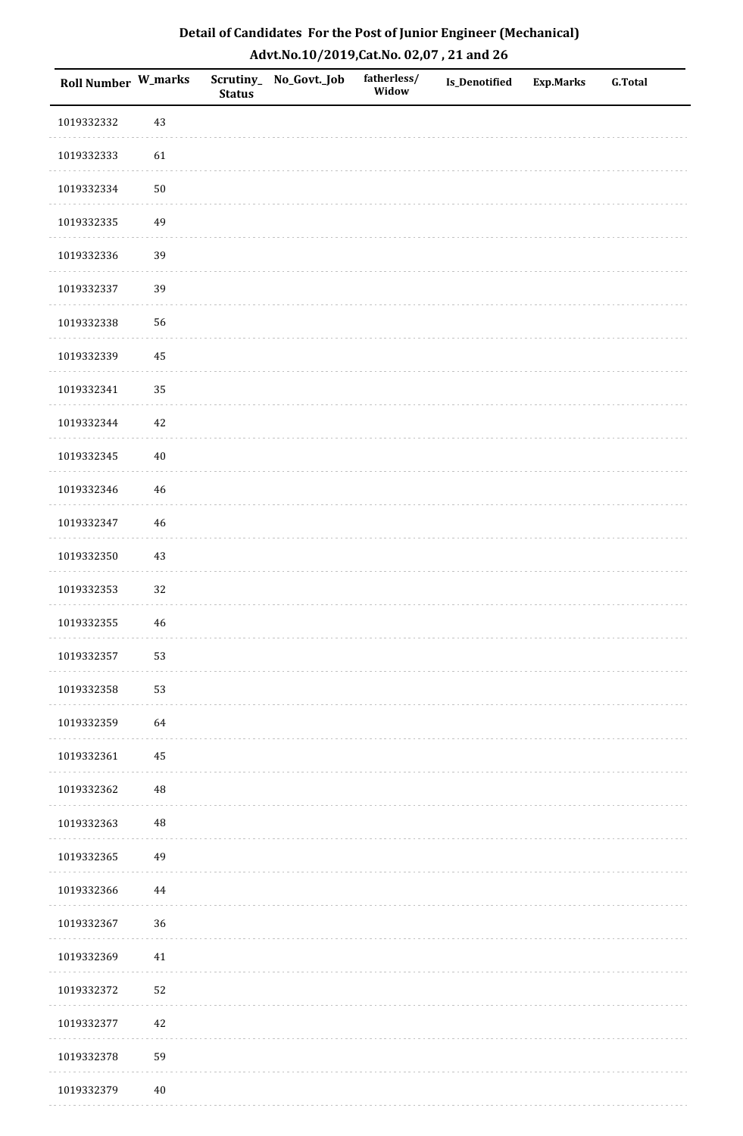| Roll Number W_marks |             | <b>Status</b> | Scrutiny_No_Govt._Job | fatherless/<br>Widow | Is_Denotified | <b>Exp.Marks</b> | <b>G.Total</b> |
|---------------------|-------------|---------------|-----------------------|----------------------|---------------|------------------|----------------|
| 1019332332          | 43          |               |                       |                      |               |                  |                |
| 1019332333          | 61          |               |                       |                      |               |                  |                |
| 1019332334          | $50\,$      |               |                       |                      |               |                  |                |
| 1019332335          | 49          |               |                       |                      |               |                  |                |
| 1019332336          | 39          |               |                       |                      |               |                  |                |
| 1019332337          | 39          |               |                       |                      |               |                  |                |
| 1019332338          | 56          |               |                       |                      |               |                  |                |
| 1019332339          | 45          |               |                       |                      |               |                  |                |
| 1019332341          | 35          |               |                       |                      |               |                  |                |
| 1019332344          | $42\,$      |               |                       |                      |               |                  |                |
| 1019332345          | $40\,$      |               |                       |                      |               |                  |                |
| 1019332346          | 46          |               |                       |                      |               |                  |                |
| 1019332347          | $46\,$      |               |                       |                      |               |                  |                |
| 1019332350          | $43\,$      |               |                       |                      |               |                  |                |
| 1019332353          | 32          |               |                       |                      |               |                  |                |
| 1019332355          | $\sqrt{46}$ |               |                       |                      |               |                  |                |
| 1019332357          | 53          |               |                       |                      |               |                  |                |
| 1019332358          | 53          |               |                       |                      |               |                  |                |
| 1019332359          | 64          |               |                       |                      |               |                  |                |
| 1019332361          | 45          |               |                       |                      |               |                  |                |
| 1019332362          | 48          |               |                       |                      |               |                  |                |
| 1019332363          | $\rm 48$    |               |                       |                      |               |                  |                |
| 1019332365          | 49          |               |                       |                      |               |                  |                |
| 1019332366          | 44          |               |                       |                      |               |                  |                |
| 1019332367          | 36          |               |                       |                      |               |                  |                |
| 1019332369          | $41\,$      |               |                       |                      |               |                  |                |
| 1019332372          | 52          |               |                       |                      |               |                  |                |
| 1019332377          | $42\,$      |               |                       |                      |               |                  |                |
| 1019332378          | 59          |               |                       |                      |               |                  |                |
| 1019332379          | $40\,$      |               |                       |                      |               |                  |                |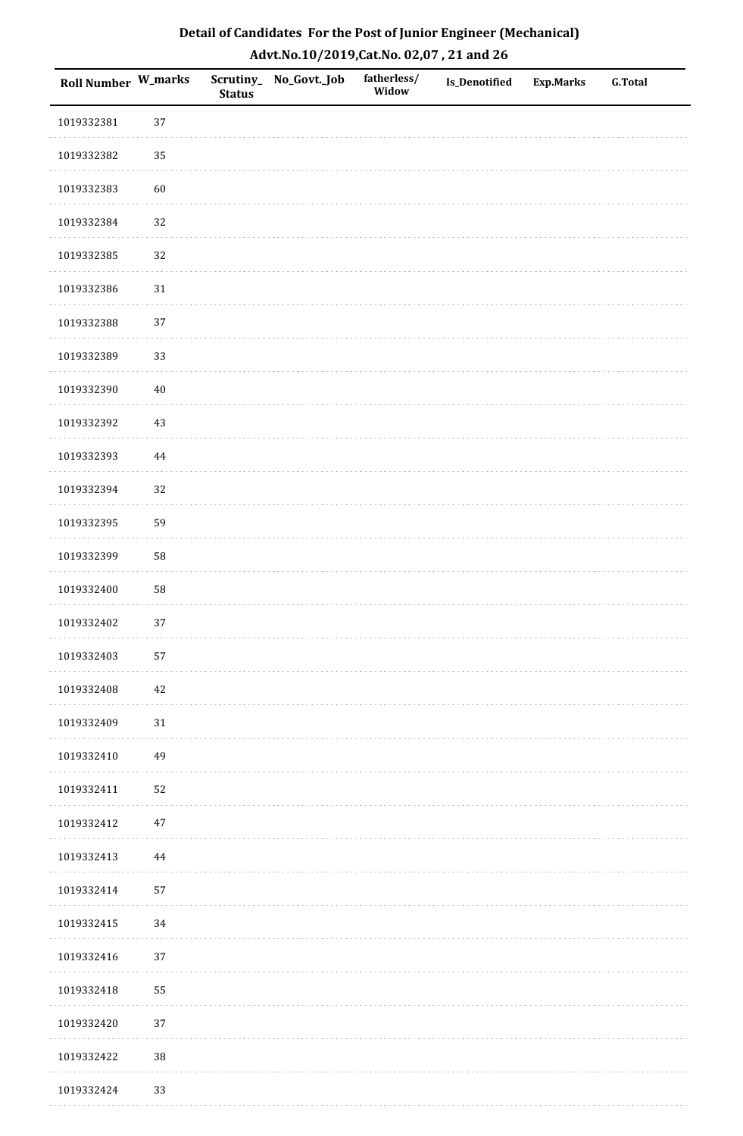| Roll Number W_marks |          | <b>Status</b> | Scrutiny_No_Govt._Job | fatherless/<br>Widow | Is_Denotified | <b>Exp.Marks</b> | <b>G.Total</b> |
|---------------------|----------|---------------|-----------------------|----------------------|---------------|------------------|----------------|
| 1019332381          | 37       |               |                       |                      |               |                  |                |
| 1019332382          | 35       |               |                       |                      |               |                  |                |
| 1019332383          | 60       |               |                       |                      |               |                  |                |
| 1019332384          | 32       |               |                       |                      |               |                  |                |
| 1019332385          | 32       |               |                       |                      |               |                  |                |
| 1019332386          | $31\,$   |               |                       |                      |               |                  |                |
| 1019332388          | 37       |               |                       |                      |               |                  |                |
| 1019332389          | 33       |               |                       |                      |               |                  |                |
| 1019332390          | $40\,$   |               |                       |                      |               |                  |                |
| 1019332392          | $43\,$   |               |                       |                      |               |                  |                |
| 1019332393          | $\bf 44$ |               |                       |                      |               |                  |                |
| 1019332394          | 32       |               |                       |                      |               |                  |                |
| 1019332395          | 59       |               |                       |                      |               |                  |                |
| 1019332399          | 58       |               |                       |                      |               |                  |                |
| 1019332400          | 58       |               |                       |                      |               |                  |                |
| 1019332402          | 37       |               |                       |                      |               |                  |                |
| 1019332403          | 57       |               |                       |                      |               |                  |                |
| 1019332408          | 42       |               |                       |                      |               |                  |                |
| 1019332409          | $31\,$   |               |                       |                      |               |                  |                |
| 1019332410          | 49       |               |                       |                      |               |                  |                |
| 1019332411          | 52       |               |                       |                      |               |                  |                |
| 1019332412          | $47\,$   |               |                       |                      |               |                  |                |
| 1019332413          | $\bf 44$ |               |                       |                      |               |                  |                |
| 1019332414          | 57       |               |                       |                      |               |                  |                |
| 1019332415          | 34       |               |                       |                      |               |                  |                |
| 1019332416          | 37       |               |                       |                      |               |                  |                |
| 1019332418          | 55       |               |                       |                      |               |                  |                |
| 1019332420          | 37       |               |                       |                      |               |                  |                |
| 1019332422          | 38       |               |                       |                      |               |                  |                |
| 1019332424          | 33       |               |                       |                      |               |                  |                |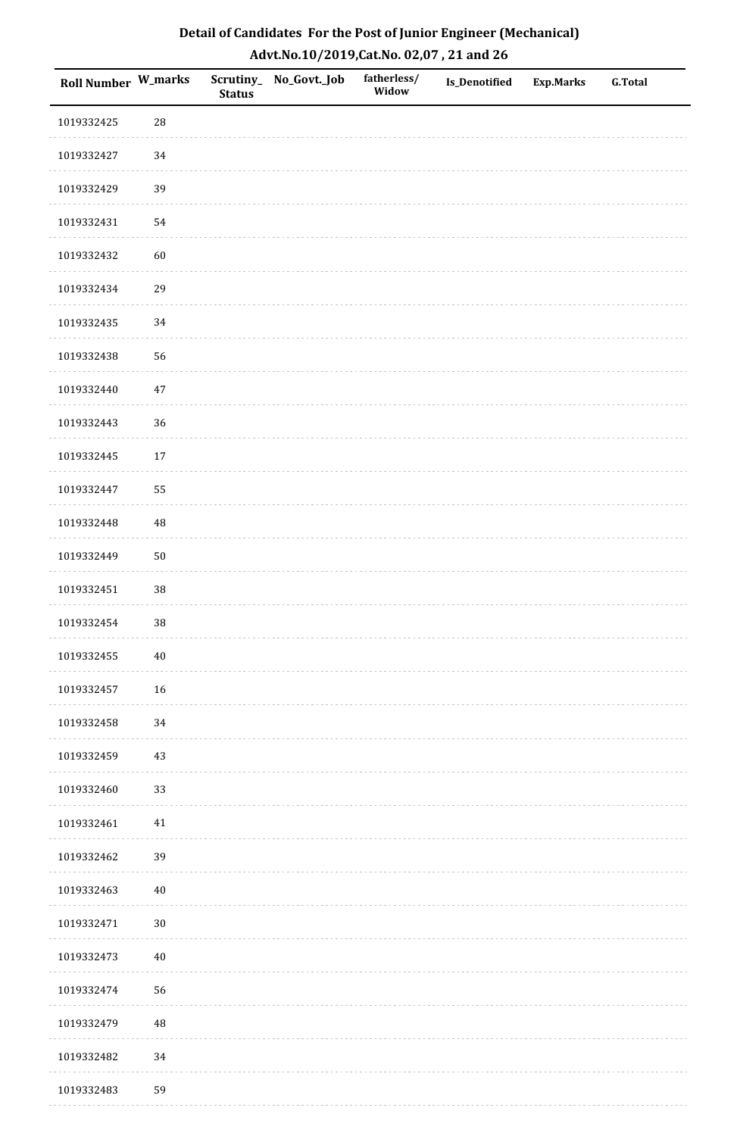| Roll Number W_marks |            | <b>Status</b> | Scrutiny_No_Govt._Job | fatherless/<br>Widow | Is_Denotified | <b>Exp.Marks</b> | <b>G.Total</b> |
|---------------------|------------|---------------|-----------------------|----------------------|---------------|------------------|----------------|
| 1019332425          | ${\bf 28}$ |               |                       |                      |               |                  |                |
| 1019332427          | 34         |               |                       |                      |               |                  |                |
| 1019332429          | 39         |               |                       |                      |               |                  |                |
| 1019332431          | 54         |               |                       |                      |               |                  |                |
| 1019332432          | 60         |               |                       |                      |               |                  |                |
| 1019332434          | 29         |               |                       |                      |               |                  |                |
| 1019332435          | 34         |               |                       |                      |               |                  |                |
| 1019332438          | 56         |               |                       |                      |               |                  |                |
| 1019332440          | $47\,$     |               |                       |                      |               |                  |                |
| 1019332443          | 36         |               |                       |                      |               |                  |                |
| 1019332445          | $17\,$     |               |                       |                      |               |                  |                |
| 1019332447          | 55         |               |                       |                      |               |                  |                |
| 1019332448          | 48         |               |                       |                      |               |                  |                |
| 1019332449          | $50\,$     |               |                       |                      |               |                  |                |
| 1019332451          | $38\,$     |               |                       |                      |               |                  |                |
| 1019332454          | 38         |               |                       |                      |               |                  |                |
| 1019332455          | $40\,$     |               |                       |                      |               |                  |                |
| 1019332457          | 16         |               |                       |                      |               |                  |                |
| 1019332458          | 34         |               |                       |                      |               |                  |                |
| 1019332459          | $43\,$     |               |                       |                      |               |                  |                |
| 1019332460          | 33         |               |                       |                      |               |                  |                |
| 1019332461          | $41\,$     |               |                       |                      |               |                  |                |
| 1019332462          | 39         |               |                       |                      |               |                  |                |
| 1019332463          | $40\,$     |               |                       |                      |               |                  |                |
| 1019332471          | $30\,$     |               |                       |                      |               |                  |                |
| 1019332473          | $40\,$     |               |                       |                      |               |                  |                |
| 1019332474          | 56         |               |                       |                      |               |                  |                |
| 1019332479          | 48         |               |                       |                      |               |                  |                |
| 1019332482          | 34         |               |                       |                      |               |                  |                |
| 1019332483          | 59         |               |                       |                      |               |                  |                |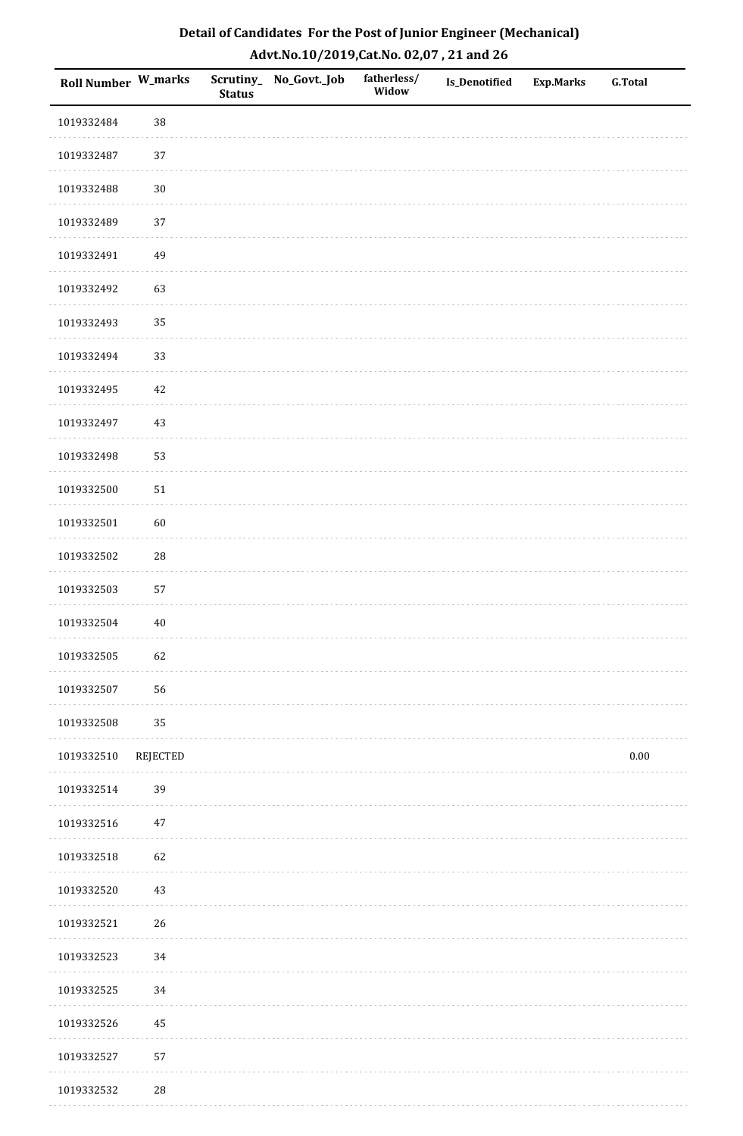| Roll Number W_marks |                 | <b>Status</b> | Scrutiny_ No_Govt._Job | fatherless/<br>Widow | Is_Denotified | <b>Exp.Marks</b> | <b>G.Total</b> |
|---------------------|-----------------|---------------|------------------------|----------------------|---------------|------------------|----------------|
| 1019332484          | 38              |               |                        |                      |               |                  |                |
| 1019332487          | 37              |               |                        |                      |               |                  |                |
| 1019332488          | $30\,$          |               |                        |                      |               |                  |                |
| 1019332489          | 37              |               |                        |                      |               |                  |                |
| 1019332491          | 49              |               |                        |                      |               |                  |                |
| 1019332492          | 63              |               |                        |                      |               |                  |                |
| 1019332493          | 35              |               |                        |                      |               |                  |                |
| 1019332494          | 33              |               |                        |                      |               |                  |                |
| 1019332495          | $42\,$          |               |                        |                      |               |                  |                |
| 1019332497          | 43              |               |                        |                      |               |                  |                |
| 1019332498          | 53              |               |                        |                      |               |                  |                |
| 1019332500          | $51\,$          |               |                        |                      |               |                  |                |
| 1019332501          | 60              |               |                        |                      |               |                  |                |
| 1019332502          | 28              |               |                        |                      |               |                  |                |
| 1019332503          | 57              |               |                        |                      |               |                  |                |
| 1019332504          | $40\,$          |               |                        |                      |               |                  |                |
| 1019332505          | 62              |               |                        |                      |               |                  |                |
| 1019332507          | 56              |               |                        |                      |               |                  |                |
| 1019332508          | 35              |               |                        |                      |               |                  |                |
| 1019332510          | <b>REJECTED</b> |               |                        |                      |               |                  | $0.00\,$       |
| 1019332514          | 39              |               |                        |                      |               |                  |                |
| 1019332516          | $47\,$          |               |                        |                      |               |                  |                |
| 1019332518          | 62              |               |                        |                      |               |                  |                |
| 1019332520          | 43              |               |                        |                      |               |                  |                |
| 1019332521          | 26              |               |                        |                      |               |                  |                |
| 1019332523          | 34              |               |                        |                      |               |                  |                |
| 1019332525          | 34              |               |                        |                      |               |                  |                |
| 1019332526          | 45              |               |                        |                      |               |                  |                |
| 1019332527          | 57              |               |                        |                      |               |                  |                |
| 1019332532          | $28\,$          |               |                        |                      |               |                  |                |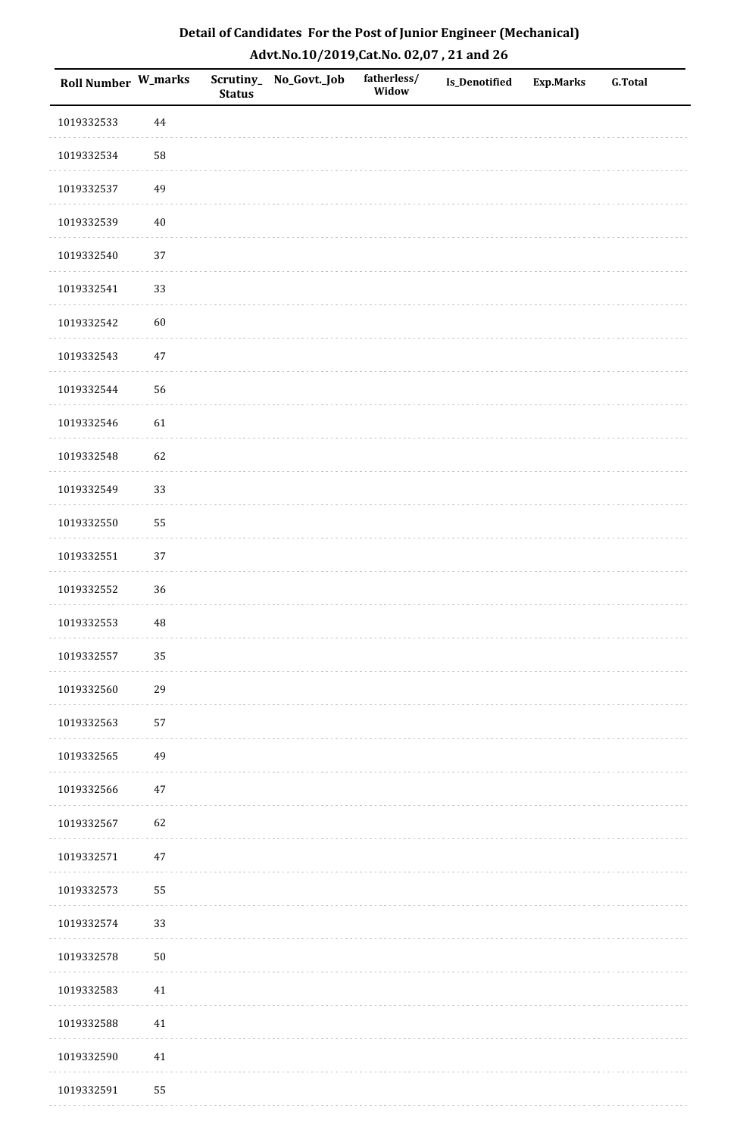| Roll Number W_marks |            | <b>Status</b> | Scrutiny_ No_Govt._Job | fatherless/<br>Widow | Is_Denotified | Exp.Marks | <b>G.Total</b> |
|---------------------|------------|---------------|------------------------|----------------------|---------------|-----------|----------------|
| 1019332533          | 44         |               |                        |                      |               |           |                |
| 1019332534          | ${\bf 58}$ |               |                        |                      |               |           |                |
| 1019332537          | 49         |               |                        |                      |               |           |                |
| 1019332539          | 40         |               |                        |                      |               |           |                |
| 1019332540          | $37\,$     |               |                        |                      |               |           |                |
| 1019332541          | 33         |               |                        |                      |               |           |                |
| 1019332542          | 60         |               |                        |                      |               |           |                |
| 1019332543          | 47         |               |                        |                      |               |           |                |
| 1019332544          | 56         |               |                        |                      |               |           |                |
| 1019332546          | 61         |               |                        |                      |               |           |                |
| 1019332548          | 62         |               |                        |                      |               |           |                |
| 1019332549          | 33         |               |                        |                      |               |           |                |
| 1019332550          | 55         |               |                        |                      |               |           |                |
| 1019332551          | 37         |               |                        |                      |               |           |                |
| 1019332552          | 36         |               |                        |                      |               |           |                |
| 1019332553          | $\rm 48$   |               |                        |                      |               |           |                |
| 1019332557          | 35         |               |                        |                      |               |           |                |
| 1019332560          | 29         |               |                        |                      |               |           |                |
| 1019332563          | 57         |               |                        |                      |               |           |                |
| 1019332565          | 49         |               |                        |                      |               |           |                |
| 1019332566          | $47\,$     |               |                        |                      |               |           |                |
| 1019332567          | 62         |               |                        |                      |               |           |                |
| 1019332571          | $47\,$     |               |                        |                      |               |           |                |
| 1019332573          | 55         |               |                        |                      |               |           |                |
| 1019332574          | 33         |               |                        |                      |               |           |                |
| 1019332578          | $50\,$     |               |                        |                      |               |           |                |
| 1019332583          | 41         |               |                        |                      |               |           |                |
| 1019332588          | 41         |               |                        |                      |               |           |                |
| 1019332590          | 41         |               |                        |                      |               |           |                |
| 1019332591          | 55         |               |                        |                      |               |           |                |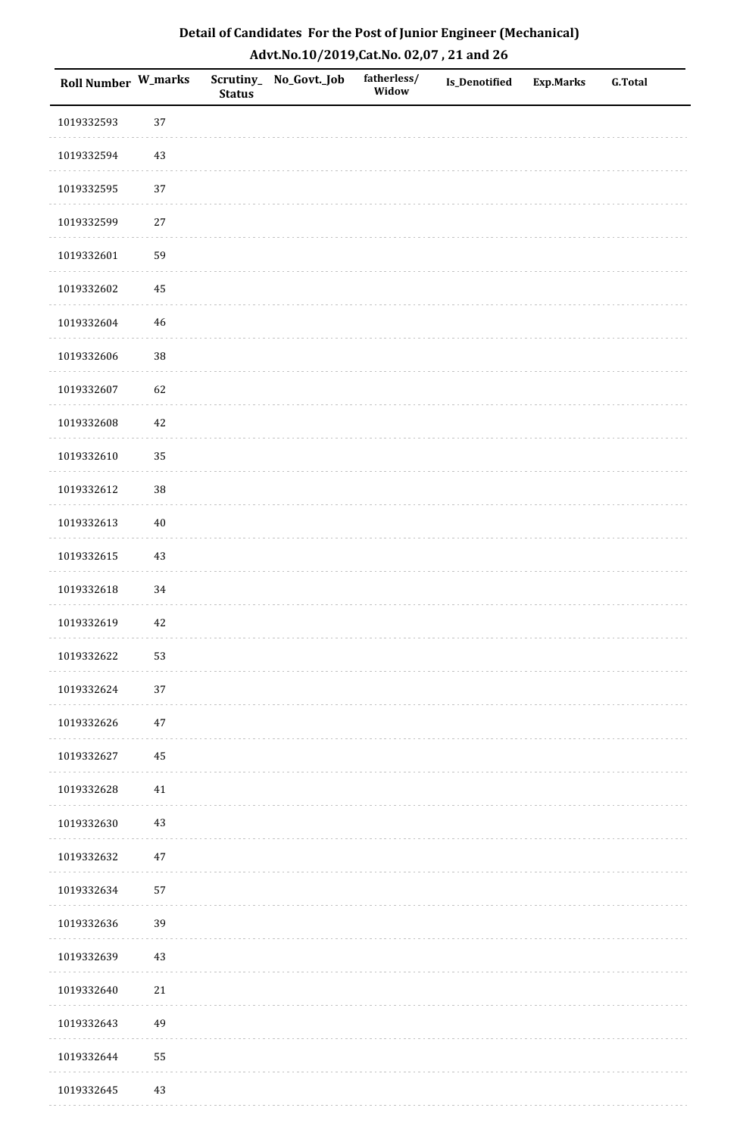| Roll Number W_marks |             | <b>Status</b> | Scrutiny_No_Govt._Job | fatherless/<br>Widow | Is_Denotified | <b>Exp.Marks</b> | <b>G.Total</b> |
|---------------------|-------------|---------------|-----------------------|----------------------|---------------|------------------|----------------|
| 1019332593          | 37          |               |                       |                      |               |                  |                |
| 1019332594          | $43\,$      |               |                       |                      |               |                  |                |
| 1019332595          | 37          |               |                       |                      |               |                  |                |
| 1019332599          | $27\,$      |               |                       |                      |               |                  |                |
| 1019332601          | 59          |               |                       |                      |               |                  |                |
| 1019332602          | 45          |               |                       |                      |               |                  |                |
| 1019332604          | $\sqrt{46}$ |               |                       |                      |               |                  |                |
| 1019332606          | 38          |               |                       |                      |               |                  |                |
| 1019332607          | 62          |               |                       |                      |               |                  |                |
| 1019332608          | $42\,$      |               |                       |                      |               |                  |                |
| 1019332610          | 35          |               |                       |                      |               |                  |                |
| 1019332612          | 38          |               |                       |                      |               |                  |                |
| 1019332613          | $40\,$      |               |                       |                      |               |                  |                |
| 1019332615          | $43\,$      |               |                       |                      |               |                  |                |
| 1019332618          | 34          |               |                       |                      |               |                  |                |
| 1019332619          | 42          |               |                       |                      |               |                  |                |
| 1019332622          | 53          |               |                       |                      |               |                  |                |
| 1019332624          | 37          |               |                       |                      |               |                  |                |
| 1019332626          | $47\,$      |               |                       |                      |               |                  |                |
| 1019332627          | 45          |               |                       |                      |               |                  |                |
| 1019332628          | 41          |               |                       |                      |               |                  |                |
| 1019332630          | $43\,$      |               |                       |                      |               |                  |                |
| 1019332632          | $47\,$      |               |                       |                      |               |                  |                |
| 1019332634          | 57          |               |                       |                      |               |                  |                |
| 1019332636          | 39          |               |                       |                      |               |                  |                |
| 1019332639          | $43\,$      |               |                       |                      |               |                  |                |
| 1019332640          | $21\,$      |               |                       |                      |               |                  |                |
| 1019332643          | 49          |               |                       |                      |               |                  |                |
| 1019332644          | 55          |               |                       |                      |               |                  |                |
| 1019332645          | 43          |               |                       |                      |               |                  |                |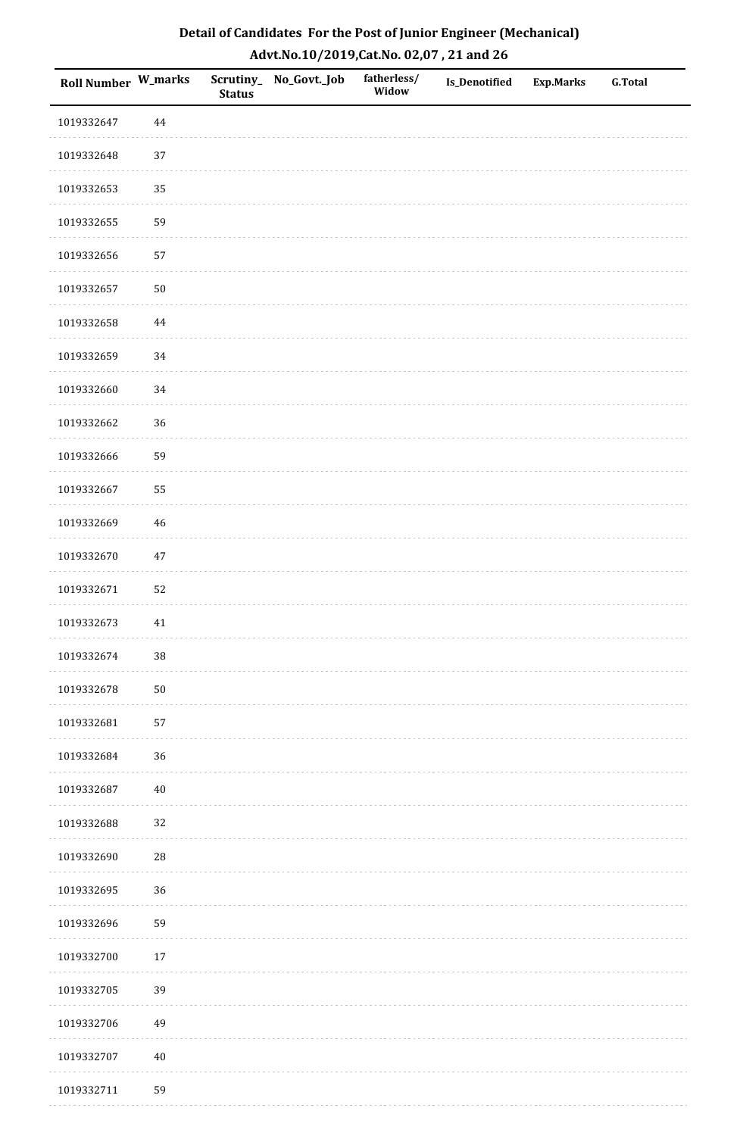| Roll Number W_marks |          | <b>Status</b> | Scrutiny_No_Govt._Job | fatherless/<br>Widow | Is_Denotified | <b>Exp.Marks</b> | <b>G.Total</b> |
|---------------------|----------|---------------|-----------------------|----------------------|---------------|------------------|----------------|
| 1019332647          | $\bf 44$ |               |                       |                      |               |                  |                |
| 1019332648          | $37\,$   |               |                       |                      |               |                  |                |
| 1019332653          | 35       |               |                       |                      |               |                  |                |
| 1019332655          | 59       |               |                       |                      |               |                  |                |
| 1019332656          | 57       |               |                       |                      |               |                  |                |
| 1019332657          | $50\,$   |               |                       |                      |               |                  |                |
| 1019332658          | $\bf 44$ |               |                       |                      |               |                  |                |
| 1019332659          | 34       |               |                       |                      |               |                  |                |
| 1019332660          | 34       |               |                       |                      |               |                  |                |
| 1019332662          | 36       |               |                       |                      |               |                  |                |
| 1019332666          | 59       |               |                       |                      |               |                  |                |
| 1019332667          | 55       |               |                       |                      |               |                  |                |
| 1019332669          | $46\,$   |               |                       |                      |               |                  |                |
| 1019332670          | $47\,$   |               |                       |                      |               |                  |                |
| 1019332671          | 52       |               |                       |                      |               |                  |                |
| 1019332673          | $41\,$   |               |                       |                      |               |                  |                |
| 1019332674          | $38\,$   |               |                       |                      |               |                  |                |
| 1019332678          | $50\,$   |               |                       |                      |               |                  |                |
| 1019332681          | 57       |               |                       |                      |               |                  |                |
| 1019332684          | 36       |               |                       |                      |               |                  |                |
| 1019332687          | $40\,$   |               |                       |                      |               |                  |                |
| 1019332688          | 32       |               |                       |                      |               |                  |                |
| 1019332690          | 28       |               |                       |                      |               |                  |                |
| 1019332695          | 36       |               |                       |                      |               |                  |                |
| 1019332696          | 59       |               |                       |                      |               |                  |                |
| 1019332700          | $17\,$   |               |                       |                      |               |                  |                |
| 1019332705          | 39       |               |                       |                      |               |                  |                |
| 1019332706          | 49       |               |                       |                      |               |                  |                |
| 1019332707          | $40\,$   |               |                       |                      |               |                  |                |
| 1019332711          | 59       |               |                       |                      |               |                  |                |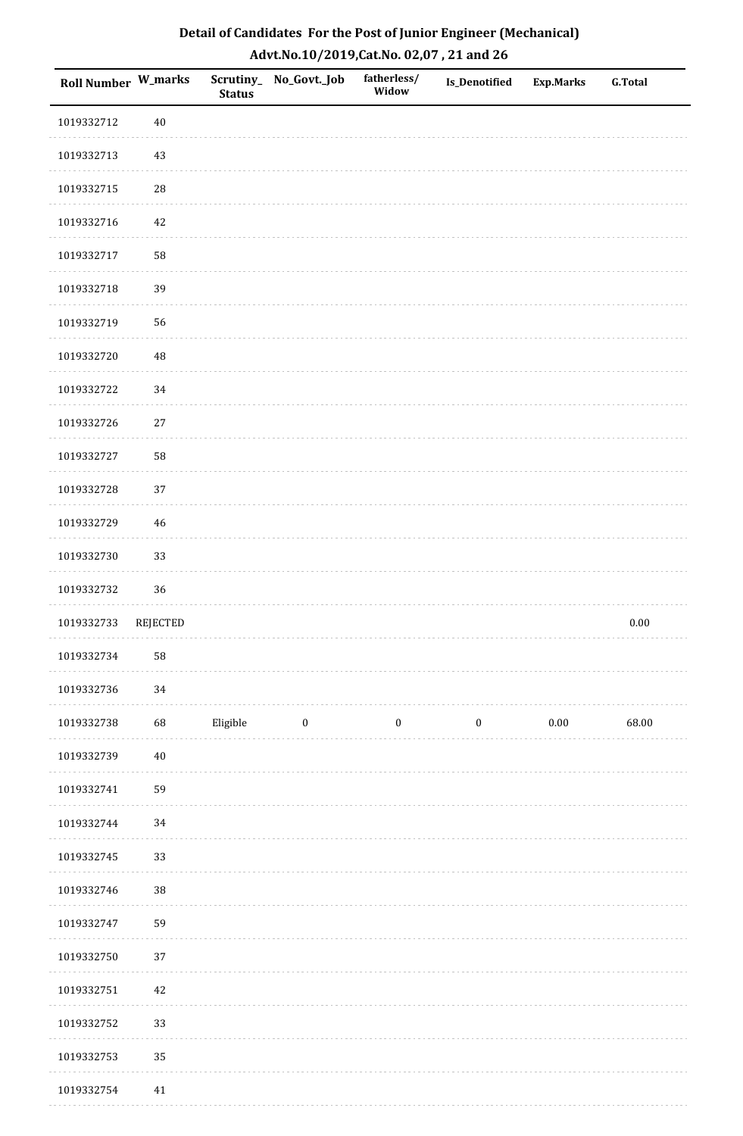| <b>Roll Number W_marks</b> |             | <b>Status</b> | Scrutiny_No_Govt._Job | fatherless/<br>Widow | Is_Denotified    | <b>Exp.Marks</b> | <b>G.Total</b> |
|----------------------------|-------------|---------------|-----------------------|----------------------|------------------|------------------|----------------|
| 1019332712                 | $40\,$      |               |                       |                      |                  |                  |                |
| 1019332713                 | $43\,$      |               |                       |                      |                  |                  |                |
| 1019332715                 | ${\bf 28}$  |               |                       |                      |                  |                  |                |
| 1019332716                 | 42          |               |                       |                      |                  |                  |                |
| 1019332717                 | 58          |               |                       |                      |                  |                  |                |
| 1019332718                 | 39          |               |                       |                      |                  |                  |                |
| 1019332719                 | 56          |               |                       |                      |                  |                  |                |
| 1019332720                 | $\sqrt{48}$ |               |                       |                      |                  |                  |                |
| 1019332722                 | 34          |               |                       |                      |                  |                  |                |
| 1019332726                 | $27\,$      |               |                       |                      |                  |                  |                |
| 1019332727                 | 58          |               |                       |                      |                  |                  |                |
| 1019332728                 | 37          |               |                       |                      |                  |                  |                |
| 1019332729                 | $46\,$      |               |                       |                      |                  |                  |                |
| 1019332730                 | 33          |               |                       |                      |                  |                  |                |
| 1019332732                 | 36          |               |                       |                      |                  |                  |                |
| 1019332733                 | REJECTED    |               |                       |                      |                  |                  | $0.00\,$       |
| 1019332734                 | 58          |               |                       |                      |                  |                  |                |
| 1019332736                 | 34          |               |                       |                      |                  |                  |                |
| 1019332738                 | 68          | Eligible      | $\bf{0}$              | $\boldsymbol{0}$     | $\boldsymbol{0}$ | $0.00\,$         | 68.00          |
| 1019332739                 | $40\,$      |               |                       |                      |                  |                  |                |
| 1019332741                 | 59          |               |                       |                      |                  |                  |                |
| 1019332744                 | $34\,$      |               |                       |                      |                  |                  |                |
| 1019332745                 | 33          |               |                       |                      |                  |                  |                |
| 1019332746                 | 38          |               |                       |                      |                  |                  |                |
| 1019332747                 | 59          |               |                       |                      |                  |                  |                |
| 1019332750                 | 37          |               |                       |                      |                  |                  |                |
| 1019332751                 | $42\,$      |               |                       |                      |                  |                  |                |
| 1019332752                 | 33          |               |                       |                      |                  |                  |                |
| 1019332753                 | 35          |               |                       |                      |                  |                  |                |
| 1019332754                 | 41          |               |                       |                      |                  |                  |                |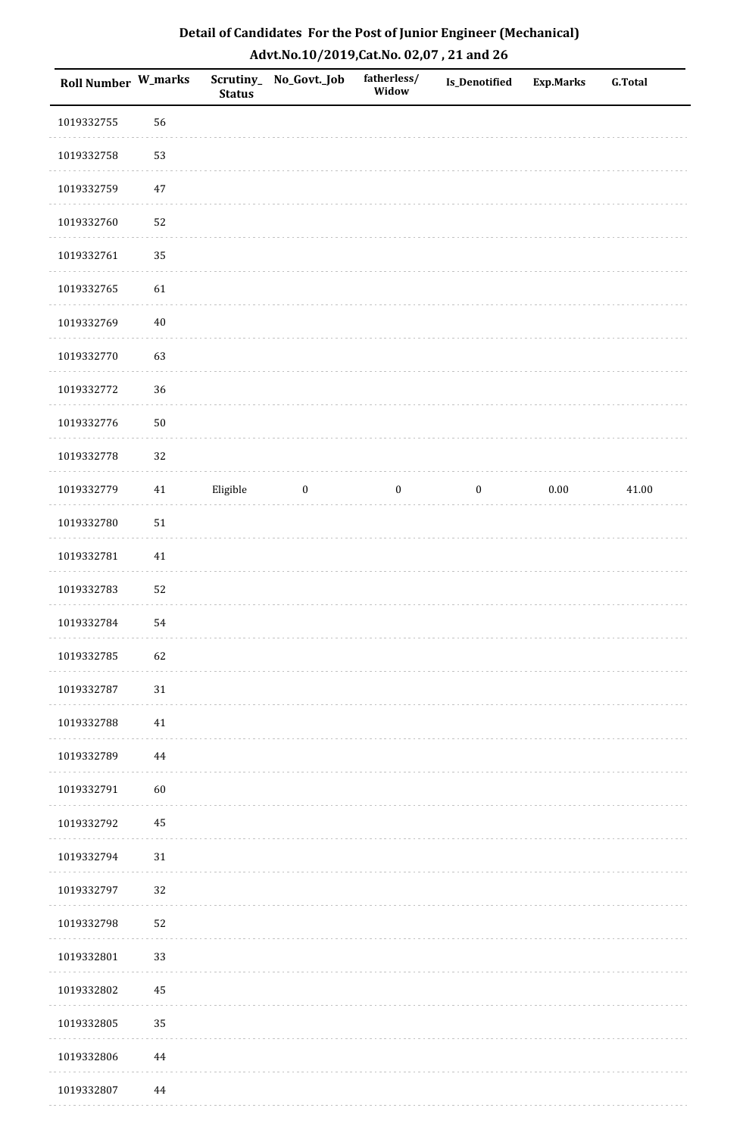| Roll Number W_marks |          | <b>Status</b> | Scrutiny_No_Govt._Job | fatherless/<br>Widow | Is_Denotified    | <b>Exp.Marks</b> | <b>G.Total</b> |
|---------------------|----------|---------------|-----------------------|----------------------|------------------|------------------|----------------|
| 1019332755          | 56       |               |                       |                      |                  |                  |                |
| 1019332758          | 53       |               |                       |                      |                  |                  |                |
| 1019332759          | $47\,$   |               |                       |                      |                  |                  |                |
| 1019332760          | 52       |               |                       |                      |                  |                  |                |
| 1019332761          | 35       |               |                       |                      |                  |                  |                |
| 1019332765          | 61       |               |                       |                      |                  |                  |                |
| 1019332769          | $40\,$   |               |                       |                      |                  |                  |                |
| 1019332770          | 63       |               |                       |                      |                  |                  |                |
| 1019332772          | 36       |               |                       |                      |                  |                  |                |
| 1019332776          | $50\,$   |               |                       |                      |                  |                  |                |
| 1019332778          | 32       |               |                       |                      |                  |                  |                |
| 1019332779          | $41\,$   | Eligible      | $\boldsymbol{0}$      | $\boldsymbol{0}$     | $\boldsymbol{0}$ | $0.00\,$         | 41.00          |
| 1019332780          | $51\,$   |               |                       |                      |                  |                  |                |
| 1019332781          | $41\,$   |               |                       |                      |                  |                  |                |
| 1019332783          | 52       |               |                       |                      |                  |                  |                |
| 1019332784          | 54       |               |                       |                      |                  |                  |                |
| 1019332785          | 62       |               |                       |                      |                  |                  |                |
| 1019332787          | $31\,$   |               |                       |                      |                  |                  |                |
| 1019332788          | 41       |               |                       |                      |                  |                  |                |
| 1019332789          | 44       |               |                       |                      |                  |                  |                |
| 1019332791          | 60       |               |                       |                      |                  |                  |                |
| 1019332792          | 45       |               |                       |                      |                  |                  |                |
| 1019332794          | $31\,$   |               |                       |                      |                  |                  |                |
| 1019332797          | 32       |               |                       |                      |                  |                  |                |
| 1019332798          | 52       |               |                       |                      |                  |                  |                |
| 1019332801          | 33       |               |                       |                      |                  |                  |                |
| 1019332802          | $\bf 45$ |               |                       |                      |                  |                  |                |
| 1019332805          | 35       |               |                       |                      |                  |                  |                |
| 1019332806          | 44       |               |                       |                      |                  |                  |                |
| 1019332807          | 44       |               |                       |                      |                  |                  |                |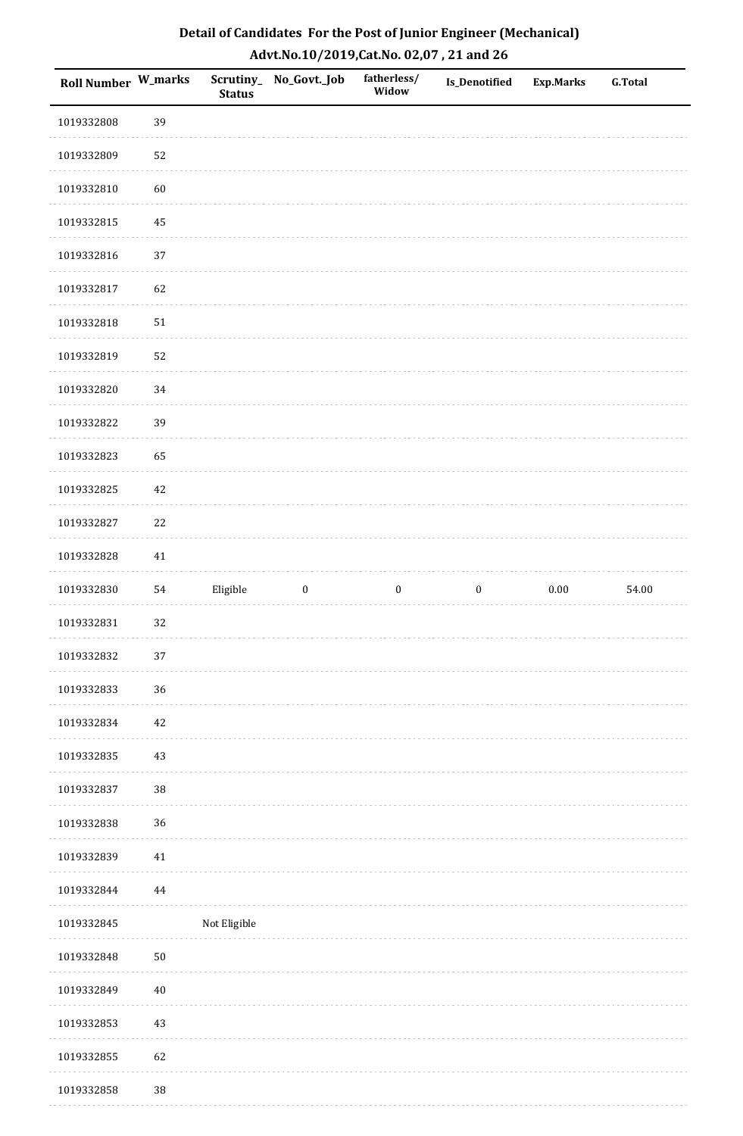| Roll Number W_marks |        | <b>Status</b> | Scrutiny_No_Govt._Job | fatherless/<br>Widow | <b>Is_Denotified</b> | <b>Exp.Marks</b> | <b>G.Total</b> |
|---------------------|--------|---------------|-----------------------|----------------------|----------------------|------------------|----------------|
| 1019332808          | 39     |               |                       |                      |                      |                  |                |
| 1019332809          | 52     |               |                       |                      |                      |                  |                |
| 1019332810          | 60     |               |                       |                      |                      |                  |                |
| 1019332815          | 45     |               |                       |                      |                      |                  |                |
| 1019332816          | 37     |               |                       |                      |                      |                  |                |
| 1019332817          | 62     |               |                       |                      |                      |                  |                |
| 1019332818          | $51\,$ |               |                       |                      |                      |                  |                |
| 1019332819          | 52     |               |                       |                      |                      |                  |                |
| 1019332820          | 34     |               |                       |                      |                      |                  |                |
| 1019332822          | 39     |               |                       |                      |                      |                  |                |
| 1019332823          | 65     |               |                       |                      |                      |                  |                |
| 1019332825          | $42\,$ |               |                       |                      |                      |                  |                |
| 1019332827          | 22     |               |                       |                      |                      |                  |                |
| 1019332828          | $41\,$ |               |                       |                      |                      |                  |                |
| 1019332830          | 54     | Eligible      | $\boldsymbol{0}$      | $\boldsymbol{0}$     | $\boldsymbol{0}$     | 0.00             | 54.00          |
| 1019332831          | 32     |               |                       |                      |                      |                  |                |
| 1019332832          | $37\,$ |               |                       |                      |                      |                  |                |
| 1019332833          | 36     |               |                       |                      |                      |                  |                |
| 1019332834          | $42\,$ |               |                       |                      |                      |                  |                |
| 1019332835          | $43\,$ |               |                       |                      |                      |                  |                |
| 1019332837          | 38     |               |                       |                      |                      |                  |                |
| 1019332838          | 36     |               |                       |                      |                      |                  |                |
| 1019332839          | $41\,$ |               |                       |                      |                      |                  |                |
| 1019332844          | 44     |               |                       |                      |                      |                  |                |
| 1019332845          |        | Not Eligible  |                       |                      |                      |                  |                |
| 1019332848          | $50\,$ |               |                       |                      |                      |                  |                |
| 1019332849          | $40\,$ |               |                       |                      |                      |                  |                |
| 1019332853          | $43\,$ |               |                       |                      |                      |                  |                |
| 1019332855          | 62     |               |                       |                      |                      |                  |                |
| 1019332858          | $38\,$ |               |                       |                      |                      |                  |                |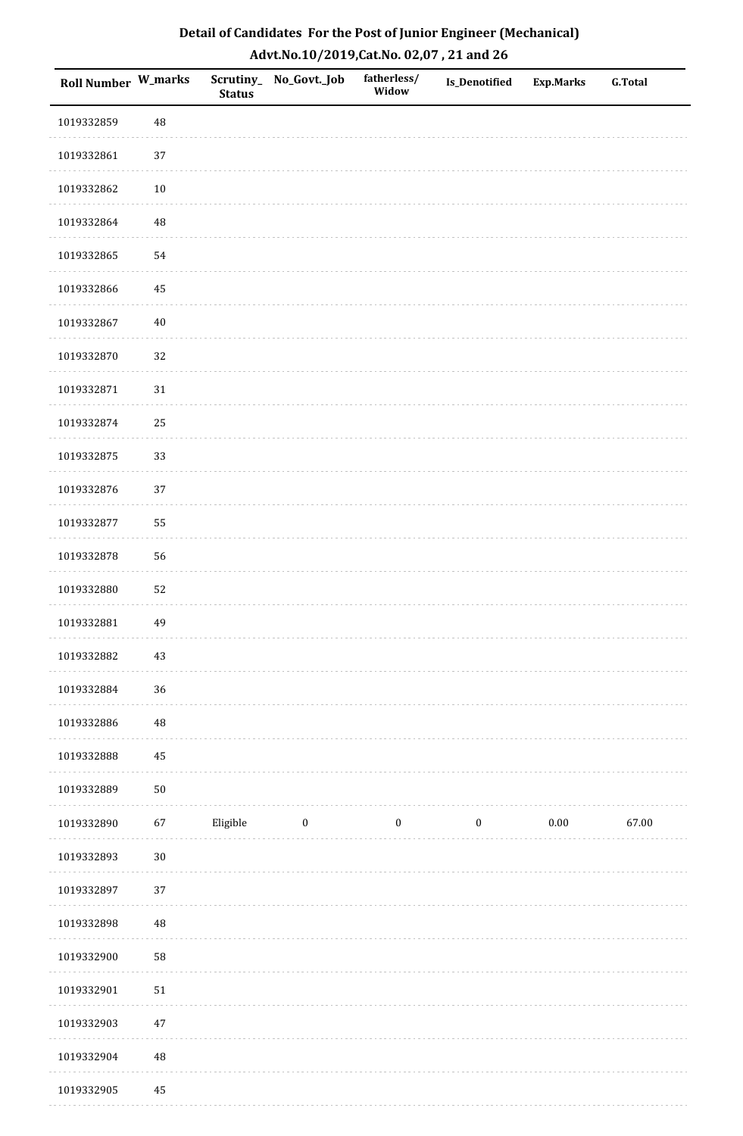| <b>Roll Number W_marks</b> |          | <b>Status</b> | Scrutiny_No_Govt._Job | fatherless/<br>Widow | Is_Denotified    | <b>Exp.Marks</b> | <b>G.Total</b> |
|----------------------------|----------|---------------|-----------------------|----------------------|------------------|------------------|----------------|
| 1019332859                 | 48       |               |                       |                      |                  |                  |                |
| 1019332861                 | $37\,$   |               |                       |                      |                  |                  |                |
| 1019332862                 | $10\,$   |               |                       |                      |                  |                  |                |
| 1019332864                 | 48       |               |                       |                      |                  |                  |                |
| 1019332865                 | 54       |               |                       |                      |                  |                  |                |
| 1019332866                 | 45       |               |                       |                      |                  |                  |                |
| 1019332867                 | $40\,$   |               |                       |                      |                  |                  |                |
| 1019332870                 | 32       |               |                       |                      |                  |                  |                |
| 1019332871                 | $31\,$   |               |                       |                      |                  |                  |                |
| 1019332874                 | 25       |               |                       |                      |                  |                  |                |
| 1019332875                 | 33       |               |                       |                      |                  |                  |                |
| 1019332876                 | 37       |               |                       |                      |                  |                  |                |
| 1019332877                 | 55       |               |                       |                      |                  |                  |                |
| 1019332878                 | 56       |               |                       |                      |                  |                  |                |
| 1019332880                 | 52       |               |                       |                      |                  |                  |                |
| 1019332881                 | 49       |               |                       |                      |                  |                  |                |
| 1019332882                 | $43\,$   |               |                       |                      |                  |                  |                |
| 1019332884                 | 36       |               |                       |                      |                  |                  |                |
| 1019332886                 | $\rm 48$ |               |                       |                      |                  |                  |                |
| 1019332888                 | 45       |               |                       |                      |                  |                  |                |
| 1019332889                 | $50\,$   |               |                       |                      |                  |                  |                |
| 1019332890                 | 67       | Eligible      | $\bf{0}$              | $\boldsymbol{0}$     | $\boldsymbol{0}$ | $0.00\,$         | 67.00          |
| 1019332893                 | $30\,$   |               |                       |                      |                  |                  |                |
| 1019332897                 | 37       |               |                       |                      |                  |                  |                |
| 1019332898                 | 48       |               |                       |                      |                  |                  |                |
| 1019332900                 | 58       |               |                       |                      |                  |                  |                |
| 1019332901                 | $51\,$   |               |                       |                      |                  |                  |                |
| 1019332903                 | $47\,$   |               |                       |                      |                  |                  |                |
| 1019332904                 | $\rm 48$ |               |                       |                      |                  |                  |                |
| 1019332905                 | 45       |               |                       |                      |                  |                  |                |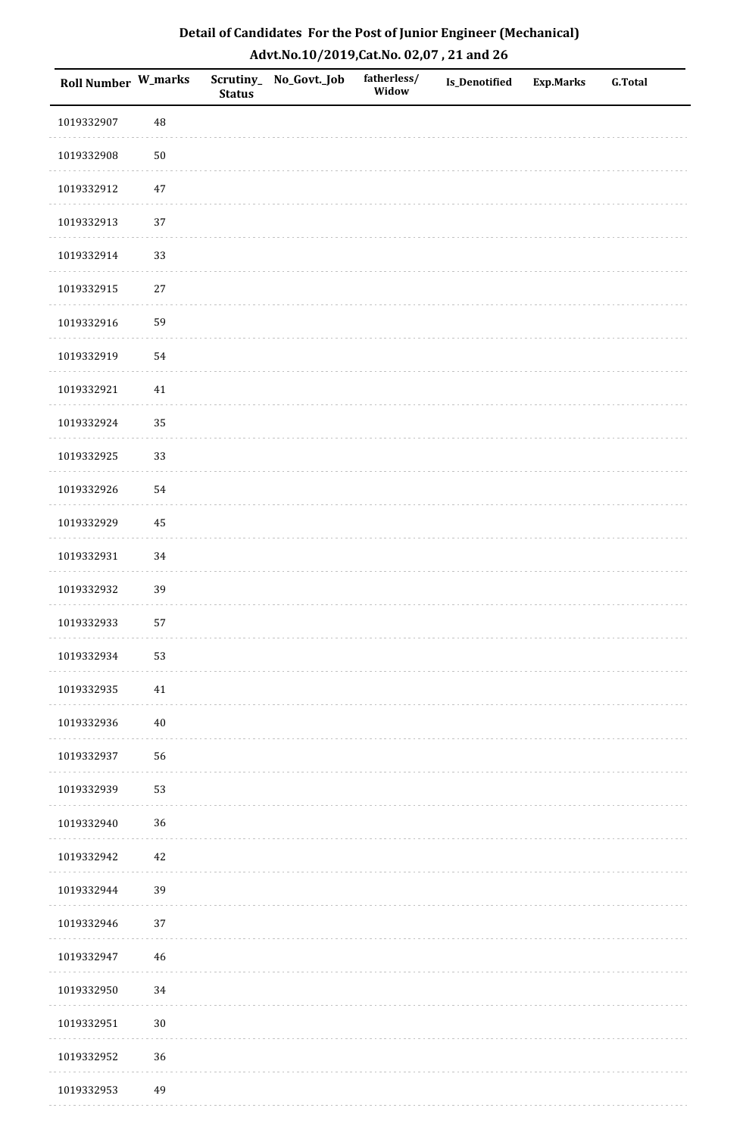| Detail of Candidates For the Post of Junior Engineer (Mechanical) |
|-------------------------------------------------------------------|
| Advt.No.10/2019,Cat.No. 02,07, 21 and 26                          |

| Roll Number W_marks |        | <b>Status</b> | Scrutiny_No_Govt._Job | fatherless/<br>Widow | <b>Is_Denotified</b> | <b>Exp.Marks</b> | <b>G.Total</b> |
|---------------------|--------|---------------|-----------------------|----------------------|----------------------|------------------|----------------|
| 1019332907          | 48     |               |                       |                      |                      |                  |                |
| 1019332908          | $50\,$ |               |                       |                      |                      |                  |                |
| 1019332912          | $47\,$ |               |                       |                      |                      |                  |                |
| 1019332913          | 37     |               |                       |                      |                      |                  |                |
| 1019332914          | 33     |               |                       |                      |                      |                  |                |
| 1019332915          | 27     |               |                       |                      |                      |                  |                |
| 1019332916          | 59     |               |                       |                      |                      |                  |                |
| 1019332919          | 54     |               |                       |                      |                      |                  |                |
| 1019332921          | $41\,$ |               |                       |                      |                      |                  |                |
| 1019332924          | 35     |               |                       |                      |                      |                  |                |
| 1019332925          | 33     |               |                       |                      |                      |                  |                |
| 1019332926          | 54     |               |                       |                      |                      |                  |                |
| 1019332929          | 45     |               |                       |                      |                      |                  |                |
| 1019332931          | 34     |               |                       |                      |                      |                  |                |
| 1019332932          | 39     |               |                       |                      |                      |                  |                |
| 1019332933          | 57     |               |                       |                      |                      |                  |                |
| 1019332934          | 53     |               |                       |                      |                      |                  |                |
| 1019332935          | 41     |               |                       |                      |                      |                  |                |
| 1019332936          | 40     |               |                       |                      |                      |                  |                |
| 1019332937          | 56     |               |                       |                      |                      |                  |                |
| 1019332939          | 53     |               |                       |                      |                      |                  |                |
| 1019332940          | 36     |               |                       |                      |                      |                  |                |
| 1019332942          | 42     |               |                       |                      |                      |                  |                |
| 1019332944          | 39     |               |                       |                      |                      |                  |                |
| 1019332946          | 37     |               |                       |                      |                      |                  |                |
| 1019332947          | 46     |               |                       |                      |                      |                  |                |
| 1019332950          | 34     |               |                       |                      |                      |                  |                |
| 1019332951          | $30\,$ |               |                       |                      |                      |                  |                |
| 1019332952          | 36     |               |                       |                      |                      |                  |                |
| 1019332953          | 49     |               |                       |                      |                      |                  |                |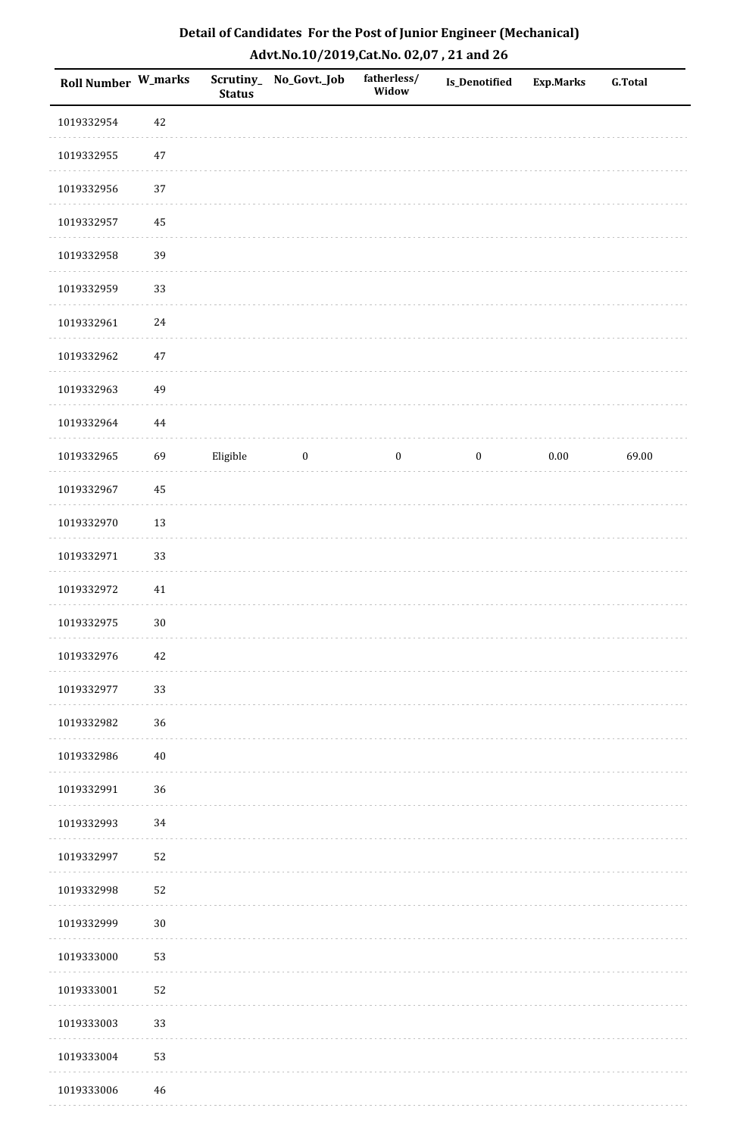| Detail of Candidates For the Post of Junior Engineer (Mechanical) |
|-------------------------------------------------------------------|
| Advt.No.10/2019, Cat.No. 02,07, 21 and 26                         |

| Roll Number W_marks |          | <b>Status</b> | Scrutiny_ No_Govt._Job | fatherless/<br>Widow | Is_Denotified    | <b>Exp.Marks</b> | <b>G.Total</b> |
|---------------------|----------|---------------|------------------------|----------------------|------------------|------------------|----------------|
| 1019332954          | 42       |               |                        |                      |                  |                  |                |
| 1019332955          | 47       |               |                        |                      |                  |                  |                |
| 1019332956          | 37       |               |                        |                      |                  |                  |                |
| 1019332957          | 45       |               |                        |                      |                  |                  |                |
| 1019332958          | 39       |               |                        |                      |                  |                  |                |
| 1019332959          | 33       |               |                        |                      |                  |                  |                |
| 1019332961          | 24       |               |                        |                      |                  |                  |                |
| 1019332962          | $47\,$   |               |                        |                      |                  |                  |                |
| 1019332963          | 49       |               |                        |                      |                  |                  |                |
| 1019332964          | $\bf 44$ |               |                        |                      |                  |                  |                |
| 1019332965          | 69       | Eligible      | $\boldsymbol{0}$       | $\boldsymbol{0}$     | $\boldsymbol{0}$ | $0.00\,$         | 69.00          |
| 1019332967          | 45       |               |                        |                      |                  |                  |                |
| 1019332970          | 13       |               |                        |                      |                  |                  |                |
| 1019332971          | 33       |               |                        |                      |                  |                  |                |
| 1019332972          | 41       |               |                        |                      |                  |                  |                |
| 1019332975          | $30\,$   |               |                        |                      |                  |                  |                |
| 1019332976          | 42       |               |                        |                      |                  |                  |                |
| 1019332977          | 33       |               |                        |                      |                  |                  |                |
| 1019332982          | 36       |               |                        |                      |                  |                  |                |
| 1019332986          | $40\,$   |               |                        |                      |                  |                  |                |
| 1019332991          | 36       |               |                        |                      |                  |                  |                |
| 1019332993          | 34       |               |                        |                      |                  |                  |                |
| 1019332997          | 52       |               |                        |                      |                  |                  |                |
| 1019332998          | 52       |               |                        |                      |                  |                  |                |
| 1019332999          | $30\,$   |               |                        |                      |                  |                  |                |
| 1019333000          | 53       |               |                        |                      |                  |                  |                |
| 1019333001          | 52       |               |                        |                      |                  |                  |                |
| 1019333003          | 33       |               |                        |                      |                  |                  |                |
| 1019333004          | 53       |               |                        |                      |                  |                  |                |
| 1019333006          | 46       |               |                        |                      |                  |                  |                |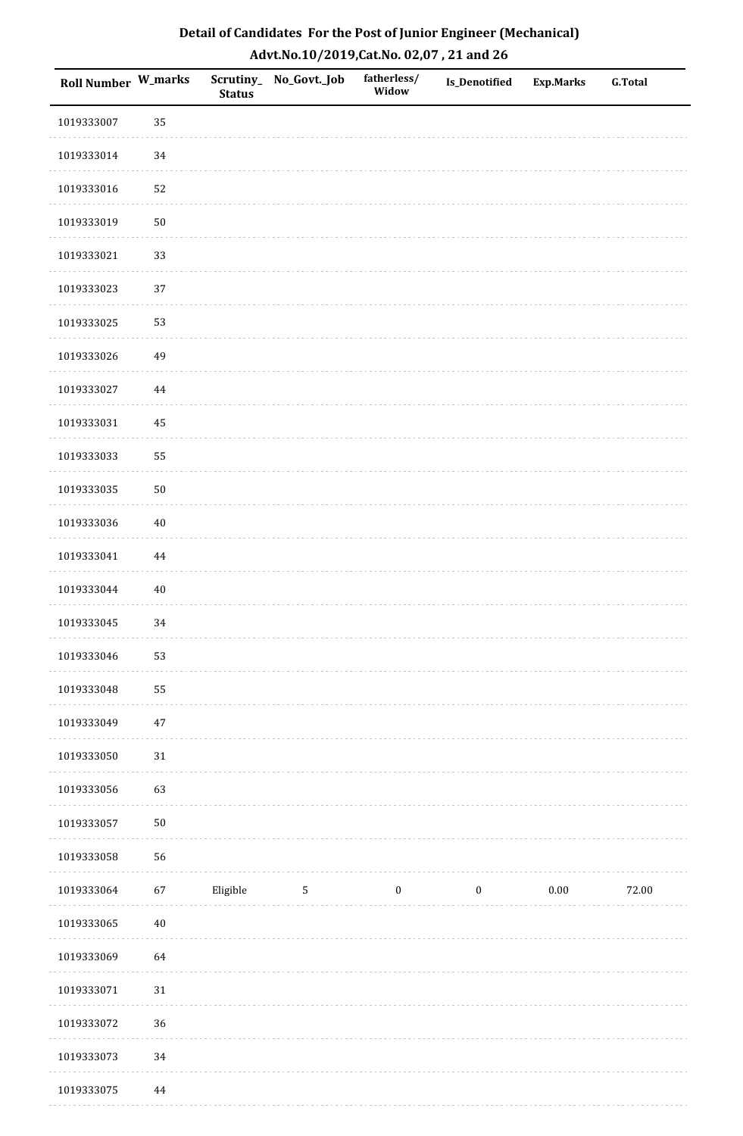| <b>Roll Number W_marks</b> |          | <b>Status</b> | Scrutiny_No_Govt._Job | fatherless/<br>Widow | Is_Denotified    | <b>Exp.Marks</b> | <b>G.Total</b> |
|----------------------------|----------|---------------|-----------------------|----------------------|------------------|------------------|----------------|
| 1019333007                 | 35       |               |                       |                      |                  |                  |                |
| 1019333014                 | 34       |               |                       |                      |                  |                  |                |
| 1019333016                 | 52       |               |                       |                      |                  |                  |                |
| 1019333019                 | $50\,$   |               |                       |                      |                  |                  |                |
| 1019333021                 | 33       |               |                       |                      |                  |                  |                |
| 1019333023                 | 37       |               |                       |                      |                  |                  |                |
| 1019333025                 | 53       |               |                       |                      |                  |                  |                |
| 1019333026                 | 49       |               |                       |                      |                  |                  |                |
| 1019333027                 | 44       |               |                       |                      |                  |                  |                |
| 1019333031                 | 45       |               |                       |                      |                  |                  |                |
| 1019333033                 | 55       |               |                       |                      |                  |                  |                |
| 1019333035                 | $50\,$   |               |                       |                      |                  |                  |                |
| 1019333036                 | $40\,$   |               |                       |                      |                  |                  |                |
| 1019333041                 | $\bf 44$ |               |                       |                      |                  |                  |                |
| 1019333044                 | $40\,$   |               |                       |                      |                  |                  |                |
| 1019333045                 | 34       |               |                       |                      |                  |                  |                |
| 1019333046                 | 53       |               |                       |                      |                  |                  |                |
| 1019333048                 | 55       |               |                       |                      |                  |                  |                |
| 1019333049                 | $47\,$   |               |                       |                      |                  |                  |                |
| 1019333050                 | $31\,$   |               |                       |                      |                  |                  |                |
| 1019333056                 | 63       |               |                       |                      |                  |                  |                |
| 1019333057                 | $50\,$   |               |                       |                      |                  |                  |                |
| 1019333058                 | 56       |               |                       |                      |                  |                  |                |
| 1019333064                 | 67       | Eligible      | 5                     | $\boldsymbol{0}$     | $\boldsymbol{0}$ | 0.00             | 72.00          |
| 1019333065                 | $40\,$   |               |                       |                      |                  |                  |                |
| 1019333069                 | 64       |               |                       |                      |                  |                  |                |
| 1019333071                 | $31\,$   |               |                       |                      |                  |                  |                |
| 1019333072                 | 36       |               |                       |                      |                  |                  |                |
| 1019333073                 | 34       |               |                       |                      |                  |                  |                |
| 1019333075                 | 44       |               |                       |                      |                  |                  |                |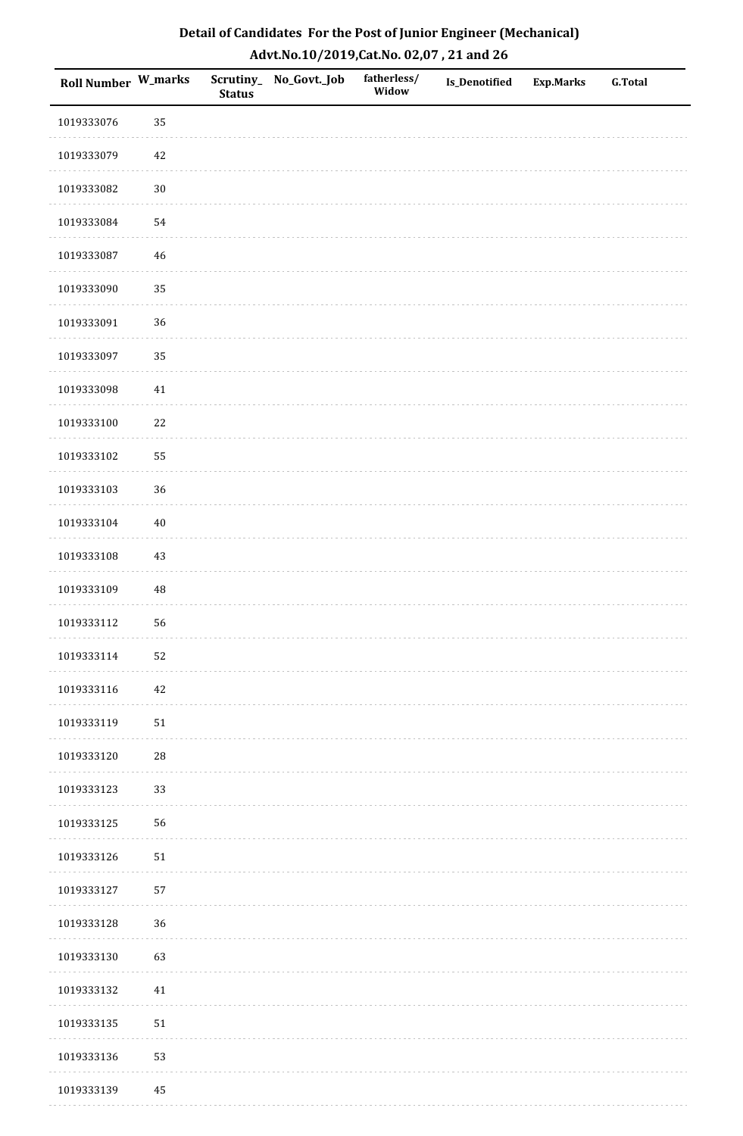| <b>Roll Number W_marks</b> |            | <b>Status</b> | Scrutiny_No_Govt._Job | fatherless/<br>Widow | Is_Denotified | <b>Exp.Marks</b> | <b>G.Total</b> |
|----------------------------|------------|---------------|-----------------------|----------------------|---------------|------------------|----------------|
| 1019333076                 | 35         |               |                       |                      |               |                  |                |
| 1019333079                 | 42         |               |                       |                      |               |                  |                |
| 1019333082                 | $30\,$     |               |                       |                      |               |                  |                |
| 1019333084                 | 54         |               |                       |                      |               |                  |                |
| 1019333087                 | $46\,$     |               |                       |                      |               |                  |                |
| 1019333090                 | 35         |               |                       |                      |               |                  |                |
| 1019333091                 | 36         |               |                       |                      |               |                  |                |
| 1019333097                 | 35         |               |                       |                      |               |                  |                |
| 1019333098                 | 41         |               |                       |                      |               |                  |                |
| 1019333100                 | $22\,$     |               |                       |                      |               |                  |                |
| 1019333102                 | 55         |               |                       |                      |               |                  |                |
| 1019333103                 | 36         |               |                       |                      |               |                  |                |
| 1019333104                 | $40\,$     |               |                       |                      |               |                  |                |
| 1019333108                 | $43\,$     |               |                       |                      |               |                  |                |
| 1019333109                 | $\rm 48$   |               |                       |                      |               |                  |                |
| 1019333112                 | 56         |               |                       |                      |               |                  |                |
| 1019333114                 | 52         |               |                       |                      |               |                  |                |
| 1019333116                 | 42         |               |                       |                      |               |                  |                |
| 1019333119                 | $51\,$     |               |                       |                      |               |                  |                |
| 1019333120                 | ${\bf 28}$ |               |                       |                      |               |                  |                |
| 1019333123                 | 33         |               |                       |                      |               |                  |                |
| 1019333125                 | 56         |               |                       |                      |               |                  |                |
| 1019333126                 | $51\,$     |               |                       |                      |               |                  |                |
| 1019333127                 | 57         |               |                       |                      |               |                  |                |
| 1019333128                 | 36         |               |                       |                      |               |                  |                |
| 1019333130                 | 63         |               |                       |                      |               |                  |                |
| 1019333132                 | 41         |               |                       |                      |               |                  |                |
| 1019333135                 | $51\,$     |               |                       |                      |               |                  |                |
| 1019333136                 | 53         |               |                       |                      |               |                  |                |
| 1019333139                 | 45         |               |                       |                      |               |                  |                |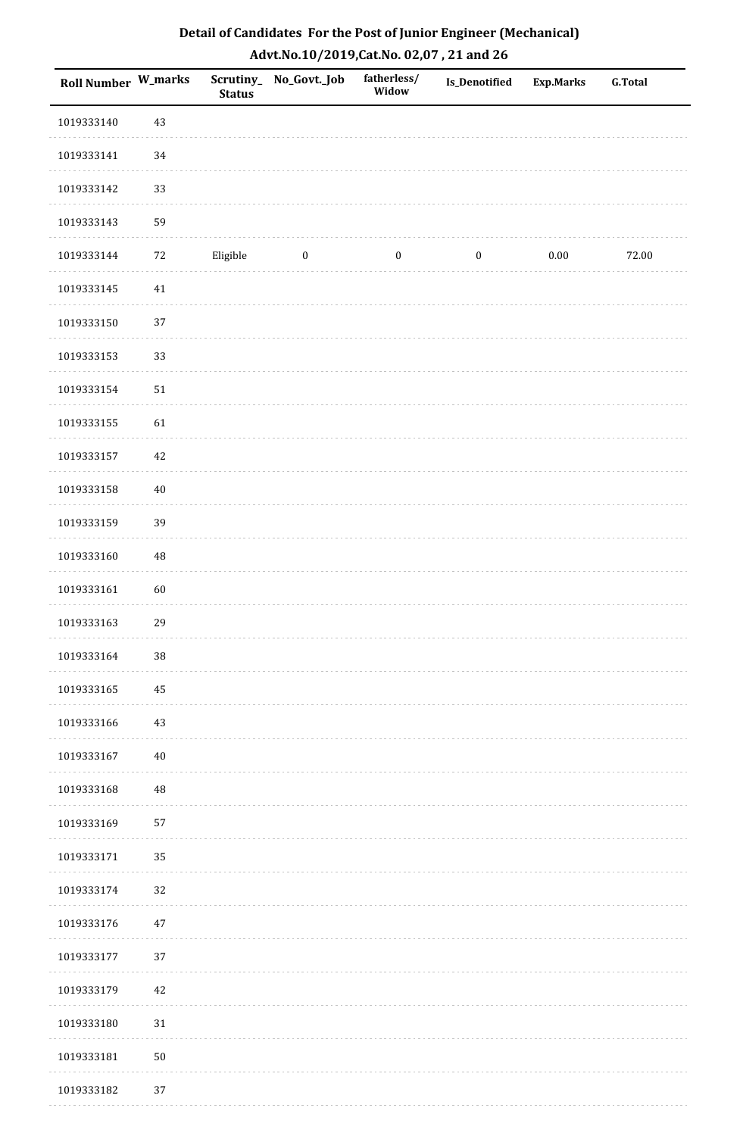| Detail of Candidates For the Post of Junior Engineer (Mechanical) |  |
|-------------------------------------------------------------------|--|
| Advt.No.10/2019,Cat.No. 02,07, 21 and 26                          |  |

| Roll Number W_marks |        | <b>Status</b> | Scrutiny_ No_Govt._Job | fatherless/<br>Widow | <b>Is_Denotified</b> | <b>Exp.Marks</b> | <b>G.Total</b> |
|---------------------|--------|---------------|------------------------|----------------------|----------------------|------------------|----------------|
| 1019333140          | $43\,$ |               |                        |                      |                      |                  |                |
| 1019333141          | 34     |               |                        |                      |                      |                  |                |
| 1019333142          | 33     |               |                        |                      |                      |                  |                |
| 1019333143          | 59     |               |                        |                      |                      |                  |                |
| 1019333144          | 72     | Eligible      | $\boldsymbol{0}$       | $\boldsymbol{0}$     | $\boldsymbol{0}$     | $0.00\,$         | 72.00          |
| 1019333145          | $41\,$ |               |                        |                      |                      |                  |                |
| 1019333150          | 37     |               |                        |                      |                      |                  |                |
| 1019333153          | 33     |               |                        |                      |                      |                  |                |
| 1019333154          | $51\,$ |               |                        |                      |                      |                  |                |
| 1019333155          | 61     |               |                        |                      |                      |                  |                |
| 1019333157          | 42     |               |                        |                      |                      |                  |                |
| 1019333158          | $40\,$ |               |                        |                      |                      |                  |                |
| 1019333159          | 39     |               |                        |                      |                      |                  |                |
| 1019333160          | 48     |               |                        |                      |                      |                  |                |
| 1019333161          | 60     |               |                        |                      |                      |                  |                |
| 1019333163          | 29     |               |                        |                      |                      |                  |                |
| 1019333164          | $38\,$ |               |                        |                      |                      |                  |                |
| 1019333165          | 45     |               |                        |                      |                      |                  |                |
| 1019333166          | $43\,$ |               |                        |                      |                      |                  |                |
| 1019333167          | $40\,$ |               |                        |                      |                      |                  |                |
| 1019333168          | 48     |               |                        |                      |                      |                  |                |
| 1019333169          | 57     |               |                        |                      |                      |                  |                |
| 1019333171          | 35     |               |                        |                      |                      |                  |                |
| 1019333174          | 32     |               |                        |                      |                      |                  |                |
| 1019333176          | $47\,$ |               |                        |                      |                      |                  |                |
| 1019333177          | 37     |               |                        |                      |                      |                  |                |
| 1019333179          | $42\,$ |               |                        |                      |                      |                  |                |
| 1019333180          | $31\,$ |               |                        |                      |                      |                  |                |
| 1019333181          | $50\,$ |               |                        |                      |                      |                  |                |
| 1019333182          | 37     |               |                        |                      |                      |                  |                |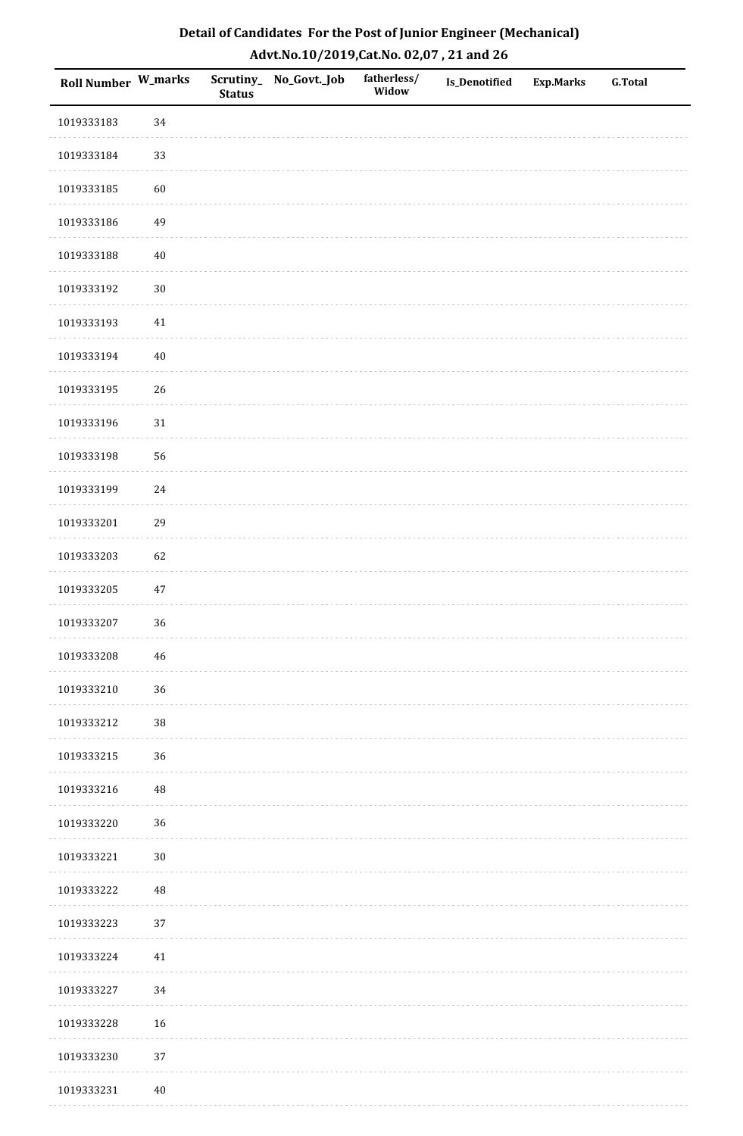| Roll Number W_marks |             | <b>Status</b> | Scrutiny_No_Govt._Job | fatherless/<br>Widow | Is_Denotified | <b>Exp.Marks</b> | <b>G.Total</b> |
|---------------------|-------------|---------------|-----------------------|----------------------|---------------|------------------|----------------|
| 1019333183          | 34          |               |                       |                      |               |                  |                |
| 1019333184          | 33          |               |                       |                      |               |                  |                |
| 1019333185          | 60          |               |                       |                      |               |                  |                |
| 1019333186          | 49          |               |                       |                      |               |                  |                |
| 1019333188          | $40\,$      |               |                       |                      |               |                  |                |
| 1019333192          | $30\,$      |               |                       |                      |               |                  |                |
| 1019333193          | $41\,$      |               |                       |                      |               |                  |                |
| 1019333194          | $40\,$      |               |                       |                      |               |                  |                |
| 1019333195          | 26          |               |                       |                      |               |                  |                |
| 1019333196          | $31\,$      |               |                       |                      |               |                  |                |
| 1019333198          | 56          |               |                       |                      |               |                  |                |
| 1019333199          | $24\,$      |               |                       |                      |               |                  |                |
| 1019333201          | 29          |               |                       |                      |               |                  |                |
| 1019333203          | 62          |               |                       |                      |               |                  |                |
| 1019333205          | $47\,$      |               |                       |                      |               |                  |                |
| 1019333207          | 36          |               |                       |                      |               |                  |                |
| 1019333208          | $\sqrt{46}$ |               |                       |                      |               |                  |                |
| 1019333210          | 36          |               |                       |                      |               |                  |                |
| 1019333212          | $38\,$      |               |                       |                      |               |                  |                |
| 1019333215          | 36          |               |                       |                      |               |                  |                |
| 1019333216          | 48          |               |                       |                      |               |                  |                |
| 1019333220          | 36          |               |                       |                      |               |                  |                |
| 1019333221          | $30\,$      |               |                       |                      |               |                  |                |
| 1019333222          | 48          |               |                       |                      |               |                  |                |
| 1019333223          | 37          |               |                       |                      |               |                  |                |
| 1019333224          | $41\,$      |               |                       |                      |               |                  |                |
| 1019333227          | 34          |               |                       |                      |               |                  |                |
| 1019333228          | 16          |               |                       |                      |               |                  |                |
| 1019333230          | $37\,$      |               |                       |                      |               |                  |                |
| 1019333231          | $40\,$      |               |                       |                      |               |                  |                |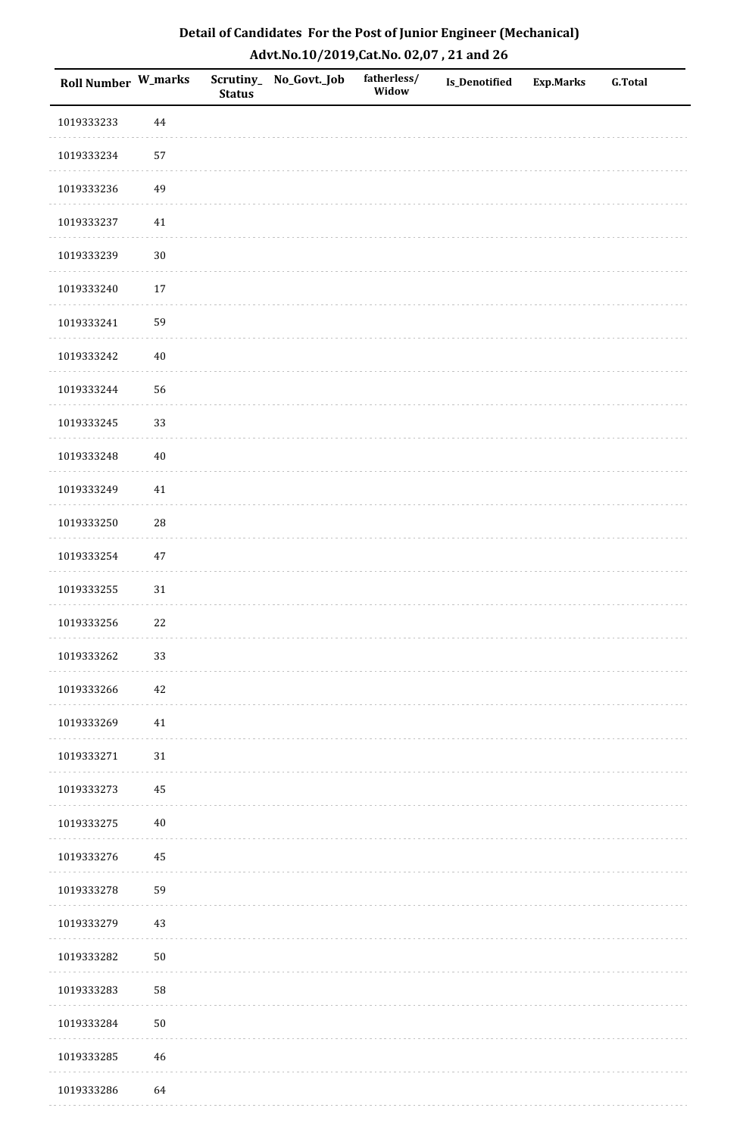| Detail of Candidates For the Post of Junior Engineer (Mechanical) |
|-------------------------------------------------------------------|
| Advt.No.10/2019,Cat.No. 02,07, 21 and 26                          |

| Roll Number W_marks |            | <b>Status</b> | Scrutiny_ No_Govt._Job | fatherless/<br>Widow | Is_Denotified | <b>Exp.Marks</b> | <b>G.Total</b> |
|---------------------|------------|---------------|------------------------|----------------------|---------------|------------------|----------------|
| 1019333233          | $\bf 44$   |               |                        |                      |               |                  |                |
| 1019333234          | 57         |               |                        |                      |               |                  |                |
| 1019333236          | 49         |               |                        |                      |               |                  |                |
| 1019333237          | 41         |               |                        |                      |               |                  |                |
| 1019333239          | $30\,$     |               |                        |                      |               |                  |                |
| 1019333240          | 17         |               |                        |                      |               |                  |                |
| 1019333241          | 59         |               |                        |                      |               |                  |                |
| 1019333242          | $40\,$     |               |                        |                      |               |                  |                |
| 1019333244          | 56         |               |                        |                      |               |                  |                |
| 1019333245          | 33         |               |                        |                      |               |                  |                |
| 1019333248          | $40\,$     |               |                        |                      |               |                  |                |
| 1019333249          | $41\,$     |               |                        |                      |               |                  |                |
| 1019333250          | 28         |               |                        |                      |               |                  |                |
| 1019333254          | $47\,$     |               |                        |                      |               |                  |                |
| 1019333255          | 31         |               |                        |                      |               |                  |                |
| 1019333256          | 22         |               |                        |                      |               |                  |                |
| 1019333262          | 33         |               |                        |                      |               |                  |                |
| 1019333266          | 42         |               |                        |                      |               |                  |                |
| 1019333269          | $41\,$     |               |                        |                      |               |                  |                |
| 1019333271          | $31\,$     |               |                        |                      |               |                  |                |
| 1019333273          | 45         |               |                        |                      |               |                  |                |
| 1019333275          | $40\,$     |               |                        |                      |               |                  |                |
| 1019333276          | 45         |               |                        |                      |               |                  |                |
| 1019333278          | 59         |               |                        |                      |               |                  |                |
| 1019333279          | 43         |               |                        |                      |               |                  |                |
| 1019333282          | $50\,$     |               |                        |                      |               |                  |                |
| 1019333283          | 58         |               |                        |                      |               |                  |                |
| 1019333284          | ${\bf 50}$ |               |                        |                      |               |                  |                |
| 1019333285          | 46         |               |                        |                      |               |                  |                |
| 1019333286          | 64         |               |                        |                      |               |                  |                |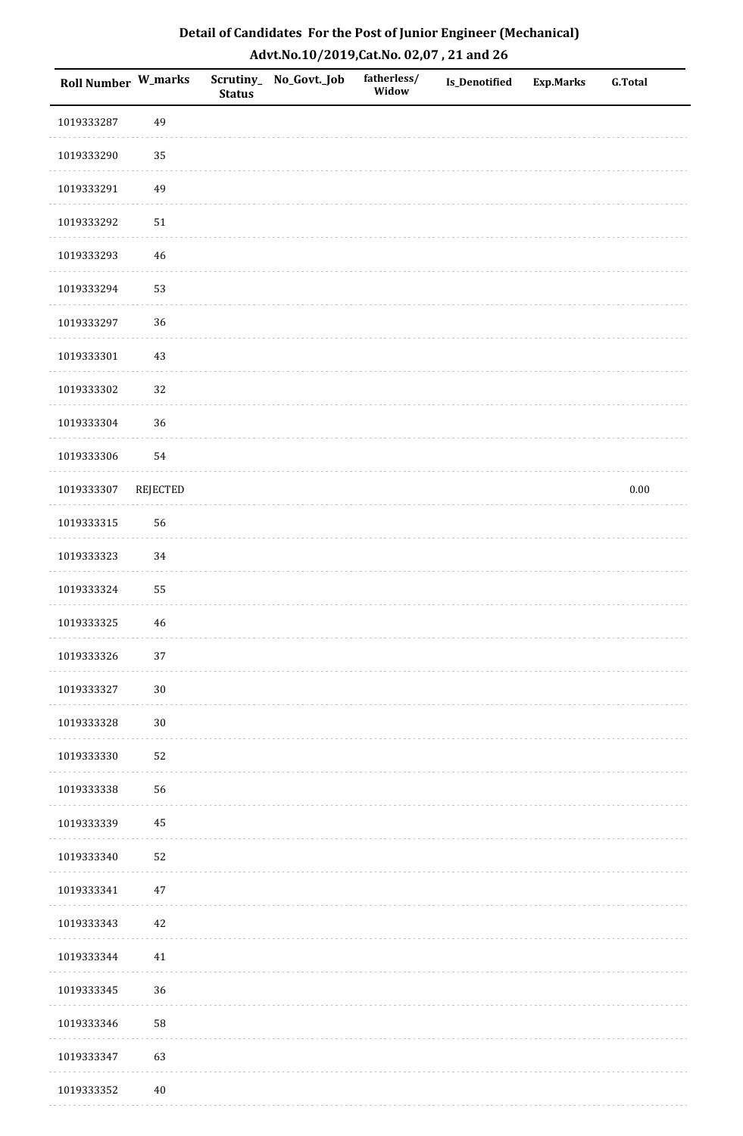| Roll Number W_marks |                 | <b>Status</b> | Scrutiny_No_Govt._Job | fatherless/<br>Widow | Is_Denotified | <b>Exp.Marks</b> | <b>G.Total</b> |
|---------------------|-----------------|---------------|-----------------------|----------------------|---------------|------------------|----------------|
| 1019333287          | 49              |               |                       |                      |               |                  |                |
| 1019333290          | 35              |               |                       |                      |               |                  |                |
| 1019333291          | 49              |               |                       |                      |               |                  |                |
| 1019333292          | 51              |               |                       |                      |               |                  |                |
| 1019333293          | 46              |               |                       |                      |               |                  |                |
| 1019333294          | 53              |               |                       |                      |               |                  |                |
| 1019333297          | 36              |               |                       |                      |               |                  |                |
| 1019333301          | $43\,$          |               |                       |                      |               |                  |                |
| 1019333302          | 32              |               |                       |                      |               |                  |                |
| 1019333304          | 36              |               |                       |                      |               |                  |                |
| 1019333306          | 54              |               |                       |                      |               |                  |                |
| 1019333307          | <b>REJECTED</b> |               |                       |                      |               |                  | $0.00\,$       |
| 1019333315          | 56              |               |                       |                      |               |                  |                |
| 1019333323          | 34              |               |                       |                      |               |                  |                |
| 1019333324          | 55              |               |                       |                      |               |                  |                |
| 1019333325          | $46\,$          |               |                       |                      |               |                  |                |
| 1019333326          | $37\,$          |               |                       |                      |               |                  |                |
| 1019333327          | $30\,$          |               |                       |                      |               |                  |                |
| 1019333328          | $30\,$          |               |                       |                      |               |                  |                |
| 1019333330          | 52              |               |                       |                      |               |                  |                |
| 1019333338          | 56              |               |                       |                      |               |                  |                |
| 1019333339          | 45              |               |                       |                      |               |                  |                |
| 1019333340          | 52              |               |                       |                      |               |                  |                |
| 1019333341          | $47\,$          |               |                       |                      |               |                  |                |
| 1019333343          | $42\,$          |               |                       |                      |               |                  |                |
| 1019333344          | $41\,$          |               |                       |                      |               |                  |                |
| 1019333345          | 36              |               |                       |                      |               |                  |                |
| 1019333346          | 58              |               |                       |                      |               |                  |                |
| 1019333347          | 63              |               |                       |                      |               |                  |                |
| 1019333352          | $40\,$          |               |                       |                      |               |                  |                |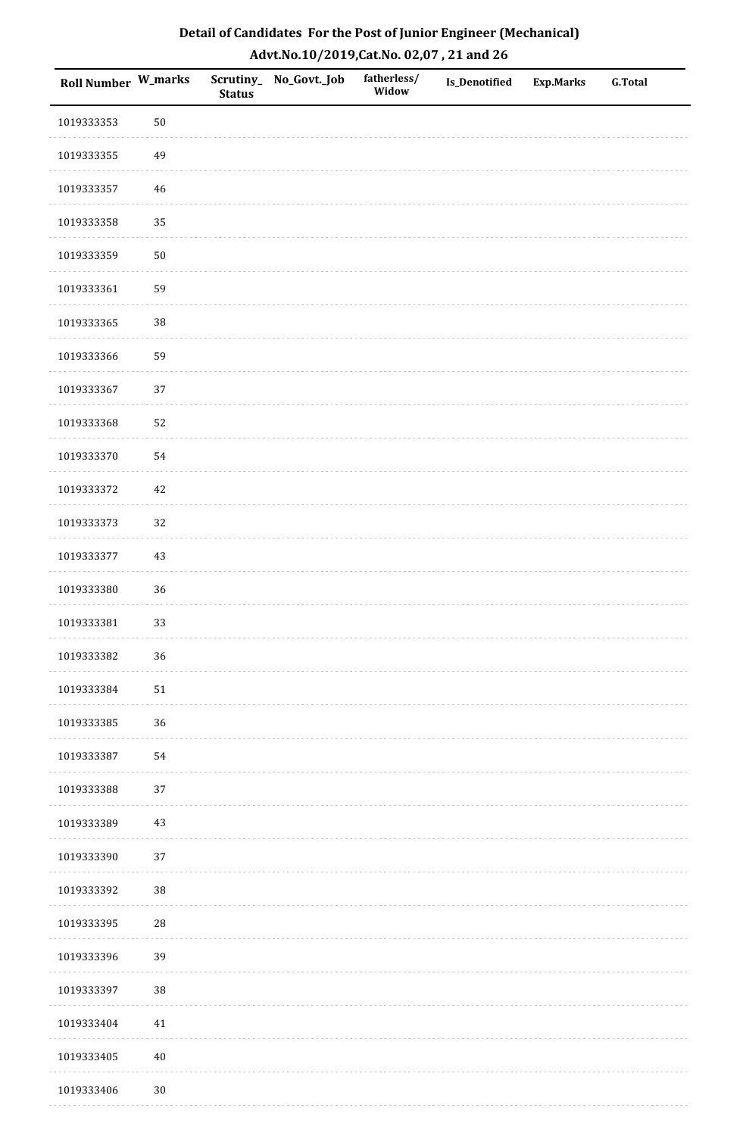| Roll Number W_marks |            | <b>Status</b> | Scrutiny_No_Govt._Job | fatherless/<br>Widow | Is_Denotified | <b>Exp.Marks</b> | <b>G.Total</b> |
|---------------------|------------|---------------|-----------------------|----------------------|---------------|------------------|----------------|
| 1019333353          | $50\,$     |               |                       |                      |               |                  |                |
| 1019333355          | 49         |               |                       |                      |               |                  |                |
| 1019333357          | 46         |               |                       |                      |               |                  |                |
| 1019333358          | 35         |               |                       |                      |               |                  |                |
| 1019333359          | $50\,$     |               |                       |                      |               |                  |                |
| 1019333361          | 59         |               |                       |                      |               |                  |                |
| 1019333365          | 38         |               |                       |                      |               |                  |                |
| 1019333366          | 59         |               |                       |                      |               |                  |                |
| 1019333367          | 37         |               |                       |                      |               |                  |                |
| 1019333368          | 52         |               |                       |                      |               |                  |                |
| 1019333370          | 54         |               |                       |                      |               |                  |                |
| 1019333372          | $42\,$     |               |                       |                      |               |                  |                |
| 1019333373          | 32         |               |                       |                      |               |                  |                |
| 1019333377          | $43\,$     |               |                       |                      |               |                  |                |
| 1019333380          | 36         |               |                       |                      |               |                  |                |
| 1019333381          | 33         |               |                       |                      |               |                  |                |
| 1019333382          | 36         |               |                       |                      |               |                  |                |
| 1019333384          | 51         |               |                       |                      |               |                  |                |
| 1019333385          | 36         |               |                       |                      |               |                  |                |
| 1019333387          | 54         |               |                       |                      |               |                  |                |
| 1019333388          | 37         |               |                       |                      |               |                  |                |
| 1019333389          | $43\,$     |               |                       |                      |               |                  |                |
| 1019333390          | 37         |               |                       |                      |               |                  |                |
| 1019333392          | 38         |               |                       |                      |               |                  |                |
| 1019333395          | ${\bf 28}$ |               |                       |                      |               |                  |                |
| 1019333396          | 39         |               |                       |                      |               |                  |                |
| 1019333397          | 38         |               |                       |                      |               |                  |                |
| 1019333404          | $41\,$     |               |                       |                      |               |                  |                |
| 1019333405          | $40\,$     |               |                       |                      |               |                  |                |
| 1019333406          | $30\,$     |               |                       |                      |               |                  |                |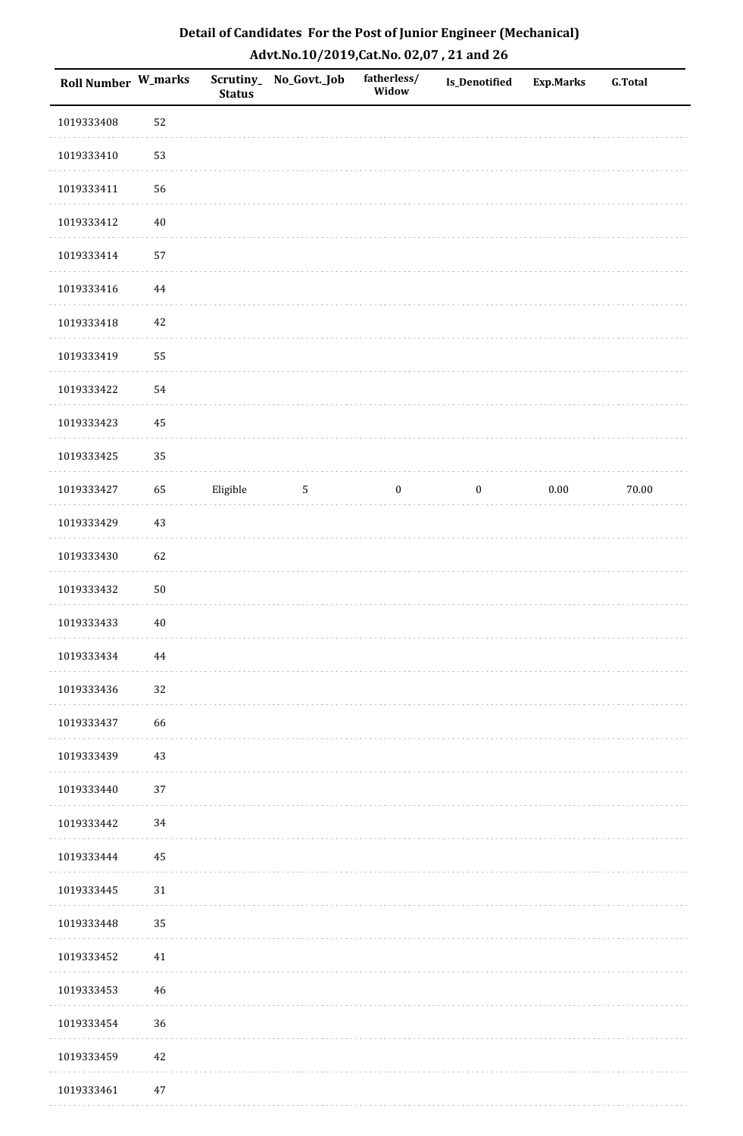| Detail of Candidates For the Post of Junior Engineer (Mechanical) |
|-------------------------------------------------------------------|
| Advt.No.10/2019, Cat.No. 02,07, 21 and 26                         |

| <b>Roll Number W_marks</b> |        | <b>Status</b> | Scrutiny_ No_Govt._Job | fatherless/<br>Widow | <b>Is_Denotified</b> | <b>Exp.Marks</b> | <b>G.Total</b> |
|----------------------------|--------|---------------|------------------------|----------------------|----------------------|------------------|----------------|
| 1019333408                 | 52     |               |                        |                      |                      |                  |                |
| 1019333410                 | 53     |               |                        |                      |                      |                  |                |
| 1019333411                 | 56     |               |                        |                      |                      |                  |                |
| 1019333412                 | $40\,$ |               |                        |                      |                      |                  |                |
| 1019333414                 | 57     |               |                        |                      |                      |                  |                |
| 1019333416                 | 44     |               |                        |                      |                      |                  |                |
| 1019333418                 | 42     |               |                        |                      |                      |                  |                |
| 1019333419                 | 55     |               |                        |                      |                      |                  |                |
| 1019333422                 | 54     |               |                        |                      |                      |                  |                |
| 1019333423                 | 45     |               |                        |                      |                      |                  |                |
| 1019333425                 | 35     |               |                        |                      |                      |                  |                |
| 1019333427                 | 65     | Eligible      | $\mathbf{5}$           | $\boldsymbol{0}$     | $\boldsymbol{0}$     | $0.00\,$         | 70.00          |
| 1019333429                 | $43\,$ |               |                        |                      |                      |                  |                |
| 1019333430                 | 62     |               |                        |                      |                      |                  |                |
| 1019333432                 | $50\,$ |               |                        |                      |                      |                  |                |
| 1019333433                 | $40\,$ |               |                        |                      |                      |                  |                |
| 1019333434                 | 44     |               |                        |                      |                      |                  |                |
| 1019333436                 | 32     |               |                        |                      |                      |                  |                |
| 1019333437                 | 66     |               |                        |                      |                      |                  |                |
| 1019333439                 | $43\,$ |               |                        |                      |                      |                  |                |
| 1019333440                 | 37     |               |                        |                      |                      |                  |                |
| 1019333442                 | 34     |               |                        |                      |                      |                  |                |
| 1019333444                 | 45     |               |                        |                      |                      |                  |                |
| 1019333445                 | 31     |               |                        |                      |                      |                  |                |
| 1019333448                 | 35     |               |                        |                      |                      |                  |                |
| 1019333452                 | $41\,$ |               |                        |                      |                      |                  |                |
| 1019333453                 | 46     |               |                        |                      |                      |                  |                |
| 1019333454                 | 36     |               |                        |                      |                      |                  |                |
| 1019333459                 | 42     |               |                        |                      |                      |                  |                |
| 1019333461                 | $47\,$ |               |                        |                      |                      |                  |                |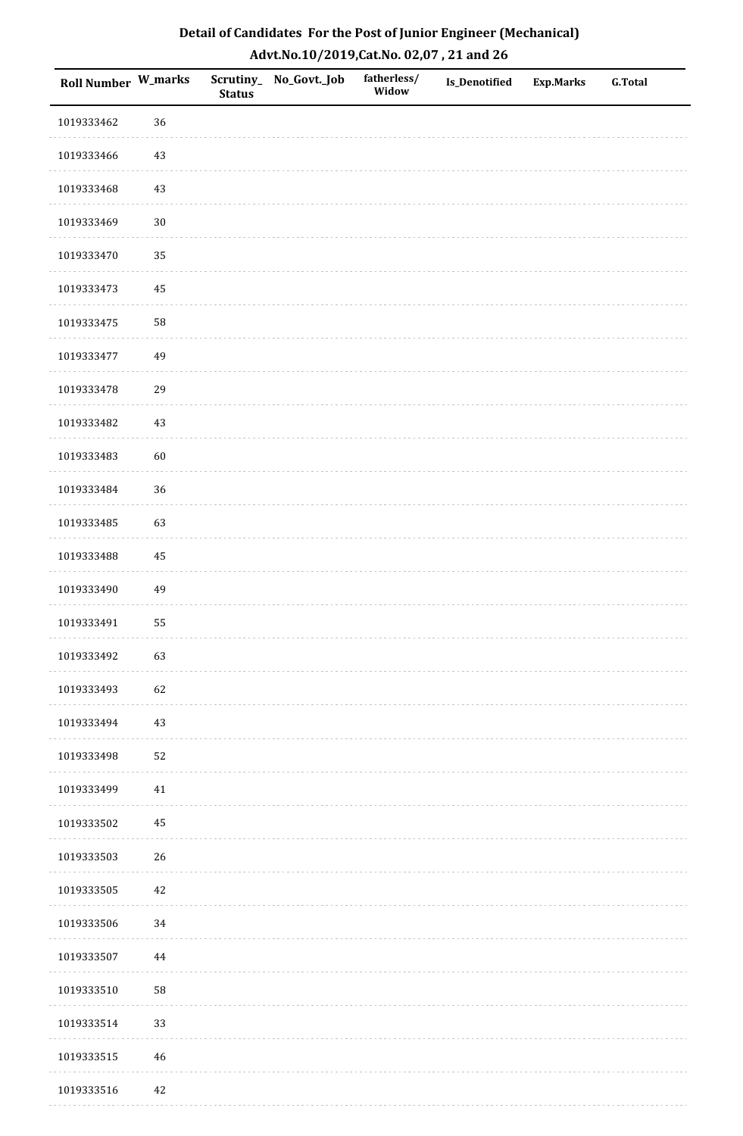| <b>Roll Number W_marks</b> |             | <b>Status</b> | Scrutiny_No_Govt._Job | fatherless/<br>Widow | Is_Denotified | <b>Exp.Marks</b> | <b>G.Total</b> |
|----------------------------|-------------|---------------|-----------------------|----------------------|---------------|------------------|----------------|
| 1019333462                 | 36          |               |                       |                      |               |                  |                |
| 1019333466                 | $43\,$      |               |                       |                      |               |                  |                |
| 1019333468                 | $43\,$      |               |                       |                      |               |                  |                |
| 1019333469                 | $30\,$      |               |                       |                      |               |                  |                |
| 1019333470                 | 35          |               |                       |                      |               |                  |                |
| 1019333473                 | 45          |               |                       |                      |               |                  |                |
| 1019333475                 | 58          |               |                       |                      |               |                  |                |
| 1019333477                 | 49          |               |                       |                      |               |                  |                |
| 1019333478                 | 29          |               |                       |                      |               |                  |                |
| 1019333482                 | $43\,$      |               |                       |                      |               |                  |                |
| 1019333483                 | 60          |               |                       |                      |               |                  |                |
| 1019333484                 | 36          |               |                       |                      |               |                  |                |
| 1019333485                 | 63          |               |                       |                      |               |                  |                |
| 1019333488                 | 45          |               |                       |                      |               |                  |                |
| 1019333490                 | 49          |               |                       |                      |               |                  |                |
| 1019333491                 | 55          |               |                       |                      |               |                  |                |
| 1019333492                 | 63          |               |                       |                      |               |                  |                |
| 1019333493                 | 62          |               |                       |                      |               |                  |                |
| 1019333494                 | $43\,$      |               |                       |                      |               |                  |                |
| 1019333498                 | 52          |               |                       |                      |               |                  |                |
| 1019333499                 | 41          |               |                       |                      |               |                  |                |
| 1019333502                 | $\bf 45$    |               |                       |                      |               |                  |                |
| 1019333503                 | 26          |               |                       |                      |               |                  |                |
| 1019333505                 | 42          |               |                       |                      |               |                  |                |
| 1019333506                 | 34          |               |                       |                      |               |                  |                |
| 1019333507                 | $\bf 44$    |               |                       |                      |               |                  |                |
| 1019333510                 | 58          |               |                       |                      |               |                  |                |
| 1019333514                 | 33          |               |                       |                      |               |                  |                |
| 1019333515                 | $\sqrt{46}$ |               |                       |                      |               |                  |                |
| 1019333516                 | 42          |               |                       |                      |               |                  |                |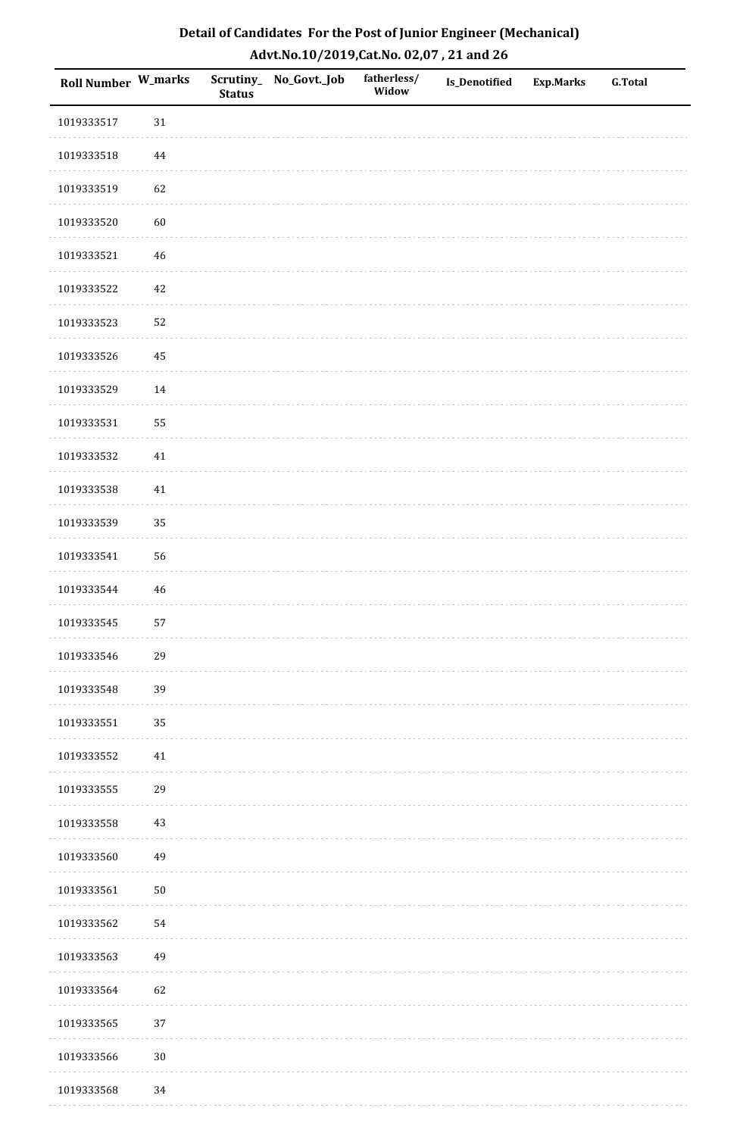| Roll Number W_marks |        | <b>Status</b> | Scrutiny_No_Govt._Job | fatherless/<br>Widow | Is_Denotified | <b>Exp.Marks</b> | <b>G.Total</b> |
|---------------------|--------|---------------|-----------------------|----------------------|---------------|------------------|----------------|
| 1019333517          | $31\,$ |               |                       |                      |               |                  |                |
| 1019333518          | 44     |               |                       |                      |               |                  |                |
| 1019333519          | 62     |               |                       |                      |               |                  |                |
| 1019333520          | 60     |               |                       |                      |               |                  |                |
| 1019333521          | $46\,$ |               |                       |                      |               |                  |                |
| 1019333522          | 42     |               |                       |                      |               |                  |                |
| 1019333523          | 52     |               |                       |                      |               |                  |                |
| 1019333526          | 45     |               |                       |                      |               |                  |                |
| 1019333529          | $14\,$ |               |                       |                      |               |                  |                |
| 1019333531          | 55     |               |                       |                      |               |                  |                |
| 1019333532          | $41\,$ |               |                       |                      |               |                  |                |
| 1019333538          | 41     |               |                       |                      |               |                  |                |
| 1019333539          | 35     |               |                       |                      |               |                  |                |
| 1019333541          | 56     |               |                       |                      |               |                  |                |
| 1019333544          | $46\,$ |               |                       |                      |               |                  |                |
| 1019333545          | 57     |               |                       |                      |               |                  |                |
| 1019333546          | 29     |               |                       |                      |               |                  |                |
| 1019333548          | 39     |               |                       |                      |               |                  |                |
| 1019333551          | 35     |               |                       |                      |               |                  |                |
| 1019333552          | 41     |               |                       |                      |               |                  |                |
| 1019333555          | 29     |               |                       |                      |               |                  |                |
| 1019333558          | $43\,$ |               |                       |                      |               |                  |                |
| 1019333560          | 49     |               |                       |                      |               |                  |                |
| 1019333561          | $50\,$ |               |                       |                      |               |                  |                |
| 1019333562          | 54     |               |                       |                      |               |                  |                |
| 1019333563          | 49     |               |                       |                      |               |                  |                |
| 1019333564          | 62     |               |                       |                      |               |                  |                |
| 1019333565          | 37     |               |                       |                      |               |                  |                |
| 1019333566          | $30\,$ |               |                       |                      |               |                  |                |
| 1019333568          | 34     |               |                       |                      |               |                  |                |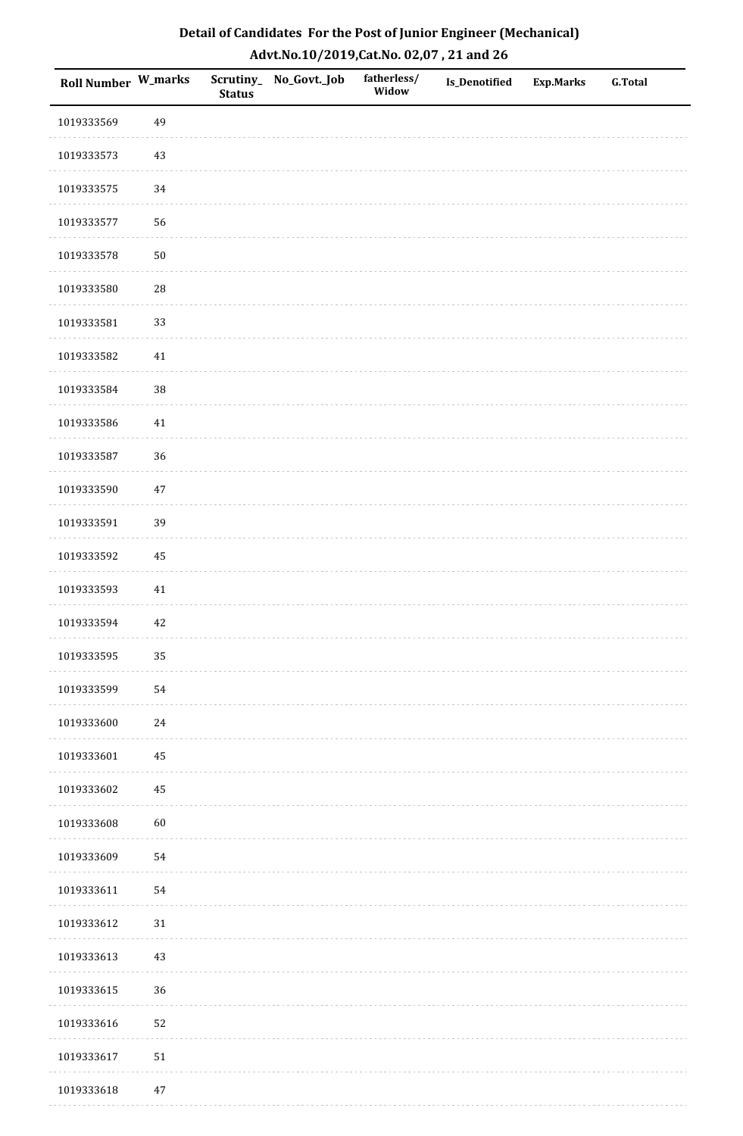| Roll Number W_marks |            | <b>Status</b> | Scrutiny_No_Govt._Job | fatherless/<br>Widow | Is_Denotified | <b>Exp.Marks</b> | <b>G.Total</b> |
|---------------------|------------|---------------|-----------------------|----------------------|---------------|------------------|----------------|
| 1019333569          | 49         |               |                       |                      |               |                  |                |
| 1019333573          | $43\,$     |               |                       |                      |               |                  |                |
| 1019333575          | 34         |               |                       |                      |               |                  |                |
| 1019333577          | 56         |               |                       |                      |               |                  |                |
| 1019333578          | $50\,$     |               |                       |                      |               |                  |                |
| 1019333580          | ${\bf 28}$ |               |                       |                      |               |                  |                |
| 1019333581          | 33         |               |                       |                      |               |                  |                |
| 1019333582          | $41\,$     |               |                       |                      |               |                  |                |
| 1019333584          | 38         |               |                       |                      |               |                  |                |
| 1019333586          | $41\,$     |               |                       |                      |               |                  |                |
| 1019333587          | 36         |               |                       |                      |               |                  |                |
| 1019333590          | $47\,$     |               |                       |                      |               |                  |                |
| 1019333591          | 39         |               |                       |                      |               |                  |                |
| 1019333592          | 45         |               |                       |                      |               |                  |                |
| 1019333593          | 41         |               |                       |                      |               |                  |                |
| 1019333594          | 42         |               |                       |                      |               |                  |                |
| 1019333595          | 35         |               |                       |                      |               |                  |                |
| 1019333599          | 54         |               |                       |                      |               |                  |                |
| 1019333600          | $24\,$     |               |                       |                      |               |                  |                |
| 1019333601          | 45         |               |                       |                      |               |                  |                |
| 1019333602          | 45         |               |                       |                      |               |                  |                |
| 1019333608          | 60         |               |                       |                      |               |                  |                |
| 1019333609          | 54         |               |                       |                      |               |                  |                |
| 1019333611          | 54         |               |                       |                      |               |                  |                |
| 1019333612          | $31\,$     |               |                       |                      |               |                  |                |
| 1019333613          | $43\,$     |               |                       |                      |               |                  |                |
| 1019333615          | 36         |               |                       |                      |               |                  |                |
| 1019333616          | 52         |               |                       |                      |               |                  |                |
| 1019333617          | ${\bf 51}$ |               |                       |                      |               |                  |                |
| 1019333618          | $47\,$     |               |                       |                      |               |                  |                |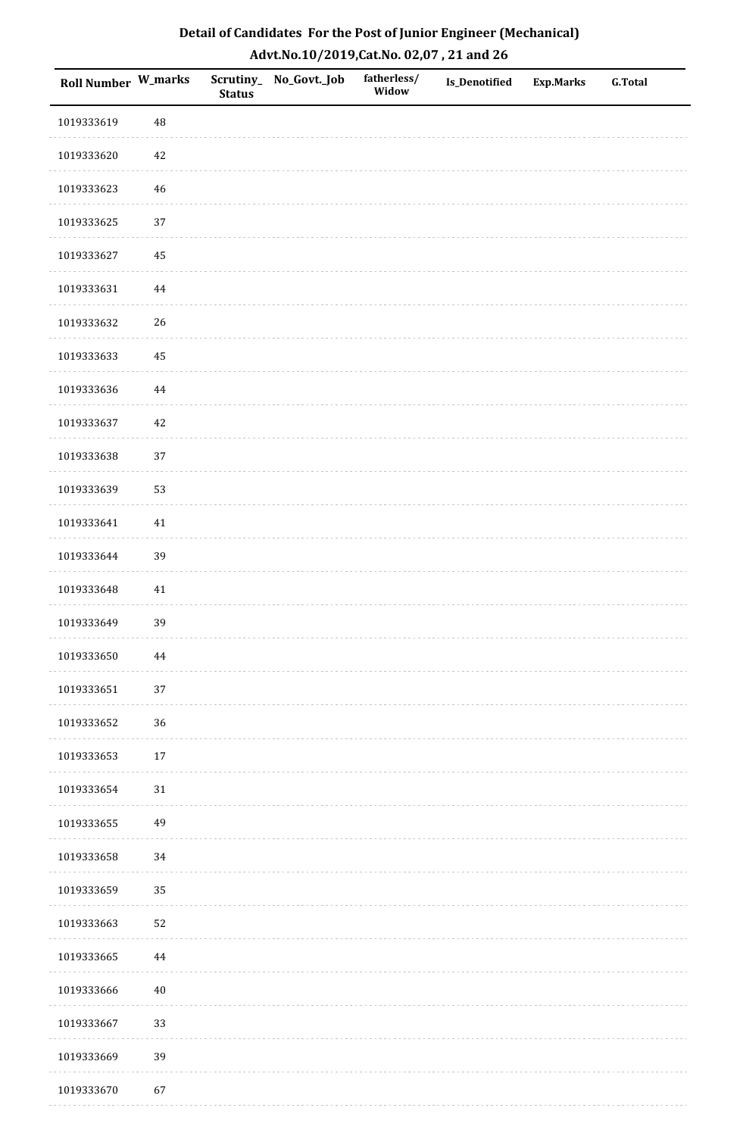| Roll Number W_marks |          | <b>Status</b> | Scrutiny_No_Govt._Job | fatherless/<br>Widow | Is_Denotified | <b>Exp.Marks</b> | <b>G.Total</b> |
|---------------------|----------|---------------|-----------------------|----------------------|---------------|------------------|----------------|
| 1019333619          | 48       |               |                       |                      |               |                  |                |
| 1019333620          | 42       |               |                       |                      |               |                  |                |
| 1019333623          | $46\,$   |               |                       |                      |               |                  |                |
| 1019333625          | 37       |               |                       |                      |               |                  |                |
| 1019333627          | $\bf 45$ |               |                       |                      |               |                  |                |
| 1019333631          | $\bf 44$ |               |                       |                      |               |                  |                |
| 1019333632          | 26       |               |                       |                      |               |                  |                |
| 1019333633          | 45       |               |                       |                      |               |                  |                |
| 1019333636          | $\bf 44$ |               |                       |                      |               |                  |                |
| 1019333637          | $42\,$   |               |                       |                      |               |                  |                |
| 1019333638          | 37       |               |                       |                      |               |                  |                |
| 1019333639          | 53       |               |                       |                      |               |                  |                |
| 1019333641          | 41       |               |                       |                      |               |                  |                |
| 1019333644          | 39       |               |                       |                      |               |                  |                |
| 1019333648          | $41\,$   |               |                       |                      |               |                  |                |
| 1019333649          | 39       |               |                       |                      |               |                  |                |
| 1019333650          | 44       |               |                       |                      |               |                  |                |
| 1019333651          | 37       |               |                       |                      |               |                  |                |
| 1019333652          | 36       |               |                       |                      |               |                  |                |
| 1019333653          | $17\,$   |               |                       |                      |               |                  |                |
| 1019333654          | $31\,$   |               |                       |                      |               |                  |                |
| 1019333655          | 49       |               |                       |                      |               |                  |                |
| 1019333658          | 34       |               |                       |                      |               |                  |                |
| 1019333659          | 35       |               |                       |                      |               |                  |                |
| 1019333663          | 52       |               |                       |                      |               |                  |                |
| 1019333665          | 44       |               |                       |                      |               |                  |                |
| 1019333666          | $40\,$   |               |                       |                      |               |                  |                |
| 1019333667          | 33       |               |                       |                      |               |                  |                |
| 1019333669          | 39       |               |                       |                      |               |                  |                |
| 1019333670          | 67       |               |                       |                      |               |                  |                |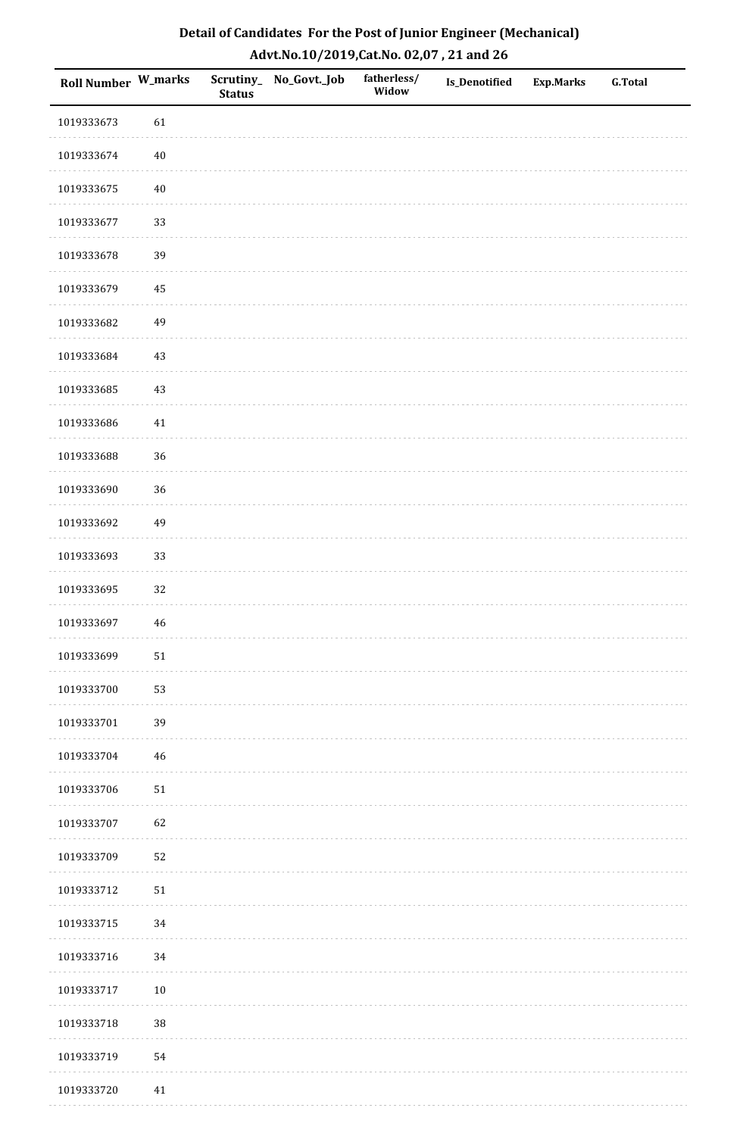| Detail of Candidates For the Post of Junior Engineer (Mechanical) |
|-------------------------------------------------------------------|
| Advt.No.10/2019,Cat.No. 02,07, 21 and 26                          |

| Roll Number W_marks |        | <b>Status</b> | Scrutiny_ No_Govt._Job | fatherless/<br>Widow | Is_Denotified | <b>Exp.Marks</b> | <b>G.Total</b> |
|---------------------|--------|---------------|------------------------|----------------------|---------------|------------------|----------------|
| 1019333673          | 61     |               |                        |                      |               |                  |                |
| 1019333674          | $40\,$ |               |                        |                      |               |                  |                |
| 1019333675          | 40     |               |                        |                      |               |                  |                |
| 1019333677          | 33     |               |                        |                      |               |                  |                |
| 1019333678          | 39     |               |                        |                      |               |                  |                |
| 1019333679          | 45     |               |                        |                      |               |                  |                |
| 1019333682          | 49     |               |                        |                      |               |                  |                |
| 1019333684          | 43     |               |                        |                      |               |                  |                |
| 1019333685          | 43     |               |                        |                      |               |                  |                |
| 1019333686          | 41     |               |                        |                      |               |                  |                |
| 1019333688          | 36     |               |                        |                      |               |                  |                |
| 1019333690          | 36     |               |                        |                      |               |                  |                |
| 1019333692          | 49     |               |                        |                      |               |                  |                |
| 1019333693          | 33     |               |                        |                      |               |                  |                |
| 1019333695          | 32     |               |                        |                      |               |                  |                |
| 1019333697          | 46     |               |                        |                      |               |                  |                |
| 1019333699          | $51\,$ |               |                        |                      |               |                  |                |
| 1019333700          | 53     |               |                        |                      |               |                  |                |
| 1019333701          | 39     |               |                        |                      |               |                  |                |
| 1019333704          | 46     |               |                        |                      |               |                  |                |
| 1019333706          | 51     |               |                        |                      |               |                  |                |
| 1019333707          | 62     |               |                        |                      |               |                  |                |
| 1019333709          | 52     |               |                        |                      |               |                  |                |
| 1019333712          | $51\,$ |               |                        |                      |               |                  |                |
| 1019333715          | 34     |               |                        |                      |               |                  |                |
| 1019333716          | 34     |               |                        |                      |               |                  |                |
| 1019333717          | $10\,$ |               |                        |                      |               |                  |                |
| 1019333718          | $38\,$ |               |                        |                      |               |                  |                |
| 1019333719          | 54     |               |                        |                      |               |                  |                |
| 1019333720          | $41\,$ |               |                        |                      |               |                  |                |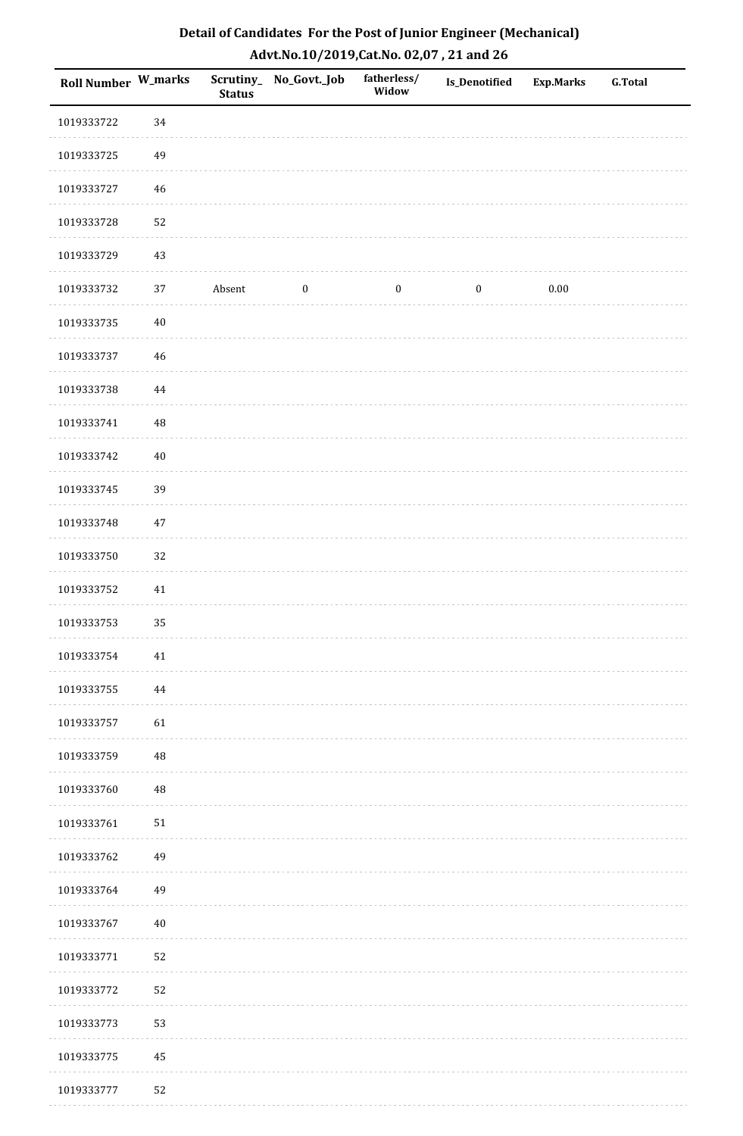| Roll Number W_marks |          | <b>Status</b> | Scrutiny_No_Govt._Job | fatherless/<br>Widow | Is_Denotified    | <b>Exp.Marks</b> | <b>G.Total</b> |
|---------------------|----------|---------------|-----------------------|----------------------|------------------|------------------|----------------|
| 1019333722          | 34       |               |                       |                      |                  |                  |                |
| 1019333725          | 49       |               |                       |                      |                  |                  |                |
| 1019333727          | 46       |               |                       |                      |                  |                  |                |
| 1019333728          | 52       |               |                       |                      |                  |                  |                |
| 1019333729          | $43\,$   |               |                       |                      |                  |                  |                |
| 1019333732          | 37       | Absent        | $\boldsymbol{0}$      | $\boldsymbol{0}$     | $\boldsymbol{0}$ | $0.00\,$         |                |
| 1019333735          | $40\,$   |               |                       |                      |                  |                  |                |
| 1019333737          | 46       |               |                       |                      |                  |                  |                |
| 1019333738          | $\bf 44$ |               |                       |                      |                  |                  |                |
| 1019333741          | 48       |               |                       |                      |                  |                  |                |
| 1019333742          | $40\,$   |               |                       |                      |                  |                  |                |
| 1019333745          | 39       |               |                       |                      |                  |                  |                |
| 1019333748          | $47\,$   |               |                       |                      |                  |                  |                |
| 1019333750          | 32       |               |                       |                      |                  |                  |                |
| 1019333752          | $41\,$   |               |                       |                      |                  |                  |                |
| 1019333753          | 35       |               |                       |                      |                  |                  |                |
| 1019333754          | 41       |               |                       |                      |                  |                  |                |
| 1019333755          | 44       |               |                       |                      |                  |                  |                |
| 1019333757          | 61       |               |                       |                      |                  |                  |                |
| 1019333759          | $\rm 48$ |               |                       |                      |                  |                  |                |
| 1019333760          | $\rm 48$ |               |                       |                      |                  |                  |                |
| 1019333761          | $51\,$   |               |                       |                      |                  |                  |                |
| 1019333762          | 49       |               |                       |                      |                  |                  |                |
| 1019333764          | 49       |               |                       |                      |                  |                  |                |
| 1019333767          | $40\,$   |               |                       |                      |                  |                  |                |
| 1019333771          | 52       |               |                       |                      |                  |                  |                |
| 1019333772          | 52       |               |                       |                      |                  |                  |                |
| 1019333773          | 53       |               |                       |                      |                  |                  |                |
| 1019333775          | 45       |               |                       |                      |                  |                  |                |
| 1019333777          | 52       |               |                       |                      |                  |                  |                |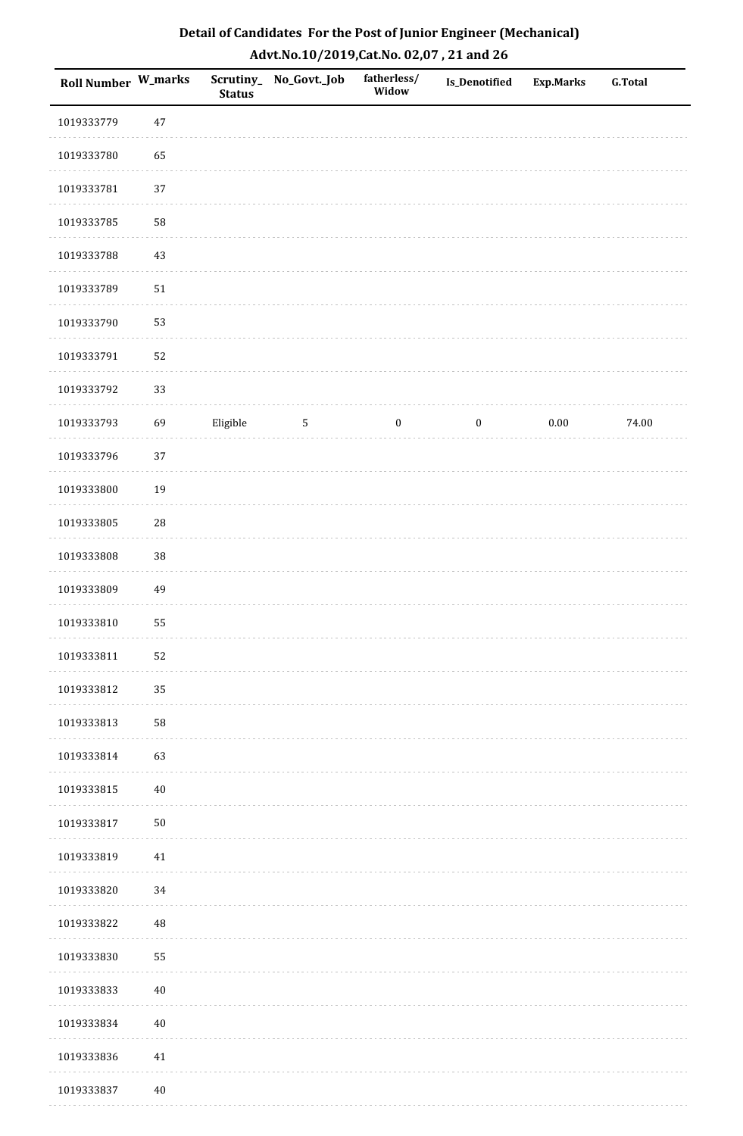| <b>Roll Number W_marks</b> |            | <b>Status</b> | Scrutiny_No_Govt._Job | fatherless/<br>Widow | Is_Denotified    | <b>Exp.Marks</b> | <b>G.Total</b> |
|----------------------------|------------|---------------|-----------------------|----------------------|------------------|------------------|----------------|
| 1019333779                 | $47\,$     |               |                       |                      |                  |                  |                |
| 1019333780                 | 65         |               |                       |                      |                  |                  |                |
| 1019333781                 | 37         |               |                       |                      |                  |                  |                |
| 1019333785                 | 58         |               |                       |                      |                  |                  |                |
| 1019333788                 | $43\,$     |               |                       |                      |                  |                  |                |
| 1019333789                 | $51\,$     |               |                       |                      |                  |                  |                |
| 1019333790                 | 53         |               |                       |                      |                  |                  |                |
| 1019333791                 | 52         |               |                       |                      |                  |                  |                |
| 1019333792                 | 33         |               |                       |                      |                  |                  |                |
| 1019333793                 | 69         | Eligible      | $\mathbf{5}$          | $\boldsymbol{0}$     | $\boldsymbol{0}$ | $0.00\,$         | 74.00          |
| 1019333796                 | $37\,$     |               |                       |                      |                  |                  |                |
| 1019333800                 | 19         |               |                       |                      |                  |                  |                |
| 1019333805                 | ${\bf 28}$ |               |                       |                      |                  |                  |                |
| 1019333808                 | 38         |               |                       |                      |                  |                  |                |
| 1019333809                 | 49         |               |                       |                      |                  |                  |                |
| 1019333810                 | 55         |               |                       |                      |                  |                  |                |
| 1019333811                 | 52         |               |                       |                      |                  |                  |                |
| 1019333812                 | 35         |               |                       |                      |                  |                  |                |
| 1019333813                 | 58         |               |                       |                      |                  |                  |                |
| 1019333814                 | 63         |               |                       |                      |                  |                  |                |
| 1019333815                 | $40\,$     |               |                       |                      |                  |                  |                |
| 1019333817                 | $50\,$     |               |                       |                      |                  |                  |                |
| 1019333819                 | $41\,$     |               |                       |                      |                  |                  |                |
| 1019333820                 | 34         |               |                       |                      |                  |                  |                |
| 1019333822                 | $\rm 48$   |               |                       |                      |                  |                  |                |
| 1019333830                 | 55         |               |                       |                      |                  |                  |                |
| 1019333833                 | $40\,$     |               |                       |                      |                  |                  |                |
| 1019333834                 | $40\,$     |               |                       |                      |                  |                  |                |
| 1019333836                 | $41\,$     |               |                       |                      |                  |                  |                |
| 1019333837                 | $40\,$     |               |                       |                      |                  |                  |                |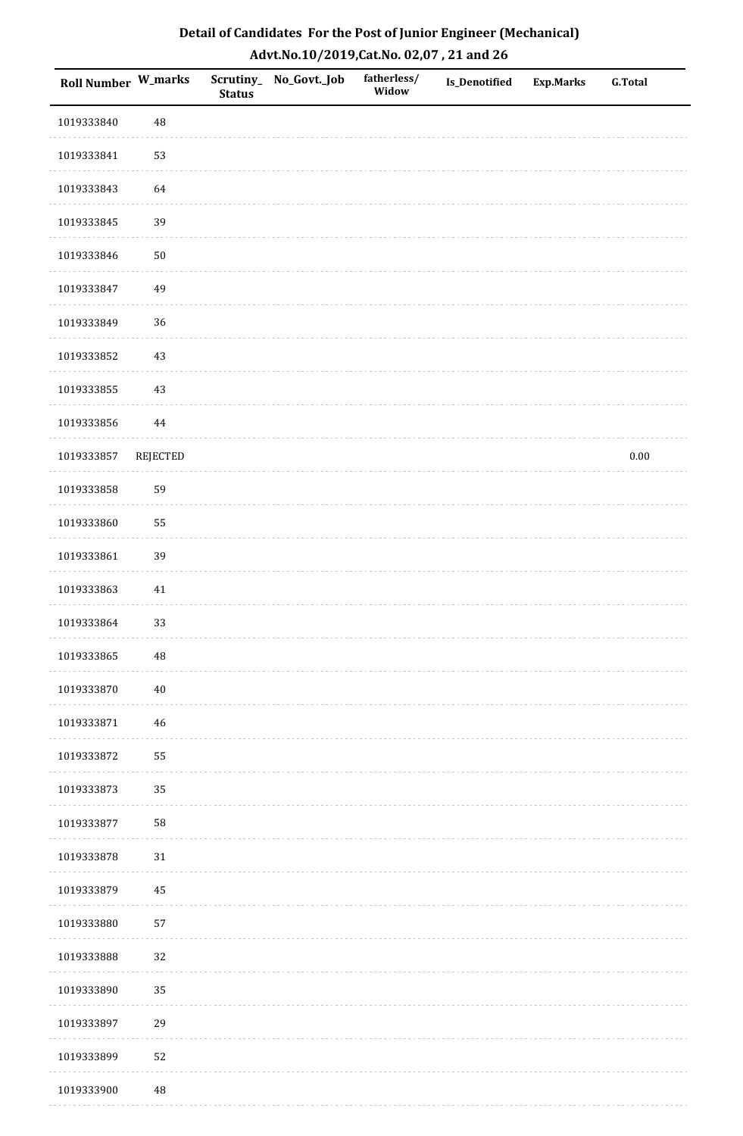| <b>Roll Number W_marks</b> |                 | <b>Status</b> | Scrutiny_No_Govt._Job | fatherless/<br>Widow | Is_Denotified | <b>Exp.Marks</b> | <b>G.Total</b> |
|----------------------------|-----------------|---------------|-----------------------|----------------------|---------------|------------------|----------------|
| 1019333840                 | $\sqrt{48}$     |               |                       |                      |               |                  |                |
| 1019333841                 | 53              |               |                       |                      |               |                  |                |
| 1019333843                 | 64              |               |                       |                      |               |                  |                |
| 1019333845                 | 39              |               |                       |                      |               |                  |                |
| 1019333846                 | $50\,$          |               |                       |                      |               |                  |                |
| 1019333847                 | 49              |               |                       |                      |               |                  |                |
| 1019333849                 | 36              |               |                       |                      |               |                  |                |
| 1019333852                 | $43\,$          |               |                       |                      |               |                  |                |
| 1019333855                 | $43\,$          |               |                       |                      |               |                  |                |
| 1019333856                 | $\bf 44$        |               |                       |                      |               |                  |                |
| 1019333857                 | <b>REJECTED</b> |               |                       |                      |               |                  | $0.00\,$       |
| 1019333858                 | 59              |               |                       |                      |               |                  |                |
| 1019333860                 | 55              |               |                       |                      |               |                  |                |
| 1019333861                 | 39              |               |                       |                      |               |                  |                |
| 1019333863                 | 41              |               |                       |                      |               |                  |                |
| 1019333864                 | 33              |               |                       |                      |               |                  |                |
| 1019333865                 | $\rm 48$        |               |                       |                      |               |                  |                |
| 1019333870                 | $40\,$          |               |                       |                      |               |                  |                |
| 1019333871                 | $46\,$          |               |                       |                      |               |                  |                |
| 1019333872                 | 55              |               |                       |                      |               |                  |                |
| 1019333873                 | 35              |               |                       |                      |               |                  |                |
| 1019333877                 | 58              |               |                       |                      |               |                  |                |
| 1019333878                 | $31\,$          |               |                       |                      |               |                  |                |
| 1019333879                 | 45              |               |                       |                      |               |                  |                |
| 1019333880                 | 57              |               |                       |                      |               |                  |                |
| 1019333888                 | 32              |               |                       |                      |               |                  |                |
| 1019333890                 | 35              |               |                       |                      |               |                  |                |
| 1019333897                 | 29              |               |                       |                      |               |                  |                |
| 1019333899                 | 52              |               |                       |                      |               |                  |                |
| 1019333900                 | $\rm 48$        |               |                       |                      |               |                  |                |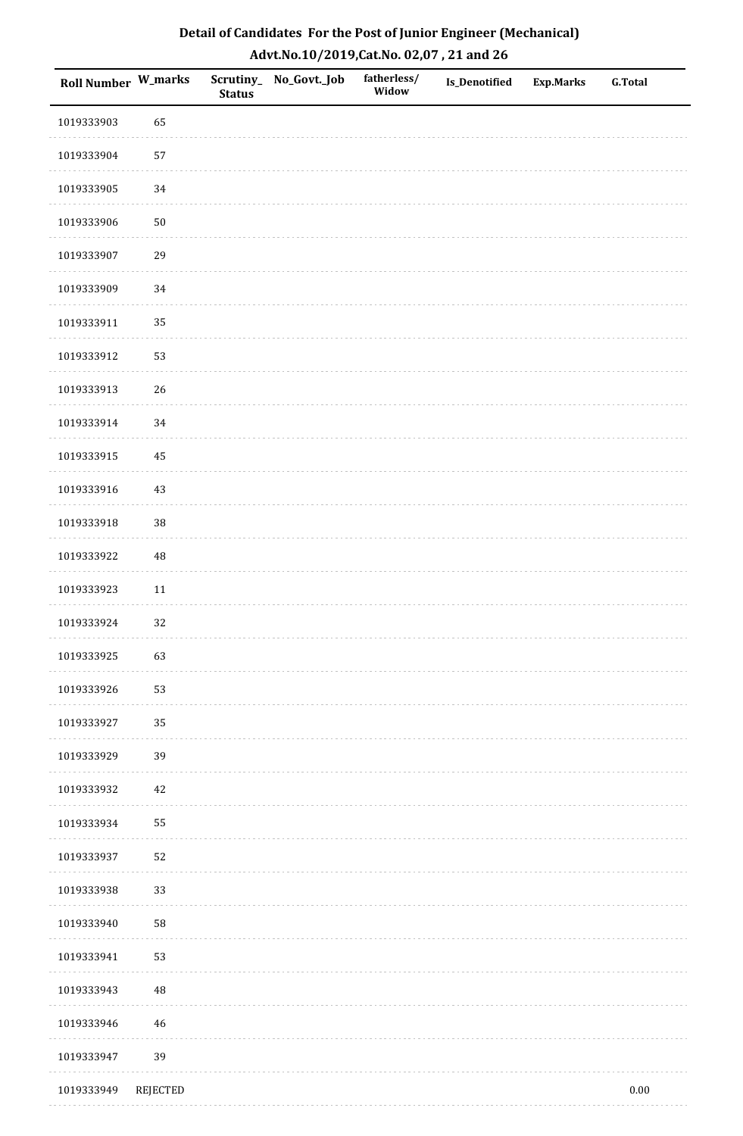| Roll Number W_marks |          | <b>Status</b> | Scrutiny_ No_Govt._Job | fatherless/<br>Widow | <b>Is_Denotified</b> | <b>Exp.Marks</b> | <b>G.Total</b> |
|---------------------|----------|---------------|------------------------|----------------------|----------------------|------------------|----------------|
| 1019333903          | 65       |               |                        |                      |                      |                  |                |
| 1019333904          | 57       |               |                        |                      |                      |                  |                |
| 1019333905          | 34       |               |                        |                      |                      |                  |                |
| 1019333906          | $50\,$   |               |                        |                      |                      |                  |                |
| 1019333907          | 29       |               |                        |                      |                      |                  |                |
| 1019333909          | 34       |               |                        |                      |                      |                  |                |
| 1019333911          | 35       |               |                        |                      |                      |                  |                |
| 1019333912          | 53       |               |                        |                      |                      |                  |                |
| 1019333913          | 26       |               |                        |                      |                      |                  |                |
| 1019333914          | 34       |               |                        |                      |                      |                  |                |
| 1019333915          | $45\,$   |               |                        |                      |                      |                  |                |
| 1019333916          | 43       |               |                        |                      |                      |                  |                |
| 1019333918          | $38\,$   |               |                        |                      |                      |                  |                |
| 1019333922          | 48       |               |                        |                      |                      |                  |                |
| 1019333923          | 11       |               |                        |                      |                      |                  |                |
| 1019333924          | 32       |               |                        |                      |                      |                  |                |
| 1019333925          | 63       |               |                        |                      |                      |                  |                |
| 1019333926          | 53       |               |                        |                      |                      |                  |                |
| 1019333927          | 35       |               |                        |                      |                      |                  |                |
| 1019333929          | 39       |               |                        |                      |                      |                  |                |
| 1019333932          | 42       |               |                        |                      |                      |                  |                |
| 1019333934          | 55       |               |                        |                      |                      |                  |                |
| 1019333937          | 52       |               |                        |                      |                      |                  |                |
| 1019333938          | 33       |               |                        |                      |                      |                  |                |
| 1019333940          | 58       |               |                        |                      |                      |                  |                |
| 1019333941          | 53       |               |                        |                      |                      |                  |                |
| 1019333943          | $\rm 48$ |               |                        |                      |                      |                  |                |
| 1019333946          | 46       |               |                        |                      |                      |                  |                |
| 1019333947          | 39       |               |                        |                      |                      |                  |                |
| 1019333949          | REJECTED |               |                        |                      |                      |                  | $0.00\,$       |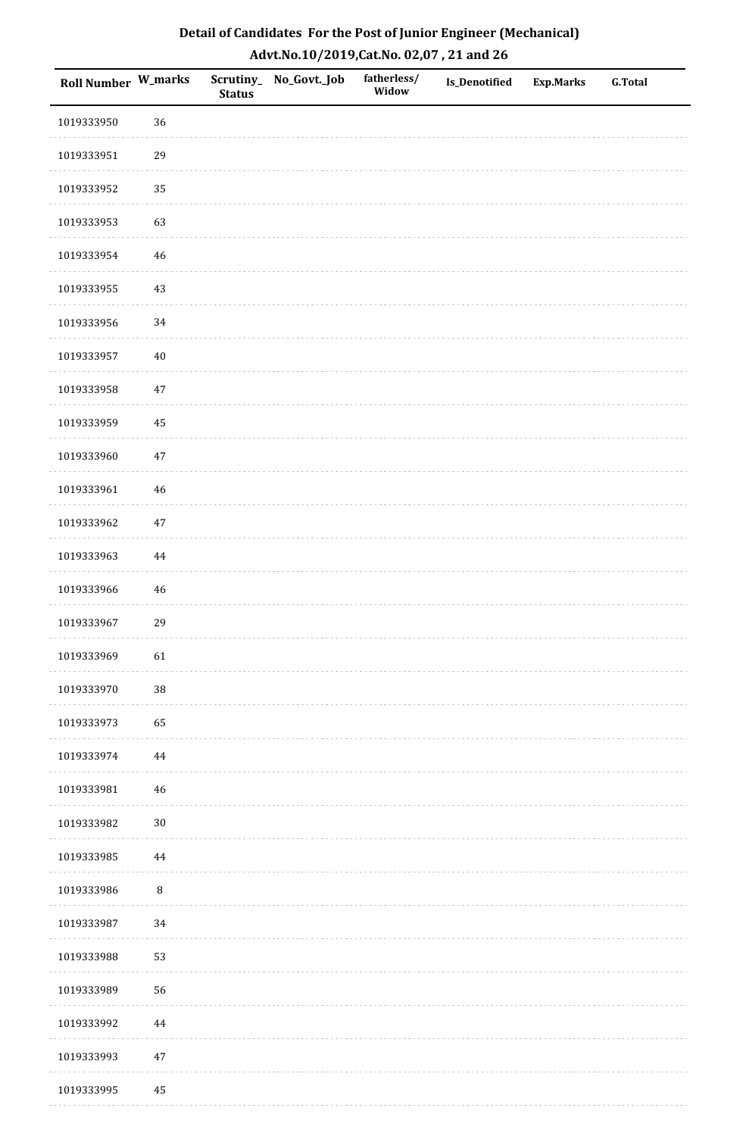| Detail of Candidates For the Post of Junior Engineer (Mechanical) |
|-------------------------------------------------------------------|
| Advt.No.10/2019,Cat.No. 02,07, 21 and 26                          |

| <b>Roll Number W_marks</b> |          | <b>Status</b> | Scrutiny_ No_Govt._Job | fatherless/<br>Widow | <b>Is_Denotified</b> | <b>Exp.Marks</b> | <b>G.Total</b> |
|----------------------------|----------|---------------|------------------------|----------------------|----------------------|------------------|----------------|
| 1019333950                 | 36       |               |                        |                      |                      |                  |                |
| 1019333951                 | 29       |               |                        |                      |                      |                  |                |
| 1019333952                 | 35       |               |                        |                      |                      |                  |                |
| 1019333953                 | 63       |               |                        |                      |                      |                  |                |
| 1019333954                 | 46       |               |                        |                      |                      |                  |                |
| 1019333955                 | 43       |               |                        |                      |                      |                  |                |
| 1019333956                 | 34       |               |                        |                      |                      |                  |                |
| 1019333957                 | $40\,$   |               |                        |                      |                      |                  |                |
| 1019333958                 | 47       |               |                        |                      |                      |                  |                |
| 1019333959                 | 45       |               |                        |                      |                      |                  |                |
| 1019333960                 | 47       |               |                        |                      |                      |                  |                |
| 1019333961                 | 46       |               |                        |                      |                      |                  |                |
| 1019333962                 | $47\,$   |               |                        |                      |                      |                  |                |
| 1019333963                 | $\bf 44$ |               |                        |                      |                      |                  |                |
| 1019333966                 | 46       |               |                        |                      |                      |                  |                |
| 1019333967                 | 29       |               |                        |                      |                      |                  |                |
| 1019333969                 | 61       |               |                        |                      |                      |                  |                |
| 1019333970                 | 38       |               |                        |                      |                      |                  |                |
| 1019333973                 | 65       |               |                        |                      |                      |                  |                |
| 1019333974                 | $\bf 44$ |               |                        |                      |                      |                  |                |
| 1019333981                 | 46       |               |                        |                      |                      |                  |                |
| 1019333982                 | $30\,$   |               |                        |                      |                      |                  |                |
| 1019333985                 | $\bf 44$ |               |                        |                      |                      |                  |                |
| 1019333986                 | $\, 8$   |               |                        |                      |                      |                  |                |
| 1019333987                 | 34       |               |                        |                      |                      |                  |                |
| 1019333988                 | 53       |               |                        |                      |                      |                  |                |
| 1019333989                 | 56       |               |                        |                      |                      |                  |                |
| 1019333992                 | 44       |               |                        |                      |                      |                  |                |
| 1019333993                 | $47\,$   |               |                        |                      |                      |                  |                |
| 1019333995                 | 45       |               |                        |                      |                      |                  |                |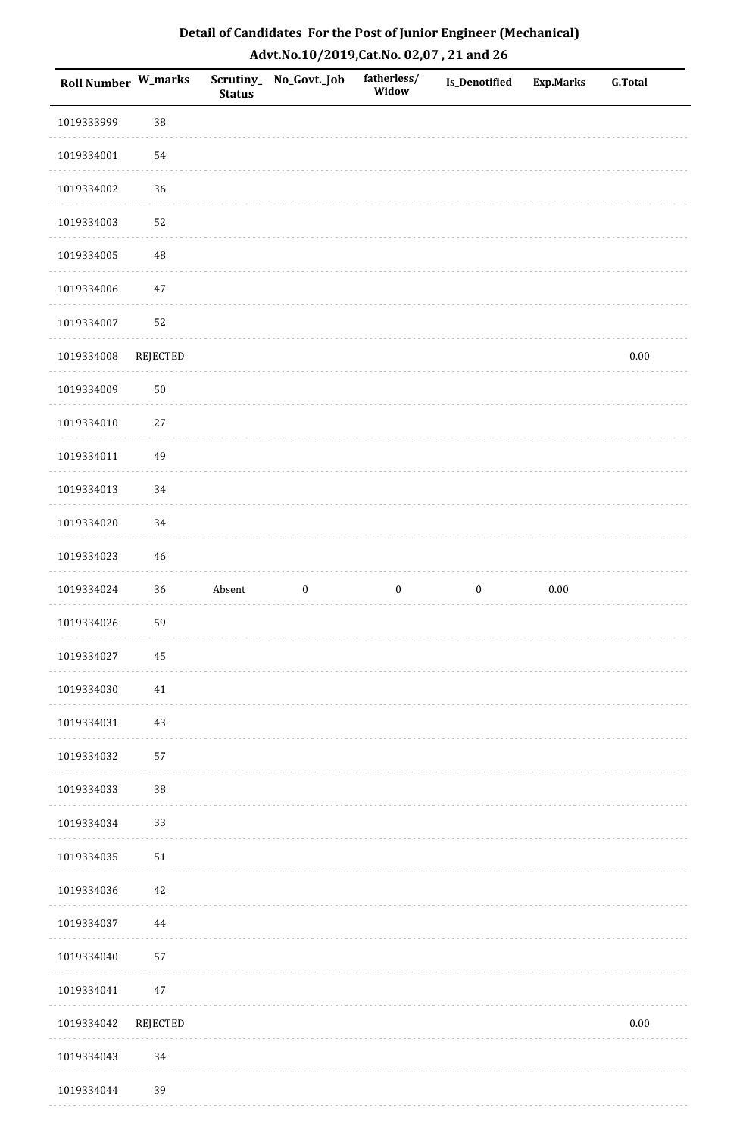| <b>Roll Number W_marks</b> |          | <b>Status</b> | Scrutiny_ No_Govt._Job | fatherless/<br>Widow | Is_Denotified    | <b>Exp.Marks</b> | <b>G.Total</b> |
|----------------------------|----------|---------------|------------------------|----------------------|------------------|------------------|----------------|
| 1019333999                 | 38       |               |                        |                      |                  |                  |                |
| 1019334001                 | 54       |               |                        |                      |                  |                  |                |
| 1019334002                 | 36       |               |                        |                      |                  |                  |                |
| 1019334003                 | 52       |               |                        |                      |                  |                  |                |
| 1019334005                 | $\rm 48$ |               |                        |                      |                  |                  |                |
| 1019334006                 | $47\,$   |               |                        |                      |                  |                  |                |
| 1019334007                 | 52       |               |                        |                      |                  |                  |                |
| 1019334008                 | REJECTED |               |                        |                      |                  |                  | $0.00\,$       |
| 1019334009                 | $50\,$   |               |                        |                      |                  |                  |                |
| 1019334010                 | $27\,$   |               |                        |                      |                  |                  |                |
| 1019334011                 | 49       |               |                        |                      |                  |                  |                |
| 1019334013                 | 34       |               |                        |                      |                  |                  |                |
| 1019334020                 | 34       |               |                        |                      |                  |                  |                |
| 1019334023                 | $46\,$   |               |                        |                      |                  |                  |                |
| 1019334024                 | 36       | Absent        | $\boldsymbol{0}$       | $\boldsymbol{0}$     | $\boldsymbol{0}$ | $0.00\,$         |                |
| 1019334026                 | 59       |               |                        |                      |                  |                  |                |
| 1019334027                 | 45       |               |                        |                      |                  |                  |                |
| 1019334030                 | 41       |               |                        |                      |                  |                  |                |
| 1019334031                 | $43\,$   |               |                        |                      |                  |                  |                |
| 1019334032                 | 57       |               |                        |                      |                  |                  |                |
| 1019334033                 | 38       |               |                        |                      |                  |                  |                |
| 1019334034                 | 33       |               |                        |                      |                  |                  |                |
| 1019334035                 | $51\,$   |               |                        |                      |                  |                  |                |
| 1019334036                 | 42       |               |                        |                      |                  |                  |                |
| 1019334037                 | 44       |               |                        |                      |                  |                  |                |
| 1019334040                 | 57       |               |                        |                      |                  |                  |                |
| 1019334041                 | $47\,$   |               |                        |                      |                  |                  |                |
| 1019334042                 | REJECTED |               |                        |                      |                  |                  | $0.00\,$       |
| 1019334043                 | 34       |               |                        |                      |                  |                  |                |
| 1019334044                 | 39       |               |                        |                      |                  |                  |                |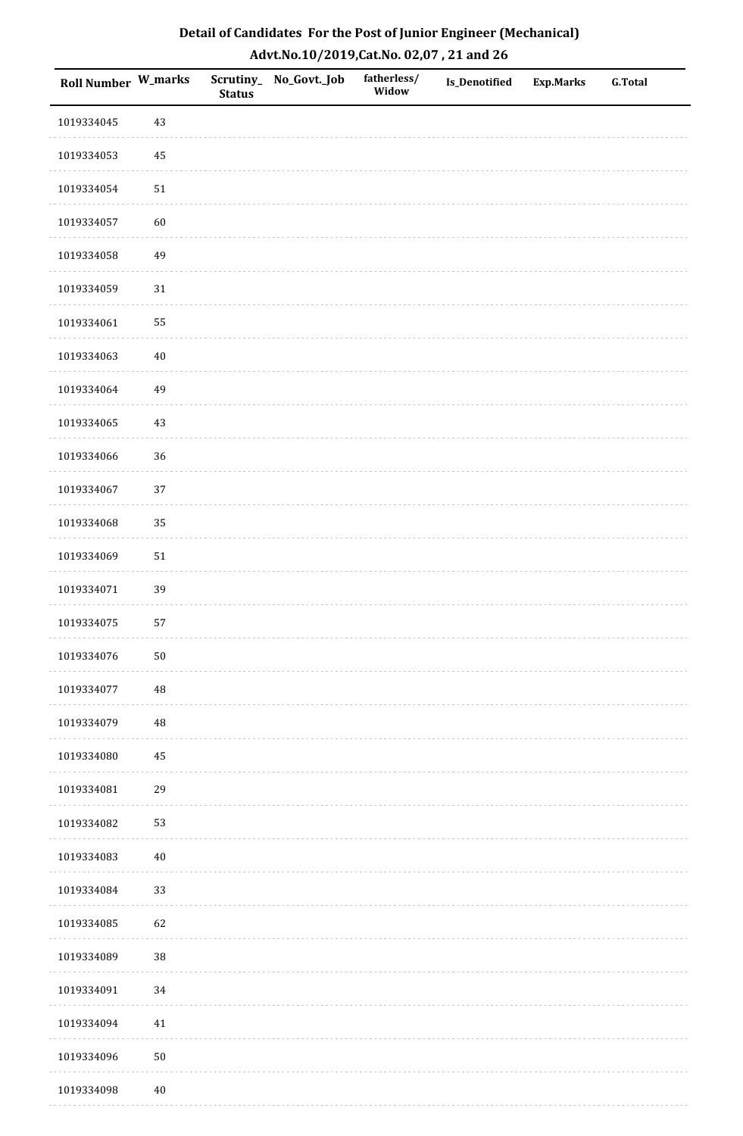| Roll Number W_marks |          | <b>Status</b> | Scrutiny_ No_Govt._Job | fatherless/<br>Widow | Is_Denotified | <b>Exp.Marks</b> | G.Total |
|---------------------|----------|---------------|------------------------|----------------------|---------------|------------------|---------|
| 1019334045          | 43       |               |                        |                      |               |                  |         |
| 1019334053          | 45       |               |                        |                      |               |                  |         |
| 1019334054          | $51\,$   |               |                        |                      |               |                  |         |
| 1019334057          | 60       |               |                        |                      |               |                  |         |
| 1019334058          | 49       |               |                        |                      |               |                  |         |
| 1019334059          | 31       |               |                        |                      |               |                  |         |
| 1019334061          | 55       |               |                        |                      |               |                  |         |
| 1019334063          | $40\,$   |               |                        |                      |               |                  |         |
| 1019334064          | 49       |               |                        |                      |               |                  |         |
| 1019334065          | 43       |               |                        |                      |               |                  |         |
| 1019334066          | 36       |               |                        |                      |               |                  |         |
| 1019334067          | 37       |               |                        |                      |               |                  |         |
| 1019334068          | 35       |               |                        |                      |               |                  |         |
| 1019334069          | $51\,$   |               |                        |                      |               |                  |         |
| 1019334071          | 39       |               |                        |                      |               |                  |         |
| 1019334075          | 57       |               |                        |                      |               |                  |         |
| 1019334076          | $50\,$   |               |                        |                      |               |                  |         |
| 1019334077          | 48       |               |                        |                      |               |                  |         |
| 1019334079          | $\rm 48$ |               |                        |                      |               |                  |         |
| 1019334080          | 45       |               |                        |                      |               |                  |         |
| 1019334081          | 29       |               |                        |                      |               |                  |         |
| 1019334082          | 53       |               |                        |                      |               |                  |         |
| 1019334083          | $40\,$   |               |                        |                      |               |                  |         |
| 1019334084          | 33       |               |                        |                      |               |                  |         |
| 1019334085          | 62       |               |                        |                      |               |                  |         |
| 1019334089          | $38\,$   |               |                        |                      |               |                  |         |
| 1019334091          | $34\,$   |               |                        |                      |               |                  |         |
| 1019334094          | 41       |               |                        |                      |               |                  |         |
| 1019334096          | $50\,$   |               |                        |                      |               |                  |         |
| 1019334098          | $40\,$   |               |                        |                      |               |                  |         |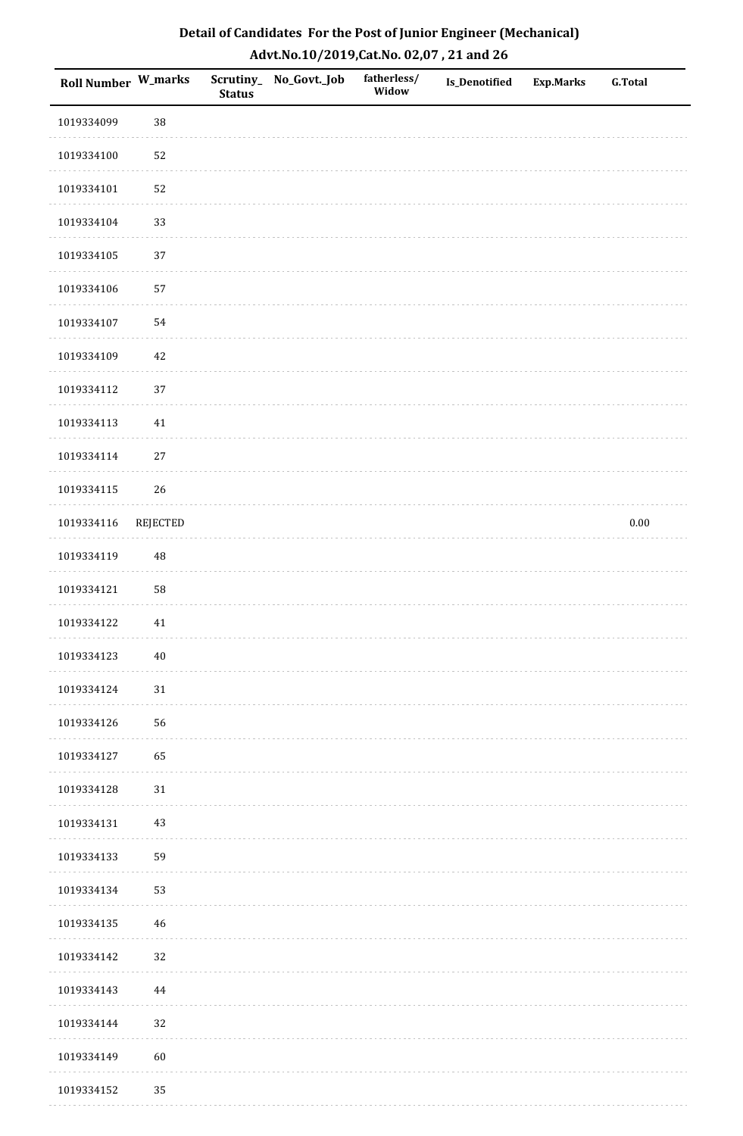| <b>Roll Number W_marks</b> |          | <b>Status</b> | Scrutiny_ No_Govt._Job | fatherless/<br>Widow | Is_Denotified | <b>Exp.Marks</b> | <b>G.Total</b> |
|----------------------------|----------|---------------|------------------------|----------------------|---------------|------------------|----------------|
| 1019334099                 | 38       |               |                        |                      |               |                  |                |
| 1019334100                 | 52       |               |                        |                      |               |                  |                |
| 1019334101                 | 52       |               |                        |                      |               |                  |                |
| 1019334104                 | 33       |               |                        |                      |               |                  |                |
| 1019334105                 | $37\,$   |               |                        |                      |               |                  |                |
| 1019334106                 | 57       |               |                        |                      |               |                  |                |
| 1019334107                 | 54       |               |                        |                      |               |                  |                |
| 1019334109                 | $42\,$   |               |                        |                      |               |                  |                |
| 1019334112                 | 37       |               |                        |                      |               |                  |                |
| 1019334113                 | $41\,$   |               |                        |                      |               |                  |                |
| 1019334114                 | $27\,$   |               |                        |                      |               |                  |                |
| 1019334115                 | 26       |               |                        |                      |               |                  |                |
| 1019334116                 | REJECTED |               |                        |                      |               |                  | $0.00\,$       |
| 1019334119                 | 48       |               |                        |                      |               |                  |                |
| 1019334121                 | 58       |               |                        |                      |               |                  |                |
| 1019334122                 | $41\,$   |               |                        |                      |               |                  |                |
| 1019334123                 | $40\,$   |               |                        |                      |               |                  |                |
| 1019334124                 | 31       |               |                        |                      |               |                  |                |
| 1019334126                 | 56       |               |                        |                      |               |                  |                |
| 1019334127                 | 65       |               |                        |                      |               |                  |                |
| 1019334128                 | 31       |               |                        |                      |               |                  |                |
| 1019334131                 | $43\,$   |               |                        |                      |               |                  |                |
| 1019334133                 | 59       |               |                        |                      |               |                  |                |
| 1019334134                 | 53       |               |                        |                      |               |                  |                |
| 1019334135                 | 46       |               |                        |                      |               |                  |                |
| 1019334142                 | 32       |               |                        |                      |               |                  |                |
| 1019334143                 | 44       |               |                        |                      |               |                  |                |
| 1019334144                 | 32       |               |                        |                      |               |                  |                |
| 1019334149                 | 60       |               |                        |                      |               |                  |                |
| 1019334152                 | 35       |               |                        |                      |               |                  |                |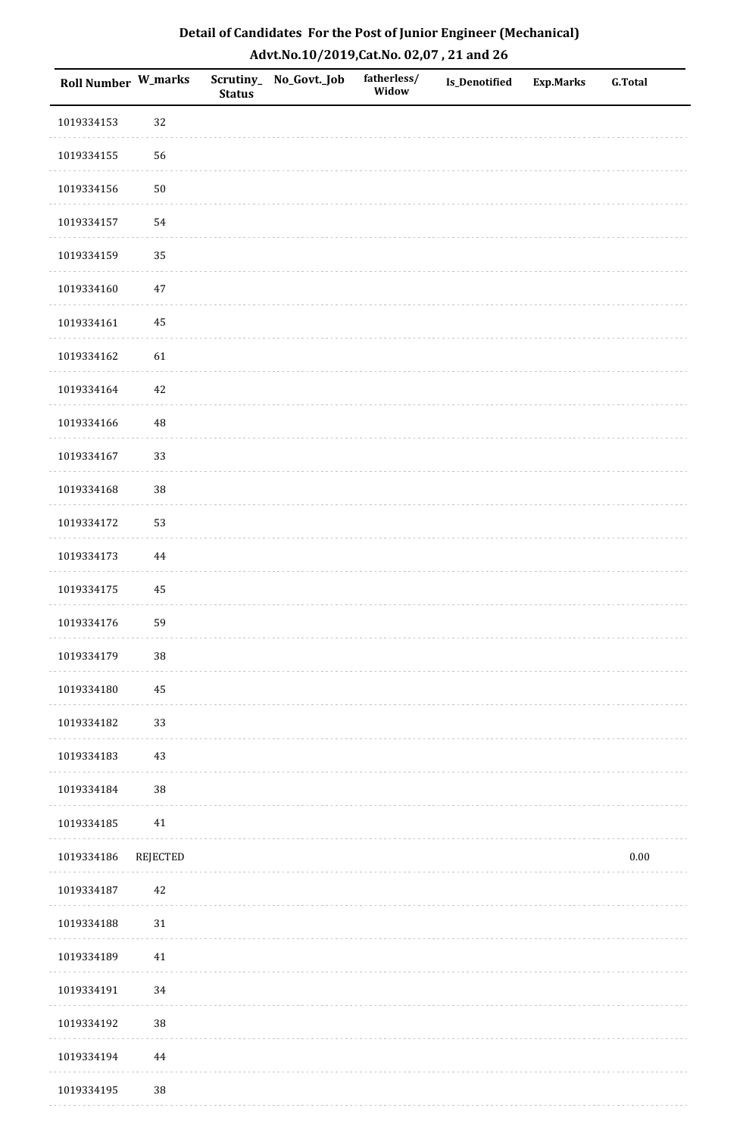| Roll Number W_marks |          | <b>Status</b> | Scrutiny_No_Govt._Job | fatherless/<br>Widow | Is_Denotified | <b>Exp.Marks</b> | <b>G.Total</b> |
|---------------------|----------|---------------|-----------------------|----------------------|---------------|------------------|----------------|
| 1019334153          | 32       |               |                       |                      |               |                  |                |
| 1019334155          | 56       |               |                       |                      |               |                  |                |
| 1019334156          | 50       |               |                       |                      |               |                  |                |
| 1019334157          | 54       |               |                       |                      |               |                  |                |
| 1019334159          | 35       |               |                       |                      |               |                  |                |
| 1019334160          | $47\,$   |               |                       |                      |               |                  |                |
| 1019334161          | 45       |               |                       |                      |               |                  |                |
| 1019334162          | 61       |               |                       |                      |               |                  |                |
| 1019334164          | 42       |               |                       |                      |               |                  |                |
| 1019334166          | 48       |               |                       |                      |               |                  |                |
| 1019334167          | 33       |               |                       |                      |               |                  |                |
| 1019334168          | 38       |               |                       |                      |               |                  |                |
| 1019334172          | 53       |               |                       |                      |               |                  |                |
| 1019334173          | $\bf 44$ |               |                       |                      |               |                  |                |
| 1019334175          | 45       |               |                       |                      |               |                  |                |
| 1019334176          | 59       |               |                       |                      |               |                  |                |
| 1019334179          | $38\,$   |               |                       |                      |               |                  |                |
| 1019334180          | 45       |               |                       |                      |               |                  |                |
| 1019334182          | 33       |               |                       |                      |               |                  |                |
| 1019334183          | 43       |               |                       |                      |               |                  |                |
| 1019334184          | $38\,$   |               |                       |                      |               |                  |                |
| 1019334185          | 41       |               |                       |                      |               |                  |                |
| 1019334186          | REJECTED |               |                       |                      |               |                  | $0.00\,$       |
| 1019334187          | 42       |               |                       |                      |               |                  |                |
| 1019334188          | 31       |               |                       |                      |               |                  |                |
| 1019334189          | 41       |               |                       |                      |               |                  |                |
| 1019334191          | 34       |               |                       |                      |               |                  |                |
| 1019334192          | $38\,$   |               |                       |                      |               |                  |                |
| 1019334194          | 44       |               |                       |                      |               |                  |                |
| 1019334195          | $38\,$   |               |                       |                      |               |                  |                |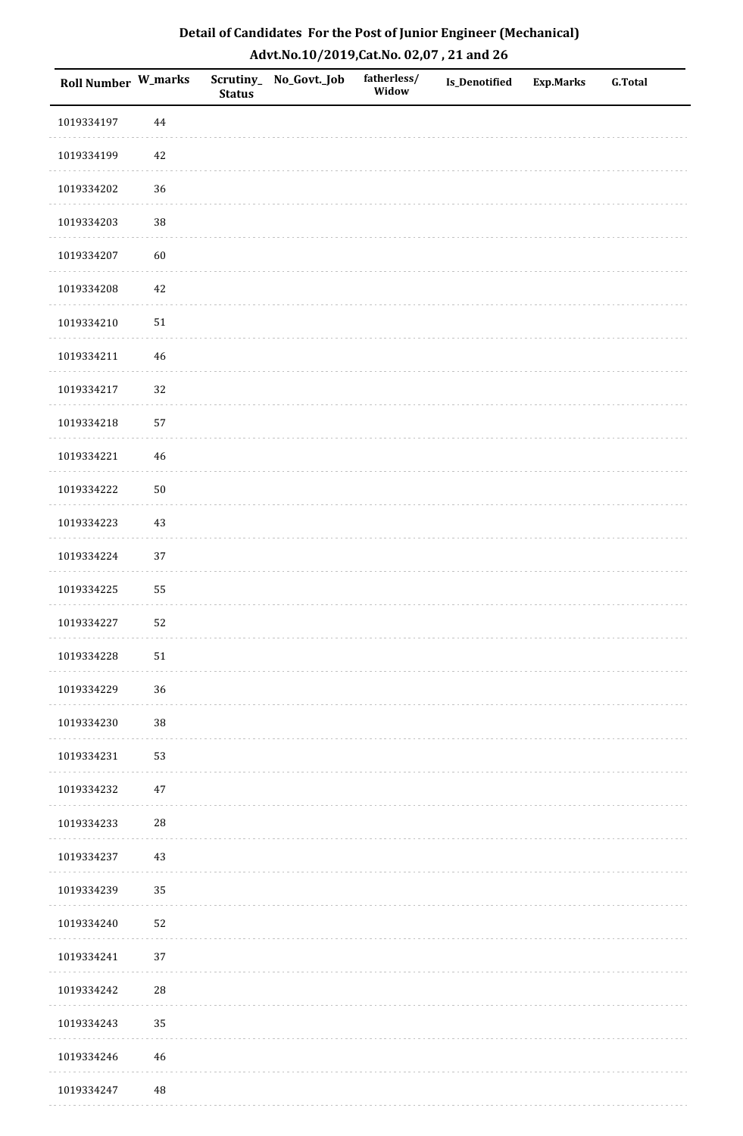| Roll Number W_marks |            | <b>Status</b> | Scrutiny_No_Govt._Job | fatherless/<br>Widow | Is_Denotified | <b>Exp.Marks</b> | <b>G.Total</b> |
|---------------------|------------|---------------|-----------------------|----------------------|---------------|------------------|----------------|
| 1019334197          | $\bf 44$   |               |                       |                      |               |                  |                |
| 1019334199          | 42         |               |                       |                      |               |                  |                |
| 1019334202          | 36         |               |                       |                      |               |                  |                |
| 1019334203          | 38         |               |                       |                      |               |                  |                |
| 1019334207          | 60         |               |                       |                      |               |                  |                |
| 1019334208          | 42         |               |                       |                      |               |                  |                |
| 1019334210          | $51\,$     |               |                       |                      |               |                  |                |
| 1019334211          | 46         |               |                       |                      |               |                  |                |
| 1019334217          | 32         |               |                       |                      |               |                  |                |
| 1019334218          | 57         |               |                       |                      |               |                  |                |
| 1019334221          | 46         |               |                       |                      |               |                  |                |
| 1019334222          | $50\,$     |               |                       |                      |               |                  |                |
| 1019334223          | $43\,$     |               |                       |                      |               |                  |                |
| 1019334224          | 37         |               |                       |                      |               |                  |                |
| 1019334225          | 55         |               |                       |                      |               |                  |                |
| 1019334227          | 52         |               |                       |                      |               |                  |                |
| 1019334228          | 51         |               |                       |                      |               |                  |                |
| 1019334229          | 36         |               |                       |                      |               |                  |                |
| 1019334230          | $38\,$     |               |                       |                      |               |                  |                |
| 1019334231          | 53         |               |                       |                      |               |                  |                |
| 1019334232          | 47         |               |                       |                      |               |                  |                |
| 1019334233          | ${\bf 28}$ |               |                       |                      |               |                  |                |
| 1019334237          | 43         |               |                       |                      |               |                  |                |
| 1019334239          | 35         |               |                       |                      |               |                  |                |
| 1019334240          | 52         |               |                       |                      |               |                  |                |
| 1019334241          | 37         |               |                       |                      |               |                  |                |
| 1019334242          | ${\bf 28}$ |               |                       |                      |               |                  |                |
| 1019334243          | 35         |               |                       |                      |               |                  |                |
| 1019334246          | $46\,$     |               |                       |                      |               |                  |                |
| 1019334247          | 48         |               |                       |                      |               |                  |                |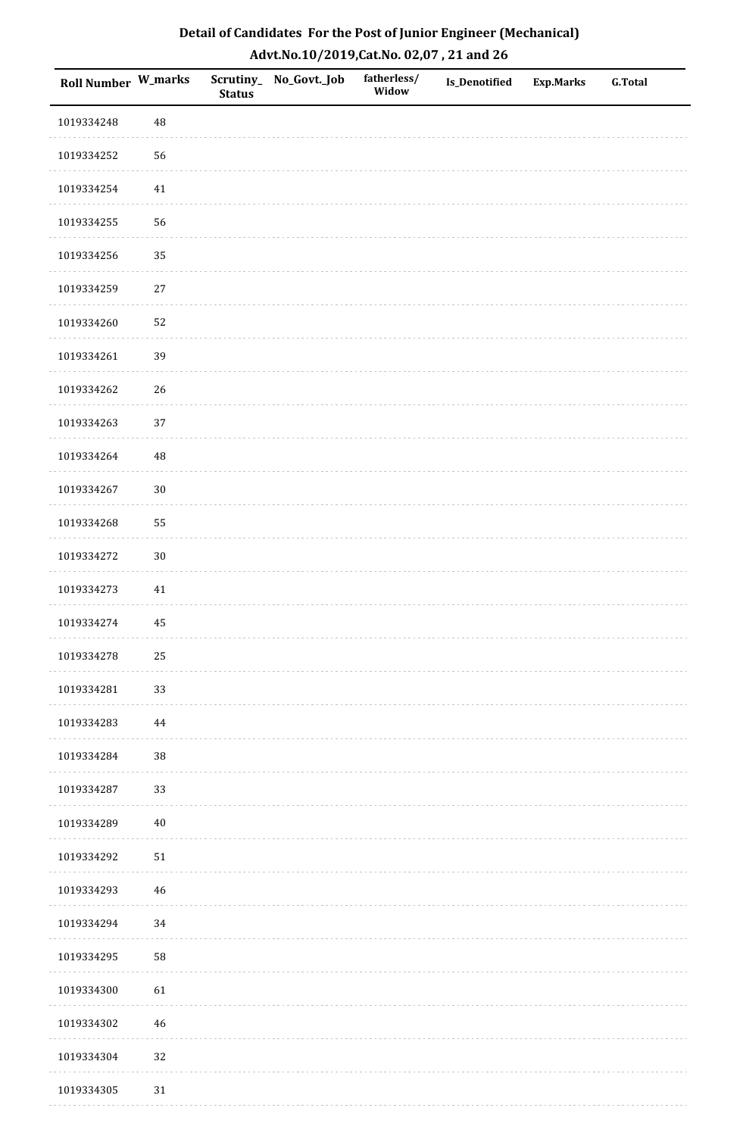| Roll Number W_marks |            | <b>Status</b> | Scrutiny_ No_Govt._Job | fatherless/<br>Widow | Is_Denotified | <b>Exp.Marks</b> | <b>G.Total</b> |
|---------------------|------------|---------------|------------------------|----------------------|---------------|------------------|----------------|
| 1019334248          | 48         |               |                        |                      |               |                  |                |
| 1019334252          | 56         |               |                        |                      |               |                  |                |
| 1019334254          | 41         |               |                        |                      |               |                  |                |
| 1019334255          | 56         |               |                        |                      |               |                  |                |
| 1019334256          | 35         |               |                        |                      |               |                  |                |
| 1019334259          | 27         |               |                        |                      |               |                  |                |
| 1019334260          | 52         |               |                        |                      |               |                  |                |
| 1019334261          | 39         |               |                        |                      |               |                  |                |
| 1019334262          | 26         |               |                        |                      |               |                  |                |
| 1019334263          | 37         |               |                        |                      |               |                  |                |
| 1019334264          | 48         |               |                        |                      |               |                  |                |
| 1019334267          | $30\,$     |               |                        |                      |               |                  |                |
| 1019334268          | 55         |               |                        |                      |               |                  |                |
| 1019334272          | $30\,$     |               |                        |                      |               |                  |                |
| 1019334273          | 41         |               |                        |                      |               |                  |                |
| 1019334274          | 45         |               |                        |                      |               |                  |                |
| 1019334278          | 25         |               |                        |                      |               |                  |                |
| 1019334281          | 33         |               |                        |                      |               |                  |                |
| 1019334283          | 44         |               |                        |                      |               |                  |                |
| 1019334284          | $38\,$     |               |                        |                      |               |                  |                |
| 1019334287          | 33         |               |                        |                      |               |                  |                |
| 1019334289          | $40\,$     |               |                        |                      |               |                  |                |
| 1019334292          | ${\bf 51}$ |               |                        |                      |               |                  |                |
| 1019334293          | 46         |               |                        |                      |               |                  |                |
| 1019334294          | 34         |               |                        |                      |               |                  |                |
| 1019334295          | 58         |               |                        |                      |               |                  |                |
| 1019334300          | 61         |               |                        |                      |               |                  |                |
| 1019334302          | 46         |               |                        |                      |               |                  |                |
| 1019334304          | 32         |               |                        |                      |               |                  |                |
| 1019334305          | $31\,$     |               |                        |                      |               |                  |                |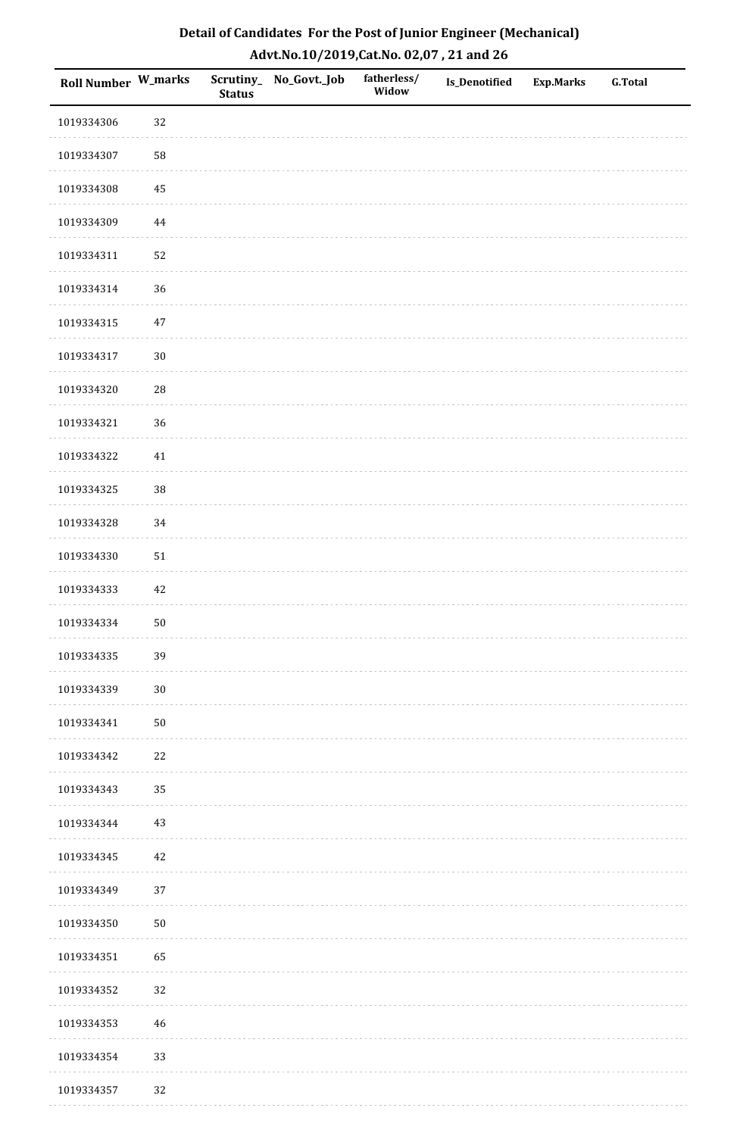| Roll Number W_marks |            | <b>Status</b> | Scrutiny_No_Govt._Job | fatherless/<br>Widow | Is_Denotified | <b>Exp.Marks</b> | <b>G.Total</b> |
|---------------------|------------|---------------|-----------------------|----------------------|---------------|------------------|----------------|
| 1019334306          | 32         |               |                       |                      |               |                  |                |
| 1019334307          | 58         |               |                       |                      |               |                  |                |
| 1019334308          | 45         |               |                       |                      |               |                  |                |
| 1019334309          | 44         |               |                       |                      |               |                  |                |
| 1019334311          | 52         |               |                       |                      |               |                  |                |
| 1019334314          | 36         |               |                       |                      |               |                  |                |
| 1019334315          | $47\,$     |               |                       |                      |               |                  |                |
| 1019334317          | $30\,$     |               |                       |                      |               |                  |                |
| 1019334320          | ${\bf 28}$ |               |                       |                      |               |                  |                |
| 1019334321          | 36         |               |                       |                      |               |                  |                |
| 1019334322          | $41\,$     |               |                       |                      |               |                  |                |
| 1019334325          | 38         |               |                       |                      |               |                  |                |
| 1019334328          | 34         |               |                       |                      |               |                  |                |
| 1019334330          | $51\,$     |               |                       |                      |               |                  |                |
| 1019334333          | 42         |               |                       |                      |               |                  |                |
| 1019334334          | $50\,$     |               |                       |                      |               |                  |                |
| 1019334335          | 39         |               |                       |                      |               |                  |                |
| 1019334339          | $30\,$     |               |                       |                      |               |                  |                |
| 1019334341          | $50\,$     |               |                       |                      |               |                  |                |
| 1019334342          | $22\,$     |               |                       |                      |               |                  |                |
| 1019334343          | 35         |               |                       |                      |               |                  |                |
| 1019334344          | $43\,$     |               |                       |                      |               |                  |                |
| 1019334345          | 42         |               |                       |                      |               |                  |                |
| 1019334349          | 37         |               |                       |                      |               |                  |                |
| 1019334350          | $50\,$     |               |                       |                      |               |                  |                |
| 1019334351          | 65         |               |                       |                      |               |                  |                |
| 1019334352          | 32         |               |                       |                      |               |                  |                |
| 1019334353          | $46\,$     |               |                       |                      |               |                  |                |
| 1019334354          | 33         |               |                       |                      |               |                  |                |
| 1019334357          | 32         |               |                       |                      |               |                  |                |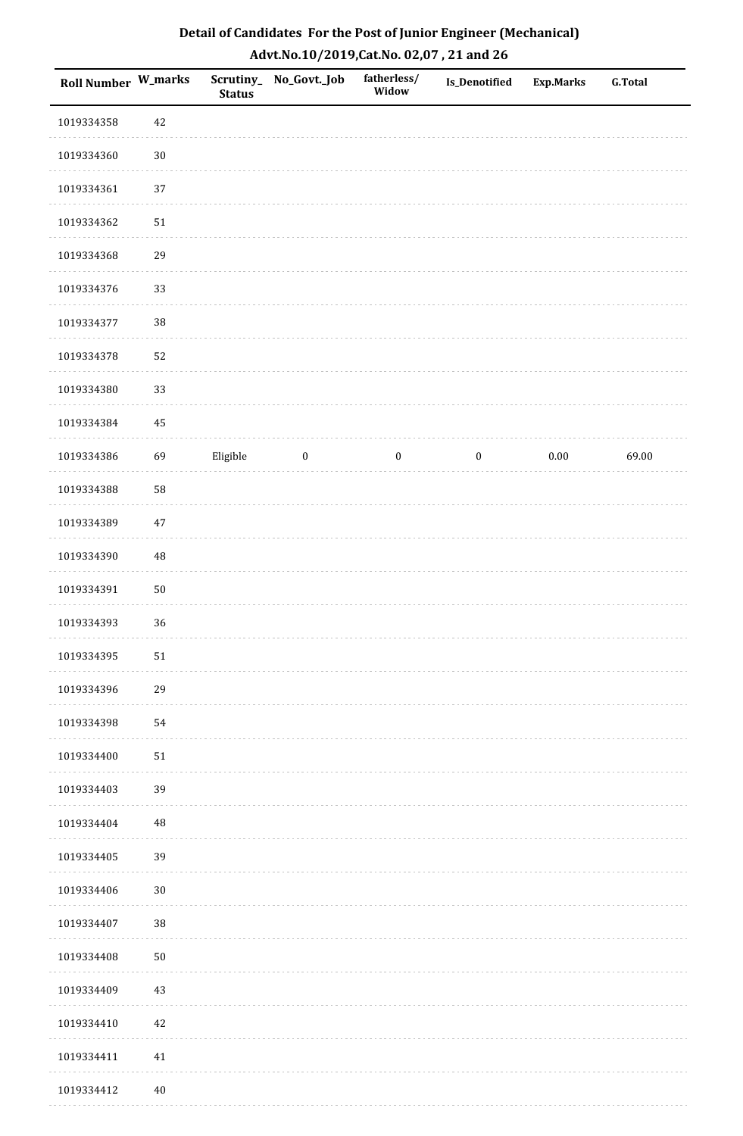| Roll Number W_marks |            | <b>Status</b> | Scrutiny_ No_Govt._Job | fatherless/<br>Widow | <b>Is_Denotified</b> | <b>Exp.Marks</b> | <b>G.Total</b> |
|---------------------|------------|---------------|------------------------|----------------------|----------------------|------------------|----------------|
| 1019334358          | 42         |               |                        |                      |                      |                  |                |
| 1019334360          | $30\,$     |               |                        |                      |                      |                  |                |
| 1019334361          | 37         |               |                        |                      |                      |                  |                |
| 1019334362          | 51         |               |                        |                      |                      |                  |                |
| 1019334368          | 29         |               |                        |                      |                      |                  |                |
| 1019334376          | 33         |               |                        |                      |                      |                  |                |
| 1019334377          | $38\,$     |               |                        |                      |                      |                  |                |
| 1019334378          | 52         |               |                        |                      |                      |                  |                |
| 1019334380          | 33         |               |                        |                      |                      |                  |                |
| 1019334384          | 45         |               |                        |                      |                      |                  |                |
| 1019334386          | 69         | Eligible      | $\boldsymbol{0}$       | $\boldsymbol{0}$     | $\boldsymbol{0}$     | $0.00\,$         | 69.00          |
| 1019334388          | 58         |               |                        |                      |                      |                  |                |
| 1019334389          | 47         |               |                        |                      |                      |                  |                |
| 1019334390          | 48         |               |                        |                      |                      |                  |                |
| 1019334391          | $50\,$     |               |                        |                      |                      |                  |                |
| 1019334393          | 36         |               |                        |                      |                      |                  |                |
| 1019334395          | $51\,$     |               |                        |                      |                      |                  |                |
| 1019334396          | 29         |               |                        |                      |                      |                  |                |
| 1019334398          | 54         |               |                        |                      |                      |                  |                |
| 1019334400          | 51         |               |                        |                      |                      |                  |                |
| 1019334403          | 39         |               |                        |                      |                      |                  |                |
| 1019334404          | 48         |               |                        |                      |                      |                  |                |
| 1019334405          | 39         |               |                        |                      |                      |                  |                |
| 1019334406          | $30\,$     |               |                        |                      |                      |                  |                |
| 1019334407          | 38         |               |                        |                      |                      |                  |                |
| 1019334408          | ${\bf 50}$ |               |                        |                      |                      |                  |                |
| 1019334409          | 43         |               |                        |                      |                      |                  |                |
| 1019334410          | 42         |               |                        |                      |                      |                  |                |
| 1019334411          | 41         |               |                        |                      |                      |                  |                |
| 1019334412          | 40         |               |                        |                      |                      |                  |                |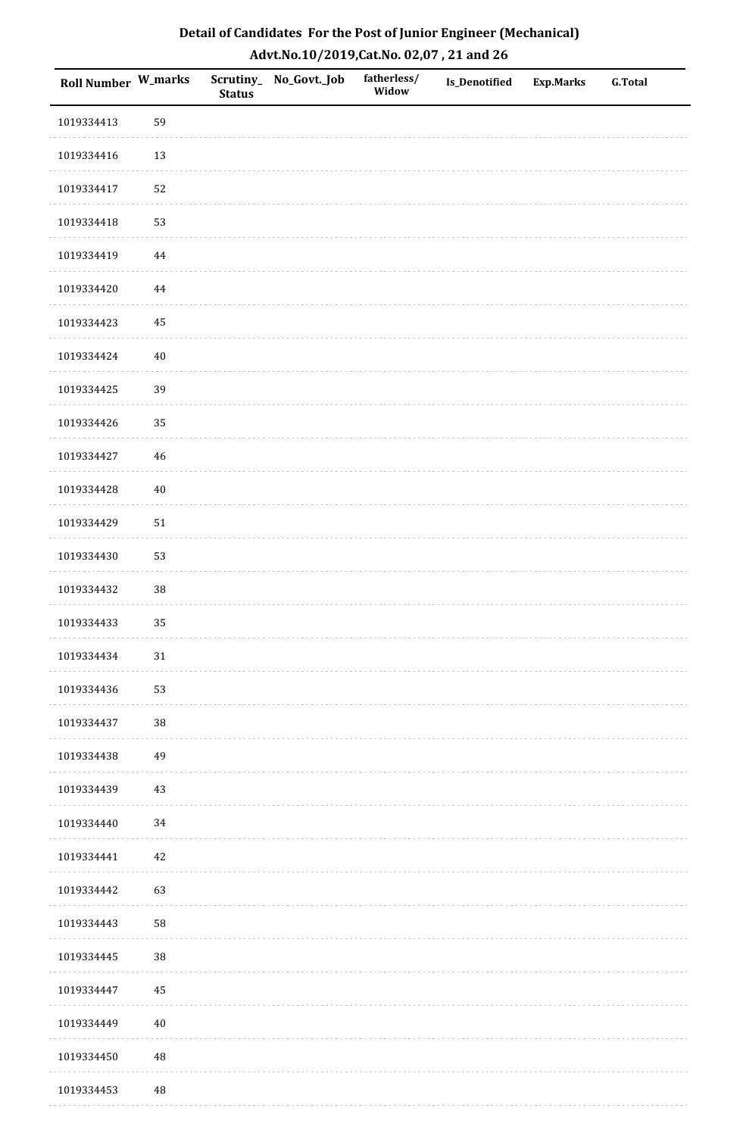| Roll Number W_marks |          | <b>Status</b> | Scrutiny_No_Govt._Job | fatherless/<br>Widow | Is_Denotified | <b>Exp.Marks</b> | <b>G.Total</b> |
|---------------------|----------|---------------|-----------------------|----------------------|---------------|------------------|----------------|
| 1019334413          | 59       |               |                       |                      |               |                  |                |
| 1019334416          | 13       |               |                       |                      |               |                  |                |
| 1019334417          | 52       |               |                       |                      |               |                  |                |
| 1019334418          | 53       |               |                       |                      |               |                  |                |
| 1019334419          | $\bf 44$ |               |                       |                      |               |                  |                |
| 1019334420          | $\bf 44$ |               |                       |                      |               |                  |                |
| 1019334423          | 45       |               |                       |                      |               |                  |                |
| 1019334424          | $40\,$   |               |                       |                      |               |                  |                |
| 1019334425          | 39       |               |                       |                      |               |                  |                |
| 1019334426          | 35       |               |                       |                      |               |                  |                |
| 1019334427          | $46\,$   |               |                       |                      |               |                  |                |
| 1019334428          | $40\,$   |               |                       |                      |               |                  |                |
| 1019334429          | $51\,$   |               |                       |                      |               |                  |                |
| 1019334430          | 53       |               |                       |                      |               |                  |                |
| 1019334432          | $38\,$   |               |                       |                      |               |                  |                |
| 1019334433          | 35       |               |                       |                      |               |                  |                |
| 1019334434          | $31\,$   |               |                       |                      |               |                  |                |
| 1019334436          | 53       |               |                       |                      |               |                  |                |
| 1019334437          | $38\,$   |               |                       |                      |               |                  |                |
| 1019334438          | 49       |               |                       |                      |               |                  |                |
| 1019334439          | 43       |               |                       |                      |               |                  |                |
| 1019334440          | 34       |               |                       |                      |               |                  |                |
| 1019334441          | 42       |               |                       |                      |               |                  |                |
| 1019334442          | 63       |               |                       |                      |               |                  |                |
| 1019334443          | 58       |               |                       |                      |               |                  |                |
| 1019334445          | 38       |               |                       |                      |               |                  |                |
| 1019334447          | $\bf 45$ |               |                       |                      |               |                  |                |
| 1019334449          | $40\,$   |               |                       |                      |               |                  |                |
| 1019334450          | $\rm 48$ |               |                       |                      |               |                  |                |
| 1019334453          | $\rm 48$ |               |                       |                      |               |                  |                |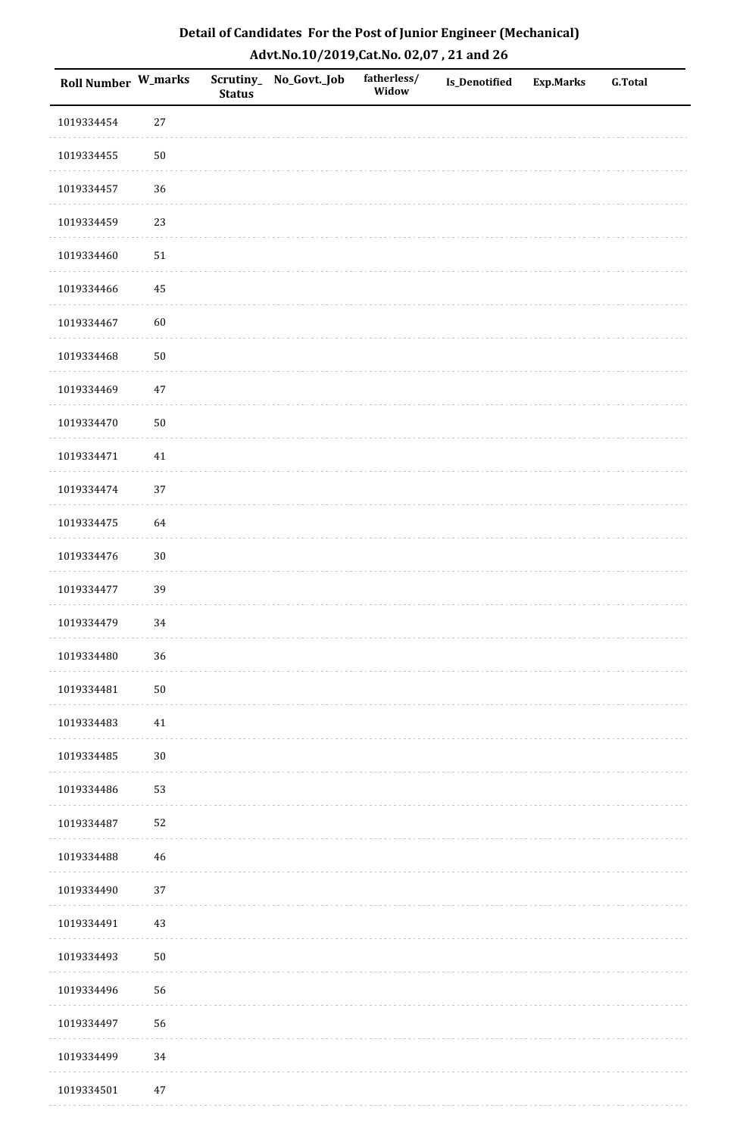| Roll Number W_marks |        | <b>Status</b> | Scrutiny_No_Govt._Job | fatherless/<br>Widow | Is_Denotified | <b>Exp.Marks</b> | <b>G.Total</b> |
|---------------------|--------|---------------|-----------------------|----------------------|---------------|------------------|----------------|
| 1019334454          | $27\,$ |               |                       |                      |               |                  |                |
| 1019334455          | $50\,$ |               |                       |                      |               |                  |                |
| 1019334457          | 36     |               |                       |                      |               |                  |                |
| 1019334459          | 23     |               |                       |                      |               |                  |                |
| 1019334460          | $51\,$ |               |                       |                      |               |                  |                |
| 1019334466          | 45     |               |                       |                      |               |                  |                |
| 1019334467          | 60     |               |                       |                      |               |                  |                |
| 1019334468          | $50\,$ |               |                       |                      |               |                  |                |
| 1019334469          | 47     |               |                       |                      |               |                  |                |
| 1019334470          | $50\,$ |               |                       |                      |               |                  |                |
| 1019334471          | $41\,$ |               |                       |                      |               |                  |                |
| 1019334474          | 37     |               |                       |                      |               |                  |                |
| 1019334475          | 64     |               |                       |                      |               |                  |                |
| 1019334476          | $30\,$ |               |                       |                      |               |                  |                |
| 1019334477          | 39     |               |                       |                      |               |                  |                |
| 1019334479          | $34\,$ |               |                       |                      |               |                  |                |
| 1019334480          | 36     |               |                       |                      |               |                  |                |
| 1019334481          | $50\,$ |               |                       |                      |               |                  |                |
| 1019334483          | $41\,$ |               |                       |                      |               |                  |                |
| 1019334485          | $30\,$ |               |                       |                      |               |                  |                |
| 1019334486          | 53     |               |                       |                      |               |                  |                |
| 1019334487          | 52     |               |                       |                      |               |                  |                |
| 1019334488          | $46\,$ |               |                       |                      |               |                  |                |
| 1019334490          | 37     |               |                       |                      |               |                  |                |
| 1019334491          | $43\,$ |               |                       |                      |               |                  |                |
| 1019334493          | $50\,$ |               |                       |                      |               |                  |                |
| 1019334496          | 56     |               |                       |                      |               |                  |                |
| 1019334497          | 56     |               |                       |                      |               |                  |                |
| 1019334499          | 34     |               |                       |                      |               |                  |                |
| 1019334501          | $47\,$ |               |                       |                      |               |                  |                |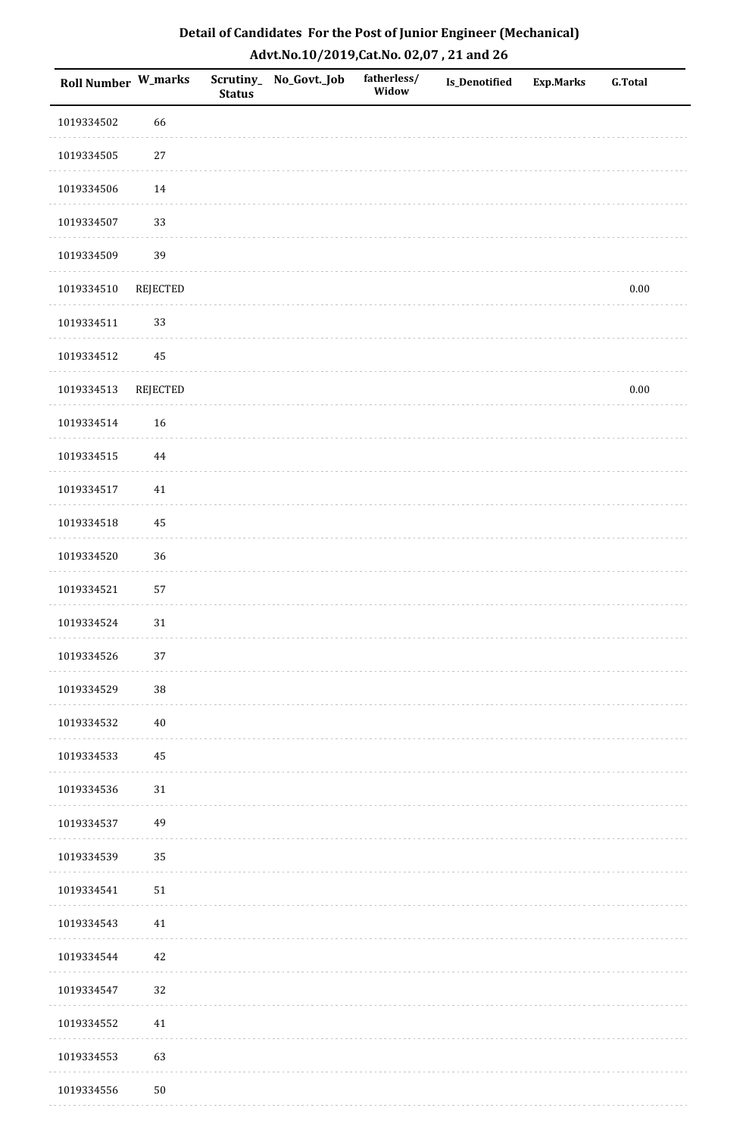| <b>Roll Number W_marks</b> |                 | <b>Status</b> | Scrutiny_ No_Govt._Job | fatherless/<br>Widow | Is_Denotified | <b>Exp.Marks</b> | <b>G.Total</b> |
|----------------------------|-----------------|---------------|------------------------|----------------------|---------------|------------------|----------------|
| 1019334502                 | 66              |               |                        |                      |               |                  |                |
| 1019334505                 | 27              |               |                        |                      |               |                  |                |
| 1019334506                 | 14              |               |                        |                      |               |                  |                |
| 1019334507                 | 33              |               |                        |                      |               |                  |                |
| 1019334509                 | 39              |               |                        |                      |               |                  |                |
| 1019334510                 | REJECTED        |               |                        |                      |               |                  | $0.00\,$       |
| 1019334511                 | 33              |               |                        |                      |               |                  |                |
| 1019334512                 | $\bf 45$        |               |                        |                      |               |                  |                |
| 1019334513                 | <b>REJECTED</b> |               |                        |                      |               |                  | $0.00\,$       |
| 1019334514                 | 16              |               |                        |                      |               |                  |                |
| 1019334515                 | $\bf 44$        |               |                        |                      |               |                  |                |
| 1019334517                 | $41\,$          |               |                        |                      |               |                  |                |
| 1019334518                 | 45              |               |                        |                      |               |                  |                |
| 1019334520                 | 36              |               |                        |                      |               |                  |                |
| 1019334521                 | 57              |               |                        |                      |               |                  |                |
| 1019334524                 | $31\,$          |               |                        |                      |               |                  |                |
| 1019334526                 | 37              |               |                        |                      |               |                  |                |
| 1019334529                 | $38\,$          |               |                        |                      |               |                  |                |
| 1019334532                 | $40\,$          |               |                        |                      |               |                  |                |
| 1019334533                 | 45              |               |                        |                      |               |                  |                |
| 1019334536                 | 31              |               |                        |                      |               |                  |                |
| 1019334537                 | 49              |               |                        |                      |               |                  |                |
| 1019334539                 | 35              |               |                        |                      |               |                  |                |
| 1019334541                 | 51              |               |                        |                      |               |                  |                |
| 1019334543                 | 41              |               |                        |                      |               |                  |                |
| 1019334544                 | 42              |               |                        |                      |               |                  |                |
| 1019334547                 | 32              |               |                        |                      |               |                  |                |
| 1019334552                 | 41              |               |                        |                      |               |                  |                |
| 1019334553                 | 63              |               |                        |                      |               |                  |                |
| 1019334556                 | $50\,$          |               |                        |                      |               |                  |                |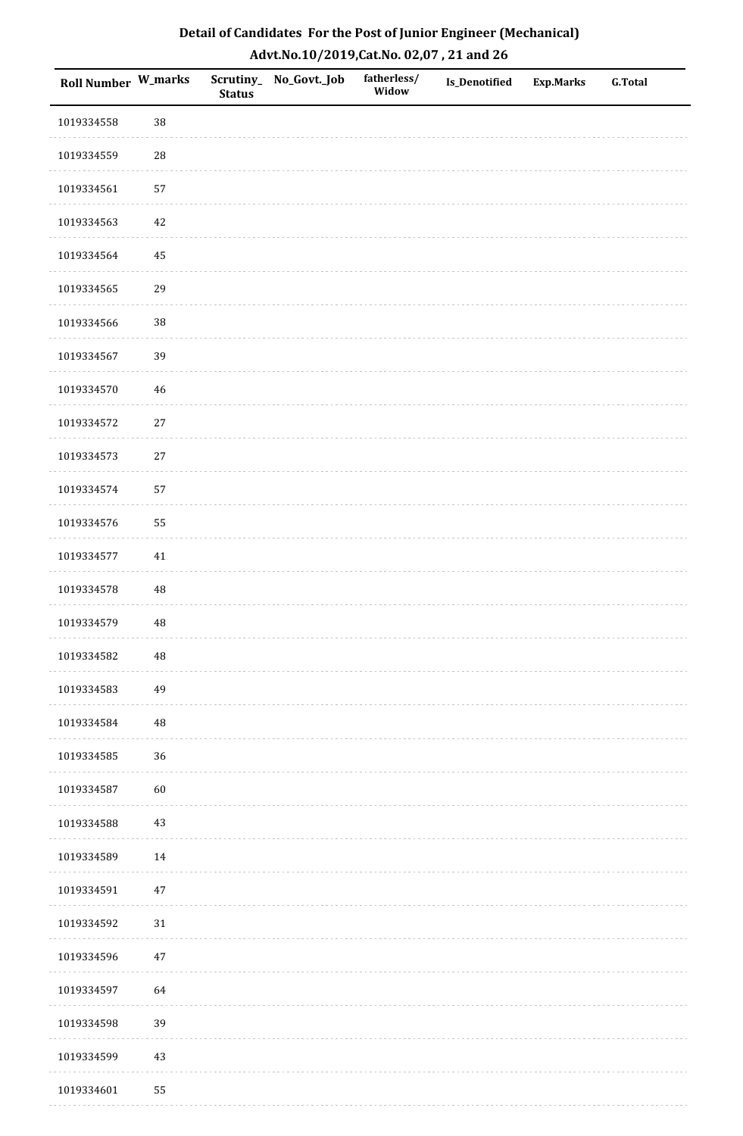| Roll Number W_marks |          | <b>Status</b> | Scrutiny_No_Govt._Job | fatherless/<br>Widow | Is_Denotified | <b>Exp.Marks</b> | <b>G.Total</b> |
|---------------------|----------|---------------|-----------------------|----------------------|---------------|------------------|----------------|
| 1019334558          | 38       |               |                       |                      |               |                  |                |
| 1019334559          | 28       |               |                       |                      |               |                  |                |
| 1019334561          | 57       |               |                       |                      |               |                  |                |
| 1019334563          | 42       |               |                       |                      |               |                  |                |
| 1019334564          | $\bf 45$ |               |                       |                      |               |                  |                |
| 1019334565          | 29       |               |                       |                      |               |                  |                |
| 1019334566          | 38       |               |                       |                      |               |                  |                |
| 1019334567          | 39       |               |                       |                      |               |                  |                |
| 1019334570          | 46       |               |                       |                      |               |                  |                |
| 1019334572          | $27\,$   |               |                       |                      |               |                  |                |
| 1019334573          | $27\,$   |               |                       |                      |               |                  |                |
| 1019334574          | 57       |               |                       |                      |               |                  |                |
| 1019334576          | 55       |               |                       |                      |               |                  |                |
| 1019334577          | $41\,$   |               |                       |                      |               |                  |                |
| 1019334578          | $\rm 48$ |               |                       |                      |               |                  |                |
| 1019334579          | $\rm 48$ |               |                       |                      |               |                  |                |
| 1019334582          | 48       |               |                       |                      |               |                  |                |
| 1019334583          | 49       |               |                       |                      |               |                  |                |
| 1019334584          | $\bf 48$ |               |                       |                      |               |                  |                |
| 1019334585          | 36       |               |                       |                      |               |                  |                |
| 1019334587          | 60       |               |                       |                      |               |                  |                |
| 1019334588          | $43\,$   |               |                       |                      |               |                  |                |
| 1019334589          | $14\,$   |               |                       |                      |               |                  |                |
| 1019334591          | $47\,$   |               |                       |                      |               |                  |                |
| 1019334592          | $31\,$   |               |                       |                      |               |                  |                |
| 1019334596          | $47\,$   |               |                       |                      |               |                  |                |
| 1019334597          | 64       |               |                       |                      |               |                  |                |
| 1019334598          | 39       |               |                       |                      |               |                  |                |
| 1019334599          | $43\,$   |               |                       |                      |               |                  |                |
| 1019334601          | 55       |               |                       |                      |               |                  |                |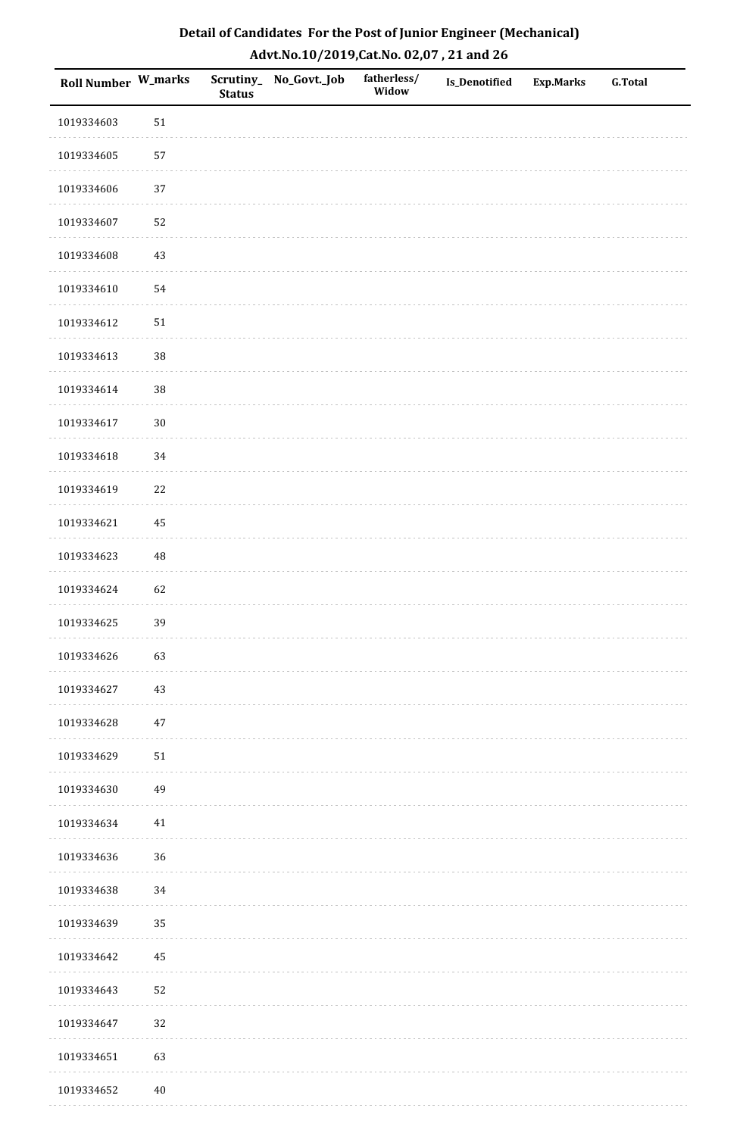| Roll Number W_marks |        | <b>Status</b> | Scrutiny_No_Govt._Job | fatherless/<br>Widow | Is_Denotified | <b>Exp.Marks</b> | <b>G.Total</b> |
|---------------------|--------|---------------|-----------------------|----------------------|---------------|------------------|----------------|
| 1019334603          | $51\,$ |               |                       |                      |               |                  |                |
| 1019334605          | 57     |               |                       |                      |               |                  |                |
| 1019334606          | 37     |               |                       |                      |               |                  |                |
| 1019334607          | 52     |               |                       |                      |               |                  |                |
| 1019334608          | $43\,$ |               |                       |                      |               |                  |                |
| 1019334610          | 54     |               |                       |                      |               |                  |                |
| 1019334612          | $51\,$ |               |                       |                      |               |                  |                |
| 1019334613          | 38     |               |                       |                      |               |                  |                |
| 1019334614          | 38     |               |                       |                      |               |                  |                |
| 1019334617          | $30\,$ |               |                       |                      |               |                  |                |
| 1019334618          | $34\,$ |               |                       |                      |               |                  |                |
| 1019334619          | $22\,$ |               |                       |                      |               |                  |                |
| 1019334621          | 45     |               |                       |                      |               |                  |                |
| 1019334623          | 48     |               |                       |                      |               |                  |                |
| 1019334624          | 62     |               |                       |                      |               |                  |                |
| 1019334625          | 39     |               |                       |                      |               |                  |                |
| 1019334626          | 63     |               |                       |                      |               |                  |                |
| 1019334627          | 43     |               |                       |                      |               |                  |                |
| 1019334628          | $47\,$ |               |                       |                      |               |                  |                |
| 1019334629          | $51\,$ |               |                       |                      |               |                  |                |
| 1019334630          | 49     |               |                       |                      |               |                  |                |
| 1019334634          | $41\,$ |               |                       |                      |               |                  |                |
| 1019334636          | 36     |               |                       |                      |               |                  |                |
| 1019334638          | 34     |               |                       |                      |               |                  |                |
| 1019334639          | 35     |               |                       |                      |               |                  |                |
| 1019334642          | 45     |               |                       |                      |               |                  |                |
| 1019334643          | 52     |               |                       |                      |               |                  |                |
| 1019334647          | 32     |               |                       |                      |               |                  |                |
| 1019334651          | 63     |               |                       |                      |               |                  |                |
| 1019334652          | $40\,$ |               |                       |                      |               |                  |                |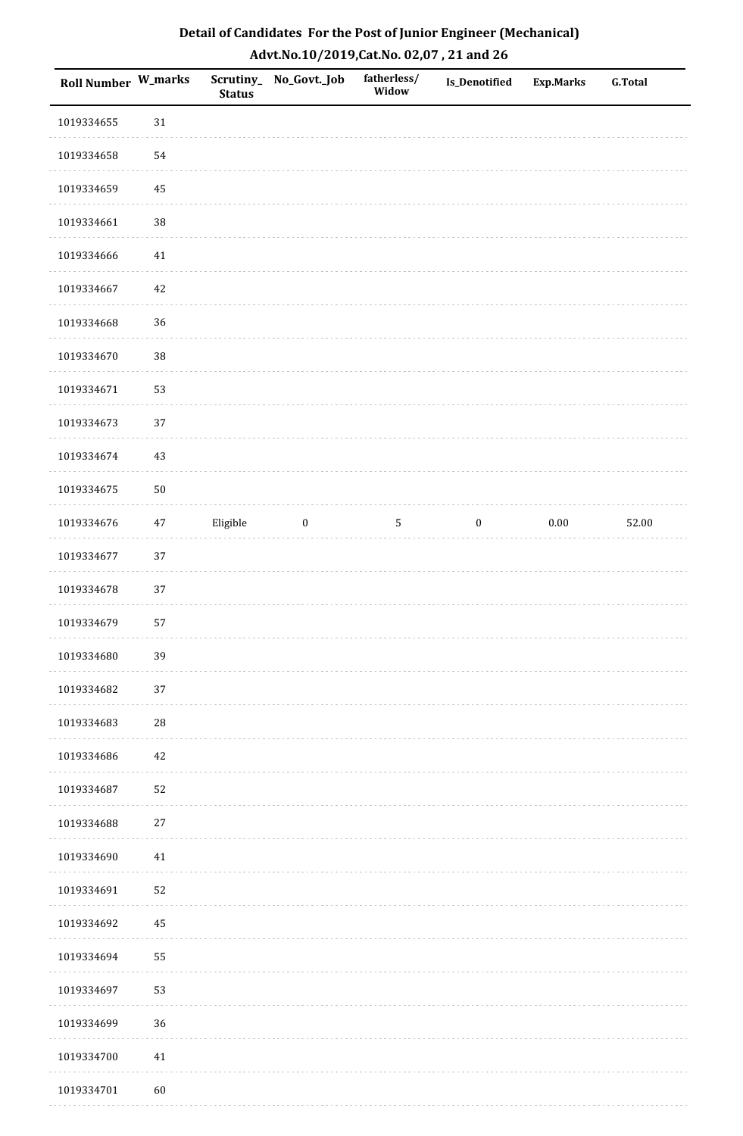| Roll Number W_marks |          | <b>Status</b> | Scrutiny_No_Govt._Job | fatherless/<br>Widow | Is_Denotified    | <b>Exp.Marks</b> | G.Total |
|---------------------|----------|---------------|-----------------------|----------------------|------------------|------------------|---------|
| 1019334655          | $31\,$   |               |                       |                      |                  |                  |         |
| 1019334658          | 54       |               |                       |                      |                  |                  |         |
| 1019334659          | $\bf 45$ |               |                       |                      |                  |                  |         |
| 1019334661          | 38       |               |                       |                      |                  |                  |         |
| 1019334666          | $41\,$   |               |                       |                      |                  |                  |         |
| 1019334667          | $42\,$   |               |                       |                      |                  |                  |         |
| 1019334668          | 36       |               |                       |                      |                  |                  |         |
| 1019334670          | 38       |               |                       |                      |                  |                  |         |
| 1019334671          | 53       |               |                       |                      |                  |                  |         |
| 1019334673          | 37       |               |                       |                      |                  |                  |         |
| 1019334674          | 43       |               |                       |                      |                  |                  |         |
| 1019334675          | $50\,$   |               |                       |                      |                  |                  |         |
| 1019334676          | $47\,$   | Eligible      | $\bf{0}$              | $\overline{5}$       | $\boldsymbol{0}$ | $0.00\,$         | 52.00   |
| 1019334677          | 37       |               |                       |                      |                  |                  |         |
| 1019334678          | $37\,$   |               |                       |                      |                  |                  |         |
| 1019334679          | 57       |               |                       |                      |                  |                  |         |
| 1019334680          | 39       |               |                       |                      |                  |                  |         |
| 1019334682          | 37       |               |                       |                      |                  |                  |         |
| 1019334683          | 28       |               |                       |                      |                  |                  |         |
| 1019334686          | $42\,$   |               |                       |                      |                  |                  |         |
| 1019334687          | 52       |               |                       |                      |                  |                  |         |
| 1019334688          | $27\,$   |               |                       |                      |                  |                  |         |
| 1019334690          | $41\,$   |               |                       |                      |                  |                  |         |
| 1019334691          | 52       |               |                       |                      |                  |                  |         |
| 1019334692          | 45       |               |                       |                      |                  |                  |         |
| 1019334694          | 55       |               |                       |                      |                  |                  |         |
| 1019334697          | 53       |               |                       |                      |                  |                  |         |
| 1019334699          | 36       |               |                       |                      |                  |                  |         |
| 1019334700          | $41\,$   |               |                       |                      |                  |                  |         |
| 1019334701          | 60       |               |                       |                      |                  |                  |         |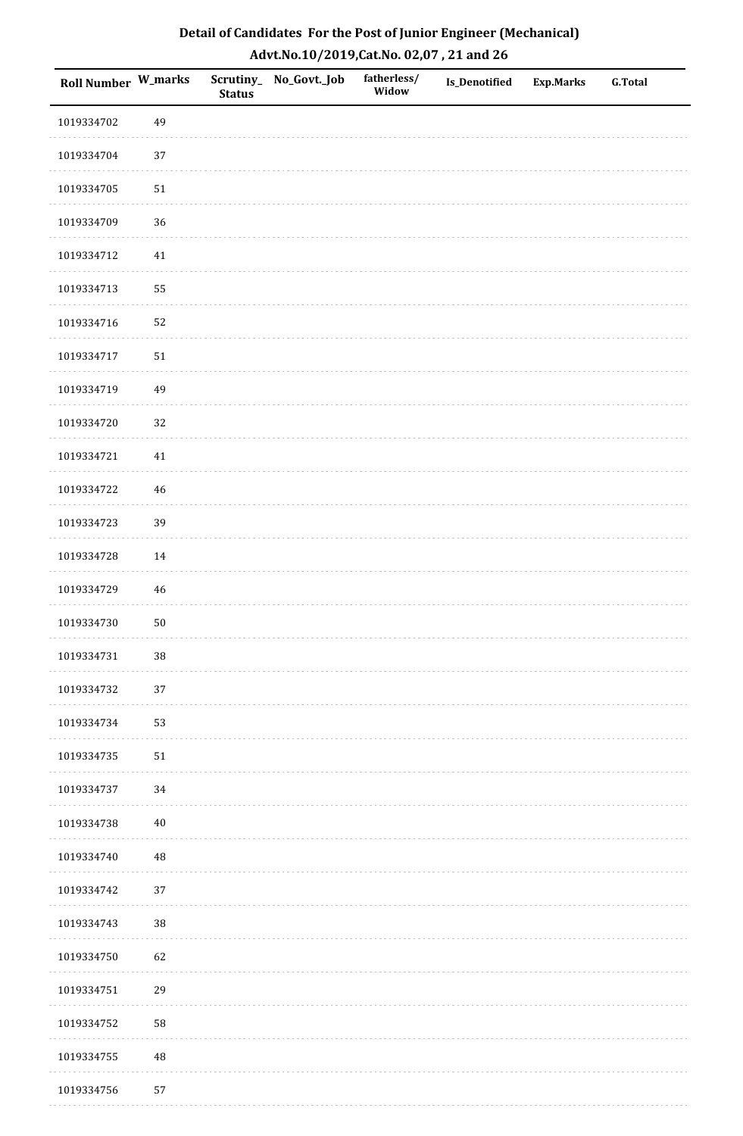| Roll Number W_marks |          | <b>Status</b> | Scrutiny_ No_Govt._Job | fatherless/<br>Widow | Is_Denotified | Exp.Marks | <b>G.Total</b> |
|---------------------|----------|---------------|------------------------|----------------------|---------------|-----------|----------------|
| 1019334702          | 49       |               |                        |                      |               |           |                |
| 1019334704          | $37\,$   |               |                        |                      |               |           |                |
| 1019334705          | $51\,$   |               |                        |                      |               |           |                |
| 1019334709          | 36       |               |                        |                      |               |           |                |
| 1019334712          | 41       |               |                        |                      |               |           |                |
| 1019334713          | 55       |               |                        |                      |               |           |                |
| 1019334716          | 52       |               |                        |                      |               |           |                |
| 1019334717          | $51\,$   |               |                        |                      |               |           |                |
| 1019334719          | 49       |               |                        |                      |               |           |                |
| 1019334720          | 32       |               |                        |                      |               |           |                |
| 1019334721          | 41       |               |                        |                      |               |           |                |
| 1019334722          | 46       |               |                        |                      |               |           |                |
| 1019334723          | 39       |               |                        |                      |               |           |                |
| 1019334728          | 14       |               |                        |                      |               |           |                |
| 1019334729          | 46       |               |                        |                      |               |           |                |
| 1019334730          | $50\,$   |               |                        |                      |               |           |                |
| 1019334731          | $38\,$   |               |                        |                      |               |           |                |
| 1019334732          | 37       |               |                        |                      |               |           |                |
| 1019334734          | 53       |               |                        |                      |               |           |                |
| 1019334735          | $51\,$   |               |                        |                      |               |           |                |
| 1019334737          | 34       |               |                        |                      |               |           |                |
| 1019334738          | $40\,$   |               |                        |                      |               |           |                |
| 1019334740          | 48       |               |                        |                      |               |           |                |
| 1019334742          | 37       |               |                        |                      |               |           |                |
| 1019334743          | $38\,$   |               |                        |                      |               |           |                |
| 1019334750          | 62       |               |                        |                      |               |           |                |
| 1019334751          | 29       |               |                        |                      |               |           |                |
| 1019334752          | 58       |               |                        |                      |               |           |                |
| 1019334755          | $\rm 48$ |               |                        |                      |               |           |                |
| 1019334756          | 57       |               |                        |                      |               |           |                |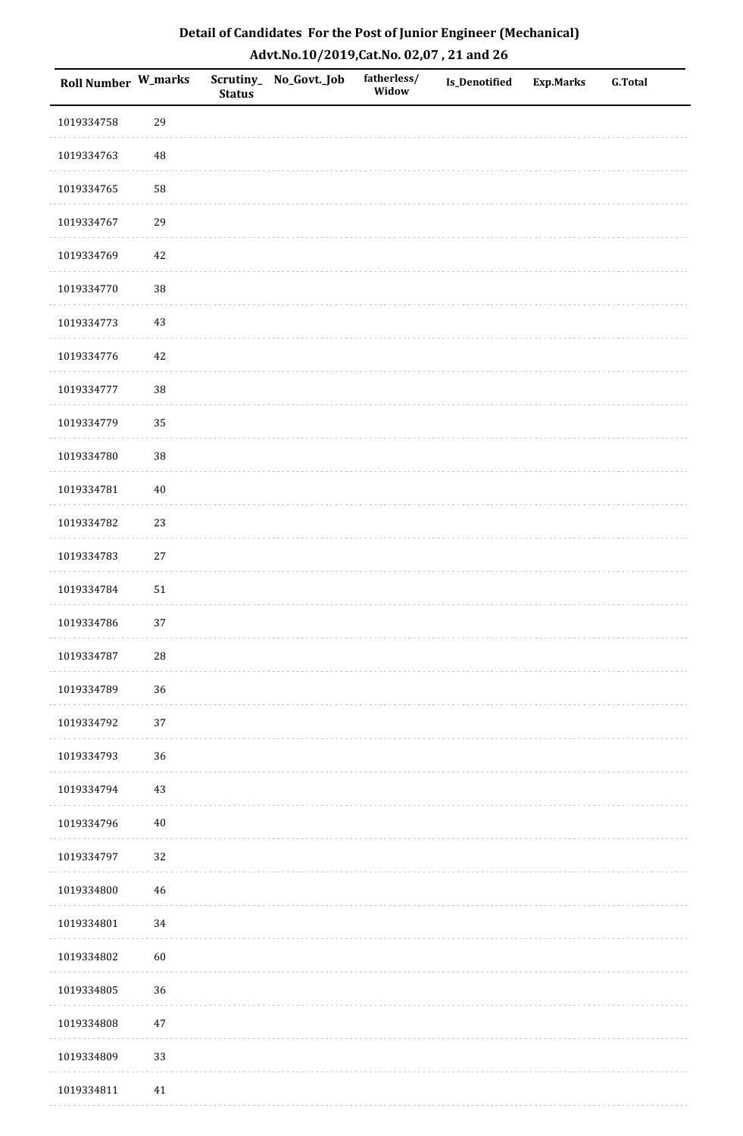| Roll Number W_marks |             | <b>Status</b> | Scrutiny_ No_Govt._Job | fatherless/<br>Widow | Is_Denotified | <b>Exp.Marks</b> | <b>G.Total</b> |
|---------------------|-------------|---------------|------------------------|----------------------|---------------|------------------|----------------|
| 1019334758          | 29          |               |                        |                      |               |                  |                |
| 1019334763          | 48          |               |                        |                      |               |                  |                |
| 1019334765          | 58          |               |                        |                      |               |                  |                |
| 1019334767          | 29          |               |                        |                      |               |                  |                |
| 1019334769          | $42\,$      |               |                        |                      |               |                  |                |
| 1019334770          | 38          |               |                        |                      |               |                  |                |
| 1019334773          | 43          |               |                        |                      |               |                  |                |
| 1019334776          | $42\,$      |               |                        |                      |               |                  |                |
| 1019334777          | 38          |               |                        |                      |               |                  |                |
| 1019334779          | 35          |               |                        |                      |               |                  |                |
| 1019334780          | 38          |               |                        |                      |               |                  |                |
| 1019334781          | $40\,$      |               |                        |                      |               |                  |                |
| 1019334782          | 23          |               |                        |                      |               |                  |                |
| 1019334783          | $27\,$      |               |                        |                      |               |                  |                |
| 1019334784          | ${\bf 51}$  |               |                        |                      |               |                  |                |
| 1019334786          | 37          |               |                        |                      |               |                  |                |
| 1019334787          | ${\bf 28}$  |               |                        |                      |               |                  |                |
| 1019334789          | 36          |               |                        |                      |               |                  |                |
| 1019334792          | $37\,$      |               |                        |                      |               |                  |                |
| 1019334793          | 36          |               |                        |                      |               |                  |                |
| 1019334794          | 43          |               |                        |                      |               |                  |                |
| 1019334796          | $40\,$      |               |                        |                      |               |                  |                |
| 1019334797          | 32          |               |                        |                      |               |                  |                |
| 1019334800          | $\sqrt{46}$ |               |                        |                      |               |                  |                |
| 1019334801          | 34          |               |                        |                      |               |                  |                |
| 1019334802          | 60          |               |                        |                      |               |                  |                |
| 1019334805          | 36          |               |                        |                      |               |                  |                |
| 1019334808          | $47\,$      |               |                        |                      |               |                  |                |
| 1019334809          | 33          |               |                        |                      |               |                  |                |
| 1019334811          | $41\,$      |               |                        |                      |               |                  |                |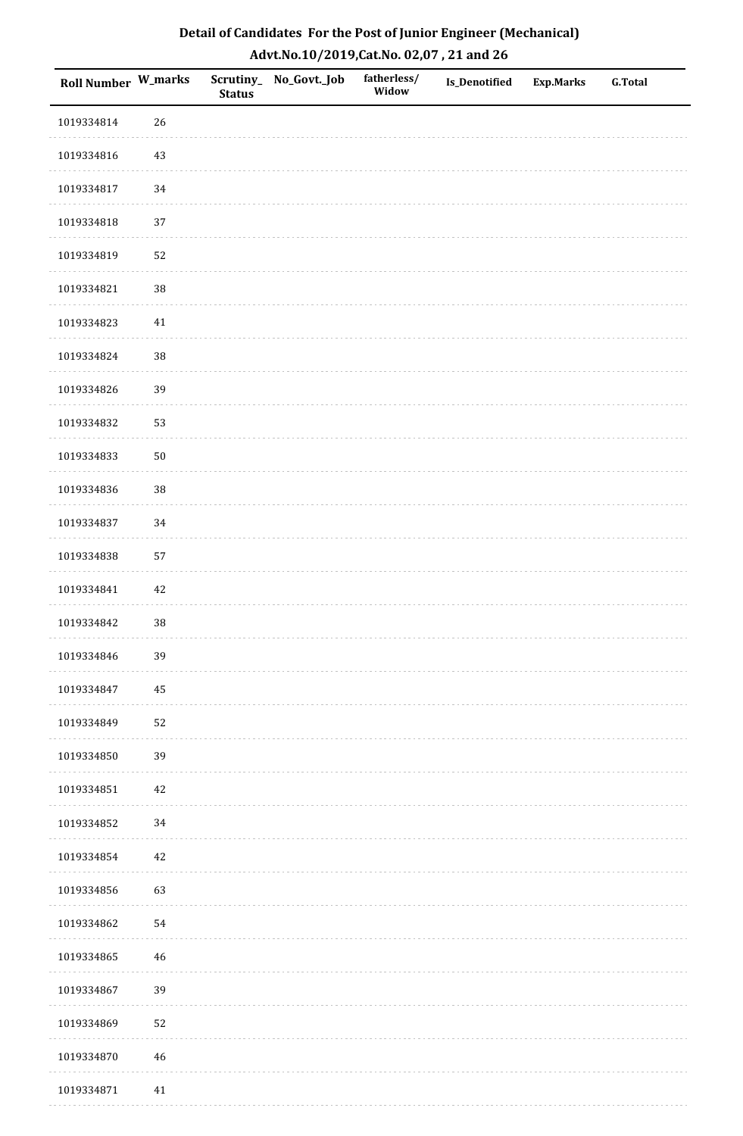| Roll Number W_marks |             | <b>Status</b> | Scrutiny_ No_Govt._Job | fatherless/<br>Widow | Is_Denotified | Exp.Marks | <b>G.Total</b> |
|---------------------|-------------|---------------|------------------------|----------------------|---------------|-----------|----------------|
| 1019334814          | 26          |               |                        |                      |               |           |                |
| 1019334816          | 43          |               |                        |                      |               |           |                |
| 1019334817          | 34          |               |                        |                      |               |           |                |
| 1019334818          | 37          |               |                        |                      |               |           |                |
| 1019334819          | 52          |               |                        |                      |               |           |                |
| 1019334821          | $38\,$      |               |                        |                      |               |           |                |
| 1019334823          | 41          |               |                        |                      |               |           |                |
| 1019334824          | $38\,$      |               |                        |                      |               |           |                |
| 1019334826          | 39          |               |                        |                      |               |           |                |
| 1019334832          | 53          |               |                        |                      |               |           |                |
| 1019334833          | $50\,$      |               |                        |                      |               |           |                |
| 1019334836          | $38\,$      |               |                        |                      |               |           |                |
| 1019334837          | 34          |               |                        |                      |               |           |                |
| 1019334838          | 57          |               |                        |                      |               |           |                |
| 1019334841          | $42\,$      |               |                        |                      |               |           |                |
| 1019334842          | $38\,$      |               |                        |                      |               |           |                |
| 1019334846          | 39          |               |                        |                      |               |           |                |
| 1019334847          | 45          |               |                        |                      |               |           |                |
| 1019334849          | 52          |               |                        |                      |               |           |                |
| 1019334850          | 39          |               |                        |                      |               |           |                |
| 1019334851          | 42          |               |                        |                      |               |           |                |
| 1019334852          | $34\,$      |               |                        |                      |               |           |                |
| 1019334854          | $42\,$      |               |                        |                      |               |           |                |
| 1019334856          | 63          |               |                        |                      |               |           |                |
| 1019334862          | 54          |               |                        |                      |               |           |                |
| 1019334865          | 46          |               |                        |                      |               |           |                |
| 1019334867          | 39          |               |                        |                      |               |           |                |
| 1019334869          | 52          |               |                        |                      |               |           |                |
| 1019334870          | $\sqrt{46}$ |               |                        |                      |               |           |                |
| 1019334871          | 41          |               |                        |                      |               |           |                |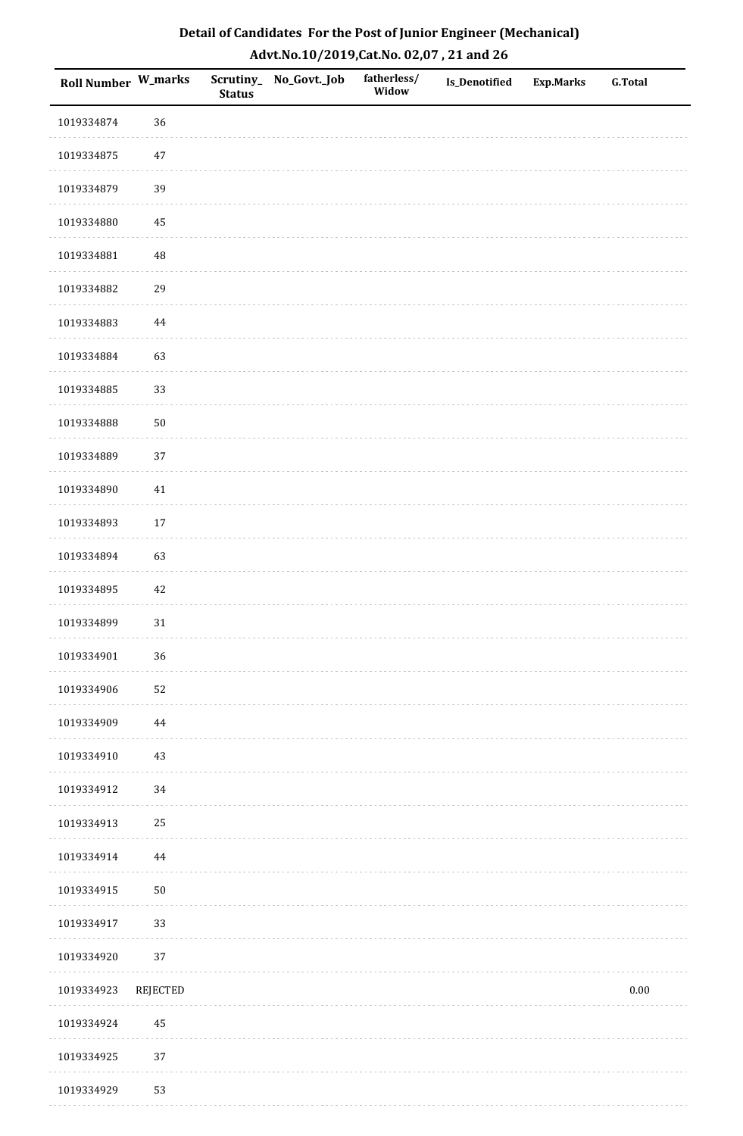| Roll Number W_marks |                 | <b>Status</b> | Scrutiny_No_Govt._Job | fatherless/<br>Widow | Is_Denotified | <b>Exp.Marks</b> | <b>G.Total</b> |
|---------------------|-----------------|---------------|-----------------------|----------------------|---------------|------------------|----------------|
| 1019334874          | 36              |               |                       |                      |               |                  |                |
| 1019334875          | $47\,$          |               |                       |                      |               |                  |                |
| 1019334879          | 39              |               |                       |                      |               |                  |                |
| 1019334880          | 45              |               |                       |                      |               |                  |                |
| 1019334881          | 48              |               |                       |                      |               |                  |                |
| 1019334882          | 29              |               |                       |                      |               |                  |                |
| 1019334883          | 44              |               |                       |                      |               |                  |                |
| 1019334884          | 63              |               |                       |                      |               |                  |                |
| 1019334885          | 33              |               |                       |                      |               |                  |                |
| 1019334888          | $50\,$          |               |                       |                      |               |                  |                |
| 1019334889          | 37              |               |                       |                      |               |                  |                |
| 1019334890          | $41\,$          |               |                       |                      |               |                  |                |
| 1019334893          | 17              |               |                       |                      |               |                  |                |
| 1019334894          | 63              |               |                       |                      |               |                  |                |
| 1019334895          | 42              |               |                       |                      |               |                  |                |
| 1019334899          | 31              |               |                       |                      |               |                  |                |
| 1019334901          | 36              |               |                       |                      |               |                  |                |
| 1019334906          | 52              |               |                       |                      |               |                  |                |
| 1019334909          | 44              |               |                       |                      |               |                  |                |
| 1019334910          | 43              |               |                       |                      |               |                  |                |
| 1019334912          | 34              |               |                       |                      |               |                  |                |
| 1019334913          | 25              |               |                       |                      |               |                  |                |
| 1019334914          | $\bf 44$        |               |                       |                      |               |                  |                |
| 1019334915          | $50\,$          |               |                       |                      |               |                  |                |
| 1019334917          | 33              |               |                       |                      |               |                  |                |
| 1019334920          | 37              |               |                       |                      |               |                  |                |
| 1019334923          | <b>REJECTED</b> |               |                       |                      |               |                  | $0.00\,$       |
| 1019334924          | 45              |               |                       |                      |               |                  |                |
| 1019334925          | 37              |               |                       |                      |               |                  |                |
| 1019334929          | 53              |               |                       |                      |               |                  |                |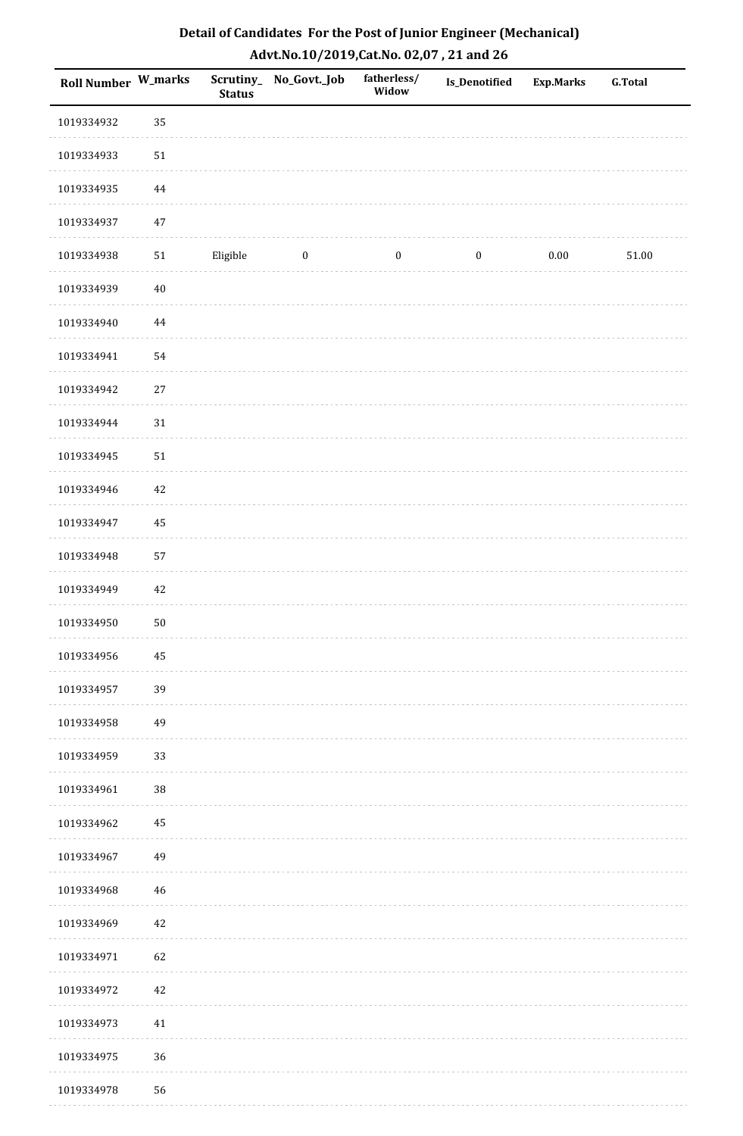| Roll Number W_marks |          | <b>Status</b> | Scrutiny_No_Govt._Job | fatherless/<br>Widow | <b>Is_Denotified</b> | <b>Exp.Marks</b> | <b>G.Total</b> |
|---------------------|----------|---------------|-----------------------|----------------------|----------------------|------------------|----------------|
| 1019334932          | 35       |               |                       |                      |                      |                  |                |
| 1019334933          | $51\,$   |               |                       |                      |                      |                  |                |
| 1019334935          | $\bf 44$ |               |                       |                      |                      |                  |                |
| 1019334937          | $47\,$   |               |                       |                      |                      |                  |                |
| 1019334938          | 51       | Eligible      | $\boldsymbol{0}$      | $\boldsymbol{0}$     | $\boldsymbol{0}$     | $0.00\,$         | $51.00\,$      |
| 1019334939          | $40\,$   |               |                       |                      |                      |                  |                |
| 1019334940          | $\bf 44$ |               |                       |                      |                      |                  |                |
| 1019334941          | 54       |               |                       |                      |                      |                  |                |
| 1019334942          | $27\,$   |               |                       |                      |                      |                  |                |
| 1019334944          | $31\,$   |               |                       |                      |                      |                  |                |
| 1019334945          | $51\,$   |               |                       |                      |                      |                  |                |
| 1019334946          | $42\,$   |               |                       |                      |                      |                  |                |
| 1019334947          | 45       |               |                       |                      |                      |                  |                |
| 1019334948          | 57       |               |                       |                      |                      |                  |                |
| 1019334949          | $42\,$   |               |                       |                      |                      |                  |                |
| 1019334950          | $50\,$   |               |                       |                      |                      |                  |                |
| 1019334956          | $\bf 45$ |               |                       |                      |                      |                  |                |
| 1019334957          | 39       |               |                       |                      |                      |                  |                |
| 1019334958          | 49       |               |                       |                      |                      |                  |                |
| 1019334959          | 33       |               |                       |                      |                      |                  |                |
| 1019334961          | 38       |               |                       |                      |                      |                  |                |
| 1019334962          | $\bf 45$ |               |                       |                      |                      |                  |                |
| 1019334967          | 49       |               |                       |                      |                      |                  |                |
| 1019334968          | 46       |               |                       |                      |                      |                  |                |
| 1019334969          | 42       |               |                       |                      |                      |                  |                |
| 1019334971          | 62       |               |                       |                      |                      |                  |                |
| 1019334972          | $42\,$   |               |                       |                      |                      |                  |                |
| 1019334973          | $41\,$   |               |                       |                      |                      |                  |                |
| 1019334975          | 36       |               |                       |                      |                      |                  |                |
| 1019334978          | 56       |               |                       |                      |                      |                  |                |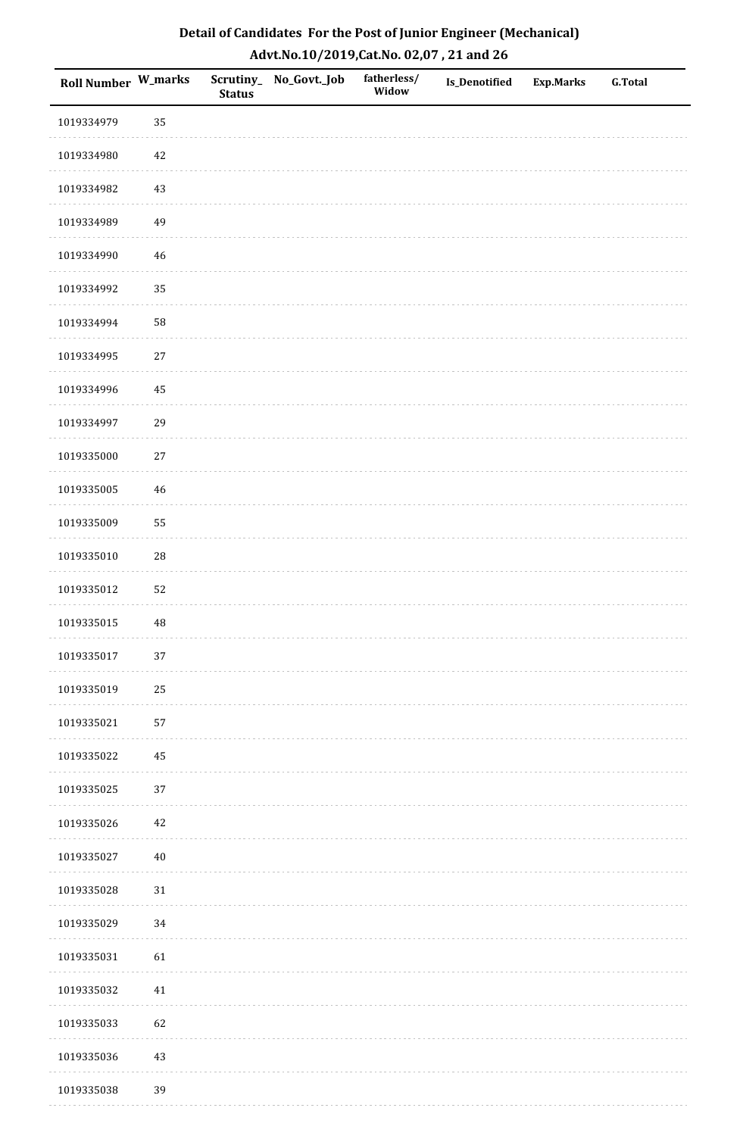| <b>Roll Number W_marks</b> |          | <b>Status</b> | Scrutiny_No_Govt._Job | fatherless/<br>Widow | Is_Denotified | <b>Exp.Marks</b> | <b>G.Total</b> |
|----------------------------|----------|---------------|-----------------------|----------------------|---------------|------------------|----------------|
| 1019334979                 | 35       |               |                       |                      |               |                  |                |
| 1019334980                 | $42\,$   |               |                       |                      |               |                  |                |
| 1019334982                 | $43\,$   |               |                       |                      |               |                  |                |
| 1019334989                 | 49       |               |                       |                      |               |                  |                |
| 1019334990                 | $46\,$   |               |                       |                      |               |                  |                |
| 1019334992                 | 35       |               |                       |                      |               |                  |                |
| 1019334994                 | 58       |               |                       |                      |               |                  |                |
| 1019334995                 | $27\,$   |               |                       |                      |               |                  |                |
| 1019334996                 | 45       |               |                       |                      |               |                  |                |
| 1019334997                 | 29       |               |                       |                      |               |                  |                |
| 1019335000                 | $27\,$   |               |                       |                      |               |                  |                |
| 1019335005                 | 46       |               |                       |                      |               |                  |                |
| 1019335009                 | 55       |               |                       |                      |               |                  |                |
| 1019335010                 | 28       |               |                       |                      |               |                  |                |
| 1019335012                 | 52       |               |                       |                      |               |                  |                |
| 1019335015                 | $\rm 48$ |               |                       |                      |               |                  |                |
| 1019335017                 | $37\,$   |               |                       |                      |               |                  |                |
| 1019335019                 | 25       |               |                       |                      |               |                  |                |
| 1019335021                 | 57       |               |                       |                      |               |                  |                |
| 1019335022                 | 45       |               |                       |                      |               |                  |                |
| 1019335025                 | 37       |               |                       |                      |               |                  |                |
| 1019335026                 | $42\,$   |               |                       |                      |               |                  |                |
| 1019335027                 | $40\,$   |               |                       |                      |               |                  |                |
| 1019335028                 | $31\,$   |               |                       |                      |               |                  |                |
| 1019335029                 | 34       |               |                       |                      |               |                  |                |
| 1019335031                 | 61       |               |                       |                      |               |                  |                |
| 1019335032                 | 41       |               |                       |                      |               |                  |                |
| 1019335033                 | 62       |               |                       |                      |               |                  |                |
| 1019335036                 | $43\,$   |               |                       |                      |               |                  |                |
| 1019335038                 | 39       |               |                       |                      |               |                  |                |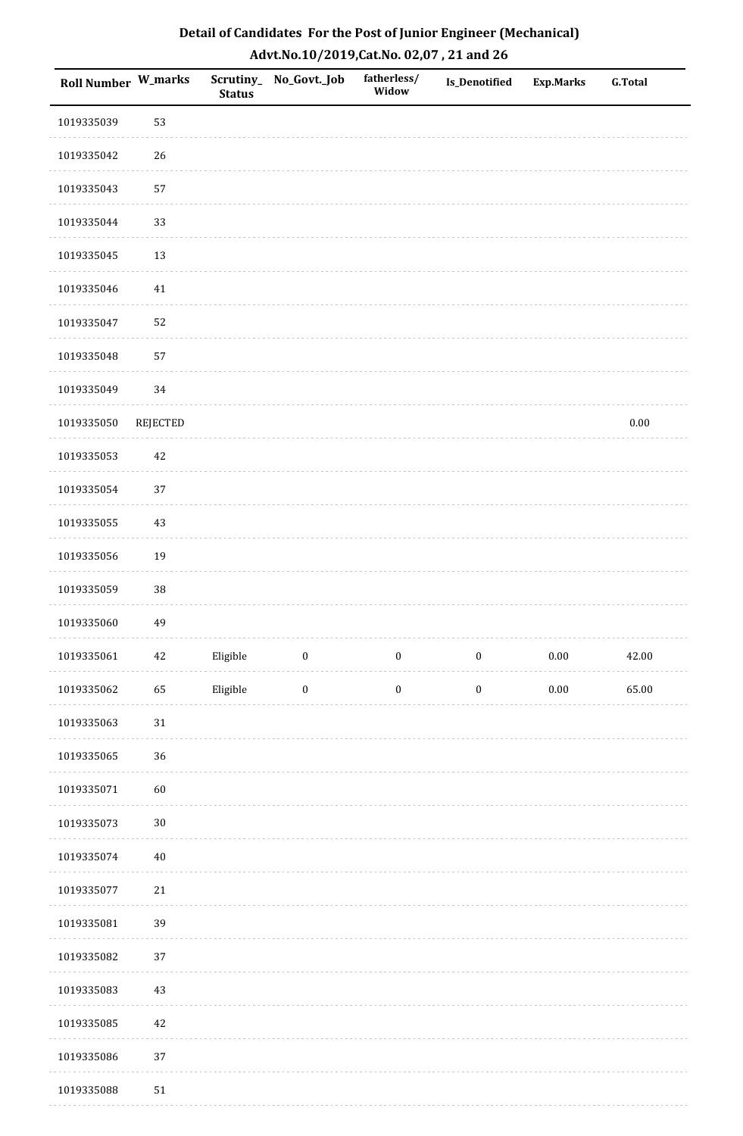| <b>Roll Number W_marks</b> |                 | <b>Status</b> | Scrutiny_ No_Govt._Job | fatherless/<br>Widow | Is_Denotified    | <b>Exp.Marks</b> | <b>G.Total</b> |
|----------------------------|-----------------|---------------|------------------------|----------------------|------------------|------------------|----------------|
| 1019335039                 | 53              |               |                        |                      |                  |                  |                |
| 1019335042                 | 26              |               |                        |                      |                  |                  |                |
| 1019335043                 | 57              |               |                        |                      |                  |                  |                |
| 1019335044                 | 33              |               |                        |                      |                  |                  |                |
| 1019335045                 | 13              |               |                        |                      |                  |                  |                |
| 1019335046                 | 41              |               |                        |                      |                  |                  |                |
| 1019335047                 | 52              |               |                        |                      |                  |                  |                |
| 1019335048                 | 57              |               |                        |                      |                  |                  |                |
| 1019335049                 | 34              |               |                        |                      |                  |                  |                |
| 1019335050                 | <b>REJECTED</b> |               |                        |                      |                  |                  | $0.00\,$       |
| 1019335053                 | $42\,$          |               |                        |                      |                  |                  |                |
| 1019335054                 | 37              |               |                        |                      |                  |                  |                |
| 1019335055                 | $43\,$          |               |                        |                      |                  |                  |                |
| 1019335056                 | 19              |               |                        |                      |                  |                  |                |
| 1019335059                 | $38\,$          |               |                        |                      |                  |                  |                |
| 1019335060                 | 49              |               |                        |                      |                  |                  |                |
| 1019335061                 | $42\,$          | Eligible      | $\boldsymbol{0}$       | $\boldsymbol{0}$     | $\boldsymbol{0}$ | $0.00\,$         | 42.00          |
| 1019335062                 | 65              | Eligible      | $\boldsymbol{0}$       | $\boldsymbol{0}$     | $\boldsymbol{0}$ | $0.00\,$         | 65.00          |
| 1019335063                 | $31\,$          |               |                        |                      |                  |                  |                |
| 1019335065                 | 36              |               |                        |                      |                  |                  |                |
| 1019335071                 | 60              |               |                        |                      |                  |                  |                |
| 1019335073                 | $30\,$          |               |                        |                      |                  |                  |                |
| 1019335074                 | $40\,$          |               |                        |                      |                  |                  |                |
| 1019335077                 | $21\,$          |               |                        |                      |                  |                  |                |
| 1019335081                 | 39              |               |                        |                      |                  |                  |                |
| 1019335082                 | 37              |               |                        |                      |                  |                  |                |
| 1019335083                 | $43\,$          |               |                        |                      |                  |                  |                |
| 1019335085                 | $42\,$          |               |                        |                      |                  |                  |                |
| 1019335086                 | 37              |               |                        |                      |                  |                  |                |
| 1019335088                 | $51\,$          |               |                        |                      |                  |                  |                |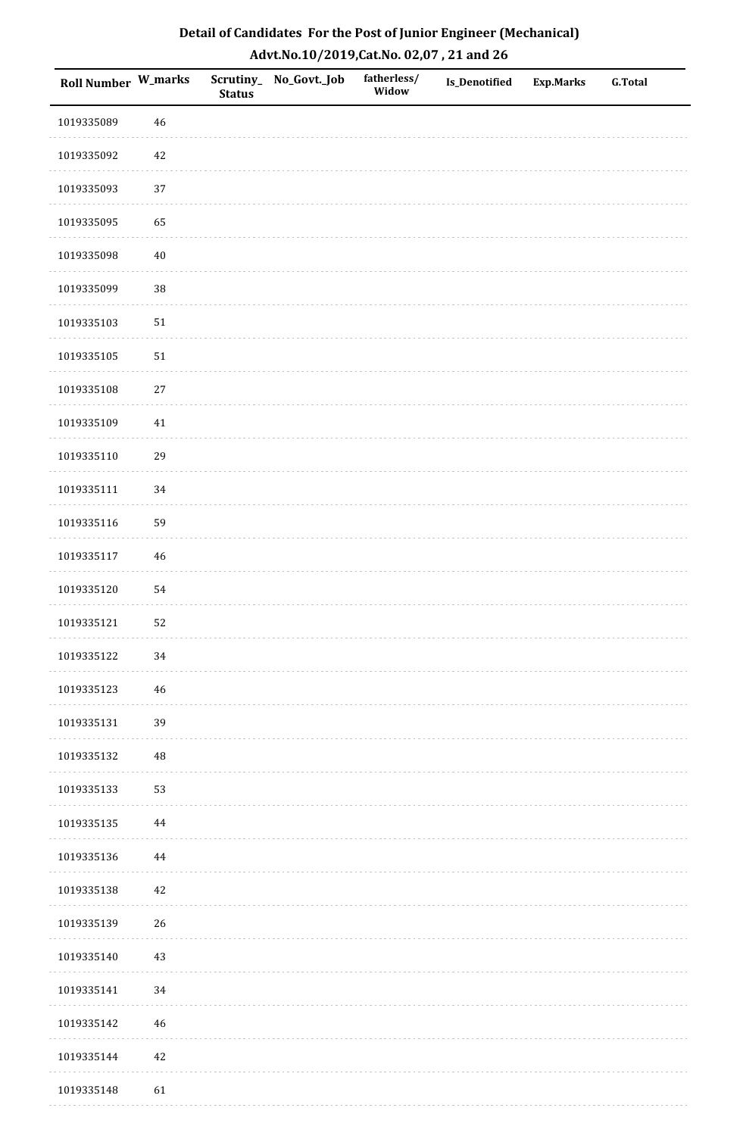| Roll Number W_marks |          | <b>Status</b> | Scrutiny_No_Govt._Job | fatherless/<br>Widow | Is_Denotified | <b>Exp.Marks</b> | <b>G.Total</b> |
|---------------------|----------|---------------|-----------------------|----------------------|---------------|------------------|----------------|
| 1019335089          | 46       |               |                       |                      |               |                  |                |
| 1019335092          | 42       |               |                       |                      |               |                  |                |
| 1019335093          | $37\,$   |               |                       |                      |               |                  |                |
| 1019335095          | 65       |               |                       |                      |               |                  |                |
| 1019335098          | $40\,$   |               |                       |                      |               |                  |                |
| 1019335099          | 38       |               |                       |                      |               |                  |                |
| 1019335103          | $51\,$   |               |                       |                      |               |                  |                |
| 1019335105          | $51\,$   |               |                       |                      |               |                  |                |
| 1019335108          | $27\,$   |               |                       |                      |               |                  |                |
| 1019335109          | 41       |               |                       |                      |               |                  |                |
| 1019335110          | 29       |               |                       |                      |               |                  |                |
| 1019335111          | 34       |               |                       |                      |               |                  |                |
| 1019335116          | 59       |               |                       |                      |               |                  |                |
| 1019335117          | $46\,$   |               |                       |                      |               |                  |                |
| 1019335120          | 54       |               |                       |                      |               |                  |                |
| 1019335121          | 52       |               |                       |                      |               |                  |                |
| 1019335122          | 34       |               |                       |                      |               |                  |                |
| 1019335123          | 46       |               |                       |                      |               |                  |                |
| 1019335131          | 39       |               |                       |                      |               |                  |                |
| 1019335132          | 48       |               |                       |                      |               |                  |                |
| 1019335133          | 53       |               |                       |                      |               |                  |                |
| 1019335135          | 44       |               |                       |                      |               |                  |                |
| 1019335136          | $\bf 44$ |               |                       |                      |               |                  |                |
| 1019335138          | $42\,$   |               |                       |                      |               |                  |                |
| 1019335139          | 26       |               |                       |                      |               |                  |                |
| 1019335140          | $43\,$   |               |                       |                      |               |                  |                |
| 1019335141          | $34\,$   |               |                       |                      |               |                  |                |
| 1019335142          | $46\,$   |               |                       |                      |               |                  |                |
| 1019335144          | $42\,$   |               |                       |                      |               |                  |                |
| 1019335148          | 61       |               |                       |                      |               |                  |                |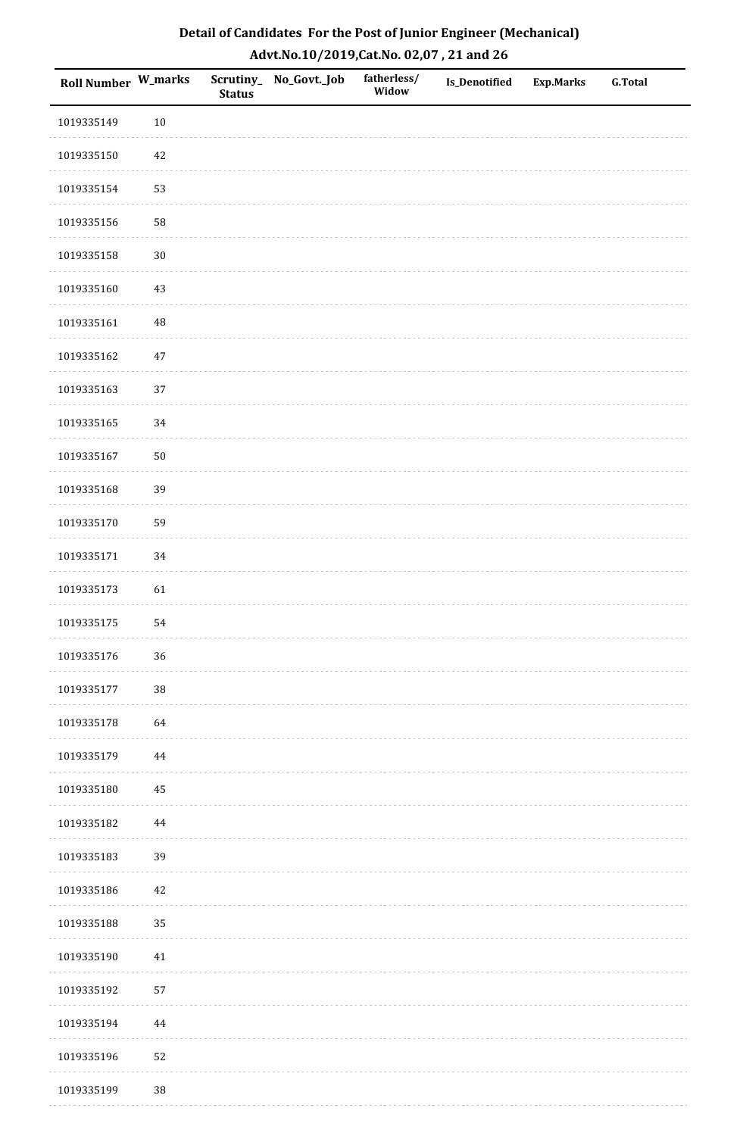| <b>Roll Number W_marks</b> |          | <b>Status</b> | Scrutiny_No_Govt._Job | fatherless/<br>Widow | Is_Denotified | <b>Exp.Marks</b> | <b>G.Total</b> |
|----------------------------|----------|---------------|-----------------------|----------------------|---------------|------------------|----------------|
| 1019335149                 | $10\,$   |               |                       |                      |               |                  |                |
| 1019335150                 | 42       |               |                       |                      |               |                  |                |
| 1019335154                 | 53       |               |                       |                      |               |                  |                |
| 1019335156                 | 58       |               |                       |                      |               |                  |                |
| 1019335158                 | $30\,$   |               |                       |                      |               |                  |                |
| 1019335160                 | 43       |               |                       |                      |               |                  |                |
| 1019335161                 | $\rm 48$ |               |                       |                      |               |                  |                |
| 1019335162                 | $47\,$   |               |                       |                      |               |                  |                |
| 1019335163                 | 37       |               |                       |                      |               |                  |                |
| 1019335165                 | $34\,$   |               |                       |                      |               |                  |                |
| 1019335167                 | $50\,$   |               |                       |                      |               |                  |                |
| 1019335168                 | 39       |               |                       |                      |               |                  |                |
| 1019335170                 | 59       |               |                       |                      |               |                  |                |
| 1019335171                 | 34       |               |                       |                      |               |                  |                |
| 1019335173                 | 61       |               |                       |                      |               |                  |                |
| 1019335175                 | 54       |               |                       |                      |               |                  |                |
| 1019335176                 | 36       |               |                       |                      |               |                  |                |
| 1019335177                 | 38       |               |                       |                      |               |                  |                |
| 1019335178                 | 64       |               |                       |                      |               |                  |                |
| 1019335179                 | 44       |               |                       |                      |               |                  |                |
| 1019335180                 | 45       |               |                       |                      |               |                  |                |
| 1019335182                 | 44       |               |                       |                      |               |                  |                |
| 1019335183                 | 39       |               |                       |                      |               |                  |                |
| 1019335186                 | 42       |               |                       |                      |               |                  |                |
| 1019335188                 | 35       |               |                       |                      |               |                  |                |
| 1019335190                 | $41\,$   |               |                       |                      |               |                  |                |
| 1019335192                 | 57       |               |                       |                      |               |                  |                |
| 1019335194                 | 44       |               |                       |                      |               |                  |                |
| 1019335196                 | 52       |               |                       |                      |               |                  |                |
| 1019335199                 | $38\,$   |               |                       |                      |               |                  |                |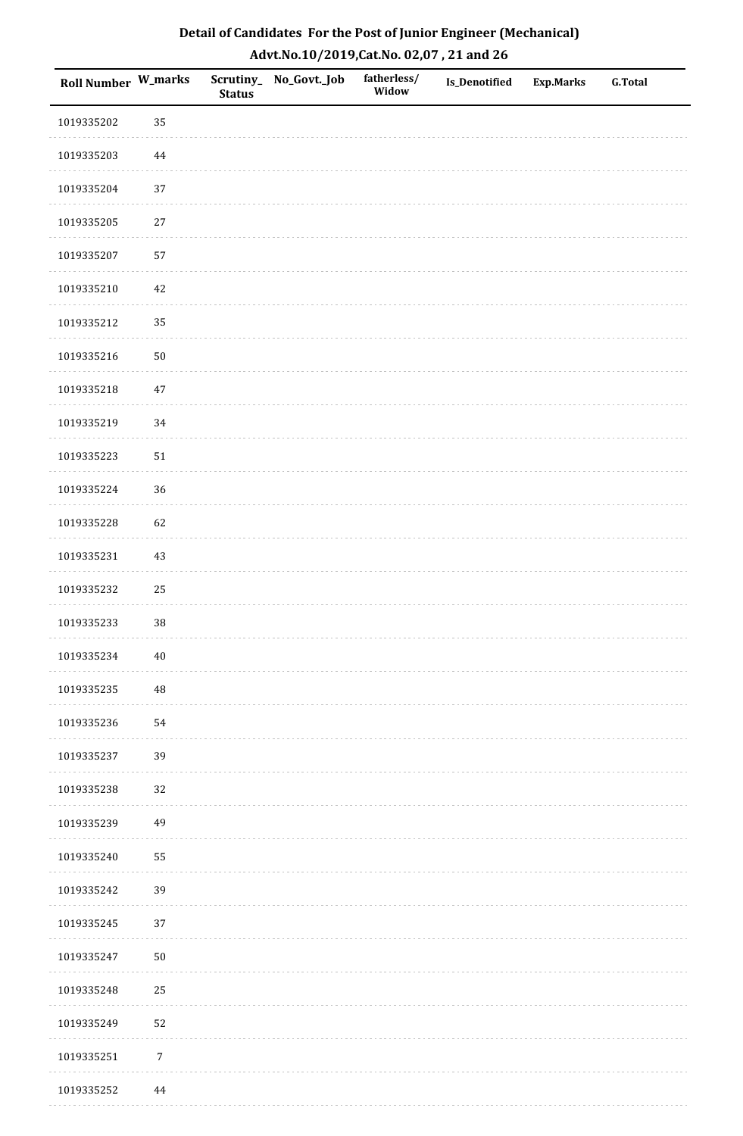| Roll Number W_marks |                  | <b>Status</b> | Scrutiny_No_Govt._Job | fatherless/<br>Widow | Is_Denotified | Exp.Marks | <b>G.Total</b> |
|---------------------|------------------|---------------|-----------------------|----------------------|---------------|-----------|----------------|
| 1019335202          | 35               |               |                       |                      |               |           |                |
| 1019335203          | 44               |               |                       |                      |               |           |                |
| 1019335204          | 37               |               |                       |                      |               |           |                |
| 1019335205          | 27               |               |                       |                      |               |           |                |
| 1019335207          | 57               |               |                       |                      |               |           |                |
| 1019335210          | 42               |               |                       |                      |               |           |                |
| 1019335212          | 35               |               |                       |                      |               |           |                |
| 1019335216          | $50\,$           |               |                       |                      |               |           |                |
| 1019335218          | $47\,$           |               |                       |                      |               |           |                |
| 1019335219          | 34               |               |                       |                      |               |           |                |
| 1019335223          | ${\bf 51}$       |               |                       |                      |               |           |                |
| 1019335224          | 36               |               |                       |                      |               |           |                |
| 1019335228          | 62               |               |                       |                      |               |           |                |
| 1019335231          | 43               |               |                       |                      |               |           |                |
| 1019335232          | 25               |               |                       |                      |               |           |                |
| 1019335233          | $38\,$           |               |                       |                      |               |           |                |
| 1019335234          | $40\,$           |               |                       |                      |               |           |                |
| 1019335235          | $\rm 48$         |               |                       |                      |               |           |                |
| 1019335236          | 54               |               |                       |                      |               |           |                |
| 1019335237          | 39               |               |                       |                      |               |           |                |
| 1019335238          | 32               |               |                       |                      |               |           |                |
| 1019335239          | 49               |               |                       |                      |               |           |                |
| 1019335240          | 55               |               |                       |                      |               |           |                |
| 1019335242          | 39               |               |                       |                      |               |           |                |
| 1019335245          | 37               |               |                       |                      |               |           |                |
| 1019335247          | $50\,$           |               |                       |                      |               |           |                |
| 1019335248          | 25               |               |                       |                      |               |           |                |
| 1019335249          | 52               |               |                       |                      |               |           |                |
| 1019335251          | $\boldsymbol{7}$ |               |                       |                      |               |           |                |
| 1019335252          | $\bf 44$         |               |                       |                      |               |           |                |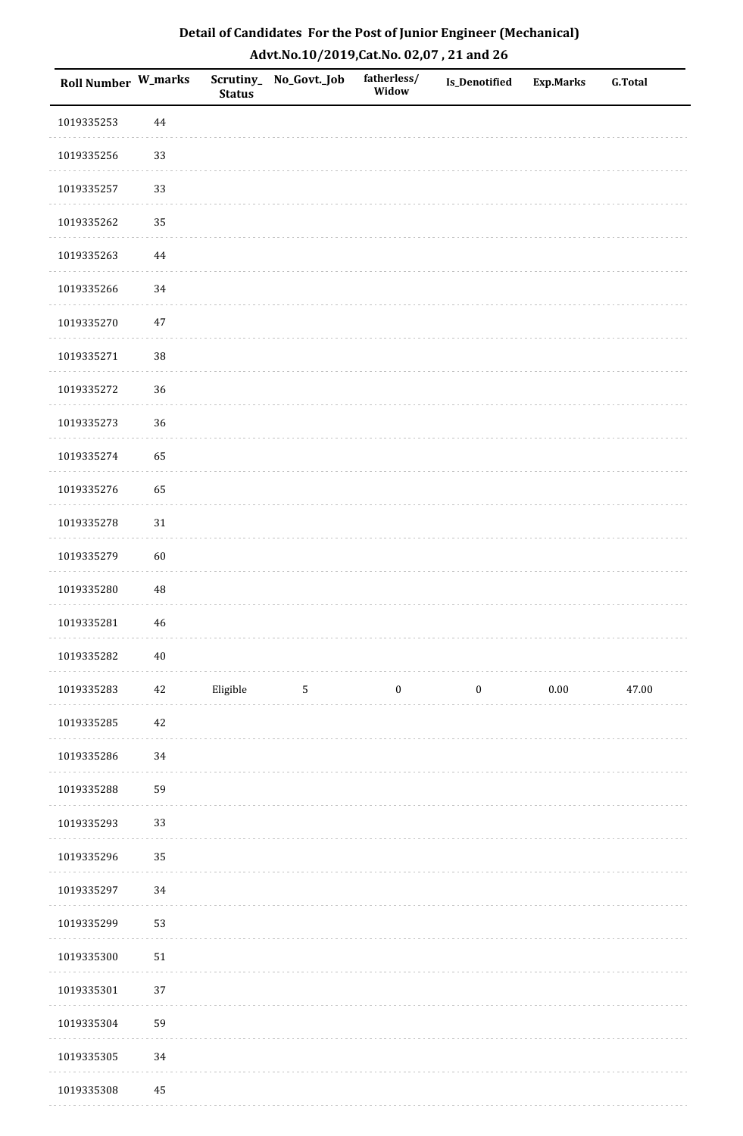| Roll Number W_marks |          | <b>Status</b> | Scrutiny_No_Govt._Job | fatherless/<br>Widow | Is_Denotified    | <b>Exp.Marks</b> | <b>G.Total</b> |
|---------------------|----------|---------------|-----------------------|----------------------|------------------|------------------|----------------|
| 1019335253          | $\bf 44$ |               |                       |                      |                  |                  |                |
| 1019335256          | 33       |               |                       |                      |                  |                  |                |
| 1019335257          | 33       |               |                       |                      |                  |                  |                |
| 1019335262          | 35       |               |                       |                      |                  |                  |                |
| 1019335263          | $\bf 44$ |               |                       |                      |                  |                  |                |
| 1019335266          | 34       |               |                       |                      |                  |                  |                |
| 1019335270          | $47\,$   |               |                       |                      |                  |                  |                |
| 1019335271          | 38       |               |                       |                      |                  |                  |                |
| 1019335272          | 36       |               |                       |                      |                  |                  |                |
| 1019335273          | 36       |               |                       |                      |                  |                  |                |
| 1019335274          | 65       |               |                       |                      |                  |                  |                |
| 1019335276          | 65       |               |                       |                      |                  |                  |                |
| 1019335278          | $31\,$   |               |                       |                      |                  |                  |                |
| 1019335279          | 60       |               |                       |                      |                  |                  |                |
| 1019335280          | $\rm 48$ |               |                       |                      |                  |                  |                |
| 1019335281          | $46\,$   |               |                       |                      |                  |                  |                |
| 1019335282          | $40\,$   |               |                       |                      |                  |                  |                |
| 1019335283          | 42       | Eligible      | $\overline{5}$        | $\boldsymbol{0}$     | $\boldsymbol{0}$ | $0.00\,$         | 47.00          |
| 1019335285          | 42       |               |                       |                      |                  |                  |                |
| 1019335286          | 34       |               |                       |                      |                  |                  |                |
| 1019335288          | 59       |               |                       |                      |                  |                  |                |
| 1019335293          | 33       |               |                       |                      |                  |                  |                |
| 1019335296          | 35       |               |                       |                      |                  |                  |                |
| 1019335297          | 34       |               |                       |                      |                  |                  |                |
| 1019335299          | 53       |               |                       |                      |                  |                  |                |
| 1019335300          | $51\,$   |               |                       |                      |                  |                  |                |
| 1019335301          | 37       |               |                       |                      |                  |                  |                |
| 1019335304          | 59       |               |                       |                      |                  |                  |                |
| 1019335305          | 34       |               |                       |                      |                  |                  |                |
| 1019335308          | $\rm 45$ |               |                       |                      |                  |                  |                |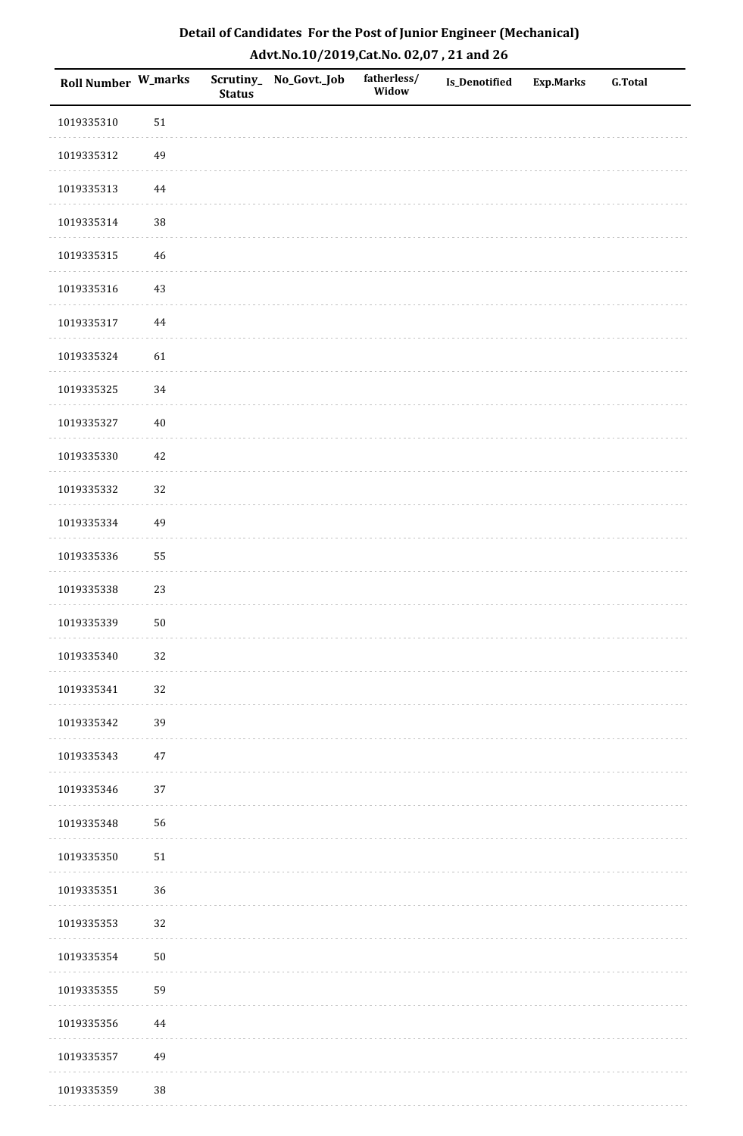| Roll Number W_marks |          | <b>Status</b> | Scrutiny_No_Govt._Job | fatherless/<br>Widow | Is_Denotified | <b>Exp.Marks</b> | <b>G.Total</b> |
|---------------------|----------|---------------|-----------------------|----------------------|---------------|------------------|----------------|
| 1019335310          | $51\,$   |               |                       |                      |               |                  |                |
| 1019335312          | 49       |               |                       |                      |               |                  |                |
| 1019335313          | 44       |               |                       |                      |               |                  |                |
| 1019335314          | 38       |               |                       |                      |               |                  |                |
| 1019335315          | $46\,$   |               |                       |                      |               |                  |                |
| 1019335316          | 43       |               |                       |                      |               |                  |                |
| 1019335317          | $\bf 44$ |               |                       |                      |               |                  |                |
| 1019335324          | 61       |               |                       |                      |               |                  |                |
| 1019335325          | 34       |               |                       |                      |               |                  |                |
| 1019335327          | $40\,$   |               |                       |                      |               |                  |                |
| 1019335330          | 42       |               |                       |                      |               |                  |                |
| 1019335332          | 32       |               |                       |                      |               |                  |                |
| 1019335334          | 49       |               |                       |                      |               |                  |                |
| 1019335336          | 55       |               |                       |                      |               |                  |                |
| 1019335338          | 23       |               |                       |                      |               |                  |                |
| 1019335339          | $50\,$   |               |                       |                      |               |                  |                |
| 1019335340          | 32       |               |                       |                      |               |                  |                |
| 1019335341          | 32       |               |                       |                      |               |                  |                |
| 1019335342          | 39       |               |                       |                      |               |                  |                |
| 1019335343          | $47\,$   |               |                       |                      |               |                  |                |
| 1019335346          | 37       |               |                       |                      |               |                  |                |
| 1019335348          | 56       |               |                       |                      |               |                  |                |
| 1019335350          | $51\,$   |               |                       |                      |               |                  |                |
| 1019335351          | 36       |               |                       |                      |               |                  |                |
| 1019335353          | 32       |               |                       |                      |               |                  |                |
| 1019335354          | $50\,$   |               |                       |                      |               |                  |                |
| 1019335355          | 59       |               |                       |                      |               |                  |                |
| 1019335356          | 44       |               |                       |                      |               |                  |                |
| 1019335357          | 49       |               |                       |                      |               |                  |                |
| 1019335359          | 38       |               |                       |                      |               |                  |                |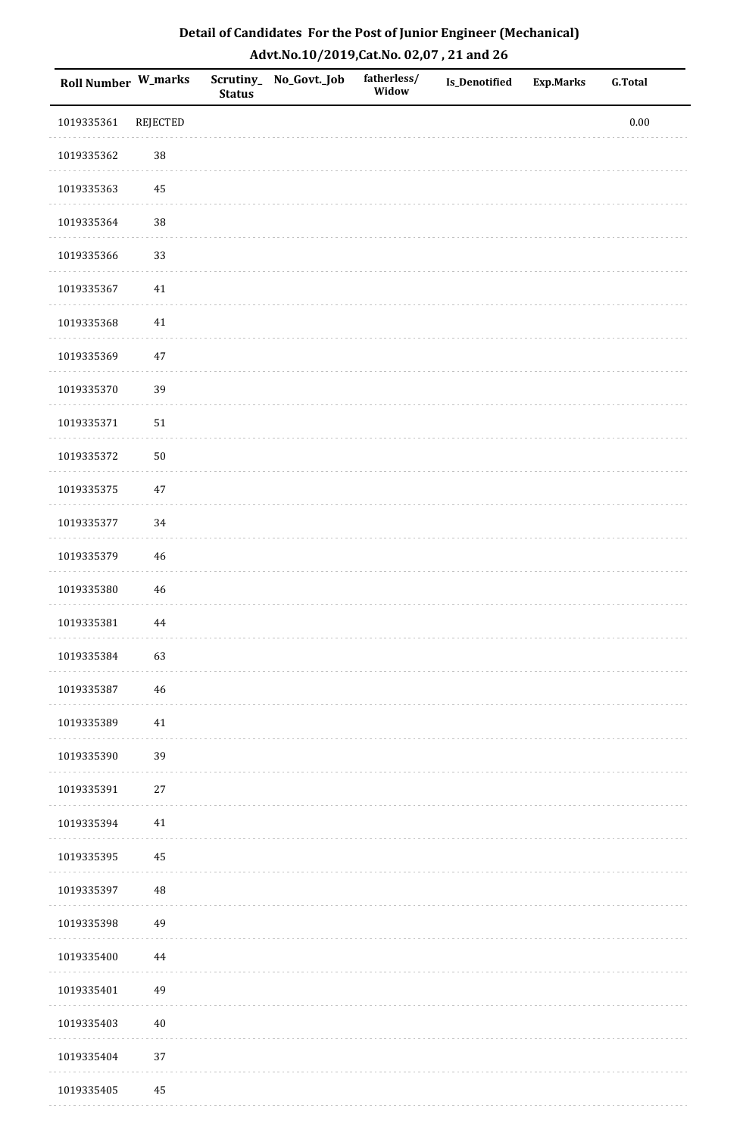| <b>Roll Number W_marks</b> |                 | <b>Status</b> | Scrutiny_No_Govt._Job | fatherless/<br>Widow | <b>Is_Denotified</b> | Exp.Marks | <b>G.Total</b> |
|----------------------------|-----------------|---------------|-----------------------|----------------------|----------------------|-----------|----------------|
| 1019335361                 | <b>REJECTED</b> |               |                       |                      |                      |           | $0.00\,$       |
| 1019335362                 | 38              |               |                       |                      |                      |           |                |
| 1019335363                 | $\bf 45$        |               |                       |                      |                      |           |                |
| 1019335364                 | 38              |               |                       |                      |                      |           |                |
| 1019335366                 | 33              |               |                       |                      |                      |           |                |
| 1019335367                 | $41\,$          |               |                       |                      |                      |           |                |
| 1019335368                 | $41\,$          |               |                       |                      |                      |           |                |
| 1019335369                 | $47\,$          |               |                       |                      |                      |           |                |
| 1019335370                 | 39              |               |                       |                      |                      |           |                |
| 1019335371                 | $51\,$          |               |                       |                      |                      |           |                |
| 1019335372                 | $50\,$          |               |                       |                      |                      |           |                |
| 1019335375                 | $47\,$          |               |                       |                      |                      |           |                |
| 1019335377                 | 34              |               |                       |                      |                      |           |                |
| 1019335379                 | $46\,$          |               |                       |                      |                      |           |                |
| 1019335380                 | $\sqrt{46}$     |               |                       |                      |                      |           |                |
| 1019335381                 | 44              |               |                       |                      |                      |           |                |
| 1019335384                 | 63              |               |                       |                      |                      |           |                |
| 1019335387                 | $46\,$          |               |                       |                      |                      |           |                |
| 1019335389                 | $41\,$          |               |                       |                      |                      |           |                |
| 1019335390                 | 39              |               |                       |                      |                      |           |                |
| 1019335391                 | $27\,$          |               |                       |                      |                      |           |                |
| 1019335394                 | $41\,$          |               |                       |                      |                      |           |                |
| 1019335395                 | 45              |               |                       |                      |                      |           |                |
| 1019335397                 | $\rm 48$        |               |                       |                      |                      |           |                |
| 1019335398                 | 49              |               |                       |                      |                      |           |                |
| 1019335400                 | 44              |               |                       |                      |                      |           |                |
| 1019335401                 | 49              |               |                       |                      |                      |           |                |
| 1019335403                 | $40\,$          |               |                       |                      |                      |           |                |
| 1019335404                 | 37              |               |                       |                      |                      |           |                |
| 1019335405                 | 45              |               |                       |                      |                      |           |                |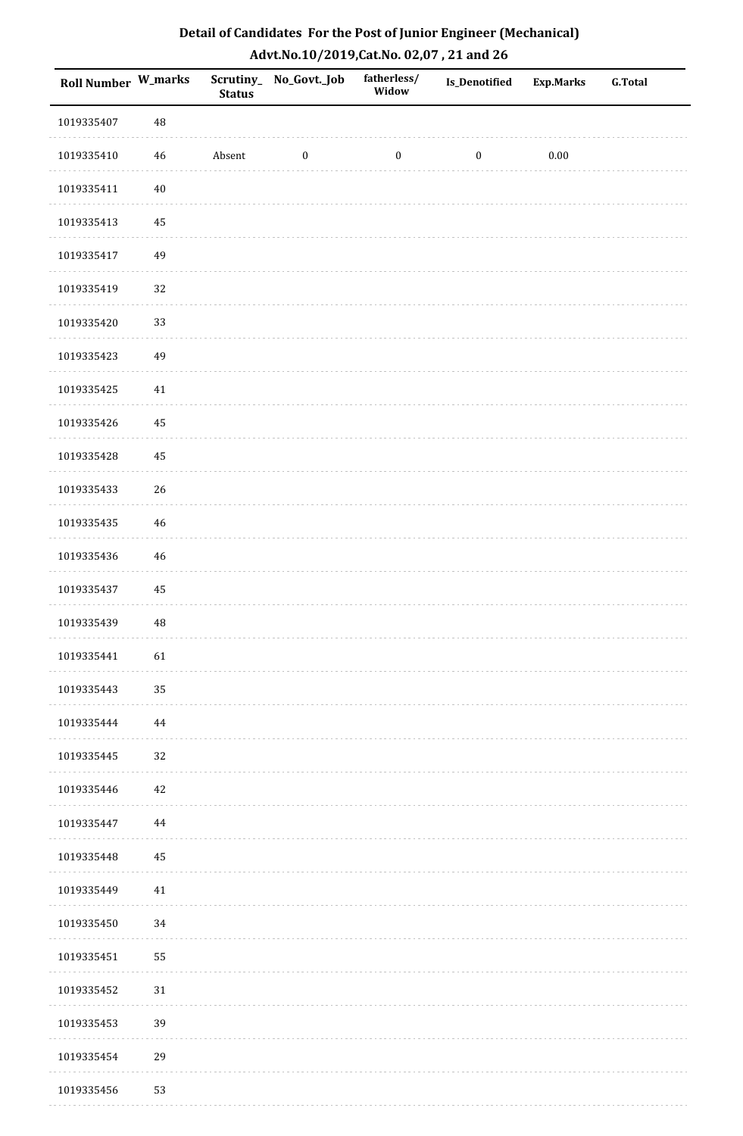| Detail of Candidates For the Post of Junior Engineer (Mechanical) |
|-------------------------------------------------------------------|
| Advt.No.10/2019,Cat.No. 02,07, 21 and 26                          |

| <b>Roll Number W_marks</b> |          | <b>Status</b> | Scrutiny_No_Govt._Job | fatherless/<br>Widow | Is_Denotified    | <b>Exp.Marks</b> | <b>G.Total</b> |
|----------------------------|----------|---------------|-----------------------|----------------------|------------------|------------------|----------------|
| 1019335407                 | 48       |               |                       |                      |                  |                  |                |
| 1019335410                 | 46       | Absent        | $\boldsymbol{0}$      | $\boldsymbol{0}$     | $\boldsymbol{0}$ | $0.00\,$         |                |
| 1019335411                 | $40\,$   |               |                       |                      |                  |                  |                |
| 1019335413                 | 45       |               |                       |                      |                  |                  |                |
| 1019335417                 | 49       |               |                       |                      |                  |                  |                |
| 1019335419                 | 32       |               |                       |                      |                  |                  |                |
| 1019335420                 | 33       |               |                       |                      |                  |                  |                |
| 1019335423                 | 49       |               |                       |                      |                  |                  |                |
| 1019335425                 | $41\,$   |               |                       |                      |                  |                  |                |
| 1019335426                 | 45       |               |                       |                      |                  |                  |                |
| 1019335428                 | 45       |               |                       |                      |                  |                  |                |
| 1019335433                 | $26\,$   |               |                       |                      |                  |                  |                |
| 1019335435                 | 46       |               |                       |                      |                  |                  |                |
| 1019335436                 | 46       |               |                       |                      |                  |                  |                |
| 1019335437                 | 45       |               |                       |                      |                  |                  |                |
| 1019335439                 | $\rm 48$ |               |                       |                      |                  |                  |                |
| 1019335441                 | 61       |               |                       |                      |                  |                  |                |
| 1019335443                 | 35       |               |                       |                      |                  |                  |                |
| 1019335444                 | $\bf 44$ |               |                       |                      |                  |                  |                |
| 1019335445                 | 32       |               |                       |                      |                  |                  |                |
| 1019335446                 | 42       |               |                       |                      |                  |                  |                |
| 1019335447                 | $\bf 44$ |               |                       |                      |                  |                  |                |
| 1019335448                 | 45       |               |                       |                      |                  |                  |                |
| 1019335449                 | 41       |               |                       |                      |                  |                  |                |
| 1019335450                 | 34       |               |                       |                      |                  |                  |                |
| 1019335451                 | 55       |               |                       |                      |                  |                  |                |
| 1019335452                 | 31       |               |                       |                      |                  |                  |                |
| 1019335453                 | 39       |               |                       |                      |                  |                  |                |
| 1019335454                 | 29       |               |                       |                      |                  |                  |                |
| 1019335456                 | 53       |               |                       |                      |                  |                  |                |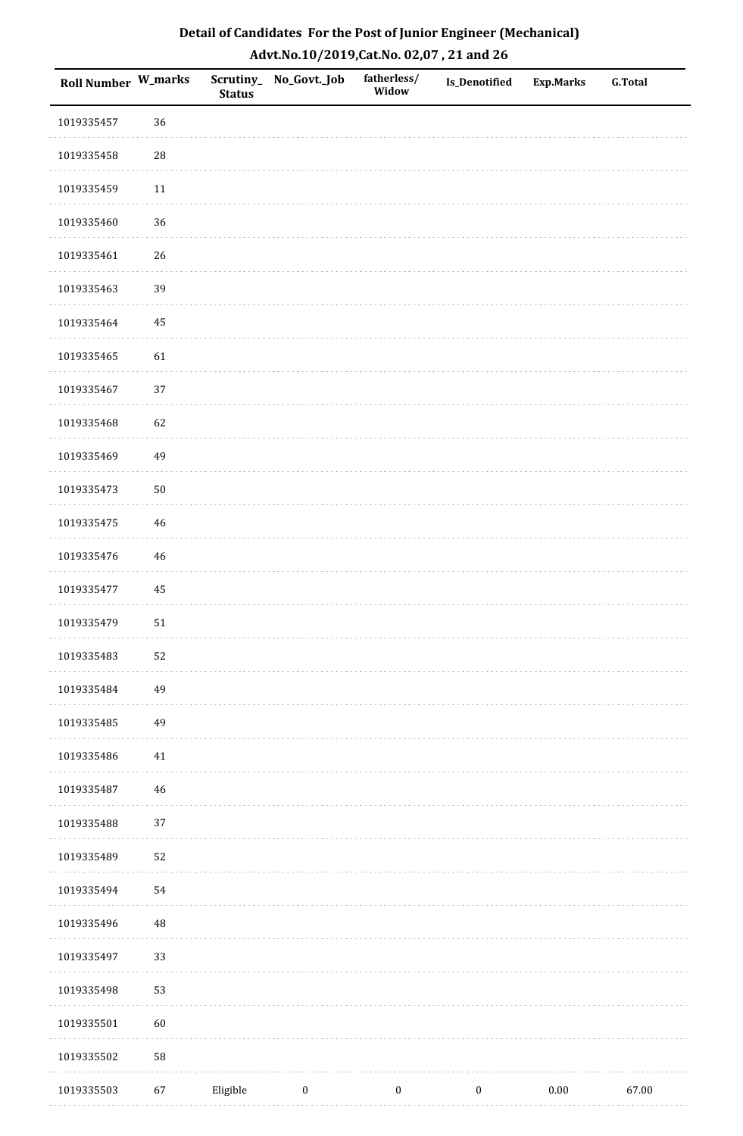| Roll Number W_marks |            | <b>Status</b> | Scrutiny_No_Govt._Job | fatherless/<br>Widow | Is_Denotified    | <b>Exp.Marks</b> | <b>G.Total</b> |
|---------------------|------------|---------------|-----------------------|----------------------|------------------|------------------|----------------|
| 1019335457          | 36         |               |                       |                      |                  |                  |                |
| 1019335458          | ${\bf 28}$ |               |                       |                      |                  |                  |                |
| 1019335459          | $11\,$     |               |                       |                      |                  |                  |                |
| 1019335460          | 36         |               |                       |                      |                  |                  |                |
| 1019335461          | 26         |               |                       |                      |                  |                  |                |
| 1019335463          | 39         |               |                       |                      |                  |                  |                |
| 1019335464          | 45         |               |                       |                      |                  |                  |                |
| 1019335465          | 61         |               |                       |                      |                  |                  |                |
| 1019335467          | 37         |               |                       |                      |                  |                  |                |
| 1019335468          | 62         |               |                       |                      |                  |                  |                |
| 1019335469          | 49         |               |                       |                      |                  |                  |                |
| 1019335473          | $50\,$     |               |                       |                      |                  |                  |                |
| 1019335475          | $46\,$     |               |                       |                      |                  |                  |                |
| 1019335476          | $46\,$     |               |                       |                      |                  |                  |                |
| 1019335477          | $\bf 45$   |               |                       |                      |                  |                  |                |
| 1019335479          | $51\,$     |               |                       |                      |                  |                  |                |
| 1019335483          | 52         |               |                       |                      |                  |                  |                |
| 1019335484          | 49         |               |                       |                      |                  |                  |                |
| 1019335485          | 49         |               |                       |                      |                  |                  |                |
| 1019335486          | $41\,$     |               |                       |                      |                  |                  |                |
| 1019335487          | $46\,$     |               |                       |                      |                  |                  |                |
| 1019335488          | 37         |               |                       |                      |                  |                  |                |
| 1019335489          | 52         |               |                       |                      |                  |                  |                |
| 1019335494          | 54         |               |                       |                      |                  |                  |                |
| 1019335496          | 48         |               |                       |                      |                  |                  |                |
| 1019335497          | 33         |               |                       |                      |                  |                  |                |
| 1019335498          | 53         |               |                       |                      |                  |                  |                |
| 1019335501          | 60         |               |                       |                      |                  |                  |                |
| 1019335502          | 58         |               |                       |                      |                  |                  |                |
| 1019335503          | 67         | Eligible      | $\boldsymbol{0}$      | $\boldsymbol{0}$     | $\boldsymbol{0}$ | 0.00             | 67.00          |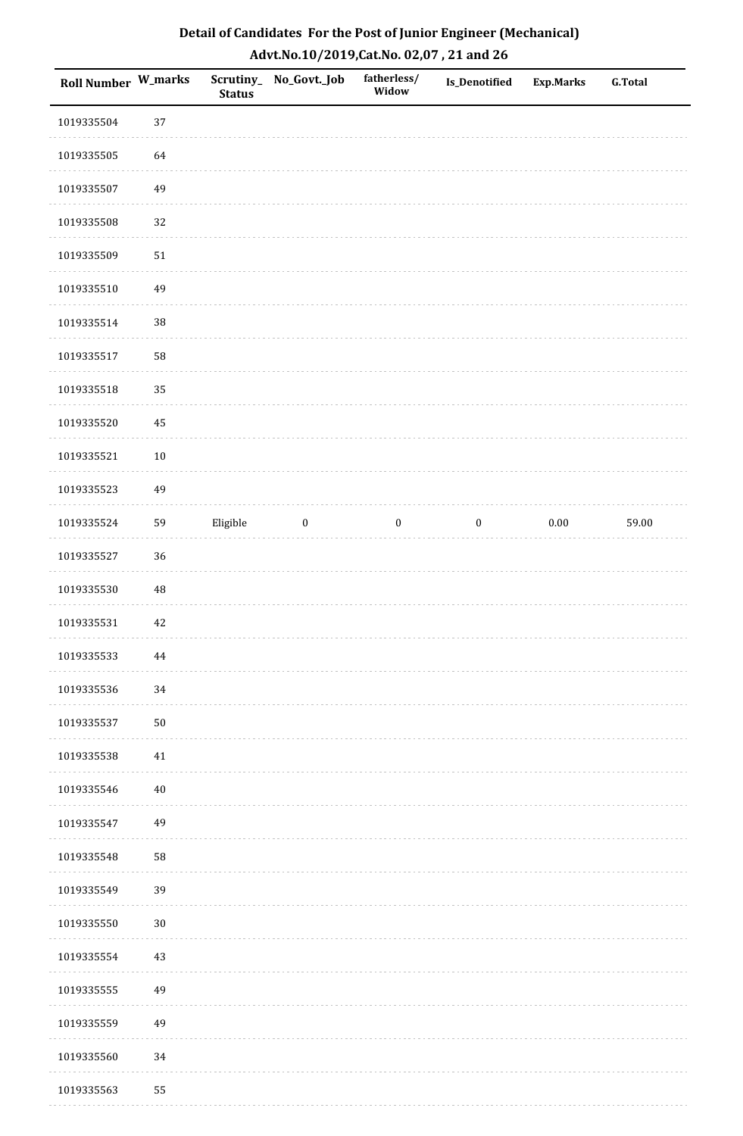| Roll Number W_marks |          | <b>Status</b> | Scrutiny_No_Govt._Job | fatherless/<br>Widow | Is_Denotified    | <b>Exp.Marks</b> | <b>G.Total</b> |
|---------------------|----------|---------------|-----------------------|----------------------|------------------|------------------|----------------|
| 1019335504          | 37       |               |                       |                      |                  |                  |                |
| 1019335505          | 64       |               |                       |                      |                  |                  |                |
| 1019335507          | 49       |               |                       |                      |                  |                  |                |
| 1019335508          | 32       |               |                       |                      |                  |                  |                |
| 1019335509          | $51\,$   |               |                       |                      |                  |                  |                |
| 1019335510          | 49       |               |                       |                      |                  |                  |                |
| 1019335514          | 38       |               |                       |                      |                  |                  |                |
| 1019335517          | 58       |               |                       |                      |                  |                  |                |
| 1019335518          | 35       |               |                       |                      |                  |                  |                |
| 1019335520          | 45       |               |                       |                      |                  |                  |                |
| 1019335521          | $10\,$   |               |                       |                      |                  |                  |                |
| 1019335523          | 49       |               |                       |                      |                  |                  |                |
| 1019335524          | 59       | Eligible      | $\bf{0}$              | $\boldsymbol{0}$     | $\boldsymbol{0}$ | $0.00\,$         | 59.00          |
| 1019335527          | 36       |               |                       |                      |                  |                  |                |
| 1019335530          | $\rm 48$ |               |                       |                      |                  |                  |                |
| 1019335531          | $42\,$   |               |                       |                      |                  |                  |                |
| 1019335533          | 44       |               |                       |                      |                  |                  |                |
| 1019335536          | 34       |               |                       |                      |                  |                  |                |
| 1019335537          | $50\,$   |               |                       |                      |                  |                  |                |
| 1019335538          | 41       |               |                       |                      |                  |                  |                |
| 1019335546          | $40\,$   |               |                       |                      |                  |                  |                |
| 1019335547          | 49       |               |                       |                      |                  |                  |                |
| 1019335548          | 58       |               |                       |                      |                  |                  |                |
| 1019335549          | 39       |               |                       |                      |                  |                  |                |
| 1019335550          | $30\,$   |               |                       |                      |                  |                  |                |
| 1019335554          | $43\,$   |               |                       |                      |                  |                  |                |
| 1019335555          | 49       |               |                       |                      |                  |                  |                |
| 1019335559          | 49       |               |                       |                      |                  |                  |                |
| 1019335560          | 34       |               |                       |                      |                  |                  |                |
| 1019335563          | 55       |               |                       |                      |                  |                  |                |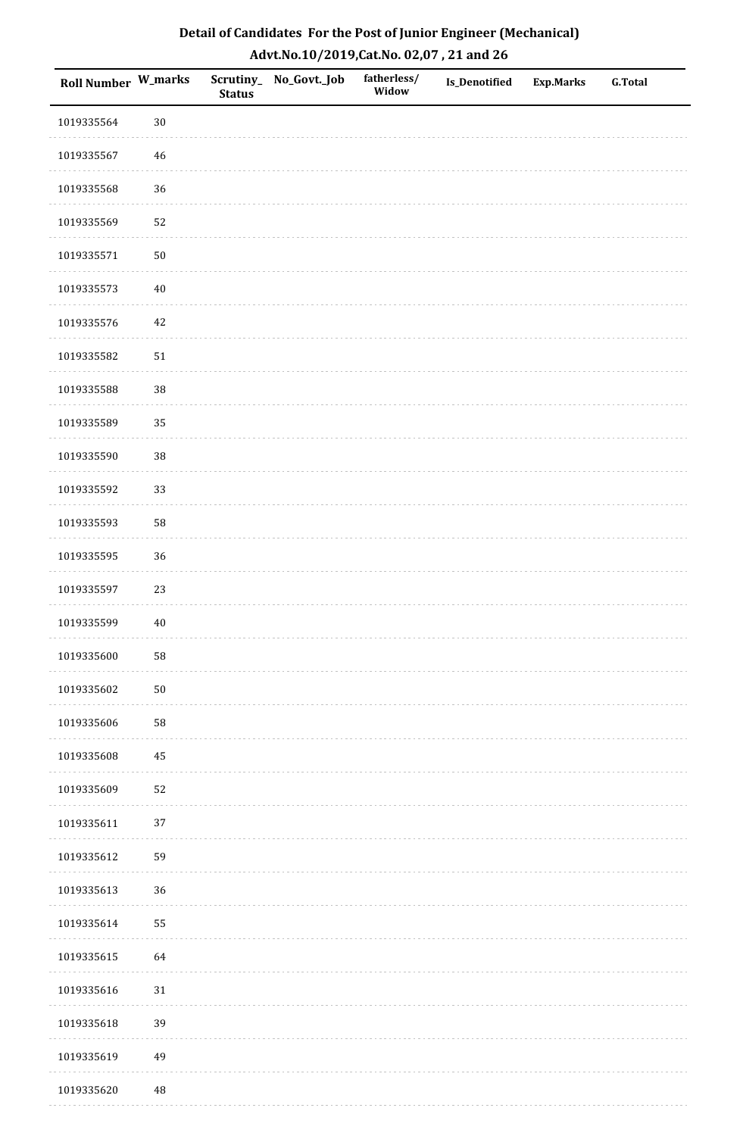| Roll Number W_marks |        | <b>Status</b> | Scrutiny_No_Govt._Job | fatherless/<br>Widow | Is_Denotified | <b>Exp.Marks</b> | <b>G.Total</b> |
|---------------------|--------|---------------|-----------------------|----------------------|---------------|------------------|----------------|
| 1019335564          | $30\,$ |               |                       |                      |               |                  |                |
| 1019335567          | $46\,$ |               |                       |                      |               |                  |                |
| 1019335568          | 36     |               |                       |                      |               |                  |                |
| 1019335569          | 52     |               |                       |                      |               |                  |                |
| 1019335571          | $50\,$ |               |                       |                      |               |                  |                |
| 1019335573          | $40\,$ |               |                       |                      |               |                  |                |
| 1019335576          | 42     |               |                       |                      |               |                  |                |
| 1019335582          | $51\,$ |               |                       |                      |               |                  |                |
| 1019335588          | 38     |               |                       |                      |               |                  |                |
| 1019335589          | 35     |               |                       |                      |               |                  |                |
| 1019335590          | 38     |               |                       |                      |               |                  |                |
| 1019335592          | 33     |               |                       |                      |               |                  |                |
| 1019335593          | 58     |               |                       |                      |               |                  |                |
| 1019335595          | 36     |               |                       |                      |               |                  |                |
| 1019335597          | 23     |               |                       |                      |               |                  |                |
| 1019335599          | $40\,$ |               |                       |                      |               |                  |                |
| 1019335600          | 58     |               |                       |                      |               |                  |                |
| 1019335602          | $50\,$ |               |                       |                      |               |                  |                |
| 1019335606          | 58     |               |                       |                      |               |                  |                |
| 1019335608          | 45     |               |                       |                      |               |                  |                |
| 1019335609          | 52     |               |                       |                      |               |                  |                |
| 1019335611          | $37\,$ |               |                       |                      |               |                  |                |
| 1019335612          | 59     |               |                       |                      |               |                  |                |
| 1019335613          | 36     |               |                       |                      |               |                  |                |
| 1019335614          | 55     |               |                       |                      |               |                  |                |
| 1019335615          | 64     |               |                       |                      |               |                  |                |
| 1019335616          | $31\,$ |               |                       |                      |               |                  |                |
| 1019335618          | 39     |               |                       |                      |               |                  |                |
| 1019335619          | 49     |               |                       |                      |               |                  |                |
| 1019335620          | 48     |               |                       |                      |               |                  |                |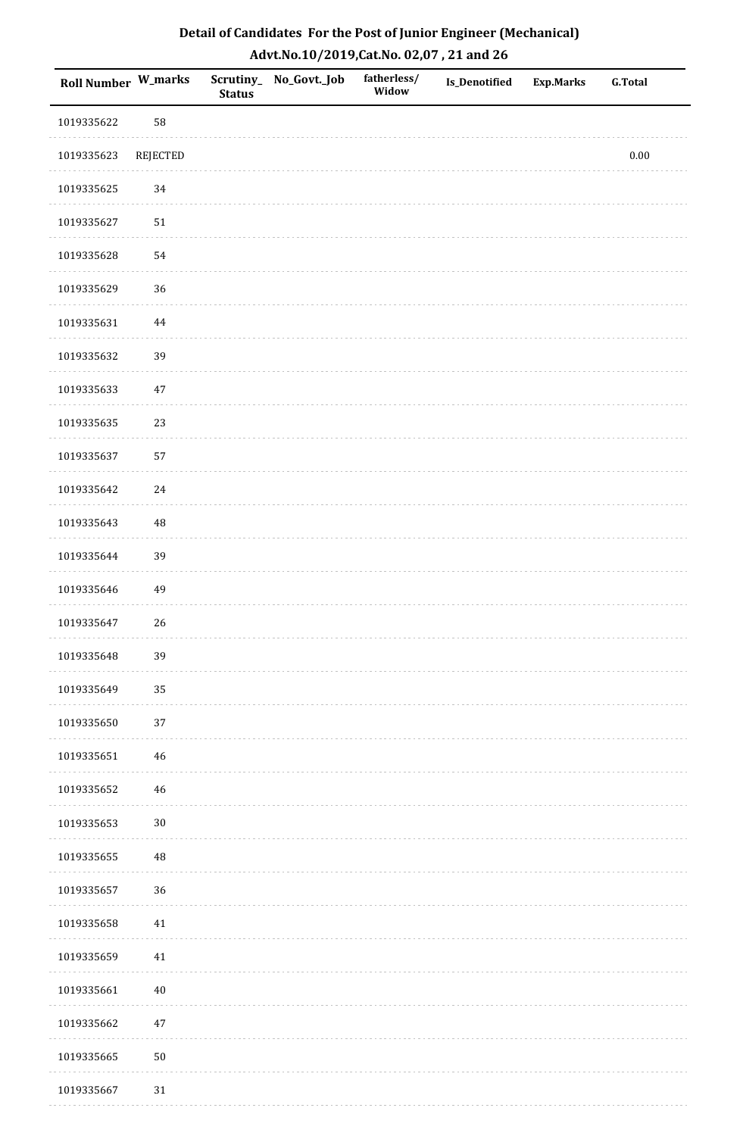| <b>Roll Number W_marks</b> |             | <b>Status</b> | Scrutiny_ No_Govt._Job | fatherless/<br>Widow | Is_Denotified | <b>Exp.Marks</b> | <b>G.Total</b> |
|----------------------------|-------------|---------------|------------------------|----------------------|---------------|------------------|----------------|
| 1019335622                 | 58          |               |                        |                      |               |                  |                |
| 1019335623                 | REJECTED    |               |                        |                      |               |                  | $0.00\,$       |
| 1019335625                 | $34\,$      |               |                        |                      |               |                  |                |
| 1019335627                 | $51\,$      |               |                        |                      |               |                  |                |
| 1019335628                 | 54          |               |                        |                      |               |                  |                |
| 1019335629                 | 36          |               |                        |                      |               |                  |                |
| 1019335631                 | $\bf 44$    |               |                        |                      |               |                  |                |
| 1019335632                 | 39          |               |                        |                      |               |                  |                |
| 1019335633                 | $47\,$      |               |                        |                      |               |                  |                |
| 1019335635                 | 23          |               |                        |                      |               |                  |                |
| 1019335637                 | 57          |               |                        |                      |               |                  |                |
| 1019335642                 | $24\,$      |               |                        |                      |               |                  |                |
| 1019335643                 | $\rm 48$    |               |                        |                      |               |                  |                |
| 1019335644                 | 39          |               |                        |                      |               |                  |                |
| 1019335646                 | 49          |               |                        |                      |               |                  |                |
| 1019335647                 | 26          |               |                        |                      |               |                  |                |
| 1019335648                 | 39          |               |                        |                      |               |                  |                |
| 1019335649                 | 35          |               |                        |                      |               |                  |                |
| 1019335650                 | 37          |               |                        |                      |               |                  |                |
| 1019335651                 | $\sqrt{46}$ |               |                        |                      |               |                  |                |
| 1019335652                 | $\sqrt{46}$ |               |                        |                      |               |                  |                |
| 1019335653                 | $30\,$      |               |                        |                      |               |                  |                |
| 1019335655                 | $\rm 48$    |               |                        |                      |               |                  |                |
| 1019335657                 | 36          |               |                        |                      |               |                  |                |
| 1019335658                 | 41          |               |                        |                      |               |                  |                |
| 1019335659                 | $41\,$      |               |                        |                      |               |                  |                |
| 1019335661                 | $40\,$      |               |                        |                      |               |                  |                |
| 1019335662                 | 47          |               |                        |                      |               |                  |                |
| 1019335665                 | $50\,$      |               |                        |                      |               |                  |                |
| 1019335667                 | $31\,$      |               |                        |                      |               |                  |                |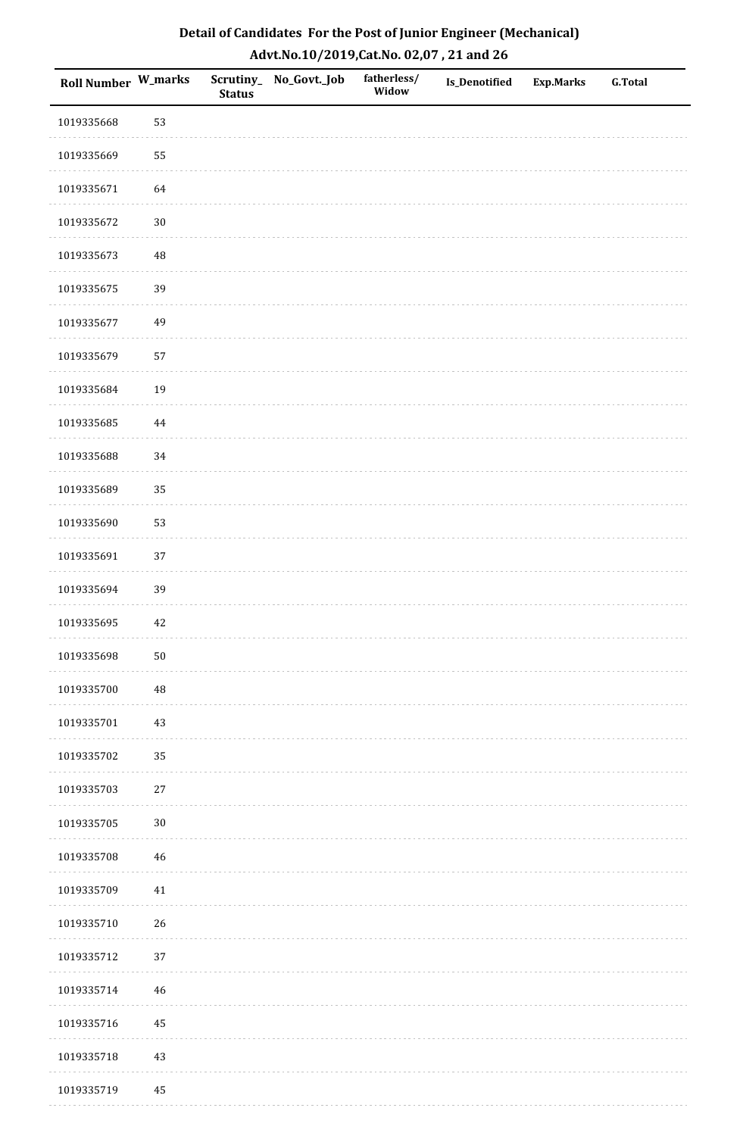| <b>Roll Number W_marks</b> |          | <b>Status</b> | Scrutiny_No_Govt._Job | fatherless/<br>Widow | Is_Denotified | <b>Exp.Marks</b> | <b>G.Total</b> |
|----------------------------|----------|---------------|-----------------------|----------------------|---------------|------------------|----------------|
| 1019335668                 | 53       |               |                       |                      |               |                  |                |
| 1019335669                 | 55       |               |                       |                      |               |                  |                |
| 1019335671                 | 64       |               |                       |                      |               |                  |                |
| 1019335672                 | $30\,$   |               |                       |                      |               |                  |                |
| 1019335673                 | $\rm 48$ |               |                       |                      |               |                  |                |
| 1019335675                 | 39       |               |                       |                      |               |                  |                |
| 1019335677                 | 49       |               |                       |                      |               |                  |                |
| 1019335679                 | 57       |               |                       |                      |               |                  |                |
| 1019335684                 | 19       |               |                       |                      |               |                  |                |
| 1019335685                 | $\bf 44$ |               |                       |                      |               |                  |                |
| 1019335688                 | 34       |               |                       |                      |               |                  |                |
| 1019335689                 | 35       |               |                       |                      |               |                  |                |
| 1019335690                 | 53       |               |                       |                      |               |                  |                |
| 1019335691                 | 37       |               |                       |                      |               |                  |                |
| 1019335694                 | 39       |               |                       |                      |               |                  |                |
| 1019335695                 | 42       |               |                       |                      |               |                  |                |
| 1019335698                 | $50\,$   |               |                       |                      |               |                  |                |
| 1019335700                 | 48       |               |                       |                      |               |                  |                |
| 1019335701                 | $43\,$   |               |                       |                      |               |                  |                |
| 1019335702                 | 35       |               |                       |                      |               |                  |                |
| 1019335703                 | $27\,$   |               |                       |                      |               |                  |                |
| 1019335705                 | $30\,$   |               |                       |                      |               |                  |                |
| 1019335708                 | 46       |               |                       |                      |               |                  |                |
| 1019335709                 | 41       |               |                       |                      |               |                  |                |
| 1019335710                 | 26       |               |                       |                      |               |                  |                |
| 1019335712                 | 37       |               |                       |                      |               |                  |                |
| 1019335714                 | 46       |               |                       |                      |               |                  |                |
| 1019335716                 | 45       |               |                       |                      |               |                  |                |
| 1019335718                 | $43\,$   |               |                       |                      |               |                  |                |
| 1019335719                 | 45       |               |                       |                      |               |                  |                |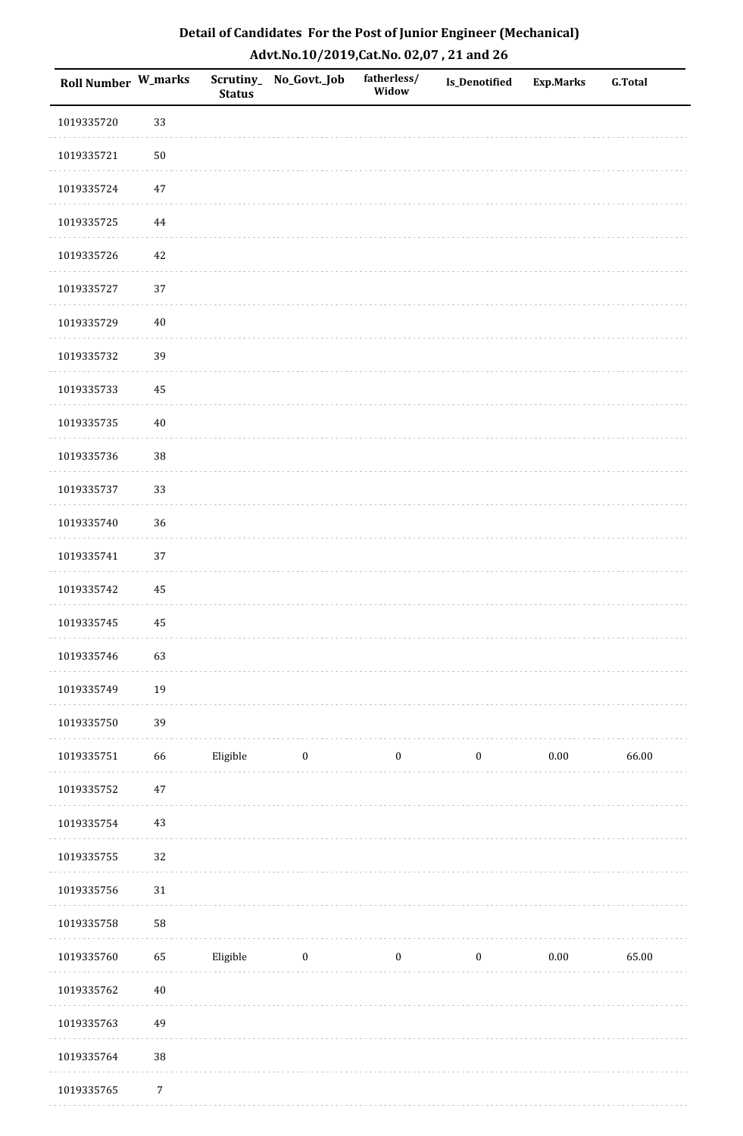| Roll Number W_marks |            | <b>Status</b> | Scrutiny_No_Govt._Job | fatherless/<br>Widow | Is_Denotified    | <b>Exp.Marks</b> | <b>G.Total</b> |
|---------------------|------------|---------------|-----------------------|----------------------|------------------|------------------|----------------|
| 1019335720          | 33         |               |                       |                      |                  |                  |                |
| 1019335721          | $50\,$     |               |                       |                      |                  |                  |                |
| 1019335724          | $47\,$     |               |                       |                      |                  |                  |                |
| 1019335725          | 44         |               |                       |                      |                  |                  |                |
| 1019335726          | 42         |               |                       |                      |                  |                  |                |
| 1019335727          | 37         |               |                       |                      |                  |                  |                |
| 1019335729          | $40\,$     |               |                       |                      |                  |                  |                |
| 1019335732          | 39         |               |                       |                      |                  |                  |                |
| 1019335733          | 45         |               |                       |                      |                  |                  |                |
| 1019335735          | $40\,$     |               |                       |                      |                  |                  |                |
| 1019335736          | 38         |               |                       |                      |                  |                  |                |
| 1019335737          | 33         |               |                       |                      |                  |                  |                |
| 1019335740          | 36         |               |                       |                      |                  |                  |                |
| 1019335741          | 37         |               |                       |                      |                  |                  |                |
| 1019335742          | 45         |               |                       |                      |                  |                  |                |
| 1019335745          | 45         |               |                       |                      |                  |                  |                |
| 1019335746          | 63         |               |                       |                      |                  |                  |                |
| 1019335749          | 19         |               |                       |                      |                  |                  |                |
| 1019335750          | 39         |               |                       |                      |                  |                  |                |
| 1019335751          | 66         | Eligible      | $\boldsymbol{0}$      | $\boldsymbol{0}$     | $\boldsymbol{0}$ | $0.00\,$         | 66.00          |
| 1019335752          | $47\,$     |               |                       |                      |                  |                  |                |
| 1019335754          | $43\,$     |               |                       |                      |                  |                  |                |
| 1019335755          | 32         |               |                       |                      |                  |                  |                |
| 1019335756          | $31\,$     |               |                       |                      |                  |                  |                |
| 1019335758          | 58         |               |                       |                      |                  |                  |                |
| 1019335760          | 65         | Eligible      | $\bf{0}$              | $\boldsymbol{0}$     | $\boldsymbol{0}$ | $0.00\,$         | 65.00          |
| 1019335762          | $40\,$     |               |                       |                      |                  |                  |                |
| 1019335763          | 49         |               |                       |                      |                  |                  |                |
| 1019335764          | $38\,$     |               |                       |                      |                  |                  |                |
| 1019335765          | $\sqrt{7}$ |               |                       |                      |                  |                  |                |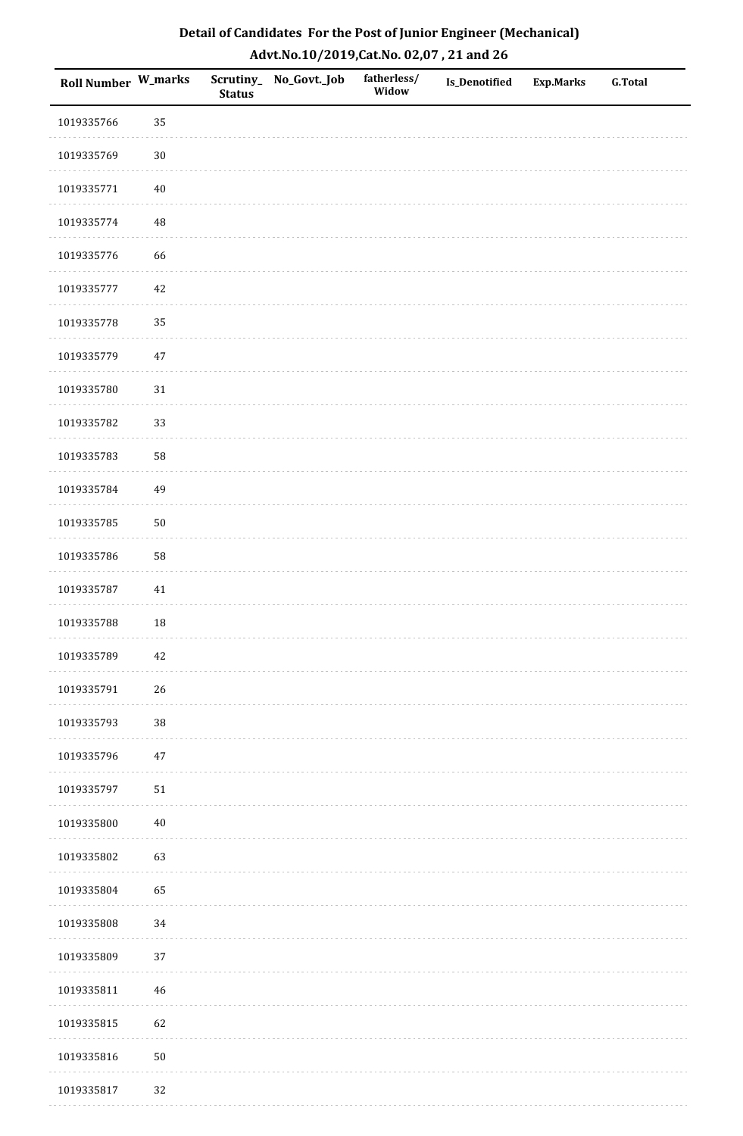| <b>Roll Number W_marks</b> |        | <b>Status</b> | Scrutiny_No_Govt._Job | fatherless/<br>Widow | Is_Denotified | <b>Exp.Marks</b> | <b>G.Total</b> |
|----------------------------|--------|---------------|-----------------------|----------------------|---------------|------------------|----------------|
| 1019335766                 | 35     |               |                       |                      |               |                  |                |
| 1019335769                 | $30\,$ |               |                       |                      |               |                  |                |
| 1019335771                 | $40\,$ |               |                       |                      |               |                  |                |
| 1019335774                 | 48     |               |                       |                      |               |                  |                |
| 1019335776                 | 66     |               |                       |                      |               |                  |                |
| 1019335777                 | 42     |               |                       |                      |               |                  |                |
| 1019335778                 | 35     |               |                       |                      |               |                  |                |
| 1019335779                 | $47\,$ |               |                       |                      |               |                  |                |
| 1019335780                 | $31\,$ |               |                       |                      |               |                  |                |
| 1019335782                 | 33     |               |                       |                      |               |                  |                |
| 1019335783                 | 58     |               |                       |                      |               |                  |                |
| 1019335784                 | 49     |               |                       |                      |               |                  |                |
| 1019335785                 | $50\,$ |               |                       |                      |               |                  |                |
| 1019335786                 | 58     |               |                       |                      |               |                  |                |
| 1019335787                 | 41     |               |                       |                      |               |                  |                |
| 1019335788                 | 18     |               |                       |                      |               |                  |                |
| 1019335789                 | $42\,$ |               |                       |                      |               |                  |                |
| 1019335791                 | 26     |               |                       |                      |               |                  |                |
| 1019335793                 | $38\,$ |               |                       |                      |               |                  |                |
| 1019335796                 | $47\,$ |               |                       |                      |               |                  |                |
| 1019335797                 | $51\,$ |               |                       |                      |               |                  |                |
| 1019335800                 | $40\,$ |               |                       |                      |               |                  |                |
| 1019335802                 | 63     |               |                       |                      |               |                  |                |
| 1019335804                 | 65     |               |                       |                      |               |                  |                |
| 1019335808                 | 34     |               |                       |                      |               |                  |                |
| 1019335809                 | 37     |               |                       |                      |               |                  |                |
| 1019335811                 | 46     |               |                       |                      |               |                  |                |
| 1019335815                 | 62     |               |                       |                      |               |                  |                |
| 1019335816                 | $50\,$ |               |                       |                      |               |                  |                |
| 1019335817                 | 32     |               |                       |                      |               |                  |                |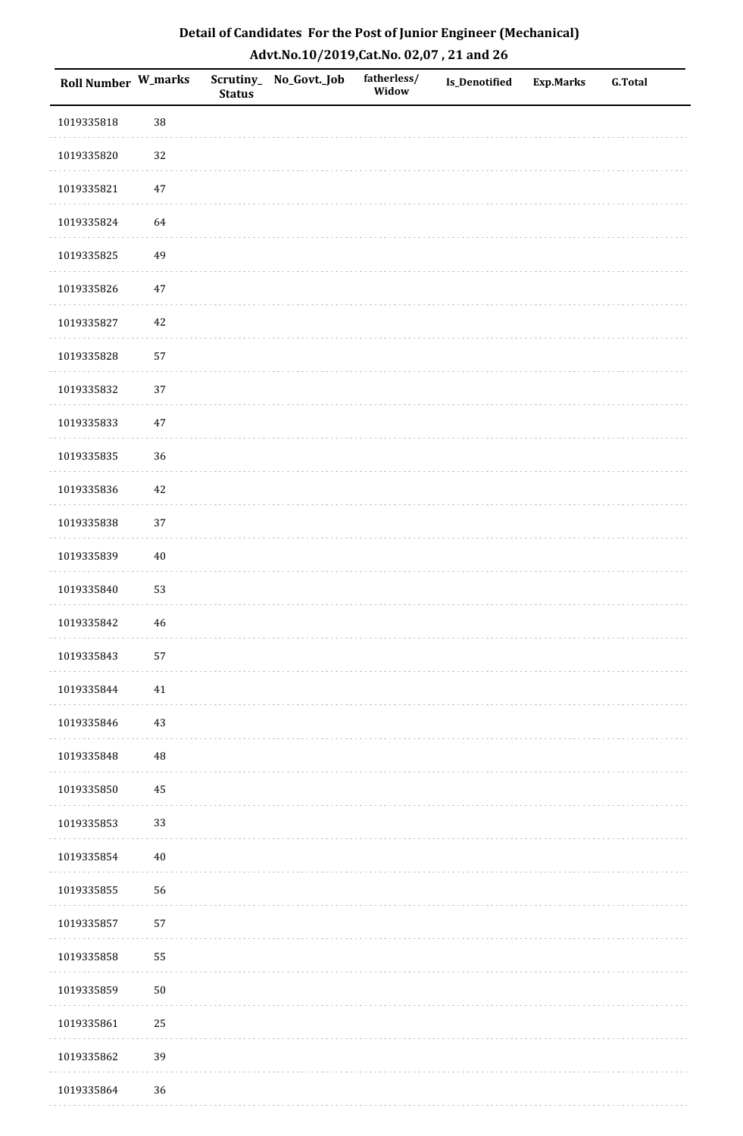| Detail of Candidates For the Post of Junior Engineer (Mechanical) |
|-------------------------------------------------------------------|
| Advt.No.10/2019,Cat.No. 02,07, 21 and 26                          |

| Roll Number W_marks |            | <b>Status</b> | Scrutiny_ No_Govt._Job | fatherless/<br>Widow | Is_Denotified | <b>Exp.Marks</b> | <b>G.Total</b> |
|---------------------|------------|---------------|------------------------|----------------------|---------------|------------------|----------------|
| 1019335818          | 38         |               |                        |                      |               |                  |                |
| 1019335820          | 32         |               |                        |                      |               |                  |                |
| 1019335821          | $47\,$     |               |                        |                      |               |                  |                |
| 1019335824          | 64         |               |                        |                      |               |                  |                |
| 1019335825          | 49         |               |                        |                      |               |                  |                |
| 1019335826          | 47         |               |                        |                      |               |                  |                |
| 1019335827          | 42         |               |                        |                      |               |                  |                |
| 1019335828          | 57         |               |                        |                      |               |                  |                |
| 1019335832          | $37\,$     |               |                        |                      |               |                  |                |
| 1019335833          | 47         |               |                        |                      |               |                  |                |
| 1019335835          | 36         |               |                        |                      |               |                  |                |
| 1019335836          | 42         |               |                        |                      |               |                  |                |
| 1019335838          | 37         |               |                        |                      |               |                  |                |
| 1019335839          | $40\,$     |               |                        |                      |               |                  |                |
| 1019335840          | 53         |               |                        |                      |               |                  |                |
| 1019335842          | 46         |               |                        |                      |               |                  |                |
| 1019335843          | 57         |               |                        |                      |               |                  |                |
| 1019335844          | 41         |               |                        |                      |               |                  |                |
| 1019335846          | 43         |               |                        |                      |               |                  |                |
| 1019335848          | $\rm 48$   |               |                        |                      |               |                  |                |
| 1019335850          | 45         |               |                        |                      |               |                  |                |
| 1019335853          | 33         |               |                        |                      |               |                  |                |
| 1019335854          | $40\,$     |               |                        |                      |               |                  |                |
| 1019335855          | 56         |               |                        |                      |               |                  |                |
| 1019335857          | 57         |               |                        |                      |               |                  |                |
| 1019335858          | 55         |               |                        |                      |               |                  |                |
| 1019335859          | ${\bf 50}$ |               |                        |                      |               |                  |                |
| 1019335861          | 25         |               |                        |                      |               |                  |                |
| 1019335862          | 39         |               |                        |                      |               |                  |                |
| 1019335864          | $36\,$     |               |                        |                      |               |                  |                |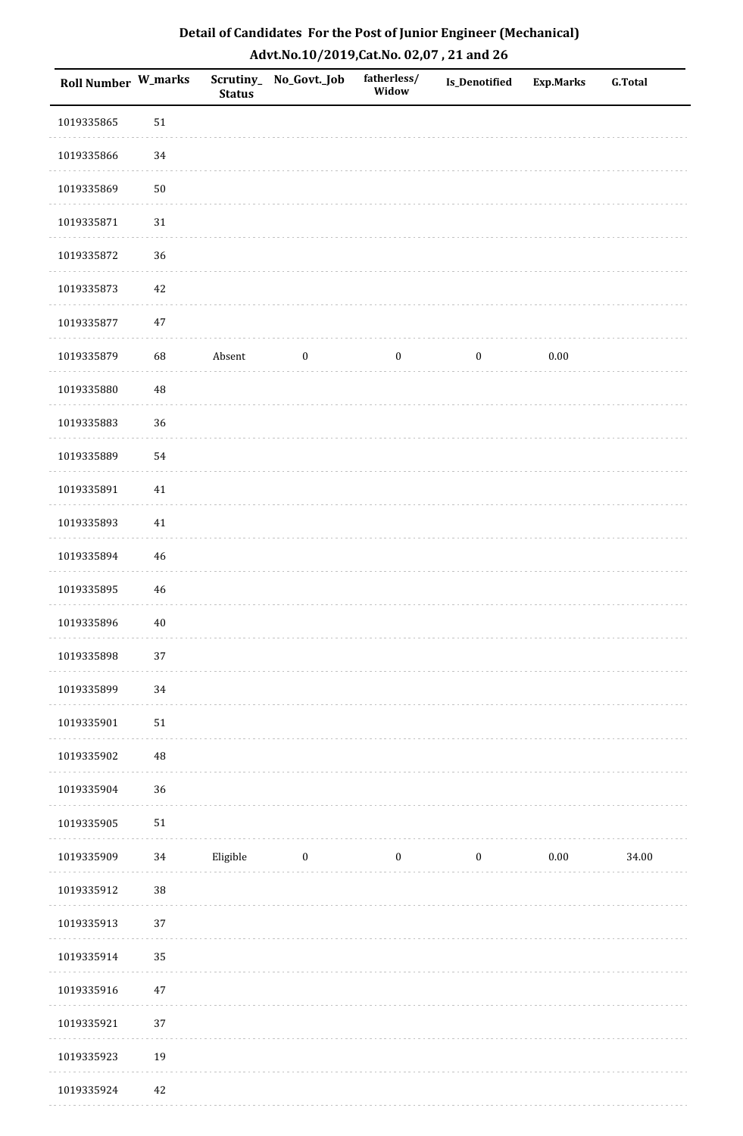| Roll Number W_marks |             | <b>Status</b> | Scrutiny_No_Govt._Job | fatherless/<br>Widow | <b>Is_Denotified</b> | <b>Exp.Marks</b> | <b>G.Total</b> |
|---------------------|-------------|---------------|-----------------------|----------------------|----------------------|------------------|----------------|
| 1019335865          | $51\,$      |               |                       |                      |                      |                  |                |
| 1019335866          | 34          |               |                       |                      |                      |                  |                |
| 1019335869          | $50\,$      |               |                       |                      |                      |                  |                |
| 1019335871          | $31\,$      |               |                       |                      |                      |                  |                |
| 1019335872          | 36          |               |                       |                      |                      |                  |                |
| 1019335873          | 42          |               |                       |                      |                      |                  |                |
| 1019335877          | $47\,$      |               |                       |                      |                      |                  |                |
| 1019335879          | 68          | Absent        | $\boldsymbol{0}$      | $\bf{0}$             | $\boldsymbol{0}$     | $0.00\,$         |                |
| 1019335880          | $\rm 48$    |               |                       |                      |                      |                  |                |
| 1019335883          | 36          |               |                       |                      |                      |                  |                |
| 1019335889          | 54          |               |                       |                      |                      |                  |                |
| 1019335891          | $41\,$      |               |                       |                      |                      |                  |                |
| 1019335893          | 41          |               |                       |                      |                      |                  |                |
| 1019335894          | $\sqrt{46}$ |               |                       |                      |                      |                  |                |
| 1019335895          | 46          |               |                       |                      |                      |                  |                |
| 1019335896          | $40\,$      |               |                       |                      |                      |                  |                |
| 1019335898          | 37          |               |                       |                      |                      |                  |                |
| 1019335899          | 34          |               |                       |                      |                      |                  |                |
| 1019335901          | ${\bf 51}$  |               |                       |                      |                      |                  |                |
| 1019335902          | 48          |               |                       |                      |                      |                  |                |
| 1019335904          | 36          |               |                       |                      |                      |                  |                |
| 1019335905          | $51\,$      |               |                       |                      |                      |                  |                |
| 1019335909          | 34          | Eligible      | $\bf{0}$              | $\boldsymbol{0}$     | $\boldsymbol{0}$     | $0.00\,$         | 34.00          |
| 1019335912          | 38          |               |                       |                      |                      |                  |                |
| 1019335913          | 37          |               |                       |                      |                      |                  |                |
| 1019335914          | 35          |               |                       |                      |                      |                  |                |
| 1019335916          | $47\,$      |               |                       |                      |                      |                  |                |
| 1019335921          | 37          |               |                       |                      |                      |                  |                |
| 1019335923          | 19          |               |                       |                      |                      |                  |                |
| 1019335924          | $42\,$      |               |                       |                      |                      |                  |                |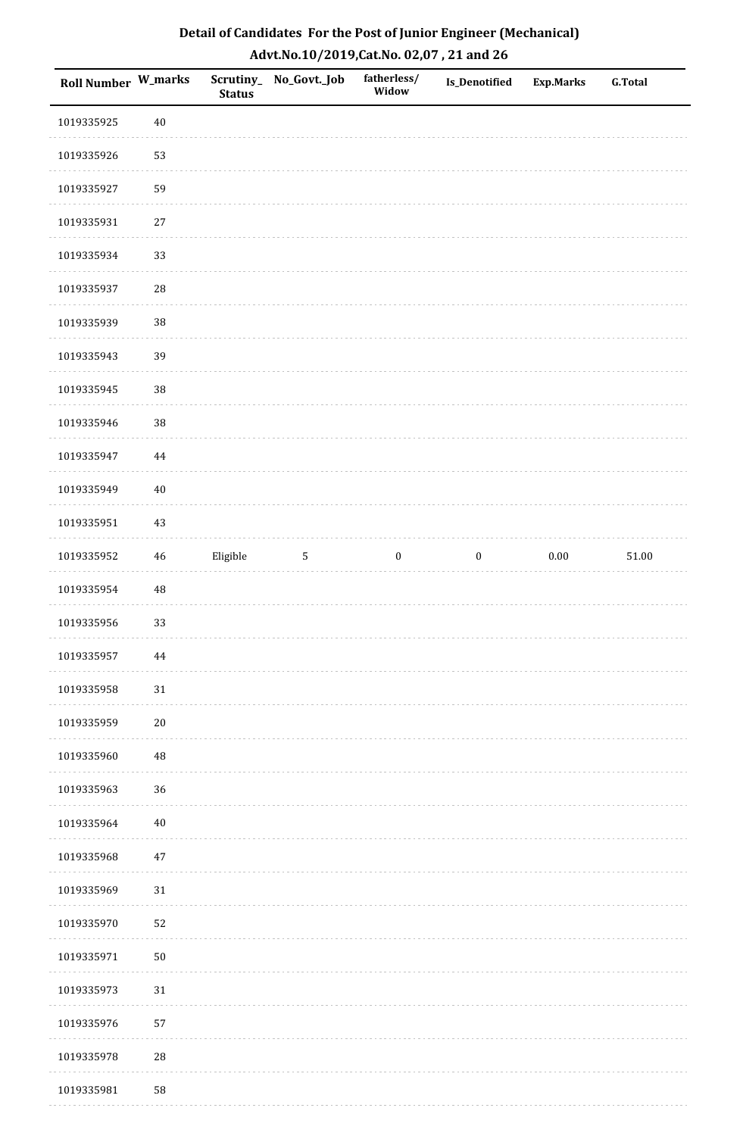| Detail of Candidates For the Post of Junior Engineer (Mechanical) |
|-------------------------------------------------------------------|
| Advt.No.10/2019,Cat.No. 02,07, 21 and 26                          |

| Roll Number W_marks |             | <b>Status</b> | Scrutiny_ No_Govt._Job | fatherless/<br>Widow | Is_Denotified    | <b>Exp.Marks</b> | <b>G.Total</b> |
|---------------------|-------------|---------------|------------------------|----------------------|------------------|------------------|----------------|
| 1019335925          | $40\,$      |               |                        |                      |                  |                  |                |
| 1019335926          | 53          |               |                        |                      |                  |                  |                |
| 1019335927          | 59          |               |                        |                      |                  |                  |                |
| 1019335931          | $27\,$      |               |                        |                      |                  |                  |                |
| 1019335934          | 33          |               |                        |                      |                  |                  |                |
| 1019335937          | ${\bf 28}$  |               |                        |                      |                  |                  |                |
| 1019335939          | 38          |               |                        |                      |                  |                  |                |
| 1019335943          | 39          |               |                        |                      |                  |                  |                |
| 1019335945          | 38          |               |                        |                      |                  |                  |                |
| 1019335946          | 38          |               |                        |                      |                  |                  |                |
| 1019335947          | 44          |               |                        |                      |                  |                  |                |
| 1019335949          | $40\,$      |               |                        |                      |                  |                  |                |
| 1019335951          | $43\,$      |               |                        |                      |                  |                  |                |
| 1019335952          | $\sqrt{46}$ | Eligible      | $\sqrt{5}$             | $\boldsymbol{0}$     | $\boldsymbol{0}$ | $0.00\,$         | $51.00\,$      |
| 1019335954          | $\rm 48$    |               |                        |                      |                  |                  |                |
| 1019335956          | 33          |               |                        |                      |                  |                  |                |
| 1019335957          | $\bf 44$    |               |                        |                      |                  |                  |                |
| 1019335958          | $31\,$      |               |                        |                      |                  |                  |                |
| 1019335959          | $20\,$      |               |                        |                      |                  |                  |                |
| 1019335960          | 48          |               |                        |                      |                  |                  |                |
| 1019335963          | 36          |               |                        |                      |                  |                  |                |
| 1019335964          | $40\,$      |               |                        |                      |                  |                  |                |
| 1019335968          | $47\,$      |               |                        |                      |                  |                  |                |
| 1019335969          | $31\,$      |               |                        |                      |                  |                  |                |
| 1019335970          | 52          |               |                        |                      |                  |                  |                |
| 1019335971          | $50\,$      |               |                        |                      |                  |                  |                |
| 1019335973          | $31\,$      |               |                        |                      |                  |                  |                |
| 1019335976          | 57          |               |                        |                      |                  |                  |                |
| 1019335978          | 28          |               |                        |                      |                  |                  |                |
| 1019335981          | 58          |               |                        |                      |                  |                  |                |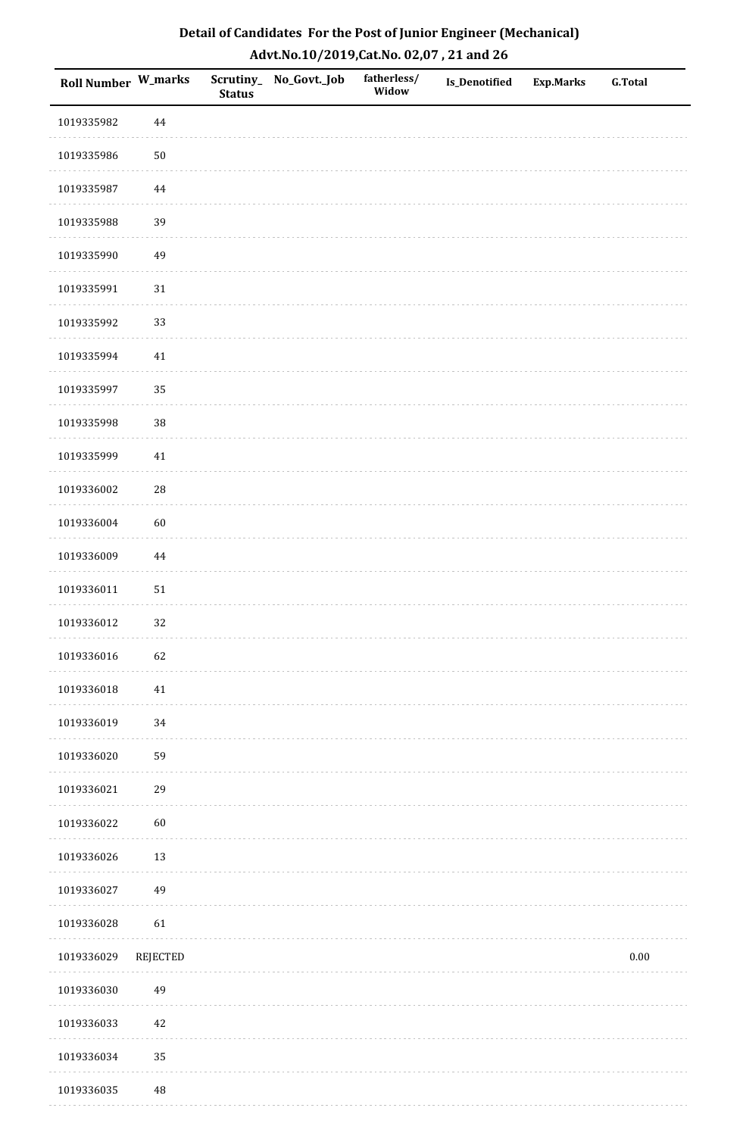| <b>Roll Number W_marks</b> |                 | <b>Status</b> | Scrutiny_No_Govt._Job | fatherless/<br>Widow | Is_Denotified | Exp.Marks | <b>G.Total</b> |
|----------------------------|-----------------|---------------|-----------------------|----------------------|---------------|-----------|----------------|
| 1019335982                 | $\bf 44$        |               |                       |                      |               |           |                |
| 1019335986                 | $50\,$          |               |                       |                      |               |           |                |
| 1019335987                 | $\bf 44$        |               |                       |                      |               |           |                |
| 1019335988                 | 39              |               |                       |                      |               |           |                |
| 1019335990                 | 49              |               |                       |                      |               |           |                |
| 1019335991                 | $31\,$          |               |                       |                      |               |           |                |
| 1019335992                 | 33              |               |                       |                      |               |           |                |
| 1019335994                 | 41              |               |                       |                      |               |           |                |
| 1019335997                 | 35              |               |                       |                      |               |           |                |
| 1019335998                 | 38              |               |                       |                      |               |           |                |
| 1019335999                 | $41\,$          |               |                       |                      |               |           |                |
| 1019336002                 | ${\bf 28}$      |               |                       |                      |               |           |                |
| 1019336004                 | 60              |               |                       |                      |               |           |                |
| 1019336009                 | $\bf 44$        |               |                       |                      |               |           |                |
| 1019336011                 | ${\bf 51}$      |               |                       |                      |               |           |                |
| 1019336012                 | 32              |               |                       |                      |               |           |                |
| 1019336016                 | 62              |               |                       |                      |               |           |                |
| 1019336018                 | 41              |               |                       |                      |               |           |                |
| 1019336019                 | 34              |               |                       |                      |               |           |                |
| 1019336020                 | 59              |               |                       |                      |               |           |                |
| 1019336021                 | 29              |               |                       |                      |               |           |                |
| 1019336022                 | $60\,$          |               |                       |                      |               |           |                |
| 1019336026                 | 13              |               |                       |                      |               |           |                |
| 1019336027                 | 49              |               |                       |                      |               |           |                |
| 1019336028                 | 61              |               |                       |                      |               |           |                |
| 1019336029                 | <b>REJECTED</b> |               |                       |                      |               |           | $0.00\,$       |
| 1019336030                 | 49              |               |                       |                      |               |           |                |
| 1019336033                 | $42\,$          |               |                       |                      |               |           |                |
| 1019336034                 | 35              |               |                       |                      |               |           |                |
| 1019336035                 | $\rm 48$        |               |                       |                      |               |           |                |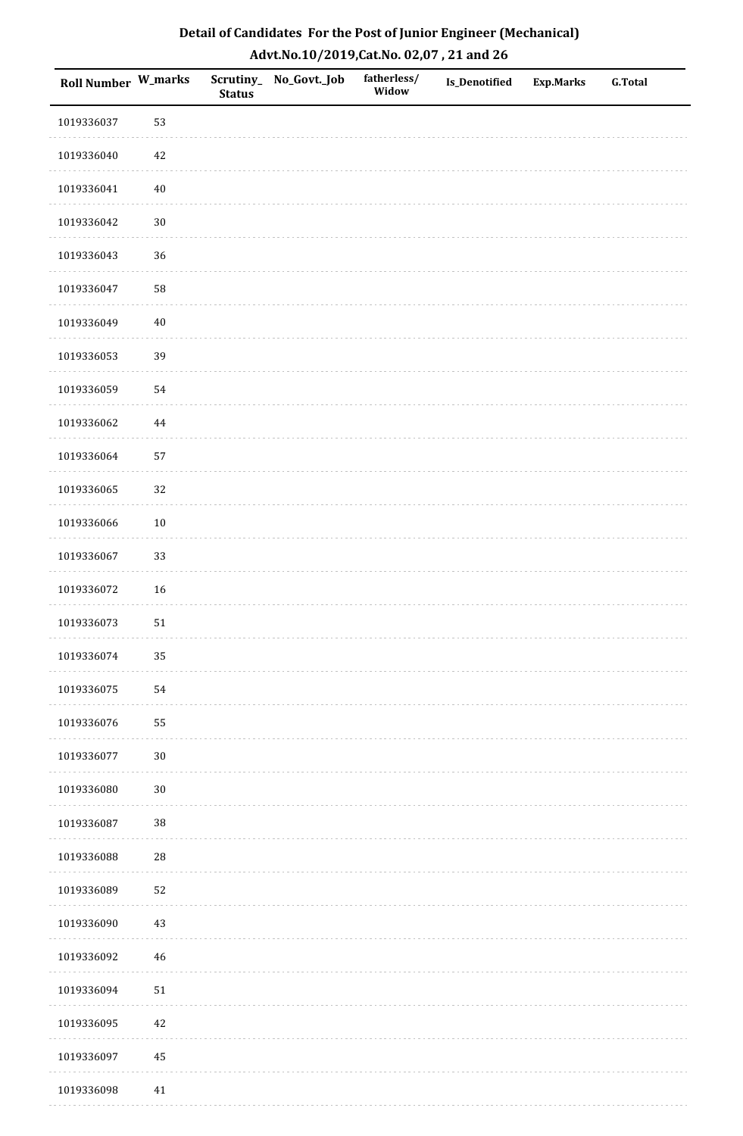| <b>Roll Number W_marks</b> |            | <b>Status</b> | Scrutiny_No_Govt._Job | fatherless/<br>Widow | Is_Denotified | <b>Exp.Marks</b> | <b>G.Total</b> |
|----------------------------|------------|---------------|-----------------------|----------------------|---------------|------------------|----------------|
| 1019336037                 | 53         |               |                       |                      |               |                  |                |
| 1019336040                 | 42         |               |                       |                      |               |                  |                |
| 1019336041                 | $40\,$     |               |                       |                      |               |                  |                |
| 1019336042                 | $30\,$     |               |                       |                      |               |                  |                |
| 1019336043                 | 36         |               |                       |                      |               |                  |                |
| 1019336047                 | 58         |               |                       |                      |               |                  |                |
| 1019336049                 | $40\,$     |               |                       |                      |               |                  |                |
| 1019336053                 | 39         |               |                       |                      |               |                  |                |
| 1019336059                 | 54         |               |                       |                      |               |                  |                |
| 1019336062                 | $\bf 44$   |               |                       |                      |               |                  |                |
| 1019336064                 | 57         |               |                       |                      |               |                  |                |
| 1019336065                 | 32         |               |                       |                      |               |                  |                |
| 1019336066                 | $10\,$     |               |                       |                      |               |                  |                |
| 1019336067                 | 33         |               |                       |                      |               |                  |                |
| 1019336072                 | 16         |               |                       |                      |               |                  |                |
| 1019336073                 | $51\,$     |               |                       |                      |               |                  |                |
| 1019336074                 | 35         |               |                       |                      |               |                  |                |
| 1019336075                 | 54         |               |                       |                      |               |                  |                |
| 1019336076                 | 55         |               |                       |                      |               |                  |                |
| 1019336077                 | $30\,$     |               |                       |                      |               |                  |                |
| 1019336080                 | $30\,$     |               |                       |                      |               |                  |                |
| 1019336087                 | $38\,$     |               |                       |                      |               |                  |                |
| 1019336088                 | ${\bf 28}$ |               |                       |                      |               |                  |                |
| 1019336089                 | 52         |               |                       |                      |               |                  |                |
| 1019336090                 | 43         |               |                       |                      |               |                  |                |
| 1019336092                 | $46\,$     |               |                       |                      |               |                  |                |
| 1019336094                 | $51\,$     |               |                       |                      |               |                  |                |
| 1019336095                 | 42         |               |                       |                      |               |                  |                |
| 1019336097                 | 45         |               |                       |                      |               |                  |                |
| 1019336098                 | 41         |               |                       |                      |               |                  |                |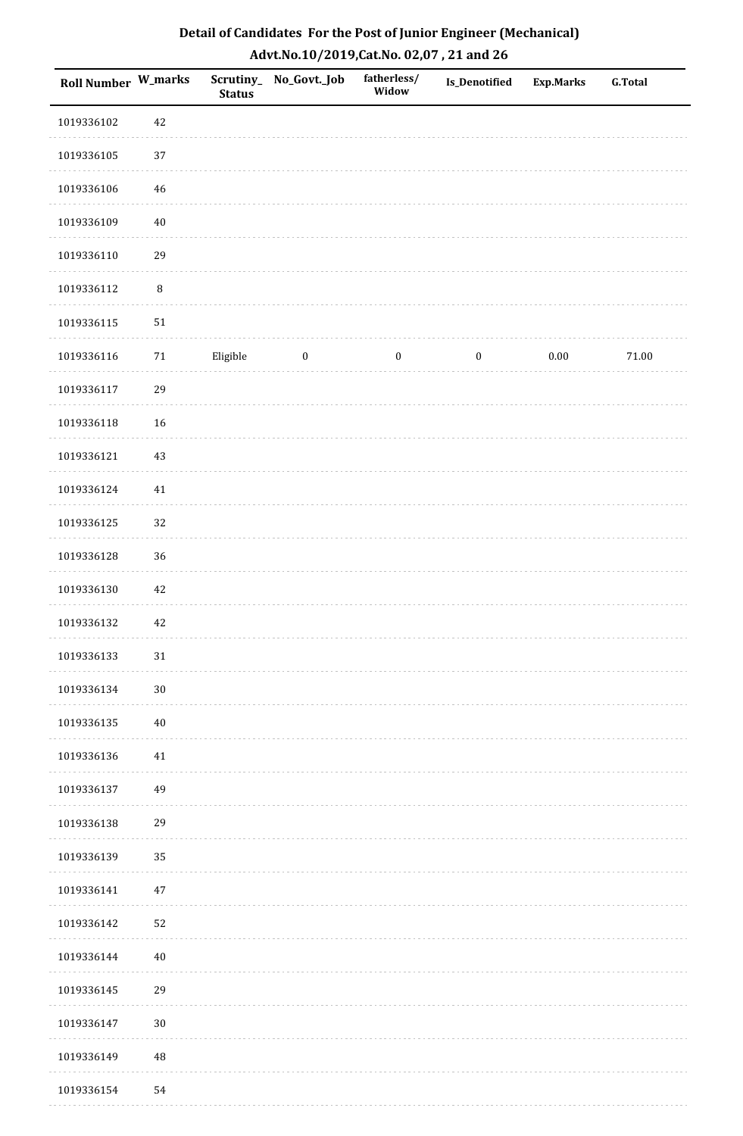| Roll Number W_marks |          | <b>Status</b> | Scrutiny_ No_Govt._Job | fatherless/<br>Widow | <b>Is_Denotified</b> | <b>Exp.Marks</b> | <b>G.Total</b> |
|---------------------|----------|---------------|------------------------|----------------------|----------------------|------------------|----------------|
| 1019336102          | 42       |               |                        |                      |                      |                  |                |
| 1019336105          | 37       |               |                        |                      |                      |                  |                |
| 1019336106          | 46       |               |                        |                      |                      |                  |                |
| 1019336109          | $40\,$   |               |                        |                      |                      |                  |                |
| 1019336110          | 29       |               |                        |                      |                      |                  |                |
| 1019336112          | $\, 8$   |               |                        |                      |                      |                  |                |
| 1019336115          | $51\,$   |               |                        |                      |                      |                  |                |
| 1019336116          | $71\,$   | Eligible      | $\boldsymbol{0}$       | $\boldsymbol{0}$     | $\boldsymbol{0}$     | 0.00             | $71.00\,$      |
| 1019336117          | 29       |               |                        |                      |                      |                  |                |
| 1019336118          | 16       |               |                        |                      |                      |                  |                |
| 1019336121          | $43\,$   |               |                        |                      |                      |                  |                |
| 1019336124          | $41\,$   |               |                        |                      |                      |                  |                |
| 1019336125          | 32       |               |                        |                      |                      |                  |                |
| 1019336128          | 36       |               |                        |                      |                      |                  |                |
| 1019336130          | $42\,$   |               |                        |                      |                      |                  |                |
| 1019336132          | 42       |               |                        |                      |                      |                  |                |
| 1019336133          | $31\,$   |               |                        |                      |                      |                  |                |
| 1019336134          | $30\,$   |               |                        |                      |                      |                  |                |
| 1019336135          | $40\,$   |               |                        |                      |                      |                  |                |
| 1019336136          | 41       |               |                        |                      |                      |                  |                |
| 1019336137          | 49       |               |                        |                      |                      |                  |                |
| 1019336138          | 29       |               |                        |                      |                      |                  |                |
| 1019336139          | 35       |               |                        |                      |                      |                  |                |
| 1019336141          | $47\,$   |               |                        |                      |                      |                  |                |
| 1019336142          | 52       |               |                        |                      |                      |                  |                |
| 1019336144          | $40\,$   |               |                        |                      |                      |                  |                |
| 1019336145          | 29       |               |                        |                      |                      |                  |                |
| 1019336147          | $30\,$   |               |                        |                      |                      |                  |                |
| 1019336149          | $\rm 48$ |               |                        |                      |                      |                  |                |
| 1019336154          | 54       |               |                        |                      |                      |                  |                |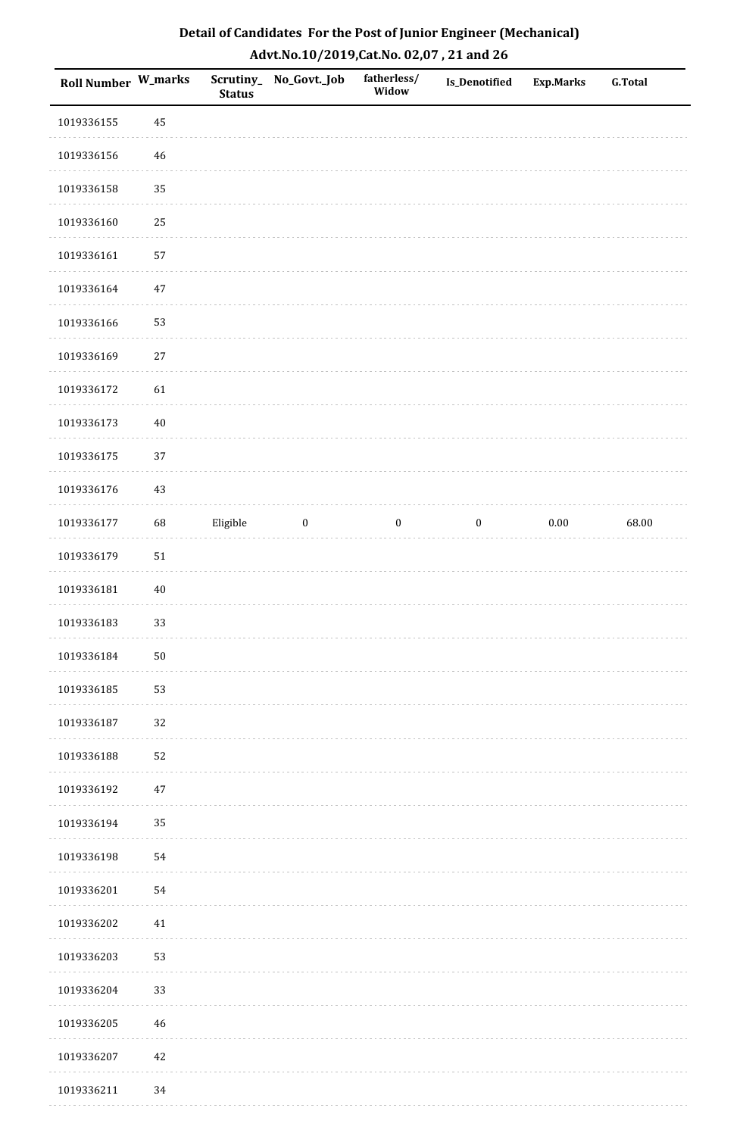| <b>Roll Number W_marks</b> |        | <b>Status</b> | Scrutiny_No_Govt._Job | fatherless/<br>Widow | Is_Denotified    | <b>Exp.Marks</b> | <b>G.Total</b> |
|----------------------------|--------|---------------|-----------------------|----------------------|------------------|------------------|----------------|
| 1019336155                 | 45     |               |                       |                      |                  |                  |                |
| 1019336156                 | $46\,$ |               |                       |                      |                  |                  |                |
| 1019336158                 | 35     |               |                       |                      |                  |                  |                |
| 1019336160                 | 25     |               |                       |                      |                  |                  |                |
| 1019336161                 | 57     |               |                       |                      |                  |                  |                |
| 1019336164                 | $47\,$ |               |                       |                      |                  |                  |                |
| 1019336166                 | 53     |               |                       |                      |                  |                  |                |
| 1019336169                 | $27\,$ |               |                       |                      |                  |                  |                |
| 1019336172                 | 61     |               |                       |                      |                  |                  |                |
| 1019336173                 | $40\,$ |               |                       |                      |                  |                  |                |
| 1019336175                 | 37     |               |                       |                      |                  |                  |                |
| 1019336176                 | 43     |               |                       |                      |                  |                  |                |
| 1019336177                 | 68     | Eligible      | $\bf{0}$              | $\bf{0}$             | $\boldsymbol{0}$ | $0.00\,$         | 68.00          |
| 1019336179                 | $51\,$ |               |                       |                      |                  |                  |                |
| 1019336181                 | $40\,$ |               |                       |                      |                  |                  |                |
| 1019336183                 | 33     |               |                       |                      |                  |                  |                |
| 1019336184                 | $50\,$ |               |                       |                      |                  |                  |                |
| 1019336185                 | 53     |               |                       |                      |                  |                  |                |
| 1019336187                 | 32     |               |                       |                      |                  |                  |                |
| 1019336188                 | 52     |               |                       |                      |                  |                  |                |
| 1019336192                 | $47\,$ |               |                       |                      |                  |                  |                |
| 1019336194                 | 35     |               |                       |                      |                  |                  |                |
| 1019336198                 | 54     |               |                       |                      |                  |                  |                |
| 1019336201                 | 54     |               |                       |                      |                  |                  |                |
| 1019336202                 | 41     |               |                       |                      |                  |                  |                |
| 1019336203                 | 53     |               |                       |                      |                  |                  |                |
| 1019336204                 | 33     |               |                       |                      |                  |                  |                |
| 1019336205                 | $46\,$ |               |                       |                      |                  |                  |                |
| 1019336207                 | $42\,$ |               |                       |                      |                  |                  |                |
| 1019336211                 | 34     |               |                       |                      |                  |                  |                |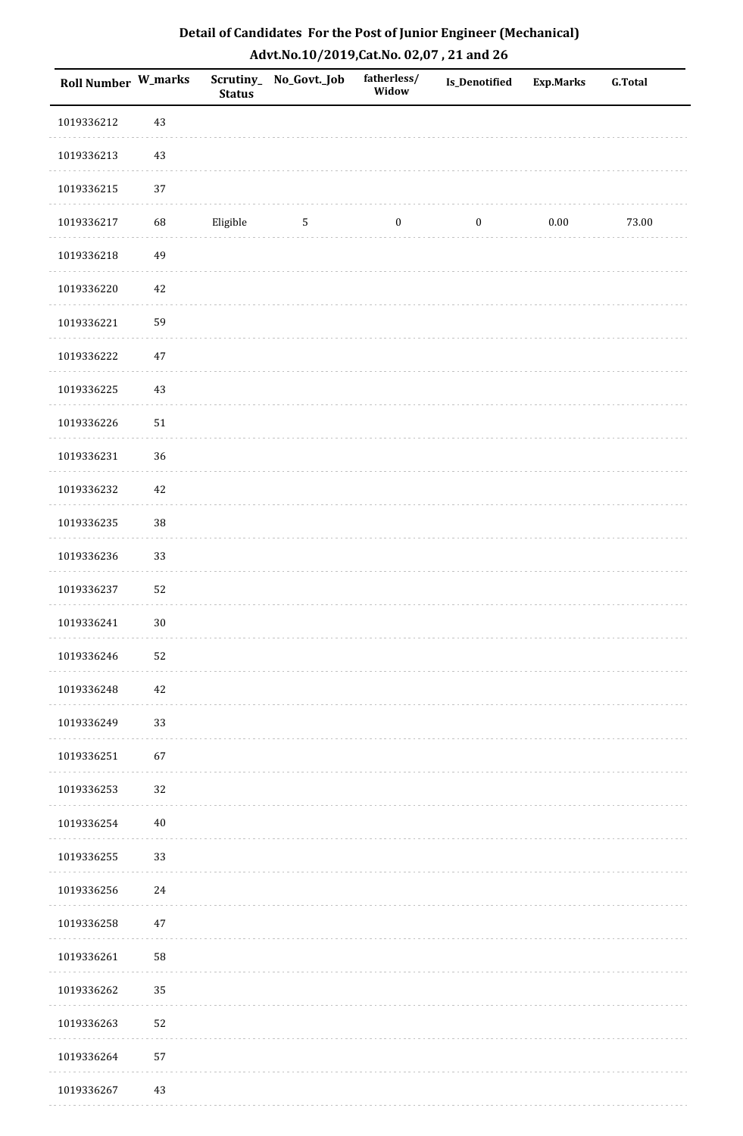| <b>Roll Number W_marks</b> |        | <b>Status</b> | Scrutiny_No_Govt._Job | fatherless/<br>Widow | Is_Denotified    | <b>Exp.Marks</b> | <b>G.Total</b> |
|----------------------------|--------|---------------|-----------------------|----------------------|------------------|------------------|----------------|
| 1019336212                 | 43     |               |                       |                      |                  |                  |                |
| 1019336213                 | 43     |               |                       |                      |                  |                  |                |
| 1019336215                 | 37     |               |                       |                      |                  |                  |                |
| 1019336217                 | 68     | Eligible      | $\sqrt{5}$            | $\boldsymbol{0}$     | $\boldsymbol{0}$ | $0.00\,$         | 73.00          |
| 1019336218                 | 49     |               |                       |                      |                  |                  |                |
| 1019336220                 | 42     |               |                       |                      |                  |                  |                |
| 1019336221                 | 59     |               |                       |                      |                  |                  |                |
| 1019336222                 | $47\,$ |               |                       |                      |                  |                  |                |
| 1019336225                 | 43     |               |                       |                      |                  |                  |                |
| 1019336226                 | 51     |               |                       |                      |                  |                  |                |
| 1019336231                 | 36     |               |                       |                      |                  |                  |                |
| 1019336232                 | $42\,$ |               |                       |                      |                  |                  |                |
| 1019336235                 | $38\,$ |               |                       |                      |                  |                  |                |
| 1019336236                 | 33     |               |                       |                      |                  |                  |                |
| 1019336237                 | 52     |               |                       |                      |                  |                  |                |
| 1019336241                 | $30\,$ |               |                       |                      |                  |                  |                |
| 1019336246                 | 52     |               |                       |                      |                  |                  |                |
| 1019336248                 | 42     |               |                       |                      |                  |                  |                |
| 1019336249                 | 33     |               |                       |                      |                  |                  |                |
| 1019336251                 | 67     |               |                       |                      |                  |                  |                |
| 1019336253                 | 32     |               |                       |                      |                  |                  |                |
| 1019336254                 | 40     |               |                       |                      |                  |                  |                |
| 1019336255                 | 33     |               |                       |                      |                  |                  |                |
| 1019336256                 | 24     |               |                       |                      |                  |                  |                |
| 1019336258                 | 47     |               |                       |                      |                  |                  |                |
| 1019336261                 | 58     |               |                       |                      |                  |                  |                |
| 1019336262                 | 35     |               |                       |                      |                  |                  |                |
| 1019336263                 | 52     |               |                       |                      |                  |                  |                |
| 1019336264                 | 57     |               |                       |                      |                  |                  |                |
| 1019336267                 | 43     |               |                       |                      |                  |                  |                |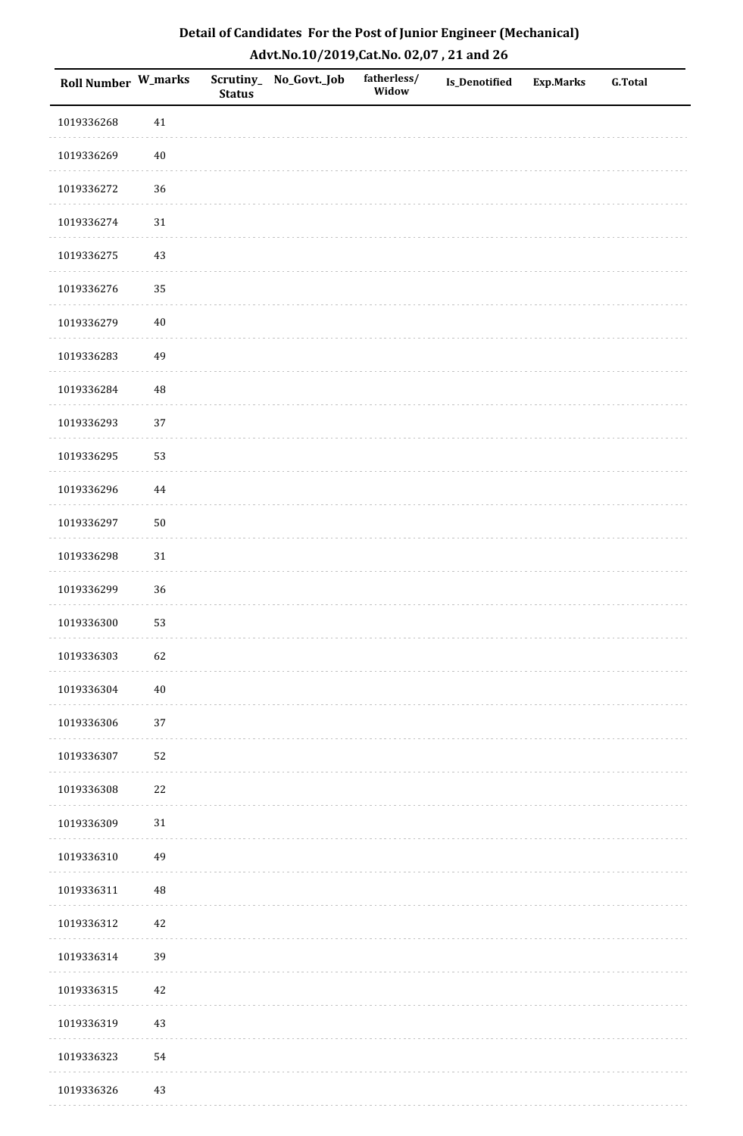| <b>Roll Number W_marks</b> |          | <b>Status</b> | Scrutiny_No_Govt._Job | fatherless/<br>Widow | Is_Denotified | <b>Exp.Marks</b> | <b>G.Total</b> |
|----------------------------|----------|---------------|-----------------------|----------------------|---------------|------------------|----------------|
| 1019336268                 | $41\,$   |               |                       |                      |               |                  |                |
| 1019336269                 | $40\,$   |               |                       |                      |               |                  |                |
| 1019336272                 | 36       |               |                       |                      |               |                  |                |
| 1019336274                 | $31\,$   |               |                       |                      |               |                  |                |
| 1019336275                 | $43\,$   |               |                       |                      |               |                  |                |
| 1019336276                 | 35       |               |                       |                      |               |                  |                |
| 1019336279                 | $40\,$   |               |                       |                      |               |                  |                |
| 1019336283                 | 49       |               |                       |                      |               |                  |                |
| 1019336284                 | 48       |               |                       |                      |               |                  |                |
| 1019336293                 | 37       |               |                       |                      |               |                  |                |
| 1019336295                 | 53       |               |                       |                      |               |                  |                |
| 1019336296                 | 44       |               |                       |                      |               |                  |                |
| 1019336297                 | $50\,$   |               |                       |                      |               |                  |                |
| 1019336298                 | 31       |               |                       |                      |               |                  |                |
| 1019336299                 | 36       |               |                       |                      |               |                  |                |
| 1019336300                 | 53       |               |                       |                      |               |                  |                |
| 1019336303                 | 62       |               |                       |                      |               |                  |                |
| 1019336304                 | $40\,$   |               |                       |                      |               |                  |                |
| 1019336306                 | $37\,$   |               |                       |                      |               |                  |                |
| 1019336307                 | 52       |               |                       |                      |               |                  |                |
| 1019336308                 | $22\,$   |               |                       |                      |               |                  |                |
| 1019336309                 | $31\,$   |               |                       |                      |               |                  |                |
| 1019336310                 | 49       |               |                       |                      |               |                  |                |
| 1019336311                 | $\rm 48$ |               |                       |                      |               |                  |                |
| 1019336312                 | $42\,$   |               |                       |                      |               |                  |                |
| 1019336314                 | 39       |               |                       |                      |               |                  |                |
| 1019336315                 | $42\,$   |               |                       |                      |               |                  |                |
| 1019336319                 | 43       |               |                       |                      |               |                  |                |
| 1019336323                 | 54       |               |                       |                      |               |                  |                |
| 1019336326                 | 43       |               |                       |                      |               |                  |                |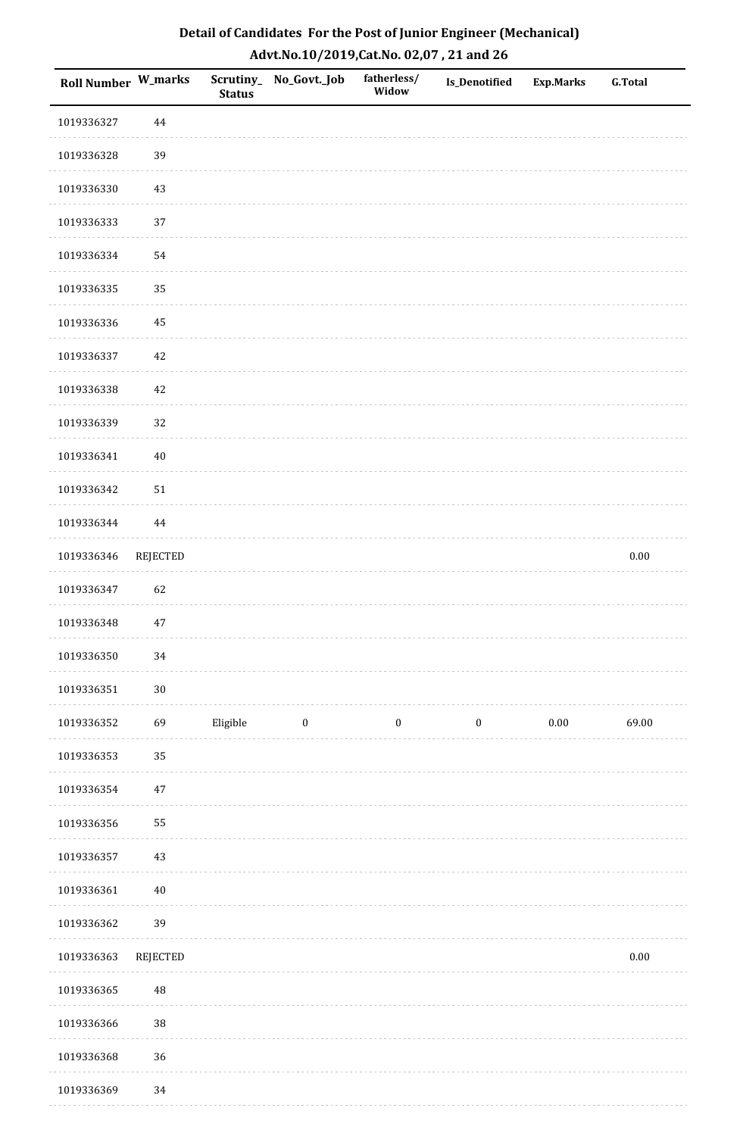| Detail of Candidates For the Post of Junior Engineer (Mechanical) |
|-------------------------------------------------------------------|
| Advt.No.10/2019,Cat.No. 02,07, 21 and 26                          |

| Roll Number W_marks |                 | <b>Status</b> | Scrutiny_ No_Govt._Job  | fatherless/<br>Widow | Is_Denotified    | Exp.Marks | <b>G.Total</b> |
|---------------------|-----------------|---------------|-------------------------|----------------------|------------------|-----------|----------------|
| 1019336327          | 44              |               |                         |                      |                  |           |                |
| 1019336328          | 39              |               |                         |                      |                  |           |                |
| 1019336330          | 43              |               |                         |                      |                  |           |                |
| 1019336333          | 37              |               |                         |                      |                  |           |                |
| 1019336334          | 54              |               |                         |                      |                  |           |                |
| 1019336335          | 35              |               |                         |                      |                  |           |                |
| 1019336336          | 45              |               |                         |                      |                  |           |                |
| 1019336337          | 42              |               |                         |                      |                  |           |                |
| 1019336338          | $42\,$          |               |                         |                      |                  |           |                |
| 1019336339          | 32              |               |                         |                      |                  |           |                |
| 1019336341          | $40\,$          |               |                         |                      |                  |           |                |
| 1019336342          | $51\,$          |               |                         |                      |                  |           |                |
| 1019336344          | 44              |               |                         |                      |                  |           |                |
| 1019336346          | <b>REJECTED</b> |               |                         |                      |                  |           | $0.00\,$       |
| 1019336347          | 62              |               |                         |                      |                  |           |                |
| 1019336348          | 47              |               |                         |                      |                  |           |                |
| 1019336350          | $34\,$          |               |                         |                      |                  |           |                |
| 1019336351          | $30\,$          |               |                         |                      |                  |           |                |
| 1019336352          | 69              | Eligible      | $\overline{\mathbf{0}}$ | $\boldsymbol{0}$     | $\boldsymbol{0}$ | $0.00\,$  | 69.00          |
| 1019336353          | 35              |               |                         |                      |                  |           |                |
| 1019336354          | $47\,$          |               |                         |                      |                  |           |                |
| 1019336356          | 55              |               |                         |                      |                  |           |                |
| 1019336357          | 43              |               |                         |                      |                  |           |                |
| 1019336361          | $40\,$          |               |                         |                      |                  |           |                |
| 1019336362          | 39              |               |                         |                      |                  |           |                |
| 1019336363          | REJECTED        |               |                         |                      |                  |           | $0.00\,$       |
| 1019336365          | $\rm 48$        |               |                         |                      |                  |           |                |
| 1019336366          | 38              |               |                         |                      |                  |           |                |
| 1019336368          | 36              |               |                         |                      |                  |           |                |
| 1019336369          | 34              |               |                         |                      |                  |           |                |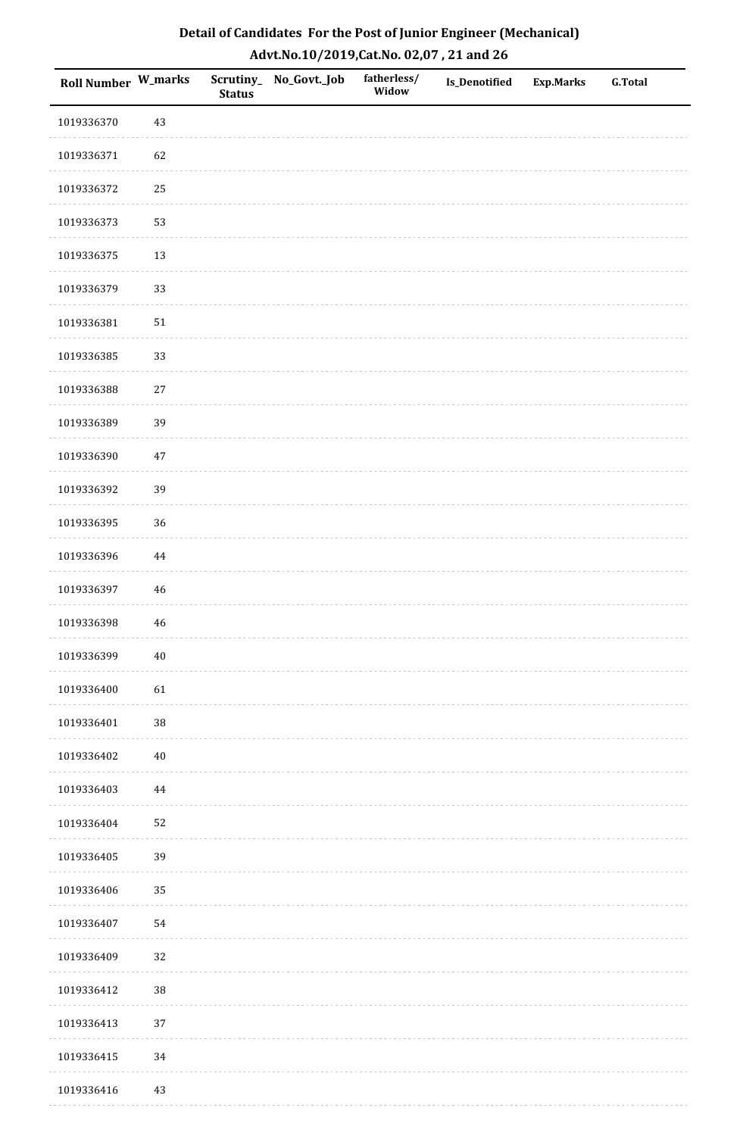| <b>Roll Number W_marks</b> |             | <b>Status</b> | Scrutiny_No_Govt._Job | fatherless/<br>Widow | Is_Denotified | <b>Exp.Marks</b> | <b>G.Total</b> |
|----------------------------|-------------|---------------|-----------------------|----------------------|---------------|------------------|----------------|
| 1019336370                 | 43          |               |                       |                      |               |                  |                |
| 1019336371                 | 62          |               |                       |                      |               |                  |                |
| 1019336372                 | 25          |               |                       |                      |               |                  |                |
| 1019336373                 | 53          |               |                       |                      |               |                  |                |
| 1019336375                 | 13          |               |                       |                      |               |                  |                |
| 1019336379                 | 33          |               |                       |                      |               |                  |                |
| 1019336381                 | $51\,$      |               |                       |                      |               |                  |                |
| 1019336385                 | 33          |               |                       |                      |               |                  |                |
| 1019336388                 | $27\,$      |               |                       |                      |               |                  |                |
| 1019336389                 | 39          |               |                       |                      |               |                  |                |
| 1019336390                 | 47          |               |                       |                      |               |                  |                |
| 1019336392                 | 39          |               |                       |                      |               |                  |                |
| 1019336395                 | 36          |               |                       |                      |               |                  |                |
| 1019336396                 | $\bf 44$    |               |                       |                      |               |                  |                |
| 1019336397                 | 46          |               |                       |                      |               |                  |                |
| 1019336398                 | $\sqrt{46}$ |               |                       |                      |               |                  |                |
| 1019336399                 | $40\,$      |               |                       |                      |               |                  |                |
| 1019336400                 | 61          |               |                       |                      |               |                  |                |
| 1019336401                 | $38\,$      |               |                       |                      |               |                  |                |
| 1019336402                 | $40\,$      |               |                       |                      |               |                  |                |
| 1019336403                 | 44          |               |                       |                      |               |                  |                |
| 1019336404                 | 52          |               |                       |                      |               |                  |                |
| 1019336405                 | 39          |               |                       |                      |               |                  |                |
| 1019336406                 | 35          |               |                       |                      |               |                  |                |
| 1019336407                 | 54          |               |                       |                      |               |                  |                |
| 1019336409                 | 32          |               |                       |                      |               |                  |                |
| 1019336412                 | 38          |               |                       |                      |               |                  |                |
| 1019336413                 | 37          |               |                       |                      |               |                  |                |
| 1019336415                 | 34          |               |                       |                      |               |                  |                |
| 1019336416                 | 43          |               |                       |                      |               |                  |                |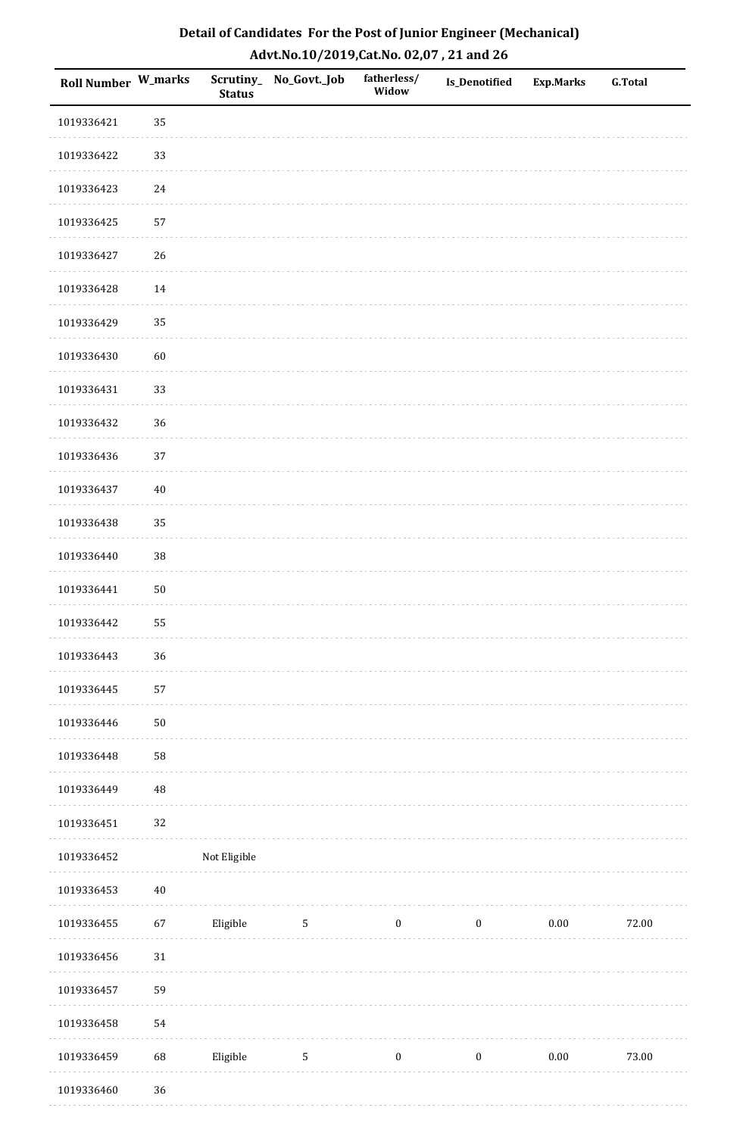| Roll Number W_marks |          | <b>Status</b> | Scrutiny_No_Govt._Job | fatherless/<br>Widow | Is_Denotified    | <b>Exp.Marks</b> | <b>G.Total</b> |
|---------------------|----------|---------------|-----------------------|----------------------|------------------|------------------|----------------|
| 1019336421          | 35       |               |                       |                      |                  |                  |                |
| 1019336422          | 33       |               |                       |                      |                  |                  |                |
| 1019336423          | $24\,$   |               |                       |                      |                  |                  |                |
| 1019336425          | 57       |               |                       |                      |                  |                  |                |
| 1019336427          | 26       |               |                       |                      |                  |                  |                |
| 1019336428          | 14       |               |                       |                      |                  |                  |                |
| 1019336429          | 35       |               |                       |                      |                  |                  |                |
| 1019336430          | 60       |               |                       |                      |                  |                  |                |
| 1019336431          | 33       |               |                       |                      |                  |                  |                |
| 1019336432          | 36       |               |                       |                      |                  |                  |                |
| 1019336436          | 37       |               |                       |                      |                  |                  |                |
| 1019336437          | $40\,$   |               |                       |                      |                  |                  |                |
| 1019336438          | 35       |               |                       |                      |                  |                  |                |
| 1019336440          | 38       |               |                       |                      |                  |                  |                |
| 1019336441          | $50\,$   |               |                       |                      |                  |                  |                |
| 1019336442          | 55       |               |                       |                      |                  |                  |                |
| 1019336443          | 36       |               |                       |                      |                  |                  |                |
| 1019336445          | 57       |               |                       |                      |                  |                  |                |
| 1019336446          | $50\,$   |               |                       |                      |                  |                  |                |
| 1019336448          | 58       |               |                       |                      |                  |                  |                |
| 1019336449          | $\rm 48$ |               |                       |                      |                  |                  |                |
| 1019336451          | 32       |               |                       |                      |                  |                  |                |
| 1019336452          |          | Not Eligible  |                       |                      |                  |                  |                |
| 1019336453          | $40\,$   |               |                       |                      |                  |                  |                |
| 1019336455          | 67       | Eligible      | $5\phantom{.0}$       | $\bf{0}$             | $\boldsymbol{0}$ | 0.00             | 72.00          |
| 1019336456          | 31       |               |                       |                      |                  |                  |                |
| 1019336457          | 59       |               |                       |                      |                  |                  |                |
| 1019336458          | 54       |               |                       |                      |                  |                  |                |
| 1019336459          | 68       | Eligible      | $\sqrt{5}$            | $\boldsymbol{0}$     | $\boldsymbol{0}$ | $0.00\,$         | 73.00          |
| 1019336460          | 36       |               |                       |                      |                  |                  |                |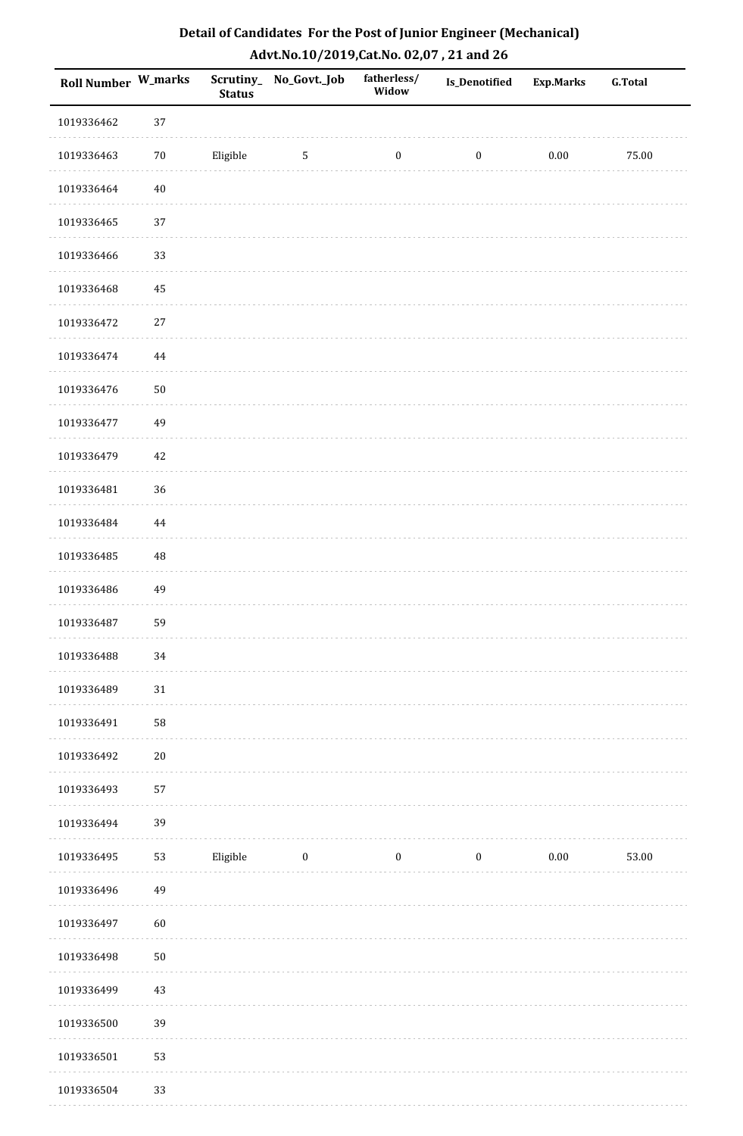| Detail of Candidates For the Post of Junior Engineer (Mechanical) |
|-------------------------------------------------------------------|
| Advt.No.10/2019,Cat.No. 02,07, 21 and 26                          |

| <b>Roll Number W_marks</b> |            | <b>Status</b> | Scrutiny_ No_Govt._Job | fatherless/<br>Widow | <b>Is_Denotified</b> | <b>Exp.Marks</b> | <b>G.Total</b> |
|----------------------------|------------|---------------|------------------------|----------------------|----------------------|------------------|----------------|
| 1019336462                 | 37         |               |                        |                      |                      |                  |                |
| 1019336463                 | $70\,$     | Eligible      | $\sqrt{5}$             | $\boldsymbol{0}$     | $\boldsymbol{0}$     | $0.00\,$         | 75.00          |
| 1019336464                 | $40\,$     |               |                        |                      |                      |                  |                |
| 1019336465                 | 37         |               |                        |                      |                      |                  |                |
| 1019336466                 | 33         |               |                        |                      |                      |                  |                |
| 1019336468                 | 45         |               |                        |                      |                      |                  |                |
| 1019336472                 | $27\,$     |               |                        |                      |                      |                  |                |
| 1019336474                 | $\bf 44$   |               |                        |                      |                      |                  |                |
| 1019336476                 | ${\bf 50}$ |               |                        |                      |                      |                  |                |
| 1019336477                 | 49         |               |                        |                      |                      |                  |                |
| 1019336479                 | $42\,$     |               |                        |                      |                      |                  |                |
| 1019336481                 | 36         |               |                        |                      |                      |                  |                |
| 1019336484                 | 44         |               |                        |                      |                      |                  |                |
| 1019336485                 | $\rm 48$   |               |                        |                      |                      |                  |                |
| 1019336486                 | 49         |               |                        |                      |                      |                  |                |
| 1019336487                 | 59         |               |                        |                      |                      |                  |                |
| 1019336488                 | 34         |               |                        |                      |                      |                  |                |
| 1019336489                 | 31         |               |                        |                      |                      |                  |                |
| 1019336491                 | 58         |               |                        |                      |                      |                  |                |
| 1019336492                 | $20\,$     |               |                        |                      |                      |                  |                |
| 1019336493                 | 57         |               |                        |                      |                      |                  |                |
| 1019336494                 | 39         |               |                        |                      |                      |                  |                |
| 1019336495                 | 53         | Eligible      | $\boldsymbol{0}$       | $\boldsymbol{0}$     | $\boldsymbol{0}$     | $0.00\,$         | 53.00          |
| 1019336496                 | 49         |               |                        |                      |                      |                  |                |
| 1019336497                 | 60         |               |                        |                      |                      |                  |                |
| 1019336498                 | $50\,$     |               |                        |                      |                      |                  |                |
| 1019336499                 | 43         |               |                        |                      |                      |                  |                |
| 1019336500                 | 39         |               |                        |                      |                      |                  |                |
| 1019336501                 | 53         |               |                        |                      |                      |                  |                |
| 1019336504                 | 33         |               |                        |                      |                      |                  |                |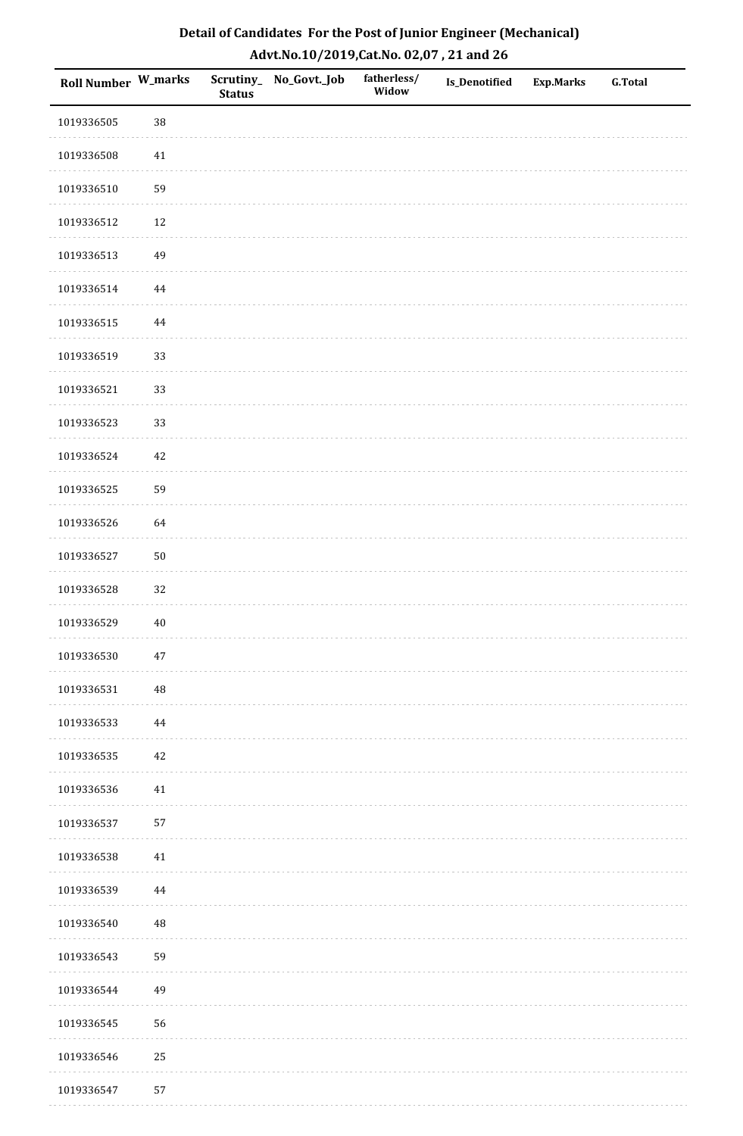| Roll Number W_marks |          | <b>Status</b> | Scrutiny_ No_Govt._Job | fatherless/<br>Widow | Is_Denotified | <b>Exp.Marks</b> | <b>G.Total</b> |
|---------------------|----------|---------------|------------------------|----------------------|---------------|------------------|----------------|
| 1019336505          | $38\,$   |               |                        |                      |               |                  |                |
| 1019336508          | 41       |               |                        |                      |               |                  |                |
| 1019336510          | 59       |               |                        |                      |               |                  |                |
| 1019336512          | 12       |               |                        |                      |               |                  |                |
| 1019336513          | 49       |               |                        |                      |               |                  |                |
| 1019336514          | 44       |               |                        |                      |               |                  |                |
| 1019336515          | $\bf 44$ |               |                        |                      |               |                  |                |
| 1019336519          | 33       |               |                        |                      |               |                  |                |
| 1019336521          | 33       |               |                        |                      |               |                  |                |
| 1019336523          | 33       |               |                        |                      |               |                  |                |
| 1019336524          | 42       |               |                        |                      |               |                  |                |
| 1019336525          | 59       |               |                        |                      |               |                  |                |
| 1019336526          | 64       |               |                        |                      |               |                  |                |
| 1019336527          | $50\,$   |               |                        |                      |               |                  |                |
| 1019336528          | 32       |               |                        |                      |               |                  |                |
| 1019336529          | $40\,$   |               |                        |                      |               |                  |                |
| 1019336530          | $47\,$   |               |                        |                      |               |                  |                |
| 1019336531          | $\rm 48$ |               |                        |                      |               |                  |                |
| 1019336533          | $\bf 44$ |               |                        |                      |               |                  |                |
| 1019336535          | 42       |               |                        |                      |               |                  |                |
| 1019336536          | 41       |               |                        |                      |               |                  |                |
| 1019336537          | 57       |               |                        |                      |               |                  |                |
| 1019336538          | 41       |               |                        |                      |               |                  |                |
| 1019336539          | 44       |               |                        |                      |               |                  |                |
| 1019336540          | $\rm 48$ |               |                        |                      |               |                  |                |
| 1019336543          | 59       |               |                        |                      |               |                  |                |
| 1019336544          | 49       |               |                        |                      |               |                  |                |
| 1019336545          | 56       |               |                        |                      |               |                  |                |
| 1019336546          | $25\,$   |               |                        |                      |               |                  |                |
| 1019336547          | 57       |               |                        |                      |               |                  |                |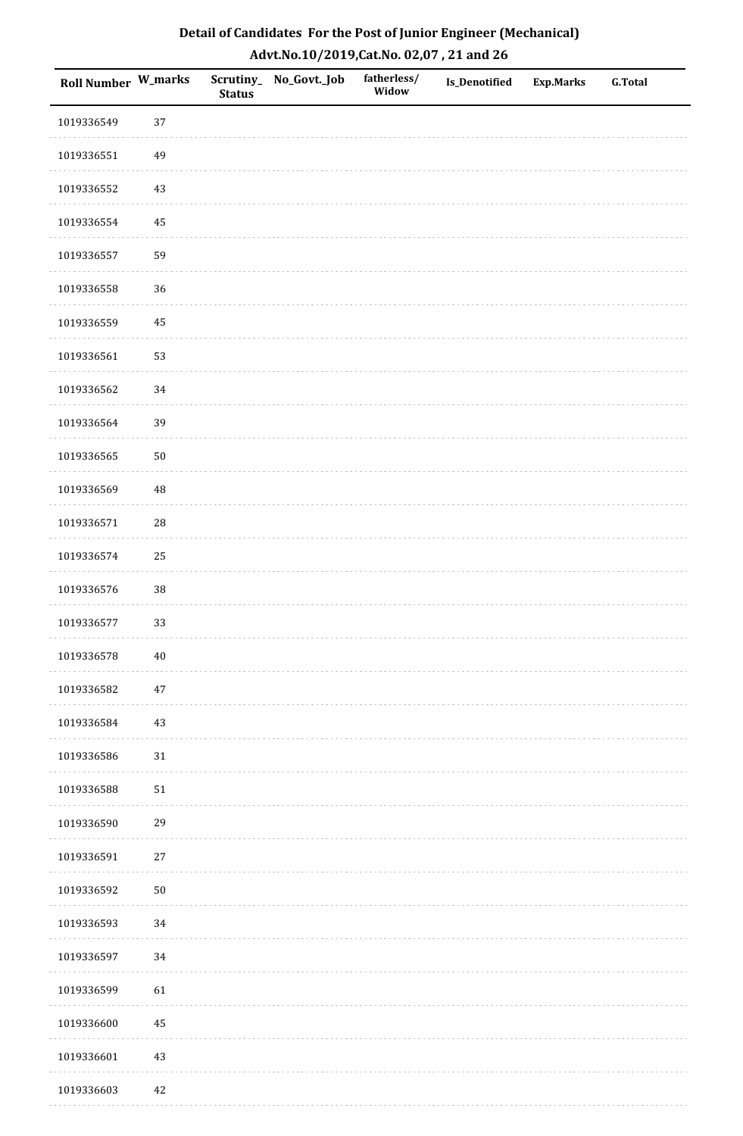| <b>Roll Number W_marks</b> |            | <b>Status</b> | Scrutiny_No_Govt._Job | fatherless/<br>Widow | Is_Denotified | <b>Exp.Marks</b> | <b>G.Total</b> |
|----------------------------|------------|---------------|-----------------------|----------------------|---------------|------------------|----------------|
| 1019336549                 | 37         |               |                       |                      |               |                  |                |
| 1019336551                 | 49         |               |                       |                      |               |                  |                |
| 1019336552                 | $43\,$     |               |                       |                      |               |                  |                |
| 1019336554                 | 45         |               |                       |                      |               |                  |                |
| 1019336557                 | 59         |               |                       |                      |               |                  |                |
| 1019336558                 | 36         |               |                       |                      |               |                  |                |
| 1019336559                 | 45         |               |                       |                      |               |                  |                |
| 1019336561                 | 53         |               |                       |                      |               |                  |                |
| 1019336562                 | 34         |               |                       |                      |               |                  |                |
| 1019336564                 | 39         |               |                       |                      |               |                  |                |
| 1019336565                 | $50\,$     |               |                       |                      |               |                  |                |
| 1019336569                 | $\rm 48$   |               |                       |                      |               |                  |                |
| 1019336571                 | ${\bf 28}$ |               |                       |                      |               |                  |                |
| 1019336574                 | 25         |               |                       |                      |               |                  |                |
| 1019336576                 | $38\,$     |               |                       |                      |               |                  |                |
| 1019336577                 | 33         |               |                       |                      |               |                  |                |
| 1019336578                 | $40\,$     |               |                       |                      |               |                  |                |
| 1019336582                 | $47\,$     |               |                       |                      |               |                  |                |
| 1019336584                 | $43\,$     |               |                       |                      |               |                  |                |
| 1019336586                 | $31\,$     |               |                       |                      |               |                  |                |
| 1019336588                 | $51\,$     |               |                       |                      |               |                  |                |
| 1019336590                 | 29         |               |                       |                      |               |                  |                |
| 1019336591                 | $27\,$     |               |                       |                      |               |                  |                |
| 1019336592                 | $50\,$     |               |                       |                      |               |                  |                |
| 1019336593                 | 34         |               |                       |                      |               |                  |                |
| 1019336597                 | 34         |               |                       |                      |               |                  |                |
| 1019336599                 | 61         |               |                       |                      |               |                  |                |
| 1019336600                 | 45         |               |                       |                      |               |                  |                |
| 1019336601                 | $43\,$     |               |                       |                      |               |                  |                |
| 1019336603                 | 42         |               |                       |                      |               |                  |                |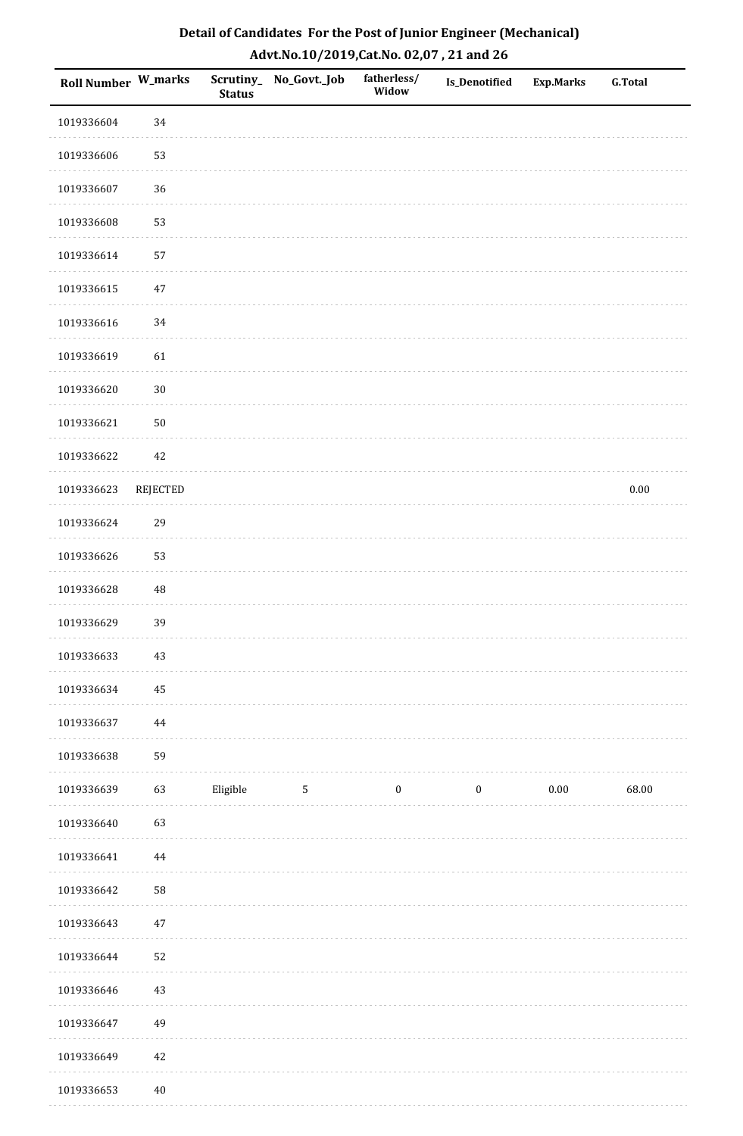| <b>Roll Number W_marks</b> |                 | <b>Status</b> | Scrutiny_ No_Govt._Job | fatherless/<br>Widow | <b>Is_Denotified</b> | <b>Exp.Marks</b> | <b>G.Total</b> |
|----------------------------|-----------------|---------------|------------------------|----------------------|----------------------|------------------|----------------|
| 1019336604                 | 34              |               |                        |                      |                      |                  |                |
| 1019336606                 | 53              |               |                        |                      |                      |                  |                |
| 1019336607                 | 36              |               |                        |                      |                      |                  |                |
| 1019336608                 | 53              |               |                        |                      |                      |                  |                |
| 1019336614                 | 57              |               |                        |                      |                      |                  |                |
| 1019336615                 | 47              |               |                        |                      |                      |                  |                |
| 1019336616                 | 34              |               |                        |                      |                      |                  |                |
| 1019336619                 | 61              |               |                        |                      |                      |                  |                |
| 1019336620                 | $30\,$          |               |                        |                      |                      |                  |                |
| 1019336621                 | $50\,$          |               |                        |                      |                      |                  |                |
| 1019336622                 | 42              |               |                        |                      |                      |                  |                |
| 1019336623                 | <b>REJECTED</b> |               |                        |                      |                      |                  | $0.00\,$       |
| 1019336624                 | 29              |               |                        |                      |                      |                  |                |
| 1019336626                 | 53              |               |                        |                      |                      |                  |                |
| 1019336628                 | $\rm 48$        |               |                        |                      |                      |                  |                |
| 1019336629                 | 39              |               |                        |                      |                      |                  |                |
| 1019336633                 | $43\,$          |               |                        |                      |                      |                  |                |
| 1019336634                 | 45              |               |                        |                      |                      |                  |                |
| 1019336637                 | 44              |               |                        |                      |                      |                  |                |
| 1019336638                 | 59              |               |                        |                      |                      |                  |                |
| 1019336639                 | 63              | Eligible      | $\mathbf{5}$           | $\boldsymbol{0}$     | $\boldsymbol{0}$     | 0.00             | 68.00          |
| 1019336640                 | 63              |               |                        |                      |                      |                  |                |
| 1019336641                 | $\bf 44$        |               |                        |                      |                      |                  |                |
| 1019336642                 | ${\bf 58}$      |               |                        |                      |                      |                  |                |
| 1019336643                 | $47\,$          |               |                        |                      |                      |                  |                |
| 1019336644                 | 52              |               |                        |                      |                      |                  |                |
| 1019336646                 | $43\,$          |               |                        |                      |                      |                  |                |
| 1019336647                 | 49              |               |                        |                      |                      |                  |                |
| 1019336649                 | 42              |               |                        |                      |                      |                  |                |
| 1019336653                 | $40\,$          |               |                        |                      |                      |                  |                |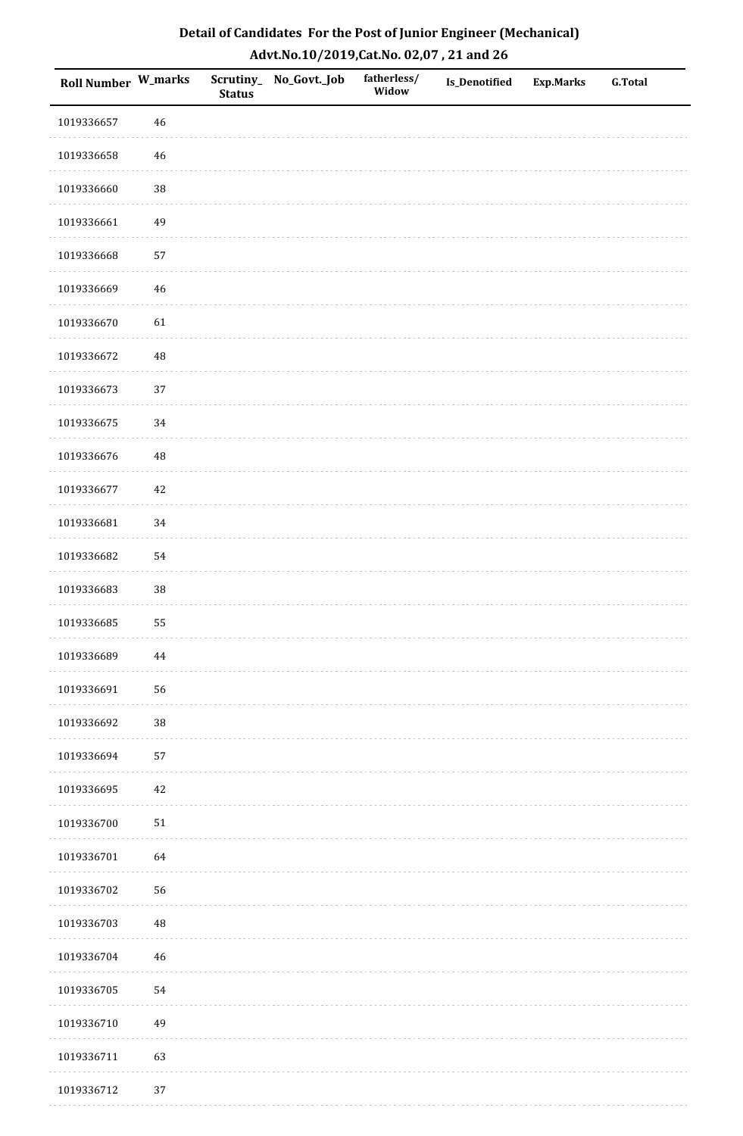| <b>Roll Number W_marks</b> |          | <b>Status</b> | Scrutiny_No_Govt._Job | fatherless/<br>Widow | Is_Denotified | <b>Exp.Marks</b> | <b>G.Total</b> |
|----------------------------|----------|---------------|-----------------------|----------------------|---------------|------------------|----------------|
| 1019336657                 | 46       |               |                       |                      |               |                  |                |
| 1019336658                 | $46\,$   |               |                       |                      |               |                  |                |
| 1019336660                 | 38       |               |                       |                      |               |                  |                |
| 1019336661                 | 49       |               |                       |                      |               |                  |                |
| 1019336668                 | 57       |               |                       |                      |               |                  |                |
| 1019336669                 | 46       |               |                       |                      |               |                  |                |
| 1019336670                 | 61       |               |                       |                      |               |                  |                |
| 1019336672                 | 48       |               |                       |                      |               |                  |                |
| 1019336673                 | 37       |               |                       |                      |               |                  |                |
| 1019336675                 | $34\,$   |               |                       |                      |               |                  |                |
| 1019336676                 | 48       |               |                       |                      |               |                  |                |
| 1019336677                 | $42\,$   |               |                       |                      |               |                  |                |
| 1019336681                 | 34       |               |                       |                      |               |                  |                |
| 1019336682                 | 54       |               |                       |                      |               |                  |                |
| 1019336683                 | $38\,$   |               |                       |                      |               |                  |                |
| 1019336685                 | 55       |               |                       |                      |               |                  |                |
| 1019336689                 | $\bf 44$ |               |                       |                      |               |                  |                |
| 1019336691                 | 56       |               |                       |                      |               |                  |                |
| 1019336692                 | $38\,$   |               |                       |                      |               |                  |                |
| 1019336694                 | 57       |               |                       |                      |               |                  |                |
| 1019336695                 | 42       |               |                       |                      |               |                  |                |
| 1019336700                 | $51\,$   |               |                       |                      |               |                  |                |
| 1019336701                 | 64       |               |                       |                      |               |                  |                |
| 1019336702                 | 56       |               |                       |                      |               |                  |                |
| 1019336703                 | 48       |               |                       |                      |               |                  |                |
| 1019336704                 | $46\,$   |               |                       |                      |               |                  |                |
| 1019336705                 | 54       |               |                       |                      |               |                  |                |
| 1019336710                 | 49       |               |                       |                      |               |                  |                |
| 1019336711                 | 63       |               |                       |                      |               |                  |                |
| 1019336712                 | 37       |               |                       |                      |               |                  |                |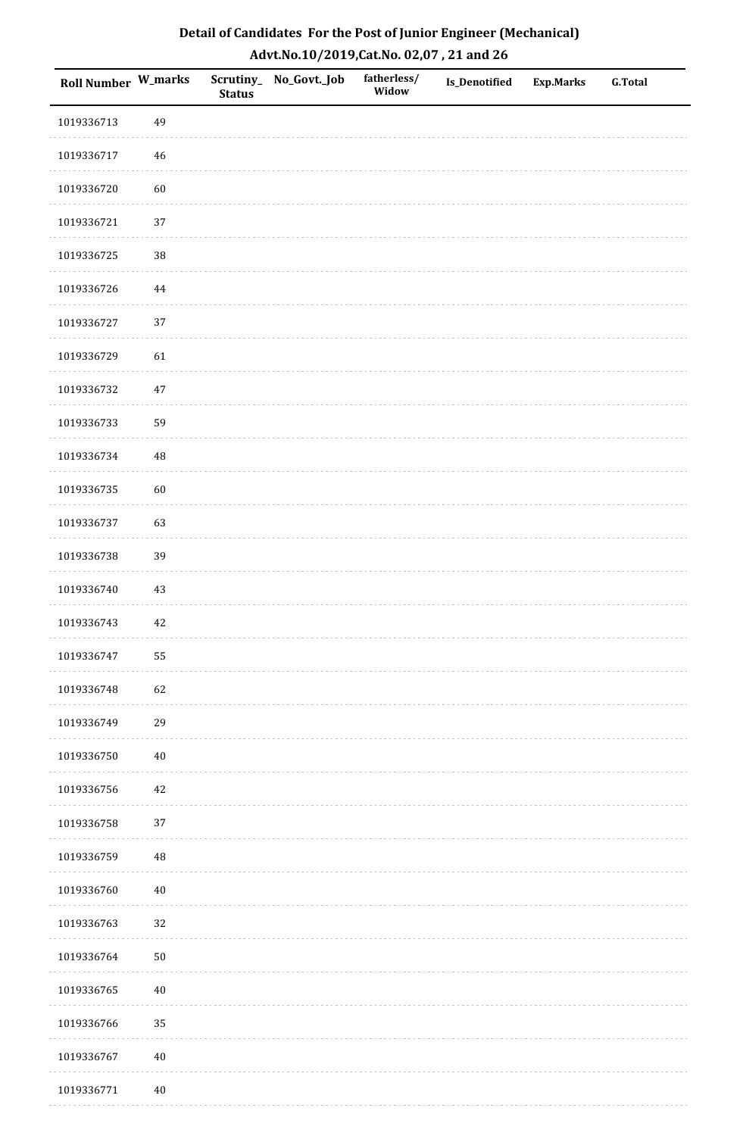| Roll Number W_marks |        | <b>Status</b> | Scrutiny_No_Govt._Job | fatherless/<br>Widow | Is_Denotified | <b>Exp.Marks</b> | <b>G.Total</b> |
|---------------------|--------|---------------|-----------------------|----------------------|---------------|------------------|----------------|
| 1019336713          | 49     |               |                       |                      |               |                  |                |
| 1019336717          | $46\,$ |               |                       |                      |               |                  |                |
| 1019336720          | 60     |               |                       |                      |               |                  |                |
| 1019336721          | 37     |               |                       |                      |               |                  |                |
| 1019336725          | 38     |               |                       |                      |               |                  |                |
| 1019336726          | 44     |               |                       |                      |               |                  |                |
| 1019336727          | 37     |               |                       |                      |               |                  |                |
| 1019336729          | 61     |               |                       |                      |               |                  |                |
| 1019336732          | $47\,$ |               |                       |                      |               |                  |                |
| 1019336733          | 59     |               |                       |                      |               |                  |                |
| 1019336734          | 48     |               |                       |                      |               |                  |                |
| 1019336735          | 60     |               |                       |                      |               |                  |                |
| 1019336737          | 63     |               |                       |                      |               |                  |                |
| 1019336738          | 39     |               |                       |                      |               |                  |                |
| 1019336740          | 43     |               |                       |                      |               |                  |                |
| 1019336743          | 42     |               |                       |                      |               |                  |                |
| 1019336747          | 55     |               |                       |                      |               |                  |                |
| 1019336748          | 62     |               |                       |                      |               |                  |                |
| 1019336749          | 29     |               |                       |                      |               |                  |                |
| 1019336750          | $40\,$ |               |                       |                      |               |                  |                |
| 1019336756          | 42     |               |                       |                      |               |                  |                |
| 1019336758          | 37     |               |                       |                      |               |                  |                |
| 1019336759          | 48     |               |                       |                      |               |                  |                |
| 1019336760          | $40\,$ |               |                       |                      |               |                  |                |
| 1019336763          | 32     |               |                       |                      |               |                  |                |
| 1019336764          | $50\,$ |               |                       |                      |               |                  |                |
| 1019336765          | $40\,$ |               |                       |                      |               |                  |                |
| 1019336766          | 35     |               |                       |                      |               |                  |                |
| 1019336767          | $40\,$ |               |                       |                      |               |                  |                |
| 1019336771          | $40\,$ |               |                       |                      |               |                  |                |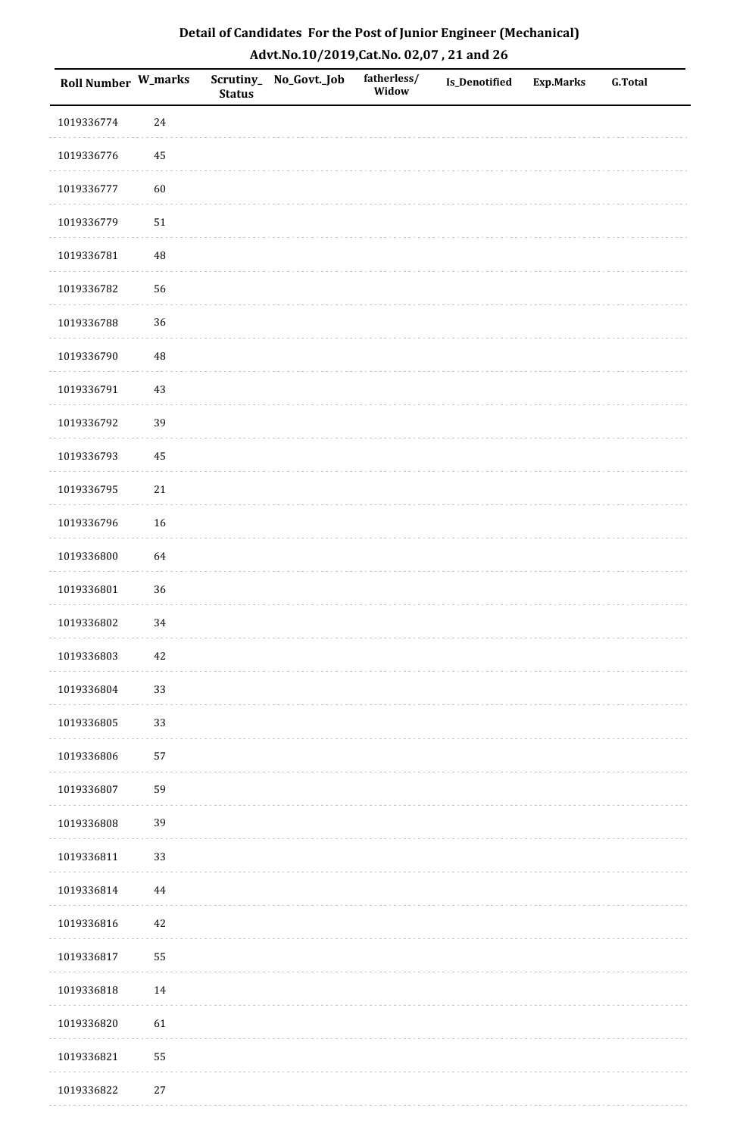| Roll Number W_marks |          | <b>Status</b> | Scrutiny_ No_Govt._Job | fatherless/<br>Widow | Is_Denotified | <b>Exp.Marks</b> | <b>G.Total</b> |
|---------------------|----------|---------------|------------------------|----------------------|---------------|------------------|----------------|
| 1019336774          | 24       |               |                        |                      |               |                  |                |
| 1019336776          | 45       |               |                        |                      |               |                  |                |
| 1019336777          | 60       |               |                        |                      |               |                  |                |
| 1019336779          | $51\,$   |               |                        |                      |               |                  |                |
| 1019336781          | $\rm 48$ |               |                        |                      |               |                  |                |
| 1019336782          | 56       |               |                        |                      |               |                  |                |
| 1019336788          | 36       |               |                        |                      |               |                  |                |
| 1019336790          | $\rm 48$ |               |                        |                      |               |                  |                |
| 1019336791          | 43       |               |                        |                      |               |                  |                |
| 1019336792          | 39       |               |                        |                      |               |                  |                |
| 1019336793          | 45       |               |                        |                      |               |                  |                |
| 1019336795          | 21       |               |                        |                      |               |                  |                |
| 1019336796          | 16       |               |                        |                      |               |                  |                |
| 1019336800          | 64       |               |                        |                      |               |                  |                |
| 1019336801          | 36       |               |                        |                      |               |                  |                |
| 1019336802          | 34       |               |                        |                      |               |                  |                |
| 1019336803          | $42\,$   |               |                        |                      |               |                  |                |
| 1019336804          | 33       |               |                        |                      |               |                  |                |
| 1019336805          | 33       |               |                        |                      |               |                  |                |
| 1019336806          | 57       |               |                        |                      |               |                  |                |
| 1019336807          | 59       |               |                        |                      |               |                  |                |
| 1019336808          | 39       |               |                        |                      |               |                  |                |
| 1019336811          | 33       |               |                        |                      |               |                  |                |
| 1019336814          | 44       |               |                        |                      |               |                  |                |
| 1019336816          | 42       |               |                        |                      |               |                  |                |
| 1019336817          | 55       |               |                        |                      |               |                  |                |
| 1019336818          | 14       |               |                        |                      |               |                  |                |
| 1019336820          | 61       |               |                        |                      |               |                  |                |
| 1019336821          | 55       |               |                        |                      |               |                  |                |
| 1019336822          | $27\,$   |               |                        |                      |               |                  |                |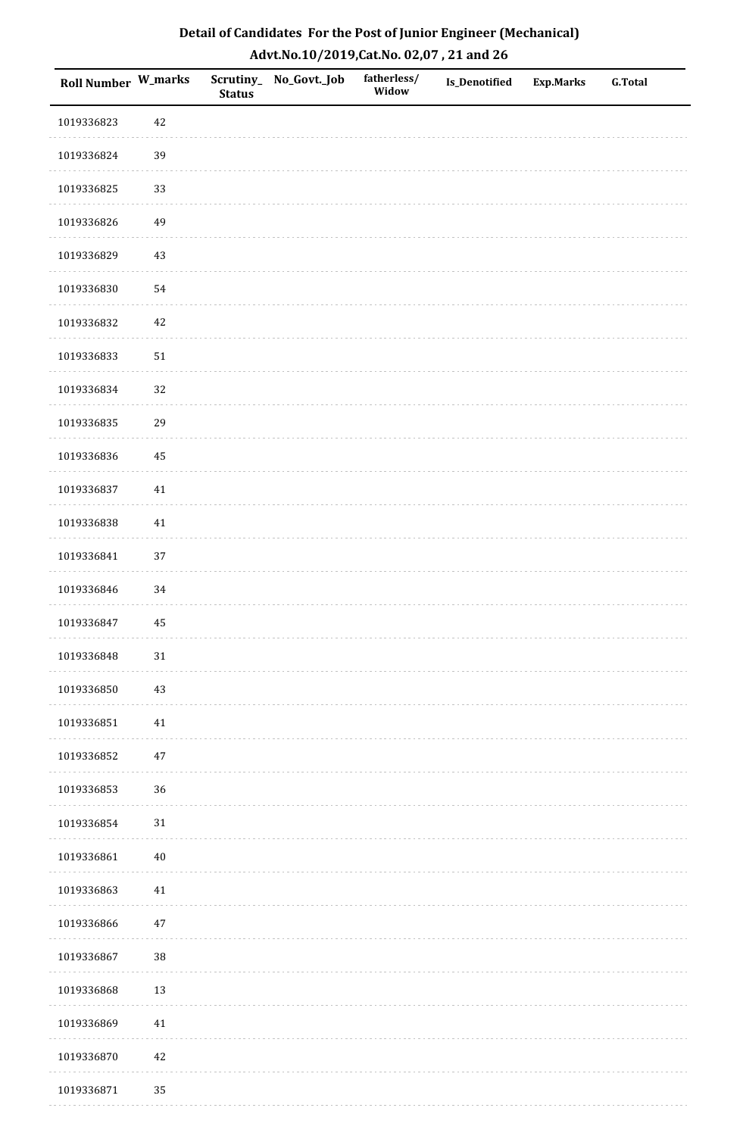| <b>Roll Number W_marks</b> |        | <b>Status</b> | Scrutiny_No_Govt._Job | fatherless/<br>Widow | Is_Denotified | <b>Exp.Marks</b> | <b>G.Total</b> |
|----------------------------|--------|---------------|-----------------------|----------------------|---------------|------------------|----------------|
| 1019336823                 | 42     |               |                       |                      |               |                  |                |
| 1019336824                 | 39     |               |                       |                      |               |                  |                |
| 1019336825                 | 33     |               |                       |                      |               |                  |                |
| 1019336826                 | 49     |               |                       |                      |               |                  |                |
| 1019336829                 | $43\,$ |               |                       |                      |               |                  |                |
| 1019336830                 | 54     |               |                       |                      |               |                  |                |
| 1019336832                 | $42\,$ |               |                       |                      |               |                  |                |
| 1019336833                 | $51\,$ |               |                       |                      |               |                  |                |
| 1019336834                 | 32     |               |                       |                      |               |                  |                |
| 1019336835                 | 29     |               |                       |                      |               |                  |                |
| 1019336836                 | 45     |               |                       |                      |               |                  |                |
| 1019336837                 | $41\,$ |               |                       |                      |               |                  |                |
| 1019336838                 | 41     |               |                       |                      |               |                  |                |
| 1019336841                 | 37     |               |                       |                      |               |                  |                |
| 1019336846                 | 34     |               |                       |                      |               |                  |                |
| 1019336847                 | 45     |               |                       |                      |               |                  |                |
| 1019336848                 | $31\,$ |               |                       |                      |               |                  |                |
| 1019336850                 | 43     |               |                       |                      |               |                  |                |
| 1019336851                 | $41\,$ |               |                       |                      |               |                  |                |
| 1019336852                 | $47\,$ |               |                       |                      |               |                  |                |
| 1019336853                 | 36     |               |                       |                      |               |                  |                |
| 1019336854                 | $31\,$ |               |                       |                      |               |                  |                |
| 1019336861                 | $40\,$ |               |                       |                      |               |                  |                |
| 1019336863                 | 41     |               |                       |                      |               |                  |                |
| 1019336866                 | $47\,$ |               |                       |                      |               |                  |                |
| 1019336867                 | 38     |               |                       |                      |               |                  |                |
| 1019336868                 | $13\,$ |               |                       |                      |               |                  |                |
| 1019336869                 | $41\,$ |               |                       |                      |               |                  |                |
| 1019336870                 | $42\,$ |               |                       |                      |               |                  |                |
| 1019336871                 | 35     |               |                       |                      |               |                  |                |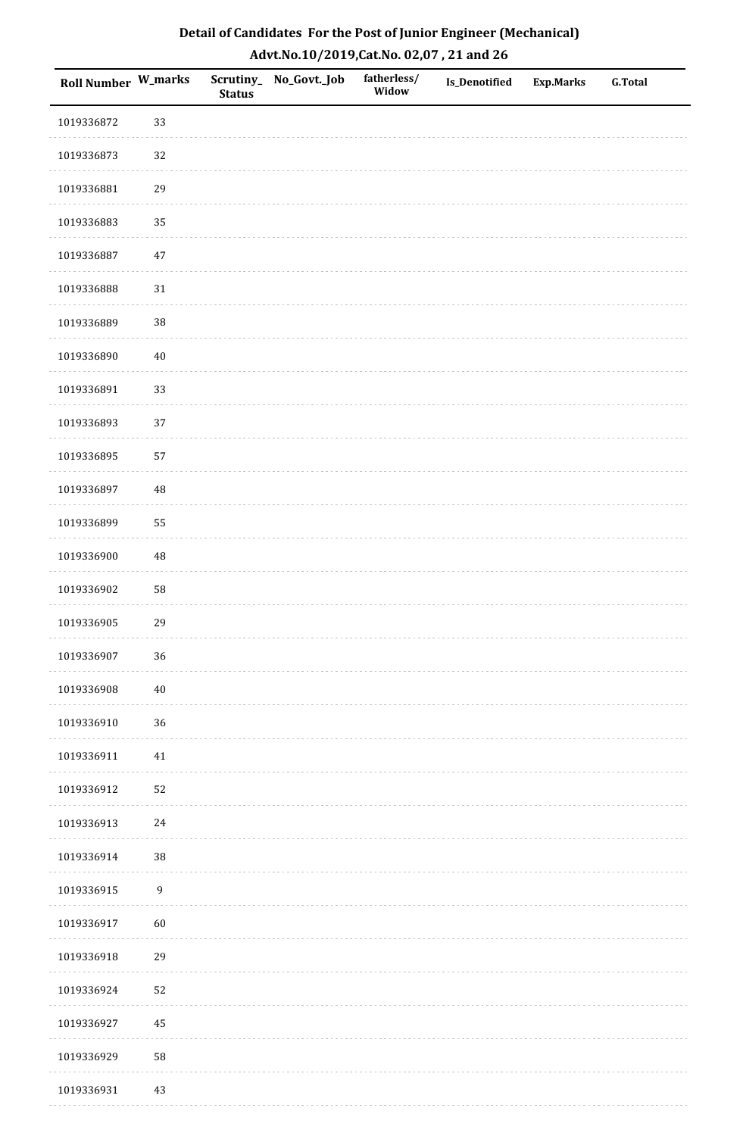| <b>Roll Number W_marks</b> |                  | <b>Status</b> | Scrutiny_No_Govt._Job | fatherless/<br>Widow | Is_Denotified | <b>Exp.Marks</b> | <b>G.Total</b> |
|----------------------------|------------------|---------------|-----------------------|----------------------|---------------|------------------|----------------|
| 1019336872                 | 33               |               |                       |                      |               |                  |                |
| 1019336873                 | 32               |               |                       |                      |               |                  |                |
| 1019336881                 | 29               |               |                       |                      |               |                  |                |
| 1019336883                 | 35               |               |                       |                      |               |                  |                |
| 1019336887                 | $47\,$           |               |                       |                      |               |                  |                |
| 1019336888                 | $31\,$           |               |                       |                      |               |                  |                |
| 1019336889                 | 38               |               |                       |                      |               |                  |                |
| 1019336890                 | $40\,$           |               |                       |                      |               |                  |                |
| 1019336891                 | 33               |               |                       |                      |               |                  |                |
| 1019336893                 | 37               |               |                       |                      |               |                  |                |
| 1019336895                 | 57               |               |                       |                      |               |                  |                |
| 1019336897                 | $\rm 48$         |               |                       |                      |               |                  |                |
| 1019336899                 | 55               |               |                       |                      |               |                  |                |
| 1019336900                 | 48               |               |                       |                      |               |                  |                |
| 1019336902                 | 58               |               |                       |                      |               |                  |                |
| 1019336905                 | 29               |               |                       |                      |               |                  |                |
| 1019336907                 | 36               |               |                       |                      |               |                  |                |
| 1019336908                 | $40\,$           |               |                       |                      |               |                  |                |
| 1019336910                 | 36               |               |                       |                      |               |                  |                |
| 1019336911                 | $41\,$           |               |                       |                      |               |                  |                |
| 1019336912                 | 52               |               |                       |                      |               |                  |                |
| 1019336913                 | $24\,$           |               |                       |                      |               |                  |                |
| 1019336914                 | $38\,$           |               |                       |                      |               |                  |                |
| 1019336915                 | $\boldsymbol{9}$ |               |                       |                      |               |                  |                |
| 1019336917                 | 60               |               |                       |                      |               |                  |                |
| 1019336918                 | 29               |               |                       |                      |               |                  |                |
| 1019336924                 | 52               |               |                       |                      |               |                  |                |
| 1019336927                 | 45               |               |                       |                      |               |                  |                |
| 1019336929                 | 58               |               |                       |                      |               |                  |                |
| 1019336931                 | $43\,$           |               |                       |                      |               |                  |                |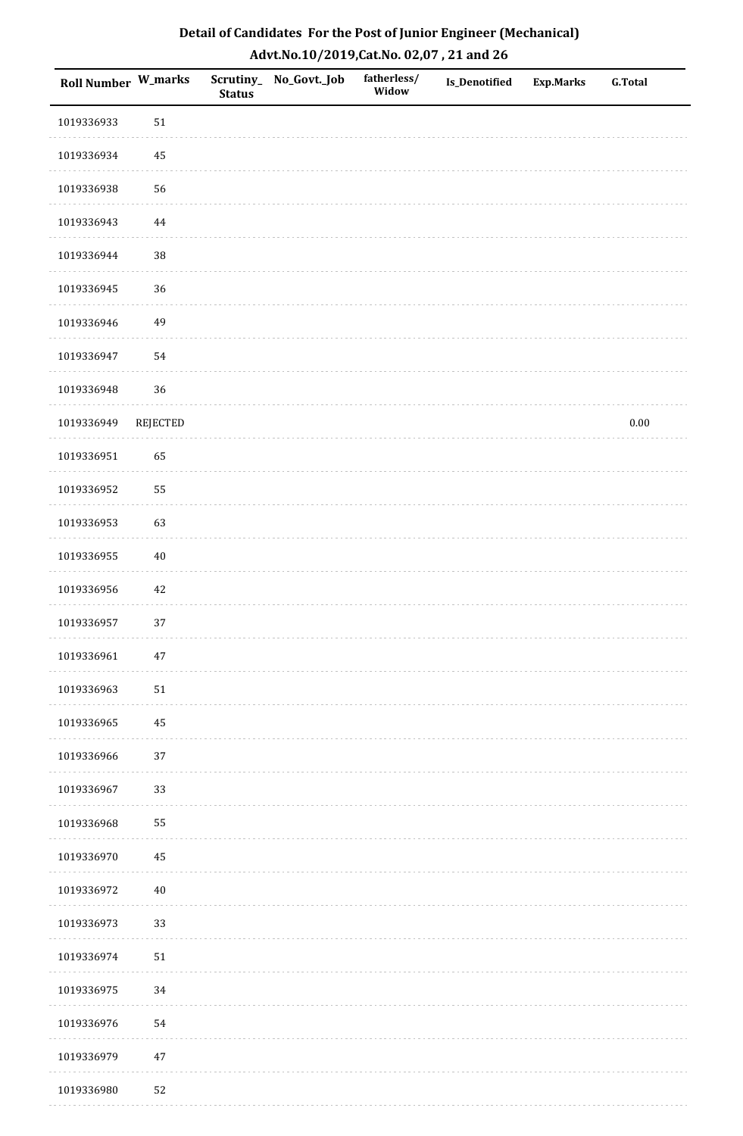| Roll Number W_marks |                 | <b>Status</b> | Scrutiny_ No_Govt._Job | fatherless/<br>Widow | <b>Is_Denotified</b> | <b>Exp.Marks</b> | G.Total  |
|---------------------|-----------------|---------------|------------------------|----------------------|----------------------|------------------|----------|
| 1019336933          | $51\,$          |               |                        |                      |                      |                  |          |
| 1019336934          | 45              |               |                        |                      |                      |                  |          |
| 1019336938          | 56              |               |                        |                      |                      |                  |          |
| 1019336943          | $\bf 44$        |               |                        |                      |                      |                  |          |
| 1019336944          | $38\,$          |               |                        |                      |                      |                  |          |
| 1019336945          | 36              |               |                        |                      |                      |                  |          |
| 1019336946          | 49              |               |                        |                      |                      |                  |          |
| 1019336947          | 54              |               |                        |                      |                      |                  |          |
| 1019336948          | 36              |               |                        |                      |                      |                  |          |
| 1019336949          | <b>REJECTED</b> |               |                        |                      |                      |                  | $0.00\,$ |
| 1019336951          | 65              |               |                        |                      |                      |                  |          |
| 1019336952          | 55              |               |                        |                      |                      |                  |          |
| 1019336953          | 63              |               |                        |                      |                      |                  |          |
| 1019336955          | $40\,$          |               |                        |                      |                      |                  |          |
| 1019336956          | $42\,$          |               |                        |                      |                      |                  |          |
| 1019336957          | 37              |               |                        |                      |                      |                  |          |
| 1019336961          | $47\,$          |               |                        |                      |                      |                  |          |
| 1019336963          | $51\,$          |               |                        |                      |                      |                  |          |
| 1019336965          | 45              |               |                        |                      |                      |                  |          |
| 1019336966          | 37              |               |                        |                      |                      |                  |          |
| 1019336967          | 33              |               |                        |                      |                      |                  |          |
| 1019336968          | 55              |               |                        |                      |                      |                  |          |
| 1019336970          | 45              |               |                        |                      |                      |                  |          |
| 1019336972          | $40\,$          |               |                        |                      |                      |                  |          |
| 1019336973          | 33              |               |                        |                      |                      |                  |          |
| 1019336974          | $51\,$          |               |                        |                      |                      |                  |          |
| 1019336975          | 34              |               |                        |                      |                      |                  |          |
| 1019336976          | 54              |               |                        |                      |                      |                  |          |
| 1019336979          | $47\,$          |               |                        |                      |                      |                  |          |
| 1019336980          | 52              |               |                        |                      |                      |                  |          |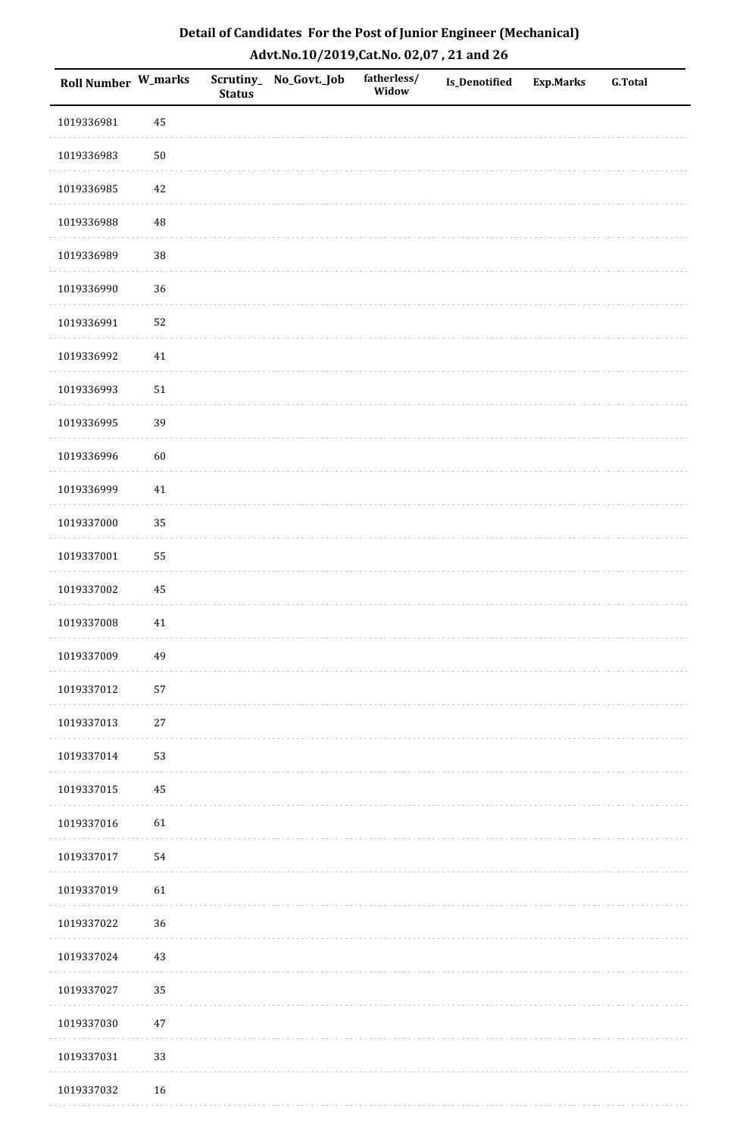| <b>Roll Number W_marks</b> |          | <b>Status</b> | Scrutiny_No_Govt._Job | fatherless/<br>Widow | Is_Denotified | <b>Exp.Marks</b> | <b>G.Total</b> |
|----------------------------|----------|---------------|-----------------------|----------------------|---------------|------------------|----------------|
| 1019336981                 | 45       |               |                       |                      |               |                  |                |
| 1019336983                 | $50\,$   |               |                       |                      |               |                  |                |
| 1019336985                 | $42\,$   |               |                       |                      |               |                  |                |
| 1019336988                 | 48       |               |                       |                      |               |                  |                |
| 1019336989                 | $38\,$   |               |                       |                      |               |                  |                |
| 1019336990                 | 36       |               |                       |                      |               |                  |                |
| 1019336991                 | 52       |               |                       |                      |               |                  |                |
| 1019336992                 | $41\,$   |               |                       |                      |               |                  |                |
| 1019336993                 | $51\,$   |               |                       |                      |               |                  |                |
| 1019336995                 | 39       |               |                       |                      |               |                  |                |
| 1019336996                 | 60       |               |                       |                      |               |                  |                |
| 1019336999                 | $41\,$   |               |                       |                      |               |                  |                |
| 1019337000                 | 35       |               |                       |                      |               |                  |                |
| 1019337001                 | 55       |               |                       |                      |               |                  |                |
| 1019337002                 | $\rm 45$ |               |                       |                      |               |                  |                |
| 1019337008                 | $41\,$   |               |                       |                      |               |                  |                |
| 1019337009                 | 49       |               |                       |                      |               |                  |                |
| 1019337012                 | 57       |               |                       |                      |               |                  |                |
| 1019337013                 | $27\,$   |               |                       |                      |               |                  |                |
| 1019337014                 | 53       |               |                       |                      |               |                  |                |
| 1019337015                 | 45       |               |                       |                      |               |                  |                |
| 1019337016                 | 61       |               |                       |                      |               |                  |                |
| 1019337017                 | 54       |               |                       |                      |               |                  |                |
| 1019337019                 | 61       |               |                       |                      |               |                  |                |
| 1019337022                 | 36       |               |                       |                      |               |                  |                |
| 1019337024                 | $43\,$   |               |                       |                      |               |                  |                |
| 1019337027                 | 35       |               |                       |                      |               |                  |                |
| 1019337030                 | $47\,$   |               |                       |                      |               |                  |                |
| 1019337031                 | 33       |               |                       |                      |               |                  |                |
| 1019337032                 | $16\,$   |               |                       |                      |               |                  |                |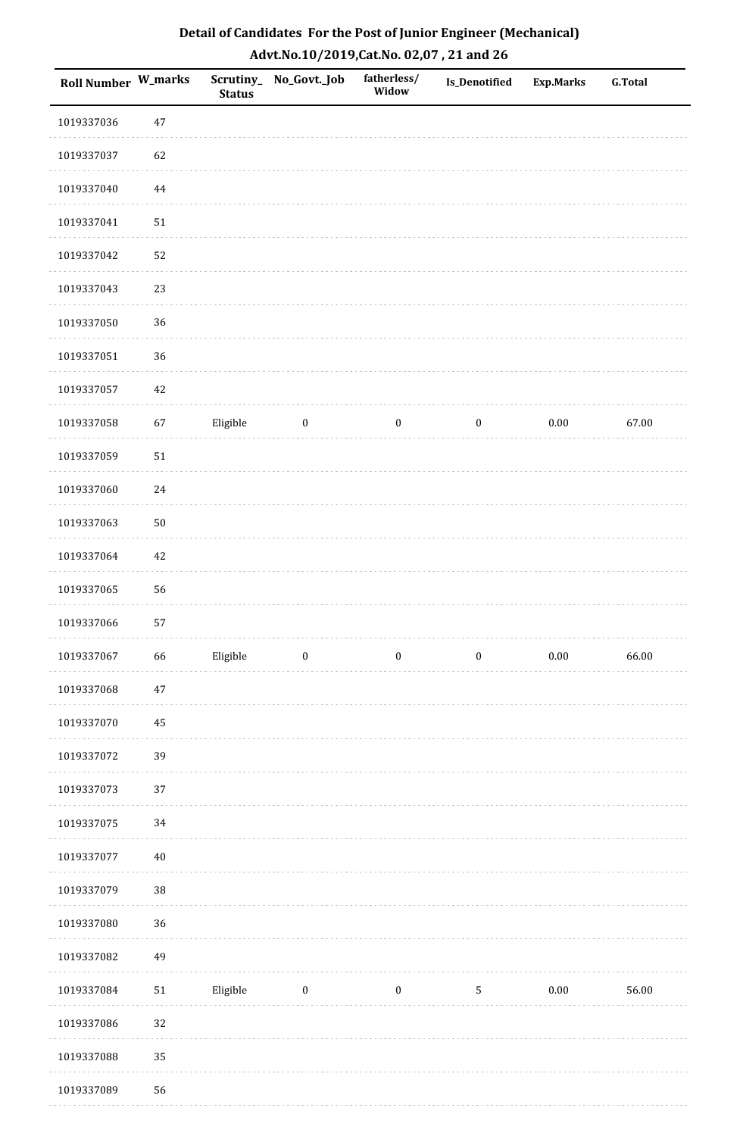| Detail of Candidates For the Post of Junior Engineer (Mechanical) |
|-------------------------------------------------------------------|
| Advt.No.10/2019, Cat.No. 02,07, 21 and 26                         |

| <b>Roll Number W_marks</b> |            | <b>Status</b> | Scrutiny_ No_Govt._Job | fatherless/<br>Widow | Is_Denotified    | <b>Exp.Marks</b> | <b>G.Total</b> |
|----------------------------|------------|---------------|------------------------|----------------------|------------------|------------------|----------------|
| 1019337036                 | $47\,$     |               |                        |                      |                  |                  |                |
| 1019337037                 | 62         |               |                        |                      |                  |                  |                |
| 1019337040                 | 44         |               |                        |                      |                  |                  |                |
| 1019337041                 | $51\,$     |               |                        |                      |                  |                  |                |
| 1019337042                 | 52         |               |                        |                      |                  |                  |                |
| 1019337043                 | 23         |               |                        |                      |                  |                  |                |
| 1019337050                 | 36         |               |                        |                      |                  |                  |                |
| 1019337051                 | 36         |               |                        |                      |                  |                  |                |
| 1019337057                 | 42         |               |                        |                      |                  |                  |                |
| 1019337058                 | 67         | Eligible      | $\bf{0}$               | $\boldsymbol{0}$     | $\boldsymbol{0}$ | $0.00\,$         | 67.00          |
| 1019337059                 | $51\,$     |               |                        |                      |                  |                  |                |
| 1019337060                 | $24\,$     |               |                        |                      |                  |                  |                |
| 1019337063                 | $50\,$     |               |                        |                      |                  |                  |                |
| 1019337064                 | $42\,$     |               |                        |                      |                  |                  |                |
| 1019337065                 | 56         |               |                        |                      |                  |                  |                |
| 1019337066                 | 57         |               |                        |                      |                  |                  |                |
| 1019337067                 | 66         | Eligible      | $\boldsymbol{0}$       | $\boldsymbol{0}$     | $\boldsymbol{0}$ | $0.00\,$         | 66.00          |
| 1019337068                 | $47\,$     |               |                        |                      |                  |                  |                |
| 1019337070                 | 45         |               |                        |                      |                  |                  |                |
| 1019337072                 | 39         |               |                        |                      |                  |                  |                |
| 1019337073                 | 37         |               |                        |                      |                  |                  |                |
| 1019337075                 | 34         |               |                        |                      |                  |                  |                |
| 1019337077                 | $40\,$     |               |                        |                      |                  |                  |                |
| 1019337079                 | 38         |               |                        |                      |                  |                  |                |
| 1019337080                 | 36         |               |                        |                      |                  |                  |                |
| 1019337082                 | 49         |               |                        |                      |                  |                  |                |
| 1019337084                 | ${\bf 51}$ | Eligible      | $\boldsymbol{0}$       | $\boldsymbol{0}$     | $\sqrt{5}$       | 0.00             | 56.00          |
| 1019337086                 | 32         |               |                        |                      |                  |                  |                |
| 1019337088                 | 35         |               |                        |                      |                  |                  |                |
| 1019337089                 | 56         |               |                        |                      |                  |                  |                |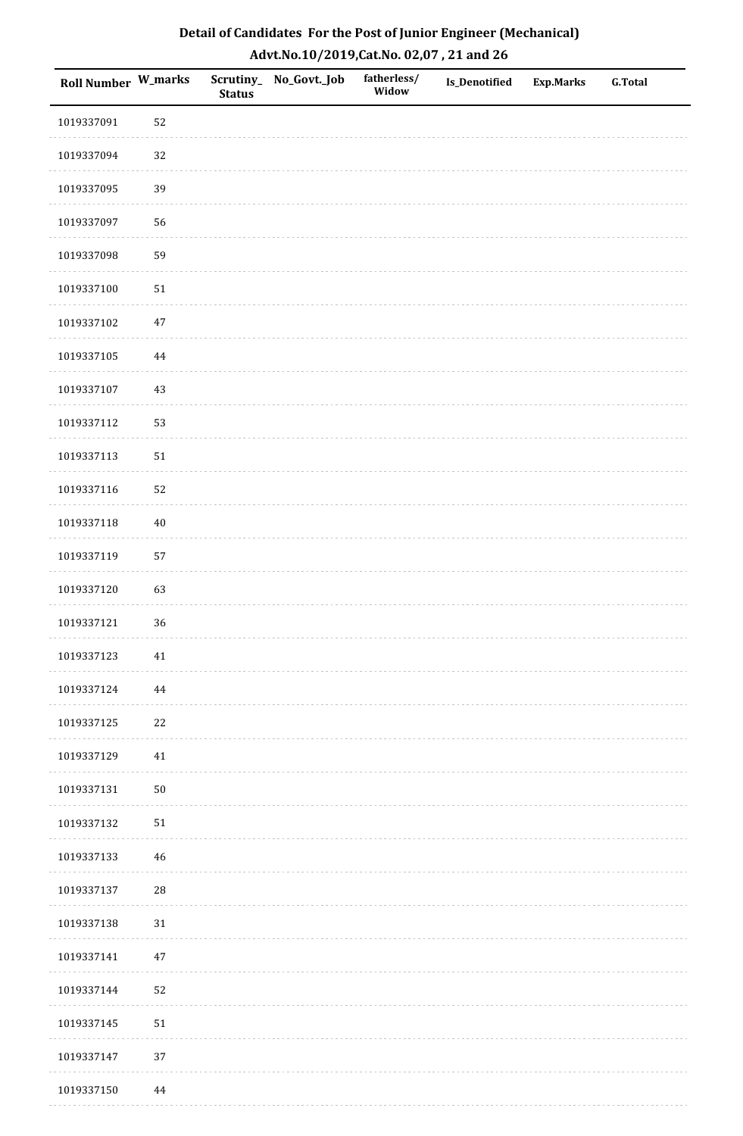| <b>Roll Number W_marks</b> |            | <b>Status</b> | Scrutiny_No_Govt._Job | fatherless/<br>Widow | Is_Denotified | <b>Exp.Marks</b> | <b>G.Total</b> |
|----------------------------|------------|---------------|-----------------------|----------------------|---------------|------------------|----------------|
| 1019337091                 | 52         |               |                       |                      |               |                  |                |
| 1019337094                 | 32         |               |                       |                      |               |                  |                |
| 1019337095                 | 39         |               |                       |                      |               |                  |                |
| 1019337097                 | 56         |               |                       |                      |               |                  |                |
| 1019337098                 | 59         |               |                       |                      |               |                  |                |
| 1019337100                 | $51\,$     |               |                       |                      |               |                  |                |
| 1019337102                 | $47\,$     |               |                       |                      |               |                  |                |
| 1019337105                 | 44         |               |                       |                      |               |                  |                |
| 1019337107                 | $43\,$     |               |                       |                      |               |                  |                |
| 1019337112                 | 53         |               |                       |                      |               |                  |                |
| 1019337113                 | $51\,$     |               |                       |                      |               |                  |                |
| 1019337116                 | 52         |               |                       |                      |               |                  |                |
| 1019337118                 | $40\,$     |               |                       |                      |               |                  |                |
| 1019337119                 | 57         |               |                       |                      |               |                  |                |
| 1019337120                 | 63         |               |                       |                      |               |                  |                |
| 1019337121                 | 36         |               |                       |                      |               |                  |                |
| 1019337123                 | $41\,$     |               |                       |                      |               |                  |                |
| 1019337124                 | 44         |               |                       |                      |               |                  |                |
| 1019337125                 | $22\,$     |               |                       |                      |               |                  |                |
| 1019337129                 | 41         |               |                       |                      |               |                  |                |
| 1019337131                 | $50\,$     |               |                       |                      |               |                  |                |
| 1019337132                 | $51\,$     |               |                       |                      |               |                  |                |
| 1019337133                 | 46         |               |                       |                      |               |                  |                |
| 1019337137                 | ${\bf 28}$ |               |                       |                      |               |                  |                |
| 1019337138                 | $31\,$     |               |                       |                      |               |                  |                |
| 1019337141                 | $47\,$     |               |                       |                      |               |                  |                |
| 1019337144                 | 52         |               |                       |                      |               |                  |                |
| 1019337145                 | $51\,$     |               |                       |                      |               |                  |                |
| 1019337147                 | 37         |               |                       |                      |               |                  |                |
| 1019337150                 | 44         |               |                       |                      |               |                  |                |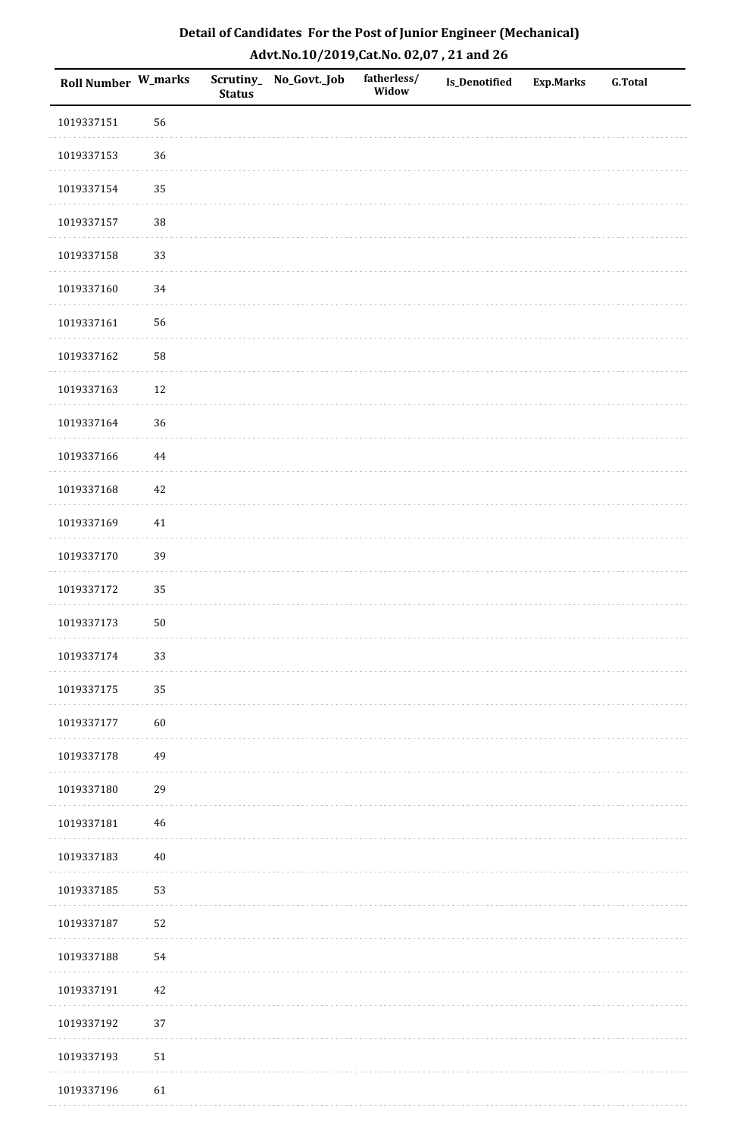| Roll Number W_marks |             | <b>Status</b> | Scrutiny_No_Govt._Job | fatherless/<br>Widow | Is_Denotified | <b>Exp.Marks</b> | <b>G.Total</b> |
|---------------------|-------------|---------------|-----------------------|----------------------|---------------|------------------|----------------|
| 1019337151          | 56          |               |                       |                      |               |                  |                |
| 1019337153          | 36          |               |                       |                      |               |                  |                |
| 1019337154          | 35          |               |                       |                      |               |                  |                |
| 1019337157          | 38          |               |                       |                      |               |                  |                |
| 1019337158          | 33          |               |                       |                      |               |                  |                |
| 1019337160          | 34          |               |                       |                      |               |                  |                |
| 1019337161          | 56          |               |                       |                      |               |                  |                |
| 1019337162          | 58          |               |                       |                      |               |                  |                |
| 1019337163          | $12\,$      |               |                       |                      |               |                  |                |
| 1019337164          | 36          |               |                       |                      |               |                  |                |
| 1019337166          | $\bf 44$    |               |                       |                      |               |                  |                |
| 1019337168          | $42\,$      |               |                       |                      |               |                  |                |
| 1019337169          | $41\,$      |               |                       |                      |               |                  |                |
| 1019337170          | 39          |               |                       |                      |               |                  |                |
| 1019337172          | 35          |               |                       |                      |               |                  |                |
| 1019337173          | $50\,$      |               |                       |                      |               |                  |                |
| 1019337174          | 33          |               |                       |                      |               |                  |                |
| 1019337175          | 35          |               |                       |                      |               |                  |                |
| 1019337177          | 60          |               |                       |                      |               |                  |                |
| 1019337178          | 49          |               |                       |                      |               |                  |                |
| 1019337180          | 29          |               |                       |                      |               |                  |                |
| 1019337181          | $\sqrt{46}$ |               |                       |                      |               |                  |                |
| 1019337183          | $40\,$      |               |                       |                      |               |                  |                |
| 1019337185          | 53          |               |                       |                      |               |                  |                |
| 1019337187          | 52          |               |                       |                      |               |                  |                |
| 1019337188          | 54          |               |                       |                      |               |                  |                |
| 1019337191          | $42\,$      |               |                       |                      |               |                  |                |
| 1019337192          | 37          |               |                       |                      |               |                  |                |
| 1019337193          | $51\,$      |               |                       |                      |               |                  |                |
| 1019337196          | 61          |               |                       |                      |               |                  |                |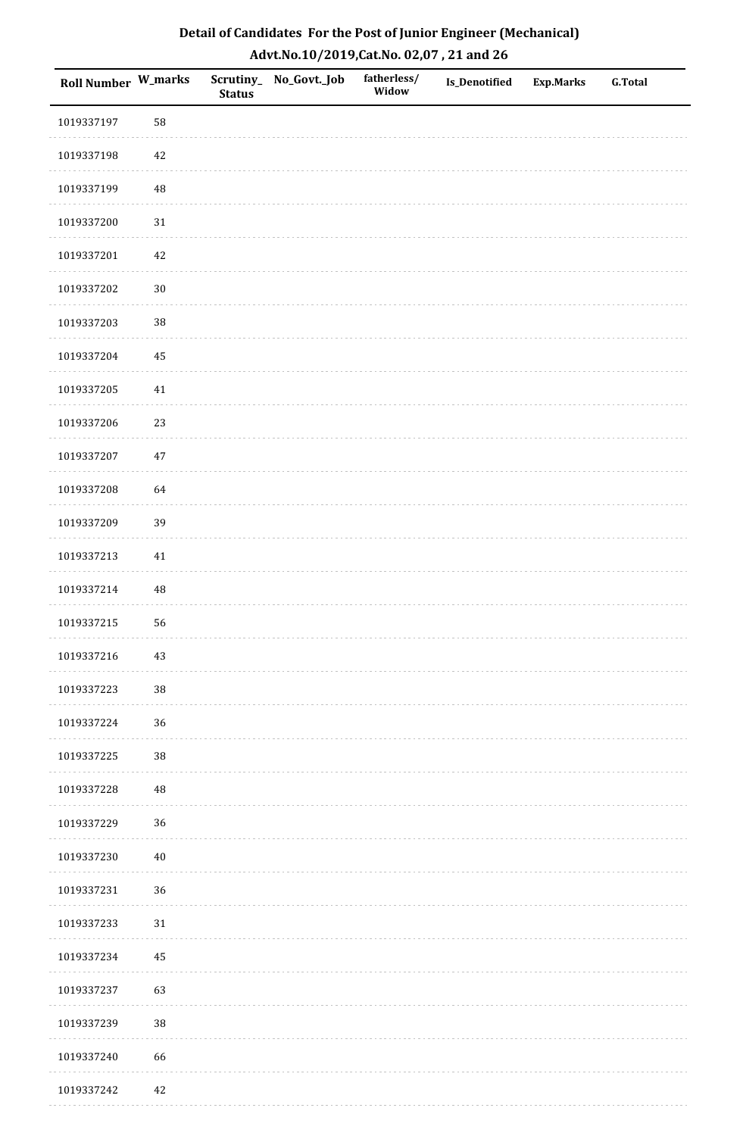| Roll Number W_marks |          | <b>Status</b> | Scrutiny_No_Govt._Job | fatherless/<br>Widow | Is_Denotified | <b>Exp.Marks</b> | <b>G.Total</b> |
|---------------------|----------|---------------|-----------------------|----------------------|---------------|------------------|----------------|
| 1019337197          | 58       |               |                       |                      |               |                  |                |
| 1019337198          | 42       |               |                       |                      |               |                  |                |
| 1019337199          | $\rm 48$ |               |                       |                      |               |                  |                |
| 1019337200          | $31\,$   |               |                       |                      |               |                  |                |
| 1019337201          | 42       |               |                       |                      |               |                  |                |
| 1019337202          | $30\,$   |               |                       |                      |               |                  |                |
| 1019337203          | $38\,$   |               |                       |                      |               |                  |                |
| 1019337204          | 45       |               |                       |                      |               |                  |                |
| 1019337205          | 41       |               |                       |                      |               |                  |                |
| 1019337206          | 23       |               |                       |                      |               |                  |                |
| 1019337207          | 47       |               |                       |                      |               |                  |                |
| 1019337208          | 64       |               |                       |                      |               |                  |                |
| 1019337209          | 39       |               |                       |                      |               |                  |                |
| 1019337213          | 41       |               |                       |                      |               |                  |                |
| 1019337214          | $\rm 48$ |               |                       |                      |               |                  |                |
| 1019337215          | 56       |               |                       |                      |               |                  |                |
| 1019337216          | $43\,$   |               |                       |                      |               |                  |                |
| 1019337223          | $38\,$   |               |                       |                      |               |                  |                |
| 1019337224          | 36       |               |                       |                      |               |                  |                |
| 1019337225          | $38\,$   |               |                       |                      |               |                  |                |
| 1019337228          | $\rm 48$ |               |                       |                      |               |                  |                |
| 1019337229          | 36       |               |                       |                      |               |                  |                |
| 1019337230          | $40\,$   |               |                       |                      |               |                  |                |
| 1019337231          | 36       |               |                       |                      |               |                  |                |
| 1019337233          | 31       |               |                       |                      |               |                  |                |
| 1019337234          | 45       |               |                       |                      |               |                  |                |
| 1019337237          | 63       |               |                       |                      |               |                  |                |
| 1019337239          | $38\,$   |               |                       |                      |               |                  |                |
| 1019337240          | 66       |               |                       |                      |               |                  |                |
| 1019337242          | 42       |               |                       |                      |               |                  |                |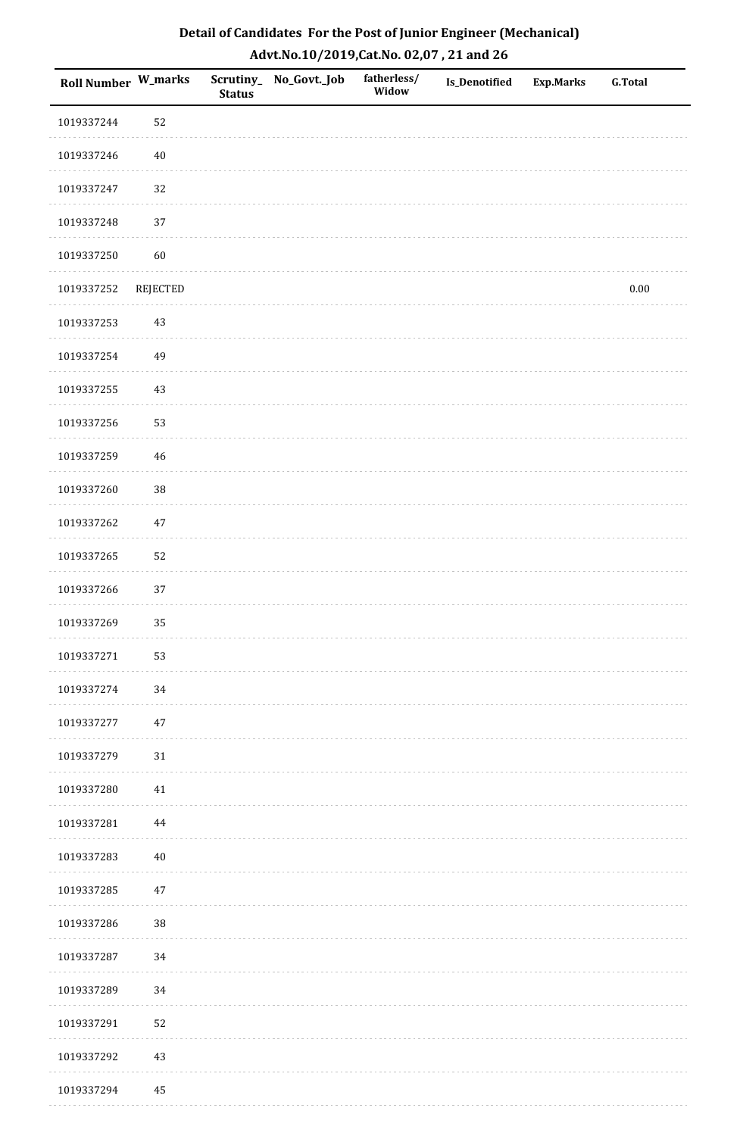| <b>Roll Number W_marks</b> |          | <b>Status</b> | Scrutiny_ No_Govt._Job | fatherless/<br>Widow | Is_Denotified | <b>Exp.Marks</b> | <b>G.Total</b> |
|----------------------------|----------|---------------|------------------------|----------------------|---------------|------------------|----------------|
| 1019337244                 | 52       |               |                        |                      |               |                  |                |
| 1019337246                 | $40\,$   |               |                        |                      |               |                  |                |
| 1019337247                 | 32       |               |                        |                      |               |                  |                |
| 1019337248                 | 37       |               |                        |                      |               |                  |                |
| 1019337250                 | 60       |               |                        |                      |               |                  |                |
| 1019337252                 | REJECTED |               |                        |                      |               |                  | $0.00\,$       |
| 1019337253                 | $43\,$   |               |                        |                      |               |                  |                |
| 1019337254                 | 49       |               |                        |                      |               |                  |                |
| 1019337255                 | $43\,$   |               |                        |                      |               |                  |                |
| 1019337256                 | 53       |               |                        |                      |               |                  |                |
| 1019337259                 | 46       |               |                        |                      |               |                  |                |
| 1019337260                 | 38       |               |                        |                      |               |                  |                |
| 1019337262                 | $47\,$   |               |                        |                      |               |                  |                |
| 1019337265                 | 52       |               |                        |                      |               |                  |                |
| 1019337266                 | 37       |               |                        |                      |               |                  |                |
| 1019337269                 | 35       |               |                        |                      |               |                  |                |
| 1019337271                 | 53       |               |                        |                      |               |                  |                |
| 1019337274                 | 34       |               |                        |                      |               |                  |                |
| 1019337277                 | $47\,$   |               |                        |                      |               |                  |                |
| 1019337279                 | 31       |               |                        |                      |               |                  |                |
| 1019337280                 | 41       |               |                        |                      |               |                  |                |
| 1019337281                 | $\bf 44$ |               |                        |                      |               |                  |                |
| 1019337283                 | $40\,$   |               |                        |                      |               |                  |                |
| 1019337285                 | 47       |               |                        |                      |               |                  |                |
| 1019337286                 | $38\,$   |               |                        |                      |               |                  |                |
| 1019337287                 | 34       |               |                        |                      |               |                  |                |
| 1019337289                 | 34       |               |                        |                      |               |                  |                |
| 1019337291                 | 52       |               |                        |                      |               |                  |                |
| 1019337292                 | $43\,$   |               |                        |                      |               |                  |                |
| 1019337294                 | 45       |               |                        |                      |               |                  |                |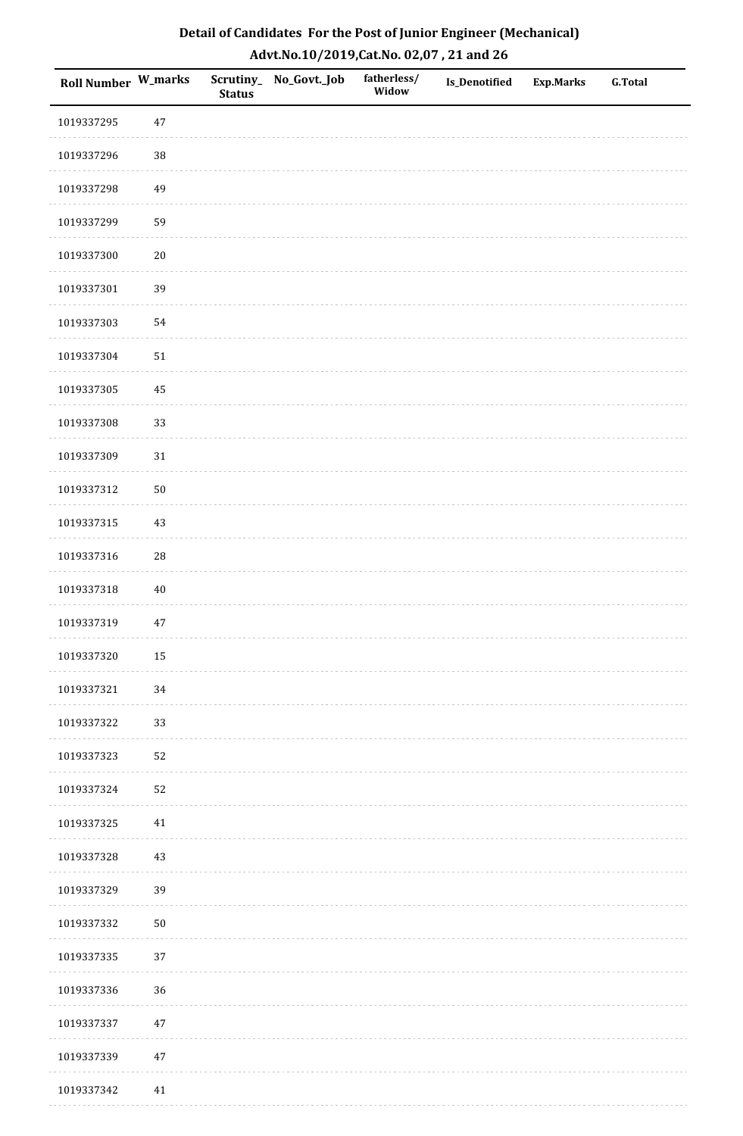| Roll Number W_marks |        | <b>Status</b> | Scrutiny_No_Govt._Job | fatherless/<br>Widow | Is_Denotified | Exp.Marks | <b>G.Total</b> |
|---------------------|--------|---------------|-----------------------|----------------------|---------------|-----------|----------------|
| 1019337295          | 47     |               |                       |                      |               |           |                |
| 1019337296          | $38\,$ |               |                       |                      |               |           |                |
| 1019337298          | 49     |               |                       |                      |               |           |                |
| 1019337299          | 59     |               |                       |                      |               |           |                |
| 1019337300          | $20\,$ |               |                       |                      |               |           |                |
| 1019337301          | 39     |               |                       |                      |               |           |                |
| 1019337303          | 54     |               |                       |                      |               |           |                |
| 1019337304          | $51\,$ |               |                       |                      |               |           |                |
| 1019337305          | 45     |               |                       |                      |               |           |                |
| 1019337308          | 33     |               |                       |                      |               |           |                |
| 1019337309          | 31     |               |                       |                      |               |           |                |
| 1019337312          | $50\,$ |               |                       |                      |               |           |                |
| 1019337315          | 43     |               |                       |                      |               |           |                |
| 1019337316          | $28\,$ |               |                       |                      |               |           |                |
| 1019337318          | $40\,$ |               |                       |                      |               |           |                |
| 1019337319          | 47     |               |                       |                      |               |           |                |
| 1019337320          | 15     |               |                       |                      |               |           |                |
| 1019337321          | 34     |               |                       |                      |               |           |                |
| 1019337322          | 33     |               |                       |                      |               |           |                |
| 1019337323          | 52     |               |                       |                      |               |           |                |
| 1019337324          | 52     |               |                       |                      |               |           |                |
| 1019337325          | 41     |               |                       |                      |               |           |                |
| 1019337328          | $43\,$ |               |                       |                      |               |           |                |
| 1019337329          | 39     |               |                       |                      |               |           |                |
| 1019337332          | $50\,$ |               |                       |                      |               |           |                |
| 1019337335          | 37     |               |                       |                      |               |           |                |
| 1019337336          | 36     |               |                       |                      |               |           |                |
| 1019337337          | 47     |               |                       |                      |               |           |                |
| 1019337339          | $47\,$ |               |                       |                      |               |           |                |
| 1019337342          | 41     |               |                       |                      |               |           |                |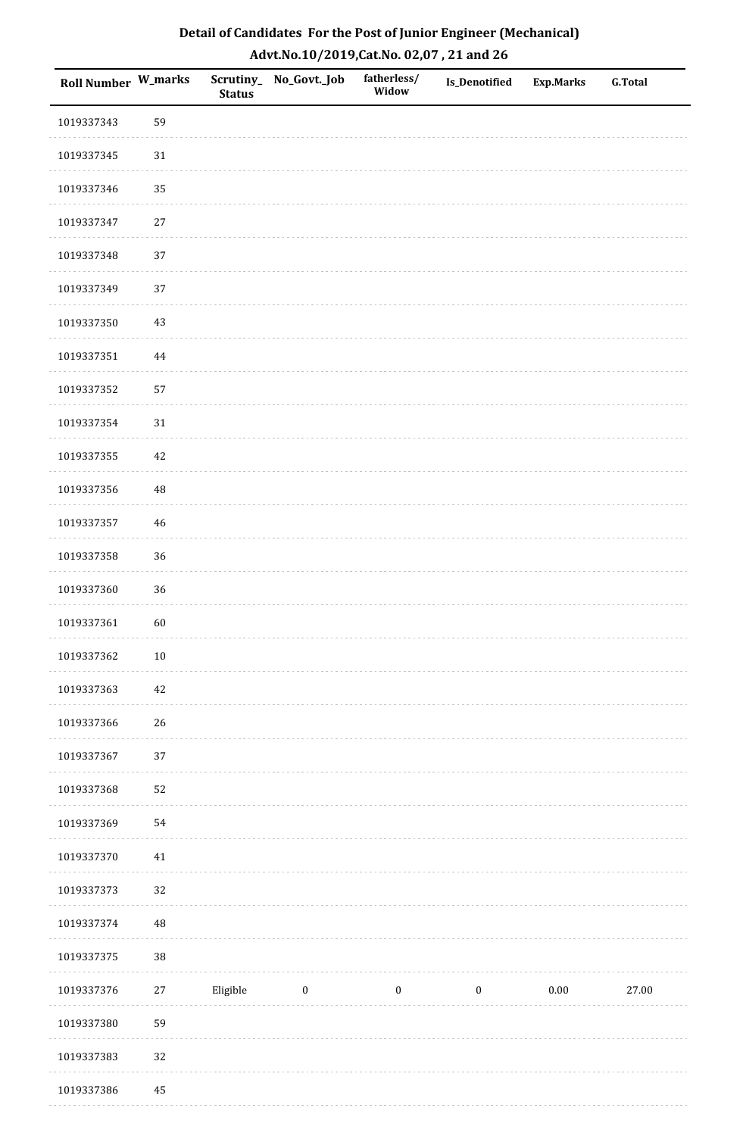| Detail of Candidates For the Post of Junior Engineer (Mechanical) |
|-------------------------------------------------------------------|
| Advt.No.10/2019,Cat.No. 02,07, 21 and 26                          |

| Roll Number W_marks |          | <b>Status</b> | Scrutiny_ No_Govt._Job | fatherless/<br>Widow | Is_Denotified    | <b>Exp.Marks</b> | <b>G.Total</b> |
|---------------------|----------|---------------|------------------------|----------------------|------------------|------------------|----------------|
| 1019337343          | 59       |               |                        |                      |                  |                  |                |
| 1019337345          | $31\,$   |               |                        |                      |                  |                  |                |
| 1019337346          | 35       |               |                        |                      |                  |                  |                |
| 1019337347          | $27\,$   |               |                        |                      |                  |                  |                |
| 1019337348          | 37       |               |                        |                      |                  |                  |                |
| 1019337349          | 37       |               |                        |                      |                  |                  |                |
| 1019337350          | 43       |               |                        |                      |                  |                  |                |
| 1019337351          | 44       |               |                        |                      |                  |                  |                |
| 1019337352          | 57       |               |                        |                      |                  |                  |                |
| 1019337354          | 31       |               |                        |                      |                  |                  |                |
| 1019337355          | 42       |               |                        |                      |                  |                  |                |
| 1019337356          | $\rm 48$ |               |                        |                      |                  |                  |                |
| 1019337357          | 46       |               |                        |                      |                  |                  |                |
| 1019337358          | 36       |               |                        |                      |                  |                  |                |
| 1019337360          | 36       |               |                        |                      |                  |                  |                |
| 1019337361          | $60\,$   |               |                        |                      |                  |                  |                |
| 1019337362          | $10\,$   |               |                        |                      |                  |                  |                |
| 1019337363          | 42       |               |                        |                      |                  |                  |                |
| 1019337366          | 26       |               |                        |                      |                  |                  |                |
| 1019337367          | $37\,$   |               |                        |                      |                  |                  |                |
| 1019337368          | 52       |               |                        |                      |                  |                  |                |
| 1019337369          | 54       |               |                        |                      |                  |                  |                |
| 1019337370          | $41\,$   |               |                        |                      |                  |                  |                |
| 1019337373          | 32       |               |                        |                      |                  |                  |                |
| 1019337374          | $\rm 48$ |               |                        |                      |                  |                  |                |
| 1019337375          | 38       |               |                        |                      |                  |                  |                |
| 1019337376          | $27\,$   | Eligible      | $\boldsymbol{0}$       | $\boldsymbol{0}$     | $\boldsymbol{0}$ | $0.00\,$         | 27.00          |
| 1019337380          | 59       |               |                        |                      |                  |                  |                |
| 1019337383          | 32       |               |                        |                      |                  |                  |                |
| 1019337386          | 45       |               |                        |                      |                  |                  |                |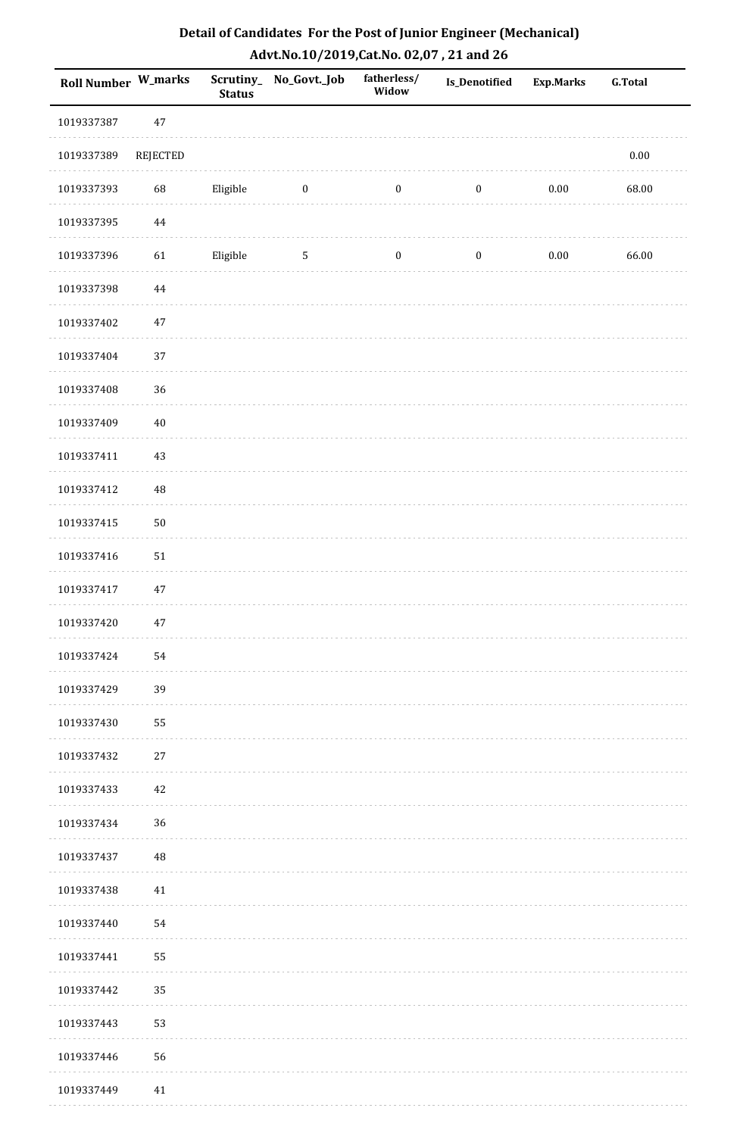| Roll Number W_marks |          | <b>Status</b> | Scrutiny_ No_Govt._Job | fatherless/<br>Widow | <b>Is_Denotified</b> | Exp.Marks | <b>G.Total</b> |
|---------------------|----------|---------------|------------------------|----------------------|----------------------|-----------|----------------|
| 1019337387          | $47\,$   |               |                        |                      |                      |           |                |
| 1019337389          | REJECTED |               |                        |                      |                      |           | $0.00\,$       |
| 1019337393          | 68       | Eligible      | $\bf{0}$               | $\boldsymbol{0}$     | $\boldsymbol{0}$     | $0.00\,$  | 68.00          |
| 1019337395          | 44       |               |                        |                      |                      |           |                |
| 1019337396          | 61       | Eligible      | 5                      | $\boldsymbol{0}$     | $\boldsymbol{0}$     | $0.00\,$  | 66.00          |
| 1019337398          | $\bf 44$ |               |                        |                      |                      |           |                |
| 1019337402          | $47\,$   |               |                        |                      |                      |           |                |
| 1019337404          | 37       |               |                        |                      |                      |           |                |
| 1019337408          | 36       |               |                        |                      |                      |           |                |
| 1019337409          | $40\,$   |               |                        |                      |                      |           |                |
| 1019337411          | $43\,$   |               |                        |                      |                      |           |                |
| 1019337412          | $\rm 48$ |               |                        |                      |                      |           |                |
| 1019337415          | $50\,$   |               |                        |                      |                      |           |                |
| 1019337416          | 51       |               |                        |                      |                      |           |                |
| 1019337417          | $47\,$   |               |                        |                      |                      |           |                |
| 1019337420          | $47\,$   |               |                        |                      |                      |           |                |
| 1019337424          | 54       |               |                        |                      |                      |           |                |
| 1019337429          | 39       |               |                        |                      |                      |           |                |
| 1019337430          | 55       |               |                        |                      |                      |           |                |
| 1019337432          | 27       |               |                        |                      |                      |           |                |
| 1019337433          | 42       |               |                        |                      |                      |           |                |
| 1019337434          | 36       |               |                        |                      |                      |           |                |
| 1019337437          | 48       |               |                        |                      |                      |           |                |
| 1019337438          | 41       |               |                        |                      |                      |           |                |
| 1019337440          | 54       |               |                        |                      |                      |           |                |
| 1019337441          | 55       |               |                        |                      |                      |           |                |
| 1019337442          | 35       |               |                        |                      |                      |           |                |
| 1019337443          | 53       |               |                        |                      |                      |           |                |
| 1019337446          | 56       |               |                        |                      |                      |           |                |
| 1019337449          | 41       |               |                        |                      |                      |           |                |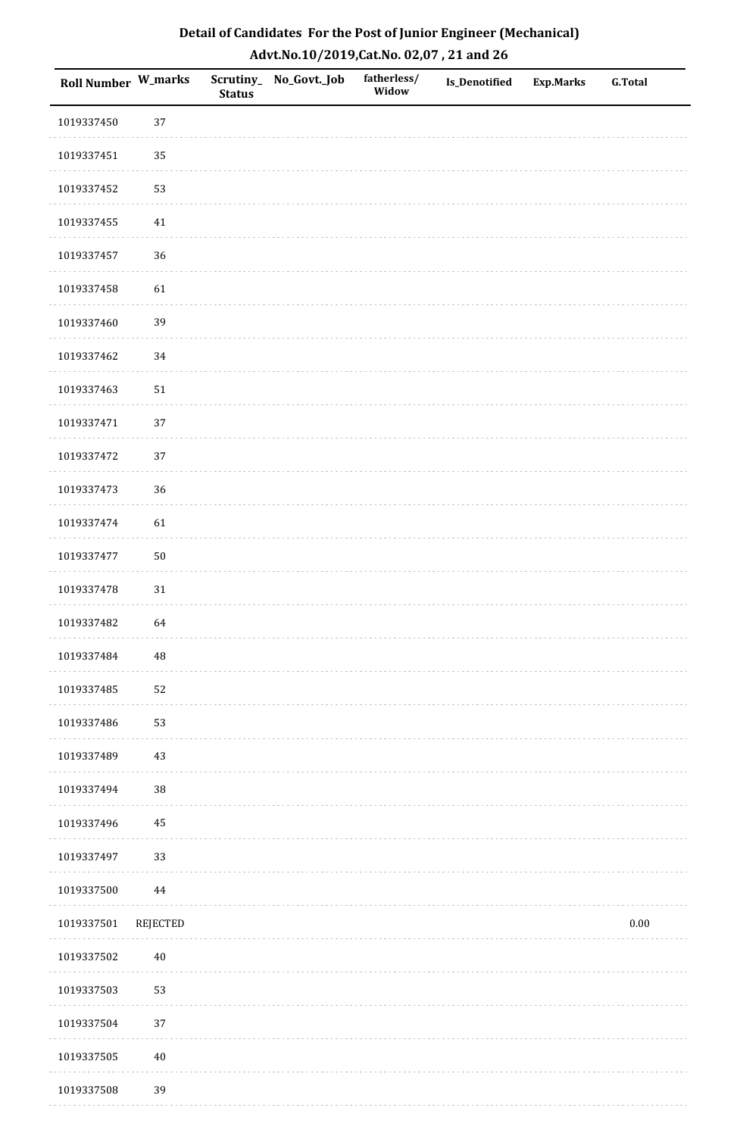| Roll Number W_marks |                 | <b>Status</b> | Scrutiny_No_Govt._Job | fatherless/<br>Widow | Is_Denotified | <b>Exp.Marks</b> | <b>G.Total</b> |
|---------------------|-----------------|---------------|-----------------------|----------------------|---------------|------------------|----------------|
| 1019337450          | 37              |               |                       |                      |               |                  |                |
| 1019337451          | 35              |               |                       |                      |               |                  |                |
| 1019337452          | 53              |               |                       |                      |               |                  |                |
| 1019337455          | $41\,$          |               |                       |                      |               |                  |                |
| 1019337457          | 36              |               |                       |                      |               |                  |                |
| 1019337458          | 61              |               |                       |                      |               |                  |                |
| 1019337460          | 39              |               |                       |                      |               |                  |                |
| 1019337462          | 34              |               |                       |                      |               |                  |                |
| 1019337463          | $51\,$          |               |                       |                      |               |                  |                |
| 1019337471          | 37              |               |                       |                      |               |                  |                |
| 1019337472          | 37              |               |                       |                      |               |                  |                |
| 1019337473          | 36              |               |                       |                      |               |                  |                |
| 1019337474          | 61              |               |                       |                      |               |                  |                |
| 1019337477          | $50\,$          |               |                       |                      |               |                  |                |
| 1019337478          | $31\,$          |               |                       |                      |               |                  |                |
| 1019337482          | 64              |               |                       |                      |               |                  |                |
| 1019337484          | $\sqrt{48}$     |               |                       |                      |               |                  |                |
| 1019337485          | 52              |               |                       |                      |               |                  |                |
| 1019337486          | 53              |               |                       |                      |               |                  |                |
| 1019337489          | $43\,$          |               |                       |                      |               |                  |                |
| 1019337494          | 38              |               |                       |                      |               |                  |                |
| 1019337496          | $\bf 45$        |               |                       |                      |               |                  |                |
| 1019337497          | 33              |               |                       |                      |               |                  |                |
| 1019337500          | 44              |               |                       |                      |               |                  |                |
| 1019337501          | <b>REJECTED</b> |               |                       |                      |               |                  | $0.00\,$       |
| 1019337502          | $40\,$          |               |                       |                      |               |                  |                |
| 1019337503          | 53              |               |                       |                      |               |                  |                |
| 1019337504          | 37              |               |                       |                      |               |                  |                |
| 1019337505          | $40\,$          |               |                       |                      |               |                  |                |
| 1019337508          | 39              |               |                       |                      |               |                  |                |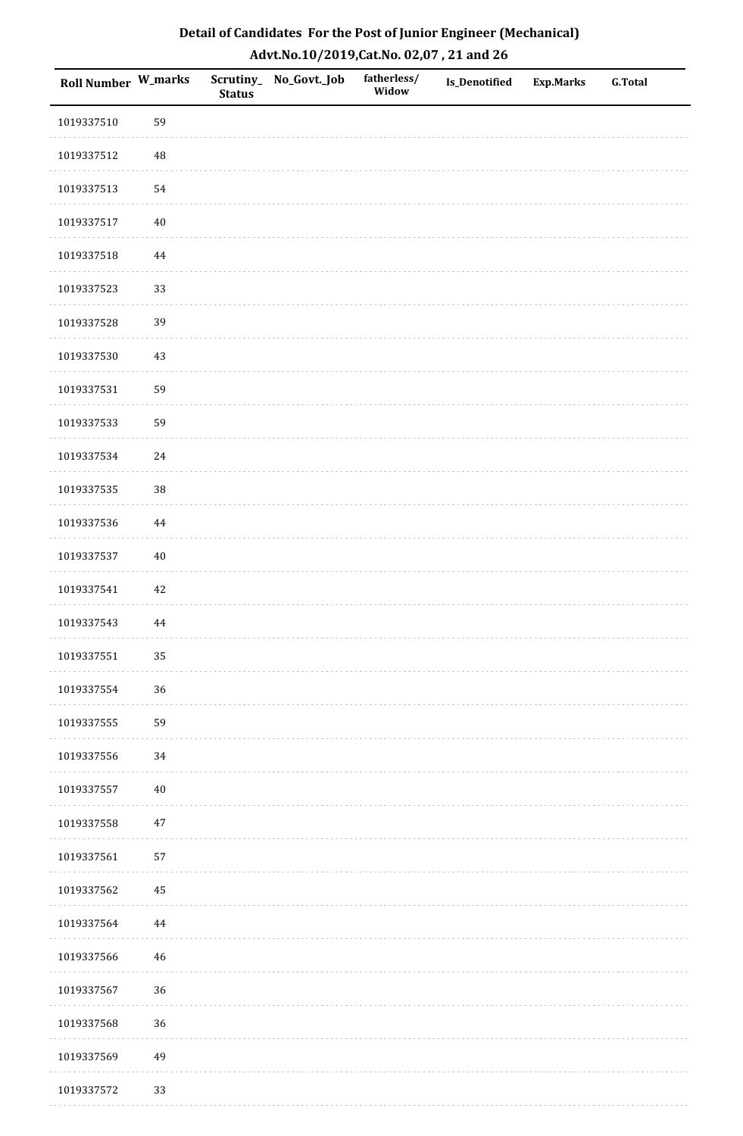| Roll Number W_marks |          | <b>Status</b> | Scrutiny_ No_Govt._Job | fatherless/<br>Widow | Is_Denotified | <b>Exp.Marks</b> | <b>G.Total</b> |
|---------------------|----------|---------------|------------------------|----------------------|---------------|------------------|----------------|
| 1019337510          | 59       |               |                        |                      |               |                  |                |
| 1019337512          | 48       |               |                        |                      |               |                  |                |
| 1019337513          | 54       |               |                        |                      |               |                  |                |
| 1019337517          | $40\,$   |               |                        |                      |               |                  |                |
| 1019337518          | $\bf 44$ |               |                        |                      |               |                  |                |
| 1019337523          | 33       |               |                        |                      |               |                  |                |
| 1019337528          | 39       |               |                        |                      |               |                  |                |
| 1019337530          | $43\,$   |               |                        |                      |               |                  |                |
| 1019337531          | 59       |               |                        |                      |               |                  |                |
| 1019337533          | 59       |               |                        |                      |               |                  |                |
| 1019337534          | $24\,$   |               |                        |                      |               |                  |                |
| 1019337535          | 38       |               |                        |                      |               |                  |                |
| 1019337536          | 44       |               |                        |                      |               |                  |                |
| 1019337537          | $40\,$   |               |                        |                      |               |                  |                |
| 1019337541          | $42\,$   |               |                        |                      |               |                  |                |
| 1019337543          | 44       |               |                        |                      |               |                  |                |
| 1019337551          | 35       |               |                        |                      |               |                  |                |
| 1019337554          | 36       |               |                        |                      |               |                  |                |
| 1019337555          | 59       |               |                        |                      |               |                  |                |
| 1019337556          | 34       |               |                        |                      |               |                  |                |
| 1019337557          | $40\,$   |               |                        |                      |               |                  |                |
| 1019337558          | $47\,$   |               |                        |                      |               |                  |                |
| 1019337561          | 57       |               |                        |                      |               |                  |                |
| 1019337562          | 45       |               |                        |                      |               |                  |                |
| 1019337564          | 44       |               |                        |                      |               |                  |                |
| 1019337566          | $46\,$   |               |                        |                      |               |                  |                |
| 1019337567          | 36       |               |                        |                      |               |                  |                |
| 1019337568          | 36       |               |                        |                      |               |                  |                |
| 1019337569          | 49       |               |                        |                      |               |                  |                |
| 1019337572          | 33       |               |                        |                      |               |                  |                |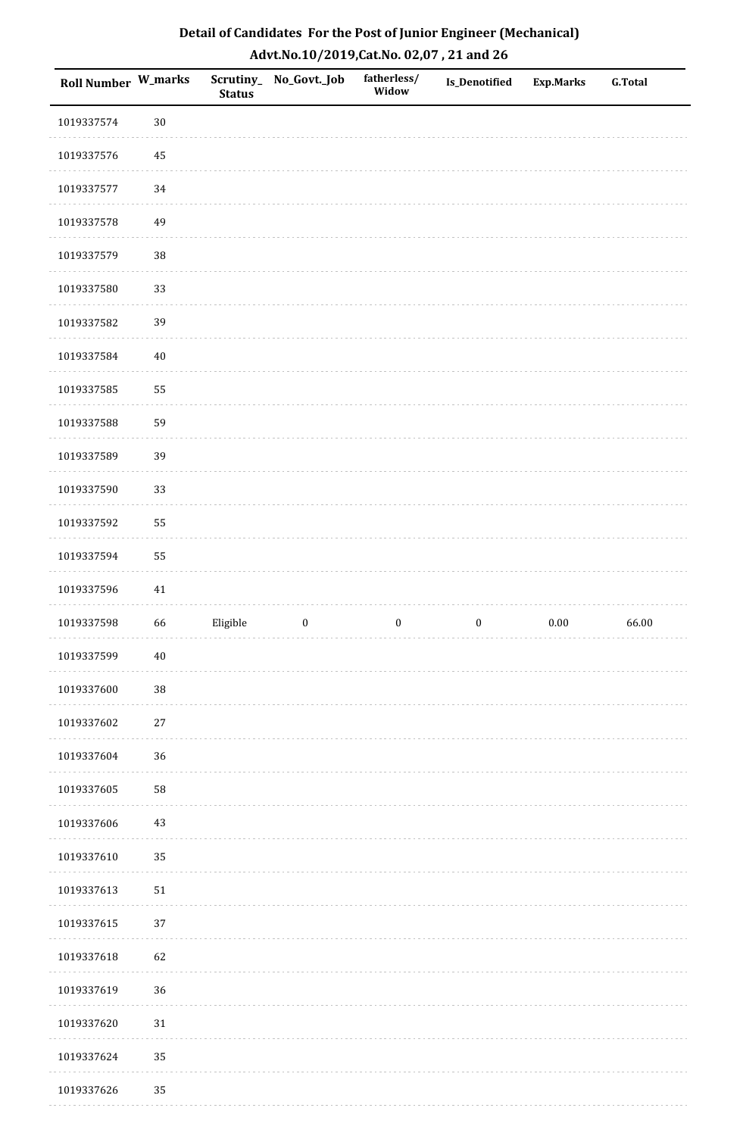| Roll Number W_marks |        | <b>Status</b> | Scrutiny_No_Govt._Job | fatherless/<br>Widow | Is_Denotified    | <b>Exp.Marks</b> | <b>G.Total</b> |
|---------------------|--------|---------------|-----------------------|----------------------|------------------|------------------|----------------|
| 1019337574          | $30\,$ |               |                       |                      |                  |                  |                |
| 1019337576          | 45     |               |                       |                      |                  |                  |                |
| 1019337577          | 34     |               |                       |                      |                  |                  |                |
| 1019337578          | 49     |               |                       |                      |                  |                  |                |
| 1019337579          | 38     |               |                       |                      |                  |                  |                |
| 1019337580          | 33     |               |                       |                      |                  |                  |                |
| 1019337582          | 39     |               |                       |                      |                  |                  |                |
| 1019337584          | $40\,$ |               |                       |                      |                  |                  |                |
| 1019337585          | 55     |               |                       |                      |                  |                  |                |
| 1019337588          | 59     |               |                       |                      |                  |                  |                |
| 1019337589          | 39     |               |                       |                      |                  |                  |                |
| 1019337590          | 33     |               |                       |                      |                  |                  |                |
| 1019337592          | 55     |               |                       |                      |                  |                  |                |
| 1019337594          | 55     |               |                       |                      |                  |                  |                |
| 1019337596          | 41     |               |                       |                      |                  |                  |                |
| 1019337598          | 66     | Eligible      | $\boldsymbol{0}$      | $\boldsymbol{0}$     | $\boldsymbol{0}$ | $0.00\,$         | 66.00          |
| 1019337599          | $40\,$ |               |                       |                      |                  |                  |                |
| 1019337600          | 38     |               |                       |                      |                  |                  |                |
| 1019337602          | $27\,$ |               |                       |                      |                  |                  |                |
| 1019337604          | 36     |               |                       |                      |                  |                  |                |
| 1019337605          | 58     |               |                       |                      |                  |                  |                |
| 1019337606          | $43\,$ |               |                       |                      |                  |                  |                |
| 1019337610          | 35     |               |                       |                      |                  |                  |                |
| 1019337613          | $51\,$ |               |                       |                      |                  |                  |                |
| 1019337615          | 37     |               |                       |                      |                  |                  |                |
| 1019337618          | 62     |               |                       |                      |                  |                  |                |
| 1019337619          | 36     |               |                       |                      |                  |                  |                |
| 1019337620          | $31\,$ |               |                       |                      |                  |                  |                |
| 1019337624          | 35     |               |                       |                      |                  |                  |                |
| 1019337626          | 35     |               |                       |                      |                  |                  |                |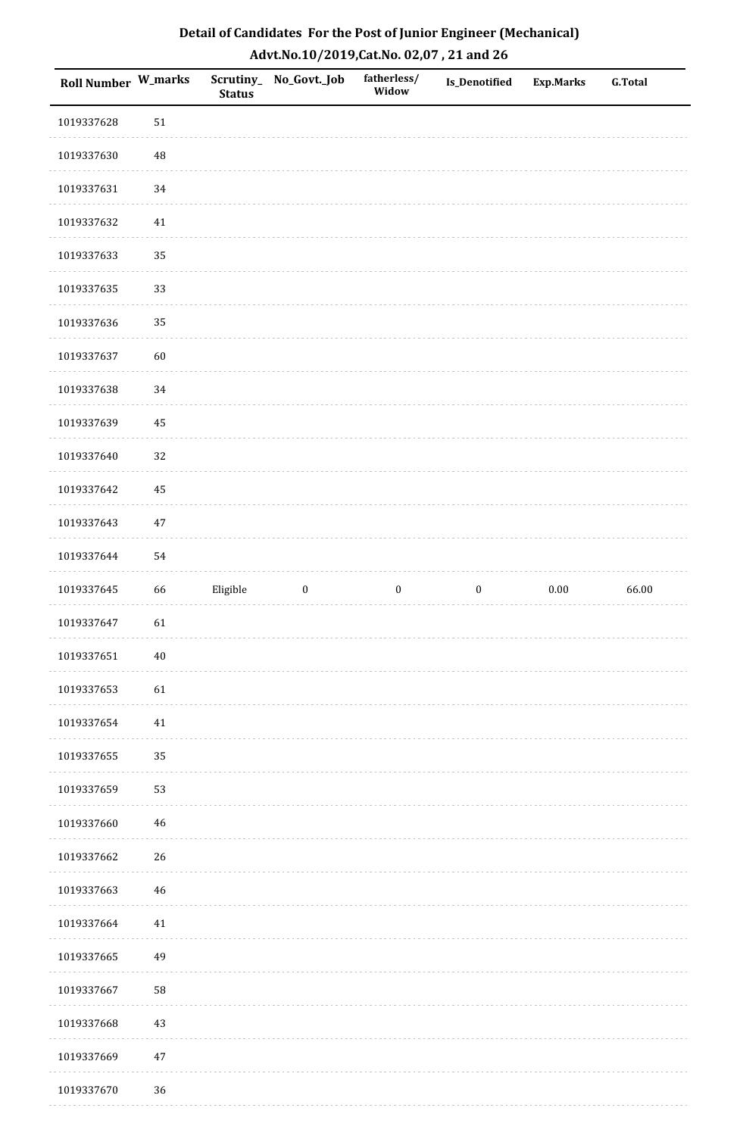| Roll Number W_marks |        | <b>Status</b> | Scrutiny_No_Govt._Job | fatherless/<br>Widow | Is_Denotified    | <b>Exp.Marks</b> | <b>G.Total</b> |
|---------------------|--------|---------------|-----------------------|----------------------|------------------|------------------|----------------|
| 1019337628          | 51     |               |                       |                      |                  |                  |                |
| 1019337630          | 48     |               |                       |                      |                  |                  |                |
| 1019337631          | 34     |               |                       |                      |                  |                  |                |
| 1019337632          | $41\,$ |               |                       |                      |                  |                  |                |
| 1019337633          | 35     |               |                       |                      |                  |                  |                |
| 1019337635          | 33     |               |                       |                      |                  |                  |                |
| 1019337636          | 35     |               |                       |                      |                  |                  |                |
| 1019337637          | 60     |               |                       |                      |                  |                  |                |
| 1019337638          | 34     |               |                       |                      |                  |                  |                |
| 1019337639          | 45     |               |                       |                      |                  |                  |                |
| 1019337640          | 32     |               |                       |                      |                  |                  |                |
| 1019337642          | 45     |               |                       |                      |                  |                  |                |
| 1019337643          | $47\,$ |               |                       |                      |                  |                  |                |
| 1019337644          | 54     |               |                       |                      |                  |                  |                |
| 1019337645          | 66     | Eligible      | $\boldsymbol{0}$      | $\boldsymbol{0}$     | $\boldsymbol{0}$ | 0.00             | 66.00          |
| 1019337647          | 61     |               |                       |                      |                  |                  |                |
| 1019337651          | $40\,$ |               |                       |                      |                  |                  |                |
| 1019337653          | 61     |               |                       |                      |                  |                  |                |
| 1019337654          | $41\,$ |               |                       |                      |                  |                  |                |
| 1019337655          | 35     |               |                       |                      |                  |                  |                |
| 1019337659          | 53     |               |                       |                      |                  |                  |                |
| 1019337660          | 46     |               |                       |                      |                  |                  |                |
| 1019337662          | 26     |               |                       |                      |                  |                  |                |
| 1019337663          | $46\,$ |               |                       |                      |                  |                  |                |
| 1019337664          | 41     |               |                       |                      |                  |                  |                |
| 1019337665          | 49     |               |                       |                      |                  |                  |                |
| 1019337667          | 58     |               |                       |                      |                  |                  |                |
| 1019337668          | 43     |               |                       |                      |                  |                  |                |
| 1019337669          | $47\,$ |               |                       |                      |                  |                  |                |
| 1019337670          | 36     |               |                       |                      |                  |                  |                |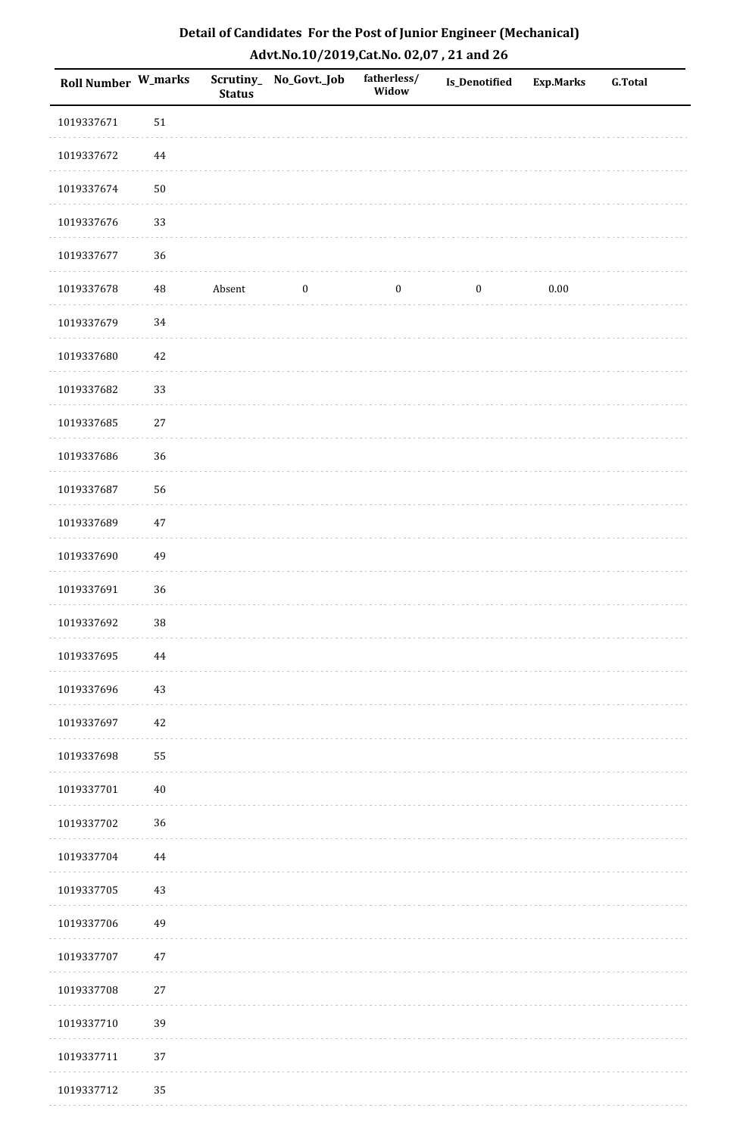| <b>Roll Number W_marks</b> |          | <b>Status</b> | Scrutiny_ No_Govt._Job | fatherless/<br>Widow | <b>Is_Denotified</b> | <b>Exp.Marks</b> | <b>G.Total</b> |
|----------------------------|----------|---------------|------------------------|----------------------|----------------------|------------------|----------------|
| 1019337671                 | 51       |               |                        |                      |                      |                  |                |
| 1019337672                 | $\bf 44$ |               |                        |                      |                      |                  |                |
| 1019337674                 | $50\,$   |               |                        |                      |                      |                  |                |
| 1019337676                 | 33       |               |                        |                      |                      |                  |                |
| 1019337677                 | 36       |               |                        |                      |                      |                  |                |
| 1019337678                 | $\rm 48$ | Absent        | $\boldsymbol{0}$       | $\boldsymbol{0}$     | $\boldsymbol{0}$     | $0.00\,$         |                |
| 1019337679                 | 34       |               |                        |                      |                      |                  |                |
| 1019337680                 | $42\,$   |               |                        |                      |                      |                  |                |
| 1019337682                 | 33       |               |                        |                      |                      |                  |                |
| 1019337685                 | $27\,$   |               |                        |                      |                      |                  |                |
| 1019337686                 | 36       |               |                        |                      |                      |                  |                |
| 1019337687                 | 56       |               |                        |                      |                      |                  |                |
| 1019337689                 | 47       |               |                        |                      |                      |                  |                |
| 1019337690                 | 49       |               |                        |                      |                      |                  |                |
| 1019337691                 | 36       |               |                        |                      |                      |                  |                |
| 1019337692                 | 38       |               |                        |                      |                      |                  |                |
| 1019337695                 | $\bf 44$ |               |                        |                      |                      |                  |                |
| 1019337696                 | 43       |               |                        |                      |                      |                  |                |
| 1019337697                 | 42       |               |                        |                      |                      |                  |                |
| 1019337698                 | 55       |               |                        |                      |                      |                  |                |
| 1019337701                 | $40\,$   |               |                        |                      |                      |                  |                |
| 1019337702                 | 36       |               |                        |                      |                      |                  |                |
| 1019337704                 | $\bf 44$ |               |                        |                      |                      |                  |                |
| 1019337705                 | 43       |               |                        |                      |                      |                  |                |
| 1019337706                 | 49       |               |                        |                      |                      |                  |                |
| 1019337707                 | $47\,$   |               |                        |                      |                      |                  |                |
| 1019337708                 | $27\,$   |               |                        |                      |                      |                  |                |
| 1019337710                 | 39       |               |                        |                      |                      |                  |                |
| 1019337711                 | 37       |               |                        |                      |                      |                  |                |
| 1019337712                 | 35       |               |                        |                      |                      |                  |                |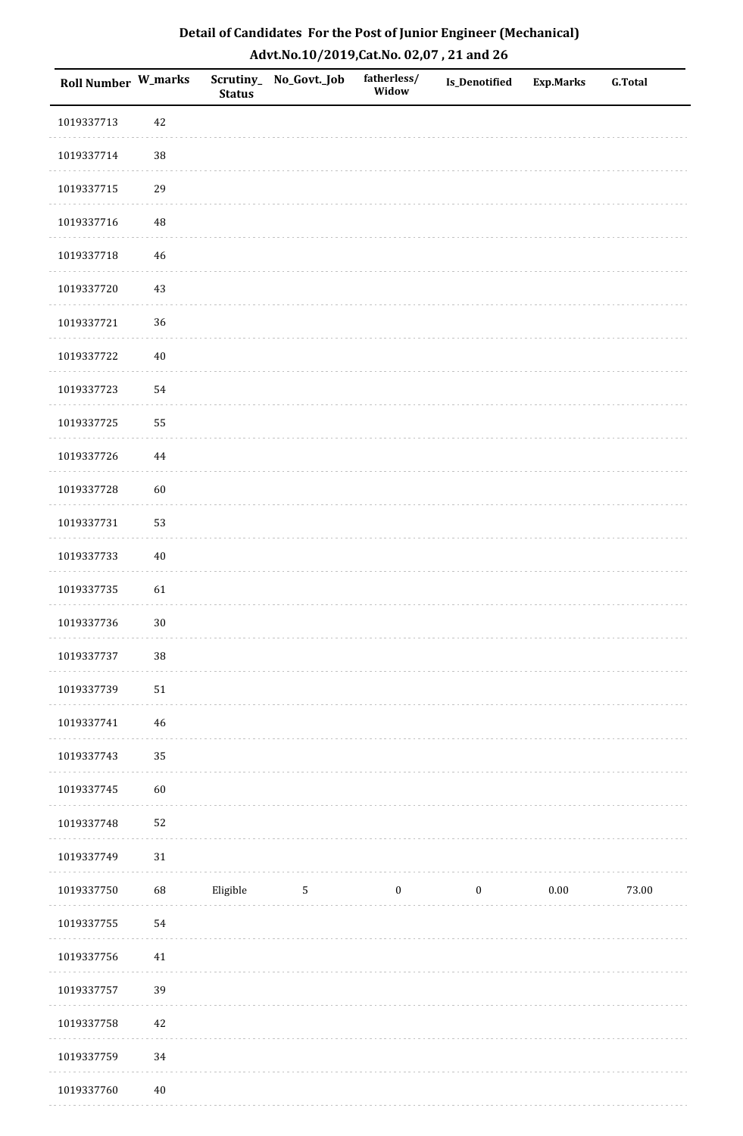| <b>Roll Number W_marks</b> |             | <b>Status</b> | Scrutiny_No_Govt._Job | fatherless/<br>Widow | Is_Denotified    | <b>Exp.Marks</b> | <b>G.Total</b> |
|----------------------------|-------------|---------------|-----------------------|----------------------|------------------|------------------|----------------|
| 1019337713                 | 42          |               |                       |                      |                  |                  |                |
| 1019337714                 | 38          |               |                       |                      |                  |                  |                |
| 1019337715                 | 29          |               |                       |                      |                  |                  |                |
| 1019337716                 | 48          |               |                       |                      |                  |                  |                |
| 1019337718                 | $46\,$      |               |                       |                      |                  |                  |                |
| 1019337720                 | 43          |               |                       |                      |                  |                  |                |
| 1019337721                 | 36          |               |                       |                      |                  |                  |                |
| 1019337722                 | $40\,$      |               |                       |                      |                  |                  |                |
| 1019337723                 | 54          |               |                       |                      |                  |                  |                |
| 1019337725                 | 55          |               |                       |                      |                  |                  |                |
| 1019337726                 | $\bf 44$    |               |                       |                      |                  |                  |                |
| 1019337728                 | 60          |               |                       |                      |                  |                  |                |
| 1019337731                 | 53          |               |                       |                      |                  |                  |                |
| 1019337733                 | $40\,$      |               |                       |                      |                  |                  |                |
| 1019337735                 | 61          |               |                       |                      |                  |                  |                |
| 1019337736                 | $30\,$      |               |                       |                      |                  |                  |                |
| 1019337737                 | $38\,$      |               |                       |                      |                  |                  |                |
| 1019337739                 | $51\,$      |               |                       |                      |                  |                  |                |
| 1019337741                 | $\sqrt{46}$ |               |                       |                      |                  |                  |                |
| 1019337743                 | 35          |               |                       |                      |                  |                  |                |
| 1019337745                 | 60          |               |                       |                      |                  |                  |                |
| 1019337748                 | 52          |               |                       |                      |                  |                  |                |
| 1019337749                 | $31\,$      |               |                       |                      |                  |                  |                |
| 1019337750                 | 68          | Eligible      | 5                     | $\boldsymbol{0}$     | $\boldsymbol{0}$ | 0.00             | 73.00          |
| 1019337755                 | 54          |               |                       |                      |                  |                  |                |
| 1019337756                 | $41\,$      |               |                       |                      |                  |                  |                |
| 1019337757                 | 39          |               |                       |                      |                  |                  |                |
| 1019337758                 | $42\,$      |               |                       |                      |                  |                  |                |
| 1019337759                 | 34          |               |                       |                      |                  |                  |                |
| 1019337760                 | $40\,$      |               |                       |                      |                  |                  |                |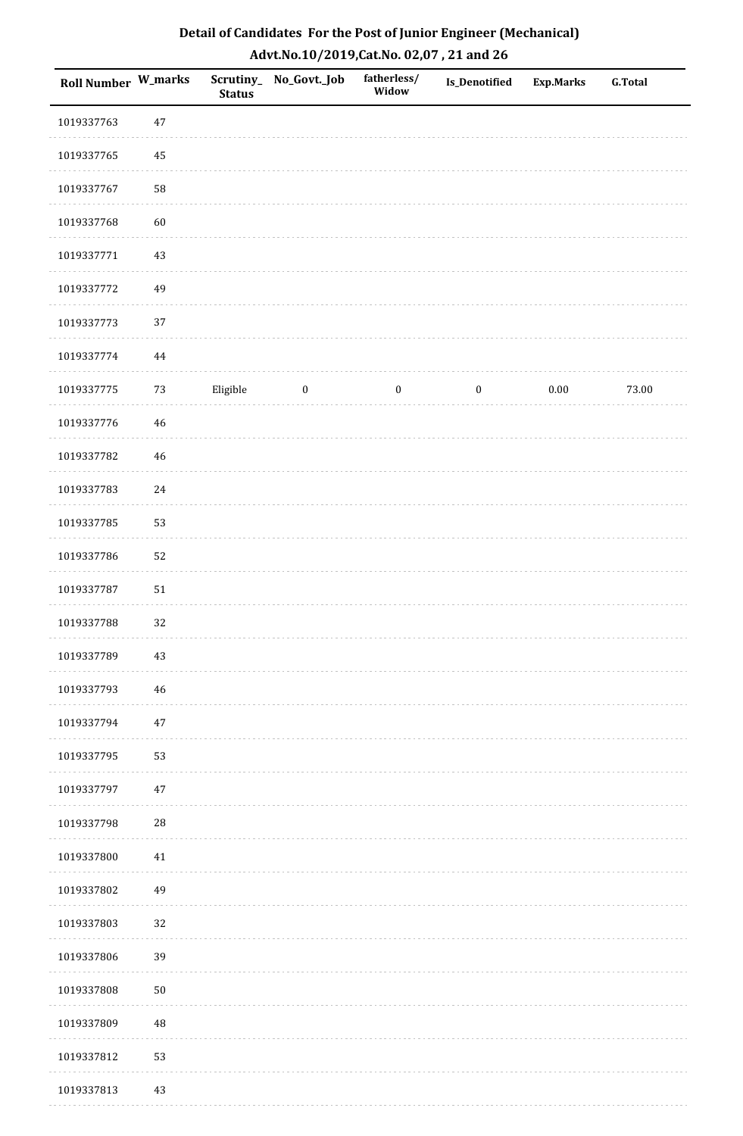| Detail of Candidates For the Post of Junior Engineer (Mechanical) |
|-------------------------------------------------------------------|
| Advt.No.10/2019, Cat.No. 02,07, 21 and 26                         |

| <b>Roll Number W_marks</b> |             | <b>Status</b> | Scrutiny_No_Govt._Job | fatherless/<br>Widow | Is_Denotified    | Exp.Marks | <b>G.Total</b> |
|----------------------------|-------------|---------------|-----------------------|----------------------|------------------|-----------|----------------|
| 1019337763                 | $47\,$      |               |                       |                      |                  |           |                |
| 1019337765                 | 45          |               |                       |                      |                  |           |                |
| 1019337767                 | 58          |               |                       |                      |                  |           |                |
| 1019337768                 | 60          |               |                       |                      |                  |           |                |
| 1019337771                 | $43\,$      |               |                       |                      |                  |           |                |
| 1019337772                 | 49          |               |                       |                      |                  |           |                |
| 1019337773                 | 37          |               |                       |                      |                  |           |                |
| 1019337774                 | $\bf 44$    |               |                       |                      |                  |           |                |
| 1019337775                 | 73          | Eligible      | $\boldsymbol{0}$      | $\bf{0}$             | $\boldsymbol{0}$ | $0.00\,$  | 73.00          |
| 1019337776                 | 46          |               |                       |                      |                  |           |                |
| 1019337782                 | 46          |               |                       |                      |                  |           |                |
| 1019337783                 | $24\,$      |               |                       |                      |                  |           |                |
| 1019337785                 | 53          |               |                       |                      |                  |           |                |
| 1019337786                 | 52          |               |                       |                      |                  |           |                |
| 1019337787                 | 51          |               |                       |                      |                  |           |                |
| 1019337788                 | 32          |               |                       |                      |                  |           |                |
| 1019337789                 | 43          |               |                       |                      |                  |           |                |
| 1019337793                 | $\sqrt{46}$ |               |                       |                      |                  |           |                |
| 1019337794                 | $47\,$      |               |                       |                      |                  |           |                |
| 1019337795                 | 53          |               |                       |                      |                  |           |                |
| 1019337797                 | 47          |               |                       |                      |                  |           |                |
| 1019337798                 | $28\,$      |               |                       |                      |                  |           |                |
| 1019337800                 | 41          |               |                       |                      |                  |           |                |
| 1019337802                 | 49          |               |                       |                      |                  |           |                |
| 1019337803                 | 32          |               |                       |                      |                  |           |                |
| 1019337806                 | 39          |               |                       |                      |                  |           |                |
| 1019337808                 | $50\,$      |               |                       |                      |                  |           |                |
| 1019337809                 | $\rm 48$    |               |                       |                      |                  |           |                |
| 1019337812                 | 53          |               |                       |                      |                  |           |                |
| 1019337813                 | $43\,$      |               |                       |                      |                  |           |                |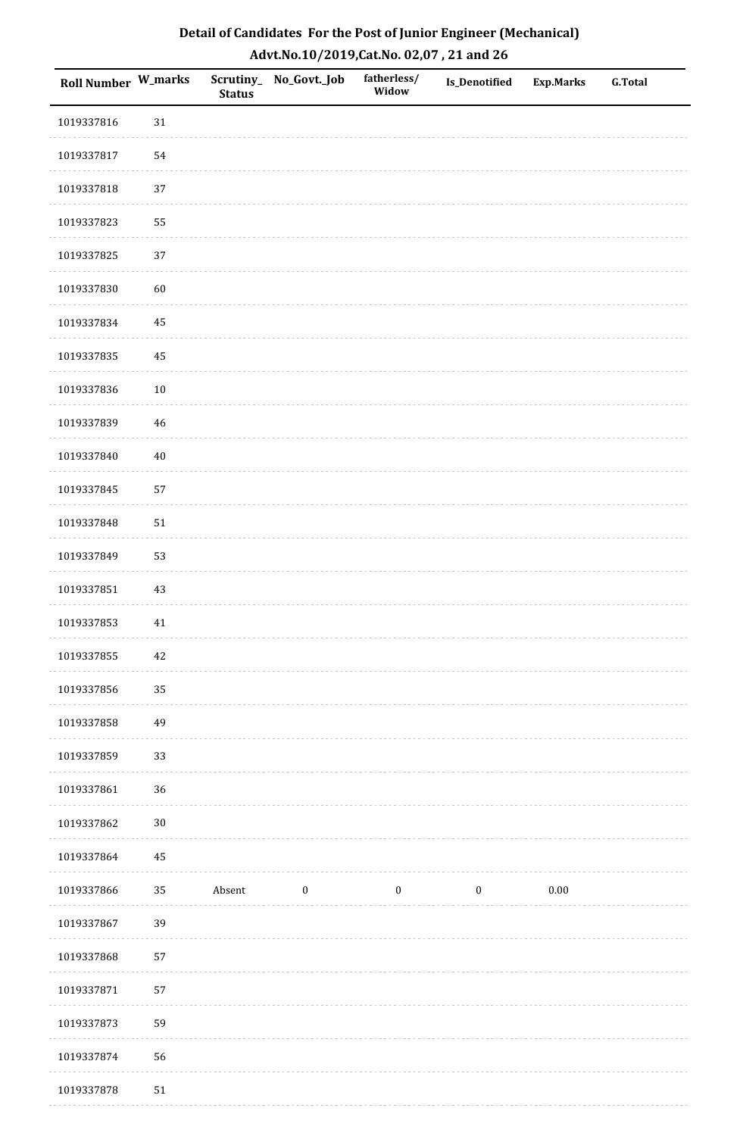| <b>Roll Number W_marks</b> |        | <b>Status</b> | Scrutiny_No_Govt._Job | fatherless/<br>Widow | Is_Denotified    | <b>Exp.Marks</b> | <b>G.Total</b> |
|----------------------------|--------|---------------|-----------------------|----------------------|------------------|------------------|----------------|
| 1019337816                 | $31\,$ |               |                       |                      |                  |                  |                |
| 1019337817                 | 54     |               |                       |                      |                  |                  |                |
| 1019337818                 | 37     |               |                       |                      |                  |                  |                |
| 1019337823                 | 55     |               |                       |                      |                  |                  |                |
| 1019337825                 | 37     |               |                       |                      |                  |                  |                |
| 1019337830                 | 60     |               |                       |                      |                  |                  |                |
| 1019337834                 | 45     |               |                       |                      |                  |                  |                |
| 1019337835                 | 45     |               |                       |                      |                  |                  |                |
| 1019337836                 | $10\,$ |               |                       |                      |                  |                  |                |
| 1019337839                 | $46\,$ |               |                       |                      |                  |                  |                |
| 1019337840                 | $40\,$ |               |                       |                      |                  |                  |                |
| 1019337845                 | 57     |               |                       |                      |                  |                  |                |
| 1019337848                 | $51\,$ |               |                       |                      |                  |                  |                |
| 1019337849                 | 53     |               |                       |                      |                  |                  |                |
| 1019337851                 | $43\,$ |               |                       |                      |                  |                  |                |
| 1019337853                 | $41\,$ |               |                       |                      |                  |                  |                |
| 1019337855                 | $42\,$ |               |                       |                      |                  |                  |                |
| 1019337856                 | 35     |               |                       |                      |                  |                  |                |
| 1019337858                 | 49     |               |                       |                      |                  |                  |                |
| 1019337859                 | 33     |               |                       |                      |                  |                  |                |
| 1019337861                 | 36     |               |                       |                      |                  |                  |                |
| 1019337862                 | $30\,$ |               |                       |                      |                  |                  |                |
| 1019337864                 | 45     |               |                       |                      |                  |                  |                |
| 1019337866                 | 35     | Absent        | $\boldsymbol{0}$      | $\boldsymbol{0}$     | $\boldsymbol{0}$ | 0.00             |                |
| 1019337867                 | 39     |               |                       |                      |                  |                  |                |
| 1019337868                 | 57     |               |                       |                      |                  |                  |                |
| 1019337871                 | 57     |               |                       |                      |                  |                  |                |
| 1019337873                 | 59     |               |                       |                      |                  |                  |                |
| 1019337874                 | 56     |               |                       |                      |                  |                  |                |
| 1019337878                 | $51\,$ |               |                       |                      |                  |                  |                |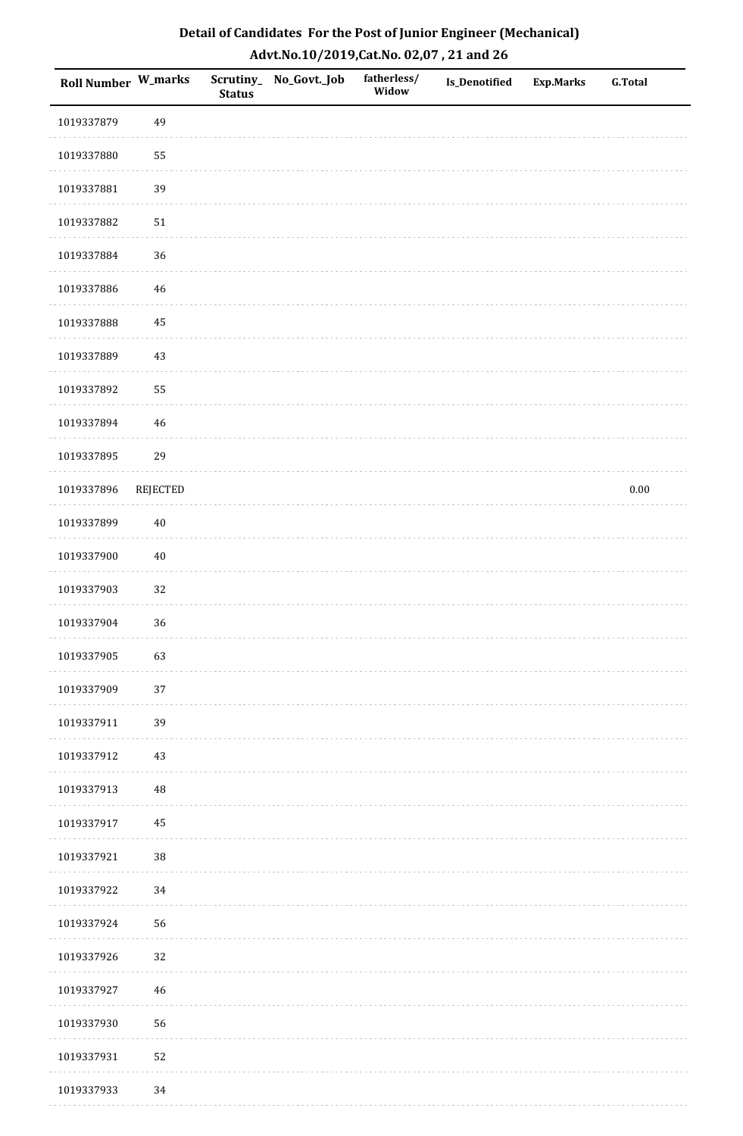| <b>Roll Number W_marks</b> |             | <b>Status</b> | Scrutiny_ No_Govt._Job | fatherless/<br>Widow | Is_Denotified | Exp.Marks | <b>G.Total</b> |
|----------------------------|-------------|---------------|------------------------|----------------------|---------------|-----------|----------------|
| 1019337879                 | 49          |               |                        |                      |               |           |                |
| 1019337880                 | 55          |               |                        |                      |               |           |                |
| 1019337881                 | 39          |               |                        |                      |               |           |                |
| 1019337882                 | $51\,$      |               |                        |                      |               |           |                |
| 1019337884                 | 36          |               |                        |                      |               |           |                |
| 1019337886                 | $46\,$      |               |                        |                      |               |           |                |
| 1019337888                 | 45          |               |                        |                      |               |           |                |
| 1019337889                 | $43\,$      |               |                        |                      |               |           |                |
| 1019337892                 | 55          |               |                        |                      |               |           |                |
| 1019337894                 | 46          |               |                        |                      |               |           |                |
| 1019337895                 | 29          |               |                        |                      |               |           |                |
| 1019337896                 | REJECTED    |               |                        |                      |               |           | $0.00\,$       |
| 1019337899                 | $40\,$      |               |                        |                      |               |           |                |
| 1019337900                 | $40\,$      |               |                        |                      |               |           |                |
| 1019337903                 | 32          |               |                        |                      |               |           |                |
| 1019337904                 | 36          |               |                        |                      |               |           |                |
| 1019337905                 | 63          |               |                        |                      |               |           |                |
| 1019337909                 | 37          |               |                        |                      |               |           |                |
| 1019337911                 | 39          |               |                        |                      |               |           |                |
| 1019337912                 | $43\,$      |               |                        |                      |               |           |                |
| 1019337913                 | $\sqrt{48}$ |               |                        |                      |               |           |                |
| 1019337917                 | 45          |               |                        |                      |               |           |                |
| 1019337921                 | 38          |               |                        |                      |               |           |                |
| 1019337922                 | 34          |               |                        |                      |               |           |                |
| 1019337924                 | 56          |               |                        |                      |               |           |                |
| 1019337926                 | 32          |               |                        |                      |               |           |                |
| 1019337927                 | $\sqrt{46}$ |               |                        |                      |               |           |                |
| 1019337930                 | 56          |               |                        |                      |               |           |                |
| 1019337931                 | 52          |               |                        |                      |               |           |                |
| 1019337933                 | 34          |               |                        |                      |               |           |                |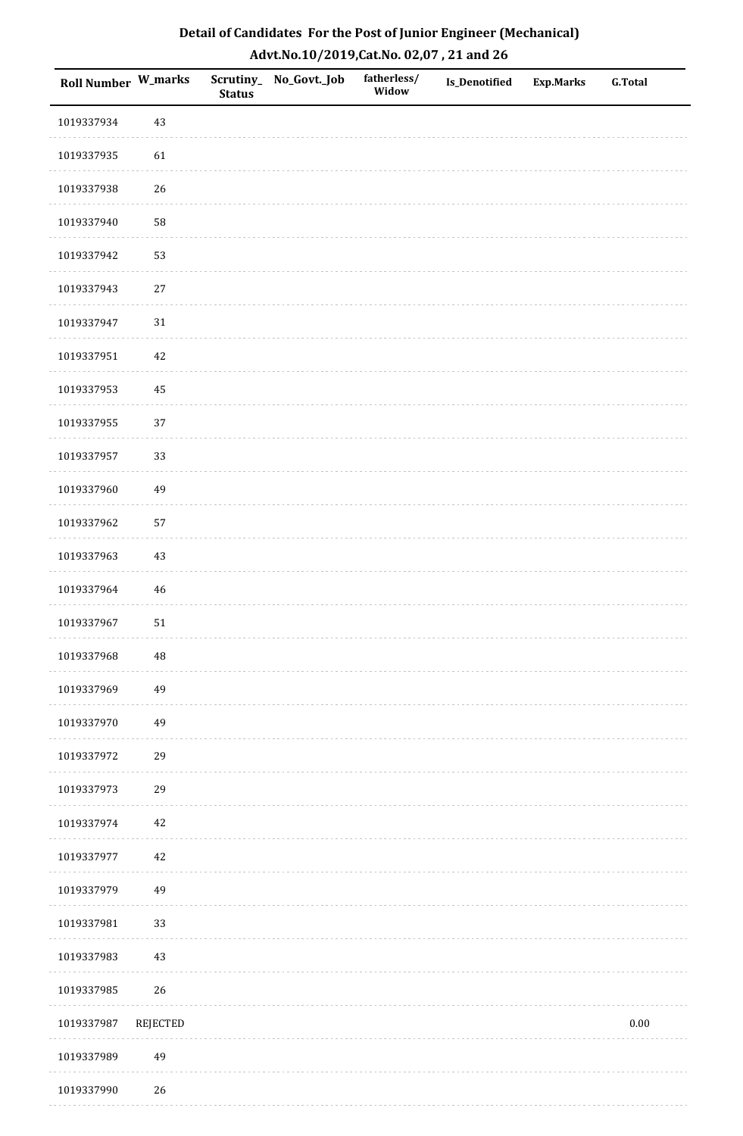| Roll Number W_marks |             | <b>Status</b> | Scrutiny_No_Govt._Job | fatherless/<br>Widow | Is_Denotified | <b>Exp.Marks</b> | <b>G.Total</b> |
|---------------------|-------------|---------------|-----------------------|----------------------|---------------|------------------|----------------|
| 1019337934          | 43          |               |                       |                      |               |                  |                |
| 1019337935          | 61          |               |                       |                      |               |                  |                |
| 1019337938          | 26          |               |                       |                      |               |                  |                |
| 1019337940          | 58          |               |                       |                      |               |                  |                |
| 1019337942          | 53          |               |                       |                      |               |                  |                |
| 1019337943          | $27\,$      |               |                       |                      |               |                  |                |
| 1019337947          | 31          |               |                       |                      |               |                  |                |
| 1019337951          | 42          |               |                       |                      |               |                  |                |
| 1019337953          | 45          |               |                       |                      |               |                  |                |
| 1019337955          | 37          |               |                       |                      |               |                  |                |
| 1019337957          | 33          |               |                       |                      |               |                  |                |
| 1019337960          | 49          |               |                       |                      |               |                  |                |
| 1019337962          | 57          |               |                       |                      |               |                  |                |
| 1019337963          | $43\,$      |               |                       |                      |               |                  |                |
| 1019337964          | $\sqrt{46}$ |               |                       |                      |               |                  |                |
| 1019337967          | $51\,$      |               |                       |                      |               |                  |                |
| 1019337968          | $\rm 48$    |               |                       |                      |               |                  |                |
| 1019337969          | 49          |               |                       |                      |               |                  |                |
| 1019337970          | 49          |               |                       |                      |               |                  |                |
| 1019337972          | 29          |               |                       |                      |               |                  |                |
| 1019337973          | 29          |               |                       |                      |               |                  |                |
| 1019337974          | $42\,$      |               |                       |                      |               |                  |                |
| 1019337977          | 42          |               |                       |                      |               |                  |                |
| 1019337979          | 49          |               |                       |                      |               |                  |                |
| 1019337981          | 33          |               |                       |                      |               |                  |                |
| 1019337983          | $43\,$      |               |                       |                      |               |                  |                |
| 1019337985          | 26          |               |                       |                      |               |                  |                |
| 1019337987          | REJECTED    |               |                       |                      |               |                  | $0.00\,$       |
| 1019337989          | 49          |               |                       |                      |               |                  |                |
| 1019337990          | 26          |               |                       |                      |               |                  |                |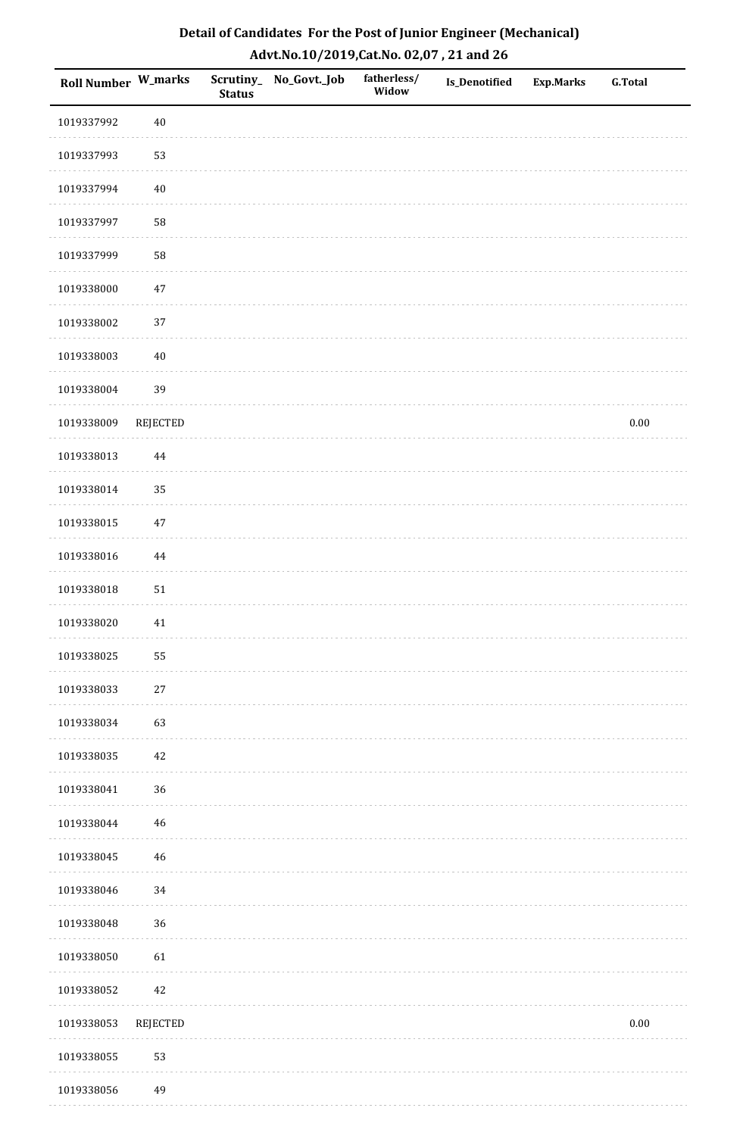| <b>Roll Number W_marks</b> |                 | <b>Status</b> | Scrutiny_No_Govt._Job | fatherless/<br>Widow | Is_Denotified | <b>Exp.Marks</b> | <b>G.Total</b> |
|----------------------------|-----------------|---------------|-----------------------|----------------------|---------------|------------------|----------------|
| 1019337992                 | $40\,$          |               |                       |                      |               |                  |                |
| 1019337993                 | 53              |               |                       |                      |               |                  |                |
| 1019337994                 | $40\,$          |               |                       |                      |               |                  |                |
| 1019337997                 | 58              |               |                       |                      |               |                  |                |
| 1019337999                 | 58              |               |                       |                      |               |                  |                |
| 1019338000                 | $47\,$          |               |                       |                      |               |                  |                |
| 1019338002                 | 37              |               |                       |                      |               |                  |                |
| 1019338003                 | $40\,$          |               |                       |                      |               |                  |                |
| 1019338004                 | 39              |               |                       |                      |               |                  |                |
| 1019338009                 | REJECTED        |               |                       |                      |               |                  | $0.00\,$       |
| 1019338013                 | 44              |               |                       |                      |               |                  |                |
| 1019338014                 | 35              |               |                       |                      |               |                  |                |
| 1019338015                 | $47\,$          |               |                       |                      |               |                  |                |
| 1019338016                 | 44              |               |                       |                      |               |                  |                |
| 1019338018                 | ${\bf 51}$      |               |                       |                      |               |                  |                |
| 1019338020                 | $41\,$          |               |                       |                      |               |                  |                |
| 1019338025                 | 55              |               |                       |                      |               |                  |                |
| 1019338033                 | 27              |               |                       |                      |               |                  |                |
| 1019338034                 | 63              |               |                       |                      |               |                  |                |
| 1019338035                 | $42\,$          |               |                       |                      |               |                  |                |
| 1019338041                 | 36              |               |                       |                      |               |                  |                |
| 1019338044                 | $\sqrt{46}$     |               |                       |                      |               |                  |                |
| 1019338045                 | 46              |               |                       |                      |               |                  |                |
| 1019338046                 | 34              |               |                       |                      |               |                  |                |
| 1019338048                 | 36              |               |                       |                      |               |                  |                |
| 1019338050                 | 61              |               |                       |                      |               |                  |                |
| 1019338052                 | $42\,$          |               |                       |                      |               |                  |                |
| 1019338053                 | <b>REJECTED</b> |               |                       |                      |               |                  | $0.00\,$       |
| 1019338055                 | 53              |               |                       |                      |               |                  |                |
| 1019338056                 | 49              |               |                       |                      |               |                  |                |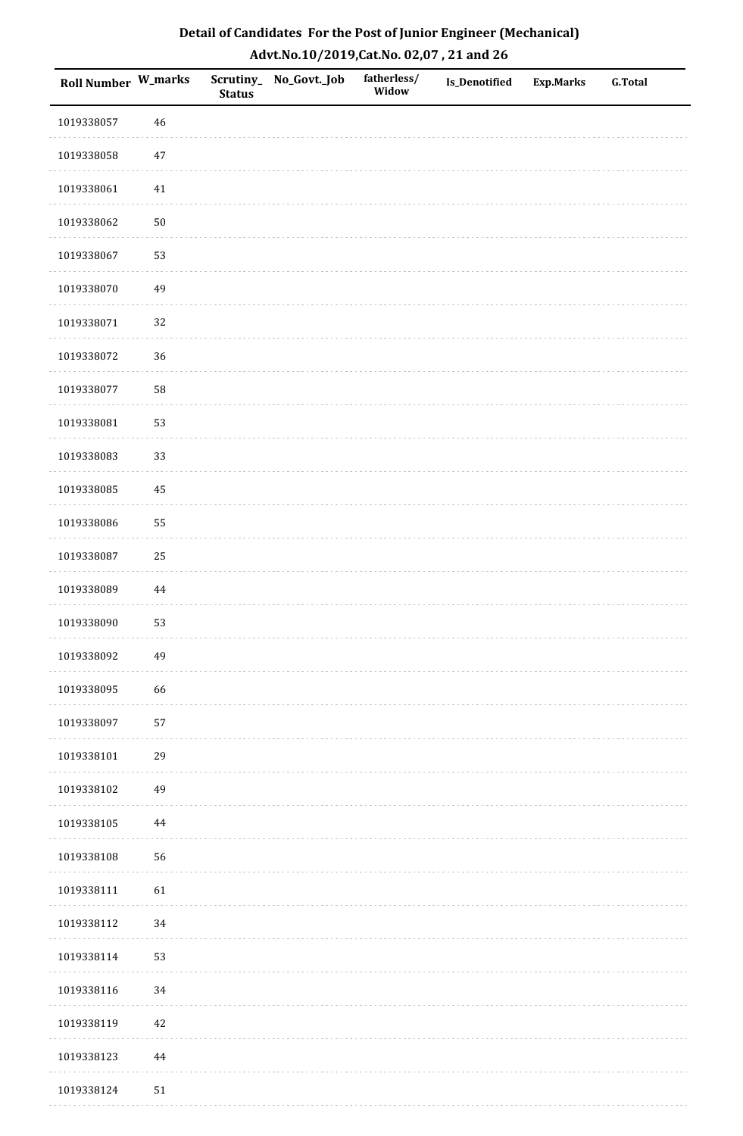| <b>Roll Number W_marks</b> |          | <b>Status</b> | Scrutiny_No_Govt._Job | fatherless/<br>Widow | Is_Denotified | <b>Exp.Marks</b> | <b>G.Total</b> |
|----------------------------|----------|---------------|-----------------------|----------------------|---------------|------------------|----------------|
| 1019338057                 | 46       |               |                       |                      |               |                  |                |
| 1019338058                 | $47\,$   |               |                       |                      |               |                  |                |
| 1019338061                 | 41       |               |                       |                      |               |                  |                |
| 1019338062                 | $50\,$   |               |                       |                      |               |                  |                |
| 1019338067                 | 53       |               |                       |                      |               |                  |                |
| 1019338070                 | 49       |               |                       |                      |               |                  |                |
| 1019338071                 | 32       |               |                       |                      |               |                  |                |
| 1019338072                 | 36       |               |                       |                      |               |                  |                |
| 1019338077                 | 58       |               |                       |                      |               |                  |                |
| 1019338081                 | 53       |               |                       |                      |               |                  |                |
| 1019338083                 | 33       |               |                       |                      |               |                  |                |
| 1019338085                 | 45       |               |                       |                      |               |                  |                |
| 1019338086                 | 55       |               |                       |                      |               |                  |                |
| 1019338087                 | 25       |               |                       |                      |               |                  |                |
| 1019338089                 | $\bf 44$ |               |                       |                      |               |                  |                |
| 1019338090                 | 53       |               |                       |                      |               |                  |                |
| 1019338092                 | 49       |               |                       |                      |               |                  |                |
| 1019338095                 | 66       |               |                       |                      |               |                  |                |
| 1019338097                 | 57       |               |                       |                      |               |                  |                |
| 1019338101                 | 29       |               |                       |                      |               |                  |                |
| 1019338102                 | 49       |               |                       |                      |               |                  |                |
| 1019338105                 | 44       |               |                       |                      |               |                  |                |
| 1019338108                 | 56       |               |                       |                      |               |                  |                |
| 1019338111                 | 61       |               |                       |                      |               |                  |                |
| 1019338112                 | 34       |               |                       |                      |               |                  |                |
| 1019338114                 | 53       |               |                       |                      |               |                  |                |
| 1019338116                 | 34       |               |                       |                      |               |                  |                |
| 1019338119                 | $42\,$   |               |                       |                      |               |                  |                |
| 1019338123                 | $\bf 44$ |               |                       |                      |               |                  |                |
| 1019338124                 | $51\,$   |               |                       |                      |               |                  |                |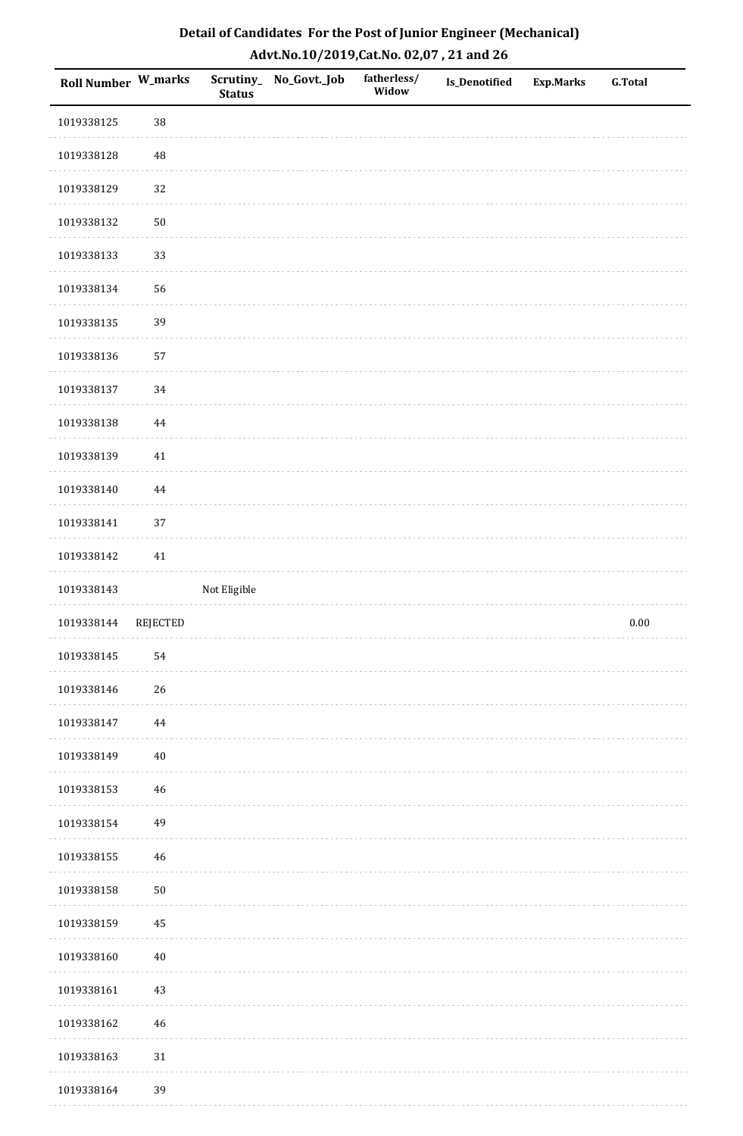| Roll Number W_marks |                 | <b>Status</b> | Scrutiny_ No_Govt._Job | fatherless/<br>Widow | <b>Is_Denotified</b> | <b>Exp.Marks</b> | <b>G.Total</b> |
|---------------------|-----------------|---------------|------------------------|----------------------|----------------------|------------------|----------------|
| 1019338125          | 38              |               |                        |                      |                      |                  |                |
| 1019338128          | 48              |               |                        |                      |                      |                  |                |
| 1019338129          | 32              |               |                        |                      |                      |                  |                |
| 1019338132          | $50\,$          |               |                        |                      |                      |                  |                |
| 1019338133          | 33              |               |                        |                      |                      |                  |                |
| 1019338134          | 56              |               |                        |                      |                      |                  |                |
| 1019338135          | 39              |               |                        |                      |                      |                  |                |
| 1019338136          | 57              |               |                        |                      |                      |                  |                |
| 1019338137          | 34              |               |                        |                      |                      |                  |                |
| 1019338138          | $\bf 44$        |               |                        |                      |                      |                  |                |
| 1019338139          | $41\,$          |               |                        |                      |                      |                  |                |
| 1019338140          | $\bf 44$        |               |                        |                      |                      |                  |                |
| 1019338141          | 37              |               |                        |                      |                      |                  |                |
| 1019338142          | $41\,$          |               |                        |                      |                      |                  |                |
| 1019338143          |                 | Not Eligible  |                        |                      |                      |                  |                |
| 1019338144          | <b>REJECTED</b> |               |                        |                      |                      |                  | $0.00\,$       |
| 1019338145          | 54              |               |                        |                      |                      |                  |                |
| 1019338146          | 26              |               |                        |                      |                      |                  |                |
| 1019338147          | 44              |               |                        |                      |                      |                  |                |
| 1019338149          | $40\,$          |               |                        |                      |                      |                  |                |
| 1019338153          | 46              |               |                        |                      |                      |                  |                |
| 1019338154          | 49              |               |                        |                      |                      |                  |                |
| 1019338155          | $46\,$          |               |                        |                      |                      |                  |                |
| 1019338158          | $50\,$          |               |                        |                      |                      |                  |                |
| 1019338159          | 45              |               |                        |                      |                      |                  |                |
| 1019338160          | $40\,$          |               |                        |                      |                      |                  |                |
| 1019338161          | $43\,$          |               |                        |                      |                      |                  |                |
| 1019338162          | 46              |               |                        |                      |                      |                  |                |
| 1019338163          | 31              |               |                        |                      |                      |                  |                |
| 1019338164          | 39              |               |                        |                      |                      |                  |                |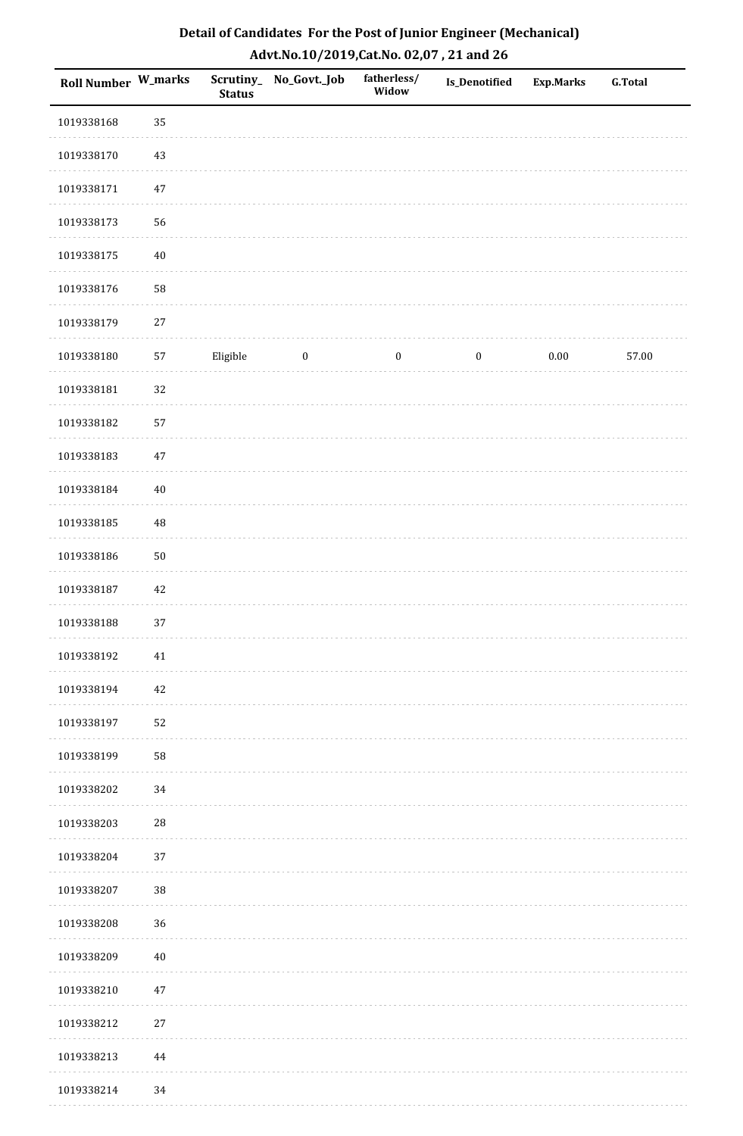| <b>Roll Number W_marks</b> |            | <b>Status</b> | Scrutiny_ No_Govt._Job | fatherless/<br>Widow | <b>Is_Denotified</b> | <b>Exp.Marks</b> | <b>G.Total</b> |
|----------------------------|------------|---------------|------------------------|----------------------|----------------------|------------------|----------------|
| 1019338168                 | 35         |               |                        |                      |                      |                  |                |
| 1019338170                 | 43         |               |                        |                      |                      |                  |                |
| 1019338171                 | $47\,$     |               |                        |                      |                      |                  |                |
| 1019338173                 | 56         |               |                        |                      |                      |                  |                |
| 1019338175                 | $40\,$     |               |                        |                      |                      |                  |                |
| 1019338176                 | 58         |               |                        |                      |                      |                  |                |
| 1019338179                 | $27\,$     |               |                        |                      |                      |                  |                |
| 1019338180                 | $57\,$     | Eligible      | $\boldsymbol{0}$       | $\boldsymbol{0}$     | $\boldsymbol{0}$     | 0.00             | 57.00          |
| 1019338181                 | 32         |               |                        |                      |                      |                  |                |
| 1019338182                 | 57         |               |                        |                      |                      |                  |                |
| 1019338183                 | $47\,$     |               |                        |                      |                      |                  |                |
| 1019338184                 | $40\,$     |               |                        |                      |                      |                  |                |
| 1019338185                 | 48         |               |                        |                      |                      |                  |                |
| 1019338186                 | $50\,$     |               |                        |                      |                      |                  |                |
| 1019338187                 | $42\,$     |               |                        |                      |                      |                  |                |
| 1019338188                 | 37         |               |                        |                      |                      |                  |                |
| 1019338192                 | $41\,$     |               |                        |                      |                      |                  |                |
| 1019338194                 | 42         |               |                        |                      |                      |                  |                |
| 1019338197                 | 52         |               |                        |                      |                      |                  |                |
| 1019338199                 | 58         |               |                        |                      |                      |                  |                |
| 1019338202                 | 34         |               |                        |                      |                      |                  |                |
| 1019338203                 | ${\bf 28}$ |               |                        |                      |                      |                  |                |
| 1019338204                 | 37         |               |                        |                      |                      |                  |                |
| 1019338207                 | $38\,$     |               |                        |                      |                      |                  |                |
| 1019338208                 | 36         |               |                        |                      |                      |                  |                |
| 1019338209                 | $40\,$     |               |                        |                      |                      |                  |                |
| 1019338210                 | $47\,$     |               |                        |                      |                      |                  |                |
| 1019338212                 | $27\,$     |               |                        |                      |                      |                  |                |
| 1019338213                 | $\bf 44$   |               |                        |                      |                      |                  |                |
| 1019338214                 | 34         |               |                        |                      |                      |                  |                |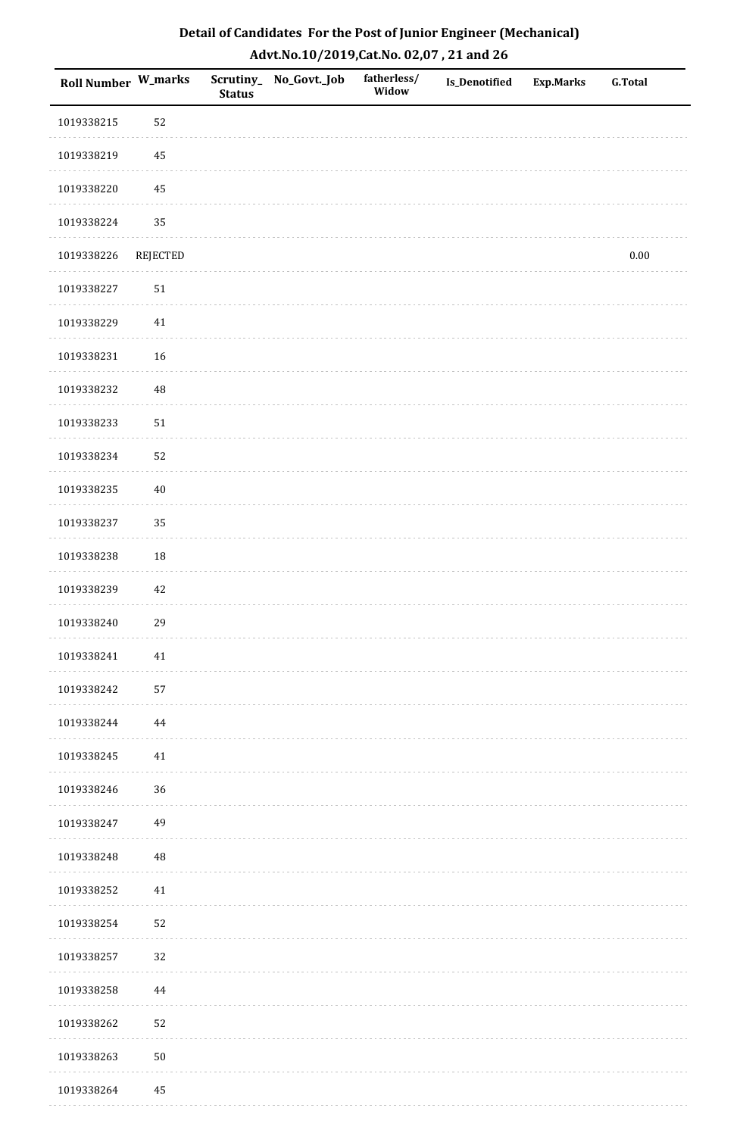| Roll Number W_marks |                 | <b>Status</b> | Scrutiny_ No_Govt._Job | fatherless/<br>Widow | Is_Denotified | <b>Exp.Marks</b> | <b>G.Total</b> |
|---------------------|-----------------|---------------|------------------------|----------------------|---------------|------------------|----------------|
| 1019338215          | 52              |               |                        |                      |               |                  |                |
| 1019338219          | 45              |               |                        |                      |               |                  |                |
| 1019338220          | $\bf 45$        |               |                        |                      |               |                  |                |
| 1019338224          | 35              |               |                        |                      |               |                  |                |
| 1019338226          | <b>REJECTED</b> |               |                        |                      |               |                  | $0.00\,$       |
| 1019338227          | $51\,$          |               |                        |                      |               |                  |                |
| 1019338229          | $41\,$          |               |                        |                      |               |                  |                |
| 1019338231          | 16              |               |                        |                      |               |                  |                |
| 1019338232          | 48              |               |                        |                      |               |                  |                |
| 1019338233          | $51\,$          |               |                        |                      |               |                  |                |
| 1019338234          | 52              |               |                        |                      |               |                  |                |
| 1019338235          | $40\,$          |               |                        |                      |               |                  |                |
| 1019338237          | 35              |               |                        |                      |               |                  |                |
| 1019338238          | 18              |               |                        |                      |               |                  |                |
| 1019338239          | $42\,$          |               |                        |                      |               |                  |                |
| 1019338240          | 29              |               |                        |                      |               |                  |                |
| 1019338241          | 41              |               |                        |                      |               |                  |                |
| 1019338242          | 57              |               |                        |                      |               |                  |                |
| 1019338244          | 44              |               |                        |                      |               |                  |                |
| 1019338245          | 41              |               |                        |                      |               |                  |                |
| 1019338246          | 36              |               |                        |                      |               |                  |                |
| 1019338247          | 49              |               |                        |                      |               |                  |                |
| 1019338248          | 48              |               |                        |                      |               |                  |                |
| 1019338252          | 41              |               |                        |                      |               |                  |                |
| 1019338254          | 52              |               |                        |                      |               |                  |                |
| 1019338257          | 32              |               |                        |                      |               |                  |                |
| 1019338258          | $\bf 44$        |               |                        |                      |               |                  |                |
| 1019338262          | 52              |               |                        |                      |               |                  |                |
| 1019338263          | $50\,$          |               |                        |                      |               |                  |                |
| 1019338264          | 45              |               |                        |                      |               |                  |                |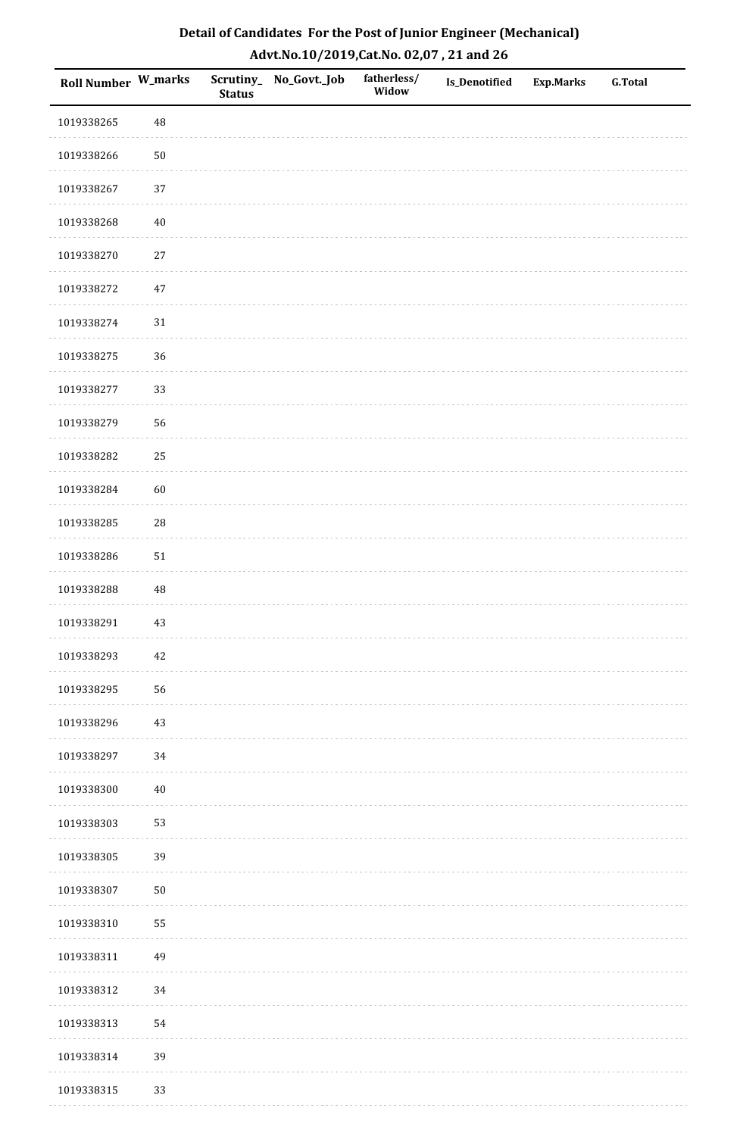| <b>Roll Number W_marks</b> |            | <b>Status</b> | Scrutiny_No_Govt._Job | fatherless/<br>Widow | Is_Denotified | <b>Exp.Marks</b> | <b>G.Total</b> |
|----------------------------|------------|---------------|-----------------------|----------------------|---------------|------------------|----------------|
| 1019338265                 | 48         |               |                       |                      |               |                  |                |
| 1019338266                 | $50\,$     |               |                       |                      |               |                  |                |
| 1019338267                 | 37         |               |                       |                      |               |                  |                |
| 1019338268                 | $40\,$     |               |                       |                      |               |                  |                |
| 1019338270                 | $27\,$     |               |                       |                      |               |                  |                |
| 1019338272                 | 47         |               |                       |                      |               |                  |                |
| 1019338274                 | $31\,$     |               |                       |                      |               |                  |                |
| 1019338275                 | 36         |               |                       |                      |               |                  |                |
| 1019338277                 | 33         |               |                       |                      |               |                  |                |
| 1019338279                 | 56         |               |                       |                      |               |                  |                |
| 1019338282                 | 25         |               |                       |                      |               |                  |                |
| 1019338284                 | 60         |               |                       |                      |               |                  |                |
| 1019338285                 | ${\bf 28}$ |               |                       |                      |               |                  |                |
| 1019338286                 | $51\,$     |               |                       |                      |               |                  |                |
| 1019338288                 | $\rm 48$   |               |                       |                      |               |                  |                |
| 1019338291                 | $43\,$     |               |                       |                      |               |                  |                |
| 1019338293                 | $42\,$     |               |                       |                      |               |                  |                |
| 1019338295                 | 56         |               |                       |                      |               |                  |                |
| 1019338296                 | $43\,$     |               |                       |                      |               |                  |                |
| 1019338297                 | 34         |               |                       |                      |               |                  |                |
| 1019338300                 | $40\,$     |               |                       |                      |               |                  |                |
| 1019338303                 | 53         |               |                       |                      |               |                  |                |
| 1019338305                 | 39         |               |                       |                      |               |                  |                |
| 1019338307                 | $50\,$     |               |                       |                      |               |                  |                |
| 1019338310                 | 55         |               |                       |                      |               |                  |                |
| 1019338311                 | 49         |               |                       |                      |               |                  |                |
| 1019338312                 | 34         |               |                       |                      |               |                  |                |
| 1019338313                 | 54         |               |                       |                      |               |                  |                |
| 1019338314                 | 39         |               |                       |                      |               |                  |                |
| 1019338315                 | 33         |               |                       |                      |               |                  |                |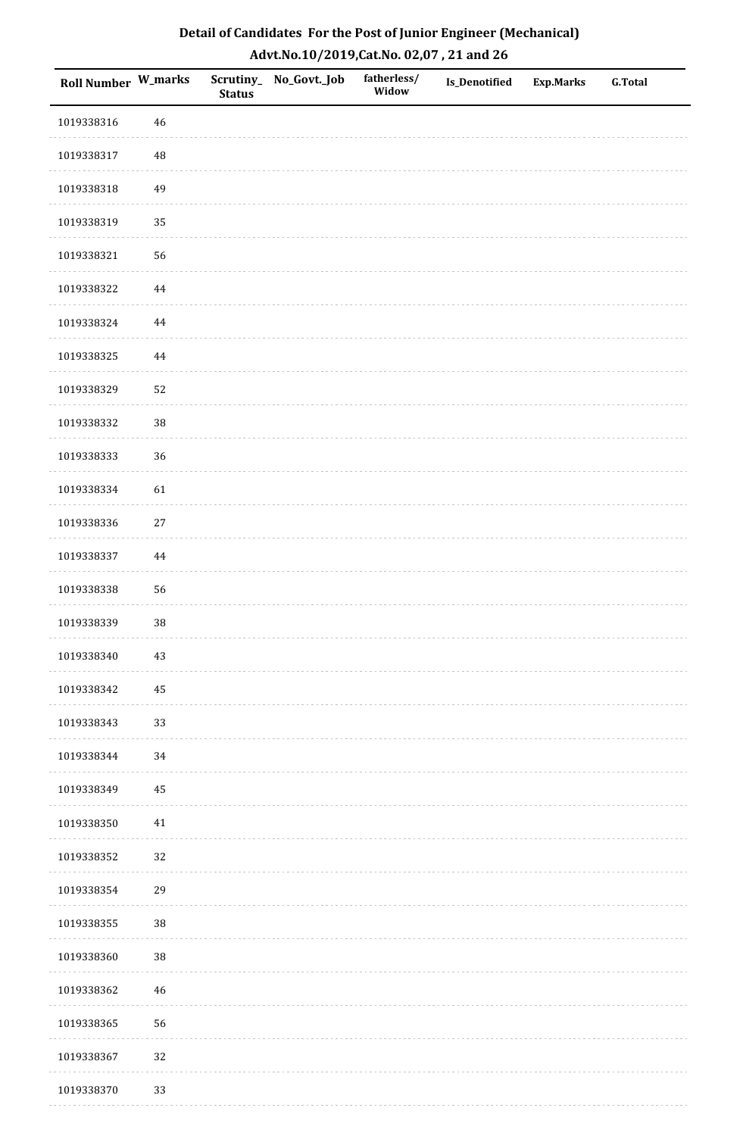| Roll Number W_marks |          | <b>Status</b> | Scrutiny_No_Govt._Job | fatherless/<br>Widow | Is_Denotified | <b>Exp.Marks</b> | <b>G.Total</b> |
|---------------------|----------|---------------|-----------------------|----------------------|---------------|------------------|----------------|
| 1019338316          | $46\,$   |               |                       |                      |               |                  |                |
| 1019338317          | 48       |               |                       |                      |               |                  |                |
| 1019338318          | 49       |               |                       |                      |               |                  |                |
| 1019338319          | 35       |               |                       |                      |               |                  |                |
| 1019338321          | 56       |               |                       |                      |               |                  |                |
| 1019338322          | 44       |               |                       |                      |               |                  |                |
| 1019338324          | $\bf 44$ |               |                       |                      |               |                  |                |
| 1019338325          | 44       |               |                       |                      |               |                  |                |
| 1019338329          | 52       |               |                       |                      |               |                  |                |
| 1019338332          | $38\,$   |               |                       |                      |               |                  |                |
| 1019338333          | 36       |               |                       |                      |               |                  |                |
| 1019338334          | 61       |               |                       |                      |               |                  |                |
| 1019338336          | $27\,$   |               |                       |                      |               |                  |                |
| 1019338337          | 44       |               |                       |                      |               |                  |                |
| 1019338338          | 56       |               |                       |                      |               |                  |                |
| 1019338339          | 38       |               |                       |                      |               |                  |                |
| 1019338340          | $43\,$   |               |                       |                      |               |                  |                |
| 1019338342          | 45       |               |                       |                      |               |                  |                |
| 1019338343          | 33       |               |                       |                      |               |                  |                |
| 1019338344          | 34       |               |                       |                      |               |                  |                |
| 1019338349          | 45       |               |                       |                      |               |                  |                |
| 1019338350          | $41\,$   |               |                       |                      |               |                  |                |
| 1019338352          | 32       |               |                       |                      |               |                  |                |
| 1019338354          | 29       |               |                       |                      |               |                  |                |
| 1019338355          | 38       |               |                       |                      |               |                  |                |
| 1019338360          | 38       |               |                       |                      |               |                  |                |
| 1019338362          | 46       |               |                       |                      |               |                  |                |
| 1019338365          | 56       |               |                       |                      |               |                  |                |
| 1019338367          | 32       |               |                       |                      |               |                  |                |
| 1019338370          | 33       |               |                       |                      |               |                  |                |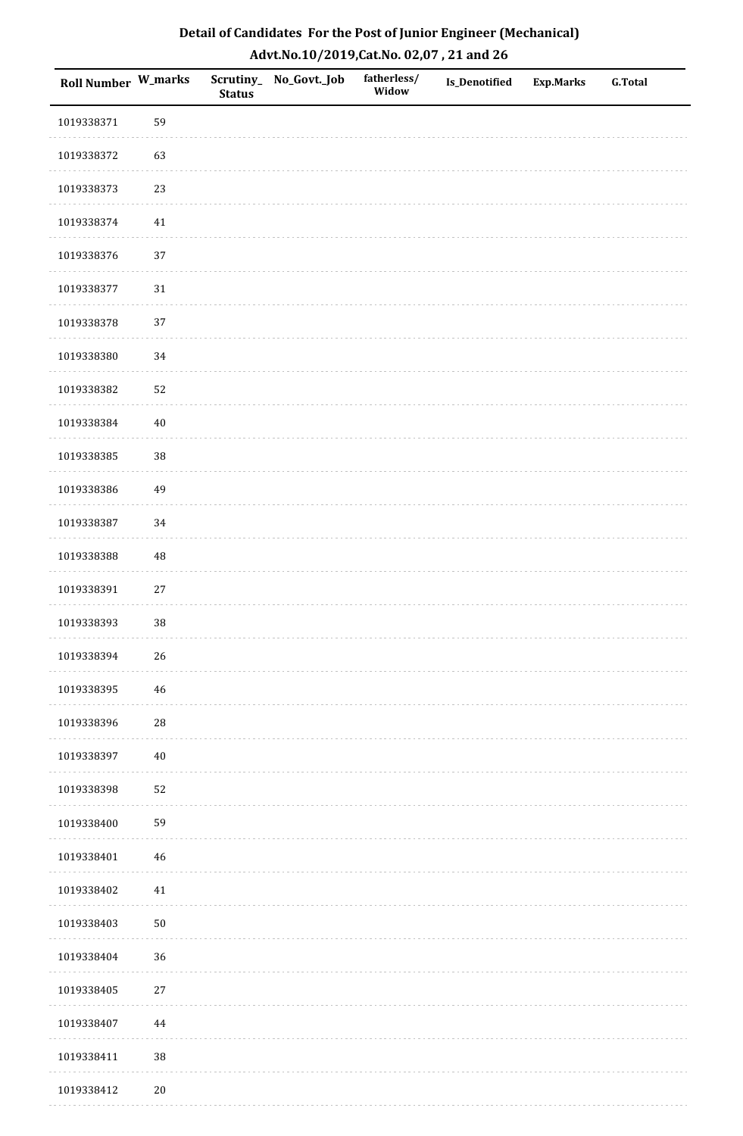| Detail of Candidates For the Post of Junior Engineer (Mechanical) |
|-------------------------------------------------------------------|
| Advt.No.10/2019,Cat.No. 02,07, 21 and 26                          |

| Roll Number W_marks |            | <b>Status</b> | Scrutiny_ No_Govt._Job | fatherless/<br>Widow | Is_Denotified | <b>Exp.Marks</b> | <b>G.Total</b> |
|---------------------|------------|---------------|------------------------|----------------------|---------------|------------------|----------------|
| 1019338371          | 59         |               |                        |                      |               |                  |                |
| 1019338372          | 63         |               |                        |                      |               |                  |                |
| 1019338373          | 23         |               |                        |                      |               |                  |                |
| 1019338374          | 41         |               |                        |                      |               |                  |                |
| 1019338376          | 37         |               |                        |                      |               |                  |                |
| 1019338377          | 31         |               |                        |                      |               |                  |                |
| 1019338378          | 37         |               |                        |                      |               |                  |                |
| 1019338380          | 34         |               |                        |                      |               |                  |                |
| 1019338382          | 52         |               |                        |                      |               |                  |                |
| 1019338384          | $40\,$     |               |                        |                      |               |                  |                |
| 1019338385          | $38\,$     |               |                        |                      |               |                  |                |
| 1019338386          | 49         |               |                        |                      |               |                  |                |
| 1019338387          | 34         |               |                        |                      |               |                  |                |
| 1019338388          | $\rm 48$   |               |                        |                      |               |                  |                |
| 1019338391          | 27         |               |                        |                      |               |                  |                |
| 1019338393          | $38\,$     |               |                        |                      |               |                  |                |
| 1019338394          | $26\,$     |               |                        |                      |               |                  |                |
| 1019338395          | 46         |               |                        |                      |               |                  |                |
| 1019338396          | ${\bf 28}$ |               |                        |                      |               |                  |                |
| 1019338397          | $40\,$     |               |                        |                      |               |                  |                |
| 1019338398          | 52         |               |                        |                      |               |                  |                |
| 1019338400          | 59         |               |                        |                      |               |                  |                |
| 1019338401          | 46         |               |                        |                      |               |                  |                |
| 1019338402          | 41         |               |                        |                      |               |                  |                |
| 1019338403          | $50\,$     |               |                        |                      |               |                  |                |
| 1019338404          | 36         |               |                        |                      |               |                  |                |
| 1019338405          | $27\,$     |               |                        |                      |               |                  |                |
| 1019338407          | $\bf 44$   |               |                        |                      |               |                  |                |
| 1019338411          | $38\,$     |               |                        |                      |               |                  |                |
| 1019338412          | $20\,$     |               |                        |                      |               |                  |                |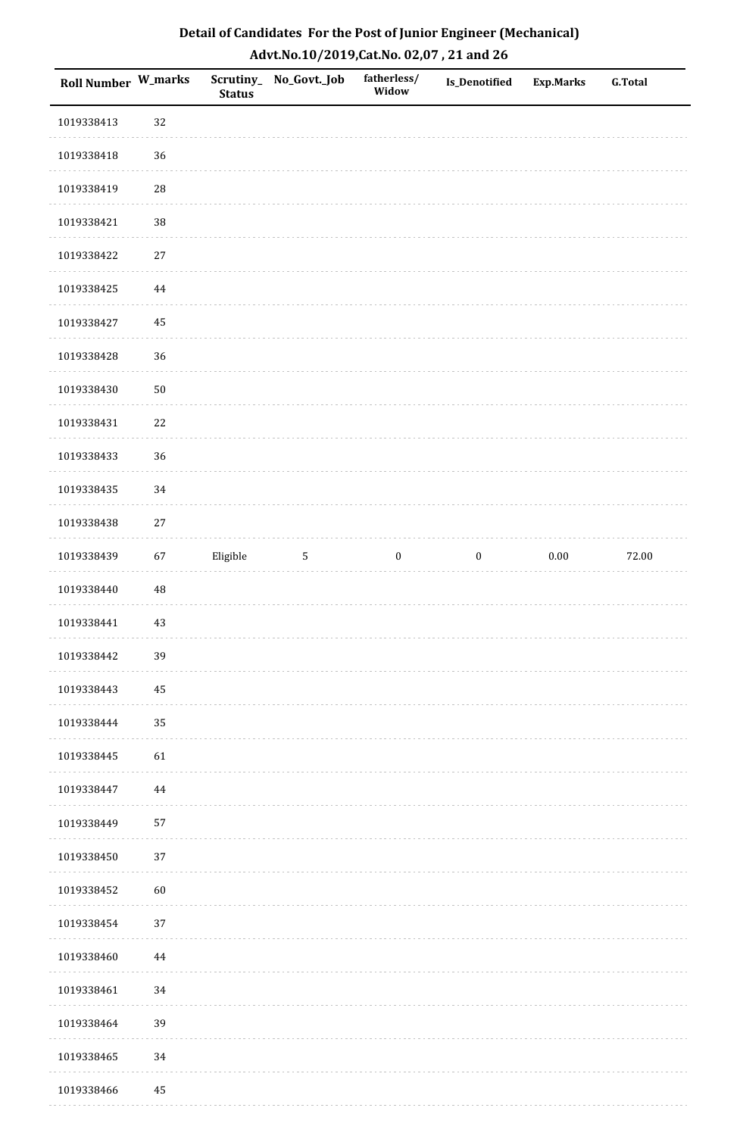| Detail of Candidates For the Post of Junior Engineer (Mechanical) |
|-------------------------------------------------------------------|
| Advt.No.10/2019,Cat.No. 02,07, 21 and 26                          |

| Roll Number W_marks |            | <b>Status</b> | Scrutiny_No_Govt._Job | fatherless/<br>Widow | Is_Denotified    | <b>Exp.Marks</b> | <b>G.Total</b> |
|---------------------|------------|---------------|-----------------------|----------------------|------------------|------------------|----------------|
| 1019338413          | 32         |               |                       |                      |                  |                  |                |
| 1019338418          | 36         |               |                       |                      |                  |                  |                |
| 1019338419          | 28         |               |                       |                      |                  |                  |                |
| 1019338421          | $38\,$     |               |                       |                      |                  |                  |                |
| 1019338422          | $27\,$     |               |                       |                      |                  |                  |                |
| 1019338425          | $\bf 44$   |               |                       |                      |                  |                  |                |
| 1019338427          | 45         |               |                       |                      |                  |                  |                |
| 1019338428          | 36         |               |                       |                      |                  |                  |                |
| 1019338430          | ${\bf 50}$ |               |                       |                      |                  |                  |                |
| 1019338431          | 22         |               |                       |                      |                  |                  |                |
| 1019338433          | 36         |               |                       |                      |                  |                  |                |
| 1019338435          | 34         |               |                       |                      |                  |                  |                |
| 1019338438          | $27\,$     |               |                       |                      |                  |                  |                |
| 1019338439          | 67         | Eligible      | $\mathbf{5}$          | $\boldsymbol{0}$     | $\boldsymbol{0}$ | $0.00\,$         | 72.00          |
| 1019338440          | 48         |               |                       |                      |                  |                  |                |
| 1019338441          | 43         |               |                       |                      |                  |                  |                |
| 1019338442          | 39         |               |                       |                      |                  |                  |                |
| 1019338443          | 45         |               |                       |                      |                  |                  |                |
| 1019338444          | 35         |               |                       |                      |                  |                  |                |
| 1019338445          | 61         |               |                       |                      |                  |                  |                |
| 1019338447          | 44         |               |                       |                      |                  |                  |                |
| 1019338449          | 57         |               |                       |                      |                  |                  |                |
| 1019338450          | 37         |               |                       |                      |                  |                  |                |
| 1019338452          | 60         |               |                       |                      |                  |                  |                |
| 1019338454          | 37         |               |                       |                      |                  |                  |                |
| 1019338460          | 44         |               |                       |                      |                  |                  |                |
| 1019338461          | 34         |               |                       |                      |                  |                  |                |
| 1019338464          | 39         |               |                       |                      |                  |                  |                |
| 1019338465          | 34         |               |                       |                      |                  |                  |                |
| 1019338466          | 45         |               |                       |                      |                  |                  |                |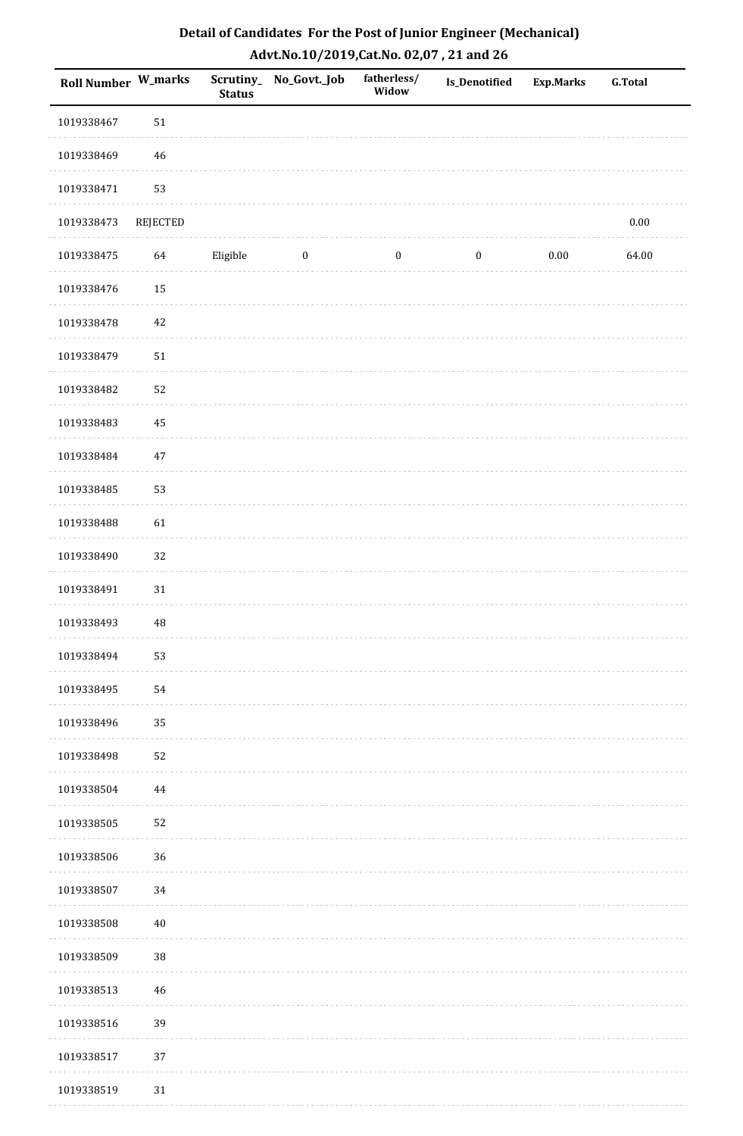| <b>Roll Number W_marks</b> |             | <b>Status</b> | Scrutiny_ No_Govt._Job | fatherless/<br>Widow | <b>Is_Denotified</b> | <b>Exp.Marks</b> | <b>G.Total</b> |
|----------------------------|-------------|---------------|------------------------|----------------------|----------------------|------------------|----------------|
| 1019338467                 | $51\,$      |               |                        |                      |                      |                  |                |
| 1019338469                 | $46\,$      |               |                        |                      |                      |                  |                |
| 1019338471                 | 53          |               |                        |                      |                      |                  |                |
| 1019338473                 | REJECTED    |               |                        |                      |                      |                  | $0.00\,$       |
| 1019338475                 | 64          | Eligible      | $\boldsymbol{0}$       | $\boldsymbol{0}$     | $\boldsymbol{0}$     | $0.00\,$         | 64.00          |
| 1019338476                 | 15          |               |                        |                      |                      |                  |                |
| 1019338478                 | $42\,$      |               |                        |                      |                      |                  |                |
| 1019338479                 | $51\,$      |               |                        |                      |                      |                  |                |
| 1019338482                 | 52          |               |                        |                      |                      |                  |                |
| 1019338483                 | 45          |               |                        |                      |                      |                  |                |
| 1019338484                 | 47          |               |                        |                      |                      |                  |                |
| 1019338485                 | 53          |               |                        |                      |                      |                  |                |
| 1019338488                 | 61          |               |                        |                      |                      |                  |                |
| 1019338490                 | 32          |               |                        |                      |                      |                  |                |
| 1019338491                 | $31\,$      |               |                        |                      |                      |                  |                |
| 1019338493                 | $\rm 48$    |               |                        |                      |                      |                  |                |
| 1019338494                 | 53          |               |                        |                      |                      |                  |                |
| 1019338495                 | 54          |               |                        |                      |                      |                  |                |
| 1019338496                 | 35          |               |                        |                      |                      |                  |                |
| 1019338498                 | 52          |               |                        |                      |                      |                  |                |
| 1019338504                 | 44          |               |                        |                      |                      |                  |                |
| 1019338505                 | 52          |               |                        |                      |                      |                  |                |
| 1019338506                 | 36          |               |                        |                      |                      |                  |                |
| 1019338507                 | 34          |               |                        |                      |                      |                  |                |
| 1019338508                 | $40\,$      |               |                        |                      |                      |                  |                |
| 1019338509                 | 38          |               |                        |                      |                      |                  |                |
| 1019338513                 | $\sqrt{46}$ |               |                        |                      |                      |                  |                |
| 1019338516                 | 39          |               |                        |                      |                      |                  |                |
| 1019338517                 | 37          |               |                        |                      |                      |                  |                |
| 1019338519                 | 31          |               |                        |                      |                      |                  |                |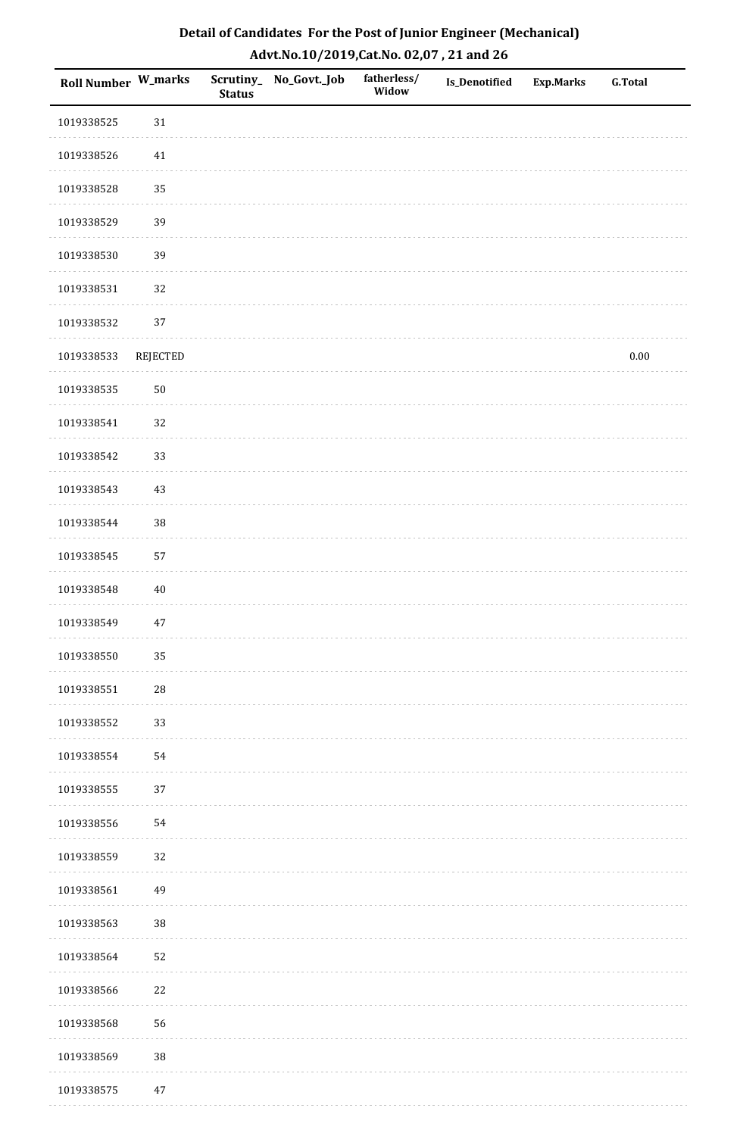| Roll Number W_marks |                 | Scrutiny_<br><b>Status</b> | No_Govt._Job | fatherless/<br>Widow | Is_Denotified | <b>Exp.Marks</b> | <b>G.Total</b> |
|---------------------|-----------------|----------------------------|--------------|----------------------|---------------|------------------|----------------|
| 1019338525          | $31\,$          |                            |              |                      |               |                  |                |
| 1019338526          | $41\,$          |                            |              |                      |               |                  |                |
| 1019338528          | 35              |                            |              |                      |               |                  |                |
| 1019338529          | 39              |                            |              |                      |               |                  |                |
| 1019338530          | 39              |                            |              |                      |               |                  |                |
| 1019338531          | 32              |                            |              |                      |               |                  |                |
| 1019338532          | 37              |                            |              |                      |               |                  |                |
| 1019338533          | <b>REJECTED</b> |                            |              |                      |               |                  | $0.00\,$       |
| 1019338535          | $50\,$          |                            |              |                      |               |                  |                |
| 1019338541          | 32              |                            |              |                      |               |                  |                |
| 1019338542          | 33              |                            |              |                      |               |                  |                |
| 1019338543          | 43              |                            |              |                      |               |                  |                |
| 1019338544          | $38\,$          |                            |              |                      |               |                  |                |
| 1019338545          | 57              |                            |              |                      |               |                  |                |
| 1019338548          | $40\,$          |                            |              |                      |               |                  |                |
| 1019338549          | $47\,$          |                            |              |                      |               |                  |                |
| 1019338550          | 35              |                            |              |                      |               |                  |                |
| 1019338551          | $28\,$          |                            |              |                      |               |                  |                |
| 1019338552          | 33              |                            |              |                      |               |                  |                |
| 1019338554          | 54              |                            |              |                      |               |                  |                |
| 1019338555          | 37              |                            |              |                      |               |                  |                |
| 1019338556          | 54              |                            |              |                      |               |                  |                |
| 1019338559          | 32              |                            |              |                      |               |                  |                |
| 1019338561          | 49              |                            |              |                      |               |                  |                |
| 1019338563          | $38\,$          |                            |              |                      |               |                  |                |
| 1019338564          | 52              |                            |              |                      |               |                  |                |
| 1019338566          | 22              |                            |              |                      |               |                  |                |
| 1019338568          | 56              |                            |              |                      |               |                  |                |
| 1019338569          | $38\,$          |                            |              |                      |               |                  |                |
| 1019338575          | 47              |                            |              |                      |               |                  |                |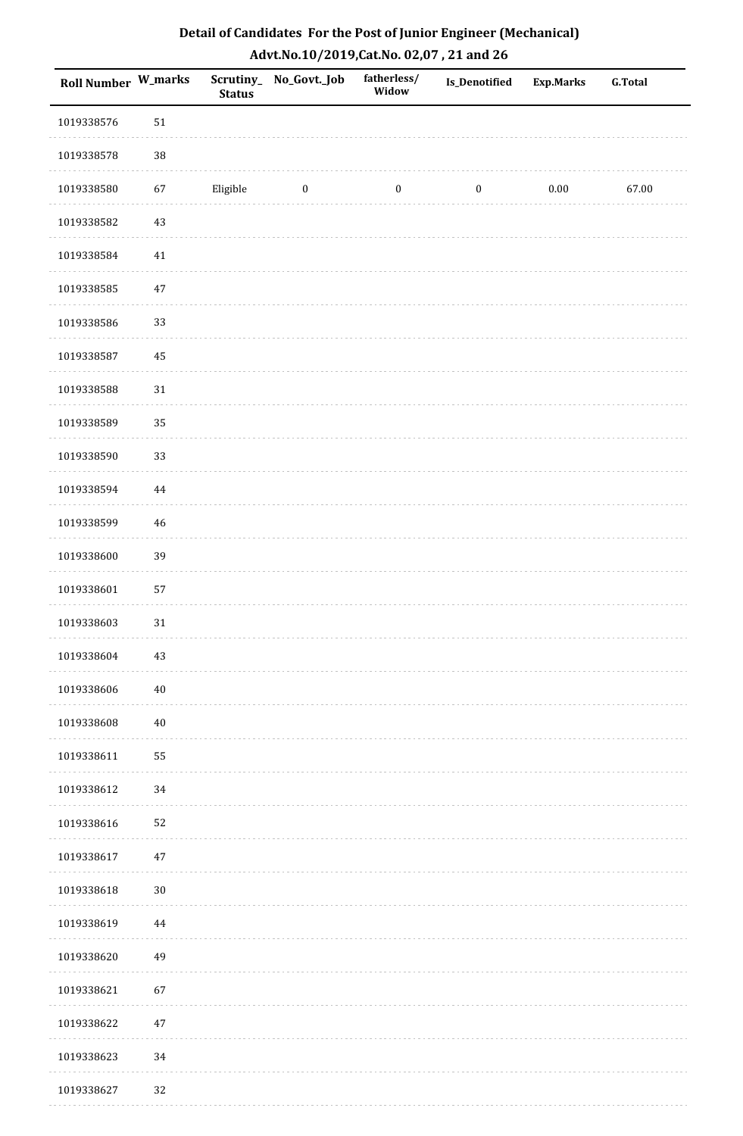| Roll Number W_marks |        | <b>Status</b> | Scrutiny_ No_Govt._Job | fatherless/<br>Widow | Is_Denotified    | <b>Exp.Marks</b> | <b>G.Total</b> |
|---------------------|--------|---------------|------------------------|----------------------|------------------|------------------|----------------|
| 1019338576          | 51     |               |                        |                      |                  |                  |                |
| 1019338578          | $38\,$ |               |                        |                      |                  |                  |                |
| 1019338580          | 67     | Eligible      | $\bf{0}$               | $\boldsymbol{0}$     | $\boldsymbol{0}$ | $0.00\,$         | 67.00          |
| 1019338582          | 43     |               |                        |                      |                  |                  |                |
| 1019338584          | $41\,$ |               |                        |                      |                  |                  |                |
| 1019338585          | $47\,$ |               |                        |                      |                  |                  |                |
| 1019338586          | 33     |               |                        |                      |                  |                  |                |
| 1019338587          | 45     |               |                        |                      |                  |                  |                |
| 1019338588          | 31     |               |                        |                      |                  |                  |                |
| 1019338589          | 35     |               |                        |                      |                  |                  |                |
| 1019338590          | 33     |               |                        |                      |                  |                  |                |
| 1019338594          | 44     |               |                        |                      |                  |                  |                |
| 1019338599          | 46     |               |                        |                      |                  |                  |                |
| 1019338600          | 39     |               |                        |                      |                  |                  |                |
| 1019338601          | 57     |               |                        |                      |                  |                  |                |
| 1019338603          | $31\,$ |               |                        |                      |                  |                  |                |
| 1019338604          | $43\,$ |               |                        |                      |                  |                  |                |
| 1019338606          | $40\,$ |               |                        |                      |                  |                  |                |
| 1019338608          | $40\,$ |               |                        |                      |                  |                  |                |
| 1019338611          | 55     |               |                        |                      |                  |                  |                |
| 1019338612          | 34     |               |                        |                      |                  |                  |                |
| 1019338616          | 52     |               |                        |                      |                  |                  |                |
| 1019338617          | 47     |               |                        |                      |                  |                  |                |
| 1019338618          | $30\,$ |               |                        |                      |                  |                  |                |
| 1019338619          | 44     |               |                        |                      |                  |                  |                |
| 1019338620          | 49     |               |                        |                      |                  |                  |                |
| 1019338621          | 67     |               |                        |                      |                  |                  |                |
| 1019338622          | 47     |               |                        |                      |                  |                  |                |
| 1019338623          | 34     |               |                        |                      |                  |                  |                |
| 1019338627          | 32     |               |                        |                      |                  |                  |                |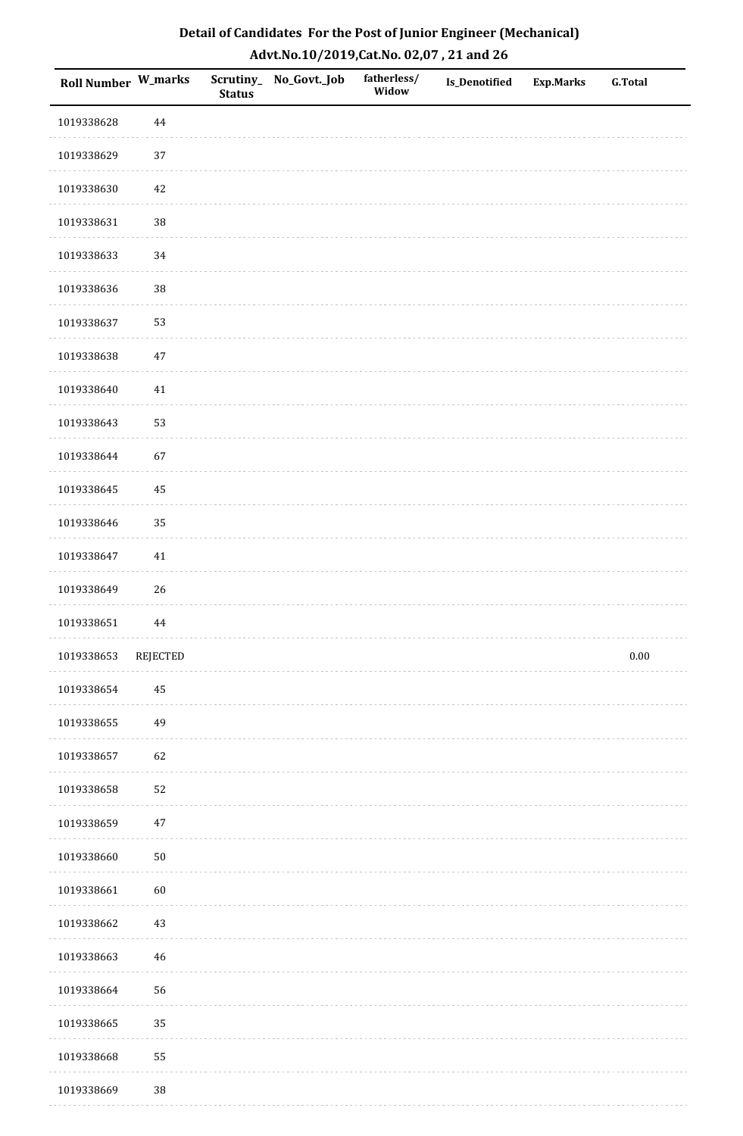| <b>Roll Number W_marks</b> |                 | <b>Status</b> | Scrutiny_No_Govt._Job | fatherless/<br>Widow | Is_Denotified | <b>Exp.Marks</b> | <b>G.Total</b> |
|----------------------------|-----------------|---------------|-----------------------|----------------------|---------------|------------------|----------------|
| 1019338628                 | 44              |               |                       |                      |               |                  |                |
| 1019338629                 | $37\,$          |               |                       |                      |               |                  |                |
| 1019338630                 | $42\,$          |               |                       |                      |               |                  |                |
| 1019338631                 | 38              |               |                       |                      |               |                  |                |
| 1019338633                 | 34              |               |                       |                      |               |                  |                |
| 1019338636                 | 38              |               |                       |                      |               |                  |                |
| 1019338637                 | 53              |               |                       |                      |               |                  |                |
| 1019338638                 | $47\,$          |               |                       |                      |               |                  |                |
| 1019338640                 | 41              |               |                       |                      |               |                  |                |
| 1019338643                 | 53              |               |                       |                      |               |                  |                |
| 1019338644                 | 67              |               |                       |                      |               |                  |                |
| 1019338645                 | 45              |               |                       |                      |               |                  |                |
| 1019338646                 | 35              |               |                       |                      |               |                  |                |
| 1019338647                 | $41\,$          |               |                       |                      |               |                  |                |
| 1019338649                 | $26\,$          |               |                       |                      |               |                  |                |
| 1019338651                 | $\bf 44$        |               |                       |                      |               |                  |                |
| 1019338653                 | <b>REJECTED</b> |               |                       |                      |               |                  | $0.00\,$       |
| 1019338654                 | 45              |               |                       |                      |               |                  |                |
| 1019338655                 | 49              |               |                       |                      |               |                  |                |
| 1019338657                 | 62              |               |                       |                      |               |                  |                |
| 1019338658                 | 52              |               |                       |                      |               |                  |                |
| 1019338659                 | $47\,$          |               |                       |                      |               |                  |                |
| 1019338660                 | $50\,$          |               |                       |                      |               |                  |                |
| 1019338661                 | 60              |               |                       |                      |               |                  |                |
| 1019338662                 | $43\,$          |               |                       |                      |               |                  |                |
| 1019338663                 | $46\,$          |               |                       |                      |               |                  |                |
| 1019338664                 | 56              |               |                       |                      |               |                  |                |
| 1019338665                 | 35              |               |                       |                      |               |                  |                |
| 1019338668                 | 55              |               |                       |                      |               |                  |                |
| 1019338669                 | $38\,$          |               |                       |                      |               |                  |                |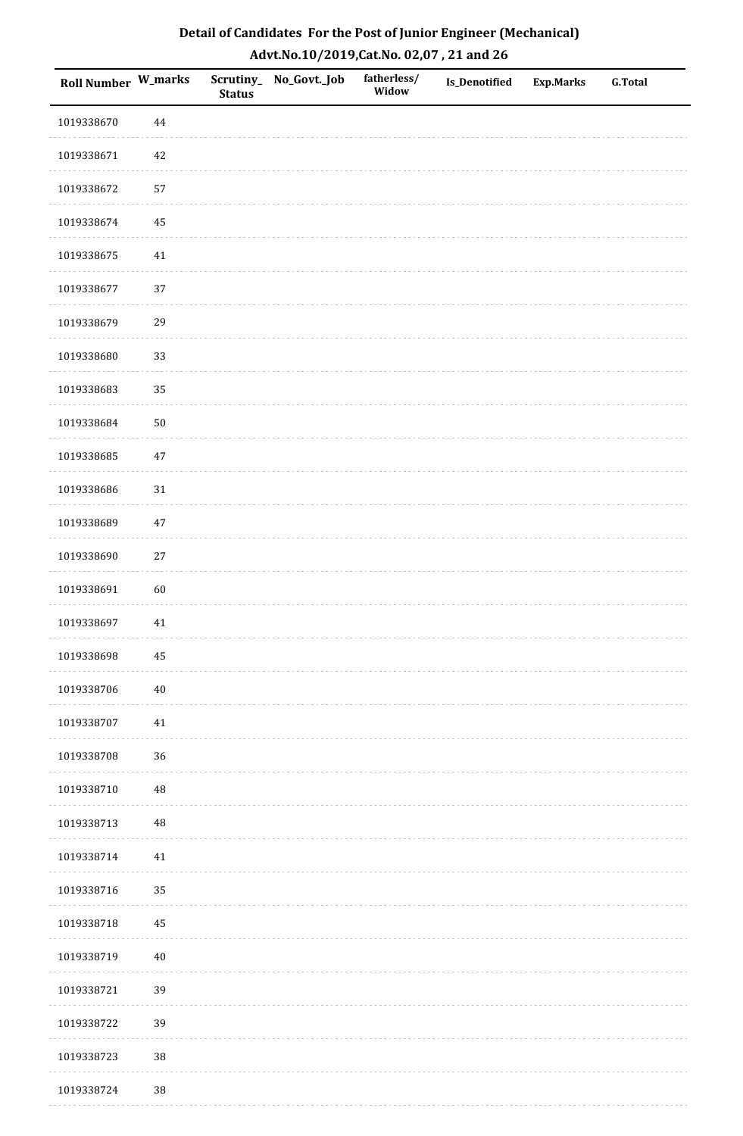| Detail of Candidates For the Post of Junior Engineer (Mechanical) |
|-------------------------------------------------------------------|
| Advt.No.10/2019,Cat.No. 02,07, 21 and 26                          |

| Roll Number W_marks |            | <b>Status</b> | Scrutiny_No_Govt._Job | fatherless/<br>Widow | Is_Denotified | <b>Exp.Marks</b> | <b>G.Total</b> |
|---------------------|------------|---------------|-----------------------|----------------------|---------------|------------------|----------------|
| 1019338670          | 44         |               |                       |                      |               |                  |                |
| 1019338671          | 42         |               |                       |                      |               |                  |                |
| 1019338672          | 57         |               |                       |                      |               |                  |                |
| 1019338674          | 45         |               |                       |                      |               |                  |                |
| 1019338675          | $41\,$     |               |                       |                      |               |                  |                |
| 1019338677          | 37         |               |                       |                      |               |                  |                |
| 1019338679          | 29         |               |                       |                      |               |                  |                |
| 1019338680          | 33         |               |                       |                      |               |                  |                |
| 1019338683          | 35         |               |                       |                      |               |                  |                |
| 1019338684          | ${\bf 50}$ |               |                       |                      |               |                  |                |
| 1019338685          | 47         |               |                       |                      |               |                  |                |
| 1019338686          | 31         |               |                       |                      |               |                  |                |
| 1019338689          | 47         |               |                       |                      |               |                  |                |
| 1019338690          | $27\,$     |               |                       |                      |               |                  |                |
| 1019338691          | 60         |               |                       |                      |               |                  |                |
| 1019338697          | 41         |               |                       |                      |               |                  |                |
| 1019338698          | $\bf 45$   |               |                       |                      |               |                  |                |
| 1019338706          | $40\,$     |               |                       |                      |               |                  |                |
| 1019338707          | 41         |               |                       |                      |               |                  |                |
| 1019338708          | 36         |               |                       |                      |               |                  |                |
| 1019338710          | $\rm 48$   |               |                       |                      |               |                  |                |
| 1019338713          | $\rm 48$   |               |                       |                      |               |                  |                |
| 1019338714          | $41\,$     |               |                       |                      |               |                  |                |
| 1019338716          | 35         |               |                       |                      |               |                  |                |
| 1019338718          | 45         |               |                       |                      |               |                  |                |
| 1019338719          | 40         |               |                       |                      |               |                  |                |
| 1019338721          | 39         |               |                       |                      |               |                  |                |
| 1019338722          | 39         |               |                       |                      |               |                  |                |
| 1019338723          | $38\,$     |               |                       |                      |               |                  |                |
| 1019338724          | $38\,$     |               |                       |                      |               |                  |                |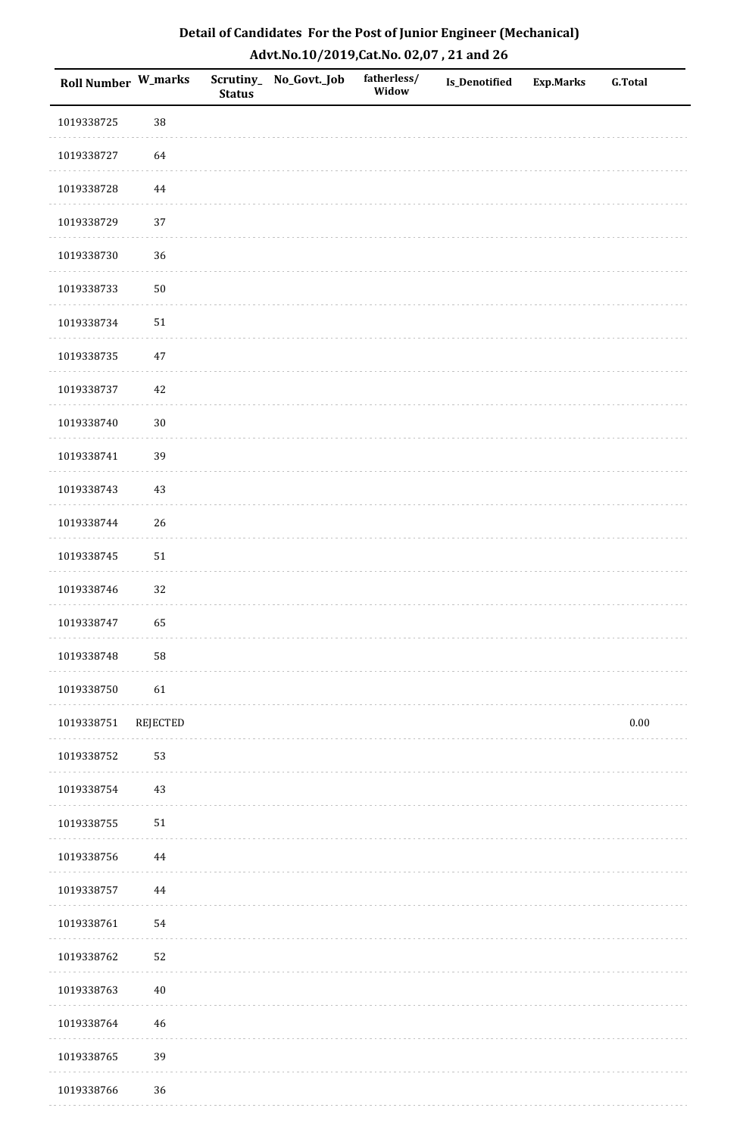| Roll Number W_marks |                 | <b>Status</b> | Scrutiny_ No_Govt._Job | fatherless/<br>Widow | Is_Denotified | <b>Exp.Marks</b> | <b>G.Total</b> |
|---------------------|-----------------|---------------|------------------------|----------------------|---------------|------------------|----------------|
| 1019338725          | 38              |               |                        |                      |               |                  |                |
| 1019338727          | 64              |               |                        |                      |               |                  |                |
| 1019338728          | $\bf 44$        |               |                        |                      |               |                  |                |
| 1019338729          | 37              |               |                        |                      |               |                  |                |
| 1019338730          | 36              |               |                        |                      |               |                  |                |
| 1019338733          | $50\,$          |               |                        |                      |               |                  |                |
| 1019338734          | 51              |               |                        |                      |               |                  |                |
| 1019338735          | $47\,$          |               |                        |                      |               |                  |                |
| 1019338737          | $42\,$          |               |                        |                      |               |                  |                |
| 1019338740          | $30\,$          |               |                        |                      |               |                  |                |
| 1019338741          | 39              |               |                        |                      |               |                  |                |
| 1019338743          | 43              |               |                        |                      |               |                  |                |
| 1019338744          | 26              |               |                        |                      |               |                  |                |
| 1019338745          | 51              |               |                        |                      |               |                  |                |
| 1019338746          | 32              |               |                        |                      |               |                  |                |
| 1019338747          | 65              |               |                        |                      |               |                  |                |
| 1019338748          | 58              |               |                        |                      |               |                  |                |
| 1019338750          | 61              |               |                        |                      |               |                  |                |
| 1019338751          | <b>REJECTED</b> |               |                        |                      |               |                  | $0.00\,$       |
| 1019338752          | 53              |               |                        |                      |               |                  |                |
| 1019338754          | $43\,$          |               |                        |                      |               |                  |                |
| 1019338755          | ${\bf 51}$      |               |                        |                      |               |                  |                |
| 1019338756          | $\bf 44$        |               |                        |                      |               |                  |                |
| 1019338757          | $\bf 44$        |               |                        |                      |               |                  |                |
| 1019338761          | 54              |               |                        |                      |               |                  |                |
| 1019338762          | 52              |               |                        |                      |               |                  |                |
| 1019338763          | $40\,$          |               |                        |                      |               |                  |                |
| 1019338764          | 46              |               |                        |                      |               |                  |                |
| 1019338765          | 39              |               |                        |                      |               |                  |                |
| 1019338766          | 36              |               |                        |                      |               |                  |                |